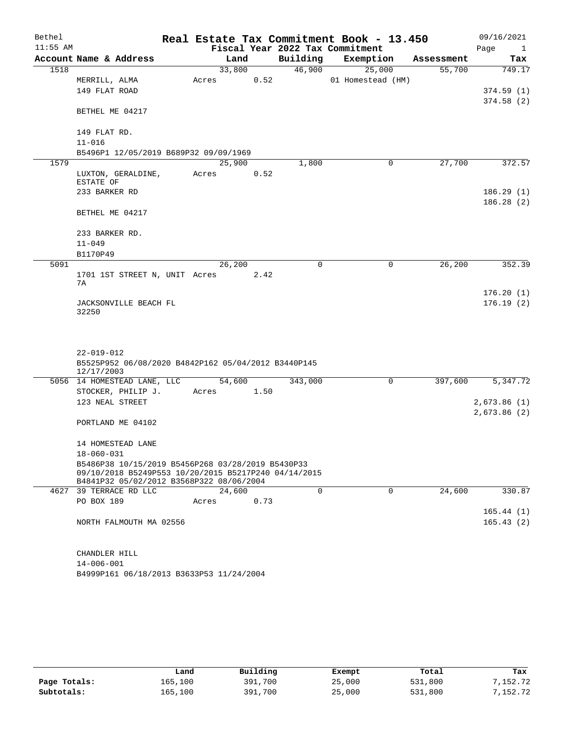| Bethel     |                                                      |  |        |      |          | Real Estate Tax Commitment Book - 13.450 |            | 09/16/2021           |
|------------|------------------------------------------------------|--|--------|------|----------|------------------------------------------|------------|----------------------|
| $11:55$ AM |                                                      |  |        |      |          | Fiscal Year 2022 Tax Commitment          |            | Page<br>$\mathbf{1}$ |
|            | Account Name & Address                               |  | Land   |      | Building | Exemption                                | Assessment | Tax                  |
| 1518       |                                                      |  | 33,800 |      | 46,900   | 25,000                                   | 55,700     | 749.17               |
|            | MERRILL, ALMA                                        |  | Acres  | 0.52 |          | 01 Homestead (HM)                        |            |                      |
|            | 149 FLAT ROAD                                        |  |        |      |          |                                          |            | 374.59(1)            |
|            | BETHEL ME 04217                                      |  |        |      |          |                                          |            | 374.58(2)            |
|            |                                                      |  |        |      |          |                                          |            |                      |
|            | 149 FLAT RD.                                         |  |        |      |          |                                          |            |                      |
|            | $11 - 016$                                           |  |        |      |          |                                          |            |                      |
|            | B5496P1 12/05/2019 B689P32 09/09/1969                |  |        |      |          |                                          |            |                      |
| 1579       |                                                      |  | 25,900 |      | 1,800    | 0                                        | 27,700     | 372.57               |
|            | LUXTON, GERALDINE,<br>ESTATE OF                      |  | Acres  | 0.52 |          |                                          |            |                      |
|            | 233 BARKER RD                                        |  |        |      |          |                                          |            | 186.29(1)            |
|            |                                                      |  |        |      |          |                                          |            | 186.28 (2)           |
|            | BETHEL ME 04217                                      |  |        |      |          |                                          |            |                      |
|            |                                                      |  |        |      |          |                                          |            |                      |
|            | 233 BARKER RD.<br>$11 - 049$                         |  |        |      |          |                                          |            |                      |
|            | B1170P49                                             |  |        |      |          |                                          |            |                      |
| 5091       |                                                      |  | 26,200 |      | 0        | 0                                        | 26,200     | 352.39               |
|            | 1701 1ST STREET N, UNIT Acres                        |  |        | 2.42 |          |                                          |            |                      |
|            | 7А                                                   |  |        |      |          |                                          |            |                      |
|            |                                                      |  |        |      |          |                                          |            | 176.20(1)            |
|            | JACKSONVILLE BEACH FL                                |  |        |      |          |                                          |            | 176.19(2)            |
|            | 32250                                                |  |        |      |          |                                          |            |                      |
|            |                                                      |  |        |      |          |                                          |            |                      |
|            |                                                      |  |        |      |          |                                          |            |                      |
|            | $22 - 019 - 012$                                     |  |        |      |          |                                          |            |                      |
|            | B5525P952 06/08/2020 B4842P162 05/04/2012 B3440P145  |  |        |      |          |                                          |            |                      |
|            | 12/17/2003                                           |  |        |      |          |                                          |            |                      |
|            | 5056 14 HOMESTEAD LANE, LLC                          |  | 54,600 |      | 343,000  | 0                                        | 397,600    | 5,347.72             |
|            | STOCKER, PHILIP J.                                   |  | Acres  | 1.50 |          |                                          |            |                      |
|            | 123 NEAL STREET                                      |  |        |      |          |                                          |            | 2,673.86(1)          |
|            | PORTLAND ME 04102                                    |  |        |      |          |                                          |            | 2,673.86 (2)         |
|            |                                                      |  |        |      |          |                                          |            |                      |
|            | 14 HOMESTEAD LANE                                    |  |        |      |          |                                          |            |                      |
|            | $18 - 060 - 031$                                     |  |        |      |          |                                          |            |                      |
|            | B5486P38 10/15/2019 B5456P268 03/28/2019 B5430P33    |  |        |      |          |                                          |            |                      |
|            | 09/10/2018 B5249P553 10/20/2015 B5217P240 04/14/2015 |  |        |      |          |                                          |            |                      |
|            | B4841P32 05/02/2012 B3568P322 08/06/2004             |  |        |      |          |                                          |            |                      |
|            | 4627 39 TERRACE RD LLC                               |  | 24,600 |      | $\Omega$ | $\Omega$                                 | 24,600     | 330.87               |
|            | PO BOX 189                                           |  | Acres  | 0.73 |          |                                          |            |                      |
|            |                                                      |  |        |      |          |                                          |            | 165.44(1)            |
|            | NORTH FALMOUTH MA 02556                              |  |        |      |          |                                          |            | 165.43(2)            |
|            |                                                      |  |        |      |          |                                          |            |                      |
|            | CHANDLER HILL                                        |  |        |      |          |                                          |            |                      |
|            |                                                      |  |        |      |          |                                          |            |                      |

B4999P161 06/18/2013 B3633P53 11/24/2004 14-006-001

|              | Land    | Building | Exempt | Total   | Tax      |
|--------------|---------|----------|--------|---------|----------|
| Page Totals: | 165,100 | 391,700  | 25,000 | 531,800 | 7,152.72 |
| Subtotals:   | 165,100 | 391,700  | 25,000 | 531,800 | 7,152.72 |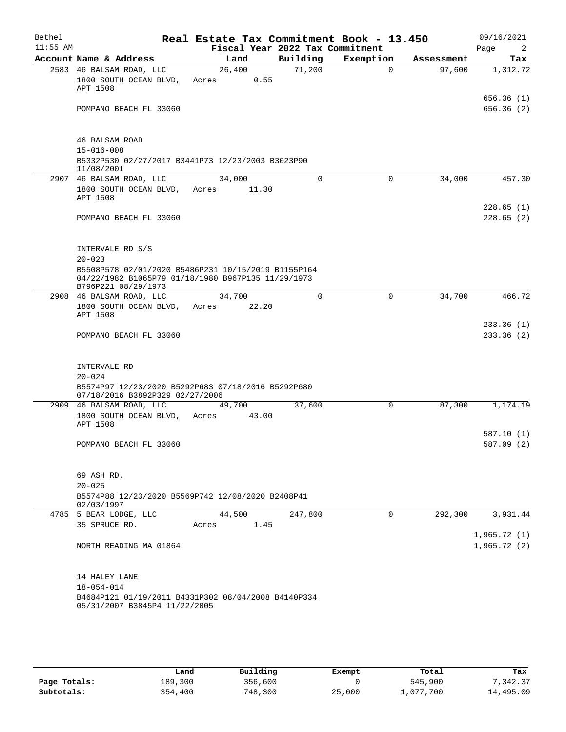| Bethel<br>$11:55$ AM |                                                                                                                                  | Real Estate Tax Commitment Book - 13.450 |       | Fiscal Year 2022 Tax Commitment |           |          |            | 09/16/2021<br>Page<br>2  |
|----------------------|----------------------------------------------------------------------------------------------------------------------------------|------------------------------------------|-------|---------------------------------|-----------|----------|------------|--------------------------|
|                      | Account Name & Address                                                                                                           | Land                                     |       | Building                        | Exemption |          | Assessment | Tax                      |
|                      | 2583 46 BALSAM ROAD, LLC<br>1800 SOUTH OCEAN BLVD,<br>APT 1508                                                                   | 26,400<br>Acres                          | 0.55  | 71,200                          |           | $\Omega$ | 97,600     | 1,312.72                 |
|                      | POMPANO BEACH FL 33060                                                                                                           |                                          |       |                                 |           |          |            | 656.36(1)<br>656.36(2)   |
|                      | 46 BALSAM ROAD                                                                                                                   |                                          |       |                                 |           |          |            |                          |
|                      | $15 - 016 - 008$<br>B5332P530 02/27/2017 B3441P73 12/23/2003 B3023P90                                                            |                                          |       |                                 |           |          |            |                          |
|                      | 11/08/2001<br>2907 46 BALSAM ROAD, LLC                                                                                           | 34,000                                   |       | 0                               |           | 0        | 34,000     | 457.30                   |
|                      | 1800 SOUTH OCEAN BLVD, Acres 11.30<br>APT 1508                                                                                   |                                          |       |                                 |           |          |            |                          |
|                      | POMPANO BEACH FL 33060                                                                                                           |                                          |       |                                 |           |          |            | 228.65(1)<br>228.65(2)   |
|                      | INTERVALE RD S/S<br>$20 - 023$                                                                                                   |                                          |       |                                 |           |          |            |                          |
|                      | B5508P578 02/01/2020 B5486P231 10/15/2019 B1155P164<br>04/22/1982 B1065P79 01/18/1980 B967P135 11/29/1973<br>B796P221 08/29/1973 |                                          |       |                                 |           |          |            |                          |
|                      | 2908 46 BALSAM ROAD, LLC                                                                                                         | 34,700                                   |       | $\Omega$                        |           | 0        | 34,700     | 466.72                   |
|                      | 1800 SOUTH OCEAN BLVD,<br>APT 1508                                                                                               | Acres                                    | 22.20 |                                 |           |          |            |                          |
|                      | POMPANO BEACH FL 33060                                                                                                           |                                          |       |                                 |           |          |            | 233.36 (1)<br>233.36 (2) |
|                      | INTERVALE RD                                                                                                                     |                                          |       |                                 |           |          |            |                          |
|                      | $20 - 024$<br>B5574P97 12/23/2020 B5292P683 07/18/2016 B5292P680<br>07/18/2016 B3892P329 02/27/2006                              |                                          |       |                                 |           |          |            |                          |
|                      | 2909 46 BALSAM ROAD, LLC<br>1800 SOUTH OCEAN BLVD, Acres<br>APT 1508                                                             | 49,700                                   | 43.00 | 37,600                          |           | 0        | 87,300     | 1,174.19                 |
|                      | POMPANO BEACH FL 33060                                                                                                           |                                          |       |                                 |           |          |            | 587.10 (1)<br>587.09 (2) |
|                      |                                                                                                                                  |                                          |       |                                 |           |          |            |                          |
|                      | 69 ASH RD.<br>$20 - 025$<br>B5574P88 12/23/2020 B5569P742 12/08/2020 B2408P41                                                    |                                          |       |                                 |           |          |            |                          |
|                      | 02/03/1997<br>4785 5 BEAR LODGE, LLC                                                                                             | 44,500                                   |       | 247,800                         |           | $\Omega$ | 292,300    | 3,931.44                 |
|                      | 35 SPRUCE RD.                                                                                                                    | Acres                                    | 1.45  |                                 |           |          |            | 1,965.72(1)              |
|                      | NORTH READING MA 01864                                                                                                           |                                          |       |                                 |           |          |            | 1,965.72(2)              |
|                      | 14 HALEY LANE                                                                                                                    |                                          |       |                                 |           |          |            |                          |
|                      | $18 - 054 - 014$<br>B4684P121 01/19/2011 B4331P302 08/04/2008 B4140P334<br>05/31/2007 B3845P4 11/22/2005                         |                                          |       |                                 |           |          |            |                          |

|              | Land    | Building | Exempt | Total     | Tax       |
|--------------|---------|----------|--------|-----------|-----------|
| Page Totals: | 189,300 | 356,600  |        | 545,900   | 7,342.37  |
| Subtotals:   | 354,400 | 748,300  | 25,000 | L,077,700 | 14,495.09 |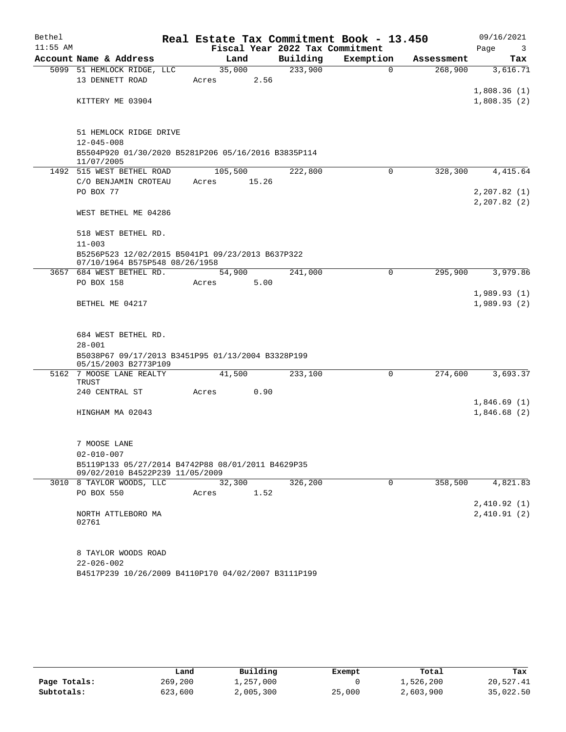| Bethel     |                                                                                      |  |         |       | Real Estate Tax Commitment Book - 13.450 |           |             |            | 09/16/2021                 |
|------------|--------------------------------------------------------------------------------------|--|---------|-------|------------------------------------------|-----------|-------------|------------|----------------------------|
| $11:55$ AM |                                                                                      |  |         |       | Fiscal Year 2022 Tax Commitment          |           |             |            | Page<br>3                  |
|            | Account Name & Address                                                               |  | Land    |       | Building                                 | Exemption |             | Assessment | Tax                        |
|            | 5099 51 HEMLOCK RIDGE, LLC                                                           |  | 35,000  |       | 233,900                                  |           | $\mathbf 0$ | 268,900    | 3,616.71                   |
|            | 13 DENNETT ROAD                                                                      |  | Acres   | 2.56  |                                          |           |             |            |                            |
|            | KITTERY ME 03904                                                                     |  |         |       |                                          |           |             |            | 1,808.36(1)<br>1,808.35(2) |
|            |                                                                                      |  |         |       |                                          |           |             |            |                            |
|            | 51 HEMLOCK RIDGE DRIVE                                                               |  |         |       |                                          |           |             |            |                            |
|            | $12 - 045 - 008$                                                                     |  |         |       |                                          |           |             |            |                            |
|            | B5504P920 01/30/2020 B5281P206 05/16/2016 B3835P114<br>11/07/2005                    |  |         |       |                                          |           |             |            |                            |
|            | 1492 515 WEST BETHEL ROAD                                                            |  | 105,500 |       | 222,800                                  |           | $\Omega$    | 328,300    | 4,415.64                   |
|            | C/O BENJAMIN CROTEAU                                                                 |  | Acres   | 15.26 |                                          |           |             |            |                            |
|            | PO BOX 77                                                                            |  |         |       |                                          |           |             |            | 2, 207.82(1)               |
|            |                                                                                      |  |         |       |                                          |           |             |            | 2, 207.82(2)               |
|            | WEST BETHEL ME 04286                                                                 |  |         |       |                                          |           |             |            |                            |
|            | 518 WEST BETHEL RD.                                                                  |  |         |       |                                          |           |             |            |                            |
|            | $11 - 003$                                                                           |  |         |       |                                          |           |             |            |                            |
|            | B5256P523 12/02/2015 B5041P1 09/23/2013 B637P322<br>07/10/1964 B575P548 08/26/1958   |  |         |       |                                          |           |             |            |                            |
|            | 3657 684 WEST BETHEL RD.                                                             |  | 54,900  |       | 241,000                                  |           | 0           | 295,900    | 3,979.86                   |
|            | PO BOX 158                                                                           |  | Acres   | 5.00  |                                          |           |             |            |                            |
|            | BETHEL ME 04217                                                                      |  |         |       |                                          |           |             |            | 1,989.93(1)<br>1,989.93(2) |
|            |                                                                                      |  |         |       |                                          |           |             |            |                            |
|            |                                                                                      |  |         |       |                                          |           |             |            |                            |
|            | 684 WEST BETHEL RD.                                                                  |  |         |       |                                          |           |             |            |                            |
|            | $28 - 001$                                                                           |  |         |       |                                          |           |             |            |                            |
|            | B5038P67 09/17/2013 B3451P95 01/13/2004 B3328P199                                    |  |         |       |                                          |           |             |            |                            |
|            | 05/15/2003 B2773P109                                                                 |  |         |       |                                          |           |             |            |                            |
|            | 5162 7 MOOSE LANE REALTY<br>TRUST                                                    |  | 41,500  |       | 233,100                                  |           | 0           | 274,600    | 3,693.37                   |
|            | 240 CENTRAL ST                                                                       |  | Acres   | 0.90  |                                          |           |             |            |                            |
|            |                                                                                      |  |         |       |                                          |           |             |            | 1,846.69(1)                |
|            | HINGHAM MA 02043                                                                     |  |         |       |                                          |           |             |            | 1,846.68(2)                |
|            |                                                                                      |  |         |       |                                          |           |             |            |                            |
|            | 7 MOOSE LANE                                                                         |  |         |       |                                          |           |             |            |                            |
|            | $02 - 010 - 007$                                                                     |  |         |       |                                          |           |             |            |                            |
|            | B5119P133 05/27/2014 B4742P88 08/01/2011 B4629P35<br>09/02/2010 B4522P239 11/05/2009 |  |         |       |                                          |           |             |            |                            |
|            | 3010 8 TAYLOR WOODS, LLC                                                             |  | 32,300  |       | 326,200                                  |           | 0           | 358,500    | 4,821.83                   |
|            | <b>PO BOX 550</b>                                                                    |  | Acres   | 1.52  |                                          |           |             |            |                            |
|            |                                                                                      |  |         |       |                                          |           |             |            | 2,410.92(1)                |
|            | NORTH ATTLEBORO MA<br>02761                                                          |  |         |       |                                          |           |             |            | 2,410.91(2)                |
|            | 8 TAYLOR WOODS ROAD                                                                  |  |         |       |                                          |           |             |            |                            |
|            | $22 - 026 - 002$                                                                     |  |         |       |                                          |           |             |            |                            |
|            | B4517P239 10/26/2009 B4110P170 04/02/2007 B3111P199                                  |  |         |       |                                          |           |             |            |                            |

|              | Land    | Building  | Exempt | Total     | Tax       |
|--------------|---------|-----------|--------|-----------|-----------|
| Page Totals: | 269,200 | 1,257,000 |        | 1,526,200 | 20,527.41 |
| Subtotals:   | 623,600 | 2,005,300 | 25,000 | 2,603,900 | 35,022.50 |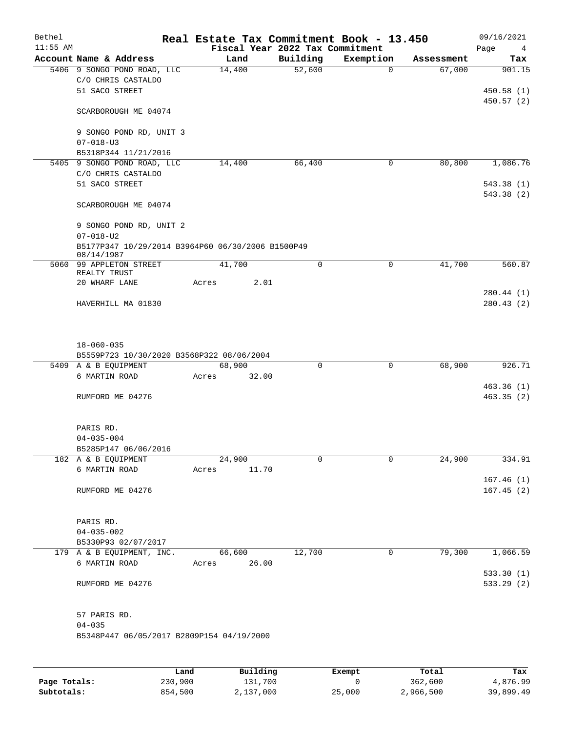| Bethel<br>$11:55$ AM |                                                                     | Real Estate Tax Commitment Book - 13.450 | Fiscal Year 2022 Tax Commitment |           |            | 09/16/2021<br>Page<br>$\overline{4}$ |
|----------------------|---------------------------------------------------------------------|------------------------------------------|---------------------------------|-----------|------------|--------------------------------------|
|                      | Account Name & Address                                              | Land                                     | Building                        | Exemption | Assessment | Tax                                  |
|                      | 5406 9 SONGO POND ROAD, LLC<br>C/O CHRIS CASTALDO<br>51 SACO STREET | 14,400                                   | 52,600                          | $\Omega$  | 67,000     | 901.15<br>450.58(1)                  |
|                      | SCARBOROUGH ME 04074                                                |                                          |                                 |           |            | 450.57(2)                            |
|                      | 9 SONGO POND RD, UNIT 3<br>$07 - 018 - U3$                          |                                          |                                 |           |            |                                      |
|                      | B5318P344 11/21/2016                                                |                                          |                                 |           |            |                                      |
|                      | 5405 9 SONGO POND ROAD, LLC                                         | 14,400                                   | 66,400                          | 0         | 80,800     | 1,086.76                             |
|                      | C/O CHRIS CASTALDO                                                  |                                          |                                 |           |            |                                      |
|                      | 51 SACO STREET                                                      |                                          |                                 |           |            | 543.38(1)<br>543.38 (2)              |
|                      | SCARBOROUGH ME 04074                                                |                                          |                                 |           |            |                                      |
|                      | 9 SONGO POND RD, UNIT 2<br>$07 - 018 - U2$                          |                                          |                                 |           |            |                                      |
|                      | B5177P347 10/29/2014 B3964P60 06/30/2006 B1500P49<br>08/14/1987     |                                          |                                 |           |            |                                      |
|                      | 5060 99 APPLETON STREET                                             | 41,700                                   | $\mathbf 0$                     | 0         | 41,700     | 560.87                               |
|                      | REALTY TRUST<br>20 WHARF LANE                                       | 2.01<br>Acres                            |                                 |           |            |                                      |
|                      |                                                                     |                                          |                                 |           |            | 280.44 (1)                           |
|                      | HAVERHILL MA 01830                                                  |                                          |                                 |           |            | 280.43(2)                            |
|                      | $18 - 060 - 035$                                                    |                                          |                                 |           |            |                                      |
|                      | B5559P723 10/30/2020 B3568P322 08/06/2004                           |                                          |                                 |           |            |                                      |
|                      | 5409 A & B EQUIPMENT                                                | 68,900                                   | 0                               | 0         | 68,900     | 926.71                               |
|                      | 6 MARTIN ROAD                                                       | 32.00<br>Acres                           |                                 |           |            |                                      |
|                      | RUMFORD ME 04276                                                    |                                          |                                 |           |            | 463.36(1)<br>463.35(2)               |
|                      | PARIS RD.                                                           |                                          |                                 |           |            |                                      |
|                      | $04 - 035 - 004$                                                    |                                          |                                 |           |            |                                      |
|                      | B5285P147 06/06/2016<br>182 A & B EQUIPMENT                         | 24,900                                   | 0                               | 0         | 24,900     | 334.91                               |
|                      | 6 MARTIN ROAD                                                       | Acres<br>11.70                           |                                 |           |            |                                      |
|                      |                                                                     |                                          |                                 |           |            | 167.46(1)                            |
|                      | RUMFORD ME 04276                                                    |                                          |                                 |           |            | 167.45(2)                            |
|                      | PARIS RD.                                                           |                                          |                                 |           |            |                                      |
|                      | $04 - 035 - 002$                                                    |                                          |                                 |           |            |                                      |
|                      | B5330P93 02/07/2017                                                 |                                          |                                 |           |            |                                      |
|                      | 179 A & B EQUIPMENT, INC.                                           | 66,600                                   | 12,700                          | 0         | 79,300     | 1,066.59                             |
|                      | 6 MARTIN ROAD                                                       | 26.00<br>Acres                           |                                 |           |            |                                      |
|                      | RUMFORD ME 04276                                                    |                                          |                                 |           |            | 533.30(1)<br>533.29(2)               |
|                      | 57 PARIS RD.                                                        |                                          |                                 |           |            |                                      |
|                      | $04 - 035$                                                          |                                          |                                 |           |            |                                      |
|                      | B5348P447 06/05/2017 B2809P154 04/19/2000                           |                                          |                                 |           |            |                                      |
|                      |                                                                     |                                          |                                 |           |            |                                      |

|              | Land    | Building  | Exempt | Total     | Tax       |
|--------------|---------|-----------|--------|-----------|-----------|
| Page Totals: | 230,900 | 131,700   |        | 362,600   | 4,876.99  |
| Subtotals:   | 854,500 | 2,137,000 | 25,000 | 2,966,500 | 39,899.49 |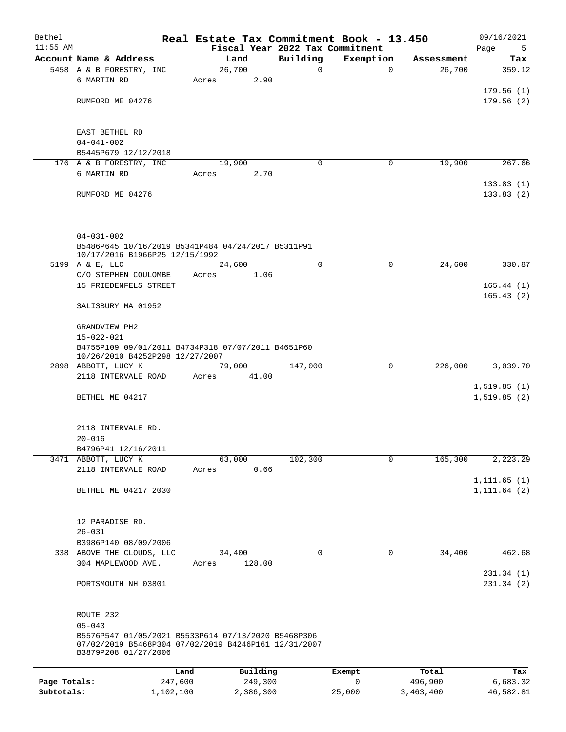| Bethel       |                                                                              |         |                |             | Real Estate Tax Commitment Book - 13.450 |                      | 09/16/2021    |
|--------------|------------------------------------------------------------------------------|---------|----------------|-------------|------------------------------------------|----------------------|---------------|
| $11:55$ AM   |                                                                              |         |                | Building    | Fiscal Year 2022 Tax Commitment          |                      | Page<br>5     |
|              | Account Name & Address<br>5458 A & B FORESTRY, INC                           |         | Land<br>26,700 | 0           | Exemption<br>$\Omega$                    | Assessment<br>26,700 | Tax<br>359.12 |
|              | 6 MARTIN RD                                                                  | Acres   | 2.90           |             |                                          |                      |               |
|              |                                                                              |         |                |             |                                          |                      | 179.56(1)     |
|              | RUMFORD ME 04276                                                             |         |                |             |                                          |                      | 179.56(2)     |
|              |                                                                              |         |                |             |                                          |                      |               |
|              |                                                                              |         |                |             |                                          |                      |               |
|              | EAST BETHEL RD                                                               |         |                |             |                                          |                      |               |
|              | $04 - 041 - 002$<br>B5445P679 12/12/2018                                     |         |                |             |                                          |                      |               |
|              | 176 A & B FORESTRY, INC                                                      |         | 19,900         | 0           | 0                                        | 19,900               | 267.66        |
|              | 6 MARTIN RD                                                                  | Acres   | 2.70           |             |                                          |                      |               |
|              |                                                                              |         |                |             |                                          |                      | 133.83(1)     |
|              | RUMFORD ME 04276                                                             |         |                |             |                                          |                      | 133.83(2)     |
|              |                                                                              |         |                |             |                                          |                      |               |
|              |                                                                              |         |                |             |                                          |                      |               |
|              | $04 - 031 - 002$                                                             |         |                |             |                                          |                      |               |
|              | B5486P645 10/16/2019 B5341P484 04/24/2017 B5311P91                           |         |                |             |                                          |                      |               |
|              | 10/17/2016 B1966P25 12/15/1992                                               |         |                |             |                                          |                      |               |
|              | 5199 A & E, LLC                                                              |         | 24,600         | $\mathbf 0$ | $\mathbf 0$                              | 24,600               | 330.87        |
|              | C/O STEPHEN COULOMBE                                                         | Acres   | 1.06           |             |                                          |                      |               |
|              | 15 FRIEDENFELS STREET                                                        |         |                |             |                                          |                      | 165.44(1)     |
|              | SALISBURY MA 01952                                                           |         |                |             |                                          |                      | 165.43(2)     |
|              |                                                                              |         |                |             |                                          |                      |               |
|              | GRANDVIEW PH2                                                                |         |                |             |                                          |                      |               |
|              | 15-022-021                                                                   |         |                |             |                                          |                      |               |
|              | B4755P109 09/01/2011 B4734P318 07/07/2011 B4651P60                           |         |                |             |                                          |                      |               |
|              | 10/26/2010 B4252P298 12/27/2007<br>2898 ABBOTT, LUCY K                       |         | 79,000         | 147,000     | $\mathbf 0$                              | 226,000              | 3,039.70      |
|              | 2118 INTERVALE ROAD                                                          | Acres   | 41.00          |             |                                          |                      |               |
|              |                                                                              |         |                |             |                                          |                      | 1, 519.85(1)  |
|              | BETHEL ME 04217                                                              |         |                |             |                                          |                      | 1,519.85(2)   |
|              |                                                                              |         |                |             |                                          |                      |               |
|              |                                                                              |         |                |             |                                          |                      |               |
|              | 2118 INTERVALE RD.<br>$20 - 016$                                             |         |                |             |                                          |                      |               |
|              | B4796P41 12/16/2011                                                          |         |                |             |                                          |                      |               |
|              | 3471 ABBOTT, LUCY K                                                          |         | 63,000         | 102,300     | 0                                        | 165,300              | 2,223.29      |
|              | 2118 INTERVALE ROAD                                                          | Acres   | 0.66           |             |                                          |                      |               |
|              |                                                                              |         |                |             |                                          |                      | 1, 111.65(1)  |
|              | BETHEL ME 04217 2030                                                         |         |                |             |                                          |                      | 1, 111.64 (2) |
|              |                                                                              |         |                |             |                                          |                      |               |
|              | 12 PARADISE RD.                                                              |         |                |             |                                          |                      |               |
|              | $26 - 031$                                                                   |         |                |             |                                          |                      |               |
|              | B3986P140 08/09/2006                                                         |         |                |             |                                          |                      |               |
|              | 338 ABOVE THE CLOUDS, LLC                                                    |         | 34,400         | $\mathbf 0$ | $\overline{0}$                           | 34,400               | 462.68        |
|              | 304 MAPLEWOOD AVE.                                                           | Acres   | 128.00         |             |                                          |                      |               |
|              |                                                                              |         |                |             |                                          |                      | 231.34(1)     |
|              | PORTSMOUTH NH 03801                                                          |         |                |             |                                          |                      | 231.34(2)     |
|              |                                                                              |         |                |             |                                          |                      |               |
|              | ROUTE 232                                                                    |         |                |             |                                          |                      |               |
|              | $05 - 043$                                                                   |         |                |             |                                          |                      |               |
|              | B5576P547 01/05/2021 B5533P614 07/13/2020 B5468P306                          |         |                |             |                                          |                      |               |
|              | 07/02/2019 B5468P304 07/02/2019 B4246P161 12/31/2007<br>B3879P208 01/27/2006 |         |                |             |                                          |                      |               |
|              |                                                                              |         |                |             |                                          |                      |               |
|              |                                                                              | Land    | Building       |             | Exempt                                   | Total                | Tax           |
| Page Totals: |                                                                              | 247,600 | 249,300        |             | 0                                        | 496,900              | 6,683.32      |
| Subtotals:   | 1,102,100                                                                    |         | 2,386,300      |             | 25,000                                   | 3,463,400            | 46,582.81     |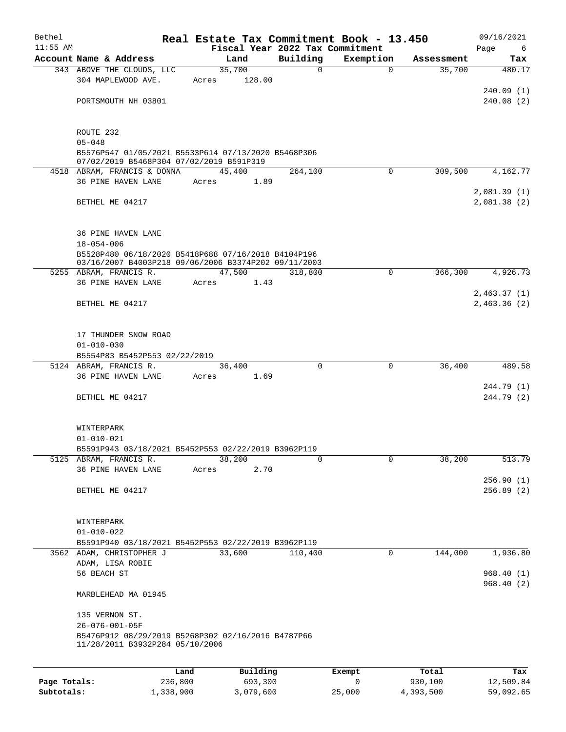| Bethel       |                                                                                                                 | Real Estate Tax Commitment Book - 13.450 |             |                       |                      | 09/16/2021                 |
|--------------|-----------------------------------------------------------------------------------------------------------------|------------------------------------------|-------------|-----------------------|----------------------|----------------------------|
| $11:55$ AM   | Account Name & Address                                                                                          | Fiscal Year 2022 Tax Commitment          | Building    |                       |                      | Page<br>6                  |
|              | 343 ABOVE THE CLOUDS, LLC                                                                                       | Land<br>35,700                           | $\Omega$    | Exemption<br>$\Omega$ | Assessment<br>35,700 | Tax<br>480.17              |
|              | 304 MAPLEWOOD AVE.                                                                                              | 128.00<br>Acres                          |             |                       |                      | 240.09(1)                  |
|              | PORTSMOUTH NH 03801                                                                                             |                                          |             |                       |                      | 240.08(2)                  |
|              | ROUTE 232                                                                                                       |                                          |             |                       |                      |                            |
|              | $05 - 048$<br>B5576P547 01/05/2021 B5533P614 07/13/2020 B5468P306                                               |                                          |             |                       |                      |                            |
|              | 07/02/2019 B5468P304 07/02/2019 B591P319<br>4518 ABRAM, FRANCIS & DONNA                                         | 45,400                                   | 264,100     | $\Omega$              | 309,500              | 4,162.77                   |
|              | 36 PINE HAVEN LANE                                                                                              | 1.89<br>Acres                            |             |                       |                      |                            |
|              | BETHEL ME 04217                                                                                                 |                                          |             |                       |                      | 2,081.39(1)<br>2,081.38(2) |
|              | <b>36 PINE HAVEN LANE</b><br>$18 - 054 - 006$                                                                   |                                          |             |                       |                      |                            |
|              | B5528P480 06/18/2020 B5418P688 07/16/2018 B4104P196<br>03/16/2007 B4003P218 09/06/2006 B3374P202 09/11/2003     |                                          |             |                       |                      |                            |
|              | 5255 ABRAM, FRANCIS R.                                                                                          | 47,500                                   | 318,800     | $\Omega$              | 366,300              | 4,926.73                   |
|              | 36 PINE HAVEN LANE                                                                                              | 1.43<br>Acres                            |             |                       |                      | 2,463.37(1)                |
|              | BETHEL ME 04217                                                                                                 |                                          |             |                       |                      | 2,463.36(2)                |
|              | 17 THUNDER SNOW ROAD                                                                                            |                                          |             |                       |                      |                            |
|              | $01 - 010 - 030$                                                                                                |                                          |             |                       |                      |                            |
|              | B5554P83 B5452P553 02/22/2019<br>5124 ABRAM, FRANCIS R.                                                         | 36,400                                   | $\Omega$    | $\mathbf 0$           | 36,400               | 489.58                     |
|              | 36 PINE HAVEN LANE                                                                                              | 1.69<br>Acres                            |             |                       |                      |                            |
|              | BETHEL ME 04217                                                                                                 |                                          |             |                       |                      | 244.79 (1)<br>244.79 (2)   |
|              |                                                                                                                 |                                          |             |                       |                      |                            |
|              | WINTERPARK                                                                                                      |                                          |             |                       |                      |                            |
|              | $01 - 010 - 021$<br>B5591P943 03/18/2021 B5452P553 02/22/2019 B3962P119                                         |                                          |             |                       |                      |                            |
|              | 5125 ABRAM, FRANCIS R.                                                                                          | 38,200                                   | $\mathbf 0$ | $\mathbf 0$           | 38,200               | 513.79                     |
|              | 36 PINE HAVEN LANE                                                                                              | 2.70<br>Acres                            |             |                       |                      |                            |
|              |                                                                                                                 |                                          |             |                       |                      | 256.90(1)                  |
|              | BETHEL ME 04217                                                                                                 |                                          |             |                       |                      | 256.89(2)                  |
|              | WINTERPARK                                                                                                      |                                          |             |                       |                      |                            |
|              | $01 - 010 - 022$                                                                                                |                                          |             |                       |                      |                            |
|              | B5591P940 03/18/2021 B5452P553 02/22/2019 B3962P119<br>3562 ADAM, CHRISTOPHER J                                 | 33,600                                   | 110,400     | 0                     | 144,000              | 1,936.80                   |
|              | ADAM, LISA ROBIE<br>56 BEACH ST                                                                                 |                                          |             |                       |                      |                            |
|              |                                                                                                                 |                                          |             |                       |                      | 968.40(1)<br>968.40(2)     |
|              | MARBLEHEAD MA 01945                                                                                             |                                          |             |                       |                      |                            |
|              | 135 VERNON ST.                                                                                                  |                                          |             |                       |                      |                            |
|              | $26 - 076 - 001 - 05F$<br>B5476P912 08/29/2019 B5268P302 02/16/2016 B4787P66<br>11/28/2011 B3932P284 05/10/2006 |                                          |             |                       |                      |                            |
|              | Land                                                                                                            | Building                                 |             | Exempt                | Total                | Tax                        |
| Page Totals: | 236,800                                                                                                         | 693,300                                  |             | $\mathbf 0$           | 930,100              | 12,509.84                  |
| Subtotals:   | 1,338,900                                                                                                       | 3,079,600                                |             | 25,000                | 4,393,500            | 59,092.65                  |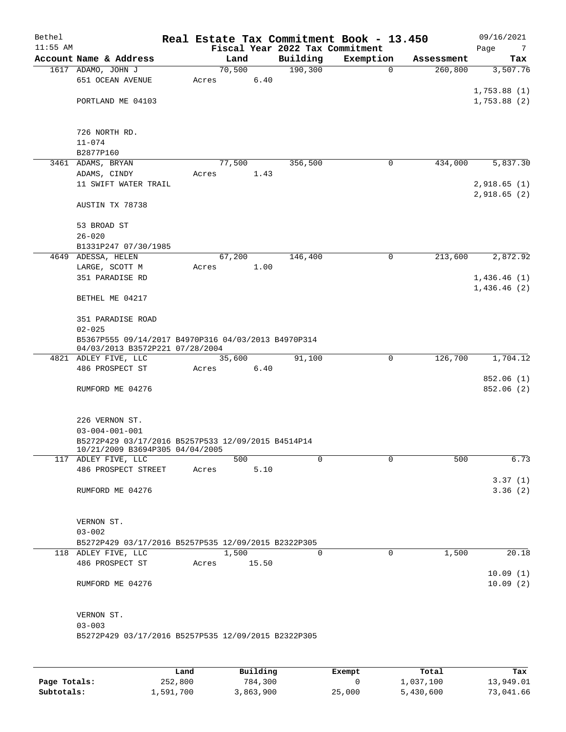| Bethel<br>$11:55$ AM |                                                                                        |        |       | Fiscal Year 2022 Tax Commitment | Real Estate Tax Commitment Book - 13.450 |            | 09/16/2021<br>Page<br>$\overline{7}$ |  |
|----------------------|----------------------------------------------------------------------------------------|--------|-------|---------------------------------|------------------------------------------|------------|--------------------------------------|--|
|                      | Account Name & Address                                                                 | Land   |       | Building                        | Exemption                                | Assessment | Tax                                  |  |
|                      | 1617 ADAMO, JOHN J                                                                     | 70,500 |       | 190, 300                        | $\mathbf 0$                              | 260,800    | 3,507.76                             |  |
|                      | 651 OCEAN AVENUE                                                                       | Acres  | 6.40  |                                 |                                          |            |                                      |  |
|                      |                                                                                        |        |       |                                 |                                          |            | 1,753.88(1)                          |  |
|                      | PORTLAND ME 04103                                                                      |        |       |                                 |                                          |            | 1,753.88(2)                          |  |
|                      | 726 NORTH RD.                                                                          |        |       |                                 |                                          |            |                                      |  |
|                      | $11 - 074$                                                                             |        |       |                                 |                                          |            |                                      |  |
|                      | B2877P160                                                                              |        |       |                                 |                                          |            |                                      |  |
|                      | 3461 ADAMS, BRYAN                                                                      | 77,500 |       | 356,500                         | 0                                        | 434,000    | 5,837.30                             |  |
|                      | ADAMS, CINDY                                                                           | Acres  | 1.43  |                                 |                                          |            |                                      |  |
|                      | 11 SWIFT WATER TRAIL                                                                   |        |       |                                 |                                          |            | 2,918.65(1)<br>2,918.65(2)           |  |
|                      | AUSTIN TX 78738                                                                        |        |       |                                 |                                          |            |                                      |  |
|                      | 53 BROAD ST                                                                            |        |       |                                 |                                          |            |                                      |  |
|                      | $26 - 020$                                                                             |        |       |                                 |                                          |            |                                      |  |
|                      | B1331P247 07/30/1985                                                                   |        |       |                                 |                                          |            |                                      |  |
|                      | 4649 ADESSA, HELEN                                                                     | 67,200 |       | 146,400                         | 0                                        | 213,600    | 2,872.92                             |  |
|                      | LARGE, SCOTT M                                                                         | Acres  | 1.00  |                                 |                                          |            |                                      |  |
|                      | 351 PARADISE RD                                                                        |        |       |                                 |                                          |            | 1,436.46(1)<br>1,436.46(2)           |  |
|                      | BETHEL ME 04217                                                                        |        |       |                                 |                                          |            |                                      |  |
|                      | 351 PARADISE ROAD                                                                      |        |       |                                 |                                          |            |                                      |  |
|                      | $02 - 025$                                                                             |        |       |                                 |                                          |            |                                      |  |
|                      | B5367P555 09/14/2017 B4970P316 04/03/2013 B4970P314<br>04/03/2013 B3572P221 07/28/2004 |        |       |                                 |                                          |            |                                      |  |
|                      | 4821 ADLEY FIVE, LLC                                                                   | 35,600 |       | 91,100                          | 0                                        | 126,700    | 1,704.12                             |  |
|                      | 486 PROSPECT ST                                                                        | Acres  | 6.40  |                                 |                                          |            |                                      |  |
|                      |                                                                                        |        |       |                                 |                                          |            | 852.06 (1)                           |  |
|                      | RUMFORD ME 04276                                                                       |        |       |                                 |                                          |            | 852.06(2)                            |  |
|                      | 226 VERNON ST.                                                                         |        |       |                                 |                                          |            |                                      |  |
|                      | $03 - 004 - 001 - 001$<br>B5272P429 03/17/2016 B5257P533 12/09/2015 B4514P14           |        |       |                                 |                                          |            |                                      |  |
|                      | 10/21/2009 B3694P305 04/04/2005                                                        |        |       |                                 |                                          |            |                                      |  |
|                      | 117 ADLEY FIVE, LLC                                                                    |        | 500   | 0                               | 0                                        | 500        | 6.73                                 |  |
|                      | 486 PROSPECT STREET                                                                    | Acres  | 5.10  |                                 |                                          |            |                                      |  |
|                      |                                                                                        |        |       |                                 |                                          |            | 3.37(1)                              |  |
|                      | RUMFORD ME 04276                                                                       |        |       |                                 |                                          |            | 3.36(2)                              |  |
|                      | VERNON ST.                                                                             |        |       |                                 |                                          |            |                                      |  |
|                      | $03 - 002$                                                                             |        |       |                                 |                                          |            |                                      |  |
|                      | B5272P429 03/17/2016 B5257P535 12/09/2015 B2322P305                                    |        |       |                                 |                                          |            |                                      |  |
|                      | 118 ADLEY FIVE, LLC                                                                    | 1,500  |       | 0                               | $\mathsf{O}$                             | 1,500      | 20.18                                |  |
|                      | 486 PROSPECT ST                                                                        | Acres  | 15.50 |                                 |                                          |            |                                      |  |
|                      |                                                                                        |        |       |                                 |                                          |            | 10.09(1)                             |  |
|                      | RUMFORD ME 04276                                                                       |        |       |                                 |                                          |            | 10.09(2)                             |  |
|                      | VERNON ST.                                                                             |        |       |                                 |                                          |            |                                      |  |
|                      | $03 - 003$                                                                             |        |       |                                 |                                          |            |                                      |  |
|                      | B5272P429 03/17/2016 B5257P535 12/09/2015 B2322P305                                    |        |       |                                 |                                          |            |                                      |  |
|                      |                                                                                        |        |       |                                 |                                          |            |                                      |  |

|              | Land      | Building  | Exempt | Total     | Tax       |
|--------------|-----------|-----------|--------|-----------|-----------|
| Page Totals: | 252,800   | 784,300   |        | 1,037,100 | 13,949.01 |
| Subtotals:   | 1,591,700 | 3,863,900 | 25,000 | 5,430,600 | 73,041.66 |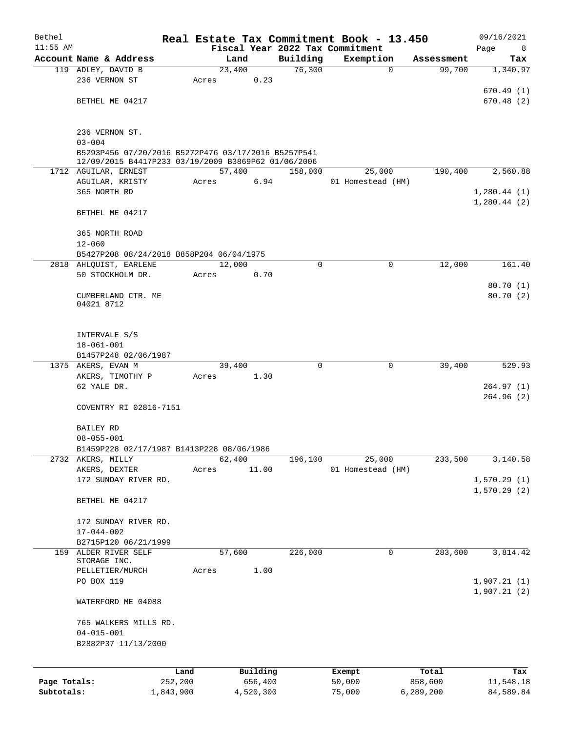| Bethel                     |                                                     |                      |       |                |                      |                    | Real Estate Tax Commitment Book - 13.450 |                      | 09/16/2021             |
|----------------------------|-----------------------------------------------------|----------------------|-------|----------------|----------------------|--------------------|------------------------------------------|----------------------|------------------------|
| $11:55$ AM                 | Account Name & Address                              |                      |       |                |                      |                    | Fiscal Year 2022 Tax Commitment          |                      | Page<br>8              |
|                            | 119 ADLEY, DAVID B                                  |                      |       | Land<br>23,400 |                      | Building<br>76,300 | Exemption<br>$\mathbf 0$                 | Assessment<br>99,700 | Tax<br>1,340.97        |
|                            | 236 VERNON ST                                       |                      | Acres |                | 0.23                 |                    |                                          |                      |                        |
|                            |                                                     |                      |       |                |                      |                    |                                          |                      | 670.49(1)              |
|                            | BETHEL ME 04217                                     |                      |       |                |                      |                    |                                          |                      | 670.48(2)              |
|                            |                                                     |                      |       |                |                      |                    |                                          |                      |                        |
|                            |                                                     |                      |       |                |                      |                    |                                          |                      |                        |
|                            | 236 VERNON ST.<br>$03 - 004$                        |                      |       |                |                      |                    |                                          |                      |                        |
|                            | B5293P456 07/20/2016 B5272P476 03/17/2016 B5257P541 |                      |       |                |                      |                    |                                          |                      |                        |
|                            | 12/09/2015 B4417P233 03/19/2009 B3869P62 01/06/2006 |                      |       |                |                      |                    |                                          |                      |                        |
|                            | 1712 AGUILAR, ERNEST                                |                      |       | 57,400         |                      | 158,000            | 25,000                                   | 190,400              | 2,560.88               |
|                            | AGUILAR, KRISTY<br>365 NORTH RD                     |                      | Acres |                | 6.94                 |                    | 01 Homestead (HM)                        |                      | 1,280.44(1)            |
|                            |                                                     |                      |       |                |                      |                    |                                          |                      | 1,280.44(2)            |
|                            | BETHEL ME 04217                                     |                      |       |                |                      |                    |                                          |                      |                        |
|                            |                                                     |                      |       |                |                      |                    |                                          |                      |                        |
|                            | 365 NORTH ROAD                                      |                      |       |                |                      |                    |                                          |                      |                        |
|                            | $12 - 060$                                          |                      |       |                |                      |                    |                                          |                      |                        |
|                            | B5427P208 08/24/2018 B858P204 06/04/1975            |                      |       |                |                      |                    |                                          |                      |                        |
|                            | 2818 AHLQUIST, EARLENE<br>50 STOCKHOLM DR.          |                      | Acres | 12,000         | 0.70                 | 0                  | 0                                        | 12,000               | 161.40                 |
|                            |                                                     |                      |       |                |                      |                    |                                          |                      | 80.70(1)               |
|                            | CUMBERLAND CTR. ME                                  |                      |       |                |                      |                    |                                          |                      | 80.70 (2)              |
|                            | 04021 8712                                          |                      |       |                |                      |                    |                                          |                      |                        |
|                            |                                                     |                      |       |                |                      |                    |                                          |                      |                        |
|                            |                                                     |                      |       |                |                      |                    |                                          |                      |                        |
|                            | INTERVALE S/S<br>$18 - 061 - 001$                   |                      |       |                |                      |                    |                                          |                      |                        |
|                            | B1457P248 02/06/1987                                |                      |       |                |                      |                    |                                          |                      |                        |
|                            | 1375 AKERS, EVAN M                                  |                      |       | 39,400         |                      | 0                  | 0                                        | 39,400               | 529.93                 |
|                            | AKERS, TIMOTHY P                                    |                      | Acres |                | 1.30                 |                    |                                          |                      |                        |
|                            | 62 YALE DR.                                         |                      |       |                |                      |                    |                                          |                      | 264.97(1)              |
|                            |                                                     |                      |       |                |                      |                    |                                          |                      | 264.96(2)              |
|                            | COVENTRY RI 02816-7151                              |                      |       |                |                      |                    |                                          |                      |                        |
|                            | <b>BAILEY RD</b>                                    |                      |       |                |                      |                    |                                          |                      |                        |
|                            | $08 - 055 - 001$                                    |                      |       |                |                      |                    |                                          |                      |                        |
|                            | B1459P228 02/17/1987 B1413P228 08/06/1986           |                      |       |                |                      |                    |                                          |                      |                        |
|                            | 2732 AKERS, MILLY                                   |                      |       | 62,400         |                      | 196,100            | 25,000                                   | 233,500              | 3,140.58               |
|                            | AKERS, DEXTER                                       |                      | Acres |                | 11.00                |                    | 01 Homestead (HM)                        |                      |                        |
|                            | 172 SUNDAY RIVER RD.                                |                      |       |                |                      |                    |                                          |                      | 1,570.29(1)            |
|                            | BETHEL ME 04217                                     |                      |       |                |                      |                    |                                          |                      | 1,570.29(2)            |
|                            |                                                     |                      |       |                |                      |                    |                                          |                      |                        |
|                            | 172 SUNDAY RIVER RD.                                |                      |       |                |                      |                    |                                          |                      |                        |
|                            | $17 - 044 - 002$                                    |                      |       |                |                      |                    |                                          |                      |                        |
|                            | B2715P120 06/21/1999                                |                      |       |                |                      |                    |                                          |                      |                        |
|                            | 159 ALDER RIVER SELF                                |                      |       | 57,600         |                      | 226,000            | $\mathsf{O}$                             | 283,600              | 3,814.42               |
|                            | STORAGE INC.<br>PELLETIER/MURCH                     |                      | Acres |                | 1.00                 |                    |                                          |                      |                        |
|                            | PO BOX 119                                          |                      |       |                |                      |                    |                                          |                      | 1,907.21(1)            |
|                            |                                                     |                      |       |                |                      |                    |                                          |                      | 1,907.21(2)            |
|                            | WATERFORD ME 04088                                  |                      |       |                |                      |                    |                                          |                      |                        |
|                            |                                                     |                      |       |                |                      |                    |                                          |                      |                        |
|                            | 765 WALKERS MILLS RD.                               |                      |       |                |                      |                    |                                          |                      |                        |
|                            | $04 - 015 - 001$<br>B2882P37 11/13/2000             |                      |       |                |                      |                    |                                          |                      |                        |
|                            |                                                     |                      |       |                |                      |                    |                                          |                      |                        |
|                            |                                                     |                      |       |                |                      |                    |                                          |                      |                        |
|                            |                                                     | Land                 |       |                | Building             |                    | Exempt                                   | Total                | Tax                    |
| Page Totals:<br>Subtotals: |                                                     | 252,200<br>1,843,900 |       |                | 656,400<br>4,520,300 |                    | 50,000<br>75,000                         | 858,600<br>6,289,200 | 11,548.18<br>84,589.84 |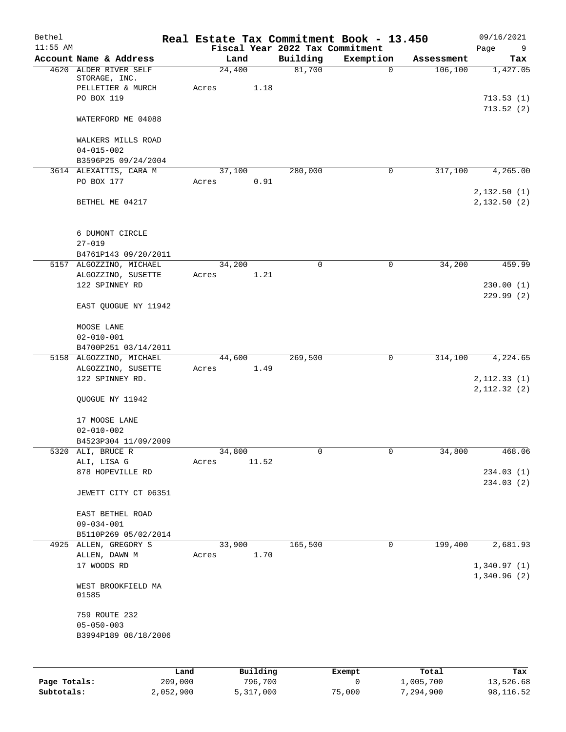| Bethel<br>$11:55$ AM |                                                 |      |                 |          | Fiscal Year 2022 Tax Commitment | Real Estate Tax Commitment Book - 13.450 |            | 09/16/2021<br>Page<br>9 |
|----------------------|-------------------------------------------------|------|-----------------|----------|---------------------------------|------------------------------------------|------------|-------------------------|
|                      | Account Name & Address                          |      |                 | Land     | Building                        | Exemption                                | Assessment | Tax                     |
|                      | 4620 ALDER RIVER SELF<br>STORAGE, INC.          |      | 24,400          |          | 81,700                          | $\mathbf 0$                              | 106,100    | 1,427.05                |
|                      | PELLETIER & MURCH                               |      | Acres           | 1.18     |                                 |                                          |            |                         |
|                      | PO BOX 119                                      |      |                 |          |                                 |                                          |            | 713.53(1)<br>713.52(2)  |
|                      | WATERFORD ME 04088                              |      |                 |          |                                 |                                          |            |                         |
|                      | WALKERS MILLS ROAD                              |      |                 |          |                                 |                                          |            |                         |
|                      | $04 - 015 - 002$<br>B3596P25 09/24/2004         |      |                 |          |                                 |                                          |            |                         |
|                      | 3614 ALEXAITIS, CARA M                          |      | 37,100          |          | 280,000                         | $\mathbf 0$                              | 317,100    | 4,265.00                |
|                      | PO BOX 177                                      |      | Acres           | 0.91     |                                 |                                          |            | 2,132.50 (1)            |
|                      | BETHEL ME 04217                                 |      |                 |          |                                 |                                          |            | 2,132.50(2)             |
|                      | 6 DUMONT CIRCLE                                 |      |                 |          |                                 |                                          |            |                         |
|                      | $27 - 019$                                      |      |                 |          |                                 |                                          |            |                         |
|                      | B4761P143 09/20/2011<br>5157 ALGOZZINO, MICHAEL |      | 34,200          |          | $\mathbf 0$                     | $\mathbf 0$                              | 34,200     | 459.99                  |
|                      | ALGOZZINO, SUSETTE                              |      | Acres           | 1.21     |                                 |                                          |            |                         |
|                      | 122 SPINNEY RD                                  |      |                 |          |                                 |                                          |            | 230.00(1)<br>229.99(2)  |
|                      | EAST QUOGUE NY 11942                            |      |                 |          |                                 |                                          |            |                         |
|                      | MOOSE LANE                                      |      |                 |          |                                 |                                          |            |                         |
|                      | $02 - 010 - 001$                                |      |                 |          |                                 |                                          |            |                         |
|                      | B4700P251 03/14/2011                            |      |                 |          |                                 |                                          |            |                         |
|                      | 5158 ALGOZZINO, MICHAEL<br>ALGOZZINO, SUSETTE   |      | 44,600<br>Acres | 1.49     | 269,500                         | 0                                        | 314,100    | 4,224.65                |
|                      | 122 SPINNEY RD.                                 |      |                 |          |                                 |                                          |            | 2, 112.33(1)            |
|                      | QUOGUE NY 11942                                 |      |                 |          |                                 |                                          |            | 2,112.32(2)             |
|                      | 17 MOOSE LANE                                   |      |                 |          |                                 |                                          |            |                         |
|                      | $02 - 010 - 002$                                |      |                 |          |                                 |                                          |            |                         |
|                      | B4523P304 11/09/2009                            |      |                 |          |                                 |                                          |            |                         |
| 5320                 | ALI, BRUCE R                                    |      | 34,800          |          | 0                               | 0                                        | 34,800     | 468.06                  |
|                      | ALI, LISA G                                     |      | Acres           | 11.52    |                                 |                                          |            |                         |
|                      | 878 HOPEVILLE RD                                |      |                 |          |                                 |                                          |            | 234.03(1)<br>234.03(2)  |
|                      | JEWETT CITY CT 06351                            |      |                 |          |                                 |                                          |            |                         |
|                      | EAST BETHEL ROAD                                |      |                 |          |                                 |                                          |            |                         |
|                      | $09 - 034 - 001$                                |      |                 |          |                                 |                                          |            |                         |
|                      | B5110P269 05/02/2014                            |      |                 |          |                                 |                                          |            |                         |
|                      | 4925 ALLEN, GREGORY S<br>ALLEN, DAWN M          |      | 33,900<br>Acres | 1.70     | 165,500                         | 0                                        | 199,400    | 2,681.93                |
|                      | 17 WOODS RD                                     |      |                 |          |                                 |                                          |            | 1,340.97(1)             |
|                      | WEST BROOKFIELD MA<br>01585                     |      |                 |          |                                 |                                          |            | 1,340.96(2)             |
|                      | 759 ROUTE 232                                   |      |                 |          |                                 |                                          |            |                         |
|                      | $05 - 050 - 003$                                |      |                 |          |                                 |                                          |            |                         |
|                      | B3994P189 08/18/2006                            |      |                 |          |                                 |                                          |            |                         |
|                      |                                                 | Land |                 | Building |                                 | Exempt                                   | Total      | Tax                     |
|                      |                                                 |      |                 |          |                                 |                                          |            |                         |

|              | ⊥and      | Building  | Exempt | тосат     | тах       |
|--------------|-----------|-----------|--------|-----------|-----------|
| Page Totals: | 209,000   | 796,700   |        | 1,005,700 | 13,526.68 |
| Subtotals:   | 2,052,900 | 5,317,000 | 75,000 | 7,294,900 | 98,116.52 |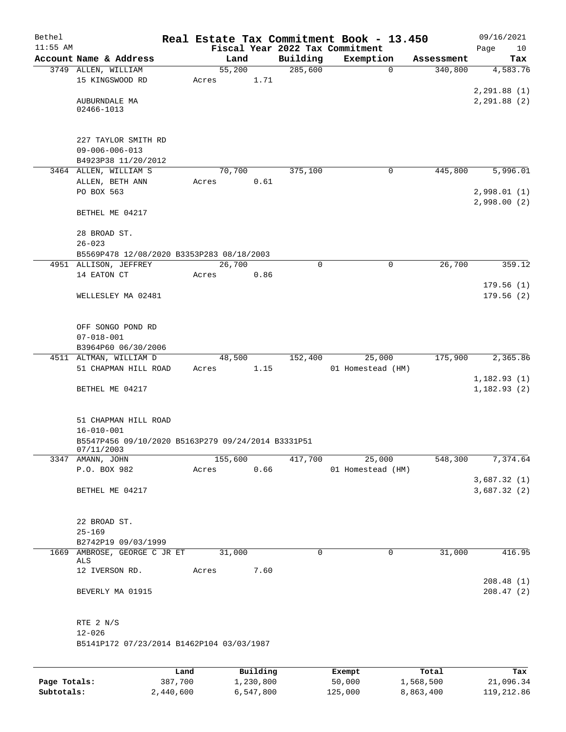| Bethel<br>$11:55$ AM |                                                    |      |       |         |          |          | Real Estate Tax Commitment Book - 13.450<br>Fiscal Year 2022 Tax Commitment |            | 09/16/2021<br>Page<br>10 |
|----------------------|----------------------------------------------------|------|-------|---------|----------|----------|-----------------------------------------------------------------------------|------------|--------------------------|
|                      | Account Name & Address                             |      |       | Land    |          | Building | Exemption                                                                   | Assessment | Tax                      |
|                      | 3749 ALLEN, WILLIAM                                |      |       | 55,200  |          | 285,600  | $\mathbf 0$                                                                 | 340,800    | 4,583.76                 |
|                      | 15 KINGSWOOD RD                                    |      | Acres |         | 1.71     |          |                                                                             |            |                          |
|                      |                                                    |      |       |         |          |          |                                                                             |            | 2, 291.88 (1)            |
|                      | AUBURNDALE MA                                      |      |       |         |          |          |                                                                             |            | 2, 291.88 (2)            |
|                      | 02466-1013                                         |      |       |         |          |          |                                                                             |            |                          |
|                      |                                                    |      |       |         |          |          |                                                                             |            |                          |
|                      | 227 TAYLOR SMITH RD                                |      |       |         |          |          |                                                                             |            |                          |
|                      | $09 - 006 - 006 - 013$                             |      |       |         |          |          |                                                                             |            |                          |
|                      | B4923P38 11/20/2012                                |      |       |         |          |          |                                                                             |            |                          |
|                      | 3464 ALLEN, WILLIAM S                              |      |       | 70,700  |          | 375,100  | 0                                                                           | 445,800    | 5,996.01                 |
|                      | ALLEN, BETH ANN                                    |      | Acres |         | 0.61     |          |                                                                             |            |                          |
|                      | PO BOX 563                                         |      |       |         |          |          |                                                                             |            | 2,998.01(1)              |
|                      |                                                    |      |       |         |          |          |                                                                             |            | 2,998.00(2)              |
|                      | BETHEL ME 04217                                    |      |       |         |          |          |                                                                             |            |                          |
|                      | 28 BROAD ST.                                       |      |       |         |          |          |                                                                             |            |                          |
|                      | $26 - 023$                                         |      |       |         |          |          |                                                                             |            |                          |
|                      | B5569P478 12/08/2020 B3353P283 08/18/2003          |      |       |         |          |          |                                                                             |            |                          |
|                      | 4951 ALLISON, JEFFREY                              |      |       | 26,700  |          | 0        | $\mathbf 0$                                                                 | 26,700     | 359.12                   |
|                      | 14 EATON CT                                        |      | Acres |         | 0.86     |          |                                                                             |            |                          |
|                      |                                                    |      |       |         |          |          |                                                                             |            | 179.56(1)                |
|                      | WELLESLEY MA 02481                                 |      |       |         |          |          |                                                                             |            | 179.56(2)                |
|                      |                                                    |      |       |         |          |          |                                                                             |            |                          |
|                      | OFF SONGO POND RD                                  |      |       |         |          |          |                                                                             |            |                          |
|                      | $07 - 018 - 001$                                   |      |       |         |          |          |                                                                             |            |                          |
|                      | B3964P60 06/30/2006                                |      |       |         |          |          |                                                                             |            |                          |
|                      | 4511 ALTMAN, WILLIAM D                             |      |       | 48,500  |          | 152,400  | 25,000                                                                      | 175,900    | 2,365.86                 |
|                      | 51 CHAPMAN HILL ROAD                               |      | Acres |         | 1.15     |          | 01 Homestead (HM)                                                           |            |                          |
|                      |                                                    |      |       |         |          |          |                                                                             |            | 1,182.93(1)              |
|                      | BETHEL ME 04217                                    |      |       |         |          |          |                                                                             |            | 1,182.93(2)              |
|                      |                                                    |      |       |         |          |          |                                                                             |            |                          |
|                      | 51 CHAPMAN HILL ROAD                               |      |       |         |          |          |                                                                             |            |                          |
|                      | $16 - 010 - 001$                                   |      |       |         |          |          |                                                                             |            |                          |
|                      | B5547P456 09/10/2020 B5163P279 09/24/2014 B3331P51 |      |       |         |          |          |                                                                             |            |                          |
|                      | 07/11/2003                                         |      |       |         |          |          |                                                                             |            |                          |
|                      | 3347 AMANN, JOHN                                   |      |       | 155,600 |          | 417,700  | 25,000                                                                      | 548,300    | 7,374.64                 |
|                      | P.O. BOX 982                                       |      | Acres |         | 0.66     |          | 01 Homestead (HM)                                                           |            | 3,687.32(1)              |
|                      | BETHEL ME 04217                                    |      |       |         |          |          |                                                                             |            | 3,687.32(2)              |
|                      |                                                    |      |       |         |          |          |                                                                             |            |                          |
|                      |                                                    |      |       |         |          |          |                                                                             |            |                          |
|                      | 22 BROAD ST.                                       |      |       |         |          |          |                                                                             |            |                          |
|                      | $25 - 169$                                         |      |       |         |          |          |                                                                             |            |                          |
|                      | B2742P19 09/03/1999                                |      |       |         |          |          |                                                                             |            |                          |
|                      | 1669 AMBROSE, GEORGE C JR ET<br>ALS                |      |       | 31,000  |          | 0        | $\mathbf 0$                                                                 | 31,000     | 416.95                   |
|                      | 12 IVERSON RD.                                     |      | Acres |         | 7.60     |          |                                                                             |            |                          |
|                      |                                                    |      |       |         |          |          |                                                                             |            | 208.48(1)                |
|                      | BEVERLY MA 01915                                   |      |       |         |          |          |                                                                             |            | 208.47(2)                |
|                      |                                                    |      |       |         |          |          |                                                                             |            |                          |
|                      |                                                    |      |       |         |          |          |                                                                             |            |                          |
|                      | RTE 2 N/S                                          |      |       |         |          |          |                                                                             |            |                          |
|                      | $12 - 026$                                         |      |       |         |          |          |                                                                             |            |                          |
|                      | B5141P172 07/23/2014 B1462P104 03/03/1987          |      |       |         |          |          |                                                                             |            |                          |
|                      |                                                    |      |       |         |          |          |                                                                             |            |                          |
|                      |                                                    | Land |       |         | Building |          | Exempt                                                                      | Total      | Tax                      |

|              | Land      | Building  | Exempt  | Total     | Tax        |
|--------------|-----------|-----------|---------|-----------|------------|
| Page Totals: | 387,700   | 1,230,800 | 50,000  | 1,568,500 | 21,096.34  |
| Subtotals:   | 2,440,600 | 6,547,800 | 125,000 | 8,863,400 | 119,212.86 |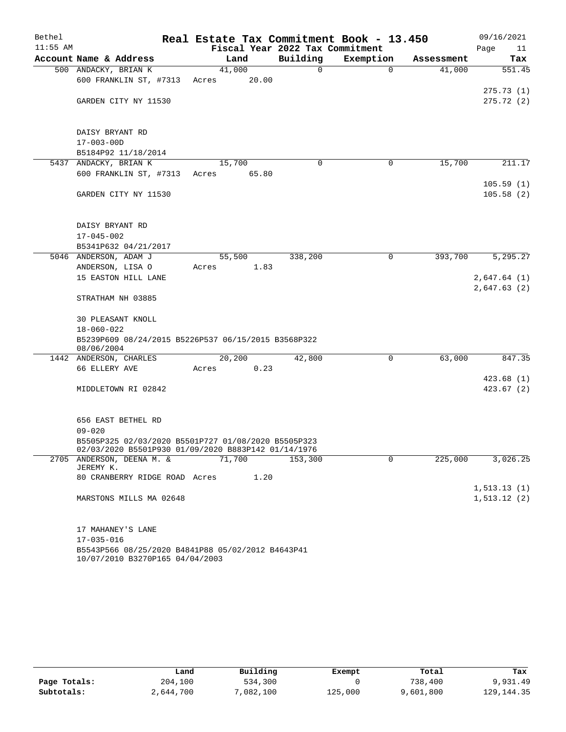| Bethel     |                                                                                      |        |       |                                 | Real Estate Tax Commitment Book - 13.450 |            | 09/16/2021                 |
|------------|--------------------------------------------------------------------------------------|--------|-------|---------------------------------|------------------------------------------|------------|----------------------------|
| $11:55$ AM |                                                                                      |        |       | Fiscal Year 2022 Tax Commitment |                                          |            | Page<br>11                 |
|            | Account Name & Address                                                               | Land   |       | Building                        | Exemption                                | Assessment | Tax                        |
|            | 500 ANDACKY, BRIAN K                                                                 | 41,000 |       | 0                               | $\Omega$                                 | 41,000     | 551.45                     |
|            | 600 FRANKLIN ST, #7313                                                               | Acres  | 20.00 |                                 |                                          |            |                            |
|            | GARDEN CITY NY 11530                                                                 |        |       |                                 |                                          |            | 275.73(1)<br>275.72(2)     |
|            |                                                                                      |        |       |                                 |                                          |            |                            |
|            |                                                                                      |        |       |                                 |                                          |            |                            |
|            | DAISY BRYANT RD                                                                      |        |       |                                 |                                          |            |                            |
|            | $17 - 003 - 00D$                                                                     |        |       |                                 |                                          |            |                            |
|            | B5184P92 11/18/2014                                                                  |        |       |                                 |                                          |            |                            |
|            | 5437 ANDACKY, BRIAN K                                                                | 15,700 |       | $\mathbf 0$                     | 0                                        | 15,700     | 211.17                     |
|            | 600 FRANKLIN ST, #7313                                                               | Acres  | 65.80 |                                 |                                          |            |                            |
|            | GARDEN CITY NY 11530                                                                 |        |       |                                 |                                          |            | 105.59(1)<br>105.58(2)     |
|            |                                                                                      |        |       |                                 |                                          |            |                            |
|            |                                                                                      |        |       |                                 |                                          |            |                            |
|            | DAISY BRYANT RD                                                                      |        |       |                                 |                                          |            |                            |
|            | $17 - 045 - 002$                                                                     |        |       |                                 |                                          |            |                            |
|            | B5341P632 04/21/2017                                                                 |        |       |                                 |                                          |            |                            |
|            | 5046 ANDERSON, ADAM J                                                                | 55,500 |       | 338,200                         | 0                                        | 393,700    | 5,295.27                   |
|            | ANDERSON, LISA O                                                                     | Acres  | 1.83  |                                 |                                          |            |                            |
|            | 15 EASTON HILL LANE                                                                  |        |       |                                 |                                          |            | 2,647.64(1)<br>2,647.63(2) |
|            | STRATHAM NH 03885                                                                    |        |       |                                 |                                          |            |                            |
|            |                                                                                      |        |       |                                 |                                          |            |                            |
|            | <b>30 PLEASANT KNOLL</b>                                                             |        |       |                                 |                                          |            |                            |
|            | $18 - 060 - 022$                                                                     |        |       |                                 |                                          |            |                            |
|            | B5239P609 08/24/2015 B5226P537 06/15/2015 B3568P322<br>08/06/2004                    |        |       |                                 |                                          |            |                            |
|            | 1442 ANDERSON, CHARLES                                                               | 20,200 |       | 42,800                          | 0                                        | 63,000     | 847.35                     |
|            | 66 ELLERY AVE                                                                        | Acres  | 0.23  |                                 |                                          |            |                            |
|            |                                                                                      |        |       |                                 |                                          |            | 423.68(1)                  |
|            | MIDDLETOWN RI 02842                                                                  |        |       |                                 |                                          |            | 423.67(2)                  |
|            |                                                                                      |        |       |                                 |                                          |            |                            |
|            |                                                                                      |        |       |                                 |                                          |            |                            |
|            | 656 EAST BETHEL RD<br>$09 - 020$                                                     |        |       |                                 |                                          |            |                            |
|            | B5505P325 02/03/2020 B5501P727 01/08/2020 B5505P323                                  |        |       |                                 |                                          |            |                            |
|            | 02/03/2020 B5501P930 01/09/2020 B883P142 01/14/1976                                  |        |       |                                 |                                          |            |                            |
|            | 2705 ANDERSON, DEENA M. &                                                            | 71,700 |       | 153,300                         | 0                                        | 225,000    | 3,026.25                   |
|            | JEREMY K.<br>80 CRANBERRY RIDGE ROAD Acres                                           |        | 1.20  |                                 |                                          |            |                            |
|            |                                                                                      |        |       |                                 |                                          |            | 1, 513.13(1)               |
|            | MARSTONS MILLS MA 02648                                                              |        |       |                                 |                                          |            | 1, 513.12(2)               |
|            |                                                                                      |        |       |                                 |                                          |            |                            |
|            |                                                                                      |        |       |                                 |                                          |            |                            |
|            | 17 MAHANEY'S LANE                                                                    |        |       |                                 |                                          |            |                            |
|            | $17 - 035 - 016$                                                                     |        |       |                                 |                                          |            |                            |
|            | B5543P566 08/25/2020 B4841P88 05/02/2012 B4643P41<br>10/07/2010 B3270P165 04/04/2003 |        |       |                                 |                                          |            |                            |

|              | Land      | Building | Exempt  | Total     | Tax        |
|--------------|-----------|----------|---------|-----------|------------|
| Page Totals: | 204,100   | 534,300  |         | 738,400   | 9,931.49   |
| Subtotals:   | 2,644,700 | ,082,100 | 125,000 | 9,601,800 | 129,144.35 |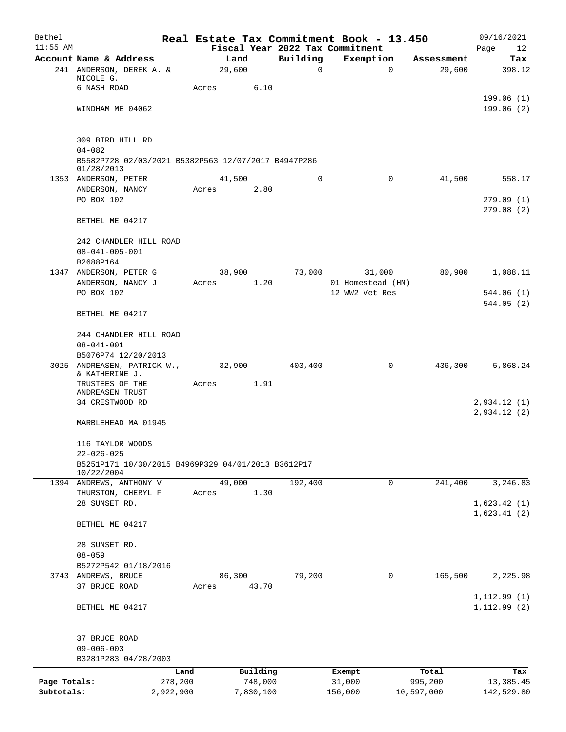| Bethel<br>$11:55$ AM |                                                                   |       |           |                                             |         | Real Estate Tax Commitment Book - 13.450 |            | 09/16/2021             |
|----------------------|-------------------------------------------------------------------|-------|-----------|---------------------------------------------|---------|------------------------------------------|------------|------------------------|
|                      | Account Name & Address                                            |       | Land      | Fiscal Year 2022 Tax Commitment<br>Building |         | Exemption                                | Assessment | Page<br>12<br>Tax      |
|                      | 241 ANDERSON, DEREK A. &                                          |       | 29,600    | 0                                           |         | $\mathbf 0$                              | 29,600     | 398.12                 |
|                      | NICOLE G.                                                         |       |           |                                             |         |                                          |            |                        |
|                      | 6 NASH ROAD                                                       | Acres | 6.10      |                                             |         |                                          |            |                        |
|                      |                                                                   |       |           |                                             |         |                                          |            | 199.06(1)              |
|                      | WINDHAM ME 04062                                                  |       |           |                                             |         |                                          |            | 199.06(2)              |
|                      | 309 BIRD HILL RD                                                  |       |           |                                             |         |                                          |            |                        |
|                      | $04 - 082$                                                        |       |           |                                             |         |                                          |            |                        |
|                      | B5582P728 02/03/2021 B5382P563 12/07/2017 B4947P286<br>01/28/2013 |       |           |                                             |         |                                          |            |                        |
|                      | 1353 ANDERSON, PETER                                              |       | 41,500    | 0                                           |         | $\mathbf 0$                              | 41,500     | 558.17                 |
|                      | ANDERSON, NANCY                                                   | Acres | 2.80      |                                             |         |                                          |            |                        |
|                      | PO BOX 102                                                        |       |           |                                             |         |                                          |            | 279.09(1)<br>279.08(2) |
|                      | BETHEL ME 04217                                                   |       |           |                                             |         |                                          |            |                        |
|                      | 242 CHANDLER HILL ROAD                                            |       |           |                                             |         |                                          |            |                        |
|                      | $08 - 041 - 005 - 001$                                            |       |           |                                             |         |                                          |            |                        |
|                      | B2688P164                                                         |       |           |                                             |         |                                          |            |                        |
|                      | 1347 ANDERSON, PETER G                                            |       | 38,900    | 73,000                                      |         | 31,000                                   | 80,900     | 1,088.11               |
|                      | ANDERSON, NANCY J                                                 | Acres | 1.20      |                                             |         | 01 Homestead (HM)                        |            |                        |
|                      | PO BOX 102                                                        |       |           |                                             |         | 12 WW2 Vet Res                           |            | 544.06(1)<br>544.05(2) |
|                      | BETHEL ME 04217                                                   |       |           |                                             |         |                                          |            |                        |
|                      | 244 CHANDLER HILL ROAD                                            |       |           |                                             |         |                                          |            |                        |
|                      | $08 - 041 - 001$                                                  |       |           |                                             |         |                                          |            |                        |
|                      | B5076P74 12/20/2013                                               |       |           |                                             |         |                                          |            |                        |
|                      | 3025 ANDREASEN, PATRICK W.,<br>& KATHERINE J.                     |       | 32,900    | 403,400                                     |         | $\mathbf 0$                              | 436,300    | 5,868.24               |
|                      | TRUSTEES OF THE                                                   | Acres | 1.91      |                                             |         |                                          |            |                        |
|                      | ANDREASEN TRUST                                                   |       |           |                                             |         |                                          |            |                        |
|                      | 34 CRESTWOOD RD                                                   |       |           |                                             |         |                                          |            | 2,934.12(1)            |
|                      | MARBLEHEAD MA 01945                                               |       |           |                                             |         |                                          |            | 2,934.12(2)            |
|                      | 116 TAYLOR WOODS                                                  |       |           |                                             |         |                                          |            |                        |
|                      | $22 - 026 - 025$                                                  |       |           |                                             |         |                                          |            |                        |
|                      | B5251P171 10/30/2015 B4969P329 04/01/2013 B3612P17<br>10/22/2004  |       |           |                                             |         |                                          |            |                        |
|                      | 1394 ANDREWS, ANTHONY V                                           |       | 49,000    | 192,400                                     |         | 0                                        | 241,400    | 3,246.83               |
|                      | THURSTON, CHERYL F                                                | Acres | 1.30      |                                             |         |                                          |            |                        |
|                      | 28 SUNSET RD.                                                     |       |           |                                             |         |                                          |            | 1,623.42(1)            |
|                      | BETHEL ME 04217                                                   |       |           |                                             |         |                                          |            | 1,623.41(2)            |
|                      | 28 SUNSET RD.                                                     |       |           |                                             |         |                                          |            |                        |
|                      | $08 - 059$                                                        |       |           |                                             |         |                                          |            |                        |
|                      | B5272P542 01/18/2016                                              |       |           |                                             |         |                                          |            |                        |
|                      | 3743 ANDREWS, BRUCE                                               |       | 86,300    | 79,200                                      |         | 0                                        | 165,500    | 2,225.98               |
|                      | 37 BRUCE ROAD                                                     | Acres | 43.70     |                                             |         |                                          |            |                        |
|                      |                                                                   |       |           |                                             |         |                                          |            | 1, 112.99(1)           |
|                      | BETHEL ME 04217                                                   |       |           |                                             |         |                                          |            | 1, 112.99(2)           |
|                      | 37 BRUCE ROAD                                                     |       |           |                                             |         |                                          |            |                        |
|                      | $09 - 006 - 003$                                                  |       |           |                                             |         |                                          |            |                        |
|                      | B3281P283 04/28/2003                                              |       |           |                                             |         |                                          |            |                        |
|                      | Land                                                              |       | Building  |                                             | Exempt  |                                          | Total      | Tax                    |
| Page Totals:         | 278,200                                                           |       | 748,000   |                                             | 31,000  |                                          | 995,200    | 13,385.45              |
| Subtotals:           | 2,922,900                                                         |       | 7,830,100 |                                             | 156,000 |                                          | 10,597,000 | 142,529.80             |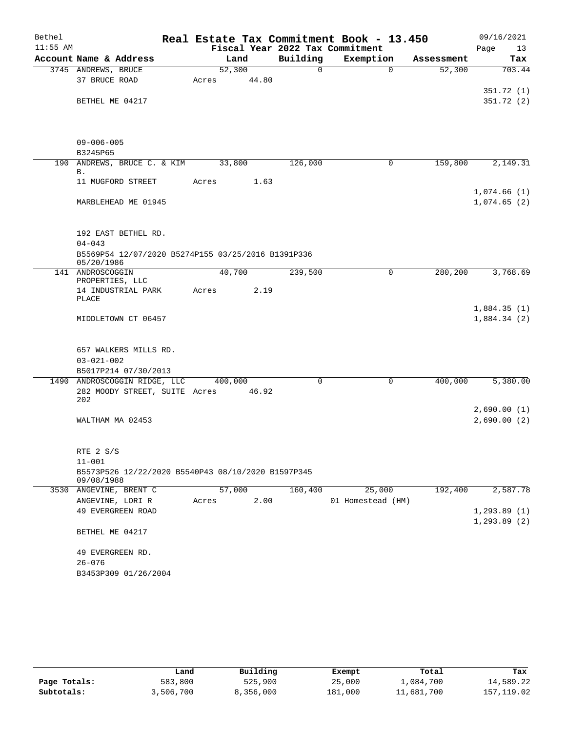| Bethel     |                                                    |         |        |                                 | Real Estate Tax Commitment Book - 13.450 |            | 09/16/2021   |            |
|------------|----------------------------------------------------|---------|--------|---------------------------------|------------------------------------------|------------|--------------|------------|
| $11:55$ AM |                                                    |         |        | Fiscal Year 2022 Tax Commitment |                                          |            | Page         | 13         |
|            | Account Name & Address                             |         | Land   | Building                        | Exemption                                | Assessment |              | Tax        |
|            | 3745 ANDREWS, BRUCE                                |         | 52,300 | $\Omega$                        | $\Omega$                                 | 52,300     |              | 703.44     |
|            | 37 BRUCE ROAD                                      | Acres   | 44.80  |                                 |                                          |            |              |            |
|            |                                                    |         |        |                                 |                                          |            |              | 351.72(1)  |
|            | BETHEL ME 04217                                    |         |        |                                 |                                          |            |              | 351.72 (2) |
|            |                                                    |         |        |                                 |                                          |            |              |            |
|            |                                                    |         |        |                                 |                                          |            |              |            |
|            | $09 - 006 - 005$                                   |         |        |                                 |                                          |            |              |            |
|            | B3245P65                                           |         |        |                                 |                                          |            |              |            |
|            | 190 ANDREWS, BRUCE C. & KIM                        |         | 33,800 | 126,000                         | 0                                        | 159,800    |              | 2,149.31   |
|            | Β.                                                 |         |        |                                 |                                          |            |              |            |
|            | 11 MUGFORD STREET                                  | Acres   | 1.63   |                                 |                                          |            |              |            |
|            |                                                    |         |        |                                 |                                          |            | 1,074.66(1)  |            |
|            | MARBLEHEAD ME 01945                                |         |        |                                 |                                          |            | 1,074.65(2)  |            |
|            |                                                    |         |        |                                 |                                          |            |              |            |
|            |                                                    |         |        |                                 |                                          |            |              |            |
|            | 192 EAST BETHEL RD.<br>$04 - 043$                  |         |        |                                 |                                          |            |              |            |
|            | B5569P54 12/07/2020 B5274P155 03/25/2016 B1391P336 |         |        |                                 |                                          |            |              |            |
|            | 05/20/1986                                         |         |        |                                 |                                          |            |              |            |
|            | 141 ANDROSCOGGIN                                   |         | 40,700 | 239,500                         | 0                                        | 280,200    |              | 3,768.69   |
|            | PROPERTIES, LLC                                    |         |        |                                 |                                          |            |              |            |
|            | 14 INDUSTRIAL PARK<br>PLACE                        | Acres   | 2.19   |                                 |                                          |            |              |            |
|            |                                                    |         |        |                                 |                                          |            | 1,884.35(1)  |            |
|            | MIDDLETOWN CT 06457                                |         |        |                                 |                                          |            | 1,884.34(2)  |            |
|            |                                                    |         |        |                                 |                                          |            |              |            |
|            |                                                    |         |        |                                 |                                          |            |              |            |
|            | 657 WALKERS MILLS RD.                              |         |        |                                 |                                          |            |              |            |
|            | $03 - 021 - 002$                                   |         |        |                                 |                                          |            |              |            |
|            | B5017P214 07/30/2013                               |         |        |                                 |                                          |            |              |            |
|            | 1490 ANDROSCOGGIN RIDGE, LLC                       | 400,000 |        | $\Omega$                        | $\Omega$                                 | 400,000    |              | 5,380.00   |
|            | 282 MOODY STREET, SUITE Acres<br>202               |         | 46.92  |                                 |                                          |            |              |            |
|            |                                                    |         |        |                                 |                                          |            | 2,690.00(1)  |            |
|            | WALTHAM MA 02453                                   |         |        |                                 |                                          |            | 2,690.00(2)  |            |
|            |                                                    |         |        |                                 |                                          |            |              |            |
|            |                                                    |         |        |                                 |                                          |            |              |            |
|            | RTE 2 S/S                                          |         |        |                                 |                                          |            |              |            |
|            | $11 - 001$                                         |         |        |                                 |                                          |            |              |            |
|            | B5573P526 12/22/2020 B5540P43 08/10/2020 B1597P345 |         |        |                                 |                                          |            |              |            |
| 3530       | 09/08/1988<br>ANGEVINE, BRENT C                    |         | 57,000 | 160,400                         | 25,000                                   | 192,400    |              | 2,587.78   |
|            | ANGEVINE, LORI R                                   | Acres   | 2.00   |                                 | 01 Homestead (HM)                        |            |              |            |
|            | 49 EVERGREEN ROAD                                  |         |        |                                 |                                          |            | 1, 293.89(1) |            |
|            |                                                    |         |        |                                 |                                          |            | 1, 293.89(2) |            |
|            | BETHEL ME 04217                                    |         |        |                                 |                                          |            |              |            |
|            |                                                    |         |        |                                 |                                          |            |              |            |
|            | 49 EVERGREEN RD.                                   |         |        |                                 |                                          |            |              |            |
|            | $26 - 076$                                         |         |        |                                 |                                          |            |              |            |
|            | B3453P309 01/26/2004                               |         |        |                                 |                                          |            |              |            |

|              | Land      | Building  | Exempt  | Total      | Tax        |
|--------------|-----------|-----------|---------|------------|------------|
| Page Totals: | 583,800   | 525,900   | 25,000  | 1,084,700  | 14,589.22  |
| Subtotals:   | 3,506,700 | 8,356,000 | 181,000 | 11,681,700 | 157,119.02 |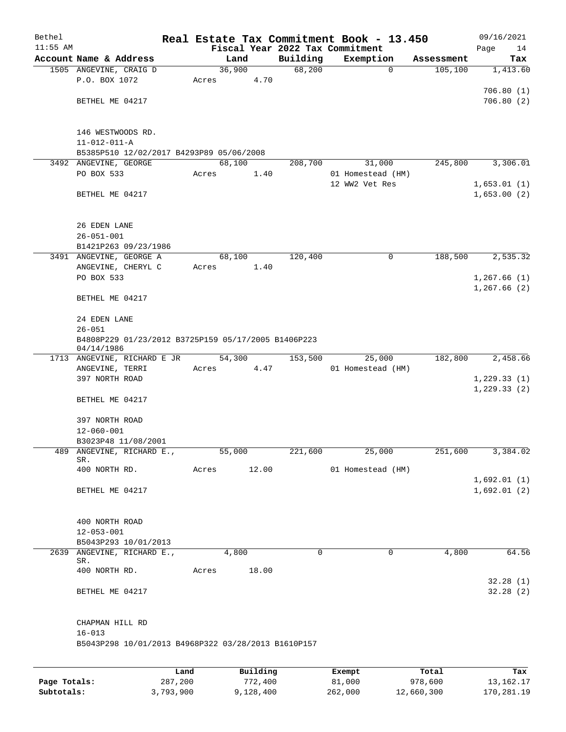| Bethel       |                                                                   |       |                     |          | Real Estate Tax Commitment Book - 13.450 |                  | 09/16/2021                 |  |  |  |  |
|--------------|-------------------------------------------------------------------|-------|---------------------|----------|------------------------------------------|------------------|----------------------------|--|--|--|--|
| $11:55$ AM   |                                                                   |       |                     |          | Fiscal Year 2022 Tax Commitment          |                  | Page<br>14                 |  |  |  |  |
|              | Account Name & Address                                            |       | Land                | Building | Exemption                                | Assessment       | Tax                        |  |  |  |  |
|              | 1505 ANGEVINE, CRAIG D                                            |       | 36,900              | 68,200   | $\mathbf 0$                              | 105,100          | 1,413.60                   |  |  |  |  |
|              | P.O. BOX 1072                                                     | Acres | 4.70                |          |                                          |                  | 706.80(1)                  |  |  |  |  |
|              | BETHEL ME 04217                                                   |       |                     |          |                                          |                  | 706.80(2)                  |  |  |  |  |
|              |                                                                   |       |                     |          |                                          |                  |                            |  |  |  |  |
|              | 146 WESTWOODS RD.                                                 |       |                     |          |                                          |                  |                            |  |  |  |  |
|              | $11 - 012 - 011 - A$                                              |       |                     |          |                                          |                  |                            |  |  |  |  |
|              | B5385P510 12/02/2017 B4293P89 05/06/2008                          |       |                     |          |                                          |                  |                            |  |  |  |  |
|              | 3492 ANGEVINE, GEORGE                                             |       | 68,100              | 208,700  | 31,000                                   | 245,800          | 3,306.01                   |  |  |  |  |
|              | PO BOX 533                                                        | Acres | 1.40                |          | 01 Homestead (HM)                        |                  |                            |  |  |  |  |
|              |                                                                   |       |                     |          | 12 WW2 Vet Res                           |                  | 1,653.01(1)                |  |  |  |  |
|              | BETHEL ME 04217                                                   |       |                     |          |                                          |                  | 1,653.00(2)                |  |  |  |  |
|              | 26 EDEN LANE                                                      |       |                     |          |                                          |                  |                            |  |  |  |  |
|              | $26 - 051 - 001$                                                  |       |                     |          |                                          |                  |                            |  |  |  |  |
|              | B1421P263 09/23/1986                                              |       |                     |          |                                          |                  |                            |  |  |  |  |
|              | 3491 ANGEVINE, GEORGE A                                           |       | 68,100              | 120,400  | 0                                        | 188,500          | 2,535.32                   |  |  |  |  |
|              | ANGEVINE, CHERYL C                                                | Acres | 1.40                |          |                                          |                  |                            |  |  |  |  |
|              | PO BOX 533                                                        |       |                     |          |                                          |                  | 1,267.66(1)                |  |  |  |  |
|              |                                                                   |       |                     |          |                                          |                  | 1,267.66(2)                |  |  |  |  |
|              | BETHEL ME 04217                                                   |       |                     |          |                                          |                  |                            |  |  |  |  |
|              | 24 EDEN LANE                                                      |       |                     |          |                                          |                  |                            |  |  |  |  |
|              | $26 - 051$<br>B4808P229 01/23/2012 B3725P159 05/17/2005 B1406P223 |       |                     |          |                                          |                  |                            |  |  |  |  |
|              | 04/14/1986                                                        |       |                     |          |                                          |                  |                            |  |  |  |  |
|              | 1713 ANGEVINE, RICHARD E JR                                       |       | 54,300              | 153,500  | 25,000                                   | 182,800          | 2,458.66                   |  |  |  |  |
|              | ANGEVINE, TERRI                                                   | Acres | 4.47                |          | 01 Homestead (HM)                        |                  |                            |  |  |  |  |
|              | 397 NORTH ROAD                                                    |       |                     |          |                                          |                  | 1,229.33(1)<br>1,229.33(2) |  |  |  |  |
|              | BETHEL ME 04217                                                   |       |                     |          |                                          |                  |                            |  |  |  |  |
|              | 397 NORTH ROAD                                                    |       |                     |          |                                          |                  |                            |  |  |  |  |
|              | $12 - 060 - 001$                                                  |       |                     |          |                                          |                  |                            |  |  |  |  |
|              | B3023P48 11/08/2001                                               |       |                     |          |                                          |                  |                            |  |  |  |  |
| 489          | ANGEVINE, RICHARD E.,                                             |       | 55,000              | 221,600  | 25,000                                   | 251,600          | 3,384.02                   |  |  |  |  |
|              | SR.                                                               |       |                     |          |                                          |                  |                            |  |  |  |  |
|              | 400 NORTH RD.                                                     | Acres | 12.00               |          | 01 Homestead (HM)                        |                  | 1,692.01(1)                |  |  |  |  |
|              | BETHEL ME 04217                                                   |       |                     |          |                                          |                  | 1,692.01(2)                |  |  |  |  |
|              |                                                                   |       |                     |          |                                          |                  |                            |  |  |  |  |
|              | 400 NORTH ROAD                                                    |       |                     |          |                                          |                  |                            |  |  |  |  |
|              | $12 - 053 - 001$                                                  |       |                     |          |                                          |                  |                            |  |  |  |  |
|              | B5043P293 10/01/2013                                              |       |                     |          |                                          |                  |                            |  |  |  |  |
| 2639         | ANGEVINE, RICHARD E.,<br>SR.                                      |       | 4,800               | 0        | 0                                        | 4,800            | 64.56                      |  |  |  |  |
|              | 400 NORTH RD.                                                     | Acres | 18.00               |          |                                          |                  |                            |  |  |  |  |
|              | BETHEL ME 04217                                                   |       |                     |          |                                          |                  | 32.28(1)<br>32.28(2)       |  |  |  |  |
|              |                                                                   |       |                     |          |                                          |                  |                            |  |  |  |  |
|              | CHAPMAN HILL RD                                                   |       |                     |          |                                          |                  |                            |  |  |  |  |
|              | $16 - 013$                                                        |       |                     |          |                                          |                  |                            |  |  |  |  |
|              | B5043P298 10/01/2013 B4968P322 03/28/2013 B1610P157               |       |                     |          |                                          |                  |                            |  |  |  |  |
|              |                                                                   |       |                     |          |                                          |                  |                            |  |  |  |  |
| Page Totals: | 287,200                                                           | Land  | Building<br>772,400 |          | Exempt<br>81,000                         | Total<br>978,600 | Tax<br>13, 162. 17         |  |  |  |  |
|              |                                                                   |       |                     |          |                                          |                  |                            |  |  |  |  |

**Subtotals:** 3,793,900 9,128,400 262,000 12,660,300 170,281.19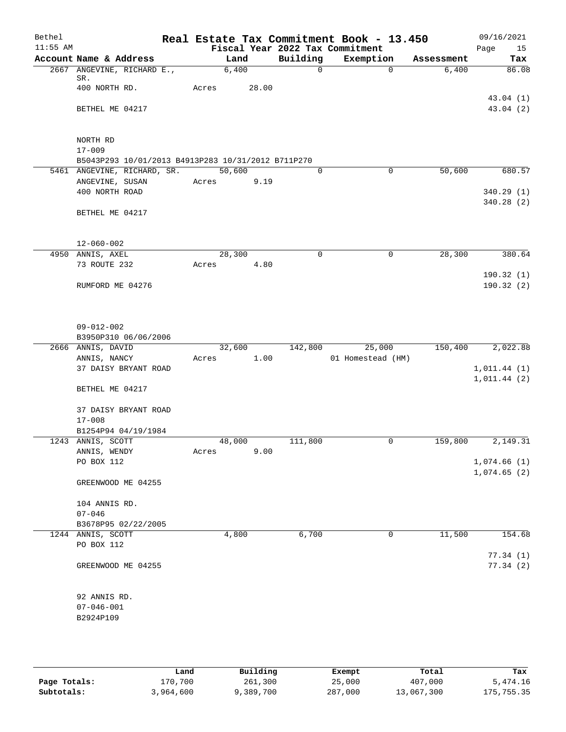| Bethel     |                                                    |       |        |       |             | Real Estate Tax Commitment Book - 13.450 |             |            | 09/16/2021  |
|------------|----------------------------------------------------|-------|--------|-------|-------------|------------------------------------------|-------------|------------|-------------|
| $11:55$ AM |                                                    |       |        |       |             | Fiscal Year 2022 Tax Commitment          |             |            | 15<br>Page  |
|            | Account Name & Address                             |       | Land   |       | Building    | Exemption                                |             | Assessment | Tax         |
|            | 2667 ANGEVINE, RICHARD E.,<br>SR.                  |       | 6,400  |       | 0           |                                          | $\Omega$    | 6,400      | 86.08       |
|            | 400 NORTH RD.                                      | Acres |        | 28.00 |             |                                          |             |            |             |
|            |                                                    |       |        |       |             |                                          |             |            | 43.04(1)    |
|            | BETHEL ME 04217                                    |       |        |       |             |                                          |             |            | 43.04 (2)   |
|            |                                                    |       |        |       |             |                                          |             |            |             |
|            |                                                    |       |        |       |             |                                          |             |            |             |
|            | NORTH RD<br>$17 - 009$                             |       |        |       |             |                                          |             |            |             |
|            | B5043P293 10/01/2013 B4913P283 10/31/2012 B711P270 |       |        |       |             |                                          |             |            |             |
|            | 5461 ANGEVINE, RICHARD, SR.                        |       | 50,600 |       | $\mathbf 0$ |                                          | $\mathbf 0$ | 50,600     | 680.57      |
|            | ANGEVINE, SUSAN                                    | Acres |        | 9.19  |             |                                          |             |            |             |
|            | 400 NORTH ROAD                                     |       |        |       |             |                                          |             |            | 340.29(1)   |
|            |                                                    |       |        |       |             |                                          |             |            | 340.28(2)   |
|            | BETHEL ME 04217                                    |       |        |       |             |                                          |             |            |             |
|            |                                                    |       |        |       |             |                                          |             |            |             |
|            | $12 - 060 - 002$                                   |       |        |       |             |                                          |             |            |             |
|            | 4950 ANNIS, AXEL                                   |       | 28,300 |       | 0           |                                          | 0           | 28,300     | 380.64      |
|            | 73 ROUTE 232                                       | Acres |        | 4.80  |             |                                          |             |            |             |
|            |                                                    |       |        |       |             |                                          |             |            | 190.32(1)   |
|            | RUMFORD ME 04276                                   |       |        |       |             |                                          |             |            | 190.32(2)   |
|            |                                                    |       |        |       |             |                                          |             |            |             |
|            |                                                    |       |        |       |             |                                          |             |            |             |
|            | $09 - 012 - 002$                                   |       |        |       |             |                                          |             |            |             |
|            | B3950P310 06/06/2006                               |       |        |       |             |                                          |             |            |             |
|            | 2666 ANNIS, DAVID                                  |       | 32,600 |       | 142,800     | 25,000                                   |             | 150,400    | 2,022.88    |
|            | ANNIS, NANCY                                       | Acres |        | 1.00  |             | 01 Homestead (HM)                        |             |            |             |
|            | 37 DAISY BRYANT ROAD                               |       |        |       |             |                                          |             |            | 1,011.44(1) |
|            |                                                    |       |        |       |             |                                          |             |            | 1,011.44(2) |
|            | BETHEL ME 04217                                    |       |        |       |             |                                          |             |            |             |
|            | 37 DAISY BRYANT ROAD                               |       |        |       |             |                                          |             |            |             |
|            | $17 - 008$                                         |       |        |       |             |                                          |             |            |             |
|            | B1254P94 04/19/1984                                |       |        |       |             |                                          |             |            |             |
|            | 1243 ANNIS, SCOTT                                  |       | 48,000 |       | 111,800     |                                          | 0           | 159,800    | 2,149.31    |
|            | ANNIS, WENDY                                       | Acres |        | 9.00  |             |                                          |             |            |             |
|            | PO BOX 112                                         |       |        |       |             |                                          |             |            | 1,074.66(1) |
|            | GREENWOOD ME 04255                                 |       |        |       |             |                                          |             |            | 1,074.65(2) |
|            |                                                    |       |        |       |             |                                          |             |            |             |
|            | 104 ANNIS RD.                                      |       |        |       |             |                                          |             |            |             |
|            | $07 - 046$                                         |       |        |       |             |                                          |             |            |             |
|            | B3678P95 02/22/2005                                |       |        |       |             |                                          |             |            |             |
|            | 1244 ANNIS, SCOTT                                  |       | 4,800  |       | 6,700       |                                          | 0           | 11,500     | 154.68      |
|            | PO BOX 112                                         |       |        |       |             |                                          |             |            |             |
|            |                                                    |       |        |       |             |                                          |             |            | 77.34(1)    |
|            | GREENWOOD ME 04255                                 |       |        |       |             |                                          |             |            | 77.34(2)    |
|            |                                                    |       |        |       |             |                                          |             |            |             |
|            | 92 ANNIS RD.                                       |       |        |       |             |                                          |             |            |             |
|            | $07 - 046 - 001$                                   |       |        |       |             |                                          |             |            |             |
|            | B2924P109                                          |       |        |       |             |                                          |             |            |             |
|            |                                                    |       |        |       |             |                                          |             |            |             |

|              | Land      | Building | Exempt  | Total      | Tax        |
|--------------|-----------|----------|---------|------------|------------|
| Page Totals: | 170,700   | 261,300  | 25,000  | 407,000    | 5,474.16   |
| Subtotals:   | 3,964,600 | ,389,700 | 287,000 | 13,067,300 | 175,755.35 |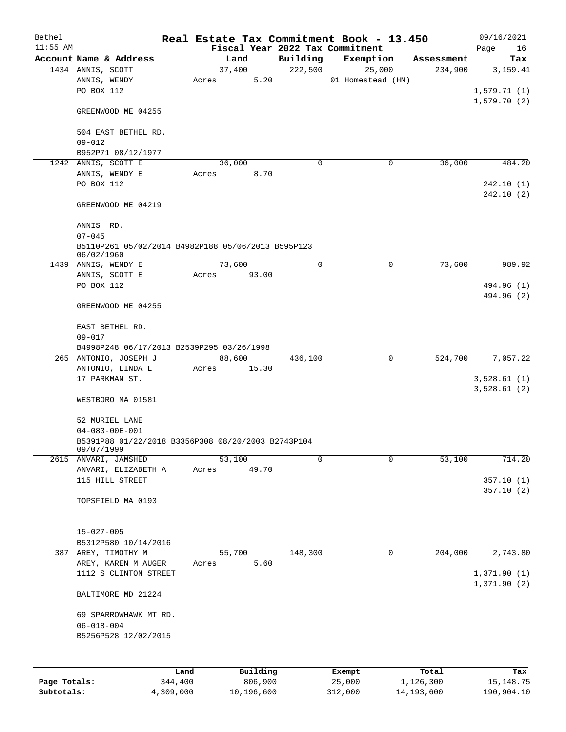| Bethel       |                                                                  |       |          |             | Real Estate Tax Commitment Book - 13.450 |            | 09/16/2021                 |
|--------------|------------------------------------------------------------------|-------|----------|-------------|------------------------------------------|------------|----------------------------|
| $11:55$ AM   |                                                                  |       |          |             | Fiscal Year 2022 Tax Commitment          |            | Page<br>16                 |
|              | Account Name & Address                                           |       | Land     | Building    | Exemption                                | Assessment | Tax                        |
|              | 1434 ANNIS, SCOTT                                                |       | 37,400   | 222,500     | 25,000                                   | 234,900    | 3,159.41                   |
|              | ANNIS, WENDY<br>PO BOX 112                                       | Acres | 5.20     |             | 01 Homestead (HM)                        |            |                            |
|              |                                                                  |       |          |             |                                          |            | 1,579.71(1)<br>1,579.70(2) |
|              | GREENWOOD ME 04255                                               |       |          |             |                                          |            |                            |
|              | 504 EAST BETHEL RD.                                              |       |          |             |                                          |            |                            |
|              | $09 - 012$                                                       |       |          |             |                                          |            |                            |
|              | B952P71 08/12/1977                                               |       |          |             |                                          |            |                            |
|              | 1242 ANNIS, SCOTT E                                              |       | 36,000   | $\mathbf 0$ | 0                                        | 36,000     | 484.20                     |
|              | ANNIS, WENDY E                                                   | Acres | 8.70     |             |                                          |            |                            |
|              | PO BOX 112                                                       |       |          |             |                                          |            | 242.10(1)                  |
|              |                                                                  |       |          |             |                                          |            | 242.10(2)                  |
|              | GREENWOOD ME 04219                                               |       |          |             |                                          |            |                            |
|              | ANNIS RD.<br>$07 - 045$                                          |       |          |             |                                          |            |                            |
|              | B5110P261 05/02/2014 B4982P188 05/06/2013 B595P123               |       |          |             |                                          |            |                            |
|              | 06/02/1960                                                       |       |          |             |                                          |            |                            |
|              | 1439 ANNIS, WENDY E                                              |       | 73,600   | $\mathbf 0$ | 0                                        | 73,600     | 989.92                     |
|              | ANNIS, SCOTT E                                                   | Acres | 93.00    |             |                                          |            |                            |
|              | PO BOX 112                                                       |       |          |             |                                          |            | 494.96 (1)                 |
|              | GREENWOOD ME 04255                                               |       |          |             |                                          |            | 494.96 (2)                 |
|              | EAST BETHEL RD.                                                  |       |          |             |                                          |            |                            |
|              | $09 - 017$                                                       |       |          |             |                                          |            |                            |
|              | B4998P248 06/17/2013 B2539P295 03/26/1998                        |       |          |             |                                          |            |                            |
|              | 265 ANTONIO, JOSEPH J                                            |       | 88,600   | 436,100     | 0                                        | 524,700    | 7,057.22                   |
|              | ANTONIO, LINDA L                                                 | Acres | 15.30    |             |                                          |            |                            |
|              | 17 PARKMAN ST.                                                   |       |          |             |                                          |            | 3,528.61(1)<br>3,528.61(2) |
|              | WESTBORO MA 01581                                                |       |          |             |                                          |            |                            |
|              | 52 MURIEL LANE                                                   |       |          |             |                                          |            |                            |
|              | $04 - 083 - 00E - 001$                                           |       |          |             |                                          |            |                            |
|              | B5391P88 01/22/2018 B3356P308 08/20/2003 B2743P104<br>09/07/1999 |       |          |             |                                          |            |                            |
|              | 2615 ANVARI, JAMSHED                                             |       | 53,100   | 0           | 0                                        | 53,100     | 714.20                     |
|              | ANVARI, ELIZABETH A                                              | Acres | 49.70    |             |                                          |            |                            |
|              | 115 HILL STREET                                                  |       |          |             |                                          |            | 357.10(1)                  |
|              |                                                                  |       |          |             |                                          |            | 357.10(2)                  |
|              | TOPSFIELD MA 0193                                                |       |          |             |                                          |            |                            |
|              | $15 - 027 - 005$                                                 |       |          |             |                                          |            |                            |
|              | B5312P580 10/14/2016                                             |       |          |             |                                          |            |                            |
|              | 387 AREY, TIMOTHY M                                              |       | 55,700   | 148,300     | $\mathbf 0$                              | 204,000    | 2,743.80                   |
|              | AREY, KAREN M AUGER                                              | Acres | 5.60     |             |                                          |            |                            |
|              | 1112 S CLINTON STREET                                            |       |          |             |                                          |            | 1,371.90(1)                |
|              |                                                                  |       |          |             |                                          |            | 1,371.90(2)                |
|              | BALTIMORE MD 21224                                               |       |          |             |                                          |            |                            |
|              | 69 SPARROWHAWK MT RD.                                            |       |          |             |                                          |            |                            |
|              | $06 - 018 - 004$                                                 |       |          |             |                                          |            |                            |
|              | B5256P528 12/02/2015                                             |       |          |             |                                          |            |                            |
|              |                                                                  |       |          |             |                                          |            |                            |
|              |                                                                  |       |          |             |                                          |            |                            |
|              |                                                                  | Land  | Building |             | Exempt                                   | Total      | Tax                        |
| Page Totals: | 344,400                                                          |       | 806,900  |             | 25,000                                   | 1,126,300  | 15, 148. 75                |

**Subtotals:** 4,309,000 10,196,600 312,000 14,193,600 190,904.10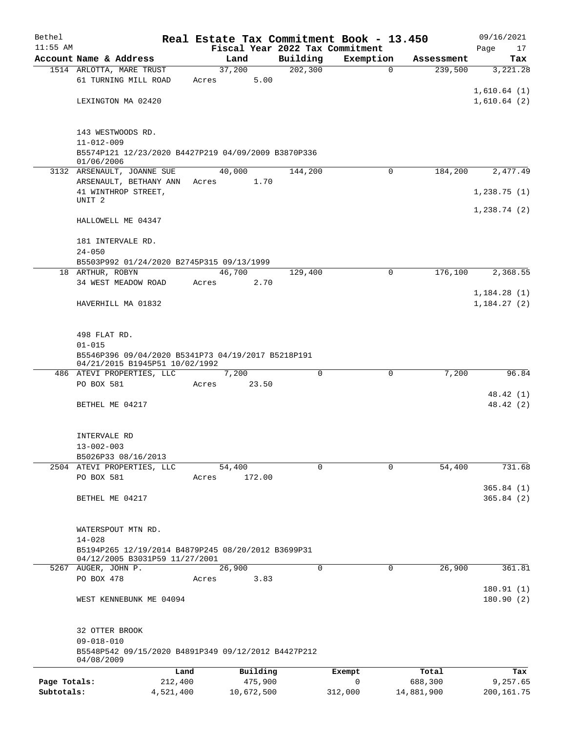| Bethel       |                                                                                      |                 |            |          | Real Estate Tax Commitment Book - 13.450 |            | 09/16/2021                 |
|--------------|--------------------------------------------------------------------------------------|-----------------|------------|----------|------------------------------------------|------------|----------------------------|
| $11:55$ AM   |                                                                                      |                 |            |          | Fiscal Year 2022 Tax Commitment          |            | Page<br>17                 |
|              | Account Name & Address                                                               |                 | Land       | Building | Exemption                                | Assessment | Tax                        |
|              | 1514 ARLOTTA, MARE TRUST<br>61 TURNING MILL ROAD                                     | 37,200          | 5.00       | 202, 300 | $\mathbf 0$                              | 239,500    | 3,221.28                   |
|              |                                                                                      | Acres           |            |          |                                          |            | 1,610.64(1)                |
|              | LEXINGTON MA 02420                                                                   |                 |            |          |                                          |            | 1,610.64(2)                |
|              |                                                                                      |                 |            |          |                                          |            |                            |
|              | 143 WESTWOODS RD.                                                                    |                 |            |          |                                          |            |                            |
|              | $11 - 012 - 009$                                                                     |                 |            |          |                                          |            |                            |
|              | B5574P121 12/23/2020 B4427P219 04/09/2009 B3870P336<br>01/06/2006                    |                 |            |          |                                          |            |                            |
|              | 3132 ARSENAULT, JOANNE SUE                                                           | 40,000          |            | 144,200  | $\Omega$                                 | 184,200    | 2,477.49                   |
|              | ARSENAULT, BETHANY ANN                                                               | Acres           | 1.70       |          |                                          |            |                            |
|              | 41 WINTHROP STREET,                                                                  |                 |            |          |                                          |            | 1,238.75(1)                |
|              | UNIT <sub>2</sub>                                                                    |                 |            |          |                                          |            | 1,238.74(2)                |
|              | HALLOWELL ME 04347                                                                   |                 |            |          |                                          |            |                            |
|              | 181 INTERVALE RD.                                                                    |                 |            |          |                                          |            |                            |
|              | $24 - 050$                                                                           |                 |            |          |                                          |            |                            |
|              | B5503P992 01/24/2020 B2745P315 09/13/1999                                            |                 |            |          |                                          |            |                            |
|              | 18 ARTHUR, ROBYN                                                                     | 46,700          |            | 129,400  | $\Omega$                                 | 176,100    | 2,368.55                   |
|              | 34 WEST MEADOW ROAD                                                                  | Acres           | 2.70       |          |                                          |            |                            |
|              | HAVERHILL MA 01832                                                                   |                 |            |          |                                          |            | 1,184.28(1)<br>1,184.27(2) |
|              |                                                                                      |                 |            |          |                                          |            |                            |
|              | 498 FLAT RD.                                                                         |                 |            |          |                                          |            |                            |
|              | $01 - 015$                                                                           |                 |            |          |                                          |            |                            |
|              | B5546P396 09/04/2020 B5341P73 04/19/2017 B5218P191<br>04/21/2015 B1945P51 10/02/1992 |                 |            |          |                                          |            |                            |
|              | 486 ATEVI PROPERTIES, LLC                                                            | 7,200           |            | $\Omega$ | 0                                        | 7,200      | 96.84                      |
|              | PO BOX 581                                                                           | Acres           | 23.50      |          |                                          |            |                            |
|              | BETHEL ME 04217                                                                      |                 |            |          |                                          |            | 48.42 (1)<br>48.42 (2)     |
|              |                                                                                      |                 |            |          |                                          |            |                            |
|              | INTERVALE RD                                                                         |                 |            |          |                                          |            |                            |
|              | $13 - 002 - 003$                                                                     |                 |            |          |                                          |            |                            |
|              | B5026P33 08/16/2013                                                                  |                 |            |          |                                          |            |                            |
|              | 2504 ATEVI PROPERTIES, LLC                                                           | 54,400          |            | 0        | $\Omega$                                 | 54,400     | 731.68                     |
|              | PO BOX 581                                                                           | Acres           | 172.00     |          |                                          |            |                            |
|              | BETHEL ME 04217                                                                      |                 |            |          |                                          |            | 365.84(1)<br>365.84(2)     |
|              |                                                                                      |                 |            |          |                                          |            |                            |
|              | WATERSPOUT MTN RD.                                                                   |                 |            |          |                                          |            |                            |
|              | $14 - 028$                                                                           |                 |            |          |                                          |            |                            |
|              | B5194P265 12/19/2014 B4879P245 08/20/2012 B3699P31                                   |                 |            |          |                                          |            |                            |
|              | 04/12/2005 B3031P59 11/27/2001                                                       |                 |            | $\Omega$ | 0                                        | 26,900     |                            |
|              | 5267 AUGER, JOHN P.<br>PO BOX 478                                                    | 26,900<br>Acres | 3.83       |          |                                          |            | 361.81                     |
|              |                                                                                      |                 |            |          |                                          |            | 180.91(1)                  |
|              | WEST KENNEBUNK ME 04094                                                              |                 |            |          |                                          |            | 180.90(2)                  |
|              |                                                                                      |                 |            |          |                                          |            |                            |
|              | 32 OTTER BROOK<br>$09 - 018 - 010$                                                   |                 |            |          |                                          |            |                            |
|              | B5548P542 09/15/2020 B4891P349 09/12/2012 B4427P212<br>04/08/2009                    |                 |            |          |                                          |            |                            |
|              |                                                                                      | Land            | Building   |          | Exempt                                   | Total      | Tax                        |
| Page Totals: | 212,400                                                                              |                 | 475,900    |          | $\mathbf 0$                              | 688,300    | 9,257.65                   |
| Subtotals:   | 4,521,400                                                                            |                 | 10,672,500 |          | 312,000                                  | 14,881,900 | 200,161.75                 |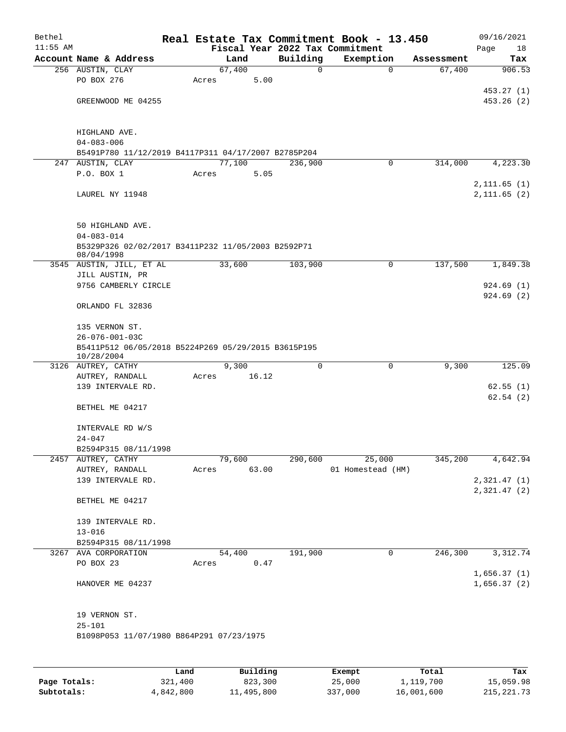| Bethel     |                                                                               |       |             |       |          | Real Estate Tax Commitment Book - 13.450     |              |            | 09/16/2021           |
|------------|-------------------------------------------------------------------------------|-------|-------------|-------|----------|----------------------------------------------|--------------|------------|----------------------|
| $11:55$ AM | Account Name & Address                                                        |       | Land        |       | Building | Fiscal Year 2022 Tax Commitment<br>Exemption |              | Assessment | Page<br>18           |
|            | 256 AUSTIN, CLAY                                                              |       | 67,400      |       | 0        |                                              | $\mathbf 0$  | 67,400     | Tax<br>906.53        |
|            | PO BOX 276                                                                    | Acres |             | 5.00  |          |                                              |              |            |                      |
|            |                                                                               |       |             |       |          |                                              |              |            | 453.27 (1)           |
|            | GREENWOOD ME 04255                                                            |       |             |       |          |                                              |              |            | 453.26(2)            |
|            |                                                                               |       |             |       |          |                                              |              |            |                      |
|            |                                                                               |       |             |       |          |                                              |              |            |                      |
|            | HIGHLAND AVE.<br>$04 - 083 - 006$                                             |       |             |       |          |                                              |              |            |                      |
|            | B5491P780 11/12/2019 B4117P311 04/17/2007 B2785P204                           |       |             |       |          |                                              |              |            |                      |
|            | 247 AUSTIN, CLAY                                                              |       | 77,100      |       | 236,900  |                                              | $\mathbf 0$  | 314,000    | 4,223.30             |
|            | P.O. BOX 1                                                                    | Acres |             | 5.05  |          |                                              |              |            |                      |
|            |                                                                               |       |             |       |          |                                              |              |            | 2, 111.65 (1)        |
|            | LAUREL NY 11948                                                               |       |             |       |          |                                              |              |            | 2, 111.65(2)         |
|            |                                                                               |       |             |       |          |                                              |              |            |                      |
|            | 50 HIGHLAND AVE.                                                              |       |             |       |          |                                              |              |            |                      |
|            | $04 - 083 - 014$                                                              |       |             |       |          |                                              |              |            |                      |
|            | B5329P326 02/02/2017 B3411P232 11/05/2003 B2592P71                            |       |             |       |          |                                              |              |            |                      |
|            | 08/04/1998                                                                    |       |             |       |          |                                              |              |            |                      |
|            | 3545 AUSTIN, JILL, ET AL<br>JILL AUSTIN, PR                                   |       | 33,600      |       | 103,900  |                                              | 0            | 137,500    | 1,849.38             |
|            | 9756 CAMBERLY CIRCLE                                                          |       |             |       |          |                                              |              |            | 924.69 (1)           |
|            |                                                                               |       |             |       |          |                                              |              |            | 924.69(2)            |
|            | ORLANDO FL 32836                                                              |       |             |       |          |                                              |              |            |                      |
|            |                                                                               |       |             |       |          |                                              |              |            |                      |
|            | 135 VERNON ST.                                                                |       |             |       |          |                                              |              |            |                      |
|            | $26 - 076 - 001 - 03C$<br>B5411P512 06/05/2018 B5224P269 05/29/2015 B3615P195 |       |             |       |          |                                              |              |            |                      |
|            | 10/28/2004                                                                    |       |             |       |          |                                              |              |            |                      |
|            | 3126 AUTREY, CATHY                                                            |       | 9,300       |       | 0        |                                              | 0            | 9,300      | 125.09               |
|            | AUTREY, RANDALL                                                               | Acres |             | 16.12 |          |                                              |              |            |                      |
|            | 139 INTERVALE RD.                                                             |       |             |       |          |                                              |              |            | 62.55(1)<br>62.54(2) |
|            | BETHEL ME 04217                                                               |       |             |       |          |                                              |              |            |                      |
|            |                                                                               |       |             |       |          |                                              |              |            |                      |
|            | INTERVALE RD W/S                                                              |       |             |       |          |                                              |              |            |                      |
|            | $24 - 047$                                                                    |       |             |       |          |                                              |              |            |                      |
|            | B2594P315 08/11/1998                                                          |       |             |       |          |                                              |              |            |                      |
|            | 2457 AUTREY, CATHY                                                            |       | 79,600      |       | 290,600  | 25,000                                       |              | 345,200    | 4,642.94             |
|            | AUTREY, RANDALL<br>139 INTERVALE RD.                                          |       | Acres 63.00 |       |          | 01 Homestead (HM)                            |              |            | 2,321.47(1)          |
|            |                                                                               |       |             |       |          |                                              |              |            | 2,321.47(2)          |
|            | BETHEL ME 04217                                                               |       |             |       |          |                                              |              |            |                      |
|            |                                                                               |       |             |       |          |                                              |              |            |                      |
|            | 139 INTERVALE RD.                                                             |       |             |       |          |                                              |              |            |                      |
|            | $13 - 016$                                                                    |       |             |       |          |                                              |              |            |                      |
|            | B2594P315 08/11/1998<br>3267 AVA CORPORATION                                  |       | 54,400      |       | 191,900  |                                              | $\mathsf{O}$ | 246,300    | 3,312.74             |
|            | PO BOX 23                                                                     |       | Acres 0.47  |       |          |                                              |              |            |                      |
|            |                                                                               |       |             |       |          |                                              |              |            | 1,656.37(1)          |
|            | HANOVER ME 04237                                                              |       |             |       |          |                                              |              |            | 1,656.37(2)          |
|            |                                                                               |       |             |       |          |                                              |              |            |                      |
|            |                                                                               |       |             |       |          |                                              |              |            |                      |
|            | 19 VERNON ST.<br>$25 - 101$                                                   |       |             |       |          |                                              |              |            |                      |
|            | B1098P053 11/07/1980 B864P291 07/23/1975                                      |       |             |       |          |                                              |              |            |                      |
|            |                                                                               |       |             |       |          |                                              |              |            |                      |
|            |                                                                               |       |             |       |          |                                              |              |            |                      |
|            |                                                                               |       |             |       |          |                                              |              |            |                      |

|              | ⊥and      | Building   | Exempt  | Total      | Tax          |
|--------------|-----------|------------|---------|------------|--------------|
| Page Totals: | 321,400   | 823,300    | 25,000  | 1,119,700  | 15,059.98    |
| Subtotals:   | 4,842,800 | 11,495,800 | 337,000 | 16,001,600 | 215, 221, 73 |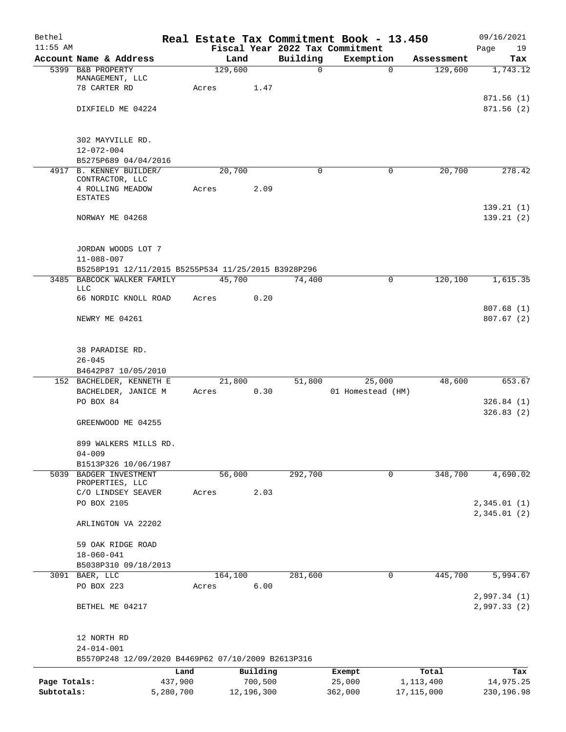| Bethel       |                                                                        |         |            |          | Real Estate Tax Commitment Book - 13.450 |                       | 09/16/2021   |
|--------------|------------------------------------------------------------------------|---------|------------|----------|------------------------------------------|-----------------------|--------------|
| $11:55$ AM   |                                                                        |         |            |          | Fiscal Year 2022 Tax Commitment          |                       | Page<br>19   |
|              | Account Name & Address<br>5399 B&B PROPERTY                            | Land    |            | Building | Exemption                                | Assessment<br>129,600 | Tax          |
|              | MANAGEMENT, LLC                                                        | 129,600 |            | 0        | $\mathbf 0$                              |                       | 1,743.12     |
|              | 78 CARTER RD                                                           | Acres   | 1.47       |          |                                          |                       |              |
|              |                                                                        |         |            |          |                                          |                       | 871.56(1)    |
|              | DIXFIELD ME 04224                                                      |         |            |          |                                          |                       | 871.56(2)    |
|              |                                                                        |         |            |          |                                          |                       |              |
|              | 302 MAYVILLE RD.                                                       |         |            |          |                                          |                       |              |
|              | $12 - 072 - 004$                                                       |         |            |          |                                          |                       |              |
|              | B5275P689 04/04/2016                                                   |         |            |          |                                          |                       |              |
|              | 4917 B. KENNEY BUILDER/                                                | 20,700  |            | 0        | 0                                        | 20,700                | 278.42       |
|              | CONTRACTOR, LLC<br>4 ROLLING MEADOW                                    | Acres   | 2.09       |          |                                          |                       |              |
|              | ESTATES                                                                |         |            |          |                                          |                       |              |
|              |                                                                        |         |            |          |                                          |                       | 139.21(1)    |
|              | NORWAY ME 04268                                                        |         |            |          |                                          |                       | 139.21(2)    |
|              |                                                                        |         |            |          |                                          |                       |              |
|              | JORDAN WOODS LOT 7                                                     |         |            |          |                                          |                       |              |
|              | $11 - 088 - 007$                                                       |         |            |          |                                          |                       |              |
|              | B5258P191 12/11/2015 B5255P534 11/25/2015 B3928P296                    |         |            |          |                                          |                       |              |
|              | 3485 BABCOCK WALKER FAMILY                                             | 45,700  |            | 74,400   | 0                                        | 120,100               | 1,615.35     |
|              | LLC                                                                    |         | 0.20       |          |                                          |                       |              |
|              | 66 NORDIC KNOLL ROAD                                                   | Acres   |            |          |                                          |                       | 807.68 (1)   |
|              | NEWRY ME 04261                                                         |         |            |          |                                          |                       | 807.67(2)    |
|              |                                                                        |         |            |          |                                          |                       |              |
|              |                                                                        |         |            |          |                                          |                       |              |
|              | 38 PARADISE RD.                                                        |         |            |          |                                          |                       |              |
|              | $26 - 045$                                                             |         |            |          |                                          |                       |              |
|              | B4642P87 10/05/2010<br>152 BACHELDER, KENNETH E                        | 21,800  |            | 51,800   | 25,000                                   | 48,600                | 653.67       |
|              | BACHELDER, JANICE M                                                    | Acres   | 0.30       |          | 01 Homestead (HM)                        |                       |              |
|              | PO BOX 84                                                              |         |            |          |                                          |                       | 326.84(1)    |
|              |                                                                        |         |            |          |                                          |                       | 326.83(2)    |
|              | GREENWOOD ME 04255                                                     |         |            |          |                                          |                       |              |
|              |                                                                        |         |            |          |                                          |                       |              |
|              | 899 WALKERS MILLS RD.<br>$04 - 009$                                    |         |            |          |                                          |                       |              |
|              | B1513P326 10/06/1987                                                   |         |            |          |                                          |                       |              |
| 5039         | BADGER INVESTMENT                                                      | 56,000  |            | 292,700  | 0                                        | 348,700               | 4,690.02     |
|              | PROPERTIES, LLC                                                        |         |            |          |                                          |                       |              |
|              | C/O LINDSEY SEAVER<br>PO BOX 2105                                      | Acres   | 2.03       |          |                                          |                       | 2,345.01(1)  |
|              |                                                                        |         |            |          |                                          |                       | 2,345.01(2)  |
|              | ARLINGTON VA 22202                                                     |         |            |          |                                          |                       |              |
|              |                                                                        |         |            |          |                                          |                       |              |
|              | 59 OAK RIDGE ROAD                                                      |         |            |          |                                          |                       |              |
|              | $18 - 060 - 041$                                                       |         |            |          |                                          |                       |              |
|              | B5038P310 09/18/2013<br>3091 BAER, LLC                                 | 164,100 |            | 281,600  | $\mathbf 0$                              | 445,700               | 5,994.67     |
|              | PO BOX 223                                                             | Acres   | 6.00       |          |                                          |                       |              |
|              |                                                                        |         |            |          |                                          |                       | 2,997.34 (1) |
|              | BETHEL ME 04217                                                        |         |            |          |                                          |                       | 2,997.33(2)  |
|              |                                                                        |         |            |          |                                          |                       |              |
|              |                                                                        |         |            |          |                                          |                       |              |
|              | 12 NORTH RD                                                            |         |            |          |                                          |                       |              |
|              | $24 - 014 - 001$<br>B5570P248 12/09/2020 B4469P62 07/10/2009 B2613P316 |         |            |          |                                          |                       |              |
|              |                                                                        | Land    | Building   |          | Exempt                                   | Total                 | Tax          |
| Page Totals: | 437,900                                                                |         | 700,500    |          | 25,000                                   | 1,113,400             | 14,975.25    |
| Subtotals:   | 5,280,700                                                              |         | 12,196,300 |          | 362,000                                  | 17, 115, 000          | 230,196.98   |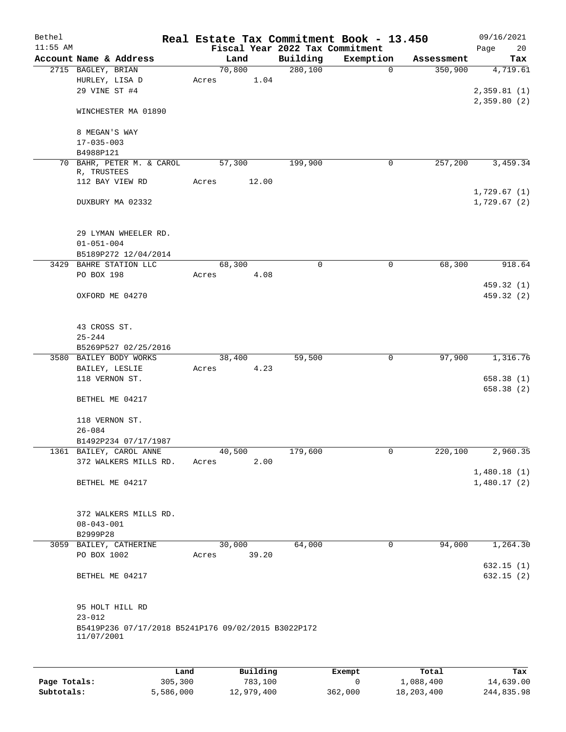| Bethel     |                                                     |      |                |          |                                 | Real Estate Tax Commitment Book - 13.450 |            | 09/16/2021             |
|------------|-----------------------------------------------------|------|----------------|----------|---------------------------------|------------------------------------------|------------|------------------------|
| $11:55$ AM |                                                     |      |                |          | Fiscal Year 2022 Tax Commitment |                                          |            | 20<br>Page             |
|            | Account Name & Address                              |      | Land<br>70,800 |          | Building<br>280, 100            | Exemption<br>$\mathbf 0$                 | Assessment | Tax<br>4,719.61        |
|            | 2715 BAGLEY, BRIAN<br>HURLEY, LISA D                |      | Acres          | 1.04     |                                 |                                          | 350,900    |                        |
|            | 29 VINE ST #4                                       |      |                |          |                                 |                                          |            | 2,359.81(1)            |
|            |                                                     |      |                |          |                                 |                                          |            | 2,359.80(2)            |
|            | WINCHESTER MA 01890                                 |      |                |          |                                 |                                          |            |                        |
|            | 8 MEGAN'S WAY                                       |      |                |          |                                 |                                          |            |                        |
|            | $17 - 035 - 003$                                    |      |                |          |                                 |                                          |            |                        |
|            | B4988P121                                           |      |                |          |                                 |                                          |            |                        |
|            | 70 BAHR, PETER M. & CAROL                           |      | 57,300         |          | 199,900                         | 0                                        | 257,200    | 3,459.34               |
|            | R, TRUSTEES                                         |      |                |          |                                 |                                          |            |                        |
|            | 112 BAY VIEW RD                                     |      | Acres          | 12.00    |                                 |                                          |            |                        |
|            |                                                     |      |                |          |                                 |                                          |            | 1,729.67(1)            |
|            | DUXBURY MA 02332                                    |      |                |          |                                 |                                          |            | 1,729.67(2)            |
|            |                                                     |      |                |          |                                 |                                          |            |                        |
|            | 29 LYMAN WHEELER RD.                                |      |                |          |                                 |                                          |            |                        |
|            | $01 - 051 - 004$                                    |      |                |          |                                 |                                          |            |                        |
|            | B5189P272 12/04/2014                                |      |                |          |                                 |                                          |            |                        |
|            | 3429 BAHRE STATION LLC<br>PO BOX 198                |      | 68,300         | 4.08     | $\mathbf 0$                     | 0                                        | 68,300     | 918.64                 |
|            |                                                     |      | Acres          |          |                                 |                                          |            | 459.32 (1)             |
|            | OXFORD ME 04270                                     |      |                |          |                                 |                                          |            | 459.32 (2)             |
|            |                                                     |      |                |          |                                 |                                          |            |                        |
|            | 43 CROSS ST.                                        |      |                |          |                                 |                                          |            |                        |
|            | $25 - 244$                                          |      |                |          |                                 |                                          |            |                        |
|            | B5269P527 02/25/2016                                |      |                |          |                                 |                                          |            |                        |
|            | 3580 BAILEY BODY WORKS                              |      | 38,400         |          | 59,500                          | 0                                        | 97,900     | 1,316.76               |
|            | BAILEY, LESLIE                                      |      | Acres          | 4.23     |                                 |                                          |            |                        |
|            | 118 VERNON ST.                                      |      |                |          |                                 |                                          |            | 658.38(1)              |
|            |                                                     |      |                |          |                                 |                                          |            | 658.38(2)              |
|            | BETHEL ME 04217                                     |      |                |          |                                 |                                          |            |                        |
|            | 118 VERNON ST.                                      |      |                |          |                                 |                                          |            |                        |
|            | $26 - 084$                                          |      |                |          |                                 |                                          |            |                        |
|            | B1492P234 07/17/1987                                |      |                |          |                                 |                                          |            |                        |
|            | 1361 BAILEY, CAROL ANNE                             |      | 40,500         |          | 179,600                         | $\mathsf{O}$                             | 220,100    | 2,960.35               |
|            | 372 WALKERS MILLS RD.                               |      | Acres          | 2.00     |                                 |                                          |            |                        |
|            |                                                     |      |                |          |                                 |                                          |            | 1,480.18(1)            |
|            | BETHEL ME 04217                                     |      |                |          |                                 |                                          |            | 1,480.17(2)            |
|            |                                                     |      |                |          |                                 |                                          |            |                        |
|            | 372 WALKERS MILLS RD.                               |      |                |          |                                 |                                          |            |                        |
|            | $08 - 043 - 001$                                    |      |                |          |                                 |                                          |            |                        |
|            | B2999P28                                            |      |                |          |                                 |                                          |            |                        |
|            | 3059 BAILEY, CATHERINE                              |      | 30,000         |          | 64,000                          | 0                                        | 94,000     | 1,264.30               |
|            | PO BOX 1002                                         |      | Acres          | 39.20    |                                 |                                          |            |                        |
|            | BETHEL ME 04217                                     |      |                |          |                                 |                                          |            | 632.15(1)<br>632.15(2) |
|            |                                                     |      |                |          |                                 |                                          |            |                        |
|            | 95 HOLT HILL RD                                     |      |                |          |                                 |                                          |            |                        |
|            | $23 - 012$                                          |      |                |          |                                 |                                          |            |                        |
|            | B5419P236 07/17/2018 B5241P176 09/02/2015 B3022P172 |      |                |          |                                 |                                          |            |                        |
|            | 11/07/2001                                          |      |                |          |                                 |                                          |            |                        |
|            |                                                     |      |                |          |                                 |                                          |            |                        |
|            |                                                     | Land |                | Building |                                 | Exempt                                   | Total      | Tax                    |
|            |                                                     |      |                |          |                                 |                                          |            |                        |

|              | .         | <u>DULLULUM</u> | <b>BY CITING</b> | ----       | $-0.0$     |
|--------------|-----------|-----------------|------------------|------------|------------|
| Page Totals: | 305,300   | 783,100         |                  | 1,088,400  | 14,639.00  |
| Subtotals:   | 5,586,000 | 12,979,400      | 362,000          | 18,203,400 | 244,835.98 |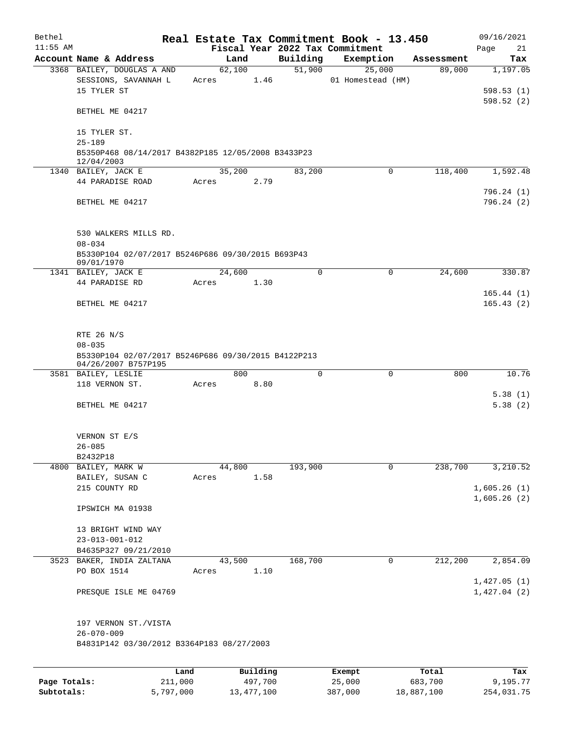| Bethel       |                                                                            |         |       |        |          |                     | Real Estate Tax Commitment Book - 13.450 |            | 09/16/2021                 |
|--------------|----------------------------------------------------------------------------|---------|-------|--------|----------|---------------------|------------------------------------------|------------|----------------------------|
| $11:55$ AM   |                                                                            |         |       |        |          |                     | Fiscal Year 2022 Tax Commitment          |            | Page<br>21                 |
|              | Account Name & Address                                                     |         |       | Land   |          | Building            | Exemption                                | Assessment | Tax                        |
|              | 3368 BAILEY, DOUGLAS A AND<br>SESSIONS, SAVANNAH L                         |         | Acres | 62,100 | 1.46     | $\overline{51,900}$ | 25,000<br>01 Homestead (HM)              | 89,000     | 1,197.05                   |
|              | 15 TYLER ST                                                                |         |       |        |          |                     |                                          |            | 598.53(1)<br>598.52(2)     |
|              | BETHEL ME 04217                                                            |         |       |        |          |                     |                                          |            |                            |
|              | 15 TYLER ST.                                                               |         |       |        |          |                     |                                          |            |                            |
|              | $25 - 189$<br>B5350P468 08/14/2017 B4382P185 12/05/2008 B3433P23           |         |       |        |          |                     |                                          |            |                            |
|              | 12/04/2003                                                                 |         |       |        |          |                     |                                          |            |                            |
|              | 1340 BAILEY, JACK E                                                        |         |       | 35,200 |          | 83,200              | $\Omega$                                 | 118,400    | 1,592.48                   |
|              | 44 PARADISE ROAD                                                           |         | Acres |        | 2.79     |                     |                                          |            | 796.24(1)                  |
|              | BETHEL ME 04217                                                            |         |       |        |          |                     |                                          |            | 796.24(2)                  |
|              | 530 WALKERS MILLS RD.                                                      |         |       |        |          |                     |                                          |            |                            |
|              | $08 - 034$                                                                 |         |       |        |          |                     |                                          |            |                            |
|              | B5330P104 02/07/2017 B5246P686 09/30/2015 B693P43<br>09/01/1970            |         |       |        |          |                     |                                          |            |                            |
|              | 1341 BAILEY, JACK E                                                        |         |       | 24,600 |          | $\Omega$            | $\mathbf 0$                              | 24,600     | 330.87                     |
|              | 44 PARADISE RD                                                             |         | Acres |        | 1.30     |                     |                                          |            |                            |
|              | BETHEL ME 04217                                                            |         |       |        |          |                     |                                          |            | 165.44(1)<br>165.43(2)     |
|              |                                                                            |         |       |        |          |                     |                                          |            |                            |
|              | RTE 26 N/S<br>$08 - 035$                                                   |         |       |        |          |                     |                                          |            |                            |
|              | B5330P104 02/07/2017 B5246P686 09/30/2015 B4122P213<br>04/26/2007 B757P195 |         |       |        |          |                     |                                          |            |                            |
|              | 3581 BAILEY, LESLIE                                                        |         |       | 800    |          | $\Omega$            | 0                                        | 800        | 10.76                      |
|              | 118 VERNON ST.                                                             |         | Acres |        | 8.80     |                     |                                          |            |                            |
|              | BETHEL ME 04217                                                            |         |       |        |          |                     |                                          |            | 5.38(1)<br>5.38(2)         |
|              | VERNON ST E/S                                                              |         |       |        |          |                     |                                          |            |                            |
|              | $26 - 085$                                                                 |         |       |        |          |                     |                                          |            |                            |
|              | B2432P18                                                                   |         |       |        |          |                     |                                          |            |                            |
|              | 4800 BAILEY, MARK W<br>BAILEY, SUSAN C                                     |         | Acres | 44,800 | 1.58     | 193,900             | $\Omega$                                 | 238,700    | 3,210.52                   |
|              | 215 COUNTY RD                                                              |         |       |        |          |                     |                                          |            | 1,605.26(1)                |
|              |                                                                            |         |       |        |          |                     |                                          |            | 1,605.26(2)                |
|              | IPSWICH MA 01938                                                           |         |       |        |          |                     |                                          |            |                            |
|              | 13 BRIGHT WIND WAY                                                         |         |       |        |          |                     |                                          |            |                            |
|              | $23 - 013 - 001 - 012$                                                     |         |       |        |          |                     |                                          |            |                            |
|              | B4635P327 09/21/2010                                                       |         |       |        |          |                     |                                          |            |                            |
|              | 3523 BAKER, INDIA ZALTANA                                                  |         |       | 43,500 |          | 168,700             | 0                                        | 212,200    | 2,854.09                   |
|              | PO BOX 1514                                                                |         | Acres |        | 1.10     |                     |                                          |            |                            |
|              | PRESQUE ISLE ME 04769                                                      |         |       |        |          |                     |                                          |            | 1,427.05(1)<br>1,427.04(2) |
|              | 197 VERNON ST./VISTA<br>$26 - 070 - 009$                                   |         |       |        |          |                     |                                          |            |                            |
|              | B4831P142 03/30/2012 B3364P183 08/27/2003                                  |         |       |        |          |                     |                                          |            |                            |
|              |                                                                            |         |       |        |          |                     |                                          |            |                            |
|              |                                                                            | Land    |       |        | Building |                     | Exempt                                   | Total      | Tax                        |
| Page Totals: |                                                                            | 211,000 |       |        | 497,700  |                     | 25,000                                   | 683,700    | 9,195.77                   |

**Subtotals:** 5,797,000 13,477,100 387,000 18,887,100 254,031.75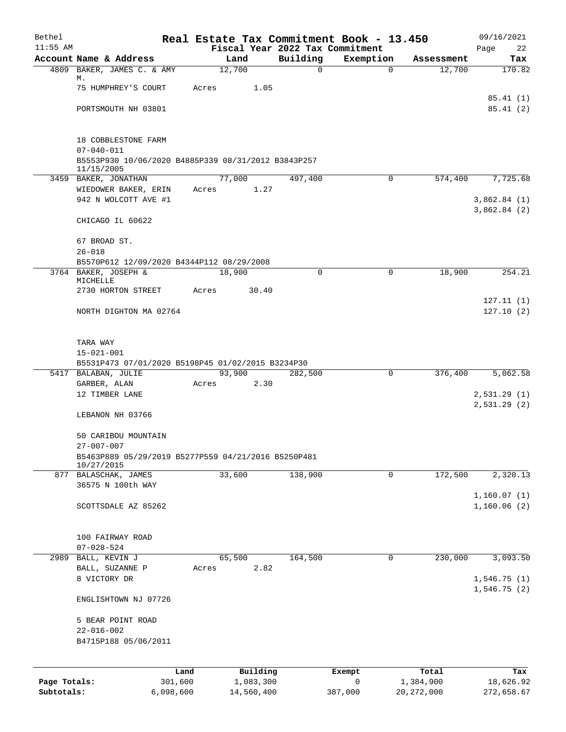| Bethel       |                                                                   |       |                       |                                             | Real Estate Tax Commitment Book - 13.450 |                      | 09/16/2021       |
|--------------|-------------------------------------------------------------------|-------|-----------------------|---------------------------------------------|------------------------------------------|----------------------|------------------|
| $11:55$ AM   | Account Name & Address                                            |       |                       | Fiscal Year 2022 Tax Commitment<br>Building |                                          |                      | Page<br>22       |
|              | 4809 BAKER, JAMES C. & AMY                                        |       | Land<br>12,700        | $\mathbf 0$                                 | Exemption<br>$\mathbf 0$                 | Assessment<br>12,700 | Tax<br>170.82    |
|              | М.                                                                |       |                       |                                             |                                          |                      |                  |
|              | 75 HUMPHREY'S COURT                                               | Acres | 1.05                  |                                             |                                          |                      |                  |
|              |                                                                   |       |                       |                                             |                                          |                      | 85.41(1)         |
|              | PORTSMOUTH NH 03801                                               |       |                       |                                             |                                          |                      | 85.41(2)         |
|              | 18 COBBLESTONE FARM                                               |       |                       |                                             |                                          |                      |                  |
|              | $07 - 040 - 011$                                                  |       |                       |                                             |                                          |                      |                  |
|              | B5553P930 10/06/2020 B4885P339 08/31/2012 B3843P257<br>11/15/2005 |       |                       |                                             |                                          |                      |                  |
|              | 3459 BAKER, JONATHAN                                              |       | 77,000                | 497,400                                     | 0                                        | 574,400              | 7,725.68         |
|              | WIEDOWER BAKER, ERIN                                              | Acres | 1.27                  |                                             |                                          |                      |                  |
|              | 942 N WOLCOTT AVE #1                                              |       |                       |                                             |                                          |                      | 3,862.84(1)      |
|              | CHICAGO IL 60622                                                  |       |                       |                                             |                                          |                      | 3,862.84(2)      |
|              | 67 BROAD ST.                                                      |       |                       |                                             |                                          |                      |                  |
|              | $26 - 018$                                                        |       |                       |                                             |                                          |                      |                  |
|              | B5570P612 12/09/2020 B4344P112 08/29/2008                         |       |                       |                                             |                                          |                      |                  |
|              | 3764 BAKER, JOSEPH &                                              |       | 18,900                | $\Omega$                                    | 0                                        | 18,900               | 254.21           |
|              | MICHELLE<br>2730 HORTON STREET                                    |       |                       |                                             |                                          |                      |                  |
|              |                                                                   | Acres | 30.40                 |                                             |                                          |                      | 127.11(1)        |
|              | NORTH DIGHTON MA 02764                                            |       |                       |                                             |                                          |                      | 127.10(2)        |
|              |                                                                   |       |                       |                                             |                                          |                      |                  |
|              | TARA WAY                                                          |       |                       |                                             |                                          |                      |                  |
|              | $15 - 021 - 001$                                                  |       |                       |                                             |                                          |                      |                  |
|              | B5531P473 07/01/2020 B5198P45 01/02/2015 B3234P30                 |       |                       |                                             |                                          |                      |                  |
|              | 5417 BALABAN, JULIE                                               |       | 93,900                | 282,500                                     | 0                                        | 376,400              | 5,062.58         |
|              | GARBER, ALAN<br>12 TIMBER LANE                                    | Acres | 2.30                  |                                             |                                          |                      | 2,531.29(1)      |
|              |                                                                   |       |                       |                                             |                                          |                      | 2,531.29(2)      |
|              | LEBANON NH 03766                                                  |       |                       |                                             |                                          |                      |                  |
|              | 50 CARIBOU MOUNTAIN                                               |       |                       |                                             |                                          |                      |                  |
|              | $27 - 007 - 007$                                                  |       |                       |                                             |                                          |                      |                  |
|              | B5463P889 05/29/2019 B5277P559 04/21/2016 B5250P481<br>10/27/2015 |       |                       |                                             |                                          |                      |                  |
|              | 877 BALASCHAK, JAMES                                              |       | 33,600                | 138,900                                     | 0                                        | 172,500              | 2,320.13         |
|              | 36575 N 100th WAY                                                 |       |                       |                                             |                                          |                      |                  |
|              |                                                                   |       |                       |                                             |                                          |                      | 1,160.07(1)      |
|              | SCOTTSDALE AZ 85262                                               |       |                       |                                             |                                          |                      | 1,160.06(2)      |
|              |                                                                   |       |                       |                                             |                                          |                      |                  |
|              | 100 FAIRWAY ROAD<br>$07 - 028 - 524$                              |       |                       |                                             |                                          |                      |                  |
| 2989         | BALL, KEVIN J                                                     |       | 65,500                | 164,500                                     | 0                                        | 230,000              | 3,093.50         |
|              | BALL, SUZANNE P                                                   | Acres | 2.82                  |                                             |                                          |                      |                  |
|              | 8 VICTORY DR                                                      |       |                       |                                             |                                          |                      | 1,546.75(1)      |
|              | ENGLISHTOWN NJ 07726                                              |       |                       |                                             |                                          |                      | 1,546.75(2)      |
|              |                                                                   |       |                       |                                             |                                          |                      |                  |
|              | 5 BEAR POINT ROAD                                                 |       |                       |                                             |                                          |                      |                  |
|              | $22 - 016 - 002$                                                  |       |                       |                                             |                                          |                      |                  |
|              | B4715P188 05/06/2011                                              |       |                       |                                             |                                          |                      |                  |
|              |                                                                   |       |                       |                                             |                                          |                      |                  |
| Page Totals: | Land<br>301,600                                                   |       | Building<br>1,083,300 |                                             | Exempt<br>0                              | Total<br>1,384,900   | Tax<br>18,626.92 |
| Subtotals:   | 6,098,600                                                         |       | 14,560,400            |                                             | 387,000                                  | 20, 272, 000         | 272,658.67       |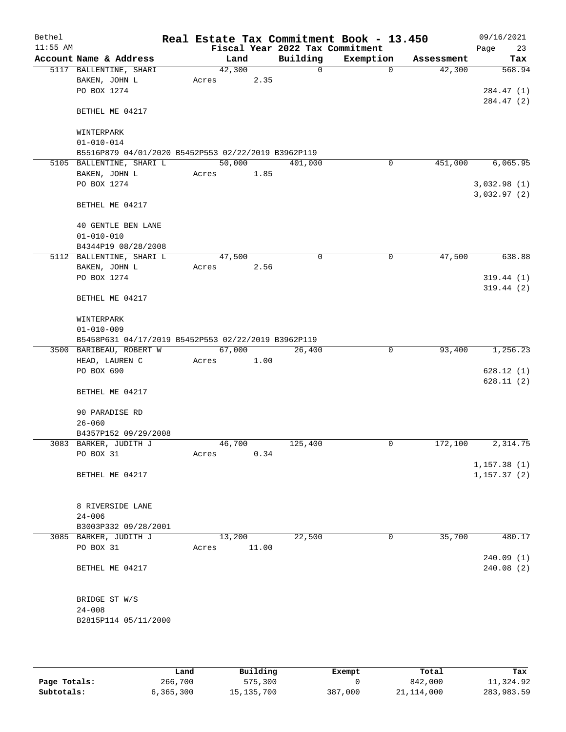| Bethel     |                                                                                 |        |       |                                 | Real Estate Tax Commitment Book - 13.450 |            | 09/16/2021   |
|------------|---------------------------------------------------------------------------------|--------|-------|---------------------------------|------------------------------------------|------------|--------------|
| $11:55$ AM |                                                                                 |        |       | Fiscal Year 2022 Tax Commitment |                                          |            | 23<br>Page   |
|            | Account Name & Address                                                          |        | Land  | Building                        | Exemption                                | Assessment | Tax          |
|            | 5117 BALLENTINE, SHARI                                                          | 42,300 |       | $\mathbf 0$                     | $\Omega$                                 | 42,300     | 568.94       |
|            | BAKEN, JOHN L<br>PO BOX 1274                                                    | Acres  | 2.35  |                                 |                                          |            | 284.47 (1)   |
|            |                                                                                 |        |       |                                 |                                          |            | 284.47 (2)   |
|            | BETHEL ME 04217                                                                 |        |       |                                 |                                          |            |              |
|            | WINTERPARK                                                                      |        |       |                                 |                                          |            |              |
|            | $01 - 010 - 014$                                                                |        |       |                                 |                                          |            |              |
|            | B5516P879 04/01/2020 B5452P553 02/22/2019 B3962P119<br>5105 BALLENTINE, SHARI L | 50,000 |       |                                 |                                          | 451,000    | 6,065.95     |
|            | BAKEN, JOHN L                                                                   | Acres  | 1.85  | 401,000                         | 0                                        |            |              |
|            | PO BOX 1274                                                                     |        |       |                                 |                                          |            | 3,032.98(1)  |
|            |                                                                                 |        |       |                                 |                                          |            | 3,032.97(2)  |
|            | BETHEL ME 04217                                                                 |        |       |                                 |                                          |            |              |
|            | 40 GENTLE BEN LANE                                                              |        |       |                                 |                                          |            |              |
|            | $01 - 010 - 010$                                                                |        |       |                                 |                                          |            |              |
|            | B4344P19 08/28/2008<br>5112 BALLENTINE, SHARI L                                 | 47,500 |       | 0                               | 0                                        | 47,500     | 638.88       |
|            | BAKEN, JOHN L                                                                   | Acres  | 2.56  |                                 |                                          |            |              |
|            | PO BOX 1274                                                                     |        |       |                                 |                                          |            | 319.44(1)    |
|            |                                                                                 |        |       |                                 |                                          |            | 319.44(2)    |
|            | BETHEL ME 04217                                                                 |        |       |                                 |                                          |            |              |
|            | WINTERPARK                                                                      |        |       |                                 |                                          |            |              |
|            | $01 - 010 - 009$                                                                |        |       |                                 |                                          |            |              |
|            | B5458P631 04/17/2019 B5452P553 02/22/2019 B3962P119                             |        |       |                                 |                                          |            |              |
|            | 3500 BARIBEAU, ROBERT W                                                         | 67,000 |       | 26,400                          | $\overline{0}$                           | 93,400     | 1,256.23     |
|            | HEAD, LAUREN C                                                                  | Acres  | 1.00  |                                 |                                          |            |              |
|            | PO BOX 690                                                                      |        |       |                                 |                                          |            | 628.12(1)    |
|            |                                                                                 |        |       |                                 |                                          |            | 628.11(2)    |
|            | BETHEL ME 04217                                                                 |        |       |                                 |                                          |            |              |
|            | 90 PARADISE RD                                                                  |        |       |                                 |                                          |            |              |
|            | $26 - 060$                                                                      |        |       |                                 |                                          |            |              |
|            | B4357P152 09/29/2008                                                            |        |       |                                 |                                          |            |              |
|            | 3083 BARKER, JUDITH J                                                           | 46,700 |       | 125,400                         | 0                                        | 172,100    | 2,314.75     |
|            | PO BOX 31                                                                       | Acres  | 0.34  |                                 |                                          |            |              |
|            |                                                                                 |        |       |                                 |                                          |            | 1, 157.38(1) |
|            | BETHEL ME 04217                                                                 |        |       |                                 |                                          |            | 1, 157.37(2) |
|            | 8 RIVERSIDE LANE                                                                |        |       |                                 |                                          |            |              |
|            | $24 - 006$                                                                      |        |       |                                 |                                          |            |              |
|            | B3003P332 09/28/2001                                                            |        |       |                                 |                                          |            |              |
|            | 3085 BARKER, JUDITH J                                                           | 13,200 |       | 22,500                          | 0                                        | 35,700     | 480.17       |
|            | PO BOX 31                                                                       | Acres  | 11.00 |                                 |                                          |            |              |
|            |                                                                                 |        |       |                                 |                                          |            | 240.09(1)    |
|            | BETHEL ME 04217                                                                 |        |       |                                 |                                          |            | 240.08(2)    |
|            | BRIDGE ST W/S                                                                   |        |       |                                 |                                          |            |              |
|            | $24 - 008$                                                                      |        |       |                                 |                                          |            |              |
|            | B2815P114 05/11/2000                                                            |        |       |                                 |                                          |            |              |
|            |                                                                                 |        |       |                                 |                                          |            |              |

|              | Land      | Building     | Exempt  | Total        | Tax        |
|--------------|-----------|--------------|---------|--------------|------------|
| Page Totals: | 266,700   | 575,300      |         | 842,000      | 11,324.92  |
| Subtotals:   | 6,365,300 | 15, 135, 700 | 387,000 | 21, 114, 000 | 283,983.59 |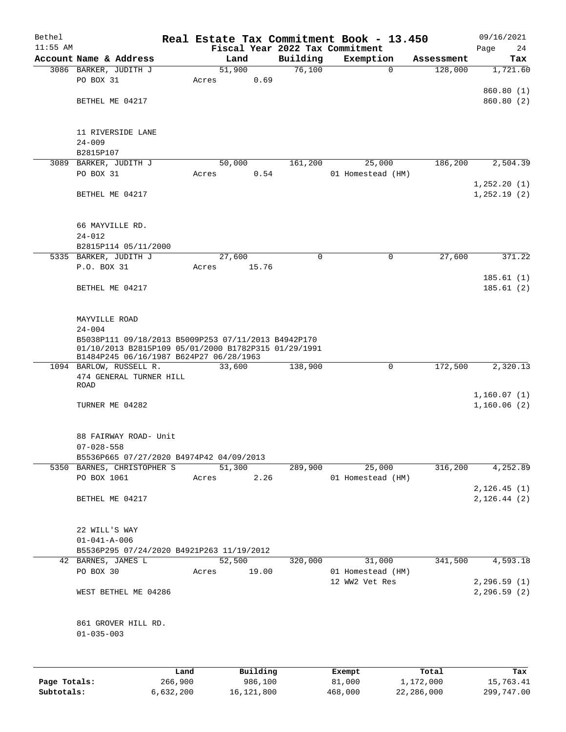| Bethel       |                                                                                                                                                        |        |          |                    | Real Estate Tax Commitment Book - 13.450 |                       | 09/16/2021                   |
|--------------|--------------------------------------------------------------------------------------------------------------------------------------------------------|--------|----------|--------------------|------------------------------------------|-----------------------|------------------------------|
| $11:55$ AM   | Account Name & Address                                                                                                                                 |        |          |                    | Fiscal Year 2022 Tax Commitment          |                       | Page<br>24                   |
|              | 3086 BARKER, JUDITH J                                                                                                                                  | 51,900 | Land     | Building<br>76,100 | Exemption<br>$\mathbf 0$                 | Assessment<br>128,000 | Tax<br>1,721.60              |
|              | PO BOX 31                                                                                                                                              | Acres  | 0.69     |                    |                                          |                       |                              |
|              |                                                                                                                                                        |        |          |                    |                                          |                       | 860.80 (1)                   |
|              | BETHEL ME 04217                                                                                                                                        |        |          |                    |                                          |                       | 860.80 (2)                   |
|              |                                                                                                                                                        |        |          |                    |                                          |                       |                              |
|              |                                                                                                                                                        |        |          |                    |                                          |                       |                              |
|              | 11 RIVERSIDE LANE<br>$24 - 009$                                                                                                                        |        |          |                    |                                          |                       |                              |
|              | B2815P107                                                                                                                                              |        |          |                    |                                          |                       |                              |
|              | 3089 BARKER, JUDITH J                                                                                                                                  | 50,000 |          | 161,200            | 25,000                                   | 186,200               | 2,504.39                     |
|              | PO BOX 31                                                                                                                                              | Acres  | 0.54     |                    | 01 Homestead (HM)                        |                       |                              |
|              |                                                                                                                                                        |        |          |                    |                                          |                       | 1, 252.20(1)                 |
|              | BETHEL ME 04217                                                                                                                                        |        |          |                    |                                          |                       | 1, 252.19(2)                 |
|              | 66 MAYVILLE RD.                                                                                                                                        |        |          |                    |                                          |                       |                              |
|              | $24 - 012$                                                                                                                                             |        |          |                    |                                          |                       |                              |
|              | B2815P114 05/11/2000                                                                                                                                   |        |          |                    |                                          |                       |                              |
|              | 5335 BARKER, JUDITH J                                                                                                                                  | 27,600 |          | 0                  | $\mathbf 0$                              | 27,600                | 371.22                       |
|              | P.O. BOX 31                                                                                                                                            | Acres  | 15.76    |                    |                                          |                       | 185.61(1)                    |
|              | BETHEL ME 04217                                                                                                                                        |        |          |                    |                                          |                       | 185.61(2)                    |
|              |                                                                                                                                                        |        |          |                    |                                          |                       |                              |
|              | MAYVILLE ROAD                                                                                                                                          |        |          |                    |                                          |                       |                              |
|              | $24 - 004$                                                                                                                                             |        |          |                    |                                          |                       |                              |
|              | B5038P111 09/18/2013 B5009P253 07/11/2013 B4942P170<br>01/10/2013 B2815P109 05/01/2000 B1782P315 01/29/1991<br>B1484P245 06/16/1987 B624P27 06/28/1963 |        |          |                    |                                          |                       |                              |
|              | 1094 BARLOW, RUSSELL R.                                                                                                                                | 33,600 |          | 138,900            | 0                                        | 172,500               | 2,320.13                     |
|              | 474 GENERAL TURNER HILL                                                                                                                                |        |          |                    |                                          |                       |                              |
|              | ROAD                                                                                                                                                   |        |          |                    |                                          |                       | 1,160.07(1)                  |
|              | TURNER ME 04282                                                                                                                                        |        |          |                    |                                          |                       | 1,160.06(2)                  |
|              |                                                                                                                                                        |        |          |                    |                                          |                       |                              |
|              | 88 FAIRWAY ROAD- Unit                                                                                                                                  |        |          |                    |                                          |                       |                              |
|              | $07 - 028 - 558$                                                                                                                                       |        |          |                    |                                          |                       |                              |
|              | B5536P665 07/27/2020 B4974P42 04/09/2013                                                                                                               |        |          |                    |                                          |                       |                              |
|              | 5350 BARNES, CHRISTOPHER S<br>PO BOX 1061                                                                                                              | 51,300 |          | 289,900            | 25,000                                   | 316,200               | 4,252.89                     |
|              |                                                                                                                                                        | Acres  | 2.26     |                    | 01 Homestead (HM)                        |                       | 2, 126.45(1)                 |
|              | BETHEL ME 04217                                                                                                                                        |        |          |                    |                                          |                       | 2, 126.44 (2)                |
|              |                                                                                                                                                        |        |          |                    |                                          |                       |                              |
|              | 22 WILL'S WAY                                                                                                                                          |        |          |                    |                                          |                       |                              |
|              | $01 - 041 - A - 006$                                                                                                                                   |        |          |                    |                                          |                       |                              |
|              | B5536P295 07/24/2020 B4921P263 11/19/2012                                                                                                              |        |          |                    |                                          |                       |                              |
|              | 42 BARNES, JAMES L                                                                                                                                     | 52,500 |          | 320,000            | 31,000                                   | 341,500               | 4,593.18                     |
|              | PO BOX 30                                                                                                                                              | Acres  | 19.00    |                    | 01 Homestead (HM)                        |                       |                              |
|              | WEST BETHEL ME 04286                                                                                                                                   |        |          |                    | 12 WW2 Vet Res                           |                       | 2, 296.59(1)<br>2, 296.59(2) |
|              |                                                                                                                                                        |        |          |                    |                                          |                       |                              |
|              | 861 GROVER HILL RD.                                                                                                                                    |        |          |                    |                                          |                       |                              |
|              | $01 - 035 - 003$                                                                                                                                       |        |          |                    |                                          |                       |                              |
|              |                                                                                                                                                        |        |          |                    |                                          |                       |                              |
|              | Land                                                                                                                                                   |        | Building |                    | Exempt                                   | Total                 | Tax                          |
| Page Totals: | 266,900                                                                                                                                                |        | 986,100  |                    | 81,000                                   | 1,172,000             | 15,763.41                    |

**Subtotals:** 6,632,200 16,121,800 468,000 22,286,000 299,747.00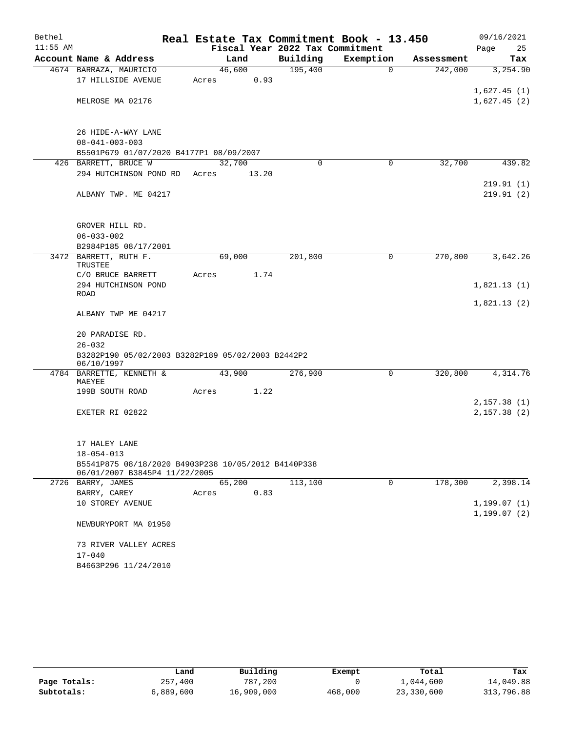| Bethel     |                                                   | Real Estate Tax Commitment Book - 13.450            |                                 |             |            | 09/16/2021                 |  |  |  |  |
|------------|---------------------------------------------------|-----------------------------------------------------|---------------------------------|-------------|------------|----------------------------|--|--|--|--|
| $11:55$ AM |                                                   |                                                     | Fiscal Year 2022 Tax Commitment |             |            | Page<br>25                 |  |  |  |  |
|            | Account Name & Address                            | Land                                                | Building                        | Exemption   | Assessment | Tax                        |  |  |  |  |
|            | 4674 BARRAZA, MAURICIO                            | 46,600                                              | 195,400                         | $\mathbf 0$ | 242,000    | 3,254.90                   |  |  |  |  |
|            | 17 HILLSIDE AVENUE                                | Acres                                               | 0.93                            |             |            |                            |  |  |  |  |
|            | MELROSE MA 02176                                  |                                                     |                                 |             |            | 1,627.45(1)<br>1,627.45(2) |  |  |  |  |
|            |                                                   |                                                     |                                 |             |            |                            |  |  |  |  |
|            |                                                   |                                                     |                                 |             |            |                            |  |  |  |  |
|            | 26 HIDE-A-WAY LANE                                |                                                     |                                 |             |            |                            |  |  |  |  |
|            | $08 - 041 - 003 - 003$                            |                                                     |                                 |             |            |                            |  |  |  |  |
|            | B5501P679 01/07/2020 B4177P1 08/09/2007           |                                                     |                                 |             |            |                            |  |  |  |  |
|            | 426 BARRETT, BRUCE W                              | 32,700                                              | $\Omega$                        | 0           | 32,700     | 439.82                     |  |  |  |  |
|            | 294 HUTCHINSON POND RD                            | 13.20<br>Acres                                      |                                 |             |            |                            |  |  |  |  |
|            |                                                   |                                                     |                                 |             |            | 219.91 (1)                 |  |  |  |  |
|            | ALBANY TWP. ME 04217                              |                                                     |                                 |             |            | 219.91(2)                  |  |  |  |  |
|            |                                                   |                                                     |                                 |             |            |                            |  |  |  |  |
|            |                                                   |                                                     |                                 |             |            |                            |  |  |  |  |
|            | GROVER HILL RD.<br>$06 - 033 - 002$               |                                                     |                                 |             |            |                            |  |  |  |  |
|            | B2984P185 08/17/2001                              |                                                     |                                 |             |            |                            |  |  |  |  |
|            | 3472 BARRETT, RUTH F.                             | 69,000                                              | 201,800                         | 0           | 270,800    | 3,642.26                   |  |  |  |  |
|            | TRUSTEE                                           |                                                     |                                 |             |            |                            |  |  |  |  |
|            | C/O BRUCE BARRETT                                 | Acres                                               | 1.74                            |             |            |                            |  |  |  |  |
|            | 294 HUTCHINSON POND                               |                                                     |                                 |             |            | 1,821.13(1)                |  |  |  |  |
|            | ROAD                                              |                                                     |                                 |             |            | 1,821.13(2)                |  |  |  |  |
|            | ALBANY TWP ME 04217                               |                                                     |                                 |             |            |                            |  |  |  |  |
|            |                                                   |                                                     |                                 |             |            |                            |  |  |  |  |
|            | 20 PARADISE RD.                                   |                                                     |                                 |             |            |                            |  |  |  |  |
|            | $26 - 032$                                        |                                                     |                                 |             |            |                            |  |  |  |  |
|            | B3282P190 05/02/2003 B3282P189 05/02/2003 B2442P2 |                                                     |                                 |             |            |                            |  |  |  |  |
|            | 06/10/1997                                        |                                                     |                                 |             |            |                            |  |  |  |  |
|            | 4784 BARRETTE, KENNETH &<br>MAEYEE                | 43,900                                              | 276,900                         | $\mathbf 0$ | 320,800    | 4,314.76                   |  |  |  |  |
|            | 199B SOUTH ROAD                                   | Acres                                               | 1.22                            |             |            |                            |  |  |  |  |
|            |                                                   |                                                     |                                 |             |            | 2,157.38(1)                |  |  |  |  |
|            | EXETER RI 02822                                   |                                                     |                                 |             |            | 2,157.38(2)                |  |  |  |  |
|            |                                                   |                                                     |                                 |             |            |                            |  |  |  |  |
|            |                                                   |                                                     |                                 |             |            |                            |  |  |  |  |
|            | 17 HALEY LANE                                     |                                                     |                                 |             |            |                            |  |  |  |  |
|            | $18 - 054 - 013$                                  |                                                     |                                 |             |            |                            |  |  |  |  |
|            | 06/01/2007 B3845P4 11/22/2005                     | B5541P875 08/18/2020 B4903P238 10/05/2012 B4140P338 |                                 |             |            |                            |  |  |  |  |
|            | 2726 BARRY, JAMES                                 | 65,200                                              | 113,100                         | 0           | 178,300    | 2,398.14                   |  |  |  |  |
|            | BARRY, CAREY                                      | Acres                                               | 0.83                            |             |            |                            |  |  |  |  |
|            | 10 STOREY AVENUE                                  |                                                     |                                 |             |            | 1,199.07(1)                |  |  |  |  |
|            |                                                   |                                                     |                                 |             |            | 1,199.07(2)                |  |  |  |  |
|            | NEWBURYPORT MA 01950                              |                                                     |                                 |             |            |                            |  |  |  |  |
|            |                                                   |                                                     |                                 |             |            |                            |  |  |  |  |
|            | 73 RIVER VALLEY ACRES                             |                                                     |                                 |             |            |                            |  |  |  |  |
|            | $17 - 040$                                        |                                                     |                                 |             |            |                            |  |  |  |  |
|            | B4663P296 11/24/2010                              |                                                     |                                 |             |            |                            |  |  |  |  |

|              | Land      | Building   | Exempt  | Total      | Tax        |
|--------------|-----------|------------|---------|------------|------------|
| Page Totals: | 257,400   | 787,200    |         | 1,044,600  | 14,049.88  |
| Subtotals:   | 6,889,600 | 16,909,000 | 468,000 | 23,330,600 | 313,796.88 |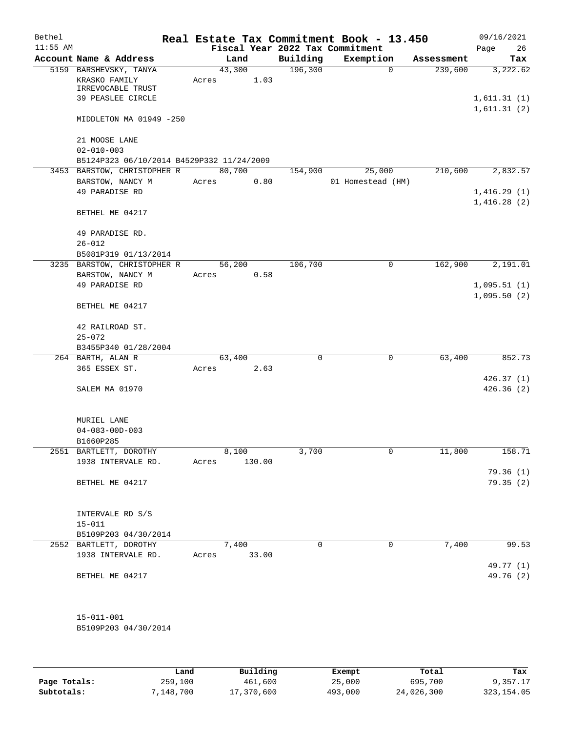| Bethel     |                                           |        |        |                                 | Real Estate Tax Commitment Book - 13.450 |            | 09/16/2021                 |
|------------|-------------------------------------------|--------|--------|---------------------------------|------------------------------------------|------------|----------------------------|
| $11:55$ AM |                                           |        |        | Fiscal Year 2022 Tax Commitment |                                          |            | Page<br>26                 |
|            | Account Name & Address                    | Land   |        | Building                        | Exemption                                | Assessment | Tax                        |
|            | 5159 BARSHEVSKY, TANYA                    | 43,300 |        | 196,300                         | 0                                        | 239,600    | 3,222.62                   |
|            | KRASKO FAMILY                             | Acres  | 1.03   |                                 |                                          |            |                            |
|            | IRREVOCABLE TRUST                         |        |        |                                 |                                          |            |                            |
|            | 39 PEASLEE CIRCLE                         |        |        |                                 |                                          |            | 1,611.31(1)<br>1,611.31(2) |
|            | MIDDLETON MA 01949 -250                   |        |        |                                 |                                          |            |                            |
|            | 21 MOOSE LANE                             |        |        |                                 |                                          |            |                            |
|            | $02 - 010 - 003$                          |        |        |                                 |                                          |            |                            |
|            | B5124P323 06/10/2014 B4529P332 11/24/2009 |        |        |                                 |                                          |            |                            |
|            | 3453 BARSTOW, CHRISTOPHER R               | 80,700 |        | 154,900                         | 25,000                                   | 210,600    | 2,832.57                   |
|            | BARSTOW, NANCY M                          | Acres  | 0.80   |                                 | 01 Homestead (HM)                        |            |                            |
|            | 49 PARADISE RD                            |        |        |                                 |                                          |            | 1,416.29(1)                |
|            | BETHEL ME 04217                           |        |        |                                 |                                          |            | 1,416.28(2)                |
|            | 49 PARADISE RD.                           |        |        |                                 |                                          |            |                            |
|            | $26 - 012$                                |        |        |                                 |                                          |            |                            |
|            | B5081P319 01/13/2014                      |        |        |                                 |                                          |            |                            |
|            | 3235 BARSTOW, CHRISTOPHER R               | 56,200 |        | 106,700                         | $\mathbf 0$                              | 162,900    | 2,191.01                   |
|            | BARSTOW, NANCY M                          | Acres  | 0.58   |                                 |                                          |            |                            |
|            | 49 PARADISE RD                            |        |        |                                 |                                          |            | 1,095.51(1)                |
|            |                                           |        |        |                                 |                                          |            | 1,095.50(2)                |
|            | BETHEL ME 04217                           |        |        |                                 |                                          |            |                            |
|            | 42 RAILROAD ST.                           |        |        |                                 |                                          |            |                            |
|            | $25 - 072$                                |        |        |                                 |                                          |            |                            |
|            | B3455P340 01/28/2004                      |        |        |                                 |                                          |            |                            |
|            | 264 BARTH, ALAN R                         | 63,400 |        | 0                               | $\mathbf 0$                              | 63,400     | 852.73                     |
|            | 365 ESSEX ST.                             | Acres  | 2.63   |                                 |                                          |            |                            |
|            |                                           |        |        |                                 |                                          |            | 426.37(1)                  |
|            | SALEM MA 01970                            |        |        |                                 |                                          |            | 426.36(2)                  |
|            | MURIEL LANE                               |        |        |                                 |                                          |            |                            |
|            | $04 - 083 - 00D - 003$                    |        |        |                                 |                                          |            |                            |
|            | B1660P285                                 |        |        |                                 |                                          |            |                            |
|            | 2551 BARTLETT, DOROTHY                    | 8,100  |        | 3,700                           | 0                                        | 11,800     | 158.71                     |
|            | 1938 INTERVALE RD.                        | Acres  | 130.00 |                                 |                                          |            |                            |
|            |                                           |        |        |                                 |                                          |            | 79.36(1)                   |
|            | BETHEL ME 04217                           |        |        |                                 |                                          |            | 79.35(2)                   |
|            | INTERVALE RD S/S                          |        |        |                                 |                                          |            |                            |
|            | $15 - 011$                                |        |        |                                 |                                          |            |                            |
|            | B5109P203 04/30/2014                      |        |        |                                 |                                          |            |                            |
|            | 2552 BARTLETT, DOROTHY                    | 7,400  |        | $\Omega$                        | $\Omega$                                 | 7,400      | 99.53                      |
|            | 1938 INTERVALE RD.                        | Acres  | 33.00  |                                 |                                          |            |                            |
|            |                                           |        |        |                                 |                                          |            | 49.77 (1)                  |
|            | BETHEL ME 04217                           |        |        |                                 |                                          |            | 49.76 (2)                  |
|            |                                           |        |        |                                 |                                          |            |                            |
|            |                                           |        |        |                                 |                                          |            |                            |
|            | $15 - 011 - 001$                          |        |        |                                 |                                          |            |                            |
|            | B5109P203 04/30/2014                      |        |        |                                 |                                          |            |                            |

|              | Land      | Building   | Exempt  | Total      | Tax         |
|--------------|-----------|------------|---------|------------|-------------|
| Page Totals: | 259,100   | 461,600    | 25,000  | 695,700    | 9,357.17    |
| Subtotals:   | 7,148,700 | 17,370,600 | 493,000 | 24,026,300 | 323, 154.05 |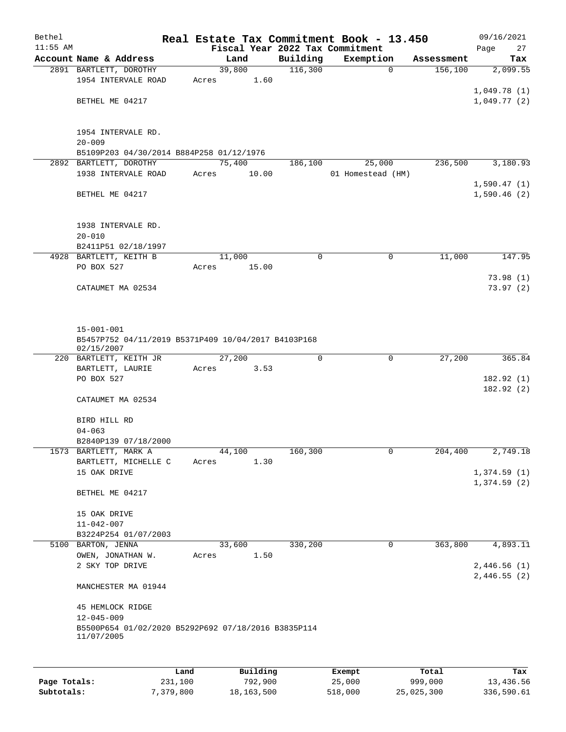| Bethel       |                                                                   |        |          |                     | Real Estate Tax Commitment Book - 13.450 |                       | 09/16/2021                 |
|--------------|-------------------------------------------------------------------|--------|----------|---------------------|------------------------------------------|-----------------------|----------------------------|
| $11:55$ AM   | Account Name & Address                                            |        |          |                     | Fiscal Year 2022 Tax Commitment          |                       | Page<br>27                 |
|              | 2891 BARTLETT, DOROTHY                                            | 39,800 | Land     | Building<br>116,300 | Exemption<br>$\mathbf 0$                 | Assessment<br>156,100 | Tax<br>2,099.55            |
|              | 1954 INTERVALE ROAD                                               | Acres  | 1.60     |                     |                                          |                       |                            |
|              |                                                                   |        |          |                     |                                          |                       | 1,049.78(1)                |
|              | BETHEL ME 04217                                                   |        |          |                     |                                          |                       | 1,049.77(2)                |
|              |                                                                   |        |          |                     |                                          |                       |                            |
|              |                                                                   |        |          |                     |                                          |                       |                            |
|              | 1954 INTERVALE RD.<br>$20 - 009$                                  |        |          |                     |                                          |                       |                            |
|              | B5109P203 04/30/2014 B884P258 01/12/1976                          |        |          |                     |                                          |                       |                            |
|              | 2892 BARTLETT, DOROTHY                                            | 75,400 |          | 186,100             | 25,000                                   | 236,500               | 3,180.93                   |
|              | 1938 INTERVALE ROAD                                               | Acres  | 10.00    |                     | 01 Homestead (HM)                        |                       |                            |
|              |                                                                   |        |          |                     |                                          |                       | 1,590.47(1)                |
|              | BETHEL ME 04217                                                   |        |          |                     |                                          |                       | 1,590.46(2)                |
|              | 1938 INTERVALE RD.                                                |        |          |                     |                                          |                       |                            |
|              | $20 - 010$                                                        |        |          |                     |                                          |                       |                            |
|              | B2411P51 02/18/1997                                               |        |          |                     |                                          |                       |                            |
|              | 4928 BARTLETT, KEITH B                                            | 11,000 |          | 0                   | $\mathbf 0$                              | 11,000                | 147.95                     |
|              | PO BOX 527                                                        | Acres  | 15.00    |                     |                                          |                       |                            |
|              |                                                                   |        |          |                     |                                          |                       | 73.98(1)                   |
|              | CATAUMET MA 02534                                                 |        |          |                     |                                          |                       | 73.97(2)                   |
|              |                                                                   |        |          |                     |                                          |                       |                            |
|              | $15 - 001 - 001$                                                  |        |          |                     |                                          |                       |                            |
|              | B5457P752 04/11/2019 B5371P409 10/04/2017 B4103P168<br>02/15/2007 |        |          |                     |                                          |                       |                            |
|              | 220 BARTLETT, KEITH JR                                            | 27,200 |          | 0                   | $\mathbf 0$                              | 27,200                | 365.84                     |
|              | BARTLETT, LAURIE                                                  | Acres  | 3.53     |                     |                                          |                       |                            |
|              | PO BOX 527                                                        |        |          |                     |                                          |                       | 182.92(1)                  |
|              | CATAUMET MA 02534                                                 |        |          |                     |                                          |                       | 182.92(2)                  |
|              | BIRD HILL RD                                                      |        |          |                     |                                          |                       |                            |
|              | $04 - 063$                                                        |        |          |                     |                                          |                       |                            |
|              | B2840P139 07/18/2000                                              |        |          |                     |                                          |                       |                            |
|              | 1573 BARTLETT, MARK A                                             | 44,100 |          | 160,300             | 0                                        | 204,400               | 2,749.18                   |
|              | BARTLETT, MICHELLE C                                              | Acres  | 1.30     |                     |                                          |                       |                            |
|              | 15 OAK DRIVE                                                      |        |          |                     |                                          |                       | 1,374.59(1)                |
|              | BETHEL ME 04217                                                   |        |          |                     |                                          |                       | 1,374.59(2)                |
|              | 15 OAK DRIVE                                                      |        |          |                     |                                          |                       |                            |
|              | $11 - 042 - 007$                                                  |        |          |                     |                                          |                       |                            |
|              | B3224P254 01/07/2003                                              |        |          |                     |                                          |                       |                            |
|              | 5100 BARTON, JENNA                                                | 33,600 |          | 330,200             | 0                                        | 363,800               | 4,893.11                   |
|              | OWEN, JONATHAN W.                                                 | Acres  | 1.50     |                     |                                          |                       |                            |
|              | 2 SKY TOP DRIVE                                                   |        |          |                     |                                          |                       | 2,446.56(1)<br>2,446.55(2) |
|              | MANCHESTER MA 01944                                               |        |          |                     |                                          |                       |                            |
|              | <b>45 HEMLOCK RIDGE</b><br>$12 - 045 - 009$                       |        |          |                     |                                          |                       |                            |
|              | B5500P654 01/02/2020 B5292P692 07/18/2016 B3835P114<br>11/07/2005 |        |          |                     |                                          |                       |                            |
|              |                                                                   |        |          |                     |                                          |                       |                            |
|              | Land                                                              |        | Building |                     | Exempt                                   | Total                 | Tax                        |
| Page Totals: | 231,100                                                           |        | 792,900  |                     | 25,000                                   | 999,000               | 13,436.56                  |

**Subtotals:** 7,379,800 18,163,500 518,000 25,025,300 336,590.61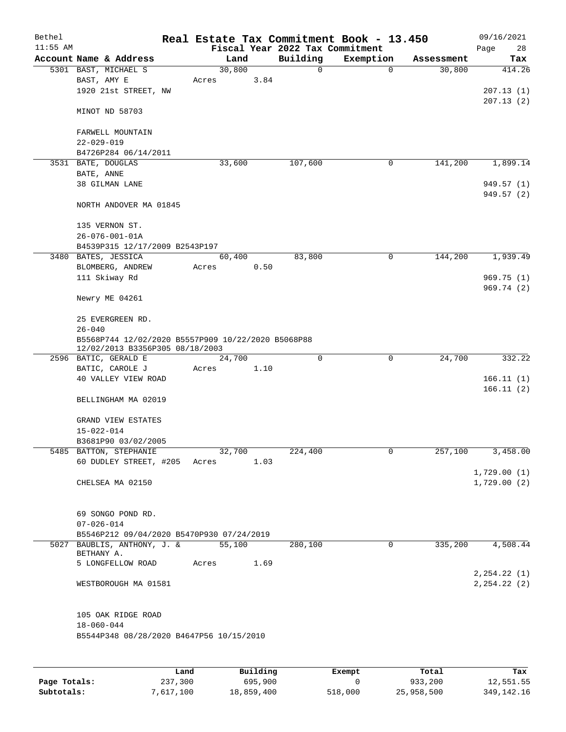| Bethel<br>$11:55$ AM |                                                                                    |        |      | Fiscal Year 2022 Tax Commitment | Real Estate Tax Commitment Book - 13.450 |            | 09/16/2021                     |  |  |  |
|----------------------|------------------------------------------------------------------------------------|--------|------|---------------------------------|------------------------------------------|------------|--------------------------------|--|--|--|
|                      | Account Name & Address                                                             | Land   |      | Building                        | Exemption                                | Assessment | Page<br>28<br>Tax              |  |  |  |
|                      | 5301 BAST, MICHAEL S                                                               | 30,800 |      | $\mathbf 0$                     | $\mathbf 0$                              | 30,800     | 414.26                         |  |  |  |
|                      | BAST, AMY E                                                                        | Acres  | 3.84 |                                 |                                          |            |                                |  |  |  |
|                      | 1920 21st STREET, NW                                                               |        |      |                                 |                                          |            | 207.13(1)                      |  |  |  |
|                      |                                                                                    |        |      |                                 |                                          |            | 207.13(2)                      |  |  |  |
|                      | MINOT ND 58703                                                                     |        |      |                                 |                                          |            |                                |  |  |  |
|                      | FARWELL MOUNTAIN                                                                   |        |      |                                 |                                          |            |                                |  |  |  |
|                      | $22 - 029 - 019$                                                                   |        |      |                                 |                                          |            |                                |  |  |  |
|                      | B4726P284 06/14/2011                                                               |        |      |                                 |                                          |            |                                |  |  |  |
|                      | 3531 BATE, DOUGLAS                                                                 | 33,600 |      | 107,600                         | 0                                        | 141,200    | 1,899.14                       |  |  |  |
|                      | BATE, ANNE                                                                         |        |      |                                 |                                          |            |                                |  |  |  |
|                      | 38 GILMAN LANE                                                                     |        |      |                                 |                                          |            | 949.57 (1)                     |  |  |  |
|                      | NORTH ANDOVER MA 01845                                                             |        |      |                                 |                                          |            | 949.57 (2)                     |  |  |  |
|                      | 135 VERNON ST.                                                                     |        |      |                                 |                                          |            |                                |  |  |  |
|                      | $26 - 076 - 001 - 01A$                                                             |        |      |                                 |                                          |            |                                |  |  |  |
|                      | B4539P315 12/17/2009 B2543P197                                                     |        |      |                                 |                                          |            |                                |  |  |  |
|                      | 3480 BATES, JESSICA                                                                | 60,400 |      | 83,800                          | $\mathbf 0$                              | 144,200    | 1,939.49                       |  |  |  |
|                      | BLOMBERG, ANDREW                                                                   | Acres  | 0.50 |                                 |                                          |            |                                |  |  |  |
|                      | 111 Skiway Rd                                                                      |        |      |                                 |                                          |            | 969.75(1)                      |  |  |  |
|                      | Newry ME 04261                                                                     |        |      |                                 |                                          |            | 969.74 (2)                     |  |  |  |
|                      | 25 EVERGREEN RD.                                                                   |        |      |                                 |                                          |            |                                |  |  |  |
|                      | $26 - 040$                                                                         |        |      |                                 |                                          |            |                                |  |  |  |
|                      | B5568P744 12/02/2020 B5557P909 10/22/2020 B5068P88                                 |        |      |                                 |                                          |            |                                |  |  |  |
|                      | 12/02/2013 B3356P305 08/18/2003                                                    |        |      |                                 |                                          |            |                                |  |  |  |
|                      | 2596 BATIC, GERALD E                                                               | 24,700 |      | $\mathbf 0$                     | 0                                        | 24,700     | 332.22                         |  |  |  |
|                      | BATIC, CAROLE J                                                                    | Acres  | 1.10 |                                 |                                          |            |                                |  |  |  |
|                      | 40 VALLEY VIEW ROAD                                                                |        |      |                                 |                                          |            | 166.11(1)                      |  |  |  |
|                      | BELLINGHAM MA 02019                                                                |        |      |                                 |                                          |            | 166.11(2)                      |  |  |  |
|                      | GRAND VIEW ESTATES                                                                 |        |      |                                 |                                          |            |                                |  |  |  |
|                      | $15 - 022 - 014$                                                                   |        |      |                                 |                                          |            |                                |  |  |  |
|                      | B3681P90 03/02/2005                                                                |        |      |                                 |                                          |            |                                |  |  |  |
|                      | 5485 BATTON, STEPHANIE                                                             | 32,700 |      | 224,400                         | 0                                        | 257,100    | 3,458.00                       |  |  |  |
|                      | 60 DUDLEY STREET, #205 Acres                                                       |        | 1.03 |                                 |                                          |            |                                |  |  |  |
|                      |                                                                                    |        |      |                                 |                                          |            | 1,729.00(1)                    |  |  |  |
|                      | CHELSEA MA 02150                                                                   |        |      |                                 |                                          |            | 1,729.00(2)                    |  |  |  |
|                      | 69 SONGO POND RD.                                                                  |        |      |                                 |                                          |            |                                |  |  |  |
|                      | $07 - 026 - 014$                                                                   |        |      |                                 |                                          |            |                                |  |  |  |
|                      | B5546P212 09/04/2020 B5470P930 07/24/2019                                          |        |      |                                 |                                          |            |                                |  |  |  |
|                      | 5027 BAUBLIS, ANTHONY, J. &<br>BETHANY A.                                          | 55,100 |      | 280,100                         | 0                                        | 335,200    | 4,508.44                       |  |  |  |
|                      | 5 LONGFELLOW ROAD                                                                  | Acres  | 1.69 |                                 |                                          |            |                                |  |  |  |
|                      | WESTBOROUGH MA 01581                                                               |        |      |                                 |                                          |            | 2, 254.22 (1)<br>2, 254.22 (2) |  |  |  |
|                      | 105 OAK RIDGE ROAD<br>$18 - 060 - 044$<br>B5544P348 08/28/2020 B4647P56 10/15/2010 |        |      |                                 |                                          |            |                                |  |  |  |
|                      |                                                                                    |        |      |                                 |                                          |            |                                |  |  |  |

|              | Land      | Building   | Exempt  | Total      | Tax          |
|--------------|-----------|------------|---------|------------|--------------|
| Page Totals: | 237,300   | 695,900    |         | 933,200    | 12,551.55    |
| Subtotals:   | 7,617,100 | 18,859,400 | 518,000 | 25,958,500 | 349, 142, 16 |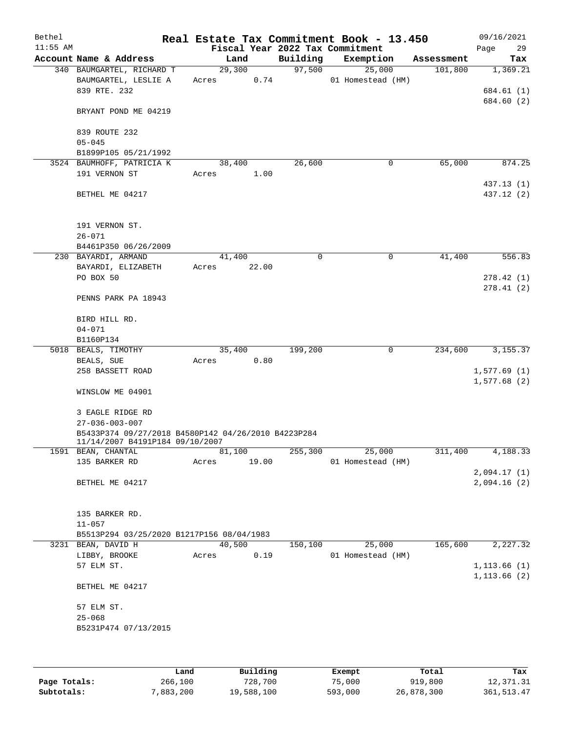| Bethel<br>$11:55$ AM |                                                     |                 |        |          | Real Estate Tax Commitment Book - 13.450<br>Fiscal Year 2022 Tax Commitment |            | 09/16/2021<br>29 |
|----------------------|-----------------------------------------------------|-----------------|--------|----------|-----------------------------------------------------------------------------|------------|------------------|
|                      | Account Name & Address                              |                 | Land   | Building | Exemption                                                                   | Assessment | Page<br>Tax      |
|                      | 340 BAUMGARTEL, RICHARD T                           |                 | 29,300 | 97,500   | 25,000                                                                      | 101,800    | 1,369.21         |
|                      | BAUMGARTEL, LESLIE A                                | Acres           | 0.74   |          | 01 Homestead (HM)                                                           |            |                  |
|                      | 839 RTE. 232                                        |                 |        |          |                                                                             |            | 684.61 (1)       |
|                      |                                                     |                 |        |          |                                                                             |            | 684.60 (2)       |
|                      | BRYANT POND ME 04219                                |                 |        |          |                                                                             |            |                  |
|                      |                                                     |                 |        |          |                                                                             |            |                  |
|                      | 839 ROUTE 232                                       |                 |        |          |                                                                             |            |                  |
|                      | $05 - 045$                                          |                 |        |          |                                                                             |            |                  |
|                      | B1899P105 05/21/1992                                |                 |        |          |                                                                             |            |                  |
|                      | 3524 BAUMHOFF, PATRICIA K<br>191 VERNON ST          | 38,400<br>Acres | 1.00   | 26,600   | $\mathbf 0$                                                                 | 65,000     | 874.25           |
|                      |                                                     |                 |        |          |                                                                             |            | 437.13 (1)       |
|                      | BETHEL ME 04217                                     |                 |        |          |                                                                             |            | 437.12 (2)       |
|                      |                                                     |                 |        |          |                                                                             |            |                  |
|                      |                                                     |                 |        |          |                                                                             |            |                  |
|                      | 191 VERNON ST.                                      |                 |        |          |                                                                             |            |                  |
|                      | $26 - 071$                                          |                 |        |          |                                                                             |            |                  |
|                      | B4461P350 06/26/2009                                |                 |        |          |                                                                             |            |                  |
|                      | 230 BAYARDI, ARMAND                                 |                 | 41,400 | $\Omega$ | $\mathbf 0$                                                                 | 41,400     | 556.83           |
|                      | BAYARDI, ELIZABETH                                  | Acres           | 22.00  |          |                                                                             |            |                  |
|                      | PO BOX 50                                           |                 |        |          |                                                                             |            | 278.42(1)        |
|                      |                                                     |                 |        |          |                                                                             |            | 278.41(2)        |
|                      | PENNS PARK PA 18943                                 |                 |        |          |                                                                             |            |                  |
|                      | BIRD HILL RD.                                       |                 |        |          |                                                                             |            |                  |
|                      | $04 - 071$                                          |                 |        |          |                                                                             |            |                  |
|                      | B1160P134                                           |                 |        |          |                                                                             |            |                  |
|                      | 5018 BEALS, TIMOTHY                                 |                 | 35,400 | 199,200  | $\mathbf 0$                                                                 | 234,600    | 3, 155. 37       |
|                      | BEALS, SUE                                          | Acres           | 0.80   |          |                                                                             |            |                  |
|                      | 258 BASSETT ROAD                                    |                 |        |          |                                                                             |            | 1,577.69(1)      |
|                      |                                                     |                 |        |          |                                                                             |            | 1,577.68(2)      |
|                      | WINSLOW ME 04901                                    |                 |        |          |                                                                             |            |                  |
|                      | 3 EAGLE RIDGE RD                                    |                 |        |          |                                                                             |            |                  |
|                      | $27 - 036 - 003 - 007$                              |                 |        |          |                                                                             |            |                  |
|                      | B5433P374 09/27/2018 B4580P142 04/26/2010 B4223P284 |                 |        |          |                                                                             |            |                  |
|                      | 11/14/2007 B4191P184 09/10/2007                     |                 |        |          |                                                                             |            |                  |
|                      | 1591 BEAN, CHANTAL                                  | 81,100          |        | 255,300  | 25,000                                                                      | 311,400    | 4,188.33         |
|                      | 135 BARKER RD                                       | Acres           | 19.00  |          | 01 Homestead (HM)                                                           |            |                  |
|                      |                                                     |                 |        |          |                                                                             |            | 2,094.17(1)      |
|                      | BETHEL ME 04217                                     |                 |        |          |                                                                             |            | 2,094.16(2)      |
|                      |                                                     |                 |        |          |                                                                             |            |                  |
|                      | 135 BARKER RD.                                      |                 |        |          |                                                                             |            |                  |
|                      | $11 - 057$                                          |                 |        |          |                                                                             |            |                  |
|                      | B5513P294 03/25/2020 B1217P156 08/04/1983           |                 |        |          |                                                                             |            |                  |
|                      | 3231 BEAN, DAVID H                                  | 40,500          |        | 150,100  | 25,000                                                                      | 165,600    | 2,227.32         |
|                      | LIBBY, BROOKE                                       | Acres           | 0.19   |          | 01 Homestead (HM)                                                           |            |                  |
|                      | 57 ELM ST.                                          |                 |        |          |                                                                             |            | 1, 113.66(1)     |
|                      |                                                     |                 |        |          |                                                                             |            | 1, 113.66 (2)    |
|                      | BETHEL ME 04217                                     |                 |        |          |                                                                             |            |                  |
|                      |                                                     |                 |        |          |                                                                             |            |                  |
|                      | 57 ELM ST.<br>$25 - 068$                            |                 |        |          |                                                                             |            |                  |
|                      | B5231P474 07/13/2015                                |                 |        |          |                                                                             |            |                  |
|                      |                                                     |                 |        |          |                                                                             |            |                  |
|                      |                                                     |                 |        |          |                                                                             |            |                  |
|                      |                                                     |                 |        |          |                                                                             |            |                  |

|              | Land      | Building   | Exempt  | Total      | Tax         |
|--------------|-----------|------------|---------|------------|-------------|
| Page Totals: | 266,100   | 728,700    | 75,000  | 919,800    | 12,371.31   |
| Subtotals:   | 7,883,200 | 19,588,100 | 593,000 | 26,878,300 | 361, 513.47 |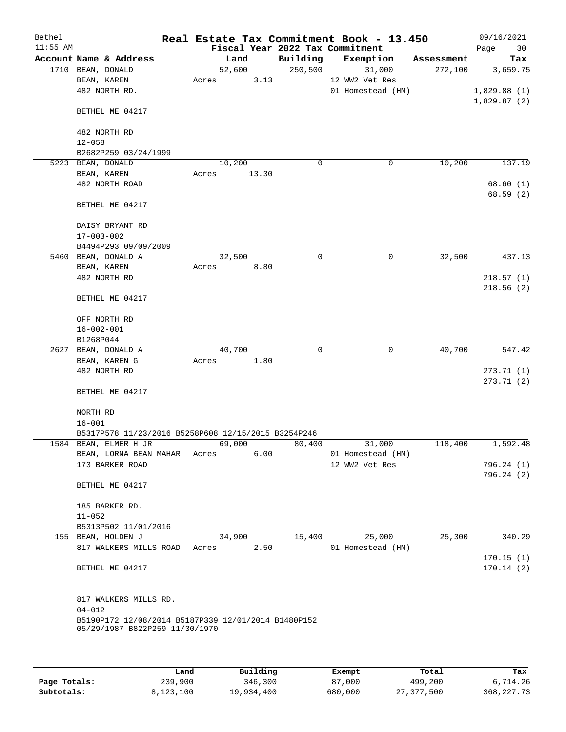| Bethel     |                                                                                       |       |        |       |                                 | Real Estate Tax Commitment Book - 13.450 |            | 09/16/2021  |
|------------|---------------------------------------------------------------------------------------|-------|--------|-------|---------------------------------|------------------------------------------|------------|-------------|
| $11:55$ AM |                                                                                       |       |        |       | Fiscal Year 2022 Tax Commitment |                                          |            | 30<br>Page  |
|            | Account Name & Address                                                                |       | Land   |       | Building                        | Exemption                                | Assessment | Tax         |
|            | 1710 BEAN, DONALD                                                                     |       | 52,600 |       | 250,500                         | 31,000                                   | 272,100    | 3,659.75    |
|            | BEAN, KAREN                                                                           | Acres |        | 3.13  |                                 | 12 WW2 Vet Res                           |            |             |
|            | 482 NORTH RD.                                                                         |       |        |       |                                 | 01 Homestead (HM)                        |            | 1,829.88(1) |
|            | BETHEL ME 04217                                                                       |       |        |       |                                 |                                          |            | 1,829.87(2) |
|            | 482 NORTH RD                                                                          |       |        |       |                                 |                                          |            |             |
|            | $12 - 058$                                                                            |       |        |       |                                 |                                          |            |             |
|            | B2682P259 03/24/1999                                                                  |       |        |       |                                 |                                          |            |             |
|            | 5223 BEAN, DONALD                                                                     |       | 10,200 |       | $\mathbf 0$                     | 0                                        | 10,200     | 137.19      |
|            | BEAN, KAREN                                                                           | Acres |        | 13.30 |                                 |                                          |            |             |
|            | 482 NORTH ROAD                                                                        |       |        |       |                                 |                                          |            | 68.60(1)    |
|            |                                                                                       |       |        |       |                                 |                                          |            | 68.59(2)    |
|            | BETHEL ME 04217                                                                       |       |        |       |                                 |                                          |            |             |
|            | DAISY BRYANT RD                                                                       |       |        |       |                                 |                                          |            |             |
|            | $17 - 003 - 002$                                                                      |       |        |       |                                 |                                          |            |             |
|            | B4494P293 09/09/2009                                                                  |       |        |       |                                 |                                          |            |             |
|            | 5460 BEAN, DONALD A                                                                   |       | 32,500 |       | 0                               | 0                                        | 32,500     | 437.13      |
|            | BEAN, KAREN                                                                           | Acres |        | 8.80  |                                 |                                          |            |             |
|            | 482 NORTH RD                                                                          |       |        |       |                                 |                                          |            | 218.57(1)   |
|            |                                                                                       |       |        |       |                                 |                                          |            | 218.56(2)   |
|            | BETHEL ME 04217                                                                       |       |        |       |                                 |                                          |            |             |
|            | OFF NORTH RD                                                                          |       |        |       |                                 |                                          |            |             |
|            | $16 - 002 - 001$                                                                      |       |        |       |                                 |                                          |            |             |
|            | B1268P044                                                                             |       |        |       |                                 |                                          |            |             |
|            | 2627 BEAN, DONALD A                                                                   |       | 40,700 |       | 0                               | 0                                        | 40,700     | 547.42      |
|            | BEAN, KAREN G                                                                         | Acres |        | 1.80  |                                 |                                          |            |             |
|            | 482 NORTH RD                                                                          |       |        |       |                                 |                                          |            | 273.71(1)   |
|            |                                                                                       |       |        |       |                                 |                                          |            | 273.71(2)   |
|            | BETHEL ME 04217                                                                       |       |        |       |                                 |                                          |            |             |
|            | NORTH RD                                                                              |       |        |       |                                 |                                          |            |             |
|            | $16 - 001$                                                                            |       |        |       |                                 |                                          |            |             |
|            | B5317P578 11/23/2016 B5258P608 12/15/2015 B3254P246                                   |       |        |       |                                 |                                          |            |             |
|            | 1584 BEAN, ELMER H JR                                                                 |       | 69,000 |       | 80,400                          | 31,000                                   | 118,400    | 1,592.48    |
|            | BEAN, LORNA BEAN MAHAR Acres                                                          |       |        | 6.00  |                                 | 01 Homestead (HM)                        |            |             |
|            | 173 BARKER ROAD                                                                       |       |        |       |                                 | 12 WW2 Vet Res                           |            | 796.24 (1)  |
|            |                                                                                       |       |        |       |                                 |                                          |            | 796.24(2)   |
|            | BETHEL ME 04217                                                                       |       |        |       |                                 |                                          |            |             |
|            | 185 BARKER RD.                                                                        |       |        |       |                                 |                                          |            |             |
|            | $11 - 052$                                                                            |       |        |       |                                 |                                          |            |             |
|            | B5313P502 11/01/2016                                                                  |       |        |       |                                 |                                          |            |             |
|            | 155 BEAN, HOLDEN J                                                                    |       | 34,900 |       | 15,400                          | 25,000                                   | 25,300     | 340.29      |
|            | 817 WALKERS MILLS ROAD                                                                | Acres |        | 2.50  |                                 | 01 Homestead (HM)                        |            |             |
|            |                                                                                       |       |        |       |                                 |                                          |            | 170.15(1)   |
|            | BETHEL ME 04217                                                                       |       |        |       |                                 |                                          |            | 170.14(2)   |
|            | 817 WALKERS MILLS RD.                                                                 |       |        |       |                                 |                                          |            |             |
|            | $04 - 012$                                                                            |       |        |       |                                 |                                          |            |             |
|            | B5190P172 12/08/2014 B5187P339 12/01/2014 B1480P152<br>05/29/1987 B822P259 11/30/1970 |       |        |       |                                 |                                          |            |             |
|            |                                                                                       |       |        |       |                                 |                                          |            |             |

|              | Land      | Building   | Exempt  | Total      | Tax          |
|--------------|-----------|------------|---------|------------|--------------|
| Page Totals: | 239,900   | 346,300    | 87,000  | 499,200    | 6,714.26     |
| Subtotals:   | 8,123,100 | 19,934,400 | 680,000 | 27,377,500 | 368, 227, 73 |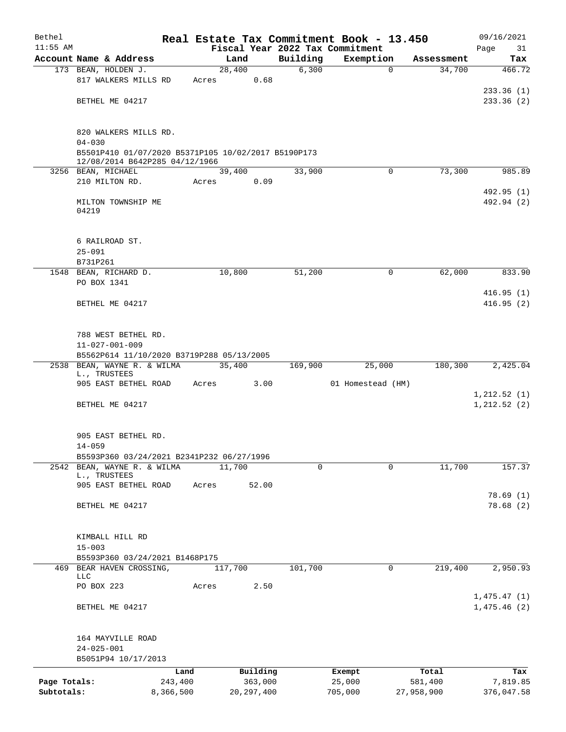| Bethel       |                                                                   |           |       |                |          | Real Estate Tax Commitment Book - 13.450 |            | 09/16/2021                 |  |  |  |  |
|--------------|-------------------------------------------------------------------|-----------|-------|----------------|----------|------------------------------------------|------------|----------------------------|--|--|--|--|
| $11:55$ AM   |                                                                   |           |       |                |          | Fiscal Year 2022 Tax Commitment          |            | Page<br>31                 |  |  |  |  |
|              | Account Name & Address                                            |           |       | Land           | Building | Exemption                                | Assessment | Tax                        |  |  |  |  |
|              | 173 BEAN, HOLDEN J.<br>817 WALKERS MILLS RD                       |           | Acres | 28,400<br>0.68 | 6,300    | $\mathbf 0$                              | 34,700     | 466.72                     |  |  |  |  |
|              | BETHEL ME 04217                                                   |           |       |                |          |                                          |            | 233.36(1)<br>233.36(2)     |  |  |  |  |
|              | 820 WALKERS MILLS RD.                                             |           |       |                |          |                                          |            |                            |  |  |  |  |
|              | $04 - 030$<br>B5501P410 01/07/2020 B5371P105 10/02/2017 B5190P173 |           |       |                |          |                                          |            |                            |  |  |  |  |
|              | 12/08/2014 B642P285 04/12/1966<br>3256 BEAN, MICHAEL              |           |       | 39,400         | 33,900   | $\Omega$                                 | 73,300     | 985.89                     |  |  |  |  |
|              | 210 MILTON RD.                                                    |           | Acres | 0.09           |          |                                          |            |                            |  |  |  |  |
|              |                                                                   |           |       |                |          |                                          |            | 492.95 (1)                 |  |  |  |  |
|              | MILTON TOWNSHIP ME<br>04219                                       |           |       |                |          |                                          |            | 492.94 (2)                 |  |  |  |  |
|              | 6 RAILROAD ST.                                                    |           |       |                |          |                                          |            |                            |  |  |  |  |
|              | $25 - 091$                                                        |           |       |                |          |                                          |            |                            |  |  |  |  |
|              | B731P261                                                          |           |       |                |          |                                          |            |                            |  |  |  |  |
|              | 1548 BEAN, RICHARD D.<br>PO BOX 1341                              |           |       | 10,800         | 51,200   | 0                                        | 62,000     | 833.90                     |  |  |  |  |
|              |                                                                   |           |       |                |          |                                          |            | 416.95(1)                  |  |  |  |  |
|              | BETHEL ME 04217                                                   |           |       |                |          |                                          |            | 416.95(2)                  |  |  |  |  |
|              | 788 WEST BETHEL RD.                                               |           |       |                |          |                                          |            |                            |  |  |  |  |
|              | $11 - 027 - 001 - 009$                                            |           |       |                |          |                                          |            |                            |  |  |  |  |
|              | B5562P614 11/10/2020 B3719P288 05/13/2005                         |           |       |                |          |                                          |            |                            |  |  |  |  |
|              | 2538 BEAN, WAYNE R. & WILMA<br>L., TRUSTEES                       |           |       | 35,400         | 169,900  | 25,000                                   | 180,300    | 2,425.04                   |  |  |  |  |
|              | 905 EAST BETHEL ROAD                                              |           | Acres | 3.00           |          | 01 Homestead (HM)                        |            |                            |  |  |  |  |
|              |                                                                   |           |       |                |          |                                          |            | 1,212.52(1)                |  |  |  |  |
|              | BETHEL ME 04217                                                   |           |       |                |          |                                          |            | 1, 212.52(2)               |  |  |  |  |
|              | 905 EAST BETHEL RD.                                               |           |       |                |          |                                          |            |                            |  |  |  |  |
|              | $14 - 059$<br>B5593P360 03/24/2021 B2341P232 06/27/1996           |           |       |                |          |                                          |            |                            |  |  |  |  |
|              | 2542 BEAN, WAYNE R. & WILMA                                       |           |       | 11,700         |          | 0<br>0                                   | 11,700     | 157.37                     |  |  |  |  |
|              | L., TRUSTEES                                                      |           |       |                |          |                                          |            |                            |  |  |  |  |
|              | 905 EAST BETHEL ROAD                                              |           | Acres | 52.00          |          |                                          |            |                            |  |  |  |  |
|              | BETHEL ME 04217                                                   |           |       |                |          |                                          |            | 78.69(1)<br>78.68(2)       |  |  |  |  |
|              | KIMBALL HILL RD                                                   |           |       |                |          |                                          |            |                            |  |  |  |  |
|              | $15 - 003$                                                        |           |       |                |          |                                          |            |                            |  |  |  |  |
|              | B5593P360 03/24/2021 B1468P175                                    |           |       |                |          |                                          |            |                            |  |  |  |  |
|              | 469 BEAR HAVEN CROSSING,<br>LLC                                   |           |       | 117,700        | 101,700  | 0                                        | 219,400    | 2,950.93                   |  |  |  |  |
|              | PO BOX 223                                                        |           | Acres | 2.50           |          |                                          |            |                            |  |  |  |  |
|              | BETHEL ME 04217                                                   |           |       |                |          |                                          |            | 1,475.47(1)<br>1,475.46(2) |  |  |  |  |
|              |                                                                   |           |       |                |          |                                          |            |                            |  |  |  |  |
|              | 164 MAYVILLE ROAD<br>$24 - 025 - 001$                             |           |       |                |          |                                          |            |                            |  |  |  |  |
|              | B5051P94 10/17/2013                                               |           |       |                |          |                                          |            |                            |  |  |  |  |
|              |                                                                   | Land      |       | Building       |          | Exempt                                   | Total      | Tax                        |  |  |  |  |
| Page Totals: |                                                                   | 243,400   |       | 363,000        |          | 25,000                                   | 581,400    | 7,819.85                   |  |  |  |  |
| Subtotals:   |                                                                   | 8,366,500 |       | 20, 297, 400   |          | 705,000                                  | 27,958,900 | 376,047.58                 |  |  |  |  |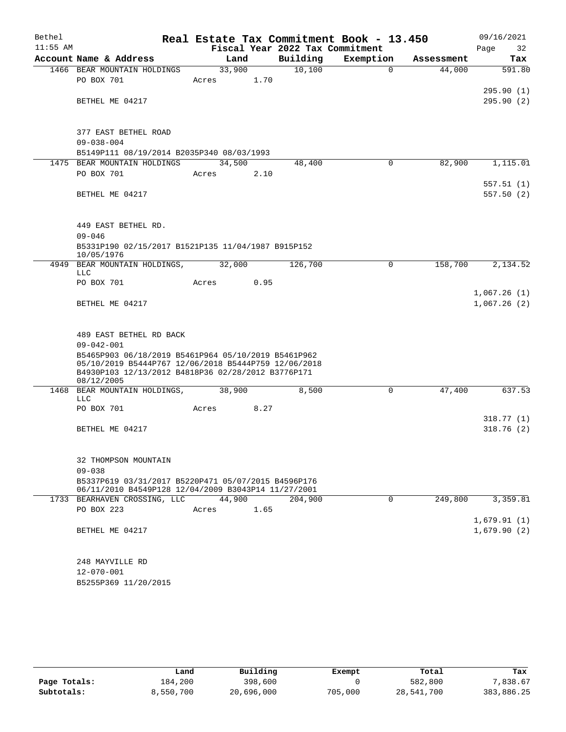| Bethel     |                                                                  |                 |      |                                             | Real Estate Tax Commitment Book - 13.450 |            | 09/16/2021             |
|------------|------------------------------------------------------------------|-----------------|------|---------------------------------------------|------------------------------------------|------------|------------------------|
| $11:55$ AM | Account Name & Address                                           | Land            |      | Fiscal Year 2022 Tax Commitment<br>Building | Exemption                                | Assessment | Page<br>32<br>Tax      |
|            |                                                                  |                 |      | 10,100                                      | $\mathbf 0$                              | 44,000     |                        |
|            | 1466 BEAR MOUNTAIN HOLDINGS<br>PO BOX 701                        | 33,900<br>Acres | 1.70 |                                             |                                          |            | 591.80                 |
|            | BETHEL ME 04217                                                  |                 |      |                                             |                                          |            | 295.90(1)<br>295.90(2) |
|            |                                                                  |                 |      |                                             |                                          |            |                        |
|            | 377 EAST BETHEL ROAD                                             |                 |      |                                             |                                          |            |                        |
|            | $09 - 038 - 004$                                                 |                 |      |                                             |                                          |            |                        |
|            | B5149P111 08/19/2014 B2035P340 08/03/1993                        |                 |      |                                             |                                          |            |                        |
|            | 1475 BEAR MOUNTAIN HOLDINGS                                      | 34,500          |      | 48,400                                      | 0                                        | 82,900     | 1,115.01               |
|            | PO BOX 701                                                       | Acres           | 2.10 |                                             |                                          |            |                        |
|            |                                                                  |                 |      |                                             |                                          |            | 557.51(1)              |
|            | BETHEL ME 04217                                                  |                 |      |                                             |                                          |            | 557.50(2)              |
|            |                                                                  |                 |      |                                             |                                          |            |                        |
|            | 449 EAST BETHEL RD.<br>$09 - 046$                                |                 |      |                                             |                                          |            |                        |
|            | B5331P190 02/15/2017 B1521P135 11/04/1987 B915P152               |                 |      |                                             |                                          |            |                        |
|            | 10/05/1976                                                       |                 |      |                                             |                                          |            |                        |
| 4949       | BEAR MOUNTAIN HOLDINGS,<br><b>LLC</b>                            | 32,000          |      | 126,700                                     | $\mathbf 0$                              | 158,700    | 2,134.52               |
|            | PO BOX 701                                                       | Acres           | 0.95 |                                             |                                          |            | 1,067.26(1)            |
|            | BETHEL ME 04217                                                  |                 |      |                                             |                                          |            | 1,067.26(2)            |
|            |                                                                  |                 |      |                                             |                                          |            |                        |
|            | 489 EAST BETHEL RD BACK<br>$09 - 042 - 001$                      |                 |      |                                             |                                          |            |                        |
|            | B5465P903 06/18/2019 B5461P964 05/10/2019 B5461P962              |                 |      |                                             |                                          |            |                        |
|            | 05/10/2019 B5444P767 12/06/2018 B5444P759 12/06/2018             |                 |      |                                             |                                          |            |                        |
|            | B4930P103 12/13/2012 B4818P36 02/28/2012 B3776P171<br>08/12/2005 |                 |      |                                             |                                          |            |                        |
| 1468       | BEAR MOUNTAIN HOLDINGS,<br><b>LLC</b>                            | 38,900          |      | 8,500                                       | 0                                        | 47,400     | 637.53                 |
|            | PO BOX 701                                                       | Acres           | 8.27 |                                             |                                          |            |                        |
|            |                                                                  |                 |      |                                             |                                          |            | 318.77 (1)             |
|            | BETHEL ME 04217                                                  |                 |      |                                             |                                          |            | 318.76(2)              |
|            | 32 THOMPSON MOUNTAIN                                             |                 |      |                                             |                                          |            |                        |
|            | $09 - 038$                                                       |                 |      |                                             |                                          |            |                        |
|            | B5337P619 03/31/2017 B5220P471 05/07/2015 B4596P176              |                 |      |                                             |                                          |            |                        |
|            | 06/11/2010 B4549P128 12/04/2009 B3043P14 11/27/2001              |                 |      |                                             |                                          |            |                        |
|            | 1733 BEARHAVEN CROSSING, LLC                                     | 44,900          |      | 204,900                                     | 0                                        | 249,800    | 3,359.81               |
|            | PO BOX 223                                                       | Acres           | 1.65 |                                             |                                          |            |                        |
|            |                                                                  |                 |      |                                             |                                          |            | 1,679.91(1)            |
|            | BETHEL ME 04217                                                  |                 |      |                                             |                                          |            | 1,679.90(2)            |
|            | 248 MAYVILLE RD                                                  |                 |      |                                             |                                          |            |                        |
|            | $12 - 070 - 001$                                                 |                 |      |                                             |                                          |            |                        |
|            | B5255P369 11/20/2015                                             |                 |      |                                             |                                          |            |                        |

|              | Land      | Building   | Exempt  | Total      | Tax        |
|--------------|-----------|------------|---------|------------|------------|
| Page Totals: | 184,200   | 398,600    |         | 582,800    | 7,838.67   |
| Subtotals:   | 8,550,700 | 20,696,000 | 705,000 | 28,541,700 | 383,886.25 |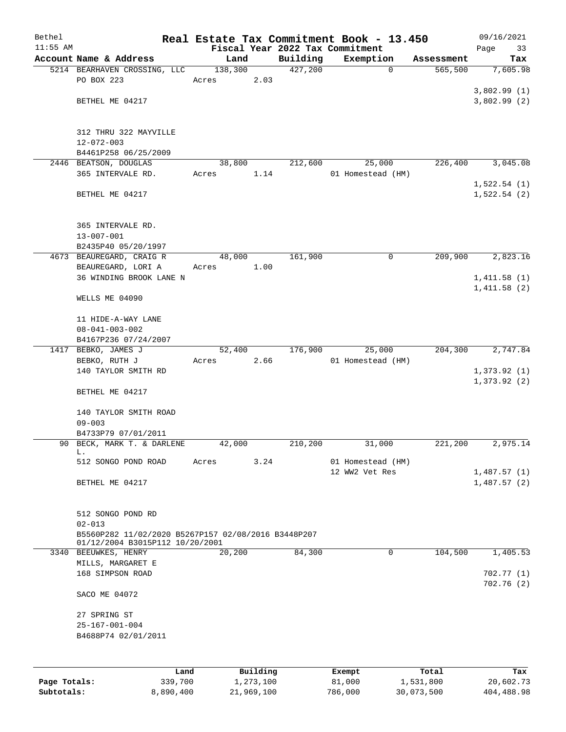| Bethel       |                                                     |       |                 |                       |                                 |  | Real Estate Tax Commitment Book - 13.450 |                       | 09/16/2021                 |
|--------------|-----------------------------------------------------|-------|-----------------|-----------------------|---------------------------------|--|------------------------------------------|-----------------------|----------------------------|
| $11:55$ AM   |                                                     |       |                 |                       | Fiscal Year 2022 Tax Commitment |  |                                          |                       | Page<br>33                 |
|              | Account Name & Address                              |       | Land<br>138,300 |                       | Building<br>427,200             |  | Exemption<br>$\mathbf 0$                 | Assessment<br>565,500 | Tax<br>7,605.98            |
|              | 5214 BEARHAVEN CROSSING, LLC<br>PO BOX 223          | Acres |                 | 2.03                  |                                 |  |                                          |                       |                            |
|              |                                                     |       |                 |                       |                                 |  |                                          |                       | 3,802.99(1)                |
|              | BETHEL ME 04217                                     |       |                 |                       |                                 |  |                                          |                       | 3,802.99(2)                |
|              |                                                     |       |                 |                       |                                 |  |                                          |                       |                            |
|              | 312 THRU 322 MAYVILLE                               |       |                 |                       |                                 |  |                                          |                       |                            |
|              | $12 - 072 - 003$                                    |       |                 |                       |                                 |  |                                          |                       |                            |
|              | B4461P258 06/25/2009                                |       |                 |                       |                                 |  |                                          |                       |                            |
|              | 2446 BEATSON, DOUGLAS                               |       | 38,800          |                       | 212,600                         |  | 25,000                                   | 226,400               | 3,045.08                   |
|              | 365 INTERVALE RD.                                   | Acres |                 | 1.14                  |                                 |  | 01 Homestead (HM)                        |                       |                            |
|              |                                                     |       |                 |                       |                                 |  |                                          |                       | 1,522.54(1)                |
|              | BETHEL ME 04217                                     |       |                 |                       |                                 |  |                                          |                       | 1,522.54(2)                |
|              | 365 INTERVALE RD.                                   |       |                 |                       |                                 |  |                                          |                       |                            |
|              | $13 - 007 - 001$                                    |       |                 |                       |                                 |  |                                          |                       |                            |
|              | B2435P40 05/20/1997                                 |       |                 |                       |                                 |  |                                          |                       |                            |
|              | 4673 BEAUREGARD, CRAIG R                            |       | 48,000          |                       | 161,900                         |  | 0                                        | 209,900               | 2,823.16                   |
|              | BEAUREGARD, LORI A                                  | Acres |                 | 1.00                  |                                 |  |                                          |                       |                            |
|              | 36 WINDING BROOK LANE N                             |       |                 |                       |                                 |  |                                          |                       | 1,411.58(1)                |
|              |                                                     |       |                 |                       |                                 |  |                                          |                       | 1,411.58(2)                |
|              | WELLS ME 04090                                      |       |                 |                       |                                 |  |                                          |                       |                            |
|              | 11 HIDE-A-WAY LANE                                  |       |                 |                       |                                 |  |                                          |                       |                            |
|              | $08 - 041 - 003 - 002$                              |       |                 |                       |                                 |  |                                          |                       |                            |
|              | B4167P236 07/24/2007                                |       |                 |                       |                                 |  |                                          |                       |                            |
|              | 1417 BEBKO, JAMES J                                 |       | 52,400          |                       | 176,900                         |  | 25,000                                   | 204,300               | 2,747.84                   |
|              | BEBKO, RUTH J                                       | Acres |                 | 2.66                  |                                 |  | 01 Homestead (HM)                        |                       |                            |
|              | 140 TAYLOR SMITH RD                                 |       |                 |                       |                                 |  |                                          |                       | 1,373.92(1)<br>1,373.92(2) |
|              | BETHEL ME 04217                                     |       |                 |                       |                                 |  |                                          |                       |                            |
|              | 140 TAYLOR SMITH ROAD                               |       |                 |                       |                                 |  |                                          |                       |                            |
|              | $09 - 003$                                          |       |                 |                       |                                 |  |                                          |                       |                            |
|              | B4733P79 07/01/2011                                 |       |                 |                       |                                 |  |                                          |                       |                            |
|              | 90 BECK, MARK T. & DARLENE                          |       | 42,000          |                       | 210,200                         |  | 31,000                                   | 221,200               | 2,975.14                   |
|              | L.                                                  |       |                 |                       |                                 |  |                                          |                       |                            |
|              | 512 SONGO POND ROAD                                 | Acres |                 | 3.24                  |                                 |  | 01 Homestead (HM)                        |                       |                            |
|              |                                                     |       |                 |                       |                                 |  | 12 WW2 Vet Res                           |                       | 1,487.57(1)                |
|              | BETHEL ME 04217                                     |       |                 |                       |                                 |  |                                          |                       | 1,487.57(2)                |
|              | 512 SONGO POND RD                                   |       |                 |                       |                                 |  |                                          |                       |                            |
|              | $02 - 013$                                          |       |                 |                       |                                 |  |                                          |                       |                            |
|              | B5560P282 11/02/2020 B5267P157 02/08/2016 B3448P207 |       |                 |                       |                                 |  |                                          |                       |                            |
|              | 01/12/2004 B3015P112 10/20/2001                     |       |                 |                       |                                 |  |                                          |                       |                            |
|              | 3340 BEEUWKES, HENRY                                |       | 20,200          |                       | 84,300                          |  | 0                                        | 104,500               | 1,405.53                   |
|              | MILLS, MARGARET E                                   |       |                 |                       |                                 |  |                                          |                       |                            |
|              | 168 SIMPSON ROAD                                    |       |                 |                       |                                 |  |                                          |                       | 702.77(1)<br>702.76(2)     |
|              | SACO ME 04072                                       |       |                 |                       |                                 |  |                                          |                       |                            |
|              | 27 SPRING ST                                        |       |                 |                       |                                 |  |                                          |                       |                            |
|              | $25 - 167 - 001 - 004$                              |       |                 |                       |                                 |  |                                          |                       |                            |
|              | B4688P74 02/01/2011                                 |       |                 |                       |                                 |  |                                          |                       |                            |
|              |                                                     |       |                 |                       |                                 |  |                                          |                       |                            |
|              |                                                     |       |                 |                       |                                 |  |                                          |                       |                            |
| Page Totals: | Land<br>339,700                                     |       |                 | Building<br>1,273,100 |                                 |  | Exempt<br>81,000                         | Total<br>1,531,800    | Tax<br>20,602.73           |

**Subtotals:** 8,890,400 21,969,100 786,000 30,073,500 404,488.98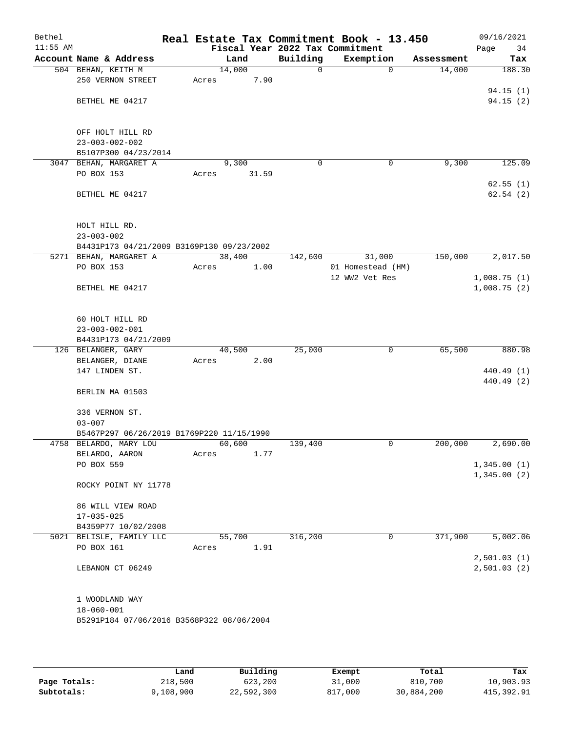| Bethel<br>$11:55$ AM |                                           |       |        |             | Real Estate Tax Commitment Book - 13.450<br>Fiscal Year 2022 Tax Commitment |            | 09/16/2021<br>Page<br>34 |
|----------------------|-------------------------------------------|-------|--------|-------------|-----------------------------------------------------------------------------|------------|--------------------------|
|                      | Account Name & Address                    |       | Land   | Building    | Exemption                                                                   | Assessment | Tax                      |
|                      | 504 BEHAN, KEITH M                        |       | 14,000 | 0           | $\Omega$                                                                    | 14,000     | 188.30                   |
|                      | 250 VERNON STREET                         | Acres | 7.90   |             |                                                                             |            |                          |
|                      |                                           |       |        |             |                                                                             |            | 94.15(1)                 |
|                      | BETHEL ME 04217                           |       |        |             |                                                                             |            | 94.15(2)                 |
|                      |                                           |       |        |             |                                                                             |            |                          |
|                      |                                           |       |        |             |                                                                             |            |                          |
|                      | OFF HOLT HILL RD                          |       |        |             |                                                                             |            |                          |
|                      | $23 - 003 - 002 - 002$                    |       |        |             |                                                                             |            |                          |
|                      | B5107P300 04/23/2014                      |       |        |             |                                                                             |            |                          |
|                      | 3047 BEHAN, MARGARET A                    |       | 9,300  | $\mathbf 0$ | $\mathbf 0$                                                                 | 9,300      | 125.09                   |
|                      | PO BOX 153                                | Acres | 31.59  |             |                                                                             |            |                          |
|                      |                                           |       |        |             |                                                                             |            | 62.55(1)                 |
|                      | BETHEL ME 04217                           |       |        |             |                                                                             |            | 62.54(2)                 |
|                      |                                           |       |        |             |                                                                             |            |                          |
|                      |                                           |       |        |             |                                                                             |            |                          |
|                      | HOLT HILL RD.                             |       |        |             |                                                                             |            |                          |
|                      | $23 - 003 - 002$                          |       |        |             |                                                                             |            |                          |
|                      | B4431P173 04/21/2009 B3169P130 09/23/2002 |       |        |             |                                                                             |            |                          |
|                      | 5271 BEHAN, MARGARET A                    |       | 38,400 | 142,600     | 31,000                                                                      | 150,000    | 2,017.50                 |
|                      | PO BOX 153                                | Acres | 1.00   |             | 01 Homestead (HM)                                                           |            |                          |
|                      |                                           |       |        |             | 12 WW2 Vet Res                                                              |            | 1,008.75(1)              |
|                      | BETHEL ME 04217                           |       |        |             |                                                                             |            | 1,008.75(2)              |
|                      |                                           |       |        |             |                                                                             |            |                          |
|                      |                                           |       |        |             |                                                                             |            |                          |
|                      | 60 HOLT HILL RD                           |       |        |             |                                                                             |            |                          |
|                      | $23 - 003 - 002 - 001$                    |       |        |             |                                                                             |            |                          |
|                      | B4431P173 04/21/2009                      |       |        |             |                                                                             |            |                          |
|                      | 126 BELANGER, GARY                        |       | 40,500 | 25,000      | 0                                                                           | 65,500     | 880.98                   |
|                      | BELANGER, DIANE                           | Acres | 2.00   |             |                                                                             |            |                          |
|                      | 147 LINDEN ST.                            |       |        |             |                                                                             |            | 440.49 (1)               |
|                      |                                           |       |        |             |                                                                             |            | 440.49 (2)               |
|                      | BERLIN MA 01503                           |       |        |             |                                                                             |            |                          |
|                      | 336 VERNON ST.                            |       |        |             |                                                                             |            |                          |
|                      | $03 - 007$                                |       |        |             |                                                                             |            |                          |
|                      | B5467P297 06/26/2019 B1769P220 11/15/1990 |       |        |             |                                                                             |            |                          |
|                      | 4758 BELARDO, MARY LOU                    |       | 60,600 | 139,400     | 0                                                                           | 200,000    | 2,690.00                 |
|                      | BELARDO, AARON                            | Acres | 1.77   |             |                                                                             |            |                          |
|                      | PO BOX 559                                |       |        |             |                                                                             |            | 1,345.00(1)              |
|                      |                                           |       |        |             |                                                                             |            | 1,345.00(2)              |
|                      | ROCKY POINT NY 11778                      |       |        |             |                                                                             |            |                          |
|                      |                                           |       |        |             |                                                                             |            |                          |
|                      | 86 WILL VIEW ROAD                         |       |        |             |                                                                             |            |                          |
|                      | $17 - 035 - 025$                          |       |        |             |                                                                             |            |                          |
|                      | B4359P77 10/02/2008                       |       |        |             |                                                                             |            |                          |
|                      | 5021 BELISLE, FAMILY LLC                  |       | 55,700 | 316,200     | 0                                                                           | 371,900    | 5,002.06                 |
|                      | PO BOX 161                                | Acres | 1.91   |             |                                                                             |            |                          |
|                      |                                           |       |        |             |                                                                             |            | 2,501.03(1)              |
|                      | LEBANON CT 06249                          |       |        |             |                                                                             |            | 2,501.03(2)              |
|                      |                                           |       |        |             |                                                                             |            |                          |
|                      |                                           |       |        |             |                                                                             |            |                          |
|                      | 1 WOODLAND WAY                            |       |        |             |                                                                             |            |                          |
|                      | $18 - 060 - 001$                          |       |        |             |                                                                             |            |                          |
|                      | B5291P184 07/06/2016 B3568P322 08/06/2004 |       |        |             |                                                                             |            |                          |
|                      |                                           |       |        |             |                                                                             |            |                          |
|                      |                                           |       |        |             |                                                                             |            |                          |

|              | Land      | Building   | Exempt  | Total      | Tax        |
|--------------|-----------|------------|---------|------------|------------|
| Page Totals: | 218,500   | 623,200    | 31,000  | 810,700    | 10,903.93  |
| Subtotals:   | 9,108,900 | 22,592,300 | 817,000 | 30,884,200 | 415,392.91 |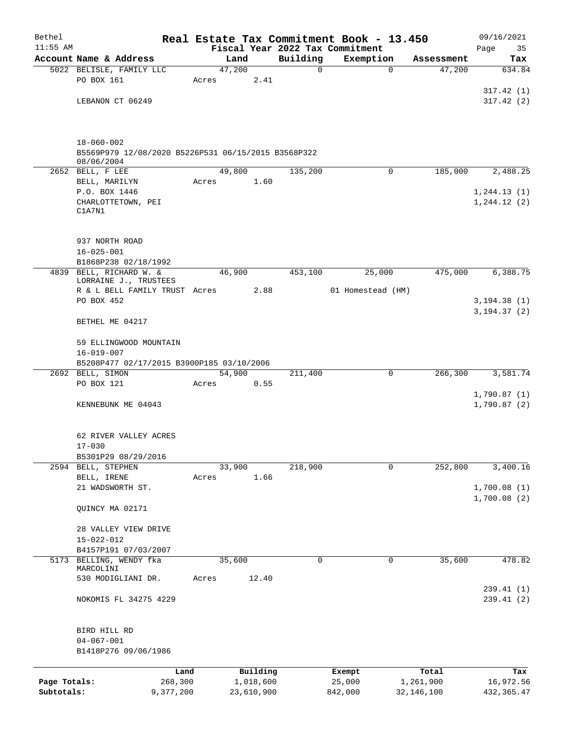| Bethel       |                                                                   |        |            |                         | Real Estate Tax Commitment Book - 13.450 |                      | 09/16/2021     |
|--------------|-------------------------------------------------------------------|--------|------------|-------------------------|------------------------------------------|----------------------|----------------|
| $11:55$ AM   |                                                                   |        |            |                         | Fiscal Year 2022 Tax Commitment          |                      | 35<br>Page     |
|              | Account Name & Address<br>5022 BELISLE, FAMILY LLC                | 47,200 | Land       | Building<br>$\mathbf 0$ | Exemption<br>$\mathbf 0$                 | Assessment<br>47,200 | Tax<br>634.84  |
|              | PO BOX 161                                                        | Acres  | 2.41       |                         |                                          |                      |                |
|              |                                                                   |        |            |                         |                                          |                      | 317.42(1)      |
|              | LEBANON CT 06249                                                  |        |            |                         |                                          |                      | 317.42(2)      |
|              |                                                                   |        |            |                         |                                          |                      |                |
|              | $18 - 060 - 002$                                                  |        |            |                         |                                          |                      |                |
|              | B5569P979 12/08/2020 B5226P531 06/15/2015 B3568P322<br>08/06/2004 |        |            |                         |                                          |                      |                |
|              | 2652 BELL, F LEE                                                  | 49,800 |            | 135,200                 | $\Omega$                                 | 185,000              | 2,488.25       |
|              | BELL, MARILYN                                                     | Acres  | 1.60       |                         |                                          |                      |                |
|              | P.O. BOX 1446                                                     |        |            |                         |                                          |                      | 1, 244.13(1)   |
|              | CHARLOTTETOWN, PEI                                                |        |            |                         |                                          |                      | 1,244.12(2)    |
|              | C1A7N1                                                            |        |            |                         |                                          |                      |                |
|              | 937 NORTH ROAD                                                    |        |            |                         |                                          |                      |                |
|              | $16 - 025 - 001$                                                  |        |            |                         |                                          |                      |                |
|              | B1868P238 02/18/1992                                              |        |            |                         |                                          |                      |                |
|              | 4839 BELL, RICHARD W. &                                           | 46,900 |            | 453,100                 | 25,000                                   | 475,000              | 6,388.75       |
|              | LORRAINE J., TRUSTEES<br>R & L BELL FAMILY TRUST Acres            |        | 2.88       |                         | 01 Homestead (HM)                        |                      |                |
|              | PO BOX 452                                                        |        |            |                         |                                          |                      | 3, 194.38(1)   |
|              |                                                                   |        |            |                         |                                          |                      | 3, 194. 37 (2) |
|              | BETHEL ME 04217                                                   |        |            |                         |                                          |                      |                |
|              | 59 ELLINGWOOD MOUNTAIN                                            |        |            |                         |                                          |                      |                |
|              | $16 - 019 - 007$<br>B5208P477 02/17/2015 B3900P185 03/10/2006     |        |            |                         |                                          |                      |                |
|              | 2692 BELL, SIMON                                                  | 54,900 |            | 211,400                 | 0                                        | 266,300              | 3,581.74       |
|              | PO BOX 121                                                        | Acres  | 0.55       |                         |                                          |                      |                |
|              |                                                                   |        |            |                         |                                          |                      | 1,790.87(1)    |
|              | KENNEBUNK ME 04043                                                |        |            |                         |                                          |                      | 1,790.87(2)    |
|              | 62 RIVER VALLEY ACRES                                             |        |            |                         |                                          |                      |                |
|              | $17 - 030$                                                        |        |            |                         |                                          |                      |                |
|              | B5301P29 08/29/2016                                               |        |            |                         |                                          |                      |                |
|              | 2594 BELL, STEPHEN                                                | 33,900 |            | 218,900                 | 0                                        | 252,800              | 3,400.16       |
|              | BELL, IRENE                                                       | Acres  | 1.66       |                         |                                          |                      |                |
|              | 21 WADSWORTH ST.                                                  |        |            |                         |                                          |                      | 1,700.08(1)    |
|              |                                                                   |        |            |                         |                                          |                      | 1,700.08(2)    |
|              | QUINCY MA 02171                                                   |        |            |                         |                                          |                      |                |
|              | 28 VALLEY VIEW DRIVE                                              |        |            |                         |                                          |                      |                |
|              | $15 - 022 - 012$                                                  |        |            |                         |                                          |                      |                |
|              | B4157P191 07/03/2007                                              |        |            |                         |                                          |                      |                |
|              | 5173 BELLING, WENDY fka                                           | 35,600 |            | 0                       | 0                                        | 35,600               | 478.82         |
|              | MARCOLINI                                                         |        |            |                         |                                          |                      |                |
|              | 530 MODIGLIANI DR.                                                | Acres  | 12.40      |                         |                                          |                      | 239.41(1)      |
|              | NOKOMIS FL 34275 4229                                             |        |            |                         |                                          |                      | 239.41 (2)     |
|              |                                                                   |        |            |                         |                                          |                      |                |
|              | BIRD HILL RD                                                      |        |            |                         |                                          |                      |                |
|              | $04 - 067 - 001$                                                  |        |            |                         |                                          |                      |                |
|              | B1418P276 09/06/1986                                              |        |            |                         |                                          |                      |                |
|              | Land                                                              |        | Building   |                         | Exempt                                   | Total                | Tax            |
| Page Totals: | 268,300                                                           |        | 1,018,600  |                         | 25,000                                   | 1,261,900            | 16,972.56      |
| Subtotals:   | 9,377,200                                                         |        | 23,610,900 |                         | 842,000                                  | 32, 146, 100         | 432, 365.47    |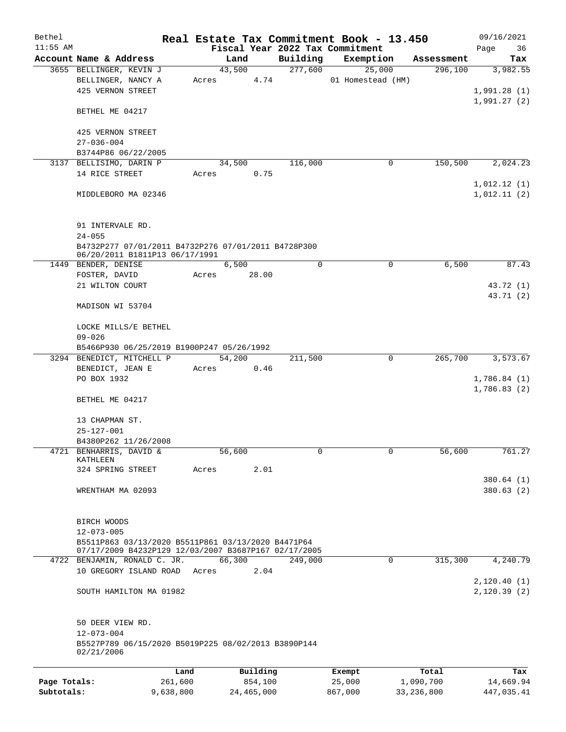| Fiscal Year 2022 Tax Commitment<br>Page<br>Building<br>Account Name & Address<br>Land<br>Exemption<br>Assessment<br>277,600<br>3655 BELLINGER, KEVIN J<br>43,500<br>25,000<br>296,100<br>3,982.55<br>4.74<br>01 Homestead (HM)<br>BELLINGER, NANCY A<br>Acres<br>425 VERNON STREET<br>1,991.28(1)<br>1,991.27(2)<br>BETHEL ME 04217<br>425 VERNON STREET<br>$27 - 036 - 004$<br>B3744P86 06/22/2005<br>150,500<br>3137 BELLISIMO, DARIN P<br>34,500<br>116,000<br>0<br>14 RICE STREET<br>0.75<br>Acres<br>MIDDLEBORO MA 02346<br>91 INTERVALE RD.<br>$24 - 055$<br>B4732P277 07/01/2011 B4732P276 07/01/2011 B4728P300<br>06/20/2011 B1811P13 06/17/1991<br>6,500<br>0<br>$\mathbf 0$<br>6,500<br>87.43<br>1449 BENDER, DENISE<br>FOSTER, DAVID<br>28.00<br>Acres<br>43.72 (1)<br>21 WILTON COURT<br>43.71(2)<br>MADISON WI 53704<br>LOCKE MILLS/E BETHEL<br>$09 - 026$<br>B5466P930 06/25/2019 B1900P247 05/26/1992<br>3,573.67<br>3294 BENEDICT, MITCHELL P<br>54,200<br>211,500<br>0<br>265,700<br>BENEDICT, JEAN E<br>0.46<br>Acres<br>PO BOX 1932<br>1,786.84(1)<br>1,786.83 (2)<br>BETHEL ME 04217<br>13 CHAPMAN ST.<br>$25 - 127 - 001$<br>B4380P262 11/26/2008<br>4721 BENHARRIS, DAVID &<br>56,600<br>0<br>0<br>56,600<br>KATHLEEN<br>2.01<br>324 SPRING STREET<br>Acres<br>380.64 (1)<br>WRENTHAM MA 02093<br>380.63(2)<br>BIRCH WOODS<br>$12 - 073 - 005$<br>B5511P863 03/13/2020 B5511P861 03/13/2020 B4471P64<br>07/17/2009 B4232P129 12/03/2007 B3687P167 02/17/2005<br>0<br>315,300<br>4722 BENJAMIN, RONALD C. JR.<br>66,300<br>249,000<br>10 GREGORY ISLAND ROAD<br>2.04<br>Acres<br>SOUTH HAMILTON MA 01982<br>50 DEER VIEW RD.<br>$12 - 073 - 004$<br>B5527P789 06/15/2020 B5019P225 08/02/2013 B3890P144<br>02/21/2006<br>Building<br>Land<br>Total<br>Exempt<br>261,600<br>854,100<br>25,000<br>1,090,700<br>Page Totals:<br>14,669.94<br>Subtotals:<br>9,638,800<br>24, 465, 000<br>867,000<br>33, 236, 800 | Bethel     |  |  |  |  |  | Real Estate Tax Commitment Book - 13.450 |  | 09/16/2021  |
|-----------------------------------------------------------------------------------------------------------------------------------------------------------------------------------------------------------------------------------------------------------------------------------------------------------------------------------------------------------------------------------------------------------------------------------------------------------------------------------------------------------------------------------------------------------------------------------------------------------------------------------------------------------------------------------------------------------------------------------------------------------------------------------------------------------------------------------------------------------------------------------------------------------------------------------------------------------------------------------------------------------------------------------------------------------------------------------------------------------------------------------------------------------------------------------------------------------------------------------------------------------------------------------------------------------------------------------------------------------------------------------------------------------------------------------------------------------------------------------------------------------------------------------------------------------------------------------------------------------------------------------------------------------------------------------------------------------------------------------------------------------------------------------------------------------------------------------------------------------------------------------------------------------------------------------|------------|--|--|--|--|--|------------------------------------------|--|-------------|
|                                                                                                                                                                                                                                                                                                                                                                                                                                                                                                                                                                                                                                                                                                                                                                                                                                                                                                                                                                                                                                                                                                                                                                                                                                                                                                                                                                                                                                                                                                                                                                                                                                                                                                                                                                                                                                                                                                                                   | $11:55$ AM |  |  |  |  |  |                                          |  | 36          |
|                                                                                                                                                                                                                                                                                                                                                                                                                                                                                                                                                                                                                                                                                                                                                                                                                                                                                                                                                                                                                                                                                                                                                                                                                                                                                                                                                                                                                                                                                                                                                                                                                                                                                                                                                                                                                                                                                                                                   |            |  |  |  |  |  |                                          |  | Tax         |
|                                                                                                                                                                                                                                                                                                                                                                                                                                                                                                                                                                                                                                                                                                                                                                                                                                                                                                                                                                                                                                                                                                                                                                                                                                                                                                                                                                                                                                                                                                                                                                                                                                                                                                                                                                                                                                                                                                                                   |            |  |  |  |  |  |                                          |  |             |
|                                                                                                                                                                                                                                                                                                                                                                                                                                                                                                                                                                                                                                                                                                                                                                                                                                                                                                                                                                                                                                                                                                                                                                                                                                                                                                                                                                                                                                                                                                                                                                                                                                                                                                                                                                                                                                                                                                                                   |            |  |  |  |  |  |                                          |  |             |
|                                                                                                                                                                                                                                                                                                                                                                                                                                                                                                                                                                                                                                                                                                                                                                                                                                                                                                                                                                                                                                                                                                                                                                                                                                                                                                                                                                                                                                                                                                                                                                                                                                                                                                                                                                                                                                                                                                                                   |            |  |  |  |  |  |                                          |  |             |
|                                                                                                                                                                                                                                                                                                                                                                                                                                                                                                                                                                                                                                                                                                                                                                                                                                                                                                                                                                                                                                                                                                                                                                                                                                                                                                                                                                                                                                                                                                                                                                                                                                                                                                                                                                                                                                                                                                                                   |            |  |  |  |  |  |                                          |  |             |
|                                                                                                                                                                                                                                                                                                                                                                                                                                                                                                                                                                                                                                                                                                                                                                                                                                                                                                                                                                                                                                                                                                                                                                                                                                                                                                                                                                                                                                                                                                                                                                                                                                                                                                                                                                                                                                                                                                                                   |            |  |  |  |  |  |                                          |  |             |
|                                                                                                                                                                                                                                                                                                                                                                                                                                                                                                                                                                                                                                                                                                                                                                                                                                                                                                                                                                                                                                                                                                                                                                                                                                                                                                                                                                                                                                                                                                                                                                                                                                                                                                                                                                                                                                                                                                                                   |            |  |  |  |  |  |                                          |  |             |
|                                                                                                                                                                                                                                                                                                                                                                                                                                                                                                                                                                                                                                                                                                                                                                                                                                                                                                                                                                                                                                                                                                                                                                                                                                                                                                                                                                                                                                                                                                                                                                                                                                                                                                                                                                                                                                                                                                                                   |            |  |  |  |  |  |                                          |  |             |
|                                                                                                                                                                                                                                                                                                                                                                                                                                                                                                                                                                                                                                                                                                                                                                                                                                                                                                                                                                                                                                                                                                                                                                                                                                                                                                                                                                                                                                                                                                                                                                                                                                                                                                                                                                                                                                                                                                                                   |            |  |  |  |  |  |                                          |  |             |
|                                                                                                                                                                                                                                                                                                                                                                                                                                                                                                                                                                                                                                                                                                                                                                                                                                                                                                                                                                                                                                                                                                                                                                                                                                                                                                                                                                                                                                                                                                                                                                                                                                                                                                                                                                                                                                                                                                                                   |            |  |  |  |  |  |                                          |  | 2,024.23    |
|                                                                                                                                                                                                                                                                                                                                                                                                                                                                                                                                                                                                                                                                                                                                                                                                                                                                                                                                                                                                                                                                                                                                                                                                                                                                                                                                                                                                                                                                                                                                                                                                                                                                                                                                                                                                                                                                                                                                   |            |  |  |  |  |  |                                          |  |             |
|                                                                                                                                                                                                                                                                                                                                                                                                                                                                                                                                                                                                                                                                                                                                                                                                                                                                                                                                                                                                                                                                                                                                                                                                                                                                                                                                                                                                                                                                                                                                                                                                                                                                                                                                                                                                                                                                                                                                   |            |  |  |  |  |  |                                          |  | 1,012.12(1) |
|                                                                                                                                                                                                                                                                                                                                                                                                                                                                                                                                                                                                                                                                                                                                                                                                                                                                                                                                                                                                                                                                                                                                                                                                                                                                                                                                                                                                                                                                                                                                                                                                                                                                                                                                                                                                                                                                                                                                   |            |  |  |  |  |  |                                          |  | 1,012.11(2) |
|                                                                                                                                                                                                                                                                                                                                                                                                                                                                                                                                                                                                                                                                                                                                                                                                                                                                                                                                                                                                                                                                                                                                                                                                                                                                                                                                                                                                                                                                                                                                                                                                                                                                                                                                                                                                                                                                                                                                   |            |  |  |  |  |  |                                          |  |             |
|                                                                                                                                                                                                                                                                                                                                                                                                                                                                                                                                                                                                                                                                                                                                                                                                                                                                                                                                                                                                                                                                                                                                                                                                                                                                                                                                                                                                                                                                                                                                                                                                                                                                                                                                                                                                                                                                                                                                   |            |  |  |  |  |  |                                          |  |             |
|                                                                                                                                                                                                                                                                                                                                                                                                                                                                                                                                                                                                                                                                                                                                                                                                                                                                                                                                                                                                                                                                                                                                                                                                                                                                                                                                                                                                                                                                                                                                                                                                                                                                                                                                                                                                                                                                                                                                   |            |  |  |  |  |  |                                          |  |             |
|                                                                                                                                                                                                                                                                                                                                                                                                                                                                                                                                                                                                                                                                                                                                                                                                                                                                                                                                                                                                                                                                                                                                                                                                                                                                                                                                                                                                                                                                                                                                                                                                                                                                                                                                                                                                                                                                                                                                   |            |  |  |  |  |  |                                          |  |             |
|                                                                                                                                                                                                                                                                                                                                                                                                                                                                                                                                                                                                                                                                                                                                                                                                                                                                                                                                                                                                                                                                                                                                                                                                                                                                                                                                                                                                                                                                                                                                                                                                                                                                                                                                                                                                                                                                                                                                   |            |  |  |  |  |  |                                          |  |             |
|                                                                                                                                                                                                                                                                                                                                                                                                                                                                                                                                                                                                                                                                                                                                                                                                                                                                                                                                                                                                                                                                                                                                                                                                                                                                                                                                                                                                                                                                                                                                                                                                                                                                                                                                                                                                                                                                                                                                   |            |  |  |  |  |  |                                          |  |             |
|                                                                                                                                                                                                                                                                                                                                                                                                                                                                                                                                                                                                                                                                                                                                                                                                                                                                                                                                                                                                                                                                                                                                                                                                                                                                                                                                                                                                                                                                                                                                                                                                                                                                                                                                                                                                                                                                                                                                   |            |  |  |  |  |  |                                          |  |             |
|                                                                                                                                                                                                                                                                                                                                                                                                                                                                                                                                                                                                                                                                                                                                                                                                                                                                                                                                                                                                                                                                                                                                                                                                                                                                                                                                                                                                                                                                                                                                                                                                                                                                                                                                                                                                                                                                                                                                   |            |  |  |  |  |  |                                          |  |             |
|                                                                                                                                                                                                                                                                                                                                                                                                                                                                                                                                                                                                                                                                                                                                                                                                                                                                                                                                                                                                                                                                                                                                                                                                                                                                                                                                                                                                                                                                                                                                                                                                                                                                                                                                                                                                                                                                                                                                   |            |  |  |  |  |  |                                          |  |             |
|                                                                                                                                                                                                                                                                                                                                                                                                                                                                                                                                                                                                                                                                                                                                                                                                                                                                                                                                                                                                                                                                                                                                                                                                                                                                                                                                                                                                                                                                                                                                                                                                                                                                                                                                                                                                                                                                                                                                   |            |  |  |  |  |  |                                          |  |             |
|                                                                                                                                                                                                                                                                                                                                                                                                                                                                                                                                                                                                                                                                                                                                                                                                                                                                                                                                                                                                                                                                                                                                                                                                                                                                                                                                                                                                                                                                                                                                                                                                                                                                                                                                                                                                                                                                                                                                   |            |  |  |  |  |  |                                          |  |             |
|                                                                                                                                                                                                                                                                                                                                                                                                                                                                                                                                                                                                                                                                                                                                                                                                                                                                                                                                                                                                                                                                                                                                                                                                                                                                                                                                                                                                                                                                                                                                                                                                                                                                                                                                                                                                                                                                                                                                   |            |  |  |  |  |  |                                          |  |             |
|                                                                                                                                                                                                                                                                                                                                                                                                                                                                                                                                                                                                                                                                                                                                                                                                                                                                                                                                                                                                                                                                                                                                                                                                                                                                                                                                                                                                                                                                                                                                                                                                                                                                                                                                                                                                                                                                                                                                   |            |  |  |  |  |  |                                          |  |             |
|                                                                                                                                                                                                                                                                                                                                                                                                                                                                                                                                                                                                                                                                                                                                                                                                                                                                                                                                                                                                                                                                                                                                                                                                                                                                                                                                                                                                                                                                                                                                                                                                                                                                                                                                                                                                                                                                                                                                   |            |  |  |  |  |  |                                          |  |             |
|                                                                                                                                                                                                                                                                                                                                                                                                                                                                                                                                                                                                                                                                                                                                                                                                                                                                                                                                                                                                                                                                                                                                                                                                                                                                                                                                                                                                                                                                                                                                                                                                                                                                                                                                                                                                                                                                                                                                   |            |  |  |  |  |  |                                          |  |             |
|                                                                                                                                                                                                                                                                                                                                                                                                                                                                                                                                                                                                                                                                                                                                                                                                                                                                                                                                                                                                                                                                                                                                                                                                                                                                                                                                                                                                                                                                                                                                                                                                                                                                                                                                                                                                                                                                                                                                   |            |  |  |  |  |  |                                          |  |             |
|                                                                                                                                                                                                                                                                                                                                                                                                                                                                                                                                                                                                                                                                                                                                                                                                                                                                                                                                                                                                                                                                                                                                                                                                                                                                                                                                                                                                                                                                                                                                                                                                                                                                                                                                                                                                                                                                                                                                   |            |  |  |  |  |  |                                          |  |             |
|                                                                                                                                                                                                                                                                                                                                                                                                                                                                                                                                                                                                                                                                                                                                                                                                                                                                                                                                                                                                                                                                                                                                                                                                                                                                                                                                                                                                                                                                                                                                                                                                                                                                                                                                                                                                                                                                                                                                   |            |  |  |  |  |  |                                          |  |             |
|                                                                                                                                                                                                                                                                                                                                                                                                                                                                                                                                                                                                                                                                                                                                                                                                                                                                                                                                                                                                                                                                                                                                                                                                                                                                                                                                                                                                                                                                                                                                                                                                                                                                                                                                                                                                                                                                                                                                   |            |  |  |  |  |  |                                          |  |             |
|                                                                                                                                                                                                                                                                                                                                                                                                                                                                                                                                                                                                                                                                                                                                                                                                                                                                                                                                                                                                                                                                                                                                                                                                                                                                                                                                                                                                                                                                                                                                                                                                                                                                                                                                                                                                                                                                                                                                   |            |  |  |  |  |  |                                          |  |             |
|                                                                                                                                                                                                                                                                                                                                                                                                                                                                                                                                                                                                                                                                                                                                                                                                                                                                                                                                                                                                                                                                                                                                                                                                                                                                                                                                                                                                                                                                                                                                                                                                                                                                                                                                                                                                                                                                                                                                   |            |  |  |  |  |  |                                          |  |             |
|                                                                                                                                                                                                                                                                                                                                                                                                                                                                                                                                                                                                                                                                                                                                                                                                                                                                                                                                                                                                                                                                                                                                                                                                                                                                                                                                                                                                                                                                                                                                                                                                                                                                                                                                                                                                                                                                                                                                   |            |  |  |  |  |  |                                          |  |             |
|                                                                                                                                                                                                                                                                                                                                                                                                                                                                                                                                                                                                                                                                                                                                                                                                                                                                                                                                                                                                                                                                                                                                                                                                                                                                                                                                                                                                                                                                                                                                                                                                                                                                                                                                                                                                                                                                                                                                   |            |  |  |  |  |  |                                          |  |             |
|                                                                                                                                                                                                                                                                                                                                                                                                                                                                                                                                                                                                                                                                                                                                                                                                                                                                                                                                                                                                                                                                                                                                                                                                                                                                                                                                                                                                                                                                                                                                                                                                                                                                                                                                                                                                                                                                                                                                   |            |  |  |  |  |  |                                          |  | 761.27      |
|                                                                                                                                                                                                                                                                                                                                                                                                                                                                                                                                                                                                                                                                                                                                                                                                                                                                                                                                                                                                                                                                                                                                                                                                                                                                                                                                                                                                                                                                                                                                                                                                                                                                                                                                                                                                                                                                                                                                   |            |  |  |  |  |  |                                          |  |             |
|                                                                                                                                                                                                                                                                                                                                                                                                                                                                                                                                                                                                                                                                                                                                                                                                                                                                                                                                                                                                                                                                                                                                                                                                                                                                                                                                                                                                                                                                                                                                                                                                                                                                                                                                                                                                                                                                                                                                   |            |  |  |  |  |  |                                          |  |             |
|                                                                                                                                                                                                                                                                                                                                                                                                                                                                                                                                                                                                                                                                                                                                                                                                                                                                                                                                                                                                                                                                                                                                                                                                                                                                                                                                                                                                                                                                                                                                                                                                                                                                                                                                                                                                                                                                                                                                   |            |  |  |  |  |  |                                          |  |             |
|                                                                                                                                                                                                                                                                                                                                                                                                                                                                                                                                                                                                                                                                                                                                                                                                                                                                                                                                                                                                                                                                                                                                                                                                                                                                                                                                                                                                                                                                                                                                                                                                                                                                                                                                                                                                                                                                                                                                   |            |  |  |  |  |  |                                          |  |             |
|                                                                                                                                                                                                                                                                                                                                                                                                                                                                                                                                                                                                                                                                                                                                                                                                                                                                                                                                                                                                                                                                                                                                                                                                                                                                                                                                                                                                                                                                                                                                                                                                                                                                                                                                                                                                                                                                                                                                   |            |  |  |  |  |  |                                          |  |             |
|                                                                                                                                                                                                                                                                                                                                                                                                                                                                                                                                                                                                                                                                                                                                                                                                                                                                                                                                                                                                                                                                                                                                                                                                                                                                                                                                                                                                                                                                                                                                                                                                                                                                                                                                                                                                                                                                                                                                   |            |  |  |  |  |  |                                          |  |             |
|                                                                                                                                                                                                                                                                                                                                                                                                                                                                                                                                                                                                                                                                                                                                                                                                                                                                                                                                                                                                                                                                                                                                                                                                                                                                                                                                                                                                                                                                                                                                                                                                                                                                                                                                                                                                                                                                                                                                   |            |  |  |  |  |  |                                          |  |             |
|                                                                                                                                                                                                                                                                                                                                                                                                                                                                                                                                                                                                                                                                                                                                                                                                                                                                                                                                                                                                                                                                                                                                                                                                                                                                                                                                                                                                                                                                                                                                                                                                                                                                                                                                                                                                                                                                                                                                   |            |  |  |  |  |  |                                          |  |             |
|                                                                                                                                                                                                                                                                                                                                                                                                                                                                                                                                                                                                                                                                                                                                                                                                                                                                                                                                                                                                                                                                                                                                                                                                                                                                                                                                                                                                                                                                                                                                                                                                                                                                                                                                                                                                                                                                                                                                   |            |  |  |  |  |  |                                          |  |             |
|                                                                                                                                                                                                                                                                                                                                                                                                                                                                                                                                                                                                                                                                                                                                                                                                                                                                                                                                                                                                                                                                                                                                                                                                                                                                                                                                                                                                                                                                                                                                                                                                                                                                                                                                                                                                                                                                                                                                   |            |  |  |  |  |  |                                          |  | 4,240.79    |
|                                                                                                                                                                                                                                                                                                                                                                                                                                                                                                                                                                                                                                                                                                                                                                                                                                                                                                                                                                                                                                                                                                                                                                                                                                                                                                                                                                                                                                                                                                                                                                                                                                                                                                                                                                                                                                                                                                                                   |            |  |  |  |  |  |                                          |  |             |
|                                                                                                                                                                                                                                                                                                                                                                                                                                                                                                                                                                                                                                                                                                                                                                                                                                                                                                                                                                                                                                                                                                                                                                                                                                                                                                                                                                                                                                                                                                                                                                                                                                                                                                                                                                                                                                                                                                                                   |            |  |  |  |  |  |                                          |  | 2,120.40(1) |
|                                                                                                                                                                                                                                                                                                                                                                                                                                                                                                                                                                                                                                                                                                                                                                                                                                                                                                                                                                                                                                                                                                                                                                                                                                                                                                                                                                                                                                                                                                                                                                                                                                                                                                                                                                                                                                                                                                                                   |            |  |  |  |  |  |                                          |  | 2,120.39(2) |
|                                                                                                                                                                                                                                                                                                                                                                                                                                                                                                                                                                                                                                                                                                                                                                                                                                                                                                                                                                                                                                                                                                                                                                                                                                                                                                                                                                                                                                                                                                                                                                                                                                                                                                                                                                                                                                                                                                                                   |            |  |  |  |  |  |                                          |  |             |
|                                                                                                                                                                                                                                                                                                                                                                                                                                                                                                                                                                                                                                                                                                                                                                                                                                                                                                                                                                                                                                                                                                                                                                                                                                                                                                                                                                                                                                                                                                                                                                                                                                                                                                                                                                                                                                                                                                                                   |            |  |  |  |  |  |                                          |  |             |
|                                                                                                                                                                                                                                                                                                                                                                                                                                                                                                                                                                                                                                                                                                                                                                                                                                                                                                                                                                                                                                                                                                                                                                                                                                                                                                                                                                                                                                                                                                                                                                                                                                                                                                                                                                                                                                                                                                                                   |            |  |  |  |  |  |                                          |  |             |
|                                                                                                                                                                                                                                                                                                                                                                                                                                                                                                                                                                                                                                                                                                                                                                                                                                                                                                                                                                                                                                                                                                                                                                                                                                                                                                                                                                                                                                                                                                                                                                                                                                                                                                                                                                                                                                                                                                                                   |            |  |  |  |  |  |                                          |  |             |
|                                                                                                                                                                                                                                                                                                                                                                                                                                                                                                                                                                                                                                                                                                                                                                                                                                                                                                                                                                                                                                                                                                                                                                                                                                                                                                                                                                                                                                                                                                                                                                                                                                                                                                                                                                                                                                                                                                                                   |            |  |  |  |  |  |                                          |  |             |
|                                                                                                                                                                                                                                                                                                                                                                                                                                                                                                                                                                                                                                                                                                                                                                                                                                                                                                                                                                                                                                                                                                                                                                                                                                                                                                                                                                                                                                                                                                                                                                                                                                                                                                                                                                                                                                                                                                                                   |            |  |  |  |  |  |                                          |  |             |
|                                                                                                                                                                                                                                                                                                                                                                                                                                                                                                                                                                                                                                                                                                                                                                                                                                                                                                                                                                                                                                                                                                                                                                                                                                                                                                                                                                                                                                                                                                                                                                                                                                                                                                                                                                                                                                                                                                                                   |            |  |  |  |  |  |                                          |  | Tax         |
|                                                                                                                                                                                                                                                                                                                                                                                                                                                                                                                                                                                                                                                                                                                                                                                                                                                                                                                                                                                                                                                                                                                                                                                                                                                                                                                                                                                                                                                                                                                                                                                                                                                                                                                                                                                                                                                                                                                                   |            |  |  |  |  |  |                                          |  |             |
|                                                                                                                                                                                                                                                                                                                                                                                                                                                                                                                                                                                                                                                                                                                                                                                                                                                                                                                                                                                                                                                                                                                                                                                                                                                                                                                                                                                                                                                                                                                                                                                                                                                                                                                                                                                                                                                                                                                                   |            |  |  |  |  |  |                                          |  | 447,035.41  |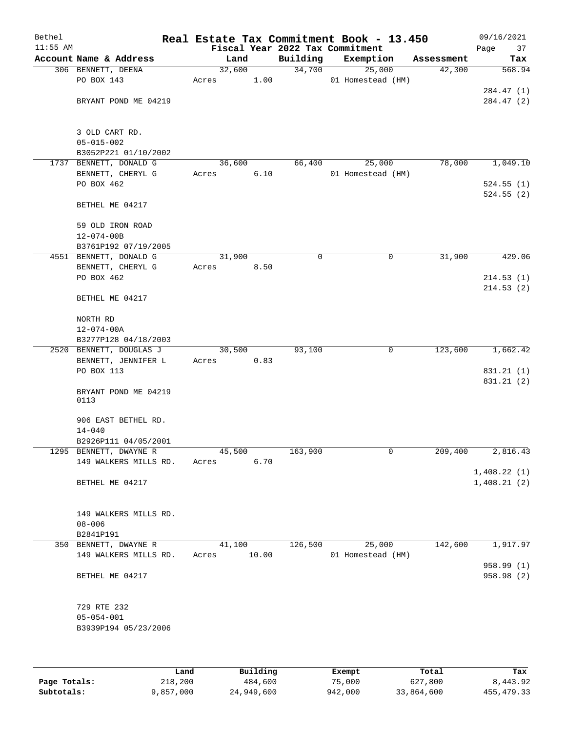| Bethel<br>$11:55$ AM |                                 |        |       |             | Real Estate Tax Commitment Book - 13.450<br>Fiscal Year 2022 Tax Commitment |            | 09/16/2021<br>Page<br>37 |
|----------------------|---------------------------------|--------|-------|-------------|-----------------------------------------------------------------------------|------------|--------------------------|
|                      | Account Name & Address          | Land   |       | Building    | Exemption                                                                   | Assessment | Tax                      |
|                      | 306 BENNETT, DEENA              | 32,600 |       | 34,700      | 25,000                                                                      | 42,300     | 568.94                   |
|                      | PO BOX 143                      | Acres  | 1.00  |             | 01 Homestead (HM)                                                           |            |                          |
|                      |                                 |        |       |             |                                                                             |            | 284.47 (1)               |
|                      | BRYANT POND ME 04219            |        |       |             |                                                                             |            | 284.47 (2)               |
|                      | 3 OLD CART RD.                  |        |       |             |                                                                             |            |                          |
|                      | $05 - 015 - 002$                |        |       |             |                                                                             |            |                          |
|                      | B3052P221 01/10/2002            |        |       |             |                                                                             |            |                          |
|                      | 1737 BENNETT, DONALD G          | 36,600 |       | 66,400      | 25,000                                                                      | 78,000     | 1,049.10                 |
|                      | BENNETT, CHERYL G<br>PO BOX 462 | Acres  | 6.10  |             | 01 Homestead (HM)                                                           |            | 524.55(1)                |
|                      |                                 |        |       |             |                                                                             |            | 524.55(2)                |
|                      | BETHEL ME 04217                 |        |       |             |                                                                             |            |                          |
|                      | 59 OLD IRON ROAD                |        |       |             |                                                                             |            |                          |
|                      | $12 - 074 - 00B$                |        |       |             |                                                                             |            |                          |
|                      | B3761P192 07/19/2005            |        |       |             |                                                                             |            |                          |
|                      | 4551 BENNETT, DONALD G          | 31,900 |       | $\mathbf 0$ | 0                                                                           | 31,900     | 429.06                   |
|                      | BENNETT, CHERYL G               | Acres  | 8.50  |             |                                                                             |            |                          |
|                      | PO BOX 462                      |        |       |             |                                                                             |            | 214.53(1)                |
|                      | BETHEL ME 04217                 |        |       |             |                                                                             |            | 214.53(2)                |
|                      | NORTH RD                        |        |       |             |                                                                             |            |                          |
|                      | $12 - 074 - 00A$                |        |       |             |                                                                             |            |                          |
|                      | B3277P128 04/18/2003            |        |       |             |                                                                             |            |                          |
|                      | 2520 BENNETT, DOUGLAS J         | 30,500 |       | 93,100      | 0                                                                           | 123,600    | 1,662.42                 |
|                      | BENNETT, JENNIFER L             | Acres  | 0.83  |             |                                                                             |            |                          |
|                      | PO BOX 113                      |        |       |             |                                                                             |            | 831.21 (1)               |
|                      |                                 |        |       |             |                                                                             |            | 831.21 (2)               |
|                      | BRYANT POND ME 04219<br>0113    |        |       |             |                                                                             |            |                          |
|                      | 906 EAST BETHEL RD.             |        |       |             |                                                                             |            |                          |
|                      | $14 - 040$                      |        |       |             |                                                                             |            |                          |
|                      | B2926P111 04/05/2001            |        |       |             |                                                                             |            |                          |
|                      | 1295 BENNETT, DWAYNE R          | 45,500 |       | 163,900     | 0                                                                           | 209,400    | 2,816.43                 |
|                      | 149 WALKERS MILLS RD.           | Acres  | 6.70  |             |                                                                             |            |                          |
|                      |                                 |        |       |             |                                                                             |            | 1,408.22(1)              |
|                      | BETHEL ME 04217                 |        |       |             |                                                                             |            | 1,408.21(2)              |
|                      | 149 WALKERS MILLS RD.           |        |       |             |                                                                             |            |                          |
|                      | $08 - 006$                      |        |       |             |                                                                             |            |                          |
|                      | B2841P191                       |        |       |             |                                                                             |            |                          |
|                      | 350 BENNETT, DWAYNE R           | 41,100 |       | 126,500     | 25,000                                                                      | 142,600    | 1,917.97                 |
|                      | 149 WALKERS MILLS RD.           | Acres  | 10.00 |             | 01 Homestead (HM)                                                           |            |                          |
|                      |                                 |        |       |             |                                                                             |            | 958.99 (1)               |
|                      | BETHEL ME 04217                 |        |       |             |                                                                             |            | 958.98 (2)               |
|                      | 729 RTE 232                     |        |       |             |                                                                             |            |                          |
|                      | $05 - 054 - 001$                |        |       |             |                                                                             |            |                          |
|                      | B3939P194 05/23/2006            |        |       |             |                                                                             |            |                          |
|                      |                                 |        |       |             |                                                                             |            |                          |
|                      |                                 |        |       |             |                                                                             |            |                          |
|                      |                                 |        |       |             |                                                                             |            |                          |

|              | Land      | Building   | Exempt  | Total      | Tax        |
|--------------|-----------|------------|---------|------------|------------|
| Page Totals: | 218,200   | 484,600    | 75,000  | 627,800    | 8,443.92   |
| Subtotals:   | 9,857,000 | 24,949,600 | 942,000 | 33,864,600 | 455,479.33 |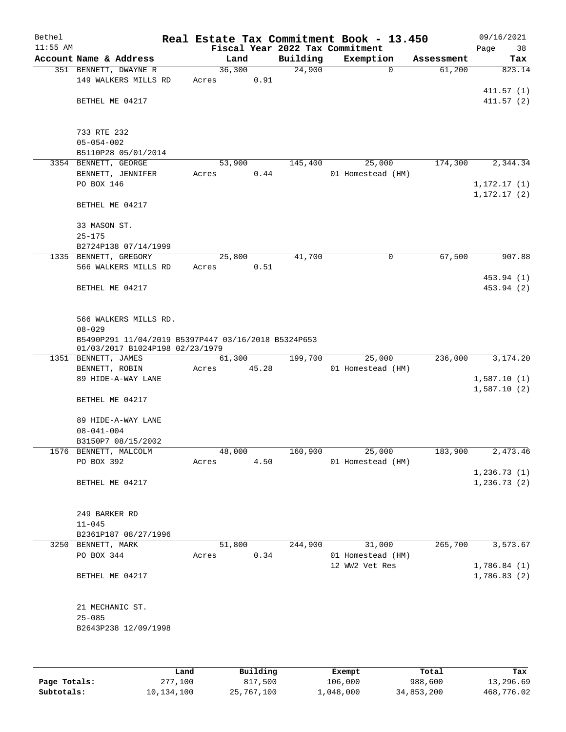| Bethel<br>$11:55$ AM |                                                     |       |                |          | Real Estate Tax Commitment Book - 13.450<br>Fiscal Year 2022 Tax Commitment |            | 09/16/2021<br>Page<br>38 |
|----------------------|-----------------------------------------------------|-------|----------------|----------|-----------------------------------------------------------------------------|------------|--------------------------|
|                      | Account Name & Address                              |       | Land           | Building | Exemption                                                                   | Assessment | Tax                      |
|                      | 351 BENNETT, DWAYNE R                               |       | 36,300         | 24,900   | $\mathbf 0$                                                                 | 61,200     | 823.14                   |
|                      | 149 WALKERS MILLS RD                                | Acres | 0.91           |          |                                                                             |            |                          |
|                      |                                                     |       |                |          |                                                                             |            | 411.57(1)                |
|                      | BETHEL ME 04217                                     |       |                |          |                                                                             |            | 411.57(2)                |
|                      |                                                     |       |                |          |                                                                             |            |                          |
|                      |                                                     |       |                |          |                                                                             |            |                          |
|                      | 733 RTE 232                                         |       |                |          |                                                                             |            |                          |
|                      | $05 - 054 - 002$                                    |       |                |          |                                                                             |            |                          |
|                      | B5110P28 05/01/2014                                 |       |                |          |                                                                             |            |                          |
|                      | 3354 BENNETT, GEORGE                                |       | 53,900         | 145,400  | 25,000                                                                      | 174,300    | 2,344.34                 |
|                      | BENNETT, JENNIFER                                   | Acres | 0.44           |          | 01 Homestead (HM)                                                           |            |                          |
|                      | PO BOX 146                                          |       |                |          |                                                                             |            | 1, 172.17(1)             |
|                      |                                                     |       |                |          |                                                                             |            | 1, 172.17(2)             |
|                      | BETHEL ME 04217                                     |       |                |          |                                                                             |            |                          |
|                      |                                                     |       |                |          |                                                                             |            |                          |
|                      | 33 MASON ST.                                        |       |                |          |                                                                             |            |                          |
|                      | $25 - 175$                                          |       |                |          |                                                                             |            |                          |
|                      | B2724P138 07/14/1999<br>1335 BENNETT, GREGORY       |       | 25,800         | 41,700   | 0                                                                           | 67,500     | 907.88                   |
|                      | 566 WALKERS MILLS RD                                | Acres | 0.51           |          |                                                                             |            |                          |
|                      |                                                     |       |                |          |                                                                             |            | 453.94 (1)               |
|                      | BETHEL ME 04217                                     |       |                |          |                                                                             |            | 453.94 (2)               |
|                      |                                                     |       |                |          |                                                                             |            |                          |
|                      |                                                     |       |                |          |                                                                             |            |                          |
|                      | 566 WALKERS MILLS RD.                               |       |                |          |                                                                             |            |                          |
|                      | $08 - 029$                                          |       |                |          |                                                                             |            |                          |
|                      | B5490P291 11/04/2019 B5397P447 03/16/2018 B5324P653 |       |                |          |                                                                             |            |                          |
|                      | 01/03/2017 B1024P198 02/23/1979                     |       |                |          |                                                                             |            |                          |
|                      | 1351 BENNETT, JAMES                                 |       | 61,300         | 199,700  | 25,000                                                                      | 236,000    | 3,174.20                 |
|                      | BENNETT, ROBIN                                      | Acres | 45.28          |          | 01 Homestead (HM)                                                           |            |                          |
|                      | 89 HIDE-A-WAY LANE                                  |       |                |          |                                                                             |            | 1,587.10(1)              |
|                      |                                                     |       |                |          |                                                                             |            | 1,587.10(2)              |
|                      | BETHEL ME 04217                                     |       |                |          |                                                                             |            |                          |
|                      |                                                     |       |                |          |                                                                             |            |                          |
|                      | 89 HIDE-A-WAY LANE                                  |       |                |          |                                                                             |            |                          |
|                      | $08 - 041 - 004$                                    |       |                |          |                                                                             |            |                          |
|                      | B3150P7 08/15/2002                                  |       |                | 160,900  | 25,000                                                                      | 183,900    |                          |
|                      | 1576 BENNETT, MALCOLM<br>PO BOX 392                 | Acres | 48,000<br>4.50 |          | 01 Homestead (HM)                                                           |            | 2,473.46                 |
|                      |                                                     |       |                |          |                                                                             |            | 1,236.73(1)              |
|                      | BETHEL ME 04217                                     |       |                |          |                                                                             |            | 1,236.73(2)              |
|                      |                                                     |       |                |          |                                                                             |            |                          |
|                      |                                                     |       |                |          |                                                                             |            |                          |
|                      | 249 BARKER RD                                       |       |                |          |                                                                             |            |                          |
|                      | $11 - 045$                                          |       |                |          |                                                                             |            |                          |
|                      | B2361P187 08/27/1996                                |       |                |          |                                                                             |            |                          |
|                      | 3250 BENNETT, MARK                                  |       | 51,800         | 244,900  | 31,000                                                                      | 265,700    | 3,573.67                 |
|                      | PO BOX 344                                          | Acres | 0.34           |          | 01 Homestead (HM)                                                           |            |                          |
|                      |                                                     |       |                |          | 12 WW2 Vet Res                                                              |            | 1,786.84(1)              |
|                      | BETHEL ME 04217                                     |       |                |          |                                                                             |            | 1,786.83(2)              |
|                      |                                                     |       |                |          |                                                                             |            |                          |
|                      |                                                     |       |                |          |                                                                             |            |                          |
|                      | 21 MECHANIC ST.                                     |       |                |          |                                                                             |            |                          |
|                      | $25 - 085$                                          |       |                |          |                                                                             |            |                          |
|                      | B2643P238 12/09/1998                                |       |                |          |                                                                             |            |                          |
|                      |                                                     |       |                |          |                                                                             |            |                          |
|                      |                                                     |       |                |          |                                                                             |            |                          |
|                      |                                                     |       |                |          |                                                                             |            |                          |
|                      |                                                     |       |                |          |                                                                             |            |                          |

|              | Land       | Building   | Exempt    | Total      | Tax        |
|--------------|------------|------------|-----------|------------|------------|
| Page Totals: | 277,100    | 817,500    | 106,000   | 988,600    | 13,296.69  |
| Subtotals:   | 10,134,100 | 25,767,100 | 1,048,000 | 34,853,200 | 468,776.02 |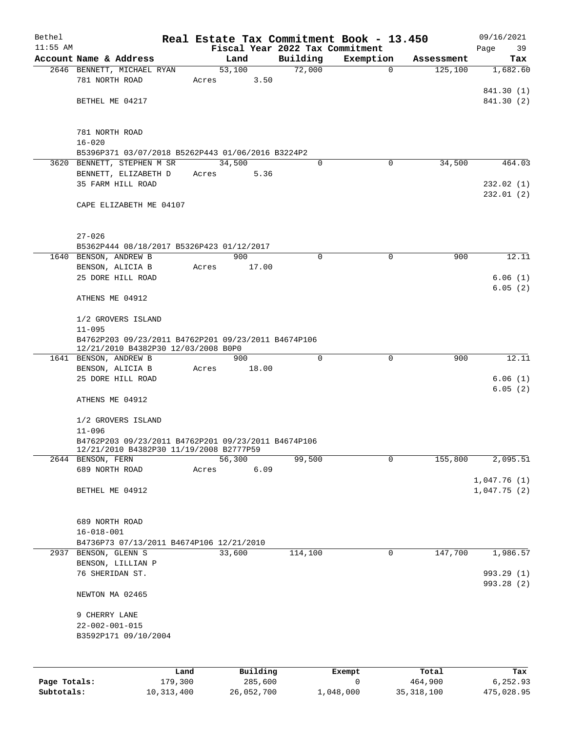| Bethel       |                                                                                            |                                                                                                |                |                    | Real Estate Tax Commitment Book - 13.450 |            | 09/16/2021         |  |  |
|--------------|--------------------------------------------------------------------------------------------|------------------------------------------------------------------------------------------------|----------------|--------------------|------------------------------------------|------------|--------------------|--|--|
| $11:55$ AM   |                                                                                            |                                                                                                |                |                    | Fiscal Year 2022 Tax Commitment          |            | Page<br>39         |  |  |
|              | Account Name & Address<br>2646 BENNETT, MICHAEL RYAN                                       |                                                                                                | Land           | Building<br>72,000 | Exemption                                | Assessment | Tax<br>1,682.60    |  |  |
|              | 781 NORTH ROAD                                                                             | Acres                                                                                          | 53,100<br>3.50 |                    | $\mathbf 0$                              | 125,100    |                    |  |  |
|              |                                                                                            |                                                                                                |                |                    |                                          |            | 841.30 (1)         |  |  |
|              | BETHEL ME 04217                                                                            |                                                                                                |                |                    |                                          |            | 841.30 (2)         |  |  |
|              |                                                                                            |                                                                                                |                |                    |                                          |            |                    |  |  |
|              | 781 NORTH ROAD                                                                             |                                                                                                |                |                    |                                          |            |                    |  |  |
|              | $16 - 020$                                                                                 |                                                                                                |                |                    |                                          |            |                    |  |  |
|              | B5396P371 03/07/2018 B5262P443 01/06/2016 B3224P2                                          |                                                                                                |                |                    |                                          |            |                    |  |  |
|              | 3620 BENNETT, STEPHEN M SR                                                                 |                                                                                                | 34,500         | $\Omega$           | 0                                        | 34,500     | 464.03             |  |  |
|              | BENNETT, ELIZABETH D                                                                       | Acres                                                                                          | 5.36           |                    |                                          |            |                    |  |  |
|              | 35 FARM HILL ROAD                                                                          |                                                                                                |                |                    |                                          |            | 232.02(1)          |  |  |
|              | CAPE ELIZABETH ME 04107                                                                    |                                                                                                |                |                    |                                          |            | 232.01(2)          |  |  |
|              |                                                                                            |                                                                                                |                |                    |                                          |            |                    |  |  |
|              | $27 - 026$                                                                                 |                                                                                                |                |                    |                                          |            |                    |  |  |
|              | B5362P444 08/18/2017 B5326P423 01/12/2017                                                  |                                                                                                |                |                    |                                          |            |                    |  |  |
|              | 1640 BENSON, ANDREW B                                                                      |                                                                                                | 900            | 0                  | $\mathbf 0$                              | 900        | 12.11              |  |  |
|              | BENSON, ALICIA B                                                                           | Acres                                                                                          | 17.00          |                    |                                          |            |                    |  |  |
|              | 25 DORE HILL ROAD                                                                          |                                                                                                |                |                    |                                          |            | 6.06(1)            |  |  |
|              |                                                                                            |                                                                                                |                |                    |                                          |            | 6.05(2)            |  |  |
|              | ATHENS ME 04912                                                                            |                                                                                                |                |                    |                                          |            |                    |  |  |
|              | 1/2 GROVERS ISLAND                                                                         |                                                                                                |                |                    |                                          |            |                    |  |  |
|              | $11 - 095$                                                                                 |                                                                                                |                |                    |                                          |            |                    |  |  |
|              | B4762P203 09/23/2011 B4762P201 09/23/2011 B4674P106<br>12/21/2010 B4382P30 12/03/2008 B0P0 |                                                                                                |                |                    |                                          |            |                    |  |  |
|              | 1641 BENSON, ANDREW B                                                                      |                                                                                                | 900            | $\Omega$           | $\mathbf 0$                              | 900        | 12.11              |  |  |
|              | BENSON, ALICIA B                                                                           | Acres                                                                                          | 18.00          |                    |                                          |            |                    |  |  |
|              | 25 DORE HILL ROAD                                                                          |                                                                                                |                |                    |                                          |            | 6.06(1)<br>6.05(2) |  |  |
|              | ATHENS ME 04912                                                                            |                                                                                                |                |                    |                                          |            |                    |  |  |
|              | 1/2 GROVERS ISLAND                                                                         |                                                                                                |                |                    |                                          |            |                    |  |  |
|              | $11 - 096$                                                                                 |                                                                                                |                |                    |                                          |            |                    |  |  |
|              |                                                                                            | B4762P203 09/23/2011 B4762P201 09/23/2011 B4674P106<br>12/21/2010 B4382P30 11/19/2008 B2777P59 |                |                    |                                          |            |                    |  |  |
|              | 2644 BENSON, FERN                                                                          |                                                                                                | 56,300         | 99,500             | 0                                        | 155,800    | 2,095.51           |  |  |
|              | 689 NORTH ROAD                                                                             | Acres                                                                                          | 6.09           |                    |                                          |            |                    |  |  |
|              |                                                                                            |                                                                                                |                |                    |                                          |            | 1,047.76(1)        |  |  |
|              | BETHEL ME 04912                                                                            |                                                                                                |                |                    |                                          |            | 1,047.75(2)        |  |  |
|              |                                                                                            |                                                                                                |                |                    |                                          |            |                    |  |  |
|              | 689 NORTH ROAD                                                                             |                                                                                                |                |                    |                                          |            |                    |  |  |
|              | $16 - 018 - 001$                                                                           |                                                                                                |                |                    |                                          |            |                    |  |  |
|              | B4736P73 07/13/2011 B4674P106 12/21/2010<br>2937 BENSON, GLENN S                           |                                                                                                | 33,600         | 114,100            | 0                                        | 147,700    | 1,986.57           |  |  |
|              | BENSON, LILLIAN P                                                                          |                                                                                                |                |                    |                                          |            |                    |  |  |
|              | 76 SHERIDAN ST.                                                                            |                                                                                                |                |                    |                                          |            | 993.29 (1)         |  |  |
|              |                                                                                            |                                                                                                |                |                    |                                          |            | 993.28 (2)         |  |  |
|              | NEWTON MA 02465                                                                            |                                                                                                |                |                    |                                          |            |                    |  |  |
|              | 9 CHERRY LANE                                                                              |                                                                                                |                |                    |                                          |            |                    |  |  |
|              | $22 - 002 - 001 - 015$                                                                     |                                                                                                |                |                    |                                          |            |                    |  |  |
|              | B3592P171 09/10/2004                                                                       |                                                                                                |                |                    |                                          |            |                    |  |  |
|              |                                                                                            |                                                                                                |                |                    |                                          |            |                    |  |  |
|              | Land                                                                                       |                                                                                                | Building       |                    | Exempt                                   | Total      | Tax                |  |  |
| Page Totals: | 179,300                                                                                    |                                                                                                | 285,600        |                    | 0                                        | 464,900    | 6,252.93           |  |  |

**Subtotals:** 10,313,400 26,052,700 1,048,000 35,318,100 475,028.95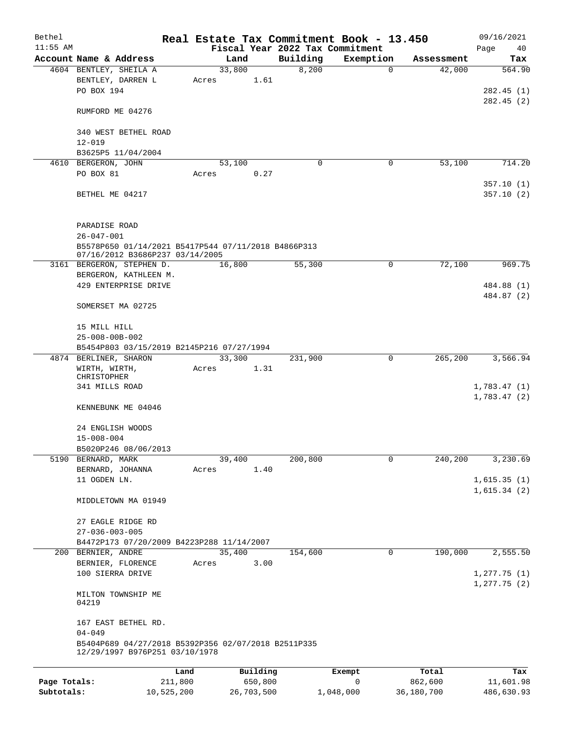| Bethel       |                                                                   |       |          |                                             | Real Estate Tax Commitment Book - 13.450 |                      | 09/16/2021                      |
|--------------|-------------------------------------------------------------------|-------|----------|---------------------------------------------|------------------------------------------|----------------------|---------------------------------|
| $11:55$ AM   | Account Name & Address                                            |       | Land     | Fiscal Year 2022 Tax Commitment<br>Building | Exemption                                |                      | Page<br>40                      |
|              | 4604 BENTLEY, SHEILA A                                            |       | 33,800   | 8,200                                       | $\mathbf 0$                              | Assessment<br>42,000 | Tax<br>564.90                   |
|              | BENTLEY, DARREN L                                                 | Acres | 1.61     |                                             |                                          |                      |                                 |
|              | PO BOX 194                                                        |       |          |                                             |                                          |                      | 282.45(1)                       |
|              |                                                                   |       |          |                                             |                                          |                      | 282.45(2)                       |
|              | RUMFORD ME 04276                                                  |       |          |                                             |                                          |                      |                                 |
|              |                                                                   |       |          |                                             |                                          |                      |                                 |
|              | 340 WEST BETHEL ROAD<br>$12 - 019$                                |       |          |                                             |                                          |                      |                                 |
|              | B3625P5 11/04/2004                                                |       |          |                                             |                                          |                      |                                 |
|              | 4610 BERGERON, JOHN                                               |       | 53,100   | 0                                           | 0                                        | 53,100               | 714.20                          |
|              | PO BOX 81                                                         | Acres | 0.27     |                                             |                                          |                      |                                 |
|              |                                                                   |       |          |                                             |                                          |                      | 357.10(1)                       |
|              | BETHEL ME 04217                                                   |       |          |                                             |                                          |                      | 357.10(2)                       |
|              |                                                                   |       |          |                                             |                                          |                      |                                 |
|              | PARADISE ROAD                                                     |       |          |                                             |                                          |                      |                                 |
|              | $26 - 047 - 001$                                                  |       |          |                                             |                                          |                      |                                 |
|              | B5578P650 01/14/2021 B5417P544 07/11/2018 B4866P313               |       |          |                                             |                                          |                      |                                 |
|              | 07/16/2012 B3686P237 03/14/2005                                   |       |          |                                             |                                          |                      |                                 |
|              | 3161 BERGERON, STEPHEN D.                                         |       | 16,800   | 55,300                                      | 0                                        | 72,100               | 969.75                          |
|              | BERGERON, KATHLEEN M.<br>429 ENTERPRISE DRIVE                     |       |          |                                             |                                          |                      | 484.88 (1)                      |
|              |                                                                   |       |          |                                             |                                          |                      | 484.87 (2)                      |
|              | SOMERSET MA 02725                                                 |       |          |                                             |                                          |                      |                                 |
|              |                                                                   |       |          |                                             |                                          |                      |                                 |
|              | 15 MILL HILL                                                      |       |          |                                             |                                          |                      |                                 |
|              | $25 - 008 - 00B - 002$                                            |       |          |                                             |                                          |                      |                                 |
|              | B5454P803 03/15/2019 B2145P216 07/27/1994                         |       |          |                                             |                                          |                      |                                 |
|              | 4874 BERLINER, SHARON                                             |       | 33,300   | 231,900                                     | $\mathbf 0$                              | 265,200              | 3,566.94                        |
|              | WIRTH, WIRTH,<br>CHRISTOPHER                                      | Acres | 1.31     |                                             |                                          |                      |                                 |
|              | 341 MILLS ROAD                                                    |       |          |                                             |                                          |                      | 1,783.47(1)                     |
|              |                                                                   |       |          |                                             |                                          |                      | 1,783.47(2)                     |
|              | KENNEBUNK ME 04046                                                |       |          |                                             |                                          |                      |                                 |
|              | 24 ENGLISH WOODS                                                  |       |          |                                             |                                          |                      |                                 |
|              | $15 - 008 - 004$                                                  |       |          |                                             |                                          |                      |                                 |
|              | B5020P246 08/06/2013                                              |       |          |                                             |                                          |                      |                                 |
|              | 5190 BERNARD, MARK                                                |       | 39,400   | 200,800                                     | $\mathbf 0$                              | 240,200              | 3,230.69                        |
|              | BERNARD, JOHANNA                                                  | Acres | 1.40     |                                             |                                          |                      |                                 |
|              | 11 OGDEN LN.                                                      |       |          |                                             |                                          |                      | 1,615.35(1)                     |
|              | MIDDLETOWN MA 01949                                               |       |          |                                             |                                          |                      | 1,615.34(2)                     |
|              |                                                                   |       |          |                                             |                                          |                      |                                 |
|              | 27 EAGLE RIDGE RD                                                 |       |          |                                             |                                          |                      |                                 |
|              | $27 - 036 - 003 - 005$                                            |       |          |                                             |                                          |                      |                                 |
|              | B4472P173 07/20/2009 B4223P288 11/14/2007                         |       |          |                                             |                                          |                      |                                 |
|              | 200 BERNIER, ANDRE                                                |       | 35,400   | 154,600                                     | 0                                        | 190,000              | 2,555.50                        |
|              | BERNIER, FLORENCE                                                 | Acres | 3.00     |                                             |                                          |                      |                                 |
|              | 100 SIERRA DRIVE                                                  |       |          |                                             |                                          |                      | 1, 277.75(1)<br>$1, 277.75$ (2) |
|              | MILTON TOWNSHIP ME                                                |       |          |                                             |                                          |                      |                                 |
|              | 04219                                                             |       |          |                                             |                                          |                      |                                 |
|              |                                                                   |       |          |                                             |                                          |                      |                                 |
|              | 167 EAST BETHEL RD.                                               |       |          |                                             |                                          |                      |                                 |
|              | $04 - 049$<br>B5404P689 04/27/2018 B5392P356 02/07/2018 B2511P335 |       |          |                                             |                                          |                      |                                 |
|              | 12/29/1997 B976P251 03/10/1978                                    |       |          |                                             |                                          |                      |                                 |
|              |                                                                   |       |          |                                             |                                          |                      |                                 |
|              |                                                                   | Land  | Building |                                             | Exempt                                   | Total                | Tax                             |
| Page Totals: | 211,800                                                           |       | 650,800  |                                             | 0                                        | 862,600              | 11,601.98                       |

**Subtotals:** 10,525,200 26,703,500 1,048,000 36,180,700 486,630.93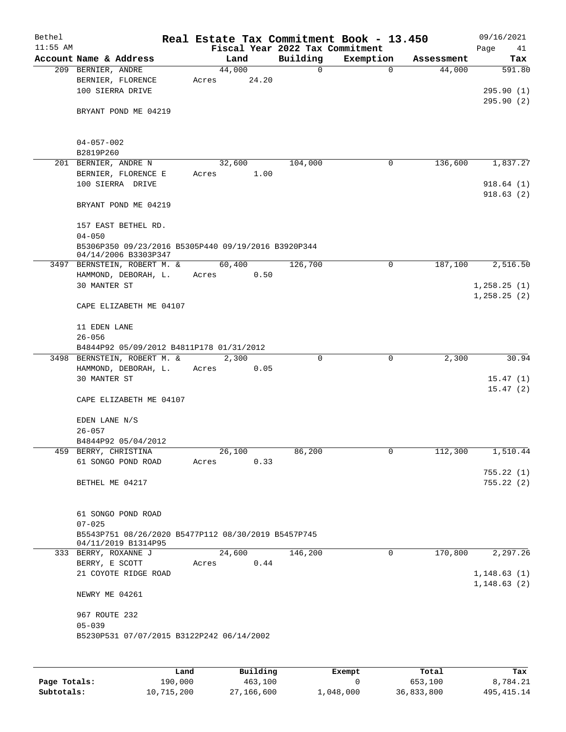| Bethel<br>$11:55$ AM |                                                                             | Real Estate Tax Commitment Book - 13.450 | Fiscal Year 2022 Tax Commitment |             |            | 09/16/2021<br>Page<br>41     |
|----------------------|-----------------------------------------------------------------------------|------------------------------------------|---------------------------------|-------------|------------|------------------------------|
|                      | Account Name & Address                                                      | Land                                     | Building                        | Exemption   | Assessment | Tax                          |
|                      | 209 BERNIER, ANDRE<br>BERNIER, FLORENCE                                     | 44,000<br>Acres                          | 0<br>24.20                      | $\mathbf 0$ | 44,000     | 591.80                       |
|                      | 100 SIERRA DRIVE<br>BRYANT POND ME 04219                                    |                                          |                                 |             |            | 295.90(1)<br>295.90(2)       |
|                      |                                                                             |                                          |                                 |             |            |                              |
|                      | $04 - 057 - 002$<br>B2819P260                                               |                                          |                                 |             |            |                              |
|                      | 201 BERNIER, ANDRE N                                                        | 32,600                                   | 104,000                         | 0           | 136,600    | 1,837.27                     |
|                      | BERNIER, FLORENCE E                                                         | Acres                                    | 1.00                            |             |            |                              |
|                      | 100 SIERRA DRIVE                                                            |                                          |                                 |             |            | 918.64(1)<br>918.63(2)       |
|                      | BRYANT POND ME 04219                                                        |                                          |                                 |             |            |                              |
|                      | 157 EAST BETHEL RD.<br>$04 - 050$                                           |                                          |                                 |             |            |                              |
|                      | B5306P350 09/23/2016 B5305P440 09/19/2016 B3920P344<br>04/14/2006 B3303P347 |                                          |                                 |             |            |                              |
|                      | 3497 BERNSTEIN, ROBERT M. &                                                 | 60,400                                   | 126,700                         | 0           | 187,100    | 2,516.50                     |
|                      | HAMMOND, DEBORAH, L.                                                        | Acres                                    | 0.50                            |             |            |                              |
|                      | 30 MANTER ST                                                                |                                          |                                 |             |            | 1, 258.25(1)                 |
|                      | CAPE ELIZABETH ME 04107                                                     |                                          |                                 |             |            | 1, 258.25(2)                 |
|                      | 11 EDEN LANE<br>$26 - 056$                                                  |                                          |                                 |             |            |                              |
|                      | B4844P92 05/09/2012 B4811P178 01/31/2012                                    |                                          |                                 |             |            |                              |
|                      | 3498 BERNSTEIN, ROBERT M. &                                                 | 2,300                                    | 0                               | 0           | 2,300      | 30.94                        |
|                      | HAMMOND, DEBORAH, L.                                                        | Acres                                    | 0.05                            |             |            |                              |
|                      | 30 MANTER ST                                                                |                                          |                                 |             |            | 15.47(1)                     |
|                      |                                                                             |                                          |                                 |             |            | 15.47(2)                     |
|                      | CAPE ELIZABETH ME 04107                                                     |                                          |                                 |             |            |                              |
|                      | EDEN LANE N/S<br>$26 - 057$                                                 |                                          |                                 |             |            |                              |
|                      | B4844P92 05/04/2012                                                         |                                          |                                 |             |            |                              |
|                      | 459 BERRY, CHRISTINA                                                        | 26,100                                   | 86,200                          | 0           | 112,300    | 1,510.44                     |
|                      | 61 SONGO POND ROAD                                                          | Acres                                    | 0.33                            |             |            |                              |
|                      |                                                                             |                                          |                                 |             |            | 755.22(1)                    |
|                      | BETHEL ME 04217                                                             |                                          |                                 |             |            | 755.22(2)                    |
|                      | 61 SONGO POND ROAD<br>$07 - 025$                                            |                                          |                                 |             |            |                              |
|                      | B5543P751 08/26/2020 B5477P112 08/30/2019 B5457P745<br>04/11/2019 B1314P95  |                                          |                                 |             |            |                              |
|                      | 333 BERRY, ROXANNE J                                                        | 24,600                                   | 146,200                         | 0           | 170,800    | 2, 297.26                    |
|                      | BERRY, E SCOTT                                                              | Acres                                    | 0.44                            |             |            |                              |
|                      | 21 COYOTE RIDGE ROAD                                                        |                                          |                                 |             |            | 1, 148.63(1)<br>1, 148.63(2) |
|                      | NEWRY ME 04261                                                              |                                          |                                 |             |            |                              |
|                      | 967 ROUTE 232<br>$05 - 039$                                                 |                                          |                                 |             |            |                              |
|                      | B5230P531 07/07/2015 B3122P242 06/14/2002                                   |                                          |                                 |             |            |                              |
|                      |                                                                             |                                          |                                 |             |            |                              |

|              | Land       | Building   | Exempt    | Total      | Tax          |
|--------------|------------|------------|-----------|------------|--------------|
| Page Totals: | 190.000    | 463,100    |           | 653,100    | 8,784.21     |
| Subtotals:   | 10,715,200 | 27,166,600 | 1,048,000 | 36,833,800 | 495, 415. 14 |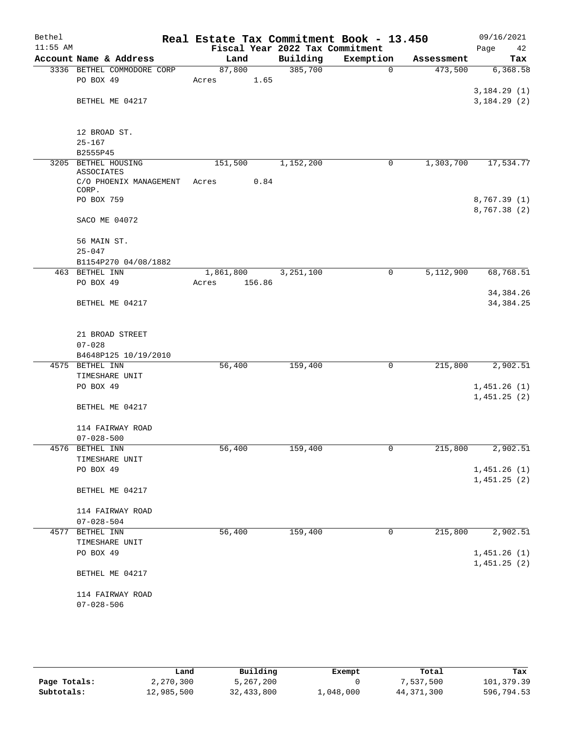| Bethel     |                                      | Real Estate Tax Commitment Book - 13.450 |                        |           |             |            | 09/16/2021                 |
|------------|--------------------------------------|------------------------------------------|------------------------|-----------|-------------|------------|----------------------------|
| $11:55$ AM |                                      | Fiscal Year 2022 Tax Commitment          |                        |           |             |            | Page<br>42                 |
|            | Account Name & Address               | Land                                     | Building               | Exemption |             | Assessment | Tax                        |
|            | 3336 BETHEL COMMODORE CORP           | 87,800                                   | 385,700                |           | 0           | 473,500    | 6,368.58                   |
|            | PO BOX 49                            | 1.65<br>Acres                            |                        |           |             |            |                            |
|            |                                      |                                          |                        |           |             |            | 3,184.29(1)                |
|            | BETHEL ME 04217                      |                                          |                        |           |             |            | 3,184.29(2)                |
|            | 12 BROAD ST.                         |                                          |                        |           |             |            |                            |
|            | $25 - 167$                           |                                          |                        |           |             |            |                            |
|            | B2555P45                             |                                          |                        |           |             |            |                            |
|            | 3205 BETHEL HOUSING                  | 151,500                                  | 1,152,200              |           | 0           | 1,303,700  | 17,534.77                  |
|            | ASSOCIATES<br>C/O PHOENIX MANAGEMENT | 0.84<br>Acres                            |                        |           |             |            |                            |
|            | CORP.<br>PO BOX 759                  |                                          |                        |           |             |            | 8,767.39(1)                |
|            |                                      |                                          |                        |           |             |            | 8,767.38(2)                |
|            | SACO ME 04072                        |                                          |                        |           |             |            |                            |
|            | 56 MAIN ST.                          |                                          |                        |           |             |            |                            |
|            | $25 - 047$                           |                                          |                        |           |             |            |                            |
|            | B1154P270 04/08/1882                 |                                          |                        |           |             |            |                            |
|            | 463 BETHEL INN                       | 1,861,800                                | $\overline{3,251,100}$ |           | $\mathbf 0$ | 5,112,900  | 68,768.51                  |
|            | PO BOX 49                            | 156.86<br>Acres                          |                        |           |             |            |                            |
|            | BETHEL ME 04217                      |                                          |                        |           |             |            | 34, 384. 26<br>34, 384. 25 |
|            |                                      |                                          |                        |           |             |            |                            |
|            | 21 BROAD STREET                      |                                          |                        |           |             |            |                            |
|            | $07 - 028$                           |                                          |                        |           |             |            |                            |
|            | B4648P125 10/19/2010                 |                                          |                        |           |             |            |                            |
|            | 4575 BETHEL INN                      | 56,400                                   | 159,400                |           | 0           | 215,800    | 2,902.51                   |
|            | TIMESHARE UNIT                       |                                          |                        |           |             |            |                            |
|            | PO BOX 49                            |                                          |                        |           |             |            | 1,451.26(1)<br>1,451.25(2) |
|            | BETHEL ME 04217                      |                                          |                        |           |             |            |                            |
|            | 114 FAIRWAY ROAD                     |                                          |                        |           |             |            |                            |
|            | $07 - 028 - 500$                     |                                          |                        |           |             |            |                            |
|            | 4576 BETHEL INN                      | 56,400                                   | 159,400                |           |             | 215,800    | 2,902.51                   |
|            | TIMESHARE UNIT                       |                                          |                        |           |             |            |                            |
|            | PO BOX 49                            |                                          |                        |           |             |            | 1,451.26(1)                |
|            |                                      |                                          |                        |           |             |            | 1,451.25(2)                |
|            | BETHEL ME 04217                      |                                          |                        |           |             |            |                            |
|            | 114 FAIRWAY ROAD                     |                                          |                        |           |             |            |                            |
|            | $07 - 028 - 504$                     |                                          |                        |           |             |            |                            |
|            | 4577 BETHEL INN                      | 56,400                                   | 159,400                |           | $\mathbf 0$ | 215,800    | 2,902.51                   |
|            | TIMESHARE UNIT                       |                                          |                        |           |             |            |                            |
|            | PO BOX 49                            |                                          |                        |           |             |            | 1,451.26(1)                |
|            | BETHEL ME 04217                      |                                          |                        |           |             |            | 1,451.25(2)                |
|            |                                      |                                          |                        |           |             |            |                            |
|            | 114 FAIRWAY ROAD<br>$07 - 028 - 506$ |                                          |                        |           |             |            |                            |
|            |                                      |                                          |                        |           |             |            |                            |

|              | Land       | Building   | Exempt    | Total        | Tax        |
|--------------|------------|------------|-----------|--------------|------------|
| Page Totals: | 2,270,300  | 5,267,200  |           | 7,537,500    | 101,379.39 |
| Subtotals:   | 12,985,500 | 32,433,800 | 1,048,000 | 44, 371, 300 | 596,794.53 |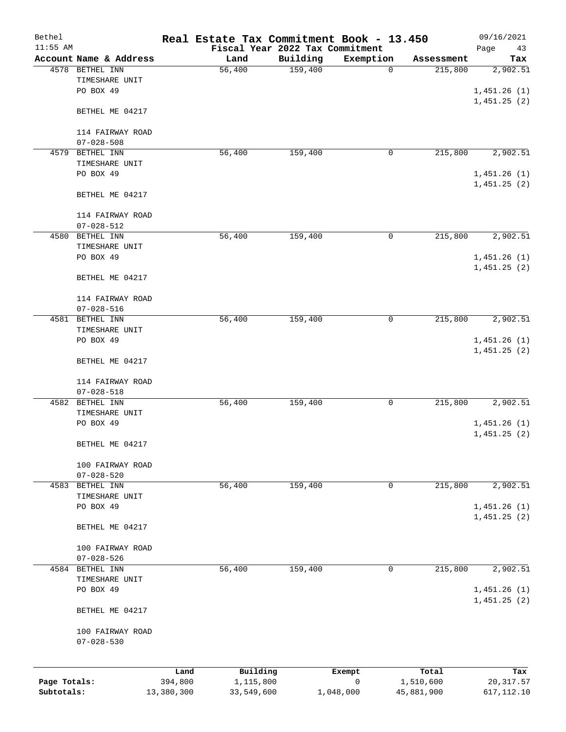| Bethel       |                                           |         | Real Estate Tax Commitment Book - 13.450 |                     |                          |                       | 09/16/2021      |
|--------------|-------------------------------------------|---------|------------------------------------------|---------------------|--------------------------|-----------------------|-----------------|
| $11:55$ AM   |                                           |         | Fiscal Year 2022 Tax Commitment          |                     |                          |                       | Page<br>43      |
|              | Account Name & Address<br>4578 BETHEL INN |         | Land<br>56,400                           | Building<br>159,400 | Exemption<br>$\mathbf 0$ | Assessment<br>215,800 | Tax<br>2,902.51 |
|              | TIMESHARE UNIT                            |         |                                          |                     |                          |                       |                 |
|              | PO BOX 49                                 |         |                                          |                     |                          |                       | 1,451.26(1)     |
|              |                                           |         |                                          |                     |                          |                       | 1,451.25(2)     |
|              | BETHEL ME 04217                           |         |                                          |                     |                          |                       |                 |
|              |                                           |         |                                          |                     |                          |                       |                 |
|              | 114 FAIRWAY ROAD<br>$07 - 028 - 508$      |         |                                          |                     |                          |                       |                 |
| 4579         | BETHEL INN                                |         | 56,400                                   | 159,400             | 0                        | 215,800               | 2,902.51        |
|              | TIMESHARE UNIT                            |         |                                          |                     |                          |                       |                 |
|              | PO BOX 49                                 |         |                                          |                     |                          |                       | 1,451.26(1)     |
|              |                                           |         |                                          |                     |                          |                       | 1,451.25(2)     |
|              | BETHEL ME 04217                           |         |                                          |                     |                          |                       |                 |
|              |                                           |         |                                          |                     |                          |                       |                 |
|              | 114 FAIRWAY ROAD<br>$07 - 028 - 512$      |         |                                          |                     |                          |                       |                 |
| 4580         | BETHEL INN                                |         | 56,400                                   | 159,400             | 0                        | 215,800               | 2,902.51        |
|              | TIMESHARE UNIT                            |         |                                          |                     |                          |                       |                 |
|              | PO BOX 49                                 |         |                                          |                     |                          |                       | 1,451.26(1)     |
|              |                                           |         |                                          |                     |                          |                       | 1,451.25(2)     |
|              | BETHEL ME 04217                           |         |                                          |                     |                          |                       |                 |
|              | 114 FAIRWAY ROAD                          |         |                                          |                     |                          |                       |                 |
|              | $07 - 028 - 516$                          |         |                                          |                     |                          |                       |                 |
| 4581         | BETHEL INN                                |         | 56,400                                   | 159,400             | 0                        | 215,800               | 2,902.51        |
|              | TIMESHARE UNIT                            |         |                                          |                     |                          |                       |                 |
|              | PO BOX 49                                 |         |                                          |                     |                          |                       | 1,451.26(1)     |
|              | BETHEL ME 04217                           |         |                                          |                     |                          |                       | 1,451.25(2)     |
|              |                                           |         |                                          |                     |                          |                       |                 |
|              | 114 FAIRWAY ROAD<br>$07 - 028 - 518$      |         |                                          |                     |                          |                       |                 |
| 4582         | BETHEL INN                                |         | 56,400                                   | 159,400             | 0                        | 215,800               | 2,902.51        |
|              | TIMESHARE UNIT                            |         |                                          |                     |                          |                       |                 |
|              | PO BOX 49                                 |         |                                          |                     |                          |                       | 1,451.26(1)     |
|              |                                           |         |                                          |                     |                          |                       | 1,451.25(2)     |
|              | BETHEL ME 04217                           |         |                                          |                     |                          |                       |                 |
|              | 100 FAIRWAY ROAD                          |         |                                          |                     |                          |                       |                 |
|              | $07 - 028 - 520$                          |         |                                          |                     |                          |                       |                 |
| 4583         | BETHEL INN                                |         | 56,400                                   | 159,400             | 0                        | 215,800               | 2,902.51        |
|              | TIMESHARE UNIT                            |         |                                          |                     |                          |                       |                 |
|              | PO BOX 49                                 |         |                                          |                     |                          |                       | 1,451.26(1)     |
|              | BETHEL ME 04217                           |         |                                          |                     |                          |                       | 1,451.25(2)     |
|              |                                           |         |                                          |                     |                          |                       |                 |
|              | 100 FAIRWAY ROAD                          |         |                                          |                     |                          |                       |                 |
| 4584         | $07 - 028 - 526$<br>BETHEL INN            |         | 56,400                                   | 159,400             | 0                        | 215,800               | 2,902.51        |
|              | TIMESHARE UNIT                            |         |                                          |                     |                          |                       |                 |
|              | PO BOX 49                                 |         |                                          |                     |                          |                       | 1,451.26(1)     |
|              |                                           |         |                                          |                     |                          |                       | 1,451.25(2)     |
|              | BETHEL ME 04217                           |         |                                          |                     |                          |                       |                 |
|              | 100 FAIRWAY ROAD                          |         |                                          |                     |                          |                       |                 |
|              | $07 - 028 - 530$                          |         |                                          |                     |                          |                       |                 |
|              |                                           |         |                                          |                     |                          |                       |                 |
|              |                                           | Land    | Building                                 |                     | Exempt                   | Total                 | Tax             |
| Page Totals: |                                           | 394,800 | 1,115,800                                |                     | $\mathsf{O}$             | 1,510,600             | 20, 317.57      |

**Subtotals:** 13,380,300 33,549,600 1,048,000 45,881,900 617,112.10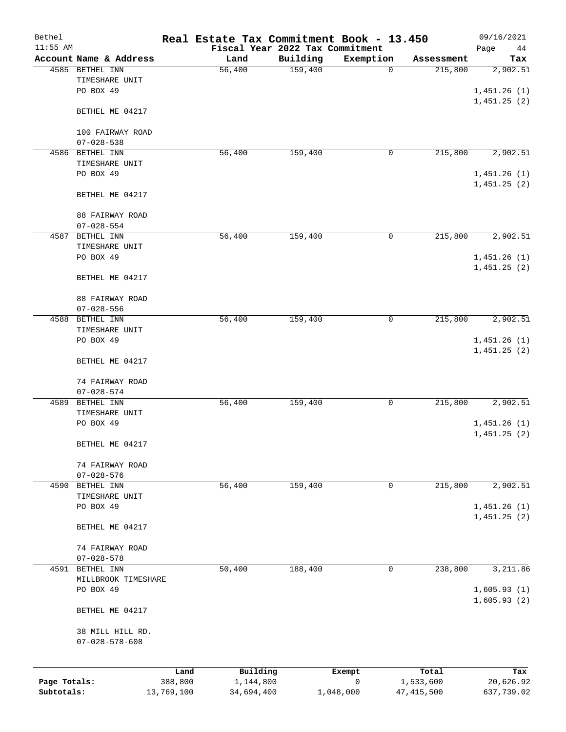| Bethel       |                                            |            | Real Estate Tax Commitment Book - 13.450 |          |              |              | 09/16/2021  |
|--------------|--------------------------------------------|------------|------------------------------------------|----------|--------------|--------------|-------------|
| $11:55$ AM   |                                            |            | Fiscal Year 2022 Tax Commitment          |          |              |              | Page<br>44  |
|              | Account Name & Address                     |            | Land                                     | Building | Exemption    | Assessment   | Tax         |
|              | 4585 BETHEL INN                            |            | 56,400                                   | 159,400  | $\mathbf 0$  | 215,800      | 2,902.51    |
|              | TIMESHARE UNIT                             |            |                                          |          |              |              |             |
|              | PO BOX 49                                  |            |                                          |          |              |              | 1,451.26(1) |
|              |                                            |            |                                          |          |              |              | 1,451.25(2) |
|              | BETHEL ME 04217                            |            |                                          |          |              |              |             |
|              |                                            |            |                                          |          |              |              |             |
|              | 100 FAIRWAY ROAD                           |            |                                          |          |              |              |             |
|              | $07 - 028 - 538$                           |            |                                          |          |              |              |             |
|              | 4586 BETHEL INN                            |            | 56,400                                   | 159,400  | 0            | 215,800      | 2,902.51    |
|              | TIMESHARE UNIT                             |            |                                          |          |              |              |             |
|              | PO BOX 49                                  |            |                                          |          |              |              | 1,451.26(1) |
|              |                                            |            |                                          |          |              |              | 1,451.25(2) |
|              | BETHEL ME 04217                            |            |                                          |          |              |              |             |
|              |                                            |            |                                          |          |              |              |             |
|              | 88 FAIRWAY ROAD                            |            |                                          |          |              |              |             |
|              | $07 - 028 - 554$                           |            |                                          |          |              |              |             |
| 4587         | BETHEL INN                                 |            | 56,400                                   | 159,400  | $\mathsf{O}$ | 215,800      | 2,902.51    |
|              | TIMESHARE UNIT                             |            |                                          |          |              |              |             |
|              | PO BOX 49                                  |            |                                          |          |              |              | 1,451.26(1) |
|              |                                            |            |                                          |          |              |              | 1,451.25(2) |
|              | BETHEL ME 04217                            |            |                                          |          |              |              |             |
|              |                                            |            |                                          |          |              |              |             |
|              | 88 FAIRWAY ROAD                            |            |                                          |          |              |              |             |
|              | $07 - 028 - 556$                           |            |                                          |          |              |              |             |
|              | 4588 BETHEL INN                            |            | 56,400                                   | 159,400  | 0            | 215,800      | 2,902.51    |
|              | TIMESHARE UNIT                             |            |                                          |          |              |              |             |
|              | PO BOX 49                                  |            |                                          |          |              |              | 1,451.26(1) |
|              |                                            |            |                                          |          |              |              | 1,451.25(2) |
|              | BETHEL ME 04217                            |            |                                          |          |              |              |             |
|              |                                            |            |                                          |          |              |              |             |
|              | 74 FAIRWAY ROAD                            |            |                                          |          |              |              |             |
|              | $07 - 028 - 574$                           |            |                                          |          |              |              |             |
| 4589         | BETHEL INN                                 |            | 56,400                                   | 159,400  | 0            | 215,800      | 2,902.51    |
|              | TIMESHARE UNIT                             |            |                                          |          |              |              |             |
|              | PO BOX 49                                  |            |                                          |          |              |              | 1,451.26(1) |
|              |                                            |            |                                          |          |              |              | 1,451.25(2) |
|              | BETHEL ME 04217                            |            |                                          |          |              |              |             |
|              |                                            |            |                                          |          |              |              |             |
|              | 74 FAIRWAY ROAD                            |            |                                          |          |              |              |             |
|              | $07 - 028 - 576$                           |            |                                          |          |              |              |             |
| 4590         | BETHEL INN                                 |            | 56,400                                   | 159,400  | 0            | 215,800      | 2,902.51    |
|              | TIMESHARE UNIT                             |            |                                          |          |              |              |             |
|              | PO BOX 49                                  |            |                                          |          |              |              | 1,451.26(1) |
|              |                                            |            |                                          |          |              |              | 1,451.25(2) |
|              | BETHEL ME 04217                            |            |                                          |          |              |              |             |
|              |                                            |            |                                          |          |              |              |             |
|              | 74 FAIRWAY ROAD                            |            |                                          |          |              |              |             |
|              | $07 - 028 - 578$                           |            |                                          |          |              |              |             |
|              | 4591 BETHEL INN                            |            | 50,400                                   | 188,400  | 0            | 238,800      | 3,211.86    |
|              | MILLBROOK TIMESHARE                        |            |                                          |          |              |              |             |
|              | PO BOX 49                                  |            |                                          |          |              |              | 1,605.93(1) |
|              |                                            |            |                                          |          |              |              | 1,605.93(2) |
|              | BETHEL ME 04217                            |            |                                          |          |              |              |             |
|              |                                            |            |                                          |          |              |              |             |
|              | 38 MILL HILL RD.<br>$07 - 028 - 578 - 608$ |            |                                          |          |              |              |             |
|              |                                            |            |                                          |          |              |              |             |
|              |                                            |            |                                          |          |              |              |             |
|              |                                            | Land       | Building                                 |          | Exempt       | Total        | Tax         |
| Page Totals: |                                            | 388,800    | 1,144,800                                |          | 0            | 1,533,600    | 20,626.92   |
| Subtotals:   |                                            | 13,769,100 | 34,694,400                               |          | 1,048,000    | 47, 415, 500 | 637,739.02  |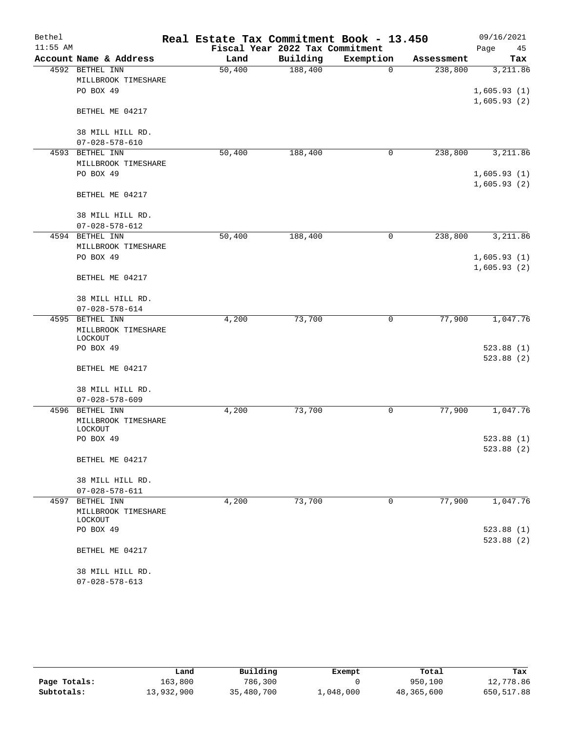| Bethel     |                                   | Real Estate Tax Commitment Book - 13.450 |                                 |             |            | 09/16/2021                 |
|------------|-----------------------------------|------------------------------------------|---------------------------------|-------------|------------|----------------------------|
| $11:55$ AM |                                   |                                          | Fiscal Year 2022 Tax Commitment |             |            | Page<br>45                 |
|            | Account Name & Address            | Land                                     | Building                        | Exemption   | Assessment | Tax                        |
|            | 4592 BETHEL INN                   | 50,400                                   | 188,400                         | 0           | 238,800    | 3,211.86                   |
|            | MILLBROOK TIMESHARE               |                                          |                                 |             |            |                            |
|            | PO BOX 49                         |                                          |                                 |             |            | 1,605.93(1)<br>1,605.93(2) |
|            | BETHEL ME 04217                   |                                          |                                 |             |            |                            |
|            | 38 MILL HILL RD.                  |                                          |                                 |             |            |                            |
|            | $07 - 028 - 578 - 610$            |                                          |                                 |             |            |                            |
| 4593       | BETHEL INN<br>MILLBROOK TIMESHARE | 50,400                                   | 188,400                         | 0           | 238,800    | 3,211.86                   |
|            | PO BOX 49                         |                                          |                                 |             |            | 1,605.93(1)                |
|            |                                   |                                          |                                 |             |            | 1,605.93(2)                |
|            | BETHEL ME 04217                   |                                          |                                 |             |            |                            |
|            | 38 MILL HILL RD.                  |                                          |                                 |             |            |                            |
|            | $07 - 028 - 578 - 612$            |                                          |                                 |             |            |                            |
|            | 4594 BETHEL INN                   | 50,400                                   | 188,400                         | 0           | 238,800    | 3,211.86                   |
|            | MILLBROOK TIMESHARE               |                                          |                                 |             |            |                            |
|            | PO BOX 49                         |                                          |                                 |             |            | 1,605.93(1)                |
|            | BETHEL ME 04217                   |                                          |                                 |             |            | 1,605.93(2)                |
|            | 38 MILL HILL RD.                  |                                          |                                 |             |            |                            |
|            | $07 - 028 - 578 - 614$            |                                          |                                 |             |            |                            |
| 4595       | BETHEL INN                        | 4,200                                    | 73,700                          | 0           | 77,900     | 1,047.76                   |
|            | MILLBROOK TIMESHARE               |                                          |                                 |             |            |                            |
|            | LOCKOUT<br>PO BOX 49              |                                          |                                 |             |            | 523.88(1)                  |
|            |                                   |                                          |                                 |             |            | 523.88(2)                  |
|            | BETHEL ME 04217                   |                                          |                                 |             |            |                            |
|            | 38 MILL HILL RD.                  |                                          |                                 |             |            |                            |
|            | $07 - 028 - 578 - 609$            |                                          |                                 |             |            |                            |
| 4596       | BETHEL INN                        | 4,200                                    | 73,700                          | 0           | 77,900     | 1,047.76                   |
|            | MILLBROOK TIMESHARE               |                                          |                                 |             |            |                            |
|            | LOCKOUT                           |                                          |                                 |             |            |                            |
|            | PO BOX 49                         |                                          |                                 |             |            | 523.88(1)                  |
|            | BETHEL ME 04217                   |                                          |                                 |             |            | 523.88 (2)                 |
|            | 38 MILL HILL RD.                  |                                          |                                 |             |            |                            |
|            | $07 - 028 - 578 - 611$            |                                          |                                 |             |            |                            |
|            | 4597 BETHEL INN                   | 4,200                                    | 73,700                          | $\mathbf 0$ | 77,900     | 1,047.76                   |
|            | MILLBROOK TIMESHARE<br>LOCKOUT    |                                          |                                 |             |            |                            |
|            | PO BOX 49                         |                                          |                                 |             |            | 523.88(1)                  |
|            |                                   |                                          |                                 |             |            | 523.88(2)                  |
|            | BETHEL ME 04217                   |                                          |                                 |             |            |                            |
|            | 38 MILL HILL RD.                  |                                          |                                 |             |            |                            |
|            | $07 - 028 - 578 - 613$            |                                          |                                 |             |            |                            |

|              | Land       | Building   | Exempt    | Total      | Tax        |
|--------------|------------|------------|-----------|------------|------------|
| Page Totals: | 163,800    | 786,300    |           | 950,100    | 12,778.86  |
| Subtotals:   | 13,932,900 | 35,480,700 | 1,048,000 | 48,365,600 | 650,517.88 |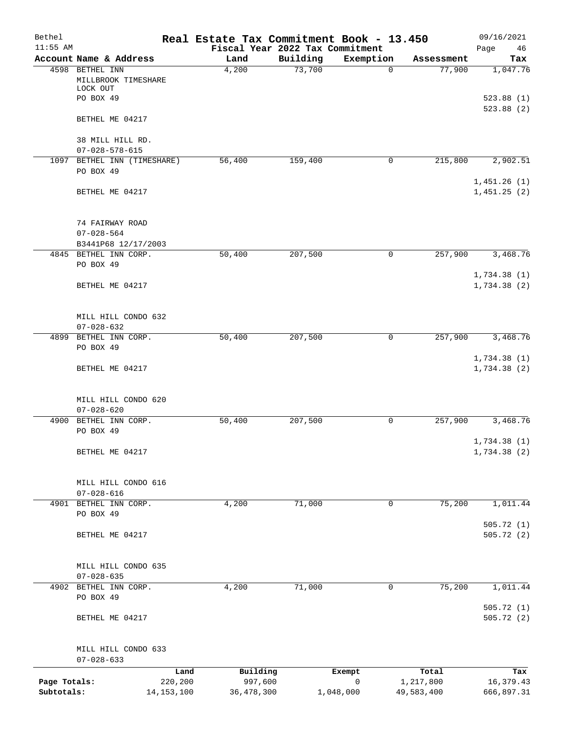| Bethel<br>$11:55$ AM |                                                    |                     | Real Estate Tax Commitment Book - 13.450<br>Fiscal Year 2022 Tax Commitment |             |                    | 09/16/2021<br>Page<br>46   |
|----------------------|----------------------------------------------------|---------------------|-----------------------------------------------------------------------------|-------------|--------------------|----------------------------|
|                      | Account Name & Address                             | Land                | Building                                                                    | Exemption   | Assessment         | Tax                        |
|                      | 4598 BETHEL INN<br>MILLBROOK TIMESHARE<br>LOCK OUT | 4,200               | 73,700                                                                      | $\mathbf 0$ | 77,900             | 1,047.76                   |
|                      | PO BOX 49                                          |                     |                                                                             |             |                    | 523.88(1)<br>523.88 (2)    |
|                      | BETHEL ME 04217                                    |                     |                                                                             |             |                    |                            |
|                      | 38 MILL HILL RD.<br>$07 - 028 - 578 - 615$         |                     |                                                                             |             |                    |                            |
|                      | 1097 BETHEL INN (TIMESHARE)                        | 56,400              | 159,400                                                                     | 0           | 215,800            | 2,902.51                   |
|                      | PO BOX 49                                          |                     |                                                                             |             |                    | 1,451.26(1)                |
|                      | BETHEL ME 04217                                    |                     |                                                                             |             |                    | 1,451.25(2)                |
|                      | 74 FAIRWAY ROAD                                    |                     |                                                                             |             |                    |                            |
|                      | $07 - 028 - 564$                                   |                     |                                                                             |             |                    |                            |
|                      | B3441P68 12/17/2003<br>4845 BETHEL INN CORP.       |                     |                                                                             | $\mathbf 0$ |                    | 3,468.76                   |
|                      | PO BOX 49                                          | 50,400              | 207,500                                                                     |             | 257,900            |                            |
|                      | BETHEL ME 04217                                    |                     |                                                                             |             |                    | 1,734.38(1)<br>1,734.38(2) |
|                      | MILL HILL CONDO 632<br>$07 - 028 - 632$            |                     |                                                                             |             |                    |                            |
|                      | 4899 BETHEL INN CORP.                              | 50,400              | 207,500                                                                     | $\mathbf 0$ | 257,900            | 3,468.76                   |
|                      | PO BOX 49                                          |                     |                                                                             |             |                    | 1,734.38(1)                |
|                      | BETHEL ME 04217                                    |                     |                                                                             |             |                    | 1,734.38(2)                |
|                      | MILL HILL CONDO 620                                |                     |                                                                             |             |                    |                            |
|                      | $07 - 028 - 620$<br>4900 BETHEL INN CORP.          | 50,400              | 207,500                                                                     | 0           | 257,900            | 3,468.76                   |
|                      | PO BOX 49                                          |                     |                                                                             |             |                    | 1,734.38(1)                |
|                      | BETHEL ME 04217                                    |                     |                                                                             |             |                    | 1,734.38(2)                |
|                      | MILL HILL CONDO 616                                |                     |                                                                             |             |                    |                            |
|                      | $07 - 028 - 616$                                   |                     |                                                                             |             |                    |                            |
|                      | 4901 BETHEL INN CORP.<br>PO BOX 49                 | 4,200               | 71,000                                                                      | 0           | 75,200             | 1,011.44                   |
|                      | BETHEL ME 04217                                    |                     |                                                                             |             |                    | 505.72(1)<br>505.72(2)     |
|                      | MILL HILL CONDO 635                                |                     |                                                                             |             |                    |                            |
|                      | $07 - 028 - 635$                                   |                     |                                                                             |             |                    |                            |
|                      | 4902 BETHEL INN CORP.<br>PO BOX 49                 | 4,200               | 71,000                                                                      | 0           | 75,200             | 1,011.44                   |
|                      | BETHEL ME 04217                                    |                     |                                                                             |             |                    | 505.72(1)<br>505.72(2)     |
|                      | MILL HILL CONDO 633                                |                     |                                                                             |             |                    |                            |
|                      | $07 - 028 - 633$                                   |                     |                                                                             |             |                    |                            |
| Page Totals:         | Land<br>220,200                                    | Building<br>997,600 | Exempt<br>0                                                                 |             | Total<br>1,217,800 | Tax                        |
| Subtotals:           | 14, 153, 100                                       | 36, 478, 300        | 1,048,000                                                                   |             | 49,583,400         | 16,379.43<br>666,897.31    |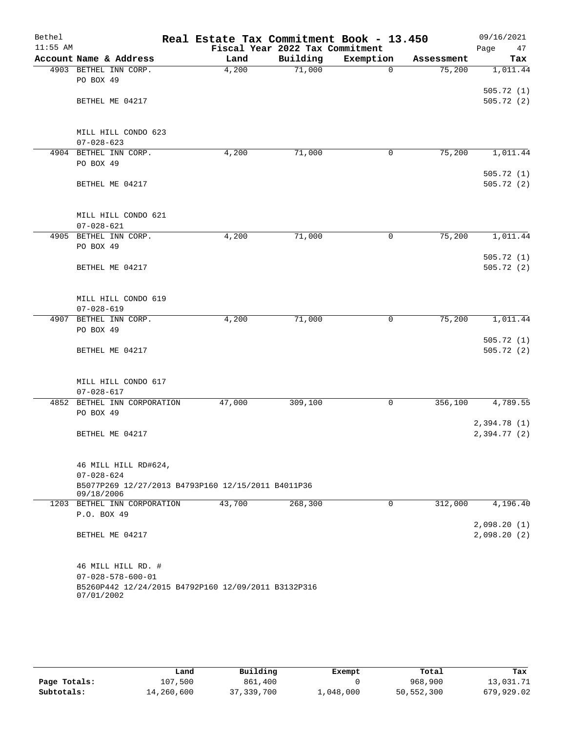| Bethel<br>$11:55$ AM |                                                     | Real Estate Tax Commitment Book - 13.450 | Fiscal Year 2022 Tax Commitment |             |            | 09/16/2021<br>Page<br>47 |
|----------------------|-----------------------------------------------------|------------------------------------------|---------------------------------|-------------|------------|--------------------------|
|                      | Account Name & Address                              | Land                                     | Building                        | Exemption   | Assessment | Tax                      |
|                      | 4903 BETHEL INN CORP.                               | 4,200                                    | 71,000                          | $\mathbf 0$ | 75,200     | 1,011.44                 |
|                      | PO BOX 49                                           |                                          |                                 |             |            |                          |
|                      |                                                     |                                          |                                 |             |            | 505.72(1)                |
|                      | BETHEL ME 04217                                     |                                          |                                 |             |            | 505.72(2)                |
|                      |                                                     |                                          |                                 |             |            |                          |
|                      |                                                     |                                          |                                 |             |            |                          |
|                      | MILL HILL CONDO 623                                 |                                          |                                 |             |            |                          |
|                      | $07 - 028 - 623$<br>4904 BETHEL INN CORP.           | 4,200                                    | 71,000                          | 0           | 75,200     | 1,011.44                 |
|                      | PO BOX 49                                           |                                          |                                 |             |            |                          |
|                      |                                                     |                                          |                                 |             |            | 505.72(1)                |
|                      | BETHEL ME 04217                                     |                                          |                                 |             |            | 505.72(2)                |
|                      |                                                     |                                          |                                 |             |            |                          |
|                      |                                                     |                                          |                                 |             |            |                          |
|                      | MILL HILL CONDO 621                                 |                                          |                                 |             |            |                          |
|                      | $07 - 028 - 621$                                    |                                          |                                 |             |            |                          |
|                      | 4905 BETHEL INN CORP.                               | 4,200                                    | 71,000                          | 0           | 75,200     | 1,011.44                 |
|                      | PO BOX 49                                           |                                          |                                 |             |            |                          |
|                      | BETHEL ME 04217                                     |                                          |                                 |             |            | 505.72(1)<br>505.72(2)   |
|                      |                                                     |                                          |                                 |             |            |                          |
|                      |                                                     |                                          |                                 |             |            |                          |
|                      | MILL HILL CONDO 619                                 |                                          |                                 |             |            |                          |
|                      | $07 - 028 - 619$                                    |                                          |                                 |             |            |                          |
| 4907                 | BETHEL INN CORP.                                    | 4,200                                    | 71,000                          | 0           | 75,200     | 1,011.44                 |
|                      | PO BOX 49                                           |                                          |                                 |             |            |                          |
|                      |                                                     |                                          |                                 |             |            | 505.72(1)                |
|                      | BETHEL ME 04217                                     |                                          |                                 |             |            | 505.72(2)                |
|                      |                                                     |                                          |                                 |             |            |                          |
|                      | MILL HILL CONDO 617                                 |                                          |                                 |             |            |                          |
|                      | $07 - 028 - 617$                                    |                                          |                                 |             |            |                          |
| 4852                 | BETHEL INN CORPORATION                              | 47,000                                   | 309,100                         | 0           | 356,100    | 4,789.55                 |
|                      | PO BOX 49                                           |                                          |                                 |             |            |                          |
|                      |                                                     |                                          |                                 |             |            | 2,394.78(1)              |
|                      | BETHEL ME 04217                                     |                                          |                                 |             |            | 2,394.77(2)              |
|                      |                                                     |                                          |                                 |             |            |                          |
|                      |                                                     |                                          |                                 |             |            |                          |
|                      | 46 MILL HILL RD#624,<br>$07 - 028 - 624$            |                                          |                                 |             |            |                          |
|                      | B5077P269 12/27/2013 B4793P160 12/15/2011 B4011P36  |                                          |                                 |             |            |                          |
|                      | 09/18/2006                                          |                                          |                                 |             |            |                          |
|                      | 1203 BETHEL INN CORPORATION                         | 43,700                                   | 268,300                         | 0           | 312,000    | 4,196.40                 |
|                      | P.O. BOX 49                                         |                                          |                                 |             |            |                          |
|                      |                                                     |                                          |                                 |             |            | 2,098.20(1)              |
|                      | BETHEL ME 04217                                     |                                          |                                 |             |            | 2,098.20(2)              |
|                      |                                                     |                                          |                                 |             |            |                          |
|                      | 46 MILL HILL RD. #                                  |                                          |                                 |             |            |                          |
|                      | $07 - 028 - 578 - 600 - 01$                         |                                          |                                 |             |            |                          |
|                      | B5260P442 12/24/2015 B4792P160 12/09/2011 B3132P316 |                                          |                                 |             |            |                          |
|                      | 07/01/2002                                          |                                          |                                 |             |            |                          |
|                      |                                                     |                                          |                                 |             |            |                          |

|              | Land       | Building   | Exempt           | Total      | Tax        |
|--------------|------------|------------|------------------|------------|------------|
| Page Totals: | 107,500    | 861,400    |                  | 968,900    | 13,031.71  |
| Subtotals:   | 14,260,600 | 37,339,700 | $\perp$ ,048,000 | 50,552,300 | 679,929.02 |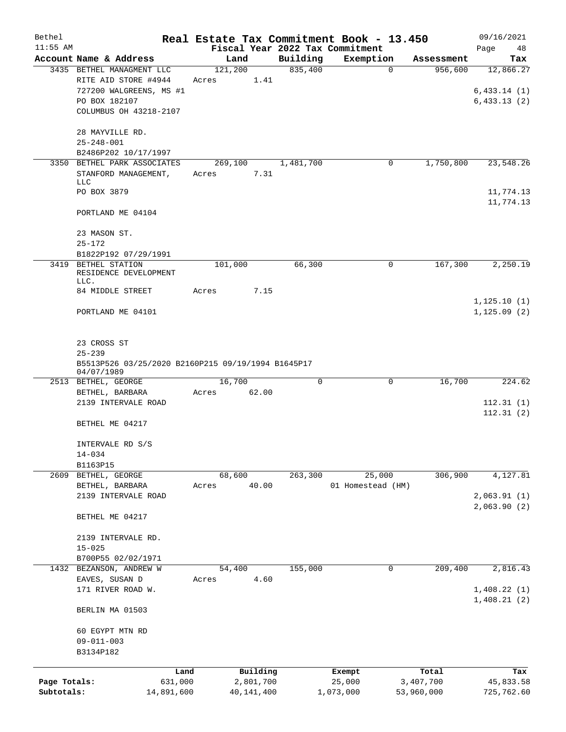| Bethel       |                                                                                               |                  |              |           | Real Estate Tax Commitment Book - 13.450 |            | 09/16/2021                              |
|--------------|-----------------------------------------------------------------------------------------------|------------------|--------------|-----------|------------------------------------------|------------|-----------------------------------------|
| $11:55$ AM   |                                                                                               |                  |              |           | Fiscal Year 2022 Tax Commitment          |            | Page<br>48                              |
|              | Account Name & Address                                                                        | Land             |              | Building  | Exemption                                | Assessment | Tax                                     |
|              | 3435 BETHEL MANAGMENT LLC<br>RITE AID STORE #4944<br>727200 WALGREENS, MS #1<br>PO BOX 182107 | 121,200<br>Acres | 1.41         | 835,400   | $\Omega$                                 | 956,600    | 12,866.27<br>6,433.14(1)<br>6,433.13(2) |
|              | COLUMBUS OH 43218-2107                                                                        |                  |              |           |                                          |            |                                         |
|              | 28 MAYVILLE RD.<br>$25 - 248 - 001$                                                           |                  |              |           |                                          |            |                                         |
|              | B2486P202 10/17/1997                                                                          |                  |              |           |                                          |            |                                         |
|              | 3350 BETHEL PARK ASSOCIATES<br>STANFORD MANAGEMENT,<br><b>LLC</b>                             | 269,100<br>Acres | 7.31         | 1,481,700 | 0                                        | 1,750,800  | 23,548.26                               |
|              | PO BOX 3879                                                                                   |                  |              |           |                                          |            | 11,774.13<br>11,774.13                  |
|              | PORTLAND ME 04104                                                                             |                  |              |           |                                          |            |                                         |
|              | 23 MASON ST.<br>$25 - 172$                                                                    |                  |              |           |                                          |            |                                         |
|              | B1822P192 07/29/1991                                                                          |                  |              |           |                                          |            |                                         |
|              | 3419 BETHEL STATION<br>RESIDENCE DEVELOPMENT<br>LLC.                                          | 101,000          |              | 66,300    | 0                                        | 167,300    | 2,250.19                                |
|              | 84 MIDDLE STREET                                                                              | Acres            | 7.15         |           |                                          |            | 1, 125.10(1)                            |
|              | PORTLAND ME 04101                                                                             |                  |              |           |                                          |            | 1, 125.09(2)                            |
|              | 23 CROSS ST<br>$25 - 239$                                                                     |                  |              |           |                                          |            |                                         |
|              | B5513P526 03/25/2020 B2160P215 09/19/1994 B1645P17<br>04/07/1989                              |                  |              |           |                                          |            |                                         |
|              | 2513 BETHEL, GEORGE<br>BETHEL, BARBARA                                                        | 16,700<br>Acres  | 62.00        | $\Omega$  | 0                                        | 16,700     | 224.62                                  |
|              | 2139 INTERVALE ROAD                                                                           |                  |              |           |                                          |            | 112.31(1)<br>112.31(2)                  |
|              | BETHEL ME 04217                                                                               |                  |              |           |                                          |            |                                         |
|              | INTERVALE RD S/S<br>$14 - 034$                                                                |                  |              |           |                                          |            |                                         |
|              | B1163P15                                                                                      |                  |              |           |                                          |            |                                         |
| 2609         | BETHEL, GEORGE<br>BETHEL, BARBARA                                                             | 68,600<br>Acres  | 40.00        | 263,300   | 25,000<br>01 Homestead (HM)              | 306,900    | 4,127.81                                |
|              | 2139 INTERVALE ROAD                                                                           |                  |              |           |                                          |            | 2,063.91(1)<br>2,063.90(2)              |
|              | BETHEL ME 04217                                                                               |                  |              |           |                                          |            |                                         |
|              | 2139 INTERVALE RD.<br>$15 - 025$                                                              |                  |              |           |                                          |            |                                         |
| 1432         | B700P55 02/02/1971<br>BEZANSON, ANDREW W                                                      | 54,400           |              | 155,000   | 0                                        | 209,400    | 2,816.43                                |
|              | EAVES, SUSAN D                                                                                | Acres            | 4.60         |           |                                          |            |                                         |
|              | 171 RIVER ROAD W.                                                                             |                  |              |           |                                          |            | 1,408.22(1)<br>1,408.21(2)              |
|              | BERLIN MA 01503                                                                               |                  |              |           |                                          |            |                                         |
|              | 60 EGYPT MTN RD<br>$09 - 011 - 003$                                                           |                  |              |           |                                          |            |                                         |
|              | B3134P182                                                                                     |                  |              |           |                                          |            |                                         |
|              |                                                                                               | Land             | Building     |           | Exempt                                   | Total      | Tax                                     |
| Page Totals: | 631,000                                                                                       |                  | 2,801,700    |           | 25,000                                   | 3,407,700  | 45,833.58                               |
| Subtotals:   | 14,891,600                                                                                    |                  | 40, 141, 400 |           | 1,073,000                                | 53,960,000 | 725,762.60                              |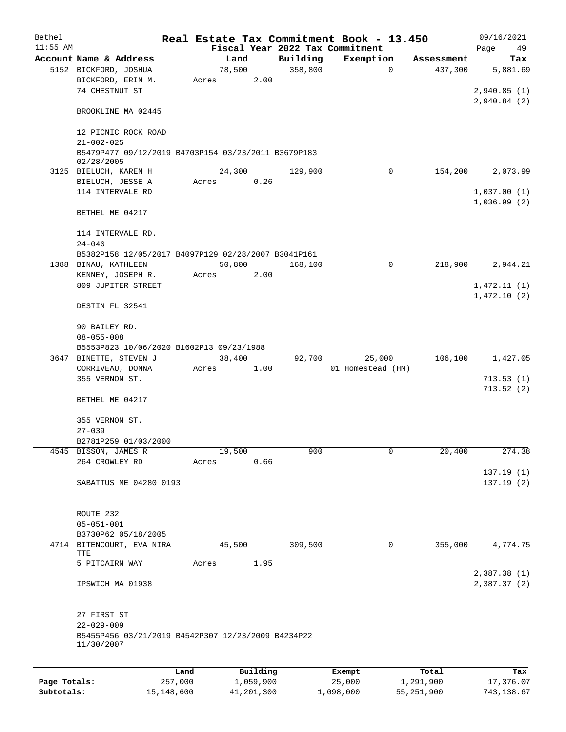| Bethel<br>$11:55$ AM |                                                                             |       |        |          |          | Real Estate Tax Commitment Book - 13.450<br>Fiscal Year 2022 Tax Commitment |            | 09/16/2021<br>Page<br>49   |
|----------------------|-----------------------------------------------------------------------------|-------|--------|----------|----------|-----------------------------------------------------------------------------|------------|----------------------------|
|                      | Account Name & Address                                                      |       | Land   |          | Building | Exemption                                                                   | Assessment | Tax                        |
|                      | 5152 BICKFORD, JOSHUA                                                       |       | 78,500 |          | 358,800  | $\mathbf{0}$                                                                | 437,300    | 5,881.69                   |
|                      | BICKFORD, ERIN M.<br>74 CHESTNUT ST                                         | Acres |        | 2.00     |          |                                                                             |            | 2,940.85(1)                |
|                      | BROOKLINE MA 02445                                                          |       |        |          |          |                                                                             |            | 2,940.84(2)                |
|                      | 12 PICNIC ROCK ROAD<br>$21 - 002 - 025$                                     |       |        |          |          |                                                                             |            |                            |
|                      | B5479P477 09/12/2019 B4703P154 03/23/2011 B3679P183<br>02/28/2005           |       |        |          |          |                                                                             |            |                            |
|                      | 3125 BIELUCH, KAREN H                                                       |       | 24,300 |          | 129,900  | 0                                                                           | 154,200    | 2,073.99                   |
|                      | BIELUCH, JESSE A                                                            | Acres |        | 0.26     |          |                                                                             |            |                            |
|                      | 114 INTERVALE RD                                                            |       |        |          |          |                                                                             |            | 1,037.00(1)                |
|                      | BETHEL ME 04217                                                             |       |        |          |          |                                                                             |            | 1,036.99(2)                |
|                      | 114 INTERVALE RD.                                                           |       |        |          |          |                                                                             |            |                            |
|                      | $24 - 046$                                                                  |       |        |          |          |                                                                             |            |                            |
|                      | B5382P158 12/05/2017 B4097P129 02/28/2007 B3041P161<br>1388 BINAU, KATHLEEN |       | 50,800 |          | 168,100  | $\mathbf 0$                                                                 | 218,900    | 2,944.21                   |
|                      | KENNEY, JOSEPH R.                                                           | Acres |        | 2.00     |          |                                                                             |            |                            |
|                      | 809 JUPITER STREET                                                          |       |        |          |          |                                                                             |            | 1,472.11(1)                |
|                      | DESTIN FL 32541                                                             |       |        |          |          |                                                                             |            | 1,472.10(2)                |
|                      | 90 BAILEY RD.                                                               |       |        |          |          |                                                                             |            |                            |
|                      | $08 - 055 - 008$                                                            |       |        |          |          |                                                                             |            |                            |
|                      | B5553P823 10/06/2020 B1602P13 09/23/1988                                    |       |        |          |          |                                                                             |            |                            |
|                      | 3647 BINETTE, STEVEN J                                                      |       | 38,400 |          | 92,700   | 25,000                                                                      | 106,100    | 1,427.05                   |
|                      | CORRIVEAU, DONNA                                                            | Acres |        | 1.00     |          | 01 Homestead (HM)                                                           |            |                            |
|                      | 355 VERNON ST.                                                              |       |        |          |          |                                                                             |            | 713.53(1)<br>713.52(2)     |
|                      | BETHEL ME 04217                                                             |       |        |          |          |                                                                             |            |                            |
|                      | 355 VERNON ST.                                                              |       |        |          |          |                                                                             |            |                            |
|                      | $27 - 039$                                                                  |       |        |          |          |                                                                             |            |                            |
|                      | B2781P259 01/03/2000                                                        |       |        |          |          |                                                                             |            |                            |
|                      | 4545 BISSON, JAMES R                                                        |       | 19,500 |          | 900      | 0                                                                           | 20,400     | 274.38                     |
|                      | 264 CROWLEY RD                                                              | Acres |        | 0.66     |          |                                                                             |            |                            |
|                      | SABATTUS ME 04280 0193                                                      |       |        |          |          |                                                                             |            | 137.19(1)<br>137.19(2)     |
|                      | ROUTE 232                                                                   |       |        |          |          |                                                                             |            |                            |
|                      | $05 - 051 - 001$                                                            |       |        |          |          |                                                                             |            |                            |
|                      | B3730P62 05/18/2005                                                         |       |        |          |          |                                                                             |            |                            |
|                      | 4714 BITENCOURT, EVA NIRA<br>TTE                                            |       | 45,500 |          | 309,500  | 0                                                                           | 355,000    | 4,774.75                   |
|                      | 5 PITCAIRN WAY                                                              | Acres |        | 1.95     |          |                                                                             |            |                            |
|                      | IPSWICH MA 01938                                                            |       |        |          |          |                                                                             |            | 2,387.38(1)<br>2,387.37(2) |
|                      | 27 FIRST ST                                                                 |       |        |          |          |                                                                             |            |                            |
|                      | $22 - 029 - 009$<br>B5455P456 03/21/2019 B4542P307 12/23/2009 B4234P22      |       |        |          |          |                                                                             |            |                            |
|                      | 11/30/2007                                                                  |       |        |          |          |                                                                             |            |                            |
|                      |                                                                             | Land  |        | Building |          | Exempt                                                                      | Total      | Tax                        |
|                      |                                                                             |       |        |          |          |                                                                             |            |                            |

|              | Land       | Building   | Exempt    | Total      | тах        |
|--------------|------------|------------|-----------|------------|------------|
| Page Totals: | 257,000    | 1,059,900  | 25,000    | 1,291,900  | 17,376.07  |
| Subtotals:   | 15,148,600 | 41,201,300 | 1,098,000 | 55,251,900 | 743,138.67 |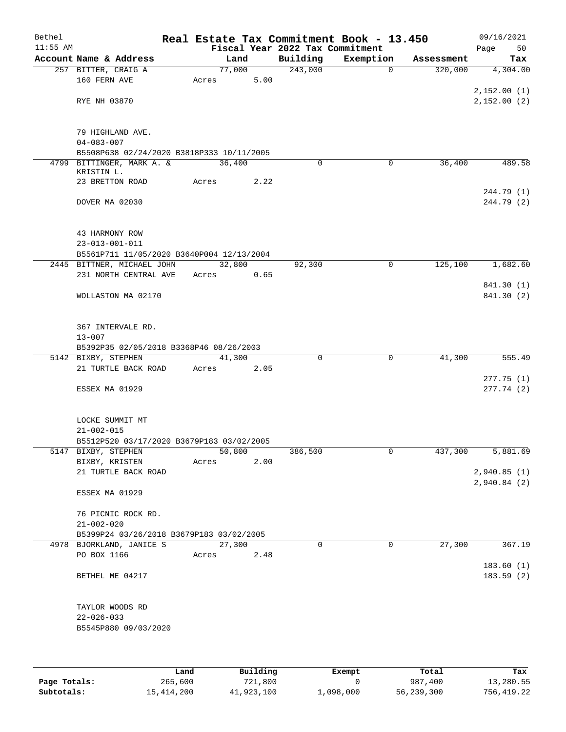| Bethel     |                                                               |      |                 |          |                     | Real Estate Tax Commitment Book - 13.450 |                       | 09/16/2021                   |
|------------|---------------------------------------------------------------|------|-----------------|----------|---------------------|------------------------------------------|-----------------------|------------------------------|
| $11:55$ AM |                                                               |      |                 |          |                     | Fiscal Year 2022 Tax Commitment          |                       | Page<br>50                   |
|            | Account Name & Address                                        |      | 77,000          | Land     | Building<br>243,000 | Exemption<br>$\mathbf 0$                 | Assessment<br>320,000 | Tax<br>$\overline{4,304.00}$ |
|            | 257 BITTER, CRAIG A<br>160 FERN AVE                           |      | Acres           | 5.00     |                     |                                          |                       |                              |
|            |                                                               |      |                 |          |                     |                                          |                       | 2,152.00(1)                  |
|            | RYE NH 03870                                                  |      |                 |          |                     |                                          |                       | 2,152.00(2)                  |
|            |                                                               |      |                 |          |                     |                                          |                       |                              |
|            |                                                               |      |                 |          |                     |                                          |                       |                              |
|            | 79 HIGHLAND AVE.                                              |      |                 |          |                     |                                          |                       |                              |
|            | $04 - 083 - 007$<br>B5508P638 02/24/2020 B3818P333 10/11/2005 |      |                 |          |                     |                                          |                       |                              |
| 4799       | BITTINGER, MARK A. &                                          |      | 36,400          |          | $\Omega$            | $\mathbf 0$                              | 36,400                | 489.58                       |
|            | KRISTIN L.                                                    |      |                 |          |                     |                                          |                       |                              |
|            | 23 BRETTON ROAD                                               |      | Acres           | 2.22     |                     |                                          |                       |                              |
|            |                                                               |      |                 |          |                     |                                          |                       | 244.79 (1)                   |
|            | DOVER MA 02030                                                |      |                 |          |                     |                                          |                       | 244.79 (2)                   |
|            |                                                               |      |                 |          |                     |                                          |                       |                              |
|            | 43 HARMONY ROW                                                |      |                 |          |                     |                                          |                       |                              |
|            | $23 - 013 - 001 - 011$                                        |      |                 |          |                     |                                          |                       |                              |
|            | B5561P711 11/05/2020 B3640P004 12/13/2004                     |      |                 |          |                     |                                          |                       |                              |
|            | 2445 BITTNER, MICHAEL JOHN                                    |      | 32,800          |          | 92,300              | $\mathbf 0$                              | 125,100               | 1,682.60                     |
|            | 231 NORTH CENTRAL AVE                                         |      | Acres           | 0.65     |                     |                                          |                       |                              |
|            |                                                               |      |                 |          |                     |                                          |                       | 841.30 (1)                   |
|            | WOLLASTON MA 02170                                            |      |                 |          |                     |                                          |                       | 841.30 (2)                   |
|            |                                                               |      |                 |          |                     |                                          |                       |                              |
|            | 367 INTERVALE RD.                                             |      |                 |          |                     |                                          |                       |                              |
|            | $13 - 007$                                                    |      |                 |          |                     |                                          |                       |                              |
|            | B5392P35 02/05/2018 B3368P46 08/26/2003                       |      |                 |          |                     |                                          |                       |                              |
|            | 5142 BIXBY, STEPHEN                                           |      | 41,300          |          | 0                   | $\mathbf 0$                              | 41,300                | 555.49                       |
|            | 21 TURTLE BACK ROAD                                           |      | Acres           | 2.05     |                     |                                          |                       |                              |
|            | ESSEX MA 01929                                                |      |                 |          |                     |                                          |                       | 277.75(1)<br>277.74(2)       |
|            |                                                               |      |                 |          |                     |                                          |                       |                              |
|            |                                                               |      |                 |          |                     |                                          |                       |                              |
|            | LOCKE SUMMIT MT                                               |      |                 |          |                     |                                          |                       |                              |
|            | $21 - 002 - 015$                                              |      |                 |          |                     |                                          |                       |                              |
|            | B5512P520 03/17/2020 B3679P183 03/02/2005                     |      |                 |          |                     |                                          |                       |                              |
|            | 5147 BIXBY, STEPHEN                                           |      | 50,800          |          | 386,500             | 0                                        | 437,300               | 5,881.69                     |
|            | BIXBY, KRISTEN<br>21 TURTLE BACK ROAD                         |      | Acres           | 2.00     |                     |                                          |                       | 2,940.85(1)                  |
|            |                                                               |      |                 |          |                     |                                          |                       | 2,940.84 (2)                 |
|            | ESSEX MA 01929                                                |      |                 |          |                     |                                          |                       |                              |
|            |                                                               |      |                 |          |                     |                                          |                       |                              |
|            | 76 PICNIC ROCK RD.                                            |      |                 |          |                     |                                          |                       |                              |
|            | $21 - 002 - 020$                                              |      |                 |          |                     |                                          |                       |                              |
|            | B5399P24 03/26/2018 B3679P183 03/02/2005                      |      |                 |          |                     |                                          |                       |                              |
|            | 4978 BJORKLAND, JANICE S<br>PO BOX 1166                       |      | 27,300<br>Acres | 2.48     | $\Omega$            | $\mathbf 0$                              | 27,300                | 367.19                       |
|            |                                                               |      |                 |          |                     |                                          |                       | 183.60 (1)                   |
|            | BETHEL ME 04217                                               |      |                 |          |                     |                                          |                       | 183.59(2)                    |
|            |                                                               |      |                 |          |                     |                                          |                       |                              |
|            |                                                               |      |                 |          |                     |                                          |                       |                              |
|            | TAYLOR WOODS RD                                               |      |                 |          |                     |                                          |                       |                              |
|            | $22 - 026 - 033$                                              |      |                 |          |                     |                                          |                       |                              |
|            | B5545P880 09/03/2020                                          |      |                 |          |                     |                                          |                       |                              |
|            |                                                               |      |                 |          |                     |                                          |                       |                              |
|            |                                                               |      |                 |          |                     |                                          |                       |                              |
|            |                                                               | Land |                 | Building |                     | Exempt                                   | Total                 | Tax                          |

**Page Totals:** 265,600 721,800 0 987,400 13,280.55 **Subtotals:** 15,414,200 41,923,100 1,098,000 56,239,300 756,419.22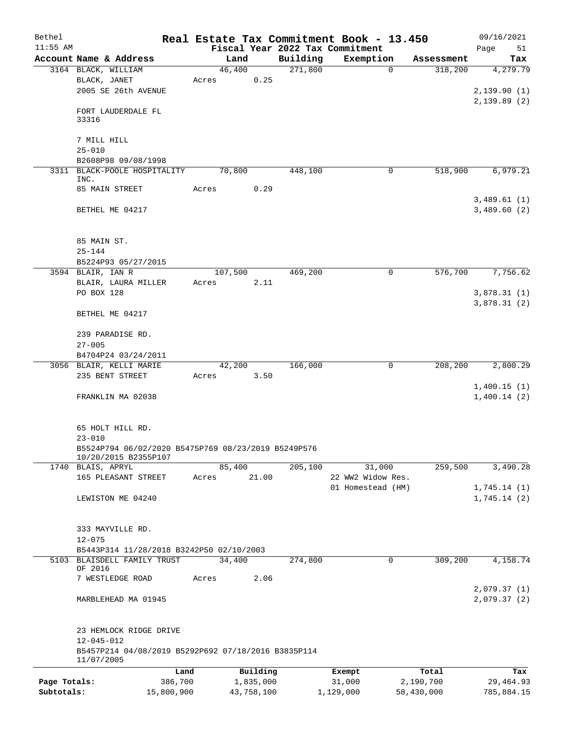| Bethel<br>$11:55$ AM |                                                                                       |         |            |          | Real Estate Tax Commitment Book - 13.450<br>Fiscal Year 2022 Tax Commitment |                        | 09/16/2021                 |
|----------------------|---------------------------------------------------------------------------------------|---------|------------|----------|-----------------------------------------------------------------------------|------------------------|----------------------------|
|                      | Account Name & Address                                                                | Land    |            | Building | Exemption                                                                   | Assessment             | Page<br>51<br>Tax          |
|                      | 3164 BLACK, WILLIAM                                                                   | 46,400  |            | 271,800  |                                                                             | $\mathbf 0$<br>318,200 | 4,279.79                   |
|                      | BLACK, JANET                                                                          | Acres   | 0.25       |          |                                                                             |                        |                            |
|                      | 2005 SE 26th AVENUE                                                                   |         |            |          |                                                                             |                        | 2,139.90(1)                |
|                      | FORT LAUDERDALE FL<br>33316                                                           |         |            |          |                                                                             |                        | 2,139.89(2)                |
|                      | 7 MILL HILL                                                                           |         |            |          |                                                                             |                        |                            |
|                      | $25 - 010$<br>B2608P98 09/08/1998                                                     |         |            |          |                                                                             |                        |                            |
|                      | 3311 BLACK-POOLE HOSPITALITY<br>INC.                                                  | 70,800  |            | 448,100  |                                                                             | 0<br>518,900           | 6,979.21                   |
|                      | 85 MAIN STREET                                                                        | Acres   | 0.29       |          |                                                                             |                        |                            |
|                      | BETHEL ME 04217                                                                       |         |            |          |                                                                             |                        | 3,489.61(1)<br>3,489.60(2) |
|                      | 85 MAIN ST.                                                                           |         |            |          |                                                                             |                        |                            |
|                      | $25 - 144$                                                                            |         |            |          |                                                                             |                        |                            |
|                      | B5224P93 05/27/2015                                                                   |         |            |          |                                                                             |                        |                            |
|                      | 3594 BLAIR, IAN R                                                                     | 107,500 |            | 469,200  |                                                                             | 0<br>576,700           | 7,756.62                   |
|                      | BLAIR, LAURA MILLER                                                                   | Acres   | 2.11       |          |                                                                             |                        |                            |
|                      | PO BOX 128                                                                            |         |            |          |                                                                             |                        | 3,878.31(1)<br>3,878.31(2) |
|                      | BETHEL ME 04217                                                                       |         |            |          |                                                                             |                        |                            |
|                      | 239 PARADISE RD.                                                                      |         |            |          |                                                                             |                        |                            |
|                      | $27 - 005$                                                                            |         |            |          |                                                                             |                        |                            |
|                      | B4704P24 03/24/2011<br>3056 BLAIR, KELLI MARIE                                        | 42,200  |            | 166,000  |                                                                             | 208,200<br>0           | 2,800.29                   |
|                      | 235 BENT STREET                                                                       | Acres   | 3.50       |          |                                                                             |                        |                            |
|                      |                                                                                       |         |            |          |                                                                             |                        | 1,400.15(1)                |
|                      | FRANKLIN MA 02038                                                                     |         |            |          |                                                                             |                        | 1,400.14(2)                |
|                      | 65 HOLT HILL RD.<br>$23 - 010$                                                        |         |            |          |                                                                             |                        |                            |
|                      | B5524P794 06/02/2020 B5475P769 08/23/2019 B5249P576<br>10/20/2015 B2355P107           |         |            |          |                                                                             |                        |                            |
|                      | 1740 BLAIS, APRYL                                                                     | 85,400  |            | 205,100  | 31,000                                                                      | 259,500                | 3,490.28                   |
|                      | 165 PLEASANT STREET                                                                   | Acres   | 21.00      |          | 22 WW2 Widow Res.                                                           |                        |                            |
|                      | LEWISTON ME 04240                                                                     |         |            |          | 01 Homestead (HM)                                                           |                        | 1,745.14(1)<br>1,745.14(2) |
|                      |                                                                                       |         |            |          |                                                                             |                        |                            |
|                      | 333 MAYVILLE RD.                                                                      |         |            |          |                                                                             |                        |                            |
|                      | $12 - 075$                                                                            |         |            |          |                                                                             |                        |                            |
|                      | B5443P314 11/28/2018 B3242P50 02/10/2003<br>5103 BLAISDELL FAMILY TRUST<br>OF 2016    | 34,400  |            | 274,800  |                                                                             | 309,200<br>0           | 4,158.74                   |
|                      | 7 WESTLEDGE ROAD                                                                      | Acres   | 2.06       |          |                                                                             |                        |                            |
|                      | MARBLEHEAD MA 01945                                                                   |         |            |          |                                                                             |                        | 2,079.37(1)<br>2,079.37(2) |
|                      | 23 HEMLOCK RIDGE DRIVE                                                                |         |            |          |                                                                             |                        |                            |
|                      | $12 - 045 - 012$<br>B5457P214 04/08/2019 B5292P692 07/18/2016 B3835P114<br>11/07/2005 |         |            |          |                                                                             |                        |                            |
|                      | Land                                                                                  |         | Building   |          | Exempt                                                                      | Total                  | Tax                        |
| Page Totals:         | 386,700                                                                               |         | 1,835,000  |          | 31,000                                                                      | 2,190,700              | 29,464.93                  |
| Subtotals:           | 15,800,900                                                                            |         | 43,758,100 |          | 1,129,000                                                                   | 58,430,000             | 785,884.15                 |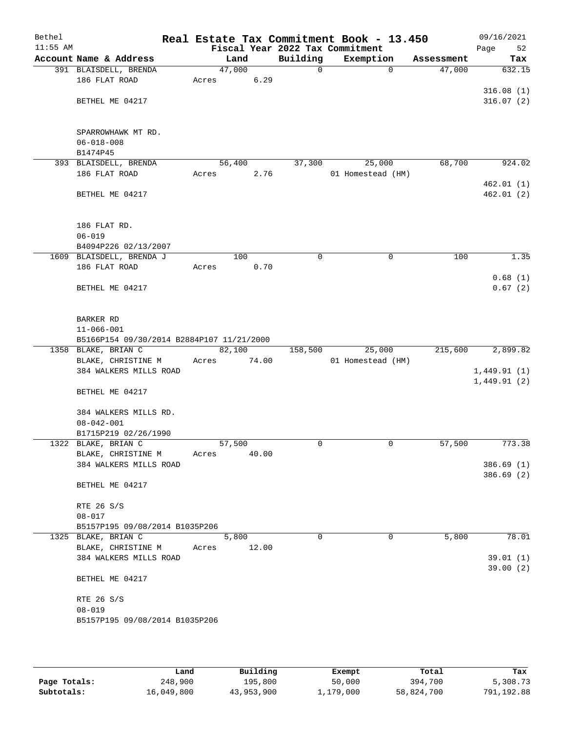| Bethel<br>$11:55$ AM |                                           |       |        |       | Real Estate Tax Commitment Book - 13.450<br>Fiscal Year 2022 Tax Commitment |                   |            | 09/16/2021<br>Page<br>52 |
|----------------------|-------------------------------------------|-------|--------|-------|-----------------------------------------------------------------------------|-------------------|------------|--------------------------|
|                      | Account Name & Address                    |       | Land   |       | Building                                                                    | Exemption         | Assessment | Tax                      |
|                      | 391 BLAISDELL, BRENDA                     |       | 47,000 |       | 0                                                                           | $\mathbf 0$       | 47,000     | 632.15                   |
|                      | 186 FLAT ROAD                             | Acres |        | 6.29  |                                                                             |                   |            |                          |
|                      |                                           |       |        |       |                                                                             |                   |            | 316.08(1)                |
|                      | BETHEL ME 04217                           |       |        |       |                                                                             |                   |            | 316.07(2)                |
|                      |                                           |       |        |       |                                                                             |                   |            |                          |
|                      |                                           |       |        |       |                                                                             |                   |            |                          |
|                      | SPARROWHAWK MT RD.                        |       |        |       |                                                                             |                   |            |                          |
|                      | $06 - 018 - 008$                          |       |        |       |                                                                             |                   |            |                          |
|                      | B1474P45                                  |       |        |       |                                                                             |                   |            |                          |
|                      | 393 BLAISDELL, BRENDA                     |       | 56,400 |       | 37,300                                                                      | 25,000            | 68,700     | 924.02                   |
|                      | 186 FLAT ROAD                             | Acres |        | 2.76  |                                                                             | 01 Homestead (HM) |            |                          |
|                      |                                           |       |        |       |                                                                             |                   |            | 462.01 (1)               |
|                      | BETHEL ME 04217                           |       |        |       |                                                                             |                   |            | 462.01(2)                |
|                      |                                           |       |        |       |                                                                             |                   |            |                          |
|                      | 186 FLAT RD.                              |       |        |       |                                                                             |                   |            |                          |
|                      | $06 - 019$                                |       |        |       |                                                                             |                   |            |                          |
|                      | B4094P226 02/13/2007                      |       |        |       |                                                                             |                   |            |                          |
|                      | 1609 BLAISDELL, BRENDA J                  |       | 100    |       | 0                                                                           | 0                 | 100        | 1.35                     |
|                      | 186 FLAT ROAD                             | Acres |        | 0.70  |                                                                             |                   |            |                          |
|                      |                                           |       |        |       |                                                                             |                   |            | 0.68(1)                  |
|                      | BETHEL ME 04217                           |       |        |       |                                                                             |                   |            | 0.67(2)                  |
|                      |                                           |       |        |       |                                                                             |                   |            |                          |
|                      |                                           |       |        |       |                                                                             |                   |            |                          |
|                      | BARKER RD                                 |       |        |       |                                                                             |                   |            |                          |
|                      | $11 - 066 - 001$                          |       |        |       |                                                                             |                   |            |                          |
|                      | B5166P154 09/30/2014 B2884P107 11/21/2000 |       |        |       |                                                                             |                   |            |                          |
|                      | 1358 BLAKE, BRIAN C                       |       | 82,100 |       | 158,500                                                                     | 25,000            | 215,600    | 2,899.82                 |
|                      | BLAKE, CHRISTINE M                        | Acres |        | 74.00 |                                                                             | 01 Homestead (HM) |            |                          |
|                      | 384 WALKERS MILLS ROAD                    |       |        |       |                                                                             |                   |            | 1,449.91(1)              |
|                      | BETHEL ME 04217                           |       |        |       |                                                                             |                   |            | 1,449.91(2)              |
|                      |                                           |       |        |       |                                                                             |                   |            |                          |
|                      | 384 WALKERS MILLS RD.                     |       |        |       |                                                                             |                   |            |                          |
|                      | $08 - 042 - 001$                          |       |        |       |                                                                             |                   |            |                          |
|                      | B1715P219 02/26/1990                      |       |        |       |                                                                             |                   |            |                          |
|                      | 1322 BLAKE, BRIAN C                       |       | 57,500 |       | 0                                                                           | 0                 | 57,500     | 773.38                   |
|                      | BLAKE, CHRISTINE M                        | Acres |        | 40.00 |                                                                             |                   |            |                          |
|                      | 384 WALKERS MILLS ROAD                    |       |        |       |                                                                             |                   |            | 386.69(1)                |
|                      |                                           |       |        |       |                                                                             |                   |            | 386.69(2)                |
|                      | BETHEL ME 04217                           |       |        |       |                                                                             |                   |            |                          |
|                      |                                           |       |        |       |                                                                             |                   |            |                          |
|                      | RTE 26 S/S                                |       |        |       |                                                                             |                   |            |                          |
|                      | $08 - 017$                                |       |        |       |                                                                             |                   |            |                          |
|                      | B5157P195 09/08/2014 B1035P206            |       |        |       |                                                                             |                   |            |                          |
|                      | 1325 BLAKE, BRIAN C                       |       | 5,800  |       | 0                                                                           | 0                 | 5,800      | 78.01                    |
|                      | BLAKE, CHRISTINE M                        | Acres |        | 12.00 |                                                                             |                   |            |                          |
|                      | 384 WALKERS MILLS ROAD                    |       |        |       |                                                                             |                   |            | 39.01(1)                 |
|                      | BETHEL ME 04217                           |       |        |       |                                                                             |                   |            | 39.00(2)                 |
|                      |                                           |       |        |       |                                                                             |                   |            |                          |
|                      | RTE 26 S/S                                |       |        |       |                                                                             |                   |            |                          |
|                      | $08 - 019$                                |       |        |       |                                                                             |                   |            |                          |
|                      | B5157P195 09/08/2014 B1035P206            |       |        |       |                                                                             |                   |            |                          |
|                      |                                           |       |        |       |                                                                             |                   |            |                          |
|                      |                                           |       |        |       |                                                                             |                   |            |                          |
|                      |                                           |       |        |       |                                                                             |                   |            |                          |

|              | Land       | Building   | Exempt    | Total      | Tax        |
|--------------|------------|------------|-----------|------------|------------|
| Page Totals: | 248,900    | 195,800    | 50,000    | 394,700    | 5,308.73   |
| Subtotals:   | 16,049,800 | 43,953,900 | 1,179,000 | 58,824,700 | 791,192.88 |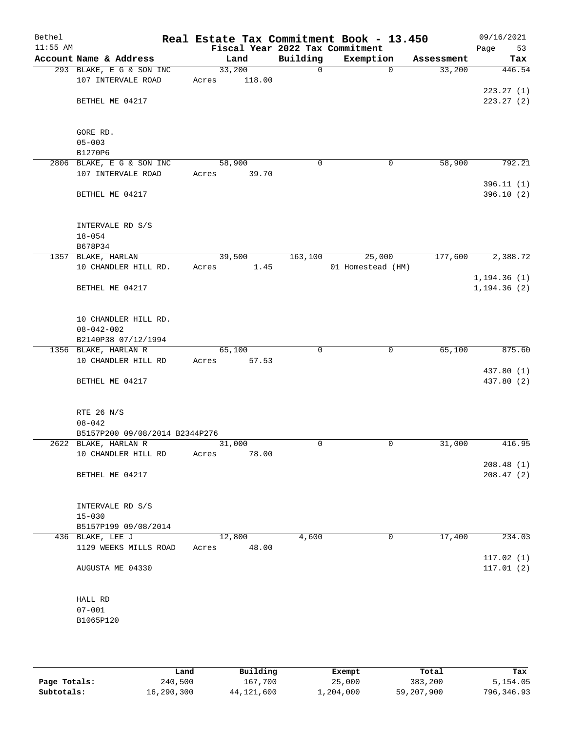| Bethel<br>$11:55$ AM |                                          |        |        |              | Real Estate Tax Commitment Book - 13.450<br>Fiscal Year 2022 Tax Commitment |                    | 09/16/2021<br>Page<br>53 |
|----------------------|------------------------------------------|--------|--------|--------------|-----------------------------------------------------------------------------|--------------------|--------------------------|
|                      | Account Name & Address                   |        | Land   | Building     | Exemption                                                                   | Assessment         | Tax                      |
|                      | 293 BLAKE, E G & SON INC                 | 33,200 |        | $\mathsf{O}$ |                                                                             | 33,200<br>$\Omega$ | 446.54                   |
|                      | 107 INTERVALE ROAD                       | Acres  | 118.00 |              |                                                                             |                    |                          |
|                      |                                          |        |        |              |                                                                             |                    | 223.27(1)                |
|                      | BETHEL ME 04217                          |        |        |              |                                                                             |                    | 223.27(2)                |
|                      |                                          |        |        |              |                                                                             |                    |                          |
|                      |                                          |        |        |              |                                                                             |                    |                          |
|                      | GORE RD.                                 |        |        |              |                                                                             |                    |                          |
|                      | $05 - 003$                               |        |        |              |                                                                             |                    |                          |
|                      | B1270P6                                  |        |        |              |                                                                             |                    |                          |
|                      | 2806 BLAKE, E G & SON INC                | 58,900 |        | 0            | 0                                                                           | 58,900             | 792.21                   |
|                      | 107 INTERVALE ROAD                       | Acres  | 39.70  |              |                                                                             |                    |                          |
|                      |                                          |        |        |              |                                                                             |                    | 396.11(1)                |
|                      | BETHEL ME 04217                          |        |        |              |                                                                             |                    | 396.10(2)                |
|                      |                                          |        |        |              |                                                                             |                    |                          |
|                      | INTERVALE RD S/S                         |        |        |              |                                                                             |                    |                          |
|                      | $18 - 054$                               |        |        |              |                                                                             |                    |                          |
|                      | B678P34                                  |        |        |              |                                                                             |                    |                          |
|                      | 1357 BLAKE, HARLAN                       |        | 39,500 | 163,100      | 25,000                                                                      | 177,600            | 2,388.72                 |
|                      | 10 CHANDLER HILL RD.                     | Acres  | 1.45   |              | 01 Homestead (HM)                                                           |                    |                          |
|                      |                                          |        |        |              |                                                                             |                    | 1, 194.36(1)             |
|                      | BETHEL ME 04217                          |        |        |              |                                                                             |                    | 1, 194.36(2)             |
|                      |                                          |        |        |              |                                                                             |                    |                          |
|                      |                                          |        |        |              |                                                                             |                    |                          |
|                      | 10 CHANDLER HILL RD.                     |        |        |              |                                                                             |                    |                          |
|                      | $08 - 042 - 002$                         |        |        |              |                                                                             |                    |                          |
|                      | B2140P38 07/12/1994                      |        |        |              |                                                                             |                    |                          |
|                      | 1356 BLAKE, HARLAN R                     | 65,100 |        | 0            | $\mathbf 0$                                                                 | 65,100             | 875.60                   |
|                      | 10 CHANDLER HILL RD                      | Acres  | 57.53  |              |                                                                             |                    |                          |
|                      |                                          |        |        |              |                                                                             |                    | 437.80 (1)               |
|                      | BETHEL ME 04217                          |        |        |              |                                                                             |                    | 437.80 (2)               |
|                      |                                          |        |        |              |                                                                             |                    |                          |
|                      | RTE 26 N/S                               |        |        |              |                                                                             |                    |                          |
|                      | $08 - 042$                               |        |        |              |                                                                             |                    |                          |
|                      | B5157P200 09/08/2014 B2344P276           |        |        |              |                                                                             |                    |                          |
|                      | 2622 BLAKE, HARLAN R                     | 31,000 |        | 0            | $\mathbf 0$                                                                 | 31,000             | 416.95                   |
|                      | 10 CHANDLER HILL RD                      | Acres  | 78.00  |              |                                                                             |                    |                          |
|                      |                                          |        |        |              |                                                                             |                    | 208.48(1)                |
|                      | BETHEL ME 04217                          |        |        |              |                                                                             |                    | 208.47(2)                |
|                      |                                          |        |        |              |                                                                             |                    |                          |
|                      |                                          |        |        |              |                                                                             |                    |                          |
|                      | INTERVALE RD S/S                         |        |        |              |                                                                             |                    |                          |
|                      | $15 - 030$                               |        |        |              |                                                                             |                    |                          |
|                      | B5157P199 09/08/2014<br>436 BLAKE, LEE J |        | 12,800 | 4,600        |                                                                             | 17,400<br>0        | 234.03                   |
|                      | 1129 WEEKS MILLS ROAD                    | Acres  | 48.00  |              |                                                                             |                    |                          |
|                      |                                          |        |        |              |                                                                             |                    | 117.02(1)                |
|                      | AUGUSTA ME 04330                         |        |        |              |                                                                             |                    | 117.01(2)                |
|                      |                                          |        |        |              |                                                                             |                    |                          |
|                      |                                          |        |        |              |                                                                             |                    |                          |
|                      | HALL RD                                  |        |        |              |                                                                             |                    |                          |
|                      | $07 - 001$                               |        |        |              |                                                                             |                    |                          |
|                      | B1065P120                                |        |        |              |                                                                             |                    |                          |
|                      |                                          |        |        |              |                                                                             |                    |                          |
|                      |                                          |        |        |              |                                                                             |                    |                          |

|              | Land       | Building   | Exempt    | Total      | Tax        |
|--------------|------------|------------|-----------|------------|------------|
| Page Totals: | 240,500    | 167,700    | 25,000    | 383,200    | 5,154.05   |
| Subtotals:   | 16,290,300 | 44,121,600 | 1,204,000 | 59,207,900 | 796,346.93 |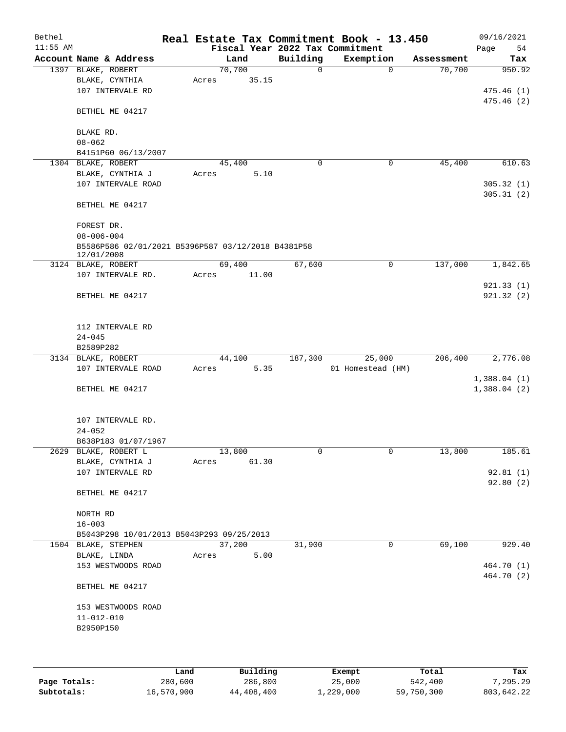| Bethel     |                                                    |        |       |             | Real Estate Tax Commitment Book - 13.450 |            | 09/16/2021  |
|------------|----------------------------------------------------|--------|-------|-------------|------------------------------------------|------------|-------------|
| $11:55$ AM |                                                    |        |       |             | Fiscal Year 2022 Tax Commitment          |            | Page<br>54  |
|            | Account Name & Address                             |        | Land  | Building    | Exemption                                | Assessment | Tax         |
|            | 1397 BLAKE, ROBERT                                 | 70,700 |       | $\mathbf 0$ | $\mathbf 0$                              | 70,700     | 950.92      |
|            | BLAKE, CYNTHIA                                     | Acres  | 35.15 |             |                                          |            |             |
|            | 107 INTERVALE RD                                   |        |       |             |                                          |            | 475.46(1)   |
|            |                                                    |        |       |             |                                          |            | 475.46(2)   |
|            | BETHEL ME 04217                                    |        |       |             |                                          |            |             |
|            |                                                    |        |       |             |                                          |            |             |
|            | BLAKE RD.                                          |        |       |             |                                          |            |             |
|            | $08 - 062$                                         |        |       |             |                                          |            |             |
|            | B4151P60 06/13/2007                                |        |       |             |                                          |            |             |
|            | 1304 BLAKE, ROBERT                                 | 45,400 |       | 0           | 0                                        | 45,400     | 610.63      |
|            | BLAKE, CYNTHIA J                                   | Acres  | 5.10  |             |                                          |            |             |
|            | 107 INTERVALE ROAD                                 |        |       |             |                                          |            | 305.32(1)   |
|            |                                                    |        |       |             |                                          |            | 305.31(2)   |
|            | BETHEL ME 04217                                    |        |       |             |                                          |            |             |
|            |                                                    |        |       |             |                                          |            |             |
|            | FOREST DR.                                         |        |       |             |                                          |            |             |
|            | $08 - 006 - 004$                                   |        |       |             |                                          |            |             |
|            | B5586P586 02/01/2021 B5396P587 03/12/2018 B4381P58 |        |       |             |                                          |            |             |
|            | 12/01/2008<br>3124 BLAKE, ROBERT                   | 69,400 |       | 67,600      | 0                                        | 137,000    | 1,842.65    |
|            | 107 INTERVALE RD.                                  | Acres  | 11.00 |             |                                          |            |             |
|            |                                                    |        |       |             |                                          |            | 921.33(1)   |
|            | BETHEL ME 04217                                    |        |       |             |                                          |            | 921.32(2)   |
|            |                                                    |        |       |             |                                          |            |             |
|            |                                                    |        |       |             |                                          |            |             |
|            | 112 INTERVALE RD                                   |        |       |             |                                          |            |             |
|            | $24 - 045$                                         |        |       |             |                                          |            |             |
|            | B2589P282                                          |        |       |             |                                          |            |             |
|            | 3134 BLAKE, ROBERT                                 | 44,100 |       | 187,300     | 25,000                                   | 206,400    | 2,776.08    |
|            | 107 INTERVALE ROAD                                 | Acres  | 5.35  |             | 01 Homestead (HM)                        |            |             |
|            |                                                    |        |       |             |                                          |            | 1,388.04(1) |
|            | BETHEL ME 04217                                    |        |       |             |                                          |            | 1,388.04(2) |
|            |                                                    |        |       |             |                                          |            |             |
|            |                                                    |        |       |             |                                          |            |             |
|            | 107 INTERVALE RD.                                  |        |       |             |                                          |            |             |
|            | $24 - 052$                                         |        |       |             |                                          |            |             |
|            | B638P183 01/07/1967                                |        |       |             |                                          |            |             |
|            | 2629 BLAKE, ROBERT L                               | 13,800 |       | 0           | 0                                        | 13,800     | 185.61      |
|            | BLAKE, CYNTHIA J                                   | Acres  | 61.30 |             |                                          |            |             |
|            | 107 INTERVALE RD                                   |        |       |             |                                          |            | 92.81(1)    |
|            |                                                    |        |       |             |                                          |            | 92.80(2)    |
|            | BETHEL ME 04217                                    |        |       |             |                                          |            |             |
|            |                                                    |        |       |             |                                          |            |             |
|            | NORTH RD                                           |        |       |             |                                          |            |             |
|            | $16 - 003$                                         |        |       |             |                                          |            |             |
|            | B5043P298 10/01/2013 B5043P293 09/25/2013          |        |       |             |                                          |            |             |
|            | 1504 BLAKE, STEPHEN                                | 37,200 |       | 31,900      | 0                                        | 69,100     | 929.40      |
|            | BLAKE, LINDA                                       | Acres  | 5.00  |             |                                          |            |             |
|            | 153 WESTWOODS ROAD                                 |        |       |             |                                          |            | 464.70 (1)  |
|            |                                                    |        |       |             |                                          |            | 464.70 (2)  |
|            | BETHEL ME 04217                                    |        |       |             |                                          |            |             |
|            |                                                    |        |       |             |                                          |            |             |
|            | 153 WESTWOODS ROAD                                 |        |       |             |                                          |            |             |
|            | $11 - 012 - 010$                                   |        |       |             |                                          |            |             |
|            | B2950P150                                          |        |       |             |                                          |            |             |
|            |                                                    |        |       |             |                                          |            |             |
|            |                                                    |        |       |             |                                          |            |             |
|            |                                                    |        |       |             |                                          |            |             |

|              | Land       | Building   | Exempt    | Total      | Tax        |
|--------------|------------|------------|-----------|------------|------------|
| Page Totals: | 280,600    | 286,800    | 25,000    | 542,400    | 7,295.29   |
| Subtotals:   | 16,570,900 | 44,408,400 | 1,229,000 | 59,750,300 | 803,642.22 |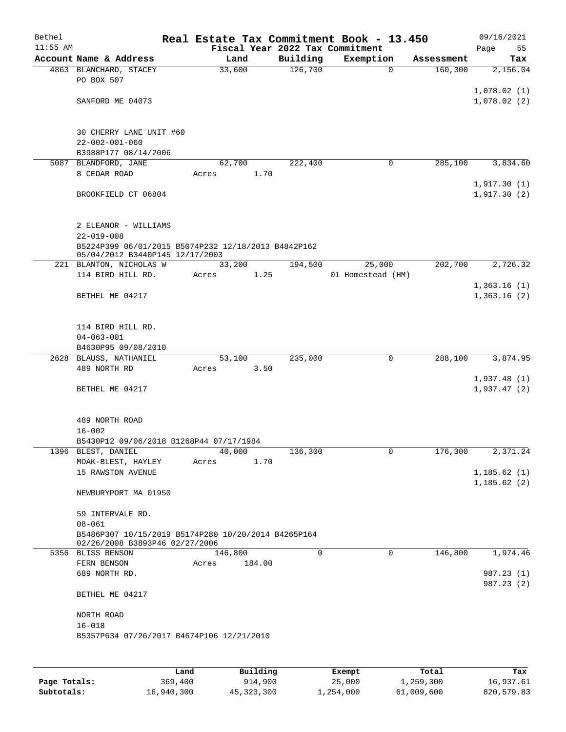| Bethel<br>$11:55$ AM |                                                                                       |                 |        |          | Real Estate Tax Commitment Book - 13.450<br>Fiscal Year 2022 Tax Commitment |            | 09/16/2021<br>Page         | 55  |
|----------------------|---------------------------------------------------------------------------------------|-----------------|--------|----------|-----------------------------------------------------------------------------|------------|----------------------------|-----|
|                      | Account Name & Address                                                                | Land            |        | Building | Exemption                                                                   | Assessment |                            | Tax |
|                      | 4863 BLANCHARD, STACEY<br>PO BOX 507                                                  | 33,600          |        | 126,700  | $\mathbf 0$                                                                 | 160, 300   | 2,156.04                   |     |
|                      | SANFORD ME 04073                                                                      |                 |        |          |                                                                             |            | 1,078.02(1)<br>1,078.02(2) |     |
|                      |                                                                                       |                 |        |          |                                                                             |            |                            |     |
|                      | 30 CHERRY LANE UNIT #60<br>$22 - 002 - 001 - 060$                                     |                 |        |          |                                                                             |            |                            |     |
|                      | B3988P177 08/14/2006                                                                  |                 |        |          |                                                                             |            |                            |     |
|                      | 5087 BLANDFORD, JANE                                                                  | 62,700          |        | 222,400  | 0                                                                           | 285,100    | 3,834.60                   |     |
|                      | 8 CEDAR ROAD                                                                          | Acres           | 1.70   |          |                                                                             |            |                            |     |
|                      | BROOKFIELD CT 06804                                                                   |                 |        |          |                                                                             |            | 1,917.30(1)<br>1,917.30(2) |     |
|                      |                                                                                       |                 |        |          |                                                                             |            |                            |     |
|                      | 2 ELEANOR - WILLIAMS<br>$22 - 019 - 008$                                              |                 |        |          |                                                                             |            |                            |     |
|                      | B5224P399 06/01/2015 B5074P232 12/18/2013 B4842P162                                   |                 |        |          |                                                                             |            |                            |     |
|                      | 05/04/2012 B3440P145 12/17/2003                                                       |                 |        |          |                                                                             |            |                            |     |
|                      | 221 BLANTON, NICHOLAS W<br>114 BIRD HILL RD.                                          | 33,200<br>Acres | 1.25   | 194,500  | 25,000<br>01 Homestead (HM)                                                 | 202,700    | 2,726.32                   |     |
|                      |                                                                                       |                 |        |          |                                                                             |            | 1,363.16(1)                |     |
|                      | BETHEL ME 04217                                                                       |                 |        |          |                                                                             |            | 1,363.16(2)                |     |
|                      |                                                                                       |                 |        |          |                                                                             |            |                            |     |
|                      | 114 BIRD HILL RD.<br>$04 - 063 - 001$                                                 |                 |        |          |                                                                             |            |                            |     |
|                      | B4630P95 09/08/2010                                                                   |                 |        |          |                                                                             |            |                            |     |
|                      | 2628 BLAUSS, NATHANIEL                                                                | 53,100          |        | 235,000  | $\mathbf 0$                                                                 | 288,100    | 3,874.95                   |     |
|                      | 489 NORTH RD                                                                          | Acres           | 3.50   |          |                                                                             |            |                            |     |
|                      |                                                                                       |                 |        |          |                                                                             |            | 1,937.48(1)                |     |
|                      | BETHEL ME 04217                                                                       |                 |        |          |                                                                             |            | 1,937.47(2)                |     |
|                      | 489 NORTH ROAD                                                                        |                 |        |          |                                                                             |            |                            |     |
|                      | $16 - 002$                                                                            |                 |        |          |                                                                             |            |                            |     |
|                      | B5430P12 09/06/2018 B1268P44 07/17/1984                                               |                 |        |          |                                                                             |            |                            |     |
|                      | 1396 BLEST, DANIEL                                                                    | 40,000          |        | 136,300  | 0                                                                           | 176,300    | 2,371.24                   |     |
|                      | MOAK-BLEST, HAYLEY                                                                    | Acres           | 1.70   |          |                                                                             |            |                            |     |
|                      | 15 RAWSTON AVENUE                                                                     |                 |        |          |                                                                             |            | 1,185.62(1)<br>1,185.62(2) |     |
|                      | NEWBURYPORT MA 01950                                                                  |                 |        |          |                                                                             |            |                            |     |
|                      | 59 INTERVALE RD.<br>$08 - 061$                                                        |                 |        |          |                                                                             |            |                            |     |
|                      | B5486P307 10/15/2019 B5174P280 10/20/2014 B4265P164<br>02/26/2008 B3893P46 02/27/2006 |                 |        |          |                                                                             |            |                            |     |
|                      | 5356 BLISS BENSON                                                                     | 146,800         |        | 0        | $\mathbf 0$                                                                 | 146,800    | 1,974.46                   |     |
|                      | FERN BENSON                                                                           | Acres           | 184.00 |          |                                                                             |            |                            |     |
|                      | 689 NORTH RD.                                                                         |                 |        |          |                                                                             |            | 987.23 (1)<br>987.23 (2)   |     |
|                      | BETHEL ME 04217                                                                       |                 |        |          |                                                                             |            |                            |     |
|                      | NORTH ROAD<br>$16 - 018$                                                              |                 |        |          |                                                                             |            |                            |     |
|                      | B5357P634 07/26/2017 B4674P106 12/21/2010                                             |                 |        |          |                                                                             |            |                            |     |
|                      |                                                                                       |                 |        |          |                                                                             |            |                            |     |

|              | Land       | Building     | Exempt    | Total      | Tax        |
|--------------|------------|--------------|-----------|------------|------------|
| Page Totals: | 369,400    | 914,900      | 25,000    | 1,259,300  | 16,937.61  |
| Subtotals:   | 16,940,300 | 45, 323, 300 | 1,254,000 | 61,009,600 | 820,579.83 |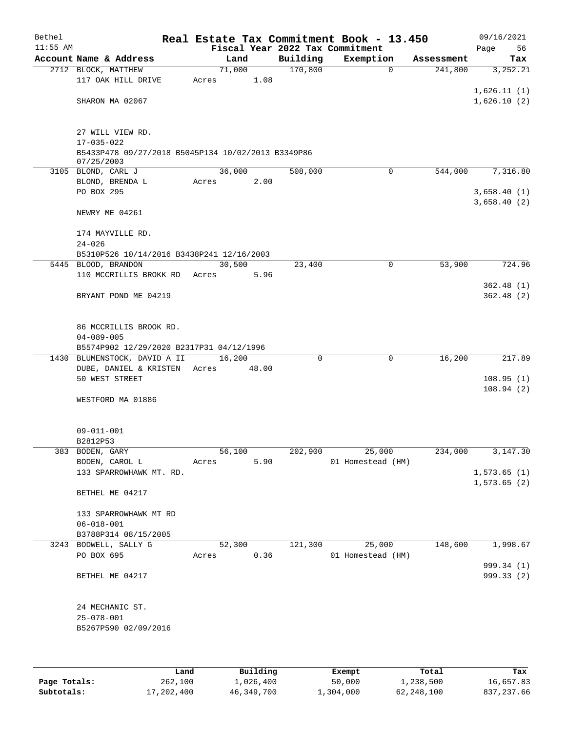| Bethel     |                                                    |       |                |      | Real Estate Tax Commitment Book - 13.450 |                   |            |         |                             | 09/16/2021               |
|------------|----------------------------------------------------|-------|----------------|------|------------------------------------------|-------------------|------------|---------|-----------------------------|--------------------------|
| $11:55$ AM |                                                    |       |                |      | Fiscal Year 2022 Tax Commitment          |                   |            |         | Page                        | 56                       |
|            | Account Name & Address                             |       | Land<br>71,000 |      | Building<br>170,800                      | Exemption<br>0    | Assessment | 241,800 |                             | Tax<br>3,252.21          |
|            | 2712 BLOCK, MATTHEW<br>117 OAK HILL DRIVE          | Acres | 1.08           |      |                                          |                   |            |         |                             |                          |
|            |                                                    |       |                |      |                                          |                   |            |         | 1,626.11(1)                 |                          |
|            | SHARON MA 02067                                    |       |                |      |                                          |                   |            |         | 1,626.10(2)                 |                          |
|            |                                                    |       |                |      |                                          |                   |            |         |                             |                          |
|            |                                                    |       |                |      |                                          |                   |            |         |                             |                          |
|            | 27 WILL VIEW RD.<br>17-035-022                     |       |                |      |                                          |                   |            |         |                             |                          |
|            | B5433P478 09/27/2018 B5045P134 10/02/2013 B3349P86 |       |                |      |                                          |                   |            |         |                             |                          |
|            | 07/25/2003                                         |       |                |      |                                          |                   |            |         |                             |                          |
|            | 3105 BLOND, CARL J                                 |       | 36,000         |      | 508,000                                  | 0                 |            | 544,000 |                             | 7,316.80                 |
|            | BLOND, BRENDA L                                    | Acres | 2.00           |      |                                          |                   |            |         |                             |                          |
|            | PO BOX 295                                         |       |                |      |                                          |                   |            |         |                             | 3,658.40(1)              |
|            | NEWRY ME 04261                                     |       |                |      |                                          |                   |            |         | 3,658.40(2)                 |                          |
|            |                                                    |       |                |      |                                          |                   |            |         |                             |                          |
|            | 174 MAYVILLE RD.                                   |       |                |      |                                          |                   |            |         |                             |                          |
|            | $24 - 026$                                         |       |                |      |                                          |                   |            |         |                             |                          |
|            | B5310P526 10/14/2016 B3438P241 12/16/2003          |       |                |      |                                          |                   |            |         |                             |                          |
|            | 5445 BLOOD, BRANDON                                |       | 30,500         |      | 23,400                                   | 0                 |            | 53,900  |                             | 724.96                   |
|            | 110 MCCRILLIS BROKK RD                             | Acres | 5.96           |      |                                          |                   |            |         |                             |                          |
|            |                                                    |       |                |      |                                          |                   |            |         |                             | 362.48(1)                |
|            | BRYANT POND ME 04219                               |       |                |      |                                          |                   |            |         |                             | 362.48(2)                |
|            |                                                    |       |                |      |                                          |                   |            |         |                             |                          |
|            | 86 MCCRILLIS BROOK RD.                             |       |                |      |                                          |                   |            |         |                             |                          |
|            | $04 - 089 - 005$                                   |       |                |      |                                          |                   |            |         |                             |                          |
|            | B5574P902 12/29/2020 B2317P31 04/12/1996           |       |                |      |                                          |                   |            |         |                             |                          |
|            | 1430 BLUMENSTOCK, DAVID A II                       |       | 16,200         |      | 0                                        | 0                 |            | 16,200  |                             | 217.89                   |
|            | DUBE, DANIEL & KRISTEN                             | Acres | 48.00          |      |                                          |                   |            |         |                             |                          |
|            | 50 WEST STREET                                     |       |                |      |                                          |                   |            |         |                             | 108.95(1)                |
|            | WESTFORD MA 01886                                  |       |                |      |                                          |                   |            |         |                             | 108.94(2)                |
|            |                                                    |       |                |      |                                          |                   |            |         |                             |                          |
|            |                                                    |       |                |      |                                          |                   |            |         |                             |                          |
|            | $09 - 011 - 001$                                   |       |                |      |                                          |                   |            |         |                             |                          |
|            | B2812P53                                           |       |                |      |                                          |                   |            |         |                             |                          |
|            | 383 BODEN, GARY                                    |       | 56,100         |      | 202,900                                  | 25,000            |            | 234,000 |                             | 3,147.30                 |
|            | BODEN, CAROL L                                     | Acres |                | 5.90 |                                          | 01 Homestead (HM) |            |         |                             |                          |
|            | 133 SPARROWHAWK MT. RD.                            |       |                |      |                                          |                   |            |         | 1,573.65(1)<br>1, 573.65(2) |                          |
|            | BETHEL ME 04217                                    |       |                |      |                                          |                   |            |         |                             |                          |
|            |                                                    |       |                |      |                                          |                   |            |         |                             |                          |
|            | 133 SPARROWHAWK MT RD                              |       |                |      |                                          |                   |            |         |                             |                          |
|            | $06 - 018 - 001$                                   |       |                |      |                                          |                   |            |         |                             |                          |
|            | B3788P314 08/15/2005                               |       |                |      |                                          |                   |            |         |                             |                          |
|            | 3243 BODWELL, SALLY G                              |       | 52,300         |      | 121,300                                  | 25,000            |            | 148,600 |                             | 1,998.67                 |
|            | PO BOX 695                                         | Acres | 0.36           |      |                                          | 01 Homestead (HM) |            |         |                             |                          |
|            | BETHEL ME 04217                                    |       |                |      |                                          |                   |            |         |                             | 999.34 (1)<br>999.33 (2) |
|            |                                                    |       |                |      |                                          |                   |            |         |                             |                          |
|            |                                                    |       |                |      |                                          |                   |            |         |                             |                          |
|            | 24 MECHANIC ST.                                    |       |                |      |                                          |                   |            |         |                             |                          |
|            | $25 - 078 - 001$                                   |       |                |      |                                          |                   |            |         |                             |                          |
|            | B5267P590 02/09/2016                               |       |                |      |                                          |                   |            |         |                             |                          |
|            |                                                    |       |                |      |                                          |                   |            |         |                             |                          |
|            |                                                    |       |                |      |                                          |                   |            |         |                             |                          |

|              | Land       | Building   | Exempt    | Total      | Tax        |
|--------------|------------|------------|-----------|------------|------------|
| Page Totals: | 262,100    | 1,026,400  | 50,000    | 1,238,500  | 16,657.83  |
| Subtotals:   | 17,202,400 | 46,349,700 | 1,304,000 | 62,248,100 | 837,237.66 |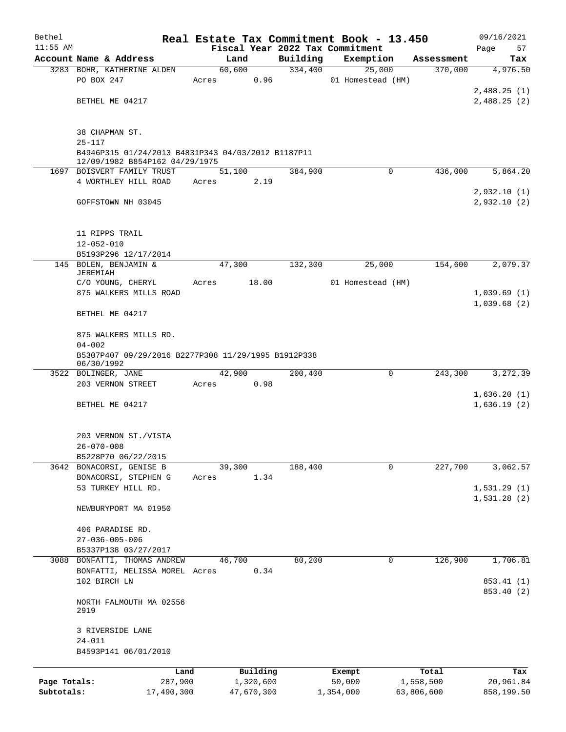| Bethel       |                                                                   |        |            |          | Real Estate Tax Commitment Book - 13.450 |            | 09/16/2021  |  |  |
|--------------|-------------------------------------------------------------------|--------|------------|----------|------------------------------------------|------------|-------------|--|--|
| $11:55$ AM   |                                                                   |        |            |          | Fiscal Year 2022 Tax Commitment          |            | Page<br>57  |  |  |
|              | Account Name & Address                                            | Land   |            | Building | Exemption                                | Assessment | Tax         |  |  |
|              | 3283 BOHR, KATHERINE ALDEN                                        | 60,600 |            | 334,400  | 25,000                                   | 370,000    | 4,976.50    |  |  |
|              | PO BOX 247                                                        | Acres  | 0.96       |          | 01 Homestead (HM)                        |            |             |  |  |
|              |                                                                   |        |            |          |                                          |            | 2,488.25(1) |  |  |
|              | BETHEL ME 04217                                                   |        |            |          |                                          |            | 2,488.25(2) |  |  |
|              |                                                                   |        |            |          |                                          |            |             |  |  |
|              | 38 CHAPMAN ST.<br>$25 - 117$                                      |        |            |          |                                          |            |             |  |  |
|              | B4946P315 01/24/2013 B4831P343 04/03/2012 B1187P11                |        |            |          |                                          |            |             |  |  |
|              | 12/09/1982 B854P162 04/29/1975<br>1697 BOISVERT FAMILY TRUST      | 51,100 |            | 384,900  | $\Omega$                                 | 436,000    | 5,864.20    |  |  |
|              | 4 WORTHLEY HILL ROAD                                              | Acres  | 2.19       |          |                                          |            |             |  |  |
|              |                                                                   |        |            |          |                                          |            | 2,932.10(1) |  |  |
|              | GOFFSTOWN NH 03045                                                |        |            |          |                                          |            | 2,932.10(2) |  |  |
|              |                                                                   |        |            |          |                                          |            |             |  |  |
|              | 11 RIPPS TRAIL                                                    |        |            |          |                                          |            |             |  |  |
|              | $12 - 052 - 010$                                                  |        |            |          |                                          |            |             |  |  |
|              | B5193P296 12/17/2014<br>145 BOLEN, BENJAMIN &                     | 47,300 |            | 132,300  | 25,000                                   | 154,600    | 2,079.37    |  |  |
|              | JEREMIAH                                                          |        |            |          |                                          |            |             |  |  |
|              | C/O YOUNG, CHERYL                                                 | Acres  | 18.00      |          | 01 Homestead (HM)                        |            |             |  |  |
|              | 875 WALKERS MILLS ROAD                                            |        |            |          |                                          |            | 1,039.69(1) |  |  |
|              | BETHEL ME 04217                                                   |        |            |          |                                          |            | 1,039.68(2) |  |  |
|              | 875 WALKERS MILLS RD.                                             |        |            |          |                                          |            |             |  |  |
|              | $04 - 002$                                                        |        |            |          |                                          |            |             |  |  |
|              | B5307P407 09/29/2016 B2277P308 11/29/1995 B1912P338<br>06/30/1992 |        |            |          |                                          |            |             |  |  |
|              | 3522 BOLINGER, JANE                                               | 42,900 |            | 200,400  | 0                                        | 243,300    | 3,272.39    |  |  |
|              | 203 VERNON STREET                                                 | Acres  | 0.98       |          |                                          |            |             |  |  |
|              |                                                                   |        |            |          |                                          |            | 1,636.20(1) |  |  |
|              | BETHEL ME 04217                                                   |        |            |          |                                          |            | 1,636.19(2) |  |  |
|              | 203 VERNON ST./VISTA                                              |        |            |          |                                          |            |             |  |  |
|              | $26 - 070 - 008$                                                  |        |            |          |                                          |            |             |  |  |
|              | B5228P70 06/22/2015                                               |        |            |          |                                          |            |             |  |  |
|              | 3642 BONACORSI, GENISE B                                          | 39,300 |            | 188,400  | 0                                        | 227,700    | 3,062.57    |  |  |
|              | BONACORSI, STEPHEN G                                              | Acres  | 1.34       |          |                                          |            |             |  |  |
|              | 53 TURKEY HILL RD.                                                |        |            |          |                                          |            | 1,531.29(1) |  |  |
|              | NEWBURYPORT MA 01950                                              |        |            |          |                                          |            | 1,531.28(2) |  |  |
|              |                                                                   |        |            |          |                                          |            |             |  |  |
|              | 406 PARADISE RD.<br>$27 - 036 - 005 - 006$                        |        |            |          |                                          |            |             |  |  |
|              | B5337P138 03/27/2017                                              |        |            |          |                                          |            |             |  |  |
|              | 3088 BONFATTI, THOMAS ANDREW                                      | 46,700 |            | 80,200   | 0                                        | 126,900    | 1,706.81    |  |  |
|              | BONFATTI, MELISSA MOREL Acres                                     |        | 0.34       |          |                                          |            |             |  |  |
|              | 102 BIRCH LN                                                      |        |            |          |                                          |            | 853.41 (1)  |  |  |
|              | NORTH FALMOUTH MA 02556<br>2919                                   |        |            |          |                                          |            | 853.40 (2)  |  |  |
|              | 3 RIVERSIDE LANE                                                  |        |            |          |                                          |            |             |  |  |
|              | $24 - 011$<br>B4593P141 06/01/2010                                |        |            |          |                                          |            |             |  |  |
|              | Land                                                              |        | Building   |          | Exempt                                   | Total      | Tax         |  |  |
| Page Totals: | 287,900                                                           |        | 1,320,600  |          | 50,000                                   | 1,558,500  | 20,961.84   |  |  |
| Subtotals:   | 17,490,300                                                        |        | 47,670,300 |          | 1,354,000                                | 63,806,600 | 858,199.50  |  |  |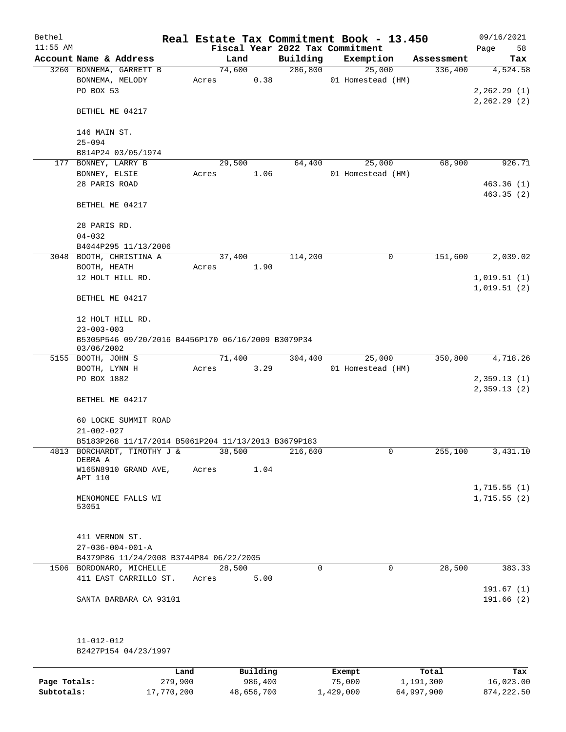| Bethel<br>$11:55$ AM |                                                                  |            |       |        |            | Fiscal Year 2022 Tax Commitment | Real Estate Tax Commitment Book - 13.450 |            | 09/16/2021<br>Page<br>58   |
|----------------------|------------------------------------------------------------------|------------|-------|--------|------------|---------------------------------|------------------------------------------|------------|----------------------------|
|                      | Account Name & Address                                           |            |       | Land   |            | Building                        | Exemption                                | Assessment | Tax                        |
|                      | 3260 BONNEMA, GARRETT B                                          |            |       | 74,600 |            | 286, 800                        | 25,000                                   | 336,400    | 4,524.58                   |
|                      | BONNEMA, MELODY<br>PO BOX 53                                     |            | Acres |        | 0.38       |                                 | 01 Homestead (HM)                        |            | 2,262.29(1)                |
|                      | BETHEL ME 04217                                                  |            |       |        |            |                                 |                                          |            | 2,262.29(2)                |
|                      | 146 MAIN ST.<br>$25 - 094$                                       |            |       |        |            |                                 |                                          |            |                            |
|                      | B814P24 03/05/1974                                               |            |       |        |            |                                 |                                          |            |                            |
|                      | 177 BONNEY, LARRY B<br>BONNEY, ELSIE                             |            | Acres | 29,500 | 1.06       | 64,400                          | 25,000<br>01 Homestead (HM)              | 68,900     | 926.71                     |
|                      | 28 PARIS ROAD                                                    |            |       |        |            |                                 |                                          |            | 463.36(1)<br>463.35(2)     |
|                      | BETHEL ME 04217                                                  |            |       |        |            |                                 |                                          |            |                            |
|                      | 28 PARIS RD.                                                     |            |       |        |            |                                 |                                          |            |                            |
|                      | $04 - 032$<br>B4044P295 11/13/2006                               |            |       |        |            |                                 |                                          |            |                            |
|                      | 3048 BOOTH, CHRISTINA A                                          |            |       | 37,400 |            | 114,200                         | 0                                        | 151,600    | 2,039.02                   |
|                      | BOOTH, HEATH                                                     |            | Acres |        | 1.90       |                                 |                                          |            |                            |
|                      | 12 HOLT HILL RD.                                                 |            |       |        |            |                                 |                                          |            | 1,019.51(1)<br>1,019.51(2) |
|                      | BETHEL ME 04217                                                  |            |       |        |            |                                 |                                          |            |                            |
|                      | 12 HOLT HILL RD.                                                 |            |       |        |            |                                 |                                          |            |                            |
|                      | $23 - 003 - 003$                                                 |            |       |        |            |                                 |                                          |            |                            |
|                      | B5305P546 09/20/2016 B4456P170 06/16/2009 B3079P34<br>03/06/2002 |            |       |        |            |                                 |                                          |            |                            |
|                      | 5155 BOOTH, JOHN S                                               |            |       | 71,400 |            | 304,400                         | 25,000                                   | 350,800    | 4,718.26                   |
|                      | BOOTH, LYNN H                                                    |            | Acres |        | 3.29       |                                 | 01 Homestead (HM)                        |            |                            |
|                      | PO BOX 1882                                                      |            |       |        |            |                                 |                                          |            | 2,359.13(1)<br>2,359.13(2) |
|                      | BETHEL ME 04217                                                  |            |       |        |            |                                 |                                          |            |                            |
|                      | 60 LOCKE SUMMIT ROAD<br>$21 - 002 - 027$                         |            |       |        |            |                                 |                                          |            |                            |
|                      | B5183P268 11/17/2014 B5061P204 11/13/2013 B3679P183              |            |       |        |            |                                 |                                          |            |                            |
| 4813                 | BORCHARDT, TIMOTHY J &<br>DEBRA A                                |            |       | 38,500 |            | 216,600                         | 0                                        | 255,100    | 3,431.10                   |
|                      | W165N8910 GRAND AVE,<br>APT 110                                  |            | Acres |        | 1.04       |                                 |                                          |            |                            |
|                      | MENOMONEE FALLS WI<br>53051                                      |            |       |        |            |                                 |                                          |            | 1,715.55(1)<br>1,715.55(2) |
|                      | 411 VERNON ST.<br>$27 - 036 - 004 - 001 - A$                     |            |       |        |            |                                 |                                          |            |                            |
|                      | B4379P86 11/24/2008 B3744P84 06/22/2005                          |            |       |        |            |                                 |                                          |            |                            |
| 1506                 | BORDONARO, MICHELLE                                              |            |       | 28,500 |            | $\Omega$                        | $\Omega$                                 | 28,500     | 383.33                     |
|                      | 411 EAST CARRILLO ST.                                            |            | Acres |        | 5.00       |                                 |                                          |            | 191.67(1)                  |
|                      | SANTA BARBARA CA 93101                                           |            |       |        |            |                                 |                                          |            | 191.66(2)                  |
|                      | $11 - 012 - 012$                                                 |            |       |        |            |                                 |                                          |            |                            |
|                      | B2427P154 04/23/1997                                             |            |       |        |            |                                 |                                          |            |                            |
|                      |                                                                  | Land       |       |        | Building   |                                 | Exempt                                   | Total      | Tax                        |
| Page Totals:         |                                                                  | 279,900    |       |        | 986,400    |                                 | 75,000                                   | 1,191,300  | 16,023.00                  |
| Subtotals:           |                                                                  | 17,770,200 |       |        | 48,656,700 |                                 | 1,429,000                                | 64,997,900 | 874, 222.50                |

المالية المراكبية.<br>17,770,200 48,656,700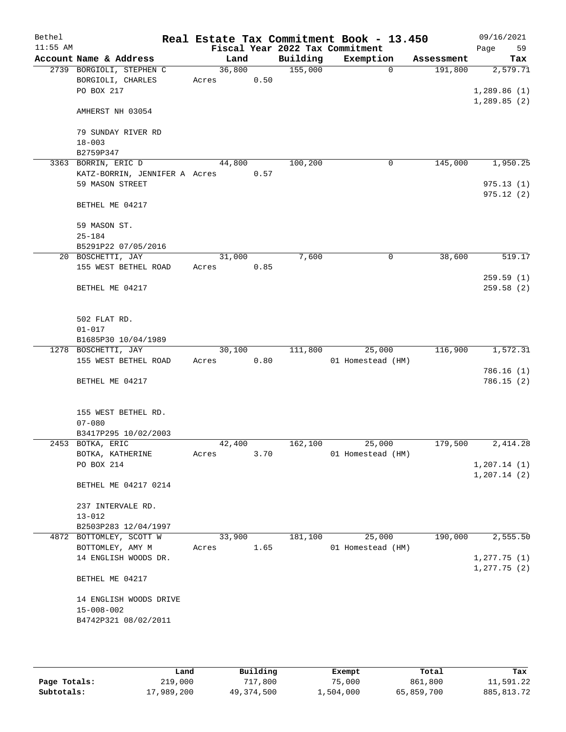| Bethel<br>$11:55$ AM |                                               |        |      |          | Real Estate Tax Commitment Book - 13.450 |            | 09/16/2021              |
|----------------------|-----------------------------------------------|--------|------|----------|------------------------------------------|------------|-------------------------|
|                      |                                               |        |      |          | Fiscal Year 2022 Tax Commitment          |            | 59<br>Page              |
|                      | Account Name & Address                        | Land   |      | Building | Exemption<br>$\Omega$                    | Assessment | Tax                     |
|                      | 2739 BORGIOLI, STEPHEN C<br>BORGIOLI, CHARLES | 36,800 | 0.50 | 155,000  |                                          | 191,800    | 2,579.71                |
|                      | PO BOX 217                                    | Acres  |      |          |                                          |            | 1,289.86(1)             |
|                      |                                               |        |      |          |                                          |            | 1,289.85(2)             |
|                      | AMHERST NH 03054                              |        |      |          |                                          |            |                         |
|                      | 79 SUNDAY RIVER RD                            |        |      |          |                                          |            |                         |
|                      | $18 - 003$                                    |        |      |          |                                          |            |                         |
|                      | B2759P347                                     |        |      |          |                                          |            |                         |
|                      | 3363 BORRIN, ERIC D                           | 44,800 |      | 100,200  | 0                                        | 145,000    | 1,950.25                |
|                      | KATZ-BORRIN, JENNIFER A Acres                 |        | 0.57 |          |                                          |            |                         |
|                      | 59 MASON STREET                               |        |      |          |                                          |            | 975.13(1)               |
|                      | BETHEL ME 04217                               |        |      |          |                                          |            | 975.12(2)               |
|                      | 59 MASON ST.                                  |        |      |          |                                          |            |                         |
|                      | $25 - 184$                                    |        |      |          |                                          |            |                         |
|                      | B5291P22 07/05/2016                           |        |      |          |                                          |            |                         |
|                      | 20 BOSCHETTI, JAY                             | 31,000 |      | 7,600    | 0                                        | 38,600     | 519.17                  |
|                      | 155 WEST BETHEL ROAD                          | Acres  | 0.85 |          |                                          |            |                         |
|                      |                                               |        |      |          |                                          |            | 259.59(1)               |
|                      | BETHEL ME 04217                               |        |      |          |                                          |            | 259.58(2)               |
|                      |                                               |        |      |          |                                          |            |                         |
|                      | 502 FLAT RD.                                  |        |      |          |                                          |            |                         |
|                      | $01 - 017$                                    |        |      |          |                                          |            |                         |
|                      | B1685P30 10/04/1989                           |        |      |          |                                          |            |                         |
|                      | 1278 BOSCHETTI, JAY                           | 30,100 |      | 111,800  | 25,000                                   | 116,900    | 1,572.31                |
|                      | 155 WEST BETHEL ROAD                          | Acres  | 0.80 |          | 01 Homestead (HM)                        |            |                         |
|                      |                                               |        |      |          |                                          |            | 786.16(1)<br>786.15 (2) |
|                      | BETHEL ME 04217                               |        |      |          |                                          |            |                         |
|                      | 155 WEST BETHEL RD.                           |        |      |          |                                          |            |                         |
|                      | $07 - 080$                                    |        |      |          |                                          |            |                         |
|                      | B3417P295 10/02/2003                          |        |      |          |                                          |            |                         |
|                      | 2453 BOTKA, ERIC                              | 42,400 |      | 162,100  | 25,000                                   | 179,500    | 2,414.28                |
|                      | BOTKA, KATHERINE                              | Acres  | 3.70 |          | 01 Homestead (HM)                        |            |                         |
|                      | PO BOX 214                                    |        |      |          |                                          |            | 1, 207.14(1)            |
|                      |                                               |        |      |          |                                          |            | 1, 207.14(2)            |
|                      | BETHEL ME 04217 0214                          |        |      |          |                                          |            |                         |
|                      | 237 INTERVALE RD.                             |        |      |          |                                          |            |                         |
|                      | $13 - 012$                                    |        |      |          |                                          |            |                         |
|                      | B2503P283 12/04/1997                          |        |      |          |                                          |            |                         |
|                      | 4872 BOTTOMLEY, SCOTT W                       | 33,900 |      | 181,100  | 25,000                                   | 190,000    | 2,555.50                |
|                      | BOTTOMLEY, AMY M                              | Acres  | 1.65 |          | 01 Homestead (HM)                        |            |                         |
|                      | 14 ENGLISH WOODS DR.                          |        |      |          |                                          |            | 1, 277.75(1)            |
|                      |                                               |        |      |          |                                          |            | $1, 277.75$ (2)         |
|                      | BETHEL ME 04217                               |        |      |          |                                          |            |                         |
|                      | 14 ENGLISH WOODS DRIVE                        |        |      |          |                                          |            |                         |
|                      | $15 - 008 - 002$                              |        |      |          |                                          |            |                         |
|                      | B4742P321 08/02/2011                          |        |      |          |                                          |            |                         |
|                      |                                               |        |      |          |                                          |            |                         |
|                      |                                               |        |      |          |                                          |            |                         |

|              | Land       | Building   | Exempt    | Total      | Tax         |
|--------------|------------|------------|-----------|------------|-------------|
| Page Totals: | 219,000    | 717,800    | 75,000    | 861,800    | 11,591.22   |
| Subtotals:   | 17,989,200 | 49,374,500 | 1,504,000 | 65,859,700 | 885, 813.72 |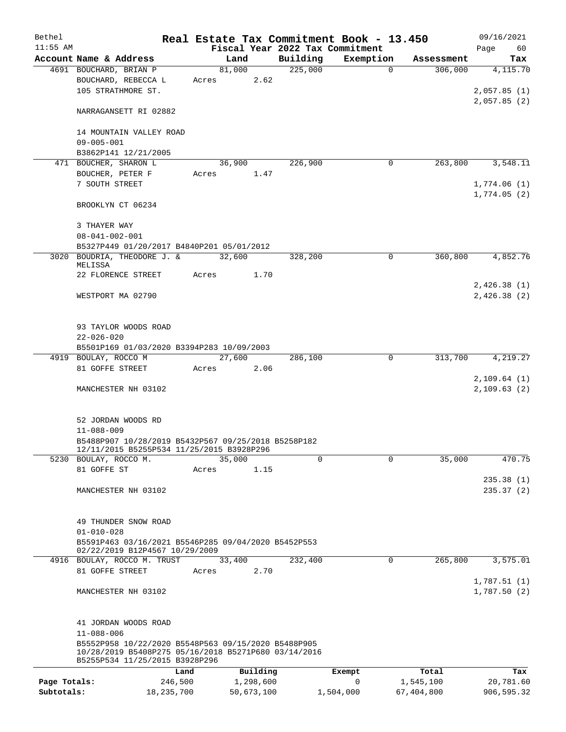| Bethel       |                                                               |       |                |                     | Real Estate Tax Commitment Book - 13.450 |                       | 09/16/2021      |
|--------------|---------------------------------------------------------------|-------|----------------|---------------------|------------------------------------------|-----------------------|-----------------|
| $11:55$ AM   |                                                               |       |                |                     | Fiscal Year 2022 Tax Commitment          |                       | Page<br>60      |
|              | Account Name & Address<br>4691 BOUCHARD, BRIAN P              |       | Land<br>81,000 | Building<br>225,000 | Exemption<br>$\mathbf 0$                 | Assessment<br>306,000 | Tax<br>4,115.70 |
|              | BOUCHARD, REBECCA L                                           | Acres | 2.62           |                     |                                          |                       |                 |
|              | 105 STRATHMORE ST.                                            |       |                |                     |                                          |                       | 2,057.85(1)     |
|              |                                                               |       |                |                     |                                          |                       | 2,057.85(2)     |
|              | NARRAGANSETT RI 02882                                         |       |                |                     |                                          |                       |                 |
|              | 14 MOUNTAIN VALLEY ROAD                                       |       |                |                     |                                          |                       |                 |
|              | $09 - 005 - 001$                                              |       |                |                     |                                          |                       |                 |
|              | B3862P141 12/21/2005                                          |       |                |                     |                                          |                       |                 |
|              | 471 BOUCHER, SHARON L                                         |       | 36,900         | 226,900             | $\mathbf 0$                              | 263,800               | 3,548.11        |
|              | BOUCHER, PETER F                                              | Acres | 1.47           |                     |                                          |                       |                 |
|              | 7 SOUTH STREET                                                |       |                |                     |                                          |                       | 1,774.06(1)     |
|              | BROOKLYN CT 06234                                             |       |                |                     |                                          |                       | 1,774.05(2)     |
|              |                                                               |       |                |                     |                                          |                       |                 |
|              | 3 THAYER WAY<br>$08 - 041 - 002 - 001$                        |       |                |                     |                                          |                       |                 |
|              | B5327P449 01/20/2017 B4840P201 05/01/2012                     |       |                |                     |                                          |                       |                 |
|              | 3020 BOUDRIA, THEODORE J. &                                   |       | 32,600         | 328,200             | $\Omega$                                 | 360,800               | 4,852.76        |
|              | MELISSA                                                       |       |                |                     |                                          |                       |                 |
|              | 22 FLORENCE STREET                                            | Acres | 1.70           |                     |                                          |                       |                 |
|              |                                                               |       |                |                     |                                          |                       | 2,426.38(1)     |
|              | WESTPORT MA 02790                                             |       |                |                     |                                          |                       | 2,426.38(2)     |
|              |                                                               |       |                |                     |                                          |                       |                 |
|              |                                                               |       |                |                     |                                          |                       |                 |
|              | 93 TAYLOR WOODS ROAD                                          |       |                |                     |                                          |                       |                 |
|              | $22 - 026 - 020$                                              |       |                |                     |                                          |                       |                 |
|              | B5501P169 01/03/2020 B3394P283 10/09/2003                     |       | 27,600         |                     | 0                                        |                       |                 |
|              | 4919 BOULAY, ROCCO M<br>81 GOFFE STREET                       | Acres | 2.06           | 286,100             |                                          | 313,700               | 4,219.27        |
|              |                                                               |       |                |                     |                                          |                       | 2,109.64(1)     |
|              | MANCHESTER NH 03102                                           |       |                |                     |                                          |                       | 2,109.63(2)     |
|              |                                                               |       |                |                     |                                          |                       |                 |
|              |                                                               |       |                |                     |                                          |                       |                 |
|              | 52 JORDAN WOODS RD                                            |       |                |                     |                                          |                       |                 |
|              | $11 - 088 - 009$                                              |       |                |                     |                                          |                       |                 |
|              | B5488P907 10/28/2019 B5432P567 09/25/2018 B5258P182           |       |                |                     |                                          |                       |                 |
|              | 12/11/2015 B5255P534 11/25/2015 B3928P296                     |       | 35,000         | 0                   | $\Omega$                                 | 35,000                | 470.75          |
|              | 5230 BOULAY, ROCCO M.<br>81 GOFFE ST                          | Acres | 1.15           |                     |                                          |                       |                 |
|              |                                                               |       |                |                     |                                          |                       | 235.38(1)       |
|              | MANCHESTER NH 03102                                           |       |                |                     |                                          |                       | 235.37(2)       |
|              |                                                               |       |                |                     |                                          |                       |                 |
|              |                                                               |       |                |                     |                                          |                       |                 |
|              | 49 THUNDER SNOW ROAD                                          |       |                |                     |                                          |                       |                 |
|              | $01 - 010 - 028$                                              |       |                |                     |                                          |                       |                 |
|              | B5591P463 03/16/2021 B5546P285 09/04/2020 B5452P553           |       |                |                     |                                          |                       |                 |
|              | 02/22/2019 B12P4567 10/29/2009<br>4916 BOULAY, ROCCO M. TRUST |       | 33,400         | 232,400             | 0                                        | 265,800               | 3,575.01        |
|              | 81 GOFFE STREET                                               | Acres | 2.70           |                     |                                          |                       |                 |
|              |                                                               |       |                |                     |                                          |                       | 1,787.51(1)     |
|              | MANCHESTER NH 03102                                           |       |                |                     |                                          |                       | 1,787.50(2)     |
|              |                                                               |       |                |                     |                                          |                       |                 |
|              | 41 JORDAN WOODS ROAD                                          |       |                |                     |                                          |                       |                 |
|              | $11 - 088 - 006$                                              |       |                |                     |                                          |                       |                 |
|              | B5552P958 10/22/2020 B5548P563 09/15/2020 B5488P905           |       |                |                     |                                          |                       |                 |
|              | 10/28/2019 B5408P275 05/16/2018 B5271P680 03/14/2016          |       |                |                     |                                          |                       |                 |
|              | B5255P534 11/25/2015 B3928P296                                |       |                |                     |                                          |                       |                 |
|              | Land                                                          |       | Building       |                     | Exempt                                   | Total                 | Tax             |
| Page Totals: | 246,500                                                       |       | 1,298,600      |                     | $\mathbf 0$                              | 1,545,100             | 20,781.60       |
| Subtotals:   | 18,235,700                                                    |       | 50,673,100     |                     | 1,504,000                                | 67,404,800            | 906,595.32      |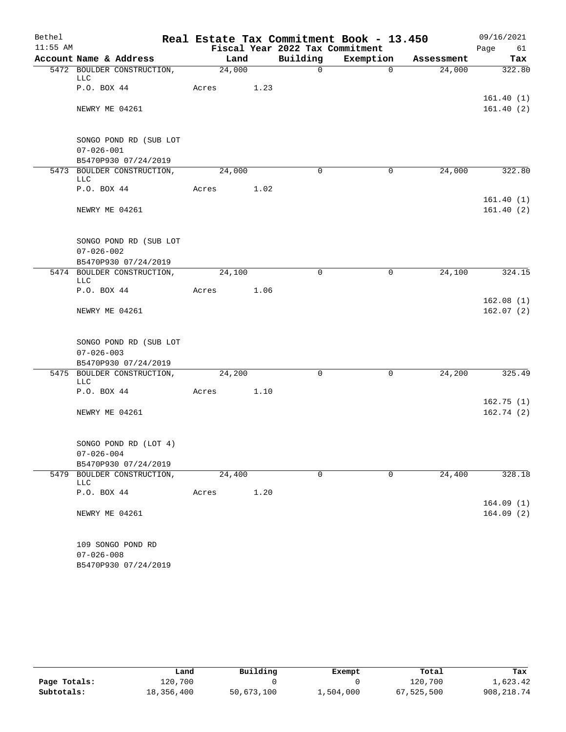| Bethel           |                                   |                     |      |                                 | Real Estate Tax Commitment Book - 13.450 |            | 09/16/2021             |
|------------------|-----------------------------------|---------------------|------|---------------------------------|------------------------------------------|------------|------------------------|
| $11:55$ AM       |                                   |                     |      | Fiscal Year 2022 Tax Commitment |                                          |            | Page<br>61             |
|                  | Account Name & Address            | Land                |      | Building                        | Exemption                                | Assessment | Tax                    |
|                  | 5472 BOULDER CONSTRUCTION,<br>LLC | $\overline{24,000}$ |      | $\mathsf{O}$                    | $\Omega$                                 | 24,000     | 322.80                 |
|                  | P.O. BOX 44                       | Acres               | 1.23 |                                 |                                          |            | 161.40(1)              |
|                  | NEWRY ME 04261                    |                     |      |                                 |                                          |            | 161.40(2)              |
|                  | SONGO POND RD (SUB LOT            |                     |      |                                 |                                          |            |                        |
| $07 - 026 - 001$ |                                   |                     |      |                                 |                                          |            |                        |
|                  | B5470P930 07/24/2019              |                     |      | $\Omega$                        |                                          |            |                        |
|                  | 5473 BOULDER CONSTRUCTION,<br>LLC | 24,000              |      |                                 | $\mathbf 0$                              | 24,000     | 322.80                 |
|                  | P.O. BOX 44                       | Acres               | 1.02 |                                 |                                          |            |                        |
|                  | NEWRY ME 04261                    |                     |      |                                 |                                          |            | 161.40(1)<br>161.40(2) |
|                  |                                   |                     |      |                                 |                                          |            |                        |
|                  | SONGO POND RD (SUB LOT            |                     |      |                                 |                                          |            |                        |
|                  | $07 - 026 - 002$                  |                     |      |                                 |                                          |            |                        |
|                  | B5470P930 07/24/2019              |                     |      |                                 |                                          |            |                        |
|                  | 5474 BOULDER CONSTRUCTION,<br>LLC | 24,100              |      | $\Omega$                        | $\mathbf 0$                              | 24,100     | 324.15                 |
|                  | P.O. BOX 44                       | Acres               | 1.06 |                                 |                                          |            |                        |
|                  |                                   |                     |      |                                 |                                          |            | 162.08(1)              |
|                  | NEWRY ME 04261                    |                     |      |                                 |                                          |            | 162.07(2)              |
|                  | SONGO POND RD (SUB LOT            |                     |      |                                 |                                          |            |                        |
|                  | $07 - 026 - 003$                  |                     |      |                                 |                                          |            |                        |
|                  | B5470P930 07/24/2019              |                     |      |                                 |                                          |            |                        |
|                  | 5475 BOULDER CONSTRUCTION,<br>LLC | 24,200              |      | $\Omega$                        | $\mathbf 0$                              | 24,200     | 325.49                 |
|                  | P.O. BOX 44                       | Acres               | 1.10 |                                 |                                          |            |                        |
|                  |                                   |                     |      |                                 |                                          |            | 162.75(1)              |
|                  | NEWRY ME 04261                    |                     |      |                                 |                                          |            | 162.74(2)              |
|                  | SONGO POND RD (LOT 4)             |                     |      |                                 |                                          |            |                        |
|                  | $07 - 026 - 004$                  |                     |      |                                 |                                          |            |                        |
|                  | B5470P930 07/24/2019              |                     |      |                                 |                                          |            |                        |
|                  | 5479 BOULDER CONSTRUCTION,<br>LLC | 24,400              |      | 0                               | $\mathbf 0$                              | 24,400     | 328.18                 |
|                  | P.O. BOX 44                       | Acres               | 1.20 |                                 |                                          |            |                        |
|                  |                                   |                     |      |                                 |                                          |            | 164.09(1)              |
|                  | NEWRY ME 04261                    |                     |      |                                 |                                          |            | 164.09(2)              |
|                  | 109 SONGO POND RD                 |                     |      |                                 |                                          |            |                        |
|                  | $07 - 026 - 008$                  |                     |      |                                 |                                          |            |                        |
|                  | B5470P930 07/24/2019              |                     |      |                                 |                                          |            |                        |

|              | Land       | Building   | Exempt    | Total      | Tax        |
|--------------|------------|------------|-----------|------------|------------|
| Page Totals: | 120,700    |            |           | 120,700    | 1,623.42   |
| Subtotals:   | 18,356,400 | 50,673,100 | 1,504,000 | 67,525,500 | 908,218.74 |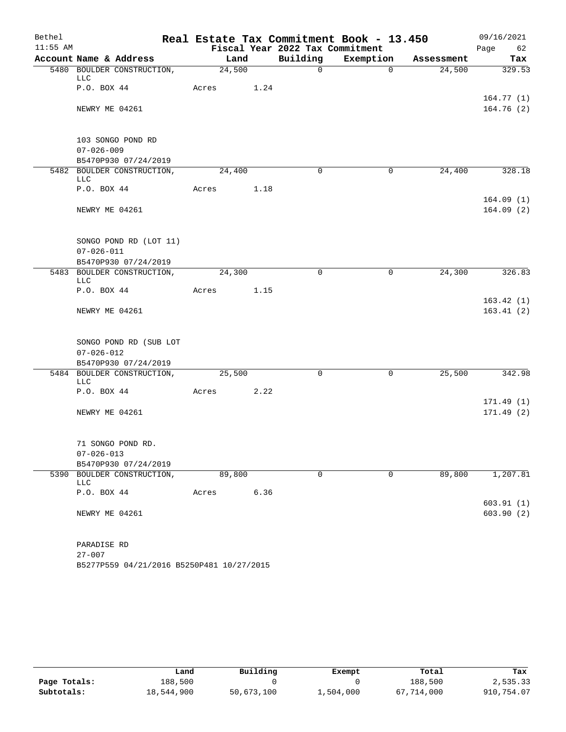| Bethel     |                                                                    |       |        |      |                                 | Real Estate Tax Commitment Book - 13.450 |            | 09/16/2021             |     |
|------------|--------------------------------------------------------------------|-------|--------|------|---------------------------------|------------------------------------------|------------|------------------------|-----|
| $11:55$ AM |                                                                    |       |        |      | Fiscal Year 2022 Tax Commitment |                                          |            | Page                   | 62  |
|            | Account Name & Address                                             |       | Land   |      | Building                        | Exemption                                | Assessment |                        | Tax |
|            | 5480 BOULDER CONSTRUCTION,<br>LLC                                  |       | 24,500 |      | $\Omega$                        | $\Omega$                                 | 24,500     | 329.53                 |     |
|            | P.O. BOX 44                                                        | Acres |        | 1.24 |                                 |                                          |            | 164.77(1)              |     |
|            | NEWRY ME 04261                                                     |       |        |      |                                 |                                          |            | 164.76(2)              |     |
|            | 103 SONGO POND RD                                                  |       |        |      |                                 |                                          |            |                        |     |
|            | $07 - 026 - 009$                                                   |       |        |      |                                 |                                          |            |                        |     |
|            | B5470P930 07/24/2019                                               |       |        |      |                                 |                                          |            |                        |     |
|            | 5482 BOULDER CONSTRUCTION,<br>LLC                                  |       | 24,400 |      | $\Omega$                        | $\mathbf 0$                              | 24,400     | 328.18                 |     |
|            | P.O. BOX 44                                                        | Acres |        | 1.18 |                                 |                                          |            |                        |     |
|            | NEWRY ME 04261                                                     |       |        |      |                                 |                                          |            | 164.09(1)<br>164.09(2) |     |
|            | SONGO POND RD (LOT 11)<br>$07 - 026 - 011$                         |       |        |      |                                 |                                          |            |                        |     |
|            | B5470P930 07/24/2019                                               |       |        |      |                                 |                                          |            |                        |     |
|            | 5483 BOULDER CONSTRUCTION,<br><b>LLC</b>                           |       | 24,300 |      | $\Omega$                        | $\mathbf 0$                              | 24,300     | 326.83                 |     |
|            | P.O. BOX 44                                                        | Acres |        | 1.15 |                                 |                                          |            |                        |     |
|            | NEWRY ME 04261                                                     |       |        |      |                                 |                                          |            | 163.42(1)<br>163.41(2) |     |
|            | SONGO POND RD (SUB LOT<br>$07 - 026 - 012$<br>B5470P930 07/24/2019 |       |        |      |                                 |                                          |            |                        |     |
|            | 5484 BOULDER CONSTRUCTION,<br><b>LLC</b>                           |       | 25,500 |      | $\mathbf 0$                     | $\mathbf 0$                              | 25,500     | 342.98                 |     |
|            | P.O. BOX 44                                                        | Acres |        | 2.22 |                                 |                                          |            |                        |     |
|            | NEWRY ME 04261                                                     |       |        |      |                                 |                                          |            | 171.49(1)<br>171.49(2) |     |
|            | 71 SONGO POND RD.<br>$07 - 026 - 013$                              |       |        |      |                                 |                                          |            |                        |     |
|            | B5470P930 07/24/2019                                               |       |        |      |                                 |                                          |            |                        |     |
|            | 5390 BOULDER CONSTRUCTION,<br>LLC                                  |       | 89,800 |      | $\mathbf 0$                     | $\mathbf 0$                              | 89,800     | 1,207.81               |     |
|            | P.O. BOX 44                                                        | Acres |        | 6.36 |                                 |                                          |            |                        |     |
|            | NEWRY ME 04261                                                     |       |        |      |                                 |                                          |            | 603.91(1)<br>603.90(2) |     |
|            | PARADISE RD<br>$27 - 007$                                          |       |        |      |                                 |                                          |            |                        |     |

|              | Land       | Building   | Exempt    | Total      | Tax        |
|--------------|------------|------------|-----------|------------|------------|
| Page Totals: | 188,500    |            |           | 188,500    | 2,535.33   |
| Subtotals:   | 18,544,900 | 50,673,100 | 1,504,000 | 67,714,000 | 910,754.07 |

B5277P559 04/21/2016 B5250P481 10/27/2015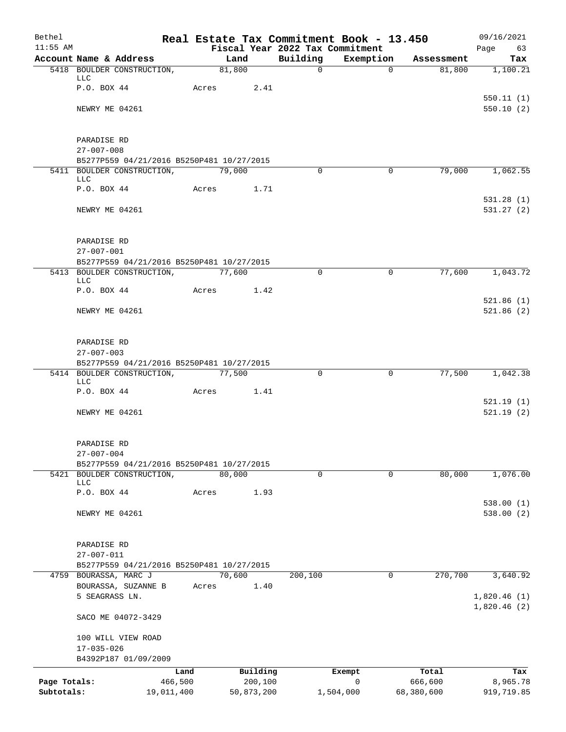| Bethel       |                                                      |            |                |            |                          | Real Estate Tax Commitment Book - 13.450 |                      | 09/16/2021      |
|--------------|------------------------------------------------------|------------|----------------|------------|--------------------------|------------------------------------------|----------------------|-----------------|
| $11:55$ AM   |                                                      |            |                |            |                          | Fiscal Year 2022 Tax Commitment          |                      | Page<br>63      |
|              | Account Name & Address<br>5418 BOULDER CONSTRUCTION, |            | Land<br>81,800 |            | Building<br>$\mathsf{O}$ | Exemption<br>$\Omega$                    | Assessment<br>81,800 | Tax<br>1,100.21 |
|              | <b>LLC</b>                                           |            |                |            |                          |                                          |                      |                 |
|              | P.O. BOX 44                                          |            | Acres          | 2.41       |                          |                                          |                      |                 |
|              |                                                      |            |                |            |                          |                                          |                      | 550.11(1)       |
|              | NEWRY ME 04261                                       |            |                |            |                          |                                          |                      | 550.10(2)       |
|              | PARADISE RD                                          |            |                |            |                          |                                          |                      |                 |
|              | $27 - 007 - 008$                                     |            |                |            |                          |                                          |                      |                 |
|              | B5277P559 04/21/2016 B5250P481 10/27/2015            |            |                |            |                          |                                          |                      |                 |
|              | 5411 BOULDER CONSTRUCTION,<br>LLC                    |            | 79,000         |            | $\Omega$                 | $\Omega$                                 | 79,000               | 1,062.55        |
|              | P.O. BOX 44                                          |            | Acres          | 1.71       |                          |                                          |                      |                 |
|              |                                                      |            |                |            |                          |                                          |                      | 531.28(1)       |
|              | NEWRY ME 04261                                       |            |                |            |                          |                                          |                      | 531.27(2)       |
|              | PARADISE RD                                          |            |                |            |                          |                                          |                      |                 |
|              | $27 - 007 - 001$                                     |            |                |            |                          |                                          |                      |                 |
|              | B5277P559 04/21/2016 B5250P481 10/27/2015            |            |                |            |                          |                                          |                      |                 |
|              | 5413 BOULDER CONSTRUCTION,<br><b>LLC</b>             |            | 77,600         |            | $\Omega$                 | 0                                        | 77,600               | 1,043.72        |
|              | P.O. BOX 44                                          |            | Acres          | 1.42       |                          |                                          |                      |                 |
|              |                                                      |            |                |            |                          |                                          |                      | 521.86(1)       |
|              | NEWRY ME 04261                                       |            |                |            |                          |                                          |                      | 521.86(2)       |
|              | PARADISE RD                                          |            |                |            |                          |                                          |                      |                 |
|              | $27 - 007 - 003$                                     |            |                |            |                          |                                          |                      |                 |
|              | B5277P559 04/21/2016 B5250P481 10/27/2015            |            |                |            |                          |                                          |                      |                 |
|              | 5414 BOULDER CONSTRUCTION,<br><b>LLC</b>             |            | 77,500         |            | $\Omega$                 | 0                                        | 77,500               | 1,042.38        |
|              | P.O. BOX 44                                          |            | Acres          | 1.41       |                          |                                          |                      |                 |
|              |                                                      |            |                |            |                          |                                          |                      | 521.19(1)       |
|              | NEWRY ME 04261                                       |            |                |            |                          |                                          |                      | 521.19(2)       |
|              | PARADISE RD                                          |            |                |            |                          |                                          |                      |                 |
|              | $27 - 007 - 004$                                     |            |                |            |                          |                                          |                      |                 |
|              | B5277P559 04/21/2016 B5250P481 10/27/2015            |            |                |            |                          |                                          |                      |                 |
| 5421         | BOULDER CONSTRUCTION,<br><b>LLC</b>                  |            | 80,000         |            | $\mathbf 0$              | $\mathbf 0$                              | 80,000               | 1,076.00        |
|              | P.O. BOX 44                                          |            | Acres          | 1.93       |                          |                                          |                      |                 |
|              |                                                      |            |                |            |                          |                                          |                      | 538.00(1)       |
|              | NEWRY ME 04261                                       |            |                |            |                          |                                          |                      | 538.00 (2)      |
|              | PARADISE RD                                          |            |                |            |                          |                                          |                      |                 |
|              | $27 - 007 - 011$                                     |            |                |            |                          |                                          |                      |                 |
|              | B5277P559 04/21/2016 B5250P481 10/27/2015            |            |                |            |                          |                                          |                      |                 |
|              | 4759 BOURASSA, MARC J<br>BOURASSA, SUZANNE B         |            | 70,600         | 1.40       | 200,100                  | 0                                        | 270,700              | 3,640.92        |
|              | 5 SEAGRASS LN.                                       |            | Acres          |            |                          |                                          |                      | 1,820.46(1)     |
|              | SACO ME 04072-3429                                   |            |                |            |                          |                                          |                      | 1,820.46(2)     |
|              | 100 WILL VIEW ROAD                                   |            |                |            |                          |                                          |                      |                 |
|              | $17 - 035 - 026$                                     |            |                |            |                          |                                          |                      |                 |
|              | B4392P187 01/09/2009                                 |            |                |            |                          |                                          |                      |                 |
|              |                                                      | Land       |                | Building   |                          | Exempt                                   | Total                | Tax             |
| Page Totals: |                                                      | 466,500    |                | 200,100    |                          | 0                                        | 666,600              | 8,965.78        |
| Subtotals:   |                                                      | 19,011,400 |                | 50,873,200 |                          | 1,504,000                                | 68,380,600           | 919,719.85      |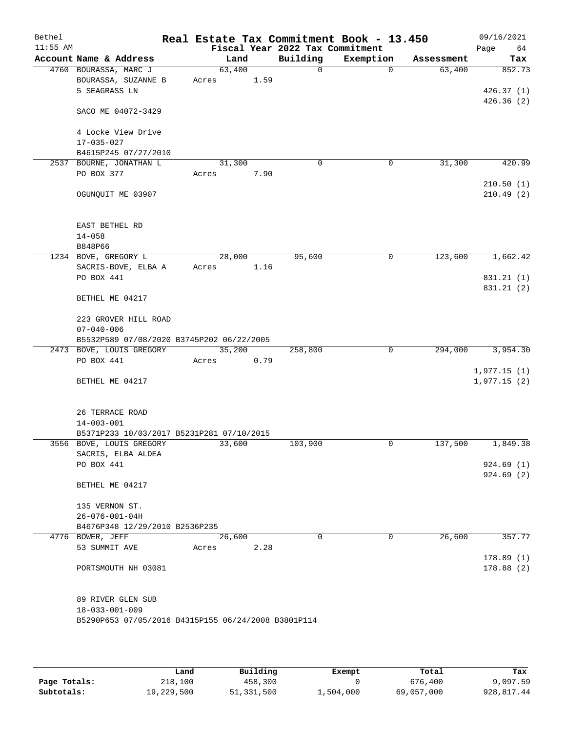| Bethel<br>$11:55$ AM |                                                     |       |        |      | Real Estate Tax Commitment Book - 13.450<br>Fiscal Year 2022 Tax Commitment |           |          |            | 09/16/2021<br>Page<br>64 |
|----------------------|-----------------------------------------------------|-------|--------|------|-----------------------------------------------------------------------------|-----------|----------|------------|--------------------------|
|                      | Account Name & Address                              |       | Land   |      | Building                                                                    | Exemption |          | Assessment | Tax                      |
|                      | 4760 BOURASSA, MARC J                               |       | 63,400 |      | $\mathbf 0$                                                                 |           | $\Omega$ | 63,400     | 852.73                   |
|                      | BOURASSA, SUZANNE B                                 | Acres |        | 1.59 |                                                                             |           |          |            |                          |
|                      | 5 SEAGRASS LN                                       |       |        |      |                                                                             |           |          |            | 426.37(1)                |
|                      | SACO ME 04072-3429                                  |       |        |      |                                                                             |           |          |            | 426.36(2)                |
|                      |                                                     |       |        |      |                                                                             |           |          |            |                          |
|                      | 4 Locke View Drive<br>$17 - 035 - 027$              |       |        |      |                                                                             |           |          |            |                          |
|                      | B4615P245 07/27/2010                                |       |        |      |                                                                             |           |          |            |                          |
| 2537                 | BOURNE, JONATHAN L                                  |       | 31,300 |      | $\mathbf 0$                                                                 |           | 0        | 31,300     | 420.99                   |
|                      | PO BOX 377                                          | Acres |        | 7.90 |                                                                             |           |          |            |                          |
|                      |                                                     |       |        |      |                                                                             |           |          |            | 210.50(1)                |
|                      | OGUNQUIT ME 03907                                   |       |        |      |                                                                             |           |          |            | 210.49(2)                |
|                      | EAST BETHEL RD                                      |       |        |      |                                                                             |           |          |            |                          |
|                      | $14 - 058$                                          |       |        |      |                                                                             |           |          |            |                          |
|                      | B848P66                                             |       |        |      |                                                                             |           |          |            |                          |
|                      | 1234 BOVE, GREGORY L<br>SACRIS-BOVE, ELBA A         | Acres | 28,000 | 1.16 | 95,600                                                                      |           | 0        | 123,600    | 1,662.42                 |
|                      | PO BOX 441                                          |       |        |      |                                                                             |           |          |            | 831.21 (1)               |
|                      |                                                     |       |        |      |                                                                             |           |          |            | 831.21 (2)               |
|                      | BETHEL ME 04217                                     |       |        |      |                                                                             |           |          |            |                          |
|                      | 223 GROVER HILL ROAD                                |       |        |      |                                                                             |           |          |            |                          |
|                      | $07 - 040 - 006$                                    |       |        |      |                                                                             |           |          |            |                          |
|                      | B5532P589 07/08/2020 B3745P202 06/22/2005           |       |        |      |                                                                             |           |          |            |                          |
|                      | 2473 BOVE, LOUIS GREGORY                            |       | 35,200 |      | 258,800                                                                     |           | 0        | 294,000    | 3,954.30                 |
|                      | PO BOX 441                                          | Acres |        | 0.79 |                                                                             |           |          |            |                          |
|                      |                                                     |       |        |      |                                                                             |           |          |            | 1,977.15(1)              |
|                      | BETHEL ME 04217                                     |       |        |      |                                                                             |           |          |            | 1,977.15(2)              |
|                      | 26 TERRACE ROAD                                     |       |        |      |                                                                             |           |          |            |                          |
|                      | $14 - 003 - 001$                                    |       |        |      |                                                                             |           |          |            |                          |
|                      | B5371P233 10/03/2017 B5231P281 07/10/2015           |       |        |      |                                                                             |           |          |            |                          |
|                      | 3556 BOVE, LOUIS GREGORY<br>SACRIS, ELBA ALDEA      |       | 33,600 |      | 103,900                                                                     |           | 0        | 137,500    | 1,849.38                 |
|                      | PO BOX 441                                          |       |        |      |                                                                             |           |          |            | 924.69(1)                |
|                      |                                                     |       |        |      |                                                                             |           |          |            | 924.69 (2)               |
|                      | BETHEL ME 04217                                     |       |        |      |                                                                             |           |          |            |                          |
|                      | 135 VERNON ST.                                      |       |        |      |                                                                             |           |          |            |                          |
|                      | $26 - 076 - 001 - 04H$                              |       |        |      |                                                                             |           |          |            |                          |
|                      | B4676P348 12/29/2010 B2536P235                      |       |        |      |                                                                             |           |          |            |                          |
|                      | 4776 BOWER, JEFF                                    |       | 26,600 |      | $\Omega$                                                                    |           | $\Omega$ | 26,600     | 357.77                   |
|                      | 53 SUMMIT AVE                                       | Acres |        | 2.28 |                                                                             |           |          |            |                          |
|                      |                                                     |       |        |      |                                                                             |           |          |            | 178.89(1)                |
|                      | PORTSMOUTH NH 03081                                 |       |        |      |                                                                             |           |          |            | 178.88(2)                |
|                      | 89 RIVER GLEN SUB                                   |       |        |      |                                                                             |           |          |            |                          |
|                      | $18 - 033 - 001 - 009$                              |       |        |      |                                                                             |           |          |            |                          |
|                      | B5290P653 07/05/2016 B4315P155 06/24/2008 B3801P114 |       |        |      |                                                                             |           |          |            |                          |
|                      |                                                     |       |        |      |                                                                             |           |          |            |                          |

|              | Land       | Building   | Exempt    | Total      | Tax        |
|--------------|------------|------------|-----------|------------|------------|
| Page Totals: | 218,100    | 458,300    |           | 676,400    | 9,097.59   |
| Subtotals:   | 19,229,500 | 51,331,500 | 1,504,000 | 69,057,000 | 928,817.44 |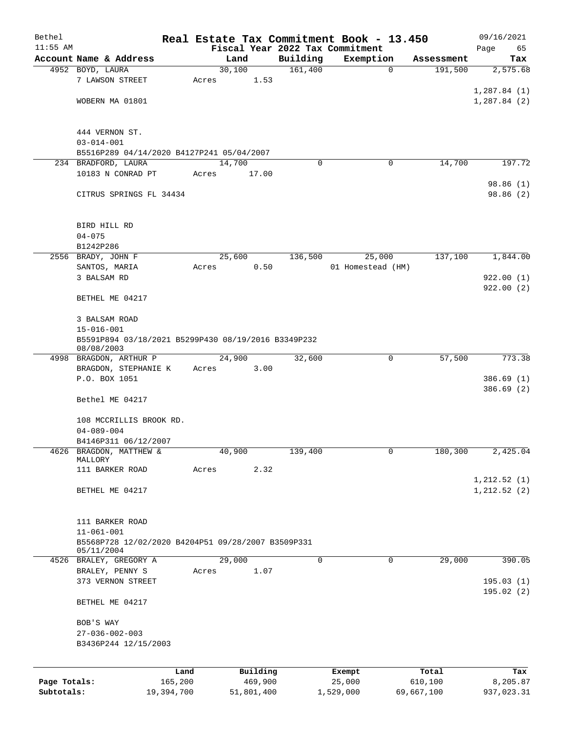| Bethel                     |                                                                                       |       |                       |      |          | Real Estate Tax Commitment Book - 13.450 |             |                       | 09/16/2021                   |
|----------------------------|---------------------------------------------------------------------------------------|-------|-----------------------|------|----------|------------------------------------------|-------------|-----------------------|------------------------------|
| $11:55$ AM                 |                                                                                       |       |                       |      |          | Fiscal Year 2022 Tax Commitment          |             |                       | Page<br>65                   |
|                            | Account Name & Address                                                                |       | Land<br>30,100        |      | Building | Exemption                                | $\mathbf 0$ | Assessment            | Tax                          |
|                            | 4952 BOYD, LAURA<br>7 LAWSON STREET                                                   | Acres | 1.53                  |      | 161,400  |                                          |             | 191,500               | 2,575.68                     |
|                            | WOBERN MA 01801                                                                       |       |                       |      |          |                                          |             |                       | 1,287.84(1)<br>1,287.84(2)   |
|                            | 444 VERNON ST.                                                                        |       |                       |      |          |                                          |             |                       |                              |
|                            | $03 - 014 - 001$                                                                      |       |                       |      |          |                                          |             |                       |                              |
|                            | B5516P289 04/14/2020 B4127P241 05/04/2007<br>234 BRADFORD, LAURA                      |       | 14,700                |      | $\Omega$ |                                          | 0           | 14,700                | 197.72                       |
|                            | 10183 N CONRAD PT                                                                     | Acres | 17.00                 |      |          |                                          |             |                       |                              |
|                            |                                                                                       |       |                       |      |          |                                          |             |                       | 98.86 (1)                    |
|                            | CITRUS SPRINGS FL 34434                                                               |       |                       |      |          |                                          |             |                       | 98.86 (2)                    |
|                            | BIRD HILL RD                                                                          |       |                       |      |          |                                          |             |                       |                              |
|                            | $04 - 075$                                                                            |       |                       |      |          |                                          |             |                       |                              |
|                            | B1242P286<br>2556 BRADY, JOHN F                                                       |       | 25,600                |      | 136,500  | 25,000                                   |             | 137,100               | 1,844.00                     |
|                            | SANTOS, MARIA                                                                         | Acres | 0.50                  |      |          | 01 Homestead (HM)                        |             |                       |                              |
|                            | 3 BALSAM RD                                                                           |       |                       |      |          |                                          |             |                       | 922.00(1)                    |
|                            | BETHEL ME 04217                                                                       |       |                       |      |          |                                          |             |                       | 922.00(2)                    |
|                            | 3 BALSAM ROAD                                                                         |       |                       |      |          |                                          |             |                       |                              |
|                            | $15 - 016 - 001$<br>B5591P894 03/18/2021 B5299P430 08/19/2016 B3349P232<br>08/08/2003 |       |                       |      |          |                                          |             |                       |                              |
|                            | 4998 BRAGDON, ARTHUR P                                                                |       | 24,900                |      | 32,600   |                                          | 0           | 57,500                | 773.38                       |
|                            | BRAGDON, STEPHANIE K<br>P.O. BOX 1051                                                 | Acres | 3.00                  |      |          |                                          |             |                       | 386.69(1)                    |
|                            |                                                                                       |       |                       |      |          |                                          |             |                       | 386.69(2)                    |
|                            | Bethel ME 04217                                                                       |       |                       |      |          |                                          |             |                       |                              |
|                            | 108 MCCRILLIS BROOK RD.<br>$04 - 089 - 004$                                           |       |                       |      |          |                                          |             |                       |                              |
|                            | B4146P311 06/12/2007                                                                  |       |                       |      |          |                                          |             |                       |                              |
| 4626                       | BRAGDON, MATTHEW &<br>MALLORY                                                         |       | 40,900                |      | 139,400  |                                          | 0           | 180,300               | 2,425.04                     |
|                            | 111 BARKER ROAD                                                                       | Acres |                       | 2.32 |          |                                          |             |                       |                              |
|                            | BETHEL ME 04217                                                                       |       |                       |      |          |                                          |             |                       | 1, 212.52(1)<br>1, 212.52(2) |
|                            |                                                                                       |       |                       |      |          |                                          |             |                       |                              |
|                            | 111 BARKER ROAD                                                                       |       |                       |      |          |                                          |             |                       |                              |
|                            | $11 - 061 - 001$                                                                      |       |                       |      |          |                                          |             |                       |                              |
|                            | B5568P728 12/02/2020 B4204P51 09/28/2007 B3509P331<br>05/11/2004                      |       |                       |      |          |                                          |             |                       |                              |
|                            | 4526 BRALEY, GREGORY A<br>BRALEY, PENNY S                                             | Acres | 29,000                | 1.07 | 0        |                                          | $\mathbf 0$ | 29,000                | 390.05                       |
|                            | 373 VERNON STREET                                                                     |       |                       |      |          |                                          |             |                       | 195.03(1)                    |
|                            | BETHEL ME 04217                                                                       |       |                       |      |          |                                          |             |                       | 195.02(2)                    |
|                            | BOB'S WAY                                                                             |       |                       |      |          |                                          |             |                       |                              |
|                            | $27 - 036 - 002 - 003$<br>B3436P244 12/15/2003                                        |       |                       |      |          |                                          |             |                       |                              |
|                            |                                                                                       |       |                       |      |          |                                          |             |                       |                              |
|                            |                                                                                       | Land  | Building              |      |          | Exempt                                   |             | Total                 | Tax                          |
| Page Totals:<br>Subtotals: | 165,200<br>19,394,700                                                                 |       | 469,900<br>51,801,400 |      |          | 25,000<br>1,529,000                      |             | 610,100<br>69,667,100 | 8,205.87<br>937,023.31       |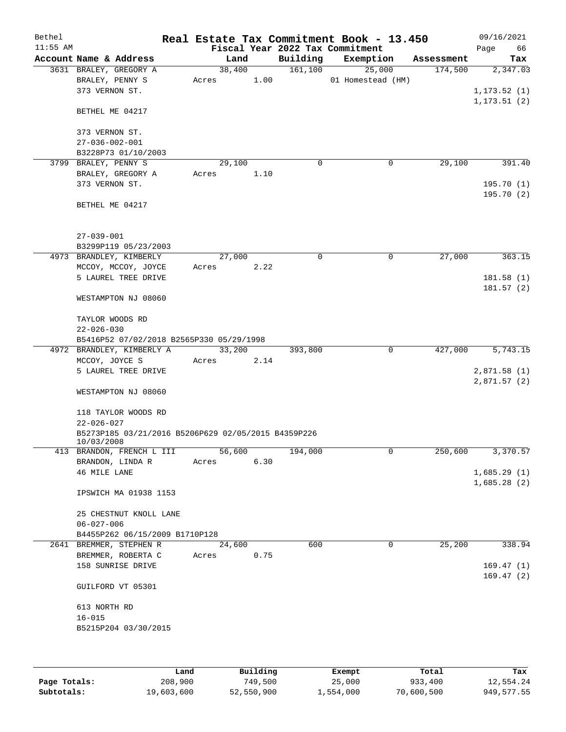| Bethel     |                                                                   |                 |      |          | Real Estate Tax Commitment Book - 13.450 |            | 09/16/2021               |
|------------|-------------------------------------------------------------------|-----------------|------|----------|------------------------------------------|------------|--------------------------|
| $11:55$ AM |                                                                   |                 |      |          | Fiscal Year 2022 Tax Commitment          |            | Page<br>66               |
|            | Account Name & Address                                            | Land            |      | Building | Exemption                                | Assessment | Tax                      |
|            | 3631 BRALEY, GREGORY A<br>BRALEY, PENNY S<br>373 VERNON ST.       | 38,400<br>Acres | 1.00 | 161, 100 | 25,000<br>01 Homestead (HM)              | 174,500    | 2,347.03<br>1, 173.52(1) |
|            | BETHEL ME 04217                                                   |                 |      |          |                                          |            | 1, 173.51(2)             |
|            | 373 VERNON ST.<br>$27 - 036 - 002 - 001$                          |                 |      |          |                                          |            |                          |
|            | B3228P73 01/10/2003                                               |                 |      |          |                                          |            |                          |
|            | 3799 BRALEY, PENNY S                                              | 29,100          |      | 0        | 0                                        | 29,100     | 391.40                   |
|            | BRALEY, GREGORY A                                                 | Acres           | 1.10 |          |                                          |            |                          |
|            | 373 VERNON ST.                                                    |                 |      |          |                                          |            | 195.70(1)                |
|            | BETHEL ME 04217                                                   |                 |      |          |                                          |            | 195.70(2)                |
|            | $27 - 039 - 001$                                                  |                 |      |          |                                          |            |                          |
|            | B3299P119 05/23/2003                                              |                 |      |          |                                          |            |                          |
|            | 4973 BRANDLEY, KIMBERLY                                           | 27,000          |      | 0        | 0                                        | 27,000     | 363.15                   |
|            | MCCOY, MCCOY, JOYCE                                               | Acres           | 2.22 |          |                                          |            |                          |
|            | 5 LAUREL TREE DRIVE                                               |                 |      |          |                                          |            | 181.58(1)<br>181.57(2)   |
|            | WESTAMPTON NJ 08060                                               |                 |      |          |                                          |            |                          |
|            | TAYLOR WOODS RD                                                   |                 |      |          |                                          |            |                          |
|            | $22 - 026 - 030$                                                  |                 |      |          |                                          |            |                          |
|            | B5416P52 07/02/2018 B2565P330 05/29/1998                          | 33,200          |      |          | 0                                        | 427,000    | 5,743.15                 |
|            | 4972 BRANDLEY, KIMBERLY A<br>MCCOY, JOYCE S                       | Acres           | 2.14 | 393,800  |                                          |            |                          |
|            | 5 LAUREL TREE DRIVE                                               |                 |      |          |                                          |            | 2,871.58(1)              |
|            |                                                                   |                 |      |          |                                          |            | 2,871.57(2)              |
|            | WESTAMPTON NJ 08060                                               |                 |      |          |                                          |            |                          |
|            | 118 TAYLOR WOODS RD<br>$22 - 026 - 027$                           |                 |      |          |                                          |            |                          |
|            | B5273P185 03/21/2016 B5206P629 02/05/2015 B4359P226<br>10/03/2008 |                 |      |          |                                          |            |                          |
|            | 413 BRANDON, FRENCH L III                                         | 56,600          |      | 194,000  | 0                                        | 250,600    | 3,370.57                 |
|            | BRANDON, LINDA R                                                  | Acres           | 6.30 |          |                                          |            |                          |
|            | 46 MILE LANE                                                      |                 |      |          |                                          |            | 1,685.29(1)              |
|            | IPSWICH MA 01938 1153                                             |                 |      |          |                                          |            | 1,685.28(2)              |
|            | 25 CHESTNUT KNOLL LANE                                            |                 |      |          |                                          |            |                          |
|            | $06 - 027 - 006$                                                  |                 |      |          |                                          |            |                          |
|            | B4455P262 06/15/2009 B1710P128                                    |                 |      |          |                                          |            |                          |
|            | 2641 BREMMER, STEPHEN R                                           | 24,600          |      | 600      | 0                                        | 25,200     | 338.94                   |
|            | BREMMER, ROBERTA C                                                | Acres           | 0.75 |          |                                          |            |                          |
|            | 158 SUNRISE DRIVE                                                 |                 |      |          |                                          |            | 169.47(1)<br>169.47(2)   |
|            | GUILFORD VT 05301                                                 |                 |      |          |                                          |            |                          |
|            | 613 NORTH RD                                                      |                 |      |          |                                          |            |                          |
|            | $16 - 015$                                                        |                 |      |          |                                          |            |                          |
|            | B5215P204 03/30/2015                                              |                 |      |          |                                          |            |                          |
|            |                                                                   |                 |      |          |                                          |            |                          |
|            |                                                                   |                 |      |          |                                          |            |                          |

|              | Land       | Building   | Exempt    | Total      | Tax        |
|--------------|------------|------------|-----------|------------|------------|
| Page Totals: | 208,900    | 749,500    | 25,000    | 933,400    | 12,554.24  |
| Subtotals:   | 19,603,600 | 52,550,900 | 1,554,000 | 70,600,500 | 949,577.55 |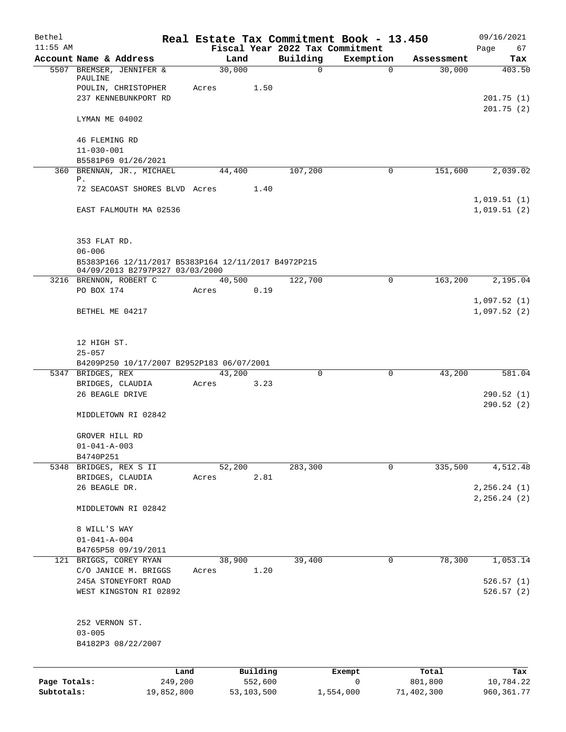| Bethel       |                                                                                        |                 |                     |                                 | Real Estate Tax Commitment Book - 13.450 |                  | 09/16/2021                     |
|--------------|----------------------------------------------------------------------------------------|-----------------|---------------------|---------------------------------|------------------------------------------|------------------|--------------------------------|
| $11:55$ AM   |                                                                                        |                 |                     | Fiscal Year 2022 Tax Commitment |                                          |                  | Page<br>67                     |
|              | Account Name & Address                                                                 | Land            |                     | Building                        | Exemption                                | Assessment       | Tax                            |
|              | 5507 BREMSER, JENNIFER &<br>PAULINE                                                    | 30,000          |                     | $\mathbf 0$                     | $\mathbf 0$                              | 30,000           | 403.50                         |
|              | POULIN, CHRISTOPHER                                                                    | Acres           | 1.50                |                                 |                                          |                  |                                |
|              | 237 KENNEBUNKPORT RD                                                                   |                 |                     |                                 |                                          |                  | 201.75(1)                      |
|              |                                                                                        |                 |                     |                                 |                                          |                  | 201.75(2)                      |
|              | LYMAN ME 04002                                                                         |                 |                     |                                 |                                          |                  |                                |
|              |                                                                                        |                 |                     |                                 |                                          |                  |                                |
|              | 46 FLEMING RD<br>$11 - 030 - 001$                                                      |                 |                     |                                 |                                          |                  |                                |
|              | B5581P69 01/26/2021                                                                    |                 |                     |                                 |                                          |                  |                                |
|              | 360 BRENNAN, JR., MICHAEL                                                              | 44,400          |                     | 107,200                         | 0                                        | 151,600          | 2,039.02                       |
|              | Ρ.                                                                                     |                 |                     |                                 |                                          |                  |                                |
|              | 72 SEACOAST SHORES BLVD Acres                                                          |                 | 1.40                |                                 |                                          |                  |                                |
|              | EAST FALMOUTH MA 02536                                                                 |                 |                     |                                 |                                          |                  | 1,019.51(1)<br>1,019.51(2)     |
|              |                                                                                        |                 |                     |                                 |                                          |                  |                                |
|              |                                                                                        |                 |                     |                                 |                                          |                  |                                |
|              | 353 FLAT RD.                                                                           |                 |                     |                                 |                                          |                  |                                |
|              | $06 - 006$                                                                             |                 |                     |                                 |                                          |                  |                                |
|              | B5383P166 12/11/2017 B5383P164 12/11/2017 B4972P215<br>04/09/2013 B2797P327 03/03/2000 |                 |                     |                                 |                                          |                  |                                |
|              | 3216 BRENNON, ROBERT C                                                                 | 40,500          |                     | 122,700                         | 0                                        | 163,200          | 2,195.04                       |
|              | PO BOX 174                                                                             | Acres           | 0.19                |                                 |                                          |                  |                                |
|              |                                                                                        |                 |                     |                                 |                                          |                  | 1,097.52(1)                    |
|              | BETHEL ME 04217                                                                        |                 |                     |                                 |                                          |                  | 1,097.52(2)                    |
|              |                                                                                        |                 |                     |                                 |                                          |                  |                                |
|              | 12 HIGH ST.                                                                            |                 |                     |                                 |                                          |                  |                                |
|              | $25 - 057$                                                                             |                 |                     |                                 |                                          |                  |                                |
|              | B4209P250 10/17/2007 B2952P183 06/07/2001                                              |                 |                     |                                 |                                          |                  |                                |
|              | 5347 BRIDGES, REX                                                                      | 43,200          |                     | $\Omega$                        | 0                                        | 43,200           | 581.04                         |
|              | BRIDGES, CLAUDIA                                                                       | Acres           | 3.23                |                                 |                                          |                  |                                |
|              | 26 BEAGLE DRIVE                                                                        |                 |                     |                                 |                                          |                  | 290.52 (1)                     |
|              | MIDDLETOWN RI 02842                                                                    |                 |                     |                                 |                                          |                  | 290.52(2)                      |
|              |                                                                                        |                 |                     |                                 |                                          |                  |                                |
|              | GROVER HILL RD                                                                         |                 |                     |                                 |                                          |                  |                                |
|              | $01 - 041 - A - 003$                                                                   |                 |                     |                                 |                                          |                  |                                |
|              | B4740P251                                                                              |                 |                     |                                 |                                          |                  |                                |
|              | 5348 BRIDGES, REX S II                                                                 | 52,200          |                     | 283,300                         | 0                                        | 335,500          | 4,512.48                       |
|              | BRIDGES, CLAUDIA                                                                       | Acres           | 2.81                |                                 |                                          |                  |                                |
|              | 26 BEAGLE DR.                                                                          |                 |                     |                                 |                                          |                  | 2, 256.24 (1)<br>2, 256.24 (2) |
|              | MIDDLETOWN RI 02842                                                                    |                 |                     |                                 |                                          |                  |                                |
|              |                                                                                        |                 |                     |                                 |                                          |                  |                                |
|              | 8 WILL'S WAY                                                                           |                 |                     |                                 |                                          |                  |                                |
|              | $01 - 041 - A - 004$                                                                   |                 |                     |                                 |                                          |                  |                                |
|              | B4765P58 09/19/2011                                                                    |                 |                     |                                 |                                          |                  |                                |
|              | 121 BRIGGS, COREY RYAN<br>C/O JANICE M. BRIGGS                                         | 38,900<br>Acres | 1.20                | 39,400                          | 0                                        | 78,300           | 1,053.14                       |
|              | 245A STONEYFORT ROAD                                                                   |                 |                     |                                 |                                          |                  | 526.57(1)                      |
|              | WEST KINGSTON RI 02892                                                                 |                 |                     |                                 |                                          |                  | 526.57(2)                      |
|              |                                                                                        |                 |                     |                                 |                                          |                  |                                |
|              |                                                                                        |                 |                     |                                 |                                          |                  |                                |
|              | 252 VERNON ST.                                                                         |                 |                     |                                 |                                          |                  |                                |
|              | $03 - 005$<br>B4182P3 08/22/2007                                                       |                 |                     |                                 |                                          |                  |                                |
|              |                                                                                        |                 |                     |                                 |                                          |                  |                                |
|              |                                                                                        |                 |                     |                                 |                                          |                  |                                |
| Page Totals: | Land<br>249,200                                                                        |                 | Building<br>552,600 |                                 | Exempt<br>0                              | Total<br>801,800 | Tax<br>10,784.22               |
| Subtotals:   | 19,852,800                                                                             |                 | 53,103,500          |                                 | 1,554,000                                | 71,402,300       | 960, 361.77                    |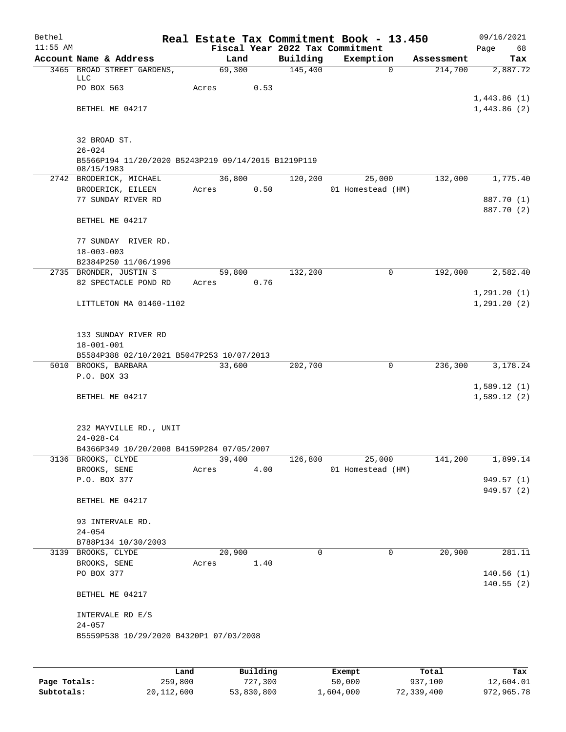| Bethel     |                                                               |        |        |          | Real Estate Tax Commitment Book - 13.450 |            | 09/16/2021   |
|------------|---------------------------------------------------------------|--------|--------|----------|------------------------------------------|------------|--------------|
| $11:55$ AM |                                                               |        |        |          | Fiscal Year 2022 Tax Commitment          |            | 68<br>Page   |
|            | Account Name & Address                                        |        | Land   | Building | Exemption                                | Assessment | Tax          |
|            | 3465 BROAD STREET GARDENS,                                    | 69,300 |        | 145,400  | $\Omega$                                 | 214,700    | 2,887.72     |
|            | LLC<br>PO BOX 563                                             | Acres  | 0.53   |          |                                          |            |              |
|            |                                                               |        |        |          |                                          |            | 1,443.86(1)  |
|            | BETHEL ME 04217                                               |        |        |          |                                          |            | 1,443.86(2)  |
|            |                                                               |        |        |          |                                          |            |              |
|            |                                                               |        |        |          |                                          |            |              |
|            | 32 BROAD ST.                                                  |        |        |          |                                          |            |              |
|            | $26 - 024$                                                    |        |        |          |                                          |            |              |
|            | B5566P194 11/20/2020 B5243P219 09/14/2015 B1219P119           |        |        |          |                                          |            |              |
|            | 08/15/1983<br>2742 BRODERICK, MICHAEL                         |        | 36,800 | 120,200  | 25,000                                   | 132,000    | 1,775.40     |
|            | BRODERICK, EILEEN                                             | Acres  | 0.50   |          | 01 Homestead (HM)                        |            |              |
|            | 77 SUNDAY RIVER RD                                            |        |        |          |                                          |            | 887.70 (1)   |
|            |                                                               |        |        |          |                                          |            | 887.70 (2)   |
|            | BETHEL ME 04217                                               |        |        |          |                                          |            |              |
|            |                                                               |        |        |          |                                          |            |              |
|            | 77 SUNDAY RIVER RD.                                           |        |        |          |                                          |            |              |
|            | $18 - 003 - 003$                                              |        |        |          |                                          |            |              |
|            | B2384P250 11/06/1996                                          |        |        |          |                                          |            |              |
|            | 2735 BRONDER, JUSTIN S                                        |        | 59,800 | 132,200  | 0                                        | 192,000    | 2,582.40     |
|            | 82 SPECTACLE POND RD                                          | Acres  | 0.76   |          |                                          |            |              |
|            |                                                               |        |        |          |                                          |            | 1,291.20(1)  |
|            | LITTLETON MA 01460-1102                                       |        |        |          |                                          |            | 1, 291.20(2) |
|            |                                                               |        |        |          |                                          |            |              |
|            |                                                               |        |        |          |                                          |            |              |
|            | 133 SUNDAY RIVER RD                                           |        |        |          |                                          |            |              |
|            | $18 - 001 - 001$<br>B5584P388 02/10/2021 B5047P253 10/07/2013 |        |        |          |                                          |            |              |
|            | 5010 BROOKS, BARBARA                                          | 33,600 |        | 202,700  | $\mathbf 0$                              | 236,300    | 3,178.24     |
|            | P.O. BOX 33                                                   |        |        |          |                                          |            |              |
|            |                                                               |        |        |          |                                          |            | 1,589.12(1)  |
|            | BETHEL ME 04217                                               |        |        |          |                                          |            | 1,589.12(2)  |
|            |                                                               |        |        |          |                                          |            |              |
|            |                                                               |        |        |          |                                          |            |              |
|            | 232 MAYVILLE RD., UNIT                                        |        |        |          |                                          |            |              |
|            | 24-028-C4                                                     |        |        |          |                                          |            |              |
|            | B4366P349 10/20/2008 B4159P284 07/05/2007                     |        |        |          |                                          |            |              |
|            | 3136 BROOKS, CLYDE                                            | 39,400 |        | 126,800  | 25,000                                   | 141,200    | 1,899.14     |
|            | BROOKS, SENE                                                  | Acres  | 4.00   |          | 01 Homestead (HM)                        |            |              |
|            | P.O. BOX 377                                                  |        |        |          |                                          |            | 949.57 (1)   |
|            |                                                               |        |        |          |                                          |            | 949.57 (2)   |
|            | BETHEL ME 04217                                               |        |        |          |                                          |            |              |
|            |                                                               |        |        |          |                                          |            |              |
|            | 93 INTERVALE RD.<br>$24 - 054$                                |        |        |          |                                          |            |              |
|            | B788P134 10/30/2003                                           |        |        |          |                                          |            |              |
|            | 3139 BROOKS, CLYDE                                            | 20,900 |        | $\Omega$ | 0                                        | 20,900     | 281.11       |
|            | BROOKS, SENE                                                  | Acres  | 1.40   |          |                                          |            |              |
|            | PO BOX 377                                                    |        |        |          |                                          |            | 140.56(1)    |
|            |                                                               |        |        |          |                                          |            | 140.55(2)    |
|            | BETHEL ME 04217                                               |        |        |          |                                          |            |              |
|            |                                                               |        |        |          |                                          |            |              |
|            | INTERVALE RD E/S                                              |        |        |          |                                          |            |              |
|            | $24 - 057$                                                    |        |        |          |                                          |            |              |
|            | B5559P538 10/29/2020 B4320P1 07/03/2008                       |        |        |          |                                          |            |              |
|            |                                                               |        |        |          |                                          |            |              |
|            |                                                               |        |        |          |                                          |            |              |

|              | Land       | Building   | Exempt    | Total      | Tax        |
|--------------|------------|------------|-----------|------------|------------|
| Page Totals: | 259,800    | 727,300    | 50,000    | 937,100    | 12,604.01  |
| Subtotals:   | 20,112,600 | 53,830,800 | 1,604,000 | 72,339,400 | 972,965.78 |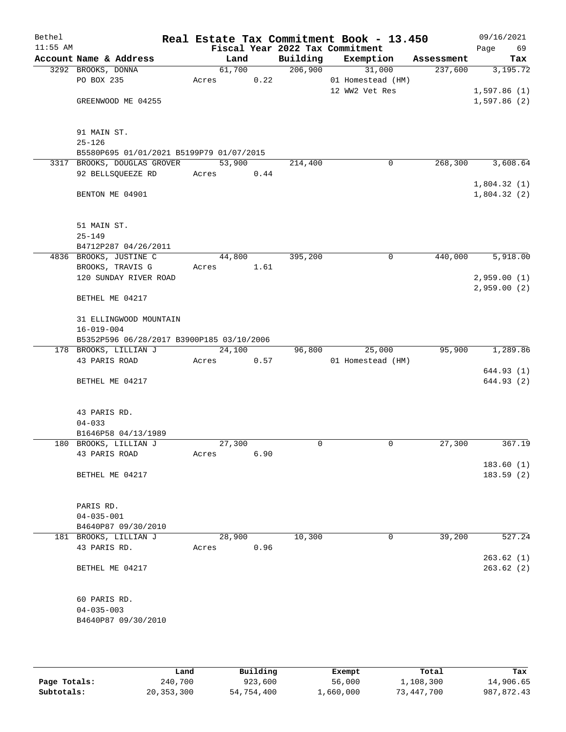| Bethel<br>$11:55$ AM |                                           |        |      |          | Real Estate Tax Commitment Book - 13.450<br>Fiscal Year 2022 Tax Commitment |            | 09/16/2021<br>69<br>Page |
|----------------------|-------------------------------------------|--------|------|----------|-----------------------------------------------------------------------------|------------|--------------------------|
|                      | Account Name & Address                    | Land   |      | Building | Exemption                                                                   | Assessment | Tax                      |
|                      | 3292 BROOKS, DONNA                        | 61,700 |      | 206,900  | 31,000                                                                      | 237,600    | 3,195.72                 |
|                      | PO BOX 235                                | Acres  | 0.22 |          | 01 Homestead (HM)                                                           |            |                          |
|                      |                                           |        |      |          | 12 WW2 Vet Res                                                              |            | 1,597.86(1)              |
|                      | GREENWOOD ME 04255                        |        |      |          |                                                                             |            | 1,597.86(2)              |
|                      |                                           |        |      |          |                                                                             |            |                          |
|                      | 91 MAIN ST.                               |        |      |          |                                                                             |            |                          |
|                      | $25 - 126$                                |        |      |          |                                                                             |            |                          |
|                      | B5580P695 01/01/2021 B5199P79 01/07/2015  |        |      |          |                                                                             |            |                          |
|                      | 3317 BROOKS, DOUGLAS GROVER               | 53,900 |      | 214,400  | 0                                                                           | 268,300    | 3,608.64                 |
|                      | 92 BELLSQUEEZE RD                         | Acres  | 0.44 |          |                                                                             |            |                          |
|                      |                                           |        |      |          |                                                                             |            | 1,804.32(1)              |
|                      | BENTON ME 04901                           |        |      |          |                                                                             |            | 1,804.32(2)              |
|                      | 51 MAIN ST.                               |        |      |          |                                                                             |            |                          |
|                      | $25 - 149$                                |        |      |          |                                                                             |            |                          |
|                      | B4712P287 04/26/2011                      |        |      |          |                                                                             |            |                          |
|                      | 4836 BROOKS, JUSTINE C                    | 44,800 |      | 395,200  | 0                                                                           | 440,000    | 5,918.00                 |
|                      | BROOKS, TRAVIS G                          | Acres  | 1.61 |          |                                                                             |            |                          |
|                      | 120 SUNDAY RIVER ROAD                     |        |      |          |                                                                             |            | 2,959.00(1)              |
|                      |                                           |        |      |          |                                                                             |            | 2,959.00(2)              |
|                      | BETHEL ME 04217                           |        |      |          |                                                                             |            |                          |
|                      | 31 ELLINGWOOD MOUNTAIN                    |        |      |          |                                                                             |            |                          |
|                      | $16 - 019 - 004$                          |        |      |          |                                                                             |            |                          |
|                      | B5352P596 06/28/2017 B3900P185 03/10/2006 |        |      |          |                                                                             |            |                          |
|                      | 178 BROOKS, LILLIAN J                     | 24,100 |      | 96,800   | 25,000                                                                      | 95,900     | 1,289.86                 |
|                      | 43 PARIS ROAD                             | Acres  | 0.57 |          | 01 Homestead (HM)                                                           |            |                          |
|                      |                                           |        |      |          |                                                                             |            | 644.93 (1)               |
|                      | BETHEL ME 04217                           |        |      |          |                                                                             |            | 644.93 (2)               |
|                      |                                           |        |      |          |                                                                             |            |                          |
|                      | 43 PARIS RD.                              |        |      |          |                                                                             |            |                          |
|                      | $04 - 033$                                |        |      |          |                                                                             |            |                          |
|                      | B1646P58 04/13/1989                       |        |      |          |                                                                             |            |                          |
|                      | 180 BROOKS, LILLIAN J                     | 27,300 |      | 0        | 0                                                                           | 27,300     | 367.19                   |
|                      | 43 PARIS ROAD                             | Acres  | 6.90 |          |                                                                             |            |                          |
|                      |                                           |        |      |          |                                                                             |            | 183.60(1)                |
|                      | BETHEL ME 04217                           |        |      |          |                                                                             |            | 183.59(2)                |
|                      | PARIS RD.                                 |        |      |          |                                                                             |            |                          |
|                      | $04 - 035 - 001$                          |        |      |          |                                                                             |            |                          |
|                      | B4640P87 09/30/2010                       |        |      |          |                                                                             |            |                          |
|                      | 181 BROOKS, LILLIAN J                     | 28,900 |      | 10,300   | 0                                                                           | 39,200     | 527.24                   |
|                      | 43 PARIS RD.                              | Acres  | 0.96 |          |                                                                             |            |                          |
|                      |                                           |        |      |          |                                                                             |            | 263.62(1)                |
|                      | BETHEL ME 04217                           |        |      |          |                                                                             |            | 263.62(2)                |
|                      | 60 PARIS RD.                              |        |      |          |                                                                             |            |                          |
|                      | $04 - 035 - 003$                          |        |      |          |                                                                             |            |                          |
|                      | B4640P87 09/30/2010                       |        |      |          |                                                                             |            |                          |
|                      |                                           |        |      |          |                                                                             |            |                          |

|              | Land         | Building   | Exempt    | Total      | Tax        |
|--------------|--------------|------------|-----------|------------|------------|
| Page Totals: | 240,700      | 923,600    | 56,000    | 1,108,300  | 14,906.65  |
| Subtotals:   | 20, 353, 300 | 54,754,400 | ⊥,660,000 | 73,447,700 | 987,872.43 |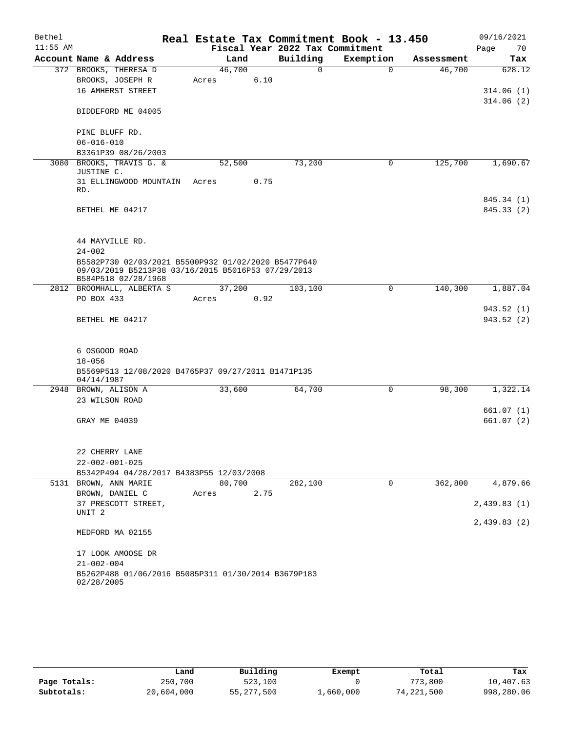| Bethel     |                                                                           |        |      |                                 | Real Estate Tax Commitment Book - 13.450 |            | 09/16/2021             |
|------------|---------------------------------------------------------------------------|--------|------|---------------------------------|------------------------------------------|------------|------------------------|
| $11:55$ AM |                                                                           |        |      | Fiscal Year 2022 Tax Commitment |                                          |            | Page<br>70             |
|            | Account Name & Address                                                    | Land   |      | Building                        | Exemption                                | Assessment | Tax                    |
|            | 372 BROOKS, THERESA D                                                     | 46,700 |      | $\Omega$                        | $\Omega$                                 | 46,700     | 628.12                 |
|            | BROOKS, JOSEPH R                                                          | Acres  | 6.10 |                                 |                                          |            |                        |
|            | 16 AMHERST STREET                                                         |        |      |                                 |                                          |            | 314.06(1)<br>314.06(2) |
|            | BIDDEFORD ME 04005                                                        |        |      |                                 |                                          |            |                        |
|            | PINE BLUFF RD.                                                            |        |      |                                 |                                          |            |                        |
|            | $06 - 016 - 010$                                                          |        |      |                                 |                                          |            |                        |
|            | B3361P39 08/26/2003                                                       |        |      |                                 |                                          |            |                        |
|            | 3080 BROOKS, TRAVIS G. &                                                  | 52,500 |      | 73,200                          | $\mathbf 0$                              | 125,700    | 1,690.67               |
|            | JUSTINE C.                                                                |        |      |                                 |                                          |            |                        |
|            | 31 ELLINGWOOD MOUNTAIN<br>RD.                                             | Acres  | 0.75 |                                 |                                          |            |                        |
|            |                                                                           |        |      |                                 |                                          |            | 845.34 (1)             |
|            | BETHEL ME 04217                                                           |        |      |                                 |                                          |            | 845.33 (2)             |
|            |                                                                           |        |      |                                 |                                          |            |                        |
|            | 44 MAYVILLE RD.                                                           |        |      |                                 |                                          |            |                        |
|            | $24 - 002$                                                                |        |      |                                 |                                          |            |                        |
|            | B5582P730 02/03/2021 B5500P932 01/02/2020 B5477P640                       |        |      |                                 |                                          |            |                        |
|            | 09/03/2019 B5213P38 03/16/2015 B5016P53 07/29/2013<br>B584P518 02/28/1968 |        |      |                                 |                                          |            |                        |
|            | 2812 BROOMHALL, ALBERTA S                                                 | 37,200 |      | 103,100                         | 0                                        | 140,300    | 1,887.04               |
|            | PO BOX 433                                                                | Acres  | 0.92 |                                 |                                          |            |                        |
|            |                                                                           |        |      |                                 |                                          |            | 943.52 (1)             |
|            | BETHEL ME 04217                                                           |        |      |                                 |                                          |            | 943.52 (2)             |
|            |                                                                           |        |      |                                 |                                          |            |                        |
|            | 6 OSGOOD ROAD                                                             |        |      |                                 |                                          |            |                        |
|            | $18 - 056$                                                                |        |      |                                 |                                          |            |                        |
|            | B5569P513 12/08/2020 B4765P37 09/27/2011 B1471P135                        |        |      |                                 |                                          |            |                        |
|            | 04/14/1987                                                                |        |      |                                 |                                          |            |                        |
|            | 2948 BROWN, ALISON A                                                      | 33,600 |      | 64,700                          | 0                                        | 98,300     | 1,322.14               |
|            | 23 WILSON ROAD                                                            |        |      |                                 |                                          |            |                        |
|            |                                                                           |        |      |                                 |                                          |            | 661.07(1)              |
|            | GRAY ME 04039                                                             |        |      |                                 |                                          |            | 661.07 (2)             |
|            |                                                                           |        |      |                                 |                                          |            |                        |
|            | 22 CHERRY LANE                                                            |        |      |                                 |                                          |            |                        |
|            | $22 - 002 - 001 - 025$                                                    |        |      |                                 |                                          |            |                        |
|            | B5342P494 04/28/2017 B4383P55 12/03/2008                                  |        |      |                                 |                                          |            |                        |
|            | 5131 BROWN, ANN MARIE                                                     | 80,700 |      | 282,100                         | 0                                        | 362,800    | 4,879.66               |
|            | BROWN, DANIEL C                                                           | Acres  | 2.75 |                                 |                                          |            |                        |
|            | 37 PRESCOTT STREET,                                                       |        |      |                                 |                                          |            | 2,439.83(1)            |
|            | UNIT 2                                                                    |        |      |                                 |                                          |            |                        |
|            |                                                                           |        |      |                                 |                                          |            | 2,439.83(2)            |
|            | MEDFORD MA 02155                                                          |        |      |                                 |                                          |            |                        |
|            | 17 LOOK AMOOSE DR                                                         |        |      |                                 |                                          |            |                        |
|            | $21 - 002 - 004$                                                          |        |      |                                 |                                          |            |                        |
|            | B5262P488 01/06/2016 B5085P311 01/30/2014 B3679P183<br>02/28/2005         |        |      |                                 |                                          |            |                        |

|              | Land       | Building     | Exempt    | Total      | Tax        |
|--------------|------------|--------------|-----------|------------|------------|
| Page Totals: | 250,700    | 523,100      |           | 773,800    | 10,407.63  |
| Subtotals:   | 20,604,000 | 55, 277, 500 | 1,660,000 | 74,221,500 | 998,280.06 |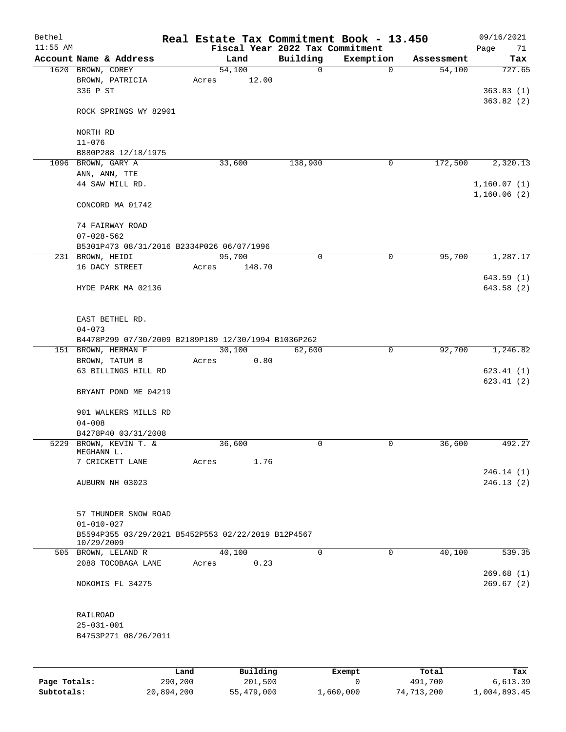| Bethel       |                                                     |       |          |                                             | Real Estate Tax Commitment Book - 13.450 |            | 09/16/2021             |
|--------------|-----------------------------------------------------|-------|----------|---------------------------------------------|------------------------------------------|------------|------------------------|
| $11:55$ AM   | Account Name & Address                              |       | Land     | Fiscal Year 2022 Tax Commitment<br>Building | Exemption                                | Assessment | Page<br>71<br>Tax      |
|              | 1620 BROWN, COREY                                   |       | 54,100   | 0                                           | $\mathbf 0$                              | 54,100     | 727.65                 |
|              | BROWN, PATRICIA                                     | Acres | 12.00    |                                             |                                          |            |                        |
|              | 336 P ST                                            |       |          |                                             |                                          |            | 363.83(1)              |
|              |                                                     |       |          |                                             |                                          |            | 363.82(2)              |
|              | ROCK SPRINGS WY 82901                               |       |          |                                             |                                          |            |                        |
|              | NORTH RD                                            |       |          |                                             |                                          |            |                        |
|              | $11 - 076$                                          |       |          |                                             |                                          |            |                        |
|              | B880P288 12/18/1975                                 |       |          |                                             |                                          |            |                        |
|              | 1096 BROWN, GARY A                                  |       | 33,600   | 138,900                                     | 0                                        | 172,500    | 2,320.13               |
|              | ANN, ANN, TTE                                       |       |          |                                             |                                          |            |                        |
|              | 44 SAW MILL RD.                                     |       |          |                                             |                                          |            | 1,160.07(1)            |
|              |                                                     |       |          |                                             |                                          |            | 1,160.06(2)            |
|              | CONCORD MA 01742                                    |       |          |                                             |                                          |            |                        |
|              |                                                     |       |          |                                             |                                          |            |                        |
|              | 74 FAIRWAY ROAD                                     |       |          |                                             |                                          |            |                        |
|              | $07 - 028 - 562$                                    |       |          |                                             |                                          |            |                        |
|              | B5301P473 08/31/2016 B2334P026 06/07/1996           |       |          |                                             |                                          |            |                        |
|              | 231 BROWN, HEIDI                                    |       | 95,700   | 0                                           | $\mathbf 0$                              | 95,700     | 1,287.17               |
|              | 16 DACY STREET                                      | Acres | 148.70   |                                             |                                          |            |                        |
|              | HYDE PARK MA 02136                                  |       |          |                                             |                                          |            | 643.59 (1)             |
|              |                                                     |       |          |                                             |                                          |            | 643.58 (2)             |
|              |                                                     |       |          |                                             |                                          |            |                        |
|              | EAST BETHEL RD.                                     |       |          |                                             |                                          |            |                        |
|              | $04 - 073$                                          |       |          |                                             |                                          |            |                        |
|              | B4478P299 07/30/2009 B2189P189 12/30/1994 B1036P262 |       |          |                                             |                                          |            |                        |
|              | 151 BROWN, HERMAN F                                 |       | 30,100   | 62,600                                      | 0                                        | 92,700     | 1,246.82               |
|              | BROWN, TATUM B                                      | Acres | 0.80     |                                             |                                          |            |                        |
|              | 63 BILLINGS HILL RD                                 |       |          |                                             |                                          |            | 623.41(1)              |
|              |                                                     |       |          |                                             |                                          |            | 623.41(2)              |
|              | BRYANT POND ME 04219                                |       |          |                                             |                                          |            |                        |
|              |                                                     |       |          |                                             |                                          |            |                        |
|              | 901 WALKERS MILLS RD                                |       |          |                                             |                                          |            |                        |
|              | $04 - 008$                                          |       |          |                                             |                                          |            |                        |
|              | B4278P40 03/31/2008                                 |       |          |                                             |                                          |            |                        |
|              | 5229 BROWN, KEVIN T. &                              |       | 36,600   | 0                                           | 0                                        | 36,600     | 492.27                 |
|              | MEGHANN L.                                          |       |          |                                             |                                          |            |                        |
|              | 7 CRICKETT LANE                                     | Acres | 1.76     |                                             |                                          |            |                        |
|              | AUBURN NH 03023                                     |       |          |                                             |                                          |            | 246.14(1)<br>246.13(2) |
|              |                                                     |       |          |                                             |                                          |            |                        |
|              |                                                     |       |          |                                             |                                          |            |                        |
|              | 57 THUNDER SNOW ROAD                                |       |          |                                             |                                          |            |                        |
|              | $01 - 010 - 027$                                    |       |          |                                             |                                          |            |                        |
|              | B5594P355 03/29/2021 B5452P553 02/22/2019 B12P4567  |       |          |                                             |                                          |            |                        |
|              | 10/29/2009                                          |       |          |                                             |                                          |            |                        |
|              | 505 BROWN, LELAND R                                 |       | 40,100   | 0                                           | $\mathbf 0$                              | 40,100     | 539.35                 |
|              | 2088 TOCOBAGA LANE                                  | Acres | 0.23     |                                             |                                          |            |                        |
|              |                                                     |       |          |                                             |                                          |            | 269.68(1)              |
|              | NOKOMIS FL 34275                                    |       |          |                                             |                                          |            | 269.67(2)              |
|              |                                                     |       |          |                                             |                                          |            |                        |
|              | RAILROAD                                            |       |          |                                             |                                          |            |                        |
|              | $25 - 031 - 001$                                    |       |          |                                             |                                          |            |                        |
|              | B4753P271 08/26/2011                                |       |          |                                             |                                          |            |                        |
|              |                                                     |       |          |                                             |                                          |            |                        |
|              |                                                     |       |          |                                             |                                          |            |                        |
|              |                                                     |       |          |                                             |                                          |            |                        |
|              |                                                     | Land  | Building |                                             | Exempt                                   | Total      | Tax                    |
| Page Totals: | 290,200                                             |       | 201,500  |                                             | 0                                        | 491,700    | 6,613.39               |

**Subtotals:** 20,894,200 55,479,000 1,660,000 74,713,200 1,004,893.45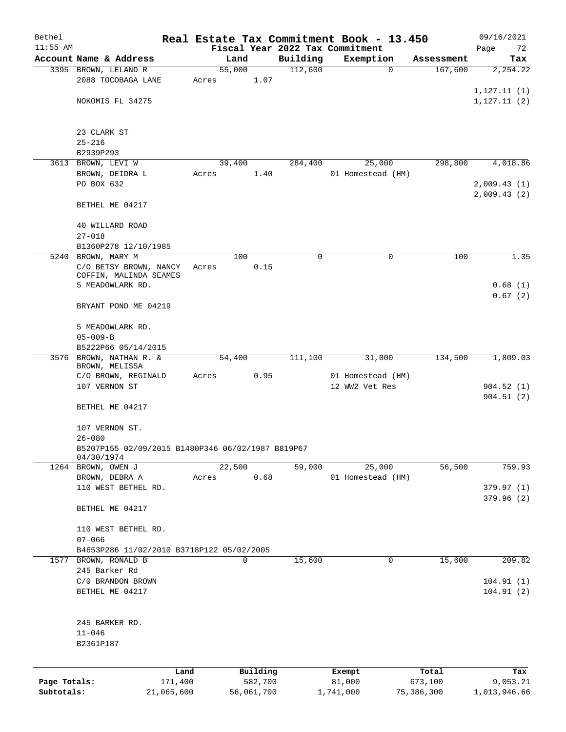| Bethel       |                                                                 |            |       |                |            |                     | Real Estate Tax Commitment Book - 13.450 |             |                       | 09/16/2021      |
|--------------|-----------------------------------------------------------------|------------|-------|----------------|------------|---------------------|------------------------------------------|-------------|-----------------------|-----------------|
| $11:55$ AM   |                                                                 |            |       |                |            |                     | Fiscal Year 2022 Tax Commitment          |             |                       | Page<br>72      |
|              | Account Name & Address<br>3395 BROWN, LELAND R                  |            |       | Land<br>55,000 |            | Building<br>112,600 | Exemption                                | $\mathbf 0$ | Assessment<br>167,600 | Tax<br>2,254.22 |
|              | 2088 TOCOBAGA LANE                                              |            | Acres |                | 1.07       |                     |                                          |             |                       |                 |
|              |                                                                 |            |       |                |            |                     |                                          |             |                       | 1, 127.11(1)    |
|              | NOKOMIS FL 34275                                                |            |       |                |            |                     |                                          |             |                       | 1, 127.11(2)    |
|              |                                                                 |            |       |                |            |                     |                                          |             |                       |                 |
|              | 23 CLARK ST<br>$25 - 216$                                       |            |       |                |            |                     |                                          |             |                       |                 |
|              | B2939P293                                                       |            |       |                |            |                     |                                          |             |                       |                 |
|              | 3613 BROWN, LEVI W                                              |            |       | 39,400         |            | 284,400             |                                          | 25,000      | 298,800               | 4,018.86        |
|              | BROWN, DEIDRA L                                                 |            | Acres |                | 1.40       |                     | 01 Homestead (HM)                        |             |                       |                 |
|              | PO BOX 632                                                      |            |       |                |            |                     |                                          |             |                       | 2,009.43(1)     |
|              |                                                                 |            |       |                |            |                     |                                          |             |                       | 2,009.43(2)     |
|              | BETHEL ME 04217                                                 |            |       |                |            |                     |                                          |             |                       |                 |
|              | 40 WILLARD ROAD                                                 |            |       |                |            |                     |                                          |             |                       |                 |
|              | $27 - 018$                                                      |            |       |                |            |                     |                                          |             |                       |                 |
|              | B1360P278 12/10/1985                                            |            |       |                |            |                     |                                          |             |                       |                 |
|              | 5240 BROWN, MARY M                                              |            |       | 100            |            | 0                   |                                          | 0           | 100                   | 1.35            |
|              | C/O BETSY BROWN, NANCY<br>COFFIN, MALINDA SEAMES                |            | Acres |                | 0.15       |                     |                                          |             |                       |                 |
|              | 5 MEADOWLARK RD.                                                |            |       |                |            |                     |                                          |             |                       | 0.68(1)         |
|              |                                                                 |            |       |                |            |                     |                                          |             |                       | 0.67(2)         |
|              | BRYANT POND ME 04219                                            |            |       |                |            |                     |                                          |             |                       |                 |
|              | 5 MEADOWLARK RD.                                                |            |       |                |            |                     |                                          |             |                       |                 |
|              | $05 - 009 - B$                                                  |            |       |                |            |                     |                                          |             |                       |                 |
|              | B5222P66 05/14/2015                                             |            |       |                |            |                     |                                          |             |                       |                 |
| 3576         | BROWN, NATHAN R. &                                              |            |       | 54,400         |            | 111,100             |                                          | 31,000      | 134,500               | 1,809.03        |
|              | BROWN, MELISSA                                                  |            |       |                |            |                     |                                          |             |                       |                 |
|              | C/O BROWN, REGINALD                                             |            | Acres |                | 0.95       |                     | 01 Homestead (HM)                        |             |                       |                 |
|              | 107 VERNON ST                                                   |            |       |                |            |                     | 12 WW2 Vet Res                           |             |                       | 904.52(1)       |
|              | BETHEL ME 04217                                                 |            |       |                |            |                     |                                          |             |                       | 904.51(2)       |
|              |                                                                 |            |       |                |            |                     |                                          |             |                       |                 |
|              | 107 VERNON ST.                                                  |            |       |                |            |                     |                                          |             |                       |                 |
|              | $26 - 080$<br>B5207P155 02/09/2015 B1480P346 06/02/1987 B819P67 |            |       |                |            |                     |                                          |             |                       |                 |
|              | 04/30/1974                                                      |            |       |                |            |                     |                                          |             |                       |                 |
|              | 1264 BROWN, OWEN J                                              |            |       | 22,500         |            | 59,000              |                                          | 25,000      | 56,500                | 759.93          |
|              | BROWN, DEBRA A                                                  |            | Acres |                | 0.68       |                     | 01 Homestead (HM)                        |             |                       |                 |
|              | 110 WEST BETHEL RD.                                             |            |       |                |            |                     |                                          |             |                       | 379.97(1)       |
|              |                                                                 |            |       |                |            |                     |                                          |             |                       | 379.96(2)       |
|              | BETHEL ME 04217                                                 |            |       |                |            |                     |                                          |             |                       |                 |
|              | 110 WEST BETHEL RD.                                             |            |       |                |            |                     |                                          |             |                       |                 |
|              | $07 - 066$                                                      |            |       |                |            |                     |                                          |             |                       |                 |
|              | B4653P286 11/02/2010 B3718P122 05/02/2005                       |            |       |                |            |                     |                                          |             |                       |                 |
|              | 1577 BROWN, RONALD B                                            |            |       | 0              |            | 15,600              |                                          | 0           | 15,600                | 209.82          |
|              | 245 Barker Rd<br>C/0 BRANDON BROWN                              |            |       |                |            |                     |                                          |             |                       | 104.91(1)       |
|              | BETHEL ME 04217                                                 |            |       |                |            |                     |                                          |             |                       | 104.91(2)       |
|              |                                                                 |            |       |                |            |                     |                                          |             |                       |                 |
|              | 245 BARKER RD.                                                  |            |       |                |            |                     |                                          |             |                       |                 |
|              | $11 - 046$                                                      |            |       |                |            |                     |                                          |             |                       |                 |
|              | B2361P187                                                       |            |       |                |            |                     |                                          |             |                       |                 |
|              |                                                                 |            |       |                |            |                     |                                          |             |                       |                 |
|              |                                                                 | Land       |       |                | Building   |                     | Exempt                                   |             | Total                 | Tax             |
| Page Totals: |                                                                 | 171,400    |       |                | 582,700    |                     | 81,000                                   |             | 673,100               | 9,053.21        |
| Subtotals:   |                                                                 | 21,065,600 |       |                | 56,061,700 |                     | 1,741,000                                |             | 75,386,300            | 1,013,946.66    |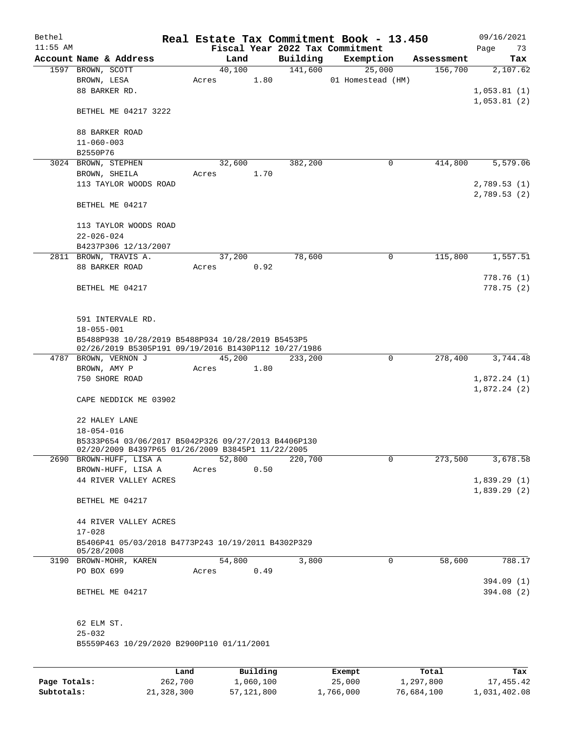| Bethel<br>$11:55$ AM |                                                                                                           |       |        |              |          | Real Estate Tax Commitment Book - 13.450     |            | 09/16/2021        |
|----------------------|-----------------------------------------------------------------------------------------------------------|-------|--------|--------------|----------|----------------------------------------------|------------|-------------------|
|                      | Account Name & Address                                                                                    |       | Land   |              | Building | Fiscal Year 2022 Tax Commitment<br>Exemption | Assessment | Page<br>73<br>Tax |
|                      | 1597 BROWN, SCOTT                                                                                         |       | 40,100 |              | 141,600  | 25,000                                       | 156,700    | 2,107.62          |
|                      | BROWN, LESA                                                                                               | Acres |        | 1.80         |          | 01 Homestead (HM)                            |            |                   |
|                      | 88 BARKER RD.                                                                                             |       |        |              |          |                                              |            | 1,053.81(1)       |
|                      |                                                                                                           |       |        |              |          |                                              |            | 1,053.81(2)       |
|                      | BETHEL ME 04217 3222                                                                                      |       |        |              |          |                                              |            |                   |
|                      | 88 BARKER ROAD                                                                                            |       |        |              |          |                                              |            |                   |
|                      | $11 - 060 - 003$                                                                                          |       |        |              |          |                                              |            |                   |
|                      | B2550P76                                                                                                  |       |        |              |          |                                              |            |                   |
|                      | 3024 BROWN, STEPHEN                                                                                       |       | 32,600 |              | 382,200  | $\mathbf 0$                                  | 414,800    | 5,579.06          |
|                      | BROWN, SHEILA                                                                                             | Acres |        | 1.70         |          |                                              |            |                   |
|                      | 113 TAYLOR WOODS ROAD                                                                                     |       |        |              |          |                                              |            | 2,789.53 (1)      |
|                      |                                                                                                           |       |        |              |          |                                              |            | 2,789.53(2)       |
|                      | BETHEL ME 04217                                                                                           |       |        |              |          |                                              |            |                   |
|                      | 113 TAYLOR WOODS ROAD                                                                                     |       |        |              |          |                                              |            |                   |
|                      | $22 - 026 - 024$                                                                                          |       |        |              |          |                                              |            |                   |
|                      | B4237P306 12/13/2007                                                                                      |       |        |              |          |                                              |            |                   |
|                      | 2811 BROWN, TRAVIS A.                                                                                     |       | 37,200 |              | 78,600   | 0                                            | 115,800    | 1,557.51          |
|                      | 88 BARKER ROAD                                                                                            | Acres |        | 0.92         |          |                                              |            |                   |
|                      |                                                                                                           |       |        |              |          |                                              |            | 778.76(1)         |
|                      | BETHEL ME 04217                                                                                           |       |        |              |          |                                              |            | 778.75 (2)        |
|                      |                                                                                                           |       |        |              |          |                                              |            |                   |
|                      |                                                                                                           |       |        |              |          |                                              |            |                   |
|                      | 591 INTERVALE RD.                                                                                         |       |        |              |          |                                              |            |                   |
|                      | $18 - 055 - 001$                                                                                          |       |        |              |          |                                              |            |                   |
|                      | B5488P938 10/28/2019 B5488P934 10/28/2019 B5453P5<br>02/26/2019 B5305P191 09/19/2016 B1430P112 10/27/1986 |       |        |              |          |                                              |            |                   |
|                      | 4787 BROWN, VERNON J                                                                                      |       | 45,200 |              | 233,200  | 0                                            | 278,400    | 3,744.48          |
|                      | BROWN, AMY P                                                                                              | Acres |        | 1.80         |          |                                              |            |                   |
|                      | 750 SHORE ROAD                                                                                            |       |        |              |          |                                              |            | 1,872.24(1)       |
|                      |                                                                                                           |       |        |              |          |                                              |            | 1,872.24(2)       |
|                      | CAPE NEDDICK ME 03902                                                                                     |       |        |              |          |                                              |            |                   |
|                      | 22 HALEY LANE                                                                                             |       |        |              |          |                                              |            |                   |
|                      | $18 - 054 - 016$                                                                                          |       |        |              |          |                                              |            |                   |
|                      | B5333P654 03/06/2017 B5042P326 09/27/2013 B4406P130                                                       |       |        |              |          |                                              |            |                   |
|                      | 02/20/2009 B4397P65 01/26/2009 B3845P1 11/22/2005                                                         |       |        |              |          |                                              |            |                   |
|                      | 2690 BROWN-HUFF, LISA A                                                                                   |       | 52,800 |              | 220,700  | $\mathbf 0$                                  | 273,500    | 3,678.58          |
|                      | BROWN-HUFF, LISA A                                                                                        | Acres |        | 0.50         |          |                                              |            |                   |
|                      | 44 RIVER VALLEY ACRES                                                                                     |       |        |              |          |                                              |            | 1,839.29(1)       |
|                      |                                                                                                           |       |        |              |          |                                              |            | 1,839.29(2)       |
|                      | BETHEL ME 04217                                                                                           |       |        |              |          |                                              |            |                   |
|                      |                                                                                                           |       |        |              |          |                                              |            |                   |
|                      | 44 RIVER VALLEY ACRES                                                                                     |       |        |              |          |                                              |            |                   |
|                      | $17 - 028$                                                                                                |       |        |              |          |                                              |            |                   |
|                      | B5406P41 05/03/2018 B4773P243 10/19/2011 B4302P329                                                        |       |        |              |          |                                              |            |                   |
|                      | 05/28/2008<br>3190 BROWN-MOHR, KAREN                                                                      |       | 54,800 |              | 3,800    | 0                                            | 58,600     | 788.17            |
|                      | PO BOX 699                                                                                                | Acres |        | 0.49         |          |                                              |            |                   |
|                      |                                                                                                           |       |        |              |          |                                              |            | 394.09 (1)        |
|                      | BETHEL ME 04217                                                                                           |       |        |              |          |                                              |            | 394.08 (2)        |
|                      |                                                                                                           |       |        |              |          |                                              |            |                   |
|                      |                                                                                                           |       |        |              |          |                                              |            |                   |
|                      | 62 ELM ST.                                                                                                |       |        |              |          |                                              |            |                   |
|                      | $25 - 032$                                                                                                |       |        |              |          |                                              |            |                   |
|                      | B5559P463 10/29/2020 B2900P110 01/11/2001                                                                 |       |        |              |          |                                              |            |                   |
|                      |                                                                                                           |       |        |              |          |                                              |            |                   |
|                      | Land                                                                                                      |       |        | Building     |          | Exempt                                       | Total      | Tax               |
| Page Totals:         | 262,700                                                                                                   |       |        | 1,060,100    |          | 25,000                                       | 1,297,800  | 17,455.42         |
| Subtotals:           | 21,328,300                                                                                                |       |        | 57, 121, 800 |          | 1,766,000                                    | 76,684,100 | 1,031,402.08      |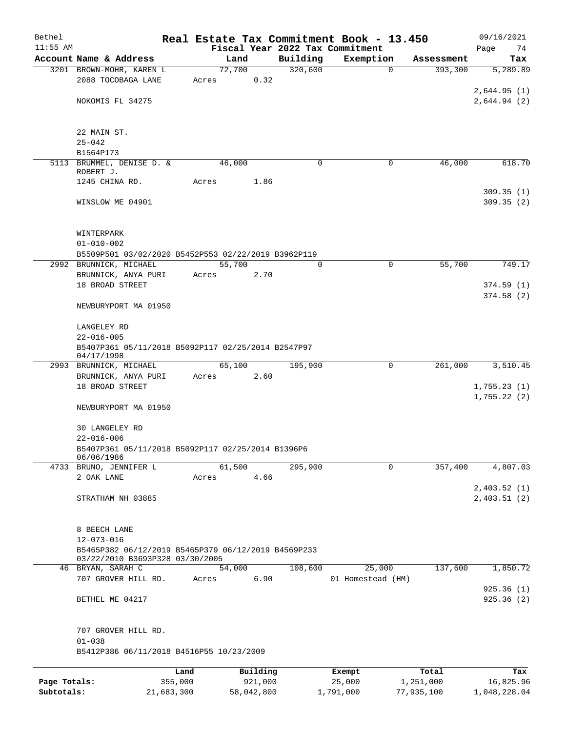| Bethel<br>$11:55$ AM |                                                                  |         |          |         |             | Real Estate Tax Commitment Book - 13.450<br>Fiscal Year 2022 Tax Commitment |                        | 09/16/2021<br>Page<br>74 |
|----------------------|------------------------------------------------------------------|---------|----------|---------|-------------|-----------------------------------------------------------------------------|------------------------|--------------------------|
|                      | Account Name & Address                                           |         | Land     |         | Building    | Exemption                                                                   | Assessment             | Tax                      |
|                      | 3201 BROWN-MOHR, KAREN L                                         |         | 72,700   |         | 320,600     |                                                                             | $\mathbf 0$<br>393,300 | 5,289.89                 |
|                      | 2088 TOCOBAGA LANE                                               | Acres   |          | 0.32    |             |                                                                             |                        |                          |
|                      |                                                                  |         |          |         |             |                                                                             |                        | 2,644.95(1)              |
|                      | NOKOMIS FL 34275                                                 |         |          |         |             |                                                                             |                        | 2,644.94(2)              |
|                      |                                                                  |         |          |         |             |                                                                             |                        |                          |
|                      | 22 MAIN ST.                                                      |         |          |         |             |                                                                             |                        |                          |
|                      | $25 - 042$                                                       |         |          |         |             |                                                                             |                        |                          |
|                      | B1564P173                                                        |         |          |         |             |                                                                             |                        |                          |
|                      | 5113 BRUMMEL, DENISE D. &                                        |         | 46,000   |         | $\mathbf 0$ |                                                                             | 46,000<br>0            | 618.70                   |
|                      | ROBERT J.                                                        |         |          |         |             |                                                                             |                        |                          |
|                      | 1245 CHINA RD.                                                   | Acres   |          | 1.86    |             |                                                                             |                        | 309.35(1)                |
|                      | WINSLOW ME 04901                                                 |         |          |         |             |                                                                             |                        | 309.35(2)                |
|                      |                                                                  |         |          |         |             |                                                                             |                        |                          |
|                      |                                                                  |         |          |         |             |                                                                             |                        |                          |
|                      | WINTERPARK                                                       |         |          |         |             |                                                                             |                        |                          |
|                      | $01 - 010 - 002$                                                 |         |          |         |             |                                                                             |                        |                          |
|                      | B5509P501 03/02/2020 B5452P553 02/22/2019 B3962P119              |         |          |         |             |                                                                             |                        |                          |
|                      | 2992 BRUNNICK, MICHAEL<br>BRUNNICK, ANYA PURI                    | Acres   | 55,700   | 2.70    | $\mathbf 0$ |                                                                             | 55,700<br>$\mathbf 0$  | 749.17                   |
|                      | 18 BROAD STREET                                                  |         |          |         |             |                                                                             |                        | 374.59(1)                |
|                      |                                                                  |         |          |         |             |                                                                             |                        | 374.58(2)                |
|                      | NEWBURYPORT MA 01950                                             |         |          |         |             |                                                                             |                        |                          |
|                      |                                                                  |         |          |         |             |                                                                             |                        |                          |
|                      | LANGELEY RD                                                      |         |          |         |             |                                                                             |                        |                          |
|                      | $22 - 016 - 005$                                                 |         |          |         |             |                                                                             |                        |                          |
|                      | B5407P361 05/11/2018 B5092P117 02/25/2014 B2547P97<br>04/17/1998 |         |          |         |             |                                                                             |                        |                          |
|                      | 2993 BRUNNICK, MICHAEL                                           |         | 65,100   |         | 195,900     |                                                                             | 261,000<br>0           | 3,510.45                 |
|                      | BRUNNICK, ANYA PURI                                              | Acres   |          | 2.60    |             |                                                                             |                        |                          |
|                      | 18 BROAD STREET                                                  |         |          |         |             |                                                                             |                        | 1,755.23(1)              |
|                      | NEWBURYPORT MA 01950                                             |         |          |         |             |                                                                             |                        | 1,755.22(2)              |
|                      |                                                                  |         |          |         |             |                                                                             |                        |                          |
|                      | <b>30 LANGELEY RD</b>                                            |         |          |         |             |                                                                             |                        |                          |
|                      | $22 - 016 - 006$                                                 |         |          |         |             |                                                                             |                        |                          |
|                      | B5407P361 05/11/2018 B5092P117 02/25/2014 B1396P6                |         |          |         |             |                                                                             |                        |                          |
|                      | 06/06/1986<br>4733 BRUNO, JENNIFER L                             |         | 61,500   |         | 295,900     |                                                                             | 357,400<br>0           | 4,807.03                 |
|                      | 2 OAK LANE                                                       | Acres   |          | 4.66    |             |                                                                             |                        |                          |
|                      |                                                                  |         |          |         |             |                                                                             |                        | 2,403.52(1)              |
|                      | STRATHAM NH 03885                                                |         |          |         |             |                                                                             |                        | 2,403.51(2)              |
|                      |                                                                  |         |          |         |             |                                                                             |                        |                          |
|                      | 8 BEECH LANE                                                     |         |          |         |             |                                                                             |                        |                          |
|                      | $12 - 073 - 016$                                                 |         |          |         |             |                                                                             |                        |                          |
|                      | B5465P382 06/12/2019 B5465P379 06/12/2019 B4569P233              |         |          |         |             |                                                                             |                        |                          |
|                      | 03/22/2010 B3693P328 03/30/2005                                  |         |          |         |             |                                                                             |                        |                          |
|                      | 46 BRYAN, SARAH C                                                |         | 54,000   |         | 108,600     | 25,000                                                                      | 137,600                | 1,850.72                 |
|                      | 707 GROVER HILL RD.                                              | Acres   |          | 6.90    |             | 01 Homestead (HM)                                                           |                        | 925.36(1)                |
|                      | BETHEL ME 04217                                                  |         |          |         |             |                                                                             |                        | 925.36(2)                |
|                      |                                                                  |         |          |         |             |                                                                             |                        |                          |
|                      |                                                                  |         |          |         |             |                                                                             |                        |                          |
|                      | 707 GROVER HILL RD.                                              |         |          |         |             |                                                                             |                        |                          |
|                      | $01 - 038$                                                       |         |          |         |             |                                                                             |                        |                          |
|                      | B5412P386 06/11/2018 B4516P55 10/23/2009                         |         |          |         |             |                                                                             |                        |                          |
|                      |                                                                  | Land    | Building |         |             | Exempt                                                                      | Total                  | Tax                      |
| Page Totals:         |                                                                  | 355,000 |          | 921,000 |             | 25,000                                                                      | 1,251,000              | 16,825.96                |

**Subtotals:** 21,683,300 58,042,800 1,791,000 77,935,100 1,048,228.04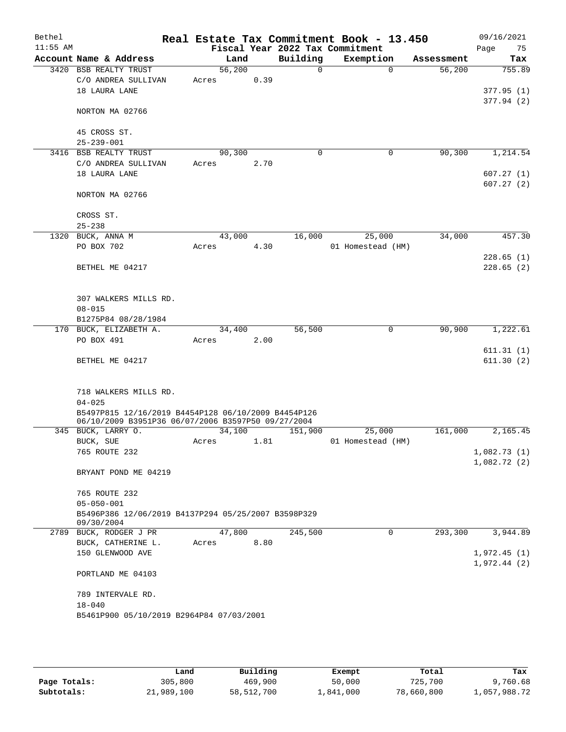| $11:55$ AM<br>Fiscal Year 2022 Tax Commitment<br>Building<br>Account Name & Address<br>Exemption<br>Land<br>Assessment<br>56,200<br>3420 BSB REALTY TRUST<br>$\Omega$<br>$\Omega$<br>56,200<br>0.39<br>C/O ANDREA SULLIVAN<br>Acres<br>18 LAURA LANE<br>NORTON MA 02766<br>45 CROSS ST.<br>$25 - 239 - 001$<br>3416 BSB REALTY TRUST<br>90,300<br>0<br>$\mathbf 0$<br>90,300<br>C/O ANDREA SULLIVAN<br>2.70<br>Acres<br>18 LAURA LANE<br>NORTON MA 02766<br>CROSS ST.<br>$25 - 238$ | 75<br>Page<br>Tax<br>755.89<br>377.95(1) |
|-------------------------------------------------------------------------------------------------------------------------------------------------------------------------------------------------------------------------------------------------------------------------------------------------------------------------------------------------------------------------------------------------------------------------------------------------------------------------------------|------------------------------------------|
|                                                                                                                                                                                                                                                                                                                                                                                                                                                                                     |                                          |
|                                                                                                                                                                                                                                                                                                                                                                                                                                                                                     |                                          |
|                                                                                                                                                                                                                                                                                                                                                                                                                                                                                     |                                          |
|                                                                                                                                                                                                                                                                                                                                                                                                                                                                                     | 377.94(2)                                |
|                                                                                                                                                                                                                                                                                                                                                                                                                                                                                     | 1,214.54                                 |
|                                                                                                                                                                                                                                                                                                                                                                                                                                                                                     |                                          |
|                                                                                                                                                                                                                                                                                                                                                                                                                                                                                     |                                          |
|                                                                                                                                                                                                                                                                                                                                                                                                                                                                                     |                                          |
|                                                                                                                                                                                                                                                                                                                                                                                                                                                                                     |                                          |
|                                                                                                                                                                                                                                                                                                                                                                                                                                                                                     |                                          |
|                                                                                                                                                                                                                                                                                                                                                                                                                                                                                     | 607.27(1)                                |
|                                                                                                                                                                                                                                                                                                                                                                                                                                                                                     | 607.27(2)                                |
|                                                                                                                                                                                                                                                                                                                                                                                                                                                                                     |                                          |
|                                                                                                                                                                                                                                                                                                                                                                                                                                                                                     |                                          |
|                                                                                                                                                                                                                                                                                                                                                                                                                                                                                     |                                          |
| 16,000<br>1320 BUCK, ANNA M<br>43,000<br>25,000<br>34,000                                                                                                                                                                                                                                                                                                                                                                                                                           | 457.30                                   |
| 4.30<br>PO BOX 702<br>01 Homestead (HM)<br>Acres                                                                                                                                                                                                                                                                                                                                                                                                                                    |                                          |
|                                                                                                                                                                                                                                                                                                                                                                                                                                                                                     | 228.65(1)                                |
| BETHEL ME 04217                                                                                                                                                                                                                                                                                                                                                                                                                                                                     | 228.65(2)                                |
|                                                                                                                                                                                                                                                                                                                                                                                                                                                                                     |                                          |
| 307 WALKERS MILLS RD.                                                                                                                                                                                                                                                                                                                                                                                                                                                               |                                          |
| $08 - 015$                                                                                                                                                                                                                                                                                                                                                                                                                                                                          |                                          |
| B1275P84 08/28/1984                                                                                                                                                                                                                                                                                                                                                                                                                                                                 |                                          |
| 56,500<br>90,900<br>170 BUCK, ELIZABETH A.<br>34,400<br>0                                                                                                                                                                                                                                                                                                                                                                                                                           | 1,222.61                                 |
| PO BOX 491<br>2.00<br>Acres                                                                                                                                                                                                                                                                                                                                                                                                                                                         |                                          |
|                                                                                                                                                                                                                                                                                                                                                                                                                                                                                     | 611.31(1)                                |
| BETHEL ME 04217                                                                                                                                                                                                                                                                                                                                                                                                                                                                     | 611.30(2)                                |
| 718 WALKERS MILLS RD.                                                                                                                                                                                                                                                                                                                                                                                                                                                               |                                          |
| $04 - 025$                                                                                                                                                                                                                                                                                                                                                                                                                                                                          |                                          |
| B5497P815 12/16/2019 B4454P128 06/10/2009 B4454P126                                                                                                                                                                                                                                                                                                                                                                                                                                 |                                          |
| 06/10/2009 B3951P36 06/07/2006 B3597P50 09/27/2004                                                                                                                                                                                                                                                                                                                                                                                                                                  |                                          |
| 34,100<br>25,000<br>161,000<br>345 BUCK, LARRY O.<br>151,900                                                                                                                                                                                                                                                                                                                                                                                                                        | 2,165.45                                 |
| 1.81<br>BUCK, SUE<br>Acres<br>01 Homestead (HM)                                                                                                                                                                                                                                                                                                                                                                                                                                     |                                          |
| 765 ROUTE 232                                                                                                                                                                                                                                                                                                                                                                                                                                                                       | 1,082.73(1)                              |
| BRYANT POND ME 04219                                                                                                                                                                                                                                                                                                                                                                                                                                                                | 1,082.72(2)                              |
| 765 ROUTE 232                                                                                                                                                                                                                                                                                                                                                                                                                                                                       |                                          |
| $05 - 050 - 001$                                                                                                                                                                                                                                                                                                                                                                                                                                                                    |                                          |
| B5496P386 12/06/2019 B4137P294 05/25/2007 B3598P329<br>09/30/2004                                                                                                                                                                                                                                                                                                                                                                                                                   |                                          |
| 293,300<br>2789 BUCK, RODGER J PR<br>47,800<br>245,500<br>0                                                                                                                                                                                                                                                                                                                                                                                                                         | 3,944.89                                 |
| 8.80<br>BUCK, CATHERINE L.<br>Acres                                                                                                                                                                                                                                                                                                                                                                                                                                                 |                                          |
| 150 GLENWOOD AVE                                                                                                                                                                                                                                                                                                                                                                                                                                                                    | 1,972.45(1)                              |
| PORTLAND ME 04103                                                                                                                                                                                                                                                                                                                                                                                                                                                                   | 1,972.44(2)                              |
| 789 INTERVALE RD.                                                                                                                                                                                                                                                                                                                                                                                                                                                                   |                                          |
| $18 - 040$                                                                                                                                                                                                                                                                                                                                                                                                                                                                          |                                          |
| B5461P900 05/10/2019 B2964P84 07/03/2001                                                                                                                                                                                                                                                                                                                                                                                                                                            |                                          |
|                                                                                                                                                                                                                                                                                                                                                                                                                                                                                     |                                          |

|              | Land       | Building   | Exempt    | Total      | Tax          |
|--------------|------------|------------|-----------|------------|--------------|
| Page Totals: | 305,800    | 469,900    | 50,000    | 725,700    | 9,760.68     |
| Subtotals:   | 21,989,100 | 58,512,700 | 1,841,000 | 78,660,800 | 1,057,988.72 |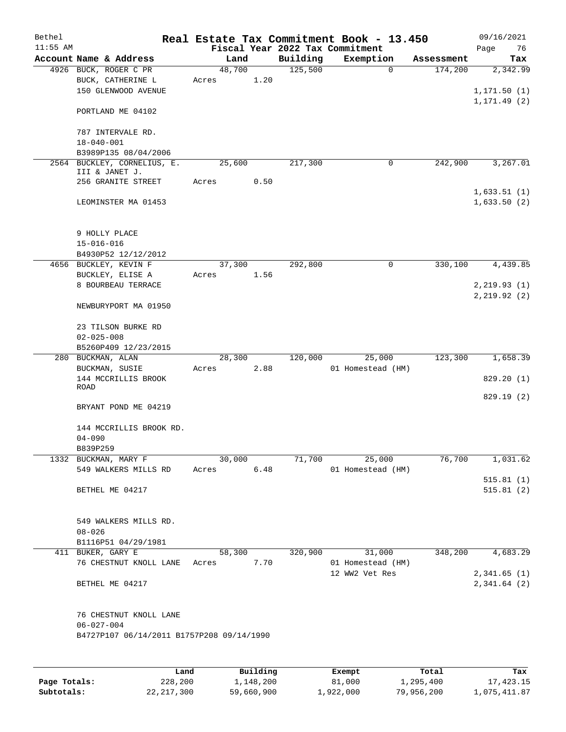| Bethel<br>$11:55$ AM |                                                                                         |                 |      |          | Real Estate Tax Commitment Book - 13.450<br>Fiscal Year 2022 Tax Commitment |            | 09/16/2021<br>Page<br>76  |
|----------------------|-----------------------------------------------------------------------------------------|-----------------|------|----------|-----------------------------------------------------------------------------|------------|---------------------------|
|                      | Account Name & Address                                                                  | Land            |      | Building | Exemption                                                                   | Assessment | Tax                       |
|                      | 4926 BUCK, ROGER C PR<br>BUCK, CATHERINE L<br>150 GLENWOOD AVENUE                       | 48,700<br>Acres | 1.20 | 125,500  | $\mathbf 0$                                                                 | 174,200    | 2,342.99<br>1, 171.50 (1) |
|                      | PORTLAND ME 04102                                                                       |                 |      |          |                                                                             |            | 1, 171. 49 (2)            |
|                      | 787 INTERVALE RD.<br>$18 - 040 - 001$                                                   |                 |      |          |                                                                             |            |                           |
|                      | B3989P135 08/04/2006                                                                    |                 |      |          |                                                                             |            |                           |
|                      | 2564 BUCKLEY, CORNELIUS, E.<br>III & JANET J.                                           | 25,600          |      | 217,300  | 0                                                                           | 242,900    | 3,267.01                  |
|                      | 256 GRANITE STREET                                                                      | Acres           | 0.50 |          |                                                                             |            | 1,633.51(1)               |
|                      | LEOMINSTER MA 01453                                                                     |                 |      |          |                                                                             |            | 1,633.50(2)               |
|                      | 9 HOLLY PLACE                                                                           |                 |      |          |                                                                             |            |                           |
|                      | $15 - 016 - 016$                                                                        |                 |      |          |                                                                             |            |                           |
|                      | B4930P52 12/12/2012<br>4656 BUCKLEY, KEVIN F                                            | 37,300          |      | 292,800  | $\mathsf{O}$                                                                | 330,100    | 4,439.85                  |
|                      | BUCKLEY, ELISE A                                                                        | Acres           | 1.56 |          |                                                                             |            |                           |
|                      | 8 BOURBEAU TERRACE                                                                      |                 |      |          |                                                                             |            | 2, 219.93(1)              |
|                      |                                                                                         |                 |      |          |                                                                             |            | 2, 219.92(2)              |
|                      | NEWBURYPORT MA 01950                                                                    |                 |      |          |                                                                             |            |                           |
|                      | 23 TILSON BURKE RD<br>$02 - 025 - 008$                                                  |                 |      |          |                                                                             |            |                           |
|                      | B5260P409 12/23/2015                                                                    |                 |      |          |                                                                             |            |                           |
| 280                  | BUCKMAN, ALAN                                                                           | 28,300          |      | 120,000  | 25,000                                                                      | 123,300    | 1,658.39                  |
|                      | BUCKMAN, SUSIE                                                                          | Acres           | 2.88 |          | 01 Homestead (HM)                                                           |            |                           |
|                      | 144 MCCRILLIS BROOK                                                                     |                 |      |          |                                                                             |            | 829.20(1)                 |
|                      | ROAD                                                                                    |                 |      |          |                                                                             |            |                           |
|                      | BRYANT POND ME 04219                                                                    |                 |      |          |                                                                             |            | 829.19 (2)                |
|                      | 144 MCCRILLIS BROOK RD.<br>$04 - 090$                                                   |                 |      |          |                                                                             |            |                           |
|                      | B839P259                                                                                |                 |      |          |                                                                             |            |                           |
|                      | 1332 BUCKMAN, MARY F                                                                    | 30,000          |      | 71,700   | 25,000                                                                      | 76,700     | 1,031.62                  |
|                      | 549 WALKERS MILLS RD                                                                    | Acres           | 6.48 |          | 01 Homestead (HM)                                                           |            | 515.81(1)                 |
|                      | BETHEL ME 04217                                                                         |                 |      |          |                                                                             |            | 515.81(2)                 |
|                      | 549 WALKERS MILLS RD.                                                                   |                 |      |          |                                                                             |            |                           |
|                      | $08 - 026$                                                                              |                 |      |          |                                                                             |            |                           |
|                      | B1116P51 04/29/1981                                                                     |                 |      |          |                                                                             |            |                           |
|                      | 411 BUKER, GARY E                                                                       | 58,300          |      | 320,900  | 31,000                                                                      | 348,200    | 4,683.29                  |
|                      | 76 CHESTNUT KNOLL LANE                                                                  | Acres           | 7.70 |          | 01 Homestead (HM)<br>12 WW2 Vet Res                                         |            | 2,341.65(1)               |
|                      | BETHEL ME 04217                                                                         |                 |      |          |                                                                             |            | 2,341.64(2)               |
|                      | 76 CHESTNUT KNOLL LANE<br>$06 - 027 - 004$<br>B4727P107 06/14/2011 B1757P208 09/14/1990 |                 |      |          |                                                                             |            |                           |
|                      |                                                                                         |                 |      |          |                                                                             |            |                           |

|              | Land       | Building   | Exempt    | Total      | Tax          |
|--------------|------------|------------|-----------|------------|--------------|
| Page Totals: | 228,200    | 1,148,200  | 81,000    | 1,295,400  | 17,423.15    |
| Subtotals:   | 22,217,300 | 59,660,900 | 1,922,000 | 79,956,200 | 1,075,411.87 |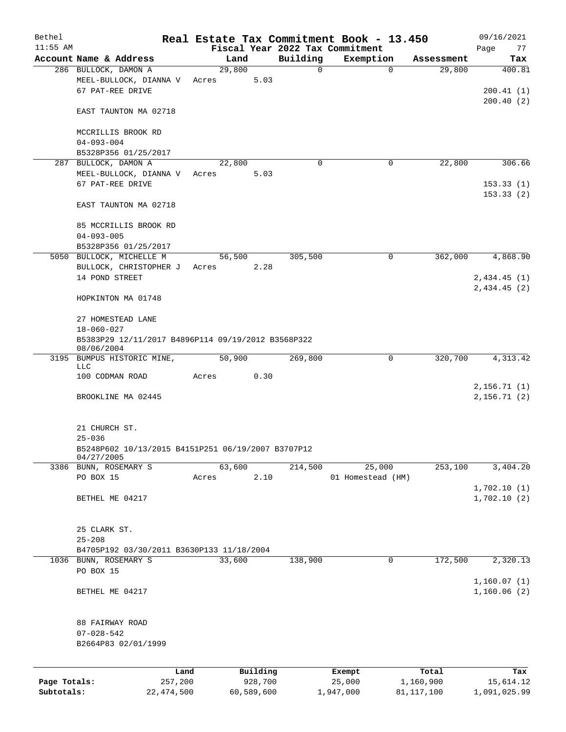| Bethel                     |                                                                  |       |                       |             | Real Estate Tax Commitment Book - 13.450     |                           | 09/16/2021                 |
|----------------------------|------------------------------------------------------------------|-------|-----------------------|-------------|----------------------------------------------|---------------------------|----------------------------|
| $11:55$ AM                 | Account Name & Address                                           |       | Land                  | Building    | Fiscal Year 2022 Tax Commitment<br>Exemption | Assessment                | Page<br>77<br>Tax          |
|                            | 286 BULLOCK, DAMON A                                             |       | 29,800                | $\mathbf 0$ | $\mathbf 0$                                  | 29,800                    | 400.81                     |
|                            | MEEL-BULLOCK, DIANNA V Acres<br>67 PAT-REE DRIVE                 |       | 5.03                  |             |                                              |                           | 200.41(1)<br>200.40(2)     |
|                            | EAST TAUNTON MA 02718                                            |       |                       |             |                                              |                           |                            |
|                            | MCCRILLIS BROOK RD<br>$04 - 093 - 004$                           |       |                       |             |                                              |                           |                            |
|                            | B5328P356 01/25/2017                                             |       |                       |             |                                              |                           |                            |
|                            | 287 BULLOCK, DAMON A                                             |       | 22,800                | $\Omega$    | 0                                            | 22,800                    | 306.66                     |
|                            | MEEL-BULLOCK, DIANNA V Acres<br>67 PAT-REE DRIVE                 |       | 5.03                  |             |                                              |                           | 153.33(1)<br>153.33(2)     |
|                            | EAST TAUNTON MA 02718                                            |       |                       |             |                                              |                           |                            |
|                            | 85 MCCRILLIS BROOK RD<br>$04 - 093 - 005$                        |       |                       |             |                                              |                           |                            |
|                            | B5328P356 01/25/2017                                             |       |                       |             |                                              |                           |                            |
|                            | 5050 BULLOCK, MICHELLE M                                         |       | 56,500                | 305,500     | $\mathbf 0$                                  | 362,000                   | 4,868.90                   |
|                            | BULLOCK, CHRISTOPHER J Acres                                     |       | 2.28                  |             |                                              |                           |                            |
|                            | 14 POND STREET                                                   |       |                       |             |                                              |                           | 2,434.45(1)<br>2,434.45(2) |
|                            | HOPKINTON MA 01748                                               |       |                       |             |                                              |                           |                            |
|                            | 27 HOMESTEAD LANE<br>18-060-027                                  |       |                       |             |                                              |                           |                            |
|                            | B5383P29 12/11/2017 B4896P114 09/19/2012 B3568P322<br>08/06/2004 |       |                       |             |                                              |                           |                            |
|                            | 3195 BUMPUS HISTORIC MINE,<br>LLC                                |       | 50,900                | 269,800     | 0                                            | 320,700                   | 4, 313. 42                 |
|                            | 100 CODMAN ROAD                                                  | Acres | 0.30                  |             |                                              |                           |                            |
|                            | BROOKLINE MA 02445                                               |       |                       |             |                                              |                           | 2,156.71(1)<br>2,156.71(2) |
|                            |                                                                  |       |                       |             |                                              |                           |                            |
|                            | 21 CHURCH ST.<br>$25 - 036$                                      |       |                       |             |                                              |                           |                            |
|                            | B5248P602 10/13/2015 B4151P251 06/19/2007 B3707P12<br>04/27/2005 |       |                       |             |                                              |                           |                            |
|                            | 3386 BUNN, ROSEMARY S                                            |       | 63,600                | 214,500     | 25,000                                       | 253,100                   | 3,404.20                   |
|                            | PO BOX 15                                                        | Acres | 2.10                  |             | 01 Homestead (HM)                            |                           |                            |
|                            | BETHEL ME 04217                                                  |       |                       |             |                                              |                           | 1,702.10(1)<br>1,702.10(2) |
|                            | 25 CLARK ST.<br>$25 - 208$                                       |       |                       |             |                                              |                           |                            |
|                            | B4705P192 03/30/2011 B3630P133 11/18/2004                        |       |                       |             |                                              |                           |                            |
|                            | 1036 BUNN, ROSEMARY S<br>PO BOX 15                               |       | 33,600                | 138,900     | 0                                            | 172,500                   | 2,320.13                   |
|                            |                                                                  |       |                       |             |                                              |                           | 1,160.07(1)                |
|                            | BETHEL ME 04217                                                  |       |                       |             |                                              |                           | 1,160.06(2)                |
|                            | 88 FAIRWAY ROAD                                                  |       |                       |             |                                              |                           |                            |
|                            | $07 - 028 - 542$                                                 |       |                       |             |                                              |                           |                            |
|                            | B2664P83 02/01/1999                                              |       |                       |             |                                              |                           |                            |
|                            |                                                                  | Land  | Building              |             | Exempt                                       | Total                     | Tax                        |
| Page Totals:<br>Subtotals: | 257,200<br>22, 474, 500                                          |       | 928,700<br>60,589,600 |             | 25,000<br>1,947,000                          | 1,160,900<br>81, 117, 100 | 15,614.12<br>1,091,025.99  |
|                            |                                                                  |       |                       |             |                                              |                           |                            |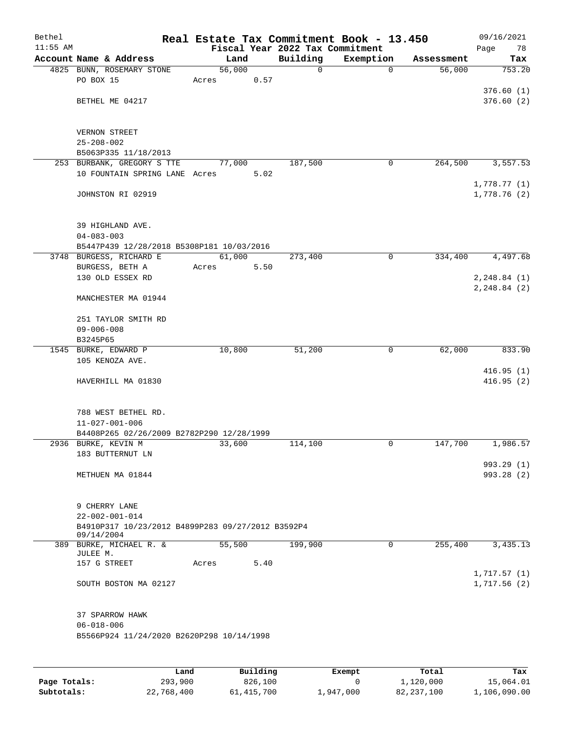| Bethel<br>$11:55$ AM |                                                                             |        |      | Fiscal Year 2022 Tax Commitment | Real Estate Tax Commitment Book - 13.450 |            | 09/16/2021<br>78         |
|----------------------|-----------------------------------------------------------------------------|--------|------|---------------------------------|------------------------------------------|------------|--------------------------|
|                      | Account Name & Address                                                      | Land   |      | Building                        | Exemption                                | Assessment | Page<br>Tax              |
|                      | 4825 BUNN, ROSEMARY STONE                                                   | 56,000 |      | $\mathbf 0$                     | $\mathbf 0$                              | 56,000     | 753.20                   |
|                      | PO BOX 15                                                                   | Acres  | 0.57 |                                 |                                          |            |                          |
|                      |                                                                             |        |      |                                 |                                          |            | 376.60(1)                |
|                      | BETHEL ME 04217                                                             |        |      |                                 |                                          |            | 376.60(2)                |
|                      |                                                                             |        |      |                                 |                                          |            |                          |
|                      | VERNON STREET                                                               |        |      |                                 |                                          |            |                          |
|                      | $25 - 208 - 002$                                                            |        |      |                                 |                                          |            |                          |
|                      | B5063P335 11/18/2013                                                        |        |      |                                 |                                          |            |                          |
|                      | 253 BURBANK, GREGORY S TTE<br>10 FOUNTAIN SPRING LANE Acres                 | 77,000 | 5.02 | 187,500                         | 0                                        | 264,500    | 3, 557.53                |
|                      |                                                                             |        |      |                                 |                                          |            | 1,778.77(1)              |
|                      | JOHNSTON RI 02919                                                           |        |      |                                 |                                          |            | 1,778.76 (2)             |
|                      | 39 HIGHLAND AVE.                                                            |        |      |                                 |                                          |            |                          |
|                      | $04 - 083 - 003$                                                            |        |      |                                 |                                          |            |                          |
|                      | B5447P439 12/28/2018 B5308P181 10/03/2016                                   |        |      |                                 |                                          |            |                          |
|                      | 3748 BURGESS, RICHARD E                                                     | 61,000 |      | 273,400                         | $\mathbf 0$                              | 334,400    | 4,497.68                 |
|                      | BURGESS, BETH A                                                             | Acres  | 5.50 |                                 |                                          |            |                          |
|                      | 130 OLD ESSEX RD                                                            |        |      |                                 |                                          |            | 2, 248.84 (1)            |
|                      | MANCHESTER MA 01944                                                         |        |      |                                 |                                          |            | 2, 248.84 (2)            |
|                      | 251 TAYLOR SMITH RD                                                         |        |      |                                 |                                          |            |                          |
|                      | $09 - 006 - 008$                                                            |        |      |                                 |                                          |            |                          |
|                      | B3245P65                                                                    |        |      |                                 |                                          |            |                          |
|                      | 1545 BURKE, EDWARD P<br>105 KENOZA AVE.                                     | 10,800 |      | 51,200                          | $\mathbf 0$                              | 62,000     | 833.90                   |
|                      |                                                                             |        |      |                                 |                                          |            | 416.95(1)                |
|                      | HAVERHILL MA 01830                                                          |        |      |                                 |                                          |            | 416.95(2)                |
|                      |                                                                             |        |      |                                 |                                          |            |                          |
|                      | 788 WEST BETHEL RD.                                                         |        |      |                                 |                                          |            |                          |
|                      | $11 - 027 - 001 - 006$                                                      |        |      |                                 |                                          |            |                          |
|                      | B4408P265 02/26/2009 B2782P290 12/28/1999                                   |        |      |                                 |                                          |            |                          |
|                      | 2936 BURKE, KEVIN M                                                         | 33,600 |      | 114,100                         | $\mathbf 0$                              | 147,700    | 1,986.57                 |
|                      | 183 BUTTERNUT LN                                                            |        |      |                                 |                                          |            |                          |
|                      | METHUEN MA 01844                                                            |        |      |                                 |                                          |            | 993.29 (1)<br>993.28 (2) |
|                      |                                                                             |        |      |                                 |                                          |            |                          |
|                      |                                                                             |        |      |                                 |                                          |            |                          |
|                      | 9 CHERRY LANE                                                               |        |      |                                 |                                          |            |                          |
|                      | $22 - 002 - 001 - 014$<br>B4910P317 10/23/2012 B4899P283 09/27/2012 B3592P4 |        |      |                                 |                                          |            |                          |
|                      | 09/14/2004                                                                  |        |      |                                 |                                          |            |                          |
|                      | 389 BURKE, MICHAEL R. &                                                     | 55,500 |      | 199,900                         | $\mathbf 0$                              | 255,400    | 3,435.13                 |
|                      | JULEE M.<br>157 G STREET                                                    | Acres  | 5.40 |                                 |                                          |            |                          |
|                      |                                                                             |        |      |                                 |                                          |            | 1,717.57(1)              |
|                      | SOUTH BOSTON MA 02127                                                       |        |      |                                 |                                          |            | 1,717.56(2)              |
|                      |                                                                             |        |      |                                 |                                          |            |                          |
|                      | 37 SPARROW HAWK<br>$06 - 018 - 006$                                         |        |      |                                 |                                          |            |                          |
|                      | B5566P924 11/24/2020 B2620P298 10/14/1998                                   |        |      |                                 |                                          |            |                          |
|                      |                                                                             |        |      |                                 |                                          |            |                          |
|                      |                                                                             |        |      |                                 |                                          |            |                          |
|                      |                                                                             |        |      |                                 |                                          |            |                          |

|              | Land       | Building   | Exempt    | Total      | Tax          |
|--------------|------------|------------|-----------|------------|--------------|
| Page Totals: | 293,900    | 826,100    |           | 1,120,000  | 15,064.01    |
| Subtotals:   | 22,768,400 | 61,415,700 | 1,947,000 | 82,237,100 | 1,106,090.00 |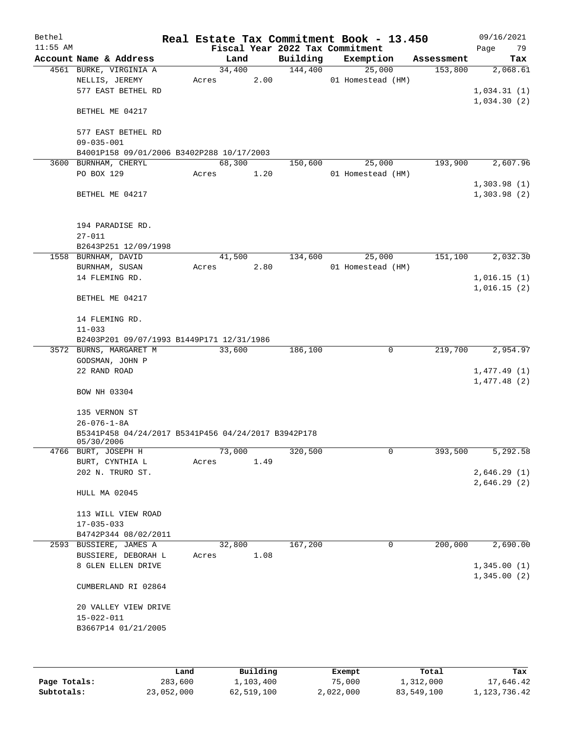| Bethel     |                                                                   |       |        |      |                                 | Real Estate Tax Commitment Book - 13.450 |            | 09/16/2021  |
|------------|-------------------------------------------------------------------|-------|--------|------|---------------------------------|------------------------------------------|------------|-------------|
| $11:55$ AM |                                                                   |       |        |      | Fiscal Year 2022 Tax Commitment |                                          |            | 79<br>Page  |
|            | Account Name & Address                                            |       | Land   |      | Building                        | Exemption                                | Assessment | Tax         |
|            | 4561 BURKE, VIRGINIA A                                            |       | 34,400 |      | 144,400                         | 25,000                                   | 153,800    | 2,068.61    |
|            | NELLIS, JEREMY                                                    | Acres |        | 2.00 |                                 | 01 Homestead (HM)                        |            |             |
|            | 577 EAST BETHEL RD                                                |       |        |      |                                 |                                          |            | 1,034.31(1) |
|            |                                                                   |       |        |      |                                 |                                          |            | 1,034.30(2) |
|            | BETHEL ME 04217                                                   |       |        |      |                                 |                                          |            |             |
|            |                                                                   |       |        |      |                                 |                                          |            |             |
|            | 577 EAST BETHEL RD                                                |       |        |      |                                 |                                          |            |             |
|            | $09 - 035 - 001$                                                  |       |        |      |                                 |                                          |            |             |
|            | B4001P158 09/01/2006 B3402P288 10/17/2003                         |       |        |      |                                 |                                          |            |             |
|            | 3600 BURNHAM, CHERYL                                              |       | 68,300 |      | 150,600                         | 25,000                                   | 193,900    | 2,607.96    |
|            | PO BOX 129                                                        | Acres |        | 1.20 |                                 | 01 Homestead (HM)                        |            |             |
|            |                                                                   |       |        |      |                                 |                                          |            | 1,303.98(1) |
|            | BETHEL ME 04217                                                   |       |        |      |                                 |                                          |            | 1,303.98(2) |
|            |                                                                   |       |        |      |                                 |                                          |            |             |
|            |                                                                   |       |        |      |                                 |                                          |            |             |
|            | 194 PARADISE RD.                                                  |       |        |      |                                 |                                          |            |             |
|            | $27 - 011$                                                        |       |        |      |                                 |                                          |            |             |
|            | B2643P251 12/09/1998                                              |       |        |      |                                 |                                          |            |             |
|            | 1558 BURNHAM, DAVID                                               |       | 41,500 |      | 134,600                         | 25,000                                   | 151,100    | 2,032.30    |
|            | BURNHAM, SUSAN                                                    | Acres |        | 2.80 |                                 | 01 Homestead (HM)                        |            |             |
|            | 14 FLEMING RD.                                                    |       |        |      |                                 |                                          |            | 1,016.15(1) |
|            |                                                                   |       |        |      |                                 |                                          |            | 1,016.15(2) |
|            | BETHEL ME 04217                                                   |       |        |      |                                 |                                          |            |             |
|            |                                                                   |       |        |      |                                 |                                          |            |             |
|            | 14 FLEMING RD.                                                    |       |        |      |                                 |                                          |            |             |
|            | $11 - 033$                                                        |       |        |      |                                 |                                          |            |             |
|            | B2403P201 09/07/1993 B1449P171 12/31/1986                         |       |        |      |                                 |                                          |            |             |
|            | 3572 BURNS, MARGARET M                                            |       | 33,600 |      | 186,100                         | 0                                        | 219,700    | 2,954.97    |
|            |                                                                   |       |        |      |                                 |                                          |            |             |
|            | GODSMAN, JOHN P                                                   |       |        |      |                                 |                                          |            |             |
|            | 22 RAND ROAD                                                      |       |        |      |                                 |                                          |            | 1,477.49(1) |
|            |                                                                   |       |        |      |                                 |                                          |            | 1,477.48(2) |
|            | BOW NH 03304                                                      |       |        |      |                                 |                                          |            |             |
|            |                                                                   |       |        |      |                                 |                                          |            |             |
|            | 135 VERNON ST                                                     |       |        |      |                                 |                                          |            |             |
|            | $26 - 076 - 1 - 8A$                                               |       |        |      |                                 |                                          |            |             |
|            | B5341P458 04/24/2017 B5341P456 04/24/2017 B3942P178<br>05/30/2006 |       |        |      |                                 |                                          |            |             |
|            | 4766 BURT, JOSEPH H                                               |       | 73,000 |      | 320,500                         | 0                                        | 393,500    | 5,292.58    |
|            | BURT, CYNTHIA L                                                   | Acres |        | 1.49 |                                 |                                          |            |             |
|            | 202 N. TRURO ST.                                                  |       |        |      |                                 |                                          |            | 2,646.29(1) |
|            |                                                                   |       |        |      |                                 |                                          |            | 2,646.29(2) |
|            | HULL MA 02045                                                     |       |        |      |                                 |                                          |            |             |
|            |                                                                   |       |        |      |                                 |                                          |            |             |
|            | 113 WILL VIEW ROAD                                                |       |        |      |                                 |                                          |            |             |
|            | $17 - 035 - 033$                                                  |       |        |      |                                 |                                          |            |             |
|            |                                                                   |       |        |      |                                 |                                          |            |             |
|            | B4742P344 08/02/2011                                              |       |        |      | 167,200                         |                                          |            |             |
|            | 2593 BUSSIERE, JAMES A                                            |       | 32,800 |      |                                 | 0                                        | 200,000    | 2,690.00    |
|            | BUSSIERE, DEBORAH L                                               | Acres |        | 1.08 |                                 |                                          |            |             |
|            | 8 GLEN ELLEN DRIVE                                                |       |        |      |                                 |                                          |            | 1,345.00(1) |
|            |                                                                   |       |        |      |                                 |                                          |            | 1,345.00(2) |
|            | CUMBERLAND RI 02864                                               |       |        |      |                                 |                                          |            |             |
|            |                                                                   |       |        |      |                                 |                                          |            |             |
|            | 20 VALLEY VIEW DRIVE                                              |       |        |      |                                 |                                          |            |             |
|            | $15 - 022 - 011$                                                  |       |        |      |                                 |                                          |            |             |
|            | B3667P14 01/21/2005                                               |       |        |      |                                 |                                          |            |             |
|            |                                                                   |       |        |      |                                 |                                          |            |             |
|            |                                                                   |       |        |      |                                 |                                          |            |             |
|            |                                                                   |       |        |      |                                 |                                          |            |             |

|              | Land       | Building   | Exempt    | Total      | Tax          |
|--------------|------------|------------|-----------|------------|--------------|
| Page Totals: | 283,600    | 1,103,400  | 75,000    | 1,312,000  | 17,646.42    |
| Subtotals:   | 23,052,000 | 62,519,100 | 2,022,000 | 83,549,100 | 1,123,736.42 |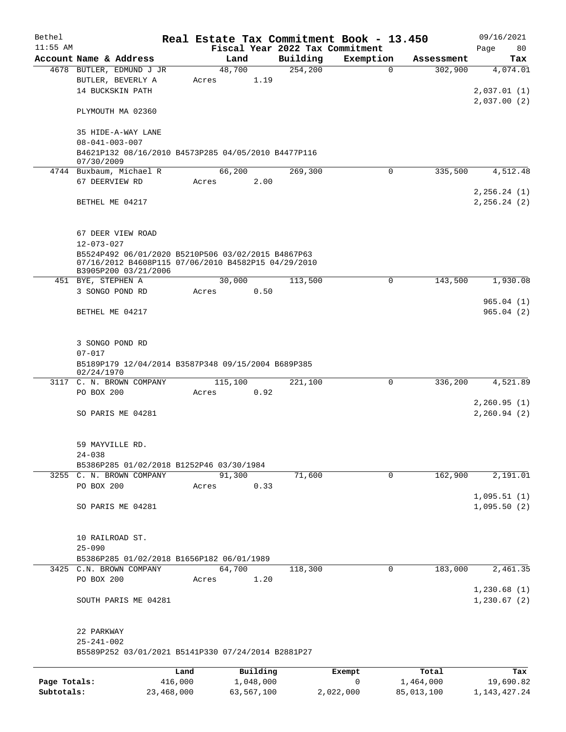| Bethel       |                                                                      |         |                |           |                                 | Real Estate Tax Commitment Book - 13.450 |                       | 09/16/2021      |
|--------------|----------------------------------------------------------------------|---------|----------------|-----------|---------------------------------|------------------------------------------|-----------------------|-----------------|
| $11:55$ AM   |                                                                      |         |                |           | Fiscal Year 2022 Tax Commitment |                                          |                       | Page<br>80      |
|              | Account Name & Address<br>4678 BUTLER, EDMUND J JR                   |         | Land<br>48,700 |           | Building<br>254, 200            | Exemption<br>$\mathbf 0$                 | Assessment<br>302,900 | Tax<br>4,074.01 |
|              | BUTLER, BEVERLY A                                                    |         | Acres          | 1.19      |                                 |                                          |                       |                 |
|              | 14 BUCKSKIN PATH                                                     |         |                |           |                                 |                                          |                       | 2,037.01(1)     |
|              |                                                                      |         |                |           |                                 |                                          |                       | 2,037.00(2)     |
|              | PLYMOUTH MA 02360                                                    |         |                |           |                                 |                                          |                       |                 |
|              | 35 HIDE-A-WAY LANE                                                   |         |                |           |                                 |                                          |                       |                 |
|              | $08 - 041 - 003 - 007$                                               |         |                |           |                                 |                                          |                       |                 |
|              | B4621P132 08/16/2010 B4573P285 04/05/2010 B4477P116                  |         |                |           |                                 |                                          |                       |                 |
|              | 07/30/2009                                                           |         |                |           |                                 |                                          |                       |                 |
|              | 4744 Buxbaum, Michael R                                              |         | 66,200         |           | 269,300                         | $\Omega$                                 | 335,500               | 4,512.48        |
|              | 67 DEERVIEW RD                                                       |         | Acres          | 2.00      |                                 |                                          |                       |                 |
|              |                                                                      |         |                |           |                                 |                                          |                       | 2, 256.24 (1)   |
|              | BETHEL ME 04217                                                      |         |                |           |                                 |                                          |                       | 2, 256.24 (2)   |
|              |                                                                      |         |                |           |                                 |                                          |                       |                 |
|              | 67 DEER VIEW ROAD                                                    |         |                |           |                                 |                                          |                       |                 |
|              | $12 - 073 - 027$                                                     |         |                |           |                                 |                                          |                       |                 |
|              | B5524P492 06/01/2020 B5210P506 03/02/2015 B4867P63                   |         |                |           |                                 |                                          |                       |                 |
|              | 07/16/2012 B4608P115 07/06/2010 B4582P15 04/29/2010                  |         |                |           |                                 |                                          |                       |                 |
|              | B3905P200 03/21/2006<br>451 BYE, STEPHEN A                           |         | 30,000         |           | 113,500                         | $\mathbf 0$                              | 143,500               | 1,930.08        |
|              | 3 SONGO POND RD                                                      |         | Acres          | 0.50      |                                 |                                          |                       |                 |
|              |                                                                      |         |                |           |                                 |                                          |                       | 965.04(1)       |
|              | BETHEL ME 04217                                                      |         |                |           |                                 |                                          |                       | 965.04(2)       |
|              |                                                                      |         |                |           |                                 |                                          |                       |                 |
|              |                                                                      |         |                |           |                                 |                                          |                       |                 |
|              | 3 SONGO POND RD                                                      |         |                |           |                                 |                                          |                       |                 |
|              | $07 - 017$                                                           |         |                |           |                                 |                                          |                       |                 |
|              | B5189P179 12/04/2014 B3587P348 09/15/2004 B689P385<br>02/24/1970     |         |                |           |                                 |                                          |                       |                 |
|              | 3117 C. N. BROWN COMPANY                                             |         | 115,100        |           | 221,100                         | 0                                        | 336,200               | 4,521.89        |
|              | PO BOX 200                                                           |         | Acres          | 0.92      |                                 |                                          |                       |                 |
|              |                                                                      |         |                |           |                                 |                                          |                       | 2, 260.95(1)    |
|              | SO PARIS ME 04281                                                    |         |                |           |                                 |                                          |                       | 2, 260.94 (2)   |
|              |                                                                      |         |                |           |                                 |                                          |                       |                 |
|              | 59 MAYVILLE RD.                                                      |         |                |           |                                 |                                          |                       |                 |
|              | $24 - 038$                                                           |         |                |           |                                 |                                          |                       |                 |
|              | B5386P285 01/02/2018 B1252P46 03/30/1984                             |         |                |           |                                 |                                          |                       |                 |
|              | 3255 C. N. BROWN COMPANY                                             |         | 91,300         |           | 71,600                          | $\mathbf 0$                              | 162,900               | 2,191.01        |
|              | PO BOX 200                                                           |         | Acres          | 0.33      |                                 |                                          |                       |                 |
|              |                                                                      |         |                |           |                                 |                                          |                       | 1,095.51(1)     |
|              | SO PARIS ME 04281                                                    |         |                |           |                                 |                                          |                       | 1,095.50(2)     |
|              |                                                                      |         |                |           |                                 |                                          |                       |                 |
|              |                                                                      |         |                |           |                                 |                                          |                       |                 |
|              | 10 RAILROAD ST.                                                      |         |                |           |                                 |                                          |                       |                 |
|              | $25 - 090$                                                           |         |                |           |                                 |                                          |                       |                 |
|              | B5386P285 01/02/2018 B1656P182 06/01/1989<br>3425 C.N. BROWN COMPANY |         | 64,700         |           | 118,300                         | 0                                        | 183,000               | 2,461.35        |
|              | PO BOX 200                                                           |         |                | 1.20      |                                 |                                          |                       |                 |
|              |                                                                      |         | Acres          |           |                                 |                                          |                       | 1,230.68(1)     |
|              |                                                                      |         |                |           |                                 |                                          |                       | 1, 230.67(2)    |
|              | SOUTH PARIS ME 04281                                                 |         |                |           |                                 |                                          |                       |                 |
|              | 22 PARKWAY                                                           |         |                |           |                                 |                                          |                       |                 |
|              | $25 - 241 - 002$                                                     |         |                |           |                                 |                                          |                       |                 |
|              | B5589P252 03/01/2021 B5141P330 07/24/2014 B2881P27                   |         |                |           |                                 |                                          |                       |                 |
|              |                                                                      |         |                |           |                                 |                                          |                       |                 |
|              |                                                                      | Land    |                | Building  |                                 | Exempt                                   | Total                 | Tax             |
| Page Totals: |                                                                      | 416,000 |                | 1,048,000 |                                 | 0                                        | 1,464,000             | 19,690.82       |

**Subtotals:** 23,468,000 63,567,100 2,022,000 85,013,100 1,143,427.24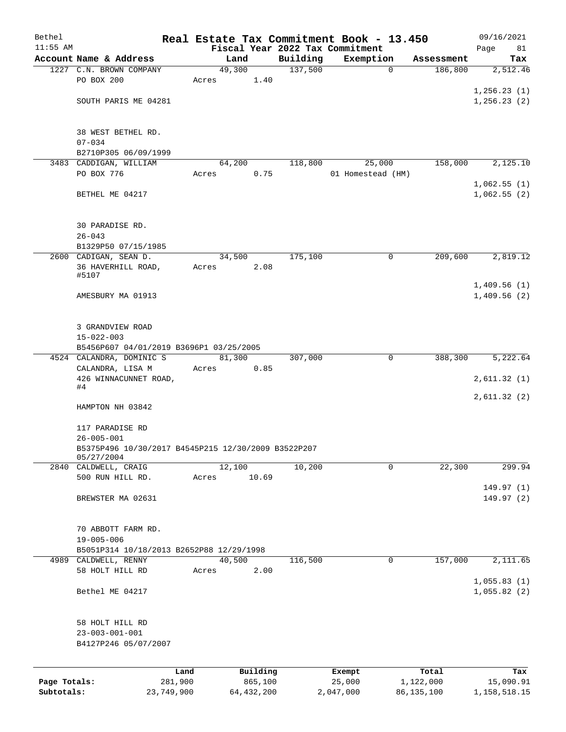| Bethel       |                                                                         |         |                |                     | Real Estate Tax Commitment Book - 13.450 |                       | 09/16/2021                 |
|--------------|-------------------------------------------------------------------------|---------|----------------|---------------------|------------------------------------------|-----------------------|----------------------------|
| $11:55$ AM   | Account Name & Address                                                  |         |                |                     | Fiscal Year 2022 Tax Commitment          |                       | Page<br>81                 |
|              | 1227 C.N. BROWN COMPANY                                                 |         | Land<br>49,300 | Building<br>137,500 | Exemption<br>$\mathbf 0$                 | Assessment<br>186,800 | Tax<br>2,512.46            |
|              | PO BOX 200                                                              | Acres   | 1.40           |                     |                                          |                       |                            |
|              |                                                                         |         |                |                     |                                          |                       | 1,256.23(1)                |
|              | SOUTH PARIS ME 04281                                                    |         |                |                     |                                          |                       | 1,256.23(2)                |
|              | 38 WEST BETHEL RD.                                                      |         |                |                     |                                          |                       |                            |
|              | $07 - 034$                                                              |         |                |                     |                                          |                       |                            |
|              | B2710P305 06/09/1999                                                    |         |                |                     |                                          |                       |                            |
|              | 3483 CADDIGAN, WILLIAM                                                  |         | 64,200         | 118,800             | 25,000                                   | 158,000               | 2,125.10                   |
|              | PO BOX 776                                                              | Acres   | 0.75           |                     | 01 Homestead (HM)                        |                       |                            |
|              | BETHEL ME 04217                                                         |         |                |                     |                                          |                       | 1,062.55(1)<br>1,062.55(2) |
|              | 30 PARADISE RD.                                                         |         |                |                     |                                          |                       |                            |
|              | $26 - 043$                                                              |         |                |                     |                                          |                       |                            |
|              | B1329P50 07/15/1985                                                     |         |                |                     |                                          |                       |                            |
|              | 2600 CADIGAN, SEAN D.                                                   |         | 34,500         | 175,100             | 0                                        | 209,600               | 2,819.12                   |
|              | 36 HAVERHILL ROAD,<br>#5107                                             | Acres   | 2.08           |                     |                                          |                       | 1,409.56(1)                |
|              | AMESBURY MA 01913                                                       |         |                |                     |                                          |                       | 1,409.56(2)                |
|              | 3 GRANDVIEW ROAD<br>$15 - 022 - 003$                                    |         |                |                     |                                          |                       |                            |
|              | B5456P607 04/01/2019 B3696P1 03/25/2005                                 |         |                |                     |                                          |                       |                            |
|              | 4524 CALANDRA, DOMINIC S                                                |         | 81,300         | 307,000             | 0                                        | 388,300               | 5,222.64                   |
|              | CALANDRA, LISA M                                                        | Acres   | 0.85           |                     |                                          |                       |                            |
|              | 426 WINNACUNNET ROAD,<br>#4                                             |         |                |                     |                                          |                       | 2,611.32(1)                |
|              | HAMPTON NH 03842                                                        |         |                |                     |                                          |                       | 2,611.32(2)                |
|              | 117 PARADISE RD                                                         |         |                |                     |                                          |                       |                            |
|              | $26 - 005 - 001$<br>B5375P496 10/30/2017 B4545P215 12/30/2009 B3522P207 |         |                |                     |                                          |                       |                            |
|              | 05/27/2004<br>2840 CALDWELL, CRAIG                                      |         | 12,100         | 10,200              | 0                                        | 22,300                | 299.94                     |
|              | 500 RUN HILL RD.                                                        | Acres   | 10.69          |                     |                                          |                       |                            |
|              |                                                                         |         |                |                     |                                          |                       | 149.97(1)                  |
|              | BREWSTER MA 02631                                                       |         |                |                     |                                          |                       | 149.97(2)                  |
|              | 70 ABBOTT FARM RD.                                                      |         |                |                     |                                          |                       |                            |
|              | $19 - 005 - 006$                                                        |         |                |                     |                                          |                       |                            |
|              | B5051P314 10/18/2013 B2652P88 12/29/1998<br>4989 CALDWELL, RENNY        |         | 40,500         | 116,500             | 0                                        | 157,000               | 2,111.65                   |
|              | 58 HOLT HILL RD                                                         | Acres   | 2.00           |                     |                                          |                       |                            |
|              |                                                                         |         |                |                     |                                          |                       | 1,055.83(1)                |
|              | Bethel ME 04217                                                         |         |                |                     |                                          |                       | 1,055.82(2)                |
|              | 58 HOLT HILL RD                                                         |         |                |                     |                                          |                       |                            |
|              | $23 - 003 - 001 - 001$                                                  |         |                |                     |                                          |                       |                            |
|              | B4127P246 05/07/2007                                                    |         |                |                     |                                          |                       |                            |
|              |                                                                         | Land    | Building       |                     | Exempt                                   | Total                 | Tax                        |
| Page Totals: |                                                                         | 281,900 | 865,100        |                     | 25,000                                   | 1,122,000             | 15,090.91                  |
| Subtotals:   | 23,749,900                                                              |         | 64, 432, 200   |                     | 2,047,000                                | 86, 135, 100          | 1,158,518.15               |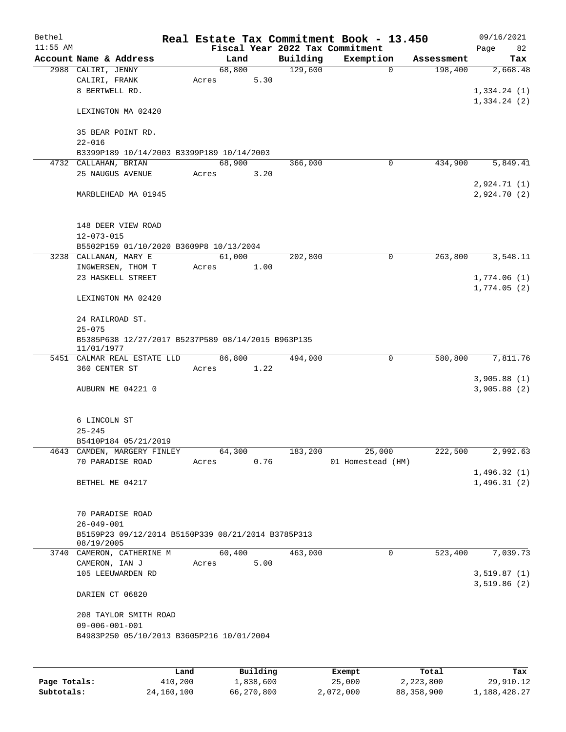| Bethel       |                                                                  | Real Estate Tax Commitment Book - 13.450 |      |          |                                 |              | 09/16/2021   |
|--------------|------------------------------------------------------------------|------------------------------------------|------|----------|---------------------------------|--------------|--------------|
| $11:55$ AM   |                                                                  |                                          |      |          | Fiscal Year 2022 Tax Commitment |              | Page<br>82   |
|              | Account Name & Address                                           | Land                                     |      | Building | Exemption                       | Assessment   | Tax          |
|              | 2988 CALIRI, JENNY                                               | 68,800                                   |      | 129,600  | $\mathbf 0$                     | 198,400      | 2,668.48     |
|              | CALIRI, FRANK                                                    | Acres                                    | 5.30 |          |                                 |              |              |
|              | 8 BERTWELL RD.                                                   |                                          |      |          |                                 |              | 1,334.24(1)  |
|              | LEXINGTON MA 02420                                               |                                          |      |          |                                 |              | 1,334.24(2)  |
|              |                                                                  |                                          |      |          |                                 |              |              |
|              | 35 BEAR POINT RD.                                                |                                          |      |          |                                 |              |              |
|              | $22 - 016$                                                       |                                          |      |          |                                 |              |              |
|              | B3399P189 10/14/2003 B3399P189 10/14/2003                        |                                          |      |          |                                 |              |              |
|              | 4732 CALLAHAN, BRIAN                                             | 68,900                                   |      | 366,000  | 0                               | 434,900      | 5,849.41     |
|              | 25 NAUGUS AVENUE                                                 | Acres                                    | 3.20 |          |                                 |              |              |
|              |                                                                  |                                          |      |          |                                 |              | 2,924.71(1)  |
|              | MARBLEHEAD MA 01945                                              |                                          |      |          |                                 |              | 2,924.70(2)  |
|              |                                                                  |                                          |      |          |                                 |              |              |
|              | 148 DEER VIEW ROAD                                               |                                          |      |          |                                 |              |              |
|              | $12 - 073 - 015$                                                 |                                          |      |          |                                 |              |              |
|              | B5502P159 01/10/2020 B3609P8 10/13/2004                          |                                          |      |          |                                 |              |              |
|              | 3238 CALLANAN, MARY E                                            | 61,000                                   |      | 202,800  | 0                               | 263,800      | 3,548.11     |
|              | INGWERSEN, THOM T                                                | Acres                                    | 1.00 |          |                                 |              |              |
|              | 23 HASKELL STREET                                                |                                          |      |          |                                 |              | 1,774.06(1)  |
|              |                                                                  |                                          |      |          |                                 |              | 1,774.05(2)  |
|              | LEXINGTON MA 02420                                               |                                          |      |          |                                 |              |              |
|              |                                                                  |                                          |      |          |                                 |              |              |
|              | 24 RAILROAD ST.                                                  |                                          |      |          |                                 |              |              |
|              | $25 - 075$                                                       |                                          |      |          |                                 |              |              |
|              | B5385P638 12/27/2017 B5237P589 08/14/2015 B963P135<br>11/01/1977 |                                          |      |          |                                 |              |              |
|              | 5451 CALMAR REAL ESTATE LLD                                      | 86,800                                   |      | 494,000  | 0                               | 580,800      | 7,811.76     |
|              | 360 CENTER ST                                                    | Acres                                    | 1.22 |          |                                 |              |              |
|              |                                                                  |                                          |      |          |                                 |              | 3,905.88(1)  |
|              | AUBURN ME 04221 0                                                |                                          |      |          |                                 |              | 3,905.88(2)  |
|              |                                                                  |                                          |      |          |                                 |              |              |
|              | 6 LINCOLN ST                                                     |                                          |      |          |                                 |              |              |
|              | $25 - 245$                                                       |                                          |      |          |                                 |              |              |
|              | B5410P184 05/21/2019                                             |                                          |      |          |                                 |              |              |
|              | 4643 CAMDEN, MARGERY FINLEY                                      | 64,300                                   |      | 183,200  | 25,000                          | 222,500      | 2,992.63     |
|              | 70 PARADISE ROAD                                                 | Acres                                    | 0.76 |          | 01 Homestead (HM)               |              |              |
|              |                                                                  |                                          |      |          |                                 |              | 1,496.32(1)  |
|              | BETHEL ME 04217                                                  |                                          |      |          |                                 |              | 1,496.31(2)  |
|              |                                                                  |                                          |      |          |                                 |              |              |
|              |                                                                  |                                          |      |          |                                 |              |              |
|              | 70 PARADISE ROAD                                                 |                                          |      |          |                                 |              |              |
|              | $26 - 049 - 001$                                                 |                                          |      |          |                                 |              |              |
|              | B5159P23 09/12/2014 B5150P339 08/21/2014 B3785P313<br>08/19/2005 |                                          |      |          |                                 |              |              |
| 3740         | CAMERON, CATHERINE M                                             | 60,400                                   |      | 463,000  | 0                               | 523,400      | 7,039.73     |
|              | CAMERON, IAN J                                                   | Acres                                    | 5.00 |          |                                 |              |              |
|              | 105 LEEUWARDEN RD                                                |                                          |      |          |                                 |              | 3,519.87(1)  |
|              |                                                                  |                                          |      |          |                                 |              | 3,519.86(2)  |
|              | DARIEN CT 06820                                                  |                                          |      |          |                                 |              |              |
|              | 208 TAYLOR SMITH ROAD                                            |                                          |      |          |                                 |              |              |
|              | $09 - 006 - 001 - 001$                                           |                                          |      |          |                                 |              |              |
|              | B4983P250 05/10/2013 B3605P216 10/01/2004                        |                                          |      |          |                                 |              |              |
|              |                                                                  |                                          |      |          |                                 |              |              |
|              |                                                                  |                                          |      |          |                                 |              |              |
|              | Land                                                             | Building                                 |      |          | Exempt                          | Total        | Tax          |
| Page Totals: | 410,200                                                          | 1,838,600                                |      |          | 25,000                          | 2,223,800    | 29,910.12    |
| Subtotals:   | 24,160,100                                                       | 66,270,800                               |      |          | 2,072,000                       | 88, 358, 900 | 1,188,428.27 |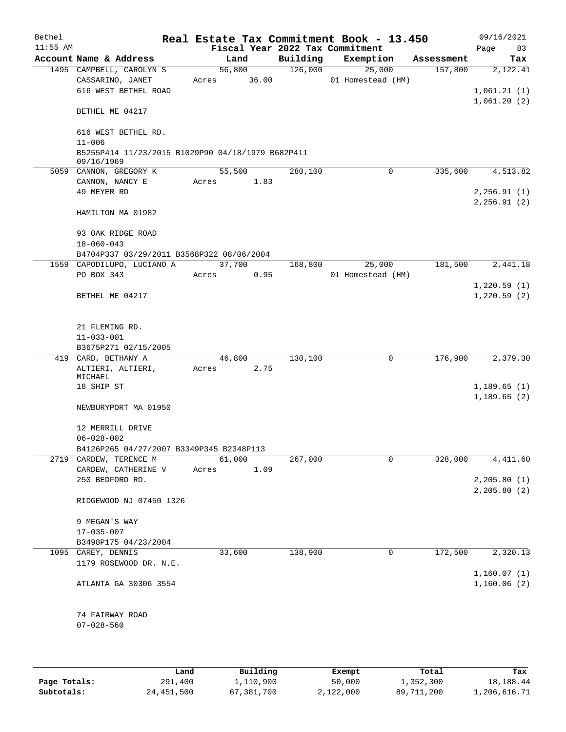| Bethel     |                                                                 |       |             |      |          | Real Estate Tax Commitment Book - 13.450 |            | 09/16/2021    |
|------------|-----------------------------------------------------------------|-------|-------------|------|----------|------------------------------------------|------------|---------------|
| $11:55$ AM |                                                                 |       |             |      |          | Fiscal Year 2022 Tax Commitment          |            | Page<br>83    |
|            | Account Name & Address                                          |       | Land        |      | Building | Exemption                                | Assessment | Tax           |
|            | 1495 CAMPBELL, CAROLYN S                                        |       | 56,800      |      | 126,000  | 25,000                                   | 157,800    | 2,122.41      |
|            | CASSARINO, JANET                                                |       | Acres 36.00 |      |          | 01 Homestead (HM)                        |            |               |
|            | 616 WEST BETHEL ROAD                                            |       |             |      |          |                                          |            | 1,061.21(1)   |
|            |                                                                 |       |             |      |          |                                          |            | 1,061.20(2)   |
|            | BETHEL ME 04217                                                 |       |             |      |          |                                          |            |               |
|            |                                                                 |       |             |      |          |                                          |            |               |
|            | 616 WEST BETHEL RD.                                             |       |             |      |          |                                          |            |               |
|            | $11 - 006$                                                      |       |             |      |          |                                          |            |               |
|            | B5255P414 11/23/2015 B1029P90 04/18/1979 B682P411<br>09/16/1969 |       |             |      |          |                                          |            |               |
|            | 5059 CANNON, GREGORY K                                          |       | 55,500      |      | 280,100  | 0                                        | 335,600    | 4,513.82      |
|            | CANNON, NANCY E                                                 |       | Acres 1.83  |      |          |                                          |            |               |
|            | 49 MEYER RD                                                     |       |             |      |          |                                          |            | 2, 256.91(1)  |
|            |                                                                 |       |             |      |          |                                          |            | 2, 256.91(2)  |
|            | HAMILTON MA 01982                                               |       |             |      |          |                                          |            |               |
|            |                                                                 |       |             |      |          |                                          |            |               |
|            | 93 OAK RIDGE ROAD                                               |       |             |      |          |                                          |            |               |
|            | $18 - 060 - 043$                                                |       |             |      |          |                                          |            |               |
|            | B4704P337 03/29/2011 B3568P322 08/06/2004                       |       |             |      |          |                                          |            |               |
|            | 1559 CAPODILUPO, LUCIANO A                                      |       | 37,700      |      | 168,800  | 25,000                                   | 181,500    | 2,441.18      |
|            | PO BOX 343                                                      | Acres |             | 0.95 |          | 01 Homestead (HM)                        |            |               |
|            |                                                                 |       |             |      |          |                                          |            | 1,220.59(1)   |
|            | BETHEL ME 04217                                                 |       |             |      |          |                                          |            | 1,220.59(2)   |
|            |                                                                 |       |             |      |          |                                          |            |               |
|            |                                                                 |       |             |      |          |                                          |            |               |
|            | 21 FLEMING RD.                                                  |       |             |      |          |                                          |            |               |
|            | $11 - 033 - 001$                                                |       |             |      |          |                                          |            |               |
|            | B3675P271 02/15/2005                                            |       |             |      |          |                                          |            |               |
|            | 419 CARD, BETHANY A                                             |       | 46,800      |      | 130,100  | 0                                        | 176,900    | 2,379.30      |
|            | ALTIERI, ALTIERI,                                               | Acres |             | 2.75 |          |                                          |            |               |
|            | MICHAEL                                                         |       |             |      |          |                                          |            |               |
|            | 18 SHIP ST                                                      |       |             |      |          |                                          |            | 1,189.65(1)   |
|            |                                                                 |       |             |      |          |                                          |            | 1,189.65(2)   |
|            | NEWBURYPORT MA 01950                                            |       |             |      |          |                                          |            |               |
|            |                                                                 |       |             |      |          |                                          |            |               |
|            | 12 MERRILL DRIVE<br>$06 - 028 - 002$                            |       |             |      |          |                                          |            |               |
|            | B4126P265 04/27/2007 B3349P345 B2348P113                        |       |             |      |          |                                          |            |               |
|            | 2719 CARDEW, TERENCE M                                          |       | 61,000      |      | 267,000  | 0                                        | 328,000    | 4, 411.60     |
|            | CARDEW, CATHERINE V                                             | Acres |             | 1.09 |          |                                          |            |               |
|            | 250 BEDFORD RD.                                                 |       |             |      |          |                                          |            | 2, 205.80(1)  |
|            |                                                                 |       |             |      |          |                                          |            | 2, 205.80 (2) |
|            | RIDGEWOOD NJ 07450 1326                                         |       |             |      |          |                                          |            |               |
|            |                                                                 |       |             |      |          |                                          |            |               |
|            | 9 MEGAN'S WAY                                                   |       |             |      |          |                                          |            |               |
|            | $17 - 035 - 007$                                                |       |             |      |          |                                          |            |               |
|            | B3498P175 04/23/2004                                            |       |             |      |          |                                          |            |               |
|            | 1095 CAREY, DENNIS                                              |       | 33,600      |      | 138,900  | 0                                        | 172,500    | 2,320.13      |
|            | 1179 ROSEWOOD DR. N.E.                                          |       |             |      |          |                                          |            |               |
|            |                                                                 |       |             |      |          |                                          |            | 1,160.07(1)   |
|            | ATLANTA GA 30306 3554                                           |       |             |      |          |                                          |            | 1,160.06(2)   |
|            |                                                                 |       |             |      |          |                                          |            |               |
|            |                                                                 |       |             |      |          |                                          |            |               |
|            | 74 FAIRWAY ROAD                                                 |       |             |      |          |                                          |            |               |
|            | $07 - 028 - 560$                                                |       |             |      |          |                                          |            |               |
|            |                                                                 |       |             |      |          |                                          |            |               |
|            |                                                                 |       |             |      |          |                                          |            |               |
|            |                                                                 |       |             |      |          |                                          |            |               |

|              | Land       | Building   | Exempt    | Total      | Tax          |
|--------------|------------|------------|-----------|------------|--------------|
| Page Totals: | 291,400    | 1,110,900  | 50,000    | 1,352,300  | 18,188.44    |
| Subtotals:   | 24,451,500 | 67,381,700 | 2,122,000 | 89,711,200 | 1,206,616.71 |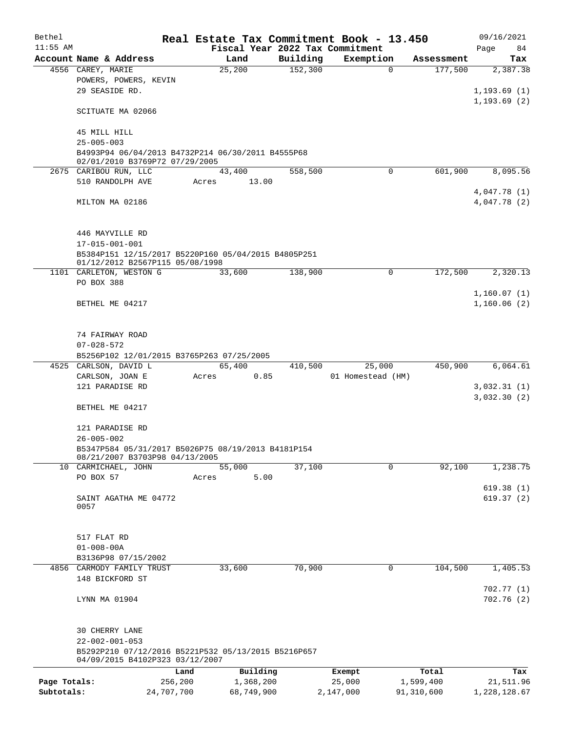| Bethel       |                                                                                        |            | Real Estate Tax Commitment Book - 13.450 |                                 |                   |                        | 09/16/2021                   |  |  |  |
|--------------|----------------------------------------------------------------------------------------|------------|------------------------------------------|---------------------------------|-------------------|------------------------|------------------------------|--|--|--|
| $11:55$ AM   |                                                                                        |            |                                          | Fiscal Year 2022 Tax Commitment |                   |                        | Page<br>84                   |  |  |  |
|              | Account Name & Address                                                                 |            | Land                                     | Building                        | Exemption         | Assessment             | Tax                          |  |  |  |
|              | 4556 CAREY, MARIE                                                                      |            | 25,200                                   | 152,300                         |                   | $\mathbf 0$<br>177,500 | 2,387.38                     |  |  |  |
|              | POWERS, POWERS, KEVIN<br>29 SEASIDE RD.                                                |            |                                          |                                 |                   |                        |                              |  |  |  |
|              |                                                                                        |            |                                          |                                 |                   |                        | 1, 193.69(1)<br>1, 193.69(2) |  |  |  |
|              | SCITUATE MA 02066                                                                      |            |                                          |                                 |                   |                        |                              |  |  |  |
|              |                                                                                        |            |                                          |                                 |                   |                        |                              |  |  |  |
|              | 45 MILL HILL                                                                           |            |                                          |                                 |                   |                        |                              |  |  |  |
|              | $25 - 005 - 003$                                                                       |            |                                          |                                 |                   |                        |                              |  |  |  |
|              | B4993P94 06/04/2013 B4732P214 06/30/2011 B4555P68                                      |            |                                          |                                 |                   |                        |                              |  |  |  |
|              | 02/01/2010 B3769P72 07/29/2005                                                         |            |                                          |                                 |                   |                        |                              |  |  |  |
|              | 2675 CARIBOU RUN, LLC                                                                  |            | 43,400                                   | 558,500                         |                   | $\Omega$<br>601,900    | 8,095.56                     |  |  |  |
|              | 510 RANDOLPH AVE                                                                       |            | 13.00<br>Acres                           |                                 |                   |                        |                              |  |  |  |
|              |                                                                                        |            |                                          |                                 |                   |                        | 4,047.78 (1)                 |  |  |  |
|              | MILTON MA 02186                                                                        |            |                                          |                                 |                   |                        | 4,047.78 (2)                 |  |  |  |
|              |                                                                                        |            |                                          |                                 |                   |                        |                              |  |  |  |
|              |                                                                                        |            |                                          |                                 |                   |                        |                              |  |  |  |
|              | 446 MAYVILLE RD                                                                        |            |                                          |                                 |                   |                        |                              |  |  |  |
|              | 17-015-001-001                                                                         |            |                                          |                                 |                   |                        |                              |  |  |  |
|              | B5384P151 12/15/2017 B5220P160 05/04/2015 B4805P251<br>01/12/2012 B2567P115 05/08/1998 |            |                                          |                                 |                   |                        |                              |  |  |  |
|              |                                                                                        |            |                                          |                                 |                   |                        |                              |  |  |  |
|              | 1101 CARLETON, WESTON G                                                                |            | 33,600                                   | 138,900                         |                   | 172,500<br>0           | 2,320.13                     |  |  |  |
|              | PO BOX 388                                                                             |            |                                          |                                 |                   |                        |                              |  |  |  |
|              |                                                                                        |            |                                          |                                 |                   |                        | 1,160.07(1)                  |  |  |  |
|              | BETHEL ME 04217                                                                        |            |                                          |                                 |                   |                        | 1,160.06(2)                  |  |  |  |
|              |                                                                                        |            |                                          |                                 |                   |                        |                              |  |  |  |
|              | 74 FAIRWAY ROAD                                                                        |            |                                          |                                 |                   |                        |                              |  |  |  |
|              |                                                                                        |            |                                          |                                 |                   |                        |                              |  |  |  |
|              | $07 - 028 - 572$<br>B5256P102 12/01/2015 B3765P263 07/25/2005                          |            |                                          |                                 |                   |                        |                              |  |  |  |
|              | 4525 CARLSON, DAVID L                                                                  |            | 65,400                                   | 410,500                         | 25,000            | 450,900                | 6,064.61                     |  |  |  |
|              | CARLSON, JOAN E                                                                        |            | Acres<br>0.85                            |                                 | 01 Homestead (HM) |                        |                              |  |  |  |
|              | 121 PARADISE RD                                                                        |            |                                          |                                 |                   |                        | 3,032.31(1)                  |  |  |  |
|              |                                                                                        |            |                                          |                                 |                   |                        | 3,032.30(2)                  |  |  |  |
|              | BETHEL ME 04217                                                                        |            |                                          |                                 |                   |                        |                              |  |  |  |
|              |                                                                                        |            |                                          |                                 |                   |                        |                              |  |  |  |
|              | 121 PARADISE RD                                                                        |            |                                          |                                 |                   |                        |                              |  |  |  |
|              | $26 - 005 - 002$                                                                       |            |                                          |                                 |                   |                        |                              |  |  |  |
|              | B5347P584 05/31/2017 B5026P75 08/19/2013 B4181P154                                     |            |                                          |                                 |                   |                        |                              |  |  |  |
|              | 08/21/2007 B3703P98 04/13/2005                                                         |            |                                          |                                 |                   |                        |                              |  |  |  |
|              | 10 CARMICHAEL, JOHN                                                                    |            | 55,000                                   | 37,100                          |                   | 92,100<br>$\Omega$     | 1,238.75                     |  |  |  |
|              | PO BOX 57                                                                              |            | 5.00<br>Acres                            |                                 |                   |                        |                              |  |  |  |
|              |                                                                                        |            |                                          |                                 |                   |                        | 619.38(1)                    |  |  |  |
|              | SAINT AGATHA ME 04772<br>0057                                                          |            |                                          |                                 |                   |                        | 619.37(2)                    |  |  |  |
|              |                                                                                        |            |                                          |                                 |                   |                        |                              |  |  |  |
|              |                                                                                        |            |                                          |                                 |                   |                        |                              |  |  |  |
|              | 517 FLAT RD                                                                            |            |                                          |                                 |                   |                        |                              |  |  |  |
|              | $01 - 008 - 00A$                                                                       |            |                                          |                                 |                   |                        |                              |  |  |  |
|              | B3136P98 07/15/2002                                                                    |            |                                          |                                 |                   |                        |                              |  |  |  |
| 4856         | CARMODY FAMILY TRUST                                                                   |            | 33,600                                   | 70,900                          |                   | 104,500<br>0           | 1,405.53                     |  |  |  |
|              | 148 BICKFORD ST                                                                        |            |                                          |                                 |                   |                        |                              |  |  |  |
|              |                                                                                        |            |                                          |                                 |                   |                        | 702.77(1)                    |  |  |  |
|              | LYNN MA 01904                                                                          |            |                                          |                                 |                   |                        | 702.76(2)                    |  |  |  |
|              |                                                                                        |            |                                          |                                 |                   |                        |                              |  |  |  |
|              |                                                                                        |            |                                          |                                 |                   |                        |                              |  |  |  |
|              | 30 CHERRY LANE                                                                         |            |                                          |                                 |                   |                        |                              |  |  |  |
|              | $22 - 002 - 001 - 053$                                                                 |            |                                          |                                 |                   |                        |                              |  |  |  |
|              | B5292P210 07/12/2016 B5221P532 05/13/2015 B5216P657                                    |            |                                          |                                 |                   |                        |                              |  |  |  |
|              | 04/09/2015 B4102P323 03/12/2007                                                        |            |                                          |                                 |                   |                        |                              |  |  |  |
|              |                                                                                        | Land       | Building                                 |                                 | Exempt            | Total                  | Tax                          |  |  |  |
| Page Totals: |                                                                                        | 256,200    | 1,368,200                                |                                 | 25,000            | 1,599,400              | 21,511.96                    |  |  |  |
| Subtotals:   |                                                                                        | 24,707,700 | 68,749,900                               |                                 | 2,147,000         | 91,310,600             | 1,228,128.67                 |  |  |  |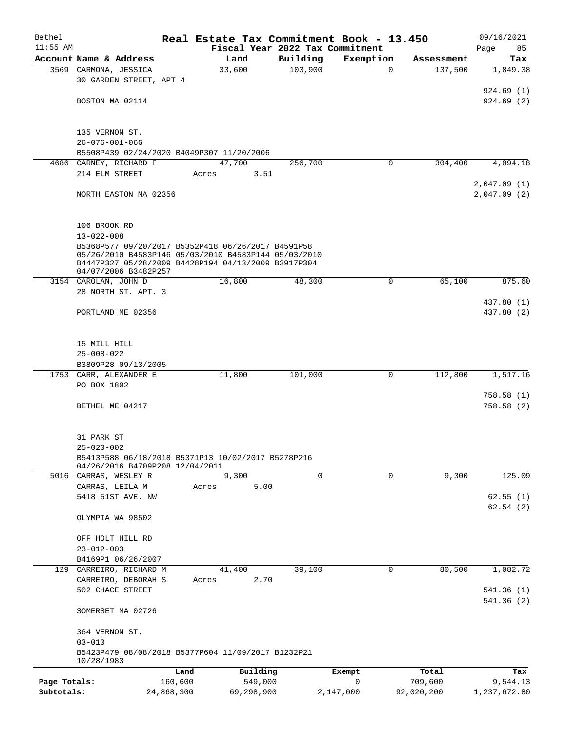| Bethel       |                                                      | Real Estate Tax Commitment Book - 13.450           |                                 |             |            | 09/16/2021              |  |  |  |
|--------------|------------------------------------------------------|----------------------------------------------------|---------------------------------|-------------|------------|-------------------------|--|--|--|
| $11:55$ AM   |                                                      |                                                    | Fiscal Year 2022 Tax Commitment |             |            | Page<br>85              |  |  |  |
|              | Account Name & Address                               | Land                                               | Building                        | Exemption   | Assessment | Tax                     |  |  |  |
|              | 3569 CARMONA, JESSICA                                | 33,600                                             | 103,900                         | $\Omega$    | 137,500    | 1,849.38                |  |  |  |
|              | 30 GARDEN STREET, APT 4                              |                                                    |                                 |             |            |                         |  |  |  |
|              | BOSTON MA 02114                                      |                                                    |                                 |             |            | 924.69(1)<br>924.69(2)  |  |  |  |
|              |                                                      |                                                    |                                 |             |            |                         |  |  |  |
|              |                                                      |                                                    |                                 |             |            |                         |  |  |  |
|              | 135 VERNON ST.                                       |                                                    |                                 |             |            |                         |  |  |  |
|              | $26 - 076 - 001 - 06G$                               |                                                    |                                 |             |            |                         |  |  |  |
|              | B5508P439 02/24/2020 B4049P307 11/20/2006            |                                                    |                                 |             |            |                         |  |  |  |
| 4686         | CARNEY, RICHARD F                                    | 47,700                                             | 256,700                         | 0           | 304,400    | 4,094.18                |  |  |  |
|              | 214 ELM STREET                                       | 3.51<br>Acres                                      |                                 |             |            |                         |  |  |  |
|              |                                                      |                                                    |                                 |             |            | 2,047.09(1)             |  |  |  |
|              | NORTH EASTON MA 02356                                |                                                    |                                 |             |            | 2,047.09(2)             |  |  |  |
|              |                                                      |                                                    |                                 |             |            |                         |  |  |  |
|              | 106 BROOK RD                                         |                                                    |                                 |             |            |                         |  |  |  |
|              | $13 - 022 - 008$                                     |                                                    |                                 |             |            |                         |  |  |  |
|              |                                                      | B5368P577 09/20/2017 B5352P418 06/26/2017 B4591P58 |                                 |             |            |                         |  |  |  |
|              | 05/26/2010 B4583P146 05/03/2010 B4583P144 05/03/2010 |                                                    |                                 |             |            |                         |  |  |  |
|              | B4447P327 05/28/2009 B4428P194 04/13/2009 B3917P304  |                                                    |                                 |             |            |                         |  |  |  |
|              | 04/07/2006 B3482P257<br>3154 CAROLAN, JOHN D         | 16,800                                             | 48,300                          | 0           | 65,100     | 875.60                  |  |  |  |
|              | 28 NORTH ST. APT. 3                                  |                                                    |                                 |             |            |                         |  |  |  |
|              |                                                      |                                                    |                                 |             |            | 437.80 (1)              |  |  |  |
|              | PORTLAND ME 02356                                    |                                                    |                                 |             |            | 437.80 (2)              |  |  |  |
|              |                                                      |                                                    |                                 |             |            |                         |  |  |  |
|              |                                                      |                                                    |                                 |             |            |                         |  |  |  |
|              | 15 MILL HILL                                         |                                                    |                                 |             |            |                         |  |  |  |
|              | $25 - 008 - 022$                                     |                                                    |                                 |             |            |                         |  |  |  |
|              | B3809P28 09/13/2005                                  |                                                    |                                 |             |            |                         |  |  |  |
|              | 1753 CARR, ALEXANDER E                               | 11,800                                             | 101,000                         | $\mathbf 0$ | 112,800    | 1,517.16                |  |  |  |
|              | PO BOX 1802                                          |                                                    |                                 |             |            |                         |  |  |  |
|              | BETHEL ME 04217                                      |                                                    |                                 |             |            | 758.58(1)<br>758.58(2)  |  |  |  |
|              |                                                      |                                                    |                                 |             |            |                         |  |  |  |
|              |                                                      |                                                    |                                 |             |            |                         |  |  |  |
|              | 31 PARK ST                                           |                                                    |                                 |             |            |                         |  |  |  |
|              | $25 - 020 - 002$                                     |                                                    |                                 |             |            |                         |  |  |  |
|              | B5413P588 06/18/2018 B5371P13 10/02/2017 B5278P216   |                                                    |                                 |             |            |                         |  |  |  |
|              | 04/26/2016 B4709P208 12/04/2011                      | 9,300                                              | $\Omega$                        | $\Omega$    | 9,300      | 125.09                  |  |  |  |
|              | 5016 CARRAS, WESLEY R<br>CARRAS, LEILA M             | 5.00<br>Acres                                      |                                 |             |            |                         |  |  |  |
|              | 5418 51ST AVE. NW                                    |                                                    |                                 |             |            | 62.55(1)                |  |  |  |
|              |                                                      |                                                    |                                 |             |            | 62.54(2)                |  |  |  |
|              | OLYMPIA WA 98502                                     |                                                    |                                 |             |            |                         |  |  |  |
|              |                                                      |                                                    |                                 |             |            |                         |  |  |  |
|              | OFF HOLT HILL RD                                     |                                                    |                                 |             |            |                         |  |  |  |
|              | $23 - 012 - 003$                                     |                                                    |                                 |             |            |                         |  |  |  |
|              | B4169P1 06/26/2007                                   |                                                    |                                 |             |            |                         |  |  |  |
|              | 129 CARREIRO, RICHARD M                              | 41,400                                             | 39,100                          | 0           | 80,500     | 1,082.72                |  |  |  |
|              | CARREIRO, DEBORAH S                                  | 2.70<br>Acres                                      |                                 |             |            |                         |  |  |  |
|              | 502 CHACE STREET                                     |                                                    |                                 |             |            | 541.36(1)<br>541.36 (2) |  |  |  |
|              | SOMERSET MA 02726                                    |                                                    |                                 |             |            |                         |  |  |  |
|              |                                                      |                                                    |                                 |             |            |                         |  |  |  |
|              | 364 VERNON ST.                                       |                                                    |                                 |             |            |                         |  |  |  |
|              | $03 - 010$                                           |                                                    |                                 |             |            |                         |  |  |  |
|              | B5423P479 08/08/2018 B5377P604 11/09/2017 B1232P21   |                                                    |                                 |             |            |                         |  |  |  |
|              | 10/28/1983                                           |                                                    |                                 |             |            |                         |  |  |  |
|              | Land                                                 | Building                                           |                                 | Exempt      | Total      | Tax                     |  |  |  |
| Page Totals: | 160,600                                              | 549,000                                            |                                 | 0           | 709,600    | 9,544.13                |  |  |  |
| Subtotals:   | 24,868,300                                           | 69,298,900                                         |                                 | 2,147,000   | 92,020,200 | 1,237,672.80            |  |  |  |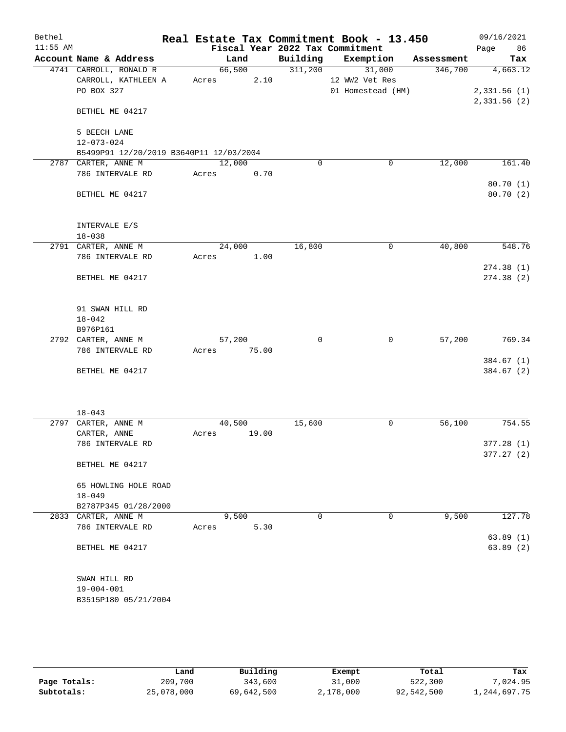| Bethel     |                                                             |             |       |         | Real Estate Tax Commitment Book - 13.450 |            | 09/16/2021  |
|------------|-------------------------------------------------------------|-------------|-------|---------|------------------------------------------|------------|-------------|
| $11:55$ AM |                                                             |             |       |         | Fiscal Year 2022 Tax Commitment          |            | 86<br>Page  |
|            | Account Name & Address                                      |             | Land  |         | Building Exemption                       | Assessment | Tax         |
|            | 4741 CARROLL, RONALD R                                      | 66,500      |       | 311,200 | 31,000                                   | 346,700    | 4,663.12    |
|            | CARROLL, KATHLEEN A                                         | Acres       | 2.10  |         | 12 WW2 Vet Res                           |            |             |
|            | PO BOX 327                                                  |             |       |         | 01 Homestead (HM)                        |            | 2,331.56(1) |
|            | BETHEL ME 04217                                             |             |       |         |                                          |            | 2,331.56(2) |
|            |                                                             |             |       |         |                                          |            |             |
|            | 5 BEECH LANE                                                |             |       |         |                                          |            |             |
|            | $12 - 073 - 024$<br>B5499P91 12/20/2019 B3640P11 12/03/2004 |             |       |         |                                          |            |             |
|            | 2787 CARTER, ANNE M                                         | 12,000      |       | 0       | $\mathbf 0$                              | 12,000     | 161.40      |
|            | 786 INTERVALE RD                                            | Acres       | 0.70  |         |                                          |            |             |
|            |                                                             |             |       |         |                                          |            | 80.70 (1)   |
|            | BETHEL ME 04217                                             |             |       |         |                                          |            | 80.70 (2)   |
|            | INTERVALE E/S                                               |             |       |         |                                          |            |             |
|            | $18 - 038$                                                  |             |       |         |                                          |            |             |
|            | 2791 CARTER, ANNE M                                         | 24,000      |       | 16,800  | $\mathbf 0$                              | 40,800     | 548.76      |
|            | 786 INTERVALE RD                                            | Acres       | 1.00  |         |                                          |            |             |
|            |                                                             |             |       |         |                                          |            | 274.38(1)   |
|            | BETHEL ME 04217                                             |             |       |         |                                          |            | 274.38 (2)  |
|            | 91 SWAN HILL RD                                             |             |       |         |                                          |            |             |
|            | $18 - 042$                                                  |             |       |         |                                          |            |             |
|            | B976P161                                                    |             |       |         |                                          |            |             |
|            | 2792 CARTER, ANNE M                                         | 57,200      |       | 0       | $\mathbf 0$                              | 57,200     | 769.34      |
|            | 786 INTERVALE RD                                            | Acres 75.00 |       |         |                                          |            |             |
|            |                                                             |             |       |         |                                          |            | 384.67 (1)  |
|            | BETHEL ME 04217                                             |             |       |         |                                          |            | 384.67 (2)  |
|            |                                                             |             |       |         |                                          |            |             |
|            | $18 - 043$                                                  |             |       |         |                                          |            |             |
|            | 2797 CARTER, ANNE M                                         | 40,500      |       | 15,600  | 0                                        | 56,100     | 754.55      |
|            | CARTER, ANNE                                                | Acres       | 19.00 |         |                                          |            |             |
|            | 786 INTERVALE RD                                            |             |       |         |                                          |            | 377.28 (1)  |
|            |                                                             |             |       |         |                                          |            | 377.27(2)   |
|            | BETHEL ME 04217                                             |             |       |         |                                          |            |             |
|            | 65 HOWLING HOLE ROAD                                        |             |       |         |                                          |            |             |
|            | $18 - 049$                                                  |             |       |         |                                          |            |             |
|            | B2787P345 01/28/2000                                        |             |       |         |                                          |            |             |
|            | 2833 CARTER, ANNE M                                         | 9,500       |       | 0       | 0                                        | 9,500      | 127.78      |
|            | 786 INTERVALE RD                                            | Acres       | 5.30  |         |                                          |            |             |
|            |                                                             |             |       |         |                                          |            | 63.89(1)    |
|            | BETHEL ME 04217                                             |             |       |         |                                          |            | 63.89(2)    |
|            | SWAN HILL RD                                                |             |       |         |                                          |            |             |
|            | $19 - 004 - 001$                                            |             |       |         |                                          |            |             |
|            | B3515P180 05/21/2004                                        |             |       |         |                                          |            |             |
|            |                                                             |             |       |         |                                          |            |             |

|              | Land       | Building   | Exempt    | Total      | Tax          |
|--------------|------------|------------|-----------|------------|--------------|
| Page Totals: | 209,700    | 343,600    | 31,000    | 522,300    | 7,024.95     |
| Subtotals:   | 25,078,000 | 69,642,500 | 2,178,000 | 92,542,500 | 1,244,697.75 |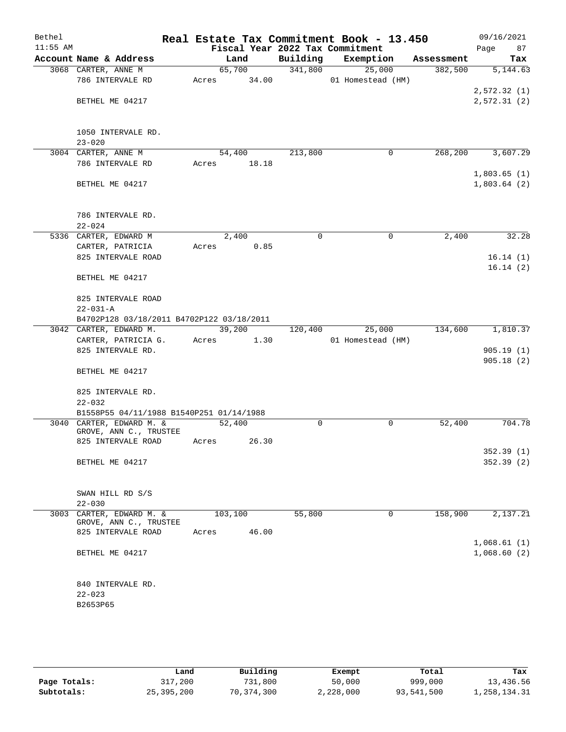| Bethel<br>$11:55$ AM |                                                    | Real Estate Tax Commitment Book - 13.450<br>Fiscal Year 2022 Tax Commitment |          |                   |            | 09/16/2021<br>Page<br>87 |
|----------------------|----------------------------------------------------|-----------------------------------------------------------------------------|----------|-------------------|------------|--------------------------|
|                      | Account Name & Address                             | Land                                                                        | Building | Exemption         | Assessment | Tax                      |
|                      | 3068 CARTER, ANNE M                                | 65,700                                                                      | 341,800  | 25,000            | 382,500    | 5,144.63                 |
|                      | 786 INTERVALE RD                                   | Acres 34.00                                                                 |          | 01 Homestead (HM) |            |                          |
|                      |                                                    |                                                                             |          |                   |            | 2,572.32(1)              |
|                      | BETHEL ME 04217                                    |                                                                             |          |                   |            | 2,572.31(2)              |
|                      |                                                    |                                                                             |          |                   |            |                          |
|                      |                                                    |                                                                             |          |                   |            |                          |
|                      | 1050 INTERVALE RD.                                 |                                                                             |          |                   |            |                          |
|                      | $23 - 020$                                         |                                                                             |          |                   |            |                          |
|                      | 3004 CARTER, ANNE M                                | 54,400                                                                      | 213,800  | 0                 | 268, 200   | 3,607.29                 |
|                      | 786 INTERVALE RD                                   | 18.18<br>Acres                                                              |          |                   |            |                          |
|                      |                                                    |                                                                             |          |                   |            | 1,803.65(1)              |
|                      | BETHEL ME 04217                                    |                                                                             |          |                   |            | 1,803.64(2)              |
|                      |                                                    |                                                                             |          |                   |            |                          |
|                      |                                                    |                                                                             |          |                   |            |                          |
|                      | 786 INTERVALE RD.                                  |                                                                             |          |                   |            |                          |
|                      | $22 - 024$                                         |                                                                             |          |                   |            |                          |
|                      | 5336 CARTER, EDWARD M                              | 2,400                                                                       | 0        | 0                 | 2,400      | 32.28                    |
|                      | CARTER, PATRICIA                                   | 0.85<br>Acres                                                               |          |                   |            |                          |
|                      | 825 INTERVALE ROAD                                 |                                                                             |          |                   |            | 16.14(1)<br>16.14(2)     |
|                      | BETHEL ME 04217                                    |                                                                             |          |                   |            |                          |
|                      |                                                    |                                                                             |          |                   |            |                          |
|                      | 825 INTERVALE ROAD                                 |                                                                             |          |                   |            |                          |
|                      | $22 - 031 - A$                                     |                                                                             |          |                   |            |                          |
|                      | B4702P128 03/18/2011 B4702P122 03/18/2011          |                                                                             |          |                   |            |                          |
|                      | 3042 CARTER, EDWARD M.                             | 39,200                                                                      | 120,400  | 25,000            | 134,600    | 1,810.37                 |
|                      | CARTER, PATRICIA G.                                | Acres<br>1.30                                                               |          | 01 Homestead (HM) |            |                          |
|                      | 825 INTERVALE RD.                                  |                                                                             |          |                   |            | 905.19(1)                |
|                      |                                                    |                                                                             |          |                   |            | 905.18(2)                |
|                      | BETHEL ME 04217                                    |                                                                             |          |                   |            |                          |
|                      |                                                    |                                                                             |          |                   |            |                          |
|                      | 825 INTERVALE RD.                                  |                                                                             |          |                   |            |                          |
|                      | $22 - 032$                                         |                                                                             |          |                   |            |                          |
|                      | B1558P55 04/11/1988 B1540P251 01/14/1988           |                                                                             |          |                   |            |                          |
|                      | 3040 CARTER, EDWARD M. &<br>GROVE, ANN C., TRUSTEE | 52,400                                                                      | 0        | 0                 | 52,400     | 704.78                   |
|                      | 825 INTERVALE ROAD                                 | 26.30<br>Acres                                                              |          |                   |            |                          |
|                      |                                                    |                                                                             |          |                   |            | 352.39 (1)               |
|                      | BETHEL ME 04217                                    |                                                                             |          |                   |            | 352.39(2)                |
|                      |                                                    |                                                                             |          |                   |            |                          |
|                      |                                                    |                                                                             |          |                   |            |                          |
|                      | SWAN HILL RD S/S                                   |                                                                             |          |                   |            |                          |
|                      | $22 - 030$                                         |                                                                             |          |                   |            |                          |
| 3003                 | CARTER, EDWARD M. &                                | 103,100                                                                     | 55,800   | 0                 | 158,900    | 2,137.21                 |
|                      | GROVE, ANN C., TRUSTEE<br>825 INTERVALE ROAD       | 46.00<br>Acres                                                              |          |                   |            |                          |
|                      |                                                    |                                                                             |          |                   |            | 1,068.61(1)              |
|                      | BETHEL ME 04217                                    |                                                                             |          |                   |            | 1,068.60(2)              |
|                      |                                                    |                                                                             |          |                   |            |                          |
|                      |                                                    |                                                                             |          |                   |            |                          |
|                      | 840 INTERVALE RD.                                  |                                                                             |          |                   |            |                          |
|                      | $22 - 023$                                         |                                                                             |          |                   |            |                          |
|                      | B2653P65                                           |                                                                             |          |                   |            |                          |
|                      |                                                    |                                                                             |          |                   |            |                          |
|                      |                                                    |                                                                             |          |                   |            |                          |

|              | Land       | Building   | Exempt    | Total      | Tax          |
|--------------|------------|------------|-----------|------------|--------------|
| Page Totals: | 317,200    | 731,800    | 50,000    | 999,000    | 13,436.56    |
| Subtotals:   | 25,395,200 | 70,374,300 | 2,228,000 | 93,541,500 | 1,258,134.31 |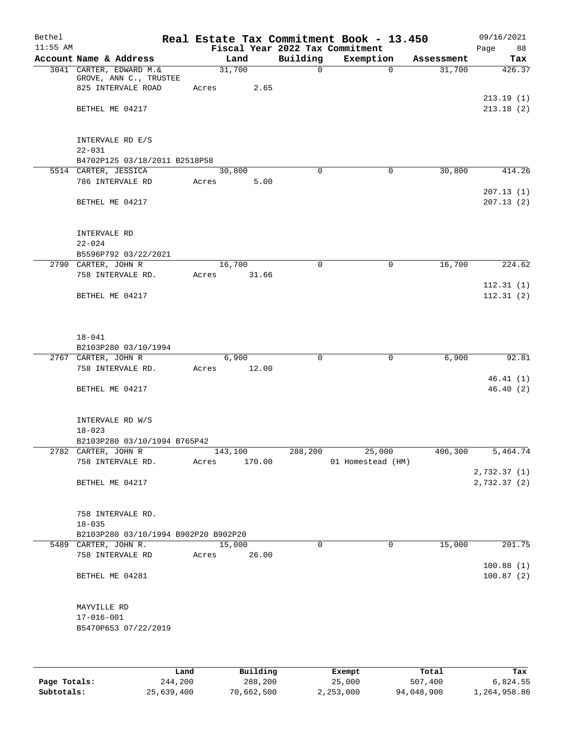| Bethel     |                                                                          |         |                |          | Real Estate Tax Commitment Book - 13.450 |            | 09/16/2021             |
|------------|--------------------------------------------------------------------------|---------|----------------|----------|------------------------------------------|------------|------------------------|
| $11:55$ AM |                                                                          |         |                |          | Fiscal Year 2022 Tax Commitment          |            | Page<br>88             |
|            | Account Name & Address                                                   |         | Land           | Building | Exemption                                | Assessment | Tax                    |
|            | 3041 CARTER, EDWARD M. &<br>GROVE, ANN C., TRUSTEE<br>825 INTERVALE ROAD | Acres   | 31,700<br>2.65 | $\Omega$ | $\Omega$                                 | 31,700     | 426.37                 |
|            | BETHEL ME 04217                                                          |         |                |          |                                          |            | 213.19(1)<br>213.18(2) |
|            | INTERVALE RD E/S<br>$22 - 031$                                           |         |                |          |                                          |            |                        |
|            | B4702P125 03/18/2011 B2518P58                                            |         |                |          |                                          |            |                        |
|            | 5514 CARTER, JESSICA                                                     |         | 30,800         | $\Omega$ | $\mathbf 0$                              | 30,800     | 414.26                 |
|            | 786 INTERVALE RD                                                         | Acres   | 5.00           |          |                                          |            | 207.13(1)              |
|            | BETHEL ME 04217                                                          |         |                |          |                                          |            | 207.13(2)              |
|            | INTERVALE RD<br>$22 - 024$                                               |         |                |          |                                          |            |                        |
|            | B5596P792 03/22/2021                                                     |         |                |          |                                          |            |                        |
|            | 2790 CARTER, JOHN R                                                      |         | 16,700         | 0        | $\mathbf 0$                              | 16,700     | 224.62                 |
|            | 758 INTERVALE RD.                                                        | Acres   | 31.66          |          |                                          |            |                        |
|            |                                                                          |         |                |          |                                          |            | 112.31(1)              |
|            | BETHEL ME 04217                                                          |         |                |          |                                          |            | 112.31(2)              |
|            | $18 - 041$<br>B2103P280 03/10/1994                                       |         |                |          |                                          |            |                        |
|            | 2767 CARTER, JOHN R                                                      |         | 6,900          | 0        | $\mathbf 0$                              | 6,900      | 92.81                  |
|            | 758 INTERVALE RD.                                                        | Acres   | 12.00          |          |                                          |            |                        |
|            |                                                                          |         |                |          |                                          |            | 46.41(1)               |
|            | BETHEL ME 04217                                                          |         |                |          |                                          |            | 46.40(2)               |
|            | INTERVALE RD W/S<br>$18 - 023$                                           |         |                |          |                                          |            |                        |
|            | B2103P280 03/10/1994 B765P42                                             |         |                |          |                                          |            |                        |
|            | 2782 CARTER, JOHN R                                                      | 143,100 |                | 288,200  | 25,000                                   | 406,300    | 5,464.74               |
|            | 758 INTERVALE RD.                                                        | Acres   | 170.00         |          | 01 Homestead (HM)                        |            |                        |
|            |                                                                          |         |                |          |                                          |            | 2,732.37 (1)           |
|            | BETHEL ME 04217                                                          |         |                |          |                                          |            | 2,732.37(2)            |
|            | 758 INTERVALE RD.<br>$18 - 035$                                          |         |                |          |                                          |            |                        |
|            | B2103P280 03/10/1994 B902P20 B902P20                                     |         |                |          |                                          |            |                        |
|            | 5489 CARTER, JOHN R.                                                     |         | 15,000         | $\Omega$ | 0                                        | 15,000     | 201.75                 |
|            | 758 INTERVALE RD                                                         | Acres   | 26.00          |          |                                          |            | 100.88(1)              |
|            | BETHEL ME 04281                                                          |         |                |          |                                          |            | 100.87(2)              |
|            | MAYVILLE RD                                                              |         |                |          |                                          |            |                        |
|            | $17 - 016 - 001$<br>B5470P653 07/22/2019                                 |         |                |          |                                          |            |                        |
|            |                                                                          |         |                |          |                                          |            |                        |
|            |                                                                          |         |                |          |                                          |            |                        |

|              | Land       | Building   | Exempt    | Total      | Tax          |
|--------------|------------|------------|-----------|------------|--------------|
| Page Totals: | 244,200    | 288,200    | 25,000    | 507,400    | 6,824.55     |
| Subtotals:   | 25,639,400 | 70,662,500 | 2,253,000 | 94,048,900 | 1,264,958.86 |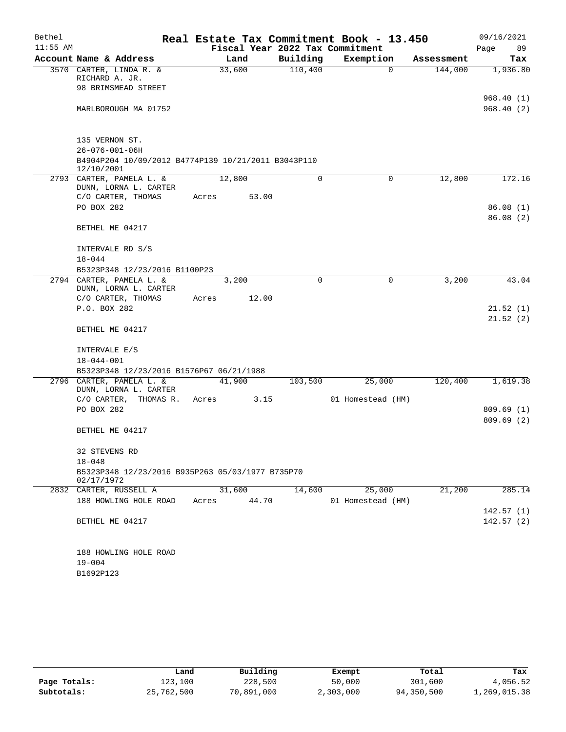| Bethel     |                                                                   |       |        |             | Real Estate Tax Commitment Book - 13.450 |             |            | 09/16/2021              |
|------------|-------------------------------------------------------------------|-------|--------|-------------|------------------------------------------|-------------|------------|-------------------------|
| $11:55$ AM |                                                                   |       |        |             | Fiscal Year 2022 Tax Commitment          |             |            | Page<br>89              |
|            | Account Name & Address                                            |       | Land   | Building    | Exemption                                |             | Assessment | Tax                     |
|            | 3570 CARTER, LINDA R. &<br>RICHARD A. JR.                         |       | 33,600 | 110,400     |                                          | 0           | 144,000    | 1,936.80                |
|            | 98 BRIMSMEAD STREET                                               |       |        |             |                                          |             |            |                         |
|            | MARLBOROUGH MA 01752                                              |       |        |             |                                          |             |            | 968.40 (1)<br>968.40(2) |
|            | 135 VERNON ST.                                                    |       |        |             |                                          |             |            |                         |
|            | $26 - 076 - 001 - 06H$                                            |       |        |             |                                          |             |            |                         |
|            | B4904P204 10/09/2012 B4774P139 10/21/2011 B3043P110<br>12/10/2001 |       |        |             |                                          |             |            |                         |
|            | 2793 CARTER, PAMELA L. &<br>DUNN, LORNA L. CARTER                 |       | 12,800 | 0           |                                          | 0           | 12,800     | 172.16                  |
|            | C/O CARTER, THOMAS                                                | Acres | 53.00  |             |                                          |             |            |                         |
|            | PO BOX 282                                                        |       |        |             |                                          |             |            | 86.08(1)<br>86.08(2)    |
|            | BETHEL ME 04217                                                   |       |        |             |                                          |             |            |                         |
|            | INTERVALE RD S/S                                                  |       |        |             |                                          |             |            |                         |
|            | $18 - 044$                                                        |       |        |             |                                          |             |            |                         |
|            | B5323P348 12/23/2016 B1100P23                                     |       |        |             |                                          |             |            |                         |
|            | 2794 CARTER, PAMELA L. &<br>DUNN, LORNA L. CARTER                 |       | 3,200  | $\mathbf 0$ |                                          | $\mathbf 0$ | 3,200      | 43.04                   |
|            | C/O CARTER, THOMAS                                                | Acres | 12.00  |             |                                          |             |            |                         |
|            | P.O. BOX 282                                                      |       |        |             |                                          |             |            | 21.52(1)                |
|            |                                                                   |       |        |             |                                          |             |            | 21.52(2)                |
|            | BETHEL ME 04217                                                   |       |        |             |                                          |             |            |                         |
|            | INTERVALE E/S                                                     |       |        |             |                                          |             |            |                         |
|            | 18-044-001                                                        |       |        |             |                                          |             |            |                         |
|            | B5323P348 12/23/2016 B1576P67 06/21/1988                          |       |        |             |                                          |             |            |                         |
|            | 2796 CARTER, PAMELA L. &<br>DUNN, LORNA L. CARTER                 |       | 41,900 | 103,500     | 25,000                                   |             | 120,400    | 1,619.38                |
|            | C/O CARTER, THOMAS R.                                             | Acres | 3.15   |             | 01 Homestead (HM)                        |             |            |                         |
|            | PO BOX 282                                                        |       |        |             |                                          |             |            | 809.69(1)               |
|            | BETHEL ME 04217                                                   |       |        |             |                                          |             |            | 809.69(2)               |
|            | 32 STEVENS RD                                                     |       |        |             |                                          |             |            |                         |
|            | $18 - 048$                                                        |       |        |             |                                          |             |            |                         |
|            | B5323P348 12/23/2016 B935P263 05/03/1977 B735P70<br>02/17/1972    |       |        |             |                                          |             |            |                         |
|            | 2832 CARTER, RUSSELL A                                            |       | 31,600 | 14,600      | 25,000                                   |             | 21,200     | 285.14                  |
|            | 188 HOWLING HOLE ROAD                                             | Acres | 44.70  |             | 01 Homestead (HM)                        |             |            |                         |
|            |                                                                   |       |        |             |                                          |             |            | 142.57(1)               |
|            | BETHEL ME 04217                                                   |       |        |             |                                          |             |            | 142.57(2)               |
|            | 188 HOWLING HOLE ROAD                                             |       |        |             |                                          |             |            |                         |
|            | $19 - 004$                                                        |       |        |             |                                          |             |            |                         |
|            | B1692P123                                                         |       |        |             |                                          |             |            |                         |

|              | Land       | Building   | Exempt    | Total      | Tax          |
|--------------|------------|------------|-----------|------------|--------------|
| Page Totals: | 123,100    | 228,500    | 50,000    | 301,600    | 4,056.52     |
| Subtotals:   | 25,762,500 | 70,891,000 | 2,303,000 | 94,350,500 | l,269,015.38 |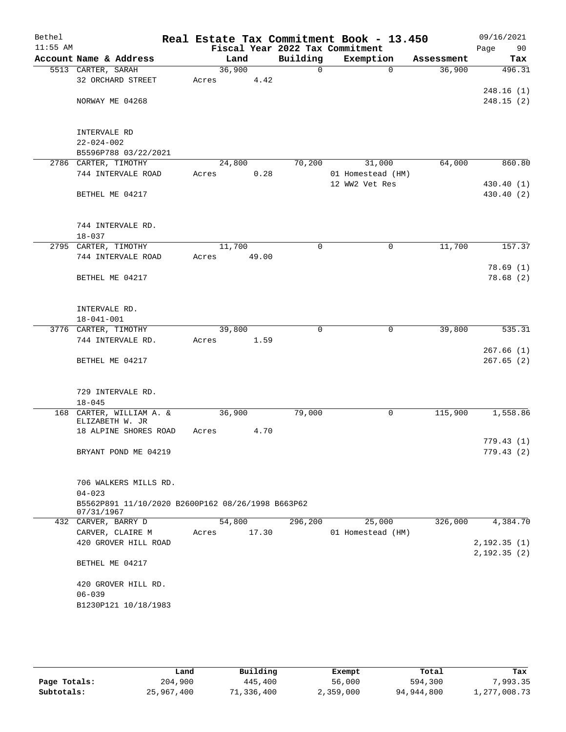| Bethel<br>$11:55$ AM |                                                   |        |       |             | Real Estate Tax Commitment Book - 13.450<br>Fiscal Year 2022 Tax Commitment |            | 09/16/2021<br>Page<br>90 |
|----------------------|---------------------------------------------------|--------|-------|-------------|-----------------------------------------------------------------------------|------------|--------------------------|
|                      | Account Name & Address                            | Land   |       | Building    | Exemption                                                                   | Assessment | Tax                      |
|                      | 5513 CARTER, SARAH                                | 36,900 |       | 0           | $\Omega$                                                                    | 36,900     | 496.31                   |
|                      | 32 ORCHARD STREET                                 | Acres  | 4.42  |             |                                                                             |            |                          |
|                      |                                                   |        |       |             |                                                                             |            | 248.16(1)                |
|                      | NORWAY ME 04268                                   |        |       |             |                                                                             |            | 248.15(2)                |
|                      |                                                   |        |       |             |                                                                             |            |                          |
|                      |                                                   |        |       |             |                                                                             |            |                          |
|                      | INTERVALE RD                                      |        |       |             |                                                                             |            |                          |
|                      | $22 - 024 - 002$                                  |        |       |             |                                                                             |            |                          |
|                      | B5596P788 03/22/2021                              |        |       |             |                                                                             |            |                          |
|                      | 2786 CARTER, TIMOTHY                              | 24,800 |       | 70,200      | 31,000                                                                      | 64,000     | 860.80                   |
|                      | 744 INTERVALE ROAD                                | Acres  | 0.28  |             | 01 Homestead (HM)                                                           |            |                          |
|                      |                                                   |        |       |             | 12 WW2 Vet Res                                                              |            | 430.40 (1)               |
|                      | BETHEL ME 04217                                   |        |       |             |                                                                             |            | 430.40 (2)               |
|                      |                                                   |        |       |             |                                                                             |            |                          |
|                      |                                                   |        |       |             |                                                                             |            |                          |
|                      | 744 INTERVALE RD.                                 |        |       |             |                                                                             |            |                          |
|                      | $18 - 037$                                        |        |       |             |                                                                             |            |                          |
|                      | 2795 CARTER, TIMOTHY                              | 11,700 |       | 0           | $\mathsf{O}$                                                                | 11,700     | 157.37                   |
|                      | 744 INTERVALE ROAD                                | Acres  | 49.00 |             |                                                                             |            |                          |
|                      | BETHEL ME 04217                                   |        |       |             |                                                                             |            | 78.69(1)<br>78.68(2)     |
|                      |                                                   |        |       |             |                                                                             |            |                          |
|                      |                                                   |        |       |             |                                                                             |            |                          |
|                      | INTERVALE RD.                                     |        |       |             |                                                                             |            |                          |
|                      | $18 - 041 - 001$                                  |        |       |             |                                                                             |            |                          |
|                      | 3776 CARTER, TIMOTHY                              | 39,800 |       | $\mathbf 0$ | $\mathsf{O}$                                                                | 39,800     | 535.31                   |
|                      | 744 INTERVALE RD.                                 | Acres  | 1.59  |             |                                                                             |            |                          |
|                      |                                                   |        |       |             |                                                                             |            | 267.66(1)                |
|                      | BETHEL ME 04217                                   |        |       |             |                                                                             |            | 267.65(2)                |
|                      |                                                   |        |       |             |                                                                             |            |                          |
|                      |                                                   |        |       |             |                                                                             |            |                          |
|                      | 729 INTERVALE RD.                                 |        |       |             |                                                                             |            |                          |
|                      | $18 - 045$                                        |        |       |             |                                                                             |            |                          |
| 168                  | CARTER, WILLIAM A. &                              | 36,900 |       | 79,000      | 0                                                                           | 115,900    | 1,558.86                 |
|                      | ELIZABETH W. JR                                   |        |       |             |                                                                             |            |                          |
|                      | 18 ALPINE SHORES ROAD                             | Acres  | 4.70  |             |                                                                             |            | 779.43(1)                |
|                      | BRYANT POND ME 04219                              |        |       |             |                                                                             |            | 779.43(2)                |
|                      |                                                   |        |       |             |                                                                             |            |                          |
|                      |                                                   |        |       |             |                                                                             |            |                          |
|                      | 706 WALKERS MILLS RD.                             |        |       |             |                                                                             |            |                          |
|                      | $04 - 023$                                        |        |       |             |                                                                             |            |                          |
|                      | B5562P891 11/10/2020 B2600P162 08/26/1998 B663P62 |        |       |             |                                                                             |            |                          |
|                      | 07/31/1967                                        |        |       |             |                                                                             |            |                          |
|                      | 432 CARVER, BARRY D                               | 54,800 |       | 296,200     | 25,000                                                                      | 326,000    | 4,384.70                 |
|                      | CARVER, CLAIRE M                                  | Acres  | 17.30 |             | 01 Homestead (HM)                                                           |            |                          |
|                      | 420 GROVER HILL ROAD                              |        |       |             |                                                                             |            | 2,192.35(1)              |
|                      |                                                   |        |       |             |                                                                             |            | 2,192.35(2)              |
|                      | BETHEL ME 04217                                   |        |       |             |                                                                             |            |                          |
|                      |                                                   |        |       |             |                                                                             |            |                          |
|                      | 420 GROVER HILL RD.                               |        |       |             |                                                                             |            |                          |
|                      | $06 - 039$                                        |        |       |             |                                                                             |            |                          |
|                      | B1230P121 10/18/1983                              |        |       |             |                                                                             |            |                          |
|                      |                                                   |        |       |             |                                                                             |            |                          |
|                      |                                                   |        |       |             |                                                                             |            |                          |

|              | Land       | Building   | Exempt    | Total      | Tax          |
|--------------|------------|------------|-----------|------------|--------------|
| Page Totals: | 204,900    | 445,400    | 56,000    | 594,300    | 7,993.35     |
| Subtotals:   | 25,967,400 | 71,336,400 | 2,359,000 | 94,944,800 | 1,277,008.73 |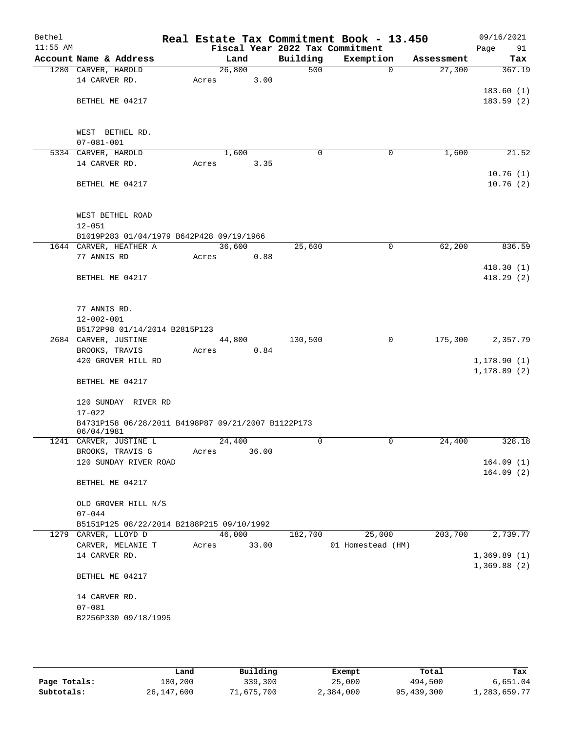| Bethel<br>$11:55$ AM |                                                    |       |        |       |             | Real Estate Tax Commitment Book - 13.450<br>Fiscal Year 2022 Tax Commitment |                       | 09/16/2021<br>Page<br>91 |
|----------------------|----------------------------------------------------|-------|--------|-------|-------------|-----------------------------------------------------------------------------|-----------------------|--------------------------|
|                      | Account Name & Address                             |       | Land   |       | Building    | Exemption                                                                   | Assessment            | Tax                      |
|                      | 1280 CARVER, HAROLD                                |       | 26,800 |       | 500         |                                                                             | 27,300<br>$\mathbf 0$ | 367.19                   |
|                      | 14 CARVER RD.                                      | Acres |        | 3.00  |             |                                                                             |                       |                          |
|                      |                                                    |       |        |       |             |                                                                             |                       | 183.60(1)                |
|                      | BETHEL ME 04217                                    |       |        |       |             |                                                                             |                       | 183.59(2)                |
|                      |                                                    |       |        |       |             |                                                                             |                       |                          |
|                      |                                                    |       |        |       |             |                                                                             |                       |                          |
|                      | WEST BETHEL RD.                                    |       |        |       |             |                                                                             |                       |                          |
|                      | $07 - 081 - 001$                                   |       |        |       |             |                                                                             |                       |                          |
|                      | 5334 CARVER, HAROLD                                |       | 1,600  |       | 0           | 0                                                                           | 1,600                 | 21.52                    |
|                      | 14 CARVER RD.                                      | Acres |        | 3.35  |             |                                                                             |                       |                          |
|                      |                                                    |       |        |       |             |                                                                             |                       | 10.76(1)                 |
|                      | BETHEL ME 04217                                    |       |        |       |             |                                                                             |                       | 10.76(2)                 |
|                      |                                                    |       |        |       |             |                                                                             |                       |                          |
|                      |                                                    |       |        |       |             |                                                                             |                       |                          |
|                      | WEST BETHEL ROAD                                   |       |        |       |             |                                                                             |                       |                          |
|                      | $12 - 051$                                         |       |        |       |             |                                                                             |                       |                          |
|                      | B1019P283 01/04/1979 B642P428 09/19/1966           |       |        |       |             |                                                                             |                       |                          |
|                      | 1644 CARVER, HEATHER A                             |       | 36,600 |       | 25,600      | $\mathbf 0$                                                                 | 62,200                | 836.59                   |
|                      | 77 ANNIS RD                                        | Acres |        | 0.88  |             |                                                                             |                       |                          |
|                      |                                                    |       |        |       |             |                                                                             |                       | 418.30(1)                |
|                      | BETHEL ME 04217                                    |       |        |       |             |                                                                             |                       | 418.29(2)                |
|                      |                                                    |       |        |       |             |                                                                             |                       |                          |
|                      |                                                    |       |        |       |             |                                                                             |                       |                          |
|                      | 77 ANNIS RD.                                       |       |        |       |             |                                                                             |                       |                          |
|                      | $12 - 002 - 001$                                   |       |        |       |             |                                                                             |                       |                          |
|                      | B5172P98 01/14/2014 B2815P123                      |       |        |       |             |                                                                             |                       |                          |
|                      | 2684 CARVER, JUSTINE                               |       | 44,800 |       | 130,500     | 0                                                                           | 175,300               | 2,357.79                 |
|                      | BROOKS, TRAVIS                                     | Acres |        | 0.84  |             |                                                                             |                       |                          |
|                      | 420 GROVER HILL RD                                 |       |        |       |             |                                                                             |                       | 1,178.90(1)              |
|                      |                                                    |       |        |       |             |                                                                             |                       | 1, 178.89(2)             |
|                      | BETHEL ME 04217                                    |       |        |       |             |                                                                             |                       |                          |
|                      | 120 SUNDAY RIVER RD                                |       |        |       |             |                                                                             |                       |                          |
|                      | $17 - 022$                                         |       |        |       |             |                                                                             |                       |                          |
|                      | B4731P158 06/28/2011 B4198P87 09/21/2007 B1122P173 |       |        |       |             |                                                                             |                       |                          |
|                      | 06/04/1981                                         |       |        |       |             |                                                                             |                       |                          |
|                      | 1241 CARVER, JUSTINE L                             |       | 24,400 |       | $\mathbf 0$ | 0                                                                           | 24,400                | 328.18                   |
|                      | BROOKS, TRAVIS G                                   | Acres |        | 36.00 |             |                                                                             |                       |                          |
|                      | 120 SUNDAY RIVER ROAD                              |       |        |       |             |                                                                             |                       | 164.09(1)                |
|                      |                                                    |       |        |       |             |                                                                             |                       | 164.09(2)                |
|                      | BETHEL ME 04217                                    |       |        |       |             |                                                                             |                       |                          |
|                      |                                                    |       |        |       |             |                                                                             |                       |                          |
|                      | OLD GROVER HILL N/S                                |       |        |       |             |                                                                             |                       |                          |
|                      | $07 - 044$                                         |       |        |       |             |                                                                             |                       |                          |
|                      | B5151P125 08/22/2014 B2188P215 09/10/1992          |       |        |       |             |                                                                             |                       |                          |
|                      | 1279 CARVER, LLOYD D                               |       | 46,000 |       | 182,700     | 25,000                                                                      | 203,700               | 2,739.77                 |
|                      | CARVER, MELANIE T                                  | Acres |        | 33.00 |             | 01 Homestead (HM)                                                           |                       |                          |
|                      | 14 CARVER RD.                                      |       |        |       |             |                                                                             |                       | 1,369.89(1)              |
|                      |                                                    |       |        |       |             |                                                                             |                       | 1,369.88(2)              |
|                      | BETHEL ME 04217                                    |       |        |       |             |                                                                             |                       |                          |
|                      |                                                    |       |        |       |             |                                                                             |                       |                          |
|                      | 14 CARVER RD.                                      |       |        |       |             |                                                                             |                       |                          |
|                      | $07 - 081$                                         |       |        |       |             |                                                                             |                       |                          |
|                      | B2256P330 09/18/1995                               |       |        |       |             |                                                                             |                       |                          |
|                      |                                                    |       |        |       |             |                                                                             |                       |                          |
|                      |                                                    |       |        |       |             |                                                                             |                       |                          |

|              | Land       | Building   | Exempt    | Total      | Tax          |
|--------------|------------|------------|-----------|------------|--------------|
| Page Totals: | 180,200    | 339,300    | 25,000    | 494,500    | 6,651.04     |
| Subtotals:   | 26,147,600 | 71,675,700 | 2,384,000 | 95,439,300 | l,283,659.77 |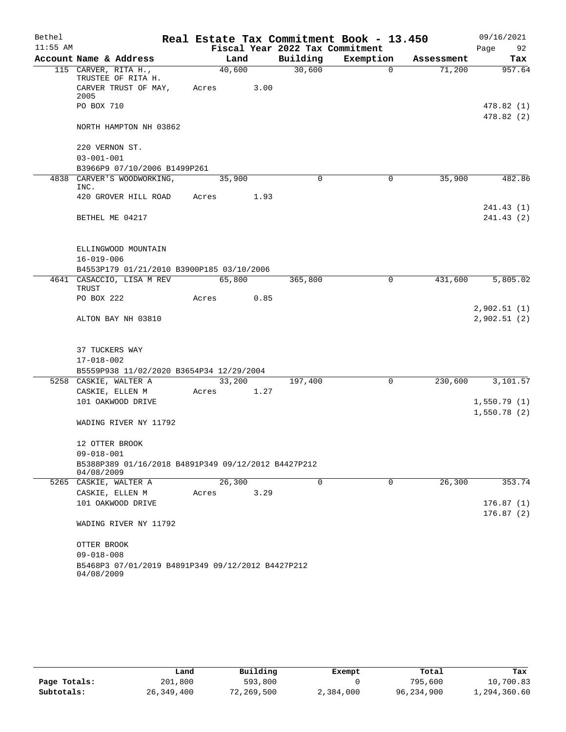| Bethel     |                                                                   |       |        |      | Real Estate Tax Commitment Book - 13.450 |           |          |            |      | 09/16/2021               |
|------------|-------------------------------------------------------------------|-------|--------|------|------------------------------------------|-----------|----------|------------|------|--------------------------|
| $11:55$ AM |                                                                   |       |        |      | Fiscal Year 2022 Tax Commitment          |           |          |            | Page | 92                       |
|            | Account Name & Address                                            |       | Land   |      | Building                                 | Exemption |          | Assessment |      | Tax                      |
|            | 115 CARVER, RITA H.,<br>TRUSTEE OF RITA H.                        |       | 40,600 |      | 30,600                                   |           | $\Omega$ | 71,200     |      | 957.64                   |
|            | CARVER TRUST OF MAY,<br>2005                                      | Acres |        | 3.00 |                                          |           |          |            |      |                          |
|            | PO BOX 710                                                        |       |        |      |                                          |           |          |            |      | 478.82 (1)<br>478.82 (2) |
|            | NORTH HAMPTON NH 03862                                            |       |        |      |                                          |           |          |            |      |                          |
|            | 220 VERNON ST.                                                    |       |        |      |                                          |           |          |            |      |                          |
|            | $03 - 001 - 001$                                                  |       |        |      |                                          |           |          |            |      |                          |
|            | B3966P9 07/10/2006 B1499P261<br>4838 CARVER'S WOODWORKING,        |       |        |      | $\mathbf 0$                              |           | 0        | 35,900     |      | 482.86                   |
|            | INC.                                                              |       | 35,900 |      |                                          |           |          |            |      |                          |
|            | 420 GROVER HILL ROAD                                              | Acres |        | 1.93 |                                          |           |          |            |      |                          |
|            |                                                                   |       |        |      |                                          |           |          |            |      | 241.43 (1)               |
|            | BETHEL ME 04217                                                   |       |        |      |                                          |           |          |            |      | 241.43 (2)               |
|            |                                                                   |       |        |      |                                          |           |          |            |      |                          |
|            | ELLINGWOOD MOUNTAIN                                               |       |        |      |                                          |           |          |            |      |                          |
|            | $16 - 019 - 006$                                                  |       |        |      |                                          |           |          |            |      |                          |
|            | B4553P179 01/21/2010 B3900P185 03/10/2006                         |       |        |      |                                          |           |          |            |      |                          |
|            | 4641 CASACCIO, LISA M REV                                         |       | 65,800 |      | 365,800                                  |           | 0        | 431,600    |      | 5,805.02                 |
|            | TRUST<br>PO BOX 222                                               | Acres |        | 0.85 |                                          |           |          |            |      |                          |
|            |                                                                   |       |        |      |                                          |           |          |            |      | 2,902.51(1)              |
|            | ALTON BAY NH 03810                                                |       |        |      |                                          |           |          |            |      | 2,902.51(2)              |
|            |                                                                   |       |        |      |                                          |           |          |            |      |                          |
|            |                                                                   |       |        |      |                                          |           |          |            |      |                          |
|            | 37 TUCKERS WAY                                                    |       |        |      |                                          |           |          |            |      |                          |
|            | 17-018-002                                                        |       |        |      |                                          |           |          |            |      |                          |
|            | B5559P938 11/02/2020 B3654P34 12/29/2004                          |       |        |      |                                          |           |          |            |      |                          |
|            | 5258 CASKIE, WALTER A                                             | Acres | 33,200 | 1.27 | 197,400                                  |           | 0        | 230,600    |      | 3,101.57                 |
|            | CASKIE, ELLEN M<br>101 OAKWOOD DRIVE                              |       |        |      |                                          |           |          |            |      | 1,550.79(1)              |
|            |                                                                   |       |        |      |                                          |           |          |            |      | 1,550.78(2)              |
|            | WADING RIVER NY 11792                                             |       |        |      |                                          |           |          |            |      |                          |
|            | 12 OTTER BROOK                                                    |       |        |      |                                          |           |          |            |      |                          |
|            | $09 - 018 - 001$                                                  |       |        |      |                                          |           |          |            |      |                          |
|            | B5388P389 01/16/2018 B4891P349 09/12/2012 B4427P212<br>04/08/2009 |       |        |      |                                          |           |          |            |      |                          |
|            | 5265 CASKIE, WALTER A                                             |       | 26,300 |      | $\mathbf 0$                              |           | 0        | 26,300     |      | 353.74                   |
|            | CASKIE, ELLEN M                                                   | Acres |        | 3.29 |                                          |           |          |            |      |                          |
|            | 101 OAKWOOD DRIVE                                                 |       |        |      |                                          |           |          |            |      | 176.87(1)                |
|            |                                                                   |       |        |      |                                          |           |          |            |      | 176.87(2)                |
|            | WADING RIVER NY 11792                                             |       |        |      |                                          |           |          |            |      |                          |
|            | OTTER BROOK                                                       |       |        |      |                                          |           |          |            |      |                          |
|            | $09 - 018 - 008$                                                  |       |        |      |                                          |           |          |            |      |                          |
|            | B5468P3 07/01/2019 B4891P349 09/12/2012 B4427P212<br>04/08/2009   |       |        |      |                                          |           |          |            |      |                          |

|              | Land       | Building   | Exempt    | Total      | Tax          |
|--------------|------------|------------|-----------|------------|--------------|
| Page Totals: | 201,800    | 593,800    |           | 795,600    | 10,700.83    |
| Subtotals:   | 26,349,400 | 72,269,500 | 2,384,000 | 96,234,900 | 1,294,360.60 |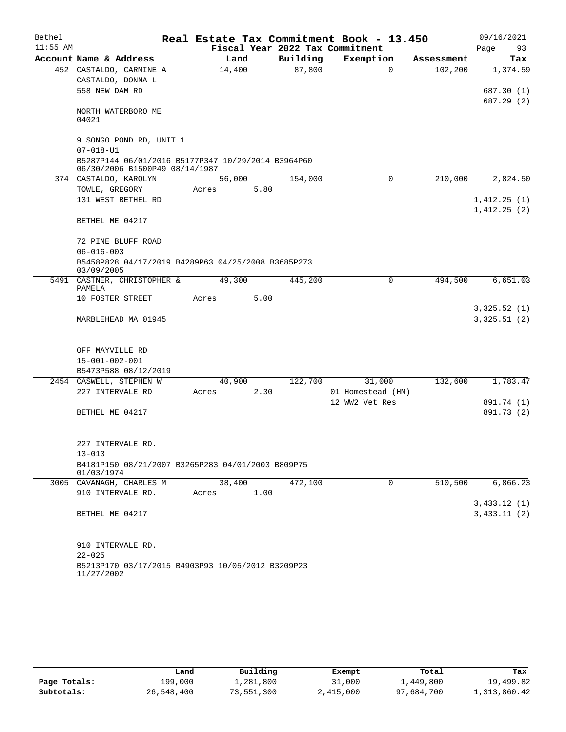| Bethel     |                                                                                      |       |        |      |          | Real Estate Tax Commitment Book - 13.450 |             |            | 09/16/2021                 |          |
|------------|--------------------------------------------------------------------------------------|-------|--------|------|----------|------------------------------------------|-------------|------------|----------------------------|----------|
| $11:55$ AM |                                                                                      |       |        |      |          | Fiscal Year 2022 Tax Commitment          |             |            | Page                       | 93       |
|            | Account Name & Address                                                               |       | Land   |      | Building | Exemption                                |             | Assessment |                            | Tax      |
|            | 452 CASTALDO, CARMINE A<br>CASTALDO, DONNA L                                         |       | 14,400 |      | 87,800   |                                          | $\Omega$    | 102,200    |                            | 1,374.59 |
|            | 558 NEW DAM RD                                                                       |       |        |      |          |                                          |             |            | 687.30 (1)<br>687.29 (2)   |          |
|            | NORTH WATERBORO ME<br>04021                                                          |       |        |      |          |                                          |             |            |                            |          |
|            | 9 SONGO POND RD, UNIT 1<br>$07 - 018 - U1$                                           |       |        |      |          |                                          |             |            |                            |          |
|            | B5287P144 06/01/2016 B5177P347 10/29/2014 B3964P60<br>06/30/2006 B1500P49 08/14/1987 |       |        |      |          |                                          |             |            |                            |          |
|            | 374 CASTALDO, KAROLYN                                                                |       | 56,000 |      | 154,000  |                                          | $\mathbf 0$ | 210,000    |                            | 2,824.50 |
|            | TOWLE, GREGORY                                                                       | Acres |        | 5.80 |          |                                          |             |            |                            |          |
|            | 131 WEST BETHEL RD                                                                   |       |        |      |          |                                          |             |            | 1,412.25(1)<br>1,412.25(2) |          |
|            | BETHEL ME 04217                                                                      |       |        |      |          |                                          |             |            |                            |          |
|            | 72 PINE BLUFF ROAD                                                                   |       |        |      |          |                                          |             |            |                            |          |
|            | $06 - 016 - 003$                                                                     |       |        |      |          |                                          |             |            |                            |          |
|            | B5458P828 04/17/2019 B4289P63 04/25/2008 B3685P273<br>03/09/2005                     |       |        |      |          |                                          |             |            |                            |          |
|            | 5491 CASTNER, CHRISTOPHER &<br>PAMELA                                                |       | 49,300 |      | 445,200  |                                          | $\Omega$    | 494,500    |                            | 6,651.03 |
|            | 10 FOSTER STREET                                                                     | Acres |        | 5.00 |          |                                          |             |            |                            |          |
|            | MARBLEHEAD MA 01945                                                                  |       |        |      |          |                                          |             |            | 3,325.52(1)<br>3,325.51(2) |          |
|            |                                                                                      |       |        |      |          |                                          |             |            |                            |          |
|            | OFF MAYVILLE RD                                                                      |       |        |      |          |                                          |             |            |                            |          |
|            | $15 - 001 - 002 - 001$                                                               |       |        |      |          |                                          |             |            |                            |          |
|            | B5473P588 08/12/2019                                                                 |       |        |      |          |                                          |             |            |                            |          |
|            | 2454 CASWELL, STEPHEN W<br>227 INTERVALE RD                                          |       | 40,900 | 2.30 | 122,700  | 31,000                                   |             | 132,600    |                            | 1,783.47 |
|            |                                                                                      | Acres |        |      |          | 01 Homestead (HM)<br>12 WW2 Vet Res      |             |            | 891.74 (1)                 |          |
|            | BETHEL ME 04217                                                                      |       |        |      |          |                                          |             |            | 891.73 (2)                 |          |
|            |                                                                                      |       |        |      |          |                                          |             |            |                            |          |
|            | 227 INTERVALE RD.                                                                    |       |        |      |          |                                          |             |            |                            |          |
|            | $13 - 013$                                                                           |       |        |      |          |                                          |             |            |                            |          |
|            | B4181P150 08/21/2007 B3265P283 04/01/2003 B809P75<br>01/03/1974                      |       |        |      |          |                                          |             |            |                            |          |
|            | 3005 CAVANAGH, CHARLES M                                                             |       | 38,400 |      | 472,100  |                                          | 0           | 510,500    |                            | 6,866.23 |
|            | 910 INTERVALE RD.                                                                    | Acres |        | 1.00 |          |                                          |             |            |                            |          |
|            |                                                                                      |       |        |      |          |                                          |             |            | 3,433.12(1)                |          |
|            | BETHEL ME 04217                                                                      |       |        |      |          |                                          |             |            | 3,433.11(2)                |          |
|            | 910 INTERVALE RD.                                                                    |       |        |      |          |                                          |             |            |                            |          |
|            | $22 - 025$                                                                           |       |        |      |          |                                          |             |            |                            |          |
|            | B5213P170 03/17/2015 B4903P93 10/05/2012 B3209P23<br>11/27/2002                      |       |        |      |          |                                          |             |            |                            |          |

|              | Land       | Building   | Exempt    | Total      | Tax          |
|--------------|------------|------------|-----------|------------|--------------|
| Page Totals: | 199,000    | 1,281,800  | 31,000    | 1,449,800  | 19,499.82    |
| Subtotals:   | 26,548,400 | 73,551,300 | 2,415,000 | 97,684,700 | 1,313,860.42 |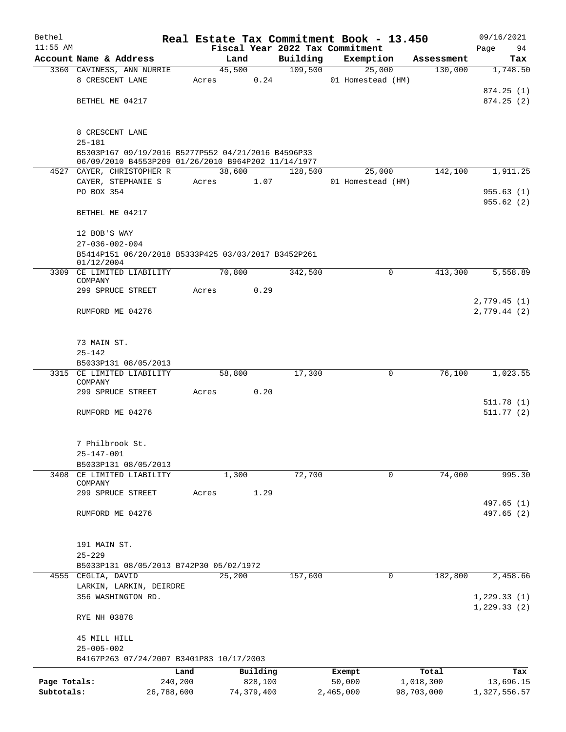| Bethel       |                                                                                  |       |            |          |          | Real Estate Tax Commitment Book - 13.450 |            | 09/16/2021                 |
|--------------|----------------------------------------------------------------------------------|-------|------------|----------|----------|------------------------------------------|------------|----------------------------|
| $11:55$ AM   |                                                                                  |       |            |          |          | Fiscal Year 2022 Tax Commitment          |            | 94<br>Page                 |
|              | Account Name & Address                                                           |       | Land       |          | Building | Exemption                                | Assessment | Tax                        |
|              | 3360 CAVINESS, ANN NURRIE<br>8 CRESCENT LANE                                     |       | 45,500     | 0.24     | 109,500  | 25,000<br>01 Homestead (HM)              | 130,000    | 1,748.50                   |
|              |                                                                                  | Acres |            |          |          |                                          |            | 874.25(1)                  |
|              | BETHEL ME 04217                                                                  |       |            |          |          |                                          |            | 874.25(2)                  |
|              |                                                                                  |       |            |          |          |                                          |            |                            |
|              | 8 CRESCENT LANE                                                                  |       |            |          |          |                                          |            |                            |
|              | $25 - 181$                                                                       |       |            |          |          |                                          |            |                            |
|              | B5303P167 09/19/2016 B5277P552 04/21/2016 B4596P33                               |       |            |          |          |                                          |            |                            |
|              | 06/09/2010 B4553P209 01/26/2010 B964P202 11/14/1977<br>4527 CAYER, CHRISTOPHER R |       | 38,600     |          | 128,500  | 25,000                                   | 142,100    | 1,911.25                   |
|              | CAYER, STEPHANIE S                                                               | Acres |            | 1.07     |          | 01 Homestead (HM)                        |            |                            |
|              | PO BOX 354                                                                       |       |            |          |          |                                          |            | 955.63(1)                  |
|              |                                                                                  |       |            |          |          |                                          |            | 955.62(2)                  |
|              | BETHEL ME 04217                                                                  |       |            |          |          |                                          |            |                            |
|              | 12 BOB'S WAY                                                                     |       |            |          |          |                                          |            |                            |
|              | $27 - 036 - 002 - 004$                                                           |       |            |          |          |                                          |            |                            |
|              | B5414P151 06/20/2018 B5333P425 03/03/2017 B3452P261<br>01/12/2004                |       |            |          |          |                                          |            |                            |
|              | 3309 CE LIMITED LIABILITY<br>COMPANY                                             |       | 70,800     |          | 342,500  | 0                                        | 413,300    | 5,558.89                   |
|              | 299 SPRUCE STREET                                                                | Acres |            | 0.29     |          |                                          |            |                            |
|              | RUMFORD ME 04276                                                                 |       |            |          |          |                                          |            | 2,779.45(1)<br>2,779.44(2) |
|              |                                                                                  |       |            |          |          |                                          |            |                            |
|              | 73 MAIN ST.                                                                      |       |            |          |          |                                          |            |                            |
|              | $25 - 142$                                                                       |       |            |          |          |                                          |            |                            |
|              | B5033P131 08/05/2013                                                             |       |            |          |          |                                          |            |                            |
|              | 3315 CE LIMITED LIABILITY                                                        |       | 58,800     |          | 17,300   | $\mathbf 0$                              | 76,100     | 1,023.55                   |
|              | COMPANY                                                                          |       |            |          |          |                                          |            |                            |
|              | 299 SPRUCE STREET                                                                | Acres |            | 0.20     |          |                                          |            | 511.78(1)                  |
|              | RUMFORD ME 04276                                                                 |       |            |          |          |                                          |            | 511.77(2)                  |
|              |                                                                                  |       |            |          |          |                                          |            |                            |
|              | 7 Philbrook St.                                                                  |       |            |          |          |                                          |            |                            |
|              | $25 - 147 - 001$                                                                 |       |            |          |          |                                          |            |                            |
|              | B5033P131 08/05/2013                                                             |       |            |          |          |                                          |            |                            |
| 3408         | CE LIMITED LIABILITY<br>COMPANY                                                  |       | 1,300      |          | 72,700   | 0                                        | 74,000     | 995.30                     |
|              | 299 SPRUCE STREET                                                                | Acres |            | 1.29     |          |                                          |            |                            |
|              |                                                                                  |       |            |          |          |                                          |            | 497.65 (1)                 |
|              | RUMFORD ME 04276                                                                 |       |            |          |          |                                          |            | 497.65(2)                  |
|              |                                                                                  |       |            |          |          |                                          |            |                            |
|              | 191 MAIN ST.                                                                     |       |            |          |          |                                          |            |                            |
|              | $25 - 229$<br>B5033P131 08/05/2013 B742P30 05/02/1972                            |       |            |          |          |                                          |            |                            |
|              | 4555 CEGLIA, DAVID                                                               |       | 25,200     |          | 157,600  | $\mathbf 0$                              | 182,800    | 2,458.66                   |
|              | LARKIN, LARKIN, DEIRDRE                                                          |       |            |          |          |                                          |            |                            |
|              | 356 WASHINGTON RD.                                                               |       |            |          |          |                                          |            | 1, 229.33(1)               |
|              | RYE NH 03878                                                                     |       |            |          |          |                                          |            | 1, 229.33(2)               |
|              | 45 MILL HILL                                                                     |       |            |          |          |                                          |            |                            |
|              | $25 - 005 - 002$                                                                 |       |            |          |          |                                          |            |                            |
|              | B4167P263 07/24/2007 B3401P83 10/17/2003                                         |       |            |          |          |                                          |            |                            |
|              |                                                                                  | Land  |            | Building |          | Exempt                                   | Total      | Tax                        |
| Page Totals: | 240,200                                                                          |       |            | 828,100  |          | 50,000                                   | 1,018,300  | 13,696.15                  |
| Subtotals:   | 26,788,600                                                                       |       | 74,379,400 |          |          | 2,465,000                                | 98,703,000 | 1,327,556.57               |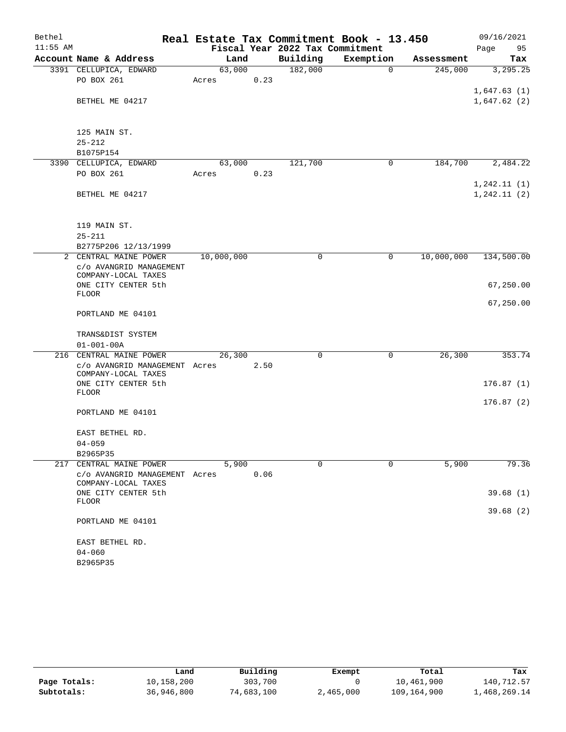| Bethel     |                                                |            |      | Real Estate Tax Commitment Book - 13.450 |             |            | 09/16/2021                 |        |
|------------|------------------------------------------------|------------|------|------------------------------------------|-------------|------------|----------------------------|--------|
| $11:55$ AM |                                                |            |      | Fiscal Year 2022 Tax Commitment          |             |            | Page                       | 95     |
|            | Account Name & Address                         | Land       |      | Building                                 | Exemption   | Assessment |                            | Tax    |
|            | 3391 CELLUPICA, EDWARD                         | 63,000     |      | 182,000                                  | $\mathbf 0$ | 245,000    | 3,295.25                   |        |
|            | PO BOX 261                                     | Acres      | 0.23 |                                          |             |            |                            |        |
|            | BETHEL ME 04217                                |            |      |                                          |             |            | 1,647.63(1)<br>1,647.62(2) |        |
|            |                                                |            |      |                                          |             |            |                            |        |
|            |                                                |            |      |                                          |             |            |                            |        |
|            | 125 MAIN ST.                                   |            |      |                                          |             |            |                            |        |
|            | $25 - 212$<br>B1075P154                        |            |      |                                          |             |            |                            |        |
|            | 3390 CELLUPICA, EDWARD                         | 63,000     |      | 121,700                                  | 0           | 184,700    | 2,484.22                   |        |
|            | PO BOX 261                                     | Acres      | 0.23 |                                          |             |            |                            |        |
|            |                                                |            |      |                                          |             |            | 1, 242.11(1)               |        |
|            | BETHEL ME 04217                                |            |      |                                          |             |            | 1, 242.11(2)               |        |
|            |                                                |            |      |                                          |             |            |                            |        |
|            | 119 MAIN ST.                                   |            |      |                                          |             |            |                            |        |
|            | $25 - 211$                                     |            |      |                                          |             |            |                            |        |
|            | B2775P206 12/13/1999                           |            |      |                                          |             |            |                            |        |
|            | 2 CENTRAL MAINE POWER                          | 10,000,000 |      | 0                                        | 0           | 10,000,000 | 134,500.00                 |        |
|            | c/o AVANGRID MANAGEMENT<br>COMPANY-LOCAL TAXES |            |      |                                          |             |            |                            |        |
|            | ONE CITY CENTER 5th                            |            |      |                                          |             |            | 67,250.00                  |        |
|            | <b>FLOOR</b>                                   |            |      |                                          |             |            |                            |        |
|            |                                                |            |      |                                          |             |            | 67,250.00                  |        |
|            | PORTLAND ME 04101                              |            |      |                                          |             |            |                            |        |
|            | TRANS&DIST SYSTEM                              |            |      |                                          |             |            |                            |        |
|            | $01 - 001 - 00A$                               |            |      |                                          |             |            |                            |        |
|            | 216 CENTRAL MAINE POWER                        | 26,300     |      | 0                                        | 0           | 26,300     |                            | 353.74 |
|            | c/o AVANGRID MANAGEMENT Acres                  |            | 2.50 |                                          |             |            |                            |        |
|            | COMPANY-LOCAL TAXES                            |            |      |                                          |             |            |                            |        |
|            | ONE CITY CENTER 5th<br><b>FLOOR</b>            |            |      |                                          |             |            | 176.87(1)                  |        |
|            |                                                |            |      |                                          |             |            | 176.87(2)                  |        |
|            | PORTLAND ME 04101                              |            |      |                                          |             |            |                            |        |
|            | EAST BETHEL RD.                                |            |      |                                          |             |            |                            |        |
|            | $04 - 059$                                     |            |      |                                          |             |            |                            |        |
|            | B2965P35                                       |            |      |                                          |             |            |                            |        |
| 217        | CENTRAL MAINE POWER                            | 5,900      |      | $\Omega$                                 | $\Omega$    | 5,900      |                            | 79.36  |
|            | c/o AVANGRID MANAGEMENT Acres                  |            | 0.06 |                                          |             |            |                            |        |
|            | COMPANY-LOCAL TAXES                            |            |      |                                          |             |            |                            |        |
|            | ONE CITY CENTER 5th<br>FLOOR                   |            |      |                                          |             |            | 39.68(1)                   |        |
|            |                                                |            |      |                                          |             |            | 39.68(2)                   |        |
|            | PORTLAND ME 04101                              |            |      |                                          |             |            |                            |        |
|            | EAST BETHEL RD.                                |            |      |                                          |             |            |                            |        |
|            | $04 - 060$                                     |            |      |                                          |             |            |                            |        |
|            | B2965P35                                       |            |      |                                          |             |            |                            |        |

|              | Land       | Building   | Exempt    | Total       | Tax          |
|--------------|------------|------------|-----------|-------------|--------------|
| Page Totals: | 10,158,200 | 303,700    |           | 10,461,900  | 140,712.57   |
| Subtotals:   | 36,946,800 | 74,683,100 | 2,465,000 | 109,164,900 | l,468,269.14 |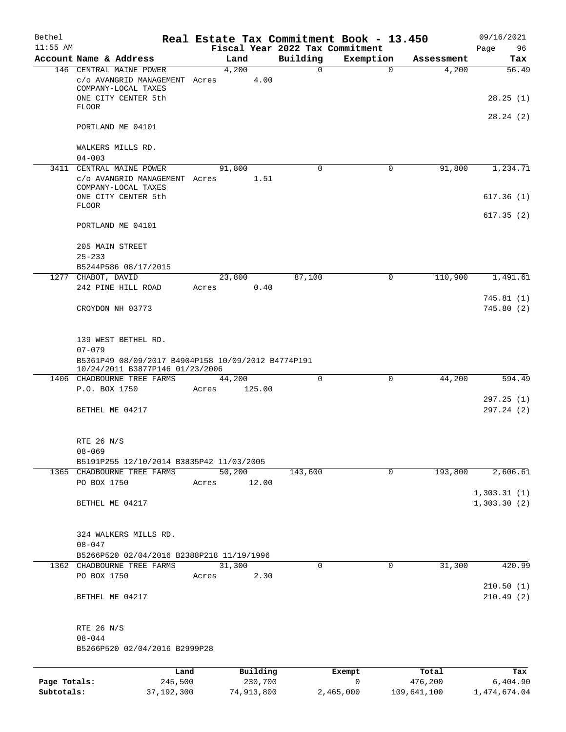| Bethel<br>$11:55$ AM       |                                                                                       |         |                       |                                             | Real Estate Tax Commitment Book - 13.450 |                        | 09/16/2021               |
|----------------------------|---------------------------------------------------------------------------------------|---------|-----------------------|---------------------------------------------|------------------------------------------|------------------------|--------------------------|
|                            | Account Name & Address                                                                |         | Land                  | Fiscal Year 2022 Tax Commitment<br>Building | Exemption                                | Assessment             | 96<br>Page<br>Tax        |
|                            | 146 CENTRAL MAINE POWER                                                               |         | 4,200                 | $\Omega$                                    | $\Omega$                                 | 4,200                  | 56.49                    |
|                            | c/o AVANGRID MANAGEMENT Acres<br>COMPANY-LOCAL TAXES                                  |         | 4.00                  |                                             |                                          |                        |                          |
|                            | ONE CITY CENTER 5th<br><b>FLOOR</b>                                                   |         |                       |                                             |                                          |                        | 28.25(1)<br>28.24(2)     |
|                            | PORTLAND ME 04101                                                                     |         |                       |                                             |                                          |                        |                          |
|                            | WALKERS MILLS RD.<br>$04 - 003$                                                       |         |                       |                                             |                                          |                        |                          |
|                            | 3411 CENTRAL MAINE POWER<br>c/o AVANGRID MANAGEMENT Acres                             |         | 91,800<br>1.51        | $\Omega$                                    | 0                                        | 91,800                 | 1,234.71                 |
|                            | COMPANY-LOCAL TAXES<br>ONE CITY CENTER 5th<br><b>FLOOR</b>                            |         |                       |                                             |                                          |                        | 617.36(1)                |
|                            | PORTLAND ME 04101                                                                     |         |                       |                                             |                                          |                        | 617.35(2)                |
|                            | 205 MAIN STREET<br>$25 - 233$                                                         |         |                       |                                             |                                          |                        |                          |
|                            | B5244P586 08/17/2015                                                                  |         |                       |                                             |                                          |                        |                          |
|                            | 1277 CHABOT, DAVID                                                                    |         | 23,800                | 87,100                                      | 0                                        | 110,900                | 1,491.61                 |
|                            | 242 PINE HILL ROAD                                                                    | Acres   | 0.40                  |                                             |                                          |                        |                          |
|                            | CROYDON NH 03773                                                                      |         |                       |                                             |                                          |                        | 745.81(1)<br>745.80(2)   |
|                            | 139 WEST BETHEL RD.<br>$07 - 079$                                                     |         |                       |                                             |                                          |                        |                          |
|                            | B5361P49 08/09/2017 B4904P158 10/09/2012 B4774P191<br>10/24/2011 B3877P146 01/23/2006 |         |                       |                                             |                                          |                        |                          |
|                            | 1406 CHADBOURNE TREE FARMS                                                            |         | 44,200                | 0                                           | 0                                        | 44,200                 | 594.49                   |
|                            | P.O. BOX 1750                                                                         | Acres   | 125.00                |                                             |                                          |                        | 297.25(1)                |
|                            | BETHEL ME 04217                                                                       |         |                       |                                             |                                          |                        | 297.24(2)                |
|                            | RTE 26 N/S<br>$08 - 069$<br>B5191P255 12/10/2014 B3835P42 11/03/2005                  |         |                       |                                             |                                          |                        |                          |
|                            | 1365 CHADBOURNE TREE FARMS                                                            |         | 50,200                | 143,600                                     | $\mathbf 0$                              | 193,800                | 2,606.61                 |
|                            | PO BOX 1750                                                                           | Acres   | 12.00                 |                                             |                                          |                        |                          |
|                            |                                                                                       |         |                       |                                             |                                          |                        | 1,303.31(1)              |
|                            | BETHEL ME 04217                                                                       |         |                       |                                             |                                          |                        | 1,303.30(2)              |
|                            | 324 WALKERS MILLS RD.<br>$08 - 047$                                                   |         |                       |                                             |                                          |                        |                          |
|                            | B5266P520 02/04/2016 B2388P218 11/19/1996                                             |         |                       |                                             |                                          |                        |                          |
|                            | 1362 CHADBOURNE TREE FARMS                                                            |         | 31,300                | $\Omega$                                    | $\mathbf{0}$                             | 31,300                 | 420.99                   |
|                            | PO BOX 1750<br>BETHEL ME 04217                                                        | Acres   | 2.30                  |                                             |                                          |                        | 210.50(1)<br>210.49(2)   |
|                            |                                                                                       |         |                       |                                             |                                          |                        |                          |
|                            | RTE 26 N/S                                                                            |         |                       |                                             |                                          |                        |                          |
|                            | $08 - 044$                                                                            |         |                       |                                             |                                          |                        |                          |
|                            | B5266P520 02/04/2016 B2999P28                                                         |         |                       |                                             |                                          |                        |                          |
|                            |                                                                                       | Land    | Building              |                                             | Exempt                                   | Total                  | Tax                      |
| Page Totals:<br>Subtotals: | 37, 192, 300                                                                          | 245,500 | 230,700<br>74,913,800 |                                             | 0<br>2,465,000                           | 476,200<br>109,641,100 | 6,404.90<br>1,474,674.04 |
|                            |                                                                                       |         |                       |                                             |                                          |                        |                          |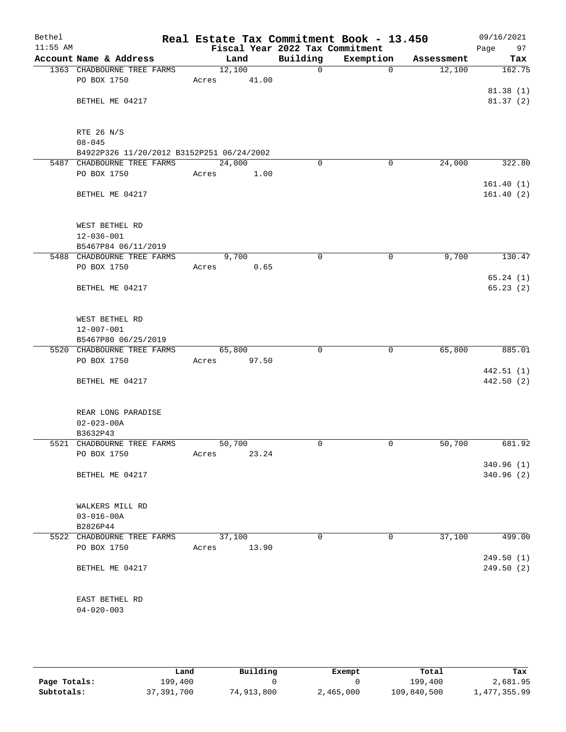| Bethel<br>$11:55$ AM |                                                   | Real Estate Tax Commitment Book - 13.450<br>Fiscal Year 2022 Tax Commitment |              |             |            | 09/16/2021<br>Page<br>97 |
|----------------------|---------------------------------------------------|-----------------------------------------------------------------------------|--------------|-------------|------------|--------------------------|
|                      | Account Name & Address                            | Land                                                                        | Building     | Exemption   | Assessment | Tax                      |
|                      | 1363 CHADBOURNE TREE FARMS                        | 12,100                                                                      | $\mathsf{O}$ | 0           | 12,100     | 162.75                   |
|                      | PO BOX 1750                                       | 41.00<br>Acres                                                              |              |             |            |                          |
|                      |                                                   |                                                                             |              |             |            | 81.38(1)                 |
|                      | BETHEL ME 04217                                   |                                                                             |              |             |            | 81.37(2)                 |
|                      |                                                   |                                                                             |              |             |            |                          |
|                      | RTE 26 N/S                                        |                                                                             |              |             |            |                          |
|                      | $08 - 045$                                        |                                                                             |              |             |            |                          |
|                      | B4922P326 11/20/2012 B3152P251 06/24/2002         |                                                                             |              |             |            |                          |
|                      | 5487 CHADBOURNE TREE FARMS                        | 24,000                                                                      | $\mathbf 0$  | 0           | 24,000     | 322.80                   |
|                      | PO BOX 1750                                       | Acres<br>1.00                                                               |              |             |            |                          |
|                      |                                                   |                                                                             |              |             |            | 161.40(1)                |
|                      | BETHEL ME 04217                                   |                                                                             |              |             |            | 161.40(2)                |
|                      |                                                   |                                                                             |              |             |            |                          |
|                      |                                                   |                                                                             |              |             |            |                          |
|                      | WEST BETHEL RD                                    |                                                                             |              |             |            |                          |
|                      | $12 - 036 - 001$<br>B5467P84 06/11/2019           |                                                                             |              |             |            |                          |
|                      | 5488 CHADBOURNE TREE FARMS                        | 9,700                                                                       | 0            | 0           | 9,700      | 130.47                   |
|                      | PO BOX 1750                                       | 0.65<br>Acres                                                               |              |             |            |                          |
|                      |                                                   |                                                                             |              |             |            | 65.24(1)                 |
|                      | BETHEL ME 04217                                   |                                                                             |              |             |            | 65.23(2)                 |
|                      |                                                   |                                                                             |              |             |            |                          |
|                      |                                                   |                                                                             |              |             |            |                          |
|                      | WEST BETHEL RD                                    |                                                                             |              |             |            |                          |
|                      | $12 - 007 - 001$                                  |                                                                             |              |             |            |                          |
|                      | B5467P80 06/25/2019<br>5520 CHADBOURNE TREE FARMS | 65,800                                                                      | $\mathbf 0$  | $\mathbf 0$ | 65,800     | 885.01                   |
|                      | PO BOX 1750                                       | 97.50<br>Acres                                                              |              |             |            |                          |
|                      |                                                   |                                                                             |              |             |            | 442.51 (1)               |
|                      | BETHEL ME 04217                                   |                                                                             |              |             |            | 442.50 (2)               |
|                      |                                                   |                                                                             |              |             |            |                          |
|                      |                                                   |                                                                             |              |             |            |                          |
|                      | REAR LONG PARADISE                                |                                                                             |              |             |            |                          |
|                      | $02 - 023 - 00A$                                  |                                                                             |              |             |            |                          |
|                      | B3632P43<br>5521 CHADBOURNE TREE FARMS            | 50,700                                                                      | 0            | 0           | 50,700     | 681.92                   |
|                      | PO BOX 1750                                       | 23.24<br>Acres                                                              |              |             |            |                          |
|                      |                                                   |                                                                             |              |             |            | 340.96(1)                |
|                      | BETHEL ME 04217                                   |                                                                             |              |             |            | 340.96(2)                |
|                      |                                                   |                                                                             |              |             |            |                          |
|                      |                                                   |                                                                             |              |             |            |                          |
|                      | WALKERS MILL RD                                   |                                                                             |              |             |            |                          |
|                      | $03 - 016 - 00A$                                  |                                                                             |              |             |            |                          |
|                      | B2826P44                                          |                                                                             |              |             |            |                          |
|                      | 5522 CHADBOURNE TREE FARMS<br>PO BOX 1750         | 37,100<br>13.90<br>Acres                                                    | 0            | 0           | 37,100     | 499.00                   |
|                      |                                                   |                                                                             |              |             |            | 249.50(1)                |
|                      | BETHEL ME 04217                                   |                                                                             |              |             |            | 249.50(2)                |
|                      |                                                   |                                                                             |              |             |            |                          |
|                      |                                                   |                                                                             |              |             |            |                          |
|                      | EAST BETHEL RD                                    |                                                                             |              |             |            |                          |
|                      | $04 - 020 - 003$                                  |                                                                             |              |             |            |                          |
|                      |                                                   |                                                                             |              |             |            |                          |

|              | Land       | Building   | Exempt    | Total       | Tax          |
|--------------|------------|------------|-----------|-------------|--------------|
| Page Totals: | 199,400    |            |           | 199,400     | 2,681.95     |
| Subtotals:   | 37,391,700 | 74,913,800 | 2,465,000 | 109,840,500 | .,477,355.99 |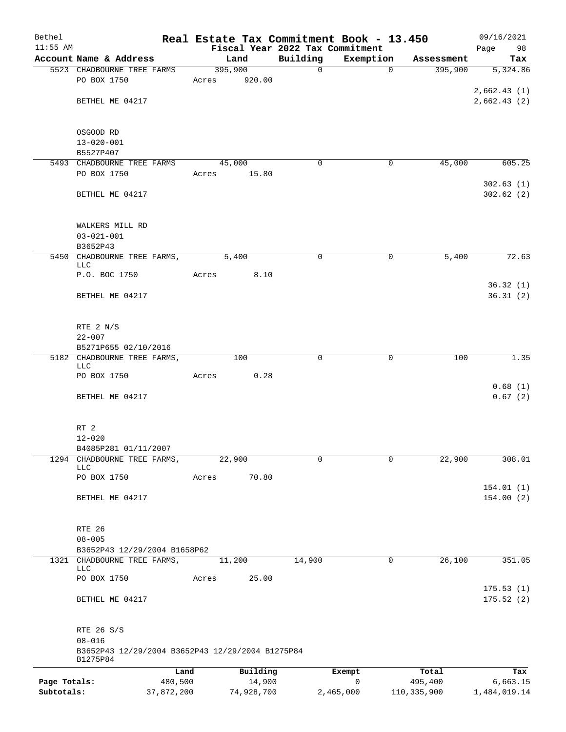| Bethel                     |                                                  |                       |       |                      |             | Real Estate Tax Commitment Book - 13.450 |                          | 09/16/2021               |
|----------------------------|--------------------------------------------------|-----------------------|-------|----------------------|-------------|------------------------------------------|--------------------------|--------------------------|
| $11:55$ AM                 |                                                  |                       |       |                      |             | Fiscal Year 2022 Tax Commitment          |                          | Page<br>98               |
|                            | Account Name & Address                           |                       |       | Land                 | Building    | Exemption                                | Assessment               | Tax                      |
|                            | 5523 CHADBOURNE TREE FARMS                       |                       |       | 395,900              | $\mathbf 0$ | $\mathbf 0$                              | 395,900                  | 5,324.86                 |
|                            | PO BOX 1750                                      |                       | Acres | 920.00               |             |                                          |                          | 2,662.43(1)              |
|                            | BETHEL ME 04217                                  |                       |       |                      |             |                                          |                          | 2,662.43(2)              |
|                            |                                                  |                       |       |                      |             |                                          |                          |                          |
|                            |                                                  |                       |       |                      |             |                                          |                          |                          |
|                            | OSGOOD RD                                        |                       |       |                      |             |                                          |                          |                          |
|                            | $13 - 020 - 001$                                 |                       |       |                      |             |                                          |                          |                          |
|                            | B5527P407                                        |                       |       |                      |             |                                          |                          |                          |
|                            | 5493 CHADBOURNE TREE FARMS                       |                       |       | 45,000               | 0           | $\mathbf 0$                              | 45,000                   | 605.25                   |
|                            | PO BOX 1750                                      |                       | Acres | 15.80                |             |                                          |                          |                          |
|                            |                                                  |                       |       |                      |             |                                          |                          | 302.63(1)                |
|                            | BETHEL ME 04217                                  |                       |       |                      |             |                                          |                          | 302.62(2)                |
|                            |                                                  |                       |       |                      |             |                                          |                          |                          |
|                            |                                                  |                       |       |                      |             |                                          |                          |                          |
|                            | WALKERS MILL RD                                  |                       |       |                      |             |                                          |                          |                          |
|                            | $03 - 021 - 001$<br>B3652P43                     |                       |       |                      |             |                                          |                          |                          |
|                            | 5450 CHADBOURNE TREE FARMS,                      |                       |       | 5,400                | 0           | 0                                        | 5,400                    | 72.63                    |
|                            | LLC                                              |                       |       |                      |             |                                          |                          |                          |
|                            | P.O. BOC 1750                                    |                       | Acres | 8.10                 |             |                                          |                          |                          |
|                            |                                                  |                       |       |                      |             |                                          |                          | 36.32(1)                 |
|                            | BETHEL ME 04217                                  |                       |       |                      |             |                                          |                          | 36.31(2)                 |
|                            |                                                  |                       |       |                      |             |                                          |                          |                          |
|                            |                                                  |                       |       |                      |             |                                          |                          |                          |
|                            | RTE 2 N/S<br>$22 - 007$                          |                       |       |                      |             |                                          |                          |                          |
|                            | B5271P655 02/10/2016                             |                       |       |                      |             |                                          |                          |                          |
|                            | 5182 CHADBOURNE TREE FARMS,                      |                       |       | 100                  | 0           | 0                                        | 100                      | 1.35                     |
|                            | LLC                                              |                       |       |                      |             |                                          |                          |                          |
|                            | PO BOX 1750                                      |                       | Acres | 0.28                 |             |                                          |                          |                          |
|                            |                                                  |                       |       |                      |             |                                          |                          | 0.68(1)                  |
|                            | BETHEL ME 04217                                  |                       |       |                      |             |                                          |                          | 0.67(2)                  |
|                            |                                                  |                       |       |                      |             |                                          |                          |                          |
|                            | RT 2                                             |                       |       |                      |             |                                          |                          |                          |
|                            | $12 - 020$                                       |                       |       |                      |             |                                          |                          |                          |
|                            | B4085P281 01/11/2007                             |                       |       |                      |             |                                          |                          |                          |
|                            | 1294 CHADBOURNE TREE FARMS,                      |                       |       | 22,900               | 0           | 0                                        | 22,900                   | 308.01                   |
|                            | <b>LLC</b>                                       |                       |       |                      |             |                                          |                          |                          |
|                            | PO BOX 1750                                      |                       | Acres | 70.80                |             |                                          |                          |                          |
|                            |                                                  |                       |       |                      |             |                                          |                          | 154.01 (1)               |
|                            | BETHEL ME 04217                                  |                       |       |                      |             |                                          |                          | 154.00(2)                |
|                            |                                                  |                       |       |                      |             |                                          |                          |                          |
|                            | RTE 26                                           |                       |       |                      |             |                                          |                          |                          |
|                            | $08 - 005$                                       |                       |       |                      |             |                                          |                          |                          |
|                            | B3652P43 12/29/2004 B1658P62                     |                       |       |                      |             |                                          |                          |                          |
|                            | 1321 CHADBOURNE TREE FARMS,                      |                       |       | 11,200               | 14,900      | 0                                        | 26,100                   | 351.05                   |
|                            | <b>LLC</b>                                       |                       |       |                      |             |                                          |                          |                          |
|                            | PO BOX 1750                                      |                       | Acres | 25.00                |             |                                          |                          |                          |
|                            | BETHEL ME 04217                                  |                       |       |                      |             |                                          |                          | 175.53(1)<br>175.52(2)   |
|                            |                                                  |                       |       |                      |             |                                          |                          |                          |
|                            |                                                  |                       |       |                      |             |                                          |                          |                          |
|                            | RTE 26 S/S                                       |                       |       |                      |             |                                          |                          |                          |
|                            | $08 - 016$                                       |                       |       |                      |             |                                          |                          |                          |
|                            | B3652P43 12/29/2004 B3652P43 12/29/2004 B1275P84 |                       |       |                      |             |                                          |                          |                          |
|                            | B1275P84                                         |                       |       |                      |             |                                          |                          |                          |
|                            |                                                  | Land                  |       | Building             |             | Exempt                                   | Total                    | Tax                      |
| Page Totals:<br>Subtotals: |                                                  | 480,500<br>37,872,200 |       | 14,900<br>74,928,700 |             | $\mathsf{O}$<br>2,465,000                | 495,400<br>110, 335, 900 | 6,663.15<br>1,484,019.14 |
|                            |                                                  |                       |       |                      |             |                                          |                          |                          |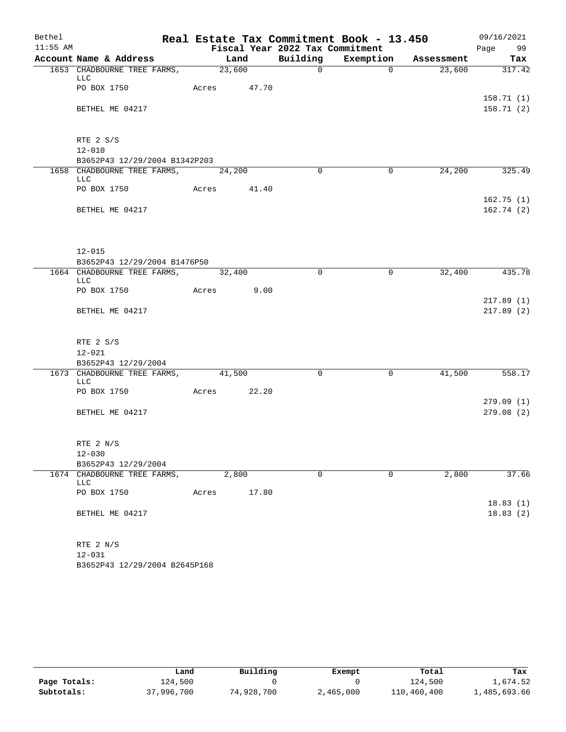| Bethel     |                                                |             |       |                                 | Real Estate Tax Commitment Book - 13.450 |        | 09/16/2021             |
|------------|------------------------------------------------|-------------|-------|---------------------------------|------------------------------------------|--------|------------------------|
| $11:55$ AM |                                                |             |       | Fiscal Year 2022 Tax Commitment |                                          |        | Page 99                |
|            | Account Name & Address                         | Land        |       |                                 | Building Exemption Assessment            |        | Tax                    |
|            | 1653 CHADBOURNE TREE FARMS,<br>LLC             | 23,600      |       | $\Omega$                        | $\Omega$                                 | 23,600 | 317.42                 |
|            | PO BOX 1750                                    | Acres 47.70 |       |                                 |                                          |        | 158.71(1)              |
|            | BETHEL ME 04217                                |             |       |                                 |                                          |        | 158.71(2)              |
|            | RTE 2 S/S                                      |             |       |                                 |                                          |        |                        |
|            | $12 - 010$                                     |             |       |                                 |                                          |        |                        |
|            | B3652P43 12/29/2004 B1342P203                  |             |       |                                 |                                          |        |                        |
|            | 1658 CHADBOURNE TREE FARMS, 24,200<br>LLC      |             |       | $\Omega$                        | 0                                        | 24,200 | 325.49                 |
|            | PO BOX 1750                                    | Acres 41.40 |       |                                 |                                          |        |                        |
|            | BETHEL ME 04217                                |             |       |                                 |                                          |        | 162.75(1)<br>162.74(2) |
|            | $12 - 015$<br>B3652P43 12/29/2004 B1476P50     |             |       |                                 |                                          |        |                        |
|            | 1664 CHADBOURNE TREE FARMS,                    | 32,400      |       | $\Omega$                        | $\mathbf 0$                              | 32,400 | 435.78                 |
|            | LLC                                            |             |       |                                 |                                          |        |                        |
|            | PO BOX 1750                                    | Acres 9.00  |       |                                 |                                          |        |                        |
|            | BETHEL ME 04217                                |             |       |                                 |                                          |        | 217.89(1)<br>217.89(2) |
|            | RTE 2 S/S<br>$12 - 021$<br>B3652P43 12/29/2004 |             |       |                                 |                                          |        |                        |
|            | 1673 CHADBOURNE TREE FARMS, 41,500             |             |       | $\mathbf 0$                     | $\mathsf{O}$                             | 41,500 | 558.17                 |
|            | LLC                                            |             |       |                                 |                                          |        |                        |
|            | PO BOX 1750                                    | Acres 22.20 |       |                                 |                                          |        | 279.09(1)              |
|            | BETHEL ME 04217                                |             |       |                                 |                                          |        | 279.08(2)              |
|            | RTE 2 N/S                                      |             |       |                                 |                                          |        |                        |
|            | $12 - 030$                                     |             |       |                                 |                                          |        |                        |
|            | B3652P43 12/29/2004                            |             |       |                                 |                                          |        |                        |
|            | 1674 CHADBOURNE TREE FARMS,<br>LLC             | 2,800       |       | $\mathbf 0$                     | $\Omega$                                 | 2,800  | 37.66                  |
|            | PO BOX 1750                                    | Acres       | 17.80 |                                 |                                          |        | 18.83(1)               |
|            | BETHEL ME 04217                                |             |       |                                 |                                          |        | 18.83(2)               |
|            | RTE 2 N/S<br>$12 - 031$                        |             |       |                                 |                                          |        |                        |

B3652P43 12/29/2004 B2645P168

|              | Land       | Building   | Exempt    | Total       | Tax          |
|--------------|------------|------------|-----------|-------------|--------------|
| Page Totals: | 124,500    |            |           | 124,500     | 1,674.52     |
| Subtotals:   | 37,996,700 | 74,928,700 | 2,465,000 | 110,460,400 | 1,485,693.66 |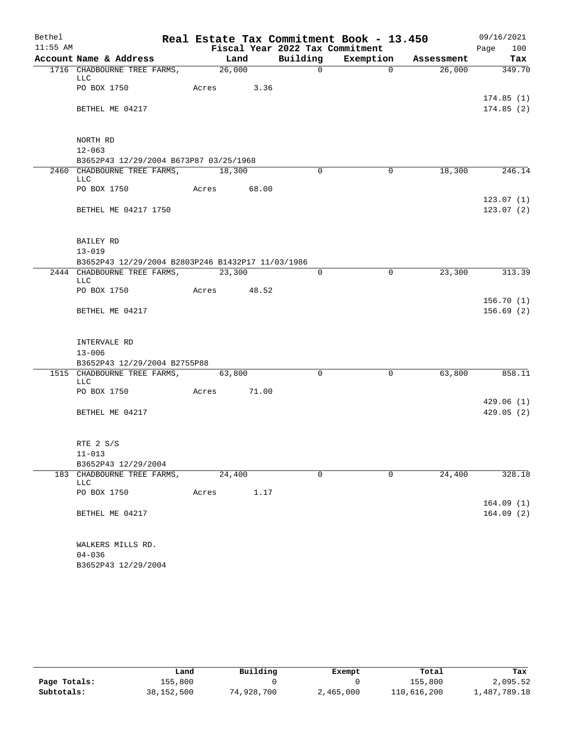| Bethel     |                                                   | Real Estate Tax Commitment Book - 13.450 |                                 |                               |        | 09/16/2021             |
|------------|---------------------------------------------------|------------------------------------------|---------------------------------|-------------------------------|--------|------------------------|
| $11:55$ AM |                                                   |                                          | Fiscal Year 2022 Tax Commitment |                               |        | 100<br>Page            |
|            | Account Name & Address                            | Land                                     |                                 | Building Exemption Assessment |        | Tax                    |
|            | 1716 CHADBOURNE TREE FARMS, 26,000<br>LLC         |                                          | $\Omega$                        | $\Omega$                      |        | 26,000 349.70          |
|            | PO BOX 1750                                       | Acres 3.36                               |                                 |                               |        | 174.85(1)              |
|            | BETHEL ME 04217                                   |                                          |                                 |                               |        | 174.85(2)              |
|            | NORTH RD                                          |                                          |                                 |                               |        |                        |
|            | $12 - 063$                                        |                                          |                                 |                               |        |                        |
|            | B3652P43 12/29/2004 B673P87 03/25/1968            |                                          |                                 |                               |        |                        |
|            | 2460 CHADBOURNE TREE FARMS, 18,300<br>LLC         |                                          | $\Omega$                        | $\overline{0}$                | 18,300 | 246.14                 |
|            | PO BOX 1750 Acres 68.00                           |                                          |                                 |                               |        | 123.07(1)              |
|            | BETHEL ME 04217 1750                              |                                          |                                 |                               |        | 123.07(2)              |
|            | BAILEY RD                                         |                                          |                                 |                               |        |                        |
|            | $13 - 019$                                        |                                          |                                 |                               |        |                        |
|            | B3652P43 12/29/2004 B2803P246 B1432P17 11/03/1986 |                                          |                                 |                               |        |                        |
|            | 2444 CHADBOURNE TREE FARMS, 23,300<br>LLC         |                                          | $\Omega$                        | $\mathbf 0$                   | 23,300 | 313.39                 |
|            | PO BOX 1750                                       | Acres 48.52                              |                                 |                               |        |                        |
|            | BETHEL ME 04217                                   |                                          |                                 |                               |        | 156.70(1)<br>156.69(2) |
|            | INTERVALE RD                                      |                                          |                                 |                               |        |                        |
|            | $13 - 006$                                        |                                          |                                 |                               |        |                        |
|            | B3652P43 12/29/2004 B2755P88                      |                                          |                                 |                               |        |                        |
|            | 1515 CHADBOURNE TREE FARMS, 63,800<br>LLC         |                                          | $\Omega$                        | $\overline{0}$                | 63,800 | 858.11                 |
|            | PO BOX 1750 Acres 71.00                           |                                          |                                 |                               |        |                        |
|            |                                                   |                                          |                                 |                               |        | 429.06(1)              |
|            | BETHEL ME 04217                                   |                                          |                                 |                               |        | 429.05(2)              |
|            | RTE 2 S/S                                         |                                          |                                 |                               |        |                        |
|            | $11 - 013$                                        |                                          |                                 |                               |        |                        |
|            | B3652P43 12/29/2004                               |                                          |                                 |                               |        |                        |
|            | 183 CHADBOURNE TREE FARMS,<br>LLC                 | 24,400                                   | $\Omega$                        | $\Omega$                      | 24,400 | 328.18                 |
|            | PO BOX 1750                                       | Acres<br>1.17                            |                                 |                               |        | 164.09(1)              |
|            | BETHEL ME 04217                                   |                                          |                                 |                               |        | 164.09(2)              |
|            | WALKERS MILLS RD.                                 |                                          |                                 |                               |        |                        |
|            | $04 - 036$                                        |                                          |                                 |                               |        |                        |
|            | B3652P43 12/29/2004                               |                                          |                                 |                               |        |                        |

|              | Land       | Building   | Exempt    | Total       | Tax          |
|--------------|------------|------------|-----------|-------------|--------------|
| Page Totals: | 155,800    |            |           | 155,800     | 2,095.52     |
| Subtotals:   | 38,152,500 | 74,928,700 | 2,465,000 | 110,616,200 | 1,487,789.18 |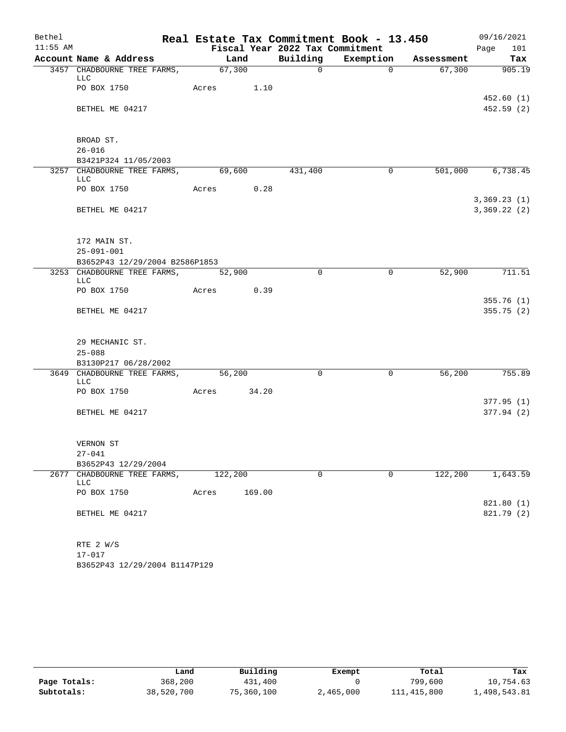| Bethel     |                                                    |             |        |                                 | Real Estate Tax Commitment Book - 13.450 |          | 09/16/2021                 |
|------------|----------------------------------------------------|-------------|--------|---------------------------------|------------------------------------------|----------|----------------------------|
| $11:55$ AM |                                                    |             |        | Fiscal Year 2022 Tax Commitment |                                          |          | Page<br>101                |
|            | Account Name & Address                             | Land        |        |                                 | Building Exemption Assessment            |          | Tax                        |
|            | 3457 CHADBOURNE TREE FARMS, 67,300<br>LLC          |             |        | $\Omega$                        | $\Omega$                                 |          | 67,300 905.19              |
|            | PO BOX 1750                                        | Acres 1.10  |        |                                 |                                          |          | 452.60(1)                  |
|            | BETHEL ME 04217                                    |             |        |                                 |                                          |          | 452.59(2)                  |
|            | BROAD ST.                                          |             |        |                                 |                                          |          |                            |
|            | $26 - 016$                                         |             |        |                                 |                                          |          |                            |
|            | B3421P324 11/05/2003                               |             |        |                                 |                                          |          |                            |
|            | 3257 CHADBOURNE TREE FARMS, 69,600<br>LLC          |             |        | 431,400                         | $\overline{0}$                           |          | 501,000 6,738.45           |
|            | PO BOX 1750                                        | Acres 0.28  |        |                                 |                                          |          |                            |
|            | BETHEL ME 04217                                    |             |        |                                 |                                          |          | 3,369.23(1)<br>3,369.22(2) |
|            | 172 MAIN ST.                                       |             |        |                                 |                                          |          |                            |
|            | $25 - 091 - 001$<br>B3652P43 12/29/2004 B2586P1853 |             |        |                                 |                                          |          |                            |
|            | 3253 CHADBOURNE TREE FARMS, 52,900                 |             |        | $\Omega$                        | $\overline{0}$                           | 52,900   | 711.51                     |
|            | LLC                                                |             |        |                                 |                                          |          |                            |
|            | PO BOX 1750                                        | Acres 0.39  |        |                                 |                                          |          |                            |
|            |                                                    |             |        |                                 |                                          |          | 355.76(1)                  |
|            | BETHEL ME 04217                                    |             |        |                                 |                                          |          | 355.75(2)                  |
|            | 29 MECHANIC ST.                                    |             |        |                                 |                                          |          |                            |
|            | $25 - 088$                                         |             |        |                                 |                                          |          |                            |
|            | B3130P217 06/28/2002                               |             |        |                                 |                                          |          |                            |
|            | 3649 CHADBOURNE TREE FARMS, 56,200<br>LLC          |             |        | $\Omega$                        | $\overline{0}$                           | 56,200   | 755.89                     |
|            | PO BOX 1750                                        | Acres 34.20 |        |                                 |                                          |          | 377.95(1)                  |
|            | BETHEL ME 04217                                    |             |        |                                 |                                          |          | 377.94(2)                  |
|            | VERNON ST                                          |             |        |                                 |                                          |          |                            |
|            | $27 - 041$                                         |             |        |                                 |                                          |          |                            |
|            | B3652P43 12/29/2004                                |             |        |                                 |                                          |          |                            |
|            | 2677 CHADBOURNE TREE FARMS,<br>LLC                 | 122,200     |        | $\mathbf 0$                     | $\Omega$                                 | 122, 200 | 1,643.59                   |
|            | PO BOX 1750                                        | Acres       | 169.00 |                                 |                                          |          |                            |
|            | BETHEL ME 04217                                    |             |        |                                 |                                          |          | 821.80 (1)<br>821.79 (2)   |
|            |                                                    |             |        |                                 |                                          |          |                            |
|            | RTE 2 W/S<br>$17 - 017$                            |             |        |                                 |                                          |          |                            |
|            |                                                    |             |        |                                 |                                          |          |                            |

B3652P43 12/29/2004 B1147P129

|              | Land       | Building   | Exempt    | Total       | Tax          |
|--------------|------------|------------|-----------|-------------|--------------|
| Page Totals: | 368,200    | 431,400    |           | 799,600     | 10,754.63    |
| Subtotals:   | 38,520,700 | 75,360,100 | 2,465,000 | 111,415,800 | 1,498,543.81 |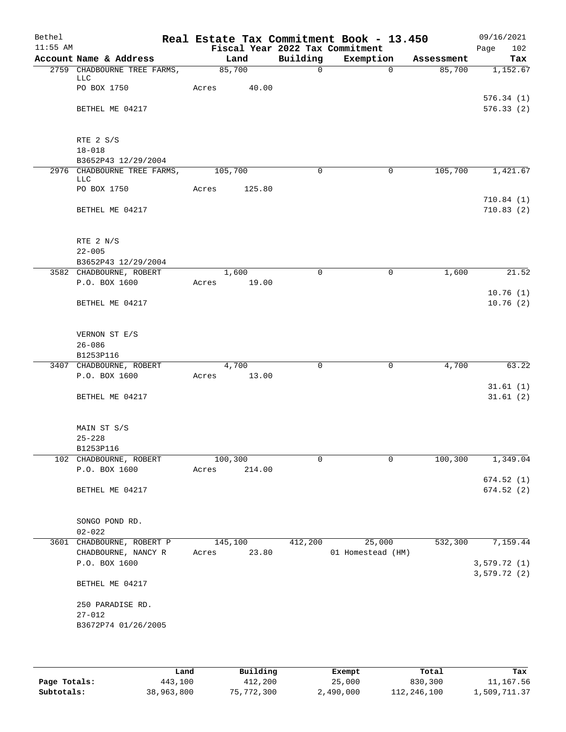| Bethel     |                                    |             |         |             | Real Estate Tax Commitment Book - 13.450 |            | 09/16/2021                  |
|------------|------------------------------------|-------------|---------|-------------|------------------------------------------|------------|-----------------------------|
| $11:55$ AM |                                    |             |         |             | Fiscal Year 2022 Tax Commitment          |            | Page<br>102                 |
|            | Account Name & Address             |             | Land    | Building    | Exemption                                | Assessment | Tax                         |
|            | 2759 CHADBOURNE TREE FARMS,<br>LLC |             | 85,700  | $\mathbf 0$ | $\Omega$                                 | 85,700     | 1,152.67                    |
|            | PO BOX 1750                        | Acres       | 40.00   |             |                                          |            | 576.34(1)                   |
|            | BETHEL ME 04217                    |             |         |             |                                          |            | 576.33(2)                   |
|            |                                    |             |         |             |                                          |            |                             |
|            | RTE 2 S/S<br>$18 - 018$            |             |         |             |                                          |            |                             |
|            | B3652P43 12/29/2004                |             |         |             |                                          |            |                             |
|            | 2976 CHADBOURNE TREE FARMS,        | 105,700     |         | 0           | $\Omega$                                 | 105,700    | 1,421.67                    |
|            | LLC<br>PO BOX 1750                 | Acres       | 125.80  |             |                                          |            |                             |
|            | BETHEL ME 04217                    |             |         |             |                                          |            | 710.84(1)<br>710.83(2)      |
|            |                                    |             |         |             |                                          |            |                             |
|            | RTE 2 N/S                          |             |         |             |                                          |            |                             |
|            | $22 - 005$                         |             |         |             |                                          |            |                             |
|            | B3652P43 12/29/2004                |             |         |             |                                          |            |                             |
|            | 3582 CHADBOURNE, ROBERT            |             | 1,600   | $\Omega$    | 0                                        | 1,600      | 21.52                       |
|            | P.O. BOX 1600                      | Acres       | 19.00   |             |                                          |            |                             |
|            |                                    |             |         |             |                                          |            | 10.76(1)                    |
|            | BETHEL ME 04217                    |             |         |             |                                          |            | 10.76(2)                    |
|            | VERNON ST E/S                      |             |         |             |                                          |            |                             |
|            | $26 - 086$                         |             |         |             |                                          |            |                             |
|            | B1253P116                          |             |         |             |                                          |            |                             |
|            | 3407 CHADBOURNE, ROBERT            |             | 4,700   | 0           | $\mathsf{O}$                             | 4,700      | 63.22                       |
|            | P.O. BOX 1600                      | Acres 13.00 |         |             |                                          |            |                             |
|            |                                    |             |         |             |                                          |            | 31.61(1)                    |
|            | BETHEL ME 04217                    |             |         |             |                                          |            | 31.61(2)                    |
|            | MAIN ST S/S                        |             |         |             |                                          |            |                             |
|            | $25 - 228$                         |             |         |             |                                          |            |                             |
|            | B1253P116                          |             |         |             |                                          |            |                             |
|            | 102 CHADBOURNE, ROBERT             | 100,300     |         | 0           | 0                                        | 100,300    | 1,349.04                    |
|            | P.O. BOX 1600                      | Acres       | 214.00  |             |                                          |            |                             |
|            |                                    |             |         |             |                                          |            | 674.52 (1)                  |
|            | BETHEL ME 04217                    |             |         |             |                                          |            | 674.52(2)                   |
|            | SONGO POND RD.                     |             |         |             |                                          |            |                             |
|            | $02 - 022$                         |             |         |             |                                          |            |                             |
|            | 3601 CHADBOURNE, ROBERT P          |             | 145,100 | 412,200     | 25,000                                   | 532,300    | 7,159.44                    |
|            | CHADBOURNE, NANCY R                | Acres       | 23.80   |             | 01 Homestead (HM)                        |            |                             |
|            | P.O. BOX 1600                      |             |         |             |                                          |            | 3,579.72 (1)<br>3,579.72(2) |
|            | BETHEL ME 04217                    |             |         |             |                                          |            |                             |
|            | 250 PARADISE RD.                   |             |         |             |                                          |            |                             |
|            | $27 - 012$                         |             |         |             |                                          |            |                             |
|            | B3672P74 01/26/2005                |             |         |             |                                          |            |                             |
|            |                                    |             |         |             |                                          |            |                             |
|            |                                    |             |         |             |                                          |            |                             |

|              | Land       | Building   | Exempt    | Total       | Tax          |
|--------------|------------|------------|-----------|-------------|--------------|
| Page Totals: | 443,100    | 412,200    | 25,000    | 830,300     | 11,167.56    |
| Subtotals:   | 38,963,800 | 75,772,300 | 2,490,000 | 112,246,100 | 1,509,711.37 |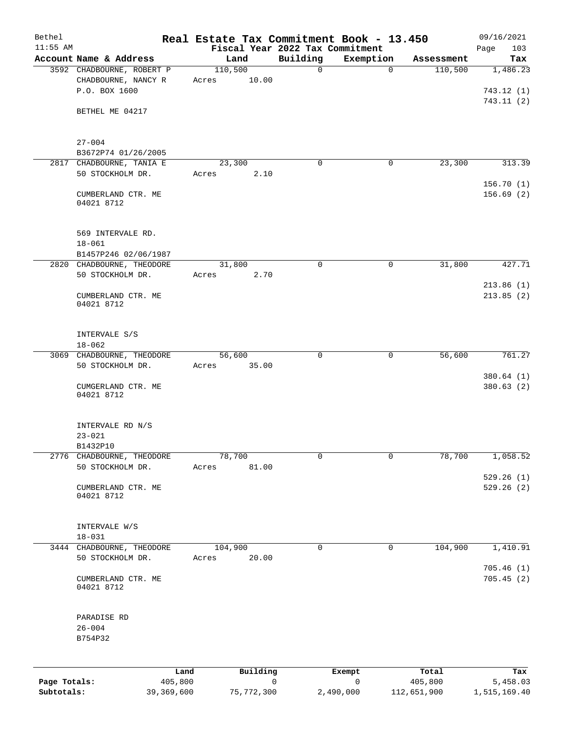| Bethel                     |                                                                   | Real Estate Tax Commitment Book - 13.450 |             |                |                        | 09/16/2021               |
|----------------------------|-------------------------------------------------------------------|------------------------------------------|-------------|----------------|------------------------|--------------------------|
| $11:55$ AM                 |                                                                   | Fiscal Year 2022 Tax Commitment          |             |                |                        | 103<br>Page              |
|                            | Account Name & Address                                            | Land                                     | Building    | Exemption      | Assessment             | Tax                      |
|                            | 3592 CHADBOURNE, ROBERT P<br>CHADBOURNE, NANCY R<br>P.O. BOX 1600 | 110,500<br>10.00<br>Acres                | $\mathbf 0$ | $\mathbf 0$    | 110,500                | 1,486.23<br>743.12(1)    |
|                            | BETHEL ME 04217                                                   |                                          |             |                |                        | 743.11(2)                |
|                            | $27 - 004$                                                        |                                          |             |                |                        |                          |
|                            | B3672P74 01/26/2005                                               |                                          |             |                |                        |                          |
|                            | 2817 CHADBOURNE, TANIA E                                          | 23,300                                   | 0           | 0              | 23,300                 | 313.39                   |
|                            | 50 STOCKHOLM DR.                                                  | 2.10<br>Acres                            |             |                |                        | 156.70(1)                |
|                            | CUMBERLAND CTR. ME<br>04021 8712                                  |                                          |             |                |                        | 156.69(2)                |
|                            | 569 INTERVALE RD.                                                 |                                          |             |                |                        |                          |
|                            | $18 - 061$<br>B1457P246 02/06/1987                                |                                          |             |                |                        |                          |
|                            | 2820 CHADBOURNE, THEODORE                                         | 31,800                                   | $\mathbf 0$ | $\mathsf{O}$   | 31,800                 | 427.71                   |
|                            | 50 STOCKHOLM DR.                                                  | 2.70<br>Acres                            |             |                |                        |                          |
|                            | CUMBERLAND CTR. ME<br>04021 8712                                  |                                          |             |                |                        | 213.86(1)<br>213.85(2)   |
|                            |                                                                   |                                          |             |                |                        |                          |
|                            | INTERVALE S/S<br>$18 - 062$                                       |                                          |             |                |                        |                          |
|                            | 3069 CHADBOURNE, THEODORE                                         | 56,600                                   | 0           | 0              | 56,600                 | 761.27                   |
|                            | 50 STOCKHOLM DR.                                                  | 35.00<br>Acres                           |             |                |                        | 380.64 (1)               |
|                            | CUMGERLAND CTR. ME<br>04021 8712                                  |                                          |             |                |                        | 380.63(2)                |
|                            | INTERVALE RD N/S                                                  |                                          |             |                |                        |                          |
|                            | $23 - 021$                                                        |                                          |             |                |                        |                          |
|                            | B1432P10                                                          |                                          |             |                |                        |                          |
|                            | 2776 CHADBOURNE, THEODORE<br>50 STOCKHOLM DR.                     | 78,700<br>81.00<br>Acres                 | $\mathbf 0$ | $\mathbf 0$    | 78,700                 | 1,058.52                 |
|                            | CUMBERLAND CTR. ME                                                |                                          |             |                |                        | 529.26(1)<br>529.26(2)   |
|                            | 04021 8712                                                        |                                          |             |                |                        |                          |
|                            | INTERVALE W/S<br>$18 - 031$                                       |                                          |             |                |                        |                          |
|                            | 3444 CHADBOURNE, THEODORE                                         | 104,900                                  | $\mathbf 0$ | 0              | 104,900                | 1,410.91                 |
|                            | 50 STOCKHOLM DR.                                                  | 20.00<br>Acres                           |             |                |                        | 705.46(1)                |
|                            | CUMBERLAND CTR. ME<br>04021 8712                                  |                                          |             |                |                        | 705.45(2)                |
|                            | PARADISE RD                                                       |                                          |             |                |                        |                          |
|                            | $26 - 004$<br>B754P32                                             |                                          |             |                |                        |                          |
|                            |                                                                   |                                          |             |                |                        |                          |
|                            |                                                                   | Building<br>Land                         |             | Exempt         | Total                  | Tax                      |
| Page Totals:<br>Subtotals: | 405,800<br>39,369,600                                             | 75,772,300                               | 0           | 0<br>2,490,000 | 405,800<br>112,651,900 | 5,458.03<br>1,515,169.40 |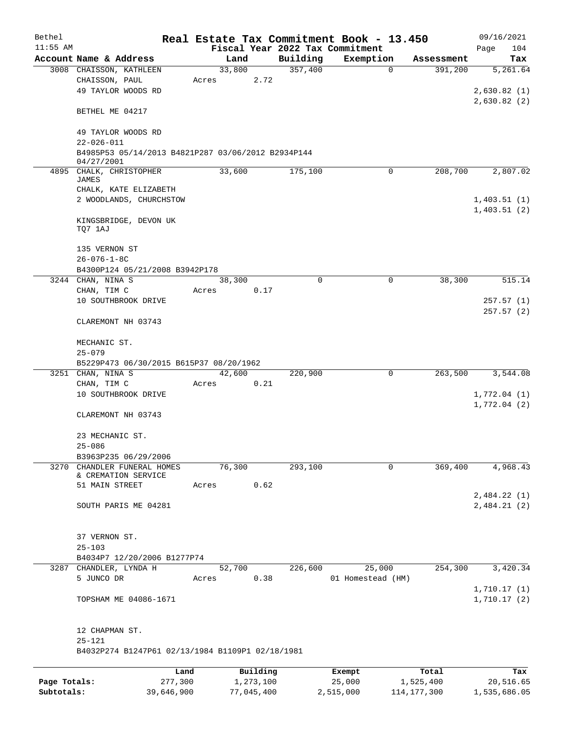| Bethel       |                                                    |        |           |                                 | Real Estate Tax Commitment Book - 13.450 |            | 09/16/2021  |
|--------------|----------------------------------------------------|--------|-----------|---------------------------------|------------------------------------------|------------|-------------|
| $11:55$ AM   |                                                    |        |           | Fiscal Year 2022 Tax Commitment |                                          |            | Page<br>104 |
|              | Account Name & Address                             | Land   |           | Building                        | Exemption                                | Assessment | Tax         |
|              | 3008 CHAISSON, KATHLEEN                            | 33,800 |           | 357,400                         | $\mathbf 0$                              | 391,200    | 5,261.64    |
|              | CHAISSON, PAUL                                     | Acres  | 2.72      |                                 |                                          |            |             |
|              | 49 TAYLOR WOODS RD                                 |        |           |                                 |                                          |            | 2,630.82(1) |
|              |                                                    |        |           |                                 |                                          |            | 2,630.82(2) |
|              | BETHEL ME 04217                                    |        |           |                                 |                                          |            |             |
|              | 49 TAYLOR WOODS RD                                 |        |           |                                 |                                          |            |             |
|              | $22 - 026 - 011$                                   |        |           |                                 |                                          |            |             |
|              | B4985P53 05/14/2013 B4821P287 03/06/2012 B2934P144 |        |           |                                 |                                          |            |             |
|              | 04/27/2001                                         |        |           |                                 |                                          |            |             |
|              | 4895 CHALK, CHRISTOPHER                            | 33,600 |           | 175,100                         | 0                                        | 208,700    | 2,807.02    |
|              | JAMES                                              |        |           |                                 |                                          |            |             |
|              | CHALK, KATE ELIZABETH                              |        |           |                                 |                                          |            |             |
|              | 2 WOODLANDS, CHURCHSTOW                            |        |           |                                 |                                          |            | 1,403.51(1) |
|              |                                                    |        |           |                                 |                                          |            | 1,403.51(2) |
|              | KINGSBRIDGE, DEVON UK                              |        |           |                                 |                                          |            |             |
|              | TQ7 1AJ                                            |        |           |                                 |                                          |            |             |
|              | 135 VERNON ST                                      |        |           |                                 |                                          |            |             |
|              | $26 - 076 - 1 - 8C$                                |        |           |                                 |                                          |            |             |
|              | B4300P124 05/21/2008 B3942P178                     |        |           |                                 |                                          |            |             |
|              | 3244 CHAN, NINA S                                  | 38,300 |           | 0                               | 0                                        | 38,300     | 515.14      |
|              | CHAN, TIM C                                        | Acres  | 0.17      |                                 |                                          |            |             |
|              | 10 SOUTHBROOK DRIVE                                |        |           |                                 |                                          |            | 257.57(1)   |
|              |                                                    |        |           |                                 |                                          |            | 257.57(2)   |
|              | CLAREMONT NH 03743                                 |        |           |                                 |                                          |            |             |
|              |                                                    |        |           |                                 |                                          |            |             |
|              | MECHANIC ST.                                       |        |           |                                 |                                          |            |             |
|              | $25 - 079$                                         |        |           |                                 |                                          |            |             |
|              | B5229P473 06/30/2015 B615P37 08/20/1962            |        |           |                                 |                                          |            |             |
|              | 3251 CHAN, NINA S                                  | 42,600 |           | 220,900                         | 0                                        | 263,500    | 3,544.08    |
|              | CHAN, TIM C                                        | Acres  | 0.21      |                                 |                                          |            |             |
|              | 10 SOUTHBROOK DRIVE                                |        |           |                                 |                                          |            | 1,772.04(1) |
|              |                                                    |        |           |                                 |                                          |            | 1,772.04(2) |
|              | CLAREMONT NH 03743                                 |        |           |                                 |                                          |            |             |
|              |                                                    |        |           |                                 |                                          |            |             |
|              | 23 MECHANIC ST.                                    |        |           |                                 |                                          |            |             |
|              | $25 - 086$                                         |        |           |                                 |                                          |            |             |
|              | B3963P235 06/29/2006                               |        |           |                                 |                                          |            |             |
| 3270         | CHANDLER FUNERAL HOMES                             | 76,300 |           | 293,100                         | 0                                        | 369,400    | 4,968.43    |
|              | & CREMATION SERVICE                                |        |           |                                 |                                          |            |             |
|              | 51 MAIN STREET                                     | Acres  | 0.62      |                                 |                                          |            |             |
|              |                                                    |        |           |                                 |                                          |            | 2,484.22(1) |
|              | SOUTH PARIS ME 04281                               |        |           |                                 |                                          |            | 2,484.21(2) |
|              |                                                    |        |           |                                 |                                          |            |             |
|              | 37 VERNON ST.                                      |        |           |                                 |                                          |            |             |
|              | $25 - 103$                                         |        |           |                                 |                                          |            |             |
|              | B4034P7 12/20/2006 B1277P74                        |        |           |                                 |                                          |            |             |
| 3287         | CHANDLER, LYNDA H                                  | 52,700 |           | 226,600                         | 25,000                                   | 254,300    | 3,420.34    |
|              | 5 JUNCO DR                                         | Acres  | 0.38      |                                 | 01 Homestead (HM)                        |            |             |
|              |                                                    |        |           |                                 |                                          |            | 1,710.17(1) |
|              | TOPSHAM ME 04086-1671                              |        |           |                                 |                                          |            | 1,710.17(2) |
|              |                                                    |        |           |                                 |                                          |            |             |
|              |                                                    |        |           |                                 |                                          |            |             |
|              | 12 CHAPMAN ST.                                     |        |           |                                 |                                          |            |             |
|              | $25 - 121$                                         |        |           |                                 |                                          |            |             |
|              | B4032P274 B1247P61 02/13/1984 B1109P1 02/18/1981   |        |           |                                 |                                          |            |             |
|              |                                                    |        |           |                                 |                                          |            |             |
|              | Land                                               |        | Building  |                                 | Exempt                                   | Total      | Tax         |
| Page Totals: | 277,300                                            |        | 1,273,100 |                                 | 25,000                                   | 1,525,400  | 20,516.65   |

**Subtotals:** 39,646,900 77,045,400 2,515,000 114,177,300 1,535,686.05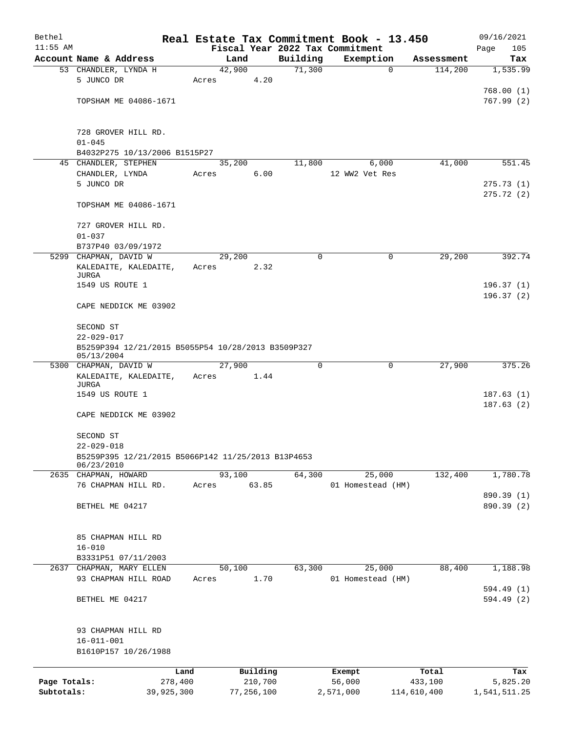| Bethel       |                                                                        | Real Estate Tax Commitment Book - 13.450 |                    |                          |                       | 09/16/2021      |
|--------------|------------------------------------------------------------------------|------------------------------------------|--------------------|--------------------------|-----------------------|-----------------|
| $11:55$ AM   |                                                                        | Fiscal Year 2022 Tax Commitment          |                    |                          |                       | 105<br>Page     |
|              | Account Name & Address                                                 | Land<br>42,900                           | Building<br>71,300 | Exemption<br>$\mathbf 0$ | Assessment<br>114,200 | Tax<br>1,535.99 |
|              | 53 CHANDLER, LYNDA H<br>5 JUNCO DR                                     | 4.20<br>Acres                            |                    |                          |                       |                 |
|              |                                                                        |                                          |                    |                          |                       | 768.00(1)       |
|              | TOPSHAM ME 04086-1671                                                  |                                          |                    |                          |                       | 767.99(2)       |
|              |                                                                        |                                          |                    |                          |                       |                 |
|              |                                                                        |                                          |                    |                          |                       |                 |
|              | 728 GROVER HILL RD.                                                    |                                          |                    |                          |                       |                 |
|              | $01 - 045$<br>B4032P275 10/13/2006 B1515P27                            |                                          |                    |                          |                       |                 |
|              | 45 CHANDLER, STEPHEN                                                   | 35,200                                   | 11,800             | 6,000                    | 41,000                | 551.45          |
|              | CHANDLER, LYNDA                                                        | 6.00<br>Acres                            |                    | 12 WW2 Vet Res           |                       |                 |
|              | 5 JUNCO DR                                                             |                                          |                    |                          |                       | 275.73(1)       |
|              |                                                                        |                                          |                    |                          |                       | 275.72(2)       |
|              | TOPSHAM ME 04086-1671                                                  |                                          |                    |                          |                       |                 |
|              |                                                                        |                                          |                    |                          |                       |                 |
|              | 727 GROVER HILL RD.                                                    |                                          |                    |                          |                       |                 |
|              | $01 - 037$<br>B737P40 03/09/1972                                       |                                          |                    |                          |                       |                 |
|              | 5299 CHAPMAN, DAVID W                                                  | 29,200                                   | 0                  | 0                        | 29,200                | 392.74          |
|              | KALEDAITE, KALEDAITE,                                                  | 2.32<br>Acres                            |                    |                          |                       |                 |
|              | JURGA                                                                  |                                          |                    |                          |                       |                 |
|              | 1549 US ROUTE 1                                                        |                                          |                    |                          |                       | 196.37(1)       |
|              |                                                                        |                                          |                    |                          |                       | 196.37 (2)      |
|              | CAPE NEDDICK ME 03902                                                  |                                          |                    |                          |                       |                 |
|              | SECOND ST                                                              |                                          |                    |                          |                       |                 |
|              | $22 - 029 - 017$                                                       |                                          |                    |                          |                       |                 |
|              | B5259P394 12/21/2015 B5055P54 10/28/2013 B3509P327                     |                                          |                    |                          |                       |                 |
|              | 05/13/2004                                                             |                                          |                    |                          |                       |                 |
|              | 5300 CHAPMAN, DAVID W                                                  | 27,900                                   | 0                  | 0                        | 27,900                | 375.26          |
|              | KALEDAITE, KALEDAITE,<br>JURGA                                         | Acres<br>1.44                            |                    |                          |                       |                 |
|              | 1549 US ROUTE 1                                                        |                                          |                    |                          |                       | 187.63(1)       |
|              |                                                                        |                                          |                    |                          |                       | 187.63(2)       |
|              | CAPE NEDDICK ME 03902                                                  |                                          |                    |                          |                       |                 |
|              |                                                                        |                                          |                    |                          |                       |                 |
|              | SECOND ST                                                              |                                          |                    |                          |                       |                 |
|              | $22 - 029 - 018$<br>B5259P395 12/21/2015 B5066P142 11/25/2013 B13P4653 |                                          |                    |                          |                       |                 |
|              | 06/23/2010                                                             |                                          |                    |                          |                       |                 |
|              | 2635 CHAPMAN, HOWARD                                                   | 93,100                                   | 64,300             | 25,000                   | 132,400               | 1,780.78        |
|              | 76 CHAPMAN HILL RD.                                                    | 63.85<br>Acres                           |                    | 01 Homestead (HM)        |                       |                 |
|              |                                                                        |                                          |                    |                          |                       | 890.39 (1)      |
|              | BETHEL ME 04217                                                        |                                          |                    |                          |                       | 890.39 (2)      |
|              |                                                                        |                                          |                    |                          |                       |                 |
|              | 85 CHAPMAN HILL RD                                                     |                                          |                    |                          |                       |                 |
|              | $16 - 010$                                                             |                                          |                    |                          |                       |                 |
|              | B3331P51 07/11/2003                                                    |                                          |                    |                          |                       |                 |
|              | 2637 CHAPMAN, MARY ELLEN                                               | 50,100                                   | 63,300             | 25,000                   | 88,400                | 1,188.98        |
|              | 93 CHAPMAN HILL ROAD                                                   | 1.70<br>Acres                            |                    | 01 Homestead (HM)        |                       |                 |
|              |                                                                        |                                          |                    |                          |                       | 594.49 (1)      |
|              | BETHEL ME 04217                                                        |                                          |                    |                          |                       | 594.49 (2)      |
|              |                                                                        |                                          |                    |                          |                       |                 |
|              | 93 CHAPMAN HILL RD                                                     |                                          |                    |                          |                       |                 |
|              | $16 - 011 - 001$                                                       |                                          |                    |                          |                       |                 |
|              | B1610P157 10/26/1988                                                   |                                          |                    |                          |                       |                 |
|              |                                                                        |                                          |                    |                          |                       |                 |
|              | Land                                                                   | Building                                 |                    | Exempt                   | Total                 | Tax             |
| Page Totals: | 278,400                                                                | 210,700                                  |                    | 56,000                   | 433,100               | 5,825.20        |
| Subtotals:   | 39,925,300                                                             | 77,256,100                               |                    | 2,571,000                | 114,610,400           | 1,541,511.25    |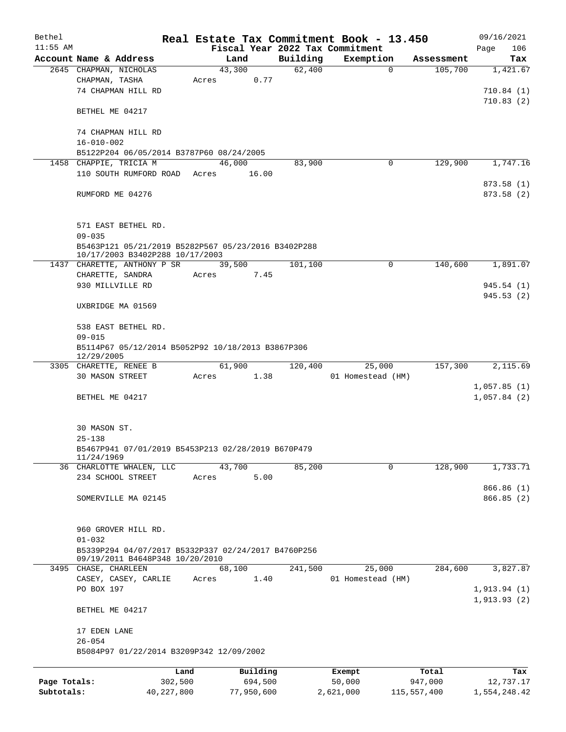| Bethel       |                                                     | Real Estate Tax Commitment Book - 13.450 |          |                   |             | 09/16/2021                 |
|--------------|-----------------------------------------------------|------------------------------------------|----------|-------------------|-------------|----------------------------|
| $11:55$ AM   |                                                     | Fiscal Year 2022 Tax Commitment          |          |                   |             | 106<br>Page                |
|              | Account Name & Address                              | Land                                     | Building | Exemption         | Assessment  | Tax                        |
|              | 2645 CHAPMAN, NICHOLAS<br>CHAPMAN, TASHA            | 43,300<br>0.77<br>Acres                  | 62,400   | $\Omega$          | 105,700     | 1,421.67                   |
|              | 74 CHAPMAN HILL RD                                  |                                          |          |                   |             | 710.84(1)                  |
|              |                                                     |                                          |          |                   |             | 710.83(2)                  |
|              | BETHEL ME 04217                                     |                                          |          |                   |             |                            |
|              | 74 CHAPMAN HILL RD                                  |                                          |          |                   |             |                            |
|              | $16 - 010 - 002$                                    |                                          |          |                   |             |                            |
|              | B5122P204 06/05/2014 B3787P60 08/24/2005            |                                          |          |                   |             |                            |
|              | 1458 CHAPPIE, TRICIA M                              | 46,000                                   | 83,900   | 0                 | 129,900     | 1,747.16                   |
|              | 110 SOUTH RUMFORD ROAD Acres                        | 16.00                                    |          |                   |             |                            |
|              | RUMFORD ME 04276                                    |                                          |          |                   |             | 873.58(1)<br>873.58(2)     |
|              | 571 EAST BETHEL RD.<br>$09 - 035$                   |                                          |          |                   |             |                            |
|              | B5463P121 05/21/2019 B5282P567 05/23/2016 B3402P288 |                                          |          |                   |             |                            |
|              | 10/17/2003 B3402P288 10/17/2003                     |                                          |          |                   |             |                            |
|              | 1437 CHARETTE, ANTHONY P SR                         | 39,500                                   | 101,100  | 0                 | 140,600     | 1,891.07                   |
|              | CHARETTE, SANDRA                                    | Acres<br>7.45                            |          |                   |             |                            |
|              | 930 MILLVILLE RD                                    |                                          |          |                   |             | 945.54(1)<br>945.53(2)     |
|              | UXBRIDGE MA 01569                                   |                                          |          |                   |             |                            |
|              | 538 EAST BETHEL RD.                                 |                                          |          |                   |             |                            |
|              | $09 - 015$                                          |                                          |          |                   |             |                            |
|              | B5114P67 05/12/2014 B5052P92 10/18/2013 B3867P306   |                                          |          |                   |             |                            |
|              | 12/29/2005                                          |                                          |          |                   |             |                            |
|              | 3305 CHARETTE, RENEE B<br>30 MASON STREET           | 61,900<br>Acres                          | 120,400  | 25,000            | 157,300     | 2,115.69                   |
|              |                                                     | 1.38                                     |          | 01 Homestead (HM) |             | 1,057.85(1)                |
|              | BETHEL ME 04217                                     |                                          |          |                   |             | 1,057.84(2)                |
|              |                                                     |                                          |          |                   |             |                            |
|              | 30 MASON ST.                                        |                                          |          |                   |             |                            |
|              | $25 - 138$                                          |                                          |          |                   |             |                            |
|              | B5467P941 07/01/2019 B5453P213 02/28/2019 B670P479  |                                          |          |                   |             |                            |
|              | 11/24/1969                                          |                                          |          |                   |             |                            |
|              | 36 CHARLOTTE WHALEN, LLC<br>234 SCHOOL STREET       | 43,700<br>5.00<br>Acres                  | 85,200   | 0                 | 128,900     | 1,733.71                   |
|              |                                                     |                                          |          |                   |             | 866.86 (1)                 |
|              | SOMERVILLE MA 02145                                 |                                          |          |                   |             | 866.85 (2)                 |
|              |                                                     |                                          |          |                   |             |                            |
|              | 960 GROVER HILL RD.                                 |                                          |          |                   |             |                            |
|              | $01 - 032$                                          |                                          |          |                   |             |                            |
|              | B5339P294 04/07/2017 B5332P337 02/24/2017 B4760P256 |                                          |          |                   |             |                            |
|              | 09/19/2011 B4648P348 10/20/2010                     |                                          |          |                   |             |                            |
|              | 3495 CHASE, CHARLEEN                                | 68,100                                   | 241,500  | 25,000            | 284,600     | 3,827.87                   |
|              | CASEY, CASEY, CARLIE                                | 1.40<br>Acres                            |          | 01 Homestead (HM) |             |                            |
|              | PO BOX 197                                          |                                          |          |                   |             | 1,913.94(1)<br>1,913.93(2) |
|              | BETHEL ME 04217                                     |                                          |          |                   |             |                            |
|              | 17 EDEN LANE                                        |                                          |          |                   |             |                            |
|              | $26 - 054$                                          |                                          |          |                   |             |                            |
|              | B5084P97 01/22/2014 B3209P342 12/09/2002            |                                          |          |                   |             |                            |
|              | Land                                                | Building                                 |          | Exempt            | Total       | Tax                        |
| Page Totals: | 302,500                                             | 694,500                                  |          | 50,000            | 947,000     | 12,737.17                  |
| Subtotals:   | 40, 227, 800                                        | 77,950,600                               |          | 2,621,000         | 115,557,400 | 1,554,248.42               |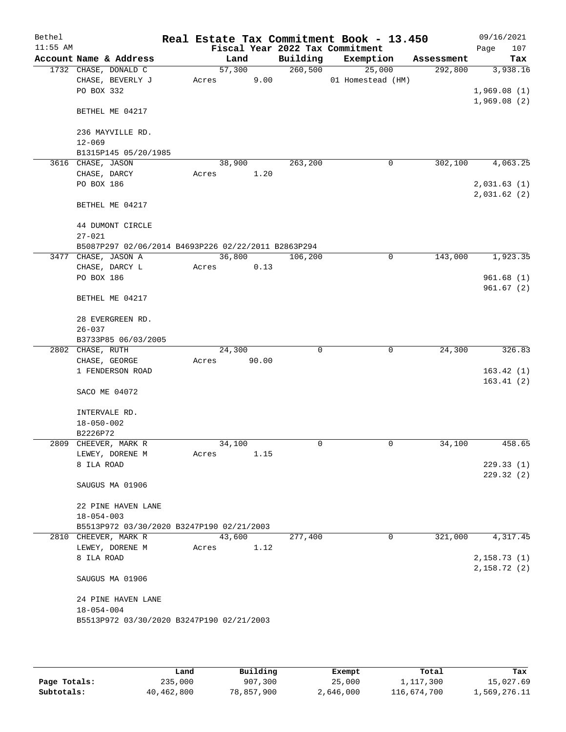| Bethel     |                                                     |        |        |          |   | Real Estate Tax Commitment Book - 13.450 |             |            | 09/16/2021   |
|------------|-----------------------------------------------------|--------|--------|----------|---|------------------------------------------|-------------|------------|--------------|
| $11:55$ AM |                                                     |        |        |          |   | Fiscal Year 2022 Tax Commitment          |             |            | 107<br>Page  |
|            | Account Name & Address                              |        | Land   | Building |   | Exemption                                |             | Assessment | Tax          |
|            | 1732 CHASE, DONALD C                                |        | 57,300 | 260,500  |   | 25,000                                   |             | 292,800    | 3,938.16     |
|            | CHASE, BEVERLY J                                    | Acres  | 9.00   |          |   | 01 Homestead (HM)                        |             |            |              |
|            | PO BOX 332                                          |        |        |          |   |                                          |             |            | 1,969.08(1)  |
|            | BETHEL ME 04217                                     |        |        |          |   |                                          |             |            | 1,969.08(2)  |
|            | 236 MAYVILLE RD.                                    |        |        |          |   |                                          |             |            |              |
|            | $12 - 069$                                          |        |        |          |   |                                          |             |            |              |
|            | B1315P145 05/20/1985                                |        |        |          |   |                                          |             |            |              |
|            | 3616 CHASE, JASON                                   |        | 38,900 | 263, 200 |   |                                          | 0           | 302,100    | 4,063.25     |
|            | CHASE, DARCY                                        | Acres  | 1.20   |          |   |                                          |             |            |              |
|            | PO BOX 186                                          |        |        |          |   |                                          |             |            | 2,031.63(1)  |
|            | BETHEL ME 04217                                     |        |        |          |   |                                          |             |            | 2,031.62(2)  |
|            | 44 DUMONT CIRCLE<br>$27 - 021$                      |        |        |          |   |                                          |             |            |              |
|            | B5087P297 02/06/2014 B4693P226 02/22/2011 B2863P294 |        |        |          |   |                                          |             |            |              |
|            | 3477 CHASE, JASON A                                 |        | 36,800 | 106,200  |   |                                          | 0           | 143,000    | 1,923.35     |
|            | CHASE, DARCY L                                      | Acres  | 0.13   |          |   |                                          |             |            |              |
|            | PO BOX 186                                          |        |        |          |   |                                          |             |            | 961.68(1)    |
|            | BETHEL ME 04217                                     |        |        |          |   |                                          |             |            | 961.67(2)    |
|            | 28 EVERGREEN RD.                                    |        |        |          |   |                                          |             |            |              |
|            | $26 - 037$                                          |        |        |          |   |                                          |             |            |              |
|            | B3733P85 06/03/2005                                 |        |        |          |   |                                          |             |            |              |
|            | 2802 CHASE, RUTH                                    |        | 24,300 |          | 0 |                                          | $\mathbf 0$ | 24,300     | 326.83       |
|            | CHASE, GEORGE                                       | Acres  | 90.00  |          |   |                                          |             |            |              |
|            | 1 FENDERSON ROAD                                    |        |        |          |   |                                          |             |            | 163.42(1)    |
|            |                                                     |        |        |          |   |                                          |             |            | 163.41(2)    |
|            | SACO ME 04072                                       |        |        |          |   |                                          |             |            |              |
|            | INTERVALE RD.                                       |        |        |          |   |                                          |             |            |              |
|            | $18 - 050 - 002$                                    |        |        |          |   |                                          |             |            |              |
|            | B2226P72                                            |        |        |          |   |                                          |             |            |              |
|            | 2809 CHEEVER, MARK R                                | 34,100 |        |          | 0 |                                          | 0           | 34,100     | 458.65       |
|            | LEWEY, DORENE M                                     | Acres  | 1.15   |          |   |                                          |             |            |              |
|            | 8 ILA ROAD                                          |        |        |          |   |                                          |             |            | 229.33(1)    |
|            | SAUGUS MA 01906                                     |        |        |          |   |                                          |             |            | 229.32 (2)   |
|            | 22 PINE HAVEN LANE                                  |        |        |          |   |                                          |             |            |              |
|            | $18 - 054 - 003$                                    |        |        |          |   |                                          |             |            |              |
|            | B5513P972 03/30/2020 B3247P190 02/21/2003           |        |        |          |   |                                          |             |            |              |
|            | 2810 CHEEVER, MARK R                                |        | 43,600 | 277,400  |   |                                          | 0           | 321,000    | 4,317.45     |
|            | LEWEY, DORENE M<br>8 ILA ROAD                       | Acres  | 1.12   |          |   |                                          |             |            | 2,158.73 (1) |
|            |                                                     |        |        |          |   |                                          |             |            | 2,158.72(2)  |
|            | SAUGUS MA 01906                                     |        |        |          |   |                                          |             |            |              |
|            | 24 PINE HAVEN LANE                                  |        |        |          |   |                                          |             |            |              |
|            | $18 - 054 - 004$                                    |        |        |          |   |                                          |             |            |              |
|            | B5513P972 03/30/2020 B3247P190 02/21/2003           |        |        |          |   |                                          |             |            |              |
|            |                                                     |        |        |          |   |                                          |             |            |              |

|              | Land       | Building   | Exempt    | Total       | Tax          |
|--------------|------------|------------|-----------|-------------|--------------|
| Page Totals: | 235,000    | 907,300    | 25,000    | 1,117,300   | 15,027.69    |
| Subtotals:   | 40,462,800 | 78,857,900 | 2,646,000 | 116,674,700 | 1,569,276.11 |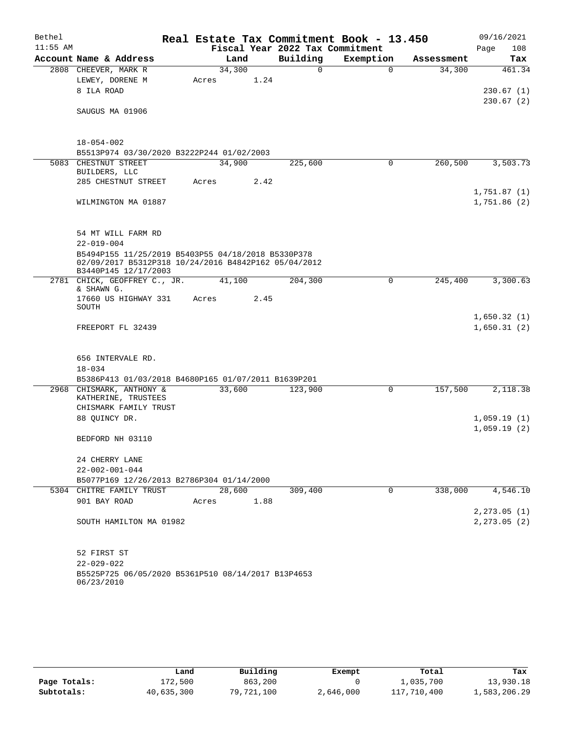| Bethel     |                                                                              |        |      |      | Real Estate Tax Commitment Book - 13.450 |             |            | 09/16/2021                   |
|------------|------------------------------------------------------------------------------|--------|------|------|------------------------------------------|-------------|------------|------------------------------|
| $11:55$ AM |                                                                              |        |      |      | Fiscal Year 2022 Tax Commitment          |             |            | 108<br>Page                  |
|            | Account Name & Address                                                       |        | Land |      | Building                                 | Exemption   | Assessment | Tax                          |
|            | 2808 CHEEVER, MARK R                                                         | 34,300 |      |      | 0                                        | $\mathbf 0$ | 34,300     | 461.34                       |
|            | LEWEY, DORENE M<br>8 ILA ROAD                                                | Acres  |      | 1.24 |                                          |             |            |                              |
|            |                                                                              |        |      |      |                                          |             |            | 230.67(1)<br>230.67(2)       |
|            | SAUGUS MA 01906                                                              |        |      |      |                                          |             |            |                              |
|            |                                                                              |        |      |      |                                          |             |            |                              |
|            | $18 - 054 - 002$                                                             |        |      |      |                                          |             |            |                              |
|            | B5513P974 03/30/2020 B3222P244 01/02/2003                                    |        |      |      |                                          |             |            |                              |
|            | 5083 CHESTNUT STREET                                                         | 34,900 |      |      | 225,600                                  | $\mathbf 0$ | 260,500    | 3,503.73                     |
|            | BUILDERS, LLC                                                                |        |      |      |                                          |             |            |                              |
|            | 285 CHESTNUT STREET                                                          | Acres  |      | 2.42 |                                          |             |            |                              |
|            |                                                                              |        |      |      |                                          |             |            | 1,751.87(1)<br>1,751.86(2)   |
|            | WILMINGTON MA 01887                                                          |        |      |      |                                          |             |            |                              |
|            |                                                                              |        |      |      |                                          |             |            |                              |
|            | 54 MT WILL FARM RD                                                           |        |      |      |                                          |             |            |                              |
|            | $22 - 019 - 004$<br>B5494P155 11/25/2019 B5403P55 04/18/2018 B5330P378       |        |      |      |                                          |             |            |                              |
|            | 02/09/2017 B5312P318 10/24/2016 B4842P162 05/04/2012<br>B3440P145 12/17/2003 |        |      |      |                                          |             |            |                              |
|            | 2781 CHICK, GEOFFREY C., JR.                                                 | 41,100 |      |      | 204,300                                  | 0           | 245,400    | 3,300.63                     |
|            | & SHAWN G.<br>17660 US HIGHWAY 331                                           | Acres  |      | 2.45 |                                          |             |            |                              |
|            | SOUTH                                                                        |        |      |      |                                          |             |            |                              |
|            |                                                                              |        |      |      |                                          |             |            | 1,650.32(1)                  |
|            | FREEPORT FL 32439                                                            |        |      |      |                                          |             |            | 1,650.31(2)                  |
|            |                                                                              |        |      |      |                                          |             |            |                              |
|            | 656 INTERVALE RD.                                                            |        |      |      |                                          |             |            |                              |
|            | $18 - 034$                                                                   |        |      |      |                                          |             |            |                              |
|            | B5386P413 01/03/2018 B4680P165 01/07/2011 B1639P201                          |        |      |      |                                          |             |            |                              |
|            | 2968 CHISMARK, ANTHONY &<br>KATHERINE, TRUSTEES                              | 33,600 |      |      | 123,900                                  | 0           | 157,500    | 2,118.38                     |
|            | CHISMARK FAMILY TRUST                                                        |        |      |      |                                          |             |            |                              |
|            | 88 QUINCY DR.                                                                |        |      |      |                                          |             |            | 1,059.19(1)                  |
|            |                                                                              |        |      |      |                                          |             |            | 1,059.19(2)                  |
|            | BEDFORD NH 03110                                                             |        |      |      |                                          |             |            |                              |
|            | 24 CHERRY LANE                                                               |        |      |      |                                          |             |            |                              |
|            | $22 - 002 - 001 - 044$                                                       |        |      |      |                                          |             |            |                              |
|            | B5077P169 12/26/2013 B2786P304 01/14/2000                                    |        |      |      |                                          |             |            |                              |
|            | 5304 CHITRE FAMILY TRUST                                                     | 28,600 |      |      | 309,400                                  | $\Omega$    | 338,000    | 4,546.10                     |
|            | 901 BAY ROAD                                                                 | Acres  |      | 1.88 |                                          |             |            |                              |
|            | SOUTH HAMILTON MA 01982                                                      |        |      |      |                                          |             |            | 2, 273.05(1)<br>2, 273.05(2) |
|            |                                                                              |        |      |      |                                          |             |            |                              |
|            | 52 FIRST ST                                                                  |        |      |      |                                          |             |            |                              |
|            | $22 - 029 - 022$                                                             |        |      |      |                                          |             |            |                              |
|            | B5525P725 06/05/2020 B5361P510 08/14/2017 B13P4653<br>06/23/2010             |        |      |      |                                          |             |            |                              |

|              | Land       | Building   | Exempt    | Total       | Tax          |
|--------------|------------|------------|-----------|-------------|--------------|
| Page Totals: | 172,500    | 863,200    |           | 1,035,700   | 13,930.18    |
| Subtotals:   | 40,635,300 | 79,721,100 | 2,646,000 | 117,710,400 | 1,583,206.29 |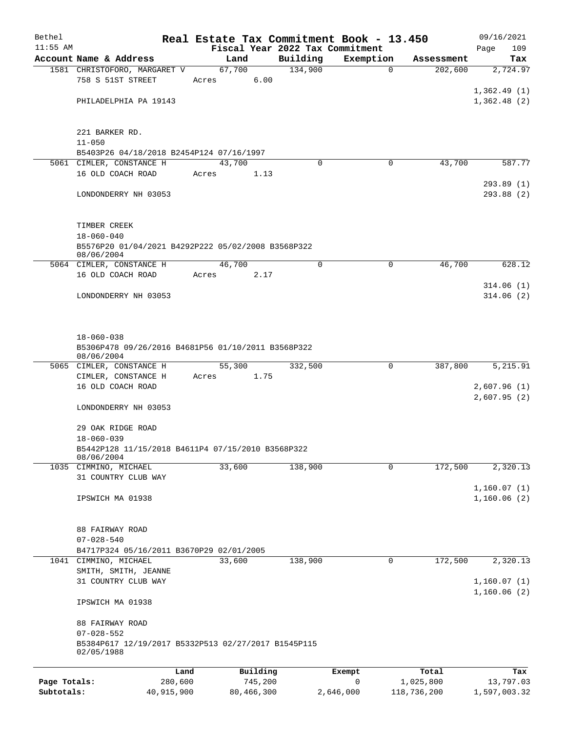| Bethel       |                                                                   | Real Estate Tax Commitment Book - 13.450 |             |           |             | 09/16/2021   |
|--------------|-------------------------------------------------------------------|------------------------------------------|-------------|-----------|-------------|--------------|
| $11:55$ AM   |                                                                   | Fiscal Year 2022 Tax Commitment          |             |           |             | 109<br>Page  |
|              | Account Name & Address                                            | Land                                     | Building    | Exemption | Assessment  | Tax          |
|              | 1581 CHRISTOFORO, MARGARET V<br>758 S 51ST STREET                 | 67,700<br>6.00<br>Acres                  | 134,900     | $\Omega$  | 202,600     | 2,724.97     |
|              |                                                                   |                                          |             |           |             | 1,362.49(1)  |
|              | PHILADELPHIA PA 19143                                             |                                          |             |           |             | 1,362.48(2)  |
|              | 221 BARKER RD.                                                    |                                          |             |           |             |              |
|              | $11 - 050$                                                        |                                          |             |           |             |              |
|              | B5403P26 04/18/2018 B2454P124 07/16/1997                          |                                          | $\Omega$    |           |             |              |
|              | 5061 CIMLER, CONSTANCE H<br>16 OLD COACH ROAD                     | 43,700<br>1.13<br>Acres                  |             | 0         | 43,700      | 587.77       |
|              |                                                                   |                                          |             |           |             | 293.89 (1)   |
|              | LONDONDERRY NH 03053                                              |                                          |             |           |             | 293.88 (2)   |
|              | TIMBER CREEK                                                      |                                          |             |           |             |              |
|              | $18 - 060 - 040$                                                  |                                          |             |           |             |              |
|              | B5576P20 01/04/2021 B4292P222 05/02/2008 B3568P322<br>08/06/2004  |                                          |             |           |             |              |
|              | 5064 CIMLER, CONSTANCE H                                          | 46,700                                   | $\mathbf 0$ | 0         | 46,700      | 628.12       |
|              | 16 OLD COACH ROAD                                                 | 2.17<br>Acres                            |             |           |             | 314.06(1)    |
|              | LONDONDERRY NH 03053                                              |                                          |             |           |             | 314.06(2)    |
|              |                                                                   |                                          |             |           |             |              |
|              | $18 - 060 - 038$                                                  |                                          |             |           |             |              |
|              | B5306P478 09/26/2016 B4681P56 01/10/2011 B3568P322<br>08/06/2004  |                                          |             |           |             |              |
|              | 5065 CIMLER, CONSTANCE H                                          | 55,300                                   | 332,500     | 0         | 387,800     | 5,215.91     |
|              | CIMLER, CONSTANCE H                                               | 1.75<br>Acres                            |             |           |             |              |
|              | 16 OLD COACH ROAD                                                 |                                          |             |           |             | 2,607.96(1)  |
|              | LONDONDERRY NH 03053                                              |                                          |             |           |             | 2,607.95(2)  |
|              |                                                                   |                                          |             |           |             |              |
|              | 29 OAK RIDGE ROAD                                                 |                                          |             |           |             |              |
|              | $18 - 060 - 039$                                                  |                                          |             |           |             |              |
|              | B5442P128 11/15/2018 B4611P4 07/15/2010 B3568P322<br>08/06/2004   |                                          |             |           |             |              |
|              | 1035 CIMMINO, MICHAEL                                             | 33,600                                   | 138,900     | 0         | 172,500     | 2,320.13     |
|              | 31 COUNTRY CLUB WAY                                               |                                          |             |           |             |              |
|              |                                                                   |                                          |             |           |             | 1,160.07(1)  |
|              | IPSWICH MA 01938                                                  |                                          |             |           |             | 1,160.06(2)  |
|              | 88 FAIRWAY ROAD                                                   |                                          |             |           |             |              |
|              | $07 - 028 - 540$                                                  |                                          |             |           |             |              |
|              | B4717P324 05/16/2011 B3670P29 02/01/2005                          |                                          |             |           |             |              |
|              | 1041 CIMMINO, MICHAEL                                             | 33,600                                   | 138,900     | 0         | 172,500     | 2,320.13     |
|              | SMITH, SMITH, JEANNE<br>31 COUNTRY CLUB WAY                       |                                          |             |           |             | 1,160.07(1)  |
|              |                                                                   |                                          |             |           |             | 1,160.06(2)  |
|              | IPSWICH MA 01938                                                  |                                          |             |           |             |              |
|              | 88 FAIRWAY ROAD                                                   |                                          |             |           |             |              |
|              | $07 - 028 - 552$                                                  |                                          |             |           |             |              |
|              | B5384P617 12/19/2017 B5332P513 02/27/2017 B1545P115<br>02/05/1988 |                                          |             |           |             |              |
|              | Land                                                              | Building                                 |             | Exempt    | Total       | Tax          |
| Page Totals: | 280,600                                                           | 745,200                                  |             | 0         | 1,025,800   | 13,797.03    |
| Subtotals:   | 40,915,900                                                        | 80,466,300                               |             | 2,646,000 | 118,736,200 | 1,597,003.32 |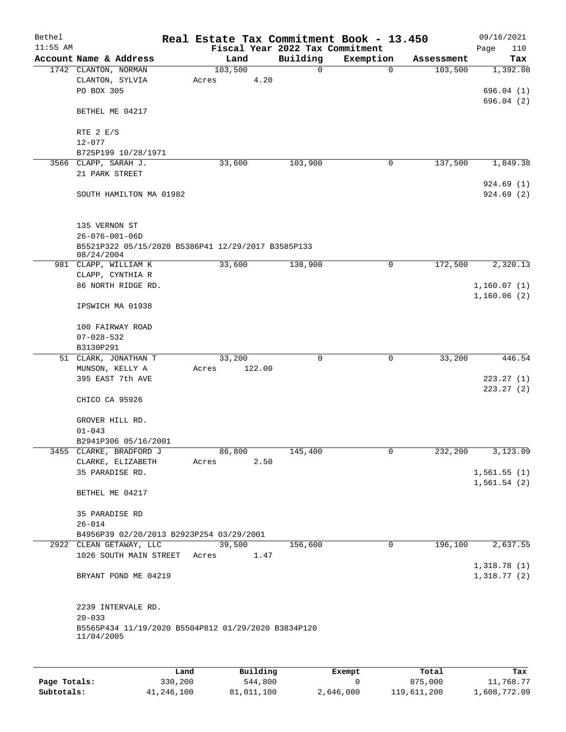| Bethel     |                                                                     |       |                 |          |                         | Real Estate Tax Commitment Book - 13.450 |                       | 09/16/2021              |
|------------|---------------------------------------------------------------------|-------|-----------------|----------|-------------------------|------------------------------------------|-----------------------|-------------------------|
| $11:55$ AM |                                                                     |       |                 |          |                         | Fiscal Year 2022 Tax Commitment          |                       | Page<br>110             |
|            | Account Name & Address                                              |       | Land<br>103,500 |          | Building<br>$\mathbf 0$ | Exemption<br>$\mathbf 0$                 | Assessment<br>103,500 | Tax                     |
|            | 1742 CLANTON, NORMAN<br>CLANTON, SYLVIA                             | Acres |                 | 4.20     |                         |                                          |                       | 1,392.08                |
|            | PO BOX 305                                                          |       |                 |          |                         |                                          |                       | 696.04(1)               |
|            |                                                                     |       |                 |          |                         |                                          |                       | 696.04(2)               |
|            | BETHEL ME 04217                                                     |       |                 |          |                         |                                          |                       |                         |
|            | RTE 2 E/S                                                           |       |                 |          |                         |                                          |                       |                         |
|            | $12 - 077$                                                          |       |                 |          |                         |                                          |                       |                         |
|            | B725P199 10/28/1971                                                 |       |                 |          |                         |                                          |                       |                         |
|            | 3566 CLAPP, SARAH J.                                                |       | 33,600          |          | 103,900                 | 0                                        | 137,500               | 1,849.38                |
|            | 21 PARK STREET                                                      |       |                 |          |                         |                                          |                       |                         |
|            | SOUTH HAMILTON MA 01982                                             |       |                 |          |                         |                                          |                       | 924.69 (1)<br>924.69(2) |
|            | 135 VERNON ST<br>$26 - 076 - 001 - 06D$                             |       |                 |          |                         |                                          |                       |                         |
|            | B5521P322 05/15/2020 B5386P41 12/29/2017 B3585P133<br>08/24/2004    |       |                 |          |                         |                                          |                       |                         |
|            | 981 CLAPP, WILLIAM K                                                |       | 33,600          |          | 138,900                 | $\mathbf 0$                              | 172,500               | 2,320.13                |
|            | CLAPP, CYNTHIA R                                                    |       |                 |          |                         |                                          |                       |                         |
|            | 86 NORTH RIDGE RD.                                                  |       |                 |          |                         |                                          |                       | 1,160.07(1)             |
|            | IPSWICH MA 01938                                                    |       |                 |          |                         |                                          |                       | 1,160.06(2)             |
|            | 100 FAIRWAY ROAD                                                    |       |                 |          |                         |                                          |                       |                         |
|            | $07 - 028 - 532$                                                    |       |                 |          |                         |                                          |                       |                         |
|            | B3130P291                                                           |       |                 |          |                         |                                          |                       |                         |
|            | 51 CLARK, JONATHAN T                                                |       | 33,200          |          | $\mathbf 0$             | $\mathbf 0$                              | 33,200                | 446.54                  |
|            | MUNSON, KELLY A                                                     | Acres |                 | 122.00   |                         |                                          |                       |                         |
|            | 395 EAST 7th AVE                                                    |       |                 |          |                         |                                          |                       | 223.27(1)               |
|            | CHICO CA 95926                                                      |       |                 |          |                         |                                          |                       | 223.27(2)               |
|            | GROVER HILL RD.                                                     |       |                 |          |                         |                                          |                       |                         |
|            | $01 - 043$                                                          |       |                 |          |                         |                                          |                       |                         |
|            | B2941P306 05/16/2001                                                |       |                 |          |                         |                                          |                       |                         |
|            | 3455 CLARKE, BRADFORD J                                             |       | 86,800          |          | 145,400                 | $\mathbf 0$                              | 232,200               | 3,123.09                |
|            | CLARKE, ELIZABETH                                                   | Acres |                 | 2.50     |                         |                                          |                       |                         |
|            | 35 PARADISE RD.                                                     |       |                 |          |                         |                                          |                       | 1,561.55(1)             |
|            | BETHEL ME 04217                                                     |       |                 |          |                         |                                          |                       | 1,561.54(2)             |
|            | 35 PARADISE RD                                                      |       |                 |          |                         |                                          |                       |                         |
|            | $26 - 014$                                                          |       |                 |          |                         |                                          |                       |                         |
|            | B4956P39 02/20/2013 B2923P254 03/29/2001<br>2922 CLEAN GETAWAY, LLC |       | 39,500          |          |                         | 0                                        | 196,100               | 2,637.55                |
|            | 1026 SOUTH MAIN STREET                                              | Acres |                 |          | 156,600                 |                                          |                       |                         |
|            |                                                                     |       |                 | 1.47     |                         |                                          |                       | 1,318.78(1)             |
|            | BRYANT POND ME 04219                                                |       |                 |          |                         |                                          |                       | 1,318.77(2)             |
|            | 2239 INTERVALE RD.                                                  |       |                 |          |                         |                                          |                       |                         |
|            | $20 - 033$                                                          |       |                 |          |                         |                                          |                       |                         |
|            | B5565P434 11/19/2020 B5504P812 01/29/2020 B3834P120<br>11/04/2005   |       |                 |          |                         |                                          |                       |                         |
|            |                                                                     |       |                 |          |                         |                                          |                       |                         |
|            | Land                                                                |       |                 | Building |                         | Exempt                                   | Total                 | Tax                     |

|              | Land       | Building   | Exempt    | Total       | Tax          |
|--------------|------------|------------|-----------|-------------|--------------|
| Page Totals: | 330,200    | 544,800    |           | 875,000     | 11,768.77    |
| Subtotals:   | 41,246,100 | 81,011,100 | 2,646,000 | 119,611,200 | 1,608,772.09 |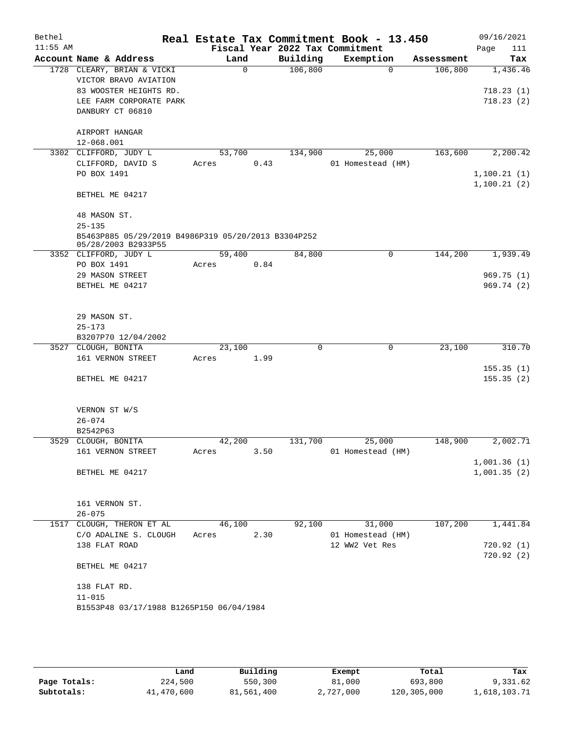| Bethel<br>$11:55$ AM |                                                     |        |      |          | Real Estate Tax Commitment Book - 13.450 |            | 09/16/2021  |
|----------------------|-----------------------------------------------------|--------|------|----------|------------------------------------------|------------|-------------|
|                      |                                                     |        |      |          | Fiscal Year 2022 Tax Commitment          |            | Page<br>111 |
|                      | Account Name & Address                              | Land   |      | Building | Exemption                                | Assessment | Tax         |
|                      | 1728 CLEARY, BRIAN & VICKI<br>VICTOR BRAVO AVIATION |        | 0    | 106,800  | $\mathbf 0$                              | 106,800    | 1,436.46    |
|                      | 83 WOOSTER HEIGHTS RD.                              |        |      |          |                                          |            | 718.23(1)   |
|                      | LEE FARM CORPORATE PARK                             |        |      |          |                                          |            | 718.23(2)   |
|                      | DANBURY CT 06810                                    |        |      |          |                                          |            |             |
|                      |                                                     |        |      |          |                                          |            |             |
|                      | AIRPORT HANGAR                                      |        |      |          |                                          |            |             |
|                      | 12-068.001                                          |        |      |          |                                          |            |             |
|                      | 3302 CLIFFORD, JUDY L                               | 53,700 |      | 134,900  | 25,000                                   | 163,600    | 2,200.42    |
|                      | CLIFFORD, DAVID S                                   | Acres  | 0.43 |          | 01 Homestead (HM)                        |            |             |
|                      | PO BOX 1491                                         |        |      |          |                                          |            | 1,100.21(1) |
|                      |                                                     |        |      |          |                                          |            | 1,100.21(2) |
|                      | BETHEL ME 04217                                     |        |      |          |                                          |            |             |
|                      |                                                     |        |      |          |                                          |            |             |
|                      | 48 MASON ST.                                        |        |      |          |                                          |            |             |
|                      | $25 - 135$                                          |        |      |          |                                          |            |             |
|                      | B5463P885 05/29/2019 B4986P319 05/20/2013 B3304P252 |        |      |          |                                          |            |             |
|                      | 05/28/2003 B2933P55                                 |        |      |          |                                          |            |             |
|                      | 3352 CLIFFORD, JUDY L                               | 59,400 |      | 84,800   | 0                                        | 144,200    | 1,939.49    |
|                      | PO BOX 1491                                         | Acres  | 0.84 |          |                                          |            |             |
|                      | 29 MASON STREET                                     |        |      |          |                                          |            | 969.75(1)   |
|                      | BETHEL ME 04217                                     |        |      |          |                                          |            | 969.74 (2)  |
|                      |                                                     |        |      |          |                                          |            |             |
|                      |                                                     |        |      |          |                                          |            |             |
|                      | 29 MASON ST.                                        |        |      |          |                                          |            |             |
|                      | $25 - 173$                                          |        |      |          |                                          |            |             |
|                      | B3207P70 12/04/2002                                 |        |      |          |                                          |            |             |
|                      | 3527 CLOUGH, BONITA                                 | 23,100 |      | $\Omega$ | 0                                        | 23,100     | 310.70      |
|                      | 161 VERNON STREET                                   | Acres  | 1.99 |          |                                          |            |             |
|                      |                                                     |        |      |          |                                          |            | 155.35(1)   |
|                      | BETHEL ME 04217                                     |        |      |          |                                          |            | 155.35(2)   |
|                      |                                                     |        |      |          |                                          |            |             |
|                      | VERNON ST W/S                                       |        |      |          |                                          |            |             |
|                      | $26 - 074$                                          |        |      |          |                                          |            |             |
|                      | B2542P63                                            |        |      |          |                                          |            |             |
|                      | 3529 CLOUGH, BONITA                                 | 42,200 |      | 131,700  | 25,000                                   | 148,900    | 2,002.71    |
|                      | 161 VERNON STREET                                   | Acres  | 3.50 |          | 01 Homestead (HM)                        |            |             |
|                      |                                                     |        |      |          |                                          |            | 1,001.36(1) |
|                      | BETHEL ME 04217                                     |        |      |          |                                          |            | 1,001.35(2) |
|                      |                                                     |        |      |          |                                          |            |             |
|                      |                                                     |        |      |          |                                          |            |             |
|                      | 161 VERNON ST.                                      |        |      |          |                                          |            |             |
|                      | $26 - 075$                                          |        |      |          |                                          |            |             |
|                      | 1517 CLOUGH, THERON ET AL                           | 46,100 |      | 92,100   | 31,000                                   | 107,200    | 1,441.84    |
|                      | C/O ADALINE S. CLOUGH                               | Acres  | 2.30 |          | 01 Homestead (HM)                        |            |             |
|                      | 138 FLAT ROAD                                       |        |      |          | 12 WW2 Vet Res                           |            | 720.92(1)   |
|                      |                                                     |        |      |          |                                          |            | 720.92(2)   |
|                      | BETHEL ME 04217                                     |        |      |          |                                          |            |             |
|                      |                                                     |        |      |          |                                          |            |             |
|                      | 138 FLAT RD.                                        |        |      |          |                                          |            |             |
|                      | $11 - 015$                                          |        |      |          |                                          |            |             |
|                      | B1553P48 03/17/1988 B1265P150 06/04/1984            |        |      |          |                                          |            |             |
|                      |                                                     |        |      |          |                                          |            |             |
|                      |                                                     |        |      |          |                                          |            |             |
|                      |                                                     |        |      |          |                                          |            |             |

|              | Land       | Building   | Exempt    | Total       | Tax          |
|--------------|------------|------------|-----------|-------------|--------------|
| Page Totals: | 224,500    | 550,300    | 81,000    | 693,800     | 9,331.62     |
| Subtotals:   | 41,470,600 | 81,561,400 | 2,727,000 | 120,305,000 | l,618,103.71 |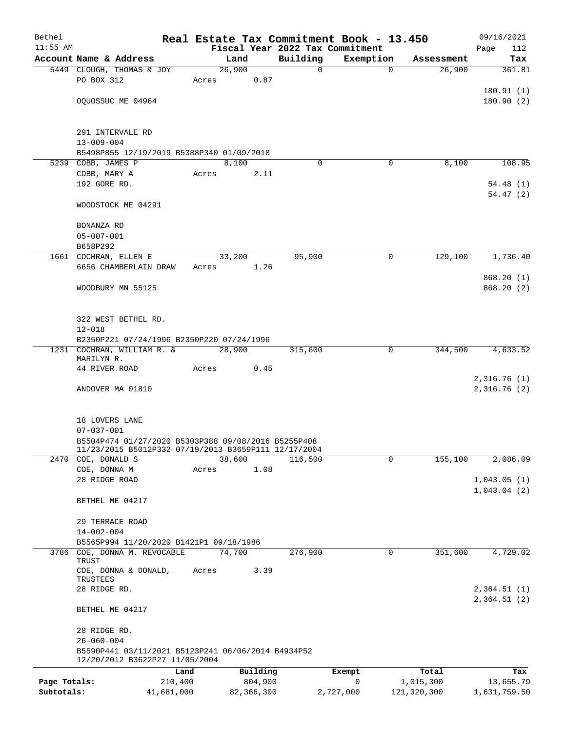| Bethel       |                                                                                      |                 |            |                                 | Real Estate Tax Commitment Book - 13.450 |             | 09/16/2021                 |
|--------------|--------------------------------------------------------------------------------------|-----------------|------------|---------------------------------|------------------------------------------|-------------|----------------------------|
| $11:55$ AM   |                                                                                      |                 |            | Fiscal Year 2022 Tax Commitment |                                          |             | 112<br>Page                |
|              | Account Name & Address                                                               | Land            |            | Building                        | Exemption                                | Assessment  | Tax                        |
|              | 5449 CLOUGH, THOMAS & JOY<br>PO BOX 312                                              | 26,900<br>Acres | 0.87       | 0                               | $\mathbf 0$                              | 26,900      | 361.81                     |
|              |                                                                                      |                 |            |                                 |                                          |             | 180.91(1)                  |
|              | OQUOSSUC ME 04964                                                                    |                 |            |                                 |                                          |             | 180.90(2)                  |
|              |                                                                                      |                 |            |                                 |                                          |             |                            |
|              | 291 INTERVALE RD                                                                     |                 |            |                                 |                                          |             |                            |
|              | $13 - 009 - 004$                                                                     |                 |            |                                 |                                          |             |                            |
|              | B5498P855 12/19/2019 B5388P340 01/09/2018                                            |                 |            |                                 |                                          |             |                            |
|              | 5239 COBB, JAMES P                                                                   | 8,100           |            | $\Omega$                        | 0                                        | 8,100       | 108.95                     |
|              | COBB, MARY A                                                                         | Acres           | 2.11       |                                 |                                          |             |                            |
|              | 192 GORE RD.                                                                         |                 |            |                                 |                                          |             | 54.48(1)<br>54.47(2)       |
|              | WOODSTOCK ME 04291                                                                   |                 |            |                                 |                                          |             |                            |
|              | BONANZA RD                                                                           |                 |            |                                 |                                          |             |                            |
|              | $05 - 007 - 001$                                                                     |                 |            |                                 |                                          |             |                            |
|              | B658P292                                                                             |                 |            |                                 |                                          |             |                            |
|              | 1661 COCHRAN, ELLEN E                                                                | 33,200          | 1.26       | 95,900                          | 0                                        | 129,100     | 1,736.40                   |
|              | 6656 CHAMBERLAIN DRAW                                                                | Acres           |            |                                 |                                          |             | 868.20(1)                  |
|              | WOODBURY MN 55125                                                                    |                 |            |                                 |                                          |             | 868.20(2)                  |
|              |                                                                                      |                 |            |                                 |                                          |             |                            |
|              | 322 WEST BETHEL RD.                                                                  |                 |            |                                 |                                          |             |                            |
|              | $12 - 018$                                                                           |                 |            |                                 |                                          |             |                            |
|              | B2350P221 07/24/1996 B2350P220 07/24/1996                                            |                 |            |                                 |                                          |             |                            |
|              | 1231 COCHRAN, WILLIAM R. &                                                           | 28,900          |            | 315,600                         | 0                                        | 344,500     | 4,633.52                   |
|              | MARILYN R.                                                                           |                 |            |                                 |                                          |             |                            |
|              | 44 RIVER ROAD                                                                        | Acres           | 0.45       |                                 |                                          |             |                            |
|              | ANDOVER MA 01810                                                                     |                 |            |                                 |                                          |             | 2,316.76(1)<br>2,316.76(2) |
|              |                                                                                      |                 |            |                                 |                                          |             |                            |
|              |                                                                                      |                 |            |                                 |                                          |             |                            |
|              | 18 LOVERS LANE                                                                       |                 |            |                                 |                                          |             |                            |
|              | $07 - 037 - 001$<br>B5504P474 01/27/2020 B5303P388 09/08/2016 B5255P408              |                 |            |                                 |                                          |             |                            |
|              | 11/23/2015 B5012P332 07/19/2013 B3659P111 12/17/2004                                 |                 |            |                                 |                                          |             |                            |
| 2470         | COE, DONALD S                                                                        | 38,600          |            | 116,500                         | 0                                        | 155,100     | 2,086.09                   |
|              | COE, DONNA M                                                                         | Acres           | 1.08       |                                 |                                          |             |                            |
|              | 28 RIDGE ROAD                                                                        |                 |            |                                 |                                          |             | 1,043.05(1)                |
|              | BETHEL ME 04217                                                                      |                 |            |                                 |                                          |             | 1,043.04(2)                |
|              |                                                                                      |                 |            |                                 |                                          |             |                            |
|              | 29 TERRACE ROAD<br>$14 - 002 - 004$                                                  |                 |            |                                 |                                          |             |                            |
|              | B5565P994 11/20/2020 B1421P1 09/18/1986                                              |                 |            |                                 |                                          |             |                            |
| 3786         | COE, DONNA M. REVOCABLE                                                              | 74,700          |            | 276,900                         | $\mathsf{O}$                             | 351,600     | 4,729.02                   |
|              | TRUST                                                                                |                 |            |                                 |                                          |             |                            |
|              | COE, DONNA & DONALD,<br>TRUSTEES                                                     | Acres           | 3.39       |                                 |                                          |             |                            |
|              | 28 RIDGE RD.                                                                         |                 |            |                                 |                                          |             | 2,364.51(1)                |
|              | BETHEL ME 04217                                                                      |                 |            |                                 |                                          |             | 2,364.51(2)                |
|              | 28 RIDGE RD.                                                                         |                 |            |                                 |                                          |             |                            |
|              | $26 - 060 - 004$                                                                     |                 |            |                                 |                                          |             |                            |
|              | B5590P441 03/11/2021 B5123P241 06/06/2014 B4934P52<br>12/20/2012 B3622P27 11/05/2004 |                 |            |                                 |                                          |             |                            |
|              |                                                                                      | Land            | Building   |                                 | Exempt                                   | Total       | Tax                        |
| Page Totals: | 210,400                                                                              |                 | 804,900    |                                 | 0                                        | 1,015,300   | 13,655.79                  |
| Subtotals:   | 41,681,000                                                                           |                 | 82,366,300 |                                 | 2,727,000                                | 121,320,300 | 1,631,759.50               |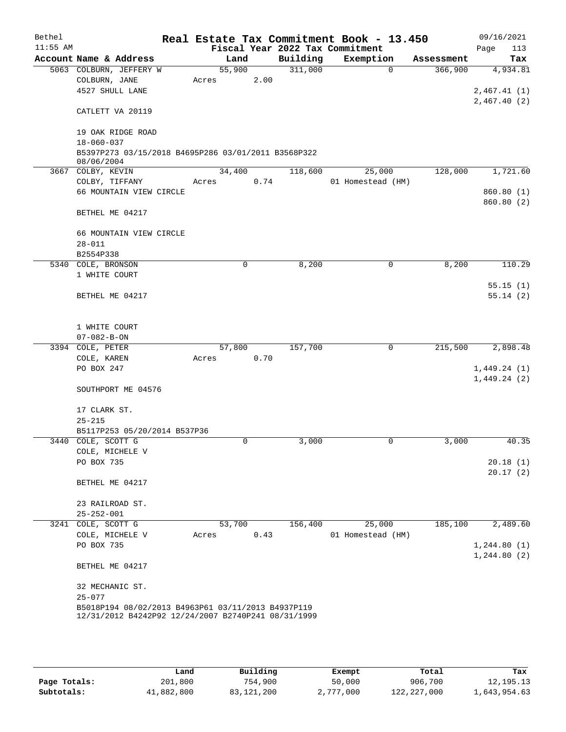| Bethel     |                                 |                              |                                                     |      |          | Real Estate Tax Commitment Book - 13.450 |          |            | 09/16/2021   |
|------------|---------------------------------|------------------------------|-----------------------------------------------------|------|----------|------------------------------------------|----------|------------|--------------|
| $11:55$ AM |                                 |                              |                                                     |      |          | Fiscal Year 2022 Tax Commitment          |          |            | Page<br>113  |
|            |                                 | Account Name & Address       | Land                                                |      | Building | Exemption                                |          | Assessment | Tax          |
|            |                                 | 5063 COLBURN, JEFFERY W      | 55,900                                              |      | 311,000  |                                          | $\Omega$ | 366,900    | 4,934.81     |
|            | COLBURN, JANE                   |                              | Acres                                               | 2.00 |          |                                          |          |            |              |
|            |                                 | 4527 SHULL LANE              |                                                     |      |          |                                          |          |            | 2,467.41(1)  |
|            |                                 |                              |                                                     |      |          |                                          |          |            | 2,467.40(2)  |
|            |                                 | CATLETT VA 20119             |                                                     |      |          |                                          |          |            |              |
|            |                                 |                              |                                                     |      |          |                                          |          |            |              |
|            |                                 | 19 OAK RIDGE ROAD            |                                                     |      |          |                                          |          |            |              |
|            | $18 - 060 - 037$                |                              |                                                     |      |          |                                          |          |            |              |
|            |                                 |                              | B5397P273 03/15/2018 B4695P286 03/01/2011 B3568P322 |      |          |                                          |          |            |              |
|            | 08/06/2004<br>3667 COLBY, KEVIN |                              | 34,400                                              |      | 118,600  | 25,000                                   |          | 128,000    | 1,721.60     |
|            | COLBY, TIFFANY                  |                              | Acres                                               | 0.74 |          | 01 Homestead (HM)                        |          |            |              |
|            |                                 | 66 MOUNTAIN VIEW CIRCLE      |                                                     |      |          |                                          |          |            | 860.80(1)    |
|            |                                 |                              |                                                     |      |          |                                          |          |            | 860.80 (2)   |
|            |                                 | BETHEL ME 04217              |                                                     |      |          |                                          |          |            |              |
|            |                                 | 66 MOUNTAIN VIEW CIRCLE      |                                                     |      |          |                                          |          |            |              |
|            | $28 - 011$                      |                              |                                                     |      |          |                                          |          |            |              |
|            | B2554P338                       |                              |                                                     |      |          |                                          |          |            |              |
|            | 5340 COLE, BRONSON              |                              |                                                     | 0    | 8,200    |                                          | 0        | 8,200      | 110.29       |
|            | 1 WHITE COURT                   |                              |                                                     |      |          |                                          |          |            |              |
|            |                                 |                              |                                                     |      |          |                                          |          |            | 55.15(1)     |
|            |                                 | BETHEL ME 04217              |                                                     |      |          |                                          |          |            | 55.14(2)     |
|            |                                 |                              |                                                     |      |          |                                          |          |            |              |
|            | 1 WHITE COURT                   |                              |                                                     |      |          |                                          |          |            |              |
|            | $07 - 082 - B - ON$             |                              |                                                     |      |          |                                          |          |            |              |
|            | 3394 COLE, PETER                |                              | 57,800                                              |      | 157,700  |                                          | 0        | 215,500    | 2,898.48     |
|            | COLE, KAREN                     |                              | Acres                                               | 0.70 |          |                                          |          |            |              |
|            | PO BOX 247                      |                              |                                                     |      |          |                                          |          |            | 1,449.24(1)  |
|            |                                 |                              |                                                     |      |          |                                          |          |            | 1,449.24(2)  |
|            |                                 | SOUTHPORT ME 04576           |                                                     |      |          |                                          |          |            |              |
|            |                                 |                              |                                                     |      |          |                                          |          |            |              |
|            | 17 CLARK ST.                    |                              |                                                     |      |          |                                          |          |            |              |
|            | $25 - 215$                      |                              |                                                     |      |          |                                          |          |            |              |
|            |                                 | B5117P253 05/20/2014 B537P36 |                                                     |      |          |                                          |          |            |              |
|            | 3440 COLE, SCOTT G              |                              |                                                     | 0    | 3,000    |                                          | 0        | 3,000      | 40.35        |
|            |                                 | COLE, MICHELE V              |                                                     |      |          |                                          |          |            |              |
|            | PO BOX 735                      |                              |                                                     |      |          |                                          |          |            | 20.18(1)     |
|            |                                 |                              |                                                     |      |          |                                          |          |            | 20.17(2)     |
|            |                                 | BETHEL ME 04217              |                                                     |      |          |                                          |          |            |              |
|            | 23 RAILROAD ST.                 |                              |                                                     |      |          |                                          |          |            |              |
|            | $25 - 252 - 001$                |                              |                                                     |      |          |                                          |          |            |              |
|            | 3241 COLE, SCOTT G              |                              | 53,700                                              |      | 156,400  | 25,000                                   |          | 185,100    | 2,489.60     |
|            |                                 | COLE, MICHELE V              | Acres                                               | 0.43 |          | 01 Homestead (HM)                        |          |            |              |
|            | PO BOX 735                      |                              |                                                     |      |          |                                          |          |            | 1, 244.80(1) |
|            |                                 |                              |                                                     |      |          |                                          |          |            | 1, 244.80(2) |
|            |                                 | BETHEL ME 04217              |                                                     |      |          |                                          |          |            |              |
|            |                                 |                              |                                                     |      |          |                                          |          |            |              |
|            | 32 MECHANIC ST.<br>$25 - 077$   |                              |                                                     |      |          |                                          |          |            |              |
|            |                                 |                              | B5018P194 08/02/2013 B4963P61 03/11/2013 B4937P119  |      |          |                                          |          |            |              |
|            |                                 |                              | 12/31/2012 B4242P92 12/24/2007 B2740P241 08/31/1999 |      |          |                                          |          |            |              |
|            |                                 |                              |                                                     |      |          |                                          |          |            |              |
|            |                                 |                              |                                                     |      |          |                                          |          |            |              |

|              | Land       | Building   | Exempt    | Total         | Tax          |
|--------------|------------|------------|-----------|---------------|--------------|
| Page Totals: | 201,800    | 754,900    | 50,000    | 906,700       | 12, 195. 13  |
| Subtotals:   | 41,882,800 | 83,121,200 | 2,777,000 | 122, 227, 000 | 1,643,954.63 |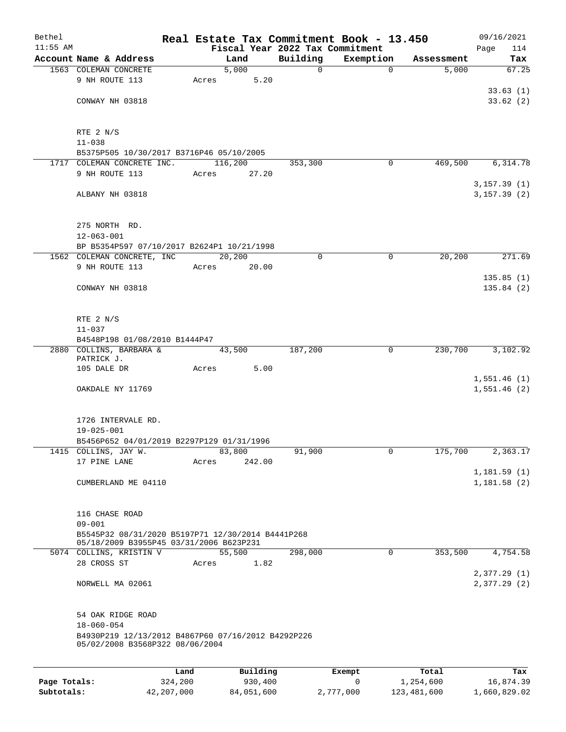| Bethel       |                                                                 |         |       |               |               | Real Estate Tax Commitment Book - 13.450 |                     | 09/16/2021   |
|--------------|-----------------------------------------------------------------|---------|-------|---------------|---------------|------------------------------------------|---------------------|--------------|
| $11:55$ AM   | Account Name & Address                                          |         |       |               |               | Fiscal Year 2022 Tax Commitment          |                     | 114<br>Page  |
|              | 1563 COLEMAN CONCRETE                                           |         |       | Land<br>5,000 | Building<br>0 | Exemption<br>$\mathbf 0$                 | Assessment<br>5,000 | Tax<br>67.25 |
|              | 9 NH ROUTE 113                                                  |         | Acres | 5.20          |               |                                          |                     |              |
|              |                                                                 |         |       |               |               |                                          |                     | 33.63(1)     |
|              | CONWAY NH 03818                                                 |         |       |               |               |                                          |                     | 33.62(2)     |
|              |                                                                 |         |       |               |               |                                          |                     |              |
|              | RTE 2 N/S                                                       |         |       |               |               |                                          |                     |              |
|              | $11 - 038$                                                      |         |       |               |               |                                          |                     |              |
|              | B5375P505 10/30/2017 B3716P46 05/10/2005                        |         |       |               |               |                                          |                     |              |
|              | 1717 COLEMAN CONCRETE INC.                                      |         |       | 116,200       | 353,300       | $\mathbf 0$                              | 469,500             | 6,314.78     |
|              | 9 NH ROUTE 113                                                  |         | Acres | 27.20         |               |                                          |                     |              |
|              |                                                                 |         |       |               |               |                                          |                     | 3, 157.39(1) |
|              | ALBANY NH 03818                                                 |         |       |               |               |                                          |                     | 3, 157.39(2) |
|              | 275 NORTH RD.                                                   |         |       |               |               |                                          |                     |              |
|              | $12 - 063 - 001$                                                |         |       |               |               |                                          |                     |              |
|              | BP B5354P597 07/10/2017 B2624P1 10/21/1998                      |         |       |               |               |                                          |                     |              |
|              | 1562 COLEMAN CONCRETE, INC                                      |         |       | 20,200        | 0             | $\mathbf 0$                              | 20,200              | 271.69       |
|              | 9 NH ROUTE 113                                                  |         | Acres | 20.00         |               |                                          |                     |              |
|              |                                                                 |         |       |               |               |                                          |                     | 135.85(1)    |
|              | CONWAY NH 03818                                                 |         |       |               |               |                                          |                     | 135.84(2)    |
|              |                                                                 |         |       |               |               |                                          |                     |              |
|              |                                                                 |         |       |               |               |                                          |                     |              |
|              | RTE $2 N/S$<br>$11 - 037$                                       |         |       |               |               |                                          |                     |              |
|              | B4548P198 01/08/2010 B1444P47                                   |         |       |               |               |                                          |                     |              |
|              | 2880 COLLINS, BARBARA &                                         |         |       | 43,500        | 187,200       | 0                                        | 230,700             | 3,102.92     |
|              | PATRICK J.                                                      |         |       |               |               |                                          |                     |              |
|              | 105 DALE DR                                                     |         | Acres | 5.00          |               |                                          |                     |              |
|              |                                                                 |         |       |               |               |                                          |                     | 1,551.46(1)  |
|              | OAKDALE NY 11769                                                |         |       |               |               |                                          |                     | 1,551.46(2)  |
|              |                                                                 |         |       |               |               |                                          |                     |              |
|              | 1726 INTERVALE RD.                                              |         |       |               |               |                                          |                     |              |
|              | $19 - 025 - 001$                                                |         |       |               |               |                                          |                     |              |
|              | B5456P652 04/01/2019 B2297P129 01/31/1996                       |         |       |               |               |                                          |                     |              |
|              | 1415 COLLINS, JAY W.                                            |         |       | 83,800        | 91,900        | 0                                        | 175,700             | 2,363.17     |
|              | 17 PINE LANE                                                    |         | Acres | 242.00        |               |                                          |                     |              |
|              |                                                                 |         |       |               |               |                                          |                     | 1,181.59(1)  |
|              | CUMBERLAND ME 04110                                             |         |       |               |               |                                          |                     | 1,181.58(2)  |
|              |                                                                 |         |       |               |               |                                          |                     |              |
|              |                                                                 |         |       |               |               |                                          |                     |              |
|              | 116 CHASE ROAD                                                  |         |       |               |               |                                          |                     |              |
|              | $09 - 001$<br>B5545P32 08/31/2020 B5197P71 12/30/2014 B4441P268 |         |       |               |               |                                          |                     |              |
|              | 05/18/2009 B3955P45 03/31/2006 B623P231                         |         |       |               |               |                                          |                     |              |
|              | 5074 COLLINS, KRISTIN V                                         |         |       | 55,500        | 298,000       | $\mathbf 0$                              | 353,500             | 4,754.58     |
|              | 28 CROSS ST                                                     |         | Acres | 1.82          |               |                                          |                     |              |
|              |                                                                 |         |       |               |               |                                          |                     | 2,377.29(1)  |
|              | NORWELL MA 02061                                                |         |       |               |               |                                          |                     | 2,377.29(2)  |
|              | 54 OAK RIDGE ROAD                                               |         |       |               |               |                                          |                     |              |
|              | $18 - 060 - 054$                                                |         |       |               |               |                                          |                     |              |
|              | B4930P219 12/13/2012 B4867P60 07/16/2012 B4292P226              |         |       |               |               |                                          |                     |              |
|              | 05/02/2008 B3568P322 08/06/2004                                 |         |       |               |               |                                          |                     |              |
|              |                                                                 |         |       |               |               |                                          |                     |              |
|              |                                                                 | Land    |       | Building      |               | Exempt                                   | Total               | Tax          |
| Page Totals: |                                                                 | 324,200 |       | 930,400       |               | 0                                        | 1,254,600           | 16,874.39    |

**Subtotals:** 42,207,000 84,051,600 2,777,000 123,481,600 1,660,829.02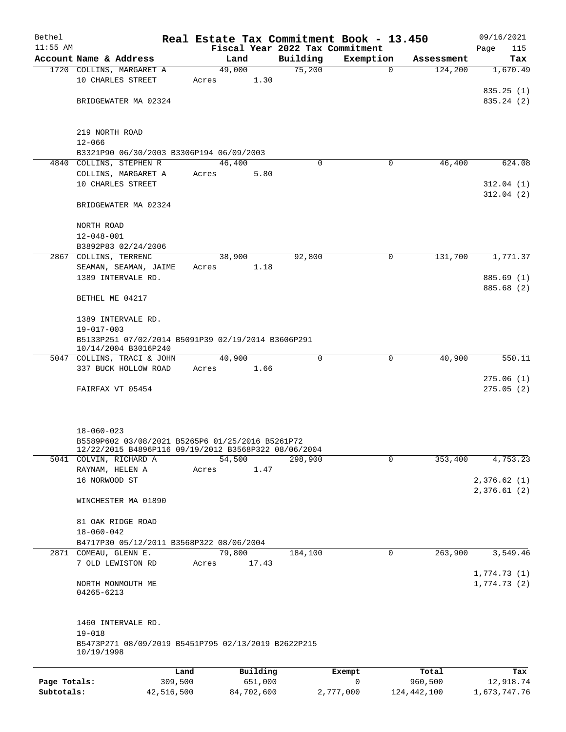| Bethel       |                                                                                                                              | Real Estate Tax Commitment Book - 13.450 |                                 |             |               | 09/16/2021                 |
|--------------|------------------------------------------------------------------------------------------------------------------------------|------------------------------------------|---------------------------------|-------------|---------------|----------------------------|
| $11:55$ AM   |                                                                                                                              |                                          | Fiscal Year 2022 Tax Commitment |             |               | Page<br>115                |
|              | Account Name & Address                                                                                                       | Land                                     | Building                        | Exemption   | Assessment    | Tax                        |
|              | 1720 COLLINS, MARGARET A<br>10 CHARLES STREET                                                                                | 49,000<br>1.30<br>Acres                  | 75,200                          | $\mathbf 0$ | 124,200       | 1,670.49<br>835.25(1)      |
|              | BRIDGEWATER MA 02324                                                                                                         |                                          |                                 |             |               | 835.24 (2)                 |
|              | 219 NORTH ROAD<br>$12 - 066$                                                                                                 |                                          |                                 |             |               |                            |
|              | B3321P90 06/30/2003 B3306P194 06/09/2003                                                                                     |                                          |                                 |             |               |                            |
|              | 4840 COLLINS, STEPHEN R                                                                                                      | 46,400                                   | $\Omega$                        | 0           | 46,400        | 624.08                     |
|              | COLLINS, MARGARET A<br>10 CHARLES STREET                                                                                     | 5.80<br>Acres                            |                                 |             |               | 312.04(1)                  |
|              | BRIDGEWATER MA 02324                                                                                                         |                                          |                                 |             |               | 312.04(2)                  |
|              | NORTH ROAD<br>$12 - 048 - 001$                                                                                               |                                          |                                 |             |               |                            |
|              | B3892P83 02/24/2006                                                                                                          |                                          |                                 |             |               |                            |
|              | 2867 COLLINS, TERRENC                                                                                                        | 38,900                                   | 92,800                          | $\mathbf 0$ | 131,700       | 1,771.37                   |
|              | SEAMAN, SEAMAN, JAIME                                                                                                        | Acres<br>1.18                            |                                 |             |               |                            |
|              | 1389 INTERVALE RD.                                                                                                           |                                          |                                 |             |               | 885.69 (1)<br>885.68 (2)   |
|              | BETHEL ME 04217<br>1389 INTERVALE RD.                                                                                        |                                          |                                 |             |               |                            |
|              | $19 - 017 - 003$                                                                                                             |                                          |                                 |             |               |                            |
|              | B5133P251 07/02/2014 B5091P39 02/19/2014 B3606P291<br>10/14/2004 B3016P240                                                   |                                          |                                 |             |               |                            |
|              | 5047 COLLINS, TRACI & JOHN                                                                                                   | 40,900                                   | $\Omega$                        | 0           | 40,900        | 550.11                     |
|              | 337 BUCK HOLLOW ROAD                                                                                                         | Acres<br>1.66                            |                                 |             |               |                            |
|              | FAIRFAX VT 05454                                                                                                             |                                          |                                 |             |               | 275.06(1)<br>275.05(2)     |
|              | $18 - 060 - 023$<br>B5589P602 03/08/2021 B5265P6 01/25/2016 B5261P72<br>12/22/2015 B4896P116 09/19/2012 B3568P322 08/06/2004 |                                          |                                 |             |               |                            |
|              | 5041 COLVIN, RICHARD A<br>RAYNAM, HELEN A                                                                                    | 54,500<br>Acres<br>1.47                  | 298,900                         | $\mathbf 0$ | 353,400       | 4,753.23                   |
|              | 16 NORWOOD ST                                                                                                                |                                          |                                 |             |               | 2,376.62(1)<br>2,376.61(2) |
|              | WINCHESTER MA 01890                                                                                                          |                                          |                                 |             |               |                            |
|              | 81 OAK RIDGE ROAD<br>$18 - 060 - 042$                                                                                        |                                          |                                 |             |               |                            |
|              | B4717P30 05/12/2011 B3568P322 08/06/2004                                                                                     |                                          |                                 |             |               |                            |
|              | 2871 COMEAU, GLENN E.<br>7 OLD LEWISTON RD                                                                                   | 79,800<br>17.43<br>Acres                 | 184,100                         | $\mathbf 0$ | 263,900       | 3,549.46                   |
|              | NORTH MONMOUTH ME<br>04265-6213                                                                                              |                                          |                                 |             |               | 1,774.73(1)<br>1,774.73(2) |
|              | 1460 INTERVALE RD.<br>$19 - 018$<br>B5473P271 08/09/2019 B5451P795 02/13/2019 B2622P215                                      |                                          |                                 |             |               |                            |
|              | 10/19/1998                                                                                                                   |                                          |                                 |             |               |                            |
|              | Land                                                                                                                         | Building                                 |                                 | Exempt      | Total         | Tax                        |
| Page Totals: | 309,500                                                                                                                      | 651,000                                  |                                 | 0           | 960,500       | 12,918.74                  |
| Subtotals:   | 42,516,500                                                                                                                   | 84,702,600                               |                                 | 2,777,000   | 124, 442, 100 | 1,673,747.76               |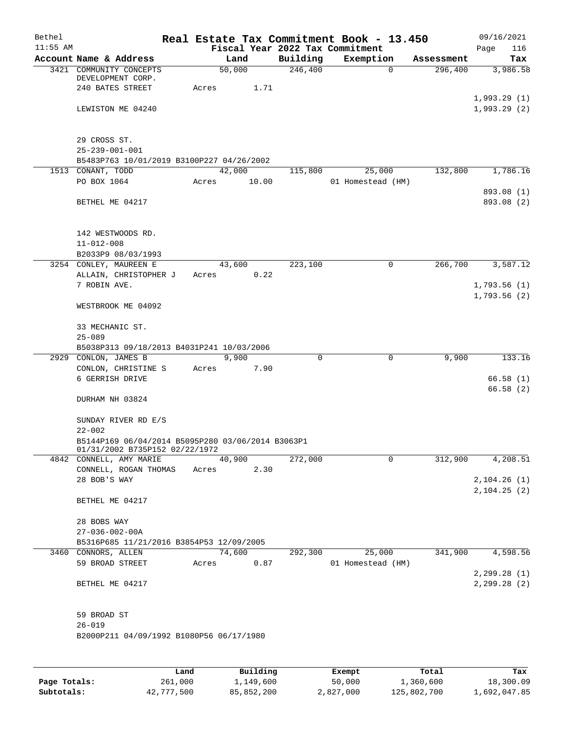| Bethel<br>$11:55$ AM |                                                                                     |       |        |       | Fiscal Year 2022 Tax Commitment | Real Estate Tax Commitment Book - 13.450 |            | 09/16/2021<br>Page<br>116  |
|----------------------|-------------------------------------------------------------------------------------|-------|--------|-------|---------------------------------|------------------------------------------|------------|----------------------------|
|                      | Account Name & Address                                                              |       | Land   |       | Building                        | Exemption                                | Assessment | Tax                        |
|                      | 3421 COMMUNITY CONCEPTS<br>DEVELOPMENT CORP.<br>240 BATES STREET                    | Acres | 50,000 | 1.71  | 246,400                         | $\Omega$                                 | 296,400    | 3,986.58                   |
|                      | LEWISTON ME 04240                                                                   |       |        |       |                                 |                                          |            | 1,993.29(1)<br>1,993.29(2) |
|                      | 29 CROSS ST.<br>$25 - 239 - 001 - 001$<br>B5483P763 10/01/2019 B3100P227 04/26/2002 |       |        |       |                                 |                                          |            |                            |
|                      | 1513 CONANT, TODD                                                                   |       | 42,000 |       | 115,800                         | 25,000                                   | 132,800    | 1,786.16                   |
|                      | PO BOX 1064                                                                         | Acres |        | 10.00 |                                 | 01 Homestead (HM)                        |            |                            |
|                      | BETHEL ME 04217                                                                     |       |        |       |                                 |                                          |            | 893.08 (1)<br>893.08 (2)   |
|                      | 142 WESTWOODS RD.<br>$11 - 012 - 008$                                               |       |        |       |                                 |                                          |            |                            |
|                      | B2033P9 08/03/1993                                                                  |       |        |       |                                 |                                          |            |                            |
|                      | 3254 CONLEY, MAUREEN E                                                              |       | 43,600 |       | 223,100                         | 0                                        | 266,700    | 3,587.12                   |
|                      | ALLAIN, CHRISTOPHER J                                                               | Acres |        | 0.22  |                                 |                                          |            |                            |
|                      | 7 ROBIN AVE.                                                                        |       |        |       |                                 |                                          |            | 1,793.56(1)                |
|                      |                                                                                     |       |        |       |                                 |                                          |            | 1,793.56(2)                |
|                      | WESTBROOK ME 04092                                                                  |       |        |       |                                 |                                          |            |                            |
|                      | 33 MECHANIC ST.<br>$25 - 089$                                                       |       |        |       |                                 |                                          |            |                            |
|                      | B5038P313 09/18/2013 B4031P241 10/03/2006                                           |       |        |       |                                 |                                          |            |                            |
|                      | 2929 CONLON, JAMES B                                                                |       | 9,900  |       | 0                               | $\mathbf 0$                              | 9,900      | 133.16                     |
|                      | CONLON, CHRISTINE S                                                                 | Acres |        | 7.90  |                                 |                                          |            |                            |
|                      | 6 GERRISH DRIVE                                                                     |       |        |       |                                 |                                          |            | 66.58(1)                   |
|                      |                                                                                     |       |        |       |                                 |                                          |            | 66.58(2)                   |
|                      | DURHAM NH 03824                                                                     |       |        |       |                                 |                                          |            |                            |
|                      | SUNDAY RIVER RD E/S<br>$22 - 002$                                                   |       |        |       |                                 |                                          |            |                            |
|                      | B5144P169 06/04/2014 B5095P280 03/06/2014 B3063P1<br>01/31/2002 B735P152 02/22/1972 |       |        |       |                                 |                                          |            |                            |
|                      | 4842 CONNELL, AMY MARIE                                                             |       | 40,900 |       | 272,000                         | 0                                        | 312,900    | 4,208.51                   |
|                      | CONNELL, ROGAN THOMAS                                                               | Acres |        | 2.30  |                                 |                                          |            |                            |
|                      | 28 BOB'S WAY                                                                        |       |        |       |                                 |                                          |            | 2, 104.26(1)               |
|                      | BETHEL ME 04217                                                                     |       |        |       |                                 |                                          |            | 2, 104.25(2)               |
|                      | 28 BOBS WAY                                                                         |       |        |       |                                 |                                          |            |                            |
|                      | $27 - 036 - 002 - 00A$                                                              |       |        |       |                                 |                                          |            |                            |
|                      | B5316P685 11/21/2016 B3854P53 12/09/2005                                            |       |        |       |                                 |                                          |            |                            |
|                      | 3460 CONNORS, ALLEN                                                                 |       | 74,600 |       | 292,300                         | 25,000                                   | 341,900    | 4,598.56                   |
|                      | 59 BROAD STREET                                                                     | Acres |        | 0.87  |                                 | 01 Homestead (HM)                        |            |                            |
|                      |                                                                                     |       |        |       |                                 |                                          |            | 2, 299.28(1)               |
|                      | BETHEL ME 04217                                                                     |       |        |       |                                 |                                          |            | 2, 299.28(2)               |
|                      | 59 BROAD ST                                                                         |       |        |       |                                 |                                          |            |                            |
|                      | $26 - 019$                                                                          |       |        |       |                                 |                                          |            |                            |
|                      | B2000P211 04/09/1992 B1080P56 06/17/1980                                            |       |        |       |                                 |                                          |            |                            |
|                      |                                                                                     |       |        |       |                                 |                                          |            |                            |
|                      |                                                                                     |       |        |       |                                 |                                          |            |                            |

|              | Land       | Building   | Exempt    | Total       | Tax          |
|--------------|------------|------------|-----------|-------------|--------------|
| Page Totals: | 261,000    | 1,149,600  | 50,000    | 1,360,600   | 18,300.09    |
| Subtotals:   | 42,777,500 | 85,852,200 | 2,827,000 | 125,802,700 | 1,692,047.85 |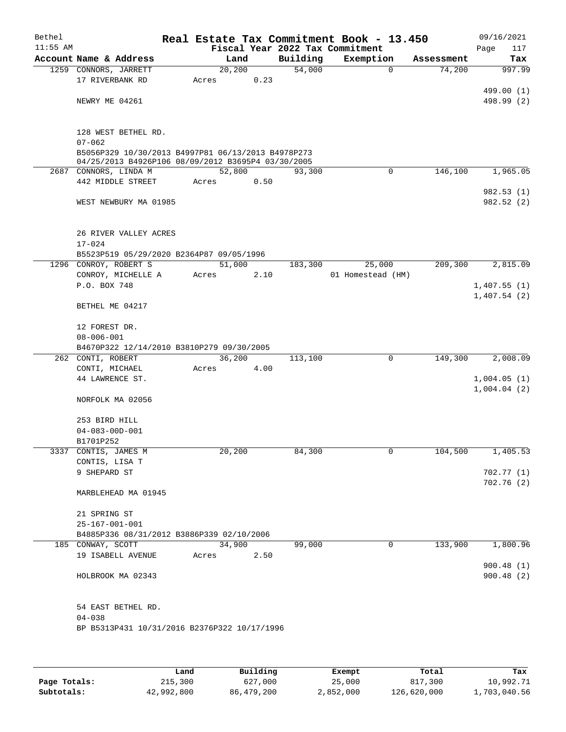| Bethel     |                                                                                                          |                 |      |                    | Real Estate Tax Commitment Book - 13.450 |             |                      | 09/16/2021             |
|------------|----------------------------------------------------------------------------------------------------------|-----------------|------|--------------------|------------------------------------------|-------------|----------------------|------------------------|
| $11:55$ AM |                                                                                                          |                 |      |                    | Fiscal Year 2022 Tax Commitment          |             |                      | Page<br>117            |
|            | Account Name & Address<br>1259 CONNORS, JARRETT                                                          | Land<br>20, 200 |      | Building<br>54,000 | Exemption                                | $\mathbf 0$ | Assessment<br>74,200 | Tax<br>997.99          |
|            | 17 RIVERBANK RD                                                                                          | Acres           | 0.23 |                    |                                          |             |                      |                        |
|            |                                                                                                          |                 |      |                    |                                          |             |                      | 499.00 (1)             |
|            | NEWRY ME 04261                                                                                           |                 |      |                    |                                          |             |                      | 498.99 (2)             |
|            | 128 WEST BETHEL RD.                                                                                      |                 |      |                    |                                          |             |                      |                        |
|            | $07 - 062$                                                                                               |                 |      |                    |                                          |             |                      |                        |
|            | B5056P329 10/30/2013 B4997P81 06/13/2013 B4978P273<br>04/25/2013 B4926P106 08/09/2012 B3695P4 03/30/2005 |                 |      |                    |                                          |             |                      |                        |
|            | 2687 CONNORS, LINDA M                                                                                    | 52,800          |      | 93,300             |                                          | $\mathbf 0$ | 146,100              | 1,965.05               |
|            | 442 MIDDLE STREET                                                                                        | Acres           | 0.50 |                    |                                          |             |                      |                        |
|            | WEST NEWBURY MA 01985                                                                                    |                 |      |                    |                                          |             |                      | 982.53(1)<br>982.52(2) |
|            | 26 RIVER VALLEY ACRES<br>$17 - 024$                                                                      |                 |      |                    |                                          |             |                      |                        |
|            | B5523P519 05/29/2020 B2364P87 09/05/1996                                                                 |                 |      |                    |                                          |             |                      |                        |
|            | 1296 CONROY, ROBERT S                                                                                    | 51,000          |      | 183,300            | 25,000                                   |             | 209,300              | 2,815.09               |
|            | CONROY, MICHELLE A                                                                                       | Acres           | 2.10 |                    | 01 Homestead (HM)                        |             |                      |                        |
|            | P.O. BOX 748                                                                                             |                 |      |                    |                                          |             |                      | 1,407.55(1)            |
|            | BETHEL ME 04217                                                                                          |                 |      |                    |                                          |             |                      | 1,407.54(2)            |
|            | 12 FOREST DR.                                                                                            |                 |      |                    |                                          |             |                      |                        |
|            | $08 - 006 - 001$                                                                                         |                 |      |                    |                                          |             |                      |                        |
|            | B4670P322 12/14/2010 B3810P279 09/30/2005<br>262 CONTI, ROBERT                                           | 36,200          |      |                    |                                          | 0           |                      | 2,008.09               |
|            | CONTI, MICHAEL                                                                                           | Acres           | 4.00 | 113,100            |                                          |             | 149,300              |                        |
|            | 44 LAWRENCE ST.                                                                                          |                 |      |                    |                                          |             |                      | 1,004.05(1)            |
|            |                                                                                                          |                 |      |                    |                                          |             |                      | 1,004.04(2)            |
|            | NORFOLK MA 02056                                                                                         |                 |      |                    |                                          |             |                      |                        |
|            | 253 BIRD HILL                                                                                            |                 |      |                    |                                          |             |                      |                        |
|            | $04 - 083 - 00D - 001$                                                                                   |                 |      |                    |                                          |             |                      |                        |
|            | B1701P252                                                                                                |                 |      |                    |                                          |             |                      |                        |
|            | 3337 CONTIS, JAMES M                                                                                     | 20,200          |      | 84,300             |                                          | 0           | 104,500              | 1,405.53               |
|            | CONTIS, LISA T                                                                                           |                 |      |                    |                                          |             |                      |                        |
|            | 9 SHEPARD ST                                                                                             |                 |      |                    |                                          |             |                      | 702.77(1)              |
|            | MARBLEHEAD MA 01945                                                                                      |                 |      |                    |                                          |             |                      | 702.76(2)              |
|            | 21 SPRING ST                                                                                             |                 |      |                    |                                          |             |                      |                        |
|            | $25 - 167 - 001 - 001$                                                                                   |                 |      |                    |                                          |             |                      |                        |
|            | B4885P336 08/31/2012 B3886P339 02/10/2006                                                                |                 |      |                    |                                          |             |                      |                        |
|            | 185 CONWAY, SCOTT                                                                                        | 34,900          |      | 99,000             |                                          | $\mathbf 0$ | 133,900              | 1,800.96               |
|            | 19 ISABELL AVENUE                                                                                        | Acres           | 2.50 |                    |                                          |             |                      |                        |
|            | HOLBROOK MA 02343                                                                                        |                 |      |                    |                                          |             |                      | 900.48(1)<br>900.48(2) |
|            | 54 EAST BETHEL RD.<br>$04 - 038$                                                                         |                 |      |                    |                                          |             |                      |                        |
|            | BP B5313P431 10/31/2016 B2376P322 10/17/1996                                                             |                 |      |                    |                                          |             |                      |                        |
|            |                                                                                                          |                 |      |                    |                                          |             |                      |                        |

|              | Land       | Building   | Exempt    | Total       | Tax          |
|--------------|------------|------------|-----------|-------------|--------------|
| Page Totals: | 215,300    | 627,000    | 25,000    | 817,300     | 10,992.71    |
| Subtotals:   | 42,992,800 | 86,479,200 | 2,852,000 | 126,620,000 | 1,703,040.56 |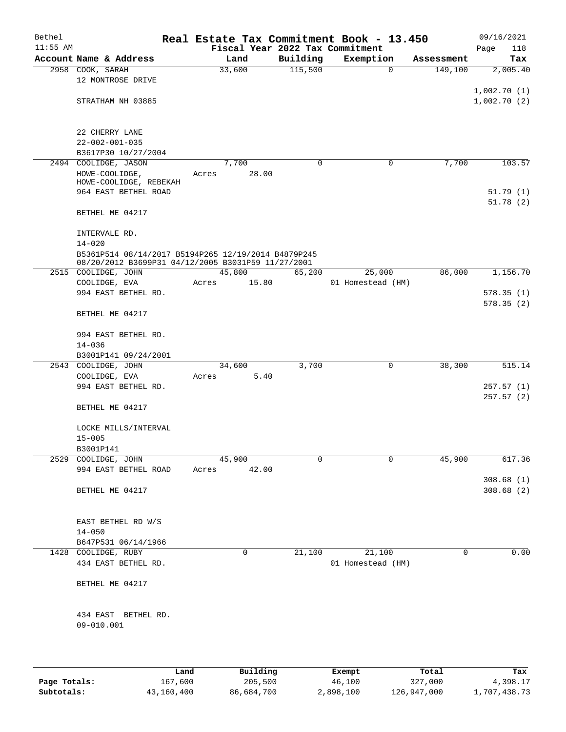| Bethel     |                                                                                                           |       |                       |          | Real Estate Tax Commitment Book - 13.450 |            | 09/16/2021                 |
|------------|-----------------------------------------------------------------------------------------------------------|-------|-----------------------|----------|------------------------------------------|------------|----------------------------|
| $11:55$ AM |                                                                                                           |       |                       |          | Fiscal Year 2022 Tax Commitment          |            | Page<br>118                |
|            | Account Name & Address                                                                                    |       | Land                  | Building | Exemption                                | Assessment | Tax                        |
|            | 2958 COOK, SARAH<br>12 MONTROSE DRIVE                                                                     |       | 33,600                | 115,500  | $\mathbf 0$                              | 149,100    | 2,005.40                   |
|            | STRATHAM NH 03885                                                                                         |       |                       |          |                                          |            | 1,002.70(1)<br>1,002.70(2) |
|            | 22 CHERRY LANE                                                                                            |       |                       |          |                                          |            |                            |
|            | $22 - 002 - 001 - 035$<br>B3617P30 10/27/2004                                                             |       |                       |          |                                          |            |                            |
|            | 2494 COOLIDGE, JASON                                                                                      |       | 7,700                 | $\Omega$ | 0                                        | 7,700      | 103.57                     |
|            | HOWE-COOLIDGE,<br>HOWE-COOLIDGE, REBEKAH<br>964 EAST BETHEL ROAD                                          | Acres | 28.00                 |          |                                          |            | 51.79(1)                   |
|            | BETHEL ME 04217                                                                                           |       |                       |          |                                          |            | 51.78(2)                   |
|            | INTERVALE RD.                                                                                             |       |                       |          |                                          |            |                            |
|            | $14 - 020$                                                                                                |       |                       |          |                                          |            |                            |
|            | B5361P514 08/14/2017 B5194P265 12/19/2014 B4879P245<br>08/20/2012 B3699P31 04/12/2005 B3031P59 11/27/2001 |       |                       |          |                                          |            |                            |
|            | 2515 COOLIDGE, JOHN                                                                                       |       | 45,800                | 65,200   | 25,000                                   | 86,000     | 1,156.70                   |
|            | COOLIDGE, EVA                                                                                             | Acres | 15.80                 |          | 01 Homestead (HM)                        |            |                            |
|            | 994 EAST BETHEL RD.                                                                                       |       |                       |          |                                          |            | 578.35(1)<br>578.35(2)     |
|            | BETHEL ME 04217                                                                                           |       |                       |          |                                          |            |                            |
|            | 994 EAST BETHEL RD.<br>$14 - 036$                                                                         |       |                       |          |                                          |            |                            |
|            | B3001P141 09/24/2001                                                                                      |       |                       |          |                                          |            |                            |
|            | 2543 COOLIDGE, JOHN                                                                                       |       | 34,600                | 3,700    | 0                                        | 38,300     | 515.14                     |
|            | COOLIDGE, EVA                                                                                             | Acres | 5.40                  |          |                                          |            |                            |
|            | 994 EAST BETHEL RD.                                                                                       |       |                       |          |                                          |            | 257.57(1)<br>257.57(2)     |
|            | BETHEL ME 04217                                                                                           |       |                       |          |                                          |            |                            |
|            | LOCKE MILLS/INTERVAL<br>$15 - 005$                                                                        |       |                       |          |                                          |            |                            |
|            | B3001P141                                                                                                 |       |                       |          |                                          |            |                            |
|            | 2529 COOLIDGE, JOHN<br>994 EAST BETHEL ROAD                                                               |       | 45,900<br>Acres 42.00 | 0        | 0                                        | 45,900     | 617.36                     |
|            | BETHEL ME 04217                                                                                           |       |                       |          |                                          |            | 308.68(1)<br>308.68(2)     |
|            |                                                                                                           |       |                       |          |                                          |            |                            |
|            | EAST BETHEL RD W/S<br>$14 - 050$                                                                          |       |                       |          |                                          |            |                            |
|            | B647P531 06/14/1966                                                                                       |       |                       |          |                                          |            |                            |
|            | 1428 COOLIDGE, RUBY                                                                                       |       | 0                     | 21,100   | 21,100                                   | 0          | 0.00                       |
|            | 434 EAST BETHEL RD.                                                                                       |       |                       |          | 01 Homestead (HM)                        |            |                            |
|            | BETHEL ME 04217                                                                                           |       |                       |          |                                          |            |                            |
|            | 434 EAST BETHEL RD.<br>09-010.001                                                                         |       |                       |          |                                          |            |                            |
|            |                                                                                                           |       |                       |          |                                          |            |                            |
|            |                                                                                                           | Land  | Building              |          | Exempt                                   | Total      | Tax                        |

|              | Land       | Building   | Exempt    | Total       | тах          |
|--------------|------------|------------|-----------|-------------|--------------|
| Page Totals: | 167,600    | 205,500    | 46,100    | 327,000     | 4,398.17     |
| Subtotals:   | 43,160,400 | 86,684,700 | 2,898,100 | 126,947,000 | 1,707,438.73 |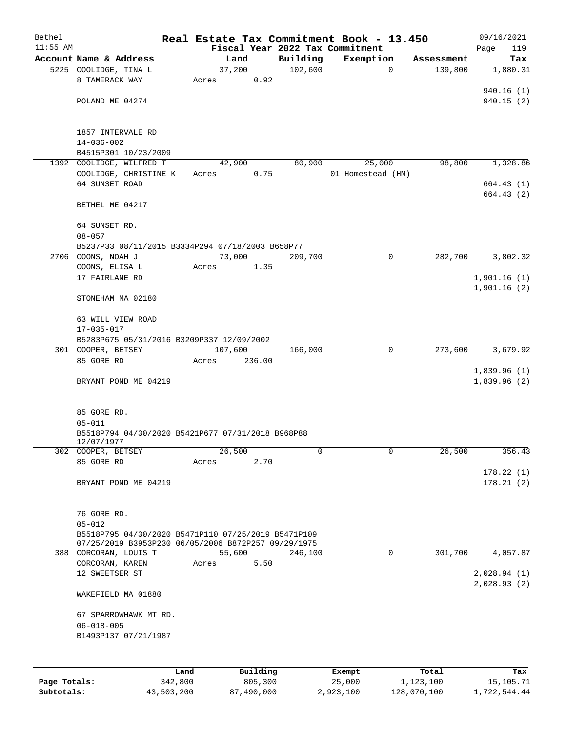| Bethel     |                                                                                                            |      |       |          | Real Estate Tax Commitment Book - 13.450 |                   |                |            | 09/16/2021  |
|------------|------------------------------------------------------------------------------------------------------------|------|-------|----------|------------------------------------------|-------------------|----------------|------------|-------------|
| $11:55$ AM |                                                                                                            |      |       |          | Fiscal Year 2022 Tax Commitment          |                   |                |            | 119<br>Page |
|            | Account Name & Address                                                                                     |      |       | Land     | Building                                 | Exemption         |                | Assessment | Tax         |
|            | 5225 COOLIDGE, TINA L                                                                                      |      |       | 37,200   | 102,600                                  |                   | $\mathbf 0$    | 139,800    | 1,880.31    |
|            | 8 TAMERACK WAY                                                                                             |      | Acres | 0.92     |                                          |                   |                |            |             |
|            |                                                                                                            |      |       |          |                                          |                   |                |            | 940.16(1)   |
|            | POLAND ME 04274                                                                                            |      |       |          |                                          |                   |                |            | 940.15(2)   |
|            |                                                                                                            |      |       |          |                                          |                   |                |            |             |
|            | 1857 INTERVALE RD                                                                                          |      |       |          |                                          |                   |                |            |             |
|            | $14 - 036 - 002$                                                                                           |      |       |          |                                          |                   |                |            |             |
|            | B4515P301 10/23/2009                                                                                       |      |       |          |                                          |                   |                |            |             |
|            | 1392 COOLIDGE, WILFRED T                                                                                   |      |       | 42,900   | 80,900                                   |                   | 25,000         | 98,800     | 1,328.86    |
|            | COOLIDGE, CHRISTINE K                                                                                      |      | Acres | 0.75     |                                          | 01 Homestead (HM) |                |            |             |
|            | 64 SUNSET ROAD                                                                                             |      |       |          |                                          |                   |                |            | 664.43(1)   |
|            | BETHEL ME 04217                                                                                            |      |       |          |                                          |                   |                |            | 664.43(2)   |
|            |                                                                                                            |      |       |          |                                          |                   |                |            |             |
|            | 64 SUNSET RD.                                                                                              |      |       |          |                                          |                   |                |            |             |
|            | $08 - 057$                                                                                                 |      |       |          |                                          |                   |                |            |             |
|            | B5237P33 08/11/2015 B3334P294 07/18/2003 B658P77                                                           |      |       |          |                                          |                   |                |            |             |
|            | 2706 COONS, NOAH J                                                                                         |      |       | 73,000   | 209,700                                  |                   | $\mathbf 0$    | 282,700    | 3,802.32    |
|            | COONS, ELISA L                                                                                             |      | Acres | 1.35     |                                          |                   |                |            |             |
|            | 17 FAIRLANE RD                                                                                             |      |       |          |                                          |                   |                |            | 1,901.16(1) |
|            | STONEHAM MA 02180                                                                                          |      |       |          |                                          |                   |                |            | 1,901.16(2) |
|            |                                                                                                            |      |       |          |                                          |                   |                |            |             |
|            | 63 WILL VIEW ROAD                                                                                          |      |       |          |                                          |                   |                |            |             |
|            | 17-035-017                                                                                                 |      |       |          |                                          |                   |                |            |             |
|            | B5283P675 05/31/2016 B3209P337 12/09/2002                                                                  |      |       |          |                                          |                   |                |            |             |
|            | 301 COOPER, BETSEY                                                                                         |      |       | 107,600  | 166,000                                  |                   | $\mathbf 0$    | 273,600    | 3,679.92    |
|            | 85 GORE RD                                                                                                 |      | Acres | 236.00   |                                          |                   |                |            |             |
|            |                                                                                                            |      |       |          |                                          |                   |                |            | 1,839.96(1) |
|            | BRYANT POND ME 04219                                                                                       |      |       |          |                                          |                   |                |            | 1,839.96(2) |
|            |                                                                                                            |      |       |          |                                          |                   |                |            |             |
|            | 85 GORE RD.                                                                                                |      |       |          |                                          |                   |                |            |             |
|            | $05 - 011$                                                                                                 |      |       |          |                                          |                   |                |            |             |
|            | B5518P794 04/30/2020 B5421P677 07/31/2018 B968P88<br>12/07/1977                                            |      |       |          |                                          |                   |                |            |             |
|            | 302 COOPER, BETSEY                                                                                         |      |       | 26,500   | 0                                        |                   | $\overline{0}$ | 26,500     | 356.43      |
|            | 85 GORE RD                                                                                                 |      | Acres | 2.70     |                                          |                   |                |            |             |
|            |                                                                                                            |      |       |          |                                          |                   |                |            | 178.22(1)   |
|            | BRYANT POND ME 04219                                                                                       |      |       |          |                                          |                   |                |            | 178.21(2)   |
|            |                                                                                                            |      |       |          |                                          |                   |                |            |             |
|            |                                                                                                            |      |       |          |                                          |                   |                |            |             |
|            | 76 GORE RD.                                                                                                |      |       |          |                                          |                   |                |            |             |
|            | $05 - 012$                                                                                                 |      |       |          |                                          |                   |                |            |             |
|            | B5518P795 04/30/2020 B5471P110 07/25/2019 B5471P109<br>07/25/2019 B3953P230 06/05/2006 B872P257 09/29/1975 |      |       |          |                                          |                   |                |            |             |
|            | 388 CORCORAN, LOUIS T                                                                                      |      |       | 55,600   | 246,100                                  |                   | $\mathbf 0$    | 301,700    | 4,057.87    |
|            | CORCORAN, KAREN                                                                                            |      | Acres | 5.50     |                                          |                   |                |            |             |
|            | 12 SWEETSER ST                                                                                             |      |       |          |                                          |                   |                |            | 2,028.94(1) |
|            |                                                                                                            |      |       |          |                                          |                   |                |            | 2,028.93(2) |
|            | WAKEFIELD MA 01880                                                                                         |      |       |          |                                          |                   |                |            |             |
|            | 67 SPARROWHAWK MT RD.                                                                                      |      |       |          |                                          |                   |                |            |             |
|            | $06 - 018 - 005$                                                                                           |      |       |          |                                          |                   |                |            |             |
|            | B1493P137 07/21/1987                                                                                       |      |       |          |                                          |                   |                |            |             |
|            |                                                                                                            |      |       |          |                                          |                   |                |            |             |
|            |                                                                                                            |      |       |          |                                          |                   |                |            |             |
|            |                                                                                                            | Land |       | Building |                                          | Exempt            |                | Total      | Tax         |

|              | Land       | Building   | Exempt    | Total       | тах          |
|--------------|------------|------------|-----------|-------------|--------------|
| Page Totals: | 342,800    | 805,300    | 25,000    | 1,123,100   | 15,105.71    |
| Subtotals:   | 43,503,200 | 87,490,000 | 2,923,100 | 128,070,100 | 1,722,544.44 |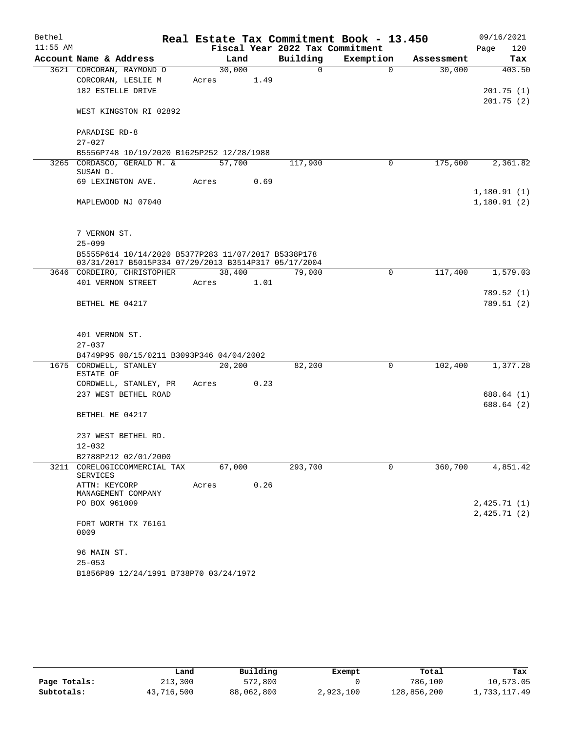| Bethel     |                                                      |       |        |      | Real Estate Tax Commitment Book - 13.450 |           |          |            |      | 09/16/2021             |
|------------|------------------------------------------------------|-------|--------|------|------------------------------------------|-----------|----------|------------|------|------------------------|
| $11:55$ AM |                                                      |       |        |      | Fiscal Year 2022 Tax Commitment          |           |          |            | Page | 120                    |
|            | Account Name & Address                               |       | Land   |      | Building                                 | Exemption |          | Assessment |      | Tax                    |
|            | 3621 CORCORAN, RAYMOND O                             |       | 30,000 |      | $\mathbf 0$                              |           | $\Omega$ | 30,000     |      | 403.50                 |
|            | CORCORAN, LESLIE M                                   | Acres |        | 1.49 |                                          |           |          |            |      |                        |
|            | 182 ESTELLE DRIVE                                    |       |        |      |                                          |           |          |            |      | 201.75(1)<br>201.75(2) |
|            | WEST KINGSTON RI 02892                               |       |        |      |                                          |           |          |            |      |                        |
|            | PARADISE RD-8                                        |       |        |      |                                          |           |          |            |      |                        |
|            | $27 - 027$                                           |       |        |      |                                          |           |          |            |      |                        |
|            | B5556P748 10/19/2020 B1625P252 12/28/1988            |       |        |      |                                          |           |          |            |      |                        |
|            | 3265 CORDASCO, GERALD M. &<br>SUSAN D.               |       | 57,700 |      | 117,900                                  |           | 0        | 175,600    |      | 2,361.82               |
|            | 69 LEXINGTON AVE.                                    | Acres |        | 0.69 |                                          |           |          |            |      |                        |
|            |                                                      |       |        |      |                                          |           |          |            |      | 1,180.91(1)            |
|            | MAPLEWOOD NJ 07040                                   |       |        |      |                                          |           |          |            |      | 1,180.91(2)            |
|            | 7 VERNON ST.                                         |       |        |      |                                          |           |          |            |      |                        |
|            | $25 - 099$                                           |       |        |      |                                          |           |          |            |      |                        |
|            | B5555P614 10/14/2020 B5377P283 11/07/2017 B5338P178  |       |        |      |                                          |           |          |            |      |                        |
|            | 03/31/2017 B5015P334 07/29/2013 B3514P317 05/17/2004 |       |        |      |                                          |           |          |            |      |                        |
|            | 3646 CORDEIRO, CHRISTOPHER                           |       | 38,400 |      | 79,000                                   |           | 0        | 117,400    |      | 1,579.03               |
|            | 401 VERNON STREET                                    | Acres |        | 1.01 |                                          |           |          |            |      | 789.52 (1)             |
|            | BETHEL ME 04217                                      |       |        |      |                                          |           |          |            |      | 789.51 (2)             |
|            |                                                      |       |        |      |                                          |           |          |            |      |                        |
|            | 401 VERNON ST.<br>$27 - 037$                         |       |        |      |                                          |           |          |            |      |                        |
|            | B4749P95 08/15/0211 B3093P346 04/04/2002             |       |        |      |                                          |           |          |            |      |                        |
|            | 1675 CORDWELL, STANLEY                               |       | 20,200 |      | 82,200                                   |           | 0        | 102,400    |      | 1,377.28               |
|            | ESTATE OF                                            |       |        |      |                                          |           |          |            |      |                        |
|            | CORDWELL, STANLEY, PR                                | Acres |        | 0.23 |                                          |           |          |            |      |                        |
|            | 237 WEST BETHEL ROAD                                 |       |        |      |                                          |           |          |            |      | 688.64 (1)             |
|            |                                                      |       |        |      |                                          |           |          |            |      | 688.64 (2)             |
|            | BETHEL ME 04217                                      |       |        |      |                                          |           |          |            |      |                        |
|            | 237 WEST BETHEL RD.                                  |       |        |      |                                          |           |          |            |      |                        |
|            | $12 - 032$                                           |       |        |      |                                          |           |          |            |      |                        |
|            | B2788P212 02/01/2000                                 |       |        |      |                                          |           |          |            |      |                        |
|            | 3211 CORELOGICCOMMERCIAL TAX<br>SERVICES             |       | 67,000 |      | 293,700                                  |           | 0        | 360,700    |      | 4,851.42               |
|            | ATTN: KEYCORP<br>MANAGEMENT COMPANY                  | Acres |        | 0.26 |                                          |           |          |            |      |                        |
|            | PO BOX 961009                                        |       |        |      |                                          |           |          |            |      | 2,425.71(1)            |
|            |                                                      |       |        |      |                                          |           |          |            |      | 2,425.71(2)            |
|            | FORT WORTH TX 76161<br>0009                          |       |        |      |                                          |           |          |            |      |                        |
|            | 96 MAIN ST.                                          |       |        |      |                                          |           |          |            |      |                        |
|            | $25 - 053$                                           |       |        |      |                                          |           |          |            |      |                        |
|            | B1856P89 12/24/1991 B738P70 03/24/1972               |       |        |      |                                          |           |          |            |      |                        |

|              | Land       | Building   | Exempt    | Total       | Tax          |
|--------------|------------|------------|-----------|-------------|--------------|
| Page Totals: | 213,300    | 572,800    |           | 786,100     | 10,573.05    |
| Subtotals:   | 43,716,500 | 88,062,800 | 2,923,100 | 128,856,200 | 1,733,117.49 |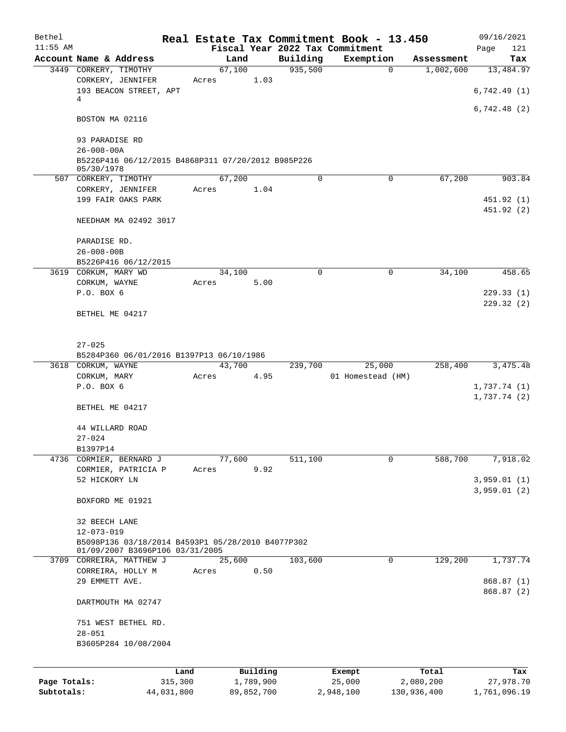| Bethel       |                                                                                      |                 |            |          | Real Estate Tax Commitment Book - 13.450 |             | 09/16/2021                 |
|--------------|--------------------------------------------------------------------------------------|-----------------|------------|----------|------------------------------------------|-------------|----------------------------|
| $11:55$ AM   |                                                                                      |                 |            |          | Fiscal Year 2022 Tax Commitment          |             | Page<br>121                |
|              | Account Name & Address                                                               | Land            |            | Building | Exemption                                | Assessment  | Tax                        |
|              | 3449 CORKERY, TIMOTHY<br>CORKERY, JENNIFER<br>193 BEACON STREET, APT                 | 67,100<br>Acres | 1.03       | 935,500  | $\mathbf 0$                              | 1,002,600   | 13,484.97<br>6,742.49(1)   |
|              | 4                                                                                    |                 |            |          |                                          |             |                            |
|              | BOSTON MA 02116                                                                      |                 |            |          |                                          |             | 6,742.48(2)                |
|              | 93 PARADISE RD<br>$26 - 008 - 00A$                                                   |                 |            |          |                                          |             |                            |
|              | B5226P416 06/12/2015 B4868P311 07/20/2012 B985P226<br>05/30/1978                     |                 |            |          |                                          |             |                            |
|              | 507 CORKERY, TIMOTHY                                                                 | 67,200          |            | 0        | $\mathbf 0$                              | 67,200      | 903.84                     |
|              | CORKERY, JENNIFER<br>199 FAIR OAKS PARK                                              | Acres           | 1.04       |          |                                          |             | 451.92 (1)<br>451.92 (2)   |
|              | NEEDHAM MA 02492 3017                                                                |                 |            |          |                                          |             |                            |
|              | PARADISE RD.                                                                         |                 |            |          |                                          |             |                            |
|              | $26 - 008 - 00B$                                                                     |                 |            |          |                                          |             |                            |
|              | B5226P416 06/12/2015                                                                 |                 |            |          |                                          |             |                            |
|              | 3619 CORKUM, MARY WD<br>CORKUM, WAYNE                                                | 34,100<br>Acres | 5.00       | $\Omega$ | 0                                        | 34,100      | 458.65                     |
|              | P.O. BOX 6                                                                           |                 |            |          |                                          |             | 229.33 (1)                 |
|              | BETHEL ME 04217                                                                      |                 |            |          |                                          |             | 229.32(2)                  |
|              | $27 - 025$                                                                           |                 |            |          |                                          |             |                            |
|              | B5284P360 06/01/2016 B1397P13 06/10/1986                                             |                 |            |          |                                          |             |                            |
|              | 3618 CORKUM, WAYNE                                                                   | 43,700          |            | 239,700  | 25,000                                   | 258,400     | 3,475.48                   |
|              | CORKUM, MARY<br>P.O. BOX 6                                                           | Acres           | 4.95       |          | 01 Homestead (HM)                        |             | 1,737.74(1)                |
|              |                                                                                      |                 |            |          |                                          |             | 1,737.74(2)                |
|              | BETHEL ME 04217                                                                      |                 |            |          |                                          |             |                            |
|              | 44 WILLARD ROAD                                                                      |                 |            |          |                                          |             |                            |
|              | $27 - 024$                                                                           |                 |            |          |                                          |             |                            |
|              | B1397P14                                                                             |                 |            |          |                                          |             |                            |
| 4736         | CORMIER, BERNARD J                                                                   | 77,600          |            | 511,100  | 0                                        | 588,700     | 7,918.02                   |
|              | CORMIER, PATRICIA P                                                                  | Acres           | 9.92       |          |                                          |             |                            |
|              | 52 HICKORY LN                                                                        |                 |            |          |                                          |             | 3,959.01(1)<br>3,959.01(2) |
|              | BOXFORD ME 01921                                                                     |                 |            |          |                                          |             |                            |
|              | 32 BEECH LANE                                                                        |                 |            |          |                                          |             |                            |
|              | $12 - 073 - 019$                                                                     |                 |            |          |                                          |             |                            |
|              | B5098P136 03/18/2014 B4593P1 05/28/2010 B4077P302<br>01/09/2007 B3696P106 03/31/2005 |                 |            |          |                                          |             |                            |
|              | 3709 CORREIRA, MATTHEW J                                                             | 25,600          |            | 103,600  | 0                                        | 129,200     | 1,737.74                   |
|              | CORREIRA, HOLLY M<br>29 EMMETT AVE.                                                  | Acres           | 0.50       |          |                                          |             | 868.87 (1)                 |
|              | DARTMOUTH MA 02747                                                                   |                 |            |          |                                          |             | 868.87 (2)                 |
|              | 751 WEST BETHEL RD.                                                                  |                 |            |          |                                          |             |                            |
|              | $28 - 051$                                                                           |                 |            |          |                                          |             |                            |
|              | B3605P284 10/08/2004                                                                 |                 |            |          |                                          |             |                            |
|              | Land                                                                                 |                 | Building   |          | Exempt                                   | Total       | Tax                        |
| Page Totals: | 315,300                                                                              |                 | 1,789,900  |          | 25,000                                   | 2,080,200   | 27,978.70                  |
| Subtotals:   | 44,031,800                                                                           |                 | 89,852,700 |          | 2,948,100                                | 130,936,400 | 1,761,096.19               |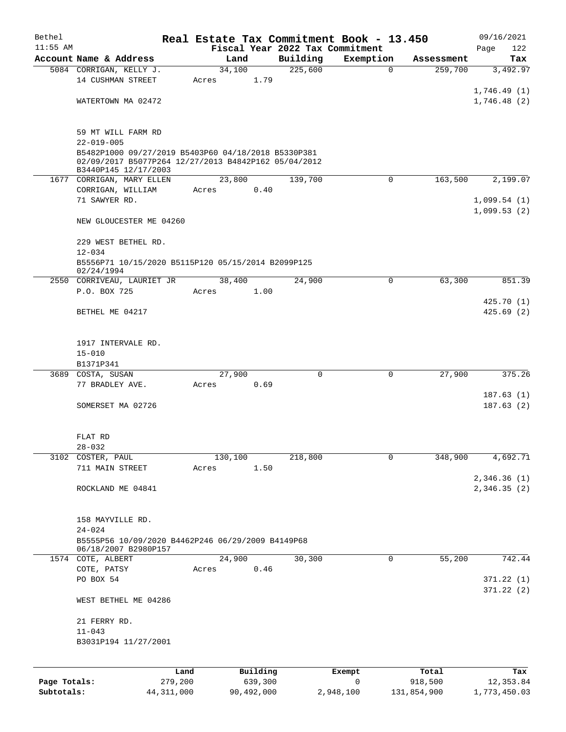| Bethel       |                                                                           |                |          |                                 | Real Estate Tax Commitment Book - 13.450 |                       | 09/16/2021      |
|--------------|---------------------------------------------------------------------------|----------------|----------|---------------------------------|------------------------------------------|-----------------------|-----------------|
| $11:55$ AM   |                                                                           |                |          | Fiscal Year 2022 Tax Commitment |                                          |                       | 122<br>Page     |
|              | Account Name & Address<br>5084 CORRIGAN, KELLY J.                         | Land<br>34,100 |          | Building<br>225,600             | Exemption<br>$\mathbf 0$                 | Assessment<br>259,700 | Tax<br>3,492.97 |
|              | 14 CUSHMAN STREET                                                         | Acres          | 1.79     |                                 |                                          |                       |                 |
|              |                                                                           |                |          |                                 |                                          |                       | 1,746.49(1)     |
|              | WATERTOWN MA 02472                                                        |                |          |                                 |                                          |                       | 1,746.48(2)     |
|              |                                                                           |                |          |                                 |                                          |                       |                 |
|              |                                                                           |                |          |                                 |                                          |                       |                 |
|              | 59 MT WILL FARM RD<br>$22 - 019 - 005$                                    |                |          |                                 |                                          |                       |                 |
|              | B5482P1000 09/27/2019 B5403P60 04/18/2018 B5330P381                       |                |          |                                 |                                          |                       |                 |
|              | 02/09/2017 B5077P264 12/27/2013 B4842P162 05/04/2012                      |                |          |                                 |                                          |                       |                 |
|              | B3440P145 12/17/2003                                                      | 23,800         |          | 139,700                         |                                          | 163,500               | 2,199.07        |
|              | 1677 CORRIGAN, MARY ELLEN<br>CORRIGAN, WILLIAM                            | Acres          | 0.40     |                                 | 0                                        |                       |                 |
|              | 71 SAWYER RD.                                                             |                |          |                                 |                                          |                       | 1,099.54(1)     |
|              |                                                                           |                |          |                                 |                                          |                       | 1,099.53(2)     |
|              | NEW GLOUCESTER ME 04260                                                   |                |          |                                 |                                          |                       |                 |
|              | 229 WEST BETHEL RD.                                                       |                |          |                                 |                                          |                       |                 |
|              | $12 - 034$                                                                |                |          |                                 |                                          |                       |                 |
|              | B5556P71 10/15/2020 B5115P120 05/15/2014 B2099P125                        |                |          |                                 |                                          |                       |                 |
|              | 02/24/1994<br>2550 CORRIVEAU, LAURIET JR                                  | 38,400         |          | 24,900                          | 0                                        | 63,300                | 851.39          |
|              | P.O. BOX 725                                                              | Acres          | 1.00     |                                 |                                          |                       |                 |
|              |                                                                           |                |          |                                 |                                          |                       | 425.70(1)       |
|              | BETHEL ME 04217                                                           |                |          |                                 |                                          |                       | 425.69(2)       |
|              |                                                                           |                |          |                                 |                                          |                       |                 |
|              |                                                                           |                |          |                                 |                                          |                       |                 |
|              | 1917 INTERVALE RD.<br>$15 - 010$                                          |                |          |                                 |                                          |                       |                 |
|              | B1371P341                                                                 |                |          |                                 |                                          |                       |                 |
|              | 3689 COSTA, SUSAN                                                         | 27,900         |          | $\mathbf 0$                     | $\mathbf 0$                              | 27,900                | 375.26          |
|              | 77 BRADLEY AVE.                                                           | Acres          | 0.69     |                                 |                                          |                       |                 |
|              |                                                                           |                |          |                                 |                                          |                       | 187.63(1)       |
|              | SOMERSET MA 02726                                                         |                |          |                                 |                                          |                       | 187.63(2)       |
|              |                                                                           |                |          |                                 |                                          |                       |                 |
|              | FLAT RD                                                                   |                |          |                                 |                                          |                       |                 |
|              | $28 - 032$                                                                |                |          |                                 |                                          |                       |                 |
| 3102         | COSTER, PAUL                                                              | 130,100        |          | 218,800                         | 0                                        | 348,900               | 4,692.71        |
|              | 711 MAIN STREET                                                           | Acres          | 1.50     |                                 |                                          |                       |                 |
|              |                                                                           |                |          |                                 |                                          |                       | 2,346.36(1)     |
|              | ROCKLAND ME 04841                                                         |                |          |                                 |                                          |                       | 2,346.35(2)     |
|              |                                                                           |                |          |                                 |                                          |                       |                 |
|              | 158 MAYVILLE RD.                                                          |                |          |                                 |                                          |                       |                 |
|              | $24 - 024$                                                                |                |          |                                 |                                          |                       |                 |
|              | B5555P56 10/09/2020 B4462P246 06/29/2009 B4149P68<br>06/18/2007 B2980P157 |                |          |                                 |                                          |                       |                 |
|              | 1574 COTE, ALBERT                                                         | 24,900         |          | 30,300                          | 0                                        | 55,200                | 742.44          |
|              | COTE, PATSY                                                               | Acres          | 0.46     |                                 |                                          |                       |                 |
|              | PO BOX 54                                                                 |                |          |                                 |                                          |                       | 371.22(1)       |
|              | WEST BETHEL ME 04286                                                      |                |          |                                 |                                          |                       | 371.22(2)       |
|              | 21 FERRY RD.                                                              |                |          |                                 |                                          |                       |                 |
|              | $11 - 043$                                                                |                |          |                                 |                                          |                       |                 |
|              | B3031P194 11/27/2001                                                      |                |          |                                 |                                          |                       |                 |
|              |                                                                           |                |          |                                 |                                          |                       |                 |
|              | Land                                                                      |                | Building |                                 | Exempt                                   | Total                 | Tax             |
| Page Totals: | 279,200                                                                   |                | 639,300  |                                 | 0                                        | 918,500               | 12, 353.84      |
|              |                                                                           |                |          |                                 |                                          |                       |                 |

**Subtotals:** 44,311,000 90,492,000 2,948,100 131,854,900 1,773,450.03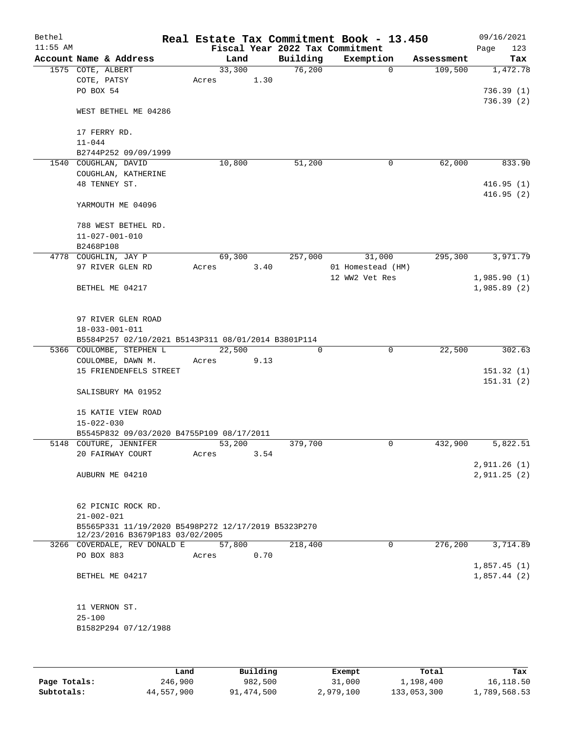| Bethel<br>$11:55$ AM |                                                                     |        |      |          | Real Estate Tax Commitment Book - 13.450<br>Fiscal Year 2022 Tax Commitment |            | 09/16/2021<br>Page<br>123 |
|----------------------|---------------------------------------------------------------------|--------|------|----------|-----------------------------------------------------------------------------|------------|---------------------------|
|                      | Account Name & Address                                              | Land   |      | Building | Exemption                                                                   | Assessment | Tax                       |
|                      | 1575 COTE, ALBERT                                                   | 33,300 |      | 76,200   | $\Omega$                                                                    | 109,500    | 1,472.78                  |
|                      | COTE, PATSY                                                         | Acres  | 1.30 |          |                                                                             |            |                           |
|                      | PO BOX 54                                                           |        |      |          |                                                                             |            | 736.39(1)                 |
|                      |                                                                     |        |      |          |                                                                             |            | 736.39(2)                 |
|                      | WEST BETHEL ME 04286                                                |        |      |          |                                                                             |            |                           |
|                      |                                                                     |        |      |          |                                                                             |            |                           |
|                      | 17 FERRY RD.                                                        |        |      |          |                                                                             |            |                           |
|                      | $11 - 044$                                                          |        |      |          |                                                                             |            |                           |
|                      | B2744P252 09/09/1999                                                | 10,800 |      | 51,200   | 0                                                                           | 62,000     | 833.90                    |
|                      | 1540 COUGHLAN, DAVID<br>COUGHLAN, KATHERINE                         |        |      |          |                                                                             |            |                           |
|                      | 48 TENNEY ST.                                                       |        |      |          |                                                                             |            | 416.95(1)                 |
|                      |                                                                     |        |      |          |                                                                             |            | 416.95(2)                 |
|                      | YARMOUTH ME 04096                                                   |        |      |          |                                                                             |            |                           |
|                      |                                                                     |        |      |          |                                                                             |            |                           |
|                      | 788 WEST BETHEL RD.                                                 |        |      |          |                                                                             |            |                           |
|                      | $11 - 027 - 001 - 010$                                              |        |      |          |                                                                             |            |                           |
|                      | B2468P108                                                           |        |      |          |                                                                             |            |                           |
|                      | 4778 COUGHLIN, JAY P                                                | 69,300 |      | 257,000  | 31,000                                                                      | 295,300    | 3,971.79                  |
|                      | 97 RIVER GLEN RD                                                    | Acres  | 3.40 |          | 01 Homestead (HM)                                                           |            |                           |
|                      |                                                                     |        |      |          | 12 WW2 Vet Res                                                              |            | 1,985.90(1)               |
|                      | BETHEL ME 04217                                                     |        |      |          |                                                                             |            | 1,985.89(2)               |
|                      |                                                                     |        |      |          |                                                                             |            |                           |
|                      | 97 RIVER GLEN ROAD                                                  |        |      |          |                                                                             |            |                           |
|                      | $18 - 033 - 001 - 011$                                              |        |      |          |                                                                             |            |                           |
|                      | B5584P257 02/10/2021 B5143P311 08/01/2014 B3801P114                 |        |      |          |                                                                             |            |                           |
|                      | 5366 COULOMBE, STEPHEN L                                            | 22,500 |      | 0        | $\mathbf 0$                                                                 | 22,500     | 302.63                    |
|                      | COULOMBE, DAWN M.                                                   | Acres  | 9.13 |          |                                                                             |            |                           |
|                      | 15 FRIENDENFELS STREET                                              |        |      |          |                                                                             |            | 151.32(1)                 |
|                      |                                                                     |        |      |          |                                                                             |            | 151.31(2)                 |
|                      | SALISBURY MA 01952                                                  |        |      |          |                                                                             |            |                           |
|                      |                                                                     |        |      |          |                                                                             |            |                           |
|                      | 15 KATIE VIEW ROAD                                                  |        |      |          |                                                                             |            |                           |
|                      | $15 - 022 - 030$                                                    |        |      |          |                                                                             |            |                           |
|                      | B5545P832 09/03/2020 B4755P109 08/17/2011<br>5148 COUTURE, JENNIFER | 53,200 |      | 379,700  | 0                                                                           | 432,900    | 5,822.51                  |
|                      | 20 FAIRWAY COURT                                                    | Acres  | 3.54 |          |                                                                             |            |                           |
|                      |                                                                     |        |      |          |                                                                             |            | 2,911.26(1)               |
|                      | AUBURN ME 04210                                                     |        |      |          |                                                                             |            | 2,911.25(2)               |
|                      |                                                                     |        |      |          |                                                                             |            |                           |
|                      |                                                                     |        |      |          |                                                                             |            |                           |
|                      | 62 PICNIC ROCK RD.                                                  |        |      |          |                                                                             |            |                           |
|                      | $21 - 002 - 021$                                                    |        |      |          |                                                                             |            |                           |
|                      | B5565P331 11/19/2020 B5498P272 12/17/2019 B5323P270                 |        |      |          |                                                                             |            |                           |
|                      | 12/23/2016 B3679P183 03/02/2005<br>3266 COVERDALE, REV DONALD E     | 57,800 |      | 218,400  | 0                                                                           | 276,200    | 3,714.89                  |
|                      | PO BOX 883                                                          | Acres  | 0.70 |          |                                                                             |            |                           |
|                      |                                                                     |        |      |          |                                                                             |            | 1,857.45(1)               |
|                      | BETHEL ME 04217                                                     |        |      |          |                                                                             |            | 1,857.44(2)               |
|                      |                                                                     |        |      |          |                                                                             |            |                           |
|                      |                                                                     |        |      |          |                                                                             |            |                           |
|                      | 11 VERNON ST.                                                       |        |      |          |                                                                             |            |                           |
|                      | $25 - 100$                                                          |        |      |          |                                                                             |            |                           |
|                      | B1582P294 07/12/1988                                                |        |      |          |                                                                             |            |                           |
|                      |                                                                     |        |      |          |                                                                             |            |                           |
|                      |                                                                     |        |      |          |                                                                             |            |                           |

|              | Land       | Building   | Exempt    | Total       | Tax          |
|--------------|------------|------------|-----------|-------------|--------------|
| Page Totals: | 246,900    | 982,500    | 31,000    | 1,198,400   | 16,118.50    |
| Subtotals:   | 44,557,900 | 91,474,500 | 2,979,100 | 133,053,300 | 1,789,568.53 |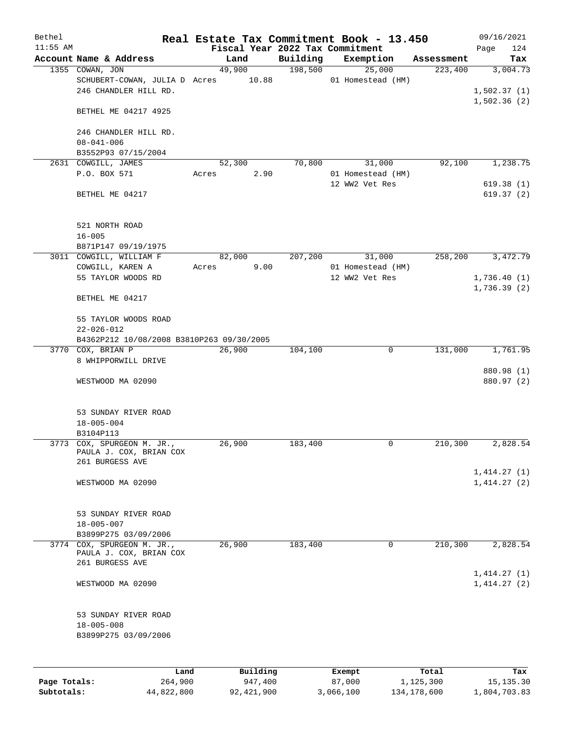| Bethel       |                                                                                 |       |                     |                                 | Real Estate Tax Commitment Book - 13.450 |                    | 09/16/2021                 |
|--------------|---------------------------------------------------------------------------------|-------|---------------------|---------------------------------|------------------------------------------|--------------------|----------------------------|
| $11:55$ AM   |                                                                                 |       |                     | Fiscal Year 2022 Tax Commitment |                                          |                    | 124<br>Page                |
|              | Account Name & Address                                                          |       | Land                | Building                        | Exemption                                | Assessment         | Tax                        |
|              | 1355 COWAN, JON<br>SCHUBERT-COWAN, JULIA D Acres 10.88<br>246 CHANDLER HILL RD. |       | 49,900              | 198,500                         | 25,000<br>01 Homestead (HM)              | 223,400            | 3,004.73<br>1,502.37(1)    |
|              | BETHEL ME 04217 4925                                                            |       |                     |                                 |                                          |                    | 1,502.36(2)                |
|              | 246 CHANDLER HILL RD.<br>$08 - 041 - 006$                                       |       |                     |                                 |                                          |                    |                            |
|              | B3552P93 07/15/2004                                                             |       |                     |                                 |                                          |                    |                            |
|              | 2631 COWGILL, JAMES                                                             |       | 52,300              | 70,800                          | 31,000                                   | 92,100             | 1,238.75                   |
|              | P.O. BOX 571                                                                    | Acres | 2.90                |                                 | 01 Homestead (HM)<br>12 WW2 Vet Res      |                    | 619.38(1)                  |
|              | BETHEL ME 04217                                                                 |       |                     |                                 |                                          |                    | 619.37(2)                  |
|              | 521 NORTH ROAD<br>$16 - 005$                                                    |       |                     |                                 |                                          |                    |                            |
|              | B871P147 09/19/1975                                                             |       |                     |                                 |                                          |                    |                            |
|              | 3011 COWGILL, WILLIAM F                                                         |       | 82,000              | 207,200                         | 31,000                                   | 258,200            | 3,472.79                   |
|              | COWGILL, KAREN A<br>55 TAYLOR WOODS RD                                          | Acres | 9.00                |                                 | 01 Homestead (HM)<br>12 WW2 Vet Res      |                    | 1,736.40(1)<br>1,736.39(2) |
|              | BETHEL ME 04217                                                                 |       |                     |                                 |                                          |                    |                            |
|              | 55 TAYLOR WOODS ROAD<br>$22 - 026 - 012$                                        |       |                     |                                 |                                          |                    |                            |
|              | B4362P212 10/08/2008 B3810P263 09/30/2005                                       |       |                     |                                 |                                          |                    |                            |
|              | 3770 COX, BRIAN P                                                               |       | 26,900              | 104,100                         | 0                                        | 131,000            | 1,761.95                   |
|              | 8 WHIPPORWILL DRIVE                                                             |       |                     |                                 |                                          |                    | 880.98 (1)                 |
|              | WESTWOOD MA 02090                                                               |       |                     |                                 |                                          |                    | 880.97 (2)                 |
|              | 53 SUNDAY RIVER ROAD<br>$18 - 005 - 004$<br>B3104P113                           |       |                     |                                 |                                          |                    |                            |
|              | 3773 COX, SPURGEON M. JR.,<br>PAULA J. COX, BRIAN COX<br>261 BURGESS AVE        |       | 26,900              | 183,400                         | 0                                        | 210,300            | 2,828.54                   |
|              | WESTWOOD MA 02090                                                               |       |                     |                                 |                                          |                    | 1,414.27(1)<br>1,414.27(2) |
|              | 53 SUNDAY RIVER ROAD<br>$18 - 005 - 007$                                        |       |                     |                                 |                                          |                    |                            |
|              | B3899P275 03/09/2006                                                            |       |                     |                                 |                                          |                    |                            |
|              | 3774 COX, SPURGEON M. JR.,<br>PAULA J. COX, BRIAN COX<br>261 BURGESS AVE        |       | 26,900              | 183,400                         | 0                                        | 210,300            | 2,828.54                   |
|              | WESTWOOD MA 02090                                                               |       |                     |                                 |                                          |                    | 1,414.27(1)<br>1,414.27(2) |
|              | 53 SUNDAY RIVER ROAD<br>$18 - 005 - 008$<br>B3899P275 03/09/2006                |       |                     |                                 |                                          |                    |                            |
|              |                                                                                 |       |                     |                                 |                                          |                    |                            |
| Page Totals: | Land<br>264,900                                                                 |       | Building<br>947,400 |                                 | Exempt<br>87,000                         | Total<br>1,125,300 | Tax<br>15, 135.30          |

**Subtotals:** 44,822,800 92,421,900 3,066,100 134,178,600 1,804,703.83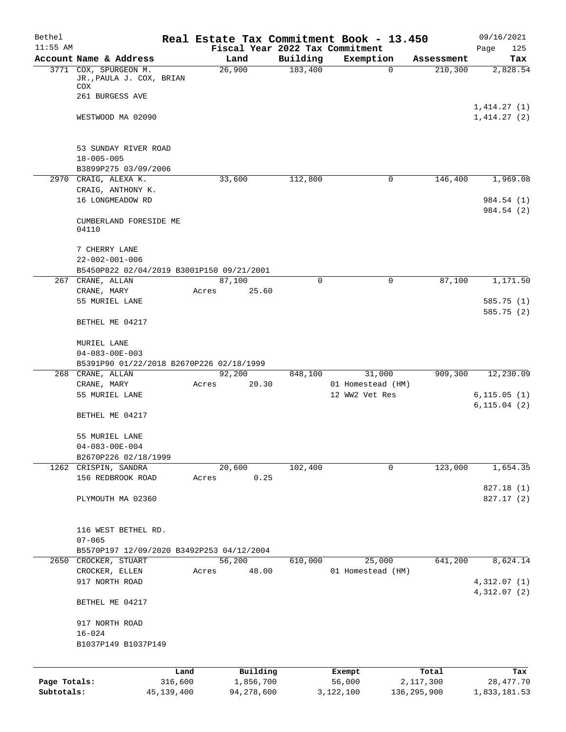| Bethel       |                                                         |                 |                |          | Real Estate Tax Commitment Book - 13.450 |                    | 09/16/2021               |
|--------------|---------------------------------------------------------|-----------------|----------------|----------|------------------------------------------|--------------------|--------------------------|
| $11:55$ AM   |                                                         |                 |                |          | Fiscal Year 2022 Tax Commitment          |                    | Page<br>125              |
|              | Account Name & Address                                  |                 | Land           | Building | Exemption                                | Assessment         | Tax                      |
|              | 3771 COX, SPURGEON M.<br>JR.,PAULA J. COX, BRIAN<br>COX |                 | 26,900         | 183,400  | $\mathbf 0$                              | 210,300            | 2,828.54                 |
|              | 261 BURGESS AVE                                         |                 |                |          |                                          |                    |                          |
|              |                                                         |                 |                |          |                                          |                    | 1,414.27(1)              |
|              | WESTWOOD MA 02090                                       |                 |                |          |                                          |                    | 1,414.27(2)              |
|              | 53 SUNDAY RIVER ROAD                                    |                 |                |          |                                          |                    |                          |
|              | $18 - 005 - 005$                                        |                 |                |          |                                          |                    |                          |
|              | B3899P275 03/09/2006                                    |                 |                |          |                                          |                    |                          |
|              | 2970 CRAIG, ALEXA K.                                    |                 | 33,600         | 112,800  | 0                                        | 146,400            | 1,969.08                 |
|              | CRAIG, ANTHONY K.                                       |                 |                |          |                                          |                    |                          |
|              | 16 LONGMEADOW RD                                        |                 |                |          |                                          |                    | 984.54 (1)<br>984.54 (2) |
|              | CUMBERLAND FORESIDE ME<br>04110                         |                 |                |          |                                          |                    |                          |
|              | 7 CHERRY LANE                                           |                 |                |          |                                          |                    |                          |
|              | $22 - 002 - 001 - 006$                                  |                 |                |          |                                          |                    |                          |
|              | B5450P822 02/04/2019 B3001P150 09/21/2001               |                 |                |          |                                          |                    |                          |
|              | 267 CRANE, ALLAN                                        |                 | 87,100         | 0        | 0                                        | 87,100             | 1,171.50                 |
|              | CRANE, MARY                                             |                 | Acres<br>25.60 |          |                                          |                    |                          |
|              | 55 MURIEL LANE                                          |                 |                |          |                                          |                    | 585.75 (1)               |
|              | BETHEL ME 04217                                         |                 |                |          |                                          |                    | 585.75 (2)               |
|              | MURIEL LANE                                             |                 |                |          |                                          |                    |                          |
|              | $04 - 083 - 00E - 003$                                  |                 |                |          |                                          |                    |                          |
|              | B5391P90 01/22/2018 B2670P226 02/18/1999                |                 |                |          |                                          |                    |                          |
| 268          | CRANE, ALLAN                                            |                 | 92,200         | 848,100  | 31,000                                   | 909,300            | 12,230.09                |
|              | CRANE, MARY<br>55 MURIEL LANE                           |                 | 20.30<br>Acres |          | 01 Homestead (HM)<br>12 WW2 Vet Res      |                    | 6, 115.05(1)             |
|              |                                                         |                 |                |          |                                          |                    | 6, 115.04(2)             |
|              | BETHEL ME 04217                                         |                 |                |          |                                          |                    |                          |
|              | 55 MURIEL LANE                                          |                 |                |          |                                          |                    |                          |
|              | $04 - 083 - 00E - 004$                                  |                 |                |          |                                          |                    |                          |
|              | B2670P226 02/18/1999                                    |                 |                |          |                                          |                    |                          |
|              | 1262 CRISPIN, SANDRA                                    |                 | 20,600         | 102,400  | 0                                        | 123,000            | 1,654.35                 |
|              | 156 REDBROOK ROAD                                       |                 | 0.25<br>Acres  |          |                                          |                    |                          |
|              | PLYMOUTH MA 02360                                       |                 |                |          |                                          |                    | 827.18 (1)<br>827.17(2)  |
|              | 116 WEST BETHEL RD.                                     |                 |                |          |                                          |                    |                          |
|              | $07 - 065$                                              |                 |                |          |                                          |                    |                          |
|              | B5570P197 12/09/2020 B3492P253 04/12/2004               |                 |                |          |                                          |                    |                          |
|              | 2650 CROCKER, STUART                                    |                 | 56,200         | 610,000  | 25,000                                   | 641,200            | 8,624.14                 |
|              | CROCKER, ELLEN                                          |                 | 48.00<br>Acres |          | 01 Homestead (HM)                        |                    |                          |
|              | 917 NORTH ROAD                                          |                 |                |          |                                          |                    | 4,312.07 (1)             |
|              | BETHEL ME 04217                                         |                 |                |          |                                          |                    | 4,312.07(2)              |
|              | 917 NORTH ROAD                                          |                 |                |          |                                          |                    |                          |
|              | $16 - 024$                                              |                 |                |          |                                          |                    |                          |
|              | B1037P149 B1037P149                                     |                 |                |          |                                          |                    |                          |
|              |                                                         |                 |                |          |                                          |                    |                          |
|              |                                                         |                 | Building       |          |                                          |                    |                          |
| Page Totals: |                                                         | Land<br>316,600 | 1,856,700      |          | Exempt<br>56,000                         | Total<br>2,117,300 | Tax<br>28, 477. 70       |
| Subtotals:   |                                                         | 45, 139, 400    | 94,278,600     |          | 3,122,100                                | 136,295,900        | 1,833,181.53             |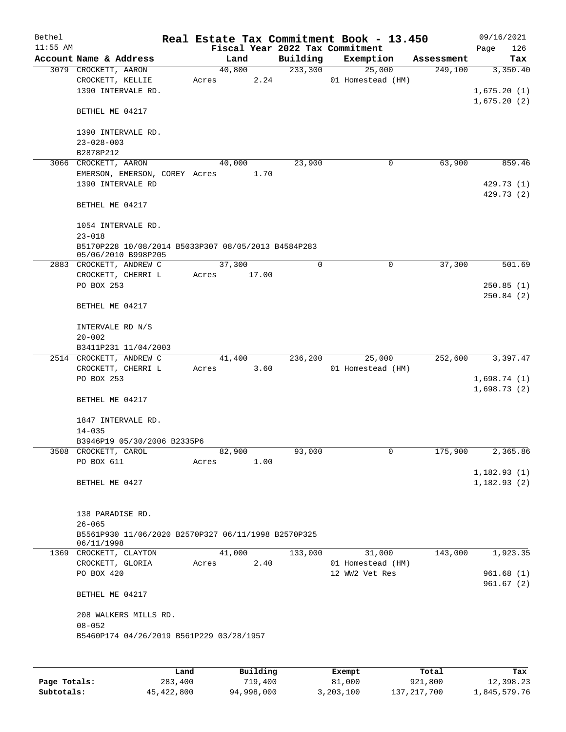| Bethel<br>$11:55$ AM |                                                                   |       |        |      |             | Real Estate Tax Commitment Book - 13.450<br>Fiscal Year 2022 Tax Commitment |   |            | Page | 09/16/2021<br>126     |
|----------------------|-------------------------------------------------------------------|-------|--------|------|-------------|-----------------------------------------------------------------------------|---|------------|------|-----------------------|
|                      | Account Name & Address                                            |       | Land   |      | Building    | Exemption                                                                   |   | Assessment |      | Tax                   |
|                      | 3079 CROCKETT, AARON                                              |       | 40,800 |      | 233,300     | 25,000                                                                      |   | 249,100    |      | 3,350.40              |
|                      | CROCKETT, KELLIE                                                  | Acres |        | 2.24 |             | 01 Homestead (HM)                                                           |   |            |      |                       |
|                      | 1390 INTERVALE RD.                                                |       |        |      |             |                                                                             |   |            |      | 1,675.20(1)           |
|                      |                                                                   |       |        |      |             |                                                                             |   |            |      | 1,675.20(2)           |
|                      | BETHEL ME 04217                                                   |       |        |      |             |                                                                             |   |            |      |                       |
|                      |                                                                   |       |        |      |             |                                                                             |   |            |      |                       |
|                      | 1390 INTERVALE RD.                                                |       |        |      |             |                                                                             |   |            |      |                       |
|                      | $23 - 028 - 003$                                                  |       |        |      |             |                                                                             |   |            |      |                       |
|                      | B2878P212                                                         |       |        |      |             |                                                                             |   |            |      |                       |
| 3066                 | CROCKETT, AARON                                                   |       | 40,000 |      | 23,900      |                                                                             | 0 | 63,900     |      | 859.46                |
|                      | EMERSON, EMERSON, COREY Acres                                     |       |        | 1.70 |             |                                                                             |   |            |      |                       |
|                      | 1390 INTERVALE RD                                                 |       |        |      |             |                                                                             |   |            |      | 429.73 (1)            |
|                      |                                                                   |       |        |      |             |                                                                             |   |            |      | 429.73 (2)            |
|                      | BETHEL ME 04217                                                   |       |        |      |             |                                                                             |   |            |      |                       |
|                      |                                                                   |       |        |      |             |                                                                             |   |            |      |                       |
|                      | 1054 INTERVALE RD.                                                |       |        |      |             |                                                                             |   |            |      |                       |
|                      | $23 - 018$                                                        |       |        |      |             |                                                                             |   |            |      |                       |
|                      | B5170P228 10/08/2014 B5033P307 08/05/2013 B4584P283               |       |        |      |             |                                                                             |   |            |      |                       |
|                      | 05/06/2010 B998P205<br>2883 CROCKETT, ANDREW C                    |       | 37,300 |      | $\mathbf 0$ |                                                                             | 0 | 37,300     |      | 501.69                |
|                      | CROCKETT, CHERRI L                                                | Acres | 17.00  |      |             |                                                                             |   |            |      |                       |
|                      | PO BOX 253                                                        |       |        |      |             |                                                                             |   |            |      | 250.85(1)             |
|                      |                                                                   |       |        |      |             |                                                                             |   |            |      | 250.84(2)             |
|                      | BETHEL ME 04217                                                   |       |        |      |             |                                                                             |   |            |      |                       |
|                      |                                                                   |       |        |      |             |                                                                             |   |            |      |                       |
|                      | INTERVALE RD N/S                                                  |       |        |      |             |                                                                             |   |            |      |                       |
|                      | $20 - 002$                                                        |       |        |      |             |                                                                             |   |            |      |                       |
|                      | B3411P231 11/04/2003                                              |       |        |      |             |                                                                             |   |            |      |                       |
|                      | 2514 CROCKETT, ANDREW C                                           |       | 41,400 |      | 236,200     | 25,000                                                                      |   | 252,600    |      | 3,397.47              |
|                      | CROCKETT, CHERRI L                                                | Acres |        | 3.60 |             | 01 Homestead (HM)                                                           |   |            |      |                       |
|                      | PO BOX 253                                                        |       |        |      |             |                                                                             |   |            |      | 1,698.74(1)           |
|                      |                                                                   |       |        |      |             |                                                                             |   |            |      | 1,698.73(2)           |
|                      | BETHEL ME 04217                                                   |       |        |      |             |                                                                             |   |            |      |                       |
|                      |                                                                   |       |        |      |             |                                                                             |   |            |      |                       |
|                      | 1847 INTERVALE RD.                                                |       |        |      |             |                                                                             |   |            |      |                       |
|                      | $14 - 035$                                                        |       |        |      |             |                                                                             |   |            |      |                       |
|                      | B3946P19 05/30/2006 B2335P6                                       |       |        |      |             |                                                                             |   |            |      |                       |
|                      | 3508 CROCKETT, CAROL                                              |       | 82,900 |      | 93,000      |                                                                             | 0 | 175,900    |      | $2,365.\overline{86}$ |
|                      | PO BOX 611                                                        | Acres |        | 1.00 |             |                                                                             |   |            |      |                       |
|                      |                                                                   |       |        |      |             |                                                                             |   |            |      | 1,182.93(1)           |
|                      | BETHEL ME 0427                                                    |       |        |      |             |                                                                             |   |            |      | 1,182.93(2)           |
|                      |                                                                   |       |        |      |             |                                                                             |   |            |      |                       |
|                      |                                                                   |       |        |      |             |                                                                             |   |            |      |                       |
|                      | 138 PARADISE RD.                                                  |       |        |      |             |                                                                             |   |            |      |                       |
|                      | $26 - 065$                                                        |       |        |      |             |                                                                             |   |            |      |                       |
|                      | B5561P930 11/06/2020 B2570P327 06/11/1998 B2570P325<br>06/11/1998 |       |        |      |             |                                                                             |   |            |      |                       |
|                      | 1369 CROCKETT, CLAYTON                                            |       | 41,000 |      | 133,000     | 31,000                                                                      |   | 143,000    |      | 1,923.35              |
|                      | CROCKETT, GLORIA                                                  | Acres |        | 2.40 |             | 01 Homestead (HM)                                                           |   |            |      |                       |
|                      | PO BOX 420                                                        |       |        |      |             | 12 WW2 Vet Res                                                              |   |            |      | 961.68(1)             |
|                      |                                                                   |       |        |      |             |                                                                             |   |            |      | 961.67(2)             |
|                      | BETHEL ME 04217                                                   |       |        |      |             |                                                                             |   |            |      |                       |
|                      |                                                                   |       |        |      |             |                                                                             |   |            |      |                       |
|                      | 208 WALKERS MILLS RD.                                             |       |        |      |             |                                                                             |   |            |      |                       |
|                      | $08 - 052$                                                        |       |        |      |             |                                                                             |   |            |      |                       |
|                      | B5460P174 04/26/2019 B561P229 03/28/1957                          |       |        |      |             |                                                                             |   |            |      |                       |
|                      |                                                                   |       |        |      |             |                                                                             |   |            |      |                       |
|                      |                                                                   |       |        |      |             |                                                                             |   |            |      |                       |
|                      |                                                                   |       |        |      |             |                                                                             |   |            |      |                       |

|              | Land       | Building   | Exempt    | Total       | Tax          |
|--------------|------------|------------|-----------|-------------|--------------|
| Page Totals: | 283,400    | 719,400    | 81,000    | 921,800     | 12,398.23    |
| Subtotals:   | 45,422,800 | 94,998,000 | 3,203,100 | 137,217,700 | 1,845,579.76 |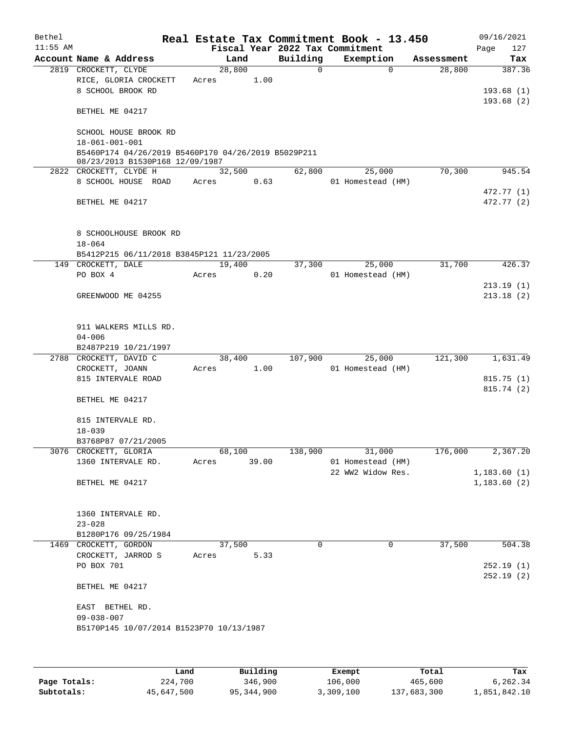| Bethel<br>$11:55$ AM |                                                                                        |        |       |          | Real Estate Tax Commitment Book - 13.450<br>Fiscal Year 2022 Tax Commitment |            | 09/16/2021<br>Page<br>127 |
|----------------------|----------------------------------------------------------------------------------------|--------|-------|----------|-----------------------------------------------------------------------------|------------|---------------------------|
|                      | Account Name & Address                                                                 | Land   |       | Building | Exemption                                                                   | Assessment | Tax                       |
|                      | 2819 CROCKETT, CLYDE                                                                   | 28,800 |       | $\Omega$ | $\Omega$                                                                    | 28,800     | 387.36                    |
|                      | RICE, GLORIA CROCKETT                                                                  | Acres  | 1.00  |          |                                                                             |            |                           |
|                      | 8 SCHOOL BROOK RD                                                                      |        |       |          |                                                                             |            | 193.68(1)<br>193.68(2)    |
|                      | BETHEL ME 04217                                                                        |        |       |          |                                                                             |            |                           |
|                      | SCHOOL HOUSE BROOK RD<br>18-061-001-001                                                |        |       |          |                                                                             |            |                           |
|                      | B5460P174 04/26/2019 B5460P170 04/26/2019 B5029P211<br>08/23/2013 B1530P168 12/09/1987 |        |       |          |                                                                             |            |                           |
|                      | 2822 CROCKETT, CLYDE H                                                                 | 32,500 |       | 62,800   | 25,000                                                                      | 70,300     | 945.54                    |
|                      | 8 SCHOOL HOUSE ROAD                                                                    | Acres  | 0.63  |          | 01 Homestead (HM)                                                           |            |                           |
|                      |                                                                                        |        |       |          |                                                                             |            | 472.77 (1)                |
|                      | BETHEL ME 04217                                                                        |        |       |          |                                                                             |            | 472.77 (2)                |
|                      | 8 SCHOOLHOUSE BROOK RD                                                                 |        |       |          |                                                                             |            |                           |
|                      | $18 - 064$                                                                             |        |       |          |                                                                             |            |                           |
|                      | B5412P215 06/11/2018 B3845P121 11/23/2005                                              |        |       |          |                                                                             |            |                           |
|                      | 149 CROCKETT, DALE<br>PO BOX 4                                                         | 19,400 |       | 37,300   | 25,000                                                                      | 31,700     | 426.37                    |
|                      |                                                                                        | Acres  | 0.20  |          | 01 Homestead (HM)                                                           |            | 213.19(1)                 |
|                      | GREENWOOD ME 04255                                                                     |        |       |          |                                                                             |            | 213.18(2)                 |
|                      | 911 WALKERS MILLS RD.                                                                  |        |       |          |                                                                             |            |                           |
|                      | $04 - 006$                                                                             |        |       |          |                                                                             |            |                           |
|                      | B2487P219 10/21/1997                                                                   |        |       |          |                                                                             |            |                           |
|                      | 2788 CROCKETT, DAVID C                                                                 | 38,400 |       | 107,900  | 25,000                                                                      | 121,300    | 1,631.49                  |
|                      | CROCKETT, JOANN                                                                        | Acres  | 1.00  |          | 01 Homestead (HM)                                                           |            |                           |
|                      | 815 INTERVALE ROAD                                                                     |        |       |          |                                                                             |            | 815.75(1)                 |
|                      |                                                                                        |        |       |          |                                                                             |            | 815.74(2)                 |
|                      | BETHEL ME 04217                                                                        |        |       |          |                                                                             |            |                           |
|                      | 815 INTERVALE RD.                                                                      |        |       |          |                                                                             |            |                           |
|                      | $18 - 039$                                                                             |        |       |          |                                                                             |            |                           |
|                      | B3768P87 07/21/2005                                                                    |        |       |          |                                                                             |            |                           |
|                      | 3076 CROCKETT, GLORIA                                                                  | 68,100 |       | 138,900  | 31,000                                                                      | 176,000    | 2,367.20                  |
|                      | 1360 INTERVALE RD.                                                                     | Acres  | 39.00 |          | 01 Homestead (HM)                                                           |            |                           |
|                      |                                                                                        |        |       |          | 22 WW2 Widow Res.                                                           |            | 1,183.60(1)               |
|                      | BETHEL ME 04217                                                                        |        |       |          |                                                                             |            | 1,183.60(2)               |
|                      | 1360 INTERVALE RD.                                                                     |        |       |          |                                                                             |            |                           |
|                      | $23 - 028$                                                                             |        |       |          |                                                                             |            |                           |
|                      | B1280P176 09/25/1984                                                                   |        |       |          |                                                                             |            |                           |
| 1469                 | CROCKETT, GORDON                                                                       | 37,500 |       | 0        | 0                                                                           | 37,500     | 504.38                    |
|                      | CROCKETT, JARROD S                                                                     | Acres  | 5.33  |          |                                                                             |            |                           |
|                      | PO BOX 701                                                                             |        |       |          |                                                                             |            | 252.19(1)                 |
|                      | BETHEL ME 04217                                                                        |        |       |          |                                                                             |            | 252.19(2)                 |
|                      | EAST BETHEL RD.                                                                        |        |       |          |                                                                             |            |                           |
|                      | $09 - 038 - 007$<br>B5170P145 10/07/2014 B1523P70 10/13/1987                           |        |       |          |                                                                             |            |                           |
|                      |                                                                                        |        |       |          |                                                                             |            |                           |
|                      |                                                                                        |        |       |          |                                                                             |            |                           |

|              | Land       | Building   | Exempt    | Total       | Tax          |
|--------------|------------|------------|-----------|-------------|--------------|
| Page Totals: | 224,700    | 346,900    | 106,000   | 465,600     | 6,262.34     |
| Subtotals:   | 45,647,500 | 95,344,900 | 3,309,100 | 137,683,300 | 1,851,842.10 |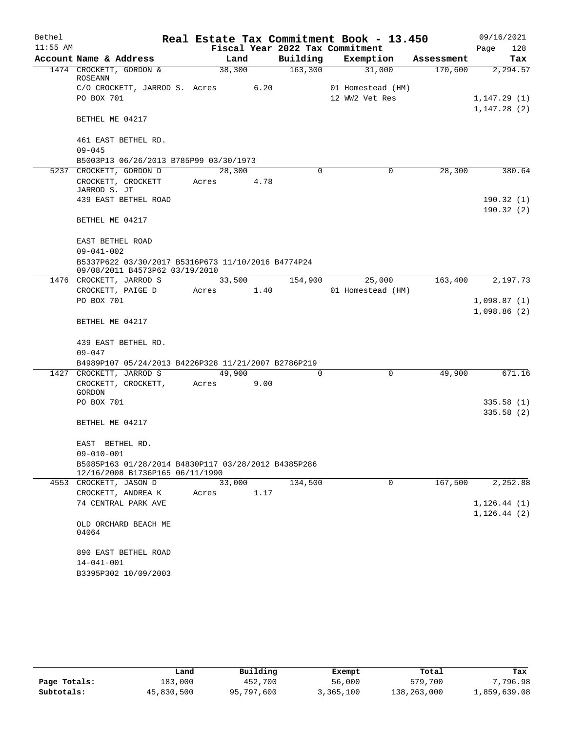| Bethel     |                                                                                      |        |      |          | Real Estate Tax Commitment Book - 13.450 |            | 09/16/2021   |
|------------|--------------------------------------------------------------------------------------|--------|------|----------|------------------------------------------|------------|--------------|
| $11:55$ AM |                                                                                      |        |      |          | Fiscal Year 2022 Tax Commitment          |            | 128<br>Page  |
|            | Account Name & Address                                                               | Land   |      | Building | Exemption                                | Assessment | Tax          |
|            | 1474 CROCKETT, GORDON &<br>ROSEANN                                                   | 38,300 |      | 163,300  | 31,000                                   | 170,600    | 2,294.57     |
|            | C/O CROCKETT, JARROD S. Acres                                                        |        | 6.20 |          | 01 Homestead (HM)                        |            |              |
|            | PO BOX 701                                                                           |        |      |          | 12 WW2 Vet Res                           |            | 1,147.29(1)  |
|            |                                                                                      |        |      |          |                                          |            | 1,147.28(2)  |
|            | BETHEL ME 04217                                                                      |        |      |          |                                          |            |              |
|            | 461 EAST BETHEL RD.                                                                  |        |      |          |                                          |            |              |
|            | $09 - 045$                                                                           |        |      |          |                                          |            |              |
|            | B5003P13 06/26/2013 B785P99 03/30/1973                                               |        |      |          |                                          |            |              |
|            | 5237 CROCKETT, GORDON D                                                              | 28,300 |      | $\Omega$ | 0                                        | 28,300     | 380.64       |
|            | CROCKETT, CROCKETT<br>JARROD S. JT                                                   | Acres  | 4.78 |          |                                          |            |              |
|            | 439 EAST BETHEL ROAD                                                                 |        |      |          |                                          |            | 190.32(1)    |
|            |                                                                                      |        |      |          |                                          |            | 190.32(2)    |
|            | BETHEL ME 04217                                                                      |        |      |          |                                          |            |              |
|            | EAST BETHEL ROAD                                                                     |        |      |          |                                          |            |              |
|            | $09 - 041 - 002$                                                                     |        |      |          |                                          |            |              |
|            | B5337P622 03/30/2017 B5316P673 11/10/2016 B4774P24<br>09/08/2011 B4573P62 03/19/2010 |        |      |          |                                          |            |              |
|            | 1476 CROCKETT, JARROD S                                                              | 33,500 |      | 154,900  | 25,000                                   | 163,400    | 2,197.73     |
|            | CROCKETT, PAIGE D                                                                    | Acres  | 1.40 |          | 01 Homestead (HM)                        |            |              |
|            | PO BOX 701                                                                           |        |      |          |                                          |            | 1,098.87(1)  |
|            |                                                                                      |        |      |          |                                          |            | 1,098.86(2)  |
|            | BETHEL ME 04217                                                                      |        |      |          |                                          |            |              |
|            | 439 EAST BETHEL RD.                                                                  |        |      |          |                                          |            |              |
|            | $09 - 047$                                                                           |        |      |          |                                          |            |              |
|            | B4989P107 05/24/2013 B4226P328 11/21/2007 B2786P219                                  |        |      |          |                                          |            |              |
|            | 1427 CROCKETT, JARROD S                                                              | 49,900 |      | $\Omega$ | $\mathbf 0$                              | 49,900     | 671.16       |
|            | CROCKETT, CROCKETT,<br>GORDON                                                        | Acres  | 9.00 |          |                                          |            |              |
|            | PO BOX 701                                                                           |        |      |          |                                          |            | 335.58(1)    |
|            |                                                                                      |        |      |          |                                          |            | 335.58(2)    |
|            | BETHEL ME 04217                                                                      |        |      |          |                                          |            |              |
|            | EAST<br>BETHEL RD.                                                                   |        |      |          |                                          |            |              |
|            | 09-010-001                                                                           |        |      |          |                                          |            |              |
|            | B5085P163 01/28/2014 B4830P117 03/28/2012 B4385P286                                  |        |      |          |                                          |            |              |
|            | 12/16/2008 B1736P165 06/11/1990                                                      |        |      |          |                                          |            |              |
|            | 4553 CROCKETT, JASON D                                                               | 33,000 |      | 134,500  | 0                                        | 167,500    | 2,252.88     |
|            | CROCKETT, ANDREA K                                                                   | Acres  | 1.17 |          |                                          |            |              |
|            | 74 CENTRAL PARK AVE                                                                  |        |      |          |                                          |            | 1, 126.44(1) |
|            |                                                                                      |        |      |          |                                          |            | 1, 126.44(2) |
|            | OLD ORCHARD BEACH ME<br>04064                                                        |        |      |          |                                          |            |              |
|            | 890 EAST BETHEL ROAD                                                                 |        |      |          |                                          |            |              |
|            | $14 - 041 - 001$                                                                     |        |      |          |                                          |            |              |
|            | B3395P302 10/09/2003                                                                 |        |      |          |                                          |            |              |
|            |                                                                                      |        |      |          |                                          |            |              |

|              | Land       | Building   | Exempt    | Total       | Tax          |
|--------------|------------|------------|-----------|-------------|--------------|
| Page Totals: | 183,000    | 452,700    | 56,000    | 579,700     | 7,796.98     |
| Subtotals:   | 45,830,500 | 95,797,600 | 3,365,100 | 138,263,000 | 1,859,639.08 |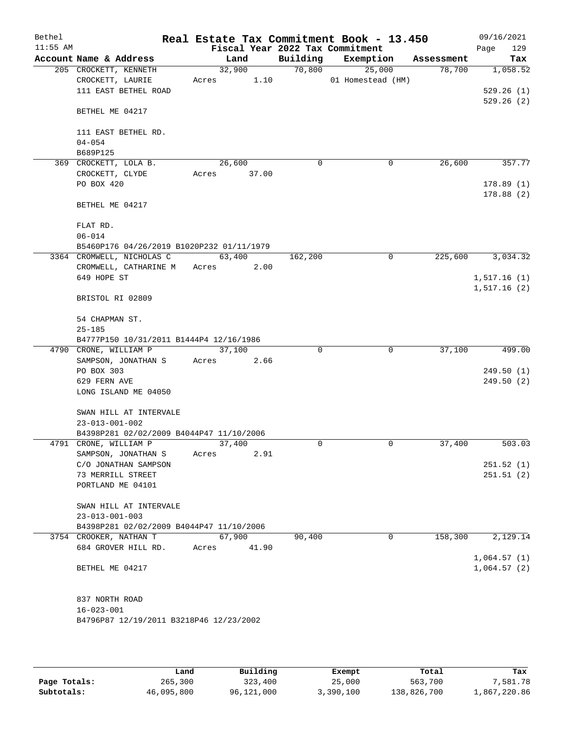| Bethel     |                                                               |             |        |             | Real Estate Tax Commitment Book - 13.450 |            | 09/16/2021  |
|------------|---------------------------------------------------------------|-------------|--------|-------------|------------------------------------------|------------|-------------|
| $11:55$ AM |                                                               |             |        |             | Fiscal Year 2022 Tax Commitment          |            | 129<br>Page |
|            | Account Name & Address                                        |             | Land   | Building    | Exemption                                | Assessment | Tax         |
|            | 205 CROCKETT, KENNETH                                         |             | 32,900 | 70,800      | 25,000                                   | 78,700     | 1,058.52    |
|            | CROCKETT, LAURIE<br>111 EAST BETHEL ROAD                      | Acres       | 1.10   |             | 01 Homestead (HM)                        |            | 529.26(1)   |
|            |                                                               |             |        |             |                                          |            | 529.26(2)   |
|            | BETHEL ME 04217                                               |             |        |             |                                          |            |             |
|            | 111 EAST BETHEL RD.                                           |             |        |             |                                          |            |             |
|            | $04 - 054$                                                    |             |        |             |                                          |            |             |
|            | B689P125                                                      |             |        |             |                                          |            |             |
|            | 369 CROCKETT, LOLA B.                                         |             | 26,600 | $\mathbf 0$ | 0                                        | 26,600     | 357.77      |
|            | CROCKETT, CLYDE                                               | Acres 37.00 |        |             |                                          |            |             |
|            | PO BOX 420                                                    |             |        |             |                                          |            | 178.89(1)   |
|            | BETHEL ME 04217                                               |             |        |             |                                          |            | 178.88(2)   |
|            | FLAT RD.                                                      |             |        |             |                                          |            |             |
|            | $06 - 014$                                                    |             |        |             |                                          |            |             |
|            | B5460P176 04/26/2019 B1020P232 01/11/1979                     |             |        |             |                                          |            |             |
|            | 3364 CROMWELL, NICHOLAS C<br>CROMWELL, CATHARINE M Acres 2.00 |             | 63,400 | 162,200     | 0                                        | 225,600    | 3,034.32    |
|            | 649 HOPE ST                                                   |             |        |             |                                          |            | 1,517.16(1) |
|            |                                                               |             |        |             |                                          |            | 1,517.16(2) |
|            | BRISTOL RI 02809                                              |             |        |             |                                          |            |             |
|            | 54 CHAPMAN ST.                                                |             |        |             |                                          |            |             |
|            | $25 - 185$                                                    |             |        |             |                                          |            |             |
|            | B4777P150 10/31/2011 B1444P4 12/16/1986                       |             |        |             |                                          |            |             |
|            | 4790 CRONE, WILLIAM P                                         |             | 37,100 | $\Omega$    | 0                                        | 37,100     | 499.00      |
|            | SAMPSON, JONATHAN S                                           | Acres       | 2.66   |             |                                          |            |             |
|            | PO BOX 303                                                    |             |        |             |                                          |            | 249.50(1)   |
|            | 629 FERN AVE                                                  |             |        |             |                                          |            | 249.50(2)   |
|            | LONG ISLAND ME 04050                                          |             |        |             |                                          |            |             |
|            | SWAN HILL AT INTERVALE                                        |             |        |             |                                          |            |             |
|            | $23 - 013 - 001 - 002$                                        |             |        |             |                                          |            |             |
|            | B4398P281 02/02/2009 B4044P47 11/10/2006                      |             |        |             |                                          |            |             |
|            | 4791 CRONE, WILLIAM P                                         |             | 37,400 | 0           | 0                                        | 37,400     | 503.03      |
|            | SAMPSON, JONATHAN S                                           | Acres       | 2.91   |             |                                          |            |             |
|            | C/O JONATHAN SAMPSON                                          |             |        |             |                                          |            | 251.52(1)   |
|            | 73 MERRILL STREET                                             |             |        |             |                                          |            | 251.51(2)   |
|            | PORTLAND ME 04101                                             |             |        |             |                                          |            |             |
|            | SWAN HILL AT INTERVALE                                        |             |        |             |                                          |            |             |
|            | $23 - 013 - 001 - 003$                                        |             |        |             |                                          |            |             |
|            | B4398P281 02/02/2009 B4044P47 11/10/2006                      |             |        |             |                                          |            |             |
|            | 3754 CROOKER, NATHAN T                                        |             | 67,900 | 90,400      | 0                                        | 158,300    | 2,129.14    |
|            | 684 GROVER HILL RD.                                           | Acres       | 41.90  |             |                                          |            |             |
|            |                                                               |             |        |             |                                          |            | 1,064.57(1) |
|            | BETHEL ME 04217                                               |             |        |             |                                          |            | 1,064.57(2) |
|            | 837 NORTH ROAD                                                |             |        |             |                                          |            |             |
|            | $16 - 023 - 001$                                              |             |        |             |                                          |            |             |
|            | B4796P87 12/19/2011 B3218P46 12/23/2002                       |             |        |             |                                          |            |             |
|            |                                                               |             |        |             |                                          |            |             |

|              | Land       | Building   | Exempt    | Total       | Tax          |
|--------------|------------|------------|-----------|-------------|--------------|
| Page Totals: | 265,300    | 323,400    | 25,000    | 563,700     | 7,581.78     |
| Subtotals:   | 46,095,800 | 96,121,000 | 3,390,100 | 138,826,700 | 1,867,220.86 |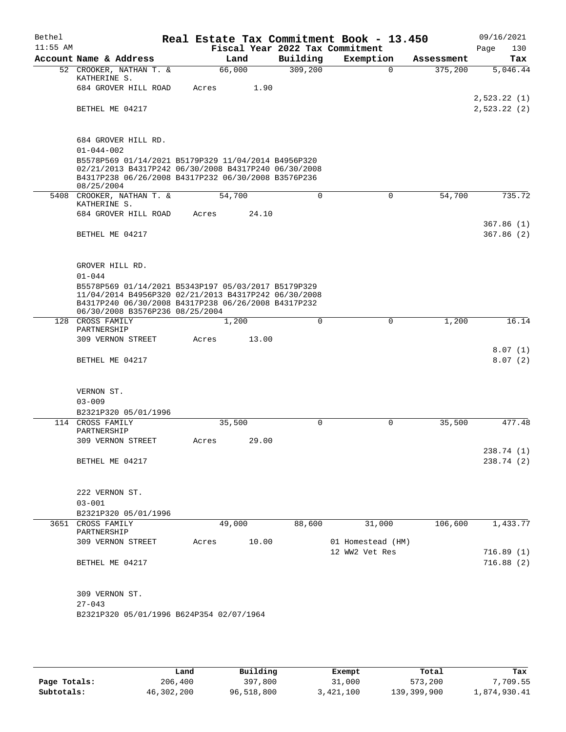| Bethel     |                                                                   |       |        |       | Real Estate Tax Commitment Book - 13.450 |                   |            | 09/16/2021              |
|------------|-------------------------------------------------------------------|-------|--------|-------|------------------------------------------|-------------------|------------|-------------------------|
| $11:55$ AM |                                                                   |       |        |       | Fiscal Year 2022 Tax Commitment          |                   |            | Page<br>130             |
|            | Account Name & Address                                            |       | Land   |       | Building                                 | Exemption         | Assessment | Tax                     |
|            | 52 CROOKER, NATHAN T. &<br>KATHERINE S.                           |       | 66,000 |       | 309,200                                  | $\Omega$          | 375,200    | 5,046.44                |
|            | 684 GROVER HILL ROAD                                              | Acres |        | 1.90  |                                          |                   |            |                         |
|            |                                                                   |       |        |       |                                          |                   |            | 2,523.22(1)             |
|            | BETHEL ME 04217                                                   |       |        |       |                                          |                   |            | 2,523.22 (2)            |
|            |                                                                   |       |        |       |                                          |                   |            |                         |
|            | 684 GROVER HILL RD.<br>$01 - 044 - 002$                           |       |        |       |                                          |                   |            |                         |
|            | B5578P569 01/14/2021 B5179P329 11/04/2014 B4956P320               |       |        |       |                                          |                   |            |                         |
|            | 02/21/2013 B4317P242 06/30/2008 B4317P240 06/30/2008              |       |        |       |                                          |                   |            |                         |
|            | B4317P238 06/26/2008 B4317P232 06/30/2008 B3576P236<br>08/25/2004 |       |        |       |                                          |                   |            |                         |
|            | 5408 CROOKER, NATHAN T. &                                         |       | 54,700 |       | $\Omega$                                 | 0                 | 54,700     | 735.72                  |
|            | KATHERINE S.                                                      |       |        |       |                                          |                   |            |                         |
|            | 684 GROVER HILL ROAD                                              | Acres |        | 24.10 |                                          |                   |            | 367.86(1)               |
|            | BETHEL ME 04217                                                   |       |        |       |                                          |                   |            | 367.86(2)               |
|            |                                                                   |       |        |       |                                          |                   |            |                         |
|            |                                                                   |       |        |       |                                          |                   |            |                         |
|            | GROVER HILL RD.                                                   |       |        |       |                                          |                   |            |                         |
|            | $01 - 044$<br>B5578P569 01/14/2021 B5343P197 05/03/2017 B5179P329 |       |        |       |                                          |                   |            |                         |
|            | 11/04/2014 B4956P320 02/21/2013 B4317P242 06/30/2008              |       |        |       |                                          |                   |            |                         |
|            | B4317P240 06/30/2008 B4317P238 06/26/2008 B4317P232               |       |        |       |                                          |                   |            |                         |
|            | 06/30/2008 B3576P236 08/25/2004<br>128 CROSS FAMILY               |       | 1,200  |       | 0                                        | 0                 | 1,200      | 16.14                   |
|            | PARTNERSHIP                                                       |       |        |       |                                          |                   |            |                         |
|            | 309 VERNON STREET                                                 | Acres |        | 13.00 |                                          |                   |            |                         |
|            | BETHEL ME 04217                                                   |       |        |       |                                          |                   |            | 8.07(1)<br>8.07(2)      |
|            |                                                                   |       |        |       |                                          |                   |            |                         |
|            |                                                                   |       |        |       |                                          |                   |            |                         |
|            | VERNON ST.                                                        |       |        |       |                                          |                   |            |                         |
|            | $03 - 009$                                                        |       |        |       |                                          |                   |            |                         |
|            | B2321P320 05/01/1996<br>114 CROSS FAMILY                          |       | 35,500 |       | 0                                        | 0                 | 35,500     | 477.48                  |
|            | PARTNERSHIP                                                       |       |        |       |                                          |                   |            |                         |
|            | 309 VERNON STREET                                                 | Acres |        | 29.00 |                                          |                   |            |                         |
|            | BETHEL ME 04217                                                   |       |        |       |                                          |                   |            | 238.74 (1)<br>238.74(2) |
|            |                                                                   |       |        |       |                                          |                   |            |                         |
|            |                                                                   |       |        |       |                                          |                   |            |                         |
|            | 222 VERNON ST.                                                    |       |        |       |                                          |                   |            |                         |
|            | $03 - 001$                                                        |       |        |       |                                          |                   |            |                         |
|            | B2321P320 05/01/1996<br>3651 CROSS FAMILY                         |       | 49,000 |       | 88,600                                   | 31,000            | 106,600    | 1,433.77                |
|            | PARTNERSHIP                                                       |       |        |       |                                          |                   |            |                         |
|            | 309 VERNON STREET                                                 | Acres |        | 10.00 |                                          | 01 Homestead (HM) |            |                         |
|            |                                                                   |       |        |       |                                          | 12 WW2 Vet Res    |            | 716.89(1)               |
|            | BETHEL ME 04217                                                   |       |        |       |                                          |                   |            | 716.88(2)               |
|            |                                                                   |       |        |       |                                          |                   |            |                         |
|            | 309 VERNON ST.                                                    |       |        |       |                                          |                   |            |                         |
|            | $27 - 043$                                                        |       |        |       |                                          |                   |            |                         |
|            | B2321P320 05/01/1996 B624P354 02/07/1964                          |       |        |       |                                          |                   |            |                         |
|            |                                                                   |       |        |       |                                          |                   |            |                         |
|            |                                                                   |       |        |       |                                          |                   |            |                         |

|              | Land       | Building   | Exempt    | Total       | Tax          |
|--------------|------------|------------|-----------|-------------|--------------|
| Page Totals: | 206,400    | 397,800    | 31,000    | 573,200     | 7,709.55     |
| Subtotals:   | 46,302,200 | 96,518,800 | 3,421,100 | 139,399,900 | 1,874,930.41 |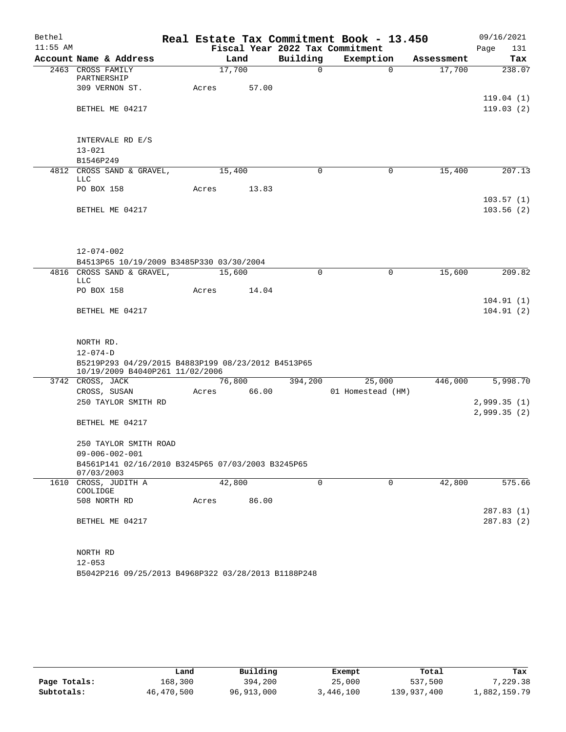| Bethel     |                                                                                       |  |       |        |             |          | Real Estate Tax Commitment Book - 13.450 |          |            | 09/16/2021                 |
|------------|---------------------------------------------------------------------------------------|--|-------|--------|-------------|----------|------------------------------------------|----------|------------|----------------------------|
| $11:55$ AM |                                                                                       |  |       |        |             |          | Fiscal Year 2022 Tax Commitment          |          |            | 131<br>Page                |
|            | Account Name & Address                                                                |  |       | Land   |             | Building | Exemption                                |          | Assessment | Tax                        |
|            | 2463 CROSS FAMILY<br>PARTNERSHIP                                                      |  |       | 17,700 |             | $\Omega$ |                                          | $\Omega$ | 17,700     | 238.07                     |
|            | 309 VERNON ST.                                                                        |  | Acres |        | 57.00       |          |                                          |          |            | 119.04(1)                  |
|            | BETHEL ME 04217                                                                       |  |       |        |             |          |                                          |          |            | 119.03(2)                  |
|            | INTERVALE RD E/S                                                                      |  |       |        |             |          |                                          |          |            |                            |
|            | $13 - 021$                                                                            |  |       |        |             |          |                                          |          |            |                            |
|            | B1546P249                                                                             |  |       |        |             |          |                                          |          |            |                            |
|            | 4812 CROSS SAND & GRAVEL,<br>LLC                                                      |  |       | 15,400 |             | 0        |                                          | 0        | 15,400     | 207.13                     |
|            | PO BOX 158                                                                            |  | Acres |        | 13.83       |          |                                          |          |            |                            |
|            | BETHEL ME 04217                                                                       |  |       |        |             |          |                                          |          |            | 103.57(1)<br>103.56(2)     |
|            | $12 - 074 - 002$                                                                      |  |       |        |             |          |                                          |          |            |                            |
|            | B4513P65 10/19/2009 B3485P330 03/30/2004                                              |  |       |        |             |          |                                          |          |            |                            |
|            | 4816 CROSS SAND & GRAVEL,<br><b>LLC</b>                                               |  |       | 15,600 |             | $\Omega$ |                                          | 0        | 15,600     | 209.82                     |
|            | PO BOX 158                                                                            |  | Acres |        | 14.04       |          |                                          |          |            |                            |
|            |                                                                                       |  |       |        |             |          |                                          |          |            | 104.91(1)                  |
|            | BETHEL ME 04217                                                                       |  |       |        |             |          |                                          |          |            | 104.91(2)                  |
|            | NORTH RD.                                                                             |  |       |        |             |          |                                          |          |            |                            |
|            | $12 - 074 - D$                                                                        |  |       |        |             |          |                                          |          |            |                            |
|            | B5219P293 04/29/2015 B4883P199 08/23/2012 B4513P65<br>10/19/2009 B4040P261 11/02/2006 |  |       |        |             |          |                                          |          |            |                            |
|            | 3742 CROSS, JACK                                                                      |  |       | 76,800 |             | 394,200  | 25,000                                   |          | 446,000    | 5,998.70                   |
|            | CROSS, SUSAN                                                                          |  |       |        | Acres 66.00 |          | 01 Homestead (HM)                        |          |            |                            |
|            | 250 TAYLOR SMITH RD                                                                   |  |       |        |             |          |                                          |          |            | 2,999.35(1)<br>2,999.35(2) |
|            | BETHEL ME 04217                                                                       |  |       |        |             |          |                                          |          |            |                            |
|            | 250 TAYLOR SMITH ROAD                                                                 |  |       |        |             |          |                                          |          |            |                            |
|            | $09 - 006 - 002 - 001$<br>B4561P141 02/16/2010 B3245P65 07/03/2003 B3245P65           |  |       |        |             |          |                                          |          |            |                            |
|            | 07/03/2003<br>1610 CROSS, JUDITH A<br>COOLIDGE                                        |  |       | 42,800 |             | 0        |                                          | 0        | 42,800     | 575.66                     |
|            | 508 NORTH RD                                                                          |  | Acres |        | 86.00       |          |                                          |          |            |                            |
|            | BETHEL ME 04217                                                                       |  |       |        |             |          |                                          |          |            | 287.83 (1)<br>287.83(2)    |
|            | NORTH RD                                                                              |  |       |        |             |          |                                          |          |            |                            |
|            | $12 - 053$                                                                            |  |       |        |             |          |                                          |          |            |                            |

B5042P216 09/25/2013 B4968P322 03/28/2013 B1188P248

|              | Land       | Building   | Exempt    | Total       | Tax          |
|--------------|------------|------------|-----------|-------------|--------------|
| Page Totals: | 168,300    | 394,200    | 25,000    | 537,500     | 7,229.38     |
| Subtotals:   | 46,470,500 | 96,913,000 | 3,446,100 | 139,937,400 | 1,882,159.79 |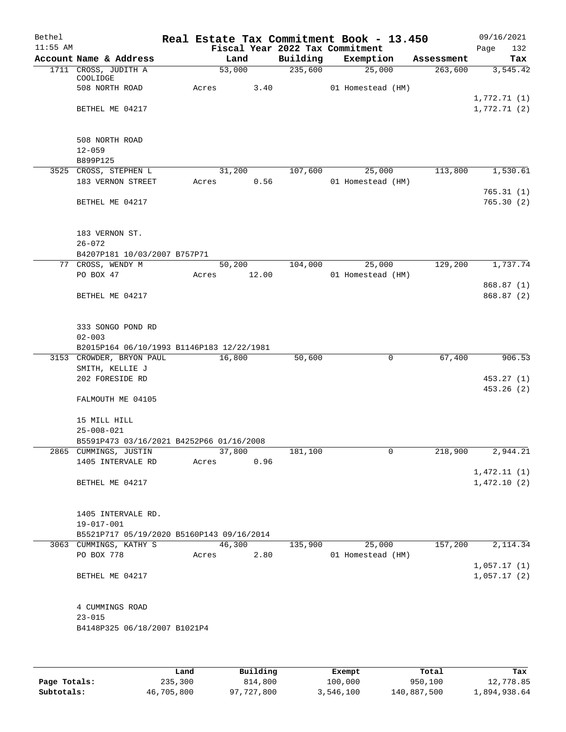| Bethel<br>$11:55$ AM |                                                         |       |                | Fiscal Year 2022 Tax Commitment | Real Estate Tax Commitment Book - 13.450 |            | 09/16/2021<br>132 |
|----------------------|---------------------------------------------------------|-------|----------------|---------------------------------|------------------------------------------|------------|-------------------|
|                      | Account Name & Address                                  |       | Land           | Building                        | Exemption                                | Assessment | Page<br>Tax       |
|                      | 1711 CROSS, JUDITH A                                    |       | 53,000         | 235,600                         | 25,000                                   | 263,600    | 3,545.42          |
|                      | COOLIDGE                                                |       |                |                                 |                                          |            |                   |
|                      | 508 NORTH ROAD                                          | Acres | 3.40           |                                 | 01 Homestead (HM)                        |            | 1,772.71(1)       |
|                      | BETHEL ME 04217                                         |       |                |                                 |                                          |            | 1,772.71(2)       |
|                      |                                                         |       |                |                                 |                                          |            |                   |
|                      |                                                         |       |                |                                 |                                          |            |                   |
|                      | 508 NORTH ROAD                                          |       |                |                                 |                                          |            |                   |
|                      | $12 - 059$<br>B899P125                                  |       |                |                                 |                                          |            |                   |
|                      | 3525 CROSS, STEPHEN L                                   |       | 31,200         | 107,600                         | 25,000                                   | 113,800    | 1,530.61          |
|                      | 183 VERNON STREET                                       | Acres | 0.56           |                                 | 01 Homestead (HM)                        |            |                   |
|                      |                                                         |       |                |                                 |                                          |            | 765.31(1)         |
|                      | BETHEL ME 04217                                         |       |                |                                 |                                          |            | 765.30(2)         |
|                      | 183 VERNON ST.                                          |       |                |                                 |                                          |            |                   |
|                      | $26 - 072$                                              |       |                |                                 |                                          |            |                   |
|                      | B4207P181 10/03/2007 B757P71                            |       |                |                                 |                                          |            |                   |
|                      | 77 CROSS, WENDY M                                       |       | 50,200         | 104,000                         | 25,000                                   | 129,200    | 1,737.74          |
|                      | PO BOX 47                                               | Acres | 12.00          |                                 | 01 Homestead (HM)                        |            | 868.87 (1)        |
|                      | BETHEL ME 04217                                         |       |                |                                 |                                          |            | 868.87 (2)        |
|                      |                                                         |       |                |                                 |                                          |            |                   |
|                      | 333 SONGO POND RD                                       |       |                |                                 |                                          |            |                   |
|                      | $02 - 003$<br>B2015P164 06/10/1993 B1146P183 12/22/1981 |       |                |                                 |                                          |            |                   |
|                      | 3153 CROWDER, BRYON PAUL                                |       | 16,800         | 50,600                          | 0                                        | 67,400     | 906.53            |
|                      | SMITH, KELLIE J                                         |       |                |                                 |                                          |            |                   |
|                      | 202 FORESIDE RD                                         |       |                |                                 |                                          |            | 453.27(1)         |
|                      | FALMOUTH ME 04105                                       |       |                |                                 |                                          |            | 453.26(2)         |
|                      | 15 MILL HILL                                            |       |                |                                 |                                          |            |                   |
|                      | $25 - 008 - 021$                                        |       |                |                                 |                                          |            |                   |
|                      | B5591P473 03/16/2021 B4252P66 01/16/2008                |       |                |                                 |                                          |            |                   |
|                      | 2865 CUMMINGS, JUSTIN                                   |       | 37,800<br>0.96 | 181,100                         | 0                                        | 218,900    | 2,944.21          |
|                      | 1405 INTERVALE RD                                       | Acres |                |                                 |                                          |            | 1,472.11(1)       |
|                      | BETHEL ME 04217                                         |       |                |                                 |                                          |            | 1,472.10(2)       |
|                      |                                                         |       |                |                                 |                                          |            |                   |
|                      | 1405 INTERVALE RD.                                      |       |                |                                 |                                          |            |                   |
|                      | 19-017-001                                              |       |                |                                 |                                          |            |                   |
|                      | B5521P717 05/19/2020 B5160P143 09/16/2014               |       |                |                                 |                                          |            |                   |
|                      | 3063 CUMMINGS, KATHY S<br>PO BOX 778                    | Acres | 46,300         | 135,900                         | 25,000                                   | 157,200    | 2,114.34          |
|                      |                                                         |       | 2.80           |                                 | 01 Homestead (HM)                        |            | 1,057.17(1)       |
|                      | BETHEL ME 04217                                         |       |                |                                 |                                          |            | 1,057.17(2)       |
|                      | 4 CUMMINGS ROAD                                         |       |                |                                 |                                          |            |                   |
|                      | $23 - 015$                                              |       |                |                                 |                                          |            |                   |
|                      | B4148P325 06/18/2007 B1021P4                            |       |                |                                 |                                          |            |                   |
|                      |                                                         |       |                |                                 |                                          |            |                   |
|                      |                                                         |       |                |                                 |                                          |            |                   |

|              | Land       | Building   | Exempt    | Total       | Tax          |
|--------------|------------|------------|-----------|-------------|--------------|
| Page Totals: | 235,300    | 814,800    | 100,000   | 950,100     | 12,778.85    |
| Subtotals:   | 46,705,800 | 97,727,800 | 3,546,100 | 140,887,500 | 1,894,938.64 |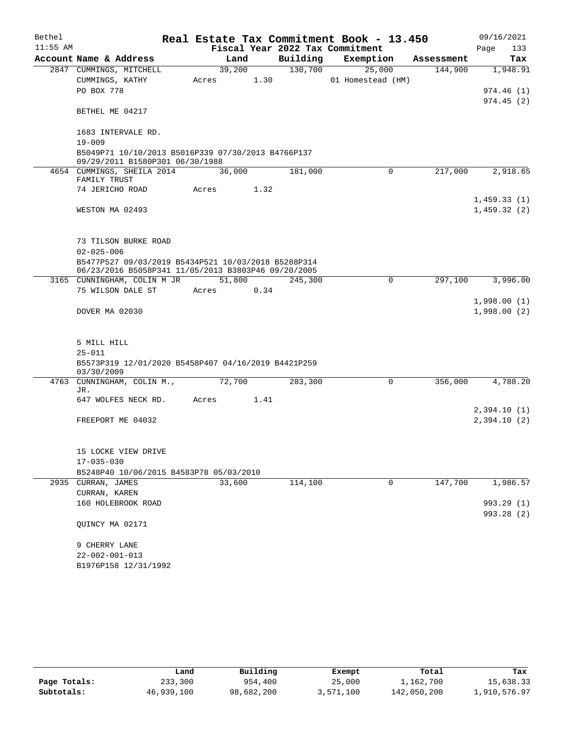| Bethel     |                                                                                                            |       |        |      |          | Real Estate Tax Commitment Book - 13.450 |            | 09/16/2021                 |
|------------|------------------------------------------------------------------------------------------------------------|-------|--------|------|----------|------------------------------------------|------------|----------------------------|
| $11:55$ AM |                                                                                                            |       |        |      |          | Fiscal Year 2022 Tax Commitment          |            | 133<br>Page                |
|            | Account Name & Address                                                                                     |       | Land   |      | Building | Exemption                                | Assessment | Tax                        |
|            | 2847 CUMMINGS, MITCHELL                                                                                    |       | 39,200 |      | 130,700  | 25,000                                   | 144,900    | 1,948.91                   |
|            | CUMMINGS, KATHY                                                                                            |       | Acres  | 1.30 |          | 01 Homestead (HM)                        |            |                            |
|            | PO BOX 778                                                                                                 |       |        |      |          |                                          |            | 974.46(1)<br>974.45(2)     |
|            | BETHEL ME 04217                                                                                            |       |        |      |          |                                          |            |                            |
|            | 1683 INTERVALE RD.                                                                                         |       |        |      |          |                                          |            |                            |
|            | $19 - 009$<br>B5049P71 10/10/2013 B5016P339 07/30/2013 B4766P137<br>09/29/2011 B1580P301 06/30/1988        |       |        |      |          |                                          |            |                            |
|            | 4654 CUMMINGS, SHEILA 2014                                                                                 |       | 36,000 |      | 181,000  | $\Omega$                                 | 217,000    | 2,918.65                   |
|            | FAMILY TRUST                                                                                               |       |        |      |          |                                          |            |                            |
|            | 74 JERICHO ROAD                                                                                            | Acres |        | 1.32 |          |                                          |            |                            |
|            | WESTON MA 02493                                                                                            |       |        |      |          |                                          |            | 1,459.33(1)<br>1,459.32(2) |
|            |                                                                                                            |       |        |      |          |                                          |            |                            |
|            | 73 TILSON BURKE ROAD                                                                                       |       |        |      |          |                                          |            |                            |
|            | $02 - 025 - 006$                                                                                           |       |        |      |          |                                          |            |                            |
|            | B5477P527 09/03/2019 B5434P521 10/03/2018 B5288P314<br>06/23/2016 B5058P341 11/05/2013 B3803P46 09/20/2005 |       |        |      |          |                                          |            |                            |
|            | 3165 CUNNINGHAM, COLIN M JR                                                                                |       | 51,800 |      | 245,300  | $\mathbf 0$                              | 297,100    | 3,996.00                   |
|            | 75 WILSON DALE ST                                                                                          | Acres |        | 0.34 |          |                                          |            |                            |
|            | DOVER MA 02030                                                                                             |       |        |      |          |                                          |            | 1,998.00(1)<br>1,998.00(2) |
|            | 5 MILL HILL<br>$25 - 011$<br>B5573P319 12/01/2020 B5458P407 04/16/2019 B4421P259                           |       |        |      |          |                                          |            |                            |
|            | 03/30/2009                                                                                                 |       |        |      |          |                                          |            |                            |
|            | 4763 CUNNINGHAM, COLIN M.,                                                                                 |       | 72,700 |      | 283,300  | $\Omega$                                 | 356,000    | 4,788.20                   |
|            | JR.<br>647 WOLFES NECK RD.                                                                                 | Acres |        | 1.41 |          |                                          |            |                            |
|            |                                                                                                            |       |        |      |          |                                          |            | 2,394.10(1)                |
|            | FREEPORT ME 04032                                                                                          |       |        |      |          |                                          |            | 2,394.10(2)                |
|            | 15 LOCKE VIEW DRIVE                                                                                        |       |        |      |          |                                          |            |                            |
|            | $17 - 035 - 030$                                                                                           |       |        |      |          |                                          |            |                            |
|            | B5248P40 10/06/2015 B4583P78 05/03/2010                                                                    |       |        |      |          |                                          |            |                            |
|            | 2935 CURRAN, JAMES                                                                                         |       | 33,600 |      | 114,100  | 0                                        | 147,700    | 1,986.57                   |
|            | CURRAN, KAREN                                                                                              |       |        |      |          |                                          |            |                            |
|            | 160 HOLEBROOK ROAD                                                                                         |       |        |      |          |                                          |            | 993.29 (1)<br>993.28(2)    |
|            | QUINCY MA 02171                                                                                            |       |        |      |          |                                          |            |                            |
|            | 9 CHERRY LANE                                                                                              |       |        |      |          |                                          |            |                            |
|            | $22 - 002 - 001 - 013$                                                                                     |       |        |      |          |                                          |            |                            |
|            | B1976P158 12/31/1992                                                                                       |       |        |      |          |                                          |            |                            |

|              | Land       | Building   | Exempt    | Total       | Tax          |
|--------------|------------|------------|-----------|-------------|--------------|
| Page Totals: | 233,300    | 954,400    | 25,000    | 1,162,700   | 15,638.33    |
| Subtotals:   | 46,939,100 | 98,682,200 | 3,571,100 | 142,050,200 | 1,910,576.97 |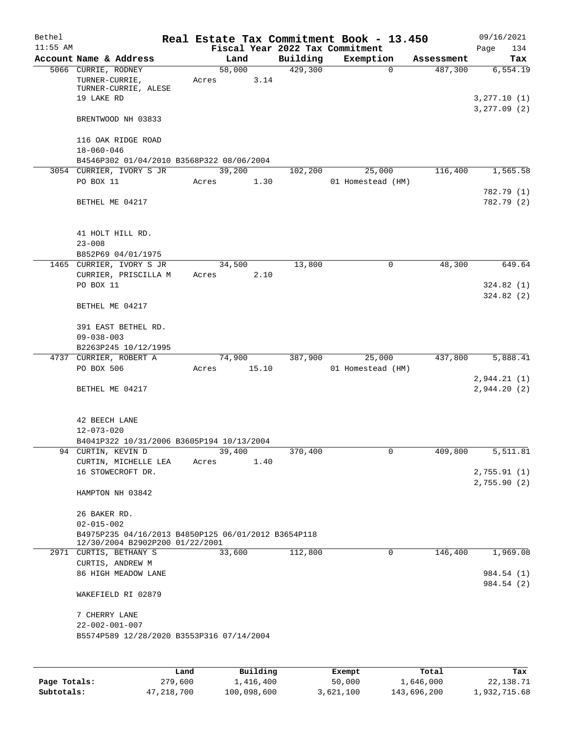| Bethel     |                                                                     |                 |                                 | Real Estate Tax Commitment Book - 13.450 |            | 09/16/2021                  |
|------------|---------------------------------------------------------------------|-----------------|---------------------------------|------------------------------------------|------------|-----------------------------|
| $11:55$ AM |                                                                     |                 | Fiscal Year 2022 Tax Commitment |                                          |            | Page<br>134                 |
|            | Account Name & Address                                              | Land            | Building                        | Exemption                                | Assessment | Tax                         |
|            | 5066 CURRIE, RODNEY<br>TURNER-CURRIE,<br>TURNER-CURRIE, ALESE       | 58,000<br>Acres | 429,300<br>3.14                 | $\mathbf 0$                              | 487,300    | 6,554.19                    |
|            | 19 LAKE RD                                                          |                 |                                 |                                          |            | 3,277.10(1)<br>3, 277.09(2) |
|            | BRENTWOOD NH 03833                                                  |                 |                                 |                                          |            |                             |
|            | 116 OAK RIDGE ROAD<br>$18 - 060 - 046$                              |                 |                                 |                                          |            |                             |
|            | B4546P302 01/04/2010 B3568P322 08/06/2004                           |                 |                                 |                                          |            |                             |
|            | 3054 CURRIER, IVORY S JR                                            | 39,200          | 102,200                         | 25,000                                   | 116,400    | 1,565.58                    |
|            | PO BOX 11                                                           | Acres           | 1.30                            | 01 Homestead (HM)                        |            | 782.79 (1)                  |
|            | BETHEL ME 04217                                                     |                 |                                 |                                          |            | 782.79 (2)                  |
|            | 41 HOLT HILL RD.<br>$23 - 008$                                      |                 |                                 |                                          |            |                             |
|            | B852P69 04/01/1975                                                  |                 |                                 |                                          |            |                             |
|            | 1465 CURRIER, IVORY S JR                                            | 34,500          | 13,800                          | 0                                        | 48,300     | 649.64                      |
|            | CURRIER, PRISCILLA M                                                | Acres           | 2.10                            |                                          |            |                             |
|            | PO BOX 11                                                           |                 |                                 |                                          |            | 324.82(1)                   |
|            | BETHEL ME 04217                                                     |                 |                                 |                                          |            | 324.82(2)                   |
|            |                                                                     |                 |                                 |                                          |            |                             |
|            | 391 EAST BETHEL RD.<br>$09 - 038 - 003$                             |                 |                                 |                                          |            |                             |
|            | B2263P245 10/12/1995                                                |                 |                                 |                                          |            |                             |
|            | 4737 CURRIER, ROBERT A                                              | 74,900          | 387,900                         | 25,000                                   | 437,800    | 5,888.41                    |
|            | PO BOX 506                                                          | Acres           | 15.10                           | 01 Homestead (HM)                        |            |                             |
|            |                                                                     |                 |                                 |                                          |            | 2,944.21(1)                 |
|            | BETHEL ME 04217                                                     |                 |                                 |                                          |            | 2,944.20(2)                 |
|            | 42 BEECH LANE                                                       |                 |                                 |                                          |            |                             |
|            | $12 - 073 - 020$                                                    |                 |                                 |                                          |            |                             |
|            | B4041P322 10/31/2006 B3605P194 10/13/2004                           |                 |                                 |                                          |            |                             |
|            | 94 CURTIN, KEVIN D                                                  | 39,400          | 370,400                         | 0                                        | 409,800    | 5,511.81                    |
|            | CURTIN, MICHELLE LEA                                                | Acres           | 1.40                            |                                          |            |                             |
|            | 16 STOWECROFT DR.                                                   |                 |                                 |                                          |            | 2,755.91(1)<br>2,755.90(2)  |
|            | HAMPTON NH 03842                                                    |                 |                                 |                                          |            |                             |
|            | 26 BAKER RD.<br>$02 - 015 - 002$                                    |                 |                                 |                                          |            |                             |
|            | B4975P235 04/16/2013 B4850P125 06/01/2012 B3654P118                 |                 |                                 |                                          |            |                             |
|            | 12/30/2004 B2902P200 01/22/2001<br>2971 CURTIS, BETHANY S           | 33,600          | 112,800                         | 0                                        | 146,400    | 1,969.08                    |
|            |                                                                     |                 |                                 |                                          |            |                             |
|            | CURTIS, ANDREW M                                                    |                 |                                 |                                          |            |                             |
|            | 86 HIGH MEADOW LANE                                                 |                 |                                 |                                          |            | 984.54 (1)<br>984.54 (2)    |
|            | WAKEFIELD RI 02879                                                  |                 |                                 |                                          |            |                             |
|            | 7 CHERRY LANE                                                       |                 |                                 |                                          |            |                             |
|            | $22 - 002 - 001 - 007$<br>B5574P589 12/28/2020 B3553P316 07/14/2004 |                 |                                 |                                          |            |                             |
|            |                                                                     |                 |                                 |                                          |            |                             |
|            |                                                                     |                 |                                 |                                          |            |                             |

|              | Land       | Building    | Exempt    | Total       | Tax          |
|--------------|------------|-------------|-----------|-------------|--------------|
| Page Totals: | 279,600    | 1,416,400   | 50,000    | 1,646,000   | 22,138.71    |
| Subtotals:   | 47,218,700 | 100,098,600 | 3,621,100 | 143,696,200 | 1,932,715.68 |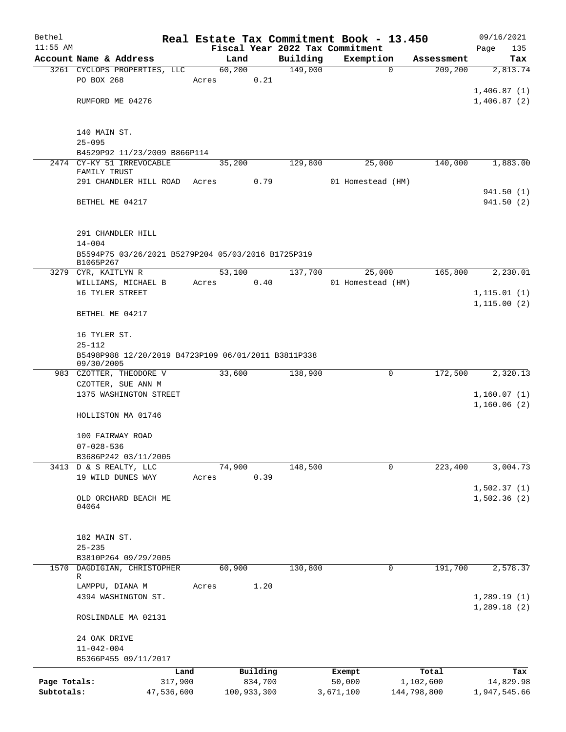| Bethel                     |                                                                  |                |          |                     | Real Estate Tax Commitment Book - 13.450 |                          | 09/16/2021                 |
|----------------------------|------------------------------------------------------------------|----------------|----------|---------------------|------------------------------------------|--------------------------|----------------------------|
| $11:55$ AM                 |                                                                  |                |          |                     | Fiscal Year 2022 Tax Commitment          |                          | Page<br>135                |
|                            | Account Name & Address<br>3261 CYCLOPS PROPERTIES, LLC           | Land<br>60,200 |          | Building<br>149,000 | Exemption<br>$\mathbf 0$                 | Assessment<br>209, 200   | Tax<br>2,813.74            |
|                            | PO BOX 268                                                       | Acres          | 0.21     |                     |                                          |                          |                            |
|                            |                                                                  |                |          |                     |                                          |                          | 1,406.87(1)                |
|                            | RUMFORD ME 04276                                                 |                |          |                     |                                          |                          | 1,406.87(2)                |
|                            |                                                                  |                |          |                     |                                          |                          |                            |
|                            | 140 MAIN ST.                                                     |                |          |                     |                                          |                          |                            |
|                            | $25 - 095$                                                       |                |          |                     |                                          |                          |                            |
|                            | B4529P92 11/23/2009 B866P114                                     |                |          |                     |                                          |                          |                            |
|                            | 2474 CY-KY 51 IRREVOCABLE                                        | 35,200         |          | 129,800             | 25,000                                   | 140,000                  | 1,883.00                   |
|                            | FAMILY TRUST<br>291 CHANDLER HILL ROAD                           | Acres          | 0.79     |                     | 01 Homestead (HM)                        |                          |                            |
|                            |                                                                  |                |          |                     |                                          |                          | 941.50 (1)                 |
|                            | BETHEL ME 04217                                                  |                |          |                     |                                          |                          | 941.50 (2)                 |
|                            |                                                                  |                |          |                     |                                          |                          |                            |
|                            |                                                                  |                |          |                     |                                          |                          |                            |
|                            | 291 CHANDLER HILL                                                |                |          |                     |                                          |                          |                            |
|                            | $14 - 004$<br>B5594P75 03/26/2021 B5279P204 05/03/2016 B1725P319 |                |          |                     |                                          |                          |                            |
|                            | B1065P267                                                        |                |          |                     |                                          |                          |                            |
|                            | 3279 CYR, KAITLYN R                                              | 53,100         |          | 137,700             | 25,000                                   | 165,800                  | 2,230.01                   |
|                            | WILLIAMS, MICHAEL B                                              | Acres          | 0.40     |                     | 01 Homestead (HM)                        |                          |                            |
|                            | 16 TYLER STREET                                                  |                |          |                     |                                          |                          | 1, 115.01(1)               |
|                            | BETHEL ME 04217                                                  |                |          |                     |                                          |                          | 1, 115.00(2)               |
|                            |                                                                  |                |          |                     |                                          |                          |                            |
|                            | 16 TYLER ST.<br>$25 - 112$                                       |                |          |                     |                                          |                          |                            |
|                            | B5498P988 12/20/2019 B4723P109 06/01/2011 B3811P338              |                |          |                     |                                          |                          |                            |
|                            | 09/30/2005                                                       |                |          |                     |                                          |                          |                            |
|                            | 983 CZOTTER, THEODORE V                                          | 33,600         |          | 138,900             | 0                                        | 172,500                  | 2,320.13                   |
|                            | CZOTTER, SUE ANN M                                               |                |          |                     |                                          |                          |                            |
|                            | 1375 WASHINGTON STREET                                           |                |          |                     |                                          |                          | 1,160.07(1)<br>1,160.06(2) |
|                            | HOLLISTON MA 01746                                               |                |          |                     |                                          |                          |                            |
|                            |                                                                  |                |          |                     |                                          |                          |                            |
|                            | 100 FAIRWAY ROAD                                                 |                |          |                     |                                          |                          |                            |
|                            | $07 - 028 - 536$                                                 |                |          |                     |                                          |                          |                            |
|                            | B3686P242 03/11/2005                                             |                |          |                     |                                          |                          |                            |
|                            | 3413 D & S REALTY, LLC                                           | 74,900         |          | 148,500             | 0                                        | 223,400                  | 3,004.73                   |
|                            | 19 WILD DUNES WAY                                                | Acres          | 0.39     |                     |                                          |                          |                            |
|                            | OLD ORCHARD BEACH ME                                             |                |          |                     |                                          |                          | 1,502.37(1)<br>1,502.36(2) |
|                            | 04064                                                            |                |          |                     |                                          |                          |                            |
|                            |                                                                  |                |          |                     |                                          |                          |                            |
|                            |                                                                  |                |          |                     |                                          |                          |                            |
|                            | 182 MAIN ST.<br>$25 - 235$                                       |                |          |                     |                                          |                          |                            |
|                            | B3810P264 09/29/2005                                             |                |          |                     |                                          |                          |                            |
| 1570                       | DAGDIGIAN, CHRISTOPHER                                           | 60,900         |          | 130,800             | 0                                        | 191,700                  | 2,578.37                   |
|                            | R                                                                |                |          |                     |                                          |                          |                            |
|                            | LAMPPU, DIANA M                                                  | Acres          | 1.20     |                     |                                          |                          |                            |
|                            | 4394 WASHINGTON ST.                                              |                |          |                     |                                          |                          | 1,289.19(1)<br>1,289.18(2) |
|                            | ROSLINDALE MA 02131                                              |                |          |                     |                                          |                          |                            |
|                            |                                                                  |                |          |                     |                                          |                          |                            |
|                            | 24 OAK DRIVE                                                     |                |          |                     |                                          |                          |                            |
|                            | $11 - 042 - 004$                                                 |                |          |                     |                                          |                          |                            |
|                            | B5366P455 09/11/2017                                             |                |          |                     |                                          |                          |                            |
|                            | Land                                                             |                | Building |                     | Exempt                                   | Total                    | Tax                        |
| Page Totals:<br>Subtotals: | 317,900<br>47,536,600                                            | 100,933,300    | 834,700  |                     | 50,000<br>3,671,100                      | 1,102,600<br>144,798,800 | 14,829.98<br>1,947,545.66  |
|                            |                                                                  |                |          |                     |                                          |                          |                            |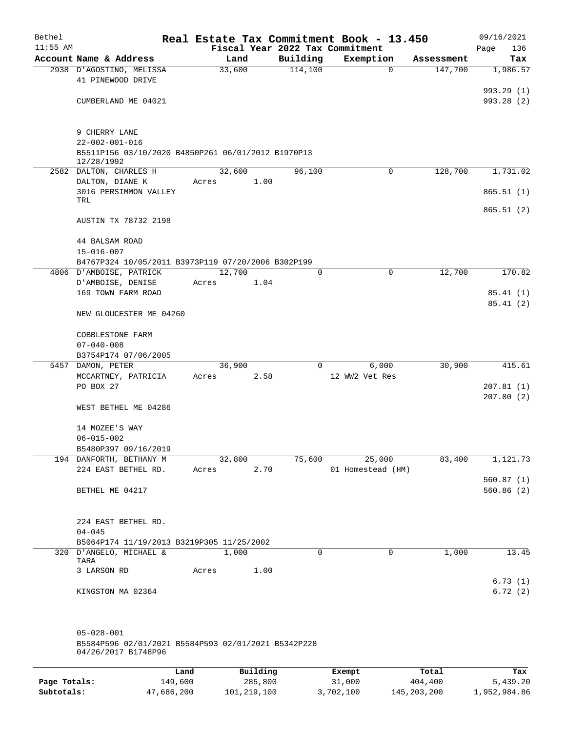| Bethel     |                                                                            |       |               |              | Real Estate Tax Commitment Book - 13.450 |            | 09/16/2021               |
|------------|----------------------------------------------------------------------------|-------|---------------|--------------|------------------------------------------|------------|--------------------------|
| $11:55$ AM |                                                                            |       |               |              | Fiscal Year 2022 Tax Commitment          |            | 136<br>Page              |
|            | Account Name & Address                                                     |       | Land          | Building     | Exemption                                | Assessment | Tax                      |
|            | 2938 D'AGOSTINO, MELISSA<br>41 PINEWOOD DRIVE                              |       | 33,600        | 114,100      | $\mathbf 0$                              | 147,700    | 1,986.57                 |
|            | CUMBERLAND ME 04021                                                        |       |               |              |                                          |            | 993.29 (1)<br>993.28 (2) |
|            |                                                                            |       |               |              |                                          |            |                          |
|            | 9 CHERRY LANE<br>$22 - 002 - 001 - 016$                                    |       |               |              |                                          |            |                          |
|            | B5511P156 03/10/2020 B4850P261 06/01/2012 B1970P13<br>12/28/1992           |       |               |              |                                          |            |                          |
|            | 2582 DALTON, CHARLES H                                                     |       | 32,600        | 96,100       | 0                                        | 128,700    | 1,731.02                 |
|            | DALTON, DIANE K<br>3016 PERSIMMON VALLEY                                   | Acres | 1.00          |              |                                          |            | 865.51(1)                |
|            | TRL                                                                        |       |               |              |                                          |            | 865.51(2)                |
|            | AUSTIN TX 78732 2198                                                       |       |               |              |                                          |            |                          |
|            | 44 BALSAM ROAD<br>$15 - 016 - 007$                                         |       |               |              |                                          |            |                          |
|            | B4767P324 10/05/2011 B3973P119 07/20/2006 B302P199                         |       |               |              |                                          |            |                          |
|            | 4806 D'AMBOISE, PATRICK                                                    |       | 12,700        | $\mathbf{0}$ | $\mathbf 0$                              | 12,700     | 170.82                   |
|            | D'AMBOISE, DENISE                                                          | Acres | 1.04          |              |                                          |            |                          |
|            | 169 TOWN FARM ROAD                                                         |       |               |              |                                          |            | 85.41(1)<br>85.41(2)     |
|            | NEW GLOUCESTER ME 04260                                                    |       |               |              |                                          |            |                          |
|            | COBBLESTONE FARM                                                           |       |               |              |                                          |            |                          |
|            | $07 - 040 - 008$                                                           |       |               |              |                                          |            |                          |
|            | B3754P174 07/06/2005                                                       |       |               |              |                                          |            |                          |
|            | 5457 DAMON, PETER                                                          |       | 36,900        | $\Omega$     | 6,000                                    | 30,900     | 415.61                   |
|            | MCCARTNEY, PATRICIA                                                        | Acres | 2.58          |              | 12 WW2 Vet Res                           |            |                          |
|            | PO BOX 27                                                                  |       |               |              |                                          |            | 207.81(1)<br>207.80(2)   |
|            | WEST BETHEL ME 04286                                                       |       |               |              |                                          |            |                          |
|            | 14 MOZEE'S WAY                                                             |       |               |              |                                          |            |                          |
|            | $06 - 015 - 002$                                                           |       |               |              |                                          |            |                          |
|            | B5480P397 09/16/2019<br>194 DANFORTH, BETHANY M                            |       | 32,800        | 75,600       | 25,000                                   | 83,400     | 1,121.73                 |
|            | 224 EAST BETHEL RD.                                                        |       | 2.70<br>Acres |              | 01 Homestead (HM)                        |            |                          |
|            |                                                                            |       |               |              |                                          |            | 560.87(1)                |
|            | BETHEL ME 04217                                                            |       |               |              |                                          |            | 560.86(2)                |
|            | 224 EAST BETHEL RD.                                                        |       |               |              |                                          |            |                          |
|            | $04 - 045$                                                                 |       |               |              |                                          |            |                          |
|            | B5064P174 11/19/2013 B3219P305 11/25/2002                                  |       |               |              |                                          |            |                          |
|            | 320 D'ANGELO, MICHAEL &<br>TARA                                            |       | 1,000         | 0            | $\mathbf 0$                              | 1,000      | 13.45                    |
|            | 3 LARSON RD                                                                | Acres | 1.00          |              |                                          |            | 6.73(1)                  |
|            | KINGSTON MA 02364                                                          |       |               |              |                                          |            | 6.72(2)                  |
|            | $05 - 028 - 001$                                                           |       |               |              |                                          |            |                          |
|            | B5584P596 02/01/2021 B5584P593 02/01/2021 B5342P228<br>04/26/2017 B1748P96 |       |               |              |                                          |            |                          |
|            |                                                                            |       |               |              |                                          |            |                          |

|              | Land       | Building    | Exempt    | Total         | Tax          |
|--------------|------------|-------------|-----------|---------------|--------------|
| Page Totals: | 149,600    | 285,800     | 31,000    | 404,400       | 5,439.20     |
| Subtotals:   | 47,686,200 | 101,219,100 | 3,702,100 | 145, 203, 200 | 1,952,984.86 |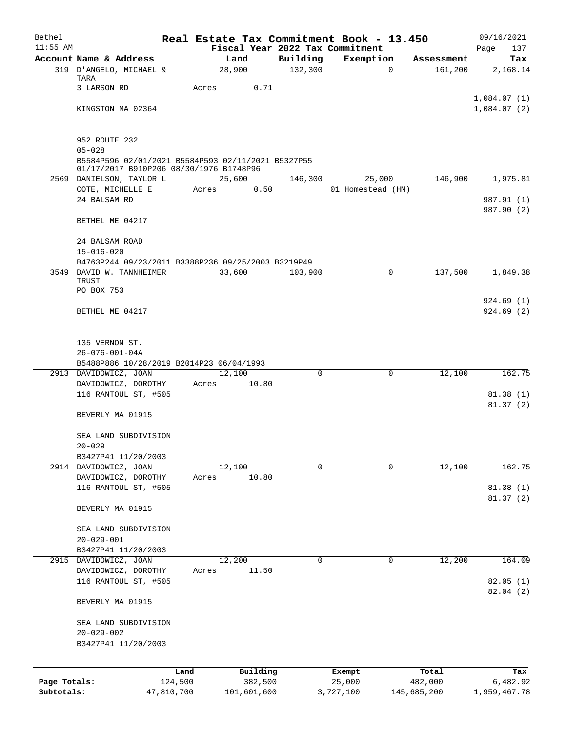| Bethel       |                                                    |       |                |             |                     | Real Estate Tax Commitment Book - 13.450 |          |                       | 09/16/2021                 |
|--------------|----------------------------------------------------|-------|----------------|-------------|---------------------|------------------------------------------|----------|-----------------------|----------------------------|
| $11:55$ AM   | Account Name & Address                             |       |                |             |                     | Fiscal Year 2022 Tax Commitment          |          |                       | Page<br>137                |
|              | 319 D'ANGELO, MICHAEL &                            |       | Land<br>28,900 |             | Building<br>132,300 | Exemption                                | $\Omega$ | Assessment<br>161,200 | Tax<br>2,168.14            |
|              | TARA                                               |       |                |             |                     |                                          |          |                       |                            |
|              | 3 LARSON RD                                        | Acres |                | 0.71        |                     |                                          |          |                       |                            |
|              | KINGSTON MA 02364                                  |       |                |             |                     |                                          |          |                       | 1,084.07(1)<br>1,084.07(2) |
|              |                                                    |       |                |             |                     |                                          |          |                       |                            |
|              |                                                    |       |                |             |                     |                                          |          |                       |                            |
|              | 952 ROUTE 232<br>$05 - 028$                        |       |                |             |                     |                                          |          |                       |                            |
|              | B5584P596 02/01/2021 B5584P593 02/11/2021 B5327P55 |       |                |             |                     |                                          |          |                       |                            |
|              | 01/17/2017 B910P206 08/30/1976 B1748P96            |       |                |             |                     |                                          |          |                       |                            |
|              | 2569 DANIELSON, TAYLOR L                           |       | 25,600         |             | 146,300             | 25,000                                   |          | 146,900               | 1,975.81                   |
|              | COTE, MICHELLE E<br>24 BALSAM RD                   | Acres |                | 0.50        |                     | 01 Homestead (HM)                        |          |                       | 987.91 (1)                 |
|              |                                                    |       |                |             |                     |                                          |          |                       | 987.90 (2)                 |
|              | BETHEL ME 04217                                    |       |                |             |                     |                                          |          |                       |                            |
|              |                                                    |       |                |             |                     |                                          |          |                       |                            |
|              | 24 BALSAM ROAD<br>$15 - 016 - 020$                 |       |                |             |                     |                                          |          |                       |                            |
|              | B4763P244 09/23/2011 B3388P236 09/25/2003 B3219P49 |       |                |             |                     |                                          |          |                       |                            |
|              | 3549 DAVID W. TANNHEIMER                           |       | 33,600         |             | 103,900             |                                          | 0        | 137,500               | 1,849.38                   |
|              | TRUST<br>PO BOX 753                                |       |                |             |                     |                                          |          |                       |                            |
|              |                                                    |       |                |             |                     |                                          |          |                       | 924.69(1)                  |
|              | BETHEL ME 04217                                    |       |                |             |                     |                                          |          |                       | 924.69(2)                  |
|              |                                                    |       |                |             |                     |                                          |          |                       |                            |
|              |                                                    |       |                |             |                     |                                          |          |                       |                            |
|              | 135 VERNON ST.<br>$26 - 076 - 001 - 04A$           |       |                |             |                     |                                          |          |                       |                            |
|              | B5488P886 10/28/2019 B2014P23 06/04/1993           |       |                |             |                     |                                          |          |                       |                            |
|              | 2913 DAVIDOWICZ, JOAN                              |       | 12,100         |             | $\Omega$            |                                          | 0        | 12,100                | 162.75                     |
|              | DAVIDOWICZ, DOROTHY                                | Acres |                | 10.80       |                     |                                          |          |                       |                            |
|              | 116 RANTOUL ST, #505                               |       |                |             |                     |                                          |          |                       | 81.38(1)<br>81.37(2)       |
|              | BEVERLY MA 01915                                   |       |                |             |                     |                                          |          |                       |                            |
|              |                                                    |       |                |             |                     |                                          |          |                       |                            |
|              | SEA LAND SUBDIVISION                               |       |                |             |                     |                                          |          |                       |                            |
|              | $20 - 029$                                         |       |                |             |                     |                                          |          |                       |                            |
|              | B3427P41 11/20/2003<br>2914 DAVIDOWICZ, JOAN       |       | 12,100         |             | 0                   |                                          | 0        | 12,100                | 162.75                     |
|              | DAVIDOWICZ, DOROTHY                                | Acres |                | 10.80       |                     |                                          |          |                       |                            |
|              | 116 RANTOUL ST, #505                               |       |                |             |                     |                                          |          |                       | 81.38(1)                   |
|              |                                                    |       |                |             |                     |                                          |          |                       | 81.37(2)                   |
|              | BEVERLY MA 01915                                   |       |                |             |                     |                                          |          |                       |                            |
|              | SEA LAND SUBDIVISION                               |       |                |             |                     |                                          |          |                       |                            |
|              | $20 - 029 - 001$                                   |       |                |             |                     |                                          |          |                       |                            |
|              | B3427P41 11/20/2003                                |       |                |             |                     |                                          |          |                       |                            |
|              | 2915 DAVIDOWICZ, JOAN                              |       | 12,200         | 11.50       | 0                   |                                          | 0        | 12,200                | 164.09                     |
|              | DAVIDOWICZ, DOROTHY<br>116 RANTOUL ST, #505        | Acres |                |             |                     |                                          |          |                       | 82.05(1)                   |
|              |                                                    |       |                |             |                     |                                          |          |                       | 82.04 (2)                  |
|              | BEVERLY MA 01915                                   |       |                |             |                     |                                          |          |                       |                            |
|              |                                                    |       |                |             |                     |                                          |          |                       |                            |
|              | SEA LAND SUBDIVISION<br>$20 - 029 - 002$           |       |                |             |                     |                                          |          |                       |                            |
|              | B3427P41 11/20/2003                                |       |                |             |                     |                                          |          |                       |                            |
|              |                                                    |       |                |             |                     |                                          |          |                       |                            |
|              | Land                                               |       |                | Building    |                     | Exempt                                   |          | Total                 | Tax                        |
| Page Totals: | 124,500                                            |       |                | 382,500     |                     | 25,000                                   |          | 482,000               | 6,482.92                   |
| Subtotals:   | 47,810,700                                         |       |                | 101,601,600 |                     | 3,727,100                                |          | 145,685,200           | 1,959,467.78               |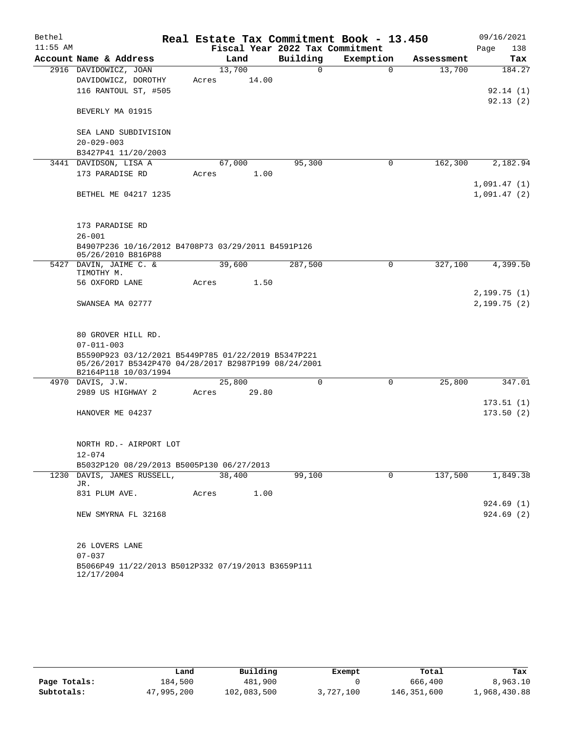| Bethel     |                                                      | Real Estate Tax Commitment Book - 13.450 |          |             |            | 09/16/2021                 |
|------------|------------------------------------------------------|------------------------------------------|----------|-------------|------------|----------------------------|
| $11:55$ AM |                                                      | Fiscal Year 2022 Tax Commitment          |          |             |            | 138<br>Page                |
|            | Account Name & Address                               | Land                                     | Building | Exemption   | Assessment | Tax                        |
|            | 2916 DAVIDOWICZ, JOAN                                | 13,700                                   | 0        | $\Omega$    | 13,700     | 184.27                     |
|            | DAVIDOWICZ, DOROTHY                                  | 14.00<br>Acres                           |          |             |            |                            |
|            | 116 RANTOUL ST, #505                                 |                                          |          |             |            | 92.14(1)                   |
|            | BEVERLY MA 01915                                     |                                          |          |             |            | 92.13(2)                   |
|            |                                                      |                                          |          |             |            |                            |
|            | SEA LAND SUBDIVISION                                 |                                          |          |             |            |                            |
|            | $20 - 029 - 003$                                     |                                          |          |             |            |                            |
|            | B3427P41 11/20/2003                                  |                                          |          |             |            |                            |
|            | 3441 DAVIDSON, LISA A                                | 67,000                                   | 95,300   | 0           | 162,300    | 2,182.94                   |
|            | 173 PARADISE RD                                      | 1.00<br>Acres                            |          |             |            |                            |
|            |                                                      |                                          |          |             |            | 1,091.47(1)                |
|            | BETHEL ME 04217 1235                                 |                                          |          |             |            | 1,091.47(2)                |
|            |                                                      |                                          |          |             |            |                            |
|            | 173 PARADISE RD                                      |                                          |          |             |            |                            |
|            | $26 - 001$                                           |                                          |          |             |            |                            |
|            | B4907P236 10/16/2012 B4708P73 03/29/2011 B4591P126   |                                          |          |             |            |                            |
|            | 05/26/2010 B816P88                                   |                                          |          |             |            |                            |
|            | 5427 DAVIN, JAIME C. &                               | 39,600                                   | 287,500  | 0           | 327,100    | 4,399.50                   |
|            | TIMOTHY M.                                           |                                          |          |             |            |                            |
|            | 56 OXFORD LANE                                       | 1.50<br>Acres                            |          |             |            |                            |
|            | SWANSEA MA 02777                                     |                                          |          |             |            | 2,199.75(1)<br>2,199.75(2) |
|            |                                                      |                                          |          |             |            |                            |
|            |                                                      |                                          |          |             |            |                            |
|            | 80 GROVER HILL RD.                                   |                                          |          |             |            |                            |
|            | $07 - 011 - 003$                                     |                                          |          |             |            |                            |
|            | B5590P923 03/12/2021 B5449P785 01/22/2019 B5347P221  |                                          |          |             |            |                            |
|            | 05/26/2017 B5342P470 04/28/2017 B2987P199 08/24/2001 |                                          |          |             |            |                            |
|            | B2164P118 10/03/1994                                 |                                          | $\Omega$ | $\mathbf 0$ |            | 347.01                     |
|            | 4970 DAVIS, J.W.<br>2989 US HIGHWAY 2                | 25,800<br>29.80<br>Acres                 |          |             | 25,800     |                            |
|            |                                                      |                                          |          |             |            | 173.51(1)                  |
|            | HANOVER ME 04237                                     |                                          |          |             |            | 173.50(2)                  |
|            |                                                      |                                          |          |             |            |                            |
|            |                                                      |                                          |          |             |            |                            |
|            | NORTH RD. - AIRPORT LOT                              |                                          |          |             |            |                            |
|            | $12 - 074$                                           |                                          |          |             |            |                            |
|            | B5032P120 08/29/2013 B5005P130 06/27/2013            |                                          |          |             |            |                            |
|            | 1230 DAVIS, JAMES RUSSELL,                           | 38,400                                   | 99,100   | $\Omega$    | 137,500    | 1,849.38                   |
|            | JR.<br>831 PLUM AVE.                                 | 1.00<br>Acres                            |          |             |            |                            |
|            |                                                      |                                          |          |             |            | 924.69(1)                  |
|            | NEW SMYRNA FL 32168                                  |                                          |          |             |            | 924.69(2)                  |
|            |                                                      |                                          |          |             |            |                            |
|            |                                                      |                                          |          |             |            |                            |
|            | 26 LOVERS LANE                                       |                                          |          |             |            |                            |
|            | $07 - 037$                                           |                                          |          |             |            |                            |
|            | B5066P49 11/22/2013 B5012P332 07/19/2013 B3659P111   |                                          |          |             |            |                            |
|            | 12/17/2004                                           |                                          |          |             |            |                            |

|              | Land       | Building    | Exempt    | Total       | Tax          |
|--------------|------------|-------------|-----------|-------------|--------------|
| Page Totals: | 184,500    | 481,900     |           | 666,400     | 8,963.10     |
| Subtotals:   | 47,995,200 | 102,083,500 | 3,727,100 | 146,351,600 | 1,968,430.88 |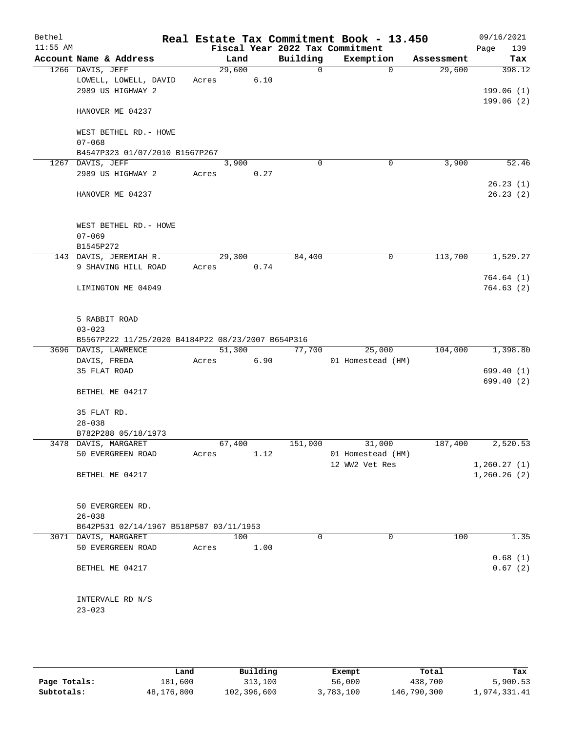| Bethel<br>$11:55$ AM |                                                   |        |      |             | Real Estate Tax Commitment Book - 13.450<br>Fiscal Year 2022 Tax Commitment |                       | 09/16/2021<br>139<br>Page |
|----------------------|---------------------------------------------------|--------|------|-------------|-----------------------------------------------------------------------------|-----------------------|---------------------------|
|                      | Account Name & Address                            | Land   |      | Building    | Exemption                                                                   | Assessment            | Tax                       |
|                      | 1266 DAVIS, JEFF                                  | 29,600 |      | $\mathbf 0$ |                                                                             | $\mathbf 0$<br>29,600 | 398.12                    |
|                      | LOWELL, LOWELL, DAVID                             | Acres  | 6.10 |             |                                                                             |                       |                           |
|                      | 2989 US HIGHWAY 2                                 |        |      |             |                                                                             |                       | 199.06(1)                 |
|                      |                                                   |        |      |             |                                                                             |                       | 199.06(2)                 |
|                      | HANOVER ME 04237                                  |        |      |             |                                                                             |                       |                           |
|                      | WEST BETHEL RD. - HOWE                            |        |      |             |                                                                             |                       |                           |
|                      | $07 - 068$                                        |        |      |             |                                                                             |                       |                           |
|                      | B4547P323 01/07/2010 B1567P267                    |        |      |             |                                                                             |                       |                           |
|                      | 1267 DAVIS, JEFF                                  |        |      | $\Omega$    |                                                                             | 3,900<br>0            | 52.46                     |
|                      |                                                   | 3,900  |      |             |                                                                             |                       |                           |
|                      | 2989 US HIGHWAY 2                                 | Acres  | 0.27 |             |                                                                             |                       |                           |
|                      |                                                   |        |      |             |                                                                             |                       | 26.23(1)                  |
|                      | HANOVER ME 04237                                  |        |      |             |                                                                             |                       | 26.23(2)                  |
|                      | WEST BETHEL RD. - HOWE                            |        |      |             |                                                                             |                       |                           |
|                      | $07 - 069$                                        |        |      |             |                                                                             |                       |                           |
|                      | B1545P272                                         |        |      |             |                                                                             |                       |                           |
|                      | 143 DAVIS, JEREMIAH R.                            | 29,300 |      | 84,400      |                                                                             | 113,700<br>0          | 1,529.27                  |
|                      | 9 SHAVING HILL ROAD                               | Acres  | 0.74 |             |                                                                             |                       |                           |
|                      |                                                   |        |      |             |                                                                             |                       | 764.64(1)                 |
|                      |                                                   |        |      |             |                                                                             |                       |                           |
|                      | LIMINGTON ME 04049                                |        |      |             |                                                                             |                       | 764.63(2)                 |
|                      | 5 RABBIT ROAD                                     |        |      |             |                                                                             |                       |                           |
|                      | $03 - 023$                                        |        |      |             |                                                                             |                       |                           |
|                      | B5567P222 11/25/2020 B4184P22 08/23/2007 B654P316 |        |      |             |                                                                             |                       |                           |
|                      | 3696 DAVIS, LAWRENCE                              | 51,300 |      | 77,700      | 25,000                                                                      | 104,000               | 1,398.80                  |
|                      | DAVIS, FREDA                                      | Acres  | 6.90 |             | 01 Homestead (HM)                                                           |                       |                           |
|                      | 35 FLAT ROAD                                      |        |      |             |                                                                             |                       | 699.40 (1)                |
|                      |                                                   |        |      |             |                                                                             |                       | 699.40 (2)                |
|                      | BETHEL ME 04217                                   |        |      |             |                                                                             |                       |                           |
|                      | 35 FLAT RD.                                       |        |      |             |                                                                             |                       |                           |
|                      | $28 - 038$                                        |        |      |             |                                                                             |                       |                           |
|                      | B782P288 05/18/1973                               |        |      |             |                                                                             |                       |                           |
|                      | 3478 DAVIS, MARGARET                              | 67,400 |      | 151,000     | 31,000                                                                      | 187,400               | 2,520.53                  |
|                      | 50 EVERGREEN ROAD                                 | Acres  | 1.12 |             | 01 Homestead (HM)                                                           |                       |                           |
|                      |                                                   |        |      |             | 12 WW2 Vet Res                                                              |                       | 1,260.27(1)               |
|                      | BETHEL ME 04217                                   |        |      |             |                                                                             |                       | 1,260.26(2)               |
|                      |                                                   |        |      |             |                                                                             |                       |                           |
|                      | 50 EVERGREEN RD.                                  |        |      |             |                                                                             |                       |                           |
|                      | $26 - 038$                                        |        |      |             |                                                                             |                       |                           |
|                      | B642P531 02/14/1967 B518P587 03/11/1953           |        |      |             |                                                                             |                       |                           |
|                      | 3071 DAVIS, MARGARET                              | 100    |      | $\Omega$    |                                                                             | $\Omega$<br>100       | 1.35                      |
|                      | 50 EVERGREEN ROAD                                 | Acres  | 1.00 |             |                                                                             |                       |                           |
|                      |                                                   |        |      |             |                                                                             |                       | 0.68(1)                   |
|                      | BETHEL ME 04217                                   |        |      |             |                                                                             |                       | 0.67(2)                   |
|                      |                                                   |        |      |             |                                                                             |                       |                           |
|                      |                                                   |        |      |             |                                                                             |                       |                           |
|                      | INTERVALE RD N/S                                  |        |      |             |                                                                             |                       |                           |
|                      | $23 - 023$                                        |        |      |             |                                                                             |                       |                           |
|                      |                                                   |        |      |             |                                                                             |                       |                           |

|              | Land       | Building    | Exempt    | Total       | Tax          |
|--------------|------------|-------------|-----------|-------------|--------------|
| Page Totals: | 181,600    | 313,100     | 56,000    | 438,700     | 5,900.53     |
| Subtotals:   | 48,176,800 | 102,396,600 | 3,783,100 | 146,790,300 | 1,974,331.41 |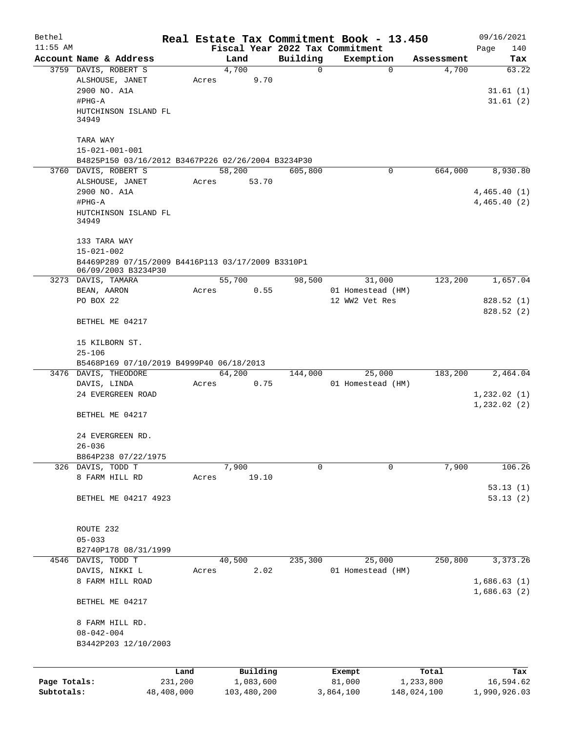| Bethel       |                                                    |            |       |             |          | Real Estate Tax Commitment Book - 13.450 |             | 09/16/2021   |
|--------------|----------------------------------------------------|------------|-------|-------------|----------|------------------------------------------|-------------|--------------|
| $11:55$ AM   |                                                    |            |       |             |          | Fiscal Year 2022 Tax Commitment          |             | Page<br>140  |
|              | Account Name & Address                             |            |       | Land        | Building | Exemption                                | Assessment  | Tax          |
|              | 3759 DAVIS, ROBERT S                               |            |       | 4,700       | 0        | $\mathbf 0$                              | 4,700       | 63.22        |
|              | ALSHOUSE, JANET                                    |            | Acres | 9.70        |          |                                          |             |              |
|              | 2900 NO. A1A                                       |            |       |             |          |                                          |             | 31.61(1)     |
|              | #PHG-A                                             |            |       |             |          |                                          |             | 31.61(2)     |
|              | HUTCHINSON ISLAND FL                               |            |       |             |          |                                          |             |              |
|              | 34949                                              |            |       |             |          |                                          |             |              |
|              |                                                    |            |       |             |          |                                          |             |              |
|              | TARA WAY                                           |            |       |             |          |                                          |             |              |
|              | $15 - 021 - 001 - 001$                             |            |       |             |          |                                          |             |              |
|              | B4825P150 03/16/2012 B3467P226 02/26/2004 B3234P30 |            |       |             |          |                                          |             |              |
|              | 3760 DAVIS, ROBERT S                               |            |       | 58,200      | 605,800  | 0                                        | 664,000     | 8,930.80     |
|              | ALSHOUSE, JANET                                    |            | Acres | 53.70       |          |                                          |             |              |
|              | 2900 NO. A1A                                       |            |       |             |          |                                          |             | 4,465.40(1)  |
|              | #PHG-A                                             |            |       |             |          |                                          |             | 4,465.40 (2) |
|              | HUTCHINSON ISLAND FL                               |            |       |             |          |                                          |             |              |
|              | 34949                                              |            |       |             |          |                                          |             |              |
|              | 133 TARA WAY                                       |            |       |             |          |                                          |             |              |
|              | $15 - 021 - 002$                                   |            |       |             |          |                                          |             |              |
|              | B4469P289 07/15/2009 B4416P113 03/17/2009 B3310P1  |            |       |             |          |                                          |             |              |
|              | 06/09/2003 B3234P30                                |            |       |             |          |                                          |             |              |
|              | 3273 DAVIS, TAMARA                                 |            |       | 55,700      | 98,500   | 31,000                                   | 123,200     | 1,657.04     |
|              | BEAN, AARON                                        |            | Acres | 0.55        |          | 01 Homestead (HM)                        |             |              |
|              | PO BOX 22                                          |            |       |             |          | 12 WW2 Vet Res                           |             | 828.52(1)    |
|              |                                                    |            |       |             |          |                                          |             | 828.52(2)    |
|              | BETHEL ME 04217                                    |            |       |             |          |                                          |             |              |
|              |                                                    |            |       |             |          |                                          |             |              |
|              | 15 KILBORN ST.                                     |            |       |             |          |                                          |             |              |
|              | $25 - 106$                                         |            |       |             |          |                                          |             |              |
|              | B5468P169 07/10/2019 B4999P40 06/18/2013           |            |       |             |          |                                          |             |              |
|              | 3476 DAVIS, THEODORE                               |            |       | 64,200      | 144,000  | 25,000                                   | 183,200     | 2,464.04     |
|              | DAVIS, LINDA                                       |            | Acres | 0.75        |          | 01 Homestead (HM)                        |             |              |
|              | 24 EVERGREEN ROAD                                  |            |       |             |          |                                          |             | 1, 232.02(1) |
|              |                                                    |            |       |             |          |                                          |             | 1, 232.02(2) |
|              | BETHEL ME 04217                                    |            |       |             |          |                                          |             |              |
|              |                                                    |            |       |             |          |                                          |             |              |
|              | 24 EVERGREEN RD.                                   |            |       |             |          |                                          |             |              |
|              | $26 - 036$                                         |            |       |             |          |                                          |             |              |
|              | B864P238 07/22/1975                                |            |       |             |          |                                          |             |              |
|              | 326 DAVIS, TODD T                                  |            |       | 7,900       | 0        | $\Omega$                                 | 7,900       | 106.26       |
|              | 8 FARM HILL RD                                     |            | Acres | 19.10       |          |                                          |             |              |
|              |                                                    |            |       |             |          |                                          |             | 53.13(1)     |
|              | BETHEL ME 04217 4923                               |            |       |             |          |                                          |             | 53.13(2)     |
|              |                                                    |            |       |             |          |                                          |             |              |
|              |                                                    |            |       |             |          |                                          |             |              |
|              | ROUTE 232                                          |            |       |             |          |                                          |             |              |
|              | $05 - 033$                                         |            |       |             |          |                                          |             |              |
|              | B2740P178 08/31/1999                               |            |       |             |          |                                          |             |              |
|              | 4546 DAVIS, TODD T                                 |            |       | 40,500      | 235,300  | 25,000                                   | 250,800     | 3, 373. 26   |
|              | DAVIS, NIKKI L                                     |            | Acres | 2.02        |          | 01 Homestead (HM)                        |             |              |
|              | 8 FARM HILL ROAD                                   |            |       |             |          |                                          |             | 1,686.63(1)  |
|              |                                                    |            |       |             |          |                                          |             | 1,686.63(2)  |
|              | BETHEL ME 04217                                    |            |       |             |          |                                          |             |              |
|              |                                                    |            |       |             |          |                                          |             |              |
|              | 8 FARM HILL RD.                                    |            |       |             |          |                                          |             |              |
|              | $08 - 042 - 004$                                   |            |       |             |          |                                          |             |              |
|              | B3442P203 12/10/2003                               |            |       |             |          |                                          |             |              |
|              |                                                    |            |       |             |          |                                          |             |              |
|              |                                                    |            |       |             |          |                                          |             |              |
|              |                                                    | Land       |       | Building    |          | Exempt                                   | Total       | Tax          |
| Page Totals: |                                                    | 231,200    |       | 1,083,600   |          | 81,000                                   | 1,233,800   | 16,594.62    |
| Subtotals:   |                                                    | 48,408,000 |       | 103,480,200 |          | 3,864,100                                | 148,024,100 | 1,990,926.03 |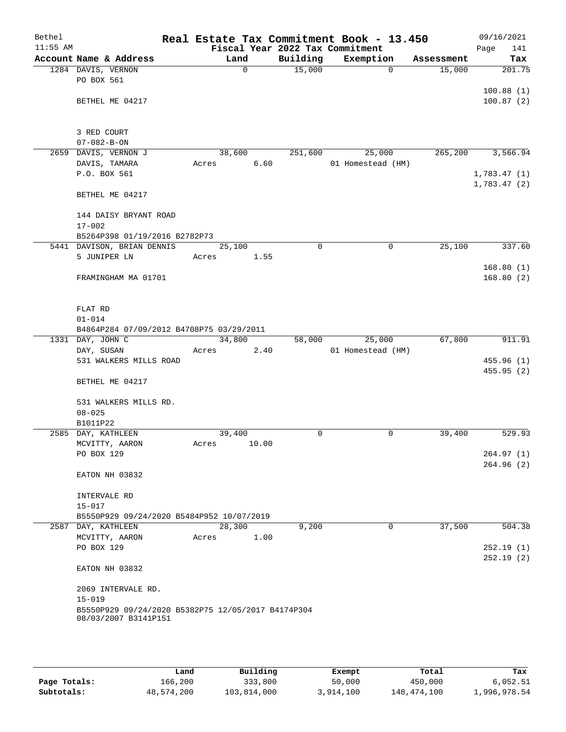| Bethel     |                                                    |       |             |          | Real Estate Tax Commitment Book - 13.450 |             |            | 09/16/2021             |
|------------|----------------------------------------------------|-------|-------------|----------|------------------------------------------|-------------|------------|------------------------|
| $11:55$ AM |                                                    |       |             |          | Fiscal Year 2022 Tax Commitment          |             |            | 141<br>Page            |
|            | Account Name & Address                             |       | Land        | Building | Exemption                                |             | Assessment | Tax                    |
|            | 1284 DAVIS, VERNON                                 |       | $\mathbf 0$ | 15,000   |                                          | $\Omega$    | 15,000     | 201.75                 |
|            | PO BOX 561                                         |       |             |          |                                          |             |            |                        |
|            |                                                    |       |             |          |                                          |             |            | 100.88(1)              |
|            | BETHEL ME 04217                                    |       |             |          |                                          |             |            | 100.87(2)              |
|            |                                                    |       |             |          |                                          |             |            |                        |
|            | 3 RED COURT                                        |       |             |          |                                          |             |            |                        |
|            | $07 - 082 - B - ON$                                |       |             |          |                                          |             |            |                        |
|            | 2659 DAVIS, VERNON J                               |       | 38,600      | 251,600  | 25,000                                   |             | 265,200    | 3,566.94               |
|            | DAVIS, TAMARA                                      | Acres | 6.60        |          | 01 Homestead (HM)                        |             |            |                        |
|            | P.O. BOX 561                                       |       |             |          |                                          |             |            | 1,783.47(1)            |
|            |                                                    |       |             |          |                                          |             |            | 1,783.47(2)            |
|            | BETHEL ME 04217                                    |       |             |          |                                          |             |            |                        |
|            | 144 DAISY BRYANT ROAD                              |       |             |          |                                          |             |            |                        |
|            | $17 - 002$                                         |       |             |          |                                          |             |            |                        |
|            | B5264P398 01/19/2016 B2782P73                      |       |             |          |                                          |             |            |                        |
|            | 5441 DAVISON, BRIAN DENNIS                         |       | 25,100      | $\Omega$ |                                          | $\mathbf 0$ | 25,100     | 337.60                 |
|            | 5 JUNIPER LN                                       | Acres | 1.55        |          |                                          |             |            |                        |
|            |                                                    |       |             |          |                                          |             |            | 168.80(1)              |
|            | FRAMINGHAM MA 01701                                |       |             |          |                                          |             |            | 168.80(2)              |
|            |                                                    |       |             |          |                                          |             |            |                        |
|            |                                                    |       |             |          |                                          |             |            |                        |
|            | FLAT RD                                            |       |             |          |                                          |             |            |                        |
|            | $01 - 014$                                         |       |             |          |                                          |             |            |                        |
|            | B4864P284 07/09/2012 B4708P75 03/29/2011           |       |             |          |                                          |             |            |                        |
|            | 1331 DAY, JOHN C                                   |       | 34,800      | 58,000   | 25,000                                   |             | 67,800     | $\overline{911}.91$    |
|            | DAY, SUSAN                                         | Acres | 2.40        |          | 01 Homestead (HM)                        |             |            |                        |
|            | 531 WALKERS MILLS ROAD                             |       |             |          |                                          |             |            | 455.96(1)              |
|            |                                                    |       |             |          |                                          |             |            | 455.95(2)              |
|            | BETHEL ME 04217                                    |       |             |          |                                          |             |            |                        |
|            | 531 WALKERS MILLS RD.                              |       |             |          |                                          |             |            |                        |
|            | $08 - 025$                                         |       |             |          |                                          |             |            |                        |
|            | B1011P22                                           |       |             |          |                                          |             |            |                        |
|            | 2585 DAY, KATHLEEN                                 |       | 39,400      | 0        |                                          | 0           | 39,400     | 529.93                 |
|            | MCVITTY, AARON                                     | Acres | 10.00       |          |                                          |             |            |                        |
|            | PO BOX 129                                         |       |             |          |                                          |             |            | 264.97(1)              |
|            |                                                    |       |             |          |                                          |             |            | 264.96(2)              |
|            | EATON NH 03832                                     |       |             |          |                                          |             |            |                        |
|            |                                                    |       |             |          |                                          |             |            |                        |
|            | INTERVALE RD                                       |       |             |          |                                          |             |            |                        |
|            | $15 - 017$                                         |       |             |          |                                          |             |            |                        |
|            | B5550P929 09/24/2020 B5484P952 10/07/2019          |       |             |          |                                          |             |            |                        |
|            | 2587 DAY, KATHLEEN                                 |       | 28,300      | 9,200    |                                          | 0           | 37,500     | 504.38                 |
|            | MCVITTY, AARON                                     | Acres | 1.00        |          |                                          |             |            |                        |
|            | PO BOX 129                                         |       |             |          |                                          |             |            | 252.19(1)<br>252.19(2) |
|            | EATON NH 03832                                     |       |             |          |                                          |             |            |                        |
|            |                                                    |       |             |          |                                          |             |            |                        |
|            | 2069 INTERVALE RD.                                 |       |             |          |                                          |             |            |                        |
|            | $15 - 019$                                         |       |             |          |                                          |             |            |                        |
|            | B5550P929 09/24/2020 B5382P75 12/05/2017 B4174P304 |       |             |          |                                          |             |            |                        |
|            | 08/03/2007 B3141P151                               |       |             |          |                                          |             |            |                        |
|            |                                                    |       |             |          |                                          |             |            |                        |

|              | Land       | Building    | Exempt    | Total       | Tax          |
|--------------|------------|-------------|-----------|-------------|--------------|
| Page Totals: | 166,200    | 333,800     | 50,000    | 450,000     | 6,052.51     |
| Subtotals:   | 48,574,200 | 103,814,000 | 3,914,100 | 148,474,100 | 1,996,978.54 |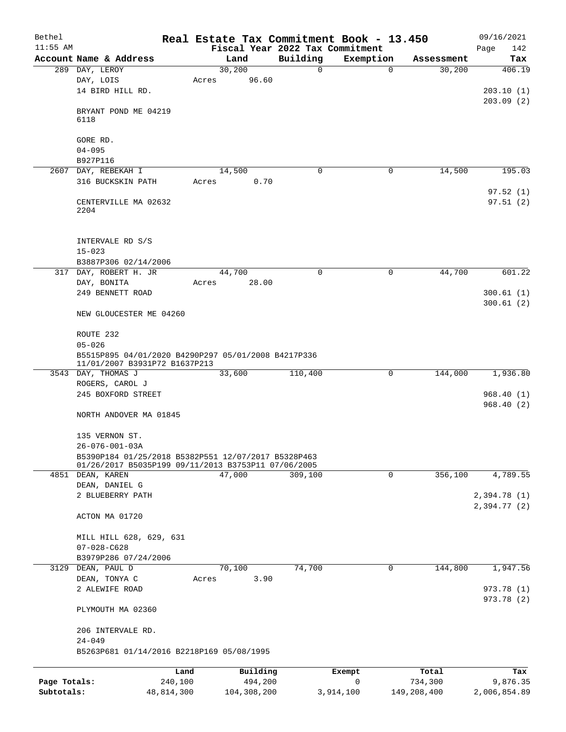| Bethel       |                                                                                                            |          |                                 | Real Estate Tax Commitment Book - 13.450 |            | 09/16/2021               |
|--------------|------------------------------------------------------------------------------------------------------------|----------|---------------------------------|------------------------------------------|------------|--------------------------|
| $11:55$ AM   |                                                                                                            |          | Fiscal Year 2022 Tax Commitment |                                          |            | Page<br>142              |
|              | Account Name & Address                                                                                     | Land     | Building                        | Exemption                                | Assessment | Tax                      |
|              | 289 DAY, LEROY                                                                                             | 30,200   | $\mathbf 0$                     | $\mathbf 0$                              | 30,200     | 406.19                   |
|              | DAY, LOIS                                                                                                  | Acres    | 96.60                           |                                          |            |                          |
|              | 14 BIRD HILL RD.                                                                                           |          |                                 |                                          |            | 203.10(1)                |
|              | BRYANT POND ME 04219<br>6118                                                                               |          |                                 |                                          |            | 203.09(2)                |
|              |                                                                                                            |          |                                 |                                          |            |                          |
|              | GORE RD.                                                                                                   |          |                                 |                                          |            |                          |
|              | $04 - 095$                                                                                                 |          |                                 |                                          |            |                          |
| 2607         | B927P116<br>DAY, REBEKAH I                                                                                 | 14,500   | 0                               | $\mathbf 0$                              | 14,500     | 195.03                   |
|              | 316 BUCKSKIN PATH                                                                                          | Acres    | 0.70                            |                                          |            |                          |
|              |                                                                                                            |          |                                 |                                          |            | 97.52(1)                 |
|              | CENTERVILLE MA 02632<br>2204                                                                               |          |                                 |                                          |            | 97.51(2)                 |
|              | INTERVALE RD S/S<br>$15 - 023$                                                                             |          |                                 |                                          |            |                          |
|              | B3887P306 02/14/2006                                                                                       |          |                                 |                                          |            |                          |
|              | 317 DAY, ROBERT H. JR                                                                                      | 44,700   | $\Omega$                        | 0                                        | 44,700     | 601.22                   |
|              | DAY, BONITA                                                                                                | Acres    | 28.00                           |                                          |            |                          |
|              | 249 BENNETT ROAD                                                                                           |          |                                 |                                          |            | 300.61(1)                |
|              | NEW GLOUCESTER ME 04260                                                                                    |          |                                 |                                          |            | 300.61(2)                |
|              | ROUTE 232                                                                                                  |          |                                 |                                          |            |                          |
|              | $05 - 026$                                                                                                 |          |                                 |                                          |            |                          |
|              | B5515P895 04/01/2020 B4290P297 05/01/2008 B4217P336<br>11/01/2007 B3931P72 B1637P213                       |          |                                 |                                          |            |                          |
|              | 3543 DAY, THOMAS J                                                                                         | 33,600   | 110,400                         | 0                                        | 144,000    | 1,936.80                 |
|              | ROGERS, CAROL J                                                                                            |          |                                 |                                          |            |                          |
|              | 245 BOXFORD STREET                                                                                         |          |                                 |                                          |            | 968.40(1)                |
|              | NORTH ANDOVER MA 01845                                                                                     |          |                                 |                                          |            | 968.40(2)                |
|              |                                                                                                            |          |                                 |                                          |            |                          |
|              | 135 VERNON ST.                                                                                             |          |                                 |                                          |            |                          |
|              | $26 - 076 - 001 - 03A$                                                                                     |          |                                 |                                          |            |                          |
|              | B5390P184 01/25/2018 B5382P551 12/07/2017 B5328P463<br>01/26/2017 B5035P199 09/11/2013 B3753P11 07/06/2005 |          |                                 | $\mathbf 0$                              |            |                          |
|              | 4851 DEAN, KAREN                                                                                           | 47,000   | 309,100                         |                                          | 356,100    | 4,789.55                 |
|              | DEAN, DANIEL G<br>2 BLUEBERRY PATH                                                                         |          |                                 |                                          |            | 2,394.78(1)              |
|              |                                                                                                            |          |                                 |                                          |            | 2,394.77(2)              |
|              | ACTON MA 01720                                                                                             |          |                                 |                                          |            |                          |
|              | MILL HILL 628, 629, 631                                                                                    |          |                                 |                                          |            |                          |
|              | $07 - 028 - C628$                                                                                          |          |                                 |                                          |            |                          |
|              | B3979P286 07/24/2006                                                                                       |          |                                 |                                          |            |                          |
| 3129         | DEAN, PAUL D                                                                                               | 70,100   | 74,700                          | 0                                        | 144,800    | 1,947.56                 |
|              | DEAN, TONYA C                                                                                              | Acres    | 3.90                            |                                          |            |                          |
|              | 2 ALEWIFE ROAD                                                                                             |          |                                 |                                          |            | 973.78 (1)<br>973.78 (2) |
|              | PLYMOUTH MA 02360                                                                                          |          |                                 |                                          |            |                          |
|              | 206 INTERVALE RD.                                                                                          |          |                                 |                                          |            |                          |
|              | $24 - 049$<br>B5263P681 01/14/2016 B2218P169 05/08/1995                                                    |          |                                 |                                          |            |                          |
|              |                                                                                                            |          |                                 |                                          |            |                          |
|              | Land                                                                                                       | Building |                                 | Exempt                                   | Total      | Tax                      |
| Page Totals: | 240,100                                                                                                    |          | 494,200                         | 0                                        | 734,300    | 9,876.35                 |

**Subtotals:** 48,814,300 104,308,200 3,914,100 149,208,400 2,006,854.89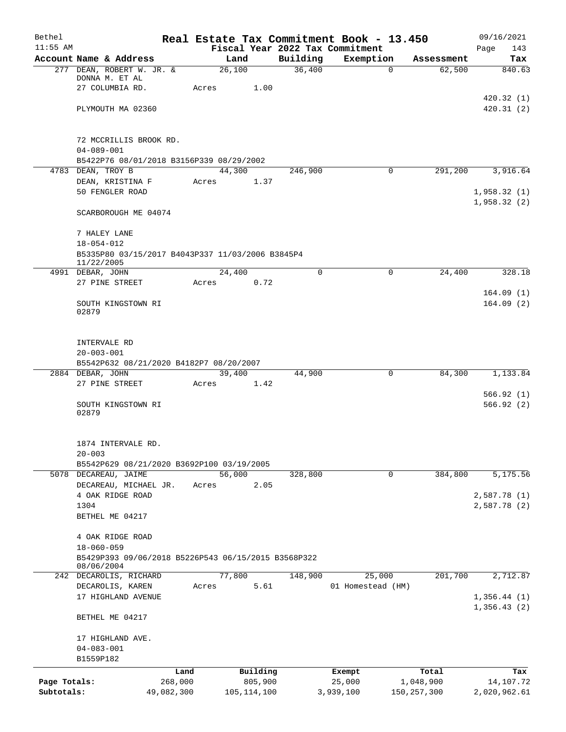| Bethel       |                                                                   |            |                 |               |          | Real Estate Tax Commitment Book - 13.450     |               | 09/16/2021                 |
|--------------|-------------------------------------------------------------------|------------|-----------------|---------------|----------|----------------------------------------------|---------------|----------------------------|
| $11:55$ AM   | Account Name & Address                                            |            | Land            |               | Building | Fiscal Year 2022 Tax Commitment<br>Exemption | Assessment    | Page<br>143<br>Tax         |
|              | 277 DEAN, ROBERT W. JR. &                                         |            | 26,100          |               | 36,400   | $\mathbf 0$                                  | 62,500        | 840.63                     |
|              | DONNA M. ET AL                                                    |            |                 |               |          |                                              |               |                            |
|              | 27 COLUMBIA RD.                                                   |            | Acres           | 1.00          |          |                                              |               |                            |
|              | PLYMOUTH MA 02360                                                 |            |                 |               |          |                                              |               | 420.32(1)<br>420.31(2)     |
|              |                                                                   |            |                 |               |          |                                              |               |                            |
|              | 72 MCCRILLIS BROOK RD.                                            |            |                 |               |          |                                              |               |                            |
|              | $04 - 089 - 001$                                                  |            |                 |               |          |                                              |               |                            |
|              | B5422P76 08/01/2018 B3156P339 08/29/2002                          |            |                 |               |          |                                              |               |                            |
|              | 4783 DEAN, TROY B                                                 |            | 44,300          |               | 246,900  | $\Omega$                                     | 291,200       | 3,916.64                   |
|              | DEAN, KRISTINA F                                                  |            | Acres           | 1.37          |          |                                              |               |                            |
|              | 50 FENGLER ROAD                                                   |            |                 |               |          |                                              |               | 1,958.32(1)<br>1,958.32(2) |
|              | SCARBOROUGH ME 04074                                              |            |                 |               |          |                                              |               |                            |
|              | 7 HALEY LANE                                                      |            |                 |               |          |                                              |               |                            |
|              | $18 - 054 - 012$                                                  |            |                 |               |          |                                              |               |                            |
|              | B5335P80 03/15/2017 B4043P337 11/03/2006 B3845P4<br>11/22/2005    |            |                 |               |          |                                              |               |                            |
|              | 4991 DEBAR, JOHN                                                  |            | 24,400          |               | $\Omega$ | 0                                            | 24,400        | 328.18                     |
|              | 27 PINE STREET                                                    |            | Acres           | 0.72          |          |                                              |               | 164.09(1)                  |
|              | SOUTH KINGSTOWN RI<br>02879                                       |            |                 |               |          |                                              |               | 164.09(2)                  |
|              |                                                                   |            |                 |               |          |                                              |               |                            |
|              | INTERVALE RD                                                      |            |                 |               |          |                                              |               |                            |
|              | $20 - 003 - 001$                                                  |            |                 |               |          |                                              |               |                            |
|              | B5542P632 08/21/2020 B4182P7 08/20/2007                           |            |                 |               |          |                                              |               |                            |
|              | 2884 DEBAR, JOHN<br>27 PINE STREET                                |            | 39,400<br>Acres | 1.42          | 44,900   | 0                                            | 84,300        | 1,133.84                   |
|              |                                                                   |            |                 |               |          |                                              |               | 566.92(1)                  |
|              | SOUTH KINGSTOWN RI                                                |            |                 |               |          |                                              |               | 566.92(2)                  |
|              | 02879                                                             |            |                 |               |          |                                              |               |                            |
|              | 1874 INTERVALE RD.                                                |            |                 |               |          |                                              |               |                            |
|              | $20 - 003$                                                        |            |                 |               |          |                                              |               |                            |
|              | B5542P629 08/21/2020 B3692P100 03/19/2005                         |            |                 |               |          |                                              |               |                            |
|              | 5078 DECAREAU, JAIME                                              |            | 56,000          |               | 328,800  | $\mathbf 0$                                  | 384,800       | 5,175.56                   |
|              | DECAREAU, MICHAEL JR.                                             |            | Acres           | 2.05          |          |                                              |               |                            |
|              | 4 OAK RIDGE ROAD                                                  |            |                 |               |          |                                              |               | 2,587.78(1)                |
|              | 1304<br>BETHEL ME 04217                                           |            |                 |               |          |                                              |               | 2,587.78 (2)               |
|              |                                                                   |            |                 |               |          |                                              |               |                            |
|              | 4 OAK RIDGE ROAD                                                  |            |                 |               |          |                                              |               |                            |
|              | $18 - 060 - 059$                                                  |            |                 |               |          |                                              |               |                            |
|              | B5429P393 09/06/2018 B5226P543 06/15/2015 B3568P322<br>08/06/2004 |            |                 |               |          |                                              |               |                            |
|              | 242 DECAROLIS, RICHARD                                            |            | 77,800          |               | 148,900  | 25,000                                       | 201,700       | 2,712.87                   |
|              | DECAROLIS, KAREN                                                  |            | Acres           | 5.61          |          | 01 Homestead (HM)                            |               |                            |
|              | 17 HIGHLAND AVENUE                                                |            |                 |               |          |                                              |               | 1,356.44(1)                |
|              | BETHEL ME 04217                                                   |            |                 |               |          |                                              |               | 1,356.43(2)                |
|              | 17 HIGHLAND AVE.                                                  |            |                 |               |          |                                              |               |                            |
|              | $04 - 083 - 001$                                                  |            |                 |               |          |                                              |               |                            |
|              | B1559P182                                                         |            |                 |               |          |                                              |               |                            |
|              |                                                                   | Land       |                 | Building      |          | Exempt                                       | Total         | Tax                        |
| Page Totals: |                                                                   | 268,000    |                 | 805,900       |          | 25,000                                       | 1,048,900     | 14,107.72                  |
| Subtotals:   |                                                                   | 49,082,300 |                 | 105, 114, 100 |          | 3,939,100                                    | 150, 257, 300 | 2,020,962.61               |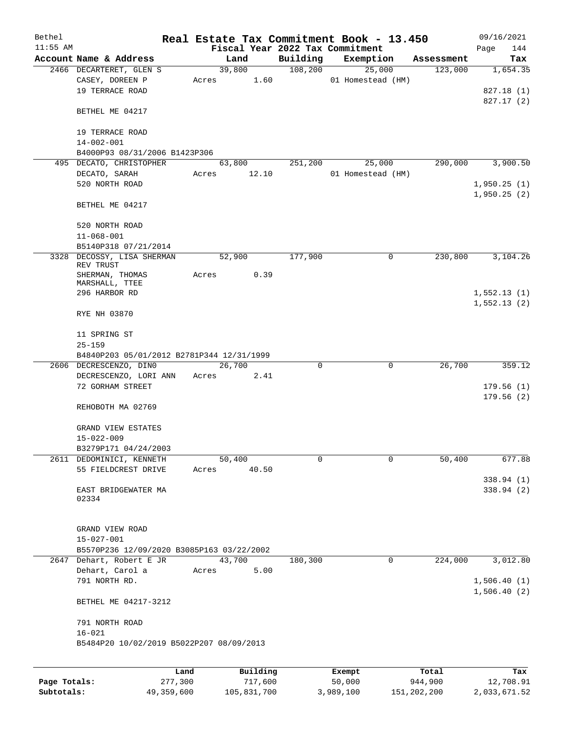| Bethel       |                                           |         |       |          |       |          | Real Estate Tax Commitment Book - 13.450 |                      | 09/16/2021  |
|--------------|-------------------------------------------|---------|-------|----------|-------|----------|------------------------------------------|----------------------|-------------|
| $11:55$ AM   |                                           |         |       |          |       |          | Fiscal Year 2022 Tax Commitment          |                      | Page<br>144 |
|              | Account Name & Address                    |         |       | Land     |       | Building | Exemption                                | Assessment           | Tax         |
|              | 2466 DECARTERET, GLEN S                   |         |       | 39,800   |       | 108,200  | 25,000                                   | 123,000              | 1,654.35    |
|              | CASEY, DOREEN P                           |         | Acres |          | 1.60  |          | 01 Homestead (HM)                        |                      |             |
|              | 19 TERRACE ROAD                           |         |       |          |       |          |                                          |                      | 827.18 (1)  |
|              |                                           |         |       |          |       |          |                                          |                      | 827.17 (2)  |
|              | BETHEL ME 04217                           |         |       |          |       |          |                                          |                      |             |
|              |                                           |         |       |          |       |          |                                          |                      |             |
|              | 19 TERRACE ROAD                           |         |       |          |       |          |                                          |                      |             |
|              | $14 - 002 - 001$                          |         |       |          |       |          |                                          |                      |             |
|              | B4000P93 08/31/2006 B1423P306             |         |       |          |       |          |                                          |                      |             |
|              | 495 DECATO, CHRISTOPHER                   |         |       | 63,800   |       | 251,200  | 25,000                                   | 290,000              | 3,900.50    |
|              | DECATO, SARAH                             |         | Acres |          | 12.10 |          | 01 Homestead (HM)                        |                      |             |
|              | 520 NORTH ROAD                            |         |       |          |       |          |                                          |                      | 1,950.25(1) |
|              |                                           |         |       |          |       |          |                                          |                      | 1,950.25(2) |
|              | BETHEL ME 04217                           |         |       |          |       |          |                                          |                      |             |
|              |                                           |         |       |          |       |          |                                          |                      |             |
|              | 520 NORTH ROAD                            |         |       |          |       |          |                                          |                      |             |
|              | $11 - 068 - 001$                          |         |       |          |       |          |                                          |                      |             |
|              | B5140P318 07/21/2014                      |         |       |          |       |          |                                          |                      |             |
|              | 3328 DECOSSY, LISA SHERMAN                |         |       | 52,900   |       | 177,900  | 0                                        | 230,800              | 3,104.26    |
|              | REV TRUST                                 |         |       |          |       |          |                                          |                      |             |
|              | SHERMAN, THOMAS                           |         | Acres |          | 0.39  |          |                                          |                      |             |
|              | MARSHALL, TTEE                            |         |       |          |       |          |                                          |                      |             |
|              | 296 HARBOR RD                             |         |       |          |       |          |                                          |                      | 1,552.13(1) |
|              |                                           |         |       |          |       |          |                                          |                      | 1,552.13(2) |
|              | RYE NH 03870                              |         |       |          |       |          |                                          |                      |             |
|              |                                           |         |       |          |       |          |                                          |                      |             |
|              | 11 SPRING ST                              |         |       |          |       |          |                                          |                      |             |
|              | $25 - 159$                                |         |       |          |       |          |                                          |                      |             |
|              | B4840P203 05/01/2012 B2781P344 12/31/1999 |         |       |          |       |          |                                          |                      |             |
|              | 2606 DECRESCENZO, DINO                    |         |       | 26,700   |       | $\Omega$ | $\mathbf 0$                              | 26,700               | 359.12      |
|              | DECRESCENZO, LORI ANN                     |         | Acres |          | 2.41  |          |                                          |                      |             |
|              | 72 GORHAM STREET                          |         |       |          |       |          |                                          |                      | 179.56(1)   |
|              |                                           |         |       |          |       |          |                                          |                      | 179.56(2)   |
|              | REHOBOTH MA 02769                         |         |       |          |       |          |                                          |                      |             |
|              |                                           |         |       |          |       |          |                                          |                      |             |
|              | GRAND VIEW ESTATES                        |         |       |          |       |          |                                          |                      |             |
|              | $15 - 022 - 009$                          |         |       |          |       |          |                                          |                      |             |
|              | B3279P171 04/24/2003                      |         |       |          |       |          |                                          |                      |             |
|              | 2611 DEDOMINICI, KENNETH                  |         |       | 50,400   |       | 0        | 0                                        | 50,400               | 677.88      |
|              | 55 FIELDCREST DRIVE                       |         | Acres |          | 40.50 |          |                                          |                      |             |
|              |                                           |         |       |          |       |          |                                          |                      | 338.94 (1)  |
|              | EAST BRIDGEWATER MA                       |         |       |          |       |          |                                          |                      | 338.94 (2)  |
|              | 02334                                     |         |       |          |       |          |                                          |                      |             |
|              |                                           |         |       |          |       |          |                                          |                      |             |
|              |                                           |         |       |          |       |          |                                          |                      |             |
|              | GRAND VIEW ROAD                           |         |       |          |       |          |                                          |                      |             |
|              | $15 - 027 - 001$                          |         |       |          |       |          |                                          |                      |             |
|              | B5570P236 12/09/2020 B3085P163 03/22/2002 |         |       |          |       |          |                                          |                      |             |
|              | 2647 Dehart, Robert E JR                  |         |       | 43,700   |       | 180,300  | 0                                        | $2\overline{24,000}$ | 3,012.80    |
|              | Dehart, Carol a                           |         | Acres |          | 5.00  |          |                                          |                      |             |
|              | 791 NORTH RD.                             |         |       |          |       |          |                                          |                      | 1,506.40(1) |
|              |                                           |         |       |          |       |          |                                          |                      | 1,506.40(2) |
|              | BETHEL ME 04217-3212                      |         |       |          |       |          |                                          |                      |             |
|              |                                           |         |       |          |       |          |                                          |                      |             |
|              | 791 NORTH ROAD                            |         |       |          |       |          |                                          |                      |             |
|              | $16 - 021$                                |         |       |          |       |          |                                          |                      |             |
|              | B5484P20 10/02/2019 B5022P207 08/09/2013  |         |       |          |       |          |                                          |                      |             |
|              |                                           |         |       |          |       |          |                                          |                      |             |
|              |                                           |         |       |          |       |          |                                          |                      |             |
|              |                                           | Land    |       | Building |       |          | Exempt                                   | Total                | Tax         |
| Page Totals: |                                           | 277,300 |       | 717,600  |       |          | 50,000                                   | 944,900              | 12,708.91   |

**Subtotals:** 49,359,600 105,831,700 3,989,100 151,202,200 2,033,671.52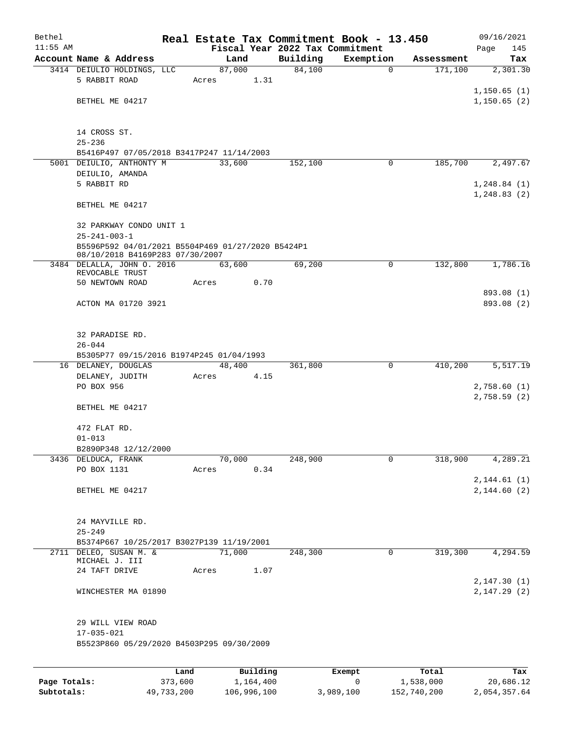| Bethel       |                                                   |         |        |           |          | Real Estate Tax Commitment Book - 13.450 |            | 09/16/2021                  |
|--------------|---------------------------------------------------|---------|--------|-----------|----------|------------------------------------------|------------|-----------------------------|
| $11:55$ AM   |                                                   |         |        |           |          | Fiscal Year 2022 Tax Commitment          |            | Page<br>145                 |
|              | Account Name & Address                            |         | Land   |           | Building | Exemption                                | Assessment | Tax                         |
|              | 3414 DEIULIO HOLDINGS, LLC                        |         | 87,000 |           | 84,100   | $\mathbf 0$                              | 171,100    | 2,301.30                    |
|              | 5 RABBIT ROAD                                     |         | Acres  | 1.31      |          |                                          |            |                             |
|              | BETHEL ME 04217                                   |         |        |           |          |                                          |            | 1,150.65(1)                 |
|              |                                                   |         |        |           |          |                                          |            | 1,150.65(2)                 |
|              |                                                   |         |        |           |          |                                          |            |                             |
|              | 14 CROSS ST.                                      |         |        |           |          |                                          |            |                             |
|              | $25 - 236$                                        |         |        |           |          |                                          |            |                             |
|              | B5416P497 07/05/2018 B3417P247 11/14/2003         |         |        |           |          |                                          |            |                             |
|              | 5001 DEIULIO, ANTHONTY M                          |         | 33,600 |           | 152,100  | 0                                        | 185,700    | 2,497.67                    |
|              | DEIULIO, AMANDA                                   |         |        |           |          |                                          |            |                             |
|              | 5 RABBIT RD                                       |         |        |           |          |                                          |            | 1,248.84(1)                 |
|              |                                                   |         |        |           |          |                                          |            | 1, 248.83(2)                |
|              | BETHEL ME 04217                                   |         |        |           |          |                                          |            |                             |
|              | 32 PARKWAY CONDO UNIT 1                           |         |        |           |          |                                          |            |                             |
|              | $25 - 241 - 003 - 1$                              |         |        |           |          |                                          |            |                             |
|              | B5596P592 04/01/2021 B5504P469 01/27/2020 B5424P1 |         |        |           |          |                                          |            |                             |
|              | 08/10/2018 B4169P283 07/30/2007                   |         |        |           |          |                                          |            |                             |
|              | 3484 DELALLA, JOHN 0. 2016                        |         | 63,600 |           | 69,200   | 0                                        | 132,800    | 1,786.16                    |
|              | REVOCABLE TRUST<br>50 NEWTOWN ROAD                |         | Acres  | 0.70      |          |                                          |            |                             |
|              |                                                   |         |        |           |          |                                          |            | 893.08 (1)                  |
|              | ACTON MA 01720 3921                               |         |        |           |          |                                          |            | 893.08 (2)                  |
|              |                                                   |         |        |           |          |                                          |            |                             |
|              |                                                   |         |        |           |          |                                          |            |                             |
|              | 32 PARADISE RD.                                   |         |        |           |          |                                          |            |                             |
|              | $26 - 044$                                        |         |        |           |          |                                          |            |                             |
|              | B5305P77 09/15/2016 B1974P245 01/04/1993          |         |        |           |          |                                          |            |                             |
|              | 16 DELANEY, DOUGLAS                               |         | 48,400 |           | 361,800  | 0                                        | 410,200    | 5,517.19                    |
|              | DELANEY, JUDITH                                   |         | Acres  | 4.15      |          |                                          |            |                             |
|              | PO BOX 956                                        |         |        |           |          |                                          |            | 2,758.60 (1)<br>2,758.59(2) |
|              | BETHEL ME 04217                                   |         |        |           |          |                                          |            |                             |
|              |                                                   |         |        |           |          |                                          |            |                             |
|              | 472 FLAT RD.                                      |         |        |           |          |                                          |            |                             |
|              | $01 - 013$                                        |         |        |           |          |                                          |            |                             |
|              | B2890P348 12/12/2000                              |         |        |           |          |                                          |            |                             |
|              | 3436 DELDUCA, FRANK                               |         | 70,000 |           | 248,900  | 0                                        | 318,900    | 4,289.21                    |
|              | PO BOX 1131                                       |         | Acres  | 0.34      |          |                                          |            |                             |
|              |                                                   |         |        |           |          |                                          |            | 2,144.61(1)                 |
|              | BETHEL ME 04217                                   |         |        |           |          |                                          |            | 2,144.60(2)                 |
|              |                                                   |         |        |           |          |                                          |            |                             |
|              | 24 MAYVILLE RD.                                   |         |        |           |          |                                          |            |                             |
|              | $25 - 249$                                        |         |        |           |          |                                          |            |                             |
|              | B5374P667 10/25/2017 B3027P139 11/19/2001         |         |        |           |          |                                          |            |                             |
|              | 2711 DELEO, SUSAN M. &                            |         | 71,000 |           | 248,300  | $\mathbf 0$                              | 319,300    | 4,294.59                    |
|              | MICHAEL J. III                                    |         |        |           |          |                                          |            |                             |
|              | 24 TAFT DRIVE                                     |         | Acres  | 1.07      |          |                                          |            |                             |
|              |                                                   |         |        |           |          |                                          |            | 2, 147.30 (1)               |
|              | WINCHESTER MA 01890                               |         |        |           |          |                                          |            | 2, 147.29 (2)               |
|              |                                                   |         |        |           |          |                                          |            |                             |
|              | 29 WILL VIEW ROAD                                 |         |        |           |          |                                          |            |                             |
|              | $17 - 035 - 021$                                  |         |        |           |          |                                          |            |                             |
|              | B5523P860 05/29/2020 B4503P295 09/30/2009         |         |        |           |          |                                          |            |                             |
|              |                                                   |         |        |           |          |                                          |            |                             |
|              |                                                   | Land    |        | Building  |          | Exempt                                   | Total      | Tax                         |
| Page Totals: |                                                   | 373,600 |        | 1,164,400 |          | 0                                        | 1,538,000  | 20,686.12                   |

**Subtotals:** 49,733,200 106,996,100 3,989,100 152,740,200 2,054,357.64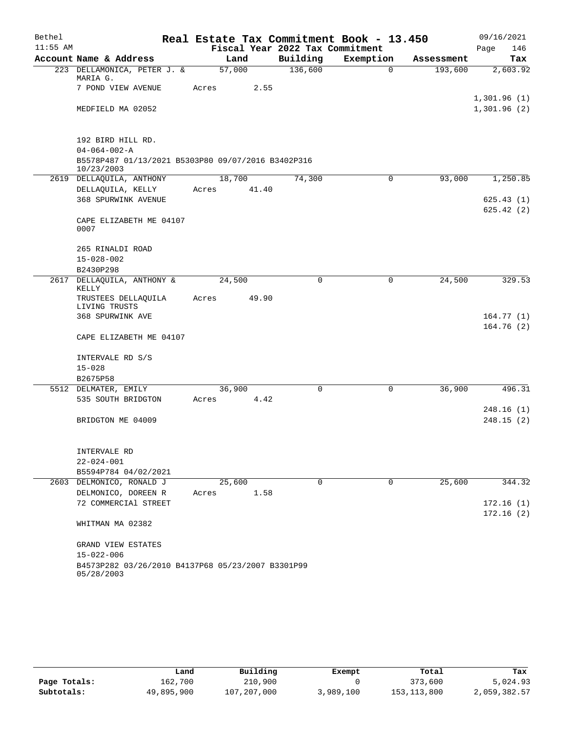| Bethel     |                                                                  | Real Estate Tax Commitment Book - 13.450 |                                 |              |            | 09/16/2021             |
|------------|------------------------------------------------------------------|------------------------------------------|---------------------------------|--------------|------------|------------------------|
| $11:55$ AM |                                                                  |                                          | Fiscal Year 2022 Tax Commitment |              |            | 146<br>Page            |
|            | Account Name & Address                                           | Land                                     | Building                        | Exemption    | Assessment | Tax                    |
|            | 223 DELLAMONICA, PETER J. &<br>MARIA G.                          | 57,000                                   | 136,600                         | $\mathbf 0$  | 193,600    | 2,603.92               |
|            | 7 POND VIEW AVENUE                                               | 2.55<br>Acres                            |                                 |              |            | 1,301.96(1)            |
|            | MEDFIELD MA 02052                                                |                                          |                                 |              |            | 1,301.96(2)            |
|            | 192 BIRD HILL RD.                                                |                                          |                                 |              |            |                        |
|            | $04 - 064 - 002 - A$                                             |                                          |                                 |              |            |                        |
|            | B5578P487 01/13/2021 B5303P80 09/07/2016 B3402P316<br>10/23/2003 |                                          |                                 |              |            |                        |
|            | 2619 DELLAQUILA, ANTHONY                                         | 18,700                                   | 74,300                          | $\mathsf{O}$ | 93,000     | 1,250.85               |
|            | DELLAQUILA, KELLY                                                | 41.40<br>Acres                           |                                 |              |            |                        |
|            | 368 SPURWINK AVENUE                                              |                                          |                                 |              |            | 625.43(1)<br>625.42(2) |
|            | CAPE ELIZABETH ME 04107<br>0007                                  |                                          |                                 |              |            |                        |
|            | 265 RINALDI ROAD                                                 |                                          |                                 |              |            |                        |
|            | $15 - 028 - 002$                                                 |                                          |                                 |              |            |                        |
|            | B2430P298                                                        |                                          |                                 |              |            |                        |
|            | 2617 DELLAQUILA, ANTHONY &<br>KELLY                              | 24,500                                   | 0                               | $\mathbf 0$  | 24,500     | 329.53                 |
|            | TRUSTEES DELLAQUILA<br>LIVING TRUSTS                             | 49.90<br>Acres                           |                                 |              |            |                        |
|            | 368 SPURWINK AVE                                                 |                                          |                                 |              |            | 164.77(1)              |
|            | CAPE ELIZABETH ME 04107                                          |                                          |                                 |              |            | 164.76(2)              |
|            | INTERVALE RD S/S                                                 |                                          |                                 |              |            |                        |
|            | $15 - 028$                                                       |                                          |                                 |              |            |                        |
|            | B2675P58                                                         |                                          |                                 |              |            |                        |
|            | 5512 DELMATER, EMILY                                             | 36,900                                   | $\mathbf 0$                     | $\mathbf 0$  | 36,900     | 496.31                 |
|            | 535 SOUTH BRIDGTON                                               | Acres<br>4.42                            |                                 |              |            |                        |
|            |                                                                  |                                          |                                 |              |            | 248.16(1)              |
|            | BRIDGTON ME 04009                                                |                                          |                                 |              |            | 248.15(2)              |
|            | INTERVALE RD                                                     |                                          |                                 |              |            |                        |
|            | $22 - 024 - 001$                                                 |                                          |                                 |              |            |                        |
|            | B5594P784 04/02/2021                                             |                                          |                                 |              |            |                        |
|            | 2603 DELMONICO, RONALD J                                         | 25,600                                   | $\Omega$                        | $\mathbf 0$  | 25,600     | 344.32                 |
|            | DELMONICO, DOREEN R                                              | 1.58<br>Acres                            |                                 |              |            |                        |
|            | 72 COMMERCIAl STREET                                             |                                          |                                 |              |            | 172.16(1)<br>172.16(2) |
|            | WHITMAN MA 02382                                                 |                                          |                                 |              |            |                        |
|            | GRAND VIEW ESTATES                                               |                                          |                                 |              |            |                        |
|            | $15 - 022 - 006$                                                 |                                          |                                 |              |            |                        |
|            | B4573P282 03/26/2010 B4137P68 05/23/2007 B3301P99<br>05/28/2003  |                                          |                                 |              |            |                        |

|              | Land       | Building    | Exempt    | Total         | Tax          |
|--------------|------------|-------------|-----------|---------------|--------------|
| Page Totals: | 162,700    | 210,900     |           | 373,600       | 5,024.93     |
| Subtotals:   | 49,895,900 | 107,207,000 | 3,989,100 | 153, 113, 800 | 2,059,382.57 |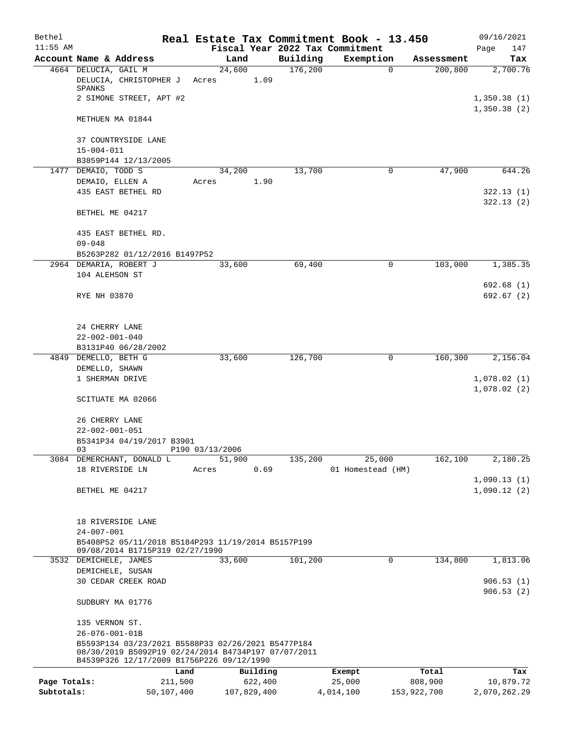| Bethel       |                                                                                                                                                        |            | Real Estate Tax Commitment Book - 13.450 |          |                                 |                         | 09/16/2021                 |
|--------------|--------------------------------------------------------------------------------------------------------------------------------------------------------|------------|------------------------------------------|----------|---------------------------------|-------------------------|----------------------------|
| $11:55$ AM   |                                                                                                                                                        |            |                                          |          | Fiscal Year 2022 Tax Commitment |                         | Page<br>147                |
|              | Account Name & Address                                                                                                                                 |            | Land                                     | Building | Exemption                       | Assessment              | Tax                        |
|              | 4664 DELUCIA, GAIL M<br>DELUCIA, CHRISTOPHER J<br>SPANKS                                                                                               |            | 24,600<br>1.09<br>Acres                  | 176,200  |                                 | $\mathbf 0$<br>200,800  | 2,700.76                   |
|              | 2 SIMONE STREET, APT #2                                                                                                                                |            |                                          |          |                                 |                         | 1,350.38(1)<br>1,350.38(2) |
|              | METHUEN MA 01844                                                                                                                                       |            |                                          |          |                                 |                         |                            |
|              | 37 COUNTRYSIDE LANE<br>$15 - 004 - 011$                                                                                                                |            |                                          |          |                                 |                         |                            |
|              | B3859P144 12/13/2005                                                                                                                                   |            |                                          |          |                                 |                         |                            |
|              | 1477 DEMAIO, TODD S                                                                                                                                    |            | 34,200                                   | 13,700   |                                 | 0<br>47,900             | 644.26                     |
|              | DEMAIO, ELLEN A                                                                                                                                        |            | 1.90<br>Acres                            |          |                                 |                         |                            |
|              | 435 EAST BETHEL RD                                                                                                                                     |            |                                          |          |                                 |                         | 322.13(1)<br>322.13(2)     |
|              | BETHEL ME 04217                                                                                                                                        |            |                                          |          |                                 |                         |                            |
|              | 435 EAST BETHEL RD.<br>$09 - 048$                                                                                                                      |            |                                          |          |                                 |                         |                            |
|              | B5263P282 01/12/2016 B1497P52                                                                                                                          |            |                                          |          |                                 |                         |                            |
|              | 2964 DEMARIA, ROBERT J                                                                                                                                 |            | 33,600                                   | 69,400   |                                 | $\mathsf{O}$<br>103,000 | 1,385.35                   |
|              | 104 ALEHSON ST                                                                                                                                         |            |                                          |          |                                 |                         |                            |
|              |                                                                                                                                                        |            |                                          |          |                                 |                         | 692.68 (1)                 |
|              | RYE NH 03870                                                                                                                                           |            |                                          |          |                                 |                         | 692.67(2)                  |
|              | 24 CHERRY LANE                                                                                                                                         |            |                                          |          |                                 |                         |                            |
|              | $22 - 002 - 001 - 040$                                                                                                                                 |            |                                          |          |                                 |                         |                            |
|              | B3131P40 06/28/2002                                                                                                                                    |            |                                          |          |                                 |                         |                            |
|              | 4849 DEMELLO, BETH G                                                                                                                                   |            | 33,600                                   | 126,700  |                                 | $\mathbf 0$<br>160,300  | 2,156.04                   |
|              | DEMELLO, SHAWN<br>1 SHERMAN DRIVE                                                                                                                      |            |                                          |          |                                 |                         | 1,078.02(1)                |
|              |                                                                                                                                                        |            |                                          |          |                                 |                         | 1,078.02(2)                |
|              | SCITUATE MA 02066                                                                                                                                      |            |                                          |          |                                 |                         |                            |
|              | 26 CHERRY LANE                                                                                                                                         |            |                                          |          |                                 |                         |                            |
|              | $22 - 002 - 001 - 051$                                                                                                                                 |            |                                          |          |                                 |                         |                            |
|              | B5341P34 04/19/2017 B3901                                                                                                                              |            |                                          |          |                                 |                         |                            |
|              | 03<br>3084 DEMERCHANT, DONALD L                                                                                                                        |            | P190 03/13/2006<br>51,900                | 135,200  | 25,000                          | 162, 100                | 2,180.25                   |
|              | 18 RIVERSIDE LN                                                                                                                                        |            | 0.69<br>Acres                            |          | 01 Homestead (HM)               |                         |                            |
|              |                                                                                                                                                        |            |                                          |          |                                 |                         | 1,090.13(1)                |
|              | BETHEL ME 04217                                                                                                                                        |            |                                          |          |                                 |                         | 1,090.12(2)                |
|              |                                                                                                                                                        |            |                                          |          |                                 |                         |                            |
|              | 18 RIVERSIDE LANE                                                                                                                                      |            |                                          |          |                                 |                         |                            |
|              | $24 - 007 - 001$<br>B5408P52 05/11/2018 B5184P293 11/19/2014 B5157P199                                                                                 |            |                                          |          |                                 |                         |                            |
|              | 09/08/2014 B1715P319 02/27/1990                                                                                                                        |            |                                          |          |                                 |                         |                            |
|              | 3532 DEMICHELE, JAMES                                                                                                                                  |            | 33,600                                   | 101,200  |                                 | 0<br>134,800            | 1,813.06                   |
|              | DEMICHELE, SUSAN                                                                                                                                       |            |                                          |          |                                 |                         |                            |
|              | 30 CEDAR CREEK ROAD                                                                                                                                    |            |                                          |          |                                 |                         | 906.53(1)                  |
|              | SUDBURY MA 01776                                                                                                                                       |            |                                          |          |                                 |                         | 906.53(2)                  |
|              | 135 VERNON ST.                                                                                                                                         |            |                                          |          |                                 |                         |                            |
|              | 26-076-001-01B                                                                                                                                         |            |                                          |          |                                 |                         |                            |
|              | B5593P134 03/23/2021 B5588P33 02/26/2021 B5477P184<br>08/30/2019 B5092P19 02/24/2014 B4734P197 07/07/2011<br>B4539P326 12/17/2009 B1756P226 09/12/1990 |            |                                          |          |                                 |                         |                            |
|              |                                                                                                                                                        | Land       | Building                                 |          | Exempt                          | Total                   | Tax                        |
| Page Totals: |                                                                                                                                                        | 211,500    | 622,400                                  |          | 25,000                          | 808,900                 | 10,879.72                  |
| Subtotals:   |                                                                                                                                                        | 50,107,400 | 107,829,400                              |          | 4,014,100                       | 153,922,700             | 2,070,262.29               |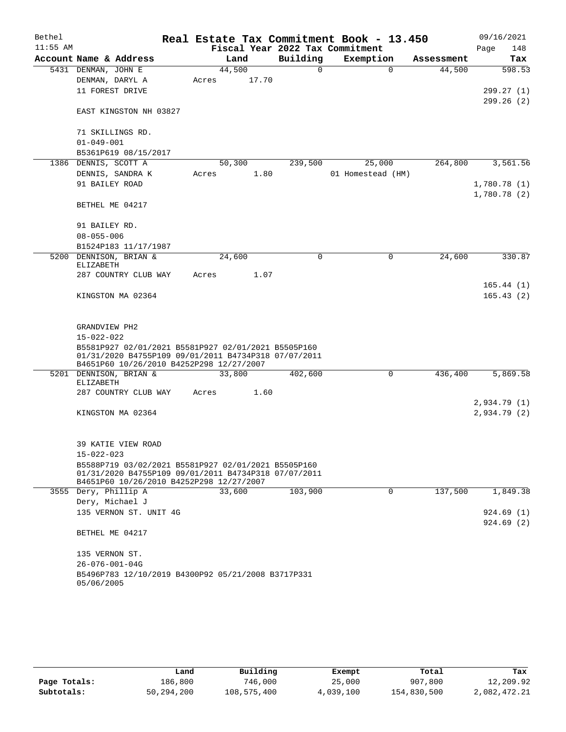| Bethel     |                                                                                                                                                         |       |        |       |                                 | Real Estate Tax Commitment Book - 13.450 |            |      | 09/16/2021                  |
|------------|---------------------------------------------------------------------------------------------------------------------------------------------------------|-------|--------|-------|---------------------------------|------------------------------------------|------------|------|-----------------------------|
| $11:55$ AM |                                                                                                                                                         |       |        |       | Fiscal Year 2022 Tax Commitment |                                          |            | Page | 148                         |
|            | Account Name & Address                                                                                                                                  |       | Land   |       | Building                        | Exemption                                | Assessment |      | Tax                         |
|            | 5431 DENMAN, JOHN E                                                                                                                                     |       | 44,500 |       | 0                               | $\Omega$                                 | 44,500     |      | 598.53                      |
|            | DENMAN, DARYL A                                                                                                                                         | Acres |        | 17.70 |                                 |                                          |            |      |                             |
|            | 11 FOREST DRIVE                                                                                                                                         |       |        |       |                                 |                                          |            |      | 299.27(1)<br>299.26(2)      |
|            | EAST KINGSTON NH 03827                                                                                                                                  |       |        |       |                                 |                                          |            |      |                             |
|            | 71 SKILLINGS RD.                                                                                                                                        |       |        |       |                                 |                                          |            |      |                             |
|            | $01 - 049 - 001$                                                                                                                                        |       |        |       |                                 |                                          |            |      |                             |
|            | B5361P619 08/15/2017                                                                                                                                    |       |        |       |                                 |                                          |            |      |                             |
|            | 1386 DENNIS, SCOTT A                                                                                                                                    |       | 50,300 |       | 239,500                         | 25,000                                   | 264,800    |      | 3,561.56                    |
|            | DENNIS, SANDRA K                                                                                                                                        | Acres |        | 1.80  |                                 | 01 Homestead (HM)                        |            |      |                             |
|            | 91 BAILEY ROAD                                                                                                                                          |       |        |       |                                 |                                          |            |      | 1,780.78 (1)<br>1,780.78(2) |
|            | BETHEL ME 04217                                                                                                                                         |       |        |       |                                 |                                          |            |      |                             |
|            | 91 BAILEY RD.                                                                                                                                           |       |        |       |                                 |                                          |            |      |                             |
|            | $08 - 055 - 006$                                                                                                                                        |       |        |       |                                 |                                          |            |      |                             |
|            | B1524P183 11/17/1987                                                                                                                                    |       |        |       |                                 |                                          |            |      |                             |
|            | 5200 DENNISON, BRIAN &<br>ELIZABETH                                                                                                                     |       | 24,600 |       | 0                               | 0                                        | 24,600     |      | 330.87                      |
|            | 287 COUNTRY CLUB WAY                                                                                                                                    | Acres |        | 1.07  |                                 |                                          |            |      |                             |
|            | KINGSTON MA 02364                                                                                                                                       |       |        |       |                                 |                                          |            |      | 165.44(1)<br>165.43(2)      |
|            | GRANDVIEW PH2                                                                                                                                           |       |        |       |                                 |                                          |            |      |                             |
|            | $15 - 022 - 022$                                                                                                                                        |       |        |       |                                 |                                          |            |      |                             |
|            | B5581P927 02/01/2021 B5581P927 02/01/2021 B5505P160<br>01/31/2020 B4755P109 09/01/2011 B4734P318 07/07/2011                                             |       |        |       |                                 |                                          |            |      |                             |
|            | B4651P60 10/26/2010 B4252P298 12/27/2007<br>5201 DENNISON, BRIAN &                                                                                      |       | 33,800 |       | 402,600                         | 0                                        | 436,400    |      | 5,869.58                    |
|            | ELIZABETH                                                                                                                                               |       |        |       |                                 |                                          |            |      |                             |
|            | 287 COUNTRY CLUB WAY                                                                                                                                    | Acres |        | 1.60  |                                 |                                          |            |      |                             |
|            |                                                                                                                                                         |       |        |       |                                 |                                          |            |      | 2,934.79(1)                 |
|            | KINGSTON MA 02364                                                                                                                                       |       |        |       |                                 |                                          |            |      | 2,934.79 (2)                |
|            | 39 KATIE VIEW ROAD                                                                                                                                      |       |        |       |                                 |                                          |            |      |                             |
|            | $15 - 022 - 023$                                                                                                                                        |       |        |       |                                 |                                          |            |      |                             |
|            | B5588P719 03/02/2021 B5581P927 02/01/2021 B5505P160<br>01/31/2020 B4755P109 09/01/2011 B4734P318 07/07/2011<br>B4651P60 10/26/2010 B4252P298 12/27/2007 |       |        |       |                                 |                                          |            |      |                             |
|            | 3555 Dery, Phillip A                                                                                                                                    |       | 33,600 |       | 103,900                         | $\mathbf 0$                              | 137,500    |      | 1,849.38                    |
|            | Dery, Michael J                                                                                                                                         |       |        |       |                                 |                                          |            |      |                             |
|            | 135 VERNON ST. UNIT 4G                                                                                                                                  |       |        |       |                                 |                                          |            |      | 924.69(1)                   |
|            | BETHEL ME 04217                                                                                                                                         |       |        |       |                                 |                                          |            |      | 924.69(2)                   |
|            | 135 VERNON ST.                                                                                                                                          |       |        |       |                                 |                                          |            |      |                             |
|            | $26 - 076 - 001 - 04G$                                                                                                                                  |       |        |       |                                 |                                          |            |      |                             |
|            | B5496P783 12/10/2019 B4300P92 05/21/2008 B3717P331                                                                                                      |       |        |       |                                 |                                          |            |      |                             |
|            | 05/06/2005                                                                                                                                              |       |        |       |                                 |                                          |            |      |                             |

|              | Land       | Building    | Exempt    | Total       | Tax          |
|--------------|------------|-------------|-----------|-------------|--------------|
| Page Totals: | 186,800    | 746,000     | 25,000    | 907,800     | 12,209.92    |
| Subtotals:   | 50,294,200 | 108,575,400 | 4,039,100 | 154,830,500 | 2,082,472.21 |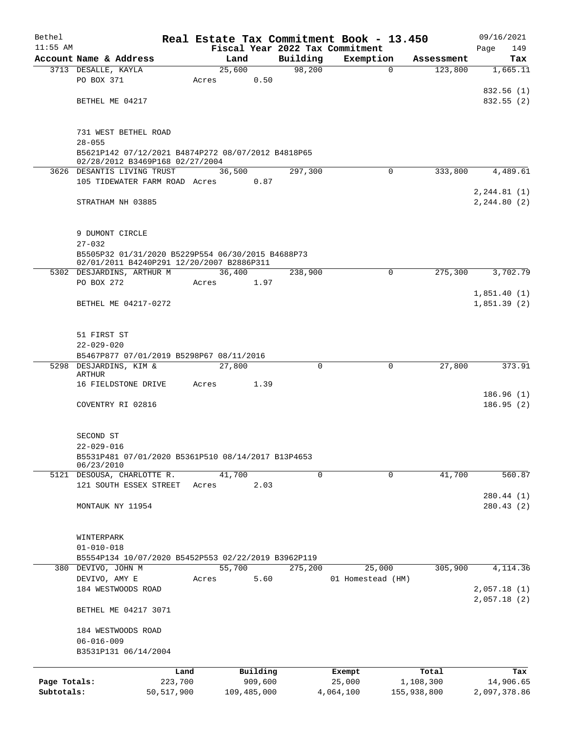| Bethel       |                                                                                       |                 |                 |                     |          | Real Estate Tax Commitment Book - 13.450 |             |                    | 09/16/2021             |  |
|--------------|---------------------------------------------------------------------------------------|-----------------|-----------------|---------------------|----------|------------------------------------------|-------------|--------------------|------------------------|--|
| $11:55$ AM   |                                                                                       |                 |                 |                     |          | Fiscal Year 2022 Tax Commitment          |             |                    | 149<br>Page            |  |
|              | Account Name & Address                                                                |                 | Land            |                     | Building | Exemption                                |             | Assessment         | Tax                    |  |
|              | 3713 DESALLE, KAYLA<br>PO BOX 371                                                     |                 | 25,600<br>Acres | 0.50                | 98,200   |                                          | $\mathbf 0$ | 123,800            | 1,665.11               |  |
|              |                                                                                       |                 |                 |                     |          |                                          |             |                    | 832.56 (1)             |  |
|              | BETHEL ME 04217                                                                       |                 |                 |                     |          |                                          |             |                    | 832.55 (2)             |  |
|              |                                                                                       |                 |                 |                     |          |                                          |             |                    |                        |  |
|              |                                                                                       |                 |                 |                     |          |                                          |             |                    |                        |  |
|              | 731 WEST BETHEL ROAD<br>$28 - 055$                                                    |                 |                 |                     |          |                                          |             |                    |                        |  |
|              | B5621P142 07/12/2021 B4874P272 08/07/2012 B4818P65<br>02/28/2012 B3469P168 02/27/2004 |                 |                 |                     |          |                                          |             |                    |                        |  |
|              |                                                                                       |                 |                 |                     |          |                                          | $\Omega$    |                    |                        |  |
|              | 3626 DESANTIS LIVING TRUST<br>105 TIDEWATER FARM ROAD Acres                           |                 | 36,500          | 0.87                | 297,300  |                                          |             | 333,800            | 4,489.61               |  |
|              |                                                                                       |                 |                 |                     |          |                                          |             |                    | 2, 244.81 (1)          |  |
|              | STRATHAM NH 03885                                                                     |                 |                 |                     |          |                                          |             |                    | 2, 244.80(2)           |  |
|              |                                                                                       |                 |                 |                     |          |                                          |             |                    |                        |  |
|              |                                                                                       |                 |                 |                     |          |                                          |             |                    |                        |  |
|              | 9 DUMONT CIRCLE<br>$27 - 032$                                                         |                 |                 |                     |          |                                          |             |                    |                        |  |
|              | B5505P32 01/31/2020 B5229P554 06/30/2015 B4688P73                                     |                 |                 |                     |          |                                          |             |                    |                        |  |
|              | 02/01/2011 B4240P291 12/20/2007 B2886P311                                             |                 |                 |                     |          |                                          |             |                    |                        |  |
|              | 5302 DESJARDINS, ARTHUR M                                                             |                 | 36,400          |                     | 238,900  |                                          | $\Omega$    | 275,300            | 3,702.79               |  |
|              | PO BOX 272                                                                            |                 | Acres           | 1.97                |          |                                          |             |                    | 1,851.40(1)            |  |
|              | BETHEL ME 04217-0272                                                                  |                 |                 |                     |          |                                          |             |                    | 1,851.39(2)            |  |
|              |                                                                                       |                 |                 |                     |          |                                          |             |                    |                        |  |
|              |                                                                                       |                 |                 |                     |          |                                          |             |                    |                        |  |
|              | 51 FIRST ST                                                                           |                 |                 |                     |          |                                          |             |                    |                        |  |
|              | $22 - 029 - 020$                                                                      |                 |                 |                     |          |                                          |             |                    |                        |  |
|              | B5467P877 07/01/2019 B5298P67 08/11/2016<br>5298 DESJARDINS, KIM &                    |                 | 27,800          |                     | $\Omega$ |                                          | 0           | 27,800             | 373.91                 |  |
|              | <b>ARTHUR</b>                                                                         |                 |                 |                     |          |                                          |             |                    |                        |  |
|              | 16 FIELDSTONE DRIVE                                                                   |                 | Acres           | 1.39                |          |                                          |             |                    |                        |  |
|              | COVENTRY RI 02816                                                                     |                 |                 |                     |          |                                          |             |                    | 186.96(1)<br>186.95(2) |  |
|              |                                                                                       |                 |                 |                     |          |                                          |             |                    |                        |  |
|              |                                                                                       |                 |                 |                     |          |                                          |             |                    |                        |  |
|              | SECOND ST                                                                             |                 |                 |                     |          |                                          |             |                    |                        |  |
|              | $22 - 029 - 016$                                                                      |                 |                 |                     |          |                                          |             |                    |                        |  |
|              | B5531P481 07/01/2020 B5361P510 08/14/2017 B13P4653<br>06/23/2010                      |                 |                 |                     |          |                                          |             |                    |                        |  |
|              | 5121 DESOUSA, CHARLOTTE R.                                                            |                 | 41,700          |                     | 0        |                                          | $\mathbf 0$ | 41,700             | 560.87                 |  |
|              | 121 SOUTH ESSEX STREET                                                                |                 | Acres           | 2.03                |          |                                          |             |                    |                        |  |
|              |                                                                                       |                 |                 |                     |          |                                          |             |                    | 280.44 (1)             |  |
|              | MONTAUK NY 11954                                                                      |                 |                 |                     |          |                                          |             |                    | 280.43(2)              |  |
|              |                                                                                       |                 |                 |                     |          |                                          |             |                    |                        |  |
|              | WINTERPARK                                                                            |                 |                 |                     |          |                                          |             |                    |                        |  |
|              | $01 - 010 - 018$                                                                      |                 |                 |                     |          |                                          |             |                    |                        |  |
|              | B5554P134 10/07/2020 B5452P553 02/22/2019 B3962P119                                   |                 |                 |                     |          |                                          |             |                    |                        |  |
|              | 380 DEVIVO, JOHN M<br>DEVIVO, AMY E                                                   |                 | 55,700<br>Acres | 5.60                | 275,200  | 25,000<br>01 Homestead (HM)              |             | 305,900            | 4, 114.36              |  |
|              | 184 WESTWOODS ROAD                                                                    |                 |                 |                     |          |                                          |             |                    | 2,057.18(1)            |  |
|              |                                                                                       |                 |                 |                     |          |                                          |             |                    | 2,057.18(2)            |  |
|              | BETHEL ME 04217 3071                                                                  |                 |                 |                     |          |                                          |             |                    |                        |  |
|              | 184 WESTWOODS ROAD                                                                    |                 |                 |                     |          |                                          |             |                    |                        |  |
|              | $06 - 016 - 009$                                                                      |                 |                 |                     |          |                                          |             |                    |                        |  |
|              | B3531P131 06/14/2004                                                                  |                 |                 |                     |          |                                          |             |                    |                        |  |
|              |                                                                                       |                 |                 |                     |          |                                          |             |                    |                        |  |
| Page Totals: |                                                                                       | Land<br>223,700 |                 | Building<br>909,600 |          | Exempt<br>25,000                         |             | Total<br>1,108,300 | Tax<br>14,906.65       |  |
| Subtotals:   |                                                                                       | 50,517,900      |                 | 109,485,000         |          | 4,064,100                                |             | 155,938,800        | 2,097,378.86           |  |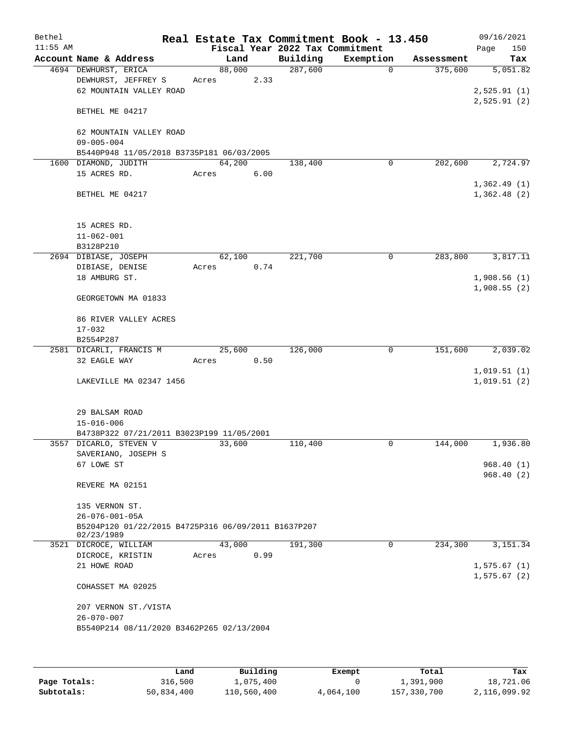| Bethel     |                                                                   |        |      |                                 | Real Estate Tax Commitment Book - 13.450 |            | 09/16/2021                 |
|------------|-------------------------------------------------------------------|--------|------|---------------------------------|------------------------------------------|------------|----------------------------|
| $11:55$ AM |                                                                   |        |      | Fiscal Year 2022 Tax Commitment |                                          |            | Page<br>150                |
|            | Account Name & Address                                            |        | Land | Building                        | Exemption                                | Assessment | Tax                        |
|            | 4694 DEWHURST, ERICA                                              | 88,000 |      | 287,600                         | $\mathbf 0$                              | 375,600    | 5,051.82                   |
|            | DEWHURST, JEFFREY S                                               | Acres  | 2.33 |                                 |                                          |            |                            |
|            | 62 MOUNTAIN VALLEY ROAD                                           |        |      |                                 |                                          |            | 2,525.91(1)                |
|            | BETHEL ME 04217                                                   |        |      |                                 |                                          |            | 2,525.91(2)                |
|            |                                                                   |        |      |                                 |                                          |            |                            |
|            | 62 MOUNTAIN VALLEY ROAD                                           |        |      |                                 |                                          |            |                            |
|            | $09 - 005 - 004$                                                  |        |      |                                 |                                          |            |                            |
|            | B5440P948 11/05/2018 B3735P181 06/03/2005<br>1600 DIAMOND, JUDITH | 64,200 |      | 138,400                         | 0                                        | 202,600    | 2,724.97                   |
|            | 15 ACRES RD.                                                      | Acres  | 6.00 |                                 |                                          |            |                            |
|            |                                                                   |        |      |                                 |                                          |            | 1,362.49(1)                |
|            | BETHEL ME 04217                                                   |        |      |                                 |                                          |            | 1,362.48(2)                |
|            | 15 ACRES RD.                                                      |        |      |                                 |                                          |            |                            |
|            | $11 - 062 - 001$                                                  |        |      |                                 |                                          |            |                            |
|            | B3128P210                                                         |        |      |                                 |                                          |            |                            |
|            | 2694 DIBIASE, JOSEPH                                              | 62,100 |      | 221,700                         | $\mathsf{O}$                             | 283,800    | 3,817.11                   |
|            | DIBIASE, DENISE                                                   | Acres  | 0.74 |                                 |                                          |            |                            |
|            | 18 AMBURG ST.                                                     |        |      |                                 |                                          |            | 1,908.56(1)                |
|            |                                                                   |        |      |                                 |                                          |            | 1,908.55(2)                |
|            | GEORGETOWN MA 01833                                               |        |      |                                 |                                          |            |                            |
|            | 86 RIVER VALLEY ACRES                                             |        |      |                                 |                                          |            |                            |
|            | $17 - 032$                                                        |        |      |                                 |                                          |            |                            |
|            | B2554P287                                                         |        |      |                                 |                                          |            |                            |
|            | 2581 DICARLI, FRANCIS M                                           | 25,600 |      | 126,000                         | $\mathbf 0$                              | 151,600    | 2,039.02                   |
|            | 32 EAGLE WAY                                                      | Acres  | 0.50 |                                 |                                          |            |                            |
|            | LAKEVILLE MA 02347 1456                                           |        |      |                                 |                                          |            | 1,019.51(1)<br>1,019.51(2) |
|            |                                                                   |        |      |                                 |                                          |            |                            |
|            | 29 BALSAM ROAD                                                    |        |      |                                 |                                          |            |                            |
|            | $15 - 016 - 006$                                                  |        |      |                                 |                                          |            |                            |
|            | B4738P322 07/21/2011 B3023P199 11/05/2001                         |        |      |                                 |                                          |            |                            |
|            | 3557 DICARLO, STEVEN V                                            | 33,600 |      | 110,400                         | 0                                        | 144,000    | 1,936.80                   |
|            | SAVERIANO, JOSEPH S                                               |        |      |                                 |                                          |            |                            |
|            | 67 LOWE ST                                                        |        |      |                                 |                                          |            | 968.40(1)                  |
|            |                                                                   |        |      |                                 |                                          |            | 968.40(2)                  |
|            | REVERE MA 02151                                                   |        |      |                                 |                                          |            |                            |
|            | 135 VERNON ST.                                                    |        |      |                                 |                                          |            |                            |
|            | $26 - 076 - 001 - 05A$                                            |        |      |                                 |                                          |            |                            |
|            | B5204P120 01/22/2015 B4725P316 06/09/2011 B1637P207               |        |      |                                 |                                          |            |                            |
|            | 02/23/1989                                                        |        |      |                                 |                                          |            |                            |
|            | 3521 DICROCE, WILLIAM                                             | 43,000 |      | 191,300                         | 0                                        | 234,300    | 3, 151.34                  |
|            | DICROCE, KRISTIN                                                  | Acres  | 0.99 |                                 |                                          |            |                            |
|            | 21 HOWE ROAD                                                      |        |      |                                 |                                          |            | 1,575.67(1)                |
|            | COHASSET MA 02025                                                 |        |      |                                 |                                          |            | 1,575.67(2)                |
|            | 207 VERNON ST./VISTA                                              |        |      |                                 |                                          |            |                            |
|            | $26 - 070 - 007$                                                  |        |      |                                 |                                          |            |                            |
|            | B5540P214 08/11/2020 B3462P265 02/13/2004                         |        |      |                                 |                                          |            |                            |
|            |                                                                   |        |      |                                 |                                          |            |                            |
|            |                                                                   |        |      |                                 |                                          |            |                            |
|            |                                                                   |        |      |                                 |                                          |            |                            |

|              | Land       | Building    | Exempt    | Total       | Tax          |
|--------------|------------|-------------|-----------|-------------|--------------|
| Page Totals: | 316,500    | 1,075,400   |           | 1,391,900   | 18,721.06    |
| Subtotals:   | 50,834,400 | 110,560,400 | 4,064,100 | 157,330,700 | 2,116,099.92 |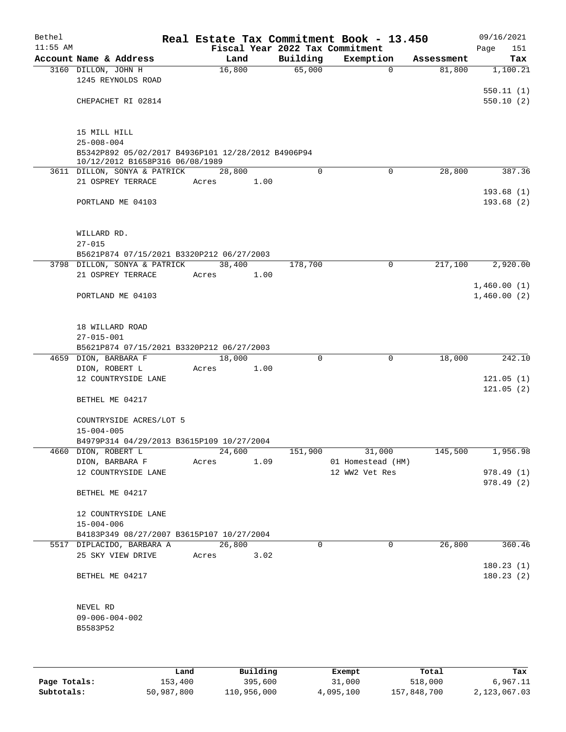| Bethel     |                                                                                        |       |        |      |          | Real Estate Tax Commitment Book - 13.450 |            | 09/16/2021             |
|------------|----------------------------------------------------------------------------------------|-------|--------|------|----------|------------------------------------------|------------|------------------------|
| $11:55$ AM |                                                                                        |       |        |      |          | Fiscal Year 2022 Tax Commitment          |            | 151<br>Page            |
|            | Account Name & Address                                                                 |       | Land   |      | Building | Exemption                                | Assessment | Tax                    |
|            | 3160 DILLON, JOHN H<br>1245 REYNOLDS ROAD                                              |       | 16,800 |      | 65,000   | $\mathbf 0$                              | 81,800     | 1,100.21               |
|            | CHEPACHET RI 02814                                                                     |       |        |      |          |                                          |            | 550.11(1)<br>550.10(2) |
|            | 15 MILL HILL<br>$25 - 008 - 004$<br>B5342P892 05/02/2017 B4936P101 12/28/2012 B4906P94 |       |        |      |          |                                          |            |                        |
|            | 10/12/2012 B1658P316 06/08/1989                                                        |       |        |      |          |                                          |            |                        |
|            | 3611 DILLON, SONYA & PATRICK                                                           |       | 28,800 |      | $\Omega$ | $\Omega$                                 | 28,800     | 387.36                 |
|            | 21 OSPREY TERRACE                                                                      | Acres |        | 1.00 |          |                                          |            |                        |
|            | PORTLAND ME 04103                                                                      |       |        |      |          |                                          |            | 193.68(1)<br>193.68(2) |
|            | WILLARD RD.                                                                            |       |        |      |          |                                          |            |                        |
|            | $27 - 015$<br>B5621P874 07/15/2021 B3320P212 06/27/2003                                |       |        |      |          |                                          |            |                        |
|            | 3798 DILLON, SONYA & PATRICK                                                           |       | 38,400 |      | 178,700  | $\mathbf 0$                              | 217,100    | 2,920.00               |
|            | 21 OSPREY TERRACE                                                                      | Acres |        | 1.00 |          |                                          |            |                        |
|            |                                                                                        |       |        |      |          |                                          |            | 1,460.00(1)            |
|            | PORTLAND ME 04103                                                                      |       |        |      |          |                                          |            | 1,460.00(2)            |
|            | 18 WILLARD ROAD<br>$27 - 015 - 001$<br>B5621P874 07/15/2021 B3320P212 06/27/2003       |       |        |      |          |                                          |            |                        |
|            | 4659 DION, BARBARA F                                                                   |       | 18,000 |      | 0        | 0                                        | 18,000     | 242.10                 |
|            | DION, ROBERT L                                                                         | Acres |        | 1.00 |          |                                          |            |                        |
|            | 12 COUNTRYSIDE LANE                                                                    |       |        |      |          |                                          |            | 121.05(1)              |
|            |                                                                                        |       |        |      |          |                                          |            | 121.05(2)              |
|            | BETHEL ME 04217                                                                        |       |        |      |          |                                          |            |                        |
|            | COUNTRYSIDE ACRES/LOT 5<br>$15 - 004 - 005$                                            |       |        |      |          |                                          |            |                        |
|            | B4979P314 04/29/2013 B3615P109 10/27/2004                                              |       |        |      |          |                                          |            |                        |
|            | 4660 DION, ROBERT L                                                                    |       | 24,600 |      | 151,900  | 31,000                                   | 145,500    | 1,956.98               |
|            | DION, BARBARA F                                                                        | Acres |        | 1.09 |          | 01 Homestead (HM)                        |            |                        |
|            | 12 COUNTRYSIDE LANE                                                                    |       |        |      |          | 12 WW2 Vet Res                           |            | 978.49 (1)             |
|            | BETHEL ME 04217                                                                        |       |        |      |          |                                          |            | 978.49 (2)             |
|            | 12 COUNTRYSIDE LANE<br>$15 - 004 - 006$                                                |       |        |      |          |                                          |            |                        |
|            | B4183P349 08/27/2007 B3615P107 10/27/2004                                              |       |        |      |          |                                          |            |                        |
|            | 5517 DIPLACIDO, BARBARA A                                                              |       | 26,800 |      | $\Omega$ | 0                                        | 26,800     | 360.46                 |
|            | 25 SKY VIEW DRIVE                                                                      | Acres |        | 3.02 |          |                                          |            |                        |
|            | BETHEL ME 04217                                                                        |       |        |      |          |                                          |            | 180.23(1)<br>180.23(2) |
|            | NEVEL RD                                                                               |       |        |      |          |                                          |            |                        |
|            | $09 - 006 - 004 - 002$                                                                 |       |        |      |          |                                          |            |                        |
|            | B5583P52                                                                               |       |        |      |          |                                          |            |                        |
|            |                                                                                        |       |        |      |          |                                          |            |                        |
|            |                                                                                        |       |        |      |          |                                          |            |                        |

|              | Land       | Building    | Exempt    | Total       | Tax          |
|--------------|------------|-------------|-----------|-------------|--------------|
| Page Totals: | 153,400    | 395,600     | 31,000    | 518,000     | 6,967.11     |
| Subtotals:   | 50,987,800 | 110,956,000 | 4,095,100 | 157,848,700 | 2,123,067.03 |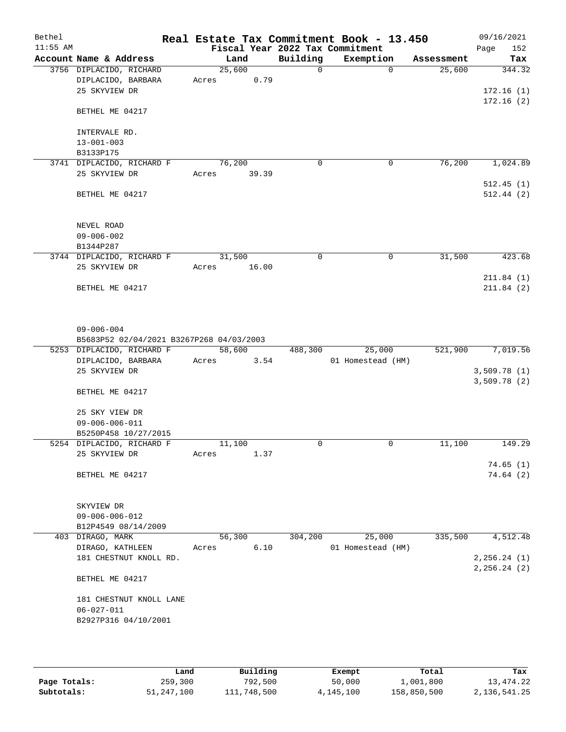| Bethel<br>$11:55$ AM |                                          |        |       |             | Real Estate Tax Commitment Book - 13.450<br>Fiscal Year 2022 Tax Commitment |            | 09/16/2021<br>Page<br>152  |
|----------------------|------------------------------------------|--------|-------|-------------|-----------------------------------------------------------------------------|------------|----------------------------|
|                      | Account Name & Address                   |        | Land  | Building    | Exemption                                                                   | Assessment | Tax                        |
|                      | 3756 DIPLACIDO, RICHARD                  | 25,600 |       | $\mathbf 0$ | $\Omega$                                                                    | 25,600     | 344.32                     |
|                      | DIPLACIDO, BARBARA                       | Acres  | 0.79  |             |                                                                             |            |                            |
|                      | 25 SKYVIEW DR                            |        |       |             |                                                                             |            | 172.16(1)                  |
|                      |                                          |        |       |             |                                                                             |            | 172.16(2)                  |
|                      | BETHEL ME 04217                          |        |       |             |                                                                             |            |                            |
|                      | INTERVALE RD.                            |        |       |             |                                                                             |            |                            |
|                      | $13 - 001 - 003$                         |        |       |             |                                                                             |            |                            |
|                      | B3133P175                                |        |       |             |                                                                             |            |                            |
|                      | 3741 DIPLACIDO, RICHARD F                | 76,200 |       | 0           | 0                                                                           | 76,200     | 1,024.89                   |
|                      | 25 SKYVIEW DR                            | Acres  | 39.39 |             |                                                                             |            |                            |
|                      |                                          |        |       |             |                                                                             |            | 512.45(1)                  |
|                      | BETHEL ME 04217                          |        |       |             |                                                                             |            | 512.44(2)                  |
|                      |                                          |        |       |             |                                                                             |            |                            |
|                      |                                          |        |       |             |                                                                             |            |                            |
|                      | NEVEL ROAD                               |        |       |             |                                                                             |            |                            |
|                      | $09 - 006 - 002$                         |        |       |             |                                                                             |            |                            |
|                      | B1344P287                                |        |       |             |                                                                             |            |                            |
|                      | 3744 DIPLACIDO, RICHARD F                | 31,500 |       | 0           | 0                                                                           | 31,500     | 423.68                     |
|                      | 25 SKYVIEW DR                            | Acres  | 16.00 |             |                                                                             |            |                            |
|                      |                                          |        |       |             |                                                                             |            | 211.84(1)                  |
|                      | BETHEL ME 04217                          |        |       |             |                                                                             |            | 211.84(2)                  |
|                      | $09 - 006 - 004$                         |        |       |             |                                                                             |            |                            |
|                      | B5683P52 02/04/2021 B3267P268 04/03/2003 |        |       |             |                                                                             |            |                            |
|                      | 5253 DIPLACIDO, RICHARD F                | 58,600 |       | 488,300     | 25,000                                                                      | 521,900    | 7,019.56                   |
|                      | DIPLACIDO, BARBARA<br>25 SKYVIEW DR      | Acres  | 3.54  |             | 01 Homestead (HM)                                                           |            |                            |
|                      |                                          |        |       |             |                                                                             |            | 3,509.78(1)<br>3,509.78(2) |
|                      | BETHEL ME 04217                          |        |       |             |                                                                             |            |                            |
|                      | 25 SKY VIEW DR                           |        |       |             |                                                                             |            |                            |
|                      | $09 - 006 - 006 - 011$                   |        |       |             |                                                                             |            |                            |
|                      | B5250P458 10/27/2015                     |        |       |             |                                                                             |            |                            |
|                      | 5254 DIPLACIDO, RICHARD F                | 11,100 |       | 0           | $\mathsf{O}$                                                                | 11,100     | 149.29                     |
|                      | 25 SKYVIEW DR                            | Acres  | 1.37  |             |                                                                             |            |                            |
|                      |                                          |        |       |             |                                                                             |            | 74.65(1)                   |
|                      | BETHEL ME 04217                          |        |       |             |                                                                             |            | 74.64 (2)                  |
|                      | SKYVIEW DR                               |        |       |             |                                                                             |            |                            |
|                      | $09 - 006 - 006 - 012$                   |        |       |             |                                                                             |            |                            |
|                      | B12P4549 08/14/2009                      |        |       |             |                                                                             |            |                            |
|                      | 403 DIRAGO, MARK                         | 56,300 |       | 304,200     | 25,000                                                                      | 335,500    | 4,512.48                   |
|                      | DIRAGO, KATHLEEN                         | Acres  | 6.10  |             | 01 Homestead (HM)                                                           |            |                            |
|                      | 181 CHESTNUT KNOLL RD.                   |        |       |             |                                                                             |            | 2, 256.24 (1)              |
|                      |                                          |        |       |             |                                                                             |            | 2, 256.24 (2)              |
|                      | BETHEL ME 04217                          |        |       |             |                                                                             |            |                            |
|                      | 181 CHESTNUT KNOLL LANE                  |        |       |             |                                                                             |            |                            |
|                      | $06 - 027 - 011$                         |        |       |             |                                                                             |            |                            |
|                      | B2927P316 04/10/2001                     |        |       |             |                                                                             |            |                            |
|                      |                                          |        |       |             |                                                                             |            |                            |
|                      |                                          |        |       |             |                                                                             |            |                            |

|              | Land       | Building    | Exempt    | Total       | Tax          |
|--------------|------------|-------------|-----------|-------------|--------------|
| Page Totals: | 259,300    | 792,500     | 50,000    | 1,001,800   | 13, 474. 22  |
| Subtotals:   | 51,247,100 | 111,748,500 | 4,145,100 | 158,850,500 | 2,136,541.25 |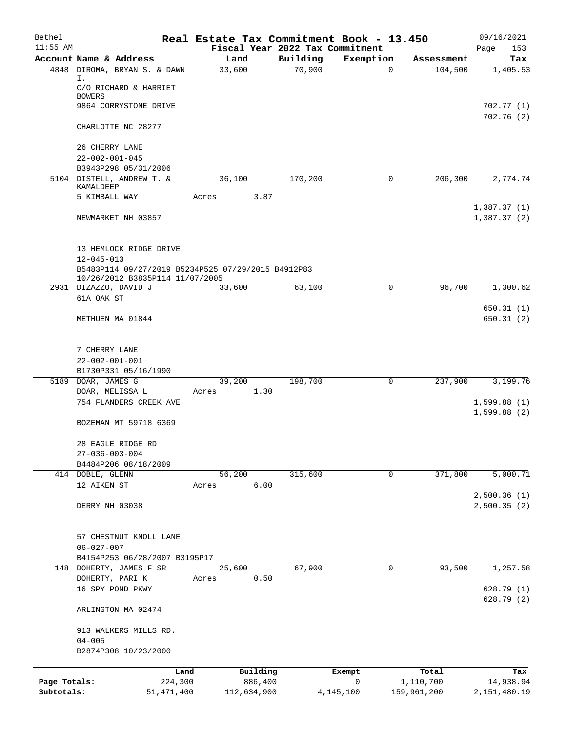| Bethel       |                                                                        | Real Estate Tax Commitment Book - 13.450 |                                 |                          |                       | 09/16/2021      |
|--------------|------------------------------------------------------------------------|------------------------------------------|---------------------------------|--------------------------|-----------------------|-----------------|
| $11:55$ AM   |                                                                        |                                          | Fiscal Year 2022 Tax Commitment |                          |                       | Page<br>153     |
|              | Account Name & Address<br>4848 DIROMA, BRYAN S. & DAWN                 | Land<br>33,600                           | Building<br>70,900              | Exemption<br>$\mathbf 0$ | Assessment<br>104,500 | Tax<br>1,405.53 |
|              | Ι.                                                                     |                                          |                                 |                          |                       |                 |
|              | C/O RICHARD & HARRIET                                                  |                                          |                                 |                          |                       |                 |
|              | <b>BOWERS</b><br>9864 CORRYSTONE DRIVE                                 |                                          |                                 |                          |                       | 702.77 (1)      |
|              |                                                                        |                                          |                                 |                          |                       | 702.76(2)       |
|              | CHARLOTTE NC 28277                                                     |                                          |                                 |                          |                       |                 |
|              |                                                                        |                                          |                                 |                          |                       |                 |
|              | 26 CHERRY LANE                                                         |                                          |                                 |                          |                       |                 |
|              | $22 - 002 - 001 - 045$<br>B3943P298 05/31/2006                         |                                          |                                 |                          |                       |                 |
|              | 5104 DISTELL, ANDREW T. &                                              | 36,100                                   | 170,200                         | 0                        | 206,300               | 2,774.74        |
|              | KAMALDEEP                                                              |                                          |                                 |                          |                       |                 |
|              | 5 KIMBALL WAY                                                          | 3.87<br>Acres                            |                                 |                          |                       |                 |
|              |                                                                        |                                          |                                 |                          |                       | 1,387.37(1)     |
|              | NEWMARKET NH 03857                                                     |                                          |                                 |                          |                       | 1,387.37(2)     |
|              |                                                                        |                                          |                                 |                          |                       |                 |
|              | 13 HEMLOCK RIDGE DRIVE                                                 |                                          |                                 |                          |                       |                 |
|              | $12 - 045 - 013$<br>B5483P114 09/27/2019 B5234P525 07/29/2015 B4912P83 |                                          |                                 |                          |                       |                 |
|              | 10/26/2012 B3835P114 11/07/2005                                        |                                          |                                 |                          |                       |                 |
|              | 2931 DIZAZZO, DAVID J                                                  | 33,600                                   | 63,100                          | 0                        | 96,700                | 1,300.62        |
|              | 61A OAK ST                                                             |                                          |                                 |                          |                       |                 |
|              |                                                                        |                                          |                                 |                          |                       | 650.31(1)       |
|              | METHUEN MA 01844                                                       |                                          |                                 |                          |                       | 650.31(2)       |
|              |                                                                        |                                          |                                 |                          |                       |                 |
|              | 7 CHERRY LANE                                                          |                                          |                                 |                          |                       |                 |
|              | $22 - 002 - 001 - 001$                                                 |                                          |                                 |                          |                       |                 |
|              | B1730P331 05/16/1990                                                   |                                          |                                 |                          |                       |                 |
|              | 5189 DOAR, JAMES G                                                     | 39,200                                   | 198,700                         | 0                        | 237,900               | 3,199.76        |
|              | DOAR, MELISSA L<br>754 FLANDERS CREEK AVE                              | 1.30<br>Acres                            |                                 |                          |                       | 1,599.88(1)     |
|              |                                                                        |                                          |                                 |                          |                       | 1,599.88(2)     |
|              | BOZEMAN MT 59718 6369                                                  |                                          |                                 |                          |                       |                 |
|              |                                                                        |                                          |                                 |                          |                       |                 |
|              | 28 EAGLE RIDGE RD<br>$27 - 036 - 003 - 004$                            |                                          |                                 |                          |                       |                 |
|              | B4484P206 08/18/2009                                                   |                                          |                                 |                          |                       |                 |
|              | 414 DOBLE, GLENN                                                       | 56,200                                   | 315,600                         | $\mathbf 0$              | 371,800               | 5,000.71        |
|              | 12 AIKEN ST                                                            | 6.00<br>Acres                            |                                 |                          |                       |                 |
|              |                                                                        |                                          |                                 |                          |                       | 2,500.36(1)     |
|              | DERRY NH 03038                                                         |                                          |                                 |                          |                       | 2,500.35(2)     |
|              |                                                                        |                                          |                                 |                          |                       |                 |
|              | 57 CHESTNUT KNOLL LANE                                                 |                                          |                                 |                          |                       |                 |
|              | $06 - 027 - 007$                                                       |                                          |                                 |                          |                       |                 |
|              | B4154P253 06/28/2007 B3195P17                                          |                                          |                                 |                          |                       |                 |
| 148          | DOHERTY, JAMES F SR                                                    | 25,600                                   | 67,900                          | 0                        | 93,500                | 1,257.58        |
|              | DOHERTY, PARI K                                                        | 0.50<br>Acres                            |                                 |                          |                       |                 |
|              | 16 SPY POND PKWY                                                       |                                          |                                 |                          |                       | 628.79(1)       |
|              | ARLINGTON MA 02474                                                     |                                          |                                 |                          |                       | 628.79(2)       |
|              |                                                                        |                                          |                                 |                          |                       |                 |
|              | 913 WALKERS MILLS RD.<br>$04 - 005$                                    |                                          |                                 |                          |                       |                 |
|              | B2874P308 10/23/2000                                                   |                                          |                                 |                          |                       |                 |
|              | Land                                                                   | Building                                 |                                 | Exempt                   | Total                 | Tax             |
| Page Totals: | 224,300                                                                | 886,400                                  |                                 | $\mathsf{O}$             | 1,110,700             | 14,938.94       |
| Subtotals:   | 51, 471, 400                                                           | 112,634,900                              |                                 | 4, 145, 100              | 159,961,200           | 2, 151, 480.19  |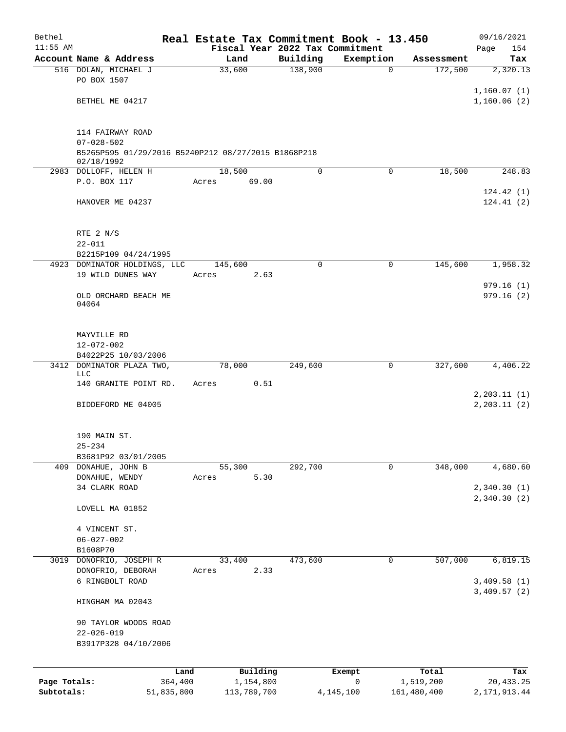| Bethel       |                                                     | Real Estate Tax Commitment Book - 13.450 |                     |                          |                       | 09/16/2021    |
|--------------|-----------------------------------------------------|------------------------------------------|---------------------|--------------------------|-----------------------|---------------|
| $11:55$ AM   |                                                     | Fiscal Year 2022 Tax Commitment          |                     |                          |                       | 154<br>Page   |
|              | Account Name & Address                              | Land<br>33,600                           | Building<br>138,900 | Exemption<br>$\mathbf 0$ | Assessment<br>172,500 | Tax           |
|              | 516 DOLAN, MICHAEL J<br>PO BOX 1507                 |                                          |                     |                          |                       | 2,320.13      |
|              |                                                     |                                          |                     |                          |                       | 1,160.07(1)   |
|              | BETHEL ME 04217                                     |                                          |                     |                          |                       | 1,160.06(2)   |
|              |                                                     |                                          |                     |                          |                       |               |
|              | 114 FAIRWAY ROAD                                    |                                          |                     |                          |                       |               |
|              | $07 - 028 - 502$                                    |                                          |                     |                          |                       |               |
|              | B5265P595 01/29/2016 B5240P212 08/27/2015 B1868P218 |                                          |                     |                          |                       |               |
|              | 02/18/1992                                          | 18,500                                   | 0                   | $\Omega$                 | 18,500                |               |
|              | 2983 DOLLOFF, HELEN H<br>P.O. BOX 117               | 69.00<br>Acres                           |                     |                          |                       | 248.83        |
|              |                                                     |                                          |                     |                          |                       | 124.42(1)     |
|              | HANOVER ME 04237                                    |                                          |                     |                          |                       | 124.41(2)     |
|              |                                                     |                                          |                     |                          |                       |               |
|              |                                                     |                                          |                     |                          |                       |               |
|              | RTE 2 N/S<br>$22 - 011$                             |                                          |                     |                          |                       |               |
|              | B2215P109 04/24/1995                                |                                          |                     |                          |                       |               |
|              | 4923 DOMINATOR HOLDINGS, LLC                        | 145,600                                  | $\mathbf 0$         | 0                        | 145,600               | 1,958.32      |
|              | 19 WILD DUNES WAY                                   | Acres<br>2.63                            |                     |                          |                       |               |
|              |                                                     |                                          |                     |                          |                       | 979.16(1)     |
|              | OLD ORCHARD BEACH ME                                |                                          |                     |                          |                       | 979.16 (2)    |
|              | 04064                                               |                                          |                     |                          |                       |               |
|              |                                                     |                                          |                     |                          |                       |               |
|              | MAYVILLE RD                                         |                                          |                     |                          |                       |               |
|              | 12-072-002                                          |                                          |                     |                          |                       |               |
|              | B4022P25 10/03/2006                                 |                                          |                     |                          |                       |               |
|              | 3412 DOMINATOR PLAZA TWO,                           | 78,000                                   | 249,600             | 0                        | 327,600               | 4,406.22      |
|              | LLC<br>140 GRANITE POINT RD.                        | Acres<br>0.51                            |                     |                          |                       |               |
|              |                                                     |                                          |                     |                          |                       | 2, 203.11(1)  |
|              | BIDDEFORD ME 04005                                  |                                          |                     |                          |                       | 2, 203.11 (2) |
|              |                                                     |                                          |                     |                          |                       |               |
|              |                                                     |                                          |                     |                          |                       |               |
|              | 190 MAIN ST.                                        |                                          |                     |                          |                       |               |
|              | $25 - 234$                                          |                                          |                     |                          |                       |               |
|              | B3681P92 03/01/2005<br>409 DONAHUE, JOHN B          | 55,300                                   | 292,700             | 0                        | 348,000               | 4,680.60      |
|              | DONAHUE, WENDY                                      | 5.30<br>Acres                            |                     |                          |                       |               |
|              | 34 CLARK ROAD                                       |                                          |                     |                          |                       | 2,340.30(1)   |
|              |                                                     |                                          |                     |                          |                       | 2,340.30(2)   |
|              | LOVELL MA 01852                                     |                                          |                     |                          |                       |               |
|              |                                                     |                                          |                     |                          |                       |               |
|              | 4 VINCENT ST.                                       |                                          |                     |                          |                       |               |
|              | $06 - 027 - 002$                                    |                                          |                     |                          |                       |               |
|              | B1608P70<br>3019 DONOFRIO, JOSEPH R                 | 33,400                                   | 473,600             | 0                        | 507,000               | 6,819.15      |
|              | DONOFRIO, DEBORAH                                   | 2.33<br>Acres                            |                     |                          |                       |               |
|              | 6 RINGBOLT ROAD                                     |                                          |                     |                          |                       | 3,409.58(1)   |
|              |                                                     |                                          |                     |                          |                       | 3,409.57(2)   |
|              | HINGHAM MA 02043                                    |                                          |                     |                          |                       |               |
|              |                                                     |                                          |                     |                          |                       |               |
|              | 90 TAYLOR WOODS ROAD                                |                                          |                     |                          |                       |               |
|              | $22 - 026 - 019$<br>B3917P328 04/10/2006            |                                          |                     |                          |                       |               |
|              |                                                     |                                          |                     |                          |                       |               |
|              |                                                     |                                          |                     |                          |                       |               |
|              |                                                     | Building<br>Land                         |                     | Exempt                   | Total                 | Tax           |
| Page Totals: | 364,400                                             | 1,154,800                                |                     | 0                        | 1,519,200             | 20,433.25     |
| Subtotals:   | 51,835,800                                          | 113,789,700                              |                     | 4,145,100                | 161,480,400           | 2,171,913.44  |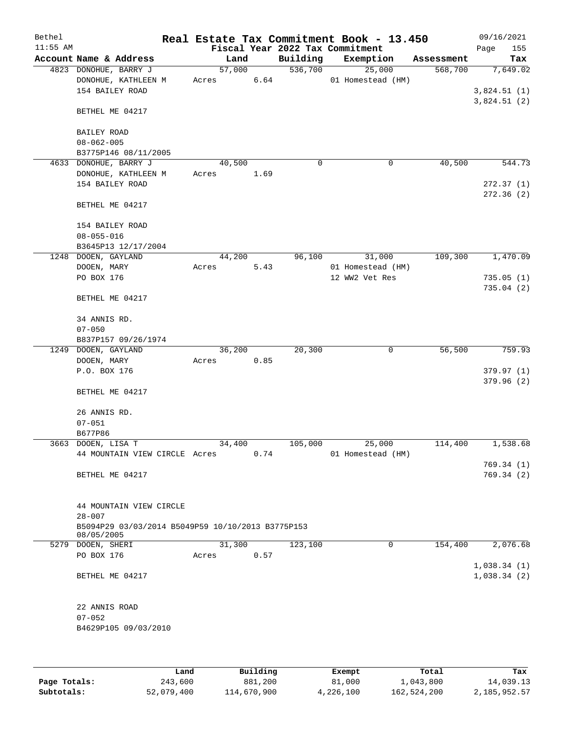| Bethel<br>$11:55$ AM |                                                                 |        |      |          | Real Estate Tax Commitment Book - 13.450<br>Fiscal Year 2022 Tax Commitment |            | 09/16/2021         |
|----------------------|-----------------------------------------------------------------|--------|------|----------|-----------------------------------------------------------------------------|------------|--------------------|
|                      | Account Name & Address                                          |        | Land | Building | Exemption                                                                   | Assessment | Page<br>155<br>Tax |
|                      | 4823 DONOHUE, BARRY J                                           | 57,000 |      | 536,700  | 25,000                                                                      | 568,700    | 7,649.02           |
|                      | DONOHUE, KATHLEEN M                                             | Acres  | 6.64 |          | 01 Homestead (HM)                                                           |            |                    |
|                      | 154 BAILEY ROAD                                                 |        |      |          |                                                                             |            | 3,824.51(1)        |
|                      |                                                                 |        |      |          |                                                                             |            | 3,824.51(2)        |
|                      | BETHEL ME 04217                                                 |        |      |          |                                                                             |            |                    |
|                      |                                                                 |        |      |          |                                                                             |            |                    |
|                      | BAILEY ROAD                                                     |        |      |          |                                                                             |            |                    |
|                      | $08 - 062 - 005$                                                |        |      |          |                                                                             |            |                    |
|                      | B3775P146 08/11/2005                                            |        |      |          |                                                                             |            |                    |
|                      | 4633 DONOHUE, BARRY J                                           | 40,500 |      | 0        | 0                                                                           | 40,500     | 544.73             |
|                      | DONOHUE, KATHLEEN M                                             | Acres  | 1.69 |          |                                                                             |            |                    |
|                      | 154 BAILEY ROAD                                                 |        |      |          |                                                                             |            | 272.37(1)          |
|                      |                                                                 |        |      |          |                                                                             |            | 272.36(2)          |
|                      |                                                                 |        |      |          |                                                                             |            |                    |
|                      | BETHEL ME 04217                                                 |        |      |          |                                                                             |            |                    |
|                      |                                                                 |        |      |          |                                                                             |            |                    |
|                      | 154 BAILEY ROAD                                                 |        |      |          |                                                                             |            |                    |
|                      | $08 - 055 - 016$                                                |        |      |          |                                                                             |            |                    |
|                      | B3645P13 12/17/2004                                             |        |      |          |                                                                             |            |                    |
|                      | 1248 DOOEN, GAYLAND                                             | 44,200 |      | 96,100   | 31,000                                                                      | 109,300    | 1,470.09           |
|                      | DOOEN, MARY                                                     | Acres  | 5.43 |          | 01 Homestead (HM)                                                           |            |                    |
|                      | PO BOX 176                                                      |        |      |          | 12 WW2 Vet Res                                                              |            | 735.05(1)          |
|                      |                                                                 |        |      |          |                                                                             |            | 735.04(2)          |
|                      | BETHEL ME 04217                                                 |        |      |          |                                                                             |            |                    |
|                      |                                                                 |        |      |          |                                                                             |            |                    |
|                      | 34 ANNIS RD.                                                    |        |      |          |                                                                             |            |                    |
|                      | $07 - 050$                                                      |        |      |          |                                                                             |            |                    |
|                      | B837P157 09/26/1974                                             |        |      |          |                                                                             |            |                    |
|                      | 1249 DOOEN, GAYLAND                                             | 36,200 |      | 20,300   | 0                                                                           | 56,500     | 759.93             |
|                      | DOOEN, MARY                                                     | Acres  | 0.85 |          |                                                                             |            |                    |
|                      | P.O. BOX 176                                                    |        |      |          |                                                                             |            | 379.97(1)          |
|                      |                                                                 |        |      |          |                                                                             |            | 379.96(2)          |
|                      | BETHEL ME 04217                                                 |        |      |          |                                                                             |            |                    |
|                      |                                                                 |        |      |          |                                                                             |            |                    |
|                      | 26 ANNIS RD.                                                    |        |      |          |                                                                             |            |                    |
|                      | $07 - 051$                                                      |        |      |          |                                                                             |            |                    |
|                      | B677P86                                                         |        |      |          |                                                                             |            |                    |
|                      | 3663 DOOEN, LISA T                                              | 34,400 |      | 105,000  | 25,000                                                                      | 114,400    | 1,538.68           |
|                      | 44 MOUNTAIN VIEW CIRCLE Acres                                   |        | 0.74 |          | 01 Homestead (HM)                                                           |            |                    |
|                      |                                                                 |        |      |          |                                                                             |            | 769.34(1)          |
|                      | BETHEL ME 04217                                                 |        |      |          |                                                                             |            | 769.34(2)          |
|                      |                                                                 |        |      |          |                                                                             |            |                    |
|                      |                                                                 |        |      |          |                                                                             |            |                    |
|                      | 44 MOUNTAIN VIEW CIRCLE                                         |        |      |          |                                                                             |            |                    |
|                      | $28 - 007$                                                      |        |      |          |                                                                             |            |                    |
|                      | B5094P29 03/03/2014 B5049P59 10/10/2013 B3775P153<br>08/05/2005 |        |      |          |                                                                             |            |                    |
|                      | 5279 DOOEN, SHERI                                               | 31,300 |      | 123,100  | 0                                                                           | 154,400    | 2,076.68           |
|                      | PO BOX 176                                                      | Acres  | 0.57 |          |                                                                             |            |                    |
|                      |                                                                 |        |      |          |                                                                             |            | 1,038.34(1)        |
|                      | BETHEL ME 04217                                                 |        |      |          |                                                                             |            | 1,038.34(2)        |
|                      |                                                                 |        |      |          |                                                                             |            |                    |
|                      |                                                                 |        |      |          |                                                                             |            |                    |
|                      | 22 ANNIS ROAD                                                   |        |      |          |                                                                             |            |                    |
|                      | $07 - 052$                                                      |        |      |          |                                                                             |            |                    |
|                      | B4629P105 09/03/2010                                            |        |      |          |                                                                             |            |                    |
|                      |                                                                 |        |      |          |                                                                             |            |                    |
|                      |                                                                 |        |      |          |                                                                             |            |                    |
|                      |                                                                 |        |      |          |                                                                             |            |                    |

|              | Land       | Building    | Exempt    | Total       | Tax          |
|--------------|------------|-------------|-----------|-------------|--------------|
| Page Totals: | 243,600    | 881,200     | 81,000    | 1,043,800   | 14,039.13    |
| Subtotals:   | 52,079,400 | 114,670,900 | 4,226,100 | 162,524,200 | 2,185,952.57 |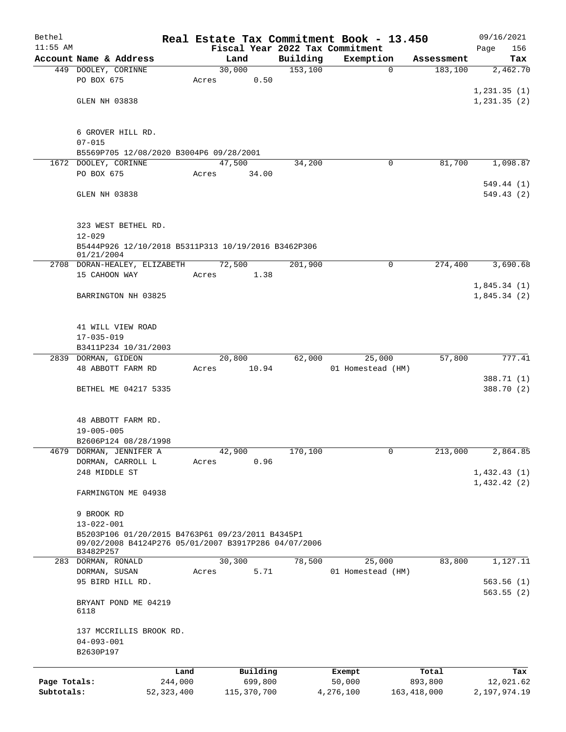| Bethel       |                                                                                                                       |         |       |                |                     | Real Estate Tax Commitment Book - 13.450 |                                      | 09/16/2021              |
|--------------|-----------------------------------------------------------------------------------------------------------------------|---------|-------|----------------|---------------------|------------------------------------------|--------------------------------------|-------------------------|
| $11:55$ AM   | Account Name & Address                                                                                                |         |       |                |                     | Fiscal Year 2022 Tax Commitment          |                                      | Page<br>156             |
|              | 449 DOOLEY, CORINNE                                                                                                   |         |       | Land<br>30,000 | Building<br>153,100 | Exemption                                | Assessment<br>$\mathbf 0$<br>183,100 | Tax<br>2,462.70         |
|              | PO BOX 675                                                                                                            |         | Acres | 0.50           |                     |                                          |                                      | 1, 231.35(1)            |
|              | GLEN NH 03838                                                                                                         |         |       |                |                     |                                          |                                      | 1, 231.35(2)            |
|              | 6 GROVER HILL RD.<br>$07 - 015$                                                                                       |         |       |                |                     |                                          |                                      |                         |
|              | B5569P705 12/08/2020 B3004P6 09/28/2001                                                                               |         |       |                |                     |                                          |                                      |                         |
| 1672         | DOOLEY, CORINNE                                                                                                       |         |       | 47,500         | 34,200              |                                          | 81,700<br>0                          | 1,098.87                |
|              | PO BOX 675                                                                                                            |         | Acres | 34.00          |                     |                                          |                                      |                         |
|              | GLEN NH 03838                                                                                                         |         |       |                |                     |                                          |                                      | 549.44 (1)<br>549.43(2) |
|              | 323 WEST BETHEL RD.<br>$12 - 029$                                                                                     |         |       |                |                     |                                          |                                      |                         |
|              | B5444P926 12/10/2018 B5311P313 10/19/2016 B3462P306<br>01/21/2004                                                     |         |       |                |                     |                                          |                                      |                         |
|              | 2708 DORAN-HEALEY, ELIZABETH                                                                                          |         |       | 72,500         | 201,900             |                                          | 274,400<br>0                         | 3,690.68                |
|              | 15 CAHOON WAY                                                                                                         |         | Acres | 1.38           |                     |                                          |                                      | 1,845.34(1)             |
|              | BARRINGTON NH 03825                                                                                                   |         |       |                |                     |                                          |                                      | 1,845.34(2)             |
|              | 41 WILL VIEW ROAD<br>$17 - 035 - 019$                                                                                 |         |       |                |                     |                                          |                                      |                         |
|              | B3411P234 10/31/2003                                                                                                  |         |       |                |                     |                                          |                                      |                         |
|              | 2839 DORMAN, GIDEON                                                                                                   |         |       | 20,800         | 62,000              | 25,000                                   | 57,800                               | 777.41                  |
|              | 48 ABBOTT FARM RD                                                                                                     |         | Acres | 10.94          |                     | 01 Homestead (HM)                        |                                      | 388.71 (1)              |
|              | BETHEL ME 04217 5335                                                                                                  |         |       |                |                     |                                          |                                      | 388.70 (2)              |
|              | 48 ABBOTT FARM RD.<br>$19 - 005 - 005$<br>B2606P124 08/28/1998                                                        |         |       |                |                     |                                          |                                      |                         |
| 4679         | DORMAN, JENNIFER A                                                                                                    |         |       | 42,900         | 170,100             |                                          | 0<br>213,000                         | 2,864.85                |
|              | DORMAN, CARROLL L<br>248 MIDDLE ST                                                                                    |         | Acres | 0.96           |                     |                                          |                                      | 1,432.43(1)             |
|              | FARMINGTON ME 04938                                                                                                   |         |       |                |                     |                                          |                                      | 1,432.42(2)             |
|              | 9 BROOK RD<br>$13 - 022 - 001$                                                                                        |         |       |                |                     |                                          |                                      |                         |
|              | B5203P106 01/20/2015 B4763P61 09/23/2011 B4345P1<br>09/02/2008 B4124P276 05/01/2007 B3917P286 04/07/2006<br>B3482P257 |         |       |                |                     |                                          |                                      |                         |
|              | 283 DORMAN, RONALD                                                                                                    |         |       | 30,300         | 78,500              | 25,000                                   | 83,800                               | 1,127.11                |
|              | DORMAN, SUSAN<br>95 BIRD HILL RD.                                                                                     |         | Acres | 5.71           |                     | 01 Homestead (HM)                        |                                      | 563.56(1)               |
|              | BRYANT POND ME 04219<br>6118                                                                                          |         |       |                |                     |                                          |                                      | 563.55(2)               |
|              | 137 MCCRILLIS BROOK RD.<br>$04 - 093 - 001$<br>B2630P197                                                              |         |       |                |                     |                                          |                                      |                         |
|              |                                                                                                                       | Land    |       | Building       |                     | Exempt                                   | Total                                | Tax                     |
| Page Totals: |                                                                                                                       | 244,000 |       | 699,800        |                     | 50,000                                   | 893,800                              | 12,021.62               |
| Subtotals:   | 52, 323, 400                                                                                                          |         |       | 115,370,700    |                     | 4,276,100                                | 163, 418, 000                        | 2,197,974.19            |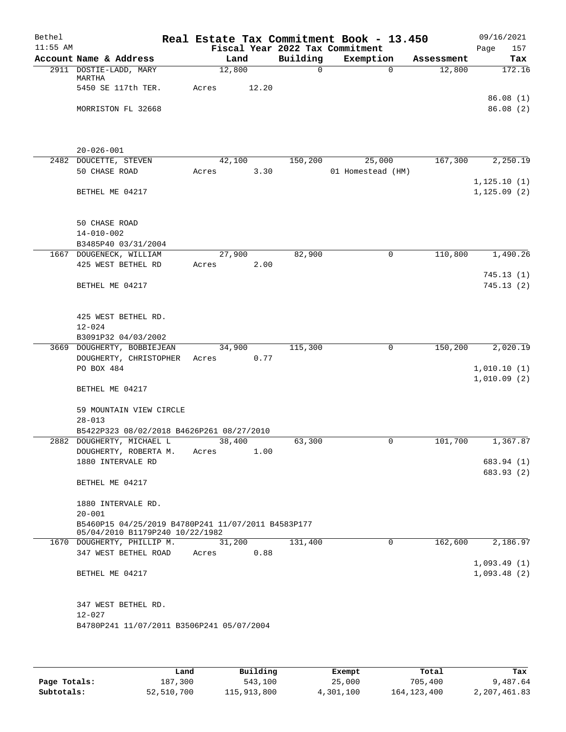| Bethel     |                                                                                                     | Real Estate Tax Commitment Book - 13.450 |       |          |                                 |          |            | 09/16/2021                 |
|------------|-----------------------------------------------------------------------------------------------------|------------------------------------------|-------|----------|---------------------------------|----------|------------|----------------------------|
| $11:55$ AM |                                                                                                     |                                          |       |          | Fiscal Year 2022 Tax Commitment |          |            | Page<br>157                |
|            | Account Name & Address                                                                              | Land                                     |       | Building | Exemption                       |          | Assessment | Tax                        |
|            | 2911 DOSTIE-LADD, MARY<br>MARTHA                                                                    | 12,800                                   |       | $\Omega$ |                                 | $\Omega$ | 12,800     | 172.16                     |
|            | 5450 SE 117th TER.                                                                                  | Acres                                    | 12.20 |          |                                 |          |            | 86.08(1)                   |
|            | MORRISTON FL 32668                                                                                  |                                          |       |          |                                 |          |            | 86.08(2)                   |
|            | $20 - 026 - 001$                                                                                    |                                          |       |          |                                 |          |            |                            |
|            | 2482 DOUCETTE, STEVEN                                                                               | 42,100                                   |       | 150,200  | 25,000                          |          | 167,300    | 2,250.19                   |
|            | 50 CHASE ROAD                                                                                       | Acres                                    | 3.30  |          | 01 Homestead (HM)               |          |            | 1, 125.10(1)               |
|            | BETHEL ME 04217                                                                                     |                                          |       |          |                                 |          |            | 1, 125.09(2)               |
|            | <b>50 CHASE ROAD</b><br>$14 - 010 - 002$<br>B3485P40 03/31/2004                                     |                                          |       |          |                                 |          |            |                            |
|            | 1667 DOUGENECK, WILLIAM                                                                             | 27,900                                   |       | 82,900   |                                 | 0        | 110,800    | 1,490.26                   |
|            | 425 WEST BETHEL RD                                                                                  | Acres                                    | 2.00  |          |                                 |          |            |                            |
|            | BETHEL ME 04217                                                                                     |                                          |       |          |                                 |          |            | 745.13(1)<br>745.13(2)     |
|            | 425 WEST BETHEL RD.<br>$12 - 024$<br>B3091P32 04/03/2002                                            |                                          |       |          |                                 |          |            |                            |
|            | 3669 DOUGHERTY, BOBBIEJEAN                                                                          | 34,900                                   |       | 115,300  |                                 | 0        | 150,200    | 2,020.19                   |
|            | DOUGHERTY, CHRISTOPHER<br>PO BOX 484<br>BETHEL ME 04217                                             | Acres                                    | 0.77  |          |                                 |          |            | 1,010.10(1)<br>1,010.09(2) |
|            | 59 MOUNTAIN VIEW CIRCLE<br>$28 - 013$                                                               |                                          |       |          |                                 |          |            |                            |
|            | B5422P323 08/02/2018 B4626P261 08/27/2010                                                           |                                          |       |          |                                 |          |            |                            |
|            | 2882 DOUGHERTY, MICHAEL L                                                                           | 38,400                                   |       | 63,300   |                                 | 0        | 101,700    | 1,367.87                   |
|            | DOUGHERTY, ROBERTA M.<br>1880 INTERVALE RD                                                          | Acres                                    | 1.00  |          |                                 |          |            | 683.94 (1)                 |
|            |                                                                                                     |                                          |       |          |                                 |          |            | 683.93 (2)                 |
|            | BETHEL ME 04217                                                                                     |                                          |       |          |                                 |          |            |                            |
|            | 1880 INTERVALE RD.                                                                                  |                                          |       |          |                                 |          |            |                            |
|            | $20 - 001$<br>B5460P15 04/25/2019 B4780P241 11/07/2011 B4583P177<br>05/04/2010 B1179P240 10/22/1982 |                                          |       |          |                                 |          |            |                            |
|            | 1670 DOUGHERTY, PHILLIP M.                                                                          | 31,200                                   |       | 131,400  |                                 | $\Omega$ | 162,600    | 2,186.97                   |
|            | 347 WEST BETHEL ROAD                                                                                | Acres                                    | 0.88  |          |                                 |          |            |                            |
|            | BETHEL ME 04217                                                                                     |                                          |       |          |                                 |          |            | 1,093.49(1)<br>1,093.48(2) |
|            | 347 WEST BETHEL RD.<br>$12 - 027$<br>B4780P241 11/07/2011 B3506P241 05/07/2004                      |                                          |       |          |                                 |          |            |                            |
|            |                                                                                                     |                                          |       |          |                                 |          |            |                            |

|              | Land       | Building    | Exempt    | Total         | Tax          |
|--------------|------------|-------------|-----------|---------------|--------------|
| Page Totals: | 187,300    | 543,100     | 25,000    | 705,400       | 9,487.64     |
| Subtotals:   | 52,510,700 | 115,913,800 | 4,301,100 | 164, 123, 400 | 2,207,461.83 |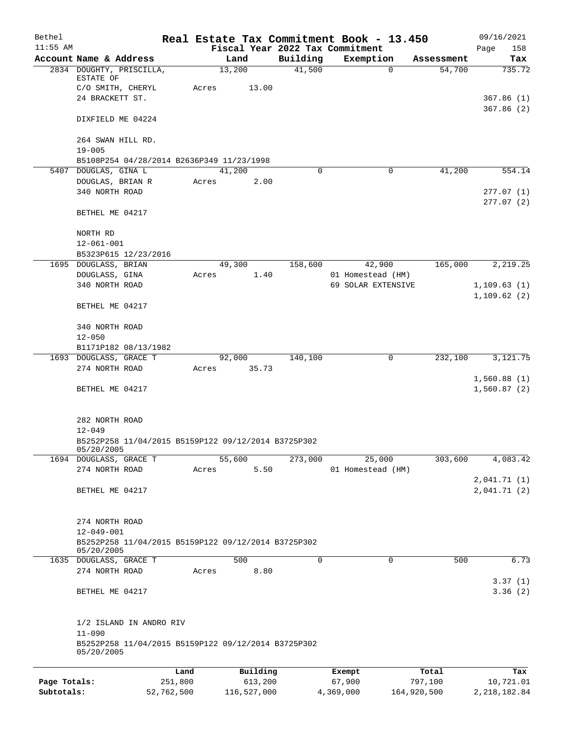| Bethel       |                                                                         |         |       |                |         |                                 |        | Real Estate Tax Commitment Book - 13.450 |         |                      | 09/16/2021                 |
|--------------|-------------------------------------------------------------------------|---------|-------|----------------|---------|---------------------------------|--------|------------------------------------------|---------|----------------------|----------------------------|
| $11:55$ AM   | Account Name & Address                                                  |         |       |                |         | Fiscal Year 2022 Tax Commitment |        |                                          |         |                      | Page<br>158                |
|              | 2834 DOUGHTY, PRISCILLA,                                                |         |       | Land<br>13,200 |         | Building<br>41,500              |        | Exemption<br>$\Omega$                    |         | Assessment<br>54,700 | Tax<br>735.72              |
|              | ESTATE OF                                                               |         |       |                |         |                                 |        |                                          |         |                      |                            |
|              | C/O SMITH, CHERYL                                                       |         | Acres |                | 13.00   |                                 |        |                                          |         |                      |                            |
|              | 24 BRACKETT ST.                                                         |         |       |                |         |                                 |        |                                          |         |                      | 367.86(1)                  |
|              | DIXFIELD ME 04224                                                       |         |       |                |         |                                 |        |                                          |         |                      | 367.86(2)                  |
|              | 264 SWAN HILL RD.                                                       |         |       |                |         |                                 |        |                                          |         |                      |                            |
|              | $19 - 005$                                                              |         |       |                |         |                                 |        |                                          |         |                      |                            |
|              | B5108P254 04/28/2014 B2636P349 11/23/1998                               |         |       |                |         |                                 |        |                                          |         |                      |                            |
|              | 5407 DOUGLAS, GINA L                                                    |         |       | 41,200         |         | 0                               |        | 0                                        |         | 41,200               | 554.14                     |
|              | DOUGLAS, BRIAN R<br>340 NORTH ROAD                                      |         | Acres |                | 2.00    |                                 |        |                                          |         |                      | 277.07(1)                  |
|              |                                                                         |         |       |                |         |                                 |        |                                          |         |                      | 277.07(2)                  |
|              | BETHEL ME 04217                                                         |         |       |                |         |                                 |        |                                          |         |                      |                            |
|              | NORTH RD                                                                |         |       |                |         |                                 |        |                                          |         |                      |                            |
|              | $12 - 061 - 001$                                                        |         |       |                |         |                                 |        |                                          |         |                      |                            |
|              | B5323P615 12/23/2016                                                    |         |       |                |         |                                 |        |                                          |         |                      |                            |
|              | 1695 DOUGLASS, BRIAN                                                    |         |       | 49,300         |         | 158,600                         |        | 42,900                                   |         | 165,000              | 2, 219.25                  |
|              | DOUGLASS, GINA                                                          |         | Acres |                | 1.40    |                                 |        | 01 Homestead (HM)                        |         |                      |                            |
|              | 340 NORTH ROAD                                                          |         |       |                |         |                                 |        | 69 SOLAR EXTENSIVE                       |         |                      | 1, 109.63(1)               |
|              | BETHEL ME 04217                                                         |         |       |                |         |                                 |        |                                          |         |                      | 1,109.62(2)                |
|              | 340 NORTH ROAD                                                          |         |       |                |         |                                 |        |                                          |         |                      |                            |
|              | $12 - 050$                                                              |         |       |                |         |                                 |        |                                          |         |                      |                            |
|              | B1171P182 08/13/1982<br>1693 DOUGLASS, GRACE T                          |         |       | 92,000         |         | 140,100                         |        | 0                                        |         | 232,100              | 3,121.75                   |
|              | 274 NORTH ROAD                                                          |         | Acres | 35.73          |         |                                 |        |                                          |         |                      |                            |
|              |                                                                         |         |       |                |         |                                 |        |                                          |         |                      | 1,560.88(1)                |
|              | BETHEL ME 04217                                                         |         |       |                |         |                                 |        |                                          |         |                      | 1,560.87(2)                |
|              |                                                                         |         |       |                |         |                                 |        |                                          |         |                      |                            |
|              | 282 NORTH ROAD<br>$12 - 049$                                            |         |       |                |         |                                 |        |                                          |         |                      |                            |
|              | B5252P258 11/04/2015 B5159P122 09/12/2014 B3725P302<br>05/20/2005       |         |       |                |         |                                 |        |                                          |         |                      |                            |
|              | 1694 DOUGLASS, GRACE T                                                  |         |       | 55,600         |         | 273,000                         |        | 25,000                                   |         | 303,600              | 4,083.42                   |
|              | 274 NORTH ROAD                                                          |         | Acres |                | 5.50    |                                 |        | 01 Homestead (HM)                        |         |                      |                            |
|              | BETHEL ME 04217                                                         |         |       |                |         |                                 |        |                                          |         |                      | 2,041.71(1)<br>2,041.71(2) |
|              |                                                                         |         |       |                |         |                                 |        |                                          |         |                      |                            |
|              | 274 NORTH ROAD                                                          |         |       |                |         |                                 |        |                                          |         |                      |                            |
|              | $12 - 049 - 001$<br>B5252P258 11/04/2015 B5159P122 09/12/2014 B3725P302 |         |       |                |         |                                 |        |                                          |         |                      |                            |
|              | 05/20/2005                                                              |         |       |                |         |                                 |        |                                          |         |                      |                            |
|              | 1635 DOUGLASS, GRACE T                                                  |         |       | 500            |         | 0                               |        | $\mathbf 0$                              |         | 500                  | 6.73                       |
|              | 274 NORTH ROAD                                                          |         | Acres |                | 8.80    |                                 |        |                                          |         |                      | 3.37(1)                    |
|              | BETHEL ME 04217                                                         |         |       |                |         |                                 |        |                                          |         |                      | 3.36(2)                    |
|              | 1/2 ISLAND IN ANDRO RIV                                                 |         |       |                |         |                                 |        |                                          |         |                      |                            |
|              | $11 - 090$                                                              |         |       |                |         |                                 |        |                                          |         |                      |                            |
|              | B5252P258 11/04/2015 B5159P122 09/12/2014 B3725P302<br>05/20/2005       |         |       |                |         |                                 |        |                                          |         |                      |                            |
|              |                                                                         | Land    |       | Building       |         |                                 | Exempt |                                          | Total   |                      | Tax                        |
| Page Totals: |                                                                         | 251,800 |       |                | 613,200 |                                 | 67,900 |                                          | 797,100 |                      | 10,721.01                  |

**Subtotals:** 52,762,500 116,527,000 4,369,000 164,920,500 2,218,182.84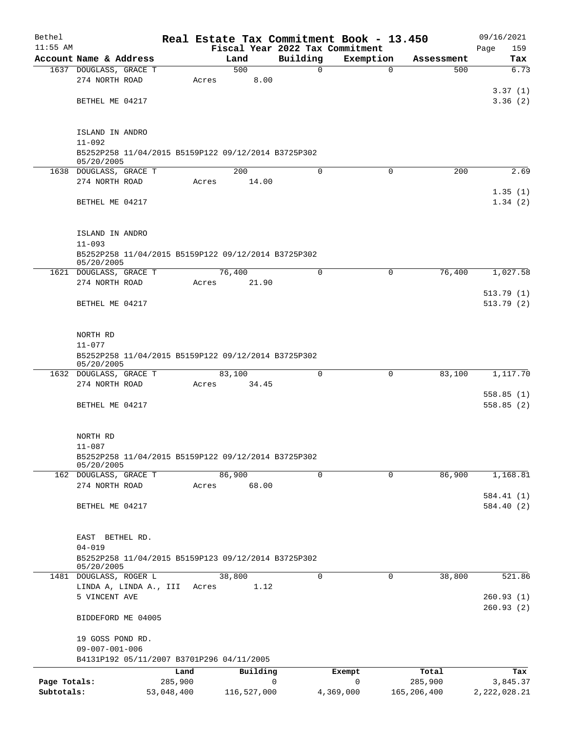| Bethel                     |                                                                   |                       |       |             |          | Real Estate Tax Commitment Book - 13.450 |                        | 09/16/2021                 |
|----------------------------|-------------------------------------------------------------------|-----------------------|-------|-------------|----------|------------------------------------------|------------------------|----------------------------|
| $11:55$ AM                 |                                                                   |                       |       |             |          | Fiscal Year 2022 Tax Commitment          |                        | 159<br>Page                |
|                            | Account Name & Address                                            |                       |       | Land<br>500 | Building | Exemption<br>$\Omega$<br>$\Omega$        | Assessment             | Tax<br>6.73                |
|                            | 1637 DOUGLASS, GRACE T<br>274 NORTH ROAD                          |                       | Acres | 8.00        |          |                                          | 500                    |                            |
|                            |                                                                   |                       |       |             |          |                                          |                        | 3.37(1)                    |
|                            | BETHEL ME 04217                                                   |                       |       |             |          |                                          |                        | 3.36(2)                    |
|                            |                                                                   |                       |       |             |          |                                          |                        |                            |
|                            | ISLAND IN ANDRO                                                   |                       |       |             |          |                                          |                        |                            |
|                            | $11 - 092$                                                        |                       |       |             |          |                                          |                        |                            |
|                            | B5252P258 11/04/2015 B5159P122 09/12/2014 B3725P302               |                       |       |             |          |                                          |                        |                            |
|                            | 05/20/2005<br>1638 DOUGLASS, GRACE T                              |                       |       | 200         |          | $\Omega$<br>$\Omega$                     | 200                    | 2.69                       |
|                            | 274 NORTH ROAD                                                    |                       | Acres | 14.00       |          |                                          |                        |                            |
|                            |                                                                   |                       |       |             |          |                                          |                        | 1.35(1)                    |
|                            | BETHEL ME 04217                                                   |                       |       |             |          |                                          |                        | 1.34(2)                    |
|                            |                                                                   |                       |       |             |          |                                          |                        |                            |
|                            | ISLAND IN ANDRO                                                   |                       |       |             |          |                                          |                        |                            |
|                            | $11 - 093$                                                        |                       |       |             |          |                                          |                        |                            |
|                            | B5252P258 11/04/2015 B5159P122 09/12/2014 B3725P302               |                       |       |             |          |                                          |                        |                            |
|                            | 05/20/2005                                                        |                       |       |             |          |                                          |                        |                            |
|                            | 1621 DOUGLASS, GRACE T                                            |                       |       | 76,400      |          | $\Omega$<br>$\Omega$                     | 76,400                 | 1,027.58                   |
|                            | 274 NORTH ROAD                                                    |                       | Acres | 21.90       |          |                                          |                        | 513.79(1)                  |
|                            | BETHEL ME 04217                                                   |                       |       |             |          |                                          |                        | 513.79(2)                  |
|                            |                                                                   |                       |       |             |          |                                          |                        |                            |
|                            |                                                                   |                       |       |             |          |                                          |                        |                            |
|                            | NORTH RD                                                          |                       |       |             |          |                                          |                        |                            |
|                            | $11 - 077$<br>B5252P258 11/04/2015 B5159P122 09/12/2014 B3725P302 |                       |       |             |          |                                          |                        |                            |
|                            | 05/20/2005                                                        |                       |       |             |          |                                          |                        |                            |
|                            | 1632 DOUGLASS, GRACE T                                            |                       |       | 83,100      |          | $\mathbf 0$<br>$\mathbf 0$               | 83,100                 | 1,117.70                   |
|                            | 274 NORTH ROAD                                                    |                       | Acres | 34.45       |          |                                          |                        |                            |
|                            | BETHEL ME 04217                                                   |                       |       |             |          |                                          |                        | 558.85(1)<br>558.85(2)     |
|                            |                                                                   |                       |       |             |          |                                          |                        |                            |
|                            |                                                                   |                       |       |             |          |                                          |                        |                            |
|                            | NORTH RD                                                          |                       |       |             |          |                                          |                        |                            |
|                            | $11 - 087$<br>B5252P258 11/04/2015 B5159P122 09/12/2014 B3725P302 |                       |       |             |          |                                          |                        |                            |
|                            | 05/20/2005                                                        |                       |       |             |          |                                          |                        |                            |
|                            | 162 DOUGLASS, GRACE T                                             |                       |       | 86,900      |          | $\Omega$<br>$\Omega$                     | 86,900                 | 1,168.81                   |
|                            | 274 NORTH ROAD                                                    |                       | Acres | 68.00       |          |                                          |                        |                            |
|                            | BETHEL ME 04217                                                   |                       |       |             |          |                                          |                        | 584.41(1)<br>584.40 (2)    |
|                            |                                                                   |                       |       |             |          |                                          |                        |                            |
|                            |                                                                   |                       |       |             |          |                                          |                        |                            |
|                            | EAST BETHEL RD.                                                   |                       |       |             |          |                                          |                        |                            |
|                            | $04 - 019$<br>B5252P258 11/04/2015 B5159P123 09/12/2014 B3725P302 |                       |       |             |          |                                          |                        |                            |
|                            | 05/20/2005                                                        |                       |       |             |          |                                          |                        |                            |
|                            | 1481 DOUGLASS, ROGER L                                            |                       |       | 38,800      |          | $\Omega$<br>$\Omega$                     | 38,800                 | 521.86                     |
|                            | LINDA A, LINDA A., III Acres                                      |                       |       | 1.12        |          |                                          |                        |                            |
|                            | 5 VINCENT AVE                                                     |                       |       |             |          |                                          |                        | 260.93(1)                  |
|                            | BIDDEFORD ME 04005                                                |                       |       |             |          |                                          |                        | 260.93(2)                  |
|                            |                                                                   |                       |       |             |          |                                          |                        |                            |
|                            | 19 GOSS POND RD.                                                  |                       |       |             |          |                                          |                        |                            |
|                            | $09 - 007 - 001 - 006$                                            |                       |       |             |          |                                          |                        |                            |
|                            | B4131P192 05/11/2007 B3701P296 04/11/2005                         |                       |       |             |          |                                          |                        |                            |
|                            |                                                                   | Land                  |       | Building    | 0        | Exempt<br>0                              | Total                  | Tax                        |
| Page Totals:<br>Subtotals: |                                                                   | 285,900<br>53,048,400 |       | 116,527,000 |          | 4,369,000                                | 285,900<br>165,206,400 | 3,845.37<br>2, 222, 028.21 |
|                            |                                                                   |                       |       |             |          |                                          |                        |                            |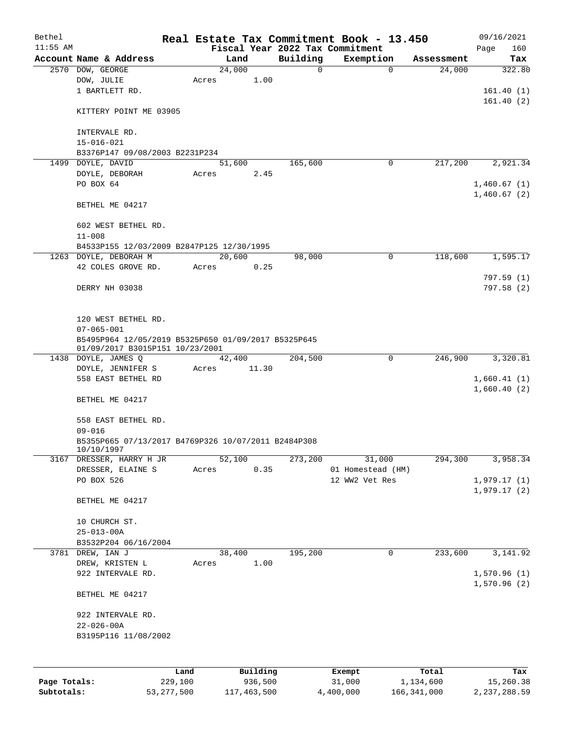| Bethel       |                                                                         |       |          |          | Real Estate Tax Commitment Book - 13.450 |            | 09/16/2021                 |
|--------------|-------------------------------------------------------------------------|-------|----------|----------|------------------------------------------|------------|----------------------------|
| $11:55$ AM   |                                                                         |       |          |          | Fiscal Year 2022 Tax Commitment          |            | Page<br>160                |
|              | Account Name & Address                                                  |       | Land     | Building | Exemption                                | Assessment | Tax                        |
|              | 2570 DOW, GEORGE                                                        |       | 24,000   | 0        | $\mathbf 0$                              | 24,000     | 322.80                     |
|              | DOW, JULIE                                                              | Acres | 1.00     |          |                                          |            |                            |
|              | 1 BARTLETT RD.                                                          |       |          |          |                                          |            | 161.40(1)                  |
|              | KITTERY POINT ME 03905                                                  |       |          |          |                                          |            | 161.40(2)                  |
|              | INTERVALE RD.                                                           |       |          |          |                                          |            |                            |
|              | $15 - 016 - 021$                                                        |       |          |          |                                          |            |                            |
|              | B3376P147 09/08/2003 B2231P234                                          |       |          |          |                                          |            |                            |
|              | 1499 DOYLE, DAVID                                                       |       | 51,600   | 165,600  | 0                                        | 217,200    | 2,921.34                   |
|              | DOYLE, DEBORAH                                                          | Acres | 2.45     |          |                                          |            |                            |
|              | PO BOX 64                                                               |       |          |          |                                          |            | 1,460.67(1)                |
|              |                                                                         |       |          |          |                                          |            | 1,460.67(2)                |
|              | BETHEL ME 04217                                                         |       |          |          |                                          |            |                            |
|              | 602 WEST BETHEL RD.                                                     |       |          |          |                                          |            |                            |
|              | $11 - 008$                                                              |       |          |          |                                          |            |                            |
|              | B4533P155 12/03/2009 B2847P125 12/30/1995                               |       |          |          |                                          |            |                            |
|              | 1263 DOYLE, DEBORAH M                                                   |       | 20,600   | 98,000   | 0                                        | 118,600    | 1,595.17                   |
|              | 42 COLES GROVE RD.                                                      | Acres | 0.25     |          |                                          |            |                            |
|              |                                                                         |       |          |          |                                          |            | 797.59(1)                  |
|              | DERRY NH 03038                                                          |       |          |          |                                          |            | 797.58(2)                  |
|              |                                                                         |       |          |          |                                          |            |                            |
|              |                                                                         |       |          |          |                                          |            |                            |
|              | 120 WEST BETHEL RD.                                                     |       |          |          |                                          |            |                            |
|              | $07 - 065 - 001$<br>B5495P964 12/05/2019 B5325P650 01/09/2017 B5325P645 |       |          |          |                                          |            |                            |
|              | 01/09/2017 B3015P151 10/23/2001                                         |       |          |          |                                          |            |                            |
|              | 1438 DOYLE, JAMES Q                                                     |       | 42,400   | 204,500  | 0                                        | 246,900    | 3,320.81                   |
|              | DOYLE, JENNIFER S                                                       | Acres | 11.30    |          |                                          |            |                            |
|              | 558 EAST BETHEL RD                                                      |       |          |          |                                          |            | 1,660.41(1)<br>1,660.40(2) |
|              | BETHEL ME 04217                                                         |       |          |          |                                          |            |                            |
|              | 558 EAST BETHEL RD.                                                     |       |          |          |                                          |            |                            |
|              | $09 - 016$                                                              |       |          |          |                                          |            |                            |
|              | B5355P665 07/13/2017 B4769P326 10/07/2011 B2484P308<br>10/10/1997       |       |          |          |                                          |            |                            |
|              | 3167 DRESSER, HARRY H JR                                                |       | 52,100   | 273,200  | 31,000                                   | 294,300    | 3,958.34                   |
|              | DRESSER, ELAINE S                                                       | Acres | 0.35     |          | 01 Homestead (HM)                        |            |                            |
|              | PO BOX 526                                                              |       |          |          | 12 WW2 Vet Res                           |            | 1,979.17(1)                |
|              | BETHEL ME 04217                                                         |       |          |          |                                          |            | 1,979.17(2)                |
|              |                                                                         |       |          |          |                                          |            |                            |
|              | 10 CHURCH ST.                                                           |       |          |          |                                          |            |                            |
|              | $25 - 013 - 00A$                                                        |       |          |          |                                          |            |                            |
|              | B3532P204 06/16/2004                                                    |       |          |          |                                          |            |                            |
|              | 3781 DREW, IAN J                                                        |       | 38,400   | 195,200  | 0                                        | 233,600    | 3,141.92                   |
|              | DREW, KRISTEN L                                                         | Acres | 1.00     |          |                                          |            |                            |
|              | 922 INTERVALE RD.                                                       |       |          |          |                                          |            | 1,570.96(1)                |
|              | BETHEL ME 04217                                                         |       |          |          |                                          |            | 1,570.96(2)                |
|              |                                                                         |       |          |          |                                          |            |                            |
|              | 922 INTERVALE RD.                                                       |       |          |          |                                          |            |                            |
|              | $22 - 026 - 00A$                                                        |       |          |          |                                          |            |                            |
|              | B3195P116 11/08/2002                                                    |       |          |          |                                          |            |                            |
|              |                                                                         |       |          |          |                                          |            |                            |
|              | Land                                                                    |       | Building |          | Exempt                                   | Total      | Tax                        |
| Page Totals: | 229,100                                                                 |       | 936,500  |          | 31,000                                   | 1,134,600  | 15,260.38                  |

**Subtotals:** 53,277,500 117,463,500 4,400,000 166,341,000 2,237,288.59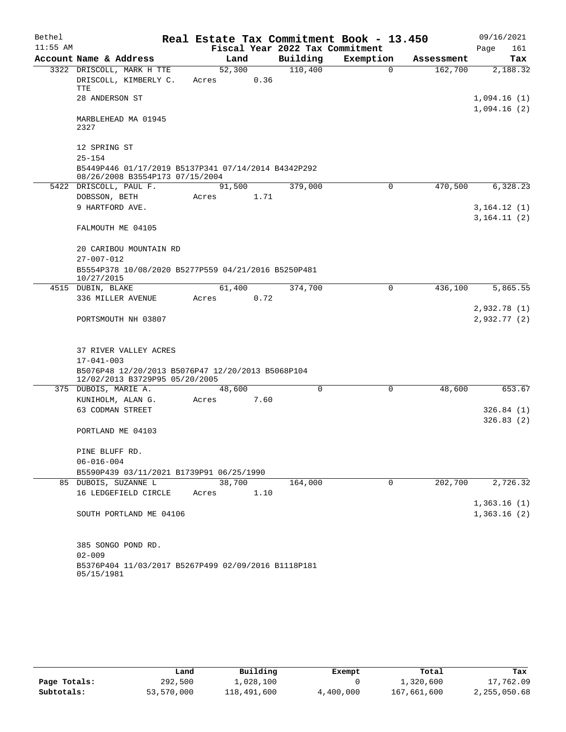| Bethel     |                                                                                                         |       |        |      | Real Estate Tax Commitment Book - 13.450 |           |             |            | 09/16/2021                  |     |
|------------|---------------------------------------------------------------------------------------------------------|-------|--------|------|------------------------------------------|-----------|-------------|------------|-----------------------------|-----|
| $11:55$ AM |                                                                                                         |       |        |      | Fiscal Year 2022 Tax Commitment          |           |             |            | Page                        | 161 |
|            | Account Name & Address                                                                                  |       | Land   |      | Building                                 | Exemption |             | Assessment |                             | Tax |
|            | 3322 DRISCOLL, MARK H TTE<br>DRISCOLL, KIMBERLY C.<br>TTE                                               | Acres | 52,300 | 0.36 | 110,400                                  |           | $\Omega$    | 162,700    | 2,188.32                    |     |
|            | 28 ANDERSON ST                                                                                          |       |        |      |                                          |           |             |            | 1,094.16(1)                 |     |
|            | MARBLEHEAD MA 01945<br>2327                                                                             |       |        |      |                                          |           |             |            | 1,094.16(2)                 |     |
|            | 12 SPRING ST<br>$25 - 154$                                                                              |       |        |      |                                          |           |             |            |                             |     |
|            | B5449P446 01/17/2019 B5137P341 07/14/2014 B4342P292<br>08/26/2008 B3554P173 07/15/2004                  |       |        |      |                                          |           |             |            |                             |     |
|            | 5422 DRISCOLL, PAUL F.                                                                                  |       | 91,500 |      | 379,000                                  |           | 0           | 470,500    | 6,328.23                    |     |
|            | DOBSSON, BETH                                                                                           | Acres |        | 1.71 |                                          |           |             |            |                             |     |
|            | 9 HARTFORD AVE.                                                                                         |       |        |      |                                          |           |             |            | 3,164.12(1)<br>3, 164.11(2) |     |
|            | FALMOUTH ME 04105                                                                                       |       |        |      |                                          |           |             |            |                             |     |
|            | 20 CARIBOU MOUNTAIN RD                                                                                  |       |        |      |                                          |           |             |            |                             |     |
|            | $27 - 007 - 012$                                                                                        |       |        |      |                                          |           |             |            |                             |     |
|            | B5554P378 10/08/2020 B5277P559 04/21/2016 B5250P481<br>10/27/2015                                       |       |        |      |                                          |           |             |            |                             |     |
|            | 4515 DUBIN, BLAKE                                                                                       |       | 61,400 |      | 374,700                                  |           | $\mathbf 0$ | 436,100    | 5,865.55                    |     |
|            | 336 MILLER AVENUE                                                                                       | Acres |        | 0.72 |                                          |           |             |            |                             |     |
|            | PORTSMOUTH NH 03807                                                                                     |       |        |      |                                          |           |             |            | 2,932.78 (1)<br>2,932.77(2) |     |
|            | 37 RIVER VALLEY ACRES                                                                                   |       |        |      |                                          |           |             |            |                             |     |
|            | $17 - 041 - 003$<br>B5076P48 12/20/2013 B5076P47 12/20/2013 B5068P104<br>12/02/2013 B3729P95 05/20/2005 |       |        |      |                                          |           |             |            |                             |     |
|            | 375 DUBOIS, MARIE A.                                                                                    |       | 48,600 |      | 0                                        |           | $\mathbf 0$ | 48,600     | 653.67                      |     |
|            | KUNIHOLM, ALAN G.                                                                                       | Acres |        | 7.60 |                                          |           |             |            |                             |     |
|            | 63 CODMAN STREET                                                                                        |       |        |      |                                          |           |             |            | 326.84(1)                   |     |
|            | PORTLAND ME 04103                                                                                       |       |        |      |                                          |           |             |            | 326.83(2)                   |     |
|            | PINE BLUFF RD.                                                                                          |       |        |      |                                          |           |             |            |                             |     |
|            | $06 - 016 - 004$                                                                                        |       |        |      |                                          |           |             |            |                             |     |
|            | B5590P439 03/11/2021 B1739P91 06/25/1990                                                                |       |        |      |                                          |           |             |            |                             |     |
|            | 85 DUBOIS, SUZANNE L                                                                                    |       | 38,700 |      | 164,000                                  |           | 0           | 202,700    | 2,726.32                    |     |
|            | 16 LEDGEFIELD CIRCLE                                                                                    | Acres |        | 1.10 |                                          |           |             |            |                             |     |
|            |                                                                                                         |       |        |      |                                          |           |             |            | 1,363.16(1)                 |     |
|            | SOUTH PORTLAND ME 04106                                                                                 |       |        |      |                                          |           |             |            | 1,363.16(2)                 |     |
|            | 385 SONGO POND RD.                                                                                      |       |        |      |                                          |           |             |            |                             |     |
|            | $02 - 009$                                                                                              |       |        |      |                                          |           |             |            |                             |     |
|            | B5376P404 11/03/2017 B5267P499 02/09/2016 B1118P181<br>05/15/1981                                       |       |        |      |                                          |           |             |            |                             |     |

|              | Land       | Building    | Exempt    | Total       | Tax          |
|--------------|------------|-------------|-----------|-------------|--------------|
| Page Totals: | 292,500    | ⊥,028,100   |           | 1,320,600   | 17,762.09    |
| Subtotals:   | 53,570,000 | 118,491,600 | 4,400,000 | 167,661,600 | 2,255,050.68 |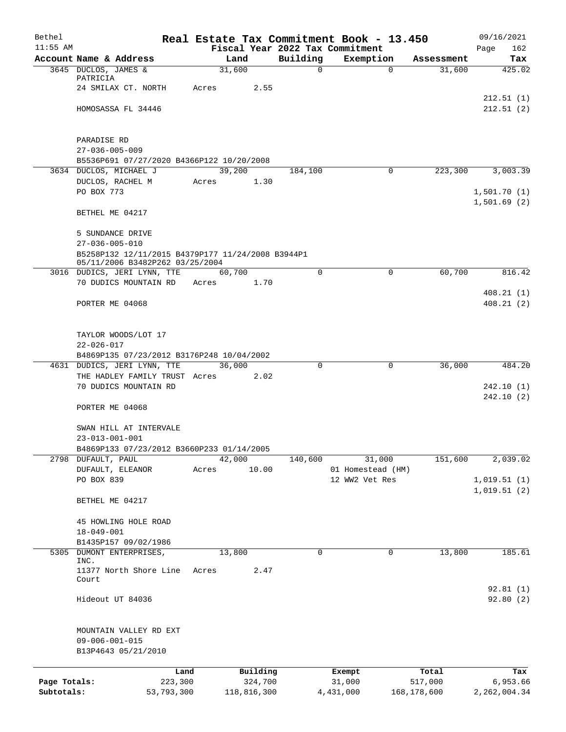| Bethel       |                                                                             |         |        |             |              | Real Estate Tax Commitment Book - 13.450 |             | 09/16/2021     |
|--------------|-----------------------------------------------------------------------------|---------|--------|-------------|--------------|------------------------------------------|-------------|----------------|
| $11:55$ AM   |                                                                             |         |        |             |              | Fiscal Year 2022 Tax Commitment          |             | Page<br>162    |
|              | Account Name & Address                                                      |         | Land   |             | Building     | Exemption                                | Assessment  | Tax            |
|              | 3645 DUCLOS, JAMES &<br>PATRICIA                                            |         | 31,600 |             | $\mathsf{O}$ | $\Omega$                                 | 31,600      | 425.02         |
|              | 24 SMILAX CT. NORTH                                                         | Acres   |        | 2.55        |              |                                          |             |                |
|              |                                                                             |         |        |             |              |                                          |             | 212.51(1)      |
|              | HOMOSASSA FL 34446                                                          |         |        |             |              |                                          |             | 212.51(2)      |
|              |                                                                             |         |        |             |              |                                          |             |                |
|              |                                                                             |         |        |             |              |                                          |             |                |
|              | PARADISE RD                                                                 |         |        |             |              |                                          |             |                |
|              | $27 - 036 - 005 - 009$                                                      |         |        |             |              |                                          |             |                |
|              | B5536P691 07/27/2020 B4366P122 10/20/2008                                   |         |        |             |              |                                          |             |                |
|              | 3634 DUCLOS, MICHAEL J                                                      |         | 39,200 |             | 184,100      | $\Omega$                                 | 223,300     | 3,003.39       |
|              | DUCLOS, RACHEL M                                                            | Acres   |        | 1.30        |              |                                          |             |                |
|              | PO BOX 773                                                                  |         |        |             |              |                                          |             | 1,501.70(1)    |
|              |                                                                             |         |        |             |              |                                          |             | 1,501.69(2)    |
|              | BETHEL ME 04217                                                             |         |        |             |              |                                          |             |                |
|              |                                                                             |         |        |             |              |                                          |             |                |
|              | 5 SUNDANCE DRIVE                                                            |         |        |             |              |                                          |             |                |
|              | $27 - 036 - 005 - 010$<br>B5258P132 12/11/2015 B4379P177 11/24/2008 B3944P1 |         |        |             |              |                                          |             |                |
|              | 05/11/2006 B3482P262 03/25/2004                                             |         |        |             |              |                                          |             |                |
|              | 3016 DUDICS, JERI LYNN, TTE                                                 |         | 60,700 |             | $\Omega$     | $\mathbf 0$                              | 60,700      | 816.42         |
|              | 70 DUDICS MOUNTAIN RD Acres                                                 |         |        | 1.70        |              |                                          |             |                |
|              |                                                                             |         |        |             |              |                                          |             | 408.21(1)      |
|              | PORTER ME 04068                                                             |         |        |             |              |                                          |             | 408.21(2)      |
|              |                                                                             |         |        |             |              |                                          |             |                |
|              |                                                                             |         |        |             |              |                                          |             |                |
|              | TAYLOR WOODS/LOT 17                                                         |         |        |             |              |                                          |             |                |
|              | $22 - 026 - 017$                                                            |         |        |             |              |                                          |             |                |
|              | B4869P135 07/23/2012 B3176P248 10/04/2002                                   |         |        |             |              |                                          |             |                |
|              | 4631 DUDICS, JERI LYNN, TTE                                                 |         | 36,000 |             | $\Omega$     | $\mathbf 0$                              | 36,000      | 484.20         |
|              | THE HADLEY FAMILY TRUST Acres                                               |         |        | 2.02        |              |                                          |             |                |
|              | 70 DUDICS MOUNTAIN RD                                                       |         |        |             |              |                                          |             | 242.10 (1)     |
|              |                                                                             |         |        |             |              |                                          |             | 242.10(2)      |
|              | PORTER ME 04068                                                             |         |        |             |              |                                          |             |                |
|              |                                                                             |         |        |             |              |                                          |             |                |
|              | SWAN HILL AT INTERVALE                                                      |         |        |             |              |                                          |             |                |
|              | 23-013-001-001<br>B4869P133 07/23/2012 B3660P233 01/14/2005                 |         |        |             |              |                                          |             |                |
|              | 2798 DUFAULT, PAUL                                                          |         | 42,000 |             | 140,600      | 31,000                                   | 151,600     | 2,039.02       |
|              | DUFAULT, ELEANOR                                                            | Acres   |        | 10.00       |              | 01 Homestead (HM)                        |             |                |
|              | PO BOX 839                                                                  |         |        |             |              | 12 WW2 Vet Res                           |             | 1,019.51(1)    |
|              |                                                                             |         |        |             |              |                                          |             | 1,019.51(2)    |
|              | BETHEL ME 04217                                                             |         |        |             |              |                                          |             |                |
|              |                                                                             |         |        |             |              |                                          |             |                |
|              | 45 HOWLING HOLE ROAD                                                        |         |        |             |              |                                          |             |                |
|              | $18 - 049 - 001$                                                            |         |        |             |              |                                          |             |                |
|              | B1435P157 09/02/1986                                                        |         |        |             |              |                                          |             |                |
| 5305         | DUMONT ENTERPRISES,                                                         |         | 13,800 |             | 0            | $\mathbf 0$                              | 13,800      | 185.61         |
|              | INC.                                                                        |         |        |             |              |                                          |             |                |
|              | 11377 North Shore Line<br>Court                                             | Acres   |        | 2.47        |              |                                          |             |                |
|              |                                                                             |         |        |             |              |                                          |             | 92.81(1)       |
|              | Hideout UT 84036                                                            |         |        |             |              |                                          |             | 92.80(2)       |
|              |                                                                             |         |        |             |              |                                          |             |                |
|              |                                                                             |         |        |             |              |                                          |             |                |
|              | MOUNTAIN VALLEY RD EXT                                                      |         |        |             |              |                                          |             |                |
|              | $09 - 006 - 001 - 015$                                                      |         |        |             |              |                                          |             |                |
|              | B13P4643 05/21/2010                                                         |         |        |             |              |                                          |             |                |
|              |                                                                             |         |        |             |              |                                          |             |                |
|              |                                                                             | Land    |        | Building    |              | Exempt                                   | Total       | Tax            |
| Page Totals: |                                                                             | 223,300 |        | 324,700     |              | 31,000                                   | 517,000     | 6,953.66       |
| Subtotals:   | 53,793,300                                                                  |         |        | 118,816,300 |              | 4,431,000                                | 168,178,600 | 2, 262, 004.34 |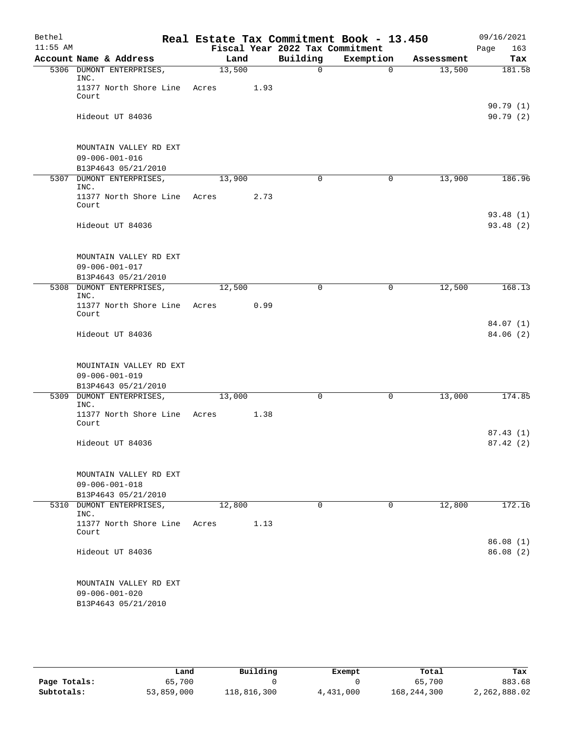| Bethel     |                                                                          |        |      | Real Estate Tax Commitment Book - 13.450 |             |            | 09/16/2021            |
|------------|--------------------------------------------------------------------------|--------|------|------------------------------------------|-------------|------------|-----------------------|
| $11:55$ AM |                                                                          |        |      | Fiscal Year 2022 Tax Commitment          |             |            | 163<br>Page           |
|            | Account Name & Address                                                   | Land   |      | Building                                 | Exemption   | Assessment | Tax                   |
|            | 5306 DUMONT ENTERPRISES,<br>INC.                                         | 13,500 |      | 0                                        | $\Omega$    | 13,500     | 181.58                |
|            | 11377 North Shore Line Acres<br>Court                                    |        | 1.93 |                                          |             |            |                       |
|            | Hideout UT 84036                                                         |        |      |                                          |             |            | 90.79(1)<br>90.79(2)  |
|            | MOUNTAIN VALLEY RD EXT<br>$09 - 006 - 001 - 016$                         |        |      |                                          |             |            |                       |
|            | B13P4643 05/21/2010<br>5307 DUMONT ENTERPRISES,                          | 13,900 |      | $\mathbf 0$                              | 0           | 13,900     | 186.96                |
|            | INC.                                                                     |        |      |                                          |             |            |                       |
|            | 11377 North Shore Line<br>Court                                          | Acres  | 2.73 |                                          |             |            |                       |
|            | Hideout UT 84036                                                         |        |      |                                          |             |            | 93.48 (1)<br>93.48(2) |
|            | MOUNTAIN VALLEY RD EXT<br>$09 - 006 - 001 - 017$<br>B13P4643 05/21/2010  |        |      |                                          |             |            |                       |
|            | 5308 DUMONT ENTERPRISES,<br>INC.                                         | 12,500 |      | 0                                        | $\mathbf 0$ | 12,500     | 168.13                |
|            | 11377 North Shore Line<br>Court                                          | Acres  | 0.99 |                                          |             |            |                       |
|            | Hideout UT 84036                                                         |        |      |                                          |             |            | 84.07 (1)<br>84.06(2) |
|            | MOUINTAIN VALLEY RD EXT<br>$09 - 006 - 001 - 019$<br>B13P4643 05/21/2010 |        |      |                                          |             |            |                       |
|            | 5309 DUMONT ENTERPRISES,                                                 | 13,000 |      | 0                                        | 0           | 13,000     | 174.85                |
|            | INC.<br>11377 North Shore Line<br>Court                                  | Acres  | 1.38 |                                          |             |            |                       |
|            | Hideout UT 84036                                                         |        |      |                                          |             |            | 87.43(1)<br>87.42(2)  |
|            | MOUNTAIN VALLEY RD EXT<br>$09 - 006 - 001 - 018$<br>B13P4643 05/21/2010  |        |      |                                          |             |            |                       |
|            | 5310 DUMONT ENTERPRISES,<br>INC.                                         | 12,800 |      | 0                                        | 0           | 12,800     | 172.16                |
|            | 11377 North Shore Line<br>Court                                          | Acres  | 1.13 |                                          |             |            |                       |
|            | Hideout UT 84036                                                         |        |      |                                          |             |            | 86.08(1)<br>86.08(2)  |
|            | MOUNTAIN VALLEY RD EXT<br>$09 - 006 - 001 - 020$<br>B13P4643 05/21/2010  |        |      |                                          |             |            |                       |

|              | Land       | Building    | Exempt    | Total       | Tax          |
|--------------|------------|-------------|-----------|-------------|--------------|
| Page Totals: | 65,700     |             |           | 65,700      | 883.68       |
| Subtotals:   | 53,859,000 | 118,816,300 | 4,431,000 | 168,244,300 | 2,262,888.02 |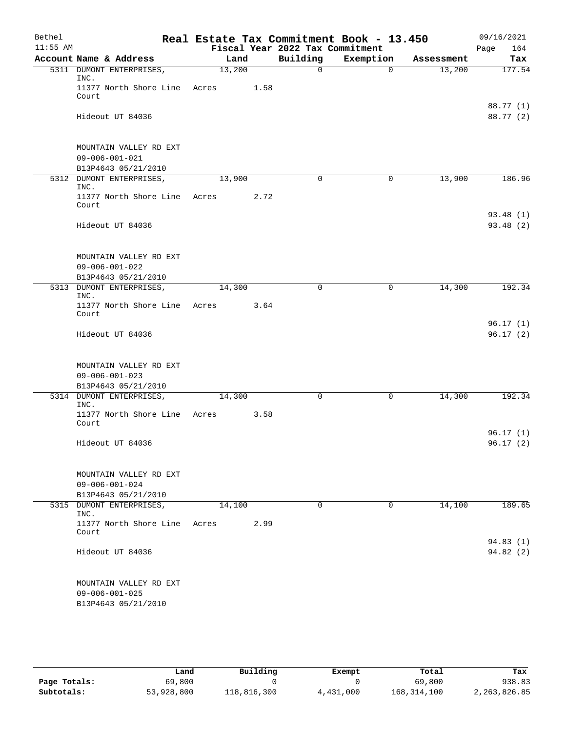| Bethel     |                                                                         |       |                | Real Estate Tax Commitment Book - 13.450 |                       |            | 09/16/2021             |
|------------|-------------------------------------------------------------------------|-------|----------------|------------------------------------------|-----------------------|------------|------------------------|
| $11:55$ AM |                                                                         |       |                | Fiscal Year 2022 Tax Commitment          |                       |            | Page<br>164            |
|            | Account Name & Address                                                  |       | Land<br>13,200 | Building<br>0                            | Exemption<br>$\Omega$ | Assessment | Tax<br>177.54          |
|            | 5311 DUMONT ENTERPRISES,<br>INC.                                        |       |                |                                          |                       | 13,200     |                        |
|            | 11377 North Shore Line<br>Court                                         | Acres | 1.58           |                                          |                       |            |                        |
|            | Hideout UT 84036                                                        |       |                |                                          |                       |            | 88.77 (1)<br>88.77 (2) |
|            | MOUNTAIN VALLEY RD EXT<br>$09 - 006 - 001 - 021$<br>B13P4643 05/21/2010 |       |                |                                          |                       |            |                        |
|            | 5312 DUMONT ENTERPRISES,                                                |       | 13,900         | $\mathbf 0$                              | 0                     | 13,900     | 186.96                 |
|            | INC.<br>11377 North Shore Line<br>Court                                 | Acres | 2.72           |                                          |                       |            |                        |
|            | Hideout UT 84036                                                        |       |                |                                          |                       |            | 93.48(1)<br>93.48(2)   |
|            | MOUNTAIN VALLEY RD EXT<br>$09 - 006 - 001 - 022$<br>B13P4643 05/21/2010 |       |                |                                          |                       |            |                        |
|            | 5313 DUMONT ENTERPRISES,                                                |       | 14,300         | 0                                        | $\mathbf 0$           | 14,300     | 192.34                 |
|            | INC.<br>11377 North Shore Line Acres<br>Court                           |       | 3.64           |                                          |                       |            |                        |
|            | Hideout UT 84036                                                        |       |                |                                          |                       |            | 96.17(1)<br>96.17(2)   |
|            | MOUNTAIN VALLEY RD EXT<br>$09 - 006 - 001 - 023$<br>B13P4643 05/21/2010 |       |                |                                          |                       |            |                        |
|            | 5314 DUMONT ENTERPRISES,                                                |       | 14,300         | 0                                        | 0                     | 14,300     | 192.34                 |
|            | INC.<br>11377 North Shore Line Acres<br>Court                           |       | 3.58           |                                          |                       |            |                        |
|            | Hideout UT 84036                                                        |       |                |                                          |                       |            | 96.17(1)<br>96.17(2)   |
|            | MOUNTAIN VALLEY RD EXT<br>$09 - 006 - 001 - 024$<br>B13P4643 05/21/2010 |       |                |                                          |                       |            |                        |
|            | 5315 DUMONT ENTERPRISES,                                                |       | 14,100         | 0                                        | 0                     | 14,100     | 189.65                 |
|            | INC.<br>11377 North Shore Line<br>Court                                 | Acres | 2.99           |                                          |                       |            |                        |
|            | Hideout UT 84036                                                        |       |                |                                          |                       |            | 94.83(1)<br>94.82(2)   |
|            | MOUNTAIN VALLEY RD EXT<br>$09 - 006 - 001 - 025$<br>B13P4643 05/21/2010 |       |                |                                          |                       |            |                        |

|              | Land       | Building    | Exempt    | Total         | Tax          |
|--------------|------------|-------------|-----------|---------------|--------------|
| Page Totals: | 69,800     |             |           | 69,800        | 938.83       |
| Subtotals:   | 53,928,800 | 118,816,300 | 4,431,000 | 168, 314, 100 | 2,263,826.85 |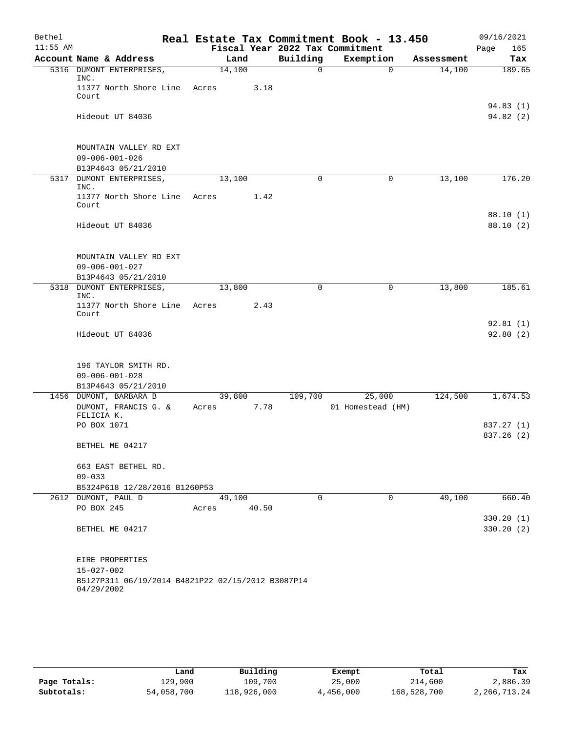| Bethel     |                                                                       |        |        |                                 | Real Estate Tax Commitment Book - 13.450 |            | 09/16/2021           |
|------------|-----------------------------------------------------------------------|--------|--------|---------------------------------|------------------------------------------|------------|----------------------|
| $11:55$ AM |                                                                       |        |        | Fiscal Year 2022 Tax Commitment |                                          |            | 165<br>Page          |
|            | Account Name & Address                                                |        | Land   | Building                        | Exemption                                | Assessment | Tax                  |
|            | 5316 DUMONT ENTERPRISES,<br>INC.                                      | 14,100 |        | 0                               | $\mathbf 0$                              | 14,100     | 189.65               |
|            | 11377 North Shore Line                                                | Acres  | 3.18   |                                 |                                          |            |                      |
|            | Court                                                                 |        |        |                                 |                                          |            |                      |
|            |                                                                       |        |        |                                 |                                          |            | 94.83(1)             |
|            | Hideout UT 84036                                                      |        |        |                                 |                                          |            | 94.82 (2)            |
|            |                                                                       |        |        |                                 |                                          |            |                      |
|            | MOUNTAIN VALLEY RD EXT                                                |        |        |                                 |                                          |            |                      |
|            | $09 - 006 - 001 - 026$                                                |        |        |                                 |                                          |            |                      |
|            | B13P4643 05/21/2010<br>5317 DUMONT ENTERPRISES,                       | 13,100 |        | 0                               | 0                                        | 13,100     | 176.20               |
|            | INC.                                                                  |        |        |                                 |                                          |            |                      |
|            | 11377 North Shore Line                                                | Acres  | 1.42   |                                 |                                          |            |                      |
|            | Court                                                                 |        |        |                                 |                                          |            |                      |
|            | Hideout UT 84036                                                      |        |        |                                 |                                          |            | 88.10(1)<br>88.10(2) |
|            |                                                                       |        |        |                                 |                                          |            |                      |
|            |                                                                       |        |        |                                 |                                          |            |                      |
|            | MOUNTAIN VALLEY RD EXT                                                |        |        |                                 |                                          |            |                      |
|            | $09 - 006 - 001 - 027$                                                |        |        |                                 |                                          |            |                      |
|            | B13P4643 05/21/2010<br>5318 DUMONT ENTERPRISES,                       | 13,800 |        | 0                               | 0                                        | 13,800     | 185.61               |
|            | INC.                                                                  |        |        |                                 |                                          |            |                      |
|            | 11377 North Shore Line                                                | Acres  | 2.43   |                                 |                                          |            |                      |
|            | Court                                                                 |        |        |                                 |                                          |            |                      |
|            | Hideout UT 84036                                                      |        |        |                                 |                                          |            | 92.81(1)<br>92.80(2) |
|            |                                                                       |        |        |                                 |                                          |            |                      |
|            |                                                                       |        |        |                                 |                                          |            |                      |
|            | 196 TAYLOR SMITH RD.                                                  |        |        |                                 |                                          |            |                      |
|            | $09 - 006 - 001 - 028$                                                |        |        |                                 |                                          |            |                      |
|            | B13P4643 05/21/2010<br>1456 DUMONT, BARBARA B                         |        | 39,800 | 109,700                         | 25,000                                   | 124,500    | 1,674.53             |
|            | DUMONT, FRANCIS G. &                                                  | Acres  | 7.78   |                                 | 01 Homestead (HM)                        |            |                      |
|            | FELICIA K.                                                            |        |        |                                 |                                          |            |                      |
|            | PO BOX 1071                                                           |        |        |                                 |                                          |            | 837.27 (1)           |
|            |                                                                       |        |        |                                 |                                          |            | 837.26 (2)           |
|            | BETHEL ME 04217                                                       |        |        |                                 |                                          |            |                      |
|            | 663 EAST BETHEL RD.                                                   |        |        |                                 |                                          |            |                      |
|            | $09 - 033$                                                            |        |        |                                 |                                          |            |                      |
|            | B5324P618 12/28/2016 B1260P53                                         |        |        |                                 |                                          |            |                      |
|            | 2612 DUMONT, PAUL D                                                   |        | 49,100 | $\Omega$                        | $\Omega$                                 | 49,100     | 660.40               |
|            | PO BOX 245                                                            | Acres  | 40.50  |                                 |                                          |            |                      |
|            |                                                                       |        |        |                                 |                                          |            | 330.20(1)            |
|            | BETHEL ME 04217                                                       |        |        |                                 |                                          |            | 330.20(2)            |
|            |                                                                       |        |        |                                 |                                          |            |                      |
|            | EIRE PROPERTIES                                                       |        |        |                                 |                                          |            |                      |
|            | $15 - 027 - 002$<br>B5127P311 06/19/2014 B4821P22 02/15/2012 B3087P14 |        |        |                                 |                                          |            |                      |
|            | 04/29/2002                                                            |        |        |                                 |                                          |            |                      |

|              | Land       | Building    | Exempt    | Total       | Tax             |
|--------------|------------|-------------|-----------|-------------|-----------------|
| Page Totals: | 129,900    | 109,700     | 25,000    | 214,600     | 2,886.39        |
| Subtotals:   | 54,058,700 | 118,926,000 | 4,456,000 | 168,528,700 | 2, 266, 713. 24 |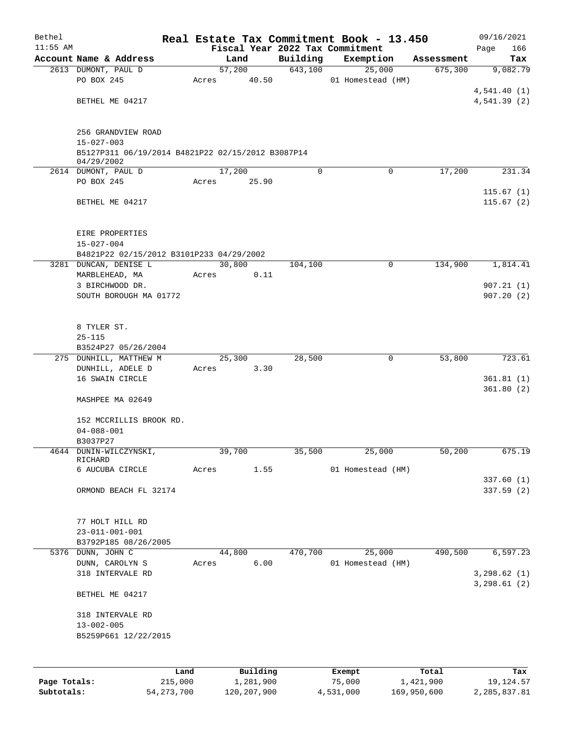| Bethel       |                                                   |       |        |           |          | Real Estate Tax Commitment Book - 13.450 |            | 09/16/2021                    |
|--------------|---------------------------------------------------|-------|--------|-----------|----------|------------------------------------------|------------|-------------------------------|
| $11:55$ AM   |                                                   |       |        |           |          | Fiscal Year 2022 Tax Commitment          |            | 166<br>Page                   |
|              | Account Name & Address                            |       | Land   |           | Building | Exemption                                | Assessment | Tax                           |
|              | 2613 DUMONT, PAUL D                               |       | 57,200 |           | 643,100  | 25,000                                   | 675,300    | 9,082.79                      |
|              | PO BOX 245                                        |       | Acres  | 40.50     |          | 01 Homestead (HM)                        |            | 4,541.40(1)                   |
|              | BETHEL ME 04217                                   |       |        |           |          |                                          |            | 4,541.39(2)                   |
|              |                                                   |       |        |           |          |                                          |            |                               |
|              |                                                   |       |        |           |          |                                          |            |                               |
|              | 256 GRANDVIEW ROAD<br>$15 - 027 - 003$            |       |        |           |          |                                          |            |                               |
|              | B5127P311 06/19/2014 B4821P22 02/15/2012 B3087P14 |       |        |           |          |                                          |            |                               |
|              | 04/29/2002                                        |       |        |           |          |                                          |            |                               |
|              | 2614 DUMONT, PAUL D                               |       | 17,200 |           | 0        | $\mathbf 0$                              | 17,200     | 231.34                        |
|              | PO BOX 245                                        | Acres |        | 25.90     |          |                                          |            |                               |
|              | BETHEL ME 04217                                   |       |        |           |          |                                          |            | 115.67(1)<br>115.67(2)        |
|              |                                                   |       |        |           |          |                                          |            |                               |
|              |                                                   |       |        |           |          |                                          |            |                               |
|              | EIRE PROPERTIES<br>$15 - 027 - 004$               |       |        |           |          |                                          |            |                               |
|              | B4821P22 02/15/2012 B3101P233 04/29/2002          |       |        |           |          |                                          |            |                               |
|              | 3281 DUNCAN, DENISE L                             |       | 30,800 |           | 104,100  | 0                                        | 134,900    | 1,814.41                      |
|              | MARBLEHEAD, MA                                    |       | Acres  | 0.11      |          |                                          |            |                               |
|              | 3 BIRCHWOOD DR.                                   |       |        |           |          |                                          |            | 907.21(1)                     |
|              | SOUTH BOROUGH MA 01772                            |       |        |           |          |                                          |            | 907.20(2)                     |
|              |                                                   |       |        |           |          |                                          |            |                               |
|              | 8 TYLER ST.                                       |       |        |           |          |                                          |            |                               |
|              | $25 - 115$                                        |       |        |           |          |                                          |            |                               |
|              | B3524P27 05/26/2004                               |       |        |           |          |                                          |            |                               |
|              | 275 DUNHILL, MATTHEW M                            |       | 25,300 |           | 28,500   | 0                                        | 53,800     | 723.61                        |
|              | DUNHILL, ADELE D                                  |       | Acres  | 3.30      |          |                                          |            |                               |
|              | 16 SWAIN CIRCLE                                   |       |        |           |          |                                          |            | 361.81(1)                     |
|              | MASHPEE MA 02649                                  |       |        |           |          |                                          |            | 361.80(2)                     |
|              |                                                   |       |        |           |          |                                          |            |                               |
|              | 152 MCCRILLIS BROOK RD.                           |       |        |           |          |                                          |            |                               |
|              | $04 - 088 - 001$                                  |       |        |           |          |                                          |            |                               |
|              | B3037P27                                          |       |        |           |          |                                          |            |                               |
|              | 4644 DUNIN-WILCZYNSKI,<br>RICHARD                 |       | 39,700 |           | 35,500   | 25,000                                   | 50,200     | 675.19                        |
|              | 6 AUCUBA CIRCLE                                   |       | Acres  | 1.55      |          | 01 Homestead (HM)                        |            |                               |
|              |                                                   |       |        |           |          |                                          |            | 337.60(1)                     |
|              | ORMOND BEACH FL 32174                             |       |        |           |          |                                          |            | 337.59(2)                     |
|              |                                                   |       |        |           |          |                                          |            |                               |
|              | 77 HOLT HILL RD                                   |       |        |           |          |                                          |            |                               |
|              | $23 - 011 - 001 - 001$                            |       |        |           |          |                                          |            |                               |
|              | B3792P185 08/26/2005                              |       |        |           |          |                                          |            |                               |
|              | 5376 DUNN, JOHN C                                 |       | 44,800 |           | 470,700  | 25,000                                   | 490,500    | 6,597.23                      |
|              | DUNN, CAROLYN S                                   | Acres |        | 6.00      |          | 01 Homestead (HM)                        |            |                               |
|              | 318 INTERVALE RD                                  |       |        |           |          |                                          |            | 3, 298.62 (1)<br>3, 298.61(2) |
|              | BETHEL ME 04217                                   |       |        |           |          |                                          |            |                               |
|              |                                                   |       |        |           |          |                                          |            |                               |
|              | 318 INTERVALE RD                                  |       |        |           |          |                                          |            |                               |
|              | $13 - 002 - 005$                                  |       |        |           |          |                                          |            |                               |
|              | B5259P661 12/22/2015                              |       |        |           |          |                                          |            |                               |
|              |                                                   |       |        |           |          |                                          |            |                               |
|              |                                                   | Land  |        | Building  |          | Exempt                                   | Total      | Tax                           |
| Page Totals: | 215,000                                           |       |        | 1,281,900 |          | 75,000                                   | 1,421,900  | 19,124.57                     |

**Subtotals:** 54,273,700 120,207,900 4,531,000 169,950,600 2,285,837.81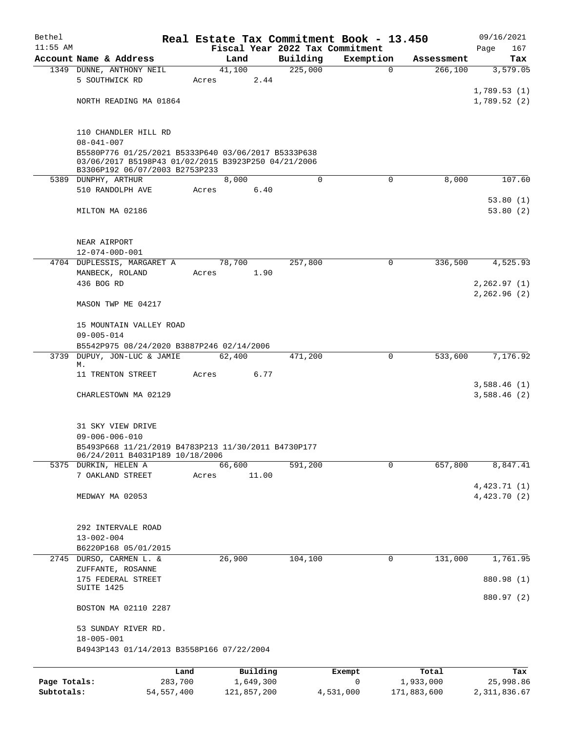| Bethel                     |                                                                                                                                              |                         |                |                          |                     | Real Estate Tax Commitment Book - 13.450 |                          | 09/16/2021                    |
|----------------------------|----------------------------------------------------------------------------------------------------------------------------------------------|-------------------------|----------------|--------------------------|---------------------|------------------------------------------|--------------------------|-------------------------------|
| $11:55$ AM                 |                                                                                                                                              |                         |                |                          |                     | Fiscal Year 2022 Tax Commitment          |                          | Page<br>167                   |
|                            | Account Name & Address<br>1349 DUNNE, ANTHONY NEIL                                                                                           |                         | Land<br>41,100 |                          | Building<br>225,000 | Exemption<br>$\mathbf 0$                 | Assessment<br>266,100    | Tax<br>3,579.05               |
|                            | 5 SOUTHWICK RD                                                                                                                               |                         | Acres          | 2.44                     |                     |                                          |                          |                               |
|                            |                                                                                                                                              |                         |                |                          |                     |                                          |                          | 1,789.53(1)                   |
|                            | NORTH READING MA 01864                                                                                                                       |                         |                |                          |                     |                                          |                          | 1,789.52(2)                   |
|                            | 110 CHANDLER HILL RD                                                                                                                         |                         |                |                          |                     |                                          |                          |                               |
|                            | $08 - 041 - 007$                                                                                                                             |                         |                |                          |                     |                                          |                          |                               |
|                            | B5580P776 01/25/2021 B5333P640 03/06/2017 B5333P638<br>03/06/2017 B5198P43 01/02/2015 B3923P250 04/21/2006<br>B3306P192 06/07/2003 B2753P233 |                         |                |                          |                     |                                          |                          |                               |
|                            | 5389 DUNPHY, ARTHUR                                                                                                                          |                         | 8,000          |                          | 0                   | 0                                        | 8,000                    | 107.60                        |
|                            | 510 RANDOLPH AVE                                                                                                                             |                         | Acres          | 6.40                     |                     |                                          |                          |                               |
|                            | MILTON MA 02186                                                                                                                              |                         |                |                          |                     |                                          |                          | 53.80(1)<br>53.80(2)          |
|                            | NEAR AIRPORT                                                                                                                                 |                         |                |                          |                     |                                          |                          |                               |
|                            | $12 - 074 - 00D - 001$                                                                                                                       |                         |                |                          |                     |                                          |                          |                               |
|                            | 4704 DUPLESSIS, MARGARET A                                                                                                                   |                         | 78,700         |                          | 257,800             | $\mathbf 0$                              | 336,500                  | 4,525.93                      |
|                            | MANBECK, ROLAND                                                                                                                              |                         | Acres          | 1.90                     |                     |                                          |                          |                               |
|                            | 436 BOG RD                                                                                                                                   |                         |                |                          |                     |                                          |                          | 2, 262.97(1)<br>2, 262.96 (2) |
|                            | MASON TWP ME 04217                                                                                                                           |                         |                |                          |                     |                                          |                          |                               |
|                            | 15 MOUNTAIN VALLEY ROAD<br>$09 - 005 - 014$                                                                                                  |                         |                |                          |                     |                                          |                          |                               |
|                            | B5542P975 08/24/2020 B3887P246 02/14/2006                                                                                                    |                         |                |                          |                     |                                          |                          |                               |
| 3739                       | DUPUY, JON-LUC & JAMIE<br>М.                                                                                                                 |                         | 62,400         |                          | 471,200             | 0                                        | 533,600                  | 7,176.92                      |
|                            | 11 TRENTON STREET                                                                                                                            |                         | Acres          | 6.77                     |                     |                                          |                          |                               |
|                            |                                                                                                                                              |                         |                |                          |                     |                                          |                          | 3,588.46(1)                   |
|                            | CHARLESTOWN MA 02129                                                                                                                         |                         |                |                          |                     |                                          |                          | 3,588.46(2)                   |
|                            | 31 SKY VIEW DRIVE<br>$09 - 006 - 006 - 010$                                                                                                  |                         |                |                          |                     |                                          |                          |                               |
|                            | B5493P668 11/21/2019 B4783P213 11/30/2011 B4730P177<br>06/24/2011 B4031P189 10/18/2006                                                       |                         |                |                          |                     |                                          |                          |                               |
|                            | 5375 DURKIN, HELEN A                                                                                                                         |                         | 66,600         |                          | 591,200             | $\Omega$                                 | 657,800                  | 8,847.41                      |
|                            | 7 OAKLAND STREET                                                                                                                             |                         | Acres          | 11.00                    |                     |                                          |                          |                               |
|                            | MEDWAY MA 02053                                                                                                                              |                         |                |                          |                     |                                          |                          | 4,423.71(1)<br>4,423.70 (2)   |
|                            | 292 INTERVALE ROAD                                                                                                                           |                         |                |                          |                     |                                          |                          |                               |
|                            | $13 - 002 - 004$                                                                                                                             |                         |                |                          |                     |                                          |                          |                               |
|                            | B6220P168 05/01/2015                                                                                                                         |                         |                |                          |                     |                                          |                          |                               |
| 2745                       | DURSO, CARMEN L. &<br>ZUFFANTE, ROSANNE                                                                                                      |                         | 26,900         |                          | 104,100             | 0                                        | 131,000                  | 1,761.95                      |
|                            | 175 FEDERAL STREET                                                                                                                           |                         |                |                          |                     |                                          |                          | 880.98 (1)                    |
|                            | SUITE 1425                                                                                                                                   |                         |                |                          |                     |                                          |                          |                               |
|                            | BOSTON MA 02110 2287                                                                                                                         |                         |                |                          |                     |                                          |                          | 880.97 (2)                    |
|                            | 53 SUNDAY RIVER RD.<br>$18 - 005 - 001$                                                                                                      |                         |                |                          |                     |                                          |                          |                               |
|                            | B4943P143 01/14/2013 B3558P166 07/22/2004                                                                                                    |                         |                |                          |                     |                                          |                          |                               |
|                            |                                                                                                                                              | Land                    |                | Building                 |                     | Exempt                                   | Total                    | Tax                           |
| Page Totals:<br>Subtotals: |                                                                                                                                              | 283,700<br>54, 557, 400 |                | 1,649,300<br>121,857,200 |                     | 0<br>4,531,000                           | 1,933,000<br>171,883,600 | 25,998.86<br>2, 311, 836.67   |
|                            |                                                                                                                                              |                         |                |                          |                     |                                          |                          |                               |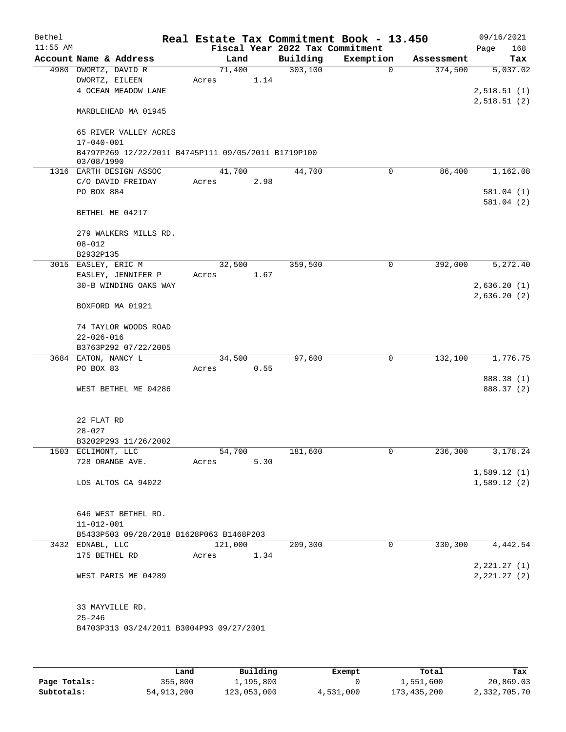| Bethel     |                                                                                       |       |         |                                 | Real Estate Tax Commitment Book - 13.450 |            | 09/16/2021    |
|------------|---------------------------------------------------------------------------------------|-------|---------|---------------------------------|------------------------------------------|------------|---------------|
| $11:55$ AM |                                                                                       |       |         | Fiscal Year 2022 Tax Commitment |                                          |            | Page<br>168   |
|            | Account Name & Address                                                                |       | Land    | Building                        | Exemption                                | Assessment | Tax           |
|            | 4980 DWORTZ, DAVID R                                                                  |       | 71,400  | 303,100                         | $\mathbf 0$                              | 374,500    | 5,037.02      |
|            | DWORTZ, EILEEN                                                                        | Acres | 1.14    |                                 |                                          |            |               |
|            | 4 OCEAN MEADOW LANE                                                                   |       |         |                                 |                                          |            | 2,518.51(1)   |
|            | MARBLEHEAD MA 01945                                                                   |       |         |                                 |                                          |            | 2,518.51(2)   |
|            | 65 RIVER VALLEY ACRES                                                                 |       |         |                                 |                                          |            |               |
|            | $17 - 040 - 001$<br>B4797P269 12/22/2011 B4745P111 09/05/2011 B1719P100<br>03/08/1990 |       |         |                                 |                                          |            |               |
|            | 1316 EARTH DESIGN ASSOC                                                               |       | 41,700  | 44,700                          | 0                                        | 86,400     | 1,162.08      |
|            | C/O DAVID FREIDAY                                                                     | Acres | 2.98    |                                 |                                          |            |               |
|            | PO BOX 884                                                                            |       |         |                                 |                                          |            | 581.04(1)     |
|            |                                                                                       |       |         |                                 |                                          |            | 581.04 (2)    |
|            | BETHEL ME 04217                                                                       |       |         |                                 |                                          |            |               |
|            | 279 WALKERS MILLS RD.                                                                 |       |         |                                 |                                          |            |               |
|            | $08 - 012$                                                                            |       |         |                                 |                                          |            |               |
|            | B2932P135                                                                             |       |         |                                 |                                          |            |               |
|            | 3015 EASLEY, ERIC M                                                                   |       | 32,500  | 359,500                         | 0                                        | 392,000    | 5,272.40      |
|            | EASLEY, JENNIFER P                                                                    | Acres | 1.67    |                                 |                                          |            |               |
|            | 30-B WINDING OAKS WAY                                                                 |       |         |                                 |                                          |            | 2,636.20(1)   |
|            | BOXFORD MA 01921                                                                      |       |         |                                 |                                          |            | 2,636.20(2)   |
|            |                                                                                       |       |         |                                 |                                          |            |               |
|            | 74 TAYLOR WOODS ROAD                                                                  |       |         |                                 |                                          |            |               |
|            | $22 - 026 - 016$                                                                      |       |         |                                 |                                          |            |               |
|            | B3763P292 07/22/2005                                                                  |       |         |                                 |                                          |            |               |
|            | 3684 EATON, NANCY L                                                                   |       | 34,500  | 97,600                          | 0                                        | 132,100    | 1,776.75      |
|            | PO BOX 83                                                                             | Acres | 0.55    |                                 |                                          |            |               |
|            |                                                                                       |       |         |                                 |                                          |            | 888.38 (1)    |
|            | WEST BETHEL ME 04286                                                                  |       |         |                                 |                                          |            | 888.37 (2)    |
|            | 22 FLAT RD                                                                            |       |         |                                 |                                          |            |               |
|            | $28 - 027$                                                                            |       |         |                                 |                                          |            |               |
|            | B3202P293 11/26/2002                                                                  |       |         |                                 |                                          |            |               |
|            | 1503 ECLIMONT, LLC                                                                    |       | 54,700  | 181,600                         | 0                                        | 236,300    | 3,178.24      |
|            | 728 ORANGE AVE.                                                                       | Acres | 5.30    |                                 |                                          |            |               |
|            |                                                                                       |       |         |                                 |                                          |            | 1,589.12(1)   |
|            | LOS ALTOS CA 94022                                                                    |       |         |                                 |                                          |            | 1,589.12(2)   |
|            | 646 WEST BETHEL RD.                                                                   |       |         |                                 |                                          |            |               |
|            | $11 - 012 - 001$                                                                      |       |         |                                 |                                          |            |               |
|            | B5433P503 09/28/2018 B1628P063 B1468P203                                              |       |         |                                 |                                          |            |               |
|            | 3432 EDNABL, LLC                                                                      |       | 121,000 | 209,300                         | 0                                        | 330,300    | 4,442.54      |
|            | 175 BETHEL RD                                                                         | Acres | 1.34    |                                 |                                          |            |               |
|            |                                                                                       |       |         |                                 |                                          |            | 2,221.27(1)   |
|            | WEST PARIS ME 04289                                                                   |       |         |                                 |                                          |            | 2, 221.27 (2) |
|            | 33 MAYVILLE RD.                                                                       |       |         |                                 |                                          |            |               |
|            | $25 - 246$                                                                            |       |         |                                 |                                          |            |               |
|            | B4703P313 03/24/2011 B3004P93 09/27/2001                                              |       |         |                                 |                                          |            |               |
|            |                                                                                       |       |         |                                 |                                          |            |               |
|            |                                                                                       |       |         |                                 |                                          |            |               |
|            |                                                                                       |       |         |                                 |                                          |            |               |

|              | Land       | Building    | Exempt    | Total         | Tax          |
|--------------|------------|-------------|-----------|---------------|--------------|
| Page Totals: | 355,800    | 1,195,800   |           | 1,551,600     | 20,869.03    |
| Subtotals:   | 54,913,200 | 123,053,000 | 4,531,000 | 173, 435, 200 | 2,332,705.70 |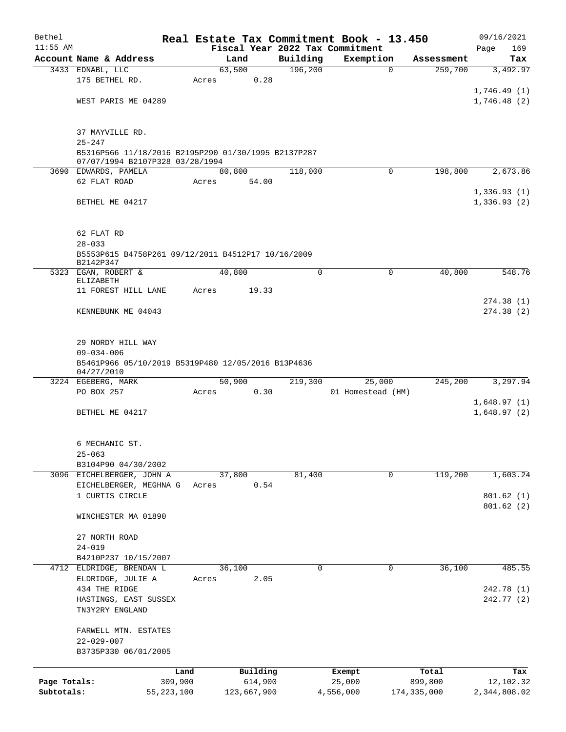| Bethel       |                                                                  |         |             |          |          | Real Estate Tax Commitment Book - 13.450 |             |             | 09/16/2021   |
|--------------|------------------------------------------------------------------|---------|-------------|----------|----------|------------------------------------------|-------------|-------------|--------------|
| $11:55$ AM   |                                                                  |         |             |          |          | Fiscal Year 2022 Tax Commitment          |             |             | Page<br>169  |
|              | Account Name & Address                                           |         | Land        |          | Building | Exemption                                |             | Assessment  | Tax          |
|              | 3433 EDNABL, LLC                                                 |         | 63,500      |          | 196,200  |                                          | $\Omega$    | 259,700     | 3,492.97     |
|              | 175 BETHEL RD.                                                   | Acres   |             | 0.28     |          |                                          |             |             |              |
|              |                                                                  |         |             |          |          |                                          |             |             | 1,746.49(1)  |
|              | WEST PARIS ME 04289                                              |         |             |          |          |                                          |             |             | 1,746.48(2)  |
|              |                                                                  |         |             |          |          |                                          |             |             |              |
|              | 37 MAYVILLE RD.                                                  |         |             |          |          |                                          |             |             |              |
|              | $25 - 247$                                                       |         |             |          |          |                                          |             |             |              |
|              | B5316P566 11/18/2016 B2195P290 01/30/1995 B2137P287              |         |             |          |          |                                          |             |             |              |
|              | 07/07/1994 B2107P328 03/28/1994                                  |         |             |          |          |                                          |             |             |              |
|              | 3690 EDWARDS, PAMELA                                             |         | 80,800      |          | 118,000  |                                          | $\mathbf 0$ | 198,800     | 2,673.86     |
|              | 62 FLAT ROAD                                                     | Acres   |             | 54.00    |          |                                          |             |             |              |
|              |                                                                  |         |             |          |          |                                          |             |             | 1,336.93(1)  |
|              | BETHEL ME 04217                                                  |         |             |          |          |                                          |             |             | 1,336.93(2)  |
|              |                                                                  |         |             |          |          |                                          |             |             |              |
|              |                                                                  |         |             |          |          |                                          |             |             |              |
|              | 62 FLAT RD                                                       |         |             |          |          |                                          |             |             |              |
|              | $28 - 033$<br>B5553P615 B4758P261 09/12/2011 B4512P17 10/16/2009 |         |             |          |          |                                          |             |             |              |
|              | B2142P347                                                        |         |             |          |          |                                          |             |             |              |
|              | 5323 EGAN, ROBERT &                                              |         | 40,800      |          | 0        |                                          | 0           | 40,800      | 548.76       |
|              | ELIZABETH                                                        |         |             |          |          |                                          |             |             |              |
|              | 11 FOREST HILL LANE                                              | Acres   |             | 19.33    |          |                                          |             |             |              |
|              |                                                                  |         |             |          |          |                                          |             |             | 274.38(1)    |
|              | KENNEBUNK ME 04043                                               |         |             |          |          |                                          |             |             | 274.38(2)    |
|              |                                                                  |         |             |          |          |                                          |             |             |              |
|              | 29 NORDY HILL WAY                                                |         |             |          |          |                                          |             |             |              |
|              | $09 - 034 - 006$                                                 |         |             |          |          |                                          |             |             |              |
|              | B5461P966 05/10/2019 B5319P480 12/05/2016 B13P4636               |         |             |          |          |                                          |             |             |              |
|              | 04/27/2010                                                       |         |             |          |          |                                          |             |             |              |
|              | 3224 EGEBERG, MARK                                               |         | 50,900      |          | 219,300  | 25,000                                   |             | 245,200     | 3,297.94     |
|              | PO BOX 257                                                       | Acres   |             | 0.30     |          | 01 Homestead (HM)                        |             |             |              |
|              |                                                                  |         |             |          |          |                                          |             |             | 1,648.97(1)  |
|              | BETHEL ME 04217                                                  |         |             |          |          |                                          |             |             | 1,648.97(2)  |
|              |                                                                  |         |             |          |          |                                          |             |             |              |
|              |                                                                  |         |             |          |          |                                          |             |             |              |
|              | 6 MECHANIC ST.                                                   |         |             |          |          |                                          |             |             |              |
|              | $25 - 063$<br>B3104P90 04/30/2002                                |         |             |          |          |                                          |             |             |              |
|              | 3096 EICHELBERGER, JOHN A                                        |         | 37,800      |          | 81,400   |                                          | 0           | 119,200     | 1,603.24     |
|              | EICHELBERGER, MEGHNA G                                           | Acres   |             | 0.54     |          |                                          |             |             |              |
|              | 1 CURTIS CIRCLE                                                  |         |             |          |          |                                          |             |             | 801.62(1)    |
|              |                                                                  |         |             |          |          |                                          |             |             | 801.62(2)    |
|              | WINCHESTER MA 01890                                              |         |             |          |          |                                          |             |             |              |
|              |                                                                  |         |             |          |          |                                          |             |             |              |
|              | 27 NORTH ROAD                                                    |         |             |          |          |                                          |             |             |              |
|              | $24 - 019$                                                       |         |             |          |          |                                          |             |             |              |
|              | B4210P237 10/15/2007                                             |         |             |          |          |                                          |             |             |              |
|              | 4712 ELDRIDGE, BRENDAN L                                         |         | 36,100      |          | 0        |                                          | 0           | 36,100      | 485.55       |
|              | ELDRIDGE, JULIE A                                                | Acres   |             | 2.05     |          |                                          |             |             |              |
|              | 434 THE RIDGE                                                    |         |             |          |          |                                          |             |             | 242.78 (1)   |
|              | HASTINGS, EAST SUSSEX                                            |         |             |          |          |                                          |             |             | 242.77 (2)   |
|              | TN3Y2RY ENGLAND                                                  |         |             |          |          |                                          |             |             |              |
|              |                                                                  |         |             |          |          |                                          |             |             |              |
|              | FARWELL MTN. ESTATES<br>$22 - 029 - 007$                         |         |             |          |          |                                          |             |             |              |
|              | B3735P330 06/01/2005                                             |         |             |          |          |                                          |             |             |              |
|              |                                                                  |         |             |          |          |                                          |             |             |              |
|              |                                                                  | Land    |             | Building |          | Exempt                                   |             | Total       | Tax          |
| Page Totals: |                                                                  | 309,900 |             | 614,900  |          | 25,000                                   |             | 899,800     | 12,102.32    |
| Subtotals:   | 55,223,100                                                       |         | 123,667,900 |          |          | 4,556,000                                |             | 174,335,000 | 2,344,808.02 |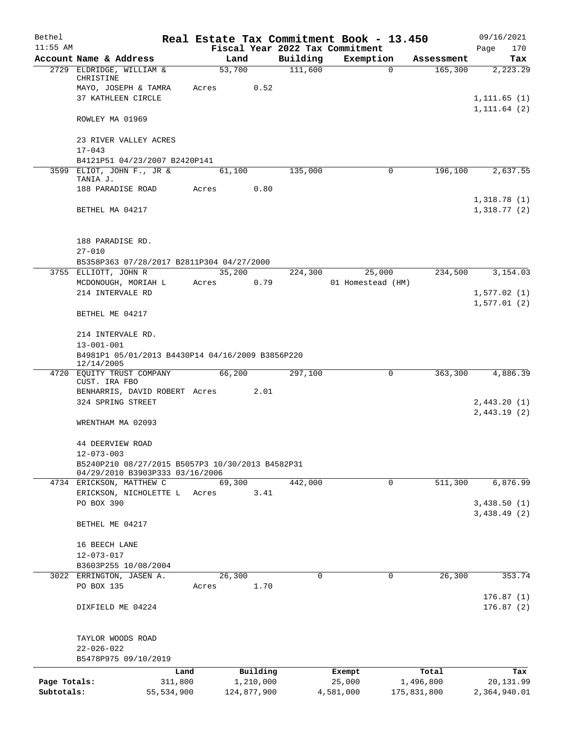| Bethel       |                                                                                     |             |          |             | Real Estate Tax Commitment Book - 13.450 |             | 09/16/2021                 |
|--------------|-------------------------------------------------------------------------------------|-------------|----------|-------------|------------------------------------------|-------------|----------------------------|
| $11:55$ AM   |                                                                                     |             |          |             | Fiscal Year 2022 Tax Commitment          |             | Page<br>170                |
|              | Account Name & Address                                                              | Land        |          | Building    | Exemption                                | Assessment  | Tax                        |
|              | 2729 ELDRIDGE, WILLIAM &<br>CHRISTINE                                               | 53,700      |          | 111,600     | 0                                        | 165,300     | 2,223.29                   |
|              | MAYO, JOSEPH & TAMRA                                                                | Acres       | 0.52     |             |                                          |             |                            |
|              | 37 KATHLEEN CIRCLE                                                                  |             |          |             |                                          |             | 1, 111.65(1)               |
|              | ROWLEY MA 01969                                                                     |             |          |             |                                          |             | 1, 111.64(2)               |
|              |                                                                                     |             |          |             |                                          |             |                            |
|              | 23 RIVER VALLEY ACRES                                                               |             |          |             |                                          |             |                            |
|              | $17 - 043$                                                                          |             |          |             |                                          |             |                            |
|              | B4121P51 04/23/2007 B2420P141                                                       |             |          |             |                                          |             |                            |
|              | 3599 ELIOT, JOHN F., JR &<br>TANIA J.                                               | 61,100      |          | 135,000     | 0                                        | 196,100     | 2,637.55                   |
|              | 188 PARADISE ROAD                                                                   | Acres       | 0.80     |             |                                          |             |                            |
|              |                                                                                     |             |          |             |                                          |             | 1,318.78(1)                |
|              | BETHEL MA 04217                                                                     |             |          |             |                                          |             | 1,318.77(2)                |
|              | 188 PARADISE RD.                                                                    |             |          |             |                                          |             |                            |
|              | $27 - 010$                                                                          |             |          |             |                                          |             |                            |
|              | B5358P363 07/28/2017 B2811P304 04/27/2000                                           |             |          |             |                                          |             |                            |
|              | 3755 ELLIOTT, JOHN R                                                                | 35,200      |          | 224,300     | 25,000                                   | 234,500     | 3,154.03                   |
|              | MCDONOUGH, MORIAH L                                                                 | Acres       | 0.79     |             | 01 Homestead (HM)                        |             |                            |
|              | 214 INTERVALE RD                                                                    |             |          |             |                                          |             | 1,577.02(1)                |
|              | BETHEL ME 04217                                                                     |             |          |             |                                          |             | 1,577.01(2)                |
|              |                                                                                     |             |          |             |                                          |             |                            |
|              | 214 INTERVALE RD.<br>$13 - 001 - 001$                                               |             |          |             |                                          |             |                            |
|              | B4981P1 05/01/2013 B4430P14 04/16/2009 B3856P220<br>12/14/2005                      |             |          |             |                                          |             |                            |
|              | 4720 EQUITY TRUST COMPANY                                                           | 66,200      |          | 297,100     | 0                                        | 363,300     | 4,886.39                   |
|              | CUST. IRA FBO                                                                       |             |          |             |                                          |             |                            |
|              | BENHARRIS, DAVID ROBERT Acres                                                       |             | 2.01     |             |                                          |             |                            |
|              | 324 SPRING STREET                                                                   |             |          |             |                                          |             | 2,443.20(1)<br>2,443.19(2) |
|              | WRENTHAM MA 02093                                                                   |             |          |             |                                          |             |                            |
|              | 44 DEERVIEW ROAD                                                                    |             |          |             |                                          |             |                            |
|              | $12 - 073 - 003$                                                                    |             |          |             |                                          |             |                            |
|              | B5240P210 08/27/2015 B5057P3 10/30/2013 B4582P31<br>04/29/2010 B3903P333 03/16/2006 |             |          |             |                                          |             |                            |
|              | 4734 ERICKSON, MATTHEW C                                                            | 69,300      |          | 442,000     | 0                                        | 511,300     | 6,876.99                   |
|              | ERICKSON, NICHOLETTE L                                                              | Acres       | 3.41     |             |                                          |             |                            |
|              | PO BOX 390                                                                          |             |          |             |                                          |             | 3,438.50(1)                |
|              |                                                                                     |             |          |             |                                          |             | 3,438.49(2)                |
|              | BETHEL ME 04217                                                                     |             |          |             |                                          |             |                            |
|              | 16 BEECH LANE                                                                       |             |          |             |                                          |             |                            |
|              | $12 - 073 - 017$                                                                    |             |          |             |                                          |             |                            |
|              | B3603P255 10/08/2004                                                                |             |          |             |                                          |             |                            |
|              | 3022 ERRINGTON, JASEN A.                                                            | 26,300      |          | $\mathbf 0$ | $\mathbf 0$                              | 26,300      | 353.74                     |
|              | PO BOX 135                                                                          | Acres       | 1.70     |             |                                          |             |                            |
|              | DIXFIELD ME 04224                                                                   |             |          |             |                                          |             | 176.87(1)<br>176.87(2)     |
|              |                                                                                     |             |          |             |                                          |             |                            |
|              | TAYLOR WOODS ROAD<br>$22 - 026 - 022$                                               |             |          |             |                                          |             |                            |
|              | B5478P975 09/10/2019                                                                |             |          |             |                                          |             |                            |
|              | Land                                                                                |             | Building |             | Exempt                                   | Total       | Tax                        |
| Page Totals: | 311,800                                                                             | 1,210,000   |          |             | 25,000                                   | 1,496,800   | 20,131.99                  |
| Subtotals:   | 55,534,900                                                                          | 124,877,900 |          |             | 4,581,000                                | 175,831,800 | 2,364,940.01               |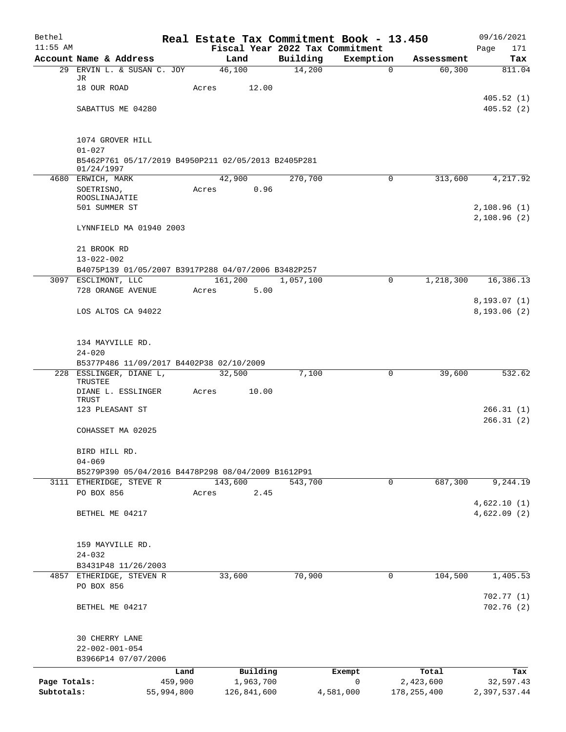| Bethel       |                                                                               |       |                 |                                 | Real Estate Tax Commitment Book - 13.450 |               | 09/16/2021   |
|--------------|-------------------------------------------------------------------------------|-------|-----------------|---------------------------------|------------------------------------------|---------------|--------------|
| $11:55$ AM   |                                                                               |       |                 | Fiscal Year 2022 Tax Commitment |                                          |               | Page<br>171  |
|              | Account Name & Address                                                        |       | Land            | Building                        | Exemption                                | Assessment    | Tax          |
| 29           | ERVIN L. & SUSAN C. JOY<br>JR                                                 |       | 46,100          | 14,200                          | $\mathbf 0$                              | 60, 300       | 811.04       |
|              | 18 OUR ROAD                                                                   | Acres | 12.00           |                                 |                                          |               |              |
|              |                                                                               |       |                 |                                 |                                          |               | 405.52(1)    |
|              | SABATTUS ME 04280                                                             |       |                 |                                 |                                          |               | 405.52(2)    |
|              | 1074 GROVER HILL                                                              |       |                 |                                 |                                          |               |              |
|              | $01 - 027$                                                                    |       |                 |                                 |                                          |               |              |
|              | B5462P761 05/17/2019 B4950P211 02/05/2013 B2405P281                           |       |                 |                                 |                                          |               |              |
|              | 01/24/1997                                                                    |       |                 |                                 |                                          |               |              |
|              | 4680 ERWICH, MARK<br>SOETRISNO,                                               | Acres | 42,900<br>0.96  | 270,700                         | $\mathsf{O}$                             | 313,600       | 4,217.92     |
|              | ROOSLINAJATIE                                                                 |       |                 |                                 |                                          |               |              |
|              | 501 SUMMER ST                                                                 |       |                 |                                 |                                          |               | 2,108.96(1)  |
|              |                                                                               |       |                 |                                 |                                          |               | 2,108.96(2)  |
|              | LYNNFIELD MA 01940 2003                                                       |       |                 |                                 |                                          |               |              |
|              | 21 BROOK RD                                                                   |       |                 |                                 |                                          |               |              |
|              | $13 - 022 - 002$                                                              |       |                 |                                 |                                          |               |              |
|              | B4075P139 01/05/2007 B3917P288 04/07/2006 B3482P257                           |       |                 |                                 |                                          |               |              |
|              | 3097 ESCLIMONT, LLC<br>728 ORANGE AVENUE                                      | Acres | 161,200<br>5.00 | 1,057,100                       | 0                                        | 1,218,300     | 16,386.13    |
|              |                                                                               |       |                 |                                 |                                          |               | 8, 193.07(1) |
|              | LOS ALTOS CA 94022                                                            |       |                 |                                 |                                          |               | 8, 193.06(2) |
|              |                                                                               |       |                 |                                 |                                          |               |              |
|              | 134 MAYVILLE RD.                                                              |       |                 |                                 |                                          |               |              |
|              | $24 - 020$                                                                    |       |                 |                                 |                                          |               |              |
|              | B5377P486 11/09/2017 B4402P38 02/10/2009                                      |       |                 |                                 |                                          |               |              |
|              | 228 ESSLINGER, DIANE L,<br>TRUSTEE                                            |       | 32,500          | 7,100                           | 0                                        | 39,600        | 532.62       |
|              | DIANE L. ESSLINGER                                                            | Acres | 10.00           |                                 |                                          |               |              |
|              | TRUST                                                                         |       |                 |                                 |                                          |               |              |
|              | 123 PLEASANT ST                                                               |       |                 |                                 |                                          |               | 266.31(1)    |
|              | COHASSET MA 02025                                                             |       |                 |                                 |                                          |               | 266.31(2)    |
|              |                                                                               |       |                 |                                 |                                          |               |              |
|              | BIRD HILL RD.                                                                 |       |                 |                                 |                                          |               |              |
|              | $04 - 069$                                                                    |       |                 |                                 |                                          |               |              |
|              | B5279P390 05/04/2016 B4478P298 08/04/2009 B1612P91<br>3111 ETHERIDGE, STEVE R |       | 143,600         | 543,700                         | 0                                        | 687,300       | 9,244.19     |
|              | PO BOX 856                                                                    | Acres | 2.45            |                                 |                                          |               |              |
|              |                                                                               |       |                 |                                 |                                          |               | 4,622.10(1)  |
|              | BETHEL ME 04217                                                               |       |                 |                                 |                                          |               | 4,622.09(2)  |
|              |                                                                               |       |                 |                                 |                                          |               |              |
|              |                                                                               |       |                 |                                 |                                          |               |              |
|              | 159 MAYVILLE RD.<br>$24 - 032$                                                |       |                 |                                 |                                          |               |              |
|              | B3431P48 11/26/2003                                                           |       |                 |                                 |                                          |               |              |
|              | 4857 ETHERIDGE, STEVEN R                                                      |       | 33,600          | 70,900                          | 0                                        | 104,500       | 1,405.53     |
|              | PO BOX 856                                                                    |       |                 |                                 |                                          |               |              |
|              |                                                                               |       |                 |                                 |                                          |               | 702.77(1)    |
|              | BETHEL ME 04217                                                               |       |                 |                                 |                                          |               | 702.76(2)    |
|              | 30 CHERRY LANE                                                                |       |                 |                                 |                                          |               |              |
|              | $22 - 002 - 001 - 054$                                                        |       |                 |                                 |                                          |               |              |
|              | B3966P14 07/07/2006                                                           |       |                 |                                 |                                          |               |              |
|              | Land                                                                          |       | Building        |                                 | Exempt                                   | Total         | Tax          |
| Page Totals: | 459,900                                                                       |       | 1,963,700       |                                 | 0                                        | 2,423,600     | 32,597.43    |
| Subtotals:   | 55,994,800                                                                    |       | 126,841,600     |                                 | 4,581,000                                | 178, 255, 400 | 2,397,537.44 |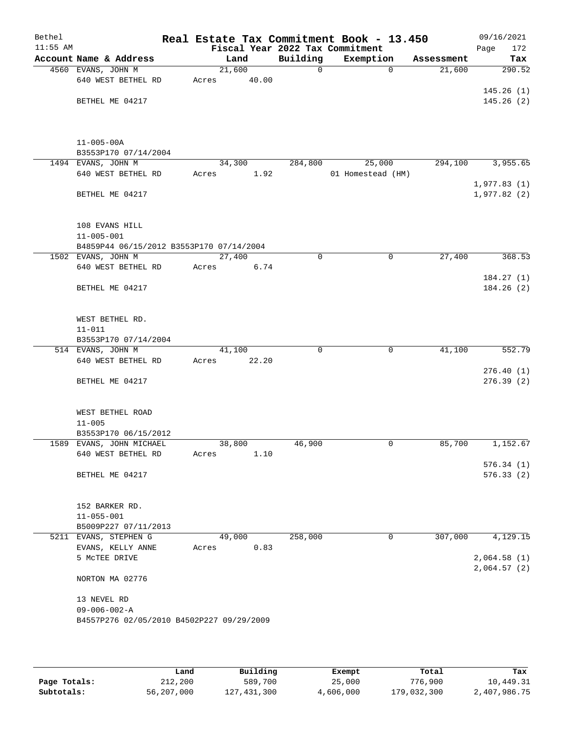| Bethel     |                                           |        |       |              | Real Estate Tax Commitment Book - 13.450 |            | 09/16/2021                 |
|------------|-------------------------------------------|--------|-------|--------------|------------------------------------------|------------|----------------------------|
| $11:55$ AM |                                           |        |       |              | Fiscal Year 2022 Tax Commitment          |            | 172<br>Page                |
|            | Account Name & Address                    | Land   |       | Building     | Exemption                                | Assessment | Tax                        |
|            | 4560 EVANS, JOHN M                        | 21,600 |       | $\mathsf{O}$ | $\mathbf 0$                              | 21,600     | 290.52                     |
|            | 640 WEST BETHEL RD                        | Acres  | 40.00 |              |                                          |            |                            |
|            | BETHEL ME 04217                           |        |       |              |                                          |            | 145.26(1)<br>145.26(2)     |
|            |                                           |        |       |              |                                          |            |                            |
|            |                                           |        |       |              |                                          |            |                            |
|            | $11 - 005 - 00A$                          |        |       |              |                                          |            |                            |
|            | B3553P170 07/14/2004                      |        |       |              |                                          |            |                            |
|            | 1494 EVANS, JOHN M<br>640 WEST BETHEL RD  | 34,300 |       | 284,800      | 25,000                                   | 294,100    | 3,955.65                   |
|            |                                           | Acres  | 1.92  |              | 01 Homestead (HM)                        |            | 1,977.83(1)                |
|            | BETHEL ME 04217                           |        |       |              |                                          |            | 1,977.82(2)                |
|            | 108 EVANS HILL                            |        |       |              |                                          |            |                            |
|            | $11 - 005 - 001$                          |        |       |              |                                          |            |                            |
|            | B4859P44 06/15/2012 B3553P170 07/14/2004  |        |       |              |                                          |            |                            |
|            | 1502 EVANS, JOHN M                        | 27,400 |       | 0            | $\mathsf{O}$                             | 27,400     | 368.53                     |
|            | 640 WEST BETHEL RD                        | Acres  | 6.74  |              |                                          |            |                            |
|            |                                           |        |       |              |                                          |            | 184.27(1)                  |
|            | BETHEL ME 04217                           |        |       |              |                                          |            | 184.26(2)                  |
|            | WEST BETHEL RD.                           |        |       |              |                                          |            |                            |
|            | $11 - 011$                                |        |       |              |                                          |            |                            |
|            | B3553P170 07/14/2004                      |        |       |              |                                          |            |                            |
|            | 514 EVANS, JOHN M                         | 41,100 |       | $\mathbf 0$  | $\mathbf 0$                              | 41,100     | 552.79                     |
|            | 640 WEST BETHEL RD                        | Acres  | 22.20 |              |                                          |            |                            |
|            |                                           |        |       |              |                                          |            | 276.40(1)                  |
|            | BETHEL ME 04217                           |        |       |              |                                          |            | 276.39(2)                  |
|            | WEST BETHEL ROAD                          |        |       |              |                                          |            |                            |
|            | $11 - 005$                                |        |       |              |                                          |            |                            |
|            | B3553P170 06/15/2012                      |        |       |              |                                          |            |                            |
|            | 1589 EVANS, JOHN MICHAEL                  | 38,800 |       | 46,900       | 0                                        | 85,700     | 1,152.67                   |
|            | 640 WEST BETHEL RD                        | Acres  | 1.10  |              |                                          |            |                            |
|            |                                           |        |       |              |                                          |            | 576.34(1)                  |
|            | BETHEL ME 04217                           |        |       |              |                                          |            | 576.33(2)                  |
|            | 152 BARKER RD.                            |        |       |              |                                          |            |                            |
|            | $11 - 055 - 001$                          |        |       |              |                                          |            |                            |
|            | B5009P227 07/11/2013                      |        |       |              |                                          |            |                            |
|            | 5211 EVANS, STEPHEN G                     | 49,000 |       | 258,000      | 0                                        | 307,000    | 4,129.15                   |
|            | EVANS, KELLY ANNE                         | Acres  | 0.83  |              |                                          |            |                            |
|            | 5 MCTEE DRIVE                             |        |       |              |                                          |            | 2,064.58(1)<br>2,064.57(2) |
|            | NORTON MA 02776                           |        |       |              |                                          |            |                            |
|            | 13 NEVEL RD                               |        |       |              |                                          |            |                            |
|            | $09 - 006 - 002 - A$                      |        |       |              |                                          |            |                            |
|            | B4557P276 02/05/2010 B4502P227 09/29/2009 |        |       |              |                                          |            |                            |
|            |                                           |        |       |              |                                          |            |                            |

|              | Land       | Building    | Exempt    | Total       | Tax          |
|--------------|------------|-------------|-----------|-------------|--------------|
| Page Totals: | 212,200    | 589,700     | 25,000    | 776,900     | 10,449.31    |
| Subtotals:   | 56,207,000 | 127,431,300 | 4,606,000 | 179,032,300 | 2,407,986.75 |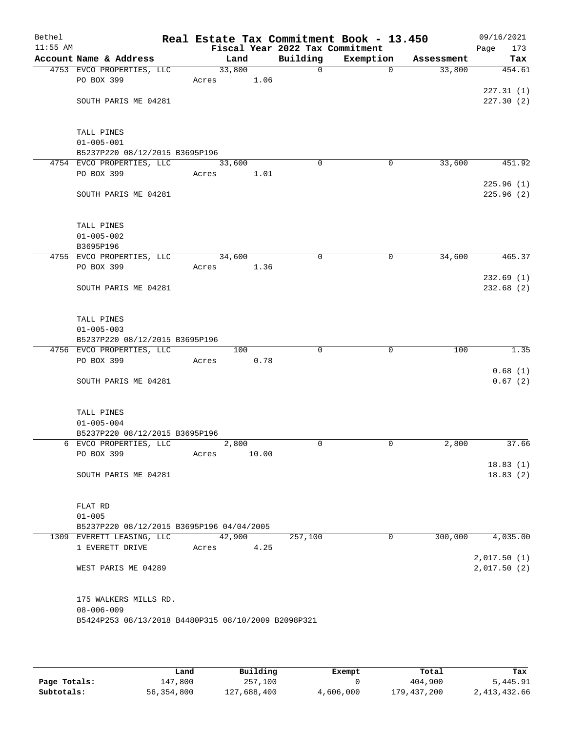| Bethel<br>$11:55$ AM |                                                     |       |        |       | Fiscal Year 2022 Tax Commitment | Real Estate Tax Commitment Book - 13.450 |            | 09/16/2021<br>173<br>Page |
|----------------------|-----------------------------------------------------|-------|--------|-------|---------------------------------|------------------------------------------|------------|---------------------------|
|                      | Account Name & Address                              |       | Land   |       | Building                        | Exemption                                | Assessment | Tax                       |
|                      | 4753 EVCO PROPERTIES, LLC                           |       | 33,800 |       | $\mathbf 0$                     | $\mathbf 0$                              | 33,800     | 454.61                    |
|                      | PO BOX 399                                          | Acres |        | 1.06  |                                 |                                          |            |                           |
|                      |                                                     |       |        |       |                                 |                                          |            | 227.31(1)                 |
|                      | SOUTH PARIS ME 04281                                |       |        |       |                                 |                                          |            | 227.30(2)                 |
|                      |                                                     |       |        |       |                                 |                                          |            |                           |
|                      |                                                     |       |        |       |                                 |                                          |            |                           |
|                      | TALL PINES                                          |       |        |       |                                 |                                          |            |                           |
|                      | $01 - 005 - 001$                                    |       |        |       |                                 |                                          |            |                           |
|                      | B5237P220 08/12/2015 B3695P196                      |       |        |       |                                 |                                          |            |                           |
|                      | 4754 EVCO PROPERTIES, LLC                           |       | 33,600 |       | $\Omega$                        | 0                                        | 33,600     | 451.92                    |
|                      | PO BOX 399                                          | Acres |        | 1.01  |                                 |                                          |            |                           |
|                      |                                                     |       |        |       |                                 |                                          |            | 225.96(1)                 |
|                      | SOUTH PARIS ME 04281                                |       |        |       |                                 |                                          |            | 225.96(2)                 |
|                      |                                                     |       |        |       |                                 |                                          |            |                           |
|                      | TALL PINES                                          |       |        |       |                                 |                                          |            |                           |
|                      | $01 - 005 - 002$                                    |       |        |       |                                 |                                          |            |                           |
|                      | B3695P196                                           |       |        |       |                                 |                                          |            |                           |
|                      | 4755 EVCO PROPERTIES, LLC                           |       | 34,600 |       | 0                               | 0                                        | 34,600     | 465.37                    |
|                      | PO BOX 399                                          | Acres |        | 1.36  |                                 |                                          |            |                           |
|                      |                                                     |       |        |       |                                 |                                          |            | 232.69(1)                 |
|                      | SOUTH PARIS ME 04281                                |       |        |       |                                 |                                          |            | 232.68(2)                 |
|                      |                                                     |       |        |       |                                 |                                          |            |                           |
|                      |                                                     |       |        |       |                                 |                                          |            |                           |
|                      | TALL PINES                                          |       |        |       |                                 |                                          |            |                           |
|                      | $01 - 005 - 003$                                    |       |        |       |                                 |                                          |            |                           |
|                      | B5237P220 08/12/2015 B3695P196                      |       |        |       |                                 |                                          |            |                           |
|                      | 4756 EVCO PROPERTIES, LLC                           |       | 100    |       | $\Omega$                        | 0                                        | 100        | 1.35                      |
|                      | PO BOX 399                                          | Acres |        | 0.78  |                                 |                                          |            |                           |
|                      |                                                     |       |        |       |                                 |                                          |            | 0.68(1)                   |
|                      | SOUTH PARIS ME 04281                                |       |        |       |                                 |                                          |            | 0.67(2)                   |
|                      |                                                     |       |        |       |                                 |                                          |            |                           |
|                      | TALL PINES                                          |       |        |       |                                 |                                          |            |                           |
|                      | $01 - 005 - 004$                                    |       |        |       |                                 |                                          |            |                           |
|                      | B5237P220 08/12/2015 B3695P196                      |       |        |       |                                 |                                          |            |                           |
|                      | 6 EVCO PROPERTIES, LLC                              |       | 2,800  |       | 0                               | 0                                        | 2,800      | 37.66                     |
|                      | PO BOX 399                                          | Acres |        | 10.00 |                                 |                                          |            |                           |
|                      |                                                     |       |        |       |                                 |                                          |            | 18.83(1)                  |
|                      | SOUTH PARIS ME 04281                                |       |        |       |                                 |                                          |            | 18.83(2)                  |
|                      |                                                     |       |        |       |                                 |                                          |            |                           |
|                      |                                                     |       |        |       |                                 |                                          |            |                           |
|                      | FLAT RD                                             |       |        |       |                                 |                                          |            |                           |
|                      | $01 - 005$                                          |       |        |       |                                 |                                          |            |                           |
|                      | B5237P220 08/12/2015 B3695P196 04/04/2005           |       |        |       |                                 |                                          |            |                           |
|                      | 1309 EVERETT LEASING, LLC                           |       | 42,900 |       | 257,100                         | 0                                        | 300,000    | 4,035.00                  |
|                      | 1 EVERETT DRIVE                                     | Acres |        | 4.25  |                                 |                                          |            | 2,017.50(1)               |
|                      | WEST PARIS ME 04289                                 |       |        |       |                                 |                                          |            | 2,017.50(2)               |
|                      |                                                     |       |        |       |                                 |                                          |            |                           |
|                      |                                                     |       |        |       |                                 |                                          |            |                           |
|                      | 175 WALKERS MILLS RD.                               |       |        |       |                                 |                                          |            |                           |
|                      | $08 - 006 - 009$                                    |       |        |       |                                 |                                          |            |                           |
|                      | B5424P253 08/13/2018 B4480P315 08/10/2009 B2098P321 |       |        |       |                                 |                                          |            |                           |
|                      |                                                     |       |        |       |                                 |                                          |            |                           |
|                      |                                                     |       |        |       |                                 |                                          |            |                           |

|              | Land       | Building    | Exempt    | Total       | Tax          |
|--------------|------------|-------------|-----------|-------------|--------------|
| Page Totals: | 147,800    | 257,100     |           | 404,900     | 5,445.91     |
| Subtotals:   | 56,354,800 | 127,688,400 | 4,606,000 | 179,437,200 | 2,413,432.66 |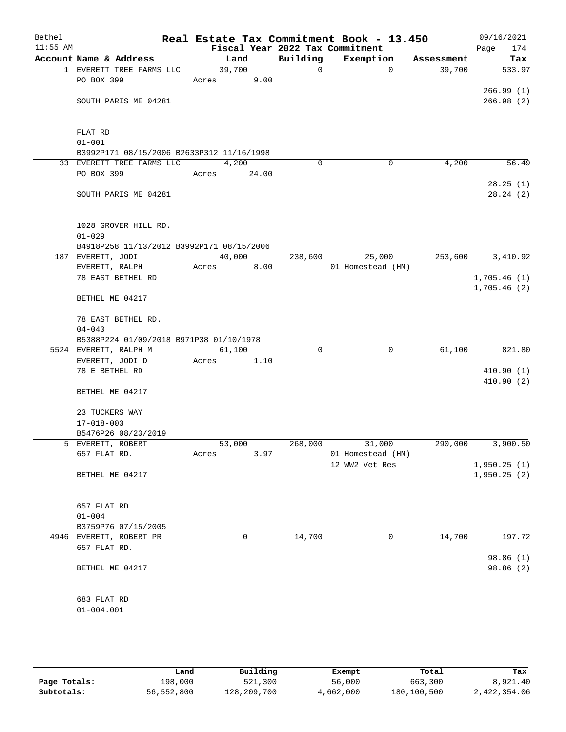| Bethel<br>$11:55$ AM |                                                                |        |       |              | Real Estate Tax Commitment Book - 13.450<br>Fiscal Year 2022 Tax Commitment |            | 09/16/2021<br>174<br>Page |
|----------------------|----------------------------------------------------------------|--------|-------|--------------|-----------------------------------------------------------------------------|------------|---------------------------|
|                      | Account Name & Address                                         |        | Land  | Building     | Exemption                                                                   | Assessment | Tax                       |
|                      | 1 EVERETT TREE FARMS LLC                                       | 39,700 |       | $\mathsf{O}$ | $\Omega$                                                                    | 39,700     | 533.97                    |
|                      | PO BOX 399                                                     | Acres  | 9.00  |              |                                                                             |            |                           |
|                      |                                                                |        |       |              |                                                                             |            | 266.99(1)                 |
|                      | SOUTH PARIS ME 04281                                           |        |       |              |                                                                             |            | 266.98(2)                 |
|                      |                                                                |        |       |              |                                                                             |            |                           |
|                      |                                                                |        |       |              |                                                                             |            |                           |
|                      | FLAT RD                                                        |        |       |              |                                                                             |            |                           |
|                      | $01 - 001$                                                     |        |       |              |                                                                             |            |                           |
|                      | B3992P171 08/15/2006 B2633P312 11/16/1998                      |        |       |              |                                                                             |            |                           |
|                      | 33 EVERETT TREE FARMS LLC                                      |        | 4,200 | $\Omega$     | 0                                                                           | 4,200      | 56.49                     |
|                      | PO BOX 399                                                     | Acres  | 24.00 |              |                                                                             |            |                           |
|                      |                                                                |        |       |              |                                                                             |            | 28.25(1)                  |
|                      | SOUTH PARIS ME 04281                                           |        |       |              |                                                                             |            | 28.24(2)                  |
|                      |                                                                |        |       |              |                                                                             |            |                           |
|                      |                                                                |        |       |              |                                                                             |            |                           |
|                      | 1028 GROVER HILL RD.                                           |        |       |              |                                                                             |            |                           |
|                      | $01 - 029$                                                     |        |       |              |                                                                             |            |                           |
|                      | B4918P258 11/13/2012 B3992P171 08/15/2006<br>187 EVERETT, JODI | 40,000 |       | 238,600      | 25,000                                                                      | 253,600    | 3,410.92                  |
|                      | EVERETT, RALPH                                                 | Acres  | 8.00  |              | 01 Homestead (HM)                                                           |            |                           |
|                      | 78 EAST BETHEL RD                                              |        |       |              |                                                                             |            | 1,705.46(1)               |
|                      |                                                                |        |       |              |                                                                             |            | 1,705.46(2)               |
|                      | BETHEL ME 04217                                                |        |       |              |                                                                             |            |                           |
|                      |                                                                |        |       |              |                                                                             |            |                           |
|                      | 78 EAST BETHEL RD.                                             |        |       |              |                                                                             |            |                           |
|                      | $04 - 040$                                                     |        |       |              |                                                                             |            |                           |
|                      | B5388P224 01/09/2018 B971P38 01/10/1978                        |        |       |              |                                                                             |            |                           |
|                      | 5524 EVERETT, RALPH M                                          | 61,100 |       | $\Omega$     | 0                                                                           | 61,100     | 821.80                    |
|                      | EVERETT, JODI D                                                | Acres  | 1.10  |              |                                                                             |            |                           |
|                      | 78 E BETHEL RD                                                 |        |       |              |                                                                             |            | 410.90(1)                 |
|                      |                                                                |        |       |              |                                                                             |            | 410.90(2)                 |
|                      | BETHEL ME 04217                                                |        |       |              |                                                                             |            |                           |
|                      |                                                                |        |       |              |                                                                             |            |                           |
|                      | 23 TUCKERS WAY                                                 |        |       |              |                                                                             |            |                           |
|                      | $17 - 018 - 003$                                               |        |       |              |                                                                             |            |                           |
|                      | B5476P26 08/23/2019<br>5 EVERETT, ROBERT                       | 53,000 |       | 268,000      | 31,000                                                                      | 290,000    | 3,900.50                  |
|                      | 657 FLAT RD.                                                   | Acres  | 3.97  |              | 01 Homestead (HM)                                                           |            |                           |
|                      |                                                                |        |       |              | 12 WW2 Vet Res                                                              |            | 1,950.25(1)               |
|                      | BETHEL ME 04217                                                |        |       |              |                                                                             |            | 1,950.25(2)               |
|                      |                                                                |        |       |              |                                                                             |            |                           |
|                      |                                                                |        |       |              |                                                                             |            |                           |
|                      | 657 FLAT RD                                                    |        |       |              |                                                                             |            |                           |
|                      | $01 - 004$                                                     |        |       |              |                                                                             |            |                           |
|                      | B3759P76 07/15/2005                                            |        |       |              |                                                                             |            |                           |
|                      | 4946 EVERETT, ROBERT PR                                        |        | 0     | 14,700       | 0                                                                           | 14,700     | 197.72                    |
|                      | 657 FLAT RD.                                                   |        |       |              |                                                                             |            |                           |
|                      |                                                                |        |       |              |                                                                             |            | 98.86 (1)                 |
|                      | BETHEL ME 04217                                                |        |       |              |                                                                             |            | 98.86 (2)                 |
|                      |                                                                |        |       |              |                                                                             |            |                           |
|                      |                                                                |        |       |              |                                                                             |            |                           |
|                      | 683 FLAT RD                                                    |        |       |              |                                                                             |            |                           |
|                      | $01 - 004.001$                                                 |        |       |              |                                                                             |            |                           |
|                      |                                                                |        |       |              |                                                                             |            |                           |

|              | Land       | Building    | Exempt    | Total       | Tax          |
|--------------|------------|-------------|-----------|-------------|--------------|
| Page Totals: | 198,000    | 521,300     | 56,000    | 663,300     | 8,921.40     |
| Subtotals:   | 56,552,800 | 128,209,700 | 4,662,000 | 180,100,500 | 2,422,354.06 |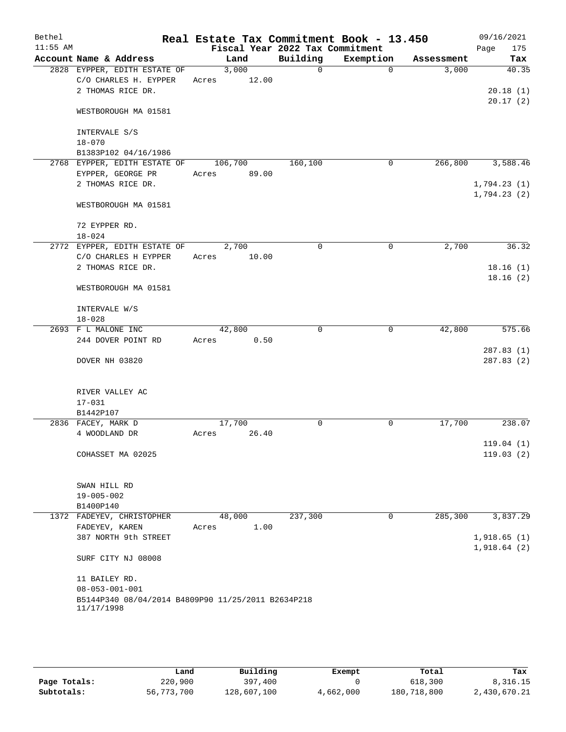| Bethel     |                                                                  |         |       | Real Estate Tax Commitment Book - 13.450    |             |            | 09/16/2021         |
|------------|------------------------------------------------------------------|---------|-------|---------------------------------------------|-------------|------------|--------------------|
| $11:55$ AM | Account Name & Address                                           | Land    |       | Fiscal Year 2022 Tax Commitment<br>Building | Exemption   | Assessment | 175<br>Page<br>Tax |
|            | 2828 EYPPER, EDITH ESTATE OF                                     | 3,000   |       | $\Omega$                                    | $\Omega$    | 3,000      | 40.35              |
|            | C/O CHARLES H. EYPPER                                            | Acres   | 12.00 |                                             |             |            |                    |
|            | 2 THOMAS RICE DR.                                                |         |       |                                             |             |            | 20.18(1)           |
|            |                                                                  |         |       |                                             |             |            | 20.17(2)           |
|            | WESTBOROUGH MA 01581                                             |         |       |                                             |             |            |                    |
|            | INTERVALE S/S                                                    |         |       |                                             |             |            |                    |
|            | $18 - 070$                                                       |         |       |                                             |             |            |                    |
|            | B1383P102 04/16/1986                                             |         |       |                                             |             |            |                    |
|            | 2768 EYPPER, EDITH ESTATE OF                                     | 106,700 |       | 160,100                                     | 0           | 266,800    | 3,588.46           |
|            | EYPPER, GEORGE PR                                                | Acres   | 89.00 |                                             |             |            |                    |
|            | 2 THOMAS RICE DR.                                                |         |       |                                             |             |            | 1,794.23(1)        |
|            |                                                                  |         |       |                                             |             |            | 1,794.23(2)        |
|            | WESTBOROUGH MA 01581                                             |         |       |                                             |             |            |                    |
|            | 72 EYPPER RD.                                                    |         |       |                                             |             |            |                    |
|            | $18 - 024$                                                       |         |       |                                             |             |            |                    |
|            | 2772 EYPPER, EDITH ESTATE OF                                     | 2,700   |       | $\mathbf 0$                                 | $\mathbf 0$ | 2,700      | 36.32              |
|            | C/O CHARLES H EYPPER                                             | Acres   | 10.00 |                                             |             |            |                    |
|            | 2 THOMAS RICE DR.                                                |         |       |                                             |             |            | 18.16(1)           |
|            | WESTBOROUGH MA 01581                                             |         |       |                                             |             |            | 18.16(2)           |
|            | INTERVALE W/S                                                    |         |       |                                             |             |            |                    |
|            | $18 - 028$                                                       |         |       |                                             |             |            |                    |
|            | 2693 F L MALONE INC                                              | 42,800  |       | $\mathbf 0$                                 | 0           | 42,800     | 575.66             |
|            | 244 DOVER POINT RD                                               | Acres   | 0.50  |                                             |             |            |                    |
|            |                                                                  |         |       |                                             |             |            | 287.83(1)          |
|            | DOVER NH 03820                                                   |         |       |                                             |             |            | 287.83(2)          |
|            | RIVER VALLEY AC                                                  |         |       |                                             |             |            |                    |
|            | $17 - 031$                                                       |         |       |                                             |             |            |                    |
|            | B1442P107                                                        |         |       |                                             |             |            |                    |
|            | 2836 FACEY, MARK D                                               | 17,700  |       | 0                                           | $\mathbf 0$ | 17,700     | 238.07             |
|            | 4 WOODLAND DR                                                    | Acres   | 26.40 |                                             |             |            |                    |
|            |                                                                  |         |       |                                             |             |            | 119.04(1)          |
|            | COHASSET MA 02025                                                |         |       |                                             |             |            | 119.03(2)          |
|            | SWAN HILL RD                                                     |         |       |                                             |             |            |                    |
|            | $19 - 005 - 002$                                                 |         |       |                                             |             |            |                    |
|            | B1400P140                                                        |         |       |                                             |             |            |                    |
|            | 1372 FADEYEV, CHRISTOPHER                                        | 48,000  |       | 237,300                                     | 0           | 285,300    | 3,837.29           |
|            | FADEYEV, KAREN                                                   | Acres   | 1.00  |                                             |             |            |                    |
|            | 387 NORTH 9th STREET                                             |         |       |                                             |             |            | 1,918.65(1)        |
|            |                                                                  |         |       |                                             |             |            | 1,918.64(2)        |
|            | SURF CITY NJ 08008                                               |         |       |                                             |             |            |                    |
|            | 11 BAILEY RD.                                                    |         |       |                                             |             |            |                    |
|            | $08 - 053 - 001 - 001$                                           |         |       |                                             |             |            |                    |
|            | B5144P340 08/04/2014 B4809P90 11/25/2011 B2634P218<br>11/17/1998 |         |       |                                             |             |            |                    |
|            |                                                                  |         |       |                                             |             |            |                    |

|              | Land       | Building    | Exempt    | Total       | Tax          |
|--------------|------------|-------------|-----------|-------------|--------------|
| Page Totals: | 220,900    | 397,400     |           | 618,300     | 8,316.15     |
| Subtotals:   | 56,773,700 | 128,607,100 | 4,662,000 | 180,718,800 | 2,430,670.21 |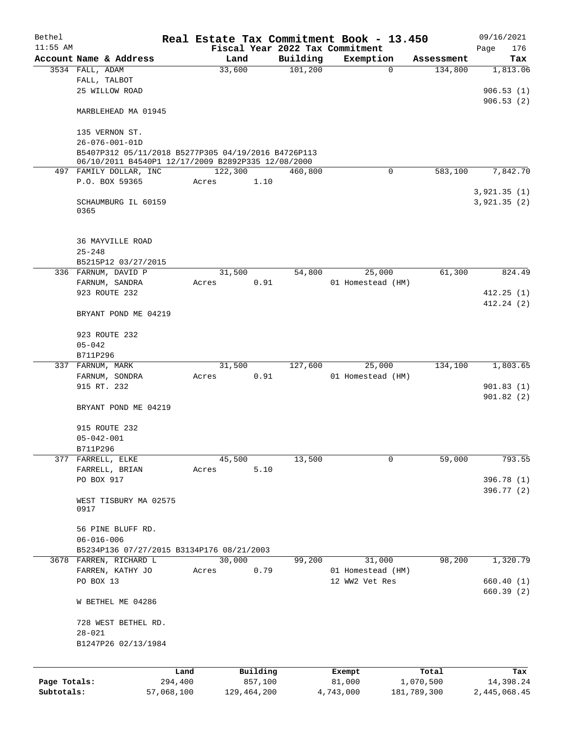| Fiscal Year 2022 Tax Commitment<br>Account Name & Address<br>Building<br>Land<br>Exemption<br>Assessment<br>33,600<br>101, 200<br>3534 FALL, ADAM<br>$\mathbf 0$<br>134,800<br>1,813.06<br>FALL, TALBOT<br>25 WILLOW ROAD<br>906.53(1)<br>906.53(2)<br>MARBLEHEAD MA 01945<br>135 VERNON ST.<br>$26 - 076 - 001 - 01D$<br>B5407P312 05/11/2018 B5277P305 04/19/2016 B4726P113<br>06/10/2011 B4540P1 12/17/2009 B2892P335 12/08/2000<br>$\Omega$<br>497 FAMILY DOLLAR, INC<br>122,300<br>460,800<br>583,100<br>7,842.70<br>P.O. BOX 59365<br>1.10<br>Acres<br>3,921.35(1)<br>SCHAUMBURG IL 60159<br>3,921.35(2)<br>0365<br><b>36 MAYVILLE ROAD</b><br>$25 - 248$<br>B5215P12 03/27/2015<br>336 FARNUM, DAVID P<br>31,500<br>54,800<br>61,300<br>25,000<br>FARNUM, SANDRA<br>0.91<br>Acres<br>01 Homestead (HM)<br>923 ROUTE 232<br>BRYANT POND ME 04219<br>923 ROUTE 232<br>$05 - 042$<br>B711P296<br>31,500<br>127,600<br>134,100<br>337 FARNUM, MARK<br>25,000<br>0.91<br>FARNUM, SONDRA<br>Acres<br>01 Homestead (HM)<br>915 RT. 232<br>BRYANT POND ME 04219<br>915 ROUTE 232<br>$05 - 042 - 001$<br>B711P296<br>45,500<br>13,500<br>59,000<br>377<br>FARRELL, ELKE<br>0<br>FARRELL, BRIAN<br>5.10<br>Acres<br>PO BOX 917<br>WEST TISBURY MA 02575<br>0917<br>56 PINE BLUFF RD.<br>$06 - 016 - 006$<br>B5234P136 07/27/2015 B3134P176 08/21/2003<br>30,000<br>98,200<br>3678 FARREN, RICHARD L<br>99,200<br>31,000<br>1,320.79<br>0.79<br>FARREN, KATHY JO<br>01 Homestead (HM)<br>Acres<br>PO BOX 13<br>12 WW2 Vet Res<br>660.40(1)<br>660.39(2)<br>W BETHEL ME 04286<br>728 WEST BETHEL RD.<br>$28 - 021$<br>B1247P26 02/13/1984<br>Building<br>Land<br>Exempt<br>Total<br>Page Totals:<br>294,400<br>857,100<br>81,000<br>1,070,500<br>Subtotals:<br>57,068,100<br>129,464,200<br>4,743,000<br>181,789,300 | Bethel     |  |  | Real Estate Tax Commitment Book - 13.450 | 09/16/2021   |
|-----------------------------------------------------------------------------------------------------------------------------------------------------------------------------------------------------------------------------------------------------------------------------------------------------------------------------------------------------------------------------------------------------------------------------------------------------------------------------------------------------------------------------------------------------------------------------------------------------------------------------------------------------------------------------------------------------------------------------------------------------------------------------------------------------------------------------------------------------------------------------------------------------------------------------------------------------------------------------------------------------------------------------------------------------------------------------------------------------------------------------------------------------------------------------------------------------------------------------------------------------------------------------------------------------------------------------------------------------------------------------------------------------------------------------------------------------------------------------------------------------------------------------------------------------------------------------------------------------------------------------------------------------------------------------------------------------------------------------------------------------------------------------------------------------------------|------------|--|--|------------------------------------------|--------------|
|                                                                                                                                                                                                                                                                                                                                                                                                                                                                                                                                                                                                                                                                                                                                                                                                                                                                                                                                                                                                                                                                                                                                                                                                                                                                                                                                                                                                                                                                                                                                                                                                                                                                                                                                                                                                                 | $11:55$ AM |  |  |                                          | Page<br>176  |
|                                                                                                                                                                                                                                                                                                                                                                                                                                                                                                                                                                                                                                                                                                                                                                                                                                                                                                                                                                                                                                                                                                                                                                                                                                                                                                                                                                                                                                                                                                                                                                                                                                                                                                                                                                                                                 |            |  |  |                                          | Tax          |
|                                                                                                                                                                                                                                                                                                                                                                                                                                                                                                                                                                                                                                                                                                                                                                                                                                                                                                                                                                                                                                                                                                                                                                                                                                                                                                                                                                                                                                                                                                                                                                                                                                                                                                                                                                                                                 |            |  |  |                                          |              |
|                                                                                                                                                                                                                                                                                                                                                                                                                                                                                                                                                                                                                                                                                                                                                                                                                                                                                                                                                                                                                                                                                                                                                                                                                                                                                                                                                                                                                                                                                                                                                                                                                                                                                                                                                                                                                 |            |  |  |                                          |              |
|                                                                                                                                                                                                                                                                                                                                                                                                                                                                                                                                                                                                                                                                                                                                                                                                                                                                                                                                                                                                                                                                                                                                                                                                                                                                                                                                                                                                                                                                                                                                                                                                                                                                                                                                                                                                                 |            |  |  |                                          |              |
|                                                                                                                                                                                                                                                                                                                                                                                                                                                                                                                                                                                                                                                                                                                                                                                                                                                                                                                                                                                                                                                                                                                                                                                                                                                                                                                                                                                                                                                                                                                                                                                                                                                                                                                                                                                                                 |            |  |  |                                          |              |
|                                                                                                                                                                                                                                                                                                                                                                                                                                                                                                                                                                                                                                                                                                                                                                                                                                                                                                                                                                                                                                                                                                                                                                                                                                                                                                                                                                                                                                                                                                                                                                                                                                                                                                                                                                                                                 |            |  |  |                                          |              |
|                                                                                                                                                                                                                                                                                                                                                                                                                                                                                                                                                                                                                                                                                                                                                                                                                                                                                                                                                                                                                                                                                                                                                                                                                                                                                                                                                                                                                                                                                                                                                                                                                                                                                                                                                                                                                 |            |  |  |                                          |              |
|                                                                                                                                                                                                                                                                                                                                                                                                                                                                                                                                                                                                                                                                                                                                                                                                                                                                                                                                                                                                                                                                                                                                                                                                                                                                                                                                                                                                                                                                                                                                                                                                                                                                                                                                                                                                                 |            |  |  |                                          |              |
|                                                                                                                                                                                                                                                                                                                                                                                                                                                                                                                                                                                                                                                                                                                                                                                                                                                                                                                                                                                                                                                                                                                                                                                                                                                                                                                                                                                                                                                                                                                                                                                                                                                                                                                                                                                                                 |            |  |  |                                          |              |
|                                                                                                                                                                                                                                                                                                                                                                                                                                                                                                                                                                                                                                                                                                                                                                                                                                                                                                                                                                                                                                                                                                                                                                                                                                                                                                                                                                                                                                                                                                                                                                                                                                                                                                                                                                                                                 |            |  |  |                                          |              |
|                                                                                                                                                                                                                                                                                                                                                                                                                                                                                                                                                                                                                                                                                                                                                                                                                                                                                                                                                                                                                                                                                                                                                                                                                                                                                                                                                                                                                                                                                                                                                                                                                                                                                                                                                                                                                 |            |  |  |                                          |              |
|                                                                                                                                                                                                                                                                                                                                                                                                                                                                                                                                                                                                                                                                                                                                                                                                                                                                                                                                                                                                                                                                                                                                                                                                                                                                                                                                                                                                                                                                                                                                                                                                                                                                                                                                                                                                                 |            |  |  |                                          |              |
|                                                                                                                                                                                                                                                                                                                                                                                                                                                                                                                                                                                                                                                                                                                                                                                                                                                                                                                                                                                                                                                                                                                                                                                                                                                                                                                                                                                                                                                                                                                                                                                                                                                                                                                                                                                                                 |            |  |  |                                          |              |
|                                                                                                                                                                                                                                                                                                                                                                                                                                                                                                                                                                                                                                                                                                                                                                                                                                                                                                                                                                                                                                                                                                                                                                                                                                                                                                                                                                                                                                                                                                                                                                                                                                                                                                                                                                                                                 |            |  |  |                                          |              |
|                                                                                                                                                                                                                                                                                                                                                                                                                                                                                                                                                                                                                                                                                                                                                                                                                                                                                                                                                                                                                                                                                                                                                                                                                                                                                                                                                                                                                                                                                                                                                                                                                                                                                                                                                                                                                 |            |  |  |                                          |              |
|                                                                                                                                                                                                                                                                                                                                                                                                                                                                                                                                                                                                                                                                                                                                                                                                                                                                                                                                                                                                                                                                                                                                                                                                                                                                                                                                                                                                                                                                                                                                                                                                                                                                                                                                                                                                                 |            |  |  |                                          |              |
|                                                                                                                                                                                                                                                                                                                                                                                                                                                                                                                                                                                                                                                                                                                                                                                                                                                                                                                                                                                                                                                                                                                                                                                                                                                                                                                                                                                                                                                                                                                                                                                                                                                                                                                                                                                                                 |            |  |  |                                          |              |
|                                                                                                                                                                                                                                                                                                                                                                                                                                                                                                                                                                                                                                                                                                                                                                                                                                                                                                                                                                                                                                                                                                                                                                                                                                                                                                                                                                                                                                                                                                                                                                                                                                                                                                                                                                                                                 |            |  |  |                                          |              |
|                                                                                                                                                                                                                                                                                                                                                                                                                                                                                                                                                                                                                                                                                                                                                                                                                                                                                                                                                                                                                                                                                                                                                                                                                                                                                                                                                                                                                                                                                                                                                                                                                                                                                                                                                                                                                 |            |  |  |                                          |              |
|                                                                                                                                                                                                                                                                                                                                                                                                                                                                                                                                                                                                                                                                                                                                                                                                                                                                                                                                                                                                                                                                                                                                                                                                                                                                                                                                                                                                                                                                                                                                                                                                                                                                                                                                                                                                                 |            |  |  |                                          |              |
|                                                                                                                                                                                                                                                                                                                                                                                                                                                                                                                                                                                                                                                                                                                                                                                                                                                                                                                                                                                                                                                                                                                                                                                                                                                                                                                                                                                                                                                                                                                                                                                                                                                                                                                                                                                                                 |            |  |  |                                          | 824.49       |
|                                                                                                                                                                                                                                                                                                                                                                                                                                                                                                                                                                                                                                                                                                                                                                                                                                                                                                                                                                                                                                                                                                                                                                                                                                                                                                                                                                                                                                                                                                                                                                                                                                                                                                                                                                                                                 |            |  |  |                                          |              |
|                                                                                                                                                                                                                                                                                                                                                                                                                                                                                                                                                                                                                                                                                                                                                                                                                                                                                                                                                                                                                                                                                                                                                                                                                                                                                                                                                                                                                                                                                                                                                                                                                                                                                                                                                                                                                 |            |  |  |                                          | 412.25(1)    |
|                                                                                                                                                                                                                                                                                                                                                                                                                                                                                                                                                                                                                                                                                                                                                                                                                                                                                                                                                                                                                                                                                                                                                                                                                                                                                                                                                                                                                                                                                                                                                                                                                                                                                                                                                                                                                 |            |  |  |                                          | 412.24(2)    |
|                                                                                                                                                                                                                                                                                                                                                                                                                                                                                                                                                                                                                                                                                                                                                                                                                                                                                                                                                                                                                                                                                                                                                                                                                                                                                                                                                                                                                                                                                                                                                                                                                                                                                                                                                                                                                 |            |  |  |                                          |              |
|                                                                                                                                                                                                                                                                                                                                                                                                                                                                                                                                                                                                                                                                                                                                                                                                                                                                                                                                                                                                                                                                                                                                                                                                                                                                                                                                                                                                                                                                                                                                                                                                                                                                                                                                                                                                                 |            |  |  |                                          |              |
|                                                                                                                                                                                                                                                                                                                                                                                                                                                                                                                                                                                                                                                                                                                                                                                                                                                                                                                                                                                                                                                                                                                                                                                                                                                                                                                                                                                                                                                                                                                                                                                                                                                                                                                                                                                                                 |            |  |  |                                          |              |
|                                                                                                                                                                                                                                                                                                                                                                                                                                                                                                                                                                                                                                                                                                                                                                                                                                                                                                                                                                                                                                                                                                                                                                                                                                                                                                                                                                                                                                                                                                                                                                                                                                                                                                                                                                                                                 |            |  |  |                                          |              |
|                                                                                                                                                                                                                                                                                                                                                                                                                                                                                                                                                                                                                                                                                                                                                                                                                                                                                                                                                                                                                                                                                                                                                                                                                                                                                                                                                                                                                                                                                                                                                                                                                                                                                                                                                                                                                 |            |  |  |                                          |              |
|                                                                                                                                                                                                                                                                                                                                                                                                                                                                                                                                                                                                                                                                                                                                                                                                                                                                                                                                                                                                                                                                                                                                                                                                                                                                                                                                                                                                                                                                                                                                                                                                                                                                                                                                                                                                                 |            |  |  |                                          | 1,803.65     |
|                                                                                                                                                                                                                                                                                                                                                                                                                                                                                                                                                                                                                                                                                                                                                                                                                                                                                                                                                                                                                                                                                                                                                                                                                                                                                                                                                                                                                                                                                                                                                                                                                                                                                                                                                                                                                 |            |  |  |                                          |              |
|                                                                                                                                                                                                                                                                                                                                                                                                                                                                                                                                                                                                                                                                                                                                                                                                                                                                                                                                                                                                                                                                                                                                                                                                                                                                                                                                                                                                                                                                                                                                                                                                                                                                                                                                                                                                                 |            |  |  |                                          | 901.83(1)    |
|                                                                                                                                                                                                                                                                                                                                                                                                                                                                                                                                                                                                                                                                                                                                                                                                                                                                                                                                                                                                                                                                                                                                                                                                                                                                                                                                                                                                                                                                                                                                                                                                                                                                                                                                                                                                                 |            |  |  |                                          | 901.82(2)    |
|                                                                                                                                                                                                                                                                                                                                                                                                                                                                                                                                                                                                                                                                                                                                                                                                                                                                                                                                                                                                                                                                                                                                                                                                                                                                                                                                                                                                                                                                                                                                                                                                                                                                                                                                                                                                                 |            |  |  |                                          |              |
|                                                                                                                                                                                                                                                                                                                                                                                                                                                                                                                                                                                                                                                                                                                                                                                                                                                                                                                                                                                                                                                                                                                                                                                                                                                                                                                                                                                                                                                                                                                                                                                                                                                                                                                                                                                                                 |            |  |  |                                          |              |
|                                                                                                                                                                                                                                                                                                                                                                                                                                                                                                                                                                                                                                                                                                                                                                                                                                                                                                                                                                                                                                                                                                                                                                                                                                                                                                                                                                                                                                                                                                                                                                                                                                                                                                                                                                                                                 |            |  |  |                                          |              |
|                                                                                                                                                                                                                                                                                                                                                                                                                                                                                                                                                                                                                                                                                                                                                                                                                                                                                                                                                                                                                                                                                                                                                                                                                                                                                                                                                                                                                                                                                                                                                                                                                                                                                                                                                                                                                 |            |  |  |                                          |              |
|                                                                                                                                                                                                                                                                                                                                                                                                                                                                                                                                                                                                                                                                                                                                                                                                                                                                                                                                                                                                                                                                                                                                                                                                                                                                                                                                                                                                                                                                                                                                                                                                                                                                                                                                                                                                                 |            |  |  |                                          |              |
|                                                                                                                                                                                                                                                                                                                                                                                                                                                                                                                                                                                                                                                                                                                                                                                                                                                                                                                                                                                                                                                                                                                                                                                                                                                                                                                                                                                                                                                                                                                                                                                                                                                                                                                                                                                                                 |            |  |  |                                          | 793.55       |
|                                                                                                                                                                                                                                                                                                                                                                                                                                                                                                                                                                                                                                                                                                                                                                                                                                                                                                                                                                                                                                                                                                                                                                                                                                                                                                                                                                                                                                                                                                                                                                                                                                                                                                                                                                                                                 |            |  |  |                                          |              |
|                                                                                                                                                                                                                                                                                                                                                                                                                                                                                                                                                                                                                                                                                                                                                                                                                                                                                                                                                                                                                                                                                                                                                                                                                                                                                                                                                                                                                                                                                                                                                                                                                                                                                                                                                                                                                 |            |  |  |                                          | 396.78 (1)   |
|                                                                                                                                                                                                                                                                                                                                                                                                                                                                                                                                                                                                                                                                                                                                                                                                                                                                                                                                                                                                                                                                                                                                                                                                                                                                                                                                                                                                                                                                                                                                                                                                                                                                                                                                                                                                                 |            |  |  |                                          | 396.77 (2)   |
|                                                                                                                                                                                                                                                                                                                                                                                                                                                                                                                                                                                                                                                                                                                                                                                                                                                                                                                                                                                                                                                                                                                                                                                                                                                                                                                                                                                                                                                                                                                                                                                                                                                                                                                                                                                                                 |            |  |  |                                          |              |
|                                                                                                                                                                                                                                                                                                                                                                                                                                                                                                                                                                                                                                                                                                                                                                                                                                                                                                                                                                                                                                                                                                                                                                                                                                                                                                                                                                                                                                                                                                                                                                                                                                                                                                                                                                                                                 |            |  |  |                                          |              |
|                                                                                                                                                                                                                                                                                                                                                                                                                                                                                                                                                                                                                                                                                                                                                                                                                                                                                                                                                                                                                                                                                                                                                                                                                                                                                                                                                                                                                                                                                                                                                                                                                                                                                                                                                                                                                 |            |  |  |                                          |              |
|                                                                                                                                                                                                                                                                                                                                                                                                                                                                                                                                                                                                                                                                                                                                                                                                                                                                                                                                                                                                                                                                                                                                                                                                                                                                                                                                                                                                                                                                                                                                                                                                                                                                                                                                                                                                                 |            |  |  |                                          |              |
|                                                                                                                                                                                                                                                                                                                                                                                                                                                                                                                                                                                                                                                                                                                                                                                                                                                                                                                                                                                                                                                                                                                                                                                                                                                                                                                                                                                                                                                                                                                                                                                                                                                                                                                                                                                                                 |            |  |  |                                          |              |
|                                                                                                                                                                                                                                                                                                                                                                                                                                                                                                                                                                                                                                                                                                                                                                                                                                                                                                                                                                                                                                                                                                                                                                                                                                                                                                                                                                                                                                                                                                                                                                                                                                                                                                                                                                                                                 |            |  |  |                                          |              |
|                                                                                                                                                                                                                                                                                                                                                                                                                                                                                                                                                                                                                                                                                                                                                                                                                                                                                                                                                                                                                                                                                                                                                                                                                                                                                                                                                                                                                                                                                                                                                                                                                                                                                                                                                                                                                 |            |  |  |                                          |              |
|                                                                                                                                                                                                                                                                                                                                                                                                                                                                                                                                                                                                                                                                                                                                                                                                                                                                                                                                                                                                                                                                                                                                                                                                                                                                                                                                                                                                                                                                                                                                                                                                                                                                                                                                                                                                                 |            |  |  |                                          |              |
|                                                                                                                                                                                                                                                                                                                                                                                                                                                                                                                                                                                                                                                                                                                                                                                                                                                                                                                                                                                                                                                                                                                                                                                                                                                                                                                                                                                                                                                                                                                                                                                                                                                                                                                                                                                                                 |            |  |  |                                          |              |
|                                                                                                                                                                                                                                                                                                                                                                                                                                                                                                                                                                                                                                                                                                                                                                                                                                                                                                                                                                                                                                                                                                                                                                                                                                                                                                                                                                                                                                                                                                                                                                                                                                                                                                                                                                                                                 |            |  |  |                                          |              |
|                                                                                                                                                                                                                                                                                                                                                                                                                                                                                                                                                                                                                                                                                                                                                                                                                                                                                                                                                                                                                                                                                                                                                                                                                                                                                                                                                                                                                                                                                                                                                                                                                                                                                                                                                                                                                 |            |  |  |                                          |              |
|                                                                                                                                                                                                                                                                                                                                                                                                                                                                                                                                                                                                                                                                                                                                                                                                                                                                                                                                                                                                                                                                                                                                                                                                                                                                                                                                                                                                                                                                                                                                                                                                                                                                                                                                                                                                                 |            |  |  |                                          |              |
|                                                                                                                                                                                                                                                                                                                                                                                                                                                                                                                                                                                                                                                                                                                                                                                                                                                                                                                                                                                                                                                                                                                                                                                                                                                                                                                                                                                                                                                                                                                                                                                                                                                                                                                                                                                                                 |            |  |  |                                          |              |
|                                                                                                                                                                                                                                                                                                                                                                                                                                                                                                                                                                                                                                                                                                                                                                                                                                                                                                                                                                                                                                                                                                                                                                                                                                                                                                                                                                                                                                                                                                                                                                                                                                                                                                                                                                                                                 |            |  |  |                                          |              |
|                                                                                                                                                                                                                                                                                                                                                                                                                                                                                                                                                                                                                                                                                                                                                                                                                                                                                                                                                                                                                                                                                                                                                                                                                                                                                                                                                                                                                                                                                                                                                                                                                                                                                                                                                                                                                 |            |  |  |                                          |              |
|                                                                                                                                                                                                                                                                                                                                                                                                                                                                                                                                                                                                                                                                                                                                                                                                                                                                                                                                                                                                                                                                                                                                                                                                                                                                                                                                                                                                                                                                                                                                                                                                                                                                                                                                                                                                                 |            |  |  |                                          |              |
|                                                                                                                                                                                                                                                                                                                                                                                                                                                                                                                                                                                                                                                                                                                                                                                                                                                                                                                                                                                                                                                                                                                                                                                                                                                                                                                                                                                                                                                                                                                                                                                                                                                                                                                                                                                                                 |            |  |  |                                          | Tax          |
|                                                                                                                                                                                                                                                                                                                                                                                                                                                                                                                                                                                                                                                                                                                                                                                                                                                                                                                                                                                                                                                                                                                                                                                                                                                                                                                                                                                                                                                                                                                                                                                                                                                                                                                                                                                                                 |            |  |  |                                          | 14,398.24    |
|                                                                                                                                                                                                                                                                                                                                                                                                                                                                                                                                                                                                                                                                                                                                                                                                                                                                                                                                                                                                                                                                                                                                                                                                                                                                                                                                                                                                                                                                                                                                                                                                                                                                                                                                                                                                                 |            |  |  |                                          | 2,445,068.45 |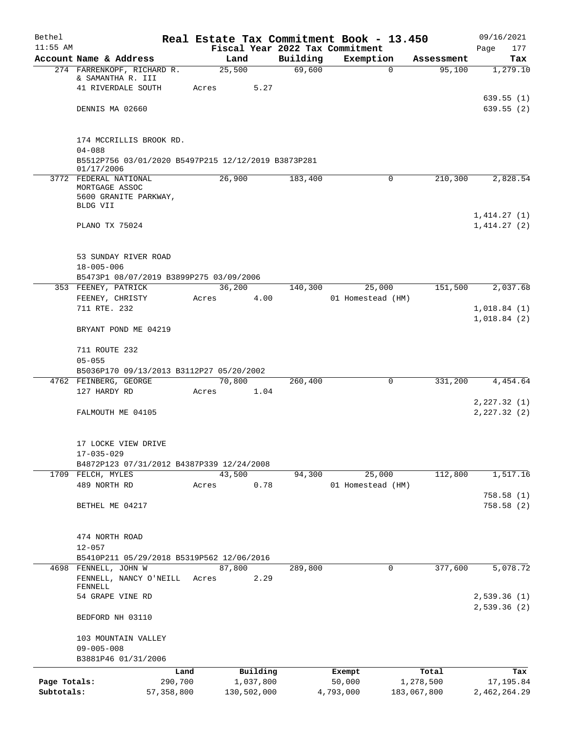| Bethel       |                                                                   |                 |             |                    | Real Estate Tax Commitment Book - 13.450 |                    | 09/16/2021             |
|--------------|-------------------------------------------------------------------|-----------------|-------------|--------------------|------------------------------------------|--------------------|------------------------|
| $11:55$ AM   |                                                                   |                 |             |                    | Fiscal Year 2022 Tax Commitment          |                    | Page<br>177            |
|              | Account Name & Address                                            | Land            |             | Building<br>69,600 | Exemption                                | Assessment         | Tax<br>1,279.10        |
|              | 274 FARRENKOPF, RICHARD R.<br>& SAMANTHA R. III                   | 25,500          |             |                    | 0                                        | 95,100             |                        |
|              | 41 RIVERDALE SOUTH                                                | Acres           | 5.27        |                    |                                          |                    |                        |
|              |                                                                   |                 |             |                    |                                          |                    | 639.55(1)              |
|              | DENNIS MA 02660                                                   |                 |             |                    |                                          |                    | 639.55(2)              |
|              | 174 MCCRILLIS BROOK RD.                                           |                 |             |                    |                                          |                    |                        |
|              | $04 - 088$                                                        |                 |             |                    |                                          |                    |                        |
|              | B5512P756 03/01/2020 B5497P215 12/12/2019 B3873P281<br>01/17/2006 |                 |             |                    |                                          |                    |                        |
|              | 3772 FEDERAL NATIONAL                                             | 26,900          |             | 183,400            | $\mathsf{O}$                             | 210,300            | 2,828.54               |
|              | MORTGAGE ASSOC<br>5600 GRANITE PARKWAY,                           |                 |             |                    |                                          |                    |                        |
|              | BLDG VII                                                          |                 |             |                    |                                          |                    |                        |
|              |                                                                   |                 |             |                    |                                          |                    | 1,414.27(1)            |
|              | PLANO TX 75024                                                    |                 |             |                    |                                          |                    | 1,414.27(2)            |
|              | 53 SUNDAY RIVER ROAD                                              |                 |             |                    |                                          |                    |                        |
|              | $18 - 005 - 006$                                                  |                 |             |                    |                                          |                    |                        |
|              | B5473P1 08/07/2019 B3899P275 03/09/2006                           |                 |             |                    |                                          |                    |                        |
|              | 353 FEENEY, PATRICK                                               | 36,200          |             | 140,300            | 25,000                                   | 151,500            | 2,037.68               |
|              | FEENEY, CHRISTY                                                   | Acres           | 4.00        |                    | 01 Homestead (HM)                        |                    |                        |
|              | 711 RTE. 232                                                      |                 |             |                    |                                          |                    | 1,018.84(1)            |
|              | BRYANT POND ME 04219                                              |                 |             |                    |                                          |                    | 1,018.84(2)            |
|              | 711 ROUTE 232                                                     |                 |             |                    |                                          |                    |                        |
|              | $05 - 055$                                                        |                 |             |                    |                                          |                    |                        |
|              | B5036P170 09/13/2013 B3112P27 05/20/2002                          |                 |             |                    |                                          |                    |                        |
|              | 4762 FEINBERG, GEORGE<br>127 HARDY RD                             | 70,800<br>Acres | 1.04        | 260,400            | 0                                        | 331,200            | 4,454.64               |
|              |                                                                   |                 |             |                    |                                          |                    | 2, 227.32(1)           |
|              | FALMOUTH ME 04105                                                 |                 |             |                    |                                          |                    | 2, 227.32 (2)          |
|              | 17 LOCKE VIEW DRIVE                                               |                 |             |                    |                                          |                    |                        |
|              | $17 - 035 - 029$                                                  |                 |             |                    |                                          |                    |                        |
|              | B4872P123 07/31/2012 B4387P339 12/24/2008                         |                 |             |                    |                                          |                    |                        |
|              | 1709 FELCH, MYLES                                                 | 43,500          |             | 94,300             | 25,000                                   | 112,800            | 1,517.16               |
|              | 489 NORTH RD                                                      | Acres           | 0.78        |                    | 01 Homestead (HM)                        |                    |                        |
|              | BETHEL ME 04217                                                   |                 |             |                    |                                          |                    | 758.58(1)<br>758.58(2) |
|              |                                                                   |                 |             |                    |                                          |                    |                        |
|              | 474 NORTH ROAD                                                    |                 |             |                    |                                          |                    |                        |
|              | $12 - 057$                                                        |                 |             |                    |                                          |                    |                        |
|              | B5410P211 05/29/2018 B5319P562 12/06/2016                         |                 |             |                    |                                          |                    |                        |
| 4698         | FENNELL, JOHN W                                                   | 87,800          |             | 289,800            | 0                                        | 377,600            | 5,078.72               |
|              | FENNELL, NANCY O'NEILL<br>FENNELL                                 | Acres           | 2.29        |                    |                                          |                    |                        |
|              | 54 GRAPE VINE RD                                                  |                 |             |                    |                                          |                    | 2,539.36(1)            |
|              | BEDFORD NH 03110                                                  |                 |             |                    |                                          |                    | 2,539.36(2)            |
|              |                                                                   |                 |             |                    |                                          |                    |                        |
|              | 103 MOUNTAIN VALLEY                                               |                 |             |                    |                                          |                    |                        |
|              | $09 - 005 - 008$                                                  |                 |             |                    |                                          |                    |                        |
|              | B3881P46 01/31/2006                                               |                 | Building    |                    |                                          |                    |                        |
| Page Totals: | Land<br>290,700                                                   |                 | 1,037,800   |                    | Exempt<br>50,000                         | Total<br>1,278,500 | Tax<br>17,195.84       |
| Subtotals:   | 57, 358, 800                                                      |                 | 130,502,000 |                    | 4,793,000                                | 183,067,800        | 2,462,264.29           |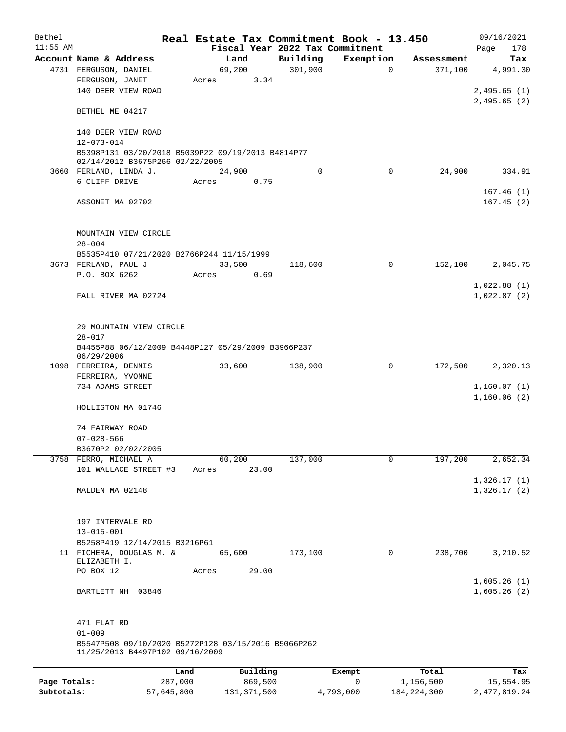| Bethel                     |                                                                                        | Real Estate Tax Commitment Book - 13.450 |                          |                                 |                |                            | 09/16/2021                  |
|----------------------------|----------------------------------------------------------------------------------------|------------------------------------------|--------------------------|---------------------------------|----------------|----------------------------|-----------------------------|
| $11:55$ AM                 |                                                                                        |                                          |                          | Fiscal Year 2022 Tax Commitment |                |                            | 178<br>Page                 |
|                            | Account Name & Address                                                                 | Land                                     |                          | Building                        | Exemption      | Assessment                 | Tax                         |
|                            | 4731 FERGUSON, DANIEL<br>FERGUSON, JANET<br>140 DEER VIEW ROAD                         | 69,200<br>Acres                          | 3.34                     | 301,900                         | $\mathbf 0$    | 371,100                    | 4,991.30<br>2,495.65(1)     |
|                            | BETHEL ME 04217                                                                        |                                          |                          |                                 |                |                            | 2,495.65(2)                 |
|                            | 140 DEER VIEW ROAD<br>$12 - 073 - 014$                                                 |                                          |                          |                                 |                |                            |                             |
|                            | B5398P131 03/20/2018 B5039P22 09/19/2013 B4814P77<br>02/14/2012 B3675P266 02/22/2005   |                                          |                          |                                 |                |                            |                             |
|                            | 3660 FERLAND, LINDA J.                                                                 | 24,900                                   |                          | 0                               | $\mathbf 0$    | 24,900                     | 334.91                      |
|                            | 6 CLIFF DRIVE                                                                          | Acres                                    | 0.75                     |                                 |                |                            | 167.46(1)                   |
|                            | ASSONET MA 02702                                                                       |                                          |                          |                                 |                |                            | 167.45(2)                   |
|                            | MOUNTAIN VIEW CIRCLE<br>$28 - 004$                                                     |                                          |                          |                                 |                |                            |                             |
|                            | B5535P410 07/21/2020 B2766P244 11/15/1999                                              |                                          |                          |                                 |                |                            |                             |
|                            | 3673 FERLAND, PAUL J                                                                   | 33,500                                   |                          | 118,600                         | 0              | 152,100                    | 2,045.75                    |
|                            | P.O. BOX 6262                                                                          | Acres                                    | 0.69                     |                                 |                |                            |                             |
|                            |                                                                                        |                                          |                          |                                 |                |                            | 1,022.88(1)                 |
|                            | FALL RIVER MA 02724                                                                    |                                          |                          |                                 |                |                            | 1,022.87(2)                 |
|                            | 29 MOUNTAIN VIEW CIRCLE<br>$28 - 017$                                                  |                                          |                          |                                 |                |                            |                             |
|                            | B4455P88 06/12/2009 B4448P127 05/29/2009 B3966P237<br>06/29/2006                       |                                          |                          |                                 |                |                            |                             |
|                            | 1098 FERREIRA, DENNIS<br>FERREIRA, YVONNE                                              | 33,600                                   |                          | 138,900                         | 0              | 172,500                    | 2,320.13                    |
|                            | 734 ADAMS STREET                                                                       |                                          |                          |                                 |                |                            | 1,160.07(1)<br>1,160.06(2)  |
|                            | HOLLISTON MA 01746                                                                     |                                          |                          |                                 |                |                            |                             |
|                            | 74 FAIRWAY ROAD                                                                        |                                          |                          |                                 |                |                            |                             |
|                            | $07 - 028 - 566$                                                                       |                                          |                          |                                 |                |                            |                             |
|                            | B3670P2 02/02/2005                                                                     |                                          |                          |                                 |                |                            |                             |
|                            | 3758 FERRO, MICHAEL A                                                                  | 60,200                                   |                          | 137,000                         | $\mathbf 0$    | 197,200                    | 2,652.34                    |
|                            | 101 WALLACE STREET #3                                                                  | Acres                                    | 23.00                    |                                 |                |                            | 1,326.17(1)                 |
|                            | MALDEN MA 02148                                                                        |                                          |                          |                                 |                |                            | 1,326.17(2)                 |
|                            |                                                                                        |                                          |                          |                                 |                |                            |                             |
|                            | 197 INTERVALE RD                                                                       |                                          |                          |                                 |                |                            |                             |
|                            | $13 - 015 - 001$                                                                       |                                          |                          |                                 |                |                            |                             |
|                            | B5258P419 12/14/2015 B3216P61<br>11 FICHERA, DOUGLAS M. &                              |                                          |                          | 173,100                         | 0              | 238,700                    |                             |
|                            | ELIZABETH I.                                                                           | 65,600                                   |                          |                                 |                |                            | 3,210.52                    |
|                            | PO BOX 12                                                                              | Acres                                    | 29.00                    |                                 |                |                            |                             |
|                            |                                                                                        |                                          |                          |                                 |                |                            | 1,605.26(1)                 |
|                            | BARTLETT NH 03846                                                                      |                                          |                          |                                 |                |                            | 1,605.26(2)                 |
|                            | 471 FLAT RD                                                                            |                                          |                          |                                 |                |                            |                             |
|                            | $01 - 009$                                                                             |                                          |                          |                                 |                |                            |                             |
|                            | B5547P508 09/10/2020 B5272P128 03/15/2016 B5066P262<br>11/25/2013 B4497P102 09/16/2009 |                                          |                          |                                 |                |                            |                             |
|                            |                                                                                        | Land                                     | Building                 |                                 | Exempt         | Total                      | Tax                         |
| Page Totals:<br>Subtotals: | 57,645,800                                                                             | 287,000                                  | 869,500<br>131, 371, 500 |                                 | 0<br>4,793,000 | 1,156,500<br>184, 224, 300 | 15,554.95<br>2, 477, 819.24 |
|                            |                                                                                        |                                          |                          |                                 |                |                            |                             |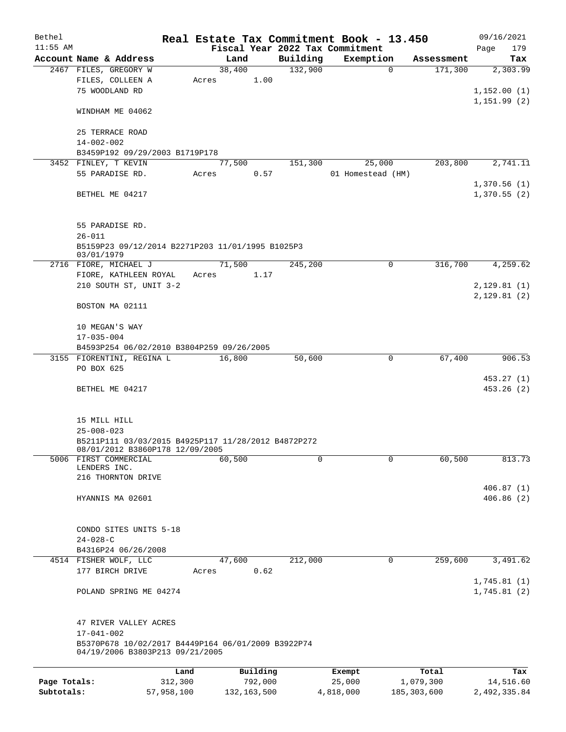| Bethel       |                                                          |         |               |          | Real Estate Tax Commitment Book - 13.450 |               | 09/16/2021   |
|--------------|----------------------------------------------------------|---------|---------------|----------|------------------------------------------|---------------|--------------|
| $11:55$ AM   |                                                          |         |               |          | Fiscal Year 2022 Tax Commitment          |               | Page<br>179  |
|              | Account Name & Address                                   |         | Land          | Building | Exemption                                | Assessment    | Tax          |
|              | 2467 FILES, GREGORY W                                    |         | 38,400        | 132,900  | $\mathbf 0$                              | 171,300       | 2,303.99     |
|              | FILES, COLLEEN A                                         | Acres   | 1.00          |          |                                          |               |              |
|              | 75 WOODLAND RD                                           |         |               |          |                                          |               | 1,152.00(1)  |
|              |                                                          |         |               |          |                                          |               | 1, 151.99(2) |
|              | WINDHAM ME 04062                                         |         |               |          |                                          |               |              |
|              | 25 TERRACE ROAD                                          |         |               |          |                                          |               |              |
|              | $14 - 002 - 002$                                         |         |               |          |                                          |               |              |
|              | B3459P192 09/29/2003 B1719P178                           |         |               |          |                                          |               |              |
|              | 3452 FINLEY, T KEVIN                                     |         | 77,500        | 151,300  | 25,000                                   | 203,800       | 2,741.11     |
|              | 55 PARADISE RD.                                          | Acres   | 0.57          |          | 01 Homestead (HM)                        |               |              |
|              |                                                          |         |               |          |                                          |               | 1,370.56(1)  |
|              | BETHEL ME 04217                                          |         |               |          |                                          |               | 1,370.55(2)  |
|              |                                                          |         |               |          |                                          |               |              |
|              |                                                          |         |               |          |                                          |               |              |
|              | 55 PARADISE RD.                                          |         |               |          |                                          |               |              |
|              | $26 - 011$                                               |         |               |          |                                          |               |              |
|              | B5159P23 09/12/2014 B2271P203 11/01/1995 B1025P3         |         |               |          |                                          |               |              |
|              | 03/01/1979                                               |         |               |          |                                          |               |              |
|              | 2716 FIORE, MICHAEL J                                    |         | 71,500        | 245,200  | 0                                        | 316,700       | 4,259.62     |
|              | FIORE, KATHLEEN ROYAL                                    | Acres   | 1.17          |          |                                          |               |              |
|              | 210 SOUTH ST, UNIT 3-2                                   |         |               |          |                                          |               | 2,129.81(1)  |
|              |                                                          |         |               |          |                                          |               | 2,129.81(2)  |
|              | BOSTON MA 02111                                          |         |               |          |                                          |               |              |
|              | 10 MEGAN'S WAY                                           |         |               |          |                                          |               |              |
|              | $17 - 035 - 004$                                         |         |               |          |                                          |               |              |
|              | B4593P254 06/02/2010 B3804P259 09/26/2005                |         |               |          |                                          |               |              |
|              | 3155 FIORENTINI, REGINA L                                |         | 16,800        | 50,600   | 0                                        | 67,400        | 906.53       |
|              | PO BOX 625                                               |         |               |          |                                          |               |              |
|              |                                                          |         |               |          |                                          |               | 453.27 (1)   |
|              | BETHEL ME 04217                                          |         |               |          |                                          |               | 453.26(2)    |
|              |                                                          |         |               |          |                                          |               |              |
|              |                                                          |         |               |          |                                          |               |              |
|              | 15 MILL HILL                                             |         |               |          |                                          |               |              |
|              | $25 - 008 - 023$                                         |         |               |          |                                          |               |              |
|              | B5211P111 03/03/2015 B4925P117 11/28/2012 B4872P272      |         |               |          |                                          |               |              |
|              | 08/01/2012 B3860P178 12/09/2005<br>5006 FIRST COMMERCIAL |         | 60,500        | 0        | 0                                        | 60,500        | 813.73       |
|              | LENDERS INC.                                             |         |               |          |                                          |               |              |
|              | 216 THORNTON DRIVE                                       |         |               |          |                                          |               |              |
|              |                                                          |         |               |          |                                          |               | 406.87(1)    |
|              | HYANNIS MA 02601                                         |         |               |          |                                          |               | 406.86(2)    |
|              |                                                          |         |               |          |                                          |               |              |
|              |                                                          |         |               |          |                                          |               |              |
|              | CONDO SITES UNITS 5-18                                   |         |               |          |                                          |               |              |
|              | $24 - 028 - C$                                           |         |               |          |                                          |               |              |
|              | B4316P24 06/26/2008                                      |         |               |          |                                          |               |              |
|              | 4514 FISHER WOLF, LLC                                    |         | 47,600        | 212,000  | 0                                        | 259,600       | 3,491.62     |
|              | 177 BIRCH DRIVE                                          | Acres   | 0.62          |          |                                          |               |              |
|              |                                                          |         |               |          |                                          |               | 1,745.81(1)  |
|              | POLAND SPRING ME 04274                                   |         |               |          |                                          |               | 1,745.81(2)  |
|              |                                                          |         |               |          |                                          |               |              |
|              | 47 RIVER VALLEY ACRES                                    |         |               |          |                                          |               |              |
|              | $17 - 041 - 002$                                         |         |               |          |                                          |               |              |
|              | B5370P678 10/02/2017 B4449P164 06/01/2009 B3922P74       |         |               |          |                                          |               |              |
|              | 04/19/2006 B3803P213 09/21/2005                          |         |               |          |                                          |               |              |
|              |                                                          |         |               |          |                                          |               |              |
|              |                                                          | Land    | Building      |          | Exempt                                   | Total         | Tax          |
| Page Totals: |                                                          | 312,300 | 792,000       |          | 25,000                                   | 1,079,300     | 14,516.60    |
| Subtotals:   | 57,958,100                                               |         | 132, 163, 500 |          | 4,818,000                                | 185, 303, 600 | 2,492,335.84 |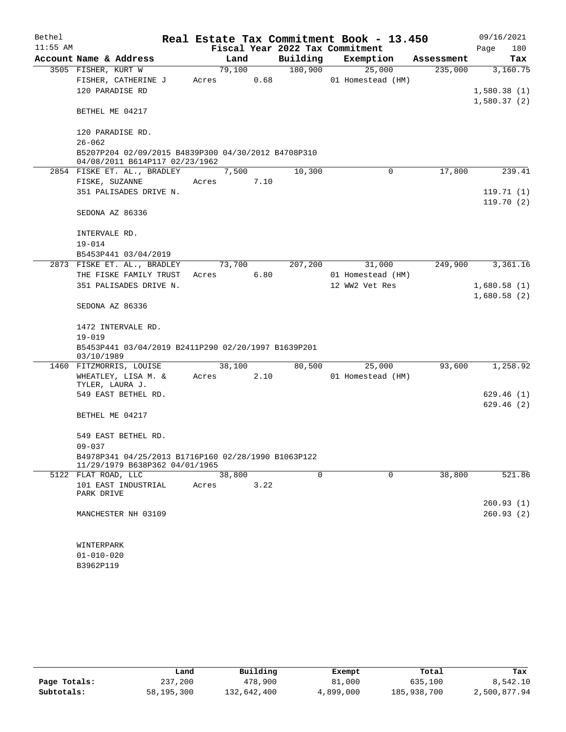| Bethel     |                                                                                       |       |        |      |                                 |  | Real Estate Tax Commitment Book - 13.450 |            | 09/16/2021  |
|------------|---------------------------------------------------------------------------------------|-------|--------|------|---------------------------------|--|------------------------------------------|------------|-------------|
| $11:55$ AM |                                                                                       |       |        |      | Fiscal Year 2022 Tax Commitment |  |                                          |            | Page<br>180 |
|            | Account Name & Address                                                                |       | Land   |      | Building                        |  | Exemption                                | Assessment | Tax         |
|            | 3505 FISHER, KURT W                                                                   |       | 79,100 |      | 180,900                         |  | 25,000                                   | 235,000    | 3,160.75    |
|            | FISHER, CATHERINE J                                                                   | Acres |        | 0.68 |                                 |  | 01 Homestead (HM)                        |            |             |
|            | 120 PARADISE RD                                                                       |       |        |      |                                 |  |                                          |            | 1,580.38(1) |
|            |                                                                                       |       |        |      |                                 |  |                                          |            | 1,580.37(2) |
|            | BETHEL ME 04217                                                                       |       |        |      |                                 |  |                                          |            |             |
|            |                                                                                       |       |        |      |                                 |  |                                          |            |             |
|            | 120 PARADISE RD.                                                                      |       |        |      |                                 |  |                                          |            |             |
|            | $26 - 062$                                                                            |       |        |      |                                 |  |                                          |            |             |
|            | B5207P204 02/09/2015 B4839P300 04/30/2012 B4708P310<br>04/08/2011 B614P117 02/23/1962 |       |        |      |                                 |  |                                          |            |             |
|            | 2854 FISKE ET. AL., BRADLEY                                                           |       | 7,500  |      | 10,300                          |  | 0                                        | 17,800     | 239.41      |
|            | FISKE, SUZANNE                                                                        | Acres |        | 7.10 |                                 |  |                                          |            |             |
|            | 351 PALISADES DRIVE N.                                                                |       |        |      |                                 |  |                                          |            | 119.71(1)   |
|            |                                                                                       |       |        |      |                                 |  |                                          |            | 119.70(2)   |
|            | SEDONA AZ 86336                                                                       |       |        |      |                                 |  |                                          |            |             |
|            |                                                                                       |       |        |      |                                 |  |                                          |            |             |
|            | INTERVALE RD.                                                                         |       |        |      |                                 |  |                                          |            |             |
|            | $19 - 014$                                                                            |       |        |      |                                 |  |                                          |            |             |
|            | B5453P441 03/04/2019                                                                  |       |        |      |                                 |  |                                          |            |             |
|            | 2873 FISKE ET. AL., BRADLEY                                                           |       | 73,700 |      | 207,200                         |  | 31,000                                   | 249,900    | 3,361.16    |
|            | THE FISKE FAMILY TRUST                                                                | Acres |        | 6.80 |                                 |  | 01 Homestead (HM)                        |            |             |
|            | 351 PALISADES DRIVE N.                                                                |       |        |      |                                 |  | 12 WW2 Vet Res                           |            | 1,680.58(1) |
|            |                                                                                       |       |        |      |                                 |  |                                          |            | 1,680.58(2) |
|            | SEDONA AZ 86336                                                                       |       |        |      |                                 |  |                                          |            |             |
|            |                                                                                       |       |        |      |                                 |  |                                          |            |             |
|            | 1472 INTERVALE RD.                                                                    |       |        |      |                                 |  |                                          |            |             |
|            | $19 - 019$                                                                            |       |        |      |                                 |  |                                          |            |             |
|            | B5453P441 03/04/2019 B2411P290 02/20/1997 B1639P201<br>03/10/1989                     |       |        |      |                                 |  |                                          |            |             |
|            | 1460 FITZMORRIS, LOUISE                                                               |       | 38,100 |      | 80,500                          |  | 25,000                                   | 93,600     | 1,258.92    |
|            | WHEATLEY, LISA M. &                                                                   | Acres |        | 2.10 |                                 |  | 01 Homestead (HM)                        |            |             |
|            | TYLER, LAURA J.                                                                       |       |        |      |                                 |  |                                          |            |             |
|            | 549 EAST BETHEL RD.                                                                   |       |        |      |                                 |  |                                          |            | 629.46(1)   |
|            |                                                                                       |       |        |      |                                 |  |                                          |            | 629.46(2)   |
|            | BETHEL ME 04217                                                                       |       |        |      |                                 |  |                                          |            |             |
|            |                                                                                       |       |        |      |                                 |  |                                          |            |             |
|            | 549 EAST BETHEL RD.                                                                   |       |        |      |                                 |  |                                          |            |             |
|            | $09 - 037$                                                                            |       |        |      |                                 |  |                                          |            |             |
|            | B4978P341 04/25/2013 B1716P160 02/28/1990 B1063P122<br>11/29/1979 B638P362 04/01/1965 |       |        |      |                                 |  |                                          |            |             |
|            | 5122 FLAT ROAD, LLC                                                                   |       | 38,800 |      | $\mathbf 0$                     |  | $\mathbf 0$                              | 38,800     | 521.86      |
|            | 101 EAST INDUSTRIAL                                                                   | Acres |        | 3.22 |                                 |  |                                          |            |             |
|            | PARK DRIVE                                                                            |       |        |      |                                 |  |                                          |            |             |
|            |                                                                                       |       |        |      |                                 |  |                                          |            | 260.93 (1)  |
|            | MANCHESTER NH 03109                                                                   |       |        |      |                                 |  |                                          |            | 260.93(2)   |
|            |                                                                                       |       |        |      |                                 |  |                                          |            |             |
|            |                                                                                       |       |        |      |                                 |  |                                          |            |             |
|            | WINTERPARK                                                                            |       |        |      |                                 |  |                                          |            |             |
|            | $01 - 010 - 020$                                                                      |       |        |      |                                 |  |                                          |            |             |
|            | B3962P119                                                                             |       |        |      |                                 |  |                                          |            |             |

|              | Land       | Building    | Exempt    | Total       | Tax          |
|--------------|------------|-------------|-----------|-------------|--------------|
| Page Totals: | 237,200    | 478,900     | 81,000    | 635,100     | 8,542.10     |
| Subtotals:   | 58,195,300 | 132,642,400 | 4,899,000 | 185,938,700 | 2,500,877.94 |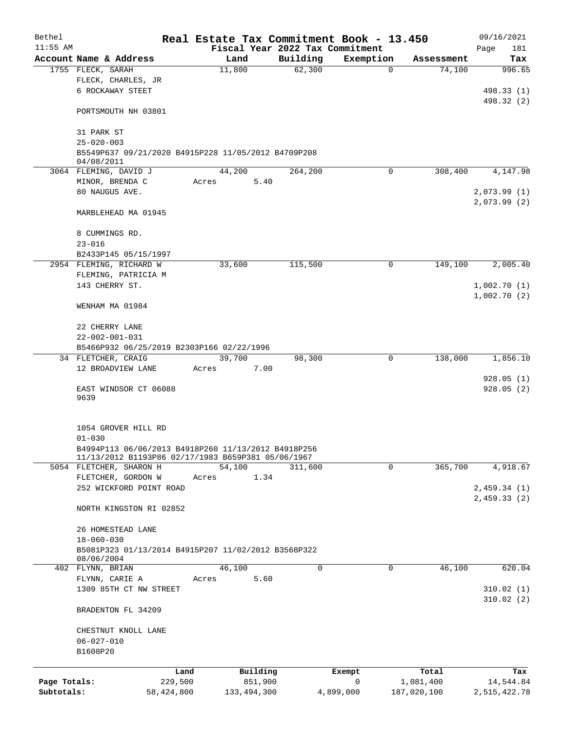| Bethel       |                                                                                                           |       |                |          | Real Estate Tax Commitment Book - 13.450 |             | 09/16/2021               |
|--------------|-----------------------------------------------------------------------------------------------------------|-------|----------------|----------|------------------------------------------|-------------|--------------------------|
| $11:55$ AM   |                                                                                                           |       |                |          | Fiscal Year 2022 Tax Commitment          |             | Page<br>181              |
|              | Account Name & Address                                                                                    |       | Land           | Building | Exemption                                | Assessment  | Tax                      |
|              | 1755 FLECK, SARAH<br>FLECK, CHARLES, JR                                                                   |       | 11,800         | 62,300   | 0                                        | 74,100      | 996.65                   |
|              | 6 ROCKAWAY STEET                                                                                          |       |                |          |                                          |             |                          |
|              |                                                                                                           |       |                |          |                                          |             | 498.33 (1)<br>498.32 (2) |
|              | PORTSMOUTH NH 03801                                                                                       |       |                |          |                                          |             |                          |
|              |                                                                                                           |       |                |          |                                          |             |                          |
|              | 31 PARK ST                                                                                                |       |                |          |                                          |             |                          |
|              | $25 - 020 - 003$                                                                                          |       |                |          |                                          |             |                          |
|              | B5549P637 09/21/2020 B4915P228 11/05/2012 B4709P208<br>04/08/2011                                         |       |                |          |                                          |             |                          |
|              | 3064 FLEMING, DAVID J                                                                                     |       | 44,200         | 264,200  | 0                                        | 308,400     | 4,147.98                 |
|              | MINOR, BRENDA C                                                                                           | Acres | 5.40           |          |                                          |             |                          |
|              | 80 NAUGUS AVE.                                                                                            |       |                |          |                                          |             | 2,073.99(1)              |
|              |                                                                                                           |       |                |          |                                          |             | 2,073.99(2)              |
|              | MARBLEHEAD MA 01945                                                                                       |       |                |          |                                          |             |                          |
|              |                                                                                                           |       |                |          |                                          |             |                          |
|              | 8 CUMMINGS RD.                                                                                            |       |                |          |                                          |             |                          |
|              | $23 - 016$                                                                                                |       |                |          |                                          |             |                          |
|              | B2433P145 05/15/1997                                                                                      |       |                |          |                                          |             |                          |
|              | 2954 FLEMING, RICHARD W                                                                                   |       | 33,600         | 115,500  | 0                                        | 149,100     | 2,005.40                 |
|              | FLEMING, PATRICIA M                                                                                       |       |                |          |                                          |             |                          |
|              | 143 CHERRY ST.                                                                                            |       |                |          |                                          |             | 1,002.70(1)              |
|              | WENHAM MA 01984                                                                                           |       |                |          |                                          |             | 1,002.70(2)              |
|              |                                                                                                           |       |                |          |                                          |             |                          |
|              | 22 CHERRY LANE                                                                                            |       |                |          |                                          |             |                          |
|              | $22 - 002 - 001 - 031$                                                                                    |       |                |          |                                          |             |                          |
|              | B5466P932 06/25/2019 B2303P166 02/22/1996                                                                 |       |                |          |                                          |             |                          |
|              | 34 FLETCHER, CRAIG                                                                                        |       | 39,700         | 98,300   | 0                                        | 138,000     | 1,856.10                 |
|              | 12 BROADVIEW LANE                                                                                         | Acres | 7.00           |          |                                          |             |                          |
|              | EAST WINDSOR CT 06088<br>9639                                                                             |       |                |          |                                          |             | 928.05(1)<br>928.05(2)   |
|              |                                                                                                           |       |                |          |                                          |             |                          |
|              | 1054 GROVER HILL RD                                                                                       |       |                |          |                                          |             |                          |
|              | $01 - 030$                                                                                                |       |                |          |                                          |             |                          |
|              | B4994P113 06/06/2013 B4918P260 11/13/2012 B4918P256<br>11/13/2012 B1193P86 02/17/1983 B659P381 05/06/1967 |       |                |          |                                          |             |                          |
|              | 5054 FLETCHER, SHARON H                                                                                   |       | 54,100         | 311,600  | 0                                        | 365,700     | 4,918.67                 |
|              | FLETCHER, GORDON W                                                                                        | Acres | 1.34           |          |                                          |             |                          |
|              | 252 WICKFORD POINT ROAD                                                                                   |       |                |          |                                          |             | 2,459.34(1)              |
|              |                                                                                                           |       |                |          |                                          |             | 2,459.33(2)              |
|              | NORTH KINGSTON RI 02852                                                                                   |       |                |          |                                          |             |                          |
|              | 26 HOMESTEAD LANE                                                                                         |       |                |          |                                          |             |                          |
|              | $18 - 060 - 030$                                                                                          |       |                |          |                                          |             |                          |
|              | B5081P323 01/13/2014 B4915P207 11/02/2012 B3568P322                                                       |       |                |          |                                          |             |                          |
|              | 08/06/2004                                                                                                |       |                | $\Omega$ | 0                                        | 46,100      | 620.04                   |
|              | 402 FLYNN, BRIAN<br>FLYNN, CARIE A                                                                        | Acres | 46,100<br>5.60 |          |                                          |             |                          |
|              | 1309 85TH CT NW STREET                                                                                    |       |                |          |                                          |             | 310.02(1)                |
|              |                                                                                                           |       |                |          |                                          |             | 310.02(2)                |
|              | BRADENTON FL 34209                                                                                        |       |                |          |                                          |             |                          |
|              | CHESTNUT KNOLL LANE                                                                                       |       |                |          |                                          |             |                          |
|              | $06 - 027 - 010$                                                                                          |       |                |          |                                          |             |                          |
|              | B1608P20                                                                                                  |       |                |          |                                          |             |                          |
|              | Land                                                                                                      |       | Building       |          | Exempt                                   | Total       | Tax                      |
| Page Totals: | 229,500                                                                                                   |       | 851,900        |          | 0                                        | 1,081,400   | 14,544.84                |
| Subtotals:   | 58, 424, 800                                                                                              |       | 133, 494, 300  |          | 4,899,000                                | 187,020,100 | 2,515,422.78             |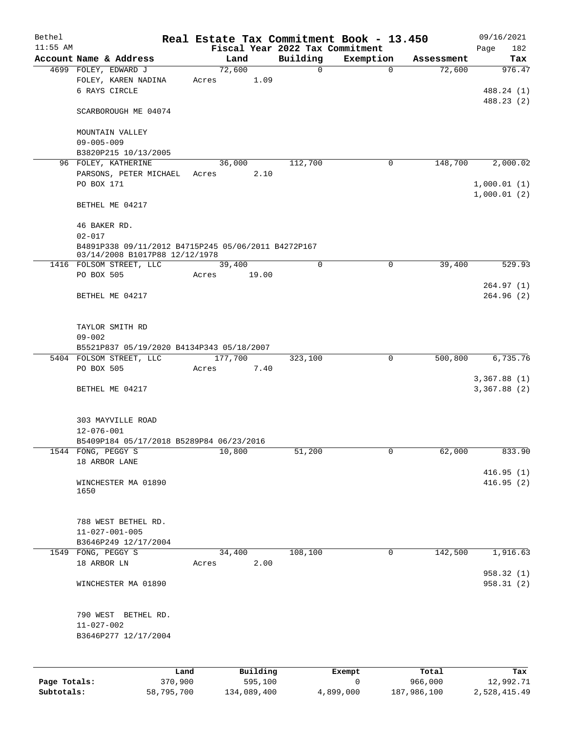| Bethel       |                                                                                       |       |                     |                                 | Real Estate Tax Commitment Book - 13.450 |                      | 09/16/2021              |
|--------------|---------------------------------------------------------------------------------------|-------|---------------------|---------------------------------|------------------------------------------|----------------------|-------------------------|
| $11:55$ AM   |                                                                                       |       |                     | Fiscal Year 2022 Tax Commitment |                                          |                      | Page<br>182             |
|              | Account Name & Address<br>4699 FOLEY, EDWARD J                                        |       | Land<br>72,600      | Building<br>$\mathbf 0$         | Exemption<br>$\Omega$                    | Assessment<br>72,600 | Tax<br>976.47           |
|              | FOLEY, KAREN NADINA<br>6 RAYS CIRCLE                                                  | Acres | 1.09                |                                 |                                          |                      | 488.24 (1)              |
|              | SCARBOROUGH ME 04074                                                                  |       |                     |                                 |                                          |                      | 488.23 (2)              |
|              | MOUNTAIN VALLEY<br>$09 - 005 - 009$                                                   |       |                     |                                 |                                          |                      |                         |
|              | B3820P215 10/13/2005                                                                  |       |                     |                                 |                                          |                      |                         |
|              | 96 FOLEY, KATHERINE<br>PARSONS, PETER MICHAEL<br>PO BOX 171                           | Acres | 36,000<br>2.10      | 112,700                         | 0                                        | 148,700              | 2,000.02<br>1,000.01(1) |
|              | BETHEL ME 04217                                                                       |       |                     |                                 |                                          |                      | 1,000.01(2)             |
|              | 46 BAKER RD.<br>$02 - 017$                                                            |       |                     |                                 |                                          |                      |                         |
|              | B4891P338 09/11/2012 B4715P245 05/06/2011 B4272P167<br>03/14/2008 B1017P88 12/12/1978 |       |                     |                                 |                                          |                      |                         |
|              | 1416 FOLSOM STREET, LLC                                                               |       | 39,400              | $\mathbf 0$                     | 0                                        | 39,400               | 529.93                  |
|              | PO BOX 505<br>BETHEL ME 04217                                                         | Acres | 19.00               |                                 |                                          |                      | 264.97(1)<br>264.96(2)  |
|              | TAYLOR SMITH RD<br>$09 - 002$                                                         |       |                     |                                 |                                          |                      |                         |
|              | B5521P837 05/19/2020 B4134P343 05/18/2007                                             |       |                     |                                 |                                          |                      |                         |
|              | 5404 FOLSOM STREET, LLC                                                               |       | 177,700             | 323,100                         | $\mathbf 0$                              | 500,800              | 6,735.76                |
|              | PO BOX 505                                                                            | Acres | 7.40                |                                 |                                          |                      | 3,367.88(1)             |
|              | BETHEL ME 04217                                                                       |       |                     |                                 |                                          |                      | 3,367.88 (2)            |
|              | 303 MAYVILLE ROAD<br>12-076-001                                                       |       |                     |                                 |                                          |                      |                         |
|              | B5409P184 05/17/2018 B5289P84 06/23/2016<br>1544 FONG, PEGGY S                        |       | 10,800              | 51,200                          | 0                                        | 62,000               | 833.90                  |
|              | 18 ARBOR LANE                                                                         |       |                     |                                 |                                          |                      |                         |
|              | WINCHESTER MA 01890<br>1650                                                           |       |                     |                                 |                                          |                      | 416.95(1)<br>416.95(2)  |
|              | 788 WEST BETHEL RD.<br>$11 - 027 - 001 - 005$<br>B3646P249 12/17/2004                 |       |                     |                                 |                                          |                      |                         |
|              | 1549 FONG, PEGGY S                                                                    |       | 34,400              | 108,100                         | $\mathbf 0$                              | 142,500              | 1,916.63                |
|              | 18 ARBOR LN                                                                           | Acres | 2.00                |                                 |                                          |                      | 958.32 (1)              |
|              | WINCHESTER MA 01890                                                                   |       |                     |                                 |                                          |                      | 958.31(2)               |
|              | 790 WEST BETHEL RD.<br>$11 - 027 - 002$<br>B3646P277 12/17/2004                       |       |                     |                                 |                                          |                      |                         |
|              |                                                                                       |       |                     |                                 |                                          |                      |                         |
| Page Totals: | Land<br>370,900                                                                       |       | Building<br>595,100 |                                 | Exempt<br>$\mathsf{O}$                   | Total<br>966,000     | Tax<br>12,992.71        |

**Subtotals:** 58,795,700 134,089,400 4,899,000 187,986,100 2,528,415.49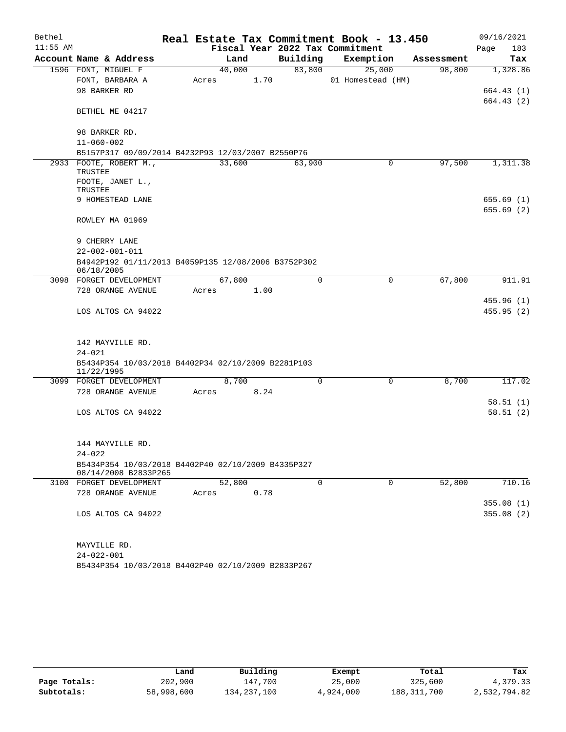| Bethel     |                        |                                                                            |       |        |      |             | Real Estate Tax Commitment Book - 13.450 |             |            | 09/16/2021               |
|------------|------------------------|----------------------------------------------------------------------------|-------|--------|------|-------------|------------------------------------------|-------------|------------|--------------------------|
| $11:55$ AM |                        |                                                                            |       |        |      |             | Fiscal Year 2022 Tax Commitment          |             |            | 183<br>Page              |
|            |                        | Account Name & Address                                                     |       | Land   |      | Building    | Exemption                                |             | Assessment | Tax                      |
|            | 1596 FONT, MIGUEL F    |                                                                            |       | 40,000 |      | 83,800      | 25,000                                   |             | 98,800     | 1,328.86                 |
|            |                        | FONT, BARBARA A                                                            | Acres |        | 1.70 |             | 01 Homestead (HM)                        |             |            |                          |
|            | 98 BARKER RD           |                                                                            |       |        |      |             |                                          |             |            | 664.43 (1)<br>664.43 (2) |
|            |                        | BETHEL ME 04217                                                            |       |        |      |             |                                          |             |            |                          |
|            | 98 BARKER RD.          |                                                                            |       |        |      |             |                                          |             |            |                          |
|            | $11 - 060 - 002$       |                                                                            |       |        |      |             |                                          |             |            |                          |
|            |                        | B5157P317 09/09/2014 B4232P93 12/03/2007 B2550P76                          |       |        |      |             |                                          |             |            |                          |
|            | TRUSTEE                | 2933 FOOTE, ROBERT M.,                                                     |       | 33,600 |      | 63,900      |                                          | 0           | 97,500     | 1,311.38                 |
|            | TRUSTEE                | FOOTE, JANET L.,                                                           |       |        |      |             |                                          |             |            |                          |
|            |                        | 9 HOMESTEAD LANE                                                           |       |        |      |             |                                          |             |            | 655.69(1)                |
|            |                        |                                                                            |       |        |      |             |                                          |             |            | 655.69(2)                |
|            |                        | ROWLEY MA 01969                                                            |       |        |      |             |                                          |             |            |                          |
|            | 9 CHERRY LANE          |                                                                            |       |        |      |             |                                          |             |            |                          |
|            | $22 - 002 - 001 - 011$ |                                                                            |       |        |      |             |                                          |             |            |                          |
|            | 06/18/2005             | B4942P192 01/11/2013 B4059P135 12/08/2006 B3752P302                        |       |        |      |             |                                          |             |            |                          |
|            |                        | 3098 FORGET DEVELOPMENT                                                    |       | 67,800 |      | $\mathbf 0$ |                                          | $\mathbf 0$ | 67,800     | 911.91                   |
|            |                        | 728 ORANGE AVENUE                                                          | Acres |        | 1.00 |             |                                          |             |            |                          |
|            |                        | LOS ALTOS CA 94022                                                         |       |        |      |             |                                          |             |            | 455.96(1)<br>455.95(2)   |
|            |                        | 142 MAYVILLE RD.                                                           |       |        |      |             |                                          |             |            |                          |
|            | $24 - 021$             |                                                                            |       |        |      |             |                                          |             |            |                          |
|            | 11/22/1995             | B5434P354 10/03/2018 B4402P34 02/10/2009 B2281P103                         |       |        |      |             |                                          |             |            |                          |
|            |                        | 3099 FORGET DEVELOPMENT                                                    |       | 8,700  |      | $\Omega$    |                                          | $\Omega$    | 8,700      | 117.02                   |
|            |                        | 728 ORANGE AVENUE                                                          | Acres |        | 8.24 |             |                                          |             |            |                          |
|            |                        | LOS ALTOS CA 94022                                                         |       |        |      |             |                                          |             |            | 58.51(1)<br>58.51(2)     |
|            |                        | 144 MAYVILLE RD.                                                           |       |        |      |             |                                          |             |            |                          |
|            | $24 - 022$             |                                                                            |       |        |      |             |                                          |             |            |                          |
|            |                        | B5434P354 10/03/2018 B4402P40 02/10/2009 B4335P327<br>08/14/2008 B2833P265 |       |        |      |             |                                          |             |            |                          |
|            |                        | 3100 FORGET DEVELOPMENT                                                    |       | 52,800 |      | $\mathbf 0$ |                                          | 0           | 52,800     | 710.16                   |
|            |                        | 728 ORANGE AVENUE                                                          | Acres |        | 0.78 |             |                                          |             |            |                          |
|            |                        | LOS ALTOS CA 94022                                                         |       |        |      |             |                                          |             |            | 355.08(1)<br>355.08(2)   |
|            | MAYVILLE RD.           |                                                                            |       |        |      |             |                                          |             |            |                          |
|            | $24 - 022 - 001$       |                                                                            |       |        |      |             |                                          |             |            |                          |
|            |                        | B5434P354 10/03/2018 B4402P40 02/10/2009 B2833P267                         |       |        |      |             |                                          |             |            |                          |

|              | Land       | Building    | Exempt    | Total         | Tax          |
|--------------|------------|-------------|-----------|---------------|--------------|
| Page Totals: | 202,900    | 147.700     | 25,000    | 325,600       | 4,379.33     |
| Subtotals:   | 58,998,600 | 134,237,100 | 4,924,000 | 188, 311, 700 | 2,532,794.82 |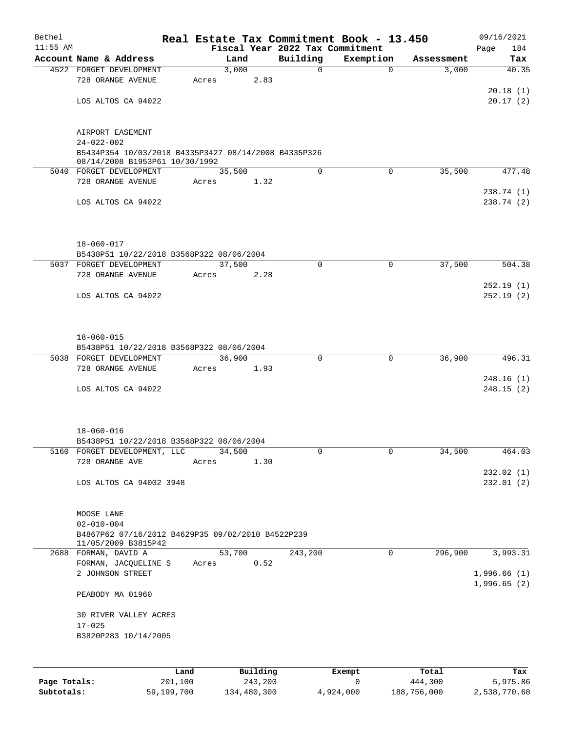| Bethel       |                                                                          |       |        |          |                                             | Real Estate Tax Commitment Book - 13.450 |                     | 09/16/2021                 |
|--------------|--------------------------------------------------------------------------|-------|--------|----------|---------------------------------------------|------------------------------------------|---------------------|----------------------------|
| $11:55$ AM   | Account Name & Address                                                   |       | Land   |          | Fiscal Year 2022 Tax Commitment<br>Building |                                          |                     | 184<br>Page                |
|              | 4522 FORGET DEVELOPMENT                                                  |       | 3,000  |          | $\mathbf 0$                                 | Exemption<br>$\Omega$                    | Assessment<br>3,000 | Tax<br>40.35               |
|              | 728 ORANGE AVENUE                                                        | Acres |        | 2.83     |                                             |                                          |                     |                            |
|              |                                                                          |       |        |          |                                             |                                          |                     | 20.18(1)                   |
|              | LOS ALTOS CA 94022                                                       |       |        |          |                                             |                                          |                     | 20.17(2)                   |
|              | AIRPORT EASEMENT                                                         |       |        |          |                                             |                                          |                     |                            |
|              | $24 - 022 - 002$<br>B5434P354 10/03/2018 B4335P3427 08/14/2008 B4335P326 |       |        |          |                                             |                                          |                     |                            |
|              | 08/14/2008 B1953P61 10/30/1992<br>5040 FORGET DEVELOPMENT                |       | 35,500 |          | $\Omega$                                    | $\Omega$                                 | 35,500              | 477.48                     |
|              | 728 ORANGE AVENUE                                                        | Acres |        | 1.32     |                                             |                                          |                     |                            |
|              | LOS ALTOS CA 94022                                                       |       |        |          |                                             |                                          |                     | 238.74(1)<br>238.74(2)     |
|              |                                                                          |       |        |          |                                             |                                          |                     |                            |
|              | $18 - 060 - 017$                                                         |       |        |          |                                             |                                          |                     |                            |
|              | B5438P51 10/22/2018 B3568P322 08/06/2004                                 |       |        |          |                                             |                                          |                     |                            |
|              | 5037 FORGET DEVELOPMENT<br>728 ORANGE AVENUE                             | Acres | 37,500 | 2.28     | $\mathbf 0$                                 | $\mathbf 0$                              | 37,500              | 504.38                     |
|              |                                                                          |       |        |          |                                             |                                          |                     | 252.19(1)                  |
|              | LOS ALTOS CA 94022                                                       |       |        |          |                                             |                                          |                     | 252.19(2)                  |
|              |                                                                          |       |        |          |                                             |                                          |                     |                            |
|              | $18 - 060 - 015$<br>B5438P51 10/22/2018 B3568P322 08/06/2004             |       |        |          |                                             |                                          |                     |                            |
|              | 5038 FORGET DEVELOPMENT                                                  |       | 36,900 |          | $\mathbf 0$                                 | $\mathbf 0$                              | 36,900              | 496.31                     |
|              | 728 ORANGE AVENUE                                                        | Acres |        | 1.93     |                                             |                                          |                     |                            |
|              |                                                                          |       |        |          |                                             |                                          |                     | 248.16(1)                  |
|              | LOS ALTOS CA 94022                                                       |       |        |          |                                             |                                          |                     | 248.15(2)                  |
|              | $18 - 060 - 016$                                                         |       |        |          |                                             |                                          |                     |                            |
|              | B5438P51 10/22/2018 B3568P322 08/06/2004                                 |       |        |          |                                             |                                          |                     |                            |
|              | 5160 FORGET DEVELOPMENT, LLC                                             |       | 34,500 |          | 0                                           | 0                                        | 34,500              | 464.03                     |
|              | 728 ORANGE AVE                                                           | Acres |        | 1.30     |                                             |                                          |                     |                            |
|              | LOS ALTOS CA 94002 3948                                                  |       |        |          |                                             |                                          |                     | 232.02(1)<br>232.01(2)     |
|              |                                                                          |       |        |          |                                             |                                          |                     |                            |
|              | MOOSE LANE                                                               |       |        |          |                                             |                                          |                     |                            |
|              | $02 - 010 - 004$                                                         |       |        |          |                                             |                                          |                     |                            |
|              | B4867P62 07/16/2012 B4629P35 09/02/2010 B4522P239<br>11/05/2009 B3815P42 |       |        |          |                                             |                                          |                     |                            |
|              | 2688 FORMAN, DAVID A<br>FORMAN, JACQUELINE S                             | Acres | 53,700 | 0.52     | 243,200                                     | $\mathbf 0$                              | 296,900             | 3,993.31                   |
|              | 2 JOHNSON STREET                                                         |       |        |          |                                             |                                          |                     | 1,996.66(1)<br>1,996.65(2) |
|              | PEABODY MA 01960                                                         |       |        |          |                                             |                                          |                     |                            |
|              | 30 RIVER VALLEY ACRES<br>$17 - 025$                                      |       |        |          |                                             |                                          |                     |                            |
|              | B3820P283 10/14/2005                                                     |       |        |          |                                             |                                          |                     |                            |
|              |                                                                          |       |        |          |                                             |                                          |                     |                            |
|              |                                                                          | Land  |        | Building |                                             | Exempt                                   | Total               | Tax                        |
| Page Totals: | 201,100                                                                  |       |        | 243,200  |                                             | 0                                        | 444,300             | 5,975.86                   |

**Subtotals:** 59,199,700 134,480,300 4,924,000 188,756,000 2,538,770.68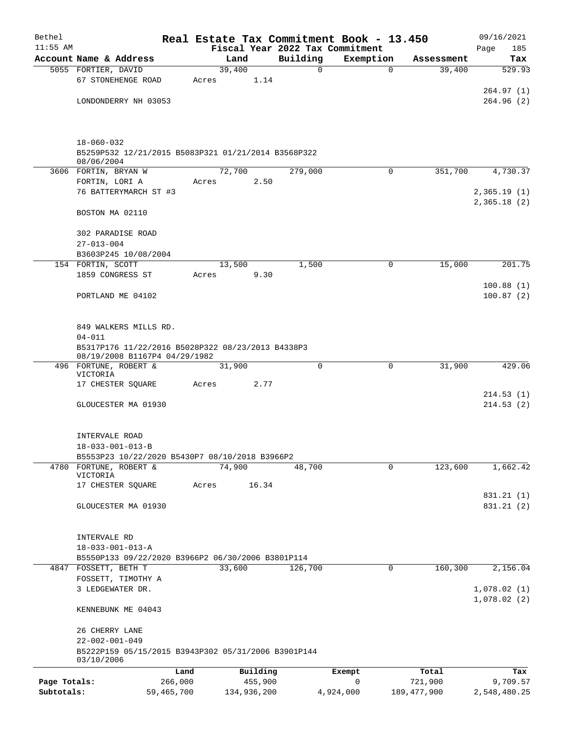| Bethel                     |                                                                               | Real Estate Tax Commitment Book - 13.450 |                                 |              |                          | 09/16/2021                 |
|----------------------------|-------------------------------------------------------------------------------|------------------------------------------|---------------------------------|--------------|--------------------------|----------------------------|
| $11:55$ AM                 |                                                                               |                                          | Fiscal Year 2022 Tax Commitment |              |                          | 185<br>Page                |
|                            | Account Name & Address                                                        | Land                                     | Building                        | Exemption    | Assessment               | Tax                        |
|                            | 5055 FORTIER, DAVID<br>67 STONEHENGE ROAD                                     | 39,400<br>1.14<br>Acres                  | 0                               | $\mathbf 0$  | 39,400                   | 529.93                     |
|                            | LONDONDERRY NH 03053                                                          |                                          |                                 |              |                          | 264.97(1)<br>264.96(2)     |
|                            | $18 - 060 - 032$                                                              |                                          |                                 |              |                          |                            |
|                            | B5259P532 12/21/2015 B5083P321 01/21/2014 B3568P322<br>08/06/2004             |                                          |                                 |              |                          |                            |
|                            | 3606 FORTIN, BRYAN W                                                          | 72,700                                   | 279,000                         | $\Omega$     | 351,700                  | 4,730.37                   |
|                            | FORTIN, LORI A                                                                | 2.50<br>Acres                            |                                 |              |                          |                            |
|                            | 76 BATTERYMARCH ST #3                                                         |                                          |                                 |              |                          | 2,365.19(1)<br>2,365.18(2) |
|                            | BOSTON MA 02110                                                               |                                          |                                 |              |                          |                            |
|                            | 302 PARADISE ROAD                                                             |                                          |                                 |              |                          |                            |
|                            | $27 - 013 - 004$<br>B3603P245 10/08/2004                                      |                                          |                                 |              |                          |                            |
|                            | 154 FORTIN, SCOTT                                                             | 13,500                                   | 1,500                           | 0            | 15,000                   | 201.75                     |
|                            | 1859 CONGRESS ST                                                              | 9.30<br>Acres                            |                                 |              |                          |                            |
|                            |                                                                               |                                          |                                 |              |                          | 100.88(1)                  |
|                            | PORTLAND ME 04102                                                             |                                          |                                 |              |                          | 100.87(2)                  |
|                            |                                                                               |                                          |                                 |              |                          |                            |
|                            | 849 WALKERS MILLS RD.<br>$04 - 011$                                           |                                          |                                 |              |                          |                            |
|                            | B5317P176 11/22/2016 B5028P322 08/23/2013 B4338P3                             |                                          |                                 |              |                          |                            |
|                            | 08/19/2008 B1167P4 04/29/1982                                                 |                                          |                                 |              |                          |                            |
|                            | 496 FORTUNE, ROBERT &<br>VICTORIA                                             | 31,900                                   | $\mathbf 0$                     | 0            | 31,900                   | 429.06                     |
|                            | 17 CHESTER SQUARE                                                             | 2.77<br>Acres                            |                                 |              |                          | 214.53(1)                  |
|                            | GLOUCESTER MA 01930                                                           |                                          |                                 |              |                          | 214.53(2)                  |
|                            |                                                                               |                                          |                                 |              |                          |                            |
|                            | INTERVALE ROAD                                                                |                                          |                                 |              |                          |                            |
|                            | $18 - 033 - 001 - 013 - B$<br>B5553P23 10/22/2020 B5430P7 08/10/2018 B3966P2  |                                          |                                 |              |                          |                            |
|                            | 4780 FORTUNE, ROBERT &                                                        | 74,900                                   | 48,700                          | $\mathbf{0}$ | 123,600                  | 1,662.42                   |
|                            | VICTORIA                                                                      |                                          |                                 |              |                          |                            |
|                            | 17 CHESTER SQUARE                                                             | 16.34<br>Acres                           |                                 |              |                          | 831.21 (1)                 |
|                            | GLOUCESTER MA 01930                                                           |                                          |                                 |              |                          | 831.21 (2)                 |
|                            |                                                                               |                                          |                                 |              |                          |                            |
|                            | INTERVALE RD                                                                  |                                          |                                 |              |                          |                            |
|                            | $18 - 033 - 001 - 013 - A$                                                    |                                          |                                 |              |                          |                            |
|                            | B5550P133 09/22/2020 B3966P2 06/30/2006 B3801P114                             |                                          |                                 |              |                          |                            |
|                            | 4847 FOSSETT, BETH T                                                          | 33,600                                   | 126,700                         | 0            | 160,300                  | 2,156.04                   |
|                            | FOSSETT, TIMOTHY A<br>3 LEDGEWATER DR.                                        |                                          |                                 |              |                          | 1,078.02(1)                |
|                            |                                                                               |                                          |                                 |              |                          | 1,078.02(2)                |
|                            | KENNEBUNK ME 04043                                                            |                                          |                                 |              |                          |                            |
|                            | 26 CHERRY LANE                                                                |                                          |                                 |              |                          |                            |
|                            | $22 - 002 - 001 - 049$<br>B5222P159 05/15/2015 B3943P302 05/31/2006 B3901P144 |                                          |                                 |              |                          |                            |
|                            | 03/10/2006                                                                    |                                          |                                 |              |                          |                            |
|                            | Land                                                                          | Building                                 |                                 | Exempt<br>0  | Total                    | Tax                        |
| Page Totals:<br>Subtotals: | 266,000<br>59,465,700                                                         | 455,900<br>134,936,200                   |                                 | 4,924,000    | 721,900<br>189, 477, 900 | 9,709.57<br>2,548,480.25   |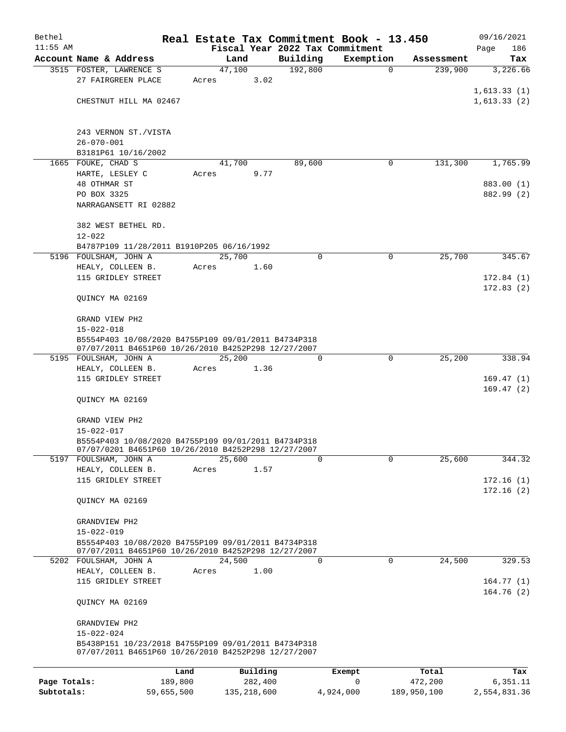| Bethel       |                                                                                                            |            |                |          | Real Estate Tax Commitment Book - 13.450 |             | 09/16/2021             |
|--------------|------------------------------------------------------------------------------------------------------------|------------|----------------|----------|------------------------------------------|-------------|------------------------|
| $11:55$ AM   |                                                                                                            |            |                |          | Fiscal Year 2022 Tax Commitment          |             | 186<br>Page            |
|              | Account Name & Address                                                                                     |            | Land           | Building | Exemption                                | Assessment  | Tax                    |
|              | 3515 FOSTER, LAWRENCE S<br>27 FAIRGREEN PLACE                                                              | Acres      | 47,100<br>3.02 | 192,800  | $\mathbf 0$                              | 239,900     | 3,226.66               |
|              |                                                                                                            |            |                |          |                                          |             | 1,613.33(1)            |
|              | CHESTNUT HILL MA 02467                                                                                     |            |                |          |                                          |             | 1,613.33(2)            |
|              | 243 VERNON ST./VISTA                                                                                       |            |                |          |                                          |             |                        |
|              | $26 - 070 - 001$                                                                                           |            |                |          |                                          |             |                        |
|              | B3181P61 10/16/2002<br>1665 FOUKE, CHAD S                                                                  |            | 41,700         | 89,600   | 0                                        | 131,300     | 1,765.99               |
|              | HARTE, LESLEY C                                                                                            | Acres      | 9.77           |          |                                          |             |                        |
|              | 48 OTHMAR ST                                                                                               |            |                |          |                                          |             | 883.00 (1)             |
|              | PO BOX 3325                                                                                                |            |                |          |                                          |             | 882.99 (2)             |
|              | NARRAGANSETT RI 02882                                                                                      |            |                |          |                                          |             |                        |
|              | 382 WEST BETHEL RD.                                                                                        |            |                |          |                                          |             |                        |
|              | $12 - 022$<br>B4787P109 11/28/2011 B1910P205 06/16/1992                                                    |            |                |          |                                          |             |                        |
|              | 5196 FOULSHAM, JOHN A                                                                                      |            | 25,700         | 0        | $\mathbf 0$                              | 25,700      | 345.67                 |
|              | HEALY, COLLEEN B.                                                                                          | Acres      | 1.60           |          |                                          |             |                        |
|              | 115 GRIDLEY STREET                                                                                         |            |                |          |                                          |             | 172.84(1)              |
|              | OUINCY MA 02169                                                                                            |            |                |          |                                          |             | 172.83(2)              |
|              | GRAND VIEW PH2                                                                                             |            |                |          |                                          |             |                        |
|              | $15 - 022 - 018$                                                                                           |            |                |          |                                          |             |                        |
|              | B5554P403 10/08/2020 B4755P109 09/01/2011 B4734P318<br>07/07/2011 B4651P60 10/26/2010 B4252P298 12/27/2007 |            |                |          |                                          |             |                        |
|              | 5195 FOULSHAM, JOHN A                                                                                      |            | 25,200         | $\Omega$ | 0                                        | 25,200      | 338.94                 |
|              | HEALY, COLLEEN B.                                                                                          | Acres      | 1.36           |          |                                          |             |                        |
|              | 115 GRIDLEY STREET                                                                                         |            |                |          |                                          |             | 169.47(1)<br>169.47(2) |
|              | OUINCY MA 02169                                                                                            |            |                |          |                                          |             |                        |
|              | GRAND VIEW PH2<br>$15 - 022 - 017$                                                                         |            |                |          |                                          |             |                        |
|              | B5554P403 10/08/2020 B4755P109 09/01/2011 B4734P318                                                        |            |                |          |                                          |             |                        |
|              | 07/07/0201 B4651P60 10/26/2010 B4252P298 12/27/2007                                                        |            |                |          |                                          |             |                        |
|              | 5197 FOULSHAM, JOHN A<br>HEALY, COLLEEN B.                                                                 | Acres      | 25,600<br>1.57 | $\Omega$ | $\Omega$                                 | 25,600      | 344.32                 |
|              | 115 GRIDLEY STREET                                                                                         |            |                |          |                                          |             | 172.16(1)              |
|              |                                                                                                            |            |                |          |                                          |             | 172.16(2)              |
|              | QUINCY MA 02169                                                                                            |            |                |          |                                          |             |                        |
|              | GRANDVIEW PH2                                                                                              |            |                |          |                                          |             |                        |
|              | $15 - 022 - 019$                                                                                           |            |                |          |                                          |             |                        |
|              | B5554P403 10/08/2020 B4755P109 09/01/2011 B4734P318<br>07/07/2011 B4651P60 10/26/2010 B4252P298 12/27/2007 |            |                |          |                                          |             |                        |
|              | 5202 FOULSHAM, JOHN A                                                                                      |            | 24,500         | 0        | $\Omega$                                 | 24,500      | 329.53                 |
|              | HEALY, COLLEEN B.                                                                                          | Acres      | 1.00           |          |                                          |             |                        |
|              | 115 GRIDLEY STREET                                                                                         |            |                |          |                                          |             | 164.77(1)              |
|              | QUINCY MA 02169                                                                                            |            |                |          |                                          |             | 164.76(2)              |
|              | GRANDVIEW PH2                                                                                              |            |                |          |                                          |             |                        |
|              | $15 - 022 - 024$                                                                                           |            |                |          |                                          |             |                        |
|              | B5438P151 10/23/2018 B4755P109 09/01/2011 B4734P318<br>07/07/2011 B4651P60 10/26/2010 B4252P298 12/27/2007 |            |                |          |                                          |             |                        |
|              |                                                                                                            | Land       | Building       |          | Exempt                                   | Total       | Tax                    |
| Page Totals: |                                                                                                            | 189,800    | 282,400        |          | 0                                        | 472,200     | 6,351.11               |
| Subtotals:   |                                                                                                            | 59,655,500 | 135, 218, 600  |          | 4,924,000                                | 189,950,100 | 2,554,831.36           |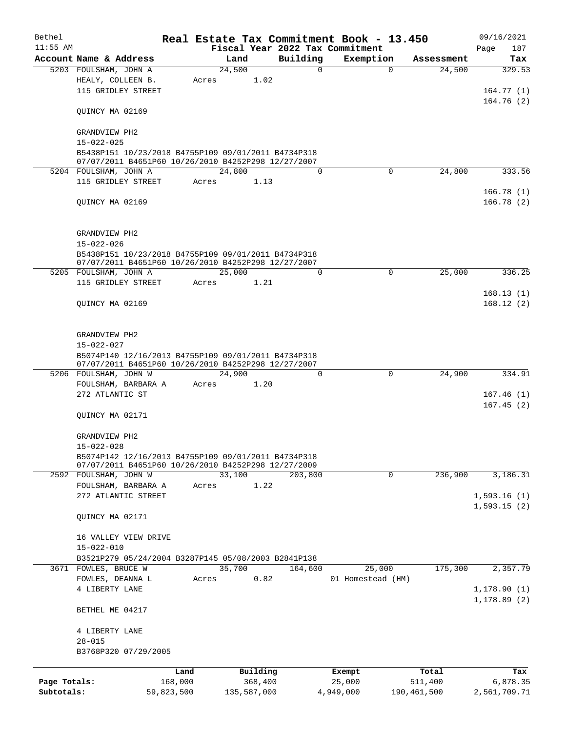| Bethel       |                                                     |       |                |          | Real Estate Tax Commitment Book - 13.450 |             | 09/16/2021   |
|--------------|-----------------------------------------------------|-------|----------------|----------|------------------------------------------|-------------|--------------|
| $11:55$ AM   |                                                     |       |                |          | Fiscal Year 2022 Tax Commitment          |             | Page<br>187  |
|              | Account Name & Address                              |       | Land           | Building | Exemption                                | Assessment  | Tax          |
|              | 5203 FOULSHAM, JOHN A<br>HEALY, COLLEEN B.          | Acres | 24,500<br>1.02 | 0        | $\mathbf 0$                              | 24,500      | 329.53       |
|              | 115 GRIDLEY STREET                                  |       |                |          |                                          |             | 164.77(1)    |
|              |                                                     |       |                |          |                                          |             | 164.76(2)    |
|              | QUINCY MA 02169                                     |       |                |          |                                          |             |              |
|              | GRANDVIEW PH2                                       |       |                |          |                                          |             |              |
|              | $15 - 022 - 025$                                    |       |                |          |                                          |             |              |
|              | B5438P151 10/23/2018 B4755P109 09/01/2011 B4734P318 |       |                |          |                                          |             |              |
|              | 07/07/2011 B4651P60 10/26/2010 B4252P298 12/27/2007 |       |                |          |                                          |             |              |
|              | 5204 FOULSHAM, JOHN A                               |       | 24,800         | $\Omega$ | $\Omega$                                 | 24,800      | 333.56       |
|              | 115 GRIDLEY STREET                                  | Acres | 1.13           |          |                                          |             |              |
|              |                                                     |       |                |          |                                          |             | 166.78(1)    |
|              | QUINCY MA 02169                                     |       |                |          |                                          |             | 166.78(2)    |
|              |                                                     |       |                |          |                                          |             |              |
|              | GRANDVIEW PH2                                       |       |                |          |                                          |             |              |
|              | $15 - 022 - 026$                                    |       |                |          |                                          |             |              |
|              | B5438P151 10/23/2018 B4755P109 09/01/2011 B4734P318 |       |                |          |                                          |             |              |
|              | 07/07/2011 B4651P60 10/26/2010 B4252P298 12/27/2007 |       |                |          |                                          |             |              |
|              | 5205 FOULSHAM, JOHN A                               |       | 25,000         | $\Omega$ | 0                                        | 25,000      | 336.25       |
|              | 115 GRIDLEY STREET                                  | Acres | 1.21           |          |                                          |             |              |
|              |                                                     |       |                |          |                                          |             | 168.13(1)    |
|              | QUINCY MA 02169                                     |       |                |          |                                          |             | 168.12(2)    |
|              |                                                     |       |                |          |                                          |             |              |
|              | GRANDVIEW PH2                                       |       |                |          |                                          |             |              |
|              | $15 - 022 - 027$                                    |       |                |          |                                          |             |              |
|              | B5074P140 12/16/2013 B4755P109 09/01/2011 B4734P318 |       |                |          |                                          |             |              |
|              | 07/07/2011 B4651P60 10/26/2010 B4252P298 12/27/2007 |       |                |          |                                          |             |              |
|              | 5206 FOULSHAM, JOHN W                               |       | 24,900         | $\Omega$ | 0                                        | 24,900      | 334.91       |
|              | FOULSHAM, BARBARA A                                 | Acres | 1.20           |          |                                          |             |              |
|              | 272 ATLANTIC ST                                     |       |                |          |                                          |             | 167.46(1)    |
|              |                                                     |       |                |          |                                          |             | 167.45(2)    |
|              | QUINCY MA 02171                                     |       |                |          |                                          |             |              |
|              | GRANDVIEW PH2                                       |       |                |          |                                          |             |              |
|              | $15 - 022 - 028$                                    |       |                |          |                                          |             |              |
|              | B5074P142 12/16/2013 B4755P109 09/01/2011 B4734P318 |       |                |          |                                          |             |              |
|              | 07/07/2011 B4651P60 10/26/2010 B4252P298 12/27/2009 |       |                |          |                                          |             |              |
|              | 2592 FOULSHAM, JOHN W                               |       | 33,100         | 203,800  | $\mathbf 0$                              | 236,900     | 3,186.31     |
|              | FOULSHAM, BARBARA A                                 | Acres | 1.22           |          |                                          |             |              |
|              | 272 ATLANTIC STREET                                 |       |                |          |                                          |             | 1,593.16(1)  |
|              |                                                     |       |                |          |                                          |             | 1,593.15(2)  |
|              | OUINCY MA 02171                                     |       |                |          |                                          |             |              |
|              | 16 VALLEY VIEW DRIVE                                |       |                |          |                                          |             |              |
|              | $15 - 022 - 010$                                    |       |                |          |                                          |             |              |
|              | B3521P279 05/24/2004 B3287P145 05/08/2003 B2841P138 |       |                |          |                                          |             |              |
|              | 3671 FOWLES, BRUCE W                                |       | 35,700         | 164,600  | 25,000                                   | 175,300     | 2,357.79     |
|              | FOWLES, DEANNA L                                    | Acres | 0.82           |          | 01 Homestead (HM)                        |             |              |
|              | 4 LIBERTY LANE                                      |       |                |          |                                          |             | 1, 178.90(1) |
|              |                                                     |       |                |          |                                          |             | 1, 178.89(2) |
|              | BETHEL ME 04217                                     |       |                |          |                                          |             |              |
|              |                                                     |       |                |          |                                          |             |              |
|              | 4 LIBERTY LANE                                      |       |                |          |                                          |             |              |
|              | $28 - 015$                                          |       |                |          |                                          |             |              |
|              | B3768P320 07/29/2005                                |       |                |          |                                          |             |              |
|              |                                                     | Land  | Building       |          | Exempt                                   | Total       | Tax          |
| Page Totals: | 168,000                                             |       | 368,400        |          | 25,000                                   | 511,400     | 6,878.35     |
| Subtotals:   | 59,823,500                                          |       | 135,587,000    |          | 4,949,000                                | 190,461,500 | 2,561,709.71 |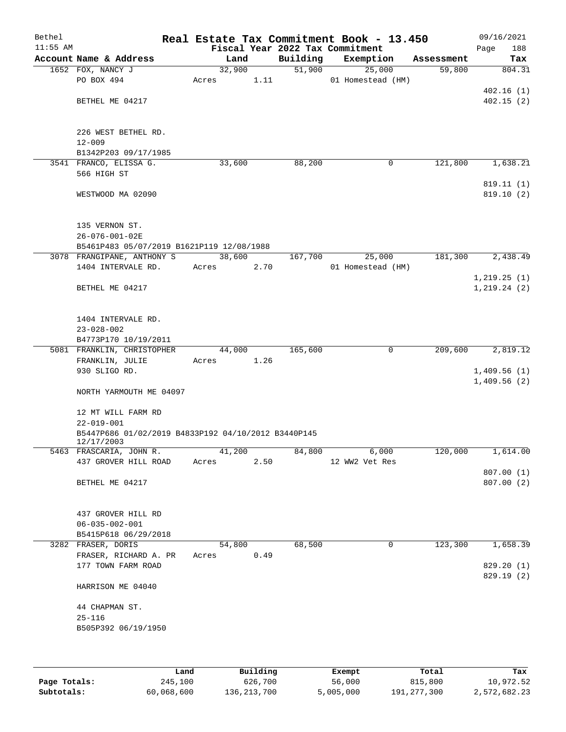| Bethel     |                                                     |        |      |          | Real Estate Tax Commitment Book - 13.450 |            | 09/16/2021   |
|------------|-----------------------------------------------------|--------|------|----------|------------------------------------------|------------|--------------|
| $11:55$ AM |                                                     |        |      |          | Fiscal Year 2022 Tax Commitment          |            | Page<br>188  |
|            | Account Name & Address                              | Land   |      | Building | Exemption                                | Assessment | Tax          |
|            | 1652 FOX, NANCY J                                   | 32,900 |      | 51,900   | 25,000                                   | 59,800     | 804.31       |
|            | PO BOX 494                                          | Acres  | 1.11 |          | 01 Homestead (HM)                        |            |              |
|            |                                                     |        |      |          |                                          |            | 402.16(1)    |
|            | BETHEL ME 04217                                     |        |      |          |                                          |            | 402.15(2)    |
|            |                                                     |        |      |          |                                          |            |              |
|            | 226 WEST BETHEL RD.                                 |        |      |          |                                          |            |              |
|            | $12 - 009$                                          |        |      |          |                                          |            |              |
|            | B1342P203 09/17/1985                                |        |      |          |                                          |            |              |
|            | 3541 FRANCO, ELISSA G.                              | 33,600 |      | 88,200   | 0                                        | 121,800    | 1,638.21     |
|            | 566 HIGH ST                                         |        |      |          |                                          |            |              |
|            |                                                     |        |      |          |                                          |            | 819.11 (1)   |
|            | WESTWOOD MA 02090                                   |        |      |          |                                          |            | 819.10(2)    |
|            |                                                     |        |      |          |                                          |            |              |
|            |                                                     |        |      |          |                                          |            |              |
|            | 135 VERNON ST.                                      |        |      |          |                                          |            |              |
|            | 26-076-001-02E                                      |        |      |          |                                          |            |              |
|            | B5461P483 05/07/2019 B1621P119 12/08/1988           |        |      |          |                                          |            |              |
|            | 3078 FRANGIPANE, ANTHONY S<br>1404 INTERVALE RD.    | 38,600 | 2.70 | 167,700  | 25,000<br>01 Homestead (HM)              | 181,300    | 2,438.49     |
|            |                                                     | Acres  |      |          |                                          |            | 1, 219.25(1) |
|            | BETHEL ME 04217                                     |        |      |          |                                          |            | 1, 219.24(2) |
|            |                                                     |        |      |          |                                          |            |              |
|            |                                                     |        |      |          |                                          |            |              |
|            | 1404 INTERVALE RD.                                  |        |      |          |                                          |            |              |
|            | $23 - 028 - 002$                                    |        |      |          |                                          |            |              |
|            | B4773P170 10/19/2011                                |        |      |          |                                          |            |              |
|            | 5081 FRANKLIN, CHRISTOPHER                          | 44,000 |      | 165,600  | $\mathbf 0$                              | 209,600    | 2,819.12     |
|            | FRANKLIN, JULIE                                     | Acres  | 1.26 |          |                                          |            |              |
|            | 930 SLIGO RD.                                       |        |      |          |                                          |            | 1,409.56(1)  |
|            |                                                     |        |      |          |                                          |            | 1,409.56(2)  |
|            | NORTH YARMOUTH ME 04097                             |        |      |          |                                          |            |              |
|            |                                                     |        |      |          |                                          |            |              |
|            | 12 MT WILL FARM RD<br>$22 - 019 - 001$              |        |      |          |                                          |            |              |
|            | B5447P686 01/02/2019 B4833P192 04/10/2012 B3440P145 |        |      |          |                                          |            |              |
|            | 12/17/2003                                          |        |      |          |                                          |            |              |
|            | 5463 FRASCARIA, JOHN R.                             | 41,200 |      | 84,800   | 6,000                                    | 120,000    | 1,614.00     |
|            | 437 GROVER HILL ROAD                                | Acres  | 2.50 |          | 12 WW2 Vet Res                           |            |              |
|            |                                                     |        |      |          |                                          |            | 807.00(1)    |
|            | BETHEL ME 04217                                     |        |      |          |                                          |            | 807.00(2)    |
|            |                                                     |        |      |          |                                          |            |              |
|            |                                                     |        |      |          |                                          |            |              |
|            | 437 GROVER HILL RD<br>$06 - 035 - 002 - 001$        |        |      |          |                                          |            |              |
|            | B5415P618 06/29/2018                                |        |      |          |                                          |            |              |
|            | 3282 FRASER, DORIS                                  | 54,800 |      | 68,500   | 0                                        | 123,300    | 1,658.39     |
|            | FRASER, RICHARD A. PR                               | Acres  | 0.49 |          |                                          |            |              |
|            | 177 TOWN FARM ROAD                                  |        |      |          |                                          |            | 829.20 (1)   |
|            |                                                     |        |      |          |                                          |            | 829.19 (2)   |
|            | HARRISON ME 04040                                   |        |      |          |                                          |            |              |
|            |                                                     |        |      |          |                                          |            |              |
|            | 44 CHAPMAN ST.                                      |        |      |          |                                          |            |              |
|            | $25 - 116$                                          |        |      |          |                                          |            |              |
|            | B505P392 06/19/1950                                 |        |      |          |                                          |            |              |
|            |                                                     |        |      |          |                                          |            |              |
|            |                                                     |        |      |          |                                          |            |              |
|            |                                                     |        |      |          |                                          |            |              |

|              | Land       | Building    | Exempt    | Total       | Tax          |
|--------------|------------|-------------|-----------|-------------|--------------|
| Page Totals: | 245,100    | 626,700     | 56,000    | 815,800     | 10,972.52    |
| Subtotals:   | 60,068,600 | 136,213,700 | 5,005,000 | 191,277,300 | 2,572,682.23 |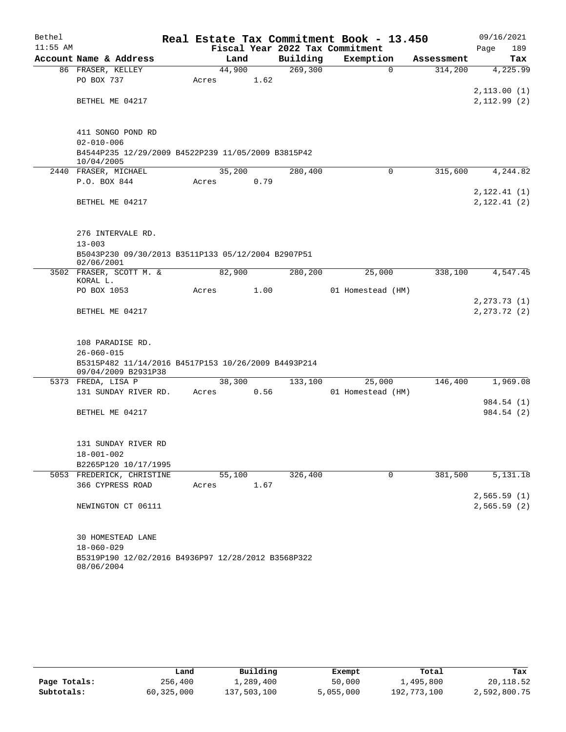| Bethel     |                                                                            |       |        |      |          | Real Estate Tax Commitment Book - 13.450 |             |            |      | 09/16/2021                    |
|------------|----------------------------------------------------------------------------|-------|--------|------|----------|------------------------------------------|-------------|------------|------|-------------------------------|
| $11:55$ AM |                                                                            |       |        |      |          | Fiscal Year 2022 Tax Commitment          |             |            | Page | 189                           |
|            | Account Name & Address                                                     |       | Land   |      | Building | Exemption                                |             | Assessment |      | Tax                           |
|            | 86 FRASER, KELLEY                                                          |       | 44,900 |      | 269,300  |                                          | $\Omega$    | 314,200    |      | 4,225.99                      |
|            | PO BOX 737                                                                 | Acres |        | 1.62 |          |                                          |             |            |      |                               |
|            |                                                                            |       |        |      |          |                                          |             |            |      | 2, 113.00(1)                  |
|            | BETHEL ME 04217                                                            |       |        |      |          |                                          |             |            |      | 2,112.99(2)                   |
|            |                                                                            |       |        |      |          |                                          |             |            |      |                               |
|            | 411 SONGO POND RD                                                          |       |        |      |          |                                          |             |            |      |                               |
|            | $02 - 010 - 006$                                                           |       |        |      |          |                                          |             |            |      |                               |
|            | B4544P235 12/29/2009 B4522P239 11/05/2009 B3815P42<br>10/04/2005           |       |        |      |          |                                          |             |            |      |                               |
|            | 2440 FRASER, MICHAEL                                                       |       | 35,200 |      | 280,400  |                                          | 0           | 315,600    |      | 4,244.82                      |
|            | P.O. BOX 844                                                               | Acres |        | 0.79 |          |                                          |             |            |      |                               |
|            |                                                                            |       |        |      |          |                                          |             |            |      | 2, 122.41(1)                  |
|            | BETHEL ME 04217                                                            |       |        |      |          |                                          |             |            |      | 2, 122.41(2)                  |
|            |                                                                            |       |        |      |          |                                          |             |            |      |                               |
|            | 276 INTERVALE RD.                                                          |       |        |      |          |                                          |             |            |      |                               |
|            | $13 - 003$                                                                 |       |        |      |          |                                          |             |            |      |                               |
|            | B5043P230 09/30/2013 B3511P133 05/12/2004 B2907P51                         |       |        |      |          |                                          |             |            |      |                               |
|            | 02/06/2001                                                                 |       |        |      |          |                                          |             |            |      |                               |
|            | 3502 FRASER, SCOTT M. &                                                    |       | 82,900 |      | 280,200  | 25,000                                   |             | 338,100    |      | 4,547.45                      |
|            | KORAL L.                                                                   |       |        |      |          |                                          |             |            |      |                               |
|            | PO BOX 1053                                                                | Acres |        | 1.00 |          | 01 Homestead (HM)                        |             |            |      |                               |
|            | BETHEL ME 04217                                                            |       |        |      |          |                                          |             |            |      | 2, 273.73(1)<br>2, 273.72 (2) |
|            |                                                                            |       |        |      |          |                                          |             |            |      |                               |
|            |                                                                            |       |        |      |          |                                          |             |            |      |                               |
|            | 108 PARADISE RD.                                                           |       |        |      |          |                                          |             |            |      |                               |
|            | $26 - 060 - 015$                                                           |       |        |      |          |                                          |             |            |      |                               |
|            | B5315P482 11/14/2016 B4517P153 10/26/2009 B4493P214<br>09/04/2009 B2931P38 |       |        |      |          |                                          |             |            |      |                               |
|            | 5373 FREDA, LISA P                                                         |       | 38,300 |      | 133,100  | 25,000                                   |             | 146,400    |      | 1,969.08                      |
|            | 131 SUNDAY RIVER RD.                                                       | Acres |        | 0.56 |          | 01 Homestead (HM)                        |             |            |      |                               |
|            |                                                                            |       |        |      |          |                                          |             |            |      | 984.54 (1)                    |
|            | BETHEL ME 04217                                                            |       |        |      |          |                                          |             |            |      | 984.54 (2)                    |
|            |                                                                            |       |        |      |          |                                          |             |            |      |                               |
|            | 131 SUNDAY RIVER RD                                                        |       |        |      |          |                                          |             |            |      |                               |
|            | $18 - 001 - 002$                                                           |       |        |      |          |                                          |             |            |      |                               |
|            | B2265P120 10/17/1995                                                       |       |        |      |          |                                          |             |            |      |                               |
|            | 5053 FREDERICK, CHRISTINE                                                  |       | 55,100 |      | 326,400  |                                          | $\mathbf 0$ | 381,500    |      | $\overline{5,131.18}$         |
|            | 366 CYPRESS ROAD                                                           | Acres |        | 1.67 |          |                                          |             |            |      |                               |
|            |                                                                            |       |        |      |          |                                          |             |            |      | 2,565.59(1)                   |
|            | NEWINGTON CT 06111                                                         |       |        |      |          |                                          |             |            |      | 2,565.59(2)                   |
|            |                                                                            |       |        |      |          |                                          |             |            |      |                               |
|            |                                                                            |       |        |      |          |                                          |             |            |      |                               |
|            | 30 HOMESTEAD LANE                                                          |       |        |      |          |                                          |             |            |      |                               |
|            | $18 - 060 - 029$<br>B5319P190 12/02/2016 B4936P97 12/28/2012 B3568P322     |       |        |      |          |                                          |             |            |      |                               |
|            |                                                                            |       |        |      |          |                                          |             |            |      |                               |

08/06/2004

|              | Land       | Building    | Exempt    | Total       | Tax          |
|--------------|------------|-------------|-----------|-------------|--------------|
| Page Totals: | 256,400    | 1,289,400   | 50,000    | 1,495,800   | 20,118.52    |
| Subtotals:   | 60,325,000 | 137,503,100 | 5,055,000 | 192,773,100 | 2,592,800.75 |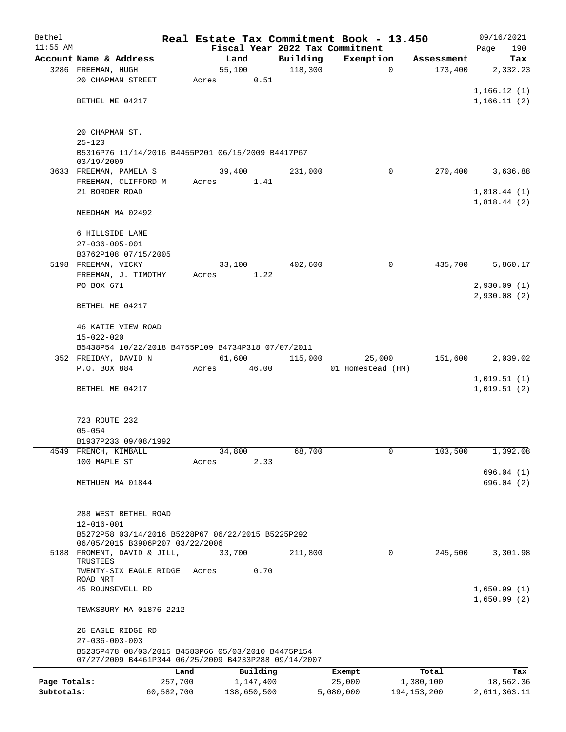| Bethel       |                                                                                      | Real Estate Tax Commitment Book - 13.450 |          |                   |               | 09/16/2021                 |
|--------------|--------------------------------------------------------------------------------------|------------------------------------------|----------|-------------------|---------------|----------------------------|
| $11:55$ AM   |                                                                                      | Fiscal Year 2022 Tax Commitment          |          |                   |               | 190<br>Page                |
|              | Account Name & Address                                                               | Land                                     | Building | Exemption         | Assessment    | Tax                        |
|              | 3286 FREEMAN, HUGH                                                                   | $\overline{55,100}$                      | 118,300  | $\mathbf 0$       | 173,400       | 2,332.23                   |
|              | 20 CHAPMAN STREET                                                                    | 0.51<br>Acres                            |          |                   |               |                            |
|              | BETHEL ME 04217                                                                      |                                          |          |                   |               | 1,166.12(1)                |
|              |                                                                                      |                                          |          |                   |               | 1,166.11(2)                |
|              | 20 CHAPMAN ST.                                                                       |                                          |          |                   |               |                            |
|              | $25 - 120$                                                                           |                                          |          |                   |               |                            |
|              | B5316P76 11/14/2016 B4455P201 06/15/2009 B4417P67<br>03/19/2009                      |                                          |          |                   |               |                            |
|              | 3633 FREEMAN, PAMELA S                                                               | 39,400                                   | 231,000  | $\mathbf 0$       | 270,400       | 3,636.88                   |
|              | FREEMAN, CLIFFORD M                                                                  | 1.41<br>Acres                            |          |                   |               |                            |
|              | 21 BORDER ROAD                                                                       |                                          |          |                   |               | 1,818.44(1)                |
|              | NEEDHAM MA 02492                                                                     |                                          |          |                   |               | 1,818.44(2)                |
|              |                                                                                      |                                          |          |                   |               |                            |
|              | 6 HILLSIDE LANE                                                                      |                                          |          |                   |               |                            |
|              | $27 - 036 - 005 - 001$                                                               |                                          |          |                   |               |                            |
|              | B3762P108 07/15/2005<br>5198 FREEMAN, VICKY                                          | 33,100                                   | 402,600  | 0                 | 435,700       | 5,860.17                   |
|              | FREEMAN, J. TIMOTHY                                                                  | 1.22<br>Acres                            |          |                   |               |                            |
|              | PO BOX 671                                                                           |                                          |          |                   |               | 2,930.09(1)                |
|              |                                                                                      |                                          |          |                   |               | 2,930.08(2)                |
|              | BETHEL ME 04217                                                                      |                                          |          |                   |               |                            |
|              | <b>46 KATIE VIEW ROAD</b>                                                            |                                          |          |                   |               |                            |
|              | $15 - 022 - 020$                                                                     |                                          |          |                   |               |                            |
|              | B5438P54 10/22/2018 B4755P109 B4734P318 07/07/2011                                   |                                          |          |                   |               |                            |
|              | 352 FREIDAY, DAVID N                                                                 | 61,600                                   | 115,000  | 25,000            | 151,600       | 2,039.02                   |
|              | P.O. BOX 884                                                                         | 46.00<br>Acres                           |          | 01 Homestead (HM) |               |                            |
|              | BETHEL ME 04217                                                                      |                                          |          |                   |               | 1,019.51(1)<br>1,019.51(2) |
|              |                                                                                      |                                          |          |                   |               |                            |
|              | 723 ROUTE 232                                                                        |                                          |          |                   |               |                            |
|              | $05 - 054$                                                                           |                                          |          |                   |               |                            |
|              | B1937P233 09/08/1992                                                                 |                                          |          |                   |               |                            |
|              | 4549 FRENCH, KIMBALL                                                                 | 34,800                                   | 68,700   | 0                 | 103,500       | 1,392.08                   |
|              | 100 MAPLE ST                                                                         | 2.33<br>Acres                            |          |                   |               |                            |
|              |                                                                                      |                                          |          |                   |               | 696.04(1)                  |
|              | METHUEN MA 01844                                                                     |                                          |          |                   |               | 696.04(2)                  |
|              |                                                                                      |                                          |          |                   |               |                            |
|              | 288 WEST BETHEL ROAD                                                                 |                                          |          |                   |               |                            |
|              | $12 - 016 - 001$                                                                     |                                          |          |                   |               |                            |
|              | B5272P58 03/14/2016 B5228P67 06/22/2015 B5225P292<br>06/05/2015 B3906P207 03/22/2006 |                                          |          |                   |               |                            |
|              | 5188 FROMENT, DAVID & JILL,                                                          | 33,700                                   | 211,800  | $\mathbf 0$       | 245,500       | 3,301.98                   |
|              | TRUSTEES<br>TWENTY-SIX EAGLE RIDGE                                                   | Acres<br>0.70                            |          |                   |               |                            |
|              | ROAD NRT                                                                             |                                          |          |                   |               |                            |
|              | 45 ROUNSEVELL RD                                                                     |                                          |          |                   |               | 1,650.99(1)                |
|              | TEWKSBURY MA 01876 2212                                                              |                                          |          |                   |               | 1,650.99(2)                |
|              | 26 EAGLE RIDGE RD                                                                    |                                          |          |                   |               |                            |
|              | $27 - 036 - 003 - 003$<br>B5235P478 08/03/2015 B4583P66 05/03/2010 B4475P154         |                                          |          |                   |               |                            |
|              | 07/27/2009 B4461P344 06/25/2009 B4233P288 09/14/2007                                 |                                          |          |                   |               |                            |
|              | Land                                                                                 | Building                                 |          | Exempt            | Total         | Tax                        |
| Page Totals: | 257,700                                                                              | 1,147,400                                |          | 25,000            | 1,380,100     | 18,562.36                  |
| Subtotals:   | 60,582,700                                                                           | 138,650,500                              |          | 5,080,000         | 194, 153, 200 | 2,611,363.11               |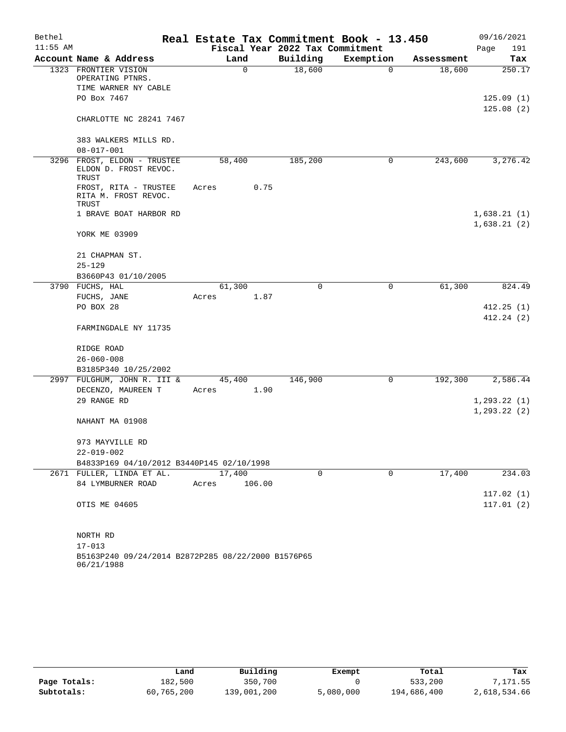| Bethel     |                                                               | Real Estate Tax Commitment Book - 13.450 |                                 |             |            | 09/16/2021             |
|------------|---------------------------------------------------------------|------------------------------------------|---------------------------------|-------------|------------|------------------------|
| $11:55$ AM |                                                               |                                          | Fiscal Year 2022 Tax Commitment |             |            | Page<br>191            |
|            | Account Name & Address                                        | Land                                     | Building                        | Exemption   | Assessment | Tax                    |
|            | 1323 FRONTIER VISION<br>OPERATING PTNRS.                      | $\mathbf 0$                              | 18,600                          | $\mathbf 0$ | 18,600     | 250.17                 |
|            | TIME WARNER NY CABLE                                          |                                          |                                 |             |            |                        |
|            | PO Box 7467                                                   |                                          |                                 |             |            | 125.09(1)              |
|            | CHARLOTTE NC 28241 7467                                       |                                          |                                 |             |            | 125.08(2)              |
|            | 383 WALKERS MILLS RD.                                         |                                          |                                 |             |            |                        |
|            | $08 - 017 - 001$                                              |                                          |                                 |             |            |                        |
|            | 3296 FROST, ELDON - TRUSTEE<br>ELDON D. FROST REVOC.<br>TRUST | 58,400                                   | 185,200                         | 0           | 243,600    | 3,276.42               |
|            | FROST, RITA - TRUSTEE<br>RITA M. FROST REVOC.<br>TRUST        | 0.75<br>Acres                            |                                 |             |            |                        |
|            | 1 BRAVE BOAT HARBOR RD                                        |                                          |                                 |             |            | 1,638.21(1)            |
|            |                                                               |                                          |                                 |             |            | 1,638.21(2)            |
|            | YORK ME 03909                                                 |                                          |                                 |             |            |                        |
|            | 21 CHAPMAN ST.                                                |                                          |                                 |             |            |                        |
|            | $25 - 129$                                                    |                                          |                                 |             |            |                        |
|            | B3660P43 01/10/2005                                           |                                          |                                 |             |            |                        |
|            | 3790 FUCHS, HAL                                               | 61,300                                   | $\mathbf 0$                     | 0           | 61,300     | 824.49                 |
|            | FUCHS, JANE                                                   | 1.87<br>Acres                            |                                 |             |            |                        |
|            | PO BOX 28                                                     |                                          |                                 |             |            | 412.25(1)              |
|            | FARMINGDALE NY 11735                                          |                                          |                                 |             |            | 412.24(2)              |
|            | RIDGE ROAD                                                    |                                          |                                 |             |            |                        |
|            | $26 - 060 - 008$                                              |                                          |                                 |             |            |                        |
|            | B3185P340 10/25/2002                                          |                                          |                                 |             |            |                        |
|            | 2997 FULGHUM, JOHN R. III &                                   | 45,400                                   | 146,900                         | 0           | 192,300    | 2,586.44               |
|            | DECENZO, MAUREEN T                                            | 1.90<br>Acres                            |                                 |             |            |                        |
|            | 29 RANGE RD                                                   |                                          |                                 |             |            | 1, 293.22(1)           |
|            | NAHANT MA 01908                                               |                                          |                                 |             |            | 1, 293.22(2)           |
|            | 973 MAYVILLE RD                                               |                                          |                                 |             |            |                        |
|            | 22-019-002                                                    |                                          |                                 |             |            |                        |
|            | B4833P169 04/10/2012 B3440P145 02/10/1998                     |                                          |                                 |             |            |                        |
|            | 2671 FULLER, LINDA ET AL.                                     | 17,400                                   | 0                               | $\mathbf 0$ | 17,400     | 234.03                 |
|            | 84 LYMBURNER ROAD                                             | 106.00<br>Acres                          |                                 |             |            |                        |
|            | OTIS ME 04605                                                 |                                          |                                 |             |            | 117.02(1)<br>117.01(2) |
|            | NORTH RD<br>$17 - 013$                                        |                                          |                                 |             |            |                        |
|            | B5163P240 09/24/2014 B2872P285 08/22/2000 B1576P65            |                                          |                                 |             |            |                        |
|            |                                                               |                                          |                                 |             |            |                        |

|              | Land       | Building    | Exempt    | Total       | Tax          |
|--------------|------------|-------------|-----------|-------------|--------------|
| Page Totals: | 182,500    | 350,700     |           | 533,200     | 7,171.55     |
| Subtotals:   | 60,765,200 | 139,001,200 | 5,080,000 | 194,686,400 | 2,618,534.66 |

06/21/1988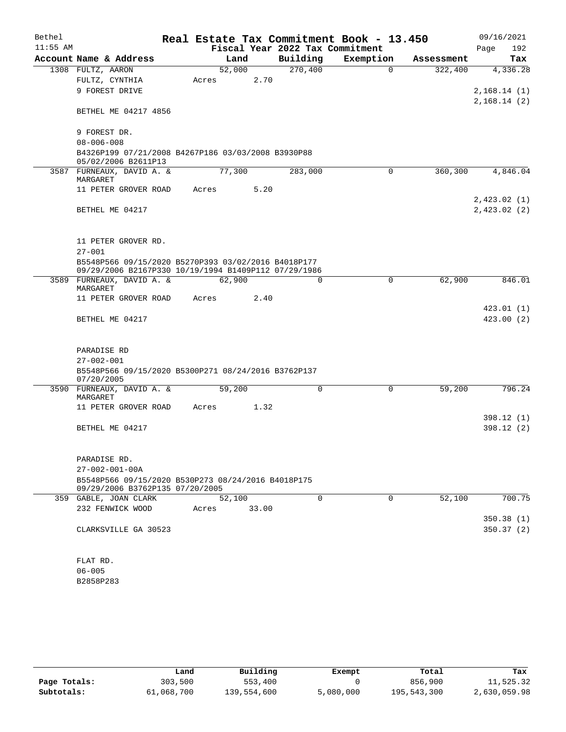| Bethel     |                                                                           |        |       |                                 | Real Estate Tax Commitment Book - 13.450 |            | 09/16/2021                 |
|------------|---------------------------------------------------------------------------|--------|-------|---------------------------------|------------------------------------------|------------|----------------------------|
| $11:55$ AM |                                                                           |        |       | Fiscal Year 2022 Tax Commitment |                                          |            | 192<br>Page                |
|            | Account Name & Address                                                    |        | Land  | Building                        | Exemption                                | Assessment | Tax                        |
|            | 1308 FULTZ, AARON                                                         | 52,000 |       | 270,400                         | $\Omega$                                 | 322,400    | 4,336.28                   |
|            | FULTZ, CYNTHIA                                                            | Acres  | 2.70  |                                 |                                          |            |                            |
|            | 9 FOREST DRIVE                                                            |        |       |                                 |                                          |            | 2,168.14(1)<br>2,168.14(2) |
|            | BETHEL ME 04217 4856                                                      |        |       |                                 |                                          |            |                            |
|            | 9 FOREST DR.                                                              |        |       |                                 |                                          |            |                            |
|            | $08 - 006 - 008$                                                          |        |       |                                 |                                          |            |                            |
|            | B4326P199 07/21/2008 B4267P186 03/03/2008 B3930P88<br>05/02/2006 B2611P13 |        |       |                                 |                                          |            |                            |
|            | 3587 FURNEAUX, DAVID A. &<br>MARGARET                                     | 77,300 |       | 283,000                         | $\Omega$                                 | 360,300    | 4,846.04                   |
|            | 11 PETER GROVER ROAD                                                      | Acres  | 5.20  |                                 |                                          |            |                            |
|            |                                                                           |        |       |                                 |                                          |            | 2,423.02(1)                |
|            | BETHEL ME 04217                                                           |        |       |                                 |                                          |            | 2,423.02(2)                |
|            | 11 PETER GROVER RD.                                                       |        |       |                                 |                                          |            |                            |
|            | $27 - 001$                                                                |        |       |                                 |                                          |            |                            |
|            | B5548P566 09/15/2020 B5270P393 03/02/2016 B4018P177                       |        |       |                                 |                                          |            |                            |
|            | 09/29/2006 B2167P330 10/19/1994 B1409P112 07/29/1986                      |        |       |                                 |                                          |            |                            |
|            | 3589 FURNEAUX, DAVID A. &<br>MARGARET                                     | 62,900 |       | 0                               | $\mathbf 0$                              | 62,900     | 846.01                     |
|            | 11 PETER GROVER ROAD                                                      | Acres  | 2.40  |                                 |                                          |            |                            |
|            |                                                                           |        |       |                                 |                                          |            | 423.01 (1)                 |
|            | BETHEL ME 04217                                                           |        |       |                                 |                                          |            | 423.00(2)                  |
|            | PARADISE RD                                                               |        |       |                                 |                                          |            |                            |
|            | $27 - 002 - 001$                                                          |        |       |                                 |                                          |            |                            |
|            | B5548P566 09/15/2020 B5300P271 08/24/2016 B3762P137<br>07/20/2005         |        |       |                                 |                                          |            |                            |
|            | 3590 FURNEAUX, DAVID A. &<br>MARGARET                                     | 59,200 |       | 0                               | $\mathbf 0$                              | 59,200     | 796.24                     |
|            | 11 PETER GROVER ROAD                                                      | Acres  | 1.32  |                                 |                                          |            |                            |
|            |                                                                           |        |       |                                 |                                          |            | 398.12 (1)                 |
|            | BETHEL ME 04217                                                           |        |       |                                 |                                          |            | 398.12 (2)                 |
|            | PARADISE RD.                                                              |        |       |                                 |                                          |            |                            |
|            | $27 - 002 - 001 - 00A$                                                    |        |       |                                 |                                          |            |                            |
|            | B5548P566 09/15/2020 B530P273 08/24/2016 B4018P175                        |        |       |                                 |                                          |            |                            |
|            | 09/29/2006 B3762P135 07/20/2005                                           |        |       |                                 |                                          |            |                            |
|            | 359 GABLE, JOAN CLARK                                                     | 52,100 |       | $\Omega$                        | $\Omega$                                 | 52,100     | 700.75                     |
|            | 232 FENWICK WOOD                                                          | Acres  | 33.00 |                                 |                                          |            | 350.38(1)                  |
|            | CLARKSVILLE GA 30523                                                      |        |       |                                 |                                          |            | 350.37(2)                  |
|            |                                                                           |        |       |                                 |                                          |            |                            |
|            | FLAT RD.                                                                  |        |       |                                 |                                          |            |                            |
|            | $06 - 005$                                                                |        |       |                                 |                                          |            |                            |
|            | B2858P283                                                                 |        |       |                                 |                                          |            |                            |

|              | Land       | Building    | Exempt    | Total       | Tax          |
|--------------|------------|-------------|-----------|-------------|--------------|
| Page Totals: | 303,500    | 553,400     |           | 856,900     | 11,525.32    |
| Subtotals:   | 61,068,700 | 139,554,600 | 5,080,000 | 195,543,300 | 2,630,059.98 |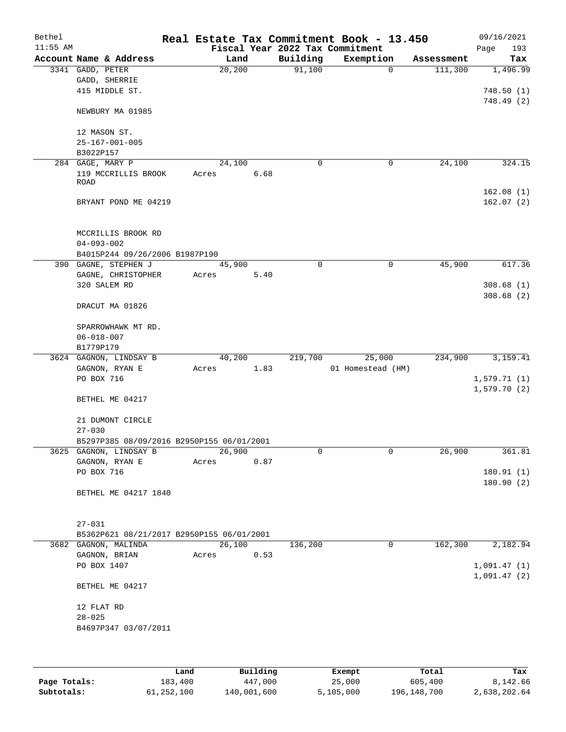| Bethel<br>$11:55$ AM |                                           |        |      |             | Real Estate Tax Commitment Book - 13.450<br>Fiscal Year 2022 Tax Commitment |            | 09/16/2021             |
|----------------------|-------------------------------------------|--------|------|-------------|-----------------------------------------------------------------------------|------------|------------------------|
|                      | Account Name & Address                    | Land   |      | Building    | Exemption                                                                   | Assessment | Page<br>193<br>Tax     |
|                      | 3341 GADD, PETER                          | 20,200 |      | 91,100      | $\mathbf 0$                                                                 | 111,300    | 1,496.99               |
|                      | GADD, SHERRIE                             |        |      |             |                                                                             |            |                        |
|                      | 415 MIDDLE ST.                            |        |      |             |                                                                             |            | 748.50(1)              |
|                      |                                           |        |      |             |                                                                             |            | 748.49(2)              |
|                      | NEWBURY MA 01985                          |        |      |             |                                                                             |            |                        |
|                      | 12 MASON ST.                              |        |      |             |                                                                             |            |                        |
|                      | $25 - 167 - 001 - 005$                    |        |      |             |                                                                             |            |                        |
|                      | B3022P157                                 |        |      |             |                                                                             |            |                        |
|                      | 284 GAGE, MARY P                          | 24,100 |      | 0           | 0                                                                           | 24,100     | 324.15                 |
|                      | 119 MCCRILLIS BROOK                       | Acres  | 6.68 |             |                                                                             |            |                        |
|                      | <b>ROAD</b>                               |        |      |             |                                                                             |            |                        |
|                      |                                           |        |      |             |                                                                             |            | 162.08(1)              |
|                      | BRYANT POND ME 04219                      |        |      |             |                                                                             |            | 162.07(2)              |
|                      | MCCRILLIS BROOK RD                        |        |      |             |                                                                             |            |                        |
|                      | $04 - 093 - 002$                          |        |      |             |                                                                             |            |                        |
|                      | B4015P244 09/26/2006 B1987P190            |        |      |             |                                                                             |            |                        |
|                      | 390 GAGNE, STEPHEN J                      | 45,900 |      | $\mathbf 0$ | $\mathbf 0$                                                                 | 45,900     | 617.36                 |
|                      | GAGNE, CHRISTOPHER                        | Acres  | 5.40 |             |                                                                             |            |                        |
|                      | 320 SALEM RD                              |        |      |             |                                                                             |            | 308.68(1)              |
|                      | DRACUT MA 01826                           |        |      |             |                                                                             |            | 308.68(2)              |
|                      | SPARROWHAWK MT RD.                        |        |      |             |                                                                             |            |                        |
|                      | $06 - 018 - 007$                          |        |      |             |                                                                             |            |                        |
|                      | B1779P179                                 |        |      |             |                                                                             |            |                        |
|                      | 3624 GAGNON, LINDSAY B                    | 40,200 |      | 219,700     | 25,000                                                                      | 234,900    | 3, 159.41              |
|                      | GAGNON, RYAN E                            | Acres  | 1.83 |             | 01 Homestead (HM)                                                           |            |                        |
|                      | PO BOX 716                                |        |      |             |                                                                             |            | 1,579.71(1)            |
|                      |                                           |        |      |             |                                                                             |            | 1,579.70(2)            |
|                      | BETHEL ME 04217                           |        |      |             |                                                                             |            |                        |
|                      | 21 DUMONT CIRCLE                          |        |      |             |                                                                             |            |                        |
|                      | $27 - 030$                                |        |      |             |                                                                             |            |                        |
|                      | B5297P385 08/09/2016 B2950P155 06/01/2001 |        |      |             |                                                                             |            |                        |
|                      | 3625 GAGNON, LINDSAY B                    | 26,900 |      | 0           | 0                                                                           | 26,900     | 361.81                 |
|                      | GAGNON, RYAN E                            | Acres  | 0.87 |             |                                                                             |            |                        |
|                      | PO BOX 716                                |        |      |             |                                                                             |            | 180.91(1)<br>180.90(2) |
|                      | BETHEL ME 04217 1840                      |        |      |             |                                                                             |            |                        |
|                      |                                           |        |      |             |                                                                             |            |                        |
|                      | $27 - 031$                                |        |      |             |                                                                             |            |                        |
|                      | B5362P621 08/21/2017 B2950P155 06/01/2001 |        |      |             |                                                                             |            |                        |
|                      | 3682 GAGNON, MALINDA                      | 26,100 |      | 136,200     | $\mathbf 0$                                                                 | 162,300    | 2,182.94               |
|                      | GAGNON, BRIAN                             | Acres  | 0.53 |             |                                                                             |            |                        |
|                      | PO BOX 1407                               |        |      |             |                                                                             |            | 1,091.47(1)            |
|                      | BETHEL ME 04217                           |        |      |             |                                                                             |            | 1,091.47(2)            |
|                      |                                           |        |      |             |                                                                             |            |                        |
|                      | 12 FLAT RD                                |        |      |             |                                                                             |            |                        |
|                      | $28 - 025$                                |        |      |             |                                                                             |            |                        |
|                      | B4697P347 03/07/2011                      |        |      |             |                                                                             |            |                        |
|                      |                                           |        |      |             |                                                                             |            |                        |
|                      |                                           |        |      |             |                                                                             |            |                        |

|              | Land       | Building    | Exempt    | Total       | Tax          |
|--------------|------------|-------------|-----------|-------------|--------------|
| Page Totals: | 183,400    | 447,000     | 25,000    | 605,400     | 8,142.66     |
| Subtotals:   | 61,252,100 | 140,001,600 | 5,105,000 | 196,148,700 | 2,638,202.64 |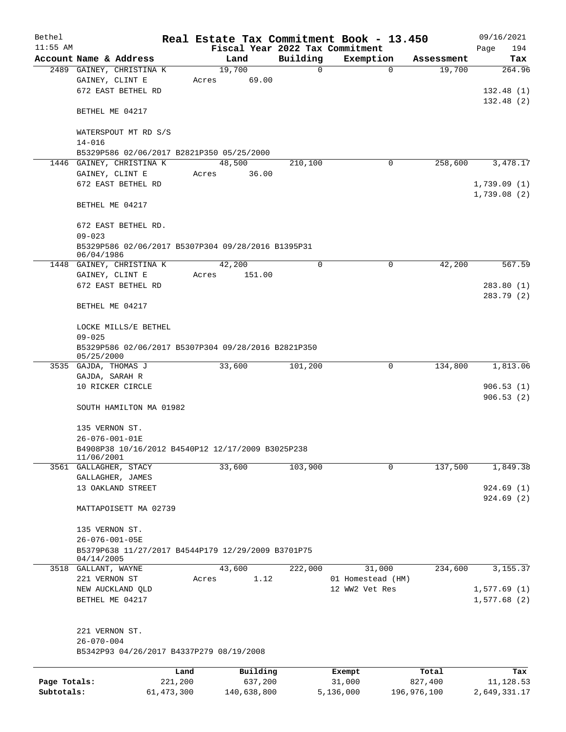| Bethel       |                                                                                   |              |                                 |          | Real Estate Tax Commitment Book - 13.450 |             | 09/16/2021                 |
|--------------|-----------------------------------------------------------------------------------|--------------|---------------------------------|----------|------------------------------------------|-------------|----------------------------|
| $11:55$ AM   |                                                                                   |              | Fiscal Year 2022 Tax Commitment |          |                                          |             | Page<br>194                |
|              | Account Name & Address                                                            |              | Land                            | Building | Exemption                                | Assessment  | Tax                        |
|              | 2489 GAINEY, CHRISTINA K<br>GAINEY, CLINT E<br>672 EAST BETHEL RD                 | Acres        | 19,700<br>69.00                 | 0        | $\mathbf 0$                              | 19,700      | 264.96<br>132.48(1)        |
|              | BETHEL ME 04217                                                                   |              |                                 |          |                                          |             | 132.48(2)                  |
|              | WATERSPOUT MT RD S/S<br>$14 - 016$                                                |              |                                 |          |                                          |             |                            |
|              | B5329P586 02/06/2017 B2821P350 05/25/2000                                         |              |                                 |          |                                          |             |                            |
|              | 1446 GAINEY, CHRISTINA K                                                          |              | 48,500                          | 210,100  | 0                                        | 258,600     | 3,478.17                   |
|              | GAINEY, CLINT E                                                                   | Acres        | 36.00                           |          |                                          |             |                            |
|              | 672 EAST BETHEL RD                                                                |              |                                 |          |                                          |             | 1,739.09(1)<br>1,739.08(2) |
|              | BETHEL ME 04217                                                                   |              |                                 |          |                                          |             |                            |
|              | 672 EAST BETHEL RD.<br>$09 - 023$                                                 |              |                                 |          |                                          |             |                            |
|              | B5329P586 02/06/2017 B5307P304 09/28/2016 B1395P31<br>06/04/1986                  |              |                                 |          |                                          |             |                            |
|              | 1448 GAINEY, CHRISTINA K                                                          |              | 42,200                          | 0        | 0                                        | 42,200      | 567.59                     |
|              | GAINEY, CLINT E                                                                   | Acres        | 151.00                          |          |                                          |             |                            |
|              | 672 EAST BETHEL RD                                                                |              |                                 |          |                                          |             | 283.80 (1)                 |
|              | BETHEL ME 04217                                                                   |              |                                 |          |                                          |             | 283.79 (2)                 |
|              | LOCKE MILLS/E BETHEL<br>$09 - 025$                                                |              |                                 |          |                                          |             |                            |
|              | B5329P586 02/06/2017 B5307P304 09/28/2016 B2821P350<br>05/25/2000                 |              |                                 |          |                                          |             |                            |
|              | 3535 GAJDA, THOMAS J                                                              |              | 33,600                          | 101,200  | 0                                        | 134,800     | 1,813.06                   |
|              | GAJDA, SARAH R<br>10 RICKER CIRCLE                                                |              |                                 |          |                                          |             | 906.53(1)                  |
|              | SOUTH HAMILTON MA 01982                                                           |              |                                 |          |                                          |             | 906.53(2)                  |
|              |                                                                                   |              |                                 |          |                                          |             |                            |
|              | 135 VERNON ST.                                                                    |              |                                 |          |                                          |             |                            |
|              | 26-076-001-01E<br>B4908P38 10/16/2012 B4540P12 12/17/2009 B3025P238<br>11/06/2001 |              |                                 |          |                                          |             |                            |
|              | 3561 GALLAGHER, STACY                                                             |              | 33,600                          | 103,900  | 0                                        | 137,500     | 1,849.38                   |
|              | GALLAGHER, JAMES                                                                  |              |                                 |          |                                          |             |                            |
|              | 13 OAKLAND STREET                                                                 |              |                                 |          |                                          |             | 924.69(1)                  |
|              | MATTAPOISETT MA 02739                                                             |              |                                 |          |                                          |             | 924.69(2)                  |
|              | 135 VERNON ST.                                                                    |              |                                 |          |                                          |             |                            |
|              | $26 - 076 - 001 - 05E$                                                            |              |                                 |          |                                          |             |                            |
|              | B5379P638 11/27/2017 B4544P179 12/29/2009 B3701P75                                |              |                                 |          |                                          |             |                            |
|              | 04/14/2005                                                                        |              |                                 |          |                                          |             |                            |
|              | 3518 GALLANT, WAYNE                                                               |              | 43,600                          | 222,000  | 31,000                                   | 234,600     | 3, 155.37                  |
|              | 221 VERNON ST<br>NEW AUCKLAND QLD                                                 | Acres        | 1.12                            |          | 01 Homestead (HM)<br>12 WW2 Vet Res      |             | 1,577.69(1)                |
|              | BETHEL ME 04217                                                                   |              |                                 |          |                                          |             | 1,577.68(2)                |
|              | 221 VERNON ST.                                                                    |              |                                 |          |                                          |             |                            |
|              | $26 - 070 - 004$<br>B5342P93 04/26/2017 B4337P279 08/19/2008                      |              |                                 |          |                                          |             |                            |
|              |                                                                                   | Land         | Building                        |          | Exempt                                   | Total       | Tax                        |
| Page Totals: |                                                                                   | 221,200      | 637,200                         |          | 31,000                                   | 827,400     | 11, 128.53                 |
| Subtotals:   |                                                                                   | 61, 473, 300 | 140,638,800                     |          | 5,136,000                                | 196,976,100 | 2,649,331.17               |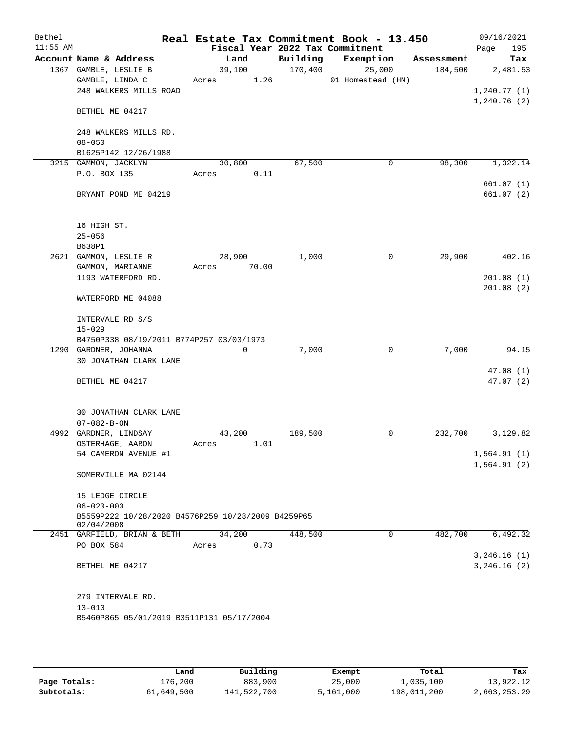| Bethel     |                                                                  | Real Estate Tax Commitment Book - 13.450 |          |                   |            | 09/16/2021                     |
|------------|------------------------------------------------------------------|------------------------------------------|----------|-------------------|------------|--------------------------------|
| $11:55$ AM |                                                                  | Fiscal Year 2022 Tax Commitment          |          |                   |            | 195<br>Page                    |
|            | Account Name & Address                                           | Land                                     | Building | Exemption         | Assessment | Tax                            |
|            | 1367 GAMBLE, LESLIE B                                            | 39,100                                   | 170,400  | 25,000            | 184,500    | 2,481.53                       |
|            | GAMBLE, LINDA C<br>248 WALKERS MILLS ROAD                        | 1.26<br>Acres                            |          | 01 Homestead (HM) |            | 1,240.77(1)                    |
|            |                                                                  |                                          |          |                   |            | 1,240.76(2)                    |
|            | BETHEL ME 04217                                                  |                                          |          |                   |            |                                |
|            | 248 WALKERS MILLS RD.                                            |                                          |          |                   |            |                                |
|            | $08 - 050$                                                       |                                          |          |                   |            |                                |
|            | B1625P142 12/26/1988                                             |                                          |          |                   |            |                                |
|            | 3215 GAMMON, JACKLYN                                             | 30,800                                   | 67,500   | 0                 | 98,300     | 1,322.14                       |
|            | P.O. BOX 135                                                     | 0.11<br>Acres                            |          |                   |            |                                |
|            | BRYANT POND ME 04219                                             |                                          |          |                   |            | 661.07(1)<br>661.07(2)         |
|            | 16 HIGH ST.                                                      |                                          |          |                   |            |                                |
|            | $25 - 056$                                                       |                                          |          |                   |            |                                |
|            | B638P1                                                           |                                          |          |                   |            |                                |
|            | 2621 GAMMON, LESLIE R                                            | 28,900                                   | 1,000    | $\mathbf 0$       | 29,900     | 402.16                         |
|            | GAMMON, MARIANNE                                                 | 70.00<br>Acres                           |          |                   |            |                                |
|            | 1193 WATERFORD RD.                                               |                                          |          |                   |            | 201.08(1)                      |
|            | WATERFORD ME 04088                                               |                                          |          |                   |            | 201.08(2)                      |
|            | INTERVALE RD S/S                                                 |                                          |          |                   |            |                                |
|            | $15 - 029$                                                       |                                          |          |                   |            |                                |
|            | B4750P338 08/19/2011 B774P257 03/03/1973                         |                                          |          |                   |            |                                |
|            | 1290 GARDNER, JOHANNA                                            | $\mathbf 0$                              | 7,000    | 0                 | 7,000      | 94.15                          |
|            | 30 JONATHAN CLARK LANE                                           |                                          |          |                   |            |                                |
|            | BETHEL ME 04217                                                  |                                          |          |                   |            | 47.08(1)<br>47.07 (2)          |
|            | 30 JONATHAN CLARK LANE                                           |                                          |          |                   |            |                                |
|            | $07 - 082 - B - ON$<br>4992 GARDNER, LINDSAY                     |                                          |          | 0                 |            | 3,129.82                       |
|            | OSTERHAGE, AARON                                                 | 43,200<br>1.01<br>Acres                  | 189,500  |                   | 232,700    |                                |
|            | 54 CAMERON AVENUE #1                                             |                                          |          |                   |            | 1,564.91(1)                    |
|            |                                                                  |                                          |          |                   |            | 1,564.91(2)                    |
|            | SOMERVILLE MA 02144                                              |                                          |          |                   |            |                                |
|            | 15 LEDGE CIRCLE                                                  |                                          |          |                   |            |                                |
|            | $06 - 020 - 003$                                                 |                                          |          |                   |            |                                |
|            | B5559P222 10/28/2020 B4576P259 10/28/2009 B4259P65<br>02/04/2008 |                                          |          |                   |            |                                |
|            | 2451 GARFIELD, BRIAN & BETH                                      | 34,200                                   | 448,500  | 0                 | 482,700    | 6,492.32                       |
|            | PO BOX 584                                                       | 0.73<br>Acres                            |          |                   |            |                                |
|            | BETHEL ME 04217                                                  |                                          |          |                   |            | 3, 246.16 (1)<br>3, 246.16 (2) |
|            | 279 INTERVALE RD.                                                |                                          |          |                   |            |                                |
|            | $13 - 010$                                                       |                                          |          |                   |            |                                |
|            | B5460P865 05/01/2019 B3511P131 05/17/2004                        |                                          |          |                   |            |                                |

|              | Land       | Building    | Exempt    | Total       | Tax          |
|--------------|------------|-------------|-----------|-------------|--------------|
| Page Totals: | L76,200    | 883,900     | 25,000    | 1,035,100   | 13,922.12    |
| Subtotals:   | 61,649,500 | 141,522,700 | 5,161,000 | 198,011,200 | 2,663,253.29 |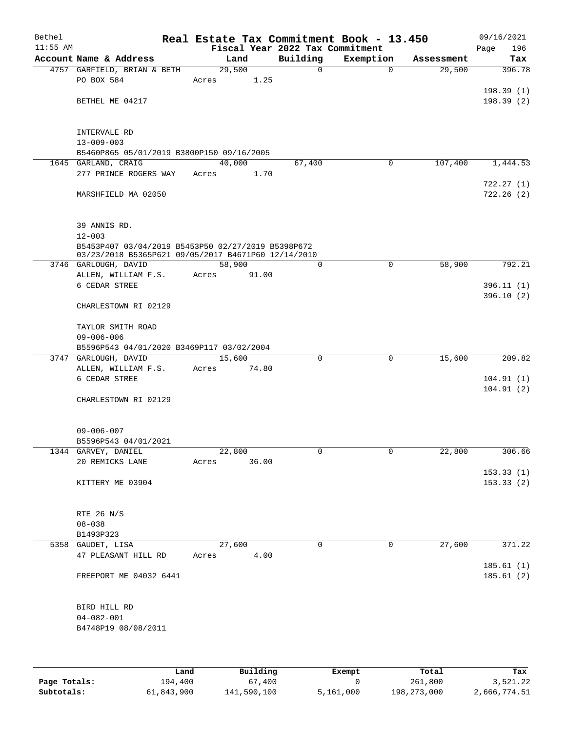| Bethel<br>$11:55$ AM |                                                                                                           |       |          | Fiscal Year 2022 Tax Commitment | Real Estate Tax Commitment Book - 13.450 |            | 09/16/2021         |
|----------------------|-----------------------------------------------------------------------------------------------------------|-------|----------|---------------------------------|------------------------------------------|------------|--------------------|
|                      | Account Name & Address                                                                                    |       | Land     | Building                        | Exemption                                | Assessment | 196<br>Page<br>Tax |
|                      | 4757 GARFIELD, BRIAN & BETH                                                                               |       | 29,500   | 0                               | $\mathbf 0$                              | 29,500     | 396.78             |
|                      | PO BOX 584                                                                                                | Acres | 1.25     |                                 |                                          |            |                    |
|                      |                                                                                                           |       |          |                                 |                                          |            | 198.39(1)          |
|                      | BETHEL ME 04217                                                                                           |       |          |                                 |                                          |            | 198.39(2)          |
|                      |                                                                                                           |       |          |                                 |                                          |            |                    |
|                      |                                                                                                           |       |          |                                 |                                          |            |                    |
|                      | INTERVALE RD                                                                                              |       |          |                                 |                                          |            |                    |
|                      | $13 - 009 - 003$                                                                                          |       |          |                                 |                                          |            |                    |
|                      | B5460P865 05/01/2019 B3800P150 09/16/2005<br>1645 GARLAND, CRAIG                                          |       | 40,000   | 67,400                          | 0                                        | 107,400    | 1,444.53           |
|                      | 277 PRINCE ROGERS WAY                                                                                     | Acres | 1.70     |                                 |                                          |            |                    |
|                      |                                                                                                           |       |          |                                 |                                          |            | 722.27(1)          |
|                      | MARSHFIELD MA 02050                                                                                       |       |          |                                 |                                          |            | 722.26(2)          |
|                      |                                                                                                           |       |          |                                 |                                          |            |                    |
|                      |                                                                                                           |       |          |                                 |                                          |            |                    |
|                      | 39 ANNIS RD.                                                                                              |       |          |                                 |                                          |            |                    |
|                      | $12 - 003$                                                                                                |       |          |                                 |                                          |            |                    |
|                      | B5453P407 03/04/2019 B5453P50 02/27/2019 B5398P672<br>03/23/2018 B5365P621 09/05/2017 B4671P60 12/14/2010 |       |          |                                 |                                          |            |                    |
|                      | 3746 GARLOUGH, DAVID                                                                                      |       | 58,900   | $\mathbf 0$                     | $\mathbf 0$                              | 58,900     | 792.21             |
|                      | ALLEN, WILLIAM F.S.                                                                                       | Acres | 91.00    |                                 |                                          |            |                    |
|                      | 6 CEDAR STREE                                                                                             |       |          |                                 |                                          |            | 396.11(1)          |
|                      |                                                                                                           |       |          |                                 |                                          |            | 396.10(2)          |
|                      | CHARLESTOWN RI 02129                                                                                      |       |          |                                 |                                          |            |                    |
|                      |                                                                                                           |       |          |                                 |                                          |            |                    |
|                      | TAYLOR SMITH ROAD<br>$09 - 006 - 006$                                                                     |       |          |                                 |                                          |            |                    |
|                      | B5596P543 04/01/2020 B3469P117 03/02/2004                                                                 |       |          |                                 |                                          |            |                    |
|                      | 3747 GARLOUGH, DAVID                                                                                      |       | 15,600   | 0                               | 0                                        | 15,600     | 209.82             |
|                      | ALLEN, WILLIAM F.S.                                                                                       | Acres | 74.80    |                                 |                                          |            |                    |
|                      | 6 CEDAR STREE                                                                                             |       |          |                                 |                                          |            | 104.91(1)          |
|                      |                                                                                                           |       |          |                                 |                                          |            | 104.91(2)          |
|                      | CHARLESTOWN RI 02129                                                                                      |       |          |                                 |                                          |            |                    |
|                      |                                                                                                           |       |          |                                 |                                          |            |                    |
|                      |                                                                                                           |       |          |                                 |                                          |            |                    |
|                      | $09 - 006 - 007$<br>B5596P543 04/01/2021                                                                  |       |          |                                 |                                          |            |                    |
|                      | 1344 GARVEY, DANIEL                                                                                       |       | 22,800   | 0                               | 0                                        | 22,800     | 306.66             |
|                      | 20 REMICKS LANE                                                                                           | Acres | 36.00    |                                 |                                          |            |                    |
|                      |                                                                                                           |       |          |                                 |                                          |            | 153.33(1)          |
|                      | KITTERY ME 03904                                                                                          |       |          |                                 |                                          |            | 153.33(2)          |
|                      |                                                                                                           |       |          |                                 |                                          |            |                    |
|                      |                                                                                                           |       |          |                                 |                                          |            |                    |
|                      | RTE 26 N/S                                                                                                |       |          |                                 |                                          |            |                    |
|                      | $08 - 038$<br>B1493P323                                                                                   |       |          |                                 |                                          |            |                    |
|                      | 5358 GAUDET, LISA                                                                                         |       | 27,600   | $\Omega$                        | 0                                        | 27,600     | 371.22             |
|                      | 47 PLEASANT HILL RD                                                                                       | Acres | 4.00     |                                 |                                          |            |                    |
|                      |                                                                                                           |       |          |                                 |                                          |            | 185.61(1)          |
|                      | FREEPORT ME 04032 6441                                                                                    |       |          |                                 |                                          |            | 185.61(2)          |
|                      |                                                                                                           |       |          |                                 |                                          |            |                    |
|                      |                                                                                                           |       |          |                                 |                                          |            |                    |
|                      | BIRD HILL RD                                                                                              |       |          |                                 |                                          |            |                    |
|                      | $04 - 082 - 001$                                                                                          |       |          |                                 |                                          |            |                    |
|                      | B4748P19 08/08/2011                                                                                       |       |          |                                 |                                          |            |                    |
|                      |                                                                                                           |       |          |                                 |                                          |            |                    |
|                      |                                                                                                           |       |          |                                 |                                          |            |                    |
|                      | Land                                                                                                      |       | Building |                                 | <b>Fromnt</b>                            | $T$ ctal   | Tov                |

|              | Land       | Building    | Exempt    | Total       | Tax          |
|--------------|------------|-------------|-----------|-------------|--------------|
| Page Totals: | 194,400    | 67,400      |           | 261,800     | 3,521.22     |
| Subtotals:   | 61,843,900 | 141,590,100 | 5,161,000 | 198,273,000 | 2,666,774.51 |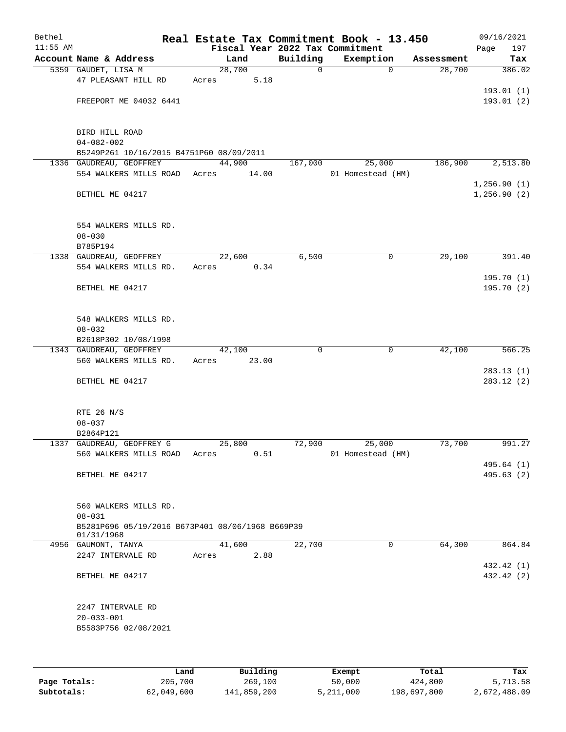| Bethel     |                                                                     |      |       |        |          | Real Estate Tax Commitment Book - 13.450 |                   |             |            | 09/16/2021  |
|------------|---------------------------------------------------------------------|------|-------|--------|----------|------------------------------------------|-------------------|-------------|------------|-------------|
| $11:55$ AM |                                                                     |      |       |        |          | Fiscal Year 2022 Tax Commitment          |                   |             |            | Page<br>197 |
|            | Account Name & Address                                              |      |       | Land   |          | Building                                 | Exemption         |             | Assessment | Tax         |
|            | 5359 GAUDET, LISA M                                                 |      |       | 28,700 |          | $\mathsf{O}$                             |                   | $\mathbf 0$ | 28,700     | 386.02      |
|            | 47 PLEASANT HILL RD                                                 |      | Acres |        | 5.18     |                                          |                   |             |            |             |
|            |                                                                     |      |       |        |          |                                          |                   |             |            | 193.01(1)   |
|            | FREEPORT ME 04032 6441                                              |      |       |        |          |                                          |                   |             |            | 193.01(2)   |
|            |                                                                     |      |       |        |          |                                          |                   |             |            |             |
|            | BIRD HILL ROAD                                                      |      |       |        |          |                                          |                   |             |            |             |
|            | $04 - 082 - 002$                                                    |      |       |        |          |                                          |                   |             |            |             |
|            | B5249P261 10/16/2015 B4751P60 08/09/2011<br>1336 GAUDREAU, GEOFFREY |      |       | 44,900 |          | 167,000                                  |                   | 25,000      | 186,900    | 2,513.80    |
|            | 554 WALKERS MILLS ROAD Acres                                        |      |       |        | 14.00    |                                          | 01 Homestead (HM) |             |            |             |
|            |                                                                     |      |       |        |          |                                          |                   |             |            | 1,256.90(1) |
|            | BETHEL ME 04217                                                     |      |       |        |          |                                          |                   |             |            | 1,256.90(2) |
|            |                                                                     |      |       |        |          |                                          |                   |             |            |             |
|            |                                                                     |      |       |        |          |                                          |                   |             |            |             |
|            | 554 WALKERS MILLS RD.                                               |      |       |        |          |                                          |                   |             |            |             |
|            | $08 - 030$<br>B785P194                                              |      |       |        |          |                                          |                   |             |            |             |
|            | 1338 GAUDREAU, GEOFFREY                                             |      |       | 22,600 |          | 6,500                                    |                   | 0           | 29,100     | 391.40      |
|            | 554 WALKERS MILLS RD.                                               |      | Acres |        | 0.34     |                                          |                   |             |            |             |
|            |                                                                     |      |       |        |          |                                          |                   |             |            | 195.70(1)   |
|            | BETHEL ME 04217                                                     |      |       |        |          |                                          |                   |             |            | 195.70(2)   |
|            |                                                                     |      |       |        |          |                                          |                   |             |            |             |
|            |                                                                     |      |       |        |          |                                          |                   |             |            |             |
|            | 548 WALKERS MILLS RD.                                               |      |       |        |          |                                          |                   |             |            |             |
|            | $08 - 032$                                                          |      |       |        |          |                                          |                   |             |            |             |
|            | B2618P302 10/08/1998                                                |      |       |        |          |                                          |                   |             |            |             |
|            | 1343 GAUDREAU, GEOFFREY<br>560 WALKERS MILLS RD.                    |      | Acres | 42,100 | 23.00    | $\mathbf 0$                              |                   | 0           | 42,100     | 566.25      |
|            |                                                                     |      |       |        |          |                                          |                   |             |            | 283.13(1)   |
|            | BETHEL ME 04217                                                     |      |       |        |          |                                          |                   |             |            | 283.12(2)   |
|            |                                                                     |      |       |        |          |                                          |                   |             |            |             |
|            |                                                                     |      |       |        |          |                                          |                   |             |            |             |
|            | RTE 26 N/S                                                          |      |       |        |          |                                          |                   |             |            |             |
|            | $08 - 037$                                                          |      |       |        |          |                                          |                   |             |            |             |
|            | B2864P121                                                           |      |       |        |          |                                          |                   |             |            |             |
|            | 1337 GAUDREAU, GEOFFREY G                                           |      |       | 25,800 | 0.51     | 72,900                                   | 01 Homestead (HM) | 25,000      | 73,700     | 991.27      |
|            | 560 WALKERS MILLS ROAD                                              |      | Acres |        |          |                                          |                   |             |            | 495.64(1)   |
|            | BETHEL ME 04217                                                     |      |       |        |          |                                          |                   |             |            | 495.63(2)   |
|            |                                                                     |      |       |        |          |                                          |                   |             |            |             |
|            |                                                                     |      |       |        |          |                                          |                   |             |            |             |
|            | 560 WALKERS MILLS RD.                                               |      |       |        |          |                                          |                   |             |            |             |
|            | $08 - 031$                                                          |      |       |        |          |                                          |                   |             |            |             |
|            | B5281P696 05/19/2016 B673P401 08/06/1968 B669P39<br>01/31/1968      |      |       |        |          |                                          |                   |             |            |             |
|            | 4956 GAUMONT, TANYA                                                 |      |       | 41,600 |          | 22,700                                   |                   | 0           | 64,300     | 864.84      |
|            | 2247 INTERVALE RD                                                   |      | Acres |        | 2.88     |                                          |                   |             |            |             |
|            |                                                                     |      |       |        |          |                                          |                   |             |            | 432.42 (1)  |
|            | BETHEL ME 04217                                                     |      |       |        |          |                                          |                   |             |            | 432.42 (2)  |
|            |                                                                     |      |       |        |          |                                          |                   |             |            |             |
|            |                                                                     |      |       |        |          |                                          |                   |             |            |             |
|            | 2247 INTERVALE RD                                                   |      |       |        |          |                                          |                   |             |            |             |
|            | $20 - 033 - 001$<br>B5583P756 02/08/2021                            |      |       |        |          |                                          |                   |             |            |             |
|            |                                                                     |      |       |        |          |                                          |                   |             |            |             |
|            |                                                                     |      |       |        |          |                                          |                   |             |            |             |
|            |                                                                     |      |       |        |          |                                          |                   |             |            |             |
|            |                                                                     | Land |       |        | Building |                                          | Exempt            |             | Total      | Tax         |

**Page Totals:** 205,700 269,100 269,100 269,100 269,100 269,211,000 269,211,000 26,697,800 2,672,488.09<br>**205,713.58 50,000 5,211,000 5,211,000 2,672,488.09** 50,049,600 5,411,859,200 5,211,000 5,697,800 2,672,488.09

**Subtotals:** 62,049,600 141,859,200 5,211,000 198,697,800 2,672,488.09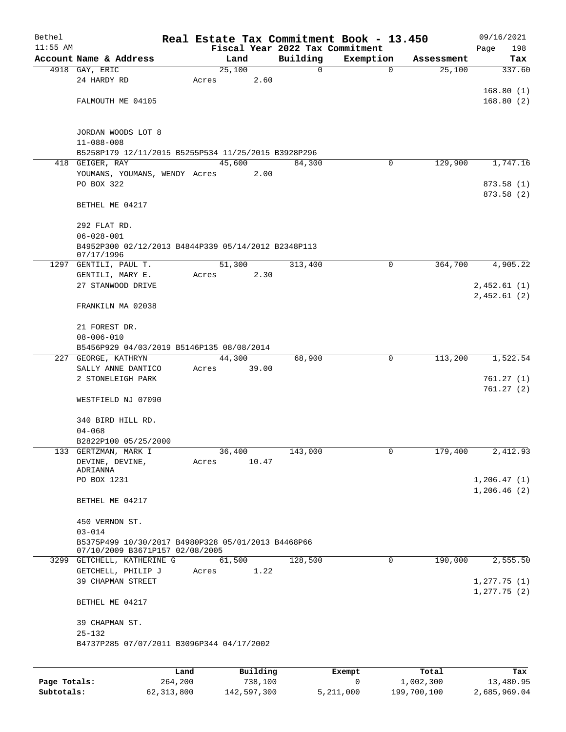| Bethel     |                                                                                       |      |       |        |          |          | Real Estate Tax Commitment Book - 13.450 |                |            | 09/16/2021      |
|------------|---------------------------------------------------------------------------------------|------|-------|--------|----------|----------|------------------------------------------|----------------|------------|-----------------|
| $11:55$ AM |                                                                                       |      |       |        |          |          | Fiscal Year 2022 Tax Commitment          |                |            | 198<br>Page     |
|            | Account Name & Address                                                                |      |       | Land   |          | Building | Exemption                                |                | Assessment | Tax             |
|            | 4918 GAY, ERIC                                                                        |      |       | 25,100 |          | 0        |                                          | $\mathbf 0$    | 25,100     | 337.60          |
|            | 24 HARDY RD                                                                           |      | Acres |        | 2.60     |          |                                          |                |            |                 |
|            |                                                                                       |      |       |        |          |          |                                          |                |            | 168.80(1)       |
|            | FALMOUTH ME 04105                                                                     |      |       |        |          |          |                                          |                |            | 168.80(2)       |
|            |                                                                                       |      |       |        |          |          |                                          |                |            |                 |
|            |                                                                                       |      |       |        |          |          |                                          |                |            |                 |
|            | JORDAN WOODS LOT 8                                                                    |      |       |        |          |          |                                          |                |            |                 |
|            | $11 - 088 - 008$                                                                      |      |       |        |          |          |                                          |                |            |                 |
|            | B5258P179 12/11/2015 B5255P534 11/25/2015 B3928P296                                   |      |       |        |          |          |                                          |                |            |                 |
|            | 418 GEIGER, RAY                                                                       |      |       | 45,600 |          | 84,300   |                                          | 0              | 129,900    | 1,747.16        |
|            | YOUMANS, YOUMANS, WENDY Acres                                                         |      |       |        | 2.00     |          |                                          |                |            |                 |
|            | PO BOX 322                                                                            |      |       |        |          |          |                                          |                |            | 873.58 (1)      |
|            |                                                                                       |      |       |        |          |          |                                          |                |            | 873.58 (2)      |
|            | BETHEL ME 04217                                                                       |      |       |        |          |          |                                          |                |            |                 |
|            |                                                                                       |      |       |        |          |          |                                          |                |            |                 |
|            | 292 FLAT RD.                                                                          |      |       |        |          |          |                                          |                |            |                 |
|            | $06 - 028 - 001$                                                                      |      |       |        |          |          |                                          |                |            |                 |
|            | B4952P300 02/12/2013 B4844P339 05/14/2012 B2348P113<br>07/17/1996                     |      |       |        |          |          |                                          |                |            |                 |
| 1297       | GENTILI, PAUL T.                                                                      |      |       | 51,300 |          | 313,400  |                                          | 0              | 364,700    | 4,905.22        |
|            | GENTILI, MARY E.                                                                      |      | Acres |        | 2.30     |          |                                          |                |            |                 |
|            | 27 STANWOOD DRIVE                                                                     |      |       |        |          |          |                                          |                |            | 2,452.61 (1)    |
|            |                                                                                       |      |       |        |          |          |                                          |                |            | 2,452.61 (2)    |
|            | FRANKILN MA 02038                                                                     |      |       |        |          |          |                                          |                |            |                 |
|            |                                                                                       |      |       |        |          |          |                                          |                |            |                 |
|            | 21 FOREST DR.                                                                         |      |       |        |          |          |                                          |                |            |                 |
|            | $08 - 006 - 010$                                                                      |      |       |        |          |          |                                          |                |            |                 |
|            | B5456P929 04/03/2019 B5146P135 08/08/2014                                             |      |       |        |          |          |                                          |                |            |                 |
|            | 227 GEORGE, KATHRYN                                                                   |      |       | 44,300 |          | 68,900   |                                          | 0              | 113,200    | 1,522.54        |
|            | SALLY ANNE DANTICO                                                                    |      | Acres |        | 39.00    |          |                                          |                |            |                 |
|            | 2 STONELEIGH PARK                                                                     |      |       |        |          |          |                                          |                |            | 761.27 (1)      |
|            |                                                                                       |      |       |        |          |          |                                          |                |            | 761.27(2)       |
|            | WESTFIELD NJ 07090                                                                    |      |       |        |          |          |                                          |                |            |                 |
|            |                                                                                       |      |       |        |          |          |                                          |                |            |                 |
|            | 340 BIRD HILL RD.                                                                     |      |       |        |          |          |                                          |                |            |                 |
|            | $04 - 068$                                                                            |      |       |        |          |          |                                          |                |            |                 |
|            | B2822P100 05/25/2000                                                                  |      |       |        |          |          |                                          |                |            |                 |
|            | 133 GERTZMAN, MARK I                                                                  |      |       | 36,400 |          | 143,000  |                                          | $\overline{0}$ | 179,400    | 2,412.93        |
|            | DEVINE, DEVINE,                                                                       |      | Acres |        | 10.47    |          |                                          |                |            |                 |
|            | ADRIANNA                                                                              |      |       |        |          |          |                                          |                |            |                 |
|            | PO BOX 1231                                                                           |      |       |        |          |          |                                          |                |            | 1, 206.47(1)    |
|            |                                                                                       |      |       |        |          |          |                                          |                |            | 1, 206.46(2)    |
|            | BETHEL ME 04217                                                                       |      |       |        |          |          |                                          |                |            |                 |
|            |                                                                                       |      |       |        |          |          |                                          |                |            |                 |
|            | 450 VERNON ST.                                                                        |      |       |        |          |          |                                          |                |            |                 |
|            | $03 - 014$                                                                            |      |       |        |          |          |                                          |                |            |                 |
|            | B5375P499 10/30/2017 B4980P328 05/01/2013 B4468P66<br>07/10/2009 B3671P157 02/08/2005 |      |       |        |          |          |                                          |                |            |                 |
|            | 3299 GETCHELL, KATHERINE G                                                            |      |       | 61,500 |          | 128,500  |                                          | $\mathbf{0}$   | 190,000    | 2,555.50        |
|            | GETCHELL, PHILIP J                                                                    |      | Acres |        | 1.22     |          |                                          |                |            |                 |
|            | 39 CHAPMAN STREET                                                                     |      |       |        |          |          |                                          |                |            | 1, 277.75(1)    |
|            |                                                                                       |      |       |        |          |          |                                          |                |            | $1, 277.75$ (2) |
|            | BETHEL ME 04217                                                                       |      |       |        |          |          |                                          |                |            |                 |
|            |                                                                                       |      |       |        |          |          |                                          |                |            |                 |
|            | 39 CHAPMAN ST.                                                                        |      |       |        |          |          |                                          |                |            |                 |
|            | $25 - 132$                                                                            |      |       |        |          |          |                                          |                |            |                 |
|            | B4737P285 07/07/2011 B3096P344 04/17/2002                                             |      |       |        |          |          |                                          |                |            |                 |
|            |                                                                                       |      |       |        |          |          |                                          |                |            |                 |
|            |                                                                                       |      |       |        |          |          |                                          |                |            |                 |
|            |                                                                                       | Land |       |        | Building |          | Exempt                                   |                | Total      | Tax             |

|              | ⊥and         | Building    | Exempt    | Total       | тах          |
|--------------|--------------|-------------|-----------|-------------|--------------|
| Page Totals: | 264,200      | 738,100     |           | 1,002,300   | 13,480.95    |
| Subtotals:   | 62, 313, 800 | 142,597,300 | 5,211,000 | 199,700,100 | 2,685,969.04 |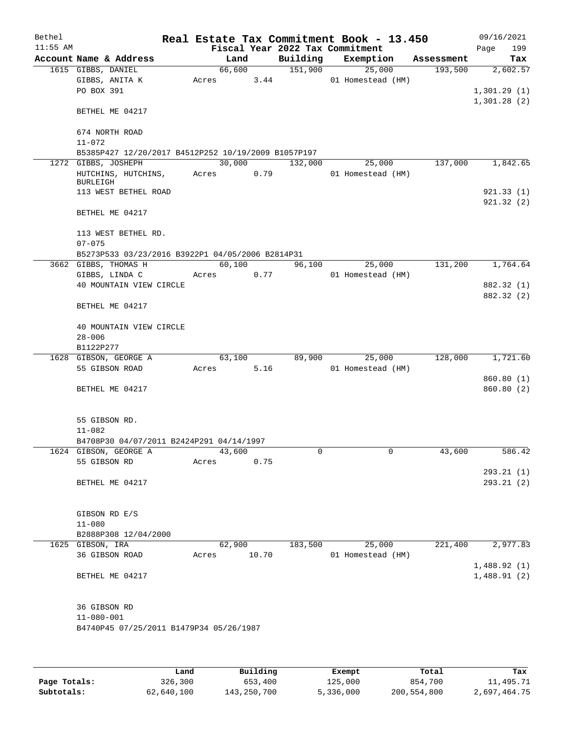| Bethel     |                                                     |            |        |       |                                 | Real Estate Tax Commitment Book - 13.450 |            | 09/16/2021  |
|------------|-----------------------------------------------------|------------|--------|-------|---------------------------------|------------------------------------------|------------|-------------|
| $11:55$ AM |                                                     |            |        |       | Fiscal Year 2022 Tax Commitment |                                          |            | Page<br>199 |
|            | Account Name & Address                              |            | Land   |       | Building                        | Exemption                                | Assessment | Tax         |
|            | 1615 GIBBS, DANIEL                                  |            | 66,600 |       | 151,900                         | 25,000                                   | 193,500    | 2,602.57    |
|            | GIBBS, ANITA K                                      | Acres      |        | 3.44  |                                 | 01 Homestead (HM)                        |            |             |
|            | PO BOX 391                                          |            |        |       |                                 |                                          |            | 1,301.29(1) |
|            |                                                     |            |        |       |                                 |                                          |            | 1,301.28(2) |
|            | BETHEL ME 04217                                     |            |        |       |                                 |                                          |            |             |
|            | 674 NORTH ROAD                                      |            |        |       |                                 |                                          |            |             |
|            | $11 - 072$                                          |            |        |       |                                 |                                          |            |             |
|            | B5385P427 12/20/2017 B4512P252 10/19/2009 B1057P197 |            |        |       |                                 |                                          |            |             |
|            | 1272 GIBBS, JOSHEPH                                 |            | 30,000 |       | 132,000                         | 25,000                                   | 137,000    | 1,842.65    |
|            | HUTCHINS, HUTCHINS,                                 | Acres 0.79 |        |       |                                 | 01 Homestead (HM)                        |            |             |
|            | <b>BURLEIGH</b>                                     |            |        |       |                                 |                                          |            |             |
|            | 113 WEST BETHEL ROAD                                |            |        |       |                                 |                                          |            | 921.33(1)   |
|            |                                                     |            |        |       |                                 |                                          |            | 921.32(2)   |
|            | BETHEL ME 04217                                     |            |        |       |                                 |                                          |            |             |
|            |                                                     |            |        |       |                                 |                                          |            |             |
|            | 113 WEST BETHEL RD.                                 |            |        |       |                                 |                                          |            |             |
|            | $07 - 075$                                          |            |        |       |                                 |                                          |            |             |
|            | B5273P533 03/23/2016 B3922P1 04/05/2006 B2814P31    |            |        |       |                                 |                                          | 131,200    | 1,764.64    |
|            | 3662 GIBBS, THOMAS H                                |            | 60,100 |       | 96,100                          | 25,000<br>01 Homestead (HM)              |            |             |
|            | GIBBS, LINDA C<br>40 MOUNTAIN VIEW CIRCLE           | Acres 0.77 |        |       |                                 |                                          |            | 882.32 (1)  |
|            |                                                     |            |        |       |                                 |                                          |            | 882.32 (2)  |
|            | BETHEL ME 04217                                     |            |        |       |                                 |                                          |            |             |
|            |                                                     |            |        |       |                                 |                                          |            |             |
|            | 40 MOUNTAIN VIEW CIRCLE                             |            |        |       |                                 |                                          |            |             |
|            | $28 - 006$                                          |            |        |       |                                 |                                          |            |             |
|            | B1122P277                                           |            |        |       |                                 |                                          |            |             |
|            | 1628 GIBSON, GEORGE A                               |            | 63,100 |       | 89,900                          | 25,000                                   | 128,000    | 1,721.60    |
|            | 55 GIBSON ROAD                                      | Acres      |        | 5.16  |                                 | 01 Homestead (HM)                        |            |             |
|            |                                                     |            |        |       |                                 |                                          |            | 860.80 (1)  |
|            | BETHEL ME 04217                                     |            |        |       |                                 |                                          |            | 860.80 (2)  |
|            |                                                     |            |        |       |                                 |                                          |            |             |
|            |                                                     |            |        |       |                                 |                                          |            |             |
|            | 55 GIBSON RD.                                       |            |        |       |                                 |                                          |            |             |
|            | $11 - 082$                                          |            |        |       |                                 |                                          |            |             |
|            | B4708P30 04/07/2011 B2424P291 04/14/1997            |            |        |       |                                 |                                          |            |             |
|            | 1624 GIBSON, GEORGE A                               |            | 43,600 |       | 0                               | 0                                        | 43,600     | 586.42      |
|            | 55 GIBSON RD                                        | Acres      |        | 0.75  |                                 |                                          |            |             |
|            |                                                     |            |        |       |                                 |                                          |            | 293.21(1)   |
|            | BETHEL ME 04217                                     |            |        |       |                                 |                                          |            | 293.21(2)   |
|            |                                                     |            |        |       |                                 |                                          |            |             |
|            | GIBSON RD E/S                                       |            |        |       |                                 |                                          |            |             |
|            | $11 - 080$                                          |            |        |       |                                 |                                          |            |             |
|            | B2888P308 12/04/2000                                |            |        |       |                                 |                                          |            |             |
|            | 1625 GIBSON, IRA                                    |            | 62,900 |       | 183,500                         | 25,000                                   | 221,400    | 2,977.83    |
|            | 36 GIBSON ROAD                                      | Acres      |        | 10.70 |                                 | 01 Homestead (HM)                        |            |             |
|            |                                                     |            |        |       |                                 |                                          |            | 1,488.92(1) |
|            | BETHEL ME 04217                                     |            |        |       |                                 |                                          |            | 1,488.91(2) |
|            |                                                     |            |        |       |                                 |                                          |            |             |
|            |                                                     |            |        |       |                                 |                                          |            |             |
|            | 36 GIBSON RD                                        |            |        |       |                                 |                                          |            |             |
|            | $11 - 080 - 001$                                    |            |        |       |                                 |                                          |            |             |
|            | B4740P45 07/25/2011 B1479P34 05/26/1987             |            |        |       |                                 |                                          |            |             |
|            |                                                     |            |        |       |                                 |                                          |            |             |
|            |                                                     |            |        |       |                                 |                                          |            |             |
|            |                                                     |            |        |       |                                 |                                          |            |             |

|              | Land       | Building    | Exempt    | Total       | Tax          |
|--------------|------------|-------------|-----------|-------------|--------------|
| Page Totals: | 326,300    | 653,400     | 125,000   | 854,700     | 11,495.71    |
| Subtotals:   | 62,640,100 | 143,250,700 | 5,336,000 | 200,554,800 | 2,697,464.75 |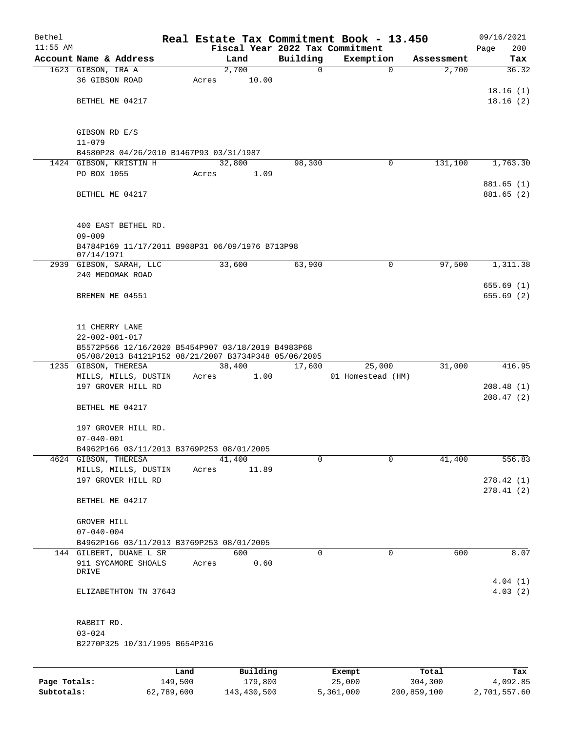| Bethel     |                                                                                                            |      |       |          |          | Real Estate Tax Commitment Book - 13.450 |             |            | 09/16/2021             |
|------------|------------------------------------------------------------------------------------------------------------|------|-------|----------|----------|------------------------------------------|-------------|------------|------------------------|
| $11:55$ AM |                                                                                                            |      |       |          |          | Fiscal Year 2022 Tax Commitment          |             |            | 200<br>Page            |
|            | Account Name & Address                                                                                     |      |       | Land     | Building | Exemption                                |             | Assessment | Tax                    |
|            | 1623 GIBSON, IRA A                                                                                         |      |       | 2,700    |          | 0                                        | $\mathbf 0$ | 2,700      | 36.32                  |
|            | 36 GIBSON ROAD                                                                                             |      | Acres | 10.00    |          |                                          |             |            |                        |
|            | BETHEL ME 04217                                                                                            |      |       |          |          |                                          |             |            | 18.16(1)<br>18.16(2)   |
|            |                                                                                                            |      |       |          |          |                                          |             |            |                        |
|            | GIBSON RD E/S                                                                                              |      |       |          |          |                                          |             |            |                        |
|            | $11 - 079$                                                                                                 |      |       |          |          |                                          |             |            |                        |
|            | B4580P28 04/26/2010 B1467P93 03/31/1987                                                                    |      |       |          |          |                                          |             |            |                        |
|            | 1424 GIBSON, KRISTIN H                                                                                     |      |       | 32,800   | 98,300   |                                          | 0           | 131,100    | 1,763.30               |
|            | PO BOX 1055                                                                                                |      | Acres | 1.09     |          |                                          |             |            |                        |
|            |                                                                                                            |      |       |          |          |                                          |             |            | 881.65 (1)             |
|            | BETHEL ME 04217                                                                                            |      |       |          |          |                                          |             |            | 881.65 (2)             |
|            | 400 EAST BETHEL RD.                                                                                        |      |       |          |          |                                          |             |            |                        |
|            | $09 - 009$<br>B4784P169 11/17/2011 B908P31 06/09/1976 B713P98<br>07/14/1971                                |      |       |          |          |                                          |             |            |                        |
|            | 2939 GIBSON, SARAH, LLC                                                                                    |      |       | 33,600   | 63,900   |                                          | 0           | 97,500     | 1,311.38               |
|            | 240 MEDOMAK ROAD                                                                                           |      |       |          |          |                                          |             |            |                        |
|            |                                                                                                            |      |       |          |          |                                          |             |            | 655.69 (1)             |
|            | BREMEN ME 04551                                                                                            |      |       |          |          |                                          |             |            | 655.69(2)              |
|            | 11 CHERRY LANE                                                                                             |      |       |          |          |                                          |             |            |                        |
|            | $22 - 002 - 001 - 017$                                                                                     |      |       |          |          |                                          |             |            |                        |
|            | B5572P566 12/16/2020 B5454P907 03/18/2019 B4983P68<br>05/08/2013 B4121P152 08/21/2007 B3734P348 05/06/2005 |      |       |          |          |                                          |             |            |                        |
|            | 1235 GIBSON, THERESA                                                                                       |      |       | 38,400   | 17,600   | 25,000                                   |             | 31,000     | 416.95                 |
|            | MILLS, MILLS, DUSTIN                                                                                       |      | Acres | 1.00     |          | 01 Homestead (HM)                        |             |            |                        |
|            | 197 GROVER HILL RD                                                                                         |      |       |          |          |                                          |             |            | 208.48(1)<br>208.47(2) |
|            | BETHEL ME 04217                                                                                            |      |       |          |          |                                          |             |            |                        |
|            | 197 GROVER HILL RD.                                                                                        |      |       |          |          |                                          |             |            |                        |
|            | $07 - 040 - 001$                                                                                           |      |       |          |          |                                          |             |            |                        |
|            | B4962P166 03/11/2013 B3769P253 08/01/2005                                                                  |      |       |          |          |                                          |             |            |                        |
|            | 4624 GIBSON, THERESA                                                                                       |      |       | 41,400   |          | 0                                        | $\mathbf 0$ | 41,400     | 556.83                 |
|            | MILLS, MILLS, DUSTIN                                                                                       |      | Acres | 11.89    |          |                                          |             |            |                        |
|            | 197 GROVER HILL RD                                                                                         |      |       |          |          |                                          |             |            | 278.42(1)              |
|            | BETHEL ME 04217                                                                                            |      |       |          |          |                                          |             |            | 278.41(2)              |
|            | GROVER HILL                                                                                                |      |       |          |          |                                          |             |            |                        |
|            | $07 - 040 - 004$                                                                                           |      |       |          |          |                                          |             |            |                        |
|            | B4962P166 03/11/2013 B3769P253 08/01/2005                                                                  |      |       |          |          |                                          |             |            |                        |
|            | 144 GILBERT, DUANE L SR                                                                                    |      |       | 600      |          | 0                                        | $\mathbf 0$ | 600        | 8.07                   |
|            | 911 SYCAMORE SHOALS<br>DRIVE                                                                               |      | Acres | 0.60     |          |                                          |             |            |                        |
|            |                                                                                                            |      |       |          |          |                                          |             |            | 4.04(1)                |
|            | ELIZABETHTON TN 37643                                                                                      |      |       |          |          |                                          |             |            | 4.03(2)                |
|            | RABBIT RD.                                                                                                 |      |       |          |          |                                          |             |            |                        |
|            | $03 - 024$                                                                                                 |      |       |          |          |                                          |             |            |                        |
|            | B2270P325 10/31/1995 B654P316                                                                              |      |       |          |          |                                          |             |            |                        |
|            |                                                                                                            | Land |       | Building |          | Exempt                                   |             | Total      | Tax                    |
|            |                                                                                                            |      |       |          |          |                                          |             |            |                        |

|              | Land       | Building    | Exempt    | Total       | Tax          |
|--------------|------------|-------------|-----------|-------------|--------------|
| Page Totals: | 149,500    | 179,800     | 25,000    | 304,300     | 4,092.85     |
| Subtotals:   | 62,789,600 | 143,430,500 | 5,361,000 | 200,859,100 | 2,701,557.60 |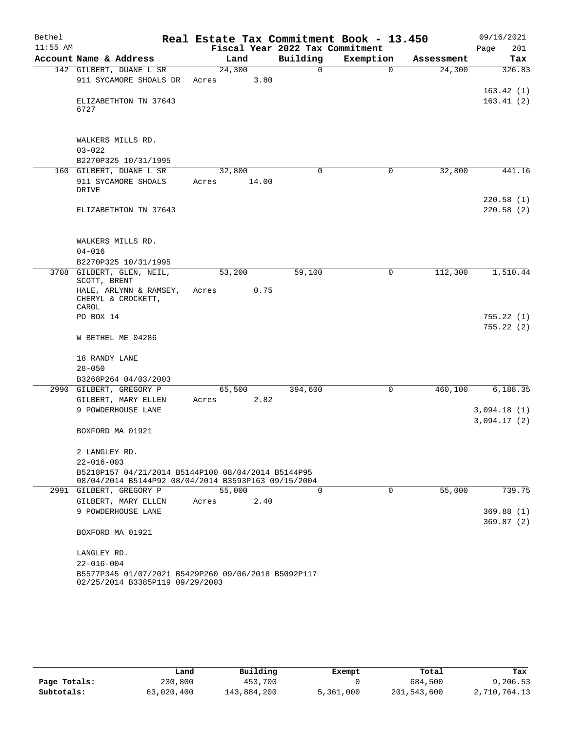| Bethel     |                                                     | Real Estate Tax Commitment Book - 13.450 |                                 |           |            | 09/16/2021  |
|------------|-----------------------------------------------------|------------------------------------------|---------------------------------|-----------|------------|-------------|
| $11:55$ AM |                                                     |                                          | Fiscal Year 2022 Tax Commitment |           |            | Page<br>201 |
|            | Account Name & Address                              | Land                                     | Building                        | Exemption | Assessment | Tax         |
|            | 142 GILBERT, DUANE L SR                             | 24,300                                   | 0                               | $\Omega$  | 24,300     | 326.83      |
|            | 911 SYCAMORE SHOALS DR                              | Acres                                    | 3.80                            |           |            |             |
|            |                                                     |                                          |                                 |           |            | 163.42(1)   |
|            | ELIZABETHTON TN 37643<br>6727                       |                                          |                                 |           |            | 163.41(2)   |
|            |                                                     |                                          |                                 |           |            |             |
|            |                                                     |                                          |                                 |           |            |             |
|            | WALKERS MILLS RD.                                   |                                          |                                 |           |            |             |
|            | $03 - 022$                                          |                                          |                                 |           |            |             |
|            | B2270P325 10/31/1995                                |                                          |                                 |           |            |             |
|            | 160 GILBERT, DUANE L SR                             | 32,800                                   | $\Omega$                        | 0         | 32,800     | 441.16      |
|            | 911 SYCAMORE SHOALS                                 | 14.00<br>Acres                           |                                 |           |            |             |
|            | DRIVE                                               |                                          |                                 |           |            |             |
|            |                                                     |                                          |                                 |           |            | 220.58(1)   |
|            | ELIZABETHTON TN 37643                               |                                          |                                 |           |            | 220.58(2)   |
|            |                                                     |                                          |                                 |           |            |             |
|            | WALKERS MILLS RD.                                   |                                          |                                 |           |            |             |
|            | $04 - 016$                                          |                                          |                                 |           |            |             |
|            | B2270P325 10/31/1995                                |                                          |                                 |           |            |             |
|            | 3708 GILBERT, GLEN, NEIL,                           | 53,200                                   | 59,100                          | 0         | 112,300    | 1,510.44    |
|            | SCOTT, BRENT                                        |                                          |                                 |           |            |             |
|            | HALE, ARLYNN & RAMSEY,                              | Acres                                    | 0.75                            |           |            |             |
|            | CHERYL & CROCKETT,<br>CAROL                         |                                          |                                 |           |            |             |
|            | PO BOX 14                                           |                                          |                                 |           |            | 755.22 (1)  |
|            |                                                     |                                          |                                 |           |            | 755.22(2)   |
|            | W BETHEL ME 04286                                   |                                          |                                 |           |            |             |
|            |                                                     |                                          |                                 |           |            |             |
|            | 18 RANDY LANE                                       |                                          |                                 |           |            |             |
|            | $28 - 050$                                          |                                          |                                 |           |            |             |
|            | B3268P264 04/03/2003                                |                                          |                                 |           |            |             |
|            | 2990 GILBERT, GREGORY P                             | 65,500                                   | 394,600                         | 0         | 460,100    | 6,188.35    |
|            | GILBERT, MARY ELLEN                                 | Acres                                    | 2.82                            |           |            |             |
|            | 9 POWDERHOUSE LANE                                  |                                          |                                 |           |            | 3,094.18(1) |
|            |                                                     |                                          |                                 |           |            | 3,094.17(2) |
|            | BOXFORD MA 01921                                    |                                          |                                 |           |            |             |
|            |                                                     |                                          |                                 |           |            |             |
|            | 2 LANGLEY RD.<br>$22 - 016 - 003$                   |                                          |                                 |           |            |             |
|            | B5218P157 04/21/2014 B5144P100 08/04/2014 B5144P95  |                                          |                                 |           |            |             |
|            | 08/04/2014 B5144P92 08/04/2014 B3593P163 09/15/2004 |                                          |                                 |           |            |             |
|            | 2991 GILBERT, GREGORY P                             | 55,000                                   | $\Omega$                        | 0         | 55,000     | 739.75      |
|            | GILBERT, MARY ELLEN                                 | Acres                                    | 2.40                            |           |            |             |
|            | 9 POWDERHOUSE LANE                                  |                                          |                                 |           |            | 369.88(1)   |
|            |                                                     |                                          |                                 |           |            | 369.87(2)   |
|            | BOXFORD MA 01921                                    |                                          |                                 |           |            |             |
|            | LANGLEY RD.                                         |                                          |                                 |           |            |             |
|            | $22 - 016 - 004$                                    |                                          |                                 |           |            |             |
|            | B5577P345 01/07/2021 B5429P260 09/06/2018 B5092P117 |                                          |                                 |           |            |             |
|            | 02/25/2014 B3385P119 09/29/2003                     |                                          |                                 |           |            |             |

|              | Land       | Building    | Exempt    | Total       | Tax          |
|--------------|------------|-------------|-----------|-------------|--------------|
| Page Totals: | 230,800    | 453,700     |           | 684,500     | 9,206.53     |
| Subtotals:   | 63,020,400 | 143,884,200 | 5,361,000 | 201,543,600 | 2,710,764.13 |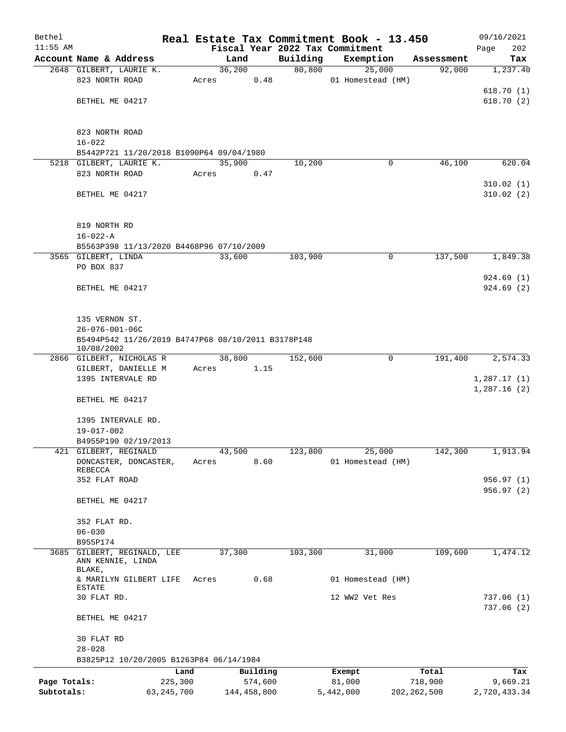| Bethel       |                                                                 |         |             |         |          | Real Estate Tax Commitment Book - 13.450 |               | 09/16/2021                 |  |  |  |
|--------------|-----------------------------------------------------------------|---------|-------------|---------|----------|------------------------------------------|---------------|----------------------------|--|--|--|
| $11:55$ AM   |                                                                 |         |             |         |          | Fiscal Year 2022 Tax Commitment          |               | 202<br>Page                |  |  |  |
|              | Account Name & Address                                          |         | Land        |         | Building | Exemption                                | Assessment    | Tax                        |  |  |  |
|              | 2648 GILBERT, LAURIE K.<br>823 NORTH ROAD                       | Acres   | 36,200      | 0.48    | 80,800   | 25,000<br>01 Homestead (HM)              | 92,000        | 1,237.40                   |  |  |  |
|              |                                                                 |         |             |         |          |                                          |               | 618.70(1)                  |  |  |  |
|              | BETHEL ME 04217                                                 |         |             |         |          |                                          |               | 618.70(2)                  |  |  |  |
|              |                                                                 |         |             |         |          |                                          |               |                            |  |  |  |
|              | 823 NORTH ROAD                                                  |         |             |         |          |                                          |               |                            |  |  |  |
|              | $16 - 022$                                                      |         |             |         |          |                                          |               |                            |  |  |  |
|              | B5442P721 11/20/2018 B1090P64 09/04/1980                        |         |             |         |          |                                          |               |                            |  |  |  |
|              | 5218 GILBERT, LAURIE K.                                         |         | 35,900      |         | 10,200   | 0                                        | 46,100        | 620.04                     |  |  |  |
|              | 823 NORTH ROAD                                                  | Acres   |             | 0.47    |          |                                          |               |                            |  |  |  |
|              | BETHEL ME 04217                                                 |         |             |         |          |                                          |               | 310.02(1)<br>310.02(2)     |  |  |  |
|              |                                                                 |         |             |         |          |                                          |               |                            |  |  |  |
|              |                                                                 |         |             |         |          |                                          |               |                            |  |  |  |
|              | 819 NORTH RD                                                    |         |             |         |          |                                          |               |                            |  |  |  |
|              | $16 - 022 - A$                                                  |         |             |         |          |                                          |               |                            |  |  |  |
|              | B5563P398 11/13/2020 B4468P96 07/10/2009<br>3565 GILBERT, LINDA |         | 33,600      |         | 103,900  | $\mathbf 0$                              | 137,500       | 1,849.38                   |  |  |  |
|              | PO BOX 837                                                      |         |             |         |          |                                          |               |                            |  |  |  |
|              |                                                                 |         |             |         |          |                                          |               | 924.69(1)                  |  |  |  |
|              | BETHEL ME 04217                                                 |         |             |         |          |                                          |               | 924.69(2)                  |  |  |  |
|              |                                                                 |         |             |         |          |                                          |               |                            |  |  |  |
|              |                                                                 |         |             |         |          |                                          |               |                            |  |  |  |
|              | 135 VERNON ST.<br>$26 - 076 - 001 - 06C$                        |         |             |         |          |                                          |               |                            |  |  |  |
|              | B5494P542 11/26/2019 B4747P68 08/10/2011 B3178P148              |         |             |         |          |                                          |               |                            |  |  |  |
|              | 10/08/2002                                                      |         |             |         |          |                                          |               |                            |  |  |  |
|              | 2866 GILBERT, NICHOLAS R                                        |         | 38,800      |         | 152,600  | 0                                        | 191,400       | 2,574.33                   |  |  |  |
|              | GILBERT, DANIELLE M                                             | Acres   |             | 1.15    |          |                                          |               |                            |  |  |  |
|              | 1395 INTERVALE RD                                               |         |             |         |          |                                          |               | 1,287.17(1)<br>1,287.16(2) |  |  |  |
|              | BETHEL ME 04217                                                 |         |             |         |          |                                          |               |                            |  |  |  |
|              |                                                                 |         |             |         |          |                                          |               |                            |  |  |  |
|              | 1395 INTERVALE RD.                                              |         |             |         |          |                                          |               |                            |  |  |  |
|              | $19 - 017 - 002$                                                |         |             |         |          |                                          |               |                            |  |  |  |
|              | B4955P190 02/19/2013<br>421 GILBERT, REGINALD                   |         | 43,500      |         | 123,800  | 25,000                                   | 142,300       | 1,913.94                   |  |  |  |
|              | DONCASTER, DONCASTER,                                           | Acres   |             | 8.60    |          | 01 Homestead (HM)                        |               |                            |  |  |  |
|              | REBECCA                                                         |         |             |         |          |                                          |               |                            |  |  |  |
|              | 352 FLAT ROAD                                                   |         |             |         |          |                                          |               | 956.97 (1)                 |  |  |  |
|              | BETHEL ME 04217                                                 |         |             |         |          |                                          |               | 956.97 (2)                 |  |  |  |
|              |                                                                 |         |             |         |          |                                          |               |                            |  |  |  |
|              | 352 FLAT RD.                                                    |         |             |         |          |                                          |               |                            |  |  |  |
|              | $06 - 030$                                                      |         |             |         |          |                                          |               |                            |  |  |  |
|              | B955P174                                                        |         |             |         |          |                                          |               |                            |  |  |  |
| 3685         | GILBERT, REGINALD, LEE<br>ANN KENNIE, LINDA                     |         | 37,300      |         | 103,300  | 31,000                                   | 109,600       | 1,474.12                   |  |  |  |
|              | BLAKE,                                                          |         |             |         |          |                                          |               |                            |  |  |  |
|              | & MARILYN GILBERT LIFE<br>ESTATE                                | Acres   |             | 0.68    |          | 01 Homestead (HM)                        |               |                            |  |  |  |
|              | 30 FLAT RD.                                                     |         |             |         |          | 12 WW2 Vet Res                           |               | 737.06(1)                  |  |  |  |
|              |                                                                 |         |             |         |          |                                          |               | 737.06(2)                  |  |  |  |
|              | BETHEL ME 04217                                                 |         |             |         |          |                                          |               |                            |  |  |  |
|              |                                                                 |         |             |         |          |                                          |               |                            |  |  |  |
|              | 30 FLAT RD<br>$28 - 028$                                        |         |             |         |          |                                          |               |                            |  |  |  |
|              | B3825P12 10/20/2005 B1263P84 06/14/1984                         |         |             |         |          |                                          |               |                            |  |  |  |
|              |                                                                 | Land    | Building    |         |          | Exempt                                   | Total         | Tax                        |  |  |  |
| Page Totals: |                                                                 | 225,300 |             | 574,600 |          | 81,000                                   | 718,900       | 9,669.21                   |  |  |  |
| Subtotals:   | 63, 245, 700                                                    |         | 144,458,800 |         |          | 5,442,000                                | 202, 262, 500 | 2,720,433.34               |  |  |  |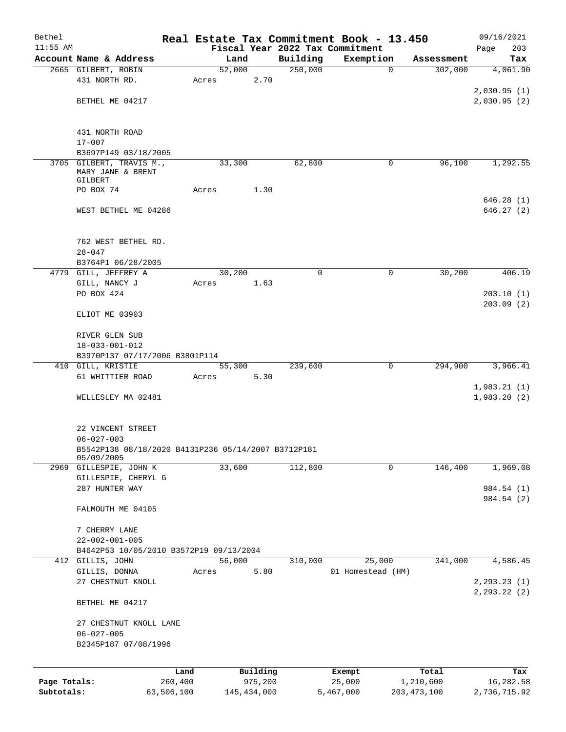| Bethel                     |                                                     |       |                        |                                 | Real Estate Tax Commitment Book - 13.450 |                            | 09/16/2021                |
|----------------------------|-----------------------------------------------------|-------|------------------------|---------------------------------|------------------------------------------|----------------------------|---------------------------|
| $11:55$ AM                 |                                                     |       |                        | Fiscal Year 2022 Tax Commitment |                                          |                            | 203<br>Page               |
|                            | Account Name & Address<br>2665 GILBERT, ROBIN       |       | Land<br>52,000         | Building<br>250,000             | Exemption<br>$\mathbf 0$                 | Assessment<br>302,000      | Tax<br>4,061.90           |
|                            | 431 NORTH RD.                                       | Acres | 2.70                   |                                 |                                          |                            |                           |
|                            |                                                     |       |                        |                                 |                                          |                            | 2,030.95(1)               |
|                            | BETHEL ME 04217                                     |       |                        |                                 |                                          |                            | 2,030.95(2)               |
|                            |                                                     |       |                        |                                 |                                          |                            |                           |
|                            |                                                     |       |                        |                                 |                                          |                            |                           |
|                            | 431 NORTH ROAD                                      |       |                        |                                 |                                          |                            |                           |
|                            | $17 - 007$                                          |       |                        |                                 |                                          |                            |                           |
|                            | B3697P149 03/18/2005                                |       |                        |                                 |                                          |                            |                           |
|                            | 3705 GILBERT, TRAVIS M.,                            |       | 33,300                 | 62,800                          | 0                                        | 96,100                     | 1,292.55                  |
|                            | MARY JANE & BRENT                                   |       |                        |                                 |                                          |                            |                           |
|                            | GILBERT<br>PO BOX 74                                |       | 1.30                   |                                 |                                          |                            |                           |
|                            |                                                     | Acres |                        |                                 |                                          |                            | 646.28(1)                 |
|                            | WEST BETHEL ME 04286                                |       |                        |                                 |                                          |                            | 646.27(2)                 |
|                            |                                                     |       |                        |                                 |                                          |                            |                           |
|                            |                                                     |       |                        |                                 |                                          |                            |                           |
|                            | 762 WEST BETHEL RD.                                 |       |                        |                                 |                                          |                            |                           |
|                            | $28 - 047$                                          |       |                        |                                 |                                          |                            |                           |
|                            | B3764P1 06/28/2005                                  |       |                        |                                 |                                          |                            |                           |
|                            | 4779 GILL, JEFFREY A                                |       | 30,200                 | 0                               | 0                                        | 30,200                     | 406.19                    |
|                            | GILL, NANCY J                                       | Acres | 1.63                   |                                 |                                          |                            |                           |
|                            | PO BOX 424                                          |       |                        |                                 |                                          |                            | 203.10(1)                 |
|                            |                                                     |       |                        |                                 |                                          |                            | 203.09(2)                 |
|                            | ELIOT ME 03903                                      |       |                        |                                 |                                          |                            |                           |
|                            |                                                     |       |                        |                                 |                                          |                            |                           |
|                            | RIVER GLEN SUB                                      |       |                        |                                 |                                          |                            |                           |
|                            | $18 - 033 - 001 - 012$                              |       |                        |                                 |                                          |                            |                           |
|                            | B3970P137 07/17/2006 B3801P114                      |       |                        |                                 |                                          |                            |                           |
|                            | 410 GILL, KRISTIE                                   |       | 55,300                 | 239,600                         | $\mathbf 0$                              | 294,900                    | 3,966.41                  |
|                            | 61 WHITTIER ROAD                                    | Acres | 5.30                   |                                 |                                          |                            |                           |
|                            |                                                     |       |                        |                                 |                                          |                            | 1,983.21(1)               |
|                            | WELLESLEY MA 02481                                  |       |                        |                                 |                                          |                            | 1,983.20(2)               |
|                            |                                                     |       |                        |                                 |                                          |                            |                           |
|                            | 22 VINCENT STREET                                   |       |                        |                                 |                                          |                            |                           |
|                            | $06 - 027 - 003$                                    |       |                        |                                 |                                          |                            |                           |
|                            | B5542P138 08/18/2020 B4131P236 05/14/2007 B3712P181 |       |                        |                                 |                                          |                            |                           |
|                            | 05/09/2005                                          |       |                        |                                 |                                          |                            |                           |
|                            | 2969 GILLESPIE, JOHN K                              |       | 33,600                 | 112,800                         | 0                                        | 146,400                    | 1,969.08                  |
|                            | GILLESPIE, CHERYL G                                 |       |                        |                                 |                                          |                            |                           |
|                            | 287 HUNTER WAY                                      |       |                        |                                 |                                          |                            | 984.54 (1)                |
|                            |                                                     |       |                        |                                 |                                          |                            | 984.54 (2)                |
|                            | FALMOUTH ME 04105                                   |       |                        |                                 |                                          |                            |                           |
|                            |                                                     |       |                        |                                 |                                          |                            |                           |
|                            | 7 CHERRY LANE                                       |       |                        |                                 |                                          |                            |                           |
|                            | $22 - 002 - 001 - 005$                              |       |                        |                                 |                                          |                            |                           |
|                            | B4642P53 10/05/2010 B3572P19 09/13/2004             |       | 56,000                 |                                 |                                          |                            |                           |
|                            | 412 GILLIS, JOHN                                    |       | 5.80                   | 310,000                         | 25,000                                   | 341,000                    | 4,586.45                  |
|                            | GILLIS, DONNA<br>27 CHESTNUT KNOLL                  | Acres |                        |                                 | 01 Homestead (HM)                        |                            | 2, 293.23(1)              |
|                            |                                                     |       |                        |                                 |                                          |                            | 2, 293.22 (2)             |
|                            | BETHEL ME 04217                                     |       |                        |                                 |                                          |                            |                           |
|                            |                                                     |       |                        |                                 |                                          |                            |                           |
|                            | 27 CHESTNUT KNOLL LANE                              |       |                        |                                 |                                          |                            |                           |
|                            | $06 - 027 - 005$                                    |       |                        |                                 |                                          |                            |                           |
|                            | B2345P187 07/08/1996                                |       |                        |                                 |                                          |                            |                           |
|                            |                                                     |       |                        |                                 |                                          |                            |                           |
|                            |                                                     |       |                        |                                 |                                          |                            |                           |
|                            |                                                     | Land  | Building               |                                 | Exempt                                   | Total                      | Tax                       |
| Page Totals:<br>Subtotals: | 260,400                                             |       | 975,200<br>145,434,000 |                                 | 25,000<br>5,467,000                      | 1,210,600<br>203, 473, 100 | 16,282.58<br>2,736,715.92 |
|                            | 63,506,100                                          |       |                        |                                 |                                          |                            |                           |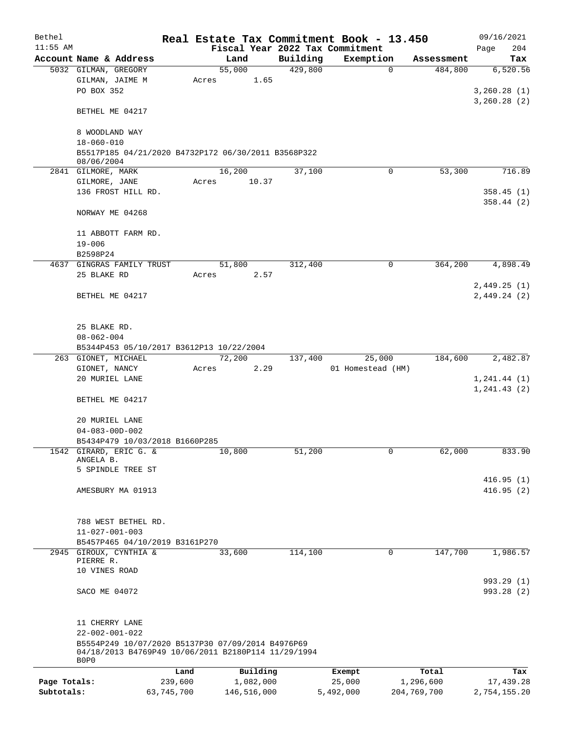| Bethel       |                                                                                                          |       |                |          | Real Estate Tax Commitment Book - 13.450 |               | 09/16/2021                    |  |  |  |
|--------------|----------------------------------------------------------------------------------------------------------|-------|----------------|----------|------------------------------------------|---------------|-------------------------------|--|--|--|
| $11:55$ AM   |                                                                                                          |       |                |          | Fiscal Year 2022 Tax Commitment          |               | Page<br>204                   |  |  |  |
|              | Account Name & Address                                                                                   |       | Land           | Building | Exemption                                | Assessment    | Tax                           |  |  |  |
|              | 5032 GILMAN, GREGORY<br>GILMAN, JAIME M                                                                  | Acres | 55,000<br>1.65 | 429,800  | $\mathbf 0$                              | 484,800       | 6,520.56                      |  |  |  |
|              | PO BOX 352                                                                                               |       |                |          |                                          |               | 3, 260.28(1)<br>3,260.28(2)   |  |  |  |
|              | BETHEL ME 04217                                                                                          |       |                |          |                                          |               |                               |  |  |  |
|              | 8 WOODLAND WAY<br>$18 - 060 - 010$                                                                       |       |                |          |                                          |               |                               |  |  |  |
|              | B5517P185 04/21/2020 B4732P172 06/30/2011 B3568P322<br>08/06/2004                                        |       |                |          |                                          |               |                               |  |  |  |
|              | 2841 GILMORE, MARK                                                                                       |       | 16,200         | 37,100   | 0                                        | 53,300        | 716.89                        |  |  |  |
|              | GILMORE, JANE                                                                                            | Acres | 10.37          |          |                                          |               |                               |  |  |  |
|              | 136 FROST HILL RD.                                                                                       |       |                |          |                                          |               | 358.45(1)<br>358.44(2)        |  |  |  |
|              | NORWAY ME 04268                                                                                          |       |                |          |                                          |               |                               |  |  |  |
|              | 11 ABBOTT FARM RD.                                                                                       |       |                |          |                                          |               |                               |  |  |  |
|              | $19 - 006$                                                                                               |       |                |          |                                          |               |                               |  |  |  |
|              | B2598P24                                                                                                 |       |                |          |                                          |               |                               |  |  |  |
|              | 4637 GINGRAS FAMILY TRUST                                                                                |       | 51,800         | 312,400  | 0                                        | 364,200       | 4,898.49                      |  |  |  |
|              | 25 BLAKE RD                                                                                              | Acres | 2.57           |          |                                          |               |                               |  |  |  |
|              |                                                                                                          |       |                |          |                                          |               | 2,449.25(1)                   |  |  |  |
|              | BETHEL ME 04217                                                                                          |       |                |          |                                          |               | 2,449.24(2)                   |  |  |  |
|              | 25 BLAKE RD.                                                                                             |       |                |          |                                          |               |                               |  |  |  |
|              | $08 - 062 - 004$                                                                                         |       |                |          |                                          |               |                               |  |  |  |
|              | B5344P453 05/10/2017 B3612P13 10/22/2004                                                                 |       |                |          |                                          |               |                               |  |  |  |
|              | 263 GIONET, MICHAEL                                                                                      |       | 72,200         | 137,400  | 25,000                                   | 184,600       | 2,482.87                      |  |  |  |
|              | GIONET, NANCY                                                                                            | Acres | 2.29           |          | 01 Homestead (HM)                        |               |                               |  |  |  |
|              | 20 MURIEL LANE                                                                                           |       |                |          |                                          |               | 1, 241.44 (1)<br>1, 241.43(2) |  |  |  |
|              | BETHEL ME 04217                                                                                          |       |                |          |                                          |               |                               |  |  |  |
|              | 20 MURIEL LANE                                                                                           |       |                |          |                                          |               |                               |  |  |  |
|              | $04 - 083 - 00D - 002$                                                                                   |       |                |          |                                          |               |                               |  |  |  |
|              | B5434P479 10/03/2018 B1660P285<br>1542 GIRARD, ERIC G. &                                                 |       | 10,800         | 51,200   | 0                                        | 62,000        | 833.90                        |  |  |  |
|              | ANGELA B.                                                                                                |       |                |          |                                          |               |                               |  |  |  |
|              | 5 SPINDLE TREE ST                                                                                        |       |                |          |                                          |               |                               |  |  |  |
|              |                                                                                                          |       |                |          |                                          |               | 416.95(1)                     |  |  |  |
|              | AMESBURY MA 01913                                                                                        |       |                |          |                                          |               | 416.95(2)                     |  |  |  |
|              | 788 WEST BETHEL RD.                                                                                      |       |                |          |                                          |               |                               |  |  |  |
|              | $11 - 027 - 001 - 003$                                                                                   |       |                |          |                                          |               |                               |  |  |  |
|              | B5457P465 04/10/2019 B3161P270                                                                           |       |                |          |                                          |               |                               |  |  |  |
|              | 2945 GIROUX, CYNTHIA &                                                                                   |       | 33,600         | 114,100  | $\mathbf 0$                              | 147,700       | 1,986.57                      |  |  |  |
|              | PIERRE R.                                                                                                |       |                |          |                                          |               |                               |  |  |  |
|              | 10 VINES ROAD                                                                                            |       |                |          |                                          |               |                               |  |  |  |
|              | SACO ME 04072                                                                                            |       |                |          |                                          |               | 993.29 (1)<br>993.28 (2)      |  |  |  |
|              |                                                                                                          |       |                |          |                                          |               |                               |  |  |  |
|              | 11 CHERRY LANE                                                                                           |       |                |          |                                          |               |                               |  |  |  |
|              | $22 - 002 - 001 - 022$                                                                                   |       |                |          |                                          |               |                               |  |  |  |
|              | B5554P249 10/07/2020 B5137P30 07/09/2014 B4976P69<br>04/18/2013 B4769P49 10/06/2011 B2180P114 11/29/1994 |       |                |          |                                          |               |                               |  |  |  |
|              | B0P0                                                                                                     |       |                |          |                                          |               |                               |  |  |  |
|              | Land                                                                                                     |       | Building       |          | Exempt                                   | Total         | Tax                           |  |  |  |
| Page Totals: | 239,600                                                                                                  |       | 1,082,000      |          | 25,000                                   | 1,296,600     | 17,439.28                     |  |  |  |
| Subtotals:   | 63,745,700                                                                                               |       | 146,516,000    |          | 5,492,000                                | 204, 769, 700 | 2,754,155.20                  |  |  |  |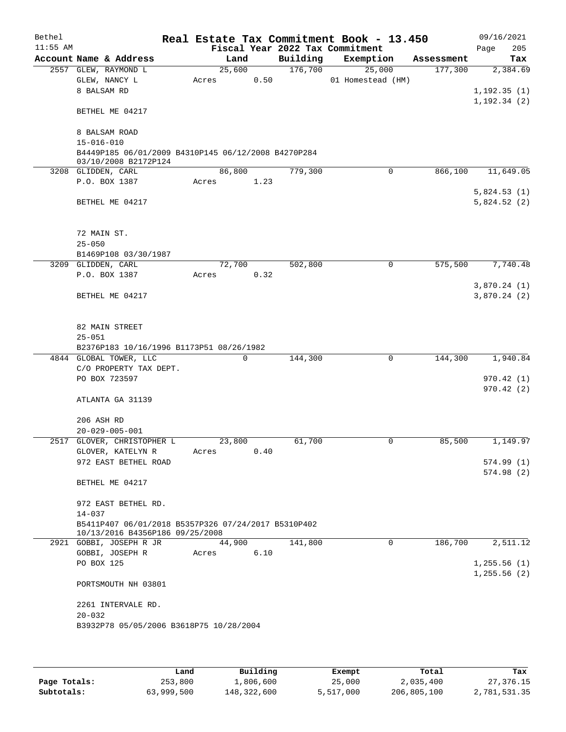| Bethel     |                              |                                                                                        |        |             |          | Real Estate Tax Commitment Book - 13.450 |            | 09/16/2021                  |
|------------|------------------------------|----------------------------------------------------------------------------------------|--------|-------------|----------|------------------------------------------|------------|-----------------------------|
| $11:55$ AM |                              |                                                                                        |        |             |          | Fiscal Year 2022 Tax Commitment          |            | 205<br>Page                 |
|            | Account Name & Address       |                                                                                        | Land   |             | Building | Exemption                                | Assessment | Tax                         |
|            | 2557 GLEW, RAYMOND L         |                                                                                        | 25,600 |             | 176,700  | 25,000                                   | 177,300    | 2,384.69                    |
|            | GLEW, NANCY L<br>8 BALSAM RD |                                                                                        | Acres  | 0.50        |          | 01 Homestead (HM)                        |            | 1,192.35(1)                 |
|            |                              |                                                                                        |        |             |          |                                          |            | 1, 192.34(2)                |
|            | BETHEL ME 04217              |                                                                                        |        |             |          |                                          |            |                             |
|            | 8 BALSAM ROAD                |                                                                                        |        |             |          |                                          |            |                             |
|            | $15 - 016 - 010$             |                                                                                        |        |             |          |                                          |            |                             |
|            |                              | B4449P185 06/01/2009 B4310P145 06/12/2008 B4270P284<br>03/10/2008 B2172P124            |        |             |          |                                          |            |                             |
|            | 3208 GLIDDEN, CARL           |                                                                                        | 86,800 |             | 779,300  | $\mathbf 0$                              | 866,100    | 11,649.05                   |
|            | P.O. BOX 1387                |                                                                                        | Acres  | 1.23        |          |                                          |            |                             |
|            | BETHEL ME 04217              |                                                                                        |        |             |          |                                          |            | 5,824.53(1)<br>5,824.52(2)  |
|            | 72 MAIN ST.                  |                                                                                        |        |             |          |                                          |            |                             |
|            | $25 - 050$                   | B1469P108 03/30/1987                                                                   |        |             |          |                                          |            |                             |
|            | 3209 GLIDDEN, CARL           |                                                                                        | 72,700 |             | 502,800  | 0                                        | 575,500    | 7,740.48                    |
|            | P.O. BOX 1387                |                                                                                        | Acres  | 0.32        |          |                                          |            |                             |
|            | BETHEL ME 04217              |                                                                                        |        |             |          |                                          |            | 3,870.24(1)<br>3,870.24 (2) |
|            | 82 MAIN STREET<br>$25 - 051$ |                                                                                        |        |             |          |                                          |            |                             |
|            |                              | B2376P183 10/16/1996 B1173P51 08/26/1982                                               |        |             |          |                                          |            |                             |
|            | 4844 GLOBAL TOWER, LLC       | C/O PROPERTY TAX DEPT.                                                                 |        | $\mathbf 0$ | 144,300  | $\mathbf 0$                              | 144,300    | 1,940.84                    |
|            | PO BOX 723597                |                                                                                        |        |             |          |                                          |            | 970.42(1)                   |
|            |                              |                                                                                        |        |             |          |                                          |            | 970.42(2)                   |
|            | ATLANTA GA 31139             |                                                                                        |        |             |          |                                          |            |                             |
|            | 206 ASH RD                   |                                                                                        |        |             |          |                                          |            |                             |
|            | $20 - 029 - 005 - 001$       |                                                                                        |        |             |          |                                          |            |                             |
|            |                              | 2517 GLOVER, CHRISTOPHER L                                                             | 23,800 |             | 61,700   | 0                                        | 85,500     | 1,149.97                    |
|            | GLOVER, KATELYN R            |                                                                                        | Acres  | 0.40        |          |                                          |            |                             |
|            |                              | 972 EAST BETHEL ROAD                                                                   |        |             |          |                                          |            | 574.99(1)<br>574.98(2)      |
|            | BETHEL ME 04217              |                                                                                        |        |             |          |                                          |            |                             |
|            | 972 EAST BETHEL RD.          |                                                                                        |        |             |          |                                          |            |                             |
|            | $14 - 037$                   |                                                                                        |        |             |          |                                          |            |                             |
|            |                              | B5411P407 06/01/2018 B5357P326 07/24/2017 B5310P402<br>10/13/2016 B4356P186 09/25/2008 |        |             |          |                                          |            |                             |
|            | 2921 GOBBI, JOSEPH R JR      |                                                                                        | 44,900 |             | 141,800  | $\Omega$                                 | 186,700    | 2,511.12                    |
|            | GOBBI, JOSEPH R              |                                                                                        | Acres  | 6.10        |          |                                          |            |                             |
|            | PO BOX 125                   |                                                                                        |        |             |          |                                          |            | 1, 255.56(1)                |
|            | PORTSMOUTH NH 03801          |                                                                                        |        |             |          |                                          |            | 1, 255.56(2)                |
|            | 2261 INTERVALE RD.           |                                                                                        |        |             |          |                                          |            |                             |
|            | $20 - 032$                   |                                                                                        |        |             |          |                                          |            |                             |
|            |                              | B3932P78 05/05/2006 B3618P75 10/28/2004                                                |        |             |          |                                          |            |                             |
|            |                              |                                                                                        |        |             |          |                                          |            |                             |

|              | Land       | Building    | Exempt    | Total       | Tax          |
|--------------|------------|-------------|-----------|-------------|--------------|
| Page Totals: | 253,800    | 1,806,600   | 25,000    | 2,035,400   | 27,376.15    |
| Subtotals:   | 63,999,500 | 148,322,600 | 5,517,000 | 206,805,100 | 2,781,531.35 |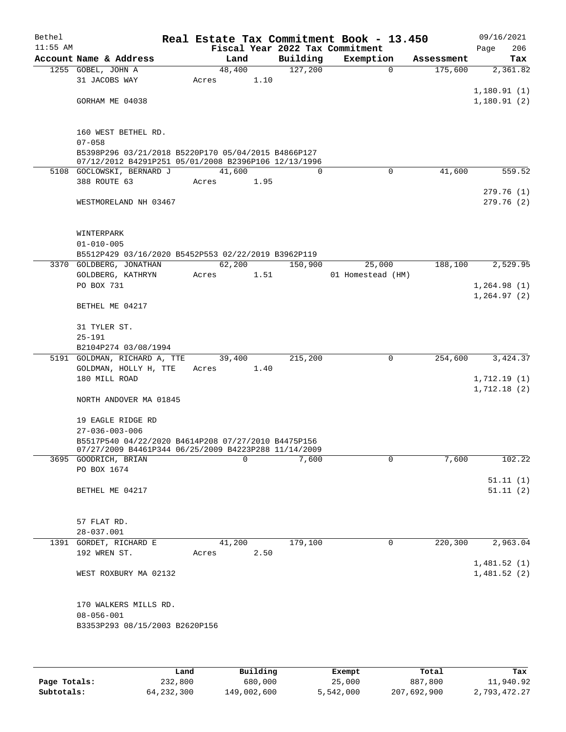| Bethel     |                                                      |        |          |          | Real Estate Tax Commitment Book - 13.450 |            | 09/16/2021                 |
|------------|------------------------------------------------------|--------|----------|----------|------------------------------------------|------------|----------------------------|
| $11:55$ AM |                                                      |        |          |          | Fiscal Year 2022 Tax Commitment          |            | 206<br>Page                |
|            | Account Name & Address                               |        | Land     | Building | Exemption                                | Assessment | Tax                        |
|            | 1255 GOBEL, JOHN A                                   |        | 48,400   | 127,200  | $\mathbf 0$                              | 175,600    | 2,361.82                   |
|            | 31 JACOBS WAY                                        | Acres  | 1.10     |          |                                          |            |                            |
|            |                                                      |        |          |          |                                          |            | 1,180.91(1)                |
|            | GORHAM ME 04038                                      |        |          |          |                                          |            | 1,180.91(2)                |
|            |                                                      |        |          |          |                                          |            |                            |
|            | 160 WEST BETHEL RD.                                  |        |          |          |                                          |            |                            |
|            | $07 - 058$                                           |        |          |          |                                          |            |                            |
|            | B5398P296 03/21/2018 B5220P170 05/04/2015 B4866P127  |        |          |          |                                          |            |                            |
|            | 07/12/2012 B4291P251 05/01/2008 B2396P106 12/13/1996 |        |          |          |                                          |            |                            |
|            | 5108 GOCLOWSKI, BERNARD J                            | 41,600 |          | $\Omega$ | $\Omega$                                 | 41,600     | 559.52                     |
|            | 388 ROUTE 63                                         | Acres  | 1.95     |          |                                          |            |                            |
|            |                                                      |        |          |          |                                          |            | 279.76(1)                  |
|            | WESTMORELAND NH 03467                                |        |          |          |                                          |            | 279.76 (2)                 |
|            |                                                      |        |          |          |                                          |            |                            |
|            | WINTERPARK                                           |        |          |          |                                          |            |                            |
|            | $01 - 010 - 005$                                     |        |          |          |                                          |            |                            |
|            | B5512P429 03/16/2020 B5452P553 02/22/2019 B3962P119  |        |          |          |                                          |            |                            |
|            | 3370 GOLDBERG, JONATHAN                              |        | 62,200   | 150,900  | 25,000                                   | 188,100    | 2,529.95                   |
|            | GOLDBERG, KATHRYN                                    | Acres  | 1.51     |          | 01 Homestead (HM)                        |            |                            |
|            | PO BOX 731                                           |        |          |          |                                          |            | 1,264.98(1)                |
|            |                                                      |        |          |          |                                          |            | 1,264.97(2)                |
|            | BETHEL ME 04217                                      |        |          |          |                                          |            |                            |
|            |                                                      |        |          |          |                                          |            |                            |
|            | 31 TYLER ST.                                         |        |          |          |                                          |            |                            |
|            | $25 - 191$                                           |        |          |          |                                          |            |                            |
|            | B2104P274 03/08/1994                                 |        |          |          |                                          |            |                            |
|            | 5191 GOLDMAN, RICHARD A, TTE                         |        | 39,400   | 215,200  | 0                                        | 254,600    | 3,424.37                   |
|            | GOLDMAN, HOLLY H, TTE                                | Acres  | 1.40     |          |                                          |            |                            |
|            | 180 MILL ROAD                                        |        |          |          |                                          |            | 1,712.19(1)<br>1,712.18(2) |
|            | NORTH ANDOVER MA 01845                               |        |          |          |                                          |            |                            |
|            |                                                      |        |          |          |                                          |            |                            |
|            | 19 EAGLE RIDGE RD                                    |        |          |          |                                          |            |                            |
|            | $27 - 036 - 003 - 006$                               |        |          |          |                                          |            |                            |
|            | B5517P540 04/22/2020 B4614P208 07/27/2010 B4475P156  |        |          |          |                                          |            |                            |
|            | 07/27/2009 B4461P344 06/25/2009 B4223P288 11/14/2009 |        |          |          |                                          |            |                            |
|            | 3695 GOODRICH, BRIAN                                 |        | $\Omega$ | 7,600    | 0                                        | 7,600      | 102.22                     |
|            | PO BOX 1674                                          |        |          |          |                                          |            |                            |
|            |                                                      |        |          |          |                                          |            | 51.11(1)<br>51.11(2)       |
|            | BETHEL ME 04217                                      |        |          |          |                                          |            |                            |
|            |                                                      |        |          |          |                                          |            |                            |
|            | 57 FLAT RD.                                          |        |          |          |                                          |            |                            |
|            | $28 - 037.001$                                       |        |          |          |                                          |            |                            |
|            | 1391 GORDET, RICHARD E                               |        | 41,200   | 179,100  | 0                                        | 220,300    | 2,963.04                   |
|            | 192 WREN ST.                                         | Acres  | 2.50     |          |                                          |            |                            |
|            |                                                      |        |          |          |                                          |            | 1,481.52(1)                |
|            | WEST ROXBURY MA 02132                                |        |          |          |                                          |            | 1,481.52(2)                |
|            |                                                      |        |          |          |                                          |            |                            |
|            |                                                      |        |          |          |                                          |            |                            |
|            | 170 WALKERS MILLS RD.                                |        |          |          |                                          |            |                            |
|            | $08 - 056 - 001$                                     |        |          |          |                                          |            |                            |
|            | B3353P293 08/15/2003 B2620P156                       |        |          |          |                                          |            |                            |
|            |                                                      |        |          |          |                                          |            |                            |
|            |                                                      |        |          |          |                                          |            |                            |

|              | Land       | Building    | Exempt    | Total       | Tax          |
|--------------|------------|-------------|-----------|-------------|--------------|
| Page Totals: | 232,800    | 680,000     | 25,000    | 887,800     | 11,940.92    |
| Subtotals:   | 64,232,300 | 149,002,600 | 5,542,000 | 207,692,900 | 2,793,472.27 |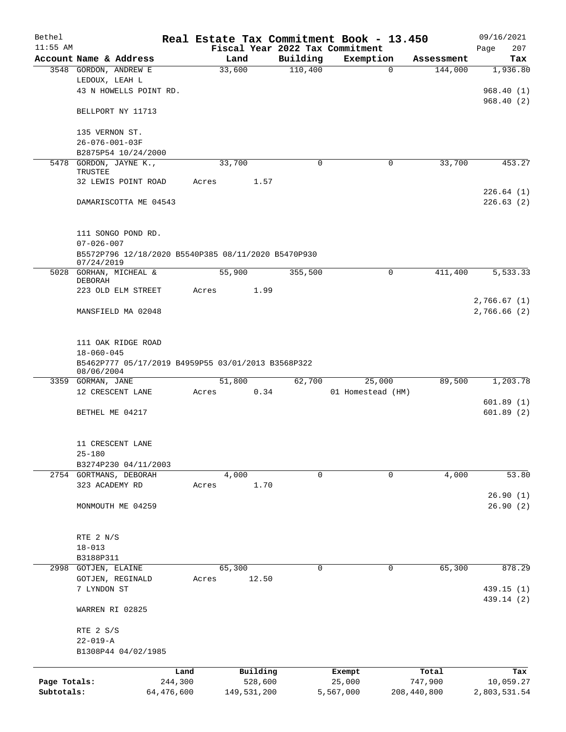| Bethel       |                                                                   |       |             |          | Real Estate Tax Commitment Book - 13.450 |             | 09/16/2021   |
|--------------|-------------------------------------------------------------------|-------|-------------|----------|------------------------------------------|-------------|--------------|
| $11:55$ AM   |                                                                   |       |             |          | Fiscal Year 2022 Tax Commitment          |             | 207<br>Page  |
|              | Account Name & Address                                            |       | Land        | Building | Exemption                                | Assessment  | Tax          |
|              | 3548 GORDON, ANDREW E                                             |       | 33,600      | 110,400  | $\mathbf 0$                              | 144,000     | 1,936.80     |
|              | LEDOUX, LEAH L                                                    |       |             |          |                                          |             |              |
|              | 43 N HOWELLS POINT RD.                                            |       |             |          |                                          |             | 968.40(1)    |
|              |                                                                   |       |             |          |                                          |             | 968.40(2)    |
|              | BELLPORT NY 11713                                                 |       |             |          |                                          |             |              |
|              | 135 VERNON ST.                                                    |       |             |          |                                          |             |              |
|              | $26 - 076 - 001 - 03F$                                            |       |             |          |                                          |             |              |
|              | B2875P54 10/24/2000                                               |       |             |          |                                          |             |              |
| 5478         | GORDON, JAYNE K.,                                                 |       | 33,700      | 0        | 0                                        | 33,700      | 453.27       |
|              | TRUSTEE                                                           |       |             |          |                                          |             |              |
|              | 32 LEWIS POINT ROAD                                               | Acres | 1.57        |          |                                          |             |              |
|              |                                                                   |       |             |          |                                          |             | 226.64(1)    |
|              | DAMARISCOTTA ME 04543                                             |       |             |          |                                          |             | 226.63(2)    |
|              |                                                                   |       |             |          |                                          |             |              |
|              |                                                                   |       |             |          |                                          |             |              |
|              | 111 SONGO POND RD.                                                |       |             |          |                                          |             |              |
|              | $07 - 026 - 007$                                                  |       |             |          |                                          |             |              |
|              | B5572P796 12/18/2020 B5540P385 08/11/2020 B5470P930<br>07/24/2019 |       |             |          |                                          |             |              |
|              | 5028 GORHAN, MICHEAL &                                            |       | 55,900      | 355,500  | 0                                        | 411,400     | 5,533.33     |
|              | DEBORAH                                                           |       |             |          |                                          |             |              |
|              | 223 OLD ELM STREET                                                | Acres | 1.99        |          |                                          |             |              |
|              |                                                                   |       |             |          |                                          |             | 2,766.67(1)  |
|              | MANSFIELD MA 02048                                                |       |             |          |                                          |             | 2,766.66(2)  |
|              |                                                                   |       |             |          |                                          |             |              |
|              |                                                                   |       |             |          |                                          |             |              |
|              | 111 OAK RIDGE ROAD                                                |       |             |          |                                          |             |              |
|              | $18 - 060 - 045$                                                  |       |             |          |                                          |             |              |
|              | B5462P777 05/17/2019 B4959P55 03/01/2013 B3568P322<br>08/06/2004  |       |             |          |                                          |             |              |
|              | 3359 GORMAN, JANE                                                 |       | 51,800      | 62,700   | 25,000                                   | 89,500      | 1,203.78     |
|              | 12 CRESCENT LANE                                                  | Acres | 0.34        |          | 01 Homestead (HM)                        |             |              |
|              |                                                                   |       |             |          |                                          |             | 601.89(1)    |
|              | BETHEL ME 04217                                                   |       |             |          |                                          |             | 601.89(2)    |
|              |                                                                   |       |             |          |                                          |             |              |
|              |                                                                   |       |             |          |                                          |             |              |
|              | 11 CRESCENT LANE                                                  |       |             |          |                                          |             |              |
|              | $25 - 180$                                                        |       |             |          |                                          |             |              |
|              | B3274P230 04/11/2003                                              |       |             |          |                                          |             |              |
|              | 2754 GORTMANS, DEBORAH                                            |       | 4,000       | 0        | 0                                        | 4,000       | 53.80        |
|              | 323 ACADEMY RD                                                    | Acres | 1.70        |          |                                          |             |              |
|              |                                                                   |       |             |          |                                          |             | 26.90(1)     |
|              | MONMOUTH ME 04259                                                 |       |             |          |                                          |             | 26.90(2)     |
|              |                                                                   |       |             |          |                                          |             |              |
|              |                                                                   |       |             |          |                                          |             |              |
|              | RTE 2 N/S                                                         |       |             |          |                                          |             |              |
|              | $18 - 013$                                                        |       |             |          |                                          |             |              |
|              | B3188P311                                                         |       |             |          |                                          |             |              |
| 2998         | GOTJEN, ELAINE                                                    |       | 65,300      | 0        | 0                                        | 65,300      | 878.29       |
|              | GOTJEN, REGINALD                                                  | Acres | 12.50       |          |                                          |             |              |
|              | 7 LYNDON ST                                                       |       |             |          |                                          |             | 439.15 (1)   |
|              | WARREN RI 02825                                                   |       |             |          |                                          |             | 439.14 (2)   |
|              |                                                                   |       |             |          |                                          |             |              |
|              | RTE 2 S/S                                                         |       |             |          |                                          |             |              |
|              | $22 - 019 - A$                                                    |       |             |          |                                          |             |              |
|              | B1308P44 04/02/1985                                               |       |             |          |                                          |             |              |
|              |                                                                   |       |             |          |                                          |             |              |
|              | Land                                                              |       | Building    |          | Exempt                                   | Total       | Tax          |
| Page Totals: | 244,300                                                           |       | 528,600     |          | 25,000                                   | 747,900     | 10,059.27    |
| Subtotals:   | 64,476,600                                                        |       | 149,531,200 |          | 5,567,000                                | 208,440,800 | 2,803,531.54 |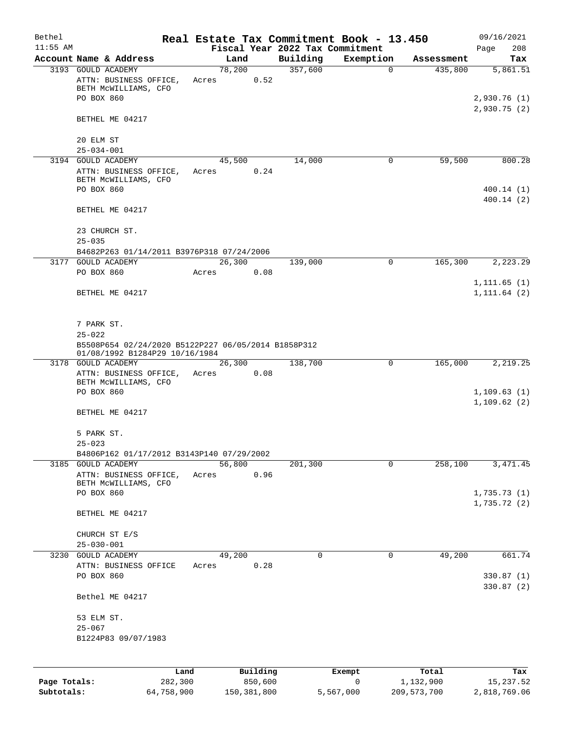| Bethel       |                                                                                                             |            |         |               |                                 | Real Estate Tax Commitment Book - 13.450 |               | 09/16/2021                    |
|--------------|-------------------------------------------------------------------------------------------------------------|------------|---------|---------------|---------------------------------|------------------------------------------|---------------|-------------------------------|
| $11:55$ AM   |                                                                                                             |            |         |               | Fiscal Year 2022 Tax Commitment |                                          |               | 208<br>Page                   |
|              | Account Name & Address                                                                                      |            | Land    |               | Building                        | Exemption                                | Assessment    | Tax                           |
|              | 3193 GOULD ACADEMY<br>ATTN: BUSINESS OFFICE,<br>BETH MCWILLIAMS, CFO                                        | Acres      | 78,200  | 0.52          | 357,600                         | $\mathbf 0$                              | 435,800       | 5,861.51                      |
|              | PO BOX 860                                                                                                  |            |         |               |                                 |                                          |               | 2,930.76 (1)<br>2,930.75 (2)  |
|              | BETHEL ME 04217                                                                                             |            |         |               |                                 |                                          |               |                               |
|              | 20 ELM ST<br>$25 - 034 - 001$                                                                               |            |         |               |                                 |                                          |               |                               |
|              | 3194 GOULD ACADEMY                                                                                          |            | 45,500  |               | 14,000                          | 0                                        | 59,500        | 800.28                        |
|              | ATTN: BUSINESS OFFICE,<br>BETH MCWILLIAMS, CFO                                                              | Acres      |         | 0.24          |                                 |                                          |               |                               |
|              | PO BOX 860                                                                                                  |            |         |               |                                 |                                          |               | 400.14(1)<br>400.14(2)        |
|              | BETHEL ME 04217                                                                                             |            |         |               |                                 |                                          |               |                               |
|              | 23 CHURCH ST.<br>$25 - 035$                                                                                 |            |         |               |                                 |                                          |               |                               |
|              | B4682P263 01/14/2011 B3976P318 07/24/2006                                                                   |            |         |               |                                 |                                          |               |                               |
|              | 3177 GOULD ACADEMY                                                                                          |            | 26, 300 |               | 139,000                         | 0                                        | 165,300       | 2,223.29                      |
|              | PO BOX 860                                                                                                  | Acres      |         | 0.08          |                                 |                                          |               |                               |
|              | BETHEL ME 04217                                                                                             |            |         |               |                                 |                                          |               | 1, 111.65(1)<br>1, 111.64 (2) |
|              |                                                                                                             |            |         |               |                                 |                                          |               |                               |
|              | 7 PARK ST.                                                                                                  |            |         |               |                                 |                                          |               |                               |
|              | $25 - 022$                                                                                                  |            |         |               |                                 |                                          |               |                               |
|              | B5508P654 02/24/2020 B5122P227 06/05/2014 B1858P312<br>01/08/1992 B1284P29 10/16/1984<br>3178 GOULD ACADEMY |            | 26,300  |               | 138,700                         | 0                                        | 165,000       | 2,219.25                      |
|              | ATTN: BUSINESS OFFICE,<br>BETH MCWILLIAMS, CFO                                                              | Acres      |         | 0.08          |                                 |                                          |               |                               |
|              | PO BOX 860                                                                                                  |            |         |               |                                 |                                          |               | 1,109.63(1)<br>1,109.62(2)    |
|              | BETHEL ME 04217                                                                                             |            |         |               |                                 |                                          |               |                               |
|              | 5 PARK ST.                                                                                                  |            |         |               |                                 |                                          |               |                               |
|              | $25 - 023$<br>B4806P162 01/17/2012 B3143P140 07/29/2002                                                     |            |         |               |                                 |                                          |               |                               |
|              | 3185 GOULD ACADEMY                                                                                          |            | 56,800  |               | 201,300                         | 0                                        | 258,100       | 3, 471.45                     |
|              | ATTN: BUSINESS OFFICE,<br>BETH MCWILLIAMS, CFO                                                              | Acres      |         | 0.96          |                                 |                                          |               |                               |
|              | PO BOX 860                                                                                                  |            |         |               |                                 |                                          |               | 1,735.73(1)<br>1,735.72(2)    |
|              | BETHEL ME 04217                                                                                             |            |         |               |                                 |                                          |               |                               |
|              | CHURCH ST E/S<br>$25 - 030 - 001$                                                                           |            |         |               |                                 |                                          |               |                               |
|              | 3230 GOULD ACADEMY                                                                                          |            | 49,200  |               | $\mathbf 0$                     | 0                                        | 49,200        | 661.74                        |
|              | ATTN: BUSINESS OFFICE                                                                                       | Acres      |         | 0.28          |                                 |                                          |               |                               |
|              | PO BOX 860                                                                                                  |            |         |               |                                 |                                          |               | 330.87 (1)<br>330.87 (2)      |
|              | Bethel ME 04217                                                                                             |            |         |               |                                 |                                          |               |                               |
|              | 53 ELM ST.<br>$25 - 067$                                                                                    |            |         |               |                                 |                                          |               |                               |
|              | B1224P83 09/07/1983                                                                                         |            |         |               |                                 |                                          |               |                               |
|              |                                                                                                             | Land       |         | Building      |                                 | Exempt                                   | Total         | Tax                           |
| Page Totals: |                                                                                                             | 282,300    |         | 850,600       |                                 | $\mathbf 0$                              | 1,132,900     | 15, 237.52                    |
| Subtotals:   |                                                                                                             | 64,758,900 |         | 150, 381, 800 |                                 | 5,567,000                                | 209, 573, 700 | 2,818,769.06                  |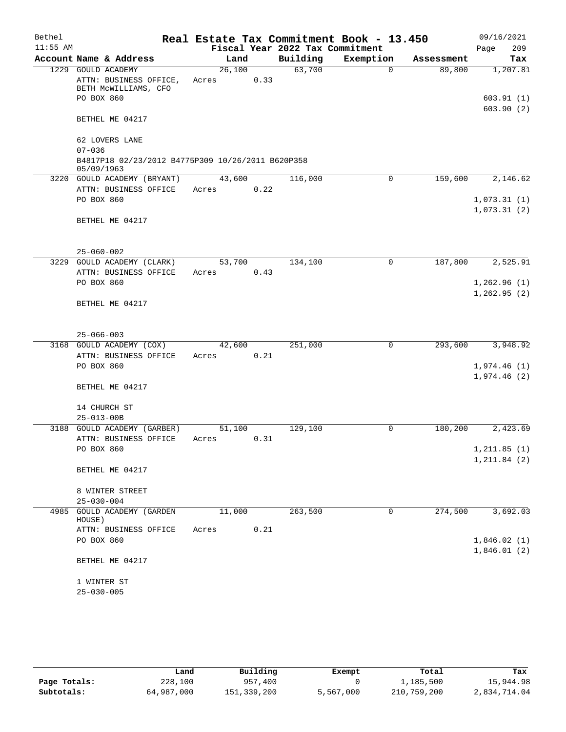| Bethel     |                                                                                    |                 |        |                                 | Real Estate Tax Commitment Book - 13.450 |            | 09/16/2021                 |
|------------|------------------------------------------------------------------------------------|-----------------|--------|---------------------------------|------------------------------------------|------------|----------------------------|
| $11:55$ AM |                                                                                    |                 |        | Fiscal Year 2022 Tax Commitment |                                          |            | 209<br>Page                |
|            | Account Name & Address                                                             | Land            |        | Building                        | Exemption                                | Assessment | Tax                        |
|            | 1229 GOULD ACADEMY<br>ATTN: BUSINESS OFFICE,<br>BETH MCWILLIAMS, CFO<br>PO BOX 860 | 26,100<br>Acres | 0.33   | 63,700                          | $\Omega$                                 | 89,800     | 1,207.81<br>603.91(1)      |
|            |                                                                                    |                 |        |                                 |                                          |            | 603.90(2)                  |
|            | BETHEL ME 04217                                                                    |                 |        |                                 |                                          |            |                            |
|            | 62 LOVERS LANE<br>$07 - 036$                                                       |                 |        |                                 |                                          |            |                            |
|            | B4817P18 02/23/2012 B4775P309 10/26/2011 B620P358<br>05/09/1963                    |                 |        |                                 |                                          |            |                            |
|            | 3220 GOULD ACADEMY (BRYANT)<br>ATTN: BUSINESS OFFICE                               | Acres 0.22      | 43,600 | 116,000                         | 0                                        | 159,600    | 2,146.62                   |
|            | PO BOX 860                                                                         |                 |        |                                 |                                          |            | 1,073.31(1)<br>1,073.31(2) |
|            | BETHEL ME 04217                                                                    |                 |        |                                 |                                          |            |                            |
|            | $25 - 060 - 002$                                                                   |                 |        |                                 |                                          |            |                            |
|            | 3229 GOULD ACADEMY (CLARK)                                                         | 53,700          |        | 134,100                         | $\mathbf 0$                              | 187,800    | 2,525.91                   |
|            | ATTN: BUSINESS OFFICE                                                              | Acres           | 0.43   |                                 |                                          |            |                            |
|            | PO BOX 860                                                                         |                 |        |                                 |                                          |            | 1,262.96(1)                |
|            | BETHEL ME 04217                                                                    |                 |        |                                 |                                          |            | 1,262.95(2)                |
|            | $25 - 066 - 003$                                                                   |                 |        |                                 |                                          |            |                            |
|            | 3168 GOULD ACADEMY (COX)                                                           |                 | 42,600 | 251,000                         | 0                                        | 293,600    | 3,948.92                   |
|            | ATTN: BUSINESS OFFICE                                                              | Acres           | 0.21   |                                 |                                          |            |                            |
|            | PO BOX 860                                                                         |                 |        |                                 |                                          |            | 1,974.46(1)<br>1,974.46(2) |
|            | BETHEL ME 04217                                                                    |                 |        |                                 |                                          |            |                            |
|            | 14 CHURCH ST                                                                       |                 |        |                                 |                                          |            |                            |
|            | $25 - 013 - 00B$<br>3188 GOULD ACADEMY (GARBER)                                    | 51,100          |        | 129,100                         | 0                                        | 180,200    | 2,423.69                   |
|            | ATTN: BUSINESS OFFICE                                                              | Acres           | 0.31   |                                 |                                          |            |                            |
|            | PO BOX 860                                                                         |                 |        |                                 |                                          |            | 1, 211.85(1)               |
|            |                                                                                    |                 |        |                                 |                                          |            | 1, 211.84 (2)              |
|            | BETHEL ME 04217                                                                    |                 |        |                                 |                                          |            |                            |
|            | 8 WINTER STREET                                                                    |                 |        |                                 |                                          |            |                            |
|            | $25 - 030 - 004$                                                                   |                 |        |                                 |                                          |            |                            |
|            | 4985 GOULD ACADEMY (GARDEN<br>HOUSE)                                               | 11,000          |        | 263,500                         | 0                                        | 274,500    | 3,692.03                   |
|            | ATTN: BUSINESS OFFICE                                                              | Acres           | 0.21   |                                 |                                          |            |                            |
|            | PO BOX 860                                                                         |                 |        |                                 |                                          |            | 1,846.02(1)                |
|            | BETHEL ME 04217                                                                    |                 |        |                                 |                                          |            | 1,846.01(2)                |
|            | 1 WINTER ST                                                                        |                 |        |                                 |                                          |            |                            |
|            | $25 - 030 - 005$                                                                   |                 |        |                                 |                                          |            |                            |
|            |                                                                                    |                 |        |                                 |                                          |            |                            |

|              | Land       | Building    | Exempt    | Total       | Tax          |  |
|--------------|------------|-------------|-----------|-------------|--------------|--|
| Page Totals: | 228,100    | 957,400     |           | 1,185,500   | 15,944.98    |  |
| Subtotals:   | 64,987,000 | 151,339,200 | 5,567,000 | 210,759,200 | 2,834,714.04 |  |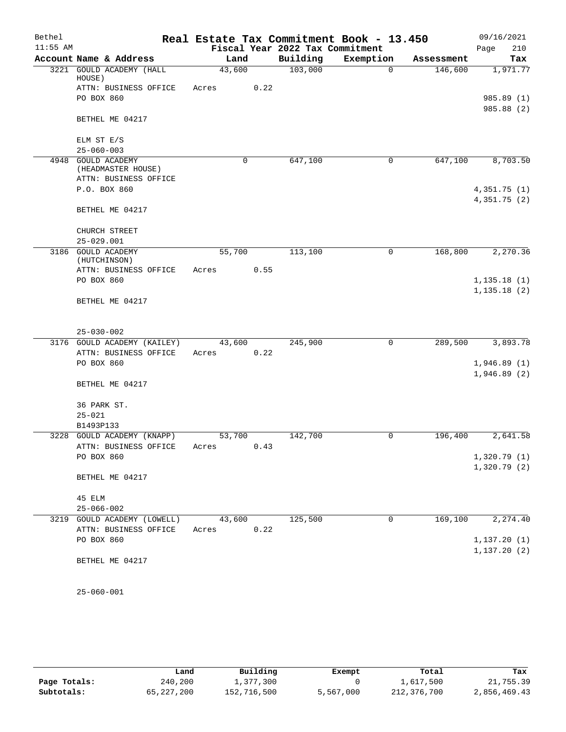| Bethel     |                                          |            |      |                                 | Real Estate Tax Commitment Book - 13.450 |            | 09/16/2021                   |
|------------|------------------------------------------|------------|------|---------------------------------|------------------------------------------|------------|------------------------------|
| $11:55$ AM |                                          |            |      | Fiscal Year 2022 Tax Commitment |                                          |            | 210<br>Page                  |
|            | Account Name & Address                   |            | Land | Building                        | Exemption                                | Assessment | Tax                          |
|            | 3221 GOULD ACADEMY (HALL<br>HOUSE)       | 43,600     |      | 103,000                         | $\Omega$                                 | 146,600    | 1,971.77                     |
|            | ATTN: BUSINESS OFFICE                    | Acres      | 0.22 |                                 |                                          |            |                              |
|            | PO BOX 860                               |            |      |                                 |                                          |            | 985.89 (1)                   |
|            | BETHEL ME 04217                          |            |      |                                 |                                          |            | 985.88 (2)                   |
|            | ELM ST E/S                               |            |      |                                 |                                          |            |                              |
|            | $25 - 060 - 003$                         |            |      |                                 |                                          |            |                              |
|            | 4948 GOULD ACADEMY<br>(HEADMASTER HOUSE) |            | 0    | 647,100                         | 0                                        | 647,100    | 8,703.50                     |
|            | ATTN: BUSINESS OFFICE                    |            |      |                                 |                                          |            |                              |
|            | P.O. BOX 860                             |            |      |                                 |                                          |            | 4,351.75(1)                  |
|            | BETHEL ME 04217                          |            |      |                                 |                                          |            | 4,351.75 (2)                 |
|            | CHURCH STREET                            |            |      |                                 |                                          |            |                              |
|            | $25 - 029.001$                           |            |      |                                 |                                          |            |                              |
|            | 3186 GOULD ACADEMY<br>(HUTCHINSON)       | 55,700     |      | 113,100                         | 0                                        | 168,800    | 2,270.36                     |
|            | ATTN: BUSINESS OFFICE                    | Acres      | 0.55 |                                 |                                          |            |                              |
|            | PO BOX 860                               |            |      |                                 |                                          |            | 1, 135.18(1)                 |
|            | BETHEL ME 04217                          |            |      |                                 |                                          |            | 1, 135.18(2)                 |
|            | $25 - 030 - 002$                         |            |      |                                 |                                          |            |                              |
|            | 3176 GOULD ACADEMY (KAILEY)              | 43,600     |      | 245,900                         | $\mathbf 0$                              | 289,500    | 3,893.78                     |
|            | ATTN: BUSINESS OFFICE                    | Acres      | 0.22 |                                 |                                          |            |                              |
|            | PO BOX 860                               |            |      |                                 |                                          |            | 1,946.89(1)                  |
|            |                                          |            |      |                                 |                                          |            | 1,946.89(2)                  |
|            | BETHEL ME 04217                          |            |      |                                 |                                          |            |                              |
|            | 36 PARK ST.                              |            |      |                                 |                                          |            |                              |
|            | $25 - 021$                               |            |      |                                 |                                          |            |                              |
|            | B1493P133                                |            |      |                                 |                                          |            |                              |
|            | 3228 GOULD ACADEMY (KNAPP)               | 53,700     |      | 142,700                         | 0                                        | 196,400    | 2,641.58                     |
|            | ATTN: BUSINESS OFFICE<br>PO BOX 860      | Acres 0.43 |      |                                 |                                          |            | 1,320.79(1)                  |
|            |                                          |            |      |                                 |                                          |            | 1,320.79(2)                  |
|            | BETHEL ME 04217                          |            |      |                                 |                                          |            |                              |
|            | 45 ELM                                   |            |      |                                 |                                          |            |                              |
|            | $25 - 066 - 002$                         |            |      |                                 |                                          |            |                              |
|            | 3219 GOULD ACADEMY (LOWELL)              | 43,600     |      | 125,500                         | $\mathbf 0$                              | 169,100    | 2, 274.40                    |
|            | ATTN: BUSINESS OFFICE                    | Acres      | 0.22 |                                 |                                          |            |                              |
|            | PO BOX 860                               |            |      |                                 |                                          |            | 1, 137.20(1)<br>1, 137.20(2) |
|            | BETHEL ME 04217                          |            |      |                                 |                                          |            |                              |
|            | $25 - 060 - 001$                         |            |      |                                 |                                          |            |                              |

|              | Land         | Building    | Exempt    | Total       | Tax          |  |  |
|--------------|--------------|-------------|-----------|-------------|--------------|--|--|
| Page Totals: | 240,200      | 1,377,300   |           | 1,617,500   | 21,755.39    |  |  |
| Subtotals:   | 65, 227, 200 | 152,716,500 | 5,567,000 | 212,376,700 | 2,856,469.43 |  |  |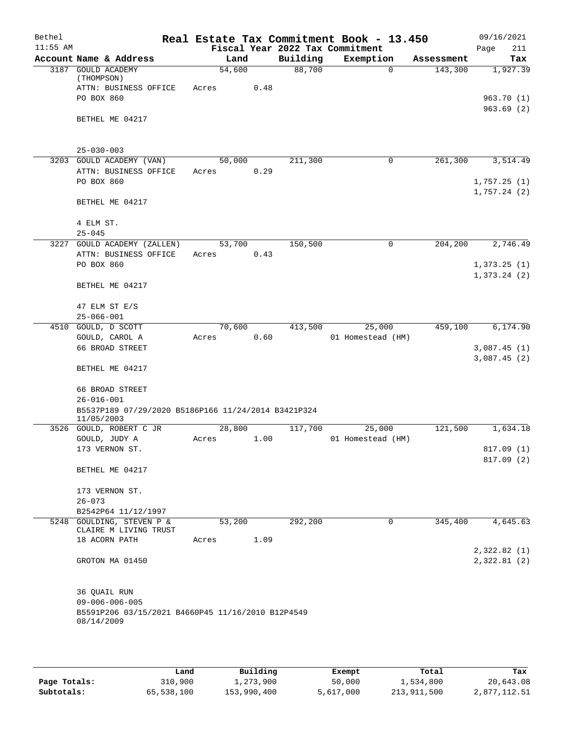| Bethel     |                                                                   |        |        |          | Real Estate Tax Commitment Book - 13.450 |            | 09/16/2021  |
|------------|-------------------------------------------------------------------|--------|--------|----------|------------------------------------------|------------|-------------|
| $11:55$ AM |                                                                   |        |        |          | Fiscal Year 2022 Tax Commitment          |            | Page<br>211 |
|            | Account Name & Address                                            |        | Land   | Building | Exemption                                | Assessment | Tax         |
|            | 3187 GOULD ACADEMY<br>(THOMPSON)                                  | 54,600 |        | 88,700   | 0                                        | 143,300    | 1,927.39    |
|            | ATTN: BUSINESS OFFICE                                             | Acres  | 0.48   |          |                                          |            |             |
|            | PO BOX 860                                                        |        |        |          |                                          |            | 963.70 (1)  |
|            |                                                                   |        |        |          |                                          |            | 963.69(2)   |
|            | BETHEL ME 04217                                                   |        |        |          |                                          |            |             |
|            |                                                                   |        |        |          |                                          |            |             |
|            | $25 - 030 - 003$                                                  |        |        |          |                                          |            |             |
|            | 3203 GOULD ACADEMY (VAN)                                          |        | 50,000 | 211,300  | 0                                        | 261,300    | 3,514.49    |
|            | ATTN: BUSINESS OFFICE                                             | Acres  | 0.29   |          |                                          |            |             |
|            | PO BOX 860                                                        |        |        |          |                                          |            | 1,757.25(1) |
|            |                                                                   |        |        |          |                                          |            | 1,757.24(2) |
|            | BETHEL ME 04217                                                   |        |        |          |                                          |            |             |
|            | 4 ELM ST.                                                         |        |        |          |                                          |            |             |
|            | $25 - 045$                                                        |        |        |          |                                          |            |             |
|            | 3227 GOULD ACADEMY (ZALLEN)                                       |        | 53,700 | 150,500  | 0                                        | 204,200    | 2,746.49    |
|            | ATTN: BUSINESS OFFICE                                             | Acres  | 0.43   |          |                                          |            |             |
|            | PO BOX 860                                                        |        |        |          |                                          |            | 1,373.25(1) |
|            |                                                                   |        |        |          |                                          |            | 1,373.24(2) |
|            | BETHEL ME 04217                                                   |        |        |          |                                          |            |             |
|            | 47 ELM ST E/S                                                     |        |        |          |                                          |            |             |
|            | $25 - 066 - 001$                                                  |        |        |          |                                          |            |             |
|            | 4510 GOULD, D SCOTT                                               | 70,600 |        | 413,500  | 25,000                                   | 459,100    | 6,174.90    |
|            | $\texttt{GOULD}\xspace$ , $\texttt{CAROL}\xspace$ A               | Acres  | 0.60   |          | 01 Homestead (HM)                        |            |             |
|            | 66 BROAD STREET                                                   |        |        |          |                                          |            | 3,087.45(1) |
|            |                                                                   |        |        |          |                                          |            | 3,087.45(2) |
|            | BETHEL ME 04217                                                   |        |        |          |                                          |            |             |
|            | 66 BROAD STREET                                                   |        |        |          |                                          |            |             |
|            | $26 - 016 - 001$                                                  |        |        |          |                                          |            |             |
|            | B5537P189 07/29/2020 B5186P166 11/24/2014 B3421P324<br>11/05/2003 |        |        |          |                                          |            |             |
|            | 3526 GOULD, ROBERT C JR                                           | 28,800 |        | 117,700  | 25,000                                   | 121,500    | 1,634.18    |
|            | GOULD, JUDY A                                                     | Acres  | 1.00   |          | 01 Homestead (HM)                        |            |             |
|            | 173 VERNON ST.                                                    |        |        |          |                                          |            | 817.09 (1)  |
|            | BETHEL ME 04217                                                   |        |        |          |                                          |            | 817.09 (2)  |
|            | 173 VERNON ST.                                                    |        |        |          |                                          |            |             |
|            | $26 - 073$                                                        |        |        |          |                                          |            |             |
|            | B2542P64 11/12/1997                                               |        |        |          |                                          |            |             |
|            | 5248 GOULDING, STEVEN P &                                         | 53,200 |        | 292,200  | $\mathbf 0$                              | 345,400    | 4,645.63    |
|            | CLAIRE M LIVING TRUST                                             |        |        |          |                                          |            |             |
|            | 18 ACORN PATH                                                     | Acres  | 1.09   |          |                                          |            | 2,322.82(1) |
|            | GROTON MA 01450                                                   |        |        |          |                                          |            | 2,322.81(2) |
|            |                                                                   |        |        |          |                                          |            |             |
|            |                                                                   |        |        |          |                                          |            |             |
|            | 36 QUAIL RUN<br>$09 - 006 - 006 - 005$                            |        |        |          |                                          |            |             |
|            | B5591P206 03/15/2021 B4660P45 11/16/2010 B12P4549                 |        |        |          |                                          |            |             |
|            | 08/14/2009                                                        |        |        |          |                                          |            |             |
|            |                                                                   |        |        |          |                                          |            |             |
|            |                                                                   |        |        |          |                                          |            |             |

|              | Land       | Building    | Exempt    | Total       | Tax          |
|--------------|------------|-------------|-----------|-------------|--------------|
| Page Totals: | 310,900    | 1,273,900   | 50,000    | 1,534,800   | 20,643.08    |
| Subtotals:   | 65,538,100 | 153,990,400 | 5,617,000 | 213,911,500 | 2,877,112.51 |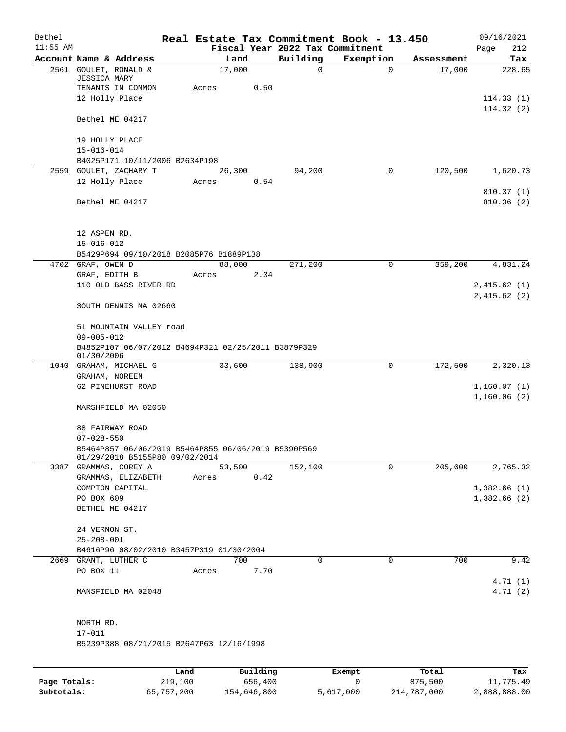| Bethel     |                                                                         |       |        |                                 | Real Estate Tax Commitment Book - 13.450 |            | 09/16/2021                 |
|------------|-------------------------------------------------------------------------|-------|--------|---------------------------------|------------------------------------------|------------|----------------------------|
| $11:55$ AM |                                                                         |       |        | Fiscal Year 2022 Tax Commitment |                                          |            | 212<br>Page                |
|            | Account Name & Address                                                  |       | Land   | Building                        | Exemption                                | Assessment | Tax                        |
|            | 2561 GOULET, RONALD &<br><b>JESSICA MARY</b>                            |       | 17,000 | $\mathbf 0$                     | $\mathbf 0$                              | 17,000     | 228.65                     |
|            | TENANTS IN COMMON                                                       | Acres | 0.50   |                                 |                                          |            |                            |
|            | 12 Holly Place                                                          |       |        |                                 |                                          |            | 114.33(1)<br>114.32(2)     |
|            | Bethel ME 04217                                                         |       |        |                                 |                                          |            |                            |
|            | 19 HOLLY PLACE                                                          |       |        |                                 |                                          |            |                            |
|            | $15 - 016 - 014$                                                        |       |        |                                 |                                          |            |                            |
|            | B4025P171 10/11/2006 B2634P198                                          |       |        |                                 |                                          |            |                            |
|            | 2559 GOULET, ZACHARY T                                                  |       | 26,300 | 94,200                          | 0                                        | 120,500    | 1,620.73                   |
|            | 12 Holly Place                                                          | Acres | 0.54   |                                 |                                          |            |                            |
|            | Bethel ME 04217                                                         |       |        |                                 |                                          |            | 810.37(1)<br>810.36(2)     |
|            | 12 ASPEN RD.                                                            |       |        |                                 |                                          |            |                            |
|            | $15 - 016 - 012$                                                        |       |        |                                 |                                          |            |                            |
|            | B5429P694 09/10/2018 B2085P76 B1889P138                                 |       |        |                                 |                                          |            |                            |
|            | 4702 GRAF, OWEN D                                                       |       | 88,000 | 271,200                         | 0                                        | 359,200    | 4,831.24                   |
|            | GRAF, EDITH B                                                           | Acres | 2.34   |                                 |                                          |            |                            |
|            | 110 OLD BASS RIVER RD                                                   |       |        |                                 |                                          |            | 2,415.62(1)<br>2,415.62(2) |
|            | SOUTH DENNIS MA 02660                                                   |       |        |                                 |                                          |            |                            |
|            | 51 MOUNTAIN VALLEY road<br>$09 - 005 - 012$                             |       |        |                                 |                                          |            |                            |
|            | B4852P107 06/07/2012 B4694P321 02/25/2011 B3879P329<br>01/30/2006       |       |        |                                 |                                          |            |                            |
|            | 1040 GRAHAM, MICHAEL G                                                  |       | 33,600 | 138,900                         | 0                                        | 172,500    | 2,320.13                   |
|            | GRAHAM, NOREEN                                                          |       |        |                                 |                                          |            |                            |
|            | 62 PINEHURST ROAD                                                       |       |        |                                 |                                          |            | 1,160.07(1)<br>1,160.06(2) |
|            | MARSHFIELD MA 02050                                                     |       |        |                                 |                                          |            |                            |
|            | 88 FAIRWAY ROAD                                                         |       |        |                                 |                                          |            |                            |
|            | $07 - 028 - 550$<br>B5464P857 06/06/2019 B5464P855 06/06/2019 B5390P569 |       |        |                                 |                                          |            |                            |
|            | 01/29/2018 B5155P80 09/02/2014                                          |       |        |                                 |                                          |            |                            |
|            | 3387 GRAMMAS, COREY A                                                   |       | 53,500 | 152,100                         | $\Omega$                                 | 205,600    | 2,765.32                   |
|            | GRAMMAS, ELIZABETH                                                      | Acres | 0.42   |                                 |                                          |            |                            |
|            | COMPTON CAPITAL                                                         |       |        |                                 |                                          |            | 1,382.66(1)                |
|            | PO BOX 609                                                              |       |        |                                 |                                          |            | 1,382.66(2)                |
|            | BETHEL ME 04217                                                         |       |        |                                 |                                          |            |                            |
|            | 24 VERNON ST.                                                           |       |        |                                 |                                          |            |                            |
|            | $25 - 208 - 001$                                                        |       |        |                                 |                                          |            |                            |
|            | B4616P96 08/02/2010 B3457P319 01/30/2004                                |       |        |                                 |                                          |            |                            |
|            | 2669 GRANT, LUTHER C                                                    |       | 700    | 0                               | $\mathbf 0$                              | 700        | 9.42                       |
|            | PO BOX 11                                                               | Acres | 7.70   |                                 |                                          |            |                            |
|            |                                                                         |       |        |                                 |                                          |            | 4.71(1)<br>4.71(2)         |
|            | MANSFIELD MA 02048                                                      |       |        |                                 |                                          |            |                            |
|            | NORTH RD.                                                               |       |        |                                 |                                          |            |                            |
|            | $17 - 011$                                                              |       |        |                                 |                                          |            |                            |
|            | B5239P388 08/21/2015 B2647P63 12/16/1998                                |       |        |                                 |                                          |            |                            |
|            |                                                                         |       |        |                                 |                                          |            |                            |
|            |                                                                         |       |        |                                 |                                          |            |                            |

|              | Land       | Building    | Exempt    | Total       | Tax          |
|--------------|------------|-------------|-----------|-------------|--------------|
| Page Totals: | 219,100    | 656,400     |           | 875.500     | 11,775.49    |
| Subtotals:   | 65,757,200 | 154,646,800 | 5,617,000 | 214,787,000 | 2,888,888.00 |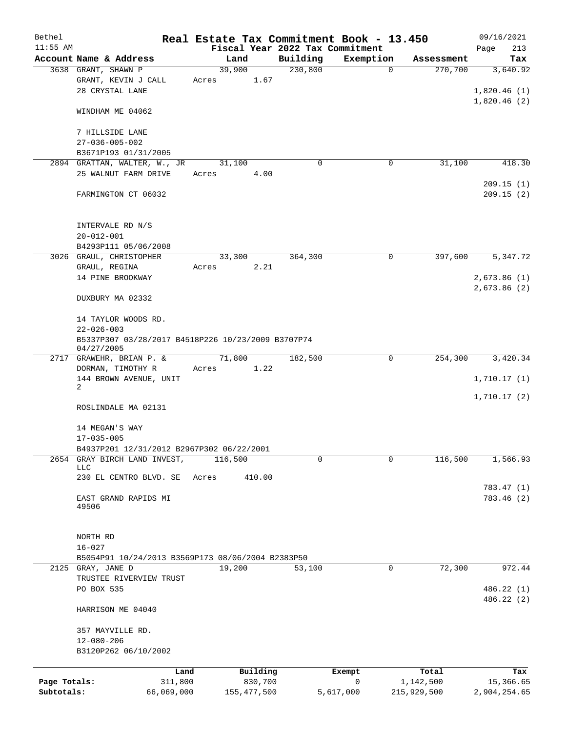| Bethel       |                                                    |         |               |                                 | Real Estate Tax Commitment Book - 13.450 |             | 09/16/2021   |
|--------------|----------------------------------------------------|---------|---------------|---------------------------------|------------------------------------------|-------------|--------------|
| $11:55$ AM   |                                                    |         |               | Fiscal Year 2022 Tax Commitment |                                          |             | Page<br>213  |
|              | Account Name & Address                             |         | Land          | Building                        | Exemption                                | Assessment  | Tax          |
|              | 3638 GRANT, SHAWN P                                | 39,900  |               | 230,800                         | $\mathbf 0$                              | 270,700     | 3,640.92     |
|              | GRANT, KEVIN J CALL                                | Acres   | 1.67          |                                 |                                          |             |              |
|              | 28 CRYSTAL LANE                                    |         |               |                                 |                                          |             | 1,820.46(1)  |
|              | WINDHAM ME 04062                                   |         |               |                                 |                                          |             | 1,820.46(2)  |
|              |                                                    |         |               |                                 |                                          |             |              |
|              | 7 HILLSIDE LANE                                    |         |               |                                 |                                          |             |              |
|              | $27 - 036 - 005 - 002$                             |         |               |                                 |                                          |             |              |
|              | B3671P193 01/31/2005                               |         |               |                                 |                                          |             |              |
|              | 2894 GRATTAN, WALTER, W., JR                       |         | 31,100        | $\Omega$                        | $\mathbf 0$                              | 31,100      | 418.30       |
|              | 25 WALNUT FARM DRIVE                               | Acres   | 4.00          |                                 |                                          |             |              |
|              |                                                    |         |               |                                 |                                          |             | 209.15(1)    |
|              | FARMINGTON CT 06032                                |         |               |                                 |                                          |             | 209.15(2)    |
|              |                                                    |         |               |                                 |                                          |             |              |
|              |                                                    |         |               |                                 |                                          |             |              |
|              | INTERVALE RD N/S                                   |         |               |                                 |                                          |             |              |
|              | $20 - 012 - 001$                                   |         |               |                                 |                                          |             |              |
|              | B4293P111 05/06/2008                               |         |               |                                 |                                          |             |              |
|              | 3026 GRAUL, CHRISTOPHER                            |         | 33,300        | 364,300                         | 0                                        | 397,600     | 5,347.72     |
|              | GRAUL, REGINA                                      | Acres   | 2.21          |                                 |                                          |             |              |
|              | 14 PINE BROOKWAY                                   |         |               |                                 |                                          |             | 2,673.86(1)  |
|              |                                                    |         |               |                                 |                                          |             | 2,673.86(2)  |
|              | DUXBURY MA 02332                                   |         |               |                                 |                                          |             |              |
|              |                                                    |         |               |                                 |                                          |             |              |
|              | 14 TAYLOR WOODS RD.<br>$22 - 026 - 003$            |         |               |                                 |                                          |             |              |
|              | B5337P307 03/28/2017 B4518P226 10/23/2009 B3707P74 |         |               |                                 |                                          |             |              |
|              | 04/27/2005                                         |         |               |                                 |                                          |             |              |
| 2717         | GRAWEHR, BRIAN P. &                                |         | 71,800        | 182,500                         | 0                                        | 254,300     | 3,420.34     |
|              | DORMAN, TIMOTHY R                                  | Acres   | 1.22          |                                 |                                          |             |              |
|              | 144 BROWN AVENUE, UNIT                             |         |               |                                 |                                          |             | 1,710.17(1)  |
|              | 2                                                  |         |               |                                 |                                          |             |              |
|              |                                                    |         |               |                                 |                                          |             | 1,710.17(2)  |
|              | ROSLINDALE MA 02131                                |         |               |                                 |                                          |             |              |
|              | 14 MEGAN'S WAY                                     |         |               |                                 |                                          |             |              |
|              | $17 - 035 - 005$                                   |         |               |                                 |                                          |             |              |
|              | B4937P201 12/31/2012 B2967P302 06/22/2001          |         |               |                                 |                                          |             |              |
| 2654         | GRAY BIRCH LAND INVEST,                            | 116,500 |               | 0                               | $\Omega$                                 | 116,500     | 1,566.93     |
|              | <b>LLC</b>                                         |         |               |                                 |                                          |             |              |
|              | 230 EL CENTRO BLVD. SE                             | Acres   | 410.00        |                                 |                                          |             |              |
|              |                                                    |         |               |                                 |                                          |             | 783.47 (1)   |
|              | EAST GRAND RAPIDS MI                               |         |               |                                 |                                          |             | 783.46(2)    |
|              | 49506                                              |         |               |                                 |                                          |             |              |
|              |                                                    |         |               |                                 |                                          |             |              |
|              | NORTH RD                                           |         |               |                                 |                                          |             |              |
|              | $16 - 027$                                         |         |               |                                 |                                          |             |              |
|              | B5054P91 10/24/2013 B3569P173 08/06/2004 B2383P50  |         |               |                                 |                                          |             |              |
|              | 2125 GRAY, JANE D                                  | 19,200  |               | 53,100                          | 0                                        | 72,300      | 972.44       |
|              | TRUSTEE RIVERVIEW TRUST                            |         |               |                                 |                                          |             |              |
|              | PO BOX 535                                         |         |               |                                 |                                          |             | 486.22 (1)   |
|              |                                                    |         |               |                                 |                                          |             | 486.22 (2)   |
|              | HARRISON ME 04040                                  |         |               |                                 |                                          |             |              |
|              |                                                    |         |               |                                 |                                          |             |              |
|              | 357 MAYVILLE RD.                                   |         |               |                                 |                                          |             |              |
|              | $12 - 080 - 206$                                   |         |               |                                 |                                          |             |              |
|              | B3120P262 06/10/2002                               |         |               |                                 |                                          |             |              |
|              | Land                                               |         | Building      |                                 | Exempt                                   | Total       | Tax          |
| Page Totals: | 311,800                                            |         | 830,700       |                                 | $\mathbf 0$                              | 1,142,500   | 15,366.65    |
| Subtotals:   | 66,069,000                                         |         | 155, 477, 500 |                                 | 5,617,000                                | 215,929,500 | 2,904,254.65 |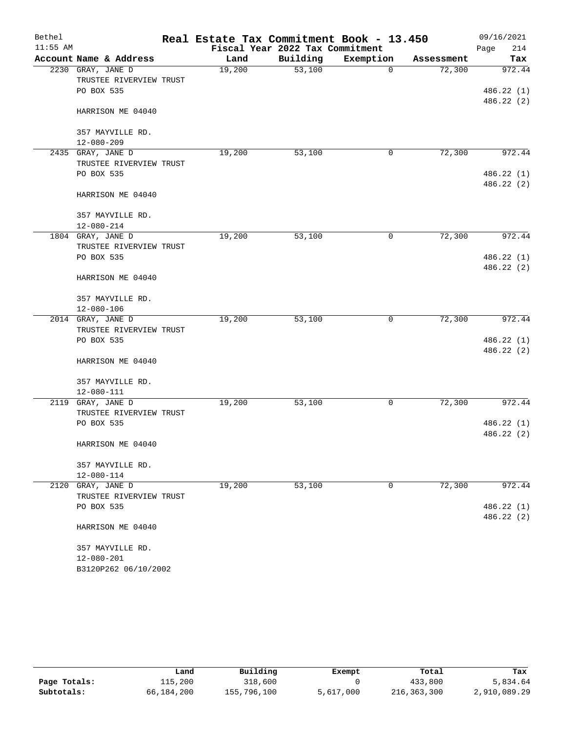| Bethel     |                         | Real Estate Tax Commitment Book - 13.450 |                                 |             |            | 09/16/2021  |
|------------|-------------------------|------------------------------------------|---------------------------------|-------------|------------|-------------|
| $11:55$ AM |                         |                                          | Fiscal Year 2022 Tax Commitment |             |            | 214<br>Page |
|            | Account Name & Address  | Land                                     | Building                        | Exemption   | Assessment | Tax         |
|            | 2230 GRAY, JANE D       | 19,200                                   | 53,100                          | $\mathbf 0$ | 72,300     | 972.44      |
|            | TRUSTEE RIVERVIEW TRUST |                                          |                                 |             |            |             |
|            | PO BOX 535              |                                          |                                 |             |            | 486.22 (1)  |
|            |                         |                                          |                                 |             |            | 486.22(2)   |
|            | HARRISON ME 04040       |                                          |                                 |             |            |             |
|            | 357 MAYVILLE RD.        |                                          |                                 |             |            |             |
|            | $12 - 080 - 209$        |                                          |                                 |             |            |             |
|            | 2435 GRAY, JANE D       | 19,200                                   | 53,100                          | 0           | 72,300     | 972.44      |
|            | TRUSTEE RIVERVIEW TRUST |                                          |                                 |             |            |             |
|            | PO BOX 535              |                                          |                                 |             |            | 486.22 (1)  |
|            |                         |                                          |                                 |             |            | 486.22 (2)  |
|            | HARRISON ME 04040       |                                          |                                 |             |            |             |
|            | 357 MAYVILLE RD.        |                                          |                                 |             |            |             |
|            | $12 - 080 - 214$        |                                          |                                 |             |            |             |
|            | 1804 GRAY, JANE D       | 19,200                                   | 53,100                          | 0           | 72,300     | 972.44      |
|            | TRUSTEE RIVERVIEW TRUST |                                          |                                 |             |            |             |
|            | PO BOX 535              |                                          |                                 |             |            | 486.22 (1)  |
|            |                         |                                          |                                 |             |            | 486.22 (2)  |
|            | HARRISON ME 04040       |                                          |                                 |             |            |             |
|            | 357 MAYVILLE RD.        |                                          |                                 |             |            |             |
|            | $12 - 080 - 106$        |                                          |                                 |             |            |             |
|            | 2014 GRAY, JANE D       | 19,200                                   | 53,100                          | 0           | 72,300     | 972.44      |
|            | TRUSTEE RIVERVIEW TRUST |                                          |                                 |             |            |             |
|            | PO BOX 535              |                                          |                                 |             |            | 486.22 (1)  |
|            |                         |                                          |                                 |             |            | 486.22(2)   |
|            | HARRISON ME 04040       |                                          |                                 |             |            |             |
|            | 357 MAYVILLE RD.        |                                          |                                 |             |            |             |
|            | $12 - 080 - 111$        |                                          |                                 |             |            |             |
| 2119       | GRAY, JANE D            | 19,200                                   | 53,100                          | 0           | 72,300     | 972.44      |
|            | TRUSTEE RIVERVIEW TRUST |                                          |                                 |             |            |             |
|            | PO BOX 535              |                                          |                                 |             |            | 486.22 (1)  |
|            |                         |                                          |                                 |             |            | 486.22 (2)  |
|            | HARRISON ME 04040       |                                          |                                 |             |            |             |
|            | 357 MAYVILLE RD.        |                                          |                                 |             |            |             |
|            | $12 - 080 - 114$        |                                          |                                 |             |            |             |
| 2120       | GRAY, JANE D            | 19,200                                   | 53,100                          | 0           | 72,300     | 972.44      |
|            | TRUSTEE RIVERVIEW TRUST |                                          |                                 |             |            |             |
|            | PO BOX 535              |                                          |                                 |             |            | 486.22 (1)  |
|            |                         |                                          |                                 |             |            | 486.22 (2)  |
|            | HARRISON ME 04040       |                                          |                                 |             |            |             |
|            | 357 MAYVILLE RD.        |                                          |                                 |             |            |             |
|            | $12 - 080 - 201$        |                                          |                                 |             |            |             |
|            | B3120P262 06/10/2002    |                                          |                                 |             |            |             |

|              | Land       | Building    | Exempt    | Total       | Tax          |
|--------------|------------|-------------|-----------|-------------|--------------|
| Page Totals: | 115,200    | 318,600     |           | 433,800     | 5,834.64     |
| Subtotals:   | 66,184,200 | 155,796,100 | 5,617,000 | 216,363,300 | 2,910,089.29 |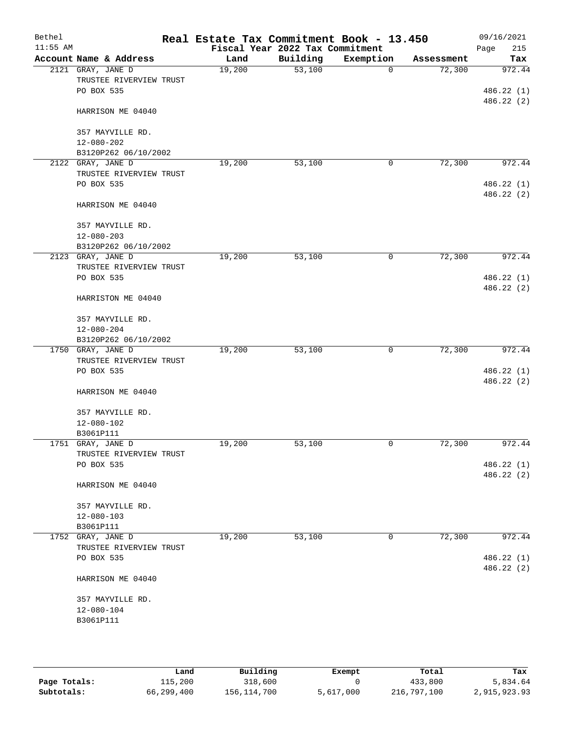| Bethel<br>$11:55$ AM |                         | Real Estate Tax Commitment Book - 13.450 | Fiscal Year 2022 Tax Commitment |             |            | 09/16/2021<br>215<br>Page |
|----------------------|-------------------------|------------------------------------------|---------------------------------|-------------|------------|---------------------------|
|                      | Account Name & Address  | Land                                     | Building                        | Exemption   | Assessment | Tax                       |
|                      | 2121 GRAY, JANE D       | 19,200                                   | 53,100                          | $\mathbf 0$ | 72,300     | 972.44                    |
|                      | TRUSTEE RIVERVIEW TRUST |                                          |                                 |             |            |                           |
|                      | PO BOX 535              |                                          |                                 |             |            | 486.22 (1)                |
|                      | HARRISON ME 04040       |                                          |                                 |             |            | 486.22 (2)                |
|                      | 357 MAYVILLE RD.        |                                          |                                 |             |            |                           |
|                      | $12 - 080 - 202$        |                                          |                                 |             |            |                           |
|                      | B3120P262 06/10/2002    |                                          |                                 |             |            |                           |
|                      | 2122 GRAY, JANE D       | 19,200                                   | 53,100                          | 0           | 72,300     | 972.44                    |
|                      | TRUSTEE RIVERVIEW TRUST |                                          |                                 |             |            |                           |
|                      | PO BOX 535              |                                          |                                 |             |            | 486.22 (1)                |
|                      | HARRISON ME 04040       |                                          |                                 |             |            | 486.22 (2)                |
|                      | 357 MAYVILLE RD.        |                                          |                                 |             |            |                           |
|                      | $12 - 080 - 203$        |                                          |                                 |             |            |                           |
|                      | B3120P262 06/10/2002    |                                          |                                 |             |            |                           |
|                      | 2123 GRAY, JANE D       | 19,200                                   | 53,100                          | 0           | 72,300     | 972.44                    |
|                      | TRUSTEE RIVERVIEW TRUST |                                          |                                 |             |            |                           |
|                      | PO BOX 535              |                                          |                                 |             |            | 486.22 (1)                |
|                      | HARRISTON ME 04040      |                                          |                                 |             |            | 486.22(2)                 |
|                      | 357 MAYVILLE RD.        |                                          |                                 |             |            |                           |
|                      | $12 - 080 - 204$        |                                          |                                 |             |            |                           |
|                      | B3120P262 06/10/2002    |                                          |                                 |             |            |                           |
|                      | 1750 GRAY, JANE D       | 19,200                                   | 53,100                          | 0           | 72,300     | 972.44                    |
|                      | TRUSTEE RIVERVIEW TRUST |                                          |                                 |             |            |                           |
|                      | PO BOX 535              |                                          |                                 |             |            | 486.22(1)                 |
|                      |                         |                                          |                                 |             |            | 486.22 (2)                |
|                      | HARRISON ME 04040       |                                          |                                 |             |            |                           |
|                      | 357 MAYVILLE RD.        |                                          |                                 |             |            |                           |
|                      | 12-080-102              |                                          |                                 |             |            |                           |
|                      | B3061P111               |                                          |                                 |             |            |                           |
|                      | 1751 GRAY, JANE D       | 19,200                                   | 53,100                          | 0           | 72,300     | 972.44                    |
|                      | TRUSTEE RIVERVIEW TRUST |                                          |                                 |             |            |                           |
|                      | PO BOX 535              |                                          |                                 |             |            | 486.22(1)                 |
|                      | HARRISON ME 04040       |                                          |                                 |             |            | 486.22(2)                 |
|                      | 357 MAYVILLE RD.        |                                          |                                 |             |            |                           |
|                      | $12 - 080 - 103$        |                                          |                                 |             |            |                           |
|                      | B3061P111               |                                          |                                 |             |            |                           |
|                      | 1752 GRAY, JANE D       | 19,200                                   | 53,100                          | 0           | 72,300     | 972.44                    |
|                      | TRUSTEE RIVERVIEW TRUST |                                          |                                 |             |            |                           |
|                      | PO BOX 535              |                                          |                                 |             |            | 486.22 (1)                |
|                      | HARRISON ME 04040       |                                          |                                 |             |            | 486.22(2)                 |
|                      | 357 MAYVILLE RD.        |                                          |                                 |             |            |                           |
|                      | $12 - 080 - 104$        |                                          |                                 |             |            |                           |
|                      | B3061P111               |                                          |                                 |             |            |                           |
|                      |                         |                                          |                                 |             |            |                           |
|                      |                         |                                          |                                 |             |            |                           |

|              | Land       | Building    | Exempt    | Total       | Tax          |
|--------------|------------|-------------|-----------|-------------|--------------|
| Page Totals: | 115,200    | 318,600     |           | 433,800     | 5,834.64     |
| Subtotals:   | 66,299,400 | 156,114,700 | 5,617,000 | 216,797,100 | 2,915,923.93 |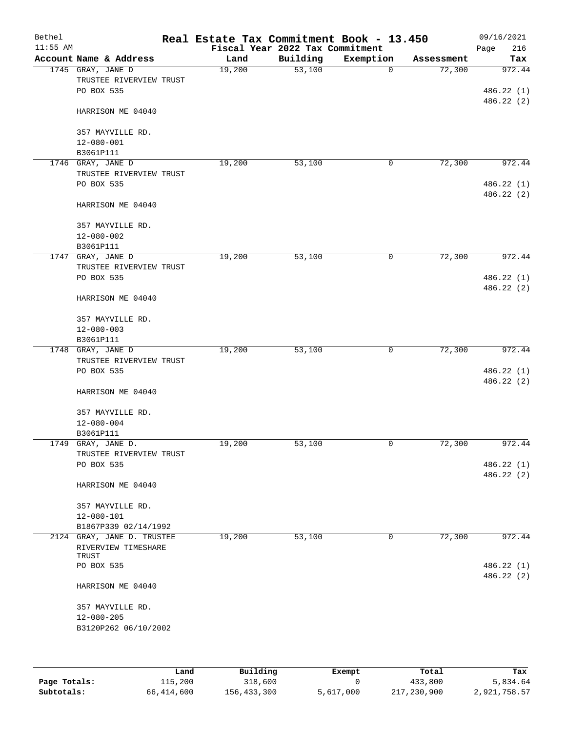| Bethel<br>$11:55$ AM |                                              | Real Estate Tax Commitment Book - 13.450 | Fiscal Year 2022 Tax Commitment |             |            | 09/16/2021<br>216<br>Page |
|----------------------|----------------------------------------------|------------------------------------------|---------------------------------|-------------|------------|---------------------------|
|                      | Account Name & Address                       | Land                                     | Building                        | Exemption   | Assessment | Tax                       |
|                      | 1745 GRAY, JANE D                            | 19,200                                   | 53,100                          | $\mathbf 0$ | 72,300     | 972.44                    |
|                      | TRUSTEE RIVERVIEW TRUST                      |                                          |                                 |             |            |                           |
|                      | PO BOX 535                                   |                                          |                                 |             |            | 486.22(1)                 |
|                      |                                              |                                          |                                 |             |            | 486.22(2)                 |
|                      | HARRISON ME 04040                            |                                          |                                 |             |            |                           |
|                      |                                              |                                          |                                 |             |            |                           |
|                      | 357 MAYVILLE RD.<br>$12 - 080 - 001$         |                                          |                                 |             |            |                           |
|                      | B3061P111                                    |                                          |                                 |             |            |                           |
|                      | 1746 GRAY, JANE D                            | 19,200                                   | 53,100                          | 0           | 72,300     | 972.44                    |
|                      | TRUSTEE RIVERVIEW TRUST                      |                                          |                                 |             |            |                           |
|                      | PO BOX 535                                   |                                          |                                 |             |            | 486.22 (1)                |
|                      |                                              |                                          |                                 |             |            | 486.22 (2)                |
|                      | HARRISON ME 04040                            |                                          |                                 |             |            |                           |
|                      |                                              |                                          |                                 |             |            |                           |
|                      | 357 MAYVILLE RD.                             |                                          |                                 |             |            |                           |
|                      | 12-080-002                                   |                                          |                                 |             |            |                           |
|                      | B3061P111<br>1747 GRAY, JANE D               | 19,200                                   | 53,100                          | 0           | 72,300     | 972.44                    |
|                      | TRUSTEE RIVERVIEW TRUST                      |                                          |                                 |             |            |                           |
|                      | PO BOX 535                                   |                                          |                                 |             |            | 486.22(1)                 |
|                      |                                              |                                          |                                 |             |            | 486.22 (2)                |
|                      | HARRISON ME 04040                            |                                          |                                 |             |            |                           |
|                      |                                              |                                          |                                 |             |            |                           |
|                      | 357 MAYVILLE RD.                             |                                          |                                 |             |            |                           |
|                      | $12 - 080 - 003$                             |                                          |                                 |             |            |                           |
|                      | B3061P111                                    |                                          |                                 |             |            |                           |
|                      | 1748 GRAY, JANE D<br>TRUSTEE RIVERVIEW TRUST | 19,200                                   | 53,100                          | 0           | 72,300     | 972.44                    |
|                      | PO BOX 535                                   |                                          |                                 |             |            | 486.22(1)                 |
|                      |                                              |                                          |                                 |             |            | 486.22 (2)                |
|                      | HARRISON ME 04040                            |                                          |                                 |             |            |                           |
|                      |                                              |                                          |                                 |             |            |                           |
|                      | 357 MAYVILLE RD.                             |                                          |                                 |             |            |                           |
|                      | $12 - 080 - 004$                             |                                          |                                 |             |            |                           |
|                      | B3061P111                                    |                                          |                                 |             |            |                           |
|                      | 1749 GRAY, JANE D.                           | 19,200                                   | 53,100                          | 0           | 72,300     | 972.44                    |
|                      | TRUSTEE RIVERVIEW TRUST<br>PO BOX 535        |                                          |                                 |             |            |                           |
|                      |                                              |                                          |                                 |             |            | 486.22 (1)<br>486.22(2)   |
|                      | HARRISON ME 04040                            |                                          |                                 |             |            |                           |
|                      |                                              |                                          |                                 |             |            |                           |
|                      | 357 MAYVILLE RD.                             |                                          |                                 |             |            |                           |
|                      | 12-080-101                                   |                                          |                                 |             |            |                           |
|                      | B1867P339 02/14/1992                         |                                          |                                 |             |            |                           |
|                      | 2124 GRAY, JANE D. TRUSTEE                   | 19,200                                   | 53,100                          | 0           | 72,300     | 972.44                    |
|                      | RIVERVIEW TIMESHARE<br>TRUST                 |                                          |                                 |             |            |                           |
|                      | PO BOX 535                                   |                                          |                                 |             |            | 486.22 (1)                |
|                      |                                              |                                          |                                 |             |            | 486.22 (2)                |
|                      | HARRISON ME 04040                            |                                          |                                 |             |            |                           |
|                      |                                              |                                          |                                 |             |            |                           |
|                      | 357 MAYVILLE RD.                             |                                          |                                 |             |            |                           |
|                      | $12 - 080 - 205$                             |                                          |                                 |             |            |                           |
|                      | B3120P262 06/10/2002                         |                                          |                                 |             |            |                           |
|                      |                                              |                                          |                                 |             |            |                           |
|                      |                                              |                                          |                                 |             |            |                           |

|              | Land       | Building    | Exempt    | Total       | Tax          |
|--------------|------------|-------------|-----------|-------------|--------------|
| Page Totals: | 115,200    | 318,600     |           | 433,800     | 5,834.64     |
| Subtotals:   | 66,414,600 | 156,433,300 | 5,617,000 | 217,230,900 | 2,921,758.57 |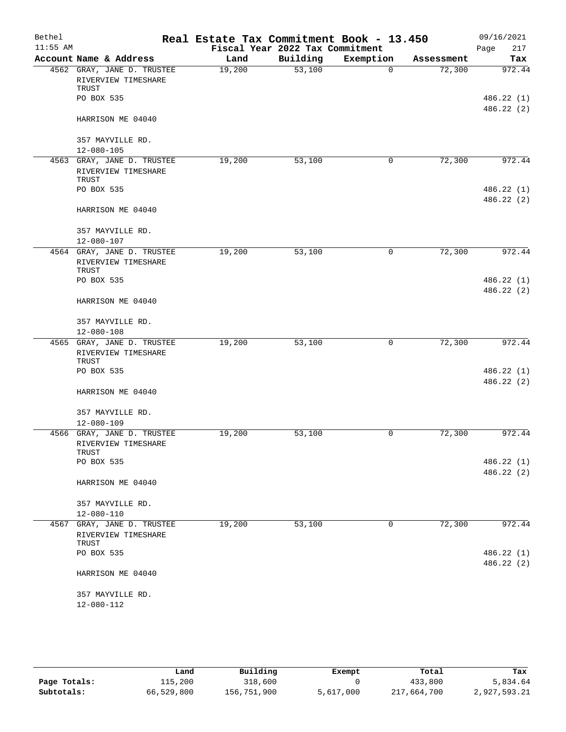| Bethel     |                                                            | Real Estate Tax Commitment Book - 13.450 |                                 |           |            | 09/16/2021               |
|------------|------------------------------------------------------------|------------------------------------------|---------------------------------|-----------|------------|--------------------------|
| $11:55$ AM |                                                            |                                          | Fiscal Year 2022 Tax Commitment |           |            | Page<br>217              |
|            | Account Name & Address                                     | Land                                     | Building                        | Exemption | Assessment | Tax                      |
|            | 4562 GRAY, JANE D. TRUSTEE<br>RIVERVIEW TIMESHARE<br>TRUST | 19,200                                   | 53,100                          | $\Omega$  | 72,300     | 972.44                   |
|            | PO BOX 535                                                 |                                          |                                 |           |            | 486.22 (1)<br>486.22 (2) |
|            | HARRISON ME 04040                                          |                                          |                                 |           |            |                          |
|            | 357 MAYVILLE RD.                                           |                                          |                                 |           |            |                          |
|            | $12 - 080 - 105$                                           |                                          |                                 |           |            |                          |
|            | 4563 GRAY, JANE D. TRUSTEE<br>RIVERVIEW TIMESHARE<br>TRUST | 19,200                                   | 53,100                          | 0         | 72,300     | 972.44                   |
|            | PO BOX 535                                                 |                                          |                                 |           |            | 486.22 (1)<br>486.22 (2) |
|            | HARRISON ME 04040                                          |                                          |                                 |           |            |                          |
|            | 357 MAYVILLE RD.<br>12-080-107                             |                                          |                                 |           |            |                          |
|            | 4564 GRAY, JANE D. TRUSTEE                                 | 19,200                                   | 53,100                          | 0         | 72,300     | 972.44                   |
|            | RIVERVIEW TIMESHARE<br>TRUST                               |                                          |                                 |           |            |                          |
|            | PO BOX 535                                                 |                                          |                                 |           |            | 486.22 (1)<br>486.22 (2) |
|            | HARRISON ME 04040                                          |                                          |                                 |           |            |                          |
|            | 357 MAYVILLE RD.<br>$12 - 080 - 108$                       |                                          |                                 |           |            |                          |
|            | 4565 GRAY, JANE D. TRUSTEE                                 | 19,200                                   | 53,100                          | 0         | 72,300     | 972.44                   |
|            | RIVERVIEW TIMESHARE<br>TRUST                               |                                          |                                 |           |            |                          |
|            | PO BOX 535                                                 |                                          |                                 |           |            | 486.22 (1)<br>486.22(2)  |
|            | HARRISON ME 04040                                          |                                          |                                 |           |            |                          |
|            | 357 MAYVILLE RD.<br>$12 - 080 - 109$                       |                                          |                                 |           |            |                          |
|            | 4566 GRAY, JANE D. TRUSTEE                                 | 19,200                                   | 53,100                          | 0         | 72,300     | 972.44                   |
|            | RIVERVIEW TIMESHARE<br>TRUST                               |                                          |                                 |           |            |                          |
|            | PO BOX 535                                                 |                                          |                                 |           |            | 486.22 (1)               |
|            | HARRISON ME 04040                                          |                                          |                                 |           |            | 486.22 (2)               |
|            | 357 MAYVILLE RD.                                           |                                          |                                 |           |            |                          |
|            | 12-080-110                                                 |                                          |                                 |           |            |                          |
|            | 4567 GRAY, JANE D. TRUSTEE<br>RIVERVIEW TIMESHARE          | 19,200                                   | 53,100                          | 0         | 72,300     | 972.44                   |
|            | TRUST<br>PO BOX 535                                        |                                          |                                 |           |            | 486.22 (1)               |
|            | HARRISON ME 04040                                          |                                          |                                 |           |            | 486.22 (2)               |
|            |                                                            |                                          |                                 |           |            |                          |
|            | 357 MAYVILLE RD.<br>12-080-112                             |                                          |                                 |           |            |                          |
|            |                                                            |                                          |                                 |           |            |                          |

|              | Land       | Building    | Exempt    | Total       | Tax          |
|--------------|------------|-------------|-----------|-------------|--------------|
| Page Totals: | 115,200    | 318,600     |           | 433,800     | 5,834.64     |
| Subtotals:   | 66,529,800 | 156,751,900 | 5,617,000 | 217,664,700 | 2,927,593.21 |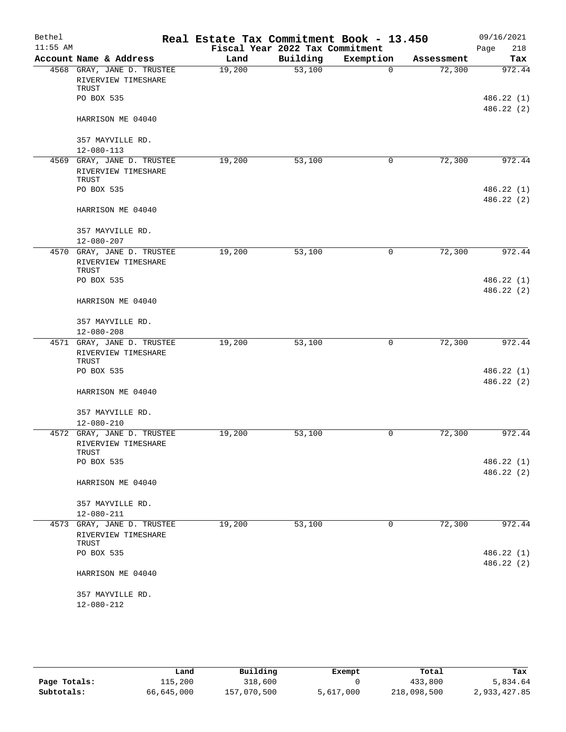| Bethel     |                                                            | Real Estate Tax Commitment Book - 13.450 |                                 |           |            | 09/16/2021               |
|------------|------------------------------------------------------------|------------------------------------------|---------------------------------|-----------|------------|--------------------------|
| $11:55$ AM |                                                            |                                          | Fiscal Year 2022 Tax Commitment |           |            | Page<br>218              |
|            | Account Name & Address                                     | Land                                     | Building                        | Exemption | Assessment | Tax                      |
|            | 4568 GRAY, JANE D. TRUSTEE                                 | 19,200                                   | 53,100                          | $\Omega$  | 72,300     | 972.44                   |
|            | RIVERVIEW TIMESHARE<br>TRUST                               |                                          |                                 |           |            |                          |
|            | PO BOX 535                                                 |                                          |                                 |           |            | 486.22 (1)<br>486.22 (2) |
|            | HARRISON ME 04040                                          |                                          |                                 |           |            |                          |
|            | 357 MAYVILLE RD.                                           |                                          |                                 |           |            |                          |
|            | $12 - 080 - 113$                                           |                                          |                                 |           |            |                          |
|            | 4569 GRAY, JANE D. TRUSTEE<br>RIVERVIEW TIMESHARE<br>TRUST | 19,200                                   | 53,100                          | 0         | 72,300     | 972.44                   |
|            | PO BOX 535                                                 |                                          |                                 |           |            | 486.22 (1)<br>486.22(2)  |
|            | HARRISON ME 04040                                          |                                          |                                 |           |            |                          |
|            | 357 MAYVILLE RD.<br>$12 - 080 - 207$                       |                                          |                                 |           |            |                          |
|            | 4570 GRAY, JANE D. TRUSTEE<br>RIVERVIEW TIMESHARE          | 19,200                                   | 53,100                          | 0         | 72,300     | 972.44                   |
|            | TRUST<br>PO BOX 535                                        |                                          |                                 |           |            | 486.22(1)                |
|            | HARRISON ME 04040                                          |                                          |                                 |           |            | 486.22(2)                |
|            | 357 MAYVILLE RD.<br>$12 - 080 - 208$                       |                                          |                                 |           |            |                          |
|            | 4571 GRAY, JANE D. TRUSTEE                                 | 19,200                                   | 53,100                          | 0         | 72,300     | 972.44                   |
|            | RIVERVIEW TIMESHARE<br>TRUST                               |                                          |                                 |           |            |                          |
|            | PO BOX 535                                                 |                                          |                                 |           |            | 486.22 (1)<br>486.22(2)  |
|            | HARRISON ME 04040                                          |                                          |                                 |           |            |                          |
|            | 357 MAYVILLE RD.<br>$12 - 080 - 210$                       |                                          |                                 |           |            |                          |
|            | 4572 GRAY, JANE D. TRUSTEE<br>RIVERVIEW TIMESHARE<br>TRUST | 19,200                                   | 53,100                          | 0         | 72,300     | 972.44                   |
|            | PO BOX 535                                                 |                                          |                                 |           |            | 486.22 (1)<br>486.22 (2) |
|            | HARRISON ME 04040                                          |                                          |                                 |           |            |                          |
|            | 357 MAYVILLE RD.<br>12-080-211                             |                                          |                                 |           |            |                          |
|            | 4573 GRAY, JANE D. TRUSTEE<br>RIVERVIEW TIMESHARE<br>TRUST | 19,200                                   | 53,100                          | 0         | 72,300     | 972.44                   |
|            | PO BOX 535                                                 |                                          |                                 |           |            | 486.22 (1)               |
|            | HARRISON ME 04040                                          |                                          |                                 |           |            | 486.22 (2)               |
|            | 357 MAYVILLE RD.<br>12-080-212                             |                                          |                                 |           |            |                          |
|            |                                                            |                                          |                                 |           |            |                          |

|              | Land       | Building    | Exempt    | Total       | Tax          |
|--------------|------------|-------------|-----------|-------------|--------------|
| Page Totals: | 115,200    | 318,600     |           | 433,800     | 5,834.64     |
| Subtotals:   | 66,645,000 | 157,070,500 | 5,617,000 | 218,098,500 | 2,933,427.85 |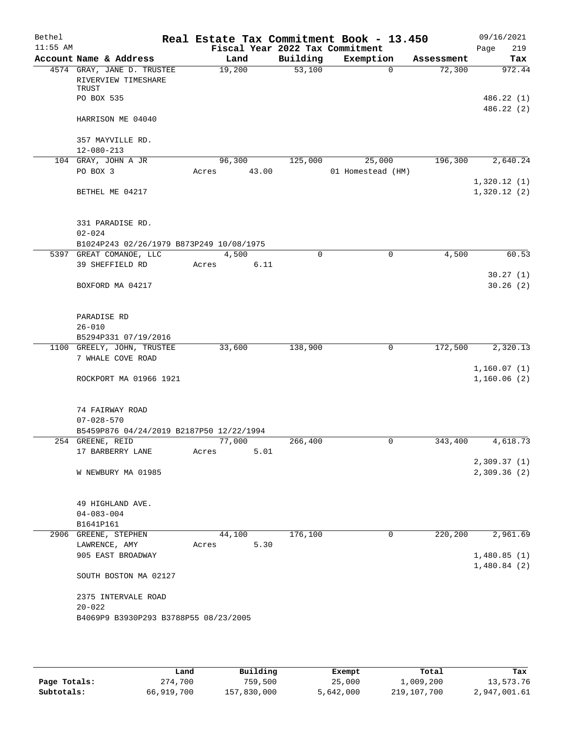| Bethel     |                                                                                 |       |                |          | Real Estate Tax Commitment Book - 13.450 |             |            | 09/16/2021                 |
|------------|---------------------------------------------------------------------------------|-------|----------------|----------|------------------------------------------|-------------|------------|----------------------------|
| $11:55$ AM |                                                                                 |       |                |          | Fiscal Year 2022 Tax Commitment          |             |            | Page<br>219                |
|            | Account Name & Address                                                          |       | Land           | Building | Exemption                                |             | Assessment | Tax                        |
|            | 4574 GRAY, JANE D. TRUSTEE<br>RIVERVIEW TIMESHARE<br>TRUST<br>PO BOX 535        |       | 19,200         | 53,100   |                                          | $\Omega$    | 72,300     | 972.44<br>486.22(1)        |
|            |                                                                                 |       |                |          |                                          |             |            | 486.22 (2)                 |
|            | HARRISON ME 04040                                                               |       |                |          |                                          |             |            |                            |
|            | 357 MAYVILLE RD.<br>$12 - 080 - 213$                                            |       |                |          |                                          |             |            |                            |
|            | 104 GRAY, JOHN A JR                                                             |       | 96,300         | 125,000  | 25,000                                   |             | 196,300    | 2,640.24                   |
|            | PO BOX 3                                                                        | Acres | 43.00          |          | 01 Homestead (HM)                        |             |            | 1,320.12(1)                |
|            | BETHEL ME 04217                                                                 |       |                |          |                                          |             |            | 1,320.12(2)                |
|            | 331 PARADISE RD.                                                                |       |                |          |                                          |             |            |                            |
|            | $02 - 024$                                                                      |       |                |          |                                          |             |            |                            |
|            | B1024P243 02/26/1979 B873P249 10/08/1975<br>5397 GREAT COMANOE, LLC             |       | 4,500          | 0        |                                          | 0           | 4,500      | 60.53                      |
|            | 39 SHEFFIELD RD                                                                 | Acres | 6.11           |          |                                          |             |            |                            |
|            | BOXFORD MA 04217                                                                |       |                |          |                                          |             |            | 30.27(1)<br>30.26(2)       |
|            | PARADISE RD                                                                     |       |                |          |                                          |             |            |                            |
|            | $26 - 010$<br>B5294P331 07/19/2016                                              |       |                |          |                                          |             |            |                            |
|            | 1100 GREELY, JOHN, TRUSTEE                                                      |       | 33,600         | 138,900  |                                          | 0           | 172,500    | 2,320.13                   |
|            | 7 WHALE COVE ROAD                                                               |       |                |          |                                          |             |            |                            |
|            | ROCKPORT MA 01966 1921                                                          |       |                |          |                                          |             |            | 1,160.07(1)<br>1,160.06(2) |
|            | 74 FAIRWAY ROAD<br>$07 - 028 - 570$<br>B5459P876 04/24/2019 B2187P50 12/22/1994 |       |                |          |                                          |             |            |                            |
|            | 254 GREENE, REID                                                                |       | 77,000         | 266,400  |                                          | 0           | 343,400    | 4,618.73                   |
|            | 17 BARBERRY LANE                                                                | Acres | 5.01           |          |                                          |             |            |                            |
|            | W NEWBURY MA 01985                                                              |       |                |          |                                          |             |            | 2,309.37(1)<br>2,309.36(2) |
|            | 49 HIGHLAND AVE.<br>$04 - 083 - 004$                                            |       |                |          |                                          |             |            |                            |
|            | B1641P161                                                                       |       |                |          |                                          |             |            |                            |
|            | 2906 GREENE, STEPHEN<br>LAWRENCE, AMY                                           | Acres | 44,100<br>5.30 | 176,100  |                                          | $\mathbf 0$ | 220,200    | 2,961.69                   |
|            | 905 EAST BROADWAY                                                               |       |                |          |                                          |             |            | 1,480.85(1)<br>1,480.84(2) |
|            | SOUTH BOSTON MA 02127                                                           |       |                |          |                                          |             |            |                            |
|            | 2375 INTERVALE ROAD<br>$20 - 022$                                               |       |                |          |                                          |             |            |                            |
|            | B4069P9 B3930P293 B3788P55 08/23/2005                                           |       |                |          |                                          |             |            |                            |
|            |                                                                                 |       |                |          |                                          |             |            |                            |

|              | Land       | Building    | Exempt    | Total       | Tax          |
|--------------|------------|-------------|-----------|-------------|--------------|
| Page Totals: | 274,700    | 759,500     | 25,000    | 1,009,200   | 13,573.76    |
| Subtotals:   | 66,919,700 | 157,830,000 | 5,642,000 | 219,107,700 | 2,947,001.61 |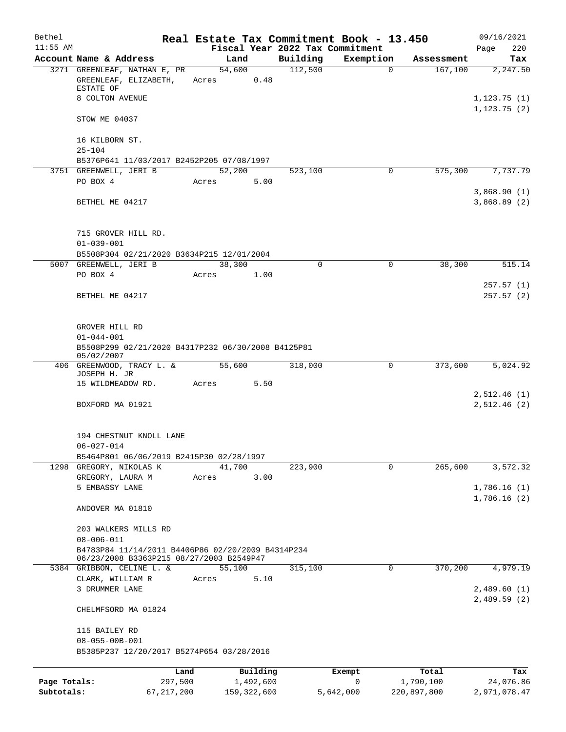| Bethel       |                                                                                               |                 |                 |                       |             | Real Estate Tax Commitment Book - 13.450 |                        | 09/16/2021                 |
|--------------|-----------------------------------------------------------------------------------------------|-----------------|-----------------|-----------------------|-------------|------------------------------------------|------------------------|----------------------------|
| $11:55$ AM   |                                                                                               |                 |                 |                       |             | Fiscal Year 2022 Tax Commitment          |                        | 220<br>Page                |
|              | Account Name & Address                                                                        |                 | Land            |                       | Building    | Exemption                                | Assessment             | Tax                        |
|              | 3271 GREENLEAF, NATHAN E, PR<br>GREENLEAF, ELIZABETH,<br>ESTATE OF                            |                 | 54,600<br>Acres | 0.48                  | 112,500     |                                          | 167,100<br>$\mathbf 0$ | 2,247.50                   |
|              | 8 COLTON AVENUE                                                                               |                 |                 |                       |             |                                          |                        | 1,123.75(1)                |
|              | STOW ME 04037                                                                                 |                 |                 |                       |             |                                          |                        | 1, 123.75(2)               |
|              | 16 KILBORN ST.                                                                                |                 |                 |                       |             |                                          |                        |                            |
|              | $25 - 104$<br>B5376P641 11/03/2017 B2452P205 07/08/1997                                       |                 |                 |                       |             |                                          |                        |                            |
|              | 3751 GREENWELL, JERI B                                                                        |                 | 52,200          |                       | 523,100     |                                          | $\mathbf 0$<br>575,300 | 7,737.79                   |
|              | PO BOX 4                                                                                      |                 | Acres           | 5.00                  |             |                                          |                        |                            |
|              | BETHEL ME 04217                                                                               |                 |                 |                       |             |                                          |                        | 3,868.90(1)<br>3,868.89(2) |
|              |                                                                                               |                 |                 |                       |             |                                          |                        |                            |
|              | 715 GROVER HILL RD.<br>$01 - 039 - 001$                                                       |                 |                 |                       |             |                                          |                        |                            |
|              | B5508P304 02/21/2020 B3634P215 12/01/2004                                                     |                 |                 |                       |             |                                          |                        |                            |
|              | 5007 GREENWELL, JERI B                                                                        |                 | 38,300          |                       | $\mathbf 0$ |                                          | $\mathbf 0$<br>38,300  | 515.14                     |
|              | PO BOX 4                                                                                      |                 | Acres           | 1.00                  |             |                                          |                        |                            |
|              |                                                                                               |                 |                 |                       |             |                                          |                        | 257.57(1)                  |
|              | BETHEL ME 04217                                                                               |                 |                 |                       |             |                                          |                        | 257.57(2)                  |
|              | GROVER HILL RD<br>$01 - 044 - 001$                                                            |                 |                 |                       |             |                                          |                        |                            |
|              | B5508P299 02/21/2020 B4317P232 06/30/2008 B4125P81<br>05/02/2007                              |                 |                 |                       |             |                                          |                        |                            |
|              | 406 GREENWOOD, TRACY L. &<br>JOSEPH H. JR                                                     |                 | 55,600          |                       | 318,000     |                                          | 373,600<br>0           | 5,024.92                   |
|              | 15 WILDMEADOW RD.                                                                             |                 | Acres           | 5.50                  |             |                                          |                        |                            |
|              | BOXFORD MA 01921                                                                              |                 |                 |                       |             |                                          |                        | 2,512.46(1)<br>2,512.46(2) |
|              | 194 CHESTNUT KNOLL LANE                                                                       |                 |                 |                       |             |                                          |                        |                            |
|              | $06 - 027 - 014$                                                                              |                 |                 |                       |             |                                          |                        |                            |
|              | B5464P801 06/06/2019 B2415P30 02/28/1997<br>1298 GREGORY, NIKOLAS K                           |                 | 41,700          |                       | 223,900     |                                          | 0<br>265,600           | 3,572.32                   |
|              | GREGORY, LAURA M                                                                              |                 | Acres           | 3.00                  |             |                                          |                        |                            |
|              | 5 EMBASSY LANE                                                                                |                 |                 |                       |             |                                          |                        | 1,786.16(1)                |
|              | ANDOVER MA 01810                                                                              |                 |                 |                       |             |                                          |                        | 1,786.16(2)                |
|              | 203 WALKERS MILLS RD                                                                          |                 |                 |                       |             |                                          |                        |                            |
|              | $08 - 006 - 011$                                                                              |                 |                 |                       |             |                                          |                        |                            |
|              | B4783P84 11/14/2011 B4406P86 02/20/2009 B4314P234<br>06/23/2008 B3363P215 08/27/2003 B2549P47 |                 |                 |                       |             |                                          |                        |                            |
|              | 5384 GRIBBON, CELINE L. &                                                                     |                 | 55,100          |                       | 315,100     |                                          | 370,200<br>0           | 4,979.19                   |
|              | CLARK, WILLIAM R                                                                              |                 | Acres           | 5.10                  |             |                                          |                        |                            |
|              | 3 DRUMMER LANE                                                                                |                 |                 |                       |             |                                          |                        | 2,489.60(1)<br>2,489.59(2) |
|              | CHELMFSORD MA 01824                                                                           |                 |                 |                       |             |                                          |                        |                            |
|              | 115 BAILEY RD                                                                                 |                 |                 |                       |             |                                          |                        |                            |
|              | $08 - 055 - 00B - 001$<br>B5385P237 12/20/2017 B5274P654 03/28/2016                           |                 |                 |                       |             |                                          |                        |                            |
|              |                                                                                               |                 |                 |                       |             |                                          |                        |                            |
| Page Totals: |                                                                                               | Land<br>297,500 |                 | Building<br>1,492,600 |             | Exempt<br>0                              | Total<br>1,790,100     | Tax<br>24,076.86           |
| Subtotals:   |                                                                                               | 67, 217, 200    |                 | 159, 322, 600         |             | 5,642,000                                | 220,897,800            | 2,971,078.47               |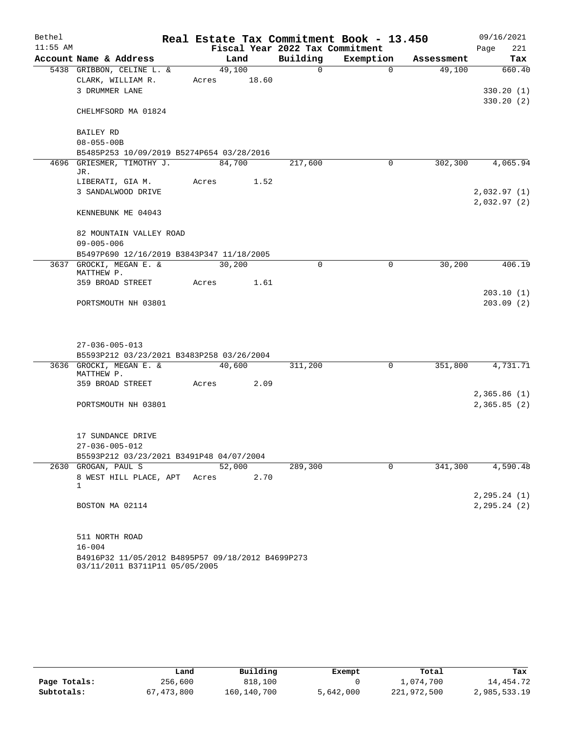| Bethel     |                                                                                     |             |        | Real Estate Tax Commitment Book - 13.450 |             |            | 09/16/2021    |
|------------|-------------------------------------------------------------------------------------|-------------|--------|------------------------------------------|-------------|------------|---------------|
| $11:55$ AM |                                                                                     |             |        | Fiscal Year 2022 Tax Commitment          |             |            | 221<br>Page   |
|            | Account Name & Address                                                              | Land        |        | Building                                 | Exemption   | Assessment | Tax           |
|            | 5438 GRIBBON, CELINE L. &                                                           | 49,100      |        | $\Omega$                                 | $\Omega$    | 49,100     | 660.40        |
|            | CLARK, WILLIAM R.                                                                   | Acres 18.60 |        |                                          |             |            |               |
|            | 3 DRUMMER LANE                                                                      |             |        |                                          |             |            | 330.20(1)     |
|            | CHELMFSORD MA 01824                                                                 |             |        |                                          |             |            | 330.20(2)     |
|            | <b>BAILEY RD</b>                                                                    |             |        |                                          |             |            |               |
|            | $08 - 055 - 00B$                                                                    |             |        |                                          |             |            |               |
|            | B5485P253 10/09/2019 B5274P654 03/28/2016                                           |             |        |                                          |             |            |               |
|            | 4696 GRIESMER, TIMOTHY J.<br>JR.                                                    | 84,700      |        | 217,600                                  | $\mathbf 0$ | 302,300    | 4,065.94      |
|            | LIBERATI, GIA M.                                                                    | Acres       | 1.52   |                                          |             |            |               |
|            | 3 SANDALWOOD DRIVE                                                                  |             |        |                                          |             |            | 2,032.97(1)   |
|            |                                                                                     |             |        |                                          |             |            | 2,032.97(2)   |
|            | KENNEBUNK ME 04043                                                                  |             |        |                                          |             |            |               |
|            | 82 MOUNTAIN VALLEY ROAD                                                             |             |        |                                          |             |            |               |
|            | $09 - 005 - 006$                                                                    |             |        |                                          |             |            |               |
|            | B5497P690 12/16/2019 B3843P347 11/18/2005                                           |             |        |                                          |             |            |               |
|            | 3637 GROCKI, MEGAN E. &<br>MATTHEW P.                                               | 30,200      |        | $\Omega$                                 | 0           | 30,200     | 406.19        |
|            | 359 BROAD STREET                                                                    | Acres       | 1.61   |                                          |             |            |               |
|            |                                                                                     |             |        |                                          |             |            | 203.10(1)     |
|            | PORTSMOUTH NH 03801                                                                 |             |        |                                          |             |            | 203.09(2)     |
|            |                                                                                     |             |        |                                          |             |            |               |
|            | $27 - 036 - 005 - 013$                                                              |             |        |                                          |             |            |               |
|            | B5593P212 03/23/2021 B3483P258 03/26/2004                                           |             |        |                                          |             |            |               |
|            | 3636 GROCKI, MEGAN E. &                                                             |             | 40,600 | 311,200                                  | 0           | 351,800    | 4,731.71      |
|            | MATTHEW P.                                                                          |             |        |                                          |             |            |               |
|            | 359 BROAD STREET                                                                    | Acres       | 2.09   |                                          |             |            | 2,365.86(1)   |
|            | PORTSMOUTH NH 03801                                                                 |             |        |                                          |             |            | 2,365.85(2)   |
|            |                                                                                     |             |        |                                          |             |            |               |
|            | 17 SUNDANCE DRIVE                                                                   |             |        |                                          |             |            |               |
|            | $27 - 036 - 005 - 012$                                                              |             |        |                                          |             |            |               |
|            | B5593P212 03/23/2021 B3491P48 04/07/2004                                            |             |        |                                          |             |            |               |
|            | 2630 GROGAN, PAUL S                                                                 | 52,000      |        | 289,300                                  | $\Omega$    | 341,300    | 4,590.48      |
|            | 8 WEST HILL PLACE, APT                                                              | Acres       | 2.70   |                                          |             |            |               |
|            | 1                                                                                   |             |        |                                          |             |            | 2, 295.24 (1) |
|            | BOSTON MA 02114                                                                     |             |        |                                          |             |            | 2, 295.24 (2) |
|            |                                                                                     |             |        |                                          |             |            |               |
|            | 511 NORTH ROAD                                                                      |             |        |                                          |             |            |               |
|            | $16 - 004$                                                                          |             |        |                                          |             |            |               |
|            | B4916P32 11/05/2012 B4895P57 09/18/2012 B4699P273<br>03/11/2011 B3711P11 05/05/2005 |             |        |                                          |             |            |               |

|              | Land         | Building    | Exempt    | Total       | Tax          |
|--------------|--------------|-------------|-----------|-------------|--------------|
| Page Totals: | 256,600      | 818,100     |           | 1,074,700   | 14,454.72    |
| Subtotals:   | 67, 473, 800 | 160,140,700 | 5,642,000 | 221,972,500 | 2,985,533.19 |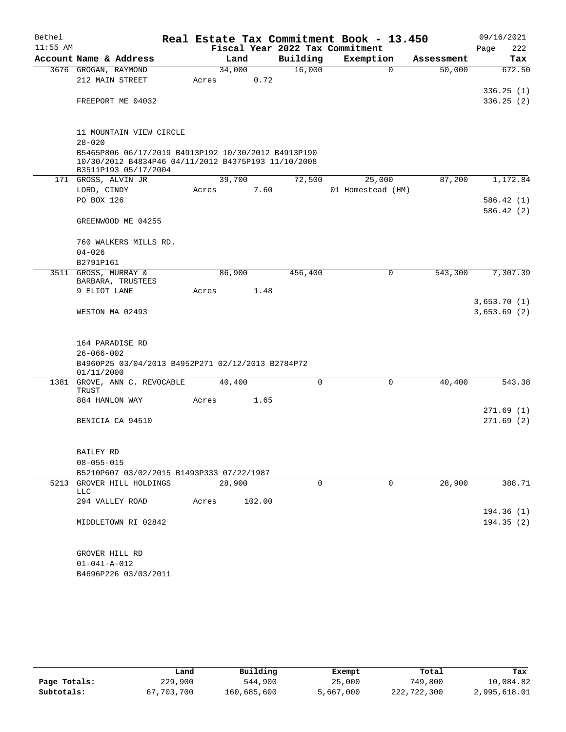| Bethel     |                                                                                                                                    |  |       |        |        | Real Estate Tax Commitment Book - 13.450 |  |                   |            | 09/16/2021  |        |
|------------|------------------------------------------------------------------------------------------------------------------------------------|--|-------|--------|--------|------------------------------------------|--|-------------------|------------|-------------|--------|
| $11:55$ AM |                                                                                                                                    |  |       |        |        | Fiscal Year 2022 Tax Commitment          |  |                   |            | Page        | 222    |
|            | Account Name & Address                                                                                                             |  |       | Land   |        | Building                                 |  | Exemption         | Assessment |             | Tax    |
|            | 3676 GROGAN, RAYMOND                                                                                                               |  |       | 34,000 |        | 16,000                                   |  | $\mathbf 0$       | 50,000     |             | 672.50 |
|            | 212 MAIN STREET                                                                                                                    |  | Acres |        | 0.72   |                                          |  |                   |            |             |        |
|            |                                                                                                                                    |  |       |        |        |                                          |  |                   |            | 336.25(1)   |        |
|            | FREEPORT ME 04032                                                                                                                  |  |       |        |        |                                          |  |                   |            | 336.25(2)   |        |
|            | 11 MOUNTAIN VIEW CIRCLE                                                                                                            |  |       |        |        |                                          |  |                   |            |             |        |
|            | $28 - 020$                                                                                                                         |  |       |        |        |                                          |  |                   |            |             |        |
|            | B5465P806 06/17/2019 B4913P192 10/30/2012 B4913P190<br>10/30/2012 B4834P46 04/11/2012 B4375P193 11/10/2008<br>B3511P193 05/17/2004 |  |       |        |        |                                          |  |                   |            |             |        |
|            | 171 GROSS, ALVIN JR                                                                                                                |  |       | 39,700 |        | 72,500                                   |  | 25,000            | 87,200     | 1,172.84    |        |
|            | LORD, CINDY                                                                                                                        |  | Acres |        | 7.60   |                                          |  | 01 Homestead (HM) |            |             |        |
|            | PO BOX 126                                                                                                                         |  |       |        |        |                                          |  |                   |            | 586.42(1)   |        |
|            |                                                                                                                                    |  |       |        |        |                                          |  |                   |            | 586.42(2)   |        |
|            | GREENWOOD ME 04255                                                                                                                 |  |       |        |        |                                          |  |                   |            |             |        |
|            | 760 WALKERS MILLS RD.                                                                                                              |  |       |        |        |                                          |  |                   |            |             |        |
|            | $04 - 026$                                                                                                                         |  |       |        |        |                                          |  |                   |            |             |        |
|            | B2791P161                                                                                                                          |  |       |        |        |                                          |  |                   |            |             |        |
|            | 3511 GROSS, MURRAY &<br>BARBARA, TRUSTEES                                                                                          |  |       | 86,900 |        | 456,400                                  |  | 0                 | 543,300    | 7,307.39    |        |
|            | 9 ELIOT LANE                                                                                                                       |  | Acres |        | 1.48   |                                          |  |                   |            |             |        |
|            |                                                                                                                                    |  |       |        |        |                                          |  |                   |            | 3,653.70(1) |        |
|            | WESTON MA 02493                                                                                                                    |  |       |        |        |                                          |  |                   |            | 3,653.69(2) |        |
|            | 164 PARADISE RD                                                                                                                    |  |       |        |        |                                          |  |                   |            |             |        |
|            | $26 - 066 - 002$                                                                                                                   |  |       |        |        |                                          |  |                   |            |             |        |
|            | B4960P25 03/04/2013 B4952P271 02/12/2013 B2784P72<br>01/11/2000                                                                    |  |       |        |        |                                          |  |                   |            |             |        |
|            | 1381 GROVE, ANN C. REVOCABLE<br>TRUST                                                                                              |  |       | 40,400 |        | $\Omega$                                 |  | 0                 | 40,400     |             | 543.38 |
|            | 884 HANLON WAY                                                                                                                     |  | Acres |        | 1.65   |                                          |  |                   |            |             |        |
|            |                                                                                                                                    |  |       |        |        |                                          |  |                   |            | 271.69(1)   |        |
|            | BENICIA CA 94510                                                                                                                   |  |       |        |        |                                          |  |                   |            | 271.69(2)   |        |
|            |                                                                                                                                    |  |       |        |        |                                          |  |                   |            |             |        |
|            | BAILEY RD                                                                                                                          |  |       |        |        |                                          |  |                   |            |             |        |
|            | $08 - 055 - 015$                                                                                                                   |  |       |        |        |                                          |  |                   |            |             |        |
|            | B5210P607 03/02/2015 B1493P333 07/22/1987                                                                                          |  |       |        |        |                                          |  |                   |            |             |        |
|            | 5213 GROVER HILL HOLDINGS                                                                                                          |  |       | 28,900 |        | 0                                        |  | 0                 | 28,900     |             | 388.71 |
|            | <b>LLC</b>                                                                                                                         |  | Acres |        |        |                                          |  |                   |            |             |        |
|            | 294 VALLEY ROAD                                                                                                                    |  |       |        | 102.00 |                                          |  |                   |            | 194.36(1)   |        |
|            | MIDDLETOWN RI 02842                                                                                                                |  |       |        |        |                                          |  |                   |            | 194.35(2)   |        |
|            |                                                                                                                                    |  |       |        |        |                                          |  |                   |            |             |        |
|            | GROVER HILL RD                                                                                                                     |  |       |        |        |                                          |  |                   |            |             |        |
|            | $01 - 041 - A - 012$                                                                                                               |  |       |        |        |                                          |  |                   |            |             |        |
|            | B4696P226 03/03/2011                                                                                                               |  |       |        |        |                                          |  |                   |            |             |        |

|              | Land       | Building    | Exempt    | Total       | Tax          |
|--------------|------------|-------------|-----------|-------------|--------------|
| Page Totals: | 229,900    | 544,900     | 25,000    | 749,800     | 10,084.82    |
| Subtotals:   | 67,703,700 | 160,685,600 | 5,667,000 | 222,722,300 | 2,995,618.01 |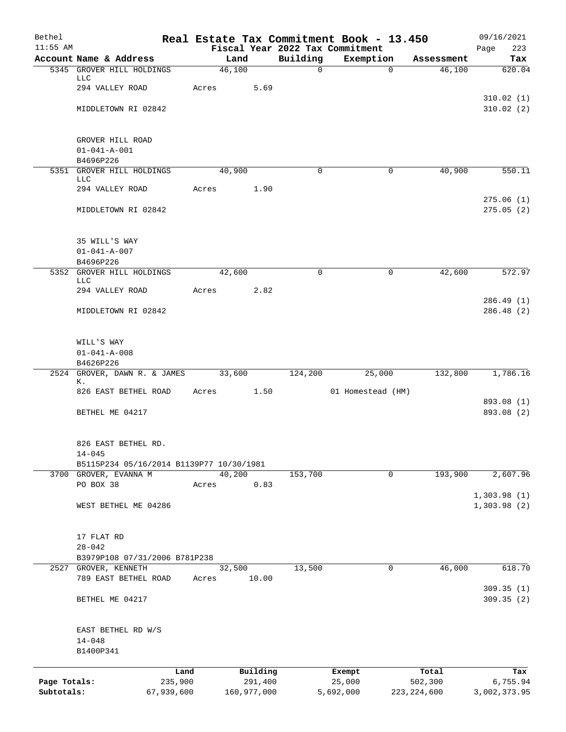| Bethel                     |                                                     |                       |                |                        |                         | Real Estate Tax Commitment Book - 13.450 |                          | 09/16/2021               |
|----------------------------|-----------------------------------------------------|-----------------------|----------------|------------------------|-------------------------|------------------------------------------|--------------------------|--------------------------|
| $11:55$ AM                 |                                                     |                       |                |                        |                         | Fiscal Year 2022 Tax Commitment          |                          | Page<br>223              |
|                            | Account Name & Address<br>5345 GROVER HILL HOLDINGS |                       | Land<br>46,100 |                        | Building<br>$\mathbf 0$ | Exemption<br>$\mathbf{0}$                | Assessment<br>46,100     | Tax<br>620.04            |
|                            | LLC                                                 |                       |                |                        |                         |                                          |                          |                          |
|                            | 294 VALLEY ROAD                                     | Acres                 |                | 5.69                   |                         |                                          |                          |                          |
|                            |                                                     |                       |                |                        |                         |                                          |                          | 310.02(1)                |
|                            | MIDDLETOWN RI 02842                                 |                       |                |                        |                         |                                          |                          | 310.02(2)                |
|                            | GROVER HILL ROAD                                    |                       |                |                        |                         |                                          |                          |                          |
|                            | $01 - 041 - A - 001$                                |                       |                |                        |                         |                                          |                          |                          |
|                            | B4696P226                                           |                       |                |                        |                         |                                          |                          |                          |
| 5351                       | GROVER HILL HOLDINGS<br>LLC                         |                       | 40,900         |                        | 0                       | 0                                        | 40,900                   | 550.11                   |
|                            | 294 VALLEY ROAD                                     | Acres                 |                | 1.90                   |                         |                                          |                          |                          |
|                            |                                                     |                       |                |                        |                         |                                          |                          | 275.06(1)                |
|                            | MIDDLETOWN RI 02842                                 |                       |                |                        |                         |                                          |                          | 275.05(2)                |
|                            | 35 WILL'S WAY                                       |                       |                |                        |                         |                                          |                          |                          |
|                            | $01 - 041 - A - 007$                                |                       |                |                        |                         |                                          |                          |                          |
|                            | B4696P226                                           |                       |                |                        |                         |                                          |                          |                          |
|                            | 5352 GROVER HILL HOLDINGS<br>LLC                    |                       | 42,600         |                        | $\Omega$                | 0                                        | 42,600                   | 572.97                   |
|                            | 294 VALLEY ROAD                                     | Acres                 |                | 2.82                   |                         |                                          |                          |                          |
|                            |                                                     |                       |                |                        |                         |                                          |                          | 286.49(1)                |
|                            | MIDDLETOWN RI 02842                                 |                       |                |                        |                         |                                          |                          | 286.48(2)                |
|                            | WILL'S WAY                                          |                       |                |                        |                         |                                          |                          |                          |
|                            | $01 - 041 - A - 008$                                |                       |                |                        |                         |                                          |                          |                          |
|                            | B4626P226                                           |                       |                |                        |                         |                                          |                          |                          |
|                            | 2524 GROVER, DAWN R. & JAMES<br>К.                  |                       | 33,600         |                        | 124,200                 | 25,000                                   | 132,800                  | 1,786.16                 |
|                            | 826 EAST BETHEL ROAD                                | Acres                 |                | 1.50                   |                         | 01 Homestead (HM)                        |                          |                          |
|                            |                                                     |                       |                |                        |                         |                                          |                          | 893.08 (1)               |
|                            | BETHEL ME 04217                                     |                       |                |                        |                         |                                          |                          | 893.08 (2)               |
|                            | 826 EAST BETHEL RD.                                 |                       |                |                        |                         |                                          |                          |                          |
|                            | $14 - 045$                                          |                       |                |                        |                         |                                          |                          |                          |
|                            | B5115P234 05/16/2014 B1139P77 10/30/1981            |                       | 40,200         |                        |                         | $\mathbf 0$                              | 193,900                  |                          |
|                            | 3700 GROVER, EVANNA M<br>PO BOX 38                  | Acres                 |                | 0.83                   | 153,700                 |                                          |                          | 2,607.96                 |
|                            |                                                     |                       |                |                        |                         |                                          |                          | 1,303.98(1)              |
|                            | WEST BETHEL ME 04286                                |                       |                |                        |                         |                                          |                          | 1,303.98(2)              |
|                            | 17 FLAT RD                                          |                       |                |                        |                         |                                          |                          |                          |
|                            | $28 - 042$                                          |                       |                |                        |                         |                                          |                          |                          |
|                            | B3979P108 07/31/2006 B781P238                       |                       |                |                        |                         |                                          |                          |                          |
| 2527                       | GROVER, KENNETH<br>789 EAST BETHEL ROAD             | Acres                 | 32,500         | 10.00                  | 13,500                  | $\mathbf 0$                              | 46,000                   | 618.70                   |
|                            | BETHEL ME 04217                                     |                       |                |                        |                         |                                          |                          | 309.35(1)<br>309.35(2)   |
|                            | EAST BETHEL RD W/S                                  |                       |                |                        |                         |                                          |                          |                          |
|                            | $14 - 048$                                          |                       |                |                        |                         |                                          |                          |                          |
|                            | B1400P341                                           |                       |                |                        |                         |                                          |                          |                          |
|                            |                                                     | Land                  |                | Building               |                         | Exempt                                   | Total                    | Tax                      |
| Page Totals:<br>Subtotals: |                                                     | 235,900<br>67,939,600 |                | 291,400<br>160,977,000 |                         | 25,000<br>5,692,000                      | 502,300<br>223, 224, 600 | 6,755.94<br>3,002,373.95 |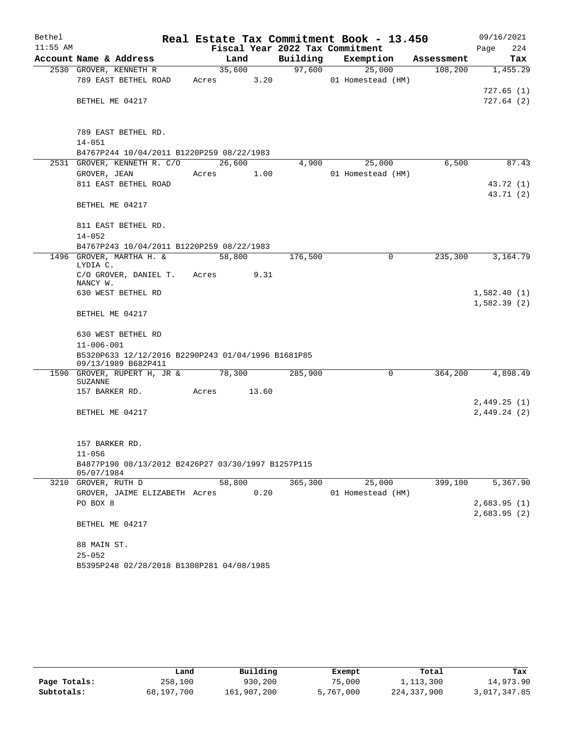| Bethel     |                                                                        |        |       |          | Real Estate Tax Commitment Book - 13.450 |            | 09/16/2021   |
|------------|------------------------------------------------------------------------|--------|-------|----------|------------------------------------------|------------|--------------|
| $11:55$ AM |                                                                        |        |       |          | Fiscal Year 2022 Tax Commitment          |            | 224<br>Page  |
|            | Account Name & Address                                                 | Land   |       | Building | Exemption                                | Assessment | Tax          |
|            | 2530 GROVER, KENNETH R                                                 | 35,600 |       | 97,600   | 25,000                                   | 108,200    | 1,455.29     |
|            | 789 EAST BETHEL ROAD                                                   | Acres  | 3.20  |          | 01 Homestead (HM)                        |            |              |
|            |                                                                        |        |       |          |                                          |            | 727.65(1)    |
|            | BETHEL ME 04217                                                        |        |       |          |                                          |            | 727.64(2)    |
|            |                                                                        |        |       |          |                                          |            |              |
|            | 789 EAST BETHEL RD.                                                    |        |       |          |                                          |            |              |
|            | $14 - 051$                                                             |        |       |          |                                          |            |              |
|            | B4767P244 10/04/2011 B1220P259 08/22/1983                              |        |       |          |                                          |            |              |
|            | 2531 GROVER, KENNETH R. C/O                                            | 26,600 |       | 4,900    | 25,000                                   | 6,500      | 87.43        |
|            | GROVER, JEAN                                                           | Acres  | 1.00  |          | 01 Homestead (HM)                        |            |              |
|            | 811 EAST BETHEL ROAD                                                   |        |       |          |                                          |            | 43.72 (1)    |
|            |                                                                        |        |       |          |                                          |            | 43.71 (2)    |
|            | BETHEL ME 04217                                                        |        |       |          |                                          |            |              |
|            | 811 EAST BETHEL RD.                                                    |        |       |          |                                          |            |              |
|            | $14 - 052$                                                             |        |       |          |                                          |            |              |
|            | B4767P243 10/04/2011 B1220P259 08/22/1983                              |        |       |          |                                          |            |              |
|            | 1496 GROVER, MARTHA H. &                                               | 58,800 |       | 176,500  | 0                                        | 235,300    | 3,164.79     |
|            | LYDIA C.                                                               |        |       |          |                                          |            |              |
|            | C/O GROVER, DANIEL T.<br>NANCY W.                                      | Acres  | 9.31  |          |                                          |            |              |
|            | 630 WEST BETHEL RD                                                     |        |       |          |                                          |            | 1,582.40(1)  |
|            |                                                                        |        |       |          |                                          |            | 1,582.39(2)  |
|            | BETHEL ME 04217                                                        |        |       |          |                                          |            |              |
|            |                                                                        |        |       |          |                                          |            |              |
|            | 630 WEST BETHEL RD                                                     |        |       |          |                                          |            |              |
|            | $11 - 006 - 001$<br>B5320P633 12/12/2016 B2290P243 01/04/1996 B1681P85 |        |       |          |                                          |            |              |
|            | 09/13/1989 B682P411                                                    |        |       |          |                                          |            |              |
|            | 1590 GROVER, RUPERT H, JR &                                            | 78,300 |       | 285,900  | 0                                        | 364,200    | 4,898.49     |
|            | SUZANNE                                                                | Acres  | 13.60 |          |                                          |            |              |
|            | 157 BARKER RD.                                                         |        |       |          |                                          |            | 2,449.25 (1) |
|            | BETHEL ME 04217                                                        |        |       |          |                                          |            | 2,449.24(2)  |
|            |                                                                        |        |       |          |                                          |            |              |
|            |                                                                        |        |       |          |                                          |            |              |
|            | 157 BARKER RD.                                                         |        |       |          |                                          |            |              |
|            | $11 - 056$                                                             |        |       |          |                                          |            |              |
|            | B4877P190 08/13/2012 B2426P27 03/30/1997 B1257P115<br>05/07/1984       |        |       |          |                                          |            |              |
|            | 3210 GROVER, RUTH D                                                    | 58,800 |       | 365,300  | 25,000                                   | 399,100    | 5,367.90     |
|            | GROVER, JAIME ELIZABETH Acres                                          |        | 0.20  |          | 01 Homestead (HM)                        |            |              |
|            | PO BOX 8                                                               |        |       |          |                                          |            | 2,683.95(1)  |
|            |                                                                        |        |       |          |                                          |            | 2,683.95(2)  |
|            | BETHEL ME 04217                                                        |        |       |          |                                          |            |              |
|            | 88 MAIN ST.                                                            |        |       |          |                                          |            |              |
|            | $25 - 052$                                                             |        |       |          |                                          |            |              |
|            | B5395P248 02/28/2018 B1308P281 04/08/1985                              |        |       |          |                                          |            |              |
|            |                                                                        |        |       |          |                                          |            |              |

|              | Land       | Building    | Exempt    | Total       | Tax          |
|--------------|------------|-------------|-----------|-------------|--------------|
| Page Totals: | 258,100    | 930,200     | 75,000    | 1,113,300   | 14,973.90    |
| Subtotals:   | 68,197,700 | 161,907,200 | 5,767,000 | 224,337,900 | 3,017,347.85 |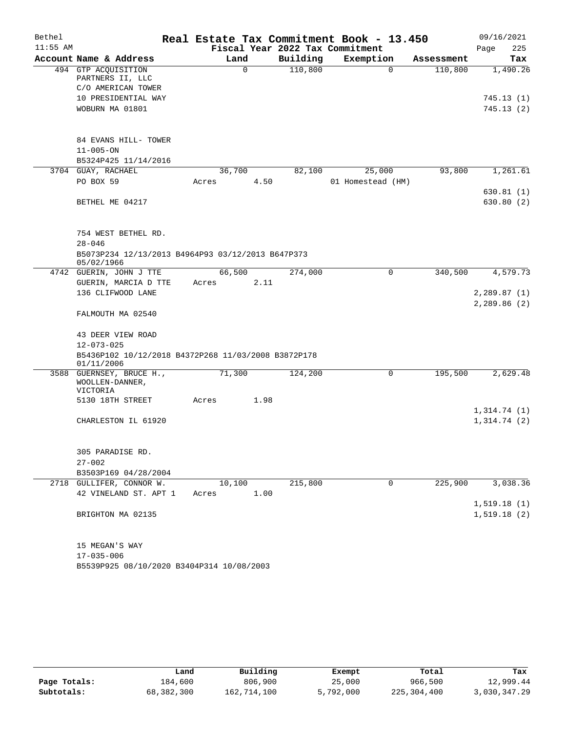| Bethel     |                                                                   |       |          |          | Real Estate Tax Commitment Book - 13.450 |            | 09/16/2021  |
|------------|-------------------------------------------------------------------|-------|----------|----------|------------------------------------------|------------|-------------|
| $11:55$ AM |                                                                   |       |          |          | Fiscal Year 2022 Tax Commitment          |            | 225<br>Page |
|            | Account Name & Address                                            |       | Land     | Building | Exemption                                | Assessment | Tax         |
|            | 494 GTP ACQUISITION                                               |       | $\Omega$ | 110,800  | $\Omega$                                 | 110,800    | 1,490.26    |
|            | PARTNERS II, LLC<br>C/O AMERICAN TOWER                            |       |          |          |                                          |            |             |
|            | 10 PRESIDENTIAL WAY                                               |       |          |          |                                          |            | 745.13 (1)  |
|            | WOBURN MA 01801                                                   |       |          |          |                                          |            | 745.13 (2)  |
|            |                                                                   |       |          |          |                                          |            |             |
|            | 84 EVANS HILL- TOWER                                              |       |          |          |                                          |            |             |
|            | $11 - 005 - ON$                                                   |       |          |          |                                          |            |             |
|            | B5324P425 11/14/2016                                              |       |          |          |                                          |            |             |
|            | 3704 GUAY, RACHAEL                                                |       | 36,700   | 82,100   | 25,000                                   | 93,800     | 1,261.61    |
|            | PO BOX 59                                                         | Acres | 4.50     |          | 01 Homestead (HM)                        |            |             |
|            |                                                                   |       |          |          |                                          |            | 630.81 (1)  |
|            | BETHEL ME 04217                                                   |       |          |          |                                          |            | 630.80 (2)  |
|            |                                                                   |       |          |          |                                          |            |             |
|            | 754 WEST BETHEL RD.                                               |       |          |          |                                          |            |             |
|            | $28 - 046$                                                        |       |          |          |                                          |            |             |
|            | B5073P234 12/13/2013 B4964P93 03/12/2013 B647P373<br>05/02/1966   |       |          |          |                                          |            |             |
|            | 4742 GUERIN, JOHN J TTE                                           |       | 66,500   | 274,000  | 0                                        | 340,500    | 4,579.73    |
|            | GUERIN, MARCIA D TTE                                              | Acres | 2.11     |          |                                          |            |             |
|            | 136 CLIFWOOD LANE                                                 |       |          |          |                                          |            | 2,289.87(1) |
|            |                                                                   |       |          |          |                                          |            | 2,289.86(2) |
|            | FALMOUTH MA 02540                                                 |       |          |          |                                          |            |             |
|            | 43 DEER VIEW ROAD                                                 |       |          |          |                                          |            |             |
|            | $12 - 073 - 025$                                                  |       |          |          |                                          |            |             |
|            | B5436P102 10/12/2018 B4372P268 11/03/2008 B3872P178<br>01/11/2006 |       |          |          |                                          |            |             |
|            | 3588 GUERNSEY, BRUCE H.,                                          |       | 71,300   | 124,200  | 0                                        | 195,500    | 2,629.48    |
|            | WOOLLEN-DANNER,<br><b>VICTORIA</b>                                |       |          |          |                                          |            |             |
|            | 5130 18TH STREET                                                  | Acres | 1.98     |          |                                          |            |             |
|            |                                                                   |       |          |          |                                          |            | 1,314.74(1) |
|            | CHARLESTON IL 61920                                               |       |          |          |                                          |            | 1,314.74(2) |
|            |                                                                   |       |          |          |                                          |            |             |
|            | 305 PARADISE RD.                                                  |       |          |          |                                          |            |             |
|            | $27 - 002$                                                        |       |          |          |                                          |            |             |
|            | B3503P169 04/28/2004                                              |       |          |          |                                          |            |             |
|            | 2718 GULLIFER, CONNOR W.                                          |       | 10,100   | 215,800  | 0                                        | 225,900    | 3,038.36    |
|            | 42 VINELAND ST. APT 1                                             | Acres | 1.00     |          |                                          |            |             |
|            |                                                                   |       |          |          |                                          |            | 1,519.18(1) |
|            | BRIGHTON MA 02135                                                 |       |          |          |                                          |            | 1,519.18(2) |
|            |                                                                   |       |          |          |                                          |            |             |
|            | 15 MEGAN'S WAY<br>$17 - 035 - 006$                                |       |          |          |                                          |            |             |
|            | B5539P925 08/10/2020 B3404P314 10/08/2003                         |       |          |          |                                          |            |             |
|            |                                                                   |       |          |          |                                          |            |             |

|              | Land       | Building    | Exempt    | Total       | Tax          |
|--------------|------------|-------------|-----------|-------------|--------------|
| Page Totals: | 184,600    | 806,900     | 25,000    | 966,500     | 12,999.44    |
| Subtotals:   | 68,382,300 | 162,714,100 | 5,792,000 | 225,304,400 | 3,030,347.29 |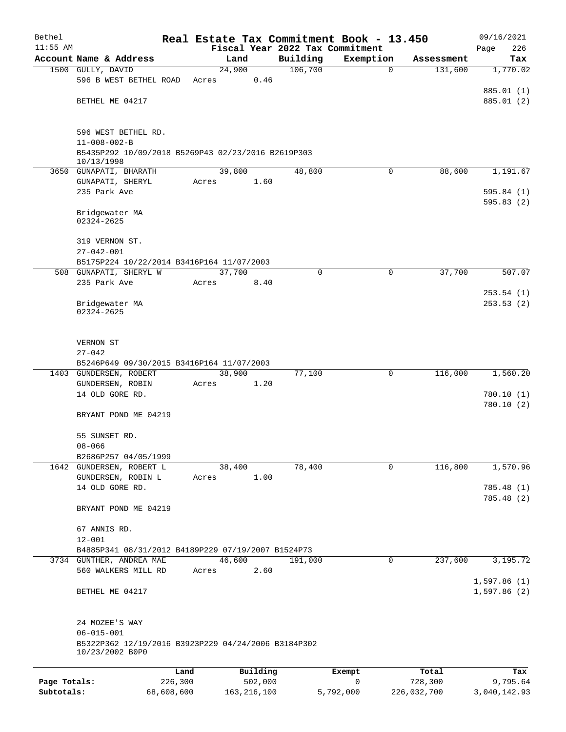| Bethel                     |                                                                                           |                       |                 |          |                                 | Real Estate Tax Commitment Book - 13.450 |                        | 09/16/2021               |
|----------------------------|-------------------------------------------------------------------------------------------|-----------------------|-----------------|----------|---------------------------------|------------------------------------------|------------------------|--------------------------|
| $11:55$ AM                 |                                                                                           |                       |                 |          | Fiscal Year 2022 Tax Commitment |                                          |                        | 226<br>Page              |
|                            | Account Name & Address                                                                    |                       | Land            |          | Building                        | Exemption                                | Assessment             | Tax                      |
|                            | 1500 GULLY, DAVID<br>596 B WEST BETHEL ROAD                                               |                       | 24,900<br>Acres | 0.46     | 106,700                         | 0                                        | 131,600                | 1,770.02                 |
|                            |                                                                                           |                       |                 |          |                                 |                                          |                        | 885.01 (1)               |
|                            | BETHEL ME 04217                                                                           |                       |                 |          |                                 |                                          |                        | 885.01 (2)               |
|                            | 596 WEST BETHEL RD.                                                                       |                       |                 |          |                                 |                                          |                        |                          |
|                            | $11 - 008 - 002 - B$<br>B5435P292 10/09/2018 B5269P43 02/23/2016 B2619P303                |                       |                 |          |                                 |                                          |                        |                          |
|                            | 10/13/1998                                                                                |                       |                 |          |                                 |                                          |                        |                          |
|                            | 3650 GUNAPATI, BHARATH<br>GUNAPATI, SHERYL                                                |                       | 39,800<br>Acres | 1.60     | 48,800                          | $\mathbf 0$                              | 88,600                 | 1,191.67                 |
|                            | 235 Park Ave                                                                              |                       |                 |          |                                 |                                          |                        | 595.84(1)<br>595.83(2)   |
|                            | Bridgewater MA<br>02324-2625                                                              |                       |                 |          |                                 |                                          |                        |                          |
|                            | 319 VERNON ST.                                                                            |                       |                 |          |                                 |                                          |                        |                          |
|                            | $27 - 042 - 001$<br>B5175P224 10/22/2014 B3416P164 11/07/2003                             |                       |                 |          |                                 |                                          |                        |                          |
|                            | 508 GUNAPATI, SHERYL W                                                                    |                       | 37,700          |          | $\Omega$                        | $\mathbf 0$                              | 37,700                 | 507.07                   |
|                            | 235 Park Ave                                                                              |                       | Acres           | 8.40     |                                 |                                          |                        |                          |
|                            | Bridgewater MA<br>02324-2625                                                              |                       |                 |          |                                 |                                          |                        | 253.54(1)<br>253.53(2)   |
|                            | VERNON ST<br>$27 - 042$<br>B5246P649 09/30/2015 B3416P164 11/07/2003                      |                       |                 |          |                                 |                                          |                        |                          |
|                            | 1403 GUNDERSEN, ROBERT                                                                    |                       | 38,900          |          | 77,100                          | 0                                        | 116,000                | 1,560.20                 |
|                            | GUNDERSEN, ROBIN<br>14 OLD GORE RD.                                                       |                       | Acres           | 1.20     |                                 |                                          |                        | 780.10(1)<br>780.10 (2)  |
|                            | BRYANT POND ME 04219                                                                      |                       |                 |          |                                 |                                          |                        |                          |
|                            | 55 SUNSET RD.<br>$08 - 066$                                                               |                       |                 |          |                                 |                                          |                        |                          |
|                            | B2686P257 04/05/1999                                                                      |                       |                 |          |                                 |                                          |                        |                          |
|                            | 1642 GUNDERSEN, ROBERT L                                                                  |                       | 38,400          |          | 78,400                          | 0                                        | 116,800                | 1,570.96                 |
|                            | GUNDERSEN, ROBIN L                                                                        |                       | Acres           | 1.00     |                                 |                                          |                        |                          |
|                            | 14 OLD GORE RD.                                                                           |                       |                 |          |                                 |                                          |                        | 785.48(1)<br>785.48 (2)  |
|                            | BRYANT POND ME 04219                                                                      |                       |                 |          |                                 |                                          |                        |                          |
|                            | 67 ANNIS RD.                                                                              |                       |                 |          |                                 |                                          |                        |                          |
|                            | $12 - 001$                                                                                |                       |                 |          |                                 |                                          |                        |                          |
|                            | B4885P341 08/31/2012 B4189P229 07/19/2007 B1524P73                                        |                       |                 |          |                                 |                                          |                        |                          |
|                            | 3734 GUNTHER, ANDREA MAE<br>560 WALKERS MILL RD                                           |                       | 46,600<br>Acres | 2.60     | 191,000                         | 0                                        | 237,600                | 3,195.72<br>1,597.86(1)  |
|                            | BETHEL ME 04217                                                                           |                       |                 |          |                                 |                                          |                        | 1,597.86(2)              |
|                            | 24 MOZEE'S WAY<br>$06 - 015 - 001$<br>B5322P362 12/19/2016 B3923P229 04/24/2006 B3184P302 |                       |                 |          |                                 |                                          |                        |                          |
|                            | 10/23/2002 B0P0                                                                           |                       |                 |          |                                 |                                          |                        |                          |
|                            |                                                                                           | Land                  |                 | Building |                                 | Exempt                                   | Total                  | Tax                      |
| Page Totals:<br>Subtotals: |                                                                                           | 226,300<br>68,608,600 | 163, 216, 100   | 502,000  |                                 | 0<br>5,792,000                           | 728,300<br>226,032,700 | 9,795.64<br>3,040,142.93 |
|                            |                                                                                           |                       |                 |          |                                 |                                          |                        |                          |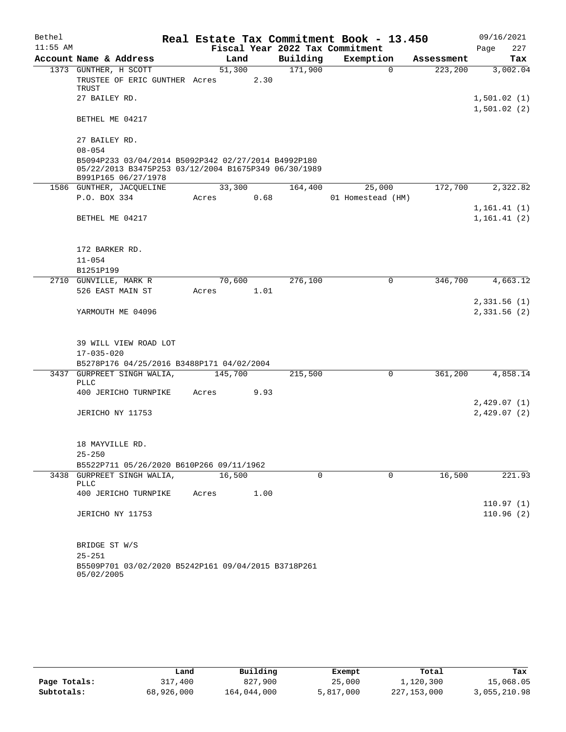| Bethel     |                                                                                                                                    |         |      |          | Real Estate Tax Commitment Book - 13.450 |            | 09/16/2021                 |
|------------|------------------------------------------------------------------------------------------------------------------------------------|---------|------|----------|------------------------------------------|------------|----------------------------|
| $11:55$ AM |                                                                                                                                    |         |      |          | Fiscal Year 2022 Tax Commitment          |            | 227<br>Page                |
|            | Account Name & Address                                                                                                             | Land    |      | Building | Exemption                                | Assessment | Tax                        |
|            | 1373 GUNTHER, H SCOTT<br>TRUSTEE OF ERIC GUNTHER Acres                                                                             | 51,300  | 2.30 | 171,900  | $\mathbf 0$                              | 223,200    | 3,002.04                   |
|            | TRUST                                                                                                                              |         |      |          |                                          |            |                            |
|            | 27 BAILEY RD.                                                                                                                      |         |      |          |                                          |            | 1,501.02(1)<br>1,501.02(2) |
|            | BETHEL ME 04217                                                                                                                    |         |      |          |                                          |            |                            |
|            | 27 BAILEY RD.                                                                                                                      |         |      |          |                                          |            |                            |
|            | $08 - 054$                                                                                                                         |         |      |          |                                          |            |                            |
|            | B5094P233 03/04/2014 B5092P342 02/27/2014 B4992P180<br>05/22/2013 B3475P253 03/12/2004 B1675P349 06/30/1989<br>B991P165 06/27/1978 |         |      |          |                                          |            |                            |
|            | 1586 GUNTHER, JACQUELINE                                                                                                           | 33,300  |      | 164,400  | 25,000                                   | 172,700    | 2,322.82                   |
|            | P.O. BOX 334                                                                                                                       | Acres   | 0.68 |          | 01 Homestead (HM)                        |            |                            |
|            |                                                                                                                                    |         |      |          |                                          |            | 1, 161.41(1)               |
|            | BETHEL ME 04217                                                                                                                    |         |      |          |                                          |            | 1, 161.41(2)               |
|            |                                                                                                                                    |         |      |          |                                          |            |                            |
|            | 172 BARKER RD.                                                                                                                     |         |      |          |                                          |            |                            |
|            | $11 - 054$                                                                                                                         |         |      |          |                                          |            |                            |
|            | B1251P199                                                                                                                          |         |      |          |                                          |            |                            |
|            | 2710 GUNVILLE, MARK R                                                                                                              | 70,600  |      | 276,100  | 0                                        | 346,700    | 4,663.12                   |
|            | 526 EAST MAIN ST                                                                                                                   | Acres   | 1.01 |          |                                          |            |                            |
|            |                                                                                                                                    |         |      |          |                                          |            | 2,331.56(1)                |
|            | YARMOUTH ME 04096                                                                                                                  |         |      |          |                                          |            | 2,331.56(2)                |
|            |                                                                                                                                    |         |      |          |                                          |            |                            |
|            | 39 WILL VIEW ROAD LOT                                                                                                              |         |      |          |                                          |            |                            |
|            | $17 - 035 - 020$                                                                                                                   |         |      |          |                                          |            |                            |
|            | B5278P176 04/25/2016 B3488P171 04/02/2004                                                                                          |         |      |          |                                          |            |                            |
| 3437       | GURPREET SINGH WALIA,                                                                                                              | 145,700 |      | 215,500  | $\mathbf 0$                              | 361,200    | 4,858.14                   |
|            | PLLC                                                                                                                               |         |      |          |                                          |            |                            |
|            | 400 JERICHO TURNPIKE                                                                                                               | Acres   | 9.93 |          |                                          |            |                            |
|            |                                                                                                                                    |         |      |          |                                          |            | 2,429.07(1)                |
|            | JERICHO NY 11753                                                                                                                   |         |      |          |                                          |            | 2,429.07(2)                |
|            |                                                                                                                                    |         |      |          |                                          |            |                            |
|            | 18 MAYVILLE RD.                                                                                                                    |         |      |          |                                          |            |                            |
|            | $25 - 250$                                                                                                                         |         |      |          |                                          |            |                            |
|            | B5522P711 05/26/2020 B610P266 09/11/1962                                                                                           |         |      |          |                                          |            |                            |
| 3438       | GURPREET SINGH WALIA,                                                                                                              | 16,500  |      | 0        | $\Omega$                                 | 16,500     | 221.93                     |
|            | PLLC                                                                                                                               |         |      |          |                                          |            |                            |
|            | 400 JERICHO TURNPIKE                                                                                                               | Acres   | 1.00 |          |                                          |            |                            |
|            | JERICHO NY 11753                                                                                                                   |         |      |          |                                          |            | 110.97(1)<br>110.96(2)     |
|            |                                                                                                                                    |         |      |          |                                          |            |                            |
|            |                                                                                                                                    |         |      |          |                                          |            |                            |
|            | BRIDGE ST W/S<br>$25 - 251$                                                                                                        |         |      |          |                                          |            |                            |
|            | B5509P701 03/02/2020 B5242P161 09/04/2015 B3718P261                                                                                |         |      |          |                                          |            |                            |
|            | 05/02/2005                                                                                                                         |         |      |          |                                          |            |                            |

|              | Land       | Building    | Exempt    | Total         | Tax          |
|--------------|------------|-------------|-----------|---------------|--------------|
| Page Totals: | 317,400    | 827,900     | 25,000    | 1,120,300     | 15,068.05    |
| Subtotals:   | 68,926,000 | 164,044,000 | 5,817,000 | 227, 153, 000 | 3,055,210.98 |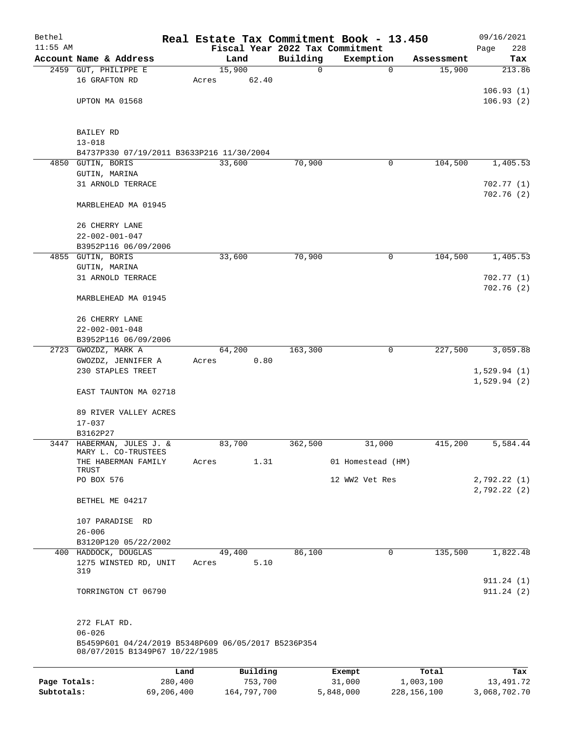| Bethel       |                                                                                       |         |        |          |          | Real Estate Tax Commitment Book - 13.450 |            | 09/16/2021              |  |
|--------------|---------------------------------------------------------------------------------------|---------|--------|----------|----------|------------------------------------------|------------|-------------------------|--|
| $11:55$ AM   |                                                                                       |         |        |          |          | Fiscal Year 2022 Tax Commitment          |            | 228<br>Page             |  |
|              | Account Name & Address                                                                |         | Land   |          | Building | Exemption                                | Assessment | Tax                     |  |
|              | 2459 GUT, PHILIPPE E                                                                  |         | 15,900 |          | 0        | 0                                        | 15,900     | 213.86                  |  |
|              | 16 GRAFTON RD                                                                         | Acres   |        | 62.40    |          |                                          |            | 106.93(1)               |  |
|              | UPTON MA 01568                                                                        |         |        |          |          |                                          |            | 106.93(2)               |  |
|              |                                                                                       |         |        |          |          |                                          |            |                         |  |
|              | BAILEY RD                                                                             |         |        |          |          |                                          |            |                         |  |
|              | $13 - 018$                                                                            |         |        |          |          |                                          |            |                         |  |
|              | B4737P330 07/19/2011 B3633P216 11/30/2004                                             |         |        |          |          |                                          |            |                         |  |
|              | 4850 GUTIN, BORIS                                                                     |         | 33,600 |          | 70,900   | 0                                        | 104,500    | 1,405.53                |  |
|              | GUTIN, MARINA                                                                         |         |        |          |          |                                          |            |                         |  |
|              | 31 ARNOLD TERRACE                                                                     |         |        |          |          |                                          |            | 702.77(1)               |  |
|              | MARBLEHEAD MA 01945                                                                   |         |        |          |          |                                          |            | 702.76(2)               |  |
|              | 26 CHERRY LANE                                                                        |         |        |          |          |                                          |            |                         |  |
|              | $22 - 002 - 001 - 047$                                                                |         |        |          |          |                                          |            |                         |  |
|              | B3952P116 06/09/2006                                                                  |         |        |          |          |                                          |            |                         |  |
|              | 4855 GUTIN, BORIS                                                                     |         | 33,600 |          | 70,900   | 0                                        | 104,500    | 1,405.53                |  |
|              | GUTIN, MARINA                                                                         |         |        |          |          |                                          |            |                         |  |
|              | 31 ARNOLD TERRACE                                                                     |         |        |          |          |                                          |            | 702.77(1)               |  |
|              |                                                                                       |         |        |          |          |                                          |            | 702.76(2)               |  |
|              | MARBLEHEAD MA 01945                                                                   |         |        |          |          |                                          |            |                         |  |
|              | 26 CHERRY LANE                                                                        |         |        |          |          |                                          |            |                         |  |
|              | $22 - 002 - 001 - 048$                                                                |         |        |          |          |                                          |            |                         |  |
|              | B3952P116 06/09/2006                                                                  |         |        |          |          |                                          |            |                         |  |
|              | 2723 GWOZDZ, MARK A                                                                   |         | 64,200 |          | 163,300  | 0                                        | 227,500    | 3,059.88                |  |
|              | GWOZDZ, JENNIFER A                                                                    | Acres   |        | 0.80     |          |                                          |            |                         |  |
|              | 230 STAPLES TREET                                                                     |         |        |          |          |                                          |            | 1,529.94(1)             |  |
|              | EAST TAUNTON MA 02718                                                                 |         |        |          |          |                                          |            | 1,529.94(2)             |  |
|              | 89 RIVER VALLEY ACRES                                                                 |         |        |          |          |                                          |            |                         |  |
|              | $17 - 037$                                                                            |         |        |          |          |                                          |            |                         |  |
|              | B3162P27                                                                              |         |        |          |          |                                          |            |                         |  |
|              | 3447 HABERMAN, JULES J. &<br>MARY L. CO-TRUSTEES                                      |         | 83,700 |          | 362,500  | 31,000                                   | 415,200    | 5,584.44                |  |
|              | THE HABERMAN FAMILY<br>TRUST                                                          | Acres   |        | 1.31     |          | 01 Homestead (HM)                        |            |                         |  |
|              | PO BOX 576                                                                            |         |        |          |          | 12 WW2 Vet Res                           |            | 2,792.22 (1)            |  |
|              | BETHEL ME 04217                                                                       |         |        |          |          |                                          |            | 2,792.22(2)             |  |
|              | 107 PARADISE RD                                                                       |         |        |          |          |                                          |            |                         |  |
|              | $26 - 006$                                                                            |         |        |          |          |                                          |            |                         |  |
|              | B3120P120 05/22/2002                                                                  |         |        |          |          |                                          |            |                         |  |
|              | 400 HADDOCK, DOUGLAS                                                                  |         | 49,400 |          | 86,100   | 0                                        | 135,500    | 1,822.48                |  |
|              | 1275 WINSTED RD, UNIT                                                                 | Acres   |        | 5.10     |          |                                          |            |                         |  |
|              | 319                                                                                   |         |        |          |          |                                          |            |                         |  |
|              | TORRINGTON CT 06790                                                                   |         |        |          |          |                                          |            | 911.24 (1)<br>911.24(2) |  |
|              | 272 FLAT RD.                                                                          |         |        |          |          |                                          |            |                         |  |
|              | $06 - 026$                                                                            |         |        |          |          |                                          |            |                         |  |
|              | B5459P601 04/24/2019 B5348P609 06/05/2017 B5236P354<br>08/07/2015 B1349P67 10/22/1985 |         |        |          |          |                                          |            |                         |  |
|              |                                                                                       | Land    |        | Building |          | Exempt                                   | Total      | Tax                     |  |
| Page Totals: |                                                                                       | 280,400 |        | 753,700  |          | 31,000                                   | 1,003,100  | 13,491.72               |  |

**Subtotals:** 69,206,400 164,797,700 5,848,000 228,156,100 3,068,702.70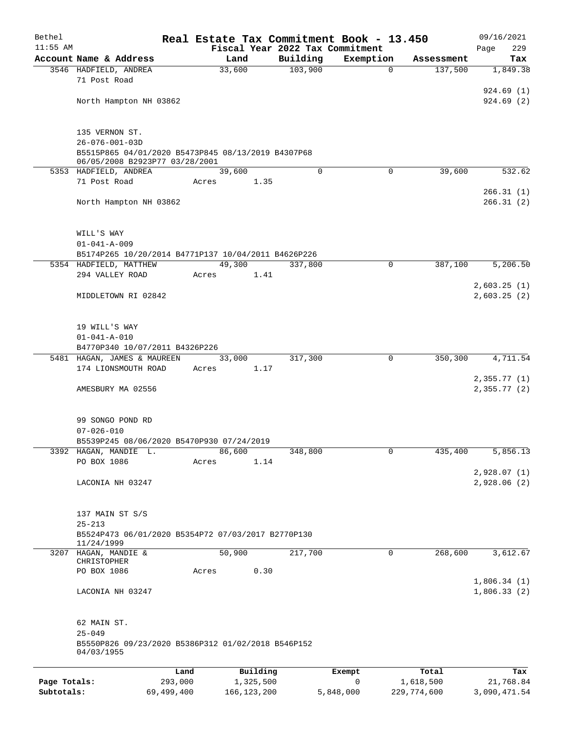| $11:55$ AM                 |                                                                                      |                            |                                 |                |                          |                            |
|----------------------------|--------------------------------------------------------------------------------------|----------------------------|---------------------------------|----------------|--------------------------|----------------------------|
|                            |                                                                                      |                            | Fiscal Year 2022 Tax Commitment |                |                          | 229<br>Page                |
|                            | Account Name & Address                                                               | Land                       | Building                        | Exemption      | Assessment               | Tax                        |
|                            | 3546 HADFIELD, ANDREA<br>71 Post Road                                                | 33,600                     | 103,900                         | $\mathbf 0$    | 137,500                  | 1,849.38                   |
|                            | North Hampton NH 03862                                                               |                            |                                 |                |                          | 924.69(1)<br>924.69(2)     |
|                            | 135 VERNON ST.                                                                       |                            |                                 |                |                          |                            |
|                            | $26 - 076 - 001 - 03D$                                                               |                            |                                 |                |                          |                            |
|                            | B5515P865 04/01/2020 B5473P845 08/13/2019 B4307P68<br>06/05/2008 B2923P77 03/28/2001 |                            |                                 |                |                          |                            |
|                            | 5353 HADFIELD, ANDREA                                                                | 39,600                     | $\Omega$                        | $\mathbf 0$    | 39,600                   | 532.62                     |
|                            | 71 Post Road                                                                         | Acres                      | 1.35                            |                |                          |                            |
|                            | North Hampton NH 03862                                                               |                            |                                 |                |                          | 266.31(1)<br>266.31(2)     |
|                            | WILL'S WAY                                                                           |                            |                                 |                |                          |                            |
|                            | $01 - 041 - A - 009$<br>B5174P265 10/20/2014 B4771P137 10/04/2011 B4626P226          |                            |                                 |                |                          |                            |
|                            | 5354 HADFIELD, MATTHEW                                                               | 49,300                     | 337,800                         | 0              | 387,100                  | 5,206.50                   |
|                            | 294 VALLEY ROAD                                                                      | Acres                      | 1.41                            |                |                          |                            |
|                            |                                                                                      |                            |                                 |                |                          | 2,603.25(1)                |
|                            | MIDDLETOWN RI 02842                                                                  |                            |                                 |                |                          | 2,603.25(2)                |
|                            | 19 WILL'S WAY                                                                        |                            |                                 |                |                          |                            |
|                            | $01 - 041 - A - 010$<br>B4770P340 10/07/2011 B4326P226                               |                            |                                 |                |                          |                            |
|                            | 5481 HAGAN, JAMES & MAUREEN                                                          | 33,000                     | 317,300                         | 0              | 350,300                  | 4,711.54                   |
|                            | 174 LIONSMOUTH ROAD                                                                  | Acres                      | 1.17                            |                |                          | 2,355.77(1)                |
|                            | AMESBURY MA 02556                                                                    |                            |                                 |                |                          | 2,355.77(2)                |
|                            | 99 SONGO POND RD<br>$07 - 026 - 010$<br>B5539P245 08/06/2020 B5470P930 07/24/2019    |                            |                                 |                |                          |                            |
|                            | 3392 HAGAN, MANDIE L.                                                                | 86,600                     | 348,800                         | 0              | 435,400                  | 5,856.13                   |
|                            | PO BOX 1086                                                                          | Acres                      | 1.14                            |                |                          | 2,928.07(1)                |
|                            | LACONIA NH 03247                                                                     |                            |                                 |                |                          | 2,928.06 (2)               |
|                            | 137 MAIN ST S/S<br>$25 - 213$                                                        |                            |                                 |                |                          |                            |
|                            | B5524P473 06/01/2020 B5354P72 07/03/2017 B2770P130<br>11/24/1999                     |                            |                                 |                |                          |                            |
|                            | 3207 HAGAN, MANDIE &                                                                 | 50,900                     | 217,700                         | 0              | 268,600                  | 3,612.67                   |
|                            | CHRISTOPHER<br>PO BOX 1086                                                           | Acres                      | 0.30                            |                |                          |                            |
|                            | LACONIA NH 03247                                                                     |                            |                                 |                |                          | 1,806.34(1)<br>1,806.33(2) |
|                            | 62 MAIN ST.<br>$25 - 049$<br>B5550P826 09/23/2020 B5386P312 01/02/2018 B546P152      |                            |                                 |                |                          |                            |
|                            | 04/03/1955                                                                           |                            |                                 |                |                          |                            |
|                            |                                                                                      | Building<br>Land           |                                 | Exempt         | Total                    | Tax                        |
| Page Totals:<br>Subtotals: | 293,000<br>69,499,400                                                                | 1,325,500<br>166, 123, 200 |                                 | 0<br>5,848,000 | 1,618,500<br>229,774,600 | 21,768.84<br>3,090,471.54  |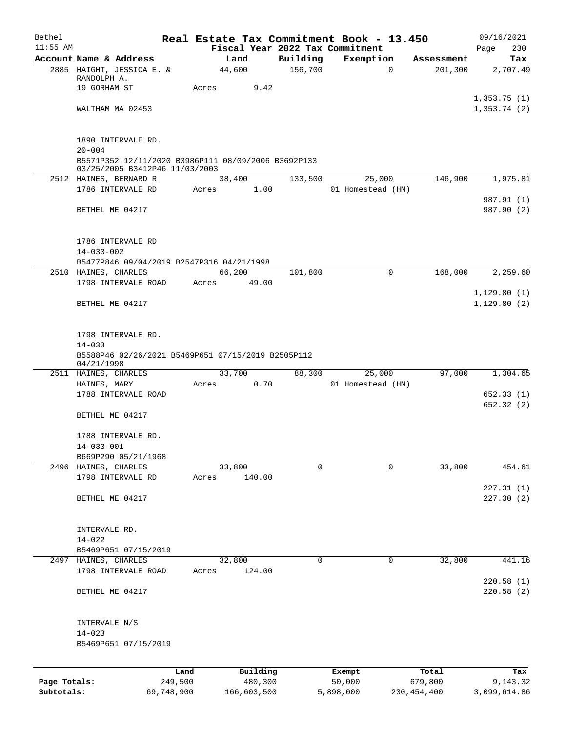| Bethel       |                                                                                       |            |        |             |                     | Real Estate Tax Commitment Book - 13.450 |               | 09/16/2021   |
|--------------|---------------------------------------------------------------------------------------|------------|--------|-------------|---------------------|------------------------------------------|---------------|--------------|
| $11:55$ AM   |                                                                                       |            |        |             |                     | Fiscal Year 2022 Tax Commitment          |               | 230<br>Page  |
|              | Account Name & Address                                                                |            | Land   |             | Building<br>156,700 | Exemption                                | Assessment    | Tax          |
|              | 2885 HAIGHT, JESSICA E. &<br>RANDOLPH A.                                              |            | 44,600 |             |                     | $\Omega$                                 | 201, 300      | 2,707.49     |
|              | 19 GORHAM ST                                                                          | Acres      |        | 9.42        |                     |                                          |               |              |
|              |                                                                                       |            |        |             |                     |                                          |               | 1,353.75(1)  |
|              | WALTHAM MA 02453                                                                      |            |        |             |                     |                                          |               | 1,353.74(2)  |
|              |                                                                                       |            |        |             |                     |                                          |               |              |
|              |                                                                                       |            |        |             |                     |                                          |               |              |
|              | 1890 INTERVALE RD.                                                                    |            |        |             |                     |                                          |               |              |
|              | $20 - 004$                                                                            |            |        |             |                     |                                          |               |              |
|              | B5571P352 12/11/2020 B3986P111 08/09/2006 B3692P133<br>03/25/2005 B3412P46 11/03/2003 |            |        |             |                     |                                          |               |              |
|              | 2512 HAINES, BERNARD R                                                                |            | 38,400 |             | 133,500             | 25,000                                   | 146,900       | 1,975.81     |
|              | 1786 INTERVALE RD                                                                     | Acres      |        | 1.00        |                     | 01 Homestead (HM)                        |               |              |
|              |                                                                                       |            |        |             |                     |                                          |               | 987.91 (1)   |
|              | BETHEL ME 04217                                                                       |            |        |             |                     |                                          |               | 987.90 (2)   |
|              |                                                                                       |            |        |             |                     |                                          |               |              |
|              |                                                                                       |            |        |             |                     |                                          |               |              |
|              | 1786 INTERVALE RD                                                                     |            |        |             |                     |                                          |               |              |
|              | $14 - 033 - 002$                                                                      |            |        |             |                     |                                          |               |              |
|              | B5477P846 09/04/2019 B2547P316 04/21/1998                                             |            |        |             |                     |                                          |               |              |
|              | 2510 HAINES, CHARLES                                                                  |            | 66,200 |             | 101,800             | 0                                        | 168,000       | 2,259.60     |
|              | 1798 INTERVALE ROAD                                                                   | Acres      |        | 49.00       |                     |                                          |               |              |
|              |                                                                                       |            |        |             |                     |                                          |               | 1,129.80(1)  |
|              | BETHEL ME 04217                                                                       |            |        |             |                     |                                          |               | 1,129.80(2)  |
|              |                                                                                       |            |        |             |                     |                                          |               |              |
|              |                                                                                       |            |        |             |                     |                                          |               |              |
|              | 1798 INTERVALE RD.                                                                    |            |        |             |                     |                                          |               |              |
|              | $14 - 033$                                                                            |            |        |             |                     |                                          |               |              |
|              | B5588P46 02/26/2021 B5469P651 07/15/2019 B2505P112<br>04/21/1998                      |            |        |             |                     |                                          |               |              |
|              | 2511 HAINES, CHARLES                                                                  |            | 33,700 |             | 88,300              | 25,000                                   | 97,000        | 1,304.65     |
|              | HAINES, MARY                                                                          | Acres      |        | 0.70        |                     | 01 Homestead (HM)                        |               |              |
|              | 1788 INTERVALE ROAD                                                                   |            |        |             |                     |                                          |               | 652.33(1)    |
|              |                                                                                       |            |        |             |                     |                                          |               | 652.32(2)    |
|              | BETHEL ME 04217                                                                       |            |        |             |                     |                                          |               |              |
|              |                                                                                       |            |        |             |                     |                                          |               |              |
|              | 1788 INTERVALE RD.                                                                    |            |        |             |                     |                                          |               |              |
|              | $14 - 033 - 001$                                                                      |            |        |             |                     |                                          |               |              |
|              | B669P290 05/21/1968                                                                   |            |        |             |                     |                                          |               |              |
|              | 2496 HAINES, CHARLES                                                                  |            | 33,800 |             | $\Omega$            | $\Omega$                                 | 33,800        | 454.61       |
|              | 1798 INTERVALE RD                                                                     | Acres      |        | 140.00      |                     |                                          |               |              |
|              |                                                                                       |            |        |             |                     |                                          |               | 227.31(1)    |
|              | BETHEL ME 04217                                                                       |            |        |             |                     |                                          |               | 227.30(2)    |
|              |                                                                                       |            |        |             |                     |                                          |               |              |
|              | INTERVALE RD.                                                                         |            |        |             |                     |                                          |               |              |
|              | $14 - 022$                                                                            |            |        |             |                     |                                          |               |              |
|              | B5469P651 07/15/2019                                                                  |            |        |             |                     |                                          |               |              |
|              | 2497 HAINES, CHARLES                                                                  |            | 32,800 |             | 0                   | 0                                        | 32,800        | 441.16       |
|              | 1798 INTERVALE ROAD                                                                   | Acres      |        | 124.00      |                     |                                          |               |              |
|              |                                                                                       |            |        |             |                     |                                          |               | 220.58(1)    |
|              | BETHEL ME 04217                                                                       |            |        |             |                     |                                          |               | 220.58(2)    |
|              |                                                                                       |            |        |             |                     |                                          |               |              |
|              |                                                                                       |            |        |             |                     |                                          |               |              |
|              | INTERVALE N/S                                                                         |            |        |             |                     |                                          |               |              |
|              | $14 - 023$                                                                            |            |        |             |                     |                                          |               |              |
|              | B5469P651 07/15/2019                                                                  |            |        |             |                     |                                          |               |              |
|              |                                                                                       |            |        |             |                     |                                          |               |              |
|              |                                                                                       | Land       |        | Building    |                     | Exempt                                   | Total         | Tax          |
| Page Totals: |                                                                                       | 249,500    |        | 480,300     |                     | 50,000                                   | 679,800       | 9,143.32     |
| Subtotals:   |                                                                                       | 69,748,900 |        | 166,603,500 |                     | 5,898,000                                | 230, 454, 400 | 3,099,614.86 |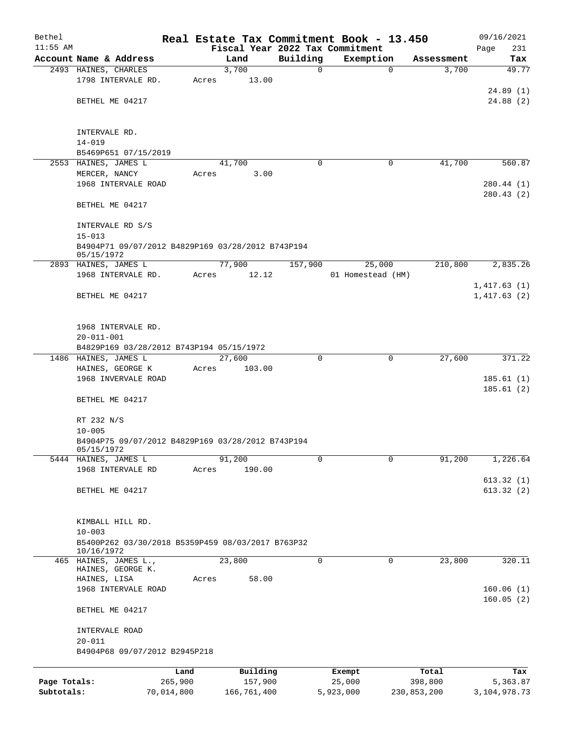| Bethel       |                                                                 |       |                |          | Real Estate Tax Commitment Book - 13.450 |             | 09/16/2021              |
|--------------|-----------------------------------------------------------------|-------|----------------|----------|------------------------------------------|-------------|-------------------------|
| $11:55$ AM   |                                                                 |       |                |          | Fiscal Year 2022 Tax Commitment          |             | Page<br>231             |
|              | Account Name & Address                                          |       | Land           | Building | Exemption                                | Assessment  | Tax                     |
|              | 2493 HAINES, CHARLES<br>1798 INTERVALE RD.                      | Acres | 3,700<br>13.00 | 0        | $\mathbf 0$                              | 3,700       | 49.77                   |
|              | BETHEL ME 04217                                                 |       |                |          |                                          |             | 24.89(1)<br>24.88(2)    |
|              | INTERVALE RD.<br>$14 - 019$                                     |       |                |          |                                          |             |                         |
|              | B5469P651 07/15/2019                                            |       |                |          |                                          |             |                         |
|              | 2553 HAINES, JAMES L                                            |       | 41,700         | $\Omega$ | 0                                        | 41,700      | 560.87                  |
|              | MERCER, NANCY                                                   | Acres | 3.00           |          |                                          |             |                         |
|              | 1968 INTERVALE ROAD                                             |       |                |          |                                          |             | 280.44 (1)<br>280.43(2) |
|              | BETHEL ME 04217                                                 |       |                |          |                                          |             |                         |
|              | INTERVALE RD S/S<br>$15 - 013$                                  |       |                |          |                                          |             |                         |
|              | B4904P71 09/07/2012 B4829P169 03/28/2012 B743P194<br>05/15/1972 |       |                |          |                                          |             |                         |
|              | 2893 HAINES, JAMES L                                            |       | 77,900         | 157,900  | 25,000                                   | 210,800     | 2,835.26                |
|              | 1968 INTERVALE RD.                                              | Acres | 12.12          |          | 01 Homestead (HM)                        |             |                         |
|              |                                                                 |       |                |          |                                          |             | 1,417.63(1)             |
|              | BETHEL ME 04217                                                 |       |                |          |                                          |             | 1,417.63(2)             |
|              | 1968 INTERVALE RD.<br>$20 - 011 - 001$                          |       |                |          |                                          |             |                         |
|              | B4829P169 03/28/2012 B743P194 05/15/1972                        |       |                |          |                                          |             |                         |
|              | 1486 HAINES, JAMES L                                            |       | 27,600         | $\Omega$ | 0                                        | 27,600      | 371.22                  |
|              | HAINES, GEORGE K<br>1968 INVERVALE ROAD                         | Acres | 103.00         |          |                                          |             |                         |
|              |                                                                 |       |                |          |                                          |             | 185.61(1)<br>185.61(2)  |
|              | BETHEL ME 04217                                                 |       |                |          |                                          |             |                         |
|              | RT 232 N/S                                                      |       |                |          |                                          |             |                         |
|              | $10 - 005$                                                      |       |                |          |                                          |             |                         |
|              | B4904P75 09/07/2012 B4829P169 03/28/2012 B743P194<br>05/15/1972 |       |                |          |                                          |             |                         |
| 5444         | HAINES, JAMES L                                                 |       | 91,200         | 0        | $\mathbf 0$                              | 91,200      | 1,226.64                |
|              | 1968 INTERVALE RD                                               | Acres | 190.00         |          |                                          |             |                         |
|              |                                                                 |       |                |          |                                          |             | 613.32(1)               |
|              | BETHEL ME 04217                                                 |       |                |          |                                          |             | 613.32(2)               |
|              | KIMBALL HILL RD.                                                |       |                |          |                                          |             |                         |
|              | $10 - 003$                                                      |       |                |          |                                          |             |                         |
|              | B5400P262 03/30/2018 B5359P459 08/03/2017 B763P32<br>10/16/1972 |       |                |          |                                          |             |                         |
|              | 465 HAINES, JAMES L.,<br>HAINES, GEORGE K.                      |       | 23,800         | 0        | 0                                        | 23,800      | 320.11                  |
|              | HAINES, LISA<br>1968 INTERVALE ROAD                             | Acres | 58.00          |          |                                          |             | 160.06(1)               |
|              | BETHEL ME 04217                                                 |       |                |          |                                          |             | 160.05(2)               |
|              | INTERVALE ROAD                                                  |       |                |          |                                          |             |                         |
|              | $20 - 011$<br>B4904P68 09/07/2012 B2945P218                     |       |                |          |                                          |             |                         |
|              |                                                                 | Land  | Building       |          | Exempt                                   | Total       | Tax                     |
| Page Totals: | 265,900                                                         |       | 157,900        |          | 25,000                                   | 398,800     | 5,363.87                |
| Subtotals:   | 70,014,800                                                      |       | 166,761,400    |          | 5,923,000                                | 230,853,200 | 3, 104, 978. 73         |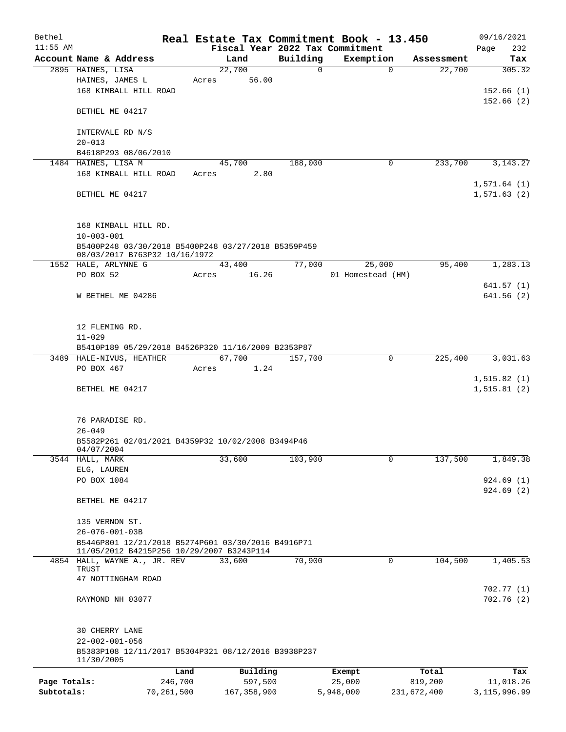| Bethel       |                                                                                                 |            |       |                |          | Real Estate Tax Commitment Book - 13.450 |             | 09/16/2021     |
|--------------|-------------------------------------------------------------------------------------------------|------------|-------|----------------|----------|------------------------------------------|-------------|----------------|
| $11:55$ AM   |                                                                                                 |            |       |                |          | Fiscal Year 2022 Tax Commitment          |             | Page<br>232    |
|              | Account Name & Address                                                                          |            |       | Land<br>22,700 | Building | Exemption                                | Assessment  | Tax            |
|              | 2895 HAINES, LISA<br>HAINES, JAMES L                                                            |            | Acres | 56.00          | 0        | $\mathbf 0$                              | 22,700      | 305.32         |
|              | 168 KIMBALL HILL ROAD                                                                           |            |       |                |          |                                          |             | 152.66(1)      |
|              |                                                                                                 |            |       |                |          |                                          |             | 152.66(2)      |
|              | BETHEL ME 04217                                                                                 |            |       |                |          |                                          |             |                |
|              | INTERVALE RD N/S                                                                                |            |       |                |          |                                          |             |                |
|              | $20 - 013$                                                                                      |            |       |                |          |                                          |             |                |
|              | B4618P293 08/06/2010                                                                            |            |       |                |          |                                          |             |                |
|              | 1484 HAINES, LISA M                                                                             |            |       | 45,700         | 188,000  | 0                                        | 233,700     | 3, 143. 27     |
|              | 168 KIMBALL HILL ROAD                                                                           |            | Acres | 2.80           |          |                                          |             |                |
|              |                                                                                                 |            |       |                |          |                                          |             | 1,571.64(1)    |
|              | BETHEL ME 04217                                                                                 |            |       |                |          |                                          |             | 1,571.63(2)    |
|              | 168 KIMBALL HILL RD.                                                                            |            |       |                |          |                                          |             |                |
|              | $10 - 003 - 001$                                                                                |            |       |                |          |                                          |             |                |
|              | B5400P248 03/30/2018 B5400P248 03/27/2018 B5359P459                                             |            |       |                |          |                                          |             |                |
|              | 08/03/2017 B763P32 10/16/1972                                                                   |            |       |                |          |                                          |             |                |
|              | 1552 HALE, ARLYNNE G                                                                            |            |       | 43,400         | 77,000   | 25,000                                   | 95,400      | 1,283.13       |
|              | PO BOX 52                                                                                       |            | Acres | 16.26          |          | 01 Homestead (HM)                        |             |                |
|              |                                                                                                 |            |       |                |          |                                          |             | 641.57(1)      |
|              | W BETHEL ME 04286                                                                               |            |       |                |          |                                          |             | 641.56(2)      |
|              | 12 FLEMING RD.                                                                                  |            |       |                |          |                                          |             |                |
|              | $11 - 029$                                                                                      |            |       |                |          |                                          |             |                |
|              | B5410P189 05/29/2018 B4526P320 11/16/2009 B2353P87                                              |            |       |                |          |                                          |             |                |
|              | 3489 HALE-NIVUS, HEATHER                                                                        |            |       | 67,700         | 157,700  | $\mathbf 0$                              | 225,400     | 3,031.63       |
|              | PO BOX 467                                                                                      |            | Acres | 1.24           |          |                                          |             |                |
|              |                                                                                                 |            |       |                |          |                                          |             | 1, 515.82(1)   |
|              | BETHEL ME 04217                                                                                 |            |       |                |          |                                          |             | 1, 515.81(2)   |
|              | 76 PARADISE RD.                                                                                 |            |       |                |          |                                          |             |                |
|              | $26 - 049$                                                                                      |            |       |                |          |                                          |             |                |
|              | B5582P261 02/01/2021 B4359P32 10/02/2008 B3494P46<br>04/07/2004                                 |            |       |                |          |                                          |             |                |
|              | 3544 HALL, MARK                                                                                 |            |       | 33,600         | 103,900  | 0                                        | 137,500     | 1,849.38       |
|              | ELG, LAUREN                                                                                     |            |       |                |          |                                          |             |                |
|              | PO BOX 1084                                                                                     |            |       |                |          |                                          |             | 924.69(1)      |
|              | BETHEL ME 04217                                                                                 |            |       |                |          |                                          |             | 924.69 (2)     |
|              |                                                                                                 |            |       |                |          |                                          |             |                |
|              | 135 VERNON ST.                                                                                  |            |       |                |          |                                          |             |                |
|              | $26 - 076 - 001 - 03B$                                                                          |            |       |                |          |                                          |             |                |
|              | B5446P801 12/21/2018 B5274P601 03/30/2016 B4916P71<br>11/05/2012 B4215P256 10/29/2007 B3243P114 |            |       |                |          |                                          |             |                |
|              | 4854 HALL, WAYNE A., JR. REV                                                                    |            |       | 33,600         | 70,900   | 0                                        | 104,500     | 1,405.53       |
|              | TRUST<br>47 NOTTINGHAM ROAD                                                                     |            |       |                |          |                                          |             |                |
|              |                                                                                                 |            |       |                |          |                                          |             | 702.77(1)      |
|              | RAYMOND NH 03077                                                                                |            |       |                |          |                                          |             | 702.76 (2)     |
|              |                                                                                                 |            |       |                |          |                                          |             |                |
|              | 30 CHERRY LANE<br>$22 - 002 - 001 - 056$                                                        |            |       |                |          |                                          |             |                |
|              | B5383P108 12/11/2017 B5304P321 08/12/2016 B3938P237<br>11/30/2005                               |            |       |                |          |                                          |             |                |
|              |                                                                                                 | Land       |       | Building       |          | Exempt                                   | Total       | Tax            |
| Page Totals: |                                                                                                 | 246,700    |       | 597,500        |          | 25,000                                   | 819,200     | 11,018.26      |
| Subtotals:   |                                                                                                 | 70,261,500 |       | 167, 358, 900  |          | 5,948,000                                | 231,672,400 | 3, 115, 996.99 |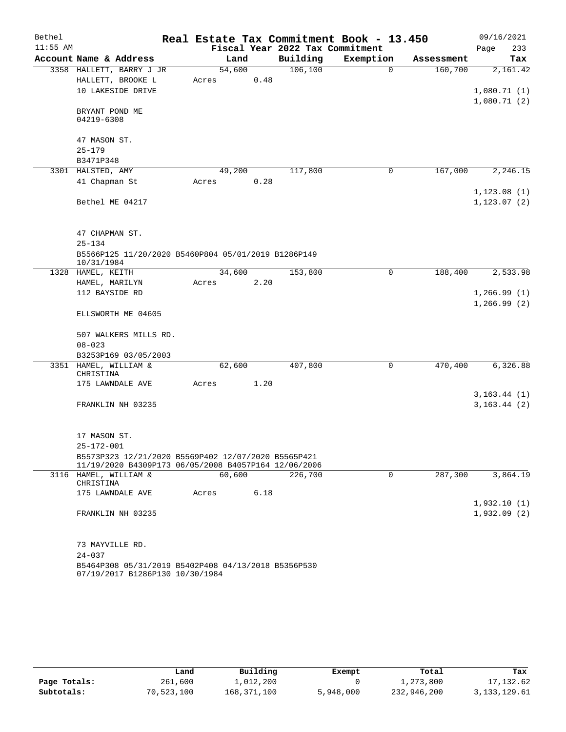| Bethel     |                                  |                                                                                                             |        |      |                                 | Real Estate Tax Commitment Book - 13.450 |            | 09/16/2021                  |     |
|------------|----------------------------------|-------------------------------------------------------------------------------------------------------------|--------|------|---------------------------------|------------------------------------------|------------|-----------------------------|-----|
| $11:55$ AM |                                  | Account Name & Address                                                                                      |        |      | Fiscal Year 2022 Tax Commitment |                                          |            | Page                        | 233 |
|            |                                  |                                                                                                             | Land   |      | Building                        | Exemption                                | Assessment | Tax                         |     |
|            |                                  | 3358 HALLETT, BARRY J JR                                                                                    | 54,600 |      | 106, 100                        | $\Omega$                                 | 160,700    | 2,161.42                    |     |
|            |                                  | HALLETT, BROOKE L                                                                                           | Acres  | 0.48 |                                 |                                          |            |                             |     |
|            |                                  | 10 LAKESIDE DRIVE                                                                                           |        |      |                                 |                                          |            | 1,080.71(1)<br>1,080.71(2)  |     |
|            | BRYANT POND ME<br>04219-6308     |                                                                                                             |        |      |                                 |                                          |            |                             |     |
|            | 47 MASON ST.                     |                                                                                                             |        |      |                                 |                                          |            |                             |     |
|            | $25 - 179$                       |                                                                                                             |        |      |                                 |                                          |            |                             |     |
|            | B3471P348                        |                                                                                                             |        |      |                                 |                                          |            |                             |     |
|            | 3301 HALSTED, AMY                |                                                                                                             | 49,200 |      | 117,800                         | 0                                        | 167,000    | 2,246.15                    |     |
|            | 41 Chapman St                    |                                                                                                             | Acres  | 0.28 |                                 |                                          |            |                             |     |
|            | Bethel ME 04217                  |                                                                                                             |        |      |                                 |                                          |            | 1,123.08(1)<br>1, 123.07(2) |     |
|            | 47 CHAPMAN ST.<br>$25 - 134$     | B5566P125 11/20/2020 B5460P804 05/01/2019 B1286P149                                                         |        |      |                                 |                                          |            |                             |     |
|            | 10/31/1984                       |                                                                                                             |        |      |                                 |                                          |            |                             |     |
|            | 1328 HAMEL, KEITH                |                                                                                                             | 34,600 |      | 153,800                         | 0                                        | 188,400    | 2,533.98                    |     |
|            | HAMEL, MARILYN                   |                                                                                                             | Acres  | 2.20 |                                 |                                          |            |                             |     |
|            | 112 BAYSIDE RD                   |                                                                                                             |        |      |                                 |                                          |            | 1,266.99(1)<br>1,266.99(2)  |     |
|            |                                  | ELLSWORTH ME 04605                                                                                          |        |      |                                 |                                          |            |                             |     |
|            |                                  | 507 WALKERS MILLS RD.                                                                                       |        |      |                                 |                                          |            |                             |     |
|            | $08 - 023$                       |                                                                                                             |        |      |                                 |                                          |            |                             |     |
|            |                                  | B3253P169 03/05/2003                                                                                        |        |      |                                 |                                          |            |                             |     |
|            | CHRISTINA                        | 3351 HAMEL, WILLIAM &                                                                                       | 62,600 |      | 407,800                         | 0                                        | 470,400    | 6,326.88                    |     |
|            |                                  | 175 LAWNDALE AVE                                                                                            | Acres  | 1.20 |                                 |                                          |            |                             |     |
|            |                                  |                                                                                                             |        |      |                                 |                                          |            | 3, 163.44 (1)               |     |
|            |                                  | FRANKLIN NH 03235                                                                                           |        |      |                                 |                                          |            | 3, 163.44 (2)               |     |
|            | 17 MASON ST.<br>$25 - 172 - 001$ |                                                                                                             |        |      |                                 |                                          |            |                             |     |
|            |                                  | B5573P323 12/21/2020 B5569P402 12/07/2020 B5565P421<br>11/19/2020 B4309P173 06/05/2008 B4057P164 12/06/2006 |        |      |                                 |                                          |            |                             |     |
|            | CHRISTINA                        | 3116 HAMEL, WILLIAM &                                                                                       | 60,600 |      | 226,700                         | $\Omega$                                 | 287,300    | 3,864.19                    |     |
|            |                                  | 175 LAWNDALE AVE                                                                                            | Acres  | 6.18 |                                 |                                          |            |                             |     |
|            |                                  |                                                                                                             |        |      |                                 |                                          |            | 1,932.10(1)                 |     |
|            |                                  | FRANKLIN NH 03235                                                                                           |        |      |                                 |                                          |            | 1,932.09(2)                 |     |
|            | 73 MAYVILLE RD.                  |                                                                                                             |        |      |                                 |                                          |            |                             |     |
|            | $24 - 037$                       |                                                                                                             |        |      |                                 |                                          |            |                             |     |
|            |                                  | B5464P308 05/31/2019 B5402P408 04/13/2018 B5356P530<br>07/19/2017 B1286P130 10/30/1984                      |        |      |                                 |                                          |            |                             |     |

|              | Land       | Building    | Exempt    | Total       | Tax          |
|--------------|------------|-------------|-----------|-------------|--------------|
| Page Totals: | 261,600    | 1,012,200   |           | 1,273,800   | 17,132.62    |
| Subtotals:   | 70,523,100 | 168,371,100 | 5,948,000 | 232,946,200 | 3,133,129.61 |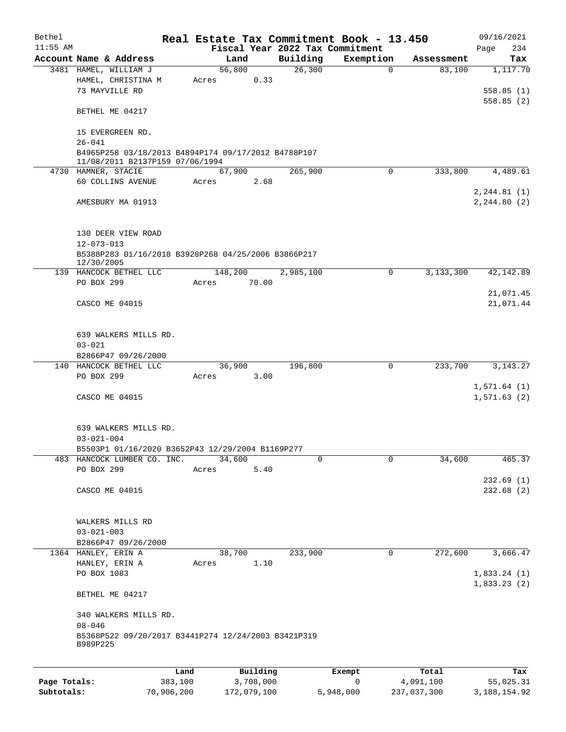| Bethel<br>$11:55$ AM |                                                                   |      |       |         |          |           | Real Estate Tax Commitment Book - 13.450<br>Fiscal Year 2022 Tax Commitment |             |            | 09/16/2021         |  |
|----------------------|-------------------------------------------------------------------|------|-------|---------|----------|-----------|-----------------------------------------------------------------------------|-------------|------------|--------------------|--|
|                      | Account Name & Address                                            |      |       | Land    |          | Building  | Exemption                                                                   |             | Assessment | 234<br>Page<br>Tax |  |
|                      | 3481 HAMEL, WILLIAM J                                             |      |       | 56,800  |          | 26,300    |                                                                             | $\Omega$    | 83,100     | 1,117.70           |  |
|                      |                                                                   |      |       |         |          |           |                                                                             |             |            |                    |  |
|                      | HAMEL, CHRISTINA M                                                |      | Acres |         | 0.33     |           |                                                                             |             |            |                    |  |
|                      | 73 MAYVILLE RD                                                    |      |       |         |          |           |                                                                             |             |            | 558.85(1)          |  |
|                      |                                                                   |      |       |         |          |           |                                                                             |             |            | 558.85(2)          |  |
|                      | BETHEL ME 04217                                                   |      |       |         |          |           |                                                                             |             |            |                    |  |
|                      |                                                                   |      |       |         |          |           |                                                                             |             |            |                    |  |
|                      | 15 EVERGREEN RD.                                                  |      |       |         |          |           |                                                                             |             |            |                    |  |
|                      | $26 - 041$                                                        |      |       |         |          |           |                                                                             |             |            |                    |  |
|                      | B4965P258 03/18/2013 B4894P174 09/17/2012 B4788P107               |      |       |         |          |           |                                                                             |             |            |                    |  |
|                      | 11/08/2011 B2137P159 07/06/1994                                   |      |       |         |          |           |                                                                             |             |            |                    |  |
|                      | 4730 HAMNER, STACIE                                               |      |       | 67,900  |          | 265,900   |                                                                             | $\mathbf 0$ | 333,800    | 4,489.61           |  |
|                      | 60 COLLINS AVENUE                                                 |      | Acres |         | 2.68     |           |                                                                             |             |            |                    |  |
|                      |                                                                   |      |       |         |          |           |                                                                             |             |            | 2, 244.81(1)       |  |
|                      | AMESBURY MA 01913                                                 |      |       |         |          |           |                                                                             |             |            | 2, 244.80 (2)      |  |
|                      |                                                                   |      |       |         |          |           |                                                                             |             |            |                    |  |
|                      |                                                                   |      |       |         |          |           |                                                                             |             |            |                    |  |
|                      | 130 DEER VIEW ROAD                                                |      |       |         |          |           |                                                                             |             |            |                    |  |
|                      | $12 - 073 - 013$                                                  |      |       |         |          |           |                                                                             |             |            |                    |  |
|                      | B5388P283 01/16/2018 B3928P268 04/25/2006 B3866P217               |      |       |         |          |           |                                                                             |             |            |                    |  |
|                      | 12/30/2005                                                        |      |       |         |          |           |                                                                             |             |            |                    |  |
|                      | 139 HANCOCK BETHEL LLC                                            |      |       | 148,200 |          | 2,985,100 |                                                                             | $\mathbf 0$ | 3,133,300  | 42, 142.89         |  |
|                      | PO BOX 299                                                        |      | Acres |         | 70.00    |           |                                                                             |             |            |                    |  |
|                      |                                                                   |      |       |         |          |           |                                                                             |             |            | 21,071.45          |  |
|                      | CASCO ME 04015                                                    |      |       |         |          |           |                                                                             |             |            | 21,071.44          |  |
|                      |                                                                   |      |       |         |          |           |                                                                             |             |            |                    |  |
|                      |                                                                   |      |       |         |          |           |                                                                             |             |            |                    |  |
|                      | 639 WALKERS MILLS RD.                                             |      |       |         |          |           |                                                                             |             |            |                    |  |
|                      | $03 - 021$                                                        |      |       |         |          |           |                                                                             |             |            |                    |  |
|                      | B2866P47 09/26/2000                                               |      |       |         |          |           |                                                                             |             |            |                    |  |
|                      | 140 HANCOCK BETHEL LLC                                            |      |       | 36,900  |          | 196,800   |                                                                             | 0           | 233,700    | 3, 143. 27         |  |
|                      | PO BOX 299                                                        |      | Acres |         | 3.00     |           |                                                                             |             |            |                    |  |
|                      |                                                                   |      |       |         |          |           |                                                                             |             |            | 1,571.64(1)        |  |
|                      |                                                                   |      |       |         |          |           |                                                                             |             |            | 1,571.63(2)        |  |
|                      | CASCO ME 04015                                                    |      |       |         |          |           |                                                                             |             |            |                    |  |
|                      |                                                                   |      |       |         |          |           |                                                                             |             |            |                    |  |
|                      |                                                                   |      |       |         |          |           |                                                                             |             |            |                    |  |
|                      | 639 WALKERS MILLS RD.                                             |      |       |         |          |           |                                                                             |             |            |                    |  |
|                      | $03 - 021 - 004$                                                  |      |       |         |          |           |                                                                             |             |            |                    |  |
|                      | B5503P1 01/16/2020 B3652P43 12/29/2004 B1169P277                  |      |       |         |          |           |                                                                             |             |            |                    |  |
|                      | 483 HANCOCK LUMBER CO. INC.                                       |      |       | 34,600  |          | 0         |                                                                             | 0           | 34,600     | 465.37             |  |
|                      | PO BOX 299                                                        |      | Acres |         | 5.40     |           |                                                                             |             |            |                    |  |
|                      |                                                                   |      |       |         |          |           |                                                                             |             |            | 232.69(1)          |  |
|                      | CASCO ME 04015                                                    |      |       |         |          |           |                                                                             |             |            | 232.68(2)          |  |
|                      |                                                                   |      |       |         |          |           |                                                                             |             |            |                    |  |
|                      |                                                                   |      |       |         |          |           |                                                                             |             |            |                    |  |
|                      | WALKERS MILLS RD                                                  |      |       |         |          |           |                                                                             |             |            |                    |  |
|                      | $03 - 021 - 003$                                                  |      |       |         |          |           |                                                                             |             |            |                    |  |
|                      | B2866P47 09/26/2000                                               |      |       |         |          |           |                                                                             |             |            |                    |  |
|                      | 1364 HANLEY, ERIN A                                               |      |       | 38,700  |          | 233,900   |                                                                             | $\mathbf 0$ | 272,600    | 3,666.47           |  |
|                      | HANLEY, ERIN A                                                    |      | Acres |         | 1.10     |           |                                                                             |             |            |                    |  |
|                      | PO BOX 1083                                                       |      |       |         |          |           |                                                                             |             |            | 1,833.24(1)        |  |
|                      |                                                                   |      |       |         |          |           |                                                                             |             |            | 1,833.23(2)        |  |
|                      | BETHEL ME 04217                                                   |      |       |         |          |           |                                                                             |             |            |                    |  |
|                      |                                                                   |      |       |         |          |           |                                                                             |             |            |                    |  |
|                      |                                                                   |      |       |         |          |           |                                                                             |             |            |                    |  |
|                      | 340 WALKERS MILLS RD.                                             |      |       |         |          |           |                                                                             |             |            |                    |  |
|                      | $08 - 046$<br>B5368P522 09/20/2017 B3441P274 12/24/2003 B3421P319 |      |       |         |          |           |                                                                             |             |            |                    |  |
|                      | B989P225                                                          |      |       |         |          |           |                                                                             |             |            |                    |  |
|                      |                                                                   |      |       |         |          |           |                                                                             |             |            |                    |  |
|                      |                                                                   |      |       |         |          |           |                                                                             |             |            |                    |  |
|                      |                                                                   | Land |       |         | Building |           | Exempt                                                                      |             | Total      | Tax                |  |
|                      |                                                                   |      |       |         |          |           |                                                                             |             |            |                    |  |

| Page Totals: | 383,100    | 3,708,000   |           | 4,091,100   | 55,025.31    |
|--------------|------------|-------------|-----------|-------------|--------------|
| Subtotals:   | 70,906,200 | 172,079,100 | 5,948,000 | 237,037,300 | 3,188,154.92 |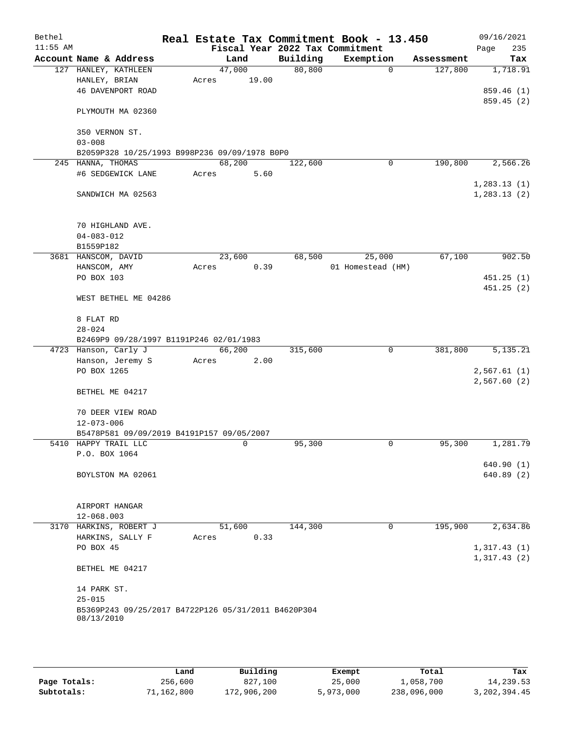| Bethel     |                                                                   |        |        |          | Real Estate Tax Commitment Book - 13.450 |             |            | 09/16/2021                   |
|------------|-------------------------------------------------------------------|--------|--------|----------|------------------------------------------|-------------|------------|------------------------------|
| $11:55$ AM |                                                                   |        |        |          | Fiscal Year 2022 Tax Commitment          |             |            | 235<br>Page                  |
|            | Account Name & Address                                            |        | Land   | Building | Exemption                                |             | Assessment | Tax                          |
|            | 127 HANLEY, KATHLEEN                                              | 47,000 |        | 80, 800  |                                          | $\mathbf 0$ | 127,800    | 1,718.91                     |
|            | HANLEY, BRIAN<br><b>46 DAVENPORT ROAD</b>                         | Acres  | 19.00  |          |                                          |             |            | 859.46 (1)                   |
|            |                                                                   |        |        |          |                                          |             |            | 859.45(2)                    |
|            | PLYMOUTH MA 02360                                                 |        |        |          |                                          |             |            |                              |
|            | 350 VERNON ST.                                                    |        |        |          |                                          |             |            |                              |
|            | $03 - 008$                                                        |        |        |          |                                          |             |            |                              |
|            | B2059P328 10/25/1993 B998P236 09/09/1978 B0P0                     |        |        |          |                                          |             |            |                              |
|            | 245 HANNA, THOMAS                                                 | 68,200 |        | 122,600  |                                          | 0           | 190,800    | 2,566.26                     |
|            | #6 SEDGEWICK LANE                                                 | Acres  | 5.60   |          |                                          |             |            |                              |
|            | SANDWICH MA 02563                                                 |        |        |          |                                          |             |            | 1, 283.13(1)<br>1, 283.13(2) |
|            | 70 HIGHLAND AVE.<br>$04 - 083 - 012$                              |        |        |          |                                          |             |            |                              |
|            | B1559P182                                                         |        |        |          |                                          |             |            |                              |
|            | 3681 HANSCOM, DAVID                                               | 23,600 |        | 68,500   | 25,000                                   |             | 67,100     | 902.50                       |
|            | HANSCOM, AMY                                                      | Acres  | 0.39   |          | 01 Homestead (HM)                        |             |            |                              |
|            | PO BOX 103                                                        |        |        |          |                                          |             |            | 451.25(1)                    |
|            | WEST BETHEL ME 04286                                              |        |        |          |                                          |             |            | 451.25(2)                    |
|            | 8 FLAT RD                                                         |        |        |          |                                          |             |            |                              |
|            | $28 - 024$                                                        |        |        |          |                                          |             |            |                              |
|            | B2469P9 09/28/1997 B1191P246 02/01/1983                           |        |        |          |                                          |             |            |                              |
|            | 4723 Hanson, Carly J                                              | 66,200 |        | 315,600  |                                          | 0           | 381,800    | 5,135.21                     |
|            | Hanson, Jeremy S                                                  | Acres  | 2.00   |          |                                          |             |            |                              |
|            | PO BOX 1265                                                       |        |        |          |                                          |             |            | 2,567.61(1)                  |
|            | BETHEL ME 04217                                                   |        |        |          |                                          |             |            | 2,567.60(2)                  |
|            | 70 DEER VIEW ROAD                                                 |        |        |          |                                          |             |            |                              |
|            | $12 - 073 - 006$                                                  |        |        |          |                                          |             |            |                              |
|            | B5478P581 09/09/2019 B4191P157 09/05/2007                         |        |        |          |                                          |             |            |                              |
|            | 5410 HAPPY TRAIL LLC                                              |        | 0      | 95,300   |                                          | 0           | 95,300     | 1,281.79                     |
|            | P.O. BOX 1064                                                     |        |        |          |                                          |             |            |                              |
|            | BOYLSTON MA 02061                                                 |        |        |          |                                          |             |            | 640.90 (1)<br>640.89(2)      |
|            |                                                                   |        |        |          |                                          |             |            |                              |
|            | AIRPORT HANGAR                                                    |        |        |          |                                          |             |            |                              |
|            | $12 - 068.003$                                                    |        |        |          |                                          |             |            |                              |
|            | 3170 HARKINS, ROBERT J                                            |        | 51,600 | 144,300  |                                          | 0           | 195,900    | 2,634.86                     |
|            | HARKINS, SALLY F                                                  | Acres  | 0.33   |          |                                          |             |            |                              |
|            | PO BOX 45                                                         |        |        |          |                                          |             |            | 1,317.43(1)                  |
|            |                                                                   |        |        |          |                                          |             |            | 1,317.43(2)                  |
|            | BETHEL ME 04217                                                   |        |        |          |                                          |             |            |                              |
|            | 14 PARK ST.                                                       |        |        |          |                                          |             |            |                              |
|            | $25 - 015$                                                        |        |        |          |                                          |             |            |                              |
|            | B5369P243 09/25/2017 B4722P126 05/31/2011 B4620P304<br>08/13/2010 |        |        |          |                                          |             |            |                              |
|            |                                                                   |        |        |          |                                          |             |            |                              |

|              | Land       | Building    | Exempt    | Total       | Tax          |
|--------------|------------|-------------|-----------|-------------|--------------|
| Page Totals: | 256,600    | 827,100     | 25,000    | 1,058,700   | 14,239.53    |
| Subtotals:   | 71,162,800 | 172,906,200 | 5,973,000 | 238,096,000 | 3,202,394.45 |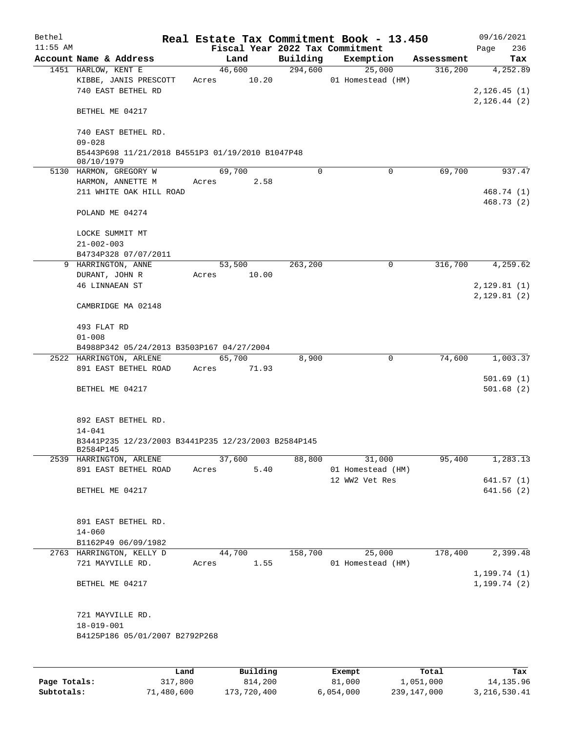| Bethel     |                                                                |       |          |          | Real Estate Tax Commitment Book - 13.450 |            | 09/16/2021    |
|------------|----------------------------------------------------------------|-------|----------|----------|------------------------------------------|------------|---------------|
| $11:55$ AM |                                                                |       |          |          | Fiscal Year 2022 Tax Commitment          |            | Page<br>236   |
|            | Account Name & Address                                         |       | Land     | Building | Exemption                                | Assessment | Tax           |
|            | 1451 HARLOW, KENT E                                            |       | 46,600   | 294,600  | 25,000                                   | 316,200    | 4,252.89      |
|            | KIBBE, JANIS PRESCOTT<br>740 EAST BETHEL RD                    | Acres | 10.20    |          | 01 Homestead (HM)                        |            | 2, 126.45(1)  |
|            |                                                                |       |          |          |                                          |            | 2, 126.44 (2) |
|            | BETHEL ME 04217                                                |       |          |          |                                          |            |               |
|            | 740 EAST BETHEL RD.                                            |       |          |          |                                          |            |               |
|            | $09 - 028$                                                     |       |          |          |                                          |            |               |
|            | B5443P698 11/21/2018 B4551P3 01/19/2010 B1047P48<br>08/10/1979 |       |          |          |                                          |            |               |
|            | 5130 HARMON, GREGORY W                                         |       | 69,700   | $\Omega$ | 0                                        | 69,700     | 937.47        |
|            | HARMON, ANNETTE M                                              | Acres | 2.58     |          |                                          |            |               |
|            | 211 WHITE OAK HILL ROAD                                        |       |          |          |                                          |            | 468.74 (1)    |
|            | POLAND ME 04274                                                |       |          |          |                                          |            | 468.73(2)     |
|            |                                                                |       |          |          |                                          |            |               |
|            | LOCKE SUMMIT MT                                                |       |          |          |                                          |            |               |
|            | $21 - 002 - 003$<br>B4734P328 07/07/2011                       |       |          |          |                                          |            |               |
|            | 9 HARRINGTON, ANNE                                             |       | 53,500   | 263,200  | 0                                        | 316,700    | 4,259.62      |
|            | DURANT, JOHN R                                                 | Acres | 10.00    |          |                                          |            |               |
|            | <b>46 LINNAEAN ST</b>                                          |       |          |          |                                          |            | 2,129.81(1)   |
|            |                                                                |       |          |          |                                          |            | 2,129.81(2)   |
|            | CAMBRIDGE MA 02148                                             |       |          |          |                                          |            |               |
|            | 493 FLAT RD                                                    |       |          |          |                                          |            |               |
|            | $01 - 008$                                                     |       |          |          |                                          |            |               |
|            | B4988P342 05/24/2013 B3503P167 04/27/2004                      |       |          |          |                                          |            |               |
|            | 2522 HARRINGTON, ARLENE                                        |       | 65,700   | 8,900    | $\mathbf 0$                              | 74,600     | 1,003.37      |
|            | 891 EAST BETHEL ROAD                                           | Acres | 71.93    |          |                                          |            | 501.69(1)     |
|            | BETHEL ME 04217                                                |       |          |          |                                          |            | 501.68(2)     |
|            |                                                                |       |          |          |                                          |            |               |
|            | 892 EAST BETHEL RD.                                            |       |          |          |                                          |            |               |
|            | $14 - 041$                                                     |       |          |          |                                          |            |               |
|            | B3441P235 12/23/2003 B3441P235 12/23/2003 B2584P145            |       |          |          |                                          |            |               |
|            | B2584P145                                                      |       | 37,600   | 88,800   | 31,000                                   | 95,400     | 1,283.13      |
|            | 2539 HARRINGTON, ARLENE<br>891 EAST BETHEL ROAD                | Acres | 5.40     |          | 01 Homestead (HM)                        |            |               |
|            |                                                                |       |          |          | 12 WW2 Vet Res                           |            | 641.57(1)     |
|            | BETHEL ME 04217                                                |       |          |          |                                          |            | 641.56(2)     |
|            |                                                                |       |          |          |                                          |            |               |
|            | 891 EAST BETHEL RD.                                            |       |          |          |                                          |            |               |
|            | $14 - 060$                                                     |       |          |          |                                          |            |               |
|            | B1162P49 06/09/1982                                            |       |          |          |                                          |            |               |
|            | 2763 HARRINGTON, KELLY D                                       |       | 44,700   | 158,700  | 25,000                                   | 178,400    | 2,399.48      |
|            | 721 MAYVILLE RD.                                               | Acres | 1.55     |          | 01 Homestead (HM)                        |            |               |
|            |                                                                |       |          |          |                                          |            | 1, 199.74(1)  |
|            | BETHEL ME 04217                                                |       |          |          |                                          |            | 1, 199.74(2)  |
|            | 721 MAYVILLE RD.                                               |       |          |          |                                          |            |               |
|            | $18 - 019 - 001$                                               |       |          |          |                                          |            |               |
|            | B4125P186 05/01/2007 B2792P268                                 |       |          |          |                                          |            |               |
|            |                                                                |       |          |          |                                          |            |               |
|            | Land                                                           |       | Building |          | <b>Exempt</b>                            | Total      | Tax           |

|              | Land       | Building    | Exempt    | Total       | Tax          |
|--------------|------------|-------------|-----------|-------------|--------------|
| Page Totals: | 317,800    | 814,200     | 81,000    | 1,051,000   | 14,135.96    |
| Subtotals:   | 71,480,600 | 173,720,400 | 6.054.000 | 239,147,000 | 3,216,530.41 |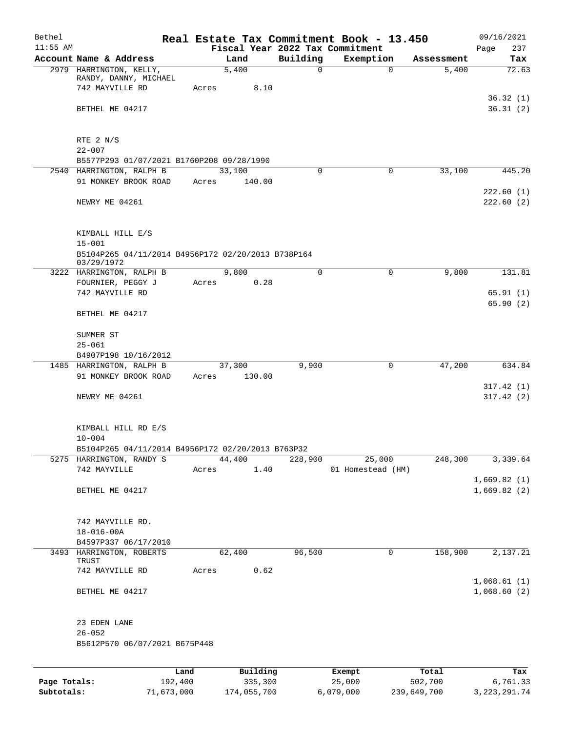| Bethel<br>$11:55$ AM |                                                                                      |                 |       |                     |          | Real Estate Tax Commitment Book - 13.450<br>Fiscal Year 2022 Tax Commitment |             |                  | 09/16/2021<br>237<br>Page  |
|----------------------|--------------------------------------------------------------------------------------|-----------------|-------|---------------------|----------|-----------------------------------------------------------------------------|-------------|------------------|----------------------------|
|                      | Account Name & Address                                                               |                 |       | Land                | Building | Exemption                                                                   |             | Assessment       | Tax                        |
|                      | 2979 HARRINGTON, KELLY,<br>RANDY, DANNY, MICHAEL<br>742 MAYVILLE RD                  | Acres           |       | 5,400<br>8.10       | $\Omega$ |                                                                             | $\Omega$    | 5,400            | 72.63                      |
|                      | BETHEL ME 04217                                                                      |                 |       |                     |          |                                                                             |             |                  | 36.32(1)<br>36.31(2)       |
|                      | RTE 2 N/S<br>$22 - 007$                                                              |                 |       |                     |          |                                                                             |             |                  |                            |
|                      | B5577P293 01/07/2021 B1760P208 09/28/1990                                            |                 |       |                     |          |                                                                             |             |                  |                            |
|                      | 2540 HARRINGTON, RALPH B<br>91 MONKEY BROOK ROAD                                     |                 | Acres | 33,100<br>140.00    | $\Omega$ |                                                                             | $\Omega$    | 33,100           | 445.20<br>222.60(1)        |
|                      | NEWRY ME 04261                                                                       |                 |       |                     |          |                                                                             |             |                  | 222.60(2)                  |
|                      | KIMBALL HILL E/S<br>$15 - 001$<br>B5104P265 04/11/2014 B4956P172 02/20/2013 B738P164 |                 |       |                     |          |                                                                             |             |                  |                            |
|                      | 03/29/1972                                                                           |                 |       |                     |          |                                                                             |             |                  |                            |
|                      | 3222 HARRINGTON, RALPH B                                                             |                 |       | 9,800               | $\Omega$ |                                                                             | $\Omega$    | 9,800            | 131.81                     |
|                      | FOURNIER, PEGGY J                                                                    | Acres           |       | 0.28                |          |                                                                             |             |                  |                            |
|                      | 742 MAYVILLE RD                                                                      |                 |       |                     |          |                                                                             |             |                  | 65.91(1)<br>65.90(2)       |
|                      | BETHEL ME 04217                                                                      |                 |       |                     |          |                                                                             |             |                  |                            |
|                      | SUMMER ST                                                                            |                 |       |                     |          |                                                                             |             |                  |                            |
|                      | $25 - 061$                                                                           |                 |       |                     |          |                                                                             |             |                  |                            |
|                      | B4907P198 10/16/2012<br>1485 HARRINGTON, RALPH B                                     |                 |       | 37,300              | 9,900    |                                                                             | 0           | 47,200           | 634.84                     |
|                      | 91 MONKEY BROOK ROAD                                                                 | Acres           |       | 130.00              |          |                                                                             |             |                  |                            |
|                      | NEWRY ME 04261                                                                       |                 |       |                     |          |                                                                             |             |                  | 317.42(1)<br>317.42(2)     |
|                      | KIMBALL HILL RD E/S<br>$10 - 004$                                                    |                 |       |                     |          |                                                                             |             |                  |                            |
|                      | B5104P265 04/11/2014 B4956P172 02/20/2013 B763P32                                    |                 |       |                     |          |                                                                             |             |                  |                            |
|                      | 5275 HARRINGTON, RANDY S                                                             |                 |       | 44,400              | 228,900  | 25,000                                                                      |             | 248,300          | 3,339.64                   |
|                      | 742 MAYVILLE                                                                         | Acres           |       | 1.40                |          | 01 Homestead (HM)                                                           |             |                  | 1,669.82(1)                |
|                      | BETHEL ME 04217                                                                      |                 |       |                     |          |                                                                             |             |                  | 1,669.82(2)                |
|                      | 742 MAYVILLE RD.<br>$18 - 016 - 00A$<br>B4597P337 06/17/2010                         |                 |       |                     |          |                                                                             |             |                  |                            |
|                      | 3493 HARRINGTON, ROBERTS                                                             |                 |       | 62,400              | 96,500   |                                                                             | $\mathbf 0$ | 158,900          | 2,137.21                   |
|                      | TRUST<br>742 MAYVILLE RD                                                             | Acres           |       | 0.62                |          |                                                                             |             |                  |                            |
|                      | BETHEL ME 04217                                                                      |                 |       |                     |          |                                                                             |             |                  | 1,068.61(1)<br>1,068.60(2) |
|                      | 23 EDEN LANE<br>$26 - 052$                                                           |                 |       |                     |          |                                                                             |             |                  |                            |
|                      | B5612P570 06/07/2021 B675P448                                                        |                 |       |                     |          |                                                                             |             |                  |                            |
|                      |                                                                                      |                 |       |                     |          |                                                                             |             |                  |                            |
| Page Totals:         |                                                                                      | Land<br>192,400 |       | Building<br>335,300 |          | Exempt<br>25,000                                                            |             | Total<br>502,700 | Tax<br>6,761.33            |

**Subtotals:** 71,673,000 174,055,700 6,079,000 239,649,700 3,223,291.74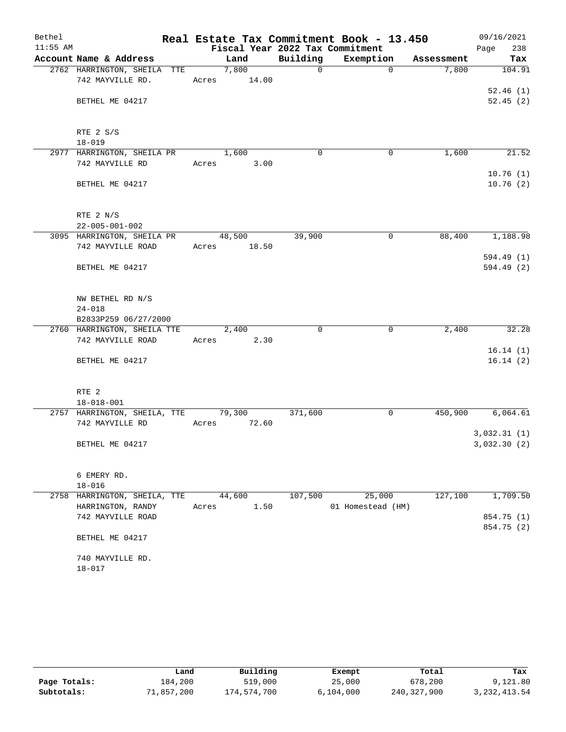| Bethel     |                                                        |                      |      |             | Real Estate Tax Commitment Book - 13.450 |            | 09/16/2021           |
|------------|--------------------------------------------------------|----------------------|------|-------------|------------------------------------------|------------|----------------------|
| $11:55$ AM |                                                        |                      |      |             | Fiscal Year 2022 Tax Commitment          |            | 238<br>Page          |
|            | Account Name & Address                                 | Land                 |      | Building    | Exemption                                | Assessment | Tax                  |
|            | 2762 HARRINGTON, SHEILA TTE<br>742 MAYVILLE RD.        | 7,800<br>Acres 14.00 |      | $\Omega$    | $\Omega$                                 | 7,800      | 104.91               |
|            | BETHEL ME 04217                                        |                      |      |             |                                          |            | 52.46(1)<br>52.45(2) |
|            | RTE 2 S/S<br>$18 - 019$                                |                      |      |             |                                          |            |                      |
|            | 2977 HARRINGTON, SHEILA PR                             | 1,600                |      | $\mathbf 0$ | $\mathbf 0$                              | 1,600      | 21.52                |
|            | 742 MAYVILLE RD                                        | Acres 3.00           |      |             |                                          |            |                      |
|            | BETHEL ME 04217                                        |                      |      |             |                                          |            | 10.76(1)<br>10.76(2) |
|            | RTE 2 N/S<br>$22 - 005 - 001 - 002$                    |                      |      |             |                                          |            |                      |
|            | 3095 HARRINGTON, SHEILA PR                             | 48,500               |      | 39,900      | 0                                        | 88,400     | 1,188.98             |
|            | 742 MAYVILLE ROAD                                      | Acres 18.50          |      |             |                                          |            |                      |
|            |                                                        |                      |      |             |                                          |            | 594.49 (1)           |
|            | BETHEL ME 04217                                        |                      |      |             |                                          |            | 594.49 (2)           |
|            | NW BETHEL RD N/S<br>$24 - 018$<br>B2833P259 06/27/2000 |                      |      |             |                                          |            |                      |
|            | 2760 HARRINGTON, SHEILA TTE                            | 2,400                |      | $\mathbf 0$ | 0                                        | 2,400      | 32.28                |
|            | 742 MAYVILLE ROAD                                      | Acres 2.30           |      |             |                                          |            |                      |
|            | BETHEL ME 04217                                        |                      |      |             |                                          |            | 16.14(1)<br>16.14(2) |
|            | RTE <sub>2</sub>                                       |                      |      |             |                                          |            |                      |
|            | $18 - 018 - 001$                                       |                      |      |             |                                          |            |                      |
|            | 2757 HARRINGTON, SHEILA, TTE 79,300<br>742 MAYVILLE RD | Acres 72.60          |      | 371,600     | $\mathbf 0$                              | 450,900    | 6,064.61             |
|            |                                                        |                      |      |             |                                          |            | 3,032.31(1)          |
|            | BETHEL ME 04217                                        |                      |      |             |                                          |            | 3,032.30 (2)         |
|            | 6 EMERY RD.                                            |                      |      |             |                                          |            |                      |
|            | $18 - 016$                                             |                      |      |             |                                          |            |                      |
| 2758       | HARRINGTON, SHEILA, TTE<br>HARRINGTON, RANDY           | 44,600<br>Acres      | 1.50 | 107,500     | 25,000<br>01 Homestead (HM)              | 127,100    | 1,709.50             |
|            | 742 MAYVILLE ROAD                                      |                      |      |             |                                          |            | 854.75 (1)           |
|            | BETHEL ME 04217                                        |                      |      |             |                                          |            | 854.75 (2)           |
|            | 740 MAYVILLE RD.<br>$18 - 017$                         |                      |      |             |                                          |            |                      |

|              | Land       | Building    | Exempt    | Total       | Tax            |
|--------------|------------|-------------|-----------|-------------|----------------|
| Page Totals: | 184,200    | 519,000     | 25,000    | 678,200     | 9,121.80       |
| Subtotals:   | 71,857,200 | 174,574,700 | 6,104,000 | 240,327,900 | 3, 232, 413.54 |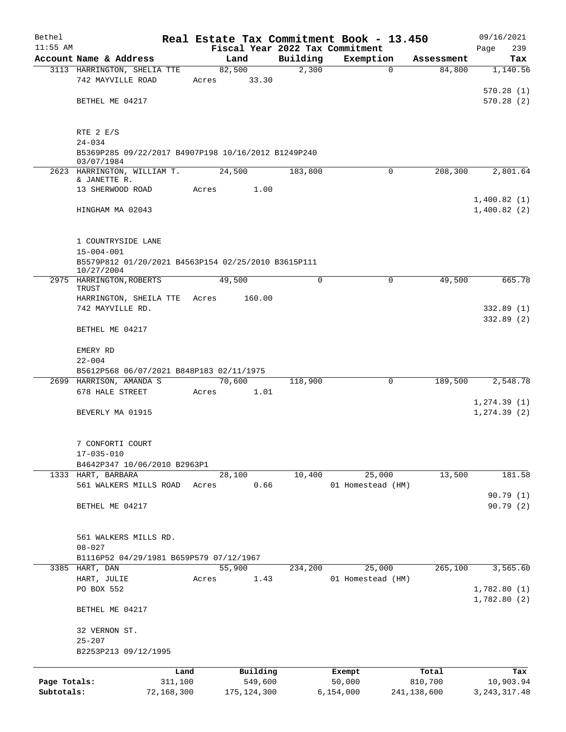| Bethel       |                                                                   |       |                                 |          | Real Estate Tax Commitment Book - 13.450 |             | 09/16/2021                   |
|--------------|-------------------------------------------------------------------|-------|---------------------------------|----------|------------------------------------------|-------------|------------------------------|
| $11:55$ AM   |                                                                   |       | Fiscal Year 2022 Tax Commitment |          |                                          |             | 239<br>Page                  |
|              | Account Name & Address                                            |       | Land                            | Building | Exemption                                | Assessment  | Tax                          |
|              | 3113 HARRINGTON, SHELIA TTE                                       |       | 82,500                          | 2,300    | $\mathbf 0$                              | 84,800      | 1,140.56                     |
|              | 742 MAYVILLE ROAD                                                 | Acres | 33.30                           |          |                                          |             | 570.28(1)                    |
|              | BETHEL ME 04217                                                   |       |                                 |          |                                          |             | 570.28(2)                    |
|              |                                                                   |       |                                 |          |                                          |             |                              |
|              |                                                                   |       |                                 |          |                                          |             |                              |
|              | RTE $2 E/S$                                                       |       |                                 |          |                                          |             |                              |
|              | $24 - 034$                                                        |       |                                 |          |                                          |             |                              |
|              | B5369P285 09/22/2017 B4907P198 10/16/2012 B1249P240<br>03/07/1984 |       |                                 |          |                                          |             |                              |
|              | 2623 HARRINGTON, WILLIAM T.                                       |       | 24,500                          | 183,800  | $\mathbf 0$                              | 208,300     | 2,801.64                     |
|              | & JANETTE R.                                                      |       |                                 |          |                                          |             |                              |
|              | 13 SHERWOOD ROAD                                                  | Acres | 1.00                            |          |                                          |             |                              |
|              | HINGHAM MA 02043                                                  |       |                                 |          |                                          |             | 1,400.82(1)<br>1,400.82(2)   |
|              |                                                                   |       |                                 |          |                                          |             |                              |
|              |                                                                   |       |                                 |          |                                          |             |                              |
|              | 1 COUNTRYSIDE LANE                                                |       |                                 |          |                                          |             |                              |
|              | $15 - 004 - 001$                                                  |       |                                 |          |                                          |             |                              |
|              | B5579P812 01/20/2021 B4563P154 02/25/2010 B3615P111               |       |                                 |          |                                          |             |                              |
|              | 10/27/2004<br>2975 HARRINGTON, ROBERTS                            |       | 49,500                          | 0        | $\mathbf 0$                              | 49,500      | 665.78                       |
|              | TRUST                                                             |       |                                 |          |                                          |             |                              |
|              | HARRINGTON, SHEILA TTE Acres                                      |       | 160.00                          |          |                                          |             |                              |
|              | 742 MAYVILLE RD.                                                  |       |                                 |          |                                          |             | 332.89(1)                    |
|              | BETHEL ME 04217                                                   |       |                                 |          |                                          |             | 332.89(2)                    |
|              |                                                                   |       |                                 |          |                                          |             |                              |
|              | EMERY RD                                                          |       |                                 |          |                                          |             |                              |
|              | $22 - 004$                                                        |       |                                 |          |                                          |             |                              |
|              | B5612P568 06/07/2021 B848P183 02/11/1975                          |       |                                 |          |                                          |             |                              |
|              | 2699 HARRISON, AMANDA S                                           |       | 70,600                          | 118,900  | $\mathbf 0$                              | 189,500     | 2,548.78                     |
|              | 678 HALE STREET                                                   | Acres | 1.01                            |          |                                          |             |                              |
|              | BEVERLY MA 01915                                                  |       |                                 |          |                                          |             | 1, 274.39(1)<br>1, 274.39(2) |
|              |                                                                   |       |                                 |          |                                          |             |                              |
|              |                                                                   |       |                                 |          |                                          |             |                              |
|              | 7 CONFORTI COURT                                                  |       |                                 |          |                                          |             |                              |
|              | $17 - 035 - 010$                                                  |       |                                 |          |                                          |             |                              |
|              | B4642P347 10/06/2010 B2963P1                                      |       |                                 |          |                                          |             |                              |
|              | 1333 HART, BARBARA<br>561 WALKERS MILLS ROAD                      | Acres | 28,100<br>0.66                  | 10,400   | 25,000<br>01 Homestead (HM)              | 13,500      | 181.58                       |
|              |                                                                   |       |                                 |          |                                          |             | 90.79(1)                     |
|              | BETHEL ME 04217                                                   |       |                                 |          |                                          |             | 90.79(2)                     |
|              |                                                                   |       |                                 |          |                                          |             |                              |
|              |                                                                   |       |                                 |          |                                          |             |                              |
|              | 561 WALKERS MILLS RD.                                             |       |                                 |          |                                          |             |                              |
|              | $08 - 027$<br>B1116P52 04/29/1981 B659P579 07/12/1967             |       |                                 |          |                                          |             |                              |
|              | 3385 HART, DAN                                                    |       | 55,900                          | 234,200  | 25,000                                   | 265,100     | 3,565.60                     |
|              | HART, JULIE                                                       | Acres | 1.43                            |          | 01 Homestead (HM)                        |             |                              |
|              | PO BOX 552                                                        |       |                                 |          |                                          |             | 1,782.80(1)                  |
|              |                                                                   |       |                                 |          |                                          |             | 1,782.80(2)                  |
|              | BETHEL ME 04217                                                   |       |                                 |          |                                          |             |                              |
|              | 32 VERNON ST.                                                     |       |                                 |          |                                          |             |                              |
|              | $25 - 207$                                                        |       |                                 |          |                                          |             |                              |
|              | B2253P213 09/12/1995                                              |       |                                 |          |                                          |             |                              |
|              |                                                                   |       |                                 |          |                                          |             |                              |
|              |                                                                   | Land  | Building                        |          | Exempt                                   | Total       | Tax                          |
| Page Totals: | 311,100                                                           |       | 549,600                         |          | 50,000                                   | 810,700     | 10,903.94                    |
| Subtotals:   | 72,168,300                                                        |       | 175, 124, 300                   |          | 6,154,000                                | 241,138,600 | 3, 243, 317.48               |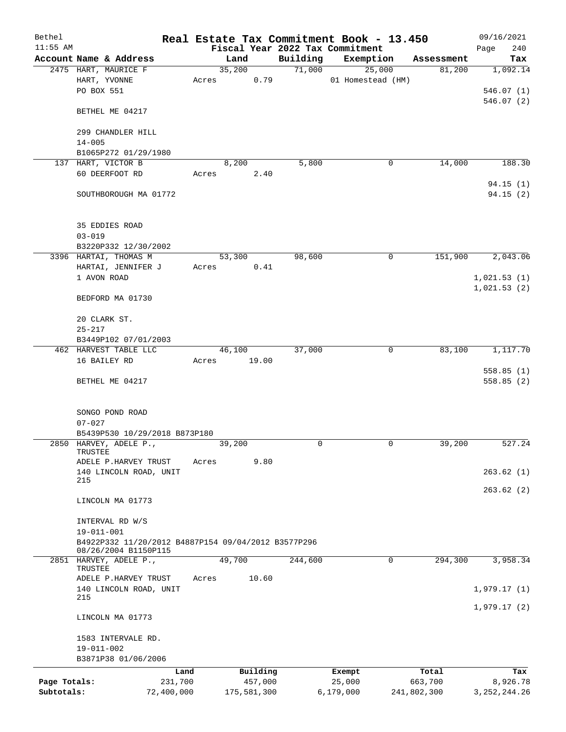| Bethel       |                                                                             |            |       |             |         |          | Real Estate Tax Commitment Book - 13.450 |             | 09/16/2021     |
|--------------|-----------------------------------------------------------------------------|------------|-------|-------------|---------|----------|------------------------------------------|-------------|----------------|
| $11:55$ AM   |                                                                             |            |       |             |         |          | Fiscal Year 2022 Tax Commitment          |             | 240<br>Page    |
|              | Account Name & Address                                                      |            |       | Land        |         | Building | Exemption                                | Assessment  | Tax            |
|              | 2475 HART, MAURICE F                                                        |            |       | 35,200      |         | 71,000   | 25,000                                   | 81,200      | 1,092.14       |
|              | HART, YVONNE<br>PO BOX 551                                                  |            | Acres |             | 0.79    |          | 01 Homestead (HM)                        |             | 546.07(1)      |
|              |                                                                             |            |       |             |         |          |                                          |             | 546.07(2)      |
|              | BETHEL ME 04217                                                             |            |       |             |         |          |                                          |             |                |
|              |                                                                             |            |       |             |         |          |                                          |             |                |
|              | 299 CHANDLER HILL                                                           |            |       |             |         |          |                                          |             |                |
|              | $14 - 005$                                                                  |            |       |             |         |          |                                          |             |                |
|              | B1065P272 01/29/1980                                                        |            |       |             |         |          |                                          |             |                |
|              | 137 HART, VICTOR B                                                          |            |       | 8,200       |         | 5,800    | 0                                        | 14,000      | 188.30         |
|              | 60 DEERFOOT RD                                                              |            | Acres |             | 2.40    |          |                                          |             |                |
|              |                                                                             |            |       |             |         |          |                                          |             | 94.15(1)       |
|              | SOUTHBOROUGH MA 01772                                                       |            |       |             |         |          |                                          |             | 94.15 (2)      |
|              |                                                                             |            |       |             |         |          |                                          |             |                |
|              | 35 EDDIES ROAD                                                              |            |       |             |         |          |                                          |             |                |
|              | $03 - 019$                                                                  |            |       |             |         |          |                                          |             |                |
|              | B3220P332 12/30/2002                                                        |            |       |             |         |          |                                          |             |                |
|              | 3396 HARTAI, THOMAS M                                                       |            |       | 53,300      |         | 98,600   | 0                                        | 151,900     | 2,043.06       |
|              | HARTAI, JENNIFER J                                                          |            | Acres |             | 0.41    |          |                                          |             |                |
|              | 1 AVON ROAD                                                                 |            |       |             |         |          |                                          |             | 1,021.53(1)    |
|              |                                                                             |            |       |             |         |          |                                          |             | 1,021.53(2)    |
|              | BEDFORD MA 01730                                                            |            |       |             |         |          |                                          |             |                |
|              |                                                                             |            |       |             |         |          |                                          |             |                |
|              | 20 CLARK ST.                                                                |            |       |             |         |          |                                          |             |                |
|              | $25 - 217$                                                                  |            |       |             |         |          |                                          |             |                |
|              | B3449P102 07/01/2003                                                        |            |       |             |         |          |                                          |             |                |
|              | 462 HARVEST TABLE LLC                                                       |            |       | 46,100      |         | 37,000   | 0                                        | 83,100      | 1,117.70       |
|              | 16 BAILEY RD                                                                |            | Acres |             | 19.00   |          |                                          |             |                |
|              |                                                                             |            |       |             |         |          |                                          |             | 558.85(1)      |
|              | BETHEL ME 04217                                                             |            |       |             |         |          |                                          |             | 558.85(2)      |
|              |                                                                             |            |       |             |         |          |                                          |             |                |
|              | SONGO POND ROAD                                                             |            |       |             |         |          |                                          |             |                |
|              | $07 - 027$                                                                  |            |       |             |         |          |                                          |             |                |
|              | B5439P530 10/29/2018 B873P180                                               |            |       |             |         |          |                                          |             |                |
|              | 2850 HARVEY, ADELE P.,                                                      |            |       | 39,200      |         | $\Omega$ | 0                                        | 39,200      | 527.24         |
|              | TRUSTEE                                                                     |            |       |             | 9.80    |          |                                          |             |                |
|              | ADELE P.HARVEY TRUST<br>140 LINCOLN ROAD, UNIT                              |            | Acres |             |         |          |                                          |             | 263.62(1)      |
|              | 215                                                                         |            |       |             |         |          |                                          |             |                |
|              |                                                                             |            |       |             |         |          |                                          |             | 263.62(2)      |
|              | LINCOLN MA 01773                                                            |            |       |             |         |          |                                          |             |                |
|              |                                                                             |            |       |             |         |          |                                          |             |                |
|              | INTERVAL RD W/S                                                             |            |       |             |         |          |                                          |             |                |
|              | $19 - 011 - 001$                                                            |            |       |             |         |          |                                          |             |                |
|              | B4922P332 11/20/2012 B4887P154 09/04/2012 B3577P296<br>08/26/2004 B1150P115 |            |       |             |         |          |                                          |             |                |
|              | 2851 HARVEY, ADELE P.,                                                      |            |       | 49,700      |         | 244,600  | $\mathbf 0$                              | 294,300     | 3,958.34       |
|              | TRUSTEE                                                                     |            |       |             |         |          |                                          |             |                |
|              | ADELE P.HARVEY TRUST                                                        |            | Acres |             | 10.60   |          |                                          |             |                |
|              | 140 LINCOLN ROAD, UNIT<br>215                                               |            |       |             |         |          |                                          |             | 1,979.17(1)    |
|              |                                                                             |            |       |             |         |          |                                          |             | 1,979.17(2)    |
|              | LINCOLN MA 01773                                                            |            |       |             |         |          |                                          |             |                |
|              |                                                                             |            |       |             |         |          |                                          |             |                |
|              | 1583 INTERVALE RD.                                                          |            |       |             |         |          |                                          |             |                |
|              | 19-011-002                                                                  |            |       |             |         |          |                                          |             |                |
|              | B3871P38 01/06/2006                                                         |            |       |             |         |          |                                          |             |                |
|              |                                                                             | Land       |       | Building    |         |          | Exempt                                   | Total       | Tax            |
| Page Totals: |                                                                             | 231,700    |       |             | 457,000 |          | 25,000                                   | 663,700     | 8,926.78       |
| Subtotals:   |                                                                             | 72,400,000 |       | 175,581,300 |         |          | 6,179,000                                | 241,802,300 | 3, 252, 244.26 |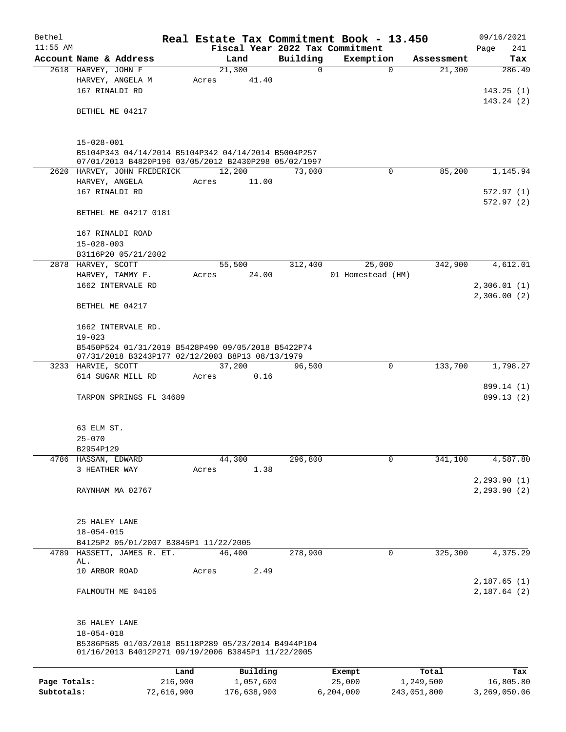| Bethel       |                                                                                     |            |       |                 |          | Real Estate Tax Commitment Book - 13.450 |             | 09/16/2021                   |  |  |
|--------------|-------------------------------------------------------------------------------------|------------|-------|-----------------|----------|------------------------------------------|-------------|------------------------------|--|--|
| $11:55$ AM   |                                                                                     |            |       |                 |          | Fiscal Year 2022 Tax Commitment          |             | Page<br>241                  |  |  |
|              | Account Name & Address                                                              |            |       | Land            | Building | Exemption                                | Assessment  | Tax                          |  |  |
|              | 2618 HARVEY, JOHN F                                                                 |            |       | 21,300<br>41.40 | 0        | 0                                        | 21,300      | 286.49                       |  |  |
|              | HARVEY, ANGELA M<br>167 RINALDI RD                                                  |            | Acres |                 |          |                                          |             | 143.25(1)                    |  |  |
|              |                                                                                     |            |       |                 |          |                                          |             | 143.24(2)                    |  |  |
|              | BETHEL ME 04217                                                                     |            |       |                 |          |                                          |             |                              |  |  |
|              |                                                                                     |            |       |                 |          |                                          |             |                              |  |  |
|              |                                                                                     |            |       |                 |          |                                          |             |                              |  |  |
|              | $15 - 028 - 001$                                                                    |            |       |                 |          |                                          |             |                              |  |  |
|              | B5104P343 04/14/2014 B5104P342 04/14/2014 B5004P257                                 |            |       |                 |          |                                          |             |                              |  |  |
|              | 07/01/2013 B4820P196 03/05/2012 B2430P298 05/02/1997<br>2620 HARVEY, JOHN FREDERICK |            |       | 12,200          | 73,000   | $\Omega$                                 | 85,200      | 1,145.94                     |  |  |
|              | HARVEY, ANGELA                                                                      |            | Acres | 11.00           |          |                                          |             |                              |  |  |
|              | 167 RINALDI RD                                                                      |            |       |                 |          |                                          |             | 572.97 (1)                   |  |  |
|              |                                                                                     |            |       |                 |          |                                          |             | 572.97(2)                    |  |  |
|              | BETHEL ME 04217 0181                                                                |            |       |                 |          |                                          |             |                              |  |  |
|              |                                                                                     |            |       |                 |          |                                          |             |                              |  |  |
|              | 167 RINALDI ROAD                                                                    |            |       |                 |          |                                          |             |                              |  |  |
|              | $15 - 028 - 003$                                                                    |            |       |                 |          |                                          |             |                              |  |  |
|              | B3116P20 05/21/2002                                                                 |            |       |                 |          |                                          |             |                              |  |  |
|              | 2878 HARVEY, SCOTT                                                                  |            |       | 55,500          | 312,400  | 25,000                                   | 342,900     | 4,612.01                     |  |  |
|              | HARVEY, TAMMY F.<br>1662 INTERVALE RD                                               |            | Acres | 24.00           |          | 01 Homestead (HM)                        |             | 2,306.01(1)                  |  |  |
|              |                                                                                     |            |       |                 |          |                                          |             | 2,306.00(2)                  |  |  |
|              | BETHEL ME 04217                                                                     |            |       |                 |          |                                          |             |                              |  |  |
|              |                                                                                     |            |       |                 |          |                                          |             |                              |  |  |
|              | 1662 INTERVALE RD.                                                                  |            |       |                 |          |                                          |             |                              |  |  |
|              | $19 - 023$<br>B5450P524 01/31/2019 B5428P490 09/05/2018 B5422P74                    |            |       |                 |          |                                          |             |                              |  |  |
|              |                                                                                     |            |       |                 |          |                                          |             |                              |  |  |
|              | 07/31/2018 B3243P177 02/12/2003 B8P13 08/13/1979                                    |            |       |                 |          | 0                                        | 133,700     | 1,798.27                     |  |  |
|              | 3233 HARVIE, SCOTT<br>614 SUGAR MILL RD                                             |            | Acres | 37,200<br>0.16  | 96,500   |                                          |             |                              |  |  |
|              |                                                                                     |            |       |                 |          |                                          |             | 899.14 (1)                   |  |  |
|              | TARPON SPRINGS FL 34689                                                             |            |       |                 |          |                                          |             | 899.13 (2)                   |  |  |
|              |                                                                                     |            |       |                 |          |                                          |             |                              |  |  |
|              |                                                                                     |            |       |                 |          |                                          |             |                              |  |  |
|              | 63 ELM ST.                                                                          |            |       |                 |          |                                          |             |                              |  |  |
|              | $25 - 070$                                                                          |            |       |                 |          |                                          |             |                              |  |  |
|              | B2954P129                                                                           |            |       |                 |          |                                          |             |                              |  |  |
| 4786         | HASSAN, EDWARD                                                                      |            |       | 44,300          | 296,800  | 0                                        | 341,100     | 4,587.80                     |  |  |
|              | 3 HEATHER WAY                                                                       |            | Acres | 1.38            |          |                                          |             |                              |  |  |
|              | RAYNHAM MA 02767                                                                    |            |       |                 |          |                                          |             | 2, 293.90(1)<br>2, 293.90(2) |  |  |
|              |                                                                                     |            |       |                 |          |                                          |             |                              |  |  |
|              |                                                                                     |            |       |                 |          |                                          |             |                              |  |  |
|              | 25 HALEY LANE                                                                       |            |       |                 |          |                                          |             |                              |  |  |
|              | $18 - 054 - 015$                                                                    |            |       |                 |          |                                          |             |                              |  |  |
|              | B4125P2 05/01/2007 B3845P1 11/22/2005                                               |            |       |                 |          |                                          |             |                              |  |  |
| 4789         | HASSETT, JAMES R. ET.                                                               |            |       | 46,400          | 278,900  | 0                                        | 325,300     | 4,375.29                     |  |  |
|              | AL.<br>10 ARBOR ROAD                                                                |            | Acres | 2.49            |          |                                          |             |                              |  |  |
|              |                                                                                     |            |       |                 |          |                                          |             | 2,187.65(1)                  |  |  |
|              | FALMOUTH ME 04105                                                                   |            |       |                 |          |                                          |             | 2,187.64(2)                  |  |  |
|              |                                                                                     |            |       |                 |          |                                          |             |                              |  |  |
|              |                                                                                     |            |       |                 |          |                                          |             |                              |  |  |
|              | 36 HALEY LANE                                                                       |            |       |                 |          |                                          |             |                              |  |  |
|              | $18 - 054 - 018$                                                                    |            |       |                 |          |                                          |             |                              |  |  |
|              | B5386P585 01/03/2018 B5118P289 05/23/2014 B4944P104                                 |            |       |                 |          |                                          |             |                              |  |  |
|              | 01/16/2013 B4012P271 09/19/2006 B3845P1 11/22/2005                                  |            |       |                 |          |                                          |             |                              |  |  |
|              |                                                                                     | Land       |       | Building        |          | Exempt                                   | Total       | Tax                          |  |  |
| Page Totals: |                                                                                     | 216,900    |       | 1,057,600       |          | 25,000                                   | 1,249,500   | 16,805.80                    |  |  |
| Subtotals:   |                                                                                     | 72,616,900 |       | 176,638,900     |          | 6,204,000                                | 243,051,800 | 3,269,050.06                 |  |  |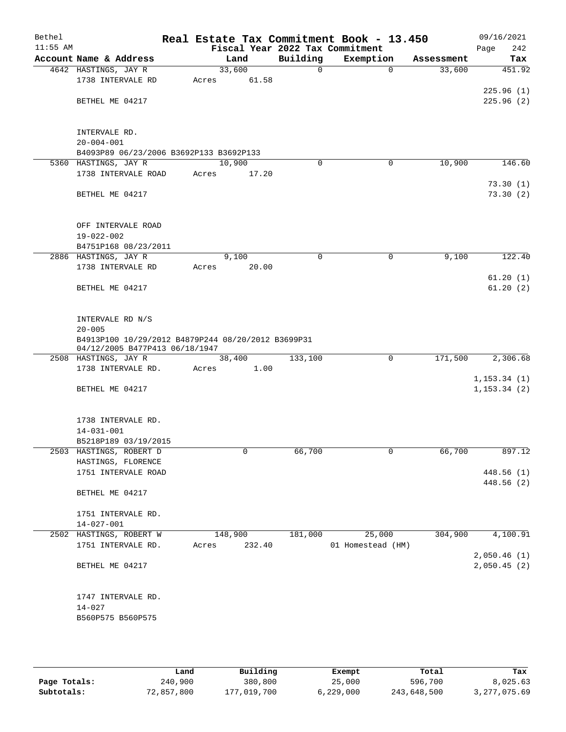| Bethel<br>$11:55$ AM |                                                        | Real Estate Tax Commitment Book - 13.450 |          | Fiscal Year 2022 Tax Commitment |            | 09/16/2021<br>242<br>Page |
|----------------------|--------------------------------------------------------|------------------------------------------|----------|---------------------------------|------------|---------------------------|
|                      | Account Name & Address                                 | Land                                     | Building | Exemption                       | Assessment | Tax                       |
|                      | 4642 HASTINGS, JAY R                                   | 33,600                                   | 0        | $\mathbf 0$                     | 33,600     | 451.92                    |
|                      | 1738 INTERVALE RD                                      | 61.58<br>Acres                           |          |                                 |            |                           |
|                      |                                                        |                                          |          |                                 |            | 225.96(1)                 |
|                      | BETHEL ME 04217                                        |                                          |          |                                 |            | 225.96(2)                 |
|                      |                                                        |                                          |          |                                 |            |                           |
|                      |                                                        |                                          |          |                                 |            |                           |
|                      | INTERVALE RD.                                          |                                          |          |                                 |            |                           |
|                      | $20 - 004 - 001$                                       |                                          |          |                                 |            |                           |
|                      | B4093P89 06/23/2006 B3692P133 B3692P133                |                                          |          |                                 |            |                           |
|                      | 5360 HASTINGS, JAY R                                   | 10,900                                   | 0        | 0                               | 10,900     | 146.60                    |
|                      | 1738 INTERVALE ROAD                                    | 17.20<br>Acres                           |          |                                 |            |                           |
|                      |                                                        |                                          |          |                                 |            | 73.30(1)                  |
|                      | BETHEL ME 04217                                        |                                          |          |                                 |            | 73.30(2)                  |
|                      |                                                        |                                          |          |                                 |            |                           |
|                      | OFF INTERVALE ROAD                                     |                                          |          |                                 |            |                           |
|                      | $19 - 022 - 002$                                       |                                          |          |                                 |            |                           |
|                      | B4751P168 08/23/2011                                   |                                          |          |                                 |            |                           |
|                      | 2886 HASTINGS, JAY R                                   | 9,100                                    | 0        | 0                               | 9,100      | 122.40                    |
|                      | 1738 INTERVALE RD                                      | Acres<br>20.00                           |          |                                 |            |                           |
|                      |                                                        |                                          |          |                                 |            | 61.20(1)                  |
|                      | BETHEL ME 04217                                        |                                          |          |                                 |            | 61.20(2)                  |
|                      |                                                        |                                          |          |                                 |            |                           |
|                      |                                                        |                                          |          |                                 |            |                           |
|                      | INTERVALE RD N/S                                       |                                          |          |                                 |            |                           |
|                      | $20 - 005$                                             |                                          |          |                                 |            |                           |
|                      | B4913P100 10/29/2012 B4879P244 08/20/2012 B3699P31     |                                          |          |                                 |            |                           |
|                      | 04/12/2005 B477P413 06/18/1947<br>2508 HASTINGS, JAY R | 38,400                                   | 133,100  | $\mathbf 0$                     | 171,500    | 2,306.68                  |
|                      | 1738 INTERVALE RD.                                     | 1.00<br>Acres                            |          |                                 |            |                           |
|                      |                                                        |                                          |          |                                 |            | 1, 153.34(1)              |
|                      | BETHEL ME 04217                                        |                                          |          |                                 |            | 1, 153.34(2)              |
|                      |                                                        |                                          |          |                                 |            |                           |
|                      |                                                        |                                          |          |                                 |            |                           |
|                      | 1738 INTERVALE RD.                                     |                                          |          |                                 |            |                           |
|                      | $14 - 031 - 001$                                       |                                          |          |                                 |            |                           |
|                      | B5218P189 03/19/2015                                   |                                          |          |                                 |            |                           |
|                      | 2503 HASTINGS, ROBERT D                                | 0                                        | 66,700   | 0                               | 66,700     | 897.12                    |
|                      | HASTINGS, FLORENCE                                     |                                          |          |                                 |            |                           |
|                      | 1751 INTERVALE ROAD                                    |                                          |          |                                 |            | 448.56(1)                 |
|                      |                                                        |                                          |          |                                 |            | 448.56 (2)                |
|                      | BETHEL ME 04217                                        |                                          |          |                                 |            |                           |
|                      | 1751 INTERVALE RD.                                     |                                          |          |                                 |            |                           |
|                      | $14 - 027 - 001$                                       |                                          |          |                                 |            |                           |
|                      | 2502 HASTINGS, ROBERT W                                | 148,900                                  | 181,000  | 25,000                          | 304,900    | 4,100.91                  |
|                      | 1751 INTERVALE RD.                                     | 232.40<br>Acres                          |          | 01 Homestead (HM)               |            |                           |
|                      |                                                        |                                          |          |                                 |            | 2,050.46(1)               |
|                      | BETHEL ME 04217                                        |                                          |          |                                 |            | 2,050.45(2)               |
|                      |                                                        |                                          |          |                                 |            |                           |
|                      |                                                        |                                          |          |                                 |            |                           |
|                      | 1747 INTERVALE RD.                                     |                                          |          |                                 |            |                           |
|                      | $14 - 027$                                             |                                          |          |                                 |            |                           |
|                      | B560P575 B560P575                                      |                                          |          |                                 |            |                           |
|                      |                                                        |                                          |          |                                 |            |                           |
|                      |                                                        |                                          |          |                                 |            |                           |

|              | Land       | Building    | Exempt    | Total       | Tax          |
|--------------|------------|-------------|-----------|-------------|--------------|
| Page Totals: | 240,900    | 380,800     | 25,000    | 596,700     | 8,025.63     |
| Subtotals:   | 72,857,800 | 177,019,700 | 6,229,000 | 243,648,500 | 3,277,075.69 |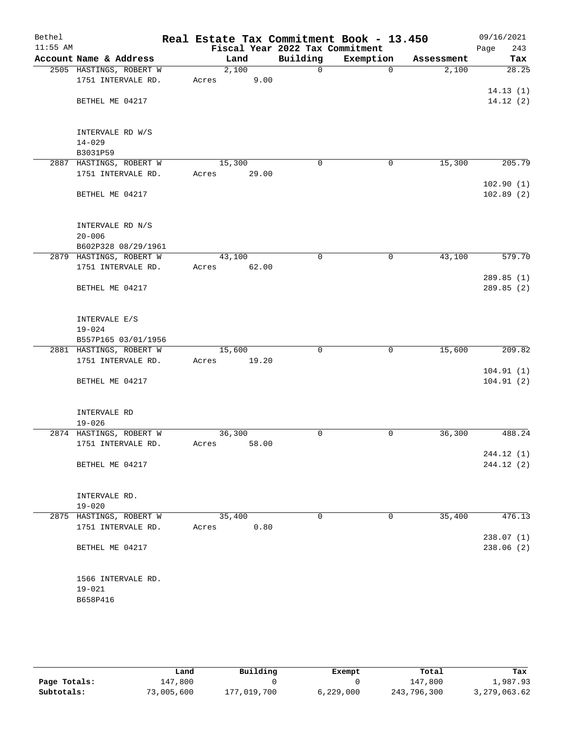| Bethel     |                         |       |        |                                 | Real Estate Tax Commitment Book - 13.450 |            | 09/16/2021         |
|------------|-------------------------|-------|--------|---------------------------------|------------------------------------------|------------|--------------------|
| $11:55$ AM |                         |       |        | Fiscal Year 2022 Tax Commitment |                                          |            | Page<br>243        |
|            | Account Name & Address  |       | Land   | Building                        | Exemption                                | Assessment | Tax                |
|            | 2505 HASTINGS, ROBERT W |       | 2,100  | 0                               | $\Omega$                                 | 2,100      | $\overline{28.25}$ |
|            | 1751 INTERVALE RD.      | Acres | 9.00   |                                 |                                          |            |                    |
|            |                         |       |        |                                 |                                          |            | 14.13(1)           |
|            | BETHEL ME 04217         |       |        |                                 |                                          |            | 14.12(2)           |
|            |                         |       |        |                                 |                                          |            |                    |
|            |                         |       |        |                                 |                                          |            |                    |
|            | INTERVALE RD W/S        |       |        |                                 |                                          |            |                    |
|            | $14 - 029$              |       |        |                                 |                                          |            |                    |
|            | B3031P59                |       |        |                                 |                                          |            |                    |
|            | 2887 HASTINGS, ROBERT W |       | 15,300 | $\mathbf 0$                     | $\mathbf 0$                              | 15,300     | 205.79             |
|            | 1751 INTERVALE RD.      | Acres | 29.00  |                                 |                                          |            |                    |
|            |                         |       |        |                                 |                                          |            | 102.90(1)          |
|            | BETHEL ME 04217         |       |        |                                 |                                          |            | 102.89(2)          |
|            |                         |       |        |                                 |                                          |            |                    |
|            |                         |       |        |                                 |                                          |            |                    |
|            | INTERVALE RD N/S        |       |        |                                 |                                          |            |                    |
|            | $20 - 006$              |       |        |                                 |                                          |            |                    |
|            | B602P328 08/29/1961     |       |        |                                 |                                          |            |                    |
|            | 2879 HASTINGS, ROBERT W |       | 43,100 | $\mathbf 0$                     | 0                                        | 43,100     | 579.70             |
|            | 1751 INTERVALE RD.      | Acres | 62.00  |                                 |                                          |            |                    |
|            |                         |       |        |                                 |                                          |            | 289.85(1)          |
|            | BETHEL ME 04217         |       |        |                                 |                                          |            | 289.85 (2)         |
|            |                         |       |        |                                 |                                          |            |                    |
|            |                         |       |        |                                 |                                          |            |                    |
|            | INTERVALE E/S           |       |        |                                 |                                          |            |                    |
|            | $19 - 024$              |       |        |                                 |                                          |            |                    |
|            | B557P165 03/01/1956     |       |        |                                 |                                          |            |                    |
|            | 2881 HASTINGS, ROBERT W |       | 15,600 | $\mathbf 0$                     | 0                                        | 15,600     | 209.82             |
|            | 1751 INTERVALE RD.      | Acres | 19.20  |                                 |                                          |            |                    |
|            |                         |       |        |                                 |                                          |            | 104.91(1)          |
|            | BETHEL ME 04217         |       |        |                                 |                                          |            | 104.91(2)          |
|            |                         |       |        |                                 |                                          |            |                    |
|            |                         |       |        |                                 |                                          |            |                    |
|            | INTERVALE RD            |       |        |                                 |                                          |            |                    |
|            | $19 - 026$              |       |        |                                 |                                          |            |                    |
|            | 2874 HASTINGS, ROBERT W |       | 36,300 | 0                               | 0                                        | 36,300     | 488.24             |
|            | 1751 INTERVALE RD.      | Acres | 58.00  |                                 |                                          |            |                    |
|            |                         |       |        |                                 |                                          |            | 244.12 (1)         |
|            | BETHEL ME 04217         |       |        |                                 |                                          |            | 244.12(2)          |
|            |                         |       |        |                                 |                                          |            |                    |
|            | INTERVALE RD.           |       |        |                                 |                                          |            |                    |
|            | $19 - 020$              |       |        |                                 |                                          |            |                    |
|            | 2875 HASTINGS, ROBERT W |       | 35,400 | 0                               | 0                                        | 35,400     | 476.13             |
|            | 1751 INTERVALE RD.      | Acres | 0.80   |                                 |                                          |            |                    |
|            |                         |       |        |                                 |                                          |            | 238.07(1)          |
|            | BETHEL ME 04217         |       |        |                                 |                                          |            | 238.06(2)          |
|            |                         |       |        |                                 |                                          |            |                    |
|            |                         |       |        |                                 |                                          |            |                    |
|            | 1566 INTERVALE RD.      |       |        |                                 |                                          |            |                    |
|            | $19 - 021$              |       |        |                                 |                                          |            |                    |
|            | B658P416                |       |        |                                 |                                          |            |                    |
|            |                         |       |        |                                 |                                          |            |                    |
|            |                         |       |        |                                 |                                          |            |                    |

|              | Land       | Building    | Exempt    | Total       | Tax          |
|--------------|------------|-------------|-----------|-------------|--------------|
| Page Totals: | 147,800    |             |           | 147,800     | 1,987.93     |
| Subtotals:   | 73,005,600 | 177,019,700 | 6,229,000 | 243,796,300 | 3,279,063.62 |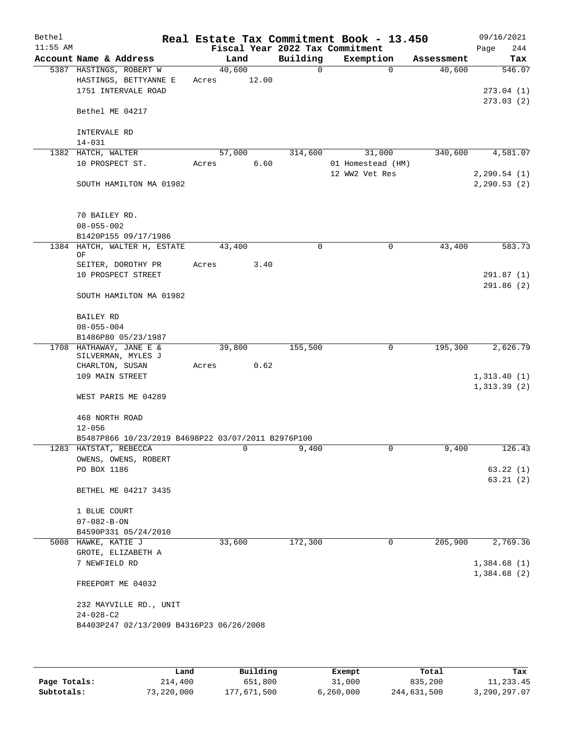| Bethel     |                                                    |       |        |      |                                 | Real Estate Tax Commitment Book - 13.450 |            | 09/16/2021   |
|------------|----------------------------------------------------|-------|--------|------|---------------------------------|------------------------------------------|------------|--------------|
| $11:55$ AM |                                                    |       |        |      | Fiscal Year 2022 Tax Commitment |                                          |            | Page<br>244  |
|            | Account Name & Address                             |       | Land   |      | Building                        | Exemption                                | Assessment | Tax          |
|            | 5387 HASTINGS, ROBERT W                            |       | 40,600 |      | $\mathbf 0$                     | $\Omega$                                 | 40,600     | 546.07       |
|            | HASTINGS, BETTYANNE E                              | Acres | 12.00  |      |                                 |                                          |            |              |
|            | 1751 INTERVALE ROAD                                |       |        |      |                                 |                                          |            | 273.04(1)    |
|            |                                                    |       |        |      |                                 |                                          |            | 273.03(2)    |
|            | Bethel ME 04217                                    |       |        |      |                                 |                                          |            |              |
|            |                                                    |       |        |      |                                 |                                          |            |              |
|            | INTERVALE RD                                       |       |        |      |                                 |                                          |            |              |
|            | $14 - 031$                                         |       |        |      |                                 |                                          |            |              |
|            | 1382 HATCH, WALTER                                 |       | 57,000 |      | 314,600                         | 31,000                                   | 340,600    | 4,581.07     |
|            | 10 PROSPECT ST.                                    | Acres |        | 6.60 |                                 | 01 Homestead (HM)                        |            |              |
|            |                                                    |       |        |      |                                 | 12 WW2 Vet Res                           |            | 2, 290.54(1) |
|            | SOUTH HAMILTON MA 01982                            |       |        |      |                                 |                                          |            | 2, 290.53(2) |
|            |                                                    |       |        |      |                                 |                                          |            |              |
|            |                                                    |       |        |      |                                 |                                          |            |              |
|            |                                                    |       |        |      |                                 |                                          |            |              |
|            | 70 BAILEY RD.                                      |       |        |      |                                 |                                          |            |              |
|            | $08 - 055 - 002$                                   |       |        |      |                                 |                                          |            |              |
|            | B1420P155 09/17/1986                               |       |        |      |                                 |                                          |            |              |
|            | 1384 HATCH, WALTER H, ESTATE<br>ΟF                 |       | 43,400 |      | $\mathbf 0$                     | 0                                        | 43,400     | 583.73       |
|            | SEITER, DOROTHY PR                                 | Acres |        | 3.40 |                                 |                                          |            |              |
|            | 10 PROSPECT STREET                                 |       |        |      |                                 |                                          |            | 291.87(1)    |
|            |                                                    |       |        |      |                                 |                                          |            | 291.86(2)    |
|            |                                                    |       |        |      |                                 |                                          |            |              |
|            | SOUTH HAMILTON MA 01982                            |       |        |      |                                 |                                          |            |              |
|            |                                                    |       |        |      |                                 |                                          |            |              |
|            | BAILEY RD                                          |       |        |      |                                 |                                          |            |              |
|            | $08 - 055 - 004$                                   |       |        |      |                                 |                                          |            |              |
|            | B1486P80 05/23/1987                                |       |        |      |                                 |                                          |            |              |
|            | 1708 HATHAWAY, JANE E &                            |       | 39,800 |      | 155,500                         | 0                                        | 195,300    | 2,626.79     |
|            | SILVERMAN, MYLES J                                 |       |        | 0.62 |                                 |                                          |            |              |
|            | CHARLTON, SUSAN<br>109 MAIN STREET                 | Acres |        |      |                                 |                                          |            |              |
|            |                                                    |       |        |      |                                 |                                          |            | 1,313.40(1)  |
|            |                                                    |       |        |      |                                 |                                          |            | 1,313.39(2)  |
|            | WEST PARIS ME 04289                                |       |        |      |                                 |                                          |            |              |
|            |                                                    |       |        |      |                                 |                                          |            |              |
|            | 468 NORTH ROAD                                     |       |        |      |                                 |                                          |            |              |
|            | $12 - 056$                                         |       |        |      |                                 |                                          |            |              |
|            | B5487P866 10/23/2019 B4698P22 03/07/2011 B2976P100 |       |        |      |                                 |                                          |            |              |
|            | 1283 HATSTAT, REBECCA                              |       | 0      |      | 9,400                           |                                          | 9,400      | 126.43       |
|            | OWENS, OWENS, ROBERT                               |       |        |      |                                 |                                          |            |              |
|            | PO BOX 1186                                        |       |        |      |                                 |                                          |            | 63.22(1)     |
|            |                                                    |       |        |      |                                 |                                          |            | 63.21(2)     |
|            | BETHEL ME 04217 3435                               |       |        |      |                                 |                                          |            |              |
|            |                                                    |       |        |      |                                 |                                          |            |              |
|            | 1 BLUE COURT                                       |       |        |      |                                 |                                          |            |              |
|            | $07 - 082 - B - ON$                                |       |        |      |                                 |                                          |            |              |
|            | B4590P331 05/24/2010                               |       |        |      |                                 |                                          |            |              |
|            | 5008 HAWKE, KATIE J                                |       | 33,600 |      | 172,300                         | 0                                        | 205,900    | 2,769.36     |
|            | GROTE, ELIZABETH A                                 |       |        |      |                                 |                                          |            |              |
|            | 7 NEWFIELD RD                                      |       |        |      |                                 |                                          |            | 1,384.68(1)  |
|            |                                                    |       |        |      |                                 |                                          |            | 1,384.68(2)  |
|            | FREEPORT ME 04032                                  |       |        |      |                                 |                                          |            |              |
|            |                                                    |       |        |      |                                 |                                          |            |              |
|            | 232 MAYVILLE RD., UNIT                             |       |        |      |                                 |                                          |            |              |
|            | $24 - 028 - C2$                                    |       |        |      |                                 |                                          |            |              |
|            | B4403P247 02/13/2009 B4316P23 06/26/2008           |       |        |      |                                 |                                          |            |              |
|            |                                                    |       |        |      |                                 |                                          |            |              |
|            |                                                    |       |        |      |                                 |                                          |            |              |
|            |                                                    |       |        |      |                                 |                                          |            |              |

|              | Land       | Building    | Exempt      | Total       | Tax          |
|--------------|------------|-------------|-------------|-------------|--------------|
| Page Totals: | 214,400    | 651,800     | 31,000      | 835,200     | 11,233.45    |
| Subtotals:   | 73,220,000 | 177,671,500 | 6, 260, 000 | 244,631,500 | 3,290,297.07 |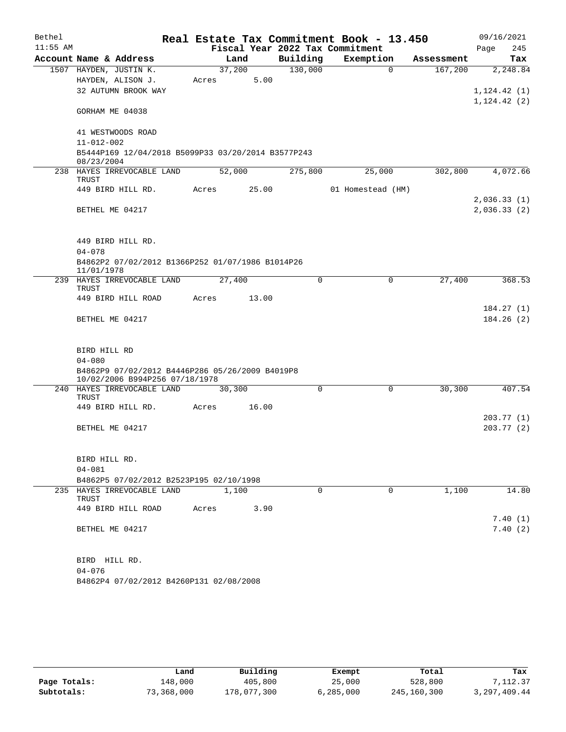| Bethel     |                                                                                   |        |       |                                 | Real Estate Tax Commitment Book - 13.450 |            | 09/16/2021                   |
|------------|-----------------------------------------------------------------------------------|--------|-------|---------------------------------|------------------------------------------|------------|------------------------------|
| $11:55$ AM |                                                                                   |        |       | Fiscal Year 2022 Tax Commitment |                                          |            | 245<br>Page                  |
|            | Account Name & Address                                                            |        | Land  | Building                        | Exemption                                | Assessment | Tax                          |
|            | 1507 HAYDEN, JUSTIN K.                                                            | 37,200 |       | 130,000                         | $\Omega$                                 | 167,200    | 2,248.84                     |
|            | HAYDEN, ALISON J.<br>32 AUTUMN BROOK WAY                                          | Acres  | 5.00  |                                 |                                          |            |                              |
|            |                                                                                   |        |       |                                 |                                          |            | 1, 124.42(1)<br>1, 124.42(2) |
|            | GORHAM ME 04038                                                                   |        |       |                                 |                                          |            |                              |
|            | 41 WESTWOODS ROAD                                                                 |        |       |                                 |                                          |            |                              |
|            | $11 - 012 - 002$                                                                  |        |       |                                 |                                          |            |                              |
|            | B5444P169 12/04/2018 B5099P33 03/20/2014 B3577P243<br>08/23/2004                  |        |       |                                 |                                          |            |                              |
|            | 238 HAYES IRREVOCABLE LAND                                                        | 52,000 |       | 275,800                         | 25,000                                   | 302,800    | 4,072.66                     |
|            | TRUST                                                                             |        |       |                                 |                                          |            |                              |
|            | 449 BIRD HILL RD.                                                                 | Acres  | 25.00 |                                 | 01 Homestead (HM)                        |            |                              |
|            |                                                                                   |        |       |                                 |                                          |            | 2,036.33(1)                  |
|            | BETHEL ME 04217                                                                   |        |       |                                 |                                          |            | 2,036.33(2)                  |
|            | 449 BIRD HILL RD.                                                                 |        |       |                                 |                                          |            |                              |
|            | $04 - 078$                                                                        |        |       |                                 |                                          |            |                              |
|            | B4862P2 07/02/2012 B1366P252 01/07/1986 B1014P26<br>11/01/1978                    |        |       |                                 |                                          |            |                              |
|            | 239 HAYES IRREVOCABLE LAND<br>TRUST                                               | 27,400 |       | 0                               | $\mathbf 0$                              | 27,400     | 368.53                       |
|            | 449 BIRD HILL ROAD                                                                | Acres  | 13.00 |                                 |                                          |            |                              |
|            |                                                                                   |        |       |                                 |                                          |            | 184.27(1)                    |
|            | BETHEL ME 04217                                                                   |        |       |                                 |                                          |            | 184.26(2)                    |
|            | BIRD HILL RD                                                                      |        |       |                                 |                                          |            |                              |
|            | $04 - 080$                                                                        |        |       |                                 |                                          |            |                              |
|            | B4862P9 07/02/2012 B4446P286 05/26/2009 B4019P8<br>10/02/2006 B994P256 07/18/1978 |        |       |                                 |                                          |            |                              |
|            | 240 HAYES IRREVOCABLE LAND<br>TRUST                                               | 30,300 |       | 0                               | 0                                        | 30,300     | 407.54                       |
|            | 449 BIRD HILL RD.                                                                 | Acres  | 16.00 |                                 |                                          |            |                              |
|            |                                                                                   |        |       |                                 |                                          |            | 203.77 (1)                   |
|            | BETHEL ME 04217                                                                   |        |       |                                 |                                          |            | 203.77(2)                    |
|            | BIRD HILL RD.                                                                     |        |       |                                 |                                          |            |                              |
|            | $04 - 081$                                                                        |        |       |                                 |                                          |            |                              |
|            | B4862P5 07/02/2012 B2523P195 02/10/1998                                           |        |       |                                 |                                          |            |                              |
|            | 235 HAYES IRREVOCABLE LAND<br>TRUST                                               | 1,100  |       | $\Omega$                        | $\Omega$                                 | 1,100      | 14.80                        |
|            | 449 BIRD HILL ROAD                                                                | Acres  | 3.90  |                                 |                                          |            |                              |
|            |                                                                                   |        |       |                                 |                                          |            | 7.40(1)                      |
|            | BETHEL ME 04217                                                                   |        |       |                                 |                                          |            | 7.40(2)                      |
|            | BIRD HILL RD.                                                                     |        |       |                                 |                                          |            |                              |
|            | $04 - 076$                                                                        |        |       |                                 |                                          |            |                              |
|            | B4862P4 07/02/2012 B4260P131 02/08/2008                                           |        |       |                                 |                                          |            |                              |

|              | Land       | Building    | Exempt    | Total       | Tax          |
|--------------|------------|-------------|-----------|-------------|--------------|
| Page Totals: | 148,000    | 405,800     | 25,000    | 528,800     | 7,112,37     |
| Subtotals:   | 73,368,000 | 178,077,300 | 6,285,000 | 245,160,300 | 3,297,409.44 |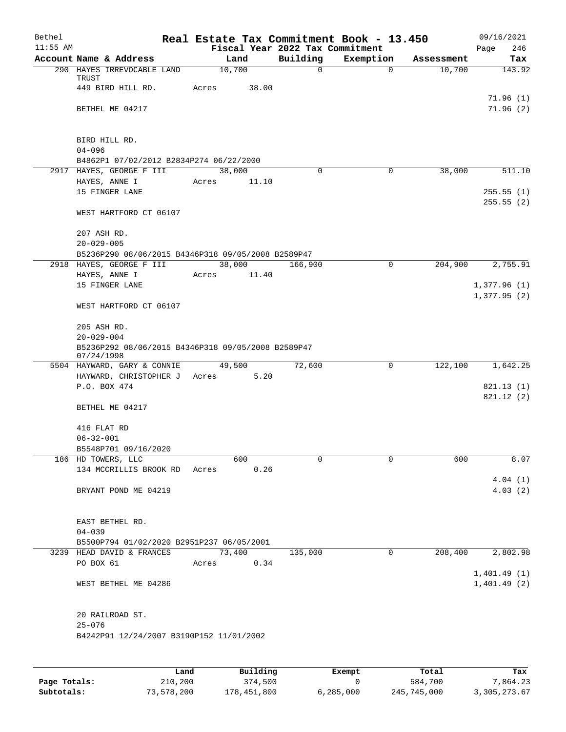| Bethel<br>$11:55$ AM |                                                                  |            |        | Fiscal Year 2022 Tax Commitment | Real Estate Tax Commitment Book - 13.450 |            | 09/16/2021<br>246<br>Page |
|----------------------|------------------------------------------------------------------|------------|--------|---------------------------------|------------------------------------------|------------|---------------------------|
|                      | Account Name & Address                                           |            | Land   | Building                        | Exemption                                | Assessment | Tax                       |
|                      | 290 HAYES IRREVOCABLE LAND                                       | 10,700     |        | $\mathbf 0$                     | 0                                        | 10,700     | 143.92                    |
|                      | TRUST<br>449 BIRD HILL RD.                                       | Acres      | 38.00  |                                 |                                          |            |                           |
|                      | BETHEL ME 04217                                                  |            |        |                                 |                                          |            | 71.96(1)<br>71.96(2)      |
|                      |                                                                  |            |        |                                 |                                          |            |                           |
|                      | BIRD HILL RD.                                                    |            |        |                                 |                                          |            |                           |
|                      | $04 - 096$<br>B4862P1 07/02/2012 B2834P274 06/22/2000            |            |        |                                 |                                          |            |                           |
|                      | 2917 HAYES, GEORGE F III                                         | 38,000     |        | 0                               | 0                                        | 38,000     | 511.10                    |
|                      | HAYES, ANNE I                                                    | Acres      | 11.10  |                                 |                                          |            |                           |
|                      | 15 FINGER LANE                                                   |            |        |                                 |                                          |            | 255.55(1)<br>255.55(2)    |
|                      | WEST HARTFORD CT 06107                                           |            |        |                                 |                                          |            |                           |
|                      | 207 ASH RD.<br>$20 - 029 - 005$                                  |            |        |                                 |                                          |            |                           |
|                      | B5236P290 08/06/2015 B4346P318 09/05/2008 B2589P47               |            |        |                                 |                                          |            |                           |
|                      | 2918 HAYES, GEORGE F III                                         |            | 38,000 | 166,900                         | 0                                        | 204,900    | 2,755.91                  |
|                      | HAYES, ANNE I                                                    | Acres      | 11.40  |                                 |                                          |            |                           |
|                      | 15 FINGER LANE                                                   |            |        |                                 |                                          |            | 1,377.96(1)               |
|                      | WEST HARTFORD CT 06107                                           |            |        |                                 |                                          |            | 1,377.95(2)               |
|                      |                                                                  |            |        |                                 |                                          |            |                           |
|                      | 205 ASH RD.                                                      |            |        |                                 |                                          |            |                           |
|                      | $20 - 029 - 004$                                                 |            |        |                                 |                                          |            |                           |
|                      | B5236P292 08/06/2015 B4346P318 09/05/2008 B2589P47<br>07/24/1998 |            |        |                                 |                                          |            |                           |
|                      | 5504 HAYWARD, GARY & CONNIE                                      |            | 49,500 | 72,600                          | 0                                        | 122,100    | 1,642.25                  |
|                      | HAYWARD, CHRISTOPHER J                                           | Acres 5.20 |        |                                 |                                          |            |                           |
|                      | P.O. BOX 474                                                     |            |        |                                 |                                          |            | 821.13(1)<br>821.12(2)    |
|                      | BETHEL ME 04217                                                  |            |        |                                 |                                          |            |                           |
|                      | 416 FLAT RD                                                      |            |        |                                 |                                          |            |                           |
|                      | $06 - 32 - 001$                                                  |            |        |                                 |                                          |            |                           |
|                      | B5548P701 09/16/2020<br>186 HD TOWERS, LLC                       |            | 600    | 0                               | $\Omega$                                 | 600        | 8.07                      |
|                      | 134 MCCRILLIS BROOK RD                                           | Acres      | 0.26   |                                 |                                          |            |                           |
|                      |                                                                  |            |        |                                 |                                          |            | 4.04(1)                   |
|                      | BRYANT POND ME 04219                                             |            |        |                                 |                                          |            | 4.03(2)                   |
|                      | EAST BETHEL RD.                                                  |            |        |                                 |                                          |            |                           |
|                      | $04 - 039$                                                       |            |        |                                 |                                          |            |                           |
|                      | B5500P794 01/02/2020 B2951P237 06/05/2001                        |            |        |                                 |                                          |            |                           |
|                      | 3239 HEAD DAVID & FRANCES                                        |            | 73,400 | 135,000                         | 0                                        | 208,400    | 2,802.98                  |
|                      | PO BOX 61                                                        | Acres      | 0.34   |                                 |                                          |            | 1,401.49(1)               |
|                      | WEST BETHEL ME 04286                                             |            |        |                                 |                                          |            | 1,401.49(2)               |
|                      | 20 RAILROAD ST.                                                  |            |        |                                 |                                          |            |                           |
|                      | $25 - 076$<br>B4242P91 12/24/2007 B3190P152 11/01/2002           |            |        |                                 |                                          |            |                           |
|                      |                                                                  |            |        |                                 |                                          |            |                           |

|              | Land       | Building    | Exempt      | Total       | Tax          |
|--------------|------------|-------------|-------------|-------------|--------------|
| Page Totals: | 210,200    | 374,500     |             | 584,700     | 7,864.23     |
| Subtotals:   | 73,578,200 | 178,451,800 | 6, 285, 000 | 245,745,000 | 3,305,273.67 |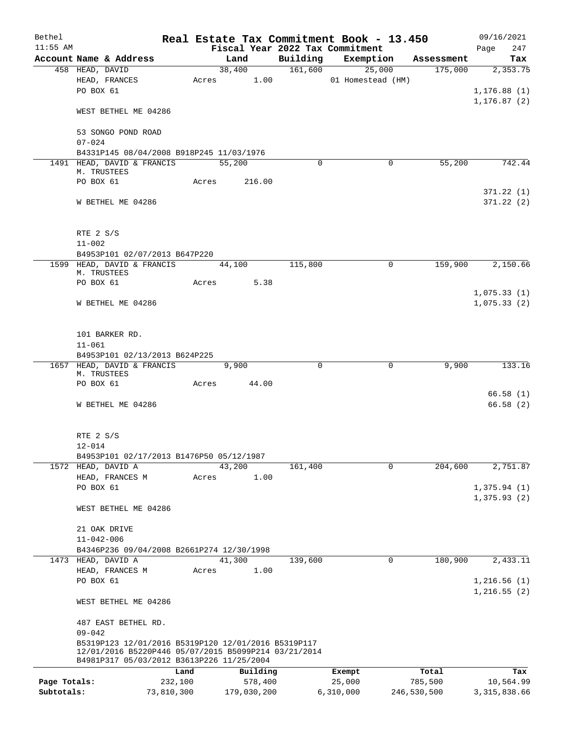| Bethel       |                                                                                                                                                          |            |                                 |          | Real Estate Tax Commitment Book - 13.450 |             | 09/16/2021                 |
|--------------|----------------------------------------------------------------------------------------------------------------------------------------------------------|------------|---------------------------------|----------|------------------------------------------|-------------|----------------------------|
| $11:55$ AM   |                                                                                                                                                          |            | Fiscal Year 2022 Tax Commitment |          |                                          |             | 247<br>Page                |
|              | Account Name & Address                                                                                                                                   |            | Land                            | Building | Exemption                                | Assessment  | Tax                        |
|              | 458 HEAD, DAVID                                                                                                                                          |            | 38,400                          | 161,600  | 25,000                                   | 175,000     | 2,353.75                   |
|              | HEAD, FRANCES<br>PO BOX 61                                                                                                                               |            | 1.00<br>Acres                   |          | 01 Homestead (HM)                        |             | 1, 176.88(1)               |
|              | WEST BETHEL ME 04286                                                                                                                                     |            |                                 |          |                                          |             | 1, 176.87(2)               |
|              | 53 SONGO POND ROAD<br>$07 - 024$                                                                                                                         |            |                                 |          |                                          |             |                            |
|              | B4331P145 08/04/2008 B918P245 11/03/1976                                                                                                                 |            |                                 |          |                                          |             |                            |
|              | 1491 HEAD, DAVID & FRANCIS<br>M. TRUSTEES                                                                                                                |            | 55,200                          | $\Omega$ | 0                                        | 55,200      | 742.44                     |
|              | PO BOX 61                                                                                                                                                |            | 216.00<br>Acres                 |          |                                          |             |                            |
|              | W BETHEL ME 04286                                                                                                                                        |            |                                 |          |                                          |             | 371.22 (1)<br>371.22(2)    |
|              | RTE 2 S/S                                                                                                                                                |            |                                 |          |                                          |             |                            |
|              | $11 - 002$                                                                                                                                               |            |                                 |          |                                          |             |                            |
|              | B4953P101 02/07/2013 B647P220                                                                                                                            |            |                                 |          |                                          |             |                            |
|              | 1599 HEAD, DAVID & FRANCIS<br>M. TRUSTEES                                                                                                                |            | 44,100                          | 115,800  | $\mathbf 0$                              | 159,900     | 2,150.66                   |
|              | PO BOX 61                                                                                                                                                | Acres      | 5.38                            |          |                                          |             |                            |
|              | W BETHEL ME 04286                                                                                                                                        |            |                                 |          |                                          |             | 1,075.33(1)<br>1,075.33(2) |
|              | 101 BARKER RD.                                                                                                                                           |            |                                 |          |                                          |             |                            |
|              | $11 - 061$                                                                                                                                               |            |                                 |          |                                          |             |                            |
|              | B4953P101 02/13/2013 B624P225<br>1657 HEAD, DAVID & FRANCIS                                                                                              |            | 9,900                           | 0        | 0                                        | 9,900       | 133.16                     |
|              | M. TRUSTEES<br>PO BOX 61                                                                                                                                 | Acres      | 44.00                           |          |                                          |             |                            |
|              |                                                                                                                                                          |            |                                 |          |                                          |             | 66.58(1)                   |
|              | W BETHEL ME 04286                                                                                                                                        |            |                                 |          |                                          |             | 66.58(2)                   |
|              | RTE 2 S/S                                                                                                                                                |            |                                 |          |                                          |             |                            |
|              | $12 - 014$                                                                                                                                               |            |                                 |          |                                          |             |                            |
|              | B4953P101 02/17/2013 B1476P50 05/12/1987<br>1572 HEAD, DAVID A                                                                                           |            | 43,200                          | 161,400  | $\mathbf 0$                              | 204,600     | 2,751.87                   |
|              | HEAD, FRANCES M                                                                                                                                          | Acres      | 1.00                            |          |                                          |             |                            |
|              | PO BOX 61                                                                                                                                                |            |                                 |          |                                          |             | 1,375.94(1)                |
|              | WEST BETHEL ME 04286                                                                                                                                     |            |                                 |          |                                          |             | 1,375.93(2)                |
|              | 21 OAK DRIVE                                                                                                                                             |            |                                 |          |                                          |             |                            |
|              | $11 - 042 - 006$                                                                                                                                         |            |                                 |          |                                          |             |                            |
|              | B4346P236 09/04/2008 B2661P274 12/30/1998                                                                                                                |            |                                 |          |                                          |             |                            |
|              | 1473 HEAD, DAVID A<br>HEAD, FRANCES M                                                                                                                    |            | 41,300<br>1.00                  | 139,600  | 0                                        | 180,900     | 2,433.11                   |
|              | PO BOX 61                                                                                                                                                | Acres      |                                 |          |                                          |             | 1,216.56(1)                |
|              | WEST BETHEL ME 04286                                                                                                                                     |            |                                 |          |                                          |             | 1,216.55(2)                |
|              | 487 EAST BETHEL RD.<br>$09 - 042$                                                                                                                        |            |                                 |          |                                          |             |                            |
|              | B5319P123 12/01/2016 B5319P120 12/01/2016 B5319P117<br>12/01/2016 B5220P446 05/07/2015 B5099P214 03/21/2014<br>B4981P317 05/03/2012 B3613P226 11/25/2004 |            |                                 |          |                                          |             |                            |
|              |                                                                                                                                                          | Land       | Building                        |          | Exempt                                   | Total       | Tax                        |
| Page Totals: |                                                                                                                                                          | 232,100    | 578,400                         |          | 25,000                                   | 785,500     | 10,564.99                  |
| Subtotals:   |                                                                                                                                                          | 73,810,300 | 179,030,200                     |          | 6,310,000                                | 246,530,500 | 3, 315, 838.66             |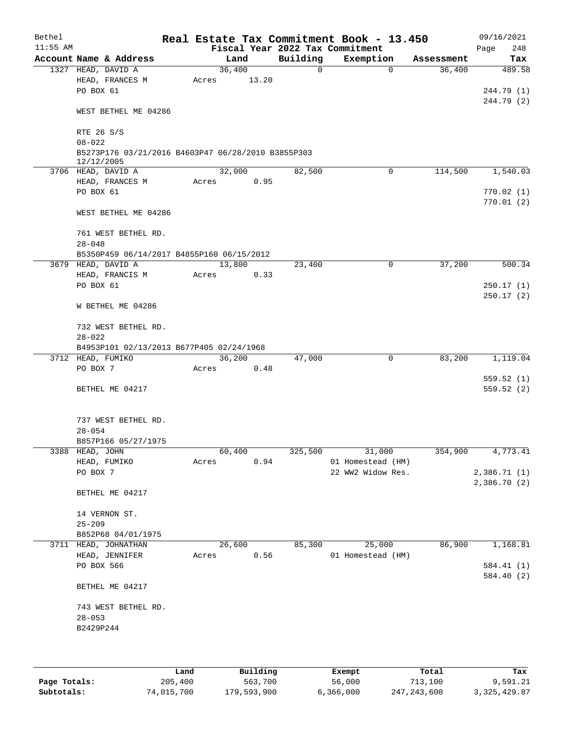| Bethel     |                                                    |       |        |       |          | Real Estate Tax Commitment Book - 13.450 |             |            | 09/16/2021   |
|------------|----------------------------------------------------|-------|--------|-------|----------|------------------------------------------|-------------|------------|--------------|
| $11:55$ AM |                                                    |       |        |       |          | Fiscal Year 2022 Tax Commitment          |             |            | 248<br>Page  |
|            | Account Name & Address                             |       | Land   |       | Building | Exemption                                |             | Assessment | Tax          |
|            | 1327 HEAD, DAVID A                                 |       | 36,400 |       | 0        |                                          | $\mathbf 0$ | 36,400     | 489.58       |
|            | HEAD, FRANCES M                                    | Acres |        | 13.20 |          |                                          |             |            |              |
|            | PO BOX 61                                          |       |        |       |          |                                          |             |            | 244.79 (1)   |
|            | WEST BETHEL ME 04286                               |       |        |       |          |                                          |             |            | 244.79 (2)   |
|            |                                                    |       |        |       |          |                                          |             |            |              |
|            | RTE 26 S/S<br>$08 - 022$                           |       |        |       |          |                                          |             |            |              |
|            | B5273P176 03/21/2016 B4603P47 06/28/2010 B3855P303 |       |        |       |          |                                          |             |            |              |
|            | 12/12/2005                                         |       |        |       |          |                                          |             |            |              |
|            | 3706 HEAD, DAVID A                                 |       | 32,000 |       | 82,500   |                                          | 0           | 114,500    | 1,540.03     |
|            | HEAD, FRANCES M                                    | Acres |        | 0.95  |          |                                          |             |            |              |
|            | PO BOX 61                                          |       |        |       |          |                                          |             |            | 770.02(1)    |
|            |                                                    |       |        |       |          |                                          |             |            | 770.01(2)    |
|            | WEST BETHEL ME 04286                               |       |        |       |          |                                          |             |            |              |
|            | 761 WEST BETHEL RD.                                |       |        |       |          |                                          |             |            |              |
|            | $28 - 048$                                         |       |        |       |          |                                          |             |            |              |
|            | B5350P459 06/14/2017 B4855P160 06/15/2012          |       |        |       |          |                                          |             |            |              |
|            | 3679 HEAD, DAVID A                                 |       | 13,800 |       | 23,400   |                                          | 0           | 37,200     | 500.34       |
|            | HEAD, FRANCIS M                                    | Acres |        | 0.33  |          |                                          |             |            |              |
|            | PO BOX 61                                          |       |        |       |          |                                          |             |            | 250.17(1)    |
|            | W BETHEL ME 04286                                  |       |        |       |          |                                          |             |            | 250.17(2)    |
|            | 732 WEST BETHEL RD.                                |       |        |       |          |                                          |             |            |              |
|            | $28 - 022$                                         |       |        |       |          |                                          |             |            |              |
|            | B4953P101 02/13/2013 B677P405 02/24/1968           |       |        |       |          |                                          |             |            |              |
|            | 3712 HEAD, FUMIKO                                  |       | 36,200 |       | 47,000   |                                          | 0           | 83,200     | 1,119.04     |
|            | PO BOX 7                                           | Acres |        | 0.48  |          |                                          |             |            |              |
|            |                                                    |       |        |       |          |                                          |             |            | 559.52(1)    |
|            | BETHEL ME 04217                                    |       |        |       |          |                                          |             |            | 559.52(2)    |
|            | 737 WEST BETHEL RD.                                |       |        |       |          |                                          |             |            |              |
|            | $28 - 054$                                         |       |        |       |          |                                          |             |            |              |
|            | B857P166 05/27/1975                                |       |        |       |          |                                          |             |            |              |
|            | 3388 HEAD, JOHN                                    |       | 60,400 |       | 325,500  | 31,000                                   |             | 354,900    | 4,773.41     |
|            | HEAD, FUMIKO                                       | Acres |        | 0.94  |          | 01 Homestead (HM)                        |             |            |              |
|            | PO BOX 7                                           |       |        |       |          | 22 WW2 Widow Res.                        |             |            | 2,386.71 (1) |
|            |                                                    |       |        |       |          |                                          |             |            | 2,386.70(2)  |
|            | BETHEL ME 04217                                    |       |        |       |          |                                          |             |            |              |
|            | 14 VERNON ST.                                      |       |        |       |          |                                          |             |            |              |
|            | $25 - 209$                                         |       |        |       |          |                                          |             |            |              |
|            | B852P68 04/01/1975                                 |       |        |       |          |                                          |             |            |              |
|            | 3711 HEAD, JOHNATHAN                               |       | 26,600 |       | 85,300   | 25,000                                   |             | 86,900     | 1,168.81     |
|            | HEAD, JENNIFER                                     | Acres |        | 0.56  |          | 01 Homestead (HM)                        |             |            |              |
|            | PO BOX 566                                         |       |        |       |          |                                          |             |            | 584.41 (1)   |
|            |                                                    |       |        |       |          |                                          |             |            | 584.40 (2)   |
|            | BETHEL ME 04217                                    |       |        |       |          |                                          |             |            |              |
|            | 743 WEST BETHEL RD.                                |       |        |       |          |                                          |             |            |              |
|            | $28 - 053$                                         |       |        |       |          |                                          |             |            |              |
|            | B2429P244                                          |       |        |       |          |                                          |             |            |              |
|            |                                                    |       |        |       |          |                                          |             |            |              |
|            |                                                    |       |        |       |          |                                          |             |            |              |

|              | Land       | Building    | Exempt    | Total         | Tax            |
|--------------|------------|-------------|-----------|---------------|----------------|
| Page Totals: | 205,400    | 563,700     | 56,000    | 713,100       | 9,591.21       |
| Subtotals:   | 74,015,700 | 179,593,900 | 6,366,000 | 247, 243, 600 | 3, 325, 429.87 |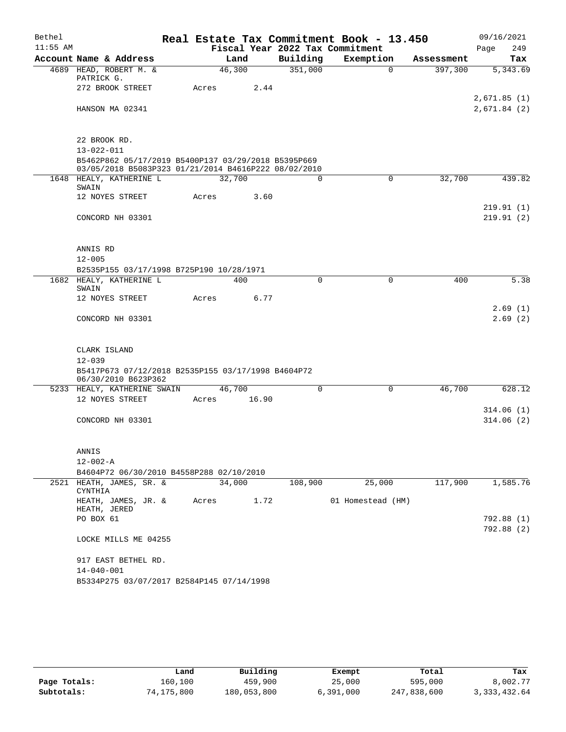| Bethel     |                                                                                                             |       |                |       |                     | Real Estate Tax Commitment Book - 13.450 |             |            | 09/16/2021  |                        |
|------------|-------------------------------------------------------------------------------------------------------------|-------|----------------|-------|---------------------|------------------------------------------|-------------|------------|-------------|------------------------|
| $11:55$ AM |                                                                                                             |       |                |       |                     | Fiscal Year 2022 Tax Commitment          |             |            | Page        | 249                    |
|            | Account Name & Address                                                                                      |       | Land<br>46,300 |       | Building<br>351,000 | Exemption                                | $\Omega$    | Assessment |             | Tax                    |
|            | 4689 HEAD, ROBERT M. &<br>PATRICK G.                                                                        |       |                |       |                     |                                          |             | 397,300    |             | 5,343.69               |
|            | 272 BROOK STREET                                                                                            | Acres |                | 2.44  |                     |                                          |             |            |             |                        |
|            |                                                                                                             |       |                |       |                     |                                          |             |            | 2,671.85(1) |                        |
|            | HANSON MA 02341                                                                                             |       |                |       |                     |                                          |             |            | 2,671.84(2) |                        |
|            |                                                                                                             |       |                |       |                     |                                          |             |            |             |                        |
|            | 22 BROOK RD.                                                                                                |       |                |       |                     |                                          |             |            |             |                        |
|            | $13 - 022 - 011$                                                                                            |       |                |       |                     |                                          |             |            |             |                        |
|            | B5462P862 05/17/2019 B5400P137 03/29/2018 B5395P669<br>03/05/2018 B5083P323 01/21/2014 B4616P222 08/02/2010 |       |                |       |                     |                                          |             |            |             |                        |
|            | 1648 HEALY, KATHERINE L                                                                                     |       | 32,700         |       | $\Omega$            |                                          | $\mathbf 0$ | 32,700     |             | 439.82                 |
|            | SWAIN                                                                                                       |       |                |       |                     |                                          |             |            |             |                        |
|            | 12 NOYES STREET                                                                                             | Acres |                | 3.60  |                     |                                          |             |            |             |                        |
|            | CONCORD NH 03301                                                                                            |       |                |       |                     |                                          |             |            |             | 219.91(1)<br>219.91(2) |
|            |                                                                                                             |       |                |       |                     |                                          |             |            |             |                        |
|            |                                                                                                             |       |                |       |                     |                                          |             |            |             |                        |
|            | ANNIS RD                                                                                                    |       |                |       |                     |                                          |             |            |             |                        |
|            | $12 - 005$                                                                                                  |       |                |       |                     |                                          |             |            |             |                        |
|            | B2535P155 03/17/1998 B725P190 10/28/1971                                                                    |       |                |       |                     |                                          |             |            |             |                        |
|            | 1682 HEALY, KATHERINE L                                                                                     |       | 400            |       | $\mathbf 0$         |                                          | $\mathbf 0$ | 400        |             | 5.38                   |
|            | SWAIN                                                                                                       |       |                |       |                     |                                          |             |            |             |                        |
|            | 12 NOYES STREET                                                                                             | Acres |                | 6.77  |                     |                                          |             |            |             |                        |
|            |                                                                                                             |       |                |       |                     |                                          |             |            |             | 2.69(1)<br>2.69(2)     |
|            | CONCORD NH 03301                                                                                            |       |                |       |                     |                                          |             |            |             |                        |
|            | CLARK ISLAND                                                                                                |       |                |       |                     |                                          |             |            |             |                        |
|            | $12 - 039$                                                                                                  |       |                |       |                     |                                          |             |            |             |                        |
|            | B5417P673 07/12/2018 B2535P155 03/17/1998 B4604P72                                                          |       |                |       |                     |                                          |             |            |             |                        |
|            | 06/30/2010 B623P362                                                                                         |       |                |       |                     |                                          |             |            |             |                        |
|            | 5233 HEALY, KATHERINE SWAIN                                                                                 |       | 46,700         |       | 0                   |                                          | 0           | 46,700     |             | 628.12                 |
|            | 12 NOYES STREET                                                                                             | Acres |                | 16.90 |                     |                                          |             |            |             |                        |
|            |                                                                                                             |       |                |       |                     |                                          |             |            |             | 314.06(1)              |
|            | CONCORD NH 03301                                                                                            |       |                |       |                     |                                          |             |            |             | 314.06(2)              |
|            |                                                                                                             |       |                |       |                     |                                          |             |            |             |                        |
|            | ANNIS                                                                                                       |       |                |       |                     |                                          |             |            |             |                        |
|            | $12 - 002 - A$                                                                                              |       |                |       |                     |                                          |             |            |             |                        |
|            | B4604P72 06/30/2010 B4558P288 02/10/2010                                                                    |       |                |       |                     |                                          |             |            |             |                        |
|            | 2521 HEATH, JAMES, SR. &                                                                                    |       | 34,000         |       | 108,900             | 25,000                                   |             | 117,900    |             | 1,585.76               |
|            | CYNTHIA                                                                                                     |       |                |       |                     |                                          |             |            |             |                        |
|            | HEATH, JAMES, JR. &                                                                                         | Acres |                | 1.72  |                     | 01 Homestead (HM)                        |             |            |             |                        |
|            | HEATH, JERED<br>PO BOX 61                                                                                   |       |                |       |                     |                                          |             |            |             | 792.88 (1)             |
|            |                                                                                                             |       |                |       |                     |                                          |             |            |             | 792.88 (2)             |
|            | LOCKE MILLS ME 04255                                                                                        |       |                |       |                     |                                          |             |            |             |                        |
|            | 917 EAST BETHEL RD.                                                                                         |       |                |       |                     |                                          |             |            |             |                        |
|            | $14 - 040 - 001$                                                                                            |       |                |       |                     |                                          |             |            |             |                        |
|            | B5334P275 03/07/2017 B2584P145 07/14/1998                                                                   |       |                |       |                     |                                          |             |            |             |                        |

|              | Land       | Building    | Exempt    | Total       | Tax            |
|--------------|------------|-------------|-----------|-------------|----------------|
| Page Totals: | 160,100    | 459,900     | 25,000    | 595,000     | 8,002.77       |
| Subtotals:   | 74,175,800 | 180,053,800 | 6,391,000 | 247,838,600 | 3, 333, 432.64 |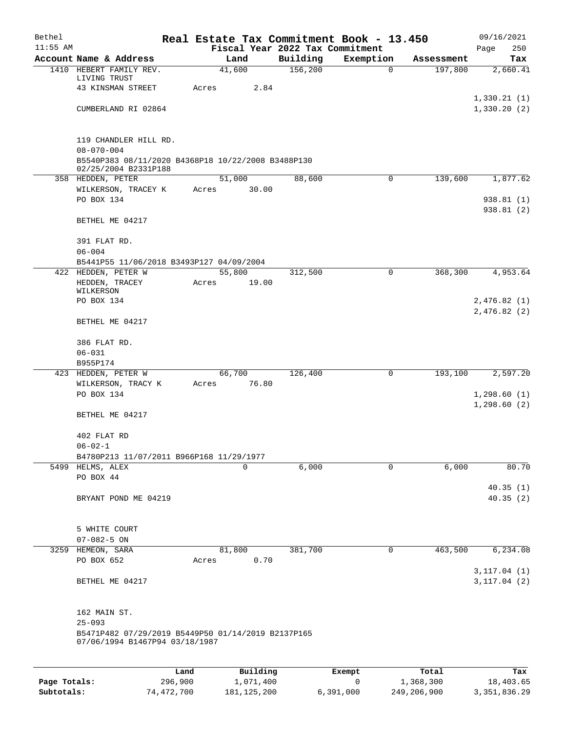| Bethel     |                                                                  |       |                |                     | Real Estate Tax Commitment Book - 13.450 |                       | 09/16/2021      |
|------------|------------------------------------------------------------------|-------|----------------|---------------------|------------------------------------------|-----------------------|-----------------|
| $11:55$ AM |                                                                  |       |                |                     | Fiscal Year 2022 Tax Commitment          |                       | 250<br>Page     |
|            | Account Name & Address<br>1410 HEBERT FAMILY REV.                |       | Land<br>41,600 | Building<br>156,200 | Exemption<br>$\mathbf 0$                 | Assessment<br>197,800 | Tax<br>2,660.41 |
|            | LIVING TRUST                                                     |       |                |                     |                                          |                       |                 |
|            | 43 KINSMAN STREET                                                | Acres | 2.84           |                     |                                          |                       |                 |
|            |                                                                  |       |                |                     |                                          |                       | 1,330.21(1)     |
|            | CUMBERLAND RI 02864                                              |       |                |                     |                                          |                       | 1,330.20(2)     |
|            |                                                                  |       |                |                     |                                          |                       |                 |
|            | 119 CHANDLER HILL RD.                                            |       |                |                     |                                          |                       |                 |
|            | $08 - 070 - 004$                                                 |       |                |                     |                                          |                       |                 |
|            | B5540P383 08/11/2020 B4368P18 10/22/2008 B3488P130               |       |                |                     |                                          |                       |                 |
|            | 02/25/2004 B2331P188                                             |       |                |                     |                                          |                       |                 |
|            | 358 HEDDEN, PETER                                                |       | 51,000         | 88,600              | $\mathsf{O}$                             | 139,600               | 1,877.62        |
|            | WILKERSON, TRACEY K                                              | Acres | 30.00          |                     |                                          |                       |                 |
|            | PO BOX 134                                                       |       |                |                     |                                          |                       | 938.81 (1)      |
|            | BETHEL ME 04217                                                  |       |                |                     |                                          |                       | 938.81 (2)      |
|            |                                                                  |       |                |                     |                                          |                       |                 |
|            | 391 FLAT RD.                                                     |       |                |                     |                                          |                       |                 |
|            | $06 - 004$                                                       |       |                |                     |                                          |                       |                 |
|            | B5441P55 11/06/2018 B3493P127 04/09/2004                         |       |                |                     |                                          |                       |                 |
|            | 422 HEDDEN, PETER W                                              |       | 55,800         | 312,500             | $\mathbf{0}$                             | 368,300               | 4,953.64        |
|            | HEDDEN, TRACEY<br>WILKERSON                                      | Acres | 19.00          |                     |                                          |                       |                 |
|            | PO BOX 134                                                       |       |                |                     |                                          |                       | 2,476.82(1)     |
|            |                                                                  |       |                |                     |                                          |                       | 2,476.82(2)     |
|            | BETHEL ME 04217                                                  |       |                |                     |                                          |                       |                 |
|            |                                                                  |       |                |                     |                                          |                       |                 |
|            | 386 FLAT RD.                                                     |       |                |                     |                                          |                       |                 |
|            | $06 - 031$                                                       |       |                |                     |                                          |                       |                 |
|            | B955P174<br>423 HEDDEN, PETER W                                  |       | 66,700         | 126,400             | 0                                        | 193,100               | 2,597.20        |
|            | WILKERSON, TRACY K                                               | Acres | 76.80          |                     |                                          |                       |                 |
|            | PO BOX 134                                                       |       |                |                     |                                          |                       | 1,298.60(1)     |
|            |                                                                  |       |                |                     |                                          |                       | 1, 298.60(2)    |
|            | BETHEL ME 04217                                                  |       |                |                     |                                          |                       |                 |
|            |                                                                  |       |                |                     |                                          |                       |                 |
|            | 402 FLAT RD                                                      |       |                |                     |                                          |                       |                 |
|            | $06 - 02 - 1$                                                    |       |                |                     |                                          |                       |                 |
|            | B4780P213 11/07/2011 B966P168 11/29/1977<br>5499 HELMS, ALEX     |       | $\Omega$       | 6,000               | 0                                        | 6,000                 | 80.70           |
|            | PO BOX 44                                                        |       |                |                     |                                          |                       |                 |
|            |                                                                  |       |                |                     |                                          |                       | 40.35(1)        |
|            | BRYANT POND ME 04219                                             |       |                |                     |                                          |                       | 40.35(2)        |
|            |                                                                  |       |                |                     |                                          |                       |                 |
|            |                                                                  |       |                |                     |                                          |                       |                 |
|            | 5 WHITE COURT                                                    |       |                |                     |                                          |                       |                 |
|            | $07 - 082 - 5$ ON                                                |       |                | 381,700             | 0                                        | 463,500               | 6,234.08        |
|            | 3259 HEMEON, SARA<br>PO BOX 652                                  | Acres | 81,800<br>0.70 |                     |                                          |                       |                 |
|            |                                                                  |       |                |                     |                                          |                       | 3, 117.04(1)    |
|            | BETHEL ME 04217                                                  |       |                |                     |                                          |                       | 3, 117.04(2)    |
|            |                                                                  |       |                |                     |                                          |                       |                 |
|            |                                                                  |       |                |                     |                                          |                       |                 |
|            | 162 MAIN ST.                                                     |       |                |                     |                                          |                       |                 |
|            | $25 - 093$<br>B5471P482 07/29/2019 B5449P50 01/14/2019 B2137P165 |       |                |                     |                                          |                       |                 |
|            | 07/06/1994 B1467P94 03/18/1987                                   |       |                |                     |                                          |                       |                 |
|            |                                                                  |       |                |                     |                                          |                       |                 |
|            |                                                                  | Land  | Building       |                     | Exempt                                   | Total                 | Tax             |
|            |                                                                  |       |                |                     |                                          |                       |                 |

|              | --------   | ____________ | ______    |             | -------      |
|--------------|------------|--------------|-----------|-------------|--------------|
| Page Totals: | 296,900    | 1,071,400    |           | 1,368,300   | 18,403.65    |
| Subtotals:   | 74,472,700 | 181,125,200  | 6,391,000 | 249,206,900 | 3,351,836.29 |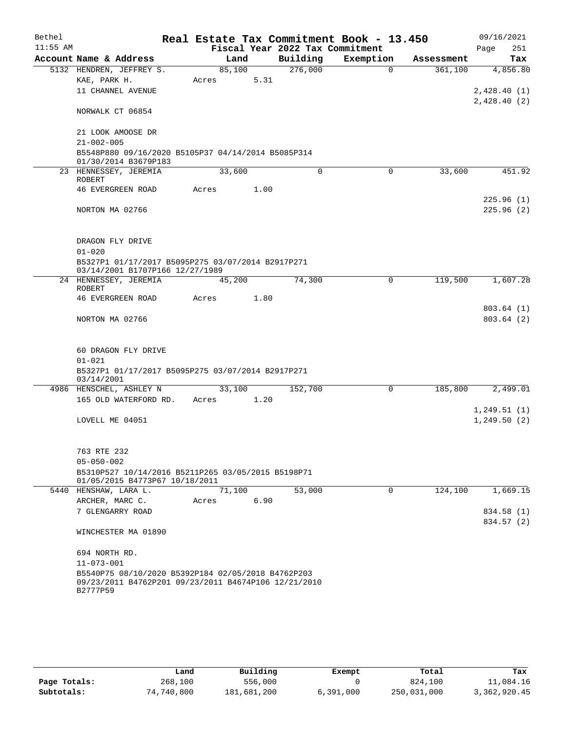| Bethel     |                                                                        |        |      |      | Real Estate Tax Commitment Book - 13.450 |           |             |            | 09/16/2021  |
|------------|------------------------------------------------------------------------|--------|------|------|------------------------------------------|-----------|-------------|------------|-------------|
| $11:55$ AM |                                                                        |        |      |      | Fiscal Year 2022 Tax Commitment          |           |             |            | 251<br>Page |
|            | Account Name & Address                                                 |        | Land |      | Building                                 | Exemption |             | Assessment | Tax         |
|            | 5132 HENDREN, JEFFREY S.                                               | 85,100 |      |      | 276,000                                  |           | $\Omega$    | 361,100    | 4,856.80    |
|            | KAE, PARK H.                                                           | Acres  |      | 5.31 |                                          |           |             |            |             |
|            | 11 CHANNEL AVENUE                                                      |        |      |      |                                          |           |             |            | 2,428.40(1) |
|            |                                                                        |        |      |      |                                          |           |             |            | 2,428.40(2) |
|            | NORWALK CT 06854                                                       |        |      |      |                                          |           |             |            |             |
|            | 21 LOOK AMOOSE DR                                                      |        |      |      |                                          |           |             |            |             |
|            | $21 - 002 - 005$                                                       |        |      |      |                                          |           |             |            |             |
|            | B5548P880 09/16/2020 B5105P37 04/14/2014 B5085P314                     |        |      |      |                                          |           |             |            |             |
|            | 01/30/2014 B3679P183                                                   |        |      |      |                                          |           |             |            |             |
|            | 23 HENNESSEY, JEREMIA                                                  | 33,600 |      |      | $\Omega$                                 |           | $\Omega$    | 33,600     | 451.92      |
|            | <b>ROBERT</b>                                                          |        |      |      |                                          |           |             |            |             |
|            | <b>46 EVERGREEN ROAD</b>                                               | Acres  |      | 1.00 |                                          |           |             |            |             |
|            |                                                                        |        |      |      |                                          |           |             |            | 225.96(1)   |
|            | NORTON MA 02766                                                        |        |      |      |                                          |           |             |            | 225.96(2)   |
|            |                                                                        |        |      |      |                                          |           |             |            |             |
|            | DRAGON FLY DRIVE                                                       |        |      |      |                                          |           |             |            |             |
|            | $01 - 020$                                                             |        |      |      |                                          |           |             |            |             |
|            | B5327P1 01/17/2017 B5095P275 03/07/2014 B2917P271                      |        |      |      |                                          |           |             |            |             |
|            | 03/14/2001 B1707P166 12/27/1989                                        |        |      |      |                                          |           |             |            |             |
|            | 24 HENNESSEY, JEREMIA                                                  | 45,200 |      |      | 74,300                                   |           | $\mathbf 0$ | 119,500    | 1,607.28    |
|            | ROBERT                                                                 |        |      |      |                                          |           |             |            |             |
|            | <b>46 EVERGREEN ROAD</b>                                               | Acres  |      | 1.80 |                                          |           |             |            |             |
|            |                                                                        |        |      |      |                                          |           |             |            | 803.64(1)   |
|            | NORTON MA 02766                                                        |        |      |      |                                          |           |             |            | 803.64(2)   |
|            |                                                                        |        |      |      |                                          |           |             |            |             |
|            | 60 DRAGON FLY DRIVE                                                    |        |      |      |                                          |           |             |            |             |
|            | $01 - 021$                                                             |        |      |      |                                          |           |             |            |             |
|            | B5327P1 01/17/2017 B5095P275 03/07/2014 B2917P271                      |        |      |      |                                          |           |             |            |             |
|            | 03/14/2001                                                             |        |      |      |                                          |           |             |            |             |
|            | 4986 HENSCHEL, ASHLEY N                                                | 33,100 |      |      | 152,700                                  |           | 0           | 185,800    | 2,499.01    |
|            | 165 OLD WATERFORD RD.                                                  | Acres  |      | 1.20 |                                          |           |             |            |             |
|            |                                                                        |        |      |      |                                          |           |             |            | 1,249.51(1) |
|            | LOVELL ME 04051                                                        |        |      |      |                                          |           |             |            | 1,249.50(2) |
|            |                                                                        |        |      |      |                                          |           |             |            |             |
|            |                                                                        |        |      |      |                                          |           |             |            |             |
|            | 763 RTE 232                                                            |        |      |      |                                          |           |             |            |             |
|            | $05 - 050 - 002$<br>B5310P527 10/14/2016 B5211P265 03/05/2015 B5198P71 |        |      |      |                                          |           |             |            |             |
|            | 01/05/2015 B4773P67 10/18/2011                                         |        |      |      |                                          |           |             |            |             |
|            | 5440 HENSHAW, LARA L.                                                  | 71,100 |      |      | 53,000                                   |           | 0           | 124,100    | 1,669.15    |
|            | ARCHER, MARC C.                                                        | Acres  |      | 6.90 |                                          |           |             |            |             |
|            | 7 GLENGARRY ROAD                                                       |        |      |      |                                          |           |             |            | 834.58 (1)  |
|            |                                                                        |        |      |      |                                          |           |             |            | 834.57 (2)  |
|            | WINCHESTER MA 01890                                                    |        |      |      |                                          |           |             |            |             |
|            |                                                                        |        |      |      |                                          |           |             |            |             |
|            | 694 NORTH RD.                                                          |        |      |      |                                          |           |             |            |             |
|            | $11 - 073 - 001$                                                       |        |      |      |                                          |           |             |            |             |
|            | B5540P75 08/10/2020 B5392P184 02/05/2018 B4762P203                     |        |      |      |                                          |           |             |            |             |
|            | 09/23/2011 B4762P201 09/23/2011 B4674P106 12/21/2010<br>B2777P59       |        |      |      |                                          |           |             |            |             |
|            |                                                                        |        |      |      |                                          |           |             |            |             |

|              | Land       | Building    | Exempt    | Total       | Tax          |
|--------------|------------|-------------|-----------|-------------|--------------|
| Page Totals: | 268,100    | 556,000     |           | 824,100     | 11,084.16    |
| Subtotals:   | 74,740,800 | 181,681,200 | 6,391,000 | 250,031,000 | 3,362,920.45 |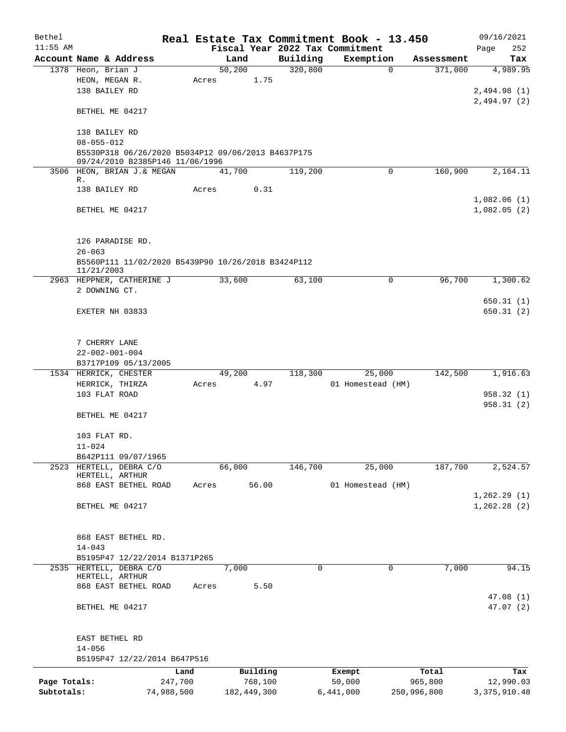| Bethel       |                                                                                       |            |             |          | Real Estate Tax Commitment Book - 13.450 |                     | 09/16/2021     |
|--------------|---------------------------------------------------------------------------------------|------------|-------------|----------|------------------------------------------|---------------------|----------------|
| $11:55$ AM   |                                                                                       |            |             |          | Fiscal Year 2022 Tax Commitment          |                     | 252<br>Page    |
|              | Account Name & Address                                                                |            | Land        | Building | Exemption                                | Assessment          | Tax            |
|              | 1378 Heon, Brian J                                                                    |            | 50,200      | 320,800  |                                          | 371,000<br>$\Omega$ | 4,989.95       |
|              | HEON, MEGAN R.                                                                        | Acres      |             | 1.75     |                                          |                     |                |
|              | 138 BAILEY RD                                                                         |            |             |          |                                          |                     | 2,494.98(1)    |
|              |                                                                                       |            |             |          |                                          |                     | 2,494.97(2)    |
|              | BETHEL ME 04217                                                                       |            |             |          |                                          |                     |                |
|              |                                                                                       |            |             |          |                                          |                     |                |
|              | 138 BAILEY RD                                                                         |            |             |          |                                          |                     |                |
|              | $08 - 055 - 012$                                                                      |            |             |          |                                          |                     |                |
|              | B5530P318 06/26/2020 B5034P12 09/06/2013 B4637P175<br>09/24/2010 B2385P146 11/06/1996 |            |             |          |                                          |                     |                |
|              | 3506 HEON, BRIAN J. & MEGAN                                                           |            | 41,700      | 119,200  |                                          | 160,900<br>0        | 2,164.11       |
|              | R.                                                                                    |            |             |          |                                          |                     |                |
|              | 138 BAILEY RD                                                                         | Acres      |             | 0.31     |                                          |                     |                |
|              |                                                                                       |            |             |          |                                          |                     | 1,082.06(1)    |
|              | BETHEL ME 04217                                                                       |            |             |          |                                          |                     | 1,082.05(2)    |
|              |                                                                                       |            |             |          |                                          |                     |                |
|              |                                                                                       |            |             |          |                                          |                     |                |
|              | 126 PARADISE RD.                                                                      |            |             |          |                                          |                     |                |
|              | $26 - 063$                                                                            |            |             |          |                                          |                     |                |
|              | B5560P111 11/02/2020 B5439P90 10/26/2018 B3424P112                                    |            |             |          |                                          |                     |                |
|              | 11/21/2003                                                                            |            |             |          |                                          |                     |                |
|              | 2963 HEPPNER, CATHERINE J                                                             |            | 33,600      | 63,100   |                                          | 96,700<br>0         | 1,300.62       |
|              | 2 DOWNING CT.                                                                         |            |             |          |                                          |                     |                |
|              |                                                                                       |            |             |          |                                          |                     | 650.31(1)      |
|              | EXETER NH 03833                                                                       |            |             |          |                                          |                     | 650.31(2)      |
|              |                                                                                       |            |             |          |                                          |                     |                |
|              |                                                                                       |            |             |          |                                          |                     |                |
|              | 7 CHERRY LANE                                                                         |            |             |          |                                          |                     |                |
|              | $22 - 002 - 001 - 004$<br>B3717P109 05/13/2005                                        |            |             |          |                                          |                     |                |
|              | 1534 HERRICK, CHESTER                                                                 |            | 49,200      | 118,300  | 25,000                                   | 142,500             | 1,916.63       |
|              | HERRICK, THIRZA                                                                       | Acres      |             | 4.97     | 01 Homestead (HM)                        |                     |                |
|              | 103 FLAT ROAD                                                                         |            |             |          |                                          |                     | 958.32 (1)     |
|              |                                                                                       |            |             |          |                                          |                     | 958.31 (2)     |
|              | BETHEL ME 04217                                                                       |            |             |          |                                          |                     |                |
|              |                                                                                       |            |             |          |                                          |                     |                |
|              | 103 FLAT RD.                                                                          |            |             |          |                                          |                     |                |
|              | $11 - 024$                                                                            |            |             |          |                                          |                     |                |
|              | B642P111 09/07/1965                                                                   |            |             |          |                                          |                     |                |
| 2523         | HERTELL, DEBRA C/O                                                                    |            | 66,000      | 146,700  | 25,000                                   | 187,700             | 2,524.57       |
|              | HERTELL, ARTHUR                                                                       |            |             |          |                                          |                     |                |
|              | 868 EAST BETHEL ROAD                                                                  | Acres      | 56.00       |          | 01 Homestead (HM)                        |                     |                |
|              |                                                                                       |            |             |          |                                          |                     | 1, 262.29(1)   |
|              | BETHEL ME 04217                                                                       |            |             |          |                                          |                     | 1,262.28(2)    |
|              |                                                                                       |            |             |          |                                          |                     |                |
|              |                                                                                       |            |             |          |                                          |                     |                |
|              | 868 EAST BETHEL RD.                                                                   |            |             |          |                                          |                     |                |
|              | $14 - 043$                                                                            |            |             |          |                                          |                     |                |
|              | B5195P47 12/22/2014 B1371P265                                                         |            |             |          |                                          |                     |                |
| 2535         | HERTELL, DEBRA C/O                                                                    |            | 7,000       |          | 0                                        | 7,000<br>0          | 94.15          |
|              | HERTELL, ARTHUR<br>868 EAST BETHEL ROAD                                               | Acres      |             | 5.50     |                                          |                     |                |
|              |                                                                                       |            |             |          |                                          |                     | 47.08(1)       |
|              | BETHEL ME 04217                                                                       |            |             |          |                                          |                     | 47.07(2)       |
|              |                                                                                       |            |             |          |                                          |                     |                |
|              |                                                                                       |            |             |          |                                          |                     |                |
|              | EAST BETHEL RD                                                                        |            |             |          |                                          |                     |                |
|              | $14 - 056$                                                                            |            |             |          |                                          |                     |                |
|              | B5195P47 12/22/2014 B647P516                                                          |            |             |          |                                          |                     |                |
|              |                                                                                       | Land       | Building    |          | Exempt                                   | Total               | Tax            |
| Page Totals: |                                                                                       | 247,700    | 768,100     |          | 50,000                                   | 965,800             | 12,990.03      |
| Subtotals:   |                                                                                       | 74,988,500 | 182,449,300 |          | 6,441,000                                | 250,996,800         | 3, 375, 910.48 |
|              |                                                                                       |            |             |          |                                          |                     |                |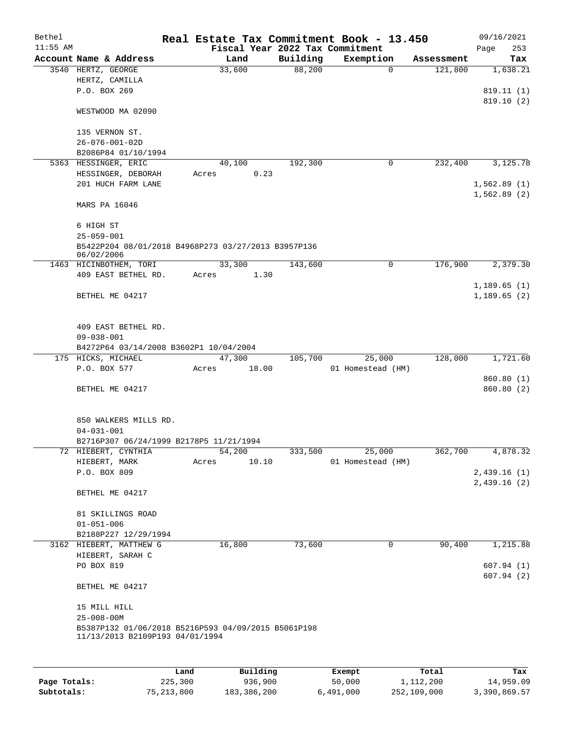| Bethel     |                                                                   |      |       |          |          | Real Estate Tax Commitment Book - 13.450 |          |            | 09/16/2021              |     |
|------------|-------------------------------------------------------------------|------|-------|----------|----------|------------------------------------------|----------|------------|-------------------------|-----|
| $11:55$ AM |                                                                   |      |       |          |          | Fiscal Year 2022 Tax Commitment          |          |            | Page                    | 253 |
|            | Account Name & Address                                            |      |       | Land     | Building | Exemption                                |          | Assessment |                         | Tax |
|            | 3540 HERTZ, GEORGE<br>HERTZ, CAMILLA                              |      |       | 33,600   | 88,200   |                                          | $\Omega$ | 121,800    | 1,638.21                |     |
|            | P.O. BOX 269                                                      |      |       |          |          |                                          |          |            | 819.11 (1)              |     |
|            |                                                                   |      |       |          |          |                                          |          |            | 819.10(2)               |     |
|            | WESTWOOD MA 02090                                                 |      |       |          |          |                                          |          |            |                         |     |
|            | 135 VERNON ST.                                                    |      |       |          |          |                                          |          |            |                         |     |
|            | $26 - 076 - 001 - 02D$                                            |      |       |          |          |                                          |          |            |                         |     |
|            | B2086P84 01/10/1994                                               |      |       |          |          |                                          |          |            |                         |     |
|            | 5363 HESSINGER, ERIC                                              |      |       | 40,100   | 192,300  |                                          | 0        | 232,400    | 3,125.78                |     |
|            | HESSINGER, DEBORAH                                                |      | Acres | 0.23     |          |                                          |          |            |                         |     |
|            | 201 HUCH FARM LANE                                                |      |       |          |          |                                          |          |            | 1,562.89(1)             |     |
|            | MARS PA 16046                                                     |      |       |          |          |                                          |          |            | 1,562.89(2)             |     |
|            |                                                                   |      |       |          |          |                                          |          |            |                         |     |
|            | 6 HIGH ST                                                         |      |       |          |          |                                          |          |            |                         |     |
|            | $25 - 059 - 001$                                                  |      |       |          |          |                                          |          |            |                         |     |
|            | B5422P204 08/01/2018 B4968P273 03/27/2013 B3957P136<br>06/02/2006 |      |       |          |          |                                          |          |            |                         |     |
|            | 1463 HICINBOTHEM, TORI                                            |      |       | 33,300   | 143,600  |                                          | 0        | 176,900    | 2,379.30                |     |
|            | 409 EAST BETHEL RD.                                               |      | Acres | 1.30     |          |                                          |          |            |                         |     |
|            |                                                                   |      |       |          |          |                                          |          |            | 1,189.65(1)             |     |
|            | BETHEL ME 04217                                                   |      |       |          |          |                                          |          |            | 1,189.65(2)             |     |
|            |                                                                   |      |       |          |          |                                          |          |            |                         |     |
|            | 409 EAST BETHEL RD.                                               |      |       |          |          |                                          |          |            |                         |     |
|            | $09 - 038 - 001$                                                  |      |       |          |          |                                          |          |            |                         |     |
|            | B4272P64 03/14/2008 B3602P1 10/04/2004                            |      |       |          |          |                                          |          |            |                         |     |
|            | 175 HICKS, MICHAEL                                                |      |       | 47,300   | 105,700  | 25,000                                   |          | 128,000    | 1,721.60                |     |
|            | P.O. BOX 577                                                      |      | Acres | 18.00    |          | 01 Homestead (HM)                        |          |            |                         |     |
|            | BETHEL ME 04217                                                   |      |       |          |          |                                          |          |            | 860.80(1)<br>860.80 (2) |     |
|            |                                                                   |      |       |          |          |                                          |          |            |                         |     |
|            |                                                                   |      |       |          |          |                                          |          |            |                         |     |
|            | 850 WALKERS MILLS RD.<br>$04 - 031 - 001$                         |      |       |          |          |                                          |          |            |                         |     |
|            | B2716P307 06/24/1999 B2178P5 11/21/1994                           |      |       |          |          |                                          |          |            |                         |     |
|            | 72 HIEBERT, CYNTHIA                                               |      |       | 54,200   | 333,500  | 25,000                                   |          | 362,700    | 4,878.32                |     |
|            | HIEBERT, MARK                                                     |      | Acres | 10.10    |          | 01 Homestead (HM)                        |          |            |                         |     |
|            | P.O. BOX 809                                                      |      |       |          |          |                                          |          |            | 2,439.16(1)             |     |
|            |                                                                   |      |       |          |          |                                          |          |            | 2,439.16(2)             |     |
|            | BETHEL ME 04217                                                   |      |       |          |          |                                          |          |            |                         |     |
|            | 81 SKILLINGS ROAD                                                 |      |       |          |          |                                          |          |            |                         |     |
|            | $01 - 051 - 006$                                                  |      |       |          |          |                                          |          |            |                         |     |
|            | B2188P227 12/29/1994                                              |      |       |          |          |                                          |          |            |                         |     |
|            | 3162 HIEBERT, MATTHEW G                                           |      |       | 16,800   | 73,600   |                                          | 0        | 90,400     | 1,215.88                |     |
|            | HIEBERT, SARAH C                                                  |      |       |          |          |                                          |          |            |                         |     |
|            | PO BOX 819                                                        |      |       |          |          |                                          |          |            | 607.94(1)               |     |
|            |                                                                   |      |       |          |          |                                          |          |            | 607.94(2)               |     |
|            | BETHEL ME 04217                                                   |      |       |          |          |                                          |          |            |                         |     |
|            | 15 MILL HILL                                                      |      |       |          |          |                                          |          |            |                         |     |
|            | $25 - 008 - 00M$                                                  |      |       |          |          |                                          |          |            |                         |     |
|            | B5387P132 01/06/2018 B5216P593 04/09/2015 B5061P198               |      |       |          |          |                                          |          |            |                         |     |
|            | 11/13/2013 B2109P193 04/01/1994                                   |      |       |          |          |                                          |          |            |                         |     |
|            |                                                                   |      |       |          |          |                                          |          |            |                         |     |
|            |                                                                   | Land |       | Building |          | <b>Exempt</b>                            |          | Total      |                         | Tax |

|              | Land         | Building    | Exempt    | Total       | Tax          |
|--------------|--------------|-------------|-----------|-------------|--------------|
| Page Totals: | 225,300      | 936,900     | 50,000    | 1,112,200   | 14,959.09    |
| Subtotals:   | 75, 213, 800 | 183,386,200 | 6,491,000 | 252,109,000 | 3,390,869.57 |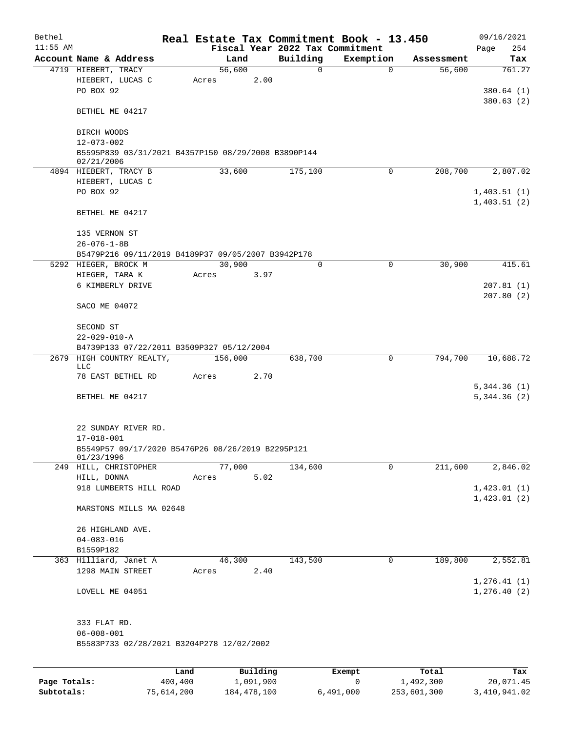| Bethel       |                                                                   |         |                 |           |                         | Real Estate Tax Commitment Book - 13.450 |                      | 09/16/2021                 |
|--------------|-------------------------------------------------------------------|---------|-----------------|-----------|-------------------------|------------------------------------------|----------------------|----------------------------|
| $11:55$ AM   | Account Name & Address                                            |         | Land            |           |                         | Fiscal Year 2022 Tax Commitment          |                      | 254<br>Page                |
|              | 4719 HIEBERT, TRACY                                               |         | 56,600          |           | Building<br>$\mathbf 0$ | Exemption<br>$\Omega$                    | Assessment<br>56,600 | Tax<br>761.27              |
|              | HIEBERT, LUCAS C<br>PO BOX 92                                     |         | Acres           | 2.00      |                         |                                          |                      | 380.64(1)                  |
|              | BETHEL ME 04217                                                   |         |                 |           |                         |                                          |                      | 380.63(2)                  |
|              | BIRCH WOODS<br>$12 - 073 - 002$                                   |         |                 |           |                         |                                          |                      |                            |
|              | B5595P839 03/31/2021 B4357P150 08/29/2008 B3890P144<br>02/21/2006 |         |                 |           |                         |                                          |                      |                            |
|              | 4894 HIEBERT, TRACY B                                             |         | 33,600          |           | 175,100                 | 0                                        | 208,700              | 2,807.02                   |
|              | HIEBERT, LUCAS C<br>PO BOX 92                                     |         |                 |           |                         |                                          |                      | 1,403.51(1)<br>1,403.51(2) |
|              | BETHEL ME 04217                                                   |         |                 |           |                         |                                          |                      |                            |
|              | 135 VERNON ST<br>$26 - 076 - 1 - 8B$                              |         |                 |           |                         |                                          |                      |                            |
|              | B5479P216 09/11/2019 B4189P37 09/05/2007 B3942P178                |         |                 |           |                         |                                          |                      |                            |
|              | 5292 HIEGER, BROCK M                                              |         | 30,900          |           | $\mathbf 0$             | $\mathbf 0$                              | 30,900               | 415.61                     |
|              | HIEGER, TARA K<br>6 KIMBERLY DRIVE                                |         | Acres           | 3.97      |                         |                                          |                      | 207.81(1)                  |
|              | SACO ME 04072                                                     |         |                 |           |                         |                                          |                      | 207.80(2)                  |
|              | SECOND ST<br>$22 - 029 - 010 - A$                                 |         |                 |           |                         |                                          |                      |                            |
|              | B4739P133 07/22/2011 B3509P327 05/12/2004                         |         |                 |           |                         |                                          |                      |                            |
|              | 2679 HIGH COUNTRY REALTY,<br>LLC                                  |         | 156,000         |           | 638,700                 | $\mathbf 0$                              | 794,700              | 10,688.72                  |
|              | 78 EAST BETHEL RD                                                 |         | Acres           | 2.70      |                         |                                          |                      | 5,344.36(1)                |
|              | BETHEL ME 04217                                                   |         |                 |           |                         |                                          |                      | 5,344.36(2)                |
|              | 22 SUNDAY RIVER RD.                                               |         |                 |           |                         |                                          |                      |                            |
|              | $17 - 018 - 001$                                                  |         |                 |           |                         |                                          |                      |                            |
|              | B5549P57 09/17/2020 B5476P26 08/26/2019 B2295P121<br>01/23/1996   |         |                 |           |                         |                                          |                      |                            |
|              | 249 HILL, CHRISTOPHER                                             |         | 77,000          |           | 134,600                 | 0                                        | 211,600              | 2,846.02                   |
|              | HILL, DONNA<br>918 LUMBERTS HILL ROAD                             |         | Acres           | 5.02      |                         |                                          |                      | 1,423.01(1)                |
|              |                                                                   |         |                 |           |                         |                                          |                      | 1,423.01(2)                |
|              | MARSTONS MILLS MA 02648                                           |         |                 |           |                         |                                          |                      |                            |
|              | 26 HIGHLAND AVE.                                                  |         |                 |           |                         |                                          |                      |                            |
|              | $04 - 083 - 016$                                                  |         |                 |           |                         |                                          |                      |                            |
|              | B1559P182                                                         |         |                 |           |                         |                                          |                      |                            |
|              | 363 Hilliard, Janet A<br>1298 MAIN STREET                         |         | 46,300<br>Acres | 2.40      | 143,500                 | 0                                        | 189,800              | 2,552.81<br>1, 276.41(1)   |
|              | LOVELL ME 04051                                                   |         |                 |           |                         |                                          |                      | 1, 276.40(2)               |
|              | 333 FLAT RD.                                                      |         |                 |           |                         |                                          |                      |                            |
|              | $06 - 008 - 001$<br>B5583P733 02/28/2021 B3204P278 12/02/2002     |         |                 |           |                         |                                          |                      |                            |
|              |                                                                   |         |                 |           |                         |                                          |                      |                            |
|              |                                                                   | Land    |                 | Building  |                         | Exempt                                   | Total                | Tax                        |
| Page Totals: |                                                                   | 400,400 |                 | 1,091,900 |                         | 0                                        | 1,492,300            | 20,071.45                  |

**Subtotals:** 75,614,200 184,478,100 6,491,000 253,601,300 3,410,941.02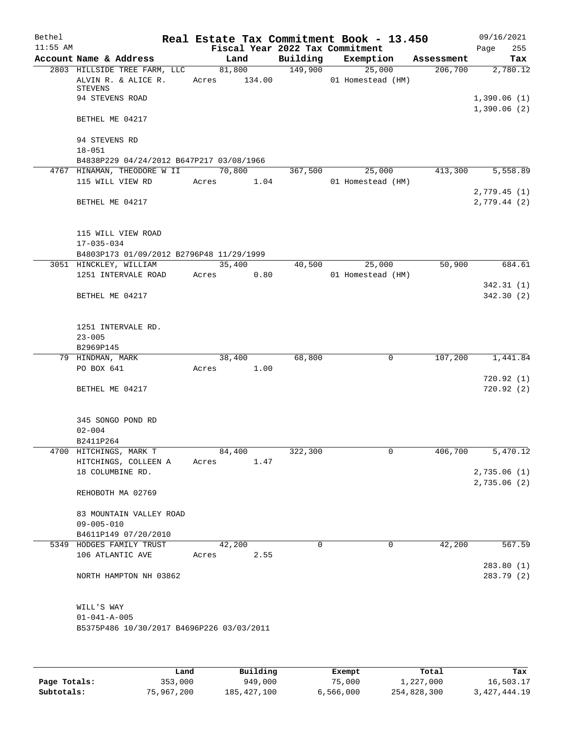| Bethel<br>$11:55$ AM |                                                                       |       |        |                        | Fiscal Year 2022 Tax Commitment | Real Estate Tax Commitment Book - 13.450 |            | 09/16/2021<br>Page         | 255        |
|----------------------|-----------------------------------------------------------------------|-------|--------|------------------------|---------------------------------|------------------------------------------|------------|----------------------------|------------|
|                      | Account Name & Address                                                |       | Land   |                        |                                 | Building Exemption                       | Assessment |                            | Tax        |
|                      | 2803 HILLSIDE TREE FARM, LLC<br>ALVIN R. & ALICE R.<br><b>STEVENS</b> |       |        | 81,800<br>Acres 134.00 | 149,900                         | 25,000<br>01 Homestead (HM)              | 206,700    |                            | 2,780.12   |
|                      | 94 STEVENS ROAD                                                       |       |        |                        |                                 |                                          |            | 1,390.06(1)<br>1,390.06(2) |            |
|                      | BETHEL ME 04217                                                       |       |        |                        |                                 |                                          |            |                            |            |
|                      | 94 STEVENS RD<br>$18 - 051$                                           |       |        |                        |                                 |                                          |            |                            |            |
|                      | B4838P229 04/24/2012 B647P217 03/08/1966                              |       |        |                        |                                 |                                          |            |                            |            |
|                      | 4767 HINAMAN, THEODORE W II                                           |       | 70,800 |                        | 367,500                         | 25,000                                   | 413,300    |                            | 5,558.89   |
|                      | 115 WILL VIEW RD                                                      |       |        | Acres 1.04             |                                 | 01 Homestead (HM)                        |            | 2,779.45(1)                |            |
|                      | BETHEL ME 04217                                                       |       |        |                        |                                 |                                          |            | 2,779.44(2)                |            |
|                      | 115 WILL VIEW ROAD                                                    |       |        |                        |                                 |                                          |            |                            |            |
|                      | $17 - 035 - 034$                                                      |       |        |                        |                                 |                                          |            |                            |            |
|                      | B4803P173 01/09/2012 B2796P48 11/29/1999                              |       |        |                        |                                 |                                          |            |                            |            |
|                      | 3051 HINCKLEY, WILLIAM<br>1251 INTERVALE ROAD                         |       | 35,400 | Acres 0.80             | 40,500                          | 25,000<br>01 Homestead (HM)              | 50,900     |                            | 684.61     |
|                      |                                                                       |       |        |                        |                                 |                                          |            |                            | 342.31(1)  |
|                      | BETHEL ME 04217                                                       |       |        |                        |                                 |                                          |            |                            | 342.30(2)  |
|                      | 1251 INTERVALE RD.                                                    |       |        |                        |                                 |                                          |            |                            |            |
|                      | $23 - 005$                                                            |       |        |                        |                                 |                                          |            |                            |            |
|                      | B2969P145<br>79 HINDMAN, MARK                                         |       | 38,400 |                        | 68,800                          | 0                                        | 107,200    |                            | 1,441.84   |
|                      | PO BOX 641                                                            |       |        | Acres 1.00             |                                 |                                          |            |                            |            |
|                      |                                                                       |       |        |                        |                                 |                                          |            |                            | 720.92(1)  |
|                      | BETHEL ME 04217                                                       |       |        |                        |                                 |                                          |            |                            | 720.92(2)  |
|                      | 345 SONGO POND RD                                                     |       |        |                        |                                 |                                          |            |                            |            |
|                      | $02 - 004$                                                            |       |        |                        |                                 |                                          |            |                            |            |
|                      | B2411P264                                                             |       |        |                        |                                 |                                          |            |                            |            |
|                      | 4700 HITCHINGS, MARK T                                                |       | 84,400 |                        | 322,300                         | 0                                        | 406,700    |                            | 5,470.12   |
|                      | HITCHINGS, COLLEEN A                                                  | Acres |        | 1.47                   |                                 |                                          |            |                            |            |
|                      | 18 COLUMBINE RD.                                                      |       |        |                        |                                 |                                          |            | 2,735.06(1)                |            |
|                      |                                                                       |       |        |                        |                                 |                                          |            | 2,735.06 (2)               |            |
|                      | REHOBOTH MA 02769                                                     |       |        |                        |                                 |                                          |            |                            |            |
|                      | 83 MOUNTAIN VALLEY ROAD                                               |       |        |                        |                                 |                                          |            |                            |            |
|                      | $09 - 005 - 010$                                                      |       |        |                        |                                 |                                          |            |                            |            |
|                      | B4611P149 07/20/2010                                                  |       |        |                        |                                 |                                          |            |                            |            |
|                      | 5349 HODGES FAMILY TRUST                                              |       | 42,200 |                        | $\Omega$                        | $\Omega$                                 | 42,200     |                            | 567.59     |
|                      | 106 ATLANTIC AVE                                                      | Acres |        | 2.55                   |                                 |                                          |            |                            |            |
|                      |                                                                       |       |        |                        |                                 |                                          |            |                            | 283.80(1)  |
|                      | NORTH HAMPTON NH 03862                                                |       |        |                        |                                 |                                          |            |                            | 283.79 (2) |
|                      | WILL'S WAY                                                            |       |        |                        |                                 |                                          |            |                            |            |
|                      | $01 - 041 - A - 005$                                                  |       |        |                        |                                 |                                          |            |                            |            |
|                      | B5375P486 10/30/2017 B4696P226 03/03/2011                             |       |        |                        |                                 |                                          |            |                            |            |
|                      |                                                                       |       |        |                        |                                 |                                          |            |                            |            |
|                      |                                                                       |       |        |                        |                                 |                                          |            |                            |            |

|              | Land       | Building    | Exempt    | Total       | Tax          |
|--------------|------------|-------------|-----------|-------------|--------------|
| Page Totals: | 353,000    | 949,000     | 75,000    | 1,227,000   | 16,503.17    |
| Subtotals:   | 75,967,200 | 185,427,100 | 6,566,000 | 254,828,300 | 3,427,444.19 |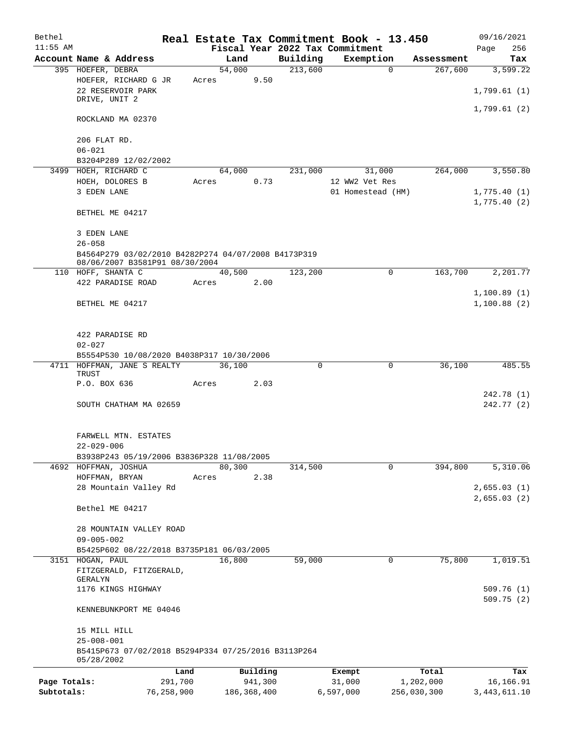| Bethel       |                                                                                       |       |                |          | Real Estate Tax Commitment Book - 13.450 |                        | 09/16/2021                 |
|--------------|---------------------------------------------------------------------------------------|-------|----------------|----------|------------------------------------------|------------------------|----------------------------|
| $11:55$ AM   |                                                                                       |       |                |          | Fiscal Year 2022 Tax Commitment          |                        | 256<br>Page                |
|              | Account Name & Address                                                                |       | Land           | Building | Exemption                                | Assessment             | Tax                        |
|              | 395 HOEFER, DEBRA<br>HOEFER, RICHARD G JR                                             | Acres | 54,000<br>9.50 | 213,600  |                                          | $\mathbf 0$<br>267,600 | 3,599.22                   |
|              | 22 RESERVOIR PARK<br>DRIVE, UNIT 2                                                    |       |                |          |                                          |                        | 1,799.61(1)                |
|              |                                                                                       |       |                |          |                                          |                        | 1,799.61(2)                |
|              | ROCKLAND MA 02370                                                                     |       |                |          |                                          |                        |                            |
|              | 206 FLAT RD.<br>$06 - 021$                                                            |       |                |          |                                          |                        |                            |
|              | B3204P289 12/02/2002                                                                  |       |                |          |                                          |                        |                            |
|              | 3499 HOEH, RICHARD C                                                                  |       | 64,000         | 231,000  | 31,000                                   | 264,000                | 3,550.80                   |
|              | HOEH, DOLORES B                                                                       | Acres | 0.73           |          | 12 WW2 Vet Res                           |                        |                            |
|              | 3 EDEN LANE                                                                           |       |                |          | 01 Homestead (HM)                        |                        | 1,775.40(1)<br>1,775.40(2) |
|              | BETHEL ME 04217                                                                       |       |                |          |                                          |                        |                            |
|              | 3 EDEN LANE<br>$26 - 058$                                                             |       |                |          |                                          |                        |                            |
|              | B4564P279 03/02/2010 B4282P274 04/07/2008 B4173P319<br>08/06/2007 B3581P91 08/30/2004 |       |                |          |                                          |                        |                            |
|              | 110 HOFF, SHANTA C                                                                    |       | 40,500         | 123,200  |                                          | 0<br>163,700           | 2,201.77                   |
|              | 422 PARADISE ROAD                                                                     | Acres | 2.00           |          |                                          |                        |                            |
|              | BETHEL ME 04217                                                                       |       |                |          |                                          |                        | 1,100.89(1)<br>1,100.88(2) |
|              | 422 PARADISE RD                                                                       |       |                |          |                                          |                        |                            |
|              | $02 - 027$                                                                            |       |                |          |                                          |                        |                            |
|              | B5554P530 10/08/2020 B4038P317 10/30/2006                                             |       |                |          |                                          |                        |                            |
|              | 4711 HOFFMAN, JANE S REALTY<br>TRUST                                                  |       | 36,100         | 0        |                                          | 36,100<br>0            | 485.55                     |
|              | P.O. BOX 636                                                                          | Acres | 2.03           |          |                                          |                        | 242.78 (1)                 |
|              | SOUTH CHATHAM MA 02659                                                                |       |                |          |                                          |                        | 242.77 (2)                 |
|              | FARWELL MTN. ESTATES                                                                  |       |                |          |                                          |                        |                            |
|              | $22 - 029 - 006$                                                                      |       |                |          |                                          |                        |                            |
|              | B3938P243 05/19/2006 B3836P328 11/08/2005<br>4692 HOFFMAN, JOSHUA                     |       | 80,300         | 314,500  |                                          | 0<br>394,800           | 5,310.06                   |
|              | HOFFMAN, BRYAN                                                                        | Acres | 2.38           |          |                                          |                        |                            |
|              | 28 Mountain Valley Rd                                                                 |       |                |          |                                          |                        | 2,655.03(1)<br>2,655.03(2) |
|              | Bethel ME 04217                                                                       |       |                |          |                                          |                        |                            |
|              | 28 MOUNTAIN VALLEY ROAD                                                               |       |                |          |                                          |                        |                            |
|              | $09 - 005 - 002$                                                                      |       |                |          |                                          |                        |                            |
|              | B5425P602 08/22/2018 B3735P181 06/03/2005                                             |       |                |          |                                          |                        |                            |
|              | 3151 HOGAN, PAUL<br>FITZGERALD, FITZGERALD,                                           |       | 16,800         | 59,000   |                                          | 75,800<br>0            | 1,019.51                   |
|              | GERALYN<br>1176 KINGS HIGHWAY                                                         |       |                |          |                                          |                        | 509.76(1)                  |
|              | KENNEBUNKPORT ME 04046                                                                |       |                |          |                                          |                        | 509.75(2)                  |
|              | 15 MILL HILL                                                                          |       |                |          |                                          |                        |                            |
|              | $25 - 008 - 001$                                                                      |       |                |          |                                          |                        |                            |
|              | B5415P673 07/02/2018 B5294P334 07/25/2016 B3113P264<br>05/28/2002                     |       |                |          |                                          |                        |                            |
|              |                                                                                       | Land  | Building       |          | Exempt                                   | Total                  | Tax                        |
| Page Totals: | 291,700                                                                               |       | 941,300        |          | 31,000                                   | 1,202,000              | 16,166.91                  |
| Subtotals:   | 76,258,900                                                                            |       | 186, 368, 400  |          | 6,597,000                                | 256,030,300            | 3, 443, 611.10             |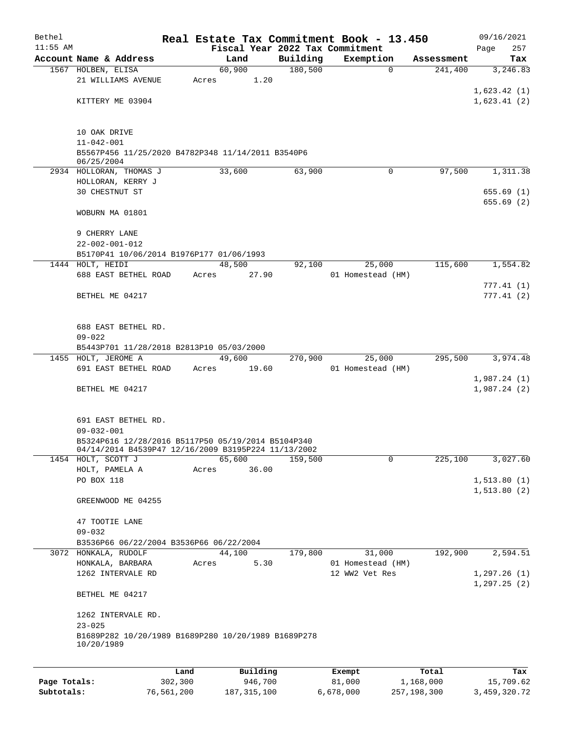| Bethel     |                                                                           |      |       |          |                                 | Real Estate Tax Commitment Book - 13.450 |            | 09/16/2021             |
|------------|---------------------------------------------------------------------------|------|-------|----------|---------------------------------|------------------------------------------|------------|------------------------|
| $11:55$ AM |                                                                           |      |       |          | Fiscal Year 2022 Tax Commitment |                                          |            | 257<br>Page            |
|            | Account Name & Address                                                    |      |       | Land     | Building                        | Exemption                                | Assessment | Tax                    |
|            | 1567 HOLBEN, ELISA                                                        |      |       | 60,900   | 180,500                         | $\mathbf 0$                              | 241,400    | 3,246.83               |
|            | 21 WILLIAMS AVENUE                                                        |      | Acres | 1.20     |                                 |                                          |            |                        |
|            | KITTERY ME 03904                                                          |      |       |          |                                 |                                          |            | 1,623.42(1)            |
|            |                                                                           |      |       |          |                                 |                                          |            | 1,623.41(2)            |
|            |                                                                           |      |       |          |                                 |                                          |            |                        |
|            | 10 OAK DRIVE<br>$11 - 042 - 001$                                          |      |       |          |                                 |                                          |            |                        |
|            | B5567P456 11/25/2020 B4782P348 11/14/2011 B3540P6<br>06/25/2004           |      |       |          |                                 |                                          |            |                        |
|            | 2934 HOLLORAN, THOMAS J                                                   |      |       | 33,600   | 63,900                          | $\mathbf 0$                              | 97,500     | 1,311.38               |
|            | HOLLORAN, KERRY J                                                         |      |       |          |                                 |                                          |            |                        |
|            | 30 CHESTNUT ST                                                            |      |       |          |                                 |                                          |            | 655.69(1)              |
|            |                                                                           |      |       |          |                                 |                                          |            | 655.69(2)              |
|            | WOBURN MA 01801                                                           |      |       |          |                                 |                                          |            |                        |
|            | 9 CHERRY LANE                                                             |      |       |          |                                 |                                          |            |                        |
|            | $22 - 002 - 001 - 012$                                                    |      |       |          |                                 |                                          |            |                        |
|            | B5170P41 10/06/2014 B1976P177 01/06/1993                                  |      |       |          |                                 |                                          |            |                        |
|            | 1444 HOLT, HEIDI                                                          |      |       | 48,500   | 92,100                          | 25,000                                   | 115,600    | 1,554.82               |
|            | 688 EAST BETHEL ROAD                                                      |      | Acres | 27.90    |                                 | 01 Homestead (HM)                        |            |                        |
|            | BETHEL ME 04217                                                           |      |       |          |                                 |                                          |            | 777.41(1)<br>777.41(2) |
|            |                                                                           |      |       |          |                                 |                                          |            |                        |
|            |                                                                           |      |       |          |                                 |                                          |            |                        |
|            | 688 EAST BETHEL RD.<br>$09 - 022$                                         |      |       |          |                                 |                                          |            |                        |
|            | B5443P701 11/28/2018 B2813P10 05/03/2000                                  |      |       |          |                                 |                                          |            |                        |
|            | 1455 HOLT, JEROME A                                                       |      |       | 49,600   | 270,900                         | 25,000                                   | 295,500    | 3,974.48               |
|            | 691 EAST BETHEL ROAD                                                      |      | Acres | 19.60    |                                 | 01 Homestead (HM)                        |            |                        |
|            |                                                                           |      |       |          |                                 |                                          |            | 1,987.24(1)            |
|            | BETHEL ME 04217                                                           |      |       |          |                                 |                                          |            | 1,987.24(2)            |
|            |                                                                           |      |       |          |                                 |                                          |            |                        |
|            | 691 EAST BETHEL RD.                                                       |      |       |          |                                 |                                          |            |                        |
|            | $09 - 032 - 001$                                                          |      |       |          |                                 |                                          |            |                        |
|            | B5324P616 12/28/2016 B5117P50 05/19/2014 B5104P340                        |      |       |          |                                 |                                          |            |                        |
|            | 04/14/2014 B4539P47 12/16/2009 B3195P224 11/13/2002<br>1454 HOLT, SCOTT J |      |       | 65,600   | 159,500                         | 0                                        | 225,100    | 3,027.60               |
|            | HOLT, PAMELA A                                                            |      | Acres | 36.00    |                                 |                                          |            |                        |
|            | PO BOX 118                                                                |      |       |          |                                 |                                          |            | 1,513.80(1)            |
|            |                                                                           |      |       |          |                                 |                                          |            | 1, 513.80(2)           |
|            | GREENWOOD ME 04255                                                        |      |       |          |                                 |                                          |            |                        |
|            | 47 TOOTIE LANE                                                            |      |       |          |                                 |                                          |            |                        |
|            | $09 - 032$                                                                |      |       |          |                                 |                                          |            |                        |
|            | B3536P66 06/22/2004 B3536P66 06/22/2004                                   |      |       |          |                                 |                                          |            |                        |
|            | 3072 HONKALA, RUDOLF                                                      |      |       | 44,100   | 179,800                         | 31,000                                   | 192,900    | 2,594.51               |
|            | HONKALA, BARBARA                                                          |      | Acres | 5.30     |                                 | 01 Homestead (HM)                        |            |                        |
|            | 1262 INTERVALE RD                                                         |      |       |          |                                 | 12 WW2 Vet Res                           |            | 1,297.26(1)            |
|            | BETHEL ME 04217                                                           |      |       |          |                                 |                                          |            | 1,297.25(2)            |
|            |                                                                           |      |       |          |                                 |                                          |            |                        |
|            | 1262 INTERVALE RD.                                                        |      |       |          |                                 |                                          |            |                        |
|            | $23 - 025$<br>B1689P282 10/20/1989 B1689P280 10/20/1989 B1689P278         |      |       |          |                                 |                                          |            |                        |
|            | 10/20/1989                                                                |      |       |          |                                 |                                          |            |                        |
|            |                                                                           |      |       |          |                                 |                                          |            |                        |
|            |                                                                           | Land |       | Building |                                 | Exempt                                   | Total      | Tax                    |

|              | ⊥and       | Building      | Exempt    | Total       | тах          |
|--------------|------------|---------------|-----------|-------------|--------------|
| Page Totals: | 302,300    | 946,700       | 81,000    | 1,168,000   | 15,709.62    |
| Subtotals:   | 76,561,200 | 187, 315, 100 | 6,678,000 | 257,198,300 | 3,459,320.72 |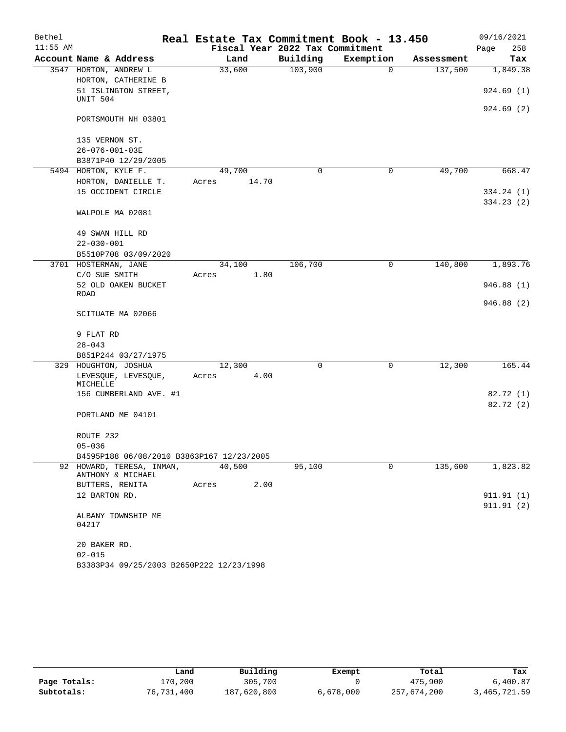| Bethel     |                                                |        |       |                                 | Real Estate Tax Commitment Book - 13.450 |            | 09/16/2021  |
|------------|------------------------------------------------|--------|-------|---------------------------------|------------------------------------------|------------|-------------|
| $11:55$ AM |                                                |        |       | Fiscal Year 2022 Tax Commitment |                                          |            | Page<br>258 |
|            | Account Name & Address                         | Land   |       | Building                        | Exemption                                | Assessment | Tax         |
|            | 3547 HORTON, ANDREW L                          | 33,600 |       | 103,900                         | $\mathbf 0$                              | 137,500    | 1,849.38    |
|            | HORTON, CATHERINE B                            |        |       |                                 |                                          |            |             |
|            | 51 ISLINGTON STREET,                           |        |       |                                 |                                          |            | 924.69(1)   |
|            | UNIT 504                                       |        |       |                                 |                                          |            |             |
|            | PORTSMOUTH NH 03801                            |        |       |                                 |                                          |            | 924.69(2)   |
|            | 135 VERNON ST.                                 |        |       |                                 |                                          |            |             |
|            | 26-076-001-03E                                 |        |       |                                 |                                          |            |             |
|            | B3871P40 12/29/2005                            |        |       |                                 |                                          |            |             |
|            | 5494 HORTON, KYLE F.                           | 49,700 |       | $\Omega$                        | 0                                        | 49,700     | 668.47      |
|            | HORTON, DANIELLE T.                            | Acres  | 14.70 |                                 |                                          |            |             |
|            | 15 OCCIDENT CIRCLE                             |        |       |                                 |                                          |            | 334.24(1)   |
|            |                                                |        |       |                                 |                                          |            | 334.23(2)   |
|            | WALPOLE MA 02081                               |        |       |                                 |                                          |            |             |
|            | 49 SWAN HILL RD                                |        |       |                                 |                                          |            |             |
|            | $22 - 030 - 001$                               |        |       |                                 |                                          |            |             |
|            | B5510P708 03/09/2020                           |        |       |                                 |                                          |            |             |
|            | 3701 HOSTERMAN, JANE                           | 34,100 |       | 106,700                         | 0                                        | 140,800    | 1,893.76    |
|            | C/O SUE SMITH                                  | Acres  | 1.80  |                                 |                                          |            |             |
|            | 52 OLD OAKEN BUCKET                            |        |       |                                 |                                          |            | 946.88(1)   |
|            | <b>ROAD</b>                                    |        |       |                                 |                                          |            |             |
|            | SCITUATE MA 02066                              |        |       |                                 |                                          |            | 946.88(2)   |
|            | 9 FLAT RD                                      |        |       |                                 |                                          |            |             |
|            | $28 - 043$                                     |        |       |                                 |                                          |            |             |
|            | B851P244 03/27/1975                            |        |       |                                 |                                          |            |             |
|            | 329 HOUGHTON, JOSHUA                           | 12,300 |       | 0                               | 0                                        | 12,300     | 165.44      |
|            | LEVESQUE, LEVESQUE,                            | Acres  | 4.00  |                                 |                                          |            |             |
|            | MICHELLE                                       |        |       |                                 |                                          |            |             |
|            | 156 CUMBERLAND AVE. #1                         |        |       |                                 |                                          |            | 82.72 (1)   |
|            | PORTLAND ME 04101                              |        |       |                                 |                                          |            | 82.72(2)    |
|            |                                                |        |       |                                 |                                          |            |             |
|            | ROUTE 232                                      |        |       |                                 |                                          |            |             |
|            | $05 - 036$                                     |        |       |                                 |                                          |            |             |
|            | B4595P188 06/08/2010 B3863P167 12/23/2005      |        |       |                                 |                                          |            |             |
|            | 92 HOWARD, TERESA, INMAN,<br>ANTHONY & MICHAEL | 40,500 |       | 95,100                          | 0                                        | 135,600    | 1,823.82    |
|            | BUTTERS, RENITA                                | Acres  | 2.00  |                                 |                                          |            |             |
|            | 12 BARTON RD.                                  |        |       |                                 |                                          |            | 911.91(1)   |
|            |                                                |        |       |                                 |                                          |            | 911.91(2)   |
|            | ALBANY TOWNSHIP ME<br>04217                    |        |       |                                 |                                          |            |             |
|            | 20 BAKER RD.                                   |        |       |                                 |                                          |            |             |
|            | $02 - 015$                                     |        |       |                                 |                                          |            |             |
|            | B3383P34 09/25/2003 B2650P222 12/23/1998       |        |       |                                 |                                          |            |             |

|              | Land       | Building    | Exempt    | Total       | Tax          |
|--------------|------------|-------------|-----------|-------------|--------------|
| Page Totals: | 170,200    | 305,700     |           | 475,900     | 6,400.87     |
| Subtotals:   | 76,731,400 | 187,620,800 | 6,678,000 | 257,674,200 | 3,465,721.59 |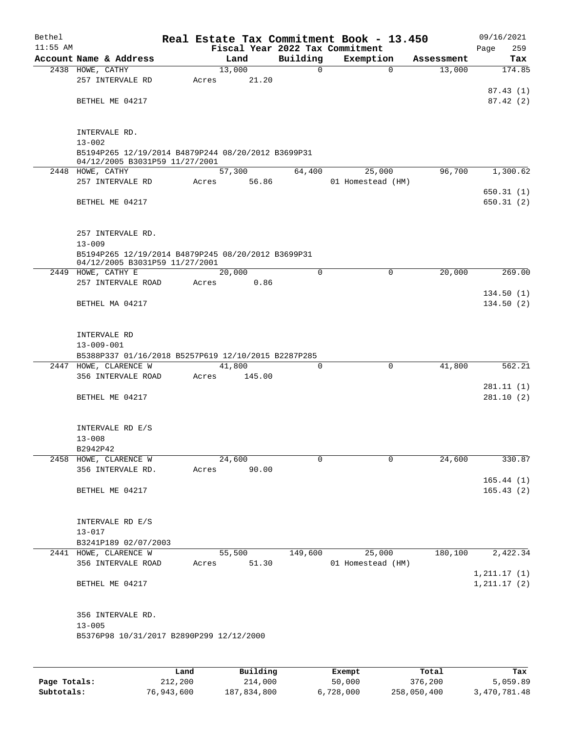| Bethel     |                                                                                      |       |                 |                                             | Real Estate Tax Commitment Book - 13.450 |            | 09/16/2021             |
|------------|--------------------------------------------------------------------------------------|-------|-----------------|---------------------------------------------|------------------------------------------|------------|------------------------|
| $11:55$ AM | Account Name & Address                                                               |       | Land            | Fiscal Year 2022 Tax Commitment<br>Building | Exemption                                | Assessment | Page<br>259            |
|            | 2438 HOWE, CATHY                                                                     |       | 13,000          | 0                                           | $\mathbf 0$                              | 13,000     | Tax<br>174.85          |
|            | 257 INTERVALE RD                                                                     | Acres | 21.20           |                                             |                                          |            |                        |
|            |                                                                                      |       |                 |                                             |                                          |            | 87.43(1)               |
|            | BETHEL ME 04217                                                                      |       |                 |                                             |                                          |            | 87.42(2)               |
|            |                                                                                      |       |                 |                                             |                                          |            |                        |
|            | INTERVALE RD.                                                                        |       |                 |                                             |                                          |            |                        |
|            | $13 - 002$                                                                           |       |                 |                                             |                                          |            |                        |
|            | B5194P265 12/19/2014 B4879P244 08/20/2012 B3699P31                                   |       |                 |                                             |                                          |            |                        |
|            | 04/12/2005 B3031P59 11/27/2001                                                       |       |                 |                                             |                                          |            |                        |
|            | 2448 HOWE, CATHY                                                                     |       | 57,300          | 64,400                                      | 25,000                                   | 96,700     | 1,300.62               |
|            | 257 INTERVALE RD                                                                     | Acres | 56.86           |                                             | 01 Homestead (HM)                        |            |                        |
|            | BETHEL ME 04217                                                                      |       |                 |                                             |                                          |            | 650.31(1)<br>650.31(2) |
|            |                                                                                      |       |                 |                                             |                                          |            |                        |
|            |                                                                                      |       |                 |                                             |                                          |            |                        |
|            | 257 INTERVALE RD.                                                                    |       |                 |                                             |                                          |            |                        |
|            | $13 - 009$                                                                           |       |                 |                                             |                                          |            |                        |
|            | B5194P265 12/19/2014 B4879P245 08/20/2012 B3699P31<br>04/12/2005 B3031P59 11/27/2001 |       |                 |                                             |                                          |            |                        |
|            | 2449 HOWE, CATHY E                                                                   |       | 20,000          | $\Omega$                                    | 0                                        | 20,000     | 269.00                 |
|            | 257 INTERVALE ROAD                                                                   | Acres | 0.86            |                                             |                                          |            |                        |
|            |                                                                                      |       |                 |                                             |                                          |            | 134.50(1)              |
|            | BETHEL MA 04217                                                                      |       |                 |                                             |                                          |            | 134.50(2)              |
|            |                                                                                      |       |                 |                                             |                                          |            |                        |
|            | INTERVALE RD                                                                         |       |                 |                                             |                                          |            |                        |
|            | $13 - 009 - 001$                                                                     |       |                 |                                             |                                          |            |                        |
|            | B5388P337 01/16/2018 B5257P619 12/10/2015 B2287P285                                  |       |                 |                                             |                                          |            |                        |
|            | 2447 HOWE, CLARENCE W                                                                |       | 41,800          | $\Omega$                                    | $\mathbf 0$                              | 41,800     | 562.21                 |
|            | 356 INTERVALE ROAD                                                                   | Acres | 145.00          |                                             |                                          |            |                        |
|            |                                                                                      |       |                 |                                             |                                          |            | 281.11(1)              |
|            | BETHEL ME 04217                                                                      |       |                 |                                             |                                          |            | 281.10(2)              |
|            |                                                                                      |       |                 |                                             |                                          |            |                        |
|            | INTERVALE RD E/S                                                                     |       |                 |                                             |                                          |            |                        |
|            | $13 - 008$                                                                           |       |                 |                                             |                                          |            |                        |
|            | B2942P42                                                                             |       |                 |                                             |                                          |            |                        |
|            | 2458 HOWE, CLARENCE W<br>356 INTERVALE RD.                                           |       | 24,600<br>90.00 | 0                                           | 0                                        | 24,600     | 330.87                 |
|            |                                                                                      | Acres |                 |                                             |                                          |            | 165.44(1)              |
|            | BETHEL ME 04217                                                                      |       |                 |                                             |                                          |            | 165.43(2)              |
|            |                                                                                      |       |                 |                                             |                                          |            |                        |
|            |                                                                                      |       |                 |                                             |                                          |            |                        |
|            | INTERVALE RD E/S                                                                     |       |                 |                                             |                                          |            |                        |
|            | $13 - 017$<br>B3241P189 02/07/2003                                                   |       |                 |                                             |                                          |            |                        |
|            | 2441 HOWE, CLARENCE W                                                                |       | 55,500          | 149,600                                     | 25,000                                   | 180,100    | 2,422.34               |
|            | 356 INTERVALE ROAD                                                                   | Acres | 51.30           |                                             | 01 Homestead (HM)                        |            |                        |
|            |                                                                                      |       |                 |                                             |                                          |            | 1, 211.17(1)           |
|            | BETHEL ME 04217                                                                      |       |                 |                                             |                                          |            | 1, 211.17(2)           |
|            |                                                                                      |       |                 |                                             |                                          |            |                        |
|            | 356 INTERVALE RD.                                                                    |       |                 |                                             |                                          |            |                        |
|            | $13 - 005$                                                                           |       |                 |                                             |                                          |            |                        |
|            | B5376P98 10/31/2017 B2890P299 12/12/2000                                             |       |                 |                                             |                                          |            |                        |
|            |                                                                                      |       |                 |                                             |                                          |            |                        |
|            |                                                                                      |       |                 |                                             |                                          |            |                        |

|              | Land       | Building    | Exempt    | Total       | Tax          |
|--------------|------------|-------------|-----------|-------------|--------------|
| Page Totals: | 212,200    | 214,000     | 50,000    | 376,200     | 5,059.89     |
| Subtotals:   | 76,943,600 | 187,834,800 | 6,728,000 | 258,050,400 | 3,470,781.48 |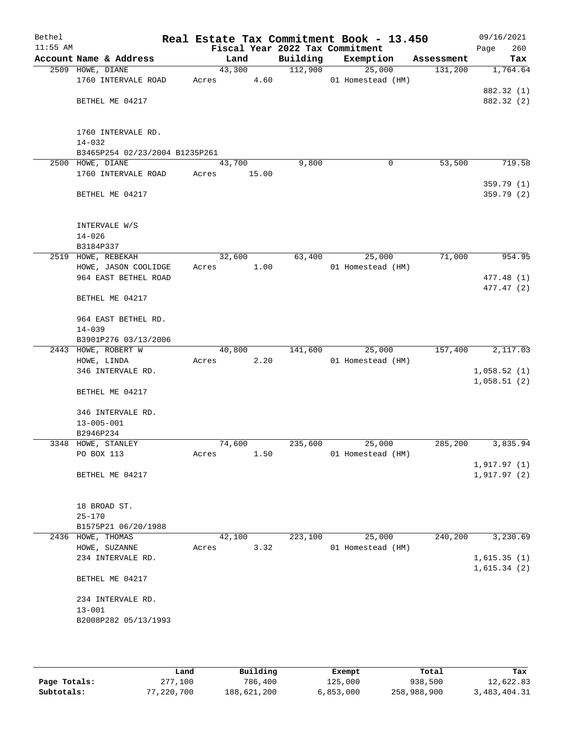| Bethel<br>$11:55$ AM |                                              | Fiscal Year 2022 Tax Commitment |          | Real Estate Tax Commitment Book - 13.450 |            | 09/16/2021<br>260 |
|----------------------|----------------------------------------------|---------------------------------|----------|------------------------------------------|------------|-------------------|
|                      | Account Name & Address                       | Land                            | Building | Exemption                                | Assessment | Page<br>Tax       |
|                      | 2509 HOWE, DIANE                             | 43,300                          | 112,900  | 25,000                                   | 131,200    | 1,764.64          |
|                      | 1760 INTERVALE ROAD                          | 4.60<br>Acres                   |          | 01 Homestead (HM)                        |            |                   |
|                      |                                              |                                 |          |                                          |            | 882.32 (1)        |
|                      | BETHEL ME 04217                              |                                 |          |                                          |            | 882.32 (2)        |
|                      |                                              |                                 |          |                                          |            |                   |
|                      |                                              |                                 |          |                                          |            |                   |
|                      | 1760 INTERVALE RD.                           |                                 |          |                                          |            |                   |
|                      | $14 - 032$                                   |                                 |          |                                          |            |                   |
|                      | B3465P254 02/23/2004 B1235P261               |                                 |          |                                          |            |                   |
|                      | 2500 HOWE, DIANE                             | 43,700                          | 9,800    | 0                                        | 53,500     | 719.58            |
|                      | 1760 INTERVALE ROAD                          | Acres<br>15.00                  |          |                                          |            |                   |
|                      |                                              |                                 |          |                                          |            | 359.79 (1)        |
|                      | BETHEL ME 04217                              |                                 |          |                                          |            | 359.79 (2)        |
|                      |                                              |                                 |          |                                          |            |                   |
|                      |                                              |                                 |          |                                          |            |                   |
|                      | INTERVALE W/S                                |                                 |          |                                          |            |                   |
|                      | $14 - 026$                                   |                                 |          |                                          |            |                   |
|                      | B3184P337                                    |                                 |          |                                          |            |                   |
|                      | 2519 HOWE, REBEKAH                           | 32,600                          | 63,400   | 25,000                                   | 71,000     | 954.95            |
|                      | HOWE, JASON COOLIDGE<br>964 EAST BETHEL ROAD | Acres<br>1.00                   |          | 01 Homestead (HM)                        |            | 477.48 (1)        |
|                      |                                              |                                 |          |                                          |            | 477.47(2)         |
|                      | BETHEL ME 04217                              |                                 |          |                                          |            |                   |
|                      |                                              |                                 |          |                                          |            |                   |
|                      | 964 EAST BETHEL RD.                          |                                 |          |                                          |            |                   |
|                      | $14 - 039$                                   |                                 |          |                                          |            |                   |
|                      | B3901P276 03/13/2006                         |                                 |          |                                          |            |                   |
|                      | 2443 HOWE, ROBERT W                          | 40,800                          | 141,600  | 25,000                                   | 157,400    | 2,117.03          |
|                      | HOWE, LINDA                                  | 2.20<br>Acres                   |          | 01 Homestead (HM)                        |            |                   |
|                      | 346 INTERVALE RD.                            |                                 |          |                                          |            | 1,058.52(1)       |
|                      |                                              |                                 |          |                                          |            | 1,058.51(2)       |
|                      | BETHEL ME 04217                              |                                 |          |                                          |            |                   |
|                      |                                              |                                 |          |                                          |            |                   |
|                      | 346 INTERVALE RD.                            |                                 |          |                                          |            |                   |
|                      | $13 - 005 - 001$                             |                                 |          |                                          |            |                   |
|                      | B2946P234                                    |                                 |          |                                          |            |                   |
|                      | 3348 HOWE, STANLEY                           | 74,600                          | 235,600  | 25,000                                   | 285,200    | 3,835.94          |
|                      | PO BOX 113                                   | 1.50<br>Acres                   |          | 01 Homestead (HM)                        |            |                   |
|                      | BETHEL ME 04217                              |                                 |          |                                          |            | 1,917.97(1)       |
|                      |                                              |                                 |          |                                          |            | 1,917.97(2)       |
|                      |                                              |                                 |          |                                          |            |                   |
|                      | 18 BROAD ST.                                 |                                 |          |                                          |            |                   |
|                      | $25 - 170$                                   |                                 |          |                                          |            |                   |
|                      | B1575P21 06/20/1988                          |                                 |          |                                          |            |                   |
|                      | 2436 HOWE, THOMAS                            | 42,100                          | 223,100  | 25,000                                   | 240,200    | 3,230.69          |
|                      | HOWE, SUZANNE                                | 3.32<br>Acres                   |          | 01 Homestead (HM)                        |            |                   |
|                      | 234 INTERVALE RD.                            |                                 |          |                                          |            | 1,615.35(1)       |
|                      |                                              |                                 |          |                                          |            | 1,615.34(2)       |
|                      | BETHEL ME 04217                              |                                 |          |                                          |            |                   |
|                      |                                              |                                 |          |                                          |            |                   |
|                      | 234 INTERVALE RD.                            |                                 |          |                                          |            |                   |
|                      | $13 - 001$                                   |                                 |          |                                          |            |                   |
|                      | B2008P282 05/13/1993                         |                                 |          |                                          |            |                   |
|                      |                                              |                                 |          |                                          |            |                   |
|                      |                                              |                                 |          |                                          |            |                   |
|                      |                                              |                                 |          |                                          |            |                   |

|              | Land       | Building    | Exempt    | Total       | Tax          |
|--------------|------------|-------------|-----------|-------------|--------------|
| Page Totals: | 277,100    | 786,400     | 125,000   | 938,500     | 12,622.83    |
| Subtotals:   | 77,220,700 | 188,621,200 | 6,853,000 | 258,988,900 | 3,483,404.31 |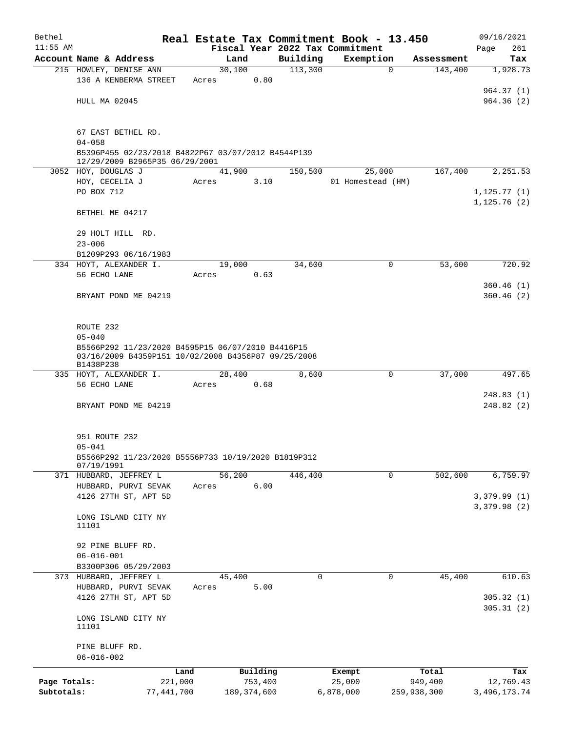| Bethel       |                                                                                      |               |          |          | Real Estate Tax Commitment Book - 13.450 |             |             | 09/16/2021     |  |  |
|--------------|--------------------------------------------------------------------------------------|---------------|----------|----------|------------------------------------------|-------------|-------------|----------------|--|--|
| $11:55$ AM   |                                                                                      |               |          |          | Fiscal Year 2022 Tax Commitment          |             |             | Page<br>261    |  |  |
|              | Account Name & Address                                                               | Land          |          | Building | Exemption                                |             | Assessment  | Tax            |  |  |
|              | 215 HOWLEY, DENISE ANN                                                               | 30,100        |          | 113,300  |                                          | $\mathbf 0$ | 143,400     | 1,928.73       |  |  |
|              | 136 A KENBERMA STREET                                                                | Acres         | 0.80     |          |                                          |             |             |                |  |  |
|              |                                                                                      |               |          |          |                                          |             |             | 964.37(1)      |  |  |
|              | HULL MA 02045                                                                        |               |          |          |                                          |             |             | 964.36(2)      |  |  |
|              |                                                                                      |               |          |          |                                          |             |             |                |  |  |
|              |                                                                                      |               |          |          |                                          |             |             |                |  |  |
|              | 67 EAST BETHEL RD.                                                                   |               |          |          |                                          |             |             |                |  |  |
|              | $04 - 058$                                                                           |               |          |          |                                          |             |             |                |  |  |
|              | B5396P455 02/23/2018 B4822P67 03/07/2012 B4544P139<br>12/29/2009 B2965P35 06/29/2001 |               |          |          |                                          |             |             |                |  |  |
|              | 3052 HOY, DOUGLAS J                                                                  | 41,900        |          | 150,500  | 25,000                                   |             | 167,400     | 2,251.53       |  |  |
|              | HOY, CECELIA J                                                                       | Acres         | 3.10     |          | 01 Homestead (HM)                        |             |             |                |  |  |
|              | PO BOX 712                                                                           |               |          |          |                                          |             |             | 1, 125.77(1)   |  |  |
|              |                                                                                      |               |          |          |                                          |             |             | 1, 125.76(2)   |  |  |
|              | BETHEL ME 04217                                                                      |               |          |          |                                          |             |             |                |  |  |
|              |                                                                                      |               |          |          |                                          |             |             |                |  |  |
|              | 29 HOLT HILL RD.                                                                     |               |          |          |                                          |             |             |                |  |  |
|              | $23 - 006$                                                                           |               |          |          |                                          |             |             |                |  |  |
|              | B1209P293 06/16/1983                                                                 |               |          |          |                                          |             |             |                |  |  |
|              | 334 HOYT, ALEXANDER I.                                                               | 19,000        |          | 34,600   |                                          | 0           | 53,600      | 720.92         |  |  |
|              | 56 ECHO LANE                                                                         | Acres         | 0.63     |          |                                          |             |             |                |  |  |
|              |                                                                                      |               |          |          |                                          |             |             | 360.46(1)      |  |  |
|              | BRYANT POND ME 04219                                                                 |               |          |          |                                          |             |             | 360.46(2)      |  |  |
|              |                                                                                      |               |          |          |                                          |             |             |                |  |  |
|              |                                                                                      |               |          |          |                                          |             |             |                |  |  |
|              | ROUTE 232                                                                            |               |          |          |                                          |             |             |                |  |  |
|              | $05 - 040$                                                                           |               |          |          |                                          |             |             |                |  |  |
|              | B5566P292 11/23/2020 B4595P15 06/07/2010 B4416P15                                    |               |          |          |                                          |             |             |                |  |  |
|              | 03/16/2009 B4359P151 10/02/2008 B4356P87 09/25/2008                                  |               |          |          |                                          |             |             |                |  |  |
|              | B1438P238                                                                            |               |          |          |                                          |             |             |                |  |  |
|              | 335 HOYT, ALEXANDER I.                                                               | 28,400        |          | 8,600    |                                          | 0           | 37,000      | 497.65         |  |  |
|              | 56 ECHO LANE                                                                         | Acres         | 0.68     |          |                                          |             |             |                |  |  |
|              |                                                                                      |               |          |          |                                          |             |             | 248.83(1)      |  |  |
|              | BRYANT POND ME 04219                                                                 |               |          |          |                                          |             |             | 248.82(2)      |  |  |
|              |                                                                                      |               |          |          |                                          |             |             |                |  |  |
|              |                                                                                      |               |          |          |                                          |             |             |                |  |  |
|              | 951 ROUTE 232                                                                        |               |          |          |                                          |             |             |                |  |  |
|              | 05-041                                                                               |               |          |          |                                          |             |             |                |  |  |
|              | B5566P292 11/23/2020 B5556P733 10/19/2020 B1819P312<br>07/19/1991                    |               |          |          |                                          |             |             |                |  |  |
|              | 371 HUBBARD, JEFFREY L                                                               | 56,200        |          | 446,400  |                                          | $\mathbf 0$ | 502,600     | 6,759.97       |  |  |
|              | HUBBARD, PURVI SEVAK                                                                 | Acres         | 6.00     |          |                                          |             |             |                |  |  |
|              | 4126 27TH ST, APT 5D                                                                 |               |          |          |                                          |             |             | 3,379.99(1)    |  |  |
|              |                                                                                      |               |          |          |                                          |             |             | 3,379.98(2)    |  |  |
|              | LONG ISLAND CITY NY                                                                  |               |          |          |                                          |             |             |                |  |  |
|              | 11101                                                                                |               |          |          |                                          |             |             |                |  |  |
|              |                                                                                      |               |          |          |                                          |             |             |                |  |  |
|              | 92 PINE BLUFF RD.                                                                    |               |          |          |                                          |             |             |                |  |  |
|              | $06 - 016 - 001$                                                                     |               |          |          |                                          |             |             |                |  |  |
|              | B3300P306 05/29/2003                                                                 |               |          |          |                                          |             |             |                |  |  |
|              | 373 HUBBARD, JEFFREY L                                                               | 45,400        |          | 0        |                                          | $\mathbf 0$ | 45,400      | 610.63         |  |  |
|              | HUBBARD, PURVI SEVAK                                                                 | Acres         | 5.00     |          |                                          |             |             |                |  |  |
|              | 4126 27TH ST, APT 5D                                                                 |               |          |          |                                          |             |             | 305.32(1)      |  |  |
|              |                                                                                      |               |          |          |                                          |             |             | 305.31(2)      |  |  |
|              | LONG ISLAND CITY NY                                                                  |               |          |          |                                          |             |             |                |  |  |
|              | 11101                                                                                |               |          |          |                                          |             |             |                |  |  |
|              |                                                                                      |               |          |          |                                          |             |             |                |  |  |
|              | PINE BLUFF RD.                                                                       |               |          |          |                                          |             |             |                |  |  |
|              | $06 - 016 - 002$                                                                     |               |          |          |                                          |             |             |                |  |  |
|              | Land                                                                                 |               | Building |          | Exempt                                   |             | Total       | Tax            |  |  |
| Page Totals: | 221,000                                                                              |               | 753,400  |          | 25,000                                   |             | 949,400     | 12,769.43      |  |  |
| Subtotals:   | 77, 441, 700                                                                         | 189, 374, 600 |          |          | 6,878,000                                |             | 259,938,300 | 3, 496, 173.74 |  |  |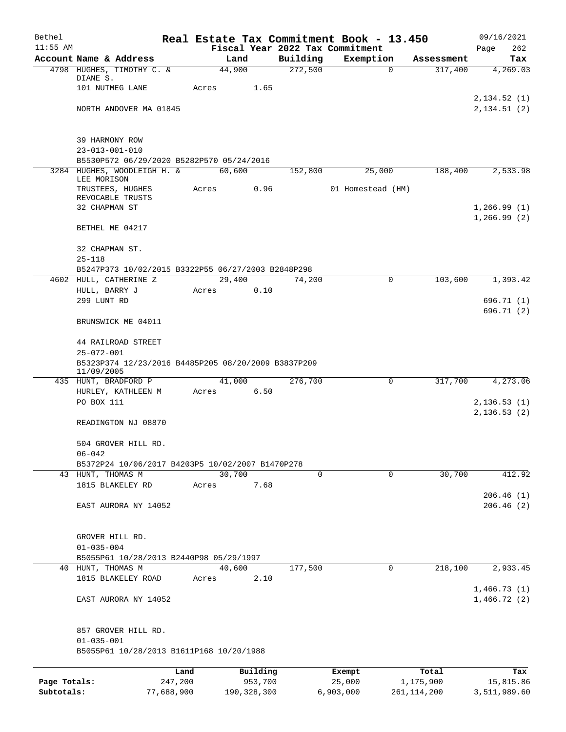| Bethel       |                                                                  |       |                |                     | Real Estate Tax Commitment Book - 13.450 |                       | 09/16/2021                 |
|--------------|------------------------------------------------------------------|-------|----------------|---------------------|------------------------------------------|-----------------------|----------------------------|
| $11:55$ AM   |                                                                  |       |                |                     | Fiscal Year 2022 Tax Commitment          |                       | Page<br>262                |
|              | Account Name & Address<br>4798 HUGHES, TIMOTHY C. &              |       | Land<br>44,900 | Building<br>272,500 | Exemption<br>$\Omega$                    | Assessment<br>317,400 | Tax<br>4,269.03            |
|              | DIANE S.                                                         |       |                |                     |                                          |                       |                            |
|              | 101 NUTMEG LANE                                                  | Acres | 1.65           |                     |                                          |                       |                            |
|              |                                                                  |       |                |                     |                                          |                       | 2,134.52(1)                |
|              | NORTH ANDOVER MA 01845                                           |       |                |                     |                                          |                       | 2,134.51(2)                |
|              | 39 HARMONY ROW                                                   |       |                |                     |                                          |                       |                            |
|              | $23 - 013 - 001 - 010$                                           |       |                |                     |                                          |                       |                            |
|              | B5530P572 06/29/2020 B5282P570 05/24/2016                        |       |                |                     |                                          |                       |                            |
|              | 3284 HUGHES, WOODLEIGH H. &<br>LEE MORISON                       |       | 60,600         | 152,800             | 25,000                                   | 188,400               | 2,533.98                   |
|              | TRUSTEES, HUGHES                                                 | Acres | 0.96           |                     | 01 Homestead (HM)                        |                       |                            |
|              | REVOCABLE TRUSTS<br>32 CHAPMAN ST                                |       |                |                     |                                          |                       | 1,266.99(1)                |
|              |                                                                  |       |                |                     |                                          |                       | 1,266.99(2)                |
|              | BETHEL ME 04217                                                  |       |                |                     |                                          |                       |                            |
|              | 32 CHAPMAN ST.                                                   |       |                |                     |                                          |                       |                            |
|              | $25 - 118$<br>B5247P373 10/02/2015 B3322P55 06/27/2003 B2848P298 |       |                |                     |                                          |                       |                            |
|              | 4602 HULL, CATHERINE Z                                           |       | 29,400         | 74,200              | 0                                        | 103,600               | 1,393.42                   |
|              | HULL, BARRY J                                                    | Acres | 0.10           |                     |                                          |                       |                            |
|              | 299 LUNT RD                                                      |       |                |                     |                                          |                       | 696.71 (1)                 |
|              | BRUNSWICK ME 04011                                               |       |                |                     |                                          |                       | 696.71 (2)                 |
|              |                                                                  |       |                |                     |                                          |                       |                            |
|              | 44 RAILROAD STREET<br>$25 - 072 - 001$                           |       |                |                     |                                          |                       |                            |
|              | B5323P374 12/23/2016 B4485P205 08/20/2009 B3837P209              |       |                |                     |                                          |                       |                            |
|              | 11/09/2005                                                       |       |                |                     |                                          |                       |                            |
|              | 435 HUNT, BRADFORD P                                             |       | 41,000         | 276,700             | 0                                        | 317,700               | 4,273.06                   |
|              | HURLEY, KATHLEEN M<br>PO BOX 111                                 | Acres | 6.50           |                     |                                          |                       | 2,136.53(1)                |
|              |                                                                  |       |                |                     |                                          |                       | 2, 136.53(2)               |
|              | READINGTON NJ 08870                                              |       |                |                     |                                          |                       |                            |
|              | 504 GROVER HILL RD.                                              |       |                |                     |                                          |                       |                            |
|              | $06 - 042$                                                       |       |                |                     |                                          |                       |                            |
|              | B5372P24 10/06/2017 B4203P5 10/02/2007 B1470P278                 |       |                |                     |                                          |                       |                            |
|              | 43 HUNT, THOMAS M                                                |       | 30,700         | 0                   | $\mathbf 0$                              | 30,700                | 412.92                     |
|              | 1815 BLAKELEY RD                                                 | Acres | 7.68           |                     |                                          |                       | 206.46(1)                  |
|              | EAST AURORA NY 14052                                             |       |                |                     |                                          |                       | 206.46(2)                  |
|              |                                                                  |       |                |                     |                                          |                       |                            |
|              | GROVER HILL RD.                                                  |       |                |                     |                                          |                       |                            |
|              | $01 - 035 - 004$                                                 |       |                |                     |                                          |                       |                            |
|              | B5055P61 10/28/2013 B2440P98 05/29/1997                          |       |                |                     |                                          |                       |                            |
|              | 40 HUNT, THOMAS M                                                |       | 40,600         | 177,500             | 0                                        | 218,100               | 2,933.45                   |
|              | 1815 BLAKELEY ROAD                                               | Acres | 2.10           |                     |                                          |                       |                            |
|              | EAST AURORA NY 14052                                             |       |                |                     |                                          |                       | 1,466.73(1)<br>1,466.72(2) |
|              | 857 GROVER HILL RD.                                              |       |                |                     |                                          |                       |                            |
|              | $01 - 035 - 001$                                                 |       |                |                     |                                          |                       |                            |
|              | B5055P61 10/28/2013 B1611P168 10/20/1988                         |       |                |                     |                                          |                       |                            |
|              |                                                                  | Land  | Building       |                     | Exempt                                   | Total                 | Tax                        |
| Page Totals: | 247,200                                                          |       | 953,700        |                     | 25,000                                   | 1,175,900             | 15,815.86                  |
| Subtotals:   | 77,688,900                                                       |       | 190, 328, 300  |                     | 6,903,000                                | 261, 114, 200         | 3,511,989.60               |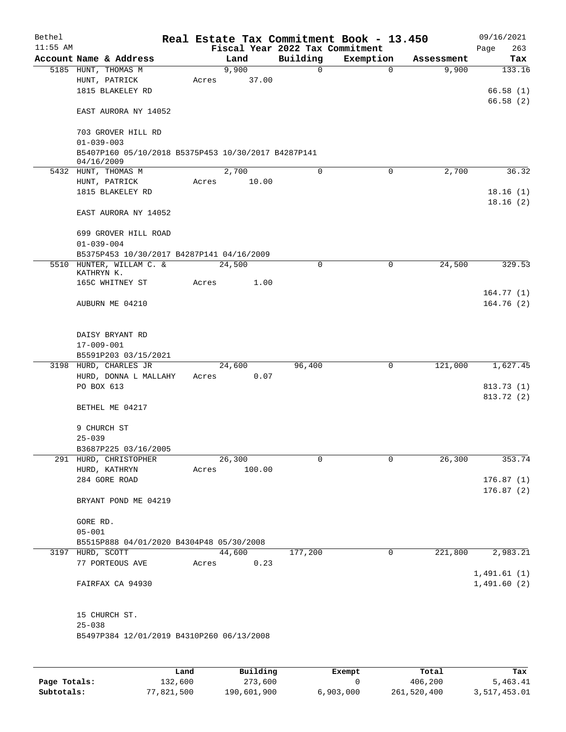| Bethel<br>$11:55$ AM |                                                                   |       |               |          | Real Estate Tax Commitment Book - 13.450<br>Fiscal Year 2022 Tax Commitment |            | 09/16/2021<br>263<br>Page |
|----------------------|-------------------------------------------------------------------|-------|---------------|----------|-----------------------------------------------------------------------------|------------|---------------------------|
|                      | Account Name & Address                                            |       | Land          | Building | Exemption                                                                   | Assessment | Tax                       |
|                      | 5185 HUNT, THOMAS M                                               |       | 9,900         |          | $\mathbf 0$<br>$\mathbf 0$                                                  | 9,900      | 133.16                    |
|                      | HUNT, PATRICK                                                     | Acres | 37.00         |          |                                                                             |            |                           |
|                      | 1815 BLAKELEY RD                                                  |       |               |          |                                                                             |            | 66.58(1)                  |
|                      |                                                                   |       |               |          |                                                                             |            | 66.58(2)                  |
|                      | EAST AURORA NY 14052                                              |       |               |          |                                                                             |            |                           |
|                      | 703 GROVER HILL RD<br>$01 - 039 - 003$                            |       |               |          |                                                                             |            |                           |
|                      | B5407P160 05/10/2018 B5375P453 10/30/2017 B4287P141<br>04/16/2009 |       |               |          |                                                                             |            |                           |
|                      | 5432 HUNT, THOMAS M                                               |       | 2,700         |          | $\mathbf 0$<br>$\mathbf 0$                                                  | 2,700      | 36.32                     |
|                      | HUNT, PATRICK                                                     | Acres | 10.00         |          |                                                                             |            |                           |
|                      | 1815 BLAKELEY RD                                                  |       |               |          |                                                                             |            | 18.16(1)                  |
|                      | EAST AURORA NY 14052                                              |       |               |          |                                                                             |            | 18.16(2)                  |
|                      | 699 GROVER HILL ROAD                                              |       |               |          |                                                                             |            |                           |
|                      | $01 - 039 - 004$                                                  |       |               |          |                                                                             |            |                           |
|                      | B5375P453 10/30/2017 B4287P141 04/16/2009                         |       |               |          |                                                                             |            |                           |
|                      | 5510 HUNTER, WILLAM C. &                                          |       | 24,500        |          | $\mathbf 0$<br>$\mathbf 0$                                                  | 24,500     | 329.53                    |
|                      | KATHRYN K.                                                        |       |               |          |                                                                             |            |                           |
|                      | 165C WHITNEY ST                                                   | Acres | 1.00          |          |                                                                             |            |                           |
|                      | AUBURN ME 04210                                                   |       |               |          |                                                                             |            | 164.77(1)<br>164.76(2)    |
|                      |                                                                   |       |               |          |                                                                             |            |                           |
|                      | DAISY BRYANT RD                                                   |       |               |          |                                                                             |            |                           |
|                      | 17-009-001                                                        |       |               |          |                                                                             |            |                           |
|                      | B5591P203 03/15/2021                                              |       |               |          |                                                                             |            |                           |
|                      | 3198 HURD, CHARLES JR                                             |       | 24,600        | 96,400   | 0                                                                           | 121,000    | 1,627.45                  |
|                      | HURD, DONNA L MALLAHY                                             | Acres | 0.07          |          |                                                                             |            |                           |
|                      | PO BOX 613                                                        |       |               |          |                                                                             |            | 813.73(1)                 |
|                      |                                                                   |       |               |          |                                                                             |            | 813.72 (2)                |
|                      | BETHEL ME 04217                                                   |       |               |          |                                                                             |            |                           |
|                      | 9 CHURCH ST                                                       |       |               |          |                                                                             |            |                           |
|                      | $25 - 039$                                                        |       |               |          |                                                                             |            |                           |
|                      | B3687P225 03/16/2005                                              |       |               |          |                                                                             |            |                           |
|                      | 291 HURD, CHRISTOPHER                                             |       | 26,300        |          | 0<br>$\mathbf 0$                                                            | 26,300     | 353.74                    |
|                      | HURD, KATHRYN                                                     | Acres | 100.00        |          |                                                                             |            |                           |
|                      | 284 GORE ROAD                                                     |       |               |          |                                                                             |            | 176.87(1)                 |
|                      | BRYANT POND ME 04219                                              |       |               |          |                                                                             |            | 176.87(2)                 |
|                      | GORE RD.                                                          |       |               |          |                                                                             |            |                           |
|                      | $05 - 001$                                                        |       |               |          |                                                                             |            |                           |
|                      | B5515P888 04/01/2020 B4304P48 05/30/2008                          |       |               |          |                                                                             |            |                           |
|                      | 3197 HURD, SCOTT                                                  |       | 44,600        | 177,200  | 0                                                                           | 221,800    | 2,983.21                  |
|                      | 77 PORTEOUS AVE                                                   |       | 0.23<br>Acres |          |                                                                             |            |                           |
|                      |                                                                   |       |               |          |                                                                             |            | 1,491.61(1)               |
|                      | FAIRFAX CA 94930                                                  |       |               |          |                                                                             |            | 1,491.60(2)               |
|                      |                                                                   |       |               |          |                                                                             |            |                           |
|                      | 15 CHURCH ST.<br>$25 - 038$                                       |       |               |          |                                                                             |            |                           |
|                      | B5497P384 12/01/2019 B4310P260 06/13/2008                         |       |               |          |                                                                             |            |                           |
|                      |                                                                   |       |               |          |                                                                             |            |                           |
|                      |                                                                   |       |               |          |                                                                             |            |                           |

|              | Land       | Building    | Exempt    | Total       | Tax          |
|--------------|------------|-------------|-----------|-------------|--------------|
| Page Totals: | 132,600    | 273,600     |           | 406,200     | 5,463.41     |
| Subtotals:   | 77,821,500 | 190,601,900 | 6,903,000 | 261,520,400 | 3,517,453.01 |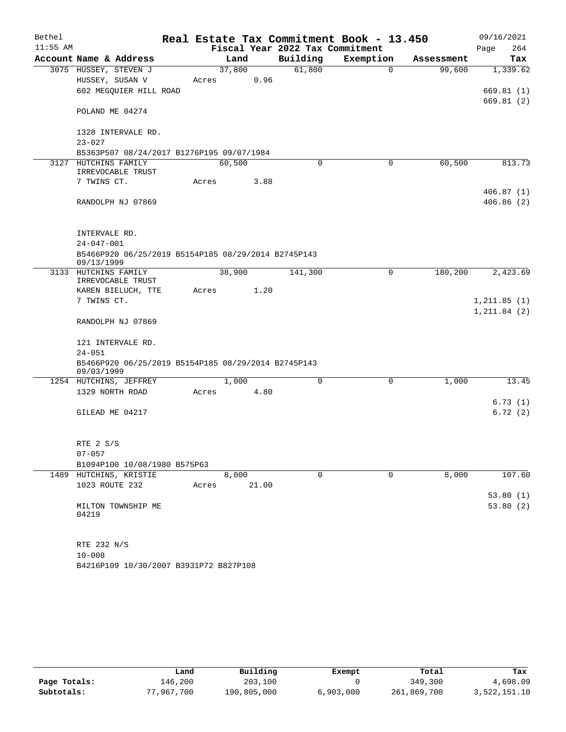| Bethel     |                                                                   |       |        |                                 | Real Estate Tax Commitment Book - 13.450 |            | 09/16/2021              |
|------------|-------------------------------------------------------------------|-------|--------|---------------------------------|------------------------------------------|------------|-------------------------|
| $11:55$ AM |                                                                   |       |        | Fiscal Year 2022 Tax Commitment |                                          |            | 264<br>Page             |
|            | Account Name & Address                                            |       | Land   | Building                        | Exemption                                | Assessment | Tax                     |
|            | 3075 HUSSEY, STEVEN J                                             |       | 37,800 | 61,800                          | $\Omega$                                 | 99,600     | 1,339.62                |
|            | HUSSEY, SUSAN V                                                   | Acres | 0.96   |                                 |                                          |            |                         |
|            | 602 MEGQUIER HILL ROAD                                            |       |        |                                 |                                          |            | 669.81(1)<br>669.81 (2) |
|            | POLAND ME 04274                                                   |       |        |                                 |                                          |            |                         |
|            | 1328 INTERVALE RD.                                                |       |        |                                 |                                          |            |                         |
|            | $23 - 027$                                                        |       |        |                                 |                                          |            |                         |
|            | B5363P507 08/24/2017 B1276P195 09/07/1984<br>3127 HUTCHINS FAMILY |       | 60,500 | $\Omega$                        | 0                                        | 60,500     | 813.73                  |
|            | IRREVOCABLE TRUST                                                 |       |        |                                 |                                          |            |                         |
|            | 7 TWINS CT.                                                       | Acres | 3.88   |                                 |                                          |            |                         |
|            |                                                                   |       |        |                                 |                                          |            | 406.87(1)               |
|            | RANDOLPH NJ 07869                                                 |       |        |                                 |                                          |            | 406.86(2)               |
|            | INTERVALE RD.                                                     |       |        |                                 |                                          |            |                         |
|            | $24 - 047 - 001$                                                  |       |        |                                 |                                          |            |                         |
|            | B5466P920 06/25/2019 B5154P185 08/29/2014 B2745P143<br>09/13/1999 |       |        |                                 |                                          |            |                         |
|            | 3133 HUTCHINS FAMILY                                              |       | 38,900 | 141,300                         | 0                                        | 180,200    | 2,423.69                |
|            | IRREVOCABLE TRUST                                                 |       |        |                                 |                                          |            |                         |
|            | KAREN BIELUCH, TTE<br>7 TWINS CT.                                 | Acres | 1.20   |                                 |                                          |            | 1, 211.85(1)            |
|            |                                                                   |       |        |                                 |                                          |            | 1, 211.84 (2)           |
|            | RANDOLPH NJ 07869                                                 |       |        |                                 |                                          |            |                         |
|            | 121 INTERVALE RD.                                                 |       |        |                                 |                                          |            |                         |
|            | $24 - 051$                                                        |       |        |                                 |                                          |            |                         |
|            | B5466P920 06/25/2019 B5154P185 08/29/2014 B2745P143<br>09/03/1999 |       |        |                                 |                                          |            |                         |
|            | 1254 HUTCHINS, JEFFREY                                            |       | 1,000  | $\Omega$                        | 0                                        | 1,000      | 13.45                   |
|            | 1329 NORTH ROAD                                                   | Acres | 4.80   |                                 |                                          |            |                         |
|            |                                                                   |       |        |                                 |                                          |            | 6.73(1)                 |
|            | GILEAD ME 04217                                                   |       |        |                                 |                                          |            | 6.72(2)                 |
|            | RTE 2 S/S                                                         |       |        |                                 |                                          |            |                         |
|            | $07 - 057$                                                        |       |        |                                 |                                          |            |                         |
|            | B1094P100 10/08/1980 B575P63                                      |       |        |                                 |                                          |            |                         |
|            | 1489 HUTCHINS, KRISTIE                                            |       | 8,000  | $\mathbf 0$                     | $\mathbf 0$                              | 8,000      | 107.60                  |
|            | 1023 ROUTE 232                                                    | Acres | 21.00  |                                 |                                          |            |                         |
|            |                                                                   |       |        |                                 |                                          |            | 53.80(1)                |
|            | MILTON TOWNSHIP ME<br>04219                                       |       |        |                                 |                                          |            | 53.80(2)                |
|            | RTE 232 N/S                                                       |       |        |                                 |                                          |            |                         |
|            | $10 - 008$                                                        |       |        |                                 |                                          |            |                         |
|            | B4216P109 10/30/2007 B3931P72 B827P108                            |       |        |                                 |                                          |            |                         |

|              | Land       | Building    | Exempt    | Total       | Tax          |
|--------------|------------|-------------|-----------|-------------|--------------|
| Page Totals: | 146,200    | 203,100     |           | 349,300     | 4,698.09     |
| Subtotals:   | 77,967,700 | 190,805,000 | 6,903,000 | 261,869,700 | 3,522,151.10 |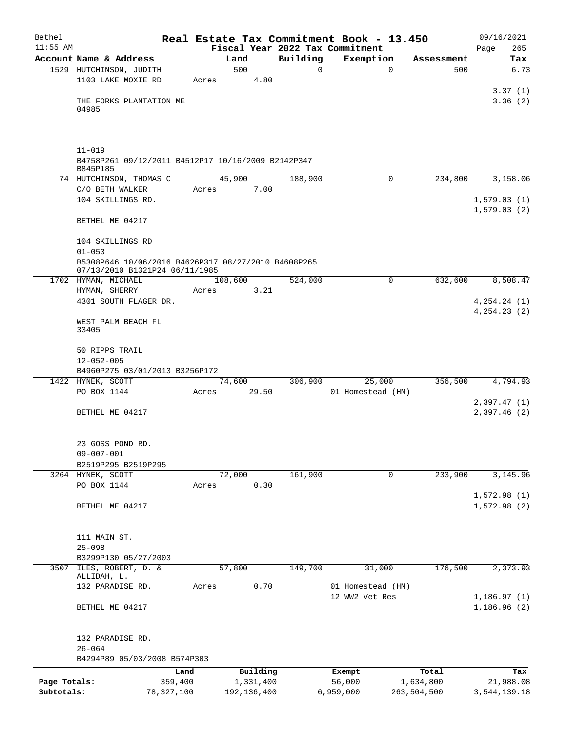| Bethel       |                                                                  |       |                 |             | Real Estate Tax Commitment Book - 13.450 |             | 09/16/2021     |
|--------------|------------------------------------------------------------------|-------|-----------------|-------------|------------------------------------------|-------------|----------------|
| $11:55$ AM   |                                                                  |       |                 |             | Fiscal Year 2022 Tax Commitment          |             | 265<br>Page    |
|              | Account Name & Address                                           |       | Land            | Building    | Exemption                                | Assessment  | Tax            |
|              | 1529 HUTCHINSON, JUDITH                                          |       | 500             | $\mathbf 0$ | $\mathbf 0$                              | 500         | 6.73           |
|              | 1103 LAKE MOXIE RD                                               | Acres | 4.80            |             |                                          |             | 3.37(1)        |
|              | THE FORKS PLANTATION ME                                          |       |                 |             |                                          |             | 3.36(2)        |
|              | 04985                                                            |       |                 |             |                                          |             |                |
|              |                                                                  |       |                 |             |                                          |             |                |
|              | $11 - 019$<br>B4758P261 09/12/2011 B4512P17 10/16/2009 B2142P347 |       |                 |             |                                          |             |                |
|              | B845P185<br>74 HUTCHINSON, THOMAS C                              |       | 45,900          | 188,900     | 0                                        | 234,800     | 3,158.06       |
|              | C/O BETH WALKER                                                  | Acres | 7.00            |             |                                          |             |                |
|              | 104 SKILLINGS RD.                                                |       |                 |             |                                          |             | 1,579.03(1)    |
|              |                                                                  |       |                 |             |                                          |             | 1,579.03(2)    |
|              | BETHEL ME 04217                                                  |       |                 |             |                                          |             |                |
|              | 104 SKILLINGS RD                                                 |       |                 |             |                                          |             |                |
|              | $01 - 053$                                                       |       |                 |             |                                          |             |                |
|              | B5308P646 10/06/2016 B4626P317 08/27/2010 B4608P265              |       |                 |             |                                          |             |                |
|              | 07/13/2010 B1321P24 06/11/1985                                   |       |                 |             | $\mathbf 0$                              |             |                |
|              | 1702 HYMAN, MICHAEL<br>HYMAN, SHERRY                             | Acres | 108,600<br>3.21 | 524,000     |                                          | 632,600     | 8,508.47       |
|              | 4301 SOUTH FLAGER DR.                                            |       |                 |             |                                          |             | 4, 254.24 (1)  |
|              |                                                                  |       |                 |             |                                          |             | 4, 254. 23 (2) |
|              | WEST PALM BEACH FL<br>33405                                      |       |                 |             |                                          |             |                |
|              | 50 RIPPS TRAIL                                                   |       |                 |             |                                          |             |                |
|              | $12 - 052 - 005$                                                 |       |                 |             |                                          |             |                |
|              | B4960P275 03/01/2013 B3256P172                                   |       |                 |             |                                          |             |                |
|              | 1422 HYNEK, SCOTT                                                |       | 74,600          | 306,900     | 25,000                                   | 356,500     | 4,794.93       |
|              | PO BOX 1144                                                      | Acres | 29.50           |             | 01 Homestead (HM)                        |             |                |
|              |                                                                  |       |                 |             |                                          |             | 2,397.47(1)    |
|              | BETHEL ME 04217                                                  |       |                 |             |                                          |             | 2,397.46(2)    |
|              | 23 GOSS POND RD.                                                 |       |                 |             |                                          |             |                |
|              | $09 - 007 - 001$                                                 |       |                 |             |                                          |             |                |
|              | B2519P295 B2519P295                                              |       |                 |             |                                          |             |                |
|              | 3264 HYNEK, SCOTT                                                |       | 72,000          | 161,900     | 0                                        | 233,900     | 3,145.96       |
|              | PO BOX 1144                                                      | Acres | 0.30            |             |                                          |             |                |
|              |                                                                  |       |                 |             |                                          |             | 1,572.98(1)    |
|              | BETHEL ME 04217                                                  |       |                 |             |                                          |             | 1,572.98(2)    |
|              |                                                                  |       |                 |             |                                          |             |                |
|              | 111 MAIN ST.                                                     |       |                 |             |                                          |             |                |
|              | $25 - 098$                                                       |       |                 |             |                                          |             |                |
|              | B3299P130 05/27/2003                                             |       |                 |             |                                          |             |                |
| 3507         | ILES, ROBERT, D. &<br>ALLIDAH, L.                                |       | 57,800          | 149,700     | 31,000                                   | 176,500     | 2, 373.93      |
|              | 132 PARADISE RD.                                                 | Acres | 0.70            |             | 01 Homestead (HM)                        |             |                |
|              |                                                                  |       |                 |             | 12 WW2 Vet Res                           |             | 1,186.97(1)    |
|              | BETHEL ME 04217                                                  |       |                 |             |                                          |             | 1,186.96(2)    |
|              | 132 PARADISE RD.                                                 |       |                 |             |                                          |             |                |
|              | $26 - 064$                                                       |       |                 |             |                                          |             |                |
|              | B4294P89 05/03/2008 B574P303                                     |       |                 |             |                                          |             |                |
|              | Land                                                             |       | Building        |             | Exempt                                   | Total       | Tax            |
| Page Totals: | 359,400                                                          |       | 1,331,400       |             | 56,000                                   | 1,634,800   | 21,988.08      |
| Subtotals:   | 78,327,100                                                       |       | 192, 136, 400   |             | 6,959,000                                | 263,504,500 | 3,544,139.18   |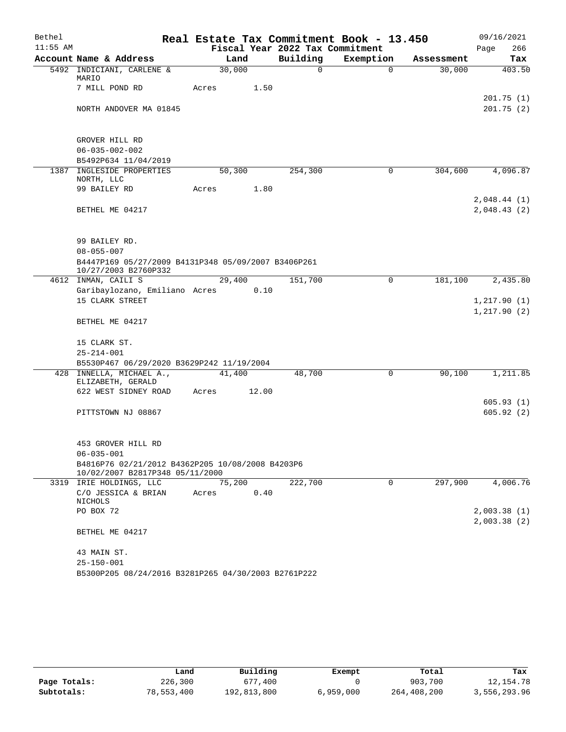| Real Estate Tax Commitment Book - 13.450<br>$11:55$ AM<br>Fiscal Year 2022 Tax Commitment<br>Page<br>Building<br>Account Name & Address<br>Exemption<br>Land<br>Tax<br>Assessment<br>30,000<br>$\Omega$<br>5492 INDICIANI, CARLENE &<br>$\Omega$<br>30,000<br>403.50<br>MARIO<br>7 MILL POND RD<br>1.50<br>Acres<br>201.75(1)<br>201.75(2)<br>NORTH ANDOVER MA 01845<br>GROVER HILL RD<br>$06 - 035 - 002 - 002$<br>B5492P634 11/04/2019<br>1387 INGLESIDE PROPERTIES<br>50,300<br>254,300<br>0<br>304,600<br>4,096.87<br>NORTH, LLC<br>99 BAILEY RD<br>1.80<br>Acres<br>2,048.44(1)<br>2,048.43(2)<br>BETHEL ME 04217<br>99 BAILEY RD.<br>$08 - 055 - 007$<br>B4447P169 05/27/2009 B4131P348 05/09/2007 B3406P261<br>10/27/2003 B2760P332 |
|--------------------------------------------------------------------------------------------------------------------------------------------------------------------------------------------------------------------------------------------------------------------------------------------------------------------------------------------------------------------------------------------------------------------------------------------------------------------------------------------------------------------------------------------------------------------------------------------------------------------------------------------------------------------------------------------------------------------------------------------|
|                                                                                                                                                                                                                                                                                                                                                                                                                                                                                                                                                                                                                                                                                                                                            |
|                                                                                                                                                                                                                                                                                                                                                                                                                                                                                                                                                                                                                                                                                                                                            |
|                                                                                                                                                                                                                                                                                                                                                                                                                                                                                                                                                                                                                                                                                                                                            |
|                                                                                                                                                                                                                                                                                                                                                                                                                                                                                                                                                                                                                                                                                                                                            |
|                                                                                                                                                                                                                                                                                                                                                                                                                                                                                                                                                                                                                                                                                                                                            |
|                                                                                                                                                                                                                                                                                                                                                                                                                                                                                                                                                                                                                                                                                                                                            |
|                                                                                                                                                                                                                                                                                                                                                                                                                                                                                                                                                                                                                                                                                                                                            |
|                                                                                                                                                                                                                                                                                                                                                                                                                                                                                                                                                                                                                                                                                                                                            |
|                                                                                                                                                                                                                                                                                                                                                                                                                                                                                                                                                                                                                                                                                                                                            |
|                                                                                                                                                                                                                                                                                                                                                                                                                                                                                                                                                                                                                                                                                                                                            |
|                                                                                                                                                                                                                                                                                                                                                                                                                                                                                                                                                                                                                                                                                                                                            |
|                                                                                                                                                                                                                                                                                                                                                                                                                                                                                                                                                                                                                                                                                                                                            |
|                                                                                                                                                                                                                                                                                                                                                                                                                                                                                                                                                                                                                                                                                                                                            |
|                                                                                                                                                                                                                                                                                                                                                                                                                                                                                                                                                                                                                                                                                                                                            |
|                                                                                                                                                                                                                                                                                                                                                                                                                                                                                                                                                                                                                                                                                                                                            |
|                                                                                                                                                                                                                                                                                                                                                                                                                                                                                                                                                                                                                                                                                                                                            |
|                                                                                                                                                                                                                                                                                                                                                                                                                                                                                                                                                                                                                                                                                                                                            |
|                                                                                                                                                                                                                                                                                                                                                                                                                                                                                                                                                                                                                                                                                                                                            |
| 4612 INMAN, CAILI S<br>151,700<br>$\mathbf 0$<br>2,435.80<br>29,400<br>181,100                                                                                                                                                                                                                                                                                                                                                                                                                                                                                                                                                                                                                                                             |
| Garibaylozano, Emiliano Acres<br>0.10                                                                                                                                                                                                                                                                                                                                                                                                                                                                                                                                                                                                                                                                                                      |
| 15 CLARK STREET<br>1,217.90(1)                                                                                                                                                                                                                                                                                                                                                                                                                                                                                                                                                                                                                                                                                                             |
| 1,217.90(2)<br>BETHEL ME 04217                                                                                                                                                                                                                                                                                                                                                                                                                                                                                                                                                                                                                                                                                                             |
|                                                                                                                                                                                                                                                                                                                                                                                                                                                                                                                                                                                                                                                                                                                                            |
| 15 CLARK ST.                                                                                                                                                                                                                                                                                                                                                                                                                                                                                                                                                                                                                                                                                                                               |
| $25 - 214 - 001$                                                                                                                                                                                                                                                                                                                                                                                                                                                                                                                                                                                                                                                                                                                           |
| B5530P467 06/29/2020 B3629P242 11/19/2004                                                                                                                                                                                                                                                                                                                                                                                                                                                                                                                                                                                                                                                                                                  |
| 48,700<br>$\mathbf 0$<br>90,100<br>1,211.85<br>428 INNELLA, MICHAEL A.,<br>41,400                                                                                                                                                                                                                                                                                                                                                                                                                                                                                                                                                                                                                                                          |
| ELIZABETH, GERALD                                                                                                                                                                                                                                                                                                                                                                                                                                                                                                                                                                                                                                                                                                                          |
| 622 WEST SIDNEY ROAD<br>12.00<br>Acres<br>605.93(1)                                                                                                                                                                                                                                                                                                                                                                                                                                                                                                                                                                                                                                                                                        |
| 605.92(2)<br>PITTSTOWN NJ 08867                                                                                                                                                                                                                                                                                                                                                                                                                                                                                                                                                                                                                                                                                                            |
|                                                                                                                                                                                                                                                                                                                                                                                                                                                                                                                                                                                                                                                                                                                                            |
|                                                                                                                                                                                                                                                                                                                                                                                                                                                                                                                                                                                                                                                                                                                                            |
| 453 GROVER HILL RD                                                                                                                                                                                                                                                                                                                                                                                                                                                                                                                                                                                                                                                                                                                         |
| $06 - 035 - 001$                                                                                                                                                                                                                                                                                                                                                                                                                                                                                                                                                                                                                                                                                                                           |
| B4816P76 02/21/2012 B4362P205 10/08/2008 B4203P6<br>10/02/2007 B2817P348 05/11/2000                                                                                                                                                                                                                                                                                                                                                                                                                                                                                                                                                                                                                                                        |
| 222,700<br>297,900<br>4,006.76<br>3319 IRIE HOLDINGS, LLC<br>75,200<br>0                                                                                                                                                                                                                                                                                                                                                                                                                                                                                                                                                                                                                                                                   |
| C/O JESSICA & BRIAN<br>0.40<br>Acres                                                                                                                                                                                                                                                                                                                                                                                                                                                                                                                                                                                                                                                                                                       |
| NICHOLS                                                                                                                                                                                                                                                                                                                                                                                                                                                                                                                                                                                                                                                                                                                                    |
| PO BOX 72<br>2,003.38(1)                                                                                                                                                                                                                                                                                                                                                                                                                                                                                                                                                                                                                                                                                                                   |
| 2,003.38(2)<br>BETHEL ME 04217                                                                                                                                                                                                                                                                                                                                                                                                                                                                                                                                                                                                                                                                                                             |
| 43 MAIN ST.                                                                                                                                                                                                                                                                                                                                                                                                                                                                                                                                                                                                                                                                                                                                |
| $25 - 150 - 001$                                                                                                                                                                                                                                                                                                                                                                                                                                                                                                                                                                                                                                                                                                                           |
| B5300P205 08/24/2016 B3281P265 04/30/2003 B2761P222                                                                                                                                                                                                                                                                                                                                                                                                                                                                                                                                                                                                                                                                                        |

|              | Land       | Building    | Exempt    | Total       | Tax          |
|--------------|------------|-------------|-----------|-------------|--------------|
| Page Totals: | 226,300    | 677,400     |           | 903,700     | 12,154.78    |
| Subtotals:   | 78,553,400 | 192,813,800 | 6,959,000 | 264,408,200 | 3,556,293.96 |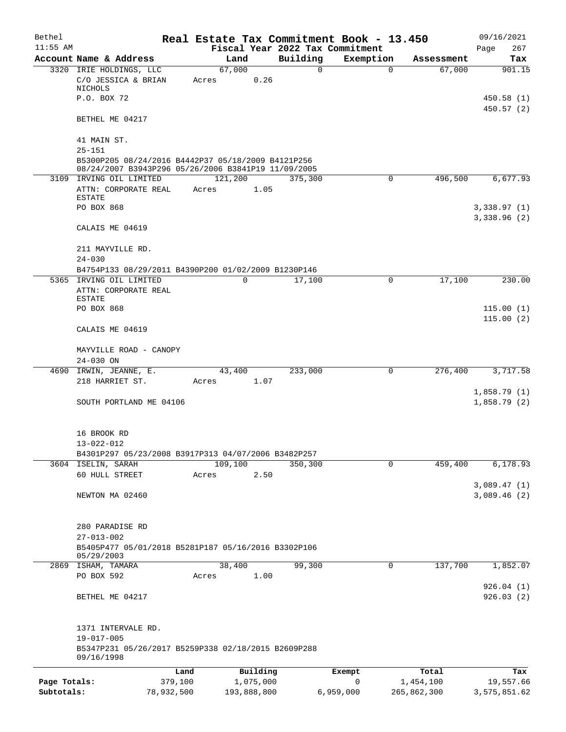| Bethel       |                                                                                                                         |            |                 |             |          | Real Estate Tax Commitment Book - 13.450 |             |             | 09/16/2021                 |
|--------------|-------------------------------------------------------------------------------------------------------------------------|------------|-----------------|-------------|----------|------------------------------------------|-------------|-------------|----------------------------|
| $11:55$ AM   |                                                                                                                         |            |                 |             |          | Fiscal Year 2022 Tax Commitment          |             |             | 267<br>Page                |
|              | Account Name & Address                                                                                                  |            | Land            |             | Building | Exemption                                |             | Assessment  | Tax                        |
|              | 3320 IRIE HOLDINGS, LLC<br>C/O JESSICA & BRIAN<br>NICHOLS                                                               |            | 67,000<br>Acres | 0.26        | 0        |                                          | $\mathbf 0$ | 67,000      | 901.15                     |
|              | P.O. BOX 72                                                                                                             |            |                 |             |          |                                          |             |             | 450.58(1)<br>450.57(2)     |
|              | BETHEL ME 04217                                                                                                         |            |                 |             |          |                                          |             |             |                            |
|              | 41 MAIN ST.                                                                                                             |            |                 |             |          |                                          |             |             |                            |
|              | $25 - 151$<br>B5300P205 08/24/2016 B4442P37 05/18/2009 B4121P256<br>08/24/2007 B3943P296 05/26/2006 B3841P19 11/09/2005 |            |                 |             |          |                                          |             |             |                            |
|              | 3109 IRVING OIL LIMITED                                                                                                 |            | 121,200         |             | 375,300  |                                          | $\mathbf 0$ | 496,500     | 6,677.93                   |
|              | ATTN: CORPORATE REAL<br>ESTATE                                                                                          |            | Acres           | 1.05        |          |                                          |             |             |                            |
|              | PO BOX 868                                                                                                              |            |                 |             |          |                                          |             |             | 3,338.97(1)<br>3,338.96(2) |
|              | CALAIS ME 04619                                                                                                         |            |                 |             |          |                                          |             |             |                            |
|              | 211 MAYVILLE RD.<br>$24 - 030$                                                                                          |            |                 |             |          |                                          |             |             |                            |
|              | B4754P133 08/29/2011 B4390P200 01/02/2009 B1230P146                                                                     |            |                 |             |          |                                          |             |             |                            |
|              | 5365 IRVING OIL LIMITED                                                                                                 |            | 0               |             | 17,100   |                                          | 0           | 17,100      | 230.00                     |
|              | ATTN: CORPORATE REAL                                                                                                    |            |                 |             |          |                                          |             |             |                            |
|              | ESTATE                                                                                                                  |            |                 |             |          |                                          |             |             |                            |
|              | PO BOX 868                                                                                                              |            |                 |             |          |                                          |             |             | 115.00(1)                  |
|              | CALAIS ME 04619                                                                                                         |            |                 |             |          |                                          |             |             | 115.00(2)                  |
|              | MAYVILLE ROAD - CANOPY                                                                                                  |            |                 |             |          |                                          |             |             |                            |
|              | 24-030 ON<br>4690 IRWIN, JEANNE, E.                                                                                     |            | 43,400          |             | 233,000  |                                          | $\mathbf 0$ | 276,400     | 3,717.58                   |
|              | 218 HARRIET ST.                                                                                                         |            | Acres           | 1.07        |          |                                          |             |             |                            |
|              | SOUTH PORTLAND ME 04106                                                                                                 |            |                 |             |          |                                          |             |             | 1,858.79(1)<br>1,858.79(2) |
|              |                                                                                                                         |            |                 |             |          |                                          |             |             |                            |
|              | 16 BROOK RD<br>13-022-012                                                                                               |            |                 |             |          |                                          |             |             |                            |
|              | B4301P297 05/23/2008 B3917P313 04/07/2006 B3482P257                                                                     |            |                 |             |          |                                          |             |             |                            |
|              | 3604 ISELIN, SARAH                                                                                                      |            | 109,100         |             | 350,300  |                                          | $\mathbf 0$ | 459,400     | 6,178.93                   |
|              | 60 HULL STREET                                                                                                          |            | Acres           | 2.50        |          |                                          |             |             |                            |
|              |                                                                                                                         |            |                 |             |          |                                          |             |             | 3,089.47(1)                |
|              | NEWTON MA 02460                                                                                                         |            |                 |             |          |                                          |             |             | 3,089.46(2)                |
|              | 280 PARADISE RD                                                                                                         |            |                 |             |          |                                          |             |             |                            |
|              | $27 - 013 - 002$<br>B5405P477 05/01/2018 B5281P187 05/16/2016 B3302P106                                                 |            |                 |             |          |                                          |             |             |                            |
|              | 05/29/2003                                                                                                              |            |                 |             |          |                                          |             |             |                            |
|              | 2869 ISHAM, TAMARA                                                                                                      |            | 38,400          |             | 99,300   |                                          | 0           | 137,700     | 1,852.07                   |
|              | PO BOX 592                                                                                                              |            | Acres           | 1.00        |          |                                          |             |             | 926.04(1)                  |
|              | BETHEL ME 04217                                                                                                         |            |                 |             |          |                                          |             |             | 926.03(2)                  |
|              | 1371 INTERVALE RD.                                                                                                      |            |                 |             |          |                                          |             |             |                            |
|              | 19-017-005<br>B5347P231 05/26/2017 B5259P338 02/18/2015 B2609P288                                                       |            |                 |             |          |                                          |             |             |                            |
|              | 09/16/1998                                                                                                              | Land       |                 | Building    |          | Exempt                                   |             | Total       | Tax                        |
| Page Totals: |                                                                                                                         | 379,100    |                 | 1,075,000   |          | $\mathbf 0$                              |             | 1,454,100   | 19,557.66                  |
| Subtotals:   |                                                                                                                         | 78,932,500 |                 | 193,888,800 |          | 6,959,000                                |             | 265,862,300 | 3,575,851.62               |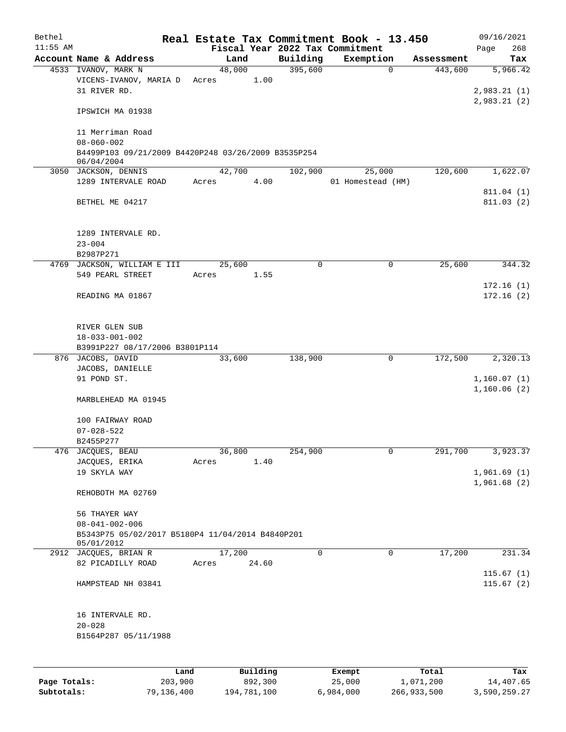| Bethel       |                                                                            |                 |                     |             | Real Estate Tax Commitment Book - 13.450 |                    | 09/16/2021                             |
|--------------|----------------------------------------------------------------------------|-----------------|---------------------|-------------|------------------------------------------|--------------------|----------------------------------------|
| $11:55$ AM   |                                                                            |                 |                     |             | Fiscal Year 2022 Tax Commitment          |                    | 268<br>Page                            |
|              | Account Name & Address                                                     | Land            |                     | Building    | Exemption                                | Assessment         | Tax                                    |
|              | 4533 IVANOV, MARK N<br>VICENS-IVANOV, MARIA D<br>31 RIVER RD.              | 48,000<br>Acres | 1.00                | 395,600     | $\mathbf 0$                              | 443,600            | 5,966.42<br>2,983.21(1)<br>2,983.21(2) |
|              | IPSWICH MA 01938                                                           |                 |                     |             |                                          |                    |                                        |
|              | 11 Merriman Road<br>$08 - 060 - 002$                                       |                 |                     |             |                                          |                    |                                        |
|              | B4499P103 09/21/2009 B4420P248 03/26/2009 B3535P254<br>06/04/2004          |                 |                     |             |                                          |                    |                                        |
|              | 3050 JACKSON, DENNIS<br>1289 INTERVALE ROAD                                | 42,700<br>Acres | 4.00                | 102,900     | 25,000<br>01 Homestead (HM)              | 120,600            | 1,622.07                               |
|              | BETHEL ME 04217                                                            |                 |                     |             |                                          |                    | 811.04 (1)<br>811.03(2)                |
|              | 1289 INTERVALE RD.<br>$23 - 004$<br>B2987P271                              |                 |                     |             |                                          |                    |                                        |
|              | 4769 JACKSON, WILLIAM E III                                                | 25,600          |                     | $\mathbf 0$ | 0                                        | 25,600             | 344.32                                 |
|              | 549 PEARL STREET                                                           | Acres           | 1.55                |             |                                          |                    |                                        |
|              | READING MA 01867                                                           |                 |                     |             |                                          |                    | 172.16(1)<br>172.16(2)                 |
|              | RIVER GLEN SUB<br>$18 - 033 - 001 - 002$<br>B3991P227 08/17/2006 B3801P114 |                 |                     |             |                                          |                    |                                        |
|              | 876 JACOBS, DAVID                                                          | 33,600          |                     | 138,900     | 0                                        | 172,500            | 2,320.13                               |
|              | JACOBS, DANIELLE                                                           |                 |                     |             |                                          |                    |                                        |
|              | 91 POND ST.                                                                |                 |                     |             |                                          |                    | 1,160.07(1)<br>1,160.06(2)             |
|              | MARBLEHEAD MA 01945                                                        |                 |                     |             |                                          |                    |                                        |
|              | 100 FAIRWAY ROAD                                                           |                 |                     |             |                                          |                    |                                        |
|              | $07 - 028 - 522$                                                           |                 |                     |             |                                          |                    |                                        |
|              | B2455P277                                                                  |                 |                     |             |                                          |                    |                                        |
|              | 476 JACQUES, BEAU                                                          | 36,800          |                     | 254,900     | 0                                        | 291,700            | 3,923.37                               |
|              | JACQUES, ERIKA<br>19 SKYLA WAY                                             | Acres           | 1.40                |             |                                          |                    | 1,961.69(1)                            |
|              |                                                                            |                 |                     |             |                                          |                    | 1,961.68(2)                            |
|              | REHOBOTH MA 02769                                                          |                 |                     |             |                                          |                    |                                        |
|              | 56 THAYER WAY                                                              |                 |                     |             |                                          |                    |                                        |
|              | $08 - 041 - 002 - 006$<br>B5343P75 05/02/2017 B5180P4 11/04/2014 B4840P201 |                 |                     |             |                                          |                    |                                        |
|              | 05/01/2012                                                                 |                 |                     |             |                                          |                    |                                        |
|              | 2912 JACQUES, BRIAN R                                                      | 17,200          |                     | $\mathbf 0$ | $\mathbf 0$                              | 17,200             | 231.34                                 |
|              | 82 PICADILLY ROAD                                                          | Acres           | 24.60               |             |                                          |                    | 115.67(1)                              |
|              | HAMPSTEAD NH 03841                                                         |                 |                     |             |                                          |                    | 115.67(2)                              |
|              | 16 INTERVALE RD.                                                           |                 |                     |             |                                          |                    |                                        |
|              | $20 - 028$<br>B1564P287 05/11/1988                                         |                 |                     |             |                                          |                    |                                        |
|              |                                                                            |                 |                     |             |                                          |                    |                                        |
| Page Totals: | Land<br>203,900                                                            |                 | Building<br>892,300 |             | Exempt<br>25,000                         | Total<br>1,071,200 | Tax<br>14,407.65                       |
|              |                                                                            |                 |                     |             |                                          |                    |                                        |

**Subtotals:** 79,136,400 194,781,100 6,984,000 266,933,500 3,590,259.27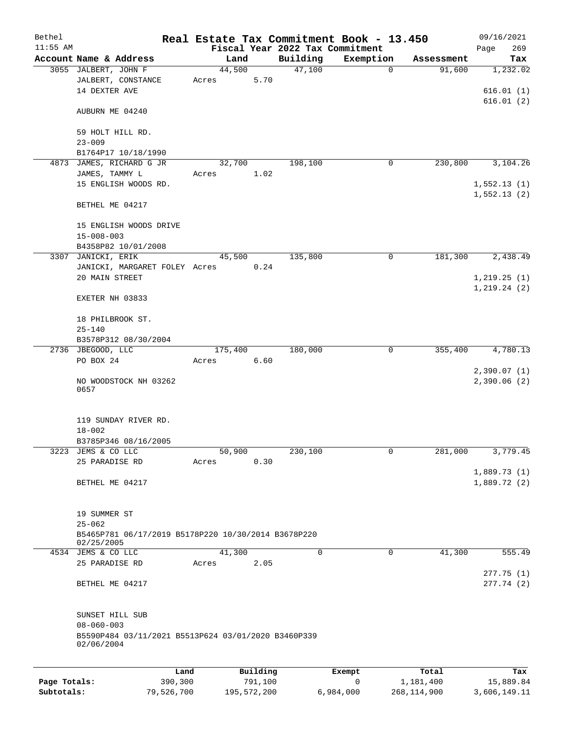| Bethel<br>$11:55$ AM |                                                     |         |          | Fiscal Year 2022 Tax Commitment | Real Estate Tax Commitment Book - 13.450 |            | 09/16/2021<br>269 |
|----------------------|-----------------------------------------------------|---------|----------|---------------------------------|------------------------------------------|------------|-------------------|
|                      | Account Name & Address                              | Land    |          | Building                        | Exemption                                | Assessment | Page<br>Tax       |
|                      | 3055 JALBERT, JOHN F                                | 44,500  |          | 47,100                          | $\mathbf 0$                              | 91,600     | 1,232.02          |
|                      | JALBERT, CONSTANCE                                  | Acres   | 5.70     |                                 |                                          |            |                   |
|                      | 14 DEXTER AVE                                       |         |          |                                 |                                          |            | 616.01(1)         |
|                      |                                                     |         |          |                                 |                                          |            | 616.01(2)         |
|                      | AUBURN ME 04240                                     |         |          |                                 |                                          |            |                   |
|                      | 59 HOLT HILL RD.                                    |         |          |                                 |                                          |            |                   |
|                      | $23 - 009$                                          |         |          |                                 |                                          |            |                   |
|                      | B1764P17 10/18/1990                                 |         |          |                                 |                                          |            |                   |
|                      | 4873 JAMES, RICHARD G JR                            | 32,700  |          | 198,100                         | 0                                        | 230,800    | 3,104.26          |
|                      | JAMES, TAMMY L                                      | Acres   | 1.02     |                                 |                                          |            |                   |
|                      | 15 ENGLISH WOODS RD.                                |         |          |                                 |                                          |            | 1,552.13(1)       |
|                      |                                                     |         |          |                                 |                                          |            | 1,552.13(2)       |
|                      | BETHEL ME 04217                                     |         |          |                                 |                                          |            |                   |
|                      | 15 ENGLISH WOODS DRIVE                              |         |          |                                 |                                          |            |                   |
|                      | $15 - 008 - 003$                                    |         |          |                                 |                                          |            |                   |
|                      | B4358P82 10/01/2008                                 |         |          |                                 |                                          |            |                   |
|                      | 3307 JANICKI, ERIK                                  | 45,500  |          | 135,800                         | 0                                        | 181,300    | 2,438.49          |
|                      | JANICKI, MARGARET FOLEY Acres                       |         | 0.24     |                                 |                                          |            |                   |
|                      | 20 MAIN STREET                                      |         |          |                                 |                                          |            | 1, 219.25(1)      |
|                      |                                                     |         |          |                                 |                                          |            | 1, 219.24(2)      |
|                      | EXETER NH 03833                                     |         |          |                                 |                                          |            |                   |
|                      |                                                     |         |          |                                 |                                          |            |                   |
|                      | 18 PHILBROOK ST.                                    |         |          |                                 |                                          |            |                   |
|                      | $25 - 140$                                          |         |          |                                 |                                          |            |                   |
|                      | B3578P312 08/30/2004<br>2736 JBEGOOD, LLC           | 175,400 |          | 180,000                         | 0                                        | 355,400    | 4,780.13          |
|                      | PO BOX 24                                           | Acres   | 6.60     |                                 |                                          |            |                   |
|                      |                                                     |         |          |                                 |                                          |            | 2,390.07(1)       |
|                      | NO WOODSTOCK NH 03262                               |         |          |                                 |                                          |            | 2,390.06(2)       |
|                      | 0657                                                |         |          |                                 |                                          |            |                   |
|                      |                                                     |         |          |                                 |                                          |            |                   |
|                      | 119 SUNDAY RIVER RD.                                |         |          |                                 |                                          |            |                   |
|                      | $18 - 002$                                          |         |          |                                 |                                          |            |                   |
|                      | B3785P346 08/16/2005                                |         |          |                                 |                                          |            |                   |
|                      | 3223 JEMS & CO LLC                                  | 50,900  |          | 230,100                         | 0                                        | 281,000    | 3,779.45          |
|                      | 25 PARADISE RD                                      | Acres   | 0.30     |                                 |                                          |            |                   |
|                      |                                                     |         |          |                                 |                                          |            | 1,889.73(1)       |
|                      | BETHEL ME 04217                                     |         |          |                                 |                                          |            | 1,889.72(2)       |
|                      |                                                     |         |          |                                 |                                          |            |                   |
|                      | 19 SUMMER ST                                        |         |          |                                 |                                          |            |                   |
|                      | $25 - 062$                                          |         |          |                                 |                                          |            |                   |
|                      | B5465P781 06/17/2019 B5178P220 10/30/2014 B3678P220 |         |          |                                 |                                          |            |                   |
|                      | 02/25/2005                                          |         |          |                                 |                                          |            |                   |
|                      | 4534 JEMS & CO LLC                                  | 41,300  |          | 0                               | $\mathbf 0$                              | 41,300     | 555.49            |
|                      | 25 PARADISE RD                                      | Acres   | 2.05     |                                 |                                          |            | 277.75(1)         |
|                      | BETHEL ME 04217                                     |         |          |                                 |                                          |            | 277.74(2)         |
|                      |                                                     |         |          |                                 |                                          |            |                   |
|                      |                                                     |         |          |                                 |                                          |            |                   |
|                      | SUNSET HILL SUB                                     |         |          |                                 |                                          |            |                   |
|                      | $08 - 060 - 003$                                    |         |          |                                 |                                          |            |                   |
|                      | B5590P484 03/11/2021 B5513P624 03/01/2020 B3460P339 |         |          |                                 |                                          |            |                   |
|                      | 02/06/2004                                          |         |          |                                 |                                          |            |                   |
|                      |                                                     |         |          |                                 |                                          |            |                   |
|                      | Land                                                |         | Building |                                 | Exempt                                   | Total      | Tax               |
| Page Totals:         | 390,300                                             |         | 791,100  |                                 | 0                                        | 1,181,400  | 15,889.84         |

**Subtotals:** 79,526,700 195,572,200 6,984,000 268,114,900 3,606,149.11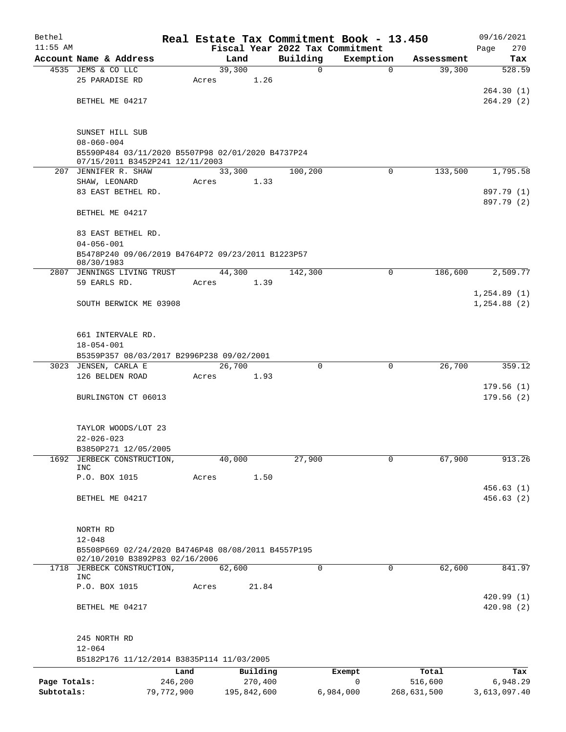| Bethel       |                                                                       |            |                |          | Real Estate Tax Commitment Book - 13.450 |             | 09/16/2021    |
|--------------|-----------------------------------------------------------------------|------------|----------------|----------|------------------------------------------|-------------|---------------|
| $11:55$ AM   |                                                                       |            |                |          | Fiscal Year 2022 Tax Commitment          |             | 270<br>Page   |
|              | Account Name & Address                                                |            | Land<br>39,300 | Building | Exemption                                | Assessment  | Tax<br>528.59 |
|              | 4535 JEMS & CO LLC<br>25 PARADISE RD                                  | Acres      | 1.26           | 0        | $\mathbf 0$                              | 39,300      |               |
|              |                                                                       |            |                |          |                                          |             | 264.30(1)     |
|              | BETHEL ME 04217                                                       |            |                |          |                                          |             | 264.29(2)     |
|              |                                                                       |            |                |          |                                          |             |               |
|              |                                                                       |            |                |          |                                          |             |               |
|              | SUNSET HILL SUB                                                       |            |                |          |                                          |             |               |
|              | $08 - 060 - 004$<br>B5590P484 03/11/2020 B5507P98 02/01/2020 B4737P24 |            |                |          |                                          |             |               |
|              | 07/15/2011 B3452P241 12/11/2003                                       |            |                |          |                                          |             |               |
|              | 207 JENNIFER R. SHAW                                                  |            | 33,300         | 100,200  | $\Omega$                                 | 133,500     | 1,795.58      |
|              | SHAW, LEONARD                                                         | Acres      | 1.33           |          |                                          |             |               |
|              | 83 EAST BETHEL RD.                                                    |            |                |          |                                          |             | 897.79 (1)    |
|              | BETHEL ME 04217                                                       |            |                |          |                                          |             | 897.79 (2)    |
|              |                                                                       |            |                |          |                                          |             |               |
|              | 83 EAST BETHEL RD.                                                    |            |                |          |                                          |             |               |
|              | $04 - 056 - 001$                                                      |            |                |          |                                          |             |               |
|              | B5478P240 09/06/2019 B4764P72 09/23/2011 B1223P57                     |            |                |          |                                          |             |               |
|              | 08/30/1983                                                            |            |                |          |                                          |             |               |
|              | 2807 JENNINGS LIVING TRUST<br>59 EARLS RD.                            | Acres      | 44,300<br>1.39 | 142,300  | $\Omega$                                 | 186,600     | 2,509.77      |
|              |                                                                       |            |                |          |                                          |             | 1,254.89(1)   |
|              | SOUTH BERWICK ME 03908                                                |            |                |          |                                          |             | 1, 254.88 (2) |
|              |                                                                       |            |                |          |                                          |             |               |
|              |                                                                       |            |                |          |                                          |             |               |
|              | 661 INTERVALE RD.                                                     |            |                |          |                                          |             |               |
|              | $18 - 054 - 001$                                                      |            |                |          |                                          |             |               |
|              | B5359P357 08/03/2017 B2996P238 09/02/2001<br>3023 JENSEN, CARLA E     |            | 26,700         | $\Omega$ | 0                                        | 26,700      | 359.12        |
|              | 126 BELDEN ROAD                                                       | Acres      | 1.93           |          |                                          |             |               |
|              |                                                                       |            |                |          |                                          |             | 179.56(1)     |
|              | BURLINGTON CT 06013                                                   |            |                |          |                                          |             | 179.56(2)     |
|              |                                                                       |            |                |          |                                          |             |               |
|              |                                                                       |            |                |          |                                          |             |               |
|              | TAYLOR WOODS/LOT 23                                                   |            |                |          |                                          |             |               |
|              | $22 - 026 - 023$<br>B3850P271 12/05/2005                              |            |                |          |                                          |             |               |
| 1692         | JERBECK CONSTRUCTION,                                                 |            | 40,000         | 27,900   | $\mathbf 0$                              | 67,900      | 913.26        |
|              | <b>INC</b>                                                            |            |                |          |                                          |             |               |
|              | P.O. BOX 1015                                                         | Acres      | 1.50           |          |                                          |             |               |
|              |                                                                       |            |                |          |                                          |             | 456.63(1)     |
|              | BETHEL ME 04217                                                       |            |                |          |                                          |             | 456.63(2)     |
|              |                                                                       |            |                |          |                                          |             |               |
|              | NORTH RD                                                              |            |                |          |                                          |             |               |
|              | $12 - 048$                                                            |            |                |          |                                          |             |               |
|              | B5508P669 02/24/2020 B4746P48 08/08/2011 B4557P195                    |            |                |          |                                          |             |               |
| 1718         | 02/10/2010 B3892P83 02/16/2006<br>JERBECK CONSTRUCTION,               |            | 62,600         | $\Omega$ | 0                                        | 62,600      | 841.97        |
|              | INC                                                                   |            |                |          |                                          |             |               |
|              | P.O. BOX 1015                                                         | Acres      | 21.84          |          |                                          |             |               |
|              |                                                                       |            |                |          |                                          |             | 420.99(1)     |
|              | BETHEL ME 04217                                                       |            |                |          |                                          |             | 420.98(2)     |
|              |                                                                       |            |                |          |                                          |             |               |
|              | 245 NORTH RD                                                          |            |                |          |                                          |             |               |
|              | $12 - 064$                                                            |            |                |          |                                          |             |               |
|              | B5182P176 11/12/2014 B3835P114 11/03/2005                             |            |                |          |                                          |             |               |
|              |                                                                       | Land       | Building       |          | Exempt                                   | Total       | Tax           |
| Page Totals: |                                                                       | 246,200    | 270,400        |          | 0                                        | 516,600     | 6,948.29      |
| Subtotals:   |                                                                       | 79,772,900 | 195,842,600    |          | 6,984,000                                | 268,631,500 | 3,613,097.40  |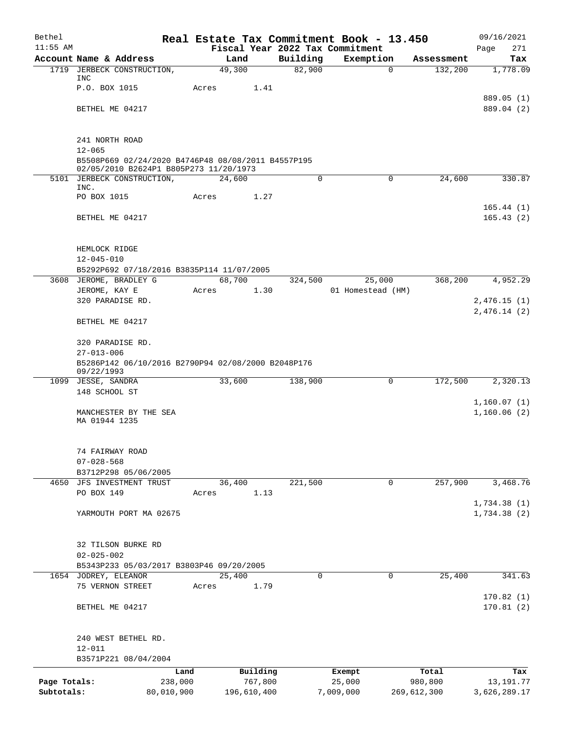| Bethel       |                                                                     |            |        |             |          | Real Estate Tax Commitment Book - 13.450 |          |             | 09/16/2021   |
|--------------|---------------------------------------------------------------------|------------|--------|-------------|----------|------------------------------------------|----------|-------------|--------------|
| $11:55$ AM   |                                                                     |            |        |             |          | Fiscal Year 2022 Tax Commitment          |          |             | 271<br>Page  |
|              | Account Name & Address                                              |            | Land   |             | Building | Exemption                                |          | Assessment  | Tax          |
|              | 1719 JERBECK CONSTRUCTION,<br>INC                                   |            | 49,300 |             | 82,900   |                                          | $\Omega$ | 132,200     | 1,778.09     |
|              | P.O. BOX 1015                                                       | Acres      |        | 1.41        |          |                                          |          |             |              |
|              |                                                                     |            |        |             |          |                                          |          |             | 889.05 (1)   |
|              | BETHEL ME 04217                                                     |            |        |             |          |                                          |          |             | 889.04 (2)   |
|              |                                                                     |            |        |             |          |                                          |          |             |              |
|              | 241 NORTH ROAD                                                      |            |        |             |          |                                          |          |             |              |
|              | $12 - 065$                                                          |            |        |             |          |                                          |          |             |              |
|              | B5508P669 02/24/2020 B4746P48 08/08/2011 B4557P195                  |            |        |             |          |                                          |          |             |              |
|              | 02/05/2010 B2624P1 B805P273 11/20/1973                              |            |        |             |          |                                          |          |             |              |
|              | 5101 JERBECK CONSTRUCTION,<br>INC.                                  |            | 24,600 |             | 0        |                                          | 0        | 24,600      | 330.87       |
|              | PO BOX 1015                                                         | Acres      |        | 1.27        |          |                                          |          |             |              |
|              |                                                                     |            |        |             |          |                                          |          |             | 165.44(1)    |
|              | BETHEL ME 04217                                                     |            |        |             |          |                                          |          |             | 165.43(2)    |
|              |                                                                     |            |        |             |          |                                          |          |             |              |
|              |                                                                     |            |        |             |          |                                          |          |             |              |
|              | HEMLOCK RIDGE                                                       |            |        |             |          |                                          |          |             |              |
|              | $12 - 045 - 010$                                                    |            |        |             |          |                                          |          |             |              |
|              | B5292P692 07/18/2016 B3835P114 11/07/2005<br>3608 JEROME, BRADLEY G |            | 68,700 |             | 324,500  | 25,000                                   |          | 368,200     | 4,952.29     |
|              | JEROME, KAY E                                                       | Acres      |        | 1.30        |          | 01 Homestead (HM)                        |          |             |              |
|              | 320 PARADISE RD.                                                    |            |        |             |          |                                          |          |             | 2,476.15(1)  |
|              |                                                                     |            |        |             |          |                                          |          |             | 2,476.14(2)  |
|              | BETHEL ME 04217                                                     |            |        |             |          |                                          |          |             |              |
|              | 320 PARADISE RD.                                                    |            |        |             |          |                                          |          |             |              |
|              | $27 - 013 - 006$                                                    |            |        |             |          |                                          |          |             |              |
|              | B5286P142 06/10/2016 B2790P94 02/08/2000 B2048P176                  |            |        |             |          |                                          |          |             |              |
|              | 09/22/1993                                                          |            | 33,600 |             |          |                                          | 0        |             |              |
|              | 1099 JESSE, SANDRA<br>148 SCHOOL ST                                 |            |        |             | 138,900  |                                          |          | 172,500     | 2,320.13     |
|              |                                                                     |            |        |             |          |                                          |          |             | 1,160.07(1)  |
|              | MANCHESTER BY THE SEA                                               |            |        |             |          |                                          |          |             | 1,160.06(2)  |
|              | MA 01944 1235                                                       |            |        |             |          |                                          |          |             |              |
|              |                                                                     |            |        |             |          |                                          |          |             |              |
|              | 74 FAIRWAY ROAD                                                     |            |        |             |          |                                          |          |             |              |
|              | $07 - 028 - 568$                                                    |            |        |             |          |                                          |          |             |              |
|              | B3712P298 05/06/2005                                                |            |        |             |          |                                          |          |             |              |
|              | 4650 JFS INVESTMENT TRUST                                           |            | 36,400 |             | 221,500  |                                          | 0        | 257,900     | 3,468.76     |
|              | PO BOX 149                                                          | Acres      |        | 1.13        |          |                                          |          |             |              |
|              |                                                                     |            |        |             |          |                                          |          |             | 1,734.38(1)  |
|              | YARMOUTH PORT MA 02675                                              |            |        |             |          |                                          |          |             | 1,734.38(2)  |
|              |                                                                     |            |        |             |          |                                          |          |             |              |
|              | 32 TILSON BURKE RD<br>$02 - 025 - 002$                              |            |        |             |          |                                          |          |             |              |
|              | B5343P233 05/03/2017 B3803P46 09/20/2005                            |            |        |             |          |                                          |          |             |              |
|              | 1654 JODREY, ELEANOR                                                |            | 25,400 |             | $\Omega$ |                                          | 0        | 25,400      | 341.63       |
|              | 75 VERNON STREET                                                    | Acres      |        | 1.79        |          |                                          |          |             |              |
|              |                                                                     |            |        |             |          |                                          |          |             | 170.82(1)    |
|              | BETHEL ME 04217                                                     |            |        |             |          |                                          |          |             | 170.81(2)    |
|              | 240 WEST BETHEL RD.                                                 |            |        |             |          |                                          |          |             |              |
|              | $12 - 011$                                                          |            |        |             |          |                                          |          |             |              |
|              | B3571P221 08/04/2004                                                |            |        |             |          |                                          |          |             |              |
|              |                                                                     | Land       |        | Building    |          | Exempt                                   |          | Total       | Tax          |
| Page Totals: |                                                                     | 238,000    |        | 767,800     |          | 25,000                                   |          | 980,800     | 13, 191. 77  |
| Subtotals:   |                                                                     | 80,010,900 |        | 196,610,400 |          | 7,009,000                                |          | 269,612,300 | 3,626,289.17 |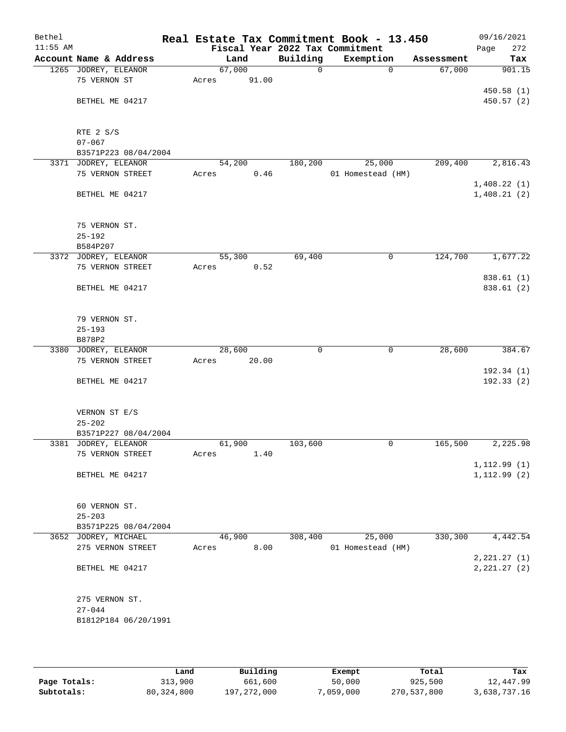| Bethel<br>$11:55$ AM |                        |        |       |              | Real Estate Tax Commitment Book - 13.450<br>Fiscal Year 2022 Tax Commitment |            | 09/16/2021<br>272<br>Page |
|----------------------|------------------------|--------|-------|--------------|-----------------------------------------------------------------------------|------------|---------------------------|
|                      | Account Name & Address | Land   |       | Building     | Exemption                                                                   | Assessment | Tax                       |
|                      | 1265 JODREY, ELEANOR   | 67,000 |       | $\mathsf{O}$ | 0                                                                           | 67,000     | 901.15                    |
|                      | 75 VERNON ST           | Acres  | 91.00 |              |                                                                             |            |                           |
|                      |                        |        |       |              |                                                                             |            | 450.58(1)                 |
|                      | BETHEL ME 04217        |        |       |              |                                                                             |            | 450.57 (2)                |
|                      |                        |        |       |              |                                                                             |            |                           |
|                      |                        |        |       |              |                                                                             |            |                           |
|                      | RTE 2 S/S              |        |       |              |                                                                             |            |                           |
|                      | $07 - 067$             |        |       |              |                                                                             |            |                           |
|                      | B3571P223 08/04/2004   |        |       |              |                                                                             |            |                           |
|                      | 3371 JODREY, ELEANOR   | 54,200 |       | 180,200      | 25,000                                                                      | 209,400    | 2,816.43                  |
|                      | 75 VERNON STREET       | Acres  | 0.46  |              | 01 Homestead (HM)                                                           |            |                           |
|                      |                        |        |       |              |                                                                             |            | 1,408.22(1)               |
|                      | BETHEL ME 04217        |        |       |              |                                                                             |            | 1,408.21(2)               |
|                      |                        |        |       |              |                                                                             |            |                           |
|                      |                        |        |       |              |                                                                             |            |                           |
|                      | 75 VERNON ST.          |        |       |              |                                                                             |            |                           |
|                      | $25 - 192$             |        |       |              |                                                                             |            |                           |
|                      |                        |        |       |              |                                                                             |            |                           |
|                      | B584P207               |        |       | 69,400       |                                                                             |            |                           |
|                      | 3372 JODREY, ELEANOR   | 55,300 |       |              | $\mathsf{O}$                                                                | 124,700    | 1,677.22                  |
|                      | 75 VERNON STREET       | Acres  | 0.52  |              |                                                                             |            |                           |
|                      |                        |        |       |              |                                                                             |            | 838.61 (1)                |
|                      | BETHEL ME 04217        |        |       |              |                                                                             |            | 838.61 (2)                |
|                      |                        |        |       |              |                                                                             |            |                           |
|                      |                        |        |       |              |                                                                             |            |                           |
|                      | 79 VERNON ST.          |        |       |              |                                                                             |            |                           |
|                      | $25 - 193$             |        |       |              |                                                                             |            |                           |
|                      | B878P2                 |        |       |              |                                                                             |            |                           |
|                      | 3380 JODREY, ELEANOR   | 28,600 |       | $\mathbf 0$  | $\mathbf 0$                                                                 | 28,600     | 384.67                    |
|                      | 75 VERNON STREET       | Acres  | 20.00 |              |                                                                             |            |                           |
|                      |                        |        |       |              |                                                                             |            | 192.34(1)                 |
|                      | BETHEL ME 04217        |        |       |              |                                                                             |            | 192.33(2)                 |
|                      |                        |        |       |              |                                                                             |            |                           |
|                      |                        |        |       |              |                                                                             |            |                           |
|                      | VERNON ST E/S          |        |       |              |                                                                             |            |                           |
|                      | $25 - 202$             |        |       |              |                                                                             |            |                           |
|                      | B3571P227 08/04/2004   |        |       |              |                                                                             |            |                           |
|                      | 3381 JODREY, ELEANOR   | 61,900 |       | 103,600      | 0                                                                           | 165,500    | 2,225.98                  |
|                      | 75 VERNON STREET       | Acres  | 1.40  |              |                                                                             |            |                           |
|                      |                        |        |       |              |                                                                             |            | 1, 112.99(1)              |
|                      | BETHEL ME 04217        |        |       |              |                                                                             |            | 1, 112.99(2)              |
|                      |                        |        |       |              |                                                                             |            |                           |
|                      |                        |        |       |              |                                                                             |            |                           |
|                      | 60 VERNON ST.          |        |       |              |                                                                             |            |                           |
|                      | $25 - 203$             |        |       |              |                                                                             |            |                           |
|                      | B3571P225 08/04/2004   |        |       |              |                                                                             |            |                           |
|                      | 3652 JODREY, MICHAEL   | 46,900 |       | 308,400      | 25,000                                                                      | 330,300    | 4,442.54                  |
|                      | 275 VERNON STREET      | Acres  | 8.00  |              | 01 Homestead (HM)                                                           |            |                           |
|                      |                        |        |       |              |                                                                             |            | 2, 221.27 (1)             |
|                      | BETHEL ME 04217        |        |       |              |                                                                             |            | 2, 221.27 (2)             |
|                      |                        |        |       |              |                                                                             |            |                           |
|                      |                        |        |       |              |                                                                             |            |                           |
|                      | 275 VERNON ST.         |        |       |              |                                                                             |            |                           |
|                      | $27 - 044$             |        |       |              |                                                                             |            |                           |
|                      | B1812P184 06/20/1991   |        |       |              |                                                                             |            |                           |
|                      |                        |        |       |              |                                                                             |            |                           |
|                      |                        |        |       |              |                                                                             |            |                           |

|              | Land       | Building    | Exempt    | Total       | Tax          |
|--------------|------------|-------------|-----------|-------------|--------------|
| Page Totals: | 313,900    | 661,600     | 50,000    | 925,500     | 12,447.99    |
| Subtotals:   | 80,324,800 | 197,272,000 | 7,059,000 | 270,537,800 | 3,638,737.16 |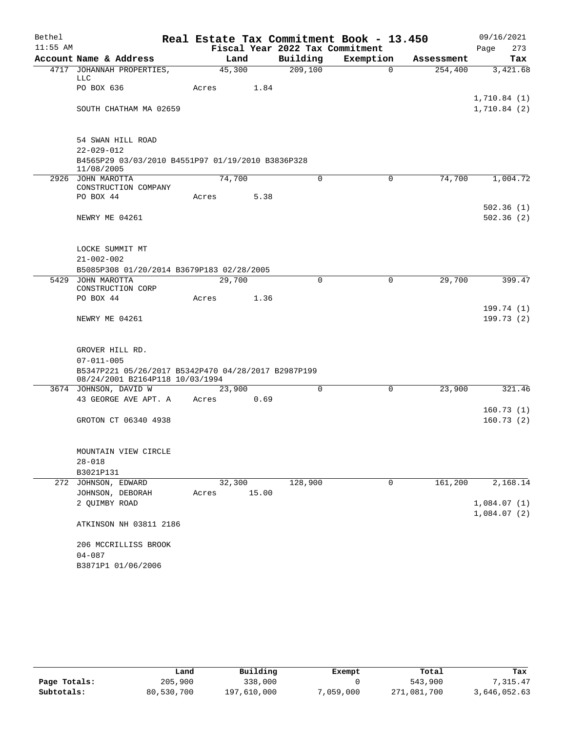| Bethel     |                                                                                        |                 |       |                                 | Real Estate Tax Commitment Book - 13.450 |            | 09/16/2021             |
|------------|----------------------------------------------------------------------------------------|-----------------|-------|---------------------------------|------------------------------------------|------------|------------------------|
| $11:55$ AM |                                                                                        |                 |       | Fiscal Year 2022 Tax Commitment |                                          |            | 273<br>Page            |
|            | Account Name & Address                                                                 | Land            |       | Building                        | Exemption                                | Assessment | Tax                    |
|            | 4717 JOHANNAH PROPERTIES,<br>LLC                                                       | 45,300          |       | 209,100                         | $\Omega$                                 | 254,400    | 3,421.68               |
|            | PO BOX 636                                                                             | Acres           | 1.84  |                                 |                                          |            | 1,710.84(1)            |
|            | SOUTH CHATHAM MA 02659                                                                 |                 |       |                                 |                                          |            | 1,710.84(2)            |
|            | 54 SWAN HILL ROAD                                                                      |                 |       |                                 |                                          |            |                        |
|            | $22 - 029 - 012$                                                                       |                 |       |                                 |                                          |            |                        |
|            | B4565P29 03/03/2010 B4551P97 01/19/2010 B3836P328<br>11/08/2005                        |                 |       |                                 |                                          |            |                        |
|            | 2926 JOHN MAROTTA<br>CONSTRUCTION COMPANY                                              | 74,700          |       | $\Omega$                        | $\mathbf 0$                              | 74,700     | 1,004.72               |
|            | PO BOX 44                                                                              | Acres           | 5.38  |                                 |                                          |            |                        |
|            |                                                                                        |                 |       |                                 |                                          |            | 502.36(1)              |
|            | NEWRY ME 04261                                                                         |                 |       |                                 |                                          |            | 502.36(2)              |
|            | LOCKE SUMMIT MT                                                                        |                 |       |                                 |                                          |            |                        |
|            | $21 - 002 - 002$                                                                       |                 |       |                                 |                                          |            |                        |
|            | B5085P308 01/20/2014 B3679P183 02/28/2005                                              |                 |       |                                 |                                          |            |                        |
|            | 5429 JOHN MAROTTA<br>CONSTRUCTION CORP                                                 | 29,700          |       | 0                               | $\mathbf 0$                              | 29,700     | 399.47                 |
|            | PO BOX 44                                                                              | Acres           | 1.36  |                                 |                                          |            |                        |
|            | NEWRY ME 04261                                                                         |                 |       |                                 |                                          |            | 199.74(1)<br>199.73(2) |
|            |                                                                                        |                 |       |                                 |                                          |            |                        |
|            | GROVER HILL RD.                                                                        |                 |       |                                 |                                          |            |                        |
|            | $07 - 011 - 005$                                                                       |                 |       |                                 |                                          |            |                        |
|            | B5347P221 05/26/2017 B5342P470 04/28/2017 B2987P199<br>08/24/2001 B2164P118 10/03/1994 |                 |       |                                 |                                          |            |                        |
|            | 3674 JOHNSON, DAVID W                                                                  | 23,900          |       | $\Omega$                        | 0                                        | 23,900     | 321.46                 |
|            | 43 GEORGE AVE APT. A                                                                   | Acres           | 0.69  |                                 |                                          |            |                        |
|            | GROTON CT 06340 4938                                                                   |                 |       |                                 |                                          |            | 160.73(1)<br>160.73(2) |
|            |                                                                                        |                 |       |                                 |                                          |            |                        |
|            | MOUNTAIN VIEW CIRCLE                                                                   |                 |       |                                 |                                          |            |                        |
|            | $28 - 018$                                                                             |                 |       |                                 |                                          |            |                        |
|            | B3021P131<br>272 JOHNSON, EDWARD                                                       |                 |       | 128,900                         |                                          |            | 2,168.14               |
|            | JOHNSON, DEBORAH                                                                       | 32,300<br>Acres | 15.00 |                                 | 0                                        | 161,200    |                        |
|            | 2 QUIMBY ROAD                                                                          |                 |       |                                 |                                          |            | 1,084.07(1)            |
|            | ATKINSON NH 03811 2186                                                                 |                 |       |                                 |                                          |            | 1,084.07(2)            |
|            | 206 MCCRILLISS BROOK                                                                   |                 |       |                                 |                                          |            |                        |
|            | $04 - 087$                                                                             |                 |       |                                 |                                          |            |                        |
|            | B3871P1 01/06/2006                                                                     |                 |       |                                 |                                          |            |                        |

|              | Land       | Building    | Exempt    | Total       | Tax          |
|--------------|------------|-------------|-----------|-------------|--------------|
| Page Totals: | 205,900    | 338,000     |           | 543,900     | 7.315.47     |
| Subtotals:   | 80,530,700 | 197,610,000 | 7,059,000 | 271,081,700 | 3,646,052.63 |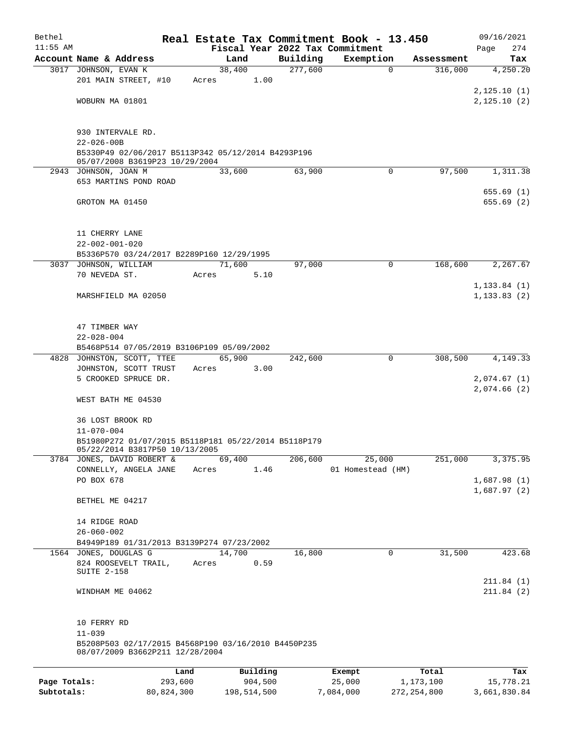| Bethel       |                                                                                        |            |       |             |          |          | Real Estate Tax Commitment Book - 13.450 |             |               | 09/16/2021                 |
|--------------|----------------------------------------------------------------------------------------|------------|-------|-------------|----------|----------|------------------------------------------|-------------|---------------|----------------------------|
| $11:55$ AM   |                                                                                        |            |       |             |          |          | Fiscal Year 2022 Tax Commitment          |             |               | 274<br>Page                |
|              | Account Name & Address                                                                 |            |       | Land        |          | Building | Exemption                                |             | Assessment    | Tax                        |
|              | 3017 JOHNSON, EVAN K                                                                   |            |       | 38,400      |          | 277,600  |                                          | $\mathbf 0$ | 316,000       | 4,250.20                   |
|              | 201 MAIN STREET, #10                                                                   |            | Acres |             | 1.00     |          |                                          |             |               | 2,125.10(1)                |
|              | WOBURN MA 01801                                                                        |            |       |             |          |          |                                          |             |               | 2,125.10(2)                |
|              |                                                                                        |            |       |             |          |          |                                          |             |               |                            |
|              |                                                                                        |            |       |             |          |          |                                          |             |               |                            |
|              | 930 INTERVALE RD.<br>$22 - 026 - 00B$                                                  |            |       |             |          |          |                                          |             |               |                            |
|              | B5330P49 02/06/2017 B5113P342 05/12/2014 B4293P196                                     |            |       |             |          |          |                                          |             |               |                            |
|              | 05/07/2008 B3619P23 10/29/2004                                                         |            |       |             |          |          |                                          |             |               |                            |
|              | 2943 JOHNSON, JOAN M                                                                   |            |       | 33,600      |          | 63,900   |                                          | $\mathbf 0$ | 97,500        | 1,311.38                   |
|              | 653 MARTINS POND ROAD                                                                  |            |       |             |          |          |                                          |             |               |                            |
|              |                                                                                        |            |       |             |          |          |                                          |             |               | 655.69(1)                  |
|              | GROTON MA 01450                                                                        |            |       |             |          |          |                                          |             |               | 655.69(2)                  |
|              |                                                                                        |            |       |             |          |          |                                          |             |               |                            |
|              | 11 CHERRY LANE                                                                         |            |       |             |          |          |                                          |             |               |                            |
|              | $22 - 002 - 001 - 020$                                                                 |            |       |             |          |          |                                          |             |               |                            |
|              | B5336P570 03/24/2017 B2289P160 12/29/1995                                              |            |       |             |          |          |                                          |             |               |                            |
|              | 3037 JOHNSON, WILLIAM                                                                  |            |       | 71,600      |          | 97,000   |                                          | $\mathbf 0$ | 168,600       | 2,267.67                   |
|              | 70 NEVEDA ST.                                                                          |            | Acres |             | 5.10     |          |                                          |             |               |                            |
|              |                                                                                        |            |       |             |          |          |                                          |             |               | 1, 133.84(1)               |
|              | MARSHFIELD MA 02050                                                                    |            |       |             |          |          |                                          |             |               | 1, 133.83(2)               |
|              |                                                                                        |            |       |             |          |          |                                          |             |               |                            |
|              | 47 TIMBER WAY                                                                          |            |       |             |          |          |                                          |             |               |                            |
|              | $22 - 028 - 004$                                                                       |            |       |             |          |          |                                          |             |               |                            |
|              | B5468P514 07/05/2019 B3106P109 05/09/2002                                              |            |       |             |          |          |                                          |             |               |                            |
|              | 4828 JOHNSTON, SCOTT, TTEE                                                             |            |       | 65,900      |          | 242,600  |                                          | $\mathbf 0$ | 308,500       | 4,149.33                   |
|              | JOHNSTON, SCOTT TRUST                                                                  |            | Acres |             | 3.00     |          |                                          |             |               |                            |
|              | 5 CROOKED SPRUCE DR.                                                                   |            |       |             |          |          |                                          |             |               | 2,074.67(1)                |
|              |                                                                                        |            |       |             |          |          |                                          |             |               | 2,074.66(2)                |
|              | WEST BATH ME 04530                                                                     |            |       |             |          |          |                                          |             |               |                            |
|              | 36 LOST BROOK RD                                                                       |            |       |             |          |          |                                          |             |               |                            |
|              | $11 - 070 - 004$                                                                       |            |       |             |          |          |                                          |             |               |                            |
|              | B51980P272 01/07/2015 B5118P181 05/22/2014 B5118P179                                   |            |       |             |          |          |                                          |             |               |                            |
|              | 05/22/2014 B3817P50 10/13/2005                                                         |            |       |             |          |          |                                          |             |               |                            |
|              | 3784 JONES, DAVID ROBERT &                                                             |            |       | 69,400      |          | 206,600  | 25,000                                   |             | 251,000       | 3,375.95                   |
|              | CONNELLY, ANGELA JANE                                                                  |            | Acres |             | 1.46     |          | 01 Homestead (HM)                        |             |               |                            |
|              | PO BOX 678                                                                             |            |       |             |          |          |                                          |             |               | 1,687.98(1)<br>1,687.97(2) |
|              | BETHEL ME 04217                                                                        |            |       |             |          |          |                                          |             |               |                            |
|              |                                                                                        |            |       |             |          |          |                                          |             |               |                            |
|              | 14 RIDGE ROAD                                                                          |            |       |             |          |          |                                          |             |               |                            |
|              | $26 - 060 - 002$                                                                       |            |       |             |          |          |                                          |             |               |                            |
|              | B4949P189 01/31/2013 B3139P274 07/23/2002                                              |            |       |             |          |          |                                          |             |               |                            |
|              | 1564 JONES, DOUGLAS G                                                                  |            |       | 14,700      |          | 16,800   |                                          | 0           | 31,500        | 423.68                     |
|              | 824 ROOSEVELT TRAIL,<br>SUITE 2-158                                                    |            | Acres |             | 0.59     |          |                                          |             |               |                            |
|              |                                                                                        |            |       |             |          |          |                                          |             |               | 211.84(1)                  |
|              | WINDHAM ME 04062                                                                       |            |       |             |          |          |                                          |             |               | 211.84(2)                  |
|              |                                                                                        |            |       |             |          |          |                                          |             |               |                            |
|              |                                                                                        |            |       |             |          |          |                                          |             |               |                            |
|              | 10 FERRY RD                                                                            |            |       |             |          |          |                                          |             |               |                            |
|              | $11 - 039$                                                                             |            |       |             |          |          |                                          |             |               |                            |
|              | B5208P503 02/17/2015 B4568P190 03/16/2010 B4450P235<br>08/07/2009 B3662P211 12/28/2004 |            |       |             |          |          |                                          |             |               |                            |
|              |                                                                                        |            |       |             |          |          |                                          |             |               |                            |
|              |                                                                                        | Land       |       |             | Building |          | Exempt                                   |             | Total         | Tax                        |
| Page Totals: |                                                                                        | 293,600    |       |             | 904,500  |          | 25,000                                   |             | 1,173,100     | 15,778.21                  |
| Subtotals:   |                                                                                        | 80,824,300 |       | 198,514,500 |          |          | 7,084,000                                |             | 272, 254, 800 | 3,661,830.84               |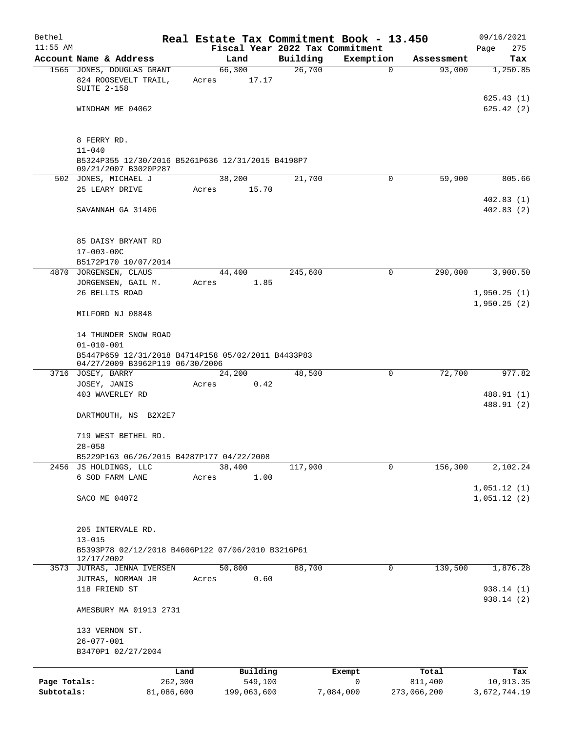| Bethel       |                                                                                         |                 |                |                     |                    | Real Estate Tax Commitment Book - 13.450 |             |                      | 09/16/2021                 |
|--------------|-----------------------------------------------------------------------------------------|-----------------|----------------|---------------------|--------------------|------------------------------------------|-------------|----------------------|----------------------------|
| $11:55$ AM   |                                                                                         |                 |                |                     |                    | Fiscal Year 2022 Tax Commitment          |             |                      | 275<br>Page                |
|              | Account Name & Address<br>1565 JONES, DOUGLAS GRANT                                     |                 | Land<br>66,300 |                     | Building<br>26,700 | Exemption                                | $\mathbf 0$ | Assessment<br>93,000 | Tax<br>1,250.85            |
|              | 824 ROOSEVELT TRAIL,<br>SUITE 2-158                                                     |                 | Acres          | 17.17               |                    |                                          |             |                      |                            |
|              | WINDHAM ME 04062                                                                        |                 |                |                     |                    |                                          |             |                      | 625.43(1)<br>625.42(2)     |
|              | 8 FERRY RD.                                                                             |                 |                |                     |                    |                                          |             |                      |                            |
|              | $11 - 040$<br>B5324P355 12/30/2016 B5261P636 12/31/2015 B4198P7<br>09/21/2007 B3020P287 |                 |                |                     |                    |                                          |             |                      |                            |
|              | 502 JONES, MICHAEL J                                                                    |                 | 38,200         |                     | 21,700             |                                          | 0           | 59,900               | 805.66                     |
|              | 25 LEARY DRIVE                                                                          |                 | Acres          | 15.70               |                    |                                          |             |                      | 402.83(1)                  |
|              | SAVANNAH GA 31406                                                                       |                 |                |                     |                    |                                          |             |                      | 402.83(2)                  |
|              | 85 DAISY BRYANT RD                                                                      |                 |                |                     |                    |                                          |             |                      |                            |
|              | $17 - 003 - 00C$                                                                        |                 |                |                     |                    |                                          |             |                      |                            |
|              | B5172P170 10/07/2014<br>4870 JORGENSEN, CLAUS                                           |                 | 44,400         |                     | 245,600            |                                          | 0           | 290,000              | 3,900.50                   |
|              | JORGENSEN, GAIL M.                                                                      |                 | Acres          | 1.85                |                    |                                          |             |                      |                            |
|              | 26 BELLIS ROAD                                                                          |                 |                |                     |                    |                                          |             |                      | 1,950.25(1)<br>1,950.25(2) |
|              | MILFORD NJ 08848                                                                        |                 |                |                     |                    |                                          |             |                      |                            |
|              | 14 THUNDER SNOW ROAD<br>$01 - 010 - 001$                                                |                 |                |                     |                    |                                          |             |                      |                            |
|              | B5447P659 12/31/2018 B4714P158 05/02/2011 B4433P83<br>04/27/2009 B3962P119 06/30/2006   |                 |                |                     |                    |                                          |             |                      |                            |
|              | 3716 JOSEY, BARRY                                                                       |                 | 24,200         |                     | 48,500             |                                          | 0           | 72,700               | 977.82                     |
|              | JOSEY, JANIS                                                                            |                 | Acres          | 0.42                |                    |                                          |             |                      |                            |
|              | 403 WAVERLEY RD                                                                         |                 |                |                     |                    |                                          |             |                      | 488.91 (1)                 |
|              | DARTMOUTH, NS B2X2E7                                                                    |                 |                |                     |                    |                                          |             |                      | 488.91 (2)                 |
|              | 719 WEST BETHEL RD.<br>$28 - 058$                                                       |                 |                |                     |                    |                                          |             |                      |                            |
|              | B5229P163 06/26/2015 B4287P177 04/22/2008                                               |                 |                |                     |                    |                                          |             |                      |                            |
|              | 2456 JS HOLDINGS, LLC                                                                   |                 | 38,400         |                     | 117,900            |                                          | 0           | 156,300              | 2,102.24                   |
|              | 6 SOD FARM LANE                                                                         |                 | Acres          | 1.00                |                    |                                          |             |                      |                            |
|              | SACO ME 04072                                                                           |                 |                |                     |                    |                                          |             |                      | 1,051.12(1)<br>1,051.12(2) |
|              |                                                                                         |                 |                |                     |                    |                                          |             |                      |                            |
|              | 205 INTERVALE RD.                                                                       |                 |                |                     |                    |                                          |             |                      |                            |
|              | $13 - 015$                                                                              |                 |                |                     |                    |                                          |             |                      |                            |
|              | B5393P78 02/12/2018 B4606P122 07/06/2010 B3216P61<br>12/17/2002                         |                 |                |                     |                    |                                          |             |                      |                            |
|              | 3573 JUTRAS, JENNA IVERSEN                                                              |                 | 50,800         |                     | 88,700             |                                          | 0           | 139,500              | 1,876.28                   |
|              | JUTRAS, NORMAN JR<br>118 FRIEND ST                                                      |                 | Acres          | 0.60                |                    |                                          |             |                      | 938.14 (1)                 |
|              | AMESBURY MA 01913 2731                                                                  |                 |                |                     |                    |                                          |             |                      | 938.14 (2)                 |
|              | 133 VERNON ST.<br>$26 - 077 - 001$                                                      |                 |                |                     |                    |                                          |             |                      |                            |
|              | B3470P1 02/27/2004                                                                      |                 |                |                     |                    |                                          |             |                      |                            |
| Page Totals: |                                                                                         | Land<br>262,300 |                | Building<br>549,100 |                    | Exempt<br>$\mathsf{O}$                   | 811,400     | Total                | Tax<br>10,913.35           |
| Subtotals:   |                                                                                         | 81,086,600      |                | 199,063,600         |                    | 7,084,000                                | 273,066,200 |                      | 3,672,744.19               |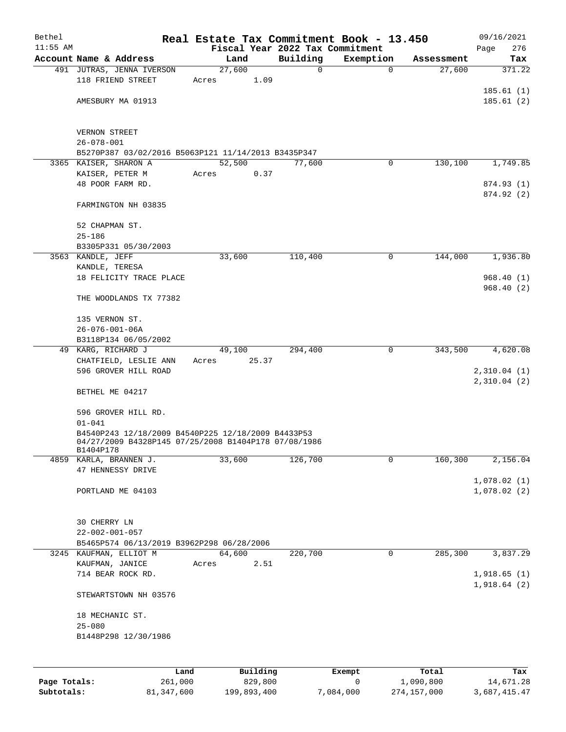| Bethel     |                                                      |                 |          |                                 | Real Estate Tax Commitment Book - 13.450 |            | 09/16/2021    |
|------------|------------------------------------------------------|-----------------|----------|---------------------------------|------------------------------------------|------------|---------------|
| $11:55$ AM |                                                      |                 |          | Fiscal Year 2022 Tax Commitment |                                          |            | 276<br>Page   |
|            | Account Name & Address                               | Land            |          | Building<br>0                   | Exemption<br>$\mathbf 0$                 | Assessment | Tax<br>371.22 |
|            | 491 JUTRAS, JENNA IVERSON<br>118 FRIEND STREET       | 27,600<br>Acres | 1.09     |                                 |                                          | 27,600     |               |
|            |                                                      |                 |          |                                 |                                          |            | 185.61(1)     |
|            | AMESBURY MA 01913                                    |                 |          |                                 |                                          |            | 185.61(2)     |
|            |                                                      |                 |          |                                 |                                          |            |               |
|            | VERNON STREET                                        |                 |          |                                 |                                          |            |               |
|            | $26 - 078 - 001$                                     |                 |          |                                 |                                          |            |               |
|            | B5270P387 03/02/2016 B5063P121 11/14/2013 B3435P347  |                 |          |                                 |                                          |            |               |
|            | 3365 KAISER, SHARON A                                | 52,500          |          | 77,600                          | 0                                        | 130,100    | 1,749.85      |
|            | KAISER, PETER M                                      | Acres           | 0.37     |                                 |                                          |            |               |
|            | 48 POOR FARM RD.                                     |                 |          |                                 |                                          |            | 874.93 (1)    |
|            |                                                      |                 |          |                                 |                                          |            | 874.92 (2)    |
|            | FARMINGTON NH 03835                                  |                 |          |                                 |                                          |            |               |
|            | 52 CHAPMAN ST.                                       |                 |          |                                 |                                          |            |               |
|            | $25 - 186$                                           |                 |          |                                 |                                          |            |               |
|            | B3305P331 05/30/2003                                 |                 |          |                                 |                                          |            |               |
|            | 3563 KANDLE, JEFF                                    | 33,600          |          | 110,400                         | 0                                        | 144,000    | 1,936.80      |
|            | KANDLE, TERESA                                       |                 |          |                                 |                                          |            |               |
|            | 18 FELICITY TRACE PLACE                              |                 |          |                                 |                                          |            | 968.40(1)     |
|            | THE WOODLANDS TX 77382                               |                 |          |                                 |                                          |            | 968.40(2)     |
|            |                                                      |                 |          |                                 |                                          |            |               |
|            | 135 VERNON ST.                                       |                 |          |                                 |                                          |            |               |
|            | $26 - 076 - 001 - 06A$                               |                 |          |                                 |                                          |            |               |
|            | B3118P134 06/05/2002                                 |                 |          |                                 |                                          |            |               |
|            | 49 KARG, RICHARD J                                   | 49,100          |          | 294,400                         | 0                                        | 343,500    | 4,620.08      |
|            | CHATFIELD, LESLIE ANN                                | Acres           | 25.37    |                                 |                                          |            |               |
|            | 596 GROVER HILL ROAD                                 |                 |          |                                 |                                          |            | 2,310.04(1)   |
|            | BETHEL ME 04217                                      |                 |          |                                 |                                          |            | 2,310.04(2)   |
|            |                                                      |                 |          |                                 |                                          |            |               |
|            | 596 GROVER HILL RD.                                  |                 |          |                                 |                                          |            |               |
|            | $01 - 041$                                           |                 |          |                                 |                                          |            |               |
|            | B4540P243 12/18/2009 B4540P225 12/18/2009 B4433P53   |                 |          |                                 |                                          |            |               |
|            | 04/27/2009 B4328P145 07/25/2008 B1404P178 07/08/1986 |                 |          |                                 |                                          |            |               |
|            | BT404PT.18<br>4859 KARLA, BRANNEN J.                 | 33,600          |          | 126,700                         | 0                                        | 160,300    | 2,156.04      |
|            | 47 HENNESSY DRIVE                                    |                 |          |                                 |                                          |            |               |
|            |                                                      |                 |          |                                 |                                          |            | 1,078.02(1)   |
|            | PORTLAND ME 04103                                    |                 |          |                                 |                                          |            | 1,078.02(2)   |
|            |                                                      |                 |          |                                 |                                          |            |               |
|            | 30 CHERRY LN                                         |                 |          |                                 |                                          |            |               |
|            | $22 - 002 - 001 - 057$                               |                 |          |                                 |                                          |            |               |
|            | B5465P574 06/13/2019 B3962P298 06/28/2006            |                 |          |                                 |                                          |            |               |
|            | 3245 KAUFMAN, ELLIOT M                               | 64,600          |          | 220,700                         | $\mathbf 0$                              | 285,300    | 3,837.29      |
|            | KAUFMAN, JANICE                                      | Acres           | 2.51     |                                 |                                          |            |               |
|            | 714 BEAR ROCK RD.                                    |                 |          |                                 |                                          |            | 1,918.65(1)   |
|            |                                                      |                 |          |                                 |                                          |            | 1,918.64(2)   |
|            | STEWARTSTOWN NH 03576                                |                 |          |                                 |                                          |            |               |
|            | 18 MECHANIC ST.                                      |                 |          |                                 |                                          |            |               |
|            | $25 - 080$                                           |                 |          |                                 |                                          |            |               |
|            | B1448P298 12/30/1986                                 |                 |          |                                 |                                          |            |               |
|            |                                                      |                 |          |                                 |                                          |            |               |
|            |                                                      |                 |          |                                 |                                          |            |               |
|            | Land                                                 |                 | Building |                                 | <b>Exempt</b>                            | Total      | Tax           |

|              | Land       | Building    | Exempt    | Total       | Tax          |
|--------------|------------|-------------|-----------|-------------|--------------|
| Page Totals: | 261,000    | 829,800     |           | 1,090,800   | 14,671.28    |
| Subtotals:   | 81,347,600 | 199,893,400 | 7,084,000 | 274,157,000 | 3,687,415.47 |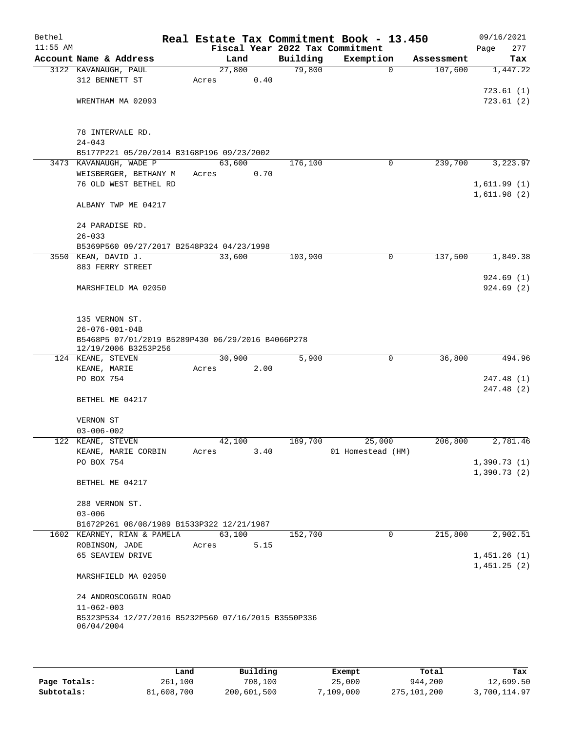| Bethel     |                                                     |        |      |          | Real Estate Tax Commitment Book - 13.450 |            | 09/16/2021  |
|------------|-----------------------------------------------------|--------|------|----------|------------------------------------------|------------|-------------|
| $11:55$ AM |                                                     |        |      |          | Fiscal Year 2022 Tax Commitment          |            | 277<br>Page |
|            | Account Name & Address                              |        | Land | Building | Exemption                                | Assessment | Tax         |
|            | 3122 KAVANAUGH, PAUL                                | 27,800 |      | 79,800   | $\mathbf 0$                              | 107,600    | 1,447.22    |
|            | 312 BENNETT ST                                      | Acres  | 0.40 |          |                                          |            |             |
|            |                                                     |        |      |          |                                          |            | 723.61(1)   |
|            | WRENTHAM MA 02093                                   |        |      |          |                                          |            | 723.61(2)   |
|            |                                                     |        |      |          |                                          |            |             |
|            |                                                     |        |      |          |                                          |            |             |
|            | 78 INTERVALE RD.                                    |        |      |          |                                          |            |             |
|            | $24 - 043$                                          |        |      |          |                                          |            |             |
|            |                                                     |        |      |          |                                          |            |             |
|            | B5177P221 05/20/2014 B3168P196 09/23/2002           |        |      |          |                                          |            |             |
|            | 3473 KAVANAUGH, WADE P                              | 63,600 |      | 176,100  | 0                                        | 239,700    | 3,223.97    |
|            | WEISBERGER, BETHANY M                               | Acres  | 0.70 |          |                                          |            |             |
|            | 76 OLD WEST BETHEL RD                               |        |      |          |                                          |            | 1,611.99(1) |
|            |                                                     |        |      |          |                                          |            | 1,611.98(2) |
|            | ALBANY TWP ME 04217                                 |        |      |          |                                          |            |             |
|            |                                                     |        |      |          |                                          |            |             |
|            | 24 PARADISE RD.                                     |        |      |          |                                          |            |             |
|            | $26 - 033$                                          |        |      |          |                                          |            |             |
|            | B5369P560 09/27/2017 B2548P324 04/23/1998           |        |      |          |                                          |            |             |
|            | 3550 KEAN, DAVID J.                                 | 33,600 |      | 103,900  | $\mathbf 0$                              | 137,500    | 1,849.38    |
|            | 883 FERRY STREET                                    |        |      |          |                                          |            |             |
|            |                                                     |        |      |          |                                          |            | 924.69(1)   |
|            | MARSHFIELD MA 02050                                 |        |      |          |                                          |            | 924.69(2)   |
|            |                                                     |        |      |          |                                          |            |             |
|            |                                                     |        |      |          |                                          |            |             |
|            |                                                     |        |      |          |                                          |            |             |
|            | 135 VERNON ST.                                      |        |      |          |                                          |            |             |
|            | $26 - 076 - 001 - 04B$                              |        |      |          |                                          |            |             |
|            | B5468P5 07/01/2019 B5289P430 06/29/2016 B4066P278   |        |      |          |                                          |            |             |
|            | 12/19/2006 B3253P256                                |        |      |          | 0                                        | 36,800     |             |
|            | 124 KEANE, STEVEN                                   | 30,900 |      | 5,900    |                                          |            | 494.96      |
|            | KEANE, MARIE                                        | Acres  | 2.00 |          |                                          |            |             |
|            | PO BOX 754                                          |        |      |          |                                          |            | 247.48 (1)  |
|            |                                                     |        |      |          |                                          |            | 247.48 (2)  |
|            | BETHEL ME 04217                                     |        |      |          |                                          |            |             |
|            |                                                     |        |      |          |                                          |            |             |
|            | VERNON ST                                           |        |      |          |                                          |            |             |
|            | $03 - 006 - 002$                                    |        |      |          |                                          |            |             |
|            | 122 KEANE, STEVEN                                   | 42,100 |      | 189,700  | 25,000                                   | 206,800    | 2,781.46    |
|            | KEANE, MARIE CORBIN                                 | Acres  | 3.40 |          | 01 Homestead (HM)                        |            |             |
|            | PO BOX 754                                          |        |      |          |                                          |            | 1,390.73(1) |
|            |                                                     |        |      |          |                                          |            | 1,390.73(2) |
|            | BETHEL ME 04217                                     |        |      |          |                                          |            |             |
|            |                                                     |        |      |          |                                          |            |             |
|            | 288 VERNON ST.                                      |        |      |          |                                          |            |             |
|            | $03 - 006$                                          |        |      |          |                                          |            |             |
|            | B1672P261 08/08/1989 B1533P322 12/21/1987           |        |      |          |                                          |            |             |
|            | 1602 KEARNEY, RIAN & PAMELA                         | 63,100 |      | 152,700  | 0                                        | 215,800    | 2,902.51    |
|            | ROBINSON, JADE                                      | Acres  | 5.15 |          |                                          |            |             |
|            |                                                     |        |      |          |                                          |            | 1,451.26(1) |
|            | 65 SEAVIEW DRIVE                                    |        |      |          |                                          |            |             |
|            |                                                     |        |      |          |                                          |            | 1,451.25(2) |
|            | MARSHFIELD MA 02050                                 |        |      |          |                                          |            |             |
|            |                                                     |        |      |          |                                          |            |             |
|            | 24 ANDROSCOGGIN ROAD                                |        |      |          |                                          |            |             |
|            | $11 - 062 - 003$                                    |        |      |          |                                          |            |             |
|            | B5323P534 12/27/2016 B5232P560 07/16/2015 B3550P336 |        |      |          |                                          |            |             |
|            | 06/04/2004                                          |        |      |          |                                          |            |             |
|            |                                                     |        |      |          |                                          |            |             |
|            |                                                     |        |      |          |                                          |            |             |

|              | Land       | Building    | Exempt    | Total       | Tax          |
|--------------|------------|-------------|-----------|-------------|--------------|
| Page Totals: | 261,100    | 708,100     | 25,000    | 944,200     | 12,699.50    |
| Subtotals:   | 81,608,700 | 200,601,500 | 7.109.000 | 275,101,200 | 3,700,114.97 |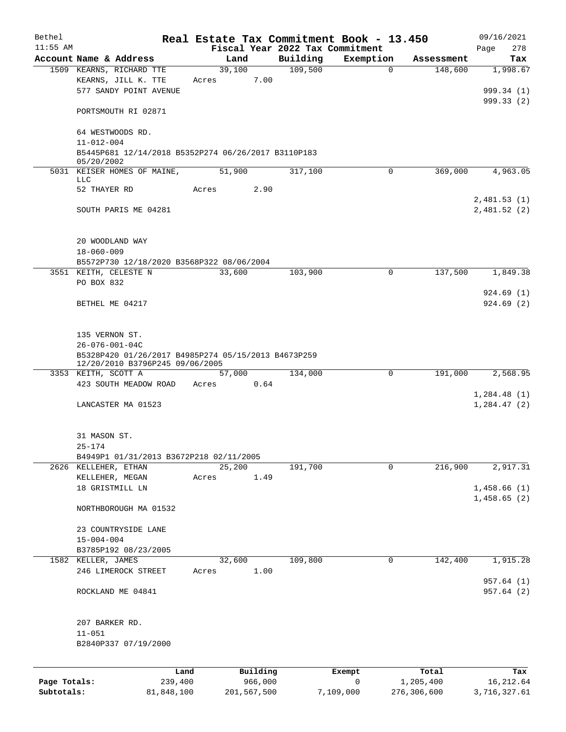| Bethel       |                                                                                        |                |          |                                 | Real Estate Tax Commitment Book - 13.450 |                       | 09/16/2021                  |
|--------------|----------------------------------------------------------------------------------------|----------------|----------|---------------------------------|------------------------------------------|-----------------------|-----------------------------|
| $11:55$ AM   |                                                                                        |                |          | Fiscal Year 2022 Tax Commitment |                                          |                       | 278<br>Page                 |
|              | Account Name & Address<br>1509 KEARNS, RICHARD TTE                                     | Land<br>39,100 |          | Building<br>109,500             | Exemption<br>0                           | Assessment<br>148,600 | Tax<br>1,998.67             |
|              | KEARNS, JILL K. TTE                                                                    | Acres          | 7.00     |                                 |                                          |                       |                             |
|              | 577 SANDY POINT AVENUE                                                                 |                |          |                                 |                                          |                       | 999.34 (1)                  |
|              |                                                                                        |                |          |                                 |                                          |                       | 999.33 (2)                  |
|              | PORTSMOUTH RI 02871                                                                    |                |          |                                 |                                          |                       |                             |
|              | 64 WESTWOODS RD.<br>$11 - 012 - 004$                                                   |                |          |                                 |                                          |                       |                             |
|              | B5445P681 12/14/2018 B5352P274 06/26/2017 B3110P183                                    |                |          |                                 |                                          |                       |                             |
|              | 05/20/2002                                                                             |                |          |                                 | $\Omega$                                 |                       |                             |
|              | 5031 KEISER HOMES OF MAINE,<br>LLC                                                     | 51,900         |          | 317,100                         |                                          | 369,000               | 4,963.05                    |
|              | 52 THAYER RD                                                                           | Acres          | 2.90     |                                 |                                          |                       |                             |
|              |                                                                                        |                |          |                                 |                                          |                       | 2,481.53(1)                 |
|              | SOUTH PARIS ME 04281                                                                   |                |          |                                 |                                          |                       | 2,481.52(2)                 |
|              | 20 WOODLAND WAY                                                                        |                |          |                                 |                                          |                       |                             |
|              | $18 - 060 - 009$                                                                       |                |          |                                 |                                          |                       |                             |
|              | B5572P730 12/18/2020 B3568P322 08/06/2004                                              |                |          |                                 |                                          |                       |                             |
|              | 3551 KEITH, CELESTE N                                                                  | 33,600         |          | 103,900                         | 0                                        | 137,500               | 1,849.38                    |
|              | PO BOX 832                                                                             |                |          |                                 |                                          |                       |                             |
|              | BETHEL ME 04217                                                                        |                |          |                                 |                                          |                       | 924.69(1)<br>924.69(2)      |
|              |                                                                                        |                |          |                                 |                                          |                       |                             |
|              | 135 VERNON ST.                                                                         |                |          |                                 |                                          |                       |                             |
|              | $26 - 076 - 001 - 04C$                                                                 |                |          |                                 |                                          |                       |                             |
|              | B5328P420 01/26/2017 B4985P274 05/15/2013 B4673P259<br>12/20/2010 B3796P245 09/06/2005 |                |          |                                 |                                          |                       |                             |
|              | 3353 KEITH, SCOTT A                                                                    | 57,000         |          | 134,000                         | 0                                        | 191,000               | 2,568.95                    |
|              | 423 SOUTH MEADOW ROAD                                                                  | Acres          | 0.64     |                                 |                                          |                       |                             |
|              | LANCASTER MA 01523                                                                     |                |          |                                 |                                          |                       | 1,284.48(1)<br>1, 284.47(2) |
|              |                                                                                        |                |          |                                 |                                          |                       |                             |
|              | 31 MASON ST.                                                                           |                |          |                                 |                                          |                       |                             |
|              | $25 - 174$                                                                             |                |          |                                 |                                          |                       |                             |
|              | B4949P1 01/31/2013 B3672P218 02/11/2005                                                |                |          |                                 |                                          |                       |                             |
|              | 2626 KELLEHER, ETHAN                                                                   | 25,200         |          | 191,700                         | $\Omega$                                 | 216,900               | 2,917.31                    |
|              | KELLEHER, MEGAN<br>18 GRISTMILL LN                                                     | Acres          | 1.49     |                                 |                                          |                       | 1,458.66(1)                 |
|              |                                                                                        |                |          |                                 |                                          |                       | 1,458.65(2)                 |
|              | NORTHBOROUGH MA 01532                                                                  |                |          |                                 |                                          |                       |                             |
|              | 23 COUNTRYSIDE LANE                                                                    |                |          |                                 |                                          |                       |                             |
|              | $15 - 004 - 004$                                                                       |                |          |                                 |                                          |                       |                             |
|              | B3785P192 08/23/2005                                                                   |                |          |                                 |                                          |                       |                             |
|              | 1582 KELLER, JAMES                                                                     | 32,600         |          | 109,800                         | 0                                        | 142,400               | 1,915.28                    |
|              | 246 LIMEROCK STREET                                                                    | Acres          | 1.00     |                                 |                                          |                       |                             |
|              | ROCKLAND ME 04841                                                                      |                |          |                                 |                                          |                       | 957.64(1)<br>957.64(2)      |
|              |                                                                                        |                |          |                                 |                                          |                       |                             |
|              | 207 BARKER RD.                                                                         |                |          |                                 |                                          |                       |                             |
|              | $11 - 051$                                                                             |                |          |                                 |                                          |                       |                             |
|              | B2840P337 07/19/2000                                                                   |                |          |                                 |                                          |                       |                             |
|              | Land                                                                                   |                | Building |                                 | Exempt                                   | Total                 | Tax                         |
| Page Totals: | 239,400                                                                                |                | 966,000  |                                 | $\overline{0}$                           | 1,205,400             | 16, 212.64                  |

**Page Totals:** 239,400 966,000 0 1,205,400 16,212.64 **Subtotals:** 81,848,100 201,567,500 7,109,000 276,306,600 3,716,327.61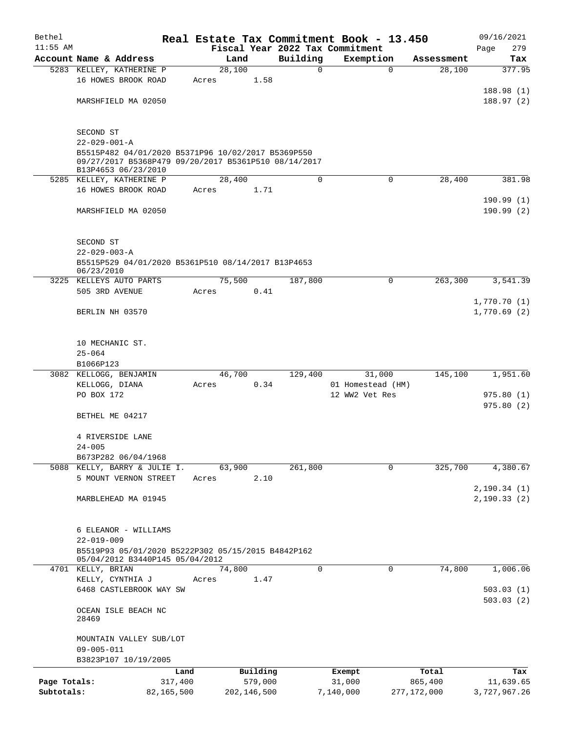| Bethel       |                                                                                                                                   |       |        |               |             | Real Estate Tax Commitment Book - 13.450 |               | 09/16/2021   |
|--------------|-----------------------------------------------------------------------------------------------------------------------------------|-------|--------|---------------|-------------|------------------------------------------|---------------|--------------|
| $11:55$ AM   |                                                                                                                                   |       |        |               |             | Fiscal Year 2022 Tax Commitment          |               | 279<br>Page  |
|              | Account Name & Address                                                                                                            |       | Land   |               | Building    | Exemption                                | Assessment    | Tax          |
|              | 5283 KELLEY, KATHERINE P<br>16 HOWES BROOK ROAD                                                                                   |       | 28,100 |               | $\mathbf 0$ | $\mathbf 0$                              | 28,100        | 377.95       |
|              |                                                                                                                                   | Acres |        | 1.58          |             |                                          |               | 188.98(1)    |
|              | MARSHFIELD MA 02050                                                                                                               |       |        |               |             |                                          |               | 188.97(2)    |
|              |                                                                                                                                   |       |        |               |             |                                          |               |              |
|              | SECOND ST                                                                                                                         |       |        |               |             |                                          |               |              |
|              | $22 - 029 - 001 - A$                                                                                                              |       |        |               |             |                                          |               |              |
|              | B5515P482 04/01/2020 B5371P96 10/02/2017 B5369P550<br>09/27/2017 B5368P479 09/20/2017 B5361P510 08/14/2017<br>B13P4653 06/23/2010 |       |        |               |             |                                          |               |              |
|              | 5285 KELLEY, KATHERINE P                                                                                                          |       | 28,400 |               | $\mathbf 0$ | 0                                        | 28,400        | 381.98       |
|              | 16 HOWES BROOK ROAD                                                                                                               | Acres |        | 1.71          |             |                                          |               |              |
|              |                                                                                                                                   |       |        |               |             |                                          |               | 190.99(1)    |
|              | MARSHFIELD MA 02050                                                                                                               |       |        |               |             |                                          |               | 190.99(2)    |
|              | SECOND ST                                                                                                                         |       |        |               |             |                                          |               |              |
|              | $22 - 029 - 003 - A$                                                                                                              |       |        |               |             |                                          |               |              |
|              | B5515P529 04/01/2020 B5361P510 08/14/2017 B13P4653                                                                                |       |        |               |             |                                          |               |              |
|              | 06/23/2010                                                                                                                        |       |        |               |             |                                          |               |              |
|              | 3225 KELLEYS AUTO PARTS                                                                                                           |       | 75,500 |               | 187,800     | $\mathbf 0$                              | 263,300       | 3,541.39     |
|              | 505 3RD AVENUE                                                                                                                    | Acres |        | 0.41          |             |                                          |               |              |
|              |                                                                                                                                   |       |        |               |             |                                          |               | 1,770.70(1)  |
|              | BERLIN NH 03570                                                                                                                   |       |        |               |             |                                          |               | 1,770.69(2)  |
|              |                                                                                                                                   |       |        |               |             |                                          |               |              |
|              | 10 MECHANIC ST.                                                                                                                   |       |        |               |             |                                          |               |              |
|              | $25 - 064$                                                                                                                        |       |        |               |             |                                          |               |              |
|              | B1066P123                                                                                                                         |       |        |               |             |                                          |               |              |
|              | 3082 KELLOGG, BENJAMIN                                                                                                            |       | 46,700 |               | 129,400     | 31,000                                   | 145,100       | 1,951.60     |
|              | KELLOGG, DIANA                                                                                                                    | Acres |        | 0.34          |             | 01 Homestead (HM)                        |               |              |
|              | PO BOX 172                                                                                                                        |       |        |               |             | 12 WW2 Vet Res                           |               | 975.80(1)    |
|              |                                                                                                                                   |       |        |               |             |                                          |               | 975.80(2)    |
|              | BETHEL ME 04217                                                                                                                   |       |        |               |             |                                          |               |              |
|              | 4 RIVERSIDE LANE                                                                                                                  |       |        |               |             |                                          |               |              |
|              | $24 - 005$                                                                                                                        |       |        |               |             |                                          |               |              |
|              | B673P282 06/04/1968                                                                                                               |       |        |               |             |                                          |               |              |
|              | 5088 KELLY, BARRY & JULIE I.                                                                                                      |       | 63,900 |               | 261,800     | 0                                        | 325,700       | 4,380.67     |
|              | 5 MOUNT VERNON STREET                                                                                                             | Acres |        | 2.10          |             |                                          |               |              |
|              |                                                                                                                                   |       |        |               |             |                                          |               | 2, 190.34(1) |
|              | MARBLEHEAD MA 01945                                                                                                               |       |        |               |             |                                          |               | 2, 190.33(2) |
|              |                                                                                                                                   |       |        |               |             |                                          |               |              |
|              | 6 ELEANOR - WILLIAMS                                                                                                              |       |        |               |             |                                          |               |              |
|              | $22 - 019 - 009$<br>B5519P93 05/01/2020 B5222P302 05/15/2015 B4842P162                                                            |       |        |               |             |                                          |               |              |
|              | 05/04/2012 B3440P145 05/04/2012                                                                                                   |       |        |               |             |                                          |               |              |
|              | 4701 KELLY, BRIAN                                                                                                                 |       | 74,800 |               | $\Omega$    | 0                                        | 74,800        | 1,006.06     |
|              | KELLY, CYNTHIA J                                                                                                                  | Acres |        | 1.47          |             |                                          |               |              |
|              | 6468 CASTLEBROOK WAY SW                                                                                                           |       |        |               |             |                                          |               | 503.03(1)    |
|              |                                                                                                                                   |       |        |               |             |                                          |               | 503.03(2)    |
|              | OCEAN ISLE BEACH NC<br>28469                                                                                                      |       |        |               |             |                                          |               |              |
|              |                                                                                                                                   |       |        |               |             |                                          |               |              |
|              | MOUNTAIN VALLEY SUB/LOT                                                                                                           |       |        |               |             |                                          |               |              |
|              | $09 - 005 - 011$                                                                                                                  |       |        |               |             |                                          |               |              |
|              | B3823P107 10/19/2005                                                                                                              |       |        |               |             |                                          |               |              |
|              |                                                                                                                                   | Land  |        | Building      |             | Exempt                                   | Total         | Tax          |
| Page Totals: | 317,400                                                                                                                           |       |        | 579,000       |             | 31,000                                   | 865,400       | 11,639.65    |
| Subtotals:   | 82,165,500                                                                                                                        |       |        | 202, 146, 500 |             | 7,140,000                                | 277, 172, 000 | 3,727,967.26 |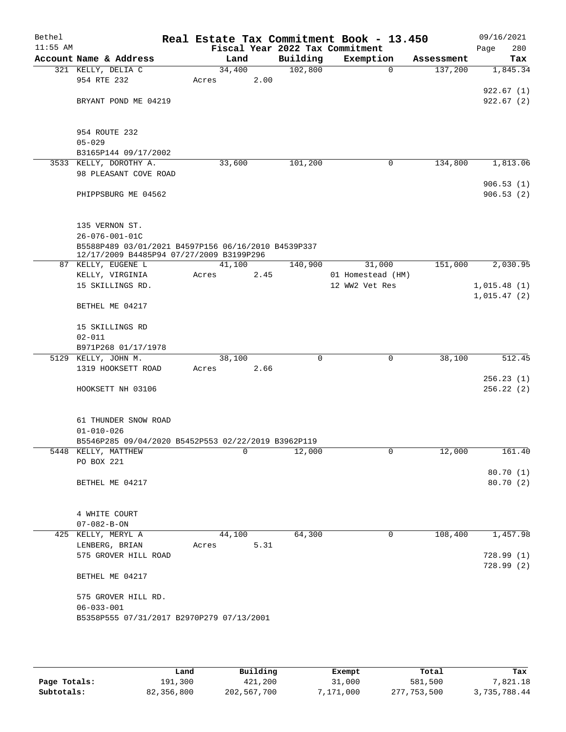| Bethel<br>$11:55$ AM |                                                                                                 |        |      |          | Real Estate Tax Commitment Book - 13.450<br>Fiscal Year 2022 Tax Commitment |            | 09/16/2021<br>280<br>Page |
|----------------------|-------------------------------------------------------------------------------------------------|--------|------|----------|-----------------------------------------------------------------------------|------------|---------------------------|
|                      | Account Name & Address                                                                          |        | Land | Building | Exemption                                                                   | Assessment | Tax                       |
|                      | 321 KELLY, DELIA C                                                                              | 34,400 |      | 102,800  | $\mathbf 0$                                                                 | 137,200    | 1,845.34                  |
|                      | 954 RTE 232                                                                                     | Acres  | 2.00 |          |                                                                             |            |                           |
|                      |                                                                                                 |        |      |          |                                                                             |            | 922.67(1)                 |
|                      | BRYANT POND ME 04219                                                                            |        |      |          |                                                                             |            | 922.67(2)                 |
|                      |                                                                                                 |        |      |          |                                                                             |            |                           |
|                      |                                                                                                 |        |      |          |                                                                             |            |                           |
|                      | 954 ROUTE 232<br>$05 - 029$                                                                     |        |      |          |                                                                             |            |                           |
|                      | B3165P144 09/17/2002                                                                            |        |      |          |                                                                             |            |                           |
|                      | 3533 KELLY, DOROTHY A.                                                                          | 33,600 |      | 101,200  | 0                                                                           | 134,800    | 1,813.06                  |
|                      | 98 PLEASANT COVE ROAD                                                                           |        |      |          |                                                                             |            |                           |
|                      |                                                                                                 |        |      |          |                                                                             |            | 906.53(1)                 |
|                      | PHIPPSBURG ME 04562                                                                             |        |      |          |                                                                             |            | 906.53(2)                 |
|                      |                                                                                                 |        |      |          |                                                                             |            |                           |
|                      |                                                                                                 |        |      |          |                                                                             |            |                           |
|                      | 135 VERNON ST.                                                                                  |        |      |          |                                                                             |            |                           |
|                      | $26 - 076 - 001 - 01C$                                                                          |        |      |          |                                                                             |            |                           |
|                      | B5588P489 03/01/2021 B4597P156 06/16/2010 B4539P337<br>12/17/2009 B4485P94 07/27/2009 B3199P296 |        |      |          |                                                                             |            |                           |
|                      | 87 KELLY, EUGENE L                                                                              | 41,100 |      | 140,900  | 31,000                                                                      | 151,000    | 2,030.95                  |
|                      | KELLY, VIRGINIA                                                                                 | Acres  | 2.45 |          | 01 Homestead (HM)                                                           |            |                           |
|                      | 15 SKILLINGS RD.                                                                                |        |      |          | 12 WW2 Vet Res                                                              |            | 1,015.48(1)               |
|                      |                                                                                                 |        |      |          |                                                                             |            | 1,015.47(2)               |
|                      | BETHEL ME 04217                                                                                 |        |      |          |                                                                             |            |                           |
|                      |                                                                                                 |        |      |          |                                                                             |            |                           |
|                      | 15 SKILLINGS RD<br>$02 - 011$                                                                   |        |      |          |                                                                             |            |                           |
|                      | B971P268 01/17/1978                                                                             |        |      |          |                                                                             |            |                           |
|                      | 5129 KELLY, JOHN M.                                                                             | 38,100 |      | 0        | 0                                                                           | 38,100     | 512.45                    |
|                      | 1319 HOOKSETT ROAD                                                                              | Acres  | 2.66 |          |                                                                             |            |                           |
|                      |                                                                                                 |        |      |          |                                                                             |            | 256.23(1)                 |
|                      | HOOKSETT NH 03106                                                                               |        |      |          |                                                                             |            | 256.22(2)                 |
|                      |                                                                                                 |        |      |          |                                                                             |            |                           |
|                      |                                                                                                 |        |      |          |                                                                             |            |                           |
|                      | 61 THUNDER SNOW ROAD                                                                            |        |      |          |                                                                             |            |                           |
|                      | $01 - 010 - 026$                                                                                |        |      |          |                                                                             |            |                           |
|                      | B5546P285 09/04/2020 B5452P553 02/22/2019 B3962P119<br>5448 KELLY, MATTHEW                      |        | 0    |          | 0                                                                           |            | 161.40                    |
|                      | PO BOX 221                                                                                      |        |      | 12,000   |                                                                             | 12,000     |                           |
|                      |                                                                                                 |        |      |          |                                                                             |            | 80.70(1)                  |
|                      | BETHEL ME 04217                                                                                 |        |      |          |                                                                             |            | 80.70 (2)                 |
|                      |                                                                                                 |        |      |          |                                                                             |            |                           |
|                      |                                                                                                 |        |      |          |                                                                             |            |                           |
|                      | 4 WHITE COURT                                                                                   |        |      |          |                                                                             |            |                           |
|                      | $07 - 082 - B - ON$                                                                             |        |      |          |                                                                             |            |                           |
|                      | 425 KELLY, MERYL A                                                                              | 44,100 |      | 64,300   | 0                                                                           | 108,400    | 1,457.98                  |
|                      | LENBERG, BRIAN                                                                                  | Acres  | 5.31 |          |                                                                             |            |                           |
|                      | 575 GROVER HILL ROAD                                                                            |        |      |          |                                                                             |            | 728.99(1)                 |
|                      |                                                                                                 |        |      |          |                                                                             |            | 728.99(2)                 |
|                      | BETHEL ME 04217                                                                                 |        |      |          |                                                                             |            |                           |
|                      | 575 GROVER HILL RD.                                                                             |        |      |          |                                                                             |            |                           |
|                      | $06 - 033 - 001$                                                                                |        |      |          |                                                                             |            |                           |
|                      | B5358P555 07/31/2017 B2970P279 07/13/2001                                                       |        |      |          |                                                                             |            |                           |
|                      |                                                                                                 |        |      |          |                                                                             |            |                           |
|                      |                                                                                                 |        |      |          |                                                                             |            |                           |

|              | Land       | Building    | Exempt   | Total       | Tax          |
|--------------|------------|-------------|----------|-------------|--------------|
| Page Totals: | 191,300    | 421,200     | 31,000   | 581,500     | 7,821.18     |
| Subtotals:   | 82,356,800 | 202,567,700 | .171.000 | 277,753,500 | 3,735,788.44 |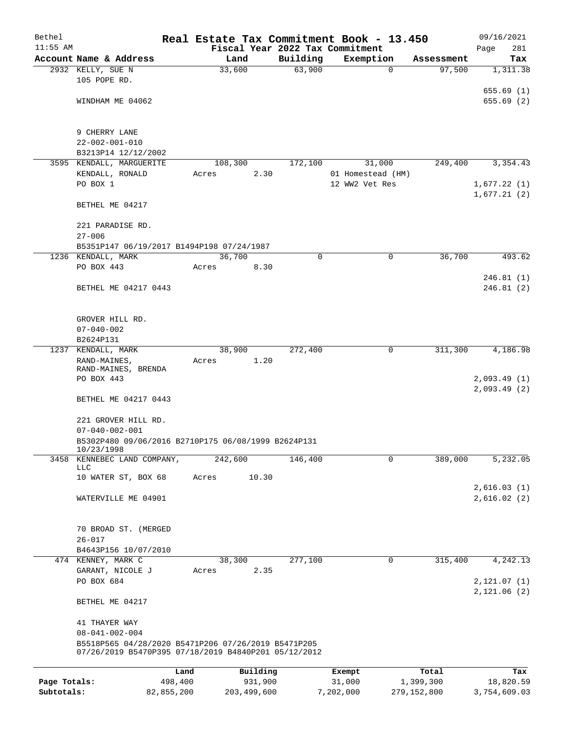| $11:55$ AM         | Account Name & Address                                            | Fiscal Year 2022 Tax Commitment |                    |                |                          |                      | 281<br>Page                |
|--------------------|-------------------------------------------------------------------|---------------------------------|--------------------|----------------|--------------------------|----------------------|----------------------------|
|                    |                                                                   |                                 |                    |                |                          |                      |                            |
| 2932 KELLY, SUE N  |                                                                   | Land<br>33,600                  | Building<br>63,900 |                | Exemption<br>$\mathbf 0$ | Assessment<br>97,500 | Tax<br>1,311.38            |
|                    | 105 POPE RD.                                                      |                                 |                    |                |                          |                      |                            |
|                    |                                                                   |                                 |                    |                |                          |                      | 655.69(1)                  |
|                    | WINDHAM ME 04062                                                  |                                 |                    |                |                          |                      | 655.69(2)                  |
|                    |                                                                   |                                 |                    |                |                          |                      |                            |
|                    |                                                                   |                                 |                    |                |                          |                      |                            |
|                    | 9 CHERRY LANE                                                     |                                 |                    |                |                          |                      |                            |
|                    | $22 - 002 - 001 - 010$                                            |                                 |                    |                |                          |                      |                            |
|                    | B3213P14 12/12/2002<br>3595 KENDALL, MARGUERITE                   | 108,300                         | 172,100            |                | 31,000                   | 249,400              | 3,354.43                   |
|                    | KENDALL, RONALD                                                   | 2.30<br>Acres                   |                    |                | 01 Homestead (HM)        |                      |                            |
| PO BOX 1           |                                                                   |                                 |                    | 12 WW2 Vet Res |                          |                      | 1,677.22(1)                |
|                    |                                                                   |                                 |                    |                |                          |                      | 1,677.21(2)                |
|                    | BETHEL ME 04217                                                   |                                 |                    |                |                          |                      |                            |
|                    |                                                                   |                                 |                    |                |                          |                      |                            |
|                    | 221 PARADISE RD.                                                  |                                 |                    |                |                          |                      |                            |
| $27 - 006$         |                                                                   |                                 |                    |                |                          |                      |                            |
|                    | B5351P147 06/19/2017 B1494P198 07/24/1987                         |                                 |                    |                |                          |                      |                            |
| 1236 KENDALL, MARK | PO BOX 443                                                        | 36,700<br>8.30                  | 0                  |                | $\mathbf 0$              | 36,700               | 493.62                     |
|                    |                                                                   | Acres                           |                    |                |                          |                      | 246.81(1)                  |
|                    | BETHEL ME 04217 0443                                              |                                 |                    |                |                          |                      | 246.81(2)                  |
|                    |                                                                   |                                 |                    |                |                          |                      |                            |
|                    |                                                                   |                                 |                    |                |                          |                      |                            |
|                    | GROVER HILL RD.                                                   |                                 |                    |                |                          |                      |                            |
|                    | $07 - 040 - 002$                                                  |                                 |                    |                |                          |                      |                            |
|                    | B2624P131                                                         |                                 |                    |                |                          |                      |                            |
| 1237 KENDALL, MARK |                                                                   | 38,900                          | 272,400            |                | 0                        | 311,300              | 4,186.98                   |
|                    | RAND-MAINES,<br>RAND-MAINES, BRENDA                               | 1.20<br>Acres                   |                    |                |                          |                      |                            |
|                    | PO BOX 443                                                        |                                 |                    |                |                          |                      | 2,093.49(1)                |
|                    |                                                                   |                                 |                    |                |                          |                      | 2,093.49(2)                |
|                    | BETHEL ME 04217 0443                                              |                                 |                    |                |                          |                      |                            |
|                    |                                                                   |                                 |                    |                |                          |                      |                            |
|                    | 221 GROVER HILL RD.                                               |                                 |                    |                |                          |                      |                            |
|                    | $07 - 040 - 002 - 001$                                            |                                 |                    |                |                          |                      |                            |
|                    | B5302P480 09/06/2016 B2710P175 06/08/1999 B2624P131<br>10/23/1998 |                                 |                    |                |                          |                      |                            |
| 3458               | KENNEBEC LAND COMPANY,                                            | 242,600                         | 146,400            |                | 0                        | 389,000              | 5,232.05                   |
| <b>LLC</b>         |                                                                   |                                 |                    |                |                          |                      |                            |
|                    | 10 WATER ST, BOX 68                                               | 10.30<br>Acres                  |                    |                |                          |                      |                            |
|                    | WATERVILLE ME 04901                                               |                                 |                    |                |                          |                      | 2,616.03(1)<br>2,616.02(2) |
|                    |                                                                   |                                 |                    |                |                          |                      |                            |
|                    |                                                                   |                                 |                    |                |                          |                      |                            |
|                    | 70 BROAD ST. (MERGED                                              |                                 |                    |                |                          |                      |                            |
| $26 - 017$         |                                                                   |                                 |                    |                |                          |                      |                            |
|                    | B4643P156 10/07/2010                                              |                                 |                    |                |                          |                      |                            |
|                    | 474 KENNEY, MARK C                                                | 38,300                          | 277,100            |                | 0                        | 315,400              | 4,242.13                   |
|                    | GARANT, NICOLE J                                                  | 2.35<br>Acres                   |                    |                |                          |                      |                            |
|                    | PO BOX 684                                                        |                                 |                    |                |                          |                      | 2, 121.07(1)               |
|                    |                                                                   |                                 |                    |                |                          |                      | 2,121.06(2)                |
|                    | BETHEL ME 04217                                                   |                                 |                    |                |                          |                      |                            |
|                    | 41 THAYER WAY                                                     |                                 |                    |                |                          |                      |                            |
|                    | $08 - 041 - 002 - 004$                                            |                                 |                    |                |                          |                      |                            |
|                    | B5518P565 04/28/2020 B5471P206 07/26/2019 B5471P205               |                                 |                    |                |                          |                      |                            |
|                    | 07/26/2019 B5470P395 07/18/2019 B4840P201 05/12/2012              |                                 |                    |                |                          |                      |                            |
|                    | Land                                                              | Building                        |                    | Exempt         |                          | Total                | Tax                        |
| Page Totals:       | 498,400                                                           | 931,900                         |                    | 31,000         |                          | 1,399,300            | 18,820.59                  |
| Subtotals:         | 82,855,200                                                        | 203, 499, 600                   |                    | 7,202,000      |                          | 279, 152, 800        | 3,754,609.03               |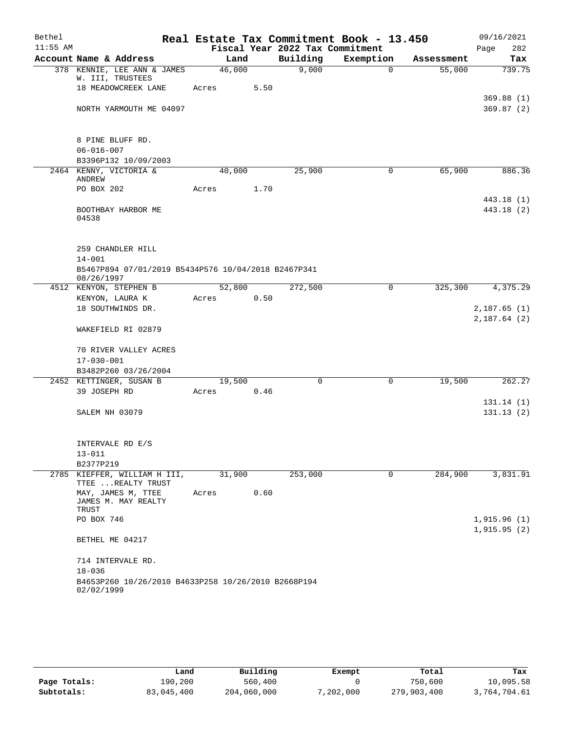| Bethel     |                                                                                        |       |        |      | Real Estate Tax Commitment Book - 13.450 |             |            | 09/16/2021                 |
|------------|----------------------------------------------------------------------------------------|-------|--------|------|------------------------------------------|-------------|------------|----------------------------|
| $11:55$ AM |                                                                                        |       |        |      | Fiscal Year 2022 Tax Commitment          |             |            | 282<br>Page                |
|            | Account Name & Address                                                                 |       | Land   |      | Building                                 | Exemption   | Assessment | Tax                        |
|            | 378 KENNIE, LEE ANN & JAMES<br>W. III, TRUSTEES                                        |       | 46,000 |      | 9,000                                    | $\Omega$    | 55,000     | 739.75                     |
|            | 18 MEADOWCREEK LANE                                                                    | Acres |        | 5.50 |                                          |             |            |                            |
|            | NORTH YARMOUTH ME 04097                                                                |       |        |      |                                          |             |            | 369.88(1)<br>369.87(2)     |
|            | 8 PINE BLUFF RD.                                                                       |       |        |      |                                          |             |            |                            |
|            | $06 - 016 - 007$                                                                       |       |        |      |                                          |             |            |                            |
|            | B3396P132 10/09/2003<br>2464 KENNY, VICTORIA &                                         |       | 40,000 |      | 25,900                                   | 0           | 65,900     | 886.36                     |
|            | ANDREW                                                                                 |       |        |      |                                          |             |            |                            |
|            | PO BOX 202                                                                             | Acres |        | 1.70 |                                          |             |            |                            |
|            | BOOTHBAY HARBOR ME<br>04538                                                            |       |        |      |                                          |             |            | 443.18 (1)<br>443.18 (2)   |
|            | 259 CHANDLER HILL<br>$14 - 001$<br>B5467P894 07/01/2019 B5434P576 10/04/2018 B2467P341 |       |        |      |                                          |             |            |                            |
|            | 08/26/1997                                                                             |       |        |      |                                          |             |            |                            |
|            | 4512 KENYON, STEPHEN B<br>KENYON, LAURA K                                              | Acres | 52,800 | 0.50 | 272,500                                  | 0           | 325,300    | 4,375.29                   |
|            | 18 SOUTHWINDS DR.                                                                      |       |        |      |                                          |             |            | 2,187.65(1)                |
|            | WAKEFIELD RI 02879                                                                     |       |        |      |                                          |             |            | 2,187.64(2)                |
|            | 70 RIVER VALLEY ACRES<br>$17 - 030 - 001$                                              |       |        |      |                                          |             |            |                            |
|            | B3482P260 03/26/2004                                                                   |       |        |      |                                          |             |            |                            |
|            | 2452 KETTINGER, SUSAN B                                                                |       | 19,500 |      | $\Omega$                                 | $\Omega$    | 19,500     | 262.27                     |
|            | 39 JOSEPH RD                                                                           | Acres |        | 0.46 |                                          |             |            |                            |
|            | SALEM NH 03079                                                                         |       |        |      |                                          |             |            | 131.14(1)<br>131.13(2)     |
|            | INTERVALE RD E/S                                                                       |       |        |      |                                          |             |            |                            |
|            | $13 - 011$                                                                             |       |        |      |                                          |             |            |                            |
|            | B2377P219<br>2785 KIEFFER, WILLIAM H III,<br>TTEE  REALTY TRUST                        |       | 31,900 |      | 253,000                                  | $\mathbf 0$ | 284,900    | 3,831.91                   |
|            | MAY, JAMES M, TTEE<br>JAMES M. MAY REALTY<br>TRUST                                     | Acres |        | 0.60 |                                          |             |            |                            |
|            | PO BOX 746                                                                             |       |        |      |                                          |             |            | 1,915.96(1)<br>1,915.95(2) |
|            | BETHEL ME 04217                                                                        |       |        |      |                                          |             |            |                            |
|            | 714 INTERVALE RD.<br>$18 - 036$                                                        |       |        |      |                                          |             |            |                            |
|            | B4653P260 10/26/2010 B4633P258 10/26/2010 B2668P194<br>02/02/1999                      |       |        |      |                                          |             |            |                            |

|              | Land       | Building    | Exempt    | Total       | Tax          |
|--------------|------------|-------------|-----------|-------------|--------------|
| Page Totals: | 190,200    | 560,400     |           | 750,600     | 10,095.58    |
| Subtotals:   | 83,045,400 | 204,060,000 | 7,202,000 | 279,903,400 | 3,764,704.61 |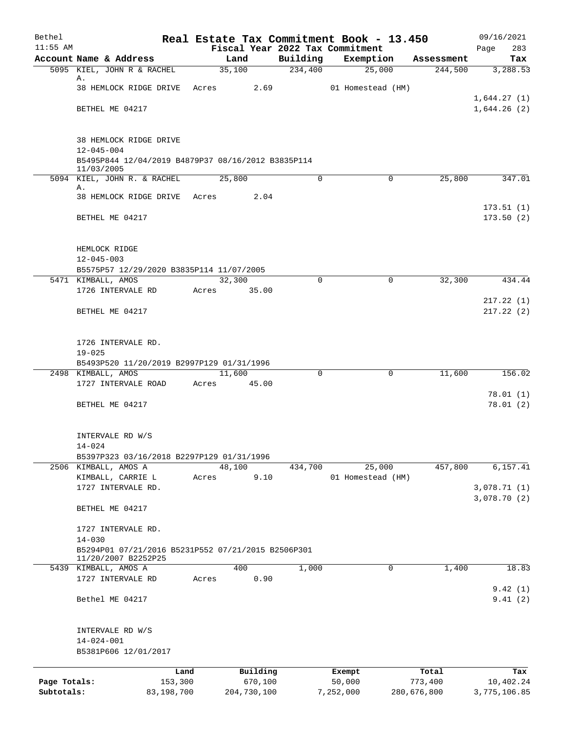| Bethel       |                                                                                         |            |       |                |             |                                 |           | Real Estate Tax Commitment Book - 13.450 |                       | 09/16/2021      |
|--------------|-----------------------------------------------------------------------------------------|------------|-------|----------------|-------------|---------------------------------|-----------|------------------------------------------|-----------------------|-----------------|
| $11:55$ AM   |                                                                                         |            |       |                |             | Fiscal Year 2022 Tax Commitment |           |                                          |                       | 283<br>Page     |
|              | Account Name & Address<br>5095 KIEL, JOHN R & RACHEL                                    |            |       | Land<br>35,100 |             | Building<br>234,400             |           | Exemption<br>25,000                      | Assessment<br>244,500 | Tax<br>3,288.53 |
|              | Α.                                                                                      |            |       |                |             |                                 |           |                                          |                       |                 |
|              | 38 HEMLOCK RIDGE DRIVE                                                                  |            | Acres |                | 2.69        |                                 |           | 01 Homestead (HM)                        |                       |                 |
|              |                                                                                         |            |       |                |             |                                 |           |                                          |                       | 1,644.27(1)     |
|              | BETHEL ME 04217                                                                         |            |       |                |             |                                 |           |                                          |                       | 1,644.26(2)     |
|              | 38 HEMLOCK RIDGE DRIVE                                                                  |            |       |                |             |                                 |           |                                          |                       |                 |
|              | $12 - 045 - 004$                                                                        |            |       |                |             |                                 |           |                                          |                       |                 |
|              | B5495P844 12/04/2019 B4879P37 08/16/2012 B3835P114<br>11/03/2005                        |            |       |                |             |                                 |           |                                          |                       |                 |
|              | 5094 KIEL, JOHN R. & RACHEL                                                             |            |       | 25,800         |             | 0                               |           | 0                                        | 25,800                | 347.01          |
|              | Α.<br>38 HEMLOCK RIDGE DRIVE Acres                                                      |            |       |                | 2.04        |                                 |           |                                          |                       |                 |
|              |                                                                                         |            |       |                |             |                                 |           |                                          |                       | 173.51(1)       |
|              | BETHEL ME 04217                                                                         |            |       |                |             |                                 |           |                                          |                       | 173.50(2)       |
|              | HEMLOCK RIDGE                                                                           |            |       |                |             |                                 |           |                                          |                       |                 |
|              | $12 - 045 - 003$                                                                        |            |       |                |             |                                 |           |                                          |                       |                 |
|              | B5575P57 12/29/2020 B3835P114 11/07/2005                                                |            |       |                |             |                                 |           |                                          |                       |                 |
|              | 5471 KIMBALL, AMOS                                                                      |            |       | 32,300         |             | $\Omega$                        |           | $\mathbf 0$                              | 32,300                | 434.44          |
|              | 1726 INTERVALE RD                                                                       |            | Acres |                | 35.00       |                                 |           |                                          |                       |                 |
|              |                                                                                         |            |       |                |             |                                 |           |                                          |                       | 217.22(1)       |
|              | BETHEL ME 04217                                                                         |            |       |                |             |                                 |           |                                          |                       | 217.22(2)       |
|              | 1726 INTERVALE RD.                                                                      |            |       |                |             |                                 |           |                                          |                       |                 |
|              | $19 - 025$                                                                              |            |       |                |             |                                 |           |                                          |                       |                 |
|              | B5493P520 11/20/2019 B2997P129 01/31/1996                                               |            |       | 11,600         |             | $\Omega$                        |           |                                          |                       |                 |
|              | 2498 KIMBALL, AMOS<br>1727 INTERVALE ROAD                                               |            | Acres |                | 45.00       |                                 |           | 0                                        | 11,600                | 156.02          |
|              |                                                                                         |            |       |                |             |                                 |           |                                          |                       | 78.01(1)        |
|              | BETHEL ME 04217                                                                         |            |       |                |             |                                 |           |                                          |                       | 78.01(2)        |
|              | INTERVALE RD W/S                                                                        |            |       |                |             |                                 |           |                                          |                       |                 |
|              | $14 - 024$                                                                              |            |       |                |             |                                 |           |                                          |                       |                 |
|              | B5397P323 03/16/2018 B2297P129 01/31/1996                                               |            |       |                |             |                                 |           |                                          |                       |                 |
|              | 2506 KIMBALL, AMOS A                                                                    |            |       | 48,100         |             | 434,700                         |           | 25,000                                   | 457,800               | 6,157.41        |
|              | KIMBALL, CARRIE L                                                                       |            | Acres |                | 9.10        |                                 |           | 01 Homestead (HM)                        |                       |                 |
|              | 1727 INTERVALE RD.                                                                      |            |       |                |             |                                 |           |                                          |                       | 3,078.71(1)     |
|              | BETHEL ME 04217                                                                         |            |       |                |             |                                 |           |                                          |                       | 3,078.70 (2)    |
|              | 1727 INTERVALE RD.                                                                      |            |       |                |             |                                 |           |                                          |                       |                 |
|              | $14 - 030$<br>B5294P01 07/21/2016 B5231P552 07/21/2015 B2506P301<br>11/20/2007 B2252P25 |            |       |                |             |                                 |           |                                          |                       |                 |
|              | 5439 KIMBALL, AMOS A                                                                    |            |       | 400            |             | 1,000                           |           | 0                                        | 1,400                 | 18.83           |
|              | 1727 INTERVALE RD                                                                       |            | Acres |                | 0.90        |                                 |           |                                          |                       |                 |
|              |                                                                                         |            |       |                |             |                                 |           |                                          |                       | 9.42(1)         |
|              | Bethel ME 04217                                                                         |            |       |                |             |                                 |           |                                          |                       | 9.41(2)         |
|              | INTERVALE RD W/S                                                                        |            |       |                |             |                                 |           |                                          |                       |                 |
|              | $14 - 024 - 001$                                                                        |            |       |                |             |                                 |           |                                          |                       |                 |
|              | B5381P606 12/01/2017                                                                    |            |       |                |             |                                 |           |                                          |                       |                 |
|              |                                                                                         | Land       |       |                | Building    |                                 | Exempt    |                                          | Total                 | Tax             |
| Page Totals: |                                                                                         | 153,300    |       |                | 670,100     |                                 | 50,000    |                                          | 773,400               | 10,402.24       |
| Subtotals:   |                                                                                         | 83,198,700 |       |                | 204,730,100 |                                 | 7,252,000 |                                          | 280,676,800           | 3,775,106.85    |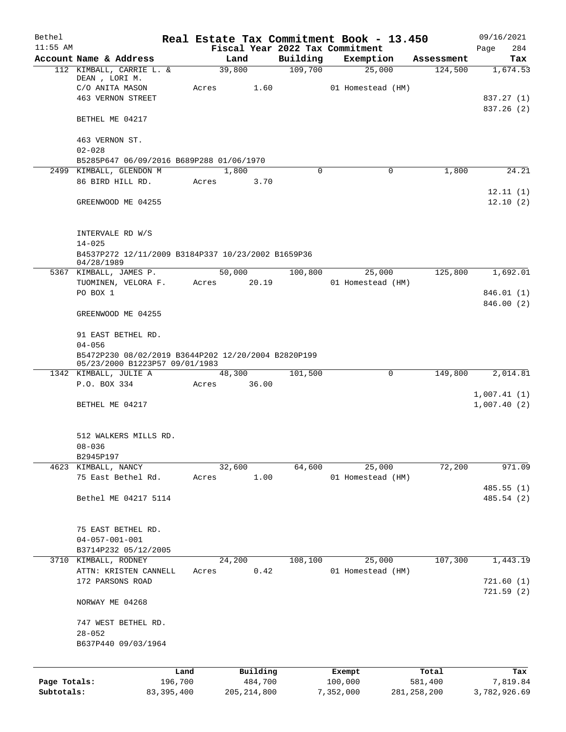| Bethel       |                                                                  |       |                                 |          |           | Real Estate Tax Commitment Book - 13.450 |               | 09/16/2021   |
|--------------|------------------------------------------------------------------|-------|---------------------------------|----------|-----------|------------------------------------------|---------------|--------------|
| $11:55$ AM   |                                                                  |       | Fiscal Year 2022 Tax Commitment |          |           |                                          |               | 284<br>Page  |
|              | Account Name & Address                                           |       | Land                            | Building |           | Exemption                                | Assessment    | Tax          |
|              | 112 KIMBALL, CARRIE L. &<br>DEAN, LORI M.                        |       | 39,800                          | 109,700  |           | 25,000                                   | 124,500       | 1,674.53     |
|              | C/O ANITA MASON                                                  | Acres | 1.60                            |          |           | 01 Homestead (HM)                        |               |              |
|              | <b>463 VERNON STREET</b>                                         |       |                                 |          |           |                                          |               | 837.27 (1)   |
|              |                                                                  |       |                                 |          |           |                                          |               | 837.26 (2)   |
|              | BETHEL ME 04217                                                  |       |                                 |          |           |                                          |               |              |
|              | 463 VERNON ST.                                                   |       |                                 |          |           |                                          |               |              |
|              | $02 - 028$                                                       |       |                                 |          |           |                                          |               |              |
|              | B5285P647 06/09/2016 B689P288 01/06/1970                         |       |                                 |          |           |                                          |               |              |
|              | 2499 KIMBALL, GLENDON M                                          |       | 1,800                           | $\Omega$ |           | 0                                        | 1,800         | 24.21        |
|              | 86 BIRD HILL RD.                                                 | Acres | 3.70                            |          |           |                                          |               |              |
|              |                                                                  |       |                                 |          |           |                                          |               | 12.11(1)     |
|              | GREENWOOD ME 04255                                               |       |                                 |          |           |                                          |               | 12.10(2)     |
|              |                                                                  |       |                                 |          |           |                                          |               |              |
|              |                                                                  |       |                                 |          |           |                                          |               |              |
|              | INTERVALE RD W/S                                                 |       |                                 |          |           |                                          |               |              |
|              | $14 - 025$<br>B4537P272 12/11/2009 B3184P337 10/23/2002 B1659P36 |       |                                 |          |           |                                          |               |              |
|              | 04/28/1989                                                       |       |                                 |          |           |                                          |               |              |
|              | 5367 KIMBALL, JAMES P.                                           |       | 50,000                          | 100,800  |           | 25,000                                   | 125,800       | 1,692.01     |
|              | TUOMINEN, VELORA F.                                              | Acres | 20.19                           |          |           | 01 Homestead (HM)                        |               |              |
|              | PO BOX 1                                                         |       |                                 |          |           |                                          |               | 846.01 (1)   |
|              |                                                                  |       |                                 |          |           |                                          |               | 846.00 (2)   |
|              | GREENWOOD ME 04255                                               |       |                                 |          |           |                                          |               |              |
|              |                                                                  |       |                                 |          |           |                                          |               |              |
|              | 91 EAST BETHEL RD.<br>$04 - 056$                                 |       |                                 |          |           |                                          |               |              |
|              | B5472P230 08/02/2019 B3644P202 12/20/2004 B2820P199              |       |                                 |          |           |                                          |               |              |
|              | 05/23/2000 B1223P57 09/01/1983                                   |       |                                 |          |           |                                          |               |              |
|              | 1342 KIMBALL, JULIE A                                            |       | 48,300                          | 101,500  |           | $\mathbf 0$                              | 149,800       | 2,014.81     |
|              | P.O. BOX 334                                                     | Acres | 36.00                           |          |           |                                          |               |              |
|              |                                                                  |       |                                 |          |           |                                          |               | 1,007.41(1)  |
|              | BETHEL ME 04217                                                  |       |                                 |          |           |                                          |               | 1,007.40(2)  |
|              |                                                                  |       |                                 |          |           |                                          |               |              |
|              | 512 WALKERS MILLS RD.                                            |       |                                 |          |           |                                          |               |              |
|              | $08 - 036$                                                       |       |                                 |          |           |                                          |               |              |
|              | B2945P197                                                        |       |                                 |          |           |                                          |               |              |
|              | 4623 KIMBALL, NANCY                                              |       | 32,600                          | 64,600   |           | 25,000                                   | 72,200        | 971.09       |
|              | 75 East Bethel Rd.                                               | Acres | 1.00                            |          |           | 01 Homestead (HM)                        |               |              |
|              |                                                                  |       |                                 |          |           |                                          |               | 485.55(1)    |
|              | Bethel ME 04217 5114                                             |       |                                 |          |           |                                          |               | 485.54 (2)   |
|              |                                                                  |       |                                 |          |           |                                          |               |              |
|              |                                                                  |       |                                 |          |           |                                          |               |              |
|              | 75 EAST BETHEL RD.                                               |       |                                 |          |           |                                          |               |              |
|              | $04 - 057 - 001 - 001$                                           |       |                                 |          |           |                                          |               |              |
|              | B3714P232 05/12/2005<br>3710 KIMBALL, RODNEY                     |       | 24,200                          | 108,100  |           | 25,000                                   | 107,300       | 1,443.19     |
|              | ATTN: KRISTEN CANNELL                                            | Acres | 0.42                            |          |           | 01 Homestead (HM)                        |               |              |
|              | 172 PARSONS ROAD                                                 |       |                                 |          |           |                                          |               | 721.60(1)    |
|              |                                                                  |       |                                 |          |           |                                          |               | 721.59(2)    |
|              | NORWAY ME 04268                                                  |       |                                 |          |           |                                          |               |              |
|              |                                                                  |       |                                 |          |           |                                          |               |              |
|              | 747 WEST BETHEL RD.                                              |       |                                 |          |           |                                          |               |              |
|              | $28 - 052$                                                       |       |                                 |          |           |                                          |               |              |
|              | B637P440 09/03/1964                                              |       |                                 |          |           |                                          |               |              |
|              |                                                                  |       |                                 |          |           |                                          |               |              |
|              |                                                                  | Land  | Building                        |          | Exempt    |                                          | Total         | Tax          |
| Page Totals: | 196,700                                                          |       | 484,700                         |          | 100,000   |                                          | 581,400       | 7,819.84     |
| Subtotals:   | 83, 395, 400                                                     |       | 205, 214, 800                   |          | 7,352,000 |                                          | 281, 258, 200 | 3,782,926.69 |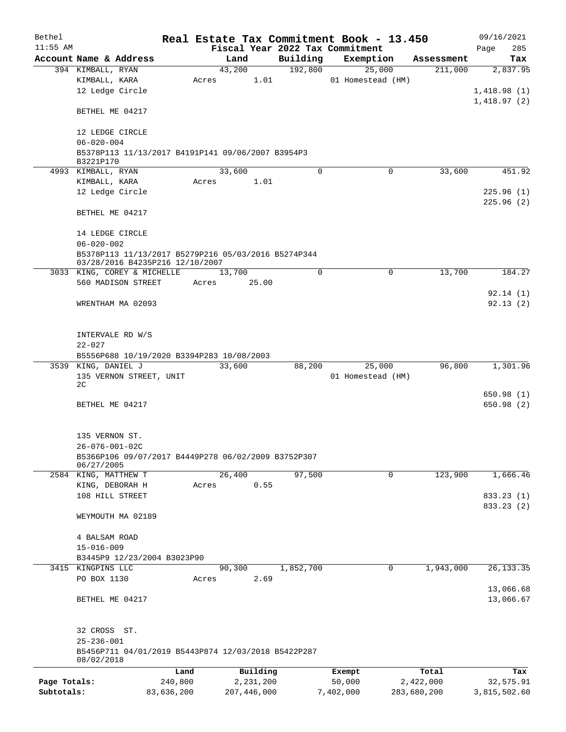| Bethel       |                                                                   |            |       |             |           | Real Estate Tax Commitment Book - 13.450 |             | 09/16/2021   |
|--------------|-------------------------------------------------------------------|------------|-------|-------------|-----------|------------------------------------------|-------------|--------------|
| $11:55$ AM   |                                                                   |            |       |             |           | Fiscal Year 2022 Tax Commitment          |             | Page<br>285  |
|              | Account Name & Address                                            |            |       | Land        | Building  | Exemption                                | Assessment  | Tax          |
|              | 394 KIMBALL, RYAN                                                 |            |       | 43,200      | 192,800   | 25,000                                   | 211,000     | 2,837.95     |
|              | KIMBALL, KARA                                                     |            | Acres | 1.01        |           | 01 Homestead (HM)                        |             |              |
|              | 12 Ledge Circle                                                   |            |       |             |           |                                          |             | 1,418.98(1)  |
|              |                                                                   |            |       |             |           |                                          |             | 1,418.97(2)  |
|              | BETHEL ME 04217                                                   |            |       |             |           |                                          |             |              |
|              |                                                                   |            |       |             |           |                                          |             |              |
|              | 12 LEDGE CIRCLE                                                   |            |       |             |           |                                          |             |              |
|              | $06 - 020 - 004$                                                  |            |       |             |           |                                          |             |              |
|              | B5378P113 11/13/2017 B4191P141 09/06/2007 B3954P3<br>B3221P170    |            |       |             |           |                                          |             |              |
|              | 4993 KIMBALL, RYAN                                                |            |       | 33,600      | $\Omega$  | $\Omega$                                 | 33,600      | 451.92       |
|              | KIMBALL, KARA                                                     |            | Acres | 1.01        |           |                                          |             |              |
|              | 12 Ledge Circle                                                   |            |       |             |           |                                          |             | 225.96(1)    |
|              |                                                                   |            |       |             |           |                                          |             | 225.96(2)    |
|              | BETHEL ME 04217                                                   |            |       |             |           |                                          |             |              |
|              |                                                                   |            |       |             |           |                                          |             |              |
|              | 14 LEDGE CIRCLE                                                   |            |       |             |           |                                          |             |              |
|              | $06 - 020 - 002$                                                  |            |       |             |           |                                          |             |              |
|              | B5378P113 11/13/2017 B5279P216 05/03/2016 B5274P344               |            |       |             |           |                                          |             |              |
|              | 03/28/2016 B4235P216 12/10/2007                                   |            |       |             |           |                                          |             |              |
|              | 3033 KING, COREY & MICHELLE                                       |            |       | 13,700      | $\Omega$  | $\mathbf 0$                              | 13,700      | 184.27       |
|              | 560 MADISON STREET                                                |            | Acres | 25.00       |           |                                          |             |              |
|              |                                                                   |            |       |             |           |                                          |             | 92.14(1)     |
|              | WRENTHAM MA 02093                                                 |            |       |             |           |                                          |             | 92.13(2)     |
|              |                                                                   |            |       |             |           |                                          |             |              |
|              |                                                                   |            |       |             |           |                                          |             |              |
|              | INTERVALE RD W/S<br>$22 - 027$                                    |            |       |             |           |                                          |             |              |
|              | B5556P688 10/19/2020 B3394P283 10/08/2003                         |            |       |             |           |                                          |             |              |
|              | 3539 KING, DANIEL J                                               |            |       | 33,600      | 88,200    | 25,000                                   | 96,800      | 1,301.96     |
|              | 135 VERNON STREET, UNIT                                           |            |       |             |           | 01 Homestead (HM)                        |             |              |
|              | 2C                                                                |            |       |             |           |                                          |             |              |
|              |                                                                   |            |       |             |           |                                          |             | 650.98(1)    |
|              | BETHEL ME 04217                                                   |            |       |             |           |                                          |             | 650.98 (2)   |
|              |                                                                   |            |       |             |           |                                          |             |              |
|              |                                                                   |            |       |             |           |                                          |             |              |
|              | 135 VERNON ST.                                                    |            |       |             |           |                                          |             |              |
|              | $26 - 076 - 001 - 02C$                                            |            |       |             |           |                                          |             |              |
|              | B5366P106 09/07/2017 B4449P278 06/02/2009 B3752P307<br>06/27/2005 |            |       |             |           |                                          |             |              |
|              | 2584 KING, MATTHEW T                                              |            |       | 26,400      | 97,500    | $\mathbf 0$                              | 123,900     | 1,666.46     |
|              | KING, DEBORAH H                                                   |            | Acres | 0.55        |           |                                          |             |              |
|              | 108 HILL STREET                                                   |            |       |             |           |                                          |             | 833.23 (1)   |
|              |                                                                   |            |       |             |           |                                          |             | 833.23 (2)   |
|              | WEYMOUTH MA 02189                                                 |            |       |             |           |                                          |             |              |
|              |                                                                   |            |       |             |           |                                          |             |              |
|              | 4 BALSAM ROAD                                                     |            |       |             |           |                                          |             |              |
|              | $15 - 016 - 009$                                                  |            |       |             |           |                                          |             |              |
|              | B3445P9 12/23/2004 B3023P90                                       |            |       |             |           |                                          |             |              |
|              | 3415 KINGPINS LLC                                                 |            |       | 90,300      | 1,852,700 | 0                                        | 1,943,000   | 26, 133.35   |
|              | PO BOX 1130                                                       |            | Acres | 2.69        |           |                                          |             |              |
|              |                                                                   |            |       |             |           |                                          |             | 13,066.68    |
|              | BETHEL ME 04217                                                   |            |       |             |           |                                          |             | 13,066.67    |
|              |                                                                   |            |       |             |           |                                          |             |              |
|              |                                                                   |            |       |             |           |                                          |             |              |
|              | 32 CROSS ST.                                                      |            |       |             |           |                                          |             |              |
|              | $25 - 236 - 001$                                                  |            |       |             |           |                                          |             |              |
|              | B5456P711 04/01/2019 B5443P874 12/03/2018 B5422P287<br>08/02/2018 |            |       |             |           |                                          |             |              |
|              |                                                                   | Land       |       | Building    |           | Exempt                                   | Total       | Tax          |
| Page Totals: |                                                                   | 240,800    |       | 2,231,200   |           | 50,000                                   | 2,422,000   | 32,575.91    |
| Subtotals:   |                                                                   | 83,636,200 |       | 207,446,000 |           | 7,402,000                                | 283,680,200 | 3,815,502.60 |
|              |                                                                   |            |       |             |           |                                          |             |              |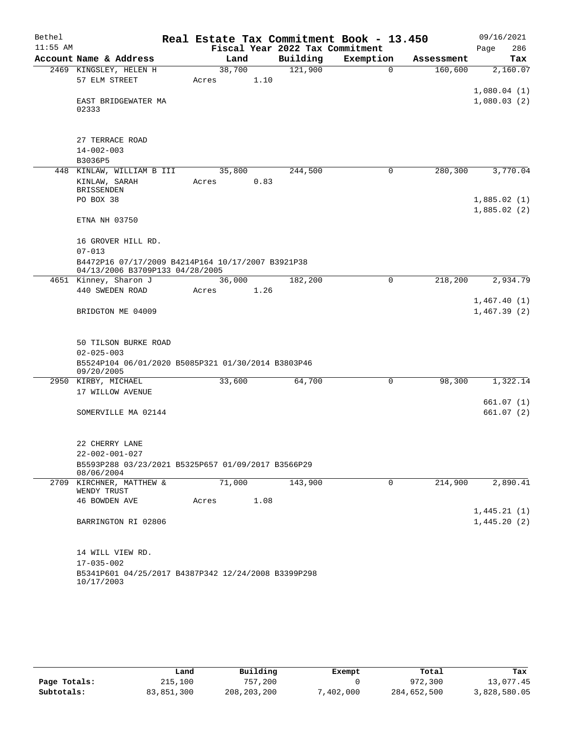| Bethel     |                                                                                      |       |        |                                 | Real Estate Tax Commitment Book - 13.450 |            | 09/16/2021                 |
|------------|--------------------------------------------------------------------------------------|-------|--------|---------------------------------|------------------------------------------|------------|----------------------------|
| $11:55$ AM |                                                                                      |       |        | Fiscal Year 2022 Tax Commitment |                                          |            | 286<br>Page                |
|            | Account Name & Address                                                               |       | Land   | Building                        | Exemption                                | Assessment | Tax                        |
|            | 2469 KINGSLEY, HELEN H                                                               |       | 38,700 | 121,900                         | $\Omega$                                 | 160,600    | 2,160.07                   |
|            | 57 ELM STREET                                                                        | Acres | 1.10   |                                 |                                          |            |                            |
|            | EAST BRIDGEWATER MA<br>02333                                                         |       |        |                                 |                                          |            | 1,080.04(1)<br>1,080.03(2) |
|            |                                                                                      |       |        |                                 |                                          |            |                            |
|            | 27 TERRACE ROAD                                                                      |       |        |                                 |                                          |            |                            |
|            | $14 - 002 - 003$                                                                     |       |        |                                 |                                          |            |                            |
|            | B3036P5                                                                              |       |        |                                 |                                          |            |                            |
|            | 448 KINLAW, WILLIAM B III                                                            |       | 35,800 | 244,500                         | 0                                        | 280,300    | 3,770.04                   |
|            | KINLAW, SARAH<br><b>BRISSENDEN</b>                                                   | Acres | 0.83   |                                 |                                          |            |                            |
|            | PO BOX 38                                                                            |       |        |                                 |                                          |            | 1,885.02(1)                |
|            | ETNA NH 03750                                                                        |       |        |                                 |                                          |            | 1,885.02(2)                |
|            | 16 GROVER HILL RD.                                                                   |       |        |                                 |                                          |            |                            |
|            | $07 - 013$                                                                           |       |        |                                 |                                          |            |                            |
|            | B4472P16 07/17/2009 B4214P164 10/17/2007 B3921P38<br>04/13/2006 B3709P133 04/28/2005 |       |        |                                 |                                          |            |                            |
|            | 4651 Kinney, Sharon J                                                                |       | 36,000 | 182,200                         | 0                                        | 218,200    | 2,934.79                   |
|            | 440 SWEDEN ROAD                                                                      | Acres | 1.26   |                                 |                                          |            |                            |
|            | BRIDGTON ME 04009                                                                    |       |        |                                 |                                          |            | 1,467.40(1)<br>1,467.39(2) |
|            |                                                                                      |       |        |                                 |                                          |            |                            |
|            | 50 TILSON BURKE ROAD                                                                 |       |        |                                 |                                          |            |                            |
|            | $02 - 025 - 003$                                                                     |       |        |                                 |                                          |            |                            |
|            | B5524P104 06/01/2020 B5085P321 01/30/2014 B3803P46<br>09/20/2005                     |       |        |                                 |                                          |            |                            |
|            | 2950 KIRBY, MICHAEL                                                                  |       | 33,600 | 64,700                          | 0                                        | 98,300     | 1,322.14                   |
|            | 17 WILLOW AVENUE                                                                     |       |        |                                 |                                          |            |                            |
|            |                                                                                      |       |        |                                 |                                          |            | 661.07(1)                  |
|            | SOMERVILLE MA 02144                                                                  |       |        |                                 |                                          |            | 661.07 (2)                 |
|            |                                                                                      |       |        |                                 |                                          |            |                            |
|            | 22 CHERRY LANE                                                                       |       |        |                                 |                                          |            |                            |
|            | $22 - 002 - 001 - 027$<br>B5593P288 03/23/2021 B5325P657 01/09/2017 B3566P29         |       |        |                                 |                                          |            |                            |
|            | 08/06/2004<br>2709 KIRCHNER, MATTHEW &                                               |       | 71,000 | 143,900                         | 0                                        | 214,900    | 2,890.41                   |
|            | WENDY TRUST                                                                          |       |        |                                 |                                          |            |                            |
|            | <b>46 BOWDEN AVE</b>                                                                 | Acres | 1.08   |                                 |                                          |            |                            |
|            | BARRINGTON RI 02806                                                                  |       |        |                                 |                                          |            | 1,445.21(1)<br>1,445.20(2) |
|            |                                                                                      |       |        |                                 |                                          |            |                            |
|            | 14 WILL VIEW RD.                                                                     |       |        |                                 |                                          |            |                            |
|            | $17 - 035 - 002$                                                                     |       |        |                                 |                                          |            |                            |
|            | B5341P601 04/25/2017 B4387P342 12/24/2008 B3399P298                                  |       |        |                                 |                                          |            |                            |
|            | 10/17/2003                                                                           |       |        |                                 |                                          |            |                            |

|              | Land       | Building      | Exempt         | Total       | Tax          |
|--------------|------------|---------------|----------------|-------------|--------------|
| Page Totals: | 215,100    | 757,200       |                | 972,300     | 13,077.45    |
| Subtotals:   | 83,851,300 | 208, 203, 200 | $'$ , 402, 000 | 284,652,500 | 3,828,580.05 |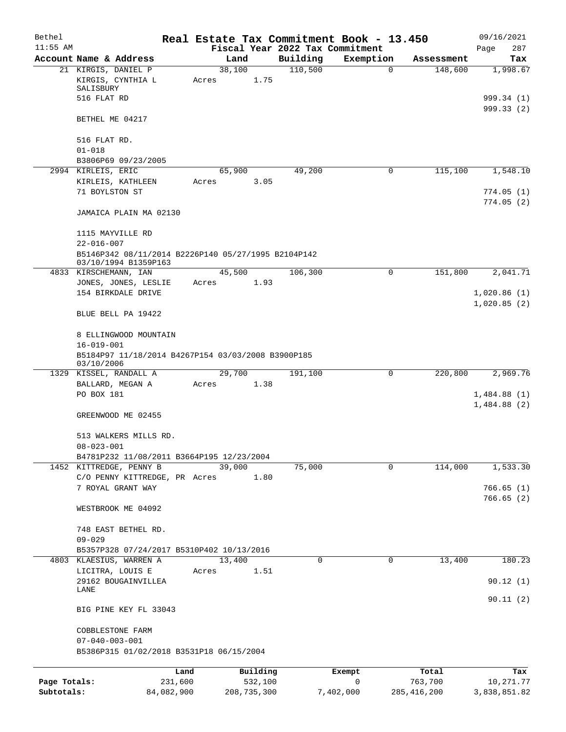| Bethel       |                                                                             |       |                     |          | Real Estate Tax Commitment Book - 13.450 |                  | 09/16/2021                 |
|--------------|-----------------------------------------------------------------------------|-------|---------------------|----------|------------------------------------------|------------------|----------------------------|
| $11:55$ AM   |                                                                             |       |                     |          | Fiscal Year 2022 Tax Commitment          |                  | 287<br>Page                |
|              | Account Name & Address                                                      |       | Land                | Building | Exemption                                | Assessment       | Tax                        |
|              | 21 KIRGIS, DANIEL P<br>KIRGIS, CYNTHIA L                                    | Acres | 38,100<br>1.75      | 110,500  | $\mathbf 0$                              | 148,600          | 1,998.67                   |
|              | SALISBURY<br>516 FLAT RD                                                    |       |                     |          |                                          |                  | 999.34(1)                  |
|              | BETHEL ME 04217                                                             |       |                     |          |                                          |                  | 999.33(2)                  |
|              | 516 FLAT RD.                                                                |       |                     |          |                                          |                  |                            |
|              | $01 - 018$<br>B3806P69 09/23/2005                                           |       |                     |          |                                          |                  |                            |
|              | 2994 KIRLEIS, ERIC                                                          |       | 65,900              | 49,200   | 0                                        | 115,100          | 1,548.10                   |
|              | KIRLEIS, KATHLEEN                                                           | Acres | 3.05                |          |                                          |                  |                            |
|              | 71 BOYLSTON ST                                                              |       |                     |          |                                          |                  | 774.05(1)                  |
|              | JAMAICA PLAIN MA 02130                                                      |       |                     |          |                                          |                  | 774.05(2)                  |
|              | 1115 MAYVILLE RD<br>$22 - 016 - 007$                                        |       |                     |          |                                          |                  |                            |
|              | B5146P342 08/11/2014 B2226P140 05/27/1995 B2104P142<br>03/10/1994 B1359P163 |       |                     |          |                                          |                  |                            |
|              | 4833 KIRSCHEMANN, IAN                                                       |       | 45,500              | 106,300  | $\mathbf 0$                              | 151,800          | 2,041.71                   |
|              | JONES, JONES, LESLIE                                                        | Acres | 1.93                |          |                                          |                  |                            |
|              | 154 BIRKDALE DRIVE                                                          |       |                     |          |                                          |                  | 1,020.86(1)<br>1,020.85(2) |
|              | BLUE BELL PA 19422                                                          |       |                     |          |                                          |                  |                            |
|              | 8 ELLINGWOOD MOUNTAIN<br>$16 - 019 - 001$                                   |       |                     |          |                                          |                  |                            |
|              | B5184P97 11/18/2014 B4267P154 03/03/2008 B3900P185<br>03/10/2006            |       |                     |          |                                          |                  |                            |
| 1329         | KISSEL, RANDALL A                                                           |       | 29,700              | 191,100  | 0                                        | 220,800          | 2,969.76                   |
|              | BALLARD, MEGAN A                                                            | Acres | 1.38                |          |                                          |                  |                            |
|              | PO BOX 181                                                                  |       |                     |          |                                          |                  | 1,484.88(1)<br>1,484.88(2) |
|              | GREENWOOD ME 02455                                                          |       |                     |          |                                          |                  |                            |
|              | 513 WALKERS MILLS RD.<br>$08 - 023 - 001$                                   |       |                     |          |                                          |                  |                            |
|              | B4781P232 11/08/2011 B3664P195 12/23/2004                                   |       |                     |          |                                          |                  |                            |
|              | 1452 KITTREDGE, PENNY B                                                     |       | 39,000              | 75,000   | $\mathbf 0$                              | 114,000          | 1,533.30                   |
|              | C/O PENNY KITTREDGE, PR Acres<br>7 ROYAL GRANT WAY                          |       | 1.80                |          |                                          |                  | 766.65(1)                  |
|              |                                                                             |       |                     |          |                                          |                  | 766.65(2)                  |
|              | WESTBROOK ME 04092                                                          |       |                     |          |                                          |                  |                            |
|              | 748 EAST BETHEL RD.                                                         |       |                     |          |                                          |                  |                            |
|              | $09 - 029$                                                                  |       |                     |          |                                          |                  |                            |
|              | B5357P328 07/24/2017 B5310P402 10/13/2016                                   |       |                     |          |                                          |                  |                            |
|              | 4803 KLAESIUS, WARREN A<br>LICITRA, LOUIS E                                 | Acres | 13,400<br>1.51      | $\Omega$ | $\mathbf 0$                              | 13,400           | 180.23                     |
|              | 29162 BOUGAINVILLEA                                                         |       |                     |          |                                          |                  | 90.12(1)                   |
|              | LANE                                                                        |       |                     |          |                                          |                  |                            |
|              | BIG PINE KEY FL 33043                                                       |       |                     |          |                                          |                  | 90.11(2)                   |
|              | COBBLESTONE FARM                                                            |       |                     |          |                                          |                  |                            |
|              | $07 - 040 - 003 - 001$                                                      |       |                     |          |                                          |                  |                            |
|              | B5386P315 01/02/2018 B3531P18 06/15/2004                                    |       |                     |          |                                          |                  |                            |
|              |                                                                             |       |                     |          |                                          |                  |                            |
| Page Totals: | Land<br>231,600                                                             |       | Building<br>532,100 |          | Exempt<br>0                              | Total<br>763,700 | Tax<br>10,271.77           |

**Subtotals:** 84,082,900 208,735,300 7,402,000 285,416,200 3,838,851.82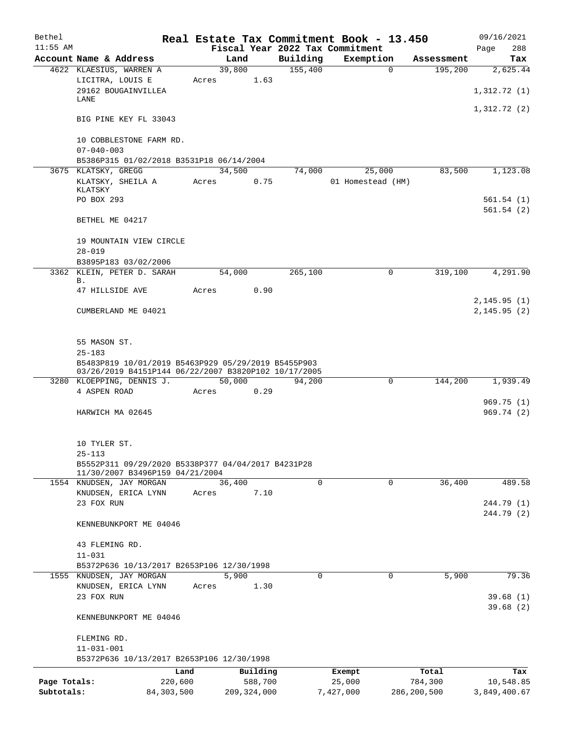| Bethel       |                                                      |                 |               |          | Real Estate Tax Commitment Book - 13.450 |             | 09/16/2021   |
|--------------|------------------------------------------------------|-----------------|---------------|----------|------------------------------------------|-------------|--------------|
| $11:55$ AM   |                                                      |                 |               |          | Fiscal Year 2022 Tax Commitment          |             | 288<br>Page  |
|              | Account Name & Address                               | Land            |               | Building | Exemption                                | Assessment  | Tax          |
|              | 4622 KLAESIUS, WARREN A                              | 39,800          |               | 155,400  | $\Omega$                                 | 195,200     | 2,625.44     |
|              | LICITRA, LOUIS E<br>29162 BOUGAINVILLEA              | Acres           | 1.63          |          |                                          |             | 1,312.72(1)  |
|              | LANE                                                 |                 |               |          |                                          |             |              |
|              |                                                      |                 |               |          |                                          |             | 1,312.72(2)  |
|              | BIG PINE KEY FL 33043                                |                 |               |          |                                          |             |              |
|              |                                                      |                 |               |          |                                          |             |              |
|              | 10 COBBLESTONE FARM RD.                              |                 |               |          |                                          |             |              |
|              | $07 - 040 - 003$                                     |                 |               |          |                                          |             |              |
|              | B5386P315 01/02/2018 B3531P18 06/14/2004             |                 |               |          |                                          |             |              |
|              | 3675 KLATSKY, GREGG                                  | 34,500          |               | 74,000   | 25,000                                   | 83,500      | 1,123.08     |
|              | KLATSKY, SHEILA A<br>KLATSKY                         | Acres           | 0.75          |          | 01 Homestead (HM)                        |             |              |
|              | PO BOX 293                                           |                 |               |          |                                          |             | 561.54(1)    |
|              |                                                      |                 |               |          |                                          |             | 561.54(2)    |
|              | BETHEL ME 04217                                      |                 |               |          |                                          |             |              |
|              |                                                      |                 |               |          |                                          |             |              |
|              | 19 MOUNTAIN VIEW CIRCLE                              |                 |               |          |                                          |             |              |
|              | $28 - 019$                                           |                 |               |          |                                          |             |              |
|              | B3895P183 03/02/2006                                 |                 |               |          |                                          |             |              |
|              | 3362 KLEIN, PETER D. SARAH                           | 54,000          |               | 265,100  | 0                                        | 319,100     | 4,291.90     |
|              | В.<br>47 HILLSIDE AVE                                | Acres           | 0.90          |          |                                          |             |              |
|              |                                                      |                 |               |          |                                          |             | 2, 145.95(1) |
|              | CUMBERLAND ME 04021                                  |                 |               |          |                                          |             | 2,145.95(2)  |
|              |                                                      |                 |               |          |                                          |             |              |
|              |                                                      |                 |               |          |                                          |             |              |
|              | 55 MASON ST.                                         |                 |               |          |                                          |             |              |
|              | $25 - 183$                                           |                 |               |          |                                          |             |              |
|              | B5483P819 10/01/2019 B5463P929 05/29/2019 B5455P903  |                 |               |          |                                          |             |              |
|              | 03/26/2019 B4151P144 06/22/2007 B3820P102 10/17/2005 |                 |               |          |                                          |             |              |
|              | 3280 KLOEPPING, DENNIS J.<br>4 ASPEN ROAD            | 50,000<br>Acres | 0.29          | 94,200   | $\Omega$                                 | 144,200     | 1,939.49     |
|              |                                                      |                 |               |          |                                          |             | 969.75(1)    |
|              | HARWICH MA 02645                                     |                 |               |          |                                          |             | 969.74(2)    |
|              |                                                      |                 |               |          |                                          |             |              |
|              |                                                      |                 |               |          |                                          |             |              |
|              | 10 TYLER ST.                                         |                 |               |          |                                          |             |              |
|              | $25 - 113$                                           |                 |               |          |                                          |             |              |
|              | B5552P311 09/29/2020 B5338P377 04/04/2017 B4231P28   |                 |               |          |                                          |             |              |
|              | 11/30/2007 B3496P159 04/21/2004                      |                 |               | 0        |                                          |             |              |
|              | 1554 KNUDSEN, JAY MORGAN<br>KNUDSEN, ERICA LYNN      | 36,400<br>Acres | 7.10          |          | 0                                        | 36,400      | 489.58       |
|              | 23 FOX RUN                                           |                 |               |          |                                          |             | 244.79 (1)   |
|              |                                                      |                 |               |          |                                          |             | 244.79 (2)   |
|              | KENNEBUNKPORT ME 04046                               |                 |               |          |                                          |             |              |
|              |                                                      |                 |               |          |                                          |             |              |
|              | 43 FLEMING RD.                                       |                 |               |          |                                          |             |              |
|              | $11 - 031$                                           |                 |               |          |                                          |             |              |
|              | B5372P636 10/13/2017 B2653P106 12/30/1998            |                 |               |          |                                          |             |              |
|              | 1555 KNUDSEN, JAY MORGAN                             | 5,900           |               | $\Omega$ | $\Omega$                                 | 5,900       | 79.36        |
|              | KNUDSEN, ERICA LYNN                                  | Acres           | 1.30          |          |                                          |             |              |
|              | 23 FOX RUN                                           |                 |               |          |                                          |             | 39.68(1)     |
|              |                                                      |                 |               |          |                                          |             | 39.68(2)     |
|              | KENNEBUNKPORT ME 04046                               |                 |               |          |                                          |             |              |
|              | FLEMING RD.                                          |                 |               |          |                                          |             |              |
|              | $11 - 031 - 001$                                     |                 |               |          |                                          |             |              |
|              | B5372P636 10/13/2017 B2653P106 12/30/1998            |                 |               |          |                                          |             |              |
|              | Land                                                 |                 | Building      |          | Exempt                                   | Total       | Tax          |
| Page Totals: | 220,600                                              |                 | 588,700       |          | 25,000                                   | 784,300     | 10,548.85    |
| Subtotals:   | 84, 303, 500                                         |                 | 209, 324, 000 |          | 7,427,000                                | 286,200,500 | 3,849,400.67 |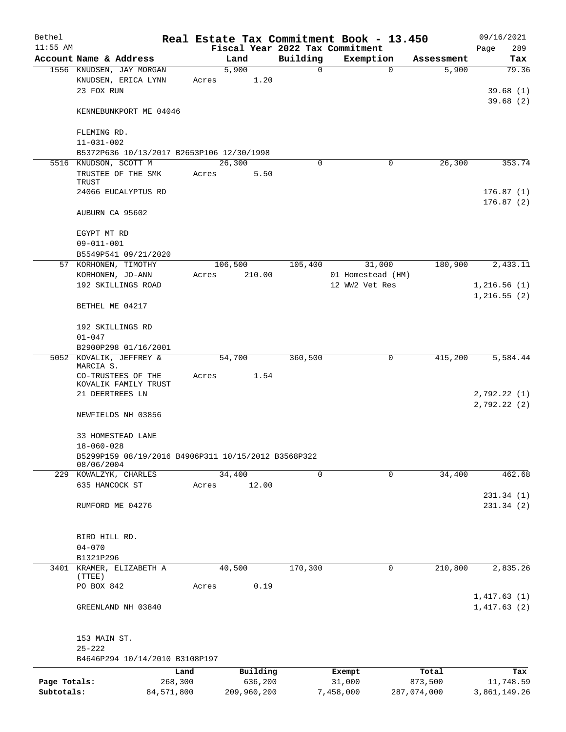| Bethel       |                                                               |         |               |          | Real Estate Tax Commitment Book - 13.450 |             | 09/16/2021                 |
|--------------|---------------------------------------------------------------|---------|---------------|----------|------------------------------------------|-------------|----------------------------|
| $11:55$ AM   |                                                               |         |               |          | Fiscal Year 2022 Tax Commitment          |             | 289<br>Page                |
|              | Account Name & Address                                        |         | Land          | Building | Exemption                                | Assessment  | Tax                        |
|              | 1556 KNUDSEN, JAY MORGAN<br>KNUDSEN, ERICA LYNN<br>23 FOX RUN | Acres   | 5,900<br>1.20 | 0        | 0                                        | 5,900       | 79.36<br>39.68(1)          |
|              | KENNEBUNKPORT ME 04046                                        |         |               |          |                                          |             | 39.68(2)                   |
|              | FLEMING RD.<br>$11 - 031 - 002$                               |         |               |          |                                          |             |                            |
|              | B5372P636 10/13/2017 B2653P106 12/30/1998                     |         |               |          |                                          |             |                            |
|              | 5516 KNUDSON, SCOTT M                                         |         | 26,300        | $\Omega$ | 0                                        | 26,300      | 353.74                     |
|              | TRUSTEE OF THE SMK<br>TRUST                                   | Acres   | 5.50          |          |                                          |             |                            |
|              | 24066 EUCALYPTUS RD                                           |         |               |          |                                          |             | 176.87(1)<br>176.87(2)     |
|              | AUBURN CA 95602                                               |         |               |          |                                          |             |                            |
|              | EGYPT MT RD                                                   |         |               |          |                                          |             |                            |
|              | $09 - 011 - 001$                                              |         |               |          |                                          |             |                            |
|              | B5549P541 09/21/2020                                          |         |               |          |                                          |             |                            |
|              | 57 KORHONEN, TIMOTHY                                          |         | 106,500       | 105,400  | 31,000                                   | 180,900     | 2,433.11                   |
|              | KORHONEN, JO-ANN                                              | Acres   | 210.00        |          | 01 Homestead (HM)                        |             |                            |
|              | 192 SKILLINGS ROAD                                            |         |               |          | 12 WW2 Vet Res                           |             | 1,216.56(1)<br>1,216.55(2) |
|              | BETHEL ME 04217                                               |         |               |          |                                          |             |                            |
|              | 192 SKILLINGS RD<br>$01 - 047$                                |         |               |          |                                          |             |                            |
|              | B2900P298 01/16/2001                                          |         |               |          |                                          |             |                            |
|              | 5052 KOVALIK, JEFFREY &                                       |         | 54,700        | 360,500  | 0                                        | 415,200     | 5,584.44                   |
|              | MARCIA S.                                                     |         |               |          |                                          |             |                            |
|              | CO-TRUSTEES OF THE<br>KOVALIK FAMILY TRUST<br>21 DEERTREES LN | Acres   | 1.54          |          |                                          |             | 2,792.22 (1)               |
|              | NEWFIELDS NH 03856                                            |         |               |          |                                          |             | 2,792.22(2)                |
|              | 33 HOMESTEAD LANE<br>$18 - 060 - 028$                         |         |               |          |                                          |             |                            |
|              | B5299P159 08/19/2016 B4906P311 10/15/2012 B3568P322           |         |               |          |                                          |             |                            |
|              | 08/06/2004<br>229 KOWALZYK, CHARLES                           |         | 34,400        | 0        | $\mathbf 0$                              | 34,400      | 462.68                     |
|              | 635 HANCOCK ST                                                | Acres   | 12.00         |          |                                          |             |                            |
|              |                                                               |         |               |          |                                          |             | 231.34(1)                  |
|              | RUMFORD ME 04276                                              |         |               |          |                                          |             | 231.34(2)                  |
|              | BIRD HILL RD.                                                 |         |               |          |                                          |             |                            |
|              | $04 - 070$                                                    |         |               |          |                                          |             |                            |
|              | B1321P296                                                     |         |               |          |                                          |             |                            |
|              | 3401 KRAMER, ELIZABETH A                                      |         | 40,500        | 170,300  | 0                                        | 210,800     | 2,835.26                   |
|              | (TTEE)<br>PO BOX 842                                          | Acres   | 0.19          |          |                                          |             |                            |
|              |                                                               |         |               |          |                                          |             | 1,417.63(1)                |
|              | GREENLAND NH 03840                                            |         |               |          |                                          |             | 1,417.63(2)                |
|              | 153 MAIN ST.<br>$25 - 222$                                    |         |               |          |                                          |             |                            |
|              | B4646P294 10/14/2010 B3108P197                                |         |               |          |                                          |             |                            |
|              |                                                               | Land    | Building      |          | Exempt                                   | Total       | Tax                        |
| Page Totals: |                                                               | 268,300 | 636,200       |          | 31,000                                   | 873,500     | 11,748.59                  |
| Subtotals:   | 84,571,800                                                    |         | 209,960,200   |          | 7,458,000                                | 287,074,000 | 3,861,149.26               |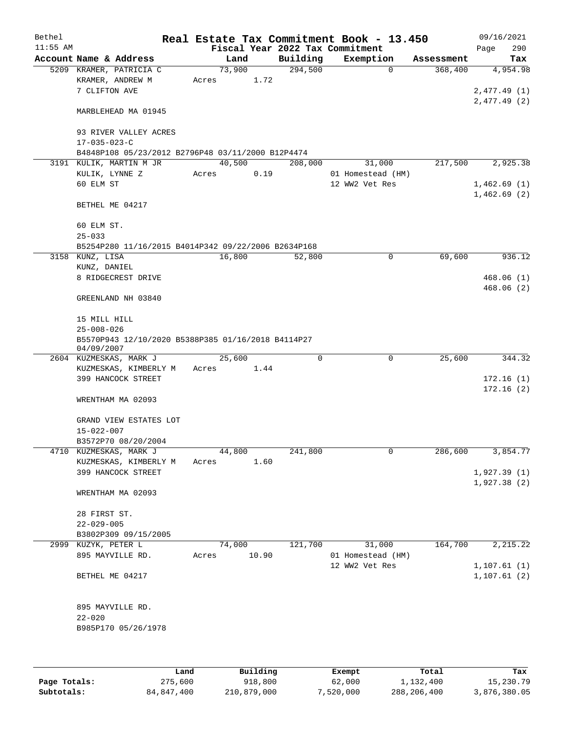| $11:55$ AM<br>Fiscal Year 2022 Tax Commitment<br>290<br>Page<br>Account Name & Address<br>Building<br>Exemption<br>Land<br>Assessment<br>73,900<br>294,500<br>5209 KRAMER, PATRICIA C<br>$\mathbf 0$<br>368,400<br>KRAMER, ANDREW M<br>1.72<br>Acres<br>7 CLIFTON AVE<br>MARBLEHEAD MA 01945<br>93 RIVER VALLEY ACRES<br>$17 - 035 - 023 - C$<br>B4848P108 05/23/2012 B2796P48 03/11/2000 B12P4474<br>40,500<br>208,000<br>217,500<br>3191 KULIK, MARTIN M JR<br>31,000<br>KULIK, LYNNE Z<br>0.19<br>01 Homestead (HM)<br>Acres<br>60 ELM ST<br>12 WW2 Vet Res<br>BETHEL ME 04217<br>60 ELM ST.<br>$25 - 033$<br>B5254P280 11/16/2015 B4014P342 09/22/2006 B2634P168<br>16,800<br>69,600<br>3158 KUNZ, LISA<br>52,800<br>0<br>KUNZ, DANIEL<br>8 RIDGECREST DRIVE<br>GREENLAND NH 03840<br>15 MILL HILL<br>$25 - 008 - 026$<br>B5570P943 12/10/2020 B5388P385 01/16/2018 B4114P27<br>04/09/2007<br>$\mathbf 0$<br>$\mathbf 0$<br>2604 KUZMESKAS, MARK J<br>25,600<br>25,600<br>1.44<br>KUZMESKAS, KIMBERLY M<br>Acres<br>399 HANCOCK STREET<br>WRENTHAM MA 02093<br>GRAND VIEW ESTATES LOT<br>$15 - 022 - 007$<br>B3572P70 08/20/2004<br>4710 KUZMESKAS, MARK J<br>44,800<br>241,800<br>0<br>286,600<br>KUZMESKAS, KIMBERLY M<br>1.60<br>Acres<br>399 HANCOCK STREET<br>WRENTHAM MA 02093<br>28 FIRST ST.<br>$22 - 029 - 005$<br>B3802P309 09/15/2005<br>2,215.22<br>2999 KUZYK, PETER L<br>74,000<br>121,700<br>31,000<br>164,700<br>895 MAYVILLE RD.<br>10.90<br>01 Homestead (HM)<br>Acres<br>12 WW2 Vet Res<br>BETHEL ME 04217<br>895 MAYVILLE RD.<br>$22 - 020$<br>B985P170 05/26/1978 | Bethel |  |  | Real Estate Tax Commitment Book - 13.450 | 09/16/2021   |
|--------------------------------------------------------------------------------------------------------------------------------------------------------------------------------------------------------------------------------------------------------------------------------------------------------------------------------------------------------------------------------------------------------------------------------------------------------------------------------------------------------------------------------------------------------------------------------------------------------------------------------------------------------------------------------------------------------------------------------------------------------------------------------------------------------------------------------------------------------------------------------------------------------------------------------------------------------------------------------------------------------------------------------------------------------------------------------------------------------------------------------------------------------------------------------------------------------------------------------------------------------------------------------------------------------------------------------------------------------------------------------------------------------------------------------------------------------------------------------------------------------------------------------------------------------------------------------------------|--------|--|--|------------------------------------------|--------------|
|                                                                                                                                                                                                                                                                                                                                                                                                                                                                                                                                                                                                                                                                                                                                                                                                                                                                                                                                                                                                                                                                                                                                                                                                                                                                                                                                                                                                                                                                                                                                                                                            |        |  |  |                                          |              |
|                                                                                                                                                                                                                                                                                                                                                                                                                                                                                                                                                                                                                                                                                                                                                                                                                                                                                                                                                                                                                                                                                                                                                                                                                                                                                                                                                                                                                                                                                                                                                                                            |        |  |  |                                          | Tax          |
|                                                                                                                                                                                                                                                                                                                                                                                                                                                                                                                                                                                                                                                                                                                                                                                                                                                                                                                                                                                                                                                                                                                                                                                                                                                                                                                                                                                                                                                                                                                                                                                            |        |  |  |                                          | 4,954.98     |
|                                                                                                                                                                                                                                                                                                                                                                                                                                                                                                                                                                                                                                                                                                                                                                                                                                                                                                                                                                                                                                                                                                                                                                                                                                                                                                                                                                                                                                                                                                                                                                                            |        |  |  |                                          |              |
|                                                                                                                                                                                                                                                                                                                                                                                                                                                                                                                                                                                                                                                                                                                                                                                                                                                                                                                                                                                                                                                                                                                                                                                                                                                                                                                                                                                                                                                                                                                                                                                            |        |  |  |                                          | 2,477.49(1)  |
|                                                                                                                                                                                                                                                                                                                                                                                                                                                                                                                                                                                                                                                                                                                                                                                                                                                                                                                                                                                                                                                                                                                                                                                                                                                                                                                                                                                                                                                                                                                                                                                            |        |  |  |                                          | 2,477.49(2)  |
|                                                                                                                                                                                                                                                                                                                                                                                                                                                                                                                                                                                                                                                                                                                                                                                                                                                                                                                                                                                                                                                                                                                                                                                                                                                                                                                                                                                                                                                                                                                                                                                            |        |  |  |                                          |              |
|                                                                                                                                                                                                                                                                                                                                                                                                                                                                                                                                                                                                                                                                                                                                                                                                                                                                                                                                                                                                                                                                                                                                                                                                                                                                                                                                                                                                                                                                                                                                                                                            |        |  |  |                                          |              |
|                                                                                                                                                                                                                                                                                                                                                                                                                                                                                                                                                                                                                                                                                                                                                                                                                                                                                                                                                                                                                                                                                                                                                                                                                                                                                                                                                                                                                                                                                                                                                                                            |        |  |  |                                          |              |
|                                                                                                                                                                                                                                                                                                                                                                                                                                                                                                                                                                                                                                                                                                                                                                                                                                                                                                                                                                                                                                                                                                                                                                                                                                                                                                                                                                                                                                                                                                                                                                                            |        |  |  |                                          |              |
|                                                                                                                                                                                                                                                                                                                                                                                                                                                                                                                                                                                                                                                                                                                                                                                                                                                                                                                                                                                                                                                                                                                                                                                                                                                                                                                                                                                                                                                                                                                                                                                            |        |  |  |                                          |              |
|                                                                                                                                                                                                                                                                                                                                                                                                                                                                                                                                                                                                                                                                                                                                                                                                                                                                                                                                                                                                                                                                                                                                                                                                                                                                                                                                                                                                                                                                                                                                                                                            |        |  |  |                                          | 2,925.38     |
|                                                                                                                                                                                                                                                                                                                                                                                                                                                                                                                                                                                                                                                                                                                                                                                                                                                                                                                                                                                                                                                                                                                                                                                                                                                                                                                                                                                                                                                                                                                                                                                            |        |  |  |                                          |              |
|                                                                                                                                                                                                                                                                                                                                                                                                                                                                                                                                                                                                                                                                                                                                                                                                                                                                                                                                                                                                                                                                                                                                                                                                                                                                                                                                                                                                                                                                                                                                                                                            |        |  |  |                                          | 1,462.69(1)  |
|                                                                                                                                                                                                                                                                                                                                                                                                                                                                                                                                                                                                                                                                                                                                                                                                                                                                                                                                                                                                                                                                                                                                                                                                                                                                                                                                                                                                                                                                                                                                                                                            |        |  |  |                                          | 1,462.69(2)  |
|                                                                                                                                                                                                                                                                                                                                                                                                                                                                                                                                                                                                                                                                                                                                                                                                                                                                                                                                                                                                                                                                                                                                                                                                                                                                                                                                                                                                                                                                                                                                                                                            |        |  |  |                                          |              |
|                                                                                                                                                                                                                                                                                                                                                                                                                                                                                                                                                                                                                                                                                                                                                                                                                                                                                                                                                                                                                                                                                                                                                                                                                                                                                                                                                                                                                                                                                                                                                                                            |        |  |  |                                          |              |
|                                                                                                                                                                                                                                                                                                                                                                                                                                                                                                                                                                                                                                                                                                                                                                                                                                                                                                                                                                                                                                                                                                                                                                                                                                                                                                                                                                                                                                                                                                                                                                                            |        |  |  |                                          |              |
|                                                                                                                                                                                                                                                                                                                                                                                                                                                                                                                                                                                                                                                                                                                                                                                                                                                                                                                                                                                                                                                                                                                                                                                                                                                                                                                                                                                                                                                                                                                                                                                            |        |  |  |                                          |              |
|                                                                                                                                                                                                                                                                                                                                                                                                                                                                                                                                                                                                                                                                                                                                                                                                                                                                                                                                                                                                                                                                                                                                                                                                                                                                                                                                                                                                                                                                                                                                                                                            |        |  |  |                                          |              |
|                                                                                                                                                                                                                                                                                                                                                                                                                                                                                                                                                                                                                                                                                                                                                                                                                                                                                                                                                                                                                                                                                                                                                                                                                                                                                                                                                                                                                                                                                                                                                                                            |        |  |  |                                          | 936.12       |
|                                                                                                                                                                                                                                                                                                                                                                                                                                                                                                                                                                                                                                                                                                                                                                                                                                                                                                                                                                                                                                                                                                                                                                                                                                                                                                                                                                                                                                                                                                                                                                                            |        |  |  |                                          |              |
|                                                                                                                                                                                                                                                                                                                                                                                                                                                                                                                                                                                                                                                                                                                                                                                                                                                                                                                                                                                                                                                                                                                                                                                                                                                                                                                                                                                                                                                                                                                                                                                            |        |  |  |                                          | 468.06(1)    |
|                                                                                                                                                                                                                                                                                                                                                                                                                                                                                                                                                                                                                                                                                                                                                                                                                                                                                                                                                                                                                                                                                                                                                                                                                                                                                                                                                                                                                                                                                                                                                                                            |        |  |  |                                          | 468.06(2)    |
|                                                                                                                                                                                                                                                                                                                                                                                                                                                                                                                                                                                                                                                                                                                                                                                                                                                                                                                                                                                                                                                                                                                                                                                                                                                                                                                                                                                                                                                                                                                                                                                            |        |  |  |                                          |              |
|                                                                                                                                                                                                                                                                                                                                                                                                                                                                                                                                                                                                                                                                                                                                                                                                                                                                                                                                                                                                                                                                                                                                                                                                                                                                                                                                                                                                                                                                                                                                                                                            |        |  |  |                                          |              |
|                                                                                                                                                                                                                                                                                                                                                                                                                                                                                                                                                                                                                                                                                                                                                                                                                                                                                                                                                                                                                                                                                                                                                                                                                                                                                                                                                                                                                                                                                                                                                                                            |        |  |  |                                          |              |
|                                                                                                                                                                                                                                                                                                                                                                                                                                                                                                                                                                                                                                                                                                                                                                                                                                                                                                                                                                                                                                                                                                                                                                                                                                                                                                                                                                                                                                                                                                                                                                                            |        |  |  |                                          |              |
|                                                                                                                                                                                                                                                                                                                                                                                                                                                                                                                                                                                                                                                                                                                                                                                                                                                                                                                                                                                                                                                                                                                                                                                                                                                                                                                                                                                                                                                                                                                                                                                            |        |  |  |                                          |              |
|                                                                                                                                                                                                                                                                                                                                                                                                                                                                                                                                                                                                                                                                                                                                                                                                                                                                                                                                                                                                                                                                                                                                                                                                                                                                                                                                                                                                                                                                                                                                                                                            |        |  |  |                                          |              |
|                                                                                                                                                                                                                                                                                                                                                                                                                                                                                                                                                                                                                                                                                                                                                                                                                                                                                                                                                                                                                                                                                                                                                                                                                                                                                                                                                                                                                                                                                                                                                                                            |        |  |  |                                          | 344.32       |
|                                                                                                                                                                                                                                                                                                                                                                                                                                                                                                                                                                                                                                                                                                                                                                                                                                                                                                                                                                                                                                                                                                                                                                                                                                                                                                                                                                                                                                                                                                                                                                                            |        |  |  |                                          |              |
|                                                                                                                                                                                                                                                                                                                                                                                                                                                                                                                                                                                                                                                                                                                                                                                                                                                                                                                                                                                                                                                                                                                                                                                                                                                                                                                                                                                                                                                                                                                                                                                            |        |  |  |                                          | 172.16(1)    |
|                                                                                                                                                                                                                                                                                                                                                                                                                                                                                                                                                                                                                                                                                                                                                                                                                                                                                                                                                                                                                                                                                                                                                                                                                                                                                                                                                                                                                                                                                                                                                                                            |        |  |  |                                          | 172.16(2)    |
|                                                                                                                                                                                                                                                                                                                                                                                                                                                                                                                                                                                                                                                                                                                                                                                                                                                                                                                                                                                                                                                                                                                                                                                                                                                                                                                                                                                                                                                                                                                                                                                            |        |  |  |                                          |              |
|                                                                                                                                                                                                                                                                                                                                                                                                                                                                                                                                                                                                                                                                                                                                                                                                                                                                                                                                                                                                                                                                                                                                                                                                                                                                                                                                                                                                                                                                                                                                                                                            |        |  |  |                                          |              |
|                                                                                                                                                                                                                                                                                                                                                                                                                                                                                                                                                                                                                                                                                                                                                                                                                                                                                                                                                                                                                                                                                                                                                                                                                                                                                                                                                                                                                                                                                                                                                                                            |        |  |  |                                          |              |
|                                                                                                                                                                                                                                                                                                                                                                                                                                                                                                                                                                                                                                                                                                                                                                                                                                                                                                                                                                                                                                                                                                                                                                                                                                                                                                                                                                                                                                                                                                                                                                                            |        |  |  |                                          |              |
|                                                                                                                                                                                                                                                                                                                                                                                                                                                                                                                                                                                                                                                                                                                                                                                                                                                                                                                                                                                                                                                                                                                                                                                                                                                                                                                                                                                                                                                                                                                                                                                            |        |  |  |                                          |              |
|                                                                                                                                                                                                                                                                                                                                                                                                                                                                                                                                                                                                                                                                                                                                                                                                                                                                                                                                                                                                                                                                                                                                                                                                                                                                                                                                                                                                                                                                                                                                                                                            |        |  |  |                                          | 3,854.77     |
|                                                                                                                                                                                                                                                                                                                                                                                                                                                                                                                                                                                                                                                                                                                                                                                                                                                                                                                                                                                                                                                                                                                                                                                                                                                                                                                                                                                                                                                                                                                                                                                            |        |  |  |                                          |              |
|                                                                                                                                                                                                                                                                                                                                                                                                                                                                                                                                                                                                                                                                                                                                                                                                                                                                                                                                                                                                                                                                                                                                                                                                                                                                                                                                                                                                                                                                                                                                                                                            |        |  |  |                                          | 1,927.39(1)  |
|                                                                                                                                                                                                                                                                                                                                                                                                                                                                                                                                                                                                                                                                                                                                                                                                                                                                                                                                                                                                                                                                                                                                                                                                                                                                                                                                                                                                                                                                                                                                                                                            |        |  |  |                                          | 1,927.38(2)  |
|                                                                                                                                                                                                                                                                                                                                                                                                                                                                                                                                                                                                                                                                                                                                                                                                                                                                                                                                                                                                                                                                                                                                                                                                                                                                                                                                                                                                                                                                                                                                                                                            |        |  |  |                                          |              |
|                                                                                                                                                                                                                                                                                                                                                                                                                                                                                                                                                                                                                                                                                                                                                                                                                                                                                                                                                                                                                                                                                                                                                                                                                                                                                                                                                                                                                                                                                                                                                                                            |        |  |  |                                          |              |
|                                                                                                                                                                                                                                                                                                                                                                                                                                                                                                                                                                                                                                                                                                                                                                                                                                                                                                                                                                                                                                                                                                                                                                                                                                                                                                                                                                                                                                                                                                                                                                                            |        |  |  |                                          |              |
|                                                                                                                                                                                                                                                                                                                                                                                                                                                                                                                                                                                                                                                                                                                                                                                                                                                                                                                                                                                                                                                                                                                                                                                                                                                                                                                                                                                                                                                                                                                                                                                            |        |  |  |                                          |              |
|                                                                                                                                                                                                                                                                                                                                                                                                                                                                                                                                                                                                                                                                                                                                                                                                                                                                                                                                                                                                                                                                                                                                                                                                                                                                                                                                                                                                                                                                                                                                                                                            |        |  |  |                                          |              |
|                                                                                                                                                                                                                                                                                                                                                                                                                                                                                                                                                                                                                                                                                                                                                                                                                                                                                                                                                                                                                                                                                                                                                                                                                                                                                                                                                                                                                                                                                                                                                                                            |        |  |  |                                          |              |
|                                                                                                                                                                                                                                                                                                                                                                                                                                                                                                                                                                                                                                                                                                                                                                                                                                                                                                                                                                                                                                                                                                                                                                                                                                                                                                                                                                                                                                                                                                                                                                                            |        |  |  |                                          |              |
|                                                                                                                                                                                                                                                                                                                                                                                                                                                                                                                                                                                                                                                                                                                                                                                                                                                                                                                                                                                                                                                                                                                                                                                                                                                                                                                                                                                                                                                                                                                                                                                            |        |  |  |                                          | 1, 107.61(1) |
|                                                                                                                                                                                                                                                                                                                                                                                                                                                                                                                                                                                                                                                                                                                                                                                                                                                                                                                                                                                                                                                                                                                                                                                                                                                                                                                                                                                                                                                                                                                                                                                            |        |  |  |                                          | 1, 107.61(2) |
|                                                                                                                                                                                                                                                                                                                                                                                                                                                                                                                                                                                                                                                                                                                                                                                                                                                                                                                                                                                                                                                                                                                                                                                                                                                                                                                                                                                                                                                                                                                                                                                            |        |  |  |                                          |              |
|                                                                                                                                                                                                                                                                                                                                                                                                                                                                                                                                                                                                                                                                                                                                                                                                                                                                                                                                                                                                                                                                                                                                                                                                                                                                                                                                                                                                                                                                                                                                                                                            |        |  |  |                                          |              |
|                                                                                                                                                                                                                                                                                                                                                                                                                                                                                                                                                                                                                                                                                                                                                                                                                                                                                                                                                                                                                                                                                                                                                                                                                                                                                                                                                                                                                                                                                                                                                                                            |        |  |  |                                          |              |
|                                                                                                                                                                                                                                                                                                                                                                                                                                                                                                                                                                                                                                                                                                                                                                                                                                                                                                                                                                                                                                                                                                                                                                                                                                                                                                                                                                                                                                                                                                                                                                                            |        |  |  |                                          |              |
|                                                                                                                                                                                                                                                                                                                                                                                                                                                                                                                                                                                                                                                                                                                                                                                                                                                                                                                                                                                                                                                                                                                                                                                                                                                                                                                                                                                                                                                                                                                                                                                            |        |  |  |                                          |              |
|                                                                                                                                                                                                                                                                                                                                                                                                                                                                                                                                                                                                                                                                                                                                                                                                                                                                                                                                                                                                                                                                                                                                                                                                                                                                                                                                                                                                                                                                                                                                                                                            |        |  |  |                                          |              |
|                                                                                                                                                                                                                                                                                                                                                                                                                                                                                                                                                                                                                                                                                                                                                                                                                                                                                                                                                                                                                                                                                                                                                                                                                                                                                                                                                                                                                                                                                                                                                                                            |        |  |  |                                          |              |
|                                                                                                                                                                                                                                                                                                                                                                                                                                                                                                                                                                                                                                                                                                                                                                                                                                                                                                                                                                                                                                                                                                                                                                                                                                                                                                                                                                                                                                                                                                                                                                                            |        |  |  |                                          |              |

|              | Land       | Building    | Exempt    | Total       | Tax          |
|--------------|------------|-------------|-----------|-------------|--------------|
| Page Totals: | 275,600    | 918,800     | 62,000    | 1,132,400   | 15,230.79    |
| Subtotals:   | 84,847,400 | 210,879,000 | 7,520,000 | 288,206,400 | 3,876,380.05 |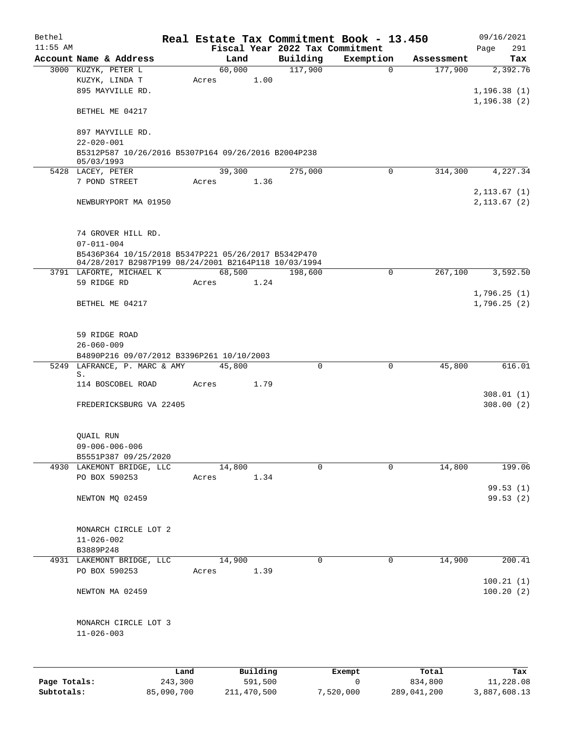| Bethel       |                                                                         |            |       |             |             | Real Estate Tax Commitment Book - 13.450 |             |             | 09/16/2021             |
|--------------|-------------------------------------------------------------------------|------------|-------|-------------|-------------|------------------------------------------|-------------|-------------|------------------------|
| $11:55$ AM   |                                                                         |            |       |             |             | Fiscal Year 2022 Tax Commitment          |             |             | 291<br>Page            |
|              | Account Name & Address                                                  |            |       | Land        | Building    | Exemption                                |             | Assessment  | Tax                    |
|              | 3000 KUZYK, PETER L                                                     |            |       | 60,000      | 117,900     |                                          | $\Omega$    | 177,900     | 2,392.76               |
|              | KUZYK, LINDA T<br>895 MAYVILLE RD.                                      |            | Acres | 1.00        |             |                                          |             |             | 1, 196.38(1)           |
|              |                                                                         |            |       |             |             |                                          |             |             | 1,196.38(2)            |
|              | BETHEL ME 04217                                                         |            |       |             |             |                                          |             |             |                        |
|              | 897 MAYVILLE RD.                                                        |            |       |             |             |                                          |             |             |                        |
|              | $22 - 020 - 001$                                                        |            |       |             |             |                                          |             |             |                        |
|              | B5312P587 10/26/2016 B5307P164 09/26/2016 B2004P238                     |            |       |             |             |                                          |             |             |                        |
|              | 05/03/1993<br>5428 LACEY, PETER                                         |            |       | 39,300      | 275,000     |                                          | $\Omega$    | 314,300     | 4,227.34               |
|              | 7 POND STREET                                                           |            | Acres | 1.36        |             |                                          |             |             |                        |
|              |                                                                         |            |       |             |             |                                          |             |             | 2, 113.67(1)           |
|              | NEWBURYPORT MA 01950                                                    |            |       |             |             |                                          |             |             | 2, 113.67 (2)          |
|              |                                                                         |            |       |             |             |                                          |             |             |                        |
|              |                                                                         |            |       |             |             |                                          |             |             |                        |
|              | 74 GROVER HILL RD.                                                      |            |       |             |             |                                          |             |             |                        |
|              | $07 - 011 - 004$<br>B5436P364 10/15/2018 B5347P221 05/26/2017 B5342P470 |            |       |             |             |                                          |             |             |                        |
|              | 04/28/2017 B2987P199 08/24/2001 B2164P118 10/03/1994                    |            |       |             |             |                                          |             |             |                        |
|              | 3791 LAFORTE, MICHAEL K                                                 |            |       | 68,500      | 198,600     |                                          | $\mathbf 0$ | 267,100     | 3,592.50               |
|              | 59 RIDGE RD                                                             |            | Acres | 1.24        |             |                                          |             |             |                        |
|              |                                                                         |            |       |             |             |                                          |             |             | 1,796.25(1)            |
|              | BETHEL ME 04217                                                         |            |       |             |             |                                          |             |             | 1,796.25(2)            |
|              |                                                                         |            |       |             |             |                                          |             |             |                        |
|              | 59 RIDGE ROAD                                                           |            |       |             |             |                                          |             |             |                        |
|              | $26 - 060 - 009$                                                        |            |       |             |             |                                          |             |             |                        |
|              | B4890P216 09/07/2012 B3396P261 10/10/2003                               |            |       |             |             |                                          |             |             |                        |
|              | 5249 LAFRANCE, P. MARC & AMY                                            |            |       | 45,800      | $\mathbf 0$ |                                          | $\mathbf 0$ | 45,800      | 616.01                 |
|              | S.<br>114 BOSCOBEL ROAD                                                 |            | Acres | 1.79        |             |                                          |             |             |                        |
|              |                                                                         |            |       |             |             |                                          |             |             | 308.01(1)              |
|              | FREDERICKSBURG VA 22405                                                 |            |       |             |             |                                          |             |             | 308.00(2)              |
|              |                                                                         |            |       |             |             |                                          |             |             |                        |
|              |                                                                         |            |       |             |             |                                          |             |             |                        |
|              | QUAIL RUN                                                               |            |       |             |             |                                          |             |             |                        |
|              | $09 - 006 - 006 - 006$<br>B5551P387 09/25/2020                          |            |       |             |             |                                          |             |             |                        |
|              | 4930 LAKEMONT BRIDGE, LLC                                               |            |       | 14,800      | $\Omega$    |                                          | $\Omega$    | 14,800      | 199.06                 |
|              | PO BOX 590253                                                           |            | Acres | 1.34        |             |                                          |             |             |                        |
|              |                                                                         |            |       |             |             |                                          |             |             | 99.53(1)               |
|              | NEWTON MQ 02459                                                         |            |       |             |             |                                          |             |             | 99.53 (2)              |
|              |                                                                         |            |       |             |             |                                          |             |             |                        |
|              | MONARCH CIRCLE LOT 2                                                    |            |       |             |             |                                          |             |             |                        |
|              | $11 - 026 - 002$                                                        |            |       |             |             |                                          |             |             |                        |
|              | B3889P248                                                               |            |       |             |             |                                          |             |             |                        |
|              | 4931 LAKEMONT BRIDGE, LLC                                               |            |       | 14,900      | 0           |                                          | 0           | 14,900      | 200.41                 |
|              | PO BOX 590253                                                           |            | Acres | 1.39        |             |                                          |             |             |                        |
|              | NEWTON MA 02459                                                         |            |       |             |             |                                          |             |             | 100.21(1)<br>100.20(2) |
|              |                                                                         |            |       |             |             |                                          |             |             |                        |
|              |                                                                         |            |       |             |             |                                          |             |             |                        |
|              | MONARCH CIRCLE LOT 3                                                    |            |       |             |             |                                          |             |             |                        |
|              | $11 - 026 - 003$                                                        |            |       |             |             |                                          |             |             |                        |
|              |                                                                         |            |       |             |             |                                          |             |             |                        |
|              |                                                                         | Land       |       | Building    |             | Exempt                                   |             | Total       | Tax                    |
| Page Totals: |                                                                         | 243,300    |       | 591,500     |             | $\mathbf 0$                              |             | 834,800     | 11,228.08              |
| Subtotals:   |                                                                         | 85,090,700 |       | 211,470,500 |             | 7,520,000                                |             | 289,041,200 | 3,887,608.13           |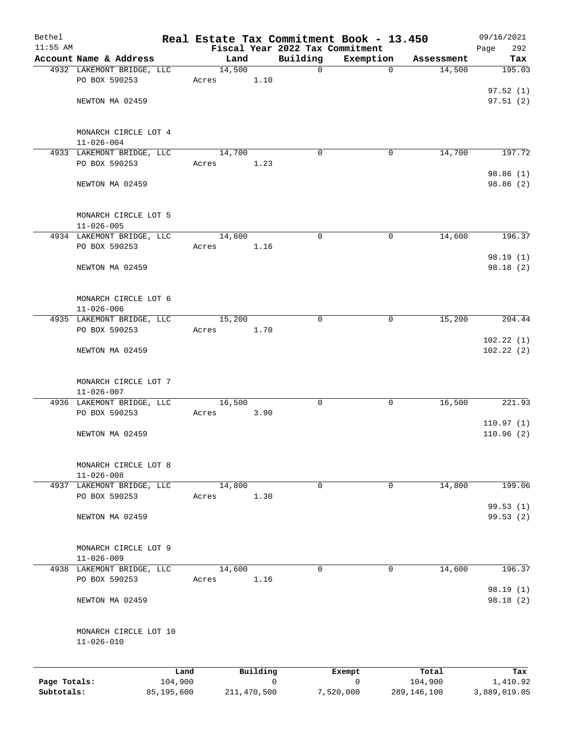| Bethel                     |                                           |                       |        |             |             | Real Estate Tax Commitment Book - 13.450     |                        | 09/16/2021               |
|----------------------------|-------------------------------------------|-----------------------|--------|-------------|-------------|----------------------------------------------|------------------------|--------------------------|
| $11:55$ AM                 | Account Name & Address                    |                       | Land   |             | Building    | Fiscal Year 2022 Tax Commitment<br>Exemption |                        | Page<br>292<br>Tax       |
|                            | 4932 LAKEMONT BRIDGE, LLC                 |                       | 14,500 |             | $\mathbf 0$ | $\mathbf 0$                                  | Assessment<br>14,500   | 195.03                   |
|                            | PO BOX 590253                             |                       | Acres  | 1.10        |             |                                              |                        |                          |
|                            | NEWTON MA 02459                           |                       |        |             |             |                                              |                        | 97.52(1)<br>97.51(2)     |
|                            | MONARCH CIRCLE LOT 4<br>$11 - 026 - 004$  |                       |        |             |             |                                              |                        |                          |
|                            | 4933 LAKEMONT BRIDGE, LLC                 |                       | 14,700 |             | 0           | 0                                            | 14,700                 | 197.72                   |
|                            | PO BOX 590253                             |                       | Acres  | 1.23        |             |                                              |                        |                          |
|                            | NEWTON MA 02459                           |                       |        |             |             |                                              |                        | 98.86 (1)<br>98.86 (2)   |
|                            | MONARCH CIRCLE LOT 5<br>$11 - 026 - 005$  |                       |        |             |             |                                              |                        |                          |
|                            | 4934 LAKEMONT BRIDGE, LLC                 |                       | 14,600 |             | $\mathbf 0$ | 0                                            | 14,600                 | 196.37                   |
|                            | PO BOX 590253                             |                       | Acres  | 1.16        |             |                                              |                        |                          |
|                            | NEWTON MA 02459                           |                       |        |             |             |                                              |                        | 98.19(1)<br>98.18(2)     |
|                            | MONARCH CIRCLE LOT 6<br>$11 - 026 - 006$  |                       |        |             |             |                                              |                        |                          |
|                            | 4935 LAKEMONT BRIDGE, LLC                 |                       | 15,200 |             | $\mathbf 0$ | $\mathbf 0$                                  | 15,200                 | 204.44                   |
|                            | PO BOX 590253                             |                       | Acres  | 1.70        |             |                                              |                        |                          |
|                            | NEWTON MA 02459                           |                       |        |             |             |                                              |                        | 102.22(1)<br>102.22(2)   |
|                            | MONARCH CIRCLE LOT 7<br>$11 - 026 - 007$  |                       |        |             |             |                                              |                        |                          |
|                            | 4936 LAKEMONT BRIDGE, LLC                 |                       | 16,500 |             | $\mathbf 0$ | 0                                            | 16,500                 | 221.93                   |
|                            | PO BOX 590253                             |                       | Acres  | 3.90        |             |                                              |                        | 110.97(1)                |
|                            | NEWTON MA 02459                           |                       |        |             |             |                                              |                        | 110.96(2)                |
|                            | MONARCH CIRCLE LOT 8<br>$11 - 026 - 008$  |                       |        |             |             |                                              |                        |                          |
|                            | 4937 LAKEMONT BRIDGE, LLC                 |                       | 14,800 |             | $\mathbf 0$ | 0                                            | 14,800                 | 199.06                   |
|                            | PO BOX 590253                             |                       | Acres  | 1.30        |             |                                              |                        | 99.53(1)                 |
|                            | NEWTON MA 02459                           |                       |        |             |             |                                              |                        | 99.53(2)                 |
|                            | MONARCH CIRCLE LOT 9<br>$11 - 026 - 009$  |                       |        |             |             |                                              |                        |                          |
|                            | 4938 LAKEMONT BRIDGE, LLC                 |                       | 14,600 |             | 0           | 0                                            | 14,600                 | 196.37                   |
|                            | PO BOX 590253                             |                       | Acres  | 1.16        |             |                                              |                        |                          |
|                            | NEWTON MA 02459                           |                       |        |             |             |                                              |                        | 98.19 (1)<br>98.18 (2)   |
|                            | MONARCH CIRCLE LOT 10<br>$11 - 026 - 010$ |                       |        |             |             |                                              |                        |                          |
|                            |                                           | Land                  |        | Building    |             | Exempt                                       | Total                  | Tax                      |
| Page Totals:<br>Subtotals: |                                           | 104,900<br>85,195,600 |        | 211,470,500 | 0           | 0<br>7,520,000                               | 104,900<br>289,146,100 | 1,410.92<br>3,889,019.05 |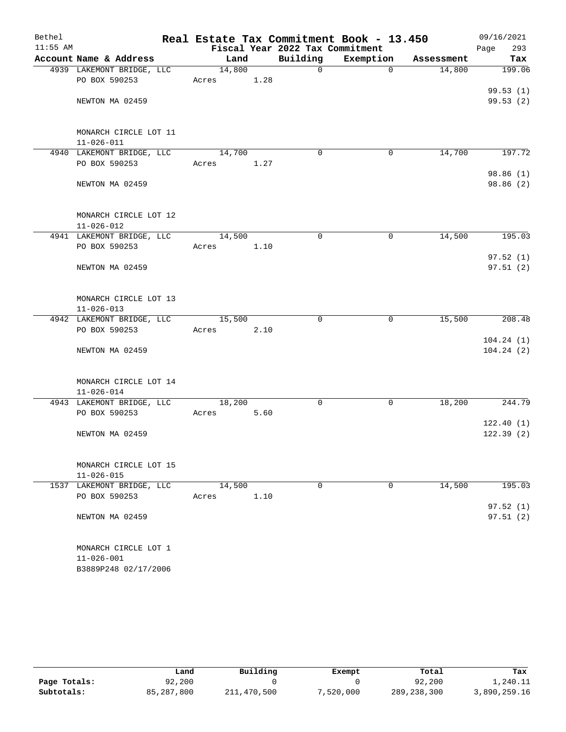| Bethel     |                                           |        |      | Real Estate Tax Commitment Book - 13.450 |             |            | 09/16/2021             |
|------------|-------------------------------------------|--------|------|------------------------------------------|-------------|------------|------------------------|
| $11:55$ AM |                                           |        |      | Fiscal Year 2022 Tax Commitment          |             |            | 293<br>Page            |
|            | Account Name & Address                    | Land   |      | Building                                 | Exemption   | Assessment | Tax                    |
|            | 4939 LAKEMONT BRIDGE, LLC                 | 14,800 |      | $\mathbf 0$                              | 0           | 14,800     | 199.06                 |
|            | PO BOX 590253                             | Acres  | 1.28 |                                          |             |            |                        |
|            |                                           |        |      |                                          |             |            | 99.53(1)               |
|            | NEWTON MA 02459                           |        |      |                                          |             |            | 99.53(2)               |
|            |                                           |        |      |                                          |             |            |                        |
|            |                                           |        |      |                                          |             |            |                        |
|            | MONARCH CIRCLE LOT 11<br>$11 - 026 - 011$ |        |      |                                          |             |            |                        |
|            | 4940 LAKEMONT BRIDGE, LLC                 | 14,700 |      | 0                                        | 0           | 14,700     | 197.72                 |
|            | PO BOX 590253                             | Acres  | 1.27 |                                          |             |            |                        |
|            |                                           |        |      |                                          |             |            | 98.86 (1)              |
|            | NEWTON MA 02459                           |        |      |                                          |             |            | 98.86 (2)              |
|            |                                           |        |      |                                          |             |            |                        |
|            |                                           |        |      |                                          |             |            |                        |
|            | MONARCH CIRCLE LOT 12                     |        |      |                                          |             |            |                        |
|            | $11 - 026 - 012$                          |        |      |                                          |             |            |                        |
|            | 4941 LAKEMONT BRIDGE, LLC                 | 14,500 |      | $\mathbf 0$                              | $\mathbf 0$ | 14,500     | 195.03                 |
|            | PO BOX 590253                             | Acres  | 1.10 |                                          |             |            |                        |
|            |                                           |        |      |                                          |             |            | 97.52(1)               |
|            | NEWTON MA 02459                           |        |      |                                          |             |            | 97.51(2)               |
|            |                                           |        |      |                                          |             |            |                        |
|            |                                           |        |      |                                          |             |            |                        |
|            | MONARCH CIRCLE LOT 13                     |        |      |                                          |             |            |                        |
|            | $11 - 026 - 013$                          |        |      |                                          |             |            |                        |
|            | 4942 LAKEMONT BRIDGE, LLC                 | 15,500 |      | $\mathbf 0$                              | 0           | 15,500     | 208.48                 |
|            | PO BOX 590253                             | Acres  | 2.10 |                                          |             |            |                        |
|            | NEWTON MA 02459                           |        |      |                                          |             |            | 104.24(1)<br>104.24(2) |
|            |                                           |        |      |                                          |             |            |                        |
|            |                                           |        |      |                                          |             |            |                        |
|            | MONARCH CIRCLE LOT 14                     |        |      |                                          |             |            |                        |
|            | $11 - 026 - 014$                          |        |      |                                          |             |            |                        |
|            | 4943 LAKEMONT BRIDGE, LLC                 | 18,200 |      | 0                                        | 0           | 18,200     | 244.79                 |
|            | PO BOX 590253                             | Acres  | 5.60 |                                          |             |            |                        |
|            |                                           |        |      |                                          |             |            | 122.40(1)              |
|            | NEWTON MA 02459                           |        |      |                                          |             |            | 122.39(2)              |
|            |                                           |        |      |                                          |             |            |                        |
|            |                                           |        |      |                                          |             |            |                        |
|            | MONARCH CIRCLE LOT 15                     |        |      |                                          |             |            |                        |
|            | $11 - 026 - 015$                          |        |      |                                          |             |            |                        |
|            | 1537 LAKEMONT BRIDGE, LLC                 | 14,500 |      | 0                                        | $\mathbf 0$ | 14,500     | 195.03                 |
|            | PO BOX 590253                             | Acres  | 1.10 |                                          |             |            | 97.52(1)               |
|            | NEWTON MA 02459                           |        |      |                                          |             |            | 97.51(2)               |
|            |                                           |        |      |                                          |             |            |                        |
|            |                                           |        |      |                                          |             |            |                        |
|            | MONARCH CIRCLE LOT 1                      |        |      |                                          |             |            |                        |
|            | $11 - 026 - 001$                          |        |      |                                          |             |            |                        |
|            | B3889P248 02/17/2006                      |        |      |                                          |             |            |                        |

|              | Land       | Building    | Exempt    | Total         | Tax          |
|--------------|------------|-------------|-----------|---------------|--------------|
| Page Totals: | 92,200     |             |           | 92,200        | 1,240.11     |
|              |            |             |           |               |              |
| Subtotals:   | 85,287,800 | 211,470,500 | 7,520,000 | 289, 238, 300 | 3,890,259.16 |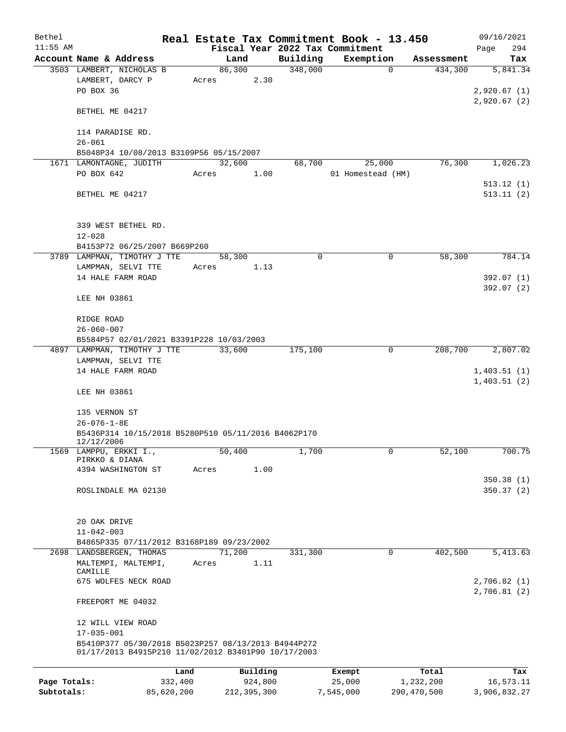| Bethel       |                                                                                                            |       |        |             | Real Estate Tax Commitment Book - 13.450 |           |                   |             | 09/16/2021                             |
|--------------|------------------------------------------------------------------------------------------------------------|-------|--------|-------------|------------------------------------------|-----------|-------------------|-------------|----------------------------------------|
| $11:55$ AM   |                                                                                                            |       |        |             | Fiscal Year 2022 Tax Commitment          |           |                   |             | 294<br>Page                            |
|              | Account Name & Address                                                                                     |       | Land   |             | Building                                 |           | Exemption         | Assessment  | Tax                                    |
|              | 3503 LAMBERT, NICHOLAS B<br>LAMBERT, DARCY P<br>PO BOX 36                                                  | Acres | 86,300 | 2.30        | 348,000                                  |           | $\mathbf 0$       | 434,300     | 5,841.34<br>2,920.67(1)<br>2,920.67(2) |
|              | BETHEL ME 04217                                                                                            |       |        |             |                                          |           |                   |             |                                        |
|              | 114 PARADISE RD.<br>$26 - 061$                                                                             |       |        |             |                                          |           |                   |             |                                        |
|              | B5048P34 10/08/2013 B3109P56 05/15/2007                                                                    |       |        |             |                                          |           |                   |             |                                        |
|              | 1671 LAMONTAGNE, JUDITH                                                                                    |       | 32,600 |             | 68,700                                   |           | 25,000            | 76,300      | 1,026.23                               |
|              | PO BOX 642                                                                                                 | Acres |        | 1.00        |                                          |           | 01 Homestead (HM) |             |                                        |
|              | BETHEL ME 04217                                                                                            |       |        |             |                                          |           |                   |             | 513.12(1)<br>513.11(2)                 |
|              | 339 WEST BETHEL RD.<br>$12 - 028$                                                                          |       |        |             |                                          |           |                   |             |                                        |
|              | B4153P72 06/25/2007 B669P260                                                                               |       |        |             |                                          |           |                   |             |                                        |
|              | 3789 LAMPMAN, TIMOTHY J TTE                                                                                |       | 58,300 |             | 0                                        |           | 0                 | 58,300      | 784.14                                 |
|              | LAMPMAN, SELVI TTE                                                                                         | Acres |        | 1.13        |                                          |           |                   |             |                                        |
|              | 14 HALE FARM ROAD                                                                                          |       |        |             |                                          |           |                   |             | 392.07 (1)                             |
|              | LEE NH 03861                                                                                               |       |        |             |                                          |           |                   |             | 392.07 (2)                             |
|              | RIDGE ROAD                                                                                                 |       |        |             |                                          |           |                   |             |                                        |
|              | $26 - 060 - 007$                                                                                           |       |        |             |                                          |           |                   |             |                                        |
|              | B5584P57 02/01/2021 B3391P228 10/03/2003                                                                   |       |        |             |                                          |           |                   |             |                                        |
|              | 4897 LAMPMAN, TIMOTHY J TTE                                                                                |       | 33,600 |             | 175,100                                  |           | 0                 | 208,700     | 2,807.02                               |
|              | LAMPMAN, SELVI TTE<br>14 HALE FARM ROAD                                                                    |       |        |             |                                          |           |                   |             | 1,403.51(1)                            |
|              |                                                                                                            |       |        |             |                                          |           |                   |             | 1,403.51(2)                            |
|              | LEE NH 03861                                                                                               |       |        |             |                                          |           |                   |             |                                        |
|              | 135 VERNON ST<br>$26 - 076 - 1 - 8E$                                                                       |       |        |             |                                          |           |                   |             |                                        |
|              | B5436P314 10/15/2018 B5280P510 05/11/2016 B4062P170<br>12/12/2006                                          |       |        |             |                                          |           |                   |             |                                        |
|              | 1569 LAMPPU, ERKKI I.,                                                                                     |       | 50,400 |             | 1,700                                    |           | 0                 | 52,100      | 700.75                                 |
|              | PIRKKO & DIANA                                                                                             |       |        |             |                                          |           |                   |             |                                        |
|              | 4394 WASHINGTON ST                                                                                         | Acres |        | 1.00        |                                          |           |                   |             | 350.38(1)                              |
|              | ROSLINDALE MA 02130                                                                                        |       |        |             |                                          |           |                   |             | 350.37(2)                              |
|              |                                                                                                            |       |        |             |                                          |           |                   |             |                                        |
|              | 20 OAK DRIVE                                                                                               |       |        |             |                                          |           |                   |             |                                        |
|              | $11 - 042 - 003$                                                                                           |       |        |             |                                          |           |                   |             |                                        |
|              | B4865P335 07/11/2012 B3168P189 09/23/2002                                                                  |       |        |             |                                          |           |                   |             |                                        |
|              | 2698 LANDSBERGEN, THOMAS<br>MALTEMPI, MALTEMPI,                                                            | Acres | 71,200 | 1.11        | 331,300                                  |           | 0                 | 402,500     | 5,413.63                               |
|              | CAMILLE<br>675 WOLFES NECK ROAD                                                                            |       |        |             |                                          |           |                   |             | 2,706.82(1)                            |
|              | FREEPORT ME 04032                                                                                          |       |        |             |                                          |           |                   |             | 2,706.81(2)                            |
|              | 12 WILL VIEW ROAD<br>$17 - 035 - 001$                                                                      |       |        |             |                                          |           |                   |             |                                        |
|              | B5410P377 05/30/2018 B5023P257 08/13/2013 B4944P272<br>01/17/2013 B4915P210 11/02/2012 B3401P90 10/17/2003 |       |        |             |                                          |           |                   |             |                                        |
|              |                                                                                                            | Land  |        | Building    |                                          | Exempt    |                   | Total       | Tax                                    |
| Page Totals: | 332,400                                                                                                    |       |        | 924,800     |                                          | 25,000    |                   | 1,232,200   | 16,573.11                              |
| Subtotals:   | 85,620,200                                                                                                 |       |        | 212,395,300 |                                          | 7,545,000 |                   | 290,470,500 | 3,906,832.27                           |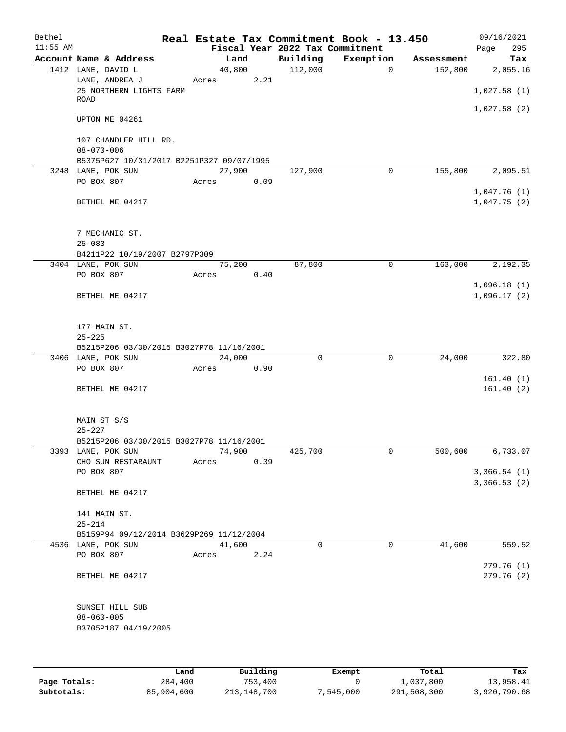| Bethel     |                                              |      |       |                |                                 | Real Estate Tax Commitment Book - 13.450 |                       | 09/16/2021             |
|------------|----------------------------------------------|------|-------|----------------|---------------------------------|------------------------------------------|-----------------------|------------------------|
| $11:55$ AM |                                              |      |       |                | Fiscal Year 2022 Tax Commitment |                                          |                       | 295<br>Page            |
|            | Account Name & Address<br>1412 LANE, DAVID L |      |       | Land<br>40,800 | Building<br>112,000             | Exemption<br>$\overline{0}$              | Assessment<br>152,800 | Tax                    |
|            | LANE, ANDREA J                               |      | Acres | 2.21           |                                 |                                          |                       | 2,055.16               |
|            | 25 NORTHERN LIGHTS FARM                      |      |       |                |                                 |                                          |                       | 1,027.58(1)            |
|            | ROAD                                         |      |       |                |                                 |                                          |                       |                        |
|            |                                              |      |       |                |                                 |                                          |                       | 1,027.58(2)            |
|            | UPTON ME 04261                               |      |       |                |                                 |                                          |                       |                        |
|            | 107 CHANDLER HILL RD.                        |      |       |                |                                 |                                          |                       |                        |
|            | $08 - 070 - 006$                             |      |       |                |                                 |                                          |                       |                        |
|            | B5375P627 10/31/2017 B2251P327 09/07/1995    |      |       |                |                                 |                                          |                       |                        |
|            | 3248 LANE, POK SUN                           |      |       | 27,900         | 127,900                         | 0                                        | 155,800               | 2,095.51               |
|            | PO BOX 807                                   |      | Acres | 0.09           |                                 |                                          |                       |                        |
|            |                                              |      |       |                |                                 |                                          |                       | 1,047.76(1)            |
|            | BETHEL ME 04217                              |      |       |                |                                 |                                          |                       | 1,047.75(2)            |
|            |                                              |      |       |                |                                 |                                          |                       |                        |
|            | 7 MECHANIC ST.                               |      |       |                |                                 |                                          |                       |                        |
|            | $25 - 083$                                   |      |       |                |                                 |                                          |                       |                        |
|            | B4211P22 10/19/2007 B2797P309                |      |       |                |                                 |                                          |                       |                        |
|            | 3404 LANE, POK SUN                           |      |       | 75,200         | 87,800                          | 0                                        | 163,000               | 2,192.35               |
|            | PO BOX 807                                   |      | Acres | 0.40           |                                 |                                          |                       |                        |
|            |                                              |      |       |                |                                 |                                          |                       | 1,096.18(1)            |
|            | BETHEL ME 04217                              |      |       |                |                                 |                                          |                       | 1,096.17(2)            |
|            |                                              |      |       |                |                                 |                                          |                       |                        |
|            | 177 MAIN ST.                                 |      |       |                |                                 |                                          |                       |                        |
|            | $25 - 225$                                   |      |       |                |                                 |                                          |                       |                        |
|            | B5215P206 03/30/2015 B3027P78 11/16/2001     |      |       |                |                                 |                                          |                       |                        |
|            | 3406 LANE, POK SUN                           |      |       | 24,000         | $\mathbf 0$                     | $\mathbf 0$                              | 24,000                | 322.80                 |
|            | PO BOX 807                                   |      | Acres | 0.90           |                                 |                                          |                       |                        |
|            |                                              |      |       |                |                                 |                                          |                       | 161.40(1)              |
|            | BETHEL ME 04217                              |      |       |                |                                 |                                          |                       | 161.40(2)              |
|            |                                              |      |       |                |                                 |                                          |                       |                        |
|            | MAIN ST S/S                                  |      |       |                |                                 |                                          |                       |                        |
|            | $25 - 227$                                   |      |       |                |                                 |                                          |                       |                        |
|            | B5215P206 03/30/2015 B3027P78 11/16/2001     |      |       |                |                                 |                                          |                       |                        |
|            | 3393 LANE, POK SUN                           |      |       | 74,900         | 425,700                         | 0                                        | 500,600               | 6,733.07               |
|            | CHO SUN RESTARAUNT                           |      | Acres | 0.39           |                                 |                                          |                       |                        |
|            | PO BOX 807                                   |      |       |                |                                 |                                          |                       | 3,366.54(1)            |
|            | BETHEL ME 04217                              |      |       |                |                                 |                                          |                       | 3,366.53(2)            |
|            |                                              |      |       |                |                                 |                                          |                       |                        |
|            | 141 MAIN ST.                                 |      |       |                |                                 |                                          |                       |                        |
|            | $25 - 214$                                   |      |       |                |                                 |                                          |                       |                        |
|            | B5159P94 09/12/2014 B3629P269 11/12/2004     |      |       |                |                                 |                                          |                       |                        |
|            | 4536 LANE, POK SUN                           |      |       | 41,600         | $\Omega$                        | $\mathbf 0$                              | 41,600                | 559.52                 |
|            | PO BOX 807                                   |      | Acres | 2.24           |                                 |                                          |                       |                        |
|            | BETHEL ME 04217                              |      |       |                |                                 |                                          |                       | 279.76(1)<br>279.76(2) |
|            |                                              |      |       |                |                                 |                                          |                       |                        |
|            |                                              |      |       |                |                                 |                                          |                       |                        |
|            | SUNSET HILL SUB                              |      |       |                |                                 |                                          |                       |                        |
|            | $08 - 060 - 005$                             |      |       |                |                                 |                                          |                       |                        |
|            | B3705P187 04/19/2005                         |      |       |                |                                 |                                          |                       |                        |
|            |                                              |      |       |                |                                 |                                          |                       |                        |
|            |                                              |      |       |                |                                 |                                          |                       |                        |
|            |                                              | Land |       | Building       |                                 | <b>Exempt</b>                            | Total                 | Tax                    |

|              | Land       | Building    | Exempt    | Total       | Tax          |
|--------------|------------|-------------|-----------|-------------|--------------|
| Page Totals: | 284,400    | 753,400     |           | 1,037,800   | 13,958.41    |
| Subtotals:   | 85,904,600 | 213,148,700 | 7,545,000 | 291,508,300 | 3,920,790.68 |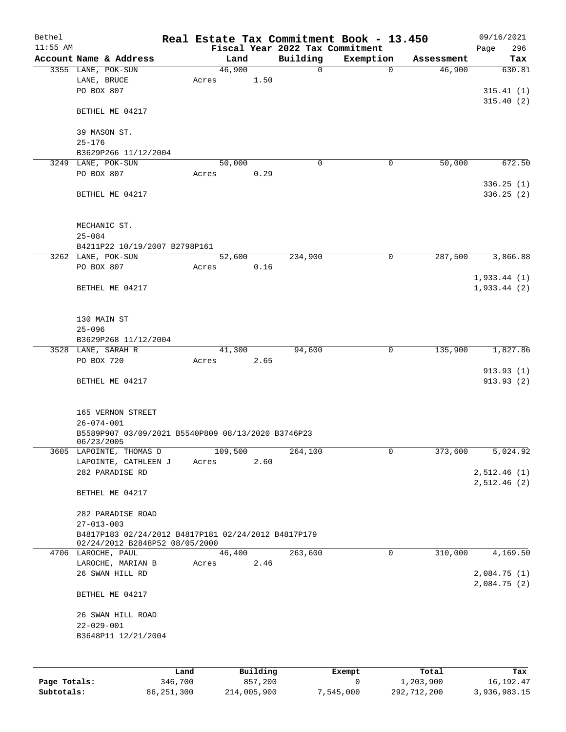| Bethel       |                                                                                       |         |         |          |               | Real Estate Tax Commitment Book - 13.450 |            | 09/16/2021             |
|--------------|---------------------------------------------------------------------------------------|---------|---------|----------|---------------|------------------------------------------|------------|------------------------|
| $11:55$ AM   |                                                                                       |         |         |          |               | Fiscal Year 2022 Tax Commitment          |            | 296<br>Page            |
|              | Account Name & Address                                                                |         | 46,900  | Land     | Building<br>0 | Exemption<br>$\mathbf 0$                 | Assessment | Tax                    |
|              | 3355 LANE, POK-SUN<br>LANE, BRUCE                                                     |         | Acres   | 1.50     |               |                                          | 46,900     | 630.81                 |
|              | PO BOX 807                                                                            |         |         |          |               |                                          |            | 315.41(1)              |
|              |                                                                                       |         |         |          |               |                                          |            | 315.40(2)              |
|              | BETHEL ME 04217                                                                       |         |         |          |               |                                          |            |                        |
|              | 39 MASON ST.                                                                          |         |         |          |               |                                          |            |                        |
|              | $25 - 176$                                                                            |         |         |          |               |                                          |            |                        |
|              | B3629P266 11/12/2004                                                                  |         |         |          |               |                                          |            |                        |
|              | 3249 LANE, POK-SUN                                                                    |         | 50,000  |          | 0             | 0                                        | 50,000     | 672.50                 |
|              | PO BOX 807                                                                            |         | Acres   | 0.29     |               |                                          |            |                        |
|              |                                                                                       |         |         |          |               |                                          |            | 336.25(1)              |
|              | BETHEL ME 04217                                                                       |         |         |          |               |                                          |            | 336.25(2)              |
|              | MECHANIC ST.                                                                          |         |         |          |               |                                          |            |                        |
|              | $25 - 084$                                                                            |         |         |          |               |                                          |            |                        |
|              | B4211P22 10/19/2007 B2798P161                                                         |         |         |          |               |                                          |            |                        |
|              | 3262 LANE, POK-SUN                                                                    |         | 52,600  |          | 234,900       | 0                                        | 287,500    | 3,866.88               |
|              | PO BOX 807                                                                            |         | Acres   | 0.16     |               |                                          |            |                        |
|              |                                                                                       |         |         |          |               |                                          |            | 1,933.44(1)            |
|              | BETHEL ME 04217                                                                       |         |         |          |               |                                          |            | 1,933.44(2)            |
|              |                                                                                       |         |         |          |               |                                          |            |                        |
|              | 130 MAIN ST                                                                           |         |         |          |               |                                          |            |                        |
|              | $25 - 096$                                                                            |         |         |          |               |                                          |            |                        |
|              | B3629P268 11/12/2004                                                                  |         |         |          |               |                                          |            |                        |
|              | 3528 LANE, SARAH R                                                                    |         | 41,300  |          | 94,600        | 0                                        | 135,900    | 1,827.86               |
|              | PO BOX 720                                                                            |         | Acres   | 2.65     |               |                                          |            |                        |
|              | BETHEL ME 04217                                                                       |         |         |          |               |                                          |            | 913.93(1)<br>913.93(2) |
|              |                                                                                       |         |         |          |               |                                          |            |                        |
|              | 165 VERNON STREET                                                                     |         |         |          |               |                                          |            |                        |
|              | $26 - 074 - 001$                                                                      |         |         |          |               |                                          |            |                        |
|              | B5589P907 03/09/2021 B5540P809 08/13/2020 B3746P23                                    |         |         |          |               |                                          |            |                        |
|              | 06/23/2005                                                                            |         |         |          |               |                                          |            |                        |
|              | 3605 LAPOINTE, THOMAS D                                                               |         | 109,500 |          | 264,100       | 0                                        | 373,600    | 5,024.92               |
|              | LAPOINTE, CATHLEEN J                                                                  |         | Acres   | 2.60     |               |                                          |            |                        |
|              | 282 PARADISE RD                                                                       |         |         |          |               |                                          |            | 2,512.46(1)            |
|              | BETHEL ME 04217                                                                       |         |         |          |               |                                          |            | 2,512.46(2)            |
|              | 282 PARADISE ROAD                                                                     |         |         |          |               |                                          |            |                        |
|              | $27 - 013 - 003$                                                                      |         |         |          |               |                                          |            |                        |
|              | B4817P183 02/24/2012 B4817P181 02/24/2012 B4817P179<br>02/24/2012 B2848P52 08/05/2000 |         |         |          |               |                                          |            |                        |
|              | 4706 LAROCHE, PAUL                                                                    |         | 46,400  |          | 263,600       | 0                                        | 310,000    | 4,169.50               |
|              | LAROCHE, MARIAN B<br>26 SWAN HILL RD                                                  |         | Acres   | 2.46     |               |                                          |            | 2,084.75 (1)           |
|              |                                                                                       |         |         |          |               |                                          |            | 2,084.75(2)            |
|              | BETHEL ME 04217                                                                       |         |         |          |               |                                          |            |                        |
|              | 26 SWAN HILL ROAD                                                                     |         |         |          |               |                                          |            |                        |
|              | $22 - 029 - 001$                                                                      |         |         |          |               |                                          |            |                        |
|              | B3648P11 12/21/2004                                                                   |         |         |          |               |                                          |            |                        |
|              |                                                                                       |         |         |          |               |                                          |            |                        |
|              |                                                                                       |         |         |          |               |                                          |            |                        |
|              |                                                                                       | Land    |         | Building |               | Exempt                                   | Total      | Tax                    |
| Page Totals: |                                                                                       | 346,700 |         | 857,200  |               | 0                                        | 1,203,900  | 16, 192. 47            |

**Subtotals:** 86,251,300 214,005,900 7,545,000 292,712,200 3,936,983.15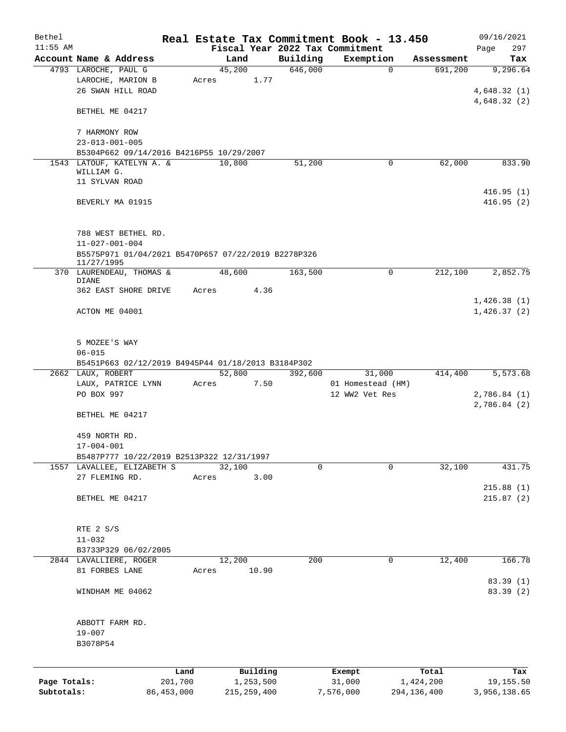| Bethel       |                                                                   |       |                |          | Real Estate Tax Commitment Book - 13.450 |               | 09/16/2021   |
|--------------|-------------------------------------------------------------------|-------|----------------|----------|------------------------------------------|---------------|--------------|
| $11:55$ AM   |                                                                   |       |                |          | Fiscal Year 2022 Tax Commitment          |               | 297<br>Page  |
|              | Account Name & Address                                            |       | Land           | Building | Exemption                                | Assessment    | Tax          |
|              | 4793 LAROCHE, PAUL G<br>LAROCHE, MARION B                         |       | 45,200<br>1.77 | 646,000  | $\mathbf 0$                              | 691,200       | 9,296.64     |
|              | 26 SWAN HILL ROAD                                                 | Acres |                |          |                                          |               | 4,648.32(1)  |
|              |                                                                   |       |                |          |                                          |               | 4,648.32(2)  |
|              | BETHEL ME 04217                                                   |       |                |          |                                          |               |              |
|              | 7 HARMONY ROW                                                     |       |                |          |                                          |               |              |
|              | $23 - 013 - 001 - 005$                                            |       |                |          |                                          |               |              |
|              | B5304P662 09/14/2016 B4216P55 10/29/2007                          |       |                |          |                                          |               |              |
|              | 1543 LATOUF, KATELYN A. &                                         |       | 10,800         | 51,200   | 0                                        | 62,000        | 833.90       |
|              | WILLIAM G.                                                        |       |                |          |                                          |               |              |
|              | 11 SYLVAN ROAD                                                    |       |                |          |                                          |               |              |
|              |                                                                   |       |                |          |                                          |               | 416.95(1)    |
|              | BEVERLY MA 01915                                                  |       |                |          |                                          |               | 416.95(2)    |
|              | 788 WEST BETHEL RD.                                               |       |                |          |                                          |               |              |
|              | $11 - 027 - 001 - 004$                                            |       |                |          |                                          |               |              |
|              | B5575P971 01/04/2021 B5470P657 07/22/2019 B2278P326<br>11/27/1995 |       |                |          |                                          |               |              |
|              | 370 LAURENDEAU, THOMAS &<br><b>DIANE</b>                          |       | 48,600         | 163,500  | $\mathbf 0$                              | 212,100       | 2,852.75     |
|              | 362 EAST SHORE DRIVE                                              | Acres | 4.36           |          |                                          |               |              |
|              |                                                                   |       |                |          |                                          |               | 1,426.38(1)  |
|              | ACTON ME 04001                                                    |       |                |          |                                          |               | 1,426.37(2)  |
|              |                                                                   |       |                |          |                                          |               |              |
|              | 5 MOZEE'S WAY                                                     |       |                |          |                                          |               |              |
|              | $06 - 015$                                                        |       |                |          |                                          |               |              |
|              | B5451P663 02/12/2019 B4945P44 01/18/2013 B3184P302                |       |                |          |                                          |               |              |
|              | 2662 LAUX, ROBERT                                                 |       | 52,800         | 392,600  | 31,000                                   | 414,400       | 5,573.68     |
|              | LAUX, PATRICE LYNN                                                | Acres | 7.50           |          | 01 Homestead (HM)                        |               |              |
|              | PO BOX 997                                                        |       |                |          | 12 WW2 Vet Res                           |               | 2,786.84(1)  |
|              |                                                                   |       |                |          |                                          |               | 2,786.84 (2) |
|              | BETHEL ME 04217                                                   |       |                |          |                                          |               |              |
|              | 459 NORTH RD.                                                     |       |                |          |                                          |               |              |
|              | 17-004-001                                                        |       |                |          |                                          |               |              |
|              | B5487P777 10/22/2019 B2513P322 12/31/1997                         |       |                |          |                                          |               |              |
|              | 1557 LAVALLEE, ELIZABETH S                                        |       | 32,100         | $\Omega$ | $\Omega$                                 | 32,100        | 431.75       |
|              | 27 FLEMING RD.                                                    | Acres | 3.00           |          |                                          |               |              |
|              |                                                                   |       |                |          |                                          |               | 215.88(1)    |
|              | BETHEL ME 04217                                                   |       |                |          |                                          |               | 215.87(2)    |
|              |                                                                   |       |                |          |                                          |               |              |
|              | RTE 2 S/S<br>$11 - 032$                                           |       |                |          |                                          |               |              |
|              | B3733P329 06/02/2005                                              |       |                |          |                                          |               |              |
|              | 2844 LAVALLIERE, ROGER                                            |       | 12,200         | 200      | 0                                        | 12,400        | 166.78       |
|              | 81 FORBES LANE                                                    | Acres | 10.90          |          |                                          |               |              |
|              |                                                                   |       |                |          |                                          |               | 83.39 (1)    |
|              | WINDHAM ME 04062                                                  |       |                |          |                                          |               | 83.39 (2)    |
|              |                                                                   |       |                |          |                                          |               |              |
|              | ABBOTT FARM RD.                                                   |       |                |          |                                          |               |              |
|              | $19 - 007$                                                        |       |                |          |                                          |               |              |
|              | B3078P54                                                          |       |                |          |                                          |               |              |
|              |                                                                   | Land  | Building       |          | Exempt                                   | Total         | Tax          |
| Page Totals: | 201,700                                                           |       | 1,253,500      |          | 31,000                                   | 1,424,200     | 19,155.50    |
| Subtotals:   | 86, 453, 000                                                      |       | 215, 259, 400  |          | 7,576,000                                | 294, 136, 400 | 3,956,138.65 |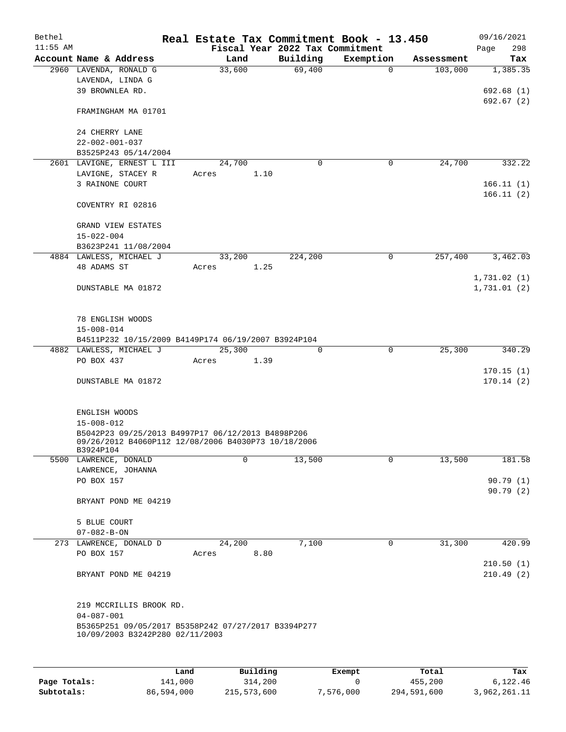| Bethel     |                         |                                                                                                          |        |        |      |                                 | Real Estate Tax Commitment Book - 13.450 |             |            |             | 09/16/2021 |
|------------|-------------------------|----------------------------------------------------------------------------------------------------------|--------|--------|------|---------------------------------|------------------------------------------|-------------|------------|-------------|------------|
| $11:55$ AM |                         |                                                                                                          |        |        |      | Fiscal Year 2022 Tax Commitment |                                          |             |            | Page        | 298        |
|            | Account Name & Address  |                                                                                                          |        | Land   |      | Building                        | Exemption                                |             | Assessment |             | Tax        |
|            | 2960 LAVENDA, RONALD G  |                                                                                                          | 33,600 |        |      | 69,400                          |                                          | $\Omega$    | 103,000    |             | 1,385.35   |
|            | LAVENDA, LINDA G        |                                                                                                          |        |        |      |                                 |                                          |             |            |             |            |
|            | 39 BROWNLEA RD.         |                                                                                                          |        |        |      |                                 |                                          |             |            |             | 692.68(1)  |
|            |                         |                                                                                                          |        |        |      |                                 |                                          |             |            |             | 692.67(2)  |
|            | FRAMINGHAM MA 01701     |                                                                                                          |        |        |      |                                 |                                          |             |            |             |            |
|            |                         |                                                                                                          |        |        |      |                                 |                                          |             |            |             |            |
|            | 24 CHERRY LANE          |                                                                                                          |        |        |      |                                 |                                          |             |            |             |            |
|            | $22 - 002 - 001 - 037$  | B3525P243 05/14/2004                                                                                     |        |        |      |                                 |                                          |             |            |             |            |
|            |                         | 2601 LAVIGNE, ERNEST L III                                                                               | 24,700 |        |      | $\mathbf 0$                     |                                          | $\mathbf 0$ | 24,700     |             | 332.22     |
|            | LAVIGNE, STACEY R       |                                                                                                          | Acres  |        | 1.10 |                                 |                                          |             |            |             |            |
|            | 3 RAINONE COURT         |                                                                                                          |        |        |      |                                 |                                          |             |            |             | 166.11(1)  |
|            |                         |                                                                                                          |        |        |      |                                 |                                          |             |            |             | 166.11(2)  |
|            | COVENTRY RI 02816       |                                                                                                          |        |        |      |                                 |                                          |             |            |             |            |
|            |                         |                                                                                                          |        |        |      |                                 |                                          |             |            |             |            |
|            | GRAND VIEW ESTATES      |                                                                                                          |        |        |      |                                 |                                          |             |            |             |            |
|            | $15 - 022 - 004$        |                                                                                                          |        |        |      |                                 |                                          |             |            |             |            |
|            |                         | B3623P241 11/08/2004                                                                                     |        |        |      |                                 |                                          |             |            |             |            |
|            | 4884 LAWLESS, MICHAEL J |                                                                                                          |        | 33,200 |      | 224,200                         |                                          | $\mathbf 0$ | 257,400    |             | 3,462.03   |
|            | 48 ADAMS ST             |                                                                                                          | Acres  |        | 1.25 |                                 |                                          |             |            |             |            |
|            |                         |                                                                                                          |        |        |      |                                 |                                          |             |            | 1,731.02(1) |            |
|            | DUNSTABLE MA 01872      |                                                                                                          |        |        |      |                                 |                                          |             |            | 1,731.01(2) |            |
|            |                         |                                                                                                          |        |        |      |                                 |                                          |             |            |             |            |
|            |                         |                                                                                                          |        |        |      |                                 |                                          |             |            |             |            |
|            | 78 ENGLISH WOODS        |                                                                                                          |        |        |      |                                 |                                          |             |            |             |            |
|            | $15 - 008 - 014$        |                                                                                                          |        |        |      |                                 |                                          |             |            |             |            |
|            |                         | B4511P232 10/15/2009 B4149P174 06/19/2007 B3924P104                                                      |        |        |      |                                 |                                          |             |            |             |            |
|            | 4882 LAWLESS, MICHAEL J |                                                                                                          |        | 25,300 |      | 0                               |                                          | 0           | 25,300     |             | 340.29     |
|            | PO BOX 437              |                                                                                                          | Acres  |        | 1.39 |                                 |                                          |             |            |             |            |
|            |                         |                                                                                                          |        |        |      |                                 |                                          |             |            |             | 170.15(1)  |
|            | DUNSTABLE MA 01872      |                                                                                                          |        |        |      |                                 |                                          |             |            |             | 170.14(2)  |
|            |                         |                                                                                                          |        |        |      |                                 |                                          |             |            |             |            |
|            |                         |                                                                                                          |        |        |      |                                 |                                          |             |            |             |            |
|            | ENGLISH WOODS           |                                                                                                          |        |        |      |                                 |                                          |             |            |             |            |
|            | $15 - 008 - 012$        |                                                                                                          |        |        |      |                                 |                                          |             |            |             |            |
|            |                         | B5042P23 09/25/2013 B4997P17 06/12/2013 B4898P206<br>09/26/2012 B4060P112 12/08/2006 B4030P73 10/18/2006 |        |        |      |                                 |                                          |             |            |             |            |
|            | B3924P104               |                                                                                                          |        |        |      |                                 |                                          |             |            |             |            |
|            | 5500 LAWRENCE, DONALD   |                                                                                                          |        | 0      |      | 13,500                          |                                          | 0           | 13,500     |             | 181.58     |
|            | LAWRENCE, JOHANNA       |                                                                                                          |        |        |      |                                 |                                          |             |            |             |            |
|            | PO BOX 157              |                                                                                                          |        |        |      |                                 |                                          |             |            |             | 90.79(1)   |
|            |                         |                                                                                                          |        |        |      |                                 |                                          |             |            |             | 90.79(2)   |
|            |                         | BRYANT POND ME 04219                                                                                     |        |        |      |                                 |                                          |             |            |             |            |
|            |                         |                                                                                                          |        |        |      |                                 |                                          |             |            |             |            |
|            | 5 BLUE COURT            |                                                                                                          |        |        |      |                                 |                                          |             |            |             |            |
|            | $07 - 082 - B - ON$     |                                                                                                          |        |        |      |                                 |                                          |             |            |             |            |
|            | 273 LAWRENCE, DONALD D  |                                                                                                          |        | 24,200 |      | 7,100                           |                                          | 0           | 31,300     |             | 420.99     |
|            | PO BOX 157              |                                                                                                          | Acres  |        | 8.80 |                                 |                                          |             |            |             |            |
|            |                         |                                                                                                          |        |        |      |                                 |                                          |             |            |             | 210.50(1)  |
|            |                         | BRYANT POND ME 04219                                                                                     |        |        |      |                                 |                                          |             |            |             | 210.49(2)  |
|            |                         |                                                                                                          |        |        |      |                                 |                                          |             |            |             |            |
|            |                         |                                                                                                          |        |        |      |                                 |                                          |             |            |             |            |
|            |                         | 219 MCCRILLIS BROOK RD.                                                                                  |        |        |      |                                 |                                          |             |            |             |            |
|            | $04 - 087 - 001$        |                                                                                                          |        |        |      |                                 |                                          |             |            |             |            |
|            |                         | B5365P251 09/05/2017 B5358P242 07/27/2017 B3394P277<br>10/09/2003 B3242P280 02/11/2003                   |        |        |      |                                 |                                          |             |            |             |            |
|            |                         |                                                                                                          |        |        |      |                                 |                                          |             |            |             |            |
|            |                         |                                                                                                          |        |        |      |                                 |                                          |             |            |             |            |

|              | Land       | Building    | Exempt    | Total       | Tax          |
|--------------|------------|-------------|-----------|-------------|--------------|
| Page Totals: | 141,000    | 314,200     |           | 455,200     | 6,122.46     |
| Subtotals:   | 86,594,000 | 215,573,600 | 7,576,000 | 294,591,600 | 3,962,261.11 |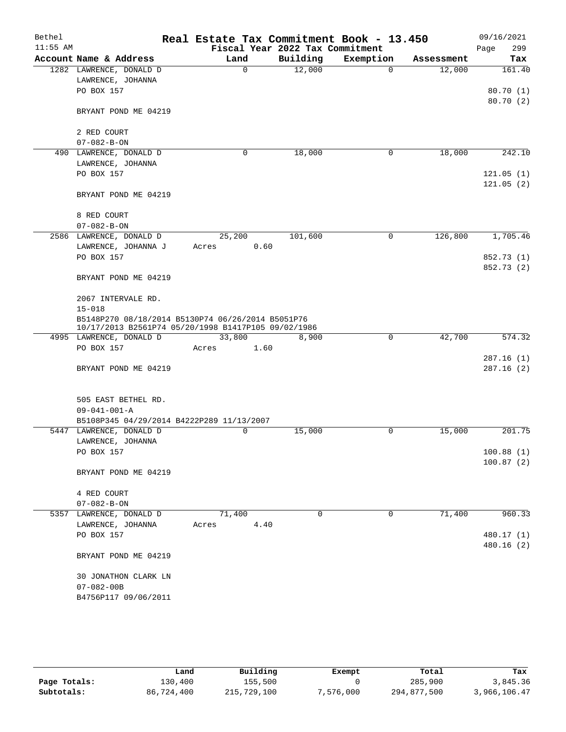| Bethel     |                                                                                                          |       |          | Real Estate Tax Commitment Book - 13.450 |           |             |         |      | 09/16/2021             |
|------------|----------------------------------------------------------------------------------------------------------|-------|----------|------------------------------------------|-----------|-------------|---------|------|------------------------|
| $11:55$ AM |                                                                                                          |       |          | Fiscal Year 2022 Tax Commitment          |           |             |         | Page | 299                    |
|            | Account Name & Address                                                                                   |       | Land     | Building                                 | Exemption | Assessment  |         |      | Tax                    |
|            | 1282 LAWRENCE, DONALD D                                                                                  |       | $\Omega$ | 12,000                                   | $\Omega$  |             | 12,000  |      | 161.40                 |
|            | LAWRENCE, JOHANNA<br>PO BOX 157                                                                          |       |          |                                          |           |             |         |      | 80.70(1)               |
|            |                                                                                                          |       |          |                                          |           |             |         |      | 80.70 (2)              |
|            | BRYANT POND ME 04219                                                                                     |       |          |                                          |           |             |         |      |                        |
|            |                                                                                                          |       |          |                                          |           |             |         |      |                        |
|            | 2 RED COURT                                                                                              |       |          |                                          |           |             |         |      |                        |
|            | $07 - 082 - B - ON$                                                                                      |       |          |                                          |           |             |         |      |                        |
|            | 490 LAWRENCE, DONALD D                                                                                   |       | 0        | 18,000                                   | 0         |             | 18,000  |      | 242.10                 |
|            | LAWRENCE, JOHANNA                                                                                        |       |          |                                          |           |             |         |      |                        |
|            | PO BOX 157                                                                                               |       |          |                                          |           |             |         |      | 121.05(1)<br>121.05(2) |
|            | BRYANT POND ME 04219                                                                                     |       |          |                                          |           |             |         |      |                        |
|            | 8 RED COURT                                                                                              |       |          |                                          |           |             |         |      |                        |
|            | $07 - 082 - B - ON$                                                                                      |       |          |                                          |           |             |         |      |                        |
|            | 2586 LAWRENCE, DONALD D                                                                                  |       | 25,200   | 101,600                                  | 0         |             | 126,800 |      | 1,705.46               |
|            | LAWRENCE, JOHANNA J                                                                                      | Acres | 0.60     |                                          |           |             |         |      |                        |
|            | PO BOX 157                                                                                               |       |          |                                          |           |             |         |      | 852.73 (1)             |
|            | BRYANT POND ME 04219                                                                                     |       |          |                                          |           |             |         |      | 852.73 (2)             |
|            |                                                                                                          |       |          |                                          |           |             |         |      |                        |
|            | 2067 INTERVALE RD.<br>$15 - 018$                                                                         |       |          |                                          |           |             |         |      |                        |
|            | B5148P270 08/18/2014 B5130P74 06/26/2014 B5051P76<br>10/17/2013 B2561P74 05/20/1998 B1417P105 09/02/1986 |       |          |                                          |           |             |         |      |                        |
|            | 4995 LAWRENCE, DONALD D                                                                                  |       | 33,800   | 8,900                                    |           | $\mathbf 0$ | 42,700  |      | 574.32                 |
|            | PO BOX 157                                                                                               | Acres | 1.60     |                                          |           |             |         |      |                        |
|            | BRYANT POND ME 04219                                                                                     |       |          |                                          |           |             |         |      | 287.16(1)<br>287.16(2) |
|            | 505 EAST BETHEL RD.                                                                                      |       |          |                                          |           |             |         |      |                        |
|            | $09 - 041 - 001 - A$                                                                                     |       |          |                                          |           |             |         |      |                        |
|            | B5108P345 04/29/2014 B4222P289 11/13/2007<br>5447 LAWRENCE, DONALD D                                     |       | 0        | 15,000                                   | 0         |             | 15,000  |      | 201.75                 |
|            | LAWRENCE, JOHANNA                                                                                        |       |          |                                          |           |             |         |      |                        |
|            | PO BOX 157                                                                                               |       |          |                                          |           |             |         |      | 100.88(1)              |
|            |                                                                                                          |       |          |                                          |           |             |         |      | 100.87(2)              |
|            | BRYANT POND ME 04219                                                                                     |       |          |                                          |           |             |         |      |                        |
|            | 4 RED COURT                                                                                              |       |          |                                          |           |             |         |      |                        |
|            | $07 - 082 - B - ON$                                                                                      |       |          |                                          |           |             |         |      |                        |
|            | 5357 LAWRENCE, DONALD D                                                                                  |       | 71,400   | 0                                        | 0         |             | 71,400  |      | 960.33                 |
|            | LAWRENCE, JOHANNA                                                                                        | Acres | 4.40     |                                          |           |             |         |      |                        |
|            | PO BOX 157                                                                                               |       |          |                                          |           |             |         |      | 480.17 (1)             |
|            |                                                                                                          |       |          |                                          |           |             |         |      | 480.16(2)              |
|            | BRYANT POND ME 04219                                                                                     |       |          |                                          |           |             |         |      |                        |
|            | 30 JONATHON CLARK LN                                                                                     |       |          |                                          |           |             |         |      |                        |
|            | $07 - 082 - 00B$                                                                                         |       |          |                                          |           |             |         |      |                        |
|            | B4756P117 09/06/2011                                                                                     |       |          |                                          |           |             |         |      |                        |
|            |                                                                                                          |       |          |                                          |           |             |         |      |                        |

|              | Land       | Building    | Exempt    | Total       | Tax          |
|--------------|------------|-------------|-----------|-------------|--------------|
| Page Totals: | 130,400    | 155,500     |           | 285,900     | 3,845.36     |
| Subtotals:   | 86,724,400 | 215,729,100 | 7.576.000 | 294,877,500 | 3,966,106.47 |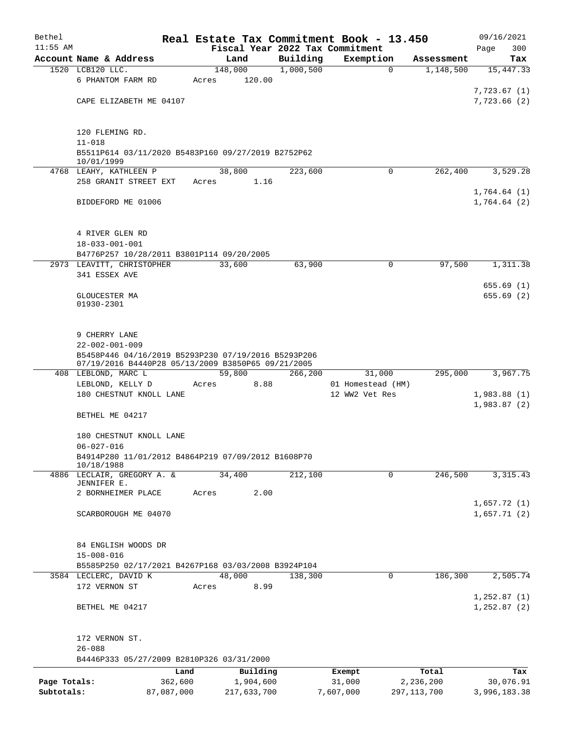| Bethel                     |                                                                     |         |                          |                      | Real Estate Tax Commitment Book - 13.450 |                            | 09/16/2021                  |
|----------------------------|---------------------------------------------------------------------|---------|--------------------------|----------------------|------------------------------------------|----------------------------|-----------------------------|
| $11:55$ AM                 |                                                                     |         |                          |                      | Fiscal Year 2022 Tax Commitment          |                            | 300<br>Page                 |
|                            | Account Name & Address                                              |         | Land                     | Building             | Exemption                                | Assessment                 | Tax                         |
|                            | 1520 LCB120 LLC.                                                    |         | 148,000                  | 1,000,500            | $\Omega$                                 | 1,148,500                  | 15,447.33                   |
|                            | 6 PHANTOM FARM RD                                                   | Acres   | 120.00                   |                      |                                          |                            |                             |
|                            | CAPE ELIZABETH ME 04107                                             |         |                          |                      |                                          |                            | 7,723.67 (1)<br>7,723.66(2) |
|                            |                                                                     |         |                          |                      |                                          |                            |                             |
|                            | 120 FLEMING RD.                                                     |         |                          |                      |                                          |                            |                             |
|                            | $11 - 018$                                                          |         |                          |                      |                                          |                            |                             |
|                            | B5511P614 03/11/2020 B5483P160 09/27/2019 B2752P62                  |         |                          |                      |                                          |                            |                             |
|                            | 10/01/1999<br>4768 LEAHY, KATHLEEN P                                |         | 38,800                   | 223,600              | $\Omega$                                 | 262,400                    | 3,529.28                    |
|                            | 258 GRANIT STREET EXT                                               | Acres   | 1.16                     |                      |                                          |                            |                             |
|                            |                                                                     |         |                          |                      |                                          |                            | 1,764.64(1)                 |
|                            | BIDDEFORD ME 01006                                                  |         |                          |                      |                                          |                            | 1,764.64(2)                 |
|                            |                                                                     |         |                          |                      |                                          |                            |                             |
|                            |                                                                     |         |                          |                      |                                          |                            |                             |
|                            | 4 RIVER GLEN RD                                                     |         |                          |                      |                                          |                            |                             |
|                            | $18 - 033 - 001 - 001$<br>B4776P257 10/28/2011 B3801P114 09/20/2005 |         |                          |                      |                                          |                            |                             |
|                            | 2973 LEAVITT, CHRISTOPHER                                           |         | 33,600                   | 63,900               | 0                                        | 97,500                     | 1,311.38                    |
|                            | 341 ESSEX AVE                                                       |         |                          |                      |                                          |                            |                             |
|                            |                                                                     |         |                          |                      |                                          |                            | 655.69(1)                   |
|                            | GLOUCESTER MA                                                       |         |                          |                      |                                          |                            | 655.69(2)                   |
|                            | 01930-2301                                                          |         |                          |                      |                                          |                            |                             |
|                            |                                                                     |         |                          |                      |                                          |                            |                             |
|                            | 9 CHERRY LANE                                                       |         |                          |                      |                                          |                            |                             |
|                            | $22 - 002 - 001 - 009$                                              |         |                          |                      |                                          |                            |                             |
|                            | B5458P446 04/16/2019 B5293P230 07/19/2016 B5293P206                 |         |                          |                      |                                          |                            |                             |
|                            | 07/19/2016 B4440P28 05/13/2009 B3850P65 09/21/2005                  |         |                          |                      |                                          |                            |                             |
|                            | 408 LEBLOND, MARC L                                                 |         | 59,800                   | 266,200              | 31,000                                   | 295,000                    | 3,967.75                    |
|                            | LEBLOND, KELLY D<br>180 CHESTNUT KNOLL LANE                         | Acres   | 8.88                     |                      | 01 Homestead (HM)<br>12 WW2 Vet Res      |                            | 1,983.88(1)                 |
|                            |                                                                     |         |                          |                      |                                          |                            | 1,983.87(2)                 |
|                            | BETHEL ME 04217                                                     |         |                          |                      |                                          |                            |                             |
|                            |                                                                     |         |                          |                      |                                          |                            |                             |
|                            | 180 CHESTNUT KNOLL LANE                                             |         |                          |                      |                                          |                            |                             |
|                            | $06 - 027 - 016$                                                    |         |                          |                      |                                          |                            |                             |
|                            | B4914P280 11/01/2012 B4864P219 07/09/2012 B1608P70<br>10/18/1988    |         |                          |                      |                                          |                            |                             |
|                            | 4886 LECLAIR, GREGORY A. &                                          |         | 34,400                   | $\overline{212,100}$ | 0                                        | 246,500                    | 3, 315.43                   |
|                            | JENNIFER E.                                                         |         |                          |                      |                                          |                            |                             |
|                            | 2 BORNHEIMER PLACE                                                  | Acres   | 2.00                     |                      |                                          |                            | 1,657.72(1)                 |
|                            | SCARBOROUGH ME 04070                                                |         |                          |                      |                                          |                            | 1,657.71(2)                 |
|                            |                                                                     |         |                          |                      |                                          |                            |                             |
|                            |                                                                     |         |                          |                      |                                          |                            |                             |
|                            | 84 ENGLISH WOODS DR                                                 |         |                          |                      |                                          |                            |                             |
|                            | $15 - 008 - 016$                                                    |         |                          |                      |                                          |                            |                             |
|                            | B5585P250 02/17/2021 B4267P168 03/03/2008 B3924P104                 |         |                          |                      |                                          |                            |                             |
|                            | 3584 LECLERC, DAVID K                                               |         | 48,000                   | 138,300              | $\mathbf 0$                              | 186,300                    | 2,505.74                    |
|                            | 172 VERNON ST                                                       | Acres   | 8.99                     |                      |                                          |                            | 1,252.87(1)                 |
|                            | BETHEL ME 04217                                                     |         |                          |                      |                                          |                            | 1, 252.87(2)                |
|                            |                                                                     |         |                          |                      |                                          |                            |                             |
|                            |                                                                     |         |                          |                      |                                          |                            |                             |
|                            | 172 VERNON ST.                                                      |         |                          |                      |                                          |                            |                             |
|                            | $26 - 088$                                                          |         |                          |                      |                                          |                            |                             |
|                            | B4446P333 05/27/2009 B2810P326 03/31/2000                           |         |                          |                      |                                          |                            |                             |
|                            |                                                                     | Land    | Building                 |                      | Exempt                                   | Total                      | Tax                         |
| Page Totals:<br>Subtotals: | 87,087,000                                                          | 362,600 | 1,904,600<br>217,633,700 |                      | 31,000<br>7,607,000                      | 2,236,200<br>297, 113, 700 | 30,076.91<br>3,996,183.38   |
|                            |                                                                     |         |                          |                      |                                          |                            |                             |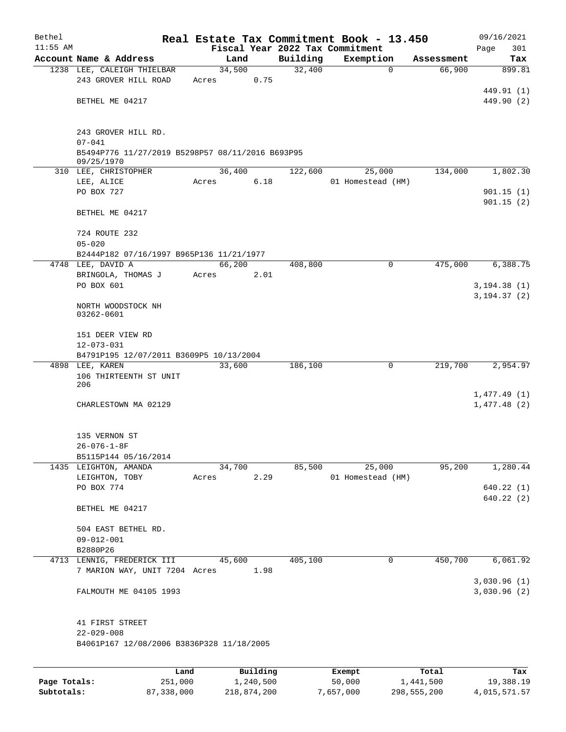| Bethel       |                                                                |                 |           |          | Real Estate Tax Commitment Book - 13.450 |            | 09/16/2021                   |
|--------------|----------------------------------------------------------------|-----------------|-----------|----------|------------------------------------------|------------|------------------------------|
| $11:55$ AM   |                                                                |                 |           |          | Fiscal Year 2022 Tax Commitment          |            | 301<br>Page                  |
|              | Account Name & Address                                         | Land            |           | Building | Exemption                                | Assessment | Tax                          |
|              | 1238 LEE, CALEIGH THIELBAR<br>243 GROVER HILL ROAD             | 34,500<br>Acres | 0.75      | 32,400   | $\mathbf 0$                              | 66,900     | 899.81                       |
|              |                                                                |                 |           |          |                                          |            | 449.91 (1)                   |
|              | BETHEL ME 04217                                                |                 |           |          |                                          |            | 449.90 (2)                   |
|              |                                                                |                 |           |          |                                          |            |                              |
|              |                                                                |                 |           |          |                                          |            |                              |
|              | 243 GROVER HILL RD.                                            |                 |           |          |                                          |            |                              |
|              | $07 - 041$<br>B5494P776 11/27/2019 B5298P57 08/11/2016 B693P95 |                 |           |          |                                          |            |                              |
|              | 09/25/1970                                                     |                 |           |          |                                          |            |                              |
|              | 310 LEE, CHRISTOPHER                                           | 36,400          |           | 122,600  | 25,000                                   | 134,000    | 1,802.30                     |
|              | LEE, ALICE                                                     | Acres           | 6.18      |          | 01 Homestead (HM)                        |            |                              |
|              | PO BOX 727                                                     |                 |           |          |                                          |            | 901.15(1)                    |
|              | BETHEL ME 04217                                                |                 |           |          |                                          |            | 901.15(2)                    |
|              |                                                                |                 |           |          |                                          |            |                              |
|              | 724 ROUTE 232                                                  |                 |           |          |                                          |            |                              |
|              | $05 - 020$                                                     |                 |           |          |                                          |            |                              |
|              | B2444P182 07/16/1997 B965P136 11/21/1977                       |                 |           |          |                                          |            |                              |
|              | 4748 LEE, DAVID A                                              | 66,200          |           | 408,800  | 0                                        | 475,000    | 6,388.75                     |
|              | BRINGOLA, THOMAS J<br>PO BOX 601                               | Acres           | 2.01      |          |                                          |            |                              |
|              |                                                                |                 |           |          |                                          |            | 3, 194.38(1)<br>3, 194.37(2) |
|              | NORTH WOODSTOCK NH                                             |                 |           |          |                                          |            |                              |
|              | 03262-0601                                                     |                 |           |          |                                          |            |                              |
|              |                                                                |                 |           |          |                                          |            |                              |
|              | 151 DEER VIEW RD<br>$12 - 073 - 031$                           |                 |           |          |                                          |            |                              |
|              | B4791P195 12/07/2011 B3609P5 10/13/2004                        |                 |           |          |                                          |            |                              |
|              | 4898 LEE, KAREN                                                | 33,600          |           | 186,100  | 0                                        | 219,700    | 2,954.97                     |
|              | 106 THIRTEENTH ST UNIT                                         |                 |           |          |                                          |            |                              |
|              | 206                                                            |                 |           |          |                                          |            |                              |
|              | CHARLESTOWN MA 02129                                           |                 |           |          |                                          |            | 1,477.49(1)<br>1,477.48(2)   |
|              |                                                                |                 |           |          |                                          |            |                              |
|              |                                                                |                 |           |          |                                          |            |                              |
|              | 135 VERNON ST                                                  |                 |           |          |                                          |            |                              |
|              | $26 - 076 - 1 - 8F$                                            |                 |           |          |                                          |            |                              |
|              | B5115P144 05/16/2014                                           |                 |           |          |                                          |            |                              |
|              | 1435 LEIGHTON, AMANDA<br>LEIGHTON, TOBY                        | 34,700          | 2.29      | 85,500   | 25,000<br>01 Homestead (HM)              | 95,200     | 1,280.44                     |
|              | PO BOX 774                                                     | Acres           |           |          |                                          |            | 640.22(1)                    |
|              |                                                                |                 |           |          |                                          |            | 640.22(2)                    |
|              | BETHEL ME 04217                                                |                 |           |          |                                          |            |                              |
|              |                                                                |                 |           |          |                                          |            |                              |
|              | 504 EAST BETHEL RD.                                            |                 |           |          |                                          |            |                              |
|              | $09 - 012 - 001$                                               |                 |           |          |                                          |            |                              |
|              | B2880P26<br>4713 LENNIG, FREDERICK III                         | 45,600          |           | 405,100  | 0                                        | 450,700    | 6,061.92                     |
|              | 7 MARION WAY, UNIT 7204 Acres                                  |                 | 1.98      |          |                                          |            |                              |
|              |                                                                |                 |           |          |                                          |            | 3,030.96(1)                  |
|              | FALMOUTH ME 04105 1993                                         |                 |           |          |                                          |            | 3,030.96(2)                  |
|              |                                                                |                 |           |          |                                          |            |                              |
|              |                                                                |                 |           |          |                                          |            |                              |
|              | 41 FIRST STREET<br>$22 - 029 - 008$                            |                 |           |          |                                          |            |                              |
|              | B4061P167 12/08/2006 B3836P328 11/18/2005                      |                 |           |          |                                          |            |                              |
|              |                                                                |                 |           |          |                                          |            |                              |
|              |                                                                |                 |           |          |                                          |            |                              |
|              | Land                                                           |                 | Building  |          | Exempt                                   | Total      | Tax                          |
| Page Totals: | 251,000                                                        |                 | 1,240,500 |          | 50,000                                   | 1,441,500  | 19,388.19                    |

**Subtotals:** 87,338,000 218,874,200 7,657,000 298,555,200 4,015,571.57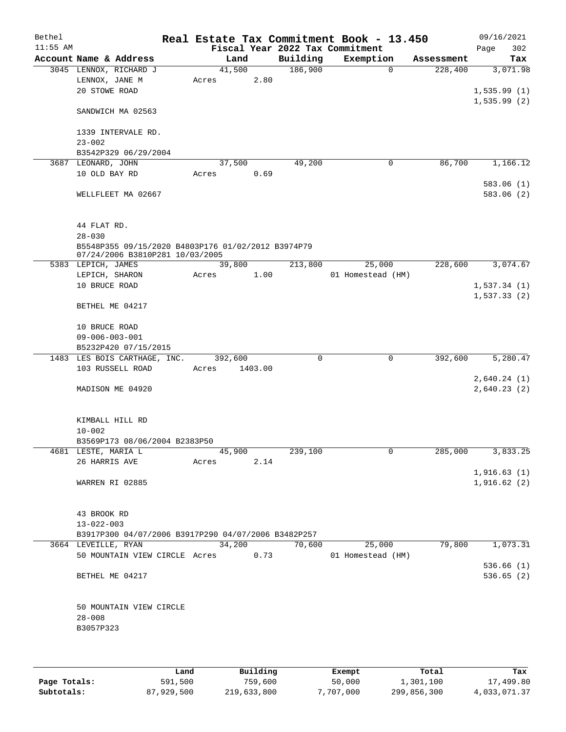| Bethel     |                                         |                                                                                       |         |         |          | Real Estate Tax Commitment Book - 13.450 |                        | 09/16/2021                       |
|------------|-----------------------------------------|---------------------------------------------------------------------------------------|---------|---------|----------|------------------------------------------|------------------------|----------------------------------|
| $11:55$ AM |                                         |                                                                                       |         |         |          | Fiscal Year 2022 Tax Commitment          |                        | 302<br>Page                      |
|            |                                         | Account Name & Address                                                                |         | Land    | Building | Exemption                                | Assessment             | Tax                              |
|            |                                         | 3045 LENNOX, RICHARD J                                                                | 41,500  |         | 186,900  |                                          | $\Omega$<br>228,400    | 3,071.98                         |
|            | LENNOX, JANE M<br>20 STOWE ROAD         |                                                                                       | Acres   | 2.80    |          |                                          |                        |                                  |
|            |                                         |                                                                                       |         |         |          |                                          |                        | 1,535.99(1)<br>1,535.99(2)       |
|            |                                         | SANDWICH MA 02563                                                                     |         |         |          |                                          |                        |                                  |
|            |                                         | 1339 INTERVALE RD.                                                                    |         |         |          |                                          |                        |                                  |
|            | $23 - 002$                              |                                                                                       |         |         |          |                                          |                        |                                  |
|            |                                         | B3542P329 06/29/2004                                                                  |         |         |          |                                          |                        |                                  |
|            | 3687 LEONARD, JOHN                      |                                                                                       | 37,500  |         | 49,200   |                                          | 0                      | 86,700<br>1,166.12               |
|            | 10 OLD BAY RD                           |                                                                                       | Acres   | 0.69    |          |                                          |                        |                                  |
|            |                                         | WELLFLEET MA 02667                                                                    |         |         |          |                                          |                        | 583.06(1)<br>583.06 (2)          |
|            | 44 FLAT RD.                             |                                                                                       |         |         |          |                                          |                        |                                  |
|            | $28 - 030$                              |                                                                                       |         |         |          |                                          |                        |                                  |
|            |                                         | B5548P355 09/15/2020 B4803P176 01/02/2012 B3974P79<br>07/24/2006 B3810P281 10/03/2005 |         |         |          |                                          |                        |                                  |
|            | 5383 LEPICH, JAMES                      |                                                                                       |         | 39,800  | 213,800  | 25,000                                   | 228,600                | 3,074.67                         |
|            | LEPICH, SHARON                          |                                                                                       | Acres   | 1.00    |          | 01 Homestead (HM)                        |                        |                                  |
|            | 10 BRUCE ROAD                           |                                                                                       |         |         |          |                                          |                        | 1,537.34(1)                      |
|            | BETHEL ME 04217                         |                                                                                       |         |         |          |                                          |                        | 1,537.33(2)                      |
|            |                                         |                                                                                       |         |         |          |                                          |                        |                                  |
|            | 10 BRUCE ROAD<br>$09 - 006 - 003 - 001$ |                                                                                       |         |         |          |                                          |                        |                                  |
|            |                                         | B5232P420 07/15/2015                                                                  |         |         |          |                                          |                        |                                  |
|            |                                         | 1483 LES BOIS CARTHAGE, INC.                                                          | 392,600 |         | 0        |                                          | $\mathbf 0$<br>392,600 | 5,280.47                         |
|            |                                         | 103 RUSSELL ROAD                                                                      | Acres   | 1403.00 |          |                                          |                        |                                  |
|            |                                         |                                                                                       |         |         |          |                                          |                        | 2,640.24(1)                      |
|            |                                         | MADISON ME 04920                                                                      |         |         |          |                                          |                        | 2,640.23(2)                      |
|            | KIMBALL HILL RD                         |                                                                                       |         |         |          |                                          |                        |                                  |
|            | $10 - 002$                              |                                                                                       |         |         |          |                                          |                        |                                  |
|            | 4681 LESTE, MARIA L                     | B3569P173 08/06/2004 B2383P50                                                         | 45,900  |         | 239,100  |                                          | 0                      | 285,000<br>$3,833.\overline{25}$ |
|            | 26 HARRIS AVE                           |                                                                                       | Acres   | 2.14    |          |                                          |                        |                                  |
|            |                                         |                                                                                       |         |         |          |                                          |                        | 1,916.63(1)                      |
|            | WARREN RI 02885                         |                                                                                       |         |         |          |                                          |                        | 1,916.62(2)                      |
|            | 43 BROOK RD                             |                                                                                       |         |         |          |                                          |                        |                                  |
|            | $13 - 022 - 003$                        |                                                                                       |         |         |          |                                          |                        |                                  |
|            |                                         | B3917P300 04/07/2006 B3917P290 04/07/2006 B3482P257                                   |         |         |          |                                          |                        |                                  |
|            | 3664 LEVEILLE, RYAN                     | 50 MOUNTAIN VIEW CIRCLE Acres                                                         | 34,200  | 0.73    | 70,600   | 25,000<br>01 Homestead (HM)              |                        | 79,800<br>1,073.31               |
|            |                                         |                                                                                       |         |         |          |                                          |                        | 536.66(1)                        |
|            | BETHEL ME 04217                         |                                                                                       |         |         |          |                                          |                        | 536.65(2)                        |
|            | $28 - 008$<br>B3057P323                 | 50 MOUNTAIN VIEW CIRCLE                                                               |         |         |          |                                          |                        |                                  |
|            |                                         |                                                                                       |         |         |          |                                          |                        |                                  |
|            |                                         |                                                                                       |         |         |          |                                          |                        |                                  |

|              | úand       | Building    | Exempt    | Total       | Tax          |
|--------------|------------|-------------|-----------|-------------|--------------|
| Page Totals: | 591,500    | 759,600     | 50,000    | 1,301,100   | 17,499.80    |
| Subtotals:   | 87,929,500 | 219,633,800 | 7,707,000 | 299,856,300 | 4,033,071.37 |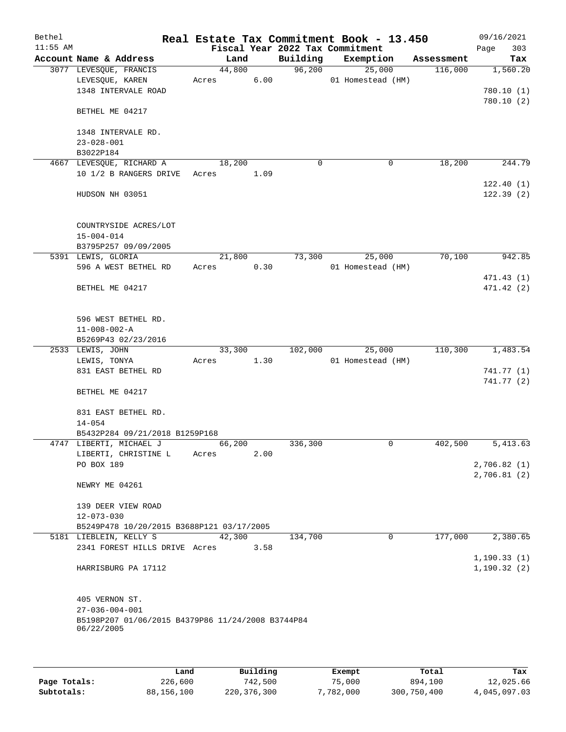| Bethel<br>$11:55$ AM |                                                                             |                 |      |             | Real Estate Tax Commitment Book - 13.450<br>Fiscal Year 2022 Tax Commitment |            | 09/16/2021<br>303<br>Page |
|----------------------|-----------------------------------------------------------------------------|-----------------|------|-------------|-----------------------------------------------------------------------------|------------|---------------------------|
|                      | Account Name & Address                                                      | Land            |      | Building    | Exemption                                                                   | Assessment | Tax                       |
|                      | 3077 LEVESQUE, FRANCIS                                                      | 44,800          |      | 96,200      | 25,000                                                                      | 116,000    | 1,560.20                  |
|                      | LEVESQUE, KAREN<br>1348 INTERVALE ROAD                                      | Acres           | 6.00 |             | 01 Homestead (HM)                                                           |            | 780.10(1)                 |
|                      | BETHEL ME 04217                                                             |                 |      |             |                                                                             |            | 780.10(2)                 |
|                      | 1348 INTERVALE RD.<br>$23 - 028 - 001$                                      |                 |      |             |                                                                             |            |                           |
|                      | B3022P184                                                                   |                 |      |             |                                                                             |            |                           |
|                      | 4667 LEVESQUE, RICHARD A                                                    | 18,200          |      | $\mathbf 0$ | 0                                                                           | 18,200     | 244.79                    |
|                      | 10 1/2 B RANGERS DRIVE                                                      | Acres           | 1.09 |             |                                                                             |            | 122.40(1)                 |
|                      | HUDSON NH 03051                                                             |                 |      |             |                                                                             |            | 122.39(2)                 |
|                      | COUNTRYSIDE ACRES/LOT<br>$15 - 004 - 014$                                   |                 |      |             |                                                                             |            |                           |
|                      | B3795P257 09/09/2005                                                        |                 |      |             |                                                                             |            |                           |
|                      | 5391 LEWIS, GLORIA<br>596 A WEST BETHEL RD                                  | 21,800<br>Acres | 0.30 | 73,300      | 25,000<br>01 Homestead (HM)                                                 | 70,100     | 942.85                    |
|                      |                                                                             |                 |      |             |                                                                             |            | 471.43 (1)                |
|                      | BETHEL ME 04217                                                             |                 |      |             |                                                                             |            | 471.42 (2)                |
|                      | 596 WEST BETHEL RD.                                                         |                 |      |             |                                                                             |            |                           |
|                      | $11 - 008 - 002 - A$<br>B5269P43 02/23/2016                                 |                 |      |             |                                                                             |            |                           |
|                      | 2533 LEWIS, JOHN                                                            | 33,300          |      | 102,000     | 25,000                                                                      | 110,300    | 1,483.54                  |
|                      | LEWIS, TONYA                                                                | Acres           | 1.30 |             | 01 Homestead (HM)                                                           |            |                           |
|                      | 831 EAST BETHEL RD                                                          |                 |      |             |                                                                             |            | 741.77 (1)                |
|                      | BETHEL ME 04217                                                             |                 |      |             |                                                                             |            | 741.77 (2)                |
|                      | 831 EAST BETHEL RD.                                                         |                 |      |             |                                                                             |            |                           |
|                      | $14 - 054$                                                                  |                 |      |             |                                                                             |            |                           |
|                      | B5432P284 09/21/2018 B1259P168                                              |                 |      |             |                                                                             |            | 5,413.63                  |
|                      | 4747 LIBERTI, MICHAEL J<br>LIBERTI, CHRISTINE L                             | 66,200<br>Acres | 2.00 | 336,300     | 0                                                                           | 402,500    |                           |
|                      | PO BOX 189                                                                  |                 |      |             |                                                                             |            | 2,706.82(1)               |
|                      | NEWRY ME 04261                                                              |                 |      |             |                                                                             |            | 2,706.81(2)               |
|                      | 139 DEER VIEW ROAD                                                          |                 |      |             |                                                                             |            |                           |
|                      | $12 - 073 - 030$<br>B5249P478 10/20/2015 B3688P121 03/17/2005               |                 |      |             |                                                                             |            |                           |
|                      | 5181 LIEBLEIN, KELLY S                                                      | 42,300          |      | 134,700     | $\mathbf 0$                                                                 | 177,000    | 2,380.65                  |
|                      | 2341 FOREST HILLS DRIVE Acres                                               |                 | 3.58 |             |                                                                             |            | 1, 190.33(1)              |
|                      | HARRISBURG PA 17112                                                         |                 |      |             |                                                                             |            | 1, 190.32(2)              |
|                      | 405 VERNON ST.                                                              |                 |      |             |                                                                             |            |                           |
|                      | $27 - 036 - 004 - 001$<br>B5198P207 01/06/2015 B4379P86 11/24/2008 B3744P84 |                 |      |             |                                                                             |            |                           |
|                      | 06/22/2005                                                                  |                 |      |             |                                                                             |            |                           |
|                      |                                                                             |                 |      |             |                                                                             |            |                           |
|                      |                                                                             |                 |      |             |                                                                             |            |                           |

|              | Land       | Building    | Exempt    | Total       | Tax          |
|--------------|------------|-------------|-----------|-------------|--------------|
| Page Totals: | 226,600    | 742,500     | 75,000    | 894,100     | 12,025.66    |
| Subtotals:   | 88,156,100 | 220,376,300 | 7,782,000 | 300,750,400 | 4,045,097.03 |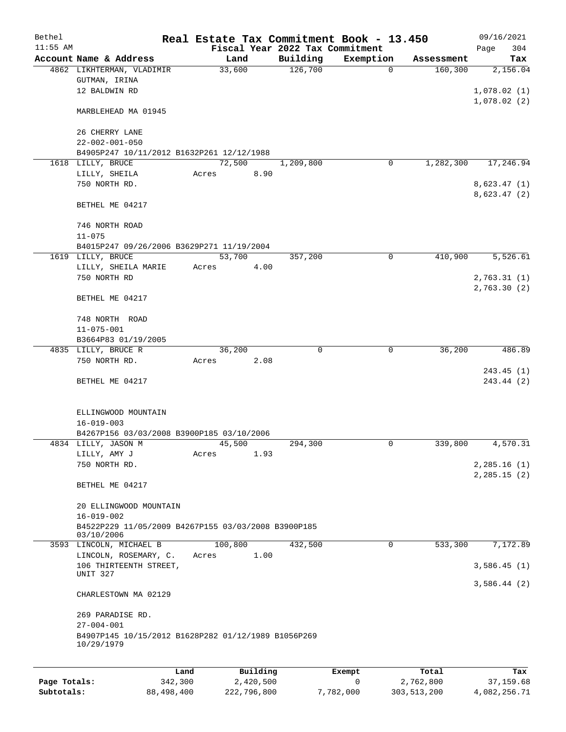| Bethel       |                                                                   |         |                |           | Real Estate Tax Commitment Book - 13.450 |                       |                        | 09/16/2021    |     |
|--------------|-------------------------------------------------------------------|---------|----------------|-----------|------------------------------------------|-----------------------|------------------------|---------------|-----|
| $11:55$ AM   |                                                                   |         |                |           | Fiscal Year 2022 Tax Commitment          |                       |                        | Page          | 304 |
|              | Account Name & Address<br>4862 LIKHTERMAN, VLADIMIR               |         | Land<br>33,600 |           | Building<br>126,700                      | Exemption<br>$\Omega$ | Assessment<br>160, 300 | 2,156.04      | Tax |
|              | GUTMAN, IRINA                                                     |         |                |           |                                          |                       |                        |               |     |
|              | 12 BALDWIN RD                                                     |         |                |           |                                          |                       |                        | 1,078.02(1)   |     |
|              |                                                                   |         |                |           |                                          |                       |                        | 1,078.02(2)   |     |
|              | MARBLEHEAD MA 01945                                               |         |                |           |                                          |                       |                        |               |     |
|              | 26 CHERRY LANE                                                    |         |                |           |                                          |                       |                        |               |     |
|              | $22 - 002 - 001 - 050$                                            |         |                |           |                                          |                       |                        |               |     |
|              | B4905P247 10/11/2012 B1632P261 12/12/1988                         |         |                |           |                                          |                       |                        |               |     |
|              | 1618 LILLY, BRUCE                                                 |         | 72,500         |           | 1,209,800                                | 0                     | 1,282,300              | 17,246.94     |     |
|              | LILLY, SHEILA                                                     |         | Acres          | 8.90      |                                          |                       |                        |               |     |
|              | 750 NORTH RD.                                                     |         |                |           |                                          |                       |                        | 8,623.47(1)   |     |
|              |                                                                   |         |                |           |                                          |                       |                        | 8,623.47(2)   |     |
|              | BETHEL ME 04217                                                   |         |                |           |                                          |                       |                        |               |     |
|              | 746 NORTH ROAD                                                    |         |                |           |                                          |                       |                        |               |     |
|              | $11 - 075$                                                        |         |                |           |                                          |                       |                        |               |     |
|              | B4015P247 09/26/2006 B3629P271 11/19/2004                         |         |                |           |                                          |                       |                        |               |     |
|              | 1619 LILLY, BRUCE                                                 |         | 53,700         |           | 357,200                                  | 0                     | 410,900                | 5,526.61      |     |
|              | LILLY, SHEILA MARIE                                               |         | Acres          | 4.00      |                                          |                       |                        |               |     |
|              | 750 NORTH RD                                                      |         |                |           |                                          |                       |                        | 2,763.31(1)   |     |
|              |                                                                   |         |                |           |                                          |                       |                        | 2,763.30(2)   |     |
|              | BETHEL ME 04217                                                   |         |                |           |                                          |                       |                        |               |     |
|              | 748 NORTH ROAD                                                    |         |                |           |                                          |                       |                        |               |     |
|              | $11 - 075 - 001$                                                  |         |                |           |                                          |                       |                        |               |     |
|              | B3664P83 01/19/2005                                               |         |                |           |                                          |                       |                        |               |     |
|              | 4835 LILLY, BRUCE R                                               |         | 36,200         |           | 0                                        | 0                     | 36,200                 | 486.89        |     |
|              | 750 NORTH RD.                                                     |         | Acres          | 2.08      |                                          |                       |                        |               |     |
|              | BETHEL ME 04217                                                   |         |                |           |                                          |                       |                        | 243.45(1)     |     |
|              |                                                                   |         |                |           |                                          |                       |                        | 243.44 (2)    |     |
|              |                                                                   |         |                |           |                                          |                       |                        |               |     |
|              | ELLINGWOOD MOUNTAIN                                               |         |                |           |                                          |                       |                        |               |     |
|              | $16 - 019 - 003$                                                  |         |                |           |                                          |                       |                        |               |     |
|              | B4267P156 03/03/2008 B3900P185 03/10/2006                         |         |                |           |                                          |                       |                        |               |     |
|              | 4834 LILLY, JASON M                                               |         | 45,500         |           | 294,300                                  | 0                     | 339,800                | 4,570.31      |     |
|              | LILLY, AMY J<br>750 NORTH RD.                                     |         | Acres          | 1.93      |                                          |                       |                        | 2,285.16(1)   |     |
|              |                                                                   |         |                |           |                                          |                       |                        | 2, 285.15 (2) |     |
|              | BETHEL ME 04217                                                   |         |                |           |                                          |                       |                        |               |     |
|              |                                                                   |         |                |           |                                          |                       |                        |               |     |
|              | 20 ELLINGWOOD MOUNTAIN                                            |         |                |           |                                          |                       |                        |               |     |
|              | $16 - 019 - 002$                                                  |         |                |           |                                          |                       |                        |               |     |
|              | B4522P229 11/05/2009 B4267P155 03/03/2008 B3900P185<br>03/10/2006 |         |                |           |                                          |                       |                        |               |     |
|              | 3593 LINCOLN, MICHAEL B                                           |         | 100,800        |           | 432,500                                  | 0                     | 533,300                | 7,172.89      |     |
|              | LINCOLN, ROSEMARY, C.                                             |         | Acres          | 1.00      |                                          |                       |                        |               |     |
|              | 106 THIRTEENTH STREET,                                            |         |                |           |                                          |                       |                        | 3,586.45(1)   |     |
|              | UNIT 327                                                          |         |                |           |                                          |                       |                        | 3,586.44(2)   |     |
|              | CHARLESTOWN MA 02129                                              |         |                |           |                                          |                       |                        |               |     |
|              |                                                                   |         |                |           |                                          |                       |                        |               |     |
|              | 269 PARADISE RD.                                                  |         |                |           |                                          |                       |                        |               |     |
|              | $27 - 004 - 001$                                                  |         |                |           |                                          |                       |                        |               |     |
|              | B4907P145 10/15/2012 B1628P282 01/12/1989 B1056P269<br>10/29/1979 |         |                |           |                                          |                       |                        |               |     |
|              |                                                                   |         |                |           |                                          |                       |                        |               |     |
|              |                                                                   | Land    |                | Building  |                                          | Exempt                | Total                  |               | Tax |
| Page Totals: |                                                                   | 342,300 |                | 2,420,500 |                                          | 0                     | 2,762,800              | 37,159.68     |     |

**Subtotals:** 88,498,400 222,796,800 7,782,000 303,513,200 4,082,256.71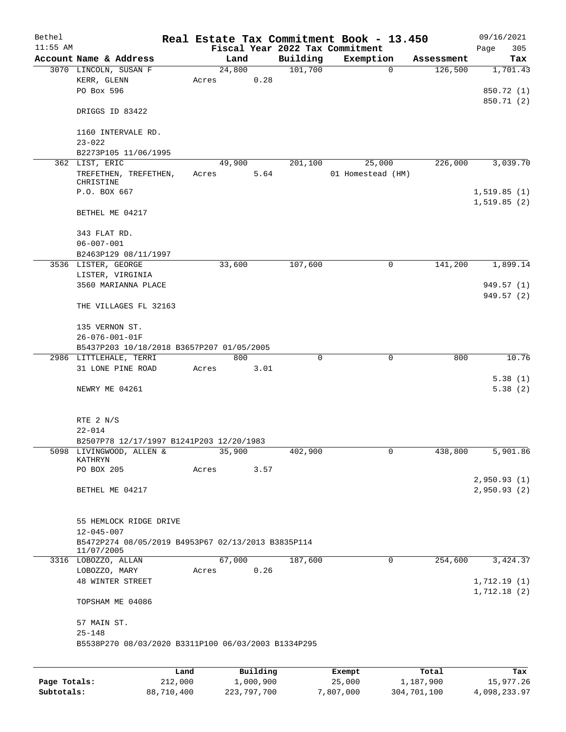| Bethel     |                                                     |       |        |          |             | Real Estate Tax Commitment Book - 13.450 |            | 09/16/2021               |
|------------|-----------------------------------------------------|-------|--------|----------|-------------|------------------------------------------|------------|--------------------------|
| $11:55$ AM |                                                     |       |        |          |             | Fiscal Year 2022 Tax Commitment          |            | Page<br>305              |
|            | Account Name & Address                              |       | Land   |          | Building    | Exemption                                | Assessment | Tax                      |
|            | 3070 LINCOLN, SUSAN F                               |       | 24,800 |          | 101,700     | $\mathbf 0$                              | 126,500    | 1,701.43                 |
|            | KERR, GLENN                                         | Acres |        | 0.28     |             |                                          |            |                          |
|            | PO Box 596                                          |       |        |          |             |                                          |            | 850.72 (1)<br>850.71 (2) |
|            | DRIGGS ID 83422                                     |       |        |          |             |                                          |            |                          |
|            |                                                     |       |        |          |             |                                          |            |                          |
|            | 1160 INTERVALE RD.                                  |       |        |          |             |                                          |            |                          |
|            | $23 - 022$                                          |       |        |          |             |                                          |            |                          |
|            | B2273P105 11/06/1995                                |       |        |          |             |                                          |            |                          |
|            | 362 LIST, ERIC                                      |       | 49,900 |          | 201,100     | 25,000                                   | 226,000    | 3,039.70                 |
|            | TREFETHEN, TREFETHEN,                               | Acres |        | 5.64     |             | 01 Homestead (HM)                        |            |                          |
|            | CHRISTINE                                           |       |        |          |             |                                          |            |                          |
|            | P.O. BOX 667                                        |       |        |          |             |                                          |            | 1, 519.85(1)             |
|            |                                                     |       |        |          |             |                                          |            | 1,519.85(2)              |
|            | BETHEL ME 04217                                     |       |        |          |             |                                          |            |                          |
|            |                                                     |       |        |          |             |                                          |            |                          |
|            | 343 FLAT RD.                                        |       |        |          |             |                                          |            |                          |
|            | $06 - 007 - 001$                                    |       |        |          |             |                                          |            |                          |
|            | B2463P129 08/11/1997                                |       |        |          |             |                                          | 141,200    |                          |
|            | 3536 LISTER, GEORGE                                 |       | 33,600 |          | 107,600     | $\mathsf{O}$                             |            | 1,899.14                 |
|            | LISTER, VIRGINIA<br>3560 MARIANNA PLACE             |       |        |          |             |                                          |            | 949.57 (1)               |
|            |                                                     |       |        |          |             |                                          |            | 949.57 (2)               |
|            | THE VILLAGES FL 32163                               |       |        |          |             |                                          |            |                          |
|            |                                                     |       |        |          |             |                                          |            |                          |
|            | 135 VERNON ST.                                      |       |        |          |             |                                          |            |                          |
|            | 26-076-001-01F                                      |       |        |          |             |                                          |            |                          |
|            | B5437P203 10/18/2018 B3657P207 01/05/2005           |       |        |          |             |                                          |            |                          |
|            | 2986 LITTLEHALE, TERRI                              |       | 800    |          | $\mathbf 0$ | $\mathbf 0$                              | 800        | 10.76                    |
|            | 31 LONE PINE ROAD                                   | Acres |        | 3.01     |             |                                          |            |                          |
|            |                                                     |       |        |          |             |                                          |            | 5.38(1)                  |
|            | NEWRY ME 04261                                      |       |        |          |             |                                          |            | 5.38(2)                  |
|            |                                                     |       |        |          |             |                                          |            |                          |
|            |                                                     |       |        |          |             |                                          |            |                          |
|            | RTE 2 N/S                                           |       |        |          |             |                                          |            |                          |
|            | $22 - 014$                                          |       |        |          |             |                                          |            |                          |
|            | B2507P78 12/17/1997 B1241P203 12/20/1983            |       |        |          |             |                                          |            |                          |
|            | 5098 LIVINGWOOD, ALLEN &<br>KATHRYN                 |       | 35,900 |          | 402,900     | 0                                        | 438,800    | 5,901.86                 |
|            | PO BOX 205                                          | Acres |        | 3.57     |             |                                          |            |                          |
|            |                                                     |       |        |          |             |                                          |            | 2,950.93(1)              |
|            | BETHEL ME 04217                                     |       |        |          |             |                                          |            | 2,950.93(2)              |
|            |                                                     |       |        |          |             |                                          |            |                          |
|            |                                                     |       |        |          |             |                                          |            |                          |
|            | 55 HEMLOCK RIDGE DRIVE                              |       |        |          |             |                                          |            |                          |
|            | $12 - 045 - 007$                                    |       |        |          |             |                                          |            |                          |
|            | B5472P274 08/05/2019 B4953P67 02/13/2013 B3835P114  |       |        |          |             |                                          |            |                          |
|            | 11/07/2005                                          |       |        |          |             |                                          |            |                          |
|            | 3316 LOBOZZO, ALLAN<br>LOBOZZO, MARY                |       | 67,000 | 0.26     | 187,600     | 0                                        | 254,600    | 3,424.37                 |
|            | 48 WINTER STREET                                    | Acres |        |          |             |                                          |            | 1,712.19(1)              |
|            |                                                     |       |        |          |             |                                          |            | 1,712.18(2)              |
|            | TOPSHAM ME 04086                                    |       |        |          |             |                                          |            |                          |
|            |                                                     |       |        |          |             |                                          |            |                          |
|            | 57 MAIN ST.                                         |       |        |          |             |                                          |            |                          |
|            | $25 - 148$                                          |       |        |          |             |                                          |            |                          |
|            | B5538P270 08/03/2020 B3311P100 06/03/2003 B1334P295 |       |        |          |             |                                          |            |                          |
|            |                                                     |       |        |          |             |                                          |            |                          |
|            |                                                     |       |        |          |             |                                          |            |                          |
|            |                                                     | Land  |        | Building |             | <b>Exempt</b>                            | Total      | Tax                      |

|              | Land       | Building    | Exempt    | Total       | Tax          |
|--------------|------------|-------------|-----------|-------------|--------------|
| Page Totals: | 212,000    | 1,000,900   | 25,000    | 1,187,900   | 15,977.26    |
| Subtotals:   | 88,710,400 | 223,797,700 | 7,807,000 | 304,701,100 | 4,098,233.97 |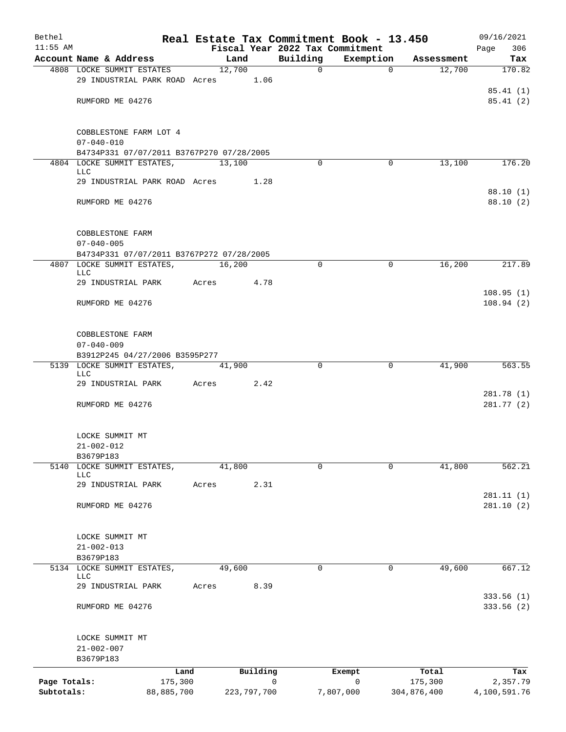| Bethel       |                                                                 |       |               |                                 | Real Estate Tax Commitment Book - 13.450 |             | 09/16/2021               |
|--------------|-----------------------------------------------------------------|-------|---------------|---------------------------------|------------------------------------------|-------------|--------------------------|
| $11:55$ AM   |                                                                 |       |               | Fiscal Year 2022 Tax Commitment |                                          |             | 306<br>Page              |
|              | Account Name & Address                                          |       | Land          | Building                        | Exemption                                | Assessment  | Tax                      |
|              | 4808 LOCKE SUMMIT ESTATES<br>29 INDUSTRIAL PARK ROAD Acres 1.06 |       | 12,700        | $\Omega$                        | $\Omega$                                 | 12,700      | 170.82                   |
|              |                                                                 |       |               |                                 |                                          |             | 85.41(1)                 |
|              | RUMFORD ME 04276                                                |       |               |                                 |                                          |             | 85.41(2)                 |
|              |                                                                 |       |               |                                 |                                          |             |                          |
|              |                                                                 |       |               |                                 |                                          |             |                          |
|              | COBBLESTONE FARM LOT 4                                          |       |               |                                 |                                          |             |                          |
|              | $07 - 040 - 010$<br>B4734P331 07/07/2011 B3767P270 07/28/2005   |       |               |                                 |                                          |             |                          |
|              | 4804 LOCKE SUMMIT ESTATES,                                      |       | 13,100        | $\Omega$                        | 0                                        | 13,100      | 176.20                   |
|              | <b>LLC</b>                                                      |       |               |                                 |                                          |             |                          |
|              | 29 INDUSTRIAL PARK ROAD Acres                                   |       | 1.28          |                                 |                                          |             |                          |
|              |                                                                 |       |               |                                 |                                          |             | 88.10(1)                 |
|              | RUMFORD ME 04276                                                |       |               |                                 |                                          |             | 88.10 (2)                |
|              |                                                                 |       |               |                                 |                                          |             |                          |
|              | COBBLESTONE FARM                                                |       |               |                                 |                                          |             |                          |
|              | $07 - 040 - 005$                                                |       |               |                                 |                                          |             |                          |
|              | B4734P331 07/07/2011 B3767P272 07/28/2005                       |       |               |                                 |                                          |             |                          |
|              | 4807 LOCKE SUMMIT ESTATES,<br><b>LLC</b>                        |       | 16,200        | $\Omega$                        | $\mathbf 0$                              | 16,200      | 217.89                   |
|              | 29 INDUSTRIAL PARK                                              | Acres | 4.78          |                                 |                                          |             |                          |
|              |                                                                 |       |               |                                 |                                          |             | 108.95(1)                |
|              | RUMFORD ME 04276                                                |       |               |                                 |                                          |             | 108.94(2)                |
|              |                                                                 |       |               |                                 |                                          |             |                          |
|              |                                                                 |       |               |                                 |                                          |             |                          |
|              | COBBLESTONE FARM<br>$07 - 040 - 009$                            |       |               |                                 |                                          |             |                          |
|              | B3912P245 04/27/2006 B3595P277                                  |       |               |                                 |                                          |             |                          |
|              | 5139 LOCKE SUMMIT ESTATES,                                      |       | 41,900        | $\Omega$                        | $\mathbf 0$                              | 41,900      | 563.55                   |
|              | <b>LLC</b>                                                      |       |               |                                 |                                          |             |                          |
|              | 29 INDUSTRIAL PARK Acres                                        |       | 2.42          |                                 |                                          |             |                          |
|              | RUMFORD ME 04276                                                |       |               |                                 |                                          |             | 281.78 (1)<br>281.77 (2) |
|              |                                                                 |       |               |                                 |                                          |             |                          |
|              |                                                                 |       |               |                                 |                                          |             |                          |
|              | LOCKE SUMMIT MT                                                 |       |               |                                 |                                          |             |                          |
|              | $21 - 002 - 012$                                                |       |               |                                 |                                          |             |                          |
|              | B3679P183<br>5140 LOCKE SUMMIT ESTATES,                         |       | 41,800        | 0                               | 0                                        | 41,800      | 562.21                   |
|              | LLC                                                             |       |               |                                 |                                          |             |                          |
|              | 29 INDUSTRIAL PARK                                              | Acres | 2.31          |                                 |                                          |             |                          |
|              |                                                                 |       |               |                                 |                                          |             | 281.11(1)                |
|              | RUMFORD ME 04276                                                |       |               |                                 |                                          |             | 281.10(2)                |
|              |                                                                 |       |               |                                 |                                          |             |                          |
|              | LOCKE SUMMIT MT                                                 |       |               |                                 |                                          |             |                          |
|              | $21 - 002 - 013$                                                |       |               |                                 |                                          |             |                          |
|              | B3679P183                                                       |       |               |                                 |                                          |             |                          |
| 5134         | LOCKE SUMMIT ESTATES,<br>LLC                                    |       | 49,600        | 0                               | 0                                        | 49,600      | 667.12                   |
|              | 29 INDUSTRIAL PARK                                              | Acres | 8.39          |                                 |                                          |             |                          |
|              |                                                                 |       |               |                                 |                                          |             | 333.56(1)                |
|              | RUMFORD ME 04276                                                |       |               |                                 |                                          |             | 333.56(2)                |
|              |                                                                 |       |               |                                 |                                          |             |                          |
|              |                                                                 |       |               |                                 |                                          |             |                          |
|              | LOCKE SUMMIT MT<br>$21 - 002 - 007$                             |       |               |                                 |                                          |             |                          |
|              | B3679P183                                                       |       |               |                                 |                                          |             |                          |
|              | Land                                                            |       | Building      |                                 | Exempt                                   | Total       | Tax                      |
| Page Totals: | 175,300                                                         |       |               | 0                               | 0                                        | 175,300     | 2,357.79                 |
| Subtotals:   | 88,885,700                                                      |       | 223, 797, 700 |                                 | 7,807,000                                | 304,876,400 | 4,100,591.76             |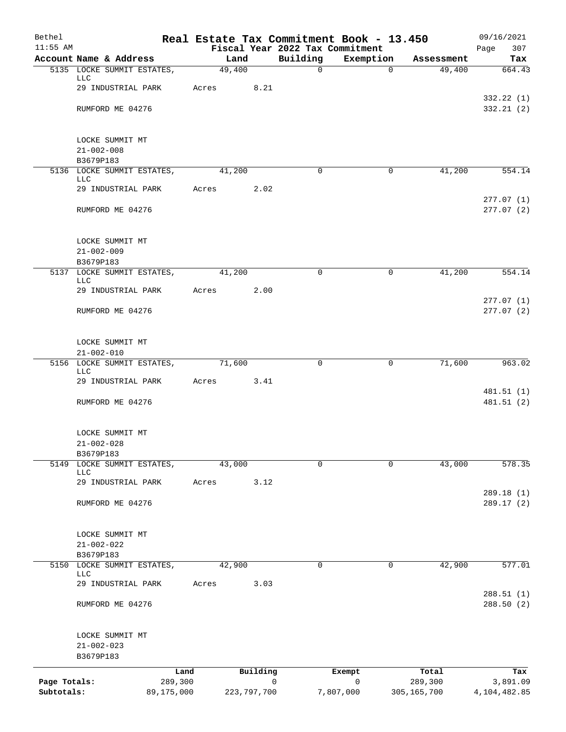| Bethel       |                                                  |       |               |          |             | Real Estate Tax Commitment Book - 13.450     |             | 09/16/2021              |
|--------------|--------------------------------------------------|-------|---------------|----------|-------------|----------------------------------------------|-------------|-------------------------|
| $11:55$ AM   | Account Name & Address                           |       | Land          |          | Building    | Fiscal Year 2022 Tax Commitment<br>Exemption | Assessment  | 307<br>Page<br>Tax      |
|              | 5135 LOCKE SUMMIT ESTATES,                       |       | 49,400        |          | $\mathbf 0$ | $\mathbf 0$                                  | 49,400      | 664.43                  |
|              | LLC                                              |       |               |          |             |                                              |             |                         |
|              | 29 INDUSTRIAL PARK                               | Acres |               | 8.21     |             |                                              |             | 332.22 (1)              |
|              | RUMFORD ME 04276                                 |       |               |          |             |                                              |             | 332.21(2)               |
|              | LOCKE SUMMIT MT                                  |       |               |          |             |                                              |             |                         |
|              | $21 - 002 - 008$                                 |       |               |          |             |                                              |             |                         |
|              | B3679P183                                        |       |               |          |             |                                              |             |                         |
|              | 5136 LOCKE SUMMIT ESTATES,<br>LLC                |       | 41,200        |          | 0           | 0                                            | 41,200      | 554.14                  |
|              | 29 INDUSTRIAL PARK                               | Acres |               | 2.02     |             |                                              |             |                         |
|              | RUMFORD ME 04276                                 |       |               |          |             |                                              |             | 277.07(1)<br>277.07(2)  |
|              | LOCKE SUMMIT MT                                  |       |               |          |             |                                              |             |                         |
|              | $21 - 002 - 009$<br>B3679P183                    |       |               |          |             |                                              |             |                         |
|              | 5137 LOCKE SUMMIT ESTATES,<br><b>LLC</b>         |       | 41,200        |          | $\Omega$    | $\mathbf 0$                                  | 41,200      | 554.14                  |
|              | 29 INDUSTRIAL PARK                               | Acres |               | 2.00     |             |                                              |             |                         |
|              | RUMFORD ME 04276                                 |       |               |          |             |                                              |             | 277.07(1)<br>277.07(2)  |
|              | LOCKE SUMMIT MT                                  |       |               |          |             |                                              |             |                         |
|              | $21 - 002 - 010$<br>5156 LOCKE SUMMIT ESTATES,   |       | 71,600        |          | $\mathbf 0$ | $\mathbf 0$                                  | 71,600      | 963.02                  |
|              | <b>LLC</b>                                       |       |               |          |             |                                              |             |                         |
|              | 29 INDUSTRIAL PARK                               | Acres |               | 3.41     |             |                                              |             | 481.51 (1)              |
|              | RUMFORD ME 04276                                 |       |               |          |             |                                              |             | 481.51 (2)              |
|              | LOCKE SUMMIT MT                                  |       |               |          |             |                                              |             |                         |
|              | $21 - 002 - 028$                                 |       |               |          |             |                                              |             |                         |
| 5149         | B3679P183                                        |       |               |          | $\mathbf 0$ | $\Omega$                                     | 43,000      | 578.35                  |
|              | LOCKE SUMMIT ESTATES,<br>LLC                     |       | 43,000        |          |             |                                              |             |                         |
|              | 29 INDUSTRIAL PARK                               | Acres |               | 3.12     |             |                                              |             |                         |
|              | RUMFORD ME 04276                                 |       |               |          |             |                                              |             | 289.18(1)<br>289.17 (2) |
|              | LOCKE SUMMIT MT                                  |       |               |          |             |                                              |             |                         |
|              | $21 - 002 - 022$                                 |       |               |          |             |                                              |             |                         |
|              | B3679P183                                        |       |               |          |             |                                              |             |                         |
|              | 5150 LOCKE SUMMIT ESTATES,<br>LLC                |       | 42,900        |          | $\Omega$    | $\mathbf 0$                                  | 42,900      | 577.01                  |
|              | 29 INDUSTRIAL PARK                               | Acres |               | 3.03     |             |                                              |             |                         |
|              | RUMFORD ME 04276                                 |       |               |          |             |                                              |             | 288.51(1)<br>288.50 (2) |
|              | LOCKE SUMMIT MT<br>$21 - 002 - 023$<br>B3679P183 |       |               |          |             |                                              |             |                         |
|              | Land                                             |       |               | Building |             | Exempt                                       | Total       | Tax                     |
| Page Totals: | 289,300                                          |       |               |          | 0           | $\mathsf{O}$                                 | 289,300     | 3,891.09                |
| Subtotals:   | 89,175,000                                       |       | 223, 797, 700 |          |             | 7,807,000                                    | 305,165,700 | 4,104,482.85            |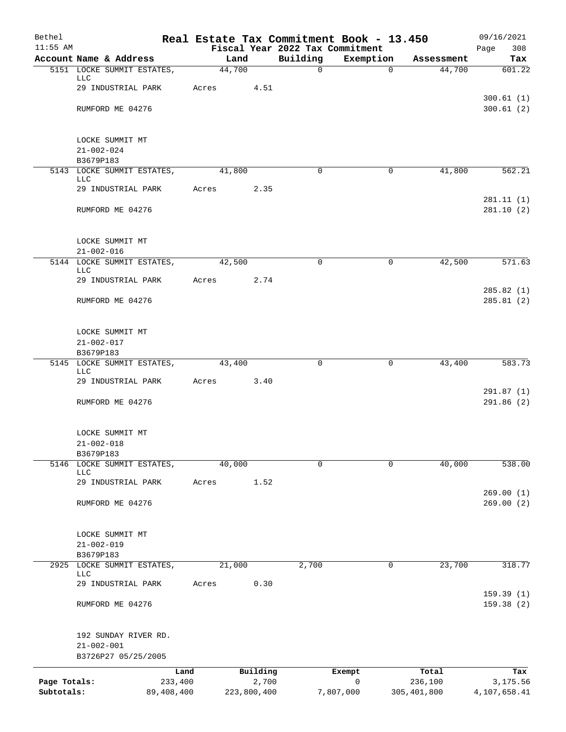| Bethel                     |                                          |       |                      |             | Real Estate Tax Commitment Book - 13.450     |                        | 09/16/2021               |
|----------------------------|------------------------------------------|-------|----------------------|-------------|----------------------------------------------|------------------------|--------------------------|
| $11:55$ AM                 | Account Name & Address                   |       | Land                 | Building    | Fiscal Year 2022 Tax Commitment<br>Exemption | Assessment             | Page<br>308<br>Tax       |
|                            | 5151 LOCKE SUMMIT ESTATES,               |       | 44,700               | $\mathbf 0$ | $\mathbf 0$                                  | 44,700                 | 601.22                   |
|                            | LLC<br>29 INDUSTRIAL PARK                | Acres | 4.51                 |             |                                              |                        |                          |
|                            |                                          |       |                      |             |                                              |                        | 300.61(1)                |
|                            | RUMFORD ME 04276                         |       |                      |             |                                              |                        | 300.61(2)                |
|                            | LOCKE SUMMIT MT                          |       |                      |             |                                              |                        |                          |
|                            | $21 - 002 - 024$                         |       |                      |             |                                              |                        |                          |
|                            | B3679P183<br>5143 LOCKE SUMMIT ESTATES,  |       | 41,800               | 0           | 0                                            | 41,800                 | 562.21                   |
|                            | <b>LLC</b>                               |       |                      |             |                                              |                        |                          |
|                            | 29 INDUSTRIAL PARK                       | Acres | 2.35                 |             |                                              |                        | 281.11(1)                |
|                            | RUMFORD ME 04276                         |       |                      |             |                                              |                        | 281.10(2)                |
|                            | LOCKE SUMMIT MT                          |       |                      |             |                                              |                        |                          |
|                            | $21 - 002 - 016$                         |       |                      |             |                                              |                        |                          |
|                            | 5144 LOCKE SUMMIT ESTATES,<br><b>LLC</b> |       | 42,500               | $\Omega$    | $\mathbf 0$                                  | 42,500                 | 571.63                   |
|                            | 29 INDUSTRIAL PARK                       | Acres | 2.74                 |             |                                              |                        |                          |
|                            | RUMFORD ME 04276                         |       |                      |             |                                              |                        | 285.82(1)<br>285.81(2)   |
|                            | LOCKE SUMMIT MT                          |       |                      |             |                                              |                        |                          |
|                            | $21 - 002 - 017$                         |       |                      |             |                                              |                        |                          |
|                            | B3679P183                                |       |                      |             |                                              |                        |                          |
|                            | 5145 LOCKE SUMMIT ESTATES,<br><b>LLC</b> |       | 43,400               | $\mathbf 0$ | $\mathbf 0$                                  | 43,400                 | 583.73                   |
|                            | 29 INDUSTRIAL PARK                       | Acres | 3.40                 |             |                                              |                        | 291.87(1)                |
|                            | RUMFORD ME 04276                         |       |                      |             |                                              |                        | 291.86(2)                |
|                            | LOCKE SUMMIT MT                          |       |                      |             |                                              |                        |                          |
|                            | $21 - 002 - 018$                         |       |                      |             |                                              |                        |                          |
| 5146                       | B3679P183<br>LOCKE SUMMIT ESTATES,       |       | 40,000               | $\mathbf 0$ | $\Omega$                                     | 40,000                 | 538.00                   |
|                            | <b>LLC</b>                               |       |                      |             |                                              |                        |                          |
|                            | 29 INDUSTRIAL PARK                       | Acres | 1.52                 |             |                                              |                        |                          |
|                            | RUMFORD ME 04276                         |       |                      |             |                                              |                        | 269.00(1)<br>269.00(2)   |
|                            | LOCKE SUMMIT MT                          |       |                      |             |                                              |                        |                          |
|                            | $21 - 002 - 019$                         |       |                      |             |                                              |                        |                          |
|                            | B3679P183<br>2925 LOCKE SUMMIT ESTATES,  |       | 21,000               | 2,700       | $\mathbf 0$                                  | 23,700                 | 318.77                   |
|                            | LLC                                      |       |                      |             |                                              |                        |                          |
|                            | 29 INDUSTRIAL PARK                       | Acres | 0.30                 |             |                                              |                        | 159.39(1)                |
|                            | RUMFORD ME 04276                         |       |                      |             |                                              |                        | 159.38 (2)               |
|                            | 192 SUNDAY RIVER RD.<br>$21 - 002 - 001$ |       |                      |             |                                              |                        |                          |
|                            | B3726P27 05/25/2005                      |       |                      |             |                                              |                        |                          |
|                            | Land                                     |       | Building             |             | Exempt                                       | Total                  | Tax                      |
| Page Totals:<br>Subtotals: | 233,400<br>89,408,400                    |       | 2,700<br>223,800,400 |             | $\mathsf{O}$<br>7,807,000                    | 236,100<br>305,401,800 | 3,175.56<br>4,107,658.41 |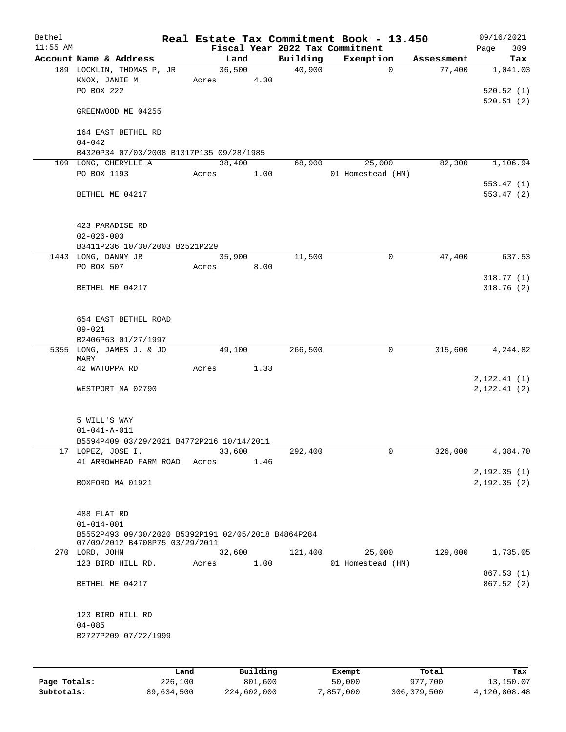| Bethel     |                                                     |       |        |          |          | Real Estate Tax Commitment Book - 13.450 |            | 09/16/2021   |
|------------|-----------------------------------------------------|-------|--------|----------|----------|------------------------------------------|------------|--------------|
| $11:55$ AM |                                                     |       |        |          |          | Fiscal Year 2022 Tax Commitment          |            | 309<br>Page  |
|            | Account Name & Address                              |       | Land   |          | Building | Exemption                                | Assessment | Tax          |
|            | 189 LOCKLIN, THOMAS P, JR                           |       |        | 36,500   | 40,900   | $\mathbf 0$                              | 77,400     | 1,041.03     |
|            | KNOX, JANIE M                                       |       | Acres  | 4.30     |          |                                          |            |              |
|            | PO BOX 222                                          |       |        |          |          |                                          |            | 520.52(1)    |
|            |                                                     |       |        |          |          |                                          |            | 520.51(2)    |
|            | GREENWOOD ME 04255                                  |       |        |          |          |                                          |            |              |
|            |                                                     |       |        |          |          |                                          |            |              |
|            | 164 EAST BETHEL RD<br>$04 - 042$                    |       |        |          |          |                                          |            |              |
|            | B4320P34 07/03/2008 B1317P135 09/28/1985            |       |        |          |          |                                          |            |              |
|            | 109 LONG, CHERYLLE A                                |       | 38,400 |          | 68,900   | 25,000                                   | 82,300     | 1,106.94     |
|            | PO BOX 1193                                         | Acres |        | 1.00     |          | 01 Homestead (HM)                        |            |              |
|            |                                                     |       |        |          |          |                                          |            | 553.47(1)    |
|            | BETHEL ME 04217                                     |       |        |          |          |                                          |            | 553.47(2)    |
|            |                                                     |       |        |          |          |                                          |            |              |
|            |                                                     |       |        |          |          |                                          |            |              |
|            | 423 PARADISE RD                                     |       |        |          |          |                                          |            |              |
|            | $02 - 026 - 003$                                    |       |        |          |          |                                          |            |              |
|            | B3411P236 10/30/2003 B2521P229                      |       |        |          |          |                                          |            |              |
|            | 1443 LONG, DANNY JR                                 |       | 35,900 |          | 11,500   | $\mathbf 0$                              | 47,400     | 637.53       |
|            | PO BOX 507                                          | Acres |        | 8.00     |          |                                          |            |              |
|            |                                                     |       |        |          |          |                                          |            | 318.77(1)    |
|            | BETHEL ME 04217                                     |       |        |          |          |                                          |            | 318.76(2)    |
|            |                                                     |       |        |          |          |                                          |            |              |
|            |                                                     |       |        |          |          |                                          |            |              |
|            | 654 EAST BETHEL ROAD                                |       |        |          |          |                                          |            |              |
|            | $09 - 021$                                          |       |        |          |          |                                          |            |              |
|            | B2406P63 01/27/1997                                 |       |        |          |          |                                          |            |              |
|            | 5355 LONG, JAMES J. & JO                            |       | 49,100 |          | 266,500  | $\mathbf 0$                              | 315,600    | 4,244.82     |
|            | MARY                                                |       |        |          |          |                                          |            |              |
|            | 42 WATUPPA RD                                       | Acres |        | 1.33     |          |                                          |            |              |
|            |                                                     |       |        |          |          |                                          |            | 2, 122.41(1) |
|            | WESTPORT MA 02790                                   |       |        |          |          |                                          |            | 2, 122.41(2) |
|            |                                                     |       |        |          |          |                                          |            |              |
|            | 5 WILL'S WAY                                        |       |        |          |          |                                          |            |              |
|            | $01 - 041 - A - 011$                                |       |        |          |          |                                          |            |              |
|            | B5594P409 03/29/2021 B4772P216 10/14/2011           |       |        |          |          |                                          |            |              |
|            | 17 LOPEZ, JOSE I.                                   |       | 33,600 |          | 292,400  | 0                                        | 326,000    | 4,384.70     |
|            | 41 ARROWHEAD FARM ROAD                              | Acres |        | 1.46     |          |                                          |            |              |
|            |                                                     |       |        |          |          |                                          |            | 2,192.35(1)  |
|            | BOXFORD MA 01921                                    |       |        |          |          |                                          |            | 2,192.35(2)  |
|            |                                                     |       |        |          |          |                                          |            |              |
|            |                                                     |       |        |          |          |                                          |            |              |
|            | 488 FLAT RD                                         |       |        |          |          |                                          |            |              |
|            | $01 - 014 - 001$                                    |       |        |          |          |                                          |            |              |
|            | B5552P493 09/30/2020 B5392P191 02/05/2018 B4864P284 |       |        |          |          |                                          |            |              |
|            | 07/09/2012 B4708P75 03/29/2011                      |       |        |          |          |                                          |            |              |
|            | 270 LORD, JOHN                                      |       | 32,600 |          | 121,400  | 25,000                                   | 129,000    | 1,735.05     |
|            | 123 BIRD HILL RD.                                   | Acres |        | 1.00     |          | 01 Homestead (HM)                        |            |              |
|            |                                                     |       |        |          |          |                                          |            | 867.53(1)    |
|            | BETHEL ME 04217                                     |       |        |          |          |                                          |            | 867.52(2)    |
|            |                                                     |       |        |          |          |                                          |            |              |
|            | 123 BIRD HILL RD                                    |       |        |          |          |                                          |            |              |
|            | $04 - 085$                                          |       |        |          |          |                                          |            |              |
|            | B2727P209 07/22/1999                                |       |        |          |          |                                          |            |              |
|            |                                                     |       |        |          |          |                                          |            |              |
|            |                                                     |       |        |          |          |                                          |            |              |
|            |                                                     |       |        |          |          |                                          |            |              |
|            |                                                     | Land  |        | Building |          | Exempt                                   | Total      | Tax          |

**Page Totals:** 226,100 801,600 50,000 977,700 13,150.07 **Subtotals:** 89,634,500 224,602,000 7,857,000 306,379,500 4,120,808.48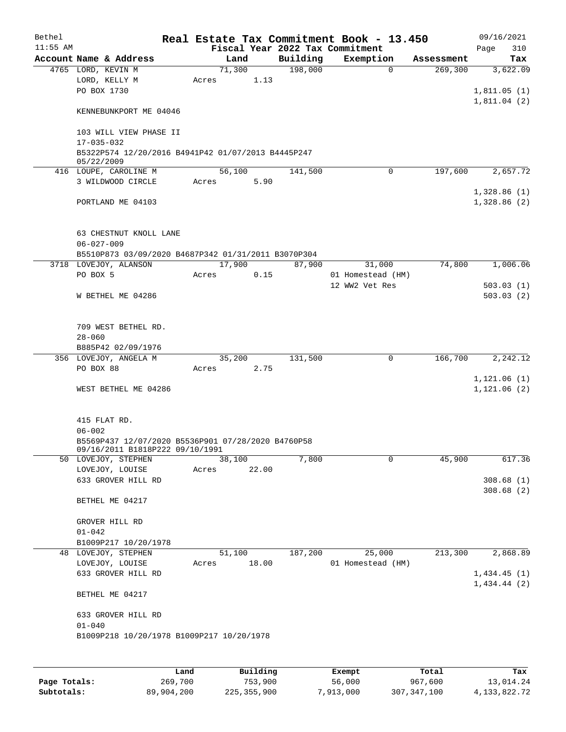| Bethel     |                                                     |       |        |       |          | Real Estate Tax Commitment Book - 13.450 |            | 09/16/2021                  |
|------------|-----------------------------------------------------|-------|--------|-------|----------|------------------------------------------|------------|-----------------------------|
| $11:55$ AM |                                                     |       |        |       |          | Fiscal Year 2022 Tax Commitment          |            | 310<br>Page                 |
|            | Account Name & Address                              |       | Land   |       | Building | Exemption                                | Assessment | Tax                         |
|            | 4765 LORD, KEVIN M                                  |       | 71,300 |       | 198,000  | $\Omega$                                 | 269,300    | 3,622.09                    |
|            | LORD, KELLY M                                       | Acres |        | 1.13  |          |                                          |            |                             |
|            | PO BOX 1730                                         |       |        |       |          |                                          |            | 1,811.05(1)                 |
|            |                                                     |       |        |       |          |                                          |            | 1,811.04(2)                 |
|            | KENNEBUNKPORT ME 04046                              |       |        |       |          |                                          |            |                             |
|            |                                                     |       |        |       |          |                                          |            |                             |
|            | 103 WILL VIEW PHASE II                              |       |        |       |          |                                          |            |                             |
|            | $17 - 035 - 032$                                    |       |        |       |          |                                          |            |                             |
|            | B5322P574 12/20/2016 B4941P42 01/07/2013 B4445P247  |       |        |       |          |                                          |            |                             |
|            | 05/22/2009                                          |       |        |       |          |                                          |            |                             |
|            | 416 LOUPE, CAROLINE M                               |       | 56,100 |       | 141,500  | $\mathbf 0$                              | 197,600    | 2,657.72                    |
|            | 3 WILDWOOD CIRCLE                                   | Acres |        | 5.90  |          |                                          |            |                             |
|            |                                                     |       |        |       |          |                                          |            | 1,328.86(1)                 |
|            | PORTLAND ME 04103                                   |       |        |       |          |                                          |            | 1,328.86(2)                 |
|            |                                                     |       |        |       |          |                                          |            |                             |
|            |                                                     |       |        |       |          |                                          |            |                             |
|            | 63 CHESTNUT KNOLL LANE                              |       |        |       |          |                                          |            |                             |
|            | $06 - 027 - 009$                                    |       |        |       |          |                                          |            |                             |
|            | B5510P873 03/09/2020 B4687P342 01/31/2011 B3070P304 |       |        |       |          |                                          |            |                             |
|            | 3718 LOVEJOY, ALANSON                               |       | 17,900 |       | 87,900   | 31,000                                   | 74,800     | 1,006.06                    |
|            | PO BOX 5                                            | Acres |        | 0.15  |          | 01 Homestead (HM)                        |            |                             |
|            |                                                     |       |        |       |          | 12 WW2 Vet Res                           |            | 503.03(1)                   |
|            | W BETHEL ME 04286                                   |       |        |       |          |                                          |            | 503.03(2)                   |
|            |                                                     |       |        |       |          |                                          |            |                             |
|            |                                                     |       |        |       |          |                                          |            |                             |
|            | 709 WEST BETHEL RD.                                 |       |        |       |          |                                          |            |                             |
|            | $28 - 060$                                          |       |        |       |          |                                          |            |                             |
|            | B885P42 02/09/1976                                  |       |        |       |          |                                          |            |                             |
|            | 356 LOVEJOY, ANGELA M<br>PO BOX 88                  |       | 35,200 | 2.75  | 131,500  | $\mathbf 0$                              | 166,700    | 2,242.12                    |
|            |                                                     | Acres |        |       |          |                                          |            |                             |
|            | WEST BETHEL ME 04286                                |       |        |       |          |                                          |            | 1,121.06(1)<br>1, 121.06(2) |
|            |                                                     |       |        |       |          |                                          |            |                             |
|            |                                                     |       |        |       |          |                                          |            |                             |
|            | 415 FLAT RD.                                        |       |        |       |          |                                          |            |                             |
|            | $06 - 002$                                          |       |        |       |          |                                          |            |                             |
|            | B5569P437 12/07/2020 B5536P901 07/28/2020 B4760P58  |       |        |       |          |                                          |            |                             |
|            | 09/16/2011 B1818P222 09/10/1991                     |       |        |       |          |                                          |            |                             |
|            | 50 LOVEJOY, STEPHEN                                 |       | 38,100 |       | 7,800    | 0                                        | 45,900     | 617.36                      |
|            | LOVEJOY, LOUISE                                     | Acres |        | 22.00 |          |                                          |            |                             |
|            | 633 GROVER HILL RD                                  |       |        |       |          |                                          |            | 308.68(1)                   |
|            |                                                     |       |        |       |          |                                          |            | 308.68(2)                   |
|            | BETHEL ME 04217                                     |       |        |       |          |                                          |            |                             |
|            |                                                     |       |        |       |          |                                          |            |                             |
|            | GROVER HILL RD                                      |       |        |       |          |                                          |            |                             |
|            | $01 - 042$                                          |       |        |       |          |                                          |            |                             |
|            | B1009P217 10/20/1978                                |       |        |       |          |                                          |            |                             |
|            | 48 LOVEJOY, STEPHEN                                 |       | 51,100 |       | 187,200  | 25,000                                   | 213,300    | 2,868.89                    |
|            | LOVEJOY, LOUISE                                     | Acres |        | 18.00 |          | 01 Homestead (HM)                        |            |                             |
|            | 633 GROVER HILL RD                                  |       |        |       |          |                                          |            | 1,434.45(1)                 |
|            |                                                     |       |        |       |          |                                          |            | 1,434.44(2)                 |
|            | BETHEL ME 04217                                     |       |        |       |          |                                          |            |                             |
|            | 633 GROVER HILL RD                                  |       |        |       |          |                                          |            |                             |
|            | $01 - 040$                                          |       |        |       |          |                                          |            |                             |
|            | B1009P218 10/20/1978 B1009P217 10/20/1978           |       |        |       |          |                                          |            |                             |
|            |                                                     |       |        |       |          |                                          |            |                             |
|            |                                                     |       |        |       |          |                                          |            |                             |
|            |                                                     |       |        |       |          |                                          |            |                             |

|              | Land       | Building      | Exempt    | Total         | Tax          |
|--------------|------------|---------------|-----------|---------------|--------------|
| Page Totals: | 269,700    | 753,900       | 56,000    | 967,600       | 13,014.24    |
| Subtotals:   | 89,904,200 | 225, 355, 900 | 7,913,000 | 307, 347, 100 | 4,133,822.72 |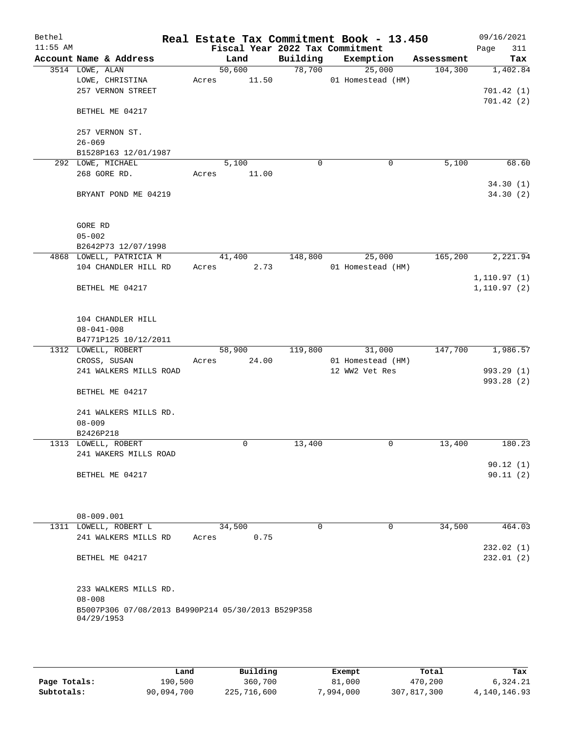| Bethel<br>$11:55$ AM |                                                    |       |             |             | Real Estate Tax Commitment Book - 13.450<br>Fiscal Year 2022 Tax Commitment |            | 09/16/2021<br>Page<br>311 |
|----------------------|----------------------------------------------------|-------|-------------|-------------|-----------------------------------------------------------------------------|------------|---------------------------|
|                      | Account Name & Address                             |       | Land        | Building    | Exemption                                                                   | Assessment | Tax                       |
|                      | 3514 LOWE, ALAN                                    |       | 50,600      | 78,700      | 25,000                                                                      | 104,300    | 1,402.84                  |
|                      | LOWE, CHRISTINA                                    | Acres | 11.50       |             | 01 Homestead (HM)                                                           |            |                           |
|                      | 257 VERNON STREET                                  |       |             |             |                                                                             |            | 701.42 (1)                |
|                      |                                                    |       |             |             |                                                                             |            | 701.42(2)                 |
|                      | BETHEL ME 04217                                    |       |             |             |                                                                             |            |                           |
|                      | 257 VERNON ST.                                     |       |             |             |                                                                             |            |                           |
|                      | $26 - 069$                                         |       |             |             |                                                                             |            |                           |
|                      | B1528P163 12/01/1987                               |       |             |             |                                                                             |            |                           |
|                      | 292 LOWE, MICHAEL                                  |       | 5,100       | $\mathbf 0$ | 0                                                                           | 5,100      | 68.60                     |
|                      | 268 GORE RD.                                       | Acres | 11.00       |             |                                                                             |            |                           |
|                      |                                                    |       |             |             |                                                                             |            | 34.30(1)                  |
|                      | BRYANT POND ME 04219                               |       |             |             |                                                                             |            | 34.30(2)                  |
|                      |                                                    |       |             |             |                                                                             |            |                           |
|                      |                                                    |       |             |             |                                                                             |            |                           |
|                      | GORE RD                                            |       |             |             |                                                                             |            |                           |
|                      | $05 - 002$                                         |       |             |             |                                                                             |            |                           |
|                      | B2642P73 12/07/1998                                |       |             |             |                                                                             |            |                           |
|                      | 4868 LOWELL, PATRICIA M                            |       | 41,400      | 148,800     | 25,000                                                                      | 165,200    | 2,221.94                  |
|                      | 104 CHANDLER HILL RD                               | Acres | 2.73        |             | 01 Homestead (HM)                                                           |            |                           |
|                      |                                                    |       |             |             |                                                                             |            | 1, 110.97(1)              |
|                      | BETHEL ME 04217                                    |       |             |             |                                                                             |            | 1,110.97(2)               |
|                      |                                                    |       |             |             |                                                                             |            |                           |
|                      |                                                    |       |             |             |                                                                             |            |                           |
|                      | 104 CHANDLER HILL                                  |       |             |             |                                                                             |            |                           |
|                      | $08 - 041 - 008$                                   |       |             |             |                                                                             |            |                           |
|                      | B4771P125 10/12/2011                               |       |             |             |                                                                             |            |                           |
|                      | 1312 LOWELL, ROBERT                                |       | 58,900      | 119,800     | 31,000                                                                      | 147,700    | 1,986.57                  |
|                      | CROSS, SUSAN                                       | Acres | 24.00       |             | 01 Homestead (HM)                                                           |            |                           |
|                      | 241 WALKERS MILLS ROAD                             |       |             |             | 12 WW2 Vet Res                                                              |            | 993.29 (1)                |
|                      |                                                    |       |             |             |                                                                             |            | 993.28 (2)                |
|                      | BETHEL ME 04217                                    |       |             |             |                                                                             |            |                           |
|                      |                                                    |       |             |             |                                                                             |            |                           |
|                      | 241 WALKERS MILLS RD.                              |       |             |             |                                                                             |            |                           |
|                      | $08 - 009$<br>B2426P218                            |       |             |             |                                                                             |            |                           |
|                      | 1313 LOWELL, ROBERT                                |       | $\mathbf 0$ | 13,400      | 0                                                                           | 13,400     | 180.23                    |
|                      | 241 WAKERS MILLS ROAD                              |       |             |             |                                                                             |            |                           |
|                      |                                                    |       |             |             |                                                                             |            | 90.12(1)                  |
|                      | BETHEL ME 04217                                    |       |             |             |                                                                             |            | 90.11(2)                  |
|                      |                                                    |       |             |             |                                                                             |            |                           |
|                      |                                                    |       |             |             |                                                                             |            |                           |
|                      |                                                    |       |             |             |                                                                             |            |                           |
|                      | 08-009.001                                         |       |             |             |                                                                             |            |                           |
|                      | 1311 LOWELL, ROBERT L                              |       | 34,500      | 0           | $\mathbf 0$                                                                 | 34,500     | 464.03                    |
|                      | 241 WALKERS MILLS RD                               | Acres | 0.75        |             |                                                                             |            |                           |
|                      |                                                    |       |             |             |                                                                             |            | 232.02(1)                 |
|                      | BETHEL ME 04217                                    |       |             |             |                                                                             |            | 232.01(2)                 |
|                      |                                                    |       |             |             |                                                                             |            |                           |
|                      |                                                    |       |             |             |                                                                             |            |                           |
|                      | 233 WALKERS MILLS RD.                              |       |             |             |                                                                             |            |                           |
|                      | $08 - 008$                                         |       |             |             |                                                                             |            |                           |
|                      | B5007P306 07/08/2013 B4990P214 05/30/2013 B529P358 |       |             |             |                                                                             |            |                           |
|                      | 04/29/1953                                         |       |             |             |                                                                             |            |                           |
|                      |                                                    |       |             |             |                                                                             |            |                           |
|                      |                                                    |       |             |             |                                                                             |            |                           |

|              | Land       | Building    | Exempt    | Total       | Tax          |
|--------------|------------|-------------|-----------|-------------|--------------|
| Page Totals: | 190,500    | 360,700     | 81,000    | 470,200     | 6,324.21     |
| Subtotals:   | 90,094,700 | 225,716,600 | 7.994.000 | 307,817,300 | 4,140,146.93 |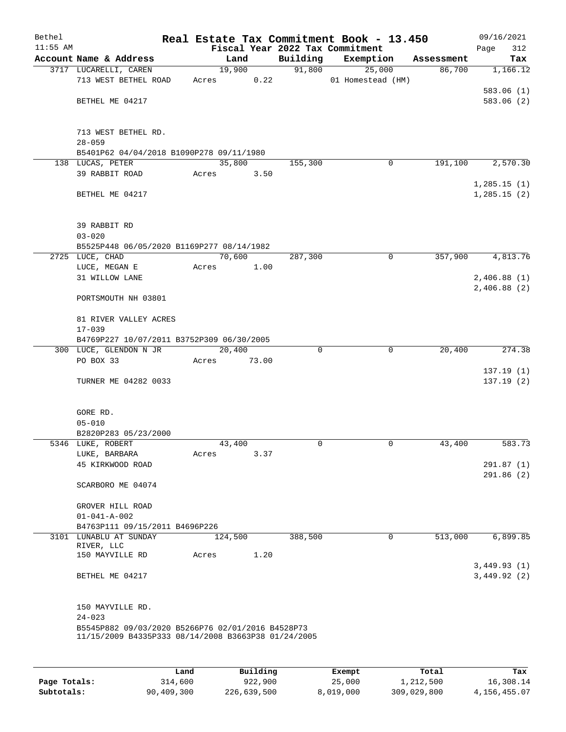| Bethel<br>$11:55$ AM |                                                                                                          |                                        | Fiscal Year 2022 Tax Commitment | Real Estate Tax Commitment Book - 13.450 |            | 09/16/2021<br>312<br>Page |
|----------------------|----------------------------------------------------------------------------------------------------------|----------------------------------------|---------------------------------|------------------------------------------|------------|---------------------------|
|                      | Account Name & Address                                                                                   | Land                                   | Building                        | Exemption                                | Assessment | Tax                       |
|                      | 3717 LUCARELLI, CAREN                                                                                    | 19,900                                 | 91,800                          | 25,000                                   | 86,700     | 1,166.12                  |
|                      | 713 WEST BETHEL ROAD                                                                                     | Acres                                  | 0.22                            | 01 Homestead (HM)                        |            |                           |
|                      |                                                                                                          |                                        |                                 |                                          |            | 583.06(1)                 |
|                      | BETHEL ME 04217                                                                                          |                                        |                                 |                                          |            | 583.06(2)                 |
|                      |                                                                                                          |                                        |                                 |                                          |            |                           |
|                      | 713 WEST BETHEL RD.                                                                                      |                                        |                                 |                                          |            |                           |
|                      | $28 - 059$                                                                                               |                                        |                                 |                                          |            |                           |
|                      | B5401P62 04/04/2018 B1090P278 09/11/1980                                                                 |                                        |                                 |                                          |            |                           |
|                      | 138 LUCAS, PETER                                                                                         | 35,800                                 | 155,300                         | 0                                        | 191,100    | 2,570.30                  |
|                      | 39 RABBIT ROAD                                                                                           | Acres                                  | 3.50                            |                                          |            |                           |
|                      |                                                                                                          |                                        |                                 |                                          |            | 1, 285.15(1)              |
|                      | BETHEL ME 04217                                                                                          |                                        |                                 |                                          |            | 1, 285.15(2)              |
|                      |                                                                                                          |                                        |                                 |                                          |            |                           |
|                      |                                                                                                          |                                        |                                 |                                          |            |                           |
|                      | 39 RABBIT RD                                                                                             |                                        |                                 |                                          |            |                           |
|                      | $03 - 020$<br>B5525P448 06/05/2020 B1169P277 08/14/1982                                                  |                                        |                                 |                                          |            |                           |
|                      | 2725 LUCE, CHAD                                                                                          | 70,600                                 | 287,300                         | $\mathbf 0$                              | 357,900    | 4,813.76                  |
|                      | ${\tt LUCE}$ , ${\tt MEGAN}$ ${\tt E}$                                                                   | Acres<br>1.00                          |                                 |                                          |            |                           |
|                      | 31 WILLOW LANE                                                                                           |                                        |                                 |                                          |            | 2,406.88(1)               |
|                      |                                                                                                          |                                        |                                 |                                          |            | 2,406.88(2)               |
|                      | PORTSMOUTH NH 03801                                                                                      |                                        |                                 |                                          |            |                           |
|                      |                                                                                                          |                                        |                                 |                                          |            |                           |
|                      | 81 RIVER VALLEY ACRES                                                                                    |                                        |                                 |                                          |            |                           |
|                      | $17 - 039$                                                                                               |                                        |                                 |                                          |            |                           |
|                      | B4769P227 10/07/2011 B3752P309 06/30/2005                                                                |                                        |                                 |                                          |            |                           |
|                      | 300 LUCE, GLENDON N JR<br>PO BOX 33                                                                      | $\overline{20, 400}$<br>73.00<br>Acres | $\Omega$                        | 0                                        | 20,400     | 274.38                    |
|                      |                                                                                                          |                                        |                                 |                                          |            | 137.19(1)                 |
|                      | TURNER ME 04282 0033                                                                                     |                                        |                                 |                                          |            | 137.19(2)                 |
|                      |                                                                                                          |                                        |                                 |                                          |            |                           |
|                      |                                                                                                          |                                        |                                 |                                          |            |                           |
|                      | GORE RD.                                                                                                 |                                        |                                 |                                          |            |                           |
|                      | $05 - 010$                                                                                               |                                        |                                 |                                          |            |                           |
|                      | B2820P283 05/23/2000                                                                                     |                                        |                                 |                                          |            |                           |
|                      | 5346 LUKE, ROBERT                                                                                        | 43,400                                 | 0                               | 0                                        | 43,400     | 583.73                    |
|                      | LUKE, BARBARA<br>45 KIRKWOOD ROAD                                                                        | Acres                                  | 3.37                            |                                          |            | 291.87(1)                 |
|                      |                                                                                                          |                                        |                                 |                                          |            | 291.86(2)                 |
|                      | SCARBORO ME 04074                                                                                        |                                        |                                 |                                          |            |                           |
|                      |                                                                                                          |                                        |                                 |                                          |            |                           |
|                      | GROVER HILL ROAD                                                                                         |                                        |                                 |                                          |            |                           |
|                      | $01 - 041 - A - 002$                                                                                     |                                        |                                 |                                          |            |                           |
|                      | B4763P111 09/15/2011 B4696P226                                                                           |                                        |                                 |                                          |            |                           |
|                      | 3101 LUNABLU AT SUNDAY<br>RIVER, LLC                                                                     | 124,500                                | 388,500                         | $\mathbf 0$                              | 513,000    | 6,899.85                  |
|                      | 150 MAYVILLE RD                                                                                          | Acres                                  | 1.20                            |                                          |            |                           |
|                      |                                                                                                          |                                        |                                 |                                          |            | 3,449.93(1)               |
|                      | BETHEL ME 04217                                                                                          |                                        |                                 |                                          |            | 3,449.92(2)               |
|                      |                                                                                                          |                                        |                                 |                                          |            |                           |
|                      |                                                                                                          |                                        |                                 |                                          |            |                           |
|                      | 150 MAYVILLE RD.                                                                                         |                                        |                                 |                                          |            |                           |
|                      | $24 - 023$                                                                                               |                                        |                                 |                                          |            |                           |
|                      | B5545P882 09/03/2020 B5266P76 02/01/2016 B4528P73<br>11/15/2009 B4335P333 08/14/2008 B3663P38 01/24/2005 |                                        |                                 |                                          |            |                           |
|                      |                                                                                                          |                                        |                                 |                                          |            |                           |
|                      |                                                                                                          |                                        |                                 |                                          |            |                           |

|              | Land       | Building    | Exempt    | Total       | Tax          |
|--------------|------------|-------------|-----------|-------------|--------------|
| Page Totals: | 314,600    | 922,900     | 25,000    | 1,212,500   | 16,308.14    |
| Subtotals:   | 90,409,300 | 226,639,500 | 8,019,000 | 309,029,800 | 4,156,455.07 |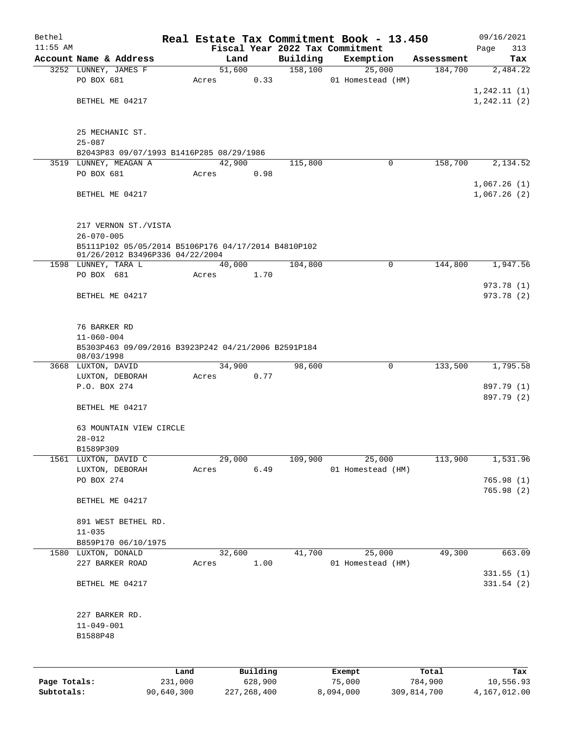| Bethel       |                                                                                         |         |       |                |          |                     | Real Estate Tax Commitment Book - 13.450 |                       | 09/16/2021                 |
|--------------|-----------------------------------------------------------------------------------------|---------|-------|----------------|----------|---------------------|------------------------------------------|-----------------------|----------------------------|
| $11:55$ AM   | Account Name & Address                                                                  |         |       |                |          |                     | Fiscal Year 2022 Tax Commitment          |                       | Page<br>313                |
|              | 3252 LUNNEY, JAMES F                                                                    |         |       | Land<br>51,600 |          | Building<br>158,100 | Exemption<br>25,000                      | Assessment<br>184,700 | Tax<br>2,484.22            |
|              | PO BOX 681                                                                              |         | Acres |                | 0.33     |                     | 01 Homestead (HM)                        |                       |                            |
|              |                                                                                         |         |       |                |          |                     |                                          |                       | 1, 242.11(1)               |
|              | BETHEL ME 04217                                                                         |         |       |                |          |                     |                                          |                       | 1, 242.11(2)               |
|              | 25 MECHANIC ST.<br>$25 - 087$                                                           |         |       |                |          |                     |                                          |                       |                            |
|              | B2043P83 09/07/1993 B1416P285 08/29/1986                                                |         |       |                |          |                     |                                          |                       |                            |
|              | 3519 LUNNEY, MEAGAN A                                                                   |         |       | 42,900         |          | 115,800             | 0                                        | 158,700               | 2,134.52                   |
|              | PO BOX 681                                                                              |         | Acres |                | 0.98     |                     |                                          |                       |                            |
|              | BETHEL ME 04217                                                                         |         |       |                |          |                     |                                          |                       | 1,067.26(1)<br>1,067.26(2) |
|              | 217 VERNON ST./VISTA<br>$26 - 070 - 005$                                                |         |       |                |          |                     |                                          |                       |                            |
|              | B5111P102 05/05/2014 B5106P176 04/17/2014 B4810P102<br>01/26/2012 B3496P336 04/22/2004  |         |       |                |          |                     |                                          |                       |                            |
|              | 1598 LUNNEY, TARA L                                                                     |         |       | 40,000         |          | 104,800             | 0                                        | 144,800               | 1,947.56                   |
|              | PO BOX 681                                                                              |         | Acres |                | 1.70     |                     |                                          |                       |                            |
|              | BETHEL ME 04217                                                                         |         |       |                |          |                     |                                          |                       | 973.78(1)<br>973.78 (2)    |
|              | 76 BARKER RD<br>$11 - 060 - 004$<br>B5303P463 09/09/2016 B3923P242 04/21/2006 B2591P184 |         |       |                |          |                     |                                          |                       |                            |
|              | 08/03/1998                                                                              |         |       | 34,900         |          |                     | $\mathbf 0$                              | 133,500               |                            |
|              | 3668 LUXTON, DAVID<br>LUXTON, DEBORAH                                                   |         | Acres |                | 0.77     | 98,600              |                                          |                       | 1,795.58                   |
|              | P.O. BOX 274                                                                            |         |       |                |          |                     |                                          |                       | 897.79 (1)                 |
|              |                                                                                         |         |       |                |          |                     |                                          |                       | 897.79 (2)                 |
|              | BETHEL ME 04217                                                                         |         |       |                |          |                     |                                          |                       |                            |
|              | 63 MOUNTAIN VIEW CIRCLE<br>$28 - 012$                                                   |         |       |                |          |                     |                                          |                       |                            |
|              | B1589P309                                                                               |         |       |                |          |                     |                                          |                       |                            |
|              | 1561 LUXTON, DAVID C                                                                    |         |       | 29,000         |          | 109,900             | 25,000                                   | 113,900               | 1,531.96                   |
|              | LUXTON, DEBORAH                                                                         |         | Acres |                | 6.49     |                     | 01 Homestead (HM)                        |                       |                            |
|              | PO BOX 274                                                                              |         |       |                |          |                     |                                          |                       | 765.98(1)<br>765.98 (2)    |
|              | BETHEL ME 04217                                                                         |         |       |                |          |                     |                                          |                       |                            |
|              | 891 WEST BETHEL RD.                                                                     |         |       |                |          |                     |                                          |                       |                            |
|              | $11 - 035$                                                                              |         |       |                |          |                     |                                          |                       |                            |
|              | B859P170 06/10/1975                                                                     |         |       |                |          |                     |                                          |                       |                            |
|              | 1580 LUXTON, DONALD<br>227 BARKER ROAD                                                  |         | Acres | 32,600         | 1.00     | 41,700              | 25,000<br>01 Homestead (HM)              | 49,300                | 663.09                     |
|              | BETHEL ME 04217                                                                         |         |       |                |          |                     |                                          |                       | 331.55(1)<br>331.54(2)     |
|              | 227 BARKER RD.                                                                          |         |       |                |          |                     |                                          |                       |                            |
|              | $11 - 049 - 001$<br>B1588P48                                                            |         |       |                |          |                     |                                          |                       |                            |
|              |                                                                                         |         |       |                |          |                     |                                          |                       |                            |
|              |                                                                                         | Land    |       |                | Building |                     | Exempt                                   | Total                 | Tax                        |
| Page Totals: |                                                                                         | 231,000 |       |                | 628,900  |                     | 75,000                                   | 784,900               | 10,556.93                  |

**Subtotals:** 90,640,300 227,268,400 8,094,000 309,814,700 4,167,012.00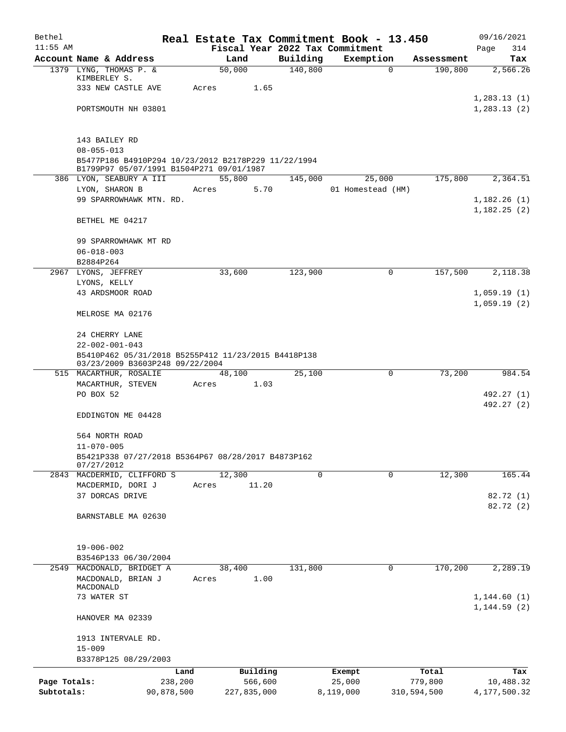| Bethel                     |                                                                                                 |       |                        |                     | Real Estate Tax Commitment Book - 13.450 |                       | 09/16/2021                   |
|----------------------------|-------------------------------------------------------------------------------------------------|-------|------------------------|---------------------|------------------------------------------|-----------------------|------------------------------|
| $11:55$ AM                 | Account Name & Address                                                                          |       |                        |                     | Fiscal Year 2022 Tax Commitment          |                       | Page<br>314                  |
|                            | 1379 LYNG, THOMAS P. &                                                                          |       | Land<br>50,000         | Building<br>140,800 | Exemption<br>$\mathbf 0$                 | Assessment<br>190,800 | Tax<br>2,566.26              |
|                            | KIMBERLEY S.                                                                                    |       |                        |                     |                                          |                       |                              |
|                            | 333 NEW CASTLE AVE                                                                              | Acres | 1.65                   |                     |                                          |                       |                              |
|                            | PORTSMOUTH NH 03801                                                                             |       |                        |                     |                                          |                       | 1, 283.13(1)<br>1,283.13(2)  |
|                            |                                                                                                 |       |                        |                     |                                          |                       |                              |
|                            | 143 BAILEY RD                                                                                   |       |                        |                     |                                          |                       |                              |
|                            | $08 - 055 - 013$                                                                                |       |                        |                     |                                          |                       |                              |
|                            | B5477P186 B4910P294 10/23/2012 B2178P229 11/22/1994<br>B1799P97 05/07/1991 B1504P271 09/01/1987 |       |                        |                     |                                          |                       |                              |
|                            | 386 LYON, SEABURY A III                                                                         |       | 55,800                 | 145,000             | 25,000                                   | 175,800               | 2,364.51                     |
|                            | LYON, SHARON B                                                                                  | Acres | 5.70                   |                     | 01 Homestead (HM)                        |                       |                              |
|                            | 99 SPARROWHAWK MTN. RD.                                                                         |       |                        |                     |                                          |                       | 1,182.26(1)<br>1,182.25(2)   |
|                            | BETHEL ME 04217                                                                                 |       |                        |                     |                                          |                       |                              |
|                            | 99 SPARROWHAWK MT RD                                                                            |       |                        |                     |                                          |                       |                              |
|                            | $06 - 018 - 003$                                                                                |       |                        |                     |                                          |                       |                              |
|                            | B2884P264<br>2967 LYONS, JEFFREY                                                                |       | 33,600                 | 123,900             | 0                                        | 157,500               | 2,118.38                     |
|                            | LYONS, KELLY                                                                                    |       |                        |                     |                                          |                       |                              |
|                            | 43 ARDSMOOR ROAD                                                                                |       |                        |                     |                                          |                       | 1,059.19(1)                  |
|                            | MELROSE MA 02176                                                                                |       |                        |                     |                                          |                       | 1,059.19(2)                  |
|                            | 24 CHERRY LANE                                                                                  |       |                        |                     |                                          |                       |                              |
|                            | $22 - 002 - 001 - 043$                                                                          |       |                        |                     |                                          |                       |                              |
|                            | B5410P462 05/31/2018 B5255P412 11/23/2015 B4418P138<br>03/23/2009 B3603P248 09/22/2004          |       |                        |                     |                                          |                       |                              |
|                            | 515 MACARTHUR, ROSALIE                                                                          |       | 48,100                 | 25,100              | 0                                        | 73,200                | 984.54                       |
|                            | MACARTHUR, STEVEN                                                                               | Acres | 1.03                   |                     |                                          |                       |                              |
|                            | PO BOX 52                                                                                       |       |                        |                     |                                          |                       | 492.27 (1)                   |
|                            | EDDINGTON ME 04428                                                                              |       |                        |                     |                                          |                       | 492.27 (2)                   |
|                            | 564 NORTH ROAD                                                                                  |       |                        |                     |                                          |                       |                              |
|                            | $11 - 070 - 005$                                                                                |       |                        |                     |                                          |                       |                              |
|                            | B5421P338 07/27/2018 B5364P67 08/28/2017 B4873P162                                              |       |                        |                     |                                          |                       |                              |
|                            | 07/27/2012<br>2843 MACDERMID, CLIFFORD S                                                        |       | 12,300                 | 0                   | $\mathbf 0$                              | 12,300                | 165.44                       |
|                            | MACDERMID, DORI J                                                                               | Acres | 11.20                  |                     |                                          |                       |                              |
|                            | 37 DORCAS DRIVE                                                                                 |       |                        |                     |                                          |                       | 82.72 (1)                    |
|                            |                                                                                                 |       |                        |                     |                                          |                       | 82.72 (2)                    |
|                            | BARNSTABLE MA 02630                                                                             |       |                        |                     |                                          |                       |                              |
|                            | $19 - 006 - 002$                                                                                |       |                        |                     |                                          |                       |                              |
|                            | B3546P133 06/30/2004                                                                            |       |                        |                     |                                          |                       |                              |
| 2549                       | MACDONALD, BRIDGET A                                                                            |       | 38,400                 | 131,800             | 0                                        | 170,200               | 2,289.19                     |
|                            | MACDONALD, BRIAN J                                                                              | Acres | 1.00                   |                     |                                          |                       |                              |
|                            | MACDONALD                                                                                       |       |                        |                     |                                          |                       |                              |
|                            | 73 WATER ST                                                                                     |       |                        |                     |                                          |                       | 1, 144.60(1)<br>1, 144.59(2) |
|                            | HANOVER MA 02339                                                                                |       |                        |                     |                                          |                       |                              |
|                            | 1913 INTERVALE RD.                                                                              |       |                        |                     |                                          |                       |                              |
|                            | $15 - 009$                                                                                      |       |                        |                     |                                          |                       |                              |
|                            | B3378P125 08/29/2003                                                                            |       |                        |                     |                                          |                       |                              |
|                            | Land                                                                                            |       | Building               |                     | Exempt                                   | Total                 | Tax                          |
| Page Totals:<br>Subtotals: | 238,200                                                                                         |       | 566,600<br>227,835,000 |                     | 25,000                                   | 779,800               | 10,488.32                    |
|                            | 90,878,500                                                                                      |       |                        |                     | 8,119,000                                | 310,594,500           | 4,177,500.32                 |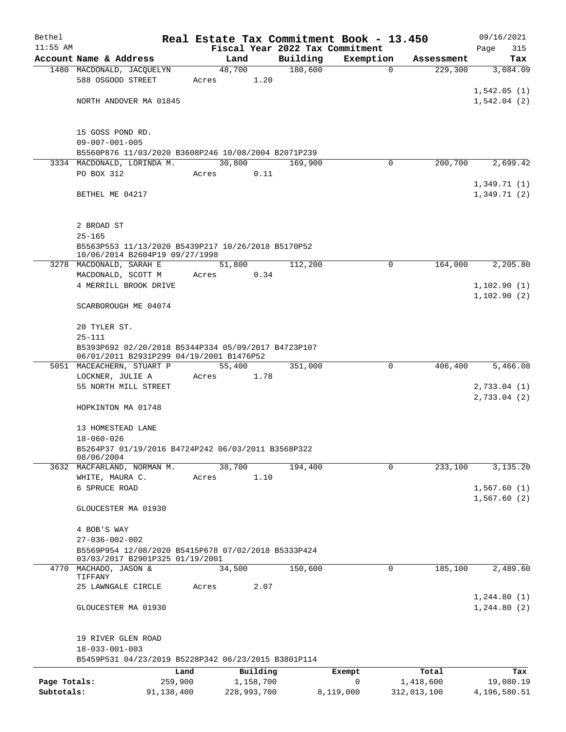| Bethel       |                                                                                      |       |                |                                 | Real Estate Tax Commitment Book - 13.450 |             | 09/16/2021   |
|--------------|--------------------------------------------------------------------------------------|-------|----------------|---------------------------------|------------------------------------------|-------------|--------------|
| $11:55$ AM   |                                                                                      |       |                | Fiscal Year 2022 Tax Commitment |                                          |             | Page<br>315  |
|              | Account Name & Address                                                               |       | Land           | Building                        | Exemption                                | Assessment  | Tax          |
|              | 1480 MACDONALD, JACQUELYN<br>588 OSGOOD STREET                                       | Acres | 48,700<br>1.20 | 180,600                         | $\mathbf 0$                              | 229,300     | 3,084.09     |
|              |                                                                                      |       |                |                                 |                                          |             | 1,542.05(1)  |
|              | NORTH ANDOVER MA 01845                                                               |       |                |                                 |                                          |             | 1,542.04(2)  |
|              |                                                                                      |       |                |                                 |                                          |             |              |
|              |                                                                                      |       |                |                                 |                                          |             |              |
|              | 15 GOSS POND RD.                                                                     |       |                |                                 |                                          |             |              |
|              | $09 - 007 - 001 - 005$<br>B5560P876 11/03/2020 B3608P246 10/08/2004 B2071P239        |       |                |                                 |                                          |             |              |
|              | 3334 MACDONALD, LORINDA M.                                                           |       | 30,800         | 169,900                         | 0                                        | 200,700     | 2,699.42     |
|              | PO BOX 312                                                                           | Acres | 0.11           |                                 |                                          |             |              |
|              |                                                                                      |       |                |                                 |                                          |             | 1,349.71(1)  |
|              | BETHEL ME 04217                                                                      |       |                |                                 |                                          |             | 1,349.71(2)  |
|              |                                                                                      |       |                |                                 |                                          |             |              |
|              |                                                                                      |       |                |                                 |                                          |             |              |
|              | 2 BROAD ST                                                                           |       |                |                                 |                                          |             |              |
|              | $25 - 165$                                                                           |       |                |                                 |                                          |             |              |
|              | B5563P553 11/13/2020 B5439P217 10/26/2018 B5170P52<br>10/06/2014 B2604P19 09/27/1998 |       |                |                                 |                                          |             |              |
|              | 3278 MACDONALD, SARAH E                                                              |       | 51,800         | 112,200                         | 0                                        | 164,000     | 2,205.80     |
|              | MACDONALD, SCOTT M                                                                   | Acres | 0.34           |                                 |                                          |             |              |
|              | 4 MERRILL BROOK DRIVE                                                                |       |                |                                 |                                          |             | 1,102.90(1)  |
|              |                                                                                      |       |                |                                 |                                          |             | 1,102.90(2)  |
|              | SCARBOROUGH ME 04074                                                                 |       |                |                                 |                                          |             |              |
|              | 20 TYLER ST.                                                                         |       |                |                                 |                                          |             |              |
|              | $25 - 111$                                                                           |       |                |                                 |                                          |             |              |
|              | B5393P692 02/20/2018 B5344P334 05/09/2017 B4723P107                                  |       |                |                                 |                                          |             |              |
|              | 06/01/2011 B2931P299 04/19/2001 B1476P52                                             |       |                |                                 |                                          |             |              |
|              | 5051 MACEACHERN, STUART P                                                            |       | 55,400         | 351,000                         | 0                                        | 406,400     | 5,466.08     |
|              | LOCKNER, JULIE A<br>55 NORTH MILL STREET                                             | Acres | 1.78           |                                 |                                          |             | 2,733.04(1)  |
|              |                                                                                      |       |                |                                 |                                          |             | 2,733.04(2)  |
|              | HOPKINTON MA 01748                                                                   |       |                |                                 |                                          |             |              |
|              |                                                                                      |       |                |                                 |                                          |             |              |
|              | 13 HOMESTEAD LANE                                                                    |       |                |                                 |                                          |             |              |
|              | $18 - 060 - 026$                                                                     |       |                |                                 |                                          |             |              |
|              | B5264P37 01/19/2016 B4724P242 06/03/2011 B3568P322<br>08/06/2004                     |       |                |                                 |                                          |             |              |
|              | 3632 MACFARLAND, NORMAN M.                                                           |       | 38,700         | 194,400                         | $\mathbf 0$                              | 233,100     | 3,135.20     |
|              | WHITE, MAURA C.                                                                      | Acres | 1.10           |                                 |                                          |             |              |
|              | 6 SPRUCE ROAD                                                                        |       |                |                                 |                                          |             | 1,567.60(1)  |
|              |                                                                                      |       |                |                                 |                                          |             | 1,567.60(2)  |
|              | GLOUCESTER MA 01930                                                                  |       |                |                                 |                                          |             |              |
|              | 4 BOB'S WAY                                                                          |       |                |                                 |                                          |             |              |
|              | $27 - 036 - 002 - 002$                                                               |       |                |                                 |                                          |             |              |
|              | B5569P954 12/08/2020 B5415P678 07/02/2018 B5333P424                                  |       |                |                                 |                                          |             |              |
|              | 03/03/2017 B2901P325 01/19/2001                                                      |       |                |                                 |                                          |             |              |
| 4770         | MACHADO, JASON &<br>TIFFANY                                                          |       | 34,500         | 150,600                         | 0                                        | 185,100     | 2,489.60     |
|              | 25 LAWNGALE CIRCLE                                                                   | Acres | 2.07           |                                 |                                          |             |              |
|              |                                                                                      |       |                |                                 |                                          |             | 1, 244.80(1) |
|              | GLOUCESTER MA 01930                                                                  |       |                |                                 |                                          |             | 1,244.80(2)  |
|              |                                                                                      |       |                |                                 |                                          |             |              |
|              |                                                                                      |       |                |                                 |                                          |             |              |
|              | 19 RIVER GLEN ROAD                                                                   |       |                |                                 |                                          |             |              |
|              | $18 - 033 - 001 - 003$<br>B5459P531 04/23/2019 B5228P342 06/23/2015 B3801P114        |       |                |                                 |                                          |             |              |
|              |                                                                                      | Land  | Building       |                                 | Exempt                                   | Total       | Tax          |
| Page Totals: | 259,900                                                                              |       | 1,158,700      |                                 | 0                                        | 1,418,600   | 19,080.19    |
| Subtotals:   | 91,138,400                                                                           |       | 228,993,700    |                                 | 8,119,000                                | 312,013,100 | 4,196,580.51 |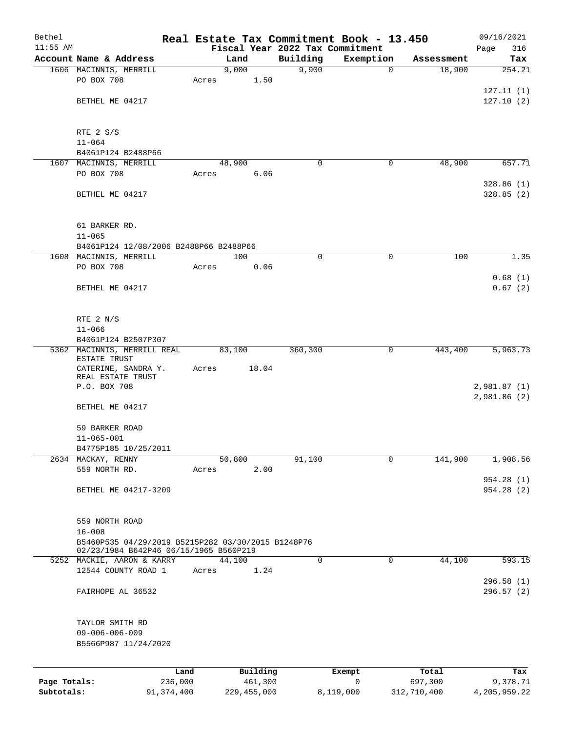| Bethel       |                                                      |       |               |             | Real Estate Tax Commitment Book - 13.450 |             | 09/16/2021             |
|--------------|------------------------------------------------------|-------|---------------|-------------|------------------------------------------|-------------|------------------------|
| $11:55$ AM   |                                                      |       |               |             | Fiscal Year 2022 Tax Commitment          |             | 316<br>Page            |
|              | Account Name & Address                               |       | Land          | Building    | Exemption                                | Assessment  | Tax<br>254.21          |
|              | 1606 MACINNIS, MERRILL<br>PO BOX 708                 | Acres | 9,000<br>1.50 | 9,900       | $\mathbf 0$                              | 18,900      |                        |
|              |                                                      |       |               |             |                                          |             | 127.11(1)              |
|              | BETHEL ME 04217                                      |       |               |             |                                          |             | 127.10(2)              |
|              |                                                      |       |               |             |                                          |             |                        |
|              |                                                      |       |               |             |                                          |             |                        |
|              | RTE 2 S/S                                            |       |               |             |                                          |             |                        |
|              | $11 - 064$<br>B4061P124 B2488P66                     |       |               |             |                                          |             |                        |
|              | 1607 MACINNIS, MERRILL                               |       | 48,900        | 0           | 0                                        | 48,900      | 657.71                 |
|              | PO BOX 708                                           | Acres | 6.06          |             |                                          |             |                        |
|              |                                                      |       |               |             |                                          |             | 328.86(1)              |
|              | BETHEL ME 04217                                      |       |               |             |                                          |             | 328.85(2)              |
|              |                                                      |       |               |             |                                          |             |                        |
|              |                                                      |       |               |             |                                          |             |                        |
|              | 61 BARKER RD.                                        |       |               |             |                                          |             |                        |
|              | $11 - 065$<br>B4061P124 12/08/2006 B2488P66 B2488P66 |       |               |             |                                          |             |                        |
|              | 1608 MACINNIS, MERRILL                               |       | 100           | $\mathbf 0$ | $\mathbf 0$                              | 100         | 1.35                   |
|              | PO BOX 708                                           | Acres | 0.06          |             |                                          |             |                        |
|              |                                                      |       |               |             |                                          |             | 0.68(1)                |
|              | BETHEL ME 04217                                      |       |               |             |                                          |             | 0.67(2)                |
|              |                                                      |       |               |             |                                          |             |                        |
|              |                                                      |       |               |             |                                          |             |                        |
|              | RTE 2 N/S<br>$11 - 066$                              |       |               |             |                                          |             |                        |
|              | B4061P124 B2507P307                                  |       |               |             |                                          |             |                        |
|              | 5362 MACINNIS, MERRILL REAL                          |       | 83,100        | 360,300     | 0                                        | 443,400     | 5,963.73               |
|              | ESTATE TRUST                                         |       |               |             |                                          |             |                        |
|              | CATERINE, SANDRA Y.<br>REAL ESTATE TRUST             | Acres | 18.04         |             |                                          |             |                        |
|              | P.O. BOX 708                                         |       |               |             |                                          |             | 2,981.87 (1)           |
|              |                                                      |       |               |             |                                          |             | 2,981.86(2)            |
|              | BETHEL ME 04217                                      |       |               |             |                                          |             |                        |
|              |                                                      |       |               |             |                                          |             |                        |
|              | 59 BARKER ROAD<br>$11 - 065 - 001$                   |       |               |             |                                          |             |                        |
|              | B4775P185 10/25/2011                                 |       |               |             |                                          |             |                        |
|              | 2634 MACKAY, RENNY                                   |       | 50,800        | 91,100      | 0                                        | 141,900     | 1,908.56               |
|              | 559 NORTH RD.                                        | Acres | 2.00          |             |                                          |             |                        |
|              |                                                      |       |               |             |                                          |             | 954.28 (1)             |
|              | BETHEL ME 04217-3209                                 |       |               |             |                                          |             | 954.28 (2)             |
|              |                                                      |       |               |             |                                          |             |                        |
|              |                                                      |       |               |             |                                          |             |                        |
|              | 559 NORTH ROAD<br>$16 - 008$                         |       |               |             |                                          |             |                        |
|              | B5460P535 04/29/2019 B5215P282 03/30/2015 B1248P76   |       |               |             |                                          |             |                        |
|              | 02/23/1984 B642P46 06/15/1965 B560P219               |       |               |             |                                          |             |                        |
|              | 5252 MACKIE, AARON & KARRY                           |       | 44,100        | 0           | 0                                        | 44,100      | 593.15                 |
|              | 12544 COUNTY ROAD 1                                  | Acres | 1.24          |             |                                          |             |                        |
|              | FAIRHOPE AL 36532                                    |       |               |             |                                          |             | 296.58(1)<br>296.57(2) |
|              |                                                      |       |               |             |                                          |             |                        |
|              |                                                      |       |               |             |                                          |             |                        |
|              | TAYLOR SMITH RD                                      |       |               |             |                                          |             |                        |
|              | $09 - 006 - 006 - 009$                               |       |               |             |                                          |             |                        |
|              | B5566P987 11/24/2020                                 |       |               |             |                                          |             |                        |
|              |                                                      |       |               |             |                                          |             |                        |
|              |                                                      | Land  | Building      |             | Exempt                                   | Total       | Tax                    |
| Page Totals: | 236,000                                              |       | 461,300       |             | $\mathbf 0$                              | 697,300     | 9,378.71               |
| Subtotals:   | 91, 374, 400                                         |       | 229, 455, 000 |             | 8,119,000                                | 312,710,400 | 4,205,959.22           |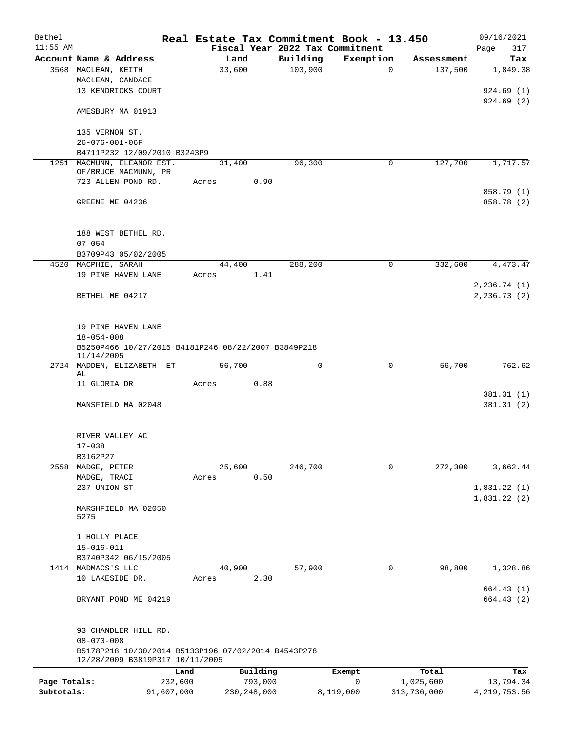| Bethel       |                                                     |            |               |          |                                 | Real Estate Tax Commitment Book - 13.450 |             | 09/16/2021              |
|--------------|-----------------------------------------------------|------------|---------------|----------|---------------------------------|------------------------------------------|-------------|-------------------------|
| $11:55$ AM   |                                                     |            |               |          | Fiscal Year 2022 Tax Commitment |                                          |             | Page<br>317             |
|              | Account Name & Address                              |            | Land          |          | Building                        | Exemption                                | Assessment  | Tax                     |
|              | 3568 MACLEAN, KEITH                                 |            | 33,600        |          | 103,900                         | $\mathbf 0$                              | 137,500     | 1,849.38                |
|              | MACLEAN, CANDACE                                    |            |               |          |                                 |                                          |             |                         |
|              | 13 KENDRICKS COURT                                  |            |               |          |                                 |                                          |             | 924.69(1)               |
|              |                                                     |            |               |          |                                 |                                          |             | 924.69(2)               |
|              | AMESBURY MA 01913                                   |            |               |          |                                 |                                          |             |                         |
|              |                                                     |            |               |          |                                 |                                          |             |                         |
|              | 135 VERNON ST.                                      |            |               |          |                                 |                                          |             |                         |
|              | $26 - 076 - 001 - 06F$                              |            |               |          |                                 |                                          |             |                         |
|              | B4711P232 12/09/2010 B3243P9                        |            |               |          |                                 |                                          |             |                         |
|              | 1251 MACMUNN, ELEANOR EST.<br>OF/BRUCE MACMUNN, PR  |            | 31,400        |          | 96,300                          | 0                                        | 127,700     | 1,717.57                |
|              | 723 ALLEN POND RD.                                  |            | Acres         | 0.90     |                                 |                                          |             |                         |
|              |                                                     |            |               |          |                                 |                                          |             | 858.79 (1)              |
|              | GREENE ME 04236                                     |            |               |          |                                 |                                          |             | 858.78 (2)              |
|              |                                                     |            |               |          |                                 |                                          |             |                         |
|              |                                                     |            |               |          |                                 |                                          |             |                         |
|              | 188 WEST BETHEL RD.                                 |            |               |          |                                 |                                          |             |                         |
|              | $07 - 054$                                          |            |               |          |                                 |                                          |             |                         |
|              | B3709P43 05/02/2005                                 |            |               |          |                                 |                                          |             |                         |
|              | 4520 MACPHIE, SARAH                                 |            | 44,400        |          | 288,200                         | $\mathbf 0$                              | 332,600     | 4,473.47                |
|              | 19 PINE HAVEN LANE                                  |            | Acres         | 1.41     |                                 |                                          |             |                         |
|              |                                                     |            |               |          |                                 |                                          |             | 2, 236.74 (1)           |
|              | BETHEL ME 04217                                     |            |               |          |                                 |                                          |             | 2, 236.73(2)            |
|              |                                                     |            |               |          |                                 |                                          |             |                         |
|              |                                                     |            |               |          |                                 |                                          |             |                         |
|              | 19 PINE HAVEN LANE                                  |            |               |          |                                 |                                          |             |                         |
|              | $18 - 054 - 008$                                    |            |               |          |                                 |                                          |             |                         |
|              | B5250P466 10/27/2015 B4181P246 08/22/2007 B3849P218 |            |               |          |                                 |                                          |             |                         |
|              | 11/14/2005                                          |            |               |          |                                 |                                          |             |                         |
|              | 2724 MADDEN, ELIZABETH ET                           |            | 56,700        |          | $\mathbf 0$                     | $\mathbf 0$                              | 56,700      | 762.62                  |
|              | AL                                                  |            |               |          |                                 |                                          |             |                         |
|              | 11 GLORIA DR                                        |            | Acres         | 0.88     |                                 |                                          |             |                         |
|              | MANSFIELD MA 02048                                  |            |               |          |                                 |                                          |             | 381.31(1)<br>381.31 (2) |
|              |                                                     |            |               |          |                                 |                                          |             |                         |
|              |                                                     |            |               |          |                                 |                                          |             |                         |
|              | RIVER VALLEY AC                                     |            |               |          |                                 |                                          |             |                         |
|              | $17 - 038$                                          |            |               |          |                                 |                                          |             |                         |
|              | B3162P27                                            |            |               |          |                                 |                                          |             |                         |
|              | 2558 MADGE, PETER                                   |            | 25,600        |          | 246,700                         | 0                                        | 272,300     | 3,662.44                |
|              | MADGE, TRACI                                        |            | Acres         | 0.50     |                                 |                                          |             |                         |
|              | 237 UNION ST                                        |            |               |          |                                 |                                          |             | 1,831.22(1)             |
|              |                                                     |            |               |          |                                 |                                          |             | 1,831.22(2)             |
|              | MARSHFIELD MA 02050                                 |            |               |          |                                 |                                          |             |                         |
|              | 5275                                                |            |               |          |                                 |                                          |             |                         |
|              |                                                     |            |               |          |                                 |                                          |             |                         |
|              | 1 HOLLY PLACE                                       |            |               |          |                                 |                                          |             |                         |
|              | $15 - 016 - 011$                                    |            |               |          |                                 |                                          |             |                         |
|              | B3740P342 06/15/2005                                |            |               |          |                                 |                                          |             |                         |
|              | 1414 MADMACS'S LLC                                  |            | 40,900        |          | 57,900                          | 0                                        | 98,800      | 1,328.86                |
|              | 10 LAKESIDE DR.                                     |            | Acres         | 2.30     |                                 |                                          |             |                         |
|              |                                                     |            |               |          |                                 |                                          |             | 664.43(1)               |
|              | BRYANT POND ME 04219                                |            |               |          |                                 |                                          |             | 664.43(2)               |
|              |                                                     |            |               |          |                                 |                                          |             |                         |
|              |                                                     |            |               |          |                                 |                                          |             |                         |
|              | 93 CHANDLER HILL RD.                                |            |               |          |                                 |                                          |             |                         |
|              | $08 - 070 - 008$                                    |            |               |          |                                 |                                          |             |                         |
|              | B5178P218 10/30/2014 B5133P196 07/02/2014 B4543P278 |            |               |          |                                 |                                          |             |                         |
|              | 12/28/2009 B3819P317 10/11/2005                     |            |               |          |                                 |                                          |             |                         |
|              |                                                     | Land       |               | Building |                                 | Exempt                                   | Total       | Tax                     |
| Page Totals: |                                                     | 232,600    |               | 793,000  |                                 | 0                                        | 1,025,600   | 13,794.34               |
| Subtotals:   |                                                     | 91,607,000 | 230, 248, 000 |          |                                 | 8,119,000                                | 313,736,000 | 4, 219, 753.56          |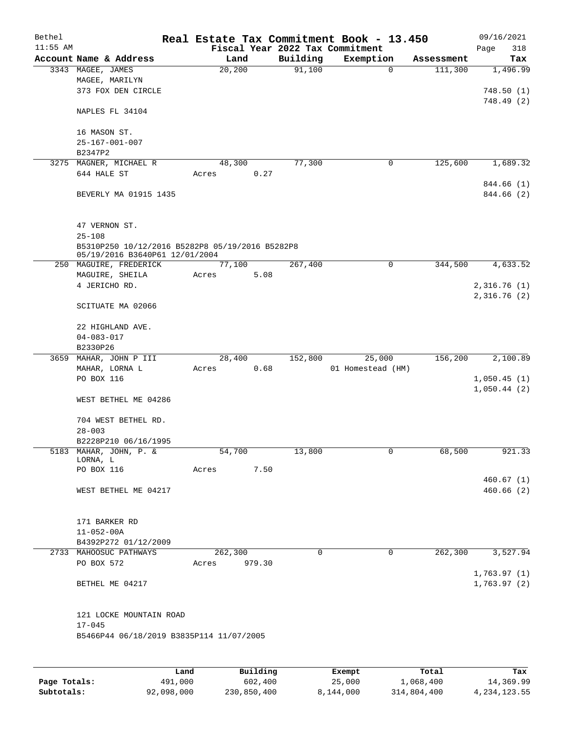| Bethel<br>$11:55$ AM |                                                                                   |                 |        | Fiscal Year 2022 Tax Commitment | Real Estate Tax Commitment Book - 13.450 |            | 09/16/2021<br>Page<br>318  |
|----------------------|-----------------------------------------------------------------------------------|-----------------|--------|---------------------------------|------------------------------------------|------------|----------------------------|
|                      | Account Name & Address                                                            | Land            |        | Building                        | Exemption                                | Assessment | Tax                        |
|                      | 3343 MAGEE, JAMES<br>MAGEE, MARILYN<br>373 FOX DEN CIRCLE                         | 20,200          |        | 91,100                          | $\mathbf 0$                              | 111,300    | 1,496.99<br>748.50(1)      |
|                      | NAPLES FL 34104                                                                   |                 |        |                                 |                                          |            | 748.49 (2)                 |
|                      | 16 MASON ST.<br>$25 - 167 - 001 - 007$                                            |                 |        |                                 |                                          |            |                            |
|                      | B2347P2                                                                           |                 |        |                                 |                                          |            |                            |
|                      | 3275 MAGNER, MICHAEL R<br>644 HALE ST                                             | 48,300<br>Acres | 0.27   | 77,300                          | 0                                        | 125,600    | 1,689.32                   |
|                      | BEVERLY MA 01915 1435                                                             |                 |        |                                 |                                          |            | 844.66 (1)<br>844.66 (2)   |
|                      | 47 VERNON ST.<br>$25 - 108$                                                       |                 |        |                                 |                                          |            |                            |
|                      | B5310P250 10/12/2016 B5282P8 05/19/2016 B5282P8<br>05/19/2016 B3640P61 12/01/2004 |                 |        |                                 |                                          |            |                            |
|                      | 250 MAGUIRE, FREDERICK                                                            | 77,100          |        | 267,400                         | 0                                        | 344,500    | 4,633.52                   |
|                      | MAGUIRE, SHEILA                                                                   | Acres           | 5.08   |                                 |                                          |            |                            |
|                      | 4 JERICHO RD.                                                                     |                 |        |                                 |                                          |            | 2,316.76(1)                |
|                      |                                                                                   |                 |        |                                 |                                          |            | 2,316.76(2)                |
|                      | SCITUATE MA 02066                                                                 |                 |        |                                 |                                          |            |                            |
|                      | 22 HIGHLAND AVE.                                                                  |                 |        |                                 |                                          |            |                            |
|                      | $04 - 083 - 017$                                                                  |                 |        |                                 |                                          |            |                            |
|                      | B2330P26                                                                          |                 |        |                                 |                                          |            |                            |
| 3659                 | MAHAR, JOHN P III                                                                 | 28,400          |        | 152,800                         | 25,000                                   | 156,200    | 2,100.89                   |
|                      | MAHAR, LORNA L                                                                    | Acres           | 0.68   |                                 | 01 Homestead (HM)                        |            |                            |
|                      | PO BOX 116                                                                        |                 |        |                                 |                                          |            | 1,050.45(1)                |
|                      |                                                                                   |                 |        |                                 |                                          |            | 1,050.44(2)                |
|                      | WEST BETHEL ME 04286                                                              |                 |        |                                 |                                          |            |                            |
|                      | 704 WEST BETHEL RD.<br>$28 - 003$                                                 |                 |        |                                 |                                          |            |                            |
|                      | B2228P210 06/16/1995                                                              |                 |        |                                 |                                          |            |                            |
|                      | 5183 MAHAR, JOHN, P. &                                                            | 54,700          |        | 13,800                          | 0                                        | 68,500     | 921.33                     |
|                      | LORNA, L                                                                          |                 |        |                                 |                                          |            |                            |
|                      | PO BOX 116                                                                        | Acres           | 7.50   |                                 |                                          |            |                            |
|                      |                                                                                   |                 |        |                                 |                                          |            | 460.67(1)                  |
|                      | WEST BETHEL ME 04217                                                              |                 |        |                                 |                                          |            | 460.66(2)                  |
|                      | 171 BARKER RD                                                                     |                 |        |                                 |                                          |            |                            |
|                      | $11 - 052 - 00A$                                                                  |                 |        |                                 |                                          |            |                            |
|                      | B4392P272 01/12/2009                                                              |                 |        |                                 |                                          |            |                            |
|                      | 2733 MAHOOSUC PATHWAYS                                                            | 262,300         |        | 0                               | $\mathbf 0$                              | 262,300    | 3,527.94                   |
|                      | PO BOX 572                                                                        | Acres           | 979.30 |                                 |                                          |            |                            |
|                      | BETHEL ME 04217                                                                   |                 |        |                                 |                                          |            | 1,763.97(1)<br>1,763.97(2) |
|                      | 121 LOCKE MOUNTAIN ROAD<br>$17 - 045$<br>B5466P44 06/18/2019 B3835P114 11/07/2005 |                 |        |                                 |                                          |            |                            |
|                      |                                                                                   |                 |        |                                 |                                          |            |                            |

|              | Land       | Building    | Exempt    | Total       | Tax          |
|--------------|------------|-------------|-----------|-------------|--------------|
| Page Totals: | 491,000    | 602,400     | 25,000    | 1,068,400   | 14,369.99    |
| Subtotals:   | 92,098,000 | 230,850,400 | 8,144,000 | 314,804,400 | 4,234,123.55 |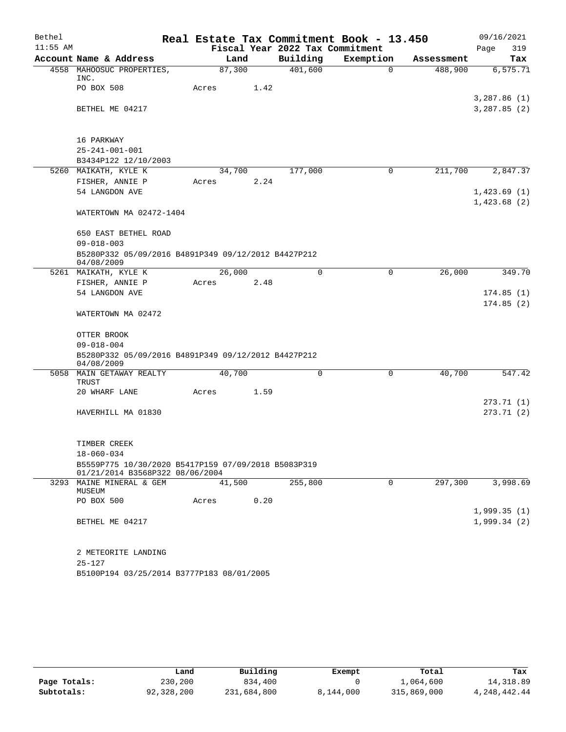| Bethel     |                                                                                        |        |      |                                             | Real Estate Tax Commitment Book - 13.450 |                       | 09/16/2021         |
|------------|----------------------------------------------------------------------------------------|--------|------|---------------------------------------------|------------------------------------------|-----------------------|--------------------|
| $11:55$ AM | Account Name & Address                                                                 |        | Land | Fiscal Year 2022 Tax Commitment<br>Building | Exemption                                |                       | 319<br>Page<br>Tax |
|            | 4558 MAHOOSUC PROPERTIES,                                                              | 87,300 |      | 401,600                                     | $\Omega$                                 | Assessment<br>488,900 | 6, 575.71          |
|            | INC.                                                                                   |        |      |                                             |                                          |                       |                    |
|            | PO BOX 508                                                                             | Acres  | 1.42 |                                             |                                          |                       |                    |
|            |                                                                                        |        |      |                                             |                                          |                       | 3,287.86(1)        |
|            | BETHEL ME 04217                                                                        |        |      |                                             |                                          |                       | 3,287.85(2)        |
|            |                                                                                        |        |      |                                             |                                          |                       |                    |
|            |                                                                                        |        |      |                                             |                                          |                       |                    |
|            | 16 PARKWAY<br>$25 - 241 - 001 - 001$                                                   |        |      |                                             |                                          |                       |                    |
|            | B3434P122 12/10/2003                                                                   |        |      |                                             |                                          |                       |                    |
|            | 5260 MAIKATH, KYLE K                                                                   | 34,700 |      | 177,000                                     | 0                                        | 211,700               | 2,847.37           |
|            | FISHER, ANNIE P                                                                        | Acres  | 2.24 |                                             |                                          |                       |                    |
|            | 54 LANGDON AVE                                                                         |        |      |                                             |                                          |                       | 1,423.69(1)        |
|            |                                                                                        |        |      |                                             |                                          |                       | 1,423.68(2)        |
|            | WATERTOWN MA 02472-1404                                                                |        |      |                                             |                                          |                       |                    |
|            |                                                                                        |        |      |                                             |                                          |                       |                    |
|            | 650 EAST BETHEL ROAD                                                                   |        |      |                                             |                                          |                       |                    |
|            | $09 - 018 - 003$                                                                       |        |      |                                             |                                          |                       |                    |
|            | B5280P332 05/09/2016 B4891P349 09/12/2012 B4427P212<br>04/08/2009                      |        |      |                                             |                                          |                       |                    |
|            | 5261 MAIKATH, KYLE K                                                                   | 26,000 |      | $\Omega$                                    | 0                                        | 26,000                | 349.70             |
|            | FISHER, ANNIE P                                                                        | Acres  | 2.48 |                                             |                                          |                       |                    |
|            | 54 LANGDON AVE                                                                         |        |      |                                             |                                          |                       | 174.85(1)          |
|            |                                                                                        |        |      |                                             |                                          |                       | 174.85(2)          |
|            | WATERTOWN MA 02472                                                                     |        |      |                                             |                                          |                       |                    |
|            | OTTER BROOK                                                                            |        |      |                                             |                                          |                       |                    |
|            | $09 - 018 - 004$                                                                       |        |      |                                             |                                          |                       |                    |
|            | B5280P332 05/09/2016 B4891P349 09/12/2012 B4427P212                                    |        |      |                                             |                                          |                       |                    |
|            | 04/08/2009                                                                             |        |      |                                             |                                          |                       |                    |
|            | 5058 MAIN GETAWAY REALTY                                                               | 40,700 |      | $\Omega$                                    | $\mathbf 0$                              | 40,700                | 547.42             |
|            | TRUST<br>20 WHARF LANE                                                                 | Acres  | 1.59 |                                             |                                          |                       |                    |
|            |                                                                                        |        |      |                                             |                                          |                       | 273.71(1)          |
|            | HAVERHILL MA 01830                                                                     |        |      |                                             |                                          |                       | 273.71 (2)         |
|            |                                                                                        |        |      |                                             |                                          |                       |                    |
|            |                                                                                        |        |      |                                             |                                          |                       |                    |
|            | TIMBER CREEK                                                                           |        |      |                                             |                                          |                       |                    |
|            | $18 - 060 - 034$                                                                       |        |      |                                             |                                          |                       |                    |
|            | B5559P775 10/30/2020 B5417P159 07/09/2018 B5083P319<br>01/21/2014 B3568P322 08/06/2004 |        |      |                                             |                                          |                       |                    |
|            | 3293 MAINE MINERAL & GEM                                                               | 41,500 |      | 255,800                                     | 0                                        | 297,300               | 3,998.69           |
|            | MUSEUM                                                                                 |        |      |                                             |                                          |                       |                    |
|            | PO BOX 500                                                                             | Acres  | 0.20 |                                             |                                          |                       |                    |
|            |                                                                                        |        |      |                                             |                                          |                       | 1,999.35(1)        |
|            | BETHEL ME 04217                                                                        |        |      |                                             |                                          |                       | 1,999.34(2)        |
|            | 2 METEORITE LANDING                                                                    |        |      |                                             |                                          |                       |                    |
|            | $25 - 127$                                                                             |        |      |                                             |                                          |                       |                    |
|            | B5100P194 03/25/2014 B3777P183 08/01/2005                                              |        |      |                                             |                                          |                       |                    |

|              | Land       | Building    | Exempt    | Total       | Tax          |
|--------------|------------|-------------|-----------|-------------|--------------|
| Page Totals: | 230,200    | 834,400     |           | ⊥,064,600   | 14, 318, 89  |
| Subtotals:   | 92,328,200 | 231,684,800 | 8,144,000 | 315,869,000 | 4,248,442.44 |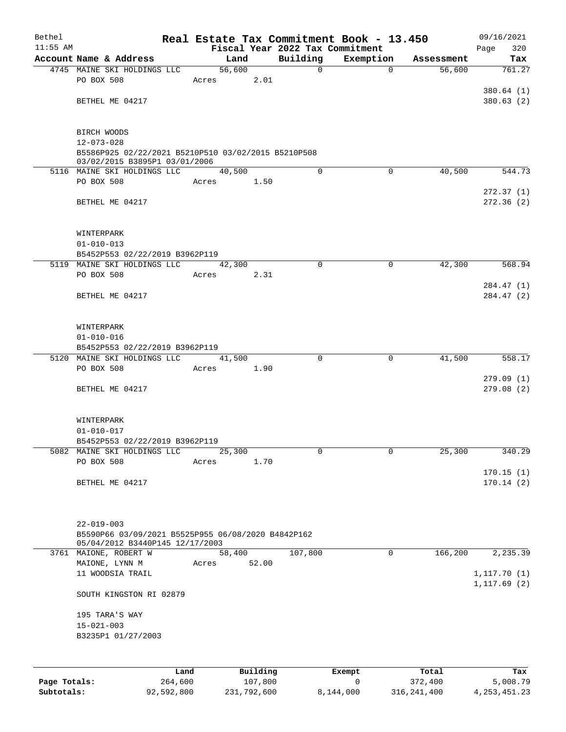| Bethel       |                                                                                      |        |          |             | Real Estate Tax Commitment Book - 13.450 |            | 09/16/2021   |
|--------------|--------------------------------------------------------------------------------------|--------|----------|-------------|------------------------------------------|------------|--------------|
| $11:55$ AM   |                                                                                      |        |          |             | Fiscal Year 2022 Tax Commitment          |            | 320<br>Page  |
|              | Account Name & Address                                                               | Land   |          | Building    | Exemption                                | Assessment | Tax          |
|              | 4745 MAINE SKI HOLDINGS LLC                                                          | 56,600 |          | $\mathbf 0$ | $\mathbf 0$                              | 56,600     | 761.27       |
|              | PO BOX 508                                                                           | Acres  | 2.01     |             |                                          |            | 380.64(1)    |
|              | BETHEL ME 04217                                                                      |        |          |             |                                          |            | 380.63(2)    |
|              |                                                                                      |        |          |             |                                          |            |              |
|              | BIRCH WOODS                                                                          |        |          |             |                                          |            |              |
|              | $12 - 073 - 028$                                                                     |        |          |             |                                          |            |              |
|              | B5586P925 02/22/2021 B5210P510 03/02/2015 B5210P508<br>03/02/2015 B3895P1 03/01/2006 |        |          |             |                                          |            |              |
|              | 5116 MAINE SKI HOLDINGS LLC                                                          | 40,500 |          | $\mathbf 0$ | $\Omega$                                 | 40,500     | 544.73       |
|              | PO BOX 508                                                                           | Acres  | 1.50     |             |                                          |            |              |
|              |                                                                                      |        |          |             |                                          |            | 272.37(1)    |
|              | BETHEL ME 04217                                                                      |        |          |             |                                          |            | 272.36(2)    |
|              |                                                                                      |        |          |             |                                          |            |              |
|              | WINTERPARK                                                                           |        |          |             |                                          |            |              |
|              | $01 - 010 - 013$                                                                     |        |          |             |                                          |            |              |
|              | B5452P553 02/22/2019 B3962P119                                                       |        |          |             |                                          |            |              |
|              | 5119 MAINE SKI HOLDINGS LLC<br>PO BOX 508                                            | 42,300 |          | $\mathbf 0$ | 0                                        | 42,300     | 568.94       |
|              |                                                                                      | Acres  | 2.31     |             |                                          |            | 284.47 (1)   |
|              | BETHEL ME 04217                                                                      |        |          |             |                                          |            | 284.47 (2)   |
|              |                                                                                      |        |          |             |                                          |            |              |
|              | WINTERPARK                                                                           |        |          |             |                                          |            |              |
|              | $01 - 010 - 016$                                                                     |        |          |             |                                          |            |              |
|              | B5452P553 02/22/2019 B3962P119                                                       |        |          |             |                                          |            |              |
|              | 5120 MAINE SKI HOLDINGS LLC                                                          | 41,500 |          | $\Omega$    | 0                                        | 41,500     | 558.17       |
|              | PO BOX 508                                                                           | Acres  | 1.90     |             |                                          |            |              |
|              |                                                                                      |        |          |             |                                          |            | 279.09(1)    |
|              | BETHEL ME 04217                                                                      |        |          |             |                                          |            | 279.08(2)    |
|              | WINTERPARK                                                                           |        |          |             |                                          |            |              |
|              | $01 - 010 - 017$                                                                     |        |          |             |                                          |            |              |
|              | B5452P553 02/22/2019 B3962P119                                                       |        |          |             |                                          |            |              |
|              | 5082 MAINE SKI HOLDINGS LLC                                                          | 25,300 |          | 0           | $\mathbf{0}$                             | 25,300     | 340.29       |
|              | PO BOX 508                                                                           | Acres  | 1.70     |             |                                          |            |              |
|              |                                                                                      |        |          |             |                                          |            | 170.15(1)    |
|              | BETHEL ME 04217                                                                      |        |          |             |                                          |            | 170.14(2)    |
|              |                                                                                      |        |          |             |                                          |            |              |
|              | $22 - 019 - 003$                                                                     |        |          |             |                                          |            |              |
|              | B5590P66 03/09/2021 B5525P955 06/08/2020 B4842P162                                   |        |          |             |                                          |            |              |
|              | 05/04/2012 B3440P145 12/17/2003                                                      |        |          |             |                                          |            |              |
|              | 3761 MAIONE, ROBERT W                                                                | 58,400 |          | 107,800     | $\mathbf 0$                              | 166,200    | 2,235.39     |
|              | MAIONE, LYNN M                                                                       | Acres  | 52.00    |             |                                          |            |              |
|              | 11 WOODSIA TRAIL                                                                     |        |          |             |                                          |            | 1, 117.70(1) |
|              | SOUTH KINGSTON RI 02879                                                              |        |          |             |                                          |            | 1, 117.69(2) |
|              | 195 TARA'S WAY                                                                       |        |          |             |                                          |            |              |
|              | $15 - 021 - 003$                                                                     |        |          |             |                                          |            |              |
|              | B3235P1 01/27/2003                                                                   |        |          |             |                                          |            |              |
|              |                                                                                      |        |          |             |                                          |            |              |
|              | Land                                                                                 |        | Building |             |                                          | Total      | Tax          |
| Page Totals: | 264,600                                                                              |        | 107,800  |             | Exempt<br>0                              | 372,400    | 5,008.79     |

**Subtotals:** 92,592,800 231,792,600 8,144,000 316,241,400 4,253,451.23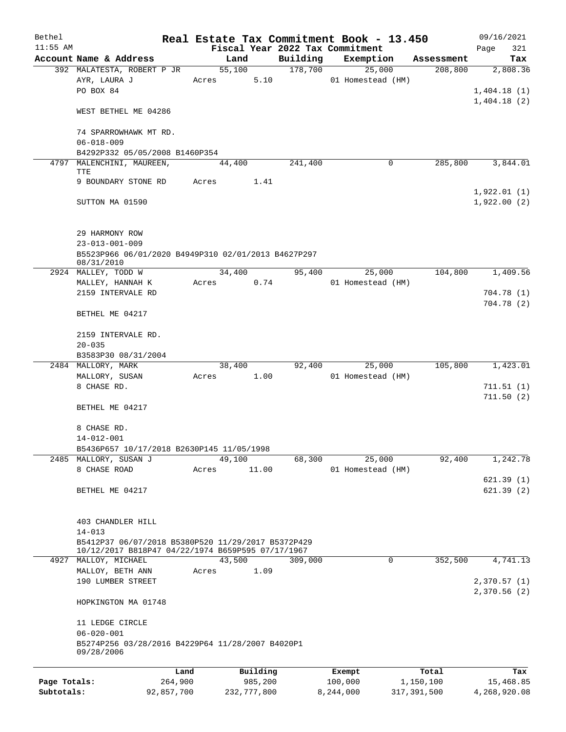| Bethel       |                                                                               |                 |                                 | Real Estate Tax Commitment Book - 13.450 |               | 09/16/2021   |
|--------------|-------------------------------------------------------------------------------|-----------------|---------------------------------|------------------------------------------|---------------|--------------|
| $11:55$ AM   |                                                                               |                 | Fiscal Year 2022 Tax Commitment |                                          |               | 321<br>Page  |
|              | Account Name & Address                                                        | Land            | Building                        | Exemption                                | Assessment    | Tax          |
|              | 392 MALATESTA, ROBERT P JR<br>AYR, LAURA J                                    | 55,100<br>Acres | 178,700<br>5.10                 | 25,000<br>01 Homestead (HM)              | 208,800       | 2,808.36     |
|              | PO BOX 84                                                                     |                 |                                 |                                          |               | 1,404.18(1)  |
|              |                                                                               |                 |                                 |                                          |               | 1,404.18(2)  |
|              | WEST BETHEL ME 04286                                                          |                 |                                 |                                          |               |              |
|              | 74 SPARROWHAWK MT RD.                                                         |                 |                                 |                                          |               |              |
|              | $06 - 018 - 009$                                                              |                 |                                 |                                          |               |              |
|              | B4292P332 05/05/2008 B1460P354                                                |                 |                                 |                                          |               |              |
|              | 4797 MALENCHINI, MAUREEN,                                                     | 44,400          | 241,400                         | 0                                        | 285,800       | 3,844.01     |
|              | TTE<br>9 BOUNDARY STONE RD                                                    | Acres           | 1.41                            |                                          |               |              |
|              |                                                                               |                 |                                 |                                          |               | 1,922.01(1)  |
|              | SUTTON MA 01590                                                               |                 |                                 |                                          |               | 1,922.00(2)  |
|              |                                                                               |                 |                                 |                                          |               |              |
|              | 29 HARMONY ROW                                                                |                 |                                 |                                          |               |              |
|              | $23 - 013 - 001 - 009$<br>B5523P966 06/01/2020 B4949P310 02/01/2013 B4627P297 |                 |                                 |                                          |               |              |
|              | 08/31/2010                                                                    |                 |                                 |                                          |               |              |
|              | 2924 MALLEY, TODD W                                                           | 34,400          | 95,400                          | 25,000                                   | 104,800       | 1,409.56     |
|              | MALLEY, HANNAH K                                                              | Acres           | 0.74                            | 01 Homestead (HM)                        |               |              |
|              | 2159 INTERVALE RD                                                             |                 |                                 |                                          |               | 704.78 (1)   |
|              | BETHEL ME 04217                                                               |                 |                                 |                                          |               | 704.78 (2)   |
|              | 2159 INTERVALE RD.                                                            |                 |                                 |                                          |               |              |
|              | $20 - 035$                                                                    |                 |                                 |                                          |               |              |
|              | B3583P30 08/31/2004                                                           |                 |                                 |                                          |               |              |
|              | 2484 MALLORY, MARK                                                            | 38,400          | 92,400                          | 25,000                                   | 105,800       | 1,423.01     |
|              | MALLORY, SUSAN                                                                | Acres           | 1.00                            | 01 Homestead (HM)                        |               |              |
|              | 8 CHASE RD.                                                                   |                 |                                 |                                          |               | 711.51(1)    |
|              |                                                                               |                 |                                 |                                          |               | 711.50(2)    |
|              | BETHEL ME 04217                                                               |                 |                                 |                                          |               |              |
|              | 8 CHASE RD.                                                                   |                 |                                 |                                          |               |              |
|              | 14-012-001                                                                    |                 |                                 |                                          |               |              |
|              | B5436P657 10/17/2018 B2630P145 11/05/1998                                     |                 |                                 |                                          |               |              |
|              | 2485 MALLORY, SUSAN J                                                         | 49,100          | 68,300                          | 25,000                                   | 92,400        | 1,242.78     |
|              | 8 CHASE ROAD                                                                  | Acres           | 11.00                           | 01 Homestead (HM)                        |               |              |
|              |                                                                               |                 |                                 |                                          |               | 621.39(1)    |
|              | BETHEL ME 04217                                                               |                 |                                 |                                          |               | 621.39(2)    |
|              |                                                                               |                 |                                 |                                          |               |              |
|              | 403 CHANDLER HILL                                                             |                 |                                 |                                          |               |              |
|              | $14 - 013$                                                                    |                 |                                 |                                          |               |              |
|              | B5412P37 06/07/2018 B5380P520 11/29/2017 B5372P429                            |                 |                                 |                                          |               |              |
|              | 10/12/2017 B818P47 04/22/1974 B659P595 07/17/1967<br>4927 MALLOY, MICHAEL     | 43,500          | 309,000                         | $\mathbf 0$                              | 352,500       | 4,741.13     |
|              | MALLOY, BETH ANN                                                              | Acres           | 1.09                            |                                          |               |              |
|              | 190 LUMBER STREET                                                             |                 |                                 |                                          |               | 2,370.57 (1) |
|              |                                                                               |                 |                                 |                                          |               | 2,370.56(2)  |
|              | HOPKINGTON MA 01748                                                           |                 |                                 |                                          |               |              |
|              | 11 LEDGE CIRCLE                                                               |                 |                                 |                                          |               |              |
|              | $06 - 020 - 001$                                                              |                 |                                 |                                          |               |              |
|              | B5274P256 03/28/2016 B4229P64 11/28/2007 B4020P1<br>09/28/2006                |                 |                                 |                                          |               |              |
|              | Land                                                                          |                 | Building                        | Exempt                                   | Total         | Tax          |
| Page Totals: | 264,900                                                                       |                 | 985,200                         | 100,000                                  | 1,150,100     | 15,468.85    |
| Subtotals:   | 92,857,700                                                                    | 232,777,800     |                                 | 8,244,000                                | 317, 391, 500 | 4,268,920.08 |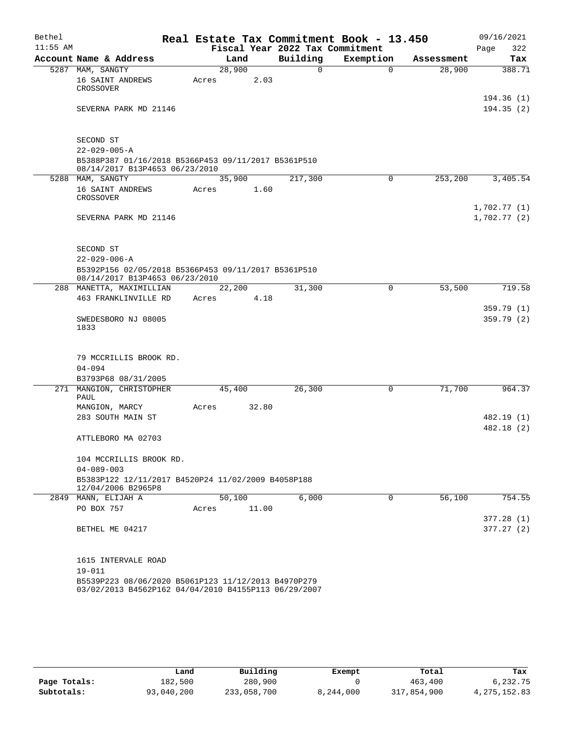| Bethel     |                                                                          |       |        |       | Real Estate Tax Commitment Book - 13.450 |           |             |            | 09/16/2021              |
|------------|--------------------------------------------------------------------------|-------|--------|-------|------------------------------------------|-----------|-------------|------------|-------------------------|
| $11:55$ AM |                                                                          |       |        |       | Fiscal Year 2022 Tax Commitment          |           |             |            | 322<br>Page             |
|            | Account Name & Address                                                   |       | Land   |       | Building                                 | Exemption |             | Assessment | Tax                     |
|            | 5287 MAM, SANGTY                                                         |       | 28,900 |       | 0                                        |           | $\Omega$    | 28,900     | 388.71                  |
|            | 16 SAINT ANDREWS                                                         | Acres |        | 2.03  |                                          |           |             |            |                         |
|            | CROSSOVER                                                                |       |        |       |                                          |           |             |            |                         |
|            | SEVERNA PARK MD 21146                                                    |       |        |       |                                          |           |             |            | 194.36 (1)<br>194.35(2) |
|            |                                                                          |       |        |       |                                          |           |             |            |                         |
|            | SECOND ST                                                                |       |        |       |                                          |           |             |            |                         |
|            | $22 - 029 - 005 - A$                                                     |       |        |       |                                          |           |             |            |                         |
|            | B5388P387 01/16/2018 B5366P453 09/11/2017 B5361P510                      |       |        |       |                                          |           |             |            |                         |
|            | 08/14/2017 B13P4653 06/23/2010                                           |       |        |       |                                          |           |             |            |                         |
|            | 5288 MAM, SANGTY                                                         |       | 35,900 |       | 217,300                                  |           | 0           | 253,200    | 3,405.54                |
|            | 16 SAINT ANDREWS                                                         | Acres |        | 1.60  |                                          |           |             |            |                         |
|            | CROSSOVER                                                                |       |        |       |                                          |           |             |            | 1,702.77(1)             |
|            | SEVERNA PARK MD 21146                                                    |       |        |       |                                          |           |             |            | 1,702.77(2)             |
|            |                                                                          |       |        |       |                                          |           |             |            |                         |
|            |                                                                          |       |        |       |                                          |           |             |            |                         |
|            | SECOND ST                                                                |       |        |       |                                          |           |             |            |                         |
|            | $22 - 029 - 006 - A$                                                     |       |        |       |                                          |           |             |            |                         |
|            | B5392P156 02/05/2018 B5366P453 09/11/2017 B5361P510                      |       |        |       |                                          |           |             |            |                         |
|            | 08/14/2017 B13P4653 06/23/2010                                           |       |        |       |                                          |           |             |            |                         |
|            | 288 MANETTA, MAXIMILLIAN                                                 |       | 22,200 |       | 31,300                                   |           | $\mathbf 0$ | 53,500     | 719.58                  |
|            | 463 FRANKLINVILLE RD                                                     | Acres |        | 4.18  |                                          |           |             |            |                         |
|            |                                                                          |       |        |       |                                          |           |             |            | 359.79(1)               |
|            | SWEDESBORO NJ 08005                                                      |       |        |       |                                          |           |             |            | 359.79(2)               |
|            | 1833                                                                     |       |        |       |                                          |           |             |            |                         |
|            |                                                                          |       |        |       |                                          |           |             |            |                         |
|            | 79 MCCRILLIS BROOK RD.                                                   |       |        |       |                                          |           |             |            |                         |
|            | $04 - 094$                                                               |       |        |       |                                          |           |             |            |                         |
|            | B3793P68 08/31/2005                                                      |       |        |       |                                          |           |             |            |                         |
|            | 271 MANGION, CHRISTOPHER                                                 |       | 45,400 |       | 26,300                                   |           | 0           | 71,700     | 964.37                  |
|            | PAUL                                                                     |       |        |       |                                          |           |             |            |                         |
|            | MANGION, MARCY                                                           | Acres |        | 32.80 |                                          |           |             |            |                         |
|            | 283 SOUTH MAIN ST                                                        |       |        |       |                                          |           |             |            | 482.19 (1)              |
|            |                                                                          |       |        |       |                                          |           |             |            | 482.18 (2)              |
|            | ATTLEBORO MA 02703                                                       |       |        |       |                                          |           |             |            |                         |
|            |                                                                          |       |        |       |                                          |           |             |            |                         |
|            | 104 MCCRILLIS BROOK RD.                                                  |       |        |       |                                          |           |             |            |                         |
|            | $04 - 089 - 003$                                                         |       |        |       |                                          |           |             |            |                         |
|            | B5383P122 12/11/2017 B4520P24 11/02/2009 B4058P188<br>12/04/2006 B2965P8 |       |        |       |                                          |           |             |            |                         |
|            | 2849 MANN, ELIJAH A                                                      |       | 50,100 |       | 6,000                                    |           | $\Omega$    | 56,100     | 754.55                  |
|            | PO BOX 757                                                               | Acres |        | 11.00 |                                          |           |             |            |                         |
|            |                                                                          |       |        |       |                                          |           |             |            | 377.28(1)               |
|            | BETHEL ME 04217                                                          |       |        |       |                                          |           |             |            | 377.27(2)               |
|            |                                                                          |       |        |       |                                          |           |             |            |                         |
|            | 1615 INTERVALE ROAD                                                      |       |        |       |                                          |           |             |            |                         |
|            | $19 - 011$                                                               |       |        |       |                                          |           |             |            |                         |
|            | B5539P223 08/06/2020 B5061P123 11/12/2013 B4970P279                      |       |        |       |                                          |           |             |            |                         |
|            | 03/02/2013 B4562P162 04/04/2010 B4155P113 06/29/2007                     |       |        |       |                                          |           |             |            |                         |

|              | Land       | Building    | Exempt    | Total       | Tax            |
|--------------|------------|-------------|-----------|-------------|----------------|
| Page Totals: | 182,500    | 280,900     |           | 463,400     | 6,232.75       |
| Subtotals:   | 93,040,200 | 233,058,700 | 8,244,000 | 317,854,900 | 4, 275, 152.83 |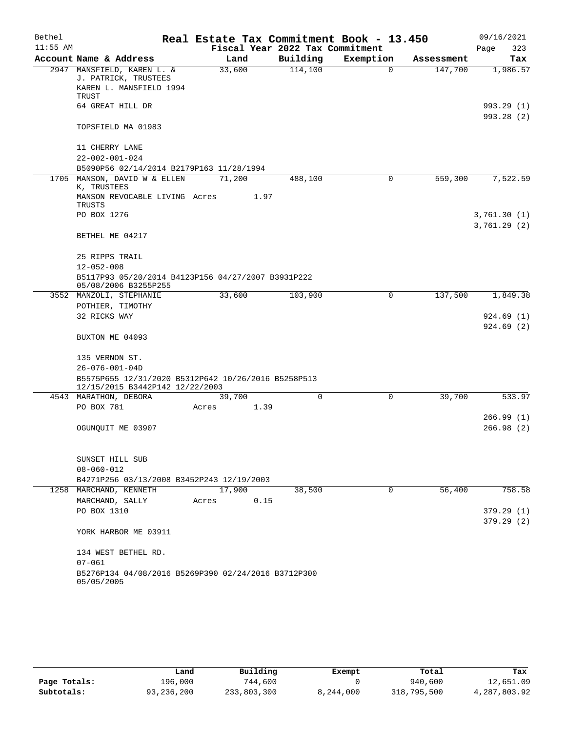| Bethel     |                                                                                        |       |        |      | Real Estate Tax Commitment Book - 13.450 |           |             |            | 09/16/2021                 |
|------------|----------------------------------------------------------------------------------------|-------|--------|------|------------------------------------------|-----------|-------------|------------|----------------------------|
| $11:55$ AM |                                                                                        |       |        |      | Fiscal Year 2022 Tax Commitment          |           |             |            | Page<br>323                |
|            | Account Name & Address                                                                 |       | Land   |      | Building                                 | Exemption |             | Assessment | Tax                        |
|            | 2947 MANSFIELD, KAREN L. &<br>J. PATRICK, TRUSTEES                                     |       | 33,600 |      | 114,100                                  |           | $\mathbf 0$ | 147,700    | 1,986.57                   |
|            | KAREN L. MANSFIELD 1994<br>TRUST                                                       |       |        |      |                                          |           |             |            |                            |
|            | 64 GREAT HILL DR                                                                       |       |        |      |                                          |           |             |            | 993.29 (1)                 |
|            | TOPSFIELD MA 01983                                                                     |       |        |      |                                          |           |             |            | 993.28 (2)                 |
|            | 11 CHERRY LANE                                                                         |       |        |      |                                          |           |             |            |                            |
|            | $22 - 002 - 001 - 024$                                                                 |       |        |      |                                          |           |             |            |                            |
|            | B5090P56 02/14/2014 B2179P163 11/28/1994                                               |       |        |      |                                          |           |             |            |                            |
|            | 1705 MANSON, DAVID W & ELLEN<br>K, TRUSTEES                                            |       | 71,200 |      | 488,100                                  |           | 0           | 559,300    | 7,522.59                   |
|            | MANSON REVOCABLE LIVING Acres<br>TRUSTS                                                |       |        | 1.97 |                                          |           |             |            |                            |
|            | PO BOX 1276                                                                            |       |        |      |                                          |           |             |            | 3,761.30(1)<br>3,761.29(2) |
|            | BETHEL ME 04217                                                                        |       |        |      |                                          |           |             |            |                            |
|            | 25 RIPPS TRAIL                                                                         |       |        |      |                                          |           |             |            |                            |
|            | $12 - 052 - 008$                                                                       |       |        |      |                                          |           |             |            |                            |
|            | B5117P93 05/20/2014 B4123P156 04/27/2007 B3931P222<br>05/08/2006 B3255P255             |       |        |      |                                          |           |             |            |                            |
|            | 3552 MANZOLI, STEPHANIE<br>POTHIER, TIMOTHY                                            |       | 33,600 |      | 103,900                                  |           | 0           | 137,500    | 1,849.38                   |
|            | 32 RICKS WAY                                                                           |       |        |      |                                          |           |             |            | 924.69(1)                  |
|            | BUXTON ME 04093                                                                        |       |        |      |                                          |           |             |            | 924.69(2)                  |
|            | 135 VERNON ST.                                                                         |       |        |      |                                          |           |             |            |                            |
|            | $26 - 076 - 001 - 04D$                                                                 |       |        |      |                                          |           |             |            |                            |
|            | B5575P655 12/31/2020 B5312P642 10/26/2016 B5258P513<br>12/15/2015 B3442P142 12/22/2003 |       |        |      |                                          |           |             |            |                            |
|            | 4543 MARATHON, DEBORA                                                                  |       | 39,700 |      | 0                                        |           | $\mathbf 0$ | 39,700     | 533.97                     |
|            | PO BOX 781                                                                             | Acres |        | 1.39 |                                          |           |             |            |                            |
|            |                                                                                        |       |        |      |                                          |           |             |            | 266.99(1)                  |
|            | OGUNQUIT ME 03907                                                                      |       |        |      |                                          |           |             |            | 266.98(2)                  |
|            |                                                                                        |       |        |      |                                          |           |             |            |                            |
|            | SUNSET HILL SUB                                                                        |       |        |      |                                          |           |             |            |                            |
|            | $08 - 060 - 012$                                                                       |       |        |      |                                          |           |             |            |                            |
|            | B4271P256 03/13/2008 B3452P243 12/19/2003                                              |       |        |      |                                          |           |             |            | 758.58                     |
|            | 1258 MARCHAND, KENNETH                                                                 |       | 17,900 |      | 38,500                                   |           | 0           | 56,400     |                            |
|            | MARCHAND, SALLY<br>PO BOX 1310                                                         | Acres |        | 0.15 |                                          |           |             |            | 379.29(1)                  |
|            |                                                                                        |       |        |      |                                          |           |             |            | 379.29(2)                  |
|            | YORK HARBOR ME 03911                                                                   |       |        |      |                                          |           |             |            |                            |
|            | 134 WEST BETHEL RD.                                                                    |       |        |      |                                          |           |             |            |                            |
|            | $07 - 061$                                                                             |       |        |      |                                          |           |             |            |                            |
|            | B5276P134 04/08/2016 B5269P390 02/24/2016 B3712P300<br>05/05/2005                      |       |        |      |                                          |           |             |            |                            |

|              | Land         | Building    | Exempt    | Total       | Tax          |
|--------------|--------------|-------------|-----------|-------------|--------------|
| Page Totals: | 196,000      | 744,600     |           | 940,600     | 12,651.09    |
| Subtotals:   | 93, 236, 200 | 233,803,300 | 8,244,000 | 318,795,500 | 4,287,803.92 |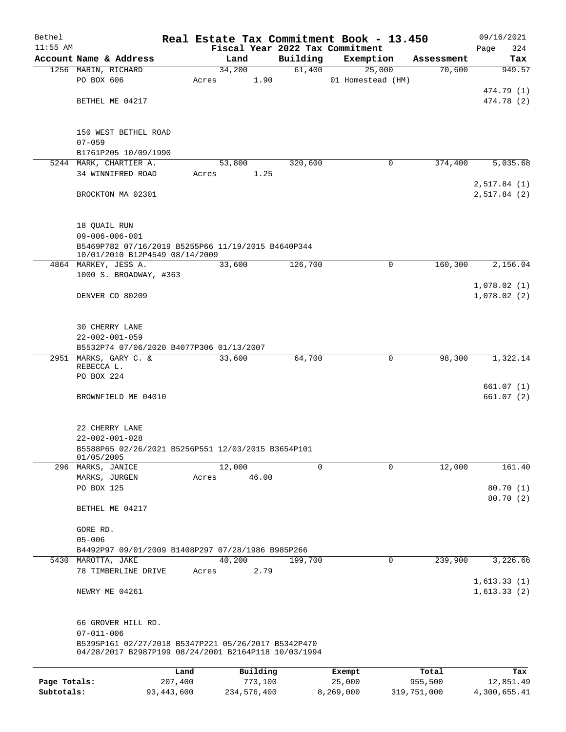| Bethel       |                                                                                                             |              |        |             |          | Real Estate Tax Commitment Book - 13.450 |             | 09/16/2021                 |
|--------------|-------------------------------------------------------------------------------------------------------------|--------------|--------|-------------|----------|------------------------------------------|-------------|----------------------------|
| $11:55$ AM   |                                                                                                             |              |        |             |          | Fiscal Year 2022 Tax Commitment          |             | 324<br>Page                |
|              | Account Name & Address                                                                                      |              | Land   |             | Building | Exemption                                | Assessment  | Tax                        |
|              | 1256 MARIN, RICHARD<br>PO BOX 606                                                                           | Acres        | 34,200 | 1.90        | 61,400   | 25,000<br>01 Homestead (HM)              | 70,600      | 949.57                     |
|              |                                                                                                             |              |        |             |          |                                          |             | 474.79 (1)                 |
|              | BETHEL ME 04217                                                                                             |              |        |             |          |                                          |             | 474.78 (2)                 |
|              |                                                                                                             |              |        |             |          |                                          |             |                            |
|              | 150 WEST BETHEL ROAD                                                                                        |              |        |             |          |                                          |             |                            |
|              | $07 - 059$                                                                                                  |              |        |             |          |                                          |             |                            |
|              | B1761P205 10/09/1990                                                                                        |              |        |             |          |                                          |             |                            |
|              | 5244 MARK, CHARTIER A.<br>34 WINNIFRED ROAD                                                                 | Acres        | 53,800 | 1.25        | 320,600  | 0                                        | 374,400     | 5,035.68                   |
|              |                                                                                                             |              |        |             |          |                                          |             | 2,517.84 (1)               |
|              | BROCKTON MA 02301                                                                                           |              |        |             |          |                                          |             | 2,517.84(2)                |
|              | 18 QUAIL RUN<br>$09 - 006 - 006 - 001$                                                                      |              |        |             |          |                                          |             |                            |
|              | B5469P782 07/16/2019 B5255P66 11/19/2015 B4640P344<br>10/01/2010 B12P4549 08/14/2009                        |              |        |             |          |                                          |             |                            |
|              | 4864 MARKEY, JESS A.                                                                                        |              | 33,600 |             | 126,700  | 0                                        | 160,300     | 2,156.04                   |
|              | 1000 S. BROADWAY, #363                                                                                      |              |        |             |          |                                          |             |                            |
|              | DENVER CO 80209                                                                                             |              |        |             |          |                                          |             | 1,078.02(1)                |
|              |                                                                                                             |              |        |             |          |                                          |             | 1,078.02(2)                |
|              | 30 CHERRY LANE                                                                                              |              |        |             |          |                                          |             |                            |
|              | $22 - 002 - 001 - 059$                                                                                      |              |        |             |          |                                          |             |                            |
|              | B5532P74 07/06/2020 B4077P306 01/13/2007                                                                    |              |        |             |          |                                          |             |                            |
|              | 2951 MARKS, GARY C. &                                                                                       |              | 33,600 |             | 64,700   | 0                                        | 98,300      | 1,322.14                   |
|              | REBECCA L.                                                                                                  |              |        |             |          |                                          |             |                            |
|              | PO BOX 224                                                                                                  |              |        |             |          |                                          |             | 661.07 (1)                 |
|              | BROWNFIELD ME 04010                                                                                         |              |        |             |          |                                          |             | 661.07(2)                  |
|              |                                                                                                             |              |        |             |          |                                          |             |                            |
|              | 22 CHERRY LANE                                                                                              |              |        |             |          |                                          |             |                            |
|              | $22 - 002 - 001 - 028$                                                                                      |              |        |             |          |                                          |             |                            |
|              | B5588P65 02/26/2021 B5256P551 12/03/2015 B3654P101                                                          |              |        |             |          |                                          |             |                            |
|              | 01/05/2005<br>296 MARKS, JANICE                                                                             |              | 12,000 |             | 0        | $\mathbf 0$                              | 12,000      | 161.40                     |
|              | MARKS, JURGEN                                                                                               | Acres        |        | 46.00       |          |                                          |             |                            |
|              | PO BOX 125                                                                                                  |              |        |             |          |                                          |             | 80.70(1)                   |
|              |                                                                                                             |              |        |             |          |                                          |             | 80.70(2)                   |
|              | BETHEL ME 04217                                                                                             |              |        |             |          |                                          |             |                            |
|              | GORE RD.                                                                                                    |              |        |             |          |                                          |             |                            |
|              | $05 - 006$                                                                                                  |              |        |             |          |                                          |             |                            |
|              | B4492P97 09/01/2009 B1408P297 07/28/1986 B985P266                                                           |              |        |             |          |                                          |             |                            |
|              | 5430 MAROTTA, JAKE                                                                                          |              | 40,200 |             | 199,700  | $\mathbf 0$                              | 239,900     | 3,226.66                   |
|              | 78 TIMBERLINE DRIVE                                                                                         | Acres        |        | 2.79        |          |                                          |             |                            |
|              | NEWRY ME 04261                                                                                              |              |        |             |          |                                          |             | 1,613.33(1)<br>1,613.33(2) |
|              | 66 GROVER HILL RD.                                                                                          |              |        |             |          |                                          |             |                            |
|              | $07 - 011 - 006$                                                                                            |              |        |             |          |                                          |             |                            |
|              | B5395P161 02/27/2018 B5347P221 05/26/2017 B5342P470<br>04/28/2017 B2987P199 08/24/2001 B2164P118 10/03/1994 |              |        |             |          |                                          |             |                            |
|              |                                                                                                             | Land         |        | Building    |          | Exempt                                   | Total       | Tax                        |
| Page Totals: |                                                                                                             | 207,400      |        | 773,100     |          | 25,000                                   | 955,500     | 12,851.49                  |
| Subtotals:   |                                                                                                             | 93, 443, 600 |        | 234,576,400 |          | 8,269,000                                | 319,751,000 | 4,300,655.41               |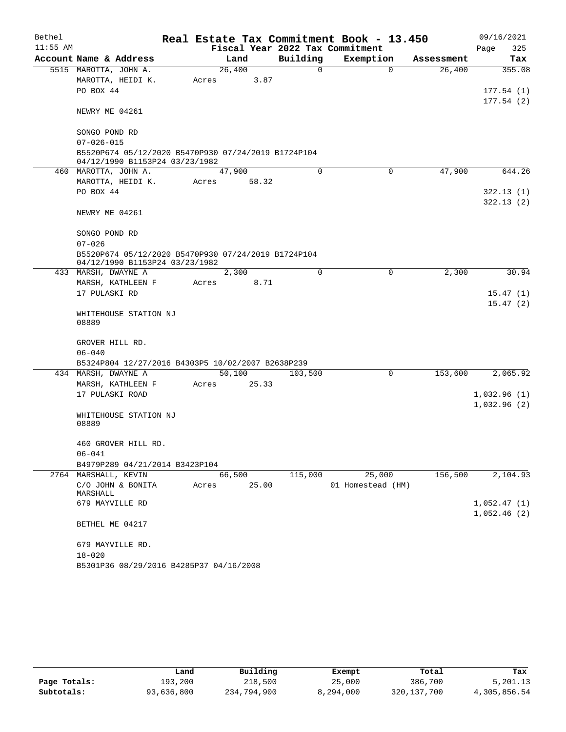| Bethel     |                                                                                       |       |        |          | Real Estate Tax Commitment Book - 13.450 |            | 09/16/2021  |
|------------|---------------------------------------------------------------------------------------|-------|--------|----------|------------------------------------------|------------|-------------|
| $11:55$ AM |                                                                                       |       |        |          | Fiscal Year 2022 Tax Commitment          |            | Page<br>325 |
|            | Account Name & Address                                                                |       | Land   | Building | Exemption                                | Assessment | Tax         |
|            | 5515 MAROTTA, JOHN A.                                                                 |       | 26,400 | 0        | $\Omega$                                 | 26,400     | 355.08      |
|            | MAROTTA, HEIDI K.                                                                     | Acres | 3.87   |          |                                          |            |             |
|            | PO BOX 44                                                                             |       |        |          |                                          |            | 177.54(1)   |
|            | NEWRY ME 04261                                                                        |       |        |          |                                          |            | 177.54(2)   |
|            |                                                                                       |       |        |          |                                          |            |             |
|            | SONGO POND RD                                                                         |       |        |          |                                          |            |             |
|            | $07 - 026 - 015$                                                                      |       |        |          |                                          |            |             |
|            | B5520P674 05/12/2020 B5470P930 07/24/2019 B1724P104<br>04/12/1990 B1153P24 03/23/1982 |       |        |          |                                          |            |             |
|            | 460 MAROTTA, JOHN A.                                                                  |       | 47,900 | $\Omega$ | $\mathbf 0$                              | 47,900     | 644.26      |
|            | MAROTTA, HEIDI K.                                                                     | Acres | 58.32  |          |                                          |            |             |
|            | PO BOX 44                                                                             |       |        |          |                                          |            | 322.13(1)   |
|            |                                                                                       |       |        |          |                                          |            | 322.13(2)   |
|            | NEWRY ME 04261                                                                        |       |        |          |                                          |            |             |
|            | SONGO POND RD                                                                         |       |        |          |                                          |            |             |
|            | $07 - 026$                                                                            |       |        |          |                                          |            |             |
|            | B5520P674 05/12/2020 B5470P930 07/24/2019 B1724P104                                   |       |        |          |                                          |            |             |
|            | 04/12/1990 B1153P24 03/23/1982                                                        |       |        |          |                                          |            |             |
|            | 433 MARSH, DWAYNE A                                                                   |       | 2,300  | $\Omega$ | $\mathbf 0$                              | 2,300      | 30.94       |
|            | MARSH, KATHLEEN F                                                                     | Acres | 8.71   |          |                                          |            |             |
|            | 17 PULASKI RD                                                                         |       |        |          |                                          |            | 15.47(1)    |
|            |                                                                                       |       |        |          |                                          |            | 15.47(2)    |
|            | WHITEHOUSE STATION NJ<br>08889                                                        |       |        |          |                                          |            |             |
|            |                                                                                       |       |        |          |                                          |            |             |
|            | GROVER HILL RD.                                                                       |       |        |          |                                          |            |             |
|            | $06 - 040$                                                                            |       |        |          |                                          |            |             |
|            | B5324P804 12/27/2016 B4303P5 10/02/2007 B2638P239                                     |       |        |          |                                          |            |             |
|            | 434 MARSH, DWAYNE A                                                                   |       | 50,100 | 103,500  | 0                                        | 153,600    | 2,065.92    |
|            | MARSH, KATHLEEN F                                                                     | Acres | 25.33  |          |                                          |            |             |
|            | 17 PULASKI ROAD                                                                       |       |        |          |                                          |            | 1,032.96(1) |
|            |                                                                                       |       |        |          |                                          |            | 1,032.96(2) |
|            | WHITEHOUSE STATION NJ                                                                 |       |        |          |                                          |            |             |
|            | 08889                                                                                 |       |        |          |                                          |            |             |
|            | 460 GROVER HILL RD.                                                                   |       |        |          |                                          |            |             |
|            | $06 - 041$                                                                            |       |        |          |                                          |            |             |
|            | B4979P289 04/21/2014 B3423P104                                                        |       |        |          |                                          |            |             |
|            | 2764 MARSHALL, KEVIN                                                                  |       | 66,500 | 115,000  | 25,000                                   | 156,500    | 2,104.93    |
|            | C/O JOHN & BONITA                                                                     | Acres | 25.00  |          | 01 Homestead (HM)                        |            |             |
|            | MARSHALL                                                                              |       |        |          |                                          |            |             |
|            | 679 MAYVILLE RD                                                                       |       |        |          |                                          |            | 1,052.47(1) |
|            |                                                                                       |       |        |          |                                          |            | 1,052.46(2) |
|            | BETHEL ME 04217                                                                       |       |        |          |                                          |            |             |
|            | 679 MAYVILLE RD.                                                                      |       |        |          |                                          |            |             |
|            | $18 - 020$                                                                            |       |        |          |                                          |            |             |
|            | B5301P36 08/29/2016 B4285P37 04/16/2008                                               |       |        |          |                                          |            |             |

|              | Land       | Building    | Exempt    | Total         | Tax          |
|--------------|------------|-------------|-----------|---------------|--------------|
| Page Totals: | 193,200    | 218,500     | 25,000    | 386,700       | 5,201.13     |
| Subtotals:   | 93,636,800 | 234,794,900 | 8,294,000 | 320, 137, 700 | 4,305,856.54 |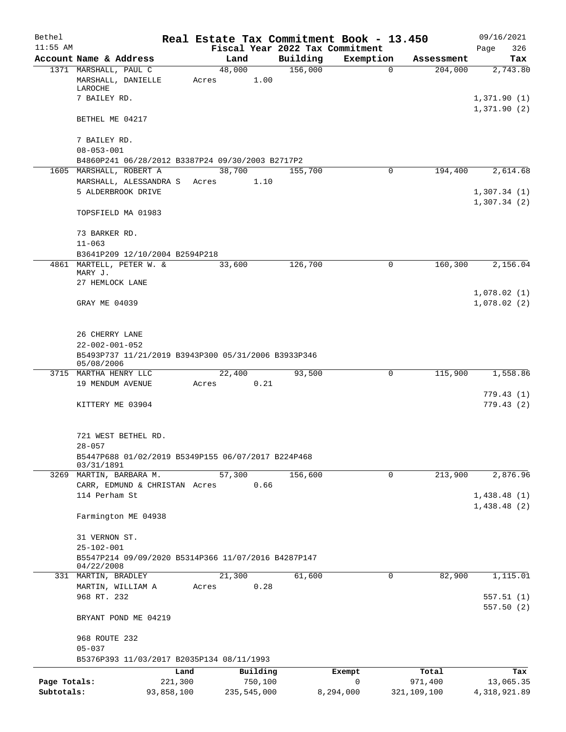| Bethel       |                                                                                             |            |                 |          |          | Real Estate Tax Commitment Book - 13.450 |             | 09/16/2021                 |
|--------------|---------------------------------------------------------------------------------------------|------------|-----------------|----------|----------|------------------------------------------|-------------|----------------------------|
| $11:55$ AM   |                                                                                             |            |                 |          |          | Fiscal Year 2022 Tax Commitment          |             | 326<br>Page                |
|              | Account Name & Address                                                                      |            | Land            |          | Building | Exemption                                | Assessment  | Tax                        |
|              | 1371 MARSHALL, PAUL C<br>MARSHALL, DANIELLE<br>LAROCHE                                      |            | 48,000<br>Acres | 1.00     | 156,000  | $\Omega$                                 | 204,000     | 2,743.80                   |
|              | 7 BAILEY RD.                                                                                |            |                 |          |          |                                          |             | 1,371.90(1)<br>1,371.90(2) |
|              | BETHEL ME 04217                                                                             |            |                 |          |          |                                          |             |                            |
|              | 7 BAILEY RD.<br>$08 - 053 - 001$                                                            |            |                 |          |          |                                          |             |                            |
|              | B4860P241 06/28/2012 B3387P24 09/30/2003 B2717P2                                            |            |                 |          |          |                                          |             |                            |
|              | 1605 MARSHALL, ROBERT A                                                                     |            | 38,700          |          | 155,700  | $\Omega$                                 | 194,400     | 2,614.68                   |
|              | MARSHALL, ALESSANDRA S                                                                      |            | Acres           | 1.10     |          |                                          |             |                            |
|              | 5 ALDERBROOK DRIVE                                                                          |            |                 |          |          |                                          |             | 1,307.34(1)<br>1,307.34(2) |
|              | TOPSFIELD MA 01983                                                                          |            |                 |          |          |                                          |             |                            |
|              | 73 BARKER RD.                                                                               |            |                 |          |          |                                          |             |                            |
|              | $11 - 063$<br>B3641P209 12/10/2004 B2594P218                                                |            |                 |          |          |                                          |             |                            |
|              | 4861 MARTELL, PETER W. &                                                                    |            | 33,600          |          | 126,700  | 0                                        | 160,300     | 2,156.04                   |
|              | MARY J.                                                                                     |            |                 |          |          |                                          |             |                            |
|              | 27 HEMLOCK LANE                                                                             |            |                 |          |          |                                          |             |                            |
|              | GRAY ME 04039                                                                               |            |                 |          |          |                                          |             | 1,078.02(1)<br>1,078.02(2) |
|              | 26 CHERRY LANE                                                                              |            |                 |          |          |                                          |             |                            |
|              | $22 - 002 - 001 - 052$<br>B5493P737 11/21/2019 B3943P300 05/31/2006 B3933P346<br>05/08/2006 |            |                 |          |          |                                          |             |                            |
|              | 3715 MARTHA HENRY LLC                                                                       |            | 22,400          |          | 93,500   | 0                                        | 115,900     | 1,558.86                   |
|              | 19 MENDUM AVENUE                                                                            |            | Acres           | 0.21     |          |                                          |             |                            |
|              | KITTERY ME 03904                                                                            |            |                 |          |          |                                          |             | 779.43(1)<br>779.43(2)     |
|              | 721 WEST BETHEL RD.                                                                         |            |                 |          |          |                                          |             |                            |
|              | $28 - 057$                                                                                  |            |                 |          |          |                                          |             |                            |
|              | B5447P688 01/02/2019 B5349P155 06/07/2017 B224P468<br>03/31/1891                            |            |                 |          |          |                                          |             |                            |
|              | 3269 MARTIN, BARBARA M.                                                                     |            | 57,300          |          | 156,600  | $\mathbf 0$                              | 213,900     | 2,876.96                   |
|              | CARR, EDMUND & CHRISTAN Acres                                                               |            |                 | 0.66     |          |                                          |             |                            |
|              | 114 Perham St                                                                               |            |                 |          |          |                                          |             | 1,438.48(1)                |
|              | Farmington ME 04938                                                                         |            |                 |          |          |                                          |             | 1,438.48(2)                |
|              | 31 VERNON ST.                                                                               |            |                 |          |          |                                          |             |                            |
|              | $25 - 102 - 001$<br>B5547P214 09/09/2020 B5314P366 11/07/2016 B4287P147<br>04/22/2008       |            |                 |          |          |                                          |             |                            |
|              | 331 MARTIN, BRADLEY                                                                         |            | 21,300          |          | 61,600   | $\mathbf 0$                              | 82,900      | 1,115.01                   |
|              | MARTIN, WILLIAM A                                                                           |            | Acres           | 0.28     |          |                                          |             |                            |
|              | 968 RT. 232                                                                                 |            |                 |          |          |                                          |             | 557.51(1)<br>557.50(2)     |
|              | BRYANT POND ME 04219                                                                        |            |                 |          |          |                                          |             |                            |
|              | 968 ROUTE 232                                                                               |            |                 |          |          |                                          |             |                            |
|              | $05 - 037$<br>B5376P393 11/03/2017 B2035P134 08/11/1993                                     |            |                 |          |          |                                          |             |                            |
|              |                                                                                             | Land       |                 | Building |          | Exempt                                   | Total       | Tax                        |
| Page Totals: |                                                                                             | 221,300    |                 | 750,100  |          | 0                                        | 971,400     | 13,065.35                  |
| Subtotals:   |                                                                                             | 93,858,100 | 235,545,000     |          |          | 8,294,000                                | 321,109,100 | 4,318,921.89               |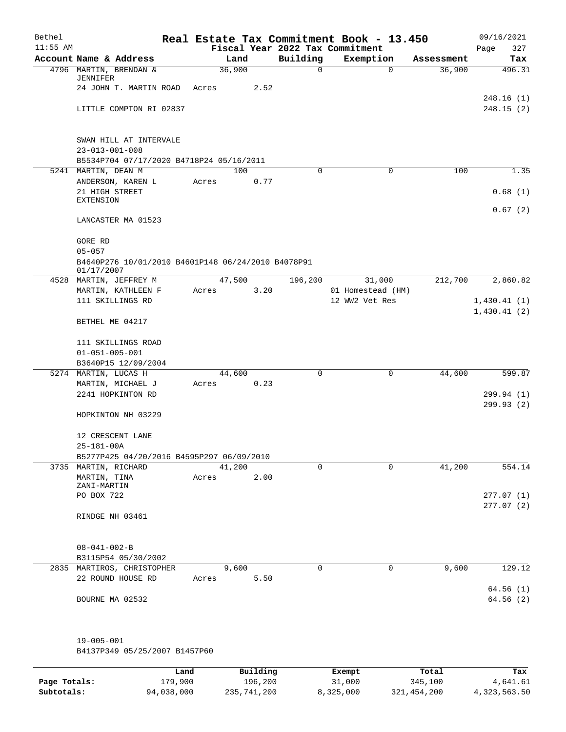| Bethel<br>$11:55$ AM |                                                                 |       |        |      |          | Real Estate Tax Commitment Book - 13.450<br>Fiscal Year 2022 Tax Commitment |                       | 09/16/2021<br>Page<br>327 |
|----------------------|-----------------------------------------------------------------|-------|--------|------|----------|-----------------------------------------------------------------------------|-----------------------|---------------------------|
|                      | Account Name & Address                                          |       | Land   |      | Building | Exemption                                                                   | Assessment            | Tax                       |
|                      | 4796 MARTIN, BRENDAN &                                          |       | 36,900 |      | 0        |                                                                             | 36,900<br>$\mathbf 0$ | 496.31                    |
|                      | JENNIFER<br>24 JOHN T. MARTIN ROAD                              | Acres |        | 2.52 |          |                                                                             |                       |                           |
|                      |                                                                 |       |        |      |          |                                                                             |                       | 248.16 (1)                |
|                      | LITTLE COMPTON RI 02837                                         |       |        |      |          |                                                                             |                       | 248.15(2)                 |
|                      |                                                                 |       |        |      |          |                                                                             |                       |                           |
|                      |                                                                 |       |        |      |          |                                                                             |                       |                           |
|                      | SWAN HILL AT INTERVALE                                          |       |        |      |          |                                                                             |                       |                           |
|                      | $23 - 013 - 001 - 008$                                          |       |        |      |          |                                                                             |                       |                           |
|                      | B5534P704 07/17/2020 B4718P24 05/16/2011<br>5241 MARTIN, DEAN M |       | 100    |      | $\Omega$ |                                                                             | 100<br>0              | 1.35                      |
|                      | ANDERSON, KAREN L                                               | Acres |        | 0.77 |          |                                                                             |                       |                           |
|                      | 21 HIGH STREET                                                  |       |        |      |          |                                                                             |                       | 0.68(1)                   |
|                      | <b>EXTENSION</b>                                                |       |        |      |          |                                                                             |                       |                           |
|                      |                                                                 |       |        |      |          |                                                                             |                       | 0.67(2)                   |
|                      | LANCASTER MA 01523                                              |       |        |      |          |                                                                             |                       |                           |
|                      | GORE RD                                                         |       |        |      |          |                                                                             |                       |                           |
|                      | $05 - 057$                                                      |       |        |      |          |                                                                             |                       |                           |
|                      | B4640P276 10/01/2010 B4601P148 06/24/2010 B4078P91              |       |        |      |          |                                                                             |                       |                           |
|                      | 01/17/2007                                                      |       |        |      |          |                                                                             |                       |                           |
|                      | 4528 MARTIN, JEFFREY M                                          |       | 47,500 |      | 196,200  | 31,000                                                                      | 212,700               | 2,860.82                  |
|                      | MARTIN, KATHLEEN F                                              | Acres |        | 3.20 |          | 01 Homestead (HM)                                                           |                       |                           |
|                      | 111 SKILLINGS RD                                                |       |        |      |          | 12 WW2 Vet Res                                                              |                       | 1,430.41(1)               |
|                      | BETHEL ME 04217                                                 |       |        |      |          |                                                                             |                       | 1,430.41(2)               |
|                      |                                                                 |       |        |      |          |                                                                             |                       |                           |
|                      | 111 SKILLINGS ROAD                                              |       |        |      |          |                                                                             |                       |                           |
|                      | $01 - 051 - 005 - 001$                                          |       |        |      |          |                                                                             |                       |                           |
|                      | B3640P15 12/09/2004                                             |       |        |      |          |                                                                             |                       |                           |
|                      | 5274 MARTIN, LUCAS H                                            |       | 44,600 |      | $\Omega$ |                                                                             | 44,600<br>0           | 599.87                    |
|                      | MARTIN, MICHAEL J<br>2241 HOPKINTON RD                          | Acres |        | 0.23 |          |                                                                             |                       | 299.94 (1)                |
|                      |                                                                 |       |        |      |          |                                                                             |                       | 299.93(2)                 |
|                      | HOPKINTON NH 03229                                              |       |        |      |          |                                                                             |                       |                           |
|                      |                                                                 |       |        |      |          |                                                                             |                       |                           |
|                      | 12 CRESCENT LANE                                                |       |        |      |          |                                                                             |                       |                           |
|                      | $25 - 181 - 00A$                                                |       |        |      |          |                                                                             |                       |                           |
|                      | B5277P425 04/20/2016 B4595P297 06/09/2010                       |       |        |      |          |                                                                             |                       |                           |
|                      | 3735 MARTIN, RICHARD                                            |       | 41,200 |      | $\Omega$ |                                                                             | 41,200<br>0           | 554.14                    |
|                      | MARTIN, TINA<br>ZANI-MARTIN                                     | Acres |        | 2.00 |          |                                                                             |                       |                           |
|                      | PO BOX 722                                                      |       |        |      |          |                                                                             |                       | 277.07(1)                 |
|                      |                                                                 |       |        |      |          |                                                                             |                       | 277.07(2)                 |
|                      | RINDGE NH 03461                                                 |       |        |      |          |                                                                             |                       |                           |
|                      |                                                                 |       |        |      |          |                                                                             |                       |                           |
|                      | $08 - 041 - 002 - B$                                            |       |        |      |          |                                                                             |                       |                           |
|                      | B3115P54 05/30/2002                                             |       |        |      |          |                                                                             |                       |                           |
|                      | 2835 MARTIROS, CHRISTOPHER                                      |       | 9,600  |      | 0        |                                                                             | 9,600<br>0            | 129.12                    |
|                      | 22 ROUND HOUSE RD                                               | Acres |        | 5.50 |          |                                                                             |                       |                           |
|                      |                                                                 |       |        |      |          |                                                                             |                       | 64.56(1)                  |
|                      | BOURNE MA 02532                                                 |       |        |      |          |                                                                             |                       | 64.56(2)                  |
|                      |                                                                 |       |        |      |          |                                                                             |                       |                           |
|                      |                                                                 |       |        |      |          |                                                                             |                       |                           |
|                      | 19-005-001                                                      |       |        |      |          |                                                                             |                       |                           |
|                      | B4137P349 05/25/2007 B1457P60                                   |       |        |      |          |                                                                             |                       |                           |

|              | Land       | Building    | Exempt    | Total       | Tax          |
|--------------|------------|-------------|-----------|-------------|--------------|
| Page Totals: | 179,900    | 196,200     | 31,000    | 345,100     | 4,641.61     |
| Subtotals:   | 94,038,000 | 235,741,200 | 8,325,000 | 321,454,200 | 4,323,563.50 |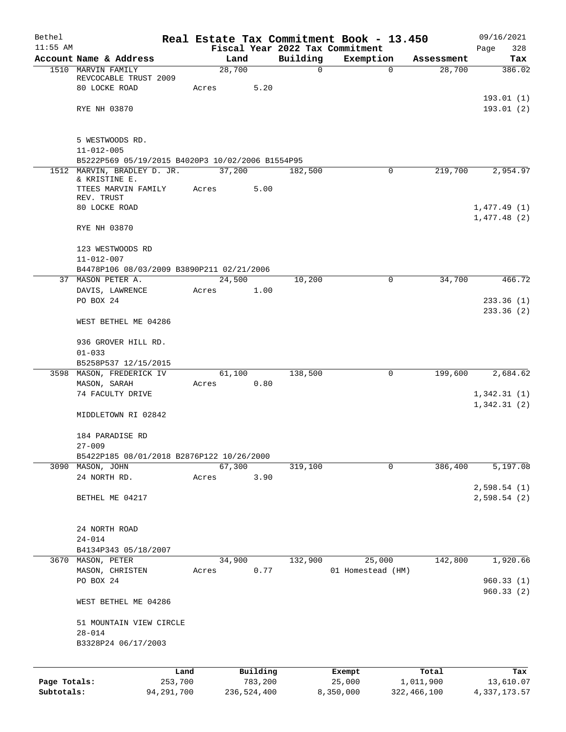| Bethel       |                                                         |       |        |             |          | Real Estate Tax Commitment Book - 13.450 |               | 09/16/2021   |
|--------------|---------------------------------------------------------|-------|--------|-------------|----------|------------------------------------------|---------------|--------------|
| $11:55$ AM   |                                                         |       |        |             |          | Fiscal Year 2022 Tax Commitment          |               | Page<br>328  |
|              | Account Name & Address                                  |       | Land   |             | Building | Exemption                                | Assessment    | Tax          |
|              | 1510 MARVIN FAMILY<br>REVCOCABLE TRUST 2009             |       | 28,700 |             | 0        | 0                                        | 28,700        | 386.02       |
|              | 80 LOCKE ROAD                                           | Acres |        | 5.20        |          |                                          |               |              |
|              |                                                         |       |        |             |          |                                          |               | 193.01(1)    |
|              | RYE NH 03870                                            |       |        |             |          |                                          |               | 193.01(2)    |
|              |                                                         |       |        |             |          |                                          |               |              |
|              |                                                         |       |        |             |          |                                          |               |              |
|              | 5 WESTWOODS RD.<br>$11 - 012 - 005$                     |       |        |             |          |                                          |               |              |
|              | B5222P569 05/19/2015 B4020P3 10/02/2006 B1554P95        |       |        |             |          |                                          |               |              |
|              | 1512 MARVIN, BRADLEY D. JR.                             |       | 37,200 |             | 182,500  | 0                                        | 219,700       | 2,954.97     |
|              | & KRISTINE E.                                           |       |        |             |          |                                          |               |              |
|              | TTEES MARVIN FAMILY                                     | Acres |        | 5.00        |          |                                          |               |              |
|              | REV. TRUST<br>80 LOCKE ROAD                             |       |        |             |          |                                          |               | 1,477.49(1)  |
|              |                                                         |       |        |             |          |                                          |               | 1,477.48(2)  |
|              | RYE NH 03870                                            |       |        |             |          |                                          |               |              |
|              |                                                         |       |        |             |          |                                          |               |              |
|              | 123 WESTWOODS RD                                        |       |        |             |          |                                          |               |              |
|              | $11 - 012 - 007$                                        |       |        |             |          |                                          |               |              |
|              | B4478P106 08/03/2009 B3890P211 02/21/2006               |       |        |             |          |                                          |               |              |
|              | 37 MASON PETER A.                                       |       | 24,500 |             | 10,200   | 0                                        | 34,700        | 466.72       |
|              | DAVIS, LAWRENCE                                         | Acres |        | 1.00        |          |                                          |               |              |
|              | PO BOX 24                                               |       |        |             |          |                                          |               | 233.36(1)    |
|              |                                                         |       |        |             |          |                                          |               | 233.36(2)    |
|              | WEST BETHEL ME 04286                                    |       |        |             |          |                                          |               |              |
|              | 936 GROVER HILL RD.                                     |       |        |             |          |                                          |               |              |
|              | $01 - 033$                                              |       |        |             |          |                                          |               |              |
|              | B5258P537 12/15/2015                                    |       |        |             |          |                                          |               |              |
|              | 3598 MASON, FREDERICK IV                                |       | 61,100 |             | 138,500  | 0                                        | 199,600       | 2,684.62     |
|              | MASON, SARAH                                            | Acres |        | 0.80        |          |                                          |               |              |
|              | 74 FACULTY DRIVE                                        |       |        |             |          |                                          |               | 1,342.31(1)  |
|              |                                                         |       |        |             |          |                                          |               | 1,342.31(2)  |
|              | MIDDLETOWN RI 02842                                     |       |        |             |          |                                          |               |              |
|              |                                                         |       |        |             |          |                                          |               |              |
|              | 184 PARADISE RD                                         |       |        |             |          |                                          |               |              |
|              | $27 - 009$<br>B5422P185 08/01/2018 B2876P122 10/26/2000 |       |        |             |          |                                          |               |              |
|              | 3090 MASON, JOHN                                        |       | 67,300 |             | 319,100  | 0                                        | 386,400       | 5,197.08     |
|              | 24 NORTH RD.                                            | Acres |        | 3.90        |          |                                          |               |              |
|              |                                                         |       |        |             |          |                                          |               | 2,598.54(1)  |
|              | BETHEL ME 04217                                         |       |        |             |          |                                          |               | 2,598.54(2)  |
|              |                                                         |       |        |             |          |                                          |               |              |
|              |                                                         |       |        |             |          |                                          |               |              |
|              | 24 NORTH ROAD                                           |       |        |             |          |                                          |               |              |
|              | $24 - 014$                                              |       |        |             |          |                                          |               |              |
|              | B4134P343 05/18/2007<br>3670 MASON, PETER               |       | 34,900 |             | 132,900  | 25,000                                   | 142,800       | 1,920.66     |
|              | MASON, CHRISTEN                                         | Acres |        | 0.77        |          | 01 Homestead (HM)                        |               |              |
|              | PO BOX 24                                               |       |        |             |          |                                          |               | 960.33(1)    |
|              |                                                         |       |        |             |          |                                          |               | 960.33(2)    |
|              | WEST BETHEL ME 04286                                    |       |        |             |          |                                          |               |              |
|              |                                                         |       |        |             |          |                                          |               |              |
|              | 51 MOUNTAIN VIEW CIRCLE                                 |       |        |             |          |                                          |               |              |
|              | $28 - 014$                                              |       |        |             |          |                                          |               |              |
|              | B3328P24 06/17/2003                                     |       |        |             |          |                                          |               |              |
|              |                                                         |       |        |             |          |                                          |               |              |
|              | Land                                                    |       |        | Building    |          | Exempt                                   | Total         | Tax          |
| Page Totals: | 253,700                                                 |       |        | 783,200     |          | 25,000                                   | 1,011,900     | 13,610.07    |
| Subtotals:   | 94, 291, 700                                            |       |        | 236,524,400 |          | 8,350,000                                | 322, 466, 100 | 4,337,173.57 |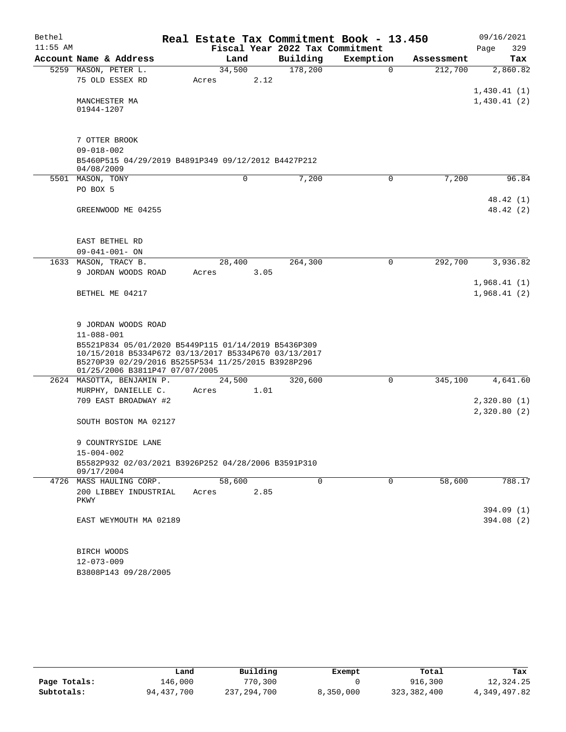| Bethel     |                                                                                                                                                                                                     |       |        |      |                                 | Real Estate Tax Commitment Book - 13.450 |            | 09/16/2021                 |
|------------|-----------------------------------------------------------------------------------------------------------------------------------------------------------------------------------------------------|-------|--------|------|---------------------------------|------------------------------------------|------------|----------------------------|
| $11:55$ AM |                                                                                                                                                                                                     |       |        |      | Fiscal Year 2022 Tax Commitment |                                          |            | 329<br>Page                |
|            | Account Name & Address                                                                                                                                                                              |       | Land   |      | Building                        | Exemption                                | Assessment | Tax                        |
|            | 5259 MASON, PETER L.                                                                                                                                                                                |       | 34,500 |      | 178,200                         | $\Omega$                                 | 212,700    | 2,860.82                   |
|            | 75 OLD ESSEX RD                                                                                                                                                                                     | Acres |        | 2.12 |                                 |                                          |            |                            |
|            |                                                                                                                                                                                                     |       |        |      |                                 |                                          |            | 1,430.41(1)                |
|            | MANCHESTER MA<br>01944-1207                                                                                                                                                                         |       |        |      |                                 |                                          |            | 1,430.41(2)                |
|            | 7 OTTER BROOK<br>$09 - 018 - 002$                                                                                                                                                                   |       |        |      |                                 |                                          |            |                            |
|            | B5460P515 04/29/2019 B4891P349 09/12/2012 B4427P212<br>04/08/2009                                                                                                                                   |       |        |      |                                 |                                          |            |                            |
|            | 5501 MASON, TONY                                                                                                                                                                                    |       |        | 0    | 7,200                           | 0                                        | 7,200      | 96.84                      |
|            | PO BOX 5                                                                                                                                                                                            |       |        |      |                                 |                                          |            |                            |
|            | GREENWOOD ME 04255                                                                                                                                                                                  |       |        |      |                                 |                                          |            | 48.42 (1)<br>48.42 (2)     |
|            | EAST BETHEL RD                                                                                                                                                                                      |       |        |      |                                 |                                          |            |                            |
|            | $09 - 041 - 001 - ON$                                                                                                                                                                               |       |        |      |                                 |                                          |            |                            |
| 1633       | MASON, TRACY B.                                                                                                                                                                                     |       | 28,400 |      | 264,300                         | 0                                        | 292,700    | 3,936.82                   |
|            | 9 JORDAN WOODS ROAD                                                                                                                                                                                 | Acres |        | 3.05 |                                 |                                          |            |                            |
|            | BETHEL ME 04217                                                                                                                                                                                     |       |        |      |                                 |                                          |            | 1,968.41(1)<br>1,968.41(2) |
|            | 9 JORDAN WOODS ROAD                                                                                                                                                                                 |       |        |      |                                 |                                          |            |                            |
|            | $11 - 088 - 001$                                                                                                                                                                                    |       |        |      |                                 |                                          |            |                            |
|            | B5521P834 05/01/2020 B5449P115 01/14/2019 B5436P309<br>10/15/2018 B5334P672 03/13/2017 B5334P670 03/13/2017<br>B5270P39 02/29/2016 B5255P534 11/25/2015 B3928P296<br>01/25/2006 B3811P47 07/07/2005 |       |        |      |                                 |                                          |            |                            |
|            | 2624 MASOTTA, BENJAMIN P.                                                                                                                                                                           |       | 24,500 |      | 320,600                         | 0                                        | 345,100    | 4,641.60                   |
|            | MURPHY, DANIELLE C.                                                                                                                                                                                 | Acres |        | 1.01 |                                 |                                          |            |                            |
|            | 709 EAST BROADWAY #2                                                                                                                                                                                |       |        |      |                                 |                                          |            | 2,320.80(1)<br>2,320.80(2) |
|            | SOUTH BOSTON MA 02127                                                                                                                                                                               |       |        |      |                                 |                                          |            |                            |
|            | 9 COUNTRYSIDE LANE                                                                                                                                                                                  |       |        |      |                                 |                                          |            |                            |
|            | $15 - 004 - 002$                                                                                                                                                                                    |       |        |      |                                 |                                          |            |                            |
|            | B5582P932 02/03/2021 B3926P252 04/28/2006 B3591P310<br>09/17/2004                                                                                                                                   |       |        |      |                                 |                                          |            |                            |
|            | 4726 MASS HAULING CORP.                                                                                                                                                                             |       | 58,600 |      | $\Omega$                        | 0                                        | 58,600     | 788.17                     |
|            | 200 LIBBEY INDUSTRIAL<br>PKWY                                                                                                                                                                       | Acres |        | 2.85 |                                 |                                          |            |                            |
|            |                                                                                                                                                                                                     |       |        |      |                                 |                                          |            | 394.09 (1)                 |
|            | EAST WEYMOUTH MA 02189                                                                                                                                                                              |       |        |      |                                 |                                          |            | 394.08 (2)                 |
|            | BIRCH WOODS                                                                                                                                                                                         |       |        |      |                                 |                                          |            |                            |
|            | $12 - 073 - 009$                                                                                                                                                                                    |       |        |      |                                 |                                          |            |                            |

B3808P143 09/28/2005

|              | Land         | Building    | Exempt    | Total       | Tax          |
|--------------|--------------|-------------|-----------|-------------|--------------|
| Page Totals: | 146,000      | 770,300     |           | 916,300     | 12,324.25    |
| Subtotals:   | 94, 437, 700 | 237,294,700 | 8,350,000 | 323,382,400 | 4,349,497.82 |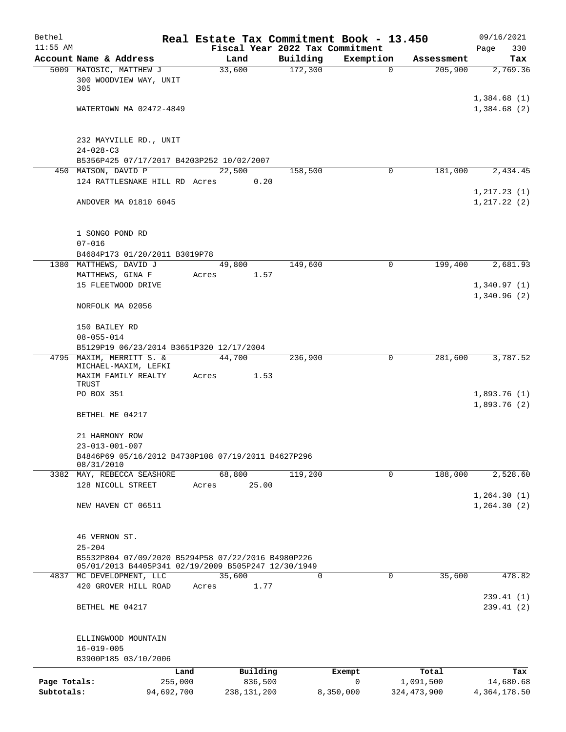| Bethel                     |                                                                                                           | Real Estate Tax Commitment Book - 13.450 |                     |                          |                            | 09/16/2021                   |
|----------------------------|-----------------------------------------------------------------------------------------------------------|------------------------------------------|---------------------|--------------------------|----------------------------|------------------------------|
| $11:55$ AM                 |                                                                                                           | Fiscal Year 2022 Tax Commitment          |                     |                          |                            | Page<br>330                  |
|                            | Account Name & Address<br>5009 MATOSIC, MATTHEW J                                                         | Land<br>33,600                           | Building<br>172,300 | Exemption<br>$\Omega$    | Assessment<br>205,900      | Tax<br>2,769.36              |
|                            | 300 WOODVIEW WAY, UNIT<br>305                                                                             |                                          |                     |                          |                            |                              |
|                            | WATERTOWN MA 02472-4849                                                                                   |                                          |                     |                          |                            | 1,384.68(1)<br>1,384.68(2)   |
|                            | 232 MAYVILLE RD., UNIT<br>$24 - 028 - C3$                                                                 |                                          |                     |                          |                            |                              |
|                            | B5356P425 07/17/2017 B4203P252 10/02/2007                                                                 |                                          |                     |                          |                            |                              |
|                            | 450 MATSON, DAVID P                                                                                       | 22,500                                   | 158,500             | 0                        | 181,000                    | 2,434.45                     |
|                            | 124 RATTLESNAKE HILL RD Acres                                                                             | 0.20                                     |                     |                          |                            |                              |
|                            | ANDOVER MA 01810 6045                                                                                     |                                          |                     |                          |                            | 1, 217.23(1)<br>1, 217.22(2) |
|                            | 1 SONGO POND RD<br>$07 - 016$                                                                             |                                          |                     |                          |                            |                              |
|                            | B4684P173 01/20/2011 B3019P78                                                                             |                                          |                     |                          |                            |                              |
|                            | 1380 MATTHEWS, DAVID J                                                                                    | 49,800                                   | 149,600             | 0                        | 199,400                    | 2,681.93                     |
|                            | MATTHEWS, GINA F                                                                                          | 1.57<br>Acres                            |                     |                          |                            |                              |
|                            | 15 FLEETWOOD DRIVE                                                                                        |                                          |                     |                          |                            | 1,340.97(1)<br>1,340.96(2)   |
|                            | NORFOLK MA 02056                                                                                          |                                          |                     |                          |                            |                              |
|                            | 150 BAILEY RD                                                                                             |                                          |                     |                          |                            |                              |
|                            | $08 - 055 - 014$<br>B5129P19 06/23/2014 B3651P320 12/17/2004                                              |                                          |                     |                          |                            |                              |
|                            | 4795 MAXIM, MERRITT S. &                                                                                  | 44,700                                   | 236,900             | 0                        | 281,600                    | 3,787.52                     |
|                            | MICHAEL-MAXIM, LEFKI                                                                                      |                                          |                     |                          |                            |                              |
|                            | MAXIM FAMILY REALTY<br>TRUST                                                                              | Acres<br>1.53                            |                     |                          |                            |                              |
|                            | PO BOX 351                                                                                                |                                          |                     |                          |                            | 1,893.76(1)                  |
|                            |                                                                                                           |                                          |                     |                          |                            | 1,893.76(2)                  |
|                            | BETHEL ME 04217                                                                                           |                                          |                     |                          |                            |                              |
|                            | 21 HARMONY ROW                                                                                            |                                          |                     |                          |                            |                              |
|                            | $23 - 013 - 001 - 007$                                                                                    |                                          |                     |                          |                            |                              |
|                            | B4846P69 05/16/2012 B4738P108 07/19/2011 B4627P296<br>08/31/2010                                          |                                          |                     |                          |                            |                              |
|                            | 3382 MAY, REBECCA SEASHORE                                                                                | 68,800                                   | 119,200             | $\mathbf 0$              | 188,000                    | 2,528.60                     |
|                            | 128 NICOLL STREET                                                                                         | 25.00<br>Acres                           |                     |                          |                            |                              |
|                            | NEW HAVEN CT 06511                                                                                        |                                          |                     |                          |                            | 1, 264.30(1)<br>1, 264.30(2) |
|                            |                                                                                                           |                                          |                     |                          |                            |                              |
|                            | 46 VERNON ST.                                                                                             |                                          |                     |                          |                            |                              |
|                            | $25 - 204$                                                                                                |                                          |                     |                          |                            |                              |
|                            | B5532P804 07/09/2020 B5294P58 07/22/2016 B4980P226<br>05/01/2013 B4405P341 02/19/2009 B505P247 12/30/1949 |                                          |                     |                          |                            |                              |
|                            | 4837 MC DEVELOPMENT, LLC                                                                                  | 35,600                                   | $\Omega$            | $\Omega$                 | 35,600                     | 478.82                       |
|                            | 420 GROVER HILL ROAD                                                                                      | 1.77<br>Acres                            |                     |                          |                            |                              |
|                            |                                                                                                           |                                          |                     |                          |                            | 239.41(1)                    |
|                            | BETHEL ME 04217                                                                                           |                                          |                     |                          |                            | 239.41(2)                    |
|                            | ELLINGWOOD MOUNTAIN                                                                                       |                                          |                     |                          |                            |                              |
|                            | $16 - 019 - 005$                                                                                          |                                          |                     |                          |                            |                              |
|                            | B3900P185 03/10/2006                                                                                      |                                          |                     |                          |                            |                              |
|                            | Land                                                                                                      | Building                                 |                     | Exempt                   | Total                      | Tax                          |
| Page Totals:<br>Subtotals: | 255,000<br>94,692,700                                                                                     | 836,500<br>238, 131, 200                 |                     | $\mathbf 0$<br>8,350,000 | 1,091,500<br>324, 473, 900 | 14,680.68<br>4,364,178.50    |
|                            |                                                                                                           |                                          |                     |                          |                            |                              |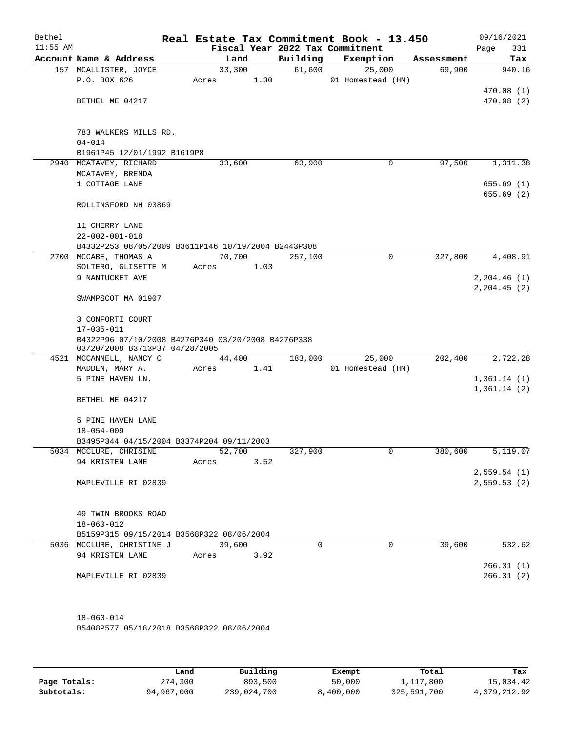| Bethel<br>$11:55$ AM |                                                                                      |       |        |      |          | Real Estate Tax Commitment Book - 13.450<br>Fiscal Year 2022 Tax Commitment |            | 09/16/2021<br>Page<br>331    |
|----------------------|--------------------------------------------------------------------------------------|-------|--------|------|----------|-----------------------------------------------------------------------------|------------|------------------------------|
|                      | Account Name & Address                                                               |       | Land   |      | Building | Exemption                                                                   | Assessment | Tax                          |
|                      | 157 MCALLISTER, JOYCE<br>P.O. BOX 626                                                | Acres | 33,300 | 1.30 | 61,600   | 25,000<br>01 Homestead (HM)                                                 | 69,900     | 940.16<br>470.08 (1)         |
|                      | BETHEL ME 04217                                                                      |       |        |      |          |                                                                             |            | 470.08 (2)                   |
|                      | 783 WALKERS MILLS RD.<br>$04 - 014$<br>B1961P45 12/01/1992 B1619P8                   |       |        |      |          |                                                                             |            |                              |
|                      | 2940 MCATAVEY, RICHARD                                                               |       | 33,600 |      | 63,900   | 0                                                                           | 97,500     | 1,311.38                     |
|                      | MCATAVEY, BRENDA<br>1 COTTAGE LANE                                                   |       |        |      |          |                                                                             |            | 655.69(1)                    |
|                      | ROLLINSFORD NH 03869                                                                 |       |        |      |          |                                                                             |            | 655.69(2)                    |
|                      | 11 CHERRY LANE<br>$22 - 002 - 001 - 018$                                             |       |        |      |          |                                                                             |            |                              |
|                      | B4332P253 08/05/2009 B3611P146 10/19/2004 B2443P308                                  |       |        |      |          |                                                                             |            |                              |
|                      | 2700 MCCABE, THOMAS A                                                                |       | 70,700 |      | 257,100  | $\mathbf 0$                                                                 | 327,800    | 4,408.91                     |
|                      | SOLTERO, GLISETTE M                                                                  | Acres |        | 1.03 |          |                                                                             |            |                              |
|                      | 9 NANTUCKET AVE<br>SWAMPSCOT MA 01907                                                |       |        |      |          |                                                                             |            | 2, 204.46(1)<br>2, 204.45(2) |
|                      | 3 CONFORTI COURT                                                                     |       |        |      |          |                                                                             |            |                              |
|                      | $17 - 035 - 011$                                                                     |       |        |      |          |                                                                             |            |                              |
|                      | B4322P96 07/10/2008 B4276P340 03/20/2008 B4276P338<br>03/20/2008 B3713P37 04/28/2005 |       |        |      |          |                                                                             |            |                              |
|                      | 4521 MCCANNELL, NANCY C                                                              |       | 44,400 |      | 183,000  | 25,000                                                                      | 202,400    | 2,722.28                     |
|                      | MADDEN, MARY A.                                                                      | Acres |        | 1.41 |          | 01 Homestead (HM)                                                           |            |                              |
|                      | 5 PINE HAVEN LN.                                                                     |       |        |      |          |                                                                             |            | 1,361.14(1)<br>1,361.14(2)   |
|                      | BETHEL ME 04217                                                                      |       |        |      |          |                                                                             |            |                              |
|                      | 5 PINE HAVEN LANE<br>$18 - 054 - 009$                                                |       |        |      |          |                                                                             |            |                              |
|                      | B3495P344 04/15/2004 B3374P204 09/11/2003                                            |       |        |      |          |                                                                             |            |                              |
|                      | 5034 MCCLURE, CHRISINE                                                               |       | 52,700 |      | 327,900  | 0                                                                           | 380,600    | 5,119.07                     |
|                      | 94 KRISTEN LANE                                                                      | Acres |        | 3.52 |          |                                                                             |            | 2,559.54(1)                  |
|                      | MAPLEVILLE RI 02839                                                                  |       |        |      |          |                                                                             |            | 2,559.53(2)                  |
|                      |                                                                                      |       |        |      |          |                                                                             |            |                              |
|                      | 49 TWIN BROOKS ROAD<br>$18 - 060 - 012$                                              |       |        |      |          |                                                                             |            |                              |
|                      | B5159P315 09/15/2014 B3568P322 08/06/2004                                            |       |        |      |          |                                                                             |            |                              |
|                      | 5036 MCCLURE, CHRISTINE J                                                            |       | 39,600 |      | $\Omega$ | $\Omega$                                                                    | 39,600     | 532.62                       |
|                      | 94 KRISTEN LANE                                                                      | Acres |        | 3.92 |          |                                                                             |            |                              |
|                      |                                                                                      |       |        |      |          |                                                                             |            | 266.31(1)                    |
|                      | MAPLEVILLE RI 02839                                                                  |       |        |      |          |                                                                             |            | 266.31(2)                    |
|                      | $18 - 060 - 014$                                                                     |       |        |      |          |                                                                             |            |                              |
|                      | B5408P577 05/18/2018 B3568P322 08/06/2004                                            |       |        |      |          |                                                                             |            |                              |

|              | Land       | Building    | Exempt    | Total       | Tax          |
|--------------|------------|-------------|-----------|-------------|--------------|
| Page Totals: | 274,300    | 893,500     | 50,000    | 1,117,800   | 15,034.42    |
| Subtotals:   | 94,967,000 | 239,024,700 | 8,400,000 | 325,591,700 | 4,379,212.92 |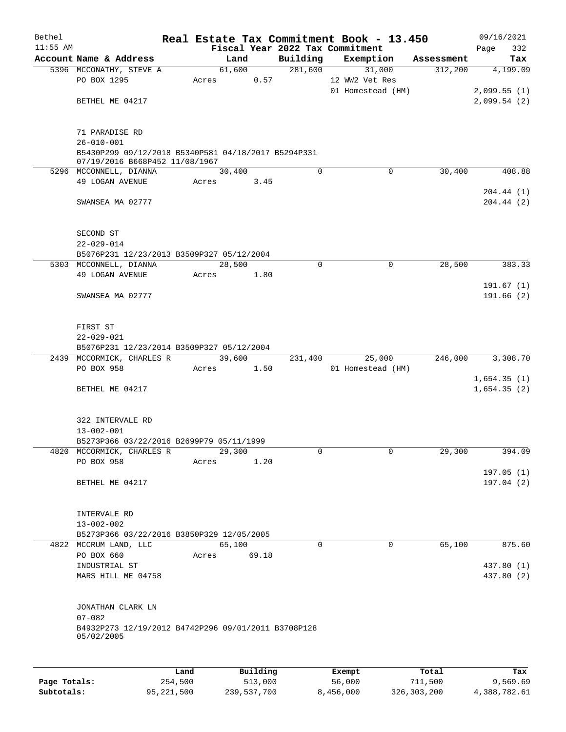| Bethel     |                                                                                       |       |          |       |             | Real Estate Tax Commitment Book - 13.450 |            | 09/16/2021                 |
|------------|---------------------------------------------------------------------------------------|-------|----------|-------|-------------|------------------------------------------|------------|----------------------------|
| $11:55$ AM |                                                                                       |       |          |       |             | Fiscal Year 2022 Tax Commitment          |            | 332<br>Page                |
|            | Account Name & Address                                                                |       | Land     |       | Building    | Exemption                                | Assessment | Tax                        |
|            | 5396 MCCONATHY, STEVE A                                                               |       | 61,600   |       | 281,600     | 31,000                                   | 312,200    | 4,199.09                   |
|            | PO BOX 1295                                                                           | Acres |          | 0.57  |             | 12 WW2 Vet Res<br>01 Homestead (HM)      |            | 2,099.55(1)                |
|            | BETHEL ME 04217                                                                       |       |          |       |             |                                          |            | 2,099.54(2)                |
|            |                                                                                       |       |          |       |             |                                          |            |                            |
|            | 71 PARADISE RD                                                                        |       |          |       |             |                                          |            |                            |
|            | $26 - 010 - 001$                                                                      |       |          |       |             |                                          |            |                            |
|            | B5430P299 09/12/2018 B5340P581 04/18/2017 B5294P331<br>07/19/2016 B668P452 11/08/1967 |       |          |       |             |                                          |            |                            |
|            | 5296 MCCONNELL, DIANNA                                                                |       | 30,400   |       | 0           | $\Omega$                                 | 30,400     | 408.88                     |
|            | 49 LOGAN AVENUE                                                                       | Acres |          | 3.45  |             |                                          |            |                            |
|            | SWANSEA MA 02777                                                                      |       |          |       |             |                                          |            | 204.44(1)<br>204.44(2)     |
|            |                                                                                       |       |          |       |             |                                          |            |                            |
|            | SECOND ST                                                                             |       |          |       |             |                                          |            |                            |
|            | $22 - 029 - 014$                                                                      |       |          |       |             |                                          |            |                            |
|            | B5076P231 12/23/2013 B3509P327 05/12/2004                                             |       |          |       |             |                                          |            |                            |
|            | 5303 MCCONNELL, DIANNA                                                                |       | 28,500   |       | $\mathbf 0$ | $\mathbf 0$                              | 28,500     | 383.33                     |
|            | 49 LOGAN AVENUE                                                                       | Acres |          | 1.80  |             |                                          |            | 191.67(1)                  |
|            | SWANSEA MA 02777                                                                      |       |          |       |             |                                          |            | 191.66(2)                  |
|            |                                                                                       |       |          |       |             |                                          |            |                            |
|            | FIRST ST                                                                              |       |          |       |             |                                          |            |                            |
|            | $22 - 029 - 021$                                                                      |       |          |       |             |                                          |            |                            |
|            | B5076P231 12/23/2014 B3509P327 05/12/2004                                             |       |          |       |             |                                          |            |                            |
|            | 2439 MCCORMICK, CHARLES R                                                             |       | 39,600   |       | 231,400     | 25,000                                   | 246,000    | 3,308.70                   |
|            | PO BOX 958                                                                            | Acres |          | 1.50  |             | 01 Homestead (HM)                        |            |                            |
|            | BETHEL ME 04217                                                                       |       |          |       |             |                                          |            | 1,654.35(1)<br>1,654.35(2) |
|            |                                                                                       |       |          |       |             |                                          |            |                            |
|            | 322 INTERVALE RD                                                                      |       |          |       |             |                                          |            |                            |
|            | $13 - 002 - 001$                                                                      |       |          |       |             |                                          |            |                            |
|            | B5273P366 03/22/2016 B2699P79 05/11/1999                                              |       |          |       |             |                                          |            |                            |
|            | 4820 MCCORMICK, CHARLES R                                                             |       | 29,300   |       | 0           | $\overline{0}$                           | 29,300     | 394.09                     |
|            | PO BOX 958                                                                            | Acres |          | 1.20  |             |                                          |            |                            |
|            | BETHEL ME 04217                                                                       |       |          |       |             |                                          |            | 197.05(1)<br>197.04(2)     |
|            |                                                                                       |       |          |       |             |                                          |            |                            |
|            | INTERVALE RD                                                                          |       |          |       |             |                                          |            |                            |
|            | $13 - 002 - 002$                                                                      |       |          |       |             |                                          |            |                            |
|            | B5273P366 03/22/2016 B3850P329 12/05/2005                                             |       |          |       |             |                                          |            |                            |
|            | 4822 MCCRUM LAND, LLC                                                                 |       | 65,100   |       | $\Omega$    | $\Omega$                                 | 65,100     | 875.60                     |
|            | PO BOX 660                                                                            | Acres |          | 69.18 |             |                                          |            |                            |
|            | INDUSTRIAL ST                                                                         |       |          |       |             |                                          |            | 437.80 (1)                 |
|            | MARS HILL ME 04758                                                                    |       |          |       |             |                                          |            | 437.80 (2)                 |
|            | JONATHAN CLARK LN                                                                     |       |          |       |             |                                          |            |                            |
|            | $07 - 082$                                                                            |       |          |       |             |                                          |            |                            |
|            | B4932P273 12/19/2012 B4742P296 09/01/2011 B3708P128<br>05/02/2005                     |       |          |       |             |                                          |            |                            |
|            |                                                                                       |       |          |       |             |                                          |            |                            |
|            |                                                                                       | Land  | Building |       |             | Exempt                                   | Total      | Tax                        |

**Page Totals:** 254,500 513,000 56,000 711,500 9,569.69 **Subtotals:** 95,221,500 239,537,700 8,456,000 326,303,200 4,388,782.61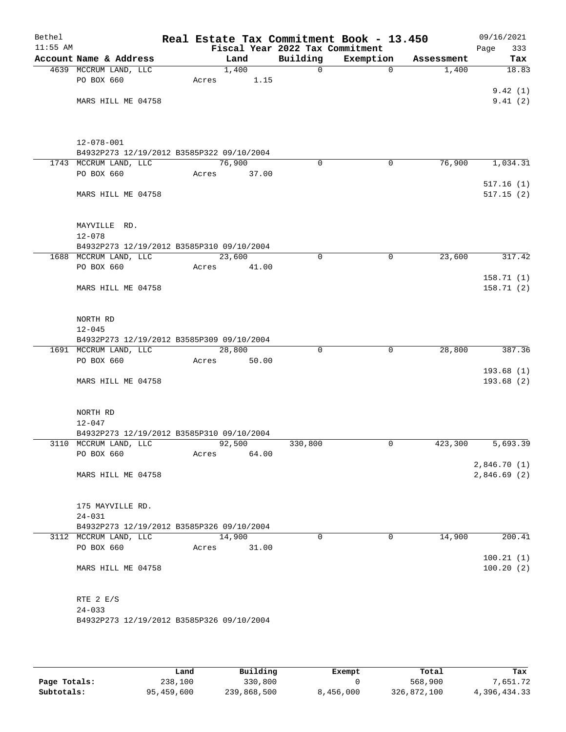| Bethel<br>$11:55$ AM |                                           | Real Estate Tax Commitment Book - 13.450<br>Fiscal Year 2022 Tax Commitment |              |             |            | 09/16/2021<br>333<br>Page |
|----------------------|-------------------------------------------|-----------------------------------------------------------------------------|--------------|-------------|------------|---------------------------|
|                      | Account Name & Address                    | Land                                                                        | Building     | Exemption   | Assessment | Tax                       |
|                      | 4639 MCCRUM LAND, LLC                     | 1,400                                                                       | $\mathsf{O}$ | 0           | 1,400      | 18.83                     |
|                      | PO BOX 660                                | 1.15<br>Acres                                                               |              |             |            |                           |
|                      |                                           |                                                                             |              |             |            | 9.42(1)                   |
|                      | MARS HILL ME 04758                        |                                                                             |              |             |            | 9.41(2)                   |
|                      |                                           |                                                                             |              |             |            |                           |
|                      | $12 - 078 - 001$                          |                                                                             |              |             |            |                           |
|                      | B4932P273 12/19/2012 B3585P322 09/10/2004 |                                                                             |              |             |            |                           |
|                      | 1743 MCCRUM LAND, LLC                     | 76,900                                                                      | 0            | 0           | 76,900     | 1,034.31                  |
|                      | PO BOX 660                                | 37.00<br>Acres                                                              |              |             |            |                           |
|                      | MARS HILL ME 04758                        |                                                                             |              |             |            | 517.16(1)<br>517.15(2)    |
|                      |                                           |                                                                             |              |             |            |                           |
|                      | MAYVILLE RD.                              |                                                                             |              |             |            |                           |
|                      | $12 - 078$                                |                                                                             |              |             |            |                           |
|                      | B4932P273 12/19/2012 B3585P310 09/10/2004 | 23,600                                                                      |              |             | 23,600     |                           |
|                      | 1688 MCCRUM LAND, LLC<br>PO BOX 660       | 41.00<br>Acres                                                              | 0            | 0           |            | 317.42                    |
|                      |                                           |                                                                             |              |             |            | 158.71(1)                 |
|                      | MARS HILL ME 04758                        |                                                                             |              |             |            | 158.71(2)                 |
|                      |                                           |                                                                             |              |             |            |                           |
|                      | NORTH RD                                  |                                                                             |              |             |            |                           |
|                      | $12 - 045$                                |                                                                             |              |             |            |                           |
|                      | B4932P273 12/19/2012 B3585P309 09/10/2004 |                                                                             |              |             |            |                           |
|                      | 1691 MCCRUM LAND, LLC                     | 28,800                                                                      | 0            | $\mathbf 0$ | 28,800     | 387.36                    |
|                      | PO BOX 660                                | Acres<br>50.00                                                              |              |             |            | 193.68(1)                 |
|                      | MARS HILL ME 04758                        |                                                                             |              |             |            | 193.68(2)                 |
|                      |                                           |                                                                             |              |             |            |                           |
|                      | NORTH RD                                  |                                                                             |              |             |            |                           |
|                      | $12 - 047$                                |                                                                             |              |             |            |                           |
|                      | B4932P273 12/19/2012 B3585P310 09/10/2004 |                                                                             |              |             |            |                           |
|                      | 3110 MCCRUM LAND, LLC                     | 92,500                                                                      | 330,800      | 0           | 423,300    | 5,693.39                  |
|                      | PO BOX 660                                | 64.00<br>Acres                                                              |              |             |            | 2,846.70(1)               |
|                      | MARS HILL ME 04758                        |                                                                             |              |             |            | 2,846.69(2)               |
|                      |                                           |                                                                             |              |             |            |                           |
|                      | 175 MAYVILLE RD.                          |                                                                             |              |             |            |                           |
|                      | $24 - 031$                                |                                                                             |              |             |            |                           |
|                      | B4932P273 12/19/2012 B3585P326 09/10/2004 |                                                                             |              |             |            |                           |
|                      | 3112 MCCRUM LAND, LLC<br>PO BOX 660       | 14,900<br>31.00<br>Acres                                                    | 0            | 0           | 14,900     | 200.41                    |
|                      |                                           |                                                                             |              |             |            | 100.21(1)                 |
|                      | MARS HILL ME 04758                        |                                                                             |              |             |            | 100.20(2)                 |
|                      |                                           |                                                                             |              |             |            |                           |
|                      | RTE 2 E/S                                 |                                                                             |              |             |            |                           |
|                      | $24 - 033$                                |                                                                             |              |             |            |                           |
|                      | B4932P273 12/19/2012 B3585P326 09/10/2004 |                                                                             |              |             |            |                           |
|                      |                                           |                                                                             |              |             |            |                           |

|              | Land       | Building    | Exempt    | Total       | Tax          |
|--------------|------------|-------------|-----------|-------------|--------------|
| Page Totals: | 238,100    | 330,800     |           | 568,900     | 7,651.72     |
| Subtotals:   | 95,459,600 | 239,868,500 | 8,456,000 | 326,872,100 | 4,396,434.33 |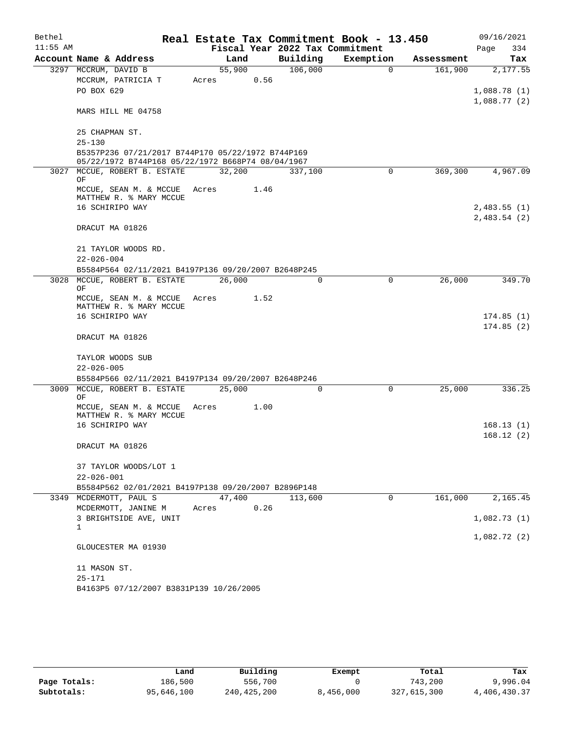| Bethel     |                                                                                   |       |        |                                 | Real Estate Tax Commitment Book - 13.450 |            | 09/16/2021             |
|------------|-----------------------------------------------------------------------------------|-------|--------|---------------------------------|------------------------------------------|------------|------------------------|
| $11:55$ AM |                                                                                   |       |        | Fiscal Year 2022 Tax Commitment |                                          |            | Page<br>334            |
|            | Account Name & Address                                                            |       | Land   | Building                        | Exemption                                | Assessment | Tax                    |
|            | 3297 MCCRUM, DAVID B                                                              |       | 55,900 | 106,000                         | $\Omega$                                 | 161,900    | 2,177.55               |
|            | MCCRUM, PATRICIA T                                                                | Acres | 0.56   |                                 |                                          |            |                        |
|            | PO BOX 629                                                                        |       |        |                                 |                                          |            | 1,088.78(1)            |
|            |                                                                                   |       |        |                                 |                                          |            | 1,088.77(2)            |
|            | MARS HILL ME 04758                                                                |       |        |                                 |                                          |            |                        |
|            | 25 CHAPMAN ST.                                                                    |       |        |                                 |                                          |            |                        |
|            | $25 - 130$                                                                        |       |        |                                 |                                          |            |                        |
|            | B5357P236 07/21/2017 B744P170 05/22/1972 B744P169                                 |       |        |                                 |                                          |            |                        |
|            | 05/22/1972 B744P168 05/22/1972 B668P74 08/04/1967<br>3027 MCCUE, ROBERT B. ESTATE |       | 32,200 | 337,100                         | $\Omega$                                 | 369,300    | 4,967.09               |
|            | OF                                                                                |       |        |                                 |                                          |            |                        |
|            | MCCUE, SEAN M. & MCCUE<br>MATTHEW R. % MARY MCCUE                                 | Acres | 1.46   |                                 |                                          |            |                        |
|            | 16 SCHIRIPO WAY                                                                   |       |        |                                 |                                          |            | 2,483.55(1)            |
|            |                                                                                   |       |        |                                 |                                          |            | 2,483.54(2)            |
|            | DRACUT MA 01826                                                                   |       |        |                                 |                                          |            |                        |
|            | 21 TAYLOR WOODS RD.                                                               |       |        |                                 |                                          |            |                        |
|            | $22 - 026 - 004$                                                                  |       |        |                                 |                                          |            |                        |
|            | B5584P564 02/11/2021 B4197P136 09/20/2007 B2648P245                               |       |        |                                 |                                          |            |                        |
|            | 3028 MCCUE, ROBERT B. ESTATE<br>ΟF                                                |       | 26,000 | $\Omega$                        | 0                                        | 26,000     | 349.70                 |
|            | MCCUE, SEAN M. & MCCUE                                                            | Acres | 1.52   |                                 |                                          |            |                        |
|            | MATTHEW R. % MARY MCCUE                                                           |       |        |                                 |                                          |            |                        |
|            | 16 SCHIRIPO WAY                                                                   |       |        |                                 |                                          |            | 174.85(1)<br>174.85(2) |
|            | DRACUT MA 01826                                                                   |       |        |                                 |                                          |            |                        |
|            | TAYLOR WOODS SUB                                                                  |       |        |                                 |                                          |            |                        |
|            | $22 - 026 - 005$                                                                  |       |        |                                 |                                          |            |                        |
|            | B5584P566 02/11/2021 B4197P134 09/20/2007 B2648P246                               |       |        |                                 |                                          |            |                        |
|            | 3009 MCCUE, ROBERT B. ESTATE<br>ΟF                                                |       | 25,000 | 0                               | 0                                        | 25,000     | 336.25                 |
|            | MCCUE, SEAN M. & MCCUE                                                            | Acres | 1.00   |                                 |                                          |            |                        |
|            | MATTHEW R. % MARY MCCUE<br>16 SCHIRIPO WAY                                        |       |        |                                 |                                          |            | 168.13(1)              |
|            |                                                                                   |       |        |                                 |                                          |            | 168.12(2)              |
|            | DRACUT MA 01826                                                                   |       |        |                                 |                                          |            |                        |
|            | 37 TAYLOR WOODS/LOT 1                                                             |       |        |                                 |                                          |            |                        |
|            | $22 - 026 - 001$                                                                  |       |        |                                 |                                          |            |                        |
|            | B5584P562 02/01/2021 B4197P138 09/20/2007 B2896P148                               |       |        |                                 |                                          |            |                        |
|            | 3349 MCDERMOTT, PAUL S                                                            |       | 47,400 | 113,600                         | $\mathbf 0$                              | 161,000    | 2,165.45               |
|            | MCDERMOTT, JANINE M                                                               | Acres | 0.26   |                                 |                                          |            |                        |
|            | 3 BRIGHTSIDE AVE, UNIT<br>1                                                       |       |        |                                 |                                          |            | 1,082.73(1)            |
|            |                                                                                   |       |        |                                 |                                          |            | 1,082.72(2)            |
|            | GLOUCESTER MA 01930                                                               |       |        |                                 |                                          |            |                        |
|            | 11 MASON ST.                                                                      |       |        |                                 |                                          |            |                        |
|            | $25 - 171$                                                                        |       |        |                                 |                                          |            |                        |
|            | B4163P5 07/12/2007 B3831P139 10/26/2005                                           |       |        |                                 |                                          |            |                        |

|              | Land       | Building    | Exempt    | Total       | Tax          |
|--------------|------------|-------------|-----------|-------------|--------------|
| Page Totals: | 186,500    | 556,700     |           | 743.200     | 9,996.04     |
| Subtotals:   | 95,646,100 | 240,425,200 | 8,456,000 | 327,615,300 | 4,406,430.37 |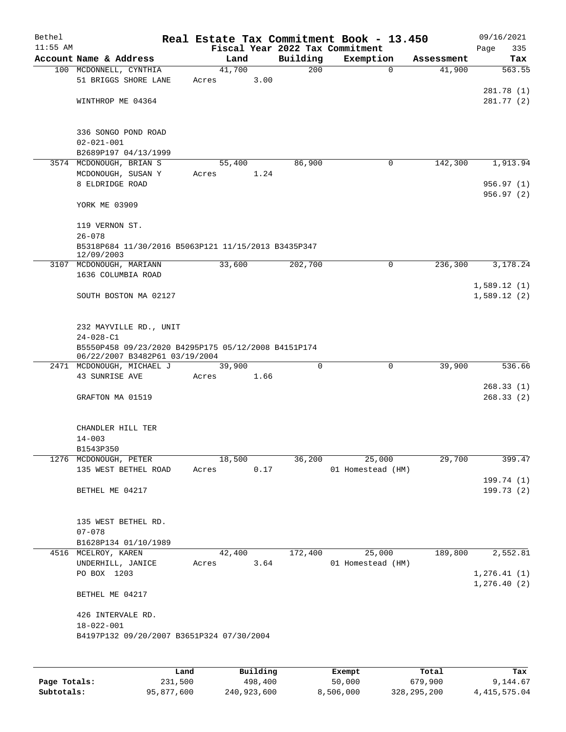| Bethel     |                                                                   |                 |      |                 | Real Estate Tax Commitment Book - 13.450 |            | 09/16/2021   |
|------------|-------------------------------------------------------------------|-----------------|------|-----------------|------------------------------------------|------------|--------------|
| $11:55$ AM |                                                                   |                 |      |                 | Fiscal Year 2022 Tax Commitment          |            | 335<br>Page  |
|            | Account Name & Address                                            | Land            |      | Building<br>200 | Exemption<br>$\mathbf 0$                 | Assessment | Tax          |
|            | 100 MCDONNELL, CYNTHIA<br>51 BRIGGS SHORE LANE                    | 41,700<br>Acres | 3.00 |                 |                                          | 41,900     | 563.55       |
|            |                                                                   |                 |      |                 |                                          |            | 281.78 (1)   |
|            | WINTHROP ME 04364                                                 |                 |      |                 |                                          |            | 281.77 (2)   |
|            |                                                                   |                 |      |                 |                                          |            |              |
|            |                                                                   |                 |      |                 |                                          |            |              |
|            | 336 SONGO POND ROAD                                               |                 |      |                 |                                          |            |              |
|            | $02 - 021 - 001$                                                  |                 |      |                 |                                          |            |              |
|            | B2689P197 04/13/1999<br>3574 MCDONOUGH, BRIAN S                   | 55,400          |      | 86,900          | 0                                        | 142,300    | 1,913.94     |
|            | MCDONOUGH, SUSAN Y                                                | Acres           | 1.24 |                 |                                          |            |              |
|            | 8 ELDRIDGE ROAD                                                   |                 |      |                 |                                          |            | 956.97 (1)   |
|            |                                                                   |                 |      |                 |                                          |            | 956.97 (2)   |
|            | YORK ME 03909                                                     |                 |      |                 |                                          |            |              |
|            |                                                                   |                 |      |                 |                                          |            |              |
|            | 119 VERNON ST.                                                    |                 |      |                 |                                          |            |              |
|            | $26 - 078$                                                        |                 |      |                 |                                          |            |              |
|            | B5318P684 11/30/2016 B5063P121 11/15/2013 B3435P347<br>12/09/2003 |                 |      |                 |                                          |            |              |
|            | 3107 MCDONOUGH, MARIANN                                           | 33,600          |      | 202,700         | $\mathbf 0$                              | 236,300    | 3,178.24     |
|            | 1636 COLUMBIA ROAD                                                |                 |      |                 |                                          |            |              |
|            |                                                                   |                 |      |                 |                                          |            | 1,589.12(1)  |
|            | SOUTH BOSTON MA 02127                                             |                 |      |                 |                                          |            | 1,589.12(2)  |
|            |                                                                   |                 |      |                 |                                          |            |              |
|            | 232 MAYVILLE RD., UNIT                                            |                 |      |                 |                                          |            |              |
|            | $24 - 028 - C1$                                                   |                 |      |                 |                                          |            |              |
|            | B5550P458 09/23/2020 B4295P175 05/12/2008 B4151P174               |                 |      |                 |                                          |            |              |
|            | 06/22/2007 B3482P61 03/19/2004                                    |                 |      |                 |                                          |            |              |
|            | 2471 MCDONOUGH, MICHAEL J                                         | 39,900          |      | 0               | $\mathbf 0$                              | 39,900     | 536.66       |
|            | 43 SUNRISE AVE                                                    | Acres           | 1.66 |                 |                                          |            | 268.33(1)    |
|            | GRAFTON MA 01519                                                  |                 |      |                 |                                          |            | 268.33(2)    |
|            |                                                                   |                 |      |                 |                                          |            |              |
|            |                                                                   |                 |      |                 |                                          |            |              |
|            | CHANDLER HILL TER                                                 |                 |      |                 |                                          |            |              |
|            | $14 - 003$                                                        |                 |      |                 |                                          |            |              |
|            | B1543P350                                                         |                 |      |                 |                                          |            |              |
|            | 1276 MCDONOUGH, PETER                                             | 18,500<br>Acres | 0.17 | 36,200          | 25,000<br>01 Homestead (HM)              | 29,700     | 399.47       |
|            | 135 WEST BETHEL ROAD                                              |                 |      |                 |                                          |            | 199.74 (1)   |
|            | BETHEL ME 04217                                                   |                 |      |                 |                                          |            | 199.73(2)    |
|            |                                                                   |                 |      |                 |                                          |            |              |
|            |                                                                   |                 |      |                 |                                          |            |              |
|            | 135 WEST BETHEL RD.                                               |                 |      |                 |                                          |            |              |
|            | $07 - 078$                                                        |                 |      |                 |                                          |            |              |
|            | B1628P134 01/10/1989                                              |                 |      | 172,400         |                                          |            |              |
|            | 4516 MCELROY, KAREN<br>UNDERHILL, JANICE                          | 42,400<br>Acres | 3.64 |                 | 25,000<br>01 Homestead (HM)              | 189,800    | 2,552.81     |
|            | PO BOX 1203                                                       |                 |      |                 |                                          |            | 1, 276.41(1) |
|            |                                                                   |                 |      |                 |                                          |            | 1,276.40(2)  |
|            | BETHEL ME 04217                                                   |                 |      |                 |                                          |            |              |
|            | 426 INTERVALE RD.                                                 |                 |      |                 |                                          |            |              |
|            | 18-022-001                                                        |                 |      |                 |                                          |            |              |
|            | B4197P132 09/20/2007 B3651P324 07/30/2004                         |                 |      |                 |                                          |            |              |
|            |                                                                   |                 |      |                 |                                          |            |              |
|            |                                                                   |                 |      |                 |                                          |            |              |
|            |                                                                   |                 | P114 |                 |                                          |            |              |

|              | Land       | Building    | Exempt    | Total         | Tax            |
|--------------|------------|-------------|-----------|---------------|----------------|
| Page Totals: | 231,500    | 498,400     | 50,000    | 679,900       | 9,144.67       |
| Subtotals:   | 95,877,600 | 240,923,600 | 8,506,000 | 328, 295, 200 | 4, 415, 575.04 |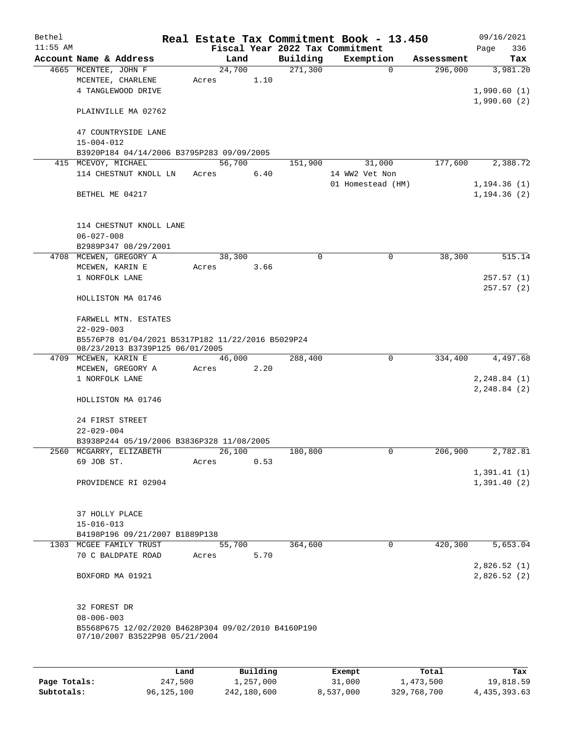| Bethel     |                                                                                       |       |        |          |          | Real Estate Tax Commitment Book - 13.450 |            | 09/16/2021                 |  |  |
|------------|---------------------------------------------------------------------------------------|-------|--------|----------|----------|------------------------------------------|------------|----------------------------|--|--|
| $11:55$ AM |                                                                                       |       |        |          |          | Fiscal Year 2022 Tax Commitment          |            | Page<br>336                |  |  |
|            | Account Name & Address                                                                |       | Land   |          | Building | Exemption                                | Assessment | Tax                        |  |  |
|            | 4665 MCENTEE, JOHN F                                                                  |       | 24,700 |          | 271,300  | $\mathbf 0$                              | 296,000    | 3,981.20                   |  |  |
|            | MCENTEE, CHARLENE<br>4 TANGLEWOOD DRIVE                                               | Acres |        | 1.10     |          |                                          |            |                            |  |  |
|            |                                                                                       |       |        |          |          |                                          |            | 1,990.60(1)                |  |  |
|            | PLAINVILLE MA 02762                                                                   |       |        |          |          |                                          |            | 1,990.60(2)                |  |  |
|            | 47 COUNTRYSIDE LANE                                                                   |       |        |          |          |                                          |            |                            |  |  |
|            | $15 - 004 - 012$                                                                      |       |        |          |          |                                          |            |                            |  |  |
|            | B3920P184 04/14/2006 B3795P283 09/09/2005                                             |       |        |          |          |                                          |            |                            |  |  |
|            | 415 MCEVOY, MICHAEL                                                                   |       | 56,700 |          | 151,900  | 31,000                                   | 177,600    | 2,388.72                   |  |  |
|            | 114 CHESTNUT KNOLL LN                                                                 | Acres |        | 6.40     |          | 14 WW2 Vet Non                           |            |                            |  |  |
|            |                                                                                       |       |        |          |          | 01 Homestead (HM)                        |            | 1, 194.36(1)               |  |  |
|            | BETHEL ME 04217                                                                       |       |        |          |          |                                          |            | 1, 194.36(2)               |  |  |
|            | 114 CHESTNUT KNOLL LANE                                                               |       |        |          |          |                                          |            |                            |  |  |
|            | $06 - 027 - 008$                                                                      |       |        |          |          |                                          |            |                            |  |  |
|            | B2989P347 08/29/2001                                                                  |       |        |          |          |                                          |            |                            |  |  |
|            | 4708 MCEWEN, GREGORY A                                                                |       | 38,300 |          | 0        | $\mathbf 0$                              | 38,300     | 515.14                     |  |  |
|            | MCEWEN, KARIN E                                                                       | Acres |        | 3.66     |          |                                          |            |                            |  |  |
|            | 1 NORFOLK LANE                                                                        |       |        |          |          |                                          |            | 257.57(1)                  |  |  |
|            |                                                                                       |       |        |          |          |                                          |            | 257.57(2)                  |  |  |
|            | HOLLISTON MA 01746                                                                    |       |        |          |          |                                          |            |                            |  |  |
|            | FARWELL MTN. ESTATES                                                                  |       |        |          |          |                                          |            |                            |  |  |
|            | $22 - 029 - 003$                                                                      |       |        |          |          |                                          |            |                            |  |  |
|            | B5576P78 01/04/2021 B5317P182 11/22/2016 B5029P24<br>08/23/2013 B3739P125 06/01/2005  |       |        |          |          |                                          |            |                            |  |  |
|            | 4709 MCEWEN, KARIN E                                                                  |       | 46,000 |          | 288,400  | 0                                        | 334,400    | 4,497.68                   |  |  |
|            | MCEWEN, GREGORY A                                                                     | Acres |        | 2.20     |          |                                          |            |                            |  |  |
|            | 1 NORFOLK LANE                                                                        |       |        |          |          |                                          |            | 2, 248.84 (1)              |  |  |
|            |                                                                                       |       |        |          |          |                                          |            | 2, 248.84 (2)              |  |  |
|            | HOLLISTON MA 01746                                                                    |       |        |          |          |                                          |            |                            |  |  |
|            | 24 FIRST STREET                                                                       |       |        |          |          |                                          |            |                            |  |  |
|            | $22 - 029 - 004$                                                                      |       |        |          |          |                                          |            |                            |  |  |
|            | B3938P244 05/19/2006 B3836P328 11/08/2005                                             |       |        |          |          |                                          |            |                            |  |  |
|            | 2560 MCGARRY, ELIZABETH                                                               |       | 26,100 |          | 180,800  | 0                                        | 206,900    | 2,782.81                   |  |  |
|            | 69 JOB ST.                                                                            | Acres |        | 0.53     |          |                                          |            |                            |  |  |
|            |                                                                                       |       |        |          |          |                                          |            | 1,391.41(1)                |  |  |
|            | PROVIDENCE RI 02904                                                                   |       |        |          |          |                                          |            | 1,391.40(2)                |  |  |
|            |                                                                                       |       |        |          |          |                                          |            |                            |  |  |
|            | 37 HOLLY PLACE                                                                        |       |        |          |          |                                          |            |                            |  |  |
|            | $15 - 016 - 013$                                                                      |       |        |          |          |                                          |            |                            |  |  |
|            | B4198P196 09/21/2007 B1889P138                                                        |       |        |          |          |                                          |            |                            |  |  |
|            | 1303 MCGEE FAMILY TRUST                                                               |       | 55,700 |          | 364,600  | $\mathbf 0$                              | 420,300    | 5,653.04                   |  |  |
|            | 70 C BALDPATE ROAD                                                                    | Acres |        | 5.70     |          |                                          |            |                            |  |  |
|            | BOXFORD MA 01921                                                                      |       |        |          |          |                                          |            | 2,826.52(1)<br>2,826.52(2) |  |  |
|            |                                                                                       |       |        |          |          |                                          |            |                            |  |  |
|            | 32 FOREST DR                                                                          |       |        |          |          |                                          |            |                            |  |  |
|            | $08 - 006 - 003$                                                                      |       |        |          |          |                                          |            |                            |  |  |
|            | B5568P675 12/02/2020 B4628P304 09/02/2010 B4160P190<br>07/10/2007 B3522P98 05/21/2004 |       |        |          |          |                                          |            |                            |  |  |
|            |                                                                                       |       |        |          |          |                                          |            |                            |  |  |
|            | Land                                                                                  |       |        | Building |          | Exempt                                   | Total      | Tax                        |  |  |

|              | Land       | Building    | Exempt    | Total       | Tax          |
|--------------|------------|-------------|-----------|-------------|--------------|
| Page Totals: | 247,500    | 1,257,000   | 31,000    | 1,473,500   | 19,818.59    |
| Subtotals:   | 96,125,100 | 242,180,600 | 8,537,000 | 329,768,700 | 4,435,393.63 |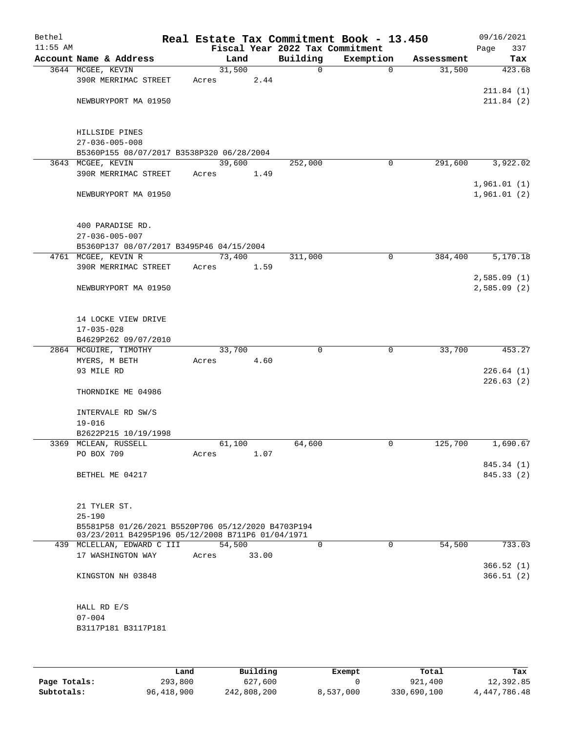| Bethel<br>$11:55$ AM |                                                    |       |        | Fiscal Year 2022 Tax Commitment | Real Estate Tax Commitment Book - 13.450 |            | 09/16/2021<br>337<br>Page |
|----------------------|----------------------------------------------------|-------|--------|---------------------------------|------------------------------------------|------------|---------------------------|
|                      | Account Name & Address                             |       | Land   | Building                        | Exemption                                | Assessment | Tax                       |
|                      | 3644 MCGEE, KEVIN                                  |       | 31,500 | 0                               | $\mathbf 0$                              | 31,500     | 423.68                    |
|                      | 390R MERRIMAC STREET                               | Acres | 2.44   |                                 |                                          |            |                           |
|                      |                                                    |       |        |                                 |                                          |            | 211.84(1)                 |
|                      | NEWBURYPORT MA 01950                               |       |        |                                 |                                          |            | 211.84(2)                 |
|                      |                                                    |       |        |                                 |                                          |            |                           |
|                      |                                                    |       |        |                                 |                                          |            |                           |
|                      | HILLSIDE PINES                                     |       |        |                                 |                                          |            |                           |
|                      | $27 - 036 - 005 - 008$                             |       |        |                                 |                                          |            |                           |
|                      | B5360P155 08/07/2017 B3538P320 06/28/2004          |       |        |                                 |                                          |            |                           |
|                      | 3643 MCGEE, KEVIN                                  |       | 39,600 | 252,000                         | $\mathbf 0$                              | 291,600    | 3,922.02                  |
|                      | 390R MERRIMAC STREET                               | Acres | 1.49   |                                 |                                          |            |                           |
|                      |                                                    |       |        |                                 |                                          |            | 1,961.01(1)               |
|                      | NEWBURYPORT MA 01950                               |       |        |                                 |                                          |            | 1,961.01(2)               |
|                      |                                                    |       |        |                                 |                                          |            |                           |
|                      |                                                    |       |        |                                 |                                          |            |                           |
|                      | 400 PARADISE RD.                                   |       |        |                                 |                                          |            |                           |
|                      | $27 - 036 - 005 - 007$                             |       |        |                                 |                                          |            |                           |
|                      | B5360P137 08/07/2017 B3495P46 04/15/2004           |       |        |                                 |                                          |            |                           |
|                      | 4761 MCGEE, KEVIN R                                |       | 73,400 | 311,000                         | $\mathbf 0$                              | 384,400    | 5,170.18                  |
|                      | 390R MERRIMAC STREET                               | Acres | 1.59   |                                 |                                          |            |                           |
|                      |                                                    |       |        |                                 |                                          |            | 2,585.09(1)               |
|                      | NEWBURYPORT MA 01950                               |       |        |                                 |                                          |            | 2,585.09(2)               |
|                      |                                                    |       |        |                                 |                                          |            |                           |
|                      |                                                    |       |        |                                 |                                          |            |                           |
|                      | 14 LOCKE VIEW DRIVE                                |       |        |                                 |                                          |            |                           |
|                      | $17 - 035 - 028$                                   |       |        |                                 |                                          |            |                           |
|                      | B4629P262 09/07/2010                               |       |        |                                 |                                          |            |                           |
|                      | 2864 MCGUIRE, TIMOTHY                              |       | 33,700 | $\Omega$                        | $\mathbf 0$                              | 33,700     | 453.27                    |
|                      | MYERS, M BETH                                      | Acres | 4.60   |                                 |                                          |            |                           |
|                      | 93 MILE RD                                         |       |        |                                 |                                          |            | 226.64(1)                 |
|                      |                                                    |       |        |                                 |                                          |            | 226.63(2)                 |
|                      | THORNDIKE ME 04986                                 |       |        |                                 |                                          |            |                           |
|                      |                                                    |       |        |                                 |                                          |            |                           |
|                      | INTERVALE RD SW/S                                  |       |        |                                 |                                          |            |                           |
|                      | $19 - 016$                                         |       |        |                                 |                                          |            |                           |
|                      | B2622P215 10/19/1998                               |       |        |                                 |                                          |            |                           |
|                      | 3369 MCLEAN, RUSSELL                               |       | 61,100 | 64,600                          | 0                                        | 125,700    | 1,690.67                  |
|                      | PO BOX 709                                         | Acres | 1.07   |                                 |                                          |            |                           |
|                      | BETHEL ME 04217                                    |       |        |                                 |                                          |            | 845.34 (1)<br>845.33 (2)  |
|                      |                                                    |       |        |                                 |                                          |            |                           |
|                      |                                                    |       |        |                                 |                                          |            |                           |
|                      | 21 TYLER ST.                                       |       |        |                                 |                                          |            |                           |
|                      | $25 - 190$                                         |       |        |                                 |                                          |            |                           |
|                      | B5581P58 01/26/2021 B5520P706 05/12/2020 B4703P194 |       |        |                                 |                                          |            |                           |
|                      | 03/23/2011 B4295P196 05/12/2008 B711P6 01/04/1971  |       |        |                                 |                                          |            |                           |
|                      | 439 MCLELLAN, EDWARD C III                         |       | 54,500 | $\Omega$                        | $\Omega$                                 | 54,500     | 733.03                    |
|                      | 17 WASHINGTON WAY                                  | Acres | 33.00  |                                 |                                          |            |                           |
|                      |                                                    |       |        |                                 |                                          |            | 366.52(1)                 |
|                      | KINGSTON NH 03848                                  |       |        |                                 |                                          |            | 366.51(2)                 |
|                      |                                                    |       |        |                                 |                                          |            |                           |
|                      |                                                    |       |        |                                 |                                          |            |                           |
|                      | HALL RD E/S                                        |       |        |                                 |                                          |            |                           |
|                      | $07 - 004$                                         |       |        |                                 |                                          |            |                           |
|                      | B3117P181 B3117P181                                |       |        |                                 |                                          |            |                           |
|                      |                                                    |       |        |                                 |                                          |            |                           |
|                      |                                                    |       |        |                                 |                                          |            |                           |

|              | Land       | Building    | Exempt    | Total       | Tax          |
|--------------|------------|-------------|-----------|-------------|--------------|
| Page Totals: | 293,800    | 627,600     |           | 921,400     | 12,392.85    |
| Subtotals:   | 96,418,900 | 242,808,200 | 8,537,000 | 330,690,100 | 4,447,786.48 |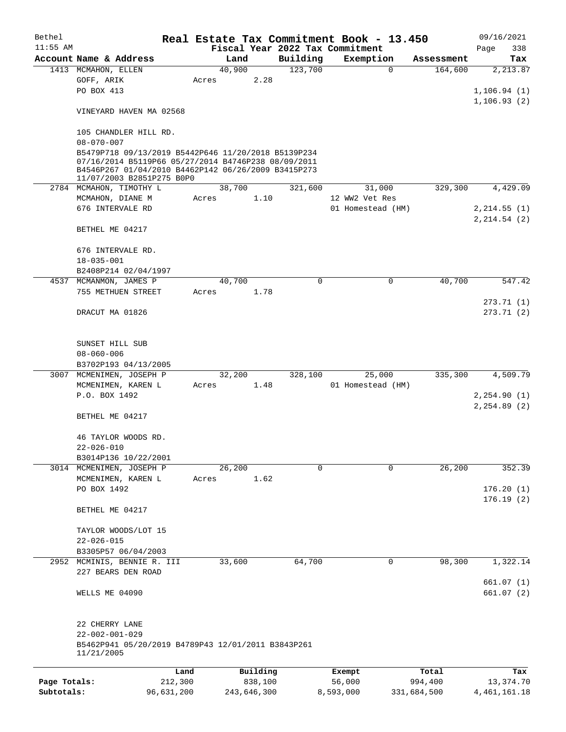| Bethel       |                                                                                                                                                                                                |            |       |         |             |                                 | Real Estate Tax Commitment Book - 13.450 |             | 09/16/2021              |
|--------------|------------------------------------------------------------------------------------------------------------------------------------------------------------------------------------------------|------------|-------|---------|-------------|---------------------------------|------------------------------------------|-------------|-------------------------|
| $11:55$ AM   |                                                                                                                                                                                                |            |       |         |             | Fiscal Year 2022 Tax Commitment |                                          |             | Page<br>338             |
|              | Account Name & Address                                                                                                                                                                         |            |       | Land    |             | Building                        | Exemption                                | Assessment  | Tax                     |
|              | 1413 MCMAHON, ELLEN<br>GOFF, ARIK<br>PO BOX 413                                                                                                                                                |            | Acres | 40,900  | 2.28        | 123,700                         | $\mathbf 0$                              | 164,600     | 2,213.87<br>1,106.94(1) |
|              | VINEYARD HAVEN MA 02568                                                                                                                                                                        |            |       |         |             |                                 |                                          |             | 1,106.93(2)             |
|              | 105 CHANDLER HILL RD.<br>$08 - 070 - 007$                                                                                                                                                      |            |       |         |             |                                 |                                          |             |                         |
|              | B5479P718 09/13/2019 B5442P646 11/20/2018 B5139P234<br>07/16/2014 B5119P66 05/27/2014 B4746P238 08/09/2011<br>B4546P267 01/04/2010 B4462P142 06/26/2009 B3415P273<br>11/07/2003 B2851P275 B0P0 |            |       |         |             |                                 |                                          |             |                         |
|              | 2784 MCMAHON, TIMOTHY L                                                                                                                                                                        |            |       | 38,700  |             | 321,600                         | 31,000                                   | 329,300     | 4,429.09                |
|              | MCMAHON, DIANE M                                                                                                                                                                               |            | Acres |         | 1.10        |                                 | 12 WW2 Vet Res                           |             |                         |
|              | 676 INTERVALE RD                                                                                                                                                                               |            |       |         |             |                                 | 01 Homestead (HM)                        |             | 2, 214.55(1)            |
|              | BETHEL ME 04217                                                                                                                                                                                |            |       |         |             |                                 |                                          |             | 2, 214.54 (2)           |
|              | 676 INTERVALE RD.                                                                                                                                                                              |            |       |         |             |                                 |                                          |             |                         |
|              | $18 - 035 - 001$<br>B2408P214 02/04/1997                                                                                                                                                       |            |       |         |             |                                 |                                          |             |                         |
|              | 4537 MCMANMON, JAMES P                                                                                                                                                                         |            |       | 40,700  |             | 0                               | 0                                        | 40,700      | 547.42                  |
|              | 755 METHUEN STREET                                                                                                                                                                             |            | Acres |         | 1.78        |                                 |                                          |             |                         |
|              | DRACUT MA 01826                                                                                                                                                                                |            |       |         |             |                                 |                                          |             | 273.71(1)<br>273.71(2)  |
|              | SUNSET HILL SUB<br>$08 - 060 - 006$<br>B3702P193 04/13/2005                                                                                                                                    |            |       |         |             |                                 |                                          |             |                         |
|              | 3007 MCMENIMEN, JOSEPH P                                                                                                                                                                       |            |       | 32,200  |             | 328,100                         | 25,000                                   | 335,300     | 4,509.79                |
|              | MCMENIMEN, KAREN L                                                                                                                                                                             |            | Acres |         | 1.48        |                                 | 01 Homestead (HM)                        |             |                         |
|              | P.O. BOX 1492                                                                                                                                                                                  |            |       |         |             |                                 |                                          |             | 2, 254.90(1)            |
|              | BETHEL ME 04217                                                                                                                                                                                |            |       |         |             |                                 |                                          |             | 2, 254.89(2)            |
|              | 46 TAYLOR WOODS RD.<br>$22 - 026 - 010$                                                                                                                                                        |            |       |         |             |                                 |                                          |             |                         |
|              | B3014P136 10/22/2001                                                                                                                                                                           |            |       |         |             |                                 |                                          |             |                         |
|              | 3014 MCMENIMEN, JOSEPH P                                                                                                                                                                       |            |       | 26, 200 |             | $\Omega$                        | $\Omega$                                 | 26,200      | 352.39                  |
|              | MCMENIMEN, KAREN L                                                                                                                                                                             |            | Acres |         | 1.62        |                                 |                                          |             |                         |
|              | PO BOX 1492                                                                                                                                                                                    |            |       |         |             |                                 |                                          |             | 176.20(1)<br>176.19(2)  |
|              | BETHEL ME 04217                                                                                                                                                                                |            |       |         |             |                                 |                                          |             |                         |
|              | TAYLOR WOODS/LOT 15                                                                                                                                                                            |            |       |         |             |                                 |                                          |             |                         |
|              | $22 - 026 - 015$                                                                                                                                                                               |            |       |         |             |                                 |                                          |             |                         |
|              | B3305P57 06/04/2003<br>2952 MCMINIS, BENNIE R. III                                                                                                                                             |            |       | 33,600  |             | 64,700                          | 0                                        | 98,300      | 1,322.14                |
|              | 227 BEARS DEN ROAD                                                                                                                                                                             |            |       |         |             |                                 |                                          |             | 661.07(1)               |
|              | WELLS ME 04090                                                                                                                                                                                 |            |       |         |             |                                 |                                          |             | 661.07(2)               |
|              | 22 CHERRY LANE<br>$22 - 002 - 001 - 029$<br>B5462P941 05/20/2019 B4789P43 12/01/2011 B3843P261<br>11/21/2005                                                                                   |            |       |         |             |                                 |                                          |             |                         |
|              |                                                                                                                                                                                                | Land       |       |         | Building    |                                 | Exempt                                   | Total       | Tax                     |
| Page Totals: |                                                                                                                                                                                                | 212,300    |       |         | 838,100     |                                 | 56,000                                   | 994,400     | 13,374.70               |
| Subtotals:   |                                                                                                                                                                                                | 96,631,200 |       |         | 243,646,300 |                                 | 8,593,000                                | 331,684,500 | 4, 461, 161. 18         |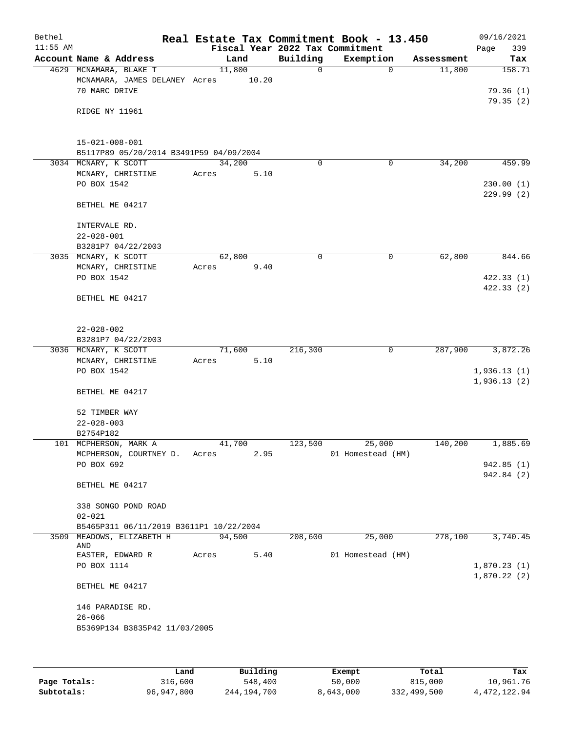| Bethel<br>$11:55$ AM |                                             |                 |       |             | Real Estate Tax Commitment Book - 13.450<br>Fiscal Year 2022 Tax Commitment |            | 09/16/2021<br>339<br>Page |
|----------------------|---------------------------------------------|-----------------|-------|-------------|-----------------------------------------------------------------------------|------------|---------------------------|
|                      | Account Name & Address                      |                 | Land  | Building    | Exemption                                                                   | Assessment | Tax                       |
|                      | 4629 MCNAMARA, BLAKE T                      | 11,800          |       | 0           | $\mathbf 0$                                                                 | 11,800     | 158.71                    |
|                      | MCNAMARA, JAMES DELANEY Acres               |                 | 10.20 |             |                                                                             |            |                           |
|                      | 70 MARC DRIVE                               |                 |       |             |                                                                             |            | 79.36(1)                  |
|                      |                                             |                 |       |             |                                                                             |            | 79.35(2)                  |
|                      | RIDGE NY 11961                              |                 |       |             |                                                                             |            |                           |
|                      |                                             |                 |       |             |                                                                             |            |                           |
|                      | $15 - 021 - 008 - 001$                      |                 |       |             |                                                                             |            |                           |
|                      | B5117P89 05/20/2014 B3491P59 04/09/2004     |                 |       |             |                                                                             |            |                           |
|                      | 3034 MCNARY, K SCOTT                        | 34,200          |       | $\mathbf 0$ | 0                                                                           | 34,200     | 459.99                    |
|                      | MCNARY, CHRISTINE                           | Acres           | 5.10  |             |                                                                             |            |                           |
|                      | PO BOX 1542                                 |                 |       |             |                                                                             |            | 230.00(1)                 |
|                      | BETHEL ME 04217                             |                 |       |             |                                                                             |            | 229.99(2)                 |
|                      |                                             |                 |       |             |                                                                             |            |                           |
|                      | INTERVALE RD.                               |                 |       |             |                                                                             |            |                           |
|                      | $22 - 028 - 001$                            |                 |       |             |                                                                             |            |                           |
|                      | B3281P7 04/22/2003                          |                 |       |             |                                                                             |            |                           |
|                      | 3035 MCNARY, K SCOTT                        | 62,800          |       | 0           | 0                                                                           | 62,800     | 844.66                    |
|                      | MCNARY, CHRISTINE                           | Acres           | 9.40  |             |                                                                             |            |                           |
|                      | PO BOX 1542                                 |                 |       |             |                                                                             |            | 422.33(1)<br>422.33(2)    |
|                      | BETHEL ME 04217                             |                 |       |             |                                                                             |            |                           |
|                      |                                             |                 |       |             |                                                                             |            |                           |
|                      |                                             |                 |       |             |                                                                             |            |                           |
|                      | $22 - 028 - 002$                            |                 |       |             |                                                                             |            |                           |
|                      | B3281P7 04/22/2003                          |                 |       |             |                                                                             |            |                           |
|                      | 3036 MCNARY, K SCOTT<br>MCNARY, CHRISTINE   | 71,600<br>Acres | 5.10  | 216,300     | 0                                                                           | 287,900    | 3,872.26                  |
|                      | PO BOX 1542                                 |                 |       |             |                                                                             |            | 1,936.13(1)               |
|                      |                                             |                 |       |             |                                                                             |            | 1,936.13(2)               |
|                      | BETHEL ME 04217                             |                 |       |             |                                                                             |            |                           |
|                      |                                             |                 |       |             |                                                                             |            |                           |
|                      | 52 TIMBER WAY                               |                 |       |             |                                                                             |            |                           |
|                      | $22 - 028 - 003$<br>B2754P182               |                 |       |             |                                                                             |            |                           |
|                      | 101 MCPHERSON, MARK A                       | 41,700          |       | 123,500     | 25,000                                                                      | 140,200    | 1,885.69                  |
|                      | MCPHERSON, COURTNEY D.                      | Acres           | 2.95  |             | 01 Homestead (HM)                                                           |            |                           |
|                      | PO BOX 692                                  |                 |       |             |                                                                             |            | 942.85(1)                 |
|                      |                                             |                 |       |             |                                                                             |            | 942.84 (2)                |
|                      | BETHEL ME 04217                             |                 |       |             |                                                                             |            |                           |
|                      | 338 SONGO POND ROAD                         |                 |       |             |                                                                             |            |                           |
|                      | $02 - 021$                                  |                 |       |             |                                                                             |            |                           |
|                      | B5465P311 06/11/2019 B3611P1 10/22/2004     |                 |       |             |                                                                             |            |                           |
|                      | 3509 MEADOWS, ELIZABETH H                   | 94,500          |       | 208,600     | 25,000                                                                      | 278,100    | 3,740.45                  |
|                      | AND<br>EASTER, EDWARD R                     | Acres           | 5.40  |             | 01 Homestead (HM)                                                           |            |                           |
|                      | PO BOX 1114                                 |                 |       |             |                                                                             |            | 1,870.23(1)               |
|                      |                                             |                 |       |             |                                                                             |            | 1,870.22(2)               |
|                      | BETHEL ME 04217                             |                 |       |             |                                                                             |            |                           |
|                      |                                             |                 |       |             |                                                                             |            |                           |
|                      | 146 PARADISE RD.                            |                 |       |             |                                                                             |            |                           |
|                      | $26 - 066$<br>B5369P134 B3835P42 11/03/2005 |                 |       |             |                                                                             |            |                           |
|                      |                                             |                 |       |             |                                                                             |            |                           |
|                      |                                             |                 |       |             |                                                                             |            |                           |

|              | Land       | Building    | Exempt    | Total       | Tax          |
|--------------|------------|-------------|-----------|-------------|--------------|
| Page Totals: | 316,600    | 548,400     | 50,000    | 815,000     | 10,961.76    |
| Subtotals:   | 96,947,800 | 244,194,700 | 8,643,000 | 332,499,500 | 4,472,122.94 |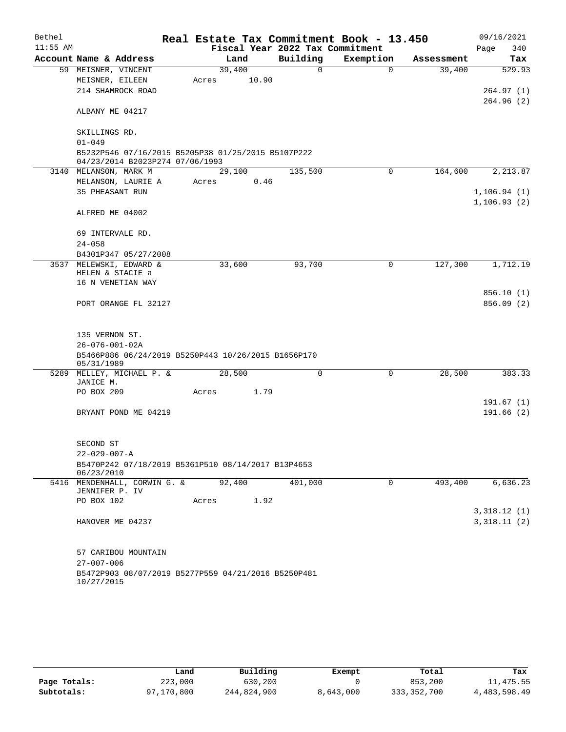| Bethel     |                         |                                                                                       |       |        |                                 |          | Real Estate Tax Commitment Book - 13.450 |             |            |      | 09/16/2021   |
|------------|-------------------------|---------------------------------------------------------------------------------------|-------|--------|---------------------------------|----------|------------------------------------------|-------------|------------|------|--------------|
| $11:55$ AM |                         |                                                                                       |       |        | Fiscal Year 2022 Tax Commitment |          |                                          |             |            | Page | 340          |
|            |                         | Account Name & Address                                                                |       | Land   | Building                        |          | Exemption                                |             | Assessment |      | Tax          |
|            | 59 MEISNER, VINCENT     |                                                                                       |       | 39,400 |                                 | $\Omega$ |                                          | $\Omega$    | 39,400     |      | 529.93       |
|            | MEISNER, EILEEN         |                                                                                       | Acres | 10.90  |                                 |          |                                          |             |            |      |              |
|            |                         | 214 SHAMROCK ROAD                                                                     |       |        |                                 |          |                                          |             |            |      | 264.97(1)    |
|            | ALBANY ME 04217         |                                                                                       |       |        |                                 |          |                                          |             |            |      | 264.96(2)    |
|            | SKILLINGS RD.           |                                                                                       |       |        |                                 |          |                                          |             |            |      |              |
|            | $01 - 049$              |                                                                                       |       |        |                                 |          |                                          |             |            |      |              |
|            |                         | B5232P546 07/16/2015 B5205P38 01/25/2015 B5107P222<br>04/23/2014 B2023P274 07/06/1993 |       |        |                                 |          |                                          |             |            |      |              |
|            | 3140 MELANSON, MARK M   |                                                                                       |       | 29,100 | 135,500                         |          |                                          | $\Omega$    | 164,600    |      | 2,213.87     |
|            |                         | MELANSON, LAURIE A                                                                    | Acres | 0.46   |                                 |          |                                          |             |            |      |              |
|            | 35 PHEASANT RUN         |                                                                                       |       |        |                                 |          |                                          |             |            |      | 1, 106.94(1) |
|            | ALFRED ME 04002         |                                                                                       |       |        |                                 |          |                                          |             |            |      | 1,106.93(2)  |
|            |                         | 69 INTERVALE RD.                                                                      |       |        |                                 |          |                                          |             |            |      |              |
|            | $24 - 058$              |                                                                                       |       |        |                                 |          |                                          |             |            |      |              |
|            |                         | B4301P347 05/27/2008                                                                  |       |        |                                 |          |                                          |             |            |      |              |
|            |                         | 3537 MELEWSKI, EDWARD &<br>HELEN & STACIE a                                           |       | 33,600 | 93,700                          |          |                                          | 0           | 127,300    |      | 1,712.19     |
|            |                         | 16 N VENETIAN WAY                                                                     |       |        |                                 |          |                                          |             |            |      |              |
|            |                         |                                                                                       |       |        |                                 |          |                                          |             |            |      | 856.10 (1)   |
|            |                         | PORT ORANGE FL 32127                                                                  |       |        |                                 |          |                                          |             |            |      | 856.09(2)    |
|            |                         |                                                                                       |       |        |                                 |          |                                          |             |            |      |              |
|            | 135 VERNON ST.          |                                                                                       |       |        |                                 |          |                                          |             |            |      |              |
|            | $26 - 076 - 001 - 02A$  |                                                                                       |       |        |                                 |          |                                          |             |            |      |              |
|            |                         | B5466P886 06/24/2019 B5250P443 10/26/2015 B1656P170                                   |       |        |                                 |          |                                          |             |            |      |              |
|            | 05/31/1989              |                                                                                       |       |        |                                 |          |                                          |             |            |      |              |
|            |                         | 5289 MELLEY, MICHAEL P. &                                                             |       | 28,500 |                                 | 0        |                                          | $\mathbf 0$ | 28,500     |      | 383.33       |
|            | JANICE M.<br>PO BOX 209 |                                                                                       |       | 1.79   |                                 |          |                                          |             |            |      |              |
|            |                         |                                                                                       | Acres |        |                                 |          |                                          |             |            |      | 191.67(1)    |
|            |                         | BRYANT POND ME 04219                                                                  |       |        |                                 |          |                                          |             |            |      | 191.66(2)    |
|            |                         |                                                                                       |       |        |                                 |          |                                          |             |            |      |              |
|            | SECOND ST               |                                                                                       |       |        |                                 |          |                                          |             |            |      |              |
|            | $22 - 029 - 007 - A$    |                                                                                       |       |        |                                 |          |                                          |             |            |      |              |
|            |                         | B5470P242 07/18/2019 B5361P510 08/14/2017 B13P4653                                    |       |        |                                 |          |                                          |             |            |      |              |
|            | 06/23/2010              | 5416 MENDENHALL, CORWIN G. &                                                          |       | 92,400 | 401,000                         |          |                                          | 0           | 493,400    |      | 6,636.23     |
|            | JENNIFER P. IV          |                                                                                       |       |        |                                 |          |                                          |             |            |      |              |
|            | PO BOX 102              |                                                                                       | Acres | 1.92   |                                 |          |                                          |             |            |      |              |
|            |                         |                                                                                       |       |        |                                 |          |                                          |             |            |      | 3,318.12(1)  |
|            |                         | HANOVER ME 04237                                                                      |       |        |                                 |          |                                          |             |            |      | 3,318.11(2)  |
|            |                         |                                                                                       |       |        |                                 |          |                                          |             |            |      |              |
|            |                         | 57 CARIBOU MOUNTAIN                                                                   |       |        |                                 |          |                                          |             |            |      |              |
|            | $27 - 007 - 006$        |                                                                                       |       |        |                                 |          |                                          |             |            |      |              |
|            |                         | B5472P903 08/07/2019 B5277P559 04/21/2016 B5250P481                                   |       |        |                                 |          |                                          |             |            |      |              |
|            | 10/27/2015              |                                                                                       |       |        |                                 |          |                                          |             |            |      |              |

|              | Land       | Building    | Exempt    | Total         | Tax          |
|--------------|------------|-------------|-----------|---------------|--------------|
| Page Totals: | 223,000    | 630,200     |           | 853,200       | 11,475.55    |
| Subtotals:   | 97,170,800 | 244,824,900 | 8,643,000 | 333, 352, 700 | 4,483,598.49 |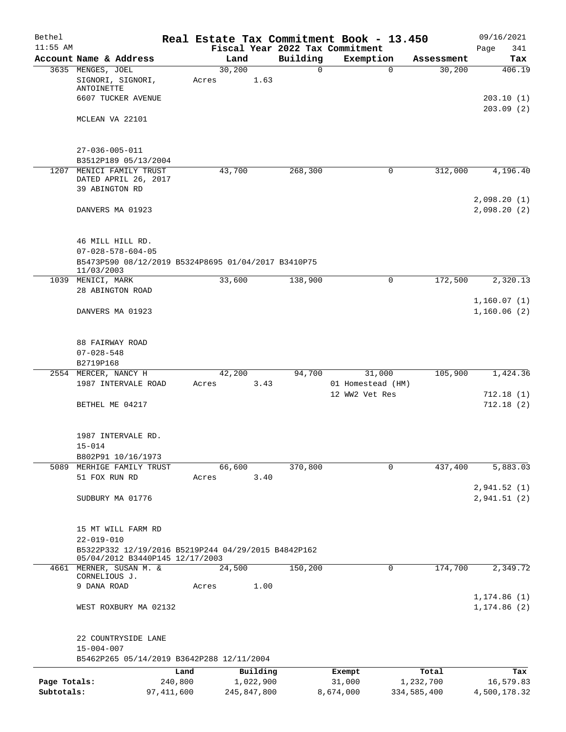| Bethel       |                                                     |              |             |           |                         | Real Estate Tax Commitment Book - 13.450 |                        | 09/16/2021   |
|--------------|-----------------------------------------------------|--------------|-------------|-----------|-------------------------|------------------------------------------|------------------------|--------------|
| $11:55$ AM   |                                                     |              | Land        |           |                         | Fiscal Year 2022 Tax Commitment          |                        | Page<br>341  |
|              | Account Name & Address                              |              | 30,200      |           | Building<br>$\mathbf 0$ | Exemption                                | Assessment             | Tax          |
|              | 3635 MENGES, JOEL<br>SIGNORI, SIGNORI,              | Acres        |             | 1.63      |                         |                                          | $\mathbf 0$<br>30,200  | 406.19       |
|              | ANTOINETTE                                          |              |             |           |                         |                                          |                        |              |
|              | 6607 TUCKER AVENUE                                  |              |             |           |                         |                                          |                        | 203.10(1)    |
|              |                                                     |              |             |           |                         |                                          |                        | 203.09(2)    |
|              | MCLEAN VA 22101                                     |              |             |           |                         |                                          |                        |              |
|              |                                                     |              |             |           |                         |                                          |                        |              |
|              | $27 - 036 - 005 - 011$                              |              |             |           |                         |                                          |                        |              |
|              | B3512P189 05/13/2004                                |              |             |           |                         |                                          |                        |              |
|              | 1207 MENICI FAMILY TRUST                            |              | 43,700      |           | 268,300                 | 0                                        | 312,000                | 4,196.40     |
|              | DATED APRIL 26, 2017                                |              |             |           |                         |                                          |                        |              |
|              | 39 ABINGTON RD                                      |              |             |           |                         |                                          |                        |              |
|              |                                                     |              |             |           |                         |                                          |                        | 2,098.20(1)  |
|              | DANVERS MA 01923                                    |              |             |           |                         |                                          |                        | 2,098.20(2)  |
|              |                                                     |              |             |           |                         |                                          |                        |              |
|              | 46 MILL HILL RD.                                    |              |             |           |                         |                                          |                        |              |
|              | $07 - 028 - 578 - 604 - 05$                         |              |             |           |                         |                                          |                        |              |
|              | B5473P590 08/12/2019 B5324P8695 01/04/2017 B3410P75 |              |             |           |                         |                                          |                        |              |
|              | 11/03/2003<br>1039 MENICI, MARK                     |              | 33,600      |           | 138,900                 |                                          | $\mathbf 0$<br>172,500 | 2,320.13     |
|              | 28 ABINGTON ROAD                                    |              |             |           |                         |                                          |                        |              |
|              |                                                     |              |             |           |                         |                                          |                        | 1,160.07(1)  |
|              | DANVERS MA 01923                                    |              |             |           |                         |                                          |                        | 1,160.06(2)  |
|              |                                                     |              |             |           |                         |                                          |                        |              |
|              | 88 FAIRWAY ROAD                                     |              |             |           |                         |                                          |                        |              |
|              | $07 - 028 - 548$                                    |              |             |           |                         |                                          |                        |              |
|              | B2719P168                                           |              |             |           |                         |                                          |                        |              |
|              | 2554 MERCER, NANCY H                                |              | 42,200      |           | 94,700                  | 31,000                                   | 105,900                | 1,424.36     |
|              | 1987 INTERVALE ROAD                                 | Acres        |             | 3.43      |                         | 01 Homestead (HM)                        |                        |              |
|              |                                                     |              |             |           |                         | 12 WW2 Vet Res                           |                        | 712.18(1)    |
|              | BETHEL ME 04217                                     |              |             |           |                         |                                          |                        | 712.18(2)    |
|              |                                                     |              |             |           |                         |                                          |                        |              |
|              | 1987 INTERVALE RD.                                  |              |             |           |                         |                                          |                        |              |
|              | $15 - 014$                                          |              |             |           |                         |                                          |                        |              |
|              | B802P91 10/16/1973                                  |              |             |           |                         |                                          |                        |              |
| 5089         | MERHIGE FAMILY TRUST                                |              | 66,600      |           | 370,800                 |                                          | 437,400<br>0           | 5,883.03     |
|              | 51 FOX RUN RD                                       | Acres        |             | 3.40      |                         |                                          |                        |              |
|              |                                                     |              |             |           |                         |                                          |                        | 2,941.52(1)  |
|              | SUDBURY MA 01776                                    |              |             |           |                         |                                          |                        | 2,941.51(2)  |
|              |                                                     |              |             |           |                         |                                          |                        |              |
|              | 15 MT WILL FARM RD                                  |              |             |           |                         |                                          |                        |              |
|              | $22 - 019 - 010$                                    |              |             |           |                         |                                          |                        |              |
|              | B5322P332 12/19/2016 B5219P244 04/29/2015 B4842P162 |              |             |           |                         |                                          |                        |              |
|              | 05/04/2012 B3440P145 12/17/2003                     |              |             |           |                         |                                          |                        |              |
|              | 4661 MERNER, SUSAN M. &                             |              | 24,500      |           | 150,200                 |                                          | 174,700<br>0           | 2,349.72     |
|              | CORNELIOUS J.<br>9 DANA ROAD                        | Acres        |             | 1.00      |                         |                                          |                        |              |
|              |                                                     |              |             |           |                         |                                          |                        | 1, 174.86(1) |
|              | WEST ROXBURY MA 02132                               |              |             |           |                         |                                          |                        | 1, 174.86(2) |
|              |                                                     |              |             |           |                         |                                          |                        |              |
|              | 22 COUNTRYSIDE LANE                                 |              |             |           |                         |                                          |                        |              |
|              | $15 - 004 - 007$                                    |              |             |           |                         |                                          |                        |              |
|              | B5462P265 05/14/2019 B3642P288 12/11/2004           |              |             |           |                         |                                          |                        |              |
|              |                                                     | Land         |             | Building  |                         | Exempt                                   | Total                  | Tax          |
| Page Totals: |                                                     | 240,800      |             | 1,022,900 |                         | 31,000                                   | 1,232,700              | 16,579.83    |
| Subtotals:   |                                                     | 97, 411, 600 | 245,847,800 |           |                         | 8,674,000                                | 334,585,400            | 4,500,178.32 |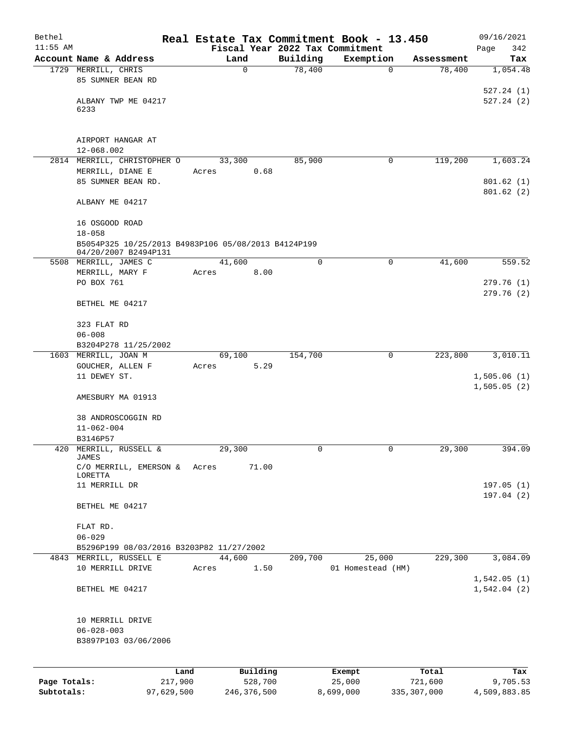| Bethel       |                                                     |       |             |          | Real Estate Tax Commitment Book - 13.450 |            | 09/16/2021             |
|--------------|-----------------------------------------------------|-------|-------------|----------|------------------------------------------|------------|------------------------|
| $11:55$ AM   |                                                     |       |             |          | Fiscal Year 2022 Tax Commitment          |            | 342<br>Page            |
|              | Account Name & Address                              |       | Land        | Building | Exemption                                | Assessment | Tax                    |
|              | 1729 MERRILL, CHRIS                                 |       | $\mathbf 0$ | 78,400   | $\mathbf 0$                              | 78,400     | 1,054.48               |
|              | 85 SUMNER BEAN RD                                   |       |             |          |                                          |            |                        |
|              | ALBANY TWP ME 04217                                 |       |             |          |                                          |            | 527.24(1)<br>527.24(2) |
|              | 6233                                                |       |             |          |                                          |            |                        |
|              |                                                     |       |             |          |                                          |            |                        |
|              |                                                     |       |             |          |                                          |            |                        |
|              | AIRPORT HANGAR AT                                   |       |             |          |                                          |            |                        |
|              | 12-068.002                                          |       |             |          |                                          |            |                        |
|              | 2814 MERRILL, CHRISTOPHER O                         |       | 33,300      | 85,900   | 0                                        | 119,200    | 1,603.24               |
|              | MERRILL, DIANE E                                    | Acres | 0.68        |          |                                          |            |                        |
|              | 85 SUMNER BEAN RD.                                  |       |             |          |                                          |            | 801.62(1)<br>801.62(2) |
|              | ALBANY ME 04217                                     |       |             |          |                                          |            |                        |
|              |                                                     |       |             |          |                                          |            |                        |
|              | 16 OSGOOD ROAD                                      |       |             |          |                                          |            |                        |
|              | $18 - 058$                                          |       |             |          |                                          |            |                        |
|              | B5054P325 10/25/2013 B4983P106 05/08/2013 B4124P199 |       |             |          |                                          |            |                        |
|              | 04/20/2007 B2494P131                                |       |             |          |                                          |            |                        |
|              | 5508 MERRILL, JAMES C                               |       | 41,600      | 0        | 0                                        | 41,600     | 559.52                 |
|              | MERRILL, MARY F                                     | Acres | 8.00        |          |                                          |            |                        |
|              | PO BOX 761                                          |       |             |          |                                          |            | 279.76(1)              |
|              |                                                     |       |             |          |                                          |            | 279.76(2)              |
|              | BETHEL ME 04217                                     |       |             |          |                                          |            |                        |
|              | 323 FLAT RD                                         |       |             |          |                                          |            |                        |
|              | $06 - 008$                                          |       |             |          |                                          |            |                        |
|              | B3204P278 11/25/2002                                |       |             |          |                                          |            |                        |
|              | 1603 MERRILL, JOAN M                                |       | 69,100      | 154,700  | 0                                        | 223,800    | 3,010.11               |
|              | GOUCHER, ALLEN F                                    | Acres | 5.29        |          |                                          |            |                        |
|              | 11 DEWEY ST.                                        |       |             |          |                                          |            | 1,505.06(1)            |
|              |                                                     |       |             |          |                                          |            | 1,505.05(2)            |
|              | AMESBURY MA 01913                                   |       |             |          |                                          |            |                        |
|              |                                                     |       |             |          |                                          |            |                        |
|              | 38 ANDROSCOGGIN RD<br>$11 - 062 - 004$              |       |             |          |                                          |            |                        |
|              | B3146P57                                            |       |             |          |                                          |            |                        |
|              | 420 MERRILL, RUSSELL &                              |       | 29,300      | 0        |                                          | 29,300     | 394.09                 |
|              | <b>JAMES</b>                                        |       |             |          |                                          |            |                        |
|              | C/O MERRILL, EMERSON &                              | Acres | 71.00       |          |                                          |            |                        |
|              | LORETTA                                             |       |             |          |                                          |            |                        |
|              | 11 MERRILL DR                                       |       |             |          |                                          |            | 197.05(1)<br>197.04(2) |
|              | BETHEL ME 04217                                     |       |             |          |                                          |            |                        |
|              |                                                     |       |             |          |                                          |            |                        |
|              | FLAT RD.                                            |       |             |          |                                          |            |                        |
|              | $06 - 029$                                          |       |             |          |                                          |            |                        |
|              | B5296P199 08/03/2016 B3203P82 11/27/2002            |       |             |          |                                          |            |                        |
|              | 4843 MERRILL, RUSSELL E                             |       | 44,600      | 209,700  | 25,000                                   | 229,300    | 3,084.09               |
|              | 10 MERRILL DRIVE                                    | Acres | 1.50        |          | 01 Homestead (HM)                        |            |                        |
|              |                                                     |       |             |          |                                          |            | 1,542.05(1)            |
|              | BETHEL ME 04217                                     |       |             |          |                                          |            | 1,542.04(2)            |
|              |                                                     |       |             |          |                                          |            |                        |
|              | 10 MERRILL DRIVE                                    |       |             |          |                                          |            |                        |
|              | $06 - 028 - 003$<br>B3897P103 03/06/2006            |       |             |          |                                          |            |                        |
|              |                                                     |       |             |          |                                          |            |                        |
|              |                                                     |       |             |          |                                          |            |                        |
|              | Land                                                |       | Building    |          | Exempt                                   | Total      | Tax                    |
| Page Totals: | 217,900                                             |       | 528,700     |          | 25,000                                   | 721,600    | 9,705.53               |

**Subtotals:** 97,629,500 246,376,500 8,699,000 335,307,000 4,509,883.85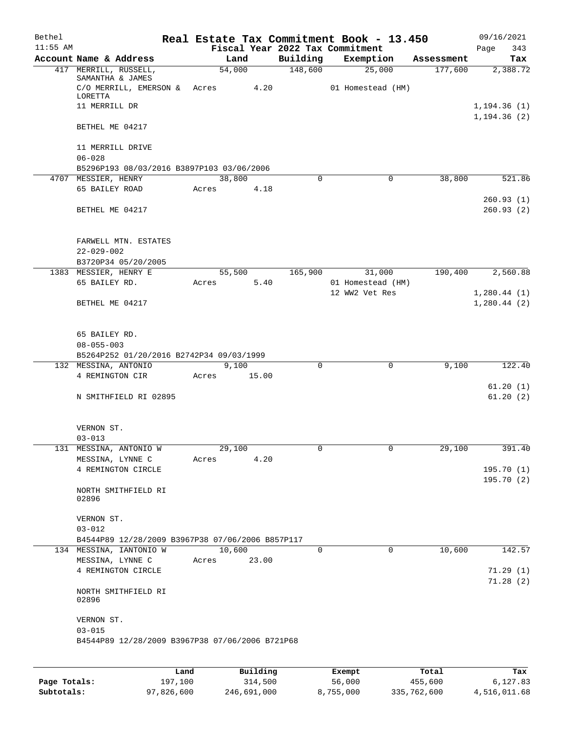| Bethel     |                                                  |                |       |          | Real Estate Tax Commitment Book - 13.450 |            | 09/16/2021                   |
|------------|--------------------------------------------------|----------------|-------|----------|------------------------------------------|------------|------------------------------|
| $11:55$ AM | Account Name & Address                           | Land           |       | Building | Fiscal Year 2022 Tax Commitment          | Assessment | 343<br>Page                  |
|            | 417 MERRILL, RUSSELL,                            | 54,000         |       | 148,600  | Exemption<br>25,000                      | 177,600    | Tax<br>2,388.72              |
|            | SAMANTHA & JAMES                                 |                |       |          |                                          |            |                              |
|            | $C/O$ MERRILL, EMERSON & Acres 4.20              |                |       |          | 01 Homestead (HM)                        |            |                              |
|            | LORETTA                                          |                |       |          |                                          |            |                              |
|            | 11 MERRILL DR                                    |                |       |          |                                          |            | 1, 194.36(1)<br>1, 194.36(2) |
|            | BETHEL ME 04217                                  |                |       |          |                                          |            |                              |
|            | 11 MERRILL DRIVE<br>$06 - 028$                   |                |       |          |                                          |            |                              |
|            | B5296P193 08/03/2016 B3897P103 03/06/2006        |                |       |          |                                          |            |                              |
|            | 4707 MESSIER, HENRY                              | 38,800         |       | 0        | $\mathbf 0$                              | 38,800     | 521.86                       |
|            | 65 BAILEY ROAD                                   | Acres          | 4.18  |          |                                          |            |                              |
|            |                                                  |                |       |          |                                          |            | 260.93(1)                    |
|            | BETHEL ME 04217                                  |                |       |          |                                          |            | 260.93(2)                    |
|            | FARWELL MTN. ESTATES                             |                |       |          |                                          |            |                              |
|            | $22 - 029 - 002$                                 |                |       |          |                                          |            |                              |
|            | B3720P34 05/20/2005                              |                |       |          |                                          |            |                              |
|            | 1383 MESSIER, HENRY E                            | 55,500         |       | 165,900  | 31,000                                   | 190,400    | 2,560.88                     |
|            | 65 BAILEY RD.                                    | Acres          | 5.40  |          | 01 Homestead (HM)                        |            |                              |
|            |                                                  |                |       |          | 12 WW2 Vet Res                           |            | 1,280.44(1)                  |
|            | BETHEL ME 04217                                  |                |       |          |                                          |            | 1,280.44(2)                  |
|            | 65 BAILEY RD.                                    |                |       |          |                                          |            |                              |
|            | $08 - 055 - 003$                                 |                |       |          |                                          |            |                              |
|            | B5264P252 01/20/2016 B2742P34 09/03/1999         |                |       |          |                                          |            |                              |
|            | 132 MESSINA, ANTONIO                             | 9,100          |       | $\Omega$ | $\mathbf 0$                              | 9,100      | 122.40                       |
|            | 4 REMINGTON CIR                                  | Acres<br>15.00 |       |          |                                          |            |                              |
|            |                                                  |                |       |          |                                          |            | 61.20(1)<br>61.20(2)         |
|            | N SMITHFIELD RI 02895                            |                |       |          |                                          |            |                              |
|            | VERNON ST.                                       |                |       |          |                                          |            |                              |
|            | $03 - 013$                                       |                |       |          |                                          |            |                              |
|            | 131 MESSINA, ANTONIO W                           | 29,100         |       |          |                                          | 29,100     | 391.40                       |
|            | MESSINA, LYNNE C                                 | Acres          | 4.20  |          |                                          |            |                              |
|            | 4 REMINGTON CIRCLE                               |                |       |          |                                          |            | 195.70(1)                    |
|            |                                                  |                |       |          |                                          |            | 195.70(2)                    |
|            | NORTH SMITHFIELD RI<br>02896                     |                |       |          |                                          |            |                              |
|            |                                                  |                |       |          |                                          |            |                              |
|            | VERNON ST.                                       |                |       |          |                                          |            |                              |
|            | $03 - 012$                                       |                |       |          |                                          |            |                              |
|            | B4544P89 12/28/2009 B3967P38 07/06/2006 B857P117 |                |       |          |                                          |            |                              |
|            | 134 MESSINA, IANTONIO W                          | 10,600         |       | 0        | 0                                        | 10,600     | 142.57                       |
|            | MESSINA, LYNNE C                                 | Acres          | 23.00 |          |                                          |            |                              |
|            | 4 REMINGTON CIRCLE                               |                |       |          |                                          |            | 71.29(1)                     |
|            | NORTH SMITHFIELD RI<br>02896                     |                |       |          |                                          |            | 71.28(2)                     |
|            | VERNON ST.<br>$03 - 015$                         |                |       |          |                                          |            |                              |
|            | B4544P89 12/28/2009 B3967P38 07/06/2006 B721P68  |                |       |          |                                          |            |                              |
|            |                                                  |                |       |          |                                          |            |                              |

|              | Land       | Building    | Exempt    | Total       | Tax          |
|--------------|------------|-------------|-----------|-------------|--------------|
| Page Totals: | 197.100    | 314,500     | 56,000    | 455,600     | 6,127.83     |
| Subtotals:   | 97,826,600 | 246,691,000 | 8,755,000 | 335,762,600 | 4,516,011.68 |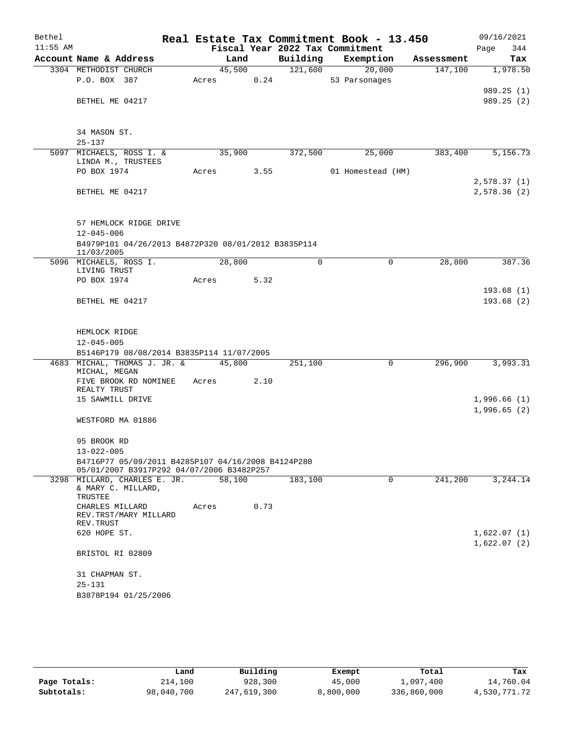| Bethel     |                                                     |       |        |      |          | Real Estate Tax Commitment Book - 13.450 |        |            |             | 09/16/2021 |
|------------|-----------------------------------------------------|-------|--------|------|----------|------------------------------------------|--------|------------|-------------|------------|
| $11:55$ AM |                                                     |       |        |      |          | Fiscal Year 2022 Tax Commitment          |        |            | Page        | 344        |
|            | Account Name & Address                              |       | Land   |      | Building | Exemption                                |        | Assessment |             | Tax        |
|            | 3304 METHODIST CHURCH                               |       | 45,500 |      | 121,600  |                                          | 20,000 | 147,100    |             | 1,978.50   |
|            | P.O. BOX 387                                        | Acres |        | 0.24 |          | 53 Parsonages                            |        |            |             |            |
|            |                                                     |       |        |      |          |                                          |        |            |             | 989.25(1)  |
|            | BETHEL ME 04217                                     |       |        |      |          |                                          |        |            |             | 989.25(2)  |
|            |                                                     |       |        |      |          |                                          |        |            |             |            |
|            | 34 MASON ST.                                        |       |        |      |          |                                          |        |            |             |            |
|            | $25 - 137$                                          |       |        |      |          |                                          |        |            |             |            |
|            | 5097 MICHAELS, ROSS I. &<br>LINDA M., TRUSTEES      |       | 35,900 |      | 372,500  |                                          | 25,000 | 383,400    |             | 5,156.73   |
|            | PO BOX 1974                                         | Acres |        | 3.55 |          | 01 Homestead (HM)                        |        |            |             |            |
|            |                                                     |       |        |      |          |                                          |        |            | 2,578.37(1) |            |
|            | BETHEL ME 04217                                     |       |        |      |          |                                          |        |            | 2,578.36(2) |            |
|            | 57 HEMLOCK RIDGE DRIVE                              |       |        |      |          |                                          |        |            |             |            |
|            | $12 - 045 - 006$                                    |       |        |      |          |                                          |        |            |             |            |
|            | B4979P101 04/26/2013 B4872P320 08/01/2012 B3835P114 |       |        |      |          |                                          |        |            |             |            |
|            | 11/03/2005                                          |       |        |      |          |                                          |        |            |             |            |
|            | 5096 MICHAELS, ROSS I.                              |       | 28,800 |      | $\Omega$ |                                          | 0      | 28,800     |             | 387.36     |
|            | LIVING TRUST<br>PO BOX 1974                         | Acres |        | 5.32 |          |                                          |        |            |             |            |
|            |                                                     |       |        |      |          |                                          |        |            |             | 193.68(1)  |
|            | BETHEL ME 04217                                     |       |        |      |          |                                          |        |            |             | 193.68(2)  |
|            |                                                     |       |        |      |          |                                          |        |            |             |            |
|            | HEMLOCK RIDGE                                       |       |        |      |          |                                          |        |            |             |            |
|            | $12 - 045 - 005$                                    |       |        |      |          |                                          |        |            |             |            |
|            | B5146P179 08/08/2014 B3835P114 11/07/2005           |       |        |      |          |                                          |        |            |             |            |
|            | 4683 MICHAL, THOMAS J. JR. &                        |       | 45,800 |      | 251,100  |                                          | 0      | 296,900    |             | 3,993.31   |
|            | MICHAL, MEGAN                                       |       |        |      |          |                                          |        |            |             |            |
|            | FIVE BROOK RD NOMINEE<br>REALTY TRUST               | Acres |        | 2.10 |          |                                          |        |            |             |            |
|            | 15 SAWMILL DRIVE                                    |       |        |      |          |                                          |        |            | 1,996.66(1) |            |
|            |                                                     |       |        |      |          |                                          |        |            | 1,996.65(2) |            |
|            | WESTFORD MA 01886                                   |       |        |      |          |                                          |        |            |             |            |
|            | 95 BROOK RD                                         |       |        |      |          |                                          |        |            |             |            |
|            | $13 - 022 - 005$                                    |       |        |      |          |                                          |        |            |             |            |
|            | B4716P77 05/09/2011 B4285P107 04/16/2008 B4124P280  |       |        |      |          |                                          |        |            |             |            |
|            | 05/01/2007 B3917P292 04/07/2006 B3482P257           |       |        |      |          |                                          |        |            |             |            |
|            | 3298 MILLARD, CHARLES E. JR.                        |       | 58,100 |      | 183,100  |                                          | 0      | 241,200    |             | 3,244.14   |
|            | & MARY C. MILLARD,<br>TRUSTEE                       |       |        |      |          |                                          |        |            |             |            |
|            | CHARLES MILLARD<br>REV.TRST/MARY MILLARD            | Acres |        | 0.73 |          |                                          |        |            |             |            |
|            | REV. TRUST                                          |       |        |      |          |                                          |        |            |             |            |
|            | 620 HOPE ST.                                        |       |        |      |          |                                          |        |            | 1,622.07(1) |            |
|            | BRISTOL RI 02809                                    |       |        |      |          |                                          |        |            | 1,622.07(2) |            |
|            | 31 CHAPMAN ST.                                      |       |        |      |          |                                          |        |            |             |            |
|            | $25 - 131$                                          |       |        |      |          |                                          |        |            |             |            |
|            | B3878P194 01/25/2006                                |       |        |      |          |                                          |        |            |             |            |
|            |                                                     |       |        |      |          |                                          |        |            |             |            |

|              | Land       | Building    | Exempt    | Total       | Tax          |
|--------------|------------|-------------|-----------|-------------|--------------|
| Page Totals: | 214,100    | 928,300     | 45,000    | 1,097,400   | 14,760.04    |
| Subtotals:   | 98,040,700 | 247,619,300 | 8,800,000 | 336,860,000 | 4,530,771.72 |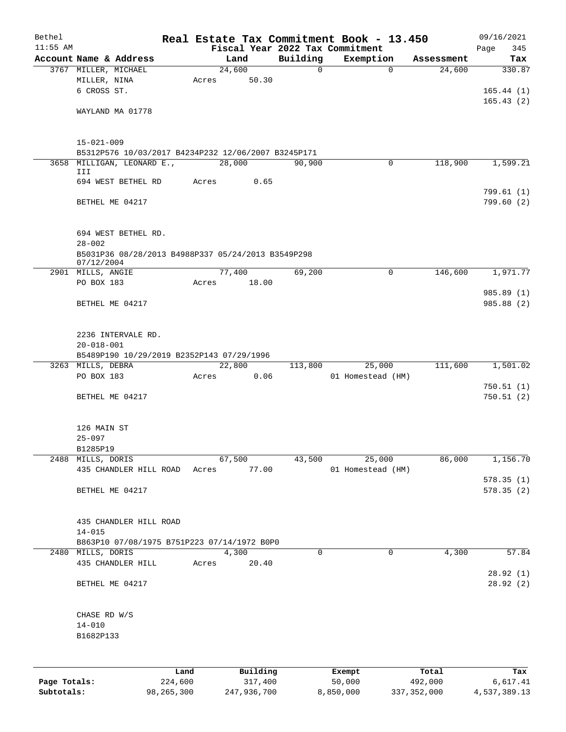| Bethel       |                                                                  |         |       |             |          | Real Estate Tax Commitment Book - 13.450     |            | 09/16/2021             |
|--------------|------------------------------------------------------------------|---------|-------|-------------|----------|----------------------------------------------|------------|------------------------|
| $11:55$ AM   | Account Name & Address                                           |         |       | Land        | Building | Fiscal Year 2022 Tax Commitment<br>Exemption | Assessment | Page<br>345<br>Tax     |
|              | 3767 MILLER, MICHAEL                                             |         |       | 24,600      | $\Omega$ | $\Omega$                                     | 24,600     | 330.87                 |
|              | MILLER, NINA                                                     |         | Acres | 50.30       |          |                                              |            |                        |
|              | 6 CROSS ST.                                                      |         |       |             |          |                                              |            | 165.44(1)              |
|              |                                                                  |         |       |             |          |                                              |            | 165.43(2)              |
|              | WAYLAND MA 01778                                                 |         |       |             |          |                                              |            |                        |
|              |                                                                  |         |       |             |          |                                              |            |                        |
|              | $15 - 021 - 009$                                                 |         |       |             |          |                                              |            |                        |
|              | B5312P576 10/03/2017 B4234P232 12/06/2007 B3245P171              |         |       |             |          |                                              |            |                        |
|              | 3658 MILLIGAN, LEONARD E.,                                       |         |       | 28,000      | 90,900   | 0                                            | 118,900    | 1,599.21               |
|              | III                                                              |         |       |             |          |                                              |            |                        |
|              | 694 WEST BETHEL RD                                               |         | Acres | 0.65        |          |                                              |            |                        |
|              | BETHEL ME 04217                                                  |         |       |             |          |                                              |            | 799.61(1)<br>799.60(2) |
|              |                                                                  |         |       |             |          |                                              |            |                        |
|              |                                                                  |         |       |             |          |                                              |            |                        |
|              | 694 WEST BETHEL RD.                                              |         |       |             |          |                                              |            |                        |
|              | $28 - 002$                                                       |         |       |             |          |                                              |            |                        |
|              | B5031P36 08/28/2013 B4988P337 05/24/2013 B3549P298<br>07/12/2004 |         |       |             |          |                                              |            |                        |
|              | 2901 MILLS, ANGIE                                                |         |       | 77,400      | 69,200   | $\Omega$                                     | 146,600    | 1,971.77               |
|              | PO BOX 183                                                       |         |       | Acres 18.00 |          |                                              |            |                        |
|              |                                                                  |         |       |             |          |                                              |            | 985.89 (1)             |
|              | BETHEL ME 04217                                                  |         |       |             |          |                                              |            | 985.88 (2)             |
|              |                                                                  |         |       |             |          |                                              |            |                        |
|              | 2236 INTERVALE RD.                                               |         |       |             |          |                                              |            |                        |
|              | $20 - 018 - 001$                                                 |         |       |             |          |                                              |            |                        |
|              | B5489P190 10/29/2019 B2352P143 07/29/1996                        |         |       |             |          |                                              |            |                        |
|              | 3263 MILLS, DEBRA                                                |         |       | 22,800      | 113,800  | 25,000                                       | 111,600    | 1,501.02               |
|              | PO BOX 183                                                       |         | Acres | 0.06        |          | 01 Homestead (HM)                            |            |                        |
|              |                                                                  |         |       |             |          |                                              |            | 750.51(1)              |
|              | BETHEL ME 04217                                                  |         |       |             |          |                                              |            | 750.51(2)              |
|              |                                                                  |         |       |             |          |                                              |            |                        |
|              | 126 MAIN ST                                                      |         |       |             |          |                                              |            |                        |
|              | $25 - 097$                                                       |         |       |             |          |                                              |            |                        |
|              | B1285P19                                                         |         |       |             |          |                                              |            |                        |
|              | 2488 MILLS, DORIS                                                |         |       | 67,500      | 43,500   | 25,000                                       | 86,000     | 1,156.70               |
|              | 435 CHANDLER HILL ROAD                                           |         | Acres | 77.00       |          | 01 Homestead (HM)                            |            | 578.35(1)              |
|              | BETHEL ME 04217                                                  |         |       |             |          |                                              |            | 578.35(2)              |
|              |                                                                  |         |       |             |          |                                              |            |                        |
|              |                                                                  |         |       |             |          |                                              |            |                        |
|              | 435 CHANDLER HILL ROAD                                           |         |       |             |          |                                              |            |                        |
|              | $14 - 015$                                                       |         |       |             |          |                                              |            |                        |
|              | B863P10 07/08/1975 B751P223 07/14/1972 B0P0<br>2480 MILLS, DORIS |         |       | 4,300       | 0        | $\Omega$                                     | 4,300      | 57.84                  |
|              | 435 CHANDLER HILL                                                |         | Acres | 20.40       |          |                                              |            |                        |
|              |                                                                  |         |       |             |          |                                              |            | 28.92(1)               |
|              | BETHEL ME 04217                                                  |         |       |             |          |                                              |            | 28.92 (2)              |
|              |                                                                  |         |       |             |          |                                              |            |                        |
|              |                                                                  |         |       |             |          |                                              |            |                        |
|              | CHASE RD W/S<br>$14 - 010$                                       |         |       |             |          |                                              |            |                        |
|              | B1682P133                                                        |         |       |             |          |                                              |            |                        |
|              |                                                                  |         |       |             |          |                                              |            |                        |
|              |                                                                  |         |       |             |          |                                              |            |                        |
|              |                                                                  | Land    |       | Building    |          | Exempt                                       | Total      | Tax                    |
| Page Totals: |                                                                  | 224,600 |       | 317,400     |          | 50,000                                       | 492,000    | 6,617.41               |

**Subtotals:** 98,265,300 247,936,700 8,850,000 337,352,000 4,537,389.13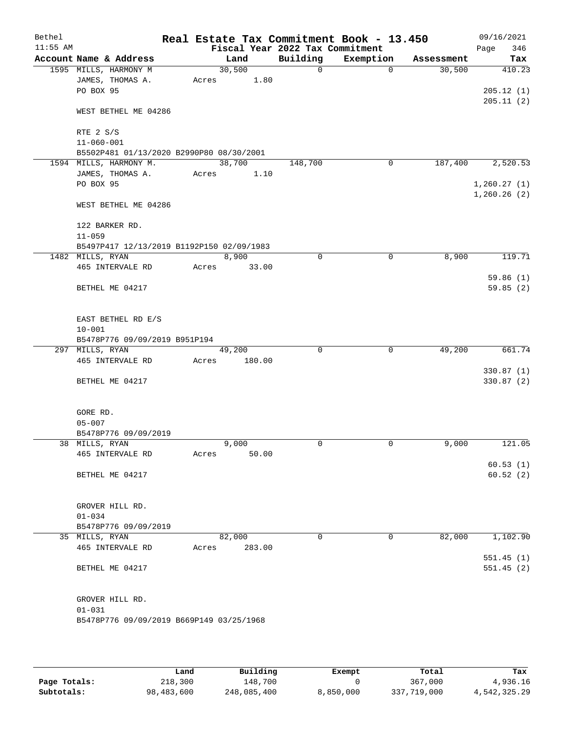| Bethel<br>$11:55$ AM |                                           |       |        |        | Real Estate Tax Commitment Book - 13.450<br>Fiscal Year 2022 Tax Commitment |             |            | 09/16/2021<br>346<br>Page   |
|----------------------|-------------------------------------------|-------|--------|--------|-----------------------------------------------------------------------------|-------------|------------|-----------------------------|
|                      | Account Name & Address                    |       | Land   |        | Building                                                                    | Exemption   | Assessment | Tax                         |
|                      | 1595 MILLS, HARMONY M                     |       | 30,500 |        | $\mathsf{O}$                                                                | 0           | 30,500     | 410.23                      |
|                      | JAMES, THOMAS A.                          | Acres |        | 1.80   |                                                                             |             |            |                             |
|                      | PO BOX 95                                 |       |        |        |                                                                             |             |            | 205.12(1)                   |
|                      |                                           |       |        |        |                                                                             |             |            | 205.11(2)                   |
|                      | WEST BETHEL ME 04286                      |       |        |        |                                                                             |             |            |                             |
|                      |                                           |       |        |        |                                                                             |             |            |                             |
|                      | RTE 2 S/S                                 |       |        |        |                                                                             |             |            |                             |
|                      | $11 - 060 - 001$                          |       |        |        |                                                                             |             |            |                             |
|                      | B5502P481 01/13/2020 B2990P80 08/30/2001  |       |        |        |                                                                             |             |            |                             |
|                      | 1594 MILLS, HARMONY M.                    |       | 38,700 |        | 148,700                                                                     | 0           | 187,400    | 2,520.53                    |
|                      | JAMES, THOMAS A.<br>PO BOX 95             | Acres |        | 1.10   |                                                                             |             |            |                             |
|                      |                                           |       |        |        |                                                                             |             |            | 1, 260.27(1)<br>1,260.26(2) |
|                      | WEST BETHEL ME 04286                      |       |        |        |                                                                             |             |            |                             |
|                      |                                           |       |        |        |                                                                             |             |            |                             |
|                      | 122 BARKER RD.                            |       |        |        |                                                                             |             |            |                             |
|                      | $11 - 059$                                |       |        |        |                                                                             |             |            |                             |
|                      | B5497P417 12/13/2019 B1192P150 02/09/1983 |       |        |        |                                                                             |             |            |                             |
|                      | 1482 MILLS, RYAN                          |       | 8,900  |        | 0                                                                           | $\mathbf 0$ | 8,900      | 119.71                      |
|                      | 465 INTERVALE RD                          | Acres |        | 33.00  |                                                                             |             |            |                             |
|                      |                                           |       |        |        |                                                                             |             |            | 59.86(1)                    |
|                      | BETHEL ME 04217                           |       |        |        |                                                                             |             |            | 59.85(2)                    |
|                      |                                           |       |        |        |                                                                             |             |            |                             |
|                      |                                           |       |        |        |                                                                             |             |            |                             |
|                      | EAST BETHEL RD E/S                        |       |        |        |                                                                             |             |            |                             |
|                      | $10 - 001$                                |       |        |        |                                                                             |             |            |                             |
|                      | B5478P776 09/09/2019 B951P194             |       |        |        |                                                                             |             |            |                             |
|                      | 297 MILLS, RYAN                           |       | 49,200 |        | $\Omega$                                                                    | 0           | 49,200     | 661.74                      |
|                      | 465 INTERVALE RD                          | Acres |        | 180.00 |                                                                             |             |            | 330.87(1)                   |
|                      | BETHEL ME 04217                           |       |        |        |                                                                             |             |            | 330.87 (2)                  |
|                      |                                           |       |        |        |                                                                             |             |            |                             |
|                      |                                           |       |        |        |                                                                             |             |            |                             |
|                      | GORE RD.                                  |       |        |        |                                                                             |             |            |                             |
|                      | $05 - 007$                                |       |        |        |                                                                             |             |            |                             |
|                      | B5478P776 09/09/2019                      |       |        |        |                                                                             |             |            |                             |
|                      | 38 MILLS, RYAN                            |       | 9,000  |        | 0                                                                           | 0           | 9,000      | 121.05                      |
|                      | 465 INTERVALE RD                          | Acres |        | 50.00  |                                                                             |             |            |                             |
|                      |                                           |       |        |        |                                                                             |             |            | 60.53(1)                    |
|                      | BETHEL ME 04217                           |       |        |        |                                                                             |             |            | 60.52(2)                    |
|                      |                                           |       |        |        |                                                                             |             |            |                             |
|                      |                                           |       |        |        |                                                                             |             |            |                             |
|                      | GROVER HILL RD.<br>$01 - 034$             |       |        |        |                                                                             |             |            |                             |
|                      | B5478P776 09/09/2019                      |       |        |        |                                                                             |             |            |                             |
|                      | 35 MILLS, RYAN                            |       | 82,000 |        | 0                                                                           | 0           | 82,000     | 1,102.90                    |
|                      | 465 INTERVALE RD                          | Acres |        | 283.00 |                                                                             |             |            |                             |
|                      |                                           |       |        |        |                                                                             |             |            | 551.45(1)                   |
|                      | BETHEL ME 04217                           |       |        |        |                                                                             |             |            | 551.45(2)                   |
|                      |                                           |       |        |        |                                                                             |             |            |                             |
|                      |                                           |       |        |        |                                                                             |             |            |                             |
|                      | GROVER HILL RD.                           |       |        |        |                                                                             |             |            |                             |
|                      | $01 - 031$                                |       |        |        |                                                                             |             |            |                             |
|                      | B5478P776 09/09/2019 B669P149 03/25/1968  |       |        |        |                                                                             |             |            |                             |
|                      |                                           |       |        |        |                                                                             |             |            |                             |

|              | Land       | Building    | Exempt    | Total       | Tax          |
|--------------|------------|-------------|-----------|-------------|--------------|
| Page Totals: | 218,300    | 148,700     |           | 367,000     | 4,936.16     |
| Subtotals:   | 98,483,600 | 248,085,400 | 8,850,000 | 337,719,000 | 4,542,325.29 |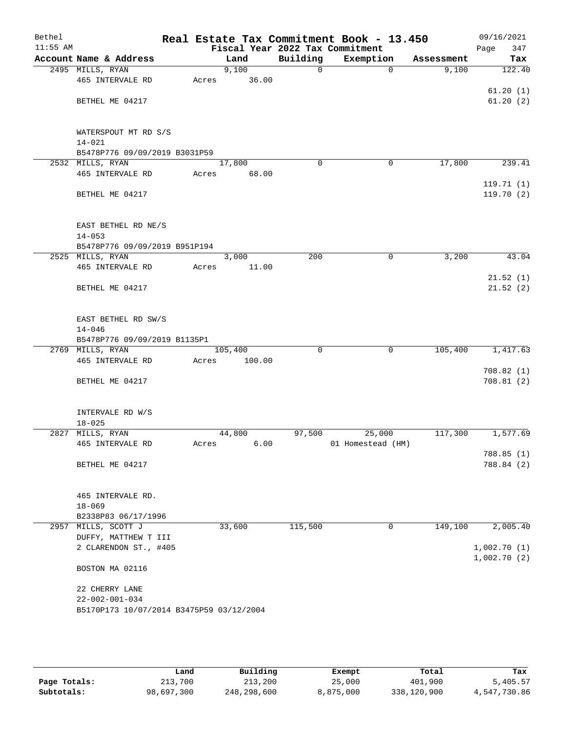| Bethel<br>$11:55$ AM |                                                                    |       |         |              | Real Estate Tax Commitment Book - 13.450<br>Fiscal Year 2022 Tax Commitment |            | 09/16/2021<br>Page<br>347 |
|----------------------|--------------------------------------------------------------------|-------|---------|--------------|-----------------------------------------------------------------------------|------------|---------------------------|
|                      | Account Name & Address                                             |       | Land    | Building     | Exemption                                                                   | Assessment | Tax                       |
|                      | 2495 MILLS, RYAN                                                   |       | 9,100   | $\mathsf{O}$ | $\mathbf 0$                                                                 | 9,100      | 122.40                    |
|                      | 465 INTERVALE RD                                                   | Acres | 36.00   |              |                                                                             |            |                           |
|                      |                                                                    |       |         |              |                                                                             |            | 61.20(1)                  |
|                      | BETHEL ME 04217                                                    |       |         |              |                                                                             |            | 61.20(2)                  |
|                      |                                                                    |       |         |              |                                                                             |            |                           |
|                      |                                                                    |       |         |              |                                                                             |            |                           |
|                      | WATERSPOUT MT RD S/S<br>$14 - 021$                                 |       |         |              |                                                                             |            |                           |
|                      | B5478P776 09/09/2019 B3031P59                                      |       |         |              |                                                                             |            |                           |
|                      | 2532 MILLS, RYAN                                                   |       | 17,800  | $\Omega$     | 0                                                                           | 17,800     | 239.41                    |
|                      | 465 INTERVALE RD                                                   | Acres | 68.00   |              |                                                                             |            |                           |
|                      |                                                                    |       |         |              |                                                                             |            | 119.71(1)                 |
|                      | BETHEL ME 04217                                                    |       |         |              |                                                                             |            | 119.70 (2)                |
|                      |                                                                    |       |         |              |                                                                             |            |                           |
|                      |                                                                    |       |         |              |                                                                             |            |                           |
|                      | EAST BETHEL RD NE/S                                                |       |         |              |                                                                             |            |                           |
|                      | $14 - 053$<br>B5478P776 09/09/2019 B951P194                        |       |         |              |                                                                             |            |                           |
|                      | 2525 MILLS, RYAN                                                   |       | 3,000   | 200          | $\mathbf 0$                                                                 | 3,200      | 43.04                     |
|                      | 465 INTERVALE RD                                                   | Acres | 11.00   |              |                                                                             |            |                           |
|                      |                                                                    |       |         |              |                                                                             |            | 21.52(1)                  |
|                      | BETHEL ME 04217                                                    |       |         |              |                                                                             |            | 21.52(2)                  |
|                      |                                                                    |       |         |              |                                                                             |            |                           |
|                      |                                                                    |       |         |              |                                                                             |            |                           |
|                      | EAST BETHEL RD SW/S                                                |       |         |              |                                                                             |            |                           |
|                      | $14 - 046$<br>B5478P776 09/09/2019 B1135P1                         |       |         |              |                                                                             |            |                           |
|                      | 2769 MILLS, RYAN                                                   |       | 105,400 | $\Omega$     | $\mathbf 0$                                                                 | 105,400    | 1,417.63                  |
|                      | 465 INTERVALE RD                                                   | Acres | 100.00  |              |                                                                             |            |                           |
|                      |                                                                    |       |         |              |                                                                             |            | 708.82(1)                 |
|                      | BETHEL ME 04217                                                    |       |         |              |                                                                             |            | 708.81(2)                 |
|                      |                                                                    |       |         |              |                                                                             |            |                           |
|                      |                                                                    |       |         |              |                                                                             |            |                           |
|                      | INTERVALE RD W/S<br>$18 - 025$                                     |       |         |              |                                                                             |            |                           |
|                      | 2827 MILLS, RYAN                                                   |       | 44,800  | 97,500       | 25,000                                                                      | 117,300    | 1,577.69                  |
|                      | 465 INTERVALE RD                                                   | Acres | 6.00    |              | 01 Homestead (HM)                                                           |            |                           |
|                      |                                                                    |       |         |              |                                                                             |            | 788.85 (1)                |
|                      | BETHEL ME 04217                                                    |       |         |              |                                                                             |            | 788.84 (2)                |
|                      |                                                                    |       |         |              |                                                                             |            |                           |
|                      |                                                                    |       |         |              |                                                                             |            |                           |
|                      | 465 INTERVALE RD.                                                  |       |         |              |                                                                             |            |                           |
|                      | $18 - 069$<br>B2338P83 06/17/1996                                  |       |         |              |                                                                             |            |                           |
|                      | 2957 MILLS, SCOTT J                                                |       | 33,600  | 115,500      | $\mathbf 0$                                                                 | 149,100    | 2,005.40                  |
|                      | DUFFY, MATTHEW T III                                               |       |         |              |                                                                             |            |                           |
|                      | 2 CLARENDON ST., #405                                              |       |         |              |                                                                             |            | 1,002.70(1)               |
|                      |                                                                    |       |         |              |                                                                             |            | 1,002.70(2)               |
|                      | BOSTON MA 02116                                                    |       |         |              |                                                                             |            |                           |
|                      |                                                                    |       |         |              |                                                                             |            |                           |
|                      | 22 CHERRY LANE                                                     |       |         |              |                                                                             |            |                           |
|                      | $22 - 002 - 001 - 034$<br>B5170P173 10/07/2014 B3475P59 03/12/2004 |       |         |              |                                                                             |            |                           |
|                      |                                                                    |       |         |              |                                                                             |            |                           |
|                      |                                                                    |       |         |              |                                                                             |            |                           |

|              | Land       | Building    | Exempt    | Total       | Tax          |
|--------------|------------|-------------|-----------|-------------|--------------|
| Page Totals: | 213,700    | 213,200     | 25,000    | 401,900     | 5,405.57     |
| Subtotals:   | 98,697,300 | 248,298,600 | 8,875,000 | 338,120,900 | 4,547,730.86 |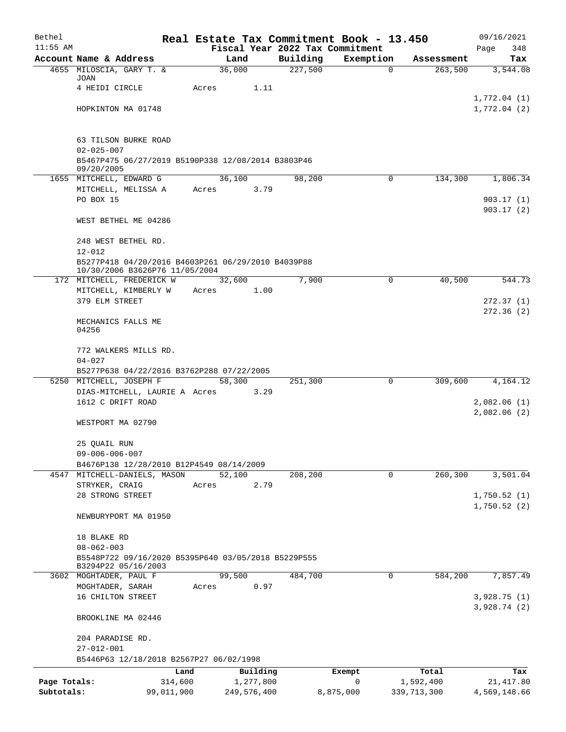| Bethel                     |                                                                            |       |                          |                                             | Real Estate Tax Commitment Book - 13.450 |                            | 09/16/2021                |
|----------------------------|----------------------------------------------------------------------------|-------|--------------------------|---------------------------------------------|------------------------------------------|----------------------------|---------------------------|
| $11:55$ AM                 | Account Name & Address                                                     |       | Land                     | Fiscal Year 2022 Tax Commitment<br>Building | Exemption                                | Assessment                 | Page<br>348               |
|                            | 4655 MILOSCIA, GARY T. &                                                   |       | 36,000                   | 227,500                                     | 0                                        | 263,500                    | Tax<br>3,544.08           |
|                            | JOAN                                                                       |       |                          |                                             |                                          |                            |                           |
|                            | 4 HEIDI CIRCLE                                                             | Acres | 1.11                     |                                             |                                          |                            | 1,772.04(1)               |
|                            | HOPKINTON MA 01748                                                         |       |                          |                                             |                                          |                            | 1,772.04(2)               |
|                            |                                                                            |       |                          |                                             |                                          |                            |                           |
|                            |                                                                            |       |                          |                                             |                                          |                            |                           |
|                            | 63 TILSON BURKE ROAD<br>$02 - 025 - 007$                                   |       |                          |                                             |                                          |                            |                           |
|                            | B5467P475 06/27/2019 B5190P338 12/08/2014 B3803P46                         |       |                          |                                             |                                          |                            |                           |
|                            | 09/20/2005                                                                 |       |                          |                                             |                                          |                            |                           |
|                            | 1655 MITCHELL, EDWARD G<br>MITCHELL, MELISSA A                             | Acres | 36,100<br>3.79           | 98,200                                      | 0                                        | 134,300                    | 1,806.34                  |
|                            | PO BOX 15                                                                  |       |                          |                                             |                                          |                            | 903.17(1)                 |
|                            |                                                                            |       |                          |                                             |                                          |                            | 903.17(2)                 |
|                            | WEST BETHEL ME 04286                                                       |       |                          |                                             |                                          |                            |                           |
|                            | 248 WEST BETHEL RD.                                                        |       |                          |                                             |                                          |                            |                           |
|                            | $12 - 012$                                                                 |       |                          |                                             |                                          |                            |                           |
|                            | B5277P418 04/20/2016 B4603P261 06/29/2010 B4039P88                         |       |                          |                                             |                                          |                            |                           |
|                            | 10/30/2006 B3626P76 11/05/2004<br>172 MITCHELL, FREDERICK W                |       | 32,600                   | 7,900                                       | 0                                        | 40,500                     | 544.73                    |
|                            | MITCHELL, KIMBERLY W                                                       | Acres | 1.00                     |                                             |                                          |                            |                           |
|                            | 379 ELM STREET                                                             |       |                          |                                             |                                          |                            | 272.37 (1)                |
|                            |                                                                            |       |                          |                                             |                                          |                            | 272.36 (2)                |
|                            | MECHANICS FALLS ME<br>04256                                                |       |                          |                                             |                                          |                            |                           |
|                            |                                                                            |       |                          |                                             |                                          |                            |                           |
|                            | 772 WALKERS MILLS RD.                                                      |       |                          |                                             |                                          |                            |                           |
|                            | $04 - 027$<br>B5277P638 04/22/2016 B3762P288 07/22/2005                    |       |                          |                                             |                                          |                            |                           |
|                            | 5250 MITCHELL, JOSEPH F                                                    |       | 58,300                   | 251,300                                     | 0                                        | 309,600                    | 4,164.12                  |
|                            | DIAS-MITCHELL, LAURIE A Acres                                              |       | 3.29                     |                                             |                                          |                            |                           |
|                            | 1612 C DRIFT ROAD                                                          |       |                          |                                             |                                          |                            | 2,082.06(1)               |
|                            | WESTPORT MA 02790                                                          |       |                          |                                             |                                          |                            | 2,082.06(2)               |
|                            |                                                                            |       |                          |                                             |                                          |                            |                           |
|                            | 25 QUAIL RUN                                                               |       |                          |                                             |                                          |                            |                           |
|                            | $09 - 006 - 006 - 007$                                                     |       |                          |                                             |                                          |                            |                           |
| 4547                       | B4676P138 12/28/2010 B12P4549 08/14/2009<br>MITCHELL-DANIELS, MASON        |       | 52,100                   | 208,200                                     | 0                                        | 260, 300                   | 3,501.04                  |
|                            | STRYKER, CRAIG                                                             | Acres | 2.79                     |                                             |                                          |                            |                           |
|                            | 28 STRONG STREET                                                           |       |                          |                                             |                                          |                            | 1,750.52(1)               |
|                            |                                                                            |       |                          |                                             |                                          |                            | 1,750.52(2)               |
|                            | NEWBURYPORT MA 01950                                                       |       |                          |                                             |                                          |                            |                           |
|                            | 18 BLAKE RD                                                                |       |                          |                                             |                                          |                            |                           |
|                            | $08 - 062 - 003$                                                           |       |                          |                                             |                                          |                            |                           |
|                            | B5548P722 09/16/2020 B5395P640 03/05/2018 B5229P555<br>B3294P22 05/16/2003 |       |                          |                                             |                                          |                            |                           |
|                            | 3602 MOGHTADER, PAUL F                                                     |       | 99,500                   | 484,700                                     | 0                                        | 584,200                    | 7,857.49                  |
|                            | MOGHTADER, SARAH                                                           | Acres | 0.97                     |                                             |                                          |                            |                           |
|                            | 16 CHILTON STREET                                                          |       |                          |                                             |                                          |                            | 3,928.75(1)               |
|                            | BROOKLINE MA 02446                                                         |       |                          |                                             |                                          |                            | 3,928.74(2)               |
|                            | 204 PARADISE RD.                                                           |       |                          |                                             |                                          |                            |                           |
|                            | $27 - 012 - 001$                                                           |       |                          |                                             |                                          |                            |                           |
|                            | B5446P63 12/18/2018 B2567P27 06/02/1998                                    |       |                          |                                             |                                          |                            |                           |
|                            | Land                                                                       |       | Building                 |                                             | Exempt                                   | Total                      | Tax                       |
| Page Totals:<br>Subtotals: | 314,600<br>99,011,900                                                      |       | 1,277,800<br>249,576,400 |                                             | 0<br>8,875,000                           | 1,592,400<br>339, 713, 300 | 21,417.80<br>4,569,148.66 |
|                            |                                                                            |       |                          |                                             |                                          |                            |                           |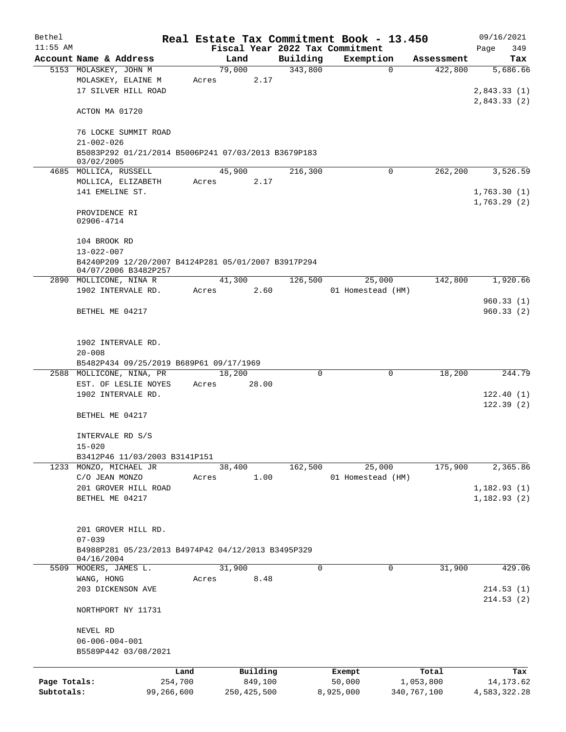| Bethel       |                                                                             |            |        |               |          | Real Estate Tax Commitment Book - 13.450 |          |             | 09/16/2021   |
|--------------|-----------------------------------------------------------------------------|------------|--------|---------------|----------|------------------------------------------|----------|-------------|--------------|
| $11:55$ AM   |                                                                             |            |        |               |          | Fiscal Year 2022 Tax Commitment          |          |             | 349<br>Page  |
|              | Account Name & Address                                                      |            | Land   |               | Building | Exemption                                |          | Assessment  | Tax          |
|              | 5153 MOLASKEY, JOHN M                                                       |            | 79,000 |               | 343,800  |                                          | $\Omega$ | 422,800     | 5,686.66     |
|              | MOLASKEY, ELAINE M                                                          |            | Acres  | 2.17          |          |                                          |          |             |              |
|              | 17 SILVER HILL ROAD                                                         |            |        |               |          |                                          |          |             | 2,843.33(1)  |
|              |                                                                             |            |        |               |          |                                          |          |             | 2,843.33(2)  |
|              | ACTON MA 01720                                                              |            |        |               |          |                                          |          |             |              |
|              |                                                                             |            |        |               |          |                                          |          |             |              |
|              | 76 LOCKE SUMMIT ROAD                                                        |            |        |               |          |                                          |          |             |              |
|              | $21 - 002 - 026$                                                            |            |        |               |          |                                          |          |             |              |
|              | B5083P292 01/21/2014 B5006P241 07/03/2013 B3679P183                         |            |        |               |          |                                          |          |             |              |
|              | 03/02/2005                                                                  |            |        |               |          |                                          |          |             |              |
|              | 4685 MOLLICA, RUSSELL                                                       |            | 45,900 |               | 216,300  |                                          | $\Omega$ | 262,200     | 3,526.59     |
|              | MOLLICA, ELIZABETH                                                          |            | Acres  | 2.17          |          |                                          |          |             |              |
|              | 141 EMELINE ST.                                                             |            |        |               |          |                                          |          |             | 1,763.30(1)  |
|              |                                                                             |            |        |               |          |                                          |          |             | 1,763.29(2)  |
|              | PROVIDENCE RI                                                               |            |        |               |          |                                          |          |             |              |
|              | 02906-4714                                                                  |            |        |               |          |                                          |          |             |              |
|              |                                                                             |            |        |               |          |                                          |          |             |              |
|              | 104 BROOK RD                                                                |            |        |               |          |                                          |          |             |              |
|              | $13 - 022 - 007$                                                            |            |        |               |          |                                          |          |             |              |
|              | B4240P209 12/20/2007 B4124P281 05/01/2007 B3917P294<br>04/07/2006 B3482P257 |            |        |               |          |                                          |          |             |              |
|              | 2890 MOLLICONE, NINA R                                                      |            | 41,300 |               | 126,500  | 25,000                                   |          | 142,800     | 1,920.66     |
|              | 1902 INTERVALE RD.                                                          |            | Acres  | 2.60          |          | 01 Homestead (HM)                        |          |             |              |
|              |                                                                             |            |        |               |          |                                          |          |             | 960.33(1)    |
|              | BETHEL ME 04217                                                             |            |        |               |          |                                          |          |             | 960.33(2)    |
|              |                                                                             |            |        |               |          |                                          |          |             |              |
|              |                                                                             |            |        |               |          |                                          |          |             |              |
|              | 1902 INTERVALE RD.                                                          |            |        |               |          |                                          |          |             |              |
|              | $20 - 008$                                                                  |            |        |               |          |                                          |          |             |              |
|              | B5482P434 09/25/2019 B689P61 09/17/1969                                     |            |        |               |          |                                          |          |             |              |
|              | 2588 MOLLICONE, NINA, PR                                                    |            | 18,200 |               | $\Omega$ |                                          | 0        | 18,200      | 244.79       |
|              | EST. OF LESLIE NOYES                                                        |            | Acres  | 28.00         |          |                                          |          |             |              |
|              | 1902 INTERVALE RD.                                                          |            |        |               |          |                                          |          |             | 122.40(1)    |
|              |                                                                             |            |        |               |          |                                          |          |             | 122.39(2)    |
|              | BETHEL ME 04217                                                             |            |        |               |          |                                          |          |             |              |
|              |                                                                             |            |        |               |          |                                          |          |             |              |
|              | INTERVALE RD S/S                                                            |            |        |               |          |                                          |          |             |              |
|              | $15 - 020$                                                                  |            |        |               |          |                                          |          |             |              |
|              | B3412P46 11/03/2003 B3141P151                                               |            |        |               |          |                                          |          |             |              |
|              | 1233 MONZO, MICHAEL JR                                                      |            | 38,400 |               | 162,500  | 25,000                                   |          | 175,900     | 2,365.86     |
|              | C/O JEAN MONZO                                                              |            | Acres  | 1.00          |          | 01 Homestead (HM)                        |          |             |              |
|              | 201 GROVER HILL ROAD                                                        |            |        |               |          |                                          |          |             | 1,182.93(1)  |
|              | BETHEL ME 04217                                                             |            |        |               |          |                                          |          |             | 1,182.93(2)  |
|              |                                                                             |            |        |               |          |                                          |          |             |              |
|              |                                                                             |            |        |               |          |                                          |          |             |              |
|              | 201 GROVER HILL RD.                                                         |            |        |               |          |                                          |          |             |              |
|              | $07 - 039$                                                                  |            |        |               |          |                                          |          |             |              |
|              | B4988P281 05/23/2013 B4974P42 04/12/2013 B3495P329                          |            |        |               |          |                                          |          |             |              |
|              | 04/16/2004                                                                  |            |        |               |          |                                          |          |             |              |
| 5509         | MOOERS, JAMES L.                                                            |            | 31,900 |               | 0        |                                          | 0        | 31,900      | 429.06       |
|              | WANG, HONG                                                                  |            | Acres  | 8.48          |          |                                          |          |             |              |
|              | 203 DICKENSON AVE                                                           |            |        |               |          |                                          |          |             | 214.53(1)    |
|              |                                                                             |            |        |               |          |                                          |          |             | 214.53(2)    |
|              | NORTHPORT NY 11731                                                          |            |        |               |          |                                          |          |             |              |
|              |                                                                             |            |        |               |          |                                          |          |             |              |
|              | NEVEL RD                                                                    |            |        |               |          |                                          |          |             |              |
|              | $06 - 006 - 004 - 001$                                                      |            |        |               |          |                                          |          |             |              |
|              | B5589P442 03/08/2021                                                        |            |        |               |          |                                          |          |             |              |
|              |                                                                             |            |        |               |          |                                          |          |             |              |
|              |                                                                             | Land       |        | Building      |          | Exempt                                   |          | Total       | Tax          |
| Page Totals: |                                                                             | 254,700    |        | 849,100       |          | 50,000                                   |          | 1,053,800   | 14, 173. 62  |
| Subtotals:   |                                                                             | 99,266,600 |        | 250, 425, 500 |          | 8,925,000                                |          | 340,767,100 | 4,583,322.28 |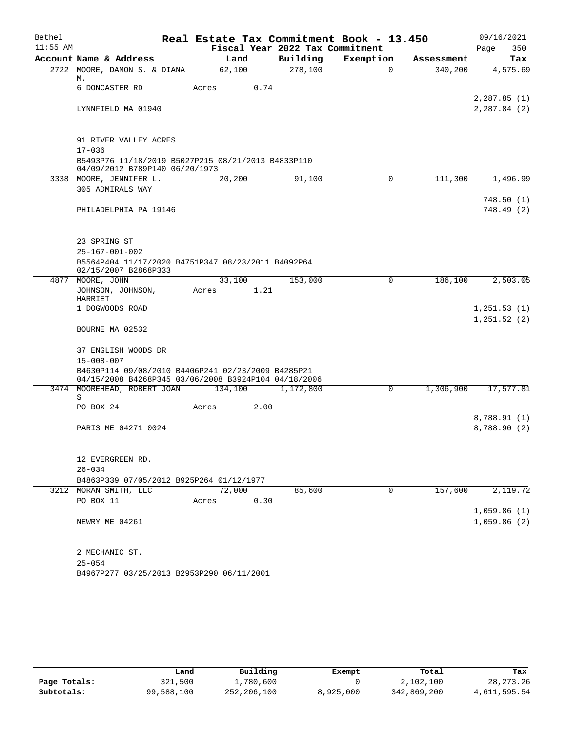| Bethel     |                                                                                                            |         | Real Estate Tax Commitment Book - 13.450 |             |            | 09/16/2021               |
|------------|------------------------------------------------------------------------------------------------------------|---------|------------------------------------------|-------------|------------|--------------------------|
| $11:55$ AM |                                                                                                            |         | Fiscal Year 2022 Tax Commitment          |             |            | Page<br>350              |
|            | Account Name & Address                                                                                     | Land    | Building                                 | Exemption   | Assessment | Tax                      |
| 2722       | MOORE, DAMON S. & DIANA<br>М.                                                                              | 62,100  | 278,100                                  | $\mathbf 0$ | 340,200    | 4,575.69                 |
|            | 6 DONCASTER RD                                                                                             | Acres   | 0.74                                     |             |            |                          |
|            |                                                                                                            |         |                                          |             |            | 2,287.85(1)              |
|            | LYNNFIELD MA 01940                                                                                         |         |                                          |             |            | 2, 287.84 (2)            |
|            | 91 RIVER VALLEY ACRES                                                                                      |         |                                          |             |            |                          |
|            | $17 - 036$                                                                                                 |         |                                          |             |            |                          |
|            | B5493P76 11/18/2019 B5027P215 08/21/2013 B4833P110<br>04/09/2012 B789P140 06/20/1973                       |         |                                          |             |            |                          |
|            | 3338 MOORE, JENNIFER L.                                                                                    | 20,200  | 91,100                                   | 0           | 111,300    | 1,496.99                 |
|            | 305 ADMIRALS WAY                                                                                           |         |                                          |             |            |                          |
|            | PHILADELPHIA PA 19146                                                                                      |         |                                          |             |            | 748.50 (1)<br>748.49 (2) |
|            |                                                                                                            |         |                                          |             |            |                          |
|            | 23 SPRING ST                                                                                               |         |                                          |             |            |                          |
|            | $25 - 167 - 001 - 002$                                                                                     |         |                                          |             |            |                          |
|            | B5564P404 11/17/2020 B4751P347 08/23/2011 B4092P64<br>02/15/2007 B2868P333                                 |         |                                          |             |            |                          |
|            | 4877 MOORE, JOHN                                                                                           | 33,100  | 153,000                                  | 0           | 186,100    | 2,503.05                 |
|            | JOHNSON, JOHNSON,<br>HARRIET                                                                               | Acres   | 1.21                                     |             |            |                          |
|            | 1 DOGWOODS ROAD                                                                                            |         |                                          |             |            | 1,251.53(1)              |
|            | BOURNE MA 02532                                                                                            |         |                                          |             |            | 1,251.52(2)              |
|            | 37 ENGLISH WOODS DR<br>$15 - 008 - 007$                                                                    |         |                                          |             |            |                          |
|            | B4630P114 09/08/2010 B4406P241 02/23/2009 B4285P21<br>04/15/2008 B4268P345 03/06/2008 B3924P104 04/18/2006 |         |                                          |             |            |                          |
|            | 3474 MOOREHEAD, ROBERT JOAN                                                                                | 134,100 | 1,172,800                                | 0           | 1,306,900  | 17,577.81                |
|            | S                                                                                                          |         |                                          |             |            |                          |
|            | PO BOX 24                                                                                                  | Acres   | 2.00                                     |             |            | 8,788.91 (1)             |
|            | PARIS ME 04271 0024                                                                                        |         |                                          |             |            | 8,788.90 (2)             |
|            | 12 EVERGREEN RD.                                                                                           |         |                                          |             |            |                          |
|            | $26 - 034$                                                                                                 |         |                                          |             |            |                          |
|            | B4863P339 07/05/2012 B925P264 01/12/1977                                                                   |         |                                          |             |            |                          |
|            | 3212 MORAN SMITH, LLC                                                                                      | 72,000  | 85,600                                   | 0           | 157,600    | 2,119.72                 |
|            | PO BOX 11                                                                                                  | Acres   | 0.30                                     |             |            |                          |
|            |                                                                                                            |         |                                          |             |            | 1,059.86(1)              |
|            | NEWRY ME 04261                                                                                             |         |                                          |             |            | 1,059.86(2)              |
|            | 2 MECHANIC ST.                                                                                             |         |                                          |             |            |                          |
|            | $25 - 054$                                                                                                 |         |                                          |             |            |                          |
|            | B4967P277 03/25/2013 B2953P290 06/11/2001                                                                  |         |                                          |             |            |                          |

|              | Land       | Building    | Exempt    | Total       | Tax          |
|--------------|------------|-------------|-----------|-------------|--------------|
| Page Totals: | 321,500    | ⊥,780,600   |           | 2,102,100   | 28, 273. 26  |
| Subtotals:   | 99,588,100 | 252,206,100 | 8,925,000 | 342,869,200 | 4,611,595.54 |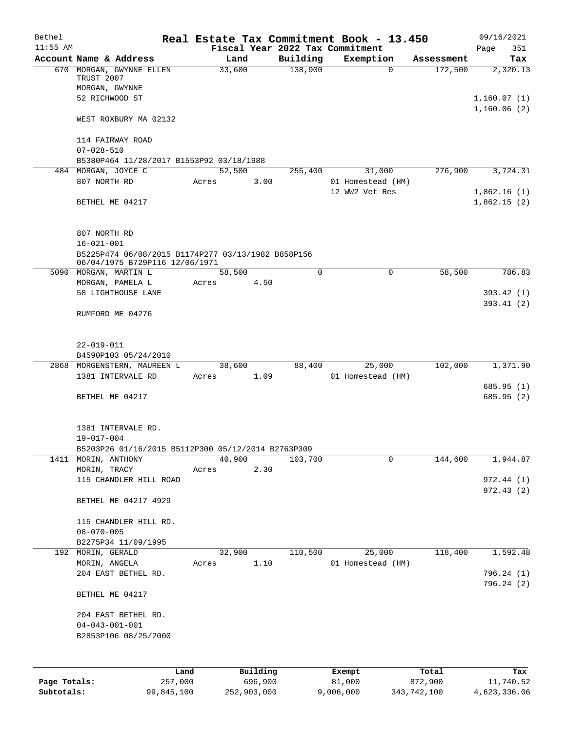| Building<br>Account Name & Address<br>Exemption<br>Land<br>Assessment<br>138,900<br>670 MORGAN, GWYNNE ELLEN<br>33,600<br>172,500<br>$\Omega$<br>TRUST 2007<br>MORGAN, GWYNNE<br>52 RICHWOOD ST<br>1,160.06(2)<br>WEST ROXBURY MA 02132<br>114 FAIRWAY ROAD<br>$07 - 028 - 510$<br>B5380P464 11/28/2017 B1553P92 03/18/1988<br>484 MORGAN, JOYCE C<br>52,500<br>276,900<br>255,400<br>31,000<br>807 NORTH RD<br>3.00<br>01 Homestead (HM)<br>Acres<br>12 WW2 Vet Res<br>BETHEL ME 04217<br>807 NORTH RD<br>$16 - 021 - 001$<br>B5225P474 06/08/2015 B1174P277 03/13/1982 B858P156<br>06/04/1975 B729P116 12/06/1971<br>$\Omega$<br>58,500<br>5090 MORGAN, MARTIN L<br>58,500<br>$\Omega$<br>4.50<br>MORGAN, PAMELA L<br>Acres<br>58 LIGHTHOUSE LANE<br>RUMFORD ME 04276<br>$22 - 019 - 011$<br>B4590P103 05/24/2010<br>88,400<br>102,000<br>1,371.90<br>2868 MORGENSTERN, MAUREEN L<br>38,600<br>25,000<br>1381 INTERVALE RD<br>1.09<br>01 Homestead (HM)<br>Acres<br>685.95 (1)<br>BETHEL ME 04217<br>1381 INTERVALE RD.<br>$19 - 017 - 004$<br>B5203P26 01/16/2015 B5112P300 05/12/2014 B2763P309<br>40,900<br>144,600<br>1411 MORIN, ANTHONY<br>103,700<br>0<br>2.30<br>MORIN, TRACY<br>Acres<br>115 CHANDLER HILL ROAD<br>BETHEL ME 04217 4929<br>115 CHANDLER HILL RD.<br>$08 - 070 - 005$<br>B2275P34 11/09/1995<br>25,000<br>192 MORIN, GERALD<br>32,900<br>110,500<br>118,400<br>MORIN, ANGELA<br>1.10<br>01 Homestead (HM)<br>Acres<br>204 EAST BETHEL RD.<br>796.24(2)<br>BETHEL ME 04217<br>204 EAST BETHEL RD.<br>$04 - 043 - 001 - 001$<br>B2853P106 08/25/2000<br>Land<br>Exempt | Bethel<br>$11:55$ AM |  |          | Fiscal Year 2022 Tax Commitment | Real Estate Tax Commitment Book - 13.450 |       | 09/16/2021<br>Page<br>351 |
|------------------------------------------------------------------------------------------------------------------------------------------------------------------------------------------------------------------------------------------------------------------------------------------------------------------------------------------------------------------------------------------------------------------------------------------------------------------------------------------------------------------------------------------------------------------------------------------------------------------------------------------------------------------------------------------------------------------------------------------------------------------------------------------------------------------------------------------------------------------------------------------------------------------------------------------------------------------------------------------------------------------------------------------------------------------------------------------------------------------------------------------------------------------------------------------------------------------------------------------------------------------------------------------------------------------------------------------------------------------------------------------------------------------------------------------------------------------------------------------------------------------------------------------------------------------------------------------------|----------------------|--|----------|---------------------------------|------------------------------------------|-------|---------------------------|
|                                                                                                                                                                                                                                                                                                                                                                                                                                                                                                                                                                                                                                                                                                                                                                                                                                                                                                                                                                                                                                                                                                                                                                                                                                                                                                                                                                                                                                                                                                                                                                                                |                      |  |          |                                 |                                          |       | Tax                       |
|                                                                                                                                                                                                                                                                                                                                                                                                                                                                                                                                                                                                                                                                                                                                                                                                                                                                                                                                                                                                                                                                                                                                                                                                                                                                                                                                                                                                                                                                                                                                                                                                |                      |  |          |                                 |                                          |       | 2,320.13                  |
|                                                                                                                                                                                                                                                                                                                                                                                                                                                                                                                                                                                                                                                                                                                                                                                                                                                                                                                                                                                                                                                                                                                                                                                                                                                                                                                                                                                                                                                                                                                                                                                                |                      |  |          |                                 |                                          |       | 1,160.07(1)               |
|                                                                                                                                                                                                                                                                                                                                                                                                                                                                                                                                                                                                                                                                                                                                                                                                                                                                                                                                                                                                                                                                                                                                                                                                                                                                                                                                                                                                                                                                                                                                                                                                |                      |  |          |                                 |                                          |       |                           |
|                                                                                                                                                                                                                                                                                                                                                                                                                                                                                                                                                                                                                                                                                                                                                                                                                                                                                                                                                                                                                                                                                                                                                                                                                                                                                                                                                                                                                                                                                                                                                                                                |                      |  |          |                                 |                                          |       |                           |
|                                                                                                                                                                                                                                                                                                                                                                                                                                                                                                                                                                                                                                                                                                                                                                                                                                                                                                                                                                                                                                                                                                                                                                                                                                                                                                                                                                                                                                                                                                                                                                                                |                      |  |          |                                 |                                          |       |                           |
|                                                                                                                                                                                                                                                                                                                                                                                                                                                                                                                                                                                                                                                                                                                                                                                                                                                                                                                                                                                                                                                                                                                                                                                                                                                                                                                                                                                                                                                                                                                                                                                                |                      |  |          |                                 |                                          |       | 3,724.31                  |
|                                                                                                                                                                                                                                                                                                                                                                                                                                                                                                                                                                                                                                                                                                                                                                                                                                                                                                                                                                                                                                                                                                                                                                                                                                                                                                                                                                                                                                                                                                                                                                                                |                      |  |          |                                 |                                          |       | 1,862.16(1)               |
|                                                                                                                                                                                                                                                                                                                                                                                                                                                                                                                                                                                                                                                                                                                                                                                                                                                                                                                                                                                                                                                                                                                                                                                                                                                                                                                                                                                                                                                                                                                                                                                                |                      |  |          |                                 |                                          |       | 1,862.15(2)               |
|                                                                                                                                                                                                                                                                                                                                                                                                                                                                                                                                                                                                                                                                                                                                                                                                                                                                                                                                                                                                                                                                                                                                                                                                                                                                                                                                                                                                                                                                                                                                                                                                |                      |  |          |                                 |                                          |       |                           |
|                                                                                                                                                                                                                                                                                                                                                                                                                                                                                                                                                                                                                                                                                                                                                                                                                                                                                                                                                                                                                                                                                                                                                                                                                                                                                                                                                                                                                                                                                                                                                                                                |                      |  |          |                                 |                                          |       |                           |
|                                                                                                                                                                                                                                                                                                                                                                                                                                                                                                                                                                                                                                                                                                                                                                                                                                                                                                                                                                                                                                                                                                                                                                                                                                                                                                                                                                                                                                                                                                                                                                                                |                      |  |          |                                 |                                          |       | 786.83                    |
|                                                                                                                                                                                                                                                                                                                                                                                                                                                                                                                                                                                                                                                                                                                                                                                                                                                                                                                                                                                                                                                                                                                                                                                                                                                                                                                                                                                                                                                                                                                                                                                                |                      |  |          |                                 |                                          |       |                           |
|                                                                                                                                                                                                                                                                                                                                                                                                                                                                                                                                                                                                                                                                                                                                                                                                                                                                                                                                                                                                                                                                                                                                                                                                                                                                                                                                                                                                                                                                                                                                                                                                |                      |  |          |                                 |                                          |       | 393.42(1)<br>393.41 (2)   |
|                                                                                                                                                                                                                                                                                                                                                                                                                                                                                                                                                                                                                                                                                                                                                                                                                                                                                                                                                                                                                                                                                                                                                                                                                                                                                                                                                                                                                                                                                                                                                                                                |                      |  |          |                                 |                                          |       |                           |
|                                                                                                                                                                                                                                                                                                                                                                                                                                                                                                                                                                                                                                                                                                                                                                                                                                                                                                                                                                                                                                                                                                                                                                                                                                                                                                                                                                                                                                                                                                                                                                                                |                      |  |          |                                 |                                          |       |                           |
|                                                                                                                                                                                                                                                                                                                                                                                                                                                                                                                                                                                                                                                                                                                                                                                                                                                                                                                                                                                                                                                                                                                                                                                                                                                                                                                                                                                                                                                                                                                                                                                                |                      |  |          |                                 |                                          |       |                           |
|                                                                                                                                                                                                                                                                                                                                                                                                                                                                                                                                                                                                                                                                                                                                                                                                                                                                                                                                                                                                                                                                                                                                                                                                                                                                                                                                                                                                                                                                                                                                                                                                |                      |  |          |                                 |                                          |       |                           |
|                                                                                                                                                                                                                                                                                                                                                                                                                                                                                                                                                                                                                                                                                                                                                                                                                                                                                                                                                                                                                                                                                                                                                                                                                                                                                                                                                                                                                                                                                                                                                                                                |                      |  |          |                                 |                                          |       |                           |
|                                                                                                                                                                                                                                                                                                                                                                                                                                                                                                                                                                                                                                                                                                                                                                                                                                                                                                                                                                                                                                                                                                                                                                                                                                                                                                                                                                                                                                                                                                                                                                                                |                      |  |          |                                 |                                          |       | 685.95 (2)                |
|                                                                                                                                                                                                                                                                                                                                                                                                                                                                                                                                                                                                                                                                                                                                                                                                                                                                                                                                                                                                                                                                                                                                                                                                                                                                                                                                                                                                                                                                                                                                                                                                |                      |  |          |                                 |                                          |       |                           |
|                                                                                                                                                                                                                                                                                                                                                                                                                                                                                                                                                                                                                                                                                                                                                                                                                                                                                                                                                                                                                                                                                                                                                                                                                                                                                                                                                                                                                                                                                                                                                                                                |                      |  |          |                                 |                                          |       |                           |
|                                                                                                                                                                                                                                                                                                                                                                                                                                                                                                                                                                                                                                                                                                                                                                                                                                                                                                                                                                                                                                                                                                                                                                                                                                                                                                                                                                                                                                                                                                                                                                                                |                      |  |          |                                 |                                          |       | 1,944.87                  |
|                                                                                                                                                                                                                                                                                                                                                                                                                                                                                                                                                                                                                                                                                                                                                                                                                                                                                                                                                                                                                                                                                                                                                                                                                                                                                                                                                                                                                                                                                                                                                                                                |                      |  |          |                                 |                                          |       |                           |
|                                                                                                                                                                                                                                                                                                                                                                                                                                                                                                                                                                                                                                                                                                                                                                                                                                                                                                                                                                                                                                                                                                                                                                                                                                                                                                                                                                                                                                                                                                                                                                                                |                      |  |          |                                 |                                          |       | 972.44(1)<br>972.43(2)    |
|                                                                                                                                                                                                                                                                                                                                                                                                                                                                                                                                                                                                                                                                                                                                                                                                                                                                                                                                                                                                                                                                                                                                                                                                                                                                                                                                                                                                                                                                                                                                                                                                |                      |  |          |                                 |                                          |       |                           |
|                                                                                                                                                                                                                                                                                                                                                                                                                                                                                                                                                                                                                                                                                                                                                                                                                                                                                                                                                                                                                                                                                                                                                                                                                                                                                                                                                                                                                                                                                                                                                                                                |                      |  |          |                                 |                                          |       |                           |
|                                                                                                                                                                                                                                                                                                                                                                                                                                                                                                                                                                                                                                                                                                                                                                                                                                                                                                                                                                                                                                                                                                                                                                                                                                                                                                                                                                                                                                                                                                                                                                                                |                      |  |          |                                 |                                          |       |                           |
|                                                                                                                                                                                                                                                                                                                                                                                                                                                                                                                                                                                                                                                                                                                                                                                                                                                                                                                                                                                                                                                                                                                                                                                                                                                                                                                                                                                                                                                                                                                                                                                                |                      |  |          |                                 |                                          |       | 1,592.48                  |
|                                                                                                                                                                                                                                                                                                                                                                                                                                                                                                                                                                                                                                                                                                                                                                                                                                                                                                                                                                                                                                                                                                                                                                                                                                                                                                                                                                                                                                                                                                                                                                                                |                      |  |          |                                 |                                          |       | 796.24(1)                 |
|                                                                                                                                                                                                                                                                                                                                                                                                                                                                                                                                                                                                                                                                                                                                                                                                                                                                                                                                                                                                                                                                                                                                                                                                                                                                                                                                                                                                                                                                                                                                                                                                |                      |  |          |                                 |                                          |       |                           |
|                                                                                                                                                                                                                                                                                                                                                                                                                                                                                                                                                                                                                                                                                                                                                                                                                                                                                                                                                                                                                                                                                                                                                                                                                                                                                                                                                                                                                                                                                                                                                                                                |                      |  |          |                                 |                                          |       |                           |
|                                                                                                                                                                                                                                                                                                                                                                                                                                                                                                                                                                                                                                                                                                                                                                                                                                                                                                                                                                                                                                                                                                                                                                                                                                                                                                                                                                                                                                                                                                                                                                                                |                      |  |          |                                 |                                          |       |                           |
|                                                                                                                                                                                                                                                                                                                                                                                                                                                                                                                                                                                                                                                                                                                                                                                                                                                                                                                                                                                                                                                                                                                                                                                                                                                                                                                                                                                                                                                                                                                                                                                                |                      |  |          |                                 |                                          |       |                           |
| 257,000<br>696,900<br>81,000<br>872,900<br>Page Totals:                                                                                                                                                                                                                                                                                                                                                                                                                                                                                                                                                                                                                                                                                                                                                                                                                                                                                                                                                                                                                                                                                                                                                                                                                                                                                                                                                                                                                                                                                                                                        |                      |  | Building |                                 |                                          | Total | Tax<br>11,740.52          |

**Subtotals:** 99,845,100 252,903,000 9,006,000 343,742,100 4,623,336.06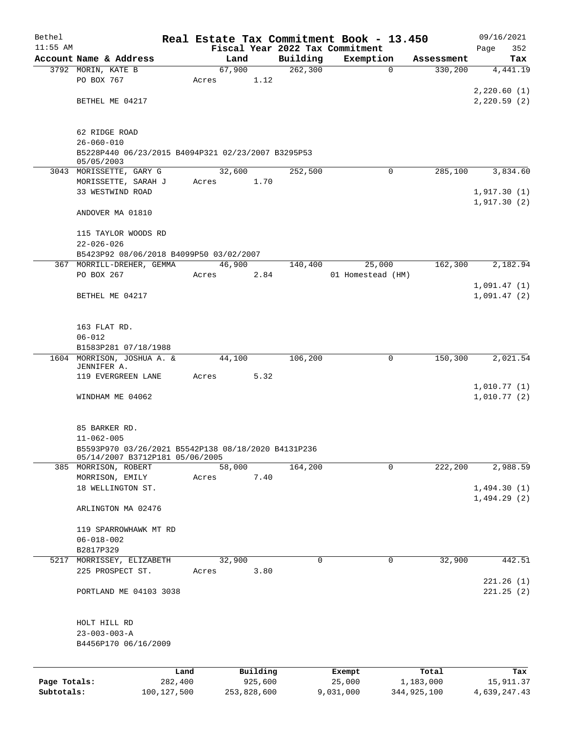| Bethel       |                                                         |             |       |             |          | Real Estate Tax Commitment Book - 13.450 |                        | 09/16/2021   |
|--------------|---------------------------------------------------------|-------------|-------|-------------|----------|------------------------------------------|------------------------|--------------|
| $11:55$ AM   |                                                         |             |       |             |          | Fiscal Year 2022 Tax Commitment          |                        | 352<br>Page  |
|              | Account Name & Address                                  |             |       | Land        | Building | Exemption                                | Assessment             | Tax          |
|              | 3792 MORIN, KATE B                                      |             |       | 67,900      | 262,300  |                                          | 330,200<br>$\mathbf 0$ | 4,441.19     |
|              | PO BOX 767                                              |             | Acres | 1.12        |          |                                          |                        |              |
|              |                                                         |             |       |             |          |                                          |                        | 2,220.60(1)  |
|              | BETHEL ME 04217                                         |             |       |             |          |                                          |                        | 2,220.59(2)  |
|              |                                                         |             |       |             |          |                                          |                        |              |
|              | 62 RIDGE ROAD                                           |             |       |             |          |                                          |                        |              |
|              | $26 - 060 - 010$                                        |             |       |             |          |                                          |                        |              |
|              | B5228P440 06/23/2015 B4094P321 02/23/2007 B3295P53      |             |       |             |          |                                          |                        |              |
|              | 05/05/2003                                              |             |       |             |          |                                          |                        |              |
|              | 3043 MORISSETTE, GARY G                                 |             |       | 32,600      | 252,500  |                                          | $\mathbf 0$<br>285,100 | 3,834.60     |
|              | MORISSETTE, SARAH J                                     |             | Acres | 1.70        |          |                                          |                        |              |
|              | 33 WESTWIND ROAD                                        |             |       |             |          |                                          |                        | 1,917.30(1)  |
|              |                                                         |             |       |             |          |                                          |                        | 1,917.30(2)  |
|              | ANDOVER MA 01810                                        |             |       |             |          |                                          |                        |              |
|              | 115 TAYLOR WOODS RD                                     |             |       |             |          |                                          |                        |              |
|              | $22 - 026 - 026$                                        |             |       |             |          |                                          |                        |              |
|              | B5423P92 08/06/2018 B4099P50 03/02/2007                 |             |       |             |          |                                          |                        |              |
|              | 367 MORRILL-DREHER, GEMMA                               |             |       | 46,900      | 140,400  | 25,000                                   | 162,300                | 2,182.94     |
|              | PO BOX 267                                              |             | Acres | 2.84        |          | 01 Homestead (HM)                        |                        |              |
|              |                                                         |             |       |             |          |                                          |                        | 1,091.47(1)  |
|              | BETHEL ME 04217                                         |             |       |             |          |                                          |                        | 1,091.47(2)  |
|              |                                                         |             |       |             |          |                                          |                        |              |
|              |                                                         |             |       |             |          |                                          |                        |              |
|              | 163 FLAT RD.                                            |             |       |             |          |                                          |                        |              |
|              | $06 - 012$                                              |             |       |             |          |                                          |                        |              |
|              | B1583P281 07/18/1988                                    |             |       |             |          |                                          |                        |              |
|              | 1604 MORRISON, JOSHUA A. &<br>JENNIFER A.               |             |       | 44,100      | 106,200  |                                          | 150,300<br>0           | 2,021.54     |
|              | 119 EVERGREEN LANE                                      |             | Acres | 5.32        |          |                                          |                        |              |
|              |                                                         |             |       |             |          |                                          |                        | 1,010.77(1)  |
|              | WINDHAM ME 04062                                        |             |       |             |          |                                          |                        | 1,010.77(2)  |
|              |                                                         |             |       |             |          |                                          |                        |              |
|              |                                                         |             |       |             |          |                                          |                        |              |
|              | 85 BARKER RD.                                           |             |       |             |          |                                          |                        |              |
|              | $11 - 062 - 005$                                        |             |       |             |          |                                          |                        |              |
|              | B5593P970 03/26/2021 B5542P138 08/18/2020 B4131P236     |             |       |             |          |                                          |                        |              |
|              | 05/14/2007 B3712P181 05/06/2005<br>385 MORRISON, ROBERT |             |       | 58,000      | 164,200  |                                          | 222,200<br>0           | 2,988.59     |
|              | MORRISON, EMILY                                         |             | Acres | 7.40        |          |                                          |                        |              |
|              | 18 WELLINGTON ST.                                       |             |       |             |          |                                          |                        | 1,494.30(1)  |
|              |                                                         |             |       |             |          |                                          |                        | 1,494.29(2)  |
|              | ARLINGTON MA 02476                                      |             |       |             |          |                                          |                        |              |
|              |                                                         |             |       |             |          |                                          |                        |              |
|              | 119 SPARROWHAWK MT RD                                   |             |       |             |          |                                          |                        |              |
|              | $06 - 018 - 002$                                        |             |       |             |          |                                          |                        |              |
|              | B2817P329                                               |             |       |             |          |                                          |                        |              |
|              | 5217 MORRISSEY, ELIZABETH                               |             |       | 32,900      | 0        |                                          | 32,900<br>0            | 442.51       |
|              | 225 PROSPECT ST.                                        |             | Acres | 3.80        |          |                                          |                        |              |
|              |                                                         |             |       |             |          |                                          |                        | 221.26(1)    |
|              | PORTLAND ME 04103 3038                                  |             |       |             |          |                                          |                        | 221.25(2)    |
|              |                                                         |             |       |             |          |                                          |                        |              |
|              | HOLT HILL RD                                            |             |       |             |          |                                          |                        |              |
|              | $23 - 003 - 003 - A$                                    |             |       |             |          |                                          |                        |              |
|              | B4456P170 06/16/2009                                    |             |       |             |          |                                          |                        |              |
|              |                                                         |             |       |             |          |                                          |                        |              |
|              |                                                         |             |       |             |          |                                          |                        |              |
|              |                                                         | Land        |       | Building    |          | Exempt                                   | Total                  | Tax          |
| Page Totals: |                                                         | 282,400     |       | 925,600     |          | 25,000                                   | 1,183,000              | 15,911.37    |
| Subtotals:   |                                                         | 100,127,500 |       | 253,828,600 |          | 9,031,000                                | 344,925,100            | 4,639,247.43 |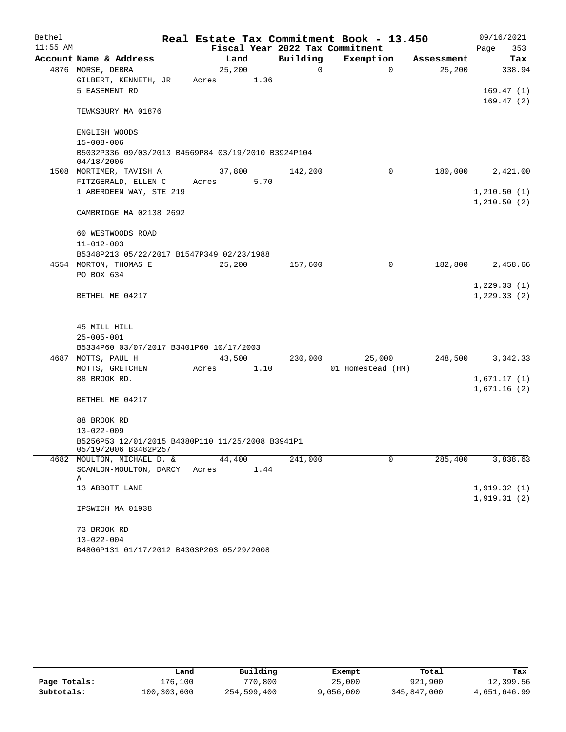| Bethel     |                                                                          |        |      |          | Real Estate Tax Commitment Book - 13.450 |            | 09/16/2021                  |
|------------|--------------------------------------------------------------------------|--------|------|----------|------------------------------------------|------------|-----------------------------|
| $11:55$ AM |                                                                          |        |      |          | Fiscal Year 2022 Tax Commitment          |            | Page<br>353                 |
|            | Account Name & Address                                                   | Land   |      | Building | Exemption                                | Assessment | Tax                         |
|            | 4876 MORSE, DEBRA                                                        | 25,200 |      | 0        | $\mathbf 0$                              | 25,200     | 338.94                      |
|            | GILBERT, KENNETH, JR                                                     | Acres  | 1.36 |          |                                          |            |                             |
|            | 5 EASEMENT RD                                                            |        |      |          |                                          |            | 169.47(1)                   |
|            | TEWKSBURY MA 01876                                                       |        |      |          |                                          |            | 169.47(2)                   |
|            | ENGLISH WOODS                                                            |        |      |          |                                          |            |                             |
|            | $15 - 008 - 006$                                                         |        |      |          |                                          |            |                             |
|            | B5032P336 09/03/2013 B4569P84 03/19/2010 B3924P104<br>04/18/2006         |        |      |          |                                          |            |                             |
|            | 1508 MORTIMER, TAVISH A                                                  | 37,800 |      | 142,200  | 0                                        | 180,000    | 2,421.00                    |
|            | FITZGERALD, ELLEN C                                                      | Acres  | 5.70 |          |                                          |            |                             |
|            | 1 ABERDEEN WAY, STE 219                                                  |        |      |          |                                          |            | 1, 210.50(1)                |
|            | CAMBRIDGE MA 02138 2692                                                  |        |      |          |                                          |            | 1, 210.50(2)                |
|            |                                                                          |        |      |          |                                          |            |                             |
|            | 60 WESTWOODS ROAD                                                        |        |      |          |                                          |            |                             |
|            | $11 - 012 - 003$                                                         |        |      |          |                                          |            |                             |
|            | B5348P213 05/22/2017 B1547P349 02/23/1988                                |        |      |          |                                          |            |                             |
|            | 4554 MORTON, THOMAS E                                                    | 25,200 |      | 157,600  | $\mathbf 0$                              | 182,800    | 2,458.66                    |
|            | PO BOX 634                                                               |        |      |          |                                          |            |                             |
|            | BETHEL ME 04217                                                          |        |      |          |                                          |            | 1,229.33(1)<br>1, 229.33(2) |
|            | 45 MILL HILL                                                             |        |      |          |                                          |            |                             |
|            | $25 - 005 - 001$                                                         |        |      |          |                                          |            |                             |
|            | B5334P60 03/07/2017 B3401P60 10/17/2003                                  |        |      |          |                                          |            |                             |
|            | 4687 MOTTS, PAUL H                                                       | 43,500 |      | 230,000  | 25,000                                   | 248,500    | 3,342.33                    |
|            | MOTTS, GRETCHEN                                                          | Acres  | 1.10 |          | 01 Homestead (HM)                        |            |                             |
|            | 88 BROOK RD.                                                             |        |      |          |                                          |            | 1,671.17(1)                 |
|            |                                                                          |        |      |          |                                          |            | 1,671.16(2)                 |
|            | BETHEL ME 04217                                                          |        |      |          |                                          |            |                             |
|            | 88 BROOK RD                                                              |        |      |          |                                          |            |                             |
|            | $13 - 022 - 009$                                                         |        |      |          |                                          |            |                             |
|            | B5256P53 12/01/2015 B4380P110 11/25/2008 B3941P1<br>05/19/2006 B3482P257 |        |      |          |                                          |            |                             |
|            | 4682 MOULTON, MICHAEL D. &                                               | 44,400 |      | 241,000  | 0                                        | 285,400    | 3,838.63                    |
|            | SCANLON-MOULTON, DARCY<br>Α                                              | Acres  | 1.44 |          |                                          |            |                             |
|            | 13 ABBOTT LANE                                                           |        |      |          |                                          |            | 1,919.32(1)                 |
|            | IPSWICH MA 01938                                                         |        |      |          |                                          |            | 1,919.31(2)                 |
|            |                                                                          |        |      |          |                                          |            |                             |
|            | 73 BROOK RD                                                              |        |      |          |                                          |            |                             |
|            | $13 - 022 - 004$                                                         |        |      |          |                                          |            |                             |
|            | B4806P131 01/17/2012 B4303P203 05/29/2008                                |        |      |          |                                          |            |                             |

|              | Land        | Building    | Exempt    | Total       | Tax          |
|--------------|-------------|-------------|-----------|-------------|--------------|
| Page Totals: | 176.100     | 770,800     | 25,000    | 921,900     | 12,399.56    |
| Subtotals:   | 100,303,600 | 254,599,400 | 9,056,000 | 345,847,000 | 4,651,646.99 |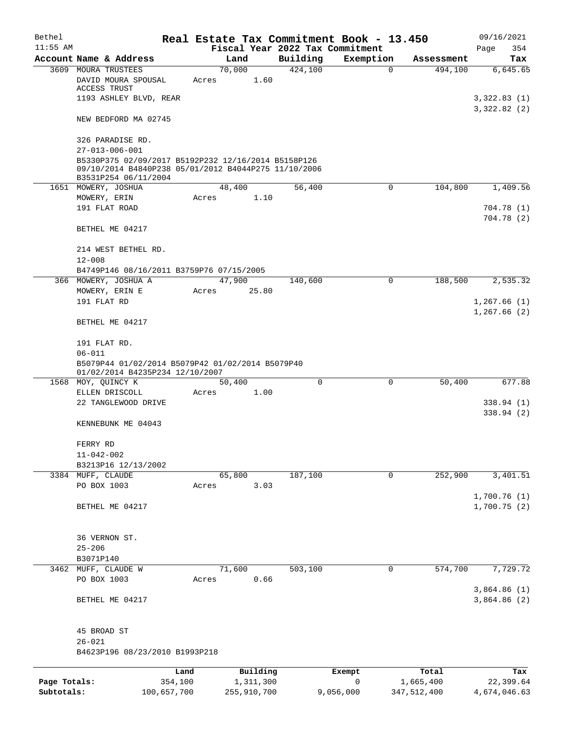| Bethel                     |                                                                                                                                                               |                        | Real Estate Tax Commitment Book - 13.450 |       |                                 |                |                          | 09/16/2021                 |  |  |  |
|----------------------------|---------------------------------------------------------------------------------------------------------------------------------------------------------------|------------------------|------------------------------------------|-------|---------------------------------|----------------|--------------------------|----------------------------|--|--|--|
| $11:55$ AM                 |                                                                                                                                                               |                        |                                          |       | Fiscal Year 2022 Tax Commitment |                |                          | Page<br>354                |  |  |  |
|                            | Account Name & Address                                                                                                                                        |                        | Land                                     |       | Building                        | Exemption      | Assessment               | Tax                        |  |  |  |
|                            | 3609 MOURA TRUSTEES<br>DAVID MOURA SPOUSAL<br>ACCESS TRUST                                                                                                    |                        | 70,000<br>Acres                          | 1.60  | 424,100                         | $\mathbf 0$    | 494,100                  | 6,645.65                   |  |  |  |
|                            | 1193 ASHLEY BLVD, REAR                                                                                                                                        |                        |                                          |       |                                 |                |                          | 3,322.83(1)<br>3,322.82(2) |  |  |  |
|                            | NEW BEDFORD MA 02745                                                                                                                                          |                        |                                          |       |                                 |                |                          |                            |  |  |  |
|                            | 326 PARADISE RD.                                                                                                                                              |                        |                                          |       |                                 |                |                          |                            |  |  |  |
|                            | $27 - 013 - 006 - 001$<br>B5330P375 02/09/2017 B5192P232 12/16/2014 B5158P126<br>09/10/2014 B4840P238 05/01/2012 B4044P275 11/10/2006<br>B3531P254 06/11/2004 |                        |                                          |       |                                 |                |                          |                            |  |  |  |
|                            | 1651 MOWERY, JOSHUA                                                                                                                                           |                        | 48,400                                   |       | 56,400                          | 0              | 104,800                  | 1,409.56                   |  |  |  |
|                            | MOWERY, ERIN                                                                                                                                                  |                        | Acres                                    | 1.10  |                                 |                |                          |                            |  |  |  |
|                            | 191 FLAT ROAD                                                                                                                                                 |                        |                                          |       |                                 |                |                          | 704.78 (1)<br>704.78(2)    |  |  |  |
|                            | BETHEL ME 04217                                                                                                                                               |                        |                                          |       |                                 |                |                          |                            |  |  |  |
|                            | 214 WEST BETHEL RD.<br>$12 - 008$                                                                                                                             |                        |                                          |       |                                 |                |                          |                            |  |  |  |
|                            | B4749P146 08/16/2011 B3759P76 07/15/2005                                                                                                                      |                        |                                          |       |                                 |                |                          |                            |  |  |  |
|                            | 366 MOWERY, JOSHUA A                                                                                                                                          |                        | 47,900                                   |       | 140,600                         | 0              | 188,500                  | 2,535.32                   |  |  |  |
|                            | MOWERY, ERIN E                                                                                                                                                |                        | Acres                                    | 25.80 |                                 |                |                          |                            |  |  |  |
|                            | 191 FLAT RD                                                                                                                                                   |                        |                                          |       |                                 |                |                          | 1,267.66(1)<br>1,267.66(2) |  |  |  |
|                            | BETHEL ME 04217                                                                                                                                               |                        |                                          |       |                                 |                |                          |                            |  |  |  |
|                            | 191 FLAT RD.                                                                                                                                                  |                        |                                          |       |                                 |                |                          |                            |  |  |  |
|                            | $06 - 011$<br>B5079P44 01/02/2014 B5079P42 01/02/2014 B5079P40<br>01/02/2014 B4235P234 12/10/2007                                                             |                        |                                          |       |                                 |                |                          |                            |  |  |  |
|                            | 1568 MOY, QUINCY K                                                                                                                                            |                        | 50,400                                   |       | $\Omega$                        | 0              | 50,400                   | 677.88                     |  |  |  |
|                            | ELLEN DRISCOLL<br>22 TANGLEWOOD DRIVE                                                                                                                         |                        | Acres                                    | 1.00  |                                 |                |                          | 338.94(1)                  |  |  |  |
|                            |                                                                                                                                                               |                        |                                          |       |                                 |                |                          | 338.94(2)                  |  |  |  |
|                            | KENNEBUNK ME 04043                                                                                                                                            |                        |                                          |       |                                 |                |                          |                            |  |  |  |
|                            | FERRY RD                                                                                                                                                      |                        |                                          |       |                                 |                |                          |                            |  |  |  |
|                            | $11 - 042 - 002$                                                                                                                                              |                        |                                          |       |                                 |                |                          |                            |  |  |  |
|                            | B3213P16 12/13/2002<br>3384 MUFF, CLAUDE                                                                                                                      |                        | 65,800                                   |       | 187,100                         | $\mathbf 0$    | 252,900                  | 3,401.51                   |  |  |  |
|                            | PO BOX 1003                                                                                                                                                   |                        | Acres                                    | 3.03  |                                 |                |                          |                            |  |  |  |
|                            |                                                                                                                                                               |                        |                                          |       |                                 |                |                          | 1,700.76(1)                |  |  |  |
|                            | BETHEL ME 04217                                                                                                                                               |                        |                                          |       |                                 |                |                          | 1,700.75(2)                |  |  |  |
|                            | 36 VERNON ST.                                                                                                                                                 |                        |                                          |       |                                 |                |                          |                            |  |  |  |
|                            | $25 - 206$                                                                                                                                                    |                        |                                          |       |                                 |                |                          |                            |  |  |  |
|                            | B3071P140                                                                                                                                                     |                        |                                          |       |                                 |                |                          |                            |  |  |  |
| 3462                       | MUFF, CLAUDE W                                                                                                                                                |                        | 71,600                                   |       | 503,100                         | 0              | 574,700                  | 7,729.72                   |  |  |  |
|                            | PO BOX 1003                                                                                                                                                   |                        | Acres                                    | 0.66  |                                 |                |                          | 3,864.86(1)                |  |  |  |
|                            | BETHEL ME 04217                                                                                                                                               |                        |                                          |       |                                 |                |                          | 3,864.86(2)                |  |  |  |
|                            | 45 BROAD ST                                                                                                                                                   |                        |                                          |       |                                 |                |                          |                            |  |  |  |
|                            | $26 - 021$                                                                                                                                                    |                        |                                          |       |                                 |                |                          |                            |  |  |  |
|                            | B4623P196 08/23/2010 B1993P218                                                                                                                                |                        |                                          |       |                                 |                |                          |                            |  |  |  |
|                            |                                                                                                                                                               | Land                   | Building                                 |       |                                 | Exempt         | Total                    | Tax                        |  |  |  |
| Page Totals:<br>Subtotals: |                                                                                                                                                               | 354,100<br>100,657,700 | 1,311,300<br>255,910,700                 |       |                                 | 0<br>9,056,000 | 1,665,400<br>347,512,400 | 22,399.64<br>4,674,046.63  |  |  |  |
|                            |                                                                                                                                                               |                        |                                          |       |                                 |                |                          |                            |  |  |  |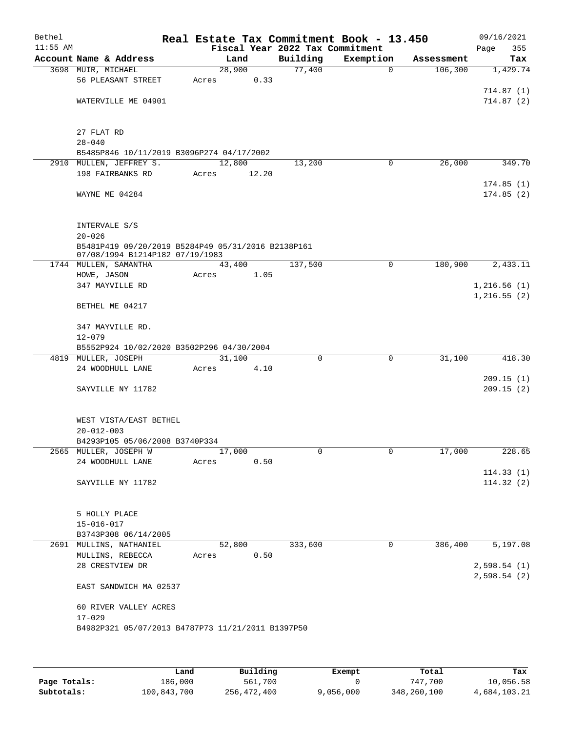| Bethel<br>$11:55$ AM |                                                          |       |        | Fiscal Year 2022 Tax Commitment | Real Estate Tax Commitment Book - 13.450 |            | 09/16/2021<br>355<br>Page |
|----------------------|----------------------------------------------------------|-------|--------|---------------------------------|------------------------------------------|------------|---------------------------|
|                      | Account Name & Address                                   |       | Land   | Building                        | Exemption                                | Assessment | Tax                       |
|                      | 3698 MUIR, MICHAEL                                       |       | 28,900 | 77,400                          | $\mathbf 0$                              | 106,300    | 1,429.74                  |
|                      | 56 PLEASANT STREET                                       | Acres | 0.33   |                                 |                                          |            |                           |
|                      |                                                          |       |        |                                 |                                          |            | 714.87(1)                 |
|                      | WATERVILLE ME 04901                                      |       |        |                                 |                                          |            | 714.87(2)                 |
|                      | 27 FLAT RD                                               |       |        |                                 |                                          |            |                           |
|                      | $28 - 040$                                               |       |        |                                 |                                          |            |                           |
|                      | B5485P846 10/11/2019 B3096P274 04/17/2002                |       |        |                                 |                                          |            |                           |
|                      | 2910 MULLEN, JEFFREY S.                                  |       | 12,800 | 13,200                          | 0                                        | 26,000     | 349.70                    |
|                      | 198 FAIRBANKS RD                                         | Acres | 12.20  |                                 |                                          |            | 174.85(1)                 |
|                      | WAYNE ME 04284                                           |       |        |                                 |                                          |            | 174.85(2)                 |
|                      | INTERVALE S/S                                            |       |        |                                 |                                          |            |                           |
|                      | $20 - 026$                                               |       |        |                                 |                                          |            |                           |
|                      | B5481P419 09/20/2019 B5284P49 05/31/2016 B2138P161       |       |        |                                 |                                          |            |                           |
|                      | 07/08/1994 B1214P182 07/19/1983<br>1744 MULLEN, SAMANTHA |       | 43,400 | 137,500                         | $\mathbf 0$                              | 180,900    | 2,433.11                  |
|                      | $\texttt{HOWE}$ , $\texttt{JASON}$                       | Acres | 1.05   |                                 |                                          |            |                           |
|                      | 347 MAYVILLE RD                                          |       |        |                                 |                                          |            | 1,216.56(1)               |
|                      |                                                          |       |        |                                 |                                          |            | 1,216.55(2)               |
|                      | BETHEL ME 04217                                          |       |        |                                 |                                          |            |                           |
|                      | 347 MAYVILLE RD.                                         |       |        |                                 |                                          |            |                           |
|                      | $12 - 079$                                               |       |        |                                 |                                          |            |                           |
|                      | B5552P924 10/02/2020 B3502P296 04/30/2004                |       |        |                                 |                                          |            |                           |
|                      | 4819 MULLER, JOSEPH                                      |       | 31,100 | 0                               | $\mathbf 0$                              | 31,100     | 418.30                    |
|                      | 24 WOODHULL LANE                                         | Acres | 4.10   |                                 |                                          |            | 209.15(1)                 |
|                      | SAYVILLE NY 11782                                        |       |        |                                 |                                          |            | 209.15(2)                 |
|                      | WEST VISTA/EAST BETHEL                                   |       |        |                                 |                                          |            |                           |
|                      | $20 - 012 - 003$                                         |       |        |                                 |                                          |            |                           |
|                      | B4293P105 05/06/2008 B3740P334                           |       |        |                                 |                                          |            |                           |
|                      | 2565 MULLER, JOSEPH W                                    |       | 17,000 | 0                               | $\overline{0}$                           | 17,000     | 228.65                    |
|                      | 24 WOODHULL LANE                                         | Acres | 0.50   |                                 |                                          |            |                           |
|                      | SAYVILLE NY 11782                                        |       |        |                                 |                                          |            | 114.33(1)<br>114.32(2)    |
|                      |                                                          |       |        |                                 |                                          |            |                           |
|                      | 5 HOLLY PLACE                                            |       |        |                                 |                                          |            |                           |
|                      | $15 - 016 - 017$                                         |       |        |                                 |                                          |            |                           |
|                      | B3743P308 06/14/2005<br>2691 MULLINS, NATHANIEL          |       | 52,800 | 333,600                         | 0                                        | 386,400    | 5,197.08                  |
|                      | MULLINS, REBECCA                                         | Acres | 0.50   |                                 |                                          |            |                           |
|                      | 28 CRESTVIEW DR                                          |       |        |                                 |                                          |            | 2,598.54(1)               |
|                      |                                                          |       |        |                                 |                                          |            | 2,598.54(2)               |
|                      | EAST SANDWICH MA 02537                                   |       |        |                                 |                                          |            |                           |
|                      | 60 RIVER VALLEY ACRES                                    |       |        |                                 |                                          |            |                           |
|                      | $17 - 029$                                               |       |        |                                 |                                          |            |                           |
|                      | B4982P321 05/07/2013 B4787P73 11/21/2011 B1397P50        |       |        |                                 |                                          |            |                           |
|                      |                                                          |       |        |                                 |                                          |            |                           |

|              | Land        | Building    | Exempt    | Total       | Tax          |
|--------------|-------------|-------------|-----------|-------------|--------------|
| Page Totals: | 186,000     | 561,700     |           | 747,700     | 10,056.58    |
| Subtotals:   | 100,843,700 | 256,472,400 | 9,056,000 | 348,260,100 | 4,684,103.21 |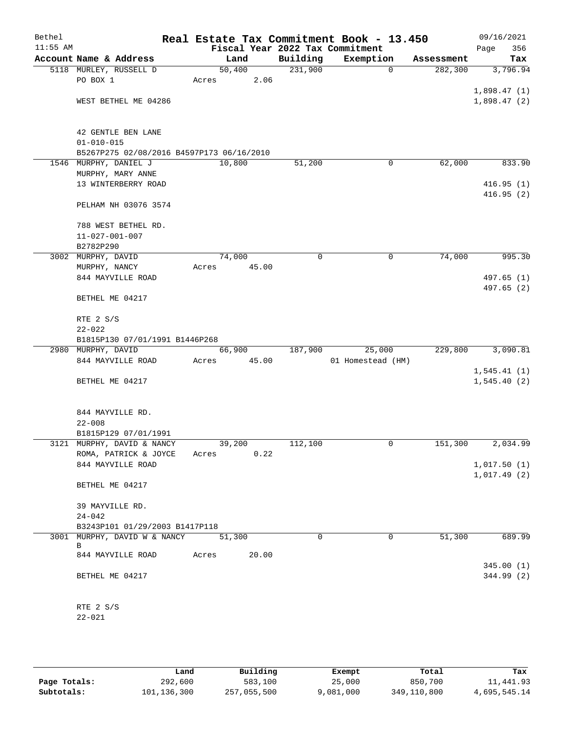| Bethel<br>$11:55$ AM |                                               | Real Estate Tax Commitment Book - 13.450<br>Fiscal Year 2022 Tax Commitment |          |                   |            | 09/16/2021         |
|----------------------|-----------------------------------------------|-----------------------------------------------------------------------------|----------|-------------------|------------|--------------------|
|                      | Account Name & Address                        | Land                                                                        | Building | Exemption         | Assessment | 356<br>Page<br>Tax |
|                      | 5118 MURLEY, RUSSELL D                        | 50,400                                                                      | 231,900  | $\mathbf 0$       | 282,300    | 3,796.94           |
|                      | PO BOX 1                                      | 2.06<br>Acres                                                               |          |                   |            |                    |
|                      |                                               |                                                                             |          |                   |            | 1,898.47(1)        |
|                      | WEST BETHEL ME 04286                          |                                                                             |          |                   |            | 1,898.47(2)        |
|                      |                                               |                                                                             |          |                   |            |                    |
|                      |                                               |                                                                             |          |                   |            |                    |
|                      | 42 GENTLE BEN LANE                            |                                                                             |          |                   |            |                    |
|                      | $01 - 010 - 015$                              |                                                                             |          |                   |            |                    |
|                      | B5267P275 02/08/2016 B4597P173 06/16/2010     |                                                                             |          |                   |            |                    |
|                      | 1546 MURPHY, DANIEL J                         | 10,800                                                                      | 51,200   | 0                 | 62,000     | 833.90             |
|                      | MURPHY, MARY ANNE                             |                                                                             |          |                   |            |                    |
|                      | 13 WINTERBERRY ROAD                           |                                                                             |          |                   |            | 416.95(1)          |
|                      |                                               |                                                                             |          |                   |            | 416.95(2)          |
|                      | PELHAM NH 03076 3574                          |                                                                             |          |                   |            |                    |
|                      |                                               |                                                                             |          |                   |            |                    |
|                      | 788 WEST BETHEL RD.<br>$11 - 027 - 001 - 007$ |                                                                             |          |                   |            |                    |
|                      | B2782P290                                     |                                                                             |          |                   |            |                    |
|                      | 3002 MURPHY, DAVID                            | 74,000                                                                      | 0        | 0                 | 74,000     | 995.30             |
|                      | MURPHY, NANCY                                 | Acres<br>45.00                                                              |          |                   |            |                    |
|                      | 844 MAYVILLE ROAD                             |                                                                             |          |                   |            | 497.65 (1)         |
|                      |                                               |                                                                             |          |                   |            | 497.65 (2)         |
|                      | BETHEL ME 04217                               |                                                                             |          |                   |            |                    |
|                      |                                               |                                                                             |          |                   |            |                    |
|                      | RTE 2 S/S                                     |                                                                             |          |                   |            |                    |
|                      | $22 - 022$                                    |                                                                             |          |                   |            |                    |
|                      | B1815P130 07/01/1991 B1446P268                |                                                                             |          |                   |            |                    |
|                      | 2980 MURPHY, DAVID                            | 66,900                                                                      | 187,900  | 25,000            | 229,800    | 3,090.81           |
|                      | 844 MAYVILLE ROAD                             | 45.00<br>Acres                                                              |          | 01 Homestead (HM) |            |                    |
|                      |                                               |                                                                             |          |                   |            | 1,545.41(1)        |
|                      | BETHEL ME 04217                               |                                                                             |          |                   |            | 1,545.40(2)        |
|                      |                                               |                                                                             |          |                   |            |                    |
|                      |                                               |                                                                             |          |                   |            |                    |
|                      | 844 MAYVILLE RD.                              |                                                                             |          |                   |            |                    |
|                      | $22 - 008$<br>B1815P129 07/01/1991            |                                                                             |          |                   |            |                    |
|                      | 3121 MURPHY, DAVID & NANCY                    | 39,200                                                                      | 112,100  | 0                 | 151,300    | 2,034.99           |
|                      | ROMA, PATRICK & JOYCE                         | 0.22<br>Acres                                                               |          |                   |            |                    |
|                      | 844 MAYVILLE ROAD                             |                                                                             |          |                   |            | 1,017.50(1)        |
|                      |                                               |                                                                             |          |                   |            | 1,017.49(2)        |
|                      | BETHEL ME 04217                               |                                                                             |          |                   |            |                    |
|                      |                                               |                                                                             |          |                   |            |                    |
|                      | 39 MAYVILLE RD.                               |                                                                             |          |                   |            |                    |
|                      | $24 - 042$                                    |                                                                             |          |                   |            |                    |
|                      | B3243P101 01/29/2003 B1417P118                |                                                                             |          |                   |            |                    |
|                      | 3001 MURPHY, DAVID W & NANCY                  | 51,300                                                                      | 0        | $\mathbf 0$       | 51,300     | 689.99             |
|                      | B<br>844 MAYVILLE ROAD                        | 20.00<br>Acres                                                              |          |                   |            |                    |
|                      |                                               |                                                                             |          |                   |            | 345.00(1)          |
|                      | BETHEL ME 04217                               |                                                                             |          |                   |            | 344.99 (2)         |
|                      |                                               |                                                                             |          |                   |            |                    |
|                      |                                               |                                                                             |          |                   |            |                    |
|                      | RTE 2 S/S                                     |                                                                             |          |                   |            |                    |
|                      | $22 - 021$                                    |                                                                             |          |                   |            |                    |
|                      |                                               |                                                                             |          |                   |            |                    |

|              | Land        | Building    | Exempt    | Total       | Tax          |
|--------------|-------------|-------------|-----------|-------------|--------------|
| Page Totals: | 292,600     | 583,100     | 25,000    | 850,700     | 11,441.93    |
| Subtotals:   | 101,136,300 | 257,055,500 | 9,081,000 | 349,110,800 | 4,695,545.14 |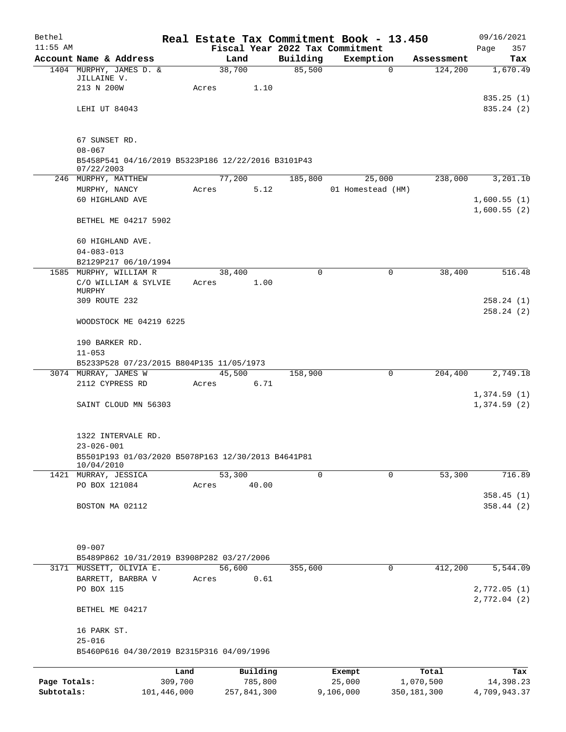| Bethel       |                                                                  |             |                 |             |                | Real Estate Tax Commitment Book - 13.450 |                |            | 09/16/2021   |
|--------------|------------------------------------------------------------------|-------------|-----------------|-------------|----------------|------------------------------------------|----------------|------------|--------------|
| $11:55$ AM   |                                                                  |             |                 |             |                | Fiscal Year 2022 Tax Commitment          |                |            | 357<br>Page  |
|              | Account Name & Address                                           |             |                 | Land        | Building       | Exemption                                |                | Assessment | Tax          |
|              | 1404 MURPHY, JAMES D. &<br>JILLAINE V.                           |             | 38,700          |             | 85,500         |                                          | $\mathbf 0$    | 124,200    | 1,670.49     |
|              | 213 N 200W                                                       |             | Acres           | 1.10        |                |                                          |                |            |              |
|              |                                                                  |             |                 |             |                |                                          |                |            | 835.25(1)    |
|              | LEHI UT 84043                                                    |             |                 |             |                |                                          |                |            | 835.24(2)    |
|              |                                                                  |             |                 |             |                |                                          |                |            |              |
|              |                                                                  |             |                 |             |                |                                          |                |            |              |
|              | 67 SUNSET RD.                                                    |             |                 |             |                |                                          |                |            |              |
|              | $08 - 067$<br>B5458P541 04/16/2019 B5323P186 12/22/2016 B3101P43 |             |                 |             |                |                                          |                |            |              |
|              | 07/22/2003                                                       |             |                 |             |                |                                          |                |            |              |
|              | 246 MURPHY, MATTHEW                                              |             | 77,200          |             | 185,800        | 25,000                                   |                | 238,000    | 3,201.10     |
|              | MURPHY, NANCY                                                    |             | Acres           | 5.12        |                | 01 Homestead (HM)                        |                |            |              |
|              | 60 HIGHLAND AVE                                                  |             |                 |             |                |                                          |                |            | 1,600.55(1)  |
|              |                                                                  |             |                 |             |                |                                          |                |            | 1,600.55(2)  |
|              | BETHEL ME 04217 5902                                             |             |                 |             |                |                                          |                |            |              |
|              |                                                                  |             |                 |             |                |                                          |                |            |              |
|              | 60 HIGHLAND AVE.                                                 |             |                 |             |                |                                          |                |            |              |
|              | $04 - 083 - 013$                                                 |             |                 |             |                |                                          |                |            |              |
|              | B2129P217 06/10/1994<br>1585 MURPHY, WILLIAM R                   |             |                 |             | $\Omega$       |                                          |                |            |              |
|              | C/O WILLIAM & SYLVIE                                             |             | 38,400<br>Acres | 1.00        |                |                                          | 0              | 38,400     | 516.48       |
|              | MURPHY                                                           |             |                 |             |                |                                          |                |            |              |
|              | 309 ROUTE 232                                                    |             |                 |             |                |                                          |                |            | 258.24(1)    |
|              |                                                                  |             |                 |             |                |                                          |                |            | 258.24(2)    |
|              | WOODSTOCK ME 04219 6225                                          |             |                 |             |                |                                          |                |            |              |
|              |                                                                  |             |                 |             |                |                                          |                |            |              |
|              | 190 BARKER RD.                                                   |             |                 |             |                |                                          |                |            |              |
|              | $11 - 053$                                                       |             |                 |             |                |                                          |                |            |              |
|              | B5233P528 07/23/2015 B804P135 11/05/1973                         |             |                 |             |                |                                          |                |            |              |
|              | 3074 MURRAY, JAMES W                                             |             | 45,500          |             | 158,900        |                                          | 0              | 204,400    | 2,749.18     |
|              | 2112 CYPRESS RD                                                  |             | Acres           | 6.71        |                |                                          |                |            | 1,374.59(1)  |
|              | SAINT CLOUD MN 56303                                             |             |                 |             |                |                                          |                |            | 1,374.59(2)  |
|              |                                                                  |             |                 |             |                |                                          |                |            |              |
|              |                                                                  |             |                 |             |                |                                          |                |            |              |
|              | 1322 INTERVALE RD.                                               |             |                 |             |                |                                          |                |            |              |
|              | $23 - 026 - 001$                                                 |             |                 |             |                |                                          |                |            |              |
|              | B5501P193 01/03/2020 B5078P163 12/30/2013 B4641P81               |             |                 |             |                |                                          |                |            |              |
|              | 10/04/2010<br>1421 MURRAY, JESSICA                               |             | 53,300          |             | $\overline{0}$ |                                          | $\overline{0}$ | 53,300     | 716.89       |
|              | PO BOX 121084                                                    |             | Acres           | 40.00       |                |                                          |                |            |              |
|              |                                                                  |             |                 |             |                |                                          |                |            | 358.45(1)    |
|              | BOSTON MA 02112                                                  |             |                 |             |                |                                          |                |            | 358.44(2)    |
|              |                                                                  |             |                 |             |                |                                          |                |            |              |
|              |                                                                  |             |                 |             |                |                                          |                |            |              |
|              |                                                                  |             |                 |             |                |                                          |                |            |              |
|              | $09 - 007$                                                       |             |                 |             |                |                                          |                |            |              |
|              | B5489P862 10/31/2019 B3908P282 03/27/2006                        |             |                 |             |                |                                          |                |            |              |
|              | 3171 MUSSETT, OLIVIA E.                                          |             | 56,600          |             | 355,600        |                                          | 0              | 412,200    | 5,544.09     |
|              | BARRETT, BARBRA V                                                |             | Acres           | 0.61        |                |                                          |                |            |              |
|              | PO BOX 115                                                       |             |                 |             |                |                                          |                |            | 2,772.05(1)  |
|              |                                                                  |             |                 |             |                |                                          |                |            | 2,772.04(2)  |
|              | BETHEL ME 04217                                                  |             |                 |             |                |                                          |                |            |              |
|              | 16 PARK ST.                                                      |             |                 |             |                |                                          |                |            |              |
|              | $25 - 016$                                                       |             |                 |             |                |                                          |                |            |              |
|              | B5460P616 04/30/2019 B2315P316 04/09/1996                        |             |                 |             |                |                                          |                |            |              |
|              |                                                                  |             |                 |             |                |                                          |                |            |              |
|              |                                                                  | Land        |                 | Building    |                | Exempt                                   |                | Total      | Tax          |
| Page Totals: |                                                                  | 309,700     |                 | 785,800     |                | 25,000                                   | 1,070,500      |            | 14,398.23    |
| Subtotals:   |                                                                  | 101,446,000 |                 | 257,841,300 |                | 9,106,000                                | 350,181,300    |            | 4,709,943.37 |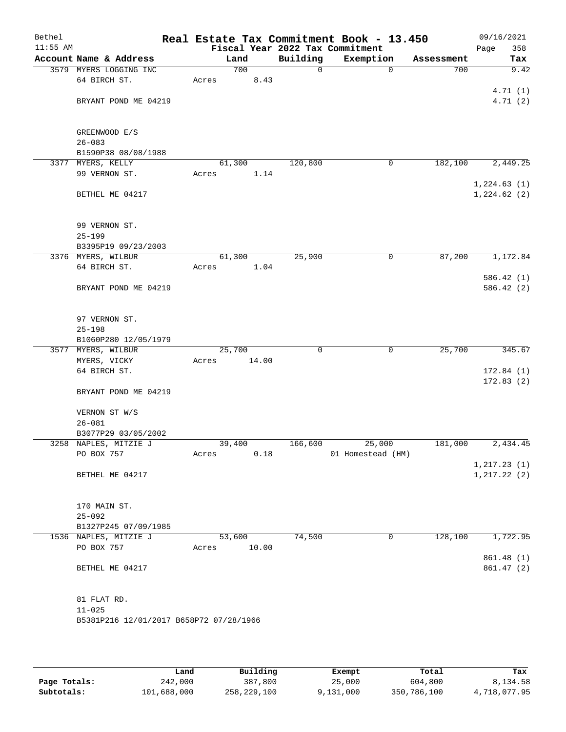| Bethel<br>$11:55$ AM |                                         |       |        |       |                                             | Real Estate Tax Commitment Book - 13.450 |            | 09/16/2021         |
|----------------------|-----------------------------------------|-------|--------|-------|---------------------------------------------|------------------------------------------|------------|--------------------|
|                      | Account Name & Address                  |       | Land   |       | Fiscal Year 2022 Tax Commitment<br>Building | Exemption                                | Assessment | 358<br>Page<br>Tax |
|                      | 3579 MYERS LOGGING INC                  |       | 700    |       | 0                                           | $\mathbf 0$                              | 700        | 9.42               |
|                      | 64 BIRCH ST.                            | Acres |        | 8.43  |                                             |                                          |            |                    |
|                      |                                         |       |        |       |                                             |                                          |            | 4.71(1)            |
|                      | BRYANT POND ME 04219                    |       |        |       |                                             |                                          |            | 4.71(2)            |
|                      |                                         |       |        |       |                                             |                                          |            |                    |
|                      |                                         |       |        |       |                                             |                                          |            |                    |
|                      | GREENWOOD E/S                           |       |        |       |                                             |                                          |            |                    |
|                      | $26 - 083$                              |       |        |       |                                             |                                          |            |                    |
|                      | B1590P38 08/08/1988                     |       |        |       |                                             |                                          |            |                    |
|                      | 3377 MYERS, KELLY                       |       | 61,300 |       | 120,800                                     | 0                                        | 182,100    | 2,449.25           |
|                      | 99 VERNON ST.                           | Acres |        | 1.14  |                                             |                                          |            |                    |
|                      |                                         |       |        |       |                                             |                                          |            | 1,224.63(1)        |
|                      | BETHEL ME 04217                         |       |        |       |                                             |                                          |            | 1,224.62(2)        |
|                      |                                         |       |        |       |                                             |                                          |            |                    |
|                      | 99 VERNON ST.                           |       |        |       |                                             |                                          |            |                    |
|                      | $25 - 199$                              |       |        |       |                                             |                                          |            |                    |
|                      | B3395P19 09/23/2003                     |       |        |       |                                             |                                          |            |                    |
|                      | 3376 MYERS, WILBUR                      |       | 61,300 |       | 25,900                                      | 0                                        | 87,200     | 1,172.84           |
|                      | 64 BIRCH ST.                            | Acres |        | 1.04  |                                             |                                          |            |                    |
|                      |                                         |       |        |       |                                             |                                          |            | 586.42(1)          |
|                      | BRYANT POND ME 04219                    |       |        |       |                                             |                                          |            | 586.42(2)          |
|                      |                                         |       |        |       |                                             |                                          |            |                    |
|                      |                                         |       |        |       |                                             |                                          |            |                    |
|                      | 97 VERNON ST.<br>$25 - 198$             |       |        |       |                                             |                                          |            |                    |
|                      | B1060P280 12/05/1979                    |       |        |       |                                             |                                          |            |                    |
|                      | 3577 MYERS, WILBUR                      |       | 25,700 |       | $\mathbf 0$                                 | $\mathbf 0$                              | 25,700     | 345.67             |
|                      | MYERS, VICKY                            | Acres |        | 14.00 |                                             |                                          |            |                    |
|                      | 64 BIRCH ST.                            |       |        |       |                                             |                                          |            | 172.84(1)          |
|                      |                                         |       |        |       |                                             |                                          |            | 172.83(2)          |
|                      | BRYANT POND ME 04219                    |       |        |       |                                             |                                          |            |                    |
|                      |                                         |       |        |       |                                             |                                          |            |                    |
|                      | VERNON ST W/S                           |       |        |       |                                             |                                          |            |                    |
|                      | $26 - 081$                              |       |        |       |                                             |                                          |            |                    |
|                      | B3077P29 03/05/2002                     |       |        |       |                                             |                                          |            |                    |
|                      | 3258 NAPLES, MITZIE J                   |       | 39,400 |       | 166,600                                     | 25,000                                   | 181,000    | 2,434.45           |
|                      | PO BOX 757                              | Acres |        | 0.18  |                                             | 01 Homestead (HM)                        |            |                    |
|                      |                                         |       |        |       |                                             |                                          |            | 1, 217.23(1)       |
|                      | BETHEL ME 04217                         |       |        |       |                                             |                                          |            | 1, 217.22(2)       |
|                      |                                         |       |        |       |                                             |                                          |            |                    |
|                      | 170 MAIN ST.                            |       |        |       |                                             |                                          |            |                    |
|                      | $25 - 092$                              |       |        |       |                                             |                                          |            |                    |
|                      | B1327P245 07/09/1985                    |       |        |       |                                             |                                          |            |                    |
|                      | 1536 NAPLES, MITZIE J                   |       | 53,600 |       | 74,500                                      | 0                                        | 128,100    | 1,722.95           |
|                      | PO BOX 757                              | Acres |        | 10.00 |                                             |                                          |            |                    |
|                      |                                         |       |        |       |                                             |                                          |            | 861.48 (1)         |
|                      | BETHEL ME 04217                         |       |        |       |                                             |                                          |            | 861.47(2)          |
|                      |                                         |       |        |       |                                             |                                          |            |                    |
|                      | 81 FLAT RD.                             |       |        |       |                                             |                                          |            |                    |
|                      | $11 - 025$                              |       |        |       |                                             |                                          |            |                    |
|                      | B5381P216 12/01/2017 B658P72 07/28/1966 |       |        |       |                                             |                                          |            |                    |
|                      |                                         |       |        |       |                                             |                                          |            |                    |
|                      |                                         |       |        |       |                                             |                                          |            |                    |

|              | Land        | Building    | Exempt    | Total       | Tax          |
|--------------|-------------|-------------|-----------|-------------|--------------|
| Page Totals: | 242,000     | 387,800     | 25,000    | 604,800     | 8,134.58     |
| Subtotals:   | 101,688,000 | 258,229,100 | 9,131,000 | 350,786,100 | 4,718,077.95 |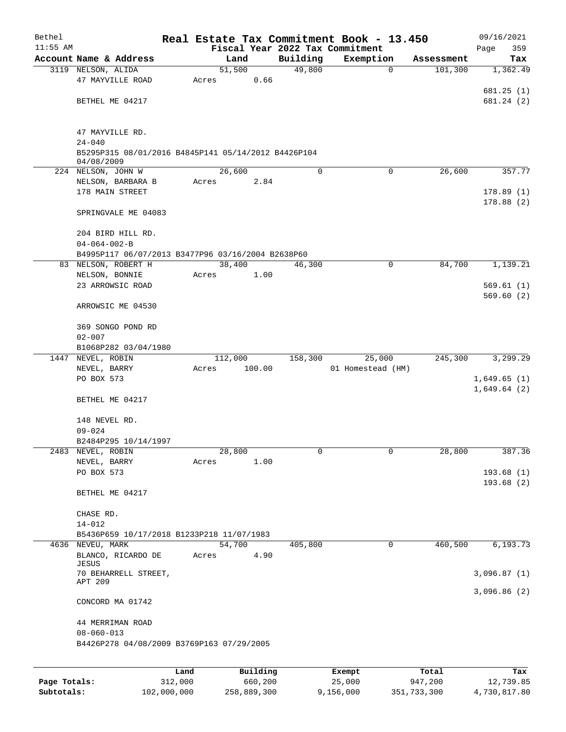| Bethel     |                                                     |      |       |                   | Real Estate Tax Commitment Book - 13.450 |                   |             |            | 09/16/2021  |
|------------|-----------------------------------------------------|------|-------|-------------------|------------------------------------------|-------------------|-------------|------------|-------------|
| $11:55$ AM |                                                     |      |       |                   | Fiscal Year 2022 Tax Commitment          |                   |             |            | 359<br>Page |
|            | Account Name & Address                              |      |       | Land              | Building                                 | Exemption         |             | Assessment | Tax         |
|            | 3119 NELSON, ALIDA                                  |      |       | 51,500            | 49,800                                   |                   | $\mathbf 0$ | 101,300    | 1,362.49    |
|            | 47 MAYVILLE ROAD                                    |      | Acres | 0.66              |                                          |                   |             |            |             |
|            |                                                     |      |       |                   |                                          |                   |             |            | 681.25(1)   |
|            | BETHEL ME 04217                                     |      |       |                   |                                          |                   |             |            | 681.24(2)   |
|            |                                                     |      |       |                   |                                          |                   |             |            |             |
|            | 47 MAYVILLE RD.                                     |      |       |                   |                                          |                   |             |            |             |
|            | $24 - 040$                                          |      |       |                   |                                          |                   |             |            |             |
|            | B5295P315 08/01/2016 B4845P141 05/14/2012 B4426P104 |      |       |                   |                                          |                   |             |            |             |
|            | 04/08/2009                                          |      |       |                   |                                          |                   |             |            |             |
|            | 224 NELSON, JOHN W                                  |      |       | 26,600            | 0                                        |                   | 0           | 26,600     | 357.77      |
|            | NELSON, BARBARA B                                   |      | Acres | 2.84              |                                          |                   |             |            |             |
|            | 178 MAIN STREET                                     |      |       |                   |                                          |                   |             |            | 178.89(1)   |
|            | SPRINGVALE ME 04083                                 |      |       |                   |                                          |                   |             |            | 178.88 (2)  |
|            |                                                     |      |       |                   |                                          |                   |             |            |             |
|            | 204 BIRD HILL RD.                                   |      |       |                   |                                          |                   |             |            |             |
|            | $04 - 064 - 002 - B$                                |      |       |                   |                                          |                   |             |            |             |
|            | B4995P117 06/07/2013 B3477P96 03/16/2004 B2638P60   |      |       |                   |                                          |                   |             |            |             |
|            | 83 NELSON, ROBERT H                                 |      |       | 38,400            | 46,300                                   |                   | 0           | 84,700     | 1,139.21    |
|            | NELSON, BONNIE                                      |      | Acres | 1.00              |                                          |                   |             |            |             |
|            | 23 ARROWSIC ROAD                                    |      |       |                   |                                          |                   |             |            | 569.61(1)   |
|            |                                                     |      |       |                   |                                          |                   |             |            | 569.60(2)   |
|            | ARROWSIC ME 04530                                   |      |       |                   |                                          |                   |             |            |             |
|            |                                                     |      |       |                   |                                          |                   |             |            |             |
|            | 369 SONGO POND RD                                   |      |       |                   |                                          |                   |             |            |             |
|            | $02 - 007$                                          |      |       |                   |                                          |                   |             |            |             |
|            | B1068P282 03/04/1980<br>1447 NEVEL, ROBIN           |      |       |                   | 158,300                                  |                   |             | 245,300    | 3,299.29    |
|            | NEVEL, BARRY                                        |      | Acres | 112,000<br>100.00 |                                          | 01 Homestead (HM) | 25,000      |            |             |
|            | PO BOX 573                                          |      |       |                   |                                          |                   |             |            | 1,649.65(1) |
|            |                                                     |      |       |                   |                                          |                   |             |            | 1,649.64(2) |
|            | BETHEL ME 04217                                     |      |       |                   |                                          |                   |             |            |             |
|            |                                                     |      |       |                   |                                          |                   |             |            |             |
|            | 148 NEVEL RD.                                       |      |       |                   |                                          |                   |             |            |             |
|            | $09 - 024$                                          |      |       |                   |                                          |                   |             |            |             |
|            | B2484P295 10/14/1997                                |      |       |                   |                                          |                   |             |            |             |
|            | 2483 NEVEL, ROBIN                                   |      |       | 28,800            | 0                                        |                   | 0           | 28,800     | 387.36      |
|            | NEVEL, BARRY                                        |      | Acres | 1.00              |                                          |                   |             |            |             |
|            | PO BOX 573                                          |      |       |                   |                                          |                   |             |            | 193.68(1)   |
|            |                                                     |      |       |                   |                                          |                   |             |            | 193.68(2)   |
|            | BETHEL ME 04217                                     |      |       |                   |                                          |                   |             |            |             |
|            | CHASE RD.                                           |      |       |                   |                                          |                   |             |            |             |
|            | $14 - 012$                                          |      |       |                   |                                          |                   |             |            |             |
|            | B5436P659 10/17/2018 B1233P218 11/07/1983           |      |       |                   |                                          |                   |             |            |             |
|            | 4636 NEVEU, MARK                                    |      |       | 54,700            | 405,800                                  |                   | 0           | 460,500    | 6, 193.73   |
|            | BLANCO, RICARDO DE                                  |      | Acres | 4.90              |                                          |                   |             |            |             |
|            | JESUS                                               |      |       |                   |                                          |                   |             |            |             |
|            | 70 BEHARRELL STREET,                                |      |       |                   |                                          |                   |             |            | 3,096.87(1) |
|            | APT 209                                             |      |       |                   |                                          |                   |             |            | 3,096.86(2) |
|            | CONCORD MA 01742                                    |      |       |                   |                                          |                   |             |            |             |
|            |                                                     |      |       |                   |                                          |                   |             |            |             |
|            | 44 MERRIMAN ROAD                                    |      |       |                   |                                          |                   |             |            |             |
|            | $08 - 060 - 013$                                    |      |       |                   |                                          |                   |             |            |             |
|            | B4426P278 04/08/2009 B3769P163 07/29/2005           |      |       |                   |                                          |                   |             |            |             |
|            |                                                     |      |       |                   |                                          |                   |             |            |             |
|            |                                                     | Land |       | Building          |                                          | Exempt            |             | Total      | Tax         |
|            |                                                     |      |       |                   |                                          |                   |             |            |             |

|              | Land        | Building    | Exempt    | Total       | тах          |
|--------------|-------------|-------------|-----------|-------------|--------------|
| Page Totals: | 312,000     | 660,200     | 25,000    | 947,200     | 12,739.85    |
| Subtotals:   | 102,000,000 | 258,889,300 | 9,156,000 | 351,733,300 | 4,730,817.80 |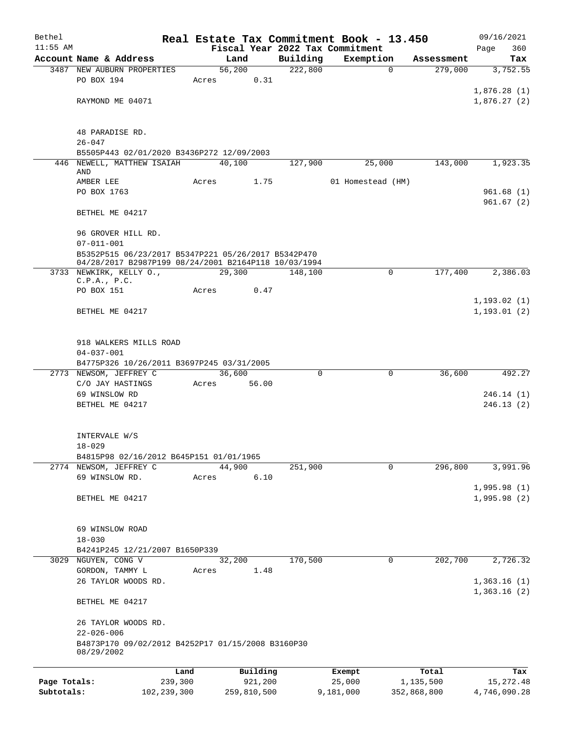| Bethel       |                                                                                                             |             |                |             |                     | Real Estate Tax Commitment Book - 13.450 |          |                       | 09/16/2021      |
|--------------|-------------------------------------------------------------------------------------------------------------|-------------|----------------|-------------|---------------------|------------------------------------------|----------|-----------------------|-----------------|
| $11:55$ AM   |                                                                                                             |             |                |             |                     | Fiscal Year 2022 Tax Commitment          |          |                       | 360<br>Page     |
|              | Account Name & Address<br><b>3487 NEW AUBURN PROPERTIES</b>                                                 |             | Land<br>56,200 |             | Building<br>222,800 | Exemption                                | $\Omega$ | Assessment<br>279,000 | Tax<br>3,752.55 |
|              | PO BOX 194                                                                                                  | Acres       |                | 0.31        |                     |                                          |          |                       |                 |
|              |                                                                                                             |             |                |             |                     |                                          |          |                       | 1,876.28(1)     |
|              | RAYMOND ME 04071                                                                                            |             |                |             |                     |                                          |          |                       | 1,876.27(2)     |
|              |                                                                                                             |             |                |             |                     |                                          |          |                       |                 |
|              | 48 PARADISE RD.                                                                                             |             |                |             |                     |                                          |          |                       |                 |
|              | $26 - 047$                                                                                                  |             |                |             |                     |                                          |          |                       |                 |
|              | B5505P443 02/01/2020 B3436P272 12/09/2003                                                                   |             |                |             |                     |                                          |          |                       |                 |
|              | 446 NEWELL, MATTHEW ISAIAH                                                                                  |             | 40,100         |             | 127,900             | 25,000                                   |          | 143,000               | 1,923.35        |
|              | AND<br>AMBER LEE                                                                                            | Acres       |                | 1.75        |                     | 01 Homestead (HM)                        |          |                       |                 |
|              | PO BOX 1763                                                                                                 |             |                |             |                     |                                          |          |                       | 961.68(1)       |
|              |                                                                                                             |             |                |             |                     |                                          |          |                       | 961.67(2)       |
|              | BETHEL ME 04217                                                                                             |             |                |             |                     |                                          |          |                       |                 |
|              | 96 GROVER HILL RD.                                                                                          |             |                |             |                     |                                          |          |                       |                 |
|              | $07 - 011 - 001$                                                                                            |             |                |             |                     |                                          |          |                       |                 |
|              | B5352P515 06/23/2017 B5347P221 05/26/2017 B5342P470<br>04/28/2017 B2987P199 08/24/2001 B2164P118 10/03/1994 |             |                |             |                     |                                          |          |                       |                 |
|              | 3733 NEWKIRK, KELLY O.,                                                                                     |             | 29,300         |             | 148,100             |                                          | $\Omega$ | 177,400               | 2,386.03        |
|              | C.P.A., P.C.<br>PO BOX 151                                                                                  | Acres       |                | 0.47        |                     |                                          |          |                       |                 |
|              |                                                                                                             |             |                |             |                     |                                          |          |                       | 1, 193.02(1)    |
|              | BETHEL ME 04217                                                                                             |             |                |             |                     |                                          |          |                       | 1, 193.01(2)    |
|              |                                                                                                             |             |                |             |                     |                                          |          |                       |                 |
|              | 918 WALKERS MILLS ROAD                                                                                      |             |                |             |                     |                                          |          |                       |                 |
|              | $04 - 037 - 001$                                                                                            |             |                |             |                     |                                          |          |                       |                 |
|              | B4775P326 10/26/2011 B3697P245 03/31/2005                                                                   |             |                |             |                     |                                          |          |                       |                 |
|              | 2773 NEWSOM, JEFFREY C                                                                                      |             | 36,600         |             | $\Omega$            |                                          | 0        | 36,600                | 492.27          |
|              | C/O JAY HASTINGS                                                                                            | Acres       |                | 56.00       |                     |                                          |          |                       |                 |
|              | 69 WINSLOW RD                                                                                               |             |                |             |                     |                                          |          |                       | 246.14(1)       |
|              | BETHEL ME 04217                                                                                             |             |                |             |                     |                                          |          |                       | 246.13(2)       |
|              | INTERVALE W/S                                                                                               |             |                |             |                     |                                          |          |                       |                 |
|              | $18 - 029$                                                                                                  |             |                |             |                     |                                          |          |                       |                 |
|              | B4815P98 02/16/2012 B645P151 01/01/1965                                                                     |             |                |             |                     |                                          |          |                       |                 |
|              | 2774 NEWSOM, JEFFREY C                                                                                      |             | 44,900         |             | 251,900             |                                          | 0        | 296,800               | 3,991.96        |
|              | 69 WINSLOW RD.                                                                                              | Acres       |                | 6.10        |                     |                                          |          |                       |                 |
|              |                                                                                                             |             |                |             |                     |                                          |          |                       | 1,995.98(1)     |
|              | BETHEL ME 04217                                                                                             |             |                |             |                     |                                          |          |                       | 1,995.98(2)     |
|              |                                                                                                             |             |                |             |                     |                                          |          |                       |                 |
|              | 69 WINSLOW ROAD                                                                                             |             |                |             |                     |                                          |          |                       |                 |
|              | $18 - 030$<br>B4241P245 12/21/2007 B1650P339                                                                |             |                |             |                     |                                          |          |                       |                 |
|              | 3029 NGUYEN, CONG V                                                                                         |             | 32,200         |             | 170,500             |                                          | 0        | 202,700               | 2,726.32        |
|              | GORDON, TAMMY L                                                                                             | Acres       |                | 1.48        |                     |                                          |          |                       |                 |
|              | 26 TAYLOR WOODS RD.                                                                                         |             |                |             |                     |                                          |          |                       | 1,363.16(1)     |
|              |                                                                                                             |             |                |             |                     |                                          |          |                       | 1,363.16(2)     |
|              | BETHEL ME 04217                                                                                             |             |                |             |                     |                                          |          |                       |                 |
|              | 26 TAYLOR WOODS RD.                                                                                         |             |                |             |                     |                                          |          |                       |                 |
|              | $22 - 026 - 006$                                                                                            |             |                |             |                     |                                          |          |                       |                 |
|              | B4873P170 09/02/2012 B4252P17 01/15/2008 B3160P30                                                           |             |                |             |                     |                                          |          |                       |                 |
|              | 08/29/2002                                                                                                  |             |                |             |                     |                                          |          |                       |                 |
|              |                                                                                                             | Land        |                | Building    |                     | Exempt                                   |          | Total                 | Tax             |
| Page Totals: |                                                                                                             | 239,300     |                | 921,200     |                     | 25,000                                   |          | 1,135,500             | 15, 272.48      |
| Subtotals:   |                                                                                                             | 102,239,300 |                | 259,810,500 |                     | 9,181,000                                |          | 352,868,800           | 4,746,090.28    |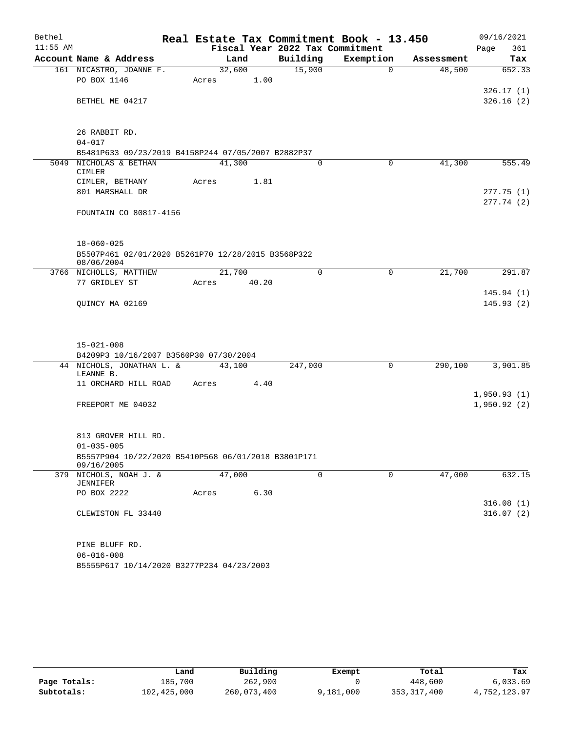| Bethel     |                                                                   |       |        |       | Real Estate Tax Commitment Book - 13.450 |           |              |            |      | 09/16/2021                 |
|------------|-------------------------------------------------------------------|-------|--------|-------|------------------------------------------|-----------|--------------|------------|------|----------------------------|
| $11:55$ AM |                                                                   |       |        |       | Fiscal Year 2022 Tax Commitment          |           |              |            | Page | 361                        |
|            | Account Name & Address                                            |       | Land   |       | Building                                 | Exemption |              | Assessment |      | Tax                        |
|            | 161 NICASTRO, JOANNE F.                                           |       | 32,600 |       | 15,900                                   |           | $\Omega$     | 48,500     |      | 652.33                     |
|            | PO BOX 1146                                                       | Acres |        | 1.00  |                                          |           |              |            |      |                            |
|            | BETHEL ME 04217                                                   |       |        |       |                                          |           |              |            |      | 326.17(1)<br>326.16(2)     |
|            |                                                                   |       |        |       |                                          |           |              |            |      |                            |
|            |                                                                   |       |        |       |                                          |           |              |            |      |                            |
|            | 26 RABBIT RD.                                                     |       |        |       |                                          |           |              |            |      |                            |
|            | $04 - 017$                                                        |       |        |       |                                          |           |              |            |      |                            |
|            | B5481P633 09/23/2019 B4158P244 07/05/2007 B2882P37                |       |        |       |                                          |           |              |            |      |                            |
|            | 5049 NICHOLAS & BETHAN                                            |       | 41,300 |       | $\Omega$                                 |           | 0            | 41,300     |      | 555.49                     |
|            | CIMLER<br>CIMLER, BETHANY                                         | Acres |        | 1.81  |                                          |           |              |            |      |                            |
|            | 801 MARSHALL DR                                                   |       |        |       |                                          |           |              |            |      | 277.75(1)                  |
|            |                                                                   |       |        |       |                                          |           |              |            |      | 277.74(2)                  |
|            | FOUNTAIN CO 80817-4156                                            |       |        |       |                                          |           |              |            |      |                            |
|            |                                                                   |       |        |       |                                          |           |              |            |      |                            |
|            |                                                                   |       |        |       |                                          |           |              |            |      |                            |
|            | $18 - 060 - 025$                                                  |       |        |       |                                          |           |              |            |      |                            |
|            | B5507P461 02/01/2020 B5261P70 12/28/2015 B3568P322<br>08/06/2004  |       |        |       |                                          |           |              |            |      |                            |
|            | 3766 NICHOLLS, MATTHEW                                            |       | 21,700 |       | $\Omega$                                 |           | 0            | 21,700     |      | 291.87                     |
|            | 77 GRIDLEY ST                                                     | Acres |        | 40.20 |                                          |           |              |            |      |                            |
|            |                                                                   |       |        |       |                                          |           |              |            |      | 145.94(1)                  |
|            | QUINCY MA 02169                                                   |       |        |       |                                          |           |              |            |      | 145.93(2)                  |
|            |                                                                   |       |        |       |                                          |           |              |            |      |                            |
|            |                                                                   |       |        |       |                                          |           |              |            |      |                            |
|            | $15 - 021 - 008$                                                  |       |        |       |                                          |           |              |            |      |                            |
|            | B4209P3 10/16/2007 B3560P30 07/30/2004                            |       |        |       |                                          |           |              |            |      |                            |
|            | 44 NICHOLS, JONATHAN L. &                                         |       | 43,100 |       | 247,000                                  |           | $\mathsf{O}$ | 290,100    |      | 3,901.85                   |
|            | LEANNE B.                                                         |       |        |       |                                          |           |              |            |      |                            |
|            | 11 ORCHARD HILL ROAD                                              | Acres |        | 4.40  |                                          |           |              |            |      |                            |
|            |                                                                   |       |        |       |                                          |           |              |            |      | 1,950.93(1)<br>1,950.92(2) |
|            | FREEPORT ME 04032                                                 |       |        |       |                                          |           |              |            |      |                            |
|            |                                                                   |       |        |       |                                          |           |              |            |      |                            |
|            | 813 GROVER HILL RD.                                               |       |        |       |                                          |           |              |            |      |                            |
|            | $01 - 035 - 005$                                                  |       |        |       |                                          |           |              |            |      |                            |
|            | B5557P904 10/22/2020 B5410P568 06/01/2018 B3801P171<br>09/16/2005 |       |        |       |                                          |           |              |            |      |                            |
|            | 379 NICHOLS, NOAH J. &                                            |       | 47,000 |       | $\mathbf 0$                              |           | $\mathbf 0$  | 47,000     |      | 632.15                     |
|            | JENNIFER                                                          |       |        |       |                                          |           |              |            |      |                            |
|            | PO BOX 2222                                                       | Acres |        | 6.30  |                                          |           |              |            |      |                            |
|            |                                                                   |       |        |       |                                          |           |              |            |      | 316.08(1)                  |
|            | CLEWISTON FL 33440                                                |       |        |       |                                          |           |              |            |      | 316.07(2)                  |
|            |                                                                   |       |        |       |                                          |           |              |            |      |                            |
|            | PINE BLUFF RD.                                                    |       |        |       |                                          |           |              |            |      |                            |
|            | $06 - 016 - 008$                                                  |       |        |       |                                          |           |              |            |      |                            |
|            | B5555P617 10/14/2020 B3277P234 04/23/2003                         |       |        |       |                                          |           |              |            |      |                            |

|              | Land        | Building    | Exempt    | Total         | Tax          |
|--------------|-------------|-------------|-----------|---------------|--------------|
| Page Totals: | 185,700     | 262,900     |           | 448,600       | 6,033.69     |
| Subtotals:   | 102,425,000 | 260,073,400 | 9,181,000 | 353, 317, 400 | 4,752,123.97 |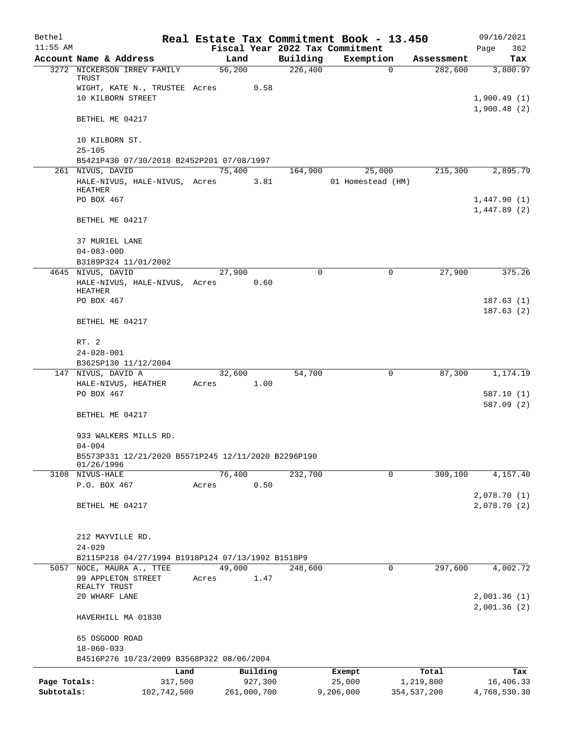| Bethel       |                                                       |       |                |             |                     | Real Estate Tax Commitment Book - 13.450 |                       | 09/16/2021                 |
|--------------|-------------------------------------------------------|-------|----------------|-------------|---------------------|------------------------------------------|-----------------------|----------------------------|
| $11:55$ AM   |                                                       |       |                |             |                     | Fiscal Year 2022 Tax Commitment          |                       | Page<br>362                |
|              | Account Name & Address<br>3272 NICKERSON IRREV FAMILY |       | Land<br>56,200 |             | Building<br>226,400 | Exemption<br>$\Omega$                    | Assessment<br>282,600 | Tax<br>3,800.97            |
|              | TRUST                                                 |       |                |             |                     |                                          |                       |                            |
|              | WIGHT, KATE N., TRUSTEE Acres                         |       |                | 0.58        |                     |                                          |                       |                            |
|              | 10 KILBORN STREET                                     |       |                |             |                     |                                          |                       | 1,900.49(1)                |
|              | BETHEL ME 04217                                       |       |                |             |                     |                                          |                       | 1,900.48(2)                |
|              | 10 KILBORN ST.                                        |       |                |             |                     |                                          |                       |                            |
|              | $25 - 105$                                            |       |                |             |                     |                                          |                       |                            |
|              | B5421P430 07/30/2018 B2452P201 07/08/1997             |       |                |             |                     |                                          |                       |                            |
|              | 261 NIVUS, DAVID                                      |       | 75,400         |             | 164,900             | 25,000                                   | 215,300               | 2,895.79                   |
|              | HALE-NIVUS, HALE-NIVUS, Acres                         |       |                | 3.81        |                     | 01 Homestead (HM)                        |                       |                            |
|              | HEATHER<br>PO BOX 467                                 |       |                |             |                     |                                          |                       |                            |
|              |                                                       |       |                |             |                     |                                          |                       | 1,447.90(1)<br>1,447.89(2) |
|              | BETHEL ME 04217                                       |       |                |             |                     |                                          |                       |                            |
|              | 37 MURIEL LANE                                        |       |                |             |                     |                                          |                       |                            |
|              | $04 - 083 - 00D$                                      |       |                |             |                     |                                          |                       |                            |
|              | B3189P324 11/01/2002                                  |       |                |             |                     |                                          |                       |                            |
|              | 4645 NIVUS, DAVID                                     |       | 27,900         |             | $\Omega$            | 0                                        | 27,900                | 375.26                     |
|              | HALE-NIVUS, HALE-NIVUS, Acres<br>HEATHER              |       |                | 0.60        |                     |                                          |                       |                            |
|              | PO BOX 467                                            |       |                |             |                     |                                          |                       | 187.63(1)                  |
|              | BETHEL ME 04217                                       |       |                |             |                     |                                          |                       | 187.63(2)                  |
|              |                                                       |       |                |             |                     |                                          |                       |                            |
|              | RT. 2                                                 |       |                |             |                     |                                          |                       |                            |
|              | $24 - 028 - 001$                                      |       |                |             |                     |                                          |                       |                            |
|              | B3625P130 11/12/2004                                  |       |                |             |                     |                                          |                       |                            |
|              | 147 NIVUS, DAVID A                                    |       | 32,600         |             | 54,700              | 0                                        | 87,300                | 1,174.19                   |
|              | HALE-NIVUS, HEATHER                                   | Acres |                | 1.00        |                     |                                          |                       |                            |
|              | PO BOX 467                                            |       |                |             |                     |                                          |                       | 587.10(1)<br>587.09 (2)    |
|              | BETHEL ME 04217                                       |       |                |             |                     |                                          |                       |                            |
|              | 933 WALKERS MILLS RD.                                 |       |                |             |                     |                                          |                       |                            |
|              | $04 - 004$                                            |       |                |             |                     |                                          |                       |                            |
|              | B5573P331 12/21/2020 B5571P245 12/11/2020 B2296P190   |       |                |             |                     |                                          |                       |                            |
|              | 01/26/1996<br>3108 NIVUS-HALE                         |       | 76,400         |             | 232,700             | 0                                        | 309,100               | 4,157.40                   |
|              | P.O. BOX 467                                          | Acres |                | 0.50        |                     |                                          |                       |                            |
|              |                                                       |       |                |             |                     |                                          |                       | 2,078.70(1)                |
|              | BETHEL ME 04217                                       |       |                |             |                     |                                          |                       | 2,078.70(2)                |
|              |                                                       |       |                |             |                     |                                          |                       |                            |
|              | 212 MAYVILLE RD.                                      |       |                |             |                     |                                          |                       |                            |
|              | $24 - 029$                                            |       |                |             |                     |                                          |                       |                            |
|              | B2115P218 04/27/1994 B1918P124 07/13/1992 B1518P9     |       |                |             |                     |                                          |                       |                            |
| 5057         | NOCE, MAURA A., TTEE                                  |       | 49,000         |             | 248,600             | $\mathbf{0}$                             | 297,600               | 4,002.72                   |
|              | 99 APPLETON STREET                                    | Acres |                | 1.47        |                     |                                          |                       |                            |
|              | REALTY TRUST                                          |       |                |             |                     |                                          |                       |                            |
|              | 20 WHARF LANE                                         |       |                |             |                     |                                          |                       | 2,001.36(1)<br>2,001.36(2) |
|              | HAVERHILL MA 01830                                    |       |                |             |                     |                                          |                       |                            |
|              | 65 OSGOOD ROAD                                        |       |                |             |                     |                                          |                       |                            |
|              | $18 - 060 - 033$                                      |       |                |             |                     |                                          |                       |                            |
|              | B4516P276 10/23/2009 B3568P322 08/06/2004             |       |                |             |                     |                                          |                       |                            |
|              | Land                                                  |       |                | Building    |                     | Exempt                                   | Total                 | Tax                        |
| Page Totals: | 317,500                                               |       |                | 927,300     |                     | 25,000                                   | 1,219,800             | 16,406.33                  |
| Subtotals:   | 102,742,500                                           |       |                | 261,000,700 |                     | 9,206,000                                | 354,537,200           | 4,768,530.30               |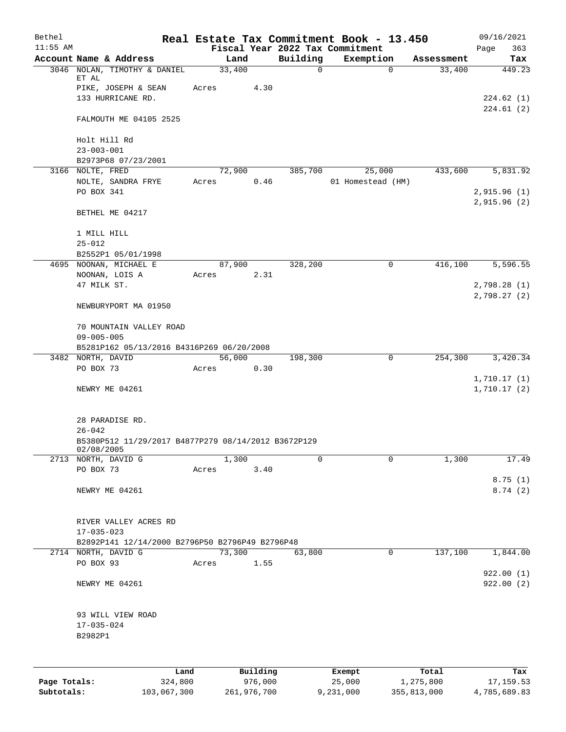| Bethel       |                                                                   |                 |          |          | Real Estate Tax Commitment Book - 13.450     |                      | 09/16/2021                   |
|--------------|-------------------------------------------------------------------|-----------------|----------|----------|----------------------------------------------|----------------------|------------------------------|
| $11:55$ AM   | Account Name & Address                                            | Land            |          | Building | Fiscal Year 2022 Tax Commitment<br>Exemption |                      | Page<br>363                  |
|              | 3046 NOLAN, TIMOTHY & DANIEL                                      | 33,400          |          | 0        | 0                                            | Assessment<br>33,400 | Tax<br>449.23                |
|              | ET AL                                                             | Acres           | 4.30     |          |                                              |                      |                              |
|              | PIKE, JOSEPH & SEAN<br>133 HURRICANE RD.                          |                 |          |          |                                              |                      | 224.62 (1)                   |
|              | FALMOUTH ME 04105 2525                                            |                 |          |          |                                              |                      | 224.61(2)                    |
|              | Holt Hill Rd                                                      |                 |          |          |                                              |                      |                              |
|              | $23 - 003 - 001$<br>B2973P68 07/23/2001                           |                 |          |          |                                              |                      |                              |
|              | 3166 NOLTE, FRED                                                  | 72,900          |          | 385,700  | 25,000                                       | 433,600              | 5,831.92                     |
|              | NOLTE, SANDRA FRYE<br>PO BOX 341                                  | Acres           | 0.46     |          | 01 Homestead (HM)                            |                      | 2,915.96(1)                  |
|              | BETHEL ME 04217                                                   |                 |          |          |                                              |                      | 2,915.96(2)                  |
|              |                                                                   |                 |          |          |                                              |                      |                              |
|              | 1 MILL HILL<br>$25 - 012$                                         |                 |          |          |                                              |                      |                              |
|              | B2552P1 05/01/1998                                                |                 |          |          |                                              |                      |                              |
| 4695         | NOONAN, MICHAEL E                                                 | 87,900          |          | 328,200  | 0                                            | 416,100              | 5,596.55                     |
|              | NOONAN, LOIS A                                                    | Acres           | 2.31     |          |                                              |                      |                              |
|              | 47 MILK ST.                                                       |                 |          |          |                                              |                      | 2,798.28 (1)<br>2,798.27 (2) |
|              | NEWBURYPORT MA 01950                                              |                 |          |          |                                              |                      |                              |
|              | 70 MOUNTAIN VALLEY ROAD<br>$09 - 005 - 005$                       |                 |          |          |                                              |                      |                              |
|              | B5281P162 05/13/2016 B4316P269 06/20/2008                         |                 |          |          |                                              |                      |                              |
|              | 3482 NORTH, DAVID                                                 | 56,000          |          | 198,300  | 0                                            | 254,300              | 3,420.34                     |
|              | PO BOX 73                                                         | Acres           | 0.30     |          |                                              |                      |                              |
|              | NEWRY ME 04261                                                    |                 |          |          |                                              |                      | 1,710.17(1)<br>1,710.17(2)   |
|              |                                                                   |                 |          |          |                                              |                      |                              |
|              | 28 PARADISE RD.<br>$26 - 042$                                     |                 |          |          |                                              |                      |                              |
|              | B5380P512 11/29/2017 B4877P279 08/14/2012 B3672P129<br>02/08/2005 |                 |          |          |                                              |                      |                              |
|              | 2713 NORTH, DAVID G                                               | 1,300           |          | 0        | $\mathbf 0$                                  | 1,300                | 17.49                        |
|              | PO BOX 73                                                         | Acres           | 3.40     |          |                                              |                      | 8.75(1)                      |
|              | NEWRY ME 04261                                                    |                 |          |          |                                              |                      | 8.74(2)                      |
|              | RIVER VALLEY ACRES RD                                             |                 |          |          |                                              |                      |                              |
|              | $17 - 035 - 023$                                                  |                 |          |          |                                              |                      |                              |
|              | B2892P141 12/14/2000 B2796P50 B2796P49 B2796P48                   |                 |          |          |                                              |                      |                              |
|              | 2714 NORTH, DAVID G<br>PO BOX 93                                  | 73,300<br>Acres | 1.55     | 63,800   | 0                                            | 137,100              | 1,844.00                     |
|              | NEWRY ME 04261                                                    |                 |          |          |                                              |                      | 922.00(1)<br>922.00(2)       |
|              |                                                                   |                 |          |          |                                              |                      |                              |
|              | 93 WILL VIEW ROAD                                                 |                 |          |          |                                              |                      |                              |
|              | $17 - 035 - 024$                                                  |                 |          |          |                                              |                      |                              |
|              | B2982P1                                                           |                 |          |          |                                              |                      |                              |
|              |                                                                   |                 |          |          |                                              |                      |                              |
|              | Land                                                              |                 | Building |          | Exempt                                       | Total                | Tax                          |
| Page Totals: | 324,800                                                           |                 | 976,000  |          | 25,000                                       | 1,275,800            | 17, 159.53                   |

**Subtotals:** 103,067,300 261,976,700 9,231,000 355,813,000 4,785,689.83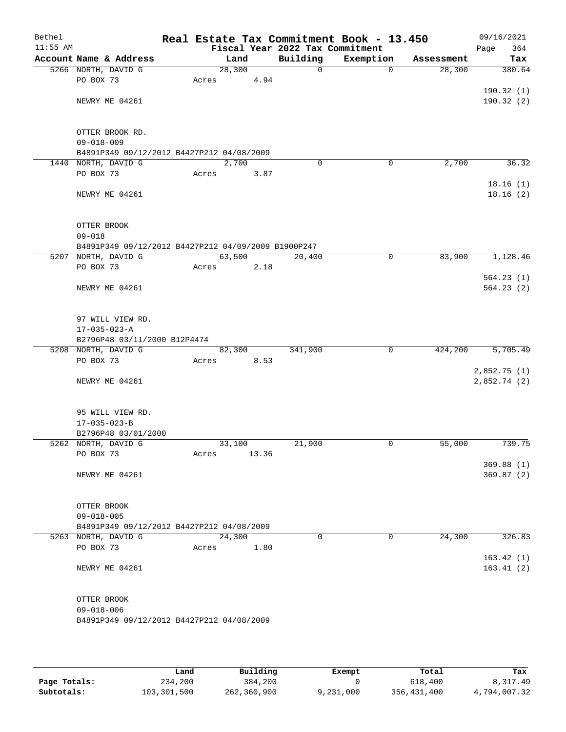| Bethel<br>$11:55$ AM |                                                     |       |        |       |                                             | Real Estate Tax Commitment Book - 13.450 |            | 09/16/2021         |
|----------------------|-----------------------------------------------------|-------|--------|-------|---------------------------------------------|------------------------------------------|------------|--------------------|
|                      | Account Name & Address                              |       | Land   |       | Fiscal Year 2022 Tax Commitment<br>Building | Exemption                                | Assessment | Page<br>364<br>Tax |
|                      | 5266 NORTH, DAVID G                                 |       | 28,300 |       | $\mathbf 0$                                 | $\mathbf 0$                              | 28,300     | 380.64             |
|                      | PO BOX 73                                           | Acres |        | 4.94  |                                             |                                          |            |                    |
|                      |                                                     |       |        |       |                                             |                                          |            | 190.32(1)          |
|                      | NEWRY ME 04261                                      |       |        |       |                                             |                                          |            | 190.32(2)          |
|                      |                                                     |       |        |       |                                             |                                          |            |                    |
|                      |                                                     |       |        |       |                                             |                                          |            |                    |
|                      | OTTER BROOK RD.                                     |       |        |       |                                             |                                          |            |                    |
|                      | $09 - 018 - 009$                                    |       |        |       |                                             |                                          |            |                    |
|                      | B4891P349 09/12/2012 B4427P212 04/08/2009           |       |        |       |                                             |                                          |            |                    |
|                      | 1440 NORTH, DAVID G                                 |       | 2,700  |       | $\Omega$                                    | 0                                        | 2,700      | 36.32              |
|                      | PO BOX 73                                           | Acres |        | 3.87  |                                             |                                          |            |                    |
|                      |                                                     |       |        |       |                                             |                                          |            | 18.16(1)           |
|                      | NEWRY ME 04261                                      |       |        |       |                                             |                                          |            | 18.16(2)           |
|                      |                                                     |       |        |       |                                             |                                          |            |                    |
|                      | OTTER BROOK                                         |       |        |       |                                             |                                          |            |                    |
|                      | $09 - 018$                                          |       |        |       |                                             |                                          |            |                    |
|                      | B4891P349 09/12/2012 B4427P212 04/09/2009 B1900P247 |       |        |       |                                             |                                          |            |                    |
|                      | 5207 NORTH, DAVID G                                 |       | 63,500 |       | 20,400                                      | $\mathsf{O}$                             | 83,900     | 1,128.46           |
|                      | PO BOX 73                                           | Acres |        | 2.18  |                                             |                                          |            |                    |
|                      |                                                     |       |        |       |                                             |                                          |            | 564.23(1)          |
|                      | NEWRY ME 04261                                      |       |        |       |                                             |                                          |            | 564.23(2)          |
|                      |                                                     |       |        |       |                                             |                                          |            |                    |
|                      |                                                     |       |        |       |                                             |                                          |            |                    |
|                      | 97 WILL VIEW RD.                                    |       |        |       |                                             |                                          |            |                    |
|                      | $17 - 035 - 023 - A$                                |       |        |       |                                             |                                          |            |                    |
|                      | B2796P48 03/11/2000 B12P4474                        |       |        |       |                                             |                                          |            |                    |
|                      | 5208 NORTH, DAVID G                                 |       | 82,300 |       | 341,900                                     | $\mathbf 0$                              | 424,200    | 5,705.49           |
|                      | PO BOX 73                                           | Acres |        | 8.53  |                                             |                                          |            |                    |
|                      |                                                     |       |        |       |                                             |                                          |            | 2,852.75(1)        |
|                      | NEWRY ME 04261                                      |       |        |       |                                             |                                          |            | 2,852.74 (2)       |
|                      |                                                     |       |        |       |                                             |                                          |            |                    |
|                      | 95 WILL VIEW RD.                                    |       |        |       |                                             |                                          |            |                    |
|                      | $17 - 035 - 023 - B$                                |       |        |       |                                             |                                          |            |                    |
|                      | B2796P48 03/01/2000                                 |       |        |       |                                             |                                          |            |                    |
|                      | 5262 NORTH, DAVID G                                 |       | 33,100 |       | 21,900                                      | 0                                        | 55,000     | 739.75             |
|                      | PO BOX 73                                           | Acres |        | 13.36 |                                             |                                          |            |                    |
|                      |                                                     |       |        |       |                                             |                                          |            | 369.88(1)          |
|                      | NEWRY ME 04261                                      |       |        |       |                                             |                                          |            | 369.87(2)          |
|                      |                                                     |       |        |       |                                             |                                          |            |                    |
|                      |                                                     |       |        |       |                                             |                                          |            |                    |
|                      | OTTER BROOK                                         |       |        |       |                                             |                                          |            |                    |
|                      | $09 - 018 - 005$                                    |       |        |       |                                             |                                          |            |                    |
|                      | B4891P349 09/12/2012 B4427P212 04/08/2009           |       |        |       |                                             |                                          |            |                    |
|                      | 5263 NORTH, DAVID G<br>PO BOX 73                    |       | 24,300 |       | $\Omega$                                    | 0                                        | 24,300     | 326.83             |
|                      |                                                     | Acres |        | 1.80  |                                             |                                          |            | 163.42(1)          |
|                      | NEWRY ME 04261                                      |       |        |       |                                             |                                          |            | 163.41(2)          |
|                      |                                                     |       |        |       |                                             |                                          |            |                    |
|                      |                                                     |       |        |       |                                             |                                          |            |                    |
|                      | OTTER BROOK                                         |       |        |       |                                             |                                          |            |                    |
|                      | $09 - 018 - 006$                                    |       |        |       |                                             |                                          |            |                    |
|                      | B4891P349 09/12/2012 B4427P212 04/08/2009           |       |        |       |                                             |                                          |            |                    |
|                      |                                                     |       |        |       |                                             |                                          |            |                    |
|                      |                                                     |       |        |       |                                             |                                          |            |                    |

|              | Land        | Building    | Exempt    | Total       | Tax          |
|--------------|-------------|-------------|-----------|-------------|--------------|
| Page Totals: | 234,200     | 384,200     |           | 618,400     | 8,317.49     |
| Subtotals:   | 103,301,500 | 262,360,900 | 9,231,000 | 356,431,400 | 4,794,007.32 |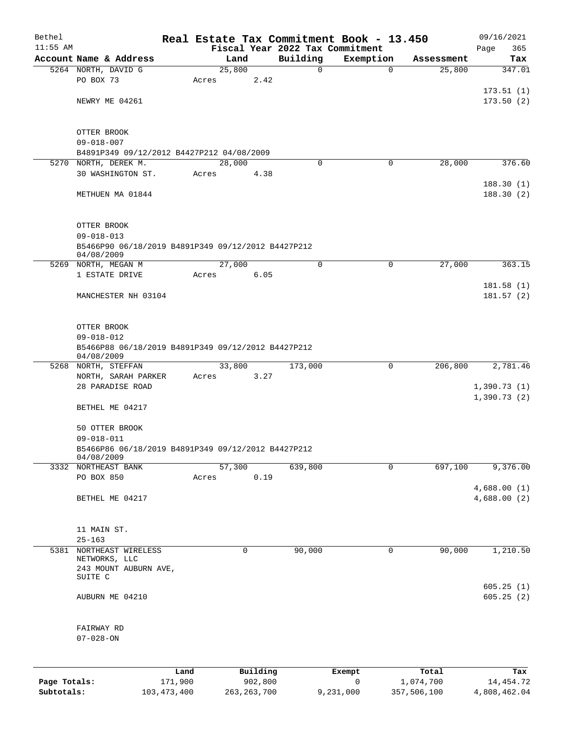| Bethel       |                                                                  |         |                |      |                                 | Real Estate Tax Commitment Book - 13.450 |                      | 09/16/2021                 |
|--------------|------------------------------------------------------------------|---------|----------------|------|---------------------------------|------------------------------------------|----------------------|----------------------------|
| $11:55$ AM   | Account Name & Address                                           |         |                |      | Fiscal Year 2022 Tax Commitment |                                          |                      | 365<br>Page                |
|              | 5264 NORTH, DAVID G                                              |         | Land<br>25,800 |      | Building<br>0                   | Exemption<br>$\mathbf 0$                 | Assessment<br>25,800 | Tax<br>347.01              |
|              | PO BOX 73                                                        | Acres   |                | 2.42 |                                 |                                          |                      |                            |
|              |                                                                  |         |                |      |                                 |                                          |                      | 173.51(1)                  |
|              | NEWRY ME 04261                                                   |         |                |      |                                 |                                          |                      | 173.50(2)                  |
|              |                                                                  |         |                |      |                                 |                                          |                      |                            |
|              | OTTER BROOK                                                      |         |                |      |                                 |                                          |                      |                            |
|              | $09 - 018 - 007$                                                 |         |                |      |                                 |                                          |                      |                            |
|              | B4891P349 09/12/2012 B4427P212 04/08/2009                        |         |                |      |                                 |                                          |                      |                            |
|              | 5270 NORTH, DEREK M.                                             |         | 28,000         |      | $\Omega$                        | 0                                        | 28,000               | 376.60                     |
|              | 30 WASHINGTON ST.                                                | Acres   |                | 4.38 |                                 |                                          |                      |                            |
|              | METHUEN MA 01844                                                 |         |                |      |                                 |                                          |                      | 188.30(1)<br>188.30(2)     |
|              | OTTER BROOK                                                      |         |                |      |                                 |                                          |                      |                            |
|              | $09 - 018 - 013$                                                 |         |                |      |                                 |                                          |                      |                            |
|              | B5466P90 06/18/2019 B4891P349 09/12/2012 B4427P212<br>04/08/2009 |         |                |      |                                 |                                          |                      |                            |
| 5269         | NORTH, MEGAN M                                                   |         | 27,000         |      | $\mathbf 0$                     | 0                                        | 27,000               | 363.15                     |
|              | 1 ESTATE DRIVE                                                   | Acres   |                | 6.05 |                                 |                                          |                      |                            |
|              |                                                                  |         |                |      |                                 |                                          |                      | 181.58(1)                  |
|              | MANCHESTER NH 03104                                              |         |                |      |                                 |                                          |                      | 181.57(2)                  |
|              | OTTER BROOK                                                      |         |                |      |                                 |                                          |                      |                            |
|              | $09 - 018 - 012$                                                 |         |                |      |                                 |                                          |                      |                            |
|              | B5466P88 06/18/2019 B4891P349 09/12/2012 B4427P212<br>04/08/2009 |         |                |      |                                 |                                          |                      |                            |
|              | 5268 NORTH, STEFFAN                                              |         | 33,800         |      | 173,000                         | 0                                        | 206,800              | 2,781.46                   |
|              | NORTH, SARAH PARKER<br>28 PARADISE ROAD                          | Acres   |                | 3.27 |                                 |                                          |                      |                            |
|              |                                                                  |         |                |      |                                 |                                          |                      | 1,390.73(1)<br>1,390.73(2) |
|              | BETHEL ME 04217                                                  |         |                |      |                                 |                                          |                      |                            |
|              | 50 OTTER BROOK                                                   |         |                |      |                                 |                                          |                      |                            |
|              | $09 - 018 - 011$                                                 |         |                |      |                                 |                                          |                      |                            |
|              | B5466P86 06/18/2019 B4891P349 09/12/2012 B4427P212               |         |                |      |                                 |                                          |                      |                            |
|              | 04/08/2009                                                       |         | 57,300         |      |                                 |                                          | 697,100              |                            |
|              | 3332 NORTHEAST BANK<br>PO BOX 850                                | Acres   |                | 0.19 | 639,800                         | $\mathbf 0$                              |                      | 9,376.00                   |
|              |                                                                  |         |                |      |                                 |                                          |                      | 4,688.00(1)                |
|              | BETHEL ME 04217                                                  |         |                |      |                                 |                                          |                      | 4,688.00 (2)               |
|              |                                                                  |         |                |      |                                 |                                          |                      |                            |
|              | 11 MAIN ST.                                                      |         |                |      |                                 |                                          |                      |                            |
| 5381         | $25 - 163$<br>NORTHEAST WIRELESS                                 |         | 0              |      | 90,000                          | 0                                        | 90,000               | 1,210.50                   |
|              | NETWORKS, LLC                                                    |         |                |      |                                 |                                          |                      |                            |
|              | 243 MOUNT AUBURN AVE,                                            |         |                |      |                                 |                                          |                      |                            |
|              | SUITE C                                                          |         |                |      |                                 |                                          |                      | 605.25(1)                  |
|              | AUBURN ME 04210                                                  |         |                |      |                                 |                                          |                      | 605.25(2)                  |
|              | FAIRWAY RD                                                       |         |                |      |                                 |                                          |                      |                            |
|              | $07 - 028 - ON$                                                  |         |                |      |                                 |                                          |                      |                            |
|              |                                                                  |         |                |      |                                 |                                          |                      |                            |
|              |                                                                  | Land    | Building       |      |                                 | Exempt                                   | Total                | Tax                        |
| Page Totals: |                                                                  | 171,900 | 902,800        |      |                                 | 0                                        | 1,074,700            | 14,454.72                  |
| Subtotals:   | 103, 473, 400                                                    |         | 263, 263, 700  |      |                                 | 9,231,000                                | 357,506,100          | 4,808,462.04               |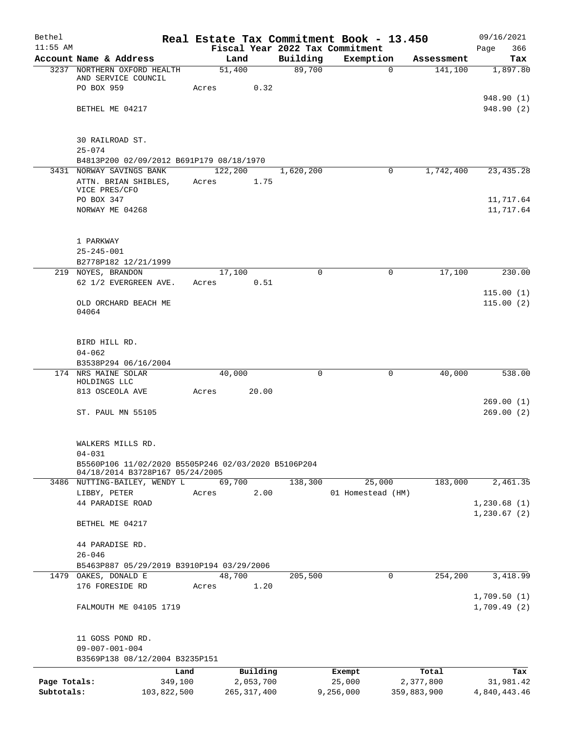| Bethel       |                                                                   |               |           |           | Real Estate Tax Commitment Book - 13.450 |             | 09/16/2021   |
|--------------|-------------------------------------------------------------------|---------------|-----------|-----------|------------------------------------------|-------------|--------------|
| $11:55$ AM   |                                                                   |               |           |           | Fiscal Year 2022 Tax Commitment          |             | 366<br>Page  |
|              | Account Name & Address                                            | Land          |           | Building  | Exemption                                | Assessment  | Tax          |
|              | 3237 NORTHERN OXFORD HEALTH<br>AND SERVICE COUNCIL                | 51,400        |           | 89,700    | 0                                        | 141,100     | 1,897.80     |
|              | PO BOX 959                                                        | Acres         | 0.32      |           |                                          |             |              |
|              |                                                                   |               |           |           |                                          |             | 948.90 (1)   |
|              | BETHEL ME 04217                                                   |               |           |           |                                          |             | 948.90 (2)   |
|              |                                                                   |               |           |           |                                          |             |              |
|              |                                                                   |               |           |           |                                          |             |              |
|              | 30 RAILROAD ST.                                                   |               |           |           |                                          |             |              |
|              | $25 - 074$                                                        |               |           |           |                                          |             |              |
|              | B4813P200 02/09/2012 B691P179 08/18/1970                          |               |           |           |                                          |             |              |
|              | 3431 NORWAY SAVINGS BANK                                          | 122,200       |           | 1,620,200 | 0                                        | 1,742,400   | 23, 435. 28  |
|              | ATTN. BRIAN SHIBLES,<br>VICE PRES/CFO                             | Acres         | 1.75      |           |                                          |             |              |
|              | PO BOX 347                                                        |               |           |           |                                          |             | 11,717.64    |
|              | NORWAY ME 04268                                                   |               |           |           |                                          |             | 11,717.64    |
|              |                                                                   |               |           |           |                                          |             |              |
|              |                                                                   |               |           |           |                                          |             |              |
|              | 1 PARKWAY                                                         |               |           |           |                                          |             |              |
|              | $25 - 245 - 001$                                                  |               |           |           |                                          |             |              |
|              | B2778P182 12/21/1999                                              |               |           |           |                                          |             |              |
|              | 219 NOYES, BRANDON                                                | 17,100        |           | $\Omega$  | 0                                        | 17,100      | 230.00       |
|              | 62 1/2 EVERGREEN AVE.                                             | Acres         | 0.51      |           |                                          |             |              |
|              |                                                                   |               |           |           |                                          |             | 115.00(1)    |
|              | OLD ORCHARD BEACH ME                                              |               |           |           |                                          |             | 115.00(2)    |
|              | 04064                                                             |               |           |           |                                          |             |              |
|              |                                                                   |               |           |           |                                          |             |              |
|              | BIRD HILL RD.                                                     |               |           |           |                                          |             |              |
|              | $04 - 062$                                                        |               |           |           |                                          |             |              |
|              | B3538P294 06/16/2004                                              |               |           |           |                                          |             |              |
|              | 174 NRS MAINE SOLAR                                               | 40,000        |           | 0         | 0                                        | 40,000      | 538.00       |
|              | HOLDINGS LLC                                                      |               |           |           |                                          |             |              |
|              | 813 OSCEOLA AVE                                                   | Acres         | 20.00     |           |                                          |             |              |
|              |                                                                   |               |           |           |                                          |             | 269.00(1)    |
|              | ST. PAUL MN 55105                                                 |               |           |           |                                          |             | 269.00(2)    |
|              |                                                                   |               |           |           |                                          |             |              |
|              |                                                                   |               |           |           |                                          |             |              |
|              | WALKERS MILLS RD.                                                 |               |           |           |                                          |             |              |
|              | $04 - 031$<br>B5560P106 11/02/2020 B5505P246 02/03/2020 B5106P204 |               |           |           |                                          |             |              |
|              | 04/18/2014 B3728P167 05/24/2005                                   |               |           |           |                                          |             |              |
|              | 3486 NUTTING-BAILEY, WENDY L                                      | 69,700        |           | 138,300   | 25,000                                   | 183,000     | 2,461.35     |
|              | LIBBY, PETER                                                      | Acres         | 2.00      |           | 01 Homestead (HM)                        |             |              |
|              | 44 PARADISE ROAD                                                  |               |           |           |                                          |             | 1,230.68(1)  |
|              |                                                                   |               |           |           |                                          |             | 1,230.67(2)  |
|              | BETHEL ME 04217                                                   |               |           |           |                                          |             |              |
|              |                                                                   |               |           |           |                                          |             |              |
|              | 44 PARADISE RD.                                                   |               |           |           |                                          |             |              |
|              | $26 - 046$                                                        |               |           |           |                                          |             |              |
|              | B5463P887 05/29/2019 B3910P194 03/29/2006                         |               |           |           |                                          |             |              |
|              | 1479 OAKES, DONALD E                                              | 48,700        |           | 205,500   | 0                                        | 254,200     | 3,418.99     |
|              | 176 FORESIDE RD                                                   | Acres         | 1.20      |           |                                          |             |              |
|              |                                                                   |               |           |           |                                          |             | 1,709.50(1)  |
|              | FALMOUTH ME 04105 1719                                            |               |           |           |                                          |             | 1,709.49(2)  |
|              |                                                                   |               |           |           |                                          |             |              |
|              | 11 GOSS POND RD.                                                  |               |           |           |                                          |             |              |
|              | $09 - 007 - 001 - 004$                                            |               |           |           |                                          |             |              |
|              | B3569P138 08/12/2004 B3235P151                                    |               |           |           |                                          |             |              |
|              | Land                                                              |               | Building  |           | Exempt                                   | Total       | Tax          |
| Page Totals: | 349,100                                                           |               | 2,053,700 |           | 25,000                                   | 2,377,800   | 31,981.42    |
| Subtotals:   | 103,822,500                                                       | 265, 317, 400 |           |           | 9,256,000                                | 359,883,900 | 4,840,443.46 |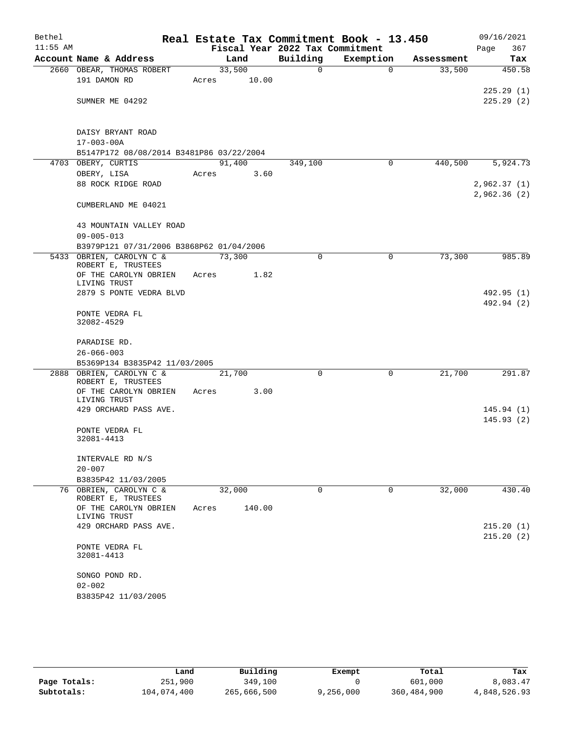| Bethel     |                                              |       |                 | Real Estate Tax Commitment Book - 13.450 |           |                       | 09/16/2021                 |
|------------|----------------------------------------------|-------|-----------------|------------------------------------------|-----------|-----------------------|----------------------------|
| $11:55$ AM |                                              |       |                 | Fiscal Year 2022 Tax Commitment          |           |                       | 367<br>Page                |
|            | Account Name & Address                       |       | Land            | Building                                 | Exemption | Assessment            | Tax                        |
|            | 2660 OBEAR, THOMAS ROBERT                    |       | 33,500<br>10.00 | $\mathsf{O}$                             |           | $\mathbf 0$<br>33,500 | 450.58                     |
|            | 191 DAMON RD                                 | Acres |                 |                                          |           |                       | 225.29(1)                  |
|            | SUMNER ME 04292                              |       |                 |                                          |           |                       | 225.29(2)                  |
|            |                                              |       |                 |                                          |           |                       |                            |
|            |                                              |       |                 |                                          |           |                       |                            |
|            | DAISY BRYANT ROAD                            |       |                 |                                          |           |                       |                            |
|            | $17 - 003 - 00A$                             |       |                 |                                          |           |                       |                            |
|            | B5147P172 08/08/2014 B3481P86 03/22/2004     |       |                 |                                          |           |                       |                            |
|            | 4703 OBERY, CURTIS                           |       | 91,400          | 349,100                                  |           | 440,500<br>0          | 5,924.73                   |
|            | OBERY, LISA                                  | Acres | 3.60            |                                          |           |                       |                            |
|            | 88 ROCK RIDGE ROAD                           |       |                 |                                          |           |                       | 2,962.37(1)<br>2,962.36(2) |
|            | CUMBERLAND ME 04021                          |       |                 |                                          |           |                       |                            |
|            | 43 MOUNTAIN VALLEY ROAD                      |       |                 |                                          |           |                       |                            |
|            | $09 - 005 - 013$                             |       |                 |                                          |           |                       |                            |
|            | B3979P121 07/31/2006 B3868P62 01/04/2006     |       |                 |                                          |           |                       |                            |
|            | 5433 OBRIEN, CAROLYN C &                     |       | 73,300          | $\mathbf 0$                              |           | 0<br>73,300           | 985.89                     |
|            | ROBERT E, TRUSTEES                           |       |                 |                                          |           |                       |                            |
|            | OF THE CAROLYN OBRIEN<br>LIVING TRUST        | Acres | 1.82            |                                          |           |                       |                            |
|            | 2879 S PONTE VEDRA BLVD                      |       |                 |                                          |           |                       | 492.95 (1)                 |
|            |                                              |       |                 |                                          |           |                       | 492.94 (2)                 |
|            | PONTE VEDRA FL                               |       |                 |                                          |           |                       |                            |
|            | 32082-4529                                   |       |                 |                                          |           |                       |                            |
|            | PARADISE RD.                                 |       |                 |                                          |           |                       |                            |
|            | $26 - 066 - 003$                             |       |                 |                                          |           |                       |                            |
|            | B5369P134 B3835P42 11/03/2005                |       |                 |                                          |           |                       |                            |
|            | 2888 OBRIEN, CAROLYN C &                     |       | 21,700          | $\mathbf 0$                              |           | 21,700<br>0           | 291.87                     |
|            | ROBERT E, TRUSTEES                           |       |                 |                                          |           |                       |                            |
|            | OF THE CAROLYN OBRIEN                        | Acres | 3.00            |                                          |           |                       |                            |
|            | LIVING TRUST<br>429 ORCHARD PASS AVE.        |       |                 |                                          |           |                       | 145.94(1)                  |
|            |                                              |       |                 |                                          |           |                       | 145.93(2)                  |
|            | PONTE VEDRA FL                               |       |                 |                                          |           |                       |                            |
|            | 32081-4413                                   |       |                 |                                          |           |                       |                            |
|            |                                              |       |                 |                                          |           |                       |                            |
|            | INTERVALE RD N/S                             |       |                 |                                          |           |                       |                            |
|            | $20 - 007$                                   |       |                 |                                          |           |                       |                            |
|            | B3835P42 11/03/2005                          |       |                 |                                          |           |                       |                            |
|            | 76 OBRIEN, CAROLYN C &<br>ROBERT E, TRUSTEES |       | 32,000          | $\Omega$                                 |           | 32,000<br>0           | 430.40                     |
|            | OF THE CAROLYN OBRIEN<br>LIVING TRUST        | Acres | 140.00          |                                          |           |                       |                            |
|            | 429 ORCHARD PASS AVE.                        |       |                 |                                          |           |                       | 215.20(1)                  |
|            |                                              |       |                 |                                          |           |                       | 215.20(2)                  |
|            | PONTE VEDRA FL<br>32081-4413                 |       |                 |                                          |           |                       |                            |
|            | SONGO POND RD.                               |       |                 |                                          |           |                       |                            |
|            | $02 - 002$                                   |       |                 |                                          |           |                       |                            |
|            | B3835P42 11/03/2005                          |       |                 |                                          |           |                       |                            |
|            |                                              |       |                 |                                          |           |                       |                            |

|              | Land        | Building    | Exempt    | Total         | Tax          |
|--------------|-------------|-------------|-----------|---------------|--------------|
| Page Totals: | 251,900     | 349,100     |           | 601,000       | 8,083.47     |
| Subtotals:   | 104,074,400 | 265,666,500 | 9,256,000 | 360, 484, 900 | 4,848,526.93 |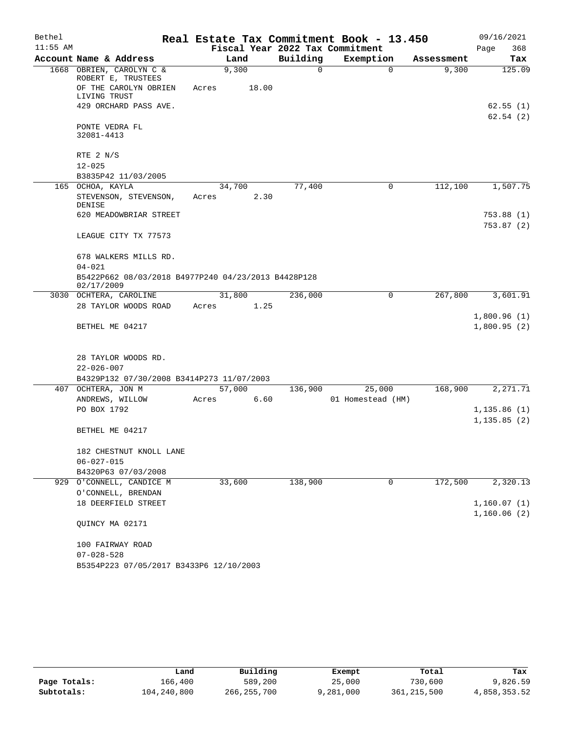| Bethel     |                                                                                 |                 |       |          | Real Estate Tax Commitment Book - 13.450 |            | 09/16/2021                 |  |
|------------|---------------------------------------------------------------------------------|-----------------|-------|----------|------------------------------------------|------------|----------------------------|--|
| $11:55$ AM |                                                                                 |                 |       |          | Fiscal Year 2022 Tax Commitment          |            | 368<br>Page                |  |
|            | Account Name & Address                                                          |                 | Land  | Building | Exemption                                | Assessment | Tax                        |  |
|            | 1668 OBRIEN, CAROLYN C &<br>ROBERT E, TRUSTEES                                  |                 | 9,300 | $\Omega$ | $\Omega$                                 | 9,300      | 125.09                     |  |
|            | OF THE CAROLYN OBRIEN<br>LIVING TRUST                                           | Acres           | 18.00 |          |                                          |            |                            |  |
|            | 429 ORCHARD PASS AVE.                                                           |                 |       |          |                                          |            | 62.55(1)<br>62.54(2)       |  |
|            | PONTE VEDRA FL<br>32081-4413                                                    |                 |       |          |                                          |            |                            |  |
|            | RTE $2 N/S$                                                                     |                 |       |          |                                          |            |                            |  |
|            | $12 - 025$                                                                      |                 |       |          |                                          |            |                            |  |
|            | B3835P42 11/03/2005                                                             |                 |       |          |                                          |            |                            |  |
|            | 165 OCHOA, KAYLA<br>STEVENSON, STEVENSON,                                       | 34,700<br>Acres | 2.30  | 77,400   | 0                                        | 112,100    | 1,507.75                   |  |
|            | DENISE<br>620 MEADOWBRIAR STREET                                                |                 |       |          |                                          |            |                            |  |
|            |                                                                                 |                 |       |          |                                          |            | 753.88 (1)<br>753.87(2)    |  |
|            | LEAGUE CITY TX 77573                                                            |                 |       |          |                                          |            |                            |  |
|            | 678 WALKERS MILLS RD.                                                           |                 |       |          |                                          |            |                            |  |
|            | $04 - 021$<br>B5422P662 08/03/2018 B4977P240 04/23/2013 B4428P128<br>02/17/2009 |                 |       |          |                                          |            |                            |  |
|            | 3030 OCHTERA, CAROLINE                                                          | 31,800          |       | 236,000  | 0                                        | 267,800    | 3,601.91                   |  |
|            | 28 TAYLOR WOODS ROAD                                                            | Acres           | 1.25  |          |                                          |            |                            |  |
|            |                                                                                 |                 |       |          |                                          |            | 1,800.96(1)                |  |
|            | BETHEL ME 04217                                                                 |                 |       |          |                                          |            | 1,800.95(2)                |  |
|            | 28 TAYLOR WOODS RD.                                                             |                 |       |          |                                          |            |                            |  |
|            | $22 - 026 - 007$                                                                |                 |       |          |                                          |            |                            |  |
|            | B4329P132 07/30/2008 B3414P273 11/07/2003                                       |                 |       |          |                                          |            |                            |  |
|            | 407 OCHTERA, JON M                                                              | 57,000          |       | 136,900  | 25,000                                   | 168,900    | 2,271.71                   |  |
|            | ANDREWS, WILLOW                                                                 | Acres           | 6.60  |          | 01 Homestead (HM)                        |            |                            |  |
|            | PO BOX 1792                                                                     |                 |       |          |                                          |            | 1, 135.86(1)               |  |
|            | BETHEL ME 04217                                                                 |                 |       |          |                                          |            | 1, 135.85(2)               |  |
|            | 182 CHESTNUT KNOLL LANE                                                         |                 |       |          |                                          |            |                            |  |
|            | $06 - 027 - 015$                                                                |                 |       |          |                                          |            |                            |  |
|            | B4320P63 07/03/2008                                                             |                 |       |          |                                          |            |                            |  |
|            | 929 O'CONNELL, CANDICE M                                                        | 33,600          |       | 138,900  | 0                                        | 172,500    | 2,320.13                   |  |
|            | O'CONNELL, BRENDAN                                                              |                 |       |          |                                          |            |                            |  |
|            | 18 DEERFIELD STREET                                                             |                 |       |          |                                          |            | 1,160.07(1)<br>1,160.06(2) |  |
|            | QUINCY MA 02171                                                                 |                 |       |          |                                          |            |                            |  |
|            | 100 FAIRWAY ROAD                                                                |                 |       |          |                                          |            |                            |  |
|            | $07 - 028 - 528$                                                                |                 |       |          |                                          |            |                            |  |
|            | B5354P223 07/05/2017 B3433P6 12/10/2003                                         |                 |       |          |                                          |            |                            |  |

|              | Land        | Building      | Exempt    | Total         | Tax          |
|--------------|-------------|---------------|-----------|---------------|--------------|
| Page Totals: | 166.400     | 589,200       | 25,000    | 730,600       | 9,826.59     |
| Subtotals:   | 104,240,800 | 266, 255, 700 | 9,281,000 | 361, 215, 500 | 4,858,353.52 |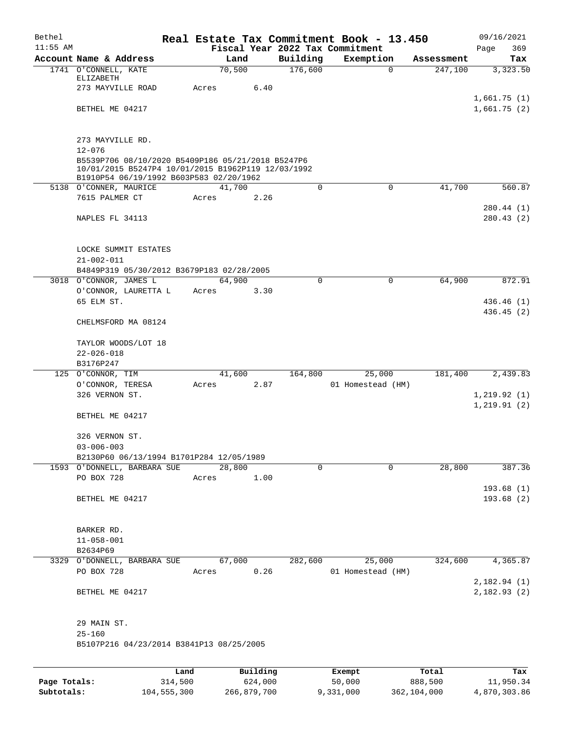| Bethel     |                                                                   |       |        |          |             | Real Estate Tax Commitment Book - 13.450 |            | 09/16/2021                   |
|------------|-------------------------------------------------------------------|-------|--------|----------|-------------|------------------------------------------|------------|------------------------------|
| $11:55$ AM |                                                                   |       |        |          |             | Fiscal Year 2022 Tax Commitment          |            | 369<br>Page                  |
|            | Account Name & Address                                            |       | Land   |          | Building    | Exemption                                | Assessment | Tax                          |
|            | 1741 O'CONNELL, KATE                                              |       | 70,500 |          | 176,600     | $\mathbf 0$                              | 247,100    | 3,323.50                     |
|            | ELIZABETH<br>273 MAYVILLE ROAD                                    | Acres |        | 6.40     |             |                                          |            |                              |
|            |                                                                   |       |        |          |             |                                          |            | 1,661.75(1)                  |
|            | BETHEL ME 04217                                                   |       |        |          |             |                                          |            | 1,661.75(2)                  |
|            |                                                                   |       |        |          |             |                                          |            |                              |
|            |                                                                   |       |        |          |             |                                          |            |                              |
|            | 273 MAYVILLE RD.                                                  |       |        |          |             |                                          |            |                              |
|            | $12 - 076$                                                        |       |        |          |             |                                          |            |                              |
|            | B5539P706 08/10/2020 B5409P186 05/21/2018 B5247P6                 |       |        |          |             |                                          |            |                              |
|            | 10/01/2015 B5247P4 10/01/2015 B1962P119 12/03/1992                |       |        |          |             |                                          |            |                              |
|            | B1910P54 06/19/1992 B603P583 02/20/1962<br>5138 O'CONNER, MAURICE |       | 41,700 |          | $\mathbf 0$ | $\mathbf 0$                              | 41,700     | 560.87                       |
|            | 7615 PALMER CT                                                    | Acres |        | 2.26     |             |                                          |            |                              |
|            |                                                                   |       |        |          |             |                                          |            | 280.44 (1)                   |
|            | NAPLES FL 34113                                                   |       |        |          |             |                                          |            | 280.43(2)                    |
|            |                                                                   |       |        |          |             |                                          |            |                              |
|            |                                                                   |       |        |          |             |                                          |            |                              |
|            | LOCKE SUMMIT ESTATES                                              |       |        |          |             |                                          |            |                              |
|            | $21 - 002 - 011$                                                  |       |        |          |             |                                          |            |                              |
|            | B4849P319 05/30/2012 B3679P183 02/28/2005                         |       |        |          |             |                                          |            |                              |
|            | 3018 O'CONNOR, JAMES L                                            |       | 64,900 |          | $\mathbf 0$ | $\mathbf 0$                              | 64,900     | 872.91                       |
|            | O'CONNOR, LAURETTA L                                              | Acres |        | 3.30     |             |                                          |            |                              |
|            | 65 ELM ST.                                                        |       |        |          |             |                                          |            | 436.46(1)                    |
|            |                                                                   |       |        |          |             |                                          |            | 436.45(2)                    |
|            | CHELMSFORD MA 08124                                               |       |        |          |             |                                          |            |                              |
|            |                                                                   |       |        |          |             |                                          |            |                              |
|            | TAYLOR WOODS/LOT 18                                               |       |        |          |             |                                          |            |                              |
|            | $22 - 026 - 018$                                                  |       |        |          |             |                                          |            |                              |
|            | B3176P247                                                         |       |        |          |             |                                          |            |                              |
|            | 125 O'CONNOR, TIM                                                 |       | 41,600 |          | 164,800     | 25,000                                   | 181,400    | 2,439.83                     |
|            | O'CONNOR, TERESA<br>326 VERNON ST.                                | Acres |        | 2.87     |             | 01 Homestead (HM)                        |            |                              |
|            |                                                                   |       |        |          |             |                                          |            | 1, 219.92(1)<br>1, 219.91(2) |
|            | BETHEL ME 04217                                                   |       |        |          |             |                                          |            |                              |
|            |                                                                   |       |        |          |             |                                          |            |                              |
|            | 326 VERNON ST.                                                    |       |        |          |             |                                          |            |                              |
|            | $03 - 006 - 003$                                                  |       |        |          |             |                                          |            |                              |
|            | B2130P60 06/13/1994 B1701P284 12/05/1989                          |       |        |          |             |                                          |            |                              |
|            | 1593 O'DONNELL, BARBARA SUE                                       |       | 28,800 |          | $\Omega$    | 0                                        | 28,800     | 387.36                       |
|            | PO BOX 728                                                        | Acres |        | 1.00     |             |                                          |            |                              |
|            |                                                                   |       |        |          |             |                                          |            | 193.68(1)                    |
|            | BETHEL ME 04217                                                   |       |        |          |             |                                          |            | 193.68(2)                    |
|            |                                                                   |       |        |          |             |                                          |            |                              |
|            |                                                                   |       |        |          |             |                                          |            |                              |
|            | BARKER RD.                                                        |       |        |          |             |                                          |            |                              |
|            | $11 - 058 - 001$                                                  |       |        |          |             |                                          |            |                              |
|            | B2634P69                                                          |       |        |          |             |                                          |            |                              |
|            | 3329 O'DONNELL, BARBARA SUE                                       |       | 67,000 |          | 282,600     | 25,000                                   | 324,600    | 4,365.87                     |
|            | PO BOX 728                                                        | Acres |        | 0.26     |             | 01 Homestead (HM)                        |            |                              |
|            |                                                                   |       |        |          |             |                                          |            | 2,182.94(1)                  |
|            | BETHEL ME 04217                                                   |       |        |          |             |                                          |            | 2,182.93 (2)                 |
|            |                                                                   |       |        |          |             |                                          |            |                              |
|            | 29 MAIN ST.                                                       |       |        |          |             |                                          |            |                              |
|            | $25 - 160$                                                        |       |        |          |             |                                          |            |                              |
|            | B5107P216 04/23/2014 B3841P13 08/25/2005                          |       |        |          |             |                                          |            |                              |
|            |                                                                   |       |        |          |             |                                          |            |                              |
|            |                                                                   |       |        |          |             |                                          |            |                              |
|            |                                                                   | Land  |        | Building |             | Exempt                                   | Total      | Tax                          |

|              | úand        | Building    | Exempt    | Total       | тах          |
|--------------|-------------|-------------|-----------|-------------|--------------|
| Page Totals: | 314,500     | 624,000     | 50,000    | 888,500     | 11,950.34    |
| Subtotals:   | 104,555,300 | 266,879,700 | 9,331,000 | 362,104,000 | 4,870,303.86 |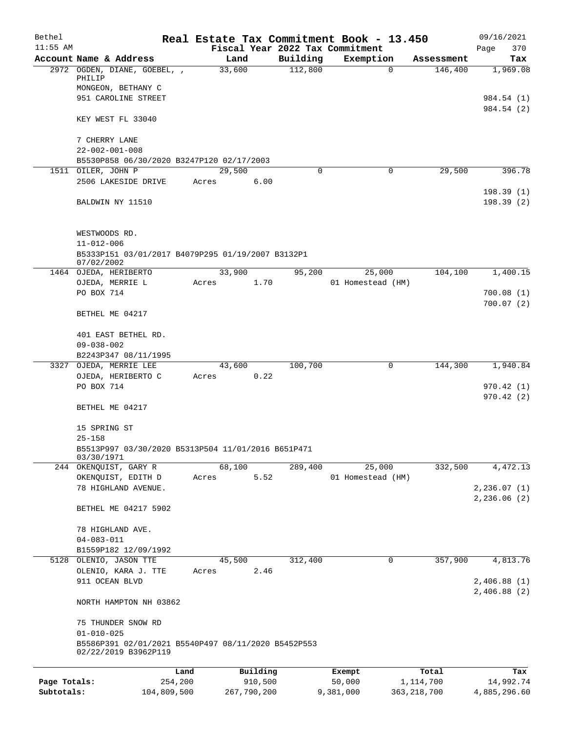| Bethel       |                                                                                |         |             |          | Real Estate Tax Commitment Book - 13.450 |               | 09/16/2021                  |
|--------------|--------------------------------------------------------------------------------|---------|-------------|----------|------------------------------------------|---------------|-----------------------------|
| $11:55$ AM   |                                                                                |         |             |          | Fiscal Year 2022 Tax Commitment          |               | Page<br>370                 |
|              | Account Name & Address                                                         |         | Land        | Building | Exemption                                | Assessment    | Tax                         |
|              | 2972 OGDEN, DIANE, GOEBEL, ,<br>PHILIP                                         |         | 33,600      | 112,800  | $\Omega$                                 | 146,400       | 1,969.08                    |
|              | MONGEON, BETHANY C<br>951 CAROLINE STREET                                      |         |             |          |                                          |               | 984.54 (1)                  |
|              |                                                                                |         |             |          |                                          |               | 984.54 (2)                  |
|              | KEY WEST FL 33040                                                              |         |             |          |                                          |               |                             |
|              | 7 CHERRY LANE                                                                  |         |             |          |                                          |               |                             |
|              | $22 - 002 - 001 - 008$<br>B5530P858 06/30/2020 B3247P120 02/17/2003            |         |             |          |                                          |               |                             |
|              | 1511 OILER, JOHN P                                                             |         | 29,500      | $\Omega$ | 0                                        | 29,500        | 396.78                      |
|              | 2506 LAKESIDE DRIVE                                                            | Acres   | 6.00        |          |                                          |               |                             |
|              | BALDWIN NY 11510                                                               |         |             |          |                                          |               | 198.39(1)<br>198.39(2)      |
|              | WESTWOODS RD.                                                                  |         |             |          |                                          |               |                             |
|              | $11 - 012 - 006$                                                               |         |             |          |                                          |               |                             |
|              | B5333P151 03/01/2017 B4079P295 01/19/2007 B3132P1<br>07/02/2002                |         |             |          |                                          |               |                             |
|              | 1464 OJEDA, HERIBERTO                                                          |         | 33,900      | 95,200   | 25,000                                   | 104,100       | 1,400.15                    |
|              | OJEDA, MERRIE L<br>PO BOX 714                                                  | Acres   | 1.70        |          | 01 Homestead (HM)                        |               | 700.08(1)                   |
|              |                                                                                |         |             |          |                                          |               | 700.07(2)                   |
|              | BETHEL ME 04217                                                                |         |             |          |                                          |               |                             |
|              | 401 EAST BETHEL RD.                                                            |         |             |          |                                          |               |                             |
|              | $09 - 038 - 002$<br>B2243P347 08/11/1995                                       |         |             |          |                                          |               |                             |
|              | 3327 OJEDA, MERRIE LEE                                                         |         | 43,600      | 100,700  | 0                                        | 144,300       | 1,940.84                    |
|              | OJEDA, HERIBERTO C                                                             | Acres   | 0.22        |          |                                          |               |                             |
|              | PO BOX 714                                                                     |         |             |          |                                          |               | 970.42(1)<br>970.42(2)      |
|              | BETHEL ME 04217                                                                |         |             |          |                                          |               |                             |
|              | 15 SPRING ST                                                                   |         |             |          |                                          |               |                             |
|              | $25 - 158$<br>B5513P997 03/30/2020 B5313P504 11/01/2016 B651P471<br>03/30/1971 |         |             |          |                                          |               |                             |
|              | 244 OKENQUIST, GARY R                                                          |         | 68,100      | 289,400  | 25,000                                   | 332,500       | 4,472.13                    |
|              | OKENQUIST, EDITH D                                                             | Acres   | 5.52        |          | 01 Homestead (HM)                        |               |                             |
|              | 78 HIGHLAND AVENUE.                                                            |         |             |          |                                          |               | 2, 236.07(1)<br>2,236.06(2) |
|              | BETHEL ME 04217 5902                                                           |         |             |          |                                          |               |                             |
|              | 78 HIGHLAND AVE.                                                               |         |             |          |                                          |               |                             |
|              | $04 - 083 - 011$                                                               |         |             |          |                                          |               |                             |
|              | B1559P182 12/09/1992<br>5128 OLENIO, JASON TTE                                 |         | 45,500      | 312,400  | 0                                        | 357,900       | 4,813.76                    |
|              | OLENIO, KARA J. TTE                                                            | Acres   | 2.46        |          |                                          |               |                             |
|              | 911 OCEAN BLVD                                                                 |         |             |          |                                          |               | 2,406.88(1)                 |
|              | NORTH HAMPTON NH 03862                                                         |         |             |          |                                          |               | 2,406.88(2)                 |
|              | 75 THUNDER SNOW RD                                                             |         |             |          |                                          |               |                             |
|              | $01 - 010 - 025$                                                               |         |             |          |                                          |               |                             |
|              | B5586P391 02/01/2021 B5540P497 08/11/2020 B5452P553<br>02/22/2019 B3962P119    |         |             |          |                                          |               |                             |
|              |                                                                                | Land    | Building    |          | Exempt                                   | Total         | Tax                         |
| Page Totals: |                                                                                | 254,200 | 910,500     |          | 50,000                                   | 1,114,700     | 14,992.74                   |
| Subtotals:   | 104,809,500                                                                    |         | 267,790,200 |          | 9,381,000                                | 363, 218, 700 | 4,885,296.60                |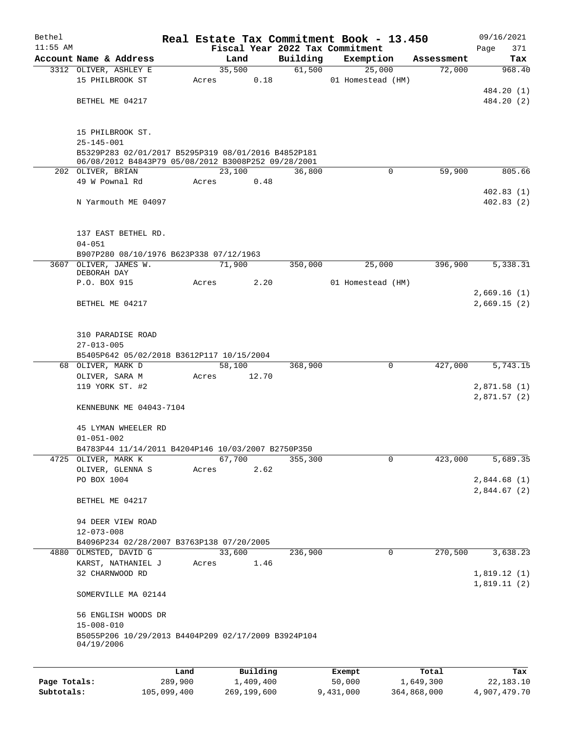| Bethel       |                                                                           |         |       |           |          | Real Estate Tax Commitment Book - 13.450 |            | 09/16/2021   |
|--------------|---------------------------------------------------------------------------|---------|-------|-----------|----------|------------------------------------------|------------|--------------|
| $11:55$ AM   |                                                                           |         |       |           |          | Fiscal Year 2022 Tax Commitment          |            | 371<br>Page  |
|              | Account Name & Address                                                    |         |       | Land      | Building | Exemption                                | Assessment | Tax          |
|              | 3312 OLIVER, ASHLEY E                                                     |         |       | 35,500    | 61,500   | 25,000                                   | 72,000     | 968.40       |
|              | 15 PHILBROOK ST                                                           |         | Acres | 0.18      |          | 01 Homestead (HM)                        |            |              |
|              |                                                                           |         |       |           |          |                                          |            | 484.20 (1)   |
|              | BETHEL ME 04217                                                           |         |       |           |          |                                          |            | 484.20 (2)   |
|              |                                                                           |         |       |           |          |                                          |            |              |
|              | 15 PHILBROOK ST.                                                          |         |       |           |          |                                          |            |              |
|              | $25 - 145 - 001$                                                          |         |       |           |          |                                          |            |              |
|              | B5329P283 02/01/2017 B5295P319 08/01/2016 B4852P181                       |         |       |           |          |                                          |            |              |
|              | 06/08/2012 B4843P79 05/08/2012 B3008P252 09/28/2001                       |         |       |           |          |                                          |            |              |
|              | 202 OLIVER, BRIAN                                                         |         |       | 23,100    | 36,800   | $\mathbf 0$                              | 59,900     | 805.66       |
|              | 49 W Pownal Rd                                                            |         | Acres | 0.48      |          |                                          |            |              |
|              |                                                                           |         |       |           |          |                                          |            | 402.83(1)    |
|              | N Yarmouth ME 04097                                                       |         |       |           |          |                                          |            | 402.83(2)    |
|              |                                                                           |         |       |           |          |                                          |            |              |
|              | 137 EAST BETHEL RD.                                                       |         |       |           |          |                                          |            |              |
|              | $04 - 051$                                                                |         |       |           |          |                                          |            |              |
|              | B907P280 08/10/1976 B623P338 07/12/1963                                   |         |       |           |          |                                          |            |              |
|              | 3607 OLIVER, JAMES W.                                                     |         |       | 71,900    | 350,000  | 25,000                                   | 396,900    | 5,338.31     |
|              | DEBORAH DAY                                                               |         |       |           |          |                                          |            |              |
|              | P.O. BOX 915                                                              |         | Acres | 2.20      |          | 01 Homestead (HM)                        |            |              |
|              |                                                                           |         |       |           |          |                                          |            | 2,669.16(1)  |
|              | BETHEL ME 04217                                                           |         |       |           |          |                                          |            | 2,669.15(2)  |
|              |                                                                           |         |       |           |          |                                          |            |              |
|              | 310 PARADISE ROAD                                                         |         |       |           |          |                                          |            |              |
|              | $27 - 013 - 005$                                                          |         |       |           |          |                                          |            |              |
|              | B5405P642 05/02/2018 B3612P117 10/15/2004                                 |         |       |           |          |                                          |            |              |
|              | 68 OLIVER, MARK D                                                         |         |       | 58,100    | 368,900  | 0                                        | 427,000    | 5,743.15     |
|              | OLIVER, SARA M                                                            |         | Acres | 12.70     |          |                                          |            |              |
|              | 119 YORK ST. #2                                                           |         |       |           |          |                                          |            | 2,871.58(1)  |
|              |                                                                           |         |       |           |          |                                          |            | 2,871.57(2)  |
|              | KENNEBUNK ME 04043-7104                                                   |         |       |           |          |                                          |            |              |
|              |                                                                           |         |       |           |          |                                          |            |              |
|              | 45 LYMAN WHEELER RD                                                       |         |       |           |          |                                          |            |              |
|              | $01 - 051 - 002$                                                          |         |       |           |          |                                          |            |              |
|              | B4783P44 11/14/2011 B4204P146 10/03/2007 B2750P350<br>4725 OLIVER, MARK K |         |       | 67,700    | 355,300  | $\mathbf 0$                              | 423,000    | 5,689.35     |
|              | OLIVER, GLENNA S                                                          |         | Acres | 2.62      |          |                                          |            |              |
|              | PO BOX 1004                                                               |         |       |           |          |                                          |            | 2,844.68(1)  |
|              |                                                                           |         |       |           |          |                                          |            | 2,844.67 (2) |
|              | BETHEL ME 04217                                                           |         |       |           |          |                                          |            |              |
|              |                                                                           |         |       |           |          |                                          |            |              |
|              | 94 DEER VIEW ROAD                                                         |         |       |           |          |                                          |            |              |
|              | $12 - 073 - 008$                                                          |         |       |           |          |                                          |            |              |
|              | B4096P234 02/28/2007 B3763P138 07/20/2005                                 |         |       |           |          |                                          |            |              |
|              | 4880 OLMSTED, DAVID G                                                     |         |       | 33,600    | 236,900  | $\mathsf{O}$                             | 270,500    | 3,638.23     |
|              | KARST, NATHANIEL J                                                        |         | Acres | 1.46      |          |                                          |            |              |
|              | 32 CHARNWOOD RD                                                           |         |       |           |          |                                          |            | 1,819.12(1)  |
|              |                                                                           |         |       |           |          |                                          |            | 1,819.11(2)  |
|              | SOMERVILLE MA 02144                                                       |         |       |           |          |                                          |            |              |
|              | 56 ENGLISH WOODS DR                                                       |         |       |           |          |                                          |            |              |
|              | $15 - 008 - 010$                                                          |         |       |           |          |                                          |            |              |
|              | B5055P206 10/29/2013 B4404P209 02/17/2009 B3924P104                       |         |       |           |          |                                          |            |              |
|              | 04/19/2006                                                                |         |       |           |          |                                          |            |              |
|              |                                                                           |         |       |           |          |                                          |            |              |
|              |                                                                           | Land    |       | Building  |          | Exempt                                   | Total      | Tax          |
| Page Totals: |                                                                           | 289,900 |       | 1,409,400 |          | 50,000                                   | 1,649,300  | 22, 183. 10  |

**Subtotals:** 105,099,400 269,199,600 9,431,000 364,868,000 4,907,479.70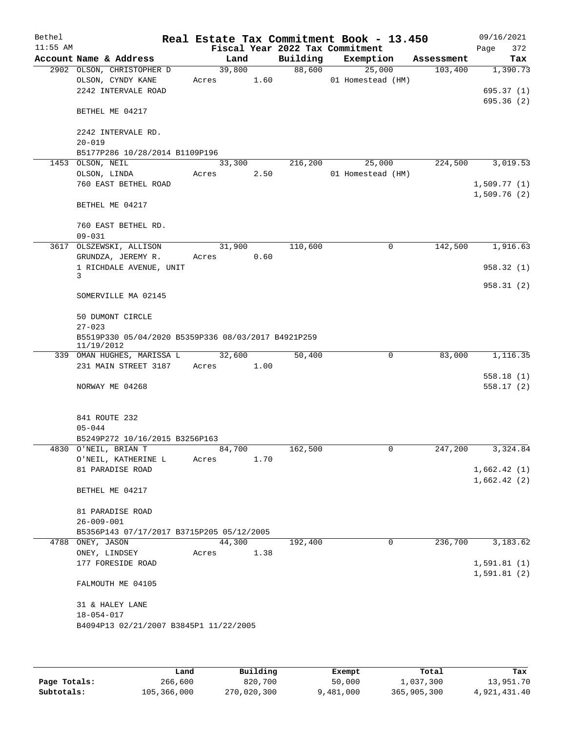| Bethel     |                                                                   |                 |      |                                 | Real Estate Tax Commitment Book - 13.450 |            | 09/16/2021  |
|------------|-------------------------------------------------------------------|-----------------|------|---------------------------------|------------------------------------------|------------|-------------|
| $11:55$ AM |                                                                   |                 |      | Fiscal Year 2022 Tax Commitment |                                          |            | 372<br>Page |
|            | Account Name & Address                                            | Land            |      |                                 | Building Exemption                       | Assessment | Tax         |
|            | 2902 OLSON, CHRISTOPHER D<br>OLSON, CYNDY KANE                    | 39,800<br>Acres | 1.60 | 88,600                          | 25,000<br>01 Homestead (HM)              | 103,400    | 1,390.73    |
|            | 2242 INTERVALE ROAD                                               |                 |      |                                 |                                          |            | 695.37(1)   |
|            |                                                                   |                 |      |                                 |                                          |            | 695.36 (2)  |
|            | BETHEL ME 04217                                                   |                 |      |                                 |                                          |            |             |
|            | 2242 INTERVALE RD.                                                |                 |      |                                 |                                          |            |             |
|            | $20 - 019$                                                        |                 |      |                                 |                                          |            |             |
|            | B5177P286 10/28/2014 B1109P196<br>1453 OLSON, NEIL                | 33,300          |      | 216,200                         | 25,000                                   | 224,500    | 3,019.53    |
|            | OLSON, LINDA                                                      | Acres           | 2.50 |                                 | 01 Homestead (HM)                        |            |             |
|            | 760 EAST BETHEL ROAD                                              |                 |      |                                 |                                          |            | 1,509.77(1) |
|            |                                                                   |                 |      |                                 |                                          |            | 1,509.76(2) |
|            | BETHEL ME 04217                                                   |                 |      |                                 |                                          |            |             |
|            | 760 EAST BETHEL RD.                                               |                 |      |                                 |                                          |            |             |
|            | $09 - 031$                                                        |                 |      |                                 |                                          |            |             |
|            | 3617 OLSZEWSKI, ALLISON                                           | 31,900          |      | 110,600                         | $\mathbf 0$                              | 142,500    | 1,916.63    |
|            | GRUNDZA, JEREMY R.                                                | Acres           | 0.60 |                                 |                                          |            |             |
|            | 1 RICHDALE AVENUE, UNIT                                           |                 |      |                                 |                                          |            | 958.32(1)   |
|            | 3                                                                 |                 |      |                                 |                                          |            |             |
|            | SOMERVILLE MA 02145                                               |                 |      |                                 |                                          |            | 958.31(2)   |
|            | 50 DUMONT CIRCLE                                                  |                 |      |                                 |                                          |            |             |
|            | $27 - 023$                                                        |                 |      |                                 |                                          |            |             |
|            | B5519P330 05/04/2020 B5359P336 08/03/2017 B4921P259<br>11/19/2012 |                 |      |                                 |                                          |            |             |
|            | 339 OMAN HUGHES, MARISSA L                                        | 32,600          |      | 50,400                          | 0                                        | 83,000     | 1,116.35    |
|            | 231 MAIN STREET 3187                                              | Acres 1.00      |      |                                 |                                          |            |             |
|            |                                                                   |                 |      |                                 |                                          |            | 558.18(1)   |
|            | NORWAY ME 04268                                                   |                 |      |                                 |                                          |            | 558.17(2)   |
|            |                                                                   |                 |      |                                 |                                          |            |             |
|            |                                                                   |                 |      |                                 |                                          |            |             |
|            | 841 ROUTE 232                                                     |                 |      |                                 |                                          |            |             |
|            | $05 - 044$                                                        |                 |      |                                 |                                          |            |             |
|            | B5249P272 10/16/2015 B3256P163                                    |                 |      |                                 |                                          |            |             |
|            | 4830 O'NEIL, BRIAN T                                              | 84,700          |      | 162,500                         | $\cup$                                   | 247,200    | 3,324.84    |
|            | O'NEIL, KATHERINE L<br>81 PARADISE ROAD                           | Acres           | 1.70 |                                 |                                          |            | 1,662.42(1) |
|            |                                                                   |                 |      |                                 |                                          |            | 1,662.42(2) |
|            | BETHEL ME 04217                                                   |                 |      |                                 |                                          |            |             |
|            |                                                                   |                 |      |                                 |                                          |            |             |
|            | 81 PARADISE ROAD                                                  |                 |      |                                 |                                          |            |             |
|            | $26 - 009 - 001$                                                  |                 |      |                                 |                                          |            |             |
|            | B5356P143 07/17/2017 B3715P205 05/12/2005                         |                 |      |                                 |                                          |            |             |
|            | 4788 ONEY, JASON                                                  | 44,300          |      | 192,400                         | $\mathbf 0$                              | 236,700    | 3,183.62    |
|            | ONEY, LINDSEY                                                     | Acres           | 1.38 |                                 |                                          |            |             |
|            | 177 FORESIDE ROAD                                                 |                 |      |                                 |                                          |            | 1,591.81(1) |
|            |                                                                   |                 |      |                                 |                                          |            | 1,591.81(2) |
|            | FALMOUTH ME 04105                                                 |                 |      |                                 |                                          |            |             |
|            | 31 & HALEY LANE                                                   |                 |      |                                 |                                          |            |             |
|            | $18 - 054 - 017$                                                  |                 |      |                                 |                                          |            |             |
|            | B4094P13 02/21/2007 B3845P1 11/22/2005                            |                 |      |                                 |                                          |            |             |
|            |                                                                   |                 |      |                                 |                                          |            |             |
|            |                                                                   |                 |      |                                 |                                          |            |             |
|            |                                                                   |                 |      |                                 |                                          |            |             |

|              | Land        | Building    | Exempt    | Total       | Tax          |
|--------------|-------------|-------------|-----------|-------------|--------------|
| Page Totals: | 266,600     | 820,700     | 50,000    | 1,037,300   | 13,951.70    |
| Subtotals:   | 105,366,000 | 270,020,300 | 9,481,000 | 365,905,300 | 4,921,431.40 |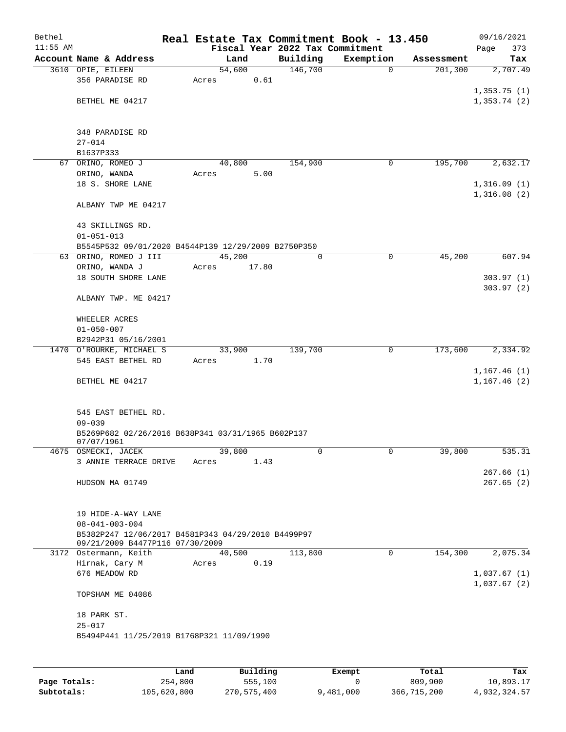| Bethel<br>$11:55$ AM |                                                     | Real Estate Tax Commitment Book - 13.450 | Fiscal Year 2022 Tax Commitment |             |            | 09/16/2021<br>Page<br>373 |
|----------------------|-----------------------------------------------------|------------------------------------------|---------------------------------|-------------|------------|---------------------------|
|                      | Account Name & Address                              | Land                                     | Building                        | Exemption   | Assessment | Tax                       |
|                      | 3610 OPIE, EILEEN                                   | 54,600                                   | 146,700                         | 0           | 201,300    | 2,707.49                  |
|                      | 356 PARADISE RD                                     | 0.61<br>Acres                            |                                 |             |            |                           |
|                      |                                                     |                                          |                                 |             |            | 1,353.75(1)               |
|                      | BETHEL ME 04217                                     |                                          |                                 |             |            | 1,353.74(2)               |
|                      |                                                     |                                          |                                 |             |            |                           |
|                      |                                                     |                                          |                                 |             |            |                           |
|                      | 348 PARADISE RD                                     |                                          |                                 |             |            |                           |
|                      | $27 - 014$                                          |                                          |                                 |             |            |                           |
|                      | B1637P333<br>67 ORINO, ROMEO J                      | 40,800                                   | 154,900                         | 0           | 195,700    | 2,632.17                  |
|                      | ORINO, WANDA                                        | Acres<br>5.00                            |                                 |             |            |                           |
|                      | 18 S. SHORE LANE                                    |                                          |                                 |             |            | 1,316.09(1)               |
|                      |                                                     |                                          |                                 |             |            | 1,316.08(2)               |
|                      | ALBANY TWP ME 04217                                 |                                          |                                 |             |            |                           |
|                      |                                                     |                                          |                                 |             |            |                           |
|                      | 43 SKILLINGS RD.                                    |                                          |                                 |             |            |                           |
|                      | $01 - 051 - 013$                                    |                                          |                                 |             |            |                           |
|                      | B5545P532 09/01/2020 B4544P139 12/29/2009 B2750P350 |                                          |                                 |             |            |                           |
|                      | 63 ORINO, ROMEO J III                               | 45,200                                   | 0                               | 0           | 45,200     | 607.94                    |
|                      | ORINO, WANDA J                                      | Acres<br>17.80                           |                                 |             |            |                           |
|                      | 18 SOUTH SHORE LANE                                 |                                          |                                 |             |            | 303.97(1)                 |
|                      | ALBANY TWP. ME 04217                                |                                          |                                 |             |            | 303.97(2)                 |
|                      |                                                     |                                          |                                 |             |            |                           |
|                      | WHEELER ACRES                                       |                                          |                                 |             |            |                           |
|                      | $01 - 050 - 007$                                    |                                          |                                 |             |            |                           |
|                      | B2942P31 05/16/2001                                 |                                          |                                 |             |            |                           |
|                      | 1470 O'ROURKE, MICHAEL S                            | 33,900                                   | 139,700                         | 0           | 173,600    | 2,334.92                  |
|                      | 545 EAST BETHEL RD                                  | 1.70<br>Acres                            |                                 |             |            |                           |
|                      |                                                     |                                          |                                 |             |            | 1,167.46(1)               |
|                      | BETHEL ME 04217                                     |                                          |                                 |             |            | 1, 167.46(2)              |
|                      |                                                     |                                          |                                 |             |            |                           |
|                      |                                                     |                                          |                                 |             |            |                           |
|                      | 545 EAST BETHEL RD.<br>$09 - 039$                   |                                          |                                 |             |            |                           |
|                      | B5269P682 02/26/2016 B638P341 03/31/1965 B602P137   |                                          |                                 |             |            |                           |
|                      | 07/07/1961                                          |                                          |                                 |             |            |                           |
|                      | 4675 OSMECKI, JACEK                                 | 39,800                                   | 0                               | 0           | 39,800     | 535.31                    |
|                      | 3 ANNIE TERRACE DRIVE                               | 1.43<br>Acres                            |                                 |             |            |                           |
|                      |                                                     |                                          |                                 |             |            | 267.66(1)                 |
|                      | HUDSON MA 01749                                     |                                          |                                 |             |            | 267.65(2)                 |
|                      |                                                     |                                          |                                 |             |            |                           |
|                      | 19 HIDE-A-WAY LANE                                  |                                          |                                 |             |            |                           |
|                      | $08 - 041 - 003 - 004$                              |                                          |                                 |             |            |                           |
|                      | B5382P247 12/06/2017 B4581P343 04/29/2010 B4499P97  |                                          |                                 |             |            |                           |
|                      | 09/21/2009 B4477P116 07/30/2009                     |                                          |                                 |             |            |                           |
|                      | 3172 Ostermann, Keith                               | 40,500                                   | 113,800                         | $\mathbf 0$ | 154,300    | 2,075.34                  |
|                      | Hirnak, Cary M                                      | 0.19<br>Acres                            |                                 |             |            |                           |
|                      | 676 MEADOW RD                                       |                                          |                                 |             |            | 1,037.67(1)               |
|                      |                                                     |                                          |                                 |             |            | 1,037.67(2)               |
|                      | TOPSHAM ME 04086                                    |                                          |                                 |             |            |                           |
|                      | 18 PARK ST.                                         |                                          |                                 |             |            |                           |
|                      | $25 - 017$                                          |                                          |                                 |             |            |                           |
|                      | B5494P441 11/25/2019 B1768P321 11/09/1990           |                                          |                                 |             |            |                           |
|                      |                                                     |                                          |                                 |             |            |                           |
|                      |                                                     |                                          |                                 |             |            |                           |
|                      |                                                     |                                          |                                 |             |            |                           |

|              | Land        | Building    | Exempt    | Total       | Tax          |
|--------------|-------------|-------------|-----------|-------------|--------------|
| Page Totals: | 254,800     | 555,100     |           | 809,900     | 10,893.17    |
| Subtotals:   | 105,620,800 | 270,575,400 | 9,481,000 | 366,715,200 | 4,932,324.57 |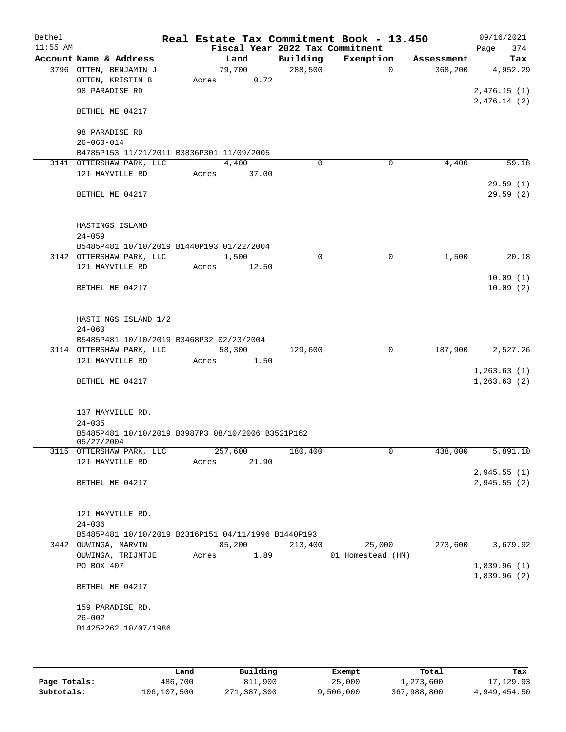| Bethel<br>$11:55$ AM |                                                                       |       |         |          | Real Estate Tax Commitment Book - 13.450<br>Fiscal Year 2022 Tax Commitment |            | 09/16/2021<br>374<br>Page |
|----------------------|-----------------------------------------------------------------------|-------|---------|----------|-----------------------------------------------------------------------------|------------|---------------------------|
|                      | Account Name & Address                                                |       | Land    | Building | Exemption                                                                   | Assessment | Tax                       |
|                      | 3796 OTTEN, BENJAMIN J                                                |       | 79,700  | 288,500  | $\Omega$                                                                    | 368,200    | 4,952.29                  |
|                      | OTTEN, KRISTIN B                                                      | Acres | 0.72    |          |                                                                             |            |                           |
|                      | 98 PARADISE RD                                                        |       |         |          |                                                                             |            | 2,476.15(1)               |
|                      |                                                                       |       |         |          |                                                                             |            | 2,476.14(2)               |
|                      | BETHEL ME 04217                                                       |       |         |          |                                                                             |            |                           |
|                      |                                                                       |       |         |          |                                                                             |            |                           |
|                      | 98 PARADISE RD                                                        |       |         |          |                                                                             |            |                           |
|                      | $26 - 060 - 014$                                                      |       |         |          |                                                                             |            |                           |
|                      | B4785P153 11/21/2011 B3836P301 11/09/2005<br>3141 OTTERSHAW PARK, LLC |       | 4,400   | 0        | $\mathbf 0$                                                                 | 4,400      | 59.18                     |
|                      | 121 MAYVILLE RD                                                       | Acres | 37.00   |          |                                                                             |            |                           |
|                      |                                                                       |       |         |          |                                                                             |            | 29.59(1)                  |
|                      | BETHEL ME 04217                                                       |       |         |          |                                                                             |            | 29.59(2)                  |
|                      |                                                                       |       |         |          |                                                                             |            |                           |
|                      |                                                                       |       |         |          |                                                                             |            |                           |
|                      | HASTINGS ISLAND                                                       |       |         |          |                                                                             |            |                           |
|                      | $24 - 059$                                                            |       |         |          |                                                                             |            |                           |
|                      | B5485P481 10/10/2019 B1440P193 01/22/2004                             |       |         |          |                                                                             |            |                           |
|                      | 3142 OTTERSHAW PARK, LLC                                              |       | 1,500   | 0        | $\mathbf 0$                                                                 | 1,500      | 20.18                     |
|                      | 121 MAYVILLE RD                                                       | Acres | 12.50   |          |                                                                             |            |                           |
|                      |                                                                       |       |         |          |                                                                             |            | 10.09(1)                  |
|                      | BETHEL ME 04217                                                       |       |         |          |                                                                             |            | 10.09(2)                  |
|                      |                                                                       |       |         |          |                                                                             |            |                           |
|                      |                                                                       |       |         |          |                                                                             |            |                           |
|                      | HASTI NGS ISLAND 1/2<br>$24 - 060$                                    |       |         |          |                                                                             |            |                           |
|                      | B5485P481 10/10/2019 B3468P32 02/23/2004                              |       |         |          |                                                                             |            |                           |
|                      | 3114 OTTERSHAW PARK, LLC                                              |       | 58,300  | 129,600  | 0                                                                           | 187,900    | 2,527.26                  |
|                      | 121 MAYVILLE RD                                                       | Acres | 1.50    |          |                                                                             |            |                           |
|                      |                                                                       |       |         |          |                                                                             |            | 1,263.63(1)               |
|                      | BETHEL ME 04217                                                       |       |         |          |                                                                             |            | 1, 263.63(2)              |
|                      |                                                                       |       |         |          |                                                                             |            |                           |
|                      |                                                                       |       |         |          |                                                                             |            |                           |
|                      | 137 MAYVILLE RD.                                                      |       |         |          |                                                                             |            |                           |
|                      | $24 - 035$                                                            |       |         |          |                                                                             |            |                           |
|                      | B5485P481 10/10/2019 B3987P3 08/10/2006 B3521P162                     |       |         |          |                                                                             |            |                           |
|                      | 05/27/2004<br>3115 OTTERSHAW PARK, LLC                                |       | 257,600 | 180,400  | 0                                                                           | 438,000    | 5,891.10                  |
|                      | 121 MAYVILLE RD                                                       | Acres | 21.90   |          |                                                                             |            |                           |
|                      |                                                                       |       |         |          |                                                                             |            | 2,945.55(1)               |
|                      | BETHEL ME 04217                                                       |       |         |          |                                                                             |            | 2,945.55(2)               |
|                      |                                                                       |       |         |          |                                                                             |            |                           |
|                      |                                                                       |       |         |          |                                                                             |            |                           |
|                      | 121 MAYVILLE RD.                                                      |       |         |          |                                                                             |            |                           |
|                      | $24 - 036$                                                            |       |         |          |                                                                             |            |                           |
|                      | B5485P481 10/10/2019 B2316P151 04/11/1996 B1440P193                   |       |         |          |                                                                             |            |                           |
|                      | 3442 OUWINGA, MARVIN                                                  |       | 85,200  | 213,400  | 25,000                                                                      | 273,600    | 3,679.92                  |
|                      | OUWINGA, TRIJNTJE                                                     | Acres | 1.89    |          | 01 Homestead (HM)                                                           |            |                           |
|                      | PO BOX 407                                                            |       |         |          |                                                                             |            | 1,839.96(1)               |
|                      |                                                                       |       |         |          |                                                                             |            | 1,839.96(2)               |
|                      | BETHEL ME 04217                                                       |       |         |          |                                                                             |            |                           |
|                      | 159 PARADISE RD.                                                      |       |         |          |                                                                             |            |                           |
|                      | $26 - 002$                                                            |       |         |          |                                                                             |            |                           |
|                      | B1425P262 10/07/1986                                                  |       |         |          |                                                                             |            |                           |
|                      |                                                                       |       |         |          |                                                                             |            |                           |
|                      |                                                                       |       |         |          |                                                                             |            |                           |
|                      |                                                                       |       |         |          |                                                                             |            |                           |

|              | Land        | Building    | Exempt    | Total       | Tax          |
|--------------|-------------|-------------|-----------|-------------|--------------|
| Page Totals: | 486,700     | 811,900     | 25,000    | 1,273,600   | 17,129.93    |
| Subtotals:   | 106,107,500 | 271,387,300 | 9,506,000 | 367,988,800 | 4,949,454.50 |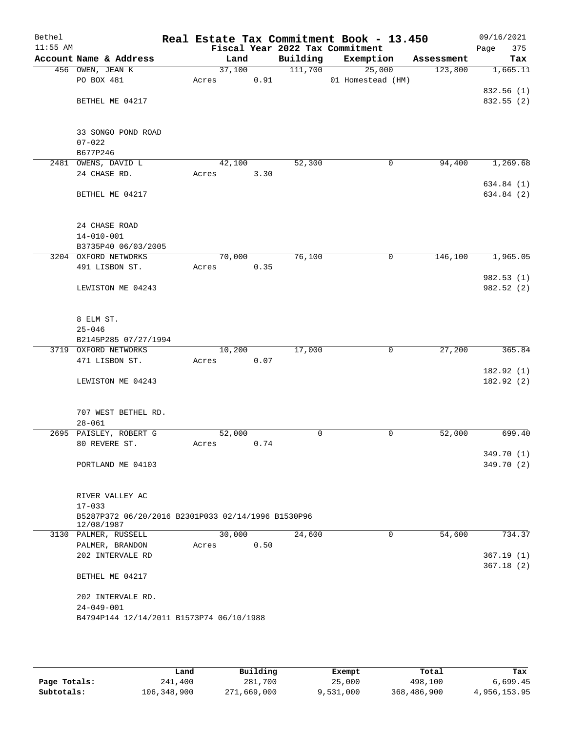| Bethel<br>$11:55$ AM |                                                                                |        |      |          | Real Estate Tax Commitment Book - 13.450<br>Fiscal Year 2022 Tax Commitment |            | 09/16/2021<br>Page<br>375 |
|----------------------|--------------------------------------------------------------------------------|--------|------|----------|-----------------------------------------------------------------------------|------------|---------------------------|
|                      | Account Name & Address                                                         | Land   |      | Building | Exemption                                                                   | Assessment | Tax                       |
|                      | 456 OWEN, JEAN K                                                               | 37,100 |      | 111,700  | 25,000                                                                      | 123,800    | 1,665.11                  |
|                      | PO BOX 481                                                                     | Acres  | 0.91 |          | 01 Homestead (HM)                                                           |            |                           |
|                      |                                                                                |        |      |          |                                                                             |            | 832.56 (1)                |
|                      | BETHEL ME 04217                                                                |        |      |          |                                                                             |            | 832.55 (2)                |
|                      | 33 SONGO POND ROAD                                                             |        |      |          |                                                                             |            |                           |
|                      | $07 - 022$                                                                     |        |      |          |                                                                             |            |                           |
|                      | B677P246                                                                       |        |      |          |                                                                             |            |                           |
|                      | 2481 OWENS, DAVID L                                                            | 42,100 |      | 52,300   | 0                                                                           | 94,400     | 1,269.68                  |
|                      | 24 CHASE RD.                                                                   | Acres  | 3.30 |          |                                                                             |            |                           |
|                      | BETHEL ME 04217                                                                |        |      |          |                                                                             |            | 634.84 (1)<br>634.84 (2)  |
|                      | 24 CHASE ROAD                                                                  |        |      |          |                                                                             |            |                           |
|                      | $14 - 010 - 001$                                                               |        |      |          |                                                                             |            |                           |
|                      | B3735P40 06/03/2005                                                            |        |      |          |                                                                             |            |                           |
|                      | 3204 OXFORD NETWORKS                                                           | 70,000 |      | 76,100   | 0                                                                           | 146,100    | 1,965.05                  |
|                      | 491 LISBON ST.                                                                 | Acres  | 0.35 |          |                                                                             |            |                           |
|                      |                                                                                |        |      |          |                                                                             |            | 982.53(1)                 |
|                      | LEWISTON ME 04243                                                              |        |      |          |                                                                             |            | 982.52 (2)                |
|                      | 8 ELM ST.                                                                      |        |      |          |                                                                             |            |                           |
|                      | $25 - 046$                                                                     |        |      |          |                                                                             |            |                           |
|                      | B2145P285 07/27/1994                                                           |        |      |          |                                                                             |            |                           |
|                      | 3719 OXFORD NETWORKS                                                           | 10,200 |      | 17,000   | $\mathbf 0$                                                                 | 27,200     | 365.84                    |
|                      | 471 LISBON ST.                                                                 | Acres  | 0.07 |          |                                                                             |            |                           |
|                      | LEWISTON ME 04243                                                              |        |      |          |                                                                             |            | 182.92(1)<br>182.92(2)    |
|                      | 707 WEST BETHEL RD.                                                            |        |      |          |                                                                             |            |                           |
|                      | $28 - 061$                                                                     |        |      |          |                                                                             |            |                           |
|                      | 2695 PAISLEY, ROBERT G                                                         | 52,000 |      | 0        | 0                                                                           | 52,000     | 699.40                    |
|                      | 80 REVERE ST.                                                                  | Acres  | 0.74 |          |                                                                             |            |                           |
|                      |                                                                                |        |      |          |                                                                             |            | 349.70 (1)                |
|                      | PORTLAND ME 04103                                                              |        |      |          |                                                                             |            | 349.70 (2)                |
|                      | RIVER VALLEY AC                                                                |        |      |          |                                                                             |            |                           |
|                      | $17 - 033$<br>B5287P372 06/20/2016 B2301P033 02/14/1996 B1530P96<br>12/08/1987 |        |      |          |                                                                             |            |                           |
|                      | 3130 PALMER, RUSSELL                                                           | 30,000 |      | 24,600   | 0                                                                           | 54,600     | 734.37                    |
|                      | PALMER, BRANDON                                                                | Acres  | 0.50 |          |                                                                             |            |                           |
|                      | 202 INTERVALE RD                                                               |        |      |          |                                                                             |            | 367.19(1)                 |
|                      | BETHEL ME 04217                                                                |        |      |          |                                                                             |            | 367.18(2)                 |
|                      | 202 INTERVALE RD.                                                              |        |      |          |                                                                             |            |                           |
|                      | $24 - 049 - 001$                                                               |        |      |          |                                                                             |            |                           |
|                      | B4794P144 12/14/2011 B1573P74 06/10/1988                                       |        |      |          |                                                                             |            |                           |
|                      |                                                                                |        |      |          |                                                                             |            |                           |

|              | Land        | Building    | Exempt    | Total       | Tax          |
|--------------|-------------|-------------|-----------|-------------|--------------|
| Page Totals: | 241,400     | 281,700     | 25,000    | 498,100     | 6,699.45     |
| Subtotals:   | 106,348,900 | 271,669,000 | 9,531,000 | 368,486,900 | 4,956,153.95 |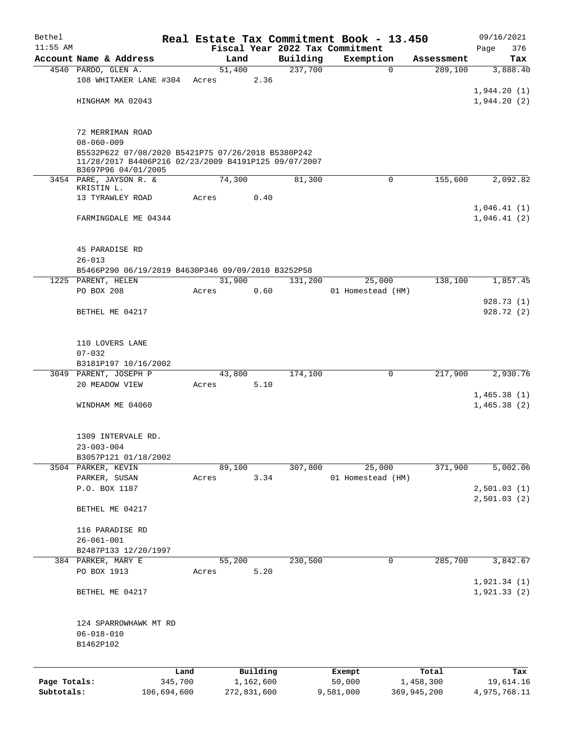| Bethel       |                                                      |         |        |             |          | Real Estate Tax Commitment Book - 13.450 |             | 09/16/2021   |
|--------------|------------------------------------------------------|---------|--------|-------------|----------|------------------------------------------|-------------|--------------|
| $11:55$ AM   |                                                      |         |        |             |          | Fiscal Year 2022 Tax Commitment          |             | 376<br>Page  |
|              | Account Name & Address                               |         | Land   |             | Building | Exemption                                | Assessment  | Tax          |
|              | 4540 PARDO, GLEN A.                                  |         | 51,400 |             | 237,700  | $\mathbf 0$                              | 289,100     | 3,888.40     |
|              | 108 WHITAKER LANE #304                               | Acres   |        | 2.36        |          |                                          |             |              |
|              |                                                      |         |        |             |          |                                          |             | 1,944.20(1)  |
|              | HINGHAM MA 02043                                     |         |        |             |          |                                          |             | 1,944.20(2)  |
|              |                                                      |         |        |             |          |                                          |             |              |
|              | 72 MERRIMAN ROAD                                     |         |        |             |          |                                          |             |              |
|              | $08 - 060 - 009$                                     |         |        |             |          |                                          |             |              |
|              | B5532P622 07/08/2020 B5421P75 07/26/2018 B5380P242   |         |        |             |          |                                          |             |              |
|              | 11/28/2017 B4406P216 02/23/2009 B4191P125 09/07/2007 |         |        |             |          |                                          |             |              |
|              | B3697P96 04/01/2005                                  |         |        |             |          |                                          |             |              |
|              | 3454 PARE, JAYSON R. &                               |         | 74,300 |             | 81,300   | 0                                        | 155,600     | 2,092.82     |
|              | KRISTIN L.<br>13 TYRAWLEY ROAD                       | Acres   |        | 0.40        |          |                                          |             |              |
|              |                                                      |         |        |             |          |                                          |             | 1,046.41(1)  |
|              | FARMINGDALE ME 04344                                 |         |        |             |          |                                          |             | 1,046.41(2)  |
|              |                                                      |         |        |             |          |                                          |             |              |
|              |                                                      |         |        |             |          |                                          |             |              |
|              | 45 PARADISE RD                                       |         |        |             |          |                                          |             |              |
|              | $26 - 013$                                           |         |        |             |          |                                          |             |              |
|              | B5466P290 06/19/2019 B4630P346 09/09/2010 B3252P58   |         |        |             |          |                                          |             |              |
|              | 1225 PARENT, HELEN                                   |         | 31,900 |             | 131,200  | 25,000                                   | 138,100     | 1,857.45     |
|              | PO BOX 208                                           | Acres   |        | 0.60        |          | 01 Homestead (HM)                        |             |              |
|              |                                                      |         |        |             |          |                                          |             | 928.73 (1)   |
|              | BETHEL ME 04217                                      |         |        |             |          |                                          |             | 928.72(2)    |
|              |                                                      |         |        |             |          |                                          |             |              |
|              |                                                      |         |        |             |          |                                          |             |              |
|              | 110 LOVERS LANE                                      |         |        |             |          |                                          |             |              |
|              | $07 - 032$                                           |         |        |             |          |                                          |             |              |
|              | B3181P197 10/16/2002                                 |         |        |             |          |                                          |             |              |
|              | 3049 PARENT, JOSEPH P                                |         | 43,800 |             | 174,100  | $\mathbf 0$                              | 217,900     | 2,930.76     |
|              | 20 MEADOW VIEW                                       | Acres   |        | 5.10        |          |                                          |             |              |
|              |                                                      |         |        |             |          |                                          |             | 1,465.38(1)  |
|              | WINDHAM ME 04060                                     |         |        |             |          |                                          |             | 1,465.38(2)  |
|              |                                                      |         |        |             |          |                                          |             |              |
|              |                                                      |         |        |             |          |                                          |             |              |
|              | 1309 INTERVALE RD.                                   |         |        |             |          |                                          |             |              |
|              | $23 - 003 - 004$                                     |         |        |             |          |                                          |             |              |
|              | B3057P121 01/18/2002                                 |         |        |             |          |                                          |             |              |
|              | 3504 PARKER, KEVIN                                   |         | 89,100 |             | 307,800  | 25,000                                   | 371,900     | 5,002.06     |
|              | PARKER, SUSAN                                        | Acres   |        | 3.34        |          | 01 Homestead (HM)                        |             |              |
|              | P.O. BOX 1187                                        |         |        |             |          |                                          |             | 2,501.03(1)  |
|              |                                                      |         |        |             |          |                                          |             | 2,501.03(2)  |
|              | BETHEL ME 04217                                      |         |        |             |          |                                          |             |              |
|              |                                                      |         |        |             |          |                                          |             |              |
|              | 116 PARADISE RD                                      |         |        |             |          |                                          |             |              |
|              | $26 - 061 - 001$                                     |         |        |             |          |                                          |             |              |
|              | B2487P133 12/20/1997                                 |         |        |             |          |                                          |             |              |
|              | 384 PARKER, MARY E                                   |         | 55,200 |             | 230,500  | 0                                        | 285,700     | 3,842.67     |
|              | PO BOX 1913                                          | Acres   |        | 5.20        |          |                                          |             |              |
|              |                                                      |         |        |             |          |                                          |             | 1,921.34(1)  |
|              | BETHEL ME 04217                                      |         |        |             |          |                                          |             | 1,921.33(2)  |
|              |                                                      |         |        |             |          |                                          |             |              |
|              | 124 SPARROWHAWK MT RD                                |         |        |             |          |                                          |             |              |
|              | $06 - 018 - 010$                                     |         |        |             |          |                                          |             |              |
|              | B1462P102                                            |         |        |             |          |                                          |             |              |
|              |                                                      |         |        |             |          |                                          |             |              |
|              |                                                      |         |        |             |          |                                          |             |              |
|              |                                                      | Land    |        | Building    |          | Exempt                                   | Total       | Tax          |
| Page Totals: |                                                      | 345,700 |        | 1,162,600   |          | 50,000                                   | 1,458,300   | 19,614.16    |
| Subtotals:   | 106,694,600                                          |         |        | 272,831,600 |          | 9,581,000                                | 369,945,200 | 4,975,768.11 |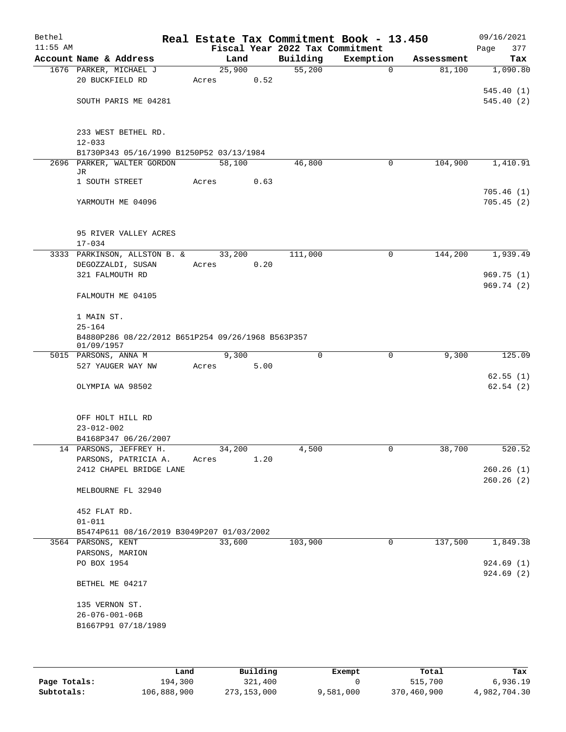| Bethel<br>$11:55$ AM |                                                   |        |        | Fiscal Year 2022 Tax Commitment | Real Estate Tax Commitment Book - 13.450 |            | 09/16/2021<br>377<br>Page |
|----------------------|---------------------------------------------------|--------|--------|---------------------------------|------------------------------------------|------------|---------------------------|
|                      | Account Name & Address                            | Land   |        | Building                        | Exemption                                | Assessment | Tax                       |
|                      | 1676 PARKER, MICHAEL J                            |        | 25,900 | 55,200                          | $\mathbf 0$                              | 81,100     | 1,090.80                  |
|                      | 20 BUCKFIELD RD                                   | Acres  | 0.52   |                                 |                                          |            |                           |
|                      |                                                   |        |        |                                 |                                          |            | 545.40(1)                 |
|                      | SOUTH PARIS ME 04281                              |        |        |                                 |                                          |            | 545.40(2)                 |
|                      |                                                   |        |        |                                 |                                          |            |                           |
|                      | 233 WEST BETHEL RD.                               |        |        |                                 |                                          |            |                           |
|                      | $12 - 033$                                        |        |        |                                 |                                          |            |                           |
|                      | B1730P343 05/16/1990 B1250P52 03/13/1984          |        |        |                                 |                                          |            |                           |
|                      | 2696 PARKER, WALTER GORDON                        | 58,100 |        | 46,800                          | 0                                        | 104,900    | 1,410.91                  |
|                      | JR                                                |        |        |                                 |                                          |            |                           |
|                      | 1 SOUTH STREET                                    | Acres  | 0.63   |                                 |                                          |            | 705.46(1)                 |
|                      | YARMOUTH ME 04096                                 |        |        |                                 |                                          |            | 705.45(2)                 |
|                      |                                                   |        |        |                                 |                                          |            |                           |
|                      |                                                   |        |        |                                 |                                          |            |                           |
|                      | 95 RIVER VALLEY ACRES                             |        |        |                                 |                                          |            |                           |
|                      | $17 - 034$                                        |        |        |                                 |                                          |            |                           |
|                      | 3333 PARKINSON, ALLSTON B. &                      | 33,200 |        | 111,000                         | 0                                        | 144,200    | 1,939.49                  |
|                      | DEGOZZALDI, SUSAN                                 | Acres  | 0.20   |                                 |                                          |            |                           |
|                      | 321 FALMOUTH RD                                   |        |        |                                 |                                          |            | 969.75(1)<br>969.74 (2)   |
|                      | FALMOUTH ME 04105                                 |        |        |                                 |                                          |            |                           |
|                      |                                                   |        |        |                                 |                                          |            |                           |
|                      | 1 MAIN ST.                                        |        |        |                                 |                                          |            |                           |
|                      | $25 - 164$                                        |        |        |                                 |                                          |            |                           |
|                      | B4880P286 08/22/2012 B651P254 09/26/1968 B563P357 |        |        |                                 |                                          |            |                           |
|                      | 01/09/1957<br>5015 PARSONS, ANNA M                | 9,300  |        | $\mathbf 0$                     | 0                                        | 9,300      | 125.09                    |
|                      | 527 YAUGER WAY NW                                 | Acres  | 5.00   |                                 |                                          |            |                           |
|                      |                                                   |        |        |                                 |                                          |            | 62.55(1)                  |
|                      | OLYMPIA WA 98502                                  |        |        |                                 |                                          |            | 62.54(2)                  |
|                      |                                                   |        |        |                                 |                                          |            |                           |
|                      |                                                   |        |        |                                 |                                          |            |                           |
|                      | OFF HOLT HILL RD<br>$23 - 012 - 002$              |        |        |                                 |                                          |            |                           |
|                      | B4168P347 06/26/2007                              |        |        |                                 |                                          |            |                           |
|                      | 14 PARSONS, JEFFREY H.                            | 34,200 |        | 4,500                           |                                          | 38,700     | 520.52                    |
|                      | PARSONS, PATRICIA A.                              | Acres  | 1.20   |                                 |                                          |            |                           |
|                      | 2412 CHAPEL BRIDGE LANE                           |        |        |                                 |                                          |            | 260.26(1)                 |
|                      |                                                   |        |        |                                 |                                          |            | 260.26(2)                 |
|                      | MELBOURNE FL 32940                                |        |        |                                 |                                          |            |                           |
|                      | 452 FLAT RD.                                      |        |        |                                 |                                          |            |                           |
|                      | $01 - 011$                                        |        |        |                                 |                                          |            |                           |
|                      | B5474P611 08/16/2019 B3049P207 01/03/2002         |        |        |                                 |                                          |            |                           |
|                      | 3564 PARSONS, KENT                                | 33,600 |        | 103,900                         | $\mathbf 0$                              | 137,500    | 1,849.38                  |
|                      | PARSONS, MARION                                   |        |        |                                 |                                          |            |                           |
|                      | PO BOX 1954                                       |        |        |                                 |                                          |            | 924.69(1)                 |
|                      |                                                   |        |        |                                 |                                          |            | 924.69(2)                 |
|                      | BETHEL ME 04217                                   |        |        |                                 |                                          |            |                           |
|                      | 135 VERNON ST.                                    |        |        |                                 |                                          |            |                           |
|                      | $26 - 076 - 001 - 06B$                            |        |        |                                 |                                          |            |                           |
|                      | B1667P91 07/18/1989                               |        |        |                                 |                                          |            |                           |
|                      |                                                   |        |        |                                 |                                          |            |                           |
|                      |                                                   |        |        |                                 |                                          |            |                           |

|              | Land        | Building    | Exempt    | Total       | Tax          |
|--------------|-------------|-------------|-----------|-------------|--------------|
| Page Totals: | 194,300     | 321,400     |           | 515,700     | 6,936.19     |
| Subtotals:   | 106,888,900 | 273,153,000 | 9,581,000 | 370,460,900 | 4,982,704.30 |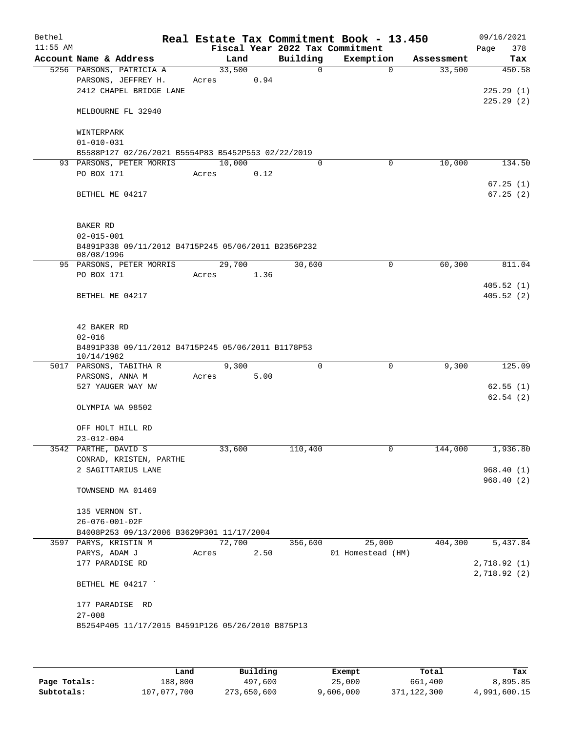| Bethel<br>$11:55$ AM |                           |                                                     |        |       |             | Real Estate Tax Commitment Book - 13.450<br>Fiscal Year 2022 Tax Commitment |            | 09/16/2021<br>378<br>Page |
|----------------------|---------------------------|-----------------------------------------------------|--------|-------|-------------|-----------------------------------------------------------------------------|------------|---------------------------|
|                      |                           | Account Name & Address                              |        | Land  | Building    | Exemption                                                                   | Assessment | Tax                       |
|                      |                           | 5256 PARSONS, PATRICIA A                            | 33,500 |       | $\mathbf 0$ | $\Omega$                                                                    | 33,500     | 450.58                    |
|                      |                           | PARSONS, JEFFREY H.                                 | Acres  | 0.94  |             |                                                                             |            |                           |
|                      |                           | 2412 CHAPEL BRIDGE LANE                             |        |       |             |                                                                             |            | 225.29(1)                 |
|                      |                           | MELBOURNE FL 32940                                  |        |       |             |                                                                             |            | 225.29(2)                 |
|                      | WINTERPARK                |                                                     |        |       |             |                                                                             |            |                           |
|                      | $01 - 010 - 031$          |                                                     |        |       |             |                                                                             |            |                           |
|                      |                           | B5588P127 02/26/2021 B5554P83 B5452P553 02/22/2019  |        |       |             |                                                                             |            |                           |
|                      |                           | 93 PARSONS, PETER MORRIS                            | 10,000 |       | $\Omega$    | 0                                                                           | 10,000     | 134.50                    |
|                      | PO BOX 171                |                                                     | Acres  | 0.12  |             |                                                                             |            |                           |
|                      | BETHEL ME 04217           |                                                     |        |       |             |                                                                             |            | 67.25(1)<br>67.25(2)      |
|                      | BAKER RD                  |                                                     |        |       |             |                                                                             |            |                           |
|                      | $02 - 015 - 001$          |                                                     |        |       |             |                                                                             |            |                           |
|                      | 08/08/1996                | B4891P338 09/11/2012 B4715P245 05/06/2011 B2356P232 |        |       |             |                                                                             |            |                           |
|                      |                           | 95 PARSONS, PETER MORRIS                            | 29,700 |       | 30,600      | 0                                                                           | 60,300     | 811.04                    |
|                      | PO BOX 171                |                                                     | Acres  | 1.36  |             |                                                                             |            |                           |
|                      | BETHEL ME 04217           |                                                     |        |       |             |                                                                             |            | 405.52(1)<br>405.52(2)    |
|                      | 42 BAKER RD<br>$02 - 016$ | B4891P338 09/11/2012 B4715P245 05/06/2011 B1178P53  |        |       |             |                                                                             |            |                           |
|                      | 10/14/1982                | 5017 PARSONS, TABITHA R                             |        | 9,300 | $\mathbf 0$ | $\mathbf 0$                                                                 | 9,300      | 125.09                    |
|                      | PARSONS, ANNA M           |                                                     | Acres  | 5.00  |             |                                                                             |            |                           |
|                      |                           | 527 YAUGER WAY NW                                   |        |       |             |                                                                             |            | 62.55(1)                  |
|                      |                           |                                                     |        |       |             |                                                                             |            | 62.54(2)                  |
|                      |                           | OLYMPIA WA 98502                                    |        |       |             |                                                                             |            |                           |
|                      |                           | OFF HOLT HILL RD                                    |        |       |             |                                                                             |            |                           |
|                      | $23 - 012 - 004$          |                                                     |        |       |             |                                                                             |            |                           |
|                      | 3542 PARTHE, DAVID S      |                                                     | 33,600 |       | 110,400     | U                                                                           | 144,000    | 1,936.80                  |
|                      |                           | CONRAD, KRISTEN, PARTHE                             |        |       |             |                                                                             |            |                           |
|                      |                           | 2 SAGITTARIUS LANE                                  |        |       |             |                                                                             |            | 968.40(1)                 |
|                      |                           | TOWNSEND MA 01469                                   |        |       |             |                                                                             |            | 968.40(2)                 |
|                      | 135 VERNON ST.            |                                                     |        |       |             |                                                                             |            |                           |
|                      | $26 - 076 - 001 - 02F$    |                                                     |        |       |             |                                                                             |            |                           |
|                      |                           | B4008P253 09/13/2006 B3629P301 11/17/2004           |        |       |             |                                                                             |            |                           |
|                      |                           | 3597 PARYS, KRISTIN M                               | 72,700 |       | 356,600     | 25,000                                                                      | 404,300    | 5,437.84                  |
|                      | PARYS, ADAM J             |                                                     | Acres  | 2.50  |             | 01 Homestead (HM)                                                           |            |                           |
|                      |                           | 177 PARADISE RD                                     |        |       |             |                                                                             |            | 2,718.92(1)               |
|                      |                           | BETHEL ME 04217                                     |        |       |             |                                                                             |            | 2,718.92(2)               |
|                      |                           | 177 PARADISE RD                                     |        |       |             |                                                                             |            |                           |
|                      | $27 - 008$                |                                                     |        |       |             |                                                                             |            |                           |
|                      |                           | B5254P405 11/17/2015 B4591P126 05/26/2010 B875P13   |        |       |             |                                                                             |            |                           |
|                      |                           |                                                     |        |       |             |                                                                             |            |                           |

|              | Land        | Building    | Exempt    | Total       | Tax          |
|--------------|-------------|-------------|-----------|-------------|--------------|
| Page Totals: | 188,800     | 497,600     | 25,000    | 661,400     | 8,895.85     |
| Subtotals:   | 107,077,700 | 273,650,600 | 9,606,000 | 371,122,300 | 4,991,600.15 |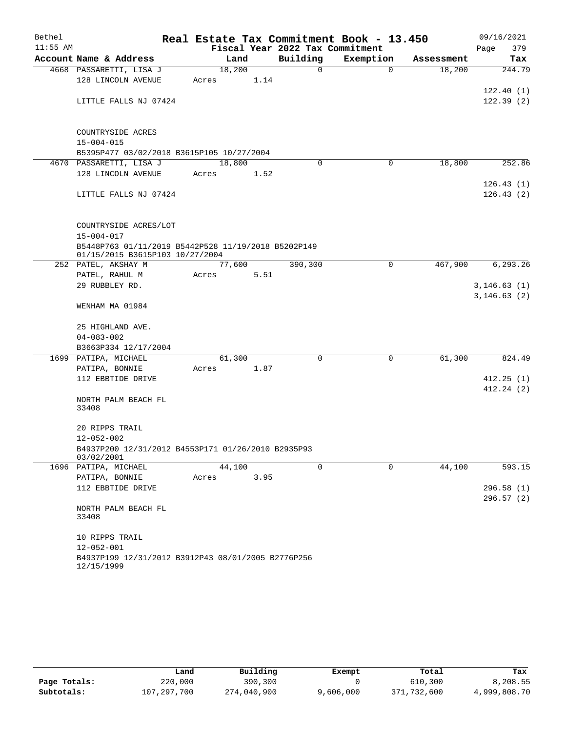| Bethel     |                                                                         |       |        |      |                                 | Real Estate Tax Commitment Book - 13.450 |            | 09/16/2021             |
|------------|-------------------------------------------------------------------------|-------|--------|------|---------------------------------|------------------------------------------|------------|------------------------|
| $11:55$ AM |                                                                         |       |        |      | Fiscal Year 2022 Tax Commitment |                                          |            | 379<br>Page            |
|            | Account Name & Address                                                  |       | Land   |      | Building                        | Exemption                                | Assessment | Tax                    |
|            | 4668 PASSARETTI, LISA J                                                 |       | 18,200 |      | 0                               | $\mathbf 0$                              | 18,200     | 244.79                 |
|            | 128 LINCOLN AVENUE                                                      | Acres |        | 1.14 |                                 |                                          |            |                        |
|            | LITTLE FALLS NJ 07424                                                   |       |        |      |                                 |                                          |            | 122.40(1)<br>122.39(2) |
|            |                                                                         |       |        |      |                                 |                                          |            |                        |
|            | COUNTRYSIDE ACRES                                                       |       |        |      |                                 |                                          |            |                        |
|            | $15 - 004 - 015$                                                        |       |        |      |                                 |                                          |            |                        |
|            | B5395P477 03/02/2018 B3615P105 10/27/2004                               |       |        |      |                                 |                                          |            |                        |
|            | 4670 PASSARETTI, LISA J                                                 |       | 18,800 |      | $\Omega$                        | 0                                        | 18,800     | 252.86                 |
|            | 128 LINCOLN AVENUE                                                      | Acres |        | 1.52 |                                 |                                          |            |                        |
|            |                                                                         |       |        |      |                                 |                                          |            | 126.43(1)              |
|            | LITTLE FALLS NJ 07424                                                   |       |        |      |                                 |                                          |            | 126.43(2)              |
|            |                                                                         |       |        |      |                                 |                                          |            |                        |
|            | COUNTRYSIDE ACRES/LOT                                                   |       |        |      |                                 |                                          |            |                        |
|            | $15 - 004 - 017$<br>B5448P763 01/11/2019 B5442P528 11/19/2018 B5202P149 |       |        |      |                                 |                                          |            |                        |
|            | 01/15/2015 B3615P103 10/27/2004                                         |       |        |      |                                 |                                          |            |                        |
|            | 252 PATEL, AKSHAY M                                                     |       | 77,600 |      | 390,300                         | $\mathbf 0$                              | 467,900    | 6, 293.26              |
|            | PATEL, RAHUL M                                                          | Acres |        | 5.51 |                                 |                                          |            |                        |
|            | 29 RUBBLEY RD.                                                          |       |        |      |                                 |                                          |            | 3, 146.63(1)           |
|            | WENHAM MA 01984                                                         |       |        |      |                                 |                                          |            | 3, 146.63(2)           |
|            |                                                                         |       |        |      |                                 |                                          |            |                        |
|            | 25 HIGHLAND AVE.                                                        |       |        |      |                                 |                                          |            |                        |
|            | $04 - 083 - 002$                                                        |       |        |      |                                 |                                          |            |                        |
|            | B3663P334 12/17/2004                                                    |       |        |      |                                 |                                          |            |                        |
|            | 1699 PATIPA, MICHAEL                                                    |       | 61,300 |      | 0                               | 0                                        | 61,300     | 824.49                 |
|            | PATIPA, BONNIE                                                          | Acres |        | 1.87 |                                 |                                          |            |                        |
|            | 112 EBBTIDE DRIVE                                                       |       |        |      |                                 |                                          |            | 412.25(1)              |
|            |                                                                         |       |        |      |                                 |                                          |            | 412.24(2)              |
|            | NORTH PALM BEACH FL                                                     |       |        |      |                                 |                                          |            |                        |
|            | 33408                                                                   |       |        |      |                                 |                                          |            |                        |
|            | 20 RIPPS TRAIL                                                          |       |        |      |                                 |                                          |            |                        |
|            | $12 - 052 - 002$                                                        |       |        |      |                                 |                                          |            |                        |
|            | B4937P200 12/31/2012 B4553P171 01/26/2010 B2935P93                      |       |        |      |                                 |                                          |            |                        |
|            | 03/02/2001                                                              |       |        |      |                                 |                                          |            |                        |
|            | 1696 PATIPA, MICHAEL                                                    |       | 44,100 |      | 0                               | 0                                        | 44,100     | 593.15                 |
|            | PATIPA, BONNIE<br>112 EBBTIDE DRIVE                                     | Acres |        | 3.95 |                                 |                                          |            | 296.58(1)              |
|            |                                                                         |       |        |      |                                 |                                          |            | 296.57(2)              |
|            | NORTH PALM BEACH FL<br>33408                                            |       |        |      |                                 |                                          |            |                        |
|            | 10 RIPPS TRAIL                                                          |       |        |      |                                 |                                          |            |                        |
|            | 12-052-001                                                              |       |        |      |                                 |                                          |            |                        |
|            | B4937P199 12/31/2012 B3912P43 08/01/2005 B2776P256                      |       |        |      |                                 |                                          |            |                        |
|            | 12/15/1999                                                              |       |        |      |                                 |                                          |            |                        |

|              | Land        | Building    | Exempt    | Total       | Tax          |
|--------------|-------------|-------------|-----------|-------------|--------------|
| Page Totals: | 220,000     | 390,300     |           | 610,300     | 8,208.55     |
| Subtotals:   | 107,297,700 | 274,040,900 | 9,606,000 | 371,732,600 | 4,999,808.70 |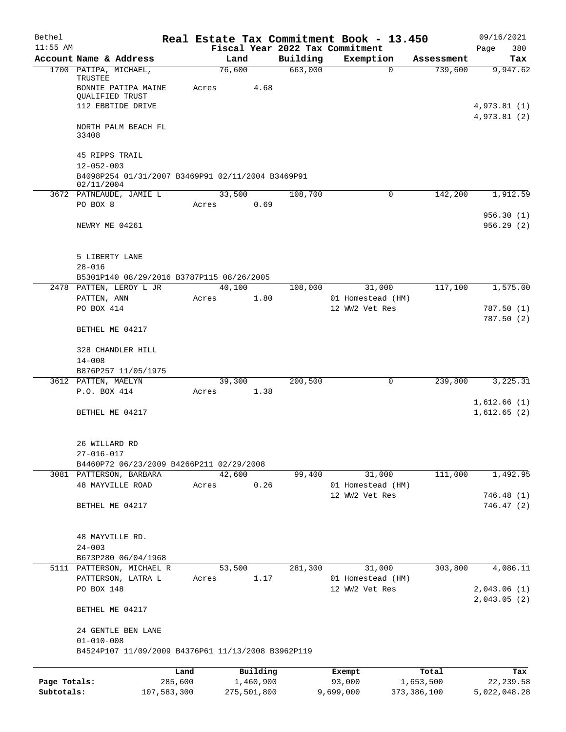| Bethel       |                                                                                                 |             |                 |             |          | Real Estate Tax Commitment Book - 13.450      |             | 09/16/2021                 |
|--------------|-------------------------------------------------------------------------------------------------|-------------|-----------------|-------------|----------|-----------------------------------------------|-------------|----------------------------|
| $11:55$ AM   |                                                                                                 |             |                 |             |          | Fiscal Year 2022 Tax Commitment               |             | 380<br>Page                |
|              | Account Name & Address                                                                          |             | Land            |             | Building | Exemption                                     | Assessment  | Tax                        |
|              | 1700 PATIPA, MICHAEL,<br>TRUSTEE<br>BONNIE PATIPA MAINE<br>QUALIFIED TRUST<br>112 EBBTIDE DRIVE |             | 76,600<br>Acres | 4.68        | 663,000  | $\Omega$                                      | 739,600     | 9,947.62<br>4,973.81(1)    |
|              | NORTH PALM BEACH FL<br>33408                                                                    |             |                 |             |          |                                               |             | 4,973.81(2)                |
|              | 45 RIPPS TRAIL<br>$12 - 052 - 003$                                                              |             |                 |             |          |                                               |             |                            |
|              | B4098P254 01/31/2007 B3469P91 02/11/2004 B3469P91<br>02/11/2004                                 |             |                 |             |          |                                               |             |                            |
|              | 3672 PATNEAUDE, JAMIE L                                                                         |             | 33,500          |             | 108,700  | 0                                             | 142,200     | 1,912.59                   |
|              | PO BOX 8                                                                                        |             | Acres           | 0.69        |          |                                               |             |                            |
|              | NEWRY ME 04261                                                                                  |             |                 |             |          |                                               |             | 956.30(1)<br>956.29(2)     |
|              | 5 LIBERTY LANE<br>$28 - 016$                                                                    |             |                 |             |          |                                               |             |                            |
|              | B5301P140 08/29/2016 B3787P115 08/26/2005                                                       |             |                 |             |          |                                               |             |                            |
|              | 2478 PATTEN, LEROY L JR                                                                         |             | 40,100          |             | 108,000  | 31,000                                        | 117,100     | 1,575.00                   |
|              | PATTEN, ANN<br>PO BOX 414                                                                       |             | Acres           | 1.80        |          | 01 Homestead (HM)<br>12 WW2 Vet Res           |             | 787.50 (1)<br>787.50 (2)   |
|              | BETHEL ME 04217                                                                                 |             |                 |             |          |                                               |             |                            |
|              | 328 CHANDLER HILL                                                                               |             |                 |             |          |                                               |             |                            |
|              | $14 - 008$                                                                                      |             |                 |             |          |                                               |             |                            |
|              | B876P257 11/05/1975<br>3612 PATTEN, MAELYN                                                      |             | 39,300          |             | 200,500  | 0                                             | 239,800     | 3,225.31                   |
|              | P.O. BOX 414                                                                                    |             | Acres           | 1.38        |          |                                               |             |                            |
|              | BETHEL ME 04217                                                                                 |             |                 |             |          |                                               |             | 1,612.66(1)<br>1,612.65(2) |
|              | 26 WILLARD RD<br>$27 - 016 - 017$                                                               |             |                 |             |          |                                               |             |                            |
|              | B4460P72 06/23/2009 B4266P211 02/29/2008                                                        |             |                 |             |          |                                               |             |                            |
|              | 3081 PATTERSON, BARBARA<br><b>48 MAYVILLE ROAD</b>                                              |             | 42,600<br>Acres | 0.26        | 99,400   | 31,000<br>01 Homestead (HM)                   | 111,000     | 1,492.95                   |
|              |                                                                                                 |             |                 |             |          | 12 WW2 Vet Res                                |             | 746.48(1)                  |
|              | BETHEL ME 04217                                                                                 |             |                 |             |          |                                               |             | 746.47 (2)                 |
|              | 48 MAYVILLE RD.<br>$24 - 003$                                                                   |             |                 |             |          |                                               |             |                            |
|              | B673P280 06/04/1968                                                                             |             |                 |             |          |                                               |             |                            |
|              | 5111 PATTERSON, MICHAEL R<br>PATTERSON, LATRA L<br>PO BOX 148                                   |             | 53,500<br>Acres | 1.17        | 281,300  | 31,000<br>01 Homestead (HM)<br>12 WW2 Vet Res | 303,800     | 4,086.11<br>2,043.06(1)    |
|              | BETHEL ME 04217                                                                                 |             |                 |             |          |                                               |             | 2,043.05(2)                |
|              | 24 GENTLE BEN LANE<br>$01 - 010 - 008$                                                          |             |                 |             |          |                                               |             |                            |
|              | B4524P107 11/09/2009 B4376P61 11/13/2008 B3962P119                                              |             |                 |             |          |                                               |             |                            |
|              |                                                                                                 | Land        |                 | Building    |          | Exempt                                        | Total       | Tax                        |
| Page Totals: |                                                                                                 | 285,600     |                 | 1,460,900   |          | 93,000                                        | 1,653,500   | 22, 239.58                 |
| Subtotals:   |                                                                                                 | 107,583,300 |                 | 275,501,800 |          | 9,699,000                                     | 373,386,100 | 5,022,048.28               |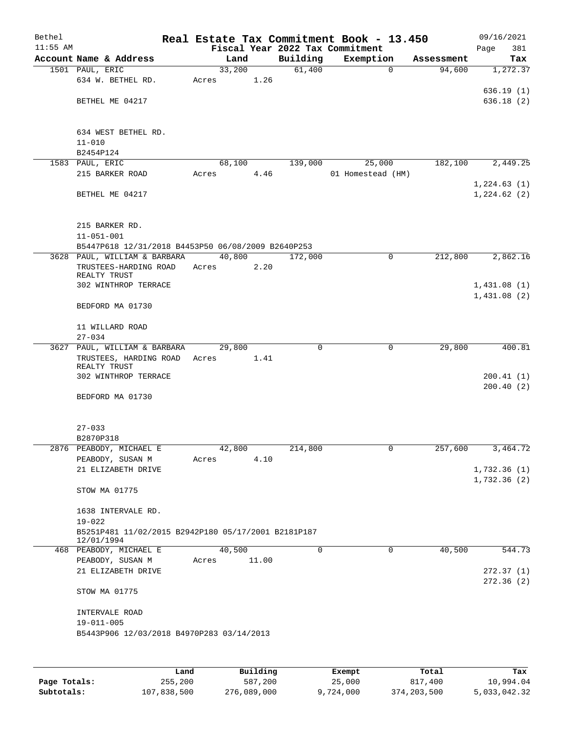| Bethel     |                                                     |       |        |       | Real Estate Tax Commitment Book - 13.450 |                   |             |            | 09/16/2021             |
|------------|-----------------------------------------------------|-------|--------|-------|------------------------------------------|-------------------|-------------|------------|------------------------|
| $11:55$ AM |                                                     |       |        |       | Fiscal Year 2022 Tax Commitment          |                   |             |            | 381<br>Page            |
|            | Account Name & Address                              |       | Land   |       | Building                                 | Exemption         |             | Assessment | Tax                    |
|            | 1501 PAUL, ERIC                                     |       | 33,200 |       | 61,400                                   |                   | $\mathbf 0$ | 94,600     | 1,272.37               |
|            | 634 W. BETHEL RD.                                   | Acres |        | 1.26  |                                          |                   |             |            |                        |
|            |                                                     |       |        |       |                                          |                   |             |            | 636.19(1)              |
|            | BETHEL ME 04217                                     |       |        |       |                                          |                   |             |            | 636.18(2)              |
|            |                                                     |       |        |       |                                          |                   |             |            |                        |
|            |                                                     |       |        |       |                                          |                   |             |            |                        |
|            | 634 WEST BETHEL RD.                                 |       |        |       |                                          |                   |             |            |                        |
|            | $11 - 010$                                          |       |        |       |                                          |                   |             |            |                        |
|            | B2454P124                                           |       |        |       |                                          |                   |             |            |                        |
|            | 1583 PAUL, ERIC                                     |       | 68,100 |       | 139,000                                  |                   | 25,000      | 182,100    | 2,449.25               |
|            | 215 BARKER ROAD                                     | Acres |        | 4.46  |                                          | 01 Homestead (HM) |             |            |                        |
|            |                                                     |       |        |       |                                          |                   |             |            | 1,224.63(1)            |
|            | BETHEL ME 04217                                     |       |        |       |                                          |                   |             |            | 1,224.62(2)            |
|            |                                                     |       |        |       |                                          |                   |             |            |                        |
|            |                                                     |       |        |       |                                          |                   |             |            |                        |
|            | 215 BARKER RD.                                      |       |        |       |                                          |                   |             |            |                        |
|            | $11 - 051 - 001$                                    |       |        |       |                                          |                   |             |            |                        |
|            | B5447P618 12/31/2018 B4453P50 06/08/2009 B2640P253  |       |        |       |                                          |                   |             |            |                        |
|            | 3628 PAUL, WILLIAM & BARBARA                        |       | 40,800 |       | 172,000                                  |                   | 0           | 212,800    | 2,862.16               |
|            | TRUSTEES-HARDING ROAD                               | Acres |        | 2.20  |                                          |                   |             |            |                        |
|            | REALTY TRUST                                        |       |        |       |                                          |                   |             |            |                        |
|            | 302 WINTHROP TERRACE                                |       |        |       |                                          |                   |             |            | 1,431.08(1)            |
|            |                                                     |       |        |       |                                          |                   |             |            | 1,431.08(2)            |
|            | BEDFORD MA 01730                                    |       |        |       |                                          |                   |             |            |                        |
|            |                                                     |       |        |       |                                          |                   |             |            |                        |
|            | 11 WILLARD ROAD                                     |       |        |       |                                          |                   |             |            |                        |
|            | $27 - 034$                                          |       |        |       |                                          |                   |             |            |                        |
|            | 3627 PAUL, WILLIAM & BARBARA                        |       | 29,800 |       | 0                                        |                   | $\mathbf 0$ | 29,800     | 400.81                 |
|            | TRUSTEES, HARDING ROAD                              | Acres |        | 1.41  |                                          |                   |             |            |                        |
|            | REALTY TRUST<br>302 WINTHROP TERRACE                |       |        |       |                                          |                   |             |            |                        |
|            |                                                     |       |        |       |                                          |                   |             |            | 200.41(1)<br>200.40(2) |
|            | BEDFORD MA 01730                                    |       |        |       |                                          |                   |             |            |                        |
|            |                                                     |       |        |       |                                          |                   |             |            |                        |
|            |                                                     |       |        |       |                                          |                   |             |            |                        |
|            | $27 - 033$                                          |       |        |       |                                          |                   |             |            |                        |
|            |                                                     |       |        |       |                                          |                   |             |            |                        |
|            | B2870P318<br>2876 PEABODY, MICHAEL E                |       | 42,800 |       | 214,800                                  |                   |             | 257,600    | 3,464.72               |
|            | PEABODY, SUSAN M                                    |       |        | 4.10  |                                          |                   |             |            |                        |
|            | 21 ELIZABETH DRIVE                                  | Acres |        |       |                                          |                   |             |            | 1,732.36(1)            |
|            |                                                     |       |        |       |                                          |                   |             |            | 1,732.36(2)            |
|            | STOW MA 01775                                       |       |        |       |                                          |                   |             |            |                        |
|            |                                                     |       |        |       |                                          |                   |             |            |                        |
|            | 1638 INTERVALE RD.                                  |       |        |       |                                          |                   |             |            |                        |
|            | $19 - 022$                                          |       |        |       |                                          |                   |             |            |                        |
|            | B5251P481 11/02/2015 B2942P180 05/17/2001 B2181P187 |       |        |       |                                          |                   |             |            |                        |
|            | 12/01/1994                                          |       |        |       |                                          |                   |             |            |                        |
|            | 468 PEABODY, MICHAEL E                              |       | 40,500 |       | 0                                        |                   | 0           | 40,500     | 544.73                 |
|            | PEABODY, SUSAN M                                    | Acres |        | 11.00 |                                          |                   |             |            |                        |
|            | 21 ELIZABETH DRIVE                                  |       |        |       |                                          |                   |             |            | 272.37(1)              |
|            |                                                     |       |        |       |                                          |                   |             |            | 272.36(2)              |
|            | STOW MA 01775                                       |       |        |       |                                          |                   |             |            |                        |
|            |                                                     |       |        |       |                                          |                   |             |            |                        |
|            | INTERVALE ROAD                                      |       |        |       |                                          |                   |             |            |                        |
|            | $19 - 011 - 005$                                    |       |        |       |                                          |                   |             |            |                        |
|            | B5443P906 12/03/2018 B4970P283 03/14/2013           |       |        |       |                                          |                   |             |            |                        |
|            |                                                     |       |        |       |                                          |                   |             |            |                        |
|            |                                                     |       |        |       |                                          |                   |             |            |                        |
|            |                                                     |       |        |       |                                          |                   |             |            |                        |
|            |                                                     |       |        |       |                                          |                   |             |            |                        |

|              | Land        | Building    | Exempt    | Total       | Tax          |
|--------------|-------------|-------------|-----------|-------------|--------------|
| Page Totals: | 255,200     | 587,200     | 25,000    | 817,400     | 10,994.04    |
| Subtotals:   | 107,838,500 | 276,089,000 | 9,724,000 | 374,203,500 | 5,033,042.32 |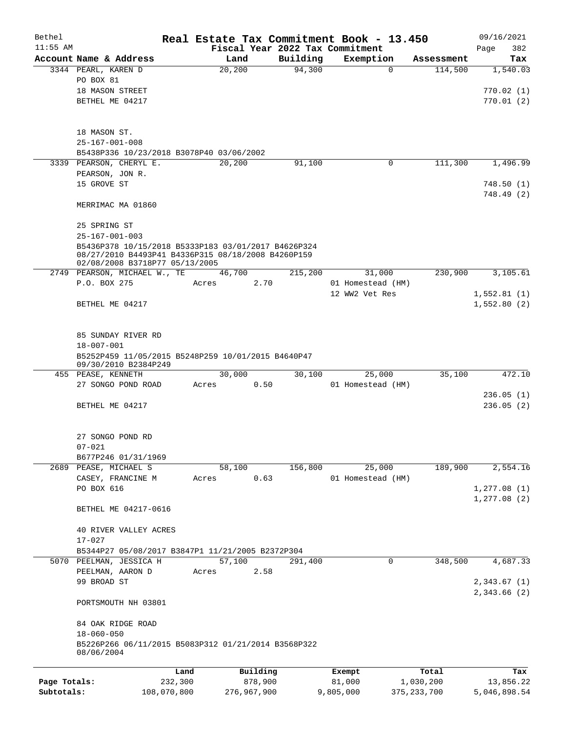| Bethel       |                                                                                                                                             |         |         |          |          | Real Estate Tax Commitment Book - 13.450 |            | 09/16/2021                   |
|--------------|---------------------------------------------------------------------------------------------------------------------------------------------|---------|---------|----------|----------|------------------------------------------|------------|------------------------------|
| $11:55$ AM   |                                                                                                                                             |         |         |          |          | Fiscal Year 2022 Tax Commitment          |            | 382<br>Page                  |
|              | Account Name & Address                                                                                                                      |         | Land    |          | Building | Exemption                                | Assessment | Tax                          |
|              | 3344 PEARL, KAREN D                                                                                                                         |         | 20, 200 |          | 94,300   | $\mathbf 0$                              | 114,500    | 1,540.03                     |
|              | PO BOX 81<br>18 MASON STREET                                                                                                                |         |         |          |          |                                          |            | 770.02(1)                    |
|              | BETHEL ME 04217                                                                                                                             |         |         |          |          |                                          |            | 770.01(2)                    |
|              |                                                                                                                                             |         |         |          |          |                                          |            |                              |
|              | 18 MASON ST.                                                                                                                                |         |         |          |          |                                          |            |                              |
|              | $25 - 167 - 001 - 008$                                                                                                                      |         |         |          |          |                                          |            |                              |
|              | B5438P336 10/23/2018 B3078P40 03/06/2002                                                                                                    |         |         |          |          |                                          |            |                              |
|              | 3339 PEARSON, CHERYL E.                                                                                                                     |         | 20,200  |          | 91,100   | 0                                        | 111,300    | 1,496.99                     |
|              | PEARSON, JON R.                                                                                                                             |         |         |          |          |                                          |            |                              |
|              | 15 GROVE ST                                                                                                                                 |         |         |          |          |                                          |            | 748.50(1)                    |
|              | MERRIMAC MA 01860                                                                                                                           |         |         |          |          |                                          |            | 748.49 (2)                   |
|              | 25 SPRING ST                                                                                                                                |         |         |          |          |                                          |            |                              |
|              | $25 - 167 - 001 - 003$                                                                                                                      |         |         |          |          |                                          |            |                              |
|              | B5436P378 10/15/2018 B5333P183 03/01/2017 B4626P324<br>08/27/2010 B4493P41 B4336P315 08/18/2008 B4260P159<br>02/08/2008 B3718P77 05/13/2005 |         |         |          |          |                                          |            |                              |
|              | 2749 PEARSON, MICHAEL W., TE                                                                                                                |         | 46,700  |          | 215,200  | 31,000                                   | 230,900    | 3,105.61                     |
|              | P.O. BOX 275                                                                                                                                |         | Acres   | 2.70     |          | 01 Homestead (HM)                        |            |                              |
|              |                                                                                                                                             |         |         |          |          | 12 WW2 Vet Res                           |            | 1,552.81(1)                  |
|              | BETHEL ME 04217                                                                                                                             |         |         |          |          |                                          |            | 1,552.80(2)                  |
|              | 85 SUNDAY RIVER RD                                                                                                                          |         |         |          |          |                                          |            |                              |
|              | $18 - 007 - 001$                                                                                                                            |         |         |          |          |                                          |            |                              |
|              | B5252P459 11/05/2015 B5248P259 10/01/2015 B4640P47<br>09/30/2010 B2384P249                                                                  |         |         |          |          |                                          |            |                              |
|              | 455 PEASE, KENNETH                                                                                                                          |         | 30,000  |          | 30,100   | 25,000                                   | 35,100     | 472.10                       |
|              | 27 SONGO POND ROAD                                                                                                                          |         | Acres   | 0.50     |          | 01 Homestead (HM)                        |            |                              |
|              |                                                                                                                                             |         |         |          |          |                                          |            | 236.05(1)                    |
|              | BETHEL ME 04217                                                                                                                             |         |         |          |          |                                          |            | 236.05(2)                    |
|              | 27 SONGO POND RD                                                                                                                            |         |         |          |          |                                          |            |                              |
|              | $07 - 021$                                                                                                                                  |         |         |          |          |                                          |            |                              |
|              | B677P246 01/31/1969                                                                                                                         |         |         |          |          |                                          |            |                              |
|              | 2689 PEASE, MICHAEL S                                                                                                                       |         | 58,100  |          | 156,800  | 25,000                                   | 189,900    | 2,554.16                     |
|              | CASEY, FRANCINE M                                                                                                                           |         | Acres   | 0.63     |          | 01 Homestead (HM)                        |            |                              |
|              | PO BOX 616                                                                                                                                  |         |         |          |          |                                          |            | 1, 277.08(1)<br>1, 277.08(2) |
|              | BETHEL ME 04217-0616                                                                                                                        |         |         |          |          |                                          |            |                              |
|              | 40 RIVER VALLEY ACRES                                                                                                                       |         |         |          |          |                                          |            |                              |
|              | $17 - 027$                                                                                                                                  |         |         |          |          |                                          |            |                              |
|              | B5344P27 05/08/2017 B3847P1 11/21/2005 B2372P304                                                                                            |         |         |          |          |                                          |            |                              |
|              | 5070 PEELMAN, JESSICA H                                                                                                                     |         | 57,100  |          | 291,400  | 0                                        | 348,500    | 4,687.33                     |
|              | PEELMAN, AARON D                                                                                                                            |         | Acres   | 2.58     |          |                                          |            |                              |
|              | 99 BROAD ST                                                                                                                                 |         |         |          |          |                                          |            | 2,343.67 (1)<br>2,343.66 (2) |
|              | PORTSMOUTH NH 03801                                                                                                                         |         |         |          |          |                                          |            |                              |
|              | 84 OAK RIDGE ROAD                                                                                                                           |         |         |          |          |                                          |            |                              |
|              | $18 - 060 - 050$<br>B5226P266 06/11/2015 B5083P312 01/21/2014 B3568P322                                                                     |         |         |          |          |                                          |            |                              |
|              | 08/06/2004                                                                                                                                  |         |         |          |          |                                          |            |                              |
|              |                                                                                                                                             | Land    |         | Building |          | Exempt                                   | Total      | Tax                          |
| Page Totals: |                                                                                                                                             | 232,300 |         | 878,900  |          | 81,000                                   | 1,030,200  | 13,856.22                    |

**Subtotals:** 108,070,800 276,967,900 9,805,000 375,233,700 5,046,898.54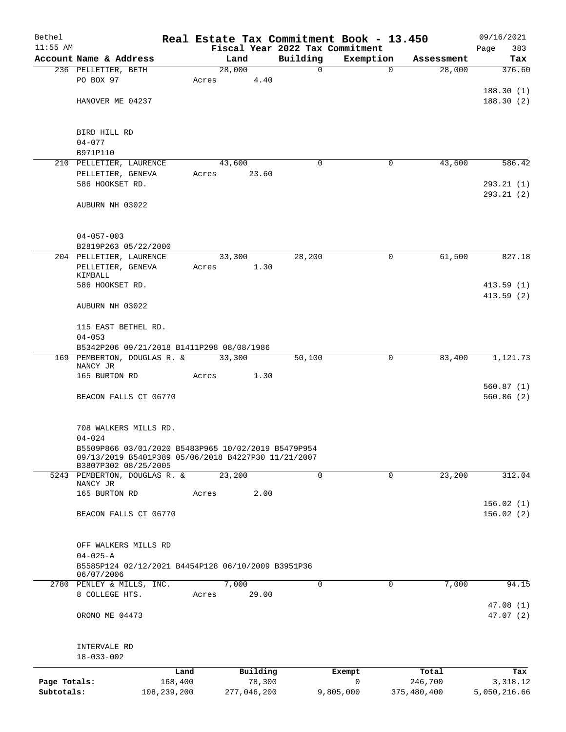| Bethel       |                                                                                                            |             |       |                |             | Real Estate Tax Commitment Book - 13.450 |                      | 09/16/2021             |
|--------------|------------------------------------------------------------------------------------------------------------|-------------|-------|----------------|-------------|------------------------------------------|----------------------|------------------------|
| $11:55$ AM   | Account Name & Address                                                                                     |             |       |                | Building    | Fiscal Year 2022 Tax Commitment          |                      | Page<br>383            |
|              | 236 PELLETIER, BETH                                                                                        |             |       | Land<br>28,000 | 0           | Exemption<br>$\mathbf 0$                 | Assessment<br>28,000 | Tax<br>376.60          |
|              | PO BOX 97                                                                                                  |             | Acres | 4.40           |             |                                          |                      |                        |
|              |                                                                                                            |             |       |                |             |                                          |                      | 188.30(1)              |
|              | HANOVER ME 04237                                                                                           |             |       |                |             |                                          |                      | 188.30(2)              |
|              |                                                                                                            |             |       |                |             |                                          |                      |                        |
|              |                                                                                                            |             |       |                |             |                                          |                      |                        |
|              | BIRD HILL RD<br>$04 - 077$                                                                                 |             |       |                |             |                                          |                      |                        |
|              | B971P110                                                                                                   |             |       |                |             |                                          |                      |                        |
|              | 210 PELLETIER, LAURENCE                                                                                    |             |       | 43,600         | $\Omega$    | 0                                        | 43,600               | 586.42                 |
|              | PELLETIER, GENEVA                                                                                          |             | Acres | 23.60          |             |                                          |                      |                        |
|              | 586 HOOKSET RD.                                                                                            |             |       |                |             |                                          |                      | 293.21(1)              |
|              |                                                                                                            |             |       |                |             |                                          |                      | 293.21(2)              |
|              | AUBURN NH 03022                                                                                            |             |       |                |             |                                          |                      |                        |
|              |                                                                                                            |             |       |                |             |                                          |                      |                        |
|              | $04 - 057 - 003$                                                                                           |             |       |                |             |                                          |                      |                        |
|              | B2819P263 05/22/2000                                                                                       |             |       |                |             |                                          |                      |                        |
|              | 204 PELLETIER, LAURENCE                                                                                    |             |       | 33,300         | 28,200      | 0                                        | 61,500               | 827.18                 |
|              | PELLETIER, GENEVA                                                                                          |             | Acres | 1.30           |             |                                          |                      |                        |
|              | KIMBALL<br>586 HOOKSET RD.                                                                                 |             |       |                |             |                                          |                      | 413.59 (1)             |
|              |                                                                                                            |             |       |                |             |                                          |                      | 413.59(2)              |
|              | AUBURN NH 03022                                                                                            |             |       |                |             |                                          |                      |                        |
|              |                                                                                                            |             |       |                |             |                                          |                      |                        |
|              | 115 EAST BETHEL RD.                                                                                        |             |       |                |             |                                          |                      |                        |
|              | $04 - 053$                                                                                                 |             |       |                |             |                                          |                      |                        |
|              | B5342P206 09/21/2018 B1411P298 08/08/1986<br>169 PEMBERTON, DOUGLAS R. &                                   |             |       | 33,300         | 50,100      | 0                                        | 83,400               | 1,121.73               |
|              | NANCY JR                                                                                                   |             |       |                |             |                                          |                      |                        |
|              | 165 BURTON RD                                                                                              |             | Acres | 1.30           |             |                                          |                      |                        |
|              |                                                                                                            |             |       |                |             |                                          |                      | 560.87(1)<br>560.86(2) |
|              | BEACON FALLS CT 06770                                                                                      |             |       |                |             |                                          |                      |                        |
|              |                                                                                                            |             |       |                |             |                                          |                      |                        |
|              | 708 WALKERS MILLS RD.                                                                                      |             |       |                |             |                                          |                      |                        |
|              | $04 - 024$                                                                                                 |             |       |                |             |                                          |                      |                        |
|              | B5509P866 03/01/2020 B5483P965 10/02/2019 B5479P954<br>09/13/2019 B5401P389 05/06/2018 B4227P30 11/21/2007 |             |       |                |             |                                          |                      |                        |
|              | B3807P302 08/25/2005                                                                                       |             |       |                |             |                                          |                      |                        |
|              | 5243 PEMBERTON, DOUGLAS R. &                                                                               |             |       | 23,200         | $\mathbf 0$ | 0                                        | 23,200               | 312.04                 |
|              | NANCY JR<br>165 BURTON RD                                                                                  |             | Acres | 2.00           |             |                                          |                      |                        |
|              |                                                                                                            |             |       |                |             |                                          |                      | 156.02(1)              |
|              | BEACON FALLS CT 06770                                                                                      |             |       |                |             |                                          |                      | 156.02(2)              |
|              |                                                                                                            |             |       |                |             |                                          |                      |                        |
|              |                                                                                                            |             |       |                |             |                                          |                      |                        |
|              | OFF WALKERS MILLS RD<br>$04 - 025 - A$                                                                     |             |       |                |             |                                          |                      |                        |
|              | B5585P124 02/12/2021 B4454P128 06/10/2009 B3951P36                                                         |             |       |                |             |                                          |                      |                        |
|              | 06/07/2006                                                                                                 |             |       |                |             |                                          |                      |                        |
|              | 2780 PENLEY & MILLS, INC.                                                                                  |             |       | 7,000          | 0           | 0                                        | 7,000                | 94.15                  |
|              | 8 COLLEGE HTS.                                                                                             |             | Acres | 29.00          |             |                                          |                      |                        |
|              | ORONO ME 04473                                                                                             |             |       |                |             |                                          |                      | 47.08(1)<br>47.07(2)   |
|              |                                                                                                            |             |       |                |             |                                          |                      |                        |
|              |                                                                                                            |             |       |                |             |                                          |                      |                        |
|              | INTERVALE RD                                                                                               |             |       |                |             |                                          |                      |                        |
|              | $18 - 033 - 002$                                                                                           |             |       |                |             |                                          |                      |                        |
|              |                                                                                                            | Land        |       | Building       |             | Exempt                                   | Total                | Tax                    |
| Page Totals: |                                                                                                            | 168,400     |       | 78,300         |             | $\mathbf 0$                              | 246,700              | 3,318.12               |
| Subtotals:   |                                                                                                            | 108,239,200 |       | 277,046,200    |             | 9,805,000                                | 375,480,400          | 5,050,216.66           |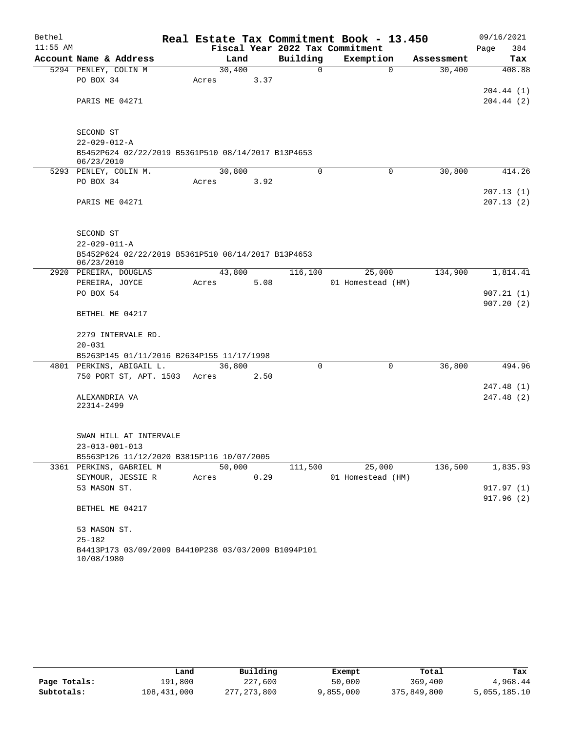| Bethel     |                                                                       |       |        |      |          | Real Estate Tax Commitment Book - 13.450 |          |            | 09/16/2021  |
|------------|-----------------------------------------------------------------------|-------|--------|------|----------|------------------------------------------|----------|------------|-------------|
| $11:55$ AM |                                                                       |       |        |      |          | Fiscal Year 2022 Tax Commitment          |          |            | 384<br>Page |
|            | Account Name & Address                                                |       | Land   |      | Building | Exemption                                |          | Assessment | Tax         |
|            | 5294 PENLEY, COLIN M                                                  |       | 30,400 |      | $\Omega$ |                                          | $\Omega$ | 30,400     | 408.88      |
|            | PO BOX 34                                                             | Acres |        | 3.37 |          |                                          |          |            |             |
|            |                                                                       |       |        |      |          |                                          |          |            | 204.44(1)   |
|            | PARIS ME 04271                                                        |       |        |      |          |                                          |          |            | 204.44(2)   |
|            | SECOND ST                                                             |       |        |      |          |                                          |          |            |             |
|            | $22 - 029 - 012 - A$                                                  |       |        |      |          |                                          |          |            |             |
|            | B5452P624 02/22/2019 B5361P510 08/14/2017 B13P4653<br>06/23/2010      |       |        |      |          |                                          |          |            |             |
|            | 5293 PENLEY, COLIN M.                                                 |       | 30,800 |      | $\Omega$ |                                          | $\Omega$ | 30,800     | 414.26      |
|            | PO BOX 34                                                             | Acres |        | 3.92 |          |                                          |          |            |             |
|            |                                                                       |       |        |      |          |                                          |          |            | 207.13(1)   |
|            | PARIS ME 04271                                                        |       |        |      |          |                                          |          |            | 207.13(2)   |
|            | SECOND ST                                                             |       |        |      |          |                                          |          |            |             |
|            | $22 - 029 - 011 - A$                                                  |       |        |      |          |                                          |          |            |             |
|            | B5452P624 02/22/2019 B5361P510 08/14/2017 B13P4653<br>06/23/2010      |       |        |      |          |                                          |          |            |             |
|            | 2920 PEREIRA, DOUGLAS                                                 |       | 43,800 |      | 116,100  | 25,000                                   |          | 134,900    | 1,814.41    |
|            | PEREIRA, JOYCE                                                        | Acres |        | 5.08 |          | 01 Homestead (HM)                        |          |            |             |
|            | PO BOX 54                                                             |       |        |      |          |                                          |          |            | 907.21(1)   |
|            |                                                                       |       |        |      |          |                                          |          |            | 907.20(2)   |
|            | BETHEL ME 04217                                                       |       |        |      |          |                                          |          |            |             |
|            | 2279 INTERVALE RD.                                                    |       |        |      |          |                                          |          |            |             |
|            | $20 - 031$                                                            |       |        |      |          |                                          |          |            |             |
|            | B5263P145 01/11/2016 B2634P155 11/17/1998<br>4801 PERKINS, ABIGAIL L. |       | 36,800 |      | 0        |                                          | 0        | 36,800     | 494.96      |
|            | 750 PORT ST, APT. 1503                                                | Acres |        | 2.50 |          |                                          |          |            |             |
|            |                                                                       |       |        |      |          |                                          |          |            | 247.48 (1)  |
|            | ALEXANDRIA VA                                                         |       |        |      |          |                                          |          |            | 247.48 (2)  |
|            | 22314-2499                                                            |       |        |      |          |                                          |          |            |             |
|            |                                                                       |       |        |      |          |                                          |          |            |             |
|            | SWAN HILL AT INTERVALE                                                |       |        |      |          |                                          |          |            |             |
|            | 23-013-001-013                                                        |       |        |      |          |                                          |          |            |             |
|            | B5563P126 11/12/2020 B3815P116 10/07/2005                             |       |        |      |          |                                          |          |            |             |
|            | 3361 PERKINS, GABRIEL M                                               |       | 50,000 |      | 111,500  | 25,000                                   |          | 136,500    | 1,835.93    |
|            | SEYMOUR, JESSIE R                                                     | Acres |        | 0.29 |          | 01 Homestead (HM)                        |          |            |             |
|            | 53 MASON ST.                                                          |       |        |      |          |                                          |          |            | 917.97(1)   |
|            | BETHEL ME 04217                                                       |       |        |      |          |                                          |          |            | 917.96(2)   |
|            | 53 MASON ST.                                                          |       |        |      |          |                                          |          |            |             |
|            | $25 - 182$                                                            |       |        |      |          |                                          |          |            |             |
|            | B4413P173 03/09/2009 B4410P238 03/03/2009 B1094P101<br>10/08/1980     |       |        |      |          |                                          |          |            |             |

|              | Land        | Building    | Exempt    | Total       | Tax          |
|--------------|-------------|-------------|-----------|-------------|--------------|
| Page Totals: | 191,800     | 227,600     | 50,000    | 369,400     | 4,968.44     |
| Subtotals:   | 108,431,000 | 277,273,800 | 9,855,000 | 375,849,800 | 5,055,185.10 |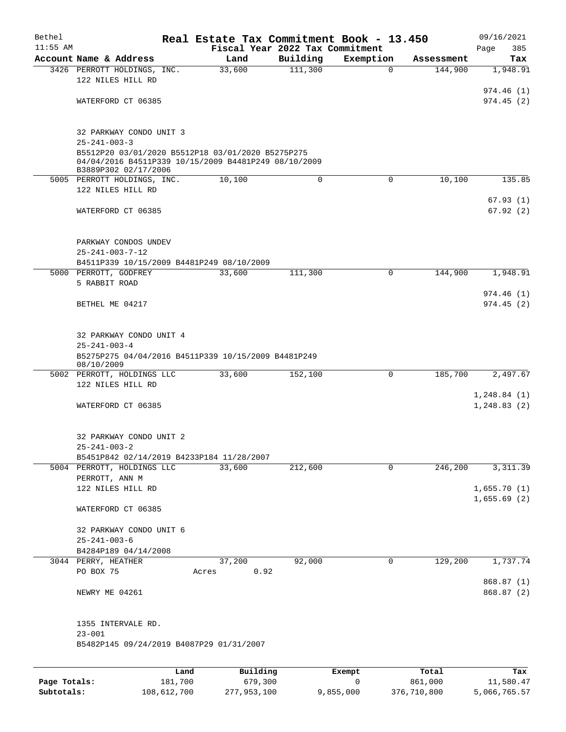| Bethel<br>$11:55$ AM |                                                                                                                                   | Real Estate Tax Commitment Book - 13.450<br>Fiscal Year 2022 Tax Commitment |          |             |                  | 09/16/2021                 |
|----------------------|-----------------------------------------------------------------------------------------------------------------------------------|-----------------------------------------------------------------------------|----------|-------------|------------------|----------------------------|
|                      | Account Name & Address                                                                                                            | Land                                                                        | Building | Exemption   | Assessment       | 385<br>Page<br>Tax         |
|                      | 3426 PERROTT HOLDINGS, INC.                                                                                                       | 33,600                                                                      | 111,300  | $\mathbf 0$ | 144,900          | 1,948.91                   |
|                      | 122 NILES HILL RD                                                                                                                 |                                                                             |          |             |                  |                            |
|                      |                                                                                                                                   |                                                                             |          |             |                  | 974.46 (1)                 |
|                      | WATERFORD CT 06385                                                                                                                |                                                                             |          |             |                  | 974.45(2)                  |
|                      | 32 PARKWAY CONDO UNIT 3<br>$25 - 241 - 003 - 3$                                                                                   |                                                                             |          |             |                  |                            |
|                      | B5512P20 03/01/2020 B5512P18 03/01/2020 B5275P275<br>04/04/2016 B4511P339 10/15/2009 B4481P249 08/10/2009<br>B3889P302 02/17/2006 |                                                                             |          |             |                  |                            |
|                      | 5005 PERROTT HOLDINGS, INC.                                                                                                       | 10,100                                                                      | 0        | 0           | 10,100           | 135.85                     |
|                      | 122 NILES HILL RD                                                                                                                 |                                                                             |          |             |                  |                            |
|                      | WATERFORD CT 06385                                                                                                                |                                                                             |          |             |                  | 67.93(1)<br>67.92(2)       |
|                      | PARKWAY CONDOS UNDEV<br>$25 - 241 - 003 - 7 - 12$                                                                                 |                                                                             |          |             |                  |                            |
|                      | B4511P339 10/15/2009 B4481P249 08/10/2009                                                                                         |                                                                             |          |             |                  |                            |
|                      | 5000 PERROTT, GODFREY                                                                                                             | 33,600                                                                      | 111,300  | 0           | 144,900          | 1,948.91                   |
|                      | 5 RABBIT ROAD                                                                                                                     |                                                                             |          |             |                  |                            |
|                      | BETHEL ME 04217                                                                                                                   |                                                                             |          |             |                  | 974.46 (1)<br>974.45(2)    |
|                      | 32 PARKWAY CONDO UNIT 4<br>$25 - 241 - 003 - 4$                                                                                   |                                                                             |          |             |                  |                            |
|                      | B5275P275 04/04/2016 B4511P339 10/15/2009 B4481P249<br>08/10/2009                                                                 |                                                                             |          |             |                  |                            |
|                      | 5002 PERROTT, HOLDINGS LLC<br>122 NILES HILL RD                                                                                   | 33,600                                                                      | 152,100  | 0           | 185,700          | 2,497.67                   |
|                      |                                                                                                                                   |                                                                             |          |             |                  | 1, 248.84 (1)              |
|                      | WATERFORD CT 06385                                                                                                                |                                                                             |          |             |                  | 1, 248.83(2)               |
|                      | 32 PARKWAY CONDO UNIT 2<br>$25 - 241 - 003 - 2$                                                                                   |                                                                             |          |             |                  |                            |
|                      | B5451P842 02/14/2019 B4233P184 11/28/2007<br>5004 PERROTT, HOLDINGS LLC                                                           | 33,600                                                                      | 212,600  | 0           | 246,200          | 3, 311.39                  |
|                      | PERROTT, ANN M                                                                                                                    |                                                                             |          |             |                  |                            |
|                      | 122 NILES HILL RD                                                                                                                 |                                                                             |          |             |                  | 1,655.70(1)<br>1,655.69(2) |
|                      | WATERFORD CT 06385                                                                                                                |                                                                             |          |             |                  |                            |
|                      | 32 PARKWAY CONDO UNIT 6<br>$25 - 241 - 003 - 6$                                                                                   |                                                                             |          |             |                  |                            |
|                      | B4284P189 04/14/2008                                                                                                              |                                                                             |          |             |                  |                            |
|                      | 3044 PERRY, HEATHER<br>PO BOX 75                                                                                                  | 37,200<br>0.92<br>Acres                                                     | 92,000   | 0           | 129,200          | 1,737.74                   |
|                      | NEWRY ME 04261                                                                                                                    |                                                                             |          |             |                  | 868.87 (1)<br>868.87 (2)   |
|                      | 1355 INTERVALE RD.<br>$23 - 001$                                                                                                  |                                                                             |          |             |                  |                            |
|                      | B5482P145 09/24/2019 B4087P29 01/31/2007                                                                                          |                                                                             |          |             |                  |                            |
|                      |                                                                                                                                   |                                                                             |          |             |                  |                            |
| Page Totals:         | Land<br>181,700                                                                                                                   | Building<br>679,300                                                         |          | Exempt<br>0 | Total<br>861,000 | Tax<br>11,580.47           |

**Subtotals:** 108,612,700 277,953,100 9,855,000 376,710,800 5,066,765.57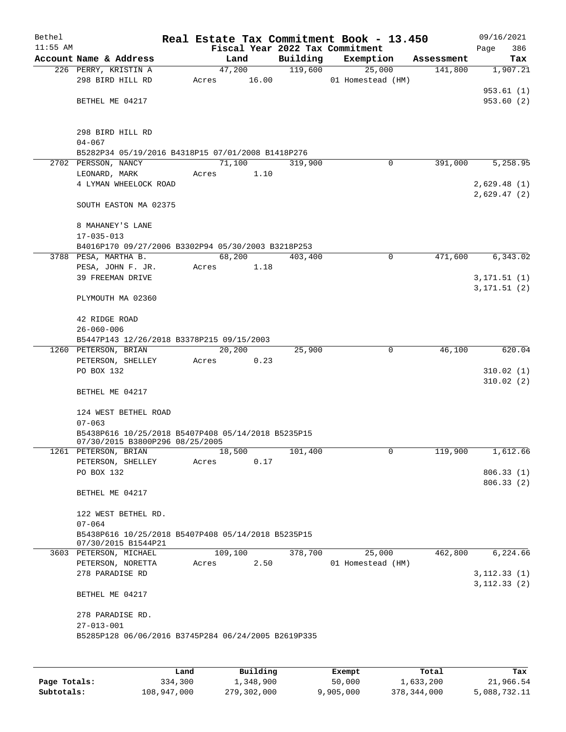| Bethel     |                                                                           |      |       |          |       |          | Real Estate Tax Commitment Book - 13.450 |            | 09/16/2021    |
|------------|---------------------------------------------------------------------------|------|-------|----------|-------|----------|------------------------------------------|------------|---------------|
| $11:55$ AM |                                                                           |      |       |          |       |          | Fiscal Year 2022 Tax Commitment          |            | Page<br>386   |
|            | Account Name & Address                                                    |      |       | Land     |       | Building | Exemption                                | Assessment | Tax           |
|            | 226 PERRY, KRISTIN A                                                      |      |       | 47,200   |       | 119,600  | 25,000                                   | 141,800    | 1,907.21      |
|            | 298 BIRD HILL RD                                                          |      | Acres |          | 16.00 |          | 01 Homestead (HM)                        |            |               |
|            |                                                                           |      |       |          |       |          |                                          |            | 953.61 (1)    |
|            | BETHEL ME 04217                                                           |      |       |          |       |          |                                          |            | 953.60(2)     |
|            |                                                                           |      |       |          |       |          |                                          |            |               |
|            |                                                                           |      |       |          |       |          |                                          |            |               |
|            | 298 BIRD HILL RD                                                          |      |       |          |       |          |                                          |            |               |
|            | $04 - 067$<br>B5282P34 05/19/2016 B4318P15 07/01/2008 B1418P276           |      |       |          |       |          |                                          |            |               |
|            | 2702 PERSSON, NANCY                                                       |      |       | 71,100   |       | 319,900  | 0                                        | 391,000    | 5,258.95      |
|            | LEONARD, MARK                                                             |      | Acres |          | 1.10  |          |                                          |            |               |
|            | 4 LYMAN WHEELOCK ROAD                                                     |      |       |          |       |          |                                          |            | 2,629.48(1)   |
|            |                                                                           |      |       |          |       |          |                                          |            | 2,629.47(2)   |
|            | SOUTH EASTON MA 02375                                                     |      |       |          |       |          |                                          |            |               |
|            |                                                                           |      |       |          |       |          |                                          |            |               |
|            | 8 MAHANEY'S LANE                                                          |      |       |          |       |          |                                          |            |               |
|            | $17 - 035 - 013$                                                          |      |       |          |       |          |                                          |            |               |
|            | B4016P170 09/27/2006 B3302P94 05/30/2003 B3218P253                        |      |       |          |       |          |                                          |            |               |
|            | 3788 PESA, MARTHA B.                                                      |      |       | 68,200   |       | 403,400  | $\mathbf 0$                              | 471,600    | 6,343.02      |
|            | PESA, JOHN F. JR.                                                         |      | Acres |          | 1.18  |          |                                          |            |               |
|            | 39 FREEMAN DRIVE                                                          |      |       |          |       |          |                                          |            | 3, 171.51 (1) |
|            |                                                                           |      |       |          |       |          |                                          |            | 3, 171.51 (2) |
|            | PLYMOUTH MA 02360                                                         |      |       |          |       |          |                                          |            |               |
|            |                                                                           |      |       |          |       |          |                                          |            |               |
|            | 42 RIDGE ROAD                                                             |      |       |          |       |          |                                          |            |               |
|            | $26 - 060 - 006$                                                          |      |       |          |       |          |                                          |            |               |
|            | B5447P143 12/26/2018 B3378P215 09/15/2003                                 |      |       |          |       |          |                                          |            |               |
|            | 1260 PETERSON, BRIAN                                                      |      |       | 20,200   |       | 25,900   | 0                                        | 46,100     | 620.04        |
|            | PETERSON, SHELLEY                                                         |      | Acres |          | 0.23  |          |                                          |            |               |
|            | PO BOX 132                                                                |      |       |          |       |          |                                          |            | 310.02(1)     |
|            |                                                                           |      |       |          |       |          |                                          |            | 310.02(2)     |
|            | BETHEL ME 04217                                                           |      |       |          |       |          |                                          |            |               |
|            | 124 WEST BETHEL ROAD                                                      |      |       |          |       |          |                                          |            |               |
|            | $07 - 063$                                                                |      |       |          |       |          |                                          |            |               |
|            | B5438P616 10/25/2018 B5407P408 05/14/2018 B5235P15                        |      |       |          |       |          |                                          |            |               |
|            | 07/30/2015 B3800P296 08/25/2005                                           |      |       |          |       |          |                                          |            |               |
|            | 1261 PETERSON, BRIAN                                                      |      |       | 18,500   |       | 101,400  | 0                                        | 119,900    | 1,612.66      |
|            | PETERSON, SHELLEY                                                         |      | Acres |          | 0.17  |          |                                          |            |               |
|            | PO BOX 132                                                                |      |       |          |       |          |                                          |            | 806.33(1)     |
|            |                                                                           |      |       |          |       |          |                                          |            | 806.33(2)     |
|            | BETHEL ME 04217                                                           |      |       |          |       |          |                                          |            |               |
|            |                                                                           |      |       |          |       |          |                                          |            |               |
|            | 122 WEST BETHEL RD.                                                       |      |       |          |       |          |                                          |            |               |
|            | $07 - 064$                                                                |      |       |          |       |          |                                          |            |               |
|            | B5438P616 10/25/2018 B5407P408 05/14/2018 B5235P15<br>07/30/2015 B1544P21 |      |       |          |       |          |                                          |            |               |
|            | 3603 PETERSON, MICHAEL                                                    |      |       | 109,100  |       | 378,700  | 25,000                                   | 462,800    | 6,224.66      |
|            | PETERSON, NORETTA                                                         |      | Acres |          | 2.50  |          | 01 Homestead (HM)                        |            |               |
|            | 278 PARADISE RD                                                           |      |       |          |       |          |                                          |            | 3, 112.33(1)  |
|            |                                                                           |      |       |          |       |          |                                          |            | 3, 112.33(2)  |
|            | BETHEL ME 04217                                                           |      |       |          |       |          |                                          |            |               |
|            |                                                                           |      |       |          |       |          |                                          |            |               |
|            | 278 PARADISE RD.                                                          |      |       |          |       |          |                                          |            |               |
|            | $27 - 013 - 001$                                                          |      |       |          |       |          |                                          |            |               |
|            | B5285P128 06/06/2016 B3745P284 06/24/2005 B2619P335                       |      |       |          |       |          |                                          |            |               |
|            |                                                                           |      |       |          |       |          |                                          |            |               |
|            |                                                                           |      |       |          |       |          |                                          |            |               |
|            |                                                                           | Land |       | Building |       |          | Exempt.                                  | Total      | Tax           |

|              | Land        | Building    | Exempt    | Total       | Tax          |
|--------------|-------------|-------------|-----------|-------------|--------------|
| Page Totals: | 334,300     | 1,348,900   | 50,000    | 1,633,200   | 21,966.54    |
| Subtotals:   | 108,947,000 | 279,302,000 | 9,905,000 | 378,344,000 | 5,088,732.11 |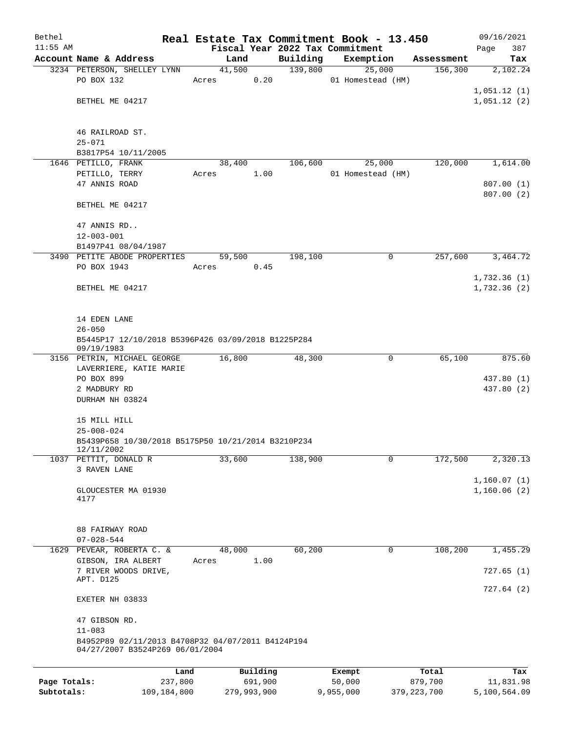| Bethel       |                                                                                      |       |        |                     |          | Real Estate Tax Commitment Book - 13.450 |                  | 09/16/2021       |
|--------------|--------------------------------------------------------------------------------------|-------|--------|---------------------|----------|------------------------------------------|------------------|------------------|
| $11:55$ AM   |                                                                                      |       |        |                     |          | Fiscal Year 2022 Tax Commitment          |                  | Page<br>387      |
|              | Account Name & Address                                                               |       | Land   |                     | Building | Exemption                                | Assessment       | Tax              |
|              | 3234 PETERSON, SHELLEY LYNN                                                          |       | 41,500 |                     | 139,800  | 25,000                                   | 156,300          | 2,102.24         |
|              | PO BOX 132                                                                           | Acres |        | 0.20                |          | 01 Homestead (HM)                        |                  |                  |
|              |                                                                                      |       |        |                     |          |                                          |                  | 1,051.12(1)      |
|              | BETHEL ME 04217                                                                      |       |        |                     |          |                                          |                  | 1,051.12(2)      |
|              | 46 RAILROAD ST.                                                                      |       |        |                     |          |                                          |                  |                  |
|              | $25 - 071$                                                                           |       |        |                     |          |                                          |                  |                  |
|              | B3817P54 10/11/2005                                                                  |       |        |                     |          |                                          |                  |                  |
|              | 1646 PETILLO, FRANK                                                                  |       | 38,400 |                     | 106,600  | 25,000                                   | 120,000          | 1,614.00         |
|              | PETILLO, TERRY                                                                       | Acres |        | 1.00                |          | 01 Homestead (HM)                        |                  |                  |
|              | 47 ANNIS ROAD                                                                        |       |        |                     |          |                                          |                  | 807.00(1)        |
|              |                                                                                      |       |        |                     |          |                                          |                  | 807.00 (2)       |
|              | BETHEL ME 04217                                                                      |       |        |                     |          |                                          |                  |                  |
|              | 47 ANNIS RD                                                                          |       |        |                     |          |                                          |                  |                  |
|              | $12 - 003 - 001$                                                                     |       |        |                     |          |                                          |                  |                  |
|              | B1497P41 08/04/1987                                                                  |       |        |                     |          |                                          |                  |                  |
|              | 3490 PETITE ABODE PROPERTIES                                                         |       | 59,500 |                     | 198,100  | 0                                        | 257,600          | 3,464.72         |
|              | PO BOX 1943                                                                          | Acres |        | 0.45                |          |                                          |                  |                  |
|              |                                                                                      |       |        |                     |          |                                          |                  | 1,732.36(1)      |
|              | BETHEL ME 04217                                                                      |       |        |                     |          |                                          |                  | 1,732.36(2)      |
|              |                                                                                      |       |        |                     |          |                                          |                  |                  |
|              | 14 EDEN LANE                                                                         |       |        |                     |          |                                          |                  |                  |
|              | $26 - 050$                                                                           |       |        |                     |          |                                          |                  |                  |
|              | B5445P17 12/10/2018 B5396P426 03/09/2018 B1225P284<br>09/19/1983                     |       |        |                     |          |                                          |                  |                  |
|              | 3156 PETRIN, MICHAEL GEORGE                                                          |       | 16,800 |                     | 48,300   | 0                                        | 65,100           | 875.60           |
|              | LAVERRIERE, KATIE MARIE                                                              |       |        |                     |          |                                          |                  |                  |
|              | PO BOX 899                                                                           |       |        |                     |          |                                          |                  | 437.80 (1)       |
|              | 2 MADBURY RD                                                                         |       |        |                     |          |                                          |                  | 437.80 (2)       |
|              | DURHAM NH 03824                                                                      |       |        |                     |          |                                          |                  |                  |
|              | 15 MILL HILL                                                                         |       |        |                     |          |                                          |                  |                  |
|              | $25 - 008 - 024$                                                                     |       |        |                     |          |                                          |                  |                  |
|              | B5439P658 10/30/2018 B5175P50 10/21/2014 B3210P234<br>12/11/2002                     |       |        |                     |          |                                          |                  |                  |
|              | 1037 PETTIT, DONALD R                                                                |       | 33,600 |                     | 138,900  | 0                                        | 172,500          | 2,320.13         |
|              | 3 RAVEN LANE                                                                         |       |        |                     |          |                                          |                  |                  |
|              |                                                                                      |       |        |                     |          |                                          |                  | 1,160.07(1)      |
|              | GLOUCESTER MA 01930                                                                  |       |        |                     |          |                                          |                  | 1,160.06(2)      |
|              | 4177                                                                                 |       |        |                     |          |                                          |                  |                  |
|              |                                                                                      |       |        |                     |          |                                          |                  |                  |
|              | 88 FAIRWAY ROAD                                                                      |       |        |                     |          |                                          |                  |                  |
|              | $07 - 028 - 544$                                                                     |       |        |                     |          |                                          |                  |                  |
|              | 1629 PEVEAR, ROBERTA C. &                                                            |       | 48,000 |                     | 60,200   | 0                                        | 108,200          | 1,455.29         |
|              | GIBSON, IRA ALBERT                                                                   | Acres |        | 1.00                |          |                                          |                  |                  |
|              | 7 RIVER WOODS DRIVE,                                                                 |       |        |                     |          |                                          |                  | 727.65(1)        |
|              | APT. D125                                                                            |       |        |                     |          |                                          |                  |                  |
|              | EXETER NH 03833                                                                      |       |        |                     |          |                                          |                  | 727.64(2)        |
|              | 47 GIBSON RD.                                                                        |       |        |                     |          |                                          |                  |                  |
|              | $11 - 083$                                                                           |       |        |                     |          |                                          |                  |                  |
|              | B4952P89 02/11/2013 B4708P32 04/07/2011 B4124P194<br>04/27/2007 B3524P269 06/01/2004 |       |        |                     |          |                                          |                  |                  |
|              |                                                                                      |       |        |                     |          |                                          |                  |                  |
| Page Totals: | Land<br>237,800                                                                      |       |        | Building<br>691,900 |          | Exempt<br>50,000                         | Total<br>879,700 | Tax<br>11,831.98 |
|              |                                                                                      |       |        |                     |          |                                          |                  |                  |

**Subtotals:** 109,184,800 279,993,900 9,955,000 379,223,700 5,100,564.09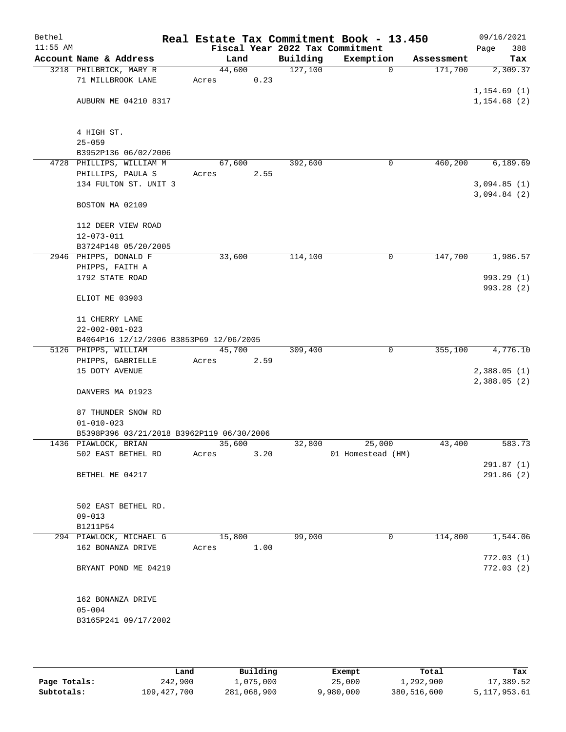| Bethel<br>$11:55$ AM |                                           |        |      |          | Real Estate Tax Commitment Book - 13.450<br>Fiscal Year 2022 Tax Commitment |            | 09/16/2021<br>388<br>Page   |
|----------------------|-------------------------------------------|--------|------|----------|-----------------------------------------------------------------------------|------------|-----------------------------|
|                      | Account Name & Address                    |        | Land | Building | Exemption                                                                   | Assessment | Tax                         |
|                      | 3218 PHILBRICK, MARY R                    | 44,600 |      | 127,100  | $\mathbf 0$                                                                 | 171,700    | 2,309.37                    |
|                      | 71 MILLBROOK LANE                         | Acres  | 0.23 |          |                                                                             |            |                             |
|                      |                                           |        |      |          |                                                                             |            | 1, 154.69(1)                |
|                      | AUBURN ME 04210 8317                      |        |      |          |                                                                             |            | 1, 154.68(2)                |
|                      |                                           |        |      |          |                                                                             |            |                             |
|                      |                                           |        |      |          |                                                                             |            |                             |
|                      | 4 HIGH ST.                                |        |      |          |                                                                             |            |                             |
|                      | $25 - 059$<br>B3952P136 06/02/2006        |        |      |          |                                                                             |            |                             |
|                      | 4728 PHILLIPS, WILLIAM M                  | 67,600 |      | 392,600  | 0                                                                           | 460,200    | 6,189.69                    |
|                      | PHILLIPS, PAULA S                         | Acres  | 2.55 |          |                                                                             |            |                             |
|                      | 134 FULTON ST. UNIT 3                     |        |      |          |                                                                             |            | 3,094.85(1)                 |
|                      |                                           |        |      |          |                                                                             |            | 3,094.84(2)                 |
|                      | BOSTON MA 02109                           |        |      |          |                                                                             |            |                             |
|                      |                                           |        |      |          |                                                                             |            |                             |
|                      | 112 DEER VIEW ROAD                        |        |      |          |                                                                             |            |                             |
|                      | $12 - 073 - 011$                          |        |      |          |                                                                             |            |                             |
|                      | B3724P148 05/20/2005                      |        |      |          |                                                                             |            |                             |
|                      | 2946 PHIPPS, DONALD F<br>PHIPPS, FAITH A  | 33,600 |      | 114,100  | 0                                                                           | 147,700    | 1,986.57                    |
|                      | 1792 STATE ROAD                           |        |      |          |                                                                             |            | 993.29 (1)                  |
|                      |                                           |        |      |          |                                                                             |            | 993.28 (2)                  |
|                      | ELIOT ME 03903                            |        |      |          |                                                                             |            |                             |
|                      |                                           |        |      |          |                                                                             |            |                             |
|                      | 11 CHERRY LANE                            |        |      |          |                                                                             |            |                             |
|                      | $22 - 002 - 001 - 023$                    |        |      |          |                                                                             |            |                             |
|                      | B4064P16 12/12/2006 B3853P69 12/06/2005   |        |      |          |                                                                             |            |                             |
|                      | 5126 PHIPPS, WILLIAM                      | 45,700 |      | 309,400  | 0                                                                           | 355,100    | 4,776.10                    |
|                      | PHIPPS, GABRIELLE                         | Acres  | 2.59 |          |                                                                             |            |                             |
|                      | 15 DOTY AVENUE                            |        |      |          |                                                                             |            | 2,388.05(1)<br>2,388.05 (2) |
|                      | DANVERS MA 01923                          |        |      |          |                                                                             |            |                             |
|                      |                                           |        |      |          |                                                                             |            |                             |
|                      | 87 THUNDER SNOW RD                        |        |      |          |                                                                             |            |                             |
|                      | $01 - 010 - 023$                          |        |      |          |                                                                             |            |                             |
|                      | B5398P396 03/21/2018 B3962P119 06/30/2006 |        |      |          |                                                                             |            |                             |
|                      | 1436 PIAWLOCK, BRIAN                      | 35,600 |      | 32,800   | 25,000                                                                      | 43,400     | 583.73                      |
|                      | 502 EAST BETHEL RD                        | Acres  | 3.20 |          | 01 Homestead (HM)                                                           |            |                             |
|                      | BETHEL ME 04217                           |        |      |          |                                                                             |            | 291.87(1)<br>291.86(2)      |
|                      |                                           |        |      |          |                                                                             |            |                             |
|                      |                                           |        |      |          |                                                                             |            |                             |
|                      | 502 EAST BETHEL RD.                       |        |      |          |                                                                             |            |                             |
|                      | $09 - 013$                                |        |      |          |                                                                             |            |                             |
|                      | B1211P54                                  |        |      |          |                                                                             |            |                             |
|                      | 294 PIAWLOCK, MICHAEL G                   | 15,800 |      | 99,000   | 0                                                                           | 114,800    | 1,544.06                    |
|                      | 162 BONANZA DRIVE                         | Acres  | 1.00 |          |                                                                             |            |                             |
|                      |                                           |        |      |          |                                                                             |            | 772.03(1)                   |
|                      | BRYANT POND ME 04219                      |        |      |          |                                                                             |            | 772.03(2)                   |
|                      |                                           |        |      |          |                                                                             |            |                             |
|                      | 162 BONANZA DRIVE                         |        |      |          |                                                                             |            |                             |
|                      | $05 - 004$                                |        |      |          |                                                                             |            |                             |
|                      | B3165P241 09/17/2002                      |        |      |          |                                                                             |            |                             |
|                      |                                           |        |      |          |                                                                             |            |                             |
|                      |                                           |        |      |          |                                                                             |            |                             |

|              | Land        | Building    | Exempt    | Total       | Tax          |
|--------------|-------------|-------------|-----------|-------------|--------------|
| Page Totals: | 242,900     | 1,075,000   | 25,000    | 1,292,900   | 17,389.52    |
| Subtotals:   | 109,427,700 | 281,068,900 | 9,980,000 | 380,516,600 | 5,117,953.61 |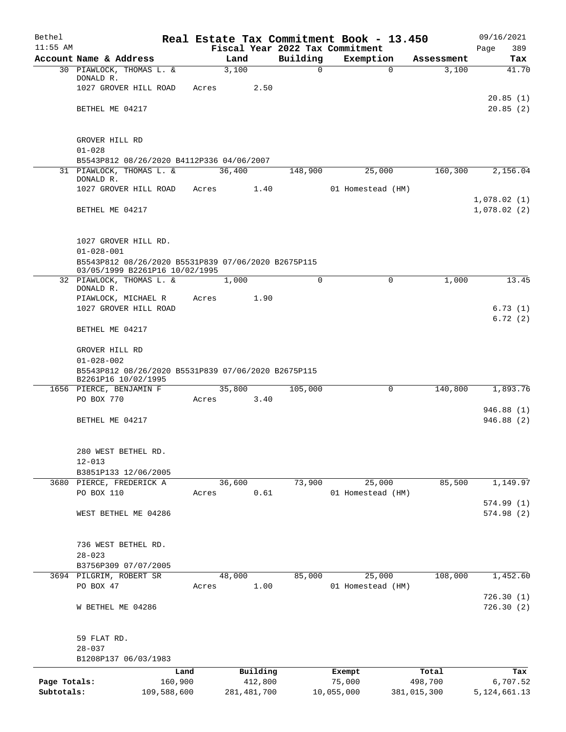| Bethel       |                                                                                       |             |       |        |               |          | Real Estate Tax Commitment Book - 13.450 |             |             | 09/16/2021                 |
|--------------|---------------------------------------------------------------------------------------|-------------|-------|--------|---------------|----------|------------------------------------------|-------------|-------------|----------------------------|
| $11:55$ AM   |                                                                                       |             |       |        |               |          | Fiscal Year 2022 Tax Commitment          |             |             | Page<br>389                |
|              | Account Name & Address                                                                |             |       | Land   |               | Building | Exemption                                |             | Assessment  | Tax                        |
|              | 30 PIAWLOCK, THOMAS L. &<br>DONALD R.                                                 |             |       | 3,100  |               | $\Omega$ |                                          | $\Omega$    | 3,100       | 41.70                      |
|              | 1027 GROVER HILL ROAD                                                                 |             | Acres |        | 2.50          |          |                                          |             |             |                            |
|              |                                                                                       |             |       |        |               |          |                                          |             |             | 20.85(1)                   |
|              | BETHEL ME 04217                                                                       |             |       |        |               |          |                                          |             |             | 20.85(2)                   |
|              |                                                                                       |             |       |        |               |          |                                          |             |             |                            |
|              |                                                                                       |             |       |        |               |          |                                          |             |             |                            |
|              | GROVER HILL RD<br>$01 - 028$                                                          |             |       |        |               |          |                                          |             |             |                            |
|              | B5543P812 08/26/2020 B4112P336 04/06/2007                                             |             |       |        |               |          |                                          |             |             |                            |
|              | 31 PIAWLOCK, THOMAS L. &                                                              |             |       | 36,400 |               | 148,900  | 25,000                                   |             | 160,300     | 2,156.04                   |
|              | DONALD R.                                                                             |             |       |        |               |          |                                          |             |             |                            |
|              | 1027 GROVER HILL ROAD                                                                 |             | Acres |        | 1.40          |          | 01 Homestead (HM)                        |             |             |                            |
|              | BETHEL ME 04217                                                                       |             |       |        |               |          |                                          |             |             | 1,078.02(1)<br>1,078.02(2) |
|              |                                                                                       |             |       |        |               |          |                                          |             |             |                            |
|              |                                                                                       |             |       |        |               |          |                                          |             |             |                            |
|              | 1027 GROVER HILL RD.                                                                  |             |       |        |               |          |                                          |             |             |                            |
|              | $01 - 028 - 001$                                                                      |             |       |        |               |          |                                          |             |             |                            |
|              | B5543P812 08/26/2020 B5531P839 07/06/2020 B2675P115<br>03/05/1999 B2261P16 10/02/1995 |             |       |        |               |          |                                          |             |             |                            |
|              | 32 PIAWLOCK, THOMAS L. &                                                              |             |       | 1,000  |               | $\Omega$ |                                          | $\mathbf 0$ | 1,000       | 13.45                      |
|              | DONALD R.                                                                             |             |       |        |               |          |                                          |             |             |                            |
|              | PIAWLOCK, MICHAEL R                                                                   |             | Acres |        | 1.90          |          |                                          |             |             |                            |
|              | 1027 GROVER HILL ROAD                                                                 |             |       |        |               |          |                                          |             |             | 6.73(1)                    |
|              | BETHEL ME 04217                                                                       |             |       |        |               |          |                                          |             |             | 6.72(2)                    |
|              |                                                                                       |             |       |        |               |          |                                          |             |             |                            |
|              | GROVER HILL RD                                                                        |             |       |        |               |          |                                          |             |             |                            |
|              | $01 - 028 - 002$                                                                      |             |       |        |               |          |                                          |             |             |                            |
|              | B5543P812 08/26/2020 B5531P839 07/06/2020 B2675P115                                   |             |       |        |               |          |                                          |             |             |                            |
|              | B2261P16 10/02/1995<br>1656 PIERCE, BENJAMIN F                                        |             |       | 35,800 |               | 105,000  |                                          | $\mathbf 0$ | 140,800     | 1,893.76                   |
|              | PO BOX 770                                                                            |             | Acres |        | 3.40          |          |                                          |             |             |                            |
|              |                                                                                       |             |       |        |               |          |                                          |             |             | 946.88(1)                  |
|              | BETHEL ME 04217                                                                       |             |       |        |               |          |                                          |             |             | 946.88(2)                  |
|              |                                                                                       |             |       |        |               |          |                                          |             |             |                            |
|              |                                                                                       |             |       |        |               |          |                                          |             |             |                            |
|              | 280 WEST BETHEL RD.                                                                   |             |       |        |               |          |                                          |             |             |                            |
|              | $12 - 013$<br>B3851P133 12/06/2005                                                    |             |       |        |               |          |                                          |             |             |                            |
|              | 3680 PIERCE, FREDERICK A                                                              |             |       | 36,600 |               | 73,900   | 25,000                                   |             | 85,500      | 1,149.97                   |
|              | PO BOX 110                                                                            |             | Acres |        | 0.61          |          | 01 Homestead (HM)                        |             |             |                            |
|              |                                                                                       |             |       |        |               |          |                                          |             |             | 574.99(1)                  |
|              | WEST BETHEL ME 04286                                                                  |             |       |        |               |          |                                          |             |             | 574.98 (2)                 |
|              |                                                                                       |             |       |        |               |          |                                          |             |             |                            |
|              | 736 WEST BETHEL RD.                                                                   |             |       |        |               |          |                                          |             |             |                            |
|              | $28 - 023$                                                                            |             |       |        |               |          |                                          |             |             |                            |
|              | B3756P309 07/07/2005                                                                  |             |       |        |               |          |                                          |             |             |                            |
|              | 3694 PILGRIM, ROBERT SR                                                               |             |       | 48,000 |               | 85,000   | 25,000                                   |             | 108,000     | 1,452.60                   |
|              | PO BOX 47                                                                             |             | Acres |        | 1.00          |          | 01 Homestead (HM)                        |             |             |                            |
|              |                                                                                       |             |       |        |               |          |                                          |             |             | 726.30(1)                  |
|              | W BETHEL ME 04286                                                                     |             |       |        |               |          |                                          |             |             | 726.30(2)                  |
|              |                                                                                       |             |       |        |               |          |                                          |             |             |                            |
|              | 59 FLAT RD.                                                                           |             |       |        |               |          |                                          |             |             |                            |
|              | $28 - 037$                                                                            |             |       |        |               |          |                                          |             |             |                            |
|              | B1208P137 06/03/1983                                                                  |             |       |        |               |          |                                          |             |             |                            |
|              |                                                                                       | Land        |       |        | Building      |          | Exempt                                   |             | Total       | Tax                        |
| Page Totals: |                                                                                       | 160,900     |       |        | 412,800       |          | 75,000                                   |             | 498,700     | 6,707.52                   |
| Subtotals:   |                                                                                       | 109,588,600 |       |        | 281, 481, 700 |          | 10,055,000                               |             | 381,015,300 | 5, 124, 661. 13            |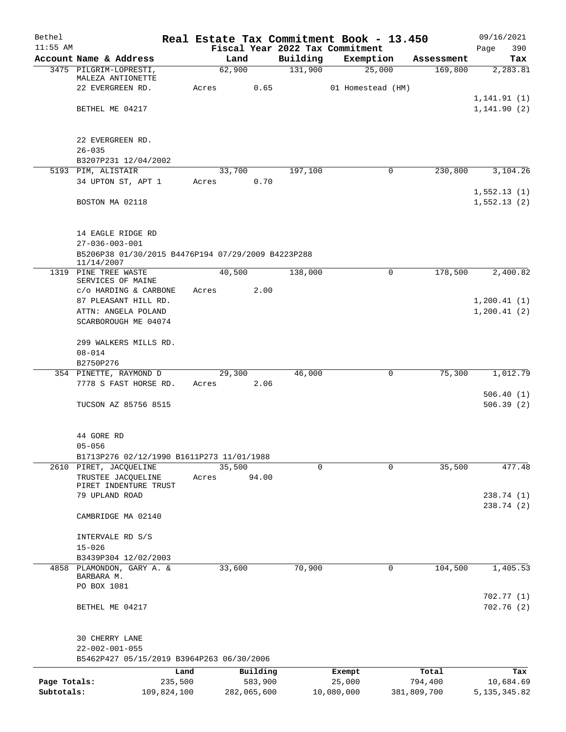| Bethel                     |                                                                  |        |                        |                     | Real Estate Tax Commitment Book - 13.450 |                        | 09/16/2021                  |
|----------------------------|------------------------------------------------------------------|--------|------------------------|---------------------|------------------------------------------|------------------------|-----------------------------|
| $11:55$ AM                 |                                                                  |        |                        |                     | Fiscal Year 2022 Tax Commitment          |                        | 390<br>Page                 |
|                            | Account Name & Address<br>3475 PILGRIM-LOPRESTI,                 | 62,900 | Land                   | Building<br>131,900 | Exemption<br>25,000                      | Assessment<br>169,800  | Tax<br>2, 283.81            |
|                            | MALEZA ANTIONETTE                                                |        |                        |                     |                                          |                        |                             |
|                            | 22 EVERGREEN RD.                                                 | Acres  | 0.65                   |                     | 01 Homestead (HM)                        |                        |                             |
|                            |                                                                  |        |                        |                     |                                          |                        | 1, 141.91(1)                |
|                            | BETHEL ME 04217                                                  |        |                        |                     |                                          |                        | 1, 141.90(2)                |
|                            |                                                                  |        |                        |                     |                                          |                        |                             |
|                            | 22 EVERGREEN RD.                                                 |        |                        |                     |                                          |                        |                             |
|                            | $26 - 035$                                                       |        |                        |                     |                                          |                        |                             |
|                            | B3207P231 12/04/2002                                             |        |                        |                     |                                          |                        |                             |
|                            | 5193 PIM, ALISTAIR                                               | 33,700 |                        | 197,100             | 0                                        | 230,800                | 3,104.26                    |
|                            | 34 UPTON ST, APT 1                                               | Acres  | 0.70                   |                     |                                          |                        |                             |
|                            | BOSTON MA 02118                                                  |        |                        |                     |                                          |                        | 1,552.13(1)<br>1,552.13(2)  |
|                            |                                                                  |        |                        |                     |                                          |                        |                             |
|                            |                                                                  |        |                        |                     |                                          |                        |                             |
|                            | 14 EAGLE RIDGE RD                                                |        |                        |                     |                                          |                        |                             |
|                            | $27 - 036 - 003 - 001$                                           |        |                        |                     |                                          |                        |                             |
|                            | B5206P38 01/30/2015 B4476P194 07/29/2009 B4223P288<br>11/14/2007 |        |                        |                     |                                          |                        |                             |
|                            | 1319 PINE TREE WASTE                                             | 40,500 |                        | 138,000             | 0                                        | 178,500                | 2,400.82                    |
|                            | SERVICES OF MAINE                                                |        |                        |                     |                                          |                        |                             |
|                            | c/o HARDING & CARBONE                                            | Acres  | 2.00                   |                     |                                          |                        |                             |
|                            | 87 PLEASANT HILL RD.                                             |        |                        |                     |                                          |                        | 1, 200.41(1)                |
|                            | ATTN: ANGELA POLAND                                              |        |                        |                     |                                          |                        | 1,200.41(2)                 |
|                            | SCARBOROUGH ME 04074                                             |        |                        |                     |                                          |                        |                             |
|                            | 299 WALKERS MILLS RD.                                            |        |                        |                     |                                          |                        |                             |
|                            | $08 - 014$                                                       |        |                        |                     |                                          |                        |                             |
|                            | B2750P276                                                        |        |                        |                     |                                          |                        |                             |
|                            | 354 PINETTE, RAYMOND D                                           | 29,300 |                        | 46,000              | 0                                        | 75,300                 | 1,012.79                    |
|                            | 7778 S FAST HORSE RD.                                            | Acres  | 2.06                   |                     |                                          |                        |                             |
|                            |                                                                  |        |                        |                     |                                          |                        | 506.40(1)                   |
|                            | TUCSON AZ 85756 8515                                             |        |                        |                     |                                          |                        | 506.39(2)                   |
|                            |                                                                  |        |                        |                     |                                          |                        |                             |
|                            | 44 GORE RD                                                       |        |                        |                     |                                          |                        |                             |
|                            | $05 - 056$                                                       |        |                        |                     |                                          |                        |                             |
|                            | B1713P276 02/12/1990 B1611P273 11/01/1988                        |        |                        |                     |                                          |                        |                             |
|                            | 2610 PIRET, JACQUELINE                                           | 35,500 |                        | $\Omega$            | $\Omega$                                 | 35,500                 | 477.48                      |
|                            | TRUSTEE JACQUELINE                                               | Acres  | 94.00                  |                     |                                          |                        |                             |
|                            | PIRET INDENTURE TRUST<br>79 UPLAND ROAD                          |        |                        |                     |                                          |                        | 238.74 (1)                  |
|                            |                                                                  |        |                        |                     |                                          |                        | 238.74 (2)                  |
|                            | CAMBRIDGE MA 02140                                               |        |                        |                     |                                          |                        |                             |
|                            |                                                                  |        |                        |                     |                                          |                        |                             |
|                            | INTERVALE RD S/S                                                 |        |                        |                     |                                          |                        |                             |
|                            | $15 - 026$                                                       |        |                        |                     |                                          |                        |                             |
|                            | B3439P304 12/02/2003                                             |        |                        |                     |                                          |                        |                             |
|                            | 4858 PLAMONDON, GARY A. &                                        | 33,600 |                        | 70,900              | 0                                        | 104,500                | 1,405.53                    |
|                            | BARBARA M.<br>PO BOX 1081                                        |        |                        |                     |                                          |                        |                             |
|                            |                                                                  |        |                        |                     |                                          |                        | 702.77(1)                   |
|                            | BETHEL ME 04217                                                  |        |                        |                     |                                          |                        | 702.76(2)                   |
|                            |                                                                  |        |                        |                     |                                          |                        |                             |
|                            |                                                                  |        |                        |                     |                                          |                        |                             |
|                            | 30 CHERRY LANE                                                   |        |                        |                     |                                          |                        |                             |
|                            | $22 - 002 - 001 - 055$                                           |        |                        |                     |                                          |                        |                             |
|                            | B5462P427 05/15/2019 B3964P263 06/30/2006                        |        |                        |                     |                                          |                        |                             |
|                            | Land                                                             |        | Building               |                     | Exempt                                   | Total                  | Tax                         |
| Page Totals:<br>Subtotals: | 235,500<br>109,824,100                                           |        | 583,900<br>282,065,600 |                     | 25,000<br>10,080,000                     | 794,400<br>381,809,700 | 10,684.69<br>5, 135, 345.82 |
|                            |                                                                  |        |                        |                     |                                          |                        |                             |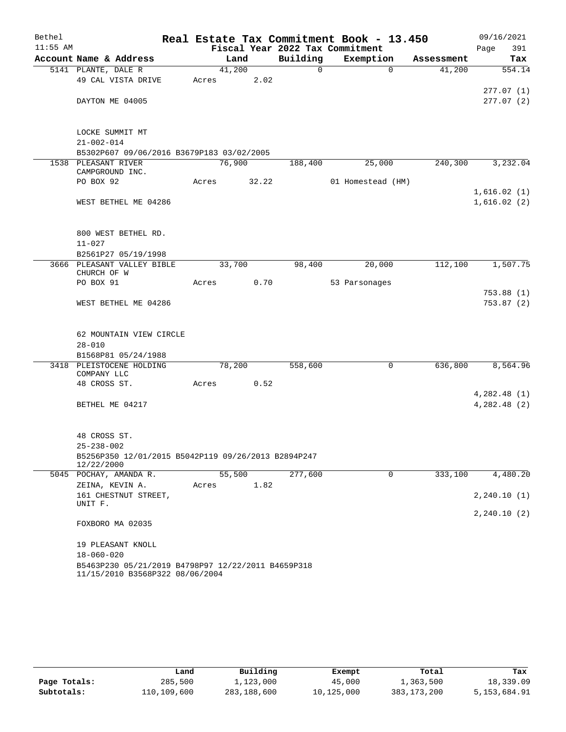| Bethel     |                                                                                       |       |        |          | Real Estate Tax Commitment Book - 13.450 |            | 09/16/2021    |
|------------|---------------------------------------------------------------------------------------|-------|--------|----------|------------------------------------------|------------|---------------|
| $11:55$ AM |                                                                                       |       |        |          | Fiscal Year 2022 Tax Commitment          |            | 391<br>Page   |
|            | Account Name & Address                                                                |       | Land   | Building | Exemption                                | Assessment | Tax           |
|            | 5141 PLANTE, DALE R                                                                   |       | 41,200 | 0        | $\mathbf 0$                              | 41,200     | 554.14        |
|            | 49 CAL VISTA DRIVE                                                                    | Acres | 2.02   |          |                                          |            |               |
|            |                                                                                       |       |        |          |                                          |            | 277.07(1)     |
|            | DAYTON ME 04005                                                                       |       |        |          |                                          |            | 277.07(2)     |
|            | LOCKE SUMMIT MT                                                                       |       |        |          |                                          |            |               |
|            | $21 - 002 - 014$                                                                      |       |        |          |                                          |            |               |
|            | B5302P607 09/06/2016 B3679P183 03/02/2005                                             |       |        |          |                                          |            |               |
|            | 1538 PLEASANT RIVER                                                                   |       | 76,900 | 188,400  | 25,000                                   | 240,300    | 3,232.04      |
|            | CAMPGROUND INC.                                                                       |       |        |          |                                          |            |               |
|            | PO BOX 92                                                                             | Acres | 32.22  |          | 01 Homestead (HM)                        |            |               |
|            |                                                                                       |       |        |          |                                          |            | 1,616.02(1)   |
|            | WEST BETHEL ME 04286                                                                  |       |        |          |                                          |            | 1,616.02(2)   |
|            | 800 WEST BETHEL RD.                                                                   |       |        |          |                                          |            |               |
|            | $11 - 027$                                                                            |       |        |          |                                          |            |               |
|            | B2561P27 05/19/1998                                                                   |       |        |          |                                          |            |               |
|            | 3666 PLEASANT VALLEY BIBLE                                                            |       | 33,700 | 98,400   | 20,000                                   | 112,100    | 1,507.75      |
|            | CHURCH OF W                                                                           |       |        |          |                                          |            |               |
|            | PO BOX 91                                                                             | Acres | 0.70   |          | 53 Parsonages                            |            |               |
|            |                                                                                       |       |        |          |                                          |            | 753.88 (1)    |
|            | WEST BETHEL ME 04286                                                                  |       |        |          |                                          |            | 753.87 (2)    |
|            | 62 MOUNTAIN VIEW CIRCLE                                                               |       |        |          |                                          |            |               |
|            | $28 - 010$                                                                            |       |        |          |                                          |            |               |
|            | B1568P81 05/24/1988                                                                   |       |        |          |                                          |            |               |
|            | 3418 PLEISTOCENE HOLDING                                                              |       | 78,200 | 558,600  | $\mathbf 0$                              | 636,800    | 8,564.96      |
|            | COMPANY LLC                                                                           |       |        |          |                                          |            |               |
|            | 48 CROSS ST.                                                                          | Acres | 0.52   |          |                                          |            |               |
|            |                                                                                       |       |        |          |                                          |            | 4,282.48(1)   |
|            | BETHEL ME 04217                                                                       |       |        |          |                                          |            | 4,282.48(2)   |
|            | 48 CROSS ST.                                                                          |       |        |          |                                          |            |               |
|            | $25 - 238 - 002$                                                                      |       |        |          |                                          |            |               |
|            | B5256P350 12/01/2015 B5042P119 09/26/2013 B2894P247<br>12/22/2000                     |       |        |          |                                          |            |               |
|            | 5045 POCHAY, AMANDA R.                                                                |       | 55,500 | 277,600  | 0                                        | 333,100    | 4,480.20      |
|            | ZEINA, KEVIN A.                                                                       | Acres | 1.82   |          |                                          |            |               |
|            | 161 CHESTNUT STREET,                                                                  |       |        |          |                                          |            | 2, 240.10(1)  |
|            | UNIT F.                                                                               |       |        |          |                                          |            | 2, 240.10 (2) |
|            | FOXBORO MA 02035                                                                      |       |        |          |                                          |            |               |
|            | 19 PLEASANT KNOLL                                                                     |       |        |          |                                          |            |               |
|            | $18 - 060 - 020$                                                                      |       |        |          |                                          |            |               |
|            | B5463P230 05/21/2019 B4798P97 12/22/2011 B4659P318<br>11/15/2010 B3568P322 08/06/2004 |       |        |          |                                          |            |               |

|              | Land        | Building    | Exempt     | Total       | Tax          |
|--------------|-------------|-------------|------------|-------------|--------------|
| Page Totals: | 285,500     | 1,123,000   | 45,000     | 1,363,500   | 18,339.09    |
| Subtotals:   | 110,109,600 | 283,188,600 | 10,125,000 | 383,173,200 | 5,153,684.91 |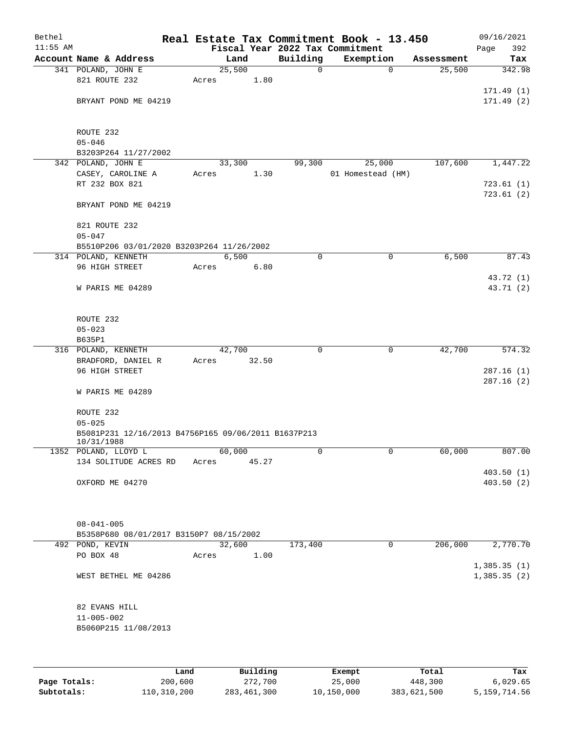| Bethel<br>$11:55$ AM |                                                     |        |        |             | Real Estate Tax Commitment Book - 13.450<br>Fiscal Year 2022 Tax Commitment |            | 09/16/2021<br>392<br>Page |
|----------------------|-----------------------------------------------------|--------|--------|-------------|-----------------------------------------------------------------------------|------------|---------------------------|
|                      | Account Name & Address                              |        | Land   | Building    | Exemption                                                                   | Assessment | Tax                       |
|                      | 341 POLAND, JOHN E                                  | 25,500 |        | $\mathbf 0$ | $\mathbf 0$                                                                 | 25,500     | 342.98                    |
|                      | 821 ROUTE 232                                       | Acres  | 1.80   |             |                                                                             |            |                           |
|                      |                                                     |        |        |             |                                                                             |            | 171.49(1)                 |
|                      | BRYANT POND ME 04219                                |        |        |             |                                                                             |            | 171.49(2)                 |
|                      |                                                     |        |        |             |                                                                             |            |                           |
|                      |                                                     |        |        |             |                                                                             |            |                           |
|                      | ROUTE 232                                           |        |        |             |                                                                             |            |                           |
|                      | $05 - 046$                                          |        |        |             |                                                                             |            |                           |
|                      | B3203P264 11/27/2002                                |        |        |             |                                                                             |            |                           |
|                      | 342 POLAND, JOHN E                                  |        | 33,300 | 99,300      | 25,000                                                                      | 107,600    | 1,447.22                  |
|                      | CASEY, CAROLINE A                                   | Acres  | 1.30   |             | 01 Homestead (HM)                                                           |            |                           |
|                      | RT 232 BOX 821                                      |        |        |             |                                                                             |            | 723.61(1)                 |
|                      |                                                     |        |        |             |                                                                             |            | 723.61(2)                 |
|                      | BRYANT POND ME 04219                                |        |        |             |                                                                             |            |                           |
|                      | 821 ROUTE 232                                       |        |        |             |                                                                             |            |                           |
|                      | $05 - 047$                                          |        |        |             |                                                                             |            |                           |
|                      |                                                     |        |        |             |                                                                             |            |                           |
|                      | B5510P206 03/01/2020 B3203P264 11/26/2002           |        | 6,500  | 0           | $\mathbf 0$                                                                 |            | 87.43                     |
|                      | 314 POLAND, KENNETH                                 |        |        |             |                                                                             | 6,500      |                           |
|                      | 96 HIGH STREET                                      | Acres  | 6.80   |             |                                                                             |            |                           |
|                      |                                                     |        |        |             |                                                                             |            | 43.72 (1)                 |
|                      | W PARIS ME 04289                                    |        |        |             |                                                                             |            | 43.71 (2)                 |
|                      |                                                     |        |        |             |                                                                             |            |                           |
|                      | ROUTE 232                                           |        |        |             |                                                                             |            |                           |
|                      | $05 - 023$                                          |        |        |             |                                                                             |            |                           |
|                      | B635P1                                              |        |        |             |                                                                             |            |                           |
|                      | 316 POLAND, KENNETH                                 | 42,700 |        | 0           | 0                                                                           | 42,700     | 574.32                    |
|                      |                                                     |        | 32.50  |             |                                                                             |            |                           |
|                      | BRADFORD, DANIEL R<br>96 HIGH STREET                | Acres  |        |             |                                                                             |            | 287.16(1)                 |
|                      |                                                     |        |        |             |                                                                             |            | 287.16(2)                 |
|                      | W PARIS ME 04289                                    |        |        |             |                                                                             |            |                           |
|                      |                                                     |        |        |             |                                                                             |            |                           |
|                      | ROUTE 232                                           |        |        |             |                                                                             |            |                           |
|                      | $05 - 025$                                          |        |        |             |                                                                             |            |                           |
|                      | B5081P231 12/16/2013 B4756P165 09/06/2011 B1637P213 |        |        |             |                                                                             |            |                           |
|                      | 10/31/1988                                          |        |        |             |                                                                             |            |                           |
|                      | 1352 POLAND, LLOYD L                                | 60,000 |        | 0           | 0                                                                           | 60,000     | 807.00                    |
|                      | 134 SOLITUDE ACRES RD                               | Acres  | 45.27  |             |                                                                             |            |                           |
|                      |                                                     |        |        |             |                                                                             |            | 403.50(1)                 |
|                      | OXFORD ME 04270                                     |        |        |             |                                                                             |            | 403.50 (2)                |
|                      |                                                     |        |        |             |                                                                             |            |                           |
|                      |                                                     |        |        |             |                                                                             |            |                           |
|                      |                                                     |        |        |             |                                                                             |            |                           |
|                      | $08 - 041 - 005$                                    |        |        |             |                                                                             |            |                           |
|                      | B5358P680 08/01/2017 B3150P7 08/15/2002             |        |        |             |                                                                             |            |                           |
|                      | 492 POND, KEVIN                                     | 32,600 |        | 173,400     | 0                                                                           | 206,000    | 2,770.70                  |
|                      | PO BOX 48                                           | Acres  | 1.00   |             |                                                                             |            |                           |
|                      |                                                     |        |        |             |                                                                             |            | 1,385.35(1)               |
|                      | WEST BETHEL ME 04286                                |        |        |             |                                                                             |            | 1,385.35(2)               |
|                      |                                                     |        |        |             |                                                                             |            |                           |
|                      |                                                     |        |        |             |                                                                             |            |                           |
|                      | 82 EVANS HILL                                       |        |        |             |                                                                             |            |                           |
|                      | $11 - 005 - 002$                                    |        |        |             |                                                                             |            |                           |
|                      | B5060P215 11/08/2013                                |        |        |             |                                                                             |            |                           |
|                      |                                                     |        |        |             |                                                                             |            |                           |
|                      |                                                     |        |        |             |                                                                             |            |                           |
|                      |                                                     |        |        |             |                                                                             |            |                           |

|              | Land        | Building    | Exempt     | Total       | Tax          |
|--------------|-------------|-------------|------------|-------------|--------------|
| Page Totals: | 200,600     | 272,700     | 25,000     | 448,300     | 6.029.65     |
| Subtotals:   | 110,310,200 | 283,461,300 | 10,150,000 | 383,621,500 | 5,159,714.56 |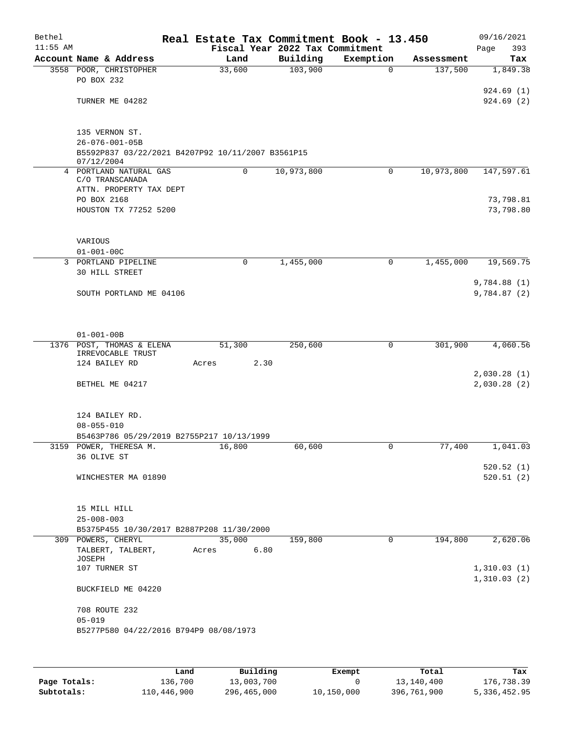| Bethel     |                                                                 |        | Real Estate Tax Commitment Book - 13.450 |             |            | 09/16/2021                 |
|------------|-----------------------------------------------------------------|--------|------------------------------------------|-------------|------------|----------------------------|
| $11:55$ AM |                                                                 |        | Fiscal Year 2022 Tax Commitment          |             |            | 393<br>Page                |
|            | Account Name & Address                                          | Land   | Building                                 | Exemption   | Assessment | Tax                        |
|            | 3558 POOR, CHRISTOPHER                                          | 33,600 | 103,900                                  | $\Omega$    | 137,500    | 1,849.38                   |
|            | PO BOX 232                                                      |        |                                          |             |            | 924.69(1)                  |
|            | TURNER ME 04282                                                 |        |                                          |             |            | 924.69(2)                  |
|            |                                                                 |        |                                          |             |            |                            |
|            |                                                                 |        |                                          |             |            |                            |
|            | 135 VERNON ST.                                                  |        |                                          |             |            |                            |
|            | $26 - 076 - 001 - 05B$                                          |        |                                          |             |            |                            |
|            | B5592P837 03/22/2021 B4207P92 10/11/2007 B3561P15<br>07/12/2004 |        |                                          |             |            |                            |
|            | 4 PORTLAND NATURAL GAS                                          | 0      | 10,973,800                               | 0           | 10,973,800 | 147,597.61                 |
|            | C/O TRANSCANADA                                                 |        |                                          |             |            |                            |
|            | ATTN. PROPERTY TAX DEPT                                         |        |                                          |             |            |                            |
|            | PO BOX 2168                                                     |        |                                          |             |            | 73,798.81                  |
|            | HOUSTON TX 77252 5200                                           |        |                                          |             |            | 73,798.80                  |
|            |                                                                 |        |                                          |             |            |                            |
|            | VARIOUS                                                         |        |                                          |             |            |                            |
|            | $01 - 001 - 00C$                                                |        |                                          |             |            |                            |
|            | 3 PORTLAND PIPELINE                                             | 0      | 1,455,000                                | 0           | 1,455,000  | 19,569.75                  |
|            | 30 HILL STREET                                                  |        |                                          |             |            |                            |
|            |                                                                 |        |                                          |             |            | 9,784.88(1)                |
|            | SOUTH PORTLAND ME 04106                                         |        |                                          |             |            | 9,784.87(2)                |
|            |                                                                 |        |                                          |             |            |                            |
|            |                                                                 |        |                                          |             |            |                            |
|            | $01 - 001 - 00B$                                                |        |                                          |             |            |                            |
|            | 1376 POST, THOMAS & ELENA                                       | 51,300 | 250,600                                  | 0           | 301,900    | 4,060.56                   |
|            | IRREVOCABLE TRUST<br>124 BAILEY RD                              | Acres  | 2.30                                     |             |            |                            |
|            |                                                                 |        |                                          |             |            | 2,030.28(1)                |
|            | BETHEL ME 04217                                                 |        |                                          |             |            | 2,030.28(2)                |
|            |                                                                 |        |                                          |             |            |                            |
|            |                                                                 |        |                                          |             |            |                            |
|            | 124 BAILEY RD.                                                  |        |                                          |             |            |                            |
|            | $08 - 055 - 010$<br>B5463P786 05/29/2019 B2755P217 10/13/1999   |        |                                          |             |            |                            |
|            | 3159 POWER, THERESA M.                                          | 16,800 | 60,600                                   | $\Omega$    | 77,400     | 1,041.03                   |
|            | 36 OLIVE ST                                                     |        |                                          |             |            |                            |
|            |                                                                 |        |                                          |             |            | 520.52(1)                  |
|            | WINCHESTER MA 01890                                             |        |                                          |             |            | 520.51(2)                  |
|            |                                                                 |        |                                          |             |            |                            |
|            | 15 MILL HILL                                                    |        |                                          |             |            |                            |
|            | $25 - 008 - 003$                                                |        |                                          |             |            |                            |
|            | B5375P455 10/30/2017 B2887P208 11/30/2000                       |        |                                          |             |            |                            |
|            | 309 POWERS, CHERYL                                              | 35,000 | 159,800                                  | $\mathbf 0$ | 194,800    | 2,620.06                   |
|            | TALBERT, TALBERT,                                               | Acres  | 6.80                                     |             |            |                            |
|            | JOSEPH                                                          |        |                                          |             |            |                            |
|            | 107 TURNER ST                                                   |        |                                          |             |            | 1,310.03(1)<br>1,310.03(2) |
|            | BUCKFIELD ME 04220                                              |        |                                          |             |            |                            |
|            |                                                                 |        |                                          |             |            |                            |
|            | 708 ROUTE 232                                                   |        |                                          |             |            |                            |
|            | $05 - 019$                                                      |        |                                          |             |            |                            |
|            | B5277P580 04/22/2016 B794P9 08/08/1973                          |        |                                          |             |            |                            |
|            |                                                                 |        |                                          |             |            |                            |
|            |                                                                 |        |                                          |             |            |                            |

|              | Land        | Building    | Exempt     | Total       | Tax          |
|--------------|-------------|-------------|------------|-------------|--------------|
| Page Totals: | 136,700     | 13,003,700  |            | 13,140,400  | 176,738.39   |
| Subtotals:   | 110,446,900 | 296,465,000 | 10,150,000 | 396,761,900 | 5,336,452.95 |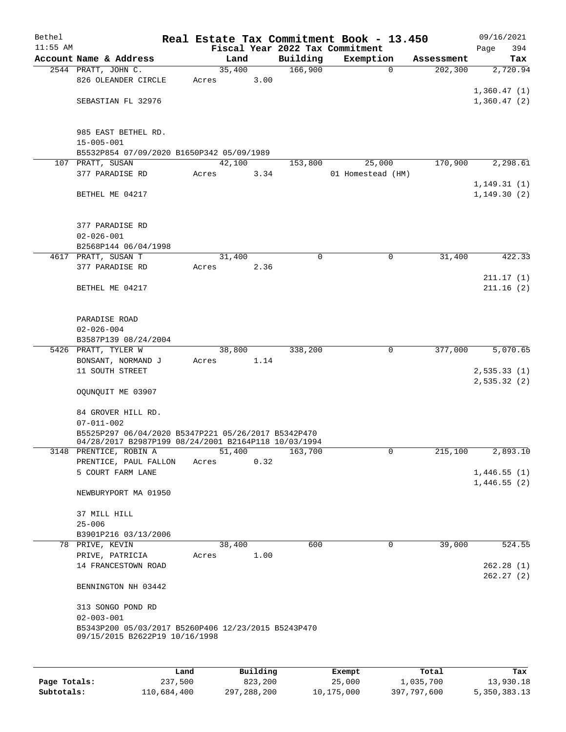| Bethel     |                                                                                |       |        |      |                     | Real Estate Tax Commitment Book - 13.450 |            | 09/16/2021             |
|------------|--------------------------------------------------------------------------------|-------|--------|------|---------------------|------------------------------------------|------------|------------------------|
| $11:55$ AM |                                                                                |       |        |      |                     | Fiscal Year 2022 Tax Commitment          |            | 394<br>Page            |
|            | Account Name & Address                                                         |       | Land   |      | Building<br>166,900 | Exemption<br>$\mathbf 0$                 | Assessment | Tax                    |
|            | 2544 PRATT, JOHN C.<br>826 OLEANDER CIRCLE                                     | Acres | 35,400 | 3.00 |                     |                                          | 202,300    | 2,720.94               |
|            |                                                                                |       |        |      |                     |                                          |            | 1,360.47(1)            |
|            | SEBASTIAN FL 32976                                                             |       |        |      |                     |                                          |            | 1,360.47(2)            |
|            |                                                                                |       |        |      |                     |                                          |            |                        |
|            |                                                                                |       |        |      |                     |                                          |            |                        |
|            | 985 EAST BETHEL RD.                                                            |       |        |      |                     |                                          |            |                        |
|            | $15 - 005 - 001$<br>B5532P854 07/09/2020 B1650P342 05/09/1989                  |       |        |      |                     |                                          |            |                        |
|            | 107 PRATT, SUSAN                                                               |       | 42,100 |      | 153,800             | 25,000                                   | 170,900    | 2,298.61               |
|            | 377 PARADISE RD                                                                | Acres |        | 3.34 |                     | 01 Homestead (HM)                        |            |                        |
|            |                                                                                |       |        |      |                     |                                          |            | 1, 149.31(1)           |
|            | BETHEL ME 04217                                                                |       |        |      |                     |                                          |            | 1, 149.30(2)           |
|            |                                                                                |       |        |      |                     |                                          |            |                        |
|            |                                                                                |       |        |      |                     |                                          |            |                        |
|            | 377 PARADISE RD<br>$02 - 026 - 001$                                            |       |        |      |                     |                                          |            |                        |
|            | B2568P144 06/04/1998                                                           |       |        |      |                     |                                          |            |                        |
|            | 4617 PRATT, SUSAN T                                                            |       | 31,400 |      | $\mathbf 0$         | $\mathbf 0$                              | 31,400     | 422.33                 |
|            | 377 PARADISE RD                                                                | Acres |        | 2.36 |                     |                                          |            |                        |
|            |                                                                                |       |        |      |                     |                                          |            | 211.17(1)              |
|            | BETHEL ME 04217                                                                |       |        |      |                     |                                          |            | 211.16(2)              |
|            |                                                                                |       |        |      |                     |                                          |            |                        |
|            |                                                                                |       |        |      |                     |                                          |            |                        |
|            | PARADISE ROAD                                                                  |       |        |      |                     |                                          |            |                        |
|            | $02 - 026 - 004$                                                               |       |        |      |                     |                                          |            |                        |
|            | B3587P139 08/24/2004                                                           |       |        |      |                     |                                          |            |                        |
|            | 5426 PRATT, TYLER W<br>BONSANT, NORMAND J                                      | Acres | 38,800 | 1.14 | 338,200             | $\mathbf 0$                              | 377,000    | 5,070.65               |
|            | 11 SOUTH STREET                                                                |       |        |      |                     |                                          |            | 2,535.33(1)            |
|            |                                                                                |       |        |      |                     |                                          |            | 2,535.32(2)            |
|            | OQUNQUIT ME 03907                                                              |       |        |      |                     |                                          |            |                        |
|            |                                                                                |       |        |      |                     |                                          |            |                        |
|            | 84 GROVER HILL RD.                                                             |       |        |      |                     |                                          |            |                        |
|            | $07 - 011 - 002$                                                               |       |        |      |                     |                                          |            |                        |
|            | B5525P297 06/04/2020 B5347P221 05/26/2017 B5342P470                            |       |        |      |                     |                                          |            |                        |
|            | 04/28/2017 B2987P199 08/24/2001 B2164P118 10/03/1994<br>3148 PRENTICE, ROBIN A |       | 51,400 |      | 163,700             | 0                                        | 215,100    | 2,893.10               |
|            | PRENTICE, PAUL FALLON                                                          | Acres |        | 0.32 |                     |                                          |            |                        |
|            | 5 COURT FARM LANE                                                              |       |        |      |                     |                                          |            | 1,446.55(1)            |
|            |                                                                                |       |        |      |                     |                                          |            | 1,446.55(2)            |
|            | NEWBURYPORT MA 01950                                                           |       |        |      |                     |                                          |            |                        |
|            |                                                                                |       |        |      |                     |                                          |            |                        |
|            | 37 MILL HILL                                                                   |       |        |      |                     |                                          |            |                        |
|            | $25 - 006$                                                                     |       |        |      |                     |                                          |            |                        |
|            | B3901P216 03/13/2006                                                           |       |        |      |                     |                                          |            |                        |
|            | 78 PRIVE, KEVIN                                                                |       | 38,400 |      | 600                 | 0                                        | 39,000     | 524.55                 |
|            | PRIVE, PATRICIA<br>14 FRANCESTOWN ROAD                                         | Acres |        | 1.00 |                     |                                          |            |                        |
|            |                                                                                |       |        |      |                     |                                          |            | 262.28(1)<br>262.27(2) |
|            | BENNINGTON NH 03442                                                            |       |        |      |                     |                                          |            |                        |
|            |                                                                                |       |        |      |                     |                                          |            |                        |
|            | 313 SONGO POND RD                                                              |       |        |      |                     |                                          |            |                        |
|            | $02 - 003 - 001$                                                               |       |        |      |                     |                                          |            |                        |
|            | B5343P200 05/03/2017 B5260P406 12/23/2015 B5243P470                            |       |        |      |                     |                                          |            |                        |
|            | 09/15/2015 B2622P19 10/16/1998                                                 |       |        |      |                     |                                          |            |                        |
|            |                                                                                |       |        |      |                     |                                          |            |                        |
|            |                                                                                |       |        | P114 |                     |                                          |            |                        |

|              | Land        | Building    | Exempt     | Total       | Tax          |
|--------------|-------------|-------------|------------|-------------|--------------|
| Page Totals: | 237,500     | 823,200     | 25,000     | 1,035,700   | 13,930.18    |
| Subtotals:   | 110,684,400 | 297,288,200 | 10,175,000 | 397,797,600 | 5,350,383.13 |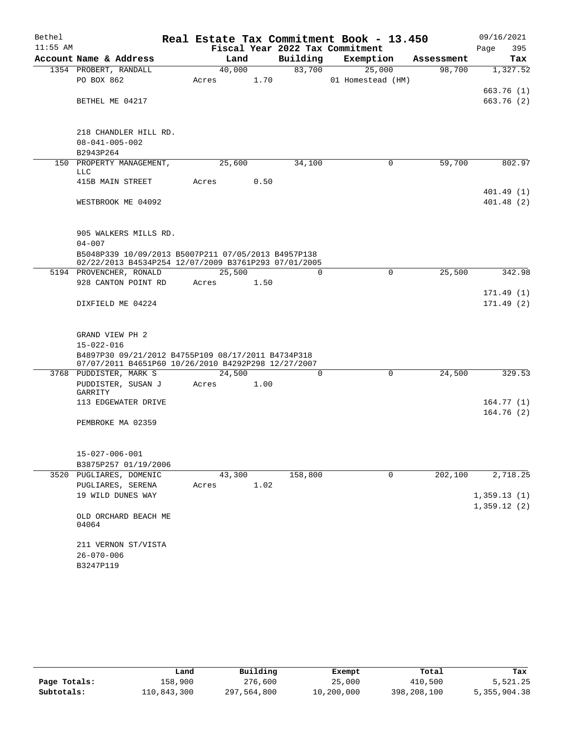| Bethel     |                                                                                                           |       |        |      |          | Real Estate Tax Commitment Book - 13.450 |            | 09/16/2021  |
|------------|-----------------------------------------------------------------------------------------------------------|-------|--------|------|----------|------------------------------------------|------------|-------------|
| $11:55$ AM |                                                                                                           |       |        |      |          | Fiscal Year 2022 Tax Commitment          |            | 395<br>Page |
|            | Account Name & Address                                                                                    |       | Land   |      | Building | Exemption                                | Assessment | Tax         |
|            | 1354 PROBERT, RANDALL                                                                                     |       | 40,000 |      | 83,700   | 25,000                                   | 98,700     | 1,327.52    |
|            | PO BOX 862                                                                                                | Acres |        | 1.70 |          | 01 Homestead (HM)                        |            |             |
|            | BETHEL ME 04217                                                                                           |       |        |      |          |                                          |            | 663.76 (1)  |
|            |                                                                                                           |       |        |      |          |                                          |            | 663.76 (2)  |
|            | 218 CHANDLER HILL RD.<br>$08 - 041 - 005 - 002$                                                           |       |        |      |          |                                          |            |             |
|            | B2943P264                                                                                                 |       |        |      |          |                                          |            |             |
|            | 150 PROPERTY MANAGEMENT,<br>LLC                                                                           |       | 25,600 |      | 34,100   | 0                                        | 59,700     | 802.97      |
|            | 415B MAIN STREET                                                                                          | Acres |        | 0.50 |          |                                          |            |             |
|            |                                                                                                           |       |        |      |          |                                          |            | 401.49(1)   |
|            | WESTBROOK ME 04092                                                                                        |       |        |      |          |                                          |            | 401.48(2)   |
|            | 905 WALKERS MILLS RD.                                                                                     |       |        |      |          |                                          |            |             |
|            | $04 - 007$                                                                                                |       |        |      |          |                                          |            |             |
|            | B5048P339 10/09/2013 B5007P211 07/05/2013 B4957P138                                                       |       |        |      |          |                                          |            |             |
|            | 02/22/2013 B4534P254 12/07/2009 B3761P293 07/01/2005                                                      |       |        |      |          |                                          |            |             |
|            | 5194 PROVENCHER, RONALD                                                                                   |       | 25,500 |      | $\Omega$ | $\Omega$                                 | 25,500     | 342.98      |
|            | 928 CANTON POINT RD                                                                                       | Acres |        | 1.50 |          |                                          |            | 171.49(1)   |
|            | DIXFIELD ME 04224                                                                                         |       |        |      |          |                                          |            | 171.49(2)   |
|            |                                                                                                           |       |        |      |          |                                          |            |             |
|            | GRAND VIEW PH 2                                                                                           |       |        |      |          |                                          |            |             |
|            | $15 - 022 - 016$                                                                                          |       |        |      |          |                                          |            |             |
|            | B4897P30 09/21/2012 B4755P109 08/17/2011 B4734P318<br>07/07/2011 B4651P60 10/26/2010 B4292P298 12/27/2007 |       |        |      |          |                                          |            |             |
|            | 3768 PUDDISTER, MARK S                                                                                    |       | 24,500 |      | $\Omega$ | $\Omega$                                 | 24,500     | 329.53      |
|            | PUDDISTER, SUSAN J<br>GARRITY                                                                             | Acres |        | 1.00 |          |                                          |            |             |
|            | 113 EDGEWATER DRIVE                                                                                       |       |        |      |          |                                          |            | 164.77(1)   |
|            |                                                                                                           |       |        |      |          |                                          |            | 164.76(2)   |
|            | PEMBROKE MA 02359                                                                                         |       |        |      |          |                                          |            |             |
|            |                                                                                                           |       |        |      |          |                                          |            |             |
|            | $15 - 027 - 006 - 001$                                                                                    |       |        |      |          |                                          |            |             |
|            | B3875P257 01/19/2006<br>3520 PUGLIARES, DOMENIC                                                           |       | 43,300 |      | 158,800  | $\mathbf 0$                              | 202,100    | 2,718.25    |
|            | PUGLIARES, SERENA                                                                                         | Acres |        | 1.02 |          |                                          |            |             |
|            | 19 WILD DUNES WAY                                                                                         |       |        |      |          |                                          |            | 1,359.13(1) |
|            |                                                                                                           |       |        |      |          |                                          |            | 1,359.12(2) |
|            | OLD ORCHARD BEACH ME<br>04064                                                                             |       |        |      |          |                                          |            |             |
|            | 211 VERNON ST/VISTA                                                                                       |       |        |      |          |                                          |            |             |
|            | $26 - 070 - 006$                                                                                          |       |        |      |          |                                          |            |             |
|            | B3247P119                                                                                                 |       |        |      |          |                                          |            |             |

|              | Land        | Building    | Exempt     | Total       | Tax          |
|--------------|-------------|-------------|------------|-------------|--------------|
| Page Totals: | 158,900     | 276,600     | 25,000     | 410,500     | 5,521.25     |
| Subtotals:   | 110,843,300 | 297,564,800 | 10,200,000 | 398,208,100 | 5,355,904.38 |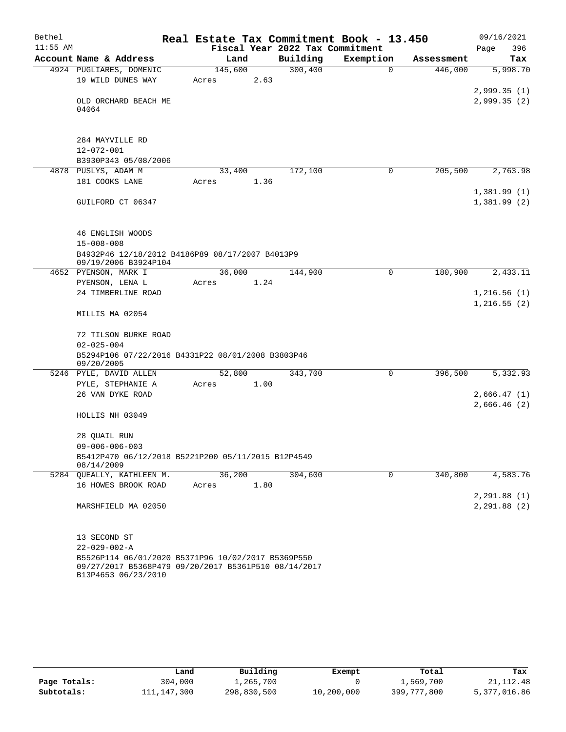| Bethel     |                                                                                                                                   | Real Estate Tax Commitment Book - 13.450 |          |             |            | 09/16/2021                  |
|------------|-----------------------------------------------------------------------------------------------------------------------------------|------------------------------------------|----------|-------------|------------|-----------------------------|
| $11:55$ AM |                                                                                                                                   | Fiscal Year 2022 Tax Commitment          |          |             |            | 396<br>Page                 |
|            | Account Name & Address                                                                                                            | Land                                     | Building | Exemption   | Assessment | Tax                         |
|            | 4924 PUGLIARES, DOMENIC                                                                                                           | 145,600                                  | 300,400  | $\mathbf 0$ | 446,000    | 5,998.70                    |
|            | 19 WILD DUNES WAY                                                                                                                 | 2.63<br>Acres                            |          |             |            |                             |
|            | OLD ORCHARD BEACH ME                                                                                                              |                                          |          |             |            | 2,999.35(1)<br>2,999.35(2)  |
|            | 04064                                                                                                                             |                                          |          |             |            |                             |
|            |                                                                                                                                   |                                          |          |             |            |                             |
|            |                                                                                                                                   |                                          |          |             |            |                             |
|            | 284 MAYVILLE RD                                                                                                                   |                                          |          |             |            |                             |
|            | $12 - 072 - 001$                                                                                                                  |                                          |          |             |            |                             |
|            | B3930P343 05/08/2006                                                                                                              |                                          |          |             |            |                             |
|            | 4878 PUSLYS, ADAM M                                                                                                               | 33,400                                   | 172,100  | 0           | 205,500    | 2,763.98                    |
|            | 181 COOKS LANE                                                                                                                    | 1.36<br>Acres                            |          |             |            |                             |
|            | GUILFORD CT 06347                                                                                                                 |                                          |          |             |            | 1,381.99(1)                 |
|            |                                                                                                                                   |                                          |          |             |            | 1,381.99(2)                 |
|            |                                                                                                                                   |                                          |          |             |            |                             |
|            | 46 ENGLISH WOODS                                                                                                                  |                                          |          |             |            |                             |
|            | $15 - 008 - 008$                                                                                                                  |                                          |          |             |            |                             |
|            | B4932P46 12/18/2012 B4186P89 08/17/2007 B4013P9                                                                                   |                                          |          |             |            |                             |
|            | 09/19/2006 B3924P104                                                                                                              |                                          |          |             |            |                             |
|            | 4652 PYENSON, MARK I                                                                                                              | 36,000                                   | 144,900  | 0           | 180,900    | 2,433.11                    |
|            | PYENSON, LENA L                                                                                                                   | 1.24<br>Acres                            |          |             |            |                             |
|            | 24 TIMBERLINE ROAD                                                                                                                |                                          |          |             |            | 1,216.56(1)<br>1, 216.55(2) |
|            | MILLIS MA 02054                                                                                                                   |                                          |          |             |            |                             |
|            | 72 TILSON BURKE ROAD                                                                                                              |                                          |          |             |            |                             |
|            | $02 - 025 - 004$                                                                                                                  |                                          |          |             |            |                             |
|            | B5294P106 07/22/2016 B4331P22 08/01/2008 B3803P46                                                                                 |                                          |          |             |            |                             |
|            | 09/20/2005                                                                                                                        |                                          |          |             |            |                             |
|            | 5246 PYLE, DAVID ALLEN                                                                                                            | 52,800                                   | 343,700  | 0           | 396,500    | 5,332.93                    |
|            | PYLE, STEPHANIE A<br>26 VAN DYKE ROAD                                                                                             | 1.00<br>Acres                            |          |             |            |                             |
|            |                                                                                                                                   |                                          |          |             |            | 2,666.47(1)<br>2,666.46(2)  |
|            | HOLLIS NH 03049                                                                                                                   |                                          |          |             |            |                             |
|            | 28 QUAIL RUN                                                                                                                      |                                          |          |             |            |                             |
|            | $09 - 006 - 006 - 003$                                                                                                            |                                          |          |             |            |                             |
|            | B5412P470 06/12/2018 B5221P200 05/11/2015 B12P4549<br>08/14/2009                                                                  |                                          |          |             |            |                             |
|            | 5284 OUEALLY, KATHLEEN M.                                                                                                         | 36,200                                   | 304,600  | 0           | 340,800    | 4,583.76                    |
|            | 16 HOWES BROOK ROAD                                                                                                               | 1.80<br>Acres                            |          |             |            |                             |
|            |                                                                                                                                   |                                          |          |             |            | 2, 291.88(1)                |
|            | MARSHFIELD MA 02050                                                                                                               |                                          |          |             |            | 2, 291.88(2)                |
|            | 13 SECOND ST                                                                                                                      |                                          |          |             |            |                             |
|            | $22 - 029 - 002 - A$                                                                                                              |                                          |          |             |            |                             |
|            | B5526P114 06/01/2020 B5371P96 10/02/2017 B5369P550<br>09/27/2017 B5368P479 09/20/2017 B5361P510 08/14/2017<br>B13P4653 06/23/2010 |                                          |          |             |            |                             |

|              | Land        | Building    | Exempt     | Total       | Tax          |
|--------------|-------------|-------------|------------|-------------|--------------|
| Page Totals: | 304,000     | 1,265,700   |            | 1,569,700   | 21, 112. 48  |
| Subtotals:   | 111,147,300 | 298,830,500 | 10,200,000 | 399,777,800 | 5,377,016.86 |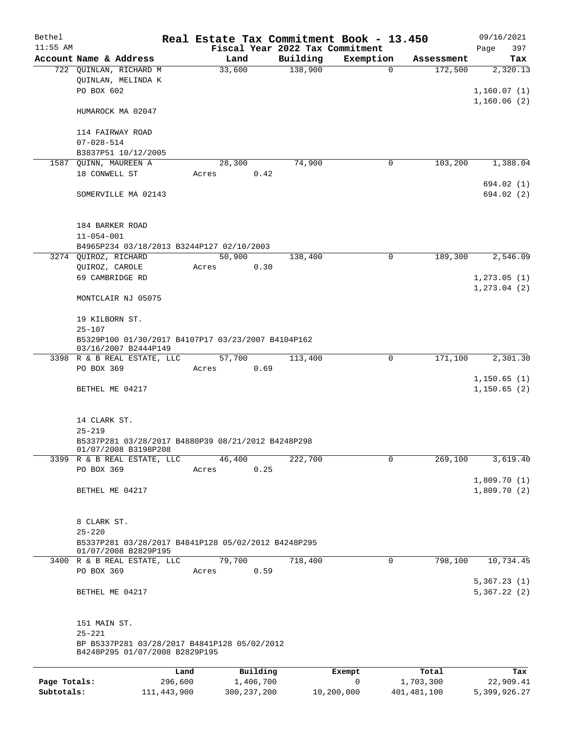| Bethel       |                                                                                           |         |               |                                 | Real Estate Tax Commitment Book - 13.450 |               | 09/16/2021                   |
|--------------|-------------------------------------------------------------------------------------------|---------|---------------|---------------------------------|------------------------------------------|---------------|------------------------------|
| $11:55$ AM   |                                                                                           |         |               | Fiscal Year 2022 Tax Commitment |                                          |               | 397<br>Page                  |
|              | Account Name & Address                                                                    | Land    |               | Building                        | Exemption                                | Assessment    | Tax                          |
|              | 722 QUINLAN, RICHARD M<br>QUINLAN, MELINDA K<br>PO BOX 602                                | 33,600  |               | 138,900                         | $\Omega$                                 | 172,500       | 2,320.13<br>1,160.07(1)      |
|              | HUMAROCK MA 02047                                                                         |         |               |                                 |                                          |               | 1,160.06(2)                  |
|              | 114 FAIRWAY ROAD<br>$07 - 028 - 514$                                                      |         |               |                                 |                                          |               |                              |
|              | B3837P51 10/12/2005                                                                       |         |               |                                 |                                          |               |                              |
| 1587         | QUINN, MAUREEN A                                                                          | 28,300  |               | 74,900                          | 0                                        | 103,200       | 1,388.04                     |
|              | 18 CONWELL ST                                                                             | Acres   | 0.42          |                                 |                                          |               |                              |
|              | SOMERVILLE MA 02143                                                                       |         |               |                                 |                                          |               | 694.02 (1)<br>694.02(2)      |
|              | 184 BARKER ROAD<br>$11 - 054 - 001$                                                       |         |               |                                 |                                          |               |                              |
|              | B4965P234 03/18/2013 B3244P127 02/10/2003                                                 |         |               |                                 |                                          |               |                              |
|              | 3274 QUIROZ, RICHARD                                                                      | 50,900  |               | 138,400                         | 0                                        | 189,300       | 2,546.09                     |
|              | QUIROZ, CAROLE                                                                            | Acres   | 0.30          |                                 |                                          |               |                              |
|              | 69 CAMBRIDGE RD                                                                           |         |               |                                 |                                          |               | 1, 273.05(1)<br>1, 273.04(2) |
|              | MONTCLAIR NJ 05075                                                                        |         |               |                                 |                                          |               |                              |
|              | 19 KILBORN ST.<br>$25 - 107$                                                              |         |               |                                 |                                          |               |                              |
|              | B5329P100 01/30/2017 B4107P17 03/23/2007 B4104P162<br>03/16/2007 B2444P149                |         |               |                                 |                                          |               |                              |
|              | 3398 R & B REAL ESTATE, LLC                                                               | 57,700  |               | 113,400                         | $\mathbf 0$                              | 171,100       | 2,301.30                     |
|              | PO BOX 369                                                                                | Acres   | 0.69          |                                 |                                          |               |                              |
|              | BETHEL ME 04217                                                                           |         |               |                                 |                                          |               | 1,150.65(1)<br>1,150.65(2)   |
|              | 14 CLARK ST.                                                                              |         |               |                                 |                                          |               |                              |
|              | $25 - 219$                                                                                |         |               |                                 |                                          |               |                              |
|              | B5337P281 03/28/2017 B4880P39 08/21/2012 B4248P298<br>01/07/2008 B3198P208                |         |               |                                 |                                          |               |                              |
|              | 3399 R & B REAL ESTATE, LLC<br>PO BOX 369                                                 | 46, 400 | 0.25          | 222,700                         | 0                                        | 269,100       | 3,619.40                     |
|              |                                                                                           | Acres   |               |                                 |                                          |               | 1,809.70(1)                  |
|              | BETHEL ME 04217                                                                           |         |               |                                 |                                          |               | 1,809.70(2)                  |
|              | 8 CLARK ST.                                                                               |         |               |                                 |                                          |               |                              |
|              | $25 - 220$<br>B5337P281 03/28/2017 B4841P128 05/02/2012 B4248P295<br>01/07/2008 B2829P195 |         |               |                                 |                                          |               |                              |
|              | 3400 R & B REAL ESTATE, LLC                                                               | 79,700  |               | 718,400                         | 0                                        | 798,100       | 10,734.45                    |
|              | PO BOX 369                                                                                | Acres   | 0.59          |                                 |                                          |               | 5,367.23(1)                  |
|              | BETHEL ME 04217                                                                           |         |               |                                 |                                          |               | 5,367.22(2)                  |
|              | 151 MAIN ST.<br>$25 - 221$<br>BP B5337P281 03/28/2017 B4841P128 05/02/2012                |         |               |                                 |                                          |               |                              |
|              | B4248P295 01/07/2008 B2829P195                                                            |         |               |                                 |                                          |               |                              |
|              | Land                                                                                      |         | Building      |                                 | Exempt                                   | Total         | Tax                          |
| Page Totals: | 296,600                                                                                   |         | 1,406,700     |                                 | 0                                        | 1,703,300     | 22,909.41                    |
| Subtotals:   | 111, 443, 900                                                                             |         | 300, 237, 200 |                                 | 10,200,000                               | 401, 481, 100 | 5,399,926.27                 |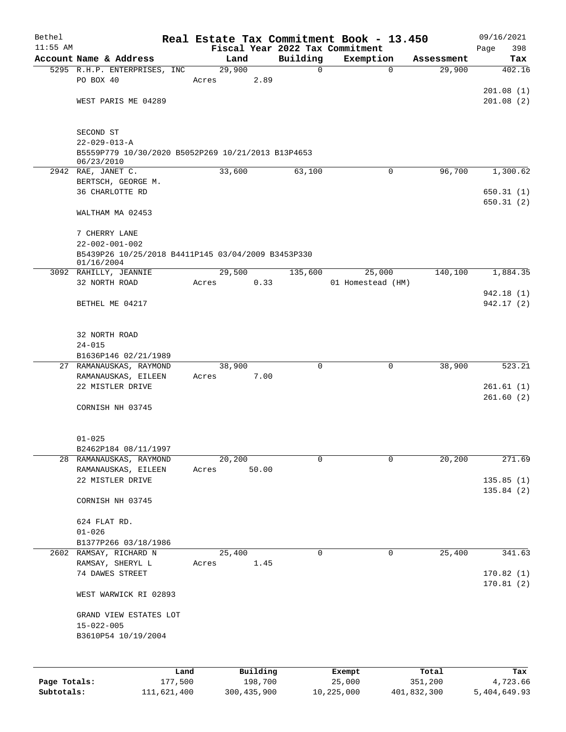| Bethel       |                                                                            | Real Estate Tax Commitment Book - 13.450 |                                 |                   |             | 09/16/2021   |
|--------------|----------------------------------------------------------------------------|------------------------------------------|---------------------------------|-------------------|-------------|--------------|
| $11:55$ AM   |                                                                            |                                          | Fiscal Year 2022 Tax Commitment |                   |             | 398<br>Page  |
|              | Account Name & Address                                                     | Land                                     | Building                        | Exemption         | Assessment  | Tax          |
|              | 5295 R.H.P. ENTERPRISES, INC<br>PO BOX 40                                  | 29,900<br>Acres                          | 0<br>2.89                       | $\mathbf 0$       | 29,900      | 402.16       |
|              |                                                                            |                                          |                                 |                   |             | 201.08(1)    |
|              | WEST PARIS ME 04289                                                        |                                          |                                 |                   |             | 201.08(2)    |
|              |                                                                            |                                          |                                 |                   |             |              |
|              |                                                                            |                                          |                                 |                   |             |              |
|              | SECOND ST                                                                  |                                          |                                 |                   |             |              |
|              | $22 - 029 - 013 - A$<br>B5559P779 10/30/2020 B5052P269 10/21/2013 B13P4653 |                                          |                                 |                   |             |              |
|              | 06/23/2010                                                                 |                                          |                                 |                   |             |              |
|              | 2942 RAE, JANET C.                                                         | 33,600                                   | 63,100                          | 0                 | 96,700      | 1,300.62     |
|              | BERTSCH, GEORGE M.                                                         |                                          |                                 |                   |             |              |
|              | 36 CHARLOTTE RD                                                            |                                          |                                 |                   |             | 650.31(1)    |
|              |                                                                            |                                          |                                 |                   |             | 650.31(2)    |
|              | WALTHAM MA 02453                                                           |                                          |                                 |                   |             |              |
|              | 7 CHERRY LANE                                                              |                                          |                                 |                   |             |              |
|              | $22 - 002 - 001 - 002$                                                     |                                          |                                 |                   |             |              |
|              | B5439P26 10/25/2018 B4411P145 03/04/2009 B3453P330                         |                                          |                                 |                   |             |              |
|              | 01/16/2004                                                                 |                                          |                                 |                   |             |              |
|              | 3092 RAHILLY, JEANNIE                                                      | 29,500                                   | 135,600                         | 25,000            | 140,100     | 1,884.35     |
|              | 32 NORTH ROAD                                                              | Acres                                    | 0.33                            | 01 Homestead (HM) |             | 942.18 (1)   |
|              | BETHEL ME 04217                                                            |                                          |                                 |                   |             | 942.17 (2)   |
|              |                                                                            |                                          |                                 |                   |             |              |
|              |                                                                            |                                          |                                 |                   |             |              |
|              | 32 NORTH ROAD                                                              |                                          |                                 |                   |             |              |
|              | $24 - 015$                                                                 |                                          |                                 |                   |             |              |
|              | B1636P146 02/21/1989                                                       |                                          |                                 |                   |             |              |
|              | 27 RAMANAUSKAS, RAYMOND                                                    | 38,900                                   | 0                               | 0                 | 38,900      | 523.21       |
|              | RAMANAUSKAS, EILEEN<br>22 MISTLER DRIVE                                    | Acres                                    | 7.00                            |                   |             | 261.61(1)    |
|              |                                                                            |                                          |                                 |                   |             | 261.60(2)    |
|              | CORNISH NH 03745                                                           |                                          |                                 |                   |             |              |
|              |                                                                            |                                          |                                 |                   |             |              |
|              |                                                                            |                                          |                                 |                   |             |              |
|              | $01 - 025$                                                                 |                                          |                                 |                   |             |              |
|              | B2462P184 08/11/1997                                                       |                                          |                                 |                   |             |              |
|              | 28 RAMANAUSKAS, RAYMOND<br>RAMANAUSKAS, EILEEN                             | 20,200<br>Acres                          | 0<br>50.00                      | 0                 | 20,200      | 271.69       |
|              | 22 MISTLER DRIVE                                                           |                                          |                                 |                   |             | 135.85(1)    |
|              |                                                                            |                                          |                                 |                   |             | 135.84(2)    |
|              | CORNISH NH 03745                                                           |                                          |                                 |                   |             |              |
|              |                                                                            |                                          |                                 |                   |             |              |
|              | 624 FLAT RD.                                                               |                                          |                                 |                   |             |              |
|              | $01 - 026$                                                                 |                                          |                                 |                   |             |              |
|              | B1377P266 03/18/1986<br>RAMSAY, RICHARD N                                  |                                          | 0                               | $\mathbf 0$       | 25,400      | 341.63       |
| 2602         | RAMSAY, SHERYL L                                                           | 25,400<br>Acres                          | 1.45                            |                   |             |              |
|              | 74 DAWES STREET                                                            |                                          |                                 |                   |             | 170.82(1)    |
|              |                                                                            |                                          |                                 |                   |             | 170.81(2)    |
|              | WEST WARWICK RI 02893                                                      |                                          |                                 |                   |             |              |
|              |                                                                            |                                          |                                 |                   |             |              |
|              | GRAND VIEW ESTATES LOT                                                     |                                          |                                 |                   |             |              |
|              | $15 - 022 - 005$                                                           |                                          |                                 |                   |             |              |
|              | B3610P54 10/19/2004                                                        |                                          |                                 |                   |             |              |
|              |                                                                            |                                          |                                 |                   |             |              |
|              | Land                                                                       |                                          | Building                        | Exempt            | Total       | Tax          |
| Page Totals: | 177,500                                                                    |                                          | 198,700                         | 25,000            | 351,200     | 4,723.66     |
| Subtotals:   | 111,621,400                                                                | 300, 435, 900                            |                                 | 10,225,000        | 401,832,300 | 5,404,649.93 |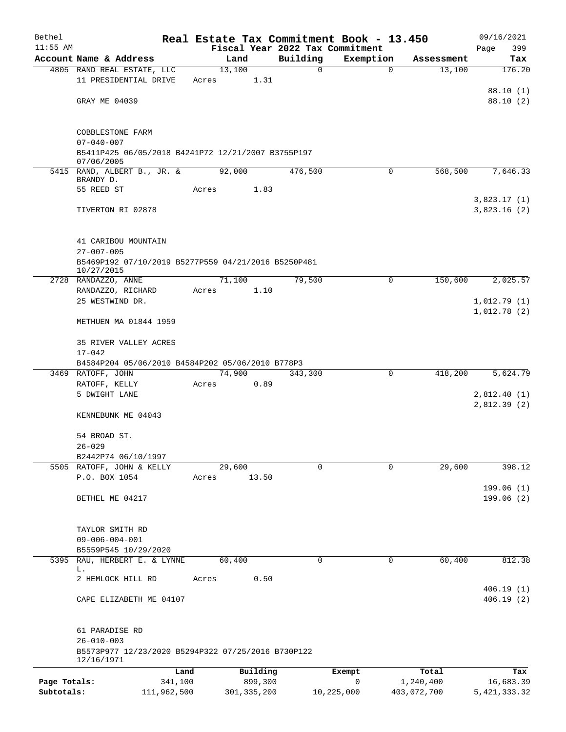| Bethel       |                                                                        |       |                |             | Real Estate Tax Commitment Book - 13.450 |             | 09/16/2021     |
|--------------|------------------------------------------------------------------------|-------|----------------|-------------|------------------------------------------|-------------|----------------|
| $11:55$ AM   |                                                                        |       |                |             | Fiscal Year 2022 Tax Commitment          |             | Page<br>399    |
|              | Account Name & Address                                                 |       | Land           | Building    | Exemption                                | Assessment  | Tax            |
|              | 4805 RAND REAL ESTATE, LLC<br>11 PRESIDENTIAL DRIVE                    | Acres | 13,100<br>1.31 | $\mathbf 0$ | $\mathbf 0$                              | 13,100      | 176.20         |
|              |                                                                        |       |                |             |                                          |             | 88.10 (1)      |
|              | GRAY ME 04039                                                          |       |                |             |                                          |             | 88.10 (2)      |
|              |                                                                        |       |                |             |                                          |             |                |
|              |                                                                        |       |                |             |                                          |             |                |
|              | COBBLESTONE FARM                                                       |       |                |             |                                          |             |                |
|              | $07 - 040 - 007$                                                       |       |                |             |                                          |             |                |
|              | B5411P425 06/05/2018 B4241P72 12/21/2007 B3755P197<br>07/06/2005       |       |                |             |                                          |             |                |
|              | 5415 RAND, ALBERT B., JR. &                                            |       | 92,000         | 476,500     | $\Omega$                                 | 568,500     | 7,646.33       |
|              | BRANDY D.                                                              |       |                |             |                                          |             |                |
|              | 55 REED ST                                                             | Acres | 1.83           |             |                                          |             | 3,823.17(1)    |
|              | TIVERTON RI 02878                                                      |       |                |             |                                          |             | 3,823.16(2)    |
|              |                                                                        |       |                |             |                                          |             |                |
|              |                                                                        |       |                |             |                                          |             |                |
|              | 41 CARIBOU MOUNTAIN                                                    |       |                |             |                                          |             |                |
|              | $27 - 007 - 005$                                                       |       |                |             |                                          |             |                |
|              | B5469P192 07/10/2019 B5277P559 04/21/2016 B5250P481<br>10/27/2015      |       |                |             |                                          |             |                |
|              | 2728 RANDAZZO, ANNE                                                    |       | 71,100         | 79,500      | $\mathbf 0$                              | 150,600     | 2,025.57       |
|              | RANDAZZO, RICHARD                                                      | Acres | 1.10           |             |                                          |             |                |
|              | 25 WESTWIND DR.                                                        |       |                |             |                                          |             | 1,012.79(1)    |
|              |                                                                        |       |                |             |                                          |             | 1,012.78(2)    |
|              | METHUEN MA 01844 1959                                                  |       |                |             |                                          |             |                |
|              | 35 RIVER VALLEY ACRES                                                  |       |                |             |                                          |             |                |
|              | $17 - 042$                                                             |       |                |             |                                          |             |                |
|              | B4584P204 05/06/2010 B4584P202 05/06/2010 B778P3                       |       |                |             |                                          |             |                |
|              | 3469 RATOFF, JOHN                                                      |       | 74,900         | 343,300     | $\mathbf 0$                              | 418,200     | 5,624.79       |
|              | RATOFF, KELLY                                                          | Acres | 0.89           |             |                                          |             |                |
|              | 5 DWIGHT LANE                                                          |       |                |             |                                          |             | 2,812.40(1)    |
|              |                                                                        |       |                |             |                                          |             | 2,812.39(2)    |
|              | KENNEBUNK ME 04043                                                     |       |                |             |                                          |             |                |
|              | 54 BROAD ST.                                                           |       |                |             |                                          |             |                |
|              | $26 - 029$                                                             |       |                |             |                                          |             |                |
|              | B2442P74 06/10/1997                                                    |       |                |             |                                          |             |                |
|              | 5505 RATOFF, JOHN & KELLY                                              |       | 29,600         | $\Omega$    | 0                                        | 29,600      | 398.12         |
|              | P.O. BOX 1054                                                          | Acres | 13.50          |             |                                          |             |                |
|              |                                                                        |       |                |             |                                          |             | 199.06(1)      |
|              | BETHEL ME 04217                                                        |       |                |             |                                          |             | 199.06(2)      |
|              |                                                                        |       |                |             |                                          |             |                |
|              | TAYLOR SMITH RD                                                        |       |                |             |                                          |             |                |
|              | $09 - 006 - 004 - 001$                                                 |       |                |             |                                          |             |                |
|              | B5559P545 10/29/2020                                                   |       |                |             |                                          |             |                |
|              | 5395 RAU, HERBERT E. & LYNNE                                           |       | 60,400         | 0           | 0                                        | 60,400      | 812.38         |
|              | L.<br>2 HEMLOCK HILL RD                                                | Acres | 0.50           |             |                                          |             |                |
|              |                                                                        |       |                |             |                                          |             | 406.19(1)      |
|              | CAPE ELIZABETH ME 04107                                                |       |                |             |                                          |             | 406.19(2)      |
|              |                                                                        |       |                |             |                                          |             |                |
|              |                                                                        |       |                |             |                                          |             |                |
|              | 61 PARADISE RD                                                         |       |                |             |                                          |             |                |
|              | $26 - 010 - 003$<br>B5573P977 12/23/2020 B5294P322 07/25/2016 B730P122 |       |                |             |                                          |             |                |
|              | 12/16/1971                                                             |       |                |             |                                          |             |                |
|              | Land                                                                   |       | Building       |             | Exempt                                   | Total       | Tax            |
| Page Totals: | 341,100                                                                |       | 899,300        |             | 0                                        | 1,240,400   | 16,683.39      |
| Subtotals:   | 111,962,500                                                            |       | 301, 335, 200  |             | 10,225,000                               | 403,072,700 | 5, 421, 333.32 |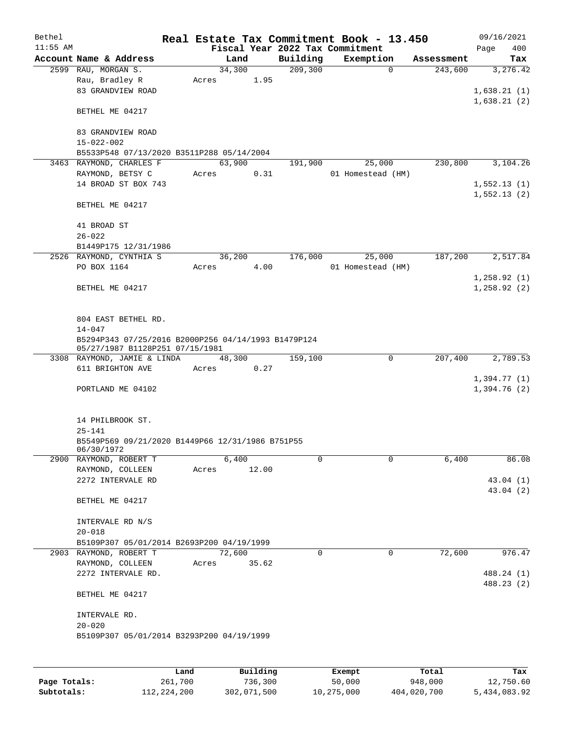| Bethel     |                                                                     |       |        |       |                                 | Real Estate Tax Commitment Book - 13.450 |            | 09/16/2021   |
|------------|---------------------------------------------------------------------|-------|--------|-------|---------------------------------|------------------------------------------|------------|--------------|
| $11:55$ AM |                                                                     |       |        |       | Fiscal Year 2022 Tax Commitment |                                          |            | 400<br>Page  |
|            | Account Name & Address                                              |       | Land   |       | Building                        | Exemption                                | Assessment | Tax          |
|            | 2599 RAU, MORGAN S.                                                 |       | 34,300 |       | 209,300                         | $\mathbf 0$                              | 243,600    | 3,276.42     |
|            | Rau, Bradley R                                                      | Acres |        | 1.95  |                                 |                                          |            |              |
|            | 83 GRANDVIEW ROAD                                                   |       |        |       |                                 |                                          |            | 1,638.21(1)  |
|            |                                                                     |       |        |       |                                 |                                          |            | 1,638.21(2)  |
|            | BETHEL ME 04217                                                     |       |        |       |                                 |                                          |            |              |
|            | 83 GRANDVIEW ROAD                                                   |       |        |       |                                 |                                          |            |              |
|            | $15 - 022 - 002$                                                    |       |        |       |                                 |                                          |            |              |
|            | B5533P548 07/13/2020 B3511P288 05/14/2004                           |       |        |       |                                 |                                          |            |              |
|            | 3463 RAYMOND, CHARLES F                                             |       | 63,900 |       | 191,900                         | 25,000                                   | 230,800    | 3,104.26     |
|            | RAYMOND, BETSY C                                                    | Acres |        | 0.31  |                                 | 01 Homestead (HM)                        |            |              |
|            | 14 BROAD ST BOX 743                                                 |       |        |       |                                 |                                          |            | 1,552.13(1)  |
|            |                                                                     |       |        |       |                                 |                                          |            | 1,552.13(2)  |
|            | BETHEL ME 04217                                                     |       |        |       |                                 |                                          |            |              |
|            |                                                                     |       |        |       |                                 |                                          |            |              |
|            | 41 BROAD ST                                                         |       |        |       |                                 |                                          |            |              |
|            | $26 - 022$                                                          |       |        |       |                                 |                                          |            |              |
|            | B1449P175 12/31/1986                                                |       |        |       |                                 |                                          |            |              |
|            | 2526 RAYMOND, CYNTHIA S                                             |       | 36,200 |       | 176,000                         | 25,000                                   | 187,200    | 2,517.84     |
|            | PO BOX 1164                                                         | Acres |        | 4.00  |                                 | 01 Homestead (HM)                        |            |              |
|            |                                                                     |       |        |       |                                 |                                          |            | 1, 258.92(1) |
|            | BETHEL ME 04217                                                     |       |        |       |                                 |                                          |            | 1, 258.92(2) |
|            |                                                                     |       |        |       |                                 |                                          |            |              |
|            |                                                                     |       |        |       |                                 |                                          |            |              |
|            | 804 EAST BETHEL RD.                                                 |       |        |       |                                 |                                          |            |              |
|            | $14 - 047$                                                          |       |        |       |                                 |                                          |            |              |
|            | B5294P343 07/25/2016 B2000P256 04/14/1993 B1479P124                 |       |        |       |                                 |                                          |            |              |
|            | 05/27/1987 B1128P251 07/15/1981<br>3308 RAYMOND, JAMIE & LINDA      |       | 48,300 |       | 159,100                         | 0                                        | 207,400    | 2,789.53     |
|            | 611 BRIGHTON AVE                                                    | Acres |        | 0.27  |                                 |                                          |            |              |
|            |                                                                     |       |        |       |                                 |                                          |            | 1,394.77(1)  |
|            | PORTLAND ME 04102                                                   |       |        |       |                                 |                                          |            | 1,394.76(2)  |
|            |                                                                     |       |        |       |                                 |                                          |            |              |
|            |                                                                     |       |        |       |                                 |                                          |            |              |
|            | 14 PHILBROOK ST.                                                    |       |        |       |                                 |                                          |            |              |
|            | $25 - 141$                                                          |       |        |       |                                 |                                          |            |              |
|            | B5549P569 09/21/2020 B1449P66 12/31/1986 B751P55                    |       |        |       |                                 |                                          |            |              |
|            | 06/30/1972                                                          |       |        |       |                                 |                                          |            |              |
|            | 2900 RAYMOND, ROBERT T                                              |       | 6,400  |       | 0                               | 0                                        | 6,400      | 86.08        |
|            | RAYMOND, COLLEEN                                                    | Acres |        | 12.00 |                                 |                                          |            |              |
|            | 2272 INTERVALE RD                                                   |       |        |       |                                 |                                          |            | 43.04 (1)    |
|            |                                                                     |       |        |       |                                 |                                          |            | 43.04(2)     |
|            | BETHEL ME 04217                                                     |       |        |       |                                 |                                          |            |              |
|            |                                                                     |       |        |       |                                 |                                          |            |              |
|            | INTERVALE RD N/S                                                    |       |        |       |                                 |                                          |            |              |
|            | $20 - 018$                                                          |       |        |       |                                 |                                          |            |              |
|            | B5109P307 05/01/2014 B2693P200 04/19/1999<br>2903 RAYMOND, ROBERT T |       | 72,600 |       | 0                               | 0                                        | 72,600     | 976.47       |
|            | RAYMOND, COLLEEN                                                    | Acres |        | 35.62 |                                 |                                          |            |              |
|            | 2272 INTERVALE RD.                                                  |       |        |       |                                 |                                          |            | 488.24 (1)   |
|            |                                                                     |       |        |       |                                 |                                          |            | 488.23 (2)   |
|            | BETHEL ME 04217                                                     |       |        |       |                                 |                                          |            |              |
|            |                                                                     |       |        |       |                                 |                                          |            |              |
|            | INTERVALE RD.                                                       |       |        |       |                                 |                                          |            |              |
|            | $20 - 020$                                                          |       |        |       |                                 |                                          |            |              |
|            | B5109P307 05/01/2014 B3293P200 04/19/1999                           |       |        |       |                                 |                                          |            |              |
|            |                                                                     |       |        |       |                                 |                                          |            |              |
|            |                                                                     |       |        |       |                                 |                                          |            |              |

|              | Land        | Building    | Exempt     | Total       | Tax          |
|--------------|-------------|-------------|------------|-------------|--------------|
| Page Totals: | 261,700     | 736,300     | 50,000     | 948,000     | 12,750.60    |
| Subtotals:   | 112,224,200 | 302,071,500 | 10,275,000 | 404,020,700 | 5,434,083.92 |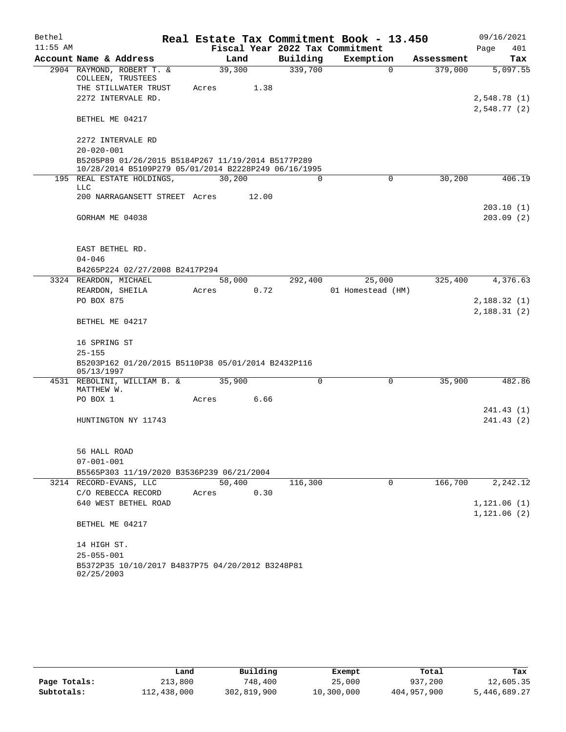| Bethel     |                                                                                                            |        |       |                                 | Real Estate Tax Commitment Book - 13.450 |            | 09/16/2021   |
|------------|------------------------------------------------------------------------------------------------------------|--------|-------|---------------------------------|------------------------------------------|------------|--------------|
| $11:55$ AM |                                                                                                            |        |       | Fiscal Year 2022 Tax Commitment |                                          |            | 401<br>Page  |
|            | Account Name & Address                                                                                     |        | Land  | Building                        | Exemption                                | Assessment | Tax          |
|            | 2904 RAYMOND, ROBERT T. &<br>COLLEEN, TRUSTEES                                                             | 39,300 |       | 339,700                         | $\Omega$                                 | 379,000    | 5,097.55     |
|            | THE STILLWATER TRUST                                                                                       | Acres  | 1.38  |                                 |                                          |            |              |
|            | 2272 INTERVALE RD.                                                                                         |        |       |                                 |                                          |            | 2,548.78 (1) |
|            | BETHEL ME 04217                                                                                            |        |       |                                 |                                          |            | 2,548.77(2)  |
|            | 2272 INTERVALE RD                                                                                          |        |       |                                 |                                          |            |              |
|            | $20 - 020 - 001$                                                                                           |        |       |                                 |                                          |            |              |
|            | B5205P89 01/26/2015 B5184P267 11/19/2014 B5177P289<br>10/28/2014 B5109P279 05/01/2014 B2228P249 06/16/1995 |        |       |                                 |                                          |            |              |
|            | 195 REAL ESTATE HOLDINGS,<br><b>LLC</b>                                                                    | 30,200 |       | 0                               | 0                                        | 30,200     | 406.19       |
|            | 200 NARRAGANSETT STREET Acres                                                                              |        | 12.00 |                                 |                                          |            |              |
|            |                                                                                                            |        |       |                                 |                                          |            | 203.10 (1)   |
|            | GORHAM ME 04038                                                                                            |        |       |                                 |                                          |            | 203.09(2)    |
|            | EAST BETHEL RD.                                                                                            |        |       |                                 |                                          |            |              |
|            | $04 - 046$                                                                                                 |        |       |                                 |                                          |            |              |
|            | B4265P224 02/27/2008 B2417P294                                                                             |        |       |                                 |                                          |            |              |
|            | 3324 REARDON, MICHAEL                                                                                      | 58,000 |       | 292,400                         | 25,000                                   | 325,400    | 4,376.63     |
|            | REARDON, SHEILA<br>PO BOX 875                                                                              | Acres  | 0.72  |                                 | 01 Homestead (HM)                        |            | 2,188.32(1)  |
|            |                                                                                                            |        |       |                                 |                                          |            | 2,188.31(2)  |
|            | BETHEL ME 04217                                                                                            |        |       |                                 |                                          |            |              |
|            | 16 SPRING ST                                                                                               |        |       |                                 |                                          |            |              |
|            | $25 - 155$                                                                                                 |        |       |                                 |                                          |            |              |
|            | B5203P162 01/20/2015 B5110P38 05/01/2014 B2432P116<br>05/13/1997                                           |        |       |                                 |                                          |            |              |
|            | 4531 REBOLINI, WILLIAM B. &<br>MATTHEW W.                                                                  | 35,900 |       | $\Omega$                        | $\Omega$                                 | 35,900     | 482.86       |
|            | PO BOX 1                                                                                                   | Acres  | 6.66  |                                 |                                          |            |              |
|            |                                                                                                            |        |       |                                 |                                          |            | 241.43 (1)   |
|            | HUNTINGTON NY 11743                                                                                        |        |       |                                 |                                          |            | 241.43 (2)   |
|            |                                                                                                            |        |       |                                 |                                          |            |              |
|            | 56 HALL ROAD                                                                                               |        |       |                                 |                                          |            |              |
|            | $07 - 001 - 001$                                                                                           |        |       |                                 |                                          |            |              |
|            | B5565P303 11/19/2020 B3536P239 06/21/2004                                                                  |        |       |                                 |                                          |            |              |
|            | 3214 RECORD-EVANS, LLC                                                                                     | 50,400 |       | 116,300                         | 0                                        | 166,700    | 2,242.12     |
|            | C/O REBECCA RECORD                                                                                         | Acres  | 0.30  |                                 |                                          |            |              |
|            | 640 WEST BETHEL ROAD                                                                                       |        |       |                                 |                                          |            | 1,121.06(1)  |
|            | BETHEL ME 04217                                                                                            |        |       |                                 |                                          |            | 1,121.06(2)  |
|            | 14 HIGH ST.                                                                                                |        |       |                                 |                                          |            |              |
|            | $25 - 055 - 001$                                                                                           |        |       |                                 |                                          |            |              |
|            | B5372P35 10/10/2017 B4837P75 04/20/2012 B3248P81                                                           |        |       |                                 |                                          |            |              |
|            | 02/25/2003                                                                                                 |        |       |                                 |                                          |            |              |

|              | Land        | Building    | Exempt     | Total       | Tax          |
|--------------|-------------|-------------|------------|-------------|--------------|
| Page Totals: | 213,800     | 748,400     | 25,000     | 937,200     | 12,605.35    |
| Subtotals:   | 112,438,000 | 302,819,900 | 10,300,000 | 404,957,900 | 5,446,689.27 |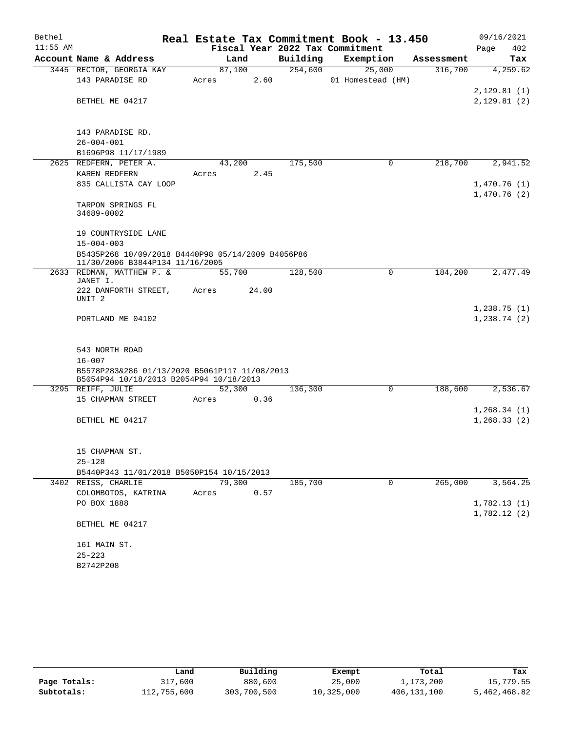| $11:55$ AM<br>Fiscal Year 2022 Tax Commitment<br>402<br>Page<br>Account Name & Address<br>Building<br>Exemption<br>Land<br>Assessment<br>Tax<br>254,600<br>25,000<br>4,259.62<br>3445 RECTOR, GEORGIA KAY<br>87,100<br>316,700<br>2.60<br>143 PARADISE RD<br>01 Homestead (HM)<br>Acres<br>2,129.81(1)<br>BETHEL ME 04217<br>2,129.81(2)<br>143 PARADISE RD.<br>$26 - 004 - 001$<br>B1696P98 11/17/1989<br>2625 REDFERN, PETER A.<br>43,200<br>175,500<br>218,700<br>2,941.52<br>0<br>KAREN REDFERN<br>2.45<br>Acres<br>835 CALLISTA CAY LOOP<br>1,470.76(1)<br>1,470.76(2)<br>TARPON SPRINGS FL<br>34689-0002<br>19 COUNTRYSIDE LANE<br>$15 - 004 - 003$<br>B5435P268 10/09/2018 B4440P98 05/14/2009 B4056P86<br>11/30/2006 B3844P134 11/16/2005<br>128,500<br>184,200<br>2633 REDMAN, MATTHEW P. &<br>55,700<br>0<br>2,477.49<br>JANET I.<br>222 DANFORTH STREET,<br>24.00<br>Acres<br>UNIT <sub>2</sub><br>1,238.75(1)<br>PORTLAND ME 04102<br>1,238.74(2)<br>543 NORTH ROAD<br>$16 - 007$<br>B5578P283&286 01/13/2020 B5061P117 11/08/2013<br>B5054P94 10/18/2013 B2054P94 10/18/2013<br>3295 REIFF, JULIE<br>52,300<br>136,300<br>188,600<br>2,536.67<br>0<br>15 CHAPMAN STREET<br>0.36<br>Acres<br>1,268.34(1)<br>1, 268.33(2)<br>BETHEL ME 04217<br>15 CHAPMAN ST.<br>$25 - 128$<br>B5440P343 11/01/2018 B5050P154 10/15/2013<br>79,300<br>185,700<br>265,000<br>3,564.25<br>3402 REISS, CHARLIE<br>0<br>COLOMBOTOS, KATRINA<br>0.57<br>Acres<br>1,782.13(1)<br>PO BOX 1888<br>1,782.12(2)<br>BETHEL ME 04217<br>161 MAIN ST.<br>$25 - 223$<br>B2742P208 | Bethel |  |  |  | Real Estate Tax Commitment Book - 13.450 |  | 09/16/2021 |
|-----------------------------------------------------------------------------------------------------------------------------------------------------------------------------------------------------------------------------------------------------------------------------------------------------------------------------------------------------------------------------------------------------------------------------------------------------------------------------------------------------------------------------------------------------------------------------------------------------------------------------------------------------------------------------------------------------------------------------------------------------------------------------------------------------------------------------------------------------------------------------------------------------------------------------------------------------------------------------------------------------------------------------------------------------------------------------------------------------------------------------------------------------------------------------------------------------------------------------------------------------------------------------------------------------------------------------------------------------------------------------------------------------------------------------------------------------------------------------------------------------------------------------------------------------------------|--------|--|--|--|------------------------------------------|--|------------|
|                                                                                                                                                                                                                                                                                                                                                                                                                                                                                                                                                                                                                                                                                                                                                                                                                                                                                                                                                                                                                                                                                                                                                                                                                                                                                                                                                                                                                                                                                                                                                                 |        |  |  |  |                                          |  |            |
|                                                                                                                                                                                                                                                                                                                                                                                                                                                                                                                                                                                                                                                                                                                                                                                                                                                                                                                                                                                                                                                                                                                                                                                                                                                                                                                                                                                                                                                                                                                                                                 |        |  |  |  |                                          |  |            |
|                                                                                                                                                                                                                                                                                                                                                                                                                                                                                                                                                                                                                                                                                                                                                                                                                                                                                                                                                                                                                                                                                                                                                                                                                                                                                                                                                                                                                                                                                                                                                                 |        |  |  |  |                                          |  |            |
|                                                                                                                                                                                                                                                                                                                                                                                                                                                                                                                                                                                                                                                                                                                                                                                                                                                                                                                                                                                                                                                                                                                                                                                                                                                                                                                                                                                                                                                                                                                                                                 |        |  |  |  |                                          |  |            |
|                                                                                                                                                                                                                                                                                                                                                                                                                                                                                                                                                                                                                                                                                                                                                                                                                                                                                                                                                                                                                                                                                                                                                                                                                                                                                                                                                                                                                                                                                                                                                                 |        |  |  |  |                                          |  |            |
|                                                                                                                                                                                                                                                                                                                                                                                                                                                                                                                                                                                                                                                                                                                                                                                                                                                                                                                                                                                                                                                                                                                                                                                                                                                                                                                                                                                                                                                                                                                                                                 |        |  |  |  |                                          |  |            |
|                                                                                                                                                                                                                                                                                                                                                                                                                                                                                                                                                                                                                                                                                                                                                                                                                                                                                                                                                                                                                                                                                                                                                                                                                                                                                                                                                                                                                                                                                                                                                                 |        |  |  |  |                                          |  |            |
|                                                                                                                                                                                                                                                                                                                                                                                                                                                                                                                                                                                                                                                                                                                                                                                                                                                                                                                                                                                                                                                                                                                                                                                                                                                                                                                                                                                                                                                                                                                                                                 |        |  |  |  |                                          |  |            |
|                                                                                                                                                                                                                                                                                                                                                                                                                                                                                                                                                                                                                                                                                                                                                                                                                                                                                                                                                                                                                                                                                                                                                                                                                                                                                                                                                                                                                                                                                                                                                                 |        |  |  |  |                                          |  |            |
|                                                                                                                                                                                                                                                                                                                                                                                                                                                                                                                                                                                                                                                                                                                                                                                                                                                                                                                                                                                                                                                                                                                                                                                                                                                                                                                                                                                                                                                                                                                                                                 |        |  |  |  |                                          |  |            |
|                                                                                                                                                                                                                                                                                                                                                                                                                                                                                                                                                                                                                                                                                                                                                                                                                                                                                                                                                                                                                                                                                                                                                                                                                                                                                                                                                                                                                                                                                                                                                                 |        |  |  |  |                                          |  |            |
|                                                                                                                                                                                                                                                                                                                                                                                                                                                                                                                                                                                                                                                                                                                                                                                                                                                                                                                                                                                                                                                                                                                                                                                                                                                                                                                                                                                                                                                                                                                                                                 |        |  |  |  |                                          |  |            |
|                                                                                                                                                                                                                                                                                                                                                                                                                                                                                                                                                                                                                                                                                                                                                                                                                                                                                                                                                                                                                                                                                                                                                                                                                                                                                                                                                                                                                                                                                                                                                                 |        |  |  |  |                                          |  |            |
|                                                                                                                                                                                                                                                                                                                                                                                                                                                                                                                                                                                                                                                                                                                                                                                                                                                                                                                                                                                                                                                                                                                                                                                                                                                                                                                                                                                                                                                                                                                                                                 |        |  |  |  |                                          |  |            |
|                                                                                                                                                                                                                                                                                                                                                                                                                                                                                                                                                                                                                                                                                                                                                                                                                                                                                                                                                                                                                                                                                                                                                                                                                                                                                                                                                                                                                                                                                                                                                                 |        |  |  |  |                                          |  |            |
|                                                                                                                                                                                                                                                                                                                                                                                                                                                                                                                                                                                                                                                                                                                                                                                                                                                                                                                                                                                                                                                                                                                                                                                                                                                                                                                                                                                                                                                                                                                                                                 |        |  |  |  |                                          |  |            |
|                                                                                                                                                                                                                                                                                                                                                                                                                                                                                                                                                                                                                                                                                                                                                                                                                                                                                                                                                                                                                                                                                                                                                                                                                                                                                                                                                                                                                                                                                                                                                                 |        |  |  |  |                                          |  |            |
|                                                                                                                                                                                                                                                                                                                                                                                                                                                                                                                                                                                                                                                                                                                                                                                                                                                                                                                                                                                                                                                                                                                                                                                                                                                                                                                                                                                                                                                                                                                                                                 |        |  |  |  |                                          |  |            |
|                                                                                                                                                                                                                                                                                                                                                                                                                                                                                                                                                                                                                                                                                                                                                                                                                                                                                                                                                                                                                                                                                                                                                                                                                                                                                                                                                                                                                                                                                                                                                                 |        |  |  |  |                                          |  |            |
|                                                                                                                                                                                                                                                                                                                                                                                                                                                                                                                                                                                                                                                                                                                                                                                                                                                                                                                                                                                                                                                                                                                                                                                                                                                                                                                                                                                                                                                                                                                                                                 |        |  |  |  |                                          |  |            |
|                                                                                                                                                                                                                                                                                                                                                                                                                                                                                                                                                                                                                                                                                                                                                                                                                                                                                                                                                                                                                                                                                                                                                                                                                                                                                                                                                                                                                                                                                                                                                                 |        |  |  |  |                                          |  |            |
|                                                                                                                                                                                                                                                                                                                                                                                                                                                                                                                                                                                                                                                                                                                                                                                                                                                                                                                                                                                                                                                                                                                                                                                                                                                                                                                                                                                                                                                                                                                                                                 |        |  |  |  |                                          |  |            |
|                                                                                                                                                                                                                                                                                                                                                                                                                                                                                                                                                                                                                                                                                                                                                                                                                                                                                                                                                                                                                                                                                                                                                                                                                                                                                                                                                                                                                                                                                                                                                                 |        |  |  |  |                                          |  |            |
|                                                                                                                                                                                                                                                                                                                                                                                                                                                                                                                                                                                                                                                                                                                                                                                                                                                                                                                                                                                                                                                                                                                                                                                                                                                                                                                                                                                                                                                                                                                                                                 |        |  |  |  |                                          |  |            |
|                                                                                                                                                                                                                                                                                                                                                                                                                                                                                                                                                                                                                                                                                                                                                                                                                                                                                                                                                                                                                                                                                                                                                                                                                                                                                                                                                                                                                                                                                                                                                                 |        |  |  |  |                                          |  |            |
|                                                                                                                                                                                                                                                                                                                                                                                                                                                                                                                                                                                                                                                                                                                                                                                                                                                                                                                                                                                                                                                                                                                                                                                                                                                                                                                                                                                                                                                                                                                                                                 |        |  |  |  |                                          |  |            |
|                                                                                                                                                                                                                                                                                                                                                                                                                                                                                                                                                                                                                                                                                                                                                                                                                                                                                                                                                                                                                                                                                                                                                                                                                                                                                                                                                                                                                                                                                                                                                                 |        |  |  |  |                                          |  |            |
|                                                                                                                                                                                                                                                                                                                                                                                                                                                                                                                                                                                                                                                                                                                                                                                                                                                                                                                                                                                                                                                                                                                                                                                                                                                                                                                                                                                                                                                                                                                                                                 |        |  |  |  |                                          |  |            |
|                                                                                                                                                                                                                                                                                                                                                                                                                                                                                                                                                                                                                                                                                                                                                                                                                                                                                                                                                                                                                                                                                                                                                                                                                                                                                                                                                                                                                                                                                                                                                                 |        |  |  |  |                                          |  |            |
|                                                                                                                                                                                                                                                                                                                                                                                                                                                                                                                                                                                                                                                                                                                                                                                                                                                                                                                                                                                                                                                                                                                                                                                                                                                                                                                                                                                                                                                                                                                                                                 |        |  |  |  |                                          |  |            |
|                                                                                                                                                                                                                                                                                                                                                                                                                                                                                                                                                                                                                                                                                                                                                                                                                                                                                                                                                                                                                                                                                                                                                                                                                                                                                                                                                                                                                                                                                                                                                                 |        |  |  |  |                                          |  |            |
|                                                                                                                                                                                                                                                                                                                                                                                                                                                                                                                                                                                                                                                                                                                                                                                                                                                                                                                                                                                                                                                                                                                                                                                                                                                                                                                                                                                                                                                                                                                                                                 |        |  |  |  |                                          |  |            |
|                                                                                                                                                                                                                                                                                                                                                                                                                                                                                                                                                                                                                                                                                                                                                                                                                                                                                                                                                                                                                                                                                                                                                                                                                                                                                                                                                                                                                                                                                                                                                                 |        |  |  |  |                                          |  |            |
|                                                                                                                                                                                                                                                                                                                                                                                                                                                                                                                                                                                                                                                                                                                                                                                                                                                                                                                                                                                                                                                                                                                                                                                                                                                                                                                                                                                                                                                                                                                                                                 |        |  |  |  |                                          |  |            |
|                                                                                                                                                                                                                                                                                                                                                                                                                                                                                                                                                                                                                                                                                                                                                                                                                                                                                                                                                                                                                                                                                                                                                                                                                                                                                                                                                                                                                                                                                                                                                                 |        |  |  |  |                                          |  |            |
|                                                                                                                                                                                                                                                                                                                                                                                                                                                                                                                                                                                                                                                                                                                                                                                                                                                                                                                                                                                                                                                                                                                                                                                                                                                                                                                                                                                                                                                                                                                                                                 |        |  |  |  |                                          |  |            |
|                                                                                                                                                                                                                                                                                                                                                                                                                                                                                                                                                                                                                                                                                                                                                                                                                                                                                                                                                                                                                                                                                                                                                                                                                                                                                                                                                                                                                                                                                                                                                                 |        |  |  |  |                                          |  |            |
|                                                                                                                                                                                                                                                                                                                                                                                                                                                                                                                                                                                                                                                                                                                                                                                                                                                                                                                                                                                                                                                                                                                                                                                                                                                                                                                                                                                                                                                                                                                                                                 |        |  |  |  |                                          |  |            |
|                                                                                                                                                                                                                                                                                                                                                                                                                                                                                                                                                                                                                                                                                                                                                                                                                                                                                                                                                                                                                                                                                                                                                                                                                                                                                                                                                                                                                                                                                                                                                                 |        |  |  |  |                                          |  |            |
|                                                                                                                                                                                                                                                                                                                                                                                                                                                                                                                                                                                                                                                                                                                                                                                                                                                                                                                                                                                                                                                                                                                                                                                                                                                                                                                                                                                                                                                                                                                                                                 |        |  |  |  |                                          |  |            |
|                                                                                                                                                                                                                                                                                                                                                                                                                                                                                                                                                                                                                                                                                                                                                                                                                                                                                                                                                                                                                                                                                                                                                                                                                                                                                                                                                                                                                                                                                                                                                                 |        |  |  |  |                                          |  |            |
|                                                                                                                                                                                                                                                                                                                                                                                                                                                                                                                                                                                                                                                                                                                                                                                                                                                                                                                                                                                                                                                                                                                                                                                                                                                                                                                                                                                                                                                                                                                                                                 |        |  |  |  |                                          |  |            |
|                                                                                                                                                                                                                                                                                                                                                                                                                                                                                                                                                                                                                                                                                                                                                                                                                                                                                                                                                                                                                                                                                                                                                                                                                                                                                                                                                                                                                                                                                                                                                                 |        |  |  |  |                                          |  |            |
|                                                                                                                                                                                                                                                                                                                                                                                                                                                                                                                                                                                                                                                                                                                                                                                                                                                                                                                                                                                                                                                                                                                                                                                                                                                                                                                                                                                                                                                                                                                                                                 |        |  |  |  |                                          |  |            |
|                                                                                                                                                                                                                                                                                                                                                                                                                                                                                                                                                                                                                                                                                                                                                                                                                                                                                                                                                                                                                                                                                                                                                                                                                                                                                                                                                                                                                                                                                                                                                                 |        |  |  |  |                                          |  |            |

|              | Land        | Building    | Exempt     | Total       | Tax          |
|--------------|-------------|-------------|------------|-------------|--------------|
| Page Totals: | 317,600     | 880,600     | 25,000     | 1,173,200   | 15,779.55    |
| Subtotals:   | 112,755,600 | 303,700,500 | 10,325,000 | 406,131,100 | 5,462,468.82 |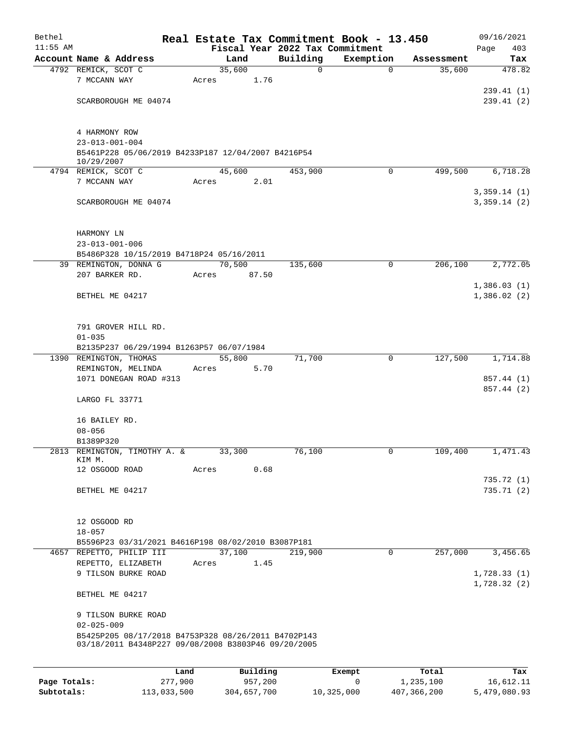| Bethel       |                                                     |       |                |               | Real Estate Tax Commitment Book - 13.450 |                      | 09/16/2021                 |
|--------------|-----------------------------------------------------|-------|----------------|---------------|------------------------------------------|----------------------|----------------------------|
| $11:55$ AM   | Account Name & Address                              |       |                |               | Fiscal Year 2022 Tax Commitment          |                      | 403<br>Page                |
|              | 4792 REMICK, SCOT C                                 |       | Land<br>35,600 | Building<br>0 | Exemption<br>0                           | Assessment<br>35,600 | Tax<br>478.82              |
|              | 7 MCCANN WAY                                        | Acres | 1.76           |               |                                          |                      |                            |
|              |                                                     |       |                |               |                                          |                      | 239.41 (1)                 |
|              | SCARBOROUGH ME 04074                                |       |                |               |                                          |                      | 239.41(2)                  |
|              |                                                     |       |                |               |                                          |                      |                            |
|              | 4 HARMONY ROW                                       |       |                |               |                                          |                      |                            |
|              | $23 - 013 - 001 - 004$                              |       |                |               |                                          |                      |                            |
|              | B5461P228 05/06/2019 B4233P187 12/04/2007 B4216P54  |       |                |               |                                          |                      |                            |
|              | 10/29/2007                                          |       |                |               |                                          |                      |                            |
|              | 4794 REMICK, SCOT C                                 |       | 45,600         | 453,900       | 0                                        | 499,500              | 6,718.28                   |
|              | 7 MCCANN WAY                                        | Acres | 2.01           |               |                                          |                      |                            |
|              | SCARBOROUGH ME 04074                                |       |                |               |                                          |                      | 3,359.14(1)<br>3,359.14(2) |
|              |                                                     |       |                |               |                                          |                      |                            |
|              |                                                     |       |                |               |                                          |                      |                            |
|              | HARMONY LN                                          |       |                |               |                                          |                      |                            |
|              | $23 - 013 - 001 - 006$                              |       |                |               |                                          |                      |                            |
|              | B5486P328 10/15/2019 B4718P24 05/16/2011            |       |                |               |                                          |                      |                            |
|              | 39 REMINGTON, DONNA G                               |       | 70,500         | 135,600       | 0                                        | 206, 100             | 2,772.05                   |
|              | 207 BARKER RD.                                      | Acres | 87.50          |               |                                          |                      | 1,386.03(1)                |
|              | BETHEL ME 04217                                     |       |                |               |                                          |                      | 1,386.02(2)                |
|              |                                                     |       |                |               |                                          |                      |                            |
|              |                                                     |       |                |               |                                          |                      |                            |
|              | 791 GROVER HILL RD.                                 |       |                |               |                                          |                      |                            |
|              | $01 - 035$                                          |       |                |               |                                          |                      |                            |
|              | B2135P237 06/29/1994 B1263P57 06/07/1984            |       |                |               |                                          |                      |                            |
|              | 1390 REMINGTON, THOMAS                              |       | 55,800         | 71,700        | 0                                        | 127,500              | 1,714.88                   |
|              | REMINGTON, MELINDA<br>1071 DONEGAN ROAD #313        | Acres | 5.70           |               |                                          |                      | 857.44 (1)                 |
|              |                                                     |       |                |               |                                          |                      | 857.44 (2)                 |
|              | LARGO FL 33771                                      |       |                |               |                                          |                      |                            |
|              |                                                     |       |                |               |                                          |                      |                            |
|              | 16 BAILEY RD.                                       |       |                |               |                                          |                      |                            |
|              | $08 - 056$                                          |       |                |               |                                          |                      |                            |
|              | B1389P320                                           |       |                |               |                                          |                      |                            |
|              | 2813 REMINGTON, TIMOTHY A. &<br>KIM M.              |       | 33,300         | 76,100        | 0                                        | 109,400              | 1,471.43                   |
|              | 12 OSGOOD ROAD                                      | Acres | 0.68           |               |                                          |                      |                            |
|              |                                                     |       |                |               |                                          |                      | 735.72(1)                  |
|              | BETHEL ME 04217                                     |       |                |               |                                          |                      | 735.71(2)                  |
|              |                                                     |       |                |               |                                          |                      |                            |
|              |                                                     |       |                |               |                                          |                      |                            |
|              | 12 OSGOOD RD<br>$18 - 057$                          |       |                |               |                                          |                      |                            |
|              | B5596P23 03/31/2021 B4616P198 08/02/2010 B3087P181  |       |                |               |                                          |                      |                            |
|              | 4657 REPETTO, PHILIP III                            |       | 37,100         | 219,900       | $\mathsf{O}$                             | 257,000              | 3,456.65                   |
|              | REPETTO, ELIZABETH                                  | Acres | 1.45           |               |                                          |                      |                            |
|              | 9 TILSON BURKE ROAD                                 |       |                |               |                                          |                      | 1,728.33(1)                |
|              |                                                     |       |                |               |                                          |                      | 1,728.32(2)                |
|              | BETHEL ME 04217                                     |       |                |               |                                          |                      |                            |
|              | 9 TILSON BURKE ROAD                                 |       |                |               |                                          |                      |                            |
|              | $02 - 025 - 009$                                    |       |                |               |                                          |                      |                            |
|              | B5425P205 08/17/2018 B4753P328 08/26/2011 B4702P143 |       |                |               |                                          |                      |                            |
|              | 03/18/2011 B4348P227 09/08/2008 B3803P46 09/20/2005 |       |                |               |                                          |                      |                            |
|              |                                                     |       |                |               |                                          |                      |                            |
|              | Land                                                |       | Building       |               | Exempt                                   | Total                | Tax                        |
| Page Totals: | 277,900                                             |       | 957,200        |               | 0                                        | 1,235,100            | 16,612.11                  |
| Subtotals:   | 113,033,500                                         |       | 304,657,700    |               | 10,325,000                               | 407,366,200          | 5,479,080.93               |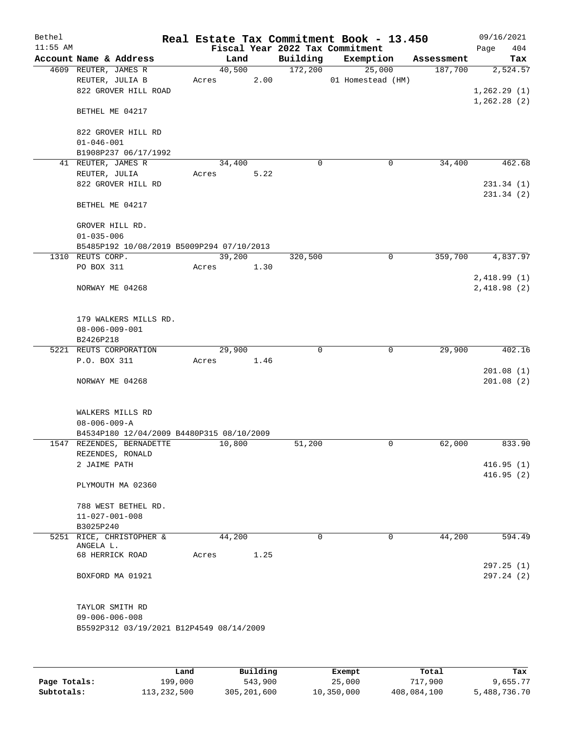| Bethel     |                                           |      |       |          |             | Real Estate Tax Commitment Book - 13.450 |            | 09/16/2021   |
|------------|-------------------------------------------|------|-------|----------|-------------|------------------------------------------|------------|--------------|
| $11:55$ AM |                                           |      |       |          |             | Fiscal Year 2022 Tax Commitment          |            | 404<br>Page  |
|            | Account Name & Address                    |      |       | Land     | Building    | Exemption                                | Assessment | Tax          |
|            | 4609 REUTER, JAMES R                      |      |       | 40,500   | 172,200     | 25,000                                   | 187,700    | 2,524.57     |
|            | REUTER, JULIA B                           |      | Acres | 2.00     |             | 01 Homestead (HM)                        |            |              |
|            | 822 GROVER HILL ROAD                      |      |       |          |             |                                          |            | 1,262.29(1)  |
|            |                                           |      |       |          |             |                                          |            | 1, 262.28(2) |
|            | BETHEL ME 04217                           |      |       |          |             |                                          |            |              |
|            |                                           |      |       |          |             |                                          |            |              |
|            | 822 GROVER HILL RD                        |      |       |          |             |                                          |            |              |
|            | $01 - 046 - 001$                          |      |       |          |             |                                          |            |              |
|            | B1908P237 06/17/1992                      |      |       |          |             |                                          |            |              |
|            | 41 REUTER, JAMES R                        |      |       | 34,400   | $\mathbf 0$ | $\mathbf 0$                              | 34,400     | 462.68       |
|            | REUTER, JULIA                             |      | Acres | 5.22     |             |                                          |            |              |
|            | 822 GROVER HILL RD                        |      |       |          |             |                                          |            | 231.34(1)    |
|            |                                           |      |       |          |             |                                          |            | 231.34(2)    |
|            | BETHEL ME 04217                           |      |       |          |             |                                          |            |              |
|            |                                           |      |       |          |             |                                          |            |              |
|            | GROVER HILL RD.                           |      |       |          |             |                                          |            |              |
|            | $01 - 035 - 006$                          |      |       |          |             |                                          |            |              |
|            | B5485P192 10/08/2019 B5009P294 07/10/2013 |      |       |          |             |                                          |            |              |
|            | 1310 REUTS CORP.                          |      |       | 39,200   | 320,500     | 0                                        | 359,700    | 4,837.97     |
|            | PO BOX 311                                |      | Acres | 1.30     |             |                                          |            |              |
|            |                                           |      |       |          |             |                                          |            | 2,418.99(1)  |
|            | NORWAY ME 04268                           |      |       |          |             |                                          |            | 2,418.98(2)  |
|            |                                           |      |       |          |             |                                          |            |              |
|            |                                           |      |       |          |             |                                          |            |              |
|            | 179 WALKERS MILLS RD.                     |      |       |          |             |                                          |            |              |
|            | $08 - 006 - 009 - 001$                    |      |       |          |             |                                          |            |              |
|            | B2426P218                                 |      |       |          |             |                                          |            |              |
|            | 5221 REUTS CORPORATION                    |      |       | 29,900   | 0           | $\mathbf 0$                              | 29,900     | 402.16       |
|            | P.O. BOX 311                              |      | Acres | 1.46     |             |                                          |            |              |
|            |                                           |      |       |          |             |                                          |            | 201.08(1)    |
|            | NORWAY ME 04268                           |      |       |          |             |                                          |            | 201.08(2)    |
|            |                                           |      |       |          |             |                                          |            |              |
|            |                                           |      |       |          |             |                                          |            |              |
|            | WALKERS MILLS RD                          |      |       |          |             |                                          |            |              |
|            | $08 - 006 - 009 - A$                      |      |       |          |             |                                          |            |              |
|            | B4534P180 12/04/2009 B4480P315 08/10/2009 |      |       |          |             |                                          |            |              |
|            | 1547 REZENDES, BERNADETTE                 |      |       | 10,800   | 51,200      | 0                                        | 62,000     | 833.90       |
|            | REZENDES, RONALD                          |      |       |          |             |                                          |            |              |
|            | 2 JAIME PATH                              |      |       |          |             |                                          |            | 416.95(1)    |
|            |                                           |      |       |          |             |                                          |            | 416.95(2)    |
|            | PLYMOUTH MA 02360                         |      |       |          |             |                                          |            |              |
|            |                                           |      |       |          |             |                                          |            |              |
|            | 788 WEST BETHEL RD.                       |      |       |          |             |                                          |            |              |
|            | $11 - 027 - 001 - 008$                    |      |       |          |             |                                          |            |              |
|            | B3025P240                                 |      |       |          |             |                                          |            |              |
|            | 5251 RICE, CHRISTOPHER &<br>ANGELA L.     |      |       | 44,200   | $\Omega$    | 0                                        | 44,200     | 594.49       |
|            | 68 HERRICK ROAD                           |      | Acres | 1.25     |             |                                          |            |              |
|            |                                           |      |       |          |             |                                          |            | 297.25(1)    |
|            | BOXFORD MA 01921                          |      |       |          |             |                                          |            | 297.24 (2)   |
|            |                                           |      |       |          |             |                                          |            |              |
|            |                                           |      |       |          |             |                                          |            |              |
|            | TAYLOR SMITH RD                           |      |       |          |             |                                          |            |              |
|            | $09 - 006 - 006 - 008$                    |      |       |          |             |                                          |            |              |
|            | B5592P312 03/19/2021 B12P4549 08/14/2009  |      |       |          |             |                                          |            |              |
|            |                                           |      |       |          |             |                                          |            |              |
|            |                                           |      |       |          |             |                                          |            |              |
|            |                                           |      |       |          |             |                                          |            |              |
|            |                                           |      |       |          |             |                                          |            |              |
|            |                                           | Land |       | Building |             | Exempt                                   | Total      | Tax          |

**Page Totals:** 199,000 543,900 25,000 717,900 9,655.77 **Subtotals:** 113,232,500 305,201,600 10,350,000 408,084,100 5,488,736.70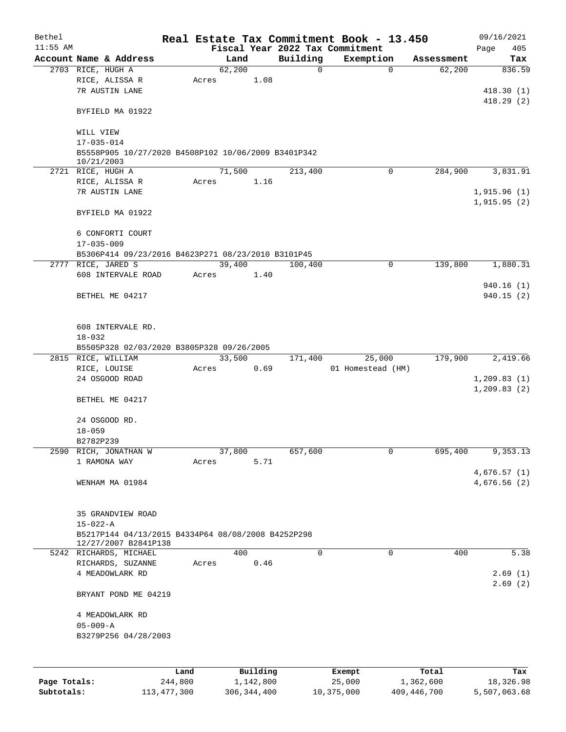| Bethel       |                                                     |                 |       |        |                       |             | Real Estate Tax Commitment Book - 13.450 |             |                    |      | 09/16/2021       |
|--------------|-----------------------------------------------------|-----------------|-------|--------|-----------------------|-------------|------------------------------------------|-------------|--------------------|------|------------------|
| $11:55$ AM   |                                                     |                 |       |        |                       |             | Fiscal Year 2022 Tax Commitment          |             |                    | Page | 405              |
|              | Account Name & Address                              |                 |       | Land   |                       | Building    | Exemption                                |             | Assessment         |      | Tax              |
|              | 2703 RICE, HUGH A                                   |                 |       | 62,200 |                       | $\mathbf 0$ |                                          | $\mathbf 0$ | 62,200             |      | 836.59           |
|              | RICE, ALISSA R<br>7R AUSTIN LANE                    |                 | Acres |        | 1.08                  |             |                                          |             |                    |      | 418.30(1)        |
|              |                                                     |                 |       |        |                       |             |                                          |             |                    |      | 418.29(2)        |
|              | BYFIELD MA 01922                                    |                 |       |        |                       |             |                                          |             |                    |      |                  |
|              | WILL VIEW                                           |                 |       |        |                       |             |                                          |             |                    |      |                  |
|              | $17 - 035 - 014$                                    |                 |       |        |                       |             |                                          |             |                    |      |                  |
|              | B5558P905 10/27/2020 B4508P102 10/06/2009 B3401P342 |                 |       |        |                       |             |                                          |             |                    |      |                  |
|              | 10/21/2003                                          |                 |       |        |                       |             |                                          |             |                    |      |                  |
|              | 2721 RICE, HUGH A                                   |                 |       | 71,500 |                       | 213,400     | 0                                        |             | 284,900            |      | 3,831.91         |
|              | RICE, ALISSA R                                      |                 | Acres |        | 1.16                  |             |                                          |             |                    |      |                  |
|              | 7R AUSTIN LANE                                      |                 |       |        |                       |             |                                          |             |                    |      | 1,915.96(1)      |
|              |                                                     |                 |       |        |                       |             |                                          |             |                    |      | 1,915.95(2)      |
|              | BYFIELD MA 01922                                    |                 |       |        |                       |             |                                          |             |                    |      |                  |
|              | 6 CONFORTI COURT                                    |                 |       |        |                       |             |                                          |             |                    |      |                  |
|              | $17 - 035 - 009$                                    |                 |       |        |                       |             |                                          |             |                    |      |                  |
|              | B5306P414 09/23/2016 B4623P271 08/23/2010 B3101P45  |                 |       |        |                       |             |                                          |             |                    |      |                  |
|              | 2777 RICE, JARED S                                  |                 |       | 39,400 |                       | 100,400     | $\mathbf 0$                              |             | 139,800            |      | 1,880.31         |
|              | 608 INTERVALE ROAD                                  |                 | Acres |        | 1.40                  |             |                                          |             |                    |      |                  |
|              |                                                     |                 |       |        |                       |             |                                          |             |                    |      | 940.16(1)        |
|              | BETHEL ME 04217                                     |                 |       |        |                       |             |                                          |             |                    |      | 940.15(2)        |
|              |                                                     |                 |       |        |                       |             |                                          |             |                    |      |                  |
|              |                                                     |                 |       |        |                       |             |                                          |             |                    |      |                  |
|              | 608 INTERVALE RD.                                   |                 |       |        |                       |             |                                          |             |                    |      |                  |
|              | $18 - 032$                                          |                 |       |        |                       |             |                                          |             |                    |      |                  |
|              | B5505P328 02/03/2020 B3805P328 09/26/2005           |                 |       |        |                       |             |                                          |             |                    |      |                  |
|              | 2815 RICE, WILLIAM                                  |                 |       | 33,500 |                       | 171,400     | 25,000                                   |             | 179,900            |      | 2,419.66         |
|              | RICE, LOUISE<br>24 OSGOOD ROAD                      |                 | Acres |        | 0.69                  |             | 01 Homestead (HM)                        |             |                    |      | 1, 209.83(1)     |
|              |                                                     |                 |       |        |                       |             |                                          |             |                    |      | 1, 209.83(2)     |
|              | BETHEL ME 04217                                     |                 |       |        |                       |             |                                          |             |                    |      |                  |
|              |                                                     |                 |       |        |                       |             |                                          |             |                    |      |                  |
|              | 24 OSGOOD RD.                                       |                 |       |        |                       |             |                                          |             |                    |      |                  |
|              | $18 - 059$                                          |                 |       |        |                       |             |                                          |             |                    |      |                  |
|              | B2782P239                                           |                 |       |        |                       |             |                                          |             |                    |      |                  |
|              | 2590 RICH, JONATHAN W                               |                 |       | 37,800 |                       | 657,600     | 0                                        |             | 695,400            |      | 9,353.13         |
|              | 1 RAMONA WAY                                        |                 | Acres |        | 5.71                  |             |                                          |             |                    |      |                  |
|              |                                                     |                 |       |        |                       |             |                                          |             |                    |      | 4,676.57(1)      |
|              | WENHAM MA 01984                                     |                 |       |        |                       |             |                                          |             |                    |      | 4,676.56(2)      |
|              |                                                     |                 |       |        |                       |             |                                          |             |                    |      |                  |
|              |                                                     |                 |       |        |                       |             |                                          |             |                    |      |                  |
|              | 35 GRANDVIEW ROAD<br>$15 - 022 - A$                 |                 |       |        |                       |             |                                          |             |                    |      |                  |
|              | B5217P144 04/13/2015 B4334P64 08/08/2008 B4252P298  |                 |       |        |                       |             |                                          |             |                    |      |                  |
|              | 12/27/2007 B2841P138                                |                 |       |        |                       |             |                                          |             |                    |      |                  |
|              | 5242 RICHARDS, MICHAEL                              |                 |       | 400    |                       | $\mathbf 0$ | $\mathbf 0$                              |             | 400                |      | 5.38             |
|              | RICHARDS, SUZANNE                                   |                 | Acres |        | 0.46                  |             |                                          |             |                    |      |                  |
|              | 4 MEADOWLARK RD                                     |                 |       |        |                       |             |                                          |             |                    |      | 2.69(1)          |
|              |                                                     |                 |       |        |                       |             |                                          |             |                    |      | 2.69(2)          |
|              | BRYANT POND ME 04219                                |                 |       |        |                       |             |                                          |             |                    |      |                  |
|              |                                                     |                 |       |        |                       |             |                                          |             |                    |      |                  |
|              | 4 MEADOWLARK RD                                     |                 |       |        |                       |             |                                          |             |                    |      |                  |
|              | $05 - 009 - A$<br>B3279P256 04/28/2003              |                 |       |        |                       |             |                                          |             |                    |      |                  |
|              |                                                     |                 |       |        |                       |             |                                          |             |                    |      |                  |
|              |                                                     |                 |       |        |                       |             |                                          |             |                    |      |                  |
|              |                                                     |                 |       |        |                       |             |                                          |             |                    |      |                  |
| Page Totals: |                                                     | Land<br>244,800 |       |        | Building<br>1,142,800 |             | Exempt<br>25,000                         |             | Total<br>1,362,600 |      | Tax<br>18,326.98 |
|              |                                                     |                 |       |        |                       |             |                                          |             |                    |      |                  |

**Subtotals:** 113,477,300 306,344,400 10,375,000 409,446,700 5,507,063.68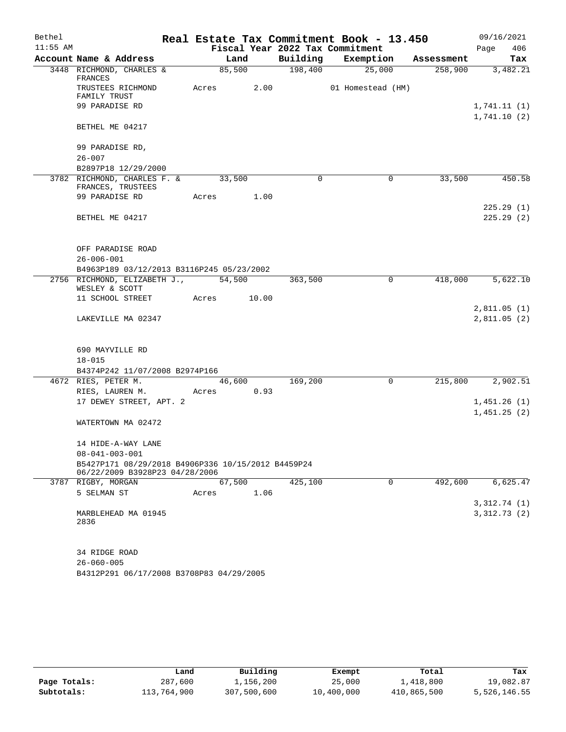| Bethel     |                                                                                      |       |        |       |             | Real Estate Tax Commitment Book - 13.450 |   |            | 09/16/2021  |
|------------|--------------------------------------------------------------------------------------|-------|--------|-------|-------------|------------------------------------------|---|------------|-------------|
| $11:55$ AM |                                                                                      |       |        |       |             | Fiscal Year 2022 Tax Commitment          |   |            | Page<br>406 |
|            | Account Name & Address                                                               |       | Land   |       | Building    | Exemption                                |   | Assessment | Tax         |
|            | 3448 RICHMOND, CHARLES &<br>FRANCES                                                  |       | 85,500 |       | 198,400     | 25,000                                   |   | 258,900    | 3,482.21    |
|            | TRUSTEES RICHMOND<br>FAMILY TRUST                                                    | Acres |        | 2.00  |             | 01 Homestead (HM)                        |   |            |             |
|            | 99 PARADISE RD                                                                       |       |        |       |             |                                          |   |            | 1,741.11(1) |
|            |                                                                                      |       |        |       |             |                                          |   |            | 1,741.10(2) |
|            | BETHEL ME 04217                                                                      |       |        |       |             |                                          |   |            |             |
|            | 99 PARADISE RD,                                                                      |       |        |       |             |                                          |   |            |             |
|            | $26 - 007$                                                                           |       |        |       |             |                                          |   |            |             |
|            | B2897P18 12/29/2000                                                                  |       |        |       |             |                                          |   |            |             |
|            | 3782 RICHMOND, CHARLES F. &<br>FRANCES, TRUSTEES                                     |       | 33,500 |       | $\mathbf 0$ |                                          | 0 | 33,500     | 450.58      |
|            | 99 PARADISE RD                                                                       | Acres |        | 1.00  |             |                                          |   |            |             |
|            |                                                                                      |       |        |       |             |                                          |   |            | 225.29(1)   |
|            | BETHEL ME 04217                                                                      |       |        |       |             |                                          |   |            | 225.29(2)   |
|            |                                                                                      |       |        |       |             |                                          |   |            |             |
|            | OFF PARADISE ROAD                                                                    |       |        |       |             |                                          |   |            |             |
|            | $26 - 006 - 001$                                                                     |       |        |       |             |                                          |   |            |             |
|            | B4963P189 03/12/2013 B3116P245 05/23/2002<br>2756 RICHMOND, ELIZABETH J.,            |       |        |       |             |                                          | 0 |            | 5,622.10    |
|            | WESLEY & SCOTT                                                                       |       | 54,500 |       | 363,500     |                                          |   | 418,000    |             |
|            | 11 SCHOOL STREET                                                                     | Acres |        | 10.00 |             |                                          |   |            |             |
|            |                                                                                      |       |        |       |             |                                          |   |            | 2,811.05(1) |
|            | LAKEVILLE MA 02347                                                                   |       |        |       |             |                                          |   |            | 2,811.05(2) |
|            |                                                                                      |       |        |       |             |                                          |   |            |             |
|            | 690 MAYVILLE RD                                                                      |       |        |       |             |                                          |   |            |             |
|            | $18 - 015$                                                                           |       |        |       |             |                                          |   |            |             |
|            | B4374P242 11/07/2008 B2974P166<br>4672 RIES, PETER M.                                |       | 46,600 |       | 169,200     |                                          | 0 | 215,800    | 2,902.51    |
|            | RIES, LAUREN M.                                                                      | Acres |        | 0.93  |             |                                          |   |            |             |
|            | 17 DEWEY STREET, APT. 2                                                              |       |        |       |             |                                          |   |            | 1,451.26(1) |
|            |                                                                                      |       |        |       |             |                                          |   |            | 1,451.25(2) |
|            | WATERTOWN MA 02472                                                                   |       |        |       |             |                                          |   |            |             |
|            | 14 HIDE-A-WAY LANE                                                                   |       |        |       |             |                                          |   |            |             |
|            | $08 - 041 - 003 - 001$                                                               |       |        |       |             |                                          |   |            |             |
|            | B5427P171 08/29/2018 B4906P336 10/15/2012 B4459P24<br>06/22/2009 B3928P23 04/28/2006 |       |        |       |             |                                          |   |            |             |
|            | 3787 RIGBY, MORGAN                                                                   |       | 67,500 |       | 425,100     |                                          | 0 | 492,600    | 6,625.47    |
|            | 5 SELMAN ST                                                                          | Acres |        | 1.06  |             |                                          |   |            |             |
|            |                                                                                      |       |        |       |             |                                          |   |            | 3,312.74(1) |
|            | MARBLEHEAD MA 01945<br>2836                                                          |       |        |       |             |                                          |   |            | 3,312.73(2) |
|            | 34 RIDGE ROAD                                                                        |       |        |       |             |                                          |   |            |             |
|            | $26 - 060 - 005$                                                                     |       |        |       |             |                                          |   |            |             |
|            | B4312P291 06/17/2008 B3708P83 04/29/2005                                             |       |        |       |             |                                          |   |            |             |

|              | Land        | Building    | Exempt     | Total       | Tax          |
|--------------|-------------|-------------|------------|-------------|--------------|
| Page Totals: | 287,600     | 1,156,200   | 25,000     | 1,418,800   | 19,082.87    |
| Subtotals:   | 113,764,900 | 307,500,600 | 10,400,000 | 410,865,500 | 5,526,146.55 |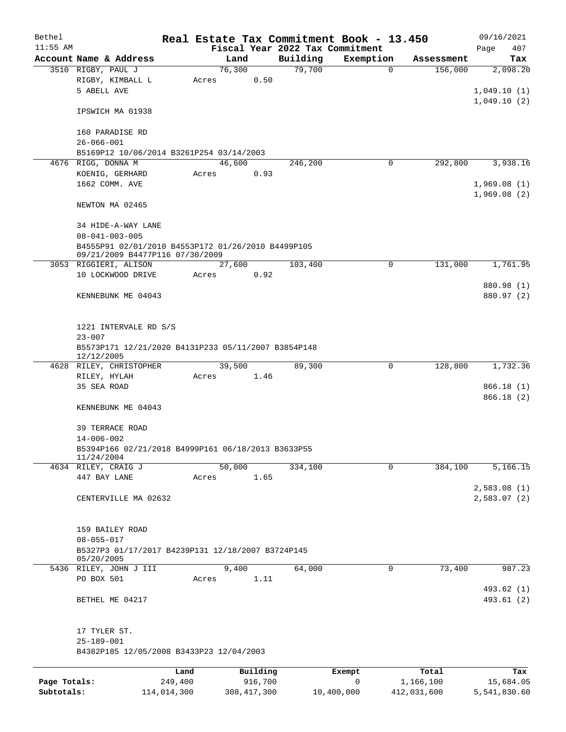| Bethel       |                                                                                       |                 |                 |                     |                                 | Real Estate Tax Commitment Book - 13.450 |                    | 09/16/2021                 |
|--------------|---------------------------------------------------------------------------------------|-----------------|-----------------|---------------------|---------------------------------|------------------------------------------|--------------------|----------------------------|
| $11:55$ AM   |                                                                                       |                 |                 |                     | Fiscal Year 2022 Tax Commitment |                                          |                    | Page<br>407                |
|              | Account Name & Address                                                                |                 | Land            |                     | Building                        | Exemption                                | Assessment         | Tax                        |
|              | 3510 RIGBY, PAUL J<br>RIGBY, KIMBALL L<br>5 ABELL AVE                                 |                 | 76,300<br>Acres | 0.50                | 79,700                          | $\mathbf 0$                              | 156,000            | 2,098.20<br>1,049.10(1)    |
|              | IPSWICH MA 01938                                                                      |                 |                 |                     |                                 |                                          |                    | 1,049.10(2)                |
|              | 160 PARADISE RD<br>$26 - 066 - 001$                                                   |                 |                 |                     |                                 |                                          |                    |                            |
|              | B5169P12 10/06/2014 B3261P254 03/14/2003                                              |                 |                 |                     |                                 |                                          |                    |                            |
|              | 4676 RIGG, DONNA M                                                                    |                 | 46,600          |                     | 246,200                         | 0                                        | 292,800            | 3,938.16                   |
|              | KOENIG, GERHARD                                                                       |                 | Acres           | 0.93                |                                 |                                          |                    |                            |
|              | 1662 COMM. AVE                                                                        |                 |                 |                     |                                 |                                          |                    | 1,969.08(1)<br>1,969.08(2) |
|              | NEWTON MA 02465                                                                       |                 |                 |                     |                                 |                                          |                    |                            |
|              | 34 HIDE-A-WAY LANE<br>$08 - 041 - 003 - 005$                                          |                 |                 |                     |                                 |                                          |                    |                            |
|              | B4555P91 02/01/2010 B4553P172 01/26/2010 B4499P105<br>09/21/2009 B4477P116 07/30/2009 |                 |                 |                     |                                 |                                          |                    |                            |
|              | 3053 RIGGIERI, ALISON                                                                 |                 | 27,600          |                     | 103,400                         | 0                                        | 131,000            | 1,761.95                   |
|              | 10 LOCKWOOD DRIVE                                                                     |                 | Acres           | 0.92                |                                 |                                          |                    |                            |
|              | KENNEBUNK ME 04043                                                                    |                 |                 |                     |                                 |                                          |                    | 880.98 (1)<br>880.97 (2)   |
|              | 1221 INTERVALE RD S/S<br>$23 - 007$                                                   |                 |                 |                     |                                 |                                          |                    |                            |
|              | B5573P171 12/21/2020 B4131P233 05/11/2007 B3854P148<br>12/12/2005                     |                 |                 |                     |                                 |                                          |                    |                            |
|              | 4628 RILEY, CHRISTOPHER                                                               |                 | 39,500          |                     | 89,300                          | $\mathbf 0$                              | 128,800            | 1,732.36                   |
|              | RILEY, HYLAH<br>35 SEA ROAD                                                           |                 | Acres           | 1.46                |                                 |                                          |                    | 866.18 (1)<br>866.18(2)    |
|              | KENNEBUNK ME 04043                                                                    |                 |                 |                     |                                 |                                          |                    |                            |
|              | <b>39 TERRACE ROAD</b><br>$14 - 006 - 002$                                            |                 |                 |                     |                                 |                                          |                    |                            |
|              | B5394P166 02/21/2018 B4999P161 06/18/2013 B3633P55<br>11/24/2004                      |                 |                 |                     |                                 |                                          |                    |                            |
|              | 4634 RILEY, CRAIG J                                                                   |                 | 50,000          |                     | 334,100                         | 0                                        | 384,100            | 5,166.15                   |
|              | 447 BAY LANE                                                                          |                 | Acres           | 1.65                |                                 |                                          |                    |                            |
|              | CENTERVILLE MA 02632                                                                  |                 |                 |                     |                                 |                                          |                    | 2,583.08(1)<br>2,583.07(2) |
|              | 159 BAILEY ROAD<br>$08 - 055 - 017$                                                   |                 |                 |                     |                                 |                                          |                    |                            |
|              | B5327P3 01/17/2017 B4239P131 12/18/2007 B3724P145<br>05/20/2005                       |                 |                 |                     |                                 |                                          |                    |                            |
|              | 5436 RILEY, JOHN J III                                                                |                 | 9,400           |                     | 64,000                          | 0                                        | 73,400             | 987.23                     |
|              | PO BOX 501                                                                            |                 | Acres           | 1.11                |                                 |                                          |                    | 493.62 (1)                 |
|              | BETHEL ME 04217                                                                       |                 |                 |                     |                                 |                                          |                    | 493.61 (2)                 |
|              | 17 TYLER ST.                                                                          |                 |                 |                     |                                 |                                          |                    |                            |
|              | $25 - 189 - 001$<br>B4382P185 12/05/2008 B3433P23 12/04/2003                          |                 |                 |                     |                                 |                                          |                    |                            |
|              |                                                                                       |                 |                 |                     |                                 |                                          |                    |                            |
| Page Totals: |                                                                                       | Land<br>249,400 |                 | Building<br>916,700 |                                 | Exempt<br>0                              | Total<br>1,166,100 | Tax<br>15,684.05           |

**Subtotals:** 114,014,300 308,417,300 10,400,000 412,031,600 5,541,830.60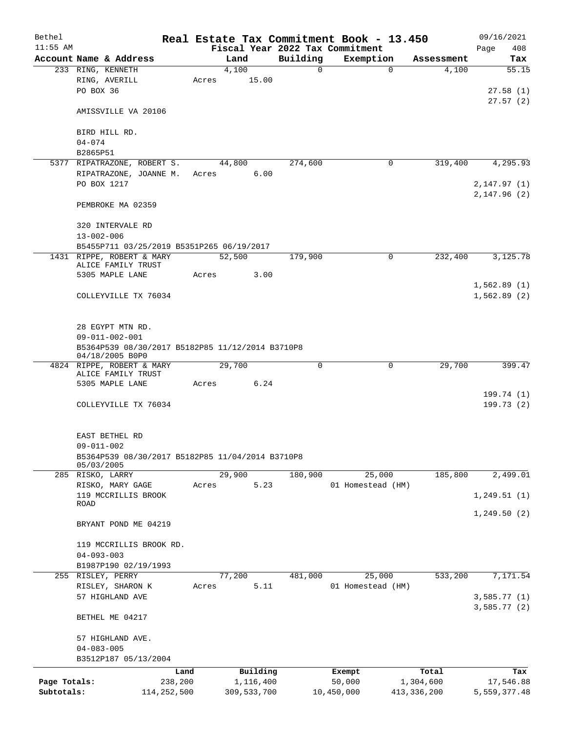| Bethel       |                                                  |       |             |          |          | Real Estate Tax Commitment Book - 13.450 |               | 09/16/2021   |
|--------------|--------------------------------------------------|-------|-------------|----------|----------|------------------------------------------|---------------|--------------|
| $11:55$ AM   |                                                  |       |             |          |          | Fiscal Year 2022 Tax Commitment          |               | Page<br>408  |
|              | Account Name & Address                           |       | Land        |          | Building | Exemption                                | Assessment    | Tax          |
|              | 233 RING, KENNETH                                |       | 4,100       |          | 0        | $\mathbf 0$                              | 4,100         | 55.15        |
|              | RING, AVERILL                                    | Acres |             | 15.00    |          |                                          |               |              |
|              | PO BOX 36                                        |       |             |          |          |                                          |               | 27.58(1)     |
|              |                                                  |       |             |          |          |                                          |               | 27.57(2)     |
|              | AMISSVILLE VA 20106                              |       |             |          |          |                                          |               |              |
|              | BIRD HILL RD.                                    |       |             |          |          |                                          |               |              |
|              | $04 - 074$                                       |       |             |          |          |                                          |               |              |
|              | B2865P51                                         |       |             |          |          |                                          |               |              |
|              | 5377 RIPATRAZONE, ROBERT S.                      |       | 44,800      |          | 274,600  | 0                                        | 319,400       | 4,295.93     |
|              | RIPATRAZONE, JOANNE M.                           | Acres |             | 6.00     |          |                                          |               |              |
|              | PO BOX 1217                                      |       |             |          |          |                                          |               | 2,147.97(1)  |
|              |                                                  |       |             |          |          |                                          |               | 2,147.96(2)  |
|              | PEMBROKE MA 02359                                |       |             |          |          |                                          |               |              |
|              |                                                  |       |             |          |          |                                          |               |              |
|              | 320 INTERVALE RD                                 |       |             |          |          |                                          |               |              |
|              | $13 - 002 - 006$                                 |       |             |          |          |                                          |               |              |
|              | B5455P711 03/25/2019 B5351P265 06/19/2017        |       |             |          |          |                                          |               |              |
|              | 1431 RIPPE, ROBERT & MARY                        |       | 52,500      |          | 179,900  | 0                                        | 232,400       | 3,125.78     |
|              | ALICE FAMILY TRUST                               |       |             |          |          |                                          |               |              |
|              | 5305 MAPLE LANE                                  | Acres |             | 3.00     |          |                                          |               |              |
|              |                                                  |       |             |          |          |                                          |               | 1,562.89(1)  |
|              | COLLEYVILLE TX 76034                             |       |             |          |          |                                          |               | 1,562.89(2)  |
|              |                                                  |       |             |          |          |                                          |               |              |
|              |                                                  |       |             |          |          |                                          |               |              |
|              | 28 EGYPT MTN RD.                                 |       |             |          |          |                                          |               |              |
|              | $09 - 011 - 002 - 001$                           |       |             |          |          |                                          |               |              |
|              | B5364P539 08/30/2017 B5182P85 11/12/2014 B3710P8 |       |             |          |          |                                          |               |              |
|              | 04/18/2005 B0P0                                  |       |             |          |          |                                          |               |              |
|              | 4824 RIPPE, ROBERT & MARY<br>ALICE FAMILY TRUST  |       | 29,700      |          | 0        | $\mathbf 0$                              | 29,700        | 399.47       |
|              | 5305 MAPLE LANE                                  | Acres | 6.24        |          |          |                                          |               |              |
|              |                                                  |       |             |          |          |                                          |               | 199.74 (1)   |
|              | COLLEYVILLE TX 76034                             |       |             |          |          |                                          |               | 199.73(2)    |
|              |                                                  |       |             |          |          |                                          |               |              |
|              |                                                  |       |             |          |          |                                          |               |              |
|              | EAST BETHEL RD                                   |       |             |          |          |                                          |               |              |
|              | $09 - 011 - 002$                                 |       |             |          |          |                                          |               |              |
|              | B5364P539 08/30/2017 B5182P85 11/04/2014 B3710P8 |       |             |          |          |                                          |               |              |
|              | 05/03/2005                                       |       |             |          |          |                                          |               |              |
|              | 285 RISKO, LARRY                                 |       | 29,900      |          | 180,900  | 25,000                                   | 185,800       | 2,499.01     |
|              | RISKO, MARY GAGE                                 | Acres |             | 5.23     |          | 01 Homestead (HM)                        |               |              |
|              | 119 MCCRILLIS BROOK                              |       |             |          |          |                                          |               | 1, 249.51(1) |
|              | ROAD                                             |       |             |          |          |                                          |               |              |
|              |                                                  |       |             |          |          |                                          |               | 1,249.50(2)  |
|              | BRYANT POND ME 04219                             |       |             |          |          |                                          |               |              |
|              |                                                  |       |             |          |          |                                          |               |              |
|              | 119 MCCRILLIS BROOK RD.<br>$04 - 093 - 003$      |       |             |          |          |                                          |               |              |
|              | B1987P190 02/19/1993                             |       |             |          |          |                                          |               |              |
|              | 255 RISLEY, PERRY                                |       | 77,200      |          | 481,000  | 25,000                                   | 533,200       | 7,171.54     |
|              | RISLEY, SHARON K                                 | Acres |             | 5.11     |          | 01 Homestead (HM)                        |               |              |
|              | 57 HIGHLAND AVE                                  |       |             |          |          |                                          |               | 3,585.77(1)  |
|              |                                                  |       |             |          |          |                                          |               | 3,585.77(2)  |
|              | BETHEL ME 04217                                  |       |             |          |          |                                          |               |              |
|              |                                                  |       |             |          |          |                                          |               |              |
|              | 57 HIGHLAND AVE.                                 |       |             |          |          |                                          |               |              |
|              | $04 - 083 - 005$                                 |       |             |          |          |                                          |               |              |
|              | B3512P187 05/13/2004                             |       |             |          |          |                                          |               |              |
|              |                                                  |       |             | Building |          |                                          | Total         | Tax          |
| Page Totals: | 238,200                                          | Land  | 1,116,400   |          |          | Exempt<br>50,000                         | 1,304,600     | 17,546.88    |
| Subtotals:   | 114, 252, 500                                    |       | 309,533,700 |          |          | 10,450,000                               | 413, 336, 200 | 5,559,377.48 |
|              |                                                  |       |             |          |          |                                          |               |              |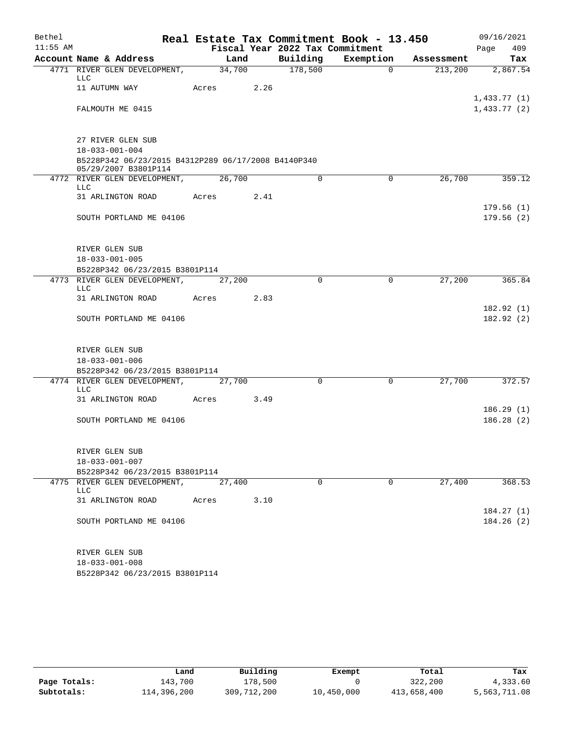| Bethel     |                                                                             |       |        |      |                                             | Real Estate Tax Commitment Book - 13.450 |            | 09/16/2021                 |            |
|------------|-----------------------------------------------------------------------------|-------|--------|------|---------------------------------------------|------------------------------------------|------------|----------------------------|------------|
| $11:55$ AM | Account Name & Address                                                      |       | Land   |      | Fiscal Year 2022 Tax Commitment<br>Building | Exemption                                | Assessment | Page                       | 409<br>Tax |
|            | 4771 RIVER GLEN DEVELOPMENT,                                                |       | 34,700 |      | 178,500                                     | $\Omega$                                 | 213,200    | 2,867.54                   |            |
|            | <b>LLC</b>                                                                  |       |        |      |                                             |                                          |            |                            |            |
|            | 11 AUTUMN WAY                                                               | Acres |        | 2.26 |                                             |                                          |            |                            |            |
|            | FALMOUTH ME 0415                                                            |       |        |      |                                             |                                          |            | 1,433.77(1)<br>1,433.77(2) |            |
|            | 27 RIVER GLEN SUB                                                           |       |        |      |                                             |                                          |            |                            |            |
|            | $18 - 033 - 001 - 004$                                                      |       |        |      |                                             |                                          |            |                            |            |
|            | B5228P342 06/23/2015 B4312P289 06/17/2008 B4140P340<br>05/29/2007 B3801P114 |       |        |      |                                             |                                          |            |                            |            |
|            | 4772 RIVER GLEN DEVELOPMENT,<br>LLC                                         |       | 26,700 |      | 0                                           | 0                                        | 26,700     | 359.12                     |            |
|            | 31 ARLINGTON ROAD                                                           | Acres |        | 2.41 |                                             |                                          |            |                            |            |
|            | SOUTH PORTLAND ME 04106                                                     |       |        |      |                                             |                                          |            | 179.56(1)<br>179.56(2)     |            |
|            |                                                                             |       |        |      |                                             |                                          |            |                            |            |
|            | RIVER GLEN SUB                                                              |       |        |      |                                             |                                          |            |                            |            |
|            | $18 - 033 - 001 - 005$                                                      |       |        |      |                                             |                                          |            |                            |            |
|            | B5228P342 06/23/2015 B3801P114                                              |       |        |      |                                             |                                          |            |                            |            |
|            | 4773 RIVER GLEN DEVELOPMENT,<br><b>LLC</b>                                  |       | 27,200 |      | $\Omega$                                    | 0                                        | 27,200     | 365.84                     |            |
|            | 31 ARLINGTON ROAD                                                           | Acres |        | 2.83 |                                             |                                          |            |                            |            |
|            | SOUTH PORTLAND ME 04106                                                     |       |        |      |                                             |                                          |            | 182.92(1)<br>182.92(2)     |            |
|            |                                                                             |       |        |      |                                             |                                          |            |                            |            |
|            | RIVER GLEN SUB                                                              |       |        |      |                                             |                                          |            |                            |            |
|            | $18 - 033 - 001 - 006$                                                      |       |        |      |                                             |                                          |            |                            |            |
|            | B5228P342 06/23/2015 B3801P114<br>4774 RIVER GLEN DEVELOPMENT,              |       | 27,700 |      | $\Omega$                                    | $\mathbf 0$                              | 27,700     | 372.57                     |            |
|            | LLC                                                                         |       |        |      |                                             |                                          |            |                            |            |
|            | 31 ARLINGTON ROAD                                                           | Acres |        | 3.49 |                                             |                                          |            |                            |            |
|            | SOUTH PORTLAND ME 04106                                                     |       |        |      |                                             |                                          |            | 186.29(1)<br>186.28(2)     |            |
|            |                                                                             |       |        |      |                                             |                                          |            |                            |            |
|            | RIVER GLEN SUB                                                              |       |        |      |                                             |                                          |            |                            |            |
|            | $18 - 033 - 001 - 007$                                                      |       |        |      |                                             |                                          |            |                            |            |
|            | B5228P342 06/23/2015 B3801P114                                              |       |        |      |                                             |                                          |            |                            |            |
|            | 4775 RIVER GLEN DEVELOPMENT,<br><b>LLC</b>                                  |       | 27,400 |      | 0                                           | $\mathbf 0$                              | 27,400     | 368.53                     |            |
|            | 31 ARLINGTON ROAD                                                           | Acres |        | 3.10 |                                             |                                          |            |                            |            |
|            | SOUTH PORTLAND ME 04106                                                     |       |        |      |                                             |                                          |            | 184.27(1)<br>184.26(2)     |            |
|            |                                                                             |       |        |      |                                             |                                          |            |                            |            |
|            | RIVER GLEN SUB<br>$18 - 033 - 001 - 008$                                    |       |        |      |                                             |                                          |            |                            |            |

B5228P342 06/23/2015 B3801P114

|              | Land        | Building    | Exempt     | Total       | Tax          |
|--------------|-------------|-------------|------------|-------------|--------------|
| Page Totals: | 143,700     | 178,500     |            | 322,200     | 4,333.60     |
| Subtotals:   | 114,396,200 | 309,712,200 | 10,450,000 | 413,658,400 | 5,563,711.08 |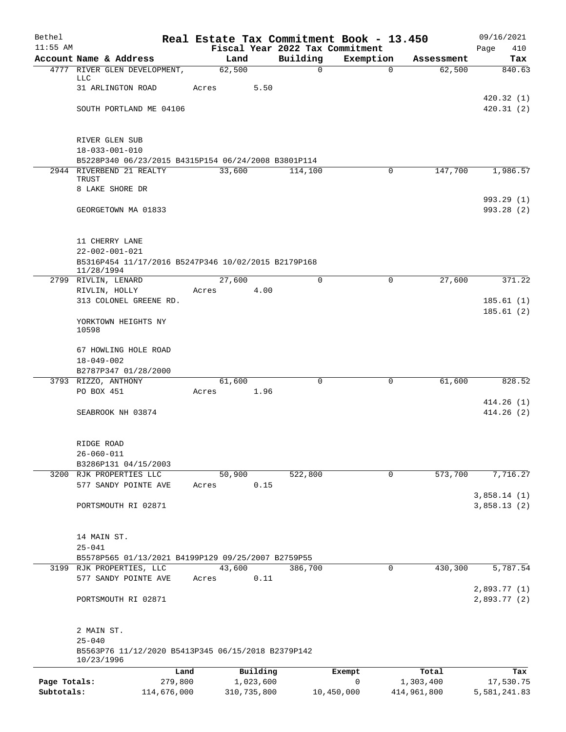| Bethel       |                                                                  | Real Estate Tax Commitment Book - 13.450 |                                             |                          |                      | 09/16/2021                 |
|--------------|------------------------------------------------------------------|------------------------------------------|---------------------------------------------|--------------------------|----------------------|----------------------------|
| $11:55$ AM   | Account Name & Address                                           |                                          | Fiscal Year 2022 Tax Commitment<br>Building |                          |                      | Page<br>410                |
|              | 4777 RIVER GLEN DEVELOPMENT,                                     | Land<br>62,500                           | $\mathbf 0$                                 | Exemption<br>$\mathbf 0$ | Assessment<br>62,500 | Tax<br>840.63              |
|              | LLC                                                              |                                          |                                             |                          |                      |                            |
|              | 31 ARLINGTON ROAD                                                | Acres                                    | 5.50                                        |                          |                      | 420.32(1)                  |
|              | SOUTH PORTLAND ME 04106                                          |                                          |                                             |                          |                      | 420.31(2)                  |
|              |                                                                  |                                          |                                             |                          |                      |                            |
|              | RIVER GLEN SUB                                                   |                                          |                                             |                          |                      |                            |
|              | $18 - 033 - 001 - 010$                                           |                                          |                                             |                          |                      |                            |
|              | B5228P340 06/23/2015 B4315P154 06/24/2008 B3801P114              |                                          |                                             |                          |                      |                            |
|              | 2944 RIVERBEND 21 REALTY                                         | 33,600                                   | 114,100                                     | 0                        | 147,700              | 1,986.57                   |
|              | TRUST<br>8 LAKE SHORE DR                                         |                                          |                                             |                          |                      |                            |
|              |                                                                  |                                          |                                             |                          |                      | 993.29 (1)                 |
|              | GEORGETOWN MA 01833                                              |                                          |                                             |                          |                      | 993.28 (2)                 |
|              | 11 CHERRY LANE                                                   |                                          |                                             |                          |                      |                            |
|              | $22 - 002 - 001 - 021$                                           |                                          |                                             |                          |                      |                            |
|              | B5316P454 11/17/2016 B5247P346 10/02/2015 B2179P168              |                                          |                                             |                          |                      |                            |
|              | 11/28/1994                                                       |                                          |                                             |                          |                      |                            |
|              | 2799 RIVLIN, LENARD<br>RIVLIN, HOLLY                             | 27,600<br>4.00<br>Acres                  | 0                                           | 0                        | 27,600               | 371.22                     |
|              | 313 COLONEL GREENE RD.                                           |                                          |                                             |                          |                      | 185.61(1)                  |
|              |                                                                  |                                          |                                             |                          |                      | 185.61(2)                  |
|              | YORKTOWN HEIGHTS NY<br>10598                                     |                                          |                                             |                          |                      |                            |
|              | 67 HOWLING HOLE ROAD                                             |                                          |                                             |                          |                      |                            |
|              | $18 - 049 - 002$                                                 |                                          |                                             |                          |                      |                            |
|              | B2787P347 01/28/2000                                             |                                          |                                             |                          |                      |                            |
|              | 3793 RIZZO, ANTHONY<br>PO BOX 451                                | 61,600<br>Acres                          | 0<br>1.96                                   | 0                        | 61,600               | 828.52                     |
|              |                                                                  |                                          |                                             |                          |                      | 414.26(1)                  |
|              | SEABROOK NH 03874                                                |                                          |                                             |                          |                      | 414.26(2)                  |
|              |                                                                  |                                          |                                             |                          |                      |                            |
|              | RIDGE ROAD<br>$26 - 060 - 011$                                   |                                          |                                             |                          |                      |                            |
|              | B3286P131 04/15/2003                                             |                                          |                                             |                          |                      |                            |
|              | 3200 RJK PROPERTIES LLC                                          | 50,900                                   | 522,800                                     | $\mathsf{O}$             | 573,700              | 7,716.27                   |
|              | 577 SANDY POINTE AVE                                             | Acres                                    | 0.15                                        |                          |                      |                            |
|              | PORTSMOUTH RI 02871                                              |                                          |                                             |                          |                      | 3,858.14(1)<br>3,858.13(2) |
|              |                                                                  |                                          |                                             |                          |                      |                            |
|              | 14 MAIN ST.                                                      |                                          |                                             |                          |                      |                            |
|              | $25 - 041$                                                       |                                          |                                             |                          |                      |                            |
|              | B5578P565 01/13/2021 B4199P129 09/25/2007 B2759P55               |                                          |                                             |                          |                      |                            |
|              | 3199 RJK PROPERTIES, LLC<br>577 SANDY POINTE AVE                 | 43,600<br>Acres                          | 386,700<br>0.11                             | 0                        | 430,300              | 5,787.54                   |
|              |                                                                  |                                          |                                             |                          |                      | 2,893.77 (1)               |
|              | PORTSMOUTH RI 02871                                              |                                          |                                             |                          |                      | 2,893.77 (2)               |
|              |                                                                  |                                          |                                             |                          |                      |                            |
|              | 2 MAIN ST.<br>$25 - 040$                                         |                                          |                                             |                          |                      |                            |
|              | B5563P76 11/12/2020 B5413P345 06/15/2018 B2379P142<br>10/23/1996 |                                          |                                             |                          |                      |                            |
|              | Land                                                             | Building                                 |                                             | Exempt                   | Total                | Tax                        |
| Page Totals: | 279,800                                                          | 1,023,600                                |                                             | 0                        | 1,303,400            | 17,530.75                  |
| Subtotals:   | 114,676,000                                                      | 310,735,800                              |                                             | 10,450,000               | 414,961,800          | 5,581,241.83               |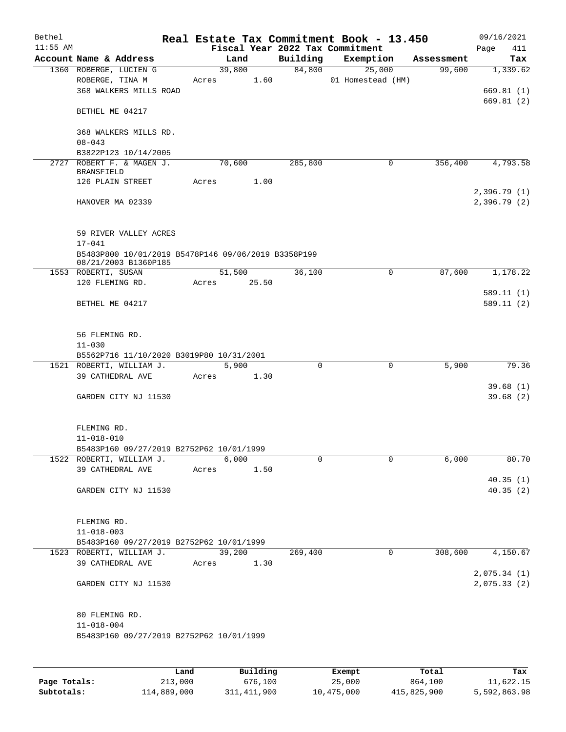| Bethel     |                                                     |       |                 |      |                    | Real Estate Tax Commitment Book - 13.450 |            | 09/16/2021   |
|------------|-----------------------------------------------------|-------|-----------------|------|--------------------|------------------------------------------|------------|--------------|
| $11:55$ AM |                                                     |       |                 |      |                    | Fiscal Year 2022 Tax Commitment          |            | Page<br>411  |
|            | Account Name & Address                              |       | Land            |      | Building<br>84,800 | Exemption                                | Assessment | Tax          |
|            | 1360 ROBERGE, LUCIEN G<br>ROBERGE, TINA M           |       | 39,800<br>Acres | 1.60 |                    | 25,000<br>01 Homestead (HM)              | 99,600     | 1,339.62     |
|            | 368 WALKERS MILLS ROAD                              |       |                 |      |                    |                                          |            | 669.81(1)    |
|            |                                                     |       |                 |      |                    |                                          |            | 669.81(2)    |
|            | BETHEL ME 04217                                     |       |                 |      |                    |                                          |            |              |
|            | 368 WALKERS MILLS RD.                               |       |                 |      |                    |                                          |            |              |
|            | $08 - 043$                                          |       |                 |      |                    |                                          |            |              |
|            | B3822P123 10/14/2005                                |       |                 |      |                    |                                          |            |              |
|            | 2727 ROBERT F. & MAGEN J.<br><b>BRANSFIELD</b>      |       | 70,600          |      | 285,800            | 0                                        | 356,400    | 4,793.58     |
|            | 126 PLAIN STREET                                    |       | Acres           | 1.00 |                    |                                          |            |              |
|            |                                                     |       |                 |      |                    |                                          |            | 2,396.79(1)  |
|            | HANOVER MA 02339                                    |       |                 |      |                    |                                          |            | 2,396.79 (2) |
|            | 59 RIVER VALLEY ACRES                               |       |                 |      |                    |                                          |            |              |
|            | $17 - 041$                                          |       |                 |      |                    |                                          |            |              |
|            | B5483P800 10/01/2019 B5478P146 09/06/2019 B3358P199 |       |                 |      |                    |                                          |            |              |
|            | 08/21/2003 B1360P185<br>1553 ROBERTI, SUSAN         |       | 51,500          |      | 36,100             | $\mathbf 0$                              | 87,600     | 1,178.22     |
|            | 120 FLEMING RD.                                     |       | Acres 25.50     |      |                    |                                          |            |              |
|            |                                                     |       |                 |      |                    |                                          |            | 589.11(1)    |
|            | BETHEL ME 04217                                     |       |                 |      |                    |                                          |            | 589.11(2)    |
|            |                                                     |       |                 |      |                    |                                          |            |              |
|            | 56 FLEMING RD.                                      |       |                 |      |                    |                                          |            |              |
|            | $11 - 030$                                          |       |                 |      |                    |                                          |            |              |
|            | B5562P716 11/10/2020 B3019P80 10/31/2001            |       |                 |      |                    |                                          |            |              |
|            | 1521 ROBERTI, WILLIAM J.                            |       | 5,900           |      | $\mathbf 0$        | 0                                        | 5,900      | 79.36        |
|            | 39 CATHEDRAL AVE                                    | Acres |                 | 1.30 |                    |                                          |            |              |
|            |                                                     |       |                 |      |                    |                                          |            | 39.68(1)     |
|            | GARDEN CITY NJ 11530                                |       |                 |      |                    |                                          |            | 39.68(2)     |
|            | FLEMING RD.                                         |       |                 |      |                    |                                          |            |              |
|            | $11 - 018 - 010$                                    |       |                 |      |                    |                                          |            |              |
|            | B5483P160 09/27/2019 B2752P62 10/01/1999            |       |                 |      |                    |                                          |            |              |
|            | 1522 ROBERTI, WILLIAM J.<br>39 CATHEDRAL AVE        |       | 6,000           |      | $\Omega$           | 0                                        | 6,000      | 80.70        |
|            |                                                     | Acres |                 | 1.50 |                    |                                          |            | 40.35(1)     |
|            | GARDEN CITY NJ 11530                                |       |                 |      |                    |                                          |            | 40.35(2)     |
|            |                                                     |       |                 |      |                    |                                          |            |              |
|            | FLEMING RD.                                         |       |                 |      |                    |                                          |            |              |
|            | $11 - 018 - 003$                                    |       |                 |      |                    |                                          |            |              |
|            | B5483P160 09/27/2019 B2752P62 10/01/1999            |       |                 |      |                    |                                          |            |              |
|            | 1523 ROBERTI, WILLIAM J.                            |       | 39,200          |      | 269,400            | 0                                        | 308,600    | 4,150.67     |
|            | 39 CATHEDRAL AVE                                    | Acres |                 | 1.30 |                    |                                          |            | 2,075.34(1)  |
|            | GARDEN CITY NJ 11530                                |       |                 |      |                    |                                          |            | 2,075.33(2)  |
|            |                                                     |       |                 |      |                    |                                          |            |              |
|            | 80 FLEMING RD.                                      |       |                 |      |                    |                                          |            |              |
|            | $11 - 018 - 004$                                    |       |                 |      |                    |                                          |            |              |
|            | B5483P160 09/27/2019 B2752P62 10/01/1999            |       |                 |      |                    |                                          |            |              |
|            |                                                     |       |                 |      |                    |                                          |            |              |
|            |                                                     |       |                 |      |                    |                                          |            |              |

|              | Land        | Building    | Exempt     | Total       | Tax          |
|--------------|-------------|-------------|------------|-------------|--------------|
| Page Totals: | 213,000     | 676,100     | 25,000     | 864,100     | 11,622.15    |
| Subtotals:   | 114,889,000 | 311,411,900 | 10,475,000 | 415,825,900 | 5,592,863.98 |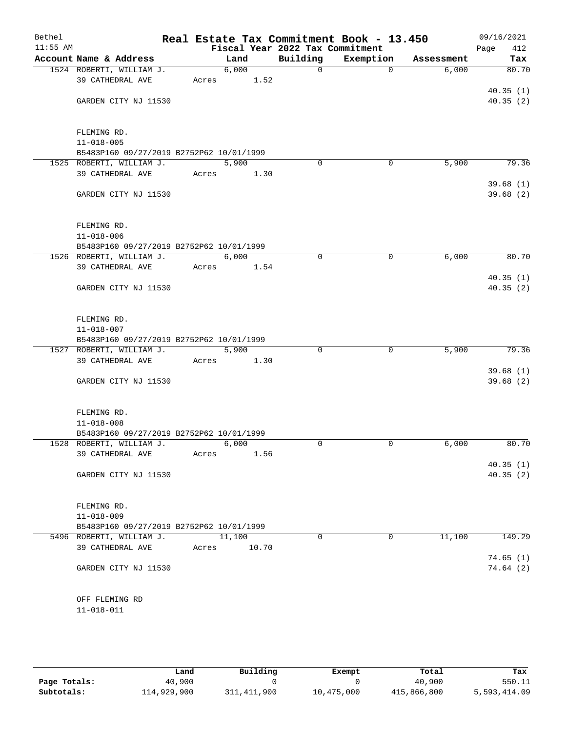| Bethel     |                                              |       |               |                                 | Real Estate Tax Commitment Book - 13.450 |            | 09/16/2021           |
|------------|----------------------------------------------|-------|---------------|---------------------------------|------------------------------------------|------------|----------------------|
| $11:55$ AM |                                              |       |               | Fiscal Year 2022 Tax Commitment |                                          |            | Page<br>412          |
|            | Account Name & Address                       |       | Land          | Building                        | Exemption                                | Assessment | Tax                  |
|            | 1524 ROBERTI, WILLIAM J.<br>39 CATHEDRAL AVE | Acres | 6,000<br>1.52 | $\mathsf{O}$                    | $\Omega$                                 | 6,000      | 80.70                |
|            | GARDEN CITY NJ 11530                         |       |               |                                 |                                          |            | 40.35(1)<br>40.35(2) |
|            | FLEMING RD.                                  |       |               |                                 |                                          |            |                      |
|            | $11 - 018 - 005$                             |       |               |                                 |                                          |            |                      |
|            | B5483P160 09/27/2019 B2752P62 10/01/1999     |       |               |                                 |                                          |            |                      |
|            | 1525 ROBERTI, WILLIAM J.                     |       | 5,900         | $\Omega$                        | 0                                        | 5,900      | 79.36                |
|            | 39 CATHEDRAL AVE                             | Acres | 1.30          |                                 |                                          |            |                      |
|            | GARDEN CITY NJ 11530                         |       |               |                                 |                                          |            | 39.68(1)<br>39.68(2) |
|            | FLEMING RD.<br>$11 - 018 - 006$              |       |               |                                 |                                          |            |                      |
|            | B5483P160 09/27/2019 B2752P62 10/01/1999     |       |               |                                 |                                          |            |                      |
|            | 1526 ROBERTI, WILLIAM J.                     |       | 6,000         | $\mathbf 0$                     | $\mathbf 0$                              | 6,000      | 80.70                |
|            | 39 CATHEDRAL AVE                             | Acres | 1.54          |                                 |                                          |            |                      |
|            |                                              |       |               |                                 |                                          |            | 40.35(1)             |
|            | GARDEN CITY NJ 11530                         |       |               |                                 |                                          |            | 40.35(2)             |
|            | FLEMING RD.                                  |       |               |                                 |                                          |            |                      |
|            | $11 - 018 - 007$                             |       |               |                                 |                                          |            |                      |
|            | B5483P160 09/27/2019 B2752P62 10/01/1999     |       |               |                                 |                                          |            |                      |
|            | 1527 ROBERTI, WILLIAM J.<br>39 CATHEDRAL AVE | Acres | 5,900<br>1.30 | 0                               | 0                                        | 5,900      | 79.36                |
|            |                                              |       |               |                                 |                                          |            | 39.68(1)             |
|            | GARDEN CITY NJ 11530                         |       |               |                                 |                                          |            | 39.68(2)             |
|            | FLEMING RD.                                  |       |               |                                 |                                          |            |                      |
|            | $11 - 018 - 008$                             |       |               |                                 |                                          |            |                      |
|            | B5483P160 09/27/2019 B2752P62 10/01/1999     |       |               |                                 |                                          |            |                      |
|            | 1528 ROBERTI, WILLIAM J.                     |       | 6,000         | $\Omega$                        | 0                                        | 6,000      | 80.70                |
|            | 39 CATHEDRAL AVE                             | Acres | 1.56          |                                 |                                          |            |                      |
|            | GARDEN CITY NJ 11530                         |       |               |                                 |                                          |            | 40.35(1)<br>40.35(2) |
|            | FLEMING RD.                                  |       |               |                                 |                                          |            |                      |
|            | $11 - 018 - 009$                             |       |               |                                 |                                          |            |                      |
|            | B5483P160 09/27/2019 B2752P62 10/01/1999     |       |               |                                 |                                          |            |                      |
|            | 5496 ROBERTI, WILLIAM J.                     |       | 11,100        | $\Omega$                        | $\Omega$                                 | 11,100     | 149.29               |
|            | 39 CATHEDRAL AVE                             | Acres | 10.70         |                                 |                                          |            |                      |
|            |                                              |       |               |                                 |                                          |            | 74.65(1)             |
|            | GARDEN CITY NJ 11530                         |       |               |                                 |                                          |            | 74.64(2)             |
|            | OFF FLEMING RD                               |       |               |                                 |                                          |            |                      |
|            | 11-018-011                                   |       |               |                                 |                                          |            |                      |

|              | Land        | Building    | Exempt     | Total       | Tax          |
|--------------|-------------|-------------|------------|-------------|--------------|
| Page Totals: | 40,900      |             |            | 40,900      | 550.11       |
| Subtotals:   | 114,929,900 | 311,411,900 | 10,475,000 | 415,866,800 | 5,593,414.09 |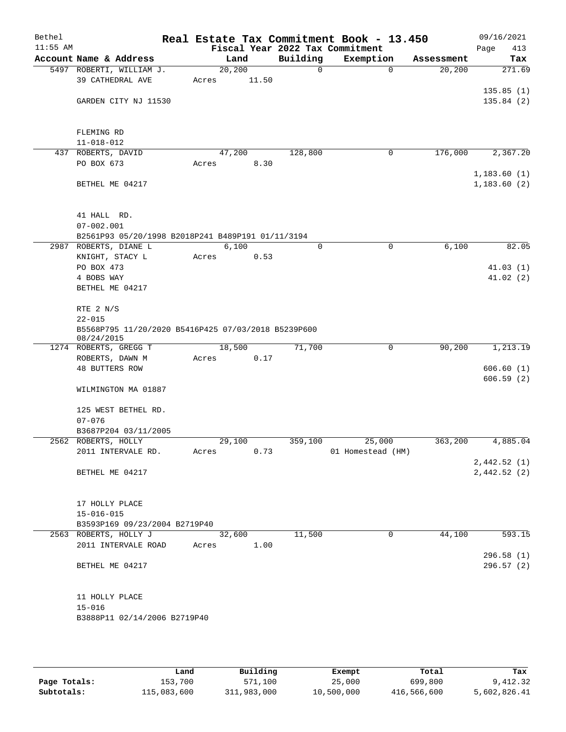| Bethel     |                                                                   |       |                 |      |             | Real Estate Tax Commitment Book - 13.450 |            | 09/16/2021  |
|------------|-------------------------------------------------------------------|-------|-----------------|------|-------------|------------------------------------------|------------|-------------|
| $11:55$ AM |                                                                   |       |                 |      |             | Fiscal Year 2022 Tax Commitment          |            | Page<br>413 |
|            | Account Name & Address                                            |       | Land            |      | Building    | Exemption                                | Assessment | Tax         |
|            | 5497 ROBERTI, WILLIAM J.<br>39 CATHEDRAL AVE                      |       | 20,200<br>11.50 |      | $\mathbf 0$ | $\Omega$                                 | 20, 200    | 271.69      |
|            |                                                                   | Acres |                 |      |             |                                          |            | 135.85(1)   |
|            | GARDEN CITY NJ 11530                                              |       |                 |      |             |                                          |            | 135.84(2)   |
|            |                                                                   |       |                 |      |             |                                          |            |             |
|            |                                                                   |       |                 |      |             |                                          |            |             |
|            | FLEMING RD                                                        |       |                 |      |             |                                          |            |             |
|            | $11 - 018 - 012$                                                  |       |                 |      |             |                                          |            |             |
|            | 437 ROBERTS, DAVID                                                |       | 47,200          |      | 128,800     | $\mathbf 0$                              | 176,000    | 2,367.20    |
|            | PO BOX 673                                                        | Acres |                 | 8.30 |             |                                          |            |             |
|            |                                                                   |       |                 |      |             |                                          |            | 1,183.60(1) |
|            | BETHEL ME 04217                                                   |       |                 |      |             |                                          |            | 1,183.60(2) |
|            | 41 HALL RD.                                                       |       |                 |      |             |                                          |            |             |
|            | $07 - 002.001$                                                    |       |                 |      |             |                                          |            |             |
|            | B2561P93 05/20/1998 B2018P241 B489P191 01/11/3194                 |       |                 |      |             |                                          |            |             |
|            | 2987 ROBERTS, DIANE L                                             |       | 6,100           |      | $\mathbf 0$ | 0                                        | 6,100      | 82.05       |
|            | KNIGHT, STACY L                                                   | Acres |                 | 0.53 |             |                                          |            |             |
|            | PO BOX 473                                                        |       |                 |      |             |                                          |            | 41.03(1)    |
|            | 4 BOBS WAY                                                        |       |                 |      |             |                                          |            | 41.02(2)    |
|            | BETHEL ME 04217                                                   |       |                 |      |             |                                          |            |             |
|            | RTE 2 N/S                                                         |       |                 |      |             |                                          |            |             |
|            | $22 - 015$                                                        |       |                 |      |             |                                          |            |             |
|            | B5568P795 11/20/2020 B5416P425 07/03/2018 B5239P600<br>08/24/2015 |       |                 |      |             |                                          |            |             |
|            | 1274 ROBERTS, GREGG T                                             |       | 18,500          |      | 71,700      | 0                                        | 90,200     | 1,213.19    |
|            | ROBERTS, DAWN M                                                   | Acres |                 | 0.17 |             |                                          |            |             |
|            | <b>48 BUTTERS ROW</b>                                             |       |                 |      |             |                                          |            | 606.60(1)   |
|            | WILMINGTON MA 01887                                               |       |                 |      |             |                                          |            | 606.59(2)   |
|            |                                                                   |       |                 |      |             |                                          |            |             |
|            | 125 WEST BETHEL RD.                                               |       |                 |      |             |                                          |            |             |
|            | $07 - 076$                                                        |       |                 |      |             |                                          |            |             |
|            | B3687P204 03/11/2005                                              |       |                 |      |             |                                          |            |             |
|            | 2562 ROBERTS, HOLLY                                               |       | 29,100          |      | 359,100     | 25,000                                   | 363,200    | 4,885.04    |
|            | 2011 INTERVALE RD.                                                | Acres |                 | 0.73 |             | 01 Homestead (HM)                        |            |             |
|            |                                                                   |       |                 |      |             |                                          |            | 2,442.52(1) |
|            | BETHEL ME 04217                                                   |       |                 |      |             |                                          |            | 2,442.52(2) |
|            | 17 HOLLY PLACE                                                    |       |                 |      |             |                                          |            |             |
|            | $15 - 016 - 015$                                                  |       |                 |      |             |                                          |            |             |
|            | B3593P169 09/23/2004 B2719P40                                     |       |                 |      |             |                                          |            |             |
|            | 2563 ROBERTS, HOLLY J                                             |       | 32,600          |      | 11,500      | 0                                        | 44,100     | 593.15      |
|            | 2011 INTERVALE ROAD                                               | Acres |                 | 1.00 |             |                                          |            |             |
|            |                                                                   |       |                 |      |             |                                          |            | 296.58(1)   |
|            | BETHEL ME 04217                                                   |       |                 |      |             |                                          |            | 296.57(2)   |
|            |                                                                   |       |                 |      |             |                                          |            |             |
|            | 11 HOLLY PLACE                                                    |       |                 |      |             |                                          |            |             |
|            | $15 - 016$                                                        |       |                 |      |             |                                          |            |             |
|            | B3888P11 02/14/2006 B2719P40                                      |       |                 |      |             |                                          |            |             |
|            |                                                                   |       |                 |      |             |                                          |            |             |

|              | Land        | Building    | Exempt     | Total       | Tax          |
|--------------|-------------|-------------|------------|-------------|--------------|
| Page Totals: | 153,700     | 571,100     | 25,000     | 699,800     | 9,412.32     |
| Subtotals:   | 115,083,600 | 311,983,000 | 10,500,000 | 416,566,600 | 5,602,826.41 |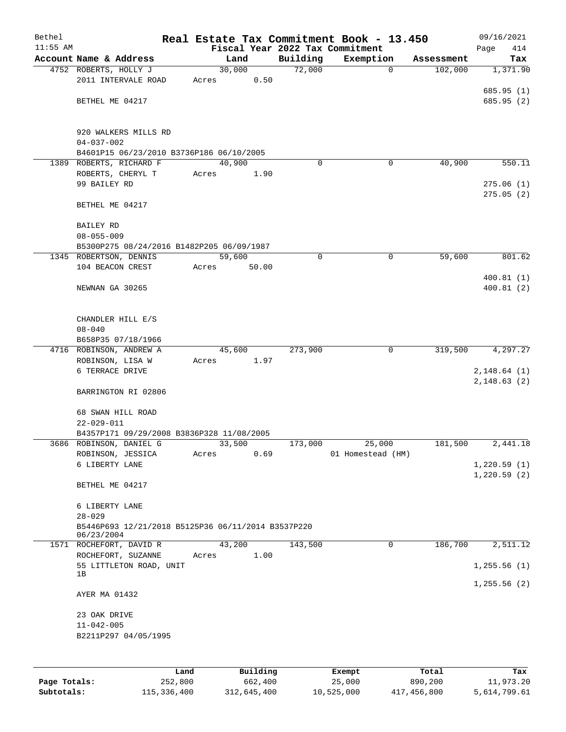| Bethel     |                                                                  |       |        |          |          | Real Estate Tax Commitment Book - 13.450 |                      | 09/16/2021   |
|------------|------------------------------------------------------------------|-------|--------|----------|----------|------------------------------------------|----------------------|--------------|
| $11:55$ AM |                                                                  |       |        |          |          | Fiscal Year 2022 Tax Commitment          |                      | 414<br>Page  |
|            | Account Name & Address                                           |       |        | Land     | Building | Exemption                                | Assessment           | Tax          |
|            | 4752 ROBERTS, HOLLY J                                            |       | 30,000 |          | 72,000   | $\mathbf 0$                              | 102,000              | 1,371.90     |
|            | 2011 INTERVALE ROAD                                              | Acres |        | 0.50     |          |                                          |                      | 685.95(1)    |
|            | BETHEL ME 04217                                                  |       |        |          |          |                                          |                      | 685.95(2)    |
|            |                                                                  |       |        |          |          |                                          |                      |              |
|            | 920 WALKERS MILLS RD                                             |       |        |          |          |                                          |                      |              |
|            | $04 - 037 - 002$<br>B4601P15 06/23/2010 B3736P186 06/10/2005     |       |        |          |          |                                          |                      |              |
|            | 1389 ROBERTS, RICHARD F                                          |       | 40,900 |          | $\Omega$ | 0                                        | 40,900               | 550.11       |
|            | ROBERTS, CHERYL T                                                | Acres |        | 1.90     |          |                                          |                      |              |
|            | 99 BAILEY RD                                                     |       |        |          |          |                                          |                      | 275.06(1)    |
|            |                                                                  |       |        |          |          |                                          |                      | 275.05(2)    |
|            | BETHEL ME 04217                                                  |       |        |          |          |                                          |                      |              |
|            | <b>BAILEY RD</b>                                                 |       |        |          |          |                                          |                      |              |
|            | $08 - 055 - 009$                                                 |       |        |          |          |                                          |                      |              |
|            | B5300P275 08/24/2016 B1482P205 06/09/1987                        |       |        |          |          |                                          |                      |              |
|            | 1345 ROBERTSON, DENNIS<br>104 BEACON CREST                       | Acres | 59,600 | 50.00    | 0        | $\mathbf 0$                              | 59,600               | 801.62       |
|            |                                                                  |       |        |          |          |                                          |                      | 400.81(1)    |
|            | NEWNAN GA 30265                                                  |       |        |          |          |                                          |                      | 400.81(2)    |
|            |                                                                  |       |        |          |          |                                          |                      |              |
|            |                                                                  |       |        |          |          |                                          |                      |              |
|            | CHANDLER HILL E/S<br>$08 - 040$                                  |       |        |          |          |                                          |                      |              |
|            | B658P35 07/18/1966                                               |       |        |          |          |                                          |                      |              |
|            | 4716 ROBINSON, ANDREW A                                          |       | 45,600 |          | 273,900  | $\mathbf 0$                              | $3\overline{19,500}$ | 4,297.27     |
|            | ROBINSON, LISA W                                                 | Acres |        | 1.97     |          |                                          |                      |              |
|            | 6 TERRACE DRIVE                                                  |       |        |          |          |                                          |                      | 2,148.64(1)  |
|            |                                                                  |       |        |          |          |                                          |                      | 2,148.63(2)  |
|            | BARRINGTON RI 02806                                              |       |        |          |          |                                          |                      |              |
|            | 68 SWAN HILL ROAD                                                |       |        |          |          |                                          |                      |              |
|            | $22 - 029 - 011$                                                 |       |        |          |          |                                          |                      |              |
|            | B4357P171 09/29/2008 B3836P328 11/08/2005                        |       |        |          |          |                                          |                      |              |
|            | 3686 ROBINSON, DANIEL G                                          |       | 33,500 |          | 173,000  | 25,000                                   | 181,500              | 2,441.18     |
|            | ROBINSON, JESSICA                                                | Acres |        | 0.69     |          | 01 Homestead (HM)                        |                      |              |
|            | 6 LIBERTY LANE                                                   |       |        |          |          |                                          |                      | 1,220.59(1)  |
|            | BETHEL ME 04217                                                  |       |        |          |          |                                          |                      | 1,220.59(2)  |
|            |                                                                  |       |        |          |          |                                          |                      |              |
|            | 6 LIBERTY LANE                                                   |       |        |          |          |                                          |                      |              |
|            | $28 - 029$                                                       |       |        |          |          |                                          |                      |              |
|            | B5446P693 12/21/2018 B5125P36 06/11/2014 B3537P220<br>06/23/2004 |       |        |          |          |                                          |                      |              |
|            | 1571 ROCHEFORT, DAVID R                                          |       | 43,200 |          | 143,500  | 0                                        | 186,700              | 2,511.12     |
|            | ROCHEFORT, SUZANNE                                               | Acres |        | 1.00     |          |                                          |                      |              |
|            | 55 LITTLETON ROAD, UNIT<br>1B                                    |       |        |          |          |                                          |                      | 1, 255.56(1) |
|            |                                                                  |       |        |          |          |                                          |                      | 1, 255.56(2) |
|            | AYER MA 01432                                                    |       |        |          |          |                                          |                      |              |
|            | 23 OAK DRIVE                                                     |       |        |          |          |                                          |                      |              |
|            | $11 - 042 - 005$                                                 |       |        |          |          |                                          |                      |              |
|            | B2211P297 04/05/1995                                             |       |        |          |          |                                          |                      |              |
|            |                                                                  |       |        |          |          |                                          |                      |              |
|            |                                                                  | Land  |        | Building |          | Exempt                                   | Total                | Tax          |
|            |                                                                  |       |        |          |          |                                          |                      |              |

|              | ⊥and        | Building    | Exempt     | Total       | тах          |
|--------------|-------------|-------------|------------|-------------|--------------|
| Page Totals: | 252,800     | 662,400     | 25,000     | 890,200     | 11,973.20    |
| Subtotals:   | 115,336,400 | 312,645,400 | 10,525,000 | 417,456,800 | 5,614,799.61 |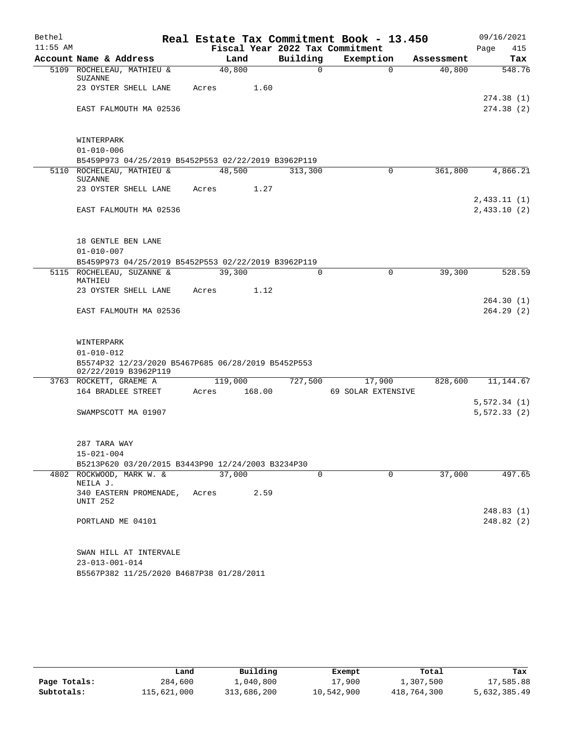| Bethel     |                                                     |                 |                                 | Real Estate Tax Commitment Book - 13.450 |            | 09/16/2021   |
|------------|-----------------------------------------------------|-----------------|---------------------------------|------------------------------------------|------------|--------------|
| $11:55$ AM |                                                     |                 | Fiscal Year 2022 Tax Commitment |                                          |            | 415<br>Page  |
|            | Account Name & Address                              | Land            | Building                        | Exemption                                | Assessment | Tax          |
|            | 5109 ROCHELEAU, MATHIEU &<br>SUZANNE                | 40,800          | $\Omega$                        | $\Omega$                                 | 40,800     | 548.76       |
|            | 23 OYSTER SHELL LANE                                | Acres           | 1.60                            |                                          |            | 274.38(1)    |
|            | EAST FALMOUTH MA 02536                              |                 |                                 |                                          |            | 274.38(2)    |
|            |                                                     |                 |                                 |                                          |            |              |
|            | WINTERPARK                                          |                 |                                 |                                          |            |              |
|            | $01 - 010 - 006$                                    |                 |                                 |                                          |            |              |
|            | B5459P973 04/25/2019 B5452P553 02/22/2019 B3962P119 |                 |                                 |                                          |            |              |
|            | 5110 ROCHELEAU, MATHIEU &<br>SUZANNE                | 48,500          | 313,300                         | $\Omega$                                 | 361,800    | 4,866.21     |
|            | 23 OYSTER SHELL LANE                                | Acres           | 1.27                            |                                          |            | 2,433.11(1)  |
|            | EAST FALMOUTH MA 02536                              |                 |                                 |                                          |            | 2,433.10(2)  |
|            |                                                     |                 |                                 |                                          |            |              |
|            | 18 GENTLE BEN LANE                                  |                 |                                 |                                          |            |              |
|            | $01 - 010 - 007$                                    |                 |                                 |                                          |            |              |
|            | B5459P973 04/25/2019 B5452P553 02/22/2019 B3962P119 |                 |                                 |                                          |            |              |
|            | 5115 ROCHELEAU, SUZANNE &<br>MATHIEU                | 39,300          | $\Omega$                        | $\Omega$                                 | 39,300     | 528.59       |
|            | 23 OYSTER SHELL LANE                                | Acres           | 1.12                            |                                          |            | 264.30(1)    |
|            | EAST FALMOUTH MA 02536                              |                 |                                 |                                          |            | 264.29(2)    |
|            |                                                     |                 |                                 |                                          |            |              |
|            | WINTERPARK<br>$01 - 010 - 012$                      |                 |                                 |                                          |            |              |
|            | B5574P32 12/23/2020 B5467P685 06/28/2019 B5452P553  |                 |                                 |                                          |            |              |
|            | 02/22/2019 B3962P119<br>3763 ROCKETT, GRAEME A      | 119,000         | 727,500                         | 17,900                                   | 828,600    | 11,144.67    |
|            | 164 BRADLEE STREET                                  | 168.00<br>Acres |                                 | 69 SOLAR EXTENSIVE                       |            |              |
|            |                                                     |                 |                                 |                                          |            | 5,572.34(1)  |
|            | SWAMPSCOTT MA 01907                                 |                 |                                 |                                          |            | 5, 572.33(2) |
|            |                                                     |                 |                                 |                                          |            |              |
|            | 287 TARA WAY                                        |                 |                                 |                                          |            |              |
|            | $15 - 021 - 004$                                    |                 |                                 |                                          |            |              |
|            | B5213P620 03/20/2015 B3443P90 12/24/2003 B3234P30   |                 |                                 |                                          |            |              |
|            | 4802 ROCKWOOD, MARK W. &<br>NEILA J.                | 37,000          | 0                               | $\Omega$                                 | 37,000     | 497.65       |
|            | 340 EASTERN PROMENADE,<br>UNIT 252                  | Acres           | 2.59                            |                                          |            |              |
|            |                                                     |                 |                                 |                                          |            | 248.83 (1)   |
|            | PORTLAND ME 04101                                   |                 |                                 |                                          |            | 248.82(2)    |
|            | SWAN HILL AT INTERVALE                              |                 |                                 |                                          |            |              |
|            | $23 - 013 - 001 - 014$                              |                 |                                 |                                          |            |              |
|            | B5567P382 11/25/2020 B4687P38 01/28/2011            |                 |                                 |                                          |            |              |

|              | Land        | Building    | Exempt     | Total       | Tax          |
|--------------|-------------|-------------|------------|-------------|--------------|
| Page Totals: | 284,600     | 1,040,800   | 17,900     | 1,307,500   | 17,585.88    |
| Subtotals:   | 115,621,000 | 313,686,200 | 10,542,900 | 418,764,300 | 5,632,385.49 |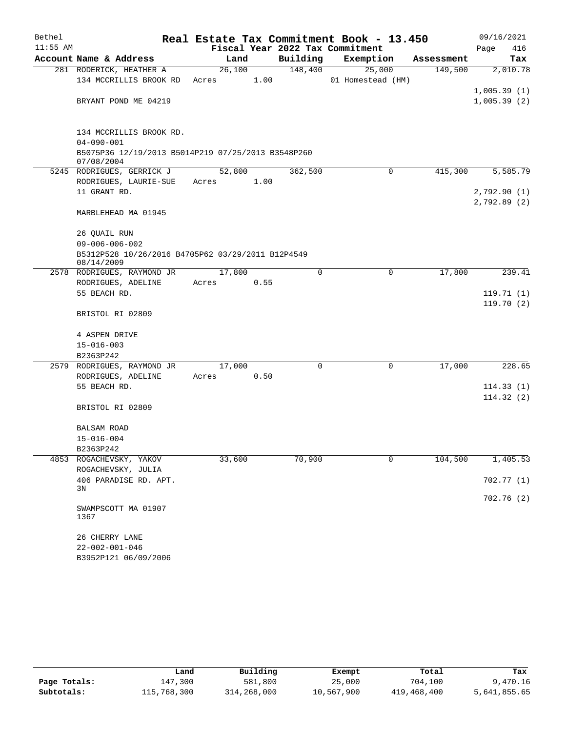| Bethel<br>$11:55$ AM |                                                                  |        |      |          | Real Estate Tax Commitment Book - 13.450<br>Fiscal Year 2022 Tax Commitment |            | 09/16/2021<br>Page<br>416 |
|----------------------|------------------------------------------------------------------|--------|------|----------|-----------------------------------------------------------------------------|------------|---------------------------|
|                      | Account Name & Address                                           | Land   |      | Building | Exemption                                                                   | Assessment | Tax                       |
|                      | 281 RODERICK, HEATHER A                                          | 26,100 |      | 148,400  | 25,000                                                                      | 149,500    | 2,010.78                  |
|                      | 134 MCCRILLIS BROOK RD                                           | Acres  | 1.00 |          | 01 Homestead (HM)                                                           |            |                           |
|                      |                                                                  |        |      |          |                                                                             |            | 1,005.39(1)               |
|                      | BRYANT POND ME 04219                                             |        |      |          |                                                                             |            | 1,005.39(2)               |
|                      |                                                                  |        |      |          |                                                                             |            |                           |
|                      | 134 MCCRILLIS BROOK RD.<br>$04 - 090 - 001$                      |        |      |          |                                                                             |            |                           |
|                      | B5075P36 12/19/2013 B5014P219 07/25/2013 B3548P260<br>07/08/2004 |        |      |          |                                                                             |            |                           |
|                      | 5245 RODRIGUES, GERRICK J                                        | 52,800 |      | 362,500  | $\Omega$                                                                    | 415,300    | 5,585.79                  |
|                      | RODRIGUES, LAURIE-SUE                                            | Acres  | 1.00 |          |                                                                             |            |                           |
|                      | 11 GRANT RD.                                                     |        |      |          |                                                                             |            | 2,792.90(1)               |
|                      |                                                                  |        |      |          |                                                                             |            | 2,792.89(2)               |
|                      | MARBLEHEAD MA 01945                                              |        |      |          |                                                                             |            |                           |
|                      | 26 QUAIL RUN                                                     |        |      |          |                                                                             |            |                           |
|                      | $09 - 006 - 006 - 002$                                           |        |      |          |                                                                             |            |                           |
|                      | B5312P528 10/26/2016 B4705P62 03/29/2011 B12P4549<br>08/14/2009  |        |      |          |                                                                             |            |                           |
|                      | 2578 RODRIGUES, RAYMOND JR                                       | 17,800 |      | $\Omega$ | 0                                                                           | 17,800     | 239.41                    |
|                      | RODRIGUES, ADELINE                                               | Acres  | 0.55 |          |                                                                             |            |                           |
|                      | 55 BEACH RD.                                                     |        |      |          |                                                                             |            | 119.71(1)                 |
|                      | BRISTOL RI 02809                                                 |        |      |          |                                                                             |            | 119.70(2)                 |
|                      |                                                                  |        |      |          |                                                                             |            |                           |
|                      | 4 ASPEN DRIVE                                                    |        |      |          |                                                                             |            |                           |
|                      | $15 - 016 - 003$                                                 |        |      |          |                                                                             |            |                           |
|                      | B2363P242<br>2579 RODRIGUES, RAYMOND JR                          | 17,000 |      | 0        | 0                                                                           | 17,000     | 228.65                    |
|                      | RODRIGUES, ADELINE                                               | Acres  | 0.50 |          |                                                                             |            |                           |
|                      | 55 BEACH RD.                                                     |        |      |          |                                                                             |            | 114.33(1)                 |
|                      |                                                                  |        |      |          |                                                                             |            | 114.32(2)                 |
|                      | BRISTOL RI 02809                                                 |        |      |          |                                                                             |            |                           |
|                      | BALSAM ROAD                                                      |        |      |          |                                                                             |            |                           |
|                      | $15 - 016 - 004$                                                 |        |      |          |                                                                             |            |                           |
|                      | B2363P242                                                        |        |      |          |                                                                             |            |                           |
|                      | 4853 ROGACHEVSKY, YAKOV                                          | 33,600 |      | 70,900   | 0                                                                           | 104,500    | 1,405.53                  |
|                      | ROGACHEVSKY, JULIA                                               |        |      |          |                                                                             |            |                           |
|                      | 406 PARADISE RD. APT.<br>3N                                      |        |      |          |                                                                             |            | 702.77 (1)                |
|                      |                                                                  |        |      |          |                                                                             |            | 702.76(2)                 |
|                      | SWAMPSCOTT MA 01907<br>1367                                      |        |      |          |                                                                             |            |                           |
|                      | 26 CHERRY LANE                                                   |        |      |          |                                                                             |            |                           |
|                      | $22 - 002 - 001 - 046$                                           |        |      |          |                                                                             |            |                           |
|                      | B3952P121 06/09/2006                                             |        |      |          |                                                                             |            |                           |

|              | Land        | Building    | Exempt     | Total       | Tax          |
|--------------|-------------|-------------|------------|-------------|--------------|
| Page Totals: | 147,300     | 581,800     | 25,000     | 704,100     | 9,470.16     |
| Subtotals:   | 115,768,300 | 314,268,000 | 10,567,900 | 419,468,400 | 5,641,855.65 |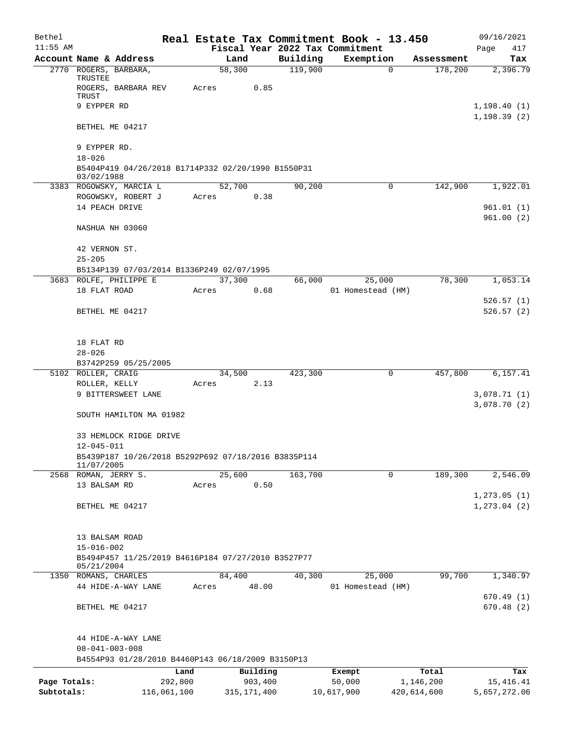| Bethel       |                                                                   | Real Estate Tax Commitment Book - 13.450 |                |         |                     |                                 |             |                       | 09/16/2021                   |
|--------------|-------------------------------------------------------------------|------------------------------------------|----------------|---------|---------------------|---------------------------------|-------------|-----------------------|------------------------------|
| $11:55$ AM   |                                                                   |                                          |                |         |                     | Fiscal Year 2022 Tax Commitment |             |                       | Page<br>417                  |
|              | Account Name & Address<br>2770 ROGERS, BARBARA,                   |                                          | Land<br>58,300 |         | Building<br>119,900 | Exemption                       | $\mathbf 0$ | Assessment<br>178,200 | Tax<br>2,396.79              |
|              | TRUSTEE                                                           |                                          |                |         |                     |                                 |             |                       |                              |
|              | ROGERS, BARBARA REV                                               | Acres                                    |                | 0.85    |                     |                                 |             |                       |                              |
|              | TRUST<br>9 EYPPER RD                                              |                                          |                |         |                     |                                 |             |                       |                              |
|              |                                                                   |                                          |                |         |                     |                                 |             |                       | 1,198.40(1)<br>1, 198.39(2)  |
|              | BETHEL ME 04217                                                   |                                          |                |         |                     |                                 |             |                       |                              |
|              |                                                                   |                                          |                |         |                     |                                 |             |                       |                              |
|              | 9 EYPPER RD.                                                      |                                          |                |         |                     |                                 |             |                       |                              |
|              | $18 - 026$                                                        |                                          |                |         |                     |                                 |             |                       |                              |
|              | B5404P419 04/26/2018 B1714P332 02/20/1990 B1550P31<br>03/02/1988  |                                          |                |         |                     |                                 |             |                       |                              |
|              | 3383 ROGOWSKY, MARCIA L                                           |                                          | 52,700         |         | 90,200              |                                 | 0           | 142,900               | 1,922.01                     |
|              | ROGOWSKY, ROBERT J                                                | Acres                                    |                | 0.38    |                     |                                 |             |                       |                              |
|              | 14 PEACH DRIVE                                                    |                                          |                |         |                     |                                 |             |                       | 961.01(1)                    |
|              |                                                                   |                                          |                |         |                     |                                 |             |                       | 961.00(2)                    |
|              | NASHUA NH 03060                                                   |                                          |                |         |                     |                                 |             |                       |                              |
|              | 42 VERNON ST.                                                     |                                          |                |         |                     |                                 |             |                       |                              |
|              | $25 - 205$                                                        |                                          |                |         |                     |                                 |             |                       |                              |
|              | B5134P139 07/03/2014 B1336P249 02/07/1995                         |                                          |                |         |                     |                                 |             |                       |                              |
|              | 3683 ROLFE, PHILIPPE E                                            |                                          | 37,300         |         | 66,000              | 25,000                          |             | 78,300                | 1,053.14                     |
|              | 18 FLAT ROAD                                                      | Acres                                    |                | 0.68    |                     | 01 Homestead (HM)               |             |                       |                              |
|              |                                                                   |                                          |                |         |                     |                                 |             |                       | 526.57(1)                    |
|              | BETHEL ME 04217                                                   |                                          |                |         |                     |                                 |             |                       | 526.57(2)                    |
|              |                                                                   |                                          |                |         |                     |                                 |             |                       |                              |
|              | 18 FLAT RD                                                        |                                          |                |         |                     |                                 |             |                       |                              |
|              | $28 - 026$                                                        |                                          |                |         |                     |                                 |             |                       |                              |
|              | B3742P259 05/25/2005                                              |                                          |                |         |                     |                                 |             |                       |                              |
|              | 5102 ROLLER, CRAIG                                                |                                          | 34,500         |         | 423,300             |                                 | 0           | 457,800               | 6,157.41                     |
|              | ROLLER, KELLY<br>9 BITTERSWEET LANE                               | Acres                                    |                | 2.13    |                     |                                 |             |                       | 3,078.71(1)                  |
|              |                                                                   |                                          |                |         |                     |                                 |             |                       | 3,078.70(2)                  |
|              | SOUTH HAMILTON MA 01982                                           |                                          |                |         |                     |                                 |             |                       |                              |
|              |                                                                   |                                          |                |         |                     |                                 |             |                       |                              |
|              | 33 HEMLOCK RIDGE DRIVE                                            |                                          |                |         |                     |                                 |             |                       |                              |
|              | 12-045-011                                                        |                                          |                |         |                     |                                 |             |                       |                              |
|              | B5439P187 10/26/2018 B5292P692 07/18/2016 B3835P114<br>11/07/2005 |                                          |                |         |                     |                                 |             |                       |                              |
|              | 2568 ROMAN, JERRY S.                                              |                                          | 25,600         |         | 163,700             |                                 | $\mathbf 0$ | 189,300               | 2,546.09                     |
|              | 13 BALSAM RD                                                      | Acres                                    |                | 0.50    |                     |                                 |             |                       |                              |
|              | BETHEL ME 04217                                                   |                                          |                |         |                     |                                 |             |                       | 1, 273.05(1)<br>1, 273.04(2) |
|              |                                                                   |                                          |                |         |                     |                                 |             |                       |                              |
|              |                                                                   |                                          |                |         |                     |                                 |             |                       |                              |
|              | 13 BALSAM ROAD                                                    |                                          |                |         |                     |                                 |             |                       |                              |
|              | $15 - 016 - 002$                                                  |                                          |                |         |                     |                                 |             |                       |                              |
|              | B5494P457 11/25/2019 B4616P184 07/27/2010 B3527P77<br>05/21/2004  |                                          |                |         |                     |                                 |             |                       |                              |
|              | 1350 ROMANS, CHARLES                                              |                                          | 84,400         |         | 40,300              | 25,000                          |             | 99,700                | 1,340.97                     |
|              | 44 HIDE-A-WAY LANE                                                | Acres                                    |                | 48.00   |                     | 01 Homestead (HM)               |             |                       |                              |
|              |                                                                   |                                          |                |         |                     |                                 |             |                       | 670.49(1)                    |
|              | BETHEL ME 04217                                                   |                                          |                |         |                     |                                 |             |                       | 670.48(2)                    |
|              |                                                                   |                                          |                |         |                     |                                 |             |                       |                              |
|              | 44 HIDE-A-WAY LANE                                                |                                          |                |         |                     |                                 |             |                       |                              |
|              | $08 - 041 - 003 - 008$                                            |                                          |                |         |                     |                                 |             |                       |                              |
|              | B4554P93 01/28/2010 B4460P143 06/18/2009 B3150P13                 |                                          |                |         |                     |                                 |             |                       |                              |
|              |                                                                   | Land                                     | Building       |         |                     | Exempt                          |             | Total                 | Tax                          |
| Page Totals: |                                                                   | 292,800                                  |                | 903,400 |                     | 50,000                          |             | 1,146,200             | 15, 416. 41                  |
| Subtotals:   |                                                                   | 116,061,100                              | 315, 171, 400  |         |                     | 10,617,900                      |             | 420,614,600           | 5,657,272.06                 |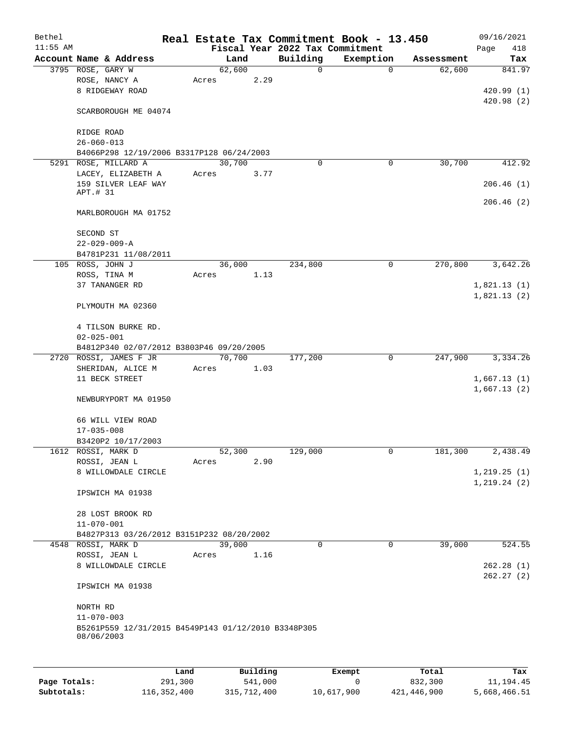| Bethel     |                                                                   |             |       |        |                        |                                 | Real Estate Tax Commitment Book - 13.450 |            | 09/16/2021   |
|------------|-------------------------------------------------------------------|-------------|-------|--------|------------------------|---------------------------------|------------------------------------------|------------|--------------|
| $11:55$ AM |                                                                   |             |       |        |                        | Fiscal Year 2022 Tax Commitment |                                          |            | Page<br>418  |
|            | Account Name & Address                                            |             |       | Land   |                        | Building                        | Exemption                                | Assessment | Tax          |
|            | 3795 ROSE, GARY W                                                 |             |       | 62,600 |                        | 0                               | $\mathbf 0$                              | 62,600     | 841.97       |
|            | ROSE, NANCY A                                                     |             | Acres |        | 2.29                   |                                 |                                          |            |              |
|            | 8 RIDGEWAY ROAD                                                   |             |       |        |                        |                                 |                                          |            | 420.99(1)    |
|            | SCARBOROUGH ME 04074                                              |             |       |        |                        |                                 |                                          |            | 420.98(2)    |
|            |                                                                   |             |       |        |                        |                                 |                                          |            |              |
|            | RIDGE ROAD                                                        |             |       |        |                        |                                 |                                          |            |              |
|            | $26 - 060 - 013$                                                  |             |       |        |                        |                                 |                                          |            |              |
|            | B4066P298 12/19/2006 B3317P128 06/24/2003                         |             |       |        |                        |                                 |                                          |            |              |
|            | 5291 ROSE, MILLARD A                                              |             |       | 30,700 |                        | 0                               | 0                                        | 30,700     | 412.92       |
|            | LACEY, ELIZABETH A                                                |             | Acres |        | 3.77                   |                                 |                                          |            |              |
|            | 159 SILVER LEAF WAY<br>APT.# 31                                   |             |       |        |                        |                                 |                                          |            | 206.46(1)    |
|            |                                                                   |             |       |        |                        |                                 |                                          |            | 206.46(2)    |
|            | MARLBOROUGH MA 01752                                              |             |       |        |                        |                                 |                                          |            |              |
|            | SECOND ST                                                         |             |       |        |                        |                                 |                                          |            |              |
|            | $22 - 029 - 009 - A$                                              |             |       |        |                        |                                 |                                          |            |              |
|            | B4781P231 11/08/2011                                              |             |       |        |                        |                                 |                                          |            |              |
|            | 105 ROSS, JOHN J                                                  |             |       | 36,000 |                        | 234,800                         | $\mathbf 0$                              | 270,800    | 3,642.26     |
|            | ROSS, TINA M                                                      |             | Acres |        | 1.13                   |                                 |                                          |            |              |
|            | 37 TANANGER RD                                                    |             |       |        |                        |                                 |                                          |            | 1,821.13(1)  |
|            |                                                                   |             |       |        |                        |                                 |                                          |            | 1,821.13(2)  |
|            | PLYMOUTH MA 02360                                                 |             |       |        |                        |                                 |                                          |            |              |
|            | 4 TILSON BURKE RD.                                                |             |       |        |                        |                                 |                                          |            |              |
|            | $02 - 025 - 001$                                                  |             |       |        |                        |                                 |                                          |            |              |
|            | B4812P340 02/07/2012 B3803P46 09/20/2005                          |             |       |        |                        |                                 |                                          |            |              |
| 2720       | ROSSI, JAMES F JR                                                 |             |       | 70,700 |                        | 177,200                         | 0                                        | 247,900    | 3,334.26     |
|            | SHERIDAN, ALICE M                                                 |             | Acres |        | 1.03                   |                                 |                                          |            |              |
|            | 11 BECK STREET                                                    |             |       |        |                        |                                 |                                          |            | 1,667.13(1)  |
|            |                                                                   |             |       |        |                        |                                 |                                          |            | 1,667.13(2)  |
|            | NEWBURYPORT MA 01950                                              |             |       |        |                        |                                 |                                          |            |              |
|            | 66 WILL VIEW ROAD                                                 |             |       |        |                        |                                 |                                          |            |              |
|            | $17 - 035 - 008$                                                  |             |       |        |                        |                                 |                                          |            |              |
|            | B3420P2 10/17/2003                                                |             |       |        |                        |                                 |                                          |            |              |
|            | 1612 ROSSI, MARK D                                                |             |       | 52,300 |                        | 129,000                         | 0                                        | 181,300    | 2,438.49     |
|            | ROSSI, JEAN L                                                     |             | Acres |        | 2.90                   |                                 |                                          |            |              |
|            | 8 WILLOWDALE CIRCLE                                               |             |       |        |                        |                                 |                                          |            | 1, 219.25(1) |
|            |                                                                   |             |       |        |                        |                                 |                                          |            | 1, 219.24(2) |
|            | IPSWICH MA 01938                                                  |             |       |        |                        |                                 |                                          |            |              |
|            | 28 LOST BROOK RD                                                  |             |       |        |                        |                                 |                                          |            |              |
|            | $11 - 070 - 001$                                                  |             |       |        |                        |                                 |                                          |            |              |
|            | B4827P313 03/26/2012 B3151P232 08/20/2002                         |             |       |        |                        |                                 |                                          |            |              |
|            | 4548 ROSSI, MARK D                                                |             |       | 39,000 |                        | 0                               | 0                                        | 39,000     | 524.55       |
|            | ROSSI, JEAN L                                                     |             | Acres |        | 1.16                   |                                 |                                          |            |              |
|            | 8 WILLOWDALE CIRCLE                                               |             |       |        |                        |                                 |                                          |            | 262.28(1)    |
|            |                                                                   |             |       |        |                        |                                 |                                          |            | 262.27(2)    |
|            | IPSWICH MA 01938                                                  |             |       |        |                        |                                 |                                          |            |              |
|            | NORTH RD                                                          |             |       |        |                        |                                 |                                          |            |              |
|            | $11 - 070 - 003$                                                  |             |       |        |                        |                                 |                                          |            |              |
|            | B5261P559 12/31/2015 B4549P143 01/12/2010 B3348P305<br>08/06/2003 |             |       |        |                        |                                 |                                          |            |              |
|            |                                                                   |             |       |        |                        |                                 |                                          |            |              |
|            |                                                                   |             |       |        |                        |                                 |                                          |            |              |
|            |                                                                   | <b>Tond</b> |       |        | $D_{11}$ in $A$ in $A$ |                                 | $P$ <sub>re</sub> $m$ $+$                | $T - 1$    | <b>TRAN</b>  |

|              | Land        | Building    | Exempt     | Total       | Tax          |
|--------------|-------------|-------------|------------|-------------|--------------|
| Page Totals: | 291,300     | 541,000     |            | 832,300     | 11,194.45    |
| Subtotals:   | 116,352,400 | 315,712,400 | 10,617,900 | 421,446,900 | 5,668,466.51 |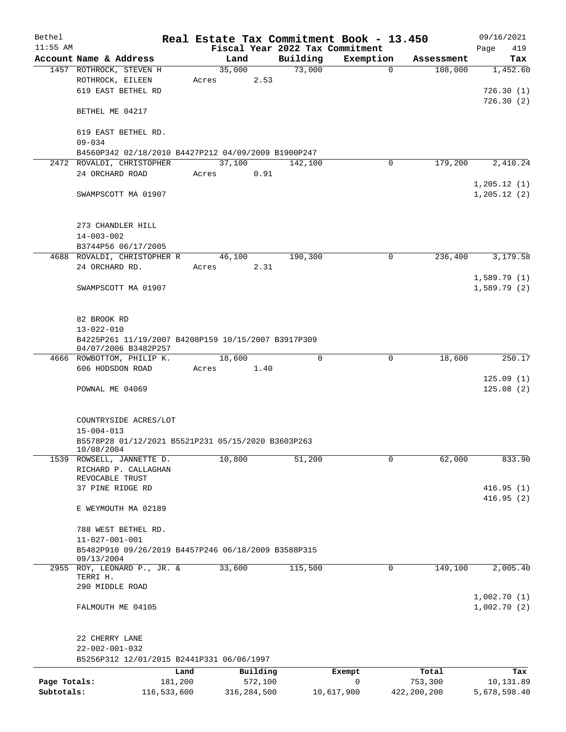| Bethel       |                                                                   |        |               |                                 | Real Estate Tax Commitment Book - 13.450 |               | 09/16/2021   |
|--------------|-------------------------------------------------------------------|--------|---------------|---------------------------------|------------------------------------------|---------------|--------------|
| $11:55$ AM   |                                                                   |        |               | Fiscal Year 2022 Tax Commitment |                                          |               | 419<br>Page  |
|              | Account Name & Address                                            | Land   |               | Building                        | Exemption                                | Assessment    | Tax          |
|              | 1457 ROTHROCK, STEVEN H                                           | 35,000 |               | 73,000                          | $\mathbf 0$                              | 108,000       | 1,452.60     |
|              | ROTHROCK, EILEEN                                                  | Acres  | 2.53          |                                 |                                          |               |              |
|              | 619 EAST BETHEL RD                                                |        |               |                                 |                                          |               | 726.30(1)    |
|              |                                                                   |        |               |                                 |                                          |               | 726.30(2)    |
|              | BETHEL ME 04217                                                   |        |               |                                 |                                          |               |              |
|              |                                                                   |        |               |                                 |                                          |               |              |
|              | 619 EAST BETHEL RD.<br>$09 - 034$                                 |        |               |                                 |                                          |               |              |
|              | B4560P342 02/18/2010 B4427P212 04/09/2009 B1900P247               |        |               |                                 |                                          |               |              |
|              | 2472 ROVALDI, CHRISTOPHER                                         | 37,100 |               | 142,100                         | 0                                        | 179,200       | 2,410.24     |
|              | 24 ORCHARD ROAD                                                   | Acres  | 0.91          |                                 |                                          |               |              |
|              |                                                                   |        |               |                                 |                                          |               | 1, 205.12(1) |
|              | SWAMPSCOTT MA 01907                                               |        |               |                                 |                                          |               | 1, 205.12(2) |
|              |                                                                   |        |               |                                 |                                          |               |              |
|              |                                                                   |        |               |                                 |                                          |               |              |
|              | 273 CHANDLER HILL                                                 |        |               |                                 |                                          |               |              |
|              | $14 - 003 - 002$                                                  |        |               |                                 |                                          |               |              |
|              | B3744P56 06/17/2005                                               |        |               |                                 |                                          |               |              |
|              | 4688 ROVALDI, CHRISTOPHER R                                       | 46,100 |               | 190,300                         | $\mathbf 0$                              | 236,400       | 3,179.58     |
|              | 24 ORCHARD RD.                                                    | Acres  | 2.31          |                                 |                                          |               |              |
|              |                                                                   |        |               |                                 |                                          |               | 1,589.79(1)  |
|              | SWAMPSCOTT MA 01907                                               |        |               |                                 |                                          |               | 1,589.79(2)  |
|              |                                                                   |        |               |                                 |                                          |               |              |
|              |                                                                   |        |               |                                 |                                          |               |              |
|              | 82 BROOK RD                                                       |        |               |                                 |                                          |               |              |
|              | $13 - 022 - 010$                                                  |        |               |                                 |                                          |               |              |
|              | B4225P261 11/19/2007 B4208P159 10/15/2007 B3917P309               |        |               |                                 |                                          |               |              |
|              | 04/07/2006 B3482P257                                              |        |               |                                 |                                          |               |              |
|              | 4666 ROWBOTTOM, PHILIP K.                                         | 18,600 |               | 0                               | 0                                        | 18,600        | 250.17       |
|              | 606 HODSDON ROAD                                                  | Acres  | 1.40          |                                 |                                          |               |              |
|              |                                                                   |        |               |                                 |                                          |               | 125.09(1)    |
|              | POWNAL ME 04069                                                   |        |               |                                 |                                          |               | 125.08(2)    |
|              |                                                                   |        |               |                                 |                                          |               |              |
|              |                                                                   |        |               |                                 |                                          |               |              |
|              | COUNTRYSIDE ACRES/LOT                                             |        |               |                                 |                                          |               |              |
|              | $15 - 004 - 013$                                                  |        |               |                                 |                                          |               |              |
|              | B5578P28 01/12/2021 B5521P231 05/15/2020 B3603P263<br>10/08/2004  |        |               |                                 |                                          |               |              |
|              | 1539 ROWSELL, JANNETTE D.                                         | 10,800 |               | 51,200                          | 0                                        | 62,000        | 833.90       |
|              | RICHARD P. CALLAGHAN                                              |        |               |                                 |                                          |               |              |
|              | REVOCABLE TRUST                                                   |        |               |                                 |                                          |               |              |
|              | 37 PINE RIDGE RD                                                  |        |               |                                 |                                          |               | 416.95(1)    |
|              |                                                                   |        |               |                                 |                                          |               | 416.95(2)    |
|              | E WEYMOUTH MA 02189                                               |        |               |                                 |                                          |               |              |
|              |                                                                   |        |               |                                 |                                          |               |              |
|              | 788 WEST BETHEL RD.                                               |        |               |                                 |                                          |               |              |
|              | $11 - 027 - 001 - 001$                                            |        |               |                                 |                                          |               |              |
|              | B5482P910 09/26/2019 B4457P246 06/18/2009 B3588P315<br>09/13/2004 |        |               |                                 |                                          |               |              |
| 2955         | ROY, LEONARD P., JR. &                                            | 33,600 |               | 115,500                         | 0                                        | 149,100       | 2,005.40     |
|              | TERRI H.                                                          |        |               |                                 |                                          |               |              |
|              | 290 MIDDLE ROAD                                                   |        |               |                                 |                                          |               |              |
|              |                                                                   |        |               |                                 |                                          |               | 1,002.70(1)  |
|              | FALMOUTH ME 04105                                                 |        |               |                                 |                                          |               | 1,002.70(2)  |
|              |                                                                   |        |               |                                 |                                          |               |              |
|              |                                                                   |        |               |                                 |                                          |               |              |
|              | 22 CHERRY LANE                                                    |        |               |                                 |                                          |               |              |
|              | $22 - 002 - 001 - 032$                                            |        |               |                                 |                                          |               |              |
|              | B5256P312 12/01/2015 B2441P331 06/06/1997                         |        |               |                                 |                                          |               |              |
|              | Land                                                              |        | Building      |                                 | Exempt                                   | Total         | Tax          |
| Page Totals: | 181,200                                                           |        | 572,100       |                                 | $\mathbf 0$                              | 753,300       | 10,131.89    |
| Subtotals:   | 116,533,600                                                       |        | 316, 284, 500 |                                 | 10,617,900                               | 422, 200, 200 | 5,678,598.40 |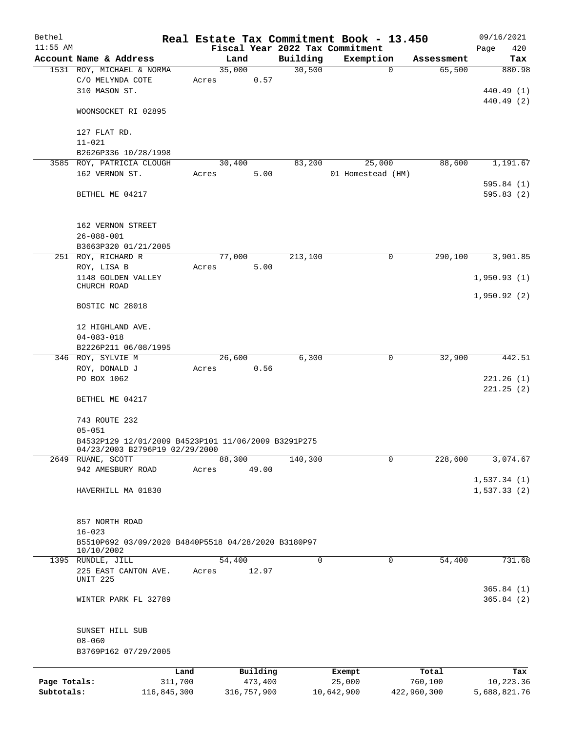| Bethel       |                                                                   |       |             | Real Estate Tax Commitment Book - 13.450 |                   |             |             | 09/16/2021   |
|--------------|-------------------------------------------------------------------|-------|-------------|------------------------------------------|-------------------|-------------|-------------|--------------|
| $11:55$ AM   |                                                                   |       |             | Fiscal Year 2022 Tax Commitment          |                   |             |             | Page<br>420  |
|              | Account Name & Address                                            |       | Land        | Building                                 | Exemption         |             | Assessment  | Tax          |
|              | 1531 ROY, MICHAEL & NORMA                                         |       | 35,000      | 30,500                                   |                   | $\mathbf 0$ | 65,500      | 880.98       |
|              | C/O MELYNDA COTE                                                  | Acres | 0.57        |                                          |                   |             |             |              |
|              | 310 MASON ST.                                                     |       |             |                                          |                   |             |             | 440.49 (1)   |
|              |                                                                   |       |             |                                          |                   |             |             | 440.49 (2)   |
|              | WOONSOCKET RI 02895                                               |       |             |                                          |                   |             |             |              |
|              | 127 FLAT RD.                                                      |       |             |                                          |                   |             |             |              |
|              | $11 - 021$                                                        |       |             |                                          |                   |             |             |              |
|              | B2626P336 10/28/1998                                              |       |             |                                          |                   |             |             |              |
|              | 3585 ROY, PATRICIA CLOUGH                                         |       | 30,400      | 83,200                                   |                   | 25,000      | 88,600      | 1,191.67     |
|              | 162 VERNON ST.                                                    | Acres | 5.00        |                                          | 01 Homestead (HM) |             |             |              |
|              |                                                                   |       |             |                                          |                   |             |             | 595.84(1)    |
|              | BETHEL ME 04217                                                   |       |             |                                          |                   |             |             | 595.83(2)    |
|              |                                                                   |       |             |                                          |                   |             |             |              |
|              |                                                                   |       |             |                                          |                   |             |             |              |
|              | 162 VERNON STREET                                                 |       |             |                                          |                   |             |             |              |
|              | $26 - 088 - 001$                                                  |       |             |                                          |                   |             |             |              |
|              | B3663P320 01/21/2005                                              |       |             |                                          |                   |             |             |              |
|              | 251 ROY, RICHARD R                                                |       | 77,000      | 213,100                                  |                   | 0           | 290,100     | 3,901.85     |
|              | ROY, LISA B                                                       | Acres | 5.00        |                                          |                   |             |             |              |
|              | 1148 GOLDEN VALLEY                                                |       |             |                                          |                   |             |             | 1,950.93(1)  |
|              | CHURCH ROAD                                                       |       |             |                                          |                   |             |             |              |
|              |                                                                   |       |             |                                          |                   |             |             | 1,950.92(2)  |
|              | BOSTIC NC 28018                                                   |       |             |                                          |                   |             |             |              |
|              |                                                                   |       |             |                                          |                   |             |             |              |
|              | 12 HIGHLAND AVE.                                                  |       |             |                                          |                   |             |             |              |
|              | $04 - 083 - 018$                                                  |       |             |                                          |                   |             |             |              |
|              | B2226P211 06/08/1995                                              |       |             |                                          |                   |             |             |              |
|              | 346 ROY, SYLVIE M                                                 |       | 26,600      | 6,300                                    |                   | 0           | 32,900      | 442.51       |
|              | ROY, DONALD J                                                     | Acres | 0.56        |                                          |                   |             |             |              |
|              | PO BOX 1062                                                       |       |             |                                          |                   |             |             | 221.26(1)    |
|              | BETHEL ME 04217                                                   |       |             |                                          |                   |             |             | 221.25(2)    |
|              |                                                                   |       |             |                                          |                   |             |             |              |
|              | 743 ROUTE 232                                                     |       |             |                                          |                   |             |             |              |
|              | $05 - 051$                                                        |       |             |                                          |                   |             |             |              |
|              | B4532P129 12/01/2009 B4523P101 11/06/2009 B3291P275               |       |             |                                          |                   |             |             |              |
|              | 04/23/2003 B2796P19 02/29/2000                                    |       |             |                                          |                   |             |             |              |
|              | 2649 RUANE, SCOTT                                                 |       | 88,300      | 140,300                                  |                   | 0           | 228,600     | 3,074.67     |
|              | 942 AMESBURY ROAD                                                 | Acres | 49.00       |                                          |                   |             |             |              |
|              |                                                                   |       |             |                                          |                   |             |             | 1,537.34(1)  |
|              | HAVERHILL MA 01830                                                |       |             |                                          |                   |             |             | 1,537.33(2)  |
|              |                                                                   |       |             |                                          |                   |             |             |              |
|              |                                                                   |       |             |                                          |                   |             |             |              |
|              | 857 NORTH ROAD                                                    |       |             |                                          |                   |             |             |              |
|              | $16 - 023$                                                        |       |             |                                          |                   |             |             |              |
|              | B5510P692 03/09/2020 B4840P5518 04/28/2020 B3180P97<br>10/10/2002 |       |             |                                          |                   |             |             |              |
|              | 1395 RUNDLE, JILL                                                 |       | 54,400      | 0                                        |                   | 0           | 54,400      | 731.68       |
|              | 225 EAST CANTON AVE.                                              | Acres | 12.97       |                                          |                   |             |             |              |
|              | UNIT 225                                                          |       |             |                                          |                   |             |             |              |
|              |                                                                   |       |             |                                          |                   |             |             | 365.84(1)    |
|              | WINTER PARK FL 32789                                              |       |             |                                          |                   |             |             | 365.84(2)    |
|              |                                                                   |       |             |                                          |                   |             |             |              |
|              |                                                                   |       |             |                                          |                   |             |             |              |
|              | SUNSET HILL SUB                                                   |       |             |                                          |                   |             |             |              |
|              | $08 - 060$                                                        |       |             |                                          |                   |             |             |              |
|              | B3769P162 07/29/2005                                              |       |             |                                          |                   |             |             |              |
|              |                                                                   |       |             |                                          |                   |             |             |              |
|              |                                                                   | Land  | Building    |                                          | Exempt            |             | Total       | Tax          |
| Page Totals: | 311,700                                                           |       | 473,400     |                                          | 25,000            |             | 760,100     | 10,223.36    |
| Subtotals:   | 116,845,300                                                       |       | 316,757,900 |                                          | 10,642,900        |             | 422,960,300 | 5,688,821.76 |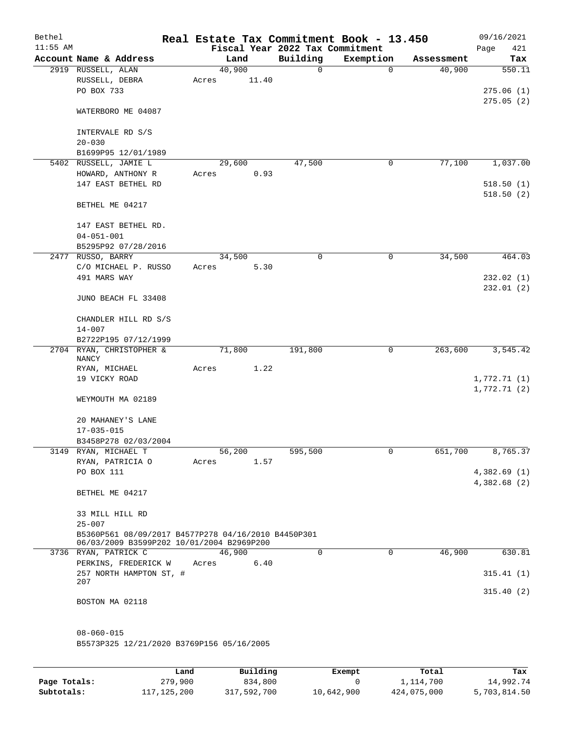| Bethel<br>$11:55$ AM |                                                                                                  |                 |       | Fiscal Year 2022 Tax Commitment | Real Estate Tax Commitment Book - 13.450 |            | 09/16/2021<br>Page<br>421 |
|----------------------|--------------------------------------------------------------------------------------------------|-----------------|-------|---------------------------------|------------------------------------------|------------|---------------------------|
|                      | Account Name & Address                                                                           | Land            |       | Building                        | Exemption                                | Assessment | Tax                       |
|                      | 2919 RUSSELL, ALAN<br>RUSSELL, DEBRA                                                             | 40,900<br>Acres | 11.40 | 0                               | $\mathbf 0$                              | 40,900     | 550.11                    |
|                      | PO BOX 733                                                                                       |                 |       |                                 |                                          |            | 275.06(1)<br>275.05(2)    |
|                      | WATERBORO ME 04087                                                                               |                 |       |                                 |                                          |            |                           |
|                      | INTERVALE RD S/S<br>$20 - 030$                                                                   |                 |       |                                 |                                          |            |                           |
|                      | B1699P95 12/01/1989                                                                              |                 |       |                                 |                                          |            |                           |
|                      | 5402 RUSSELL, JAMIE L                                                                            | 29,600          |       | 47,500                          | 0                                        | 77,100     | 1,037.00                  |
|                      | HOWARD, ANTHONY R                                                                                | Acres           | 0.93  |                                 |                                          |            |                           |
|                      | 147 EAST BETHEL RD                                                                               |                 |       |                                 |                                          |            | 518.50(1)<br>518.50(2)    |
|                      | BETHEL ME 04217                                                                                  |                 |       |                                 |                                          |            |                           |
|                      | 147 EAST BETHEL RD.                                                                              |                 |       |                                 |                                          |            |                           |
|                      | $04 - 051 - 001$                                                                                 |                 |       |                                 |                                          |            |                           |
|                      | B5295P92 07/28/2016                                                                              |                 |       |                                 |                                          |            |                           |
|                      | 2477 RUSSO, BARRY                                                                                | 34,500          |       | 0                               | $\mathbf 0$                              | 34,500     | 464.03                    |
|                      | C/O MICHAEL P. RUSSO                                                                             | Acres           | 5.30  |                                 |                                          |            |                           |
|                      | 491 MARS WAY                                                                                     |                 |       |                                 |                                          |            | 232.02(1)<br>232.01(2)    |
|                      | JUNO BEACH FL 33408                                                                              |                 |       |                                 |                                          |            |                           |
|                      | CHANDLER HILL RD S/S<br>$14 - 007$                                                               |                 |       |                                 |                                          |            |                           |
|                      | B2722P195 07/12/1999                                                                             |                 |       |                                 |                                          |            |                           |
|                      | 2704 RYAN, CHRISTOPHER &<br><b>NANCY</b>                                                         | 71,800          |       | 191,800                         | 0                                        | 263,600    | 3,545.42                  |
|                      | RYAN, MICHAEL                                                                                    | Acres           | 1.22  |                                 |                                          |            |                           |
|                      | 19 VICKY ROAD                                                                                    |                 |       |                                 |                                          |            | 1,772.71(1)               |
|                      | WEYMOUTH MA 02189                                                                                |                 |       |                                 |                                          |            | 1,772.71(2)               |
|                      | 20 MAHANEY'S LANE<br>$17 - 035 - 015$                                                            |                 |       |                                 |                                          |            |                           |
|                      | B3458P278 02/03/2004                                                                             |                 |       |                                 |                                          |            |                           |
|                      | 3149 RYAN, MICHAEL T                                                                             | 56,200          |       | 595,500                         | 0                                        | 651,700    | 8,765.37                  |
|                      | RYAN, PATRICIA O                                                                                 | Acres           | 1.57  |                                 |                                          |            |                           |
|                      | PO BOX 111                                                                                       |                 |       |                                 |                                          |            | 4,382.69(1)               |
|                      |                                                                                                  |                 |       |                                 |                                          |            | 4,382.68(2)               |
|                      | BETHEL ME 04217                                                                                  |                 |       |                                 |                                          |            |                           |
|                      | 33 MILL HILL RD<br>$25 - 007$                                                                    |                 |       |                                 |                                          |            |                           |
|                      | B5360P561 08/09/2017 B4577P278 04/16/2010 B4450P301<br>06/03/2009 B3599P202 10/01/2004 B2969P200 |                 |       |                                 |                                          |            |                           |
|                      | 3736 RYAN, PATRICK C                                                                             | 46,900          |       | 0                               | $\mathbf 0$                              | 46,900     | 630.81                    |
|                      | PERKINS, FREDERICK W<br>257 NORTH HAMPTON ST, #                                                  | Acres           | 6.40  |                                 |                                          |            | 315.41(1)                 |
|                      | 207                                                                                              |                 |       |                                 |                                          |            | 315.40(2)                 |
|                      | BOSTON MA 02118                                                                                  |                 |       |                                 |                                          |            |                           |
|                      | $08 - 060 - 015$                                                                                 |                 |       |                                 |                                          |            |                           |
|                      | B5573P325 12/21/2020 B3769P156 05/16/2005                                                        |                 |       |                                 |                                          |            |                           |
|                      |                                                                                                  |                 |       |                                 |                                          |            |                           |

|              | Land          | Building    | Exempt     | Total       | Tax          |
|--------------|---------------|-------------|------------|-------------|--------------|
| Page Totals: | 279,900       | 834,800     |            | 1,114,700   | 14,992.74    |
| Subtotals:   | 117, 125, 200 | 317,592,700 | 10,642,900 | 424,075,000 | 5,703,814.50 |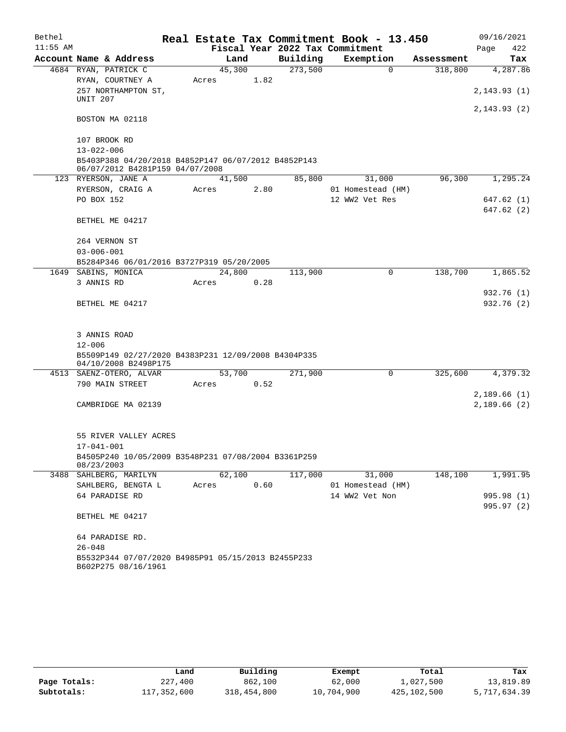| Bethel     |                                                                                        |        |      |      |                                 | Real Estate Tax Commitment Book - 13.450 |            | 09/16/2021   |
|------------|----------------------------------------------------------------------------------------|--------|------|------|---------------------------------|------------------------------------------|------------|--------------|
| $11:55$ AM |                                                                                        |        |      |      | Fiscal Year 2022 Tax Commitment |                                          |            | Page<br>422  |
|            | Account Name & Address                                                                 |        | Land |      | Building                        | Exemption                                | Assessment | Tax          |
|            | 4684 RYAN, PATRICK C                                                                   | 45,300 |      |      | 273,500                         | $\mathbf 0$                              | 318,800    | 4,287.86     |
|            | RYAN, COURTNEY A                                                                       | Acres  |      | 1.82 |                                 |                                          |            |              |
|            | 257 NORTHAMPTON ST,<br>UNIT 207                                                        |        |      |      |                                 |                                          |            | 2, 143.93(1) |
|            | BOSTON MA 02118                                                                        |        |      |      |                                 |                                          |            | 2, 143.93(2) |
|            | 107 BROOK RD                                                                           |        |      |      |                                 |                                          |            |              |
|            | $13 - 022 - 006$                                                                       |        |      |      |                                 |                                          |            |              |
|            | B5403P388 04/20/2018 B4852P147 06/07/2012 B4852P143<br>06/07/2012 B4281P159 04/07/2008 |        |      |      |                                 |                                          |            |              |
|            | 123 RYERSON, JANE A                                                                    | 41,500 |      |      | 85,800                          | 31,000                                   | 96,300     | 1,295.24     |
|            | RYERSON, CRAIG A                                                                       | Acres  |      | 2.80 |                                 | 01 Homestead (HM)                        |            |              |
|            | PO BOX 152                                                                             |        |      |      |                                 | 12 WW2 Vet Res                           |            | 647.62(1)    |
|            |                                                                                        |        |      |      |                                 |                                          |            | 647.62 (2)   |
|            | BETHEL ME 04217                                                                        |        |      |      |                                 |                                          |            |              |
|            | 264 VERNON ST                                                                          |        |      |      |                                 |                                          |            |              |
|            | $03 - 006 - 001$                                                                       |        |      |      |                                 |                                          |            |              |
|            | B5284P346 06/01/2016 B3727P319 05/20/2005                                              |        |      |      |                                 |                                          |            |              |
|            | 1649 SABINS, MONICA                                                                    | 24,800 |      |      | 113,900                         | 0                                        | 138,700    | 1,865.52     |
|            | 3 ANNIS RD                                                                             | Acres  |      | 0.28 |                                 |                                          |            |              |
|            |                                                                                        |        |      |      |                                 |                                          |            | 932.76 (1)   |
|            | BETHEL ME 04217                                                                        |        |      |      |                                 |                                          |            | 932.76 (2)   |
|            |                                                                                        |        |      |      |                                 |                                          |            |              |
|            | 3 ANNIS ROAD                                                                           |        |      |      |                                 |                                          |            |              |
|            | $12 - 006$                                                                             |        |      |      |                                 |                                          |            |              |
|            | B5509P149 02/27/2020 B4383P231 12/09/2008 B4304P335<br>04/10/2008 B2498P175            |        |      |      |                                 |                                          |            |              |
|            | 4513 SAENZ-OTERO, ALVAR                                                                | 53,700 |      |      | 271,900                         | 0                                        | 325,600    | 4,379.32     |
|            | 790 MAIN STREET                                                                        | Acres  |      | 0.52 |                                 |                                          |            |              |
|            |                                                                                        |        |      |      |                                 |                                          |            | 2,189.66(1)  |
|            | CAMBRIDGE MA 02139                                                                     |        |      |      |                                 |                                          |            | 2,189.66(2)  |
|            | 55 RIVER VALLEY ACRES                                                                  |        |      |      |                                 |                                          |            |              |
|            | 17-041-001                                                                             |        |      |      |                                 |                                          |            |              |
|            | B4505P240 10/05/2009 B3548P231 07/08/2004 B3361P259<br>08/23/2003                      |        |      |      |                                 |                                          |            |              |
|            | 3488 SAHLBERG, MARILYN                                                                 | 62,100 |      |      | 117,000                         | 31,000                                   | 148,100    | 1,991.95     |
|            | SAHLBERG, BENGTA L                                                                     | Acres  |      | 0.60 |                                 | 01 Homestead (HM)                        |            |              |
|            | 64 PARADISE RD                                                                         |        |      |      |                                 | 14 WW2 Vet Non                           |            | 995.98 (1)   |
|            | BETHEL ME 04217                                                                        |        |      |      |                                 |                                          |            | 995.97(2)    |
|            | 64 PARADISE RD.                                                                        |        |      |      |                                 |                                          |            |              |
|            | $26 - 048$                                                                             |        |      |      |                                 |                                          |            |              |
|            | B5532P344 07/07/2020 B4985P91 05/15/2013 B2455P233<br>B602P275 08/16/1961              |        |      |      |                                 |                                          |            |              |

|              |             | Building    |            | Total       |              |
|--------------|-------------|-------------|------------|-------------|--------------|
|              | Land        |             | Exempt     |             | Tax          |
| Page Totals: | 227,400     | 862,100     | 62,000     | 1,027,500   | 13,819.89    |
| Subtotals:   | 117,352,600 | 318,454,800 | 10,704,900 | 425,102,500 | 5,717,634.39 |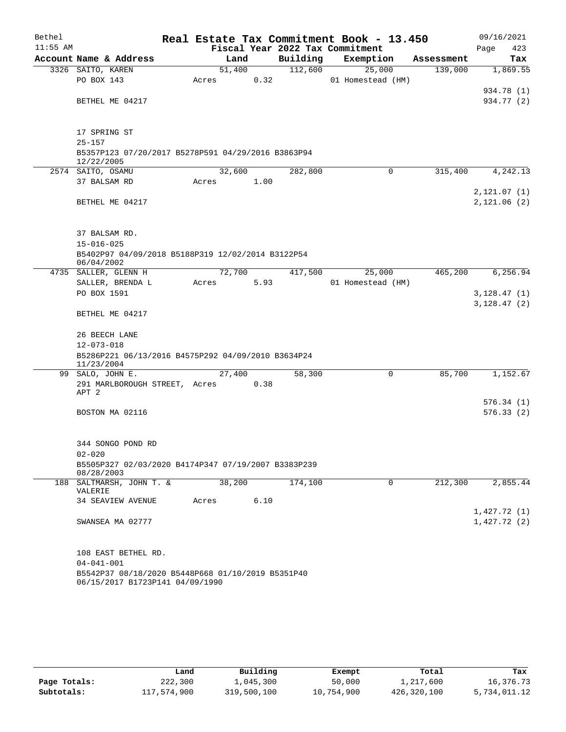| Bethel<br>$11:55$ AM |                                                                                      |       |        |      | Fiscal Year 2022 Tax Commitment | Real Estate Tax Commitment Book - 13.450 |            | 09/16/2021<br>Page<br>423 |
|----------------------|--------------------------------------------------------------------------------------|-------|--------|------|---------------------------------|------------------------------------------|------------|---------------------------|
|                      | Account Name & Address                                                               |       | Land   |      | Building                        | Exemption                                | Assessment | Tax                       |
|                      | 3326 SAITO, KAREN                                                                    |       | 51,400 |      | 112,600                         | 25,000                                   | 139,000    | 1,869.55                  |
|                      | PO BOX 143                                                                           | Acres |        | 0.32 |                                 | 01 Homestead (HM)                        |            |                           |
|                      |                                                                                      |       |        |      |                                 |                                          |            | 934.78 (1)                |
|                      | BETHEL ME 04217                                                                      |       |        |      |                                 |                                          |            | 934.77 (2)                |
|                      | 17 SPRING ST                                                                         |       |        |      |                                 |                                          |            |                           |
|                      | $25 - 157$                                                                           |       |        |      |                                 |                                          |            |                           |
|                      | B5357P123 07/20/2017 B5278P591 04/29/2016 B3863P94                                   |       |        |      |                                 |                                          |            |                           |
|                      | 12/22/2005                                                                           |       |        |      |                                 |                                          |            |                           |
|                      | 2574 SAITO, OSAMU                                                                    |       | 32,600 |      | 282,800                         | 0                                        | 315,400    | 4,242.13                  |
|                      | 37 BALSAM RD                                                                         | Acres |        | 1.00 |                                 |                                          |            |                           |
|                      |                                                                                      |       |        |      |                                 |                                          |            | 2, 121.07(1)              |
|                      | BETHEL ME 04217                                                                      |       |        |      |                                 |                                          |            | 2,121.06(2)               |
|                      | 37 BALSAM RD.                                                                        |       |        |      |                                 |                                          |            |                           |
|                      | $15 - 016 - 025$                                                                     |       |        |      |                                 |                                          |            |                           |
|                      | B5402P97 04/09/2018 B5188P319 12/02/2014 B3122P54<br>06/04/2002                      |       |        |      |                                 |                                          |            |                           |
|                      | 4735 SALLER, GLENN H                                                                 |       | 72,700 |      | 417,500                         | 25,000                                   | 465,200    | 6,256.94                  |
|                      | SALLER, BRENDA L                                                                     | Acres |        | 5.93 |                                 | 01 Homestead (HM)                        |            |                           |
|                      | PO BOX 1591                                                                          |       |        |      |                                 |                                          |            | 3,128.47(1)               |
|                      | BETHEL ME 04217                                                                      |       |        |      |                                 |                                          |            | 3,128.47(2)               |
|                      |                                                                                      |       |        |      |                                 |                                          |            |                           |
|                      | 26 BEECH LANE                                                                        |       |        |      |                                 |                                          |            |                           |
|                      | $12 - 073 - 018$                                                                     |       |        |      |                                 |                                          |            |                           |
|                      | B5286P221 06/13/2016 B4575P292 04/09/2010 B3634P24                                   |       |        |      |                                 |                                          |            |                           |
|                      | 11/23/2004                                                                           |       |        |      |                                 |                                          |            |                           |
|                      | 99 SALO, JOHN E.                                                                     |       | 27,400 |      | 58,300                          | 0                                        | 85,700     | 1,152.67                  |
|                      | 291 MARLBOROUGH STREET, Acres<br>APT 2                                               |       |        | 0.38 |                                 |                                          |            |                           |
|                      |                                                                                      |       |        |      |                                 |                                          |            | 576.34(1)                 |
|                      | BOSTON MA 02116                                                                      |       |        |      |                                 |                                          |            | 576.33 (2)                |
|                      | 344 SONGO POND RD                                                                    |       |        |      |                                 |                                          |            |                           |
|                      | $02 - 020$                                                                           |       |        |      |                                 |                                          |            |                           |
|                      | B5505P327 02/03/2020 B4174P347 07/19/2007 B3383P239<br>08/28/2003                    |       |        |      |                                 |                                          |            |                           |
|                      | 188 SALTMARSH, JOHN T. &<br>VALERIE                                                  |       | 38,200 |      | 174,100                         | 0                                        | 212,300    | 2,855.44                  |
|                      | <b>34 SEAVIEW AVENUE</b>                                                             | Acres |        | 6.10 |                                 |                                          |            |                           |
|                      |                                                                                      |       |        |      |                                 |                                          |            | 1,427.72(1)               |
|                      | SWANSEA MA 02777                                                                     |       |        |      |                                 |                                          |            | 1,427.72(2)               |
|                      | 108 EAST BETHEL RD.                                                                  |       |        |      |                                 |                                          |            |                           |
|                      | $04 - 041 - 001$                                                                     |       |        |      |                                 |                                          |            |                           |
|                      | B5542P37 08/18/2020 B5448P668 01/10/2019 B5351P40<br>06/15/2017 B1723P141 04/09/1990 |       |        |      |                                 |                                          |            |                           |

|              | Land        | Building    | Exempt     | Total       | Tax          |
|--------------|-------------|-------------|------------|-------------|--------------|
| Page Totals: | 222,300     | 1,045,300   | 50,000     | 1,217,600   | 16,376.73    |
| Subtotals:   | 117,574,900 | 319,500,100 | 10,754,900 | 426,320,100 | 5,734,011.12 |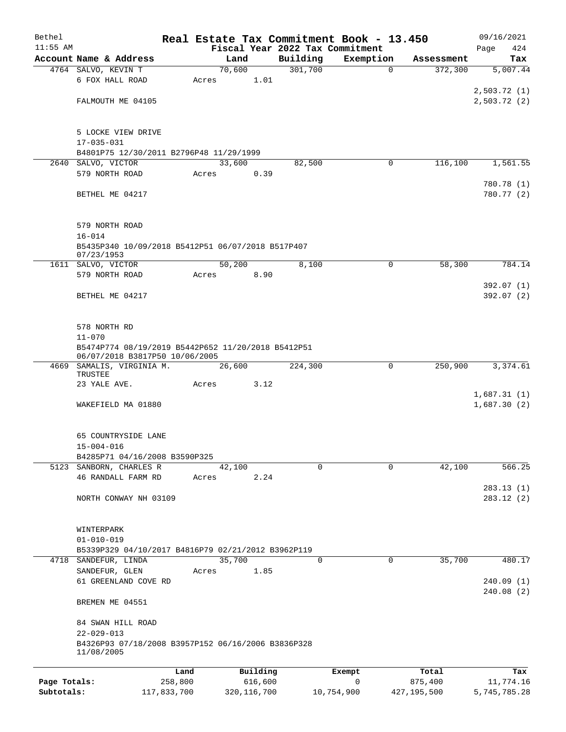| Bethel       |                                                                                      |        |          |                     | Real Estate Tax Commitment Book - 13.450 |            | 09/16/2021                 |
|--------------|--------------------------------------------------------------------------------------|--------|----------|---------------------|------------------------------------------|------------|----------------------------|
| $11:55$ AM   |                                                                                      |        |          |                     | Fiscal Year 2022 Tax Commitment          |            | 424<br>Page                |
|              | Account Name & Address                                                               | Land   |          | Building<br>301,700 | Exemption                                | Assessment | Tax                        |
|              | 4764 SALVO, KEVIN T                                                                  | 70,600 |          |                     | $\mathbf 0$                              | 372,300    | 5,007.44                   |
|              | 6 FOX HALL ROAD                                                                      | Acres  | 1.01     |                     |                                          |            |                            |
|              | FALMOUTH ME 04105                                                                    |        |          |                     |                                          |            | 2,503.72(1)<br>2,503.72(2) |
|              |                                                                                      |        |          |                     |                                          |            |                            |
|              | 5 LOCKE VIEW DRIVE                                                                   |        |          |                     |                                          |            |                            |
|              | $17 - 035 - 031$                                                                     |        |          |                     |                                          |            |                            |
|              | B4801P75 12/30/2011 B2796P48 11/29/1999                                              |        |          |                     |                                          |            |                            |
| 2640         | SALVO, VICTOR                                                                        | 33,600 |          | 82,500              | 0                                        | 116,100    | 1,561.55                   |
|              | 579 NORTH ROAD                                                                       | Acres  | 0.39     |                     |                                          |            |                            |
|              |                                                                                      |        |          |                     |                                          |            | 780.78 (1)                 |
|              | BETHEL ME 04217                                                                      |        |          |                     |                                          |            | 780.77 (2)                 |
|              |                                                                                      |        |          |                     |                                          |            |                            |
|              | 579 NORTH ROAD                                                                       |        |          |                     |                                          |            |                            |
|              | $16 - 014$                                                                           |        |          |                     |                                          |            |                            |
|              | B5435P340 10/09/2018 B5412P51 06/07/2018 B517P407<br>07/23/1953                      |        |          |                     |                                          |            |                            |
|              | 1611 SALVO, VICTOR                                                                   | 50,200 |          | 8,100               | 0                                        | 58,300     | 784.14                     |
|              | 579 NORTH ROAD                                                                       | Acres  | 8.90     |                     |                                          |            |                            |
|              |                                                                                      |        |          |                     |                                          |            | 392.07(1)                  |
|              | BETHEL ME 04217                                                                      |        |          |                     |                                          |            | 392.07 (2)                 |
|              |                                                                                      |        |          |                     |                                          |            |                            |
|              | 578 NORTH RD                                                                         |        |          |                     |                                          |            |                            |
|              | $11 - 070$                                                                           |        |          |                     |                                          |            |                            |
|              | B5474P774 08/19/2019 B5442P652 11/20/2018 B5412P51<br>06/07/2018 B3817P50 10/06/2005 |        |          |                     |                                          |            |                            |
|              | 4669 SAMALIS, VIRGINIA M.<br>TRUSTEE                                                 | 26,600 |          | 224,300             | 0                                        | 250,900    | 3,374.61                   |
|              | 23 YALE AVE.                                                                         | Acres  | 3.12     |                     |                                          |            |                            |
|              |                                                                                      |        |          |                     |                                          |            | 1,687.31(1)                |
|              | WAKEFIELD MA 01880                                                                   |        |          |                     |                                          |            | 1,687.30(2)                |
|              |                                                                                      |        |          |                     |                                          |            |                            |
|              | 65 COUNTRYSIDE LANE                                                                  |        |          |                     |                                          |            |                            |
|              | $15 - 004 - 016$<br>B4285P71 04/16/2008 B3590P325                                    |        |          |                     |                                          |            |                            |
|              | 5123 SANBORN, CHARLES R                                                              | 42,100 |          | $\Omega$            | 0                                        | 42,100     | 566.25                     |
|              | 46 RANDALL FARM RD                                                                   | Acres  | 2.24     |                     |                                          |            |                            |
|              |                                                                                      |        |          |                     |                                          |            | 283.13(1)                  |
|              | NORTH CONWAY NH 03109                                                                |        |          |                     |                                          |            | 283.12(2)                  |
|              |                                                                                      |        |          |                     |                                          |            |                            |
|              | WINTERPARK                                                                           |        |          |                     |                                          |            |                            |
|              | $01 - 010 - 019$                                                                     |        |          |                     |                                          |            |                            |
|              | B5339P329 04/10/2017 B4816P79 02/21/2012 B3962P119                                   |        |          |                     |                                          |            |                            |
|              | 4718 SANDEFUR, LINDA                                                                 | 35,700 |          | $\mathbf 0$         | $\mathbf 0$                              | 35,700     | 480.17                     |
|              | SANDEFUR, GLEN                                                                       | Acres  | 1.85     |                     |                                          |            |                            |
|              | 61 GREENLAND COVE RD                                                                 |        |          |                     |                                          |            | 240.09(1)<br>240.08(2)     |
|              | BREMEN ME 04551                                                                      |        |          |                     |                                          |            |                            |
|              | 84 SWAN HILL ROAD                                                                    |        |          |                     |                                          |            |                            |
|              | $22 - 029 - 013$                                                                     |        |          |                     |                                          |            |                            |
|              | B4326P93 07/18/2008 B3957P152 06/16/2006 B3836P328<br>11/08/2005                     |        |          |                     |                                          |            |                            |
|              |                                                                                      | Land   | Building |                     | Exempt                                   | Total      | Tax                        |
| Page Totals: | 258,800                                                                              |        | 616,600  |                     | 0                                        | 875,400    | 11,774.16                  |

**Subtotals:** 117,833,700 320,116,700 10,754,900 427,195,500 5,745,785.28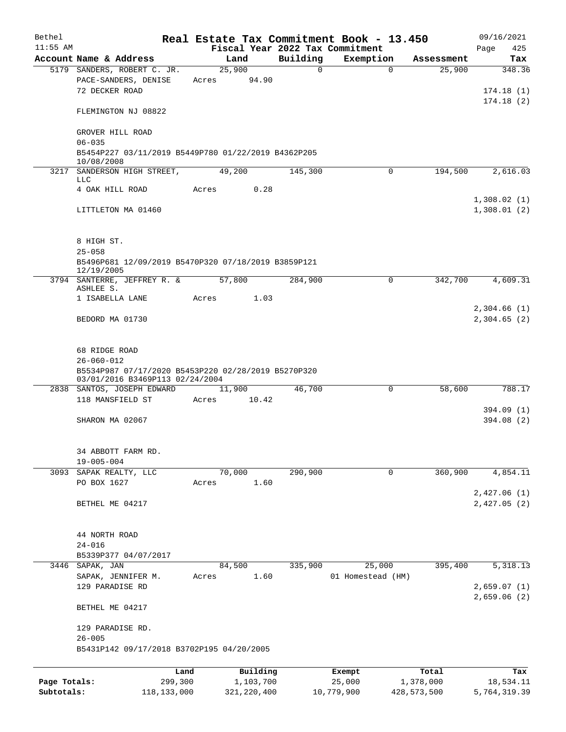| Bethel       |                                                                                          |                 |               |              | Real Estate Tax Commitment Book - 13.450 |               | 09/16/2021                 |
|--------------|------------------------------------------------------------------------------------------|-----------------|---------------|--------------|------------------------------------------|---------------|----------------------------|
| $11:55$ AM   |                                                                                          |                 |               |              | Fiscal Year 2022 Tax Commitment          |               | 425<br>Page                |
|              | Account Name & Address                                                                   | Land            |               | Building     | Exemption                                | Assessment    | Tax                        |
|              | 5179 SANDERS, ROBERT C. JR.<br>PACE-SANDERS, DENISE<br>72 DECKER ROAD                    | 25,900<br>Acres | 94.90         | $\mathsf{O}$ | $\mathbf 0$                              | 25,900        | 348.36<br>174.18(1)        |
|              | FLEMINGTON NJ 08822                                                                      |                 |               |              |                                          |               | 174.18(2)                  |
|              | GROVER HILL ROAD<br>$06 - 035$                                                           |                 |               |              |                                          |               |                            |
|              | B5454P227 03/11/2019 B5449P780 01/22/2019 B4362P205<br>10/08/2008                        |                 |               |              |                                          |               |                            |
|              | 3217 SANDERSON HIGH STREET,<br>LLC                                                       | 49,200          |               | 145,300      | $\Omega$                                 | 194,500       | 2,616.03                   |
|              | 4 OAK HILL ROAD                                                                          | Acres           | 0.28          |              |                                          |               |                            |
|              | LITTLETON MA 01460                                                                       |                 |               |              |                                          |               | 1,308.02(1)<br>1,308.01(2) |
|              | 8 HIGH ST.                                                                               |                 |               |              |                                          |               |                            |
|              | $25 - 058$<br>B5496P681 12/09/2019 B5470P320 07/18/2019 B3859P121                        |                 |               |              |                                          |               |                            |
|              | 12/19/2005                                                                               |                 |               |              |                                          |               |                            |
|              | 3794 SANTERRE, JEFFREY R. &<br>ASHLEE S.                                                 | 57,800          |               | 284,900      | $\mathbf 0$                              | 342,700       | 4,609.31                   |
|              | 1 ISABELLA LANE                                                                          | Acres           | 1.03          |              |                                          |               |                            |
|              | BEDORD MA 01730                                                                          |                 |               |              |                                          |               | 2,304.66(1)<br>2,304.65(2) |
|              | 68 RIDGE ROAD<br>$26 - 060 - 012$<br>B5534P987 07/17/2020 B5453P220 02/28/2019 B5270P320 |                 |               |              |                                          |               |                            |
|              | 03/01/2016 B3469P113 02/24/2004                                                          |                 |               |              |                                          |               |                            |
|              | 2838 SANTOS, JOSEPH EDWARD<br>118 MANSFIELD ST                                           | 11,900<br>Acres | 10.42         | 46,700       | $\mathbf 0$                              | 58,600        | 788.17                     |
|              | SHARON MA 02067                                                                          |                 |               |              |                                          |               | 394.09 (1)<br>394.08(2)    |
|              |                                                                                          |                 |               |              |                                          |               |                            |
|              | 34 ABBOTT FARM RD.<br>$19 - 005 - 004$                                                   |                 |               |              |                                          |               |                            |
|              | 3093 SAPAK REALTY, LLC                                                                   | 70,000          |               | 290,900      | 0                                        | 360,900       | 4,854.11                   |
|              | PO BOX 1627                                                                              | Acres           | 1.60          |              |                                          |               | 2,427.06(1)                |
|              | BETHEL ME 04217                                                                          |                 |               |              |                                          |               | 2,427.05(2)                |
|              | 44 NORTH ROAD<br>$24 - 016$                                                              |                 |               |              |                                          |               |                            |
|              | B5339P377 04/07/2017<br>3446 SAPAK, JAN                                                  | 84,500          |               | 335,900      | 25,000                                   | 395,400       | 5,318.13                   |
|              | SAPAK, JENNIFER M.<br>129 PARADISE RD                                                    | Acres           | 1.60          |              | 01 Homestead (HM)                        |               | 2,659.07(1)                |
|              | BETHEL ME 04217                                                                          |                 |               |              |                                          |               | 2,659.06(2)                |
|              | 129 PARADISE RD.<br>$26 - 005$                                                           |                 |               |              |                                          |               |                            |
|              | B5431P142 09/17/2018 B3702P195 04/20/2005                                                |                 |               |              |                                          |               |                            |
|              | Land                                                                                     |                 | Building      |              | Exempt                                   | Total         | Tax                        |
| Page Totals: | 299,300                                                                                  |                 | 1,103,700     |              | 25,000                                   | 1,378,000     | 18,534.11                  |
| Subtotals:   | 118, 133, 000                                                                            |                 | 321, 220, 400 |              | 10,779,900                               | 428, 573, 500 | 5,764,319.39               |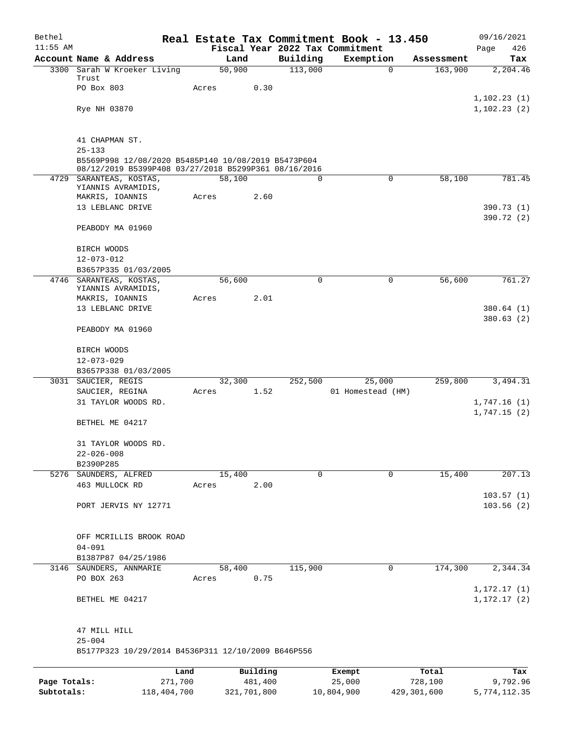| Bethel                     |                                                                                                             |                 |                        |          | Real Estate Tax Commitment Book - 13.450     |                        |            | 09/16/2021               |
|----------------------------|-------------------------------------------------------------------------------------------------------------|-----------------|------------------------|----------|----------------------------------------------|------------------------|------------|--------------------------|
| $11:55$ AM                 | Account Name & Address                                                                                      | Land            |                        | Building | Fiscal Year 2022 Tax Commitment<br>Exemption |                        | Assessment | Page<br>426<br>Tax       |
|                            | 3300 Sarah W Kroeker Living                                                                                 | 50,900          |                        | 113,000  |                                              | $\mathbf 0$            | 163,900    | 2,204.46                 |
|                            | Trust                                                                                                       |                 |                        |          |                                              |                        |            |                          |
|                            | PO Box 803                                                                                                  | Acres           | 0.30                   |          |                                              |                        |            | 1,102.23(1)              |
|                            | Rye NH 03870                                                                                                |                 |                        |          |                                              |                        |            | 1, 102.23(2)             |
|                            |                                                                                                             |                 |                        |          |                                              |                        |            |                          |
|                            | 41 CHAPMAN ST.<br>$25 - 133$                                                                                |                 |                        |          |                                              |                        |            |                          |
|                            | B5569P998 12/08/2020 B5485P140 10/08/2019 B5473P604<br>08/12/2019 B5399P408 03/27/2018 B5299P361 08/16/2016 |                 |                        |          |                                              |                        |            |                          |
|                            | 4729 SARANTEAS, KOSTAS,<br>YIANNIS AVRAMIDIS,                                                               | 58,100          |                        | 0        |                                              | $\mathbf 0$            | 58,100     | 781.45                   |
|                            | MAKRIS, IOANNIS                                                                                             | Acres           | 2.60                   |          |                                              |                        |            |                          |
|                            | 13 LEBLANC DRIVE                                                                                            |                 |                        |          |                                              |                        |            | 390.73 (1)               |
|                            | PEABODY MA 01960                                                                                            |                 |                        |          |                                              |                        |            | 390.72 (2)               |
|                            | BIRCH WOODS                                                                                                 |                 |                        |          |                                              |                        |            |                          |
|                            | $12 - 073 - 012$<br>B3657P335 01/03/2005                                                                    |                 |                        |          |                                              |                        |            |                          |
|                            | 4746 SARANTEAS, KOSTAS,                                                                                     | 56,600          |                        | 0        |                                              | 0                      | 56,600     | 761.27                   |
|                            | YIANNIS AVRAMIDIS,                                                                                          |                 |                        |          |                                              |                        |            |                          |
|                            | MAKRIS, IOANNIS                                                                                             | Acres           | 2.01                   |          |                                              |                        |            |                          |
|                            | 13 LEBLANC DRIVE                                                                                            |                 |                        |          |                                              |                        |            | 380.64 (1)<br>380.63(2)  |
|                            | PEABODY MA 01960                                                                                            |                 |                        |          |                                              |                        |            |                          |
|                            | BIRCH WOODS                                                                                                 |                 |                        |          |                                              |                        |            |                          |
|                            | $12 - 073 - 029$                                                                                            |                 |                        |          |                                              |                        |            |                          |
|                            | B3657P338 01/03/2005                                                                                        |                 |                        |          |                                              |                        |            |                          |
| 3031                       | SAUCIER, REGIS<br>SAUCIER, REGINA                                                                           | 32,300<br>Acres | 1.52                   | 252,500  | 25,000<br>01 Homestead (HM)                  |                        | 259,800    | 3,494.31                 |
|                            | 31 TAYLOR WOODS RD.                                                                                         |                 |                        |          |                                              |                        |            | 1,747.16(1)              |
|                            | BETHEL ME 04217                                                                                             |                 |                        |          |                                              |                        |            | 1,747.15(2)              |
|                            |                                                                                                             |                 |                        |          |                                              |                        |            |                          |
|                            | 31 TAYLOR WOODS RD.<br>$22 - 026 - 008$                                                                     |                 |                        |          |                                              |                        |            |                          |
|                            | B2390P285                                                                                                   |                 |                        |          |                                              |                        |            |                          |
|                            | 5276 SAUNDERS, ALFRED                                                                                       | 15,400          |                        | 0        |                                              | 0                      | 15,400     | 207.13                   |
|                            | 463 MULLOCK RD                                                                                              | Acres           | 2.00                   |          |                                              |                        |            |                          |
|                            | PORT JERVIS NY 12771                                                                                        |                 |                        |          |                                              |                        |            | 103.57(1)<br>103.56(2)   |
|                            |                                                                                                             |                 |                        |          |                                              |                        |            |                          |
|                            | OFF MCRILLIS BROOK ROAD                                                                                     |                 |                        |          |                                              |                        |            |                          |
|                            | $04 - 091$                                                                                                  |                 |                        |          |                                              |                        |            |                          |
|                            | B1387P87 04/25/1986                                                                                         |                 |                        |          |                                              |                        |            |                          |
| 3146                       | SAUNDERS, ANNMARIE<br>PO BOX 263                                                                            | 58,400<br>Acres | 0.75                   | 115,900  |                                              | 0                      | 174,300    | 2,344.34                 |
|                            |                                                                                                             |                 |                        |          |                                              |                        |            | 1, 172.17(1)             |
|                            | BETHEL ME 04217                                                                                             |                 |                        |          |                                              |                        |            | 1, 172.17(2)             |
|                            | 47 MILL HILL                                                                                                |                 |                        |          |                                              |                        |            |                          |
|                            | $25 - 004$                                                                                                  |                 |                        |          |                                              |                        |            |                          |
|                            | B5177P323 10/29/2014 B4536P311 12/10/2009 B646P556                                                          |                 |                        |          |                                              |                        |            |                          |
|                            | Land                                                                                                        |                 | Building               |          | Exempt                                       | Total                  |            | Tax                      |
| Page Totals:<br>Subtotals: | 271,700<br>118,404,700                                                                                      |                 | 481,400<br>321,701,800 |          | 25,000<br>10,804,900                         | 728,100<br>429,301,600 |            | 9,792.96<br>5,774,112.35 |
|                            |                                                                                                             |                 |                        |          |                                              |                        |            |                          |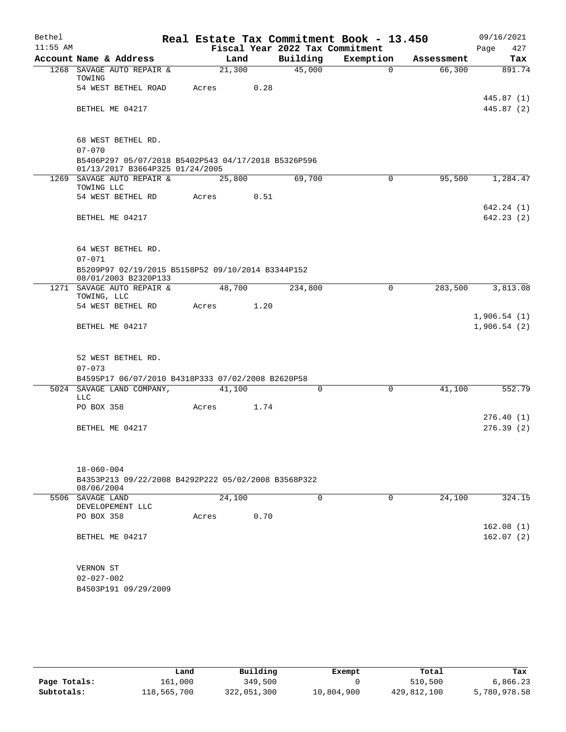| Bethel     |                                                                                        |        |      |                                 | Real Estate Tax Commitment Book - 13.450 |            | 09/16/2021               |
|------------|----------------------------------------------------------------------------------------|--------|------|---------------------------------|------------------------------------------|------------|--------------------------|
| $11:55$ AM |                                                                                        |        |      | Fiscal Year 2022 Tax Commitment |                                          |            | 427<br>Page              |
|            | Account Name & Address                                                                 | Land   |      | Building                        | Exemption                                | Assessment | Tax                      |
|            | 1268 SAVAGE AUTO REPAIR &<br>TOWING                                                    | 21,300 |      | 45,000                          | $\Omega$                                 | 66,300     | 891.74                   |
|            | 54 WEST BETHEL ROAD                                                                    | Acres  | 0.28 |                                 |                                          |            |                          |
|            | BETHEL ME 04217                                                                        |        |      |                                 |                                          |            | 445.87 (1)<br>445.87 (2) |
|            |                                                                                        |        |      |                                 |                                          |            |                          |
|            | 68 WEST BETHEL RD.<br>$07 - 070$                                                       |        |      |                                 |                                          |            |                          |
|            | B5406P297 05/07/2018 B5402P543 04/17/2018 B5326P596<br>01/13/2017 B3664P325 01/24/2005 |        |      |                                 |                                          |            |                          |
|            | 1269 SAVAGE AUTO REPAIR &<br>TOWING LLC                                                | 25,800 |      | 69,700                          | $\mathbf 0$                              | 95,500     | 1,284.47                 |
|            | 54 WEST BETHEL RD                                                                      | Acres  | 0.51 |                                 |                                          |            |                          |
|            |                                                                                        |        |      |                                 |                                          |            | 642.24 (1)               |
|            | BETHEL ME 04217                                                                        |        |      |                                 |                                          |            | 642.23 (2)               |
|            |                                                                                        |        |      |                                 |                                          |            |                          |
|            | 64 WEST BETHEL RD.                                                                     |        |      |                                 |                                          |            |                          |
|            | $07 - 071$                                                                             |        |      |                                 |                                          |            |                          |
|            | B5209P97 02/19/2015 B5158P52 09/10/2014 B3344P152<br>08/01/2003 B2320P133              |        |      |                                 |                                          |            |                          |
|            | 1271 SAVAGE AUTO REPAIR &<br>TOWING, LLC                                               | 48,700 |      | 234,800                         | 0                                        | 283,500    | 3,813.08                 |
|            | 54 WEST BETHEL RD                                                                      | Acres  | 1.20 |                                 |                                          |            |                          |
|            |                                                                                        |        |      |                                 |                                          |            | 1,906.54(1)              |
|            | BETHEL ME 04217                                                                        |        |      |                                 |                                          |            | 1,906.54(2)              |
|            |                                                                                        |        |      |                                 |                                          |            |                          |
|            | 52 WEST BETHEL RD.<br>$07 - 073$                                                       |        |      |                                 |                                          |            |                          |
|            | B4595P17 06/07/2010 B4318P333 07/02/2008 B2620P58                                      |        |      |                                 |                                          |            |                          |
|            | 5024 SAVAGE LAND COMPANY,                                                              | 41,100 |      | 0                               | $\mathbf 0$                              | 41,100     | 552.79                   |
|            | <b>LLC</b><br>PO BOX 358                                                               | Acres  | 1.74 |                                 |                                          |            |                          |
|            |                                                                                        |        |      |                                 |                                          |            | 276.40(1)                |
|            | BETHEL ME 04217                                                                        |        |      |                                 |                                          |            | 276.39(2)                |
|            |                                                                                        |        |      |                                 |                                          |            |                          |
|            |                                                                                        |        |      |                                 |                                          |            |                          |
|            | $18 - 060 - 004$<br>B4353P213 09/22/2008 B4292P222 05/02/2008 B3568P322                |        |      |                                 |                                          |            |                          |
|            | 08/06/2004                                                                             |        |      |                                 |                                          |            |                          |
|            | 5506 SAVAGE LAND<br>DEVELOPEMENT LLC                                                   | 24,100 |      | $\Omega$                        | $\Omega$                                 | 24, 100    | 324.15                   |
|            | PO BOX 358                                                                             | Acres  | 0.70 |                                 |                                          |            |                          |
|            |                                                                                        |        |      |                                 |                                          |            | 162.08(1)                |
|            | BETHEL ME 04217                                                                        |        |      |                                 |                                          |            | 162.07(2)                |
|            |                                                                                        |        |      |                                 |                                          |            |                          |
|            | VERNON ST<br>$02 - 027 - 002$                                                          |        |      |                                 |                                          |            |                          |
|            | B4503P191 09/29/2009                                                                   |        |      |                                 |                                          |            |                          |
|            |                                                                                        |        |      |                                 |                                          |            |                          |
|            |                                                                                        |        |      |                                 |                                          |            |                          |

|              | Land        | Building    | Exempt     | Total       | Tax          |
|--------------|-------------|-------------|------------|-------------|--------------|
| Page Totals: | 161,000     | 349,500     |            | 510,500     | 6,866.23     |
| Subtotals:   | 118,565,700 | 322,051,300 | 10,804,900 | 429,812,100 | 5,780,978.58 |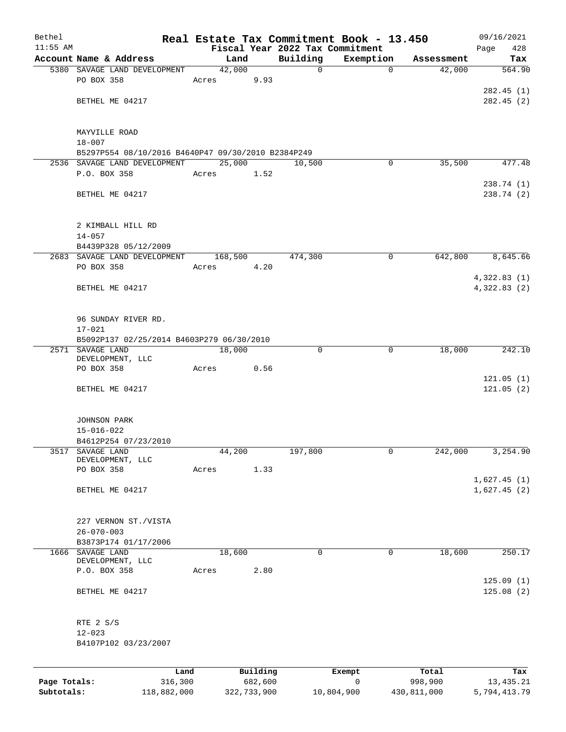| Bethel     |                                                    |       |                |                                 | Real Estate Tax Commitment Book - 13.450 |            | 09/16/2021  |
|------------|----------------------------------------------------|-------|----------------|---------------------------------|------------------------------------------|------------|-------------|
| $11:55$ AM |                                                    |       |                | Fiscal Year 2022 Tax Commitment |                                          |            | Page<br>428 |
|            | Account Name & Address                             |       | Land           | Building                        | Exemption                                | Assessment | Tax         |
|            | 5380 SAVAGE LAND DEVELOPMENT<br>PO BOX 358         | Acres | 42,000<br>9.93 | $\mathbf 0$                     | $\mathbf 0$                              | 42,000     | 564.90      |
|            |                                                    |       |                |                                 |                                          |            | 282.45(1)   |
|            | BETHEL ME 04217                                    |       |                |                                 |                                          |            | 282.45(2)   |
|            |                                                    |       |                |                                 |                                          |            |             |
|            | MAYVILLE ROAD                                      |       |                |                                 |                                          |            |             |
|            | $18 - 007$                                         |       |                |                                 |                                          |            |             |
|            | B5297P554 08/10/2016 B4640P47 09/30/2010 B2384P249 |       |                |                                 |                                          |            |             |
|            | 2536 SAVAGE LAND DEVELOPMENT                       |       | 25,000         | 10,500                          | 0                                        | 35,500     | 477.48      |
|            | P.O. BOX 358                                       | Acres | 1.52           |                                 |                                          |            |             |
|            |                                                    |       |                |                                 |                                          |            | 238.74 (1)  |
|            | BETHEL ME 04217                                    |       |                |                                 |                                          |            | 238.74 (2)  |
|            | 2 KIMBALL HILL RD                                  |       |                |                                 |                                          |            |             |
|            | $14 - 057$                                         |       |                |                                 |                                          |            |             |
|            | B4439P328 05/12/2009                               |       |                |                                 |                                          |            |             |
|            | 2683 SAVAGE LAND DEVELOPMENT                       |       | 168,500        | 474,300                         | $\mathbf 0$                              | 642,800    | 8,645.66    |
|            | PO BOX 358                                         | Acres | 4.20           |                                 |                                          |            |             |
|            |                                                    |       |                |                                 |                                          |            | 4,322.83(1) |
|            | BETHEL ME 04217                                    |       |                |                                 |                                          |            | 4,322.83(2) |
|            |                                                    |       |                |                                 |                                          |            |             |
|            |                                                    |       |                |                                 |                                          |            |             |
|            | 96 SUNDAY RIVER RD.                                |       |                |                                 |                                          |            |             |
|            | $17 - 021$                                         |       |                |                                 |                                          |            |             |
|            | B5092P137 02/25/2014 B4603P279 06/30/2010          |       |                |                                 |                                          |            |             |
|            | 2571 SAVAGE LAND                                   |       | 18,000         | 0                               | 0                                        | 18,000     | 242.10      |
|            | DEVELOPMENT, LLC<br>PO BOX 358                     | Acres | 0.56           |                                 |                                          |            |             |
|            |                                                    |       |                |                                 |                                          |            | 121.05(1)   |
|            | BETHEL ME 04217                                    |       |                |                                 |                                          |            | 121.05(2)   |
|            |                                                    |       |                |                                 |                                          |            |             |
|            | <b>JOHNSON PARK</b>                                |       |                |                                 |                                          |            |             |
|            | $15 - 016 - 022$                                   |       |                |                                 |                                          |            |             |
|            | B4612P254 07/23/2010                               |       |                |                                 |                                          |            |             |
| 3517       | SAVAGE LAND                                        |       | 44,200         | 197,800                         | 0                                        | 242,000    | 3,254.90    |
|            | DEVELOPMENT, LLC                                   |       |                |                                 |                                          |            |             |
|            | PO BOX 358                                         | Acres | 1.33           |                                 |                                          |            |             |
|            |                                                    |       |                |                                 |                                          |            | 1,627.45(1) |
|            | BETHEL ME 04217                                    |       |                |                                 |                                          |            | 1,627.45(2) |
|            |                                                    |       |                |                                 |                                          |            |             |
|            |                                                    |       |                |                                 |                                          |            |             |
|            | 227 VERNON ST./VISTA<br>$26 - 070 - 003$           |       |                |                                 |                                          |            |             |
|            | B3873P174 01/17/2006                               |       |                |                                 |                                          |            |             |
|            | 1666 SAVAGE LAND                                   |       | 18,600         | 0                               | 0                                        | 18,600     | 250.17      |
|            | DEVELOPMENT, LLC                                   |       |                |                                 |                                          |            |             |
|            | P.O. BOX 358                                       | Acres | 2.80           |                                 |                                          |            |             |
|            |                                                    |       |                |                                 |                                          |            | 125.09(1)   |
|            | BETHEL ME 04217                                    |       |                |                                 |                                          |            | 125.08(2)   |
|            |                                                    |       |                |                                 |                                          |            |             |
|            | RTE 2 S/S                                          |       |                |                                 |                                          |            |             |
|            | $12 - 023$                                         |       |                |                                 |                                          |            |             |
|            | B4107P102 03/23/2007                               |       |                |                                 |                                          |            |             |
|            |                                                    |       |                |                                 |                                          |            |             |
|            |                                                    | Land  | Building       |                                 | Exempt                                   | Total      | Tax         |

|              | ------      | ---------   | ---------  | -----       | ----         |
|--------------|-------------|-------------|------------|-------------|--------------|
| Page Totals: | 316,300     | 682,600     |            | 998,900     | 13,435.21    |
| Subtotals:   | 118,882,000 | 322,733,900 | 10,804,900 | 430,811,000 | 5,794,413.79 |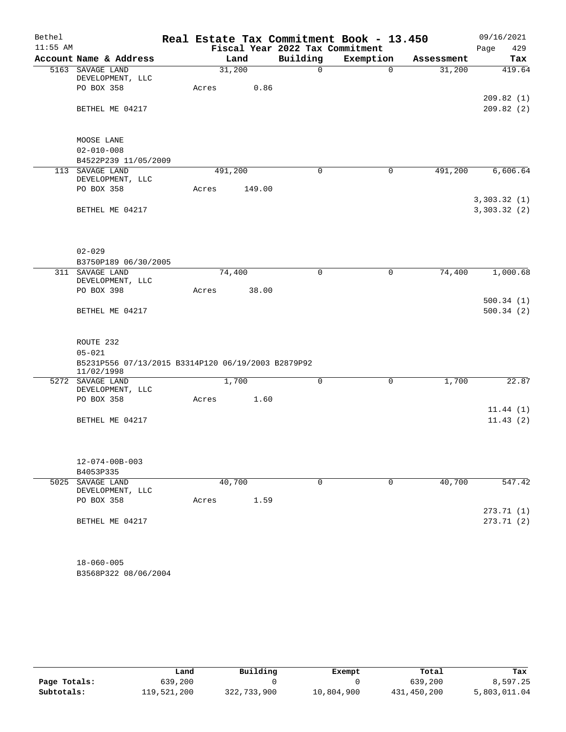| $11:55$ AM |                                                                  |       |         |        | Fiscal Year 2022 Tax Commitment | Real Estate Tax Commitment Book - 13.450 |            | Page<br>429            |
|------------|------------------------------------------------------------------|-------|---------|--------|---------------------------------|------------------------------------------|------------|------------------------|
|            |                                                                  |       |         |        |                                 |                                          |            |                        |
|            | Account Name & Address                                           |       | Land    |        | Building                        | Exemption                                | Assessment | Tax                    |
|            | 5163 SAVAGE LAND<br>DEVELOPMENT, LLC                             |       | 31,200  |        | 0                               | $\Omega$                                 | 31,200     | 419.64                 |
|            | PO BOX 358                                                       | Acres |         | 0.86   |                                 |                                          |            |                        |
|            | BETHEL ME 04217                                                  |       |         |        |                                 |                                          |            | 209.82(1)<br>209.82(2) |
|            |                                                                  |       |         |        |                                 |                                          |            |                        |
|            | MOOSE LANE                                                       |       |         |        |                                 |                                          |            |                        |
|            | $02 - 010 - 008$                                                 |       |         |        |                                 |                                          |            |                        |
|            | B4522P239 11/05/2009                                             |       |         |        |                                 |                                          |            |                        |
|            | 113 SAVAGE LAND<br>DEVELOPMENT, LLC                              |       | 491,200 |        | $\mathbf 0$                     | $\mathbf 0$                              | 491,200    | 6,606.64               |
|            | PO BOX 358                                                       | Acres |         | 149.00 |                                 |                                          |            |                        |
|            |                                                                  |       |         |        |                                 |                                          |            | 3,303.32(1)            |
|            | BETHEL ME 04217                                                  |       |         |        |                                 |                                          |            | 3,303.32(2)            |
|            |                                                                  |       |         |        |                                 |                                          |            |                        |
|            | $02 - 029$                                                       |       |         |        |                                 |                                          |            |                        |
|            | B3750P189 06/30/2005                                             |       |         |        |                                 |                                          |            |                        |
|            | 311 SAVAGE LAND                                                  |       | 74,400  |        | $\mathbf 0$                     | 0                                        | 74,400     | 1,000.68               |
|            | DEVELOPMENT, LLC                                                 |       |         |        |                                 |                                          |            |                        |
|            | PO BOX 398                                                       | Acres |         | 38.00  |                                 |                                          |            |                        |
|            | BETHEL ME 04217                                                  |       |         |        |                                 |                                          |            | 500.34(1)<br>500.34(2) |
|            |                                                                  |       |         |        |                                 |                                          |            |                        |
|            | ROUTE 232                                                        |       |         |        |                                 |                                          |            |                        |
|            | $05 - 021$                                                       |       |         |        |                                 |                                          |            |                        |
|            | B5231P556 07/13/2015 B3314P120 06/19/2003 B2879P92<br>11/02/1998 |       |         |        |                                 |                                          |            |                        |
|            | 5272 SAVAGE LAND                                                 |       | 1,700   |        | 0                               | 0                                        | 1,700      | 22.87                  |
|            | DEVELOPMENT, LLC                                                 |       |         |        |                                 |                                          |            |                        |
|            | PO BOX 358                                                       | Acres |         | 1.60   |                                 |                                          |            | 11.44(1)               |
|            | BETHEL ME 04217                                                  |       |         |        |                                 |                                          |            | 11.43(2)               |
|            |                                                                  |       |         |        |                                 |                                          |            |                        |
|            | $12 - 074 - 00B - 003$                                           |       |         |        |                                 |                                          |            |                        |
|            | B4053P335                                                        |       |         |        |                                 |                                          |            |                        |
| 5025       | SAVAGE LAND<br>DEVELOPMENT, LLC                                  |       | 40,700  |        | 0                               | 0                                        | 40,700     | 547.42                 |
|            | PO BOX 358                                                       | Acres |         | 1.59   |                                 |                                          |            |                        |
|            |                                                                  |       |         |        |                                 |                                          |            | 273.71 (1)             |
|            | BETHEL ME 04217                                                  |       |         |        |                                 |                                          |            | 273.71(2)              |
|            | $18 - 060 - 005$                                                 |       |         |        |                                 |                                          |            |                        |

B3568P322 08/06/2004

|              | Land        | Building    | Exempt     | Total       | Tax          |
|--------------|-------------|-------------|------------|-------------|--------------|
| Page Totals: | 639,200     |             |            | 639,200     | 8,597.25     |
| Subtotals:   | 119,521,200 | 322,733,900 | 10,804,900 | 431,450,200 | 5,803,011.04 |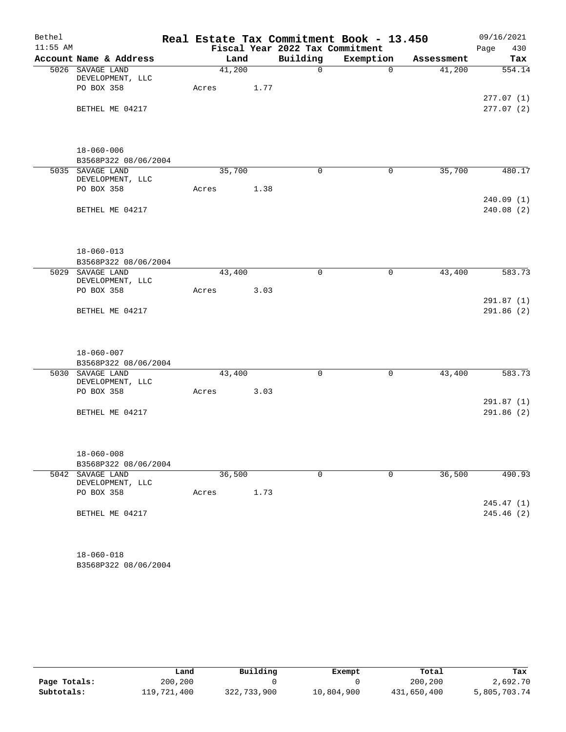| Bethel     |                                                              |       |        |      | Real Estate Tax Commitment Book - 13.450 |              |            | 09/16/2021               |
|------------|--------------------------------------------------------------|-------|--------|------|------------------------------------------|--------------|------------|--------------------------|
| $11:55$ AM |                                                              |       |        |      | Fiscal Year 2022 Tax Commitment          |              |            | Page<br>430              |
|            | Account Name & Address                                       |       | Land   |      | Building                                 | Exemption    | Assessment | Tax                      |
|            | 5026 SAVAGE LAND<br>DEVELOPMENT, LLC                         |       | 41,200 |      | $\Omega$                                 | $\Omega$     | 41,200     | 554.14                   |
|            | PO BOX 358                                                   | Acres |        | 1.77 |                                          |              |            | 277.07(1)                |
|            | BETHEL ME 04217                                              |       |        |      |                                          |              |            | 277.07(2)                |
|            | $18 - 060 - 006$<br>B3568P322 08/06/2004                     |       |        |      |                                          |              |            |                          |
|            | 5035 SAVAGE LAND                                             |       | 35,700 |      | $\mathbf 0$                              | $\mathsf{O}$ | 35,700     | 480.17                   |
|            | DEVELOPMENT, LLC                                             |       |        |      |                                          |              |            |                          |
|            | PO BOX 358                                                   | Acres |        | 1.38 |                                          |              |            |                          |
|            | BETHEL ME 04217                                              |       |        |      |                                          |              |            | 240.09(1)<br>240.08 (2)  |
|            | $18 - 060 - 013$<br>B3568P322 08/06/2004                     |       |        |      |                                          |              |            |                          |
|            | 5029 SAVAGE LAND                                             |       | 43,400 |      | $\mathbf 0$                              | 0            | 43,400     | 583.73                   |
|            | DEVELOPMENT, LLC                                             |       |        |      |                                          |              |            |                          |
|            | PO BOX 358                                                   | Acres |        | 3.03 |                                          |              |            | 291.87(1)                |
|            | BETHEL ME 04217                                              |       |        |      |                                          |              |            | 291.86(2)                |
|            |                                                              |       |        |      |                                          |              |            |                          |
|            | $18 - 060 - 007$                                             |       |        |      |                                          |              |            |                          |
|            | B3568P322 08/06/2004<br>5030 SAVAGE LAND<br>DEVELOPMENT, LLC |       | 43,400 |      | $\mathbf 0$                              | $\mathsf{O}$ | 43,400     | 583.73                   |
|            | PO BOX 358                                                   | Acres |        | 3.03 |                                          |              |            |                          |
|            |                                                              |       |        |      |                                          |              |            | 291.87 (1)               |
|            | BETHEL ME 04217                                              |       |        |      |                                          |              |            | 291.86(2)                |
|            | $18 - 060 - 008$                                             |       |        |      |                                          |              |            |                          |
|            | B3568P322 08/06/2004                                         |       |        |      |                                          |              |            |                          |
|            | 5042 SAVAGE LAND<br>DEVELOPMENT, LLC                         |       | 36,500 |      | $\mathbf 0$                              | $\mathbf 0$  | 36,500     | 490.93                   |
|            | PO BOX 358                                                   | Acres |        | 1.73 |                                          |              |            |                          |
|            | BETHEL ME 04217                                              |       |        |      |                                          |              |            | 245.47 (1)<br>245.46 (2) |
|            | $18 - 060 - 018$                                             |       |        |      |                                          |              |            |                          |

B3568P322 08/06/2004

|              | Land        | Building    | Exempt     | Total       | Tax          |
|--------------|-------------|-------------|------------|-------------|--------------|
| Page Totals: | 200,200     |             |            | 200,200     | 2,692.70     |
| Subtotals:   | 119,721,400 | 322,733,900 | 10,804,900 | 431,650,400 | 5,805,703.74 |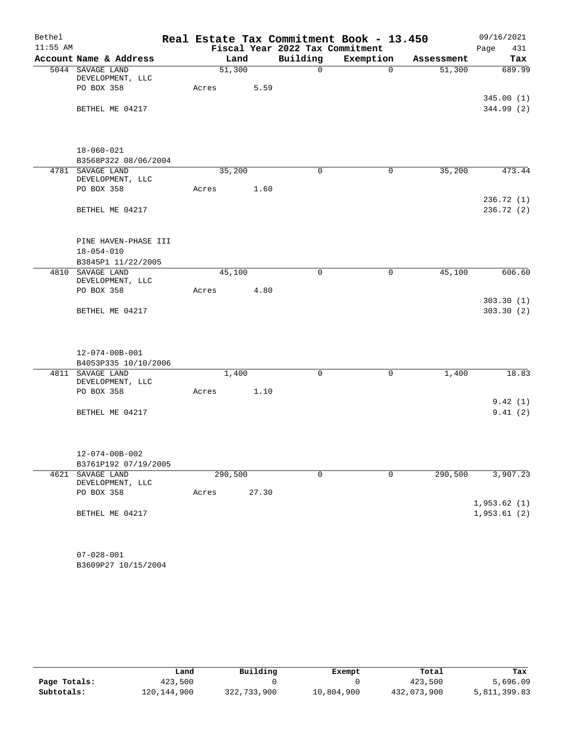| Bethel     |                                                    |       |         |       |                                 | Real Estate Tax Commitment Book - 13.450 |            | 09/16/2021                 |
|------------|----------------------------------------------------|-------|---------|-------|---------------------------------|------------------------------------------|------------|----------------------------|
| $11:55$ AM |                                                    |       |         |       | Fiscal Year 2022 Tax Commitment |                                          |            | 431<br>Page                |
|            | Account Name & Address                             |       | Land    |       | Building                        | Exemption                                | Assessment | Tax                        |
|            | 5044 SAVAGE LAND                                   |       | 51,300  |       | $\mathsf{O}$                    | $\mathbf 0$                              | 51,300     | 689.99                     |
|            | DEVELOPMENT, LLC<br>PO BOX 358                     | Acres |         | 5.59  |                                 |                                          |            |                            |
|            |                                                    |       |         |       |                                 |                                          |            | 345.00(1)                  |
|            | BETHEL ME 04217                                    |       |         |       |                                 |                                          |            | 344.99 (2)                 |
|            |                                                    |       |         |       |                                 |                                          |            |                            |
|            | $18 - 060 - 021$                                   |       |         |       |                                 |                                          |            |                            |
|            | B3568P322 08/06/2004                               |       |         |       |                                 |                                          |            |                            |
|            | 4781 SAVAGE LAND                                   |       | 35,200  |       | $\mathbf 0$                     | $\mathbf 0$                              | 35,200     | 473.44                     |
|            | DEVELOPMENT, LLC<br>PO BOX 358                     |       |         |       |                                 |                                          |            |                            |
|            |                                                    | Acres |         | 1.60  |                                 |                                          |            | 236.72(1)                  |
|            | BETHEL ME 04217                                    |       |         |       |                                 |                                          |            | 236.72 (2)                 |
|            |                                                    |       |         |       |                                 |                                          |            |                            |
|            | PINE HAVEN-PHASE III                               |       |         |       |                                 |                                          |            |                            |
|            | $18 - 054 - 010$                                   |       |         |       |                                 |                                          |            |                            |
|            | B3845P1 11/22/2005<br>4810 SAVAGE LAND             |       | 45,100  |       | $\mathbf 0$                     | $\mathbf 0$                              | 45,100     | 606.60                     |
|            | DEVELOPMENT, LLC                                   |       |         |       |                                 |                                          |            |                            |
|            | PO BOX 358                                         | Acres |         | 4.80  |                                 |                                          |            |                            |
|            |                                                    |       |         |       |                                 |                                          |            | 303.30(1)                  |
|            | BETHEL ME 04217                                    |       |         |       |                                 |                                          |            | 303.30(2)                  |
|            |                                                    |       |         |       |                                 |                                          |            |                            |
|            | $12 - 074 - 00B - 001$                             |       |         |       |                                 |                                          |            |                            |
|            | B4053P335 10/10/2006                               |       |         |       |                                 |                                          |            |                            |
|            | 4811 SAVAGE LAND<br>DEVELOPMENT, LLC<br>PO BOX 358 | Acres | 1,400   | 1.10  | $\mathbf 0$                     | 0                                        | 1,400      | 18.83                      |
|            |                                                    |       |         |       |                                 |                                          |            | 9.42(1)                    |
|            | BETHEL ME 04217                                    |       |         |       |                                 |                                          |            | 9.41(2)                    |
|            |                                                    |       |         |       |                                 |                                          |            |                            |
|            | $12 - 074 - 00B - 002$                             |       |         |       |                                 |                                          |            |                            |
|            | B3761P192 07/19/2005                               |       |         |       |                                 |                                          |            |                            |
| 4621       | SAVAGE LAND<br>DEVELOPMENT, LLC                    |       | 290,500 |       | 0                               | $\mathbf 0$                              | 290,500    | 3,907.23                   |
|            | PO BOX 358                                         | Acres |         | 27.30 |                                 |                                          |            |                            |
|            | BETHEL ME 04217                                    |       |         |       |                                 |                                          |            | 1,953.62(1)<br>1,953.61(2) |
|            |                                                    |       |         |       |                                 |                                          |            |                            |
|            | $07 - 028 - 001$                                   |       |         |       |                                 |                                          |            |                            |

B3609P27 10/15/2004

|              | Land        | Building    | Exempt     | Total       | Tax          |
|--------------|-------------|-------------|------------|-------------|--------------|
| Page Totals: | 423,500     |             |            | 423,500     | 5,696.09     |
| Subtotals:   | 120,144,900 | 322,733,900 | 10,804,900 | 432,073,900 | 5,811,399.83 |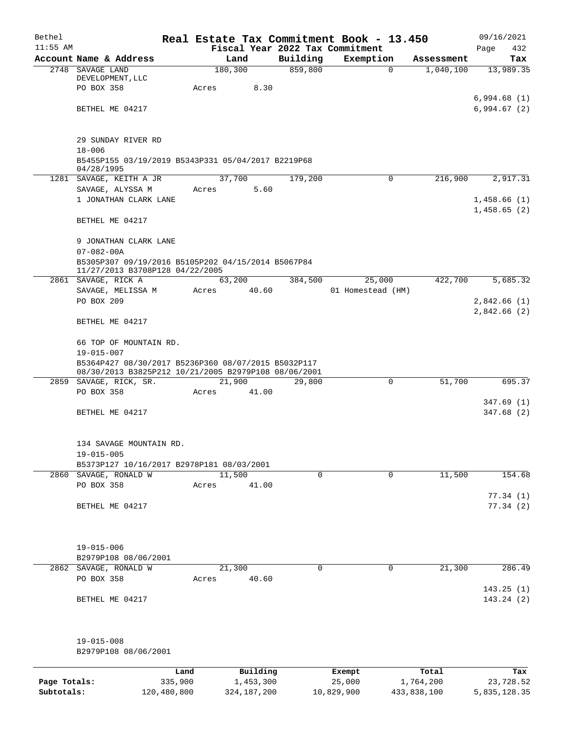| Bethel       |                                                      |       |                 |             | Real Estate Tax Commitment Book - 13.450 |            | 09/16/2021  |
|--------------|------------------------------------------------------|-------|-----------------|-------------|------------------------------------------|------------|-------------|
| $11:55$ AM   |                                                      |       |                 |             | Fiscal Year 2022 Tax Commitment          |            | Page<br>432 |
|              | Account Name & Address                               |       | Land            | Building    | Exemption                                | Assessment | Tax         |
|              | 2748 SAVAGE LAND<br>DEVELOPMENT, LLC                 |       | 180,300         | 859,800     | $\Omega$                                 | 1,040,100  | 13,989.35   |
|              | PO BOX 358                                           | Acres | 8.30            |             |                                          |            |             |
|              |                                                      |       |                 |             |                                          |            | 6,994.68(1) |
|              | BETHEL ME 04217                                      |       |                 |             |                                          |            | 6,994.67(2) |
|              |                                                      |       |                 |             |                                          |            |             |
|              |                                                      |       |                 |             |                                          |            |             |
|              | 29 SUNDAY RIVER RD                                   |       |                 |             |                                          |            |             |
|              | $18 - 006$                                           |       |                 |             |                                          |            |             |
|              | B5455P155 03/19/2019 B5343P331 05/04/2017 B2219P68   |       |                 |             |                                          |            |             |
|              | 04/28/1995<br>1281 SAVAGE, KEITH A JR                |       | 37,700          | 179,200     | 0                                        | 216,900    | 2,917.31    |
|              | SAVAGE, ALYSSA M                                     | Acres | 5.60            |             |                                          |            |             |
|              | 1 JONATHAN CLARK LANE                                |       |                 |             |                                          |            | 1,458.66(1) |
|              |                                                      |       |                 |             |                                          |            | 1,458.65(2) |
|              | BETHEL ME 04217                                      |       |                 |             |                                          |            |             |
|              |                                                      |       |                 |             |                                          |            |             |
|              | 9 JONATHAN CLARK LANE                                |       |                 |             |                                          |            |             |
|              | $07 - 082 - 00A$                                     |       |                 |             |                                          |            |             |
|              | B5305P307 09/19/2016 B5105P202 04/15/2014 B5067P84   |       |                 |             |                                          |            |             |
|              | 11/27/2013 B3708P128 04/22/2005                      |       |                 |             |                                          |            |             |
|              | 2861 SAVAGE, RICK A                                  |       | 63,200          | 384,500     | 25,000                                   | 422,700    | 5,685.32    |
|              | SAVAGE, MELISSA M                                    | Acres | 40.60           |             | 01 Homestead (HM)                        |            |             |
|              | PO BOX 209                                           |       |                 |             |                                          |            | 2,842.66(1) |
|              | BETHEL ME 04217                                      |       |                 |             |                                          |            | 2,842.66(2) |
|              |                                                      |       |                 |             |                                          |            |             |
|              | 66 TOP OF MOUNTAIN RD.                               |       |                 |             |                                          |            |             |
|              | $19 - 015 - 007$                                     |       |                 |             |                                          |            |             |
|              | B5364P427 08/30/2017 B5236P360 08/07/2015 B5032P117  |       |                 |             |                                          |            |             |
|              | 08/30/2013 B3825P212 10/21/2005 B2979P108 08/06/2001 |       |                 |             |                                          |            |             |
|              | 2859 SAVAGE, RICK, SR.                               |       | 21,900          | 29,800      | 0                                        | 51,700     | 695.37      |
|              | PO BOX 358                                           | Acres | 41.00           |             |                                          |            |             |
|              |                                                      |       |                 |             |                                          |            | 347.69(1)   |
|              | BETHEL ME 04217                                      |       |                 |             |                                          |            | 347.68(2)   |
|              |                                                      |       |                 |             |                                          |            |             |
|              | 134 SAVAGE MOUNTAIN RD.                              |       |                 |             |                                          |            |             |
|              | $19 - 015 - 005$                                     |       |                 |             |                                          |            |             |
|              | B5373P127 10/16/2017 B2978P181 08/03/2001            |       |                 |             |                                          |            |             |
|              | 2860 SAVAGE, RONALD W                                |       | 11,500          | $\mathbf 0$ | $\mathbf 0$                              | 11,500     | 154.68      |
|              | PO BOX 358                                           | Acres | 41.00           |             |                                          |            |             |
|              |                                                      |       |                 |             |                                          |            | 77.34(1)    |
|              | BETHEL ME 04217                                      |       |                 |             |                                          |            | 77.34(2)    |
|              |                                                      |       |                 |             |                                          |            |             |
|              |                                                      |       |                 |             |                                          |            |             |
|              |                                                      |       |                 |             |                                          |            |             |
|              | $19 - 015 - 006$                                     |       |                 |             |                                          |            |             |
|              | B2979P108 08/06/2001                                 |       |                 |             |                                          |            |             |
|              | 2862 SAVAGE, RONALD W<br>PO BOX 358                  |       | 21,300<br>40.60 | $\Omega$    | 0                                        | 21,300     | 286.49      |
|              |                                                      | Acres |                 |             |                                          |            | 143.25(1)   |
|              | BETHEL ME 04217                                      |       |                 |             |                                          |            | 143.24 (2)  |
|              |                                                      |       |                 |             |                                          |            |             |
|              |                                                      |       |                 |             |                                          |            |             |
|              |                                                      |       |                 |             |                                          |            |             |
|              | $19 - 015 - 008$                                     |       |                 |             |                                          |            |             |
|              | B2979P108 08/06/2001                                 |       |                 |             |                                          |            |             |
|              |                                                      |       |                 |             |                                          |            |             |
|              | Land                                                 |       | Building        |             | Exempt                                   | Total      | Tax         |
| Page Totals: | 335,900                                              |       | 1,453,300       |             | 25,000                                   | 1,764,200  | 23,728.52   |

**Subtotals:** 120,480,800 324,187,200 10,829,900 433,838,100 5,835,128.35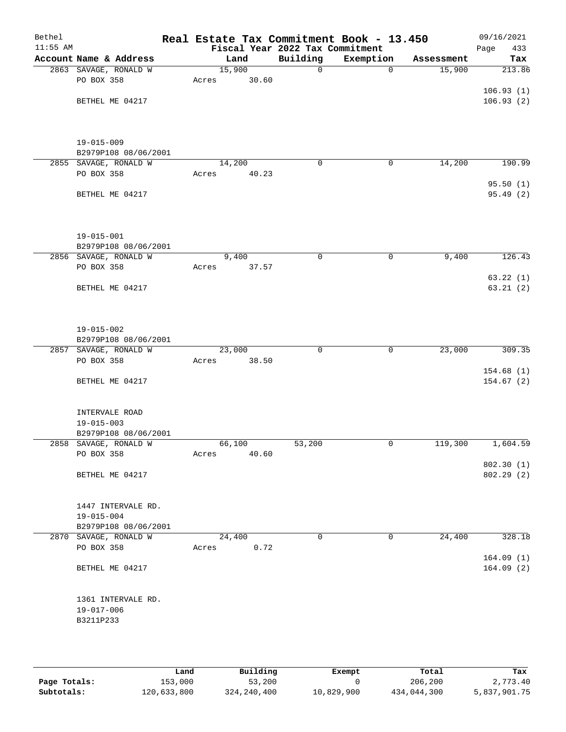| Bethel<br>$11:55$ AM |                                               | Real Estate Tax Commitment Book - 13.450 |      | Fiscal Year 2022 Tax Commitment |             |            | 09/16/2021<br>Page<br>433 |
|----------------------|-----------------------------------------------|------------------------------------------|------|---------------------------------|-------------|------------|---------------------------|
|                      | Account Name & Address                        | Land                                     |      | Building                        | Exemption   | Assessment | Tax                       |
|                      | 2863 SAVAGE, RONALD W                         | 15,900                                   |      | $\mathbf 0$                     | $\mathbf 0$ | 15,900     | 213.86                    |
|                      | PO BOX 358                                    | 30.60<br>Acres                           |      |                                 |             |            |                           |
|                      |                                               |                                          |      |                                 |             |            | 106.93(1)                 |
|                      | BETHEL ME 04217                               |                                          |      |                                 |             |            | 106.93(2)                 |
|                      |                                               |                                          |      |                                 |             |            |                           |
|                      |                                               |                                          |      |                                 |             |            |                           |
|                      | $19 - 015 - 009$                              |                                          |      |                                 |             |            |                           |
|                      | B2979P108 08/06/2001<br>2855 SAVAGE, RONALD W | 14,200                                   |      | $\mathbf 0$                     | $\mathbf 0$ | 14,200     | 190.99                    |
|                      | PO BOX 358                                    | Acres<br>40.23                           |      |                                 |             |            |                           |
|                      |                                               |                                          |      |                                 |             |            | 95.50(1)                  |
|                      | BETHEL ME 04217                               |                                          |      |                                 |             |            | 95.49 (2)                 |
|                      |                                               |                                          |      |                                 |             |            |                           |
|                      | $19 - 015 - 001$                              |                                          |      |                                 |             |            |                           |
|                      | B2979P108 08/06/2001                          |                                          |      |                                 |             |            |                           |
|                      | 2856 SAVAGE, RONALD W                         | 9,400                                    |      | 0                               | 0           | 9,400      | 126.43                    |
|                      | PO BOX 358                                    | 37.57<br>Acres                           |      |                                 |             |            |                           |
|                      |                                               |                                          |      |                                 |             |            | 63.22(1)                  |
|                      | BETHEL ME 04217                               |                                          |      |                                 |             |            | 63.21(2)                  |
|                      |                                               |                                          |      |                                 |             |            |                           |
|                      | $19 - 015 - 002$                              |                                          |      |                                 |             |            |                           |
|                      | B2979P108 08/06/2001                          |                                          |      |                                 |             |            |                           |
|                      | 2857 SAVAGE, RONALD W                         | 23,000                                   |      | $\mathbf 0$                     | $\mathbf 0$ | 23,000     | 309.35                    |
|                      | PO BOX 358                                    | 38.50<br>Acres                           |      |                                 |             |            |                           |
|                      |                                               |                                          |      |                                 |             |            | 154.68(1)                 |
|                      | BETHEL ME 04217                               |                                          |      |                                 |             |            | 154.67(2)                 |
|                      | INTERVALE ROAD                                |                                          |      |                                 |             |            |                           |
|                      | $19 - 015 - 003$                              |                                          |      |                                 |             |            |                           |
|                      | B2979P108 08/06/2001                          |                                          |      |                                 |             |            |                           |
|                      | 2858 SAVAGE, RONALD W                         | 66,100                                   |      | 53,200                          | 0           | 119,300    | 1,604.59                  |
|                      | PO BOX 358                                    | 40.60<br>Acres                           |      |                                 |             |            |                           |
|                      |                                               |                                          |      |                                 |             |            | 802.30(1)                 |
|                      | BETHEL ME 04217                               |                                          |      |                                 |             |            | 802.29 (2)                |
|                      | 1447 INTERVALE RD.                            |                                          |      |                                 |             |            |                           |
|                      | $19 - 015 - 004$                              |                                          |      |                                 |             |            |                           |
|                      | B2979P108 08/06/2001                          |                                          |      |                                 |             |            |                           |
|                      | 2870 SAVAGE, RONALD W                         | 24,400                                   |      | $\mathbf 0$                     | 0           | 24,400     | 328.18                    |
|                      | PO BOX 358                                    | Acres                                    | 0.72 |                                 |             |            |                           |
|                      |                                               |                                          |      |                                 |             |            | 164.09(1)                 |
|                      | BETHEL ME 04217                               |                                          |      |                                 |             |            | 164.09(2)                 |
|                      |                                               |                                          |      |                                 |             |            |                           |
|                      | 1361 INTERVALE RD.                            |                                          |      |                                 |             |            |                           |
|                      | $19 - 017 - 006$                              |                                          |      |                                 |             |            |                           |
|                      | B3211P233                                     |                                          |      |                                 |             |            |                           |
|                      |                                               |                                          |      |                                 |             |            |                           |
|                      |                                               |                                          |      |                                 |             |            |                           |

|              | Land        | Building      | Exempt     | Total       | Tax          |
|--------------|-------------|---------------|------------|-------------|--------------|
| Page Totals: | 153,000     | 53,200        |            | 206,200     | 2,773.40     |
| Subtotals:   | 120,633,800 | 324, 240, 400 | 10,829,900 | 434,044,300 | 5,837,901.75 |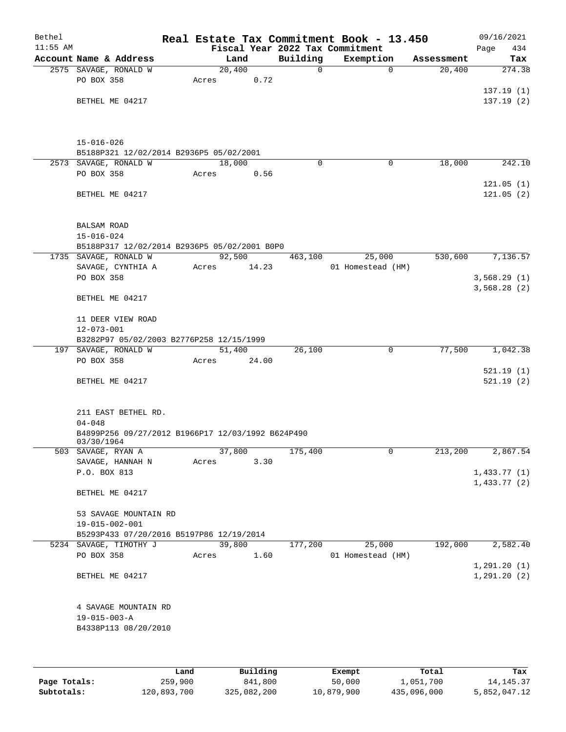| Bethel<br>$11:55$ AM |                                                                 |       |                 |          | Real Estate Tax Commitment Book - 13.450<br>Fiscal Year 2022 Tax Commitment |                       | 09/16/2021<br>434<br>Page    |
|----------------------|-----------------------------------------------------------------|-------|-----------------|----------|-----------------------------------------------------------------------------|-----------------------|------------------------------|
|                      | Account Name & Address                                          |       | Land            | Building | Exemption                                                                   | Assessment            | Tax                          |
|                      | 2575 SAVAGE, RONALD W                                           |       | 20,400          | 0        |                                                                             | $\mathbf 0$<br>20,400 | 274.38                       |
|                      | PO BOX 358                                                      | Acres | 0.72            |          |                                                                             |                       |                              |
|                      |                                                                 |       |                 |          |                                                                             |                       | 137.19(1)                    |
|                      | BETHEL ME 04217                                                 |       |                 |          |                                                                             |                       | 137.19(2)                    |
|                      |                                                                 |       |                 |          |                                                                             |                       |                              |
|                      | $15 - 016 - 026$<br>B5188P321 12/02/2014 B2936P5 05/02/2001     |       |                 |          |                                                                             |                       |                              |
|                      | 2573 SAVAGE, RONALD W                                           |       | 18,000          | $\Omega$ |                                                                             | 18,000<br>0           | 242.10                       |
|                      | PO BOX 358                                                      | Acres | 0.56            |          |                                                                             |                       |                              |
|                      |                                                                 |       |                 |          |                                                                             |                       | 121.05(1)                    |
|                      | BETHEL ME 04217                                                 |       |                 |          |                                                                             |                       | 121.05(2)                    |
|                      | <b>BALSAM ROAD</b>                                              |       |                 |          |                                                                             |                       |                              |
|                      | $15 - 016 - 024$                                                |       |                 |          |                                                                             |                       |                              |
|                      | B5188P317 12/02/2014 B2936P5 05/02/2001 B0P0                    |       |                 |          |                                                                             |                       |                              |
|                      | 1735 SAVAGE, RONALD W                                           |       | 92,500<br>14.23 | 463,100  | 25,000                                                                      | 530,600               | 7,136.57                     |
|                      | SAVAGE, CYNTHIA A<br>PO BOX 358                                 | Acres |                 |          | 01 Homestead (HM)                                                           |                       | 3,568.29(1)                  |
|                      |                                                                 |       |                 |          |                                                                             |                       | 3,568.28(2)                  |
|                      | BETHEL ME 04217                                                 |       |                 |          |                                                                             |                       |                              |
|                      | 11 DEER VIEW ROAD                                               |       |                 |          |                                                                             |                       |                              |
|                      | $12 - 073 - 001$                                                |       |                 |          |                                                                             |                       |                              |
|                      | B3282P97 05/02/2003 B2776P258 12/15/1999                        |       |                 |          |                                                                             |                       |                              |
|                      | 197 SAVAGE, RONALD W                                            |       | 51,400          | 26,100   |                                                                             | 77,500<br>0           | 1,042.38                     |
|                      | PO BOX 358                                                      | Acres | 24.00           |          |                                                                             |                       |                              |
|                      | BETHEL ME 04217                                                 |       |                 |          |                                                                             |                       | 521.19(1)<br>521.19(2)       |
|                      | 211 EAST BETHEL RD.                                             |       |                 |          |                                                                             |                       |                              |
|                      | $04 - 048$                                                      |       |                 |          |                                                                             |                       |                              |
|                      | B4899P256 09/27/2012 B1966P17 12/03/1992 B624P490<br>03/30/1964 |       |                 |          |                                                                             |                       |                              |
|                      | 503 SAVAGE, RYAN A                                              |       | 37,800          | 175,400  |                                                                             | 0<br>213,200          | 2,867.54                     |
|                      | SAVAGE, HANNAH N                                                | Acres | 3.30            |          |                                                                             |                       |                              |
|                      | P.O. BOX 813                                                    |       |                 |          |                                                                             |                       | 1,433.77(1)                  |
|                      | BETHEL ME 04217                                                 |       |                 |          |                                                                             |                       | 1,433.77(2)                  |
|                      | 53 SAVAGE MOUNTAIN RD                                           |       |                 |          |                                                                             |                       |                              |
|                      | 19-015-002-001                                                  |       |                 |          |                                                                             |                       |                              |
|                      | B5293P433 07/20/2016 B5197P86 12/19/2014                        |       |                 |          |                                                                             |                       |                              |
|                      | 5234 SAVAGE, TIMOTHY J                                          |       | 39,800          | 177,200  | 25,000                                                                      | 192,000               | 2,582.40                     |
|                      | PO BOX 358                                                      | Acres | 1.60            |          | 01 Homestead (HM)                                                           |                       |                              |
|                      | BETHEL ME 04217                                                 |       |                 |          |                                                                             |                       | 1, 291.20(1)<br>1, 291.20(2) |
|                      | 4 SAVAGE MOUNTAIN RD                                            |       |                 |          |                                                                             |                       |                              |
|                      | $19 - 015 - 003 - A$                                            |       |                 |          |                                                                             |                       |                              |
|                      | B4338P113 08/20/2010                                            |       |                 |          |                                                                             |                       |                              |
|                      |                                                                 |       |                 |          |                                                                             |                       |                              |
|                      |                                                                 |       |                 |          |                                                                             |                       |                              |
|                      |                                                                 |       |                 |          |                                                                             |                       |                              |

|              | Land        | Building    | Exempt     | Total       | Tax          |
|--------------|-------------|-------------|------------|-------------|--------------|
| Page Totals: | 259,900     | 841,800     | 50,000     | 1,051,700   | 14, 145, 37  |
| Subtotals:   | 120,893,700 | 325,082,200 | 10,879,900 | 435,096,000 | 5,852,047.12 |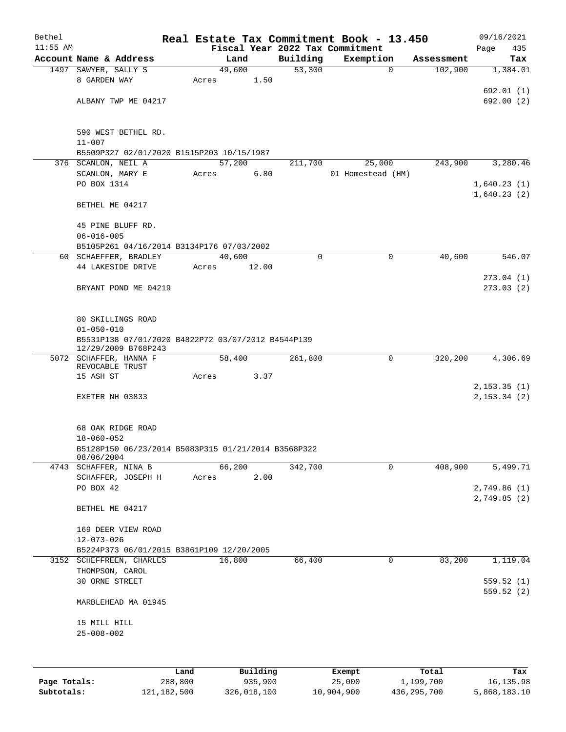| Bethel     |                                                                   |       |        |       | Real Estate Tax Commitment Book - 13.450 |                   |             |            |      | 09/16/2021                    |
|------------|-------------------------------------------------------------------|-------|--------|-------|------------------------------------------|-------------------|-------------|------------|------|-------------------------------|
| $11:55$ AM |                                                                   |       |        |       | Fiscal Year 2022 Tax Commitment          |                   |             |            | Page | 435                           |
|            | Account Name & Address                                            |       | Land   |       | Building                                 | Exemption         |             | Assessment |      | Tax                           |
|            | 1497 SAWYER, SALLY S                                              |       | 49,600 |       | 53,300                                   |                   | $\mathbf 0$ | 102,900    |      | 1,384.01                      |
|            | 8 GARDEN WAY                                                      | Acres |        | 1.50  |                                          |                   |             |            |      |                               |
|            |                                                                   |       |        |       |                                          |                   |             |            |      | 692.01(1)                     |
|            | ALBANY TWP ME 04217                                               |       |        |       |                                          |                   |             |            |      | 692.00(2)                     |
|            |                                                                   |       |        |       |                                          |                   |             |            |      |                               |
|            | 590 WEST BETHEL RD.                                               |       |        |       |                                          |                   |             |            |      |                               |
|            | $11 - 007$                                                        |       |        |       |                                          |                   |             |            |      |                               |
|            | B5509P327 02/01/2020 B1515P203 10/15/1987                         |       |        |       |                                          |                   |             |            |      |                               |
|            | 376 SCANLON, NEIL A                                               |       | 57,200 |       | 211,700                                  | 25,000            |             | 243,900    |      | 3,280.46                      |
|            | SCANLON, MARY E                                                   | Acres |        | 6.80  |                                          | 01 Homestead (HM) |             |            |      |                               |
|            | PO BOX 1314                                                       |       |        |       |                                          |                   |             |            |      | 1,640.23(1)<br>1,640.23(2)    |
|            | BETHEL ME 04217                                                   |       |        |       |                                          |                   |             |            |      |                               |
|            | 45 PINE BLUFF RD.                                                 |       |        |       |                                          |                   |             |            |      |                               |
|            | $06 - 016 - 005$                                                  |       |        |       |                                          |                   |             |            |      |                               |
|            | B5105P261 04/16/2014 B3134P176 07/03/2002                         |       |        |       |                                          |                   |             |            |      |                               |
|            | 60 SCHAEFFER, BRADLEY                                             |       | 40,600 |       | 0                                        |                   | $\mathbf 0$ | 40,600     |      | 546.07                        |
|            | 44 LAKESIDE DRIVE                                                 | Acres |        | 12.00 |                                          |                   |             |            |      |                               |
|            |                                                                   |       |        |       |                                          |                   |             |            |      | 273.04(1)                     |
|            | BRYANT POND ME 04219                                              |       |        |       |                                          |                   |             |            |      | 273.03(2)                     |
|            |                                                                   |       |        |       |                                          |                   |             |            |      |                               |
|            |                                                                   |       |        |       |                                          |                   |             |            |      |                               |
|            | 80 SKILLINGS ROAD<br>$01 - 050 - 010$                             |       |        |       |                                          |                   |             |            |      |                               |
|            | B5531P138 07/01/2020 B4822P72 03/07/2012 B4544P139                |       |        |       |                                          |                   |             |            |      |                               |
|            | 12/29/2009 B768P243                                               |       |        |       |                                          |                   |             |            |      |                               |
|            | 5072 SCHAFFER, HANNA F                                            |       | 58,400 |       | 261,800                                  |                   | 0           | 320,200    |      | 4,306.69                      |
|            | REVOCABLE TRUST                                                   |       |        |       |                                          |                   |             |            |      |                               |
|            | 15 ASH ST                                                         | Acres |        | 3.37  |                                          |                   |             |            |      |                               |
|            |                                                                   |       |        |       |                                          |                   |             |            |      | 2, 153.35(1)<br>2, 153.34 (2) |
|            | EXETER NH 03833                                                   |       |        |       |                                          |                   |             |            |      |                               |
|            |                                                                   |       |        |       |                                          |                   |             |            |      |                               |
|            | 68 OAK RIDGE ROAD                                                 |       |        |       |                                          |                   |             |            |      |                               |
|            | $18 - 060 - 052$                                                  |       |        |       |                                          |                   |             |            |      |                               |
|            | B5128P150 06/23/2014 B5083P315 01/21/2014 B3568P322<br>08/06/2004 |       |        |       |                                          |                   |             |            |      |                               |
|            | 4743 SCHAFFER, NINA B                                             |       | 66,200 |       | 342,700                                  |                   | 0           | 408,900    |      | 5,499.71                      |
|            | SCHAFFER, JOSEPH H                                                | Acres |        | 2.00  |                                          |                   |             |            |      |                               |
|            | PO BOX 42                                                         |       |        |       |                                          |                   |             |            |      | 2,749.86 (1)                  |
|            |                                                                   |       |        |       |                                          |                   |             |            |      | 2,749.85(2)                   |
|            | BETHEL ME 04217                                                   |       |        |       |                                          |                   |             |            |      |                               |
|            | 169 DEER VIEW ROAD                                                |       |        |       |                                          |                   |             |            |      |                               |
|            | 12-073-026                                                        |       |        |       |                                          |                   |             |            |      |                               |
|            | B5224P373 06/01/2015 B3861P109 12/20/2005                         |       |        |       |                                          |                   |             |            |      |                               |
|            | 3152 SCHEFFREEN, CHARLES                                          |       | 16,800 |       | 66,400                                   |                   | 0           | 83,200     |      | 1,119.04                      |
|            | THOMPSON, CAROL                                                   |       |        |       |                                          |                   |             |            |      |                               |
|            | 30 ORNE STREET                                                    |       |        |       |                                          |                   |             |            |      | 559.52(1)                     |
|            |                                                                   |       |        |       |                                          |                   |             |            |      | 559.52(2)                     |
|            | MARBLEHEAD MA 01945                                               |       |        |       |                                          |                   |             |            |      |                               |
|            | 15 MILL HILL                                                      |       |        |       |                                          |                   |             |            |      |                               |
|            | $25 - 008 - 002$                                                  |       |        |       |                                          |                   |             |            |      |                               |
|            |                                                                   |       |        |       |                                          |                   |             |            |      |                               |
|            |                                                                   |       |        |       |                                          |                   |             |            |      |                               |
|            |                                                                   |       |        |       |                                          |                   |             |            |      |                               |

|              | Land        | Building    | Exempt     | Total       | Tax          |
|--------------|-------------|-------------|------------|-------------|--------------|
| Page Totals: | 288,800     | 935,900     | 25,000     | 1,199,700   | 16,135.98    |
| Subtotals:   | 121,182,500 | 326,018,100 | 10,904,900 | 436,295,700 | 5,868,183.10 |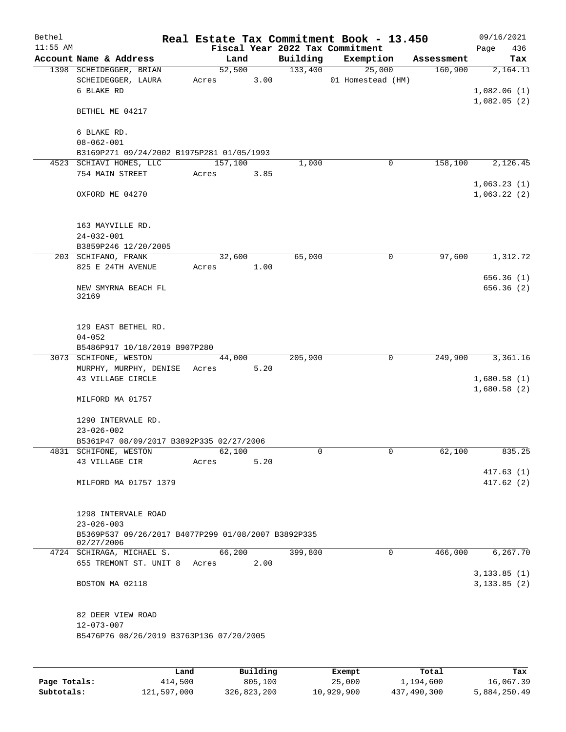| Bethel     |                                                                   |       |                |          | Real Estate Tax Commitment Book - 13.450 |            | 09/16/2021                     |
|------------|-------------------------------------------------------------------|-------|----------------|----------|------------------------------------------|------------|--------------------------------|
| $11:55$ AM |                                                                   |       |                |          | Fiscal Year 2022 Tax Commitment          |            | 436<br>Page                    |
|            | Account Name & Address                                            |       | Land           | Building | Exemption                                | Assessment | Tax                            |
|            | 1398 SCHEIDEGGER, BRIAN<br>SCHEIDEGGER, LAURA<br>6 BLAKE RD       | Acres | 52,500<br>3.00 | 133,400  | 25,000<br>01 Homestead (HM)              | 160,900    | 2,164.11<br>1,082.06(1)        |
|            | BETHEL ME 04217                                                   |       |                |          |                                          |            | 1,082.05(2)                    |
|            | 6 BLAKE RD.<br>$08 - 062 - 001$                                   |       |                |          |                                          |            |                                |
|            | B3169P271 09/24/2002 B1975P281 01/05/1993                         |       |                |          |                                          |            |                                |
|            | 4523 SCHIAVI HOMES, LLC                                           |       | 157,100        | 1,000    | 0                                        | 158,100    | 2,126.45                       |
|            | 754 MAIN STREET                                                   | Acres | 3.85           |          |                                          |            |                                |
|            | OXFORD ME 04270                                                   |       |                |          |                                          |            | 1,063.23(1)<br>1,063.22(2)     |
|            |                                                                   |       |                |          |                                          |            |                                |
|            | 163 MAYVILLE RD.<br>$24 - 032 - 001$                              |       |                |          |                                          |            |                                |
|            | B3859P246 12/20/2005                                              |       |                |          |                                          |            |                                |
|            | 203 SCHIFANO, FRANK                                               |       | 32,600         | 65,000   | 0                                        | 97,600     | 1,312.72                       |
|            | 825 E 24TH AVENUE                                                 | Acres | 1.00           |          |                                          |            |                                |
|            | NEW SMYRNA BEACH FL<br>32169                                      |       |                |          |                                          |            | 656.36(1)<br>656.36(2)         |
|            | 129 EAST BETHEL RD.<br>$04 - 052$                                 |       |                |          |                                          |            |                                |
|            | B5486P917 10/18/2019 B907P280                                     |       |                |          |                                          |            |                                |
|            | 3073 SCHIFONE, WESTON                                             |       | 44,000         | 205,900  | 0                                        | 249,900    | 3,361.16                       |
|            | MURPHY, MURPHY, DENISE                                            | Acres | 5.20           |          |                                          |            |                                |
|            | 43 VILLAGE CIRCLE                                                 |       |                |          |                                          |            | 1,680.58(1)<br>1,680.58(2)     |
|            | MILFORD MA 01757                                                  |       |                |          |                                          |            |                                |
|            | 1290 INTERVALE RD.                                                |       |                |          |                                          |            |                                |
|            | $23 - 026 - 002$                                                  |       |                |          |                                          |            |                                |
|            | B5361P47 08/09/2017 B3892P335 02/27/2006                          |       |                |          |                                          |            |                                |
|            | 4831 SCHIFONE, WESTON                                             |       | 62,100         | 0        | $\mathbf 0$                              | 62,100     | 835.25                         |
|            | 43 VILLAGE CIR                                                    | Acres | 5.20           |          |                                          |            |                                |
|            |                                                                   |       |                |          |                                          |            | 417.63(1)                      |
|            | MILFORD MA 01757 1379                                             |       |                |          |                                          |            | 417.62(2)                      |
|            | 1298 INTERVALE ROAD<br>$23 - 026 - 003$                           |       |                |          |                                          |            |                                |
|            | B5369P537 09/26/2017 B4077P299 01/08/2007 B3892P335<br>02/27/2006 |       |                |          |                                          |            |                                |
|            | 4724 SCHIRAGA, MICHAEL S.<br>655 TREMONT ST. UNIT 8 Acres         |       | 66,200<br>2.00 | 399,800  | 0                                        | 466,000    | 6, 267, 70                     |
|            | BOSTON MA 02118                                                   |       |                |          |                                          |            | 3, 133.85 (1)<br>3, 133.85 (2) |
|            | 82 DEER VIEW ROAD<br>$12 - 073 - 007$                             |       |                |          |                                          |            |                                |
|            | B5476P76 08/26/2019 B3763P136 07/20/2005                          |       |                |          |                                          |            |                                |
|            |                                                                   |       |                |          |                                          |            |                                |
|            | Land                                                              |       | Building       |          | Exempt.                                  | Total      | Tax                            |

|              | Land        | Building    | Exempt     | Total       | Tax          |
|--------------|-------------|-------------|------------|-------------|--------------|
| Page Totals: | 414,500     | 805,100     | 25,000     | 1,194,600   | 16,067.39    |
| Subtotals:   | 121,597,000 | 326,823,200 | 10,929,900 | 437,490,300 | 5,884,250.49 |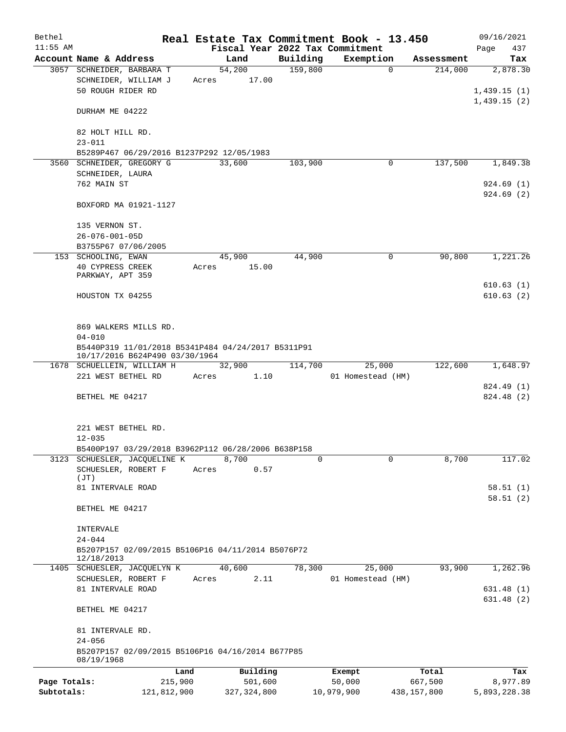| Bethel       |                                                     |             |                |                     | Real Estate Tax Commitment Book - 13.450 |                       | 09/16/2021      |
|--------------|-----------------------------------------------------|-------------|----------------|---------------------|------------------------------------------|-----------------------|-----------------|
| $11:55$ AM   |                                                     |             |                |                     | Fiscal Year 2022 Tax Commitment          |                       | Page<br>437     |
|              | Account Name & Address<br>3057 SCHNEIDER, BARBARA T |             | Land<br>54,200 | Building<br>159,800 | Exemption<br>0                           | Assessment<br>214,000 | Tax<br>2,878.30 |
|              | SCHNEIDER, WILLIAM J                                | Acres       | 17.00          |                     |                                          |                       |                 |
|              | 50 ROUGH RIDER RD                                   |             |                |                     |                                          |                       | 1,439.15(1)     |
|              |                                                     |             |                |                     |                                          |                       | 1,439.15(2)     |
|              | DURHAM ME 04222                                     |             |                |                     |                                          |                       |                 |
|              |                                                     |             |                |                     |                                          |                       |                 |
|              | 82 HOLT HILL RD.                                    |             |                |                     |                                          |                       |                 |
|              | $23 - 011$                                          |             |                |                     |                                          |                       |                 |
|              | B5289P467 06/29/2016 B1237P292 12/05/1983           |             |                |                     |                                          |                       |                 |
|              | 3560 SCHNEIDER, GREGORY G                           |             | 33,600         | 103,900             | $\mathbf 0$                              | 137,500               | 1,849.38        |
|              | SCHNEIDER, LAURA                                    |             |                |                     |                                          |                       |                 |
|              | 762 MAIN ST                                         |             |                |                     |                                          |                       | 924.69(1)       |
|              |                                                     |             |                |                     |                                          |                       | 924.69(2)       |
|              | BOXFORD MA 01921-1127                               |             |                |                     |                                          |                       |                 |
|              | 135 VERNON ST.                                      |             |                |                     |                                          |                       |                 |
|              | $26 - 076 - 001 - 05D$                              |             |                |                     |                                          |                       |                 |
|              | B3755P67 07/06/2005                                 |             |                |                     |                                          |                       |                 |
|              | 153 SCHOOLING, EWAN                                 |             | 45,900         | 44,900              | 0                                        | 90,800                | 1,221.26        |
|              | 40 CYPRESS CREEK                                    | Acres       | 15.00          |                     |                                          |                       |                 |
|              | PARKWAY, APT 359                                    |             |                |                     |                                          |                       |                 |
|              |                                                     |             |                |                     |                                          |                       | 610.63(1)       |
|              | HOUSTON TX 04255                                    |             |                |                     |                                          |                       | 610.63(2)       |
|              |                                                     |             |                |                     |                                          |                       |                 |
|              | 869 WALKERS MILLS RD.                               |             |                |                     |                                          |                       |                 |
|              | $04 - 010$                                          |             |                |                     |                                          |                       |                 |
|              | B5440P319 11/01/2018 B5341P484 04/24/2017 B5311P91  |             |                |                     |                                          |                       |                 |
|              | 10/17/2016 B624P490 03/30/1964                      |             |                |                     |                                          |                       |                 |
|              | 1678 SCHUELLEIN, WILLIAM H                          |             | 32,900         | 114,700             | 25,000                                   | 122,600               | 1,648.97        |
|              | 221 WEST BETHEL RD                                  | Acres       | 1.10           |                     | 01 Homestead (HM)                        |                       |                 |
|              |                                                     |             |                |                     |                                          |                       | 824.49 (1)      |
|              | BETHEL ME 04217                                     |             |                |                     |                                          |                       | 824.48 (2)      |
|              |                                                     |             |                |                     |                                          |                       |                 |
|              | 221 WEST BETHEL RD.                                 |             |                |                     |                                          |                       |                 |
|              | $12 - 035$                                          |             |                |                     |                                          |                       |                 |
|              | B5400P197 03/29/2018 B3962P112 06/28/2006 B638P158  |             |                |                     |                                          |                       |                 |
|              | 3123 SCHUESLER, JACQUELINE K                        |             | 8,700          | $\Omega$            | 0                                        | 8,700                 | 117.02          |
|              | SCHUESLER, ROBERT F                                 | Acres       | 0.57           |                     |                                          |                       |                 |
|              | (JT)                                                |             |                |                     |                                          |                       |                 |
|              | 81 INTERVALE ROAD                                   |             |                |                     |                                          |                       | 58.51(1)        |
|              |                                                     |             |                |                     |                                          |                       | 58.51(2)        |
|              | BETHEL ME 04217                                     |             |                |                     |                                          |                       |                 |
|              | INTERVALE                                           |             |                |                     |                                          |                       |                 |
|              | $24 - 044$                                          |             |                |                     |                                          |                       |                 |
|              | B5207P157 02/09/2015 B5106P16 04/11/2014 B5076P72   |             |                |                     |                                          |                       |                 |
|              | 12/18/2013                                          |             |                |                     |                                          |                       |                 |
|              | 1405 SCHUESLER, JACQUELYN K                         |             | 40,600         | 78,300              | 25,000                                   | 93,900                | 1,262.96        |
|              | SCHUESLER, ROBERT F                                 | Acres       | 2.11           |                     | 01 Homestead (HM)                        |                       |                 |
|              | 81 INTERVALE ROAD                                   |             |                |                     |                                          |                       | 631.48 (1)      |
|              |                                                     |             |                |                     |                                          |                       | 631.48 (2)      |
|              | BETHEL ME 04217                                     |             |                |                     |                                          |                       |                 |
|              | 81 INTERVALE RD.                                    |             |                |                     |                                          |                       |                 |
|              | $24 - 056$                                          |             |                |                     |                                          |                       |                 |
|              | B5207P157 02/09/2015 B5106P16 04/16/2014 B677P85    |             |                |                     |                                          |                       |                 |
|              | 08/19/1968                                          |             |                |                     |                                          |                       |                 |
|              |                                                     | Land        | Building       |                     | Exempt                                   | Total                 | Tax             |
| Page Totals: |                                                     | 215,900     | 501,600        |                     | 50,000                                   | 667,500               | 8,977.89        |
| Subtotals:   |                                                     | 121,812,900 | 327, 324, 800  |                     | 10,979,900                               | 438,157,800           | 5,893,228.38    |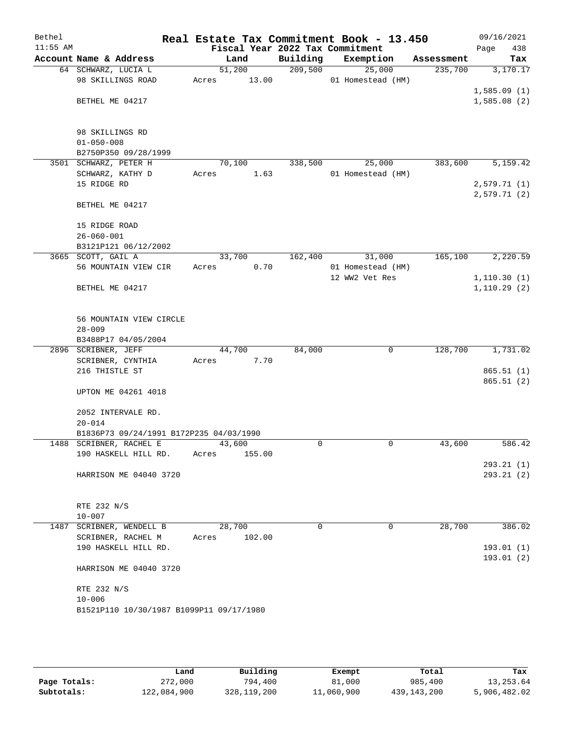| Bethel     |                                            | Real Estate Tax Commitment Book - 13.450 |          |                   |            | 09/16/2021  |
|------------|--------------------------------------------|------------------------------------------|----------|-------------------|------------|-------------|
| $11:55$ AM |                                            | Fiscal Year 2022 Tax Commitment          |          |                   |            | 438<br>Page |
|            | Account Name & Address                     | Land                                     | Building | Exemption         | Assessment | Tax         |
|            | 64 SCHWARZ, LUCIA L                        | 51,200                                   | 209,500  | 25,000            | 235,700    | 3,170.17    |
|            | 98 SKILLINGS ROAD                          | 13.00<br>Acres                           |          | 01 Homestead (HM) |            |             |
|            |                                            |                                          |          |                   |            | 1,585.09(1) |
|            | BETHEL ME 04217                            |                                          |          |                   |            | 1,585.08(2) |
|            | 98 SKILLINGS RD                            |                                          |          |                   |            |             |
|            | $01 - 050 - 008$                           |                                          |          |                   |            |             |
|            | B2750P350 09/28/1999                       |                                          |          |                   |            |             |
|            | 3501 SCHWARZ, PETER H                      | 70,100                                   | 338,500  | 25,000            | 383,600    | 5,159.42    |
|            | SCHWARZ, KATHY D                           | Acres<br>1.63                            |          | 01 Homestead (HM) |            |             |
|            | 15 RIDGE RD                                |                                          |          |                   |            | 2,579.71(1) |
|            |                                            |                                          |          |                   |            | 2,579.71(2) |
|            | BETHEL ME 04217                            |                                          |          |                   |            |             |
|            | 15 RIDGE ROAD                              |                                          |          |                   |            |             |
|            | $26 - 060 - 001$                           |                                          |          |                   |            |             |
|            | B3121P121 06/12/2002<br>3665 SCOTT, GAIL A | 33,700                                   | 162,400  | 31,000            | 165, 100   | 2,220.59    |
|            | 56 MOUNTAIN VIEW CIR                       | 0.70<br>Acres                            |          | 01 Homestead (HM) |            |             |
|            |                                            |                                          |          | 12 WW2 Vet Res    |            | 1,110.30(1) |
|            | BETHEL ME 04217                            |                                          |          |                   |            | 1,110.29(2) |
|            |                                            |                                          |          |                   |            |             |
|            | 56 MOUNTAIN VIEW CIRCLE                    |                                          |          |                   |            |             |
|            | $28 - 009$                                 |                                          |          |                   |            |             |
|            | B3488P17 04/05/2004                        |                                          |          |                   |            |             |
|            | 2896 SCRIBNER, JEFF                        | 44,700                                   | 84,000   | 0                 | 128,700    | 1,731.02    |
|            | SCRIBNER, CYNTHIA                          | 7.70<br>Acres                            |          |                   |            |             |
|            | 216 THISTLE ST                             |                                          |          |                   |            | 865.51(1)   |
|            |                                            |                                          |          |                   |            | 865.51(2)   |
|            | UPTON ME 04261 4018                        |                                          |          |                   |            |             |
|            | 2052 INTERVALE RD.                         |                                          |          |                   |            |             |
|            | $20 - 014$                                 |                                          |          |                   |            |             |
|            | B1836P73 09/24/1991 B172P235 04/03/1990    |                                          |          |                   |            |             |
|            | 1488 SCRIBNER, RACHEL E                    | 43,600                                   | 0        | 0                 | 43,600     | 586.42      |
|            | 190 HASKELL HILL RD.                       | 155.00<br>Acres                          |          |                   |            |             |
|            |                                            |                                          |          |                   |            | 293.21(1)   |
|            | HARRISON ME 04040 3720                     |                                          |          |                   |            | 293.21(2)   |
|            |                                            |                                          |          |                   |            |             |
|            | RTE 232 N/S                                |                                          |          |                   |            |             |
|            | $10 - 007$                                 |                                          |          |                   |            |             |
|            | 1487 SCRIBNER, WENDELL B                   | 28,700                                   | 0        | 0                 | 28,700     | 386.02      |
|            | SCRIBNER, RACHEL M                         | 102.00<br>Acres                          |          |                   |            |             |
|            | 190 HASKELL HILL RD.                       |                                          |          |                   |            | 193.01(1)   |
|            | HARRISON ME 04040 3720                     |                                          |          |                   |            | 193.01(2)   |
|            |                                            |                                          |          |                   |            |             |
|            | RTE 232 N/S                                |                                          |          |                   |            |             |
|            | $10 - 006$                                 |                                          |          |                   |            |             |
|            | B1521P110 10/30/1987 B1099P11 09/17/1980   |                                          |          |                   |            |             |
|            |                                            |                                          |          |                   |            |             |
|            |                                            |                                          |          |                   |            |             |

|              | Land        | Building    | Exempt     | Total       | Tax          |
|--------------|-------------|-------------|------------|-------------|--------------|
| Page Totals: | 272,000     | 794,400     | 81,000     | 985,400     | 13,253.64    |
| Subtotals:   | 122,084,900 | 328,119,200 | 11,060,900 | 439,143,200 | 5,906,482.02 |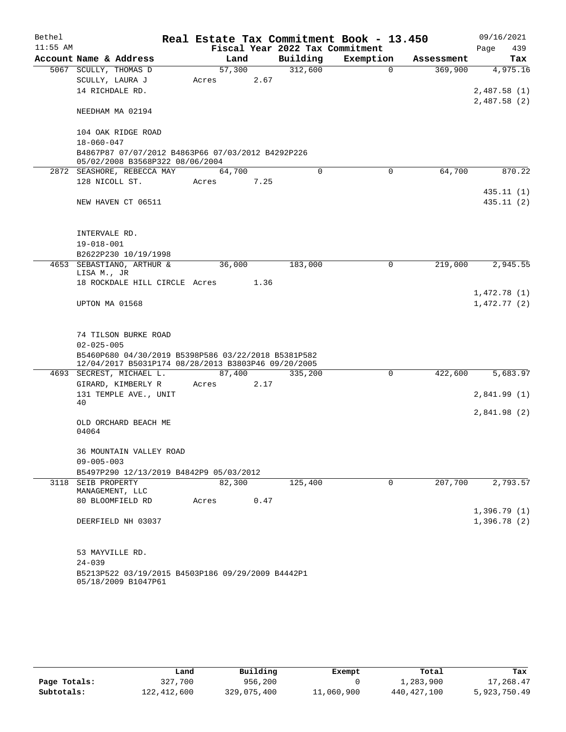| Bethel     |                                                                                                            |        |      |                                 | Real Estate Tax Commitment Book - 13.450 |            | 09/16/2021                  |
|------------|------------------------------------------------------------------------------------------------------------|--------|------|---------------------------------|------------------------------------------|------------|-----------------------------|
| $11:55$ AM |                                                                                                            |        |      | Fiscal Year 2022 Tax Commitment |                                          |            | Page<br>439                 |
|            | Account Name & Address                                                                                     | Land   |      | Building                        | Exemption                                | Assessment | Tax                         |
|            | 5067 SCULLY, THOMAS D                                                                                      | 57,300 |      | 312,600                         | $\Omega$                                 | 369,900    | 4,975.16                    |
|            | SCULLY, LAURA J                                                                                            | Acres  | 2.67 |                                 |                                          |            |                             |
|            | 14 RICHDALE RD.                                                                                            |        |      |                                 |                                          |            | 2,487.58(1)<br>2,487.58 (2) |
|            | NEEDHAM MA 02194                                                                                           |        |      |                                 |                                          |            |                             |
|            | 104 OAK RIDGE ROAD                                                                                         |        |      |                                 |                                          |            |                             |
|            | $18 - 060 - 047$                                                                                           |        |      |                                 |                                          |            |                             |
|            | B4867P87 07/07/2012 B4863P66 07/03/2012 B4292P226<br>05/02/2008 B3568P322 08/06/2004                       |        |      |                                 |                                          |            |                             |
|            | 2872 SEASHORE, REBECCA MAY                                                                                 | 64,700 |      | $\Omega$                        | $\Omega$                                 | 64,700     | 870.22                      |
|            | 128 NICOLL ST.                                                                                             | Acres  | 7.25 |                                 |                                          |            |                             |
|            |                                                                                                            |        |      |                                 |                                          |            | 435.11 (1)                  |
|            | NEW HAVEN CT 06511                                                                                         |        |      |                                 |                                          |            | 435.11 (2)                  |
|            |                                                                                                            |        |      |                                 |                                          |            |                             |
|            | INTERVALE RD.                                                                                              |        |      |                                 |                                          |            |                             |
|            | $19 - 018 - 001$                                                                                           |        |      |                                 |                                          |            |                             |
|            | B2622P230 10/19/1998                                                                                       |        |      |                                 |                                          |            |                             |
|            | 4653 SEBASTIANO, ARTHUR &<br>LISA M., JR                                                                   | 36,000 |      | 183,000                         | $\mathbf 0$                              | 219,000    | 2,945.55                    |
|            | 18 ROCKDALE HILL CIRCLE Acres                                                                              |        | 1.36 |                                 |                                          |            |                             |
|            |                                                                                                            |        |      |                                 |                                          |            | 1,472.78(1)                 |
|            | UPTON MA 01568                                                                                             |        |      |                                 |                                          |            | 1,472.77(2)                 |
|            |                                                                                                            |        |      |                                 |                                          |            |                             |
|            | 74 TILSON BURKE ROAD                                                                                       |        |      |                                 |                                          |            |                             |
|            | $02 - 025 - 005$                                                                                           |        |      |                                 |                                          |            |                             |
|            | B5460P680 04/30/2019 B5398P586 03/22/2018 B5381P582<br>12/04/2017 B5031P174 08/28/2013 B3803P46 09/20/2005 |        |      |                                 |                                          |            |                             |
|            | 4693 SECREST, MICHAEL L.                                                                                   | 87,400 |      | 335,200                         | $\mathbf 0$                              | 422,600    | 5,683.97                    |
|            | GIRARD, KIMBERLY R                                                                                         | Acres  | 2.17 |                                 |                                          |            |                             |
|            | 131 TEMPLE AVE., UNIT                                                                                      |        |      |                                 |                                          |            | 2,841.99(1)                 |
|            | 40                                                                                                         |        |      |                                 |                                          |            |                             |
|            | OLD ORCHARD BEACH ME                                                                                       |        |      |                                 |                                          |            | 2,841.98(2)                 |
|            | 04064                                                                                                      |        |      |                                 |                                          |            |                             |
|            | 36 MOUNTAIN VALLEY ROAD                                                                                    |        |      |                                 |                                          |            |                             |
|            | $09 - 005 - 003$                                                                                           |        |      |                                 |                                          |            |                             |
|            | B5497P290 12/13/2019 B4842P9 05/03/2012                                                                    |        |      |                                 |                                          |            |                             |
|            | 3118 SEIB PROPERTY<br>MANAGEMENT, LLC                                                                      | 82,300 |      | 125,400                         | 0                                        | 207,700    | 2,793.57                    |
|            | 80 BLOOMFIELD RD                                                                                           | Acres  | 0.47 |                                 |                                          |            |                             |
|            |                                                                                                            |        |      |                                 |                                          |            | 1,396.79(1)                 |
|            | DEERFIELD NH 03037                                                                                         |        |      |                                 |                                          |            | 1,396.78(2)                 |
|            | 53 MAYVILLE RD.                                                                                            |        |      |                                 |                                          |            |                             |
|            | $24 - 039$                                                                                                 |        |      |                                 |                                          |            |                             |
|            | B5213P522 03/19/2015 B4503P186 09/29/2009 B4442P1<br>05/18/2009 B1047P61                                   |        |      |                                 |                                          |            |                             |

|              | Land        | Building    | Exempt     | Total         | Tax          |
|--------------|-------------|-------------|------------|---------------|--------------|
| Page Totals: | 327,700     | 956,200     |            | 1,283,900     | 17,268.47    |
| Subtotals:   | 122,412,600 | 329,075,400 | 11,060,900 | 440, 427, 100 | 5,923,750.49 |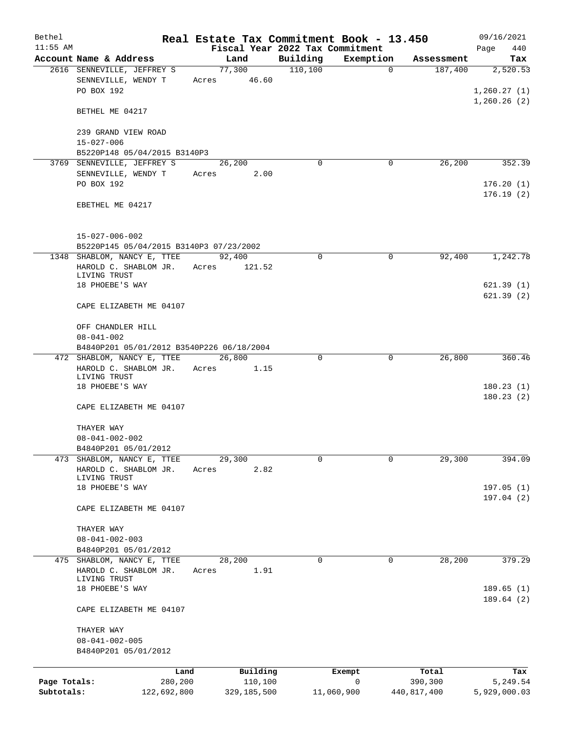| Bethel       |                                                                     | Real Estate Tax Commitment Book - 13.450 |          |                |             | 09/16/2021                 |
|--------------|---------------------------------------------------------------------|------------------------------------------|----------|----------------|-------------|----------------------------|
| $11:55$ AM   |                                                                     | Fiscal Year 2022 Tax Commitment          |          |                |             | Page<br>440                |
|              | Account Name & Address                                              | Land                                     | Building | Exemption      | Assessment  | Tax                        |
|              | 2616 SENNEVILLE, JEFFREY S                                          | 77,300                                   | 110,100  | $\overline{0}$ | 187,400     | 2,520.53                   |
|              | SENNEVILLE, WENDY T<br>PO BOX 192                                   | Acres 46.60                              |          |                |             | 1,260.27(1)<br>1,260.26(2) |
|              | BETHEL ME 04217                                                     |                                          |          |                |             |                            |
|              | 239 GRAND VIEW ROAD                                                 |                                          |          |                |             |                            |
|              | $15 - 027 - 006$                                                    |                                          |          |                |             |                            |
|              | B5220P148 05/04/2015 B3140P3<br>3769 SENNEVILLE, JEFFREY S          | 26,200                                   | $\Omega$ | 0              | 26,200      | 352.39                     |
|              | SENNEVILLE, WENDY T                                                 | 2.00<br>Acres                            |          |                |             |                            |
|              | PO BOX 192                                                          |                                          |          |                |             | 176.20(1)<br>176.19(2)     |
|              | EBETHEL ME 04217                                                    |                                          |          |                |             |                            |
|              | $15 - 027 - 006 - 002$<br>B5220P145 05/04/2015 B3140P3 07/23/2002   |                                          |          |                |             |                            |
|              | 1348 SHABLOM, NANCY E, TTEE                                         | 92,400                                   | 0        | $\mathbf 0$    | 92,400      | 1,242.78                   |
|              | HAROLD C. SHABLOM JR.<br>LIVING TRUST                               | Acres<br>121.52                          |          |                |             |                            |
|              | 18 PHOEBE'S WAY                                                     |                                          |          |                |             | 621.39(1)<br>621.39(2)     |
|              | CAPE ELIZABETH ME 04107                                             |                                          |          |                |             |                            |
|              | OFF CHANDLER HILL<br>$08 - 041 - 002$                               |                                          |          |                |             |                            |
|              | B4840P201 05/01/2012 B3540P226 06/18/2004                           |                                          | 0        | 0              | 26,800      | 360.46                     |
|              | 472 SHABLOM, NANCY E, TTEE<br>HAROLD C. SHABLOM JR.<br>LIVING TRUST | 26,800<br>Acres<br>1.15                  |          |                |             |                            |
|              | 18 PHOEBE'S WAY                                                     |                                          |          |                |             | 180.23(1)<br>180.23(2)     |
|              | CAPE ELIZABETH ME 04107                                             |                                          |          |                |             |                            |
|              | THAYER WAY                                                          |                                          |          |                |             |                            |
|              | $08 - 041 - 002 - 002$                                              |                                          |          |                |             |                            |
| 473          | B4840P201 05/01/2012<br>SHABLOM, NANCY E, TTEE                      |                                          | 0        | 0              |             |                            |
|              | HAROLD C. SHABLOM JR.                                               | 29,300<br>2.82<br>Acres                  |          |                | 29,300      | 394.09                     |
|              | LIVING TRUST                                                        |                                          |          |                |             |                            |
|              | 18 PHOEBE'S WAY                                                     |                                          |          |                |             | 197.05 (1)                 |
|              | CAPE ELIZABETH ME 04107                                             |                                          |          |                |             | 197.04 (2)                 |
|              | THAYER WAY                                                          |                                          |          |                |             |                            |
|              | $08 - 041 - 002 - 003$                                              |                                          |          |                |             |                            |
|              | B4840P201 05/01/2012<br>475 SHABLOM, NANCY E, TTEE                  | 28,200                                   | 0        | 0              | 28,200      | 379.29                     |
|              | HAROLD C. SHABLOM JR.                                               | 1.91<br>Acres                            |          |                |             |                            |
|              | LIVING TRUST<br>18 PHOEBE'S WAY                                     |                                          |          |                |             | 189.65(1)                  |
|              | CAPE ELIZABETH ME 04107                                             |                                          |          |                |             | 189.64(2)                  |
|              | THAYER WAY                                                          |                                          |          |                |             |                            |
|              | $08 - 041 - 002 - 005$<br>B4840P201 05/01/2012                      |                                          |          |                |             |                            |
|              | Land                                                                | Building                                 |          | Exempt         | Total       | Tax                        |
| Page Totals: | 280,200                                                             | 110,100                                  |          | 0              | 390,300     | 5,249.54                   |
| Subtotals:   | 122,692,800                                                         | 329,185,500                              |          | 11,060,900     | 440,817,400 | 5,929,000.03               |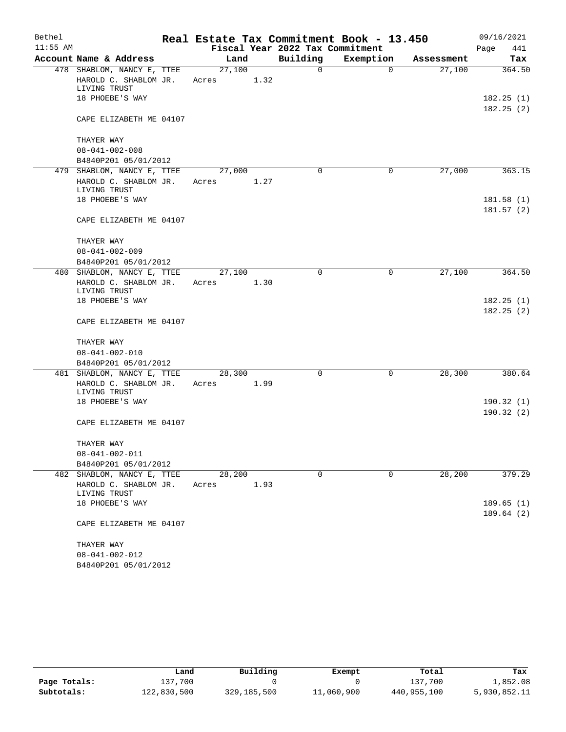| Bethel     |                                       |        |      |                                 | Real Estate Tax Commitment Book - 13.450 |            | 09/16/2021  |
|------------|---------------------------------------|--------|------|---------------------------------|------------------------------------------|------------|-------------|
| $11:55$ AM |                                       |        |      | Fiscal Year 2022 Tax Commitment |                                          |            | Page<br>441 |
|            | Account Name & Address                | Land   |      | Building                        | Exemption                                | Assessment | Tax         |
|            | 478 SHABLOM, NANCY E, TTEE            | 27,100 |      | 0                               | $\mathbf 0$                              | 27,100     | 364.50      |
|            | HAROLD C. SHABLOM JR.<br>LIVING TRUST | Acres  | 1.32 |                                 |                                          |            |             |
|            | 18 PHOEBE'S WAY                       |        |      |                                 |                                          |            | 182.25(1)   |
|            |                                       |        |      |                                 |                                          |            | 182.25(2)   |
|            | CAPE ELIZABETH ME 04107               |        |      |                                 |                                          |            |             |
|            | THAYER WAY                            |        |      |                                 |                                          |            |             |
|            | $08 - 041 - 002 - 008$                |        |      |                                 |                                          |            |             |
|            | B4840P201 05/01/2012                  |        |      |                                 |                                          |            |             |
|            | 479 SHABLOM, NANCY E, TTEE            | 27,000 |      | $\Omega$                        | 0                                        | 27,000     | 363.15      |
|            | HAROLD C. SHABLOM JR.<br>LIVING TRUST | Acres  | 1.27 |                                 |                                          |            |             |
|            | 18 PHOEBE'S WAY                       |        |      |                                 |                                          |            | 181.58(1)   |
|            |                                       |        |      |                                 |                                          |            | 181.57(2)   |
|            | CAPE ELIZABETH ME 04107               |        |      |                                 |                                          |            |             |
|            | THAYER WAY                            |        |      |                                 |                                          |            |             |
|            | $08 - 041 - 002 - 009$                |        |      |                                 |                                          |            |             |
|            | B4840P201 05/01/2012                  |        |      |                                 |                                          |            |             |
|            | 480 SHABLOM, NANCY E, TTEE            | 27,100 |      | 0                               | 0                                        | 27,100     | 364.50      |
|            | HAROLD C. SHABLOM JR.<br>LIVING TRUST | Acres  | 1.30 |                                 |                                          |            |             |
|            | 18 PHOEBE'S WAY                       |        |      |                                 |                                          |            | 182.25(1)   |
|            |                                       |        |      |                                 |                                          |            | 182.25(2)   |
|            | CAPE ELIZABETH ME 04107               |        |      |                                 |                                          |            |             |
|            | THAYER WAY                            |        |      |                                 |                                          |            |             |
|            | $08 - 041 - 002 - 010$                |        |      |                                 |                                          |            |             |
|            | B4840P201 05/01/2012                  |        |      |                                 |                                          |            |             |
|            | 481 SHABLOM, NANCY E, TTEE            | 28,300 |      | 0                               | 0                                        | 28,300     | 380.64      |
|            | HAROLD C. SHABLOM JR.                 | Acres  | 1.99 |                                 |                                          |            |             |
|            | LIVING TRUST<br>18 PHOEBE'S WAY       |        |      |                                 |                                          |            | 190.32(1)   |
|            |                                       |        |      |                                 |                                          |            | 190.32(2)   |
|            | CAPE ELIZABETH ME 04107               |        |      |                                 |                                          |            |             |
|            | THAYER WAY                            |        |      |                                 |                                          |            |             |
|            | $08 - 041 - 002 - 011$                |        |      |                                 |                                          |            |             |
|            | B4840P201 05/01/2012                  |        |      |                                 |                                          |            |             |
| 482        | SHABLOM, NANCY E, TTEE                | 28,200 |      | $\mathbf 0$                     | 0                                        | 28,200     | 379.29      |
|            | HAROLD C. SHABLOM JR.<br>LIVING TRUST | Acres  | 1.93 |                                 |                                          |            |             |
|            | 18 PHOEBE'S WAY                       |        |      |                                 |                                          |            | 189.65(1)   |
|            | CAPE ELIZABETH ME 04107               |        |      |                                 |                                          |            | 189.64(2)   |
|            | THAYER WAY                            |        |      |                                 |                                          |            |             |
|            | $08 - 041 - 002 - 012$                |        |      |                                 |                                          |            |             |
|            | B4840P201 05/01/2012                  |        |      |                                 |                                          |            |             |

|              | Land        | Building    | Exempt     | Total       | Tax          |
|--------------|-------------|-------------|------------|-------------|--------------|
| Page Totals: | 137,700     |             |            | 137,700     | 1,852.08     |
| Subtotals:   | 122,830,500 | 329,185,500 | 11,060,900 | 440,955,100 | 5,930,852.11 |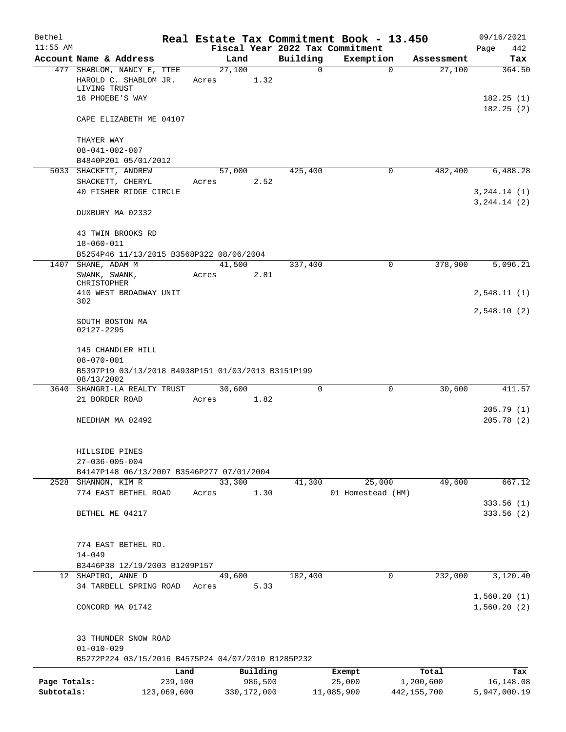| Bethel       |                                                                        |             |       |               |          |               | Real Estate Tax Commitment Book - 13.450 |                           | 09/16/2021                     |
|--------------|------------------------------------------------------------------------|-------------|-------|---------------|----------|---------------|------------------------------------------|---------------------------|--------------------------------|
| $11:55$ AM   |                                                                        |             |       |               |          |               | Fiscal Year 2022 Tax Commitment          |                           | 442<br>Page                    |
|              | Account Name & Address<br>477 SHABLOM, NANCY E, TTEE                   |             |       | Land          |          | Building<br>0 | Exemption                                | Assessment<br>$\mathbf 0$ | Tax<br>364.50                  |
|              | HAROLD C. SHABLOM JR.<br>LIVING TRUST                                  |             | Acres | 27,100        | 1.32     |               |                                          | 27,100                    |                                |
|              | 18 PHOEBE'S WAY                                                        |             |       |               |          |               |                                          |                           | 182.25(1)<br>182.25(2)         |
|              | CAPE ELIZABETH ME 04107                                                |             |       |               |          |               |                                          |                           |                                |
|              | THAYER WAY                                                             |             |       |               |          |               |                                          |                           |                                |
|              | $08 - 041 - 002 - 007$                                                 |             |       |               |          |               |                                          |                           |                                |
|              | B4840P201 05/01/2012<br>5033 SHACKETT, ANDREW                          |             |       | 57,000        |          | 425,400       |                                          | $\mathbf 0$<br>482,400    | 6,488.28                       |
|              | SHACKETT, CHERYL                                                       |             | Acres |               | 2.52     |               |                                          |                           |                                |
|              | 40 FISHER RIDGE CIRCLE                                                 |             |       |               |          |               |                                          |                           | 3, 244.14 (1)<br>3, 244.14 (2) |
|              | DUXBURY MA 02332                                                       |             |       |               |          |               |                                          |                           |                                |
|              | 43 TWIN BROOKS RD<br>$18 - 060 - 011$                                  |             |       |               |          |               |                                          |                           |                                |
|              | B5254P46 11/13/2015 B3568P322 08/06/2004                               |             |       |               |          |               |                                          |                           |                                |
| 1407         | SHANE, ADAM M                                                          |             |       | 41,500        |          | 337,400       |                                          | 378,900<br>0              | 5,096.21                       |
|              | SWANK, SWANK,<br>CHRISTOPHER                                           |             | Acres |               | 2.81     |               |                                          |                           |                                |
|              | 410 WEST BROADWAY UNIT<br>302                                          |             |       |               |          |               |                                          |                           | 2,548.11(1)                    |
|              | SOUTH BOSTON MA<br>02127-2295                                          |             |       |               |          |               |                                          |                           | 2,548.10(2)                    |
|              | 145 CHANDLER HILL<br>$08 - 070 - 001$                                  |             |       |               |          |               |                                          |                           |                                |
|              | B5397P19 03/13/2018 B4938P151 01/03/2013 B3151P199<br>08/13/2002       |             |       |               |          |               |                                          |                           |                                |
|              | 3640 SHANGRI-LA REALTY TRUST                                           |             |       | 30,600        |          | 0             |                                          | $\mathbf 0$<br>30,600     | 411.57                         |
|              | 21 BORDER ROAD                                                         |             | Acres |               | 1.82     |               |                                          |                           |                                |
|              | NEEDHAM MA 02492                                                       |             |       |               |          |               |                                          |                           | 205.79(1)<br>205.78(2)         |
|              | HILLSIDE PINES                                                         |             |       |               |          |               |                                          |                           |                                |
|              | $27 - 036 - 005 - 004$                                                 |             |       |               |          |               |                                          |                           |                                |
|              | B4147P148 06/13/2007 B3546P277 07/01/2004<br>2528 SHANNON, KIM R       |             |       | 33,300        |          | 41,300        | 25,000                                   | 49,600                    | 667.12                         |
|              | 774 EAST BETHEL ROAD                                                   |             | Acres |               | 1.30     |               | 01 Homestead (HM)                        |                           |                                |
|              |                                                                        |             |       |               |          |               |                                          |                           | 333.56(1)                      |
|              | BETHEL ME 04217                                                        |             |       |               |          |               |                                          |                           | 333.56(2)                      |
|              | 774 EAST BETHEL RD.                                                    |             |       |               |          |               |                                          |                           |                                |
|              | $14 - 049$                                                             |             |       |               |          |               |                                          |                           |                                |
|              | B3446P38 12/19/2003 B1209P157<br>12 SHAPIRO, ANNE D                    |             |       | 49,600        |          | 182,400       |                                          | $\mathbf 0$<br>232,000    | 3,120.40                       |
|              | 34 TARBELL SPRING ROAD                                                 |             | Acres |               | 5.33     |               |                                          |                           |                                |
|              | CONCORD MA 01742                                                       |             |       |               |          |               |                                          |                           | 1,560.20(1)<br>1,560.20(2)     |
|              | 33 THUNDER SNOW ROAD                                                   |             |       |               |          |               |                                          |                           |                                |
|              | $01 - 010 - 029$<br>B5272P224 03/15/2016 B4575P24 04/07/2010 B1285P232 |             |       |               |          |               |                                          |                           |                                |
|              |                                                                        | Land        |       |               | Building |               | Exempt                                   | Total                     | Tax                            |
| Page Totals: |                                                                        | 239,100     |       |               | 986,500  |               | 25,000                                   | 1,200,600                 | 16, 148.08                     |
| Subtotals:   |                                                                        | 123,069,600 |       | 330, 172, 000 |          |               | 11,085,900                               | 442, 155, 700             | 5,947,000.19                   |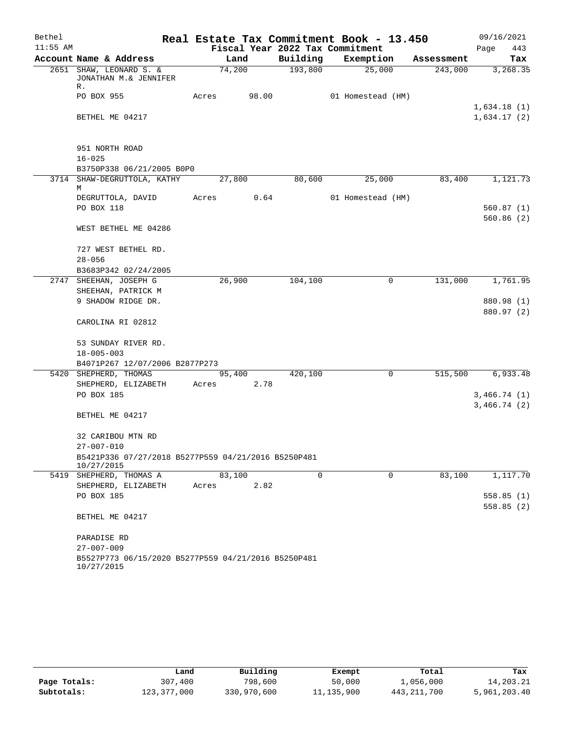| Bethel     |                                                                   |       |        |       |                                 | Real Estate Tax Commitment Book - 13.450 |            | 09/16/2021                 |
|------------|-------------------------------------------------------------------|-------|--------|-------|---------------------------------|------------------------------------------|------------|----------------------------|
| $11:55$ AM |                                                                   |       |        |       | Fiscal Year 2022 Tax Commitment |                                          |            | Page<br>443                |
|            | Account Name & Address                                            |       | Land   |       | Building                        | Exemption                                | Assessment | Tax                        |
|            | 2651 SHAW, LEONARD S. &<br>JONATHAN M.& JENNIFER<br>R.            |       | 74,200 |       | 193,800                         | 25,000                                   | 243,000    | 3,268.35                   |
|            | PO BOX 955                                                        | Acres |        | 98.00 |                                 | 01 Homestead (HM)                        |            |                            |
|            | BETHEL ME 04217                                                   |       |        |       |                                 |                                          |            | 1,634.18(1)<br>1,634.17(2) |
|            |                                                                   |       |        |       |                                 |                                          |            |                            |
|            | 951 NORTH ROAD                                                    |       |        |       |                                 |                                          |            |                            |
|            | $16 - 025$                                                        |       |        |       |                                 |                                          |            |                            |
|            | B3750P338 06/21/2005 B0P0                                         |       |        |       |                                 |                                          |            |                            |
|            | 3714 SHAW-DEGRUTTOLA, KATHY<br>М                                  |       | 27,800 |       | 80,600                          | 25,000                                   | 83,400     | 1,121.73                   |
|            | DEGRUTTOLA, DAVID                                                 | Acres |        | 0.64  |                                 | 01 Homestead (HM)                        |            |                            |
|            | PO BOX 118                                                        |       |        |       |                                 |                                          |            | 560.87(1)                  |
|            |                                                                   |       |        |       |                                 |                                          |            | 560.86(2)                  |
|            | WEST BETHEL ME 04286                                              |       |        |       |                                 |                                          |            |                            |
|            | 727 WEST BETHEL RD.                                               |       |        |       |                                 |                                          |            |                            |
|            | $28 - 056$                                                        |       |        |       |                                 |                                          |            |                            |
|            | B3683P342 02/24/2005                                              |       |        |       |                                 |                                          |            |                            |
|            | 2747 SHEEHAN, JOSEPH G                                            |       | 26,900 |       | 104,100                         | 0                                        | 131,000    | 1,761.95                   |
|            | SHEEHAN, PATRICK M                                                |       |        |       |                                 |                                          |            |                            |
|            | 9 SHADOW RIDGE DR.                                                |       |        |       |                                 |                                          |            | 880.98 (1)                 |
|            | CAROLINA RI 02812                                                 |       |        |       |                                 |                                          |            | 880.97 (2)                 |
|            | 53 SUNDAY RIVER RD.                                               |       |        |       |                                 |                                          |            |                            |
|            | $18 - 005 - 003$                                                  |       |        |       |                                 |                                          |            |                            |
|            | B4071P267 12/07/2006 B2877P273                                    |       |        |       |                                 |                                          |            |                            |
|            | 5420 SHEPHERD, THOMAS                                             |       | 95,400 |       | 420,100                         | 0                                        | 515,500    | 6,933.48                   |
|            | SHEPHERD, ELIZABETH                                               | Acres |        | 2.78  |                                 |                                          |            |                            |
|            | PO BOX 185                                                        |       |        |       |                                 |                                          |            | 3,466.74(1)                |
|            |                                                                   |       |        |       |                                 |                                          |            | 3,466.74(2)                |
|            | BETHEL ME 04217                                                   |       |        |       |                                 |                                          |            |                            |
|            | 32 CARIBOU MTN RD                                                 |       |        |       |                                 |                                          |            |                            |
|            | $27 - 007 - 010$                                                  |       |        |       |                                 |                                          |            |                            |
|            | B5421P336 07/27/2018 B5277P559 04/21/2016 B5250P481<br>10/27/2015 |       |        |       |                                 |                                          |            |                            |
|            | 5419 SHEPHERD, THOMAS A                                           |       | 83,100 |       | $\mathbf 0$                     | $\mathbf 0$                              | 83,100     | 1,117.70                   |
|            | SHEPHERD, ELIZABETH                                               | Acres |        | 2.82  |                                 |                                          |            |                            |
|            | PO BOX 185                                                        |       |        |       |                                 |                                          |            | 558.85(1)                  |
|            | BETHEL ME 04217                                                   |       |        |       |                                 |                                          |            | 558.85(2)                  |
|            |                                                                   |       |        |       |                                 |                                          |            |                            |
|            | PARADISE RD                                                       |       |        |       |                                 |                                          |            |                            |
|            | $27 - 007 - 009$                                                  |       |        |       |                                 |                                          |            |                            |
|            | B5527P773 06/15/2020 B5277P559 04/21/2016 B5250P481<br>10/27/2015 |       |        |       |                                 |                                          |            |                            |

|              | Land        | Building    | Exempt     | Total       | Tax          |
|--------------|-------------|-------------|------------|-------------|--------------|
| Page Totals: | 307,400     | 798,600     | 50,000     | 1,056,000   | 14,203.21    |
| Subtotals:   | 123,377,000 | 330,970,600 | 11,135,900 | 443,211,700 | 5,961,203.40 |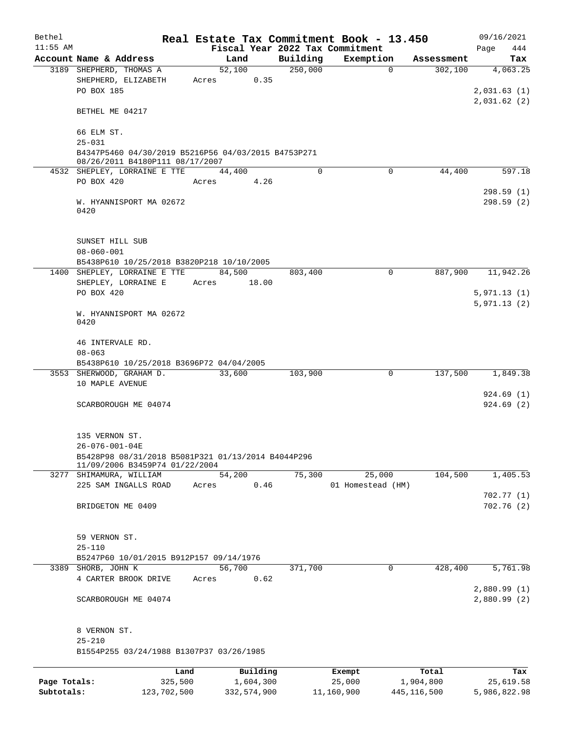| Bethel       |                                                                                        | Real Estate Tax Commitment Book - 13.450 |           |          |                                 |             | 09/16/2021                 |
|--------------|----------------------------------------------------------------------------------------|------------------------------------------|-----------|----------|---------------------------------|-------------|----------------------------|
| $11:55$ AM   |                                                                                        |                                          |           |          | Fiscal Year 2022 Tax Commitment |             | 444<br>Page                |
|              | Account Name & Address                                                                 | Land                                     |           | Building | Exemption                       | Assessment  | Tax                        |
|              | 3189 SHEPHERD, THOMAS A<br>SHEPHERD, ELIZABETH<br>PO BOX 185                           | 52,100<br>Acres                          | 0.35      | 250,000  | $\Omega$                        | 302,100     | 4,063.25<br>2,031.63(1)    |
|              | BETHEL ME 04217                                                                        |                                          |           |          |                                 |             | 2,031.62(2)                |
|              | 66 ELM ST.                                                                             |                                          |           |          |                                 |             |                            |
|              | $25 - 031$                                                                             |                                          |           |          |                                 |             |                            |
|              | B4347P5460 04/30/2019 B5216P56 04/03/2015 B4753P271<br>08/26/2011 B4180P111 08/17/2007 |                                          |           |          |                                 |             |                            |
|              | 4532 SHEPLEY, LORRAINE E TTE                                                           | 44,400                                   |           | $\Omega$ | $\Omega$                        | 44,400      | 597.18                     |
|              | PO BOX 420                                                                             | Acres                                    | 4.26      |          |                                 |             | 298.59(1)                  |
|              | W. HYANNISPORT MA 02672<br>0420                                                        |                                          |           |          |                                 |             | 298.59(2)                  |
|              | SUNSET HILL SUB<br>$08 - 060 - 001$                                                    |                                          |           |          |                                 |             |                            |
|              | B5438P610 10/25/2018 B3820P218 10/10/2005                                              |                                          |           |          |                                 |             |                            |
|              | 1400 SHEPLEY, LORRAINE E TTE                                                           | 84,500                                   |           | 803,400  | $\Omega$                        | 887,900     | 11,942.26                  |
|              | SHEPLEY, LORRAINE E                                                                    | Acres                                    | 18.00     |          |                                 |             |                            |
|              | PO BOX 420                                                                             |                                          |           |          |                                 |             | 5,971.13(1)                |
|              | W. HYANNISPORT MA 02672<br>0420                                                        |                                          |           |          |                                 |             | 5,971.13(2)                |
|              | 46 INTERVALE RD.<br>$08 - 063$                                                         |                                          |           |          |                                 |             |                            |
|              | B5438P610 10/25/2018 B3696P72 04/04/2005                                               |                                          |           |          |                                 |             |                            |
|              | 3553 SHERWOOD, GRAHAM D.                                                               | 33,600                                   |           | 103,900  | 0                               | 137,500     | 1,849.38                   |
|              | 10 MAPLE AVENUE                                                                        |                                          |           |          |                                 |             | 924.69(1)                  |
|              | SCARBOROUGH ME 04074                                                                   |                                          |           |          |                                 |             | 924.69(2)                  |
|              | 135 VERNON ST.                                                                         |                                          |           |          |                                 |             |                            |
|              | $26 - 076 - 001 - 04E$                                                                 |                                          |           |          |                                 |             |                            |
|              | B5428P98 08/31/2018 B5081P321 01/13/2014 B4044P296<br>11/09/2006 B3459P74 01/22/2004   |                                          |           |          |                                 |             |                            |
|              | 3277 SHIMAMURA, WILLIAM                                                                | 54,200                                   |           | 75,300   | 25,000                          | 104,500     | 1,405.53                   |
|              | 225 SAM INGALLS ROAD                                                                   | Acres                                    | 0.46      |          | 01 Homestead (HM)               |             |                            |
|              | BRIDGETON ME 0409                                                                      |                                          |           |          |                                 |             | 702.77(1)<br>702.76(2)     |
|              |                                                                                        |                                          |           |          |                                 |             |                            |
|              | 59 VERNON ST.                                                                          |                                          |           |          |                                 |             |                            |
|              | $25 - 110$                                                                             |                                          |           |          |                                 |             |                            |
|              | B5247P60 10/01/2015 B912P157 09/14/1976                                                |                                          |           |          |                                 |             |                            |
| 3389         | SHORB, JOHN K                                                                          | 56,700                                   |           | 371,700  | $\mathbf 0$                     | 428,400     | 5,761.98                   |
|              | 4 CARTER BROOK DRIVE                                                                   | Acres                                    | 0.62      |          |                                 |             |                            |
|              | SCARBOROUGH ME 04074                                                                   |                                          |           |          |                                 |             | 2,880.99(1)<br>2,880.99(2) |
|              | 8 VERNON ST.<br>$25 - 210$                                                             |                                          |           |          |                                 |             |                            |
|              | B1554P255 03/24/1988 B1307P37 03/26/1985                                               |                                          |           |          |                                 |             |                            |
|              |                                                                                        | Land                                     | Building  |          | Exempt                          | Total       | Tax                        |
| Page Totals: | 325,500                                                                                |                                          | 1,604,300 |          | 25,000                          | 1,904,800   | 25,619.58                  |
| Subtotals:   | 123,702,500                                                                            | 332,574,900                              |           |          | 11,160,900                      | 445,116,500 | 5,986,822.98               |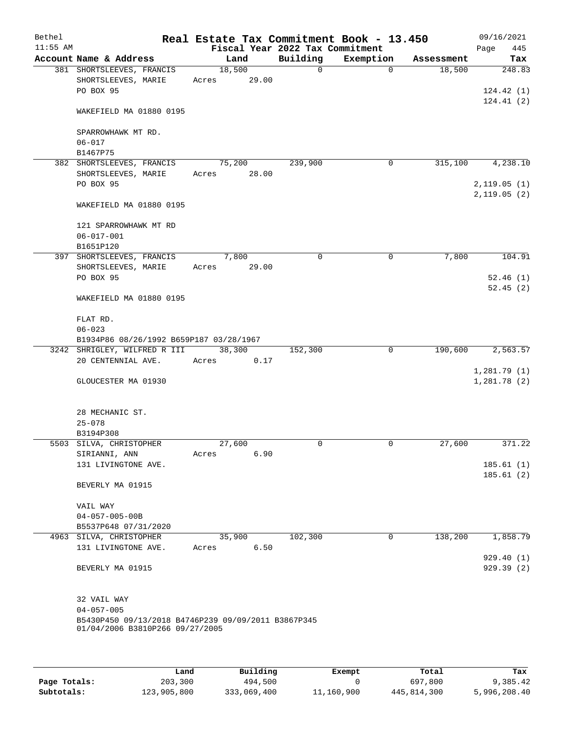| Bethel     |                                                                                        |        |       |                                             | Real Estate Tax Commitment Book - 13.450 |            | 09/16/2021                 |
|------------|----------------------------------------------------------------------------------------|--------|-------|---------------------------------------------|------------------------------------------|------------|----------------------------|
| $11:55$ AM | Account Name & Address                                                                 | Land   |       | Fiscal Year 2022 Tax Commitment<br>Building | Exemption                                | Assessment | 445<br>Page<br>Tax         |
|            | 381 SHORTSLEEVES, FRANCIS                                                              | 18,500 |       | $\Omega$                                    | $\Omega$                                 | 18,500     | 248.83                     |
|            | SHORTSLEEVES, MARIE<br>PO BOX 95                                                       | Acres  | 29.00 |                                             |                                          |            | 124.42(1)                  |
|            | WAKEFIELD MA 01880 0195                                                                |        |       |                                             |                                          |            | 124.41(2)                  |
|            | SPARROWHAWK MT RD.<br>$06 - 017$                                                       |        |       |                                             |                                          |            |                            |
|            | B1467P75<br>382 SHORTSLEEVES, FRANCIS                                                  | 75,200 |       |                                             | $\mathbf 0$                              | 315,100    | 4,238.10                   |
|            | SHORTSLEEVES, MARIE<br>PO BOX 95                                                       | Acres  | 28.00 | 239,900                                     |                                          |            | 2,119.05(1)                |
|            | WAKEFIELD MA 01880 0195                                                                |        |       |                                             |                                          |            | 2,119.05(2)                |
|            | 121 SPARROWHAWK MT RD<br>$06 - 017 - 001$                                              |        |       |                                             |                                          |            |                            |
|            | B1651P120                                                                              |        |       |                                             |                                          |            |                            |
|            | 397 SHORTSLEEVES, FRANCIS                                                              | 7,800  |       | 0                                           | $\mathbf 0$                              | 7,800      | 104.91                     |
|            | SHORTSLEEVES, MARIE<br>PO BOX 95                                                       | Acres  | 29.00 |                                             |                                          |            | 52.46(1)<br>52.45(2)       |
|            | WAKEFIELD MA 01880 0195                                                                |        |       |                                             |                                          |            |                            |
|            | FLAT RD.<br>$06 - 023$                                                                 |        |       |                                             |                                          |            |                            |
|            | B1934P86 08/26/1992 B659P187 03/28/1967                                                |        |       |                                             |                                          |            |                            |
|            | 3242 SHRIGLEY, WILFRED R III                                                           | 38,300 |       | 152,300                                     | 0                                        | 190,600    | 2,563.57                   |
|            | 20 CENTENNIAL AVE.                                                                     | Acres  | 0.17  |                                             |                                          |            |                            |
|            | GLOUCESTER MA 01930                                                                    |        |       |                                             |                                          |            | 1,281.79(1)<br>1,281.78(2) |
|            | 28 MECHANIC ST.<br>$25 - 078$                                                          |        |       |                                             |                                          |            |                            |
|            | B3194P308                                                                              |        |       |                                             |                                          |            |                            |
|            | 5503 SILVA, CHRISTOPHER                                                                | 27,600 |       | 0                                           | $\mathbf 0$                              | 27,600     | 371.22                     |
|            | SIRIANNI, ANN                                                                          | Acres  | 6.90  |                                             |                                          |            |                            |
|            | 131 LIVINGTONE AVE.                                                                    |        |       |                                             |                                          |            | 185.61(1)                  |
|            | BEVERLY MA 01915                                                                       |        |       |                                             |                                          |            | 185.61(2)                  |
|            | VAIL WAY                                                                               |        |       |                                             |                                          |            |                            |
|            | $04 - 057 - 005 - 00B$                                                                 |        |       |                                             |                                          |            |                            |
|            | B5537P648 07/31/2020                                                                   |        |       |                                             |                                          |            |                            |
|            | 4963 SILVA, CHRISTOPHER                                                                | 35,900 |       | 102,300                                     | $\mathsf{O}$                             | 138,200    | 1,858.79                   |
|            | 131 LIVINGTONE AVE.                                                                    | Acres  | 6.50  |                                             |                                          |            |                            |
|            | BEVERLY MA 01915                                                                       |        |       |                                             |                                          |            | 929.40(1)<br>929.39 (2)    |
|            | 32 VAIL WAY                                                                            |        |       |                                             |                                          |            |                            |
|            | $04 - 057 - 005$                                                                       |        |       |                                             |                                          |            |                            |
|            | B5430P450 09/13/2018 B4746P239 09/09/2011 B3867P345<br>01/04/2006 B3810P266 09/27/2005 |        |       |                                             |                                          |            |                            |
|            |                                                                                        |        |       |                                             |                                          |            |                            |

|              | Land        | Building    | Exempt     | Total       | Tax          |
|--------------|-------------|-------------|------------|-------------|--------------|
| Page Totals: | 203,300     | 494,500     |            | 697,800     | 9,385.42     |
| Subtotals:   | 123,905,800 | 333,069,400 | 11,160,900 | 445,814,300 | 5,996,208.40 |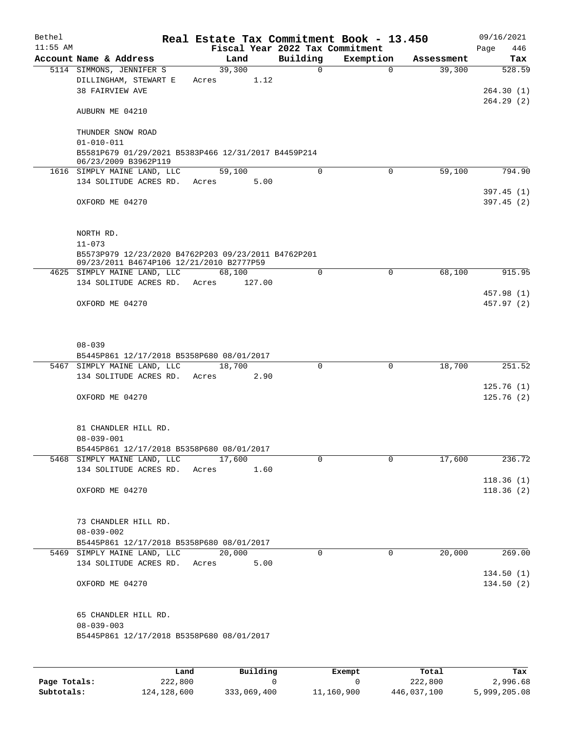| Bethel     |                                                                                                 |       |        |                                 | Real Estate Tax Commitment Book - 13.450 |            | 09/16/2021             |
|------------|-------------------------------------------------------------------------------------------------|-------|--------|---------------------------------|------------------------------------------|------------|------------------------|
| $11:55$ AM |                                                                                                 |       |        | Fiscal Year 2022 Tax Commitment |                                          |            | 446<br>Page            |
|            | Account Name & Address                                                                          |       | Land   | Building                        | Exemption                                | Assessment | Tax                    |
|            | 5114 SIMMONS, JENNIFER S                                                                        |       | 39,300 | $\Omega$                        | $\Omega$                                 | 39,300     | 528.59                 |
|            | DILLINGHAM, STEWART E<br>38 FAIRVIEW AVE                                                        | Acres | 1.12   |                                 |                                          |            |                        |
|            |                                                                                                 |       |        |                                 |                                          |            | 264.30(1)<br>264.29(2) |
|            | AUBURN ME 04210                                                                                 |       |        |                                 |                                          |            |                        |
|            | THUNDER SNOW ROAD                                                                               |       |        |                                 |                                          |            |                        |
|            | $01 - 010 - 011$<br>B5581P679 01/29/2021 B5383P466 12/31/2017 B4459P214<br>06/23/2009 B3962P119 |       |        |                                 |                                          |            |                        |
|            | 1616 SIMPLY MAINE LAND, LLC                                                                     |       | 59,100 | $\Omega$                        | $\Omega$                                 | 59,100     | 794.90                 |
|            | 134 SOLITUDE ACRES RD. Acres                                                                    |       | 5.00   |                                 |                                          |            |                        |
|            |                                                                                                 |       |        |                                 |                                          |            | 397.45(1)              |
|            | OXFORD ME 04270                                                                                 |       |        |                                 |                                          |            | 397.45(2)              |
|            | NORTH RD.                                                                                       |       |        |                                 |                                          |            |                        |
|            | $11 - 073$                                                                                      |       |        |                                 |                                          |            |                        |
|            | B5573P979 12/23/2020 B4762P203 09/23/2011 B4762P201<br>09/23/2011 B4674P106 12/21/2010 B2777P59 |       |        |                                 |                                          |            |                        |
|            | 4625 SIMPLY MAINE LAND, LLC                                                                     |       | 68,100 | $\Omega$                        | 0                                        | 68,100     | 915.95                 |
|            | 134 SOLITUDE ACRES RD. Acres                                                                    |       | 127.00 |                                 |                                          |            |                        |
|            |                                                                                                 |       |        |                                 |                                          |            | 457.98 (1)             |
|            | OXFORD ME 04270                                                                                 |       |        |                                 |                                          |            | 457.97 (2)             |
|            | $08 - 039$                                                                                      |       |        |                                 |                                          |            |                        |
|            | B5445P861 12/17/2018 B5358P680 08/01/2017                                                       |       |        |                                 |                                          |            |                        |
|            | 5467 SIMPLY MAINE LAND, LLC                                                                     |       | 18,700 | $\Omega$                        | $\mathbf 0$                              | 18,700     | 251.52                 |
|            | 134 SOLITUDE ACRES RD.                                                                          | Acres | 2.90   |                                 |                                          |            |                        |
|            |                                                                                                 |       |        |                                 |                                          |            | 125.76(1)              |
|            | OXFORD ME 04270                                                                                 |       |        |                                 |                                          |            | 125.76(2)              |
|            | 81 CHANDLER HILL RD.                                                                            |       |        |                                 |                                          |            |                        |
|            | $08 - 039 - 001$                                                                                |       |        |                                 |                                          |            |                        |
|            | B5445P861 12/17/2018 B5358P680 08/01/2017                                                       |       |        |                                 |                                          |            |                        |
|            | 5468 SIMPLY MAINE LAND, LLC                                                                     |       | 17,600 | $\Omega$                        | $\Omega$                                 | 17,600     | 236.72                 |
|            | 134 SOLITUDE ACRES RD.                                                                          | Acres | 1.60   |                                 |                                          |            |                        |
|            | OXFORD ME 04270                                                                                 |       |        |                                 |                                          |            | 118.36(1)<br>118.36(2) |
|            |                                                                                                 |       |        |                                 |                                          |            |                        |
|            | 73 CHANDLER HILL RD.                                                                            |       |        |                                 |                                          |            |                        |
|            | $08 - 039 - 002$                                                                                |       |        |                                 |                                          |            |                        |
|            | B5445P861 12/17/2018 B5358P680 08/01/2017<br>5469 SIMPLY MAINE LAND, LLC                        |       | 20,000 | $\Omega$                        | $\Omega$                                 | 20,000     | 269.00                 |
|            | 134 SOLITUDE ACRES RD.                                                                          | Acres | 5.00   |                                 |                                          |            |                        |
|            |                                                                                                 |       |        |                                 |                                          |            | 134.50(1)              |
|            | OXFORD ME 04270                                                                                 |       |        |                                 |                                          |            | 134.50(2)              |
|            | 65 CHANDLER HILL RD.                                                                            |       |        |                                 |                                          |            |                        |
|            | $08 - 039 - 003$                                                                                |       |        |                                 |                                          |            |                        |
|            | B5445P861 12/17/2018 B5358P680 08/01/2017                                                       |       |        |                                 |                                          |            |                        |
|            |                                                                                                 |       |        |                                 |                                          |            |                        |
|            |                                                                                                 |       |        |                                 |                                          |            |                        |

|              | Land          | Building    | Exempt     | Total       | Tax          |
|--------------|---------------|-------------|------------|-------------|--------------|
| Page Totals: | 222,800       |             |            | 222,800     | 2,996.68     |
| Subtotals:   | 124, 128, 600 | 333,069,400 | 11,160,900 | 446,037,100 | 5,999,205.08 |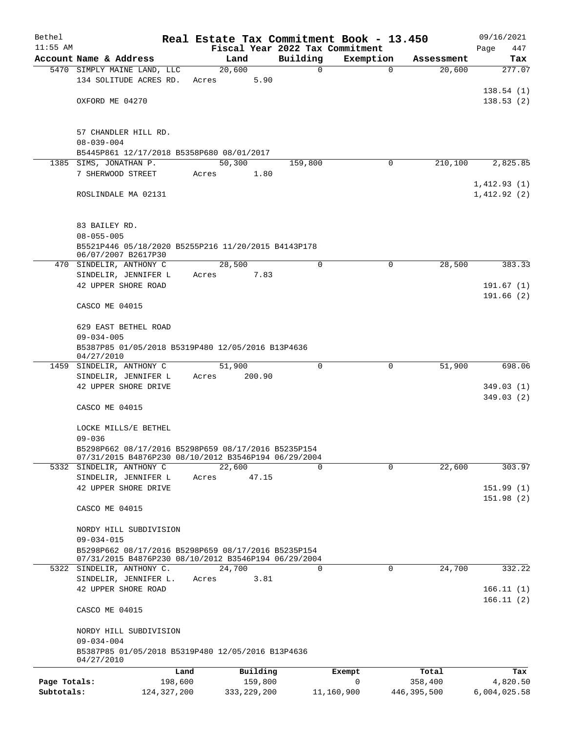| Bethel       |                                                                                                             | Real Estate Tax Commitment Book - 13.450 |               |                                 |                      | 09/16/2021             |  |  |  |  |  |
|--------------|-------------------------------------------------------------------------------------------------------------|------------------------------------------|---------------|---------------------------------|----------------------|------------------------|--|--|--|--|--|
| $11:55$ AM   |                                                                                                             |                                          |               | Fiscal Year 2022 Tax Commitment |                      | Page<br>447            |  |  |  |  |  |
|              | Account Name & Address<br>5470 SIMPLY MAINE LAND, LLC                                                       | Land<br>20,600                           | Building<br>0 | Exemption<br>$\mathbf 0$        | Assessment<br>20,600 | Tax<br>277.07          |  |  |  |  |  |
|              | 134 SOLITUDE ACRES RD.                                                                                      | 5.90<br>Acres                            |               |                                 |                      |                        |  |  |  |  |  |
|              |                                                                                                             |                                          |               |                                 |                      | 138.54(1)              |  |  |  |  |  |
|              | OXFORD ME 04270                                                                                             |                                          |               |                                 |                      | 138.53(2)              |  |  |  |  |  |
|              |                                                                                                             |                                          |               |                                 |                      |                        |  |  |  |  |  |
|              |                                                                                                             |                                          |               |                                 |                      |                        |  |  |  |  |  |
|              | 57 CHANDLER HILL RD.                                                                                        |                                          |               |                                 |                      |                        |  |  |  |  |  |
|              | $08 - 039 - 004$                                                                                            |                                          |               |                                 |                      |                        |  |  |  |  |  |
|              | B5445P861 12/17/2018 B5358P680 08/01/2017<br>1385 SIMS, JONATHAN P.                                         | 50,300                                   | 159,800       | 0                               | 210,100              | 2,825.85               |  |  |  |  |  |
|              | 7 SHERWOOD STREET                                                                                           | 1.80<br>Acres                            |               |                                 |                      |                        |  |  |  |  |  |
|              |                                                                                                             |                                          |               |                                 |                      | 1,412.93(1)            |  |  |  |  |  |
|              | ROSLINDALE MA 02131                                                                                         |                                          |               |                                 |                      | 1,412.92(2)            |  |  |  |  |  |
|              |                                                                                                             |                                          |               |                                 |                      |                        |  |  |  |  |  |
|              |                                                                                                             |                                          |               |                                 |                      |                        |  |  |  |  |  |
|              | 83 BAILEY RD.                                                                                               |                                          |               |                                 |                      |                        |  |  |  |  |  |
|              | $08 - 055 - 005$                                                                                            |                                          |               |                                 |                      |                        |  |  |  |  |  |
|              | B5521P446 05/18/2020 B5255P216 11/20/2015 B4143P178<br>06/07/2007 B2617P30                                  |                                          |               |                                 |                      |                        |  |  |  |  |  |
|              | 470 SINDELIR, ANTHONY C                                                                                     | 28,500                                   | 0             | 0                               | 28,500               | 383.33                 |  |  |  |  |  |
|              | SINDELIR, JENNIFER L                                                                                        | 7.83<br>Acres                            |               |                                 |                      |                        |  |  |  |  |  |
|              | 42 UPPER SHORE ROAD                                                                                         |                                          |               |                                 |                      | 191.67(1)              |  |  |  |  |  |
|              |                                                                                                             |                                          |               |                                 |                      | 191.66(2)              |  |  |  |  |  |
|              | CASCO ME 04015                                                                                              |                                          |               |                                 |                      |                        |  |  |  |  |  |
|              | 629 EAST BETHEL ROAD                                                                                        |                                          |               |                                 |                      |                        |  |  |  |  |  |
|              | $09 - 034 - 005$                                                                                            |                                          |               |                                 |                      |                        |  |  |  |  |  |
|              | B5387P85 01/05/2018 B5319P480 12/05/2016 B13P4636                                                           |                                          |               |                                 |                      |                        |  |  |  |  |  |
|              | 04/27/2010                                                                                                  |                                          |               |                                 |                      |                        |  |  |  |  |  |
|              | 1459 SINDELIR, ANTHONY C<br>SINDELIR, JENNIFER L                                                            | 51,900<br>200.90<br>Acres                | 0             | 0                               | 51,900               | 698.06                 |  |  |  |  |  |
|              | 42 UPPER SHORE DRIVE                                                                                        |                                          |               |                                 |                      | 349.03(1)              |  |  |  |  |  |
|              |                                                                                                             |                                          |               |                                 |                      | 349.03(2)              |  |  |  |  |  |
|              | CASCO ME 04015                                                                                              |                                          |               |                                 |                      |                        |  |  |  |  |  |
|              |                                                                                                             |                                          |               |                                 |                      |                        |  |  |  |  |  |
|              | LOCKE MILLS/E BETHEL                                                                                        |                                          |               |                                 |                      |                        |  |  |  |  |  |
|              | $09 - 036$                                                                                                  |                                          |               |                                 |                      |                        |  |  |  |  |  |
|              | B5298P662 08/17/2016 B5298P659 08/17/2016 B5235P154<br>07/31/2015 B4876P230 08/10/2012 B3546P194 06/29/2004 |                                          |               |                                 |                      |                        |  |  |  |  |  |
|              | 5332 SINDELIR, ANTHONY C                                                                                    | 22,600                                   | 0             | $\Omega$                        | 22,600               | 303.97                 |  |  |  |  |  |
|              | SINDELIR, JENNIFER L                                                                                        | Acres<br>47.15                           |               |                                 |                      |                        |  |  |  |  |  |
|              | 42 UPPER SHORE DRIVE                                                                                        |                                          |               |                                 |                      | 151.99(1)              |  |  |  |  |  |
|              |                                                                                                             |                                          |               |                                 |                      | 151.98(2)              |  |  |  |  |  |
|              | CASCO ME 04015                                                                                              |                                          |               |                                 |                      |                        |  |  |  |  |  |
|              | NORDY HILL SUBDIVISION                                                                                      |                                          |               |                                 |                      |                        |  |  |  |  |  |
|              | $09 - 034 - 015$                                                                                            |                                          |               |                                 |                      |                        |  |  |  |  |  |
|              | B5298P662 08/17/2016 B5298P659 08/17/2016 B5235P154                                                         |                                          |               |                                 |                      |                        |  |  |  |  |  |
|              | 07/31/2015 B4876P230 08/10/2012 B3546P194 06/29/2004                                                        |                                          |               |                                 |                      |                        |  |  |  |  |  |
|              | 5322 SINDELIR, ANTHONY C.                                                                                   | 24,700                                   | $\Omega$      | $\Omega$                        | 24,700               | 332.22                 |  |  |  |  |  |
|              | SINDELIR, JENNIFER L.                                                                                       | 3.81<br>Acres                            |               |                                 |                      |                        |  |  |  |  |  |
|              | 42 UPPER SHORE ROAD                                                                                         |                                          |               |                                 |                      | 166.11(1)<br>166.11(2) |  |  |  |  |  |
|              | CASCO ME 04015                                                                                              |                                          |               |                                 |                      |                        |  |  |  |  |  |
|              |                                                                                                             |                                          |               |                                 |                      |                        |  |  |  |  |  |
|              | NORDY HILL SUBDIVISION                                                                                      |                                          |               |                                 |                      |                        |  |  |  |  |  |
|              | $09 - 034 - 004$                                                                                            |                                          |               |                                 |                      |                        |  |  |  |  |  |
|              | B5387P85 01/05/2018 B5319P480 12/05/2016 B13P4636<br>04/27/2010                                             |                                          |               |                                 |                      |                        |  |  |  |  |  |
|              | Land                                                                                                        | Building                                 |               | Exempt                          | Total                | Tax                    |  |  |  |  |  |
| Page Totals: | 198,600                                                                                                     | 159,800                                  |               | 0                               | 358,400              | 4,820.50               |  |  |  |  |  |
| Subtotals:   | 124, 327, 200                                                                                               | 333, 229, 200                            |               | 11,160,900                      | 446,395,500          | 6,004,025.58           |  |  |  |  |  |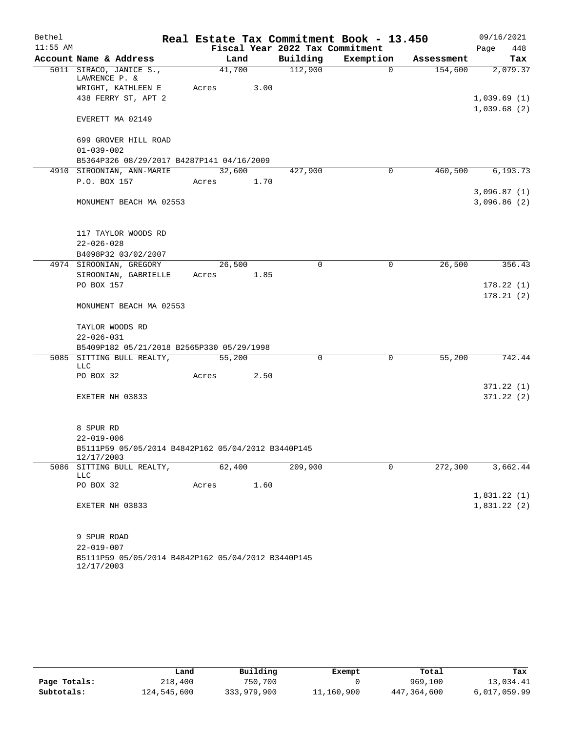| Bethel     |                                                                  |            |        |      | Real Estate Tax Commitment Book - 13.450 |             |            | 09/16/2021  |            |
|------------|------------------------------------------------------------------|------------|--------|------|------------------------------------------|-------------|------------|-------------|------------|
| $11:55$ AM |                                                                  |            |        |      | Fiscal Year 2022 Tax Commitment          |             |            | Page        | 448        |
|            | Account Name & Address                                           |            | Land   |      | Building                                 | Exemption   | Assessment |             | Tax        |
|            | 5011 SIRACO, JANICE S.,<br>LAWRENCE $P. &$                       |            | 41,700 |      | 112,900                                  | $\Omega$    | 154,600    |             | 2,079.37   |
|            | WRIGHT, KATHLEEN E                                               | Acres      |        | 3.00 |                                          |             |            |             |            |
|            | 438 FERRY ST, APT 2                                              |            |        |      |                                          |             |            | 1,039.69(1) |            |
|            | EVERETT MA 02149                                                 |            |        |      |                                          |             |            | 1,039.68(2) |            |
|            | 699 GROVER HILL ROAD                                             |            |        |      |                                          |             |            |             |            |
|            | $01 - 039 - 002$                                                 |            |        |      |                                          |             |            |             |            |
|            | B5364P326 08/29/2017 B4287P141 04/16/2009                        |            |        |      |                                          |             |            |             |            |
|            | 4910 SIROONIAN, ANN-MARIE                                        | 32,600     |        |      | 427,900                                  | $\Omega$    | 460,500    |             | 6,193.73   |
|            | P.O. BOX 157                                                     | Acres 1.70 |        |      |                                          |             |            |             |            |
|            |                                                                  |            |        |      |                                          |             |            | 3,096.87(1) |            |
|            | MONUMENT BEACH MA 02553                                          |            |        |      |                                          |             |            | 3,096.86(2) |            |
|            | 117 TAYLOR WOODS RD                                              |            |        |      |                                          |             |            |             |            |
|            | $22 - 026 - 028$                                                 |            |        |      |                                          |             |            |             |            |
|            | B4098P32 03/02/2007                                              |            |        |      |                                          |             |            |             |            |
|            | 4974 SIROONIAN, GREGORY                                          |            | 26,500 |      | $\Omega$                                 | $\mathbf 0$ | 26,500     |             | 356.43     |
|            | SIROONIAN, GABRIELLE                                             | Acres      |        | 1.85 |                                          |             |            |             |            |
|            | PO BOX 157                                                       |            |        |      |                                          |             |            |             | 178.22(1)  |
|            |                                                                  |            |        |      |                                          |             |            |             | 178.21(2)  |
|            | MONUMENT BEACH MA 02553                                          |            |        |      |                                          |             |            |             |            |
|            | TAYLOR WOODS RD                                                  |            |        |      |                                          |             |            |             |            |
|            | $22 - 026 - 031$                                                 |            |        |      |                                          |             |            |             |            |
|            | B5409P182 05/21/2018 B2565P330 05/29/1998                        |            |        |      |                                          |             |            |             |            |
|            | 5085 SITTING BULL REALTY,<br>LLC                                 |            | 55,200 |      | 0                                        | 0           | 55,200     |             | 742.44     |
|            | PO BOX 32                                                        | Acres      |        | 2.50 |                                          |             |            |             |            |
|            |                                                                  |            |        |      |                                          |             |            |             | 371.22 (1) |
|            | EXETER NH 03833                                                  |            |        |      |                                          |             |            |             | 371.22 (2) |
|            | 8 SPUR RD                                                        |            |        |      |                                          |             |            |             |            |
|            | $22 - 019 - 006$                                                 |            |        |      |                                          |             |            |             |            |
|            | B5111P59 05/05/2014 B4842P162 05/04/2012 B3440P145<br>12/17/2003 |            |        |      |                                          |             |            |             |            |
|            | 5086 SITTING BULL REALTY,<br>LLC                                 |            | 62,400 |      | 209,900                                  | $\Omega$    | 272,300    |             | 3,662.44   |
|            | PO BOX 32                                                        | Acres      |        | 1.60 |                                          |             |            |             |            |
|            |                                                                  |            |        |      |                                          |             |            | 1,831.22(1) |            |
|            | EXETER NH 03833                                                  |            |        |      |                                          |             |            | 1,831.22(2) |            |
|            | 9 SPUR ROAD                                                      |            |        |      |                                          |             |            |             |            |
|            | $22 - 019 - 007$                                                 |            |        |      |                                          |             |            |             |            |
|            | B5111P59 05/05/2014 B4842P162 05/04/2012 B3440P145<br>12/17/2003 |            |        |      |                                          |             |            |             |            |

|              | Land        | Building    | Exempt     | Total       | Tax          |
|--------------|-------------|-------------|------------|-------------|--------------|
| Page Totals: | 218,400     | 750,700     |            | 969,100     | 13,034.41    |
| Subtotals:   | 124,545,600 | 333,979,900 | 11,160,900 | 447,364,600 | 6,017,059.99 |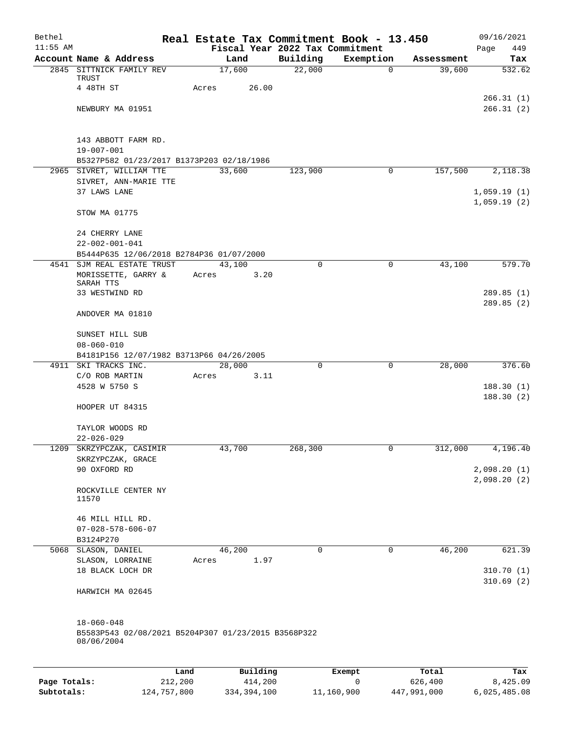| Bethel     |                                                                   |       |                |                    | Real Estate Tax Commitment Book - 13.450 |                      | 09/16/2021    |
|------------|-------------------------------------------------------------------|-------|----------------|--------------------|------------------------------------------|----------------------|---------------|
| $11:55$ AM |                                                                   |       |                |                    | Fiscal Year 2022 Tax Commitment          |                      | 449<br>Page   |
|            | Account Name & Address<br>2845 SITTNICK FAMILY REV                |       | Land<br>17,600 | Building<br>22,000 | Exemption<br>$\mathbf 0$                 | Assessment<br>39,600 | Tax<br>532.62 |
|            | TRUST                                                             |       |                |                    |                                          |                      |               |
|            | 4 48TH ST                                                         | Acres | 26.00          |                    |                                          |                      |               |
|            |                                                                   |       |                |                    |                                          |                      | 266.31 (1)    |
|            | NEWBURY MA 01951                                                  |       |                |                    |                                          |                      | 266.31(2)     |
|            |                                                                   |       |                |                    |                                          |                      |               |
|            | 143 ABBOTT FARM RD.                                               |       |                |                    |                                          |                      |               |
|            | $19 - 007 - 001$                                                  |       |                |                    |                                          |                      |               |
|            | B5327P582 01/23/2017 B1373P203 02/18/1986                         |       |                |                    |                                          |                      |               |
|            | 2965 SIVRET, WILLIAM TTE                                          |       | 33,600         | 123,900            | $\mathbf 0$                              | 157,500              | 2,118.38      |
|            | SIVRET, ANN-MARIE TTE<br>37 LAWS LANE                             |       |                |                    |                                          |                      | 1,059.19(1)   |
|            |                                                                   |       |                |                    |                                          |                      | 1,059.19(2)   |
|            | STOW MA 01775                                                     |       |                |                    |                                          |                      |               |
|            |                                                                   |       |                |                    |                                          |                      |               |
|            | 24 CHERRY LANE                                                    |       |                |                    |                                          |                      |               |
|            | $22 - 002 - 001 - 041$                                            |       |                |                    |                                          |                      |               |
|            | B5444P635 12/06/2018 B2784P36 01/07/2000                          |       |                |                    |                                          |                      |               |
| 4541       | SJM REAL ESTATE TRUST                                             |       | 43,100         | 0                  | 0                                        | 43,100               | 579.70        |
|            | MORISSETTE, GARRY &<br>SARAH TTS                                  | Acres | 3.20           |                    |                                          |                      |               |
|            | 33 WESTWIND RD                                                    |       |                |                    |                                          |                      | 289.85(1)     |
|            |                                                                   |       |                |                    |                                          |                      | 289.85(2)     |
|            | ANDOVER MA 01810                                                  |       |                |                    |                                          |                      |               |
|            |                                                                   |       |                |                    |                                          |                      |               |
|            | SUNSET HILL SUB<br>$08 - 060 - 010$                               |       |                |                    |                                          |                      |               |
|            | B4181P156 12/07/1982 B3713P66 04/26/2005                          |       |                |                    |                                          |                      |               |
|            | 4911 SKI TRACKS INC.                                              |       | 28,000         | 0                  | $\mathbf 0$                              | 28,000               | 376.60        |
|            | C/O ROB MARTIN                                                    | Acres | 3.11           |                    |                                          |                      |               |
|            | 4528 W 5750 S                                                     |       |                |                    |                                          |                      | 188.30(1)     |
|            |                                                                   |       |                |                    |                                          |                      | 188.30(2)     |
|            | HOOPER UT 84315                                                   |       |                |                    |                                          |                      |               |
|            | TAYLOR WOODS RD                                                   |       |                |                    |                                          |                      |               |
|            | $22 - 026 - 029$                                                  |       |                |                    |                                          |                      |               |
|            | 1209 SKRZYPCZAK, CASIMIR                                          |       | 43,700         | 268,300            | 0                                        | 312,000              | 4,196.40      |
|            | SKRZYPCZAK, GRACE                                                 |       |                |                    |                                          |                      |               |
|            | 90 OXFORD RD                                                      |       |                |                    |                                          |                      | 2,098.20(1)   |
|            | ROCKVILLE CENTER NY                                               |       |                |                    |                                          |                      | 2,098.20(2)   |
|            | 11570                                                             |       |                |                    |                                          |                      |               |
|            |                                                                   |       |                |                    |                                          |                      |               |
|            | 46 MILL HILL RD.                                                  |       |                |                    |                                          |                      |               |
|            | $07 - 028 - 578 - 606 - 07$                                       |       |                |                    |                                          |                      |               |
|            | B3124P270<br>5068 SLASON, DANIEL                                  |       | 46,200         | $\mathbf 0$        | 0                                        | 46,200               |               |
|            | SLASON, LORRAINE                                                  | Acres | 1.97           |                    |                                          |                      | 621.39        |
|            | 18 BLACK LOCH DR                                                  |       |                |                    |                                          |                      | 310.70(1)     |
|            |                                                                   |       |                |                    |                                          |                      | 310.69(2)     |
|            | HARWICH MA 02645                                                  |       |                |                    |                                          |                      |               |
|            |                                                                   |       |                |                    |                                          |                      |               |
|            |                                                                   |       |                |                    |                                          |                      |               |
|            | $18 - 060 - 048$                                                  |       |                |                    |                                          |                      |               |
|            | B5583P543 02/08/2021 B5204P307 01/23/2015 B3568P322<br>08/06/2004 |       |                |                    |                                          |                      |               |
|            |                                                                   |       |                |                    |                                          |                      |               |
|            |                                                                   |       |                |                    |                                          |                      |               |
|            |                                                                   | Land  | Building       |                    | Exempt                                   | Total                | Tax           |

|              | Land        | Building    | Exempt     | Total       | тах          |
|--------------|-------------|-------------|------------|-------------|--------------|
| Page Totals: | 212,200     | 414,200     |            | 626,400     | 8,425.09     |
| Subtotals:   | 124,757,800 | 334,394,100 | 11,160,900 | 447,991,000 | 6,025,485.08 |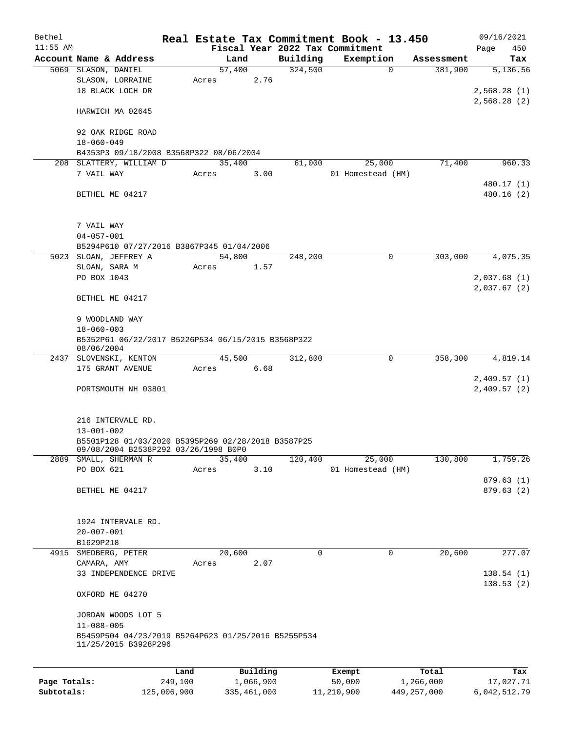| Bethel       |                                                               |             |       |                |          | Real Estate Tax Commitment Book - 13.450 |        |               | 09/16/2021   |
|--------------|---------------------------------------------------------------|-------------|-------|----------------|----------|------------------------------------------|--------|---------------|--------------|
| $11:55$ AM   |                                                               |             |       |                |          | Fiscal Year 2022 Tax Commitment          |        |               | 450<br>Page  |
|              | Account Name & Address                                        |             |       | Land           | Building | Exemption                                |        | Assessment    | Tax          |
|              | 5069 SLASON, DANIEL                                           |             |       | 57,400<br>2.76 | 324,500  |                                          | 0      | 381,900       | 5,136.56     |
|              | SLASON, LORRAINE<br>18 BLACK LOCH DR                          |             | Acres |                |          |                                          |        |               | 2,568.28(1)  |
|              |                                                               |             |       |                |          |                                          |        |               | 2,568.28(2)  |
|              | HARWICH MA 02645                                              |             |       |                |          |                                          |        |               |              |
|              |                                                               |             |       |                |          |                                          |        |               |              |
|              | 92 OAK RIDGE ROAD                                             |             |       |                |          |                                          |        |               |              |
|              | $18 - 060 - 049$                                              |             |       |                |          |                                          |        |               |              |
|              | B4353P3 09/18/2008 B3568P322 08/06/2004                       |             |       |                |          |                                          |        |               |              |
|              | 208 SLATTERY, WILLIAM D                                       |             |       | 35,400         | 61,000   |                                          | 25,000 | 71,400        | 960.33       |
|              | 7 VAIL WAY                                                    |             | Acres | 3.00           |          | 01 Homestead (HM)                        |        |               |              |
|              |                                                               |             |       |                |          |                                          |        |               | 480.17 (1)   |
|              | BETHEL ME 04217                                               |             |       |                |          |                                          |        |               | 480.16 (2)   |
|              |                                                               |             |       |                |          |                                          |        |               |              |
|              | 7 VAIL WAY                                                    |             |       |                |          |                                          |        |               |              |
|              | $04 - 057 - 001$                                              |             |       |                |          |                                          |        |               |              |
|              | B5294P610 07/27/2016 B3867P345 01/04/2006                     |             |       |                |          |                                          |        |               |              |
|              | 5023 SLOAN, JEFFREY A                                         |             |       | 54,800         | 248,200  |                                          | 0      | 303,000       | 4,075.35     |
|              | SLOAN, SARA M                                                 |             | Acres | 1.57           |          |                                          |        |               |              |
|              | PO BOX 1043                                                   |             |       |                |          |                                          |        |               | 2,037.68(1)  |
|              |                                                               |             |       |                |          |                                          |        |               | 2,037.67(2)  |
|              | BETHEL ME 04217                                               |             |       |                |          |                                          |        |               |              |
|              | 9 WOODLAND WAY                                                |             |       |                |          |                                          |        |               |              |
|              | $18 - 060 - 003$                                              |             |       |                |          |                                          |        |               |              |
|              | B5352P61 06/22/2017 B5226P534 06/15/2015 B3568P322            |             |       |                |          |                                          |        |               |              |
|              | 08/06/2004                                                    |             |       |                |          |                                          |        |               |              |
|              | 2437 SLOVENSKI, KENTON                                        |             |       | 45,500         | 312,800  |                                          | 0      | 358,300       | 4,819.14     |
|              | 175 GRANT AVENUE                                              |             | Acres | 6.68           |          |                                          |        |               |              |
|              |                                                               |             |       |                |          |                                          |        |               | 2,409.57(1)  |
|              | PORTSMOUTH NH 03801                                           |             |       |                |          |                                          |        |               | 2,409.57(2)  |
|              |                                                               |             |       |                |          |                                          |        |               |              |
|              |                                                               |             |       |                |          |                                          |        |               |              |
|              | 216 INTERVALE RD.                                             |             |       |                |          |                                          |        |               |              |
|              | $13 - 001 - 002$                                              |             |       |                |          |                                          |        |               |              |
|              | B5501P128 01/03/2020 B5395P269 02/28/2018 B3587P25            |             |       |                |          |                                          |        |               |              |
|              | 09/08/2004 B2538P292 03/26/1998 B0P0<br>2889 SMALL, SHERMAN R |             |       | 35,400         | 120,400  |                                          | 25,000 | 130,800       | 1,759.26     |
|              | PO BOX 621                                                    |             | Acres | 3.10           |          | 01 Homestead (HM)                        |        |               |              |
|              |                                                               |             |       |                |          |                                          |        |               | 879.63(1)    |
|              | BETHEL ME 04217                                               |             |       |                |          |                                          |        |               | 879.63 (2)   |
|              |                                                               |             |       |                |          |                                          |        |               |              |
|              |                                                               |             |       |                |          |                                          |        |               |              |
|              | 1924 INTERVALE RD.                                            |             |       |                |          |                                          |        |               |              |
|              | $20 - 007 - 001$                                              |             |       |                |          |                                          |        |               |              |
|              | B1629P218                                                     |             |       |                |          |                                          |        |               |              |
| 4915         | SMEDBERG, PETER                                               |             |       | 20,600         | 0        |                                          | 0      | 20,600        | 277.07       |
|              | CAMARA, AMY                                                   |             | Acres | 2.07           |          |                                          |        |               |              |
|              | 33 INDEPENDENCE DRIVE                                         |             |       |                |          |                                          |        |               | 138.54(1)    |
|              |                                                               |             |       |                |          |                                          |        |               | 138.53(2)    |
|              | OXFORD ME 04270                                               |             |       |                |          |                                          |        |               |              |
|              | JORDAN WOODS LOT 5                                            |             |       |                |          |                                          |        |               |              |
|              | $11 - 088 - 005$                                              |             |       |                |          |                                          |        |               |              |
|              | B5459P504 04/23/2019 B5264P623 01/25/2016 B5255P534           |             |       |                |          |                                          |        |               |              |
|              | 11/25/2015 B3928P296                                          |             |       |                |          |                                          |        |               |              |
|              |                                                               |             |       |                |          |                                          |        |               |              |
|              |                                                               | Land        |       | Building       |          | Exempt                                   |        | Total         | Tax          |
| Page Totals: |                                                               | 249,100     |       | 1,066,900      |          | 50,000                                   |        | 1,266,000     | 17,027.71    |
| Subtotals:   |                                                               | 125,006,900 |       | 335,461,000    |          | 11,210,900                               |        | 449, 257, 000 | 6,042,512.79 |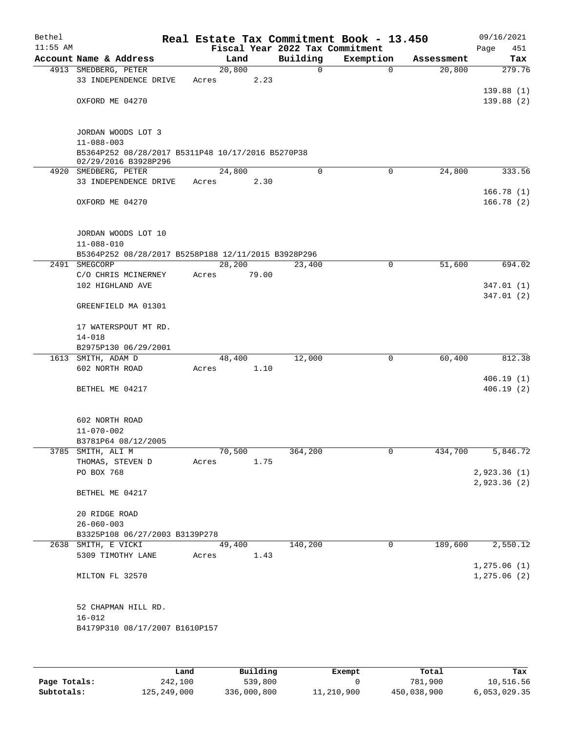| Bethel<br>$11:55$ AM |                                                                           |                 |       | Fiscal Year 2022 Tax Commitment | Real Estate Tax Commitment Book - 13.450 |            | 09/16/2021<br>451<br>Page    |
|----------------------|---------------------------------------------------------------------------|-----------------|-------|---------------------------------|------------------------------------------|------------|------------------------------|
|                      | Account Name & Address                                                    | Land            |       | Building                        | Exemption                                | Assessment | Tax                          |
|                      | 4913 SMEDBERG, PETER                                                      | 20,800          |       | 0                               | $\mathbf 0$                              | 20,800     | 279.76                       |
|                      | 33 INDEPENDENCE DRIVE                                                     | Acres           | 2.23  |                                 |                                          |            |                              |
|                      |                                                                           |                 |       |                                 |                                          |            | 139.88(1)                    |
|                      | OXFORD ME 04270                                                           |                 |       |                                 |                                          |            | 139.88(2)                    |
|                      | JORDAN WOODS LOT 3                                                        |                 |       |                                 |                                          |            |                              |
|                      | $11 - 088 - 003$                                                          |                 |       |                                 |                                          |            |                              |
|                      | B5364P252 08/28/2017 B5311P48 10/17/2016 B5270P38<br>02/29/2016 B3928P296 |                 |       |                                 |                                          |            |                              |
|                      | 4920 SMEDBERG, PETER                                                      | 24,800          |       | 0                               | $\mathbf 0$                              | 24,800     | 333.56                       |
|                      | 33 INDEPENDENCE DRIVE                                                     | Acres           | 2.30  |                                 |                                          |            |                              |
|                      |                                                                           |                 |       |                                 |                                          |            | 166.78(1)                    |
|                      | OXFORD ME 04270                                                           |                 |       |                                 |                                          |            | 166.78(2)                    |
|                      | JORDAN WOODS LOT 10                                                       |                 |       |                                 |                                          |            |                              |
|                      | $11 - 088 - 010$                                                          |                 |       |                                 |                                          |            |                              |
|                      | B5364P252 08/28/2017 B5258P188 12/11/2015 B3928P296                       |                 |       |                                 |                                          |            |                              |
| 2491                 | SMEGCORP                                                                  | 28, 200         |       | 23,400                          | 0                                        | 51,600     | 694.02                       |
|                      | C/O CHRIS MCINERNEY<br>102 HIGHLAND AVE                                   | Acres           | 79.00 |                                 |                                          |            | 347.01(1)                    |
|                      |                                                                           |                 |       |                                 |                                          |            | 347.01(2)                    |
|                      | GREENFIELD MA 01301                                                       |                 |       |                                 |                                          |            |                              |
|                      | 17 WATERSPOUT MT RD.                                                      |                 |       |                                 |                                          |            |                              |
|                      | $14 - 018$                                                                |                 |       |                                 |                                          |            |                              |
|                      | B2975P130 06/29/2001                                                      |                 |       |                                 |                                          |            |                              |
| 1613                 | SMITH, ADAM D<br>602 NORTH ROAD                                           | 48,400<br>Acres | 1.10  | 12,000                          | 0                                        | 60,400     | 812.38                       |
|                      |                                                                           |                 |       |                                 |                                          |            | 406.19(1)                    |
|                      | BETHEL ME 04217                                                           |                 |       |                                 |                                          |            | 406.19(2)                    |
|                      | 602 NORTH ROAD                                                            |                 |       |                                 |                                          |            |                              |
|                      | $11 - 070 - 002$                                                          |                 |       |                                 |                                          |            |                              |
|                      | B3781P64 08/12/2005                                                       |                 |       |                                 |                                          |            |                              |
|                      | 3785 SMITH, ALI M                                                         | 70,500          |       | 364,200                         | 0                                        | 434,700    | 5,846.72                     |
|                      | THOMAS, STEVEN D                                                          | Acres           | 1.75  |                                 |                                          |            |                              |
|                      | PO BOX 768                                                                |                 |       |                                 |                                          |            | 2,923.36 (1)                 |
|                      | BETHEL ME 04217                                                           |                 |       |                                 |                                          |            | 2,923.36 (2)                 |
|                      | 20 RIDGE ROAD                                                             |                 |       |                                 |                                          |            |                              |
|                      | $26 - 060 - 003$                                                          |                 |       |                                 |                                          |            |                              |
|                      | B3325P108 06/27/2003 B3139P278                                            |                 |       |                                 |                                          |            |                              |
|                      | 2638 SMITH, E VICKI                                                       | 49,400          |       | 140,200                         | 0                                        | 189,600    | 2,550.12                     |
|                      | 5309 TIMOTHY LANE                                                         | Acres           | 1.43  |                                 |                                          |            |                              |
|                      | MILTON FL 32570                                                           |                 |       |                                 |                                          |            | 1, 275.06(1)<br>1, 275.06(2) |
|                      | 52 CHAPMAN HILL RD.                                                       |                 |       |                                 |                                          |            |                              |
|                      | $16 - 012$                                                                |                 |       |                                 |                                          |            |                              |
|                      | B4179P310 08/17/2007 B1610P157                                            |                 |       |                                 |                                          |            |                              |
|                      |                                                                           |                 |       |                                 |                                          |            |                              |
|                      |                                                                           |                 |       |                                 |                                          |            |                              |

|              | Land        | Building    | Exempt     | Total       | Tax          |
|--------------|-------------|-------------|------------|-------------|--------------|
| Page Totals: | 242,100     | 539,800     |            | 781,900     | 10,516.56    |
| Subtotals:   | 125,249,000 | 336,000,800 | 11,210,900 | 450,038,900 | 6,053,029.35 |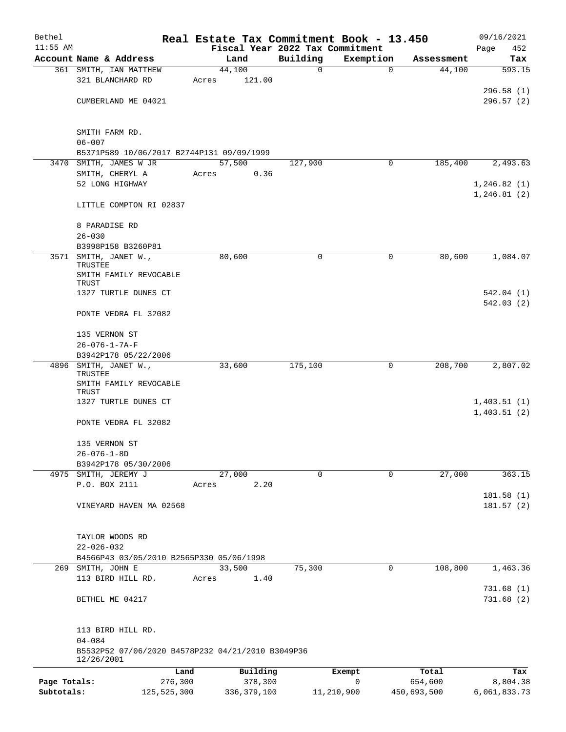| Bethel       |                                                                 |               |       |                  |          | Real Estate Tax Commitment Book - 13.450 |             | 09/16/2021             |
|--------------|-----------------------------------------------------------------|---------------|-------|------------------|----------|------------------------------------------|-------------|------------------------|
| $11:55$ AM   |                                                                 |               |       |                  |          | Fiscal Year 2022 Tax Commitment          |             | Page<br>452            |
|              | Account Name & Address                                          |               |       | Land             | Building | Exemption                                | Assessment  | Tax                    |
|              | 361 SMITH, IAN MATTHEW<br>321 BLANCHARD RD                      |               | Acres | 44,100<br>121.00 | 0        | $\mathbf 0$                              | 44,100      | 593.15                 |
|              |                                                                 |               |       |                  |          |                                          |             | 296.58(1)              |
|              | CUMBERLAND ME 04021                                             |               |       |                  |          |                                          |             | 296.57(2)              |
|              |                                                                 |               |       |                  |          |                                          |             |                        |
|              | SMITH FARM RD.                                                  |               |       |                  |          |                                          |             |                        |
|              | $06 - 007$                                                      |               |       |                  |          |                                          |             |                        |
|              | B5371P589 10/06/2017 B2744P131 09/09/1999                       |               |       |                  |          |                                          |             |                        |
|              | 3470 SMITH, JAMES W JR                                          |               |       | 57,500           | 127,900  | $\mathbf 0$                              | 185,400     | 2,493.63               |
|              | SMITH, CHERYL A                                                 |               | Acres | 0.36             |          |                                          |             |                        |
|              | 52 LONG HIGHWAY                                                 |               |       |                  |          |                                          |             | 1,246.82(1)            |
|              | LITTLE COMPTON RI 02837                                         |               |       |                  |          |                                          |             | 1, 246.81(2)           |
|              | 8 PARADISE RD                                                   |               |       |                  |          |                                          |             |                        |
|              | $26 - 030$                                                      |               |       |                  |          |                                          |             |                        |
|              | B3998P158 B3260P81                                              |               |       |                  |          |                                          |             |                        |
|              | 3571 SMITH, JANET W.,<br>TRUSTEE                                |               |       | 80,600           | 0        | 0                                        | 80,600      | 1,084.07               |
|              | SMITH FAMILY REVOCABLE                                          |               |       |                  |          |                                          |             |                        |
|              | TRUST                                                           |               |       |                  |          |                                          |             |                        |
|              | 1327 TURTLE DUNES CT                                            |               |       |                  |          |                                          |             | 542.04(1)              |
|              | PONTE VEDRA FL 32082                                            |               |       |                  |          |                                          |             | 542.03(2)              |
|              | 135 VERNON ST                                                   |               |       |                  |          |                                          |             |                        |
|              | $26 - 076 - 1 - 7A - F$                                         |               |       |                  |          |                                          |             |                        |
|              | B3942P178 05/22/2006                                            |               |       |                  |          |                                          |             |                        |
|              | 4896 SMITH, JANET W.,<br>TRUSTEE                                |               |       | 33,600           | 175,100  | 0                                        | 208,700     | 2,807.02               |
|              | SMITH FAMILY REVOCABLE<br>TRUST                                 |               |       |                  |          |                                          |             |                        |
|              | 1327 TURTLE DUNES CT                                            |               |       |                  |          |                                          |             | 1,403.51(1)            |
|              |                                                                 |               |       |                  |          |                                          |             | 1,403.51(2)            |
|              | PONTE VEDRA FL 32082                                            |               |       |                  |          |                                          |             |                        |
|              | 135 VERNON ST                                                   |               |       |                  |          |                                          |             |                        |
|              | $26 - 076 - 1 - 8D$                                             |               |       |                  |          |                                          |             |                        |
|              | B3942P178 05/30/2006                                            |               |       |                  |          |                                          |             |                        |
|              | 4975 SMITH, JEREMY J                                            |               |       | 27,000           | 0        | $\mathbf 0$                              | 27,000      | 363.15                 |
|              | P.O. BOX 2111                                                   |               | Acres | 2.20             |          |                                          |             |                        |
|              | VINEYARD HAVEN MA 02568                                         |               |       |                  |          |                                          |             | 181.58(1)<br>181.57(2) |
|              |                                                                 |               |       |                  |          |                                          |             |                        |
|              | TAYLOR WOODS RD                                                 |               |       |                  |          |                                          |             |                        |
|              | $22 - 026 - 032$                                                |               |       |                  |          |                                          |             |                        |
|              | B4566P43 03/05/2010 B2565P330 05/06/1998                        |               |       |                  |          |                                          |             |                        |
|              | 269 SMITH, JOHN E                                               |               |       | 33,500           | 75,300   | 0                                        | 108,800     | 1,463.36               |
|              | 113 BIRD HILL RD.                                               |               | Acres | 1.40             |          |                                          |             |                        |
|              |                                                                 |               |       |                  |          |                                          |             | 731.68(1)              |
|              | BETHEL ME 04217                                                 |               |       |                  |          |                                          |             | 731.68(2)              |
|              | 113 BIRD HILL RD.                                               |               |       |                  |          |                                          |             |                        |
|              | $04 - 084$                                                      |               |       |                  |          |                                          |             |                        |
|              | B5532P52 07/06/2020 B4578P232 04/21/2010 B3049P36<br>12/26/2001 |               |       |                  |          |                                          |             |                        |
|              |                                                                 | Land          |       | Building         |          | Exempt                                   | Total       | Tax                    |
| Page Totals: |                                                                 | 276,300       |       | 378,300          |          | 0                                        | 654,600     | 8,804.38               |
| Subtotals:   |                                                                 | 125, 525, 300 |       | 336, 379, 100    |          | 11,210,900                               | 450,693,500 | 6,061,833.73           |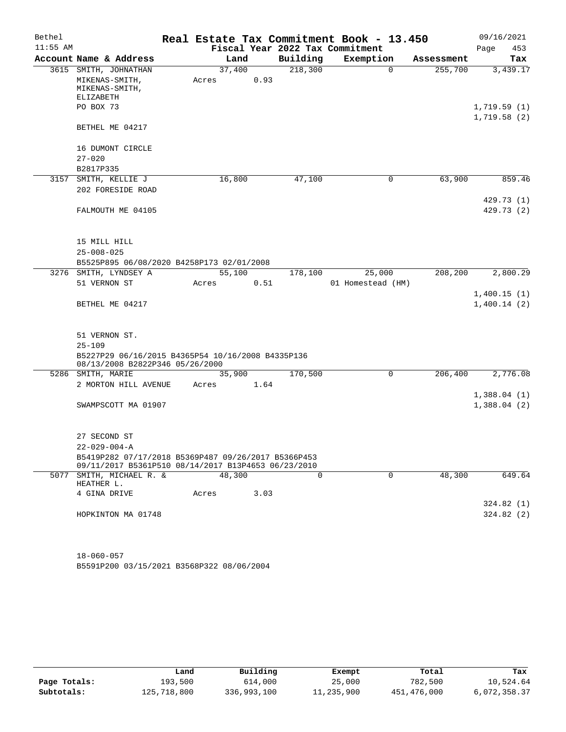| Bethel     |                                                                                                            |       |        |      | Real Estate Tax Commitment Book - 13.450 |                   |          |            |                            | 09/16/2021             |
|------------|------------------------------------------------------------------------------------------------------------|-------|--------|------|------------------------------------------|-------------------|----------|------------|----------------------------|------------------------|
| $11:55$ AM |                                                                                                            |       |        |      | Fiscal Year 2022 Tax Commitment          |                   |          |            | Page                       | 453                    |
|            | Account Name & Address                                                                                     |       | Land   |      | Building                                 | Exemption         |          | Assessment |                            | Tax                    |
|            | 3615 SMITH, JOHNATHAN<br>MIKENAS-SMITH,<br>MIKENAS-SMITH,<br><b>ELIZABETH</b>                              | Acres | 37,400 | 0.93 | 218,300                                  |                   | $\Omega$ | 255,700    |                            | 3,439.17               |
|            | PO BOX 73<br>BETHEL ME 04217                                                                               |       |        |      |                                          |                   |          |            | 1,719.59(1)<br>1,719.58(2) |                        |
|            | 16 DUMONT CIRCLE                                                                                           |       |        |      |                                          |                   |          |            |                            |                        |
|            | $27 - 020$                                                                                                 |       |        |      |                                          |                   |          |            |                            |                        |
|            | B2817P335                                                                                                  |       |        |      |                                          |                   |          |            |                            |                        |
|            | 3157 SMITH, KELLIE J                                                                                       |       | 16,800 |      | 47,100                                   |                   | 0        | 63,900     |                            | 859.46                 |
|            | 202 FORESIDE ROAD                                                                                          |       |        |      |                                          |                   |          |            |                            | 429.73 (1)             |
|            | FALMOUTH ME 04105                                                                                          |       |        |      |                                          |                   |          |            |                            | 429.73(2)              |
|            | 15 MILL HILL                                                                                               |       |        |      |                                          |                   |          |            |                            |                        |
|            | $25 - 008 - 025$                                                                                           |       |        |      |                                          |                   |          |            |                            |                        |
|            | B5525P895 06/08/2020 B4258P173 02/01/2008                                                                  |       |        |      |                                          |                   |          |            |                            |                        |
|            | 3276 SMITH, LYNDSEY A                                                                                      |       | 55,100 |      | 178,100                                  |                   | 25,000   | 208,200    |                            | 2,800.29               |
|            | 51 VERNON ST                                                                                               | Acres |        | 0.51 |                                          | 01 Homestead (HM) |          |            |                            |                        |
|            | BETHEL ME 04217                                                                                            |       |        |      |                                          |                   |          |            | 1,400.15(1)<br>1,400.14(2) |                        |
|            | 51 VERNON ST.<br>$25 - 109$<br>B5227P29 06/16/2015 B4365P54 10/16/2008 B4335P136                           |       |        |      |                                          |                   |          |            |                            |                        |
|            | 08/13/2008 B2822P346 05/26/2000                                                                            |       |        |      |                                          |                   |          |            |                            |                        |
|            | 5286 SMITH, MARIE                                                                                          |       | 35,900 |      | 170,500                                  |                   | 0        | 206,400    |                            | 2,776.08               |
|            | 2 MORTON HILL AVENUE                                                                                       | Acres |        | 1.64 |                                          |                   |          |            |                            |                        |
|            | SWAMPSCOTT MA 01907                                                                                        |       |        |      |                                          |                   |          |            | 1,388.04(2)                | 1,388.04(1)            |
|            | 27 SECOND ST                                                                                               |       |        |      |                                          |                   |          |            |                            |                        |
|            | $22 - 029 - 004 - A$                                                                                       |       |        |      |                                          |                   |          |            |                            |                        |
|            | B5419P282 07/17/2018 B5369P487 09/26/2017 B5366P453<br>09/11/2017 B5361P510 08/14/2017 B13P4653 06/23/2010 |       |        |      |                                          |                   |          |            |                            |                        |
|            | 5077 SMITH, MICHAEL R. &<br>HEATHER L.                                                                     |       | 48,300 |      | $\Omega$                                 |                   | $\Omega$ | 48,300     |                            | 649.64                 |
|            | 4 GINA DRIVE                                                                                               | Acres |        | 3.03 |                                          |                   |          |            |                            |                        |
|            | HOPKINTON MA 01748                                                                                         |       |        |      |                                          |                   |          |            |                            | 324.82(1)<br>324.82(2) |
|            |                                                                                                            |       |        |      |                                          |                   |          |            |                            |                        |

B5591P200 03/15/2021 B3568P322 08/06/2004 18-060-057

|              | Land        | Building    | Exempt     | Total       | Tax          |
|--------------|-------------|-------------|------------|-------------|--------------|
| Page Totals: | 193,500     | 614,000     | 25,000     | 782,500     | 10,524.64    |
| Subtotals:   | 125,718,800 | 336,993,100 | 11,235,900 | 451,476,000 | 6,072,358.37 |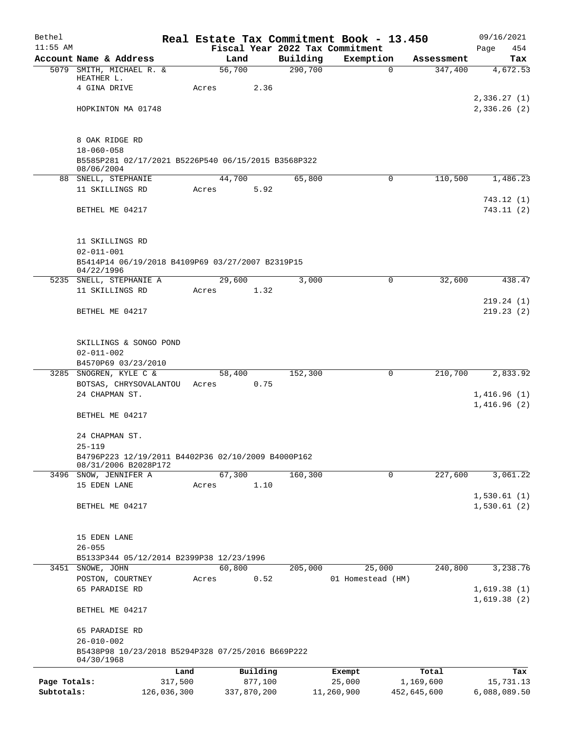| Bethel       |                                                                         |        |             |          | Real Estate Tax Commitment Book - 13.450 |             | 09/16/2021                 |
|--------------|-------------------------------------------------------------------------|--------|-------------|----------|------------------------------------------|-------------|----------------------------|
| $11:55$ AM   |                                                                         |        |             |          | Fiscal Year 2022 Tax Commitment          |             | Page<br>454                |
|              | Account Name & Address                                                  | Land   |             | Building | Exemption                                | Assessment  | Tax                        |
|              | 5079 SMITH, MICHAEL R. &<br>HEATHER L.                                  | 56,700 |             | 290,700  | $\Omega$                                 | 347,400     | 4,672.53                   |
|              | 4 GINA DRIVE                                                            | Acres  | 2.36        |          |                                          |             |                            |
|              |                                                                         |        |             |          |                                          |             | 2,336.27(1)                |
|              | HOPKINTON MA 01748                                                      |        |             |          |                                          |             | 2,336.26 (2)               |
|              |                                                                         |        |             |          |                                          |             |                            |
|              |                                                                         |        |             |          |                                          |             |                            |
|              | 8 OAK RIDGE RD                                                          |        |             |          |                                          |             |                            |
|              | $18 - 060 - 058$<br>B5585P281 02/17/2021 B5226P540 06/15/2015 B3568P322 |        |             |          |                                          |             |                            |
|              | 08/06/2004                                                              |        |             |          |                                          |             |                            |
|              | 88 SNELL, STEPHANIE                                                     | 44,700 |             | 65,800   | 0                                        | 110,500     | 1,486.23                   |
|              | 11 SKILLINGS RD                                                         | Acres  | 5.92        |          |                                          |             |                            |
|              |                                                                         |        |             |          |                                          |             | 743.12(1)                  |
|              | BETHEL ME 04217                                                         |        |             |          |                                          |             | 743.11(2)                  |
|              |                                                                         |        |             |          |                                          |             |                            |
|              | 11 SKILLINGS RD                                                         |        |             |          |                                          |             |                            |
|              | $02 - 011 - 001$                                                        |        |             |          |                                          |             |                            |
|              | B5414P14 06/19/2018 B4109P69 03/27/2007 B2319P15                        |        |             |          |                                          |             |                            |
|              | 04/22/1996                                                              |        |             |          |                                          |             |                            |
|              | 5235 SNELL, STEPHANIE A                                                 | 29,600 |             | 3,000    | 0                                        | 32,600      | 438.47                     |
|              | 11 SKILLINGS RD                                                         | Acres  | 1.32        |          |                                          |             |                            |
|              | BETHEL ME 04217                                                         |        |             |          |                                          |             | 219.24(1)<br>219.23(2)     |
|              |                                                                         |        |             |          |                                          |             |                            |
|              |                                                                         |        |             |          |                                          |             |                            |
|              | SKILLINGS & SONGO POND                                                  |        |             |          |                                          |             |                            |
|              | $02 - 011 - 002$                                                        |        |             |          |                                          |             |                            |
|              | B4570P69 03/23/2010                                                     |        |             |          |                                          |             |                            |
|              | 3285 SNOGREN, KYLE C &                                                  | 58,400 |             | 152,300  | $\mathbf 0$                              | 210,700     | 2,833.92                   |
|              | BOTSAS, CHRYSOVALANTOU Acres                                            |        | 0.75        |          |                                          |             |                            |
|              | 24 CHAPMAN ST.                                                          |        |             |          |                                          |             | 1,416.96(1)                |
|              |                                                                         |        |             |          |                                          |             | 1,416.96(2)                |
|              | BETHEL ME 04217                                                         |        |             |          |                                          |             |                            |
|              | 24 CHAPMAN ST.                                                          |        |             |          |                                          |             |                            |
|              | $25 - 119$                                                              |        |             |          |                                          |             |                            |
|              | B4796P223 12/19/2011 B4402P36 02/10/2009 B4000P162                      |        |             |          |                                          |             |                            |
|              | 08/31/2006 B2028P172                                                    |        |             |          |                                          |             |                            |
|              | 3496 SNOW, JENNIFER A                                                   | 67,300 |             | 160, 300 | $\mathbf 0$                              | 227,600     | 3,061.22                   |
|              | 15 EDEN LANE                                                            | Acres  | 1.10        |          |                                          |             |                            |
|              | BETHEL ME 04217                                                         |        |             |          |                                          |             | 1,530.61(1)<br>1,530.61(2) |
|              |                                                                         |        |             |          |                                          |             |                            |
|              |                                                                         |        |             |          |                                          |             |                            |
|              | 15 EDEN LANE                                                            |        |             |          |                                          |             |                            |
|              | $26 - 055$                                                              |        |             |          |                                          |             |                            |
|              | B5133P344 05/12/2014 B2399P38 12/23/1996                                |        |             |          |                                          |             |                            |
|              | 3451 SNOWE, JOHN                                                        | 60,800 |             | 205,000  | 25,000                                   | 240,800     | 3,238.76                   |
|              | POSTON, COURTNEY                                                        | Acres  | 0.52        |          | 01 Homestead (HM)                        |             |                            |
|              | 65 PARADISE RD                                                          |        |             |          |                                          |             | 1,619.38(1)                |
|              |                                                                         |        |             |          |                                          |             | 1,619.38(2)                |
|              | BETHEL ME 04217                                                         |        |             |          |                                          |             |                            |
|              | 65 PARADISE RD                                                          |        |             |          |                                          |             |                            |
|              | $26 - 010 - 002$                                                        |        |             |          |                                          |             |                            |
|              | B5438P98 10/23/2018 B5294P328 07/25/2016 B669P222                       |        |             |          |                                          |             |                            |
|              | 04/30/1968                                                              |        |             |          |                                          |             |                            |
|              | Land                                                                    |        | Building    |          | Exempt                                   | Total       | Tax                        |
| Page Totals: | 317,500                                                                 |        | 877,100     |          | 25,000                                   | 1,169,600   | 15,731.13                  |
| Subtotals:   | 126,036,300                                                             |        | 337,870,200 |          | 11,260,900                               | 452,645,600 | 6,088,089.50               |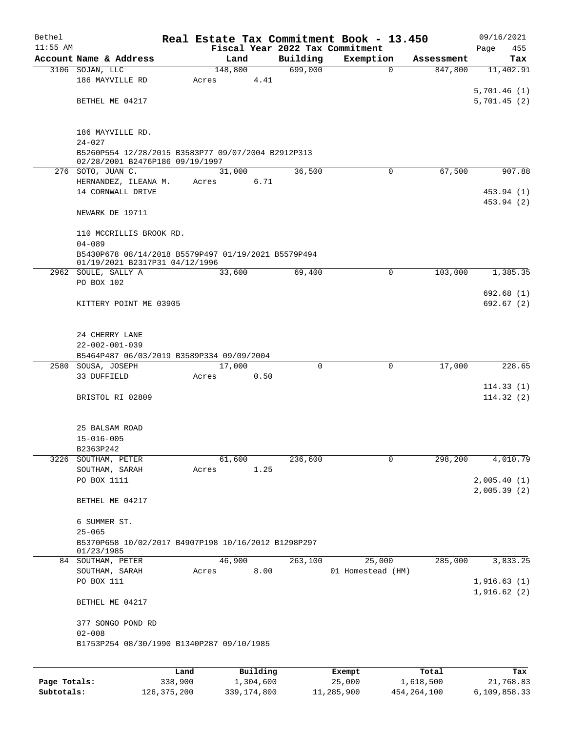| Bethel       |                                                                                       |         |       |         |           |          | Real Estate Tax Commitment Book - 13.450 |            | 09/16/2021  |
|--------------|---------------------------------------------------------------------------------------|---------|-------|---------|-----------|----------|------------------------------------------|------------|-------------|
| $11:55$ AM   |                                                                                       |         |       |         |           |          | Fiscal Year 2022 Tax Commitment          |            | 455<br>Page |
|              | Account Name & Address                                                                |         |       | Land    |           | Building | Exemption                                | Assessment | Tax         |
|              | 3106 SOJAN, LLC                                                                       |         |       | 148,800 |           | 699,000  | $\Omega$                                 | 847,800    | 11,402.91   |
|              | 186 MAYVILLE RD                                                                       |         | Acres |         | 4.41      |          |                                          |            |             |
|              |                                                                                       |         |       |         |           |          |                                          |            | 5,701.46(1) |
|              | BETHEL ME 04217                                                                       |         |       |         |           |          |                                          |            | 5,701.45(2) |
|              |                                                                                       |         |       |         |           |          |                                          |            |             |
|              |                                                                                       |         |       |         |           |          |                                          |            |             |
|              | 186 MAYVILLE RD.                                                                      |         |       |         |           |          |                                          |            |             |
|              | $24 - 027$                                                                            |         |       |         |           |          |                                          |            |             |
|              | B5260P554 12/28/2015 B3583P77 09/07/2004 B2912P313<br>02/28/2001 B2476P186 09/19/1997 |         |       |         |           |          |                                          |            |             |
|              | 276 SOTO, JUAN C.                                                                     |         |       | 31,000  |           | 36,500   | $\mathbf 0$                              | 67,500     | 907.88      |
|              | HERNANDEZ, ILEANA M.                                                                  |         | Acres |         | 6.71      |          |                                          |            |             |
|              | 14 CORNWALL DRIVE                                                                     |         |       |         |           |          |                                          |            | 453.94 (1)  |
|              |                                                                                       |         |       |         |           |          |                                          |            | 453.94 (2)  |
|              | NEWARK DE 19711                                                                       |         |       |         |           |          |                                          |            |             |
|              |                                                                                       |         |       |         |           |          |                                          |            |             |
|              | 110 MCCRILLIS BROOK RD.                                                               |         |       |         |           |          |                                          |            |             |
|              | $04 - 089$                                                                            |         |       |         |           |          |                                          |            |             |
|              | B5430P678 08/14/2018 B5579P497 01/19/2021 B5579P494                                   |         |       |         |           |          |                                          |            |             |
|              | 01/19/2021 B2317P31 04/12/1996                                                        |         |       |         |           |          |                                          |            |             |
|              | 2962 SOULE, SALLY A                                                                   |         |       | 33,600  |           | 69,400   | 0                                        | 103,000    | 1,385.35    |
|              | PO BOX 102                                                                            |         |       |         |           |          |                                          |            |             |
|              |                                                                                       |         |       |         |           |          |                                          |            | 692.68(1)   |
|              | KITTERY POINT ME 03905                                                                |         |       |         |           |          |                                          |            | 692.67(2)   |
|              |                                                                                       |         |       |         |           |          |                                          |            |             |
|              |                                                                                       |         |       |         |           |          |                                          |            |             |
|              | 24 CHERRY LANE                                                                        |         |       |         |           |          |                                          |            |             |
|              | $22 - 002 - 001 - 039$                                                                |         |       |         |           |          |                                          |            |             |
|              | B5464P487 06/03/2019 B3589P334 09/09/2004                                             |         |       |         |           |          |                                          |            |             |
|              | 2580 SOUSA, JOSEPH                                                                    |         |       | 17,000  |           | 0        | 0                                        | 17,000     | 228.65      |
|              | 33 DUFFIELD                                                                           |         | Acres |         | 0.50      |          |                                          |            |             |
|              |                                                                                       |         |       |         |           |          |                                          |            | 114.33(1)   |
|              | BRISTOL RI 02809                                                                      |         |       |         |           |          |                                          |            | 114.32(2)   |
|              |                                                                                       |         |       |         |           |          |                                          |            |             |
|              |                                                                                       |         |       |         |           |          |                                          |            |             |
|              | 25 BALSAM ROAD                                                                        |         |       |         |           |          |                                          |            |             |
|              | $15 - 016 - 005$                                                                      |         |       |         |           |          |                                          |            |             |
|              | B2363P242                                                                             |         |       |         |           |          |                                          |            |             |
| 3226         | SOUTHAM, PETER                                                                        |         |       | 61,600  |           | 236,600  | $\mathbf 0$                              | 298,200    | 4,010.79    |
|              | SOUTHAM, SARAH                                                                        |         | Acres |         | 1.25      |          |                                          |            |             |
|              | PO BOX 1111                                                                           |         |       |         |           |          |                                          |            | 2,005.40(1) |
|              |                                                                                       |         |       |         |           |          |                                          |            | 2,005.39(2) |
|              | BETHEL ME 04217                                                                       |         |       |         |           |          |                                          |            |             |
|              |                                                                                       |         |       |         |           |          |                                          |            |             |
|              | 6 SUMMER ST.<br>$25 - 065$                                                            |         |       |         |           |          |                                          |            |             |
|              |                                                                                       |         |       |         |           |          |                                          |            |             |
|              | B5370P658 10/02/2017 B4907P198 10/16/2012 B1298P297<br>01/23/1985                     |         |       |         |           |          |                                          |            |             |
|              | 84 SOUTHAM, PETER                                                                     |         |       | 46,900  |           | 263,100  | 25,000                                   | 285,000    | 3,833.25    |
|              | SOUTHAM, SARAH                                                                        |         | Acres |         | 8.00      |          | 01 Homestead (HM)                        |            |             |
|              | PO BOX 111                                                                            |         |       |         |           |          |                                          |            | 1,916.63(1) |
|              |                                                                                       |         |       |         |           |          |                                          |            | 1,916.62(2) |
|              | BETHEL ME 04217                                                                       |         |       |         |           |          |                                          |            |             |
|              |                                                                                       |         |       |         |           |          |                                          |            |             |
|              | 377 SONGO POND RD                                                                     |         |       |         |           |          |                                          |            |             |
|              | $02 - 008$                                                                            |         |       |         |           |          |                                          |            |             |
|              | B1753P254 08/30/1990 B1340P287 09/10/1985                                             |         |       |         |           |          |                                          |            |             |
|              |                                                                                       |         |       |         |           |          |                                          |            |             |
|              |                                                                                       |         |       |         |           |          |                                          |            |             |
|              |                                                                                       | Land    |       |         | Building  |          | Exempt                                   | Total      | Tax         |
| Page Totals: |                                                                                       | 338,900 |       |         | 1,304,600 |          | 25,000                                   | 1,618,500  | 21,768.83   |

**Subtotals:** 126,375,200 339,174,800 11,285,900 454,264,100 6,109,858.33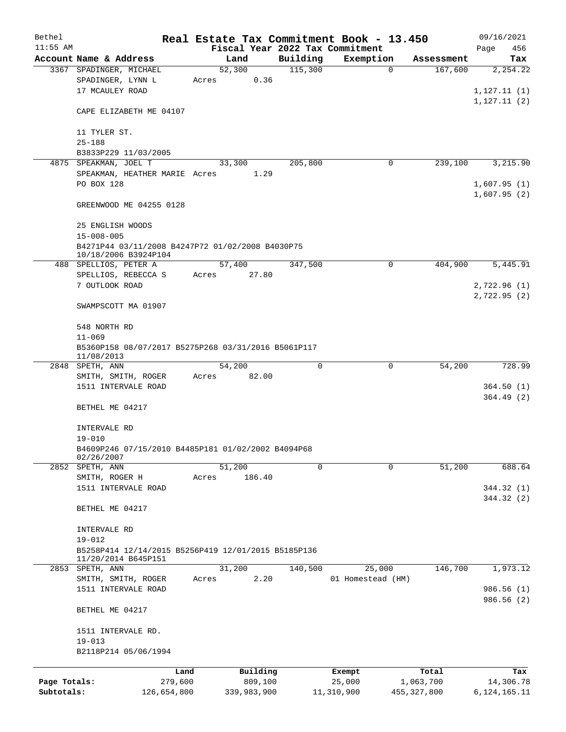| Bethel       |                                                                          |       |             |          | Real Estate Tax Commitment Book - 13.450 |               | 09/16/2021      |  |  |  |
|--------------|--------------------------------------------------------------------------|-------|-------------|----------|------------------------------------------|---------------|-----------------|--|--|--|
| $11:55$ AM   |                                                                          |       |             |          | Fiscal Year 2022 Tax Commitment          |               | Page<br>456     |  |  |  |
|              | Account Name & Address                                                   |       | Land        | Building | Exemption                                | Assessment    | Tax             |  |  |  |
|              | 3367 SPADINGER, MICHAEL                                                  |       | 52,300      | 115,300  | $\mathbf 0$                              | 167,600       | 2,254.22        |  |  |  |
|              | SPADINGER, LYNN L                                                        | Acres | 0.36        |          |                                          |               |                 |  |  |  |
|              | 17 MCAULEY ROAD                                                          |       |             |          |                                          |               | 1, 127.11(1)    |  |  |  |
|              | CAPE ELIZABETH ME 04107                                                  |       |             |          |                                          |               | 1,127.11(2)     |  |  |  |
|              | 11 TYLER ST.                                                             |       |             |          |                                          |               |                 |  |  |  |
|              | $25 - 188$                                                               |       |             |          |                                          |               |                 |  |  |  |
|              | B3833P229 11/03/2005                                                     |       |             |          |                                          |               |                 |  |  |  |
|              | 4875 SPEAKMAN, JOEL T                                                    |       | 33,300      | 205,800  | 0                                        | 239,100       | 3,215.90        |  |  |  |
|              | SPEAKMAN, HEATHER MARIE Acres                                            |       | 1.29        |          |                                          |               |                 |  |  |  |
|              | PO BOX 128                                                               |       |             |          |                                          |               | 1,607.95(1)     |  |  |  |
|              |                                                                          |       |             |          |                                          |               | 1,607.95(2)     |  |  |  |
|              | GREENWOOD ME 04255 0128                                                  |       |             |          |                                          |               |                 |  |  |  |
|              | 25 ENGLISH WOODS                                                         |       |             |          |                                          |               |                 |  |  |  |
|              | $15 - 008 - 005$                                                         |       |             |          |                                          |               |                 |  |  |  |
|              | B4271P44 03/11/2008 B4247P72 01/02/2008 B4030P75<br>10/18/2006 B3924P104 |       |             |          |                                          |               |                 |  |  |  |
|              | 488 SPELLIOS, PETER A                                                    |       | 57,400      | 347,500  | 0                                        | 404,900       | 5,445.91        |  |  |  |
|              | SPELLIOS, REBECCA S                                                      | Acres | 27.80       |          |                                          |               |                 |  |  |  |
|              | 7 OUTLOOK ROAD                                                           |       |             |          |                                          |               | 2,722.96(1)     |  |  |  |
|              |                                                                          |       |             |          |                                          |               | 2,722.95(2)     |  |  |  |
|              | SWAMPSCOTT MA 01907                                                      |       |             |          |                                          |               |                 |  |  |  |
|              | 548 NORTH RD                                                             |       |             |          |                                          |               |                 |  |  |  |
|              | $11 - 069$                                                               |       |             |          |                                          |               |                 |  |  |  |
|              | B5360P158 08/07/2017 B5275P268 03/31/2016 B5061P117                      |       |             |          |                                          |               |                 |  |  |  |
|              | 11/08/2013                                                               |       |             |          |                                          |               |                 |  |  |  |
|              | 2848 SPETH, ANN                                                          |       | 54,200      | 0        | 0                                        | 54,200        | 728.99          |  |  |  |
|              | SMITH, SMITH, ROGER                                                      | Acres | 82.00       |          |                                          |               |                 |  |  |  |
|              | 1511 INTERVALE ROAD                                                      |       |             |          |                                          |               | 364.50(1)       |  |  |  |
|              |                                                                          |       |             |          |                                          |               | 364.49(2)       |  |  |  |
|              | BETHEL ME 04217                                                          |       |             |          |                                          |               |                 |  |  |  |
|              | INTERVALE RD                                                             |       |             |          |                                          |               |                 |  |  |  |
|              | $19 - 010$                                                               |       |             |          |                                          |               |                 |  |  |  |
|              | B4609P246 07/15/2010 B4485P181 01/02/2002 B4094P68<br>02/26/2007         |       |             |          |                                          |               |                 |  |  |  |
|              | 2852 SPETH, ANN                                                          |       | 51,200      | $\Omega$ | $\Omega$                                 | 51,200        | 688.64          |  |  |  |
|              | SMITH, ROGER H                                                           | Acres | 186.40      |          |                                          |               |                 |  |  |  |
|              | 1511 INTERVALE ROAD                                                      |       |             |          |                                          |               | 344.32 (1)      |  |  |  |
|              |                                                                          |       |             |          |                                          |               | 344.32 (2)      |  |  |  |
|              | BETHEL ME 04217                                                          |       |             |          |                                          |               |                 |  |  |  |
|              | INTERVALE RD                                                             |       |             |          |                                          |               |                 |  |  |  |
|              | $19 - 012$                                                               |       |             |          |                                          |               |                 |  |  |  |
|              | B5258P414 12/14/2015 B5256P419 12/01/2015 B5185P136                      |       |             |          |                                          |               |                 |  |  |  |
| 2853         | 11/20/2014 B645P151<br>SPETH, ANN                                        |       | 31,200      | 140,500  | 25,000                                   | 146,700       | 1,973.12        |  |  |  |
|              | SMITH, SMITH, ROGER                                                      | Acres | 2.20        |          | 01 Homestead (HM)                        |               |                 |  |  |  |
|              | 1511 INTERVALE ROAD                                                      |       |             |          |                                          |               | 986.56 (1)      |  |  |  |
|              |                                                                          |       |             |          |                                          |               | 986.56 (2)      |  |  |  |
|              | BETHEL ME 04217                                                          |       |             |          |                                          |               |                 |  |  |  |
|              | 1511 INTERVALE RD.                                                       |       |             |          |                                          |               |                 |  |  |  |
|              | $19 - 013$                                                               |       |             |          |                                          |               |                 |  |  |  |
|              | B2118P214 05/06/1994                                                     |       |             |          |                                          |               |                 |  |  |  |
|              | Land                                                                     |       | Building    |          | Exempt                                   | Total         | Tax             |  |  |  |
| Page Totals: | 279,600                                                                  |       | 809,100     |          | 25,000                                   | 1,063,700     | 14,306.78       |  |  |  |
| Subtotals:   | 126,654,800                                                              |       | 339,983,900 |          | 11,310,900                               | 455, 327, 800 | 6, 124, 165. 11 |  |  |  |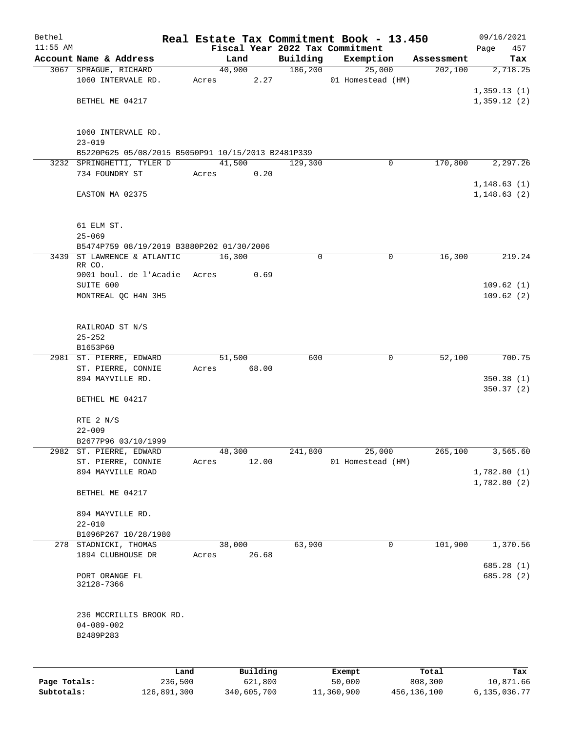| Bethel     |                                                    |       |                |          |                     | Real Estate Tax Commitment Book - 13.450 |            | 09/16/2021   |
|------------|----------------------------------------------------|-------|----------------|----------|---------------------|------------------------------------------|------------|--------------|
| $11:55$ AM |                                                    |       |                |          |                     | Fiscal Year 2022 Tax Commitment          |            | 457<br>Page  |
|            | Account Name & Address                             |       | Land<br>40,900 |          | Building<br>186,200 | Exemption                                | Assessment | Tax          |
|            | 3067 SPRAGUE, RICHARD<br>1060 INTERVALE RD.        | Acres |                | 2.27     |                     | 25,000<br>01 Homestead (HM)              | 202,100    | 2,718.25     |
|            |                                                    |       |                |          |                     |                                          |            | 1,359.13(1)  |
|            | BETHEL ME 04217                                    |       |                |          |                     |                                          |            | 1,359.12(2)  |
|            |                                                    |       |                |          |                     |                                          |            |              |
|            |                                                    |       |                |          |                     |                                          |            |              |
|            | 1060 INTERVALE RD.<br>$23 - 019$                   |       |                |          |                     |                                          |            |              |
|            | B5220P625 05/08/2015 B5050P91 10/15/2013 B2481P339 |       |                |          |                     |                                          |            |              |
|            | 3232 SPRINGHETTI, TYLER D                          |       | 41,500         |          | 129,300             | 0                                        | 170,800    | 2, 297.26    |
|            | 734 FOUNDRY ST                                     | Acres |                | 0.20     |                     |                                          |            |              |
|            |                                                    |       |                |          |                     |                                          |            | 1,148.63(1)  |
|            | EASTON MA 02375                                    |       |                |          |                     |                                          |            | 1, 148.63(2) |
|            |                                                    |       |                |          |                     |                                          |            |              |
|            | 61 ELM ST.                                         |       |                |          |                     |                                          |            |              |
|            | $25 - 069$                                         |       |                |          |                     |                                          |            |              |
|            | B5474P759 08/19/2019 B3880P202 01/30/2006          |       |                |          |                     |                                          |            |              |
|            | 3439 ST LAWRENCE & ATLANTIC                        |       | 16,300         |          | 0                   | $\mathbf 0$                              | 16,300     | 219.24       |
|            | RR CO.                                             |       |                |          |                     |                                          |            |              |
|            | 9001 boul. de l'Acadie Acres<br>SUITE 600          |       |                | 0.69     |                     |                                          |            | 109.62(1)    |
|            | MONTREAL QC H4N 3H5                                |       |                |          |                     |                                          |            | 109.62(2)    |
|            |                                                    |       |                |          |                     |                                          |            |              |
|            |                                                    |       |                |          |                     |                                          |            |              |
|            | RAILROAD ST N/S                                    |       |                |          |                     |                                          |            |              |
|            | $25 - 252$                                         |       |                |          |                     |                                          |            |              |
|            | B1653P60                                           |       |                |          |                     |                                          |            |              |
|            | 2981 ST. PIERRE, EDWARD                            |       | 51,500         |          | 600                 | $\mathbf 0$                              | 52,100     | 700.75       |
|            | ST. PIERRE, CONNIE<br>894 MAYVILLE RD.             | Acres |                | 68.00    |                     |                                          |            | 350.38 (1)   |
|            |                                                    |       |                |          |                     |                                          |            | 350.37(2)    |
|            | BETHEL ME 04217                                    |       |                |          |                     |                                          |            |              |
|            |                                                    |       |                |          |                     |                                          |            |              |
|            | RTE 2 N/S                                          |       |                |          |                     |                                          |            |              |
|            | $22 - 009$                                         |       |                |          |                     |                                          |            |              |
|            | B2677P96 03/10/1999                                |       |                |          |                     |                                          |            |              |
|            | 2982 ST. PIERRE, EDWARD                            |       | 48,300         |          | 241,800             | 25,000                                   | 265,100    | 3,565.60     |
|            | ST. PIERRE, CONNIE<br>894 MAYVILLE ROAD            | Acres |                | 12.00    |                     | 01 Homestead (HM)                        |            | 1,782.80(1)  |
|            |                                                    |       |                |          |                     |                                          |            | 1,782.80(2)  |
|            | BETHEL ME 04217                                    |       |                |          |                     |                                          |            |              |
|            |                                                    |       |                |          |                     |                                          |            |              |
|            | 894 MAYVILLE RD.                                   |       |                |          |                     |                                          |            |              |
|            | $22 - 010$                                         |       |                |          |                     |                                          |            |              |
|            | B1096P267 10/28/1980                               |       |                |          |                     |                                          |            |              |
|            | 278 STADNICKI, THOMAS<br>1894 CLUBHOUSE DR         | Acres | 38,000         | 26.68    | 63,900              | 0                                        | 101,900    | 1,370.56     |
|            |                                                    |       |                |          |                     |                                          |            | 685.28(1)    |
|            | PORT ORANGE FL                                     |       |                |          |                     |                                          |            | 685.28 (2)   |
|            | 32128-7366                                         |       |                |          |                     |                                          |            |              |
|            |                                                    |       |                |          |                     |                                          |            |              |
|            | 236 MCCRILLIS BROOK RD.                            |       |                |          |                     |                                          |            |              |
|            | $04 - 089 - 002$                                   |       |                |          |                     |                                          |            |              |
|            | B2489P283                                          |       |                |          |                     |                                          |            |              |
|            |                                                    |       |                |          |                     |                                          |            |              |
|            |                                                    |       |                |          |                     |                                          |            |              |
|            | Land                                               |       |                | Building |                     | Exempt                                   | Total      | Tax          |

|              | Land        | Building    | Exempt     | Total       | Tax          |
|--------------|-------------|-------------|------------|-------------|--------------|
| Page Totals: | 236,500     | 621,800     | 50,000     | 808,300     | 10,871.66    |
| Subtotals:   | 126,891,300 | 340,605,700 | 11,360,900 | 456,136,100 | 6,135,036.77 |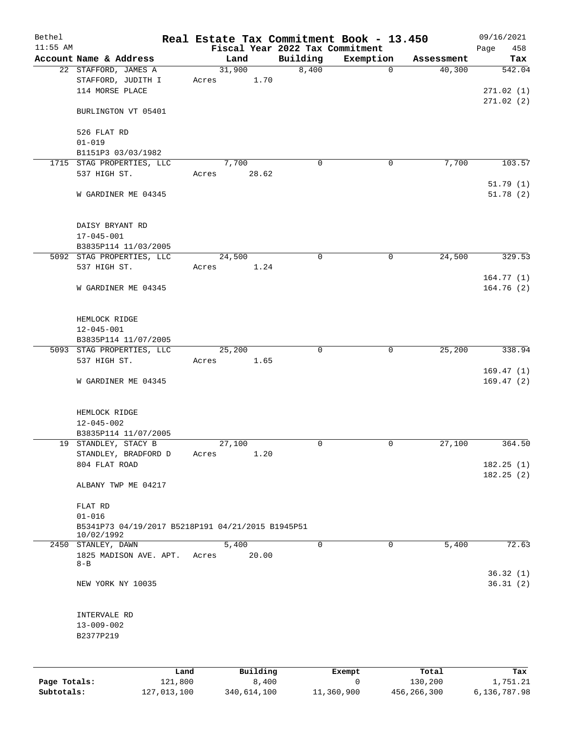| Bethel       |                                                                 | Real Estate Tax Commitment Book - 13.450 |                                 |                       |                      | 09/16/2021             |
|--------------|-----------------------------------------------------------------|------------------------------------------|---------------------------------|-----------------------|----------------------|------------------------|
| $11:55$ AM   |                                                                 |                                          | Fiscal Year 2022 Tax Commitment |                       |                      | Page<br>458            |
|              | Account Name & Address<br>22 STAFFORD, JAMES A                  | Land<br>31,900                           | Building<br>8,400               | Exemption<br>0        | Assessment<br>40,300 | Tax<br>542.04          |
|              | STAFFORD, JUDITH I<br>114 MORSE PLACE                           | 1.70<br>Acres                            |                                 |                       |                      | 271.02(1)              |
|              | BURLINGTON VT 05401                                             |                                          |                                 |                       |                      | 271.02(2)              |
|              | 526 FLAT RD                                                     |                                          |                                 |                       |                      |                        |
|              | $01 - 019$                                                      |                                          |                                 |                       |                      |                        |
|              | B1151P3 03/03/1982                                              |                                          |                                 |                       |                      |                        |
|              | 1715 STAG PROPERTIES, LLC<br>537 HIGH ST.                       | 7,700<br>28.62<br>Acres                  | 0                               | 0                     | 7,700                | 103.57<br>51.79(1)     |
|              | W GARDINER ME 04345                                             |                                          |                                 |                       |                      | 51.78(2)               |
|              | DAISY BRYANT RD<br>$17 - 045 - 001$                             |                                          |                                 |                       |                      |                        |
|              | B3835P114 11/03/2005                                            |                                          |                                 |                       |                      |                        |
|              | 5092 STAG PROPERTIES, LLC<br>537 HIGH ST.                       | 24,500<br>1.24<br>Acres                  | $\mathbf 0$                     | 0                     | 24,500               | 329.53                 |
|              | W GARDINER ME 04345                                             |                                          |                                 |                       |                      | 164.77(1)<br>164.76(2) |
|              | HEMLOCK RIDGE                                                   |                                          |                                 |                       |                      |                        |
|              | $12 - 045 - 001$                                                |                                          |                                 |                       |                      |                        |
|              | B3835P114 11/07/2005                                            |                                          |                                 |                       |                      |                        |
|              | 5093 STAG PROPERTIES, LLC<br>537 HIGH ST.                       | 25,200<br>Acres<br>1.65                  | $\mathbf 0$                     | $\mathbf 0$           | 25,200               | 338.94                 |
|              | W GARDINER ME 04345                                             |                                          |                                 |                       |                      | 169.47(1)<br>169.47(2) |
|              | HEMLOCK RIDGE                                                   |                                          |                                 |                       |                      |                        |
|              | $12 - 045 - 002$                                                |                                          |                                 |                       |                      |                        |
|              | B3835P114 11/07/2005                                            |                                          |                                 |                       |                      |                        |
|              | 19 STANDLEY, STACY B                                            | 27,100                                   | $\mathbf 0$                     | $\mathbf 0$           | 27,100               | 364.50                 |
|              | STANDLEY, BRADFORD D<br>804 FLAT ROAD                           | 1.20<br>Acres                            |                                 |                       |                      | 182.25(1)<br>182.25(2) |
|              | ALBANY TWP ME 04217                                             |                                          |                                 |                       |                      |                        |
|              | FLAT RD<br>$01 - 016$                                           |                                          |                                 |                       |                      |                        |
|              | B5341P73 04/19/2017 B5218P191 04/21/2015 B1945P51<br>10/02/1992 |                                          |                                 |                       |                      |                        |
|              | 2450 STANLEY, DAWN<br>1825 MADISON AVE. APT.<br>$8 - B$         | 5,400<br>Acres<br>20.00                  | $\Omega$                        | 0                     | 5,400                | 72.63                  |
|              |                                                                 |                                          |                                 |                       |                      | 36.32(1)               |
|              | NEW YORK NY 10035                                               |                                          |                                 |                       |                      | 36.31(2)               |
|              | INTERVALE RD                                                    |                                          |                                 |                       |                      |                        |
|              | $13 - 009 - 002$<br>B2377P219                                   |                                          |                                 |                       |                      |                        |
|              |                                                                 |                                          |                                 |                       |                      |                        |
|              | Land                                                            | Building                                 |                                 | Exempt<br>$\mathbf 0$ | Total                | Tax<br>1,751.21        |
| Page Totals: | 121,800                                                         | 8,400                                    |                                 |                       | 130,200              |                        |

**Subtotals:** 127,013,100 340,614,100 11,360,900 456,266,300 6,136,787.98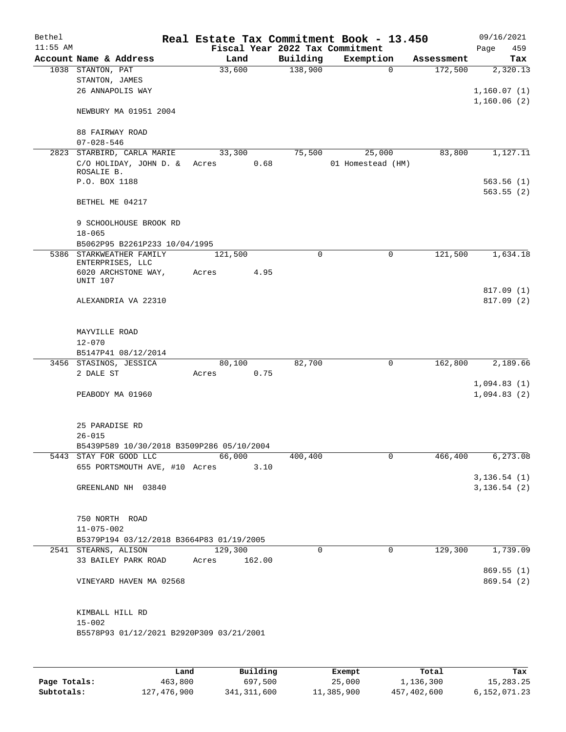| Bethel     |                                           |                 |                                 | Real Estate Tax Commitment Book - 13.450 |            | 09/16/2021    |
|------------|-------------------------------------------|-----------------|---------------------------------|------------------------------------------|------------|---------------|
| $11:55$ AM |                                           |                 | Fiscal Year 2022 Tax Commitment |                                          |            | 459<br>Page   |
|            | Account Name & Address                    | Land            | Building                        | Exemption                                | Assessment | Tax           |
|            | 1038 STANTON, PAT                         | 33,600          | 138,900                         | 0                                        | 172,500    | 2,320.13      |
|            | STANTON, JAMES                            |                 |                                 |                                          |            |               |
|            | 26 ANNAPOLIS WAY                          |                 |                                 |                                          |            | 1,160.07(1)   |
|            |                                           |                 |                                 |                                          |            | 1,160.06(2)   |
|            | NEWBURY MA 01951 2004                     |                 |                                 |                                          |            |               |
|            |                                           |                 |                                 |                                          |            |               |
|            | 88 FAIRWAY ROAD                           |                 |                                 |                                          |            |               |
|            | $07 - 028 - 546$                          |                 |                                 |                                          |            |               |
|            | 2823 STARBIRD, CARLA MARIE                | 33,300          | 75,500                          | 25,000                                   | 83,800     | 1,127.11      |
|            | C/O HOLIDAY, JOHN D. &                    | 0.68<br>Acres   |                                 | 01 Homestead (HM)                        |            |               |
|            | ROSALIE B.                                |                 |                                 |                                          |            |               |
|            | P.O. BOX 1188                             |                 |                                 |                                          |            | 563.56(1)     |
|            |                                           |                 |                                 |                                          |            | 563.55(2)     |
|            | BETHEL ME 04217                           |                 |                                 |                                          |            |               |
|            |                                           |                 |                                 |                                          |            |               |
|            | 9 SCHOOLHOUSE BROOK RD                    |                 |                                 |                                          |            |               |
|            | $18 - 065$                                |                 |                                 |                                          |            |               |
|            | B5062P95 B2261P233 10/04/1995             |                 |                                 |                                          |            |               |
|            | 5386 STARKWEATHER FAMILY                  | 121,500         | $\Omega$                        | 0                                        | 121,500    | 1,634.18      |
|            | ENTERPRISES, LLC                          |                 |                                 |                                          |            |               |
|            | 6020 ARCHSTONE WAY,                       | 4.95<br>Acres   |                                 |                                          |            |               |
|            | <b>UNIT 107</b>                           |                 |                                 |                                          |            |               |
|            |                                           |                 |                                 |                                          |            | 817.09(1)     |
|            | ALEXANDRIA VA 22310                       |                 |                                 |                                          |            | 817.09(2)     |
|            |                                           |                 |                                 |                                          |            |               |
|            |                                           |                 |                                 |                                          |            |               |
|            | MAYVILLE ROAD                             |                 |                                 |                                          |            |               |
|            | $12 - 070$                                |                 |                                 |                                          |            |               |
|            | B5147P41 08/12/2014                       |                 |                                 |                                          |            |               |
|            | 3456 STASINOS, JESSICA                    | 80,100          | 82,700                          | $\mathbf 0$                              | 162,800    | 2,189.66      |
|            | 2 DALE ST                                 | 0.75<br>Acres   |                                 |                                          |            |               |
|            |                                           |                 |                                 |                                          |            | 1,094.83(1)   |
|            | PEABODY MA 01960                          |                 |                                 |                                          |            | 1,094.83(2)   |
|            |                                           |                 |                                 |                                          |            |               |
|            |                                           |                 |                                 |                                          |            |               |
|            | 25 PARADISE RD                            |                 |                                 |                                          |            |               |
|            | $26 - 015$                                |                 |                                 |                                          |            |               |
|            | B5439P589 10/30/2018 B3509P286 05/10/2004 |                 |                                 |                                          |            |               |
|            | 5443 STAY FOR GOOD LLC                    | 66,000          | 400,400                         | 0                                        | 466,400    | 6, 273.08     |
|            | 655 PORTSMOUTH AVE, #10 Acres             | 3.10            |                                 |                                          |            |               |
|            |                                           |                 |                                 |                                          |            | 3, 136.54 (1) |
|            | GREENLAND NH 03840                        |                 |                                 |                                          |            | 3, 136.54 (2) |
|            |                                           |                 |                                 |                                          |            |               |
|            |                                           |                 |                                 |                                          |            |               |
|            | 750 NORTH ROAD                            |                 |                                 |                                          |            |               |
|            | $11 - 075 - 002$                          |                 |                                 |                                          |            |               |
|            | B5379P194 03/12/2018 B3664P83 01/19/2005  |                 |                                 |                                          |            |               |
|            | 2541 STEARNS, ALISON                      | 129,300         | 0                               | $\mathbf 0$                              | 129,300    | 1,739.09      |
|            | 33 BAILEY PARK ROAD                       | 162.00<br>Acres |                                 |                                          |            |               |
|            |                                           |                 |                                 |                                          |            | 869.55(1)     |
|            | VINEYARD HAVEN MA 02568                   |                 |                                 |                                          |            | 869.54 (2)    |
|            |                                           |                 |                                 |                                          |            |               |
|            |                                           |                 |                                 |                                          |            |               |
|            | KIMBALL HILL RD                           |                 |                                 |                                          |            |               |
|            | $15 - 002$                                |                 |                                 |                                          |            |               |
|            | B5578P93 01/12/2021 B2920P309 03/21/2001  |                 |                                 |                                          |            |               |
|            |                                           |                 |                                 |                                          |            |               |
|            |                                           |                 |                                 |                                          |            |               |
|            |                                           |                 |                                 |                                          |            |               |

|              | Land        | Building    | Exempt     | Total       | Tax          |
|--------------|-------------|-------------|------------|-------------|--------------|
| Page Totals: | 463,800     | 697,500     | 25,000     | 1,136,300   | 15,283.25    |
| Subtotals:   | 127,476,900 | 341,311,600 | 11,385,900 | 457,402,600 | 6,152,071.23 |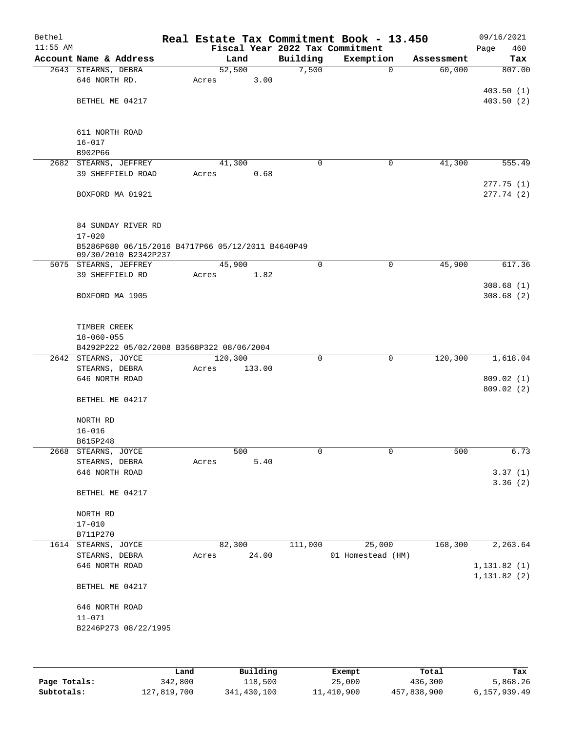| Bethel<br>$11:55$ AM |                                                   |                  |        |             | Real Estate Tax Commitment Book - 13.450<br>Fiscal Year 2022 Tax Commitment |              |            | 09/16/2021<br>460<br>Page |
|----------------------|---------------------------------------------------|------------------|--------|-------------|-----------------------------------------------------------------------------|--------------|------------|---------------------------|
|                      | Account Name & Address                            |                  | Land   | Building    | Exemption                                                                   |              | Assessment | Tax                       |
|                      | 2643 STEARNS, DEBRA                               | 52,500           |        | 7,500       |                                                                             | $\mathbf 0$  | 60,000     | 807.00                    |
|                      | 646 NORTH RD.                                     | Acres            | 3.00   |             |                                                                             |              |            |                           |
|                      |                                                   |                  |        |             |                                                                             |              |            | 403.50(1)                 |
|                      | BETHEL ME 04217                                   |                  |        |             |                                                                             |              |            | 403.50(2)                 |
|                      |                                                   |                  |        |             |                                                                             |              |            |                           |
|                      | 611 NORTH ROAD                                    |                  |        |             |                                                                             |              |            |                           |
|                      | $16 - 017$                                        |                  |        |             |                                                                             |              |            |                           |
|                      | B902P66                                           |                  |        |             |                                                                             |              |            |                           |
|                      | 2682 STEARNS, JEFFREY                             | 41,300           |        | $\mathbf 0$ |                                                                             | 0            | 41,300     | 555.49                    |
|                      | 39 SHEFFIELD ROAD                                 | Acres            | 0.68   |             |                                                                             |              |            |                           |
|                      |                                                   |                  |        |             |                                                                             |              |            | 277.75(1)                 |
|                      | BOXFORD MA 01921                                  |                  |        |             |                                                                             |              |            | 277.74(2)                 |
|                      |                                                   |                  |        |             |                                                                             |              |            |                           |
|                      | 84 SUNDAY RIVER RD                                |                  |        |             |                                                                             |              |            |                           |
|                      | $17 - 020$                                        |                  |        |             |                                                                             |              |            |                           |
|                      | B5286P680 06/15/2016 B4717P66 05/12/2011 B4640P49 |                  |        |             |                                                                             |              |            |                           |
|                      | 09/30/2010 B2342P237                              |                  |        |             |                                                                             |              |            |                           |
|                      | 5075 STEARNS, JEFFREY                             | 45,900           |        | $\mathbf 0$ |                                                                             | $\mathsf{O}$ | 45,900     | 617.36                    |
|                      | 39 SHEFFIELD RD                                   | Acres            | 1.82   |             |                                                                             |              |            | 308.68(1)                 |
|                      | BOXFORD MA 1905                                   |                  |        |             |                                                                             |              |            | 308.68(2)                 |
|                      |                                                   |                  |        |             |                                                                             |              |            |                           |
|                      |                                                   |                  |        |             |                                                                             |              |            |                           |
|                      | TIMBER CREEK                                      |                  |        |             |                                                                             |              |            |                           |
|                      | $18 - 060 - 055$                                  |                  |        |             |                                                                             |              |            |                           |
|                      | B4292P222 05/02/2008 B3568P322 08/06/2004         |                  |        |             |                                                                             |              |            |                           |
|                      | 2642 STEARNS, JOYCE                               | 120,300<br>Acres |        | $\mathbf 0$ |                                                                             | $\mathbf 0$  | 120,300    | 1,618.04                  |
|                      | STEARNS, DEBRA<br>646 NORTH ROAD                  |                  | 133.00 |             |                                                                             |              |            | 809.02(1)                 |
|                      |                                                   |                  |        |             |                                                                             |              |            | 809.02(2)                 |
|                      | BETHEL ME 04217                                   |                  |        |             |                                                                             |              |            |                           |
|                      |                                                   |                  |        |             |                                                                             |              |            |                           |
|                      | NORTH RD                                          |                  |        |             |                                                                             |              |            |                           |
|                      | $16 - 016$                                        |                  |        |             |                                                                             |              |            |                           |
|                      | B615P248<br>2668 STEARNS, JOYCE                   |                  | 500    | 0           |                                                                             | $\mathsf 0$  | 500        | 6.73                      |
|                      | STEARNS, DEBRA                                    | Acres            | 5.40   |             |                                                                             |              |            |                           |
|                      | 646 NORTH ROAD                                    |                  |        |             |                                                                             |              |            | 3.37(1)                   |
|                      |                                                   |                  |        |             |                                                                             |              |            | 3.36(2)                   |
|                      | BETHEL ME 04217                                   |                  |        |             |                                                                             |              |            |                           |
|                      |                                                   |                  |        |             |                                                                             |              |            |                           |
|                      | NORTH RD                                          |                  |        |             |                                                                             |              |            |                           |
|                      | $17 - 010$<br>B711P270                            |                  |        |             |                                                                             |              |            |                           |
| 1614                 | STEARNS, JOYCE                                    | 82,300           |        | 111,000     | 25,000                                                                      |              | 168,300    | 2,263.64                  |
|                      | STEARNS, DEBRA                                    | Acres            | 24.00  |             | 01 Homestead (HM)                                                           |              |            |                           |
|                      | 646 NORTH ROAD                                    |                  |        |             |                                                                             |              |            | 1, 131.82(1)              |
|                      |                                                   |                  |        |             |                                                                             |              |            | 1, 131.82(2)              |
|                      | BETHEL ME 04217                                   |                  |        |             |                                                                             |              |            |                           |
|                      |                                                   |                  |        |             |                                                                             |              |            |                           |
|                      | 646 NORTH ROAD<br>$11 - 071$                      |                  |        |             |                                                                             |              |            |                           |
|                      | B2246P273 08/22/1995                              |                  |        |             |                                                                             |              |            |                           |
|                      |                                                   |                  |        |             |                                                                             |              |            |                           |
|                      |                                                   |                  |        |             |                                                                             |              |            |                           |
|                      |                                                   |                  |        |             |                                                                             |              |            |                           |

|              | Land        | Building    |            | Total       | Tax          |
|--------------|-------------|-------------|------------|-------------|--------------|
|              |             |             | Exempt     |             |              |
| Page Totals: | 342,800     | 118,500     | 25,000     | 436,300     | 5,868.26     |
| Subtotals:   | 127,819,700 | 341,430,100 | 11,410,900 | 457,838,900 | 6,157,939.49 |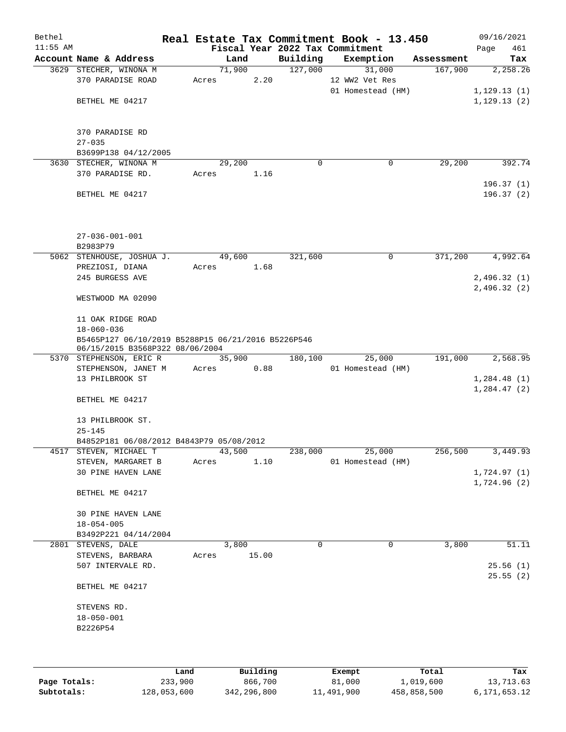| Bethel<br>$11:55$ AM |                                                    |        |                |          | Real Estate Tax Commitment Book - 13.450<br>Fiscal Year 2022 Tax Commitment |            | 09/16/2021<br>Page<br>461 |
|----------------------|----------------------------------------------------|--------|----------------|----------|-----------------------------------------------------------------------------|------------|---------------------------|
|                      | Account Name & Address                             |        | Land           | Building | Exemption                                                                   | Assessment | Tax                       |
|                      | 3629 STECHER, WINONA M                             |        | 71,900         | 127,000  | 31,000                                                                      | 167,900    | 2,258.26                  |
|                      | 370 PARADISE ROAD                                  | Acres  | 2.20           |          | 12 WW2 Vet Res                                                              |            |                           |
|                      |                                                    |        |                |          | 01 Homestead (HM)                                                           |            | 1,129.13(1)               |
|                      | BETHEL ME 04217                                    |        |                |          |                                                                             |            | 1,129.13(2)               |
|                      |                                                    |        |                |          |                                                                             |            |                           |
|                      |                                                    |        |                |          |                                                                             |            |                           |
|                      | 370 PARADISE RD                                    |        |                |          |                                                                             |            |                           |
|                      | $27 - 035$                                         |        |                |          |                                                                             |            |                           |
|                      | B3699P138 04/12/2005<br>3630 STECHER, WINONA M     |        | 29,200         | 0        | 0                                                                           | 29,200     | 392.74                    |
|                      | 370 PARADISE RD.                                   | Acres  | 1.16           |          |                                                                             |            |                           |
|                      |                                                    |        |                |          |                                                                             |            | 196.37(1)                 |
|                      | BETHEL ME 04217                                    |        |                |          |                                                                             |            | 196.37(2)                 |
|                      |                                                    |        |                |          |                                                                             |            |                           |
|                      |                                                    |        |                |          |                                                                             |            |                           |
|                      |                                                    |        |                |          |                                                                             |            |                           |
|                      | $27 - 036 - 001 - 001$                             |        |                |          |                                                                             |            |                           |
|                      | B2983P79                                           |        |                |          |                                                                             |            |                           |
|                      | 5062 STENHOUSE, JOSHUA J.                          |        | 49,600         | 321,600  | 0                                                                           | 371,200    | 4,992.64                  |
|                      | PREZIOSI, DIANA<br>245 BURGESS AVE                 | Acres  | 1.68           |          |                                                                             |            | 2,496.32(1)               |
|                      |                                                    |        |                |          |                                                                             |            | 2,496.32(2)               |
|                      | WESTWOOD MA 02090                                  |        |                |          |                                                                             |            |                           |
|                      |                                                    |        |                |          |                                                                             |            |                           |
|                      | 11 OAK RIDGE ROAD                                  |        |                |          |                                                                             |            |                           |
|                      | $18 - 060 - 036$                                   |        |                |          |                                                                             |            |                           |
|                      | B5465P127 06/10/2019 B5288P15 06/21/2016 B5226P546 |        |                |          |                                                                             |            |                           |
|                      | 06/15/2015 B3568P322 08/06/2004                    |        |                |          |                                                                             |            | 2,568.95                  |
|                      | 5370 STEPHENSON, ERIC R<br>STEPHENSON, JANET M     | Acres  | 35,900<br>0.88 | 180,100  | 25,000<br>01 Homestead (HM)                                                 | 191,000    |                           |
|                      | 13 PHILBROOK ST                                    |        |                |          |                                                                             |            | 1,284.48(1)               |
|                      |                                                    |        |                |          |                                                                             |            | 1, 284.47(2)              |
|                      | BETHEL ME 04217                                    |        |                |          |                                                                             |            |                           |
|                      |                                                    |        |                |          |                                                                             |            |                           |
|                      | 13 PHILBROOK ST.                                   |        |                |          |                                                                             |            |                           |
|                      | $25 - 145$                                         |        |                |          |                                                                             |            |                           |
|                      | B4852P181 06/08/2012 B4843P79 05/08/2012           |        |                |          |                                                                             |            |                           |
|                      | 4517 STEVEN, MICHAEL T                             | 43,500 |                | 238,000  | 25,000                                                                      | 256,500    | 3,449.93                  |
|                      | STEVEN, MARGARET B<br>30 PINE HAVEN LANE           | Acres  | 1.10           |          | 01 Homestead (HM)                                                           |            | 1,724.97(1)               |
|                      |                                                    |        |                |          |                                                                             |            | 1,724.96(2)               |
|                      | BETHEL ME 04217                                    |        |                |          |                                                                             |            |                           |
|                      |                                                    |        |                |          |                                                                             |            |                           |
|                      | 30 PINE HAVEN LANE                                 |        |                |          |                                                                             |            |                           |
|                      | $18 - 054 - 005$                                   |        |                |          |                                                                             |            |                           |
|                      | B3492P221 04/14/2004                               |        |                |          |                                                                             |            |                           |
|                      | 2801 STEVENS, DALE                                 |        | 3,800          | 0        | 0                                                                           | 3,800      | 51.11                     |
|                      | STEVENS, BARBARA                                   | Acres  | 15.00          |          |                                                                             |            |                           |
|                      | 507 INTERVALE RD.                                  |        |                |          |                                                                             |            | 25.56(1)                  |
|                      | BETHEL ME 04217                                    |        |                |          |                                                                             |            | 25.55(2)                  |
|                      |                                                    |        |                |          |                                                                             |            |                           |
|                      | STEVENS RD.                                        |        |                |          |                                                                             |            |                           |
|                      | $18 - 050 - 001$<br>B2226P54                       |        |                |          |                                                                             |            |                           |
|                      |                                                    |        |                |          |                                                                             |            |                           |
|                      |                                                    |        |                |          |                                                                             |            |                           |
|                      |                                                    |        |                |          |                                                                             |            |                           |
|                      |                                                    |        |                |          |                                                                             |            |                           |

|              | Land        | Building    | Exempt     | Total       | Tax          |
|--------------|-------------|-------------|------------|-------------|--------------|
| Page Totals: | 233,900     | 866,700     | 81,000     | 1,019,600   | 13,713.63    |
| Subtotals:   | 128,053,600 | 342,296,800 | 11,491,900 | 458,858,500 | 6,171,653.12 |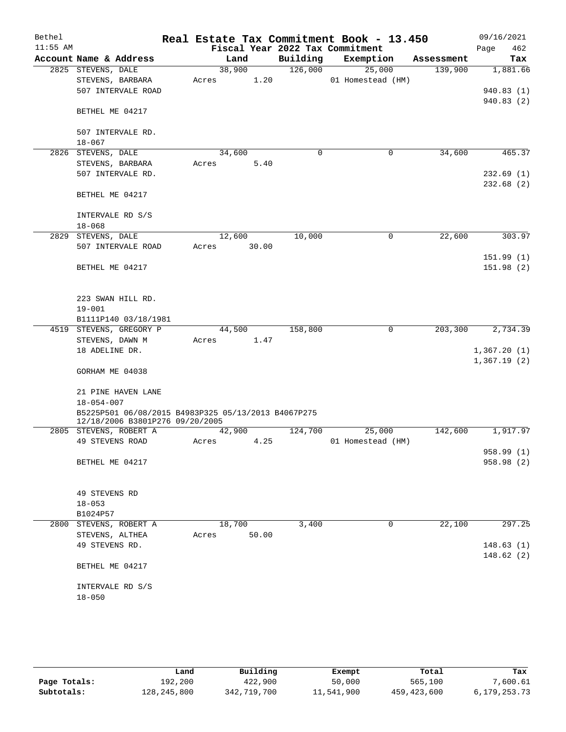| Bethel     |                                                     |        |       |             | Real Estate Tax Commitment Book - 13.450 |            | 09/16/2021  |
|------------|-----------------------------------------------------|--------|-------|-------------|------------------------------------------|------------|-------------|
| $11:55$ AM |                                                     |        |       |             | Fiscal Year 2022 Tax Commitment          |            | 462<br>Page |
|            | Account Name & Address                              | Land   |       | Building    | Exemption                                | Assessment | Tax         |
|            | 2825 STEVENS, DALE                                  | 38,900 |       | 126,000     | 25,000                                   | 139,900    | 1,881.66    |
|            | STEVENS, BARBARA                                    | Acres  | 1.20  |             | 01 Homestead (HM)                        |            |             |
|            | 507 INTERVALE ROAD                                  |        |       |             |                                          |            | 940.83(1)   |
|            |                                                     |        |       |             |                                          |            | 940.83(2)   |
|            | BETHEL ME 04217                                     |        |       |             |                                          |            |             |
|            | 507 INTERVALE RD.                                   |        |       |             |                                          |            |             |
|            | $18 - 067$                                          |        |       |             |                                          |            |             |
|            | 2826 STEVENS, DALE                                  | 34,600 |       | $\mathbf 0$ | $\mathbf 0$                              | 34,600     | 465.37      |
|            | STEVENS, BARBARA                                    | Acres  | 5.40  |             |                                          |            |             |
|            | 507 INTERVALE RD.                                   |        |       |             |                                          |            | 232.69(1)   |
|            |                                                     |        |       |             |                                          |            | 232.68(2)   |
|            | BETHEL ME 04217                                     |        |       |             |                                          |            |             |
|            |                                                     |        |       |             |                                          |            |             |
|            | INTERVALE RD S/S<br>$18 - 068$                      |        |       |             |                                          |            |             |
|            |                                                     |        |       |             |                                          |            |             |
|            | 2829 STEVENS, DALE                                  | 12,600 |       | 10,000      | 0                                        | 22,600     | 303.97      |
|            | 507 INTERVALE ROAD                                  | Acres  | 30.00 |             |                                          |            |             |
|            |                                                     |        |       |             |                                          |            | 151.99(1)   |
|            | BETHEL ME 04217                                     |        |       |             |                                          |            | 151.98(2)   |
|            |                                                     |        |       |             |                                          |            |             |
|            | 223 SWAN HILL RD.                                   |        |       |             |                                          |            |             |
|            | $19 - 001$                                          |        |       |             |                                          |            |             |
|            | B1111P140 03/18/1981                                |        |       |             |                                          |            |             |
|            | 4519 STEVENS, GREGORY P                             | 44,500 |       | 158,800     | 0                                        | 203,300    | 2,734.39    |
|            | STEVENS, DAWN M                                     | Acres  | 1.47  |             |                                          |            |             |
|            | 18 ADELINE DR.                                      |        |       |             |                                          |            | 1,367.20(1) |
|            |                                                     |        |       |             |                                          |            | 1,367.19(2) |
|            | GORHAM ME 04038                                     |        |       |             |                                          |            |             |
|            | 21 PINE HAVEN LANE                                  |        |       |             |                                          |            |             |
|            | $18 - 054 - 007$                                    |        |       |             |                                          |            |             |
|            | B5225P501 06/08/2015 B4983P325 05/13/2013 B4067P275 |        |       |             |                                          |            |             |
|            | 12/18/2006 B3801P276 09/20/2005                     |        |       |             |                                          |            |             |
|            | 2805 STEVENS, ROBERT A                              | 42,900 |       | 124,700     | 25,000                                   | 142,600    | 1,917.97    |
|            | 49 STEVENS ROAD                                     | Acres  | 4.25  |             | 01 Homestead (HM)                        |            |             |
|            |                                                     |        |       |             |                                          |            | 958.99 (1)  |
|            | BETHEL ME 04217                                     |        |       |             |                                          |            | 958.98 (2)  |
|            |                                                     |        |       |             |                                          |            |             |
|            | 49 STEVENS RD                                       |        |       |             |                                          |            |             |
|            | $18 - 053$                                          |        |       |             |                                          |            |             |
|            | B1024P57                                            |        |       |             |                                          |            |             |
|            | 2800 STEVENS, ROBERT A                              | 18,700 |       | 3,400       | 0                                        | 22,100     | 297.25      |
|            | STEVENS, ALTHEA                                     | Acres  | 50.00 |             |                                          |            |             |
|            | 49 STEVENS RD.                                      |        |       |             |                                          |            | 148.63(1)   |
|            |                                                     |        |       |             |                                          |            | 148.62(2)   |
|            | BETHEL ME 04217                                     |        |       |             |                                          |            |             |
|            |                                                     |        |       |             |                                          |            |             |
|            | INTERVALE RD S/S                                    |        |       |             |                                          |            |             |
|            | $18 - 050$                                          |        |       |             |                                          |            |             |
|            |                                                     |        |       |             |                                          |            |             |
|            |                                                     |        |       |             |                                          |            |             |

|              | Land        | Building    | Exempt     | Total         | Tax          |
|--------------|-------------|-------------|------------|---------------|--------------|
| Page Totals: | 192,200     | 422,900     | 50,000     | 565,100       | 7,600.61     |
| Subtotals:   | 128,245,800 | 342,719,700 | 11,541,900 | 459, 423, 600 | 6,179,253.73 |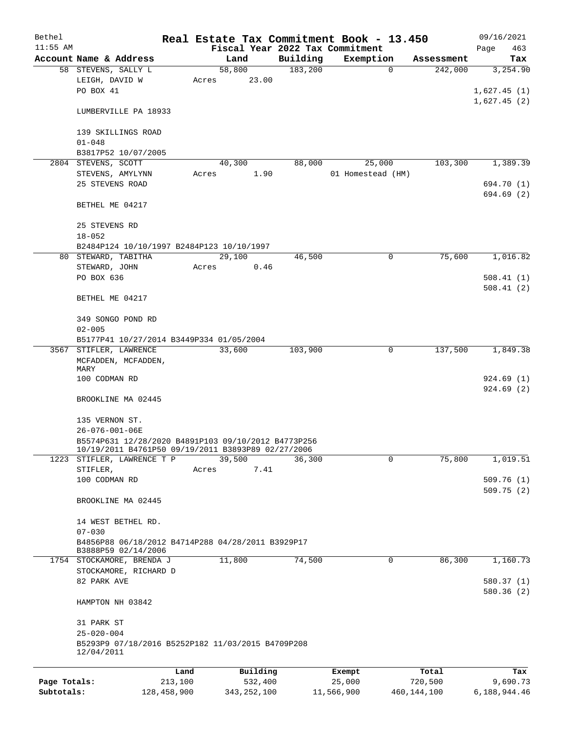| Bethel       |                                                                 |         |          |          | Real Estate Tax Commitment Book - 13.450 |            | 09/16/2021  |  |  |  |
|--------------|-----------------------------------------------------------------|---------|----------|----------|------------------------------------------|------------|-------------|--|--|--|
| $11:55$ AM   |                                                                 |         |          |          | Fiscal Year 2022 Tax Commitment          |            | Page<br>463 |  |  |  |
|              | Account Name & Address                                          |         | Land     | Building | Exemption                                | Assessment | Tax         |  |  |  |
|              | 58 STEVENS, SALLY L                                             |         | 58,800   | 183,200  | $\mathbf 0$                              | 242,000    | 3,254.90    |  |  |  |
|              | LEIGH, DAVID W                                                  | Acres   | 23.00    |          |                                          |            |             |  |  |  |
|              | PO BOX 41                                                       |         |          |          |                                          |            | 1,627.45(1) |  |  |  |
|              |                                                                 |         |          |          |                                          |            | 1,627.45(2) |  |  |  |
|              | LUMBERVILLE PA 18933                                            |         |          |          |                                          |            |             |  |  |  |
|              |                                                                 |         |          |          |                                          |            |             |  |  |  |
|              | 139 SKILLINGS ROAD                                              |         |          |          |                                          |            |             |  |  |  |
|              | $01 - 048$                                                      |         |          |          |                                          |            |             |  |  |  |
|              | B3817P52 10/07/2005                                             |         |          |          |                                          |            |             |  |  |  |
|              | 2804 STEVENS, SCOTT                                             |         | 40,300   | 88,000   | 25,000                                   | 103,300    | 1,389.39    |  |  |  |
|              | STEVENS, AMYLYNN                                                | Acres   | 1.90     |          | 01 Homestead (HM)                        |            |             |  |  |  |
|              | 25 STEVENS ROAD                                                 |         |          |          |                                          |            | 694.70 (1)  |  |  |  |
|              |                                                                 |         |          |          |                                          |            | 694.69(2)   |  |  |  |
|              | BETHEL ME 04217                                                 |         |          |          |                                          |            |             |  |  |  |
|              |                                                                 |         |          |          |                                          |            |             |  |  |  |
|              | 25 STEVENS RD                                                   |         |          |          |                                          |            |             |  |  |  |
|              | $18 - 052$                                                      |         |          |          |                                          |            |             |  |  |  |
|              | B2484P124 10/10/1997 B2484P123 10/10/1997                       |         |          |          |                                          |            |             |  |  |  |
|              | 80 STEWARD, TABITHA                                             |         | 29,100   | 46,500   | $\mathbf 0$                              | 75,600     | 1,016.82    |  |  |  |
|              | STEWARD, JOHN                                                   | Acres   | 0.46     |          |                                          |            |             |  |  |  |
|              | PO BOX 636                                                      |         |          |          |                                          |            | 508.41(1)   |  |  |  |
|              |                                                                 |         |          |          |                                          |            | 508.41(2)   |  |  |  |
|              | BETHEL ME 04217                                                 |         |          |          |                                          |            |             |  |  |  |
|              |                                                                 |         |          |          |                                          |            |             |  |  |  |
|              | 349 SONGO POND RD                                               |         |          |          |                                          |            |             |  |  |  |
|              | $02 - 005$<br>B5177P41 10/27/2014 B3449P334 01/05/2004          |         |          |          |                                          |            |             |  |  |  |
|              |                                                                 |         |          |          |                                          |            |             |  |  |  |
|              | 3567 STIFLER, LAWRENCE                                          |         | 33,600   | 103,900  | 0                                        | 137,500    | 1,849.38    |  |  |  |
|              | MCFADDEN, MCFADDEN,<br>MARY                                     |         |          |          |                                          |            |             |  |  |  |
|              | 100 CODMAN RD                                                   |         |          |          |                                          |            | 924.69(1)   |  |  |  |
|              |                                                                 |         |          |          |                                          |            | 924.69(2)   |  |  |  |
|              | BROOKLINE MA 02445                                              |         |          |          |                                          |            |             |  |  |  |
|              |                                                                 |         |          |          |                                          |            |             |  |  |  |
|              | 135 VERNON ST.                                                  |         |          |          |                                          |            |             |  |  |  |
|              | 26-076-001-06E                                                  |         |          |          |                                          |            |             |  |  |  |
|              | B5574P631 12/28/2020 B4891P103 09/10/2012 B4773P256             |         |          |          |                                          |            |             |  |  |  |
|              | 10/19/2011 B4761P50 09/19/2011 B3893P89 02/27/2006              |         |          |          |                                          |            |             |  |  |  |
|              | 1223 STIFLER, LAWRENCE T P                                      |         | 39,500   | 36,300   | $\mathbf 0$                              | 75,800     | 1,019.51    |  |  |  |
|              | STIFLER,                                                        | Acres   | 7.41     |          |                                          |            |             |  |  |  |
|              | 100 CODMAN RD                                                   |         |          |          |                                          |            | 509.76(1)   |  |  |  |
|              |                                                                 |         |          |          |                                          |            | 509.75(2)   |  |  |  |
|              | BROOKLINE MA 02445                                              |         |          |          |                                          |            |             |  |  |  |
|              |                                                                 |         |          |          |                                          |            |             |  |  |  |
|              | 14 WEST BETHEL RD.                                              |         |          |          |                                          |            |             |  |  |  |
|              | $07 - 030$                                                      |         |          |          |                                          |            |             |  |  |  |
|              | B4856P88 06/18/2012 B4714P288 04/28/2011 B3929P17               |         |          |          |                                          |            |             |  |  |  |
|              | B3888P59 02/14/2006                                             |         |          |          |                                          |            |             |  |  |  |
|              | 1754 STOCKAMORE, BRENDA J                                       |         | 11,800   | 74,500   | 0                                        | 86,300     | 1,160.73    |  |  |  |
|              | STOCKAMORE, RICHARD D                                           |         |          |          |                                          |            |             |  |  |  |
|              | 82 PARK AVE                                                     |         |          |          |                                          |            | 580.37(1)   |  |  |  |
|              |                                                                 |         |          |          |                                          |            | 580.36(2)   |  |  |  |
|              | HAMPTON NH 03842                                                |         |          |          |                                          |            |             |  |  |  |
|              |                                                                 |         |          |          |                                          |            |             |  |  |  |
|              | 31 PARK ST                                                      |         |          |          |                                          |            |             |  |  |  |
|              | $25 - 020 - 004$                                                |         |          |          |                                          |            |             |  |  |  |
|              | B5293P9 07/18/2016 B5252P182 11/03/2015 B4709P208<br>12/04/2011 |         |          |          |                                          |            |             |  |  |  |
|              |                                                                 |         |          |          |                                          |            |             |  |  |  |
|              |                                                                 | Land    | Building |          | Exempt                                   | Total      | Tax         |  |  |  |
| Page Totals: |                                                                 | 213,100 | 532,400  |          | 25,000                                   | 720,500    | 9,690.73    |  |  |  |
|              |                                                                 |         |          |          |                                          |            |             |  |  |  |

**Subtotals:** 128,458,900 343,252,100 11,566,900 460,144,100 6,188,944.46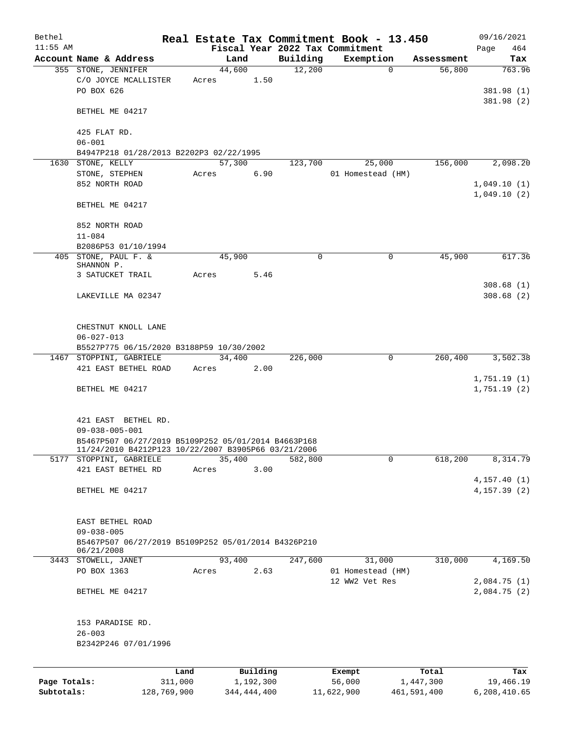| Bethel       |                                                                                                                                                             |       |        |           |             | Real Estate Tax Commitment Book - 13.450 |            | 09/16/2021                   |
|--------------|-------------------------------------------------------------------------------------------------------------------------------------------------------------|-------|--------|-----------|-------------|------------------------------------------|------------|------------------------------|
| $11:55$ AM   |                                                                                                                                                             |       |        |           |             | Fiscal Year 2022 Tax Commitment          |            | 464<br>Page                  |
|              | Account Name & Address                                                                                                                                      |       | Land   |           | Building    | Exemption                                | Assessment | Tax                          |
|              | 355 STONE, JENNIFER<br>C/O JOYCE MCALLISTER<br>PO BOX 626                                                                                                   | Acres | 44,600 | 1.50      | 12,200      | 0                                        | 56,800     | 763.96<br>381.98 (1)         |
|              | BETHEL ME 04217                                                                                                                                             |       |        |           |             |                                          |            | 381.98 (2)                   |
|              | 425 FLAT RD.<br>$06 - 001$                                                                                                                                  |       |        |           |             |                                          |            |                              |
|              | B4947P218 01/28/2013 B2202P3 02/22/1995                                                                                                                     |       |        |           |             |                                          |            |                              |
|              | 1630 STONE, KELLY                                                                                                                                           |       | 57,300 |           | 123,700     | 25,000                                   | 156,000    | 2,098.20                     |
|              | STONE, STEPHEN                                                                                                                                              | Acres |        | 6.90      |             | 01 Homestead (HM)                        |            |                              |
|              | 852 NORTH ROAD                                                                                                                                              |       |        |           |             |                                          |            | 1,049.10(1)                  |
|              |                                                                                                                                                             |       |        |           |             |                                          |            | 1,049.10(2)                  |
|              | BETHEL ME 04217                                                                                                                                             |       |        |           |             |                                          |            |                              |
|              | 852 NORTH ROAD<br>$11 - 084$                                                                                                                                |       |        |           |             |                                          |            |                              |
|              | B2086P53 01/10/1994                                                                                                                                         |       |        |           |             |                                          |            |                              |
|              | 405 STONE, PAUL F. &                                                                                                                                        |       | 45,900 |           | $\mathbf 0$ | $\mathbf 0$                              | 45,900     | 617.36                       |
|              | SHANNON P.                                                                                                                                                  |       |        |           |             |                                          |            |                              |
|              | 3 SATUCKET TRAIL                                                                                                                                            | Acres |        | 5.46      |             |                                          |            |                              |
|              |                                                                                                                                                             |       |        |           |             |                                          |            | 308.68(1)                    |
|              | LAKEVILLE MA 02347                                                                                                                                          |       |        |           |             |                                          |            | 308.68(2)                    |
|              | CHESTNUT KNOLL LANE<br>$06 - 027 - 013$                                                                                                                     |       |        |           |             |                                          |            |                              |
|              | B5527P775 06/15/2020 B3188P59 10/30/2002                                                                                                                    |       |        |           |             |                                          |            |                              |
|              | 1467 STOPPINI, GABRIELE                                                                                                                                     |       | 34,400 |           | 226,000     | $\mathbf 0$                              | 260,400    | 3,502.38                     |
|              | 421 EAST BETHEL ROAD                                                                                                                                        | Acres |        | 2.00      |             |                                          |            |                              |
|              | BETHEL ME 04217                                                                                                                                             |       |        |           |             |                                          |            | 1,751.19(1)<br>1,751.19(2)   |
|              | 421 EAST BETHEL RD.<br>$09 - 038 - 005 - 001$<br>B5467P507 06/27/2019 B5109P252 05/01/2014 B4663P168<br>11/24/2010 B4212P123 10/22/2007 B3905P66 03/21/2006 |       |        |           |             |                                          |            |                              |
|              | 5177 STOPPINI, GABRIELE                                                                                                                                     |       | 35,400 |           | 582,800     | 0                                        | 618,200    | 8,314.79                     |
|              | 421 EAST BETHEL RD                                                                                                                                          | Acres |        | 3.00      |             |                                          |            |                              |
|              | BETHEL ME 04217                                                                                                                                             |       |        |           |             |                                          |            | 4, 157.40(1)<br>4, 157.39(2) |
|              | EAST BETHEL ROAD                                                                                                                                            |       |        |           |             |                                          |            |                              |
|              | $09 - 038 - 005$<br>B5467P507 06/27/2019 B5109P252 05/01/2014 B4326P210<br>06/21/2008                                                                       |       |        |           |             |                                          |            |                              |
|              | 3443 STOWELL, JANET                                                                                                                                         |       | 93,400 |           | 247,600     | 31,000                                   | 310,000    | 4,169.50                     |
|              | PO BOX 1363                                                                                                                                                 | Acres |        | 2.63      |             | 01 Homestead (HM)                        |            |                              |
|              | BETHEL ME 04217                                                                                                                                             |       |        |           |             | 12 WW2 Vet Res                           |            | 2,084.75(1)<br>2,084.75(2)   |
|              | 153 PARADISE RD.<br>$26 - 003$                                                                                                                              |       |        |           |             |                                          |            |                              |
|              | B2342P246 07/01/1996                                                                                                                                        |       |        |           |             |                                          |            |                              |
|              |                                                                                                                                                             | Land  |        | Building  |             | Exempt                                   | Total      | Tax                          |
| Page Totals: | 311,000                                                                                                                                                     |       |        | 1,192,300 |             | 56,000                                   | 1,447,300  | 19,466.19                    |

**Subtotals:** 128,769,900 344,444,400 11,622,900 461,591,400 6,208,410.65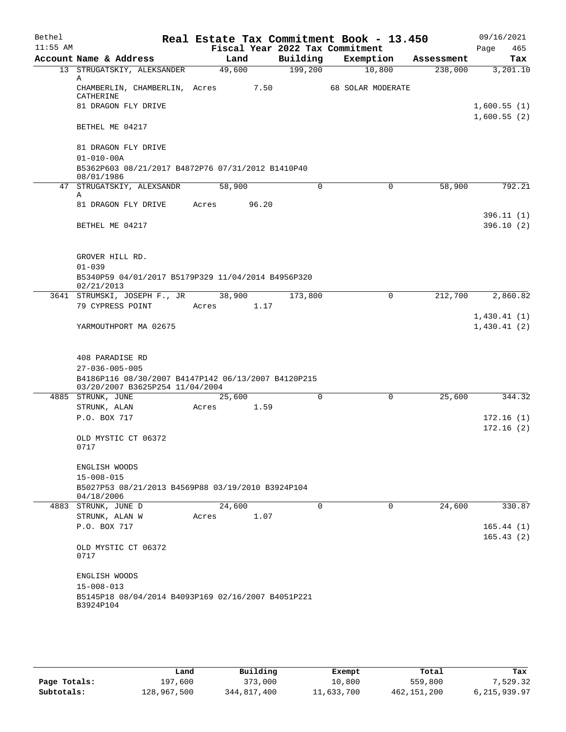| Bethel     |                                                                                        |        |       |             | Real Estate Tax Commitment Book - 13.450     |                       | 09/16/2021                 |  |  |  |  |
|------------|----------------------------------------------------------------------------------------|--------|-------|-------------|----------------------------------------------|-----------------------|----------------------------|--|--|--|--|
| $11:55$ AM | Account Name & Address                                                                 | Land   |       | Building    | Fiscal Year 2022 Tax Commitment<br>Exemption | Assessment            | Page<br>465<br>Tax         |  |  |  |  |
|            | 13 STRUGATSKIY, ALEKSANDER                                                             | 49,600 |       | 199,200     | 10,800                                       | 238,000               | 3,201.10                   |  |  |  |  |
|            | Α<br>CHAMBERLIN, CHAMBERLIN, Acres                                                     |        | 7.50  |             | <b>68 SOLAR MODERATE</b>                     |                       |                            |  |  |  |  |
|            | CATHERINE                                                                              |        |       |             |                                              |                       |                            |  |  |  |  |
|            | 81 DRAGON FLY DRIVE                                                                    |        |       |             |                                              |                       | 1,600.55(1)<br>1,600.55(2) |  |  |  |  |
|            | BETHEL ME 04217                                                                        |        |       |             |                                              |                       |                            |  |  |  |  |
|            | 81 DRAGON FLY DRIVE                                                                    |        |       |             |                                              |                       |                            |  |  |  |  |
|            | $01 - 010 - 00A$                                                                       |        |       |             |                                              |                       |                            |  |  |  |  |
|            | B5362P603 08/21/2017 B4872P76 07/31/2012 B1410P40<br>08/01/1986                        |        |       |             |                                              |                       |                            |  |  |  |  |
|            | 47 STRUGATSKIY, ALEXSANDR                                                              | 58,900 |       | $\mathbf 0$ |                                              | $\mathbf 0$<br>58,900 | 792.21                     |  |  |  |  |
|            | Α                                                                                      |        |       |             |                                              |                       |                            |  |  |  |  |
|            | 81 DRAGON FLY DRIVE                                                                    | Acres  | 96.20 |             |                                              |                       | 396.11(1)                  |  |  |  |  |
|            | BETHEL ME 04217                                                                        |        |       |             |                                              |                       | 396.10(2)                  |  |  |  |  |
|            |                                                                                        |        |       |             |                                              |                       |                            |  |  |  |  |
|            | GROVER HILL RD.                                                                        |        |       |             |                                              |                       |                            |  |  |  |  |
|            | $01 - 039$                                                                             |        |       |             |                                              |                       |                            |  |  |  |  |
|            | B5340P59 04/01/2017 B5179P329 11/04/2014 B4956P320<br>02/21/2013                       |        |       |             |                                              |                       |                            |  |  |  |  |
|            | 3641 STRUMSKI, JOSEPH F., JR                                                           | 38,900 |       | 173,800     |                                              | 212,700<br>0          | 2,860.82                   |  |  |  |  |
|            | 79 CYPRESS POINT                                                                       | Acres  | 1.17  |             |                                              |                       |                            |  |  |  |  |
|            | YARMOUTHPORT MA 02675                                                                  |        |       |             |                                              |                       | 1,430.41(1)<br>1,430.41(2) |  |  |  |  |
|            |                                                                                        |        |       |             |                                              |                       |                            |  |  |  |  |
|            | 408 PARADISE RD                                                                        |        |       |             |                                              |                       |                            |  |  |  |  |
|            | $27 - 036 - 005 - 005$                                                                 |        |       |             |                                              |                       |                            |  |  |  |  |
|            | B4186P116 08/30/2007 B4147P142 06/13/2007 B4120P215<br>03/20/2007 B3625P254 11/04/2004 |        |       |             |                                              |                       |                            |  |  |  |  |
|            | 4885 STRUNK, JUNE                                                                      | 25,600 |       | $\mathbf 0$ |                                              | $\mathbf 0$<br>25,600 | 344.32                     |  |  |  |  |
|            | STRUNK, ALAN                                                                           | Acres  | 1.59  |             |                                              |                       |                            |  |  |  |  |
|            | P.O. BOX 717                                                                           |        |       |             |                                              |                       | 172.16(1)                  |  |  |  |  |
|            | OLD MYSTIC CT 06372                                                                    |        |       |             |                                              |                       | 172.16(2)                  |  |  |  |  |
|            | 0717                                                                                   |        |       |             |                                              |                       |                            |  |  |  |  |
|            | ENGLISH WOODS                                                                          |        |       |             |                                              |                       |                            |  |  |  |  |
|            | $15 - 008 - 015$                                                                       |        |       |             |                                              |                       |                            |  |  |  |  |
|            | B5027P53 08/21/2013 B4569P88 03/19/2010 B3924P104<br>04/18/2006                        |        |       |             |                                              |                       |                            |  |  |  |  |
|            | 4883 STRUNK, JUNE D                                                                    | 24,600 |       | $\mathbf 0$ |                                              | 0<br>24,600           | 330.87                     |  |  |  |  |
|            | STRUNK, ALAN W                                                                         | Acres  | 1.07  |             |                                              |                       |                            |  |  |  |  |
|            | P.O. BOX 717                                                                           |        |       |             |                                              |                       | 165.44(1)<br>165.43(2)     |  |  |  |  |
|            | OLD MYSTIC CT 06372<br>0717                                                            |        |       |             |                                              |                       |                            |  |  |  |  |
|            |                                                                                        |        |       |             |                                              |                       |                            |  |  |  |  |
|            | ENGLISH WOODS                                                                          |        |       |             |                                              |                       |                            |  |  |  |  |
|            | $15 - 008 - 013$<br>B5145P18 08/04/2014 B4093P169 02/16/2007 B4051P221                 |        |       |             |                                              |                       |                            |  |  |  |  |
|            | B3924P104                                                                              |        |       |             |                                              |                       |                            |  |  |  |  |
|            |                                                                                        |        |       |             |                                              |                       |                            |  |  |  |  |

|              | Land        | Building    | Exempt     | Total         | Tax            |
|--------------|-------------|-------------|------------|---------------|----------------|
| Page Totals: | 197,600     | 373,000     | 10,800     | 559,800       | 7,529.32       |
| Subtotals:   | 128,967,500 | 344,817,400 | 11,633,700 | 462, 151, 200 | 6, 215, 939.97 |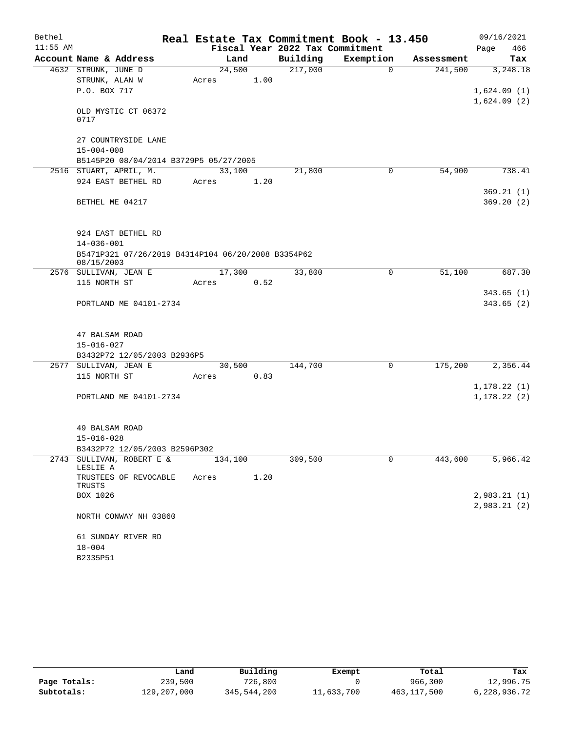| Bethel     |                                                    |         |      |        | Real Estate Tax Commitment Book - 13.450 |           |          |            |      | 09/16/2021   |
|------------|----------------------------------------------------|---------|------|--------|------------------------------------------|-----------|----------|------------|------|--------------|
| $11:55$ AM |                                                    |         |      |        | Fiscal Year 2022 Tax Commitment          |           |          |            | Page | 466          |
|            | Account Name & Address                             |         | Land |        | Building                                 | Exemption |          | Assessment |      | Tax          |
|            | 4632 STRUNK, JUNE D                                | 24,500  |      |        | 217,000                                  |           | $\Omega$ | 241,500    |      | 3,248.18     |
|            | STRUNK, ALAN W                                     | Acres   |      | 1.00   |                                          |           |          |            |      |              |
|            | P.O. BOX 717                                       |         |      |        |                                          |           |          |            |      | 1,624.09(1)  |
|            |                                                    |         |      |        |                                          |           |          |            |      | 1,624.09(2)  |
|            | OLD MYSTIC CT 06372<br>0717                        |         |      |        |                                          |           |          |            |      |              |
|            | 27 COUNTRYSIDE LANE                                |         |      |        |                                          |           |          |            |      |              |
|            | $15 - 004 - 008$                                   |         |      |        |                                          |           |          |            |      |              |
|            | B5145P20 08/04/2014 B3729P5 05/27/2005             |         |      |        |                                          |           |          |            |      |              |
|            | 2516 STUART, APRIL, M.                             | 33,100  |      |        | 21,800                                   |           | 0        | 54,900     |      | 738.41       |
|            | 924 EAST BETHEL RD                                 | Acres   |      | 1.20   |                                          |           |          |            |      |              |
|            |                                                    |         |      |        |                                          |           |          |            |      | 369.21(1)    |
|            | BETHEL ME 04217                                    |         |      |        |                                          |           |          |            |      | 369.20(2)    |
|            | 924 EAST BETHEL RD                                 |         |      |        |                                          |           |          |            |      |              |
|            | $14 - 036 - 001$                                   |         |      |        |                                          |           |          |            |      |              |
|            | B5471P321 07/26/2019 B4314P104 06/20/2008 B3354P62 |         |      |        |                                          |           |          |            |      |              |
|            | 08/15/2003                                         |         |      |        |                                          |           |          |            |      |              |
|            | 2576 SULLIVAN, JEAN E                              | 17,300  |      |        | 33,800                                   |           | 0        | 51,100     |      | 687.30       |
|            | 115 NORTH ST                                       | Acres   |      | 0.52   |                                          |           |          |            |      |              |
|            |                                                    |         |      |        |                                          |           |          |            |      | 343.65(1)    |
|            | PORTLAND ME 04101-2734                             |         |      |        |                                          |           |          |            |      | 343.65(2)    |
|            |                                                    |         |      |        |                                          |           |          |            |      |              |
|            | 47 BALSAM ROAD                                     |         |      |        |                                          |           |          |            |      |              |
|            | $15 - 016 - 027$                                   |         |      |        |                                          |           |          |            |      |              |
|            | B3432P72 12/05/2003 B2936P5                        |         |      |        |                                          |           |          |            |      |              |
|            | 2577 SULLIVAN, JEAN E                              |         |      | 30,500 | 144,700                                  |           | 0        | 175,200    |      | 2,356.44     |
|            | 115 NORTH ST                                       | Acres   |      | 0.83   |                                          |           |          |            |      |              |
|            |                                                    |         |      |        |                                          |           |          |            |      | 1,178.22(1)  |
|            | PORTLAND ME 04101-2734                             |         |      |        |                                          |           |          |            |      | 1, 178.22(2) |
|            |                                                    |         |      |        |                                          |           |          |            |      |              |
|            |                                                    |         |      |        |                                          |           |          |            |      |              |
|            | 49 BALSAM ROAD                                     |         |      |        |                                          |           |          |            |      |              |
|            | $15 - 016 - 028$                                   |         |      |        |                                          |           |          |            |      |              |
|            | B3432P72 12/05/2003 B2596P302                      |         |      |        |                                          |           |          |            |      |              |
|            | 2743 SULLIVAN, ROBERT E &<br>LESLIE A              | 134,100 |      |        | 309,500                                  |           | 0        | 443,600    |      | 5,966.42     |
|            | TRUSTEES OF REVOCABLE<br>TRUSTS                    | Acres   |      | 1.20   |                                          |           |          |            |      |              |
|            | BOX 1026                                           |         |      |        |                                          |           |          |            |      | 2,983.21(1)  |
|            |                                                    |         |      |        |                                          |           |          |            |      | 2,983.21(2)  |
|            | NORTH CONWAY NH 03860                              |         |      |        |                                          |           |          |            |      |              |
|            | 61 SUNDAY RIVER RD                                 |         |      |        |                                          |           |          |            |      |              |
|            | $18 - 004$                                         |         |      |        |                                          |           |          |            |      |              |
|            | B2335P51                                           |         |      |        |                                          |           |          |            |      |              |

|              | Land        | Building    | Exempt     | Total       | Tax          |
|--------------|-------------|-------------|------------|-------------|--------------|
| Page Totals: | 239,500     | 726,800     |            | 966,300     | 12,996.75    |
| Subtotals:   | 129,207,000 | 345,544,200 | 11,633,700 | 463,117,500 | 6,228,936.72 |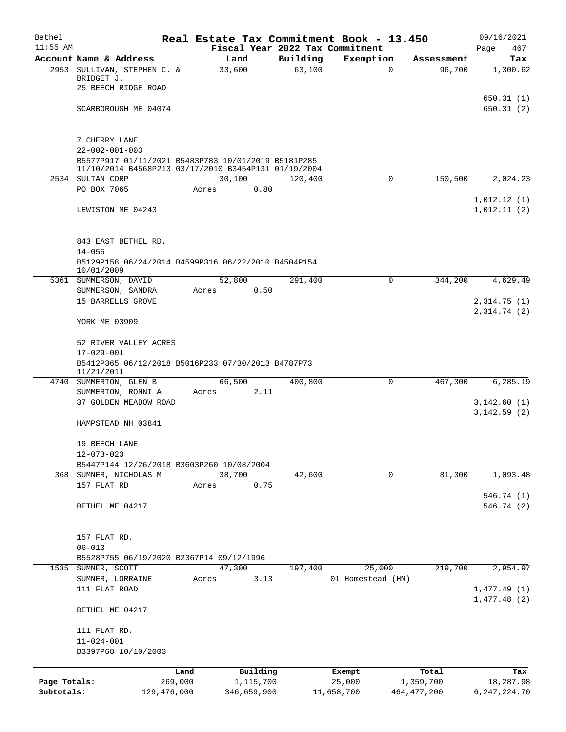| Bethel       |                                                                                                             |               |       |             |          |          | Real Estate Tax Commitment Book - 13.450 |             |               | 09/16/2021     |
|--------------|-------------------------------------------------------------------------------------------------------------|---------------|-------|-------------|----------|----------|------------------------------------------|-------------|---------------|----------------|
| $11:55$ AM   |                                                                                                             |               |       |             |          |          | Fiscal Year 2022 Tax Commitment          |             |               | Page<br>467    |
|              | Account Name & Address                                                                                      |               |       | Land        |          | Building | Exemption                                |             | Assessment    | Tax            |
|              | 2953 SULLIVAN, STEPHEN C. &<br>BRIDGET J.                                                                   |               |       | 33,600      |          | 63,100   |                                          | $\mathbf 0$ | 96,700        | 1,300.62       |
|              | 25 BEECH RIDGE ROAD                                                                                         |               |       |             |          |          |                                          |             |               |                |
|              |                                                                                                             |               |       |             |          |          |                                          |             |               | 650.31(1)      |
|              | SCARBOROUGH ME 04074                                                                                        |               |       |             |          |          |                                          |             |               | 650.31(2)      |
|              |                                                                                                             |               |       |             |          |          |                                          |             |               |                |
|              |                                                                                                             |               |       |             |          |          |                                          |             |               |                |
|              | 7 CHERRY LANE                                                                                               |               |       |             |          |          |                                          |             |               |                |
|              | $22 - 002 - 001 - 003$                                                                                      |               |       |             |          |          |                                          |             |               |                |
|              | B5577P917 01/11/2021 B5483P783 10/01/2019 B5181P285<br>11/10/2014 B4568P213 03/17/2010 B3454P131 01/19/2004 |               |       |             |          |          |                                          |             |               |                |
|              | 2534 SULTAN CORP                                                                                            |               |       | 30,100      |          | 120,400  |                                          | 0           | 150,500       | 2,024.23       |
|              | PO BOX 7065                                                                                                 |               | Acres |             | 0.80     |          |                                          |             |               |                |
|              |                                                                                                             |               |       |             |          |          |                                          |             |               | 1,012.12(1)    |
|              | LEWISTON ME 04243                                                                                           |               |       |             |          |          |                                          |             |               | 1,012.11(2)    |
|              |                                                                                                             |               |       |             |          |          |                                          |             |               |                |
|              |                                                                                                             |               |       |             |          |          |                                          |             |               |                |
|              | 843 EAST BETHEL RD.                                                                                         |               |       |             |          |          |                                          |             |               |                |
|              | $14 - 055$                                                                                                  |               |       |             |          |          |                                          |             |               |                |
|              | B5129P158 06/24/2014 B4599P316 06/22/2010 B4504P154<br>10/01/2009                                           |               |       |             |          |          |                                          |             |               |                |
|              | 5361 SUMMERSON, DAVID                                                                                       |               |       | 52,800      |          | 291,400  |                                          | $\mathbf 0$ | 344,200       | 4,629.49       |
|              | SUMMERSON, SANDRA                                                                                           |               | Acres |             | 0.50     |          |                                          |             |               |                |
|              | 15 BARRELLS GROVE                                                                                           |               |       |             |          |          |                                          |             |               | 2,314.75(1)    |
|              |                                                                                                             |               |       |             |          |          |                                          |             |               | 2,314.74 (2)   |
|              | YORK ME 03909                                                                                               |               |       |             |          |          |                                          |             |               |                |
|              |                                                                                                             |               |       |             |          |          |                                          |             |               |                |
|              | 52 RIVER VALLEY ACRES                                                                                       |               |       |             |          |          |                                          |             |               |                |
|              | $17 - 029 - 001$                                                                                            |               |       |             |          |          |                                          |             |               |                |
|              | B5412P365 06/12/2018 B5016P233 07/30/2013 B4787P73<br>11/21/2011                                            |               |       |             |          |          |                                          |             |               |                |
|              | 4740 SUMMERTON, GLEN B                                                                                      |               |       | 66,500      |          | 400,800  |                                          | 0           | 467,300       | 6,285.19       |
|              | SUMMERTON, RONNI A                                                                                          |               | Acres |             | 2.11     |          |                                          |             |               |                |
|              | 37 GOLDEN MEADOW ROAD                                                                                       |               |       |             |          |          |                                          |             |               | 3,142.60(1)    |
|              |                                                                                                             |               |       |             |          |          |                                          |             |               | 3,142.59(2)    |
|              | HAMPSTEAD NH 03841                                                                                          |               |       |             |          |          |                                          |             |               |                |
|              |                                                                                                             |               |       |             |          |          |                                          |             |               |                |
|              | 19 BEECH LANE                                                                                               |               |       |             |          |          |                                          |             |               |                |
|              | $12 - 073 - 023$                                                                                            |               |       |             |          |          |                                          |             |               |                |
| 368          | B5447P144 12/26/2018 B3603P260 10/08/2004                                                                   |               |       |             |          |          |                                          | $\mathbf 0$ | 81,300        | 1,093.48       |
|              | SUMNER, NICHOLAS M<br>157 FLAT RD                                                                           |               | Acres | 38,700      | 0.75     | 42,600   |                                          |             |               |                |
|              |                                                                                                             |               |       |             |          |          |                                          |             |               | 546.74 (1)     |
|              | BETHEL ME 04217                                                                                             |               |       |             |          |          |                                          |             |               | 546.74 (2)     |
|              |                                                                                                             |               |       |             |          |          |                                          |             |               |                |
|              |                                                                                                             |               |       |             |          |          |                                          |             |               |                |
|              | 157 FLAT RD.                                                                                                |               |       |             |          |          |                                          |             |               |                |
|              | $06 - 013$                                                                                                  |               |       |             |          |          |                                          |             |               |                |
|              | B5528P755 06/19/2020 B2367P14 09/12/1996                                                                    |               |       |             |          |          |                                          |             |               |                |
| 1535         | SUMNER, SCOTT                                                                                               |               |       | 47,300      |          | 197,400  | 25,000                                   |             | 219,700       | 2,954.97       |
|              | SUMNER, LORRAINE                                                                                            |               | Acres |             | 3.13     |          | 01 Homestead (HM)                        |             |               |                |
|              | 111 FLAT ROAD                                                                                               |               |       |             |          |          |                                          |             |               | 1,477.49(1)    |
|              | BETHEL ME 04217                                                                                             |               |       |             |          |          |                                          |             |               | 1,477.48(2)    |
|              |                                                                                                             |               |       |             |          |          |                                          |             |               |                |
|              | 111 FLAT RD.                                                                                                |               |       |             |          |          |                                          |             |               |                |
|              | $11 - 024 - 001$                                                                                            |               |       |             |          |          |                                          |             |               |                |
|              | B3397P68 10/10/2003                                                                                         |               |       |             |          |          |                                          |             |               |                |
|              |                                                                                                             |               |       |             |          |          |                                          |             |               |                |
|              |                                                                                                             | Land          |       |             | Building |          | Exempt                                   |             | Total         | Tax            |
| Page Totals: |                                                                                                             | 269,000       |       | 1,115,700   |          |          | 25,000                                   |             | 1,359,700     | 18,287.98      |
| Subtotals:   |                                                                                                             | 129, 476, 000 |       | 346,659,900 |          |          | 11,658,700                               |             | 464, 477, 200 | 6, 247, 224.70 |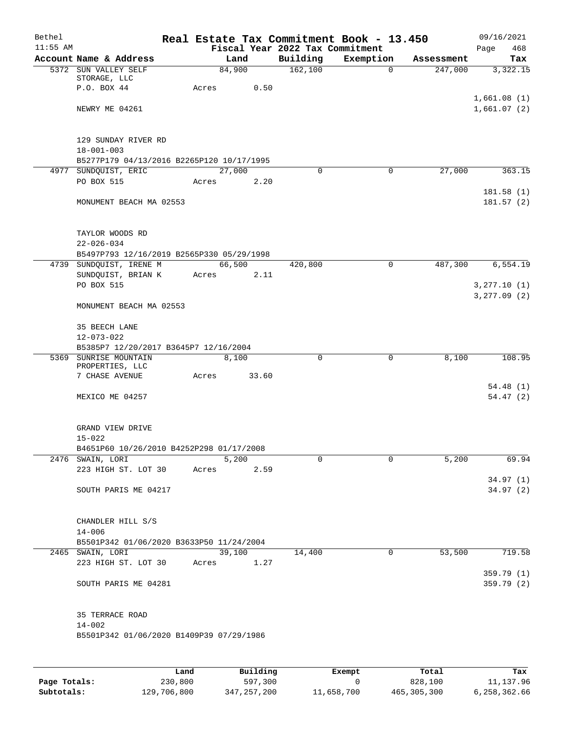| Bethel     |                                                        |        |        |                                 | Real Estate Tax Commitment Book - 13.450 |            | 09/16/2021   |
|------------|--------------------------------------------------------|--------|--------|---------------------------------|------------------------------------------|------------|--------------|
| $11:55$ AM |                                                        |        |        | Fiscal Year 2022 Tax Commitment |                                          |            | 468<br>Page  |
|            | Account Name & Address                                 |        | Land   | Building                        | Exemption                                | Assessment | Tax          |
|            | 5372 SUN VALLEY SELF                                   | 84,900 |        | 162,100                         | $\overline{0}$                           | 247,000    | 3,322.15     |
|            | STORAGE, LLC<br>P.O. BOX 44                            | Acres  | 0.50   |                                 |                                          |            |              |
|            |                                                        |        |        |                                 |                                          |            | 1,661.08(1)  |
|            | NEWRY ME 04261                                         |        |        |                                 |                                          |            | 1,661.07(2)  |
|            |                                                        |        |        |                                 |                                          |            |              |
|            |                                                        |        |        |                                 |                                          |            |              |
|            | 129 SUNDAY RIVER RD                                    |        |        |                                 |                                          |            |              |
|            | $18 - 001 - 003$                                       |        |        |                                 |                                          |            |              |
|            | B5277P179 04/13/2016 B2265P120 10/17/1995              |        |        |                                 |                                          |            |              |
|            | 4977 SUNDQUIST, ERIC                                   | 27,000 |        | $\Omega$                        | 0                                        | 27,000     | 363.15       |
|            | PO BOX 515                                             | Acres  | 2.20   |                                 |                                          |            |              |
|            |                                                        |        |        |                                 |                                          |            | 181.58(1)    |
|            | MONUMENT BEACH MA 02553                                |        |        |                                 |                                          |            | 181.57(2)    |
|            |                                                        |        |        |                                 |                                          |            |              |
|            |                                                        |        |        |                                 |                                          |            |              |
|            | TAYLOR WOODS RD                                        |        |        |                                 |                                          |            |              |
|            | $22 - 026 - 034$                                       |        |        |                                 |                                          |            |              |
|            | B5497P793 12/16/2019 B2565P330 05/29/1998              |        |        |                                 |                                          |            |              |
|            | 4739 SUNDOUIST, IRENE M                                | 66,500 |        | 420,800                         | $\mathsf{O}$                             | 487,300    | 6, 554.19    |
|            | SUNDQUIST, BRIAN K<br>PO BOX 515                       | Acres  | 2.11   |                                 |                                          |            | 3, 277.10(1) |
|            |                                                        |        |        |                                 |                                          |            | 3, 277.09(2) |
|            | MONUMENT BEACH MA 02553                                |        |        |                                 |                                          |            |              |
|            |                                                        |        |        |                                 |                                          |            |              |
|            | 35 BEECH LANE                                          |        |        |                                 |                                          |            |              |
|            | $12 - 073 - 022$                                       |        |        |                                 |                                          |            |              |
|            | B5385P7 12/20/2017 B3645P7 12/16/2004                  |        |        |                                 |                                          |            |              |
|            | 5369 SUNRISE MOUNTAIN                                  |        | 8,100  | 0                               | $\mathbf 0$                              | 8,100      | 108.95       |
|            | PROPERTIES, LLC                                        |        |        |                                 |                                          |            |              |
|            | 7 CHASE AVENUE                                         | Acres  | 33.60  |                                 |                                          |            |              |
|            |                                                        |        |        |                                 |                                          |            | 54.48(1)     |
|            | MEXICO ME 04257                                        |        |        |                                 |                                          |            | 54.47(2)     |
|            |                                                        |        |        |                                 |                                          |            |              |
|            |                                                        |        |        |                                 |                                          |            |              |
|            | GRAND VIEW DRIVE<br>$15 - 022$                         |        |        |                                 |                                          |            |              |
|            | B4651P60 10/26/2010 B4252P298 01/17/2008               |        |        |                                 |                                          |            |              |
|            | 2476 SWAIN, LORI                                       |        | 5,200  | 0                               | 0                                        | 5,200      | 69.94        |
|            | 223 HIGH ST. LOT 30                                    | Acres  | 2.59   |                                 |                                          |            |              |
|            |                                                        |        |        |                                 |                                          |            | 34.97(1)     |
|            | SOUTH PARIS ME 04217                                   |        |        |                                 |                                          |            | 34.97(2)     |
|            |                                                        |        |        |                                 |                                          |            |              |
|            |                                                        |        |        |                                 |                                          |            |              |
|            | CHANDLER HILL S/S                                      |        |        |                                 |                                          |            |              |
|            | $14 - 006$                                             |        |        |                                 |                                          |            |              |
|            | B5501P342 01/06/2020 B3633P50 11/24/2004               |        |        |                                 |                                          |            |              |
|            | 2465 SWAIN, LORI                                       |        | 39,100 | 14,400                          | $\mathbf 0$                              | 53,500     | 719.58       |
|            | 223 HIGH ST. LOT 30                                    | Acres  | 1.27   |                                 |                                          |            |              |
|            |                                                        |        |        |                                 |                                          |            | 359.79 (1)   |
|            | SOUTH PARIS ME 04281                                   |        |        |                                 |                                          |            | 359.79 (2)   |
|            |                                                        |        |        |                                 |                                          |            |              |
|            |                                                        |        |        |                                 |                                          |            |              |
|            | 35 TERRACE ROAD                                        |        |        |                                 |                                          |            |              |
|            | $14 - 002$<br>B5501P342 01/06/2020 B1409P39 07/29/1986 |        |        |                                 |                                          |            |              |
|            |                                                        |        |        |                                 |                                          |            |              |
|            |                                                        |        |        |                                 |                                          |            |              |
|            |                                                        |        |        |                                 |                                          |            |              |

|              | Land        | Building    | Exempt     | Total         | Tax          |
|--------------|-------------|-------------|------------|---------------|--------------|
| Page Totals: | 230,800     | 597,300     |            | 828,100       | 11,137.96    |
| Subtotals:   | 129,706,800 | 347,257,200 | 11,658,700 | 465, 305, 300 | 6,258,362.66 |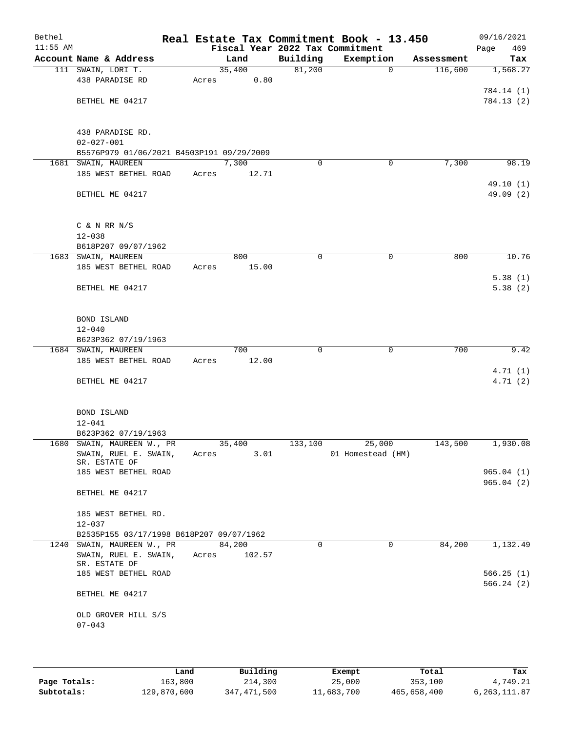| Bethel<br>$11:55$ AM |                                           |       |        |             | Real Estate Tax Commitment Book - 13.450<br>Fiscal Year 2022 Tax Commitment |            | 09/16/2021<br>Page<br>469 |
|----------------------|-------------------------------------------|-------|--------|-------------|-----------------------------------------------------------------------------|------------|---------------------------|
|                      | Account Name & Address                    |       | Land   | Building    | Exemption                                                                   | Assessment | Tax                       |
|                      | 111 SWAIN, LORI T.                        |       | 35,400 | 81,200      | $\mathbf 0$                                                                 | 116,600    | 1,568.27                  |
|                      | 438 PARADISE RD                           | Acres | 0.80   |             |                                                                             |            |                           |
|                      |                                           |       |        |             |                                                                             |            | 784.14 (1)                |
|                      | BETHEL ME 04217                           |       |        |             |                                                                             |            | 784.13(2)                 |
|                      |                                           |       |        |             |                                                                             |            |                           |
|                      |                                           |       |        |             |                                                                             |            |                           |
|                      | 438 PARADISE RD.                          |       |        |             |                                                                             |            |                           |
|                      | $02 - 027 - 001$                          |       |        |             |                                                                             |            |                           |
|                      | B5576P979 01/06/2021 B4503P191 09/29/2009 |       |        |             |                                                                             |            |                           |
|                      | 1681 SWAIN, MAUREEN                       |       | 7,300  | $\Omega$    | 0                                                                           | 7,300      | 98.19                     |
|                      | 185 WEST BETHEL ROAD                      | Acres | 12.71  |             |                                                                             |            |                           |
|                      |                                           |       |        |             |                                                                             |            | 49.10 (1)                 |
|                      | BETHEL ME 04217                           |       |        |             |                                                                             |            | 49.09 (2)                 |
|                      |                                           |       |        |             |                                                                             |            |                           |
|                      |                                           |       |        |             |                                                                             |            |                           |
|                      | $C$ & N RR N/S<br>$12 - 038$              |       |        |             |                                                                             |            |                           |
|                      | B618P207 09/07/1962                       |       |        |             |                                                                             |            |                           |
|                      | 1683 SWAIN, MAUREEN                       |       | 800    | $\mathbf 0$ | $\mathbf 0$                                                                 | 800        | 10.76                     |
|                      | 185 WEST BETHEL ROAD                      | Acres | 15.00  |             |                                                                             |            |                           |
|                      |                                           |       |        |             |                                                                             |            | 5.38(1)                   |
|                      | BETHEL ME 04217                           |       |        |             |                                                                             |            | 5.38(2)                   |
|                      |                                           |       |        |             |                                                                             |            |                           |
|                      |                                           |       |        |             |                                                                             |            |                           |
|                      | BOND ISLAND                               |       |        |             |                                                                             |            |                           |
|                      | $12 - 040$                                |       |        |             |                                                                             |            |                           |
|                      | B623P362 07/19/1963                       |       |        |             |                                                                             |            |                           |
|                      | 1684 SWAIN, MAUREEN                       |       | 700    | 0           | $\mathbf 0$                                                                 | 700        | 9.42                      |
|                      | 185 WEST BETHEL ROAD                      | Acres | 12.00  |             |                                                                             |            |                           |
|                      |                                           |       |        |             |                                                                             |            | 4.71(1)                   |
|                      | BETHEL ME 04217                           |       |        |             |                                                                             |            | 4.71(2)                   |
|                      |                                           |       |        |             |                                                                             |            |                           |
|                      |                                           |       |        |             |                                                                             |            |                           |
|                      | BOND ISLAND                               |       |        |             |                                                                             |            |                           |
|                      | $12 - 041$<br>B623P362 07/19/1963         |       |        |             |                                                                             |            |                           |
|                      | 1680 SWAIN, MAUREEN W., PR                |       | 35,400 | 133,100     | 25,000                                                                      | 143,500    | 1,930.08                  |
|                      | SWAIN, RUEL E. SWAIN,                     | Acres | 3.01   |             | 01 Homestead (HM)                                                           |            |                           |
|                      | SR. ESTATE OF                             |       |        |             |                                                                             |            |                           |
|                      | 185 WEST BETHEL ROAD                      |       |        |             |                                                                             |            | 965.04(1)                 |
|                      |                                           |       |        |             |                                                                             |            | 965.04(2)                 |
|                      | BETHEL ME 04217                           |       |        |             |                                                                             |            |                           |
|                      |                                           |       |        |             |                                                                             |            |                           |
|                      | 185 WEST BETHEL RD.                       |       |        |             |                                                                             |            |                           |
|                      | $12 - 037$                                |       |        |             |                                                                             |            |                           |
|                      | B2535P155 03/17/1998 B618P207 09/07/1962  |       |        |             |                                                                             |            |                           |
|                      | 1240 SWAIN, MAUREEN W., PR                |       | 84,200 | 0           | 0                                                                           | 84,200     | 1,132.49                  |
|                      | SWAIN, RUEL E. SWAIN,<br>SR. ESTATE OF    | Acres | 102.57 |             |                                                                             |            |                           |
|                      | 185 WEST BETHEL ROAD                      |       |        |             |                                                                             |            | 566.25(1)                 |
|                      |                                           |       |        |             |                                                                             |            | 566.24(2)                 |
|                      | BETHEL ME 04217                           |       |        |             |                                                                             |            |                           |
|                      |                                           |       |        |             |                                                                             |            |                           |
|                      | OLD GROVER HILL S/S                       |       |        |             |                                                                             |            |                           |
|                      | $07 - 043$                                |       |        |             |                                                                             |            |                           |
|                      |                                           |       |        |             |                                                                             |            |                           |
|                      |                                           |       |        |             |                                                                             |            |                           |

|              | Land        | Building    | Exempt     | Total       | Tax            |
|--------------|-------------|-------------|------------|-------------|----------------|
| Page Totals: | 163,800     | 214,300     | 25,000     | 353,100     | 4,749.21       |
| Subtotals:   | 129,870,600 | 347,471,500 | 11,683,700 | 465,658,400 | 6, 263, 111.87 |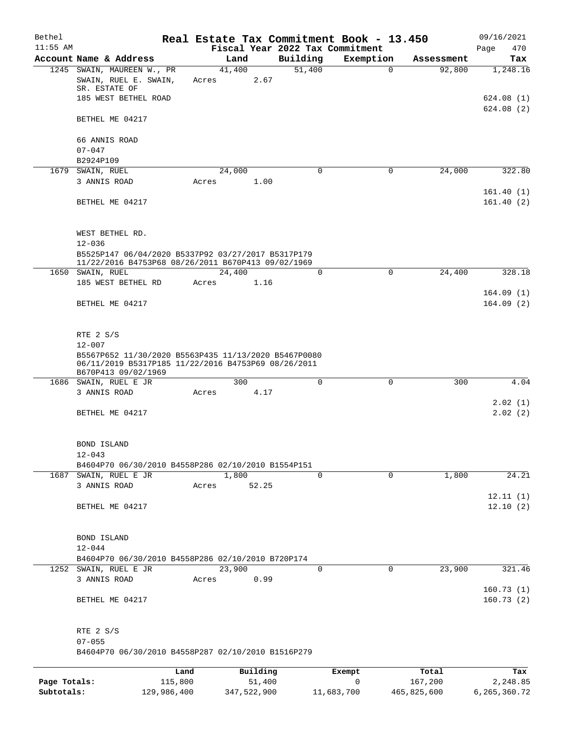| Bethel       |                                                                                                          |       |                |             | Real Estate Tax Commitment Book - 13.450 |            | 09/16/2021  |
|--------------|----------------------------------------------------------------------------------------------------------|-------|----------------|-------------|------------------------------------------|------------|-------------|
| $11:55$ AM   |                                                                                                          |       |                |             | Fiscal Year 2022 Tax Commitment          |            | 470<br>Page |
|              | Account Name & Address                                                                                   |       | Land           | Building    | Exemption                                | Assessment | Tax         |
|              | 1245 SWAIN, MAUREEN W., PR                                                                               |       | 41,400         | 51,400      | $\Omega$                                 | 92,800     | 1,248.16    |
|              | SWAIN, RUEL E. SWAIN,<br>SR. ESTATE OF                                                                   | Acres | 2.67           |             |                                          |            |             |
|              | 185 WEST BETHEL ROAD                                                                                     |       |                |             |                                          |            | 624.08 (1)  |
|              |                                                                                                          |       |                |             |                                          |            | 624.08(2)   |
|              | BETHEL ME 04217                                                                                          |       |                |             |                                          |            |             |
|              |                                                                                                          |       |                |             |                                          |            |             |
|              | 66 ANNIS ROAD                                                                                            |       |                |             |                                          |            |             |
|              | $07 - 047$                                                                                               |       |                |             |                                          |            |             |
|              | B2924P109                                                                                                |       |                |             |                                          |            |             |
|              | 1679 SWAIN, RUEL                                                                                         |       | 24,000         | $\Omega$    | 0                                        | 24,000     | 322.80      |
|              | 3 ANNIS ROAD                                                                                             | Acres | 1.00           |             |                                          |            |             |
|              |                                                                                                          |       |                |             |                                          |            | 161.40(1)   |
|              | BETHEL ME 04217                                                                                          |       |                |             |                                          |            | 161.40(2)   |
|              |                                                                                                          |       |                |             |                                          |            |             |
|              |                                                                                                          |       |                |             |                                          |            |             |
|              | WEST BETHEL RD.                                                                                          |       |                |             |                                          |            |             |
|              | $12 - 036$                                                                                               |       |                |             |                                          |            |             |
|              | B5525P147 06/04/2020 B5337P92 03/27/2017 B5317P179<br>11/22/2016 B4753P68 08/26/2011 B670P413 09/02/1969 |       |                |             |                                          |            |             |
|              | 1650 SWAIN, RUEL                                                                                         |       | 24,400         | $\Omega$    | $\mathbf 0$                              | 24,400     | 328.18      |
|              | 185 WEST BETHEL RD                                                                                       | Acres | 1.16           |             |                                          |            |             |
|              |                                                                                                          |       |                |             |                                          |            | 164.09(1)   |
|              | BETHEL ME 04217                                                                                          |       |                |             |                                          |            | 164.09(2)   |
|              |                                                                                                          |       |                |             |                                          |            |             |
|              |                                                                                                          |       |                |             |                                          |            |             |
|              | RTE 2 S/S                                                                                                |       |                |             |                                          |            |             |
|              | $12 - 007$                                                                                               |       |                |             |                                          |            |             |
|              | B5567P652 11/30/2020 B5563P435 11/13/2020 B5467P0080                                                     |       |                |             |                                          |            |             |
|              | 06/11/2019 B5317P185 11/22/2016 B4753P69 08/26/2011<br>B670P413 09/02/1969                               |       |                |             |                                          |            |             |
|              | 1686 SWAIN, RUEL E JR                                                                                    |       | 300            | $\Omega$    | $\Omega$                                 | 300        | 4.04        |
|              | 3 ANNIS ROAD                                                                                             | Acres | 4.17           |             |                                          |            |             |
|              |                                                                                                          |       |                |             |                                          |            | 2.02(1)     |
|              | BETHEL ME 04217                                                                                          |       |                |             |                                          |            | 2.02(2)     |
|              |                                                                                                          |       |                |             |                                          |            |             |
|              |                                                                                                          |       |                |             |                                          |            |             |
|              | <b>BOND ISLAND</b>                                                                                       |       |                |             |                                          |            |             |
|              | $12 - 043$                                                                                               |       |                |             |                                          |            |             |
|              | B4604P70 06/30/2010 B4558P286 02/10/2010 B1554P151                                                       |       |                | $\Omega$    | $\Omega$                                 |            |             |
|              | 1687 SWAIN, RUEL E JR<br>3 ANNIS ROAD                                                                    |       | 1,800<br>52.25 |             |                                          | 1,800      | 24.21       |
|              |                                                                                                          | Acres |                |             |                                          |            | 12.11(1)    |
|              | BETHEL ME 04217                                                                                          |       |                |             |                                          |            | 12.10(2)    |
|              |                                                                                                          |       |                |             |                                          |            |             |
|              |                                                                                                          |       |                |             |                                          |            |             |
|              | BOND ISLAND                                                                                              |       |                |             |                                          |            |             |
|              | $12 - 044$                                                                                               |       |                |             |                                          |            |             |
|              | B4604P70 06/30/2010 B4558P286 02/10/2010 B720P174                                                        |       |                |             |                                          |            |             |
|              | 1252 SWAIN, RUEL E JR                                                                                    |       | 23,900         | $\mathbf 0$ | $\mathbf 0$                              | 23,900     | 321.46      |
|              | 3 ANNIS ROAD                                                                                             | Acres | 0.99           |             |                                          |            |             |
|              |                                                                                                          |       |                |             |                                          |            | 160.73(1)   |
|              | BETHEL ME 04217                                                                                          |       |                |             |                                          |            | 160.73(2)   |
|              |                                                                                                          |       |                |             |                                          |            |             |
|              |                                                                                                          |       |                |             |                                          |            |             |
|              | RTE 2 S/S                                                                                                |       |                |             |                                          |            |             |
|              | $07 - 055$                                                                                               |       |                |             |                                          |            |             |
|              | B4604P70 06/30/2010 B4558P287 02/10/2010 B1516P279                                                       |       |                |             |                                          |            |             |
|              |                                                                                                          | Land  | Building       |             | Exempt                                   | Total      | Tax         |
| Page Totals: | 115,800                                                                                                  |       | 51,400         |             | 0                                        | 167,200    | 2,248.85    |

**Subtotals:** 129,986,400 347,522,900 11,683,700 465,825,600 6,265,360.72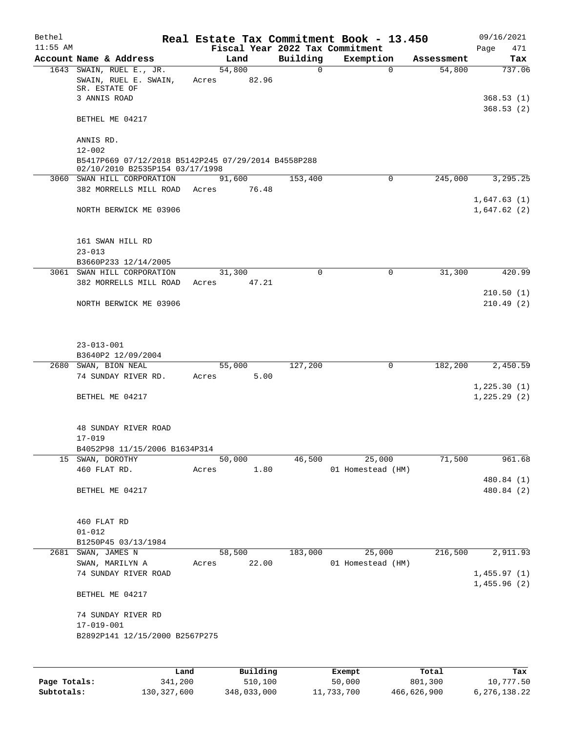| Bethel<br>$11:55$ AM |                                                                                        |       |                       |             | Real Estate Tax Commitment Book - 13.450<br>Fiscal Year 2022 Tax Commitment |            | 09/16/2021                 |
|----------------------|----------------------------------------------------------------------------------------|-------|-----------------------|-------------|-----------------------------------------------------------------------------|------------|----------------------------|
|                      | Account Name & Address                                                                 |       | Land                  | Building    | Exemption                                                                   | Assessment | 471<br>Page<br>Tax         |
|                      | 1643 SWAIN, RUEL E., JR.<br>SWAIN, RUEL E. SWAIN,<br>SR. ESTATE OF                     |       | 54,800<br>Acres 82.96 | $\mathbf 0$ | $\Omega$                                                                    | 54,800     | 737.06                     |
|                      | 3 ANNIS ROAD                                                                           |       |                       |             |                                                                             |            | 368.53(1)<br>368.53(2)     |
|                      | BETHEL ME 04217                                                                        |       |                       |             |                                                                             |            |                            |
|                      | ANNIS RD.<br>$12 - 002$                                                                |       |                       |             |                                                                             |            |                            |
|                      | B5417P669 07/12/2018 B5142P245 07/29/2014 B4558P288<br>02/10/2010 B2535P154 03/17/1998 |       |                       |             |                                                                             |            |                            |
|                      | 3060 SWAN HILL CORPORATION<br>382 MORRELLS MILL ROAD Acres 76.48                       |       | 91,600                | 153,400     | $\mathbf 0$                                                                 | 245,000    | 3,295.25                   |
|                      | NORTH BERWICK ME 03906                                                                 |       |                       |             |                                                                             |            | 1,647.63(1)<br>1,647.62(2) |
|                      | 161 SWAN HILL RD<br>$23 - 013$                                                         |       |                       |             |                                                                             |            |                            |
|                      | B3660P233 12/14/2005                                                                   |       |                       |             |                                                                             |            |                            |
|                      | 3061 SWAN HILL CORPORATION                                                             |       | 31,300                | $\Omega$    | 0                                                                           | 31,300     | 420.99                     |
|                      | 382 MORRELLS MILL ROAD                                                                 |       | Acres 47.21           |             |                                                                             |            |                            |
|                      | NORTH BERWICK ME 03906                                                                 |       |                       |             |                                                                             |            | 210.50(1)<br>210.49(2)     |
|                      | $23 - 013 - 001$<br>B3640P2 12/09/2004                                                 |       |                       |             |                                                                             |            |                            |
|                      | 2680 SWAN, BION NEAL                                                                   |       | 55,000                | 127,200     | 0                                                                           | 182,200    | 2,450.59                   |
|                      | 74 SUNDAY RIVER RD.                                                                    |       | Acres 5.00            |             |                                                                             |            |                            |
|                      | BETHEL ME 04217                                                                        |       |                       |             |                                                                             |            | 1,225.30(1)<br>1,225.29(2) |
|                      | 48 SUNDAY RIVER ROAD<br>$17 - 019$                                                     |       |                       |             |                                                                             |            |                            |
|                      | B4052P98 11/15/2006 B1634P314                                                          |       |                       |             |                                                                             |            |                            |
|                      | 15 SWAN, DOROTHY<br>460 FLAT RD.                                                       | Acres | 50,000<br>1.80        | 46,500      | 25,000<br>01 Homestead (HM)                                                 | 71,500     | 961.68                     |
|                      | BETHEL ME 04217                                                                        |       |                       |             |                                                                             |            | 480.84 (1)<br>480.84 (2)   |
|                      | 460 FLAT RD                                                                            |       |                       |             |                                                                             |            |                            |
|                      | $01 - 012$<br>B1250P45 03/13/1984                                                      |       |                       |             |                                                                             |            |                            |
|                      | 2681 SWAN, JAMES N                                                                     |       | 58,500                | 183,000     | 25,000                                                                      | 216,500    | 2,911.93                   |
|                      | SWAN, MARILYN A<br>74 SUNDAY RIVER ROAD                                                | Acres | 22.00                 |             | 01 Homestead (HM)                                                           |            | 1,455.97(1)                |
|                      | BETHEL ME 04217                                                                        |       |                       |             |                                                                             |            | 1,455.96(2)                |
|                      | 74 SUNDAY RIVER RD                                                                     |       |                       |             |                                                                             |            |                            |
|                      | 17-019-001<br>B2892P141 12/15/2000 B2567P275                                           |       |                       |             |                                                                             |            |                            |
|                      |                                                                                        |       |                       |             |                                                                             |            |                            |
|                      |                                                                                        | Land  | Building              |             | Exempt                                                                      | Total      | Tax                        |

**Page Totals:** 341,200 510,100 50,000 801,300 10,777.50 **Subtotals:** 130,327,600 348,033,000 11,733,700 466,626,900 6,276,138.22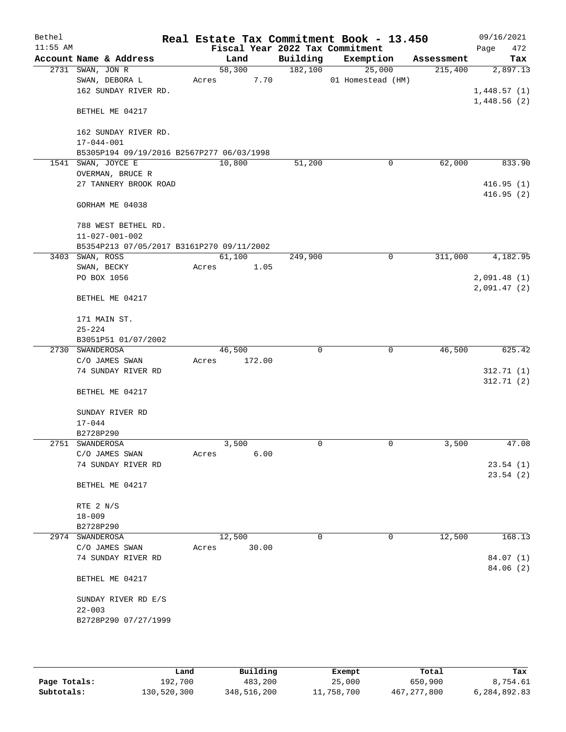| Bethel     |                                           |       |        |        |             | Real Estate Tax Commitment Book - 13.450     |             |            | 09/16/2021                 |
|------------|-------------------------------------------|-------|--------|--------|-------------|----------------------------------------------|-------------|------------|----------------------------|
| $11:55$ AM | Account Name & Address                    |       | Land   |        | Building    | Fiscal Year 2022 Tax Commitment<br>Exemption |             |            | Page<br>472                |
|            | 2731 SWAN, JON R                          |       | 58,300 |        | 182,100     | 25,000                                       |             | Assessment | Tax<br>2,897.13            |
|            | SWAN, DEBORA L                            |       |        | 7.70   |             | 01 Homestead (HM)                            |             | 215,400    |                            |
|            | 162 SUNDAY RIVER RD.                      | Acres |        |        |             |                                              |             |            |                            |
|            |                                           |       |        |        |             |                                              |             |            | 1,448.57(1)<br>1,448.56(2) |
|            | BETHEL ME 04217                           |       |        |        |             |                                              |             |            |                            |
|            | 162 SUNDAY RIVER RD.                      |       |        |        |             |                                              |             |            |                            |
|            | $17 - 044 - 001$                          |       |        |        |             |                                              |             |            |                            |
|            | B5305P194 09/19/2016 B2567P277 06/03/1998 |       |        |        |             |                                              |             |            |                            |
|            | 1541 SWAN, JOYCE E                        |       | 10,800 |        | 51,200      |                                              | 0           | 62,000     | 833.90                     |
|            | OVERMAN, BRUCE R                          |       |        |        |             |                                              |             |            |                            |
|            | 27 TANNERY BROOK ROAD                     |       |        |        |             |                                              |             |            | 416.95(1)                  |
|            |                                           |       |        |        |             |                                              |             |            | 416.95(2)                  |
|            | GORHAM ME 04038                           |       |        |        |             |                                              |             |            |                            |
|            | 788 WEST BETHEL RD.                       |       |        |        |             |                                              |             |            |                            |
|            | $11 - 027 - 001 - 002$                    |       |        |        |             |                                              |             |            |                            |
|            | B5354P213 07/05/2017 B3161P270 09/11/2002 |       |        |        |             |                                              |             |            |                            |
|            | 3403 SWAN, ROSS                           |       | 61,100 |        | 249,900     |                                              | $\mathbf 0$ | 311,000    | 4,182.95                   |
|            | SWAN, BECKY                               | Acres |        | 1.05   |             |                                              |             |            |                            |
|            | PO BOX 1056                               |       |        |        |             |                                              |             |            | 2,091.48(1)                |
|            | BETHEL ME 04217                           |       |        |        |             |                                              |             |            | 2,091.47(2)                |
|            |                                           |       |        |        |             |                                              |             |            |                            |
|            | 171 MAIN ST.                              |       |        |        |             |                                              |             |            |                            |
|            | $25 - 224$                                |       |        |        |             |                                              |             |            |                            |
|            | B3051P51 01/07/2002                       |       |        |        |             |                                              |             |            |                            |
|            | 2730 SWANDEROSA                           |       | 46,500 |        | 0           |                                              | 0           | 46,500     | 625.42                     |
|            | C/O JAMES SWAN                            | Acres |        | 172.00 |             |                                              |             |            |                            |
|            | 74 SUNDAY RIVER RD                        |       |        |        |             |                                              |             |            | 312.71(1)                  |
|            | BETHEL ME 04217                           |       |        |        |             |                                              |             |            | 312.71(2)                  |
|            | SUNDAY RIVER RD                           |       |        |        |             |                                              |             |            |                            |
|            | $17 - 044$                                |       |        |        |             |                                              |             |            |                            |
|            | B2728P290                                 |       |        |        |             |                                              |             |            |                            |
|            | 2751 SWANDEROSA                           |       | 3,500  |        | 0           |                                              | 0           | 3,500      | 47.08                      |
|            | C/O JAMES SWAN                            | Acres |        | 6.00   |             |                                              |             |            |                            |
|            | 74 SUNDAY RIVER RD                        |       |        |        |             |                                              |             |            | 23.54(1)                   |
|            |                                           |       |        |        |             |                                              |             |            | 23.54(2)                   |
|            | BETHEL ME 04217                           |       |        |        |             |                                              |             |            |                            |
|            | RTE 2 N/S                                 |       |        |        |             |                                              |             |            |                            |
|            | $18 - 009$                                |       |        |        |             |                                              |             |            |                            |
|            | B2728P290                                 |       |        |        |             |                                              |             |            |                            |
|            | 2974 SWANDEROSA                           |       | 12,500 |        | $\mathbf 0$ |                                              | 0           | 12,500     | 168.13                     |
|            | C/O JAMES SWAN                            | Acres |        | 30.00  |             |                                              |             |            |                            |
|            | 74 SUNDAY RIVER RD                        |       |        |        |             |                                              |             |            | 84.07 (1)                  |
|            | BETHEL ME 04217                           |       |        |        |             |                                              |             |            | 84.06 (2)                  |
|            |                                           |       |        |        |             |                                              |             |            |                            |
|            | SUNDAY RIVER RD E/S                       |       |        |        |             |                                              |             |            |                            |
|            | $22 - 003$                                |       |        |        |             |                                              |             |            |                            |
|            | B2728P290 07/27/1999                      |       |        |        |             |                                              |             |            |                            |
|            |                                           |       |        |        |             |                                              |             |            |                            |
|            |                                           |       |        |        |             |                                              |             |            |                            |

|              | Land        | Building    | Exempt     | Total         | Tax          |
|--------------|-------------|-------------|------------|---------------|--------------|
| Page Totals: | 192,700     | 483,200     | 25,000     | 650,900       | 8,754.61     |
| Subtotals:   | 130,520,300 | 348,516,200 | 11,758,700 | 467, 277, 800 | 6,284,892.83 |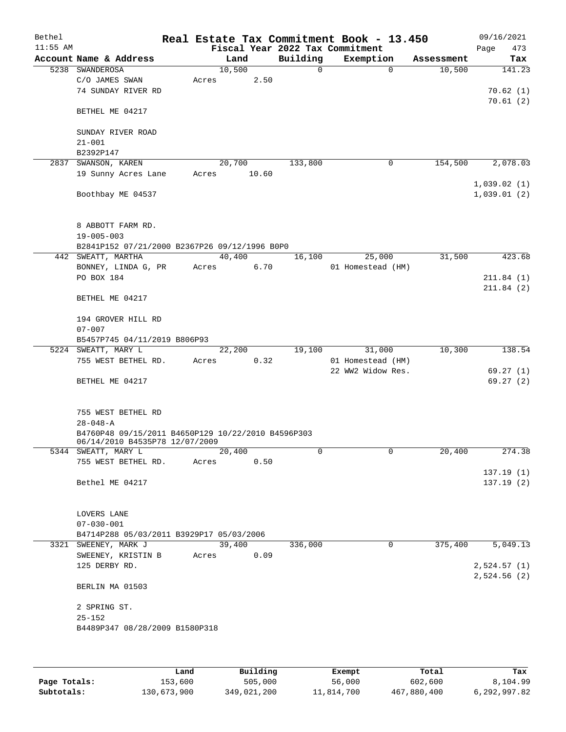| Bethel<br>$11:55$ AM |                                                                                      |       |        |          | Real Estate Tax Commitment Book - 13.450<br>Fiscal Year 2022 Tax Commitment |            | 09/16/2021<br>Page<br>473 |
|----------------------|--------------------------------------------------------------------------------------|-------|--------|----------|-----------------------------------------------------------------------------|------------|---------------------------|
|                      | Account Name & Address                                                               |       | Land   | Building | Exemption                                                                   | Assessment | Tax                       |
| 5238                 | SWANDEROSA                                                                           |       | 10,500 | 0        | $\Omega$                                                                    | 10,500     | 141.23                    |
|                      | C/O JAMES SWAN                                                                       | Acres | 2.50   |          |                                                                             |            |                           |
|                      | 74 SUNDAY RIVER RD                                                                   |       |        |          |                                                                             |            | 70.62(1)                  |
|                      |                                                                                      |       |        |          |                                                                             |            | 70.61(2)                  |
|                      | BETHEL ME 04217                                                                      |       |        |          |                                                                             |            |                           |
|                      | SUNDAY RIVER ROAD                                                                    |       |        |          |                                                                             |            |                           |
|                      | $21 - 001$                                                                           |       |        |          |                                                                             |            |                           |
|                      | B2392P147                                                                            |       |        |          |                                                                             |            |                           |
| 2837                 | SWANSON, KAREN                                                                       |       | 20,700 | 133,800  | 0                                                                           | 154,500    | 2,078.03                  |
|                      | 19 Sunny Acres Lane                                                                  | Acres | 10.60  |          |                                                                             |            |                           |
|                      |                                                                                      |       |        |          |                                                                             |            | 1,039.02(1)               |
|                      | Boothbay ME 04537                                                                    |       |        |          |                                                                             |            | 1,039.01(2)               |
|                      |                                                                                      |       |        |          |                                                                             |            |                           |
|                      |                                                                                      |       |        |          |                                                                             |            |                           |
|                      | 8 ABBOTT FARM RD.                                                                    |       |        |          |                                                                             |            |                           |
|                      | $19 - 005 - 003$                                                                     |       |        |          |                                                                             |            |                           |
|                      | B2841P152 07/21/2000 B2367P26 09/12/1996 B0P0                                        |       |        |          |                                                                             |            |                           |
|                      | 442 SWEATT, MARTHA                                                                   |       | 40,400 | 16,100   | 25,000                                                                      | 31,500     | 423.68                    |
|                      | BONNEY, LINDA G, PR                                                                  | Acres | 6.70   |          | 01 Homestead (HM)                                                           |            |                           |
|                      | PO BOX 184                                                                           |       |        |          |                                                                             |            | 211.84(1)<br>211.84(2)    |
|                      | BETHEL ME 04217                                                                      |       |        |          |                                                                             |            |                           |
|                      |                                                                                      |       |        |          |                                                                             |            |                           |
|                      | 194 GROVER HILL RD                                                                   |       |        |          |                                                                             |            |                           |
|                      | $07 - 007$                                                                           |       |        |          |                                                                             |            |                           |
|                      | B5457P745 04/11/2019 B806P93                                                         |       |        |          |                                                                             |            |                           |
|                      | 5224 SWEATT, MARY L                                                                  |       | 22,200 | 19,100   | 31,000                                                                      | 10,300     | 138.54                    |
|                      | 755 WEST BETHEL RD.                                                                  | Acres | 0.32   |          | 01 Homestead (HM)                                                           |            |                           |
|                      |                                                                                      |       |        |          | 22 WW2 Widow Res.                                                           |            | 69.27(1)                  |
|                      | BETHEL ME 04217                                                                      |       |        |          |                                                                             |            | 69.27(2)                  |
|                      |                                                                                      |       |        |          |                                                                             |            |                           |
|                      |                                                                                      |       |        |          |                                                                             |            |                           |
|                      | 755 WEST BETHEL RD                                                                   |       |        |          |                                                                             |            |                           |
|                      | $28 - 048 - A$                                                                       |       |        |          |                                                                             |            |                           |
|                      | B4760P48 09/15/2011 B4650P129 10/22/2010 B4596P303<br>06/14/2010 B4535P78 12/07/2009 |       |        |          |                                                                             |            |                           |
|                      | 5344 SWEATT, MARY L                                                                  |       | 20,400 | 0        | 0                                                                           | 20,400     | 274.38                    |
|                      | 755 WEST BETHEL RD.                                                                  | Acres | 0.50   |          |                                                                             |            |                           |
|                      |                                                                                      |       |        |          |                                                                             |            | 137.19(1)                 |
|                      | Bethel ME 04217                                                                      |       |        |          |                                                                             |            | 137.19(2)                 |
|                      |                                                                                      |       |        |          |                                                                             |            |                           |
|                      |                                                                                      |       |        |          |                                                                             |            |                           |
|                      | LOVERS LANE                                                                          |       |        |          |                                                                             |            |                           |
|                      | $07 - 030 - 001$                                                                     |       |        |          |                                                                             |            |                           |
|                      | B4714P288 05/03/2011 B3929P17 05/03/2006                                             |       |        |          |                                                                             |            |                           |
|                      | 3321 SWEENEY, MARK J                                                                 |       | 39,400 | 336,000  | 0                                                                           | 375,400    | $\overline{5,049.13}$     |
|                      | SWEENEY, KRISTIN B                                                                   | Acres | 0.09   |          |                                                                             |            |                           |
|                      | 125 DERBY RD.                                                                        |       |        |          |                                                                             |            | 2,524.57(1)               |
|                      |                                                                                      |       |        |          |                                                                             |            | 2,524.56 (2)              |
|                      | BERLIN MA 01503                                                                      |       |        |          |                                                                             |            |                           |
|                      | 2 SPRING ST.                                                                         |       |        |          |                                                                             |            |                           |
|                      | $25 - 152$                                                                           |       |        |          |                                                                             |            |                           |
|                      | B4489P347 08/28/2009 B1580P318                                                       |       |        |          |                                                                             |            |                           |
|                      |                                                                                      |       |        |          |                                                                             |            |                           |
|                      |                                                                                      |       |        |          |                                                                             |            |                           |
|                      |                                                                                      |       |        |          |                                                                             |            |                           |

|              | Land        | Building    | Exempt     | Total       | Tax          |
|--------------|-------------|-------------|------------|-------------|--------------|
| Page Totals: | 153,600     | 505,000     | 56,000     | 602,600     | 8,104.99     |
| Subtotals:   | 130,673,900 | 349,021,200 | 11,814,700 | 467,880,400 | 6,292,997.82 |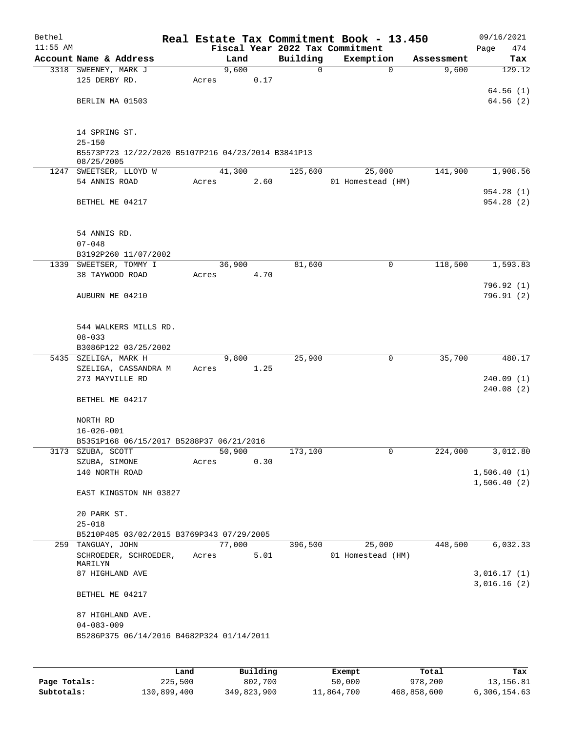| Bethel<br>$11:55$ AM |                                                    |       |        |      |          | Real Estate Tax Commitment Book - 13.450<br>Fiscal Year 2022 Tax Commitment |            | 09/16/2021<br>474<br>Page |
|----------------------|----------------------------------------------------|-------|--------|------|----------|-----------------------------------------------------------------------------|------------|---------------------------|
|                      | Account Name & Address                             |       | Land   |      | Building | Exemption                                                                   | Assessment | Tax                       |
|                      | 3318 SWEENEY, MARK J                               |       | 9,600  |      | 0        | $\mathbf 0$                                                                 | 9,600      | 129.12                    |
|                      | 125 DERBY RD.                                      | Acres |        | 0.17 |          |                                                                             |            |                           |
|                      |                                                    |       |        |      |          |                                                                             |            | 64.56(1)                  |
|                      | BERLIN MA 01503                                    |       |        |      |          |                                                                             |            | 64.56(2)                  |
|                      |                                                    |       |        |      |          |                                                                             |            |                           |
|                      |                                                    |       |        |      |          |                                                                             |            |                           |
|                      | 14 SPRING ST.                                      |       |        |      |          |                                                                             |            |                           |
|                      | $25 - 150$                                         |       |        |      |          |                                                                             |            |                           |
|                      | B5573P723 12/22/2020 B5107P216 04/23/2014 B3841P13 |       |        |      |          |                                                                             |            |                           |
|                      | 08/25/2005                                         |       |        |      |          |                                                                             |            |                           |
|                      | 1247 SWEETSER, LLOYD W<br>54 ANNIS ROAD            |       | 41,300 | 2.60 | 125,600  | 25,000<br>01 Homestead (HM)                                                 | 141,900    | 1,908.56                  |
|                      |                                                    | Acres |        |      |          |                                                                             |            | 954.28(1)                 |
|                      | BETHEL ME 04217                                    |       |        |      |          |                                                                             |            | 954.28(2)                 |
|                      |                                                    |       |        |      |          |                                                                             |            |                           |
|                      |                                                    |       |        |      |          |                                                                             |            |                           |
|                      | 54 ANNIS RD.                                       |       |        |      |          |                                                                             |            |                           |
|                      | $07 - 048$                                         |       |        |      |          |                                                                             |            |                           |
|                      | B3192P260 11/07/2002                               |       |        |      |          |                                                                             |            |                           |
|                      | 1339 SWEETSER, TOMMY I                             |       | 36,900 |      | 81,600   | 0                                                                           | 118,500    | 1,593.83                  |
|                      | 38 TAYWOOD ROAD                                    | Acres |        | 4.70 |          |                                                                             |            |                           |
|                      |                                                    |       |        |      |          |                                                                             |            | 796.92 (1)                |
|                      | AUBURN ME 04210                                    |       |        |      |          |                                                                             |            | 796.91(2)                 |
|                      |                                                    |       |        |      |          |                                                                             |            |                           |
|                      |                                                    |       |        |      |          |                                                                             |            |                           |
|                      | 544 WALKERS MILLS RD.                              |       |        |      |          |                                                                             |            |                           |
|                      | $08 - 033$                                         |       |        |      |          |                                                                             |            |                           |
|                      | B3086P122 03/25/2002                               |       |        |      |          |                                                                             |            |                           |
|                      | 5435 SZELIGA, MARK H                               |       | 9,800  |      | 25,900   | 0                                                                           | 35,700     | 480.17                    |
|                      | SZELIGA, CASSANDRA M                               | Acres |        | 1.25 |          |                                                                             |            |                           |
|                      | 273 MAYVILLE RD                                    |       |        |      |          |                                                                             |            | 240.09(1)                 |
|                      |                                                    |       |        |      |          |                                                                             |            | 240.08(2)                 |
|                      | BETHEL ME 04217                                    |       |        |      |          |                                                                             |            |                           |
|                      |                                                    |       |        |      |          |                                                                             |            |                           |
|                      | NORTH RD<br>$16 - 026 - 001$                       |       |        |      |          |                                                                             |            |                           |
|                      | B5351P168 06/15/2017 B5288P37 06/21/2016           |       |        |      |          |                                                                             |            |                           |
|                      | 3173 SZUBA, SCOTT                                  |       | 50,900 |      | 173,100  | 0                                                                           | 224,000    | 3,012.80                  |
|                      | SZUBA, SIMONE                                      | Acres |        | 0.30 |          |                                                                             |            |                           |
|                      | 140 NORTH ROAD                                     |       |        |      |          |                                                                             |            | 1,506.40(1)               |
|                      |                                                    |       |        |      |          |                                                                             |            | 1,506.40(2)               |
|                      | EAST KINGSTON NH 03827                             |       |        |      |          |                                                                             |            |                           |
|                      |                                                    |       |        |      |          |                                                                             |            |                           |
|                      | 20 PARK ST.                                        |       |        |      |          |                                                                             |            |                           |
|                      | $25 - 018$                                         |       |        |      |          |                                                                             |            |                           |
|                      | B5210P485 03/02/2015 B3769P343 07/29/2005          |       |        |      |          |                                                                             |            |                           |
|                      | 259 TANGUAY, JOHN                                  |       | 77,000 |      | 396,500  | 25,000                                                                      | 448,500    | 6,032.33                  |
|                      | SCHROEDER, SCHROEDER,                              | Acres |        | 5.01 |          | 01 Homestead (HM)                                                           |            |                           |
|                      | MARILYN<br>87 HIGHLAND AVE                         |       |        |      |          |                                                                             |            | 3,016.17(1)               |
|                      |                                                    |       |        |      |          |                                                                             |            | 3,016.16(2)               |
|                      | BETHEL ME 04217                                    |       |        |      |          |                                                                             |            |                           |
|                      |                                                    |       |        |      |          |                                                                             |            |                           |
|                      | 87 HIGHLAND AVE.                                   |       |        |      |          |                                                                             |            |                           |
|                      | $04 - 083 - 009$                                   |       |        |      |          |                                                                             |            |                           |
|                      | B5286P375 06/14/2016 B4682P324 01/14/2011          |       |        |      |          |                                                                             |            |                           |
|                      |                                                    |       |        |      |          |                                                                             |            |                           |
|                      |                                                    |       |        |      |          |                                                                             |            |                           |
|                      |                                                    |       |        |      |          |                                                                             |            |                           |

|              | Land        | Building    | Exempt     | Total       | Tax          |
|--------------|-------------|-------------|------------|-------------|--------------|
| Page Totals: | 225,500     | 802,700     | 50,000     | 978,200     | 13,156.81    |
| Subtotals:   | 130,899,400 | 349,823,900 | 11,864,700 | 468,858,600 | 6,306,154.63 |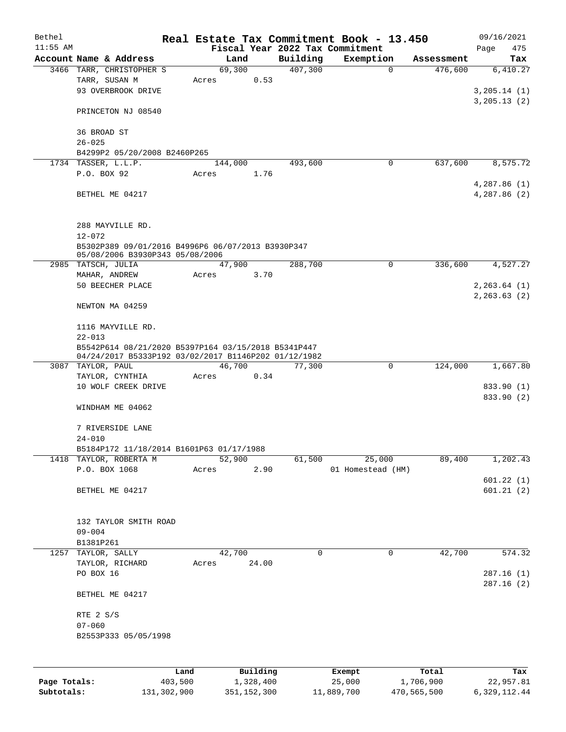| Bethel       |                                                      |         |                |       |                     | Real Estate Tax Commitment Book - 13.450 |             |                       | 09/16/2021      |
|--------------|------------------------------------------------------|---------|----------------|-------|---------------------|------------------------------------------|-------------|-----------------------|-----------------|
| $11:55$ AM   |                                                      |         |                |       |                     | Fiscal Year 2022 Tax Commitment          |             |                       | Page<br>475     |
|              | Account Name & Address<br>3466 TARR, CHRISTOPHER S   |         | Land<br>69,300 |       | Building<br>407,300 | Exemption                                | $\mathbf 0$ | Assessment<br>476,600 | Tax<br>6,410.27 |
|              | TARR, SUSAN M                                        | Acres   |                | 0.53  |                     |                                          |             |                       |                 |
|              | 93 OVERBROOK DRIVE                                   |         |                |       |                     |                                          |             |                       | 3,205.14(1)     |
|              |                                                      |         |                |       |                     |                                          |             |                       | 3, 205.13(2)    |
|              | PRINCETON NJ 08540                                   |         |                |       |                     |                                          |             |                       |                 |
|              |                                                      |         |                |       |                     |                                          |             |                       |                 |
|              | 36 BROAD ST<br>$26 - 025$                            |         |                |       |                     |                                          |             |                       |                 |
|              | B4299P2 05/20/2008 B2460P265                         |         |                |       |                     |                                          |             |                       |                 |
|              | 1734 TASSER, L.L.P.                                  |         | 144,000        |       | 493,600             |                                          | 0           | 637,600               | 8,575.72        |
|              | P.O. BOX 92                                          | Acres   |                | 1.76  |                     |                                          |             |                       |                 |
|              |                                                      |         |                |       |                     |                                          |             |                       | 4,287.86 (1)    |
|              | BETHEL ME 04217                                      |         |                |       |                     |                                          |             |                       | 4,287.86 (2)    |
|              |                                                      |         |                |       |                     |                                          |             |                       |                 |
|              |                                                      |         |                |       |                     |                                          |             |                       |                 |
|              | 288 MAYVILLE RD.<br>$12 - 072$                       |         |                |       |                     |                                          |             |                       |                 |
|              | B5302P389 09/01/2016 B4996P6 06/07/2013 B3930P347    |         |                |       |                     |                                          |             |                       |                 |
|              | 05/08/2006 B3930P343 05/08/2006                      |         |                |       |                     |                                          |             |                       |                 |
|              | 2985 TATSCH, JULIA                                   |         | 47,900         |       | 288,700             |                                          | 0           | 336,600               | 4,527.27        |
|              | MAHAR, ANDREW                                        | Acres   |                | 3.70  |                     |                                          |             |                       |                 |
|              | 50 BEECHER PLACE                                     |         |                |       |                     |                                          |             |                       | 2, 263.64 (1)   |
|              |                                                      |         |                |       |                     |                                          |             |                       | 2, 263.63(2)    |
|              | NEWTON MA 04259                                      |         |                |       |                     |                                          |             |                       |                 |
|              | 1116 MAYVILLE RD.                                    |         |                |       |                     |                                          |             |                       |                 |
|              | $22 - 013$                                           |         |                |       |                     |                                          |             |                       |                 |
|              | B5542P614 08/21/2020 B5397P164 03/15/2018 B5341P447  |         |                |       |                     |                                          |             |                       |                 |
|              | 04/24/2017 B5333P192 03/02/2017 B1146P202 01/12/1982 |         |                |       |                     |                                          |             |                       |                 |
|              | 3087 TAYLOR, PAUL                                    |         | 46,700         |       | 77,300              |                                          | $\mathbf 0$ | 124,000               | 1,667.80        |
|              | TAYLOR, CYNTHIA                                      | Acres   |                | 0.34  |                     |                                          |             |                       |                 |
|              | 10 WOLF CREEK DRIVE                                  |         |                |       |                     |                                          |             |                       | 833.90 (1)      |
|              |                                                      |         |                |       |                     |                                          |             |                       | 833.90 (2)      |
|              | WINDHAM ME 04062                                     |         |                |       |                     |                                          |             |                       |                 |
|              | 7 RIVERSIDE LANE                                     |         |                |       |                     |                                          |             |                       |                 |
|              | $24 - 010$                                           |         |                |       |                     |                                          |             |                       |                 |
|              | B5184P172 11/18/2014 B1601P63 01/17/1988             |         |                |       |                     |                                          |             |                       |                 |
|              | 1418 TAYLOR, ROBERTA M                               |         | 52,900         |       | 61,500              | 25,000                                   |             | 89,400                | 1,202.43        |
|              | P.O. BOX 1068                                        | Acres   |                | 2.90  |                     | 01 Homestead (HM)                        |             |                       |                 |
|              |                                                      |         |                |       |                     |                                          |             |                       | 601.22(1)       |
|              | BETHEL ME 04217                                      |         |                |       |                     |                                          |             |                       | 601.21(2)       |
|              |                                                      |         |                |       |                     |                                          |             |                       |                 |
|              | 132 TAYLOR SMITH ROAD                                |         |                |       |                     |                                          |             |                       |                 |
|              | $09 - 004$                                           |         |                |       |                     |                                          |             |                       |                 |
|              | B1381P261                                            |         |                |       |                     |                                          |             |                       |                 |
|              | 1257 TAYLOR, SALLY                                   |         | 42,700         |       | $\mathbf 0$         |                                          | $\mathbf 0$ | 42,700                | 574.32          |
|              | TAYLOR, RICHARD                                      | Acres   |                | 24.00 |                     |                                          |             |                       |                 |
|              | PO BOX 16                                            |         |                |       |                     |                                          |             |                       | 287.16(1)       |
|              |                                                      |         |                |       |                     |                                          |             |                       | 287.16(2)       |
|              | BETHEL ME 04217                                      |         |                |       |                     |                                          |             |                       |                 |
|              | RTE 2 S/S                                            |         |                |       |                     |                                          |             |                       |                 |
|              | $07 - 060$                                           |         |                |       |                     |                                          |             |                       |                 |
|              | B2553P333 05/05/1998                                 |         |                |       |                     |                                          |             |                       |                 |
|              |                                                      |         |                |       |                     |                                          |             |                       |                 |
|              |                                                      |         |                |       |                     |                                          |             |                       |                 |
|              |                                                      | Land    | Building       |       |                     | Exempt                                   |             | Total                 | Tax             |
| Page Totals: |                                                      | 403,500 | 1,328,400      |       |                     | 25,000                                   |             | 1,706,900             | 22,957.81       |

**Subtotals:** 131,302,900 351,152,300 11,889,700 470,565,500 6,329,112.44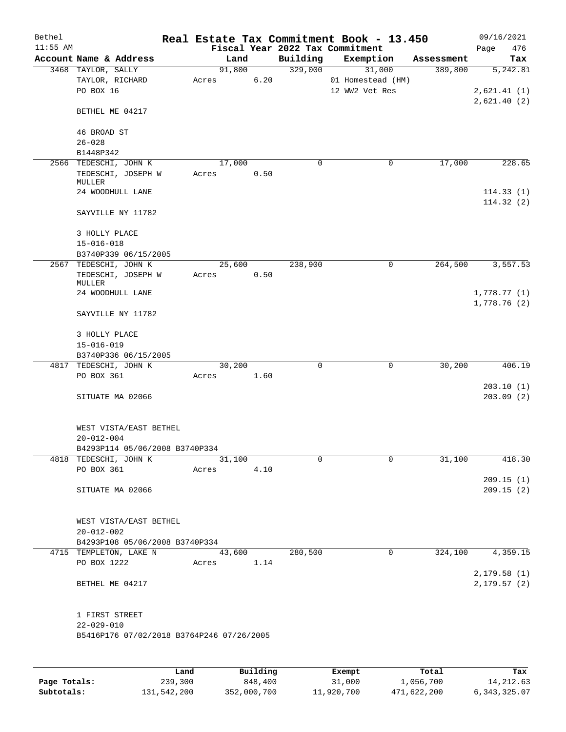| Bethel<br>$11:55$ AM |                                                         |       |                 |             | Real Estate Tax Commitment Book - 13.450<br>Fiscal Year 2022 Tax Commitment |            | 09/16/2021         |
|----------------------|---------------------------------------------------------|-------|-----------------|-------------|-----------------------------------------------------------------------------|------------|--------------------|
|                      | Account Name & Address                                  |       | Land            | Building    | Exemption                                                                   | Assessment | 476<br>Page<br>Tax |
|                      | 3468 TAYLOR, SALLY                                      |       | 91,800          | 329,000     | 31,000                                                                      | 389,800    | 5,242.81           |
|                      | TAYLOR, RICHARD                                         | Acres | 6.20            |             | 01 Homestead (HM)                                                           |            |                    |
|                      | PO BOX 16                                               |       |                 |             | 12 WW2 Vet Res                                                              |            | 2,621.41(1)        |
|                      |                                                         |       |                 |             |                                                                             |            | 2,621.40(2)        |
|                      | BETHEL ME 04217                                         |       |                 |             |                                                                             |            |                    |
|                      | 46 BROAD ST                                             |       |                 |             |                                                                             |            |                    |
|                      | $26 - 028$                                              |       |                 |             |                                                                             |            |                    |
|                      | B1448P342                                               |       |                 |             |                                                                             |            |                    |
|                      | 2566 TEDESCHI, JOHN K                                   |       | 17,000          | 0           | 0                                                                           | 17,000     | 228.65             |
|                      | TEDESCHI, JOSEPH W                                      | Acres | 0.50            |             |                                                                             |            |                    |
|                      | MULLER                                                  |       |                 |             |                                                                             |            |                    |
|                      | 24 WOODHULL LANE                                        |       |                 |             |                                                                             |            | 114.33(1)          |
|                      | SAYVILLE NY 11782                                       |       |                 |             |                                                                             |            | 114.32(2)          |
|                      | 3 HOLLY PLACE                                           |       |                 |             |                                                                             |            |                    |
|                      | $15 - 016 - 018$                                        |       |                 |             |                                                                             |            |                    |
|                      | B3740P339 06/15/2005                                    |       |                 |             |                                                                             |            |                    |
|                      | 2567 TEDESCHI, JOHN K                                   |       | 25,600          | 238,900     | $\mathbf 0$                                                                 | 264,500    | 3,557.53           |
|                      | TEDESCHI, JOSEPH W                                      | Acres | 0.50            |             |                                                                             |            |                    |
|                      | MULLER<br>24 WOODHULL LANE                              |       |                 |             |                                                                             |            | 1,778.77(1)        |
|                      |                                                         |       |                 |             |                                                                             |            | 1,778.76(2)        |
|                      | SAYVILLE NY 11782                                       |       |                 |             |                                                                             |            |                    |
|                      | 3 HOLLY PLACE                                           |       |                 |             |                                                                             |            |                    |
|                      | $15 - 016 - 019$                                        |       |                 |             |                                                                             |            |                    |
|                      | B3740P336 06/15/2005                                    |       |                 |             |                                                                             |            |                    |
|                      | 4817 TEDESCHI, JOHN K                                   |       | 30,200          | $\mathbf 0$ | $\mathbf 0$                                                                 | 30,200     | 406.19             |
|                      | PO BOX 361                                              | Acres | 1.60            |             |                                                                             |            |                    |
|                      |                                                         |       |                 |             |                                                                             |            | 203.10(1)          |
|                      | SITUATE MA 02066                                        |       |                 |             |                                                                             |            | 203.09(2)          |
|                      |                                                         |       |                 |             |                                                                             |            |                    |
|                      |                                                         |       |                 |             |                                                                             |            |                    |
|                      | WEST VISTA/EAST BETHEL<br>$20 - 012 - 004$              |       |                 |             |                                                                             |            |                    |
|                      |                                                         |       |                 |             |                                                                             |            |                    |
|                      | B4293P114 05/06/2008 B3740P334<br>4818 TEDESCHI, JOHN K |       | 31,100          | $\mathbf 0$ | $\mathbf 0$                                                                 | 31,100     | 418.30             |
|                      | PO BOX 361                                              | Acres | 4.10            |             |                                                                             |            |                    |
|                      |                                                         |       |                 |             |                                                                             |            | 209.15(1)          |
|                      | SITUATE MA 02066                                        |       |                 |             |                                                                             |            | 209.15(2)          |
|                      |                                                         |       |                 |             |                                                                             |            |                    |
|                      |                                                         |       |                 |             |                                                                             |            |                    |
|                      | WEST VISTA/EAST BETHEL                                  |       |                 |             |                                                                             |            |                    |
|                      | $20 - 012 - 002$                                        |       |                 |             |                                                                             |            |                    |
|                      | B4293P108 05/06/2008 B3740P334                          |       |                 |             |                                                                             |            |                    |
|                      | 4715 TEMPLETON, LAKE N                                  |       | 43,600          | 280,500     | 0                                                                           | 324,100    | 4,359.15           |
|                      | PO BOX 1222                                             |       | Acres 1.14      |             |                                                                             |            |                    |
|                      |                                                         |       |                 |             |                                                                             |            | 2,179.58(1)        |
|                      | BETHEL ME 04217                                         |       |                 |             |                                                                             |            | 2, 179.57(2)       |
|                      | 1 FIRST STREET                                          |       |                 |             |                                                                             |            |                    |
|                      | $22 - 029 - 010$                                        |       |                 |             |                                                                             |            |                    |
|                      | B5416P176 07/02/2018 B3764P246 07/26/2005               |       |                 |             |                                                                             |            |                    |
|                      |                                                         |       |                 |             |                                                                             |            |                    |
|                      |                                                         |       |                 |             |                                                                             |            |                    |
|                      |                                                         | Land  | <b>Building</b> |             | <b>Ryomnt</b>                                                               | $T0+21$    | Tay                |

|              | Land        | Building    | Exempt     | Total       | Tax             |
|--------------|-------------|-------------|------------|-------------|-----------------|
| Page Totals: | 239,300     | 848,400     | 31,000     | 1,056,700   | 14, 212, 63     |
| Subtotals:   | 131,542,200 | 352,000,700 | 11,920,700 | 471,622,200 | 6, 343, 325, 07 |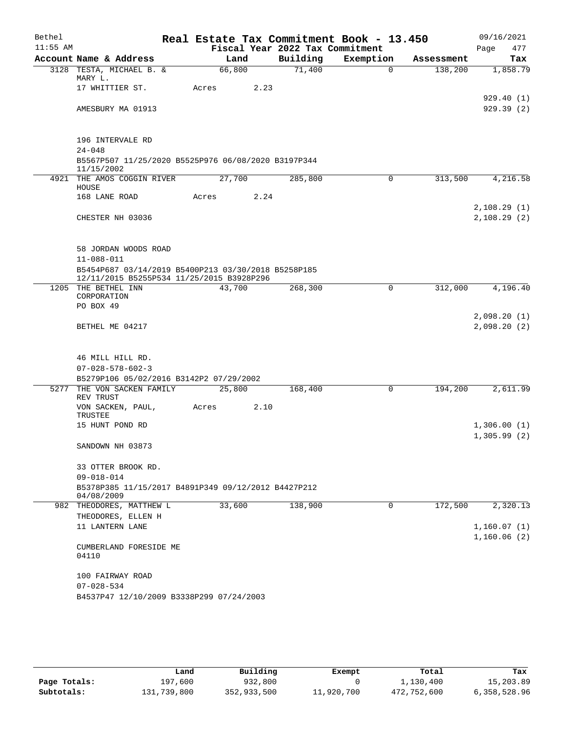| Bethel     |                                                                   |        |      |                                             | Real Estate Tax Commitment Book - 13.450 |            | 09/16/2021                 |            |
|------------|-------------------------------------------------------------------|--------|------|---------------------------------------------|------------------------------------------|------------|----------------------------|------------|
| $11:55$ AM | Account Name & Address                                            | Land   |      | Fiscal Year 2022 Tax Commitment<br>Building | Exemption                                | Assessment | Page                       | 477<br>Tax |
|            | 3128 TESTA, MICHAEL B. &                                          | 66,800 |      | 71,400                                      | $\Omega$                                 | 138,200    |                            | 1,858.79   |
|            | MARY L.                                                           |        |      |                                             |                                          |            |                            |            |
|            | 17 WHITTIER ST.                                                   | Acres  | 2.23 |                                             |                                          |            |                            |            |
|            |                                                                   |        |      |                                             |                                          |            |                            | 929.40(1)  |
|            | AMESBURY MA 01913                                                 |        |      |                                             |                                          |            |                            | 929.39(2)  |
|            |                                                                   |        |      |                                             |                                          |            |                            |            |
|            | 196 INTERVALE RD                                                  |        |      |                                             |                                          |            |                            |            |
|            | $24 - 048$                                                        |        |      |                                             |                                          |            |                            |            |
|            | B5567P507 11/25/2020 B5525P976 06/08/2020 B3197P344<br>11/15/2002 |        |      |                                             |                                          |            |                            |            |
|            | 4921 THE AMOS COGGIN RIVER                                        | 27,700 |      | 285,800                                     | 0                                        | 313,500    |                            | 4,216.58   |
|            | HOUSE<br>168 LANE ROAD                                            | Acres  | 2.24 |                                             |                                          |            |                            |            |
|            |                                                                   |        |      |                                             |                                          |            | 2,108.29(1)                |            |
|            | CHESTER NH 03036                                                  |        |      |                                             |                                          |            | 2,108.29(2)                |            |
|            |                                                                   |        |      |                                             |                                          |            |                            |            |
|            |                                                                   |        |      |                                             |                                          |            |                            |            |
|            | 58 JORDAN WOODS ROAD<br>$11 - 088 - 011$                          |        |      |                                             |                                          |            |                            |            |
|            | B5454P687 03/14/2019 B5400P213 03/30/2018 B5258P185               |        |      |                                             |                                          |            |                            |            |
|            | 12/11/2015 B5255P534 11/25/2015 B3928P296                         |        |      |                                             |                                          |            |                            |            |
|            | 1205 THE BETHEL INN                                               | 43,700 |      | 268,300                                     | $\mathbf 0$                              | 312,000    |                            | 4,196.40   |
|            | CORPORATION<br>PO BOX 49                                          |        |      |                                             |                                          |            |                            |            |
|            |                                                                   |        |      |                                             |                                          |            | 2,098.20(1)                |            |
|            | BETHEL ME 04217                                                   |        |      |                                             |                                          |            | 2,098.20 (2)               |            |
|            |                                                                   |        |      |                                             |                                          |            |                            |            |
|            | 46 MILL HILL RD.                                                  |        |      |                                             |                                          |            |                            |            |
|            | $07 - 028 - 578 - 602 - 3$                                        |        |      |                                             |                                          |            |                            |            |
|            | B5279P106 05/02/2016 B3142P2 07/29/2002                           |        |      |                                             |                                          |            |                            |            |
| 5277       | THE VON SACKEN FAMILY                                             | 25,800 |      | 168,400                                     | 0                                        | 194,200    |                            | 2,611.99   |
|            | REV TRUST<br>VON SACKEN, PAUL,                                    | Acres  | 2.10 |                                             |                                          |            |                            |            |
|            | TRUSTEE                                                           |        |      |                                             |                                          |            |                            |            |
|            | 15 HUNT POND RD                                                   |        |      |                                             |                                          |            | 1,306.00(1)                |            |
|            |                                                                   |        |      |                                             |                                          |            | 1,305.99(2)                |            |
|            | SANDOWN NH 03873                                                  |        |      |                                             |                                          |            |                            |            |
|            | 33 OTTER BROOK RD.                                                |        |      |                                             |                                          |            |                            |            |
|            | $09 - 018 - 014$                                                  |        |      |                                             |                                          |            |                            |            |
|            | B5378P385 11/15/2017 B4891P349 09/12/2012 B4427P212<br>04/08/2009 |        |      |                                             |                                          |            |                            |            |
|            | 982 THEODORES, MATTHEW L                                          | 33,600 |      | 138,900                                     | $\mathbf 0$                              | 172,500    |                            | 2,320.13   |
|            | THEODORES, ELLEN H                                                |        |      |                                             |                                          |            |                            |            |
|            | 11 LANTERN LANE                                                   |        |      |                                             |                                          |            | 1,160.07(1)<br>1,160.06(2) |            |
|            | CUMBERLAND FORESIDE ME                                            |        |      |                                             |                                          |            |                            |            |
|            | 04110                                                             |        |      |                                             |                                          |            |                            |            |
|            |                                                                   |        |      |                                             |                                          |            |                            |            |
|            | 100 FAIRWAY ROAD<br>$07 - 028 - 534$                              |        |      |                                             |                                          |            |                            |            |
|            | B4537P47 12/10/2009 B3338P299 07/24/2003                          |        |      |                                             |                                          |            |                            |            |
|            |                                                                   |        |      |                                             |                                          |            |                            |            |

|              | Land        | Building    | Exempt     | Total       | Tax          |
|--------------|-------------|-------------|------------|-------------|--------------|
| Page Totals: | 197,600     | 932,800     |            | 1,130,400   | 15,203.89    |
| Subtotals:   | 131,739,800 | 352,933,500 | 11,920,700 | 472,752,600 | 6,358,528.96 |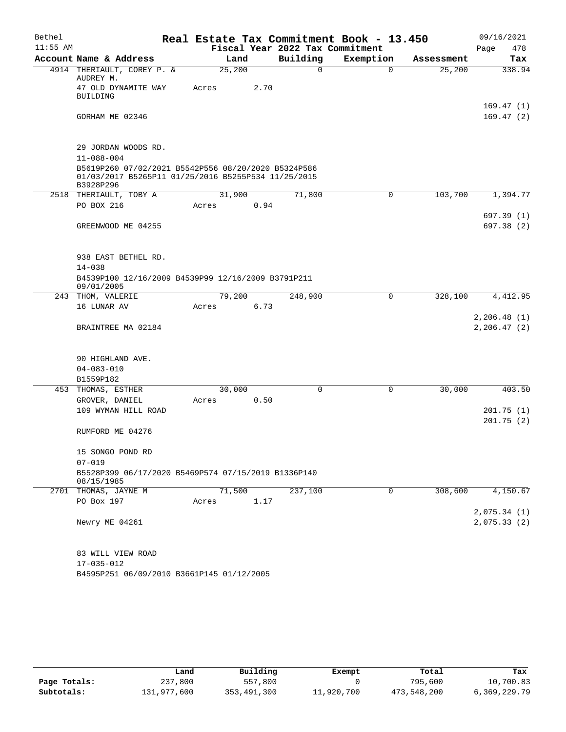| Bethel     |                                                                                                                         |                 |      |                                 | Real Estate Tax Commitment Book - 13.450 |            | 09/16/2021                  |
|------------|-------------------------------------------------------------------------------------------------------------------------|-----------------|------|---------------------------------|------------------------------------------|------------|-----------------------------|
| $11:55$ AM |                                                                                                                         |                 |      | Fiscal Year 2022 Tax Commitment |                                          |            | 478<br>Page                 |
|            | Account Name & Address                                                                                                  | Land            |      | Building                        | Exemption                                | Assessment | Tax                         |
|            | 4914 THERIAULT, COREY P. &<br>AUDREY M.<br>47 OLD DYNAMITE WAY                                                          | 25,200<br>Acres | 2.70 | 0                               | $\Omega$                                 | 25,200     | 338.94                      |
|            | <b>BUILDING</b>                                                                                                         |                 |      |                                 |                                          |            | 169.47(1)                   |
|            | GORHAM ME 02346                                                                                                         |                 |      |                                 |                                          |            | 169.47(2)                   |
|            | 29 JORDAN WOODS RD.<br>$11 - 088 - 004$                                                                                 |                 |      |                                 |                                          |            |                             |
|            | B5619P260 07/02/2021 B5542P556 08/20/2020 B5324P586<br>01/03/2017 B5265P11 01/25/2016 B5255P534 11/25/2015<br>B3928P296 |                 |      |                                 |                                          |            |                             |
|            | 2518 THERIAULT, TOBY A                                                                                                  | 31,900          |      | 71,800                          | 0                                        | 103,700    | 1,394.77                    |
|            | PO BOX 216                                                                                                              | Acres           | 0.94 |                                 |                                          |            |                             |
|            | GREENWOOD ME 04255                                                                                                      |                 |      |                                 |                                          |            | 697.39 (1)<br>697.38 (2)    |
|            | 938 EAST BETHEL RD.<br>$14 - 038$                                                                                       |                 |      |                                 |                                          |            |                             |
|            | B4539P100 12/16/2009 B4539P99 12/16/2009 B3791P211<br>09/01/2005                                                        |                 |      |                                 |                                          |            |                             |
| 243        | THOM, VALERIE                                                                                                           | 79,200          |      | 248,900                         | 0                                        | 328,100    | 4,412.95                    |
|            | 16 LUNAR AV                                                                                                             | Acres           | 6.73 |                                 |                                          |            |                             |
|            | BRAINTREE MA 02184                                                                                                      |                 |      |                                 |                                          |            | 2,206.48(1)<br>2, 206.47(2) |
|            | 90 HIGHLAND AVE.                                                                                                        |                 |      |                                 |                                          |            |                             |
|            | $04 - 083 - 010$                                                                                                        |                 |      |                                 |                                          |            |                             |
| 453        | B1559P182<br>THOMAS, ESTHER                                                                                             | 30,000          |      | 0                               | 0                                        | 30,000     | 403.50                      |
|            | GROVER, DANIEL                                                                                                          | Acres           | 0.50 |                                 |                                          |            |                             |
|            | 109 WYMAN HILL ROAD                                                                                                     |                 |      |                                 |                                          |            | 201.75(1)                   |
|            |                                                                                                                         |                 |      |                                 |                                          |            | 201.75(2)                   |
|            | RUMFORD ME 04276                                                                                                        |                 |      |                                 |                                          |            |                             |
|            | 15 SONGO POND RD                                                                                                        |                 |      |                                 |                                          |            |                             |
|            | $07 - 019$                                                                                                              |                 |      |                                 |                                          |            |                             |
|            | B5528P399 06/17/2020 B5469P574 07/15/2019 B1336P140<br>08/15/1985                                                       |                 |      |                                 |                                          |            |                             |
|            | 2701 THOMAS, JAYNE M                                                                                                    | 71,500          |      | 237,100                         | 0                                        | 308,600    | 4,150.67                    |
|            | PO Box 197                                                                                                              | Acres           | 1.17 |                                 |                                          |            |                             |
|            | Newry ME 04261                                                                                                          |                 |      |                                 |                                          |            | 2,075.34(1)<br>2,075.33(2)  |
|            | 83 WILL VIEW ROAD                                                                                                       |                 |      |                                 |                                          |            |                             |
|            | 17-035-012<br>B4595P251 06/09/2010 B3661P145 01/12/2005                                                                 |                 |      |                                 |                                          |            |                             |
|            |                                                                                                                         |                 |      |                                 |                                          |            |                             |

|              | Land        | Building    | Exempt     | Total       | Tax          |
|--------------|-------------|-------------|------------|-------------|--------------|
| Page Totals: | 237,800     | 557,800     |            | 795,600     | 10,700.83    |
| Subtotals:   | 131,977,600 | 353,491,300 | 11,920,700 | 473,548,200 | 6,369,229.79 |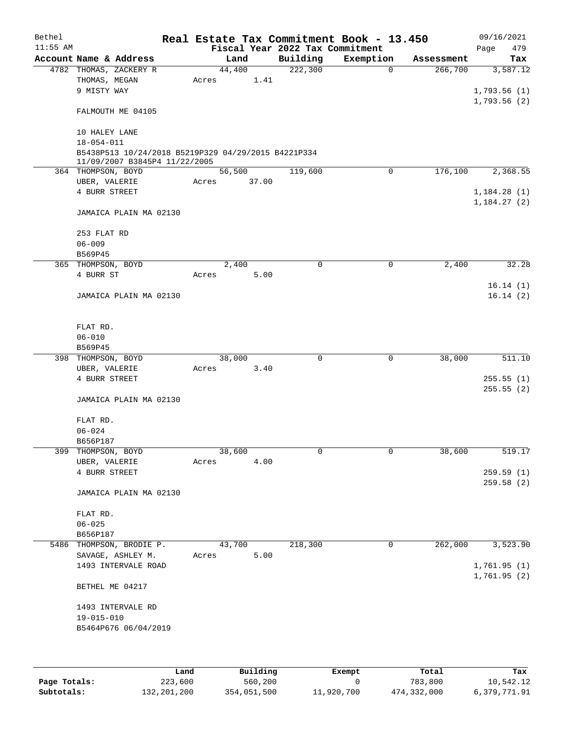| Bethel     |                                                     |       |        |       |                                 | Real Estate Tax Commitment Book - 13.450 |            | 09/16/2021   |
|------------|-----------------------------------------------------|-------|--------|-------|---------------------------------|------------------------------------------|------------|--------------|
| $11:55$ AM |                                                     |       |        |       | Fiscal Year 2022 Tax Commitment |                                          |            | 479<br>Page  |
|            | Account Name & Address                              |       | Land   |       | Building                        | Exemption                                | Assessment | Tax          |
|            | 4782 THOMAS, ZACKERY R                              |       | 44,400 |       | 222,300                         | $\mathbf 0$                              | 266,700    | 3,587.12     |
|            | THOMAS, MEGAN                                       | Acres |        | 1.41  |                                 |                                          |            |              |
|            | 9 MISTY WAY                                         |       |        |       |                                 |                                          |            | 1,793.56(1)  |
|            |                                                     |       |        |       |                                 |                                          |            | 1,793.56(2)  |
|            | FALMOUTH ME 04105                                   |       |        |       |                                 |                                          |            |              |
|            |                                                     |       |        |       |                                 |                                          |            |              |
|            | 10 HALEY LANE                                       |       |        |       |                                 |                                          |            |              |
|            | $18 - 054 - 011$                                    |       |        |       |                                 |                                          |            |              |
|            | B5438P513 10/24/2018 B5219P329 04/29/2015 B4221P334 |       |        |       |                                 |                                          |            |              |
|            | 11/09/2007 B3845P4 11/22/2005                       |       |        |       |                                 |                                          |            |              |
|            | 364 THOMPSON, BOYD                                  |       | 56,500 |       | 119,600                         | $\mathbf 0$                              | 176,100    | 2,368.55     |
|            | UBER, VALERIE                                       | Acres |        | 37.00 |                                 |                                          |            |              |
|            | 4 BURR STREET                                       |       |        |       |                                 |                                          |            | 1,184.28(1)  |
|            |                                                     |       |        |       |                                 |                                          |            | 1,184.27(2)  |
|            | JAMAICA PLAIN MA 02130                              |       |        |       |                                 |                                          |            |              |
|            |                                                     |       |        |       |                                 |                                          |            |              |
|            | 253 FLAT RD                                         |       |        |       |                                 |                                          |            |              |
|            | $06 - 009$                                          |       |        |       |                                 |                                          |            |              |
|            | B569P45                                             |       |        |       |                                 |                                          |            |              |
|            | 365 THOMPSON, BOYD                                  |       | 2,400  |       | $\mathbf 0$                     | 0                                        | 2,400      | 32.28        |
|            | 4 BURR ST                                           | Acres |        | 5.00  |                                 |                                          |            |              |
|            |                                                     |       |        |       |                                 |                                          |            | 16.14(1)     |
|            | JAMAICA PLAIN MA 02130                              |       |        |       |                                 |                                          |            | 16.14(2)     |
|            |                                                     |       |        |       |                                 |                                          |            |              |
|            |                                                     |       |        |       |                                 |                                          |            |              |
|            | FLAT RD.                                            |       |        |       |                                 |                                          |            |              |
|            | $06 - 010$                                          |       |        |       |                                 |                                          |            |              |
|            | B569P45                                             |       |        |       |                                 |                                          |            |              |
|            | 398 THOMPSON, BOYD                                  |       | 38,000 |       | $\mathbf 0$                     | $\mathbf 0$                              | 38,000     | 511.10       |
|            | UBER, VALERIE                                       | Acres |        | 3.40  |                                 |                                          |            |              |
|            | 4 BURR STREET                                       |       |        |       |                                 |                                          |            | 255.55(1)    |
|            |                                                     |       |        |       |                                 |                                          |            | 255.55(2)    |
|            | JAMAICA PLAIN MA 02130                              |       |        |       |                                 |                                          |            |              |
|            |                                                     |       |        |       |                                 |                                          |            |              |
|            | FLAT RD.                                            |       |        |       |                                 |                                          |            |              |
|            | $06 - 024$                                          |       |        |       |                                 |                                          |            |              |
|            | B656P187                                            |       |        |       |                                 |                                          |            |              |
| 399        | THOMPSON, BOYD                                      |       | 38,600 |       | 0                               | $\mathsf 0$                              | 38,600     | 519.17       |
|            | UBER, VALERIE                                       | Acres |        | 4.00  |                                 |                                          |            |              |
|            | 4 BURR STREET                                       |       |        |       |                                 |                                          |            | 259.59(1)    |
|            |                                                     |       |        |       |                                 |                                          |            | 259.58 (2)   |
|            | JAMAICA PLAIN MA 02130                              |       |        |       |                                 |                                          |            |              |
|            |                                                     |       |        |       |                                 |                                          |            |              |
|            | FLAT RD.                                            |       |        |       |                                 |                                          |            |              |
|            | $06 - 025$                                          |       |        |       |                                 |                                          |            |              |
|            | B656P187                                            |       |        |       |                                 |                                          |            |              |
| 5486       | THOMPSON, BRODIE P.                                 |       | 43,700 |       | 218,300                         | 0                                        | 262,000    | 3,523.90     |
|            | SAVAGE, ASHLEY M.                                   | Acres |        | 5.00  |                                 |                                          |            |              |
|            | 1493 INTERVALE ROAD                                 |       |        |       |                                 |                                          |            | 1,761.95 (1) |
|            |                                                     |       |        |       |                                 |                                          |            | 1,761.95 (2) |
|            | BETHEL ME 04217                                     |       |        |       |                                 |                                          |            |              |
|            |                                                     |       |        |       |                                 |                                          |            |              |
|            | 1493 INTERVALE RD                                   |       |        |       |                                 |                                          |            |              |
|            | 19-015-010                                          |       |        |       |                                 |                                          |            |              |
|            | B5464P676 06/04/2019                                |       |        |       |                                 |                                          |            |              |
|            |                                                     |       |        |       |                                 |                                          |            |              |
|            |                                                     |       |        |       |                                 |                                          |            |              |
|            |                                                     |       |        |       |                                 |                                          |            |              |
|            |                                                     |       |        |       |                                 |                                          |            |              |

|              | Land        | Building    | Exempt     | Total       | Tax          |
|--------------|-------------|-------------|------------|-------------|--------------|
| Page Totals: | 223,600     | 560,200     |            | 783,800     | 10,542.12    |
| Subtotals:   | 132,201,200 | 354,051,500 | 11,920,700 | 474,332,000 | 6,379,771.91 |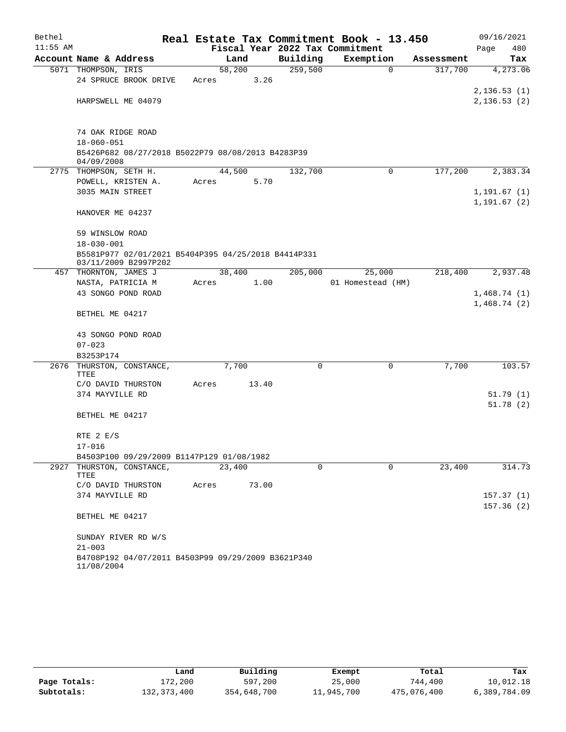| Bethel     |                                                                             |       |        |          | Real Estate Tax Commitment Book - 13.450 |            | 09/16/2021                  |
|------------|-----------------------------------------------------------------------------|-------|--------|----------|------------------------------------------|------------|-----------------------------|
| $11:55$ AM |                                                                             |       |        |          | Fiscal Year 2022 Tax Commitment          |            | Page<br>480                 |
|            | Account Name & Address                                                      |       | Land   | Building | Exemption                                | Assessment | Tax                         |
|            | 5071 THOMPSON, IRIS                                                         |       | 58,200 | 259,500  | $\mathbf 0$                              | 317,700    | 4, 273.06                   |
|            | 24 SPRUCE BROOK DRIVE                                                       | Acres | 3.26   |          |                                          |            |                             |
|            | HARPSWELL ME 04079                                                          |       |        |          |                                          |            | 2,136.53(1)<br>2,136.53(2)  |
|            |                                                                             |       |        |          |                                          |            |                             |
|            | 74 OAK RIDGE ROAD                                                           |       |        |          |                                          |            |                             |
|            | $18 - 060 - 051$                                                            |       |        |          |                                          |            |                             |
|            | B5426P682 08/27/2018 B5022P79 08/08/2013 B4283P39<br>04/09/2008             |       |        |          |                                          |            |                             |
|            | 2775 THOMPSON, SETH H.                                                      |       | 44,500 | 132,700  | 0                                        | 177,200    | 2,383.34                    |
|            | POWELL, KRISTEN A.                                                          | Acres | 5.70   |          |                                          |            |                             |
|            | 3035 MAIN STREET                                                            |       |        |          |                                          |            | 1,191.67(1)<br>1, 191.67(2) |
|            | HANOVER ME 04237                                                            |       |        |          |                                          |            |                             |
|            | 59 WINSLOW ROAD                                                             |       |        |          |                                          |            |                             |
|            | $18 - 030 - 001$                                                            |       |        |          |                                          |            |                             |
|            | B5581P977 02/01/2021 B5404P395 04/25/2018 B4414P331<br>03/11/2009 B2997P202 |       |        |          |                                          |            |                             |
|            | 457 THORNTON, JAMES J                                                       |       | 38,400 | 205,000  | 25,000                                   | 218,400    | 2,937.48                    |
|            | NASTA, PATRICIA M                                                           | Acres | 1.00   |          | 01 Homestead (HM)                        |            |                             |
|            | 43 SONGO POND ROAD                                                          |       |        |          |                                          |            | 1,468.74(1)                 |
|            | BETHEL ME 04217                                                             |       |        |          |                                          |            | 1,468.74(2)                 |
|            | 43 SONGO POND ROAD                                                          |       |        |          |                                          |            |                             |
|            | $07 - 023$                                                                  |       |        |          |                                          |            |                             |
|            | B3253P174                                                                   |       |        |          |                                          |            |                             |
|            | 2676 THURSTON, CONSTANCE,<br>TTEE                                           |       | 7,700  | 0        | 0                                        | 7,700      | 103.57                      |
|            | C/O DAVID THURSTON                                                          | Acres | 13.40  |          |                                          |            |                             |
|            | 374 MAYVILLE RD                                                             |       |        |          |                                          |            | 51.79(1)                    |
|            |                                                                             |       |        |          |                                          |            | 51.78(2)                    |
|            | BETHEL ME 04217                                                             |       |        |          |                                          |            |                             |
|            | RTE $2 E/S$                                                                 |       |        |          |                                          |            |                             |
|            | $17 - 016$                                                                  |       |        |          |                                          |            |                             |
|            | B4503P100 09/29/2009 B1147P129 01/08/1982                                   |       |        |          |                                          |            |                             |
| 2927       | THURSTON, CONSTANCE,<br>TTEE                                                |       | 23,400 | $\Omega$ | $\Omega$                                 | 23,400     | 314.73                      |
|            | C/O DAVID THURSTON                                                          | Acres | 73.00  |          |                                          |            |                             |
|            | 374 MAYVILLE RD                                                             |       |        |          |                                          |            | 157.37(1)<br>157.36(2)      |
|            | BETHEL ME 04217                                                             |       |        |          |                                          |            |                             |
|            | SUNDAY RIVER RD W/S                                                         |       |        |          |                                          |            |                             |
|            | $21 - 003$                                                                  |       |        |          |                                          |            |                             |
|            | B4708P192 04/07/2011 B4503P99 09/29/2009 B3621P340<br>11/08/2004            |       |        |          |                                          |            |                             |

|              | Land        | Building    | Exempt     | Total       | Tax          |
|--------------|-------------|-------------|------------|-------------|--------------|
| Page Totals: | 172,200     | 597,200     | 25,000     | 744,400     | 10,012.18    |
| Subtotals:   | 132,373,400 | 354,648,700 | 11,945,700 | 475,076,400 | 6,389,784.09 |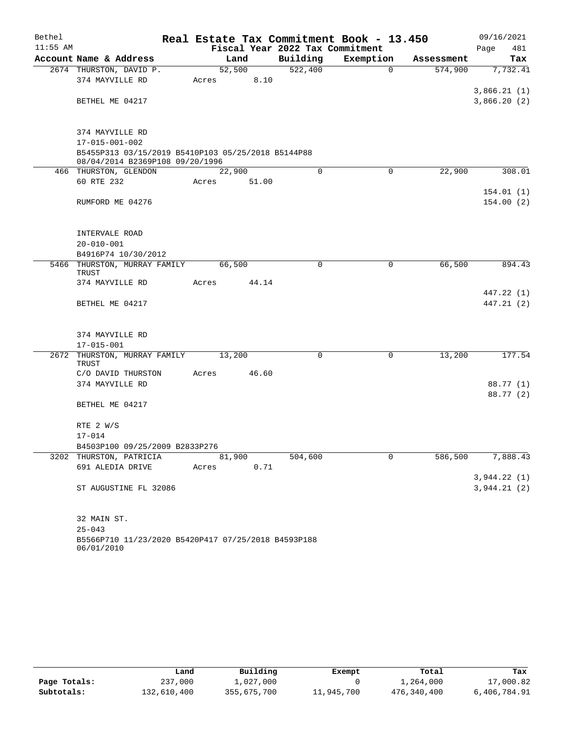| Bethel     |                                                                                       |        |       |                                 | Real Estate Tax Commitment Book - 13.450 |            | 09/16/2021  |
|------------|---------------------------------------------------------------------------------------|--------|-------|---------------------------------|------------------------------------------|------------|-------------|
| $11:55$ AM |                                                                                       |        |       | Fiscal Year 2022 Tax Commitment |                                          |            | 481<br>Page |
|            | Account Name & Address                                                                | Land   |       | Building                        | Exemption                                | Assessment | Tax         |
|            | 2674 THURSTON, DAVID P.                                                               | 52,500 |       | 522,400                         | $\Omega$                                 | 574,900    | 7,732.41    |
|            | 374 MAYVILLE RD                                                                       | Acres  | 8.10  |                                 |                                          |            |             |
|            |                                                                                       |        |       |                                 |                                          |            | 3,866.21(1) |
|            | BETHEL ME 04217                                                                       |        |       |                                 |                                          |            | 3,866.20(2) |
|            | 374 MAYVILLE RD                                                                       |        |       |                                 |                                          |            |             |
|            | 17-015-001-002                                                                        |        |       |                                 |                                          |            |             |
|            | B5455P313 03/15/2019 B5410P103 05/25/2018 B5144P88<br>08/04/2014 B2369P108 09/20/1996 |        |       |                                 |                                          |            |             |
|            | 466 THURSTON, GLENDON                                                                 | 22,900 |       | $\Omega$                        | $\Omega$                                 | 22,900     | 308.01      |
|            | 60 RTE 232                                                                            | Acres  | 51.00 |                                 |                                          |            |             |
|            |                                                                                       |        |       |                                 |                                          |            | 154.01(1)   |
|            | RUMFORD ME 04276                                                                      |        |       | 154.00(2)                       |                                          |            |             |
|            |                                                                                       |        |       |                                 |                                          |            |             |
|            | INTERVALE ROAD<br>$20 - 010 - 001$                                                    |        |       |                                 |                                          |            |             |
|            | B4916P74 10/30/2012                                                                   |        |       |                                 |                                          |            |             |
|            | 5466 THURSTON, MURRAY FAMILY                                                          | 66,500 |       | 0                               | 0                                        | 66,500     | 894.43      |
|            | TRUST                                                                                 |        |       |                                 |                                          |            |             |
|            | 374 MAYVILLE RD                                                                       | Acres  | 44.14 |                                 |                                          |            |             |
|            |                                                                                       |        |       |                                 |                                          |            | 447.22 (1)  |
|            | BETHEL ME 04217                                                                       |        |       |                                 |                                          |            | 447.21 (2)  |
|            | 374 MAYVILLE RD                                                                       |        |       |                                 |                                          |            |             |
|            | $17 - 015 - 001$                                                                      |        |       |                                 |                                          |            |             |
|            | 2672 THURSTON, MURRAY FAMILY                                                          | 13,200 |       | 0                               | $\mathbf 0$                              | 13,200     | 177.54      |
|            | <b>TRUST</b>                                                                          |        |       |                                 |                                          |            |             |
|            | C/O DAVID THURSTON                                                                    | Acres  | 46.60 |                                 |                                          |            |             |
|            | 374 MAYVILLE RD                                                                       |        |       |                                 |                                          |            | 88.77 (1)   |
|            | BETHEL ME 04217                                                                       |        |       |                                 |                                          |            | 88.77 (2)   |
|            | RTE 2 W/S                                                                             |        |       |                                 |                                          |            |             |
|            | $17 - 014$                                                                            |        |       |                                 |                                          |            |             |
|            | B4503P100 09/25/2009 B2833P276                                                        |        |       |                                 |                                          |            |             |
|            | 3202 THURSTON, PATRICIA                                                               | 81,900 |       | 504,600                         | 0                                        | 586, 500   | 7,888.43    |
|            | 691 ALEDIA DRIVE                                                                      | Acres  | 0.71  |                                 |                                          |            |             |
|            |                                                                                       |        |       |                                 |                                          |            | 3,944.22(1) |
|            | ST AUGUSTINE FL 32086                                                                 |        |       |                                 |                                          |            | 3,944.21(2) |
|            | 32 MAIN ST.                                                                           |        |       |                                 |                                          |            |             |
|            | $25 - 043$                                                                            |        |       |                                 |                                          |            |             |
|            | B5566P710 11/23/2020 B5420P417 07/25/2018 B4593P188                                   |        |       |                                 |                                          |            |             |

| 06/01/2010 |  |
|------------|--|
|------------|--|

|              | Land        | Building    | Exempt     | Total       | Tax          |
|--------------|-------------|-------------|------------|-------------|--------------|
| Page Totals: | 237,000     | l,027,000   |            | 1,264,000   | 17,000.82    |
| Subtotals:   | 132,610,400 | 355,675,700 | 11,945,700 | 476,340,400 | 6,406,784.91 |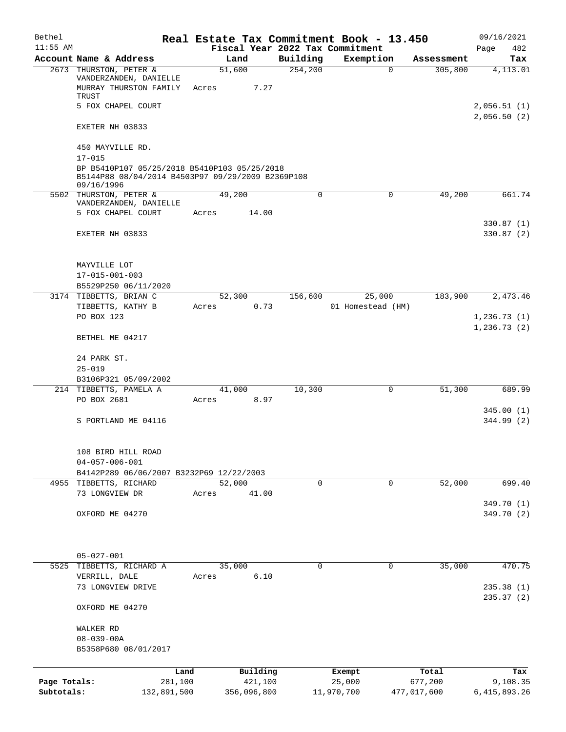| Bethel                     |                                                                                                                 |                                         |          | Real Estate Tax Commitment Book - 13.450 |                        | 09/16/2021                 |
|----------------------------|-----------------------------------------------------------------------------------------------------------------|-----------------------------------------|----------|------------------------------------------|------------------------|----------------------------|
| $11:55$ AM                 | Account Name & Address                                                                                          | Fiscal Year 2022 Tax Commitment<br>Land | Building | Exemption                                | Assessment             | 482<br>Page<br>Tax         |
|                            | 2673 THURSTON, PETER &<br>VANDERZANDEN, DANIELLE<br>MURRAY THURSTON FAMILY<br>TRUST                             | 51,600<br>7.27<br>Acres                 | 254, 200 | $\mathbf 0$                              | 305,800                | $\overline{4,113.01}$      |
|                            | 5 FOX CHAPEL COURT                                                                                              |                                         |          |                                          |                        | 2,056.51(1)<br>2,056.50(2) |
|                            | EXETER NH 03833                                                                                                 |                                         |          |                                          |                        |                            |
|                            | 450 MAYVILLE RD.<br>$17 - 015$                                                                                  |                                         |          |                                          |                        |                            |
|                            | BP B5410P107 05/25/2018 B5410P103 05/25/2018<br>B5144P88 08/04/2014 B4503P97 09/29/2009 B2369P108<br>09/16/1996 |                                         |          |                                          |                        |                            |
|                            | 5502 THURSTON, PETER &<br>VANDERZANDEN, DANIELLE                                                                | 49,200                                  | $\Omega$ | $\mathbf 0$                              | 49,200                 | 661.74                     |
|                            | 5 FOX CHAPEL COURT                                                                                              | 14.00<br>Acres                          |          |                                          |                        |                            |
|                            | EXETER NH 03833                                                                                                 |                                         |          |                                          |                        | 330.87(1)<br>330.87(2)     |
|                            | MAYVILLE LOT                                                                                                    |                                         |          |                                          |                        |                            |
|                            | $17 - 015 - 001 - 003$<br>B5529P250 06/11/2020                                                                  |                                         |          |                                          |                        |                            |
|                            | 3174 TIBBETTS, BRIAN C                                                                                          | 52,300                                  | 156,600  | 25,000                                   | 183,900                | 2,473.46                   |
|                            | TIBBETTS, KATHY B<br>PO BOX 123                                                                                 | 0.73<br>Acres                           |          | 01 Homestead (HM)                        |                        | 1,236.73(1)                |
|                            | BETHEL ME 04217                                                                                                 |                                         |          |                                          |                        | 1, 236.73(2)               |
|                            | 24 PARK ST.                                                                                                     |                                         |          |                                          |                        |                            |
|                            | $25 - 019$                                                                                                      |                                         |          |                                          |                        |                            |
|                            | B3106P321 05/09/2002<br>214 TIBBETTS, PAMELA A                                                                  | 41,000                                  | 10,300   | 0                                        | 51,300                 | 689.99                     |
|                            | PO BOX 2681                                                                                                     | 8.97<br>Acres                           |          |                                          |                        |                            |
|                            | S PORTLAND ME 04116                                                                                             |                                         |          |                                          |                        | 345.00(1)<br>344.99 (2)    |
|                            | 108 BIRD HILL ROAD<br>$04 - 057 - 006 - 001$                                                                    |                                         |          |                                          |                        |                            |
|                            | B4142P289 06/06/2007 B3232P69 12/22/2003                                                                        |                                         |          |                                          |                        |                            |
|                            | 4955 TIBBETTS, RICHARD<br>73 LONGVIEW DR                                                                        | 52,000<br>41.00<br>Acres                | 0        | 0                                        | 52,000                 | 699.40                     |
|                            | OXFORD ME 04270                                                                                                 |                                         |          |                                          |                        | 349.70 (1)<br>349.70 (2)   |
|                            |                                                                                                                 |                                         |          |                                          |                        |                            |
|                            | $05 - 027 - 001$                                                                                                |                                         |          |                                          |                        |                            |
|                            | 5525 TIBBETTS, RICHARD A<br>VERRILL, DALE                                                                       | 35,000<br>6.10<br>Acres                 | $\Omega$ | $\Omega$                                 | 35,000                 | 470.75                     |
|                            | 73 LONGVIEW DRIVE                                                                                               |                                         |          |                                          |                        | 235.38(1)                  |
|                            | OXFORD ME 04270                                                                                                 |                                         |          |                                          |                        | 235.37(2)                  |
|                            | WALKER RD<br>$08 - 039 - 00A$                                                                                   |                                         |          |                                          |                        |                            |
|                            | B5358P680 08/01/2017                                                                                            |                                         |          |                                          |                        |                            |
|                            | Land                                                                                                            | Building                                |          | Exempt                                   | Total                  | Tax                        |
| Page Totals:<br>Subtotals: | 281,100<br>132,891,500                                                                                          | 421,100<br>356,096,800                  |          | 25,000<br>11,970,700                     | 677,200<br>477,017,600 | 9,108.35<br>6, 415, 893.26 |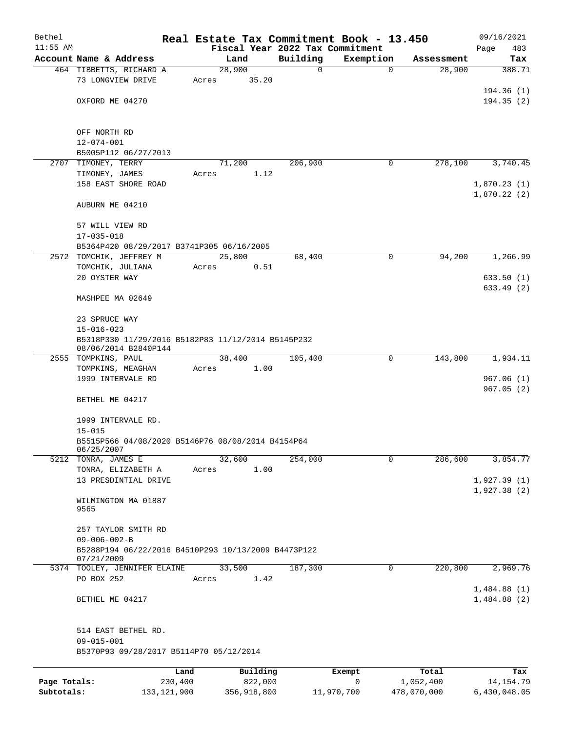| Bethel       |                                                                                           |         |                |          |               | Real Estate Tax Commitment Book - 13.450 |                      | 09/16/2021                 |
|--------------|-------------------------------------------------------------------------------------------|---------|----------------|----------|---------------|------------------------------------------|----------------------|----------------------------|
| $11:55$ AM   | Account Name & Address                                                                    |         |                |          |               | Fiscal Year 2022 Tax Commitment          |                      | Page<br>483                |
|              | 464 TIBBETTS, RICHARD A                                                                   |         | Land<br>28,900 |          | Building<br>0 | Exemption<br>0                           | Assessment<br>28,900 | Tax<br>388.71              |
|              | 73 LONGVIEW DRIVE                                                                         | Acres   |                | 35.20    |               |                                          |                      | 194.36 (1)                 |
|              | OXFORD ME 04270                                                                           |         |                |          |               |                                          |                      | 194.35(2)                  |
|              | OFF NORTH RD                                                                              |         |                |          |               |                                          |                      |                            |
|              | $12 - 074 - 001$<br>B5005P112 06/27/2013                                                  |         |                |          |               |                                          |                      |                            |
|              | 2707 TIMONEY, TERRY                                                                       |         | 71,200         |          | 206,900       | 0                                        | 278,100              | 3,740.45                   |
|              | TIMONEY, JAMES                                                                            | Acres   |                | 1.12     |               |                                          |                      |                            |
|              | 158 EAST SHORE ROAD                                                                       |         |                |          |               |                                          |                      | 1,870.23(1)<br>1,870.22(2) |
|              | AUBURN ME 04210                                                                           |         |                |          |               |                                          |                      |                            |
|              | 57 WILL VIEW RD<br>$17 - 035 - 018$                                                       |         |                |          |               |                                          |                      |                            |
|              | B5364P420 08/29/2017 B3741P305 06/16/2005                                                 |         |                |          |               |                                          |                      |                            |
|              | 2572 TOMCHIK, JEFFREY M                                                                   |         | 25,800         |          | 68,400        | 0                                        | 94,200               | 1,266.99                   |
|              | TOMCHIK, JULIANA                                                                          | Acres   |                | 0.51     |               |                                          |                      | 633.50(1)                  |
|              | 20 OYSTER WAY<br>MASHPEE MA 02649                                                         |         |                |          |               |                                          |                      | 633.49 (2)                 |
|              | 23 SPRUCE WAY                                                                             |         |                |          |               |                                          |                      |                            |
|              | $15 - 016 - 023$                                                                          |         |                |          |               |                                          |                      |                            |
|              | B5318P330 11/29/2016 B5182P83 11/12/2014 B5145P232<br>08/06/2014 B2840P144                |         |                |          |               |                                          |                      |                            |
|              | 2555 TOMPKINS, PAUL                                                                       |         | 38,400         |          | 105,400       | $\mathbf 0$                              | 143,800              | 1,934.11                   |
|              | TOMPKINS, MEAGHAN                                                                         | Acres   |                | 1.00     |               |                                          |                      |                            |
|              | 1999 INTERVALE RD                                                                         |         |                |          |               |                                          |                      | 967.06(1)<br>967.05(2)     |
|              | BETHEL ME 04217                                                                           |         |                |          |               |                                          |                      |                            |
|              | 1999 INTERVALE RD.<br>$15 - 015$                                                          |         |                |          |               |                                          |                      |                            |
|              | B5515P566 04/08/2020 B5146P76 08/08/2014 B4154P64<br>06/25/2007                           |         |                |          |               |                                          |                      |                            |
| 5212         | TONRA, JAMES E                                                                            |         | 32,600         |          | 254,000       | 0                                        | 286,600              | 3,854.77                   |
|              | TONRA, ELIZABETH A<br>13 PRESDINTIAL DRIVE                                                | Acres   |                | 1.00     |               |                                          |                      | 1,927.39(1)                |
|              |                                                                                           |         |                |          |               |                                          |                      | 1,927.38(2)                |
|              | WILMINGTON MA 01887<br>9565                                                               |         |                |          |               |                                          |                      |                            |
|              | 257 TAYLOR SMITH RD                                                                       |         |                |          |               |                                          |                      |                            |
|              | $09 - 006 - 002 - B$<br>B5288P194 06/22/2016 B4510P293 10/13/2009 B4473P122<br>07/21/2009 |         |                |          |               |                                          |                      |                            |
|              | 5374 TOOLEY, JENNIFER ELAINE                                                              |         | 33,500         |          | 187,300       | 0                                        | 220,800              | 2,969.76                   |
|              | PO BOX 252                                                                                | Acres   |                | 1.42     |               |                                          |                      |                            |
|              | BETHEL ME 04217                                                                           |         |                |          |               |                                          |                      | 1,484.88(1)<br>1,484.88(2) |
|              | 514 EAST BETHEL RD.<br>$09 - 015 - 001$                                                   |         |                |          |               |                                          |                      |                            |
|              | B5370P93 09/28/2017 B5114P70 05/12/2014                                                   |         |                |          |               |                                          |                      |                            |
|              |                                                                                           | Land    |                | Building |               | Exempt                                   | Total                | Tax                        |
| Page Totals: |                                                                                           | 230,400 |                | 822,000  |               | 0                                        | 1,052,400            | 14, 154. 79                |
| Subtotals:   | 133, 121, 900                                                                             |         | 356,918,800    |          |               | 11,970,700                               | 478,070,000          | 6,430,048.05               |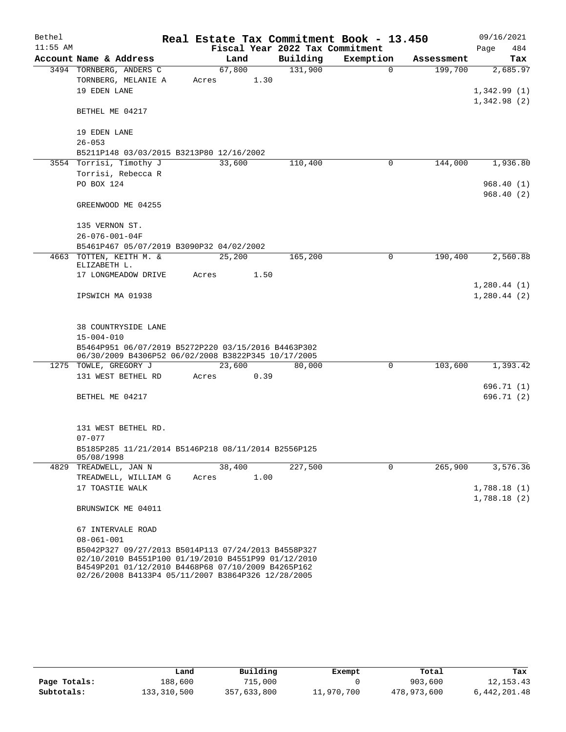| Bethel     |                                                     |        | Real Estate Tax Commitment Book - 13.450 |             |            | 09/16/2021  |
|------------|-----------------------------------------------------|--------|------------------------------------------|-------------|------------|-------------|
| $11:55$ AM |                                                     |        | Fiscal Year 2022 Tax Commitment          |             |            | 484<br>Page |
|            | Account Name & Address                              | Land   | Building                                 | Exemption   | Assessment | Tax         |
|            | 3494 TORNBERG, ANDERS C                             | 67,800 | 131,900                                  | 0           | 199,700    | 2,685.97    |
|            | TORNBERG, MELANIE A                                 | Acres  | 1.30                                     |             |            |             |
|            | 19 EDEN LANE                                        |        |                                          |             |            | 1,342.99(1) |
|            | BETHEL ME 04217                                     |        |                                          |             |            | 1,342.98(2) |
|            |                                                     |        |                                          |             |            |             |
|            | 19 EDEN LANE                                        |        |                                          |             |            |             |
|            | $26 - 053$                                          |        |                                          |             |            |             |
|            | B5211P148 03/03/2015 B3213P80 12/16/2002            |        |                                          |             |            |             |
|            | 3554 Torrisi, Timothy J                             | 33,600 | 110,400                                  | 0           | 144,000    | 1,936.80    |
|            | Torrisi, Rebecca R                                  |        |                                          |             |            |             |
|            | PO BOX 124                                          |        |                                          |             |            | 968.40(1)   |
|            | GREENWOOD ME 04255                                  |        |                                          |             |            | 968.40(2)   |
|            |                                                     |        |                                          |             |            |             |
|            | 135 VERNON ST.                                      |        |                                          |             |            |             |
|            | $26 - 076 - 001 - 04F$                              |        |                                          |             |            |             |
|            | B5461P467 05/07/2019 B3090P32 04/02/2002            |        |                                          |             |            |             |
|            | 4663 TOTTEN, KEITH M. &                             | 25,200 | 165,200                                  | 0           | 190,400    | 2,560.88    |
|            | ELIZABETH L.                                        |        |                                          |             |            |             |
|            | 17 LONGMEADOW DRIVE                                 | Acres  | 1.50                                     |             |            |             |
|            |                                                     |        |                                          |             |            | 1,280.44(1) |
|            | IPSWICH MA 01938                                    |        |                                          |             |            | 1,280.44(2) |
|            |                                                     |        |                                          |             |            |             |
|            | 38 COUNTRYSIDE LANE                                 |        |                                          |             |            |             |
|            | $15 - 004 - 010$                                    |        |                                          |             |            |             |
|            | B5464P951 06/07/2019 B5272P220 03/15/2016 B4463P302 |        |                                          |             |            |             |
|            | 06/30/2009 B4306P52 06/02/2008 B3822P345 10/17/2005 |        |                                          |             |            |             |
|            | 1275 TOWLE, GREGORY J                               | 23,600 | 80,000                                   | $\mathbf 0$ | 103,600    | 1,393.42    |
|            | 131 WEST BETHEL RD                                  | Acres  | 0.39                                     |             |            |             |
|            |                                                     |        |                                          |             |            | 696.71 (1)  |
|            | BETHEL ME 04217                                     |        |                                          |             |            | 696.71 (2)  |
|            |                                                     |        |                                          |             |            |             |
|            | 131 WEST BETHEL RD.                                 |        |                                          |             |            |             |
|            | $07 - 077$                                          |        |                                          |             |            |             |
|            | B5185P285 11/21/2014 B5146P218 08/11/2014 B2556P125 |        |                                          |             |            |             |
|            | 05/08/1998                                          |        |                                          |             |            |             |
|            | 4829 TREADWELL, JAN N                               | 38,400 | 227,500                                  | $\Omega$    | 265,900    | 3,576.36    |
|            | TREADWELL, WILLIAM G                                | Acres  | 1.00                                     |             |            |             |
|            | 17 TOASTIE WALK                                     |        |                                          |             |            | 1,788.18(1) |
|            |                                                     |        |                                          |             |            | 1,788.18(2) |
|            | BRUNSWICK ME 04011                                  |        |                                          |             |            |             |
|            | 67 INTERVALE ROAD                                   |        |                                          |             |            |             |
|            | $08 - 061 - 001$                                    |        |                                          |             |            |             |
|            | B5042P327 09/27/2013 B5014P113 07/24/2013 B4558P327 |        |                                          |             |            |             |
|            | 02/10/2010 B4551P100 01/19/2010 B4551P99 01/12/2010 |        |                                          |             |            |             |
|            | B4549P201 01/12/2010 B4468P68 07/10/2009 B4265P162  |        |                                          |             |            |             |
|            | 02/26/2008 B4133P4 05/11/2007 B3864P326 12/28/2005  |        |                                          |             |            |             |

|              | Land        | Building    | Exempt     | Total       | Tax          |
|--------------|-------------|-------------|------------|-------------|--------------|
| Page Totals: | 188,600     | 715,000     |            | 903,600     | 12, 153. 43  |
| Subtotals:   | 133,310,500 | 357,633,800 | 11,970,700 | 478,973,600 | 6,442,201.48 |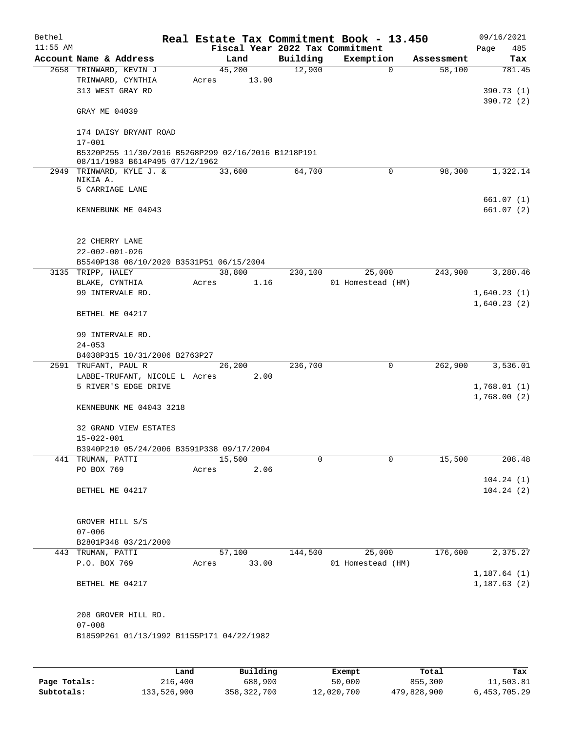| Bethel     |                                                                                       |       |             |         | Real Estate Tax Commitment Book - 13.450 |                         | 09/16/2021                 |
|------------|---------------------------------------------------------------------------------------|-------|-------------|---------|------------------------------------------|-------------------------|----------------------------|
| $11:55$ AM |                                                                                       |       |             |         | Fiscal Year 2022 Tax Commitment          |                         | 485<br>Page                |
|            | Account Name & Address                                                                |       | Land        |         | Building Exemption                       | Assessment              | Tax                        |
|            | 2658 TRINWARD, KEVIN J                                                                |       | 45,200      | 12,900  |                                          | $\Omega$<br>58,100      | 781.45                     |
|            | TRINWARD, CYNTHIA                                                                     |       | Acres 13.90 |         |                                          |                         |                            |
|            | 313 WEST GRAY RD                                                                      |       |             |         |                                          |                         | 390.73(1)                  |
|            | GRAY ME 04039                                                                         |       |             |         |                                          |                         | 390.72(2)                  |
|            | 174 DAISY BRYANT ROAD                                                                 |       |             |         |                                          |                         |                            |
|            | $17 - 001$                                                                            |       |             |         |                                          |                         |                            |
|            | B5320P255 11/30/2016 B5268P299 02/16/2016 B1218P191<br>08/11/1983 B614P495 07/12/1962 |       |             |         |                                          |                         |                            |
|            | 2949 TRINWARD, KYLE J. & 33,600<br>NIKIA A.                                           |       |             | 64,700  |                                          | $\mathbf 0$<br>98,300   | 1,322.14                   |
|            | 5 CARRIAGE LANE                                                                       |       |             |         |                                          |                         |                            |
|            | KENNEBUNK ME 04043                                                                    |       |             |         |                                          |                         | 661.07(1)<br>661.07(2)     |
|            | 22 CHERRY LANE                                                                        |       |             |         |                                          |                         |                            |
|            | $22 - 002 - 001 - 026$                                                                |       |             |         |                                          |                         |                            |
|            | B5540P138 08/10/2020 B3531P51 06/15/2004                                              |       |             |         |                                          |                         |                            |
|            | 3135 TRIPP, HALEY                                                                     |       | 38,800      | 230,100 | 25,000                                   |                         | 243,900 3,280.46           |
|            | BLAKE, CYNTHIA                                                                        | Acres | 1.16        |         | 01 Homestead (HM)                        |                         |                            |
|            | 99 INTERVALE RD.                                                                      |       |             |         |                                          |                         | 1,640.23(1)                |
|            | BETHEL ME 04217                                                                       |       |             |         |                                          |                         | 1,640.23(2)                |
|            | 99 INTERVALE RD.                                                                      |       |             |         |                                          |                         |                            |
|            | $24 - 053$                                                                            |       |             |         |                                          |                         |                            |
|            | B4038P315 10/31/2006 B2763P27                                                         |       |             |         |                                          |                         |                            |
|            | 2591 TRUFANT, PAUL R                                                                  |       | 26,200      | 236,700 |                                          | $\mathsf{O}$<br>262,900 | 3,536.01                   |
|            | LABBE-TRUFANT, NICOLE L Acres 2.00                                                    |       |             |         |                                          |                         |                            |
|            | 5 RIVER'S EDGE DRIVE                                                                  |       |             |         |                                          |                         | 1,768.01(1)<br>1,768.00(2) |
|            | KENNEBUNK ME 04043 3218                                                               |       |             |         |                                          |                         |                            |
|            | 32 GRAND VIEW ESTATES<br>15-022-001                                                   |       |             |         |                                          |                         |                            |
|            | B3940P210 05/24/2006 B3591P338 09/17/2004                                             |       |             |         |                                          |                         |                            |
|            | 441 TRUMAN, PATTI                                                                     |       | 15,500      | 0       |                                          | 0<br>15,500             | 208.48                     |
|            | PO BOX 769                                                                            | Acres | 2.06        |         |                                          |                         |                            |
|            | BETHEL ME 04217                                                                       |       |             |         |                                          |                         | 104.24(1)<br>104.24(2)     |
|            | GROVER HILL S/S<br>$07 - 006$                                                         |       |             |         |                                          |                         |                            |
|            | B2801P348 03/21/2000                                                                  |       |             |         |                                          |                         |                            |
|            | 443 TRUMAN, PATTI                                                                     |       | 57,100      | 144,500 | 25,000                                   | 176,600                 | 2,375.27                   |
|            | P.O. BOX 769                                                                          | Acres | 33.00       |         | 01 Homestead (HM)                        |                         | 1,187.64(1)                |
|            | BETHEL ME 04217                                                                       |       |             |         |                                          |                         | 1, 187.63(2)               |
|            | 208 GROVER HILL RD.<br>$07 - 008$<br>B1859P261 01/13/1992 B1155P171 04/22/1982        |       |             |         |                                          |                         |                            |
|            |                                                                                       |       |             |         |                                          |                         |                            |

|              | Land        | Building      | Exempt     | Total       | Tax          |
|--------------|-------------|---------------|------------|-------------|--------------|
| Page Totals: | 216,400     | 688,900       | 50,000     | 855,300     | 11,503.81    |
| Subtotals:   | 133,526,900 | 358, 322, 700 | 12,020,700 | 479,828,900 | 6,453,705.29 |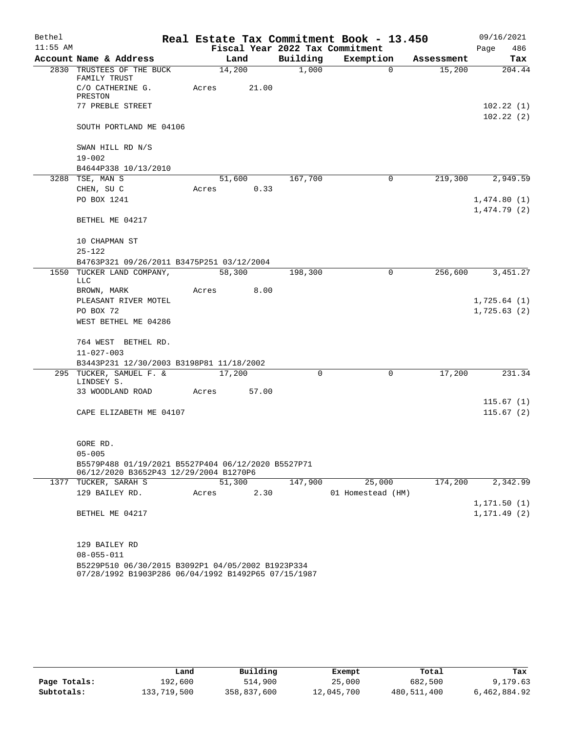| Bethel     |                                                                                                          |  |       |        |          | Real Estate Tax Commitment Book - 13.450 |            | 09/16/2021                 |
|------------|----------------------------------------------------------------------------------------------------------|--|-------|--------|----------|------------------------------------------|------------|----------------------------|
| $11:55$ AM |                                                                                                          |  |       |        |          | Fiscal Year 2022 Tax Commitment          |            | 486<br>Page                |
|            | Account Name & Address                                                                                   |  |       | Land   | Building | Exemption                                | Assessment | Tax                        |
|            | 2830 TRUSTEES OF THE BUCK<br>FAMILY TRUST                                                                |  |       | 14,200 | 1,000    | $\Omega$                                 | 15,200     | 204.44                     |
|            | C/O CATHERINE G.<br>PRESTON                                                                              |  | Acres | 21.00  |          |                                          |            |                            |
|            | 77 PREBLE STREET                                                                                         |  |       |        |          |                                          |            | 102.22(1)                  |
|            | SOUTH PORTLAND ME 04106                                                                                  |  |       |        |          |                                          |            | 102.22(2)                  |
|            | SWAN HILL RD N/S<br>$19 - 002$                                                                           |  |       |        |          |                                          |            |                            |
|            | B4644P338 10/13/2010                                                                                     |  |       |        |          |                                          |            |                            |
|            | 3288 TSE, MAN S                                                                                          |  |       | 51,600 | 167,700  | 0                                        | 219,300    | 2,949.59                   |
|            | CHEN, SU C                                                                                               |  | Acres | 0.33   |          |                                          |            |                            |
|            | PO BOX 1241                                                                                              |  |       |        |          |                                          |            | 1,474.80(1)<br>1,474.79(2) |
|            | BETHEL ME 04217                                                                                          |  |       |        |          |                                          |            |                            |
|            | 10 CHAPMAN ST<br>$25 - 122$                                                                              |  |       |        |          |                                          |            |                            |
|            | B4763P321 09/26/2011 B3475P251 03/12/2004                                                                |  |       |        |          |                                          |            |                            |
|            | 1550 TUCKER LAND COMPANY,<br><b>LLC</b>                                                                  |  |       | 58,300 | 198,300  | 0                                        | 256,600    | 3, 451.27                  |
|            | BROWN, MARK                                                                                              |  | Acres | 8.00   |          |                                          |            |                            |
|            | PLEASANT RIVER MOTEL                                                                                     |  |       |        |          |                                          |            | 1,725.64(1)                |
|            | PO BOX 72                                                                                                |  |       |        |          |                                          |            | 1,725.63(2)                |
|            | WEST BETHEL ME 04286                                                                                     |  |       |        |          |                                          |            |                            |
|            | 764 WEST BETHEL RD.                                                                                      |  |       |        |          |                                          |            |                            |
|            | $11 - 027 - 003$                                                                                         |  |       |        |          |                                          |            |                            |
|            | B3443P231 12/30/2003 B3198P81 11/18/2002                                                                 |  |       |        |          |                                          |            |                            |
|            | 295 TUCKER, SAMUEL F. &<br>LINDSEY S.                                                                    |  |       | 17,200 | $\Omega$ | $\mathbf 0$                              | 17,200     | 231.34                     |
|            | 33 WOODLAND ROAD                                                                                         |  | Acres | 57.00  |          |                                          |            |                            |
|            |                                                                                                          |  |       |        |          |                                          |            | 115.67(1)                  |
|            | CAPE ELIZABETH ME 04107                                                                                  |  |       |        |          |                                          |            | 115.67(2)                  |
|            | GORE RD.                                                                                                 |  |       |        |          |                                          |            |                            |
|            | $05 - 005$                                                                                               |  |       |        |          |                                          |            |                            |
|            | B5579P488 01/19/2021 B5527P404 06/12/2020 B5527P71<br>06/12/2020 B3652P43 12/29/2004 B1270P6             |  |       |        |          |                                          |            |                            |
|            | 1377 TUCKER, SARAH S                                                                                     |  |       | 51,300 | 147,900  | 25,000                                   | 174,200    | 2,342.99                   |
|            | 129 BAILEY RD.                                                                                           |  | Acres | 2.30   |          | 01 Homestead (HM)                        |            |                            |
|            |                                                                                                          |  |       |        |          |                                          |            | 1, 171.50(1)               |
|            | BETHEL ME 04217                                                                                          |  |       |        |          |                                          |            | 1, 171.49(2)               |
|            | 129 BAILEY RD                                                                                            |  |       |        |          |                                          |            |                            |
|            | $08 - 055 - 011$                                                                                         |  |       |        |          |                                          |            |                            |
|            | B5229P510 06/30/2015 B3092P1 04/05/2002 B1923P334<br>07/28/1992 B1903P286 06/04/1992 B1492P65 07/15/1987 |  |       |        |          |                                          |            |                            |

|              | Land        | Building    | Exempt     | Total       | Tax          |  |
|--------------|-------------|-------------|------------|-------------|--------------|--|
| Page Totals: | 192,600     | 514,900     | 25,000     | 682,500     | 9,179.63     |  |
| Subtotals:   | 133,719,500 | 358,837,600 | 12,045,700 | 480,511,400 | 6,462,884.92 |  |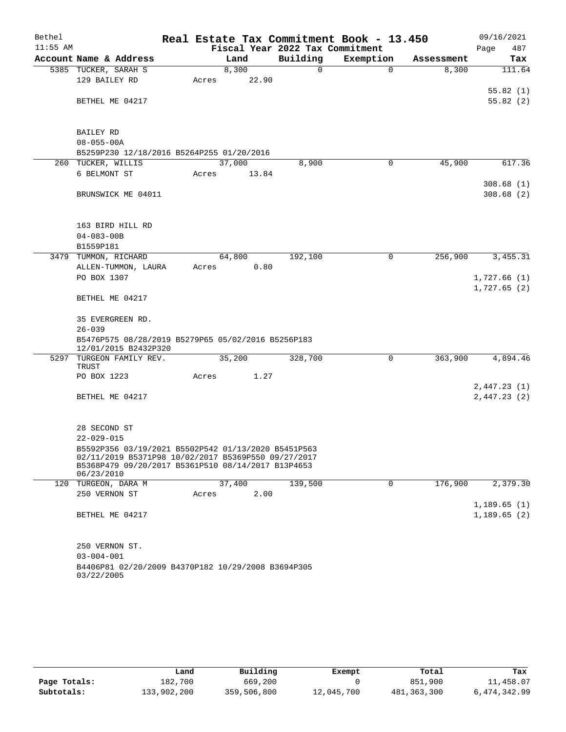| Bethel     |                                                     | Real Estate Tax Commitment Book - 13.450 |                                 |           |            | 09/16/2021  |
|------------|-----------------------------------------------------|------------------------------------------|---------------------------------|-----------|------------|-------------|
| $11:55$ AM |                                                     |                                          | Fiscal Year 2022 Tax Commitment |           |            | 487<br>Page |
|            | Account Name & Address                              | Land                                     | Building                        | Exemption | Assessment | Tax         |
|            | 5385 TUCKER, SARAH S                                | 8,300                                    | $\mathbf 0$                     | $\Omega$  | 8,300      | 111.64      |
|            | 129 BAILEY RD                                       | 22.90<br>Acres                           |                                 |           |            |             |
|            |                                                     |                                          |                                 |           |            | 55.82(1)    |
|            | BETHEL ME 04217                                     |                                          |                                 |           |            | 55.82(2)    |
|            |                                                     |                                          |                                 |           |            |             |
|            | BAILEY RD                                           |                                          |                                 |           |            |             |
|            | $08 - 055 - 00A$                                    |                                          |                                 |           |            |             |
|            | B5259P230 12/18/2016 B5264P255 01/20/2016           |                                          |                                 |           |            |             |
|            | 260 TUCKER, WILLIS                                  | 37,000                                   | 8,900                           | 0         | 45,900     | 617.36      |
|            | 6 BELMONT ST                                        | Acres<br>13.84                           |                                 |           |            |             |
|            |                                                     |                                          |                                 |           |            | 308.68(1)   |
|            | BRUNSWICK ME 04011                                  |                                          |                                 |           |            | 308.68(2)   |
|            |                                                     |                                          |                                 |           |            |             |
|            | 163 BIRD HILL RD                                    |                                          |                                 |           |            |             |
|            | $04 - 083 - 00B$                                    |                                          |                                 |           |            |             |
|            | B1559P181                                           |                                          |                                 |           |            |             |
|            | 3479 TUMMON, RICHARD                                | 64,800                                   | 192,100                         | 0         | 256,900    | 3,455.31    |
|            | ALLEN-TUMMON, LAURA                                 | 0.80<br>Acres                            |                                 |           |            |             |
|            | PO BOX 1307                                         |                                          |                                 |           |            | 1,727.66(1) |
|            | BETHEL ME 04217                                     |                                          |                                 |           |            | 1,727.65(2) |
|            |                                                     |                                          |                                 |           |            |             |
|            | 35 EVERGREEN RD.                                    |                                          |                                 |           |            |             |
|            | $26 - 039$                                          |                                          |                                 |           |            |             |
|            | B5476P575 08/28/2019 B5279P65 05/02/2016 B5256P183  |                                          |                                 |           |            |             |
|            | 12/01/2015 B2432P320                                |                                          |                                 |           |            |             |
|            | 5297 TURGEON FAMILY REV.<br>TRUST                   | 35,200                                   | 328,700                         | 0         | 363,900    | 4,894.46    |
|            | PO BOX 1223                                         | 1.27<br>Acres                            |                                 |           |            |             |
|            |                                                     |                                          |                                 |           |            | 2,447.23(1) |
|            | BETHEL ME 04217                                     |                                          |                                 |           |            | 2,447.23(2) |
|            |                                                     |                                          |                                 |           |            |             |
|            |                                                     |                                          |                                 |           |            |             |
|            | 28 SECOND ST<br>$22 - 029 - 015$                    |                                          |                                 |           |            |             |
|            | B5592P356 03/19/2021 B5502P542 01/13/2020 B5451P563 |                                          |                                 |           |            |             |
|            | 02/11/2019 B5371P98 10/02/2017 B5369P550 09/27/2017 |                                          |                                 |           |            |             |
|            | B5368P479 09/20/2017 B5361P510 08/14/2017 B13P4653  |                                          |                                 |           |            |             |
|            | 06/23/2010<br>120 TURGEON, DARA M                   | 37,400                                   | 139,500                         | 0         | 176,900    | 2,379.30    |
|            | 250 VERNON ST                                       | 2.00<br>Acres                            |                                 |           |            |             |
|            |                                                     |                                          |                                 |           |            | 1,189.65(1) |
|            | BETHEL ME 04217                                     |                                          |                                 |           |            | 1,189.65(2) |
|            |                                                     |                                          |                                 |           |            |             |
|            |                                                     |                                          |                                 |           |            |             |
|            | 250 VERNON ST.                                      |                                          |                                 |           |            |             |
|            | $03 - 004 - 001$                                    |                                          |                                 |           |            |             |
|            | B4406P81 02/20/2009 B4370P182 10/29/2008 B3694P305  |                                          |                                 |           |            |             |

| 03/22/2005 |  |
|------------|--|
|            |  |

|              | Land        | Building    | Exempt     | Total         | Tax          |
|--------------|-------------|-------------|------------|---------------|--------------|
| Page Totals: | 182,700     | 669,200     |            | 851,900       | 11,458.07    |
| Subtotals:   | 133,902,200 | 359,506,800 | 12,045,700 | 481, 363, 300 | 6,474,342.99 |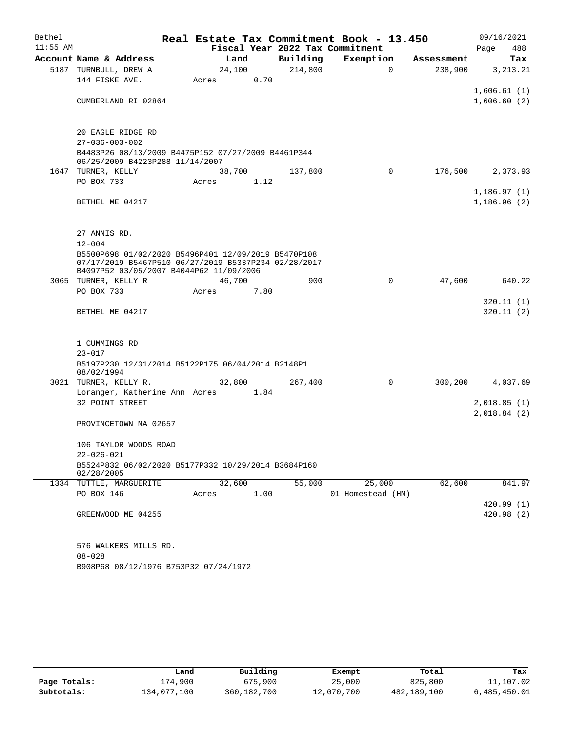| Bethel     |                                                                                       |                                                   |      |          | Real Estate Tax Commitment Book - 13.450 |            | 09/16/2021  |  |  |  |
|------------|---------------------------------------------------------------------------------------|---------------------------------------------------|------|----------|------------------------------------------|------------|-------------|--|--|--|
| $11:55$ AM |                                                                                       |                                                   |      |          | Fiscal Year 2022 Tax Commitment          |            | Page<br>488 |  |  |  |
|            | Account Name & Address                                                                | Land                                              |      | Building | Exemption                                | Assessment | Tax         |  |  |  |
|            | 5187 TURNBULL, DREW A                                                                 | 24,100                                            |      | 214,800  | $\mathbf 0$                              | 238,900    | 3, 213. 21  |  |  |  |
|            | 144 FISKE AVE.                                                                        | Acres                                             | 0.70 |          |                                          |            |             |  |  |  |
|            |                                                                                       |                                                   |      |          |                                          |            | 1,606.61(1) |  |  |  |
|            | CUMBERLAND RI 02864                                                                   |                                                   |      |          |                                          |            | 1,606.60(2) |  |  |  |
|            |                                                                                       |                                                   |      |          |                                          |            |             |  |  |  |
|            | 20 EAGLE RIDGE RD                                                                     |                                                   |      |          |                                          |            |             |  |  |  |
|            | $27 - 036 - 003 - 002$                                                                |                                                   |      |          |                                          |            |             |  |  |  |
|            | B4483P26 08/13/2009 B4475P152 07/27/2009 B4461P344<br>06/25/2009 B4223P288 11/14/2007 |                                                   |      |          |                                          |            |             |  |  |  |
|            | 1647 TURNER, KELLY                                                                    | 38,700                                            |      | 137,800  | $\mathbf 0$                              | 176,500    | 2,373.93    |  |  |  |
|            | PO BOX 733                                                                            | Acres                                             | 1.12 |          |                                          |            |             |  |  |  |
|            |                                                                                       |                                                   |      |          |                                          |            | 1,186.97(1) |  |  |  |
|            | BETHEL ME 04217                                                                       |                                                   |      |          |                                          |            | 1,186.96(2) |  |  |  |
|            |                                                                                       |                                                   |      |          |                                          |            |             |  |  |  |
|            | 27 ANNIS RD.                                                                          |                                                   |      |          |                                          |            |             |  |  |  |
|            | $12 - 004$                                                                            |                                                   |      |          |                                          |            |             |  |  |  |
|            | B5500P698 01/02/2020 B5496P401 12/09/2019 B5470P108                                   |                                                   |      |          |                                          |            |             |  |  |  |
|            | 07/17/2019 B5467P510 06/27/2019 B5337P234 02/28/2017                                  |                                                   |      |          |                                          |            |             |  |  |  |
|            | B4097P52 03/05/2007 B4044P62 11/09/2006<br>3065 TURNER, KELLY R                       | 46,700                                            |      | 900      | 0                                        | 47,600     | 640.22      |  |  |  |
|            | PO BOX 733                                                                            | Acres                                             | 7.80 |          |                                          |            |             |  |  |  |
|            |                                                                                       |                                                   |      |          |                                          |            | 320.11 (1)  |  |  |  |
|            | BETHEL ME 04217                                                                       |                                                   |      |          |                                          |            | 320.11(2)   |  |  |  |
|            |                                                                                       |                                                   |      |          |                                          |            |             |  |  |  |
|            |                                                                                       |                                                   |      |          |                                          |            |             |  |  |  |
|            | 1 CUMMINGS RD                                                                         |                                                   |      |          |                                          |            |             |  |  |  |
|            | $23 - 017$                                                                            |                                                   |      |          |                                          |            |             |  |  |  |
|            | 08/02/1994                                                                            | B5197P230 12/31/2014 B5122P175 06/04/2014 B2148P1 |      |          |                                          |            |             |  |  |  |
|            | 3021 TURNER, KELLY R.                                                                 | 32,800                                            |      | 267,400  | $\Omega$                                 | 300,200    | 4,037.69    |  |  |  |
|            | Loranger, Katherine Ann Acres                                                         |                                                   | 1.84 |          |                                          |            |             |  |  |  |
|            | 32 POINT STREET                                                                       |                                                   |      |          |                                          |            | 2,018.85(1) |  |  |  |
|            |                                                                                       |                                                   |      |          |                                          |            | 2,018.84(2) |  |  |  |
|            | PROVINCETOWN MA 02657                                                                 |                                                   |      |          |                                          |            |             |  |  |  |
|            | 106 TAYLOR WOODS ROAD                                                                 |                                                   |      |          |                                          |            |             |  |  |  |
|            | $22 - 026 - 021$                                                                      |                                                   |      |          |                                          |            |             |  |  |  |
|            | B5524P832 06/02/2020 B5177P332 10/29/2014 B3684P160                                   |                                                   |      |          |                                          |            |             |  |  |  |
|            | 02/28/2005                                                                            |                                                   |      |          |                                          |            |             |  |  |  |
|            | 1334 TUTTLE, MARGUERITE                                                               | 32,600                                            |      | 55,000   | 25,000                                   | 62,600     | 841.97      |  |  |  |
|            | PO BOX 146                                                                            | Acres                                             | 1.00 |          | 01 Homestead (HM)                        |            | 420.99(1)   |  |  |  |
|            | GREENWOOD ME 04255                                                                    |                                                   |      |          |                                          |            | 420.98 (2)  |  |  |  |
|            |                                                                                       |                                                   |      |          |                                          |            |             |  |  |  |
|            | 576 WALKERS MILLS RD.                                                                 |                                                   |      |          |                                          |            |             |  |  |  |
|            | $08 - 028$                                                                            |                                                   |      |          |                                          |            |             |  |  |  |
|            | B908P68 08/12/1976 B753P32 07/24/1972                                                 |                                                   |      |          |                                          |            |             |  |  |  |

|              | Land        | Building    | Exempt     | Total       | Tax          |
|--------------|-------------|-------------|------------|-------------|--------------|
| Page Totals: | 174,900     | 675,900     | 25,000     | 825,800     | 11,107.02    |
| Subtotals:   | 134,077,100 | 360,182,700 | 12,070,700 | 482,189,100 | 6,485,450.01 |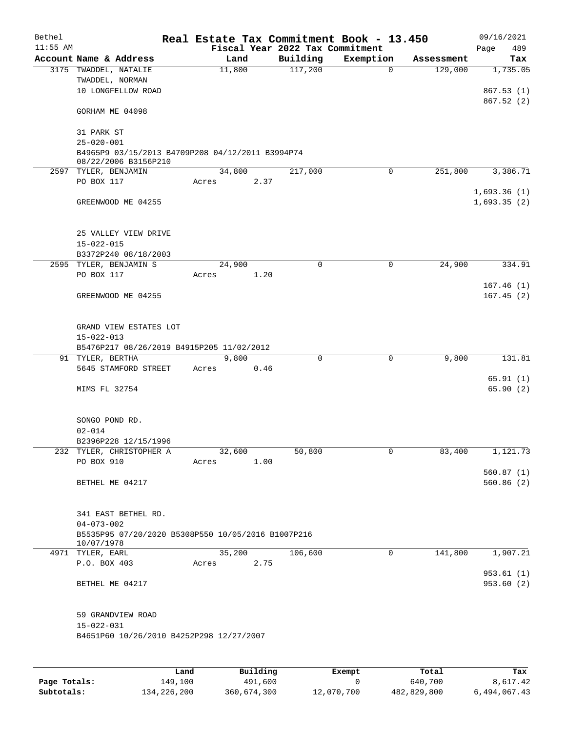| Bethel     |                                                                          |        |          |                                 | Real Estate Tax Commitment Book - 13.450 |            | 09/16/2021  |
|------------|--------------------------------------------------------------------------|--------|----------|---------------------------------|------------------------------------------|------------|-------------|
| $11:55$ AM |                                                                          |        |          | Fiscal Year 2022 Tax Commitment |                                          |            | 489<br>Page |
|            | Account Name & Address                                                   | Land   |          | Building                        | Exemption                                | Assessment | Tax         |
|            | 3175 TWADDEL, NATALIE                                                    | 11,800 |          | 117,200                         | $\mathbf 0$                              | 129,000    | 1,735.05    |
|            | TWADDEL, NORMAN                                                          |        |          |                                 |                                          |            |             |
|            | 10 LONGFELLOW ROAD                                                       |        |          |                                 |                                          |            | 867.53(1)   |
|            | GORHAM ME 04098                                                          |        |          |                                 |                                          |            | 867.52(2)   |
|            |                                                                          |        |          |                                 |                                          |            |             |
|            | 31 PARK ST                                                               |        |          |                                 |                                          |            |             |
|            | $25 - 020 - 001$                                                         |        |          |                                 |                                          |            |             |
|            | B4965P9 03/15/2013 B4709P208 04/12/2011 B3994P74<br>08/22/2006 B3156P210 |        |          |                                 |                                          |            |             |
|            | 2597 TYLER, BENJAMIN                                                     | 34,800 |          | 217,000                         | 0                                        | 251,800    | 3,386.71    |
|            | PO BOX 117                                                               | Acres  | 2.37     |                                 |                                          |            |             |
|            |                                                                          |        |          |                                 |                                          |            | 1,693.36(1) |
|            | GREENWOOD ME 04255                                                       |        |          |                                 |                                          |            | 1,693.35(2) |
|            |                                                                          |        |          |                                 |                                          |            |             |
|            |                                                                          |        |          |                                 |                                          |            |             |
|            | 25 VALLEY VIEW DRIVE                                                     |        |          |                                 |                                          |            |             |
|            | $15 - 022 - 015$                                                         |        |          |                                 |                                          |            |             |
|            | B3372P240 08/18/2003                                                     |        |          |                                 |                                          |            |             |
|            | 2595 TYLER, BENJAMIN S                                                   | 24,900 |          | 0                               | 0                                        | 24,900     | 334.91      |
|            | PO BOX 117                                                               | Acres  | 1.20     |                                 |                                          |            |             |
|            |                                                                          |        |          |                                 |                                          |            | 167.46(1)   |
|            | GREENWOOD ME 04255                                                       |        |          |                                 |                                          |            | 167.45(2)   |
|            |                                                                          |        |          |                                 |                                          |            |             |
|            | GRAND VIEW ESTATES LOT                                                   |        |          |                                 |                                          |            |             |
|            | $15 - 022 - 013$                                                         |        |          |                                 |                                          |            |             |
|            | B5476P217 08/26/2019 B4915P205 11/02/2012                                |        |          |                                 |                                          |            |             |
|            | 91 TYLER, BERTHA                                                         | 9,800  |          | 0                               | $\mathbf 0$                              | 9,800      | 131.81      |
|            | 5645 STAMFORD STREET                                                     | Acres  | 0.46     |                                 |                                          |            |             |
|            |                                                                          |        |          |                                 |                                          |            | 65.91(1)    |
|            | MIMS FL 32754                                                            |        |          |                                 |                                          |            | 65.90 (2)   |
|            |                                                                          |        |          |                                 |                                          |            |             |
|            | SONGO POND RD.                                                           |        |          |                                 |                                          |            |             |
|            | $02 - 014$                                                               |        |          |                                 |                                          |            |             |
|            | B2396P228 12/15/1996                                                     |        |          |                                 |                                          |            |             |
|            | 232 TYLER, CHRISTOPHER A                                                 | 32,600 |          | 50,800                          | 0                                        | 83,400     | 1,121.73    |
|            | PO BOX 910                                                               | Acres  | 1.00     |                                 |                                          |            |             |
|            |                                                                          |        |          |                                 |                                          |            | 560.87(1)   |
|            | BETHEL ME 04217                                                          |        |          |                                 |                                          |            | 560.86(2)   |
|            |                                                                          |        |          |                                 |                                          |            |             |
|            |                                                                          |        |          |                                 |                                          |            |             |
|            | 341 EAST BETHEL RD.                                                      |        |          |                                 |                                          |            |             |
|            | $04 - 073 - 002$                                                         |        |          |                                 |                                          |            |             |
|            | B5535P95 07/20/2020 B5308P550 10/05/2016 B1007P216<br>10/07/1978         |        |          |                                 |                                          |            |             |
|            | 4971 TYLER, EARL                                                         | 35,200 |          | 106,600                         | $\mathbf 0$                              | 141,800    | 1,907.21    |
|            | P.O. BOX 403                                                             | Acres  | 2.75     |                                 |                                          |            |             |
|            |                                                                          |        |          |                                 |                                          |            | 953.61(1)   |
|            | BETHEL ME 04217                                                          |        |          |                                 |                                          |            | 953.60(2)   |
|            |                                                                          |        |          |                                 |                                          |            |             |
|            |                                                                          |        |          |                                 |                                          |            |             |
|            | 59 GRANDVIEW ROAD                                                        |        |          |                                 |                                          |            |             |
|            | $15 - 022 - 031$                                                         |        |          |                                 |                                          |            |             |
|            | B4651P60 10/26/2010 B4252P298 12/27/2007                                 |        |          |                                 |                                          |            |             |
|            |                                                                          |        |          |                                 |                                          |            |             |
|            | Land                                                                     |        | Building |                                 | <b>Exempt</b>                            | Total      | Tax         |

|              | Land        | Building    | Exempt     | Total       | Tax          |
|--------------|-------------|-------------|------------|-------------|--------------|
| Page Totals: | 149,100     | 491,600     |            | 640,700     | 8,617.42     |
| Subtotals:   | 134,226,200 | 360,674,300 | 12,070,700 | 482,829,800 | 6,494,067.43 |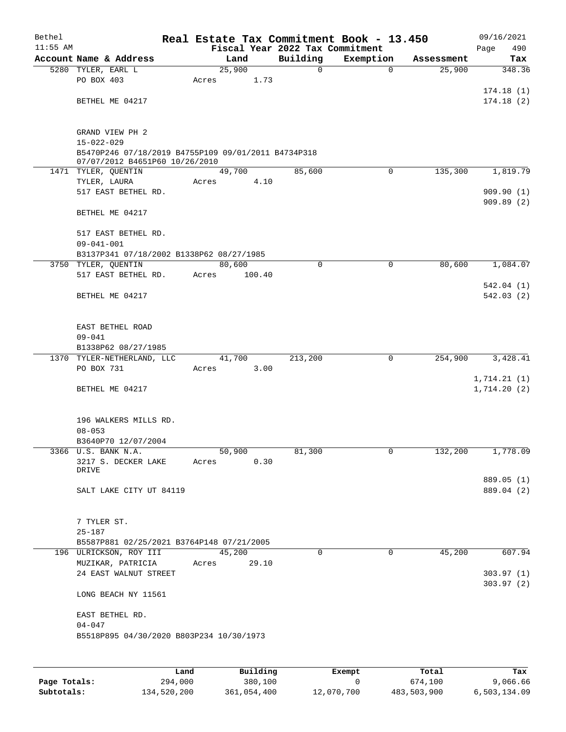| Bethel<br>$11:55$ AM |                                                                                       |       |        | Fiscal Year 2022 Tax Commitment | Real Estate Tax Commitment Book - 13.450 |            | 09/16/2021<br>490<br>Page |
|----------------------|---------------------------------------------------------------------------------------|-------|--------|---------------------------------|------------------------------------------|------------|---------------------------|
|                      | Account Name & Address                                                                |       | Land   | Building                        | Exemption                                | Assessment | Tax                       |
|                      | 5280 TYLER, EARL L                                                                    |       | 25,900 | 0                               | $\mathbf 0$                              | 25,900     | 348.36                    |
|                      | PO BOX 403                                                                            | Acres | 1.73   |                                 |                                          |            |                           |
|                      |                                                                                       |       |        |                                 |                                          |            | 174.18(1)                 |
|                      | BETHEL ME 04217                                                                       |       |        |                                 |                                          |            | 174.18(2)                 |
|                      |                                                                                       |       |        |                                 |                                          |            |                           |
|                      |                                                                                       |       |        |                                 |                                          |            |                           |
|                      | GRAND VIEW PH 2                                                                       |       |        |                                 |                                          |            |                           |
|                      | $15 - 022 - 029$                                                                      |       |        |                                 |                                          |            |                           |
|                      | B5470P246 07/18/2019 B4755P109 09/01/2011 B4734P318<br>07/07/2012 B4651P60 10/26/2010 |       |        |                                 |                                          |            |                           |
|                      | 1471 TYLER, QUENTIN                                                                   |       | 49,700 | 85,600                          | $\mathbf 0$                              | 135,300    | 1,819.79                  |
|                      | TYLER, LAURA                                                                          | Acres | 4.10   |                                 |                                          |            |                           |
|                      | 517 EAST BETHEL RD.                                                                   |       |        |                                 |                                          |            | 909.90(1)                 |
|                      |                                                                                       |       |        |                                 |                                          |            | 909.89(2)                 |
|                      | BETHEL ME 04217                                                                       |       |        |                                 |                                          |            |                           |
|                      |                                                                                       |       |        |                                 |                                          |            |                           |
|                      | 517 EAST BETHEL RD.<br>$09 - 041 - 001$                                               |       |        |                                 |                                          |            |                           |
|                      | B3137P341 07/18/2002 B1338P62 08/27/1985                                              |       |        |                                 |                                          |            |                           |
|                      | 3750 TYLER, QUENTIN                                                                   |       | 80,600 | $\mathbf 0$                     | $\mathbf 0$                              | 80,600     | 1,084.07                  |
|                      | 517 EAST BETHEL RD.                                                                   | Acres | 100.40 |                                 |                                          |            |                           |
|                      |                                                                                       |       |        |                                 |                                          |            | 542.04(1)                 |
|                      | BETHEL ME 04217                                                                       |       |        |                                 |                                          |            | 542.03(2)                 |
|                      |                                                                                       |       |        |                                 |                                          |            |                           |
|                      |                                                                                       |       |        |                                 |                                          |            |                           |
|                      | EAST BETHEL ROAD                                                                      |       |        |                                 |                                          |            |                           |
|                      | $09 - 041$<br>B1338P62 08/27/1985                                                     |       |        |                                 |                                          |            |                           |
|                      | 1370 TYLER-NETHERLAND, LLC                                                            |       | 41,700 | 213,200                         | 0                                        | 254,900    | 3,428.41                  |
|                      | PO BOX 731                                                                            | Acres | 3.00   |                                 |                                          |            |                           |
|                      |                                                                                       |       |        |                                 |                                          |            | 1,714.21(1)               |
|                      | BETHEL ME 04217                                                                       |       |        |                                 |                                          |            | 1,714.20(2)               |
|                      |                                                                                       |       |        |                                 |                                          |            |                           |
|                      |                                                                                       |       |        |                                 |                                          |            |                           |
|                      | 196 WALKERS MILLS RD.                                                                 |       |        |                                 |                                          |            |                           |
|                      | $08 - 053$<br>B3640P70 12/07/2004                                                     |       |        |                                 |                                          |            |                           |
|                      | 3366 U.S. BANK N.A.                                                                   |       | 50,900 | 81,300                          | 0                                        | 132,200    | 1,778.09                  |
|                      | 3217 S. DECKER LAKE                                                                   | Acres | 0.30   |                                 |                                          |            |                           |
|                      | DRIVE                                                                                 |       |        |                                 |                                          |            |                           |
|                      |                                                                                       |       |        |                                 |                                          |            | 889.05 (1)                |
|                      | SALT LAKE CITY UT 84119                                                               |       |        |                                 |                                          |            | 889.04 (2)                |
|                      |                                                                                       |       |        |                                 |                                          |            |                           |
|                      | 7 TYLER ST.                                                                           |       |        |                                 |                                          |            |                           |
|                      | $25 - 187$                                                                            |       |        |                                 |                                          |            |                           |
|                      | B5587P881 02/25/2021 B3764P148 07/21/2005                                             |       |        |                                 |                                          |            |                           |
|                      | 196 ULRICKSON, ROY III                                                                |       | 45,200 | 0                               | $\mathbf 0$                              | 45,200     | 607.94                    |
|                      | MUZIKAR, PATRICIA                                                                     | Acres | 29.10  |                                 |                                          |            |                           |
|                      | 24 EAST WALNUT STREET                                                                 |       |        |                                 |                                          |            | 303.97(1)                 |
|                      |                                                                                       |       |        |                                 |                                          |            | 303.97(2)                 |
|                      | LONG BEACH NY 11561                                                                   |       |        |                                 |                                          |            |                           |
|                      | EAST BETHEL RD.                                                                       |       |        |                                 |                                          |            |                           |
|                      | $04 - 047$                                                                            |       |        |                                 |                                          |            |                           |
|                      | B5518P895 04/30/2020 B803P234 10/30/1973                                              |       |        |                                 |                                          |            |                           |
|                      |                                                                                       |       |        |                                 |                                          |            |                           |
|                      |                                                                                       |       |        |                                 |                                          |            |                           |

|              | Land        | Building    | Exempt     | Total       | Tax          |
|--------------|-------------|-------------|------------|-------------|--------------|
| Page Totals: | 294,000     | 380,100     |            | 674,100     | 9,066.66     |
| Subtotals:   | 134,520,200 | 361,054,400 | 12,070,700 | 483,503,900 | 6,503,134.09 |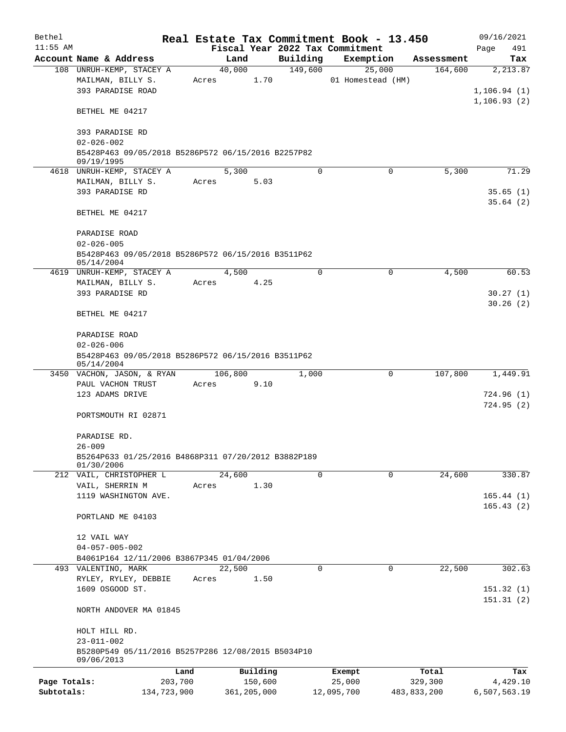| Bethel       |                                                                  |         |         |             |             | Real Estate Tax Commitment Book - 13.450 |             | 09/16/2021   |
|--------------|------------------------------------------------------------------|---------|---------|-------------|-------------|------------------------------------------|-------------|--------------|
| $11:55$ AM   |                                                                  |         |         |             |             | Fiscal Year 2022 Tax Commitment          |             | Page<br>491  |
|              | Account Name & Address                                           |         | Land    |             | Building    | Exemption                                | Assessment  | Tax          |
|              | 108 UNRUH-KEMP, STACEY A                                         |         | 40,000  |             | 149,600     | 25,000                                   | 164,600     | 2,213.87     |
|              | MAILMAN, BILLY S.                                                | Acres   |         | 1.70        |             | 01 Homestead (HM)                        |             |              |
|              | 393 PARADISE ROAD                                                |         |         |             |             |                                          |             | 1, 106.94(1) |
|              |                                                                  |         |         |             |             |                                          |             | 1, 106.93(2) |
|              | BETHEL ME 04217                                                  |         |         |             |             |                                          |             |              |
|              | 393 PARADISE RD                                                  |         |         |             |             |                                          |             |              |
|              | $02 - 026 - 002$                                                 |         |         |             |             |                                          |             |              |
|              | B5428P463 09/05/2018 B5286P572 06/15/2016 B2257P82               |         |         |             |             |                                          |             |              |
|              | 09/19/1995                                                       |         |         |             |             |                                          |             |              |
|              | 4618 UNRUH-KEMP, STACEY A                                        |         | 5,300   |             | $\Omega$    | $\Omega$                                 | 5,300       | 71.29        |
|              | MAILMAN, BILLY S.                                                | Acres   |         | 5.03        |             |                                          |             |              |
|              | 393 PARADISE RD                                                  |         |         |             |             |                                          |             | 35.65(1)     |
|              |                                                                  |         |         |             |             |                                          |             | 35.64(2)     |
|              | BETHEL ME 04217                                                  |         |         |             |             |                                          |             |              |
|              |                                                                  |         |         |             |             |                                          |             |              |
|              | PARADISE ROAD                                                    |         |         |             |             |                                          |             |              |
|              | $02 - 026 - 005$                                                 |         |         |             |             |                                          |             |              |
|              | B5428P463 09/05/2018 B5286P572 06/15/2016 B3511P62<br>05/14/2004 |         |         |             |             |                                          |             |              |
|              | 4619 UNRUH-KEMP, STACEY A                                        |         | 4,500   |             | $\Omega$    | $\mathbf 0$                              | 4,500       | 60.53        |
|              | MAILMAN, BILLY S.                                                | Acres   |         | 4.25        |             |                                          |             |              |
|              | 393 PARADISE RD                                                  |         |         |             |             |                                          |             | 30.27(1)     |
|              |                                                                  |         |         |             |             |                                          |             | 30.26(2)     |
|              | BETHEL ME 04217                                                  |         |         |             |             |                                          |             |              |
|              |                                                                  |         |         |             |             |                                          |             |              |
|              | PARADISE ROAD                                                    |         |         |             |             |                                          |             |              |
|              | $02 - 026 - 006$                                                 |         |         |             |             |                                          |             |              |
|              | B5428P463 09/05/2018 B5286P572 06/15/2016 B3511P62               |         |         |             |             |                                          |             |              |
|              | 05/14/2004                                                       |         |         |             |             |                                          |             |              |
|              | 3450 VACHON, JASON, & RYAN                                       |         | 106,800 |             | 1,000       | 0                                        | 107,800     | 1,449.91     |
|              | PAUL VACHON TRUST<br>123 ADAMS DRIVE                             | Acres   |         | 9.10        |             |                                          |             | 724.96(1)    |
|              |                                                                  |         |         |             |             |                                          |             | 724.95(2)    |
|              | PORTSMOUTH RI 02871                                              |         |         |             |             |                                          |             |              |
|              |                                                                  |         |         |             |             |                                          |             |              |
|              | PARADISE RD.                                                     |         |         |             |             |                                          |             |              |
|              | $26 - 009$                                                       |         |         |             |             |                                          |             |              |
|              | B5264P633 01/25/2016 B4868P311 07/20/2012 B3882P189              |         |         |             |             |                                          |             |              |
|              | 01/30/2006                                                       |         |         |             |             |                                          |             |              |
|              | 212 VAIL, CHRISTOPHER L                                          |         | 24,600  |             | $\mathbf 0$ | $\mathbf 0$                              | 24,600      | 330.87       |
|              | VAIL, SHERRIN M                                                  | Acres   |         | 1.30        |             |                                          |             |              |
|              | 1119 WASHINGTON AVE.                                             |         |         |             |             |                                          |             | 165.44(1)    |
|              | PORTLAND ME 04103                                                |         |         |             |             |                                          |             | 165.43(2)    |
|              |                                                                  |         |         |             |             |                                          |             |              |
|              | 12 VAIL WAY                                                      |         |         |             |             |                                          |             |              |
|              | $04 - 057 - 005 - 002$                                           |         |         |             |             |                                          |             |              |
|              | B4061P164 12/11/2006 B3867P345 01/04/2006                        |         |         |             |             |                                          |             |              |
|              | 493 VALENTINO, MARK                                              |         | 22,500  |             | 0           | $\mathbf 0$                              | 22,500      | 302.63       |
|              | RYLEY, RYLEY, DEBBIE                                             | Acres   |         | 1.50        |             |                                          |             |              |
|              | 1609 OSGOOD ST.                                                  |         |         |             |             |                                          |             | 151.32(1)    |
|              |                                                                  |         |         |             |             |                                          |             | 151.31(2)    |
|              | NORTH ANDOVER MA 01845                                           |         |         |             |             |                                          |             |              |
|              |                                                                  |         |         |             |             |                                          |             |              |
|              | HOLT HILL RD.                                                    |         |         |             |             |                                          |             |              |
|              | $23 - 011 - 002$                                                 |         |         |             |             |                                          |             |              |
|              | B5280P549 05/11/2016 B5257P286 12/08/2015 B5034P10<br>09/06/2013 |         |         |             |             |                                          |             |              |
|              |                                                                  | Land    |         | Building    |             | Exempt                                   | Total       | Tax          |
| Page Totals: |                                                                  | 203,700 |         | 150,600     |             | 25,000                                   | 329,300     | 4,429.10     |
| Subtotals:   | 134,723,900                                                      |         |         | 361,205,000 |             | 12,095,700                               | 483,833,200 | 6,507,563.19 |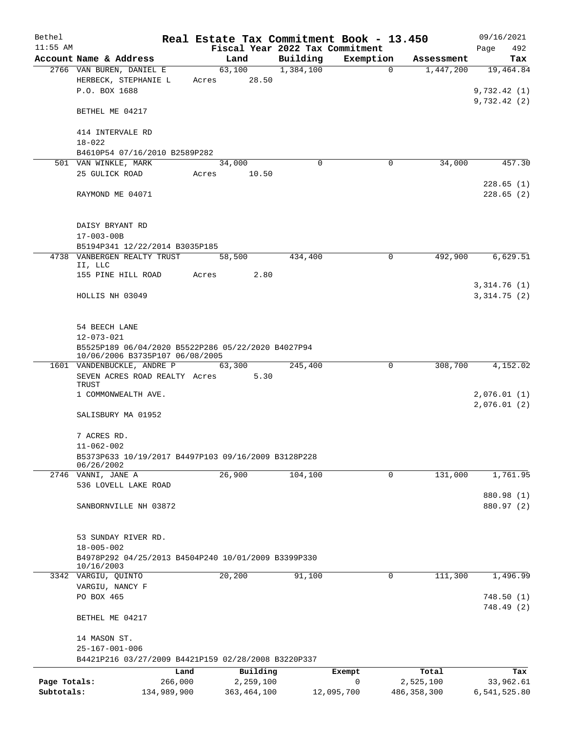| Bethel       |                                                     |       |                 | Real Estate Tax Commitment Book - 13.450 |             |             | 09/16/2021   |
|--------------|-----------------------------------------------------|-------|-----------------|------------------------------------------|-------------|-------------|--------------|
| $11:55$ AM   |                                                     |       |                 | Fiscal Year 2022 Tax Commitment          |             |             | 492<br>Page  |
|              | Account Name & Address                              |       | Land            | Building                                 | Exemption   | Assessment  | Tax          |
|              | 2766 VAN BUREN, DANIEL E                            |       | 63,100<br>28.50 | 1,384,100                                | $\Omega$    | 1,447,200   | 19,464.84    |
|              | HERBECK, STEPHANIE L<br>P.O. BOX 1688               | Acres |                 |                                          |             |             | 9,732.42(1)  |
|              |                                                     |       |                 |                                          |             |             | 9,732.42(2)  |
|              | BETHEL ME 04217                                     |       |                 |                                          |             |             |              |
|              |                                                     |       |                 |                                          |             |             |              |
|              | 414 INTERVALE RD                                    |       |                 |                                          |             |             |              |
|              | $18 - 022$                                          |       |                 |                                          |             |             |              |
|              | B4610P54 07/16/2010 B2589P282                       |       |                 |                                          |             |             |              |
|              | 501 VAN WINKLE, MARK                                |       | 34,000          | $\mathbf 0$                              | 0           | 34,000      | 457.30       |
|              | 25 GULICK ROAD                                      | Acres | 10.50           |                                          |             |             | 228.65(1)    |
|              | RAYMOND ME 04071                                    |       |                 |                                          |             |             | 228.65(2)    |
|              |                                                     |       |                 |                                          |             |             |              |
|              |                                                     |       |                 |                                          |             |             |              |
|              | DAISY BRYANT RD                                     |       |                 |                                          |             |             |              |
|              | $17 - 003 - 00B$                                    |       |                 |                                          |             |             |              |
|              | B5194P341 12/22/2014 B3035P185                      |       |                 |                                          |             |             |              |
|              | 4738 VANBERGEN REALTY TRUST                         |       | 58,500          | 434,400                                  | 0           | 492,900     | 6,629.51     |
|              | II, LLC                                             |       |                 |                                          |             |             |              |
|              | 155 PINE HILL ROAD                                  | Acres | 2.80            |                                          |             |             |              |
|              |                                                     |       |                 |                                          |             |             | 3,314.76(1)  |
|              | HOLLIS NH 03049                                     |       |                 |                                          |             |             | 3,314.75(2)  |
|              |                                                     |       |                 |                                          |             |             |              |
|              | 54 BEECH LANE                                       |       |                 |                                          |             |             |              |
|              | $12 - 073 - 021$                                    |       |                 |                                          |             |             |              |
|              | B5525P189 06/04/2020 B5522P286 05/22/2020 B4027P94  |       |                 |                                          |             |             |              |
|              | 10/06/2006 B3735P107 06/08/2005                     |       |                 |                                          |             |             |              |
|              | 1601 VANDENBUCKLE, ANDRE P 63,300                   |       |                 | 245,400                                  | 0           | 308,700     | 4,152.02     |
|              | SEVEN ACRES ROAD REALTY Acres<br>TRUST              |       | 5.30            |                                          |             |             |              |
|              | 1 COMMONWEALTH AVE.                                 |       |                 |                                          |             |             | 2,076.01(1)  |
|              |                                                     |       |                 |                                          |             |             | 2,076.01(2)  |
|              | SALISBURY MA 01952                                  |       |                 |                                          |             |             |              |
|              |                                                     |       |                 |                                          |             |             |              |
|              | 7 ACRES RD.                                         |       |                 |                                          |             |             |              |
|              | $11 - 062 - 002$                                    |       |                 |                                          |             |             |              |
|              | B5373P633 10/19/2017 B4497P103 09/16/2009 B3128P228 |       |                 |                                          |             |             |              |
|              | 06/26/2002<br>2746 VANNI, JANE A                    |       | 26,900          | 104,100                                  | $\mathbf 0$ | 131,000     | 1,761.95     |
|              | 536 LOVELL LAKE ROAD                                |       |                 |                                          |             |             |              |
|              |                                                     |       |                 |                                          |             |             | 880.98 (1)   |
|              | SANBORNVILLE NH 03872                               |       |                 |                                          |             |             | 880.97 (2)   |
|              |                                                     |       |                 |                                          |             |             |              |
|              |                                                     |       |                 |                                          |             |             |              |
|              | 53 SUNDAY RIVER RD.                                 |       |                 |                                          |             |             |              |
|              | $18 - 005 - 002$                                    |       |                 |                                          |             |             |              |
|              | B4978P292 04/25/2013 B4504P240 10/01/2009 B3399P330 |       |                 |                                          |             |             |              |
|              | 10/16/2003<br>3342 VARGIU, QUINTO                   |       | 20,200          | 91,100                                   | 0           | 111,300     | 1,496.99     |
|              | VARGIU, NANCY F                                     |       |                 |                                          |             |             |              |
|              | PO BOX 465                                          |       |                 |                                          |             |             | 748.50(1)    |
|              |                                                     |       |                 |                                          |             |             | 748.49 (2)   |
|              | BETHEL ME 04217                                     |       |                 |                                          |             |             |              |
|              |                                                     |       |                 |                                          |             |             |              |
|              | 14 MASON ST.                                        |       |                 |                                          |             |             |              |
|              | $25 - 167 - 001 - 006$                              |       |                 |                                          |             |             |              |
|              | B4421P216 03/27/2009 B4421P159 02/28/2008 B3220P337 |       |                 |                                          |             |             |              |
|              | Land                                                |       | Building        |                                          | Exempt      | Total       | Tax          |
| Page Totals: | 266,000                                             |       | 2,259,100       |                                          | 0           | 2,525,100   | 33,962.61    |
| Subtotals:   | 134,989,900                                         |       | 363, 464, 100   |                                          | 12,095,700  | 486,358,300 | 6,541,525.80 |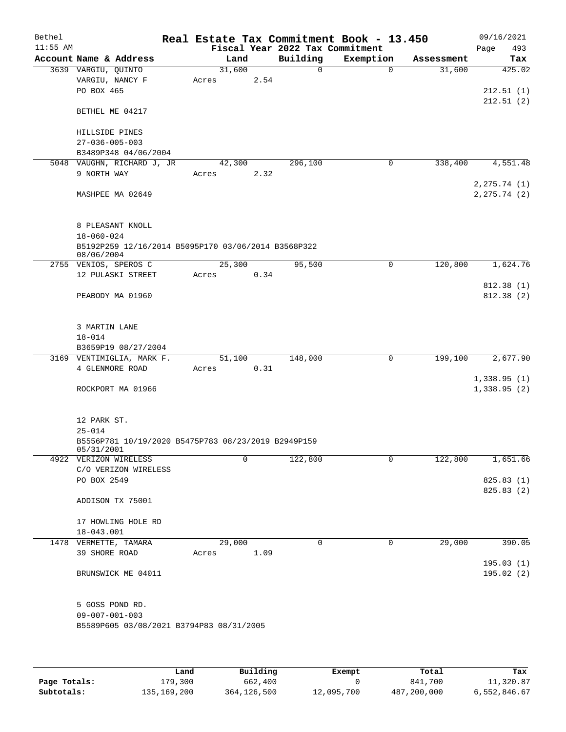| Bethel     |                                                                   |                 |      | Real Estate Tax Commitment Book - 13.450 |             |            | 09/16/2021    |
|------------|-------------------------------------------------------------------|-----------------|------|------------------------------------------|-------------|------------|---------------|
| $11:55$ AM |                                                                   |                 |      | Fiscal Year 2022 Tax Commitment          |             |            | Page<br>493   |
|            | Account Name & Address                                            |                 | Land | Building                                 | Exemption   | Assessment | Tax           |
|            | 3639 VARGIU, QUINTO                                               | 31,600          |      | $\Omega$                                 | $\Omega$    | 31,600     | 425.02        |
|            | VARGIU, NANCY F                                                   | Acres           | 2.54 |                                          |             |            |               |
|            | PO BOX 465                                                        |                 |      |                                          |             |            | 212.51(1)     |
|            | BETHEL ME 04217                                                   |                 |      |                                          |             |            | 212.51(2)     |
|            | HILLSIDE PINES                                                    |                 |      |                                          |             |            |               |
|            | $27 - 036 - 005 - 003$                                            |                 |      |                                          |             |            |               |
|            | B3489P348 04/06/2004                                              |                 |      |                                          |             |            |               |
|            | 5048 VAUGHN, RICHARD J, JR                                        | 42,300          |      | 296,100                                  | $\mathbf 0$ | 338,400    | 4,551.48      |
|            | 9 NORTH WAY                                                       | Acres           | 2.32 |                                          |             |            |               |
|            |                                                                   |                 |      |                                          |             |            | 2, 275.74 (1) |
|            | MASHPEE MA 02649                                                  |                 |      |                                          |             |            | 2, 275.74 (2) |
|            | 8 PLEASANT KNOLL                                                  |                 |      |                                          |             |            |               |
|            | $18 - 060 - 024$                                                  |                 |      |                                          |             |            |               |
|            | B5192P259 12/16/2014 B5095P170 03/06/2014 B3568P322               |                 |      |                                          |             |            |               |
|            | 08/06/2004                                                        |                 |      |                                          |             |            |               |
|            | 2755 VENIOS, SPEROS C<br>12 PULASKI STREET                        | 25,300<br>Acres | 0.34 | 95,500                                   | 0           | 120,800    | 1,624.76      |
|            |                                                                   |                 |      |                                          |             |            | 812.38 (1)    |
|            | PEABODY MA 01960                                                  |                 |      |                                          |             |            | 812.38 (2)    |
|            |                                                                   |                 |      |                                          |             |            |               |
|            | 3 MARTIN LANE                                                     |                 |      |                                          |             |            |               |
|            | $18 - 014$                                                        |                 |      |                                          |             |            |               |
|            | B3659P19 08/27/2004                                               |                 |      |                                          |             |            |               |
|            | 3169 VENTIMIGLIA, MARK F.                                         | 51,100          |      | 148,000                                  | 0           | 199,100    | 2,677.90      |
|            | 4 GLENMORE ROAD                                                   | Acres           | 0.31 |                                          |             |            |               |
|            |                                                                   |                 |      |                                          |             |            | 1,338.95(1)   |
|            | ROCKPORT MA 01966                                                 |                 |      |                                          |             |            | 1,338.95(2)   |
|            | 12 PARK ST.                                                       |                 |      |                                          |             |            |               |
|            | $25 - 014$                                                        |                 |      |                                          |             |            |               |
|            | B5556P781 10/19/2020 B5475P783 08/23/2019 B2949P159<br>05/31/2001 |                 |      |                                          |             |            |               |
|            | 4922 VERIZON WIRELESS                                             |                 | 0    | 122,800                                  | 0           | 122,800    | 1,651.66      |
|            | C/O VERIZON WIRELESS                                              |                 |      |                                          |             |            |               |
|            | PO BOX 2549                                                       |                 |      |                                          |             |            | 825.83 (1)    |
|            |                                                                   |                 |      |                                          |             |            | 825.83 (2)    |
|            | ADDISON TX 75001                                                  |                 |      |                                          |             |            |               |
|            | 17 HOWLING HOLE RD                                                |                 |      |                                          |             |            |               |
|            | 18-043.001                                                        |                 |      |                                          |             |            |               |
|            | 1478 VERMETTE, TAMARA                                             | 29,000          |      | 0                                        | 0           | 29,000     | 390.05        |
|            | 39 SHORE ROAD                                                     | Acres           | 1.09 |                                          |             |            |               |
|            |                                                                   |                 |      |                                          |             |            | 195.03(1)     |
|            | BRUNSWICK ME 04011                                                |                 |      |                                          |             |            | 195.02(2)     |
|            | 5 GOSS POND RD.                                                   |                 |      |                                          |             |            |               |
|            | $09 - 007 - 001 - 003$                                            |                 |      |                                          |             |            |               |
|            | B5589P605 03/08/2021 B3794P83 08/31/2005                          |                 |      |                                          |             |            |               |
|            |                                                                   |                 |      |                                          |             |            |               |
|            |                                                                   |                 |      |                                          |             |            |               |
|            |                                                                   |                 |      |                                          |             |            |               |

|              | Land          | Building    | Exempt     | Total       | Tax          |
|--------------|---------------|-------------|------------|-------------|--------------|
| Page Totals: | 179,300       | 662,400     |            | 841,700     | 11,320.87    |
| Subtotals:   | 135, 169, 200 | 364,126,500 | 12,095,700 | 487,200,000 | 6,552,846.67 |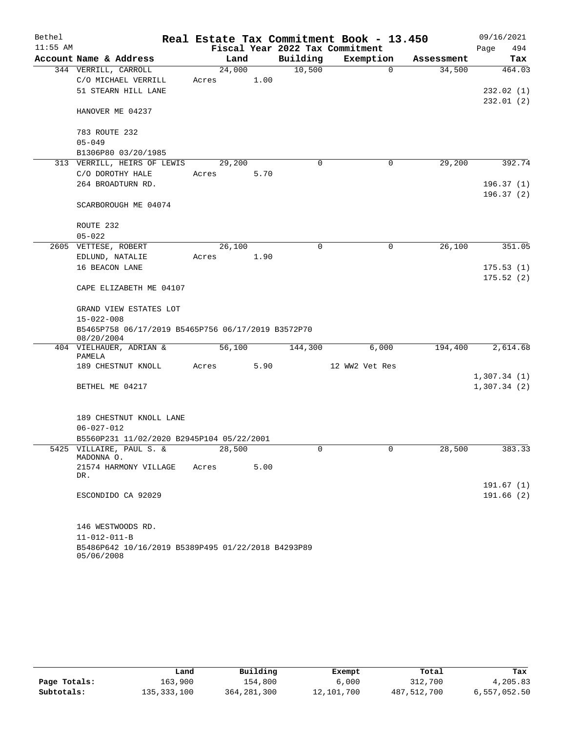| Bethel     |                                                                  |        |      |             | Real Estate Tax Commitment Book - 13.450 |            | 09/16/2021  |
|------------|------------------------------------------------------------------|--------|------|-------------|------------------------------------------|------------|-------------|
| $11:55$ AM |                                                                  |        |      |             | Fiscal Year 2022 Tax Commitment          |            | Page<br>494 |
|            | Account Name & Address                                           | Land   |      | Building    | Exemption                                | Assessment | Tax         |
|            | 344 VERRILL, CARROLL                                             | 24,000 |      | 10,500      | $\Omega$                                 | 34,500     | 464.03      |
|            | C/O MICHAEL VERRILL                                              | Acres  | 1.00 |             |                                          |            |             |
|            | 51 STEARN HILL LANE                                              |        |      |             |                                          |            | 232.02(1)   |
|            | HANOVER ME 04237                                                 |        |      |             |                                          |            | 232.01(2)   |
|            | 783 ROUTE 232                                                    |        |      |             |                                          |            |             |
|            | $05 - 049$                                                       |        |      |             |                                          |            |             |
|            | B1306P80 03/20/1985                                              |        |      |             |                                          |            |             |
|            | 313 VERRILL, HEIRS OF LEWIS                                      | 29,200 |      | $\mathbf 0$ | 0                                        | 29,200     | 392.74      |
|            | C/O DOROTHY HALE                                                 | Acres  | 5.70 |             |                                          |            |             |
|            | 264 BROADTURN RD.                                                |        |      |             |                                          |            | 196.37(1)   |
|            |                                                                  |        |      |             |                                          |            | 196.37(2)   |
|            | SCARBOROUGH ME 04074                                             |        |      |             |                                          |            |             |
|            | ROUTE 232                                                        |        |      |             |                                          |            |             |
|            | $05 - 022$                                                       |        |      |             |                                          |            |             |
|            | 2605 VETTESE, ROBERT                                             | 26,100 |      | $\Omega$    | $\mathbf 0$                              | 26,100     | 351.05      |
|            | EDLUND, NATALIE                                                  | Acres  | 1.90 |             |                                          |            |             |
|            | 16 BEACON LANE                                                   |        |      |             |                                          |            | 175.53(1)   |
|            |                                                                  |        |      |             |                                          |            | 175.52(2)   |
|            | CAPE ELIZABETH ME 04107                                          |        |      |             |                                          |            |             |
|            | GRAND VIEW ESTATES LOT                                           |        |      |             |                                          |            |             |
|            | $15 - 022 - 008$                                                 |        |      |             |                                          |            |             |
|            | B5465P758 06/17/2019 B5465P756 06/17/2019 B3572P70<br>08/20/2004 |        |      |             |                                          |            |             |
|            | 404 VIELHAUER, ADRIAN &<br>PAMELA                                | 56,100 |      | 144,300     | 6,000                                    | 194,400    | 2,614.68    |
|            | 189 CHESTNUT KNOLL                                               | Acres  | 5.90 |             | 12 WW2 Vet Res                           |            |             |
|            |                                                                  |        |      |             |                                          |            | 1,307.34(1) |
|            | BETHEL ME 04217                                                  |        |      |             |                                          |            | 1,307.34(2) |
|            | 189 CHESTNUT KNOLL LANE                                          |        |      |             |                                          |            |             |
|            | $06 - 027 - 012$                                                 |        |      |             |                                          |            |             |
|            | B5560P231 11/02/2020 B2945P104 05/22/2001                        |        |      |             |                                          |            |             |
|            | 5425 VILLAIRE, PAUL S. &<br>MADONNA O.                           | 28,500 |      |             |                                          | 28,500     | 383.33      |
|            | 21574 HARMONY VILLAGE<br>DR.                                     | Acres  | 5.00 |             |                                          |            |             |
|            |                                                                  |        |      |             |                                          |            | 191.67(1)   |
|            | ESCONDIDO CA 92029                                               |        |      |             |                                          |            | 191.66(2)   |
|            | 146 WESTWOODS RD.                                                |        |      |             |                                          |            |             |
|            | $11 - 012 - 011 - B$                                             |        |      |             |                                          |            |             |
|            | B5486P642 10/16/2019 B5389P495 01/22/2018 B4293P89<br>05/06/2008 |        |      |             |                                          |            |             |

|              | Land        | Building      | Exempt     | Total       | Tax          |
|--------------|-------------|---------------|------------|-------------|--------------|
| Page Totals: | 163,900     | 154,800       | 6,000      | 312,700     | 4,205.83     |
| Subtotals:   | 135,333,100 | 364, 281, 300 | 12,101,700 | 487,512,700 | 6,557,052.50 |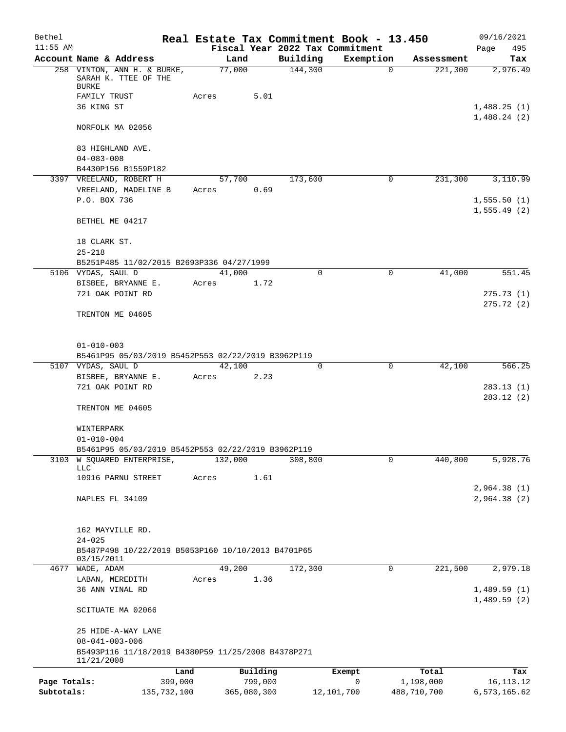| Bethel       |                                                                     |       |             |          |                                 | Real Estate Tax Commitment Book - 13.450 |             | 09/16/2021   |
|--------------|---------------------------------------------------------------------|-------|-------------|----------|---------------------------------|------------------------------------------|-------------|--------------|
| $11:55$ AM   |                                                                     |       |             |          | Fiscal Year 2022 Tax Commitment |                                          |             | 495<br>Page  |
|              | Account Name & Address                                              |       | Land        |          | Building                        | Exemption                                | Assessment  | Tax          |
|              | 258 VINTON, ANN H. & BURKE,<br>SARAH K. TTEE OF THE<br><b>BURKE</b> |       | 77,000      |          | 144,300                         | 0                                        | 221,300     | 2,976.49     |
|              | FAMILY TRUST                                                        | Acres |             | 5.01     |                                 |                                          |             |              |
|              | 36 KING ST                                                          |       |             |          |                                 |                                          |             | 1,488.25(1)  |
|              | NORFOLK MA 02056                                                    |       |             |          |                                 |                                          |             | 1,488.24(2)  |
|              |                                                                     |       |             |          |                                 |                                          |             |              |
|              | 83 HIGHLAND AVE.                                                    |       |             |          |                                 |                                          |             |              |
|              | $04 - 083 - 008$                                                    |       |             |          |                                 |                                          |             |              |
|              | B4430P156 B1559P182                                                 |       |             |          |                                 |                                          |             |              |
|              | 3397 VREELAND, ROBERT H                                             |       | 57,700      |          | 173,600                         | 0                                        | 231,300     | 3,110.99     |
|              | VREELAND, MADELINE B                                                | Acres |             | 0.69     |                                 |                                          |             |              |
|              | P.O. BOX 736                                                        |       |             |          |                                 |                                          |             | 1,555.50(1)  |
|              |                                                                     |       |             |          |                                 |                                          |             | 1, 555.49(2) |
|              | BETHEL ME 04217                                                     |       |             |          |                                 |                                          |             |              |
|              | 18 CLARK ST.                                                        |       |             |          |                                 |                                          |             |              |
|              | $25 - 218$                                                          |       |             |          |                                 |                                          |             |              |
|              | B5251P485 11/02/2015 B2693P336 04/27/1999                           |       |             |          |                                 |                                          |             |              |
|              | 5106 VYDAS, SAUL D                                                  |       | 41,000      |          | $\Omega$                        | 0                                        | 41,000      | 551.45       |
|              | BISBEE, BRYANNE E.                                                  | Acres |             | 1.72     |                                 |                                          |             |              |
|              | 721 OAK POINT RD                                                    |       |             |          |                                 |                                          |             | 275.73(1)    |
|              |                                                                     |       |             |          |                                 |                                          |             | 275.72(2)    |
|              | TRENTON ME 04605                                                    |       |             |          |                                 |                                          |             |              |
|              |                                                                     |       |             |          |                                 |                                          |             |              |
|              | $01 - 010 - 003$                                                    |       |             |          |                                 |                                          |             |              |
|              | B5461P95 05/03/2019 B5452P553 02/22/2019 B3962P119                  |       |             |          |                                 |                                          |             |              |
|              | 5107 VYDAS, SAUL D                                                  |       | 42,100      |          | 0                               | $\mathbf 0$                              | 42,100      | 566.25       |
|              | BISBEE, BRYANNE E.                                                  | Acres |             | 2.23     |                                 |                                          |             |              |
|              | 721 OAK POINT RD                                                    |       |             |          |                                 |                                          |             | 283.13(1)    |
|              |                                                                     |       |             |          |                                 |                                          |             | 283.12(2)    |
|              | TRENTON ME 04605                                                    |       |             |          |                                 |                                          |             |              |
|              |                                                                     |       |             |          |                                 |                                          |             |              |
|              | WINTERPARK                                                          |       |             |          |                                 |                                          |             |              |
|              | $01 - 010 - 004$                                                    |       |             |          |                                 |                                          |             |              |
|              | B5461P95 05/03/2019 B5452P553 02/22/2019 B3962P119                  |       |             |          |                                 |                                          |             |              |
|              | 3103 W SQUARED ENTERPRISE,<br><b>LLC</b>                            |       | 132,000     |          | 308,800                         | 0                                        | 440,800     | 5,928.76     |
|              | 10916 PARNU STREET                                                  | Acres |             | 1.61     |                                 |                                          |             |              |
|              |                                                                     |       |             |          |                                 |                                          |             | 2,964.38(1)  |
|              | NAPLES FL 34109                                                     |       |             |          |                                 |                                          |             | 2,964.38(2)  |
|              |                                                                     |       |             |          |                                 |                                          |             |              |
|              |                                                                     |       |             |          |                                 |                                          |             |              |
|              | 162 MAYVILLE RD.                                                    |       |             |          |                                 |                                          |             |              |
|              | $24 - 025$                                                          |       |             |          |                                 |                                          |             |              |
|              | B5487P498 10/22/2019 B5053P160 10/10/2013 B4701P65                  |       |             |          |                                 |                                          |             |              |
|              | 03/15/2011                                                          |       |             |          |                                 |                                          |             |              |
| 4677         | WADE, ADAM                                                          |       | 49,200      |          | 172,300                         | 0                                        | 221,500     | 2,979.18     |
|              | LABAN, MEREDITH                                                     | Acres |             | 1.36     |                                 |                                          |             |              |
|              | 36 ANN VINAL RD                                                     |       |             |          |                                 |                                          |             | 1,489.59(1)  |
|              | SCITUATE MA 02066                                                   |       |             |          |                                 |                                          |             | 1,489.59(2)  |
|              | 25 HIDE-A-WAY LANE                                                  |       |             |          |                                 |                                          |             |              |
|              | $08 - 041 - 003 - 006$                                              |       |             |          |                                 |                                          |             |              |
|              | B5493P116 11/18/2019 B4380P59 11/25/2008 B4378P271<br>11/21/2008    |       |             |          |                                 |                                          |             |              |
|              |                                                                     | Land  |             | Building |                                 | Exempt                                   | Total       | Tax          |
| Page Totals: | 399,000                                                             |       |             | 799,000  |                                 | 0                                        | 1,198,000   | 16, 113. 12  |
| Subtotals:   | 135,732,100                                                         |       | 365,080,300 |          |                                 | 12,101,700                               | 488,710,700 | 6,573,165.62 |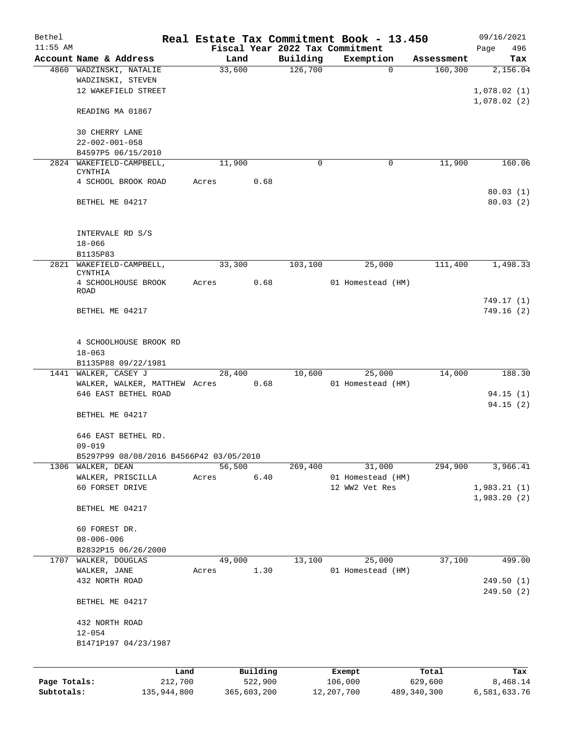| Bethel       |                                          |       |             |          |                                 | Real Estate Tax Commitment Book - 13.450 |               | 09/16/2021   |
|--------------|------------------------------------------|-------|-------------|----------|---------------------------------|------------------------------------------|---------------|--------------|
| $11:55$ AM   |                                          |       |             |          | Fiscal Year 2022 Tax Commitment |                                          |               | 496<br>Page  |
|              | Account Name & Address                   |       | Land        |          | Building                        | Exemption                                | Assessment    | Tax          |
|              | 4860 WADZINSKI, NATALIE                  |       | 33,600      |          | 126,700                         | $\Omega$                                 | 160, 300      | 2,156.04     |
|              | WADZINSKI, STEVEN                        |       |             |          |                                 |                                          |               |              |
|              | 12 WAKEFIELD STREET                      |       |             |          |                                 |                                          |               | 1,078.02(1)  |
|              |                                          |       |             |          |                                 |                                          |               | 1,078.02(2)  |
|              | READING MA 01867                         |       |             |          |                                 |                                          |               |              |
|              |                                          |       |             |          |                                 |                                          |               |              |
|              | 30 CHERRY LANE<br>$22 - 002 - 001 - 058$ |       |             |          |                                 |                                          |               |              |
|              | B4597P5 06/15/2010                       |       |             |          |                                 |                                          |               |              |
|              | 2824 WAKEFIELD-CAMPBELL,                 |       | 11,900      |          | 0                               | 0                                        | 11,900        | 160.06       |
|              | CYNTHIA                                  |       |             |          |                                 |                                          |               |              |
|              | 4 SCHOOL BROOK ROAD                      | Acres |             | 0.68     |                                 |                                          |               |              |
|              |                                          |       |             |          |                                 |                                          |               | 80.03(1)     |
|              | BETHEL ME 04217                          |       |             |          |                                 |                                          |               | 80.03(2)     |
|              |                                          |       |             |          |                                 |                                          |               |              |
|              |                                          |       |             |          |                                 |                                          |               |              |
|              | INTERVALE RD S/S                         |       |             |          |                                 |                                          |               |              |
|              | $18 - 066$                               |       |             |          |                                 |                                          |               |              |
|              | B1135P83                                 |       |             |          |                                 |                                          |               |              |
|              | 2821 WAKEFIELD-CAMPBELL,                 |       | 33,300      |          | 103,100                         | 25,000                                   | 111,400       | 1,498.33     |
|              | CYNTHIA                                  |       |             |          |                                 |                                          |               |              |
|              | 4 SCHOOLHOUSE BROOK<br><b>ROAD</b>       | Acres |             | 0.68     |                                 | 01 Homestead (HM)                        |               |              |
|              |                                          |       |             |          |                                 |                                          |               | 749.17 (1)   |
|              | BETHEL ME 04217                          |       |             |          |                                 |                                          |               | 749.16(2)    |
|              |                                          |       |             |          |                                 |                                          |               |              |
|              |                                          |       |             |          |                                 |                                          |               |              |
|              | 4 SCHOOLHOUSE BROOK RD                   |       |             |          |                                 |                                          |               |              |
|              | $18 - 063$                               |       |             |          |                                 |                                          |               |              |
|              | B1135P88 09/22/1981                      |       |             |          |                                 |                                          |               |              |
| 1441         | WALKER, CASEY J                          |       | 28,400      |          | 10,600                          | 25,000                                   | 14,000        | 188.30       |
|              | WALKER, WALKER, MATTHEW Acres            |       |             | 0.68     |                                 | 01 Homestead (HM)                        |               |              |
|              | 646 EAST BETHEL ROAD                     |       |             |          |                                 |                                          |               | 94.15(1)     |
|              |                                          |       |             |          |                                 |                                          |               | 94.15(2)     |
|              | BETHEL ME 04217                          |       |             |          |                                 |                                          |               |              |
|              |                                          |       |             |          |                                 |                                          |               |              |
|              | 646 EAST BETHEL RD.                      |       |             |          |                                 |                                          |               |              |
|              | $09 - 019$                               |       |             |          |                                 |                                          |               |              |
|              | B5297P99 08/08/2016 B4566P42 03/05/2010  |       |             |          |                                 |                                          |               |              |
| 1306         | WALKER, DEAN                             |       | 56,500      |          | 269,400                         | 31,000                                   | 294,900       | 3,966.41     |
|              | WALKER, PRISCILLA                        | Acres |             | 6.40     |                                 | 01 Homestead (HM)                        |               |              |
|              | 60 FORSET DRIVE                          |       |             |          |                                 | 12 WW2 Vet Res                           |               | 1,983.21(1)  |
|              |                                          |       |             |          |                                 |                                          |               | 1,983.20(2)  |
|              | BETHEL ME 04217                          |       |             |          |                                 |                                          |               |              |
|              | 60 FOREST DR.                            |       |             |          |                                 |                                          |               |              |
|              | $08 - 006 - 006$                         |       |             |          |                                 |                                          |               |              |
|              | B2832P15 06/26/2000                      |       |             |          |                                 |                                          |               |              |
| 1707         | WALKER, DOUGLAS                          |       | 49,000      |          | 13,100                          | 25,000                                   | 37,100        | 499.00       |
|              | WALKER, JANE                             | Acres |             | 1.30     |                                 | 01 Homestead (HM)                        |               |              |
|              | 432 NORTH ROAD                           |       |             |          |                                 |                                          |               | 249.50(1)    |
|              |                                          |       |             |          |                                 |                                          |               | 249.50(2)    |
|              | BETHEL ME 04217                          |       |             |          |                                 |                                          |               |              |
|              |                                          |       |             |          |                                 |                                          |               |              |
|              | 432 NORTH ROAD                           |       |             |          |                                 |                                          |               |              |
|              | $12 - 054$                               |       |             |          |                                 |                                          |               |              |
|              | B1471P197 04/23/1987                     |       |             |          |                                 |                                          |               |              |
|              |                                          |       |             |          |                                 |                                          |               |              |
|              |                                          |       |             |          |                                 |                                          |               |              |
|              | Land                                     |       |             | Building |                                 | Exempt                                   | Total         | Tax          |
| Page Totals: | 212,700                                  |       |             | 522,900  |                                 | 106,000<br>12, 207, 700                  | 629,600       | 8,468.14     |
| Subtotals:   | 135,944,800                              |       | 365,603,200 |          |                                 |                                          | 489, 340, 300 | 6,581,633.76 |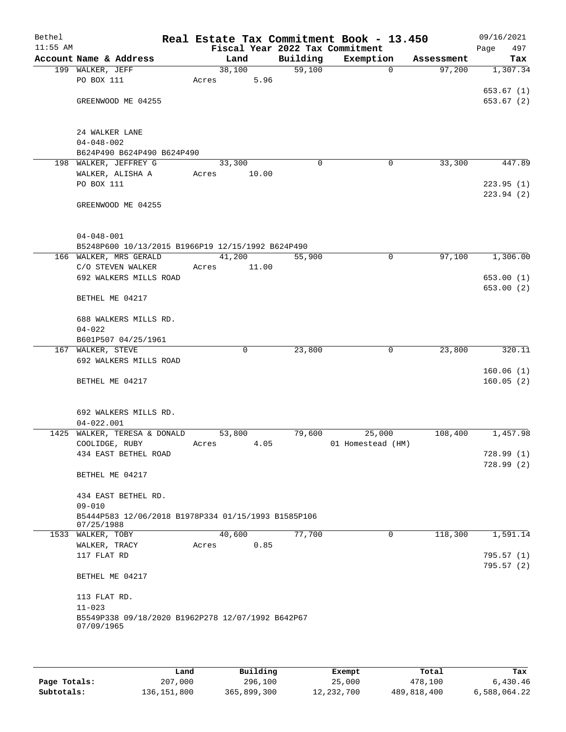| Bethel<br>$11:55$ AM |                                                                             | Real Estate Tax Commitment Book - 13.450 |          | Fiscal Year 2022 Tax Commitment |            | 09/16/2021<br>497<br>Page |
|----------------------|-----------------------------------------------------------------------------|------------------------------------------|----------|---------------------------------|------------|---------------------------|
|                      | Account Name & Address                                                      | Land                                     | Building | Exemption                       | Assessment | Tax                       |
|                      | 199 WALKER, JEFF                                                            | 38,100                                   | 59,100   | $\mathbf 0$                     | 97,200     | 1,307.34                  |
|                      | PO BOX 111                                                                  | 5.96<br>Acres                            |          |                                 |            |                           |
|                      |                                                                             |                                          |          |                                 |            | 653.67(1)                 |
|                      | GREENWOOD ME 04255                                                          |                                          |          |                                 |            | 653.67(2)                 |
|                      |                                                                             |                                          |          |                                 |            |                           |
|                      | 24 WALKER LANE                                                              |                                          |          |                                 |            |                           |
|                      | $04 - 048 - 002$                                                            |                                          |          |                                 |            |                           |
|                      | B624P490 B624P490 B624P490                                                  |                                          |          |                                 |            |                           |
|                      | 198 WALKER, JEFFREY G                                                       | 33,300                                   | $\Omega$ | 0                               | 33,300     | 447.89                    |
|                      | WALKER, ALISHA A                                                            | Acres<br>10.00                           |          |                                 |            |                           |
|                      | PO BOX 111                                                                  |                                          |          |                                 |            | 223.95(1)                 |
|                      |                                                                             |                                          |          |                                 |            | 223.94(2)                 |
|                      | GREENWOOD ME 04255                                                          |                                          |          |                                 |            |                           |
|                      |                                                                             |                                          |          |                                 |            |                           |
|                      |                                                                             |                                          |          |                                 |            |                           |
|                      | $04 - 048 - 001$                                                            |                                          |          |                                 |            |                           |
|                      | B5248P600 10/13/2015 B1966P19 12/15/1992 B624P490<br>166 WALKER, MRS GERALD | 41,200                                   | 55,900   | $\mathbf 0$                     | 97,100     | 1,306.00                  |
|                      | C/O STEVEN WALKER                                                           | 11.00<br>Acres                           |          |                                 |            |                           |
|                      | 692 WALKERS MILLS ROAD                                                      |                                          |          |                                 |            | 653.00(1)                 |
|                      |                                                                             |                                          |          |                                 |            | 653.00(2)                 |
|                      | BETHEL ME 04217                                                             |                                          |          |                                 |            |                           |
|                      |                                                                             |                                          |          |                                 |            |                           |
|                      | 688 WALKERS MILLS RD.                                                       |                                          |          |                                 |            |                           |
|                      | $04 - 022$                                                                  |                                          |          |                                 |            |                           |
|                      | B601P507 04/25/1961                                                         |                                          |          |                                 |            |                           |
|                      | 167 WALKER, STEVE                                                           | $\Omega$                                 | 23,800   | $\mathbf 0$                     | 23,800     | 320.11                    |
|                      | 692 WALKERS MILLS ROAD                                                      |                                          |          |                                 |            |                           |
|                      | BETHEL ME 04217                                                             |                                          |          |                                 |            | 160.06(1)<br>160.05(2)    |
|                      |                                                                             |                                          |          |                                 |            |                           |
|                      |                                                                             |                                          |          |                                 |            |                           |
|                      | 692 WALKERS MILLS RD.                                                       |                                          |          |                                 |            |                           |
|                      | $04 - 022.001$                                                              |                                          |          |                                 |            |                           |
|                      | 1425 WALKER, TERESA & DONALD                                                | 53,800                                   | 79,600   | 25,000                          | 108,400    | 1,457.98                  |
|                      | COOLIDGE, RUBY                                                              | 4.05<br>Acres                            |          | 01 Homestead (HM)               |            |                           |
|                      | 434 EAST BETHEL ROAD                                                        |                                          |          |                                 |            | 728.99(1)                 |
|                      |                                                                             |                                          |          |                                 |            | 728.99(2)                 |
|                      | BETHEL ME 04217                                                             |                                          |          |                                 |            |                           |
|                      | 434 EAST BETHEL RD.                                                         |                                          |          |                                 |            |                           |
|                      | $09 - 010$                                                                  |                                          |          |                                 |            |                           |
|                      | B5444P583 12/06/2018 B1978P334 01/15/1993 B1585P106                         |                                          |          |                                 |            |                           |
|                      | 07/25/1988                                                                  |                                          |          |                                 |            |                           |
|                      | 1533 WALKER, TOBY                                                           | 40,600                                   | 77,700   | 0                               | 118,300    | 1,591.14                  |
|                      | WALKER, TRACY                                                               | 0.85<br>Acres                            |          |                                 |            |                           |
|                      | 117 FLAT RD                                                                 |                                          |          |                                 |            | 795.57 (1)                |
|                      | BETHEL ME 04217                                                             |                                          |          |                                 |            | 795.57(2)                 |
|                      |                                                                             |                                          |          |                                 |            |                           |
|                      | 113 FLAT RD.<br>$11 - 023$                                                  |                                          |          |                                 |            |                           |
|                      | B5549P338 09/18/2020 B1962P278 12/07/1992 B642P67                           |                                          |          |                                 |            |                           |
|                      | 07/09/1965                                                                  |                                          |          |                                 |            |                           |
|                      |                                                                             |                                          |          |                                 |            |                           |
|                      |                                                                             |                                          |          |                                 |            |                           |

|              | Land          | Building    | Exempt     | Total       | Tax          |
|--------------|---------------|-------------|------------|-------------|--------------|
| Page Totals: | 207,000       | 296,100     | 25,000     | 478,100     | 6.430.46     |
| Subtotals:   | 136, 151, 800 | 365,899,300 | 12,232,700 | 489,818,400 | 6,588,064.22 |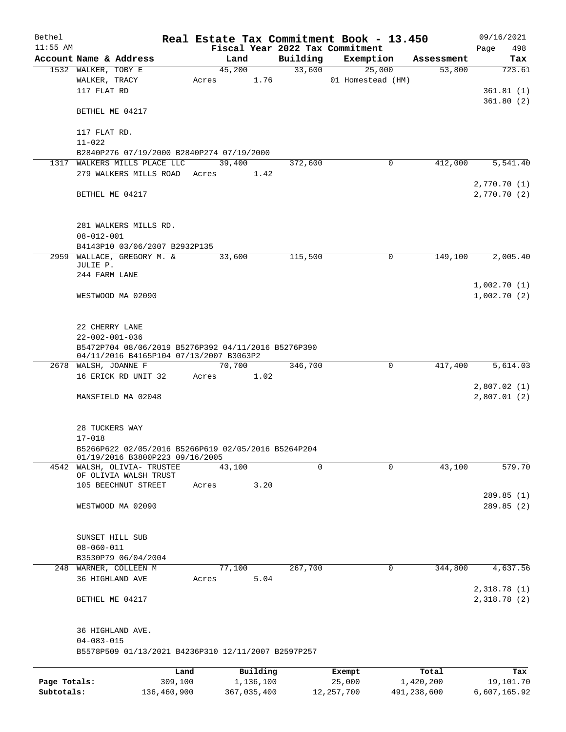| Bethel       |                                                                           |       |             |          |          | Real Estate Tax Commitment Book - 13.450 |             | 09/16/2021                  |
|--------------|---------------------------------------------------------------------------|-------|-------------|----------|----------|------------------------------------------|-------------|-----------------------------|
| $11:55$ AM   |                                                                           |       |             |          |          | Fiscal Year 2022 Tax Commitment          |             | 498<br>Page                 |
|              | Account Name & Address                                                    |       | Land        |          | Building | Exemption                                | Assessment  | Tax                         |
|              | 1532 WALKER, TOBY E                                                       |       | 45,200      |          | 33,600   | 25,000                                   | 53,800      | 723.61                      |
|              | WALKER, TRACY                                                             | Acres |             | 1.76     |          | 01 Homestead (HM)                        |             |                             |
|              | 117 FLAT RD                                                               |       |             |          |          |                                          |             | 361.81(1)                   |
|              |                                                                           |       |             |          |          |                                          |             | 361.80(2)                   |
|              | BETHEL ME 04217                                                           |       |             |          |          |                                          |             |                             |
|              |                                                                           |       |             |          |          |                                          |             |                             |
|              | 117 FLAT RD.                                                              |       |             |          |          |                                          |             |                             |
|              | $11 - 022$                                                                |       |             |          |          |                                          |             |                             |
|              | B2840P276 07/19/2000 B2840P274 07/19/2000<br>1317 WALKERS MILLS PLACE LLC |       | 39,400      |          |          | 0                                        |             |                             |
|              | 279 WALKERS MILLS ROAD Acres                                              |       |             | 1.42     | 372,600  |                                          | 412,000     | 5,541.40                    |
|              |                                                                           |       |             |          |          |                                          |             | 2,770.70(1)                 |
|              | BETHEL ME 04217                                                           |       |             |          |          |                                          |             | 2,770.70 (2)                |
|              |                                                                           |       |             |          |          |                                          |             |                             |
|              |                                                                           |       |             |          |          |                                          |             |                             |
|              | 281 WALKERS MILLS RD.                                                     |       |             |          |          |                                          |             |                             |
|              | $08 - 012 - 001$                                                          |       |             |          |          |                                          |             |                             |
|              | B4143P10 03/06/2007 B2932P135                                             |       |             |          |          |                                          |             |                             |
|              | 2959 WALLACE, GREGORY M. &                                                |       | 33,600      |          | 115,500  | $\mathbf 0$                              | 149,100     | 2,005.40                    |
|              | JULIE P.                                                                  |       |             |          |          |                                          |             |                             |
|              | 244 FARM LANE                                                             |       |             |          |          |                                          |             |                             |
|              |                                                                           |       |             |          |          |                                          |             | 1,002.70(1)                 |
|              | WESTWOOD MA 02090                                                         |       |             |          |          |                                          |             | 1,002.70(2)                 |
|              |                                                                           |       |             |          |          |                                          |             |                             |
|              |                                                                           |       |             |          |          |                                          |             |                             |
|              | 22 CHERRY LANE                                                            |       |             |          |          |                                          |             |                             |
|              | $22 - 002 - 001 - 036$                                                    |       |             |          |          |                                          |             |                             |
|              | B5472P704 08/06/2019 B5276P392 04/11/2016 B5276P390                       |       |             |          |          |                                          |             |                             |
|              | 04/11/2016 B4165P104 07/13/2007 B3063P2                                   |       |             |          |          |                                          |             |                             |
|              | 2678 WALSH, JOANNE F                                                      |       | 70,700      |          | 346,700  | $\mathbf 0$                              | 417,400     | 5,614.03                    |
|              | 16 ERICK RD UNIT 32                                                       | Acres |             | 1.02     |          |                                          |             |                             |
|              |                                                                           |       |             |          |          |                                          |             | 2,807.02(1)                 |
|              | MANSFIELD MA 02048                                                        |       |             |          |          |                                          |             | 2,807.01(2)                 |
|              |                                                                           |       |             |          |          |                                          |             |                             |
|              | 28 TUCKERS WAY                                                            |       |             |          |          |                                          |             |                             |
|              | $17 - 018$                                                                |       |             |          |          |                                          |             |                             |
|              | B5266P622 02/05/2016 B5266P619 02/05/2016 B5264P204                       |       |             |          |          |                                          |             |                             |
|              | 01/19/2016 B3800P223 09/16/2005                                           |       |             |          |          |                                          |             |                             |
| 4542         | WALSH, OLIVIA- TRUSTEE                                                    |       | 43,100      |          | $\Omega$ | 0                                        | 43,100      | 579.70                      |
|              | OF OLIVIA WALSH TRUST                                                     |       |             |          |          |                                          |             |                             |
|              | 105 BEECHNUT STREET                                                       | Acres |             | 3.20     |          |                                          |             |                             |
|              |                                                                           |       |             |          |          |                                          |             | 289.85(1)                   |
|              | WESTWOOD MA 02090                                                         |       |             |          |          |                                          |             | 289.85(2)                   |
|              |                                                                           |       |             |          |          |                                          |             |                             |
|              |                                                                           |       |             |          |          |                                          |             |                             |
|              | SUNSET HILL SUB                                                           |       |             |          |          |                                          |             |                             |
|              | $08 - 060 - 011$                                                          |       |             |          |          |                                          |             |                             |
|              | B3530P79 06/04/2004                                                       |       |             |          | 267,700  | 0                                        | 344,800     | 4,637.56                    |
| 248          | WARNER, COLLEEN M<br>36 HIGHLAND AVE                                      |       | 77,100      | 5.04     |          |                                          |             |                             |
|              |                                                                           | Acres |             |          |          |                                          |             |                             |
|              |                                                                           |       |             |          |          |                                          |             | 2,318.78 (1)<br>2,318.78(2) |
|              | BETHEL ME 04217                                                           |       |             |          |          |                                          |             |                             |
|              |                                                                           |       |             |          |          |                                          |             |                             |
|              | 36 HIGHLAND AVE.                                                          |       |             |          |          |                                          |             |                             |
|              | $04 - 083 - 015$                                                          |       |             |          |          |                                          |             |                             |
|              | B5578P509 01/13/2021 B4236P310 12/11/2007 B2597P257                       |       |             |          |          |                                          |             |                             |
|              |                                                                           |       |             |          |          |                                          |             |                             |
|              | Land                                                                      |       |             | Building |          | Exempt                                   | Total       | Tax                         |
| Page Totals: | 309,100                                                                   |       | 1,136,100   |          |          | 25,000                                   | 1,420,200   | 19,101.70                   |
| Subtotals:   | 136,460,900                                                               |       | 367,035,400 |          |          | 12, 257, 700                             | 491,238,600 | 6,607,165.92                |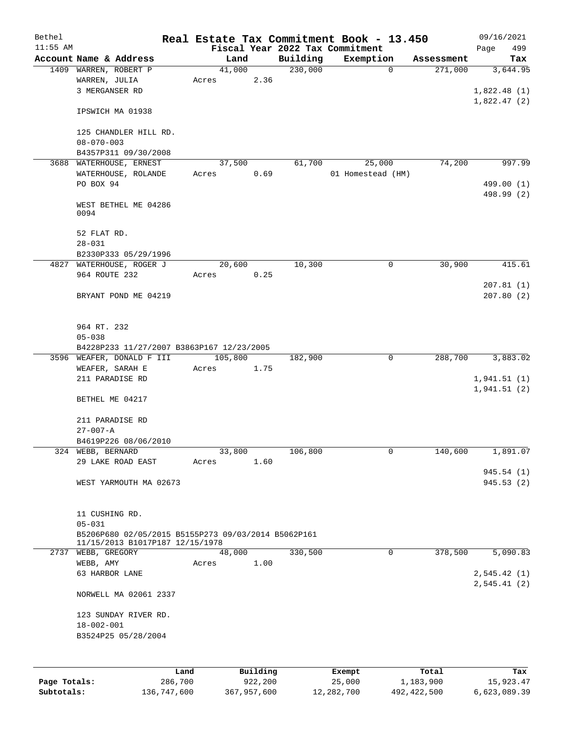| Bethel     |                                                     |      |                 |          |          | Real Estate Tax Commitment Book - 13.450 |              |            | 09/16/2021  |
|------------|-----------------------------------------------------|------|-----------------|----------|----------|------------------------------------------|--------------|------------|-------------|
| $11:55$ AM |                                                     |      |                 |          |          | Fiscal Year 2022 Tax Commitment          |              |            | 499<br>Page |
|            | Account Name & Address                              |      | Land            |          | Building | Exemption                                |              | Assessment | Tax         |
|            | 1409 WARREN, ROBERT P                               |      | 41,000          | 2.36     | 230,000  |                                          | $\mathbf 0$  | 271,000    | 3,644.95    |
|            | WARREN, JULIA<br>3 MERGANSER RD                     |      | Acres           |          |          |                                          |              |            | 1,822.48(1) |
|            |                                                     |      |                 |          |          |                                          |              |            | 1,822.47(2) |
|            | IPSWICH MA 01938                                    |      |                 |          |          |                                          |              |            |             |
|            |                                                     |      |                 |          |          |                                          |              |            |             |
|            | 125 CHANDLER HILL RD.                               |      |                 |          |          |                                          |              |            |             |
|            | $08 - 070 - 003$                                    |      |                 |          |          |                                          |              |            |             |
|            | B4357P311 09/30/2008                                |      |                 |          |          |                                          |              |            |             |
|            | 3688 WATERHOUSE, ERNEST                             |      | 37,500          |          | 61,700   | 25,000                                   |              | 74,200     | 997.99      |
|            | WATERHOUSE, ROLANDE                                 |      | Acres           | 0.69     |          | 01 Homestead (HM)                        |              |            |             |
|            | PO BOX 94                                           |      |                 |          |          |                                          |              |            | 499.00 (1)  |
|            |                                                     |      |                 |          |          |                                          |              |            | 498.99 (2)  |
|            | WEST BETHEL ME 04286                                |      |                 |          |          |                                          |              |            |             |
|            | 0094                                                |      |                 |          |          |                                          |              |            |             |
|            | 52 FLAT RD.                                         |      |                 |          |          |                                          |              |            |             |
|            | $28 - 031$                                          |      |                 |          |          |                                          |              |            |             |
|            | B2330P333 05/29/1996                                |      |                 |          |          |                                          |              |            |             |
|            | 4827 WATERHOUSE, ROGER J                            |      | 20,600          |          | 10,300   |                                          | 0            | 30,900     | 415.61      |
|            | 964 ROUTE 232                                       |      | Acres           | 0.25     |          |                                          |              |            |             |
|            |                                                     |      |                 |          |          |                                          |              |            | 207.81(1)   |
|            | BRYANT POND ME 04219                                |      |                 |          |          |                                          |              |            | 207.80(2)   |
|            |                                                     |      |                 |          |          |                                          |              |            |             |
|            |                                                     |      |                 |          |          |                                          |              |            |             |
|            | 964 RT. 232                                         |      |                 |          |          |                                          |              |            |             |
|            | $05 - 038$                                          |      |                 |          |          |                                          |              |            |             |
|            | B4228P233 11/27/2007 B3863P167 12/23/2005           |      |                 |          |          |                                          |              |            |             |
|            | 3596 WEAFER, DONALD F III                           |      | 105,800         |          | 182,900  |                                          | $\mathsf{O}$ | 288,700    | 3,883.02    |
|            | WEAFER, SARAH E                                     |      | Acres           | 1.75     |          |                                          |              |            |             |
|            | 211 PARADISE RD                                     |      |                 |          |          |                                          |              |            | 1,941.51(1) |
|            |                                                     |      |                 |          |          |                                          |              |            | 1,941.51(2) |
|            | BETHEL ME 04217                                     |      |                 |          |          |                                          |              |            |             |
|            |                                                     |      |                 |          |          |                                          |              |            |             |
|            | 211 PARADISE RD<br>$27 - 007 - A$                   |      |                 |          |          |                                          |              |            |             |
|            | B4619P226 08/06/2010                                |      |                 |          |          |                                          |              |            |             |
|            | 324 WEBB, BERNARD                                   |      | 33,800          |          | 106,800  |                                          | 0            | 140,600    | 1,891.07    |
|            | 29 LAKE ROAD EAST                                   |      | Acres           | 1.60     |          |                                          |              |            |             |
|            |                                                     |      |                 |          |          |                                          |              |            | 945.54(1)   |
|            | WEST YARMOUTH MA 02673                              |      |                 |          |          |                                          |              |            | 945.53(2)   |
|            |                                                     |      |                 |          |          |                                          |              |            |             |
|            |                                                     |      |                 |          |          |                                          |              |            |             |
|            | 11 CUSHING RD.                                      |      |                 |          |          |                                          |              |            |             |
|            | $05 - 031$                                          |      |                 |          |          |                                          |              |            |             |
|            | B5206P680 02/05/2015 B5155P273 09/03/2014 B5062P161 |      |                 |          |          |                                          |              |            |             |
|            | 11/15/2013 B1017P187 12/15/1978                     |      |                 |          |          |                                          | $\mathbf 0$  |            |             |
|            | 2737 WEBB, GREGORY<br>WEBB, AMY                     |      | 48,000<br>Acres | 1.00     | 330,500  |                                          |              | 378,500    | 5,090.83    |
|            | 63 HARBOR LANE                                      |      |                 |          |          |                                          |              |            | 2,545.42(1) |
|            |                                                     |      |                 |          |          |                                          |              |            | 2,545.41(2) |
|            | NORWELL MA 02061 2337                               |      |                 |          |          |                                          |              |            |             |
|            |                                                     |      |                 |          |          |                                          |              |            |             |
|            | 123 SUNDAY RIVER RD.                                |      |                 |          |          |                                          |              |            |             |
|            | $18 - 002 - 001$                                    |      |                 |          |          |                                          |              |            |             |
|            | B3524P25 05/28/2004                                 |      |                 |          |          |                                          |              |            |             |
|            |                                                     |      |                 |          |          |                                          |              |            |             |
|            |                                                     |      |                 |          |          |                                          |              |            |             |
|            |                                                     | Land |                 | Building |          | Exempt                                   |              | Total      | Tax         |
|            |                                                     |      |                 |          |          |                                          |              |            |             |

**Page Totals:** 286,700 922,200 25,000 1,183,900 15,923.47 **Subtotals:** 136,747,600 367,957,600 12,282,700 492,422,500 6,623,089.39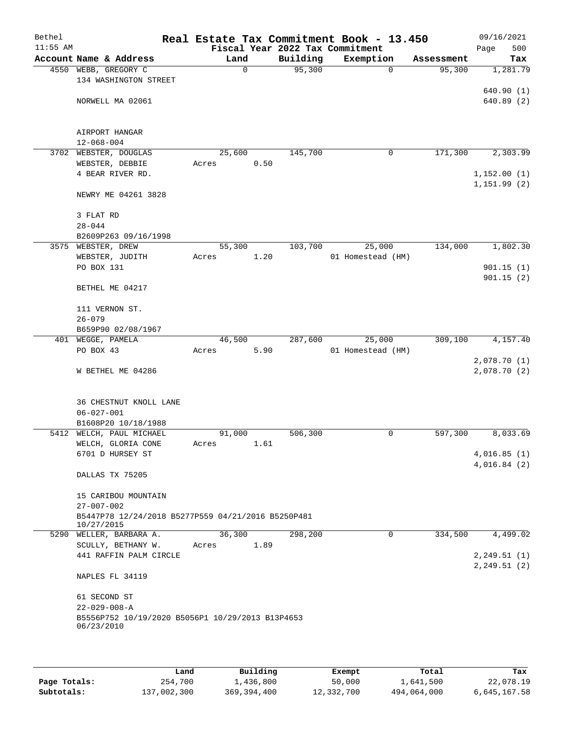| Bethel     |                                                                          |       |        |          | Real Estate Tax Commitment Book - 13.450 |            | 09/16/2021             |
|------------|--------------------------------------------------------------------------|-------|--------|----------|------------------------------------------|------------|------------------------|
| $11:55$ AM |                                                                          |       |        |          | Fiscal Year 2022 Tax Commitment          |            | 500<br>Page            |
|            | Account Name & Address                                                   |       | Land   | Building | Exemption                                | Assessment | Tax                    |
|            | 4550 WEBB, GREGORY C<br>134 WASHINGTON STREET                            |       | 0      | 95,300   | $\Omega$                                 | 95,300     | 1,281.79               |
|            |                                                                          |       |        |          |                                          |            | 640.90(1)              |
|            | NORWELL MA 02061                                                         |       |        |          |                                          |            | 640.89 (2)             |
|            |                                                                          |       |        |          |                                          |            |                        |
|            |                                                                          |       |        |          |                                          |            |                        |
|            | AIRPORT HANGAR                                                           |       |        |          |                                          |            |                        |
|            | $12 - 068 - 004$                                                         |       |        |          |                                          |            |                        |
|            | 3702 WEBSTER, DOUGLAS                                                    |       | 25,600 | 145,700  | 0                                        | 171,300    | 2,303.99               |
|            | WEBSTER, DEBBIE                                                          | Acres | 0.50   |          |                                          |            |                        |
|            | 4 BEAR RIVER RD.                                                         |       |        |          |                                          |            | 1,152.00(1)            |
|            | NEWRY ME 04261 3828                                                      |       |        |          |                                          |            | 1,151.99 (2)           |
|            |                                                                          |       |        |          |                                          |            |                        |
|            | 3 FLAT RD                                                                |       |        |          |                                          |            |                        |
|            | $28 - 044$                                                               |       |        |          |                                          |            |                        |
|            | B2609P263 09/16/1998                                                     |       |        |          |                                          |            |                        |
|            | 3575 WEBSTER, DREW                                                       |       | 55,300 | 103,700  | 25,000                                   | 134,000    | 1,802.30               |
|            | WEBSTER, JUDITH<br>PO BOX 131                                            | Acres | 1.20   |          | 01 Homestead (HM)                        |            |                        |
|            |                                                                          |       |        |          |                                          |            | 901.15(1)<br>901.15(2) |
|            | BETHEL ME 04217                                                          |       |        |          |                                          |            |                        |
|            | 111 VERNON ST.                                                           |       |        |          |                                          |            |                        |
|            | $26 - 079$                                                               |       |        |          |                                          |            |                        |
|            | B659P90 02/08/1967                                                       |       |        |          |                                          |            |                        |
|            | 401 WEGGE, PAMELA                                                        |       | 46,500 | 287,600  | 25,000                                   | 309,100    | 4,157.40               |
|            | PO BOX 43                                                                | Acres | 5.90   |          | 01 Homestead (HM)                        |            |                        |
|            |                                                                          |       |        |          |                                          |            | 2,078.70(1)            |
|            | W BETHEL ME 04286                                                        |       |        |          |                                          |            | 2,078.70(2)            |
|            |                                                                          |       |        |          |                                          |            |                        |
|            | 36 CHESTNUT KNOLL LANE                                                   |       |        |          |                                          |            |                        |
|            | $06 - 027 - 001$                                                         |       |        |          |                                          |            |                        |
|            | B1608P20 10/18/1988                                                      |       |        |          |                                          |            |                        |
|            | 5412 WELCH, PAUL MICHAEL                                                 |       | 91,000 | 506,300  | 0                                        | 597,300    | 8,033.69               |
|            | WELCH, GLORIA CONE                                                       | Acres | 1.61   |          |                                          |            |                        |
|            | 6701 D HURSEY ST                                                         |       |        |          |                                          |            | 4,016.85(1)            |
|            | DALLAS TX 75205                                                          |       |        |          |                                          |            | 4,016.84(2)            |
|            |                                                                          |       |        |          |                                          |            |                        |
|            | 15 CARIBOU MOUNTAIN<br>$27 - 007 - 002$                                  |       |        |          |                                          |            |                        |
|            | B5447P78 12/24/2018 B5277P559 04/21/2016 B5250P481                       |       |        |          |                                          |            |                        |
|            | 10/27/2015                                                               |       |        |          |                                          |            |                        |
|            | 5290 WELLER, BARBARA A.                                                  |       | 36,300 | 298,200  | 0                                        | 334,500    | 4,499.02               |
|            | SCULLY, BETHANY W.                                                       | Acres | 1.89   |          |                                          |            |                        |
|            | 441 RAFFIN PALM CIRCLE                                                   |       |        |          |                                          |            | 2, 249.51(1)           |
|            | NAPLES FL 34119                                                          |       |        |          |                                          |            | 2, 249.51(2)           |
|            |                                                                          |       |        |          |                                          |            |                        |
|            | 61 SECOND ST                                                             |       |        |          |                                          |            |                        |
|            | $22 - 029 - 008 - A$<br>B5556P752 10/19/2020 B5056P1 10/29/2013 B13P4653 |       |        |          |                                          |            |                        |
|            | 06/23/2010                                                               |       |        |          |                                          |            |                        |
|            |                                                                          |       |        |          |                                          |            |                        |
|            |                                                                          |       |        |          |                                          |            |                        |

|              | Land        | Building      | Exempt     | Total       | Tax          |
|--------------|-------------|---------------|------------|-------------|--------------|
| Page Totals: | 254,700     | 1,436,800     | 50,000     | 1,641,500   | 22,078.19    |
| Subtotals:   | 137,002,300 | 369, 394, 400 | 12,332,700 | 494,064,000 | 6,645,167.58 |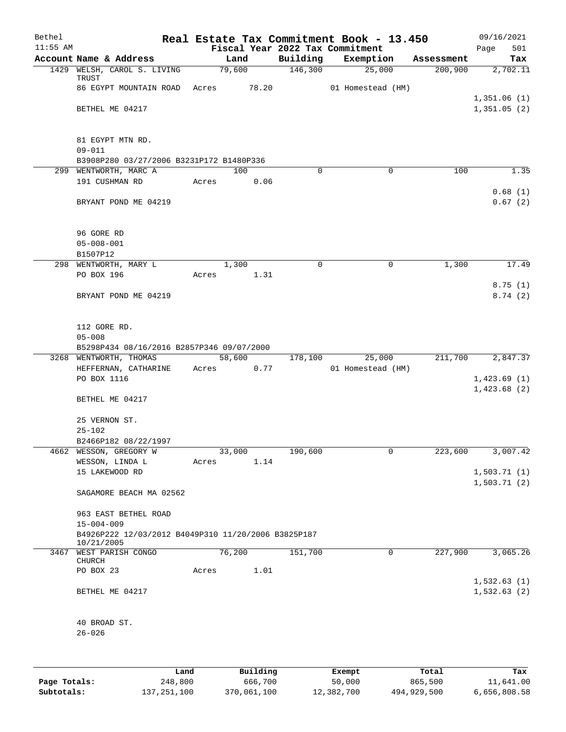| Bethel     |                                                                   |       |        |       |             | Real Estate Tax Commitment Book - 13.450 |            | 09/16/2021         |
|------------|-------------------------------------------------------------------|-------|--------|-------|-------------|------------------------------------------|------------|--------------------|
| $11:55$ AM |                                                                   |       |        |       |             | Fiscal Year 2022 Tax Commitment          |            | 501<br>Page        |
|            | Account Name & Address                                            |       | Land   |       | Building    | Exemption                                | Assessment | Tax                |
|            | 1429 WELSH, CAROL S. LIVING<br>TRUST                              |       | 79,600 |       | 146,300     | 25,000                                   | 200,900    | 2,702.11           |
|            | 86 EGYPT MOUNTAIN ROAD                                            | Acres |        | 78.20 |             | 01 Homestead (HM)                        |            |                    |
|            |                                                                   |       |        |       |             |                                          |            | 1,351.06(1)        |
|            | BETHEL ME 04217                                                   |       |        |       |             |                                          |            | 1,351.05(2)        |
|            |                                                                   |       |        |       |             |                                          |            |                    |
|            |                                                                   |       |        |       |             |                                          |            |                    |
|            | 81 EGYPT MTN RD.                                                  |       |        |       |             |                                          |            |                    |
|            | $09 - 011$                                                        |       |        |       |             |                                          |            |                    |
|            | B3908P280 03/27/2006 B3231P172 B1480P336                          |       |        |       |             |                                          |            |                    |
|            | 299 WENTWORTH, MARC A                                             |       | 100    |       | $\Omega$    | 0                                        | 100        | 1.35               |
|            | 191 CUSHMAN RD                                                    | Acres |        | 0.06  |             |                                          |            |                    |
|            | BRYANT POND ME 04219                                              |       |        |       |             |                                          |            | 0.68(1)<br>0.67(2) |
|            |                                                                   |       |        |       |             |                                          |            |                    |
|            |                                                                   |       |        |       |             |                                          |            |                    |
|            | 96 GORE RD                                                        |       |        |       |             |                                          |            |                    |
|            | $05 - 008 - 001$                                                  |       |        |       |             |                                          |            |                    |
|            | B1507P12                                                          |       |        |       |             |                                          |            |                    |
|            | 298 WENTWORTH, MARY L                                             |       | 1,300  |       | $\mathbf 0$ | 0                                        | 1,300      | 17.49              |
|            | PO BOX 196                                                        | Acres |        | 1.31  |             |                                          |            |                    |
|            |                                                                   |       |        |       |             |                                          |            | 8.75(1)            |
|            | BRYANT POND ME 04219                                              |       |        |       |             |                                          |            | 8.74(2)            |
|            |                                                                   |       |        |       |             |                                          |            |                    |
|            |                                                                   |       |        |       |             |                                          |            |                    |
|            | 112 GORE RD.                                                      |       |        |       |             |                                          |            |                    |
|            | $05 - 008$                                                        |       |        |       |             |                                          |            |                    |
|            | B5298P434 08/16/2016 B2857P346 09/07/2000                         |       |        |       |             |                                          |            |                    |
|            | 3268 WENTWORTH, THOMAS                                            |       | 58,600 |       | 178,100     | 25,000                                   | 211,700    | 2,847.37           |
|            | HEFFERNAN, CATHARINE                                              | Acres |        | 0.77  |             | 01 Homestead (HM)                        |            |                    |
|            | PO BOX 1116                                                       |       |        |       |             |                                          |            | 1,423.69(1)        |
|            |                                                                   |       |        |       |             |                                          |            | 1,423.68(2)        |
|            | BETHEL ME 04217                                                   |       |        |       |             |                                          |            |                    |
|            | 25 VERNON ST.                                                     |       |        |       |             |                                          |            |                    |
|            | $25 - 102$                                                        |       |        |       |             |                                          |            |                    |
|            | B2466P182 08/22/1997                                              |       |        |       |             |                                          |            |                    |
|            | 4662 WESSON, GREGORY W                                            |       | 33,000 |       | 190,600     | 0                                        | 223,600    | 3,007.42           |
|            | WESSON, LINDA L                                                   | Acres |        | 1.14  |             |                                          |            |                    |
|            | 15 LAKEWOOD RD                                                    |       |        |       |             |                                          |            | 1,503.71(1)        |
|            |                                                                   |       |        |       |             |                                          |            | 1,503.71(2)        |
|            | SAGAMORE BEACH MA 02562                                           |       |        |       |             |                                          |            |                    |
|            |                                                                   |       |        |       |             |                                          |            |                    |
|            | 963 EAST BETHEL ROAD                                              |       |        |       |             |                                          |            |                    |
|            | $15 - 004 - 009$                                                  |       |        |       |             |                                          |            |                    |
|            | B4926P222 12/03/2012 B4049P310 11/20/2006 B3825P187<br>10/21/2005 |       |        |       |             |                                          |            |                    |
|            | 3467 WEST PARISH CONGO                                            |       | 76,200 |       | 151,700     | 0                                        | 227,900    | 3,065.26           |
|            | CHURCH                                                            |       |        |       |             |                                          |            |                    |
|            | PO BOX 23                                                         | Acres |        | 1.01  |             |                                          |            |                    |
|            |                                                                   |       |        |       |             |                                          |            | 1,532.63(1)        |
|            | BETHEL ME 04217                                                   |       |        |       |             |                                          |            | 1,532.63(2)        |
|            |                                                                   |       |        |       |             |                                          |            |                    |
|            |                                                                   |       |        |       |             |                                          |            |                    |
|            | 40 BROAD ST.                                                      |       |        |       |             |                                          |            |                    |
|            | $26 - 026$                                                        |       |        |       |             |                                          |            |                    |
|            |                                                                   |       |        |       |             |                                          |            |                    |
|            |                                                                   |       |        |       |             |                                          |            |                    |
|            |                                                                   |       |        |       |             |                                          |            |                    |

|              | Land          | Building    | Exempt     | Total       | Tax          |
|--------------|---------------|-------------|------------|-------------|--------------|
| Page Totals: | 248,800       | 666,700     | 50,000     | 865,500     | 11,641.00    |
| Subtotals:   | 137, 251, 100 | 370,061,100 | 12,382,700 | 494,929,500 | 6,656,808.58 |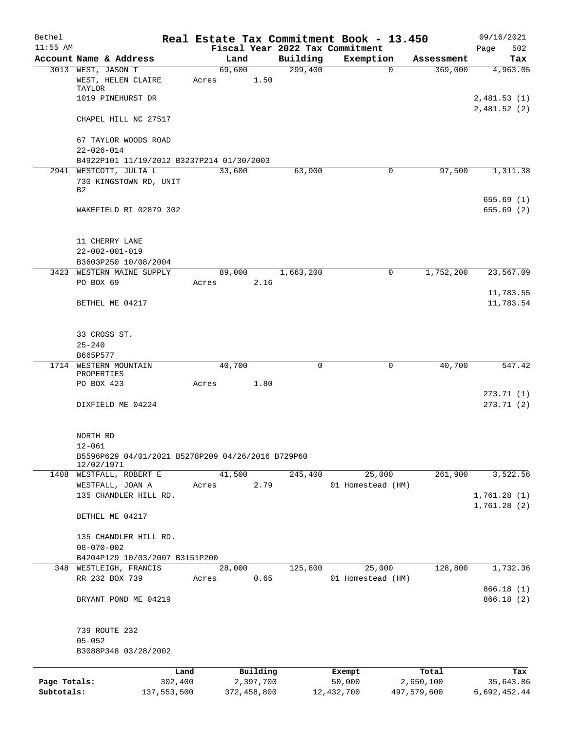| Bethel       |                                                                 |       |                |             |             | Real Estate Tax Commitment Book - 13.450 |                        | 09/16/2021                 |
|--------------|-----------------------------------------------------------------|-------|----------------|-------------|-------------|------------------------------------------|------------------------|----------------------------|
| $11:55$ AM   |                                                                 |       |                |             |             | Fiscal Year 2022 Tax Commitment          |                        | 502<br>Page                |
|              | Account Name & Address                                          |       | Land<br>69,600 |             | Building    | Exemption                                | Assessment             | Tax                        |
|              | 3013 WEST, JASON T<br>WEST, HELEN CLAIRE<br>TAYLOR              | Acres |                | 1.50        | 299,400     |                                          | 369,000<br>$\mathbf 0$ | 4,963.05                   |
|              | 1019 PINEHURST DR                                               |       |                |             |             |                                          |                        | 2,481.53(1)<br>2,481.52(2) |
|              | CHAPEL HILL NC 27517                                            |       |                |             |             |                                          |                        |                            |
|              | 67 TAYLOR WOODS ROAD<br>$22 - 026 - 014$                        |       |                |             |             |                                          |                        |                            |
|              | B4922P101 11/19/2012 B3237P214 01/30/2003                       |       |                |             |             |                                          |                        |                            |
|              | 2941 WESTCOTT, JULIA L                                          |       | 33,600         |             | 63,900      |                                          | 97,500<br>0            | 1,311.38                   |
|              | 730 KINGSTOWN RD, UNIT<br>B2                                    |       |                |             |             |                                          |                        | 655.69(1)                  |
|              | WAKEFIELD RI 02879 302                                          |       |                |             |             |                                          |                        | 655.69(2)                  |
|              | 11 CHERRY LANE                                                  |       |                |             |             |                                          |                        |                            |
|              | $22 - 002 - 001 - 019$                                          |       |                |             |             |                                          |                        |                            |
|              | B3603P250 10/08/2004                                            |       |                |             |             |                                          |                        |                            |
|              | 3423 WESTERN MAINE SUPPLY<br>PO BOX 69                          | Acres | 89,000         | 2.16        | 1,663,200   |                                          | 1,752,200<br>0         | 23,567.09                  |
|              | BETHEL ME 04217                                                 |       |                |             |             |                                          |                        | 11,783.55<br>11,783.54     |
|              | 33 CROSS ST.                                                    |       |                |             |             |                                          |                        |                            |
|              | $25 - 240$                                                      |       |                |             |             |                                          |                        |                            |
|              | B665P577                                                        |       |                |             | $\mathbf 0$ |                                          |                        |                            |
| 1714         | WESTERN MOUNTAIN<br>PROPERTIES                                  |       | 40,700         |             |             |                                          | $\mathbf 0$<br>40,700  | 547.42                     |
|              | PO BOX 423                                                      | Acres |                | 1.80        |             |                                          |                        | 273.71(1)                  |
|              | DIXFIELD ME 04224                                               |       |                |             |             |                                          |                        | 273.71(2)                  |
|              | NORTH RD                                                        |       |                |             |             |                                          |                        |                            |
|              | $12 - 061$                                                      |       |                |             |             |                                          |                        |                            |
|              | B5596P629 04/01/2021 B5278P209 04/26/2016 B729P60<br>12/02/1971 |       |                |             |             |                                          |                        |                            |
|              | 1408 WESTFALL, ROBERT E                                         |       | 41,500         |             | 245,400     | 25,000                                   | 261,900                | 3,522.56                   |
|              | WESTFALL, JOAN A                                                | Acres |                | 2.79        |             | 01 Homestead (HM)                        |                        |                            |
|              | 135 CHANDLER HILL RD.                                           |       |                |             |             |                                          |                        | 1,761.28(1)<br>1,761.28(2) |
|              | BETHEL ME 04217                                                 |       |                |             |             |                                          |                        |                            |
|              | 135 CHANDLER HILL RD.<br>$08 - 070 - 002$                       |       |                |             |             |                                          |                        |                            |
|              | B4204P129 10/03/2007 B3151P200                                  |       |                |             |             |                                          |                        |                            |
|              | 348 WESTLEIGH, FRANCIS                                          |       | 28,000         |             | 125,800     | 25,000                                   | 128,800                | 1,732.36                   |
|              | RR 232 BOX 739                                                  | Acres |                | 0.65        |             | 01 Homestead (HM)                        |                        | 866.18(1)                  |
|              | BRYANT POND ME 04219                                            |       |                |             |             |                                          |                        | 866.18 (2)                 |
|              | 739 ROUTE 232                                                   |       |                |             |             |                                          |                        |                            |
|              | $05 - 052$<br>B3088P348 03/28/2002                              |       |                |             |             |                                          |                        |                            |
|              | Land                                                            |       |                | Building    |             | Exempt                                   | Total                  | Tax                        |
| Page Totals: | 302,400                                                         |       |                | 2,397,700   |             | 50,000                                   | 2,650,100              | 35,643.86                  |
| Subtotals:   | 137,553,500                                                     |       |                | 372,458,800 |             | 12,432,700                               | 497,579,600            | 6,692,452.44               |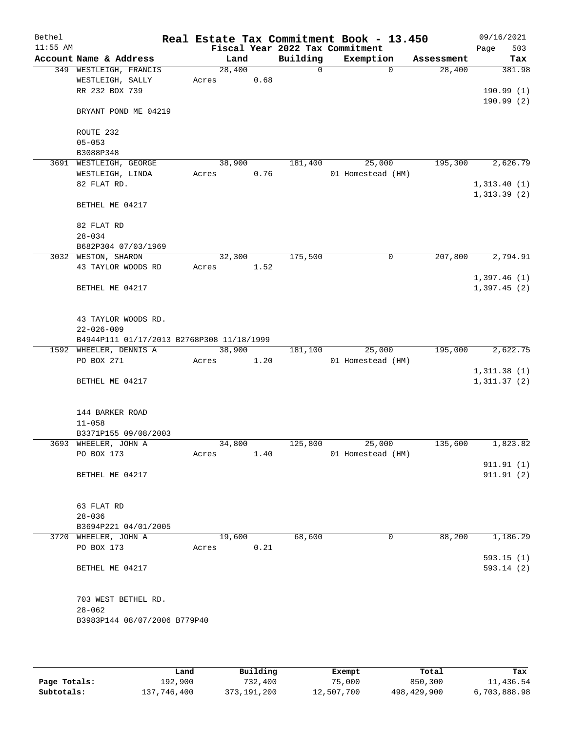| Fiscal Year 2022 Tax Commitment<br>Page<br>Account Name & Address<br>Building<br>Exemption<br>Land<br>Assessment<br>28,400<br>$\Omega$<br>349 WESTLEIGH, FRANCIS<br>$\Omega$<br>28,400<br>381.98<br>WESTLEIGH, SALLY<br>0.68<br>Acres<br>RR 232 BOX 739<br>190.99(1)<br>190.99(2)<br>BRYANT POND ME 04219<br>ROUTE 232<br>$05 - 053$<br>B3088P348<br>2,626.79<br>38,900<br>181,400<br>25,000<br>195,300<br>3691 WESTLEIGH, GEORGE<br>0.76<br>WESTLEIGH, LINDA<br>Acres<br>01 Homestead (HM)<br>82 FLAT RD.<br>1,313.40(1)<br>1,313.39(2)<br>BETHEL ME 04217<br>82 FLAT RD<br>$28 - 034$<br>B682P304 07/03/1969<br>3032 WESTON, SHARON<br>32,300<br>175,500<br>$\mathbf 0$<br>207,800<br>2,794.91<br>43 TAYLOR WOODS RD<br>1.52<br>Acres<br>1,397.46(1)<br>BETHEL ME 04217<br>1,397.45(2)<br>43 TAYLOR WOODS RD.<br>$22 - 026 - 009$<br>B4944P111 01/17/2013 B2768P308 11/18/1999<br>1592 WHEELER, DENNIS A<br>38,900<br>25,000<br>195,000<br>2,622.75<br>181,100<br>PO BOX 271<br>1.20<br>01 Homestead (HM)<br>Acres<br>1,311.38(1)<br>1,311.37(2)<br>BETHEL ME 04217<br>144 BARKER ROAD<br>$11 - 058$<br>B3371P155 09/08/2003<br>125,800<br>25,000<br>135,600<br>1,823.82<br>3693 WHEELER, JOHN A<br>34,800<br>PO BOX 173<br>01 Homestead (HM)<br>Acres<br>1.40<br>911.91(1)<br>BETHEL ME 04217<br>911.91(2)<br>63 FLAT RD<br>$28 - 036$<br>B3694P221 04/01/2005<br>88,200<br>19,600<br>68,600<br>0<br>1,186.29<br>3720 WHEELER, JOHN A<br>PO BOX 173<br>0.21<br>Acres<br>593.15(1)<br>593.14(2)<br>BETHEL ME 04217<br>703 WEST BETHEL RD.<br>$28 - 062$<br>B3983P144 08/07/2006 B779P40 | Bethel     |  |  | Real Estate Tax Commitment Book - 13.450 |  |  | 09/16/2021 |
|-------------------------------------------------------------------------------------------------------------------------------------------------------------------------------------------------------------------------------------------------------------------------------------------------------------------------------------------------------------------------------------------------------------------------------------------------------------------------------------------------------------------------------------------------------------------------------------------------------------------------------------------------------------------------------------------------------------------------------------------------------------------------------------------------------------------------------------------------------------------------------------------------------------------------------------------------------------------------------------------------------------------------------------------------------------------------------------------------------------------------------------------------------------------------------------------------------------------------------------------------------------------------------------------------------------------------------------------------------------------------------------------------------------------------------------------------------------------------------------------------------------------------------------------------------------------------------------------|------------|--|--|------------------------------------------|--|--|------------|
|                                                                                                                                                                                                                                                                                                                                                                                                                                                                                                                                                                                                                                                                                                                                                                                                                                                                                                                                                                                                                                                                                                                                                                                                                                                                                                                                                                                                                                                                                                                                                                                           | $11:55$ AM |  |  |                                          |  |  | 503        |
|                                                                                                                                                                                                                                                                                                                                                                                                                                                                                                                                                                                                                                                                                                                                                                                                                                                                                                                                                                                                                                                                                                                                                                                                                                                                                                                                                                                                                                                                                                                                                                                           |            |  |  |                                          |  |  | Tax        |
|                                                                                                                                                                                                                                                                                                                                                                                                                                                                                                                                                                                                                                                                                                                                                                                                                                                                                                                                                                                                                                                                                                                                                                                                                                                                                                                                                                                                                                                                                                                                                                                           |            |  |  |                                          |  |  |            |
|                                                                                                                                                                                                                                                                                                                                                                                                                                                                                                                                                                                                                                                                                                                                                                                                                                                                                                                                                                                                                                                                                                                                                                                                                                                                                                                                                                                                                                                                                                                                                                                           |            |  |  |                                          |  |  |            |
|                                                                                                                                                                                                                                                                                                                                                                                                                                                                                                                                                                                                                                                                                                                                                                                                                                                                                                                                                                                                                                                                                                                                                                                                                                                                                                                                                                                                                                                                                                                                                                                           |            |  |  |                                          |  |  |            |
|                                                                                                                                                                                                                                                                                                                                                                                                                                                                                                                                                                                                                                                                                                                                                                                                                                                                                                                                                                                                                                                                                                                                                                                                                                                                                                                                                                                                                                                                                                                                                                                           |            |  |  |                                          |  |  |            |
|                                                                                                                                                                                                                                                                                                                                                                                                                                                                                                                                                                                                                                                                                                                                                                                                                                                                                                                                                                                                                                                                                                                                                                                                                                                                                                                                                                                                                                                                                                                                                                                           |            |  |  |                                          |  |  |            |
|                                                                                                                                                                                                                                                                                                                                                                                                                                                                                                                                                                                                                                                                                                                                                                                                                                                                                                                                                                                                                                                                                                                                                                                                                                                                                                                                                                                                                                                                                                                                                                                           |            |  |  |                                          |  |  |            |
|                                                                                                                                                                                                                                                                                                                                                                                                                                                                                                                                                                                                                                                                                                                                                                                                                                                                                                                                                                                                                                                                                                                                                                                                                                                                                                                                                                                                                                                                                                                                                                                           |            |  |  |                                          |  |  |            |
|                                                                                                                                                                                                                                                                                                                                                                                                                                                                                                                                                                                                                                                                                                                                                                                                                                                                                                                                                                                                                                                                                                                                                                                                                                                                                                                                                                                                                                                                                                                                                                                           |            |  |  |                                          |  |  |            |
|                                                                                                                                                                                                                                                                                                                                                                                                                                                                                                                                                                                                                                                                                                                                                                                                                                                                                                                                                                                                                                                                                                                                                                                                                                                                                                                                                                                                                                                                                                                                                                                           |            |  |  |                                          |  |  |            |
|                                                                                                                                                                                                                                                                                                                                                                                                                                                                                                                                                                                                                                                                                                                                                                                                                                                                                                                                                                                                                                                                                                                                                                                                                                                                                                                                                                                                                                                                                                                                                                                           |            |  |  |                                          |  |  |            |
|                                                                                                                                                                                                                                                                                                                                                                                                                                                                                                                                                                                                                                                                                                                                                                                                                                                                                                                                                                                                                                                                                                                                                                                                                                                                                                                                                                                                                                                                                                                                                                                           |            |  |  |                                          |  |  |            |
|                                                                                                                                                                                                                                                                                                                                                                                                                                                                                                                                                                                                                                                                                                                                                                                                                                                                                                                                                                                                                                                                                                                                                                                                                                                                                                                                                                                                                                                                                                                                                                                           |            |  |  |                                          |  |  |            |
|                                                                                                                                                                                                                                                                                                                                                                                                                                                                                                                                                                                                                                                                                                                                                                                                                                                                                                                                                                                                                                                                                                                                                                                                                                                                                                                                                                                                                                                                                                                                                                                           |            |  |  |                                          |  |  |            |
|                                                                                                                                                                                                                                                                                                                                                                                                                                                                                                                                                                                                                                                                                                                                                                                                                                                                                                                                                                                                                                                                                                                                                                                                                                                                                                                                                                                                                                                                                                                                                                                           |            |  |  |                                          |  |  |            |
|                                                                                                                                                                                                                                                                                                                                                                                                                                                                                                                                                                                                                                                                                                                                                                                                                                                                                                                                                                                                                                                                                                                                                                                                                                                                                                                                                                                                                                                                                                                                                                                           |            |  |  |                                          |  |  |            |
|                                                                                                                                                                                                                                                                                                                                                                                                                                                                                                                                                                                                                                                                                                                                                                                                                                                                                                                                                                                                                                                                                                                                                                                                                                                                                                                                                                                                                                                                                                                                                                                           |            |  |  |                                          |  |  |            |
|                                                                                                                                                                                                                                                                                                                                                                                                                                                                                                                                                                                                                                                                                                                                                                                                                                                                                                                                                                                                                                                                                                                                                                                                                                                                                                                                                                                                                                                                                                                                                                                           |            |  |  |                                          |  |  |            |
|                                                                                                                                                                                                                                                                                                                                                                                                                                                                                                                                                                                                                                                                                                                                                                                                                                                                                                                                                                                                                                                                                                                                                                                                                                                                                                                                                                                                                                                                                                                                                                                           |            |  |  |                                          |  |  |            |
|                                                                                                                                                                                                                                                                                                                                                                                                                                                                                                                                                                                                                                                                                                                                                                                                                                                                                                                                                                                                                                                                                                                                                                                                                                                                                                                                                                                                                                                                                                                                                                                           |            |  |  |                                          |  |  |            |
|                                                                                                                                                                                                                                                                                                                                                                                                                                                                                                                                                                                                                                                                                                                                                                                                                                                                                                                                                                                                                                                                                                                                                                                                                                                                                                                                                                                                                                                                                                                                                                                           |            |  |  |                                          |  |  |            |
|                                                                                                                                                                                                                                                                                                                                                                                                                                                                                                                                                                                                                                                                                                                                                                                                                                                                                                                                                                                                                                                                                                                                                                                                                                                                                                                                                                                                                                                                                                                                                                                           |            |  |  |                                          |  |  |            |
|                                                                                                                                                                                                                                                                                                                                                                                                                                                                                                                                                                                                                                                                                                                                                                                                                                                                                                                                                                                                                                                                                                                                                                                                                                                                                                                                                                                                                                                                                                                                                                                           |            |  |  |                                          |  |  |            |
|                                                                                                                                                                                                                                                                                                                                                                                                                                                                                                                                                                                                                                                                                                                                                                                                                                                                                                                                                                                                                                                                                                                                                                                                                                                                                                                                                                                                                                                                                                                                                                                           |            |  |  |                                          |  |  |            |
|                                                                                                                                                                                                                                                                                                                                                                                                                                                                                                                                                                                                                                                                                                                                                                                                                                                                                                                                                                                                                                                                                                                                                                                                                                                                                                                                                                                                                                                                                                                                                                                           |            |  |  |                                          |  |  |            |
|                                                                                                                                                                                                                                                                                                                                                                                                                                                                                                                                                                                                                                                                                                                                                                                                                                                                                                                                                                                                                                                                                                                                                                                                                                                                                                                                                                                                                                                                                                                                                                                           |            |  |  |                                          |  |  |            |
|                                                                                                                                                                                                                                                                                                                                                                                                                                                                                                                                                                                                                                                                                                                                                                                                                                                                                                                                                                                                                                                                                                                                                                                                                                                                                                                                                                                                                                                                                                                                                                                           |            |  |  |                                          |  |  |            |
|                                                                                                                                                                                                                                                                                                                                                                                                                                                                                                                                                                                                                                                                                                                                                                                                                                                                                                                                                                                                                                                                                                                                                                                                                                                                                                                                                                                                                                                                                                                                                                                           |            |  |  |                                          |  |  |            |
|                                                                                                                                                                                                                                                                                                                                                                                                                                                                                                                                                                                                                                                                                                                                                                                                                                                                                                                                                                                                                                                                                                                                                                                                                                                                                                                                                                                                                                                                                                                                                                                           |            |  |  |                                          |  |  |            |
|                                                                                                                                                                                                                                                                                                                                                                                                                                                                                                                                                                                                                                                                                                                                                                                                                                                                                                                                                                                                                                                                                                                                                                                                                                                                                                                                                                                                                                                                                                                                                                                           |            |  |  |                                          |  |  |            |
|                                                                                                                                                                                                                                                                                                                                                                                                                                                                                                                                                                                                                                                                                                                                                                                                                                                                                                                                                                                                                                                                                                                                                                                                                                                                                                                                                                                                                                                                                                                                                                                           |            |  |  |                                          |  |  |            |
|                                                                                                                                                                                                                                                                                                                                                                                                                                                                                                                                                                                                                                                                                                                                                                                                                                                                                                                                                                                                                                                                                                                                                                                                                                                                                                                                                                                                                                                                                                                                                                                           |            |  |  |                                          |  |  |            |
|                                                                                                                                                                                                                                                                                                                                                                                                                                                                                                                                                                                                                                                                                                                                                                                                                                                                                                                                                                                                                                                                                                                                                                                                                                                                                                                                                                                                                                                                                                                                                                                           |            |  |  |                                          |  |  |            |
|                                                                                                                                                                                                                                                                                                                                                                                                                                                                                                                                                                                                                                                                                                                                                                                                                                                                                                                                                                                                                                                                                                                                                                                                                                                                                                                                                                                                                                                                                                                                                                                           |            |  |  |                                          |  |  |            |
|                                                                                                                                                                                                                                                                                                                                                                                                                                                                                                                                                                                                                                                                                                                                                                                                                                                                                                                                                                                                                                                                                                                                                                                                                                                                                                                                                                                                                                                                                                                                                                                           |            |  |  |                                          |  |  |            |
|                                                                                                                                                                                                                                                                                                                                                                                                                                                                                                                                                                                                                                                                                                                                                                                                                                                                                                                                                                                                                                                                                                                                                                                                                                                                                                                                                                                                                                                                                                                                                                                           |            |  |  |                                          |  |  |            |
|                                                                                                                                                                                                                                                                                                                                                                                                                                                                                                                                                                                                                                                                                                                                                                                                                                                                                                                                                                                                                                                                                                                                                                                                                                                                                                                                                                                                                                                                                                                                                                                           |            |  |  |                                          |  |  |            |
|                                                                                                                                                                                                                                                                                                                                                                                                                                                                                                                                                                                                                                                                                                                                                                                                                                                                                                                                                                                                                                                                                                                                                                                                                                                                                                                                                                                                                                                                                                                                                                                           |            |  |  |                                          |  |  |            |
|                                                                                                                                                                                                                                                                                                                                                                                                                                                                                                                                                                                                                                                                                                                                                                                                                                                                                                                                                                                                                                                                                                                                                                                                                                                                                                                                                                                                                                                                                                                                                                                           |            |  |  |                                          |  |  |            |
|                                                                                                                                                                                                                                                                                                                                                                                                                                                                                                                                                                                                                                                                                                                                                                                                                                                                                                                                                                                                                                                                                                                                                                                                                                                                                                                                                                                                                                                                                                                                                                                           |            |  |  |                                          |  |  |            |
|                                                                                                                                                                                                                                                                                                                                                                                                                                                                                                                                                                                                                                                                                                                                                                                                                                                                                                                                                                                                                                                                                                                                                                                                                                                                                                                                                                                                                                                                                                                                                                                           |            |  |  |                                          |  |  |            |
|                                                                                                                                                                                                                                                                                                                                                                                                                                                                                                                                                                                                                                                                                                                                                                                                                                                                                                                                                                                                                                                                                                                                                                                                                                                                                                                                                                                                                                                                                                                                                                                           |            |  |  |                                          |  |  |            |
|                                                                                                                                                                                                                                                                                                                                                                                                                                                                                                                                                                                                                                                                                                                                                                                                                                                                                                                                                                                                                                                                                                                                                                                                                                                                                                                                                                                                                                                                                                                                                                                           |            |  |  |                                          |  |  |            |
|                                                                                                                                                                                                                                                                                                                                                                                                                                                                                                                                                                                                                                                                                                                                                                                                                                                                                                                                                                                                                                                                                                                                                                                                                                                                                                                                                                                                                                                                                                                                                                                           |            |  |  |                                          |  |  |            |
|                                                                                                                                                                                                                                                                                                                                                                                                                                                                                                                                                                                                                                                                                                                                                                                                                                                                                                                                                                                                                                                                                                                                                                                                                                                                                                                                                                                                                                                                                                                                                                                           |            |  |  |                                          |  |  |            |
|                                                                                                                                                                                                                                                                                                                                                                                                                                                                                                                                                                                                                                                                                                                                                                                                                                                                                                                                                                                                                                                                                                                                                                                                                                                                                                                                                                                                                                                                                                                                                                                           |            |  |  |                                          |  |  |            |
|                                                                                                                                                                                                                                                                                                                                                                                                                                                                                                                                                                                                                                                                                                                                                                                                                                                                                                                                                                                                                                                                                                                                                                                                                                                                                                                                                                                                                                                                                                                                                                                           |            |  |  |                                          |  |  |            |
|                                                                                                                                                                                                                                                                                                                                                                                                                                                                                                                                                                                                                                                                                                                                                                                                                                                                                                                                                                                                                                                                                                                                                                                                                                                                                                                                                                                                                                                                                                                                                                                           |            |  |  |                                          |  |  |            |

|              | Land        | Building    | Exempt     | Total       | Tax          |
|--------------|-------------|-------------|------------|-------------|--------------|
| Page Totals: | 192,900     | 732,400     | 75,000     | 850,300     | 11,436.54    |
| Subtotals:   | 137,746,400 | 373,191,200 | 12,507,700 | 498,429,900 | 6,703,888.98 |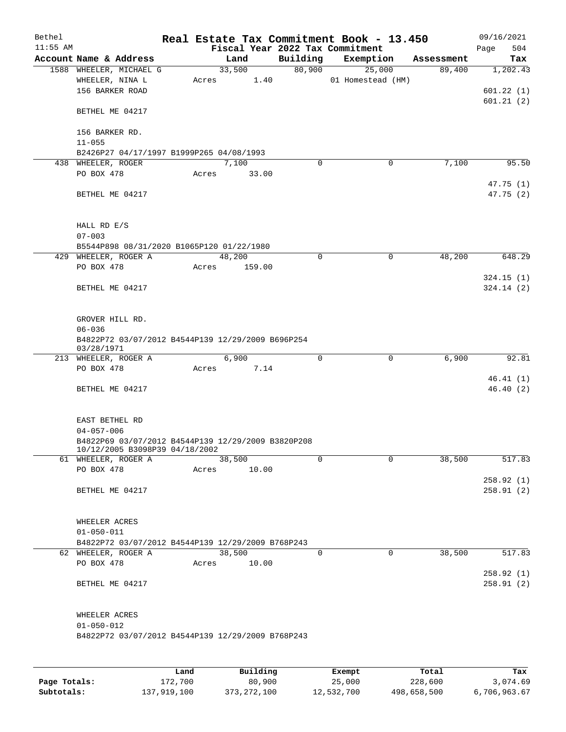| Bethel     |                                                                        |       |                        |        |                    | Real Estate Tax Commitment Book - 13.450 |                      | 09/16/2021  |
|------------|------------------------------------------------------------------------|-------|------------------------|--------|--------------------|------------------------------------------|----------------------|-------------|
| $11:55$ AM |                                                                        |       |                        |        |                    | Fiscal Year 2022 Tax Commitment          |                      | 504<br>Page |
|            | Account Name & Address                                                 |       | Land<br>33,500         |        | Building<br>80,900 | Exemption<br>25,000                      | Assessment<br>89,400 | Tax         |
|            | 1588 WHEELER, MICHAEL G<br>WHEELER, NINA L                             |       | Acres                  | 1.40   |                    | 01 Homestead (HM)                        |                      | 1,202.43    |
|            | 156 BARKER ROAD                                                        |       |                        |        |                    |                                          |                      | 601.22(1)   |
|            |                                                                        |       |                        |        |                    |                                          |                      | 601.21(2)   |
|            | BETHEL ME 04217                                                        |       |                        |        |                    |                                          |                      |             |
|            |                                                                        |       |                        |        |                    |                                          |                      |             |
|            | 156 BARKER RD.                                                         |       |                        |        |                    |                                          |                      |             |
|            | $11 - 055$                                                             |       |                        |        |                    |                                          |                      |             |
|            | B2426P27 04/17/1997 B1999P265 04/08/1993<br>438 WHEELER, ROGER         |       | 7,100                  |        | 0                  | 0                                        | 7,100                | 95.50       |
|            | PO BOX 478                                                             | Acres | 33.00                  |        |                    |                                          |                      |             |
|            |                                                                        |       |                        |        |                    |                                          |                      | 47.75 (1)   |
|            | BETHEL ME 04217                                                        |       |                        |        |                    |                                          |                      | 47.75 (2)   |
|            |                                                                        |       |                        |        |                    |                                          |                      |             |
|            |                                                                        |       |                        |        |                    |                                          |                      |             |
|            | HALL RD E/S                                                            |       |                        |        |                    |                                          |                      |             |
|            | $07 - 003$                                                             |       |                        |        |                    |                                          |                      |             |
|            | B5544P898 08/31/2020 B1065P120 01/22/1980                              |       |                        |        |                    |                                          |                      |             |
|            | 429 WHEELER, ROGER A<br>PO BOX 478                                     | Acres | 48,200                 | 159.00 | 0                  | 0                                        | 48,200               | 648.29      |
|            |                                                                        |       |                        |        |                    |                                          |                      | 324.15(1)   |
|            | BETHEL ME 04217                                                        |       |                        |        |                    |                                          |                      | 324.14(2)   |
|            |                                                                        |       |                        |        |                    |                                          |                      |             |
|            |                                                                        |       |                        |        |                    |                                          |                      |             |
|            | GROVER HILL RD.                                                        |       |                        |        |                    |                                          |                      |             |
|            | $06 - 036$                                                             |       |                        |        |                    |                                          |                      |             |
|            | B4822P72 03/07/2012 B4544P139 12/29/2009 B696P254<br>03/28/1971        |       |                        |        |                    |                                          |                      |             |
|            | 213 WHEELER, ROGER A                                                   |       | 6,900                  |        | $\mathbf 0$        | $\mathbf 0$                              | 6,900                | 92.81       |
|            | PO BOX 478                                                             | Acres |                        | 7.14   |                    |                                          |                      |             |
|            |                                                                        |       |                        |        |                    |                                          |                      | 46.41(1)    |
|            | BETHEL ME 04217                                                        |       |                        |        |                    |                                          |                      | 46.40(2)    |
|            |                                                                        |       |                        |        |                    |                                          |                      |             |
|            |                                                                        |       |                        |        |                    |                                          |                      |             |
|            | EAST BETHEL RD                                                         |       |                        |        |                    |                                          |                      |             |
|            | $04 - 057 - 006$<br>B4822P69 03/07/2012 B4544P139 12/29/2009 B3820P208 |       |                        |        |                    |                                          |                      |             |
|            | 10/12/2005 B3098P39 04/18/2002                                         |       |                        |        |                    |                                          |                      |             |
|            | 61 WHEELER, ROGER A                                                    |       | 38,500                 |        | $\Omega$           | $\Omega$                                 | 38,500               | 517.83      |
|            | PO BOX 478                                                             | Acres |                        | 10.00  |                    |                                          |                      |             |
|            |                                                                        |       |                        |        |                    |                                          |                      | 258.92(1)   |
|            | BETHEL ME 04217                                                        |       |                        |        |                    |                                          |                      | 258.91(2)   |
|            |                                                                        |       |                        |        |                    |                                          |                      |             |
|            | WHEELER ACRES                                                          |       |                        |        |                    |                                          |                      |             |
|            | $01 - 050 - 011$                                                       |       |                        |        |                    |                                          |                      |             |
|            | B4822P72 03/07/2012 B4544P139 12/29/2009 B768P243                      |       |                        |        |                    |                                          |                      |             |
|            | 62 WHEELER, ROGER A                                                    |       | 38,500                 |        | 0                  | $\mathbf 0$                              | 38,500               | 517.83      |
|            | PO BOX 478                                                             | Acres |                        | 10.00  |                    |                                          |                      |             |
|            |                                                                        |       |                        |        |                    |                                          |                      | 258.92(1)   |
|            | BETHEL ME 04217                                                        |       |                        |        |                    |                                          |                      | 258.91(2)   |
|            |                                                                        |       |                        |        |                    |                                          |                      |             |
|            | WHEELER ACRES                                                          |       |                        |        |                    |                                          |                      |             |
|            | $01 - 050 - 012$                                                       |       |                        |        |                    |                                          |                      |             |
|            | B4822P72 03/07/2012 B4544P139 12/29/2009 B768P243                      |       |                        |        |                    |                                          |                      |             |
|            |                                                                        |       |                        |        |                    |                                          |                      |             |
|            |                                                                        |       |                        |        |                    |                                          |                      |             |
|            |                                                                        |       | $D_{11}$ in $A$ in $A$ |        |                    | $P$ <sub>i</sub> $\sim$ mm <sup>1</sup>  |                      |             |

|              | Land        | Building      | Exempt     | Total       | Tax          |
|--------------|-------------|---------------|------------|-------------|--------------|
| Page Totals: | 172,700     | 80,900        | 25,000     | 228,600     | 3,074.69     |
| Subtotals:   | 137,919,100 | 373, 272, 100 | 12,532,700 | 498,658,500 | 6,706,963.67 |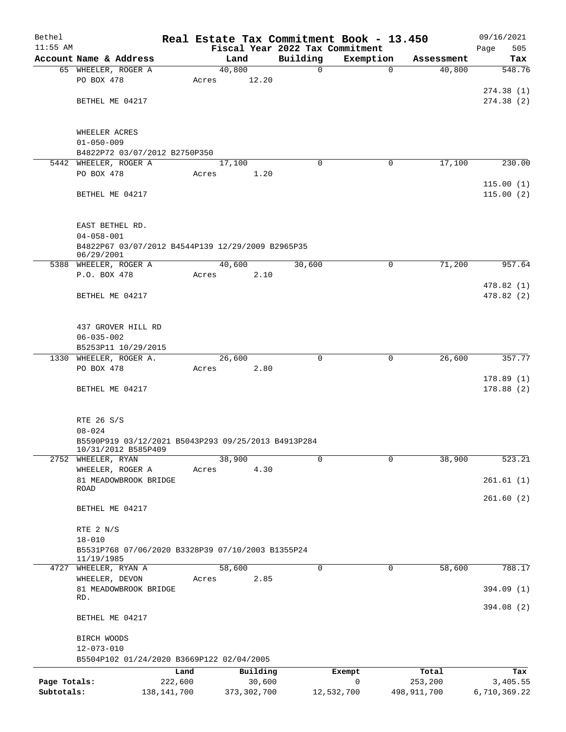| Bethel       |                                                                            |       |                 |                                 | Real Estate Tax Commitment Book - 13.450 |             | 09/16/2021             |
|--------------|----------------------------------------------------------------------------|-------|-----------------|---------------------------------|------------------------------------------|-------------|------------------------|
| $11:55$ AM   |                                                                            |       |                 | Fiscal Year 2022 Tax Commitment |                                          |             | 505<br>Page            |
|              | Account Name & Address                                                     |       | Land            | Building                        | Exemption                                | Assessment  | Tax                    |
|              | 65 WHEELER, ROGER A<br>PO BOX 478                                          | Acres | 40,800<br>12.20 | $\mathbf 0$                     | $\mathbf 0$                              | 40,800      | 548.76                 |
|              |                                                                            |       |                 |                                 |                                          |             | 274.38(1)              |
|              | BETHEL ME 04217                                                            |       |                 |                                 |                                          |             | 274.38(2)              |
|              |                                                                            |       |                 |                                 |                                          |             |                        |
|              | WHEELER ACRES                                                              |       |                 |                                 |                                          |             |                        |
|              | $01 - 050 - 009$                                                           |       |                 |                                 |                                          |             |                        |
|              | B4822P72 03/07/2012 B2750P350                                              |       |                 |                                 |                                          |             |                        |
|              | 5442 WHEELER, ROGER A                                                      |       | 17,100          | $\Omega$                        | 0                                        | 17,100      | 230.00                 |
|              | PO BOX 478                                                                 | Acres | 1.20            |                                 |                                          |             |                        |
|              |                                                                            |       |                 |                                 |                                          |             | 115.00(1)              |
|              | BETHEL ME 04217                                                            |       |                 |                                 |                                          |             | 115.00(2)              |
|              | EAST BETHEL RD.                                                            |       |                 |                                 |                                          |             |                        |
|              | $04 - 058 - 001$                                                           |       |                 |                                 |                                          |             |                        |
|              | B4822P67 03/07/2012 B4544P139 12/29/2009 B2965P35<br>06/29/2001            |       |                 |                                 |                                          |             |                        |
|              | 5388 WHEELER, ROGER A                                                      |       | 40,600          | 30,600                          | 0                                        | 71,200      | 957.64                 |
|              | P.O. BOX 478                                                               | Acres | 2.10            |                                 |                                          |             |                        |
|              |                                                                            |       |                 |                                 |                                          |             | 478.82(1)              |
|              | BETHEL ME 04217                                                            |       |                 |                                 |                                          |             | 478.82 (2)             |
|              | 437 GROVER HILL RD                                                         |       |                 |                                 |                                          |             |                        |
|              | $06 - 035 - 002$                                                           |       |                 |                                 |                                          |             |                        |
|              | B5253P11 10/29/2015                                                        |       |                 |                                 |                                          |             |                        |
|              | 1330 WHEELER, ROGER A.                                                     |       | 26,600          | $\Omega$                        | $\mathbf 0$                              | 26,600      | 357.77                 |
|              | PO BOX 478                                                                 | Acres | 2.80            |                                 |                                          |             |                        |
|              | BETHEL ME 04217                                                            |       |                 |                                 |                                          |             | 178.89(1)<br>178.88(2) |
|              |                                                                            |       |                 |                                 |                                          |             |                        |
|              | RTE 26 S/S                                                                 |       |                 |                                 |                                          |             |                        |
|              | $08 - 024$                                                                 |       |                 |                                 |                                          |             |                        |
|              | B5590P919 03/12/2021 B5043P293 09/25/2013 B4913P284<br>10/31/2012 B585P409 |       |                 |                                 |                                          |             |                        |
| 2752         | WHEELER, RYAN                                                              |       | 38,900          | 0                               | $\mathbf 0$                              | 38,900      | 523.21                 |
|              | WHEELER, ROGER A                                                           | Acres | 4.30            |                                 |                                          |             |                        |
|              | 81 MEADOWBROOK BRIDGE<br>ROAD                                              |       |                 |                                 |                                          |             | 261.61(1)              |
|              |                                                                            |       |                 |                                 |                                          |             | 261.60(2)              |
|              | BETHEL ME 04217                                                            |       |                 |                                 |                                          |             |                        |
|              | RTE 2 N/S                                                                  |       |                 |                                 |                                          |             |                        |
|              | $18 - 010$                                                                 |       |                 |                                 |                                          |             |                        |
|              | B5531P768 07/06/2020 B3328P39 07/10/2003 B1355P24<br>11/19/1985            |       |                 |                                 |                                          |             |                        |
|              | 4727 WHEELER, RYAN A                                                       |       | 58,600          | $\Omega$                        | 0                                        | 58,600      | 788.17                 |
|              | WHEELER, DEVON                                                             | Acres | 2.85            |                                 |                                          |             |                        |
|              | 81 MEADOWBROOK BRIDGE                                                      |       |                 |                                 |                                          |             | 394.09 (1)             |
|              | RD.                                                                        |       |                 |                                 |                                          |             |                        |
|              | BETHEL ME 04217                                                            |       |                 |                                 |                                          |             | 394.08 (2)             |
|              | BIRCH WOODS                                                                |       |                 |                                 |                                          |             |                        |
|              | $12 - 073 - 010$                                                           |       |                 |                                 |                                          |             |                        |
|              | B5504P102 01/24/2020 B3669P122 02/04/2005                                  |       |                 |                                 |                                          |             |                        |
|              |                                                                            | Land  | Building        |                                 | Exempt                                   | Total       | Tax                    |
| Page Totals: | 222,600                                                                    |       | 30,600          |                                 | 0                                        | 253,200     | 3,405.55               |
| Subtotals:   | 138, 141, 700                                                              |       | 373, 302, 700   |                                 | 12,532,700                               | 498,911,700 | 6,710,369.22           |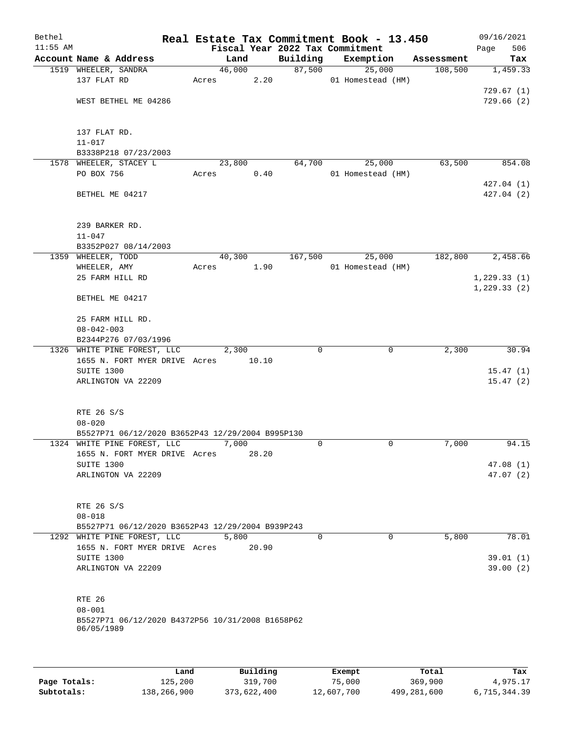| Bethel     |                                                                |       |        |       |                                 | Real Estate Tax Commitment Book - 13.450 |            | 09/16/2021   |           |
|------------|----------------------------------------------------------------|-------|--------|-------|---------------------------------|------------------------------------------|------------|--------------|-----------|
| $11:55$ AM |                                                                |       |        |       | Fiscal Year 2022 Tax Commitment |                                          |            | Page         | 506       |
|            | Account Name & Address                                         |       | Land   |       | Building                        | Exemption                                | Assessment |              | Tax       |
|            | 1519 WHEELER, SANDRA                                           |       | 46,000 |       | 87,500                          | 25,000                                   | 108,500    |              | 1,459.33  |
|            | 137 FLAT RD                                                    | Acres |        | 2.20  |                                 | 01 Homestead (HM)                        |            |              |           |
|            |                                                                |       |        |       |                                 |                                          |            | 729.67(1)    |           |
|            | WEST BETHEL ME 04286                                           |       |        |       |                                 |                                          |            |              | 729.66(2) |
|            |                                                                |       |        |       |                                 |                                          |            |              |           |
|            |                                                                |       |        |       |                                 |                                          |            |              |           |
|            | 137 FLAT RD.                                                   |       |        |       |                                 |                                          |            |              |           |
|            | $11 - 017$                                                     |       |        |       |                                 |                                          |            |              |           |
|            | B3338P218 07/23/2003                                           |       |        |       |                                 |                                          | 63,500     |              |           |
|            | 1578 WHEELER, STACEY L<br>PO BOX 756                           |       | 23,800 | 0.40  | 64,700                          | 25,000                                   |            |              | 854.08    |
|            |                                                                | Acres |        |       |                                 | 01 Homestead (HM)                        |            | 427.04(1)    |           |
|            | BETHEL ME 04217                                                |       |        |       |                                 |                                          |            | 427.04(2)    |           |
|            |                                                                |       |        |       |                                 |                                          |            |              |           |
|            |                                                                |       |        |       |                                 |                                          |            |              |           |
|            | 239 BARKER RD.                                                 |       |        |       |                                 |                                          |            |              |           |
|            | $11 - 047$                                                     |       |        |       |                                 |                                          |            |              |           |
|            | B3352P027 08/14/2003                                           |       |        |       |                                 |                                          |            |              |           |
|            | 1359 WHEELER, TODD                                             |       | 40,300 |       | 167,500                         | 25,000                                   | 182,800    |              | 2,458.66  |
|            | WHEELER, AMY                                                   | Acres |        | 1.90  |                                 | 01 Homestead (HM)                        |            |              |           |
|            | 25 FARM HILL RD                                                |       |        |       |                                 |                                          |            | 1, 229.33(1) |           |
|            |                                                                |       |        |       |                                 |                                          |            | 1, 229.33(2) |           |
|            | BETHEL ME 04217                                                |       |        |       |                                 |                                          |            |              |           |
|            |                                                                |       |        |       |                                 |                                          |            |              |           |
|            | 25 FARM HILL RD.                                               |       |        |       |                                 |                                          |            |              |           |
|            | $08 - 042 - 003$                                               |       |        |       |                                 |                                          |            |              |           |
|            | B2344P276 07/03/1996                                           |       |        |       |                                 |                                          |            |              |           |
|            | 1326 WHITE PINE FOREST, LLC                                    |       | 2,300  |       | $\mathbf 0$                     | 0                                        | 2,300      |              | 30.94     |
|            | 1655 N. FORT MYER DRIVE Acres                                  |       |        | 10.10 |                                 |                                          |            |              |           |
|            | SUITE 1300                                                     |       |        |       |                                 |                                          |            |              | 15.47(1)  |
|            | ARLINGTON VA 22209                                             |       |        |       |                                 |                                          |            |              | 15.47(2)  |
|            |                                                                |       |        |       |                                 |                                          |            |              |           |
|            | RTE 26 S/S                                                     |       |        |       |                                 |                                          |            |              |           |
|            | $08 - 020$                                                     |       |        |       |                                 |                                          |            |              |           |
|            | B5527P71 06/12/2020 B3652P43 12/29/2004 B995P130               |       |        |       |                                 |                                          |            |              |           |
|            | 1324 WHITE PINE FOREST, LLC                                    |       | 7,000  |       | $\mathbf 0$                     | $\mathbf 0$                              | 7,000      |              | 94.15     |
|            | 1655 N. FORT MYER DRIVE Acres                                  |       |        | 28.20 |                                 |                                          |            |              |           |
|            | SUITE 1300                                                     |       |        |       |                                 |                                          |            |              | 47.08(1)  |
|            | ARLINGTON VA 22209                                             |       |        |       |                                 |                                          |            |              | 47.07(2)  |
|            |                                                                |       |        |       |                                 |                                          |            |              |           |
|            |                                                                |       |        |       |                                 |                                          |            |              |           |
|            | RTE 26 S/S                                                     |       |        |       |                                 |                                          |            |              |           |
|            | $08 - 018$                                                     |       |        |       |                                 |                                          |            |              |           |
|            | B5527P71 06/12/2020 B3652P43 12/29/2004 B939P243               |       |        |       |                                 |                                          |            |              |           |
|            | 1292 WHITE PINE FOREST, LLC                                    |       | 5,800  |       | $\Omega$                        | $\Omega$                                 | 5,800      |              | 78.01     |
|            | 1655 N. FORT MYER DRIVE Acres                                  |       |        | 20.90 |                                 |                                          |            |              |           |
|            | SUITE 1300                                                     |       |        |       |                                 |                                          |            |              | 39.01 (1) |
|            | ARLINGTON VA 22209                                             |       |        |       |                                 |                                          |            |              | 39.00(2)  |
|            |                                                                |       |        |       |                                 |                                          |            |              |           |
|            |                                                                |       |        |       |                                 |                                          |            |              |           |
|            | RTE 26                                                         |       |        |       |                                 |                                          |            |              |           |
|            | $08 - 001$<br>B5527P71 06/12/2020 B4372P56 10/31/2008 B1658P62 |       |        |       |                                 |                                          |            |              |           |
|            | 06/05/1989                                                     |       |        |       |                                 |                                          |            |              |           |
|            |                                                                |       |        |       |                                 |                                          |            |              |           |
|            |                                                                |       |        |       |                                 |                                          |            |              |           |
|            |                                                                |       |        |       |                                 |                                          |            |              |           |

|              | Land        | Building    | Exempt     | Total       | Tax          |
|--------------|-------------|-------------|------------|-------------|--------------|
| Page Totals: | 125,200     | 319,700     | 75,000     | 369,900     | 4,975.17     |
| Subtotals:   | 138,266,900 | 373,622,400 | 12,607,700 | 499,281,600 | 6,715,344.39 |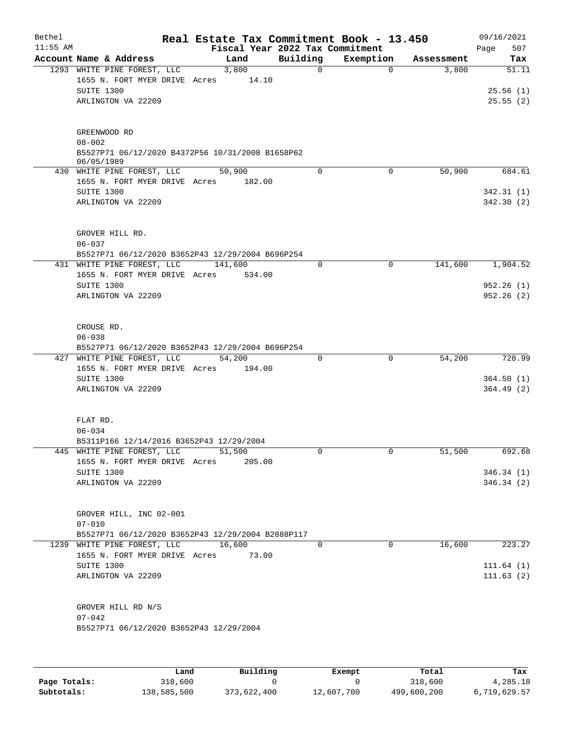| Bethel<br>$11:55$ AM |                                                                        |         |        |             | Real Estate Tax Commitment Book - 13.450<br>Fiscal Year 2022 Tax Commitment |            | 09/16/2021<br>507<br>Page |
|----------------------|------------------------------------------------------------------------|---------|--------|-------------|-----------------------------------------------------------------------------|------------|---------------------------|
|                      | Account Name & Address                                                 |         | Land   | Building    | Exemption                                                                   | Assessment | Tax                       |
|                      | 1293 WHITE PINE FOREST, LLC                                            |         | 3,800  | $\mathbf 0$ | $\Omega$                                                                    | 3,800      | 51.11                     |
|                      | 1655 N. FORT MYER DRIVE Acres                                          |         | 14.10  |             |                                                                             |            |                           |
|                      | SUITE 1300                                                             |         |        |             |                                                                             |            | 25.56(1)                  |
|                      | ARLINGTON VA 22209                                                     |         |        |             |                                                                             |            | 25.55(2)                  |
|                      | GREENWOOD RD                                                           |         |        |             |                                                                             |            |                           |
|                      | $08 - 002$<br>B5527P71 06/12/2020 B4372P56 10/31/2008 B1658P62         |         |        |             |                                                                             |            |                           |
|                      | 06/05/1989<br>430 WHITE PINE FOREST, LLC                               | 50,900  |        | $\Omega$    | $\mathbf 0$                                                                 | 50,900     | 684.61                    |
|                      | 1655 N. FORT MYER DRIVE Acres                                          |         | 182.00 |             |                                                                             |            |                           |
|                      | SUITE 1300                                                             |         |        |             |                                                                             |            | 342.31(1)                 |
|                      | ARLINGTON VA 22209                                                     |         |        |             |                                                                             |            | 342.30 (2)                |
|                      | GROVER HILL RD.                                                        |         |        |             |                                                                             |            |                           |
|                      | $06 - 037$                                                             |         |        |             |                                                                             |            |                           |
|                      | B5527P71 06/12/2020 B3652P43 12/29/2004 B696P254                       |         |        |             |                                                                             |            |                           |
|                      | 431 WHITE PINE FOREST, LLC                                             | 141,600 |        | $\mathbf 0$ | $\mathbf 0$                                                                 | 141,600    | 1,904.52                  |
|                      | 1655 N. FORT MYER DRIVE Acres                                          |         | 534.00 |             |                                                                             |            |                           |
|                      | SUITE 1300                                                             |         |        |             |                                                                             |            | 952.26(1)                 |
|                      | ARLINGTON VA 22209                                                     |         |        |             |                                                                             |            | 952.26(2)                 |
|                      | CROUSE RD.                                                             |         |        |             |                                                                             |            |                           |
|                      | $06 - 038$                                                             |         |        |             |                                                                             |            |                           |
|                      | B5527P71 06/12/2020 B3652P43 12/29/2004 B696P254                       |         |        |             | $\mathbf 0$                                                                 |            |                           |
| 427                  | WHITE PINE FOREST, LLC<br>1655 N. FORT MYER DRIVE Acres                | 54,200  | 194.00 | 0           |                                                                             | 54,200     | 728.99                    |
|                      | SUITE 1300                                                             |         |        |             |                                                                             |            | 364.50(1)                 |
|                      | ARLINGTON VA 22209                                                     |         |        |             |                                                                             |            | 364.49 (2)                |
|                      |                                                                        |         |        |             |                                                                             |            |                           |
|                      | FLAT RD.                                                               |         |        |             |                                                                             |            |                           |
|                      | $06 - 034$                                                             |         |        |             |                                                                             |            |                           |
|                      | B5311P166 12/14/2016 B3652P43 12/29/2004<br>445 WHITE PINE FOREST, LLC | 51,500  |        | 0           | 0                                                                           | 51,500     | 692.68                    |
|                      | 1655 N. FORT MYER DRIVE Acres                                          |         | 205.00 |             |                                                                             |            |                           |
|                      | SUITE 1300                                                             |         |        |             |                                                                             |            | 346.34(1)                 |
|                      | ARLINGTON VA 22209                                                     |         |        |             |                                                                             |            | 346.34(2)                 |
|                      |                                                                        |         |        |             |                                                                             |            |                           |
|                      | GROVER HILL, INC 02-001                                                |         |        |             |                                                                             |            |                           |
|                      | $07 - 010$                                                             |         |        |             |                                                                             |            |                           |
|                      | B5527P71 06/12/2020 B3652P43 12/29/2004 B2888P117                      |         |        |             |                                                                             |            |                           |
|                      | 1239 WHITE PINE FOREST, LLC                                            | 16,600  |        | $\Omega$    | $\Omega$                                                                    | 16,600     | 223.27                    |
|                      | 1655 N. FORT MYER DRIVE Acres                                          |         | 73.00  |             |                                                                             |            |                           |
|                      | SUITE 1300                                                             |         |        |             |                                                                             |            | 111.64(1)                 |
|                      | ARLINGTON VA 22209                                                     |         |        |             |                                                                             |            | 111.63(2)                 |
|                      | GROVER HILL RD N/S                                                     |         |        |             |                                                                             |            |                           |
|                      | $07 - 042$                                                             |         |        |             |                                                                             |            |                           |
|                      | B5527P71 06/12/2020 B3652P43 12/29/2004                                |         |        |             |                                                                             |            |                           |
|                      |                                                                        |         |        |             |                                                                             |            |                           |
|                      |                                                                        |         |        |             |                                                                             |            |                           |

|              | Land        | Building    | Exempt     | Total       | Tax          |
|--------------|-------------|-------------|------------|-------------|--------------|
| Page Totals: | 318,600     |             |            | 318,600     | 4,285.18     |
| Subtotals:   | 138,585,500 | 373,622,400 | 12,607,700 | 499,600,200 | 6,719,629.57 |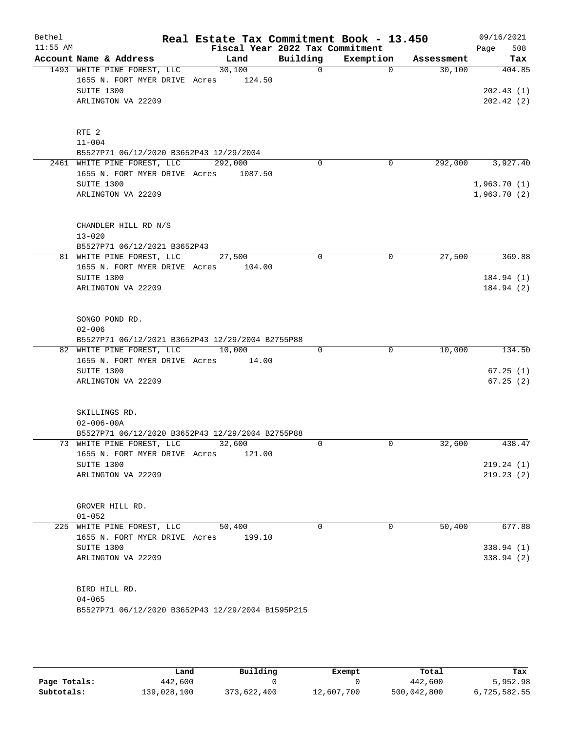| Bethel<br>$11:55$ AM |                                                                               | Real Estate Tax Commitment Book - 13.450 | Fiscal Year 2022 Tax Commitment |           |            | 09/16/2021<br>508<br>Page |
|----------------------|-------------------------------------------------------------------------------|------------------------------------------|---------------------------------|-----------|------------|---------------------------|
|                      | Account Name & Address                                                        | Land                                     | Building                        | Exemption | Assessment | Tax                       |
|                      | 1493 WHITE PINE FOREST, LLC                                                   | 30,100                                   | $\mathbf 0$                     | $\Omega$  | 30,100     | 404.85                    |
|                      | 1655 N. FORT MYER DRIVE Acres                                                 | 124.50                                   |                                 |           |            |                           |
|                      | SUITE 1300                                                                    |                                          |                                 |           |            | 202.43(1)                 |
|                      | ARLINGTON VA 22209                                                            |                                          |                                 |           |            | 202.42(2)                 |
|                      |                                                                               |                                          |                                 |           |            |                           |
|                      | RTE <sub>2</sub>                                                              |                                          |                                 |           |            |                           |
|                      | $11 - 004$                                                                    |                                          |                                 |           |            |                           |
|                      | B5527P71 06/12/2020 B3652P43 12/29/2004                                       |                                          |                                 |           |            |                           |
|                      | 2461 WHITE PINE FOREST, LLC                                                   | 292,000                                  | 0                               | 0         | 292,000    | 3,927.40                  |
|                      | 1655 N. FORT MYER DRIVE Acres 1087.50<br>SUITE 1300                           |                                          |                                 |           |            | 1,963.70(1)               |
|                      | ARLINGTON VA 22209                                                            |                                          |                                 |           |            | 1,963.70(2)               |
|                      |                                                                               |                                          |                                 |           |            |                           |
|                      | CHANDLER HILL RD N/S                                                          |                                          |                                 |           |            |                           |
|                      | $13 - 020$                                                                    |                                          |                                 |           |            |                           |
|                      | B5527P71 06/12/2021 B3652P43                                                  |                                          |                                 |           |            |                           |
|                      | 81 WHITE PINE FOREST, LLC                                                     | 27,500                                   | 0                               | 0         | 27,500     | 369.88                    |
|                      | 1655 N. FORT MYER DRIVE Acres                                                 | 104.00                                   |                                 |           |            |                           |
|                      | SUITE 1300                                                                    |                                          |                                 |           |            | 184.94(1)                 |
|                      | ARLINGTON VA 22209                                                            |                                          |                                 |           |            | 184.94 (2)                |
|                      |                                                                               |                                          |                                 |           |            |                           |
|                      | SONGO POND RD.                                                                |                                          |                                 |           |            |                           |
|                      | $02 - 006$                                                                    |                                          |                                 |           |            |                           |
|                      | B5527P71 06/12/2021 B3652P43 12/29/2004 B2755P88<br>82 WHITE PINE FOREST, LLC | 10,000                                   | $\Omega$                        | 0         | 10,000     | 134.50                    |
|                      | 1655 N. FORT MYER DRIVE Acres                                                 | 14.00                                    |                                 |           |            |                           |
|                      | SUITE 1300                                                                    |                                          |                                 |           |            | 67.25(1)                  |
|                      | ARLINGTON VA 22209                                                            |                                          |                                 |           |            | 67.25(2)                  |
|                      |                                                                               |                                          |                                 |           |            |                           |
|                      | SKILLINGS RD.                                                                 |                                          |                                 |           |            |                           |
|                      | $02 - 006 - 00A$                                                              |                                          |                                 |           |            |                           |
|                      | B5527P71 06/12/2020 B3652P43 12/29/2004 B2755P88                              |                                          |                                 |           |            |                           |
|                      | 73 WHITE PINE FOREST, LLC                                                     | 32,600                                   | 0                               | 0         | 32,600     | 438.47                    |
|                      | 1655 N. FORT MYER DRIVE Acres                                                 | 121.00                                   |                                 |           |            |                           |
|                      | SUITE 1300                                                                    |                                          |                                 |           |            | 219.24 (1)                |
|                      | ARLINGTON VA 22209                                                            |                                          |                                 |           |            | 219.23(2)                 |
|                      | GROVER HILL RD.                                                               |                                          |                                 |           |            |                           |
|                      | $01 - 052$                                                                    |                                          |                                 |           |            |                           |
|                      | 225 WHITE PINE FOREST, LLC                                                    | 50,400                                   | 0                               | 0         | 50,400     | 677.88                    |
|                      | 1655 N. FORT MYER DRIVE Acres                                                 | 199.10                                   |                                 |           |            |                           |
|                      | SUITE 1300                                                                    |                                          |                                 |           |            | 338.94(1)                 |
|                      | ARLINGTON VA 22209                                                            |                                          |                                 |           |            | 338.94 (2)                |
|                      |                                                                               |                                          |                                 |           |            |                           |
|                      | BIRD HILL RD.                                                                 |                                          |                                 |           |            |                           |
|                      | $04 - 065$                                                                    |                                          |                                 |           |            |                           |
|                      | B5527P71 06/12/2020 B3652P43 12/29/2004 B1595P215                             |                                          |                                 |           |            |                           |
|                      |                                                                               |                                          |                                 |           |            |                           |

|              | Land        | Building    | Exempt     | Total       | Tax          |
|--------------|-------------|-------------|------------|-------------|--------------|
| Page Totals: | 442,600     |             |            | 442,600     | 5,952.98     |
| Subtotals:   | 139,028,100 | 373,622,400 | 12,607,700 | 500,042,800 | 6,725,582.55 |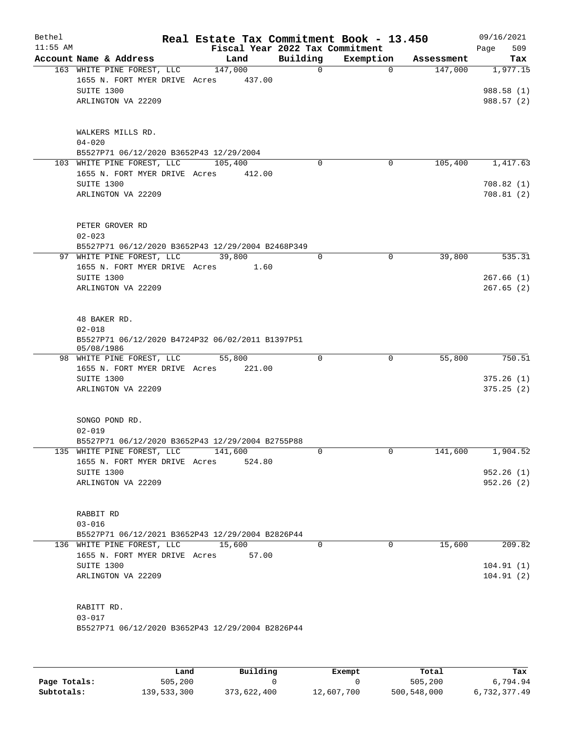| Bethel<br>$11:55$ AM |                                                                                | Real Estate Tax Commitment Book - 13.450 |                                             |             |            | 09/16/2021             |
|----------------------|--------------------------------------------------------------------------------|------------------------------------------|---------------------------------------------|-------------|------------|------------------------|
|                      | Account Name & Address                                                         | Land                                     | Fiscal Year 2022 Tax Commitment<br>Building | Exemption   | Assessment | 509<br>Page<br>Tax     |
|                      | 163 WHITE PINE FOREST, LLC                                                     | 147,000                                  | 0                                           | $\Omega$    | 147,000    | 1,977.15               |
|                      | 1655 N. FORT MYER DRIVE Acres                                                  | 437.00                                   |                                             |             |            |                        |
|                      | SUITE 1300                                                                     |                                          |                                             |             |            | 988.58 (1)             |
|                      | ARLINGTON VA 22209                                                             |                                          |                                             |             |            | 988.57 (2)             |
|                      |                                                                                |                                          |                                             |             |            |                        |
|                      |                                                                                |                                          |                                             |             |            |                        |
|                      | WALKERS MILLS RD.                                                              |                                          |                                             |             |            |                        |
|                      | $04 - 020$<br>B5527P71 06/12/2020 B3652P43 12/29/2004                          |                                          |                                             |             |            |                        |
|                      | 103 WHITE PINE FOREST, LLC                                                     | 105,400                                  | 0                                           | 0           | 105,400    | 1,417.63               |
|                      | 1655 N. FORT MYER DRIVE Acres                                                  | 412.00                                   |                                             |             |            |                        |
|                      | SUITE 1300                                                                     |                                          |                                             |             |            | 708.82(1)              |
|                      | ARLINGTON VA 22209                                                             |                                          |                                             |             |            | 708.81(2)              |
|                      |                                                                                |                                          |                                             |             |            |                        |
|                      |                                                                                |                                          |                                             |             |            |                        |
|                      | PETER GROVER RD                                                                |                                          |                                             |             |            |                        |
|                      | $02 - 023$<br>B5527P71 06/12/2020 B3652P43 12/29/2004 B2468P349                |                                          |                                             |             |            |                        |
|                      | 97 WHITE PINE FOREST, LLC                                                      | 39,800                                   | 0                                           | 0           | 39,800     | 535.31                 |
|                      | 1655 N. FORT MYER DRIVE Acres                                                  | 1.60                                     |                                             |             |            |                        |
|                      | SUITE 1300                                                                     |                                          |                                             |             |            | 267.66(1)              |
|                      | ARLINGTON VA 22209                                                             |                                          |                                             |             |            | 267.65(2)              |
|                      |                                                                                |                                          |                                             |             |            |                        |
|                      |                                                                                |                                          |                                             |             |            |                        |
|                      | 48 BAKER RD.<br>$02 - 018$                                                     |                                          |                                             |             |            |                        |
|                      | B5527P71 06/12/2020 B4724P32 06/02/2011 B1397P51                               |                                          |                                             |             |            |                        |
|                      | 05/08/1986                                                                     |                                          |                                             |             |            |                        |
|                      | 98 WHITE PINE FOREST, LLC                                                      | 55,800                                   | 0                                           | $\mathbf 0$ | 55,800     | 750.51                 |
|                      | 1655 N. FORT MYER DRIVE Acres                                                  | 221.00                                   |                                             |             |            |                        |
|                      | SUITE 1300<br>ARLINGTON VA 22209                                               |                                          |                                             |             |            | 375.26(1)<br>375.25(2) |
|                      |                                                                                |                                          |                                             |             |            |                        |
|                      |                                                                                |                                          |                                             |             |            |                        |
|                      | SONGO POND RD.                                                                 |                                          |                                             |             |            |                        |
|                      | $02 - 019$                                                                     |                                          |                                             |             |            |                        |
|                      | B5527P71 06/12/2020 B3652P43 12/29/2004 B2755P88                               |                                          |                                             |             |            |                        |
|                      | 135 WHITE PINE FOREST, LLC                                                     | 141,600                                  | 0                                           | 0           | 141,600    | 1,904.52               |
|                      | 1655 N. FORT MYER DRIVE Acres<br>SUITE 1300                                    | 524.80                                   |                                             |             |            | 952.26(1)              |
|                      | ARLINGTON VA 22209                                                             |                                          |                                             |             |            | 952.26(2)              |
|                      |                                                                                |                                          |                                             |             |            |                        |
|                      |                                                                                |                                          |                                             |             |            |                        |
|                      | RABBIT RD                                                                      |                                          |                                             |             |            |                        |
|                      | $03 - 016$                                                                     |                                          |                                             |             |            |                        |
|                      | B5527P71 06/12/2021 B3652P43 12/29/2004 B2826P44<br>136 WHITE PINE FOREST, LLC | 15,600                                   | $\Omega$                                    | $\Omega$    | 15,600     | 209.82                 |
|                      | 1655 N. FORT MYER DRIVE Acres                                                  | 57.00                                    |                                             |             |            |                        |
|                      | SUITE 1300                                                                     |                                          |                                             |             |            | 104.91(1)              |
|                      | ARLINGTON VA 22209                                                             |                                          |                                             |             |            | 104.91(2)              |
|                      |                                                                                |                                          |                                             |             |            |                        |
|                      |                                                                                |                                          |                                             |             |            |                        |
|                      | RABITT RD.                                                                     |                                          |                                             |             |            |                        |
|                      | $03 - 017$                                                                     |                                          |                                             |             |            |                        |
|                      | B5527P71 06/12/2020 B3652P43 12/29/2004 B2826P44                               |                                          |                                             |             |            |                        |
|                      |                                                                                |                                          |                                             |             |            |                        |

|              | Land        | Building    | Exempt     | Total       | Tax          |
|--------------|-------------|-------------|------------|-------------|--------------|
| Page Totals: | 505,200     |             |            | 505,200     | 6,794.94     |
| Subtotals:   | 139,533,300 | 373,622,400 | 12,607,700 | 500,548,000 | 6,732,377.49 |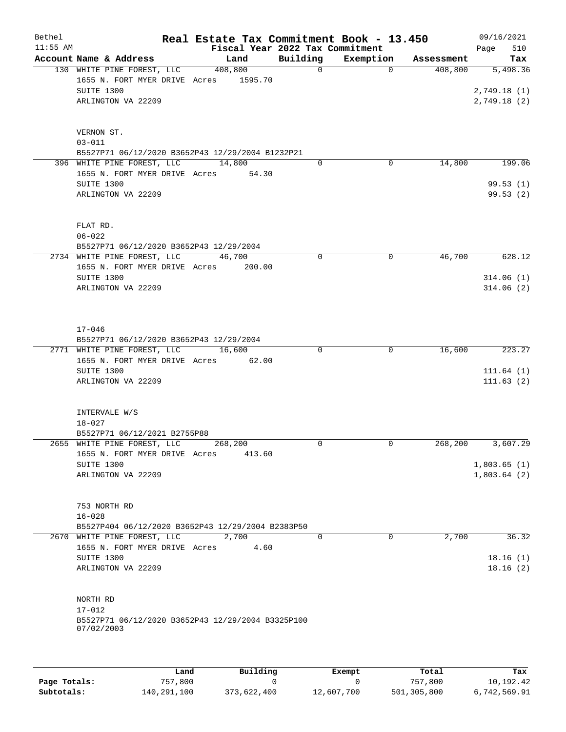| Bethel     |                                                             | Real Estate Tax Commitment Book - 13.450 |             |             |            | 09/16/2021             |
|------------|-------------------------------------------------------------|------------------------------------------|-------------|-------------|------------|------------------------|
| $11:55$ AM |                                                             | Fiscal Year 2022 Tax Commitment          |             |             |            | 510<br>Page            |
|            | Account Name & Address                                      | Land                                     | Building    | Exemption   | Assessment | Tax                    |
|            | 130 WHITE PINE FOREST, LLC                                  | 408,800                                  | $\mathbf 0$ | $\Omega$    | 408,800    | 5,498.36               |
|            | 1655 N. FORT MYER DRIVE Acres 1595.70                       |                                          |             |             |            |                        |
|            | SUITE 1300                                                  |                                          |             |             |            | 2,749.18(1)            |
|            | ARLINGTON VA 22209                                          |                                          |             |             |            | 2,749.18(2)            |
|            |                                                             |                                          |             |             |            |                        |
|            | VERNON ST.                                                  |                                          |             |             |            |                        |
|            | $03 - 011$                                                  |                                          |             |             |            |                        |
|            | B5527P71 06/12/2020 B3652P43 12/29/2004 B1232P21            |                                          |             |             |            |                        |
|            | 396 WHITE PINE FOREST, LLC                                  | 14,800                                   | $\mathbf 0$ | 0           | 14,800     | 199.06                 |
|            | 1655 N. FORT MYER DRIVE Acres 54.30                         |                                          |             |             |            |                        |
|            | SUITE 1300                                                  |                                          |             |             |            | 99.53(1)               |
|            | ARLINGTON VA 22209                                          |                                          |             |             |            | 99.53 (2)              |
|            |                                                             |                                          |             |             |            |                        |
|            |                                                             |                                          |             |             |            |                        |
|            | FLAT RD.                                                    |                                          |             |             |            |                        |
|            | $06 - 022$                                                  |                                          |             |             |            |                        |
|            | B5527P71 06/12/2020 B3652P43 12/29/2004                     |                                          |             |             |            |                        |
|            | 2734 WHITE PINE FOREST, LLC                                 | 46,700                                   | $\Omega$    | 0           | 46,700     | 628.12                 |
|            | 1655 N. FORT MYER DRIVE Acres                               | 200.00                                   |             |             |            |                        |
|            | SUITE 1300<br>ARLINGTON VA 22209                            |                                          |             |             |            | 314.06(1)<br>314.06(2) |
|            |                                                             |                                          |             |             |            |                        |
|            |                                                             |                                          |             |             |            |                        |
|            |                                                             |                                          |             |             |            |                        |
|            | $17 - 046$                                                  |                                          |             |             |            |                        |
|            | B5527P71 06/12/2020 B3652P43 12/29/2004                     |                                          |             |             |            |                        |
|            | 2771 WHITE PINE FOREST, LLC                                 | 16,600                                   | $\Omega$    | $\mathbf 0$ | 16,600     | 223.27                 |
|            | 1655 N. FORT MYER DRIVE Acres                               | 62.00                                    |             |             |            |                        |
|            | SUITE 1300                                                  |                                          |             |             |            | 111.64(1)              |
|            | ARLINGTON VA 22209                                          |                                          |             |             |            | 111.63(2)              |
|            |                                                             |                                          |             |             |            |                        |
|            |                                                             |                                          |             |             |            |                        |
|            | INTERVALE W/S                                               |                                          |             |             |            |                        |
|            | $18 - 027$                                                  |                                          |             |             |            |                        |
|            | B5527P71 06/12/2021 B2755P88<br>2655 WHITE PINE FOREST, LLC | 268,200                                  | 0           | 0           | 268,200    | 3,607.29               |
|            | 1655 N. FORT MYER DRIVE Acres                               | 413.60                                   |             |             |            |                        |
|            | SUITE 1300                                                  |                                          |             |             |            | 1,803.65(1)            |
|            | ARLINGTON VA 22209                                          |                                          |             |             |            | 1,803.64(2)            |
|            |                                                             |                                          |             |             |            |                        |
|            |                                                             |                                          |             |             |            |                        |
|            | 753 NORTH RD                                                |                                          |             |             |            |                        |
|            | $16 - 028$                                                  |                                          |             |             |            |                        |
|            | B5527P404 06/12/2020 B3652P43 12/29/2004 B2383P50           |                                          |             |             |            |                        |
|            | 2670 WHITE PINE FOREST, LLC                                 | 2,700                                    | $\Omega$    | $\Omega$    | 2,700      | 36.32                  |
|            | 1655 N. FORT MYER DRIVE Acres                               | 4.60                                     |             |             |            |                        |
|            | SUITE 1300                                                  |                                          |             |             |            | 18.16(1)               |
|            | ARLINGTON VA 22209                                          |                                          |             |             |            | 18.16(2)               |
|            |                                                             |                                          |             |             |            |                        |
|            | NORTH RD                                                    |                                          |             |             |            |                        |
|            | $17 - 012$                                                  |                                          |             |             |            |                        |
|            | B5527P71 06/12/2020 B3652P43 12/29/2004 B3325P100           |                                          |             |             |            |                        |
|            | 07/02/2003                                                  |                                          |             |             |            |                        |
|            |                                                             |                                          |             |             |            |                        |
|            |                                                             |                                          |             |             |            |                        |

|              | Land        | Building    | Exempt     | Total       | Tax          |
|--------------|-------------|-------------|------------|-------------|--------------|
| Page Totals: | 757,800     |             |            | 757,800     | 10,192.42    |
| Subtotals:   | 140,291,100 | 373,622,400 | 12,607,700 | 501,305,800 | 6,742,569.91 |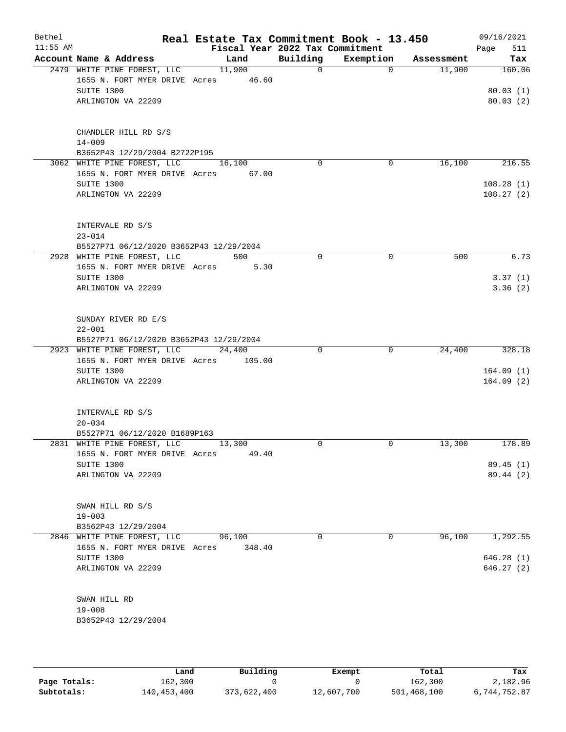| Bethel<br>$11:55$ AM |                                                                                                  | Real Estate Tax Commitment Book - 13.450 | Fiscal Year 2022 Tax Commitment |             |            | 09/16/2021<br>511<br>Page      |
|----------------------|--------------------------------------------------------------------------------------------------|------------------------------------------|---------------------------------|-------------|------------|--------------------------------|
|                      | Account Name & Address                                                                           | Land                                     | Building                        | Exemption   | Assessment | Tax                            |
|                      | 2479 WHITE PINE FOREST, LLC<br>1655 N. FORT MYER DRIVE Acres<br>SUITE 1300<br>ARLINGTON VA 22209 | 11,900<br>46.60                          | $\mathsf{O}$                    | 0           | 11,900     | 160.06<br>80.03(1)<br>80.03(2) |
|                      | CHANDLER HILL RD S/S<br>$14 - 009$<br>B3652P43 12/29/2004 B2722P195                              |                                          |                                 |             |            |                                |
|                      | 3062 WHITE PINE FOREST, LLC                                                                      | 16,100                                   | $\Omega$                        | 0           | 16,100     | 216.55                         |
|                      | 1655 N. FORT MYER DRIVE Acres<br>SUITE 1300<br>ARLINGTON VA 22209                                | 67.00                                    |                                 |             |            | 108.28(1)<br>108.27(2)         |
|                      | INTERVALE RD S/S<br>$23 - 014$<br>B5527P71 06/12/2020 B3652P43 12/29/2004                        |                                          |                                 |             |            |                                |
|                      | 2928 WHITE PINE FOREST, LLC                                                                      | 500                                      | $\mathbf 0$                     | $\mathbf 0$ | 500        | 6.73                           |
|                      | 1655 N. FORT MYER DRIVE Acres                                                                    | 5.30                                     |                                 |             |            |                                |
|                      | SUITE 1300<br>ARLINGTON VA 22209                                                                 |                                          |                                 |             |            | 3.37(1)<br>3.36(2)             |
|                      | SUNDAY RIVER RD E/S<br>$22 - 001$<br>B5527P71 06/12/2020 B3652P43 12/29/2004                     |                                          |                                 |             |            |                                |
|                      | 2923 WHITE PINE FOREST, LLC                                                                      | 24,400                                   | $\Omega$                        | $\mathbf 0$ | 24,400     | 328.18                         |
|                      | 1655 N. FORT MYER DRIVE Acres                                                                    | 105.00                                   |                                 |             |            |                                |
|                      | SUITE 1300<br>ARLINGTON VA 22209                                                                 |                                          |                                 |             |            | 164.09(1)<br>164.09(2)         |
|                      | INTERVALE RD S/S<br>$20 - 034$                                                                   |                                          |                                 |             |            |                                |
|                      | B5527P71 06/12/2020 B1689P163<br>2831 WHITE PINE FOREST, LLC                                     | 13,300                                   | $\Omega$                        | $\mathbf 0$ | 13,300     | 178.89                         |
|                      | 1655 N. FORT MYER DRIVE Acres                                                                    | 49.40                                    |                                 |             |            |                                |
|                      | SUITE 1300                                                                                       |                                          |                                 |             |            | 89.45(1)                       |
|                      | ARLINGTON VA 22209                                                                               |                                          |                                 |             |            | 89.44 (2)                      |
|                      | SWAN HILL RD S/S<br>$19 - 003$                                                                   |                                          |                                 |             |            |                                |
|                      | B3562P43 12/29/2004                                                                              |                                          |                                 |             |            |                                |
|                      | 2846 WHITE PINE FOREST, LLC                                                                      | 96,100                                   | $\Omega$                        | 0           | 96,100     | 1,292.55                       |
|                      | 1655 N. FORT MYER DRIVE Acres                                                                    | 348.40                                   |                                 |             |            |                                |
|                      | SUITE 1300                                                                                       |                                          |                                 |             |            | 646.28(1)                      |
|                      | ARLINGTON VA 22209                                                                               |                                          |                                 |             |            | 646.27(2)                      |
|                      | SWAN HILL RD                                                                                     |                                          |                                 |             |            |                                |
|                      | $19 - 008$                                                                                       |                                          |                                 |             |            |                                |
|                      | B3652P43 12/29/2004                                                                              |                                          |                                 |             |            |                                |

|              | Land        | Building    | Exempt     | Total       | Tax          |
|--------------|-------------|-------------|------------|-------------|--------------|
| Page Totals: | 162,300     |             |            | 162,300     | 2,182.96     |
| Subtotals:   | 140,453,400 | 373,622,400 | 12,607,700 | 501,468,100 | 6,744,752.87 |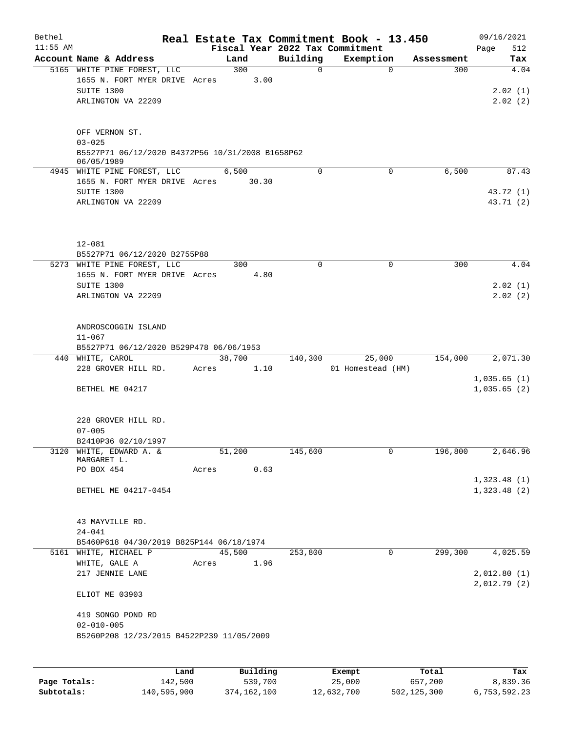| Bethel     |                                                                |             |       |                 |             | Real Estate Tax Commitment Book - 13.450 |             | 09/16/2021         |
|------------|----------------------------------------------------------------|-------------|-------|-----------------|-------------|------------------------------------------|-------------|--------------------|
| $11:55$ AM |                                                                |             |       |                 |             | Fiscal Year 2022 Tax Commitment          |             | 512<br>Page        |
|            | Account Name & Address                                         |             |       | Land            | Building    | Exemption                                | Assessment  | Tax                |
|            | 5165 WHITE PINE FOREST, LLC                                    |             |       | 300             | 0           | $\mathbf 0$                              | 300         | $\overline{4.04}$  |
|            | 1655 N. FORT MYER DRIVE Acres<br>SUITE 1300                    |             |       | 3.00            |             |                                          |             |                    |
|            | ARLINGTON VA 22209                                             |             |       |                 |             |                                          |             | 2.02(1)<br>2.02(2) |
|            |                                                                |             |       |                 |             |                                          |             |                    |
|            | OFF VERNON ST.                                                 |             |       |                 |             |                                          |             |                    |
|            | $03 - 025$                                                     |             |       |                 |             |                                          |             |                    |
|            | B5527P71 06/12/2020 B4372P56 10/31/2008 B1658P62<br>06/05/1989 |             |       |                 |             |                                          |             |                    |
|            | 4945 WHITE PINE FOREST, LLC                                    |             |       | 6,500           | 0           | $\mathbf 0$                              | 6,500       | 87.43              |
|            | 1655 N. FORT MYER DRIVE Acres                                  |             |       | 30.30           |             |                                          |             |                    |
|            | SUITE 1300                                                     |             |       |                 |             |                                          |             | 43.72 (1)          |
|            | ARLINGTON VA 22209                                             |             |       |                 |             |                                          |             | 43.71 (2)          |
|            |                                                                |             |       |                 |             |                                          |             |                    |
|            | $12 - 081$<br>B5527P71 06/12/2020 B2755P88                     |             |       |                 |             |                                          |             |                    |
|            | 5273 WHITE PINE FOREST, LLC                                    |             |       | 300             | $\mathbf 0$ | $\mathbf 0$                              | 300         | 4.04               |
|            | 1655 N. FORT MYER DRIVE Acres                                  |             |       | 4.80            |             |                                          |             |                    |
|            | SUITE 1300                                                     |             |       |                 |             |                                          |             | 2.02(1)            |
|            | ARLINGTON VA 22209                                             |             |       |                 |             |                                          |             | 2.02(2)            |
|            |                                                                |             |       |                 |             |                                          |             |                    |
|            | ANDROSCOGGIN ISLAND<br>$11 - 067$                              |             |       |                 |             |                                          |             |                    |
|            | B5527P71 06/12/2020 B529P478 06/06/1953                        |             |       |                 |             |                                          |             |                    |
|            | 440 WHITE, CAROL                                               |             |       | 38,700          | 140,300     | 25,000                                   | 154,000     | 2,071.30           |
|            | 228 GROVER HILL RD.                                            |             | Acres | 1.10            |             | 01 Homestead (HM)                        |             |                    |
|            |                                                                |             |       |                 |             |                                          |             | 1,035.65(1)        |
|            | BETHEL ME 04217                                                |             |       |                 |             |                                          |             | 1,035.65(2)        |
|            |                                                                |             |       |                 |             |                                          |             |                    |
|            | 228 GROVER HILL RD.                                            |             |       |                 |             |                                          |             |                    |
|            | $07 - 005$                                                     |             |       |                 |             |                                          |             |                    |
|            | B2410P36 02/10/1997                                            |             |       |                 |             |                                          |             |                    |
|            | 3120 WHITE, EDWARD A. &<br>MARGARET L.                         |             |       | 51,200          | 145,600     | 0                                        | 196,800     | 2,646.96           |
|            | PO BOX 454                                                     |             | Acres | 0.63            |             |                                          |             |                    |
|            |                                                                |             |       |                 |             |                                          |             | 1,323.48(1)        |
|            | BETHEL ME 04217-0454                                           |             |       |                 |             |                                          |             | 1,323.48(2)        |
|            |                                                                |             |       |                 |             |                                          |             |                    |
|            | 43 MAYVILLE RD.                                                |             |       |                 |             |                                          |             |                    |
|            | $24 - 041$                                                     |             |       |                 |             |                                          |             |                    |
|            | B5460P618 04/30/2019 B825P144 06/18/1974                       |             |       |                 |             |                                          |             |                    |
|            | 5161 WHITE, MICHAEL P                                          |             |       | 45,500          | 253,800     | 0                                        | 299,300     | 4,025.59           |
|            | WHITE, GALE A                                                  |             | Acres | 1.96            |             |                                          |             |                    |
|            | 217 JENNIE LANE                                                |             |       |                 |             |                                          |             | 2,012.80(1)        |
|            | ELIOT ME 03903                                                 |             |       |                 |             |                                          |             | 2,012.79(2)        |
|            | 419 SONGO POND RD                                              |             |       |                 |             |                                          |             |                    |
|            | $02 - 010 - 005$                                               |             |       |                 |             |                                          |             |                    |
|            | B5260P208 12/23/2015 B4522P239 11/05/2009                      |             |       |                 |             |                                          |             |                    |
|            |                                                                |             |       |                 |             |                                          |             |                    |
|            |                                                                |             |       |                 |             |                                          |             |                    |
|            |                                                                | <b>Tond</b> |       | $P_{11}$ ilding |             | $F$ vomnt                                | $T - F - 1$ | Tow                |

|              | Land        | Building    | Exempt     | Total       | Tax          |
|--------------|-------------|-------------|------------|-------------|--------------|
| Page Totals: | 142,500     | 539,700     | 25,000     | 657,200     | 8,839.36     |
| Subtotals:   | 140,595,900 | 374,162,100 | 12,632,700 | 502,125,300 | 6,753,592.23 |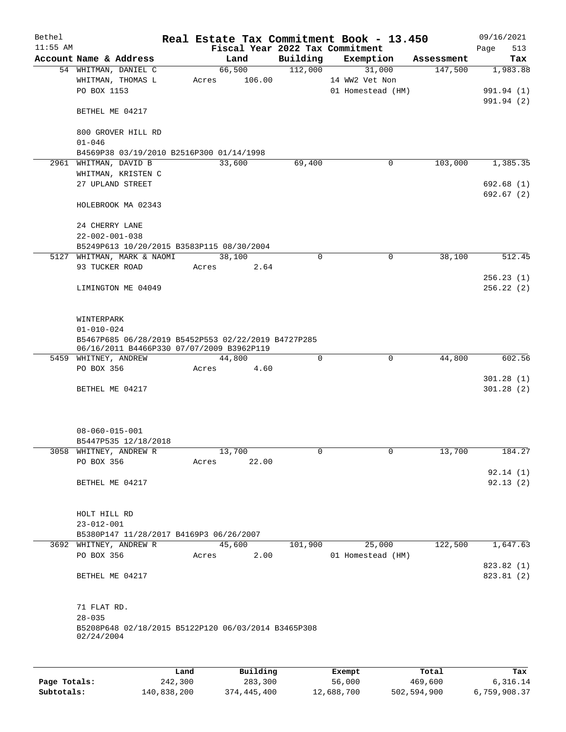| Bethel     |                                                                                                  |       |                 |          | Real Estate Tax Commitment Book - 13.450 |            | 09/16/2021  |
|------------|--------------------------------------------------------------------------------------------------|-------|-----------------|----------|------------------------------------------|------------|-------------|
| $11:55$ AM |                                                                                                  |       |                 |          | Fiscal Year 2022 Tax Commitment          |            | 513<br>Page |
|            | Account Name & Address                                                                           |       | Land            |          | Building Exemption                       | Assessment | Tax         |
|            | 54 WHITMAN, DANIEL C                                                                             |       | 66,500          | 112,000  | 31,000                                   | 147,500    | 1,983.88    |
|            | WHITMAN, THOMAS L                                                                                |       | 106.00<br>Acres |          | 14 WW2 Vet Non                           |            |             |
|            | PO BOX 1153                                                                                      |       |                 |          | 01 Homestead (HM)                        |            | 991.94 (1)  |
|            | BETHEL ME 04217                                                                                  |       |                 |          |                                          |            | 991.94 (2)  |
|            |                                                                                                  |       |                 |          |                                          |            |             |
|            | 800 GROVER HILL RD<br>$01 - 046$                                                                 |       |                 |          |                                          |            |             |
|            | B4569P38 03/19/2010 B2516P300 01/14/1998                                                         |       |                 |          |                                          |            |             |
|            | 2961 WHITMAN, DAVID B                                                                            |       | 33,600          | 69,400   | $\mathbf 0$                              | 103,000    | 1,385.35    |
|            | WHITMAN, KRISTEN C                                                                               |       |                 |          |                                          |            |             |
|            | 27 UPLAND STREET                                                                                 |       |                 |          |                                          |            | 692.68 (1)  |
|            |                                                                                                  |       |                 |          |                                          |            | 692.67 (2)  |
|            | HOLEBROOK MA 02343                                                                               |       |                 |          |                                          |            |             |
|            | 24 CHERRY LANE                                                                                   |       |                 |          |                                          |            |             |
|            | $22 - 002 - 001 - 038$                                                                           |       |                 |          |                                          |            |             |
|            | B5249P613 10/20/2015 B3583P115 08/30/2004                                                        |       |                 |          |                                          |            |             |
|            | 5127 WHITMAN, MARK & NAOMI                                                                       |       | 38,100          | $\Omega$ | $\mathbf 0$                              | 38,100     | 512.45      |
|            | 93 TUCKER ROAD                                                                                   |       | 2.64<br>Acres   |          |                                          |            |             |
|            |                                                                                                  |       |                 |          |                                          |            | 256.23(1)   |
|            | LIMINGTON ME 04049                                                                               |       |                 |          |                                          |            | 256.22(2)   |
|            |                                                                                                  |       |                 |          |                                          |            |             |
|            |                                                                                                  |       |                 |          |                                          |            |             |
|            | WINTERPARK                                                                                       |       |                 |          |                                          |            |             |
|            | $01 - 010 - 024$                                                                                 |       |                 |          |                                          |            |             |
|            | B5467P685 06/28/2019 B5452P553 02/22/2019 B4727P285<br>06/16/2011 B4466P330 07/07/2009 B3962P119 |       |                 |          |                                          |            |             |
|            | 5459 WHITNEY, ANDREW                                                                             |       | 44,800          | 0        | $\Omega$                                 | 44,800     | 602.56      |
|            | PO BOX 356                                                                                       | Acres | 4.60            |          |                                          |            |             |
|            |                                                                                                  |       |                 |          |                                          |            | 301.28(1)   |
|            | BETHEL ME 04217                                                                                  |       |                 |          |                                          |            | 301.28(2)   |
|            |                                                                                                  |       |                 |          |                                          |            |             |
|            |                                                                                                  |       |                 |          |                                          |            |             |
|            |                                                                                                  |       |                 |          |                                          |            |             |
|            | $08 - 060 - 015 - 001$                                                                           |       |                 |          |                                          |            |             |
|            | B5447P535 12/18/2018<br>3058 WHITNEY, ANDREW R                                                   |       | 13,700          |          | 0                                        | 13,700     | 184.27      |
|            | PO BOX 356                                                                                       | Acres | 22.00           | 0        |                                          |            |             |
|            |                                                                                                  |       |                 |          |                                          |            | 92.14(1)    |
|            | BETHEL ME 04217                                                                                  |       |                 |          |                                          |            | 92.13(2)    |
|            |                                                                                                  |       |                 |          |                                          |            |             |
|            |                                                                                                  |       |                 |          |                                          |            |             |
|            | HOLT HILL RD                                                                                     |       |                 |          |                                          |            |             |
|            | $23 - 012 - 001$                                                                                 |       |                 |          |                                          |            |             |
|            | B5380P147 11/28/2017 B4169P3 06/26/2007                                                          |       |                 |          |                                          |            |             |
|            | 3692 WHITNEY, ANDREW R                                                                           |       | 45,600          | 101,900  | 25,000                                   | 122,500    | 1,647.63    |
|            | PO BOX 356                                                                                       | Acres | 2.00            |          | 01 Homestead (HM)                        |            |             |
|            |                                                                                                  |       |                 |          |                                          |            | 823.82 (1)  |
|            | BETHEL ME 04217                                                                                  |       |                 |          |                                          |            | 823.81 (2)  |
|            |                                                                                                  |       |                 |          |                                          |            |             |
|            |                                                                                                  |       |                 |          |                                          |            |             |
|            | 71 FLAT RD.                                                                                      |       |                 |          |                                          |            |             |
|            | $28 - 035$                                                                                       |       |                 |          |                                          |            |             |
|            | B5208P648 02/18/2015 B5122P120 06/03/2014 B3465P308<br>02/24/2004                                |       |                 |          |                                          |            |             |
|            |                                                                                                  |       |                 |          |                                          |            |             |
|            |                                                                                                  |       |                 |          |                                          |            |             |
|            |                                                                                                  |       |                 |          |                                          |            |             |
|            |                                                                                                  | Land  | Building        |          | Exempt                                   | Total      | Tax         |

|              | Land        | Building    | Exempt     | Total       | Tax          |
|--------------|-------------|-------------|------------|-------------|--------------|
| Page Totals: | 242,300     | 283,300     | 56,000     | 469,600     | 6,316.14     |
| Subtotals:   | 140,838,200 | 374,445,400 | 12,688,700 | 502,594,900 | 6,759,908.37 |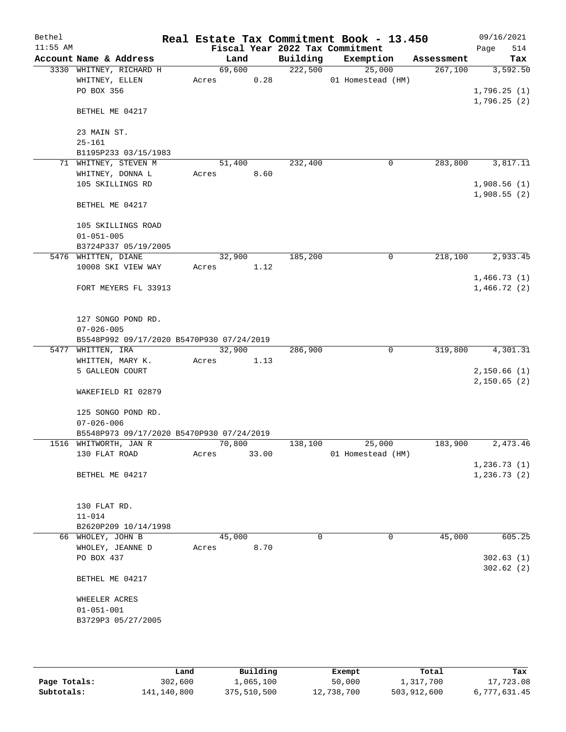| Bethel<br>$11:55$ AM |                                           |        |       |          | Real Estate Tax Commitment Book - 13.450<br>Fiscal Year 2022 Tax Commitment |            | 09/16/2021<br>514<br>Page |
|----------------------|-------------------------------------------|--------|-------|----------|-----------------------------------------------------------------------------|------------|---------------------------|
|                      | Account Name & Address                    |        | Land  | Building | Exemption                                                                   | Assessment | Tax                       |
|                      | 3330 WHITNEY, RICHARD H                   | 69,600 |       | 222,500  | 25,000                                                                      | 267,100    | 3,592.50                  |
|                      | WHITNEY, ELLEN                            | Acres  | 0.28  |          | 01 Homestead (HM)                                                           |            |                           |
|                      | PO BOX 356                                |        |       |          |                                                                             |            | 1,796.25(1)               |
|                      |                                           |        |       |          |                                                                             |            | 1,796.25(2)               |
|                      | BETHEL ME 04217                           |        |       |          |                                                                             |            |                           |
|                      | 23 MAIN ST.                               |        |       |          |                                                                             |            |                           |
|                      | $25 - 161$                                |        |       |          |                                                                             |            |                           |
|                      | B1195P233 03/15/1983                      |        |       |          |                                                                             |            |                           |
|                      | 71 WHITNEY, STEVEN M                      | 51,400 |       | 232,400  | 0                                                                           | 283,800    | 3,817.11                  |
|                      | WHITNEY, DONNA L                          | Acres  | 8.60  |          |                                                                             |            |                           |
|                      | 105 SKILLINGS RD                          |        |       |          |                                                                             |            | 1,908.56(1)               |
|                      |                                           |        |       |          |                                                                             |            | 1,908.55(2)               |
|                      | BETHEL ME 04217                           |        |       |          |                                                                             |            |                           |
|                      | 105 SKILLINGS ROAD                        |        |       |          |                                                                             |            |                           |
|                      | $01 - 051 - 005$                          |        |       |          |                                                                             |            |                           |
|                      | B3724P337 05/19/2005                      |        |       |          |                                                                             |            |                           |
|                      | 5476 WHITTEN, DIANE                       | 32,900 |       | 185,200  | 0                                                                           | 218,100    | 2,933.45                  |
|                      | 10008 SKI VIEW WAY                        | Acres  | 1.12  |          |                                                                             |            |                           |
|                      |                                           |        |       |          |                                                                             |            | 1,466.73(1)               |
|                      | FORT MEYERS FL 33913                      |        |       |          |                                                                             |            | 1,466.72(2)               |
|                      |                                           |        |       |          |                                                                             |            |                           |
|                      | 127 SONGO POND RD.                        |        |       |          |                                                                             |            |                           |
|                      | $07 - 026 - 005$                          |        |       |          |                                                                             |            |                           |
|                      | B5548P992 09/17/2020 B5470P930 07/24/2019 |        |       |          |                                                                             |            |                           |
|                      | 5477 WHITTEN, IRA                         | 32,900 |       | 286,900  | 0                                                                           | 319,800    | 4,301.31                  |
|                      | WHITTEN, MARY K.                          | Acres  | 1.13  |          |                                                                             |            |                           |
|                      | 5 GALLEON COURT                           |        |       |          |                                                                             |            | 2,150.66(1)               |
|                      |                                           |        |       |          |                                                                             |            | 2,150.65(2)               |
|                      | WAKEFIELD RI 02879                        |        |       |          |                                                                             |            |                           |
|                      | 125 SONGO POND RD.                        |        |       |          |                                                                             |            |                           |
|                      | $07 - 026 - 006$                          |        |       |          |                                                                             |            |                           |
|                      | B5548P973 09/17/2020 B5470P930 07/24/2019 |        |       |          |                                                                             |            |                           |
|                      | 1516 WHITWORTH, JAN R                     | 70,800 |       | 138,100  | 25,000                                                                      | 183,900    | 2,473.46                  |
|                      | 130 FLAT ROAD                             | Acres  | 33.00 |          | 01 Homestead (HM)                                                           |            |                           |
|                      |                                           |        |       |          |                                                                             |            | 1,236.73(1)               |
|                      | BETHEL ME 04217                           |        |       |          |                                                                             |            | 1, 236.73(2)              |
|                      |                                           |        |       |          |                                                                             |            |                           |
|                      | 130 FLAT RD.                              |        |       |          |                                                                             |            |                           |
|                      | $11 - 014$                                |        |       |          |                                                                             |            |                           |
|                      | B2620P209 10/14/1998                      |        |       |          |                                                                             |            |                           |
|                      | 66 WHOLEY, JOHN B                         | 45,000 |       | $\Omega$ | 0                                                                           | 45,000     | 605.25                    |
|                      | WHOLEY, JEANNE D                          | Acres  | 8.70  |          |                                                                             |            |                           |
|                      | PO BOX 437                                |        |       |          |                                                                             |            | 302.63(1)                 |
|                      |                                           |        |       |          |                                                                             |            | 302.62(2)                 |
|                      | BETHEL ME 04217                           |        |       |          |                                                                             |            |                           |
|                      | WHEELER ACRES                             |        |       |          |                                                                             |            |                           |
|                      | $01 - 051 - 001$                          |        |       |          |                                                                             |            |                           |
|                      | B3729P3 05/27/2005                        |        |       |          |                                                                             |            |                           |
|                      |                                           |        |       |          |                                                                             |            |                           |
|                      |                                           |        |       |          |                                                                             |            |                           |
|                      |                                           |        |       |          |                                                                             |            |                           |

|              | Land        | Building    | Exempt     | Total       | Tax          |
|--------------|-------------|-------------|------------|-------------|--------------|
| Page Totals: | 302,600     | 1,065,100   | 50,000     | 1,317,700   | 17,723.08    |
| Subtotals:   | 141,140,800 | 375,510,500 | 12,738,700 | 503,912,600 | 6,777,631.45 |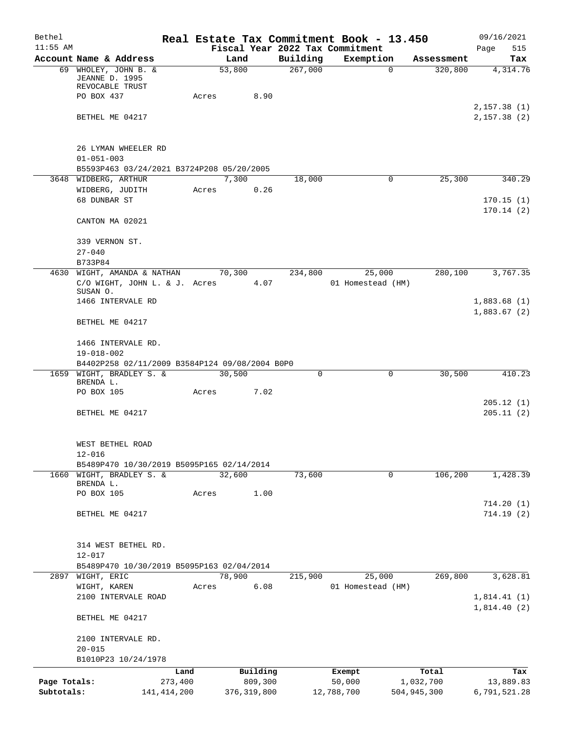| Bethel       |                                                           |       |               |          | Real Estate Tax Commitment Book - 13.450 |             | 09/16/2021                 |
|--------------|-----------------------------------------------------------|-------|---------------|----------|------------------------------------------|-------------|----------------------------|
| $11:55$ AM   |                                                           |       |               |          | Fiscal Year 2022 Tax Commitment          |             | Page<br>515                |
|              | Account Name & Address                                    |       | Land          | Building | Exemption                                | Assessment  | Tax                        |
|              | 69 WHOLEY, JOHN B. &<br>JEANNE D. 1995<br>REVOCABLE TRUST |       | 53,800        | 267,000  | $\mathbf 0$                              | 320,800     | 4,314.76                   |
|              | PO BOX 437                                                | Acres | 8.90          |          |                                          |             |                            |
|              |                                                           |       |               |          |                                          |             | 2,157.38(1)                |
|              | BETHEL ME 04217                                           |       |               |          |                                          |             | 2,157.38(2)                |
|              | 26 LYMAN WHEELER RD                                       |       |               |          |                                          |             |                            |
|              | $01 - 051 - 003$                                          |       |               |          |                                          |             |                            |
|              | B5593P463 03/24/2021 B3724P208 05/20/2005                 |       |               |          |                                          |             |                            |
|              | 3648 WIDBERG, ARTHUR                                      |       | 7,300         | 18,000   | 0                                        | 25,300      | 340.29                     |
|              | WIDBERG, JUDITH                                           | Acres | 0.26          |          |                                          |             |                            |
|              | 68 DUNBAR ST                                              |       |               |          |                                          |             | 170.15(1)                  |
|              | CANTON MA 02021                                           |       |               |          |                                          |             | 170.14(2)                  |
|              | 339 VERNON ST.                                            |       |               |          |                                          |             |                            |
|              | $27 - 040$                                                |       |               |          |                                          |             |                            |
|              | B733P84                                                   |       |               |          |                                          |             |                            |
|              | 4630 WIGHT, AMANDA & NATHAN                               |       | 70,300        | 234,800  | 25,000                                   | 280,100     | 3,767.35                   |
|              | C/O WIGHT, JOHN L. & J. Acres                             |       | 4.07          |          | 01 Homestead (HM)                        |             |                            |
|              | SUSAN O.                                                  |       |               |          |                                          |             |                            |
|              | 1466 INTERVALE RD                                         |       |               |          |                                          |             | 1,883.68(1)<br>1,883.67(2) |
|              | BETHEL ME 04217                                           |       |               |          |                                          |             |                            |
|              | 1466 INTERVALE RD.<br>$19 - 018 - 002$                    |       |               |          |                                          |             |                            |
|              | B4402P258 02/11/2009 B3584P124 09/08/2004 B0P0            |       |               |          |                                          |             |                            |
|              | 1659 WIGHT, BRADLEY S. &                                  |       | 30,500        | 0        | 0                                        | 30,500      | 410.23                     |
|              | BRENDA L.                                                 |       |               |          |                                          |             |                            |
|              | PO BOX 105                                                | Acres | 7.02          |          |                                          |             |                            |
|              | BETHEL ME 04217                                           |       |               |          |                                          |             | 205.12 (1)<br>205.11(2)    |
|              | WEST BETHEL ROAD                                          |       |               |          |                                          |             |                            |
|              | $12 - 016$                                                |       |               |          |                                          |             |                            |
|              | B5489P470 10/30/2019 B5095P165 02/14/2014                 |       |               |          |                                          |             |                            |
| 1660         | WIGHT, BRADLEY S. &                                       |       | 32,600        | 73,600   | $\mathsf{O}$                             | 106, 200    | 1,428.39                   |
|              | BRENDA L.                                                 |       |               |          |                                          |             |                            |
|              | PO BOX 105                                                | Acres | 1.00          |          |                                          |             |                            |
|              | BETHEL ME 04217                                           |       |               |          |                                          |             | 714.20(1)<br>714.19(2)     |
|              |                                                           |       |               |          |                                          |             |                            |
|              | 314 WEST BETHEL RD.                                       |       |               |          |                                          |             |                            |
|              | $12 - 017$                                                |       |               |          |                                          |             |                            |
|              | B5489P470 10/30/2019 B5095P163 02/04/2014                 |       |               |          |                                          |             |                            |
|              | 2897 WIGHT, ERIC                                          |       | 78,900        | 215,900  | 25,000                                   | 269,800     | 3,628.81                   |
|              | WIGHT, KAREN                                              | Acres | 6.08          |          | 01 Homestead (HM)                        |             |                            |
|              | 2100 INTERVALE ROAD                                       |       |               |          |                                          |             | 1,814.41(1)<br>1,814.40(2) |
|              | BETHEL ME 04217                                           |       |               |          |                                          |             |                            |
|              | 2100 INTERVALE RD.                                        |       |               |          |                                          |             |                            |
|              | $20 - 015$                                                |       |               |          |                                          |             |                            |
|              | B1010P23 10/24/1978                                       |       |               |          |                                          |             |                            |
|              | Land                                                      |       | Building      |          | Exempt                                   | Total       | Tax                        |
| Page Totals: | 273,400                                                   |       | 809,300       |          | 50,000                                   | 1,032,700   | 13,889.83                  |
| Subtotals:   | 141, 414, 200                                             |       | 376, 319, 800 |          | 12,788,700                               | 504,945,300 | 6,791,521.28               |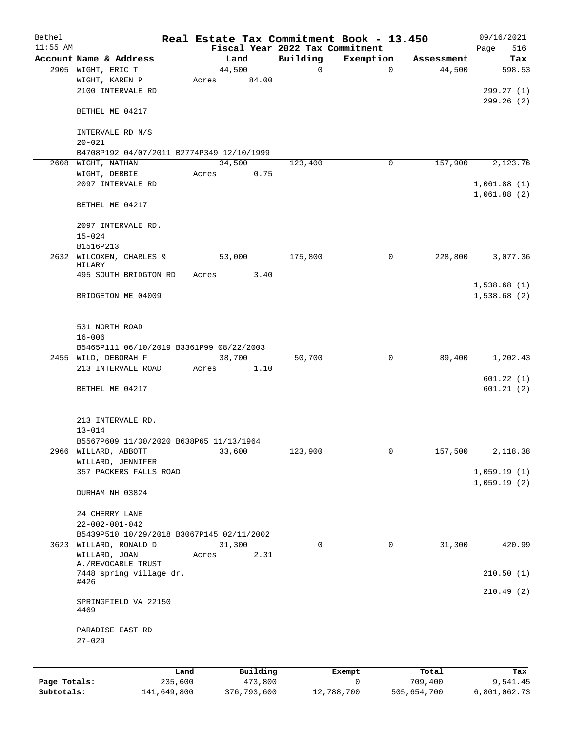| Bethel       |                                                                  |        |          |                                 | Real Estate Tax Commitment Book - 13.450 |            | 09/16/2021  |
|--------------|------------------------------------------------------------------|--------|----------|---------------------------------|------------------------------------------|------------|-------------|
| $11:55$ AM   |                                                                  |        |          | Fiscal Year 2022 Tax Commitment |                                          |            | 516<br>Page |
|              | Account Name & Address                                           |        | Land     | Building                        | Exemption                                | Assessment | Tax         |
|              | 2905 WIGHT, ERIC T                                               | 44,500 | 84.00    | 0                               | $\mathbf 0$                              | 44,500     | 598.53      |
|              | WIGHT, KAREN P<br>2100 INTERVALE RD                              | Acres  |          |                                 |                                          |            | 299.27 (1)  |
|              |                                                                  |        |          |                                 |                                          |            | 299.26(2)   |
|              | BETHEL ME 04217                                                  |        |          |                                 |                                          |            |             |
|              |                                                                  |        |          |                                 |                                          |            |             |
|              | INTERVALE RD N/S                                                 |        |          |                                 |                                          |            |             |
|              | $20 - 021$                                                       |        |          |                                 |                                          |            |             |
| 2608         | B4708P192 04/07/2011 B2774P349 12/10/1999<br>WIGHT, NATHAN       | 34,500 |          | 123,400                         | 0                                        | 157,900    | 2,123.76    |
|              | WIGHT, DEBBIE                                                    | Acres  | 0.75     |                                 |                                          |            |             |
|              | 2097 INTERVALE RD                                                |        |          |                                 |                                          |            | 1,061.88(1) |
|              |                                                                  |        |          |                                 |                                          |            | 1,061.88(2) |
|              | BETHEL ME 04217                                                  |        |          |                                 |                                          |            |             |
|              | 2097 INTERVALE RD.                                               |        |          |                                 |                                          |            |             |
|              | $15 - 024$                                                       |        |          |                                 |                                          |            |             |
|              | B1516P213                                                        |        |          |                                 |                                          |            |             |
|              | 2632 WILCOXEN, CHARLES &                                         | 53,000 |          | 175,800                         | 0                                        | 228,800    | 3,077.36    |
|              | HILARY                                                           |        |          |                                 |                                          |            |             |
|              | 495 SOUTH BRIDGTON RD                                            | Acres  | 3.40     |                                 |                                          |            |             |
|              |                                                                  |        |          |                                 |                                          |            | 1,538.68(1) |
|              | BRIDGETON ME 04009                                               |        |          |                                 |                                          |            | 1,538.68(2) |
|              |                                                                  |        |          |                                 |                                          |            |             |
|              |                                                                  |        |          |                                 |                                          |            |             |
|              | 531 NORTH ROAD                                                   |        |          |                                 |                                          |            |             |
|              | $16 - 006$                                                       |        |          |                                 |                                          |            |             |
|              | B5465P111 06/10/2019 B3361P99 08/22/2003<br>2455 WILD, DEBORAH F | 38,700 |          | 50,700                          | $\mathbf 0$                              | 89,400     | 1,202.43    |
|              | 213 INTERVALE ROAD                                               | Acres  | 1.10     |                                 |                                          |            |             |
|              |                                                                  |        |          |                                 |                                          |            | 601.22(1)   |
|              | BETHEL ME 04217                                                  |        |          |                                 |                                          |            | 601.21(2)   |
|              |                                                                  |        |          |                                 |                                          |            |             |
|              |                                                                  |        |          |                                 |                                          |            |             |
|              | 213 INTERVALE RD.                                                |        |          |                                 |                                          |            |             |
|              | $13 - 014$                                                       |        |          |                                 |                                          |            |             |
|              | B5567P609 11/30/2020 B638P65 11/13/1964                          |        |          |                                 |                                          |            |             |
|              | 2966 WILLARD, ABBOTT                                             | 33,600 |          | 123,900                         | 0                                        | 157,500    | 2,118.38    |
|              | WILLARD, JENNIFER                                                |        |          |                                 |                                          |            |             |
|              | 357 PACKERS FALLS ROAD                                           |        |          |                                 |                                          |            | 1,059.19(1) |
|              | DURHAM NH 03824                                                  |        |          |                                 |                                          |            | 1,059.19(2) |
|              |                                                                  |        |          |                                 |                                          |            |             |
|              | 24 CHERRY LANE                                                   |        |          |                                 |                                          |            |             |
|              | $22 - 002 - 001 - 042$                                           |        |          |                                 |                                          |            |             |
|              | B5439P510 10/29/2018 B3067P145 02/11/2002                        |        |          |                                 |                                          |            |             |
|              | 3623 WILLARD, RONALD D                                           | 31,300 |          | $\Omega$                        | 0                                        | 31,300     | 420.99      |
|              | WILLARD, JOAN<br>A./REVOCABLE TRUST                              | Acres  | 2.31     |                                 |                                          |            |             |
|              | 7448 spring village dr.                                          |        |          |                                 |                                          |            | 210.50(1)   |
|              | #426                                                             |        |          |                                 |                                          |            |             |
|              |                                                                  |        |          |                                 |                                          |            | 210.49(2)   |
|              | SPRINGFIELD VA 22150<br>4469                                     |        |          |                                 |                                          |            |             |
|              |                                                                  |        |          |                                 |                                          |            |             |
|              | PARADISE EAST RD                                                 |        |          |                                 |                                          |            |             |
|              | $27 - 029$                                                       |        |          |                                 |                                          |            |             |
|              |                                                                  |        |          |                                 |                                          |            |             |
|              | Land                                                             |        | Building |                                 | Exempt                                   | Total      | Tax         |
| Page Totals: | 235,600                                                          |        | 473,800  |                                 | $\mathbf 0$                              | 709,400    | 9,541.45    |

**Subtotals:** 141,649,800 376,793,600 12,788,700 505,654,700 6,801,062.73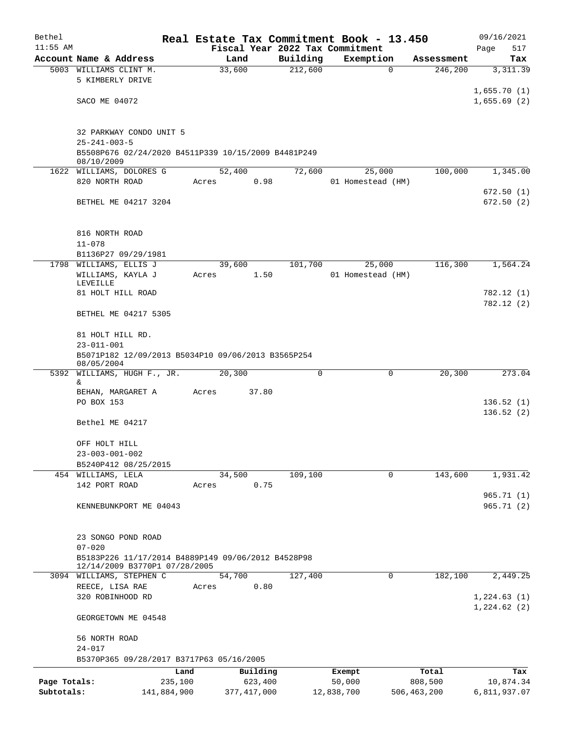| Bethel                     |                                                                                                   | Real Estate Tax Commitment Book - 13.450 |          |                                 |                          | 09/16/2021                 |
|----------------------------|---------------------------------------------------------------------------------------------------|------------------------------------------|----------|---------------------------------|--------------------------|----------------------------|
| $11:55$ AM                 |                                                                                                   |                                          |          | Fiscal Year 2022 Tax Commitment |                          | Page<br>517                |
|                            | Account Name & Address                                                                            | Land                                     | Building | Exemption                       | Assessment               | Tax                        |
|                            | 5003 WILLIAMS CLINT M.<br>5 KIMBERLY DRIVE                                                        | 33,600                                   | 212,600  | $\mathbf 0$                     | 246,200                  | 3, 311.39                  |
|                            | SACO ME 04072                                                                                     |                                          |          |                                 |                          | 1,655.70(1)<br>1,655.69(2) |
|                            | 32 PARKWAY CONDO UNIT 5<br>$25 - 241 - 003 - 5$                                                   |                                          |          |                                 |                          |                            |
|                            | B5508P676 02/24/2020 B4511P339 10/15/2009 B4481P249<br>08/10/2009                                 |                                          |          |                                 |                          |                            |
|                            | 1622 WILLIAMS, DOLORES G<br>820 NORTH ROAD                                                        | 52,400<br>0.98<br>Acres                  | 72,600   | 25,000<br>01 Homestead (HM)     | 100,000                  | 1,345.00                   |
|                            | BETHEL ME 04217 3204                                                                              |                                          |          |                                 |                          | 672.50(1)<br>672.50(2)     |
|                            | 816 NORTH ROAD<br>$11 - 078$                                                                      |                                          |          |                                 |                          |                            |
|                            | B1136P27 09/29/1981                                                                               |                                          |          |                                 |                          |                            |
|                            | 1798 WILLIAMS, ELLIS J<br>WILLIAMS, KAYLA J<br>LEVEILLE                                           | 39,600<br>1.50<br>Acres                  | 101,700  | 25,000<br>01 Homestead (HM)     | 116,300                  | 1,564.24                   |
|                            | 81 HOLT HILL ROAD                                                                                 |                                          |          |                                 |                          | 782.12 (1)<br>782.12 (2)   |
|                            | BETHEL ME 04217 5305                                                                              |                                          |          |                                 |                          |                            |
|                            | 81 HOLT HILL RD.<br>$23 - 011 - 001$                                                              |                                          |          |                                 |                          |                            |
|                            | B5071P182 12/09/2013 B5034P10 09/06/2013 B3565P254<br>08/05/2004                                  |                                          |          |                                 |                          |                            |
| 5392                       | WILLIAMS, HUGH F., JR.                                                                            | 20,300                                   | 0        | 0                               | 20,300                   | 273.04                     |
|                            | &.<br>BEHAN, MARGARET A                                                                           | 37.80<br>Acres                           |          |                                 |                          |                            |
|                            | PO BOX 153                                                                                        |                                          |          |                                 |                          | 136.52(1)<br>136.52(2)     |
|                            | Bethel ME 04217                                                                                   |                                          |          |                                 |                          |                            |
|                            | OFF HOLT HILL<br>$23 - 003 - 001 - 002$                                                           |                                          |          |                                 |                          |                            |
|                            | B5240P412 08/25/2015                                                                              |                                          |          |                                 |                          |                            |
|                            | 454 WILLIAMS, LELA<br>142 PORT ROAD                                                               | 34,500<br>0.75<br>Acres                  | 109,100  | $\mathbf 0$                     | 143,600                  | 1,931.42                   |
|                            | KENNEBUNKPORT ME 04043                                                                            |                                          |          |                                 |                          | 965.71(1)<br>965.71(2)     |
|                            | 23 SONGO POND ROAD                                                                                |                                          |          |                                 |                          |                            |
|                            | $07 - 020$<br>B5183P226 11/17/2014 B4889P149 09/06/2012 B4528P98<br>12/14/2009 B3770P1 07/28/2005 |                                          |          |                                 |                          |                            |
|                            | 3094 WILLIAMS, STEPHEN C                                                                          | 54,700                                   | 127,400  | 0                               | 182,100                  | 2,449.25                   |
|                            | REECE, LISA RAE                                                                                   | 0.80<br>Acres                            |          |                                 |                          |                            |
|                            | 320 ROBINHOOD RD                                                                                  |                                          |          |                                 |                          | 1,224.63(1)<br>1,224.62(2) |
|                            | GEORGETOWN ME 04548                                                                               |                                          |          |                                 |                          |                            |
|                            | 56 NORTH ROAD<br>$24 - 017$                                                                       |                                          |          |                                 |                          |                            |
|                            | B5370P365 09/28/2017 B3717P63 05/16/2005                                                          |                                          |          |                                 |                          |                            |
|                            |                                                                                                   | Land<br>Building                         |          | Exempt                          | Total                    | Tax                        |
| Page Totals:<br>Subtotals: | 235,100<br>141,884,900                                                                            | 623,400<br>377, 417, 000                 |          | 50,000<br>12,838,700            | 808,500<br>506, 463, 200 | 10,874.34<br>6,811,937.07  |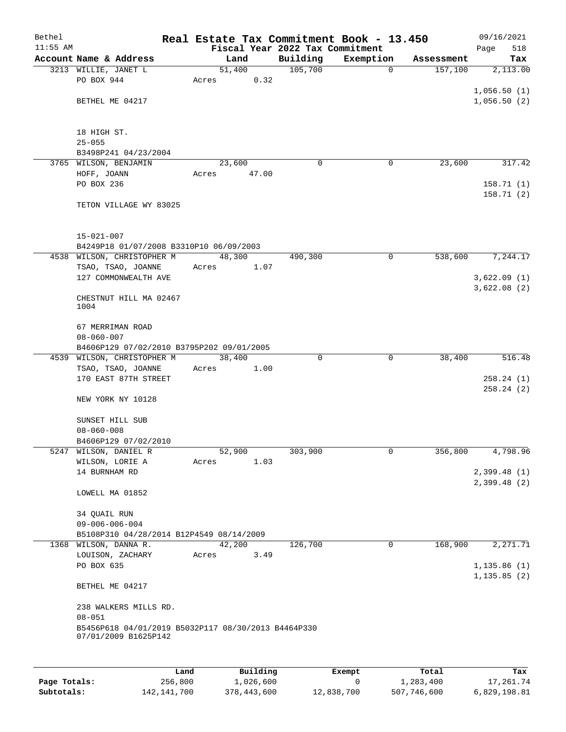| Bethel<br>$11:55$ AM |                                                     |       |        |          | Real Estate Tax Commitment Book - 13.450<br>Fiscal Year 2022 Tax Commitment |            | 09/16/2021<br>518<br>Page |
|----------------------|-----------------------------------------------------|-------|--------|----------|-----------------------------------------------------------------------------|------------|---------------------------|
|                      | Account Name & Address                              |       | Land   | Building | Exemption                                                                   | Assessment | Tax                       |
|                      | 3213 WILLIE, JANET L                                |       | 51,400 | 105,700  | $\mathbf 0$                                                                 | 157,100    | 2,113.00                  |
|                      | PO BOX 944                                          | Acres | 0.32   |          |                                                                             |            |                           |
|                      |                                                     |       |        |          |                                                                             |            | 1,056.50(1)               |
|                      | BETHEL ME 04217                                     |       |        |          |                                                                             |            | 1,056.50(2)               |
|                      |                                                     |       |        |          |                                                                             |            |                           |
|                      |                                                     |       |        |          |                                                                             |            |                           |
|                      | 18 HIGH ST.                                         |       |        |          |                                                                             |            |                           |
|                      | $25 - 055$                                          |       |        |          |                                                                             |            |                           |
|                      | B3498P241 04/23/2004                                |       |        |          |                                                                             |            |                           |
|                      | 3765 WILSON, BENJAMIN                               |       | 23,600 |          | 0<br>0                                                                      | 23,600     | 317.42                    |
|                      | HOFF, JOANN                                         | Acres | 47.00  |          |                                                                             |            |                           |
|                      | PO BOX 236                                          |       |        |          |                                                                             |            | 158.71(1)                 |
|                      | TETON VILLAGE WY 83025                              |       |        |          |                                                                             |            | 158.71(2)                 |
|                      |                                                     |       |        |          |                                                                             |            |                           |
|                      |                                                     |       |        |          |                                                                             |            |                           |
|                      | $15 - 021 - 007$                                    |       |        |          |                                                                             |            |                           |
|                      | B4249P18 01/07/2008 B3310P10 06/09/2003             |       |        |          |                                                                             |            |                           |
|                      | 4538 WILSON, CHRISTOPHER M                          |       | 48,300 | 490,300  | $\mathbf 0$                                                                 | 538,600    | 7,244.17                  |
|                      | TSAO, TSAO, JOANNE                                  | Acres | 1.07   |          |                                                                             |            |                           |
|                      | 127 COMMONWEALTH AVE                                |       |        |          |                                                                             |            | 3,622.09(1)               |
|                      |                                                     |       |        |          |                                                                             |            | 3,622.08(2)               |
|                      | CHESTNUT HILL MA 02467                              |       |        |          |                                                                             |            |                           |
|                      | 1004                                                |       |        |          |                                                                             |            |                           |
|                      |                                                     |       |        |          |                                                                             |            |                           |
|                      | 67 MERRIMAN ROAD<br>$08 - 060 - 007$                |       |        |          |                                                                             |            |                           |
|                      | B4606P129 07/02/2010 B3795P202 09/01/2005           |       |        |          |                                                                             |            |                           |
|                      | 4539 WILSON, CHRISTOPHER M                          |       | 38,400 |          | 0<br>0                                                                      | 38,400     | 516.48                    |
|                      | TSAO, TSAO, JOANNE                                  | Acres | 1.00   |          |                                                                             |            |                           |
|                      | 170 EAST 87TH STREET                                |       |        |          |                                                                             |            | 258.24(1)                 |
|                      |                                                     |       |        |          |                                                                             |            | 258.24(2)                 |
|                      | NEW YORK NY 10128                                   |       |        |          |                                                                             |            |                           |
|                      |                                                     |       |        |          |                                                                             |            |                           |
|                      | SUNSET HILL SUB                                     |       |        |          |                                                                             |            |                           |
|                      | $08 - 060 - 008$                                    |       |        |          |                                                                             |            |                           |
|                      | B4606P129 07/02/2010                                |       |        |          |                                                                             |            |                           |
|                      | 5247 WILSON, DANIEL R                               |       | 52,900 | 303,900  | $\overline{0}$                                                              | 356,800    | 4,798.96                  |
|                      | WILSON, LORIE A                                     | Acres | 1.03   |          |                                                                             |            |                           |
|                      | 14 BURNHAM RD                                       |       |        |          |                                                                             |            | 2,399.48(1)               |
|                      |                                                     |       |        |          |                                                                             |            | 2,399.48(2)               |
|                      | LOWELL MA 01852                                     |       |        |          |                                                                             |            |                           |
|                      | 34 QUAIL RUN                                        |       |        |          |                                                                             |            |                           |
|                      | $09 - 006 - 006 - 004$                              |       |        |          |                                                                             |            |                           |
|                      | B5108P310 04/28/2014 B12P4549 08/14/2009            |       |        |          |                                                                             |            |                           |
|                      | 1368 WILSON, DANNA R.                               |       | 42,200 | 126,700  | $\mathbf 0$                                                                 | 168,900    | 2, 271.71                 |
|                      | LOUISON, ZACHARY                                    | Acres | 3.49   |          |                                                                             |            |                           |
|                      | PO BOX 635                                          |       |        |          |                                                                             |            | 1, 135.86(1)              |
|                      |                                                     |       |        |          |                                                                             |            | 1, 135.85(2)              |
|                      | BETHEL ME 04217                                     |       |        |          |                                                                             |            |                           |
|                      |                                                     |       |        |          |                                                                             |            |                           |
|                      | 238 WALKERS MILLS RD.                               |       |        |          |                                                                             |            |                           |
|                      | $08 - 051$                                          |       |        |          |                                                                             |            |                           |
|                      | B5456P618 04/01/2019 B5032P117 08/30/2013 B4464P330 |       |        |          |                                                                             |            |                           |
|                      | 07/01/2009 B1625P142                                |       |        |          |                                                                             |            |                           |
|                      |                                                     |       |        |          |                                                                             |            |                           |
|                      |                                                     |       |        |          |                                                                             |            |                           |

|              | Land          | Building    | Exempt     | Total       | Tax          |
|--------------|---------------|-------------|------------|-------------|--------------|
| Page Totals: | 256,800       | 1,026,600   |            | 1,283,400   | 17,261.74    |
| Subtotals:   | 142, 141, 700 | 378,443,600 | 12,838,700 | 507,746,600 | 6,829,198.81 |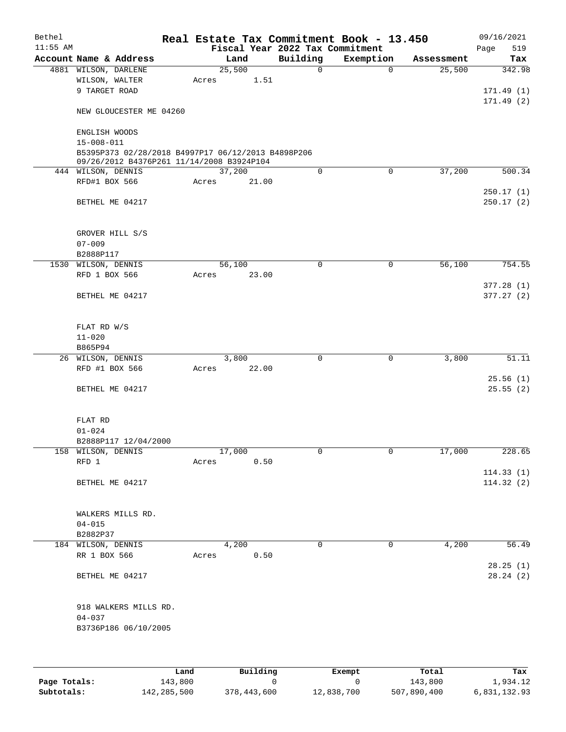| Bethel     |                                                                                                 |        |       |                                 | Real Estate Tax Commitment Book - 13.450 |            | 09/16/2021             |
|------------|-------------------------------------------------------------------------------------------------|--------|-------|---------------------------------|------------------------------------------|------------|------------------------|
| $11:55$ AM |                                                                                                 |        |       | Fiscal Year 2022 Tax Commitment |                                          |            | Page<br>519            |
|            | Account Name & Address                                                                          |        | Land  | Building                        | Exemption                                | Assessment | Tax                    |
|            | 4881 WILSON, DARLENE                                                                            | 25,500 |       | $\mathbf 0$                     | 0                                        | 25,500     | 342.98                 |
|            | WILSON, WALTER                                                                                  | Acres  | 1.51  |                                 |                                          |            |                        |
|            | 9 TARGET ROAD                                                                                   |        |       |                                 |                                          |            | 171.49(1)              |
|            | NEW GLOUCESTER ME 04260                                                                         |        |       |                                 |                                          |            | 171.49(2)              |
|            | ENGLISH WOODS                                                                                   |        |       |                                 |                                          |            |                        |
|            | $15 - 008 - 011$                                                                                |        |       |                                 |                                          |            |                        |
|            | B5395P373 02/28/2018 B4997P17 06/12/2013 B4898P206<br>09/26/2012 B4376P261 11/14/2008 B3924P104 |        |       |                                 |                                          |            |                        |
|            | 444 WILSON, DENNIS                                                                              | 37,200 |       | 0                               | $\mathbf 0$                              | 37,200     | 500.34                 |
|            | RFD#1 BOX 566                                                                                   | Acres  | 21.00 |                                 |                                          |            |                        |
|            |                                                                                                 |        |       |                                 |                                          |            | 250.17(1)              |
|            | BETHEL ME 04217                                                                                 |        |       |                                 |                                          |            | 250.17(2)              |
|            | GROVER HILL S/S                                                                                 |        |       |                                 |                                          |            |                        |
|            | $07 - 009$                                                                                      |        |       |                                 |                                          |            |                        |
|            | B2888P117                                                                                       |        |       |                                 |                                          |            |                        |
|            | 1530 WILSON, DENNIS                                                                             | 56,100 |       | $\mathbf 0$                     | 0                                        | 56,100     | 754.55                 |
|            | RFD 1 BOX 566                                                                                   | Acres  | 23.00 |                                 |                                          |            |                        |
|            | BETHEL ME 04217                                                                                 |        |       |                                 |                                          |            | 377.28(1)<br>377.27(2) |
|            | FLAT RD W/S                                                                                     |        |       |                                 |                                          |            |                        |
|            | $11 - 020$                                                                                      |        |       |                                 |                                          |            |                        |
|            | B865P94                                                                                         |        |       |                                 |                                          |            |                        |
|            | 26 WILSON, DENNIS                                                                               |        | 3,800 | $\mathbf 0$                     | $\mathbf 0$                              | 3,800      | 51.11                  |
|            | RFD #1 BOX 566                                                                                  | Acres  | 22.00 |                                 |                                          |            |                        |
|            |                                                                                                 |        |       |                                 |                                          |            | 25.56(1)               |
|            | BETHEL ME 04217                                                                                 |        |       |                                 |                                          |            | 25.55(2)               |
|            | FLAT RD                                                                                         |        |       |                                 |                                          |            |                        |
|            | $01 - 024$                                                                                      |        |       |                                 |                                          |            |                        |
|            | B2888P117 12/04/2000                                                                            |        |       |                                 |                                          |            |                        |
|            | 158 WILSON, DENNIS                                                                              | 17,000 |       | 0                               | 0                                        | 17,000     | 228.65                 |
|            | RFD 1                                                                                           | Acres  | 0.50  |                                 |                                          |            | 114.33(1)              |
|            | BETHEL ME 04217                                                                                 |        |       |                                 |                                          |            | 114.32(2)              |
|            | WALKERS MILLS RD.                                                                               |        |       |                                 |                                          |            |                        |
|            | $04 - 015$                                                                                      |        |       |                                 |                                          |            |                        |
|            | B2882P37                                                                                        |        |       |                                 |                                          |            |                        |
|            | 184 WILSON, DENNIS                                                                              |        | 4,200 | 0                               | 0                                        | 4,200      | 56.49                  |
|            | RR 1 BOX 566                                                                                    | Acres  | 0.50  |                                 |                                          |            |                        |
|            | BETHEL ME 04217                                                                                 |        |       |                                 |                                          |            | 28.25(1)<br>28.24(2)   |
|            | 918 WALKERS MILLS RD.                                                                           |        |       |                                 |                                          |            |                        |
|            | $04 - 037$                                                                                      |        |       |                                 |                                          |            |                        |
|            | B3736P186 06/10/2005                                                                            |        |       |                                 |                                          |            |                        |
|            |                                                                                                 |        |       |                                 |                                          |            |                        |
|            |                                                                                                 |        |       |                                 |                                          |            |                        |

|              | Land        | Building    | Exempt     | Total       | Tax          |
|--------------|-------------|-------------|------------|-------------|--------------|
| Page Totals: | 143,800     |             |            | 143,800     | 1,934.12     |
| Subtotals:   | 142,285,500 | 378,443,600 | 12,838,700 | 507,890,400 | 6,831,132.93 |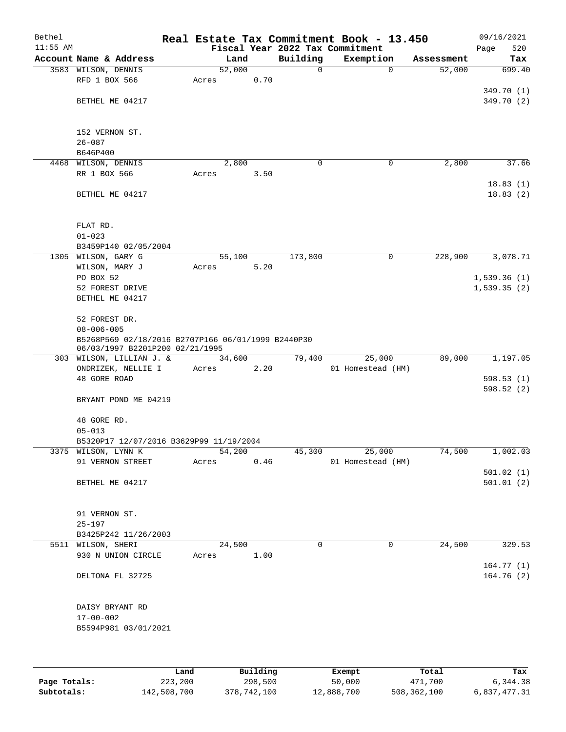| Bethel<br>$11:55$ AM |                                                    |        |        |          | Real Estate Tax Commitment Book - 13.450<br>Fiscal Year 2022 Tax Commitment |            | 09/16/2021<br>520<br>Page |
|----------------------|----------------------------------------------------|--------|--------|----------|-----------------------------------------------------------------------------|------------|---------------------------|
|                      | Account Name & Address                             |        | Land   | Building | Exemption                                                                   | Assessment | Tax                       |
|                      | 3583 WILSON, DENNIS                                | 52,000 |        | 0        | $\mathbf 0$                                                                 | 52,000     | 699.40                    |
|                      | RFD 1 BOX 566                                      | Acres  | 0.70   |          |                                                                             |            |                           |
|                      |                                                    |        |        |          |                                                                             |            | 349.70 (1)                |
|                      | BETHEL ME 04217                                    |        |        |          |                                                                             |            | 349.70 (2)                |
|                      |                                                    |        |        |          |                                                                             |            |                           |
|                      |                                                    |        |        |          |                                                                             |            |                           |
|                      | 152 VERNON ST.                                     |        |        |          |                                                                             |            |                           |
|                      | $26 - 087$                                         |        |        |          |                                                                             |            |                           |
|                      | B646P400                                           |        |        |          |                                                                             |            |                           |
|                      | 4468 WILSON, DENNIS                                |        | 2,800  | 0        | 0                                                                           | 2,800      | 37.66                     |
|                      | RR 1 BOX 566                                       | Acres  | 3.50   |          |                                                                             |            |                           |
|                      |                                                    |        |        |          |                                                                             |            | 18.83(1)                  |
|                      | BETHEL ME 04217                                    |        |        |          |                                                                             |            | 18.83(2)                  |
|                      |                                                    |        |        |          |                                                                             |            |                           |
|                      |                                                    |        |        |          |                                                                             |            |                           |
|                      | FLAT RD.                                           |        |        |          |                                                                             |            |                           |
|                      | $01 - 023$                                         |        |        |          |                                                                             |            |                           |
|                      | B3459P140 02/05/2004                               |        |        |          |                                                                             |            |                           |
|                      | 1305 WILSON, GARY G                                |        | 55,100 | 173,800  | 0                                                                           | 228,900    | 3,078.71                  |
|                      | WILSON, MARY J                                     | Acres  | 5.20   |          |                                                                             |            |                           |
|                      | PO BOX 52                                          |        |        |          |                                                                             |            | 1,539.36(1)               |
|                      | 52 FOREST DRIVE                                    |        |        |          |                                                                             |            | 1,539.35(2)               |
|                      | BETHEL ME 04217                                    |        |        |          |                                                                             |            |                           |
|                      |                                                    |        |        |          |                                                                             |            |                           |
|                      | 52 FOREST DR.                                      |        |        |          |                                                                             |            |                           |
|                      | $08 - 006 - 005$                                   |        |        |          |                                                                             |            |                           |
|                      | B5268P569 02/18/2016 B2707P166 06/01/1999 B2440P30 |        |        |          |                                                                             |            |                           |
|                      | 06/03/1997 B2201P200 02/21/1995                    |        |        |          |                                                                             |            |                           |
|                      | 303 WILSON, LILLIAN J. &                           |        | 34,600 | 79,400   | 25,000                                                                      | 89,000     | 1,197.05                  |
|                      | ONDRIZEK, NELLIE I                                 | Acres  | 2.20   |          | 01 Homestead (HM)                                                           |            |                           |
|                      | 48 GORE ROAD                                       |        |        |          |                                                                             |            | 598.53(1)                 |
|                      |                                                    |        |        |          |                                                                             |            | 598.52 (2)                |
|                      | BRYANT POND ME 04219                               |        |        |          |                                                                             |            |                           |
|                      |                                                    |        |        |          |                                                                             |            |                           |
|                      | 48 GORE RD.                                        |        |        |          |                                                                             |            |                           |
|                      | $05 - 013$                                         |        |        |          |                                                                             |            |                           |
|                      | B5320P17 12/07/2016 B3629P99 11/19/2004            |        |        |          |                                                                             |            |                           |
|                      | 3375 WILSON, LYNN K                                | 54,200 |        | 45,300   | 25,000                                                                      | 74,500     | 1,002.03                  |
|                      | 91 VERNON STREET                                   | Acres  | 0.46   |          | 01 Homestead (HM)                                                           |            |                           |
|                      |                                                    |        |        |          |                                                                             |            | 501.02(1)                 |
|                      | BETHEL ME 04217                                    |        |        |          |                                                                             |            | 501.01(2)                 |
|                      |                                                    |        |        |          |                                                                             |            |                           |
|                      |                                                    |        |        |          |                                                                             |            |                           |
|                      | 91 VERNON ST.                                      |        |        |          |                                                                             |            |                           |
|                      | $25 - 197$                                         |        |        |          |                                                                             |            |                           |
|                      | B3425P242 11/26/2003                               |        |        |          |                                                                             |            |                           |
|                      | 5511 WILSON, SHERI                                 | 24,500 |        | $\Omega$ | 0                                                                           | 24,500     | 329.53                    |
|                      | 930 N UNION CIRCLE                                 | Acres  | 1.00   |          |                                                                             |            |                           |
|                      |                                                    |        |        |          |                                                                             |            | 164.77(1)                 |
|                      | DELTONA FL 32725                                   |        |        |          |                                                                             |            | 164.76(2)                 |
|                      |                                                    |        |        |          |                                                                             |            |                           |
|                      |                                                    |        |        |          |                                                                             |            |                           |
|                      | DAISY BRYANT RD                                    |        |        |          |                                                                             |            |                           |
|                      | $17 - 00 - 002$                                    |        |        |          |                                                                             |            |                           |
|                      | B5594P981 03/01/2021                               |        |        |          |                                                                             |            |                           |
|                      |                                                    |        |        |          |                                                                             |            |                           |
|                      |                                                    |        |        |          |                                                                             |            |                           |
|                      |                                                    |        |        |          |                                                                             |            |                           |

|              | Land        | Building    | Exempt     | Total       | Tax          |
|--------------|-------------|-------------|------------|-------------|--------------|
| Page Totals: | 223,200     | 298,500     | 50,000     | 471,700     | 6,344.38     |
| Subtotals:   | 142,508,700 | 378,742,100 | 12,888,700 | 508,362,100 | 6,837,477.31 |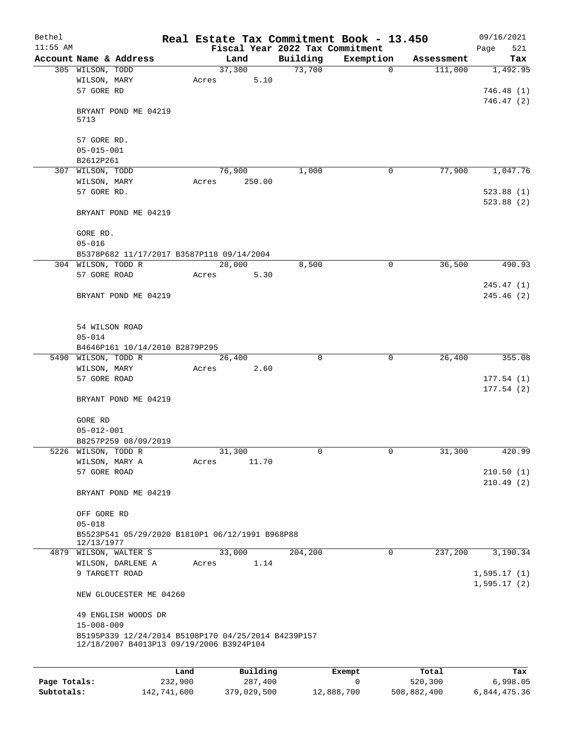| Bethel       |                                                                                                 |         | Real Estate Tax Commitment Book - 13.450 |          |             |            | 09/16/2021                 |
|--------------|-------------------------------------------------------------------------------------------------|---------|------------------------------------------|----------|-------------|------------|----------------------------|
| $11:55$ AM   |                                                                                                 |         | Fiscal Year 2022 Tax Commitment          |          |             |            | 521<br>Page                |
|              | Account Name & Address                                                                          |         | Land                                     | Building | Exemption   | Assessment | Tax                        |
|              | 305 WILSON, TODD                                                                                |         | 37,300                                   | 73,700   | $\mathbf 0$ | 111,000    | 1,492.95                   |
|              | WILSON, MARY<br>57 GORE RD                                                                      |         | 5.10<br>Acres                            |          |             |            | 746.48(1)                  |
|              |                                                                                                 |         |                                          |          |             |            | 746.47(2)                  |
|              | BRYANT POND ME 04219<br>5713                                                                    |         |                                          |          |             |            |                            |
|              | 57 GORE RD.                                                                                     |         |                                          |          |             |            |                            |
|              | $05 - 015 - 001$                                                                                |         |                                          |          |             |            |                            |
|              | B2612P261                                                                                       |         |                                          |          |             |            |                            |
|              | 307 WILSON, TODD                                                                                |         | 76,900                                   | 1,000    | $\mathbf 0$ | 77,900     | 1,047.76                   |
|              | WILSON, MARY                                                                                    |         | 250.00<br>Acres                          |          |             |            |                            |
|              | 57 GORE RD.                                                                                     |         |                                          |          |             |            | 523.88(1)                  |
|              | BRYANT POND ME 04219                                                                            |         |                                          |          |             |            | 523.88(2)                  |
|              | GORE RD.                                                                                        |         |                                          |          |             |            |                            |
|              | $05 - 016$                                                                                      |         |                                          |          |             |            |                            |
|              | B5378P682 11/17/2017 B3587P118 09/14/2004                                                       |         |                                          |          |             |            |                            |
|              | 304 WILSON, TODD R                                                                              |         | 28,000                                   | 8,500    | $\mathbf 0$ | 36,500     | 490.93                     |
|              | 57 GORE ROAD                                                                                    |         | 5.30<br>Acres                            |          |             |            |                            |
|              | BRYANT POND ME 04219                                                                            |         |                                          |          |             |            | 245.47(1)<br>245.46(2)     |
|              |                                                                                                 |         |                                          |          |             |            |                            |
|              | 54 WILSON ROAD<br>$05 - 014$                                                                    |         |                                          |          |             |            |                            |
|              | B4646P161 10/14/2010 B2879P295                                                                  |         |                                          |          |             |            |                            |
|              | 5490 WILSON, TODD R                                                                             |         | 26,400                                   | 0        | $\mathbf 0$ | 26,400     | 355.08                     |
|              | WILSON, MARY                                                                                    |         | 2.60<br>Acres                            |          |             |            |                            |
|              | 57 GORE ROAD                                                                                    |         |                                          |          |             |            | 177.54(1)                  |
|              | BRYANT POND ME 04219                                                                            |         |                                          |          |             |            | 177.54(2)                  |
|              | GORE RD                                                                                         |         |                                          |          |             |            |                            |
|              | $05 - 012 - 001$                                                                                |         |                                          |          |             |            |                            |
|              | B8257P259 08/09/2019                                                                            |         |                                          |          |             |            |                            |
|              | 5226 WILSON, TODD R                                                                             |         | 31,300                                   | 0        | 0           | 31,300     | 420.99                     |
|              | WILSON, MARY A                                                                                  |         | 11.70<br>Acres                           |          |             |            |                            |
|              | 57 GORE ROAD                                                                                    |         |                                          |          |             |            | 210.50(1)                  |
|              | BRYANT POND ME 04219                                                                            |         |                                          |          |             |            | 210.49(2)                  |
|              | OFF GORE RD                                                                                     |         |                                          |          |             |            |                            |
|              | $05 - 018$                                                                                      |         |                                          |          |             |            |                            |
|              | B5523P541 05/29/2020 B1810P1 06/12/1991 B968P88<br>12/13/1977                                   |         |                                          |          |             |            |                            |
|              | 4879 WILSON, WALTER S<br>WILSON, DARLENE A                                                      |         | 33,000<br>1.14<br>Acres                  | 204,200  | $\mathbf 0$ | 237,200    | 3,190.34                   |
|              | 9 TARGETT ROAD                                                                                  |         |                                          |          |             |            | 1,595.17(1)<br>1,595.17(2) |
|              | NEW GLOUCESTER ME 04260                                                                         |         |                                          |          |             |            |                            |
|              | 49 ENGLISH WOODS DR<br>$15 - 008 - 009$                                                         |         |                                          |          |             |            |                            |
|              | B5195P339 12/24/2014 B5108P170 04/25/2014 B4239P157<br>12/18/2007 B4013P13 09/19/2006 B3924P104 |         |                                          |          |             |            |                            |
|              |                                                                                                 |         |                                          |          |             |            |                            |
|              |                                                                                                 | Land    | Building                                 |          | Exempt      | Total      | Tax                        |
| Page Totals: |                                                                                                 | 232,900 | 287,400                                  |          | 0           | 520,300    | 6,998.05                   |

**Subtotals:** 142,741,600 379,029,500 12,888,700 508,882,400 6,844,475.36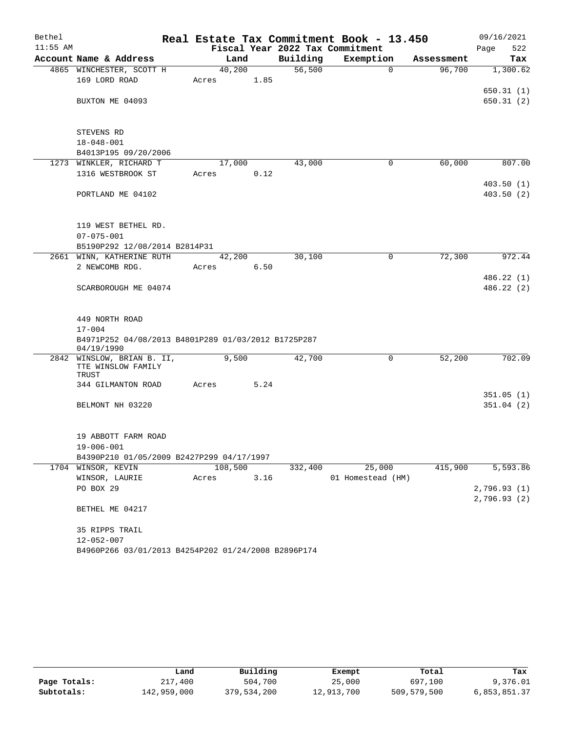| Bethel     |                                                     |       |         |      |          | Real Estate Tax Commitment Book - 13.450 |            | 09/16/2021   |
|------------|-----------------------------------------------------|-------|---------|------|----------|------------------------------------------|------------|--------------|
| $11:55$ AM |                                                     |       |         |      |          | Fiscal Year 2022 Tax Commitment          |            | 522<br>Page  |
|            | Account Name & Address                              |       | Land    |      | Building | Exemption                                | Assessment | Tax          |
|            | 4865 WINCHESTER, SCOTT H                            |       | 40,200  |      | 56,500   | $\Omega$                                 | 96,700     | 1,300.62     |
|            | 169 LORD ROAD                                       | Acres |         | 1.85 |          |                                          |            |              |
|            |                                                     |       |         |      |          |                                          |            | 650.31(1)    |
|            | BUXTON ME 04093                                     |       |         |      |          |                                          |            | 650.31(2)    |
|            |                                                     |       |         |      |          |                                          |            |              |
|            | STEVENS RD                                          |       |         |      |          |                                          |            |              |
|            | $18 - 048 - 001$                                    |       |         |      |          |                                          |            |              |
|            | B4013P195 09/20/2006                                |       |         |      |          |                                          |            |              |
|            | 1273 WINKLER, RICHARD T                             |       | 17,000  |      | 43,000   | $\mathbf 0$                              | 60,000     | 807.00       |
|            | 1316 WESTBROOK ST                                   | Acres |         | 0.12 |          |                                          |            |              |
|            |                                                     |       |         |      |          |                                          |            | 403.50(1)    |
|            | PORTLAND ME 04102                                   |       |         |      |          |                                          |            | 403.50(2)    |
|            |                                                     |       |         |      |          |                                          |            |              |
|            |                                                     |       |         |      |          |                                          |            |              |
|            | 119 WEST BETHEL RD.                                 |       |         |      |          |                                          |            |              |
|            | $07 - 075 - 001$                                    |       |         |      |          |                                          |            |              |
|            | B5190P292 12/08/2014 B2814P31                       |       |         |      |          |                                          |            |              |
|            | 2661 WINN, KATHERINE RUTH                           |       | 42,200  |      | 30,100   | $\mathbf 0$                              | 72,300     | 972.44       |
|            | 2 NEWCOMB RDG.                                      | Acres |         | 6.50 |          |                                          |            |              |
|            |                                                     |       |         |      |          |                                          |            | 486.22 (1)   |
|            | SCARBOROUGH ME 04074                                |       |         |      |          |                                          |            | 486.22 (2)   |
|            |                                                     |       |         |      |          |                                          |            |              |
|            | 449 NORTH ROAD                                      |       |         |      |          |                                          |            |              |
|            | $17 - 004$                                          |       |         |      |          |                                          |            |              |
|            | B4971P252 04/08/2013 B4801P289 01/03/2012 B1725P287 |       |         |      |          |                                          |            |              |
|            | 04/19/1990                                          |       |         |      |          |                                          |            |              |
| 2842       | WINSLOW, BRIAN B. II,                               |       | 9,500   |      | 42,700   | 0                                        | 52,200     | 702.09       |
|            | TTE WINSLOW FAMILY<br>TRUST                         |       |         |      |          |                                          |            |              |
|            | 344 GILMANTON ROAD                                  | Acres |         | 5.24 |          |                                          |            |              |
|            |                                                     |       |         |      |          |                                          |            | 351.05(1)    |
|            | BELMONT NH 03220                                    |       |         |      |          |                                          |            | 351.04(2)    |
|            |                                                     |       |         |      |          |                                          |            |              |
|            |                                                     |       |         |      |          |                                          |            |              |
|            | 19 ABBOTT FARM ROAD                                 |       |         |      |          |                                          |            |              |
|            | 19-006-001                                          |       |         |      |          |                                          |            |              |
|            | B4390P210 01/05/2009 B2427P299 04/17/1997           |       |         |      |          |                                          |            |              |
|            | 1704 WINSOR, KEVIN                                  |       | 108,500 |      | 332,400  | 25,000                                   | 415,900    | 5,593.86     |
|            | WINSOR, LAURIE                                      | Acres |         | 3.16 |          | 01 Homestead (HM)                        |            |              |
|            | PO BOX 29                                           |       |         |      |          |                                          |            | 2,796.93(1)  |
|            | BETHEL ME 04217                                     |       |         |      |          |                                          |            | 2,796.93 (2) |
|            |                                                     |       |         |      |          |                                          |            |              |
|            | 35 RIPPS TRAIL                                      |       |         |      |          |                                          |            |              |
|            | $12 - 052 - 007$                                    |       |         |      |          |                                          |            |              |
|            | B4960P266 03/01/2013 B4254P202 01/24/2008 B2896P174 |       |         |      |          |                                          |            |              |

|              | Land        | Building    | Exempt     | Total       | Tax          |
|--------------|-------------|-------------|------------|-------------|--------------|
| Page Totals: | 217,400     | 504,700     | 25,000     | 697,100     | 9,376.01     |
| Subtotals:   | 142,959,000 | 379,534,200 | 12,913,700 | 509,579,500 | 6,853,851.37 |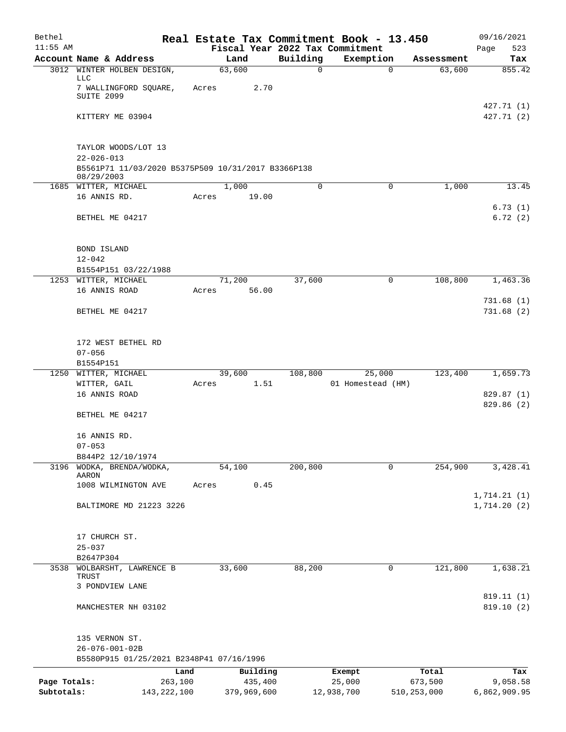| Bethel                     |                                                    |       |             |             | Real Estate Tax Commitment Book - 13.450 |               | 09/16/2021                 |
|----------------------------|----------------------------------------------------|-------|-------------|-------------|------------------------------------------|---------------|----------------------------|
| $11:55$ AM                 |                                                    |       |             |             | Fiscal Year 2022 Tax Commitment          |               | 523<br>Page                |
|                            | Account Name & Address                             |       | Land        | Building    | Exemption                                | Assessment    | Tax                        |
|                            | 3012 WINTER HOLBEN DESIGN,<br>LLC                  |       | 63,600      | $\mathbf 0$ | $\mathbf 0$                              | 63,600        | 855.42                     |
|                            | 7 WALLINGFORD SQUARE,                              | Acres | 2.70        |             |                                          |               |                            |
|                            | SUITE 2099                                         |       |             |             |                                          |               |                            |
|                            | KITTERY ME 03904                                   |       |             |             |                                          |               | 427.71 (1)<br>427.71 (2)   |
|                            |                                                    |       |             |             |                                          |               |                            |
|                            |                                                    |       |             |             |                                          |               |                            |
|                            | TAYLOR WOODS/LOT 13<br>$22 - 026 - 013$            |       |             |             |                                          |               |                            |
|                            | B5561P71 11/03/2020 B5375P509 10/31/2017 B3366P138 |       |             |             |                                          |               |                            |
|                            | 08/29/2003                                         |       |             |             |                                          |               |                            |
|                            | 1685 WITTER, MICHAEL                               |       | 1,000       | $\Omega$    | 0                                        | 1,000         | 13.45                      |
|                            | 16 ANNIS RD.                                       | Acres | 19.00       |             |                                          |               | 6.73(1)                    |
|                            | BETHEL ME 04217                                    |       |             |             |                                          |               | 6.72(2)                    |
|                            |                                                    |       |             |             |                                          |               |                            |
|                            |                                                    |       |             |             |                                          |               |                            |
|                            | BOND ISLAND                                        |       |             |             |                                          |               |                            |
|                            | $12 - 042$<br>B1554P151 03/22/1988                 |       |             |             |                                          |               |                            |
|                            | 1253 WITTER, MICHAEL                               |       | 71,200      | 37,600      | 0                                        | 108,800       | 1,463.36                   |
|                            | 16 ANNIS ROAD                                      | Acres | 56.00       |             |                                          |               |                            |
|                            |                                                    |       |             |             |                                          |               | 731.68(1)                  |
|                            | BETHEL ME 04217                                    |       |             |             |                                          |               | 731.68(2)                  |
|                            |                                                    |       |             |             |                                          |               |                            |
|                            | 172 WEST BETHEL RD                                 |       |             |             |                                          |               |                            |
|                            | $07 - 056$                                         |       |             |             |                                          |               |                            |
|                            | B1554P151                                          |       |             |             |                                          |               |                            |
|                            | 1250 WITTER, MICHAEL                               |       | 39,600      | 108,800     | 25,000                                   | 123,400       | 1,659.73                   |
|                            | WITTER, GAIL                                       | Acres | 1.51        |             | 01 Homestead (HM)                        |               |                            |
|                            | 16 ANNIS ROAD                                      |       |             |             |                                          |               | 829.87 (1)<br>829.86 (2)   |
|                            | BETHEL ME 04217                                    |       |             |             |                                          |               |                            |
|                            |                                                    |       |             |             |                                          |               |                            |
|                            | 16 ANNIS RD.                                       |       |             |             |                                          |               |                            |
|                            | $07 - 053$                                         |       |             |             |                                          |               |                            |
| 3196                       | B844P2 12/10/1974<br>WODKA, BRENDA/WODKA,          |       | 54,100      | 200,800     | 0                                        | 254,900       | 3,428.41                   |
|                            | AARON                                              |       |             |             |                                          |               |                            |
|                            | 1008 WILMINGTON AVE                                | Acres | 0.45        |             |                                          |               |                            |
|                            | BALTIMORE MD 21223 3226                            |       |             |             |                                          |               | 1,714.21(1)<br>1,714.20(2) |
|                            |                                                    |       |             |             |                                          |               |                            |
|                            |                                                    |       |             |             |                                          |               |                            |
|                            | 17 CHURCH ST.                                      |       |             |             |                                          |               |                            |
|                            | $25 - 037$                                         |       |             |             |                                          |               |                            |
|                            | B2647P304                                          |       |             |             |                                          |               |                            |
| 3538                       | WOLBARSHT, LAWRENCE B<br>TRUST                     |       | 33,600      | 88,200      | 0                                        | 121,800       | 1,638.21                   |
|                            | 3 PONDVIEW LANE                                    |       |             |             |                                          |               |                            |
|                            |                                                    |       |             |             |                                          |               | 819.11 (1)                 |
|                            | MANCHESTER NH 03102                                |       |             |             |                                          |               | 819.10(2)                  |
|                            |                                                    |       |             |             |                                          |               |                            |
|                            | 135 VERNON ST.                                     |       |             |             |                                          |               |                            |
|                            | $26 - 076 - 001 - 02B$                             |       |             |             |                                          |               |                            |
|                            | B5580P915 01/25/2021 B2348P41 07/16/1996           |       |             |             |                                          |               |                            |
|                            | Land                                               |       | Building    |             | Exempt                                   | Total         | Tax                        |
| Page Totals:<br>Subtotals: | 263,100                                            |       | 435,400     |             | 25,000                                   | 673,500       | 9,058.58                   |
|                            | 143, 222, 100                                      |       | 379,969,600 |             | 12,938,700                               | 510, 253, 000 | 6,862,909.95               |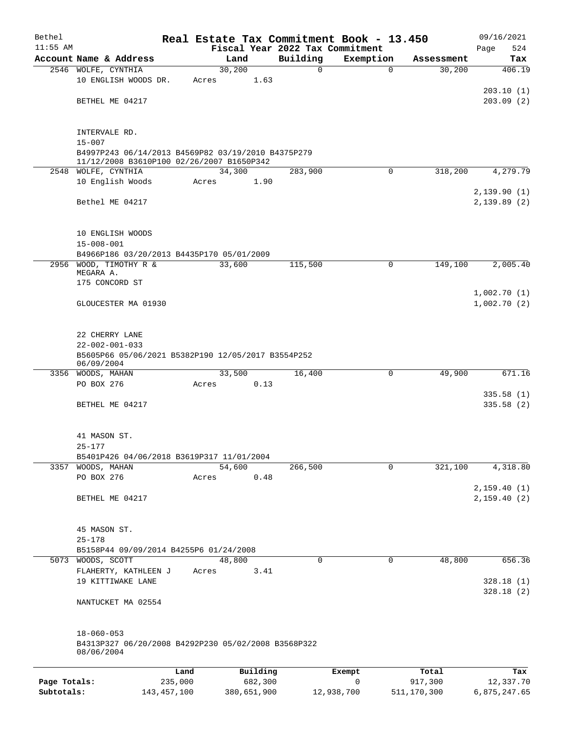| Bethel       |                                                                              |         |          |      |                                 | Real Estate Tax Commitment Book - 13.450 |            | 09/16/2021                 |
|--------------|------------------------------------------------------------------------------|---------|----------|------|---------------------------------|------------------------------------------|------------|----------------------------|
| $11:55$ AM   |                                                                              |         |          |      | Fiscal Year 2022 Tax Commitment |                                          |            | Page<br>524                |
|              | Account Name & Address                                                       |         | Land     |      | Building                        | Exemption                                | Assessment | Tax                        |
|              | 2546 WOLFE, CYNTHIA                                                          |         | 30,200   |      | 0                               | $\mathbf 0$                              | 30,200     | 406.19                     |
|              | 10 ENGLISH WOODS DR.                                                         |         | Acres    | 1.63 |                                 |                                          |            | 203.10(1)                  |
|              | BETHEL ME 04217                                                              |         |          |      |                                 |                                          |            | 203.09(2)                  |
|              |                                                                              |         |          |      |                                 |                                          |            |                            |
|              |                                                                              |         |          |      |                                 |                                          |            |                            |
|              | INTERVALE RD.<br>$15 - 007$                                                  |         |          |      |                                 |                                          |            |                            |
|              | B4997P243 06/14/2013 B4569P82 03/19/2010 B4375P279                           |         |          |      |                                 |                                          |            |                            |
|              | 11/12/2008 B3610P100 02/26/2007 B1650P342                                    |         |          |      |                                 |                                          |            |                            |
|              | 2548 WOLFE, CYNTHIA                                                          |         | 34,300   |      | 283,900                         | $\Omega$                                 | 318,200    | 4,279.79                   |
|              | 10 English Woods                                                             |         | Acres    | 1.90 |                                 |                                          |            |                            |
|              |                                                                              |         |          |      |                                 |                                          |            | 2,139.90(1)                |
|              | Bethel ME 04217                                                              |         |          |      |                                 |                                          |            | 2,139.89(2)                |
|              |                                                                              |         |          |      |                                 |                                          |            |                            |
|              | 10 ENGLISH WOODS                                                             |         |          |      |                                 |                                          |            |                            |
|              | $15 - 008 - 001$                                                             |         |          |      |                                 |                                          |            |                            |
|              | B4966P186 03/20/2013 B4435P170 05/01/2009                                    |         |          |      |                                 |                                          |            |                            |
|              | 2956 WOOD, TIMOTHY R &                                                       |         | 33,600   |      | 115,500                         | 0                                        | 149,100    | 2,005.40                   |
|              | MEGARA A.<br>175 CONCORD ST                                                  |         |          |      |                                 |                                          |            |                            |
|              |                                                                              |         |          |      |                                 |                                          |            | 1,002.70(1)                |
|              | GLOUCESTER MA 01930                                                          |         |          |      |                                 |                                          |            | 1,002.70(2)                |
|              |                                                                              |         |          |      |                                 |                                          |            |                            |
|              |                                                                              |         |          |      |                                 |                                          |            |                            |
|              | 22 CHERRY LANE                                                               |         |          |      |                                 |                                          |            |                            |
|              | $22 - 002 - 001 - 033$<br>B5605P66 05/06/2021 B5382P190 12/05/2017 B3554P252 |         |          |      |                                 |                                          |            |                            |
|              | 06/09/2004                                                                   |         |          |      |                                 |                                          |            |                            |
|              | 3356 WOODS, MAHAN                                                            |         | 33,500   |      | 16,400                          | 0                                        | 49,900     | 671.16                     |
|              | PO BOX 276                                                                   |         | Acres    | 0.13 |                                 |                                          |            |                            |
|              |                                                                              |         |          |      |                                 |                                          |            | 335.58(1)                  |
|              | BETHEL ME 04217                                                              |         |          |      |                                 |                                          |            | 335.58(2)                  |
|              |                                                                              |         |          |      |                                 |                                          |            |                            |
|              | 41 MASON ST.                                                                 |         |          |      |                                 |                                          |            |                            |
|              | $25 - 177$                                                                   |         |          |      |                                 |                                          |            |                            |
|              | B5401P426 04/06/2018 B3619P317 11/01/2004                                    |         |          |      |                                 |                                          |            |                            |
|              | 3357 WOODS, MAHAN                                                            |         | 54,600   |      | 266,500                         | 0                                        | 321,100    | 4,318.80                   |
|              | PO BOX 276                                                                   |         | Acres    | 0.48 |                                 |                                          |            |                            |
|              | BETHEL ME 04217                                                              |         |          |      |                                 |                                          |            | 2,159.40(1)<br>2,159.40(2) |
|              |                                                                              |         |          |      |                                 |                                          |            |                            |
|              |                                                                              |         |          |      |                                 |                                          |            |                            |
|              | 45 MASON ST.                                                                 |         |          |      |                                 |                                          |            |                            |
|              | $25 - 178$                                                                   |         |          |      |                                 |                                          |            |                            |
|              | B5158P44 09/09/2014 B4255P6 01/24/2008                                       |         |          |      |                                 |                                          |            |                            |
|              | 5073 WOODS, SCOTT                                                            |         | 48,800   |      | 0                               | $\mathbf 0$                              | 48,800     | 656.36                     |
|              | FLAHERTY, KATHLEEN J<br>19 KITTIWAKE LANE                                    |         | Acres    | 3.41 |                                 |                                          |            | 328.18(1)                  |
|              |                                                                              |         |          |      |                                 |                                          |            | 328.18(2)                  |
|              | NANTUCKET MA 02554                                                           |         |          |      |                                 |                                          |            |                            |
|              |                                                                              |         |          |      |                                 |                                          |            |                            |
|              |                                                                              |         |          |      |                                 |                                          |            |                            |
|              | $18 - 060 - 053$                                                             |         |          |      |                                 |                                          |            |                            |
|              | B4313P327 06/20/2008 B4292P230 05/02/2008 B3568P322<br>08/06/2004            |         |          |      |                                 |                                          |            |                            |
|              |                                                                              |         |          |      |                                 |                                          |            |                            |
|              |                                                                              | Land    | Building |      |                                 | Exempt                                   | Total      | Tax                        |
| Page Totals: |                                                                              | 235,000 | 682,300  |      |                                 | 0                                        | 917,300    | 12,337.70                  |

**Subtotals:** 143,457,100 380,651,900 12,938,700 511,170,300 6,875,247.65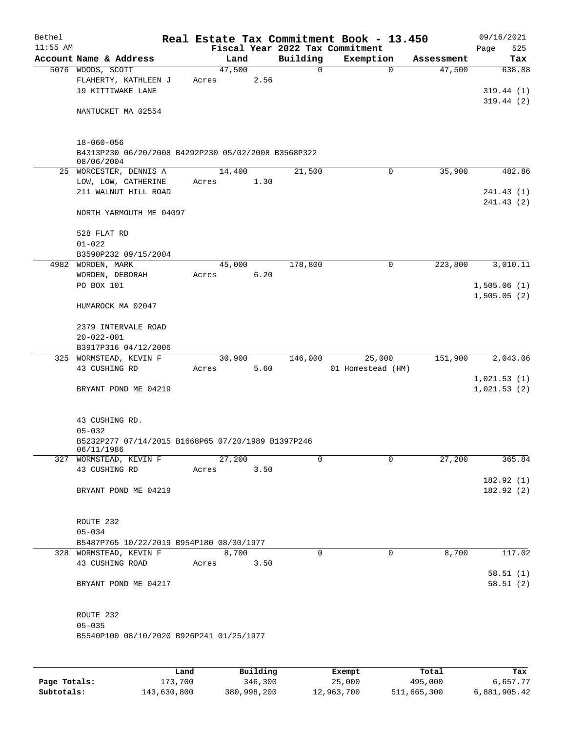| Bethel     |                                                                                       |       |        |      |                                 | Real Estate Tax Commitment Book - 13.450 |            | 09/16/2021              |
|------------|---------------------------------------------------------------------------------------|-------|--------|------|---------------------------------|------------------------------------------|------------|-------------------------|
| $11:55$ AM |                                                                                       |       |        |      | Fiscal Year 2022 Tax Commitment |                                          |            | Page<br>525             |
|            | Account Name & Address                                                                |       | Land   |      | Building                        | Exemption                                | Assessment | Tax                     |
|            | 5076 WOODS, SCOTT<br>FLAHERTY, KATHLEEN J<br>19 KITTIWAKE LANE                        | Acres | 47,500 | 2.56 | 0                               | $\mathbf 0$                              | 47,500     | 638.88<br>319.44(1)     |
|            | NANTUCKET MA 02554                                                                    |       |        |      |                                 |                                          |            | 319.44(2)               |
|            | $18 - 060 - 056$<br>B4313P230 06/20/2008 B4292P230 05/02/2008 B3568P322<br>08/06/2004 |       |        |      |                                 |                                          |            |                         |
|            | 25 WORCESTER, DENNIS A                                                                |       | 14,400 |      | 21,500                          | 0                                        | 35,900     | 482.86                  |
|            | LOW, LOW, CATHERINE<br>211 WALNUT HILL ROAD                                           | Acres |        | 1.30 |                                 |                                          |            | 241.43 (1)<br>241.43(2) |
|            | NORTH YARMOUTH ME 04097                                                               |       |        |      |                                 |                                          |            |                         |
|            | 528 FLAT RD<br>$01 - 022$                                                             |       |        |      |                                 |                                          |            |                         |
|            | B3590P232 09/15/2004                                                                  |       |        |      |                                 |                                          |            |                         |
|            | 4982 WORDEN, MARK                                                                     |       | 45,000 |      | 178,800                         | 0                                        | 223,800    | 3,010.11                |
|            | WORDEN, DEBORAH                                                                       | Acres |        | 6.20 |                                 |                                          |            |                         |
|            | PO BOX 101                                                                            |       |        |      |                                 |                                          |            | 1,505.06(1)             |
|            | HUMAROCK MA 02047                                                                     |       |        |      |                                 |                                          |            | 1,505.05(2)             |
|            | 2379 INTERVALE ROAD<br>$20 - 022 - 001$                                               |       |        |      |                                 |                                          |            |                         |
|            | B3917P316 04/12/2006                                                                  |       |        |      |                                 |                                          |            |                         |
|            | 325 WORMSTEAD, KEVIN F                                                                |       | 30,900 |      | 146,000                         | 25,000                                   | 151,900    | 2,043.06                |
|            | 43 CUSHING RD                                                                         | Acres |        | 5.60 |                                 | 01 Homestead (HM)                        |            |                         |
|            |                                                                                       |       |        |      |                                 |                                          |            | 1,021.53(1)             |
|            | BRYANT POND ME 04219                                                                  |       |        |      |                                 |                                          |            | 1,021.53(2)             |
|            | 43 CUSHING RD.<br>$05 - 032$                                                          |       |        |      |                                 |                                          |            |                         |
|            | B5232P277 07/14/2015 B1668P65 07/20/1989 B1397P246<br>06/11/1986                      |       |        |      |                                 |                                          |            |                         |
|            | 327 WORMSTEAD, KEVIN F<br>43 CUSHING RD                                               | Acres | 27,200 | 3.50 | 0                               | 0                                        | 27,200     | 365.84                  |
|            |                                                                                       |       |        |      |                                 |                                          |            | 182.92 (1)              |
|            | BRYANT POND ME 04219                                                                  |       |        |      |                                 |                                          |            | 182.92 (2)              |
|            | ROUTE 232                                                                             |       |        |      |                                 |                                          |            |                         |
|            | $05 - 034$                                                                            |       |        |      |                                 |                                          |            |                         |
|            | B5487P765 10/22/2019 B954P180 08/30/1977                                              |       |        |      |                                 |                                          |            |                         |
|            | 328 WORMSTEAD, KEVIN F                                                                |       | 8,700  |      | 0                               | $\mathbf 0$                              | 8,700      | 117.02                  |
|            | 43 CUSHING ROAD                                                                       | Acres |        | 3.50 |                                 |                                          |            | 58.51(1)                |
|            | BRYANT POND ME 04217                                                                  |       |        |      |                                 |                                          |            | 58.51(2)                |
|            | ROUTE 232                                                                             |       |        |      |                                 |                                          |            |                         |
|            | $05 - 035$                                                                            |       |        |      |                                 |                                          |            |                         |
|            | B5540P100 08/10/2020 B926P241 01/25/1977                                              |       |        |      |                                 |                                          |            |                         |
|            |                                                                                       |       |        |      |                                 |                                          |            |                         |

|              | Land        | Building    | Exempt     | Total       | Tax          |
|--------------|-------------|-------------|------------|-------------|--------------|
| Page Totals: | 173,700     | 346,300     | 25,000     | 495,000     | 6,657.77     |
| Subtotals:   | 143,630,800 | 380,998,200 | 12,963,700 | 511,665,300 | 6,881,905.42 |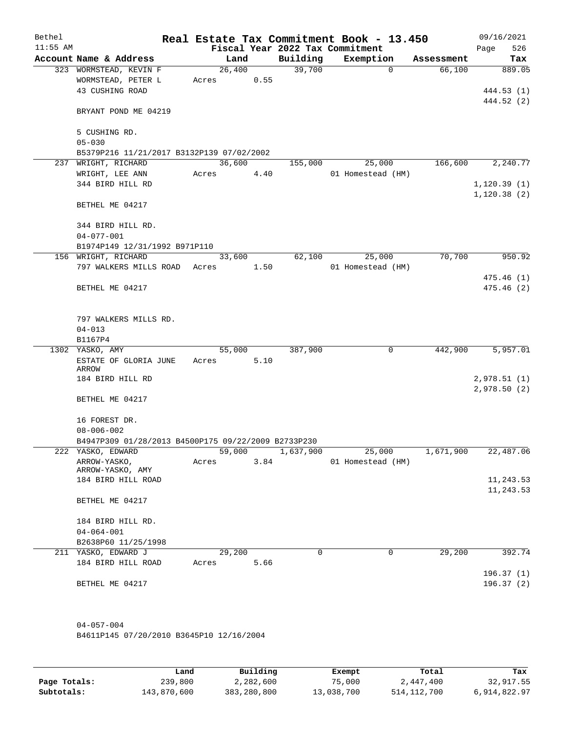| Bethel<br>$11:55$ AM |                                                     |       |        |      | Fiscal Year 2022 Tax Commitment | Real Estate Tax Commitment Book - 13.450 |            | 09/16/2021<br>526<br>Page |
|----------------------|-----------------------------------------------------|-------|--------|------|---------------------------------|------------------------------------------|------------|---------------------------|
|                      | Account Name & Address                              |       | Land   |      | Building                        | Exemption                                | Assessment | Tax                       |
|                      | 323 WORMSTEAD, KEVIN F                              |       | 26,400 |      | 39,700                          | $\mathbf 0$                              | 66,100     | 889.05                    |
|                      | WORMSTEAD, PETER L                                  | Acres |        | 0.55 |                                 |                                          |            |                           |
|                      | 43 CUSHING ROAD                                     |       |        |      |                                 |                                          |            | 444.53 (1)                |
|                      |                                                     |       |        |      |                                 |                                          |            | 444.52 (2)                |
|                      | BRYANT POND ME 04219                                |       |        |      |                                 |                                          |            |                           |
|                      |                                                     |       |        |      |                                 |                                          |            |                           |
|                      | 5 CUSHING RD.                                       |       |        |      |                                 |                                          |            |                           |
|                      | $05 - 030$                                          |       |        |      |                                 |                                          |            |                           |
|                      | B5379P216 11/21/2017 B3132P139 07/02/2002           |       |        |      |                                 |                                          |            |                           |
| 237                  | WRIGHT, RICHARD                                     |       | 36,600 |      | 155,000                         | 25,000                                   | 166,600    | 2,240.77                  |
|                      | WRIGHT, LEE ANN                                     | Acres |        | 4.40 |                                 | 01 Homestead (HM)                        |            |                           |
|                      | 344 BIRD HILL RD                                    |       |        |      |                                 |                                          |            | 1,120.39(1)               |
|                      |                                                     |       |        |      |                                 |                                          |            | 1,120.38(2)               |
|                      | BETHEL ME 04217                                     |       |        |      |                                 |                                          |            |                           |
|                      |                                                     |       |        |      |                                 |                                          |            |                           |
|                      | 344 BIRD HILL RD.                                   |       |        |      |                                 |                                          |            |                           |
|                      | $04 - 077 - 001$                                    |       |        |      |                                 |                                          |            |                           |
|                      | B1974P149 12/31/1992 B971P110                       |       |        |      |                                 |                                          |            |                           |
|                      | 156 WRIGHT, RICHARD                                 |       | 33,600 |      | 62,100                          | 25,000                                   | 70,700     | 950.92                    |
|                      | 797 WALKERS MILLS ROAD                              | Acres |        | 1.50 |                                 | 01 Homestead (HM)                        |            |                           |
|                      |                                                     |       |        |      |                                 |                                          |            | 475.46(1)                 |
|                      | BETHEL ME 04217                                     |       |        |      |                                 |                                          |            | 475.46(2)                 |
|                      |                                                     |       |        |      |                                 |                                          |            |                           |
|                      |                                                     |       |        |      |                                 |                                          |            |                           |
|                      | 797 WALKERS MILLS RD.                               |       |        |      |                                 |                                          |            |                           |
|                      | $04 - 013$                                          |       |        |      |                                 |                                          |            |                           |
|                      | B1167P4                                             |       |        |      |                                 |                                          |            |                           |
|                      | 1302 YASKO, AMY                                     |       | 55,000 |      | 387,900                         | 0                                        | 442,900    | 5,957.01                  |
|                      | ESTATE OF GLORIA JUNE<br>ARROW                      | Acres |        | 5.10 |                                 |                                          |            |                           |
|                      | 184 BIRD HILL RD                                    |       |        |      |                                 |                                          |            | 2,978.51(1)               |
|                      |                                                     |       |        |      |                                 |                                          |            | 2,978.50(2)               |
|                      | BETHEL ME 04217                                     |       |        |      |                                 |                                          |            |                           |
|                      |                                                     |       |        |      |                                 |                                          |            |                           |
|                      | 16 FOREST DR.                                       |       |        |      |                                 |                                          |            |                           |
|                      | $08 - 006 - 002$                                    |       |        |      |                                 |                                          |            |                           |
|                      | B4947P309 01/28/2013 B4500P175 09/22/2009 B2733P230 |       |        |      |                                 |                                          |            |                           |
|                      | 222 YASKO, EDWARD                                   |       | 59,000 |      | 1,637,900                       | 25,000                                   | 1,671,900  | 22,487.06                 |
|                      | ARROW-YASKO,                                        | Acres |        | 3.84 |                                 | 01 Homestead (HM)                        |            |                           |
|                      | ARROW-YASKO, AMY                                    |       |        |      |                                 |                                          |            |                           |
|                      | 184 BIRD HILL ROAD                                  |       |        |      |                                 |                                          |            | 11,243.53                 |
|                      |                                                     |       |        |      |                                 |                                          |            | 11,243.53                 |
|                      | BETHEL ME 04217                                     |       |        |      |                                 |                                          |            |                           |
|                      |                                                     |       |        |      |                                 |                                          |            |                           |
|                      | 184 BIRD HILL RD.                                   |       |        |      |                                 |                                          |            |                           |
|                      | $04 - 064 - 001$                                    |       |        |      |                                 |                                          |            |                           |
|                      | B2638P60 11/25/1998                                 |       |        |      |                                 |                                          |            |                           |
|                      | 211 YASKO, EDWARD J                                 |       | 29,200 |      | 0                               | 0                                        | 29,200     | 392.74                    |
|                      | 184 BIRD HILL ROAD                                  | Acres |        | 5.66 |                                 |                                          |            |                           |
|                      |                                                     |       |        |      |                                 |                                          |            | 196.37(1)                 |
|                      | BETHEL ME 04217                                     |       |        |      |                                 |                                          |            | 196.37(2)                 |
|                      |                                                     |       |        |      |                                 |                                          |            |                           |
|                      |                                                     |       |        |      |                                 |                                          |            |                           |
|                      |                                                     |       |        |      |                                 |                                          |            |                           |
|                      | $04 - 057 - 004$                                    |       |        |      |                                 |                                          |            |                           |
|                      | B4611P145 07/20/2010 B3645P10 12/16/2004            |       |        |      |                                 |                                          |            |                           |
|                      |                                                     |       |        |      |                                 |                                          |            |                           |

|              | Land        | Building    | Exempt     | Total       | Tax          |
|--------------|-------------|-------------|------------|-------------|--------------|
| Page Totals: | 239,800     | 2,282,600   | 75,000     | 2,447,400   | 32,917.55    |
| Subtotals:   | 143,870,600 | 383,280,800 | 13,038,700 | 514,112,700 | 6,914,822.97 |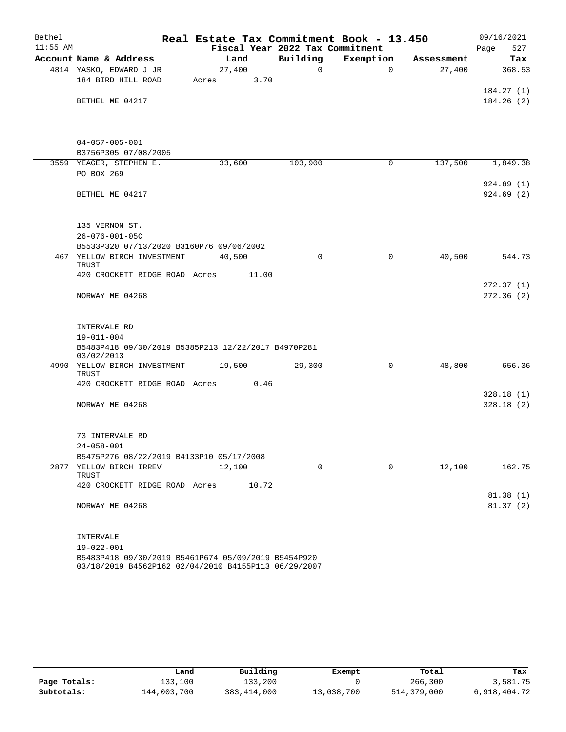| Bethel     |                                                                     | Real Estate Tax Commitment Book - 13.450 |             |             |            | 09/16/2021  |
|------------|---------------------------------------------------------------------|------------------------------------------|-------------|-------------|------------|-------------|
| $11:55$ AM |                                                                     | Fiscal Year 2022 Tax Commitment          |             |             |            | 527<br>Page |
|            | Account Name & Address                                              | Land                                     | Building    | Exemption   | Assessment | Tax         |
|            | 4814 YASKO, EDWARD J JR                                             | 27,400                                   | $\mathbf 0$ | $\Omega$    | 27,400     | 368.53      |
|            | 184 BIRD HILL ROAD                                                  | 3.70<br>Acres                            |             |             |            |             |
|            |                                                                     |                                          |             |             |            | 184.27(1)   |
|            | BETHEL ME 04217                                                     |                                          |             |             |            | 184.26(2)   |
|            |                                                                     |                                          |             |             |            |             |
|            |                                                                     |                                          |             |             |            |             |
|            | $04 - 057 - 005 - 001$                                              |                                          |             |             |            |             |
|            | B3756P305 07/08/2005<br>3559 YEAGER, STEPHEN E.                     | 33,600                                   | 103,900     | 0           | 137,500    | 1,849.38    |
|            | PO BOX 269                                                          |                                          |             |             |            |             |
|            |                                                                     |                                          |             |             |            | 924.69(1)   |
|            | BETHEL ME 04217                                                     |                                          |             |             |            | 924.69 (2)  |
|            |                                                                     |                                          |             |             |            |             |
|            | 135 VERNON ST.                                                      |                                          |             |             |            |             |
|            | $26 - 076 - 001 - 05C$                                              |                                          |             |             |            |             |
|            | B5533P320 07/13/2020 B3160P76 09/06/2002                            |                                          |             |             |            |             |
|            | 467 YELLOW BIRCH INVESTMENT<br>TRUST                                | 40,500                                   | 0           | $\mathbf 0$ | 40,500     | 544.73      |
|            | 420 CROCKETT RIDGE ROAD Acres                                       | 11.00                                    |             |             |            |             |
|            |                                                                     |                                          |             |             |            | 272.37(1)   |
|            | NORWAY ME 04268                                                     |                                          |             |             |            | 272.36(2)   |
|            |                                                                     |                                          |             |             |            |             |
|            | INTERVALE RD                                                        |                                          |             |             |            |             |
|            | $19 - 011 - 004$                                                    |                                          |             |             |            |             |
|            | B5483P418 09/30/2019 B5385P213 12/22/2017 B4970P281                 |                                          |             |             |            |             |
|            | 03/02/2013                                                          |                                          |             |             |            |             |
|            | 4990 YELLOW BIRCH INVESTMENT                                        | 19,500                                   | 29,300      | 0           | 48,800     | 656.36      |
|            | TRUST<br>420 CROCKETT RIDGE ROAD Acres                              | 0.46                                     |             |             |            |             |
|            |                                                                     |                                          |             |             |            | 328.18(1)   |
|            | NORWAY ME 04268                                                     |                                          |             |             |            | 328.18(2)   |
|            |                                                                     |                                          |             |             |            |             |
|            |                                                                     |                                          |             |             |            |             |
|            | 73 INTERVALE RD                                                     |                                          |             |             |            |             |
|            | $24 - 058 - 001$                                                    |                                          |             |             |            |             |
|            | B5475P276 08/22/2019 B4133P10 05/17/2008<br>2877 YELLOW BIRCH IRREV | 12,100                                   | $\Omega$    | $\Omega$    | 12,100     | 162.75      |
|            | TRUST                                                               |                                          |             |             |            |             |
|            | 420 CROCKETT RIDGE ROAD Acres                                       | 10.72                                    |             |             |            |             |
|            |                                                                     |                                          |             |             |            | 81.38(1)    |
|            | NORWAY ME 04268                                                     |                                          |             |             |            | 81.37(2)    |
|            |                                                                     |                                          |             |             |            |             |
|            | INTERVALE                                                           |                                          |             |             |            |             |
|            | 19-022-001                                                          |                                          |             |             |            |             |
|            | B5483P418 09/30/2019 B5461P674 05/09/2019 B5454P920                 |                                          |             |             |            |             |

03/18/2019 B4562P162 02/04/2010 B4155P113 06/29/2007

|              | Land        | Building    | Exempt     | Total       | Tax          |
|--------------|-------------|-------------|------------|-------------|--------------|
| Page Totals: | 133,100     | 133,200     |            | 266,300     | 3,581.75     |
| Subtotals:   | 144,003,700 | 383,414,000 | 13,038,700 | 514,379,000 | 6,918,404.72 |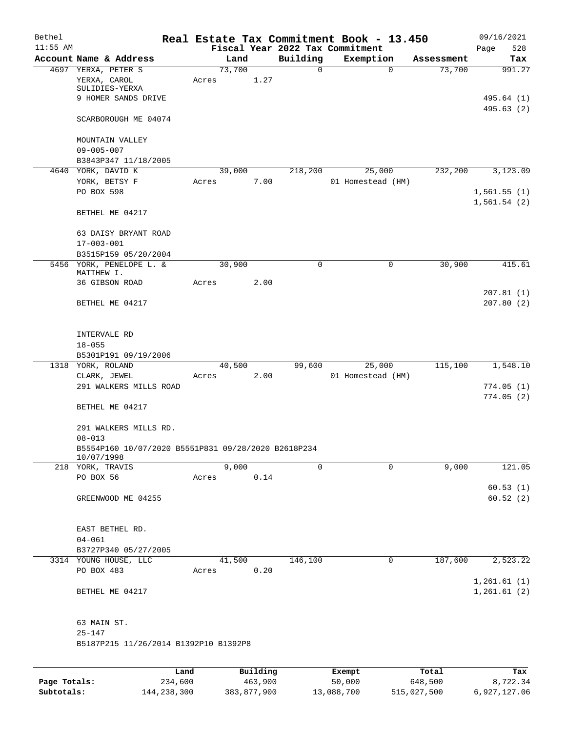| Bethel       |                                                                                 |         |        |          |             | Real Estate Tax Commitment Book - 13.450 |            | 09/16/2021               |
|--------------|---------------------------------------------------------------------------------|---------|--------|----------|-------------|------------------------------------------|------------|--------------------------|
| $11:55$ AM   |                                                                                 |         |        |          |             | Fiscal Year 2022 Tax Commitment          |            | 528<br>Page              |
|              | Account Name & Address                                                          |         | Land   |          | Building    | Exemption                                | Assessment | Tax                      |
|              | 4697 YERXA, PETER S<br>YERXA, CAROL<br>SULIDIES-YERXA                           | Acres   | 73,700 | 1.27     | 0           | 0                                        | 73,700     | 991.27                   |
|              | 9 HOMER SANDS DRIVE                                                             |         |        |          |             |                                          |            | 495.64 (1)<br>495.63 (2) |
|              | SCARBOROUGH ME 04074                                                            |         |        |          |             |                                          |            |                          |
|              | MOUNTAIN VALLEY                                                                 |         |        |          |             |                                          |            |                          |
|              | $09 - 005 - 007$<br>B3843P347 11/18/2005                                        |         |        |          |             |                                          |            |                          |
|              | 4640 YORK, DAVID K                                                              |         | 39,000 |          | 218,200     | 25,000                                   | 232,200    | 3,123.09                 |
|              | YORK, BETSY F<br>PO BOX 598                                                     | Acres   |        | 7.00     |             | 01 Homestead (HM)                        |            | 1,561.55(1)              |
|              | BETHEL ME 04217                                                                 |         |        |          |             |                                          |            | 1,561.54(2)              |
|              | 63 DAISY BRYANT ROAD<br>$17 - 003 - 001$                                        |         |        |          |             |                                          |            |                          |
|              | B3515P159 05/20/2004                                                            |         |        |          |             |                                          |            |                          |
|              | 5456 YORK, PENELOPE L. &<br>MATTHEW I.                                          |         | 30,900 |          | $\mathbf 0$ | 0                                        | 30,900     | 415.61                   |
|              | 36 GIBSON ROAD                                                                  | Acres   |        | 2.00     |             |                                          |            | 207.81(1)                |
|              | BETHEL ME 04217                                                                 |         |        |          |             |                                          |            | 207.80(2)                |
|              | INTERVALE RD<br>$18 - 055$                                                      |         |        |          |             |                                          |            |                          |
|              | B5301P191 09/19/2006                                                            |         |        |          |             |                                          |            |                          |
|              | 1318 YORK, ROLAND                                                               |         | 40,500 |          | 99,600      | 25,000                                   | 115,100    | 1,548.10                 |
|              | CLARK, JEWEL<br>291 WALKERS MILLS ROAD                                          | Acres   |        | 2.00     |             | 01 Homestead (HM)                        |            | 774.05(1)                |
|              | BETHEL ME 04217                                                                 |         |        |          |             |                                          |            | 774.05(2)                |
|              | 291 WALKERS MILLS RD.                                                           |         |        |          |             |                                          |            |                          |
|              | $08 - 013$<br>B5554P160 10/07/2020 B5551P831 09/28/2020 B2618P234<br>10/07/1998 |         |        |          |             |                                          |            |                          |
|              | 218 YORK, TRAVIS                                                                |         | 9,000  |          | $\Omega$    | $\Omega$                                 | 9,000      | 121.05                   |
|              | PO BOX 56                                                                       | Acres   |        | 0.14     |             |                                          |            |                          |
|              | GREENWOOD ME 04255                                                              |         |        |          |             |                                          |            | 60.53(1)<br>60.52(2)     |
|              | EAST BETHEL RD.                                                                 |         |        |          |             |                                          |            |                          |
|              | $04 - 061$                                                                      |         |        |          |             |                                          |            |                          |
|              | B3727P340 05/27/2005                                                            |         |        |          |             |                                          |            |                          |
|              | 3314 YOUNG HOUSE, LLC                                                           |         | 41,500 |          | 146,100     | 0                                        | 187,600    | 2,523.22                 |
|              | PO BOX 483                                                                      | Acres   |        | 0.20     |             |                                          |            | 1,261.61(1)              |
|              | BETHEL ME 04217                                                                 |         |        |          |             |                                          |            | 1,261.61(2)              |
|              | 63 MAIN ST.                                                                     |         |        |          |             |                                          |            |                          |
|              | $25 - 147$<br>B5187P215 11/26/2014 B1392P10 B1392P8                             |         |        |          |             |                                          |            |                          |
|              |                                                                                 |         |        |          |             |                                          |            |                          |
|              |                                                                                 | Land    |        | Building |             | Exempt                                   | Total      | Tax                      |
| Page Totals: |                                                                                 | 234,600 |        | 463,900  |             | 50,000                                   | 648,500    | 8,722.34                 |

**Subtotals:** 144,238,300 383,877,900 13,088,700 515,027,500 6,927,127.06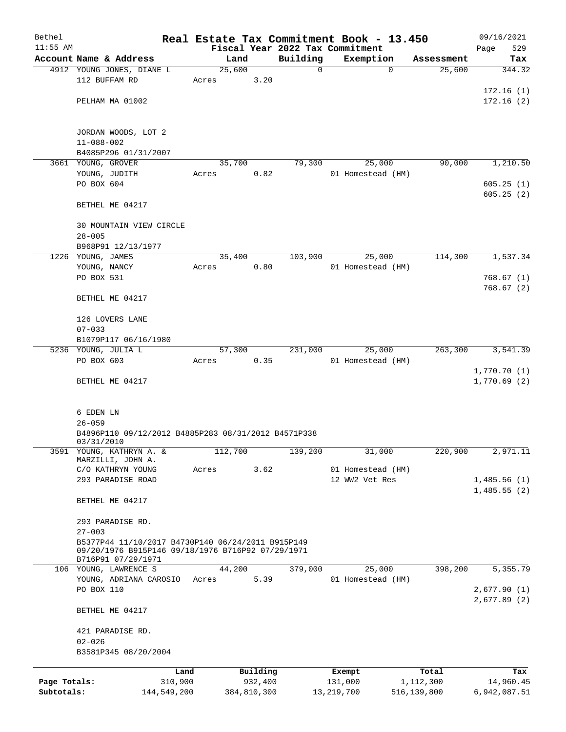| Bethel       |                                                                         |         |             |               | Real Estate Tax Commitment Book - 13.450 |                      | 09/16/2021             |
|--------------|-------------------------------------------------------------------------|---------|-------------|---------------|------------------------------------------|----------------------|------------------------|
| $11:55$ AM   |                                                                         |         |             |               | Fiscal Year 2022 Tax Commitment          |                      | 529<br>Page            |
|              | Account Name & Address                                                  | 25,600  | Land        | Building<br>0 | Exemption<br>0                           | Assessment<br>25,600 | Tax<br>344.32          |
|              | 4912 YOUNG JONES, DIANE L<br>112 BUFFAM RD                              | Acres   | 3.20        |               |                                          |                      |                        |
|              | PELHAM MA 01002                                                         |         |             |               |                                          |                      | 172.16(1)<br>172.16(2) |
|              |                                                                         |         |             |               |                                          |                      |                        |
|              | JORDAN WOODS, LOT 2                                                     |         |             |               |                                          |                      |                        |
|              | $11 - 088 - 002$                                                        |         |             |               |                                          |                      |                        |
|              | B4085P296 01/31/2007                                                    |         |             |               |                                          |                      |                        |
|              | 3661 YOUNG, GROVER<br>YOUNG, JUDITH                                     | 35,700  | 0.82        | 79,300        | 25,000                                   | 90,000               | 1,210.50               |
|              | PO BOX 604                                                              | Acres   |             |               | 01 Homestead (HM)                        |                      | 605.25(1)              |
|              |                                                                         |         |             |               |                                          |                      | 605.25(2)              |
|              | BETHEL ME 04217                                                         |         |             |               |                                          |                      |                        |
|              | 30 MOUNTAIN VIEW CIRCLE                                                 |         |             |               |                                          |                      |                        |
|              | $28 - 005$                                                              |         |             |               |                                          |                      |                        |
|              | B968P91 12/13/1977                                                      |         |             |               |                                          |                      |                        |
|              | 1226 YOUNG, JAMES                                                       | 35,400  |             | 103,900       | 25,000                                   | 114,300              | 1,537.34               |
|              | YOUNG, NANCY                                                            | Acres   | 0.80        |               | 01 Homestead (HM)                        |                      |                        |
|              | PO BOX 531                                                              |         |             |               |                                          |                      | 768.67(1)              |
|              | BETHEL ME 04217                                                         |         |             |               |                                          |                      | 768.67(2)              |
|              | 126 LOVERS LANE                                                         |         |             |               |                                          |                      |                        |
|              | $07 - 033$                                                              |         |             |               |                                          |                      |                        |
|              | B1079P117 06/16/1980                                                    |         |             |               |                                          |                      |                        |
|              | 5236 YOUNG, JULIA L                                                     | 57,300  |             | 231,000       | 25,000                                   | 263,300              | 3,541.39               |
|              | PO BOX 603                                                              | Acres   | 0.35        |               | 01 Homestead (HM)                        |                      |                        |
|              |                                                                         |         |             |               |                                          |                      | 1,770.70 (1)           |
|              | BETHEL ME 04217                                                         |         |             |               |                                          |                      | 1,770.69(2)            |
|              | 6 EDEN LN                                                               |         |             |               |                                          |                      |                        |
|              | $26 - 059$                                                              |         |             |               |                                          |                      |                        |
|              | B4896P110 09/12/2012 B4885P283 08/31/2012 B4571P338<br>03/31/2010       |         |             |               |                                          |                      |                        |
| 3591         | YOUNG, KATHRYN A. &<br>MARZILLI, JOHN A.                                | 112,700 |             | 139,200       | 31,000                                   | 220,900              | 2,971.11               |
|              | C/O KATHRYN YOUNG                                                       | Acres   | 3.62        |               | 01 Homestead (HM)                        |                      |                        |
|              | 293 PARADISE ROAD                                                       |         |             |               | 12 WW2 Vet Res                           |                      | 1,485.56(1)            |
|              |                                                                         |         |             |               |                                          |                      | 1,485.55(2)            |
|              | BETHEL ME 04217                                                         |         |             |               |                                          |                      |                        |
|              | 293 PARADISE RD.                                                        |         |             |               |                                          |                      |                        |
|              | $27 - 003$<br>B5377P44 11/10/2017 B4730P140 06/24/2011 B915P149         |         |             |               |                                          |                      |                        |
|              | 09/20/1976 B915P146 09/18/1976 B716P92 07/29/1971<br>B716P91 07/29/1971 |         |             |               |                                          |                      |                        |
|              | 106 YOUNG, LAWRENCE S                                                   | 44,200  |             | 379,000       | 25,000                                   | 398,200              | 5,355.79               |
|              | YOUNG, ADRIANA CAROSIO                                                  | Acres   | 5.39        |               | 01 Homestead (HM)                        |                      |                        |
|              | PO BOX 110                                                              |         |             |               |                                          |                      | 2,677.90(1)            |
|              | BETHEL ME 04217                                                         |         |             |               |                                          |                      | 2,677.89(2)            |
|              |                                                                         |         |             |               |                                          |                      |                        |
|              | 421 PARADISE RD.<br>$02 - 026$                                          |         |             |               |                                          |                      |                        |
|              | B3581P345 08/20/2004                                                    |         |             |               |                                          |                      |                        |
|              |                                                                         | Land    | Building    |               | Exempt                                   | Total                | Tax                    |
| Page Totals: | 310,900                                                                 |         | 932,400     |               | 131,000                                  | 1,112,300            | 14,960.45              |
| Subtotals:   | 144,549,200                                                             |         | 384,810,300 |               | 13, 219, 700                             | 516,139,800          | 6,942,087.51           |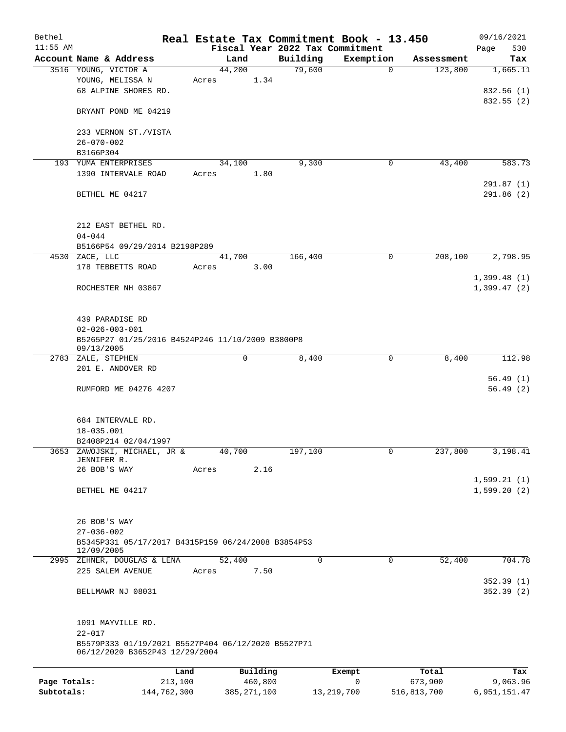| Bethel       |                                                                                      |                |                                 | Real Estate Tax Commitment Book - 13.450 |                       | 09/16/2021           |
|--------------|--------------------------------------------------------------------------------------|----------------|---------------------------------|------------------------------------------|-----------------------|----------------------|
| $11:55$ AM   |                                                                                      |                | Fiscal Year 2022 Tax Commitment |                                          |                       | 530<br>Page          |
|              | Account Name & Address                                                               | Land<br>44,200 | Building<br>79,600              | Exemption<br>$\mathbf 0$                 | Assessment<br>123,800 | Tax<br>1,665.11      |
|              | 3516 YOUNG, VICTOR A<br>YOUNG, MELISSA N<br>68 ALPINE SHORES RD.                     | Acres          | 1.34                            |                                          |                       | 832.56(1)            |
|              | BRYANT POND ME 04219                                                                 |                |                                 |                                          |                       | 832.55(2)            |
|              | 233 VERNON ST./VISTA<br>$26 - 070 - 002$                                             |                |                                 |                                          |                       |                      |
|              | B3166P304                                                                            |                |                                 |                                          |                       |                      |
|              | 193 YUMA ENTERPRISES                                                                 | 34,100         | 9,300                           | 0                                        | 43,400                | 583.73               |
|              | 1390 INTERVALE ROAD                                                                  | Acres          | 1.80                            |                                          |                       | 291.87(1)            |
|              | BETHEL ME 04217                                                                      |                |                                 |                                          |                       | 291.86 (2)           |
|              | 212 EAST BETHEL RD.<br>$04 - 044$                                                    |                |                                 |                                          |                       |                      |
|              | B5166P54 09/29/2014 B2198P289                                                        |                |                                 |                                          |                       |                      |
|              | 4530 ZACE, LLC                                                                       | 41,700         | 166,400                         | 0                                        | 208,100               | 2,798.95             |
|              | 178 TEBBETTS ROAD                                                                    | Acres          | 3.00                            |                                          |                       | 1,399.48(1)          |
|              | ROCHESTER NH 03867                                                                   |                |                                 |                                          |                       | 1,399.47(2)          |
|              | 439 PARADISE RD<br>$02 - 026 - 003 - 001$                                            |                |                                 |                                          |                       |                      |
|              | B5265P27 01/25/2016 B4524P246 11/10/2009 B3800P8<br>09/13/2005                       |                |                                 |                                          |                       |                      |
|              | 2783 ZALE, STEPHEN<br>201 E. ANDOVER RD                                              | 0              | 8,400                           | 0                                        | 8,400                 | 112.98               |
|              | RUMFORD ME 04276 4207                                                                |                |                                 |                                          |                       | 56.49(1)<br>56.49(2) |
|              | 684 INTERVALE RD.<br>18-035.001<br>B2408P214 02/04/1997                              |                |                                 |                                          |                       |                      |
| 3653         | ZAWOJSKI, MICHAEL, JR &<br>JENNIFER R.                                               | 40,700         | 197,100                         | $\mathbf{0}$                             | 237,800               | 3,198.41             |
|              | 26 BOB'S WAY                                                                         | Acres          | 2.16                            |                                          |                       | 1,599.21(1)          |
|              | BETHEL ME 04217                                                                      |                |                                 |                                          |                       | 1,599.20(2)          |
|              | 26 BOB'S WAY<br>$27 - 036 - 002$                                                     |                |                                 |                                          |                       |                      |
|              | B5345P331 05/17/2017 B4315P159 06/24/2008 B3854P53<br>12/09/2005                     |                |                                 |                                          |                       |                      |
|              | 2995 ZEHNER, DOUGLAS & LENA                                                          | 52,400         | 0                               | $\mathbf 0$                              | 52,400                | 704.78               |
|              | 225 SALEM AVENUE                                                                     | Acres          | 7.50                            |                                          |                       | 352.39 (1)           |
|              | BELLMAWR NJ 08031                                                                    |                |                                 |                                          |                       | 352.39(2)            |
|              | 1091 MAYVILLE RD.<br>$22 - 017$                                                      |                |                                 |                                          |                       |                      |
|              | B5579P333 01/19/2021 B5527P404 06/12/2020 B5527P71<br>06/12/2020 B3652P43 12/29/2004 |                |                                 |                                          |                       |                      |
| Page Totals: | Land<br>213,100                                                                      | Building       | 460,800                         | Exempt<br>$\mathbf 0$                    | Total<br>673,900      | Tax<br>9,063.96      |
| Subtotals:   | 144,762,300                                                                          | 385, 271, 100  |                                 | 13, 219, 700                             | 516,813,700           | 6, 951, 151.47       |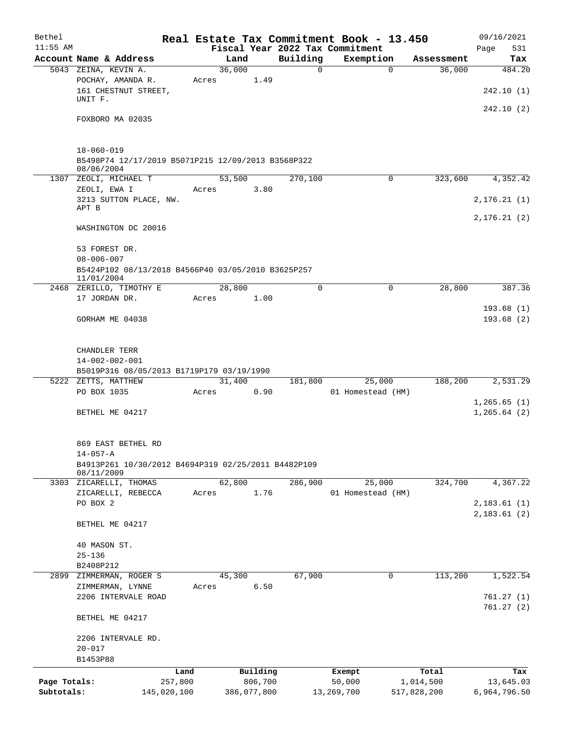| Bethel                     |                                                                                         |       |                        |             | Real Estate Tax Commitment Book - 13.450 |                          | 09/16/2021                   |
|----------------------------|-----------------------------------------------------------------------------------------|-------|------------------------|-------------|------------------------------------------|--------------------------|------------------------------|
| $11:55$ AM                 |                                                                                         |       |                        |             | Fiscal Year 2022 Tax Commitment          |                          | Page<br>531                  |
|                            | Account Name & Address                                                                  |       | Land                   | Building    | Exemption                                | Assessment               | Tax                          |
|                            | 5043 ZEINA, KEVIN A.<br>POCHAY, AMANDA R.<br>161 CHESTNUT STREET,<br>UNIT F.            | Acres | 36,000<br>1.49         | $\mathbf 0$ | $\Omega$                                 | 36,000                   | 484.20<br>242.10(1)          |
|                            | FOXBORO MA 02035                                                                        |       |                        |             |                                          |                          | 242.10(2)                    |
|                            | $18 - 060 - 019$                                                                        |       |                        |             |                                          |                          |                              |
|                            | B5498P74 12/17/2019 B5071P215 12/09/2013 B3568P322<br>08/06/2004                        |       |                        |             |                                          |                          |                              |
|                            | 1307 ZEOLI, MICHAEL T                                                                   |       | 53,500<br>3.80         | 270,100     | 0                                        | 323,600                  | 4,352.42                     |
|                            | ZEOLI, EWA I<br>3213 SUTTON PLACE, NW.<br>APT B                                         | Acres |                        |             |                                          |                          | 2, 176.21(1)                 |
|                            |                                                                                         |       |                        |             |                                          |                          | 2,176.21(2)                  |
|                            | WASHINGTON DC 20016                                                                     |       |                        |             |                                          |                          |                              |
|                            | 53 FOREST DR.<br>$08 - 006 - 007$<br>B5424P102 08/13/2018 B4566P40 03/05/2010 B3625P257 |       |                        |             |                                          |                          |                              |
|                            | 11/01/2004<br>2468 ZERILLO, TIMOTHY E                                                   |       | 28,800                 | $\mathbf 0$ | $\mathbf 0$                              | 28,800                   | 387.36                       |
|                            | 17 JORDAN DR.                                                                           | Acres | 1.00                   |             |                                          |                          |                              |
|                            | GORHAM ME 04038                                                                         |       |                        |             |                                          |                          | 193.68(1)<br>193.68(2)       |
|                            | CHANDLER TERR<br>$14 - 002 - 002 - 001$                                                 |       |                        |             |                                          |                          |                              |
|                            | B5019P316 08/05/2013 B1719P179 03/19/1990                                               |       |                        |             |                                          |                          |                              |
|                            | 5222 ZETTS, MATTHEW<br>PO BOX 1035                                                      | Acres | 31,400<br>0.90         | 181,800     | 25,000<br>01 Homestead (HM)              | 188,200                  | 2,531.29                     |
|                            | BETHEL ME 04217                                                                         |       |                        |             |                                          |                          | 1,265.65(1)<br>1, 265.64 (2) |
|                            | 869 EAST BETHEL RD<br>$14 - 057 - A$                                                    |       |                        |             |                                          |                          |                              |
|                            | B4913P261 10/30/2012 B4694P319 02/25/2011 B4482P109<br>08/11/2009                       |       |                        |             |                                          |                          |                              |
|                            | 3303 ZICARELLI, THOMAS<br>ZICARELLI, REBECCA                                            | Acres | 62,800<br>1.76         | 286,900     | 25,000<br>01 Homestead (HM)              | 324,700                  | 4,367.22                     |
|                            | PO BOX 2                                                                                |       |                        |             |                                          |                          | 2,183.61(1)<br>2,183.61(2)   |
|                            | BETHEL ME 04217                                                                         |       |                        |             |                                          |                          |                              |
|                            | 40 MASON ST.                                                                            |       |                        |             |                                          |                          |                              |
|                            | $25 - 136$                                                                              |       |                        |             |                                          |                          |                              |
|                            | B2408P212<br>2899 ZIMMERMAN, ROGER S                                                    |       | 45,300                 | 67,900      | $\mathbf 0$                              | 113,200                  | 1,522.54                     |
|                            | ZIMMERMAN, LYNNE                                                                        | Acres | 6.50                   |             |                                          |                          |                              |
|                            | 2206 INTERVALE ROAD                                                                     |       |                        |             |                                          |                          | 761.27(1)<br>761.27(2)       |
|                            | BETHEL ME 04217                                                                         |       |                        |             |                                          |                          |                              |
|                            | 2206 INTERVALE RD.                                                                      |       |                        |             |                                          |                          |                              |
|                            | $20 - 017$<br>B1453P88                                                                  |       |                        |             |                                          |                          |                              |
|                            |                                                                                         | Land  | Building               |             | Exempt                                   | Total                    | Tax                          |
| Page Totals:<br>Subtotals: | 257,800<br>145,020,100                                                                  |       | 806,700<br>386,077,800 |             | 50,000<br>13,269,700                     | 1,014,500<br>517,828,200 | 13,645.03<br>6,964,796.50    |